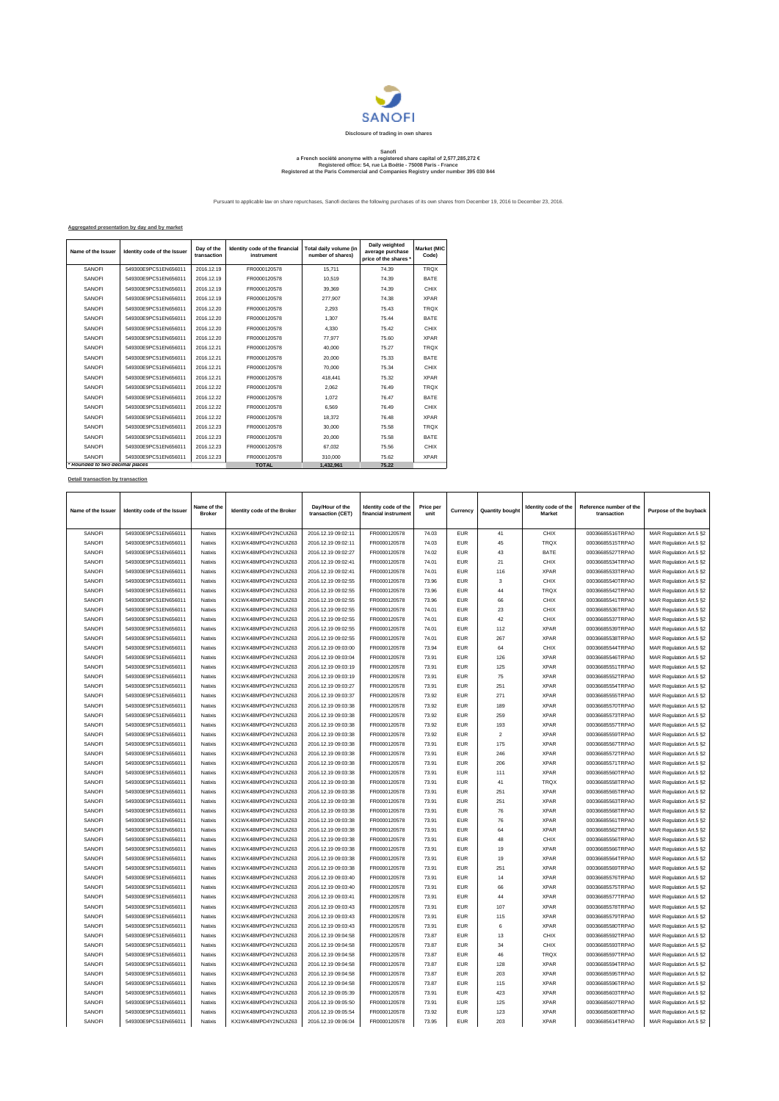

## Sanofi<br>a French société anonyme with a registered share capital of 2,577,285,272 €<br>Registered office: 54, rue La Boétie - 75008 Paris - France<br>Registered at the Paris Commercial and Companies Registry under number 395 030

Pursuant to applicable law on share repurchases, Sanofi declares the following purchases of its own shares from December 19, 2016 to December 23, 2016.

**Aggregated presentation by day and by market**

| Name of the Issuer              | Identity code of the Issuer | Day of the<br>transaction | Identity code of the financial<br>instrument | Total daily volume (in<br>number of shares) | Daily weighted<br>average purchase<br>price of the shares * | <b>Market (MIC</b><br>Code) |
|---------------------------------|-----------------------------|---------------------------|----------------------------------------------|---------------------------------------------|-------------------------------------------------------------|-----------------------------|
| SANOFI                          | 549300E9PC51EN656011        | 2016.12.19                | FR0000120578                                 | 15.711                                      | 74.39                                                       | <b>TRQX</b>                 |
| SANOFI                          | 549300E9PC51EN656011        | 2016.12.19                | FR0000120578                                 | 10.519                                      | 74.39                                                       | <b>BATF</b>                 |
| SANOFI                          | 549300E9PC51EN656011        | 2016.12.19                | FR0000120578                                 | 39.369                                      | 74.39                                                       | CHIX                        |
| SANOFI                          | 549300E9PC51EN656011        | 2016.12.19                | FR0000120578                                 | 277.907                                     | 74.38                                                       | <b>XPAR</b>                 |
| SANOFI                          | 549300E9PC51EN656011        | 2016.12.20                | FR0000120578                                 | 2.293                                       | 75.43                                                       | <b>TRQX</b>                 |
| SANOFI                          | 549300E9PC51EN656011        | 2016.12.20                | FR0000120578                                 | 1.307                                       | 75.44                                                       | BATE                        |
| SANOFI                          | 549300E9PC51EN656011        | 2016.12.20                | FR0000120578                                 | 4.330                                       | 75.42                                                       | CHIX                        |
| SANOFI                          | 549300E9PC51EN656011        | 2016.12.20                | FR0000120578                                 | 77.977                                      | 75.60                                                       | <b>XPAR</b>                 |
| SANOFI                          | 549300E9PC51EN656011        | 2016.12.21                | FR0000120578                                 | 40.000                                      | 75.27                                                       | <b>TRQX</b>                 |
| SANOFI                          | 549300E9PC51EN656011        | 2016.12.21                | FR0000120578                                 | 20,000                                      | 75.33                                                       | BATE                        |
| SANOFI                          | 549300E9PC51EN656011        | 2016.12.21                | FR0000120578                                 | 70,000                                      | 75.34                                                       | CHIX                        |
| SANOFI                          | 549300E9PC51EN656011        | 2016.12.21                | FR0000120578                                 | 418.441                                     | 75.32                                                       | <b>XPAR</b>                 |
| SANOFI                          | 549300E9PC51EN656011        | 2016.12.22                | FR0000120578                                 | 2.062                                       | 76.49                                                       | <b>TRQX</b>                 |
| SANOFI                          | 549300E9PC51EN656011        | 2016.12.22                | FR0000120578                                 | 1.072                                       | 76.47                                                       | <b>BATE</b>                 |
| SANOFI                          | 549300E9PC51EN656011        | 2016.12.22                | FR0000120578                                 | 6,569                                       | 76.49                                                       | CHIX                        |
| SANOFI                          | 549300E9PC51EN656011        | 2016.12.22                | FR0000120578                                 | 18.372                                      | 76.48                                                       | <b>XPAR</b>                 |
| SANOFI                          | 549300E9PC51EN656011        | 2016.12.23                | FR0000120578                                 | 30,000                                      | 75.58                                                       | <b>TRQX</b>                 |
| SANOFI                          | 549300E9PC51EN656011        | 2016.12.23                | FR0000120578                                 | 20,000                                      | 75.58                                                       | <b>BATE</b>                 |
| SANOFI                          | 549300E9PC51EN656011        | 2016.12.23                | FR0000120578                                 | 67.032                                      | 75.56                                                       | CHIX                        |
| SANOFI                          | 549300E9PC51EN656011        | 2016.12.23                | FR0000120578                                 | 310,000                                     | 75.62                                                       | <b>XPAR</b>                 |
| * Rounded to two decimal places |                             |                           | <b>TOTAL</b>                                 | 1.432.961                                   | 75.22                                                       |                             |

## **Detail transaction by transaction**

| Name of the Issuer | Identity code of the Issuer | Name of the<br><b>Broker</b> | Identity code of the Broker | Day/Hour of the<br>transaction (CET) | Identity code of the<br>financial instrument | Price per<br>unit | Currency   | <b>Quantity bought</b>  | Identity code of the<br>Market | Reference number of the<br>transaction | Purpose of the buyback  |
|--------------------|-----------------------------|------------------------------|-----------------------------|--------------------------------------|----------------------------------------------|-------------------|------------|-------------------------|--------------------------------|----------------------------------------|-------------------------|
| SANOFI             | 549300E9PC51EN656011        | Natixis                      | KX1WK48MPD4Y2NCUIZ63        | 2016.12.19 09:02:11                  | FR0000120578                                 | 74.03             | <b>EUR</b> | 41                      | CHIX                           | 00036685516TRPA0                       | MAR Regulation Art.5 §2 |
| SANOFI             | 549300E9PC51EN656011        | Natixis                      | KX1WK48MPD4Y2NCUIZ63        | 2016.12.19 09:02:11                  | FR0000120578                                 | 74.03             | <b>FUR</b> | 45                      | TRQX                           | 00036685515TRPA0                       | MAR Regulation Art.5 §2 |
| SANOFI             | 549300E9PC51EN656011        | Natixis                      | KX1WK48MPD4Y2NCUIZ63        | 2016.12.19 09:02:27                  | FR0000120578                                 | 74.02             | <b>EUR</b> | 43                      | BATE                           | 00036685527TRPA0                       | MAR Regulation Art.5 §2 |
| SANOFI             | 549300E9PC51EN656011        | Natixis                      | KX1WK48MPD4Y2NCUIZ63        | 2016.12.19 09:02:41                  | FR0000120578                                 | 74.01             | <b>FUR</b> | 21                      | CHIX                           | 00036685534TRPA0                       | MAR Regulation Art.5 §2 |
| SANOFI             | 549300E9PC51EN656011        | Natixis                      | KX1WK48MPD4Y2NCUIZ63        | 2016.12.19 09:02:41                  | FR0000120578                                 | 74.01             | <b>FUR</b> | 116                     | <b>XPAR</b>                    | 00036685533TRPA0                       | MAR Regulation Art.5 §2 |
| SANOFI             | 549300E9PC51EN656011        | Natixis                      | KX1WK48MPD4Y2NCUIZ63        | 2016.12.19 09:02:55                  | FR0000120578                                 | 73.96             | <b>EUR</b> | 3                       | CHIX                           | 00036685540TRPA0                       | MAR Regulation Art.5 §2 |
| SANOFI             | 549300E9PC51EN656011        | Natixis                      | KX1WK48MPD4Y2NCUIZ63        | 2016.12.19 09:02:55                  | FR0000120578                                 | 73.96             | <b>FUR</b> | 44                      | TRQX                           | 00036685542TRPA0                       | MAR Regulation Art.5 §2 |
| SANOFI             | 549300E9PC51EN656011        | Natixis                      | KX1WK48MPD4Y2NCUIZ63        | 2016.12.19 09:02:55                  | FR0000120578                                 | 73.96             | <b>FUR</b> | 66                      | CHIX                           | 00036685541TRPA0                       | MAR Regulation Art.5 §2 |
| SANOFI             | 549300E9PC51EN656011        | Natixis                      | KX1WK48MPD4Y2NCUIZ63        | 2016.12.19 09:02:55                  | FR0000120578                                 | 74.01             | EUR        | 23                      | CHIX                           | 00036685536TRPA0                       | MAR Regulation Art.5 §2 |
| SANOFI             | 549300E9PC51EN656011        | Natixis                      | KX1WK48MPD4Y2NCUIZ63        | 2016.12.19 09:02:55                  | FR0000120578                                 | 74.01             | <b>EUR</b> | 42                      | CHIX                           | 00036685537TRPA0                       | MAR Regulation Art.5 §2 |
| SANOFI             | 549300E9PC51EN656011        | Natixis                      | KX1WK48MPD4Y2NCUIZ63        | 2016.12.19 09:02:55                  | FR0000120578                                 | 74.01             | <b>FUR</b> | 112                     | <b>XPAR</b>                    | 00036685539TRPA0                       | MAR Regulation Art.5 §2 |
| SANOFI             | 549300E9PC51EN656011        | Natixis                      | KX1WK48MPD4Y2NCUIZ63        | 2016.12.19 09:02:55                  | FR0000120578                                 | 74.01             | EUR        | 267                     | <b>XPAR</b>                    | 00036685538TRPA0                       | MAR Regulation Art.5 §2 |
| SANOFI             | 549300E9PC51EN656011        | Natixis                      | KX1WK48MPD4Y2NCUIZ63        | 2016.12.19 09:03:00                  | FR0000120578                                 | 73.94             | <b>EUR</b> | 64                      | CHIX                           | 00036685544TRPA0                       | MAR Regulation Art.5 §2 |
| SANOFI             | 549300E9PC51EN656011        | Natixis                      | KX1WK48MPD4Y2NCUIZ63        | 2016.12.19 09:03:04                  | FR0000120578                                 | 73.91             | <b>FUR</b> | 126                     | <b>XPAR</b>                    | 00036685546TRPA0                       | MAR Regulation Art.5 §2 |
| SANOFI             | 549300E9PC51EN656011        | Natixis                      | KX1WK48MPD4Y2NCUIZ63        | 2016.12.19 09:03:19                  | FR0000120578                                 | 73.91             | EUR        | 125                     | <b>XPAR</b>                    | 00036685551TRPA0                       | MAR Regulation Art.5 §2 |
| SANOFI             | 549300E9PC51EN656011        | Natixis                      | KX1WK48MPD4Y2NCUIZ63        | 2016.12.19 09:03:19                  | FR0000120578                                 | 73.91             | <b>EUR</b> | 75                      | <b>XPAR</b>                    | 00036685552TRPA0                       | MAR Regulation Art.5 §2 |
| SANOFI             | 549300E9PC51EN656011        | Natixis                      | KX1WK48MPD4Y2NCUIZ63        | 2016.12.19 09:03:27                  | FR0000120578                                 | 73.91             | <b>FUR</b> | 251                     | <b>XPAR</b>                    | 00036685554TRPA0                       | MAR Regulation Art.5 §2 |
| SANOFI             | 549300E9PC51EN656011        | Natixis                      | KX1WK48MPD4Y2NCUIZ63        | 2016.12.19 09:03:37                  | FR0000120578                                 | 73.92             | <b>EUR</b> | 271                     | <b>XPAR</b>                    | 00036685555TRPA0                       | MAR Regulation Art.5 §2 |
| SANOFI             | 549300E9PC51EN656011        | Natixis                      | KX1WK48MPD4Y2NCUIZ63        | 2016.12.19 09:03:38                  | FR0000120578                                 | 73.92             | <b>EUR</b> | 189                     | <b>XPAR</b>                    | 00036685570TRPA0                       | MAR Regulation Art.5 §2 |
| SANOFI             | 549300E9PC51EN656011        | Natixis                      | KX1WK48MPD4Y2NCUIZ63        | 2016.12.19 09:03:38                  | FR0000120578                                 | 73.92             | <b>FUR</b> | 259                     | <b>XPAR</b>                    | 00036685573TRPA0                       | MAR Regulation Art.5 §2 |
| SANOFI             | 549300E9PC51EN656011        | Natixis                      | KX1WK48MPD4Y2NCUIZ63        | 2016.12.19 09:03:38                  | FR0000120578                                 | 73.92             | <b>EUR</b> | 193                     | <b>XPAR</b>                    | 00036685557TRPA0                       | MAR Regulation Art.5 §2 |
| SANOFI             | 549300E9PC51EN656011        | Natixis                      | KX1WK48MPD4Y2NCUIZ63        | 2016.12.19 09:03:38                  | FR0000120578                                 | 73.92             | EUR        | $\overline{\mathbf{c}}$ | <b>XPAR</b>                    | 00036685559TRPA0                       | MAR Regulation Art.5 §2 |
| SANOFI             | 549300E9PC51EN656011        | Natixis                      | KX1WK48MPD4Y2NCUIZ63        | 2016.12.19 09:03:38                  | FR0000120578                                 | 73.91             | <b>FUR</b> | 175                     | <b>XPAR</b>                    | 00036685567TRPA0                       | MAR Regulation Art.5 §2 |
| SANOFI             | 549300E9PC51EN656011        | Natixis                      | KX1WK48MPD4Y2NCUIZ63        | 2016.12.19 09:03:38                  | FR0000120578                                 | 73.91             | <b>EUR</b> | 246                     | <b>XPAR</b>                    | 00036685572TRPA0                       | MAR Regulation Art.5 §2 |
| SANOFI             | 549300E9PC51EN656011        | Natixis                      | KX1WK48MPD4Y2NCUIZ63        | 2016.12.19 09:03:38                  | FR0000120578                                 | 73.91             | <b>EUR</b> | 206                     | <b>XPAR</b>                    | 00036685571TRPA0                       | MAR Regulation Art.5 §2 |
| SANOFI             | 549300E9PC51EN656011        | Natixis                      | KX1WK48MPD4Y2NCUIZ63        | 2016.12.19 09:03:38                  | FR0000120578                                 | 73.91             | <b>FUR</b> | 111                     | <b>XPAR</b>                    | 00036685560TRPA0                       | MAR Regulation Art.5 §2 |
| SANOFI             | 549300E9PC51EN656011        | Natixis                      | KX1WK48MPD4Y2NCUIZ63        | 2016.12.19 09:03:38                  | FR0000120578                                 | 73.91             | <b>EUR</b> | 41                      | TRQX                           | 00036685558TRPA0                       | MAR Regulation Art.5 §2 |
| SANOFI             | 549300E9PC51EN656011        | Natixis                      | KX1WK48MPD4Y2NCUIZ63        | 2016.12.19 09:03:38                  | FR0000120578                                 | 73.91             | EUR        | 251                     | <b>XPAR</b>                    | 00036685565TRPA0                       | MAR Regulation Art.5 §2 |
| SANOFI             | 549300E9PC51EN656011        | Natixis                      | KX1WK48MPD4Y2NCUIZ63        | 2016.12.19 09:03:38                  | FR0000120578                                 | 73.91             | <b>EUR</b> | 251                     | <b>XPAR</b>                    | 00036685563TRPA0                       | MAR Regulation Art.5 §2 |
| SANOFI             | 549300E9PC51EN656011        | Natixis                      | KX1WK48MPD4Y2NCUIZ63        | 2016.12.19 09:03:38                  | FR0000120578                                 | 73.91             | <b>EUR</b> | 76                      | <b>XPAR</b>                    | 00036685568TRPA0                       | MAR Regulation Art.5 §2 |
| SANOFI             | 549300E9PC51EN656011        | Natixis                      | KX1WK48MPD4Y2NCUIZ63        | 2016.12.19 09:03:38                  | FR0000120578                                 | 73.91             | <b>FUR</b> | 76                      | <b>XPAR</b>                    | 00036685561TRPA0                       | MAR Regulation Art.5 §2 |
| SANOFI             | 549300E9PC51EN656011        | Natixis                      | KX1WK48MPD4Y2NCUIZ63        | 2016.12.19 09:03:38                  | FR0000120578                                 | 73.91             | <b>EUR</b> | 64                      | <b>XPAR</b>                    | 00036685562TRPA0                       | MAR Regulation Art.5 §2 |
| SANOFI             | 549300E9PC51EN656011        | Natixis                      | KX1WK48MPD4Y2NCUIZ63        | 2016.12.19 09:03:38                  | FR0000120578                                 | 73.91             | <b>FUR</b> | 48                      | CHIX                           | 00036685556TRPA0                       | MAR Regulation Art.5 §2 |
| SANOFI             | 549300E9PC51EN656011        | Natixis                      | KX1WK48MPD4Y2NCUIZ63        | 2016.12.19 09:03:38                  | FR0000120578                                 | 73.91             | <b>FUR</b> | 19                      | <b>XPAR</b>                    | 00036685566TRPA0                       | MAR Regulation Art.5 §2 |
| SANOFI             | 549300E9PC51EN656011        | Natixis                      | KX1WK48MPD4Y2NCUIZ63        | 2016.12.19 09:03:38                  | FR0000120578                                 | 73.91             | <b>FUR</b> | 19                      | <b>XPAR</b>                    | 00036685564TRPA0                       | MAR Regulation Art.5 §2 |
| SANOFI             | 549300E9PC51EN656011        | Natixis                      | KX1WK48MPD4Y2NCUIZ63        | 2016.12.19 09:03:38                  | FR0000120578                                 | 73.91             | <b>FUR</b> | 251                     | <b>XPAR</b>                    | 00036685569TRPA0                       | MAR Regulation Art.5 §2 |
| SANOFI             | 549300E9PC51EN656011        | Natixis                      | KX1WK48MPD4Y2NCUIZ63        | 2016.12.19 09:03:40                  | FR0000120578                                 | 73.91             | <b>EUR</b> | 14                      | <b>XPAR</b>                    | 00036685576TRPA0                       | MAR Regulation Art.5 §2 |
| SANOFI             | 549300E9PC51EN656011        | Natixis                      | KX1WK48MPD4Y2NCUIZ63        | 2016.12.19 09:03:40                  | FR0000120578                                 | 73.91             | <b>FUR</b> | 66                      | <b>XPAR</b>                    | 00036685575TRPA0                       | MAR Regulation Art.5 §2 |
| SANOFI             | 549300E9PC51EN656011        | Natixis                      | KX1WK48MPD4Y2NCUIZ63        | 2016.12.19 09:03:41                  | FR0000120578                                 | 73.91             | <b>FUR</b> | 44                      | <b>XPAR</b>                    | 00036685577TRPA0                       | MAR Regulation Art.5 §2 |
| SANOFI             | 549300E9PC51EN656011        | Natixis                      | KX1WK48MPD4Y2NCUIZ63        | 2016.12.19 09:03:43                  | FR0000120578                                 | 73.91             | <b>EUR</b> | 107                     | <b>XPAR</b>                    | 00036685578TRPA0                       | MAR Regulation Art.5 §2 |
| SANOFI             | 549300E9PC51EN656011        | Natixis                      | KX1WK48MPD4Y2NCUIZ63        | 2016.12.19 09:03:43                  | FR0000120578                                 | 73.91             | <b>FUR</b> | 115                     | <b>XPAR</b>                    | 00036685579TRPA0                       | MAR Regulation Art.5 §2 |
| SANOFI             | 549300E9PC51EN656011        | Natixis                      | KX1WK48MPD4Y2NCUIZ63        | 2016.12.19 09:03:43                  | FR0000120578                                 | 73.91             | <b>FUR</b> | 6                       | <b>XPAR</b>                    | 00036685580TRPA0                       | MAR Regulation Art.5 §2 |
| SANOFI             | 549300E9PC51EN656011        | Natixis                      | KX1WK48MPD4Y2NCUIZ63        | 2016.12.19 09:04:58                  | FR0000120578                                 | 73.87             | EUR        | 13                      | CHIX                           | 00036685592TRPA0                       | MAR Regulation Art.5 §2 |
| SANOFI             | 549300E9PC51EN656011        | Natixis                      | KX1WK48MPD4Y2NCUIZ63        | 2016.12.19 09:04:58                  | FR0000120578                                 | 73.87             | <b>FUR</b> | 34                      | CHIX                           | 00036685593TRPA0                       | MAR Regulation Art.5 §2 |
| SANOFI             | 549300E9PC51EN656011        | Natixis                      | KX1WK48MPD4Y2NCUIZ63        | 2016.12.19 09:04:58                  | FR0000120578                                 | 73.87             | <b>EUR</b> | 46                      | TRQX                           | 00036685597TRPA0                       | MAR Regulation Art.5 §2 |
| SANOFI             | 549300E9PC51EN656011        | Natixis                      | KX1WK48MPD4Y2NCUIZ63        | 2016.12.19 09:04:58                  | FR0000120578                                 | 73.87             | EUR        | 128                     | <b>XPAR</b>                    | 00036685594TRPA0                       | MAR Regulation Art.5 §2 |
| SANOFI             | 549300E9PC51EN656011        | Natixis                      | KX1WK48MPD4Y2NCUIZ63        | 2016.12.19 09:04:58                  | FR0000120578                                 | 73.87             | <b>FUR</b> | 203                     | <b>XPAR</b>                    | 00036685595TRPA0                       | MAR Regulation Art.5 §2 |
| SANOFI             | 549300E9PC51EN656011        | Natixis                      | KX1WK48MPD4Y2NCUIZ63        | 2016.12.19 09:04:58                  | FR0000120578                                 | 73.87             | <b>FUR</b> | 115                     | <b>XPAR</b>                    | 00036685596TRPA0                       | MAR Regulation Art.5 §2 |
| SANOFI             | 549300E9PC51EN656011        | Natixis                      | KX1WK48MPD4Y2NCUIZ63        | 2016.12.19 09:05:39                  | FR0000120578                                 | 73.91             | EUR        | 423                     | <b>XPAR</b>                    | 00036685603TRPA0                       | MAR Regulation Art.5 §2 |
| SANOFI             | 549300E9PC51EN656011        | Natixis                      | KX1WK48MPD4Y2NCUIZ63        | 2016.12.19 09:05:50                  | FR0000120578                                 | 73.91             | <b>EUR</b> | 125                     | <b>XPAR</b>                    | 00036685607TRPA0                       | MAR Regulation Art.5 §2 |
| SANOFI             | 549300E9PC51EN656011        | Natixis                      | KX1WK48MPD4Y2NCUIZ63        | 2016.12.19 09:05:54                  | FR0000120578                                 | 73.92             | <b>FUR</b> | 123                     | <b>XPAR</b>                    | 00036685608TRPA0                       | MAR Regulation Art.5 §2 |
| SANOFI             | 549300E9PC51EN656011        | Natixis                      | KX1WK48MPD4Y2NCUIZ63        | 2016.12.19 09:06:04                  | FR0000120578                                 | 73.95             | <b>EUR</b> | 203                     | <b>XPAR</b>                    | 00036685614TRPA0                       | MAR Regulation Art.5 §2 |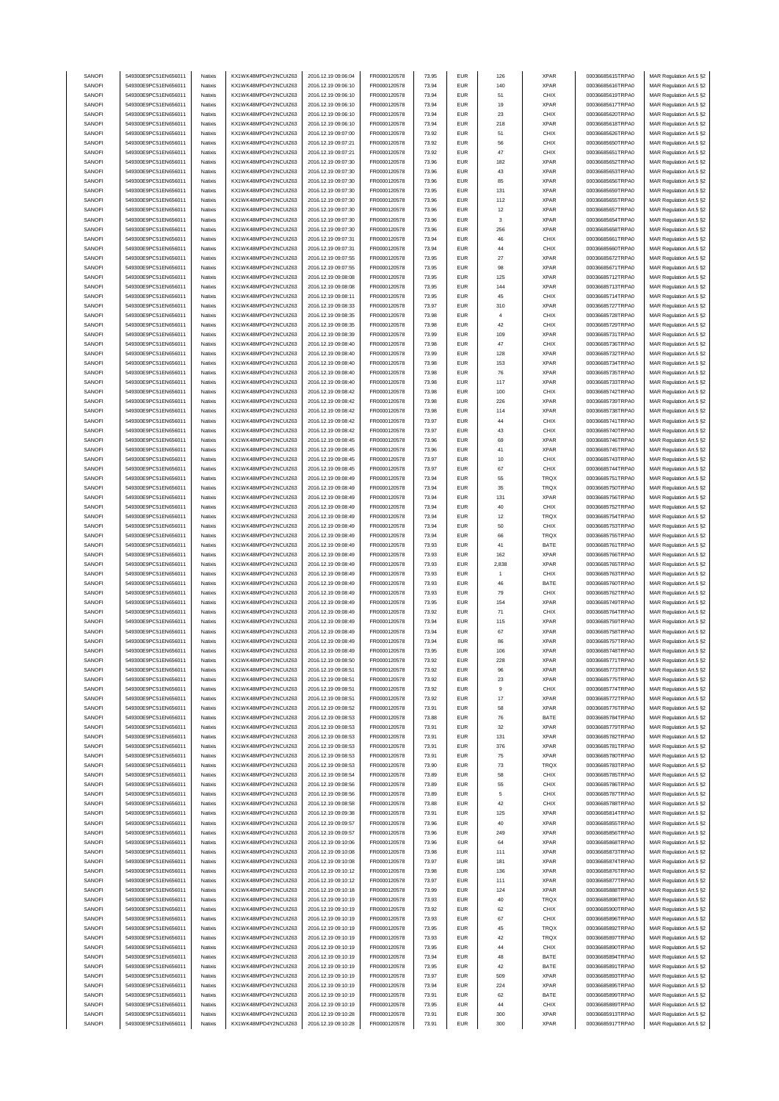| SANOFI | 549300E9PC51EN656011 | Natixis | KX1WK48MPD4Y2NCUIZ63 | 2016.12.19 09:06:04 | FR0000120578 | 73.95 | <b>EUR</b> | 126            | <b>XPAR</b> | 00036685615TRPA0 | MAR Regulation Art.5 §2 |
|--------|----------------------|---------|----------------------|---------------------|--------------|-------|------------|----------------|-------------|------------------|-------------------------|
| SANOFI | 549300E9PC51EN656011 | Natixis | KX1WK48MPD4Y2NCUIZ63 | 2016.12.19 09:06:10 | FR0000120578 | 73.94 | <b>EUR</b> | 140            | <b>XPAR</b> | 00036685616TRPA0 | MAR Regulation Art.5 §2 |
| SANOFI | 549300E9PC51EN656011 | Natixis | KX1WK48MPD4Y2NCUIZ63 | 2016.12.19 09:06:10 | FR0000120578 | 73.94 | <b>EUR</b> | 51             | CHIX        | 00036685619TRPA0 | MAR Regulation Art.5 §2 |
| SANOFI | 549300E9PC51EN656011 | Natixis | KX1WK48MPD4Y2NCUIZ63 | 2016.12.19 09:06:10 | FR0000120578 | 73.94 | <b>EUR</b> | 19             | <b>XPAR</b> | 00036685617TRPA0 | MAR Regulation Art.5 §2 |
|        |                      |         |                      |                     |              |       |            |                |             |                  |                         |
| SANOFI | 549300E9PC51EN656011 | Natixis | KX1WK48MPD4Y2NCUIZ63 | 2016.12.19 09:06:10 | FR0000120578 | 73.94 | <b>EUR</b> | 23             | CHIX        | 00036685620TRPA0 | MAR Regulation Art.5 §2 |
| SANOFI | 549300E9PC51EN656011 | Natixis | KX1WK48MPD4Y2NCUIZ63 | 2016.12.19 09:06:10 | FR0000120578 | 73.94 | <b>EUR</b> | 218            | <b>XPAR</b> | 00036685618TRPA0 | MAR Regulation Art.5 §2 |
| SANOFI | 549300E9PC51EN656011 | Natixis | KX1WK48MPD4Y2NCUIZ63 | 2016.12.19 09:07:00 | FR0000120578 | 73.92 | <b>EUR</b> | 51             | CHIX        | 00036685626TRPA0 | MAR Regulation Art.5 §2 |
| SANOFI | 549300E9PC51EN656011 | Natixis | KX1WK48MPD4Y2NCUIZ63 | 2016.12.19 09:07:21 | FR0000120578 | 73.92 | <b>EUR</b> | 56             | CHIX        | 00036685650TRPA0 | MAR Regulation Art.5 §2 |
| SANOFI | 549300E9PC51EN656011 | Natixis | KX1WK48MPD4Y2NCUIZ63 | 2016.12.19 09:07:21 | FR0000120578 | 73.92 | <b>EUR</b> | 47             | CHIX        | 00036685651TRPA0 | MAR Regulation Art.5 §2 |
| SANOFI | 549300E9PC51EN656011 | Natixis | KX1WK48MPD4Y2NCUIZ63 | 2016.12.19 09:07:30 | FR0000120578 | 73.96 | <b>EUR</b> | 182            | <b>XPAR</b> | 00036685652TRPA0 | MAR Regulation Art.5 §2 |
|        | 549300E9PC51EN656011 | Natixis |                      |                     |              | 73.96 | <b>EUR</b> |                |             |                  |                         |
| SANOFI |                      |         | KX1WK48MPD4Y2NCUIZ63 | 2016.12.19 09:07:30 | FR0000120578 |       |            | 43             | <b>XPAR</b> | 00036685653TRPA0 | MAR Regulation Art.5 §2 |
| SANOFI | 549300E9PC51EN656011 | Natixis | KX1WK48MPD4Y2NCUIZ63 | 2016.12.19 09:07:30 | FR0000120578 | 73.96 | <b>EUR</b> | 85             | <b>XPAR</b> | 00036685656TRPA0 | MAR Regulation Art.5 §2 |
| SANOFI | 549300E9PC51EN656011 | Natixis | KX1WK48MPD4Y2NCUIZ63 | 2016.12.19 09:07:30 | FR0000120578 | 73.95 | <b>EUR</b> | 131            | <b>XPAR</b> | 00036685659TRPA0 | MAR Regulation Art.5 §2 |
| SANOFI | 549300E9PC51EN656011 | Natixis | KX1WK48MPD4Y2NCUIZ63 | 2016.12.19 09:07:30 | FR0000120578 | 73.96 | <b>EUR</b> | 112            | <b>XPAR</b> | 00036685655TRPA0 | MAR Regulation Art.5 §2 |
| SANOFI | 549300E9PC51EN656011 | Natixis | KX1WK48MPD4Y2NCUIZ63 | 2016.12.19 09:07:30 | FR0000120578 | 73.96 | <b>EUR</b> | 12             | <b>XPAR</b> | 00036685657TRPA0 | MAR Regulation Art.5 §2 |
| SANOFI | 549300E9PC51EN656011 | Natixis | KX1WK48MPD4Y2NCUIZ63 | 2016.12.19 09:07:30 | FR0000120578 | 73.96 | <b>EUR</b> | 3              | <b>XPAR</b> | 00036685654TRPA0 | MAR Regulation Art.5 §2 |
|        |                      |         |                      |                     |              |       |            |                |             |                  |                         |
| SANOFI | 549300E9PC51EN656011 | Natixis | KX1WK48MPD4Y2NCUIZ63 | 2016.12.19 09:07:30 | FR0000120578 | 73.96 | <b>EUR</b> | 256            | <b>XPAR</b> | 00036685658TRPA0 | MAR Regulation Art.5 §2 |
| SANOFI | 549300E9PC51EN656011 | Natixis | KX1WK48MPD4Y2NCUIZ63 | 2016.12.19 09:07:31 | FR0000120578 | 73.94 | <b>EUR</b> | 46             | CHIX        | 00036685661TRPA0 | MAR Regulation Art.5 §2 |
| SANOFI | 549300E9PC51EN656011 | Natixis | KX1WK48MPD4Y2NCUIZ63 | 2016.12.19 09:07:31 | FR0000120578 | 73.94 | <b>EUR</b> | 44             | CHIX        | 00036685660TRPA0 | MAR Regulation Art.5 §2 |
| SANOFI | 549300E9PC51EN656011 | Natixis | KX1WK48MPD4Y2NCUIZ63 | 2016.12.19 09:07:55 | FR0000120578 | 73.95 | <b>EUR</b> | 27             | <b>XPAR</b> | 00036685672TRPA0 | MAR Regulation Art.5 §2 |
| SANOFI | 549300E9PC51EN656011 | Natixis | KX1WK48MPD4Y2NCUIZ63 | 2016.12.19 09:07:55 | FR0000120578 | 73.95 | <b>EUR</b> | 98             | <b>XPAR</b> | 00036685671TRPA0 | MAR Regulation Art.5 §2 |
| SANOFI | 549300E9PC51EN656011 | Natixis | KX1WK48MPD4Y2NCUIZ63 | 2016.12.19 09:08:08 | FR0000120578 | 73.95 | <b>EUR</b> | 125            | <b>XPAR</b> | 00036685712TRPA0 | MAR Regulation Art.5 §2 |
|        |                      |         |                      |                     |              |       |            |                |             |                  |                         |
| SANOFI | 549300E9PC51EN656011 | Natixis | KX1WK48MPD4Y2NCUIZ63 | 2016.12.19 09:08:08 | FR0000120578 | 73.95 | <b>EUR</b> | 144            | <b>XPAR</b> | 00036685713TRPA0 | MAR Regulation Art.5 §2 |
| SANOFI | 549300E9PC51EN656011 | Natixis | KX1WK48MPD4Y2NCUIZ63 | 2016.12.19 09:08:11 | FR0000120578 | 73.95 | <b>EUR</b> | 45             | CHIX        | 00036685714TRPA0 | MAR Regulation Art.5 §2 |
| SANOFI | 549300E9PC51EN656011 | Natixis | KX1WK48MPD4Y2NCUIZ63 | 2016.12.19 09:08:33 | FR0000120578 | 73.97 | <b>EUR</b> | 310            | <b>XPAR</b> | 00036685727TRPA0 | MAR Regulation Art.5 §2 |
| SANOFI | 549300E9PC51EN656011 | Natixis | KX1WK48MPD4Y2NCUIZ63 | 2016.12.19 09:08:35 | FR0000120578 | 73.98 | <b>EUR</b> | $\overline{4}$ | CHIX        | 00036685728TRPA0 | MAR Regulation Art.5 §2 |
| SANOFI | 549300E9PC51EN656011 | Natixis | KX1WK48MPD4Y2NCUIZ63 | 2016.12.19 09:08:35 | FR0000120578 | 73.98 | <b>EUR</b> | 42             | CHIX        | 00036685729TRPA0 | MAR Regulation Art.5 §2 |
| SANOFI | 549300E9PC51EN656011 | Natixis | KX1WK48MPD4Y2NCUIZ63 | 2016.12.19 09:08:39 | FR0000120578 | 73.99 | <b>EUR</b> | 109            | <b>XPAR</b> | 00036685731TRPA0 | MAR Regulation Art.5 §2 |
| SANOFI | 549300E9PC51EN656011 | Natixis |                      | 2016.12.19 09:08:40 | FR0000120578 | 73.98 | <b>EUR</b> | 47             | CHIX        | 00036685736TRPA0 |                         |
|        |                      |         | KX1WK48MPD4Y2NCUIZ63 |                     |              |       |            |                |             |                  | MAR Regulation Art.5 §2 |
| SANOFI | 549300E9PC51EN656011 | Natixis | KX1WK48MPD4Y2NCUIZ63 | 2016.12.19 09:08:40 | FR0000120578 | 73.99 | <b>EUR</b> | 128            | <b>XPAR</b> | 00036685732TRPA0 | MAR Regulation Art.5 §2 |
| SANOFI | 549300E9PC51EN656011 | Natixis | KX1WK48MPD4Y2NCUIZ63 | 2016.12.19 09:08:40 | FR0000120578 | 73.98 | <b>EUR</b> | 153            | <b>XPAR</b> | 00036685734TRPA0 | MAR Regulation Art.5 §2 |
| SANOFI | 549300E9PC51EN656011 | Natixis | KX1WK48MPD4Y2NCUIZ63 | 2016.12.19 09:08:40 | FR0000120578 | 73.98 | <b>EUR</b> | 76             | <b>XPAR</b> | 00036685735TRPA0 | MAR Regulation Art.5 §2 |
| SANOFI | 549300E9PC51EN656011 | Natixis | KX1WK48MPD4Y2NCUIZ63 | 2016.12.19 09:08:40 | FR0000120578 | 73.98 | <b>EUR</b> | 117            | <b>XPAR</b> | 00036685733TRPA0 | MAR Regulation Art.5 §2 |
|        | 549300E9PC51EN656011 |         | KX1WK48MPD4Y2NCUIZ63 |                     |              |       | <b>EUR</b> |                |             | 00036685742TRPA0 |                         |
| SANOFI |                      | Natixis |                      | 2016.12.19 09:08:42 | FR0000120578 | 73.98 |            | 100            | CHIX        |                  | MAR Regulation Art.5 §2 |
| SANOFI | 549300E9PC51EN656011 | Natixis | KX1WK48MPD4Y2NCUIZ63 | 2016.12.19 09:08:42 | FR0000120578 | 73.98 | <b>EUR</b> | 226            | <b>XPAR</b> | 00036685739TRPA0 | MAR Regulation Art.5 §2 |
| SANOFI | 549300E9PC51EN656011 | Natixis | KX1WK48MPD4Y2NCUIZ63 | 2016.12.19 09:08:42 | FR0000120578 | 73.98 | <b>EUR</b> | 114            | <b>XPAR</b> | 00036685738TRPA0 | MAR Regulation Art.5 §2 |
| SANOFI | 549300E9PC51EN656011 | Natixis | KX1WK48MPD4Y2NCUIZ63 | 2016.12.19 09:08:42 | FR0000120578 | 73.97 | <b>EUR</b> | 44             | CHIX        | 00036685741TRPA0 | MAR Regulation Art.5 §2 |
| SANOFI | 549300E9PC51EN656011 | Natixis | KX1WK48MPD4Y2NCUIZ63 | 2016.12.19.09:08:42 | FR0000120578 | 73.97 | <b>EUR</b> | 43             | CHIX        | 00036685740TRPA0 | MAR Regulation Art.5 §2 |
| SANOFI | 549300E9PC51EN656011 | Natixis | KX1WK48MPD4Y2NCUIZ63 | 2016.12.19 09:08:45 | FR0000120578 | 73.96 | <b>EUR</b> | 69             | <b>XPAR</b> | 00036685746TRPA0 | MAR Regulation Art.5 §2 |
|        |                      |         |                      |                     |              |       |            |                |             |                  |                         |
| SANOFI | 549300E9PC51EN656011 | Natixis | KX1WK48MPD4Y2NCUIZ63 | 2016.12.19 09:08:45 | FR0000120578 | 73.96 | <b>EUR</b> | 41             | <b>XPAR</b> | 00036685745TRPA0 | MAR Regulation Art.5 §2 |
| SANOFI | 549300E9PC51EN656011 | Natixis | KX1WK48MPD4Y2NCUIZ63 | 2016.12.19 09:08:45 | FR0000120578 | 73.97 | <b>EUR</b> | 10             | CHIX        | 00036685743TRPA0 | MAR Regulation Art.5 §2 |
| SANOFI | 549300E9PC51EN656011 | Natixis | KX1WK48MPD4Y2NCUIZ63 | 2016.12.19 09:08:45 | FR0000120578 | 73.97 | <b>EUR</b> | 67             | CHIX        | 00036685744TRPA0 | MAR Regulation Art.5 §2 |
| SANOFI | 549300E9PC51EN656011 | Natixis | KX1WK48MPD4Y2NCUIZ63 | 2016.12.19 09:08:49 | FR0000120578 | 73.94 | <b>EUR</b> | 55             | TRQX        | 00036685751TRPA0 | MAR Regulation Art.5 §2 |
| SANOFI | 549300E9PC51EN656011 | Natixis | KX1WK48MPD4Y2NCUIZ63 | 2016.12.19 09:08:49 | FR0000120578 | 73.94 | <b>EUR</b> | 35             | <b>TRQX</b> | 00036685750TRPA0 | MAR Regulation Art.5 §2 |
| SANOFI | 549300E9PC51EN656011 | Natixis | KX1WK48MPD4Y2NCUIZ63 | 2016.12.19 09:08:49 | FR0000120578 | 73.94 | <b>EUR</b> | 131            | <b>XPAR</b> | 00036685756TRPA0 | MAR Regulation Art.5 §2 |
|        |                      |         |                      |                     |              |       |            |                |             |                  |                         |
| SANOFI | 549300E9PC51EN656011 | Natixis | KX1WK48MPD4Y2NCUIZ63 | 2016.12.19 09:08:49 | FR0000120578 | 73.94 | <b>EUR</b> | 40             | CHIX        | 00036685752TRPA0 | MAR Regulation Art.5 §2 |
| SANOFI | 549300E9PC51EN656011 | Natixis | KX1WK48MPD4Y2NCUIZ63 | 2016.12.19 09:08:49 | FR0000120578 | 73.94 | <b>EUR</b> | 12             | TRQX        | 00036685754TRPA0 | MAR Regulation Art.5 §2 |
| SANOFI | 549300E9PC51EN656011 | Natixis | KX1WK48MPD4Y2NCUIZ63 | 2016.12.19 09:08:49 | FR0000120578 | 73.94 | <b>EUR</b> | 50             | CHIX        | 00036685753TRPA0 | MAR Regulation Art.5 §2 |
| SANOFI | 549300E9PC51EN656011 | Natixis | KX1WK48MPD4Y2NCUIZ63 | 2016.12.19 09:08:49 | FR0000120578 | 73.94 | <b>EUR</b> | 66             | TRQX        | 00036685755TRPA0 | MAR Regulation Art.5 §2 |
| SANOFI | 549300E9PC51EN656011 | Natixis | KX1WK48MPD4Y2NCUIZ63 | 2016.12.19 09:08:49 | FR0000120578 | 73.93 | <b>EUR</b> | 41             | BATE        | 00036685761TRPA0 | MAR Regulation Art.5 §2 |
| SANOFI | 549300E9PC51EN656011 | Natixis | KX1WK48MPD4Y2NCUIZ63 | 2016.12.19 09:08:49 | FR0000120578 | 73.93 | <b>EUR</b> | 162            | <b>XPAR</b> | 00036685766TRPA0 |                         |
|        |                      |         |                      |                     |              |       |            |                |             |                  | MAR Regulation Art.5 §2 |
| SANOFI | 549300E9PC51EN656011 | Natixis | KX1WK48MPD4Y2NCUIZ63 | 2016.12.19 09:08:49 | FR0000120578 | 73.93 | <b>EUR</b> | 2,838          | <b>XPAR</b> | 00036685765TRPA0 | MAR Regulation Art.5 §2 |
| SANOFI | 549300E9PC51EN656011 | Natixis | KX1WK48MPD4Y2NCUIZ63 | 2016.12.19.09:08:49 | FR0000120578 | 73.93 | <b>EUR</b> | $\mathbf{1}$   | CHIX        | 00036685763TRPA0 | MAR Regulation Art.5 §2 |
| SANOFI | 549300E9PC51EN656011 | Natixis | KX1WK48MPD4Y2NCUIZ63 | 2016.12.19 09:08:49 | FR0000120578 | 73.93 | <b>EUR</b> | 46             | BATE        | 00036685760TRPA0 | MAR Regulation Art.5 §2 |
| SANOFI | 549300E9PC51EN656011 | Natixis | KX1WK48MPD4Y2NCUIZ63 | 2016.12.19 09:08:49 | FR0000120578 | 73.93 | <b>EUR</b> | 79             | CHIX        | 00036685762TRPA0 | MAR Regulation Art.5 §2 |
| SANOFI | 549300E9PC51EN656011 | Natixis | KX1WK48MPD4Y2NCUIZ63 | 2016.12.19 09:08:49 | FR0000120578 | 73.95 | <b>EUR</b> | 154            | <b>XPAR</b> | 00036685749TRPA0 | MAR Regulation Art.5 §2 |
|        |                      |         |                      |                     |              |       |            |                |             |                  |                         |
| SANOFI | 549300E9PC51EN656011 | Natixis | KX1WK48MPD4Y2NCUIZ63 | 2016.12.19 09:08:49 | FR0000120578 | 73.92 | <b>EUR</b> | 71             | CHIX        | 00036685764TRPA0 | MAR Regulation Art.5 §2 |
| SANOFI | 549300E9PC51EN656011 | Natixis | KX1WK48MPD4Y2NCUIZ63 | 2016.12.19 09:08:49 | FR0000120578 | 73.94 | <b>EUR</b> | 115            | <b>XPAR</b> | 00036685759TRPA0 | MAR Regulation Art.5 §2 |
| SANOFI | 549300E9PC51EN656011 | Natixis | KX1WK48MPD4Y2NCUIZ63 | 2016.12.19 09:08:49 | FR0000120578 | 73.94 | <b>EUR</b> | 67             | <b>XPAR</b> | 00036685758TRPA0 | MAR Regulation Art.5 §2 |
| SANOFI | 549300E9PC51EN656011 | Natixis | KX1WK48MPD4Y2NCUIZ63 | 2016.12.19 09:08:49 | FR0000120578 | 73.94 | <b>EUR</b> | 86             | <b>XPAR</b> | 00036685757TRPA0 | MAR Regulation Art.5 §2 |
| SANOF  | 549300E9PC51EN65601  | Natixis | KX1WK48MPD4Y2NCUIZ63 | 2016.12.19 09:08:49 | FR0000120578 | 73.95 | EUR        | 106            | XPAR        | 00036685748TRPA0 | MAR Regulation Art.5 §2 |
| SANOFI | 549300E9PC51EN656011 | Natixis | KX1WK48MPD4Y2NCUIZ63 | 2016.12.19 09:08:50 | FR0000120578 | 73.92 | <b>EUR</b> | 228            | <b>XPAR</b> | 00036685771TRPA0 | MAR Regulation Art.5 §2 |
|        |                      |         |                      |                     |              |       |            |                |             |                  |                         |
| SANOFI | 549300E9PC51EN656011 | Natixis | KX1WK48MPD4Y2NCUIZ63 | 2016.12.19 09:08:51 | FR0000120578 | 73.92 | <b>EUR</b> | 96             | <b>XPAR</b> | 00036685773TRPA0 | MAR Regulation Art.5 §2 |
| SANOFI | 549300E9PC51EN656011 | Natixis | KX1WK48MPD4Y2NCUIZ63 | 2016.12.19 09:08:51 | FR0000120578 | 73.92 | <b>EUR</b> | 23             | <b>XPAR</b> | 00036685775TRPA0 | MAR Regulation Art.5 §2 |
| SANOFI | 549300E9PC51EN656011 | Natixis | KX1WK48MPD4Y2NCUIZ63 | 2016.12.19 09:08:51 | FR0000120578 | 73.92 | <b>EUR</b> | 9              | CHIX        | 00036685774TRPA0 | MAR Regulation Art.5 §2 |
| SANOFI | 549300E9PC51EN656011 | Natixis | KX1WK48MPD4Y2NCUIZ63 | 2016.12.19 09:08:51 | FR0000120578 | 73.92 | <b>EUR</b> | 17             | <b>XPAR</b> | 00036685772TRPA0 | MAR Regulation Art.5 §2 |
| SANOFI | 549300E9PC51EN656011 | Natixis | KX1WK48MPD4Y2NCUIZ63 | 2016.12.19 09:08:52 | FR0000120578 | 73.91 | <b>EUR</b> | 58             | <b>XPAR</b> | 00036685776TRPA0 | MAR Regulation Art.5 §2 |
| SANOFI | 549300E9PC51EN656011 | Natixis | KX1WK48MPD4Y2NCUIZ63 | 2016.12.19 09:08:53 | FR0000120578 | 73.88 | <b>EUR</b> | 76             | BATE        | 00036685784TRPA0 | MAR Regulation Art.5 §2 |
| SANOFI | 549300E9PC51EN656011 | Natixis | KX1WK48MPD4Y2NCUIZ63 | 2016.12.19 09:08:53 | FR0000120578 | 73.91 | <b>EUR</b> | 32             | <b>XPAR</b> | 00036685779TRPA0 |                         |
| SANOFI | 549300E9PC51EN656011 |         | KX1WK48MPD4Y2NCUIZ63 | 2016.12.19 09:08:53 | FR0000120578 |       | <b>EUR</b> |                | <b>XPAR</b> | 00036685782TRPA0 | MAR Regulation Art.5 §2 |
|        |                      | Natixis |                      |                     |              | 73.91 |            | 131            |             |                  | MAR Regulation Art.5 §2 |
| SANOFI | 549300E9PC51EN656011 | Natixis | KX1WK48MPD4Y2NCUIZ63 | 2016.12.19 09:08:53 | FR0000120578 | 73.91 | <b>EUR</b> | 376            | <b>XPAR</b> | 00036685781TRPA0 | MAR Regulation Art.5 §2 |
| SANOFI | 549300E9PC51EN656011 | Natixis | KX1WK48MPD4Y2NCUIZ63 | 2016.12.19 09:08:53 | FR0000120578 | 73.91 | <b>EUR</b> | 75             | <b>XPAR</b> | 00036685780TRPA0 | MAR Regulation Art.5 §2 |
| SANOFI | 549300E9PC51EN656011 | Natixis | KX1WK48MPD4Y2NCUIZ63 | 2016.12.19 09:08:53 | FR0000120578 | 73.90 | <b>EUR</b> | $\mathbf{73}$  | <b>TRQX</b> | 00036685783TRPA0 | MAR Regulation Art.5 §2 |
| SANOFI | 549300E9PC51EN656011 | Natixis | KX1WK48MPD4Y2NCUIZ63 | 2016.12.19 09:08:54 | FR0000120578 | 73.89 | <b>EUR</b> | 58             | CHIX        | 00036685785TRPA0 | MAR Regulation Art.5 §2 |
| SANOFI | 549300E9PC51EN656011 | Natixis | KX1WK48MPD4Y2NCUIZ63 | 2016.12.19 09:08:56 | FR0000120578 | 73.89 | <b>EUR</b> | 55             | CHIX        | 00036685786TRPA0 | MAR Regulation Art.5 §2 |
| SANOFI | 549300E9PC51EN656011 | Natixis | KX1WK48MPD4Y2NCUIZ63 | 2016.12.19 09:08:56 | FR0000120578 | 73.89 | <b>EUR</b> | 5              | CHIX        | 00036685787TRPA0 |                         |
|        |                      |         |                      |                     |              |       |            |                |             |                  | MAR Regulation Art.5 §2 |
| SANOFI | 549300E9PC51EN656011 | Natixis | KX1WK48MPD4Y2NCUIZ63 | 2016.12.19 09:08:58 | FR0000120578 | 73.88 | <b>EUR</b> | 42             | CHIX        | 00036685788TRPA0 | MAR Regulation Art.5 §2 |
| SANOFI | 549300E9PC51EN656011 | Natixis | KX1WK48MPD4Y2NCUIZ63 | 2016.12.19 09:09:38 | FR0000120578 | 73.91 | <b>EUR</b> | 125            | <b>XPAR</b> | 00036685814TRPA0 | MAR Regulation Art.5 §2 |
| SANOFI | 549300E9PC51EN656011 | Natixis | KX1WK48MPD4Y2NCUIZ63 | 2016.12.19 09:09:57 | FR0000120578 | 73.96 | <b>EUR</b> | 40             | <b>XPAR</b> | 00036685855TRPA0 | MAR Regulation Art.5 §2 |
| SANOFI | 549300E9PC51EN656011 | Natixis | KX1WK48MPD4Y2NCUIZ63 | 2016.12.19 09:09:57 | FR0000120578 | 73.96 | <b>EUR</b> | 249            | <b>XPAR</b> | 00036685856TRPA0 | MAR Regulation Art.5 §2 |
| SANOFI | 549300E9PC51EN656011 | Natixis | KX1WK48MPD4Y2NCUIZ63 | 2016.12.19 09:10:06 | FR0000120578 | 73.96 | <b>EUR</b> | 64             | <b>XPAR</b> | 00036685868TRPA0 | MAR Regulation Art.5 §2 |
| SANOFI | 549300E9PC51EN656011 | Natixis | KX1WK48MPD4Y2NCUIZ63 | 2016.12.19 09:10:08 | FR0000120578 | 73.98 | <b>EUR</b> | 111            | <b>XPAR</b> | 00036685873TRPA0 |                         |
|        |                      |         |                      |                     |              |       |            |                |             |                  | MAR Regulation Art.5 §2 |
| SANOFI | 549300E9PC51EN656011 | Natixis | KX1WK48MPD4Y2NCUIZ63 | 2016.12.19 09:10:08 | FR0000120578 | 73.97 | <b>EUR</b> | 181            | <b>XPAR</b> | 00036685874TRPA0 | MAR Regulation Art.5 §2 |
| SANOFI | 549300E9PC51EN656011 | Natixis | KX1WK48MPD4Y2NCUIZ63 | 2016.12.19 09:10:12 | FR0000120578 | 73.98 | <b>EUR</b> | 136            | <b>XPAR</b> | 00036685876TRPA0 | MAR Regulation Art.5 §2 |
| SANOFI | 549300E9PC51EN656011 | Natixis | KX1WK48MPD4Y2NCUIZ63 | 2016.12.19 09:10:12 | FR0000120578 | 73.97 | <b>EUR</b> | 111            | <b>XPAR</b> | 00036685877TRPA0 | MAR Regulation Art.5 §2 |
| SANOFI | 549300E9PC51EN656011 | Natixis | KX1WK48MPD4Y2NCUIZ63 | 2016.12.19 09:10:18 | FR0000120578 | 73.99 | <b>EUR</b> | 124            | <b>XPAR</b> | 00036685888TRPA0 | MAR Regulation Art.5 §2 |
| SANOFI | 549300E9PC51EN656011 | Natixis | KX1WK48MPD4Y2NCUIZ63 | 2016.12.19 09:10:19 | FR0000120578 | 73.93 | <b>EUR</b> | 40             | <b>TRQX</b> | 00036685898TRPA0 | MAR Regulation Art.5 §2 |
| SANOFI |                      |         | KX1WK48MPD4Y2NCUIZ63 |                     |              |       |            |                |             |                  |                         |
|        | 549300E9PC51EN656011 | Natixis |                      | 2016.12.19 09:10:19 | FR0000120578 | 73.92 | <b>EUR</b> | 62             | CHIX        | 00036685900TRPA0 | MAR Regulation Art.5 §2 |
| SANOFI | 549300E9PC51EN656011 | Natixis | KX1WK48MPD4Y2NCUIZ63 | 2016.12.19 09:10:19 | FR0000120578 | 73.93 | <b>EUR</b> | 67             | CHIX        | 00036685896TRPA0 | MAR Regulation Art.5 §2 |
| SANOFI | 549300E9PC51EN656011 | Natixis | KX1WK48MPD4Y2NCUIZ63 | 2016.12.19 09:10:19 | FR0000120578 | 73.95 | <b>EUR</b> | 45             | TRQX        | 00036685892TRPA0 | MAR Regulation Art.5 §2 |
| SANOFI | 549300E9PC51EN656011 | Natixis | KX1WK48MPD4Y2NCUIZ63 | 2016.12.19 09:10:19 | FR0000120578 | 73.93 | <b>EUR</b> | 42             | TRQX        | 00036685897TRPA0 | MAR Regulation Art.5 §2 |
| SANOFI | 549300E9PC51EN656011 | Natixis | KX1WK48MPD4Y2NCUIZ63 | 2016.12.19 09:10:19 | FR0000120578 | 73.95 | <b>EUR</b> | 44             | CHIX        | 00036685890TRPA0 | MAR Regulation Art.5 §2 |
| SANOFI | 549300E9PC51EN656011 | Natixis | KX1WK48MPD4Y2NCUIZ63 | 2016.12.19 09:10:19 | FR0000120578 | 73.94 | <b>EUR</b> | 48             | BATE        | 00036685894TRPA0 | MAR Regulation Art.5 §2 |
| SANOFI | 549300E9PC51EN656011 | Natixis | KX1WK48MPD4Y2NCUIZ63 | 2016.12.19 09:10:19 | FR0000120578 | 73.95 | <b>EUR</b> | 42             | BATE        | 00036685891TRPA0 | MAR Regulation Art.5 §2 |
|        |                      |         |                      |                     |              |       |            |                |             |                  |                         |
| SANOFI | 549300E9PC51EN656011 | Natixis | KX1WK48MPD4Y2NCUIZ63 | 2016.12.19 09:10:19 | FR0000120578 | 73.97 | <b>EUR</b> | 509            | <b>XPAR</b> | 00036685893TRPA0 | MAR Regulation Art.5 §2 |
| SANOFI | 549300E9PC51EN656011 | Natixis | KX1WK48MPD4Y2NCUIZ63 | 2016.12.19 09:10:19 | FR0000120578 | 73.94 | <b>EUR</b> | 224            | <b>XPAR</b> | 00036685895TRPA0 | MAR Regulation Art.5 §2 |
| SANOFI | 549300E9PC51EN656011 | Natixis | KX1WK48MPD4Y2NCUIZ63 | 2016.12.19 09:10:19 | FR0000120578 | 73.91 | <b>EUR</b> | 62             | BATE        | 00036685899TRPA0 | MAR Regulation Art.5 §2 |
| SANOFI | 549300E9PC51EN656011 | Natixis | KX1WK48MPD4Y2NCUIZ63 | 2016.12.19 09:10:19 | FR0000120578 | 73.95 | <b>EUR</b> | 44             | CHIX        | 00036685889TRPA0 | MAR Regulation Art.5 §2 |
| SANOFI | 549300E9PC51EN656011 | Natixis | KX1WK48MPD4Y2NCUIZ63 | 2016.12.19 09:10:28 | FR0000120578 | 73.91 | <b>EUR</b> | 300            | <b>XPAR</b> | 00036685913TRPA0 | MAR Regulation Art.5 §2 |
| SANOFI | 549300E9PC51EN656011 | Natixis | KX1WK48MPD4Y2NCUIZ63 | 2016.12.19 09:10:28 | FR0000120578 | 73.91 | <b>EUR</b> | 300            | <b>XPAR</b> | 00036685917TRPA0 | MAR Regulation Art.5 §2 |
|        |                      |         |                      |                     |              |       |            |                |             |                  |                         |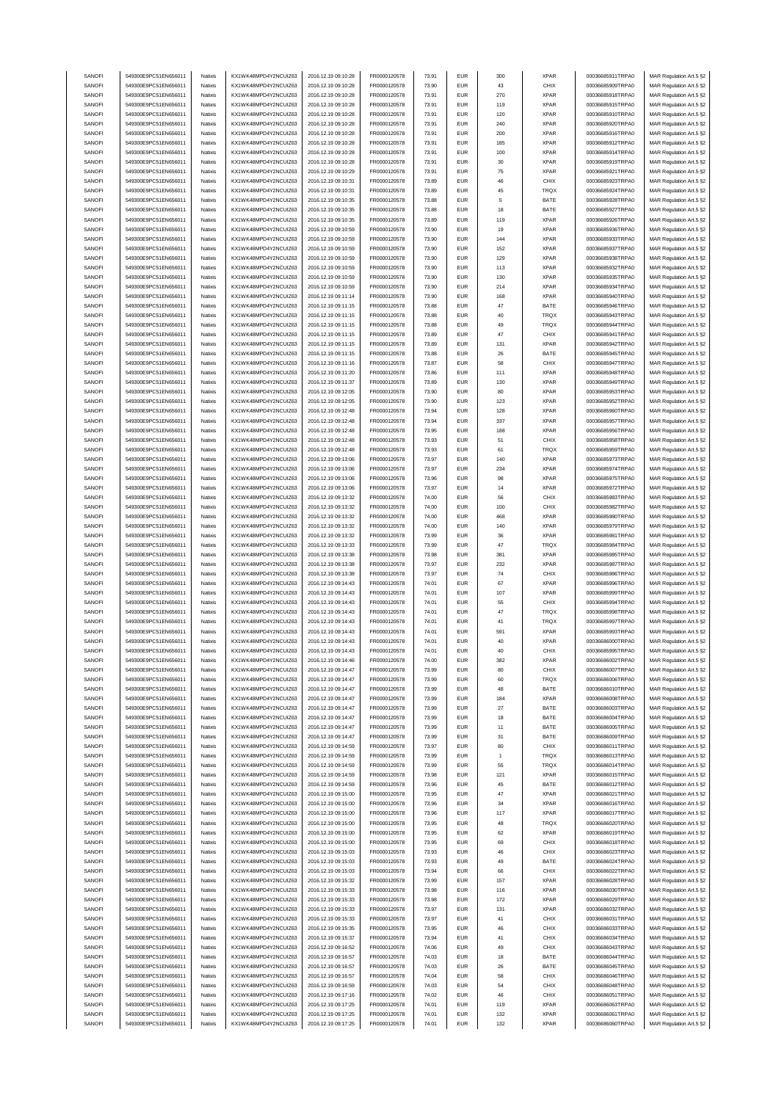| SANOFI | 549300E9PC51EN656011 | Natixis | KX1WK48MPD4Y2NCUIZ63  | 2016.12.19 09:10:28 | FR0000120578 | 73.91 | <b>EUR</b>                  | 300          | <b>XPAR</b> | 00036685911TRPA0 | MAR Regulation Art.5 §2 |
|--------|----------------------|---------|-----------------------|---------------------|--------------|-------|-----------------------------|--------------|-------------|------------------|-------------------------|
| SANOFI | 549300E9PC51EN656011 | Natixis | KX1WK48MPD4Y2NCUIZ63  | 2016.12.19 09:10:28 | FR0000120578 | 73.90 | <b>EUR</b>                  | 43           | CHIX        | 00036685909TRPA0 | MAR Regulation Art.5 §2 |
| SANOFI | 549300E9PC51EN656011 | Natixis | KX1WK48MPD4Y2NCUIZ63  | 2016.12.19 09:10:28 | FR0000120578 | 73.91 | <b>EUR</b>                  | 270          | <b>XPAR</b> | 00036685918TRPA0 | MAR Regulation Art.5 §2 |
| SANOFI | 549300E9PC51EN656011 | Natixis | KX1WK48MPD4Y2NCUIZ63  | 2016.12.19 09:10:28 | FR0000120578 | 73.91 | <b>EUR</b>                  | 119          | <b>XPAR</b> | 00036685915TRPA0 | MAR Regulation Art.5 §2 |
|        |                      |         |                       |                     |              |       |                             |              |             |                  |                         |
| SANOFI | 549300E9PC51EN656011 | Natixis | KX1WK48MPD4Y2NCUIZ63  | 2016.12.19 09:10:28 | FR0000120578 | 73.91 | <b>EUR</b>                  | 120          | <b>XPAR</b> | 00036685910TRPA0 | MAR Regulation Art.5 §2 |
| SANOFI | 549300E9PC51EN656011 | Natixis | KX1WK48MPD4Y2NCUIZ63  | 2016.12.19 09:10:28 | FR0000120578 | 73.91 | <b>EUR</b>                  | 240          | <b>XPAR</b> | 00036685920TRPA0 | MAR Regulation Art.5 §2 |
| SANOFI | 549300E9PC51EN656011 | Natixis | KX1WK48MPD4Y2NCUIZ63  | 2016.12.19 09:10:28 | FR0000120578 | 73.91 | <b>EUR</b>                  | 200          | <b>XPAR</b> | 00036685916TRPA0 | MAR Regulation Art.5 §2 |
| SANOFI | 549300E9PC51EN656011 | Natixis | KX1WK48MPD4Y2NCUIZ63  | 2016.12.19 09:10:28 | FR0000120578 | 73.91 | <b>EUR</b>                  | 185          | <b>XPAR</b> | 00036685912TRPA0 | MAR Regulation Art.5 §2 |
| SANOFI | 549300E9PC51EN656011 | Natixis | KX1WK48MPD4Y2NCLIIZ63 | 2016.12.19 09:10:28 | FR0000120578 | 73.91 | <b>EUR</b>                  | 100          | <b>XPAR</b> | 00036685914TRPA0 | MAR Regulation Art.5 §2 |
| SANOFI | 549300E9PC51EN656011 | Natixis | KX1WK48MPD4Y2NCUIZ63  | 2016.12.19 09:10:28 | FR0000120578 | 73.91 | <b>EUR</b>                  | 30           | <b>XPAR</b> | 00036685919TRPA0 | MAR Regulation Art.5 §2 |
| SANOFI | 549300E9PC51EN656011 | Natixis | KX1WK48MPD4Y2NCUIZ63  | 2016.12.19 09:10:29 | FR0000120578 | 73.91 | <b>EUR</b>                  | 75           | <b>XPAR</b> | 00036685921TRPA0 | MAR Regulation Art.5 §2 |
|        |                      |         |                       |                     |              |       |                             |              |             |                  |                         |
| SANOFI | 549300E9PC51EN656011 | Natixis | KX1WK48MPD4Y2NCUIZ63  | 2016.12.19 09:10:31 | FR0000120578 | 73.89 | <b>EUR</b>                  | 46           | CHIX        | 00036685923TRPA0 | MAR Regulation Art.5 §2 |
| SANOFI | 549300E9PC51EN656011 | Natixis | KX1WK48MPD4Y2NCUIZ63  | 2016.12.19 09:10:31 | FR0000120578 | 73.89 | <b>EUR</b>                  | 45           | TRQX        | 00036685924TRPA0 | MAR Regulation Art.5 §2 |
| SANOFI | 549300E9PC51EN656011 | Natixis | KX1WK48MPD4Y2NCUIZ63  | 2016.12.19 09:10:35 | FR0000120578 | 73.88 | <b>EUR</b>                  | 5            | BATE        | 00036685928TRPA0 | MAR Regulation Art.5 §2 |
| SANOFI | 549300E9PC51EN656011 | Natixis | KX1WK48MPD4Y2NCUIZ63  | 2016.12.19 09:10:35 | FR0000120578 | 73.88 | <b>EUR</b>                  | 18           | BATE        | 00036685927TRPA0 | MAR Regulation Art.5 §2 |
|        |                      |         |                       |                     |              |       |                             |              |             |                  |                         |
| SANOFI | 549300E9PC51EN656011 | Natixis | KX1WK48MPD4Y2NCUIZ63  | 2016.12.19 09:10:35 | FR0000120578 | 73.89 | <b>EUR</b>                  | 119          | <b>XPAR</b> | 00036685926TRPA0 | MAR Regulation Art.5 §2 |
| SANOFI | 549300E9PC51EN656011 | Natixis | KX1WK48MPD4Y2NCUIZ63  | 2016.12.19 09:10:59 | FR0000120578 | 73.90 | <b>EUR</b>                  | 19           | <b>XPAR</b> | 00036685936TRPA0 | MAR Regulation Art.5 §2 |
| SANOFI | 549300E9PC51EN656011 | Natixis | KX1WK48MPD4Y2NCLIIZ63 | 2016.12.19 09:10:59 | FR0000120578 | 73.90 | <b>EUR</b>                  | 144          | <b>XPAR</b> | 00036685933TRPA0 | MAR Regulation Art.5 §2 |
| SANOFI | 549300E9PC51EN656011 | Natixis | KX1WK48MPD4Y2NCUIZ63  | 2016.12.19 09:10:59 | FR0000120578 | 73.90 | <b>EUR</b>                  | 152          | <b>XPAR</b> | 00036685937TRPA0 | MAR Regulation Art.5 §2 |
| SANOFI | 549300E9PC51EN656011 | Natixis | KX1WK48MPD4Y2NCUIZ63  | 2016.12.19 09:10:59 | FR0000120578 | 73.90 | <b>EUR</b>                  | 129          | <b>XPAR</b> | 00036685938TRPA0 | MAR Regulation Art.5 §2 |
|        |                      |         |                       |                     |              |       |                             |              |             |                  |                         |
| SANOFI | 549300E9PC51EN656011 | Natixis | KX1WK48MPD4Y2NCUIZ63  | 2016.12.19 09:10:59 | FR0000120578 | 73.90 | <b>EUR</b>                  | 113          | <b>XPAR</b> | 00036685932TRPA0 | MAR Regulation Art.5 §2 |
| SANOFI | 549300E9PC51EN656011 | Natixis | KX1WK48MPD4Y2NCUIZ63  | 2016.12.19 09:10:59 | FR0000120578 | 73.90 | <b>EUR</b>                  | 130          | <b>XPAR</b> | 00036685935TRPA0 | MAR Regulation Art.5 §2 |
| SANOFI | 549300E9PC51EN656011 | Natixis | KX1WK48MPD4Y2NCUIZ63  | 2016.12.19 09:10:59 | FR0000120578 | 73.90 | <b>EUR</b>                  | 214          | <b>XPAR</b> | 00036685934TRPA0 | MAR Regulation Art.5 §2 |
| SANOFI | 549300E9PC51EN656011 | Natixis | KX1WK48MPD4Y2NCUIZ63  | 2016.12.19 09:11:14 | FR0000120578 | 73.90 | <b>EUR</b>                  | 168          | <b>XPAR</b> | 00036685940TRPA0 | MAR Regulation Art.5 §2 |
| SANOFI | 549300E9PC51EN656011 | Natixis | KX1WK48MPD4Y2NCUIZ63  | 2016.12.19 09:11:15 | FR0000120578 | 73.88 | <b>EUR</b>                  | 47           | BATE        | 00036685946TRPA0 | MAR Regulation Art.5 §2 |
|        |                      |         |                       |                     |              |       |                             |              |             |                  |                         |
| SANOFI | 549300E9PC51EN656011 | Natixis | KX1WK48MPD4Y2NCUIZ63  | 2016.12.19 09:11:15 | FR0000120578 | 73.88 | <b>EUR</b>                  | 40           | TRQX        | 00036685943TRPA0 | MAR Regulation Art.5 §2 |
| SANOFI | 549300E9PC51EN656011 | Natixis | KX1WK48MPD4Y2NCLIIZ63 | 2016.12.19 09:11:15 | FR0000120578 | 73.88 | <b>EUR</b>                  | 49           | TRQX        | 00036685944TRPA0 | MAR Regulation Art.5 §2 |
| SANOFI | 549300E9PC51EN656011 | Natixis | KX1WK48MPD4Y2NCUIZ63  | 2016.12.19 09:11:15 | FR0000120578 | 73.89 | <b>EUR</b>                  | 47           | CHIX        | 00036685941TRPA0 | MAR Regulation Art.5 §2 |
| SANOFI | 549300E9PC51EN656011 | Natixis | KX1WK48MPD4Y2NCUIZ63  | 2016.12.19 09:11:15 | FR0000120578 | 73.89 | EUR                         | 131          | <b>XPAR</b> | 00036685942TRPA0 | MAR Regulation Art.5 §2 |
| SANOFI | 549300E9PC51EN656011 | Natixis | KX1WK48MPD4Y2NCUIZ63  | 2016.12.19 09:11:15 | FR0000120578 | 73.88 | <b>EUR</b>                  | 26           | BATE        | 00036685945TRPA0 | MAR Regulation Art.5 §2 |
|        |                      |         |                       |                     |              |       |                             |              |             |                  |                         |
| SANOFI | 549300E9PC51EN656011 | Natixis | KX1WK48MPD4Y2NCUIZ63  | 2016.12.19 09:11:16 | FR0000120578 | 73.87 | <b>EUR</b>                  | 58           | CHIX        | 00036685947TRPA0 | MAR Regulation Art.5 §2 |
| SANOFI | 549300E9PC51EN656011 | Natixis | KX1WK48MPD4Y2NCLIIZ63 | 2016.12.19 09:11:20 | FR0000120578 | 73.86 | <b>EUR</b>                  | 111          | <b>XPAR</b> | 00036685948TRPA0 | MAR Regulation Art.5 §2 |
| SANOFI | 549300E9PC51EN656011 | Natixis | KX1WK48MPD4Y2NCUIZ63  | 2016.12.19 09:11:37 | FR0000120578 | 73.89 | <b>EUR</b>                  | 130          | <b>XPAR</b> | 00036685949TRPA0 | MAR Regulation Art.5 §2 |
| SANOFI | 549300E9PC51EN656011 | Natixis | KX1WK48MPD4Y2NCUIZ63  | 2016.12.19 09:12:05 | FR0000120578 | 73.90 | <b>EUR</b>                  | 80           | <b>XPAR</b> | 00036685953TRPA0 | MAR Regulation Art.5 §2 |
|        |                      |         |                       |                     |              |       |                             |              |             |                  |                         |
| SANOFI | 549300E9PC51EN656011 | Natixis | KX1WK48MPD4Y2NCUIZ63  | 2016.12.19 09:12:05 | FR0000120578 | 73.90 | <b>EUR</b>                  | 123          | <b>XPAR</b> | 00036685952TRPA0 | MAR Regulation Art.5 §2 |
| SANOFI | 549300E9PC51EN656011 | Natixis | KX1WK48MPD4Y2NCLIIZ63 | 2016.12.19 09:12:48 | FR0000120578 | 73.94 | <b>EUR</b>                  | 128          | <b>XPAR</b> | 00036685960TRPA0 | MAR Regulation Art.5 §2 |
| SANOFI | 549300E9PC51EN656011 | Natixis | KX1WK48MPD4Y2NCUIZ63  | 2016.12.19 09:12:48 | FR0000120578 | 73.94 | <b>EUR</b>                  | 337          | <b>XPAR</b> | 00036685957TRPA0 | MAR Regulation Art.5 §2 |
| SANOFI | 549300E9PC51EN656011 | Natixis | KX1WK48MPD4Y2NCUIZ63  | 2016.12.19 09:12:48 | FR0000120578 | 73.95 | <b>EUR</b>                  | 188          | <b>XPAR</b> | 00036685956TRPA0 | MAR Regulation Art.5 §2 |
|        |                      |         | KX1WK48MPD4Y2NCUIZ63  |                     |              |       |                             |              |             |                  |                         |
| SANOFI | 549300E9PC51EN656011 | Natixis |                       | 2016.12.19 09:12:48 | FR0000120578 | 73.93 | <b>EUR</b>                  | 51           | CHIX        | 00036685958TRPA0 | MAR Regulation Art.5 §2 |
| SANOFI | 549300E9PC51EN656011 | Natixis | KX1WK48MPD4Y2NCUIZ63  | 2016.12.19 09:12:48 | FR0000120578 | 73.93 | <b>EUR</b>                  | 61           | TRQX        | 00036685959TRPA0 | MAR Regulation Art.5 §2 |
| SANOFI | 549300E9PC51EN656011 | Natixis | KX1WK48MPD4Y2NCUIZ63  | 2016.12.19 09:13:06 | FR0000120578 | 73.97 | <b>EUR</b>                  | 140          | <b>XPAR</b> | 00036685973TRPA0 | MAR Regulation Art.5 §2 |
| SANOFI | 549300E9PC51EN656011 | Natixis | KX1WK48MPD4Y2NCUIZ63  | 2016.12.19 09:13:06 | FR0000120578 | 73.97 | <b>EUR</b>                  | 234          | <b>XPAR</b> | 00036685974TRPA0 | MAR Regulation Art.5 §2 |
| SANOFI | 549300E9PC51EN656011 | Natixis | KX1WK48MPD4Y2NCUIZ63  | 2016.12.19 09:13:06 | FR0000120578 | 73.96 | <b>EUR</b>                  | 98           | <b>XPAR</b> | 00036685975TRPA0 | MAR Regulation Art.5 §2 |
|        |                      |         |                       |                     |              |       |                             |              |             |                  |                         |
| SANOFI | 549300E9PC51EN656011 | Natixis | KX1WK48MPD4Y2NCUIZ63  | 2016.12.19 09:13:06 | FR0000120578 | 73.97 | <b>EUR</b>                  | 14           | <b>XPAR</b> | 00036685972TRPA0 | MAR Regulation Art.5 §2 |
| SANOFI | 549300E9PC51EN656011 | Natixis | KX1WK48MPD4Y2NCUIZ63  | 2016.12.19 09:13:32 | FR0000120578 | 74.00 | <b>EUR</b>                  | 56           | CHIX        | 00036685983TRPA0 | MAR Regulation Art.5 §2 |
| SANOFI | 549300E9PC51EN656011 | Natixis | KX1WK48MPD4Y2NCUIZ63  | 2016.12.19 09:13:32 | FR0000120578 | 74.00 | <b>EUR</b>                  | 100          | CHIX        | 00036685982TRPA0 | MAR Regulation Art.5 §2 |
| SANOFI | 549300E9PC51EN656011 | Natixis | KX1WK48MPD4Y2NCUIZ63  | 2016.12.19 09:13:32 | FR0000120578 | 74.00 | <b>EUR</b>                  | 468          | <b>XPAR</b> | 00036685980TRPA0 | MAR Regulation Art.5 §2 |
| SANOFI | 549300E9PC51EN656011 | Natixis | KX1WK48MPD4Y2NCUIZ63  | 2016.12.19 09:13:32 | FR0000120578 | 74.00 | <b>EUR</b>                  | 140          | <b>XPAR</b> | 00036685979TRPA0 | MAR Regulation Art.5 §2 |
|        |                      |         |                       |                     |              |       |                             |              |             |                  |                         |
| SANOFI | 549300E9PC51EN656011 | Natixis | KX1WK48MPD4Y2NCUIZ63  | 2016.12.19 09:13:32 | FR0000120578 | 73.99 | <b>EUR</b>                  | 36           | <b>XPAR</b> | 00036685981TRPA0 | MAR Regulation Art.5 §2 |
| SANOFI | 549300E9PC51EN656011 | Natixis | KX1WK48MPD4Y2NCUIZ63  | 2016.12.19 09:13:33 | FR0000120578 | 73.99 | <b>EUR</b>                  | 47           | TRQX        | 00036685984TRPA0 | MAR Regulation Art.5 §2 |
| SANOFI | 549300E9PC51EN656011 | Natixis | KX1WK48MPD4Y2NCUIZ63  | 2016.12.19 09:13:38 | FR0000120578 | 73.98 | <b>EUR</b>                  | 381          | <b>XPAR</b> | 00036685985TRPA0 | MAR Regulation Art.5 §2 |
| SANOFI | 549300E9PC51EN656011 | Natixis | KX1WK48MPD4Y2NCUIZ63  | 2016.12.19 09:13:38 | FR0000120578 | 73.97 | <b>EUR</b>                  | 232          | <b>XPAR</b> | 00036685987TRPA0 | MAR Regulation Art.5 §2 |
| SANOFI | 549300E9PC51EN656011 | Natixis | KX1WK48MPD4Y2NCLIIZ63 | 2016.12.19 09:13:38 | FR0000120578 | 73.97 | <b>EUR</b>                  | 74           | CHIX        | 00036685986TRPA0 | MAR Regulation Art.5 §2 |
|        |                      |         |                       |                     |              |       |                             |              |             |                  |                         |
| SANOFI | 549300E9PC51EN656011 | Natixis | KX1WK48MPD4Y2NCUIZ63  | 2016.12.19 09:14:43 | FR0000120578 | 74.01 | <b>EUR</b>                  | 67           | <b>XPAR</b> | 00036685996TRPA0 | MAR Regulation Art.5 §2 |
| SANOFI | 549300E9PC51EN656011 | Natixis | KX1WK48MPD4Y2NCUIZ63  | 2016.12.19 09:14:43 | FR0000120578 | 74.01 | <b>EUR</b>                  | 107          | <b>XPAR</b> | 00036685999TRPA0 | MAR Regulation Art.5 §2 |
| SANOFI | 549300E9PC51EN656011 | Natixis | KX1WK48MPD4Y2NCUIZ63  | 2016.12.19 09:14:43 | FR0000120578 | 74.01 | <b>EUR</b>                  | 55           | CHIX        | 00036685994TRPA0 | MAR Regulation Art.5 §2 |
| SANOFI | 549300E9PC51EN656011 | Natixis | KX1WK48MPD4Y2NCUIZ63  | 2016.12.19 09:14:43 | FR0000120578 | 74.01 | <b>EUR</b>                  | 47           | TRQX        | 00036685998TRPA0 | MAR Regulation Art.5 §2 |
| SANOFI | 549300E9PC51EN656011 | Natixis | KX1WK48MPD4Y2NCUIZ63  | 2016.12.19 09:14:43 | FR0000120578 | 74.01 | <b>EUR</b>                  | 41           | TRQX        | 00036685997TRPA0 |                         |
|        |                      |         |                       |                     |              |       |                             |              |             |                  | MAR Regulation Art.5 §2 |
| SANOFI | 549300E9PC51EN656011 | Natixis | KX1WK48MPD4Y2NCUIZ63  | 2016.12.19 09:14:43 | FR0000120578 | 74.01 | <b>EUR</b>                  | 591          | <b>XPAR</b> | 00036685993TRPA0 | MAR Regulation Art.5 §2 |
| SANOFI | 549300E9PC51EN656011 | Natixis | KX1WK48MPD4Y2NCUIZ63  | 2016.12.19 09:14:43 | FR0000120578 | 74.01 | <b>EUR</b>                  | 40           | <b>XPAR</b> | 00036686000TRPA0 | MAR Regulation Art.5 §2 |
| SANOF  | 549300E9PC51EN656011 | Natixis | KX1WK48MPD4Y2NCUIZ63  | 2016.12.19 09:14:43 | FR0000120578 | 74.01 | EUR                         |              | CHIX        | 00036685995TRPA0 | MAR Regulation Art.5 §2 |
| SANOFI | 549300E9PC51EN656011 | Natixis | KX1WK48MPD4Y2NCUIZ63  | 2016.12.19 09:14:46 | FR0000120578 | 74.00 | <b>EUR</b>                  | 382          | <b>XPAR</b> | 00036686002TRPA0 | MAR Regulation Art.5 §2 |
| SANOFI | 549300E9PC51EN656011 | Natixis | KX1WK48MPD4Y2NCUIZ63  | 2016.12.19 09:14:47 | FR0000120578 | 73.99 | <b>EUR</b>                  | 80           | CHIX        | 00036686007TRPA0 | MAR Regulation Art.5 §2 |
|        |                      |         |                       |                     |              |       |                             |              |             |                  |                         |
| SANOFI | 549300E9PC51EN656011 | Natixis | KX1WK48MPD4Y2NCUIZ63  | 2016.12.19 09:14:47 | FR0000120578 | 73.99 | <b>EUR</b>                  | 60           | TRQX        | 00036686006TRPA0 | MAR Regulation Art.5 §2 |
| SANOFI | 549300E9PC51EN656011 | Natixis | KX1WK48MPD4Y2NCUIZ63  | 2016.12.19 09:14:47 | FR0000120578 | 73.99 | <b>EUR</b>                  | 48           | BATE        | 00036686010TRPA0 | MAR Regulation Art.5 §2 |
| SANOFI | 549300E9PC51EN656011 | Natixis | KX1WK48MPD4Y2NCUIZ63  | 2016.12.19 09:14:47 | FR0000120578 | 73.99 | <b>EUR</b>                  | 184          | <b>XPAR</b> | 00036686008TRPA0 | MAR Regulation Art.5 §2 |
| SANOFI | 549300E9PC51EN656011 | Natixis | KX1WK48MPD4Y2NCUIZ63  | 2016.12.19 09:14:47 | FR0000120578 | 73.99 | $\ensuremath{\mathsf{EUR}}$ | 27           | BATE        | 00036686003TRPA0 | MAR Regulation Art.5 §2 |
| SANOFI | 549300E9PC51EN656011 | Natixis | KX1WK48MPD4Y2NCUIZ63  | 2016.12.19 09:14:47 | FR0000120578 | 73.99 | <b>EUR</b>                  | 18           | BATE        | 00036686004TRPA0 | MAR Regulation Art.5 §2 |
|        |                      |         |                       |                     |              |       |                             |              |             |                  |                         |
| SANOFI | 549300E9PC51EN656011 | Natixis | KX1WK48MPD4Y2NCUIZ63  | 2016.12.19 09:14:47 | FR0000120578 | 73.99 | <b>EUR</b>                  | 11           | BATE        | 00036686005TRPA0 | MAR Regulation Art.5 §2 |
| SANOFI | 549300E9PC51EN656011 | Natixis | KX1WK48MPD4Y2NCUIZ63  | 2016.12.19 09:14:47 | FR0000120578 | 73.99 | <b>EUR</b>                  | 31           | BATE        | 00036686009TRPA0 | MAR Regulation Art.5 §2 |
| SANOFI | 549300E9PC51EN656011 | Natixis | KX1WK48MPD4Y2NCUIZ63  | 2016.12.19 09:14:59 | FR0000120578 | 73.97 | <b>EUR</b>                  | 80           | CHIX        | 00036686011TRPA0 | MAR Regulation Art.5 §2 |
| SANOFI | 549300E9PC51EN656011 | Natixis | KX1WK48MPD4Y2NCUIZ63  | 2016.12.19 09:14:59 | FR0000120578 | 73.99 | <b>EUR</b>                  | $\mathbf{1}$ | TRQX        | 00036686013TRPA0 | MAR Regulation Art.5 §2 |
| SANOFI | 549300E9PC51EN656011 | Natixis | KX1WK48MPD4Y2NCUIZ63  | 2016.12.19 09:14:59 | FR0000120578 | 73.99 | <b>EUR</b>                  | 55           | TRQX        | 00036686014TRPA0 | MAR Regulation Art.5 §2 |
|        |                      |         |                       |                     |              |       |                             |              |             |                  |                         |
| SANOFI | 549300E9PC51EN656011 | Natixis | KX1WK48MPD4Y2NCUIZ63  | 2016.12.19 09:14:59 | FR0000120578 | 73.98 | <b>EUR</b>                  | 121          | <b>XPAR</b> | 00036686015TRPA0 | MAR Regulation Art.5 §2 |
| SANOFI | 549300E9PC51EN656011 | Natixis | KX1WK48MPD4Y2NCUIZ63  | 2016.12.19 09:14:59 | FR0000120578 | 73.96 | <b>EUR</b>                  | 45           | BATE        | 00036686012TRPA0 | MAR Regulation Art.5 §2 |
| SANOFI | 549300E9PC51EN656011 | Natixis | KX1WK48MPD4Y2NCUIZ63  | 2016.12.19 09:15:00 | FR0000120578 | 73.95 | <b>EUR</b>                  | 47           | <b>XPAR</b> | 00036686021TRPA0 | MAR Regulation Art.5 §2 |
| SANOFI | 549300E9PC51EN656011 | Natixis | KX1WK48MPD4Y2NCUIZ63  | 2016.12.19 09:15:00 | FR0000120578 | 73.96 | <b>EUR</b>                  | 34           | <b>XPAR</b> | 00036686016TRPA0 | MAR Regulation Art.5 §2 |
|        |                      |         |                       |                     |              |       |                             |              |             |                  |                         |
| SANOFI | 549300E9PC51EN656011 | Natixis | KX1WK48MPD4Y2NCUIZ63  | 2016.12.19 09:15:00 | FR0000120578 | 73.96 | <b>EUR</b>                  | 117          | <b>XPAR</b> | 00036686017TRPA0 | MAR Regulation Art.5 §2 |
| SANOFI | 549300E9PC51EN656011 | Natixis | KX1WK48MPD4Y2NCUIZ63  | 2016.12.19 09:15:00 | FR0000120578 | 73.95 | <b>EUR</b>                  | 48           | TRQX        | 00036686020TRPA0 | MAR Regulation Art.5 §2 |
| SANOFI | 549300E9PC51EN656011 | Natixis | KX1WK48MPD4Y2NCUIZ63  | 2016.12.19 09:15:00 | FR0000120578 | 73.95 | <b>EUR</b>                  | 62           | <b>XPAR</b> | 00036686019TRPA0 | MAR Regulation Art.5 §2 |
| SANOFI | 549300E9PC51EN656011 | Natixis | KX1WK48MPD4Y2NCUIZ63  | 2016.12.19 09:15:00 | FR0000120578 | 73.95 | <b>EUR</b>                  | 69           | CHIX        | 00036686018TRPA0 | MAR Regulation Art.5 §2 |
|        |                      |         |                       |                     |              |       |                             |              |             |                  |                         |
| SANOFI | 549300E9PC51EN656011 | Natixis | KX1WK48MPD4Y2NCUIZ63  | 2016.12.19 09:15:03 | FR0000120578 | 73.93 | <b>EUR</b>                  | 46           | CHIX        | 00036686023TRPA0 | MAR Regulation Art.5 §2 |
| SANOFI | 549300E9PC51EN656011 | Natixis | KX1WK48MPD4Y2NCUIZ63  | 2016.12.19 09:15:03 | FR0000120578 | 73.93 | <b>EUR</b>                  | 49           | BATE        | 00036686024TRPA0 | MAR Regulation Art.5 §2 |
| SANOFI | 549300E9PC51EN656011 | Natixis | KX1WK48MPD4Y2NCUIZ63  | 2016.12.19 09:15:03 | FR0000120578 | 73.94 | <b>EUR</b>                  | 66           | CHIX        | 00036686022TRPA0 | MAR Regulation Art.5 §2 |
| SANOFI | 549300E9PC51EN656011 | Natixis | KX1WK48MPD4Y2NCUIZ63  | 2016.12.19 09:15:32 | FR0000120578 | 73.99 | <b>EUR</b>                  | 157          | <b>XPAR</b> | 00036686028TRPA0 | MAR Regulation Art.5 §2 |
|        |                      |         |                       |                     |              |       |                             |              |             |                  |                         |
| SANOFI | 549300E9PC51EN656011 | Natixis | KX1WK48MPD4Y2NCUIZ63  | 2016.12.19 09:15:33 | FR0000120578 | 73.98 | <b>EUR</b>                  | 116          | <b>XPAR</b> | 00036686030TRPA0 | MAR Regulation Art.5 §2 |
| SANOFI | 549300E9PC51EN656011 | Natixis | KX1WK48MPD4Y2NCUIZ63  | 2016.12.19 09:15:33 | FR0000120578 | 73.98 | <b>EUR</b>                  | 172          | <b>XPAR</b> | 00036686029TRPA0 | MAR Regulation Art.5 §2 |
| SANOFI | 549300E9PC51EN656011 | Natixis | KX1WK48MPD4Y2NCUIZ63  | 2016.12.19 09:15:33 | FR0000120578 | 73.97 | <b>EUR</b>                  | 131          | <b>XPAR</b> | 00036686032TRPA0 | MAR Regulation Art.5 §2 |
| SANOFI | 549300E9PC51EN656011 | Natixis | KX1WK48MPD4Y2NCUIZ63  | 2016.12.19 09:15:33 | FR0000120578 | 73.97 | <b>EUR</b>                  | 41           | CHIX        | 00036686031TRPA0 | MAR Regulation Art.5 §2 |
|        |                      |         |                       |                     |              |       |                             |              |             |                  |                         |
| SANOFI | 549300E9PC51EN656011 | Natixis | KX1WK48MPD4Y2NCUIZ63  | 2016.12.19 09:15:35 | FR0000120578 | 73.95 | <b>EUR</b>                  | 46           | CHIX        | 00036686033TRPA0 | MAR Regulation Art.5 §2 |
| SANOFI | 549300E9PC51EN656011 | Natixis | KX1WK48MPD4Y2NCUIZ63  | 2016.12.19 09:15:37 | FR0000120578 | 73.94 | <b>EUR</b>                  | 41           | CHIX        | 00036686034TRPA0 | MAR Regulation Art.5 §2 |
| SANOFI | 549300E9PC51EN656011 | Natixis | KX1WK48MPD4Y2NCUIZ63  | 2016.12.19 09:16:52 | FR0000120578 | 74.06 | <b>EUR</b>                  | 49           | CHIX        | 00036686043TRPA0 | MAR Regulation Art.5 §2 |
| SANOFI | 549300E9PC51EN656011 | Natixis | KX1WK48MPD4Y2NCUIZ63  | 2016.12.19 09:16:57 | FR0000120578 | 74.03 | <b>EUR</b>                  | 18           | BATE        | 00036686044TRPA0 | MAR Regulation Art.5 §2 |
| SANOFI | 549300E9PC51EN656011 | Natixis | KX1WK48MPD4Y2NCUIZ63  | 2016.12.19 09:16:57 | FR0000120578 | 74.03 | <b>EUR</b>                  | 26           | BATE        | 00036686045TRPA0 | MAR Regulation Art.5 §2 |
|        |                      |         |                       |                     |              |       |                             |              |             |                  |                         |
| SANOFI | 549300E9PC51EN656011 | Natixis | KX1WK48MPD4Y2NCUIZ63  | 2016.12.19 09:16:57 | FR0000120578 | 74.04 | <b>EUR</b>                  | 58           | CHIX        | 00036686046TRPA0 | MAR Regulation Art.5 §2 |
| SANOFI | 549300E9PC51EN656011 | Natixis | KX1WK48MPD4Y2NCUIZ63  | 2016.12.19 09:16:59 | FR0000120578 | 74.03 | <b>EUR</b>                  | 54           | CHIX        | 00036686048TRPA0 | MAR Regulation Art.5 §2 |
| SANOFI | 549300E9PC51EN656011 | Natixis | KX1WK48MPD4Y2NCUIZ63  | 2016.12.19 09:17:16 | FR0000120578 | 74.02 | <b>EUR</b>                  | 46           | CHIX        | 00036686051TRPA0 | MAR Regulation Art.5 §2 |
| SANOFI | 549300E9PC51EN656011 | Natixis | KX1WK48MPD4Y2NCUIZ63  | 2016.12.19 09:17:25 | FR0000120578 | 74.01 | <b>EUR</b>                  | 119          | <b>XPAR</b> | 00036686063TRPA0 | MAR Regulation Art.5 §2 |
| SANOFI | 549300E9PC51EN656011 | Natixis | KX1WK48MPD4Y2NCUIZ63  | 2016.12.19 09:17:25 | FR0000120578 | 74.01 | <b>EUR</b>                  | 132          | <b>XPAR</b> | 00036686061TRPA0 | MAR Regulation Art.5 §2 |
| SANOFI |                      |         |                       |                     |              |       |                             |              |             |                  |                         |
|        | 549300E9PC51EN656011 | Natixis | KX1WK48MPD4Y2NCUIZ63  | 2016.12.19 09:17:25 | FR0000120578 | 74.01 | EUR                         | 132          | <b>XPAR</b> | 00036686060TRPA0 | MAR Regulation Art.5 §2 |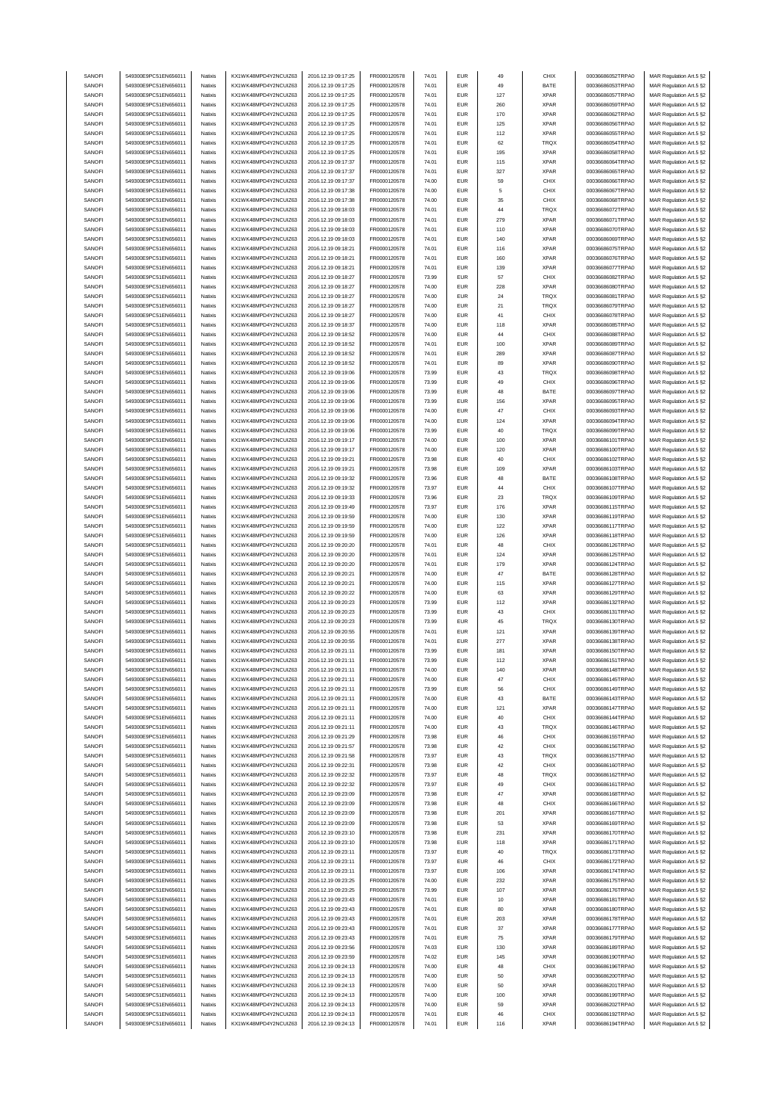| SANOFI | 549300E9PC51EN656011 | Natixis | KX1WK48MPD4Y2NCUIZ63  | 2016.12.19 09:17:25 | FR0000120578 | 74.01 | <b>EUR</b>                  | 49  | CHIX        | 00036686052TRPA0 | MAR Regulation Art.5 §2 |
|--------|----------------------|---------|-----------------------|---------------------|--------------|-------|-----------------------------|-----|-------------|------------------|-------------------------|
| SANOFI | 549300E9PC51EN656011 | Natixis | KX1WK48MPD4Y2NCUIZ63  | 2016.12.19 09:17:25 | FR0000120578 | 74.01 | <b>EUR</b>                  | 49  | BATE        | 00036686053TRPA0 | MAR Regulation Art.5 §2 |
| SANOFI | 549300E9PC51EN656011 | Natixis | KX1WK48MPD4Y2NCUIZ63  | 2016.12.19 09:17:25 | FR0000120578 | 74.01 | <b>EUR</b>                  | 127 | <b>XPAR</b> | 00036686057TRPA0 | MAR Regulation Art.5 §2 |
| SANOFI | 549300E9PC51EN656011 | Natixis | KX1WK48MPD4Y2NCUIZ63  | 2016.12.19 09:17:25 | FR0000120578 | 74.01 | <b>EUR</b>                  | 260 | <b>XPAR</b> | 00036686059TRPA0 | MAR Regulation Art.5 §2 |
|        |                      |         |                       |                     |              |       |                             |     |             |                  |                         |
| SANOFI | 549300E9PC51EN656011 | Natixis | KX1WK48MPD4Y2NCUIZ63  | 2016.12.19 09:17:25 | FR0000120578 | 74.01 | <b>EUR</b>                  | 170 | <b>XPAR</b> | 00036686062TRPA0 | MAR Regulation Art.5 §2 |
| SANOFI | 549300E9PC51EN656011 | Natixis | KX1WK48MPD4Y2NCUIZ63  | 2016.12.19 09:17:25 | FR0000120578 | 74.01 | <b>EUR</b>                  | 125 | <b>XPAR</b> | 00036686056TRPA0 | MAR Regulation Art.5 §2 |
| SANOFI | 549300E9PC51EN656011 | Natixis | KX1WK48MPD4Y2NCUIZ63  | 2016.12.19 09:17:25 | FR0000120578 | 74.01 | <b>EUR</b>                  | 112 | <b>XPAR</b> | 00036686055TRPA0 | MAR Regulation Art.5 §2 |
| SANOFI | 549300E9PC51EN656011 | Natixis | KX1WK48MPD4Y2NCUIZ63  | 2016.12.19 09:17:25 | FR0000120578 | 74.01 | <b>EUR</b>                  | 62  | TRQX        | 00036686054TRPA0 | MAR Regulation Art.5 §2 |
| SANOFI | 549300E9PC51EN656011 | Natixis | KX1WK48MPD4Y2NCLIIZ63 | 2016.12.19 09:17:25 | FR0000120578 | 74.01 | <b>EUR</b>                  | 195 | <b>XPAR</b> | 00036686058TRPA0 | MAR Regulation Art.5 §2 |
| SANOFI | 549300E9PC51EN656011 | Natixis | KX1WK48MPD4Y2NCUIZ63  | 2016.12.19 09:17:37 | FR0000120578 | 74.01 | <b>EUR</b>                  | 115 | <b>XPAR</b> | 00036686064TRPA0 | MAR Regulation Art.5 §2 |
|        |                      | Natixis |                       |                     |              |       | <b>EUR</b>                  |     |             |                  |                         |
| SANOFI | 549300E9PC51EN656011 |         | KX1WK48MPD4Y2NCUIZ63  | 2016.12.19 09:17:37 | FR0000120578 | 74.01 |                             | 327 | <b>XPAR</b> | 00036686065TRPA0 | MAR Regulation Art.5 §2 |
| SANOFI | 549300E9PC51EN656011 | Natixis | KX1WK48MPD4Y2NCUIZ63  | 2016.12.19 09:17:37 | FR0000120578 | 74.00 | <b>EUR</b>                  | 59  | CHIX        | 00036686066TRPA0 | MAR Regulation Art.5 §2 |
| SANOFI | 549300E9PC51EN656011 | Natixis | KX1WK48MPD4Y2NCUIZ63  | 2016.12.19 09:17:38 | FR0000120578 | 74.00 | <b>EUR</b>                  | 5   | CHIX        | 00036686067TRPA0 | MAR Regulation Art.5 §2 |
| SANOFI | 549300E9PC51EN656011 | Natixis | KX1WK48MPD4Y2NCUIZ63  | 2016.12.19 09:17:38 | FR0000120578 | 74.00 | <b>EUR</b>                  | 35  | CHIX        | 00036686068TRPA0 | MAR Regulation Art.5 §2 |
| SANOFI | 549300E9PC51EN656011 | Natixis | KX1WK48MPD4Y2NCUIZ63  | 2016.12.19 09:18:03 | FR0000120578 | 74.01 | <b>EUR</b>                  | 44  | TRQX        | 00036686072TRPA0 | MAR Regulation Art.5 §2 |
|        |                      |         |                       |                     |              |       |                             |     |             | 00036686071TRPA0 |                         |
| SANOFI | 549300E9PC51EN656011 | Natixis | KX1WK48MPD4Y2NCUIZ63  | 2016.12.19 09:18:03 | FR0000120578 | 74.01 | <b>EUR</b>                  | 279 | <b>XPAR</b> |                  | MAR Regulation Art.5 §2 |
| SANOFI | 549300E9PC51EN656011 | Natixis | KX1WK48MPD4Y2NCUIZ63  | 2016.12.19 09:18:03 | FR0000120578 | 74.01 | <b>EUR</b>                  | 110 | <b>XPAR</b> | 00036686070TRPA0 | MAR Regulation Art.5 §2 |
| SANOFI | 549300E9PC51EN656011 | Natixis | KX1WK48MPD4Y2NCLIIZ63 | 2016.12.19 09:18:03 | FR0000120578 | 74.01 | <b>EUR</b>                  | 140 | <b>XPAR</b> | 00036686069TRPA0 | MAR Regulation Art.5 §2 |
| SANOFI | 549300E9PC51EN656011 | Natixis | KX1WK48MPD4Y2NCUIZ63  | 2016.12.19 09:18:21 | FR0000120578 | 74.01 | <b>EUR</b>                  | 116 | <b>XPAR</b> | 00036686075TRPA0 | MAR Regulation Art.5 §2 |
| SANOFI | 549300E9PC51EN656011 | Natixis | KX1WK48MPD4Y2NCUIZ63  | 2016.12.19 09:18:21 | FR0000120578 | 74.01 | <b>EUR</b>                  | 160 | <b>XPAR</b> | 00036686076TRPA0 | MAR Regulation Art.5 §2 |
| SANOFI | 549300E9PC51EN656011 | Natixis | KX1WK48MPD4Y2NCUIZ63  | 2016.12.19 09:18:21 | FR0000120578 | 74.01 | <b>EUR</b>                  | 139 | <b>XPAR</b> | 00036686077TRPA0 | MAR Regulation Art.5 §2 |
|        |                      |         |                       |                     |              |       |                             |     |             |                  |                         |
| SANOFI | 549300E9PC51EN656011 | Natixis | KX1WK48MPD4Y2NCUIZ63  | 2016.12.19 09:18:27 | FR0000120578 | 73.99 | <b>EUR</b>                  | 57  | CHIX        | 00036686082TRPA0 | MAR Regulation Art.5 §2 |
| SANOFI | 549300E9PC51EN656011 | Natixis | KX1WK48MPD4Y2NCUIZ63  | 2016.12.19 09:18:27 | FR0000120578 | 74.00 | <b>EUR</b>                  | 228 | <b>XPAR</b> | 00036686080TRPA0 | MAR Regulation Art.5 §2 |
| SANOFI | 549300E9PC51EN656011 | Natixis | KX1WK48MPD4Y2NCUIZ63  | 2016.12.19 09:18:27 | FR0000120578 | 74.00 | <b>EUR</b>                  | 24  | TRQX        | 00036686081TRPA0 | MAR Regulation Art.5 §2 |
| SANOFI | 549300E9PC51EN656011 | Natixis | KX1WK48MPD4Y2NCUIZ63  | 2016.12.19 09:18:27 | FR0000120578 | 74.00 | <b>EUR</b>                  | 21  | TRQX        | 00036686079TRPA0 | MAR Regulation Art.5 §2 |
| SANOFI | 549300E9PC51EN656011 | Natixis | KX1WK48MPD4Y2NCUIZ63  | 2016.12.19 09:18:27 | FR0000120578 | 74.00 | <b>EUR</b>                  | 41  | CHIX        | 00036686078TRPA0 | MAR Regulation Art.5 §2 |
| SANOFI | 549300E9PC51EN656011 | Natixis | KX1WK48MPD4Y2NCLIIZ63 | 2016.12.19 09:18:37 | FR0000120578 | 74.00 | <b>EUR</b>                  | 118 | <b>XPAR</b> | 00036686085TRPA0 |                         |
|        |                      |         |                       |                     |              |       |                             |     |             |                  | MAR Regulation Art.5 §2 |
| SANOFI | 549300E9PC51EN656011 | Natixis | KX1WK48MPD4Y2NCUIZ63  | 2016.12.19 09:18:52 | FR0000120578 | 74.00 | <b>EUR</b>                  | 44  | CHIX        | 00036686088TRPA0 | MAR Regulation Art.5 §2 |
| SANOFI | 549300E9PC51EN656011 | Natixis | KX1WK48MPD4Y2NCUIZ63  | 2016.12.19 09:18:52 | FR0000120578 | 74.01 | <b>EUR</b>                  | 100 | <b>XPAR</b> | 00036686089TRPA0 | MAR Regulation Art.5 §2 |
| SANOFI | 549300E9PC51EN656011 | Natixis | KX1WK48MPD4Y2NCUIZ63  | 2016.12.19 09:18:52 | FR0000120578 | 74.01 | <b>EUR</b>                  | 289 | <b>XPAR</b> | 00036686087TRPA0 | MAR Regulation Art.5 §2 |
| SANOFI | 549300E9PC51EN656011 | Natixis | KX1WK48MPD4Y2NCUIZ63  | 2016.12.19 09:18:52 | FR0000120578 | 74.01 | <b>EUR</b>                  | 89  | <b>XPAR</b> | 00036686090TRPA0 | MAR Regulation Art.5 §2 |
| SANOFI | 549300E9PC51EN656011 | Natixis | KX1WK48MPD4Y2NCLIIZ63 | 2016.12.19 09:19:06 | FR0000120578 | 73.99 | <b>EUR</b>                  | 43  | TRQX        | 00036686098TRPA0 | MAR Regulation Art.5 §2 |
|        |                      |         |                       |                     |              |       |                             |     |             |                  |                         |
| SANOFI | 549300E9PC51EN656011 | Natixis | KX1WK48MPD4Y2NCUIZ63  | 2016.12.19 09:19:06 | FR0000120578 | 73.99 | <b>EUR</b>                  | 49  | CHIX        | 00036686096TRPA0 | MAR Regulation Art.5 §2 |
| SANOFI | 549300E9PC51EN656011 | Natixis | KX1WK48MPD4Y2NCUIZ63  | 2016.12.19 09:19:06 | FR0000120578 | 73.99 | <b>EUR</b>                  | 48  | BATE        | 00036686097TRPA0 | MAR Regulation Art.5 §2 |
| SANOFI | 549300E9PC51EN656011 | Natixis | KX1WK48MPD4Y2NCUIZ63  | 2016.12.19 09:19:06 | FR0000120578 | 73.99 | <b>EUR</b>                  | 156 | <b>XPAR</b> | 00036686095TRPA0 | MAR Regulation Art.5 §2 |
| SANOFI | 549300E9PC51EN656011 | Natixis | KX1WK48MPD4Y2NCLIIZ63 | 2016.12.19 09:19:06 | FR0000120578 | 74.00 | <b>EUR</b>                  | 47  | CHIX        | 00036686093TRPA0 | MAR Regulation Art.5 §2 |
| SANOFI | 549300E9PC51EN656011 | Natixis | KX1WK48MPD4Y2NCUIZ63  | 2016.12.19 09:19:06 | FR0000120578 | 74.00 | <b>EUR</b>                  | 124 | <b>XPAR</b> | 00036686094TRPA0 | MAR Regulation Art.5 §2 |
|        |                      |         |                       |                     |              |       |                             |     |             |                  |                         |
| SANOFI | 549300E9PC51EN656011 | Natixis | KX1WK48MPD4Y2NCUIZ63  | 2016.12.19 09:19:06 | FR0000120578 | 73.99 | <b>EUR</b>                  | 40  | TRQX        | 00036686099TRPA0 | MAR Regulation Art.5 §2 |
| SANOFI | 549300E9PC51EN656011 | Natixis | KX1WK48MPD4Y2NCUIZ63  | 2016.12.19 09:19:17 | FR0000120578 | 74.00 | <b>EUR</b>                  | 100 | <b>XPAR</b> | 00036686101TRPA0 | MAR Regulation Art.5 §2 |
| SANOFI | 549300E9PC51EN656011 | Natixis | KX1WK48MPD4Y2NCUIZ63  | 2016.12.19 09:19:17 | FR0000120578 | 74.00 | <b>EUR</b>                  | 120 | <b>XPAR</b> | 00036686100TRPA0 | MAR Regulation Art.5 §2 |
| SANOFI | 549300E9PC51EN656011 | Natixis | KX1WK48MPD4Y2NCUIZ63  | 2016.12.19 09:19:21 | FR0000120578 | 73.98 | <b>EUR</b>                  | 40  | CHIX        | 00036686102TRPA0 | MAR Regulation Art.5 §2 |
| SANOFI | 549300E9PC51EN656011 | Natixis | KX1WK48MPD4Y2NCUIZ63  | 2016.12.19 09:19:21 | FR0000120578 | 73.98 | <b>EUR</b>                  | 109 | <b>XPAR</b> | 00036686103TRPA0 | MAR Regulation Art.5 §2 |
| SANOFI | 549300E9PC51EN656011 | Natixis | KX1WK48MPD4Y2NCUIZ63  | 2016.12.19 09:19:32 | FR0000120578 | 73.96 | <b>EUR</b>                  | 48  | BATE        | 00036686108TRPA0 |                         |
|        |                      |         |                       |                     |              |       |                             |     |             |                  | MAR Regulation Art.5 §2 |
| SANOFI | 549300E9PC51EN656011 | Natixis | KX1WK48MPD4Y2NCUIZ63  | 2016.12.19 09:19:32 | FR0000120578 | 73.97 | <b>EUR</b>                  | 44  | CHIX        | 00036686107TRPA0 | MAR Regulation Art.5 §2 |
| SANOFI | 549300E9PC51EN656011 | Natixis | KX1WK48MPD4Y2NCUIZ63  | 2016.12.19 09:19:33 | FR0000120578 | 73.96 | <b>EUR</b>                  | 23  | TRQX        | 00036686109TRPA0 | MAR Regulation Art.5 §2 |
| SANOFI | 549300E9PC51EN656011 | Natixis | KX1WK48MPD4Y2NCUIZ63  | 2016.12.19 09:19:49 | FR0000120578 | 73.97 | <b>EUR</b>                  | 176 | <b>XPAR</b> | 00036686115TRPA0 | MAR Regulation Art.5 §2 |
| SANOFI | 549300E9PC51EN656011 | Natixis | KX1WK48MPD4Y2NCUIZ63  | 2016.12.19 09:19:59 | FR0000120578 | 74.00 | <b>EUR</b>                  | 130 | <b>XPAR</b> | 00036686119TRPA0 | MAR Regulation Art.5 §2 |
| SANOFI | 549300E9PC51EN656011 | Natixis | KX1WK48MPD4Y2NCUIZ63  | 2016.12.19 09:19:59 | FR0000120578 | 74.00 | <b>EUR</b>                  | 122 | <b>XPAR</b> | 00036686117TRPA0 | MAR Regulation Art.5 §2 |
|        |                      |         |                       |                     |              |       |                             |     |             |                  |                         |
| SANOFI | 549300E9PC51EN656011 | Natixis | KX1WK48MPD4Y2NCUIZ63  | 2016.12.19 09:19:59 | FR0000120578 | 74.00 | <b>EUR</b>                  | 126 | <b>XPAR</b> | 00036686118TRPA0 | MAR Regulation Art.5 §2 |
| SANOFI | 549300E9PC51EN656011 | Natixis | KX1WK48MPD4Y2NCUIZ63  | 2016.12.19 09:20:20 | FR0000120578 | 74.01 | <b>EUR</b>                  | 48  | CHIX        | 00036686126TRPA0 | MAR Regulation Art.5 §2 |
| SANOFI | 549300E9PC51EN656011 | Natixis | KX1WK48MPD4Y2NCUIZ63  | 2016.12.19 09:20:20 | FR0000120578 | 74.01 | <b>EUR</b>                  | 124 | <b>XPAR</b> | 00036686125TRPA0 | MAR Regulation Art.5 §2 |
| SANOFI | 549300E9PC51EN656011 | Natixis | KX1WK48MPD4Y2NCUIZ63  | 2016.12.19 09:20:20 | FR0000120578 | 74.01 | <b>EUR</b>                  | 179 | <b>XPAR</b> | 00036686124TRPA0 | MAR Regulation Art.5 §2 |
| SANOFI | 549300E9PC51EN656011 | Natixis | KX1WK48MPD4Y2NCLIIZ63 | 2016.12.19 09:20:21 | FR0000120578 | 74.00 | <b>EUR</b>                  | 47  | BATE        | 00036686128TRPA0 | MAR Regulation Art.5 §2 |
|        |                      |         |                       |                     |              |       |                             |     |             |                  |                         |
| SANOFI | 549300E9PC51EN656011 | Natixis | KX1WK48MPD4Y2NCUIZ63  | 2016.12.19 09:20:21 | FR0000120578 | 74.00 | <b>EUR</b>                  | 115 | <b>XPAR</b> | 00036686127TRPA0 | MAR Regulation Art.5 §2 |
| SANOFI | 549300E9PC51EN656011 | Natixis | KX1WK48MPD4Y2NCUIZ63  | 2016.12.19 09:20:22 | FR0000120578 | 74.00 | <b>EUR</b>                  | 63  | <b>XPAR</b> | 00036686129TRPA0 | MAR Regulation Art.5 §2 |
| SANOFI | 549300E9PC51EN656011 | Natixis | KX1WK48MPD4Y2NCUIZ63  | 2016.12.19 09:20:23 | FR0000120578 | 73.99 | <b>EUR</b>                  | 112 | <b>XPAR</b> | 00036686132TRPA0 | MAR Regulation Art.5 §2 |
| SANOFI | 549300E9PC51EN656011 | Natixis | KX1WK48MPD4Y2NCUIZ63  | 2016.12.19 09:20:23 | FR0000120578 | 73.99 | <b>EUR</b>                  | 43  | CHIX        | 00036686131TRPA0 | MAR Regulation Art.5 §2 |
| SANOFI | 549300E9PC51EN656011 | Natixis | KX1WK48MPD4Y2NCUIZ63  | 2016.12.19 09:20:23 | FR0000120578 | 73.99 | <b>EUR</b>                  | 45  | TRQX        | 00036686130TRPA0 | MAR Regulation Art.5 §2 |
|        | 549300E9PC51EN656011 | Natixis |                       |                     |              | 74.01 | <b>EUR</b>                  |     | <b>XPAR</b> |                  |                         |
| SANOFI |                      |         | KX1WK48MPD4Y2NCUIZ63  | 2016.12.19 09:20:55 | FR0000120578 |       |                             | 121 |             | 00036686139TRPA0 | MAR Regulation Art.5 §2 |
| SANOFI | 549300E9PC51EN656011 | Natixis | KX1WK48MPD4Y2NCUIZ63  | 2016.12.19 09:20:55 | FR0000120578 | 74.01 | <b>EUR</b>                  | 277 | <b>XPAR</b> | 00036686138TRPA0 | MAR Regulation Art.5 §2 |
| SANOF  | 549300E9PC51EN656011 | Natixis | KX1WK48MPD4Y2NCUIZ63  | 2016.12.19 09:21:11 | FR0000120578 | 73.99 | EUR                         | 181 | <b>XPAR</b> | 00036686150TRPA0 | MAR Regulation Art.5 §2 |
| SANOFI | 549300E9PC51EN656011 | Natixis | KX1WK48MPD4Y2NCUIZ63  | 2016.12.19 09:21:11 | FR0000120578 | 73.99 | <b>EUR</b>                  | 112 | <b>XPAR</b> | 00036686151TRPA0 | MAR Regulation Art.5 §2 |
| SANOFI | 549300E9PC51EN656011 | Natixis | KX1WK48MPD4Y2NCUIZ63  | 2016.12.19 09:21:11 | FR0000120578 | 74.00 | <b>EUR</b>                  | 140 | <b>XPAR</b> | 00036686148TRPA0 | MAR Regulation Art.5 §2 |
| SANOFI | 549300E9PC51EN656011 | Natixis | KX1WK48MPD4Y2NCUIZ63  | 2016.12.19 09:21:11 | FR0000120578 | 74.00 | <b>EUR</b>                  | 47  | CHIX        | 00036686145TRPA0 | MAR Regulation Art.5 §2 |
|        |                      |         |                       |                     |              |       |                             |     |             |                  |                         |
| SANOFI | 549300E9PC51EN656011 | Natixis | KX1WK48MPD4Y2NCUIZ63  | 2016.12.19 09:21:11 | FR0000120578 | 73.99 | <b>EUR</b>                  | 56  | CHIX        | 00036686149TRPA0 | MAR Regulation Art.5 §2 |
| SANOFI | 549300E9PC51EN656011 | Natixis | KX1WK48MPD4Y2NCUIZ63  | 2016.12.19 09:21:11 | FR0000120578 | 74.00 | <b>EUR</b>                  | 43  | BATE        | 00036686143TRPA0 | MAR Regulation Art.5 §2 |
| SANOFI | 549300E9PC51EN656011 | Natixis | KX1WK48MPD4Y2NCUIZ63  | 2016.12.19 09:21:11 | FR0000120578 | 74.00 | $\ensuremath{\mathsf{EUR}}$ | 121 | <b>XPAR</b> | 00036686147TRPA0 | MAR Regulation Art.5 §2 |
| SANOFI | 549300E9PC51EN656011 | Natixis | KX1WK48MPD4Y2NCUIZ63  | 2016.12.19 09:21:11 | FR0000120578 | 74.00 | <b>EUR</b>                  | 40  | CHIX        | 00036686144TRPA0 | MAR Regulation Art.5 §2 |
| SANOFI | 549300E9PC51EN656011 | Natixis | KX1WK48MPD4Y2NCUIZ63  | 2016.12.19 09:21:11 | FR0000120578 | 74.00 | <b>EUR</b>                  | 43  | TRQX        | 00036686146TRPA0 | MAR Regulation Art.5 §2 |
| SANOFI | 549300E9PC51EN656011 |         | KX1WK48MPD4Y2NCUIZ63  | 2016.12.19 09:21:29 | FR0000120578 | 73.98 | <b>EUR</b>                  | 46  |             | 00036686155TRPA0 |                         |
|        |                      | Natixis |                       |                     |              |       |                             |     | CHIX        |                  | MAR Regulation Art.5 §2 |
| SANOFI | 549300E9PC51EN656011 | Natixis | KX1WK48MPD4Y2NCUIZ63  | 2016.12.19 09:21:57 | FR0000120578 | 73.98 | <b>EUR</b>                  | 42  | CHIX        | 00036686156TRPA0 | MAR Regulation Art.5 §2 |
| SANOFI | 549300E9PC51EN656011 | Natixis | KX1WK48MPD4Y2NCUIZ63  | 2016.12.19 09:21:58 | FR0000120578 | 73.97 | <b>EUR</b>                  | 43  | TRQX        | 00036686157TRPA0 | MAR Regulation Art.5 §2 |
| SANOFI | 549300E9PC51EN656011 | Natixis | KX1WK48MPD4Y2NCUIZ63  | 2016.12.19 09:22:31 | FR0000120578 | 73.98 | <b>EUR</b>                  | 42  | CHIX        | 00036686160TRPA0 | MAR Regulation Art.5 §2 |
| SANOFI | 549300E9PC51EN656011 | Natixis | KX1WK48MPD4Y2NCUIZ63  | 2016.12.19 09:22:32 |              |       |                             |     |             |                  |                         |
| SANOFI |                      |         |                       |                     | FR0000120578 | 73.97 | <b>EUR</b>                  | 48  | TRQX        | 00036686162TRPA0 | MAR Regulation Art.5 §2 |
|        |                      |         |                       |                     |              |       |                             |     |             |                  |                         |
|        | 549300E9PC51EN656011 | Natixis | KX1WK48MPD4Y2NCUIZ63  | 2016.12.19 09:22:32 | FR0000120578 | 73.97 | <b>EUR</b>                  | 49  | CHIX        | 00036686161TRPA0 | MAR Regulation Art.5 §2 |
| SANOFI | 549300E9PC51EN656011 | Natixis | KX1WK48MPD4Y2NCUIZ63  | 2016.12.19 09:23:09 | FR0000120578 | 73.98 | <b>EUR</b>                  | 47  | <b>XPAR</b> | 00036686168TRPA0 | MAR Regulation Art.5 §2 |
| SANOFI | 549300E9PC51EN656011 | Natixis | KX1WK48MPD4Y2NCUIZ63  | 2016.12.19 09:23:09 | FR0000120578 | 73.98 | <b>EUR</b>                  | 48  | CHIX        | 00036686166TRPA0 | MAR Regulation Art.5 §2 |
| SANOFI | 549300E9PC51EN656011 | Natixis | KX1WK48MPD4Y2NCUIZ63  | 2016.12.19 09:23:09 | FR0000120578 | 73.98 | <b>EUR</b>                  | 201 | <b>XPAR</b> | 00036686167TRPA0 | MAR Regulation Art.5 §2 |
| SANOFI | 549300E9PC51EN656011 | Natixis | KX1WK48MPD4Y2NCUIZ63  | 2016.12.19 09:23:09 | FR0000120578 | 73.98 | <b>EUR</b>                  | 53  | <b>XPAR</b> | 00036686169TRPA0 | MAR Regulation Art.5 §2 |
|        |                      |         |                       |                     |              |       |                             |     |             |                  |                         |
| SANOFI | 549300E9PC51EN656011 | Natixis | KX1WK48MPD4Y2NCUIZ63  | 2016.12.19 09:23:10 | FR0000120578 | 73.98 | <b>EUR</b>                  | 231 | <b>XPAR</b> | 00036686170TRPA0 | MAR Regulation Art.5 §2 |
| SANOFI | 549300E9PC51EN656011 | Natixis | KX1WK48MPD4Y2NCUIZ63  | 2016.12.19 09:23:10 | FR0000120578 | 73.98 | <b>EUR</b>                  | 118 | <b>XPAR</b> | 00036686171TRPA0 | MAR Regulation Art.5 §2 |
| SANOFI | 549300E9PC51EN656011 | Natixis | KX1WK48MPD4Y2NCUIZ63  | 2016.12.19 09:23:11 | FR0000120578 | 73.97 | <b>EUR</b>                  | 40  | TRQX        | 00036686173TRPA0 | MAR Regulation Art.5 §2 |
| SANOFI | 549300E9PC51EN656011 | Natixis | KX1WK48MPD4Y2NCUIZ63  | 2016.12.19 09:23:11 | FR0000120578 | 73.97 | <b>EUR</b>                  | 46  | CHIX        | 00036686172TRPA0 | MAR Regulation Art.5 §2 |
| SANOFI | 549300E9PC51EN656011 | Natixis | KX1WK48MPD4Y2NCUIZ63  | 2016.12.19 09:23:11 | FR0000120578 | 73.97 | <b>EUR</b>                  | 106 | <b>XPAR</b> | 00036686174TRPA0 | MAR Regulation Art.5 §2 |
|        |                      |         |                       |                     |              |       |                             |     |             |                  |                         |
| SANOFI | 549300E9PC51EN656011 | Natixis | KX1WK48MPD4Y2NCUIZ63  | 2016.12.19 09:23:25 | FR0000120578 | 74.00 | <b>EUR</b>                  | 232 | <b>XPAR</b> | 00036686175TRPA0 | MAR Regulation Art.5 §2 |
| SANOFI | 549300E9PC51EN656011 | Natixis | KX1WK48MPD4Y2NCUIZ63  | 2016.12.19 09:23:25 | FR0000120578 | 73.99 | <b>EUR</b>                  | 107 | <b>XPAR</b> | 00036686176TRPA0 | MAR Regulation Art.5 §2 |
| SANOFI | 549300E9PC51EN656011 | Natixis | KX1WK48MPD4Y2NCUIZ63  | 2016.12.19 09:23:43 | FR0000120578 | 74.01 | <b>EUR</b>                  | 10  | <b>XPAR</b> | 00036686181TRPA0 | MAR Regulation Art.5 §2 |
| SANOFI | 549300E9PC51EN656011 | Natixis | KX1WK48MPD4Y2NCUIZ63  | 2016.12.19 09:23:43 | FR0000120578 | 74.01 | <b>EUR</b>                  | 80  | <b>XPAR</b> | 00036686180TRPA0 | MAR Regulation Art.5 §2 |
| SANOFI | 549300E9PC51EN656011 | Natixis | KX1WK48MPD4Y2NCUIZ63  | 2016.12.19 09:23:43 | FR0000120578 | 74.01 | <b>EUR</b>                  | 203 | <b>XPAR</b> | 00036686178TRPA0 | MAR Regulation Art.5 §2 |
|        |                      |         |                       |                     |              |       |                             |     |             |                  |                         |
| SANOFI | 549300E9PC51EN656011 | Natixis | KX1WK48MPD4Y2NCUIZ63  | 2016.12.19 09:23:43 | FR0000120578 | 74.01 | <b>EUR</b>                  | 37  | <b>XPAR</b> | 00036686177TRPA0 | MAR Regulation Art.5 §2 |
| SANOFI | 549300E9PC51EN656011 | Natixis | KX1WK48MPD4Y2NCUIZ63  | 2016.12.19 09:23:43 | FR0000120578 | 74.01 | <b>EUR</b>                  | 75  | <b>XPAR</b> | 00036686179TRPA0 | MAR Regulation Art.5 §2 |
| SANOFI | 549300E9PC51EN656011 | Natixis | KX1WK48MPD4Y2NCUIZ63  | 2016.12.19 09:23:56 | FR0000120578 | 74.03 | <b>EUR</b>                  | 130 | <b>XPAR</b> | 00036686189TRPA0 | MAR Regulation Art.5 §2 |
| SANOFI | 549300E9PC51EN656011 | Natixis | KX1WK48MPD4Y2NCUIZ63  | 2016.12.19 09:23:59 | FR0000120578 | 74.02 | <b>EUR</b>                  | 145 | <b>XPAR</b> | 00036686190TRPA0 | MAR Regulation Art.5 §2 |
| SANOFI | 549300E9PC51EN656011 | Natixis | KX1WK48MPD4Y2NCUIZ63  | 2016.12.19 09:24:13 | FR0000120578 | 74.00 | <b>EUR</b>                  | 48  | CHIX        | 00036686196TRPA0 | MAR Regulation Art.5 §2 |
| SANOFI | 549300E9PC51EN656011 | Natixis | KX1WK48MPD4Y2NCUIZ63  | 2016.12.19 09:24:13 | FR0000120578 | 74.00 | <b>EUR</b>                  | 50  | <b>XPAR</b> | 00036686200TRPA0 |                         |
|        |                      |         |                       |                     |              |       |                             |     |             |                  | MAR Regulation Art.5 §2 |
| SANOFI | 549300E9PC51EN656011 | Natixis | KX1WK48MPD4Y2NCUIZ63  | 2016.12.19 09:24:13 | FR0000120578 | 74.00 | <b>EUR</b>                  | 50  | <b>XPAR</b> | 00036686201TRPA0 | MAR Regulation Art.5 §2 |
| SANOFI | 549300E9PC51EN656011 | Natixis | KX1WK48MPD4Y2NCUIZ63  | 2016.12.19 09:24:13 | FR0000120578 | 74.00 | <b>EUR</b>                  | 100 | <b>XPAR</b> | 00036686199TRPA0 | MAR Regulation Art.5 §2 |
| SANOFI | 549300E9PC51EN656011 | Natixis | KX1WK48MPD4Y2NCUIZ63  | 2016.12.19 09:24:13 | FR0000120578 | 74.00 | <b>EUR</b>                  | 59  | <b>XPAR</b> | 00036686202TRPA0 | MAR Regulation Art.5 §2 |
| SANOFI | 549300E9PC51EN656011 | Natixis | KX1WK48MPD4Y2NCUIZ63  | 2016.12.19 09:24:13 | FR0000120578 | 74.01 | <b>EUR</b>                  | 46  | CHIX        | 00036686192TRPA0 | MAR Regulation Art.5 §2 |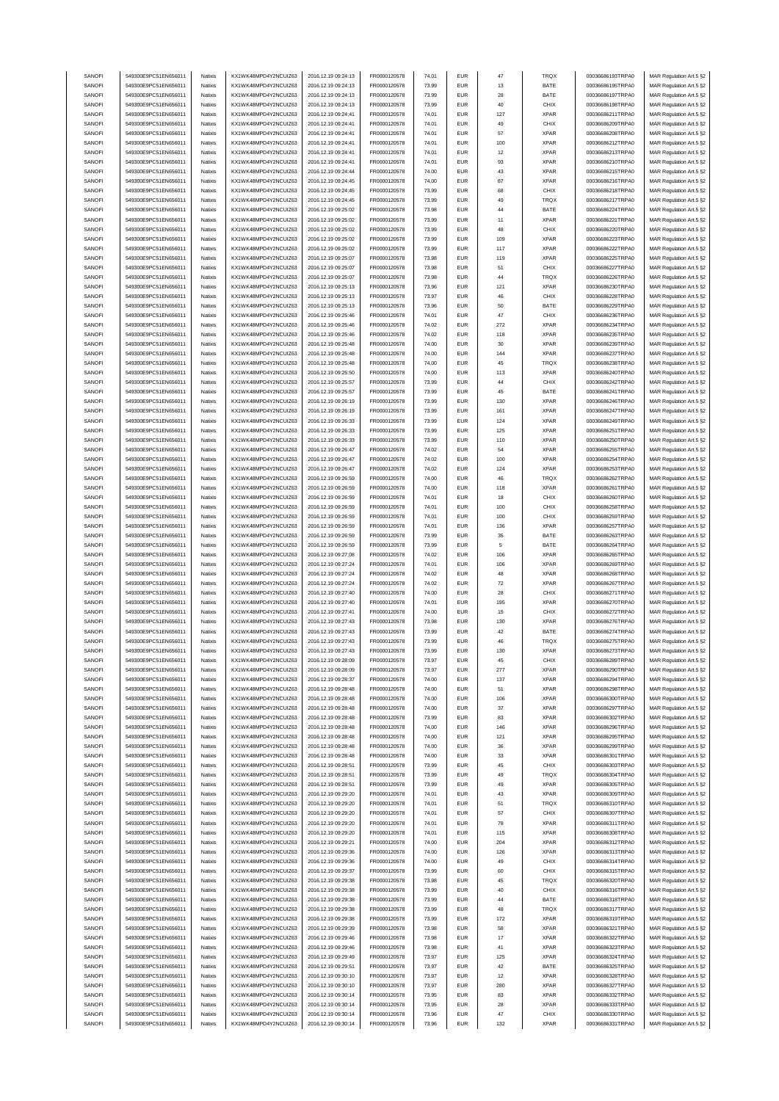| SANOFI           | 549300E9PC51EN656011 | Natixis | KX1WK48MPD4Y2NCUIZ63 | 2016.12.19 09:24:13 | FR0000120578 | 74.01 | <b>EUR</b> | 47  | <b>TRQX</b> | 00036686193TRPA0 | MAR Regulation Art.5 §2 |
|------------------|----------------------|---------|----------------------|---------------------|--------------|-------|------------|-----|-------------|------------------|-------------------------|
| SANOFI           | 549300E9PC51EN656011 | Natixis | KX1WK48MPD4Y2NCUIZ63 | 2016.12.19 09:24:13 | FR0000120578 | 73.99 | <b>EUR</b> | 13  | BATE        | 00036686195TRPA0 | MAR Regulation Art.5 §2 |
| SANOFI           | 549300E9PC51EN656011 | Natixis | KX1WK48MPD4Y2NCUIZ63 | 2016.12.19 09:24:13 | FR0000120578 | 73.99 | <b>EUR</b> | 28  | BATE        | 00036686197TRPA0 | MAR Regulation Art.5 §2 |
| SANOFI           | 549300E9PC51EN656011 | Natixis | KX1WK48MPD4Y2NCUIZ63 | 2016.12.19 09:24:13 | FR0000120578 | 73.99 | <b>EUR</b> | 40  | CHIX        | 00036686198TRPA0 | MAR Regulation Art.5 §2 |
| SANOFI           | 549300E9PC51EN656011 | Natixis | KX1WK48MPD4Y2NCUIZ63 | 2016.12.19 09:24:41 | FR0000120578 | 74.01 | <b>EUR</b> | 127 | <b>XPAR</b> | 00036686211TRPA0 | MAR Regulation Art.5 §2 |
| SANOFI           | 549300E9PC51EN656011 | Natixis | KX1WK48MPD4Y2NCUIZ63 | 2016.12.19 09:24:41 | FR0000120578 | 74.01 | <b>EUR</b> | 49  | CHIX        | 00036686209TRPA0 | MAR Regulation Art.5 §2 |
|                  | 549300E9PC51EN656011 |         |                      | 2016.12.19 09:24:41 | FR0000120578 |       |            |     |             | 00036686208TRPA0 |                         |
| SANOFI           |                      | Natixis | KX1WK48MPD4Y2NCUIZ63 |                     |              | 74.01 | <b>EUR</b> | 57  | <b>XPAR</b> |                  | MAR Regulation Art.5 §2 |
| SANOFI           | 549300E9PC51EN656011 | Natixis | KX1WK48MPD4Y2NCUIZ63 | 2016.12.19 09:24:41 | FR0000120578 | 74.01 | <b>EUR</b> | 100 | <b>XPAR</b> | 00036686212TRPA0 | MAR Regulation Art.5 §2 |
| SANOFI           | 549300E9PC51EN656011 | Natixis | KX1WK48MPD4Y2NCUIZ63 | 2016.12.19 09:24:41 | FR0000120578 | 74.01 | <b>EUR</b> | 12  | <b>XPAR</b> | 00036686213TRPA0 | MAR Regulation Art.5 §2 |
| SANOFI           | 549300E9PC51EN656011 | Natixis | KX1WK48MPD4Y2NCUIZ63 | 2016.12.19 09:24:41 | FR0000120578 | 74.01 | <b>EUR</b> | 93  | <b>XPAR</b> | 00036686210TRPA0 | MAR Regulation Art.5 §2 |
| SANOFI           | 549300E9PC51EN656011 | Natixis | KX1WK48MPD4Y2NCUIZ63 | 2016.12.19 09:24:44 | FR0000120578 | 74.00 | <b>EUR</b> | 43  | <b>XPAR</b> | 00036686215TRPA0 | MAR Regulation Art.5 §2 |
| SANOFI           | 549300E9PC51EN656011 | Natixis | KX1WK48MPD4Y2NCUIZ63 | 2016.12.19 09:24:45 | FR0000120578 | 74.00 | <b>EUR</b> | 87  | <b>XPAR</b> | 00036686216TRPA0 | MAR Regulation Art.5 §2 |
| SANOFI           | 549300E9PC51EN656011 | Natixis | KX1WK48MPD4Y2NCUIZ63 | 2016.12.19 09:24:45 | FR0000120578 | 73.99 | <b>EUR</b> | 68  | CHIX        | 00036686218TRPA0 | MAR Regulation Art.5 §2 |
|                  |                      |         |                      |                     |              |       |            |     |             |                  |                         |
| SANOFI           | 549300E9PC51EN656011 | Natixis | KX1WK48MPD4Y2NCUIZ63 | 2016.12.19 09:24:45 | FR0000120578 | 73.99 | <b>EUR</b> | 49  | TRQX        | 00036686217TRPA0 | MAR Regulation Art.5 §2 |
| SANOFI           | 549300E9PC51EN656011 | Natixis | KX1WK48MPD4Y2NCUIZ63 | 2016.12.19 09:25:02 | FR0000120578 | 73.98 | <b>EUR</b> | 44  | BATE        | 00036686224TRPA0 | MAR Regulation Art.5 §2 |
| SANOFI           | 549300E9PC51EN656011 | Natixis | KX1WK48MPD4Y2NCUIZ63 | 2016.12.19 09:25:02 | FR0000120578 | 73.99 | <b>EUR</b> | 11  | <b>XPAR</b> | 00036686221TRPA0 | MAR Regulation Art.5 §2 |
| SANOFI           | 549300E9PC51EN656011 | Natixis | KX1WK48MPD4Y2NCUIZ63 | 2016.12.19 09:25:02 | FR0000120578 | 73.99 | <b>EUR</b> | 48  | CHIX        | 00036686220TRPA0 | MAR Regulation Art.5 §2 |
| SANOFI           | 549300E9PC51EN656011 | Natixis | KX1WK48MPD4Y2NCUIZ63 | 2016.12.19 09:25:02 | FR0000120578 | 73.99 | <b>EUR</b> | 109 | <b>XPAR</b> | 00036686223TRPA0 | MAR Regulation Art.5 §2 |
| SANOFI           | 549300E9PC51EN656011 | Natixis | KX1WK48MPD4Y2NCUIZ63 | 2016.12.19 09:25:02 | FR0000120578 | 73.99 | <b>EUR</b> | 117 | <b>XPAR</b> | 00036686222TRPA0 | MAR Regulation Art.5 §2 |
|                  |                      |         |                      |                     |              |       |            |     |             |                  |                         |
| SANOFI           | 549300E9PC51EN656011 | Natixis | KX1WK48MPD4Y2NCUIZ63 | 2016.12.19 09:25:07 | FR0000120578 | 73.98 | <b>EUR</b> | 119 | <b>XPAR</b> | 00036686225TRPA0 | MAR Regulation Art.5 §2 |
| SANOFI           | 549300E9PC51EN656011 | Natixis | KX1WK48MPD4Y2NCUIZ63 | 2016.12.19 09:25:07 | FR0000120578 | 73.98 | <b>EUR</b> | 51  | CHIX        | 00036686227TRPA0 | MAR Regulation Art.5 §2 |
| SANOFI           | 549300E9PC51EN656011 | Natixis | KX1WK48MPD4Y2NCUIZ63 | 2016.12.19 09:25:07 | FR0000120578 | 73.98 | <b>EUR</b> | 44  | TRQX        | 00036686226TRPA0 | MAR Regulation Art.5 §2 |
| SANOFI           | 549300E9PC51EN656011 | Natixis | KX1WK48MPD4Y2NCUIZ63 | 2016.12.19 09:25:13 | FR0000120578 | 73.96 | <b>EUR</b> | 121 | <b>XPAR</b> | 00036686230TRPA0 | MAR Regulation Art.5 §2 |
| SANOFI           | 549300E9PC51EN656011 | Natixis | KX1WK48MPD4Y2NCUIZ63 | 2016.12.19 09:25:13 | FR0000120578 | 73.97 | <b>EUR</b> | 46  | CHIX        | 00036686228TRPA0 | MAR Regulation Art.5 §2 |
| SANOFI           | 549300E9PC51EN656011 | Natixis | KX1WK48MPD4Y2NCUIZ63 | 2016.12.19 09:25:13 | FR0000120578 | 73.96 | <b>EUR</b> | 50  | BATE        | 00036686229TRPA0 | MAR Regulation Art.5 §2 |
|                  |                      |         |                      |                     |              |       |            |     |             |                  |                         |
| SANOFI           | 549300E9PC51EN656011 | Natixis | KX1WK48MPD4Y2NCUIZ63 | 2016.12.19 09:25:46 | FR0000120578 | 74.01 | <b>EUR</b> | 47  | CHIX        | 00036686236TRPA0 | MAR Regulation Art.5 §2 |
| SANOFI           | 549300E9PC51EN656011 | Natixis | KX1WK48MPD4Y2NCUIZ63 | 2016.12.19 09:25:46 | FR0000120578 | 74.02 | <b>EUR</b> | 272 | <b>XPAR</b> | 00036686234TRPA0 | MAR Regulation Art.5 §2 |
| SANOFI           | 549300E9PC51EN656011 | Natixis | KX1WK48MPD4Y2NCUIZ63 | 2016.12.19 09:25:46 | FR0000120578 | 74.02 | <b>EUR</b> | 118 | <b>XPAR</b> | 00036686235TRPA0 | MAR Regulation Art.5 §2 |
| SANOFI           | 549300E9PC51EN656011 | Natixis | KX1WK48MPD4Y2NCUIZ63 | 2016.12.19.09:25:48 | FR0000120578 | 74.00 | <b>EUR</b> | 30  | <b>XPAR</b> | 00036686239TRPA0 | MAR Regulation Art.5 §2 |
| SANOFI           | 549300E9PC51EN656011 | Natixis | KX1WK48MPD4Y2NCUIZ63 | 2016.12.19 09:25:48 | FR0000120578 | 74.00 | <b>EUR</b> | 144 | <b>XPAR</b> | 00036686237TRPA0 | MAR Regulation Art.5 §2 |
| SANOFI           | 549300E9PC51EN656011 | Natixis | KX1WK48MPD4Y2NCUIZ63 | 2016.12.19 09:25:48 | FR0000120578 | 74.00 | <b>EUR</b> | 45  | TRQX        | 00036686238TRPA0 | MAR Regulation Art.5 §2 |
|                  |                      |         |                      |                     |              |       |            |     |             |                  |                         |
| SANOFI           | 549300E9PC51EN656011 | Natixis | KX1WK48MPD4Y2NCUIZ63 | 2016.12.19 09:25:50 | FR0000120578 | 74.00 | <b>EUR</b> | 113 | <b>XPAR</b> | 00036686240TRPA0 | MAR Regulation Art.5 §2 |
| SANOFI           | 549300E9PC51EN656011 | Natixis | KX1WK48MPD4Y2NCUIZ63 | 2016.12.19 09:25:57 | FR0000120578 | 73.99 | <b>EUR</b> | 44  | CHIX        | 00036686242TRPA0 | MAR Regulation Art.5 §2 |
| SANOFI           | 549300E9PC51EN656011 | Natixis | KX1WK48MPD4Y2NCUIZ63 | 2016.12.19 09:25:57 | FR0000120578 | 73.99 | <b>EUR</b> | 45  | BATE        | 00036686241TRPA0 | MAR Regulation Art.5 §2 |
| SANOFI           | 549300E9PC51EN656011 | Natixis | KX1WK48MPD4Y2NCUIZ63 | 2016.12.19 09:26:19 | FR0000120578 | 73.99 | <b>EUR</b> | 130 | <b>XPAR</b> | 00036686246TRPA0 | MAR Regulation Art.5 §2 |
| SANOFI           | 549300E9PC51EN656011 | Natixis | KX1WK48MPD4Y2NCUIZ63 | 2016.12.19 09:26:19 | FR0000120578 | 73.99 | <b>EUR</b> | 161 | <b>XPAR</b> | 00036686247TRPA0 | MAR Regulation Art.5 §2 |
|                  |                      |         |                      |                     |              |       |            |     |             |                  |                         |
| SANOFI           | 549300E9PC51EN656011 | Natixis | KX1WK48MPD4Y2NCUIZ63 | 2016.12.19 09:26:33 | FR0000120578 | 73.99 | <b>EUR</b> | 124 | <b>XPAR</b> | 00036686249TRPA0 | MAR Regulation Art.5 §2 |
| SANOFI           | 549300E9PC51EN656011 | Natixis | KX1WK48MPD4Y2NCUIZ63 | 2016.12.19 09:26:33 | FR0000120578 | 73.99 | <b>EUR</b> | 125 | <b>XPAR</b> | 00036686251TRPA0 | MAR Regulation Art.5 §2 |
| SANOFI           | 549300E9PC51EN656011 | Natixis | KX1WK48MPD4Y2NCUIZ63 | 2016.12.19 09:26:33 | FR0000120578 | 73.99 | <b>EUR</b> | 110 | <b>XPAR</b> | 00036686250TRPA0 | MAR Regulation Art.5 §2 |
| SANOFI           | 549300E9PC51EN656011 | Natixis | KX1WK48MPD4Y2NCUIZ63 | 2016.12.19 09:26:47 | FR0000120578 | 74.02 | <b>EUR</b> | 54  | <b>XPAR</b> | 00036686255TRPA0 | MAR Regulation Art.5 §2 |
| SANOFI           | 549300E9PC51EN656011 | Natixis | KX1WK48MPD4Y2NCUIZ63 | 2016.12.19 09:26:47 | FR0000120578 | 74.02 | <b>EUR</b> | 100 | <b>XPAR</b> | 00036686254TRPA0 | MAR Regulation Art.5 §2 |
| SANOFI           | 549300E9PC51EN656011 | Natixis |                      |                     |              | 74.02 | <b>EUR</b> |     | <b>XPAR</b> | 00036686253TRPA0 |                         |
|                  |                      |         | KX1WK48MPD4Y2NCUIZ63 | 2016.12.19 09:26:47 | FR0000120578 |       |            | 124 |             |                  | MAR Regulation Art.5 §2 |
| SANOFI           | 549300E9PC51EN656011 | Natixis | KX1WK48MPD4Y2NCUIZ63 | 2016.12.19 09:26:59 | FR0000120578 | 74.00 | <b>EUR</b> | 46  | TRQX        | 00036686262TRPA0 | MAR Regulation Art.5 §2 |
| SANOFI           | 549300E9PC51EN656011 | Natixis | KX1WK48MPD4Y2NCUIZ63 | 2016.12.19 09:26:59 | FR0000120578 | 74.00 | <b>EUR</b> | 118 | <b>XPAR</b> | 00036686261TRPA0 | MAR Regulation Art.5 §2 |
| SANOFI           | 549300E9PC51EN656011 | Natixis | KX1WK48MPD4Y2NCUIZ63 | 2016.12.19 09:26:59 | FR0000120578 | 74.01 | <b>EUR</b> | 18  | CHIX        | 00036686260TRPA0 | MAR Regulation Art.5 §2 |
| SANOFI           | 549300E9PC51EN656011 | Natixis | KX1WK48MPD4Y2NCUIZ63 | 2016.12.19 09:26:59 | FR0000120578 | 74.01 | <b>EUR</b> | 100 | CHIX        | 00036686258TRPA0 | MAR Regulation Art.5 §2 |
| SANOFI           | 549300E9PC51EN656011 | Natixis | KX1WK48MPD4Y2NCUIZ63 | 2016.12.19 09:26:59 | FR0000120578 | 74.01 | <b>EUR</b> | 100 | CHIX        | 00036686259TRPA0 | MAR Regulation Art.5 §2 |
| SANOFI           | 549300E9PC51EN656011 | Natixis | KX1WK48MPD4Y2NCUIZ63 | 2016.12.19 09:26:59 | FR0000120578 | 74.01 | <b>EUR</b> | 136 | <b>XPAR</b> | 00036686257TRPA0 | MAR Regulation Art.5 §2 |
|                  |                      |         |                      |                     |              |       |            |     |             |                  |                         |
| SANOFI           | 549300E9PC51EN656011 | Natixis | KX1WK48MPD4Y2NCUIZ63 | 2016.12.19 09:26:59 | FR0000120578 | 73.99 | <b>EUR</b> | 35  | BATE        | 00036686263TRPA0 | MAR Regulation Art.5 §2 |
| SANOFI           | 549300E9PC51EN656011 | Natixis | KX1WK48MPD4Y2NCUIZ63 | 2016.12.19 09:26:59 | FR0000120578 | 73.99 | <b>EUR</b> | 5   | BATE        | 00036686264TRPA0 | MAR Regulation Art.5 §2 |
| SANOFI           | 549300E9PC51EN656011 | Natixis | KX1WK48MPD4Y2NCUIZ63 | 2016.12.19 09:27:08 | FR0000120578 | 74.02 | <b>EUR</b> | 106 | <b>XPAR</b> | 00036686265TRPA0 | MAR Regulation Art.5 §2 |
| SANOFI           | 549300E9PC51EN656011 | Natixis | KX1WK48MPD4Y2NCUIZ63 | 2016.12.19 09:27:24 | FR0000120578 | 74.01 | <b>EUR</b> | 106 | <b>XPAR</b> | 00036686269TRPA0 | MAR Regulation Art.5 §2 |
| SANOFI           | 549300E9PC51EN656011 | Natixis | KX1WK48MPD4Y2NCUIZ63 | 2016.12.19 09:27:24 | FR0000120578 | 74.02 | <b>EUR</b> | 48  | <b>XPAR</b> | 00036686268TRPA0 | MAR Regulation Art.5 §2 |
| SANOFI           | 549300E9PC51EN656011 | Natixis | KX1WK48MPD4Y2NCUIZ63 | 2016.12.19 09:27:24 | FR0000120578 | 74.02 | <b>EUR</b> | 72  | <b>XPAR</b> | 00036686267TRPA0 | MAR Regulation Art.5 §2 |
|                  |                      |         |                      |                     |              |       |            |     |             |                  |                         |
| SANOFI           | 549300E9PC51EN656011 | Natixis | KX1WK48MPD4Y2NCUIZ63 | 2016.12.19 09:27:40 | FR0000120578 | 74.00 | <b>EUR</b> | 28  | CHIX        | 00036686271TRPA0 | MAR Regulation Art.5 §2 |
| SANOFI           | 549300E9PC51EN656011 | Natixis | KX1WK48MPD4Y2NCUIZ63 | 2016.12.19 09:27:40 | FR0000120578 | 74.01 | <b>EUR</b> | 195 | <b>XPAR</b> | 00036686270TRPA0 | MAR Regulation Art.5 §2 |
| SANOFI           | 549300E9PC51EN656011 | Natixis | KX1WK48MPD4Y2NCUIZ63 | 2016.12.19 09:27:41 | FR0000120578 | 74.00 | <b>EUR</b> | 15  | CHIX        | 00036686272TRPA0 | MAR Regulation Art.5 §2 |
| SANOFI           | 549300E9PC51EN656011 | Natixis | KX1WK48MPD4Y2NCUIZ63 | 2016.12.19 09:27:43 | FR0000120578 | 73.98 | <b>EUR</b> | 130 | <b>XPAR</b> | 00036686276TRPA0 | MAR Regulation Art.5 §2 |
| SANOFI           | 549300E9PC51EN656011 | Natixis | KX1WK48MPD4Y2NCUIZ63 | 2016.12.19 09:27:43 | FR0000120578 | 73.99 | <b>EUR</b> | 42  | BATE        | 00036686274TRPA0 | MAR Regulation Art.5 §2 |
| SANOFI           | 549300E9PC51EN656011 | Natixis | KX1WK48MPD4Y2NCUIZ63 | 2016.12.19 09:27:43 | FR0000120578 | 73.99 | <b>EUR</b> | 46  | <b>TRQX</b> | 00036686275TRPA0 | MAR Regulation Art.5 §2 |
|                  |                      |         |                      |                     |              |       |            |     |             |                  |                         |
| SANOF            | 549300E9PC51EN65601  | Natixis | KX1WK48MPD4Y2NCUIZ63 | 2016.12.19 09:27:43 | FR0000120578 | 73.99 | EUR        | 130 | XPAR        | 00036686273TRPA0 | MAR Regulation Art.5 §2 |
| SANOFI           | 549300E9PC51EN656011 | Natixis | KX1WK48MPD4Y2NCUIZ63 | 2016.12.19 09:28:09 | FR0000120578 | 73.97 | <b>EUR</b> | 45  | CHIX        | 00036686289TRPA0 | MAR Regulation Art.5 §2 |
| SANOFI           | 549300E9PC51EN656011 | Natixis | KX1WK48MPD4Y2NCUIZ63 | 2016.12.19 09:28:09 | FR0000120578 | 73.97 | <b>EUR</b> | 277 | <b>XPAR</b> | 00036686290TRPA0 | MAR Regulation Art.5 §2 |
| SANOFI           | 549300E9PC51EN656011 | Natixis | KX1WK48MPD4Y2NCUIZ63 | 2016.12.19 09:28:37 | FR0000120578 | 74.00 | <b>EUR</b> | 137 | <b>XPAR</b> | 00036686294TRPA0 | MAR Regulation Art.5 §2 |
| SANOFI           | 549300E9PC51EN656011 | Natixis | KX1WK48MPD4Y2NCUIZ63 | 2016.12.19 09:28:48 | FR0000120578 | 74.00 | <b>EUR</b> | 51  | <b>XPAR</b> | 00036686298TRPA0 | MAR Regulation Art.5 §2 |
| SANOFI           | 549300E9PC51EN656011 | Natixis | KX1WK48MPD4Y2NCUIZ63 | 2016.12.19 09:28:48 | FR0000120578 | 74.00 | <b>EUR</b> | 106 | <b>XPAR</b> | 00036686300TRPA0 | MAR Regulation Art.5 §2 |
| SANOFI           | 549300E9PC51EN656011 | Natixis | KX1WK48MPD4Y2NCUIZ63 | 2016.12.19 09:28:48 | FR0000120578 | 74.00 | <b>EUR</b> | 37  | <b>XPAR</b> | 00036686297TRPA0 |                         |
|                  |                      |         |                      |                     |              |       |            |     |             |                  | MAR Regulation Art.5 §2 |
| SANOFI           | 549300E9PC51EN656011 | Natixis | KX1WK48MPD4Y2NCUIZ63 | 2016.12.19 09:28:48 | FR0000120578 | 73.99 | <b>EUR</b> | 83  | <b>XPAR</b> | 00036686302TRPA0 | MAR Regulation Art.5 §2 |
| SANOFI           | 549300E9PC51EN656011 | Natixis | KX1WK48MPD4Y2NCUIZ63 | 2016.12.19 09:28:48 | FR0000120578 | 74.00 | <b>EUR</b> | 146 | <b>XPAR</b> | 00036686296TRPA0 | MAR Regulation Art.5 §2 |
| SANOFI           | 549300E9PC51EN656011 | Natixis | KX1WK48MPD4Y2NCUIZ63 | 2016.12.19 09:28:48 | FR0000120578 | 74.00 | <b>EUR</b> | 121 | <b>XPAR</b> | 00036686295TRPA0 | MAR Regulation Art.5 §2 |
| SANOFI           | 549300E9PC51EN656011 | Natixis | KX1WK48MPD4Y2NCUIZ63 | 2016.12.19 09:28:48 | FR0000120578 | 74.00 | <b>EUR</b> | 36  | <b>XPAR</b> | 00036686299TRPA0 | MAR Regulation Art.5 §2 |
| SANOFI           | 549300E9PC51EN656011 | Natixis | KX1WK48MPD4Y2NCUIZ63 | 2016.12.19 09:28:48 | FR0000120578 | 74.00 | <b>EUR</b> | 33  | <b>XPAR</b> | 00036686301TRPA0 | MAR Regulation Art.5 §2 |
| SANOFI           | 549300E9PC51EN656011 | Natixis | KX1WK48MPD4Y2NCUIZ63 | 2016.12.19 09:28:51 | FR0000120578 | 73.99 | <b>EUR</b> | 45  | CHIX        | 00036686303TRPA0 | MAR Regulation Art.5 §2 |
|                  |                      |         |                      |                     | FR0000120578 |       |            |     |             |                  |                         |
| SANOFI           | 549300E9PC51EN656011 | Natixis | KX1WK48MPD4Y2NCUIZ63 | 2016.12.19 09:28:51 |              | 73.99 | <b>EUR</b> | 49  | TRQX        | 00036686304TRPA0 | MAR Regulation Art.5 §2 |
| SANOFI           | 549300E9PC51EN656011 | Natixis | KX1WK48MPD4Y2NCUIZ63 | 2016.12.19 09:28:51 | FR0000120578 | 73.99 | <b>EUR</b> | 49  | <b>XPAR</b> | 00036686305TRPA0 | MAR Regulation Art.5 §2 |
| SANOFI           | 549300E9PC51EN656011 | Natixis | KX1WK48MPD4Y2NCUIZ63 | 2016.12.19 09:29:20 | FR0000120578 | 74.01 | <b>EUR</b> | 43  | <b>XPAR</b> | 00036686309TRPA0 | MAR Regulation Art.5 §2 |
| SANOFI           | 549300E9PC51EN656011 | Natixis | KX1WK48MPD4Y2NCUIZ63 | 2016.12.19 09:29:20 | FR0000120578 | 74.01 | <b>EUR</b> | 51  | TRQX        | 00036686310TRPA0 | MAR Regulation Art.5 §2 |
| SANOFI           | 549300E9PC51EN656011 | Natixis | KX1WK48MPD4Y2NCUIZ63 | 2016.12.19 09:29:20 | FR0000120578 | 74.01 | <b>EUR</b> | 57  | CHIX        | 00036686307TRPA0 | MAR Regulation Art.5 §2 |
| SANOFI           | 549300E9PC51EN656011 | Natixis | KX1WK48MPD4Y2NCUIZ63 | 2016.12.19 09:29:20 | FR0000120578 | 74.01 | <b>EUR</b> | 78  | <b>XPAR</b> | 00036686311TRPA0 | MAR Regulation Art.5 §2 |
| SANOFI           | 549300E9PC51EN656011 | Natixis | KX1WK48MPD4Y2NCUIZ63 | 2016.12.19 09:29:20 | FR0000120578 | 74.01 | <b>EUR</b> | 115 | <b>XPAR</b> | 00036686308TRPA0 | MAR Regulation Art.5 §2 |
|                  |                      |         |                      |                     |              |       |            |     |             |                  |                         |
| SANOFI           | 549300E9PC51EN656011 | Natixis | KX1WK48MPD4Y2NCUIZ63 | 2016.12.19 09:29:21 | FR0000120578 | 74.00 | <b>EUR</b> | 204 | <b>XPAR</b> | 00036686312TRPA0 | MAR Regulation Art.5 §2 |
| SANOFI           | 549300E9PC51EN656011 | Natixis | KX1WK48MPD4Y2NCUIZ63 | 2016.12.19 09:29:36 | FR0000120578 | 74.00 | <b>EUR</b> | 126 | <b>XPAR</b> | 00036686313TRPA0 | MAR Regulation Art.5 §2 |
| SANOFI           | 549300E9PC51EN656011 | Natixis | KX1WK48MPD4Y2NCUIZ63 | 2016.12.19 09:29:36 | FR0000120578 | 74.00 | <b>EUR</b> | 49  | CHIX        | 00036686314TRPA0 | MAR Regulation Art.5 §2 |
| SANOFI           | 549300E9PC51EN656011 | Natixis | KX1WK48MPD4Y2NCUIZ63 | 2016.12.19 09:29:37 | FR0000120578 | 73.99 | <b>EUR</b> | 60  | CHIX        | 00036686315TRPA0 | MAR Regulation Art.5 §2 |
| SANOFI           | 549300E9PC51EN656011 | Natixis | KX1WK48MPD4Y2NCUIZ63 | 2016.12.19 09:29:38 | FR0000120578 | 73.98 | <b>EUR</b> | 45  | TRQX        | 00036686320TRPA0 | MAR Regulation Art.5 §2 |
|                  | 549300E9PC51EN656011 |         | KX1WK48MPD4Y2NCUIZ63 |                     |              |       |            | 40  |             |                  |                         |
| SANOFI           |                      | Natixis |                      | 2016.12.19 09:29:38 | FR0000120578 | 73.99 | <b>EUR</b> |     | CHIX        | 00036686316TRPA0 | MAR Regulation Art.5 §2 |
| SANOFI           | 549300E9PC51EN656011 | Natixis | KX1WK48MPD4Y2NCUIZ63 | 2016.12.19 09:29:38 | FR0000120578 | 73.99 | <b>EUR</b> | 44  | BATE        | 00036686318TRPA0 | MAR Regulation Art.5 §2 |
| SANOFI           | 549300E9PC51EN656011 | Natixis | KX1WK48MPD4Y2NCUIZ63 | 2016.12.19 09:29:38 | FR0000120578 | 73.99 | <b>EUR</b> | 48  | TRQX        | 00036686317TRPA0 | MAR Regulation Art.5 §2 |
| SANOFI           | 549300E9PC51EN656011 | Natixis | KX1WK48MPD4Y2NCUIZ63 | 2016.12.19 09:29:38 | FR0000120578 | 73.99 | <b>EUR</b> | 172 | <b>XPAR</b> | 00036686319TRPA0 | MAR Regulation Art.5 §2 |
| SANOFI           | 549300E9PC51EN656011 | Natixis | KX1WK48MPD4Y2NCUIZ63 | 2016.12.19 09:29:39 | FR0000120578 | 73.98 | <b>EUR</b> | 58  | <b>XPAR</b> | 00036686321TRPA0 | MAR Regulation Art.5 §2 |
| SANOFI           | 549300E9PC51EN656011 | Natixis | KX1WK48MPD4Y2NCUIZ63 | 2016.12.19 09:29:46 | FR0000120578 | 73.98 | <b>EUR</b> | 17  | <b>XPAR</b> | 00036686322TRPA0 | MAR Regulation Art.5 §2 |
|                  |                      |         |                      |                     |              |       |            |     |             |                  |                         |
| SANOFI           | 549300E9PC51EN656011 | Natixis | KX1WK48MPD4Y2NCUIZ63 | 2016.12.19 09:29:46 | FR0000120578 | 73.98 | <b>EUR</b> | 41  | <b>XPAR</b> | 00036686323TRPA0 | MAR Regulation Art.5 §2 |
| SANOFI           | 549300E9PC51EN656011 | Natixis | KX1WK48MPD4Y2NCUIZ63 | 2016.12.19 09:29:49 | FR0000120578 | 73.97 | <b>EUR</b> | 125 | <b>XPAR</b> | 00036686324TRPA0 | MAR Regulation Art.5 §2 |
| SANOFI           | 549300E9PC51EN656011 | Natixis | KX1WK48MPD4Y2NCUIZ63 | 2016.12.19 09:29:51 | FR0000120578 | 73.97 | <b>EUR</b> | 42  | BATE        | 00036686325TRPA0 | MAR Regulation Art.5 §2 |
| SANOFI           | 549300E9PC51EN656011 | Natixis | KX1WK48MPD4Y2NCUIZ63 | 2016.12.19 09:30:10 | FR0000120578 | 73.97 | <b>EUR</b> | 12  | <b>XPAR</b> | 00036686328TRPA0 | MAR Regulation Art.5 §2 |
| SANOFI           | 549300E9PC51EN656011 | Natixis | KX1WK48MPD4Y2NCUIZ63 | 2016.12.19 09:30:10 | FR0000120578 | 73.97 | <b>EUR</b> | 280 | <b>XPAR</b> | 00036686327TRPA0 | MAR Regulation Art.5 §2 |
| SANOFI           | 549300E9PC51EN656011 | Natixis | KX1WK48MPD4Y2NCUIZ63 | 2016.12.19 09:30:14 | FR0000120578 | 73.95 | <b>EUR</b> | 83  | <b>XPAR</b> | 00036686332TRPA0 | MAR Regulation Art.5 §2 |
|                  |                      |         |                      |                     |              |       |            |     |             |                  |                         |
| SANOFI           | 549300E9PC51EN656011 | Natixis | KX1WK48MPD4Y2NCUIZ63 | 2016.12.19 09:30:14 | FR0000120578 | 73.95 | <b>EUR</b> | 28  | <b>XPAR</b> | 00036686333TRPA0 | MAR Regulation Art.5 §2 |
|                  | 549300E9PC51EN656011 | Natixis | KX1WK48MPD4Y2NCUIZ63 | 2016.12.19 09:30:14 | FR0000120578 | 73.96 | <b>EUR</b> | 47  | CHIX        | 00036686330TRPA0 | MAR Regulation Art.5 §2 |
| SANOFI<br>SANOFI | 549300E9PC51EN656011 | Natixis | KX1WK48MPD4Y2NCUIZ63 | 2016.12.19 09:30:14 | FR0000120578 | 73.96 | <b>EUR</b> | 132 | <b>XPAR</b> | 00036686331TRPA0 | MAR Regulation Art.5 §2 |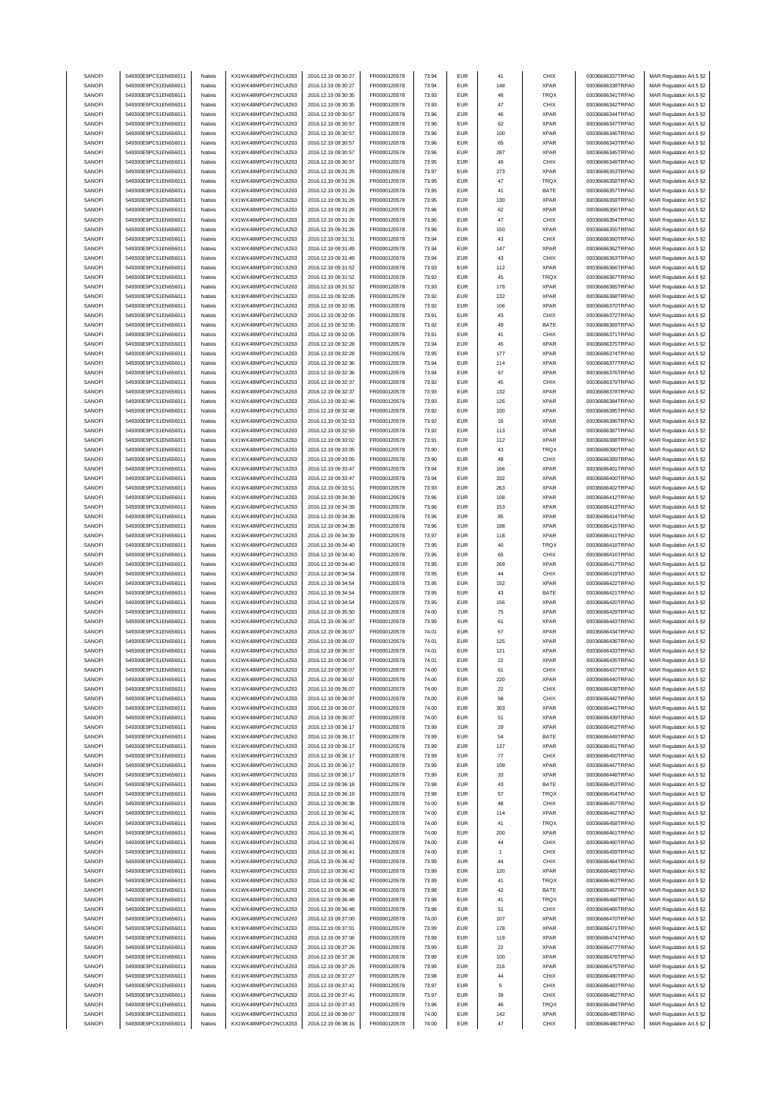| SANOFI           | 549300E9PC51EN656011                         | Natixis            | KX1WK48MPD4Y2NCUIZ63                         | 2016.12.19 09:30:27                        | FR0000120578                 | 73.94          | <b>EUR</b>                  | 41        | CHIX                | 00036686337TRPA0                     | MAR Regulation Art.5 §2                            |
|------------------|----------------------------------------------|--------------------|----------------------------------------------|--------------------------------------------|------------------------------|----------------|-----------------------------|-----------|---------------------|--------------------------------------|----------------------------------------------------|
| SANOFI           | 549300E9PC51EN656011                         | Natixis            | KX1WK48MPD4Y2NCUIZ63                         | 2016.12.19 09:30:27                        | FR0000120578                 | 73.94          | <b>EUR</b>                  | 148       | <b>XPAR</b>         | 00036686338TRPA0                     | MAR Regulation Art.5 §2                            |
| SANOFI           | 549300E9PC51EN656011                         | Natixis            | KX1WK48MPD4Y2NCUIZ63                         | 2016.12.19 09:30:35                        | FR0000120578                 | 73.93          | <b>EUR</b>                  | 48        | TRQX                | 00036686341TRPA0                     | MAR Regulation Art.5 §2                            |
| SANOFI           | 549300E9PC51EN656011                         | Natixis            | KX1WK48MPD4Y2NCUIZ63                         | 2016.12.19 09:30:35                        | FR0000120578                 | 73.93          | <b>EUR</b>                  | 47        | CHIX                | 00036686342TRPA0                     | MAR Regulation Art.5 §2                            |
|                  |                                              |                    |                                              |                                            |                              |                |                             |           |                     |                                      |                                                    |
| SANOFI           | 549300E9PC51EN656011                         | Natixis            | KX1WK48MPD4Y2NCUIZ63                         | 2016.12.19 09:30:57                        | FR0000120578                 | 73.96          | <b>EUR</b>                  | 46        | <b>XPAR</b>         | 00036686344TRPA0                     | MAR Regulation Art.5 §2                            |
| SANOFI           | 549300E9PC51EN656011                         | Natixis            | KX1WK48MPD4Y2NCUIZ63                         | 2016.12.19 09:30:57                        | FR0000120578                 | 73.96          | <b>EUR</b>                  | 62        | <b>XPAR</b>         | 00036686347TRPA0                     | MAR Regulation Art.5 §2                            |
| SANOFI           | 549300E9PC51EN656011                         | Natixis            | KX1WK48MPD4Y2NCUIZ63                         | 2016.12.19 09:30:57                        | FR0000120578                 | 73.96          | <b>EUR</b>                  | 100       | <b>XPAR</b>         | 00036686346TRPA0                     | MAR Regulation Art.5 §2                            |
| SANOFI           | 549300E9PC51EN656011                         | Natixis            | KX1WK48MPD4Y2NCUIZ63                         | 2016.12.19 09:30:57                        | FR0000120578                 | 73.96          | <b>EUR</b>                  | 65        | <b>XPAR</b>         | 00036686343TRPA0                     | MAR Regulation Art.5 §2                            |
| SANOFI           | 549300E9PC51EN656011                         | Natixis            | KX1WK48MPD4Y2NCLIIZ63                        | 2016.12.19 09:30:57                        | FR0000120578                 | 73.96          | <b>EUR</b>                  | 287       | <b>XPAR</b>         | 00036686345TRPA0                     | MAR Regulation Art.5 §2                            |
| SANOFI           | 549300E9PC51EN656011                         | Natixis            | KX1WK48MPD4Y2NCUIZ63                         | 2016.12.19 09:30:57                        | FR0000120578                 | 73.95          | <b>EUR</b>                  | 49        | CHIX                | 00036686348TRPA0                     | MAR Regulation Art.5 §2                            |
|                  |                                              | Natixis            |                                              |                                            |                              |                | <b>EUR</b>                  |           |                     |                                      |                                                    |
| SANOFI           | 549300E9PC51EN656011                         |                    | KX1WK48MPD4Y2NCUIZ63                         | 2016.12.19 09:31:25                        | FR0000120578                 | 73.97          |                             | 273       | <b>XPAR</b>         | 00036686353TRPA0                     | MAR Regulation Art.5 §2                            |
| SANOFI           | 549300E9PC51EN656011                         | Natixis            | KX1WK48MPD4Y2NCUIZ63                         | 2016.12.19 09:31:26                        | FR0000120578                 | 73.95          | <b>EUR</b>                  | 47        | TRQX                | 00036686358TRPA0                     | MAR Regulation Art.5 §2                            |
| SANOFI           | 549300E9PC51EN656011                         | Natixis            | KX1WK48MPD4Y2NCUIZ63                         | 2016.12.19 09:31:26                        | FR0000120578                 | 73.95          | <b>EUR</b>                  | 41        | BATE                | 00036686357TRPA0                     | MAR Regulation Art.5 §2                            |
| SANOFI           | 549300E9PC51EN656011                         | Natixis            | KX1WK48MPD4Y2NCUIZ63                         | 2016.12.19 09:31:26                        | FR0000120578                 | 73.95          | <b>EUR</b>                  | 130       | <b>XPAR</b>         | 00036686359TRPA0                     | MAR Regulation Art.5 §2                            |
| SANOFI           | 549300E9PC51EN656011                         | Natixis            | KX1WK48MPD4Y2NCUIZ63                         | 2016.12.19 09:31:26                        | FR0000120578                 | 73.96          | <b>EUR</b>                  | 62        | <b>XPAR</b>         | 00036686356TRPA0                     | MAR Regulation Art.5 §2                            |
| SANOFI           | 549300E9PC51EN656011                         | Natixis            | KX1WK48MPD4Y2NCUIZ63                         | 2016.12.19 09:31:26                        | FR0000120578                 | 73.96          | <b>EUR</b>                  | 47        | CHIX                | 00036686354TRPA0                     |                                                    |
|                  |                                              |                    |                                              |                                            |                              |                |                             |           |                     |                                      | MAR Regulation Art.5 §2                            |
| SANOFI           | 549300E9PC51EN656011                         | Natixis            | KX1WK48MPD4Y2NCUIZ63                         | 2016.12.19 09:31:26                        | FR0000120578                 | 73.96          | <b>EUR</b>                  | 150       | <b>XPAR</b>         | 00036686355TRPA0                     | MAR Regulation Art.5 §2                            |
| SANOFI           | 549300E9PC51EN656011                         | Natixis            | KX1WK48MPD4Y2NCLIIZ63                        | 2016.12.19 09:31:31                        | FR0000120578                 | 73.94          | <b>EUR</b>                  | 43        | CHIX                | 00036686360TRPA0                     | MAR Regulation Art.5 §2                            |
| SANOFI           | 549300E9PC51EN656011                         | Natixis            | KX1WK48MPD4Y2NCUIZ63                         | 2016.12.19 09:31:49                        | FR0000120578                 | 73.94          | <b>EUR</b>                  | 147       | <b>XPAR</b>         | 00036686362TRPA0                     | MAR Regulation Art.5 §2                            |
| SANOFI           | 549300E9PC51EN656011                         | Natixis            | KX1WK48MPD4Y2NCUIZ63                         | 2016.12.19 09:31:49                        | FR0000120578                 | 73.94          | <b>EUR</b>                  | 43        | CHIX                | 00036686363TRPA0                     | MAR Regulation Art.5 §2                            |
| SANOFI           | 549300E9PC51EN656011                         | Natixis            | KX1WK48MPD4Y2NCUIZ63                         | 2016.12.19 09:31:52                        | FR0000120578                 | 73.93          | <b>EUR</b>                  | 112       | <b>XPAR</b>         | 00036686366TRPA0                     | MAR Regulation Art.5 §2                            |
| SANOFI           | 549300E9PC51EN656011                         | Natixis            | KX1WK48MPD4Y2NCUIZ63                         | 2016.12.19 09:31:52                        | FR0000120578                 | 73.92          | <b>EUR</b>                  | 45        | TRQX                | 00036686367TRPA0                     | MAR Regulation Art.5 §2                            |
|                  |                                              |                    |                                              |                                            |                              |                |                             |           |                     |                                      |                                                    |
| SANOFI           | 549300E9PC51EN656011                         | Natixis            | KX1WK48MPD4Y2NCUIZ63                         | 2016.12.19 09:31:52                        | FR0000120578                 | 73.93          | <b>EUR</b>                  | 179       | <b>XPAR</b>         | 00036686365TRPA0                     | MAR Regulation Art.5 §2                            |
| SANOFI           | 549300E9PC51EN656011                         | Natixis            | KX1WK48MPD4Y2NCUIZ63                         | 2016.12.19 09:32:05                        | FR0000120578                 | 73.92          | <b>EUR</b>                  | 132       | <b>XPAR</b>         | 00036686368TRPA0                     | MAR Regulation Art.5 §2                            |
| SANOFI           | 549300E9PC51EN656011                         | Natixis            | KX1WK48MPD4Y2NCUIZ63                         | 2016.12.19 09:32:05                        | FR0000120578                 | 73.92          | <b>EUR</b>                  | 106       | <b>XPAR</b>         | 00036686370TRPA0                     | MAR Regulation Art.5 §2                            |
| SANOFI           | 549300E9PC51EN656011                         | Natixis            | KX1WK48MPD4Y2NCUIZ63                         | 2016.12.19 09:32:05                        | FR0000120578                 | 73.91          | <b>EUR</b>                  | 43        | CHIX                | 00036686372TRPA0                     | MAR Regulation Art.5 §2                            |
| SANOFI           | 549300E9PC51EN656011                         | Natixis            | KX1WK48MPD4Y2NCLIIZ63                        | 2016.12.19 09:32:05                        | FR0000120578                 | 73.92          | <b>EUR</b>                  | 49        | BATE                | 00036686369TRPA0                     | MAR Regulation Art.5 §2                            |
| SANOFI           | 549300E9PC51EN656011                         | Natixis            | KX1WK48MPD4Y2NCUIZ63                         | 2016.12.19 09:32:05                        | FR0000120578                 | 73.91          | <b>EUR</b>                  | 41        | CHIX                | 00036686371TRPA0                     | MAR Regulation Art.5 §2                            |
|                  |                                              |                    |                                              |                                            |                              |                |                             |           |                     |                                      |                                                    |
| SANOFI           | 549300E9PC51EN656011                         | Natixis            | KX1WK48MPD4Y2NCUIZ63                         | 2016.12.19 09:32:28                        | FR0000120578                 | 73.94          | <b>EUR</b>                  | 45        | <b>XPAR</b>         | 00036686375TRPA0                     | MAR Regulation Art.5 §2                            |
| SANOFI           | 549300E9PC51EN656011                         | Natixis            | KX1WK48MPD4Y2NCUIZ63                         | 2016.12.19 09:32:28                        | FR0000120578                 | 73.95          | <b>EUR</b>                  | 177       | <b>XPAR</b>         | 00036686374TRPA0                     | MAR Regulation Art.5 §2                            |
| SANOFI           | 549300E9PC51EN656011                         | Natixis            | KX1WK48MPD4Y2NCUIZ63                         | 2016.12.19 09:32:36                        | FR0000120578                 | 73.94          | <b>EUR</b>                  | 114       | <b>XPAR</b>         | 00036686377TRPA0                     | MAR Regulation Art.5 §2                            |
| SANOFI           | 549300E9PC51EN656011                         | Natixis            | KX1WK48MPD4Y2NCLIIZ63                        | 2016.12.19 09:32:36                        | FR0000120578                 | 73.94          | <b>EUR</b>                  | 67        | <b>XPAR</b>         | 00036686376TRPA0                     | MAR Regulation Art.5 §2                            |
| SANOFI           | 549300E9PC51EN656011                         | Natixis            | KX1WK48MPD4Y2NCUIZ63                         | 2016.12.19 09:32:37                        | FR0000120578                 | 73.92          | <b>EUR</b>                  | 45        | CHIX                | 00036686379TRPA0                     | MAR Regulation Art.5 §2                            |
| SANOFI           | 549300E9PC51EN656011                         | Natixis            |                                              |                                            |                              |                | <b>EUR</b>                  |           | <b>XPAR</b>         | 00036686378TRPA0                     |                                                    |
|                  |                                              |                    | KX1WK48MPD4Y2NCUIZ63                         | 2016.12.19 09:32:37                        | FR0000120578                 | 73.93          |                             | 132       |                     |                                      | MAR Regulation Art.5 §2                            |
| SANOFI           | 549300E9PC51EN656011                         | Natixis            | KX1WK48MPD4Y2NCUIZ63                         | 2016.12.19 09:32:46                        | FR0000120578                 | 73.93          | <b>EUR</b>                  | 126       | <b>XPAR</b>         | 00036686384TRPA0                     | MAR Regulation Art.5 §2                            |
| SANOFI           | 549300E9PC51EN656011                         | Natixis            | KX1WK48MPD4Y2NCLIIZ63                        | 2016.12.19 09:32:48                        | FR0000120578                 | 73.92          | <b>EUR</b>                  | 100       | <b>XPAR</b>         | 00036686385TRPA0                     | MAR Regulation Art.5 §2                            |
| SANOFI           | 549300E9PC51EN656011                         | Natixis            | KX1WK48MPD4Y2NCUIZ63                         | 2016.12.19 09:32:53                        | FR0000120578                 | 73.92          | <b>EUR</b>                  | 16        | <b>XPAR</b>         | 00036686386TRPA0                     | MAR Regulation Art.5 §2                            |
| SANOFI           | 549300E9PC51EN656011                         | Natixis            | KX1WK48MPD4Y2NCUIZ63                         | 2016.12.19 09:32:59                        | FR0000120578                 | 73.92          | <b>EUR</b>                  | 113       | <b>XPAR</b>         | 00036686387TRPA0                     | MAR Regulation Art.5 §2                            |
| SANOFI           | 549300E9PC51EN656011                         | Natixis            | KX1WK48MPD4Y2NCUIZ63                         | 2016.12.19 09:33:02                        | FR0000120578                 | 73.91          | <b>EUR</b>                  | 112       | <b>XPAR</b>         | 00036686388TRPA0                     | MAR Regulation Art.5 §2                            |
|                  |                                              |                    |                                              |                                            |                              |                |                             |           |                     |                                      |                                                    |
| SANOFI           | 549300E9PC51EN656011                         | Natixis            | KX1WK48MPD4Y2NCUIZ63                         | 2016.12.19 09:33:05                        | FR0000120578                 | 73.90          | <b>EUR</b>                  | 43        | TRQX                | 00036686390TRPA0                     | MAR Regulation Art.5 §2                            |
| SANOFI           | 549300E9PC51EN656011                         | Natixis            | KX1WK48MPD4Y2NCUIZ63                         | 2016.12.19 09:33:05                        | FR0000120578                 | 73.90          | <b>EUR</b>                  | 48        | CHIX                | 00036686389TRPA0                     | MAR Regulation Art.5 §2                            |
| SANOFI           | 549300E9PC51EN656011                         | Natixis            | KX1WK48MPD4Y2NCUIZ63                         | 2016.12.19 09:33:47                        | FR0000120578                 | 73.94          | <b>EUR</b>                  | 166       | <b>XPAR</b>         | 00036686401TRPA0                     | MAR Regulation Art.5 §2                            |
| SANOFI           | 549300E9PC51EN656011                         | Natixis            | KX1WK48MPD4Y2NCUIZ63                         | 2016.12.19 09:33:47                        | FR0000120578                 | 73.94          | <b>EUR</b>                  | 332       | <b>XPAR</b>         | 00036686400TRPA0                     | MAR Regulation Art.5 §2                            |
| SANOFI           | 549300E9PC51EN656011                         | Natixis            | KX1WK48MPD4Y2NCUIZ63                         | 2016.12.19 09:33:51                        | FR0000120578                 | 73.93          | <b>EUR</b>                  | 263       | <b>XPAR</b>         | 00036686402TRPA0                     | MAR Regulation Art.5 §2                            |
| SANOFI           | 549300E9PC51EN656011                         | Natixis            | KX1WK48MPD4Y2NCUIZ63                         | 2016.12.19 09:34:39                        | FR0000120578                 | 73.96          | <b>EUR</b>                  | 108       | <b>XPAR</b>         | 00036686412TRPA0                     | MAR Regulation Art.5 §2                            |
|                  |                                              |                    |                                              |                                            |                              |                |                             |           |                     |                                      |                                                    |
| SANOFI           | 549300E9PC51EN656011                         | Natixis            | KX1WK48MPD4Y2NCUIZ63                         | 2016.12.19 09:34:39                        | FR0000120578                 | 73.96          | <b>EUR</b>                  | 153       | <b>XPAR</b>         | 00036686413TRPA0                     | MAR Regulation Art.5 §2                            |
| SANOFI           | 549300E9PC51EN656011                         | Natixis            | KX1WK48MPD4Y2NCUIZ63                         | 2016.12.19 09:34:39                        | FR0000120578                 | 73.96          | <b>EUR</b>                  | 85        | <b>XPAR</b>         | 00036686414TRPA0                     | MAR Regulation Art.5 §2                            |
| SANOFI           | 549300E9PC51EN656011                         | Natixis            | KX1WK48MPD4Y2NCUIZ63                         | 2016.12.19 09:34:39                        | FR0000120578                 | 73.96          | <b>EUR</b>                  | 198       | <b>XPAR</b>         | 00036686415TRPA0                     | MAR Regulation Art.5 §2                            |
| SANOFI           | 549300E9PC51EN656011                         | Natixis            | KX1WK48MPD4Y2NCUIZ63                         | 2016.12.19 09:34:39                        | FR0000120578                 | 73.97          | <b>EUR</b>                  | 118       | <b>XPAR</b>         | 00036686411TRPA0                     | MAR Regulation Art.5 §2                            |
| SANOFI           | 549300E9PC51EN656011                         | Natixis            | KX1WK48MPD4Y2NCUIZ63                         | 2016.12.19 09:34:40                        | FR0000120578                 | 73.95          | <b>EUR</b>                  | 40        | TRQX                | 00036686418TRPA0                     | MAR Regulation Art.5 §2                            |
| SANOFI           | 549300E9PC51EN656011                         | Natixis            | KX1WK48MPD4Y2NCUIZ63                         |                                            |                              | 73.95          | <b>EUR</b>                  | 65        | CHIX                | 00036686416TRPA0                     |                                                    |
|                  |                                              |                    |                                              | 2016.12.19 09:34:40                        | FR0000120578                 |                |                             |           |                     |                                      | MAR Regulation Art.5 §2                            |
| SANOFI           | 549300E9PC51EN656011                         | Natixis            | KX1WK48MPD4Y2NCUIZ63                         | 2016.12.19 09:34:40                        | FR0000120578                 | 73.95          | <b>EUR</b>                  | 269       | <b>XPAR</b>         | 00036686417TRPA0                     | MAR Regulation Art.5 §2                            |
| SANOFI           | 549300E9PC51EN656011                         | Natixis            | KX1WK48MPD4Y2NCLIIZ63                        | 2016.12.19 09:34:54                        | FR0000120578                 | 73.95          | <b>EUR</b>                  | 44        | CHIX                | 00036686419TRPA0                     | MAR Regulation Art.5 §2                            |
| SANOFI           | 549300E9PC51EN656011                         | Natixis            | KX1WK48MPD4Y2NCUIZ63                         | 2016.12.19 09:34:54                        | FR0000120578                 | 73.95          | <b>EUR</b>                  | 152       | <b>XPAR</b>         | 00036686422TRPA0                     | MAR Regulation Art.5 §2                            |
| SANOFI           | 549300E9PC51EN656011                         | Natixis            | KX1WK48MPD4Y2NCUIZ63                         | 2016.12.19 09:34:54                        | FR0000120578                 | 73.95          | <b>EUR</b>                  | 43        | BATE                | 00036686421TRPA0                     | MAR Regulation Art.5 §2                            |
| SANOFI           | 549300E9PC51EN656011                         | Natixis            | KX1WK48MPD4Y2NCUIZ63                         | 2016.12.19 09:34:54                        | FR0000120578                 | 73.95          | <b>EUR</b>                  | 156       | <b>XPAR</b>         | 00036686420TRPA0                     | MAR Regulation Art.5 §2                            |
|                  |                                              |                    |                                              |                                            |                              |                |                             |           |                     |                                      |                                                    |
| SANOFI           | 549300E9PC51EN656011                         | Natixis            | KX1WK48MPD4Y2NCUIZ63                         | 2016.12.19 09:35:50                        | FR0000120578                 | 74.00          | <b>EUR</b>                  | 75        | <b>XPAR</b>         | 00036686429TRPA0                     | MAR Regulation Art.5 §2                            |
| SANOFI           | 549300E9PC51EN656011                         | Natixis            | KX1WK48MPD4Y2NCUIZ63                         | 2016.12.19 09:36:07                        | FR0000120578                 | 73.99          | <b>EUR</b>                  | 61        | <b>XPAR</b>         | 00036686443TRPA0                     | MAR Regulation Art.5 §2                            |
| SANOFI           | 549300E9PC51EN656011                         | Natixis            | KX1WK48MPD4Y2NCUIZ63                         | 2016.12.19 09:36:07                        | FR0000120578                 | 74.01          | <b>EUR</b>                  | 67        | <b>XPAR</b>         | 00036686434TRPA0                     | MAR Regulation Art.5 §2                            |
| SANOFI           | 549300E9PC51EN656011                         | Natixis            | KX1WK48MPD4Y2NCUIZ63                         | 2016.12.19 09:36:07                        | FR0000120578                 | 74.01          | <b>EUR</b>                  | 125       | <b>XPAR</b>         | 00036686436TRPA0                     | MAR Regulation Art.5 §2                            |
| SANOF            | 549300E9PC51EN656011                         | Natixis            | KX1WK48MPD4Y2NCUIZ63                         | 2016.12.19 09:36:07                        | FR0000120578                 | 74.01          | EUR                         | 121       | <b>XPAR</b>         | 00036686433TRPA0                     | MAR Regulation Art.5 §2                            |
| SANOFI           | 549300E9PC51EN656011                         | Natixis            | KX1WK48MPD4Y2NCUIZ63                         | 2016.12.19 09:36:07                        | FR0000120578                 | 74.01          | <b>EUR</b>                  | 22        | <b>XPAR</b>         | 00036686435TRPA0                     | MAR Regulation Art.5 §2                            |
|                  |                                              |                    |                                              |                                            |                              |                |                             |           |                     |                                      |                                                    |
| SANOFI           | 549300E9PC51EN656011                         | Natixis            | KX1WK48MPD4Y2NCUIZ63                         | 2016.12.19 09:36:07                        | FR0000120578                 | 74.00          | EUR                         | 61        | CHIX                | 00036686437TRPA0                     | MAR Regulation Art.5 §2                            |
| SANOFI           | 549300E9PC51EN656011                         | Natixis            | KX1WK48MPD4Y2NCUIZ63                         | 2016.12.19 09:36:07                        | FR0000120578                 | 74.00          | <b>EUR</b>                  | 220       | <b>XPAR</b>         | 00036686440TRPA0                     | MAR Regulation Art.5 §2                            |
| SANOFI           | 549300E9PC51EN656011                         | Natixis            | KX1WK48MPD4Y2NCUIZ63                         | 2016.12.19 09:36:07                        | FR0000120578                 | 74.00          | <b>EUR</b>                  | 22        | CHIX                | 00036686438TRPA0                     | MAR Regulation Art.5 §2                            |
| SANOFI           | 549300E9PC51EN656011                         | Natixis            | KX1WK48MPD4Y2NCUIZ63                         | 2016.12.19 09:36:07                        | FR0000120578                 | 74.00          | <b>EUR</b>                  | 58        | CHIX                | 00036686442TRPA0                     | MAR Regulation Art.5 §2                            |
| SANOFI           | 549300E9PC51EN656011                         | Natixis            | KX1WK48MPD4Y2NCUIZ63                         | 2016.12.19 09:36:07                        | FR0000120578                 | 74.00          | $\ensuremath{\mathsf{EUR}}$ | 303       | <b>XPAR</b>         | 00036686441TRPA0                     | MAR Regulation Art.5 §2                            |
| SANOFI           | 549300E9PC51EN656011                         | Natixis            | KX1WK48MPD4Y2NCUIZ63                         | 2016.12.19 09:36:07                        | FR0000120578                 | 74.00          | <b>EUR</b>                  | 51        | <b>XPAR</b>         | 00036686439TRPA0                     | MAR Regulation Art.5 §2                            |
| SANOFI           | 549300E9PC51EN656011                         | Natixis            | KX1WK48MPD4Y2NCUIZ63                         | 2016.12.19 09:36:17                        | FR0000120578                 | 73.99          | <b>EUR</b>                  | 29        | <b>XPAR</b>         | 00036686452TRPA0                     |                                                    |
| SANOFI           | 549300E9PC51EN656011                         |                    | KX1WK48MPD4Y2NCUIZ63                         | 2016.12.19 09:36:17                        | FR0000120578                 |                | <b>EUR</b>                  | 54        | BATE                | 00036686449TRPA0                     | MAR Regulation Art.5 §2                            |
|                  |                                              | Natixis            |                                              |                                            |                              | 73.99          |                             |           |                     |                                      | MAR Regulation Art.5 §2                            |
| SANOFI           | 549300E9PC51EN656011                         | Natixis            | KX1WK48MPD4Y2NCUIZ63                         | 2016.12.19 09:36:17                        | FR0000120578                 | 73.99          | <b>EUR</b>                  | 137       | <b>XPAR</b>         | 00036686451TRPA0                     | MAR Regulation Art.5 §2                            |
| SANOFI           | 549300E9PC51EN656011                         | Natixis            | KX1WK48MPD4Y2NCUIZ63                         | 2016.12.19 09:36:17                        | FR0000120578                 | 73.99          | <b>EUR</b>                  | $77\,$    | CHIX                | 00036686450TRPA0                     | MAR Regulation Art.5 §2                            |
| SANOFI           | 549300E9PC51EN656011                         | Natixis            | KX1WK48MPD4Y2NCUIZ63                         | 2016.12.19 09:36:17                        | FR0000120578                 | 73.99          | <b>EUR</b>                  | 109       | <b>XPAR</b>         | 00036686447TRPA0                     | MAR Regulation Art.5 §2                            |
| SANOFI           | 549300E9PC51EN656011                         | Natixis            | KX1WK48MPD4Y2NCUIZ63                         | 2016.12.19 09:36:17                        | FR0000120578                 | 73.99          | <b>EUR</b>                  | 33        | <b>XPAR</b>         | 00036686448TRPA0                     | MAR Regulation Art.5 §2                            |
| SANOFI           | 549300E9PC51EN656011                         | Natixis            | KX1WK48MPD4Y2NCUIZ63                         | 2016.12.19 09:36:18                        | FR0000120578                 | 73.98          | <b>EUR</b>                  | 43        | BATE                | 00036686453TRPA0                     | MAR Regulation Art.5 §2                            |
|                  |                                              |                    |                                              |                                            |                              |                |                             |           |                     |                                      |                                                    |
| SANOFI           | 549300E9PC51EN656011                         | Natixis            | KX1WK48MPD4Y2NCUIZ63                         | 2016.12.19 09:36:19                        | FR0000120578                 | 73.98          | <b>EUR</b>                  | 57        | TRQX                | 00036686454TRPA0                     | MAR Regulation Art.5 §2                            |
| SANOFI           | 549300E9PC51EN656011                         | Natixis            | KX1WK48MPD4Y2NCUIZ63                         | 2016.12.19 09:36:38                        | FR0000120578                 | 74.00          | <b>EUR</b>                  | 48        | CHIX                | 00036686457TRPA0                     | MAR Regulation Art.5 §2                            |
| SANOFI           | 549300E9PC51EN656011                         | Natixis            | KX1WK48MPD4Y2NCUIZ63                         | 2016.12.19 09:36:41                        | FR0000120578                 | 74.00          | <b>EUR</b>                  | 114       | <b>XPAR</b>         | 00036686462TRPA0                     | MAR Regulation Art.5 §2                            |
| SANOFI           | 549300E9PC51EN656011                         | Natixis            | KX1WK48MPD4Y2NCUIZ63                         | 2016.12.19 09:36:41                        | FR0000120578                 | 74.00          | <b>EUR</b>                  | 41        | TRQX                | 00036686458TRPA0                     | MAR Regulation Art.5 §2                            |
| SANOFI           | 549300E9PC51EN656011                         | Natixis            | KX1WK48MPD4Y2NCUIZ63                         | 2016.12.19 09:36:41                        | FR0000120578                 | 74.00          | <b>EUR</b>                  | 200       | <b>XPAR</b>         | 00036686461TRPA0                     | MAR Regulation Art.5 §2                            |
| SANOFI           | 549300E9PC51EN656011                         | Natixis            | KX1WK48MPD4Y2NCUIZ63                         | 2016.12.19 09:36:41                        | FR0000120578                 | 74.00          | <b>EUR</b>                  | 44        | CHIX                | 00036686460TRPA0                     | MAR Regulation Art.5 §2                            |
|                  |                                              |                    |                                              |                                            |                              |                |                             |           |                     |                                      |                                                    |
| SANOFI           | 549300E9PC51EN656011                         | Natixis            | KX1WK48MPD4Y2NCUIZ63                         | 2016.12.19 09:36:41                        | FR0000120578                 | 74.00          | <b>EUR</b>                  | 1         | CHIX                | 00036686459TRPA0                     | MAR Regulation Art.5 §2                            |
| SANOFI           | 549300E9PC51EN656011                         | Natixis            | KX1WK48MPD4Y2NCUIZ63                         | 2016.12.19 09:36:42                        | FR0000120578                 | 73.99          | <b>EUR</b>                  | 44        | CHIX                | 00036686464TRPA0                     | MAR Regulation Art.5 §2                            |
| SANOFI           | 549300E9PC51EN656011                         | Natixis            | KX1WK48MPD4Y2NCUIZ63                         | 2016.12.19 09:36:42                        | FR0000120578                 | 73.99          | <b>EUR</b>                  | 120       | <b>XPAR</b>         | 00036686465TRPA0                     | MAR Regulation Art.5 §2                            |
| SANOFI           | 549300E9PC51EN656011                         | Natixis            | KX1WK48MPD4Y2NCUIZ63                         | 2016.12.19 09:36:42                        | FR0000120578                 | 73.99          | <b>EUR</b>                  | 41        | TRQX                | 00036686463TRPA0                     | MAR Regulation Art.5 §2                            |
| SANOFI           | 549300E9PC51EN656011                         | Natixis            | KX1WK48MPD4Y2NCUIZ63                         | 2016.12.19 09:36:48                        | FR0000120578                 | 73.98          | <b>EUR</b>                  | 42        | BATE                | 00036686467TRPA0                     | MAR Regulation Art.5 §2                            |
|                  |                                              |                    |                                              |                                            |                              |                |                             |           |                     |                                      |                                                    |
| SANOFI           | 549300E9PC51EN656011                         | Natixis            | KX1WK48MPD4Y2NCUIZ63                         | 2016.12.19 09:36:48                        | FR0000120578                 | 73.98          | <b>EUR</b>                  | 41        | TRQX                | 00036686468TRPA0                     | MAR Regulation Art.5 §2                            |
| SANOFI           | 549300E9PC51EN656011                         | Natixis            | KX1WK48MPD4Y2NCUIZ63                         | 2016.12.19 09:36:48                        | FR0000120578                 | 73.98          | <b>EUR</b>                  | 51        | CHIX                | 00036686466TRPA0                     | MAR Regulation Art.5 §2                            |
| SANOFI           | 549300E9PC51EN656011                         | Natixis            | KX1WK48MPD4Y2NCUIZ63                         | 2016.12.19 09:37:00                        | FR0000120578                 | 74.00          | <b>EUR</b>                  | 107       | <b>XPAR</b>         | 00036686470TRPA0                     | MAR Regulation Art.5 §2                            |
| SANOFI           | 549300E9PC51EN656011                         | Natixis            | KX1WK48MPD4Y2NCUIZ63                         | 2016.12.19 09:37:01                        | FR0000120578                 | 73.99          | <b>EUR</b>                  | 178       | <b>XPAR</b>         | 00036686471TRPA0                     | MAR Regulation Art.5 §2                            |
| SANOFI           | 549300E9PC51EN656011                         | Natixis            | KX1WK48MPD4Y2NCUIZ63                         | 2016.12.19 09:37:06                        | FR0000120578                 | 73.99          | <b>EUR</b>                  | 119       | <b>XPAR</b>         | 00036686474TRPA0                     | MAR Regulation Art.5 §2                            |
|                  |                                              |                    |                                              |                                            |                              |                |                             |           |                     |                                      |                                                    |
| SANOFI           | 549300E9PC51EN656011                         | Natixis            | KX1WK48MPD4Y2NCUIZ63                         | 2016.12.19 09:37:26                        | FR0000120578                 | 73.99          | <b>EUR</b>                  | 22        | <b>XPAR</b>         | 00036686477TRPA0                     | MAR Regulation Art.5 §2                            |
| SANOFI           | 549300E9PC51EN656011                         | Natixis            | KX1WK48MPD4Y2NCUIZ63                         | 2016.12.19 09:37:26                        | FR0000120578                 | 73.99          | <b>EUR</b>                  | 100       | <b>XPAR</b>         | 00036686476TRPA0                     | MAR Regulation Art.5 §2                            |
| SANOFI           | 549300E9PC51EN656011                         | Natixis            | KX1WK48MPD4Y2NCUIZ63                         | 2016.12.19 09:37:26                        | FR0000120578                 | 73.99          | <b>EUR</b>                  | 216       | <b>XPAR</b>         | 00036686475TRPA0                     | MAR Regulation Art.5 §2                            |
| SANOFI           | 549300E9PC51EN656011                         | Natixis            | KX1WK48MPD4Y2NCUIZ63                         | 2016.12.19 09:37:27                        | FR0000120578                 | 73.98          | <b>EUR</b>                  | 44        | CHIX                | 00036686480TRPA0                     | MAR Regulation Art.5 §2                            |
| SANOFI           | 549300E9PC51EN656011                         | Natixis            | KX1WK48MPD4Y2NCUIZ63                         | 2016.12.19 09:37:41                        | FR0000120578                 | 73.97          | <b>EUR</b>                  | 5         | CHIX                | 00036686483TRPA0                     | MAR Regulation Art.5 §2                            |
| SANOFI           | 549300E9PC51EN656011                         | Natixis            | KX1WK48MPD4Y2NCUIZ63                         | 2016.12.19 09:37:41                        | FR0000120578                 | 73.97          | <b>EUR</b>                  | 39        | CHIX                | 00036686482TRPA0                     | MAR Regulation Art.5 §2                            |
|                  |                                              |                    |                                              |                                            |                              |                |                             |           |                     |                                      |                                                    |
|                  |                                              |                    |                                              |                                            |                              |                |                             |           |                     |                                      |                                                    |
| SANOFI           | 549300E9PC51EN656011                         | Natixis            | KX1WK48MPD4Y2NCUIZ63                         | 2016.12.19 09:37:43                        | FR0000120578                 | 73.96          | <b>EUR</b>                  | 46        | TRQX                | 00036686484TRPA0                     | MAR Regulation Art.5 §2                            |
| SANOFI<br>SANOFI | 549300E9PC51EN656011<br>549300E9PC51EN656011 | Natixis<br>Natixis | KX1WK48MPD4Y2NCUIZ63<br>KX1WK48MPD4Y2NCUIZ63 | 2016.12.19 09:38:07<br>2016.12.19 09:38:16 | FR0000120578<br>FR0000120578 | 74.00<br>74.00 | <b>EUR</b><br>EUR           | 142<br>47 | <b>XPAR</b><br>CHIX | 00036686485TRPA0<br>00036686486TRPA0 | MAR Regulation Art.5 §2<br>MAR Regulation Art.5 §2 |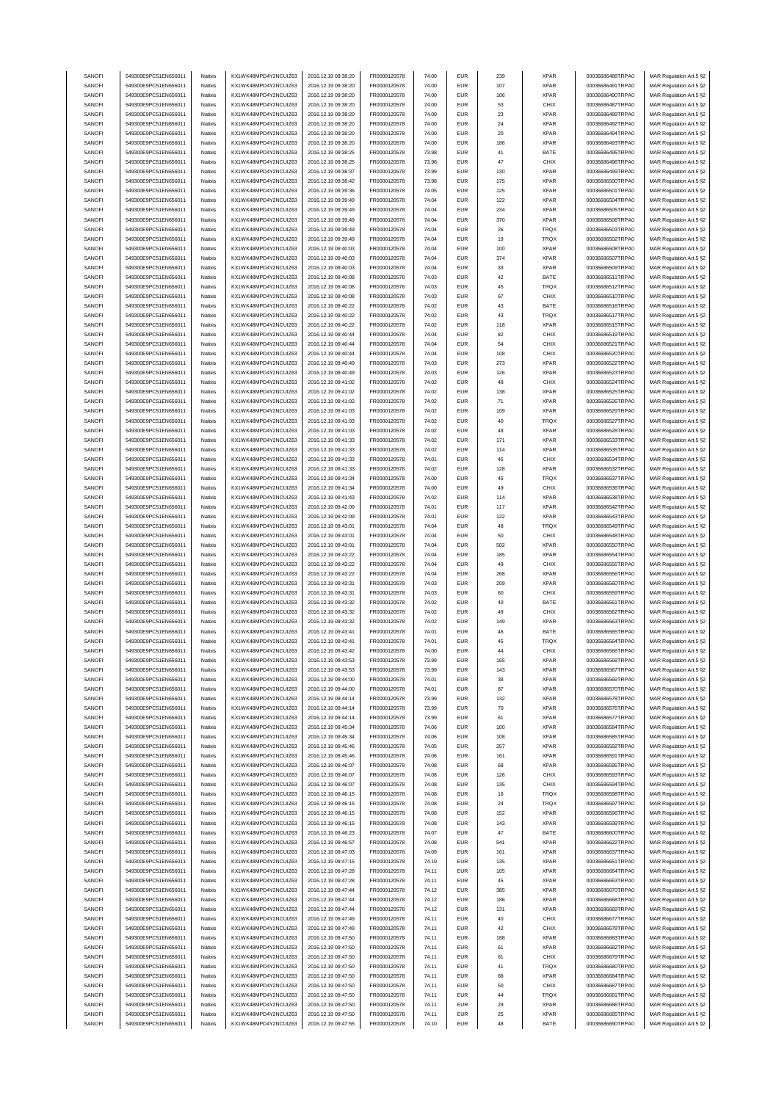| SANOFI           | 549300E9PC51EN656011                         | Natixis | KX1WK48MPD4Y2NCUIZ63                         | 2016.12.19 09:38:20                        | FR0000120578                 | 74.00          | <b>EUR</b>               | 239      | <b>XPAR</b>         | 00036686488TRPA0                     | MAR Regulation Art.5 §2                            |
|------------------|----------------------------------------------|---------|----------------------------------------------|--------------------------------------------|------------------------------|----------------|--------------------------|----------|---------------------|--------------------------------------|----------------------------------------------------|
| SANOFI           | 549300E9PC51EN656011                         | Natixis | KX1WK48MPD4Y2NCUIZ63                         | 2016.12.19 09:38:20                        | FR0000120578                 | 74.00          | <b>EUR</b>               | 107      | <b>XPAR</b>         | 00036686491TRPA0                     | MAR Regulation Art.5 §2                            |
| SANOFI           | 549300E9PC51EN656011                         | Natixis | KX1WK48MPD4Y2NCUIZ63                         | 2016.12.19 09:38:20                        | FR0000120578                 | 74.00          | <b>EUR</b>               | 106      | <b>XPAR</b>         | 00036686490TRPA0                     | MAR Regulation Art.5 §2                            |
| SANOFI           | 549300E9PC51EN656011                         | Natixis | KX1WK48MPD4Y2NCUIZ63                         | 2016.12.19 09:38:20                        | FR0000120578                 | 74.00          | <b>EUR</b>               | 53       | CHIX                | 00036686487TRPA0                     | MAR Regulation Art.5 §2                            |
|                  |                                              |         |                                              |                                            |                              |                |                          |          |                     |                                      |                                                    |
| SANOFI           | 549300E9PC51EN656011                         | Natixis | KX1WK48MPD4Y2NCUIZ63                         | 2016.12.19 09:38:20                        | FR0000120578                 | 74.00          | <b>EUR</b>               | 23       | <b>XPAR</b>         | 00036686489TRPA0                     | MAR Regulation Art.5 §2                            |
| SANOFI           | 549300E9PC51EN656011                         | Natixis | KX1WK48MPD4Y2NCUIZ63                         | 2016.12.19 09:38:20                        | FR0000120578                 | 74.00          | <b>EUR</b>               | 24       | <b>XPAR</b>         | 00036686492TRPA0                     | MAR Regulation Art.5 §2                            |
| SANOFI           | 549300E9PC51EN656011                         | Natixis | KX1WK48MPD4Y2NCUIZ63                         | 2016.12.19 09:38:20                        | FR0000120578                 | 74.00          | <b>EUR</b>               | 20       | <b>XPAR</b>         | 00036686494TRPA0                     | MAR Regulation Art.5 §2                            |
| SANOFI           | 549300E9PC51EN656011                         | Natixis | KX1WK48MPD4Y2NCUIZ63                         | 2016.12.19 09:38:20                        | FR0000120578                 | 74.00          | <b>EUR</b>               | 186      | <b>XPAR</b>         | 00036686493TRPA0                     | MAR Regulation Art.5 §2                            |
| SANOFI           | 549300E9PC51EN656011                         | Natixis | KX1WK48MPD4Y2NCUIZ63                         | 2016.12.19 09:38:25                        | FR0000120578                 | 73.98          | <b>EUR</b>               | 41       | BATE                | 00036686495TRPA0                     | MAR Regulation Art.5 §2                            |
| SANOFI           | 549300E9PC51EN656011                         | Natixis | KX1WK48MPD4Y2NCUIZ63                         | 2016.12.19 09:38:25                        | FR0000120578                 | 73.98          | <b>EUR</b>               | 47       | CHIX                | 00036686496TRPA0                     | MAR Regulation Art.5 §2                            |
|                  | 549300E9PC51EN656011                         | Natixis |                                              |                                            |                              | 73.99          | <b>EUR</b>               |          |                     |                                      |                                                    |
| SANOFI           |                                              |         | KX1WK48MPD4Y2NCUIZ63                         | 2016.12.19 09:38:37                        | FR0000120578                 |                |                          | 130      | <b>XPAR</b>         | 00036686499TRPA0                     | MAR Regulation Art.5 §2                            |
| SANOFI           | 549300E9PC51EN656011                         | Natixis | KX1WK48MPD4Y2NCUIZ63                         | 2016.12.19 09:38:42                        | FR0000120578                 | 73.98          | <b>EUR</b>               | 175      | <b>XPAR</b>         | 00036686500TRPA0                     | MAR Regulation Art.5 §2                            |
| SANOFI           | 549300E9PC51EN656011                         | Natixis | KX1WK48MPD4Y2NCUIZ63                         | 2016.12.19 09:39:36                        | FR0000120578                 | 74.05          | <b>EUR</b>               | 125      | <b>XPAR</b>         | 00036686501TRPA0                     | MAR Regulation Art.5 §2                            |
| SANOFI           | 549300E9PC51EN656011                         | Natixis | KX1WK48MPD4Y2NCUIZ63                         | 2016.12.19 09:39:49                        | FR0000120578                 | 74.04          | <b>EUR</b>               | 122      | <b>XPAR</b>         | 00036686504TRPA0                     | MAR Regulation Art.5 §2                            |
| SANOFI           | 549300E9PC51EN656011                         | Natixis | KX1WK48MPD4Y2NCUIZ63                         | 2016.12.19 09:39:49                        | FR0000120578                 | 74.04          | <b>EUR</b>               | 234      | <b>XPAR</b>         | 00036686505TRPA0                     | MAR Regulation Art.5 §2                            |
|                  |                                              |         |                                              |                                            |                              |                |                          |          |                     |                                      |                                                    |
| SANOFI           | 549300E9PC51EN656011                         | Natixis | KX1WK48MPD4Y2NCUIZ63                         | 2016.12.19 09:39:49                        | FR0000120578                 | 74.04          | <b>EUR</b>               | 370      | <b>XPAR</b>         | 00036686506TRPA0                     | MAR Regulation Art.5 §2                            |
| SANOFI           | 549300E9PC51EN656011                         | Natixis | KX1WK48MPD4Y2NCUIZ63                         | 2016.12.19 09:39:49                        | FR0000120578                 | 74.04          | <b>EUR</b>               | 26       | TRQX                | 00036686503TRPA0                     | MAR Regulation Art.5 §2                            |
| SANOFI           | 549300E9PC51EN656011                         | Natixis | KX1WK48MPD4Y2NCUIZ63                         | 2016.12.19 09:39:49                        | FR0000120578                 | 74.04          | <b>EUR</b>               | 19       | TRQX                | 00036686502TRPA0                     | MAR Regulation Art.5 §2                            |
| SANOFI           | 549300E9PC51EN656011                         | Natixis | KX1WK48MPD4Y2NCUIZ63                         | 2016.12.19 09:40:03                        | FR0000120578                 | 74.04          | <b>EUR</b>               | 100      | <b>XPAR</b>         | 00036686508TRPA0                     | MAR Regulation Art.5 §2                            |
| SANOFI           | 549300E9PC51EN656011                         | Natixis | KX1WK48MPD4Y2NCUIZ63                         | 2016.12.19 09:40:03                        | FR0000120578                 | 74.04          | <b>EUR</b>               | 374      | <b>XPAR</b>         | 00036686507TRPA0                     | MAR Regulation Art.5 §2                            |
| SANOFI           | 549300E9PC51EN656011                         | Natixis | KX1WK48MPD4Y2NCUIZ63                         | 2016.12.19 09:40:03                        | FR0000120578                 | 74.04          | <b>EUR</b>               | 33       | <b>XPAR</b>         | 00036686509TRPA0                     | MAR Regulation Art.5 §2                            |
|                  |                                              |         |                                              |                                            |                              |                |                          |          |                     |                                      |                                                    |
| SANOFI           | 549300E9PC51EN656011                         | Natixis | KX1WK48MPD4Y2NCUIZ63                         | 2016.12.19 09:40:08                        | FR0000120578                 | 74.03          | <b>EUR</b>               | 42       | BATE                | 00036686511TRPA0                     | MAR Regulation Art.5 §2                            |
| SANOFI           | 549300E9PC51EN656011                         | Natixis | KX1WK48MPD4Y2NCUIZ63                         | 2016.12.19 09:40:08                        | FR0000120578                 | 74.03          | <b>EUR</b>               | 45       | TRQX                | 00036686512TRPA0                     | MAR Regulation Art.5 §2                            |
| SANOFI           | 549300E9PC51EN656011                         | Natixis | KX1WK48MPD4Y2NCUIZ63                         | 2016.12.19 09:40:08                        | FR0000120578                 | 74.03          | <b>EUR</b>               | 67       | CHIX                | 00036686510TRPA0                     | MAR Regulation Art.5 §2                            |
| SANOFI           | 549300E9PC51EN656011                         | Natixis | KX1WK48MPD4Y2NCUIZ63                         | 2016.12.19 09:40:22                        | FR0000120578                 | 74.02          | <b>EUR</b>               | 43       | BATE                | 00036686516TRPA0                     | MAR Regulation Art.5 §2                            |
| SANOFI           | 549300E9PC51EN656011                         | Natixis | KX1WK48MPD4Y2NCUIZ63                         | 2016.12.19 09:40:22                        | FR0000120578                 | 74.02          | <b>EUR</b>               | 43       | <b>TRQX</b>         | 00036686517TRPA0                     | MAR Regulation Art.5 §2                            |
| SANOFI           | 549300E9PC51EN656011                         | Natixis | KX1WK48MPD4Y2NCUIZ63                         | 2016.12.19 09:40:22                        | FR0000120578                 | 74.02          | <b>EUR</b>               | 118      | <b>XPAR</b>         | 00036686515TRPA0                     | MAR Regulation Art.5 §2                            |
|                  |                                              |         |                                              |                                            |                              |                |                          |          |                     |                                      |                                                    |
| SANOFI           | 549300E9PC51EN656011                         | Natixis | KX1WK48MPD4Y2NCUIZ63                         | 2016.12.19 09:40:44                        | FR0000120578                 | 74.04          | <b>EUR</b>               | 82       | CHIX                | 00036686519TRPA0                     | MAR Regulation Art.5 §2                            |
| SANOFI           | 549300E9PC51EN656011                         | Natixis | KX1WK48MPD4Y2NCUIZ63                         | 2016.12.19 09:40:44                        | FR0000120578                 | 74.04          | <b>EUR</b>               | 54       | CHIX                | 00036686521TRPA0                     | MAR Regulation Art.5 §2                            |
| SANOFI           | 549300E9PC51EN656011                         | Natixis | KX1WK48MPD4Y2NCUIZ63                         | 2016.12.19 09:40:44                        | FR0000120578                 | 74.04          | <b>EUR</b>               | 108      | CHIX                | 00036686520TRPA0                     | MAR Regulation Art.5 §2                            |
| SANOFI           | 549300E9PC51EN656011                         | Natixis | KX1WK48MPD4Y2NCUIZ63                         | 2016.12.19 09:40:49                        | FR0000120578                 | 74.03          | <b>EUR</b>               | 273      | <b>XPAR</b>         | 00036686522TRPA0                     | MAR Regulation Art.5 §2                            |
| SANOFI           | 549300E9PC51EN656011                         | Natixis | KX1WK48MPD4Y2NCUIZ63                         | 2016.12.19 09:40:49                        | FR0000120578                 | 74.03          | <b>EUR</b>               | 126      | <b>XPAR</b>         | 00036686523TRPA0                     | MAR Regulation Art.5 §2                            |
|                  |                                              |         |                                              |                                            |                              |                |                          |          |                     |                                      |                                                    |
| SANOFI           | 549300E9PC51EN656011                         | Natixis | KX1WK48MPD4Y2NCUIZ63                         | 2016.12.19 09:41:02                        | FR0000120578                 | 74.02          | <b>EUR</b>               | 48       | CHIX                | 00036686524TRPA0                     | MAR Regulation Art.5 §2                            |
| SANOFI           | 549300E9PC51EN656011                         | Natixis | KX1WK48MPD4Y2NCUIZ63                         | 2016.12.19 09:41:02                        | FR0000120578                 | 74.02          | <b>EUR</b>               | 138      | <b>XPAR</b>         | 00036686525TRPA0                     | MAR Regulation Art.5 §2                            |
| SANOFI           | 549300E9PC51EN656011                         | Natixis | KX1WK48MPD4Y2NCUIZ63                         | 2016.12.19 09:41:02                        | FR0000120578                 | 74.02          | <b>EUR</b>               | 71       | <b>XPAR</b>         | 00036686526TRPA0                     | MAR Regulation Art.5 §2                            |
| SANOFI           | 549300E9PC51EN656011                         | Natixis | KX1WK48MPD4Y2NCUIZ63                         | 2016.12.19 09:41:03                        | FR0000120578                 | 74.02          | <b>EUR</b>               | 109      | <b>XPAR</b>         | 00036686529TRPA0                     | MAR Regulation Art.5 §2                            |
| SANOFI           | 549300E9PC51EN656011                         | Natixis | KX1WK48MPD4Y2NCUIZ63                         | 2016.12.19 09:41:03                        | FR0000120578                 | 74.02          | <b>EUR</b>               | 40       | TRQX                | 00036686527TRPA0                     | MAR Regulation Art.5 §2                            |
|                  |                                              |         |                                              |                                            |                              |                |                          |          |                     |                                      |                                                    |
| SANOFI           | 549300E9PC51EN656011                         | Natixis | KX1WK48MPD4Y2NCUIZ63                         | 2016.12.19 09:41:03                        | FR0000120578                 | 74.02          | <b>EUR</b>               | 48       | <b>XPAR</b>         | 00036686528TRPA0                     | MAR Regulation Art.5 §2                            |
| SANOFI           | 549300E9PC51EN656011                         | Natixis | KX1WK48MPD4Y2NCUIZ63                         | 2016.12.19 09:41:33                        | FR0000120578                 | 74.02          | <b>EUR</b>               | 171      | <b>XPAR</b>         | 00036686533TRPA0                     | MAR Regulation Art.5 §2                            |
| SANOFI           | 549300E9PC51EN656011                         | Natixis | KX1WK48MPD4Y2NCUIZ63                         | 2016.12.19 09:41:33                        | FR0000120578                 | 74.02          | <b>EUR</b>               | 114      | <b>XPAR</b>         | 00036686535TRPA0                     | MAR Regulation Art.5 §2                            |
| SANOFI           | 549300E9PC51EN656011                         | Natixis | KX1WK48MPD4Y2NCUIZ63                         | 2016.12.19 09:41:33                        | FR0000120578                 | 74.01          | <b>EUR</b>               | 45       | CHIX                | 00036686534TRPA0                     | MAR Regulation Art.5 §2                            |
| SANOFI           | 549300E9PC51EN656011                         | Natixis | KX1WK48MPD4Y2NCUIZ63                         | 2016.12.19 09:41:33                        | FR0000120578                 | 74.02          | <b>EUR</b>               | 128      | <b>XPAR</b>         | 00036686532TRPA0                     | MAR Regulation Art.5 §2                            |
| SANOFI           | 549300E9PC51EN656011                         |         | KX1WK48MPD4Y2NCUIZ63                         | 2016.12.19 09:41:34                        | FR0000120578                 | 74.00          | <b>EUR</b>               | 45       | TRQX                | 00036686537TRPA0                     |                                                    |
|                  |                                              | Natixis |                                              |                                            |                              |                |                          |          |                     |                                      | MAR Regulation Art.5 §2                            |
| SANOFI           | 549300E9PC51EN656011                         | Natixis | KX1WK48MPD4Y2NCUIZ63                         | 2016.12.19 09:41:34                        | FR0000120578                 | 74.00          | <b>EUR</b>               | 49       | CHIX                | 00036686536TRPA0                     | MAR Regulation Art.5 §2                            |
| SANOFI           | 549300E9PC51EN656011                         | Natixis | KX1WK48MPD4Y2NCUIZ63                         | 2016.12.19 09:41:43                        | FR0000120578                 | 74.02          | <b>EUR</b>               | 114      | <b>XPAR</b>         | 00036686538TRPA0                     | MAR Regulation Art.5 §2                            |
| SANOFI           | 549300E9PC51EN656011                         | Natixis | KX1WK48MPD4Y2NCUIZ63                         | 2016.12.19 09:42:09                        | FR0000120578                 | 74.01          | <b>EUR</b>               | 117      | <b>XPAR</b>         | 00036686542TRPA0                     | MAR Regulation Art.5 §2                            |
| SANOFI           | 549300E9PC51EN656011                         | Natixis | KX1WK48MPD4Y2NCUIZ63                         | 2016.12.19 09:42:09                        | FR0000120578                 | 74.01          | <b>EUR</b>               | 122      | <b>XPAR</b>         | 00036686543TRPA0                     | MAR Regulation Art.5 §2                            |
| SANOFI           | 549300E9PC51EN656011                         | Natixis | KX1WK48MPD4Y2NCUIZ63                         | 2016.12.19 09:43:01                        | FR0000120578                 | 74.04          | <b>EUR</b>               | 48       | TRQX                | 00036686549TRPA0                     | MAR Regulation Art.5 §2                            |
|                  |                                              |         |                                              |                                            |                              |                |                          |          |                     |                                      |                                                    |
| SANOFI           | 549300E9PC51EN656011                         | Natixis | KX1WK48MPD4Y2NCUIZ63                         | 2016.12.19 09:43:01                        | FR0000120578                 | 74.04          | <b>EUR</b>               | 50       | CHIX                | 00036686548TRPA0                     | MAR Regulation Art.5 §2                            |
| SANOFI           | 549300E9PC51EN656011                         | Natixis | KX1WK48MPD4Y2NCUIZ63                         | 2016.12.19 09:43:01                        | FR0000120578                 | 74.04          | <b>EUR</b>               | 502      | <b>XPAR</b>         | 00036686550TRPA0                     | MAR Regulation Art.5 §2                            |
| SANOFI           | 549300E9PC51EN656011                         | Natixis | KX1WK48MPD4Y2NCUIZ63                         | 2016.12.19 09:43:22                        | FR0000120578                 | 74.04          | <b>EUR</b>               | 185      | <b>XPAR</b>         | 00036686554TRPA0                     | MAR Regulation Art.5 §2                            |
| SANOFI           | 549300E9PC51EN656011                         | Natixis | KX1WK48MPD4Y2NCUIZ63                         | 2016.12.19 09:43:22                        | FR0000120578                 | 74.04          | <b>EUR</b>               | 49       | CHIX                | 00036686555TRPA0                     | MAR Regulation Art.5 §2                            |
| SANOFI           | 549300E9PC51EN656011                         | Natixis | KX1WK48MPD4Y2NCUIZ63                         | 2016.12.19 09:43:22                        | FR0000120578                 | 74.04          | <b>EUR</b>               | 268      | <b>XPAR</b>         | 00036686556TRPA0                     | MAR Regulation Art.5 §2                            |
|                  |                                              |         |                                              |                                            |                              |                |                          |          |                     |                                      |                                                    |
| SANOFI           | 549300E9PC51EN656011                         | Natixis | KX1WK48MPD4Y2NCUIZ63                         | 2016.12.19 09:43:31                        | FR0000120578                 | 74.03          | <b>EUR</b>               | 209      | <b>XPAR</b>         | 00036686560TRPA0                     | MAR Regulation Art.5 §2                            |
| SANOFI           | 549300E9PC51EN656011                         | Natixis | KX1WK48MPD4Y2NCUIZ63                         | 2016.12.19 09:43:31                        | FR0000120578                 | 74.03          | <b>EUR</b>               | 60       | CHIX                | 00036686559TRPA0                     | MAR Regulation Art.5 §2                            |
| SANOFI           | 549300E9PC51EN656011                         | Natixis | KX1WK48MPD4Y2NCUIZ63                         | 2016.12.19 09:43:32                        | FR0000120578                 | 74.02          | <b>EUR</b>               | 40       | BATE                | 00036686561TRPA0                     | MAR Regulation Art.5 §2                            |
| SANOFI           | 549300E9PC51EN656011                         | Natixis | KX1WK48MPD4Y2NCUIZ63                         | 2016.12.19 09:43:32                        | FR0000120578                 | 74.02          | <b>EUR</b>               | 49       | CHIX                | 00036686562TRPA0                     | MAR Regulation Art.5 §2                            |
| SANOFI           | 549300E9PC51EN656011                         | Natixis | KX1WK48MPD4Y2NCUIZ63                         | 2016.12.19 09:43:32                        | FR0000120578                 | 74.02          | <b>EUR</b>               | 149      | <b>XPAR</b>         | 00036686563TRPA0                     | MAR Regulation Art.5 §2                            |
|                  | 549300E9PC51EN656011                         | Natixis |                                              |                                            |                              | 74.01          | <b>EUR</b>               |          |                     | 00036686565TRPA0                     |                                                    |
| SANOFI           |                                              |         | KX1WK48MPD4Y2NCUIZ63                         | 2016.12.19 09:43:41                        | FR0000120578                 |                |                          | 46       | BATE                |                                      | MAR Regulation Art.5 §2                            |
| SANOFI           | 549300E9PC51EN656011                         | Natixis | KX1WK48MPD4Y2NCUIZ63                         | 2016.12.19 09:43:41                        | FR0000120578                 | 74.01          | <b>EUR</b>               | 45       | <b>TRQX</b>         | 00036686564TRPA0                     | MAR Regulation Art.5 §2                            |
| SANOF            | 549300E9PC51EN65601                          | Natixis | KX1WK48MPD4Y2NCUIZ63                         | 2016.12.19 09:43:42                        | FR0000120578                 | 74.00          | EUR                      |          | CHIX                | 00036686566TRPA0                     | MAR Regulation Art.5 §2                            |
| SANOFI           | 549300E9PC51EN656011                         | Natixis | KX1WK48MPD4Y2NCUIZ63                         | 2016.12.19 09:43:53                        | FR0000120578                 | 73.99          | <b>EUR</b>               | 165      | <b>XPAR</b>         | 00036686568TRPA0                     | MAR Regulation Art.5 §2                            |
| SANOFI           | 549300E9PC51EN656011                         | Natixis | KX1WK48MPD4Y2NCUIZ63                         | 2016.12.19 09:43:53                        | FR0000120578                 | 73.99          | <b>EUR</b>               | 143      | <b>XPAR</b>         | 00036686567TRPA0                     | MAR Regulation Art.5 §2                            |
| SANOFI           | 549300E9PC51EN656011                         | Natixis | KX1WK48MPD4Y2NCUIZ63                         | 2016.12.19 09:44:00                        | FR0000120578                 | 74.01          | <b>EUR</b>               | 38       | <b>XPAR</b>         | 00036686569TRPA0                     | MAR Regulation Art.5 §2                            |
|                  | 549300E9PC51EN656011                         |         |                                              |                                            |                              |                |                          |          |                     |                                      |                                                    |
| SANOFI           |                                              | Natixis | KX1WK48MPD4Y2NCUIZ63                         | 2016.12.19 09:44:00                        | FR0000120578                 | 74.01          | <b>EUR</b>               | 87       | <b>XPAR</b>         | 00036686570TRPA0                     | MAR Regulation Art.5 §2                            |
| SANOFI           | 549300E9PC51EN656011                         | Natixis | KX1WK48MPD4Y2NCUIZ63                         | 2016.12.19 09:44:14                        | FR0000120578                 | 73.99          | <b>EUR</b>               | 132      | <b>XPAR</b>         | 00036686578TRPA0                     | MAR Regulation Art.5 §2                            |
| SANOFI           | 549300E9PC51EN656011                         | Natixis | KX1WK48MPD4Y2NCUIZ63                         | 2016.12.19 09:44:14                        | FR0000120578                 | 73.99          | <b>EUR</b>               | 70       | <b>XPAR</b>         | 00036686576TRPA0                     | MAR Regulation Art.5 §2                            |
| SANOFI           | 549300E9PC51EN656011                         | Natixis | KX1WK48MPD4Y2NCUIZ63                         | 2016.12.19 09:44:14                        | FR0000120578                 | 73.99          | <b>EUR</b>               | 61       | <b>XPAR</b>         | 00036686577TRPA0                     | MAR Regulation Art.5 §2                            |
| SANOFI           | 549300E9PC51EN656011                         | Natixis | KX1WK48MPD4Y2NCUIZ63                         | 2016.12.19 09:45:34                        | FR0000120578                 | 74.06          | <b>EUR</b>               | 100      | <b>XPAR</b>         | 00036686584TRPA0                     | MAR Regulation Art.5 §2                            |
| SANOFI           | 549300E9PC51EN656011                         | Natixis | KX1WK48MPD4Y2NCUIZ63                         | 2016.12.19 09:45:34                        | FR0000120578                 | 74.06          | <b>EUR</b>               | 108      | <b>XPAR</b>         | 00036686585TRPA0                     | MAR Regulation Art.5 §2                            |
|                  |                                              |         |                                              |                                            |                              |                |                          |          |                     |                                      |                                                    |
| SANOFI           | 549300E9PC51EN656011                         | Natixis | KX1WK48MPD4Y2NCUIZ63                         | 2016.12.19 09:45:46                        | FR0000120578                 | 74.05          | <b>EUR</b>               | 257      | <b>XPAR</b>         | 00036686592TRPA0                     | MAR Regulation Art.5 §2                            |
| SANOFI           | 549300E9PC51EN656011                         | Natixis | KX1WK48MPD4Y2NCUIZ63                         | 2016.12.19 09:45:46                        | FR0000120578                 | 74.06          | <b>EUR</b>               | 161      | <b>XPAR</b>         | 00036686591TRPA0                     | MAR Regulation Art.5 §2                            |
| SANOFI           | 549300E9PC51EN656011                         | Natixis | KX1WK48MPD4Y2NCUIZ63                         | 2016.12.19 09:46:07                        | FR0000120578                 | 74.08          | <b>EUR</b>               | 68       | <b>XPAR</b>         | 00036686595TRPA0                     | MAR Regulation Art.5 §2                            |
| SANOFI           | 549300E9PC51EN656011                         | Natixis | KX1WK48MPD4Y2NCUIZ63                         | 2016.12.19 09:46:07                        | FR0000120578                 | 74.08          | <b>EUR</b>               | 126      | CHIX                | 00036686593TRPA0                     | MAR Regulation Art.5 §2                            |
| SANOFI           | 549300E9PC51EN656011                         | Natixis | KX1WK48MPD4Y2NCUIZ63                         | 2016.12.19 09:46:07                        | FR0000120578                 | 74.08          | <b>EUR</b>               | 135      | CHIX                | 00036686594TRPA0                     | MAR Regulation Art.5 §2                            |
| SANOFI           | 549300E9PC51EN656011                         | Natixis | KX1WK48MPD4Y2NCUIZ63                         | 2016.12.19 09:46:15                        | FR0000120578                 | 74.08          | <b>EUR</b>               |          | TRQX                | 00036686598TRPA0                     |                                                    |
|                  |                                              |         |                                              |                                            |                              |                |                          | 16       |                     |                                      | MAR Regulation Art.5 §2                            |
| SANOFI           | 549300E9PC51EN656011                         | Natixis | KX1WK48MPD4Y2NCUIZ63                         | 2016.12.19 09:46:15                        | FR0000120578                 | 74.08          | <b>EUR</b>               | 24       | TRQX                | 00036686597TRPA0                     | MAR Regulation Art.5 §2                            |
| SANOFI           | 549300E9PC51EN656011                         | Natixis | KX1WK48MPD4Y2NCUIZ63                         | 2016.12.19 09:46:15                        | FR0000120578                 | 74.08          | <b>EUR</b>               | 152      | <b>XPAR</b>         | 00036686596TRPA0                     | MAR Regulation Art.5 §2                            |
| SANOFI           | 549300E9PC51EN656011                         | Natixis | KX1WK48MPD4Y2NCUIZ63                         | 2016.12.19 09:46:15                        | FR0000120578                 | 74.08          | <b>EUR</b>               | 143      | <b>XPAR</b>         | 00036686599TRPA0                     | MAR Regulation Art.5 §2                            |
| SANOFI           | 549300E9PC51EN656011                         | Natixis | KX1WK48MPD4Y2NCUIZ63                         | 2016.12.19 09:46:23                        | FR0000120578                 | 74.07          | <b>EUR</b>               | 47       | BATE                | 00036686600TRPA0                     | MAR Regulation Art.5 §2                            |
| SANOFI           | 549300E9PC51EN656011                         | Natixis | KX1WK48MPD4Y2NCUIZ63                         | 2016.12.19 09:46:57                        | FR0000120578                 | 74.08          | <b>EUR</b>               | 541      | <b>XPAR</b>         | 00036686622TRPA0                     | MAR Regulation Art.5 §2                            |
|                  |                                              |         |                                              |                                            |                              |                |                          |          |                     |                                      |                                                    |
| SANOFI           | 549300E9PC51EN656011                         | Natixis | KX1WK48MPD4Y2NCUIZ63                         | 2016.12.19 09:47:03                        | FR0000120578                 | 74.09          | <b>EUR</b>               | 161      | <b>XPAR</b>         | 00036686637TRPA0                     | MAR Regulation Art.5 §2                            |
| SANOFI           | 549300E9PC51EN656011                         | Natixis | KX1WK48MPD4Y2NCUIZ63                         | 2016.12.19 09:47:15                        | FR0000120578                 | 74.10          | <b>EUR</b>               | 135      | <b>XPAR</b>         | 00036686651TRPA0                     | MAR Regulation Art.5 §2                            |
| SANOFI           | 549300E9PC51EN656011                         | Natixis | KX1WK48MPD4Y2NCUIZ63                         | 2016.12.19 09:47:28                        | FR0000120578                 | 74.11          | <b>EUR</b>               | 105      | <b>XPAR</b>         | 00036686664TRPA0                     | MAR Regulation Art.5 §2                            |
| SANOFI           | 549300E9PC51EN656011                         | Natixis | KX1WK48MPD4Y2NCUIZ63                         | 2016.12.19 09:47:28                        | FR0000120578                 | 74.11          | <b>EUR</b>               | 45       | <b>XPAR</b>         | 00036686663TRPA0                     | MAR Regulation Art.5 §2                            |
| SANOFI           | 549300E9PC51EN656011                         | Natixis | KX1WK48MPD4Y2NCUIZ63                         | 2016.12.19 09:47:44                        | FR0000120578                 | 74.12          | <b>EUR</b>               | 385      | <b>XPAR</b>         | 00036686670TRPA0                     | MAR Regulation Art.5 §2                            |
|                  |                                              |         |                                              |                                            |                              |                |                          |          |                     |                                      |                                                    |
| SANOFI           | 549300E9PC51EN656011                         | Natixis | KX1WK48MPD4Y2NCUIZ63                         | 2016.12.19 09:47:44                        | FR0000120578                 | 74.12          | <b>EUR</b>               | 186      | <b>XPAR</b>         | 00036686668TRPA0                     | MAR Regulation Art.5 §2                            |
| SANOFI           | 549300E9PC51EN656011                         | Natixis | KX1WK48MPD4Y2NCUIZ63                         | 2016.12.19 09:47:44                        | FR0000120578                 | 74.12          | <b>EUR</b>               | 131      | <b>XPAR</b>         | 00036686669TRPA0                     | MAR Regulation Art.5 §2                            |
| SANOFI           | 549300E9PC51EN656011                         | Natixis | KX1WK48MPD4Y2NCUIZ63                         | 2016.12.19 09:47:49                        | FR0000120578                 | 74.11          | <b>EUR</b>               | 40       | CHIX                | 00036686677TRPA0                     | MAR Regulation Art.5 §2                            |
| SANOFI           | 549300E9PC51EN656011                         | Natixis | KX1WK48MPD4Y2NCUIZ63                         | 2016.12.19 09:47:49                        | FR0000120578                 | 74.11          | <b>EUR</b>               | 42       | CHIX                | 00036686678TRPA0                     | MAR Regulation Art.5 §2                            |
| SANOFI           | 549300E9PC51EN656011                         | Natixis | KX1WK48MPD4Y2NCUIZ63                         | 2016.12.19 09:47:50                        | FR0000120578                 | 74.11          | <b>EUR</b>               | 188      | <b>XPAR</b>         | 00036686683TRPA0                     | MAR Regulation Art.5 §2                            |
|                  | 549300E9PC51EN656011                         |         |                                              |                                            |                              |                |                          |          |                     |                                      |                                                    |
|                  |                                              | Natixis | KX1WK48MPD4Y2NCUIZ63                         | 2016.12.19 09:47:50                        | FR0000120578                 | 74.11          | <b>EUR</b>               | 61       | <b>XPAR</b>         | 00036686682TRPA0                     | MAR Regulation Art.5 §2                            |
| SANOFI           |                                              |         |                                              | 2016.12.19 09:47:50                        | FR0000120578                 | 74.11          | <b>EUR</b>               | 61       | CHIX                | 00036686679TRPA0                     | MAR Regulation Art.5 §2                            |
| SANOFI           | 549300E9PC51EN656011                         | Natixis | KX1WK48MPD4Y2NCUIZ63                         |                                            |                              |                |                          |          |                     |                                      |                                                    |
| SANOFI           | 549300E9PC51EN656011                         | Natixis | KX1WK48MPD4Y2NCUIZ63                         | 2016.12.19 09:47:50                        | FR0000120578                 | 74.11          | <b>EUR</b>               | 41       | TRQX                | 00036686680TRPA0                     | MAR Regulation Art.5 §2                            |
| SANOFI           | 549300E9PC51EN656011                         | Natixis | KX1WK48MPD4Y2NCUIZ63                         | 2016.12.19 09:47:50                        | FR0000120578                 | 74.11          | <b>EUR</b>               | 68       | <b>XPAR</b>         | 00036686684TRPA0                     | MAR Regulation Art.5 §2                            |
|                  |                                              |         |                                              |                                            |                              |                | <b>EUR</b>               |          |                     |                                      |                                                    |
| SANOFI           | 549300E9PC51EN656011                         | Natixis | KX1WK48MPD4Y2NCUIZ63                         | 2016.12.19 09:47:50                        | FR0000120578                 | 74.11          |                          | 50       | CHIX                | 00036686687TRPA0                     | MAR Regulation Art.5 §2                            |
| SANOFI           | 549300E9PC51EN656011                         | Natixis | KX1WK48MPD4Y2NCUIZ63                         | 2016.12.19 09:47:50                        | FR0000120578                 | 74.11          | <b>EUR</b>               | 44       | TRQX                | 00036686681TRPA0                     | MAR Regulation Art.5 §2                            |
| SANOFI           | 549300E9PC51EN656011                         | Natixis | KX1WK48MPD4Y2NCUIZ63                         | 2016.12.19 09:47:50                        | FR0000120578                 | 74.11          | <b>EUR</b>               | 29       | <b>XPAR</b>         | 00036686686TRPA0                     | MAR Regulation Art.5 §2                            |
| SANOFI<br>SANOFI | 549300E9PC51EN656011<br>549300E9PC51EN656011 | Natixis | KX1WK48MPD4Y2NCUIZ63<br>KX1WK48MPD4Y2NCUIZ63 | 2016.12.19 09:47:50<br>2016.12.19 09:47:55 | FR0000120578<br>FR0000120578 | 74.11<br>74.10 | <b>EUR</b><br><b>EUR</b> | 25<br>48 | <b>XPAR</b><br>BATE | 00036686685TRPA0<br>00036686690TRPA0 | MAR Regulation Art.5 §2<br>MAR Regulation Art.5 §2 |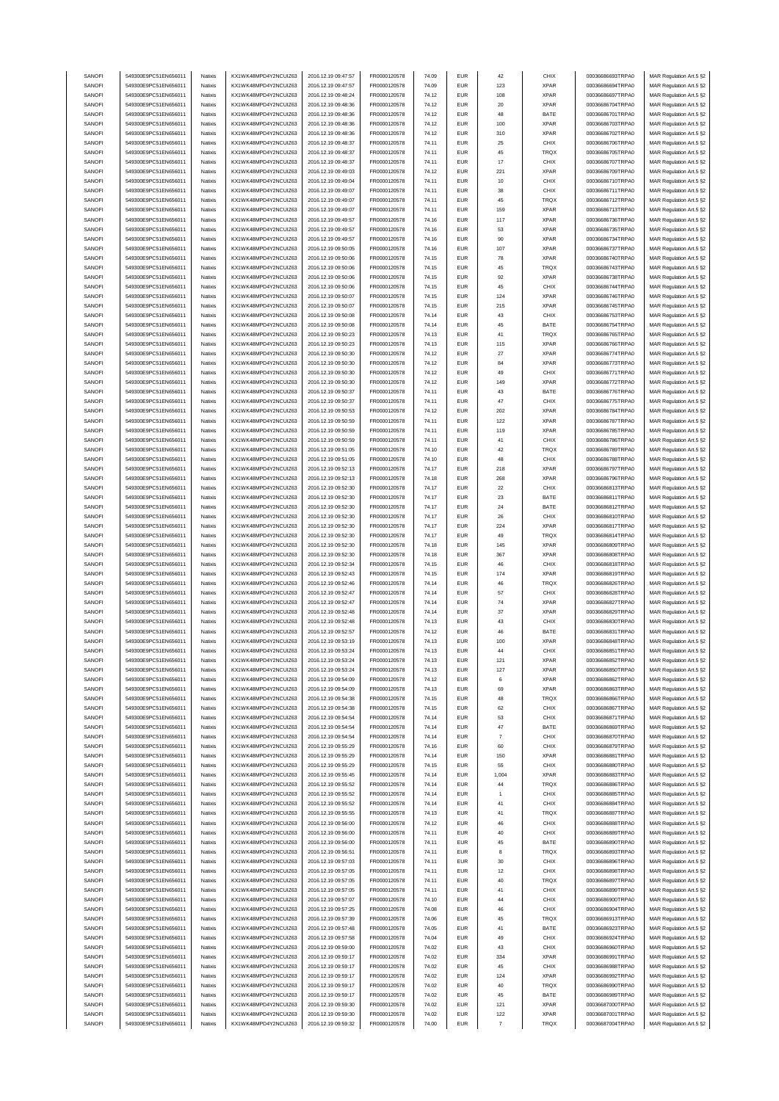| SANOFI           | 549300E9PC51EN656011                         | Natixis | KX1WK48MPD4Y2NCUIZ63                         | 2016.12.19 09:47:57                        | FR0000120578                 | 74.09          | <b>EUR</b>        | 42                      | CHIX                       | 00036686693TRPA0                     | MAR Regulation Art.5 §2 |
|------------------|----------------------------------------------|---------|----------------------------------------------|--------------------------------------------|------------------------------|----------------|-------------------|-------------------------|----------------------------|--------------------------------------|-------------------------|
| SANOFI           | 549300E9PC51EN656011                         | Natixis | KX1WK48MPD4Y2NCUIZ63                         | 2016.12.19 09:47:57                        | FR0000120578                 | 74.09          | <b>EUR</b>        | 123                     | <b>XPAR</b>                | 00036686694TRPA0                     | MAR Regulation Art.5 §2 |
| SANOFI           | 549300E9PC51EN656011                         | Natixis | KX1WK48MPD4Y2NCUIZ63                         | 2016.12.19 09:48:24                        | FR0000120578                 | 74.12          | <b>EUR</b>        | 108                     | <b>XPAR</b>                | 00036686697TRPA0                     | MAR Regulation Art.5 §2 |
| SANOFI           | 549300E9PC51EN656011                         | Natixis | KX1WK48MPD4Y2NCUIZ63                         | 2016.12.19 09:48:36                        | FR0000120578                 | 74.12          | <b>EUR</b>        | 20                      | <b>XPAR</b>                | 00036686704TRPA0                     | MAR Regulation Art.5 §2 |
|                  |                                              |         |                                              |                                            |                              |                |                   |                         |                            |                                      |                         |
| SANOFI           | 549300E9PC51EN656011                         | Natixis | KX1WK48MPD4Y2NCUIZ63                         | 2016.12.19 09:48:36                        | FR0000120578                 | 74.12          | <b>EUR</b>        | 48                      | BATE                       | 00036686701TRPA0                     | MAR Regulation Art.5 §2 |
| SANOFI           | 549300E9PC51EN656011                         | Natixis | KX1WK48MPD4Y2NCUIZ63                         | 2016.12.19 09:48:36                        | FR0000120578                 | 74.12          | <b>EUR</b>        | 100                     | <b>XPAR</b>                | 00036686703TRPA0                     | MAR Regulation Art.5 §2 |
| SANOFI           | 549300E9PC51EN656011                         | Natixis | KX1WK48MPD4Y2NCUIZ63                         | 2016.12.19 09:48:36                        | FR0000120578                 | 74.12          | <b>EUR</b>        | 310                     | <b>XPAR</b>                | 00036686702TRPA0                     | MAR Regulation Art.5 §2 |
| SANOFI           | 549300E9PC51EN656011                         | Natixis | KX1WK48MPD4Y2NCUIZ63                         | 2016.12.19 09:48:37                        | FR0000120578                 | 74.11          | <b>EUR</b>        | 25                      | CHIX                       | 00036686706TRPA0                     | MAR Regulation Art.5 §2 |
| SANOFI           | 549300E9PC51EN656011                         | Natixis | KX1WK48MPD4Y2NCLIIZ63                        | 2016.12.19.09:48:37                        | FR0000120578                 | 74.11          | <b>EUR</b>        | 45                      | TRQX                       | 00036686705TRPA0                     | MAR Regulation Art.5 §2 |
| SANOFI           | 549300E9PC51EN656011                         | Natixis | KX1WK48MPD4Y2NCUIZ63                         | 2016.12.19 09:48:37                        | FR0000120578                 | 74.11          | <b>EUR</b>        | 17                      | CHIX                       | 00036686707TRPA0                     | MAR Regulation Art.5 §2 |
| SANOFI           | 549300E9PC51EN656011                         | Natixis | KX1WK48MPD4Y2NCUIZ63                         | 2016.12.19 09:49:03                        | FR0000120578                 | 74.12          | <b>EUR</b>        | 221                     | <b>XPAR</b>                | 00036686709TRPA0                     | MAR Regulation Art.5 §2 |
|                  |                                              |         |                                              |                                            |                              |                |                   |                         |                            |                                      |                         |
| SANOFI           | 549300E9PC51EN656011                         | Natixis | KX1WK48MPD4Y2NCUIZ63                         | 2016.12.19 09:49:04                        | FR0000120578                 | 74.11          | <b>EUR</b>        | 10                      | CHIX                       | 00036686710TRPA0                     | MAR Regulation Art.5 §2 |
| SANOFI           | 549300E9PC51EN656011                         | Natixis | KX1WK48MPD4Y2NCUIZ63                         | 2016.12.19 09:49:07                        | FR0000120578                 | 74.11          | <b>EUR</b>        | 38                      | CHIX                       | 00036686711TRPA0                     | MAR Regulation Art.5 §2 |
| SANOFI           | 549300E9PC51EN656011                         | Natixis | KX1WK48MPD4Y2NCUIZ63                         | 2016.12.19 09:49:07                        | FR0000120578                 | 74.11          | <b>EUR</b>        | 45                      | TRQX                       | 00036686712TRPA0                     | MAR Regulation Art.5 §2 |
| SANOFI           | 549300E9PC51EN656011                         | Natixis | KX1WK48MPD4Y2NCUIZ63                         | 2016.12.19 09:49:07                        | FR0000120578                 | 74.11          | <b>EUR</b>        | 159                     | <b>XPAR</b>                | 00036686713TRPA0                     | MAR Regulation Art.5 §2 |
|                  | 549300E9PC51EN656011                         |         |                                              | 2016.12.19 09:49:57                        |                              |                |                   |                         |                            |                                      |                         |
| SANOFI           |                                              | Natixis | KX1WK48MPD4Y2NCUIZ63                         |                                            | FR0000120578                 | 74.16          | <b>EUR</b>        | 117                     | <b>XPAR</b>                | 00036686736TRPA0                     | MAR Regulation Art.5 §2 |
| SANOFI           | 549300E9PC51EN656011                         | Natixis | KX1WK48MPD4Y2NCUIZ63                         | 2016.12.19 09:49:57                        | FR0000120578                 | 74.16          | <b>EUR</b>        | 53                      | <b>XPAR</b>                | 00036686735TRPA0                     | MAR Regulation Art.5 §2 |
| SANOFI           | 549300E9PC51EN656011                         | Natixis | KX1WK48MPD4Y2NCLIIZ63                        | 2016.12.19 09:49:57                        | FR0000120578                 | 74.16          | <b>EUR</b>        | 90                      | <b>XPAR</b>                | 00036686734TRPA0                     | MAR Regulation Art.5 §2 |
| SANOFI           | 549300E9PC51EN656011                         | Natixis | KX1WK48MPD4Y2NCUIZ63                         | 2016.12.19 09:50:05                        | FR0000120578                 | 74.16          | <b>EUR</b>        | 107                     | <b>XPAR</b>                | 00036686737TRPA0                     | MAR Regulation Art.5 §2 |
| SANOFI           | 549300E9PC51EN656011                         | Natixis | KX1WK48MPD4Y2NCUIZ63                         | 2016.12.19 09:50:06                        | FR0000120578                 | 74.15          | <b>EUR</b>        | 78                      | <b>XPAR</b>                | 00036686740TRPA0                     | MAR Regulation Art.5 §2 |
| SANOFI           | 549300E9PC51EN656011                         | Natixis | KX1WK48MPD4Y2NCUIZ63                         | 2016.12.19 09:50:06                        | FR0000120578                 | 74.15          | <b>EUR</b>        | 45                      | TRQX                       | 00036686743TRPA0                     | MAR Regulation Art.5 §2 |
|                  |                                              |         |                                              |                                            |                              |                |                   |                         |                            |                                      |                         |
| SANOFI           | 549300E9PC51EN656011                         | Natixis | KX1WK48MPD4Y2NCUIZ63                         | 2016.12.19 09:50:06                        | FR0000120578                 | 74.15          | <b>EUR</b>        | 92                      | <b>XPAR</b>                | 00036686738TRPA0                     | MAR Regulation Art.5 §2 |
| SANOFI           | 549300E9PC51EN656011                         | Natixis | KX1WK48MPD4Y2NCUIZ63                         | 2016.12.19 09:50:06                        | FR0000120578                 | 74.15          | <b>EUR</b>        | 45                      | CHIX                       | 00036686744TRPA0                     | MAR Regulation Art.5 §2 |
| SANOFI           | 549300E9PC51EN656011                         | Natixis | KX1WK48MPD4Y2NCUIZ63                         | 2016.12.19 09:50:07                        | FR0000120578                 | 74.15          | <b>EUR</b>        | 124                     | <b>XPAR</b>                | 00036686746TRPA0                     | MAR Regulation Art.5 §2 |
| SANOFI           | 549300E9PC51EN656011                         | Natixis | KX1WK48MPD4Y2NCUIZ63                         | 2016.12.19 09:50:07                        | FR0000120578                 | 74.15          | <b>EUR</b>        | 215                     | <b>XPAR</b>                | 00036686745TRPA0                     | MAR Regulation Art.5 §2 |
| SANOFI           | 549300E9PC51EN656011                         | Natixis | KX1WK48MPD4Y2NCUIZ63                         | 2016.12.19 09:50:08                        | FR0000120578                 | 74.14          | <b>EUR</b>        | 43                      | CHIX                       | 00036686753TRPA0                     | MAR Regulation Art.5 §2 |
| SANOFI           | 549300E9PC51EN656011                         | Natixis | KX1WK48MPD4Y2NCLIIZ63                        | 2016.12.19 09:50:08                        | FR0000120578                 | 74.14          | <b>EUR</b>        | 45                      | BATE                       | 00036686754TRPA0                     | MAR Regulation Art.5 §2 |
|                  | 549300E9PC51EN656011                         | Natixis | KX1WK48MPD4Y2NCUIZ63                         |                                            |                              |                | <b>EUR</b>        | 41                      |                            |                                      |                         |
| SANOFI           |                                              |         |                                              | 2016.12.19 09:50:23                        | FR0000120578                 | 74.13          |                   |                         | TRQX                       | 00036686765TRPA0                     | MAR Regulation Art.5 §2 |
| SANOFI           | 549300E9PC51EN656011                         | Natixis | KX1WK48MPD4Y2NCUIZ63                         | 2016.12.19 09:50:23                        | FR0000120578                 | 74.13          | <b>EUR</b>        | 115                     | <b>XPAR</b>                | 00036686766TRPA0                     | MAR Regulation Art.5 §2 |
| SANOFI           | 549300E9PC51EN656011                         | Natixis | KX1WK48MPD4Y2NCUIZ63                         | 2016.12.19 09:50:30                        | FR0000120578                 | 74.12          | <b>EUR</b>        | 27                      | <b>XPAR</b>                | 00036686774TRPA0                     | MAR Regulation Art.5 §2 |
| SANOFI           | 549300E9PC51EN656011                         | Natixis | KX1WK48MPD4Y2NCUIZ63                         | 2016.12.19 09:50:30                        | FR0000120578                 | 74.12          | <b>EUR</b>        | 84                      | <b>XPAR</b>                | 00036686773TRPA0                     | MAR Regulation Art.5 §2 |
| SANOFI           | 549300E9PC51EN656011                         | Natixis | KX1WK48MPD4Y2NCLIIZ63                        | 2016.12.19 09:50:30                        | FR0000120578                 | 74.12          | <b>EUR</b>        | 49                      | CHIX                       | 00036686771TRPA0                     | MAR Regulation Art.5 §2 |
|                  |                                              |         | KX1WK48MPD4Y2NCUIZ63                         | 2016.12.19 09:50:30                        |                              |                | <b>EUR</b>        |                         |                            |                                      |                         |
| SANOFI           | 549300E9PC51EN656011                         | Natixis |                                              |                                            | FR0000120578                 | 74.12          |                   | 149                     | <b>XPAR</b>                | 00036686772TRPA0                     | MAR Regulation Art.5 §2 |
| SANOFI           | 549300E9PC51EN656011                         | Natixis | KX1WK48MPD4Y2NCUIZ63                         | 2016.12.19 09:50:37                        | FR0000120578                 | 74.11          | <b>EUR</b>        | 43                      | BATE                       | 00036686776TRPA0                     | MAR Regulation Art.5 §2 |
| SANOFI           | 549300E9PC51EN656011                         | Natixis | KX1WK48MPD4Y2NCUIZ63                         | 2016.12.19 09:50:37                        | FR0000120578                 | 74.11          | <b>EUR</b>        | 47                      | CHIX                       | 00036686775TRPA0                     | MAR Regulation Art.5 §2 |
| SANOFI           | 549300E9PC51EN656011                         | Natixis | KX1WK48MPD4Y2NCLIIZ63                        | 2016.12.19 09:50:53                        | FR0000120578                 | 74.12          | <b>EUR</b>        | 202                     | <b>XPAR</b>                | 00036686784TRPA0                     | MAR Regulation Art.5 §2 |
| SANOFI           | 549300E9PC51EN656011                         | Natixis | KX1WK48MPD4Y2NCUIZ63                         | 2016.12.19 09:50:59                        | FR0000120578                 | 74.11          | <b>EUR</b>        | 122                     | <b>XPAR</b>                | 00036686787TRPA0                     | MAR Regulation Art.5 §2 |
| SANOFI           | 549300E9PC51EN656011                         | Natixis | KX1WK48MPD4Y2NCUIZ63                         | 2016.12.19 09:50:59                        | FR0000120578                 | 74.11          | <b>EUR</b>        | 119                     | <b>XPAR</b>                | 00036686785TRPA0                     | MAR Regulation Art.5 §2 |
|                  |                                              |         |                                              |                                            |                              |                |                   |                         |                            |                                      |                         |
| SANOFI           | 549300E9PC51EN656011                         | Natixis | KX1WK48MPD4Y2NCUIZ63                         | 2016.12.19 09:50:59                        | FR0000120578                 | 74.11          | <b>EUR</b>        | 41                      | CHIX                       | 00036686786TRPA0                     | MAR Regulation Art.5 §2 |
| SANOFI           | 549300E9PC51EN656011                         | Natixis | KX1WK48MPD4Y2NCUIZ63                         | 2016.12.19 09:51:05                        | FR0000120578                 | 74.10          | <b>EUR</b>        | 42                      | TRQX                       | 00036686789TRPA0                     | MAR Regulation Art.5 §2 |
| SANOFI           | 549300E9PC51EN656011                         | Natixis | KX1WK48MPD4Y2NCUIZ63                         | 2016.12.19 09:51:05                        | FR0000120578                 | 74.10          | <b>EUR</b>        | 48                      | CHIX                       | 00036686788TRPA0                     | MAR Regulation Art.5 §2 |
| SANOFI           | 549300E9PC51EN656011                         | Natixis | KX1WK48MPD4Y2NCUIZ63                         | 2016.12.19 09:52:13                        | FR0000120578                 | 74.17          | <b>EUR</b>        | 218                     | <b>XPAR</b>                | 00036686797TRPA0                     | MAR Regulation Art.5 §2 |
| SANOFI           | 549300E9PC51EN656011                         | Natixis | KX1WK48MPD4Y2NCUIZ63                         | 2016.12.19 09:52:13                        | FR0000120578                 | 74.18          | <b>EUR</b>        | 268                     | <b>XPAR</b>                | 00036686796TRPA0                     | MAR Regulation Art.5 §2 |
| SANOFI           | 549300E9PC51EN656011                         | Natixis |                                              | 2016.12.19 09:52:30                        |                              | 74.17          | <b>EUR</b>        | 22                      | CHIX                       | 00036686813TRPA0                     |                         |
|                  |                                              |         | KX1WK48MPD4Y2NCUIZ63                         |                                            | FR0000120578                 |                |                   |                         |                            |                                      | MAR Regulation Art.5 §2 |
| SANOFI           | 549300E9PC51EN656011                         | Natixis | KX1WK48MPD4Y2NCUIZ63                         | 2016.12.19 09:52:30                        | FR0000120578                 | 74.17          | <b>EUR</b>        | 23                      | BATE                       | 00036686811TRPA0                     | MAR Regulation Art.5 §2 |
| SANOFI           | 549300E9PC51EN656011                         | Natixis | KX1WK48MPD4Y2NCUIZ63                         | 2016.12.19 09:52:30                        | FR0000120578                 | 74.17          | <b>EUR</b>        | 24                      | BATE                       | 00036686812TRPA0                     | MAR Regulation Art.5 §2 |
| SANOFI           | 549300E9PC51EN656011                         | Natixis | KX1WK48MPD4Y2NCUIZ63                         | 2016.12.19 09:52:30                        | FR0000120578                 | 74.17          | <b>EUR</b>        | 26                      | CHIX                       | 00036686810TRPA0                     | MAR Regulation Art.5 §2 |
| SANOFI           | 549300E9PC51EN656011                         | Natixis | KX1WK48MPD4Y2NCUIZ63                         | 2016.12.19 09:52:30                        | FR0000120578                 | 74.17          | <b>EUR</b>        | 224                     | <b>XPAR</b>                | 00036686817TRPA0                     | MAR Regulation Art.5 §2 |
| SANOFI           | 549300E9PC51EN656011                         | Natixis | KX1WK48MPD4Y2NCUIZ63                         | 2016.12.19 09:52:30                        | FR0000120578                 | 74.17          | <b>EUR</b>        | 49                      | TRQX                       | 00036686814TRPA0                     | MAR Regulation Art.5 §2 |
|                  |                                              |         |                                              |                                            |                              |                |                   |                         |                            |                                      |                         |
| SANOFI           | 549300E9PC51EN656011                         | Natixis | KX1WK48MPD4Y2NCUIZ63                         | 2016.12.19 09:52:30                        | FR0000120578                 | 74.18          | <b>EUR</b>        | 145                     | <b>XPAR</b>                | 00036686809TRPA0                     | MAR Regulation Art.5 §2 |
| SANOFI           | 549300E9PC51EN656011                         | Natixis | KX1WK48MPD4Y2NCUIZ63                         | 2016.12.19 09:52:30                        | FR0000120578                 | 74.18          | <b>EUR</b>        | 367                     | <b>XPAR</b>                | 00036686808TRPA0                     | MAR Regulation Art.5 §2 |
| SANOFI           | 549300E9PC51EN656011                         | Natixis | KX1WK48MPD4Y2NCUIZ63                         | 2016.12.19 09:52:34                        | FR0000120578                 | 74.15          | <b>EUR</b>        | 46                      | CHIX                       | 00036686818TRPA0                     | MAR Regulation Art.5 §2 |
| SANOFI           | 549300E9PC51EN656011                         | Natixis | KX1WK48MPD4Y2NCLIIZ63                        | 2016.12.19 09:52:43                        | FR0000120578                 | 74.15          | <b>EUR</b>        | 174                     | <b>XPAR</b>                | 00036686819TRPA0                     | MAR Regulation Art.5 §2 |
| SANOFI           | 549300E9PC51EN656011                         | Natixis | KX1WK48MPD4Y2NCUIZ63                         | 2016.12.19 09:52:46                        | FR0000120578                 | 74.14          | <b>EUR</b>        | 46                      | TRQX                       | 00036686826TRPA0                     | MAR Regulation Art.5 §2 |
| SANOFI           | 549300E9PC51EN656011                         | Natixis | KX1WK48MPD4Y2NCUIZ63                         | 2016.12.19 09:52:47                        | FR0000120578                 | 74.14          | <b>EUR</b>        | 57                      | CHIX                       | 00036686828TRPA0                     | MAR Regulation Art.5 §2 |
|                  |                                              |         |                                              |                                            |                              |                |                   |                         |                            |                                      |                         |
| SANOFI           | 549300E9PC51EN656011                         | Natixis | KX1WK48MPD4Y2NCUIZ63                         | 2016.12.19 09:52:47                        | FR0000120578                 | 74.14          | <b>EUR</b>        | 74                      | <b>XPAR</b>                | 00036686827TRPA0                     | MAR Regulation Art.5 §2 |
| SANOFI           | 549300E9PC51EN656011                         | Natixis | KX1WK48MPD4Y2NCUIZ63                         | 2016.12.19 09:52:48                        | FR0000120578                 | 74.14          | <b>EUR</b>        | 37                      | <b>XPAR</b>                | 00036686829TRPA0                     | MAR Regulation Art.5 §2 |
| SANOFI           | 549300E9PC51EN656011                         | Natixis | KX1WK48MPD4Y2NCUIZ63                         | 2016.12.19 09:52:48                        | FR0000120578                 | 74.13          | <b>EUR</b>        | 43                      | CHIX                       | 00036686830TRPA0                     | MAR Regulation Art.5 §2 |
| SANOFI           | 549300E9PC51EN656011                         | Natixis | KX1WK48MPD4Y2NCUIZ63                         | 2016.12.19 09:52:57                        | FR0000120578                 | 74.12          | <b>EUR</b>        | 46                      | BATE                       | 00036686831TRPA0                     | MAR Regulation Art.5 §2 |
| SANOFI           | 549300E9PC51EN656011                         | Natixis | KX1WK48MPD4Y2NCUIZ63                         | 2016.12.19 09:53:19                        | FR0000120578                 | 74.13          | <b>EUR</b>        | 100                     | <b>XPAR</b>                | 00036686848TRPA0                     | MAR Regulation Art.5 §2 |
|                  |                                              |         |                                              |                                            |                              |                |                   |                         |                            |                                      |                         |
| SANOF            | 549300E9PC51EN656011                         | Natixis | KX1WK48MPD4Y2NCUIZ63                         | 2016.12.19 09:53:24                        | FR0000120578                 |                |                   |                         |                            |                                      |                         |
| SANOFI           | 549300E9PC51EN656011                         | Natixis | KX1WK48MPD4Y2NCUIZ63                         | 2016.12.19 09:53:24                        |                              | 74.13          | EUR               |                         | CHIX                       | 00036686851TRPA0                     | MAR Regulation Art.5 §2 |
| SANOFI           | 549300E9PC51EN656011                         | Natixis |                                              |                                            | FR0000120578                 | 74.13          | <b>EUR</b>        | 121                     | <b>XPAR</b>                | 00036686852TRPA0                     | MAR Regulation Art.5 §2 |
| SANOFI           | 549300E9PC51EN656011                         |         | KX1WK48MPD4Y2NCUIZ63                         | 2016.12.19 09:53:24                        | FR0000120578                 | 74.13          | <b>EUR</b>        | 127                     | <b>XPAR</b>                | 00036686850TRPA0                     | MAR Regulation Art.5 §2 |
| SANOFI           | 549300E9PC51EN656011                         | Natixis | KX1WK48MPD4Y2NCUIZ63                         | 2016.12.19 09:54:09                        | FR0000120578                 | 74.12          | <b>EUR</b>        | 6                       | <b>XPAR</b>                | 00036686862TRPA0                     | MAR Regulation Art.5 §2 |
| SANOFI           |                                              | Natixis | KX1WK48MPD4Y2NCUIZ63                         | 2016.12.19 09:54:09                        | FR0000120578                 | 74.13          | <b>EUR</b>        | 69                      | <b>XPAR</b>                | 00036686863TRPA0                     | MAR Regulation Art.5 §2 |
|                  |                                              |         |                                              |                                            |                              |                |                   |                         |                            |                                      |                         |
|                  | 549300E9PC51EN656011                         | Natixis | KX1WK48MPD4Y2NCUIZ63                         | 2016.12.19 09:54:38                        | FR0000120578                 | 74.15          | <b>EUR</b>        | 48                      | TRQX                       | 00036686866TRPA0                     | MAR Regulation Art.5 §2 |
| SANOFI           | 549300E9PC51EN656011                         | Natixis | KX1WK48MPD4Y2NCUIZ63                         | 2016.12.19 09:54:38                        | FR0000120578                 | 74.15          | ${\sf EUR}$       | 62                      | CHIX                       | 00036686867TRPA0                     | MAR Regulation Art.5 §2 |
| SANOFI           | 549300E9PC51EN656011                         | Natixis | KX1WK48MPD4Y2NCUIZ63                         | 2016.12.19 09:54:54                        | FR0000120578                 | 74.14          | <b>EUR</b>        | 53                      | CHIX                       | 00036686871TRPA0                     | MAR Regulation Art.5 §2 |
| SANOFI           | 549300E9PC51EN656011                         | Natixis | KX1WK48MPD4Y2NCUIZ63                         | 2016.12.19 09:54:54                        | FR0000120578                 | 74.14          | <b>EUR</b>        | 47                      | BATE                       | 00036686869TRPA0                     | MAR Regulation Art.5 §2 |
| SANOFI           | 549300E9PC51EN656011                         | Natixis | KX1WK48MPD4Y2NCUIZ63                         | 2016.12.19 09:54:54                        | FR0000120578                 | 74.14          | <b>EUR</b>        | $\overline{7}$          | CHIX                       | 00036686870TRPA0                     | MAR Regulation Art.5 §2 |
| SANOFI           | 549300E9PC51EN656011                         | Natixis | KX1WK48MPD4Y2NCUIZ63                         | 2016.12.19 09:55:29                        | FR0000120578                 | 74.16          | <b>EUR</b>        | 60                      | CHIX                       | 00036686879TRPA0                     | MAR Regulation Art.5 §2 |
| SANOFI           | 549300E9PC51EN656011                         | Natixis | KX1WK48MPD4Y2NCUIZ63                         | 2016.12.19 09:55:29                        | FR0000120578                 | 74.14          | <b>EUR</b>        | 150                     | <b>XPAR</b>                | 00036686881TRPA0                     | MAR Regulation Art.5 §2 |
| SANOFI           | 549300E9PC51EN656011                         | Natixis | KX1WK48MPD4Y2NCUIZ63                         | 2016.12.19 09:55:29                        | FR0000120578                 | 74.15          | <b>EUR</b>        | 55                      | CHIX                       | 00036686880TRPA0                     | MAR Regulation Art.5 §2 |
|                  |                                              |         |                                              |                                            |                              |                |                   |                         |                            |                                      |                         |
| SANOFI           | 549300E9PC51EN656011                         | Natixis | KX1WK48MPD4Y2NCUIZ63                         | 2016.12.19 09:55:45                        | FR0000120578                 | 74.14          | <b>EUR</b>        | 1,004                   | <b>XPAR</b>                | 00036686883TRPA0                     | MAR Regulation Art.5 §2 |
| SANOFI           | 549300E9PC51EN656011                         | Natixis | KX1WK48MPD4Y2NCUIZ63                         | 2016.12.19 09:55:52                        | FR0000120578                 | 74.14          | <b>EUR</b>        | 44                      | TRQX                       | 00036686886TRPA0                     | MAR Regulation Art.5 §2 |
| SANOFI           | 549300E9PC51EN656011                         | Natixis | KX1WK48MPD4Y2NCUIZ63                         | 2016.12.19 09:55:52                        | FR0000120578                 | 74.14          | <b>EUR</b>        | 1                       | CHIX                       | 00036686885TRPA0                     | MAR Regulation Art.5 §2 |
| SANOFI           | 549300E9PC51EN656011                         | Natixis | KX1WK48MPD4Y2NCUIZ63                         | 2016.12.19 09:55:52                        | FR0000120578                 | 74.14          | <b>EUR</b>        | 41                      | CHIX                       | 00036686884TRPA0                     | MAR Regulation Art.5 §2 |
| SANOFI           |                                              |         | KX1WK48MPD4Y2NCUIZ63                         |                                            |                              |                | <b>EUR</b>        | 41                      |                            |                                      |                         |
|                  | 549300E9PC51EN656011                         | Natixis |                                              | 2016.12.19 09:55:55                        | FR0000120578                 | 74.13          |                   |                         | TRQX                       | 00036686887TRPA0                     | MAR Regulation Art.5 §2 |
| SANOFI           | 549300E9PC51EN656011                         | Natixis | KX1WK48MPD4Y2NCUIZ63                         | 2016.12.19 09:56:00                        | FR0000120578                 | 74.12          | <b>EUR</b>        | 46                      | CHIX                       | 00036686888TRPA0                     | MAR Regulation Art.5 §2 |
| SANOFI           | 549300E9PC51EN656011                         | Natixis | KX1WK48MPD4Y2NCUIZ63                         | 2016.12.19 09:56:00                        | FR0000120578                 | 74.11          | <b>EUR</b>        | 40                      | CHIX                       | 00036686889TRPA0                     | MAR Regulation Art.5 §2 |
| SANOFI           | 549300E9PC51EN656011                         | Natixis | KX1WK48MPD4Y2NCUIZ63                         | 2016.12.19 09:56:00                        | FR0000120578                 | 74.11          | <b>EUR</b>        | 45                      | BATE                       | 00036686890TRPA0                     | MAR Regulation Art.5 §2 |
| SANOFI           | 549300E9PC51EN656011                         | Natixis | KX1WK48MPD4Y2NCUIZ63                         | 2016.12.19 09:56:51                        | FR0000120578                 | 74.11          | <b>EUR</b>        | 8                       | TRQX                       | 00036686893TRPA0                     | MAR Regulation Art.5 §2 |
| SANOFI           | 549300E9PC51EN656011                         | Natixis | KX1WK48MPD4Y2NCUIZ63                         | 2016.12.19 09:57:03                        | FR0000120578                 | 74.11          | <b>EUR</b>        | 30                      | CHIX                       | 00036686896TRPA0                     | MAR Regulation Art.5 §2 |
|                  | 549300E9PC51EN656011                         | Natixis |                                              |                                            |                              |                | <b>EUR</b>        | 12                      |                            | 00036686898TRPA0                     |                         |
| SANOFI           |                                              |         | KX1WK48MPD4Y2NCUIZ63                         | 2016.12.19 09:57:05                        | FR0000120578                 | 74.11          |                   |                         | CHIX                       |                                      | MAR Regulation Art.5 §2 |
| SANOFI           | 549300E9PC51EN656011                         | Natixis | KX1WK48MPD4Y2NCUIZ63                         | 2016.12.19 09:57:05                        | FR0000120578                 | 74.11          | <b>EUR</b>        | 40                      | TRQX                       | 00036686897TRPA0                     | MAR Regulation Art.5 §2 |
| SANOFI           | 549300E9PC51EN656011                         | Natixis | KX1WK48MPD4Y2NCUIZ63                         | 2016.12.19 09:57:05                        | FR0000120578                 | 74.11          | <b>EUR</b>        | 41                      | CHIX                       | 00036686899TRPA0                     | MAR Regulation Art.5 §2 |
| SANOFI           | 549300E9PC51EN656011                         | Natixis | KX1WK48MPD4Y2NCUIZ63                         | 2016.12.19 09:57:07                        | FR0000120578                 | 74.10          | <b>EUR</b>        | 44                      | CHIX                       | 00036686900TRPA0                     | MAR Regulation Art.5 §2 |
| SANOFI           | 549300E9PC51EN656011                         | Natixis | KX1WK48MPD4Y2NCUIZ63                         | 2016.12.19 09:57:25                        | FR0000120578                 | 74.08          | <b>EUR</b>        | 46                      | CHIX                       | 00036686904TRPA0                     | MAR Regulation Art.5 §2 |
|                  |                                              |         |                                              |                                            |                              |                |                   |                         |                            |                                      |                         |
| SANOFI           | 549300E9PC51EN656011                         | Natixis | KX1WK48MPD4Y2NCUIZ63                         | 2016.12.19 09:57:39                        | FR0000120578                 | 74.06          | <b>EUR</b>        | 45                      | TRQX                       | 00036686913TRPA0                     | MAR Regulation Art.5 §2 |
| SANOFI           | 549300E9PC51EN656011                         | Natixis | KX1WK48MPD4Y2NCUIZ63                         | 2016.12.19 09:57:48                        | FR0000120578                 | 74.05          | <b>EUR</b>        | 41                      | BATE                       | 00036686923TRPA0                     | MAR Regulation Art.5 §2 |
| SANOFI           | 549300E9PC51EN656011                         | Natixis | KX1WK48MPD4Y2NCUIZ63                         | 2016.12.19 09:57:58                        | FR0000120578                 | 74.04          | <b>EUR</b>        | 49                      | CHIX                       | 00036686924TRPA0                     | MAR Regulation Art.5 §2 |
| SANOFI           | 549300E9PC51EN656011                         | Natixis | KX1WK48MPD4Y2NCUIZ63                         | 2016.12.19 09:59:00                        | FR0000120578                 | 74.02          | <b>EUR</b>        | 43                      | CHIX                       | 00036686960TRPA0                     | MAR Regulation Art.5 §2 |
| SANOFI           | 549300E9PC51EN656011                         | Natixis | KX1WK48MPD4Y2NCUIZ63                         | 2016.12.19 09:59:17                        | FR0000120578                 | 74.02          | <b>EUR</b>        | 334                     | <b>XPAR</b>                | 00036686991TRPA0                     | MAR Regulation Art.5 §2 |
| SANOFI           | 549300E9PC51EN656011                         | Natixis | KX1WK48MPD4Y2NCUIZ63                         | 2016.12.19 09:59:17                        | FR0000120578                 | 74.02          | EUR               | 45                      | CHIX                       | 00036686988TRPA0                     | MAR Regulation Art.5 §2 |
| SANOFI           | 549300E9PC51EN656011                         | Natixis | KX1WK48MPD4Y2NCUIZ63                         | 2016.12.19 09:59:17                        | FR0000120578                 | 74.02          | <b>EUR</b>        | 124                     | <b>XPAR</b>                | 00036686992TRPA0                     |                         |
|                  |                                              |         |                                              |                                            |                              |                |                   |                         |                            |                                      | MAR Regulation Art.5 §2 |
| SANOFI           | 549300E9PC51EN656011                         | Natixis | KX1WK48MPD4Y2NCUIZ63                         | 2016.12.19 09:59:17                        | FR0000120578                 | 74.02          | <b>EUR</b>        | 40                      | TRQX                       | 00036686990TRPA0                     | MAR Regulation Art.5 §2 |
| SANOFI           | 549300E9PC51EN656011                         | Natixis | KX1WK48MPD4Y2NCUIZ63                         | 2016.12.19 09:59:17                        | FR0000120578                 | 74.02          | <b>EUR</b>        | 45                      | BATE                       | 00036686989TRPA0                     | MAR Regulation Art.5 §2 |
| SANOFI           | 549300E9PC51EN656011                         | Natixis | KX1WK48MPD4Y2NCUIZ63                         | 2016.12.19 09:59:30                        | FR0000120578                 | 74.02          | <b>EUR</b>        | 121                     | <b>XPAR</b>                | 00036687000TRPA0                     | MAR Regulation Art.5 §2 |
| SANOFI<br>SANOFI | 549300E9PC51EN656011<br>549300E9PC51EN656011 | Natixis | KX1WK48MPD4Y2NCUIZ63<br>KX1WK48MPD4Y2NCUIZ63 | 2016.12.19 09:59:30<br>2016.12.19 09:59:32 | FR0000120578<br>FR0000120578 | 74.02<br>74.00 | <b>EUR</b><br>EUR | 122<br>$\boldsymbol{7}$ | <b>XPAR</b><br><b>TRQX</b> | 00036687001TRPA0<br>00036687004TRPA0 | MAR Regulation Art.5 §2 |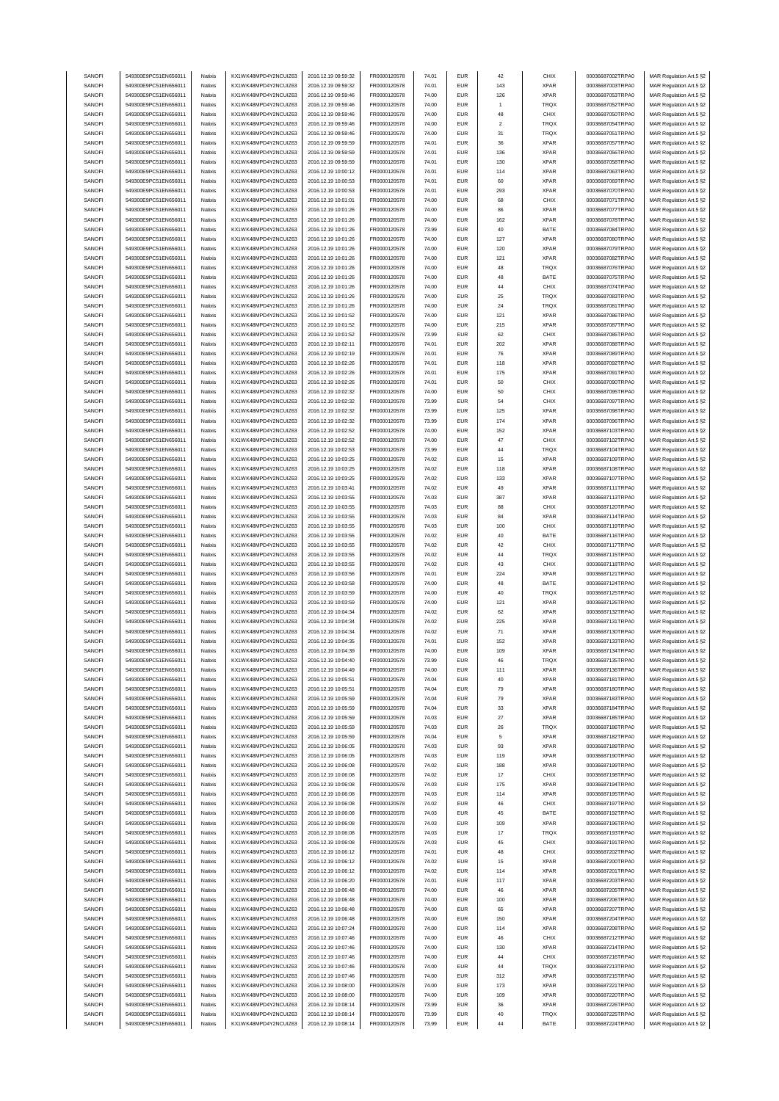| SANOFI           | 549300E9PC51EN656011                         | Natixis            | KX1WK48MPD4Y2NCUIZ63                         | 2016.12.19 09:59:32                        | FR0000120578                 | 74.01          | <b>EUR</b>               | 42             | CHIX         | 00036687002TRPA0                     | MAR Regulation Art.5 §2                            |
|------------------|----------------------------------------------|--------------------|----------------------------------------------|--------------------------------------------|------------------------------|----------------|--------------------------|----------------|--------------|--------------------------------------|----------------------------------------------------|
| SANOFI           | 549300E9PC51EN656011                         | Natixis            | KX1WK48MPD4Y2NCUIZ63                         | 2016.12.19 09:59:32                        | FR0000120578                 | 74.01          | <b>EUR</b>               | 143            | <b>XPAR</b>  | 00036687003TRPA0                     | MAR Regulation Art.5 §2                            |
| SANOFI           |                                              |                    | KX1WK48MPD4Y2NCUIZ63                         |                                            | FR0000120578                 |                | <b>EUR</b>               |                | <b>XPAR</b>  |                                      |                                                    |
|                  | 549300E9PC51EN656011                         | Natixis            |                                              | 2016.12.19 09:59:46                        |                              | 74.00          |                          | 126            |              | 00036687053TRPA0                     | MAR Regulation Art.5 §2                            |
| SANOFI           | 549300E9PC51EN656011                         | Natixis            | KX1WK48MPD4Y2NCUIZ63                         | 2016.12.19 09:59:46                        | FR0000120578                 | 74.00          | <b>EUR</b>               | $\overline{1}$ | TRQX         | 00036687052TRPA0                     | MAR Regulation Art.5 §2                            |
| SANOFI           | 549300E9PC51EN656011                         | Natixis            | KX1WK48MPD4Y2NCUIZ63                         | 2016.12.19 09:59:46                        | FR0000120578                 | 74.00          | <b>EUR</b>               | 48             | CHIX         | 00036687050TRPA0                     | MAR Regulation Art.5 §2                            |
| SANOFI           | 549300E9PC51EN656011                         | Natixis            | KX1WK48MPD4Y2NCUIZ63                         | 2016.12.19 09:59:46                        | FR0000120578                 | 74.00          | <b>EUR</b>               | $\overline{2}$ | TRQX         | 00036687054TRPA0                     | MAR Regulation Art.5 §2                            |
| SANOFI           | 549300E9PC51EN656011                         | Natixis            | KX1WK48MPD4Y2NCUIZ63                         | 2016.12.19 09:59:46                        | FR0000120578                 | 74.00          | <b>EUR</b>               | 31             | TRQX         | 00036687051TRPA0                     | MAR Regulation Art.5 §2                            |
| SANOFI           | 549300E9PC51EN656011                         | Natixis            | KX1WK48MPD4Y2NCUIZ63                         | 2016.12.19 09:59:59                        | FR0000120578                 | 74.01          | <b>EUR</b>               | 36             | <b>XPAR</b>  | 00036687057TRPA0                     | MAR Regulation Art.5 §2                            |
| SANOFI           | 549300E9PC51EN656011                         | Natixis            | KX1WK48MPD4Y2NCUIZ63                         | 2016.12.19 09:59:59                        | FR0000120578                 | 74.01          | <b>EUR</b>               | 136            | <b>XPAR</b>  | 00036687056TRPA0                     | MAR Regulation Art.5 §2                            |
| SANOFI           | 549300E9PC51EN656011                         | Natixis            | KX1WK48MPD4Y2NCUIZ63                         | 2016.12.19 09:59:59                        | FR0000120578                 | 74.01          | <b>EUR</b>               | 130            | <b>XPAR</b>  | 00036687058TRPA0                     | MAR Regulation Art.5 §2                            |
|                  |                                              | Natixis            |                                              |                                            |                              | 74.01          | <b>EUR</b>               |                |              |                                      |                                                    |
| SANOFI           | 549300E9PC51EN656011                         |                    | KX1WK48MPD4Y2NCUIZ63                         | 2016.12.19 10:00:12                        | FR0000120578                 |                |                          | 114            | <b>XPAR</b>  | 00036687063TRPA0                     | MAR Regulation Art.5 §2                            |
| SANOFI           | 549300E9PC51EN656011                         | Natixis            | KX1WK48MPD4Y2NCUIZ63                         | 2016.12.19 10:00:53                        | FR0000120578                 | 74.01          | <b>EUR</b>               | 60             | <b>XPAR</b>  | 00036687069TRPA0                     | MAR Regulation Art.5 §2                            |
| SANOFI           | 549300E9PC51EN656011                         | Natixis            | KX1WK48MPD4Y2NCUIZ63                         | 2016.12.19 10:00:53                        | FR0000120578                 | 74.01          | <b>EUR</b>               | 293            | <b>XPAR</b>  | 00036687070TRPA0                     | MAR Regulation Art.5 §2                            |
| SANOFI           | 549300E9PC51EN656011                         | Natixis            | KX1WK48MPD4Y2NCUIZ63                         | 2016.12.19 10:01:01                        | FR0000120578                 | 74.00          | <b>EUR</b>               | 68             | CHIX         | 00036687071TRPA0                     | MAR Regulation Art.5 §2                            |
| SANOFI           | 549300E9PC51EN656011                         | Natixis            | KX1WK48MPD4Y2NCUIZ63                         | 2016.12.19 10:01:26                        | FR0000120578                 | 74.00          | <b>EUR</b>               | 86             | <b>XPAR</b>  | 00036687077TRPA0                     | MAR Regulation Art.5 §2                            |
| SANOFI           | 549300E9PC51EN656011                         | Natixis            | KX1WK48MPD4Y2NCUIZ63                         | 2016.12.19 10:01:26                        | FR0000120578                 | 74.00          | <b>EUR</b>               | 162            | <b>XPAR</b>  | 00036687078TRPA0                     | MAR Regulation Art.5 §2                            |
|                  |                                              |                    |                                              |                                            |                              |                |                          |                |              |                                      |                                                    |
| SANOFI           | 549300E9PC51EN656011                         | Natixis            | KX1WK48MPD4Y2NCUIZ63                         | 2016.12.19 10:01:26                        | FR0000120578                 | 73.99          | <b>EUR</b>               | 40             | BATE         | 00036687084TRPA0                     | MAR Regulation Art.5 §2                            |
| SANOFI           | 549300E9PC51EN656011                         | Natixis            | KX1WK48MPD4Y2NCUIZ63                         | 2016.12.19 10:01:26                        | FR0000120578                 | 74.00          | <b>EUR</b>               | 127            | <b>XPAR</b>  | 00036687080TRPA0                     | MAR Regulation Art.5 §2                            |
| SANOFI           | 549300E9PC51EN656011                         | Natixis            | KX1WK48MPD4Y2NCUIZ63                         | 2016.12.19 10:01:26                        | FR0000120578                 | 74.00          | <b>EUR</b>               | 120            | <b>XPAR</b>  | 00036687079TRPA0                     | MAR Regulation Art.5 §2                            |
| SANOFI           | 549300E9PC51EN656011                         | Natixis            | KX1WK48MPD4Y2NCUIZ63                         | 2016.12.19 10:01:26                        | FR0000120578                 | 74.00          | <b>EUR</b>               | 121            | <b>XPAR</b>  | 00036687082TRPA0                     | MAR Regulation Art.5 §2                            |
| SANOFI           | 549300E9PC51EN656011                         | Natixis            | KX1WK48MPD4Y2NCUIZ63                         | 2016.12.19 10:01:26                        | FR0000120578                 | 74.00          | <b>EUR</b>               | 48             | TRQX         | 00036687076TRPA0                     | MAR Regulation Art.5 §2                            |
| SANOFI           | 549300E9PC51EN656011                         | Natixis            | KX1WK48MPD4Y2NCUIZ63                         | 2016.12.19 10:01:26                        | FR0000120578                 | 74.00          | <b>EUR</b>               | 48             | BATE         | 00036687075TRPA0                     | MAR Regulation Art.5 §2                            |
|                  |                                              |                    |                                              |                                            |                              |                | <b>EUR</b>               |                |              |                                      |                                                    |
| SANOFI           | 549300E9PC51EN656011                         | Natixis            | KX1WK48MPD4Y2NCUIZ63                         | 2016.12.19 10:01:26                        | FR0000120578                 | 74.00          |                          | 44             | CHIX         | 00036687074TRPA0                     | MAR Regulation Art.5 §2                            |
| SANOFI           | 549300E9PC51EN656011                         | Natixis            | KX1WK48MPD4Y2NCUIZ63                         | 2016.12.19 10:01:26                        | FR0000120578                 | 74.00          | <b>EUR</b>               | 25             | TRQX         | 00036687083TRPA0                     | MAR Regulation Art.5 §2                            |
| SANOFI           | 549300E9PC51EN656011                         | Natixis            | KX1WK48MPD4Y2NCUIZ63                         | 2016.12.19 10:01:26                        | FR0000120578                 | 74.00          | <b>EUR</b>               | 24             | <b>TRQX</b>  | 00036687081TRPA0                     | MAR Regulation Art.5 §2                            |
| SANOFI           | 549300E9PC51EN656011                         | Natixis            | KX1WK48MPD4Y2NCUIZ63                         | 2016.12.19 10:01:52                        | FR0000120578                 | 74.00          | <b>EUR</b>               | 121            | <b>XPAR</b>  | 00036687086TRPA0                     | MAR Regulation Art.5 §2                            |
| SANOFI           | 549300E9PC51EN656011                         | Natixis            | KX1WK48MPD4Y2NCUIZ63                         | 2016.12.19 10:01:52                        | FR0000120578                 | 74.00          | <b>EUR</b>               | 215            | <b>XPAR</b>  | 00036687087TRPA0                     | MAR Regulation Art.5 §2                            |
| SANOFI           | 549300E9PC51EN656011                         | Natixis            | KX1WK48MPD4Y2NCUIZ63                         | 2016.12.19 10:01:52                        | FR0000120578                 | 73.99          | <b>EUR</b>               | 62             | CHIX         | 00036687085TRPA0                     | MAR Regulation Art.5 §2                            |
| SANOFI           | 549300E9PC51EN656011                         | Natixis            | KX1WK48MPD4Y2NCUIZ63                         | 2016.12.19 10:02:11                        | FR0000120578                 | 74.01          | <b>EUR</b>               | 202            | <b>XPAR</b>  | 00036687088TRPA0                     | MAR Regulation Art.5 §2                            |
|                  |                                              |                    |                                              |                                            |                              |                |                          |                |              |                                      |                                                    |
| SANOFI           | 549300E9PC51EN656011                         | Natixis            | KX1WK48MPD4Y2NCUIZ63                         | 2016.12.19 10:02:19                        | FR0000120578                 | 74.01          | <b>EUR</b>               | 76             | <b>XPAR</b>  | 00036687089TRPA0                     | MAR Regulation Art.5 §2                            |
| SANOFI           | 549300E9PC51EN656011                         | Natixis            | KX1WK48MPD4Y2NCUIZ63                         | 2016.12.19 10:02:26                        | FR0000120578                 | 74.01          | <b>EUR</b>               | 118            | <b>XPAR</b>  | 00036687092TRPA0                     | MAR Regulation Art.5 §2                            |
| SANOFI           | 549300E9PC51EN656011                         | Natixis            | KX1WK48MPD4Y2NCUIZ63                         | 2016.12.19 10:02:26                        | FR0000120578                 | 74.01          | <b>EUR</b>               | 175            | <b>XPAR</b>  | 00036687091TRPA0                     | MAR Regulation Art.5 §2                            |
| SANOFI           | 549300E9PC51EN656011                         | Natixis            | KX1WK48MPD4Y2NCUIZ63                         | 2016.12.19 10:02:26                        | FR0000120578                 | 74.01          | <b>EUR</b>               | 50             | CHIX         | 00036687090TRPA0                     | MAR Regulation Art.5 §2                            |
| SANOFI           | 549300E9PC51EN656011                         | Natixis            | KX1WK48MPD4Y2NCUIZ63                         | 2016.12.19 10:02:32                        | FR0000120578                 | 74.00          | <b>EUR</b>               | 50             | CHIX         | 00036687095TRPA0                     | MAR Regulation Art.5 §2                            |
| SANOFI           | 549300E9PC51EN656011                         | Natixis            | KX1WK48MPD4Y2NCUIZ63                         | 2016.12.19 10:02:32                        | FR0000120578                 | 73.99          | <b>EUR</b>               | 54             | CHIX         | 00036687097TRPA0                     | MAR Regulation Art.5 §2                            |
|                  |                                              |                    |                                              |                                            |                              |                |                          |                |              |                                      |                                                    |
| SANOFI           | 549300E9PC51EN656011                         | Natixis            | KX1WK48MPD4Y2NCUIZ63                         | 2016.12.19 10:02:32                        | FR0000120578                 | 73.99          | <b>EUR</b>               | 125            | <b>XPAR</b>  | 00036687098TRPA0                     | MAR Regulation Art.5 §2                            |
| SANOFI           | 549300E9PC51EN656011                         | Natixis            | KX1WK48MPD4Y2NCUIZ63                         | 2016.12.19 10:02:32                        | FR0000120578                 | 73.99          | <b>EUR</b>               | 174            | <b>XPAR</b>  | 00036687096TRPA0                     | MAR Regulation Art.5 §2                            |
| SANOFI           | 549300E9PC51EN656011                         | Natixis            | KX1WK48MPD4Y2NCUIZ63                         | 2016.12.19 10:02:52                        | FR0000120578                 | 74.00          | <b>EUR</b>               | 152            | <b>XPAR</b>  | 00036687103TRPA0                     | MAR Regulation Art.5 §2                            |
| SANOFI           | 549300E9PC51EN656011                         | Natixis            | KX1WK48MPD4Y2NCUIZ63                         | 2016.12.19 10:02:52                        | FR0000120578                 | 74.00          | <b>EUR</b>               | 47             | CHIX         | 00036687102TRPA0                     | MAR Regulation Art.5 §2                            |
| SANOFI           | 549300E9PC51EN656011                         | Natixis            | KX1WK48MPD4Y2NCUIZ63                         | 2016.12.19 10:02:53                        | FR0000120578                 | 73.99          | <b>EUR</b>               | 44             | TRQX         | 00036687104TRPA0                     | MAR Regulation Art.5 §2                            |
| SANOFI           | 549300E9PC51EN656011                         | Natixis            | KX1WK48MPD4Y2NCUIZ63                         | 2016.12.19 10:03:25                        | FR0000120578                 | 74.02          | <b>EUR</b>               | 15             | <b>XPAR</b>  | 00036687109TRPA0                     |                                                    |
|                  |                                              |                    |                                              |                                            |                              |                |                          |                |              |                                      | MAR Regulation Art.5 §2                            |
| SANOFI           | 549300E9PC51EN656011                         | Natixis            | KX1WK48MPD4Y2NCUIZ63                         | 2016.12.19 10:03:25                        | FR0000120578                 | 74.02          | EUR                      | 118            | <b>XPAR</b>  | 00036687108TRPA0                     | MAR Regulation Art.5 §2                            |
| SANOFI           | 549300E9PC51EN656011                         | Natixis            | KX1WK48MPD4Y2NCUIZ63                         | 2016.12.19 10:03:25                        | FR0000120578                 | 74.02          | <b>EUR</b>               | 133            | <b>XPAR</b>  | 00036687107TRPA0                     | MAR Regulation Art.5 §2                            |
| SANOFI           | 549300E9PC51EN656011                         | Natixis            | KX1WK48MPD4Y2NCUIZ63                         | 2016.12.19 10:03:41                        | FR0000120578                 | 74.02          | <b>EUR</b>               | 49             | <b>XPAR</b>  | 00036687111TRPA0                     | MAR Regulation Art.5 §2                            |
| SANOFI           | 549300E9PC51EN656011                         | Natixis            | KX1WK48MPD4Y2NCUIZ63                         | 2016.12.19 10:03:55                        | FR0000120578                 | 74.03          | <b>EUR</b>               | 387            | <b>XPAR</b>  | 00036687113TRPA0                     | MAR Regulation Art.5 §2                            |
| SANOFI           | 549300E9PC51EN656011                         | Natixis            | KX1WK48MPD4Y2NCUIZ63                         | 2016.12.19 10:03:55                        | FR0000120578                 | 74.03          | <b>EUR</b>               | 88             | CHIX         | 00036687120TRPA0                     | MAR Regulation Art.5 §2                            |
| SANOFI           | 549300E9PC51EN656011                         | Natixis            | KX1WK48MPD4Y2NCUIZ63                         | 2016.12.19 10:03:55                        | FR0000120578                 | 74.03          | <b>EUR</b>               | 84             | <b>XPAR</b>  | 00036687114TRPA0                     | MAR Regulation Art.5 §2                            |
| SANOFI           | 549300E9PC51EN656011                         | Natixis            | KX1WK48MPD4Y2NCUIZ63                         | 2016.12.19 10:03:55                        | FR0000120578                 | 74.03          | <b>EUR</b>               | 100            | CHIX         | 00036687119TRPA0                     | MAR Regulation Art.5 §2                            |
|                  |                                              |                    |                                              |                                            |                              |                | <b>EUR</b>               |                |              |                                      |                                                    |
| SANOFI           | 549300E9PC51EN656011                         | Natixis            | KX1WK48MPD4Y2NCUIZ63                         | 2016.12.19 10:03:55                        | FR0000120578                 | 74.02          |                          | 40             | BATE         | 00036687116TRPA0                     | MAR Regulation Art.5 §2                            |
| SANOFI           | 549300E9PC51EN656011                         | Natixis            | KX1WK48MPD4Y2NCUIZ63                         | 2016.12.19 10:03:55                        | FR0000120578                 | 74.02          | <b>EUR</b>               | 42             | CHIX         | 00036687117TRPA0                     | MAR Regulation Art.5 §2                            |
| SANOFI           | 549300E9PC51EN656011                         | Natixis            | KX1WK48MPD4Y2NCUIZ63                         | 2016.12.19 10:03:55                        | FR0000120578                 | 74.02          | <b>EUR</b>               | 44             | TRQX         | 00036687115TRPA0                     | MAR Regulation Art.5 §2                            |
| SANOFI           | 549300E9PC51EN656011                         | Natixis            | KX1WK48MPD4Y2NCUIZ63                         | 2016.12.19 10:03:55                        | FR0000120578                 | 74.02          | <b>EUR</b>               | 43             | CHIX         | 00036687118TRPA0                     | MAR Regulation Art.5 §2                            |
| SANOFI           | 549300E9PC51EN656011                         | Natixis            | KX1WK48MPD4Y2NCUIZ63                         | 2016.12.19 10:03:56                        | FR0000120578                 | 74.01          | <b>EUR</b>               | 224            | <b>XPAR</b>  | 00036687121TRPA0                     | MAR Regulation Art.5 §2                            |
| SANOFI           | 549300E9PC51EN656011                         | Natixis            | KX1WK48MPD4Y2NCUIZ63                         | 2016.12.19 10:03:58                        | FR0000120578                 | 74.00          | <b>EUR</b>               | 48             | BATE         | 00036687124TRPA0                     | MAR Regulation Art.5 §2                            |
| SANOFI           | 549300E9PC51EN656011                         | Natixis            | KX1WK48MPD4Y2NCUIZ63                         | 2016.12.19 10:03:59                        | FR0000120578                 | 74.00          | <b>EUR</b>               | 40             | TRQX         | 00036687125TRPA0                     | MAR Regulation Art.5 §2                            |
|                  |                                              |                    |                                              |                                            |                              |                |                          |                |              |                                      |                                                    |
| SANOFI           | 549300E9PC51EN656011                         | Natixis            | KX1WK48MPD4Y2NCUIZ63                         | 2016.12.19 10:03:59                        | FR0000120578                 | 74.00          | <b>EUR</b>               | 121            | <b>XPAR</b>  | 00036687126TRPA0                     | MAR Regulation Art.5 §2                            |
| SANOFI           | 549300E9PC51EN656011                         | Natixis            | KX1WK48MPD4Y2NCUIZ63                         | 2016.12.19 10:04:34                        | FR0000120578                 | 74.02          | <b>EUR</b>               | 62             | <b>XPAR</b>  | 00036687132TRPA0                     | MAR Regulation Art.5 §2                            |
| SANOFI           | 549300E9PC51EN656011                         | Natixis            | KX1WK48MPD4Y2NCUIZ63                         | 2016.12.19 10:04:34                        | FR0000120578                 | 74.02          | <b>EUR</b>               | 225            | <b>XPAR</b>  | 00036687131TRPA0                     | MAR Regulation Art.5 §2                            |
| SANOFI           | 549300E9PC51EN656011                         | Natixis            | KX1WK48MPD4Y2NCUIZ63                         | 2016.12.19 10:04:34                        | FR0000120578                 | 74.02          | <b>FUR</b>               | 71             | <b>XPAR</b>  | 00036687130TRPA0                     | MAR Regulation Art.5 §2                            |
| SANOFI           | 549300E9PC51EN656011                         | Natixis            | KX1WK48MPD4Y2NCUIZ63                         | 2016.12.19 10:04:35                        | FR0000120578                 | 74.01          | <b>EUR</b>               | 152            | <b>XPAR</b>  | 00036687133TRPA0                     | MAR Regulation Art.5 §2                            |
| SANOFI           | 549300E9PC51EN656011                         | Natixis            | KX1WK48MPD4Y2NCUIZ63                         | 2016.12.19 10:04:39                        | FR0000120578                 | 74.00          | EUR                      | 109            | XPAR         | 00036687134TRPA0                     | MAR Regulation Art.5 §2                            |
| SANOFI           | 549300E9PC51EN656011                         | Natixis            | KX1WK48MPD4Y2NCUIZ63                         | 2016.12.19 10:04:40                        | FR0000120578                 | 73.99          | <b>EUR</b>               | 46             | TRQX         | 00036687135TRPA0                     | MAR Regulation Art.5 §2                            |
|                  |                                              |                    |                                              |                                            |                              |                |                          |                |              |                                      |                                                    |
| SANOFI           | 549300E9PC51EN656011                         | Natixis            | KX1WK48MPD4Y2NCUIZ63                         | 2016.12.19 10:04:49                        | FR0000120578                 | 74.00          | <b>EUR</b>               | 111            | <b>XPAR</b>  | 00036687136TRPA0                     | MAR Regulation Art.5 §2                            |
| SANOFI           | 549300E9PC51EN656011                         | Natixis            | KX1WK48MPD4Y2NCUIZ63                         | 2016.12.19 10:05:51                        | FR0000120578                 | 74.04          | <b>EUR</b>               | 40             | <b>XPAR</b>  | 00036687181TRPA0                     | MAR Regulation Art.5 §2                            |
| SANOFI           | 549300E9PC51EN656011                         | Natixis            | KX1WK48MPD4Y2NCUIZ63                         | 2016.12.19 10:05:51                        | FR0000120578                 | 74.04          | <b>EUR</b>               | 79             | <b>XPAR</b>  | 00036687180TRPA0                     | MAR Regulation Art.5 §2                            |
| SANOFI           | 549300E9PC51EN656011                         | Natixis            | KX1WK48MPD4Y2NCUIZ63                         | 2016.12.19 10:05:59                        | FR0000120578                 | 74.04          | <b>EUR</b>               | 79             | <b>XPAR</b>  | 00036687183TRPA0                     | MAR Regulation Art.5 §2                            |
| SANOFI           | 549300E9PC51EN656011                         | Natixis            | KX1WK48MPD4Y2NCUIZ63                         | 2016.12.19 10:05:59                        | FR0000120578                 | 74.04          | <b>EUR</b>               | 33             | <b>XPAR</b>  | 00036687184TRPA0                     | MAR Regulation Art.5 §2                            |
| SANOFI           | 549300E9PC51EN656011                         | Natixis            | KX1WK48MPD4Y2NCUIZ63                         | 2016.12.19 10:05:59                        | FR0000120578                 | 74.03          | <b>EUR</b>               | 27             | <b>XPAR</b>  | 00036687185TRPA0                     | MAR Regulation Art.5 §2                            |
| SANOFI           | 549300E9PC51EN656011                         | Natixis            | KX1WK48MPD4Y2NCUIZ63                         | 2016.12.19 10:05:59                        | FR0000120578                 | 74.03          | <b>EUR</b>               | ${\bf 26}$     | TRQX         | 00036687186TRPA0                     | MAR Regulation Art.5 §2                            |
| SANOFI           | 549300E9PC51EN656011                         | Natixis            | KX1WK48MPD4Y2NCUIZ63                         | 2016.12.19 10:05:59                        | FR0000120578                 | 74.04          | <b>EUR</b>               | 5              | <b>XPAR</b>  | 00036687182TRPA0                     | MAR Regulation Art.5 §2                            |
|                  |                                              |                    |                                              |                                            |                              |                | <b>EUR</b>               |                |              |                                      |                                                    |
| SANOFI           | 549300E9PC51EN656011                         | Natixis            | KX1WK48MPD4Y2NCUIZ63                         | 2016.12.19 10:06:05                        | FR0000120578                 | 74.03          |                          | 93             | <b>XPAR</b>  | 00036687189TRPA0                     | MAR Regulation Art.5 §2                            |
| SANOFI           | 549300E9PC51EN656011                         | Natixis            | KX1WK48MPD4Y2NCUIZ63                         | 2016.12.19 10:06:05                        | FR0000120578                 | 74.03          | <b>EUR</b>               | 119            | <b>XPAR</b>  | 00036687190TRPA0                     | MAR Regulation Art.5 §2                            |
| SANOFI           | 549300E9PC51EN656011                         | Natixis            | KX1WK48MPD4Y2NCUIZ63                         | 2016.12.19 10:06:08                        | FR0000120578                 | 74.02          | <b>EUR</b>               | 188            | <b>XPAR</b>  | 00036687199TRPA0                     | MAR Regulation Art.5 §2                            |
| SANOFI           | 549300E9PC51EN656011                         | Natixis            | KX1WK48MPD4Y2NCUIZ63                         | 2016.12.19 10:06:08                        | FR0000120578                 | 74.02          | <b>EUR</b>               | $17\,$         | CHIX         | 00036687198TRPA0                     | MAR Regulation Art.5 §2                            |
| SANOFI           | 549300E9PC51EN656011                         | Natixis            | KX1WK48MPD4Y2NCUIZ63                         | 2016.12.19 10:06:08                        | FR0000120578                 | 74.03          | <b>EUR</b>               | 175            | <b>XPAR</b>  | 00036687194TRPA0                     | MAR Regulation Art.5 §2                            |
| SANOFI           | 549300E9PC51EN656011                         | Natixis            | KX1WK48MPD4Y2NCUIZ63                         | 2016.12.19 10:06:08                        | FR0000120578                 | 74.03          | <b>EUR</b>               | 114            | <b>XPAR</b>  | 00036687195TRPA0                     | MAR Regulation Art.5 §2                            |
| SANOFI           | 549300E9PC51EN656011                         | Natixis            | KX1WK48MPD4Y2NCUIZ63                         | 2016.12.19 10:06:08                        | FR0000120578                 | 74.02          | <b>EUR</b>               | 46             | CHIX         | 00036687197TRPA0                     | MAR Regulation Art.5 §2                            |
|                  | 549300E9PC51EN656011                         |                    |                                              |                                            |                              |                |                          |                |              |                                      |                                                    |
| SANOFI           |                                              | Natixis            | KX1WK48MPD4Y2NCUIZ63                         | 2016.12.19 10:06:08                        | FR0000120578                 | 74.03          | <b>EUR</b>               | 45             | BATE         | 00036687192TRPA0                     | MAR Regulation Art.5 §2                            |
| SANOFI           | 549300E9PC51EN656011                         | Natixis            | KX1WK48MPD4Y2NCUIZ63                         | 2016.12.19 10:06:08                        | FR0000120578                 | 74.03          | <b>EUR</b>               | 109            | <b>XPAR</b>  | 00036687196TRPA0                     | MAR Regulation Art.5 §2                            |
| SANOFI           | 549300E9PC51EN656011                         | Natixis            | KX1WK48MPD4Y2NCUIZ63                         | 2016.12.19 10:06:08                        | FR0000120578                 | 74.03          | <b>EUR</b>               | 17             | TRQX         | 00036687193TRPA0                     | MAR Regulation Art.5 §2                            |
| SANOFI           | 549300E9PC51EN656011                         | Natixis            | KX1WK48MPD4Y2NCUIZ63                         | 2016.12.19 10:06:08                        | FR0000120578                 | 74.03          | <b>EUR</b>               | 45             | CHIX         | 00036687191TRPA0                     | MAR Regulation Art.5 §2                            |
| SANOFI           | 549300E9PC51EN656011                         | Natixis            | KX1WK48MPD4Y2NCUIZ63                         | 2016.12.19 10:06:12                        | FR0000120578                 | 74.01          | <b>EUR</b>               | 48             | CHIX         | 00036687202TRPA0                     | MAR Regulation Art.5 §2                            |
| SANOFI           | 549300E9PC51EN656011                         | Natixis            | KX1WK48MPD4Y2NCUIZ63                         | 2016.12.19 10:06:12                        | FR0000120578                 | 74.02          | <b>EUR</b>               | 15             | <b>XPAR</b>  | 00036687200TRPA0                     | MAR Regulation Art.5 §2                            |
|                  | 549300E9PC51EN656011                         |                    |                                              |                                            |                              |                | <b>EUR</b>               |                |              | 00036687201TRPA0                     |                                                    |
| SANOFI           |                                              | Natixis            | KX1WK48MPD4Y2NCUIZ63                         | 2016.12.19 10:06:12                        | FR0000120578                 | 74.02          |                          | 114            | <b>XPAR</b>  |                                      | MAR Regulation Art.5 §2                            |
| SANOFI           | 549300E9PC51EN656011                         | Natixis            | KX1WK48MPD4Y2NCUIZ63                         | 2016.12.19 10:06:20                        | FR0000120578                 | 74.01          | <b>EUR</b>               | 117            | <b>XPAR</b>  | 00036687203TRPA0                     | MAR Regulation Art.5 §2                            |
| SANOFI           | 549300E9PC51EN656011                         | Natixis            | KX1WK48MPD4Y2NCUIZ63                         | 2016.12.19 10:06:48                        | FR0000120578                 | 74.00          | <b>EUR</b>               | 46             | <b>XPAR</b>  | 00036687205TRPA0                     | MAR Regulation Art.5 §2                            |
| SANOFI           | 549300E9PC51EN656011                         | Natixis            | KX1WK48MPD4Y2NCUIZ63                         | 2016.12.19 10:06:48                        | FR0000120578                 | 74.00          | <b>EUR</b>               | 100            | <b>XPAR</b>  | 00036687206TRPA0                     | MAR Regulation Art.5 §2                            |
| SANOFI           | 549300E9PC51EN656011                         | Natixis            | KX1WK48MPD4Y2NCUIZ63                         | 2016.12.19 10:06:48                        | FR0000120578                 | 74.00          | <b>EUR</b>               | 65             | <b>XPAR</b>  | 00036687207TRPA0                     | MAR Regulation Art.5 §2                            |
| SANOFI           | 549300E9PC51EN656011                         | Natixis            | KX1WK48MPD4Y2NCUIZ63                         | 2016.12.19 10:06:48                        | FR0000120578                 | 74.00          | <b>EUR</b>               | 150            | <b>XPAR</b>  | 00036687204TRPA0                     | MAR Regulation Art.5 §2                            |
|                  |                                              |                    |                                              |                                            |                              |                |                          |                |              |                                      |                                                    |
| SANOFI           | 549300E9PC51EN656011                         | Natixis            | KX1WK48MPD4Y2NCUIZ63                         | 2016.12.19 10:07:24                        | FR0000120578                 | 74.00          | <b>EUR</b>               | 114            | <b>XPAR</b>  | 00036687208TRPA0                     | MAR Regulation Art.5 §2                            |
| SANOFI           | 549300E9PC51EN656011                         | Natixis            | KX1WK48MPD4Y2NCUIZ63                         | 2016.12.19 10:07:46                        | FR0000120578                 | 74.00          | <b>EUR</b>               | 46             | CHIX         | 00036687212TRPA0                     | MAR Regulation Art.5 §2                            |
| SANOFI           | 549300E9PC51EN656011                         | Natixis            | KX1WK48MPD4Y2NCUIZ63                         | 2016.12.19 10:07:46                        | FR0000120578                 | 74.00          | <b>EUR</b>               | 130            | <b>XPAR</b>  | 00036687214TRPA0                     | MAR Regulation Art.5 §2                            |
| SANOFI           | 549300E9PC51EN656011                         | Natixis            | KX1WK48MPD4Y2NCUIZ63                         | 2016.12.19 10:07:46                        | FR0000120578                 | 74.00          | <b>EUR</b>               | 44             | CHIX         | 00036687216TRPA0                     | MAR Regulation Art.5 §2                            |
| SANOFI           | 549300E9PC51EN656011                         | Natixis            | KX1WK48MPD4Y2NCUIZ63                         | 2016.12.19 10:07:46                        | FR0000120578                 | 74.00          | <b>EUR</b>               | 44             | TRQX         | 00036687213TRPA0                     | MAR Regulation Art.5 §2                            |
| SANOFI           | 549300E9PC51EN656011                         | Natixis            | KX1WK48MPD4Y2NCUIZ63                         | 2016.12.19 10:07:46                        | FR0000120578                 | 74.00          | <b>EUR</b>               | 312            | <b>XPAR</b>  | 00036687215TRPA0                     | MAR Regulation Art.5 §2                            |
| SANOFI           | 549300E9PC51EN656011                         | Natixis            | KX1WK48MPD4Y2NCUIZ63                         | 2016.12.19 10:08:00                        | FR0000120578                 | 74.00          | <b>EUR</b>               | 173            | <b>XPAR</b>  | 00036687221TRPA0                     | MAR Regulation Art.5 §2                            |
| SANOFI           | 549300E9PC51EN656011                         | Natixis            | KX1WK48MPD4Y2NCUIZ63                         | 2016.12.19 10:08:00                        | FR0000120578                 | 74.00          | <b>EUR</b>               | 109            | <b>XPAR</b>  | 00036687220TRPA0                     | MAR Regulation Art.5 §2                            |
|                  |                                              |                    |                                              |                                            |                              |                |                          |                |              |                                      |                                                    |
|                  |                                              |                    |                                              |                                            |                              |                |                          |                |              |                                      |                                                    |
| SANOFI           | 549300E9PC51EN656011                         | Natixis            | KX1WK48MPD4Y2NCUIZ63                         | 2016.12.19 10:08:14                        | FR0000120578                 | 73.99          | <b>EUR</b>               | 36             | <b>XPAR</b>  | 00036687226TRPA0                     | MAR Regulation Art.5 §2                            |
| SANOFI<br>SANOFI | 549300E9PC51EN656011<br>549300E9PC51EN656011 | Natixis<br>Natixis | KX1WK48MPD4Y2NCUIZ63<br>KX1WK48MPD4Y2NCUIZ63 | 2016.12.19 10:08:14<br>2016.12.19 10:08:14 | FR0000120578<br>FR0000120578 | 73.99<br>73.99 | <b>EUR</b><br><b>EUR</b> | 40<br>44       | TRQX<br>BATE | 00036687225TRPA0<br>00036687224TRPA0 | MAR Regulation Art.5 §2<br>MAR Regulation Art.5 §2 |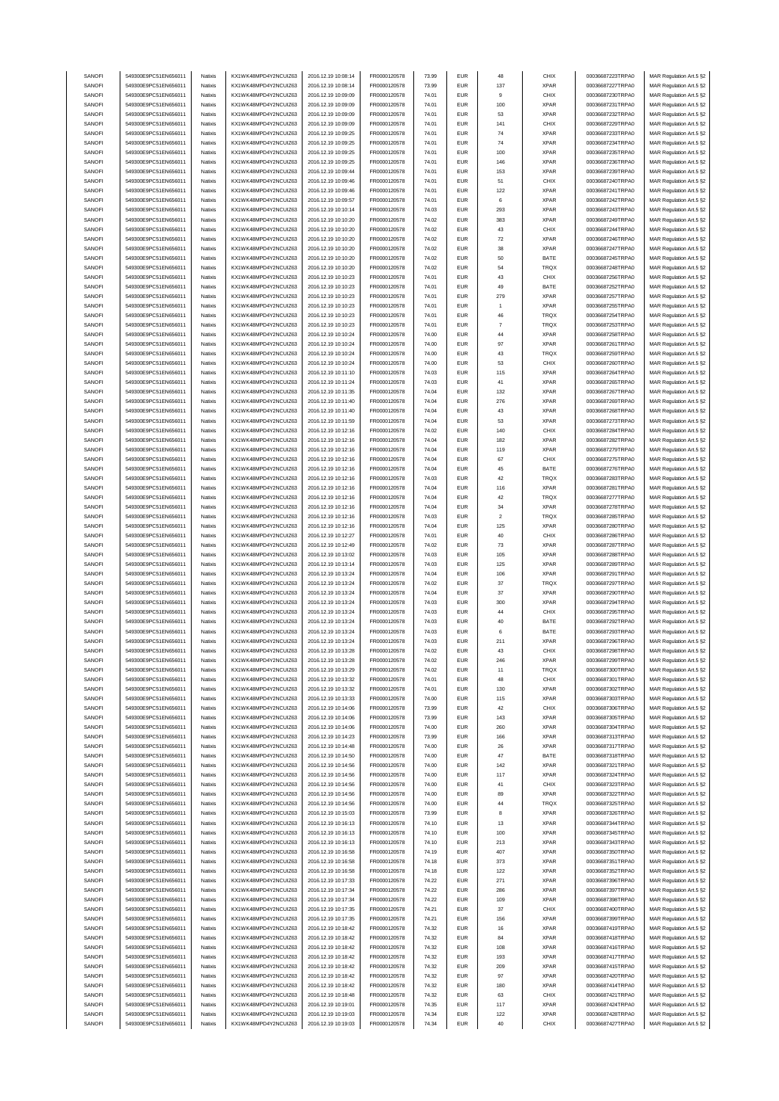| SANOFI           | 549300E9PC51EN656011                         | Natixis | KX1WK48MPD4Y2NCUIZ63                         | 2016.12.19 10:08:14                        | FR0000120578                 | 73.99          | <b>EUR</b>               | 48             | CHIX                | 00036687223TRPA0                     | MAR Regulation Art.5 §2                            |
|------------------|----------------------------------------------|---------|----------------------------------------------|--------------------------------------------|------------------------------|----------------|--------------------------|----------------|---------------------|--------------------------------------|----------------------------------------------------|
| SANOFI           | 549300E9PC51EN656011                         | Natixis | KX1WK48MPD4Y2NCUIZ63                         | 2016.12.19 10:08:14                        | FR0000120578                 | 73.99          | <b>EUR</b>               | 137            | <b>XPAR</b>         | 00036687227TRPA0                     | MAR Regulation Art.5 §2                            |
| SANOFI           | 549300E9PC51EN656011                         | Natixis | KX1WK48MPD4Y2NCUIZ63                         | 2016.12.19 10:09:09                        | FR0000120578                 | 74.01          | <b>EUR</b>               | 9              | CHIX                | 00036687230TRPA0                     | MAR Regulation Art.5 §2                            |
| SANOFI           | 549300E9PC51EN656011                         | Natixis | KX1WK48MPD4Y2NCUIZ63                         | 2016.12.19 10:09:09                        | FR0000120578                 | 74.01          | <b>EUR</b>               | 100            | <b>XPAR</b>         | 00036687231TRPA0                     | MAR Regulation Art.5 §2                            |
|                  |                                              |         |                                              |                                            |                              |                |                          |                |                     |                                      |                                                    |
| SANOFI           | 549300E9PC51EN656011                         | Natixis | KX1WK48MPD4Y2NCUIZ63                         | 2016.12.19 10:09:09                        | FR0000120578                 | 74.01          | <b>EUR</b>               | 53             | <b>XPAR</b>         | 00036687232TRPA0                     | MAR Regulation Art.5 §2                            |
| SANOFI           | 549300E9PC51EN656011                         | Natixis | KX1WK48MPD4Y2NCUIZ63                         | 2016.12.19 10:09:09                        | FR0000120578                 | 74.01          | <b>EUR</b>               | 141            | CHIX                | 00036687229TRPA0                     | MAR Regulation Art.5 §2                            |
| SANOFI           | 549300E9PC51EN656011                         | Natixis | KX1WK48MPD4Y2NCUIZ63                         | 2016.12.19 10:09:25                        | FR0000120578                 | 74.01          | <b>EUR</b>               | 74             | <b>XPAR</b>         | 00036687233TRPA0                     | MAR Regulation Art.5 §2                            |
| SANOFI           | 549300E9PC51EN656011                         | Natixis | KX1WK48MPD4Y2NCUIZ63                         | 2016.12.19 10:09:25                        | FR0000120578                 | 74.01          | <b>EUR</b>               | 74             | <b>XPAR</b>         | 00036687234TRPA0                     | MAR Regulation Art.5 §2                            |
| SANOFI           | 549300E9PC51EN656011                         | Natixis | KX1WK48MPD4Y2NCUIZ63                         | 2016.12.19 10:09:25                        | FR0000120578                 | 74.01          | <b>EUR</b>               | 100            | <b>XPAR</b>         | 00036687235TRPA0                     | MAR Regulation Art.5 §2                            |
| SANOFI           | 549300E9PC51EN656011                         | Natixis | KX1WK48MPD4Y2NCUIZ63                         | 2016.12.19 10:09:25                        | FR0000120578                 | 74.01          | <b>EUR</b>               | 146            | <b>XPAR</b>         | 00036687236TRPA0                     | MAR Regulation Art.5 §2                            |
| SANOFI           | 549300E9PC51EN656011                         | Natixis | KX1WK48MPD4Y2NCUIZ63                         | 2016.12.19 10:09:44                        | FR0000120578                 | 74.01          | <b>EUR</b>               | 153            | <b>XPAR</b>         | 00036687239TRPA0                     | MAR Regulation Art.5 §2                            |
|                  |                                              |         |                                              |                                            |                              |                |                          |                |                     |                                      |                                                    |
| SANOFI           | 549300E9PC51EN656011                         | Natixis | KX1WK48MPD4Y2NCUIZ63                         | 2016.12.19 10:09:46                        | FR0000120578                 | 74.01          | <b>EUR</b>               | 51             | CHIX                | 00036687240TRPA0                     | MAR Regulation Art.5 §2                            |
| SANOFI           | 549300E9PC51EN656011                         | Natixis | KX1WK48MPD4Y2NCUIZ63                         | 2016.12.19 10:09:46                        | FR0000120578                 | 74.01          | <b>EUR</b>               | 122            | <b>XPAR</b>         | 00036687241TRPA0                     | MAR Regulation Art.5 §2                            |
| SANOFI           | 549300E9PC51EN656011                         | Natixis | KX1WK48MPD4Y2NCUIZ63                         | 2016.12.19 10:09:57                        | FR0000120578                 | 74.01          | <b>EUR</b>               | 6              | <b>XPAR</b>         | 00036687242TRPA0                     | MAR Regulation Art.5 §2                            |
| SANOFI           | 549300E9PC51EN656011                         | Natixis | KX1WK48MPD4Y2NCUIZ63                         | 2016.12.19 10:10:14                        | FR0000120578                 | 74.03          | <b>EUR</b>               | 293            | <b>XPAR</b>         | 00036687243TRPA0                     | MAR Regulation Art.5 §2                            |
| SANOFI           | 549300E9PC51EN656011                         | Natixis | KX1WK48MPD4Y2NCUIZ63                         | 2016.12.19 10:10:20                        | FR0000120578                 | 74.02          | <b>EUR</b>               | 383            | <b>XPAR</b>         | 00036687249TRPA0                     | MAR Regulation Art.5 §2                            |
|                  |                                              |         |                                              |                                            |                              |                |                          |                |                     |                                      |                                                    |
| SANOFI           | 549300E9PC51EN656011                         | Natixis | KX1WK48MPD4Y2NCUIZ63                         | 2016.12.19 10:10:20                        | FR0000120578                 | 74.02          | <b>EUR</b>               | 43             | CHIX                | 00036687244TRPA0                     | MAR Regulation Art.5 §2                            |
| SANOFI           | 549300E9PC51EN656011                         | Natixis | KX1WK48MPD4Y2NCUIZ63                         | 2016.12.19 10:10:20                        | FR0000120578                 | 74.02          | <b>EUR</b>               | 72             | <b>XPAR</b>         | 00036687246TRPA0                     | MAR Regulation Art.5 §2                            |
| SANOFI           | 549300E9PC51EN656011                         | Natixis | KX1WK48MPD4Y2NCUIZ63                         | 2016.12.19 10:10:20                        | FR0000120578                 | 74.02          | <b>EUR</b>               | 38             | <b>XPAR</b>         | 00036687247TRPA0                     | MAR Regulation Art.5 §2                            |
| SANOFI           | 549300E9PC51EN656011                         | Natixis | KX1WK48MPD4Y2NCUIZ63                         | 2016.12.19 10:10:20                        | FR0000120578                 | 74.02          | <b>EUR</b>               | 50             | BATE                | 00036687245TRPA0                     | MAR Regulation Art.5 §2                            |
| SANOFI           | 549300E9PC51EN656011                         | Natixis | KX1WK48MPD4Y2NCUIZ63                         | 2016.12.19 10:10:20                        | FR0000120578                 | 74.02          | <b>EUR</b>               | 54             | TRQX                | 00036687248TRPA0                     | MAR Regulation Art.5 §2                            |
| SANOFI           | 549300E9PC51EN656011                         | Natixis | KX1WK48MPD4Y2NCUIZ63                         | 2016.12.19 10:10:23                        | FR0000120578                 | 74.01          | <b>EUR</b>               | 43             | CHIX                | 00036687256TRPA0                     | MAR Regulation Art.5 §2                            |
|                  |                                              |         |                                              |                                            |                              |                |                          |                |                     |                                      |                                                    |
| SANOFI           | 549300E9PC51EN656011                         | Natixis | KX1WK48MPD4Y2NCUIZ63                         | 2016.12.19 10:10:23                        | FR0000120578                 | 74.01          | <b>EUR</b>               | 49             | BATE                | 00036687252TRPA0                     | MAR Regulation Art.5 §2                            |
| SANOFI           | 549300E9PC51EN656011                         | Natixis | KX1WK48MPD4Y2NCUIZ63                         | 2016.12.19 10:10:23                        | FR0000120578                 | 74.01          | <b>EUR</b>               | 279            | <b>XPAR</b>         | 00036687257TRPA0                     | MAR Regulation Art.5 §2                            |
| SANOFI           | 549300E9PC51EN656011                         | Natixis | KX1WK48MPD4Y2NCUIZ63                         | 2016.12.19 10:10:23                        | FR0000120578                 | 74.01          | <b>EUR</b>               | 1              | <b>XPAR</b>         | 00036687255TRPA0                     | MAR Regulation Art.5 §2                            |
| SANOFI           | 549300E9PC51EN656011                         | Natixis | KX1WK48MPD4Y2NCUIZ63                         | 2016.12.19 10:10:23                        | FR0000120578                 | 74.01          | <b>EUR</b>               | 46             | TRQX                | 00036687254TRPA0                     | MAR Regulation Art.5 §2                            |
| SANOFI           | 549300E9PC51EN656011                         | Natixis | KX1WK48MPD4Y2NCUIZ63                         | 2016.12.19 10:10:23                        | FR0000120578                 | 74.01          | <b>EUR</b>               | $\overline{7}$ | TRQX                | 00036687253TRPA0                     | MAR Regulation Art.5 §2                            |
| SANOFI           | 549300E9PC51EN656011                         | Natixis | KX1WK48MPD4Y2NCUIZ63                         | 2016.12.19 10:10:24                        | FR0000120578                 | 74.00          | <b>EUR</b>               | 44             | <b>XPAR</b>         | 00036687258TRPA0                     | MAR Regulation Art.5 §2                            |
|                  |                                              |         |                                              |                                            |                              |                |                          |                |                     |                                      |                                                    |
| SANOFI           | 549300E9PC51EN656011                         | Natixis | KX1WK48MPD4Y2NCUIZ63                         | 2016.12.19.10:10:24                        | FR0000120578                 | 74.00          | <b>EUR</b>               | 97             | <b>XPAR</b>         | 00036687261TRPA0                     | MAR Regulation Art.5 §2                            |
| SANOFI           | 549300E9PC51EN656011                         | Natixis | KX1WK48MPD4Y2NCUIZ63                         | 2016.12.19 10:10:24                        | FR0000120578                 | 74.00          | <b>EUR</b>               | 43             | TRQX                | 00036687259TRPA0                     | MAR Regulation Art.5 §2                            |
| SANOFI           | 549300E9PC51EN656011                         | Natixis | KX1WK48MPD4Y2NCUIZ63                         | 2016.12.19 10:10:24                        | FR0000120578                 | 74.00          | <b>EUR</b>               | 53             | CHIX                | 00036687260TRPA0                     | MAR Regulation Art.5 §2                            |
| SANOFI           | 549300E9PC51EN656011                         | Natixis | KX1WK48MPD4Y2NCUIZ63                         | 2016.12.19 10:11:10                        | FR0000120578                 | 74.03          | <b>EUR</b>               | 115            | <b>XPAR</b>         | 00036687264TRPA0                     | MAR Regulation Art.5 §2                            |
| SANOFI           | 549300E9PC51EN656011                         | Natixis | KX1WK48MPD4Y2NCUIZ63                         | 2016.12.19 10:11:24                        | FR0000120578                 | 74.03          | <b>EUR</b>               | 41             | <b>XPAR</b>         | 00036687265TRPA0                     | MAR Regulation Art.5 §2                            |
|                  |                                              |         |                                              |                                            |                              |                |                          |                |                     |                                      |                                                    |
| SANOFI           | 549300E9PC51EN656011                         | Natixis | KX1WK48MPD4Y2NCUIZ63                         | 2016.12.19 10:11:35                        | FR0000120578                 | 74.04          | <b>EUR</b>               | 132            | <b>XPAR</b>         | 00036687267TRPA0                     | MAR Regulation Art.5 §2                            |
| SANOFI           | 549300E9PC51EN656011                         | Natixis | KX1WK48MPD4Y2NCUIZ63                         | 2016.12.19 10:11:40                        | FR0000120578                 | 74.04          | <b>EUR</b>               | 276            | <b>XPAR</b>         | 00036687269TRPA0                     | MAR Regulation Art.5 §2                            |
| SANOFI           | 549300E9PC51EN656011                         | Natixis | KX1WK48MPD4Y2NCUIZ63                         | 2016.12.19 10:11:40                        | FR0000120578                 | 74.04          | <b>EUR</b>               | 43             | <b>XPAR</b>         | 00036687268TRPA0                     | MAR Regulation Art.5 §2                            |
| SANOFI           | 549300E9PC51EN656011                         | Natixis | KX1WK48MPD4Y2NCUIZ63                         | 2016.12.19 10:11:59                        | FR0000120578                 | 74.04          | <b>EUR</b>               | 53             | <b>XPAR</b>         | 00036687273TRPA0                     | MAR Regulation Art.5 §2                            |
| SANOFI           | 549300E9PC51EN656011                         | Natixis | KX1WK48MPD4Y2NCUIZ63                         | 2016.12.19 10:12:16                        | FR0000120578                 | 74.02          | <b>EUR</b>               | 140            | CHIX                | 00036687284TRPA0                     | MAR Regulation Art.5 §2                            |
|                  | 549300E9PC51EN656011                         |         | KX1WK48MPD4Y2NCUIZ63                         | 2016.12.19 10:12:16                        |                              |                |                          |                |                     | 00036687282TRPA0                     |                                                    |
| SANOFI           |                                              | Natixis |                                              |                                            | FR0000120578                 | 74.04          | <b>EUR</b>               | 182            | <b>XPAR</b>         |                                      | MAR Regulation Art.5 §2                            |
| SANOFI           | 549300E9PC51EN656011                         | Natixis | KX1WK48MPD4Y2NCUIZ63                         | 2016.12.19 10:12:16                        | FR0000120578                 | 74.04          | <b>EUR</b>               | 119            | <b>XPAR</b>         | 00036687279TRPA0                     | MAR Regulation Art.5 §2                            |
| SANOFI           | 549300E9PC51EN656011                         | Natixis | KX1WK48MPD4Y2NCUIZ63                         | 2016.12.19 10:12:16                        | FR0000120578                 | 74.04          | <b>EUR</b>               | 67             | CHIX                | 00036687275TRPA0                     | MAR Regulation Art.5 §2                            |
| SANOFI           | 549300E9PC51EN656011                         | Natixis | KX1WK48MPD4Y2NCUIZ63                         | 2016.12.19 10:12:16                        | FR0000120578                 | 74.04          | <b>EUR</b>               | 45             | BATE                | 00036687276TRPA0                     | MAR Regulation Art.5 §2                            |
| SANOFI           | 549300E9PC51EN656011                         | Natixis | KX1WK48MPD4Y2NCUIZ63                         | 2016.12.19 10:12:16                        | FR0000120578                 | 74.03          | <b>EUR</b>               | 42             | TRQX                | 00036687283TRPA0                     | MAR Regulation Art.5 §2                            |
| SANOFI           | 549300E9PC51EN656011                         | Natixis | KX1WK48MPD4Y2NCUIZ63                         | 2016.12.19 10:12:16                        | FR0000120578                 | 74.04          | <b>EUR</b>               | 116            | <b>XPAR</b>         | 00036687281TRPA0                     | MAR Regulation Art.5 §2                            |
|                  |                                              |         |                                              |                                            |                              |                | <b>EUR</b>               |                |                     |                                      |                                                    |
| SANOFI           | 549300E9PC51EN656011                         | Natixis | KX1WK48MPD4Y2NCUIZ63                         | 2016.12.19 10:12:16                        | FR0000120578                 | 74.04          |                          | 42             | <b>TRQX</b>         | 00036687277TRPA0                     | MAR Regulation Art.5 §2                            |
| SANOFI           | 549300E9PC51EN656011                         | Natixis | KX1WK48MPD4Y2NCUIZ63                         | 2016.12.19 10:12:16                        | FR0000120578                 | 74.04          | <b>EUR</b>               | 34             | <b>XPAR</b>         | 00036687278TRPA0                     | MAR Regulation Art.5 §2                            |
| SANOFI           | 549300E9PC51EN656011                         | Natixis | KX1WK48MPD4Y2NCUIZ63                         | 2016.12.19 10:12:16                        | FR0000120578                 | 74.03          | <b>EUR</b>               | $\overline{a}$ | TRQX                | 00036687285TRPA0                     | MAR Regulation Art.5 §2                            |
| SANOFI           | 549300E9PC51EN656011                         | Natixis | KX1WK48MPD4Y2NCUIZ63                         | 2016.12.19 10:12:16                        | FR0000120578                 | 74.04          | <b>EUR</b>               | 125            | <b>XPAR</b>         | 00036687280TRPA0                     | MAR Regulation Art.5 §2                            |
| SANOFI           | 549300E9PC51EN656011                         | Natixis | KX1WK48MPD4Y2NCUIZ63                         | 2016.12.19 10:12:27                        | FR0000120578                 | 74.01          | <b>EUR</b>               | 40             | CHIX                | 00036687286TRPA0                     | MAR Regulation Art.5 §2                            |
| SANOFI           | 549300E9PC51EN656011                         | Natixis | KX1WK48MPD4Y2NCUIZ63                         | 2016.12.19 10:12:49                        | FR0000120578                 | 74.02          | <b>EUR</b>               | 73             | <b>XPAR</b>         | 00036687287TRPA0                     | MAR Regulation Art.5 §2                            |
|                  |                                              |         |                                              |                                            |                              |                |                          |                |                     |                                      |                                                    |
| SANOFI           | 549300E9PC51EN656011                         | Natixis | KX1WK48MPD4Y2NCUIZ63                         | 2016.12.19 10:13:02                        | FR0000120578                 | 74.03          | <b>EUR</b>               | 105            | <b>XPAR</b>         | 00036687288TRPA0                     | MAR Regulation Art.5 §2                            |
| SANOFI           | 549300E9PC51EN656011                         | Natixis | KX1WK48MPD4Y2NCUIZ63                         | 2016.12.19 10:13:14                        | FR0000120578                 | 74.03          | <b>EUR</b>               | 125            | <b>XPAR</b>         | 00036687289TRPA0                     | MAR Regulation Art.5 §2                            |
| SANOFI           | 549300E9PC51EN656011                         | Natixis | KX1WK48MPD4Y2NCUIZ63                         | 2016.12.19 10:13:24                        | FR0000120578                 | 74.04          | <b>EUR</b>               | 106            | <b>XPAR</b>         | 00036687291TRPA0                     | MAR Regulation Art.5 §2                            |
| SANOFI           | 549300E9PC51EN656011                         | Natixis | KX1WK48MPD4Y2NCUIZ63                         | 2016.12.19 10:13:24                        | FR0000120578                 | 74.02          | <b>EUR</b>               | 37             | <b>TRQX</b>         | 00036687297TRPA0                     | MAR Regulation Art.5 §2                            |
| SANOFI           | 549300E9PC51EN656011                         | Natixis | KX1WK48MPD4Y2NCUIZ63                         | 2016.12.19 10:13:24                        | FR0000120578                 | 74.04          | <b>EUR</b>               | 37             | <b>XPAR</b>         | 00036687290TRPA0                     | MAR Regulation Art.5 §2                            |
|                  |                                              |         | KX1WK48MPD4Y2NCUIZ63                         |                                            |                              |                |                          |                |                     | 00036687294TRPA0                     |                                                    |
| SANOFI           | 549300E9PC51EN656011                         | Natixis |                                              | 2016.12.19 10:13:24                        | FR0000120578                 | 74.03          | <b>EUR</b>               | 300            | <b>XPAR</b>         |                                      | MAR Regulation Art.5 §2                            |
| SANOFI           | 549300E9PC51EN656011                         | Natixis | KX1WK48MPD4Y2NCUIZ63                         | 2016.12.19 10:13:24                        | FR0000120578                 | 74.03          | <b>EUR</b>               | 44             | CHIX                | 00036687295TRPA0                     | MAR Regulation Art.5 §2                            |
| SANOFI           | 549300E9PC51EN656011                         | Natixis | KX1WK48MPD4Y2NCUIZ63                         | 2016.12.19 10:13:24                        | FR0000120578                 | 74.03          | <b>EUR</b>               | 40             | BATE                | 00036687292TRPA0                     | MAR Regulation Art.5 §2                            |
| SANOFI           | 549300E9PC51EN656011                         | Natixis | KX1WK48MPD4Y2NCUIZ63                         | 2016.12.19 10:13:24                        | FR0000120578                 | 74.03          | <b>EUR</b>               | 6              | BATE                | 00036687293TRPA0                     | MAR Regulation Art.5 §2                            |
| SANOFI           | 549300E9PC51EN656011                         | Natixis | KX1WK48MPD4Y2NCUIZ63                         | 2016.12.19 10:13:24                        | FR0000120578                 | 74.03          | <b>EUR</b>               | 211            | <b>XPAR</b>         | 00036687296TRPA0                     | MAR Regulation Art.5 §2                            |
|                  |                                              |         |                                              |                                            |                              |                |                          |                |                     |                                      |                                                    |
| SANOF            | 549300E9PC51EN65601                          | Natixis | KX1WK48MPD4Y2NCUIZ63                         | 2016.12.19 10:13:28                        | FR0000120578                 | 74.02          | EUR                      |                | CHIX                | 00036687298TRPA0                     | MAR Regulation Art.5 §2                            |
| SANOFI           | 549300E9PC51EN656011                         | Natixis | KX1WK48MPD4Y2NCUIZ63                         | 2016.12.19 10:13:28                        | FR0000120578                 | 74.02          | <b>EUR</b>               | 246            | <b>XPAR</b>         | 00036687299TRPA0                     | MAR Regulation Art.5 §2                            |
| SANOFI           | 549300E9PC51EN656011                         | Natixis | KX1WK48MPD4Y2NCUIZ63                         | 2016.12.19 10:13:29                        | FR0000120578                 | 74.02          | <b>EUR</b>               | 11             | TRQX                | 00036687300TRPA0                     | MAR Regulation Art.5 §2                            |
| SANOFI           | 549300E9PC51EN656011                         | Natixis | KX1WK48MPD4Y2NCUIZ63                         | 2016.12.19 10:13:32                        | FR0000120578                 | 74.01          | <b>EUR</b>               | 48             | CHIX                | 00036687301TRPA0                     | MAR Regulation Art.5 §2                            |
| SANOFI           | 549300E9PC51EN656011                         | Natixis | KX1WK48MPD4Y2NCUIZ63                         | 2016.12.19 10:13:32                        | FR0000120578                 | 74.01          | <b>EUR</b>               | 130            | <b>XPAR</b>         | 00036687302TRPA0                     | MAR Regulation Art.5 §2                            |
| SANOFI           | 549300E9PC51EN656011                         | Natixis | KX1WK48MPD4Y2NCUIZ63                         | 2016.12.19 10:13:33                        | FR0000120578                 | 74.00          | <b>EUR</b>               | 115            | <b>XPAR</b>         | 00036687303TRPA0                     | MAR Regulation Art.5 §2                            |
| SANOFI           | 549300E9PC51EN656011                         | Natixis | KX1WK48MPD4Y2NCUIZ63                         | 2016.12.19 10:14:06                        | FR0000120578                 | 73.99          | <b>EUR</b>               | 42             | CHIX                | 00036687306TRPA0                     | MAR Regulation Art.5 §2                            |
| SANOFI           | 549300E9PC51EN656011                         |         | KX1WK48MPD4Y2NCUIZ63                         | 2016.12.19 10:14:06                        |                              |                |                          |                | <b>XPAR</b>         |                                      |                                                    |
|                  |                                              | Natixis |                                              |                                            | FR0000120578                 | 73.99          | <b>EUR</b>               | 143            |                     | 00036687305TRPA0                     | MAR Regulation Art.5 §2                            |
| SANOFI           | 549300E9PC51EN656011                         | Natixis | KX1WK48MPD4Y2NCUIZ63                         | 2016.12.19 10:14:06                        | FR0000120578                 | 74.00          | <b>EUR</b>               | 260            | <b>XPAR</b>         | 00036687304TRPA0                     | MAR Regulation Art.5 §2                            |
| SANOFI           | 549300E9PC51EN656011                         | Natixis | KX1WK48MPD4Y2NCUIZ63                         | 2016.12.19 10:14:23                        | FR0000120578                 | 73.99          | <b>EUR</b>               | 166            | <b>XPAR</b>         | 00036687313TRPA0                     | MAR Regulation Art.5 §2                            |
| SANOFI           | 549300E9PC51EN656011                         | Natixis | KX1WK48MPD4Y2NCUIZ63                         | 2016.12.19 10:14:48                        | FR0000120578                 | 74.00          | <b>EUR</b>               | 26             | <b>XPAR</b>         | 00036687317TRPA0                     | MAR Regulation Art.5 §2                            |
| SANOFI           | 549300E9PC51EN656011                         | Natixis | KX1WK48MPD4Y2NCUIZ63                         | 2016.12.19 10:14:50                        | FR0000120578                 | 74.00          | <b>EUR</b>               | 47             | BATE                | 00036687318TRPA0                     | MAR Regulation Art.5 §2                            |
| SANOFI           | 549300E9PC51EN656011                         | Natixis | KX1WK48MPD4Y2NCUIZ63                         | 2016.12.19 10:14:56                        | FR0000120578                 | 74.00          | <b>EUR</b>               | 142            | <b>XPAR</b>         | 00036687321TRPA0                     | MAR Regulation Art.5 §2                            |
| SANOFI           | 549300E9PC51EN656011                         | Natixis | KX1WK48MPD4Y2NCUIZ63                         | 2016.12.19 10:14:56                        | FR0000120578                 | 74.00          | <b>EUR</b>               | 117            | <b>XPAR</b>         | 00036687324TRPA0                     | MAR Regulation Art.5 §2                            |
|                  |                                              |         |                                              |                                            |                              |                |                          |                |                     |                                      |                                                    |
| SANOFI           | 549300E9PC51EN656011                         | Natixis | KX1WK48MPD4Y2NCUIZ63                         | 2016.12.19 10:14:56                        | FR0000120578                 | 74.00          | <b>EUR</b>               | 41             | CHIX                | 00036687323TRPA0                     | MAR Regulation Art.5 §2                            |
| SANOFI           | 549300E9PC51EN656011                         | Natixis | KX1WK48MPD4Y2NCUIZ63                         | 2016.12.19 10:14:56                        | FR0000120578                 | 74.00          | <b>EUR</b>               | 89             | <b>XPAR</b>         | 00036687322TRPA0                     | MAR Regulation Art.5 §2                            |
| SANOFI           | 549300E9PC51EN656011                         | Natixis | KX1WK48MPD4Y2NCUIZ63                         | 2016.12.19 10:14:56                        | FR0000120578                 | 74.00          | <b>EUR</b>               | 44             | TRQX                | 00036687325TRPA0                     | MAR Regulation Art.5 §2                            |
| SANOFI           | 549300E9PC51EN656011                         | Natixis | KX1WK48MPD4Y2NCUIZ63                         | 2016.12.19 10:15:03                        | FR0000120578                 | 73.99          | <b>EUR</b>               | 8              | <b>XPAR</b>         | 00036687326TRPA0                     | MAR Regulation Art.5 §2                            |
| SANOFI           | 549300E9PC51EN656011                         | Natixis | KX1WK48MPD4Y2NCUIZ63                         | 2016.12.19 10:16:13                        | FR0000120578                 | 74.10          | <b>EUR</b>               | 13             | <b>XPAR</b>         | 00036687344TRPA0                     | MAR Regulation Art.5 §2                            |
| SANOFI           | 549300E9PC51EN656011                         | Natixis | KX1WK48MPD4Y2NCUIZ63                         | 2016.12.19 10:16:13                        | FR0000120578                 | 74.10          | <b>EUR</b>               | 100            | <b>XPAR</b>         | 00036687345TRPA0                     | MAR Regulation Art.5 §2                            |
|                  |                                              |         |                                              |                                            |                              |                |                          |                |                     |                                      |                                                    |
| SANOFI           | 549300E9PC51EN656011                         | Natixis | KX1WK48MPD4Y2NCUIZ63                         | 2016.12.19 10:16:13                        | FR0000120578                 | 74.10          | <b>EUR</b>               | 213            | <b>XPAR</b>         | 00036687343TRPA0                     | MAR Regulation Art.5 §2                            |
| SANOFI           | 549300E9PC51EN656011                         | Natixis | KX1WK48MPD4Y2NCUIZ63                         | 2016.12.19 10:16:58                        | FR0000120578                 | 74.19          | <b>EUR</b>               | 407            | <b>XPAR</b>         | 00036687350TRPA0                     | MAR Regulation Art.5 §2                            |
| SANOFI           | 549300E9PC51EN656011                         | Natixis | KX1WK48MPD4Y2NCUIZ63                         | 2016.12.19 10:16:58                        | FR0000120578                 | 74.18          | <b>EUR</b>               | 373            | <b>XPAR</b>         | 00036687351TRPA0                     | MAR Regulation Art.5 §2                            |
| SANOFI           | 549300E9PC51EN656011                         | Natixis | KX1WK48MPD4Y2NCUIZ63                         | 2016.12.19 10:16:58                        | FR0000120578                 | 74.18          | <b>EUR</b>               | 122            | <b>XPAR</b>         | 00036687352TRPA0                     | MAR Regulation Art.5 §2                            |
| SANOFI           | 549300E9PC51EN656011                         | Natixis | KX1WK48MPD4Y2NCUIZ63                         | 2016.12.19 10:17:33                        | FR0000120578                 | 74.22          | <b>EUR</b>               | 271            | <b>XPAR</b>         | 00036687396TRPA0                     | MAR Regulation Art.5 §2                            |
|                  |                                              |         |                                              |                                            |                              |                |                          |                |                     |                                      |                                                    |
| SANOFI           | 549300E9PC51EN656011                         | Natixis | KX1WK48MPD4Y2NCUIZ63                         | 2016.12.19 10:17:34                        | FR0000120578                 | 74.22          | <b>EUR</b>               | 286            | <b>XPAR</b>         | 00036687397TRPA0                     | MAR Regulation Art.5 §2                            |
| SANOFI           | 549300E9PC51EN656011                         | Natixis | KX1WK48MPD4Y2NCUIZ63                         | 2016.12.19 10:17:34                        | FR0000120578                 | 74.22          | <b>EUR</b>               | 109            | <b>XPAR</b>         | 00036687398TRPA0                     | MAR Regulation Art.5 §2                            |
| SANOFI           | 549300E9PC51EN656011                         | Natixis | KX1WK48MPD4Y2NCUIZ63                         | 2016.12.19 10:17:35                        | FR0000120578                 | 74.21          | <b>EUR</b>               | 37             | CHIX                | 00036687400TRPA0                     | MAR Regulation Art.5 §2                            |
| SANOFI           | 549300E9PC51EN656011                         | Natixis | KX1WK48MPD4Y2NCUIZ63                         | 2016.12.19 10:17:35                        | FR0000120578                 | 74.21          | <b>EUR</b>               | 156            | <b>XPAR</b>         | 00036687399TRPA0                     | MAR Regulation Art.5 §2                            |
|                  | 549300E9PC51EN656011                         | Natixis | KX1WK48MPD4Y2NCUIZ63                         | 2016.12.19 10:18:42                        | FR0000120578                 | 74.32          | <b>EUR</b>               | 16             | <b>XPAR</b>         | 00036687419TRPA0                     | MAR Regulation Art.5 §2                            |
|                  |                                              |         |                                              |                                            |                              |                |                          |                |                     |                                      |                                                    |
| SANOFI           |                                              | Natixis | KX1WK48MPD4Y2NCUIZ63                         | 2016.12.19 10:18:42                        | FR0000120578                 | 74.32          | <b>EUR</b>               | 84             | <b>XPAR</b>         | 00036687418TRPA0                     | MAR Regulation Art.5 §2                            |
| SANOFI           | 549300E9PC51EN656011                         |         |                                              | 2016.12.19 10:18:42                        | FR0000120578                 | 74.32          | <b>EUR</b>               | 108            | <b>XPAR</b>         | 00036687416TRPA0                     | MAR Regulation Art.5 §2                            |
| SANOFI           | 549300E9PC51EN656011                         | Natixis | KX1WK48MPD4Y2NCUIZ63                         |                                            |                              |                |                          |                |                     |                                      |                                                    |
| SANOFI           | 549300E9PC51EN656011                         | Natixis | KX1WK48MPD4Y2NCUIZ63                         | 2016.12.19 10:18:42                        | FR0000120578                 | 74.32          | <b>EUR</b>               | 193            | <b>XPAR</b>         | 00036687417TRPA0                     | MAR Regulation Art.5 §2                            |
| SANOFI           | 549300E9PC51EN656011                         | Natixis | KX1WK48MPD4Y2NCUIZ63                         | 2016.12.19 10:18:42                        | FR0000120578                 | 74.32          | <b>EUR</b>               | 209            | <b>XPAR</b>         | 00036687415TRPA0                     | MAR Regulation Art.5 §2                            |
| SANOFI           | 549300E9PC51EN656011                         | Natixis | KX1WK48MPD4Y2NCUIZ63                         | 2016.12.19 10:18:42                        | FR0000120578                 | 74.32          | <b>EUR</b>               | 97             | <b>XPAR</b>         | 00036687420TRPA0                     |                                                    |
|                  |                                              |         |                                              |                                            |                              |                |                          |                |                     |                                      | MAR Regulation Art.5 §2                            |
| SANOFI           | 549300E9PC51EN656011                         | Natixis | KX1WK48MPD4Y2NCUIZ63                         | 2016.12.19 10:18:42                        | FR0000120578                 | 74.32          | <b>EUR</b>               | 180            | <b>XPAR</b>         | 00036687414TRPA0                     | MAR Regulation Art.5 §2                            |
| SANOFI           | 549300E9PC51EN656011                         | Natixis | KX1WK48MPD4Y2NCUIZ63                         | 2016.12.19 10:18:48                        | FR0000120578                 | 74.32          | <b>EUR</b>               | 63             | CHIX                | 00036687421TRPA0                     | MAR Regulation Art.5 §2                            |
| SANOFI           | 549300E9PC51EN656011                         | Natixis | KX1WK48MPD4Y2NCUIZ63                         | 2016.12.19 10:19:01                        | FR0000120578                 | 74.35          | <b>EUR</b>               | 117            | <b>XPAR</b>         | 00036687424TRPA0                     | MAR Regulation Art.5 §2                            |
| SANOFI<br>SANOFI | 549300E9PC51EN656011<br>549300E9PC51EN656011 | Natixis | KX1WK48MPD4Y2NCUIZ63<br>KX1WK48MPD4Y2NCUIZ63 | 2016.12.19 10:19:03<br>2016.12.19 10:19:03 | FR0000120578<br>FR0000120578 | 74.34<br>74.34 | <b>EUR</b><br><b>EUR</b> | 122<br>40      | <b>XPAR</b><br>CHIX | 00036687428TRPA0<br>00036687427TRPA0 | MAR Regulation Art.5 §2<br>MAR Regulation Art.5 §2 |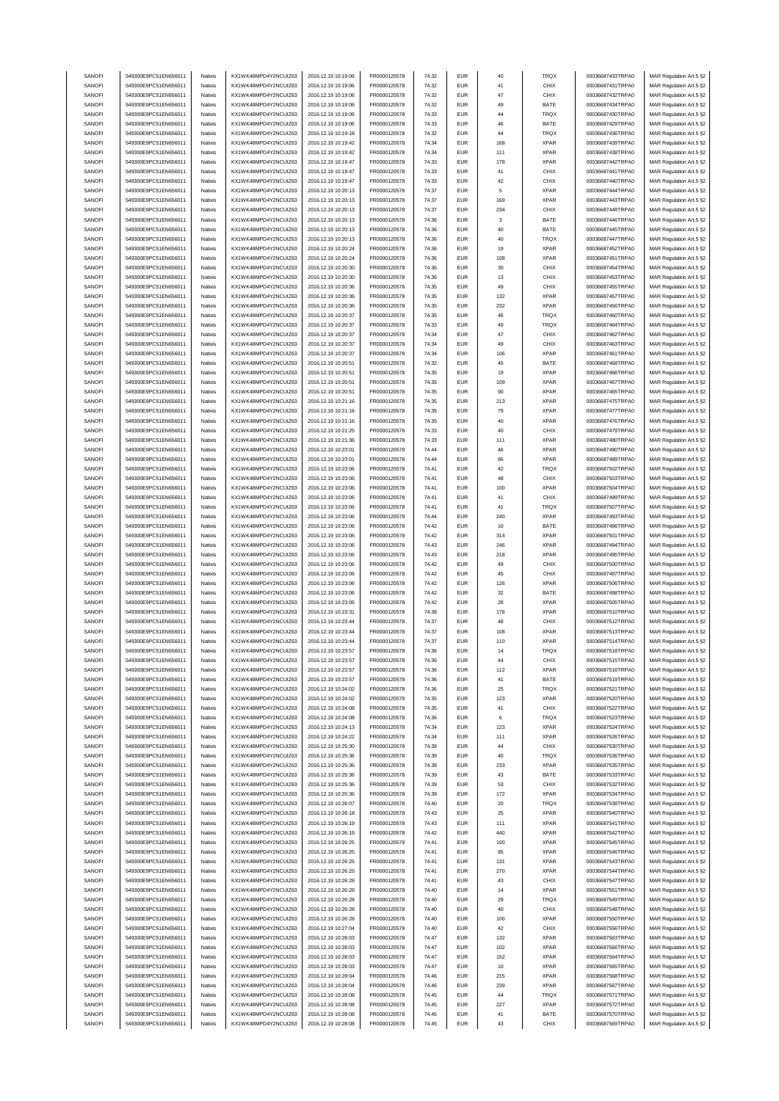| SANOFI           | 549300E9PC51EN656011                         | Natixis            | KX1WK48MPD4Y2NCUIZ63                         | 2016.12.19 10:19:06                        | FR0000120578                 | 74.32          | <b>EUR</b>        | 40       | TRQX         | 00036687433TRPA0                     | MAR Regulation Art.5 §2                            |
|------------------|----------------------------------------------|--------------------|----------------------------------------------|--------------------------------------------|------------------------------|----------------|-------------------|----------|--------------|--------------------------------------|----------------------------------------------------|
| SANOFI           | 549300E9PC51EN656011                         | Natixis            | KX1WK48MPD4Y2NCUIZ63                         | 2016.12.19 10:19:06                        | FR0000120578                 | 74.32          | <b>EUR</b>        | 41       | CHIX         | 00036687431TRPA0                     | MAR Regulation Art.5 §2                            |
| SANOFI           | 549300E9PC51EN656011                         | Natixis            | KX1WK48MPD4Y2NCUIZ63                         | 2016.12.19 10:19:06                        | FR0000120578                 | 74.32          | <b>EUR</b>        | 47       | CHIX         | 00036687432TRPA0                     | MAR Regulation Art.5 §2                            |
| SANOFI           | 549300E9PC51EN656011                         | Natixis            | KX1WK48MPD4Y2NCUIZ63                         | 2016.12.19 10:19:06                        | FR0000120578                 | 74.32          | <b>EUR</b>        | 49       | BATE         | 00036687434TRPA0                     | MAR Regulation Art.5 §2                            |
|                  |                                              |                    |                                              |                                            |                              |                |                   |          |              |                                      |                                                    |
| SANOFI           | 549300E9PC51EN656011                         | Natixis            | KX1WK48MPD4Y2NCUIZ63                         | 2016.12.19 10:19:06                        | FR0000120578                 | 74.33          | <b>EUR</b>        | 44       | TRQX         | 00036687430TRPA0                     | MAR Regulation Art.5 §2                            |
| SANOFI           | 549300E9PC51EN656011                         | Natixis            | KX1WK48MPD4Y2NCUIZ63                         | 2016.12.19 10:19:06                        | FR0000120578                 | 74.33          | <b>EUR</b>        | 46       | BATE         | 00036687429TRPA0                     | MAR Regulation Art.5 §2                            |
| SANOFI           | 549300E9PC51EN656011                         | Natixis            | KX1WK48MPD4Y2NCUIZ63                         | 2016.12.19 10:19:18                        | FR0000120578                 | 74.32          | <b>EUR</b>        | 44       | TRQX         | 00036687436TRPA0                     | MAR Regulation Art.5 §2                            |
| SANOFI           | 549300E9PC51EN656011                         | Natixis            | KX1WK48MPD4Y2NCUIZ63                         | 2016.12.19 10:19:42                        | FR0000120578                 | 74.34          | <b>EUR</b>        | 168      | <b>XPAR</b>  | 00036687439TRPA0                     | MAR Regulation Art.5 §2                            |
| SANOFI           | 549300E9PC51EN656011                         | Natixis            | KX1WK48MPD4Y2NCLIIZ63                        | 2016.12.19 10:19:42                        | FR0000120578                 | 74.34          | <b>EUR</b>        | 111      | <b>XPAR</b>  | 00036687438TRPA0                     | MAR Regulation Art.5 §2                            |
| SANOFI           | 549300E9PC51EN656011                         | Natixis            | KX1WK48MPD4Y2NCUIZ63                         | 2016.12.19 10:19:47                        | FR0000120578                 | 74.33          | <b>EUR</b>        | 178      | <b>XPAR</b>  | 00036687442TRPA0                     | MAR Regulation Art.5 §2                            |
|                  |                                              | Natixis            |                                              |                                            |                              |                | <b>EUR</b>        |          |              |                                      |                                                    |
| SANOFI           | 549300E9PC51EN656011                         |                    | KX1WK48MPD4Y2NCUIZ63                         | 2016.12.19 10:19:47                        | FR0000120578                 | 74.33          |                   | 41       | CHIX         | 00036687441TRPA0                     | MAR Regulation Art.5 §2                            |
| SANOFI           | 549300E9PC51EN656011                         | Natixis            | KX1WK48MPD4Y2NCUIZ63                         | 2016.12.19 10:19:47                        | FR0000120578                 | 74.33          | <b>EUR</b>        | 42       | CHIX         | 00036687440TRPA0                     | MAR Regulation Art.5 §2                            |
| SANOFI           | 549300E9PC51EN656011                         | Natixis            | KX1WK48MPD4Y2NCUIZ63                         | 2016.12.19 10:20:13                        | FR0000120578                 | 74.37          | <b>EUR</b>        | 5        | <b>XPAR</b>  | 00036687444TRPA0                     | MAR Regulation Art.5 §2                            |
| SANOFI           | 549300E9PC51EN656011                         | Natixis            | KX1WK48MPD4Y2NCUIZ63                         | 2016.12.19 10:20:13                        | FR0000120578                 | 74.37          | <b>EUR</b>        | 169      | <b>XPAR</b>  | 00036687443TRPA0                     | MAR Regulation Art.5 §2                            |
| SANOFI           | 549300E9PC51EN656011                         | Natixis            | KX1WK48MPD4Y2NCUIZ63                         | 2016.12.19 10:20:13                        | FR0000120578                 | 74.37          | <b>EUR</b>        | 234      | CHIX         | 00036687448TRPA0                     | MAR Regulation Art.5 §2                            |
|                  | 549300E9PC51EN656011                         |                    | KX1WK48MPD4Y2NCUIZ63                         |                                            |                              |                | <b>EUR</b>        |          |              |                                      |                                                    |
| SANOFI           |                                              | Natixis            |                                              | 2016.12.19 10:20:13                        | FR0000120578                 | 74.36          |                   | 3        | BATE         | 00036687446TRPA0                     | MAR Regulation Art.5 §2                            |
| SANOFI           | 549300E9PC51EN656011                         | Natixis            | KX1WK48MPD4Y2NCUIZ63                         | 2016.12.19 10:20:13                        | FR0000120578                 | 74.36          | <b>EUR</b>        | 40       | BATE         | 00036687445TRPA0                     | MAR Regulation Art.5 §2                            |
| SANOFI           | 549300E9PC51EN656011                         | Natixis            | KX1WK48MPD4Y2NCLIIZ63                        | 2016.12.19 10:20:13                        | FR0000120578                 | 74.36          | <b>EUR</b>        | 40       | TRQX         | 00036687447TRPA0                     | MAR Regulation Art.5 §2                            |
| SANOFI           | 549300E9PC51EN656011                         | Natixis            | KX1WK48MPD4Y2NCUIZ63                         | 2016.12.19 10:20:24                        | FR0000120578                 | 74.36          | <b>EUR</b>        | 19       | <b>XPAR</b>  | 00036687452TRPA0                     | MAR Regulation Art.5 §2                            |
| SANOFI           | 549300E9PC51EN656011                         | Natixis            | KX1WK48MPD4Y2NCUIZ63                         | 2016.12.19 10:20:24                        | FR0000120578                 | 74.36          | <b>EUR</b>        | 108      | <b>XPAR</b>  | 00036687451TRPA0                     | MAR Regulation Art.5 §2                            |
| SANOFI           | 549300E9PC51EN656011                         | Natixis            | KX1WK48MPD4Y2NCUIZ63                         | 2016.12.19 10:20:30                        | FR0000120578                 | 74.36          | <b>EUR</b>        | 30       | CHIX         | 00036687454TRPA0                     | MAR Regulation Art.5 §2                            |
| SANOFI           | 549300E9PC51EN656011                         | Natixis            | KX1WK48MPD4Y2NCUIZ63                         | 2016.12.19 10:20:30                        | FR0000120578                 | 74.36          | <b>EUR</b>        | 13       | CHIX         | 00036687453TRPA0                     | MAR Regulation Art.5 §2                            |
|                  |                                              |                    |                                              |                                            |                              |                |                   |          |              |                                      |                                                    |
| SANOFI           | 549300E9PC51EN656011                         | Natixis            | KX1WK48MPD4Y2NCUIZ63                         | 2016.12.19 10:20:36                        | FR0000120578                 | 74.35          | <b>EUR</b>        | 49       | CHIX         | 00036687455TRPA0                     | MAR Regulation Art.5 §2                            |
| SANOFI           | 549300E9PC51EN656011                         | Natixis            | KX1WK48MPD4Y2NCUIZ63                         | 2016.12.19 10:20:36                        | FR0000120578                 | 74.35          | <b>EUR</b>        | 132      | <b>XPAR</b>  | 00036687457TRPA0                     | MAR Regulation Art.5 §2                            |
| SANOFI           | 549300E9PC51EN656011                         | Natixis            | KX1WK48MPD4Y2NCUIZ63                         | 2016.12.19 10:20:36                        | FR0000120578                 | 74.35          | <b>EUR</b>        | 232      | <b>XPAR</b>  | 00036687456TRPA0                     | MAR Regulation Art.5 §2                            |
| SANOFI           | 549300E9PC51EN656011                         | Natixis            | KX1WK48MPD4Y2NCUIZ63                         | 2016.12.19 10:20:37                        | FR0000120578                 | 74.35          | <b>EUR</b>        | 46       | TRQX         | 00036687460TRPA0                     | MAR Regulation Art.5 §2                            |
| SANOFI           | 549300E9PC51EN656011                         | Natixis            | KX1WK48MPD4Y2NCLIIZ63                        | 2016.12.19 10:20:37                        | FR0000120578                 | 74.33          | <b>EUR</b>        | 49       | TRQX         | 00036687464TRPA0                     | MAR Regulation Art.5 §2                            |
| SANOFI           | 549300E9PC51EN656011                         | Natixis            | KX1WK48MPD4Y2NCUIZ63                         | 2016.12.19 10:20:37                        | FR0000120578                 | 74.34          | <b>EUR</b>        | 47       | CHIX         | 00036687462TRPA0                     | MAR Regulation Art.5 §2                            |
|                  |                                              |                    |                                              |                                            |                              |                |                   |          |              |                                      |                                                    |
| SANOFI           | 549300E9PC51EN656011                         | Natixis            | KX1WK48MPD4Y2NCUIZ63                         | 2016.12.19 10:20:37                        | FR0000120578                 | 74.34          | <b>EUR</b>        | 49       | CHIX         | 00036687463TRPA0                     | MAR Regulation Art.5 §2                            |
| SANOFI           | 549300E9PC51EN656011                         | Natixis            | KX1WK48MPD4Y2NCUIZ63                         | 2016.12.19 10:20:37                        | FR0000120578                 | 74.34          | <b>EUR</b>        | 106      | <b>XPAR</b>  | 00036687461TRPA0                     | MAR Regulation Art.5 §2                            |
| SANOFI           | 549300E9PC51EN656011                         | Natixis            | KX1WK48MPD4Y2NCUIZ63                         | 2016.12.19 10:20:51                        | FR0000120578                 | 74.32          | <b>EUR</b>        | 45       | BATE         | 00036687468TRPA0                     | MAR Regulation Art.5 §2                            |
| SANOFI           | 549300E9PC51EN656011                         | Natixis            | KX1WK48MPD4Y2NCUIZ63                         | 2016.12.19 10:20:51                        | FR0000120578                 | 74.35          | <b>EUR</b>        | 19       | <b>XPAR</b>  | 00036687466TRPA0                     | MAR Regulation Art.5 §2                            |
| SANOFI           | 549300E9PC51EN656011                         | Natixis            | KX1WK48MPD4Y2NCUIZ63                         | 2016.12.19 10:20:51                        | FR0000120578                 | 74.35          | <b>EUR</b>        | 109      | <b>XPAR</b>  | 00036687467TRPA0                     | MAR Regulation Art.5 §2                            |
|                  |                                              |                    |                                              |                                            |                              |                |                   |          |              |                                      |                                                    |
| SANOFI           | 549300E9PC51EN656011                         | Natixis            | KX1WK48MPD4Y2NCUIZ63                         | 2016.12.19 10:20:51                        | FR0000120578                 | 74.35          | <b>EUR</b>        | 90       | <b>XPAR</b>  | 00036687465TRPA0                     | MAR Regulation Art.5 §2                            |
| SANOFI           | 549300E9PC51EN656011                         | Natixis            | KX1WK48MPD4Y2NCUIZ63                         | 2016.12.19 10:21:16                        | FR0000120578                 | 74.35          | <b>EUR</b>        | 213      | <b>XPAR</b>  | 00036687475TRPA0                     | MAR Regulation Art.5 §2                            |
| SANOFI           | 549300E9PC51EN656011                         | Natixis            | KX1WK48MPD4Y2NCLIIZ63                        | 2016.12.19 10:21:16                        | FR0000120578                 | 74.35          | <b>EUR</b>        | 79       | <b>XPAR</b>  | 00036687477TRPA0                     | MAR Regulation Art.5 §2                            |
| SANOFI           | 549300E9PC51EN656011                         | Natixis            | KX1WK48MPD4Y2NCUIZ63                         | 2016.12.19 10:21:16                        | FR0000120578                 | 74.35          | <b>EUR</b>        | 40       | <b>XPAR</b>  | 00036687476TRPA0                     | MAR Regulation Art.5 §2                            |
| SANOFI           | 549300E9PC51EN656011                         | Natixis            | KX1WK48MPD4Y2NCUIZ63                         | 2016.12.19 10:21:25                        | FR0000120578                 | 74.33          | <b>EUR</b>        | 40       | CHIX         | 00036687479TRPA0                     | MAR Regulation Art.5 §2                            |
| SANOFI           | 549300E9PC51EN656011                         | Natixis            | KX1WK48MPD4Y2NCUIZ63                         | 2016.12.19 10:21:36                        | FR0000120578                 | 74.33          | <b>EUR</b>        | 111      | <b>XPAR</b>  | 00036687480TRPA0                     | MAR Regulation Art.5 §2                            |
|                  |                                              |                    |                                              |                                            |                              |                |                   |          |              |                                      |                                                    |
| SANOFI           | 549300E9PC51EN656011                         | Natixis            | KX1WK48MPD4Y2NCUIZ63                         | 2016.12.19 10:23:01                        | FR0000120578                 | 74.44          | <b>EUR</b>        | 46       | <b>XPAR</b>  | 00036687490TRPA0                     | MAR Regulation Art.5 §2                            |
| SANOFI           | 549300E9PC51EN656011                         | Natixis            | KX1WK48MPD4Y2NCUIZ63                         | 2016.12.19 10:23:01                        | FR0000120578                 | 74.44          | <b>EUR</b>        | 86       | <b>XPAR</b>  | 00036687489TRPA0                     | MAR Regulation Art.5 §2                            |
| SANOFI           | 549300E9PC51EN656011                         | Natixis            | KX1WK48MPD4Y2NCUIZ63                         | 2016.12.19 10:23:06                        | FR0000120578                 | 74.41          | <b>EUR</b>        | 42       | TRQX         | 00036687502TRPA0                     | MAR Regulation Art.5 §2                            |
| SANOFI           | 549300E9PC51EN656011                         | Natixis            | KX1WK48MPD4Y2NCUIZ63                         | 2016.12.19 10:23:06                        | FR0000120578                 | 74.41          | <b>EUR</b>        | 48       | CHIX         | 00036687503TRPA0                     | MAR Regulation Art.5 §2                            |
| SANOFI           | 549300E9PC51EN656011                         | Natixis            | KX1WK48MPD4Y2NCUIZ63                         | 2016.12.19 10:23:06                        | FR0000120578                 | 74.41          | <b>EUR</b>        | 100      | <b>XPAR</b>  | 00036687504TRPA0                     | MAR Regulation Art.5 §2                            |
|                  |                                              |                    |                                              |                                            |                              |                |                   |          |              |                                      |                                                    |
| SANOFI           | 549300E9PC51EN656011                         | Natixis            | KX1WK48MPD4Y2NCUIZ63                         | 2016.12.19 10:23:06                        | FR0000120578                 | 74.41          | <b>EUR</b>        | 41       | CHIX         | 00036687499TRPA0                     | MAR Regulation Art.5 §2                            |
| SANOFI           | 549300E9PC51EN656011                         | Natixis            | KX1WK48MPD4Y2NCUIZ63                         | 2016.12.19 10:23:06                        | FR0000120578                 | 74.41          | <b>EUR</b>        | 41       | TRQX         | 00036687507TRPA0                     | MAR Regulation Art.5 §2                            |
| SANOFI           | 549300E9PC51EN656011                         | Natixis            | KX1WK48MPD4Y2NCUIZ63                         | 2016.12.19 10:23:06                        | FR0000120578                 | 74.44          | <b>EUR</b>        | 240      | <b>XPAR</b>  | 00036687493TRPA0                     | MAR Regulation Art.5 §2                            |
| SANOFI           | 549300E9PC51EN656011                         | Natixis            | KX1WK48MPD4Y2NCUIZ63                         | 2016.12.19 10:23:06                        | FR0000120578                 | 74.42          | <b>EUR</b>        | 10       | BATE         | 00036687496TRPA0                     | MAR Regulation Art.5 §2                            |
| SANOFI           | 549300E9PC51EN656011                         | Natixis            | KX1WK48MPD4Y2NCUIZ63                         | 2016.12.19 10:23:06                        | FR0000120578                 | 74.42          | <b>EUR</b>        | 314      | <b>XPAR</b>  | 00036687501TRPA0                     | MAR Regulation Art.5 §2                            |
| SANOFI           | 549300E9PC51EN656011                         | Natixis            | KX1WK48MPD4Y2NCUIZ63                         | 2016.12.19 10:23:06                        | FR0000120578                 | 74.43          | <b>EUR</b>        | 246      | <b>XPAR</b>  | 00036687494TRPA0                     |                                                    |
|                  |                                              |                    |                                              |                                            |                              |                |                   |          |              |                                      | MAR Regulation Art.5 §2                            |
| SANOFI           | 549300E9PC51EN656011                         | Natixis            | KX1WK48MPD4Y2NCUIZ63                         | 2016.12.19 10:23:06                        | FR0000120578                 | 74.43          | <b>EUR</b>        | 218      | <b>XPAR</b>  | 00036687495TRPA0                     | MAR Regulation Art.5 §2                            |
| SANOFI           | 549300E9PC51EN656011                         | Natixis            | KX1WK48MPD4Y2NCUIZ63                         | 2016.12.19 10:23:06                        | FR0000120578                 | 74.42          | <b>EUR</b>        | 49       | CHIX         | 00036687500TRPA0                     | MAR Regulation Art.5 §2                            |
| SANOFI           | 549300E9PC51EN656011                         | Natixis            | KX1WK48MPD4Y2NCUIZ63                         | 2016.12.19 10:23:06                        | FR0000120578                 | 74.42          | <b>EUR</b>        | 45       | CHIX         | 00036687497TRPA0                     | MAR Regulation Art.5 §2                            |
| SANOFI           | 549300E9PC51EN656011                         | Natixis            | KX1WK48MPD4Y2NCUIZ63                         | 2016.12.19 10:23:06                        | FR0000120578                 | 74.42          | <b>EUR</b>        | 126      | <b>XPAR</b>  | 00036687506TRPA0                     | MAR Regulation Art.5 §2                            |
| SANOFI           | 549300E9PC51EN656011                         | Natixis            | KX1WK48MPD4Y2NCUIZ63                         | 2016.12.19 10:23:06                        | FR0000120578                 | 74.42          | <b>EUR</b>        | 32       | BATE         | 00036687498TRPA0                     | MAR Regulation Art.5 §2                            |
|                  |                                              |                    | KX1WK48MPD4Y2NCUIZ63                         |                                            | FR0000120578                 |                |                   |          |              |                                      |                                                    |
| SANOFI           | 549300E9PC51EN656011                         | Natixis            |                                              | 2016.12.19 10:23:06                        |                              | 74.42          | <b>EUR</b>        | 28       | <b>XPAR</b>  | 00036687505TRPA0                     | MAR Regulation Art.5 §2                            |
| SANOFI           | 549300E9PC51EN656011                         | Natixis            | KX1WK48MPD4Y2NCUIZ63                         | 2016.12.19 10:23:31                        | FR0000120578                 | 74.38          | <b>EUR</b>        | 176      | <b>XPAR</b>  | 00036687510TRPA0                     | MAR Regulation Art.5 §2                            |
| SANOFI           | 549300E9PC51EN656011                         | Natixis            | KX1WK48MPD4Y2NCUIZ63                         | 2016.12.19 10:23:44                        | FR0000120578                 | 74.37          | <b>EUR</b>        | 48       | CHIX         | 00036687512TRPA0                     | MAR Regulation Art.5 §2                            |
| SANOFI           | 549300E9PC51EN656011                         | Natixis            | KX1WK48MPD4Y2NCUIZ63                         | 2016.12.19 10:23:44                        | FR0000120578                 | 74.37          | <b>EUR</b>        | 108      | <b>XPAR</b>  | 00036687513TRPA0                     | MAR Regulation Art.5 §2                            |
| SANOFI           | 549300E9PC51EN656011                         | Natixis            | KX1WK48MPD4Y2NCUIZ63                         | 2016.12.19 10:23:44                        | FR0000120578                 | 74.37          | <b>EUR</b>        | 110      | <b>XPAR</b>  | 00036687514TRPA0                     | MAR Regulation Art.5 §2                            |
|                  |                                              |                    |                                              |                                            |                              |                |                   |          |              |                                      |                                                    |
| SANOF            | 549300E9PC51EN656011                         | Natixis            | KX1WK48MPD4Y2NCUIZ63                         | 2016.12.19 10:23:57                        | FR0000120578                 | 74.36          | EUR               |          | TRQX         | 00036687518TRPA0                     | MAR Regulation Art.5 §2                            |
| SANOFI           | 549300E9PC51EN656011                         | Natixis            | KX1WK48MPD4Y2NCUIZ63                         | 2016.12.19 10:23:57                        | FR0000120578                 | 74.36          | <b>EUR</b>        | 44       | CHIX         | 00036687515TRPA0                     | MAR Regulation Art.5 §2                            |
| SANOFI           | 549300E9PC51EN656011                         | Natixis            | KX1WK48MPD4Y2NCUIZ63                         | 2016.12.19 10:23:57                        | FR0000120578                 | 74.36          | <b>EUR</b>        | 112      | <b>XPAR</b>  | 00036687516TRPA0                     | MAR Regulation Art.5 §2                            |
| SANOFI           | 549300E9PC51EN656011                         | Natixis            | KX1WK48MPD4Y2NCUIZ63                         | 2016.12.19 10:23:57                        | FR0000120578                 | 74.36          | <b>EUR</b>        | 41       | BATE         | 00036687519TRPA0                     | MAR Regulation Art.5 §2                            |
| SANOFI           | 549300E9PC51EN656011                         | Natixis            | KX1WK48MPD4Y2NCUIZ63                         | 2016.12.19 10:24:02                        | FR0000120578                 | 74.36          | <b>EUR</b>        | 25       | TRQX         | 00036687521TRPA0                     | MAR Regulation Art.5 §2                            |
| SANOFI           | 549300E9PC51EN656011                         | Natixis            | KX1WK48MPD4Y2NCUIZ63                         | 2016.12.19 10:24:02                        | FR0000120578                 | 74.35          | <b>EUR</b>        | 123      | <b>XPAR</b>  | 00036687520TRPA0                     | MAR Regulation Art.5 §2                            |
| SANOFI           | 549300E9PC51EN656011                         | Natixis            | KX1WK48MPD4Y2NCUIZ63                         | 2016.12.19 10:24:08                        | FR0000120578                 | 74.35          | ${\sf EUR}$       | 41       | CHIX         | 00036687522TRPA0                     | MAR Regulation Art.5 §2                            |
| SANOFI           | 549300E9PC51EN656011                         | Natixis            | KX1WK48MPD4Y2NCUIZ63                         | 2016.12.19 10:24:08                        | FR0000120578                 |                |                   | 6        | TRQX         |                                      |                                                    |
|                  |                                              |                    |                                              |                                            |                              | 74.36          | EUR               |          |              | 00036687523TRPA0                     | MAR Regulation Art.5 §2                            |
| SANOFI           | 549300E9PC51EN656011                         | Natixis            | KX1WK48MPD4Y2NCUIZ63                         | 2016.12.19 10:24:13                        | FR0000120578                 | 74.34          | <b>EUR</b>        | 123      | <b>XPAR</b>  | 00036687524TRPA0                     | MAR Regulation Art.5 §2                            |
| SANOFI           | 549300E9PC51EN656011                         | Natixis            | KX1WK48MPD4Y2NCUIZ63                         | 2016.12.19 10:24:22                        | FR0000120578                 | 74.34          | <b>EUR</b>        | 111      | <b>XPAR</b>  | 00036687526TRPA0                     | MAR Regulation Art.5 §2                            |
| SANOFI           | 549300E9PC51EN656011                         | Natixis            | KX1WK48MPD4Y2NCUIZ63                         | 2016.12.19 10:25:30                        | FR0000120578                 | 74.39          | <b>EUR</b>        | 44       | CHIX         | 00036687530TRPA0                     | MAR Regulation Art.5 §2                            |
| SANOFI           | 549300E9PC51EN656011                         | Natixis            | KX1WK48MPD4Y2NCUIZ63                         | 2016.12.19 10:25:36                        | FR0000120578                 | 74.39          | <b>EUR</b>        | 40       | TRQX         | 00036687536TRPA0                     | MAR Regulation Art.5 §2                            |
| SANOFI           | 549300E9PC51EN656011                         | Natixis            | KX1WK48MPD4Y2NCUIZ63                         | 2016.12.19 10:25:36                        | FR0000120578                 | 74.39          | <b>EUR</b>        | 233      | <b>XPAR</b>  | 00036687535TRPA0                     | MAR Regulation Art.5 §2                            |
| SANOFI           | 549300E9PC51EN656011                         | Natixis            | KX1WK48MPD4Y2NCUIZ63                         | 2016.12.19 10:25:36                        | FR0000120578                 | 74.39          | <b>EUR</b>        | 43       | BATE         | 00036687533TRPA0                     | MAR Regulation Art.5 §2                            |
|                  |                                              |                    |                                              |                                            |                              |                |                   |          |              |                                      |                                                    |
| SANOFI           | 549300E9PC51EN656011                         | Natixis            | KX1WK48MPD4Y2NCUIZ63                         | 2016.12.19 10:25:36                        | FR0000120578                 | 74.39          | <b>EUR</b>        | 53       | CHIX         | 00036687532TRPA0                     | MAR Regulation Art.5 §2                            |
| SANOFI           | 549300E9PC51EN656011                         | Natixis            | KX1WK48MPD4Y2NCUIZ63                         | 2016.12.19 10:25:36                        | FR0000120578                 | 74.39          | <b>EUR</b>        | 172      | <b>XPAR</b>  | 00036687534TRPA0                     | MAR Regulation Art.5 §2                            |
| SANOFI           | 549300E9PC51EN656011                         | Natixis            | KX1WK48MPD4Y2NCUIZ63                         | 2016.12.19 10:26:07                        | FR0000120578                 | 74.40          | <b>EUR</b>        | 20       | TRQX         | 00036687538TRPA0                     | MAR Regulation Art.5 §2                            |
| SANOFI           | 549300E9PC51EN656011                         | Natixis            | KX1WK48MPD4Y2NCUIZ63                         | 2016.12.19 10:26:18                        | FR0000120578                 | 74.43          | <b>EUR</b>        | 25       | <b>XPAR</b>  | 00036687540TRPA0                     | MAR Regulation Art.5 §2                            |
| SANOFI           | 549300E9PC51EN656011                         | Natixis            | KX1WK48MPD4Y2NCUIZ63                         | 2016.12.19 10:26:19                        | FR0000120578                 | 74.43          | <b>EUR</b>        | 111      | <b>XPAR</b>  | 00036687541TRPA0                     | MAR Regulation Art.5 §2                            |
| SANOFI           | 549300E9PC51EN656011                         | Natixis            | KX1WK48MPD4Y2NCUIZ63                         | 2016.12.19 10:26:19                        | FR0000120578                 | 74.42          | <b>EUR</b>        | 440      | <b>XPAR</b>  | 00036687542TRPA0                     | MAR Regulation Art.5 §2                            |
|                  |                                              |                    |                                              |                                            |                              |                |                   |          |              |                                      |                                                    |
| SANOFI           | 549300E9PC51EN656011                         | Natixis            | KX1WK48MPD4Y2NCUIZ63                         | 2016.12.19 10:26:25                        | FR0000120578                 | 74.41          | <b>EUR</b>        | 100      | <b>XPAR</b>  | 00036687545TRPA0                     | MAR Regulation Art.5 §2                            |
| SANOFI           | 549300E9PC51EN656011                         | Natixis            | KX1WK48MPD4Y2NCUIZ63                         | 2016.12.19 10:26:25                        | FR0000120578                 | 74.41          | <b>EUR</b>        | 85       | <b>XPAR</b>  | 00036687546TRPA0                     | MAR Regulation Art.5 §2                            |
| SANOFI           | 549300E9PC51EN656011                         | Natixis            | KX1WK48MPD4Y2NCUIZ63                         | 2016.12.19 10:26:25                        | FR0000120578                 | 74.41          | <b>EUR</b>        | 131      | <b>XPAR</b>  | 00036687543TRPA0                     | MAR Regulation Art.5 §2                            |
| SANOFI           | 549300E9PC51EN656011                         | Natixis            | KX1WK48MPD4Y2NCUIZ63                         | 2016.12.19 10:26:25                        | FR0000120578                 | 74.41          | <b>EUR</b>        | 270      | <b>XPAR</b>  | 00036687544TRPA0                     | MAR Regulation Art.5 §2                            |
| SANOFI           | 549300E9PC51EN656011                         | Natixis            | KX1WK48MPD4Y2NCUIZ63                         | 2016.12.19 10:26:28                        | FR0000120578                 | 74.41          | <b>EUR</b>        | 43       | CHIX         | 00036687547TRPA0                     | MAR Regulation Art.5 §2                            |
|                  |                                              |                    |                                              |                                            |                              |                |                   |          |              |                                      |                                                    |
| SANOFI           | 549300E9PC51EN656011                         | Natixis            | KX1WK48MPD4Y2NCUIZ63                         | 2016.12.19 10:26:28                        | FR0000120578                 | 74.40          | <b>EUR</b>        | 14       | <b>XPAR</b>  | 00036687551TRPA0                     | MAR Regulation Art.5 §2                            |
| SANOFI           | 549300E9PC51EN656011                         | Natixis            | KX1WK48MPD4Y2NCUIZ63                         | 2016.12.19 10:26:28                        | FR0000120578                 | 74.40          | <b>EUR</b>        | 29       | TRQX         | 00036687549TRPA0                     | MAR Regulation Art.5 §2                            |
| SANOFI           | 549300E9PC51EN656011                         | Natixis            | KX1WK48MPD4Y2NCUIZ63                         | 2016.12.19 10:26:28                        | FR0000120578                 | 74.40          | <b>EUR</b>        | 40       | CHIX         | 00036687548TRPA0                     | MAR Regulation Art.5 §2                            |
| SANOFI           | 549300E9PC51EN656011                         | Natixis            | KX1WK48MPD4Y2NCUIZ63                         | 2016.12.19 10:26:28                        | FR0000120578                 | 74.40          | <b>EUR</b>        | 100      | <b>XPAR</b>  | 00036687550TRPA0                     | MAR Regulation Art.5 §2                            |
| SANOFI           | 549300E9PC51EN656011                         | Natixis            | KX1WK48MPD4Y2NCUIZ63                         | 2016.12.19 10:27:04                        | FR0000120578                 | 74.40          | <b>EUR</b>        | 42       | CHIX         | 00036687556TRPA0                     | MAR Regulation Art.5 §2                            |
|                  |                                              |                    |                                              |                                            |                              |                |                   |          |              |                                      |                                                    |
| SANOFI           | 549300E9PC51EN656011                         | Natixis            | KX1WK48MPD4Y2NCUIZ63                         | 2016.12.19 10:28:03                        | FR0000120578                 | 74.47          | <b>EUR</b>        | 132      | <b>XPAR</b>  | 00036687563TRPA0                     | MAR Regulation Art.5 §2                            |
| SANOFI           | 549300E9PC51EN656011                         | Natixis            | KX1WK48MPD4Y2NCUIZ63                         | 2016.12.19 10:28:03                        | FR0000120578                 | 74.47          | <b>EUR</b>        | 102      | <b>XPAR</b>  | 00036687566TRPA0                     | MAR Regulation Art.5 §2                            |
| SANOFI           | 549300E9PC51EN656011                         | Natixis            | KX1WK48MPD4Y2NCUIZ63                         | 2016.12.19 10:28:03                        | FR0000120578                 | 74.47          | <b>EUR</b>        | 152      | <b>XPAR</b>  | 00036687564TRPA0                     | MAR Regulation Art.5 §2                            |
| SANOFI           | 549300E9PC51EN656011                         | Natixis            | KX1WK48MPD4Y2NCUIZ63                         | 2016.12.19 10:28:03                        | FR0000120578                 | 74.47          | EUR               | 10       | <b>XPAR</b>  | 00036687565TRPA0                     | MAR Regulation Art.5 §2                            |
| SANOFI           | 549300E9PC51EN656011                         | Natixis            | KX1WK48MPD4Y2NCUIZ63                         | 2016.12.19 10:28:04                        | FR0000120578                 | 74.46          | <b>EUR</b>        | 215      | <b>XPAR</b>  | 00036687568TRPA0                     | MAR Regulation Art.5 §2                            |
| SANOFI           | 549300E9PC51EN656011                         | Natixis            | KX1WK48MPD4Y2NCUIZ63                         | 2016.12.19 10:28:04                        | FR0000120578                 | 74.46          | <b>EUR</b>        | 239      | <b>XPAR</b>  | 00036687567TRPA0                     | MAR Regulation Art.5 §2                            |
| SANOFI           | 549300E9PC51EN656011                         | Natixis            | KX1WK48MPD4Y2NCUIZ63                         | 2016.12.19 10:28:08                        | FR0000120578                 | 74.45          | <b>EUR</b>        | 44       | TRQX         | 00036687571TRPA0                     | MAR Regulation Art.5 §2                            |
|                  |                                              |                    |                                              |                                            |                              |                |                   |          |              |                                      |                                                    |
|                  |                                              |                    |                                              |                                            |                              |                |                   |          |              |                                      |                                                    |
| SANOFI           | 549300E9PC51EN656011                         | Natixis            | KX1WK48MPD4Y2NCUIZ63                         | 2016.12.19 10:28:08                        | FR0000120578                 | 74.45          | <b>EUR</b>        | 227      | <b>XPAR</b>  | 00036687572TRPA0                     | MAR Regulation Art.5 §2                            |
| SANOFI<br>SANOFI | 549300E9PC51EN656011<br>549300E9PC51EN656011 | Natixis<br>Natixis | KX1WK48MPD4Y2NCUIZ63<br>KX1WK48MPD4Y2NCUIZ63 | 2016.12.19 10:28:08<br>2016.12.19 10:28:08 | FR0000120578<br>FR0000120578 | 74.45<br>74.45 | <b>EUR</b><br>EUR | 41<br>43 | BATE<br>CHIX | 00036687570TRPA0<br>00036687569TRPA0 | MAR Regulation Art.5 §2<br>MAR Regulation Art.5 §2 |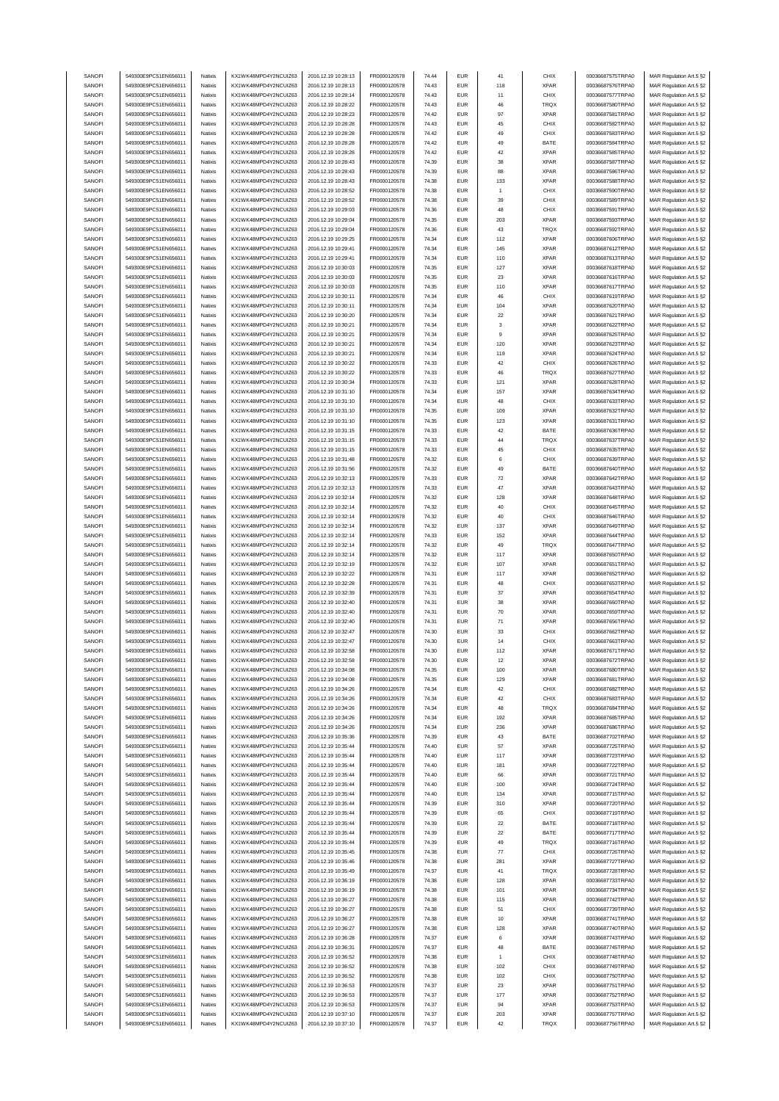| SANOFI | 549300E9PC51EN656011 | Natixis | KX1WK48MPD4Y2NCUIZ63 | 2016.12.19 10:28:13 | FR0000120578 | 74.44 | <b>EUR</b> | 41           | CHIX        | 00036687575TRPA0 | MAR Regulation Art.5 §2 |
|--------|----------------------|---------|----------------------|---------------------|--------------|-------|------------|--------------|-------------|------------------|-------------------------|
| SANOFI | 549300E9PC51EN656011 | Natixis | KX1WK48MPD4Y2NCUIZ63 | 2016.12.19 10:28:13 | FR0000120578 | 74.43 | <b>EUR</b> | 118          | <b>XPAR</b> | 00036687576TRPA0 | MAR Regulation Art.5 §2 |
| SANOFI | 549300E9PC51EN656011 | Natixis | KX1WK48MPD4Y2NCUIZ63 | 2016.12.19 10:28:14 | FR0000120578 | 74.43 | <b>EUR</b> | 11           | CHIX        | 00036687577TRPA0 | MAR Regulation Art.5 §2 |
| SANOFI | 549300E9PC51EN656011 | Natixis | KX1WK48MPD4Y2NCUIZ63 | 2016.12.19 10:28:22 | FR0000120578 | 74.43 | <b>EUR</b> | 46           | <b>TRQX</b> | 00036687580TRPA0 | MAR Regulation Art.5 §2 |
|        |                      |         |                      |                     |              |       |            |              |             |                  |                         |
| SANOFI | 549300E9PC51EN656011 | Natixis | KX1WK48MPD4Y2NCUIZ63 | 2016.12.19 10:28:23 | FR0000120578 | 74.42 | <b>EUR</b> | 97           | <b>XPAR</b> | 00036687581TRPA0 | MAR Regulation Art.5 §2 |
| SANOFI | 549300E9PC51EN656011 | Natixis | KX1WK48MPD4Y2NCUIZ63 | 2016.12.19 10:28:28 | FR0000120578 | 74.43 | <b>EUR</b> | 45           | CHIX        | 00036687582TRPA0 | MAR Regulation Art.5 §2 |
| SANOFI | 549300E9PC51EN656011 | Natixis | KX1WK48MPD4Y2NCUIZ63 | 2016.12.19 10:28:28 | FR0000120578 | 74.42 | <b>EUR</b> | 49           | CHIX        | 00036687583TRPA0 | MAR Regulation Art.5 §2 |
| SANOFI | 549300E9PC51EN656011 | Natixis | KX1WK48MPD4Y2NCUIZ63 | 2016.12.19 10:28:28 | FR0000120578 | 74.42 | <b>EUR</b> | 49           | BATE        | 00036687584TRPA0 | MAR Regulation Art.5 §2 |
| SANOFI | 549300E9PC51EN656011 | Natixis | KX1WK48MPD4Y2NCUIZ63 | 2016.12.19 10:28:28 | FR0000120578 | 74.42 | <b>EUR</b> | 42           | <b>XPAR</b> | 00036687585TRPA0 | MAR Regulation Art.5 §2 |
| SANOFI | 549300E9PC51EN656011 | Natixis | KX1WK48MPD4Y2NCUIZ63 | 2016.12.19 10:28:43 | FR0000120578 | 74.39 | <b>EUR</b> | 38           | <b>XPAR</b> | 00036687587TRPA0 | MAR Regulation Art.5 §2 |
| SANOFI | 549300E9PC51EN656011 | Natixis | KX1WK48MPD4Y2NCUIZ63 | 2016.12.19 10:28:43 | FR0000120578 | 74.39 | <b>EUR</b> | 88           | <b>XPAR</b> | 00036687586TRPA0 | MAR Regulation Art.5 §2 |
|        |                      |         |                      |                     |              |       |            |              |             |                  |                         |
| SANOFI | 549300E9PC51EN656011 | Natixis | KX1WK48MPD4Y2NCUIZ63 | 2016.12.19 10:28:43 | FR0000120578 | 74.38 | <b>EUR</b> | 133          | <b>XPAR</b> | 00036687588TRPA0 | MAR Regulation Art.5 §2 |
| SANOFI | 549300E9PC51EN656011 | Natixis | KX1WK48MPD4Y2NCUIZ63 | 2016.12.19 10:28:52 | FR0000120578 | 74.38 | <b>EUR</b> | 1            | CHIX        | 00036687590TRPA0 | MAR Regulation Art.5 §2 |
| SANOFI | 549300E9PC51EN656011 | Natixis | KX1WK48MPD4Y2NCUIZ63 | 2016.12.19 10:28:52 | FR0000120578 | 74.38 | <b>EUR</b> | 39           | CHIX        | 00036687589TRPA0 | MAR Regulation Art.5 §2 |
| SANOFI | 549300E9PC51EN656011 | Natixis | KX1WK48MPD4Y2NCUIZ63 | 2016.12.19 10:29:03 | FR0000120578 | 74.36 | <b>EUR</b> | 48           | CHIX        | 00036687591TRPA0 | MAR Regulation Art.5 §2 |
| SANOFI | 549300E9PC51EN656011 | Natixis | KX1WK48MPD4Y2NCUIZ63 | 2016.12.19 10:29:04 | FR0000120578 | 74.35 | <b>EUR</b> | 203          | <b>XPAR</b> | 00036687593TRPA0 | MAR Regulation Art.5 §2 |
|        |                      |         |                      |                     |              |       |            |              |             |                  |                         |
| SANOFI | 549300E9PC51EN656011 | Natixis | KX1WK48MPD4Y2NCUIZ63 | 2016.12.19 10:29:04 | FR0000120578 | 74.36 | <b>EUR</b> | 43           | TRQX        | 00036687592TRPA0 | MAR Regulation Art.5 §2 |
| SANOFI | 549300E9PC51EN656011 | Natixis | KX1WK48MPD4Y2NCUIZ63 | 2016.12.19 10:29:25 | FR0000120578 | 74.34 | <b>EUR</b> | 112          | <b>XPAR</b> | 00036687606TRPA0 | MAR Regulation Art.5 §2 |
| SANOFI | 549300E9PC51EN656011 | Natixis | KX1WK48MPD4Y2NCUIZ63 | 2016.12.19 10:29:41 | FR0000120578 | 74.34 | <b>EUR</b> | 145          | <b>XPAR</b> | 00036687612TRPA0 | MAR Regulation Art.5 §2 |
| SANOFI | 549300E9PC51EN656011 | Natixis | KX1WK48MPD4Y2NCUIZ63 | 2016.12.19 10:29:41 | FR0000120578 | 74.34 | <b>EUR</b> | 110          | <b>XPAR</b> | 00036687613TRPA0 | MAR Regulation Art.5 §2 |
| SANOFI | 549300E9PC51EN656011 | Natixis | KX1WK48MPD4Y2NCUIZ63 | 2016.12.19 10:30:03 | FR0000120578 | 74.35 | <b>EUR</b> | 127          | <b>XPAR</b> | 00036687618TRPA0 | MAR Regulation Art.5 §2 |
| SANOFI | 549300E9PC51EN656011 | Natixis | KX1WK48MPD4Y2NCUIZ63 | 2016.12.19 10:30:03 | FR0000120578 | 74.35 | <b>EUR</b> | 23           | <b>XPAR</b> | 00036687616TRPA0 | MAR Regulation Art.5 §2 |
|        |                      |         |                      |                     |              |       |            |              |             |                  |                         |
| SANOFI | 549300E9PC51EN656011 | Natixis | KX1WK48MPD4Y2NCUIZ63 | 2016.12.19 10:30:03 | FR0000120578 | 74.35 | <b>EUR</b> | 110          | <b>XPAR</b> | 00036687617TRPA0 | MAR Regulation Art.5 §2 |
| SANOFI | 549300E9PC51EN656011 | Natixis | KX1WK48MPD4Y2NCUIZ63 | 2016.12.19 10:30:11 | FR0000120578 | 74.34 | <b>EUR</b> | 46           | CHIX        | 00036687619TRPA0 | MAR Regulation Art.5 §2 |
| SANOFI | 549300E9PC51EN656011 | Natixis | KX1WK48MPD4Y2NCUIZ63 | 2016.12.19 10:30:11 | FR0000120578 | 74.34 | <b>EUR</b> | 104          | <b>XPAR</b> | 00036687620TRPA0 | MAR Regulation Art.5 §2 |
| SANOFI | 549300E9PC51EN656011 | Natixis | KX1WK48MPD4Y2NCUIZ63 | 2016.12.19 10:30:20 | FR0000120578 | 74.34 | <b>EUR</b> | 22           | <b>XPAR</b> | 00036687621TRPA0 | MAR Regulation Art.5 §2 |
| SANOFI | 549300E9PC51EN656011 | Natixis | KX1WK48MPD4Y2NCUIZ63 | 2016.12.19 10:30:21 | FR0000120578 | 74.34 | <b>EUR</b> | 3            | <b>XPAR</b> | 00036687622TRPA0 | MAR Regulation Art.5 §2 |
| SANOFI | 549300E9PC51EN656011 | Natixis | KX1WK48MPD4Y2NCUIZ63 | 2016.12.19 10:30:21 | FR0000120578 | 74.34 | <b>EUR</b> | 9            | <b>XPAR</b> | 00036687625TRPA0 | MAR Regulation Art.5 §2 |
| SANOFI | 549300E9PC51EN656011 | Natixis |                      | 2016.12.19.10:30:21 | FR0000120578 | 74.34 | <b>EUR</b> |              |             | 00036687623TRPA0 | MAR Regulation Art.5 §2 |
|        |                      |         | KX1WK48MPD4Y2NCUIZ63 |                     |              |       |            | 120          | <b>XPAR</b> |                  |                         |
| SANOFI | 549300E9PC51EN656011 | Natixis | KX1WK48MPD4Y2NCUIZ63 | 2016.12.19 10:30:21 | FR0000120578 | 74.34 | <b>EUR</b> | 119          | <b>XPAR</b> | 00036687624TRPA0 | MAR Regulation Art.5 §2 |
| SANOFI | 549300E9PC51EN656011 | Natixis | KX1WK48MPD4Y2NCUIZ63 | 2016.12.19 10:30:22 | FR0000120578 | 74.33 | <b>EUR</b> | 42           | CHIX        | 00036687626TRPA0 | MAR Regulation Art.5 §2 |
| SANOFI | 549300E9PC51EN656011 | Natixis | KX1WK48MPD4Y2NCUIZ63 | 2016.12.19 10:30:22 | FR0000120578 | 74.33 | <b>EUR</b> | 46           | <b>TRQX</b> | 00036687627TRPA0 | MAR Regulation Art.5 §2 |
| SANOFI | 549300E9PC51EN656011 | Natixis | KX1WK48MPD4Y2NCUIZ63 | 2016.12.19 10:30:34 | FR0000120578 | 74.33 | <b>EUR</b> | 121          | <b>XPAR</b> | 00036687628TRPA0 | MAR Regulation Art.5 §2 |
| SANOFI | 549300E9PC51EN656011 | Natixis | KX1WK48MPD4Y2NCUIZ63 | 2016.12.19 10:31:10 | FR0000120578 | 74.34 | <b>EUR</b> | 157          | <b>XPAR</b> | 00036687634TRPA0 | MAR Regulation Art.5 §2 |
|        |                      |         |                      |                     |              |       |            |              |             |                  |                         |
| SANOFI | 549300E9PC51EN656011 | Natixis | KX1WK48MPD4Y2NCUIZ63 | 2016.12.19 10:31:10 | FR0000120578 | 74.34 | <b>EUR</b> | 48           | CHIX        | 00036687633TRPA0 | MAR Regulation Art.5 §2 |
| SANOFI | 549300E9PC51EN656011 | Natixis | KX1WK48MPD4Y2NCUIZ63 | 2016.12.19 10:31:10 | FR0000120578 | 74.35 | <b>EUR</b> | 109          | <b>XPAR</b> | 00036687632TRPA0 | MAR Regulation Art.5 §2 |
| SANOFI | 549300E9PC51EN656011 | Natixis | KX1WK48MPD4Y2NCUIZ63 | 2016.12.19 10:31:10 | FR0000120578 | 74.35 | <b>EUR</b> | 123          | <b>XPAR</b> | 00036687631TRPA0 | MAR Regulation Art.5 §2 |
| SANOFI | 549300E9PC51EN656011 | Natixis | KX1WK48MPD4Y2NCUIZ63 | 2016.12.19 10:31:15 | FR0000120578 | 74.33 | <b>EUR</b> | 42           | BATE        | 00036687636TRPA0 | MAR Regulation Art.5 §2 |
| SANOFI | 549300E9PC51EN656011 | Natixis | KX1WK48MPD4Y2NCUIZ63 | 2016.12.19 10:31:15 | FR0000120578 | 74.33 | <b>EUR</b> | 44           | TRQX        | 00036687637TRPA0 | MAR Regulation Art.5 §2 |
|        |                      |         |                      |                     |              |       |            |              |             |                  |                         |
| SANOFI | 549300E9PC51EN656011 | Natixis | KX1WK48MPD4Y2NCUIZ63 | 2016.12.19 10:31:15 | FR0000120578 | 74.33 | <b>EUR</b> | 45           | CHIX        | 00036687635TRPA0 | MAR Regulation Art.5 §2 |
| SANOFI | 549300E9PC51EN656011 | Natixis | KX1WK48MPD4Y2NCUIZ63 | 2016.12.19 10:31:48 | FR0000120578 | 74.32 | <b>EUR</b> | 6            | CHIX        | 00036687639TRPA0 | MAR Regulation Art.5 §2 |
| SANOFI | 549300E9PC51EN656011 | Natixis | KX1WK48MPD4Y2NCUIZ63 | 2016.12.19 10:31:56 | FR0000120578 | 74.32 | <b>EUR</b> | 49           | BATE        | 00036687640TRPA0 | MAR Regulation Art.5 §2 |
| SANOFI | 549300E9PC51EN656011 | Natixis | KX1WK48MPD4Y2NCUIZ63 | 2016.12.19 10:32:13 | FR0000120578 | 74.33 | <b>EUR</b> | 72           | <b>XPAR</b> | 00036687642TRPA0 | MAR Regulation Art.5 §2 |
| SANOFI | 549300E9PC51EN656011 | Natixis | KX1WK48MPD4Y2NCUIZ63 | 2016.12.19 10:32:13 | FR0000120578 | 74.33 | <b>EUR</b> | 47           | <b>XPAR</b> | 00036687643TRPA0 | MAR Regulation Art.5 §2 |
| SANOFI | 549300E9PC51EN656011 | Natixis | KX1WK48MPD4Y2NCUIZ63 | 2016.12.19 10:32:14 | FR0000120578 | 74.32 | <b>EUR</b> | 128          | <b>XPAR</b> | 00036687648TRPA0 | MAR Regulation Art.5 §2 |
|        |                      |         |                      |                     |              |       |            |              |             |                  |                         |
| SANOFI | 549300E9PC51EN656011 | Natixis | KX1WK48MPD4Y2NCUIZ63 | 2016.12.19 10:32:14 | FR0000120578 | 74.32 | <b>EUR</b> | 40           | CHIX        | 00036687645TRPA0 | MAR Regulation Art.5 §2 |
| SANOFI | 549300E9PC51EN656011 | Natixis | KX1WK48MPD4Y2NCUIZ63 | 2016.12.19 10:32:14 | FR0000120578 | 74.32 | <b>EUR</b> | 40           | CHIX        | 00036687646TRPA0 | MAR Regulation Art.5 §2 |
| SANOFI | 549300E9PC51EN656011 | Natixis | KX1WK48MPD4Y2NCUIZ63 | 2016.12.19 10:32:14 | FR0000120578 | 74.32 | <b>EUR</b> | 137          | <b>XPAR</b> | 00036687649TRPA0 | MAR Regulation Art.5 §2 |
| SANOFI | 549300E9PC51EN656011 | Natixis | KX1WK48MPD4Y2NCUIZ63 | 2016.12.19 10:32:14 | FR0000120578 | 74.33 | <b>EUR</b> | 152          | <b>XPAR</b> | 00036687644TRPA0 | MAR Regulation Art.5 §2 |
| SANOFI | 549300E9PC51EN656011 | Natixis | KX1WK48MPD4Y2NCUIZ63 | 2016.12.19 10:32:14 | FR0000120578 | 74.32 | <b>EUR</b> | 49           | TRQX        | 00036687647TRPA0 | MAR Regulation Art.5 §2 |
| SANOFI | 549300E9PC51EN656011 | Natixis | KX1WK48MPD4Y2NCUIZ63 | 2016.12.19 10:32:14 | FR0000120578 | 74.32 | <b>EUR</b> | 117          | <b>XPAR</b> | 00036687650TRPA0 | MAR Regulation Art.5 §2 |
|        |                      |         |                      |                     |              |       |            |              |             |                  |                         |
| SANOFI | 549300E9PC51EN656011 | Natixis | KX1WK48MPD4Y2NCUIZ63 | 2016.12.19 10:32:19 | FR0000120578 | 74.32 | <b>EUR</b> | 107          | <b>XPAR</b> | 00036687651TRPA0 | MAR Regulation Art.5 §2 |
| SANOFI | 549300E9PC51EN656011 | Natixis | KX1WK48MPD4Y2NCUIZ63 | 2016.12.19 10:32:22 | FR0000120578 | 74.31 | <b>EUR</b> | 117          | <b>XPAR</b> | 00036687652TRPA0 | MAR Regulation Art.5 §2 |
| SANOFI | 549300E9PC51EN656011 | Natixis | KX1WK48MPD4Y2NCUIZ63 | 2016.12.19 10:32:28 | FR0000120578 | 74.31 | <b>EUR</b> | 48           | CHIX        | 00036687653TRPA0 | MAR Regulation Art.5 §2 |
| SANOFI | 549300E9PC51EN656011 | Natixis | KX1WK48MPD4Y2NCUIZ63 | 2016.12.19 10:32:39 | FR0000120578 | 74.31 | <b>EUR</b> | 37           | <b>XPAR</b> | 00036687654TRPA0 | MAR Regulation Art.5 §2 |
| SANOFI | 549300E9PC51EN656011 | Natixis | KX1WK48MPD4Y2NCUIZ63 | 2016.12.19 10:32:40 | FR0000120578 | 74.31 | <b>EUR</b> | 38           | <b>XPAR</b> | 00036687660TRPA0 | MAR Regulation Art.5 §2 |
|        |                      |         | KX1WK48MPD4Y2NCUIZ63 |                     | FR0000120578 |       |            |              |             |                  |                         |
| SANOFI | 549300E9PC51EN656011 | Natixis |                      | 2016.12.19 10:32:40 |              | 74.31 | <b>EUR</b> | 70           | <b>XPAR</b> | 00036687659TRPA0 | MAR Regulation Art.5 §2 |
| SANOFI | 549300E9PC51EN656011 | Natixis | KX1WK48MPD4Y2NCUIZ63 | 2016.12.19 10:32:40 | FR0000120578 | 74.31 | <b>EUR</b> | 71           | <b>XPAR</b> | 00036687656TRPA0 | MAR Regulation Art.5 §2 |
| SANOFI | 549300E9PC51EN656011 | Natixis | KX1WK48MPD4Y2NCUIZ63 | 2016.12.19 10:32:47 | FR0000120578 | 74.30 | <b>EUR</b> | 33           | CHIX        | 00036687662TRPA0 | MAR Regulation Art.5 §2 |
| SANOFI | 549300E9PC51EN656011 | Natixis | KX1WK48MPD4Y2NCUIZ63 | 2016.12.19 10:32:47 | FR0000120578 | 74.30 | <b>EUR</b> | 14           | CHIX        | 00036687663TRPA0 | MAR Regulation Art.5 §2 |
| SANOF  | 549300E9PC51EN65601  | Natixis | KX1WK48MPD4Y2NCUIZ63 | 2016.12.19 10:32:58 | FR0000120578 | 74.30 | EUR        | 112          | XPAR        | 00036687671TRPA0 | MAR Regulation Art.5 §2 |
| SANOFI | 549300E9PC51EN656011 | Natixis | KX1WK48MPD4Y2NCUIZ63 | 2016.12.19 10:32:58 | FR0000120578 | 74.30 | <b>EUR</b> | 12           | <b>XPAR</b> | 00036687672TRPA0 | MAR Regulation Art.5 §2 |
| SANOFI | 549300E9PC51EN656011 | Natixis | KX1WK48MPD4Y2NCUIZ63 | 2016.12.19 10:34:08 | FR0000120578 | 74.35 | <b>EUR</b> | 100          | <b>XPAR</b> | 00036687680TRPA0 | MAR Regulation Art.5 §2 |
|        |                      |         |                      |                     |              |       |            |              |             |                  |                         |
| SANOFI | 549300E9PC51EN656011 | Natixis | KX1WK48MPD4Y2NCUIZ63 | 2016.12.19 10:34:08 | FR0000120578 | 74.35 | <b>EUR</b> | 129          | <b>XPAR</b> | 00036687681TRPA0 | MAR Regulation Art.5 §2 |
| SANOFI | 549300E9PC51EN656011 | Natixis | KX1WK48MPD4Y2NCUIZ63 | 2016.12.19 10:34:26 | FR0000120578 | 74.34 | <b>EUR</b> | 42           | CHIX        | 00036687682TRPA0 | MAR Regulation Art.5 §2 |
| SANOFI | 549300E9PC51EN656011 | Natixis | KX1WK48MPD4Y2NCUIZ63 | 2016.12.19 10:34:26 | FR0000120578 | 74.34 | <b>EUR</b> | 42           | CHIX        | 00036687683TRPA0 | MAR Regulation Art.5 §2 |
| SANOFI | 549300E9PC51EN656011 | Natixis | KX1WK48MPD4Y2NCUIZ63 | 2016.12.19 10:34:26 | FR0000120578 | 74.34 | <b>EUR</b> | 48           | <b>TRQX</b> | 00036687684TRPA0 | MAR Regulation Art.5 §2 |
| SANOFI | 549300E9PC51EN656011 | Natixis | KX1WK48MPD4Y2NCUIZ63 | 2016.12.19 10:34:26 | FR0000120578 | 74.34 | <b>EUR</b> | 192          | <b>XPAR</b> | 00036687685TRPA0 | MAR Regulation Art.5 §2 |
| SANOFI | 549300E9PC51EN656011 | Natixis | KX1WK48MPD4Y2NCUIZ63 | 2016.12.19 10:34:26 | FR0000120578 | 74.34 | <b>EUR</b> | 236          | <b>XPAR</b> | 00036687686TRPA0 | MAR Regulation Art.5 §2 |
| SANOFI | 549300E9PC51EN656011 | Natixis | KX1WK48MPD4Y2NCUIZ63 | 2016.12.19 10:35:36 | FR0000120578 | 74.39 | <b>EUR</b> | 43           | BATE        | 00036687702TRPA0 | MAR Regulation Art.5 §2 |
|        |                      |         |                      |                     |              |       |            |              |             |                  |                         |
| SANOFI | 549300E9PC51EN656011 | Natixis | KX1WK48MPD4Y2NCUIZ63 | 2016.12.19 10:35:44 | FR0000120578 | 74.40 | <b>EUR</b> | 57           | <b>XPAR</b> | 00036687725TRPA0 | MAR Regulation Art.5 §2 |
| SANOFI | 549300E9PC51EN656011 | Natixis | KX1WK48MPD4Y2NCUIZ63 | 2016.12.19 10:35:44 | FR0000120578 | 74.40 | <b>EUR</b> | 117          | <b>XPAR</b> | 00036687723TRPA0 | MAR Regulation Art.5 §2 |
| SANOFI | 549300E9PC51EN656011 | Natixis | KX1WK48MPD4Y2NCUIZ63 | 2016.12.19 10:35:44 | FR0000120578 | 74.40 | <b>EUR</b> | 181          | <b>XPAR</b> | 00036687722TRPA0 | MAR Regulation Art.5 §2 |
| SANOFI | 549300E9PC51EN656011 | Natixis | KX1WK48MPD4Y2NCUIZ63 | 2016.12.19 10:35:44 | FR0000120578 | 74.40 | <b>EUR</b> | 66           | <b>XPAR</b> | 00036687721TRPA0 | MAR Regulation Art.5 §2 |
| SANOFI | 549300E9PC51EN656011 | Natixis | KX1WK48MPD4Y2NCUIZ63 | 2016.12.19 10:35:44 | FR0000120578 | 74.40 | <b>EUR</b> | 100          | <b>XPAR</b> | 00036687724TRPA0 | MAR Regulation Art.5 §2 |
| SANOFI | 549300E9PC51EN656011 | Natixis | KX1WK48MPD4Y2NCUIZ63 | 2016.12.19 10:35:44 | FR0000120578 | 74.40 | <b>EUR</b> | 134          | <b>XPAR</b> | 00036687715TRPA0 | MAR Regulation Art.5 §2 |
|        |                      |         |                      |                     |              |       |            |              |             |                  |                         |
| SANOFI | 549300E9PC51EN656011 | Natixis | KX1WK48MPD4Y2NCUIZ63 | 2016.12.19 10:35:44 | FR0000120578 | 74.39 | <b>EUR</b> | 310          | <b>XPAR</b> | 00036687720TRPA0 | MAR Regulation Art.5 §2 |
| SANOFI | 549300E9PC51EN656011 | Natixis | KX1WK48MPD4Y2NCUIZ63 | 2016.12.19 10:35:44 | FR0000120578 | 74.39 | <b>EUR</b> | 65           | CHIX        | 00036687719TRPA0 | MAR Regulation Art.5 §2 |
| SANOFI | 549300E9PC51EN656011 | Natixis | KX1WK48MPD4Y2NCUIZ63 | 2016.12.19 10:35:44 | FR0000120578 | 74.39 | <b>EUR</b> | $22\,$       | BATE        | 00036687718TRPA0 | MAR Regulation Art.5 §2 |
| SANOFI | 549300E9PC51EN656011 | Natixis | KX1WK48MPD4Y2NCUIZ63 | 2016.12.19 10:35:44 | FR0000120578 | 74.39 | <b>EUR</b> | 22           | BATE        | 00036687717TRPA0 | MAR Regulation Art.5 §2 |
| SANOFI | 549300E9PC51EN656011 | Natixis | KX1WK48MPD4Y2NCUIZ63 | 2016.12.19 10:35:44 | FR0000120578 | 74.39 | <b>EUR</b> | 49           | <b>TRQX</b> | 00036687716TRPA0 | MAR Regulation Art.5 §2 |
| SANOFI | 549300E9PC51EN656011 | Natixis | KX1WK48MPD4Y2NCUIZ63 | 2016.12.19 10:35:45 | FR0000120578 | 74.38 | <b>EUR</b> | $77\,$       | CHIX        | 00036687726TRPA0 | MAR Regulation Art.5 §2 |
|        |                      |         |                      |                     |              |       |            |              |             |                  |                         |
| SANOFI | 549300E9PC51EN656011 | Natixis | KX1WK48MPD4Y2NCUIZ63 | 2016.12.19 10:35:46 | FR0000120578 | 74.38 | <b>EUR</b> | 281          | <b>XPAR</b> | 00036687727TRPA0 | MAR Regulation Art.5 §2 |
| SANOFI | 549300E9PC51EN656011 | Natixis | KX1WK48MPD4Y2NCUIZ63 | 2016.12.19 10:35:49 | FR0000120578 | 74.37 | <b>EUR</b> | 41           | TRQX        | 00036687728TRPA0 | MAR Regulation Art.5 §2 |
| SANOFI | 549300E9PC51EN656011 | Natixis | KX1WK48MPD4Y2NCUIZ63 | 2016.12.19 10:36:19 | FR0000120578 | 74.38 | <b>EUR</b> | 128          | <b>XPAR</b> | 00036687733TRPA0 | MAR Regulation Art.5 §2 |
| SANOFI | 549300E9PC51EN656011 | Natixis | KX1WK48MPD4Y2NCUIZ63 | 2016.12.19 10:36:19 | FR0000120578 | 74.38 | <b>EUR</b> | 101          | <b>XPAR</b> | 00036687734TRPA0 | MAR Regulation Art.5 §2 |
| SANOFI | 549300E9PC51EN656011 | Natixis | KX1WK48MPD4Y2NCUIZ63 | 2016.12.19 10:36:27 | FR0000120578 | 74.38 | <b>EUR</b> | 115          | <b>XPAR</b> | 00036687742TRPA0 | MAR Regulation Art.5 §2 |
| SANOFI |                      |         | KX1WK48MPD4Y2NCUIZ63 |                     |              |       |            |              |             |                  |                         |
|        | 549300E9PC51EN656011 | Natixis |                      | 2016.12.19 10:36:27 | FR0000120578 | 74.38 | <b>EUR</b> | 51           | CHIX        | 00036687739TRPA0 | MAR Regulation Art.5 §2 |
| SANOFI | 549300E9PC51EN656011 | Natixis | KX1WK48MPD4Y2NCUIZ63 | 2016.12.19 10:36:27 | FR0000120578 | 74.38 | <b>EUR</b> | 10           | <b>XPAR</b> | 00036687741TRPA0 | MAR Regulation Art.5 §2 |
| SANOFI | 549300E9PC51EN656011 | Natixis | KX1WK48MPD4Y2NCUIZ63 | 2016.12.19 10:36:27 | FR0000120578 | 74.38 | <b>EUR</b> | 128          | <b>XPAR</b> | 00036687740TRPA0 | MAR Regulation Art.5 §2 |
| SANOFI | 549300E9PC51EN656011 | Natixis | KX1WK48MPD4Y2NCUIZ63 | 2016.12.19 10:36:28 | FR0000120578 | 74.37 | <b>EUR</b> | 6            | <b>XPAR</b> | 00036687743TRPA0 | MAR Regulation Art.5 §2 |
| SANOFI | 549300E9PC51EN656011 | Natixis | KX1WK48MPD4Y2NCUIZ63 | 2016.12.19 10:36:31 | FR0000120578 | 74.37 | <b>EUR</b> | 48           | BATE        | 00036687745TRPA0 | MAR Regulation Art.5 §2 |
| SANOFI | 549300E9PC51EN656011 | Natixis | KX1WK48MPD4Y2NCUIZ63 | 2016.12.19 10:36:52 | FR0000120578 | 74.38 | <b>EUR</b> | $\mathbf{1}$ | CHIX        | 00036687748TRPA0 | MAR Regulation Art.5 §2 |
| SANOFI | 549300E9PC51EN656011 | Natixis | KX1WK48MPD4Y2NCUIZ63 | 2016.12.19 10:36:52 | FR0000120578 | 74.38 | <b>EUR</b> | 102          | CHIX        | 00036687749TRPA0 | MAR Regulation Art.5 §2 |
|        |                      |         |                      |                     |              |       |            |              |             |                  |                         |
| SANOFI | 549300E9PC51EN656011 | Natixis | KX1WK48MPD4Y2NCUIZ63 | 2016.12.19 10:36:52 | FR0000120578 | 74.38 | <b>EUR</b> | 102          | CHIX        | 00036687750TRPA0 | MAR Regulation Art.5 §2 |
| SANOFI | 549300E9PC51EN656011 | Natixis | KX1WK48MPD4Y2NCUIZ63 | 2016.12.19 10:36:53 | FR0000120578 | 74.37 | <b>EUR</b> | 23           | <b>XPAR</b> | 00036687751TRPA0 | MAR Regulation Art.5 §2 |
| SANOFI | 549300E9PC51EN656011 | Natixis | KX1WK48MPD4Y2NCUIZ63 | 2016.12.19 10:36:53 | FR0000120578 | 74.37 | <b>EUR</b> | 177          | <b>XPAR</b> | 00036687752TRPA0 | MAR Regulation Art.5 §2 |
| SANOFI | 549300E9PC51EN656011 | Natixis | KX1WK48MPD4Y2NCUIZ63 | 2016.12.19 10:36:53 | FR0000120578 | 74.37 | <b>EUR</b> | 94           | <b>XPAR</b> | 00036687753TRPA0 | MAR Regulation Art.5 §2 |
| SANOFI | 549300E9PC51EN656011 | Natixis | KX1WK48MPD4Y2NCUIZ63 | 2016.12.19 10:37:10 | FR0000120578 | 74.37 | <b>EUR</b> | 203          | <b>XPAR</b> | 00036687757TRPA0 | MAR Regulation Art.5 §2 |
| SANOFI | 549300E9PC51EN656011 | Natixis | KX1WK48MPD4Y2NCUIZ63 | 2016.12.19 10:37:10 | FR0000120578 | 74.37 | <b>EUR</b> | 42           | <b>TRQX</b> | 00036687756TRPA0 | MAR Regulation Art.5 §2 |
|        |                      |         |                      |                     |              |       |            |              |             |                  |                         |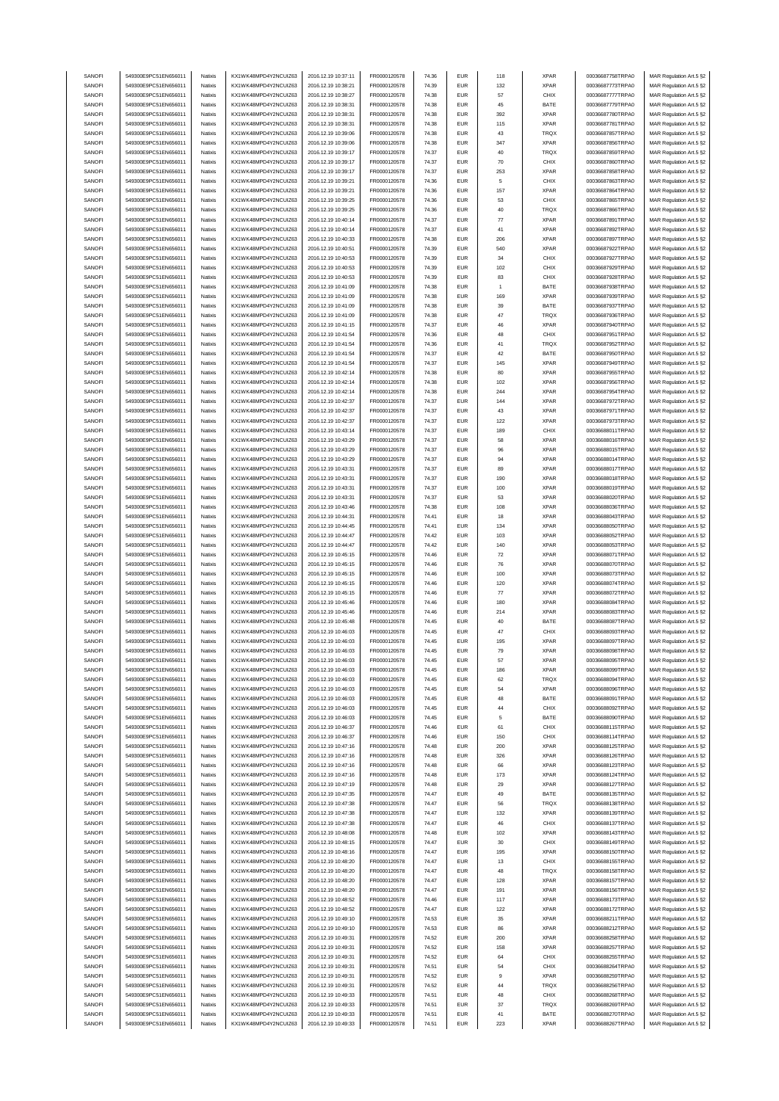| SANOFI | 549300E9PC51EN656011 | Natixis | KX1WK48MPD4Y2NCUIZ63  | 2016.12.19 10:37:11 | FR0000120578 | 74.36 | <b>EUR</b>                  | 118          | <b>XPAR</b> | 00036687758TRPA0 | MAR Regulation Art.5 §2 |
|--------|----------------------|---------|-----------------------|---------------------|--------------|-------|-----------------------------|--------------|-------------|------------------|-------------------------|
| SANOFI | 549300E9PC51EN656011 | Natixis | KX1WK48MPD4Y2NCUIZ63  | 2016.12.19 10:38:21 | FR0000120578 | 74.39 | <b>EUR</b>                  | 132          | <b>XPAR</b> | 00036687773TRPA0 | MAR Regulation Art.5 §2 |
| SANOFI | 549300E9PC51EN656011 | Natixis | KX1WK48MPD4Y2NCUIZ63  | 2016.12.19 10:38:27 | FR0000120578 | 74.38 | <b>EUR</b>                  | 57           | CHIX        | 00036687777TRPA0 | MAR Regulation Art.5 §2 |
| SANOFI | 549300E9PC51EN656011 | Natixis | KX1WK48MPD4Y2NCUIZ63  | 2016.12.19 10:38:31 | FR0000120578 | 74.38 | <b>EUR</b>                  | 45           | BATE        | 00036687779TRPA0 | MAR Regulation Art.5 §2 |
| SANOFI | 549300E9PC51EN656011 | Natixis | KX1WK48MPD4Y2NCUIZ63  | 2016.12.19 10:38:31 | FR0000120578 | 74.38 | <b>EUR</b>                  | 392          | <b>XPAR</b> | 00036687780TRPA0 | MAR Regulation Art.5 §2 |
| SANOFI | 549300E9PC51EN656011 | Natixis | KX1WK48MPD4Y2NCUIZ63  | 2016.12.19 10:38:31 | FR0000120578 | 74.38 | <b>EUR</b>                  | 115          | <b>XPAR</b> | 00036687781TRPA0 | MAR Regulation Art.5 §2 |
|        | 549300E9PC51EN656011 |         |                       | 2016.12.19 10:39:06 |              |       | <b>EUR</b>                  |              |             | 00036687857TRPA0 |                         |
| SANOFI |                      | Natixis | KX1WK48MPD4Y2NCUIZ63  |                     | FR0000120578 | 74.38 |                             | 43           | TRQX        |                  | MAR Regulation Art.5 §2 |
| SANOFI | 549300E9PC51EN656011 | Natixis | KX1WK48MPD4Y2NCUIZ63  | 2016.12.19 10:39:06 | FR0000120578 | 74.38 | <b>EUR</b>                  | 347          | <b>XPAR</b> | 00036687856TRPA0 | MAR Regulation Art.5 §2 |
| SANOFI | 549300E9PC51EN656011 | Natixis | KX1WK48MPD4Y2NCLIIZ63 | 2016.12.19 10:39:17 | FR0000120578 | 74.37 | <b>EUR</b>                  | 40           | TRQX        | 00036687859TRPA0 | MAR Regulation Art.5 §2 |
| SANOFI | 549300E9PC51EN656011 | Natixis | KX1WK48MPD4Y2NCUIZ63  | 2016.12.19 10:39:17 | FR0000120578 | 74.37 | <b>EUR</b>                  | 70           | CHIX        | 00036687860TRPA0 | MAR Regulation Art.5 §2 |
| SANOFI | 549300E9PC51EN656011 | Natixis | KX1WK48MPD4Y2NCUIZ63  | 2016.12.19 10:39:17 | FR0000120578 | 74.37 | <b>EUR</b>                  | 253          | <b>XPAR</b> | 00036687858TRPA0 | MAR Regulation Art.5 §2 |
| SANOFI | 549300E9PC51EN656011 | Natixis | KX1WK48MPD4Y2NCUIZ63  | 2016.12.19 10:39:21 | FR0000120578 | 74.36 | <b>EUR</b>                  | $\,$ 5 $\,$  | CHIX        | 00036687863TRPA0 | MAR Regulation Art.5 §2 |
| SANOFI | 549300E9PC51EN656011 | Natixis | KX1WK48MPD4Y2NCUIZ63  | 2016.12.19 10:39:21 | FR0000120578 | 74.36 | <b>EUR</b>                  | 157          | <b>XPAR</b> | 00036687864TRPA0 | MAR Regulation Art.5 §2 |
| SANOFI | 549300E9PC51EN656011 | Natixis | KX1WK48MPD4Y2NCUIZ63  | 2016.12.19 10:39:25 | FR0000120578 | 74.36 | <b>EUR</b>                  | 53           | CHIX        | 00036687865TRPA0 | MAR Regulation Art.5 §2 |
| SANOFI | 549300E9PC51EN656011 | Natixis | KX1WK48MPD4Y2NCUIZ63  | 2016.12.19 10:39:25 | FR0000120578 | 74.36 | <b>EUR</b>                  | 40           | TRQX        | 00036687866TRPA0 |                         |
|        |                      |         |                       |                     |              |       |                             |              |             |                  | MAR Regulation Art.5 §2 |
| SANOFI | 549300E9PC51EN656011 | Natixis | KX1WK48MPD4Y2NCUIZ63  | 2016.12.19 10:40:14 | FR0000120578 | 74.37 | <b>EUR</b>                  | $77$         | <b>XPAR</b> | 00036687891TRPA0 | MAR Regulation Art.5 §2 |
| SANOFI | 549300E9PC51EN656011 | Natixis | KX1WK48MPD4Y2NCUIZ63  | 2016.12.19 10:40:14 | FR0000120578 | 74.37 | <b>EUR</b>                  | 41           | <b>XPAR</b> | 00036687892TRPA0 | MAR Regulation Art.5 §2 |
| SANOFI | 549300E9PC51EN656011 | Natixis | KX1WK48MPD4Y2NCLIIZ63 | 2016.12.19 10:40:33 | FR0000120578 | 74.38 | <b>EUR</b>                  | 206          | <b>XPAR</b> | 00036687897TRPA0 | MAR Regulation Art.5 §2 |
| SANOFI | 549300E9PC51EN656011 | Natixis | KX1WK48MPD4Y2NCUIZ63  | 2016.12.19 10:40:51 | FR0000120578 | 74.39 | <b>EUR</b>                  | 540          | <b>XPAR</b> | 00036687922TRPA0 | MAR Regulation Art.5 §2 |
| SANOFI | 549300E9PC51EN656011 | Natixis | KX1WK48MPD4Y2NCUIZ63  | 2016.12.19 10:40:53 | FR0000120578 | 74.39 | <b>EUR</b>                  | 34           | CHIX        | 00036687927TRPA0 | MAR Regulation Art.5 §2 |
| SANOFI | 549300E9PC51EN656011 | Natixis | KX1WK48MPD4Y2NCUIZ63  | 2016.12.19 10:40:53 | FR0000120578 | 74.39 | <b>EUR</b>                  | 102          | CHIX        | 00036687929TRPA0 | MAR Regulation Art.5 §2 |
| SANOFI | 549300E9PC51EN656011 | Natixis | KX1WK48MPD4Y2NCUIZ63  | 2016.12.19 10:40:53 | FR0000120578 | 74.39 | <b>EUR</b>                  | 83           | CHIX        | 00036687928TRPA0 | MAR Regulation Art.5 §2 |
| SANOFI | 549300E9PC51EN656011 | Natixis | KX1WK48MPD4Y2NCUIZ63  | 2016.12.19 10:41:09 | FR0000120578 | 74.38 | <b>EUR</b>                  | $\mathbf{1}$ | BATE        | 00036687938TRPA0 | MAR Regulation Art.5 §2 |
|        |                      |         |                       |                     |              |       |                             |              |             |                  |                         |
| SANOFI | 549300E9PC51EN656011 | Natixis | KX1WK48MPD4Y2NCUIZ63  | 2016.12.19 10:41:09 | FR0000120578 | 74.38 | <b>EUR</b>                  | 169          | <b>XPAR</b> | 00036687939TRPA0 | MAR Regulation Art.5 §2 |
| SANOFI | 549300E9PC51EN656011 | Natixis | KX1WK48MPD4Y2NCUIZ63  | 2016.12.19 10:41:09 | FR0000120578 | 74.38 | <b>EUR</b>                  | 39           | BATE        | 00036687937TRPA0 | MAR Regulation Art.5 §2 |
| SANOFI | 549300E9PC51EN656011 | Natixis | KX1WK48MPD4Y2NCUIZ63  | 2016.12.19 10:41:09 | FR0000120578 | 74.38 | <b>EUR</b>                  | 47           | TRQX        | 00036687936TRPA0 | MAR Regulation Art.5 §2 |
| SANOFI | 549300E9PC51EN656011 | Natixis | KX1WK48MPD4Y2NCLIIZ63 | 2016.12.19 10:41:15 | FR0000120578 | 74.37 | <b>EUR</b>                  | 46           | <b>XPAR</b> | 00036687940TRPA0 | MAR Regulation Art.5 §2 |
| SANOFI | 549300E9PC51EN656011 | Natixis | KX1WK48MPD4Y2NCUIZ63  | 2016.12.19 10:41:54 | FR0000120578 | 74.36 | <b>EUR</b>                  | 48           | CHIX        | 00036687951TRPA0 | MAR Regulation Art.5 §2 |
| SANOFI | 549300E9PC51EN656011 | Natixis | KX1WK48MPD4Y2NCUIZ63  | 2016.12.19 10:41:54 | FR0000120578 | 74.36 | <b>EUR</b>                  | 41           | TRQX        | 00036687952TRPA0 | MAR Regulation Art.5 §2 |
| SANOFI | 549300E9PC51EN656011 | Natixis | KX1WK48MPD4Y2NCUIZ63  | 2016.12.19 10:41:54 | FR0000120578 | 74.37 | <b>EUR</b>                  | 42           | BATE        | 00036687950TRPA0 | MAR Regulation Art.5 §2 |
|        | 549300E9PC51EN656011 |         | KX1WK48MPD4Y2NCUIZ63  |                     |              |       |                             |              |             |                  |                         |
| SANOFI |                      | Natixis |                       | 2016.12.19 10:41:54 | FR0000120578 | 74.37 | <b>EUR</b>                  | 145          | <b>XPAR</b> | 00036687949TRPA0 | MAR Regulation Art.5 §2 |
| SANOFI | 549300E9PC51EN656011 | Natixis | KX1WK48MPD4Y2NCUIZ63  | 2016.12.19 10:42:14 | FR0000120578 | 74.38 | <b>EUR</b>                  | 80           | <b>XPAR</b> | 00036687955TRPA0 | MAR Regulation Art.5 §2 |
| SANOFI | 549300E9PC51EN656011 | Natixis | KX1WK48MPD4Y2NCUIZ63  | 2016.12.19 10:42:14 | FR0000120578 | 74.38 | <b>EUR</b>                  | 102          | <b>XPAR</b> | 00036687956TRPA0 | MAR Regulation Art.5 §2 |
| SANOFI | 549300E9PC51EN656011 | Natixis | KX1WK48MPD4Y2NCUIZ63  | 2016.12.19 10:42:14 | FR0000120578 | 74.38 | <b>EUR</b>                  | 244          | <b>XPAR</b> | 00036687954TRPA0 | MAR Regulation Art.5 §2 |
| SANOFI | 549300E9PC51EN656011 | Natixis | KX1WK48MPD4Y2NCUIZ63  | 2016.12.19 10:42:37 | FR0000120578 | 74.37 | <b>EUR</b>                  | 144          | <b>XPAR</b> | 00036687972TRPA0 | MAR Regulation Art.5 §2 |
| SANOFI | 549300E9PC51EN656011 | Natixis | KX1WK48MPD4Y2NCLIIZ63 | 2016.12.19 10:42:37 | FR0000120578 | 74.37 | <b>EUR</b>                  | 43           | <b>XPAR</b> | 00036687971TRPA0 | MAR Regulation Art.5 §2 |
| SANOFI | 549300E9PC51EN656011 | Natixis | KX1WK48MPD4Y2NCUIZ63  | 2016.12.19 10:42:37 | FR0000120578 | 74.37 | <b>EUR</b>                  | 122          | <b>XPAR</b> | 00036687973TRPA0 | MAR Regulation Art.5 §2 |
| SANOFI | 549300E9PC51EN656011 | Natixis | KX1WK48MPD4Y2NCUIZ63  | 2016.12.19 10:43:14 | FR0000120578 | 74.37 | <b>EUR</b>                  | 189          | CHIX        | 00036688011TRPA0 | MAR Regulation Art.5 §2 |
| SANOFI | 549300E9PC51EN656011 | Natixis | KX1WK48MPD4Y2NCUIZ63  | 2016.12.19 10:43:29 | FR0000120578 | 74.37 | <b>EUR</b>                  | 58           | <b>XPAR</b> | 00036688016TRPA0 | MAR Regulation Art.5 §2 |
|        |                      |         |                       |                     |              |       |                             |              |             |                  |                         |
| SANOFI | 549300E9PC51EN656011 | Natixis | KX1WK48MPD4Y2NCUIZ63  | 2016.12.19 10:43:29 | FR0000120578 | 74.37 | <b>EUR</b>                  | 96           | <b>XPAR</b> | 00036688015TRPA0 | MAR Regulation Art.5 §2 |
| SANOFI | 549300E9PC51EN656011 | Natixis | KX1WK48MPD4Y2NCUIZ63  | 2016.12.19 10:43:29 | FR0000120578 | 74.37 | <b>EUR</b>                  | 94           | <b>XPAR</b> | 00036688014TRPA0 | MAR Regulation Art.5 §2 |
| SANOFI | 549300E9PC51EN656011 | Natixis | KX1WK48MPD4Y2NCUIZ63  | 2016.12.19 10:43:31 | FR0000120578 | 74.37 | <b>EUR</b>                  | 89           | <b>XPAR</b> | 00036688017TRPA0 | MAR Regulation Art.5 §2 |
| SANOFI | 549300E9PC51EN656011 | Natixis | KX1WK48MPD4Y2NCUIZ63  | 2016.12.19 10:43:31 | FR0000120578 | 74.37 | <b>EUR</b>                  | 190          | <b>XPAR</b> | 00036688018TRPA0 | MAR Regulation Art.5 §2 |
| SANOFI | 549300E9PC51EN656011 | Natixis | KX1WK48MPD4Y2NCUIZ63  | 2016.12.19 10:43:31 | FR0000120578 | 74.37 | <b>EUR</b>                  | 100          | <b>XPAR</b> | 00036688019TRPA0 | MAR Regulation Art.5 §2 |
| SANOFI | 549300E9PC51EN656011 | Natixis | KX1WK48MPD4Y2NCUIZ63  | 2016.12.19 10:43:31 | FR0000120578 | 74.37 | <b>EUR</b>                  | 53           | <b>XPAR</b> | 00036688020TRPA0 | MAR Regulation Art.5 §2 |
| SANOFI | 549300E9PC51EN656011 | Natixis | KX1WK48MPD4Y2NCUIZ63  | 2016.12.19 10:43:46 | FR0000120578 | 74.38 | <b>EUR</b>                  | 108          | <b>XPAR</b> | 00036688036TRPA0 | MAR Regulation Art.5 §2 |
| SANOFI | 549300E9PC51EN656011 | Natixis | KX1WK48MPD4Y2NCUIZ63  | 2016.12.19 10:44:31 | FR0000120578 | 74.41 | <b>EUR</b>                  | 18           | <b>XPAR</b> | 00036688043TRPA0 | MAR Regulation Art.5 §2 |
|        |                      |         |                       |                     |              |       |                             |              |             |                  |                         |
| SANOFI | 549300E9PC51EN656011 | Natixis | KX1WK48MPD4Y2NCUIZ63  | 2016.12.19 10:44:45 | FR0000120578 | 74.41 | <b>EUR</b>                  | 134          | <b>XPAR</b> | 00036688050TRPA0 | MAR Regulation Art.5 §2 |
| SANOFI | 549300E9PC51EN656011 | Natixis | KX1WK48MPD4Y2NCUIZ63  | 2016.12.19 10:44:47 | FR0000120578 | 74.42 | <b>EUR</b>                  | 103          | <b>XPAR</b> | 00036688052TRPA0 | MAR Regulation Art.5 §2 |
| SANOFI | 549300E9PC51EN656011 | Natixis | KX1WK48MPD4Y2NCUIZ63  | 2016.12.19 10:44:47 | FR0000120578 | 74.42 | <b>EUR</b>                  | 140          | <b>XPAR</b> | 00036688053TRPA0 | MAR Regulation Art.5 §2 |
| SANOFI | 549300E9PC51EN656011 | Natixis | KX1WK48MPD4Y2NCUIZ63  | 2016.12.19 10:45:15 | FR0000120578 | 74.46 | <b>EUR</b>                  | 72           | <b>XPAR</b> | 00036688071TRPA0 | MAR Regulation Art.5 §2 |
| SANOFI | 549300E9PC51EN656011 | Natixis | KX1WK48MPD4Y2NCUIZ63  | 2016.12.19 10:45:15 | FR0000120578 | 74.46 | <b>EUR</b>                  | 76           | <b>XPAR</b> | 00036688070TRPA0 | MAR Regulation Art.5 §2 |
| SANOFI | 549300E9PC51EN656011 | Natixis | KX1WK48MPD4Y2NCLIIZ63 | 2016.12.19 10:45:15 | FR0000120578 | 74.46 | <b>EUR</b>                  | 100          | <b>XPAR</b> | 00036688073TRPA0 | MAR Regulation Art.5 §2 |
| SANOFI | 549300E9PC51EN656011 | Natixis | KX1WK48MPD4Y2NCUIZ63  | 2016.12.19 10:45:15 | FR0000120578 | 74.46 | <b>EUR</b>                  | 120          | <b>XPAR</b> | 00036688074TRPA0 | MAR Regulation Art.5 §2 |
| SANOFI | 549300E9PC51EN656011 | Natixis | KX1WK48MPD4Y2NCUIZ63  | 2016.12.19 10:45:15 | FR0000120578 | 74.46 | <b>EUR</b>                  | $77$         | <b>XPAR</b> | 00036688072TRPA0 | MAR Regulation Art.5 §2 |
|        |                      |         | KX1WK48MPD4Y2NCUIZ63  |                     | FR0000120578 |       |                             |              |             |                  |                         |
| SANOFI | 549300E9PC51EN656011 | Natixis |                       | 2016.12.19 10:45:46 |              | 74.46 | <b>EUR</b>                  | 180          | <b>XPAR</b> | 00036688084TRPA0 | MAR Regulation Art.5 §2 |
| SANOFI | 549300E9PC51EN656011 | Natixis | KX1WK48MPD4Y2NCUIZ63  | 2016.12.19 10:45:46 | FR0000120578 | 74.46 | <b>EUR</b>                  | 214          | <b>XPAR</b> | 00036688083TRPA0 | MAR Regulation Art.5 §2 |
| SANOFI | 549300E9PC51EN656011 | Natixis | KX1WK48MPD4Y2NCUIZ63  | 2016.12.19 10:45:48 | FR0000120578 | 74.45 | <b>EUR</b>                  | 40           | BATE        | 00036688087TRPA0 | MAR Regulation Art.5 §2 |
| SANOFI | 549300E9PC51EN656011 | Natixis | KX1WK48MPD4Y2NCUIZ63  | 2016.12.19 10:46:03 | FR0000120578 | 74.45 | <b>EUR</b>                  | 47           | CHIX        | 00036688093TRPA0 | MAR Regulation Art.5 §2 |
| SANOFI | 549300E9PC51EN656011 | Natixis | KX1WK48MPD4Y2NCUIZ63  | 2016.12.19 10:46:03 | FR0000120578 | 74.45 | <b>EUR</b>                  | 195          | <b>XPAR</b> | 00036688097TRPA0 | MAR Regulation Art.5 §2 |
| SANOF  | 549300E9PC51EN656011 | Natixis | KX1WK48MPD4Y2NCUIZ63  | 2016.12.19 10:46:03 | FR0000120578 | 74.45 | EUR                         | 79           | <b>XPAR</b> | 00036688098TRPA0 | MAR Regulation Art.5 §2 |
| SANOFI | 549300E9PC51EN656011 | Natixis | KX1WK48MPD4Y2NCUIZ63  | 2016.12.19 10:46:03 | FR0000120578 | 74.45 | <b>EUR</b>                  | 57           | <b>XPAR</b> | 00036688095TRPA0 | MAR Regulation Art.5 §2 |
| SANOFI | 549300E9PC51EN656011 | Natixis | KX1WK48MPD4Y2NCUIZ63  | 2016.12.19 10:46:03 | FR0000120578 | 74.45 | <b>EUR</b>                  | 186          | <b>XPAR</b> | 00036688099TRPA0 | MAR Regulation Art.5 §2 |
|        |                      |         | KX1WK48MPD4Y2NCUIZ63  |                     |              |       |                             |              |             |                  |                         |
| SANOFI | 549300E9PC51EN656011 | Natixis |                       | 2016.12.19 10:46:03 | FR0000120578 | 74.45 | <b>EUR</b>                  | 62           | TRQX        | 00036688094TRPA0 | MAR Regulation Art.5 §2 |
| SANOFI | 549300E9PC51EN656011 | Natixis | KX1WK48MPD4Y2NCUIZ63  | 2016.12.19 10:46:03 | FR0000120578 | 74.45 | <b>EUR</b>                  | 54           | <b>XPAR</b> | 00036688096TRPA0 | MAR Regulation Art.5 §2 |
| SANOFI | 549300E9PC51EN656011 | Natixis | KX1WK48MPD4Y2NCUIZ63  | 2016.12.19 10:46:03 | FR0000120578 | 74.45 | <b>EUR</b>                  | 48           | BATE        | 00036688091TRPA0 | MAR Regulation Art.5 §2 |
| SANOFI | 549300E9PC51EN656011 | Natixis | KX1WK48MPD4Y2NCUIZ63  | 2016.12.19 10:46:03 | FR0000120578 | 74.45 | $\ensuremath{\mathsf{EUR}}$ | 44           | CHIX        | 00036688092TRPA0 | MAR Regulation Art.5 §2 |
| SANOFI | 549300E9PC51EN656011 | Natixis | KX1WK48MPD4Y2NCUIZ63  | 2016.12.19 10:46:03 | FR0000120578 | 74.45 | <b>EUR</b>                  | 5            | BATE        | 00036688090TRPA0 | MAR Regulation Art.5 §2 |
| SANOFI | 549300E9PC51EN656011 | Natixis | KX1WK48MPD4Y2NCUIZ63  | 2016.12.19 10:46:37 | FR0000120578 | 74.46 | <b>EUR</b>                  | 61           | CHIX        | 00036688115TRPA0 | MAR Regulation Art.5 §2 |
| SANOFI | 549300E9PC51EN656011 | Natixis | KX1WK48MPD4Y2NCUIZ63  | 2016.12.19 10:46:37 | FR0000120578 | 74.46 | <b>EUR</b>                  | 150          | CHIX        | 00036688114TRPA0 | MAR Regulation Art.5 §2 |
| SANOFI | 549300E9PC51EN656011 | Natixis | KX1WK48MPD4Y2NCUIZ63  | 2016.12.19 10:47:16 | FR0000120578 | 74.48 | <b>EUR</b>                  | 200          | <b>XPAR</b> | 00036688125TRPA0 | MAR Regulation Art.5 §2 |
|        |                      |         |                       |                     |              |       |                             |              |             |                  | MAR Regulation Art.5 §2 |
| SANOFI | 549300E9PC51EN656011 | Natixis | KX1WK48MPD4Y2NCUIZ63  | 2016.12.19 10:47:16 | FR0000120578 | 74.48 | <b>EUR</b>                  | 326          | <b>XPAR</b> | 00036688126TRPA0 |                         |
| SANOFI | 549300E9PC51EN656011 | Natixis | KX1WK48MPD4Y2NCUIZ63  | 2016.12.19 10:47:16 | FR0000120578 | 74.48 | <b>EUR</b>                  | 66           | <b>XPAR</b> | 00036688123TRPA0 | MAR Regulation Art.5 §2 |
| SANOFI | 549300E9PC51EN656011 | Natixis | KX1WK48MPD4Y2NCUIZ63  | 2016.12.19 10:47:16 | FR0000120578 | 74.48 | <b>EUR</b>                  | 173          | <b>XPAR</b> | 00036688124TRPA0 | MAR Regulation Art.5 §2 |
| SANOFI | 549300E9PC51EN656011 | Natixis | KX1WK48MPD4Y2NCUIZ63  | 2016.12.19 10:47:19 | FR0000120578 | 74.48 | <b>EUR</b>                  | 29           | <b>XPAR</b> | 00036688127TRPA0 | MAR Regulation Art.5 §2 |
| SANOFI | 549300E9PC51EN656011 | Natixis | KX1WK48MPD4Y2NCUIZ63  | 2016.12.19 10:47:35 | FR0000120578 | 74.47 | <b>EUR</b>                  | 49           | BATE        | 00036688135TRPA0 | MAR Regulation Art.5 §2 |
| SANOFI | 549300E9PC51EN656011 | Natixis | KX1WK48MPD4Y2NCUIZ63  | 2016.12.19 10:47:38 | FR0000120578 | 74.47 | <b>EUR</b>                  | 56           | TRQX        | 00036688138TRPA0 | MAR Regulation Art.5 §2 |
| SANOFI | 549300E9PC51EN656011 | Natixis | KX1WK48MPD4Y2NCUIZ63  | 2016.12.19 10:47:38 | FR0000120578 | 74.47 | <b>EUR</b>                  | 132          | <b>XPAR</b> | 00036688139TRPA0 | MAR Regulation Art.5 §2 |
| SANOFI | 549300E9PC51EN656011 | Natixis | KX1WK48MPD4Y2NCUIZ63  | 2016.12.19 10:47:38 | FR0000120578 | 74.47 | <b>EUR</b>                  | 46           | CHIX        | 00036688137TRPA0 | MAR Regulation Art.5 §2 |
|        |                      |         |                       |                     |              |       |                             |              |             |                  |                         |
| SANOFI | 549300E9PC51EN656011 | Natixis | KX1WK48MPD4Y2NCUIZ63  | 2016.12.19 10:48:08 | FR0000120578 | 74.48 | <b>EUR</b>                  | 102          | <b>XPAR</b> | 00036688143TRPA0 | MAR Regulation Art.5 §2 |
| SANOFI | 549300E9PC51EN656011 | Natixis | KX1WK48MPD4Y2NCUIZ63  | 2016.12.19 10:48:15 | FR0000120578 | 74.47 | <b>EUR</b>                  | 30           | CHIX        | 00036688149TRPA0 | MAR Regulation Art.5 §2 |
| SANOFI | 549300E9PC51EN656011 | Natixis | KX1WK48MPD4Y2NCUIZ63  | 2016.12.19 10:48:16 | FR0000120578 | 74.47 | <b>EUR</b>                  | 195          | <b>XPAR</b> | 00036688150TRPA0 | MAR Regulation Art.5 §2 |
| SANOFI | 549300E9PC51EN656011 | Natixis | KX1WK48MPD4Y2NCUIZ63  | 2016.12.19 10:48:20 | FR0000120578 | 74.47 | <b>EUR</b>                  | 13           | CHIX        | 00036688155TRPA0 | MAR Regulation Art.5 §2 |
| SANOFI | 549300E9PC51EN656011 | Natixis | KX1WK48MPD4Y2NCUIZ63  | 2016.12.19 10:48:20 | FR0000120578 | 74.47 | <b>EUR</b>                  | 48           | TRQX        | 00036688158TRPA0 | MAR Regulation Art.5 §2 |
| SANOFI | 549300E9PC51EN656011 | Natixis | KX1WK48MPD4Y2NCUIZ63  | 2016.12.19 10:48:20 | FR0000120578 | 74.47 | <b>EUR</b>                  | 128          | <b>XPAR</b> | 00036688157TRPA0 | MAR Regulation Art.5 §2 |
| SANOFI | 549300E9PC51EN656011 | Natixis | KX1WK48MPD4Y2NCUIZ63  | 2016.12.19 10:48:20 | FR0000120578 | 74.47 | <b>EUR</b>                  | 191          | <b>XPAR</b> | 00036688156TRPA0 | MAR Regulation Art.5 §2 |
|        |                      |         |                       |                     |              |       |                             |              |             |                  |                         |
| SANOFI | 549300E9PC51EN656011 | Natixis | KX1WK48MPD4Y2NCUIZ63  | 2016.12.19 10:48:52 | FR0000120578 | 74.46 | <b>EUR</b>                  | 117          | <b>XPAR</b> | 00036688173TRPA0 | MAR Regulation Art.5 §2 |
| SANOFI | 549300E9PC51EN656011 | Natixis | KX1WK48MPD4Y2NCUIZ63  | 2016.12.19 10:48:52 | FR0000120578 | 74.47 | <b>EUR</b>                  | 122          | <b>XPAR</b> | 00036688172TRPA0 | MAR Regulation Art.5 §2 |
| SANOFI | 549300E9PC51EN656011 | Natixis | KX1WK48MPD4Y2NCUIZ63  | 2016.12.19 10:49:10 | FR0000120578 | 74.53 | <b>EUR</b>                  | 35           | <b>XPAR</b> | 00036688211TRPA0 | MAR Regulation Art.5 §2 |
| SANOFI | 549300E9PC51EN656011 | Natixis | KX1WK48MPD4Y2NCUIZ63  | 2016.12.19 10:49:10 | FR0000120578 | 74.53 | <b>EUR</b>                  | 86           | <b>XPAR</b> | 00036688212TRPA0 | MAR Regulation Art.5 §2 |
| SANOFI | 549300E9PC51EN656011 | Natixis | KX1WK48MPD4Y2NCUIZ63  | 2016.12.19 10:49:31 | FR0000120578 | 74.52 | <b>EUR</b>                  | 200          | <b>XPAR</b> | 00036688258TRPA0 | MAR Regulation Art.5 §2 |
| SANOFI | 549300E9PC51EN656011 | Natixis | KX1WK48MPD4Y2NCUIZ63  | 2016.12.19 10:49:31 | FR0000120578 | 74.52 | <b>EUR</b>                  | 158          | <b>XPAR</b> | 00036688257TRPA0 | MAR Regulation Art.5 §2 |
| SANOFI | 549300E9PC51EN656011 | Natixis | KX1WK48MPD4Y2NCUIZ63  | 2016.12.19 10:49:31 | FR0000120578 | 74.52 | <b>EUR</b>                  | 64           | CHIX        | 00036688255TRPA0 | MAR Regulation Art.5 §2 |
| SANOFI | 549300E9PC51EN656011 | Natixis | KX1WK48MPD4Y2NCUIZ63  | 2016.12.19 10:49:31 | FR0000120578 | 74.51 | <b>EUR</b>                  | 54           | CHIX        | 00036688264TRPA0 | MAR Regulation Art.5 §2 |
| SANOFI | 549300E9PC51EN656011 | Natixis | KX1WK48MPD4Y2NCUIZ63  |                     |              |       | <b>EUR</b>                  | 9            | <b>XPAR</b> | 00036688259TRPA0 |                         |
|        |                      |         |                       | 2016.12.19 10:49:31 | FR0000120578 | 74.52 |                             |              |             |                  | MAR Regulation Art.5 §2 |
|        | 549300E9PC51EN656011 | Natixis | KX1WK48MPD4Y2NCUIZ63  | 2016.12.19 10:49:31 | FR0000120578 | 74.52 | <b>EUR</b>                  | 44           | TRQX        | 00036688256TRPA0 | MAR Regulation Art.5 §2 |
| SANOFI |                      |         |                       |                     |              |       |                             |              |             |                  |                         |
| SANOFI | 549300E9PC51EN656011 | Natixis | KX1WK48MPD4Y2NCUIZ63  | 2016.12.19 10:49:33 | FR0000120578 | 74.51 | <b>EUR</b>                  | 48           | CHIX        | 00036688268TRPA0 | MAR Regulation Art.5 §2 |
| SANOFI | 549300E9PC51EN656011 | Natixis | KX1WK48MPD4Y2NCUIZ63  | 2016.12.19 10:49:33 | FR0000120578 | 74.51 | <b>EUR</b>                  | 37           | TRQX        | 00036688269TRPA0 | MAR Regulation Art.5 §2 |
| SANOFI | 549300E9PC51EN656011 | Natixis | KX1WK48MPD4Y2NCUIZ63  | 2016.12.19 10:49:33 | FR0000120578 | 74.51 | <b>EUR</b>                  | 41           | BATE        | 00036688270TRPA0 | MAR Regulation Art.5 §2 |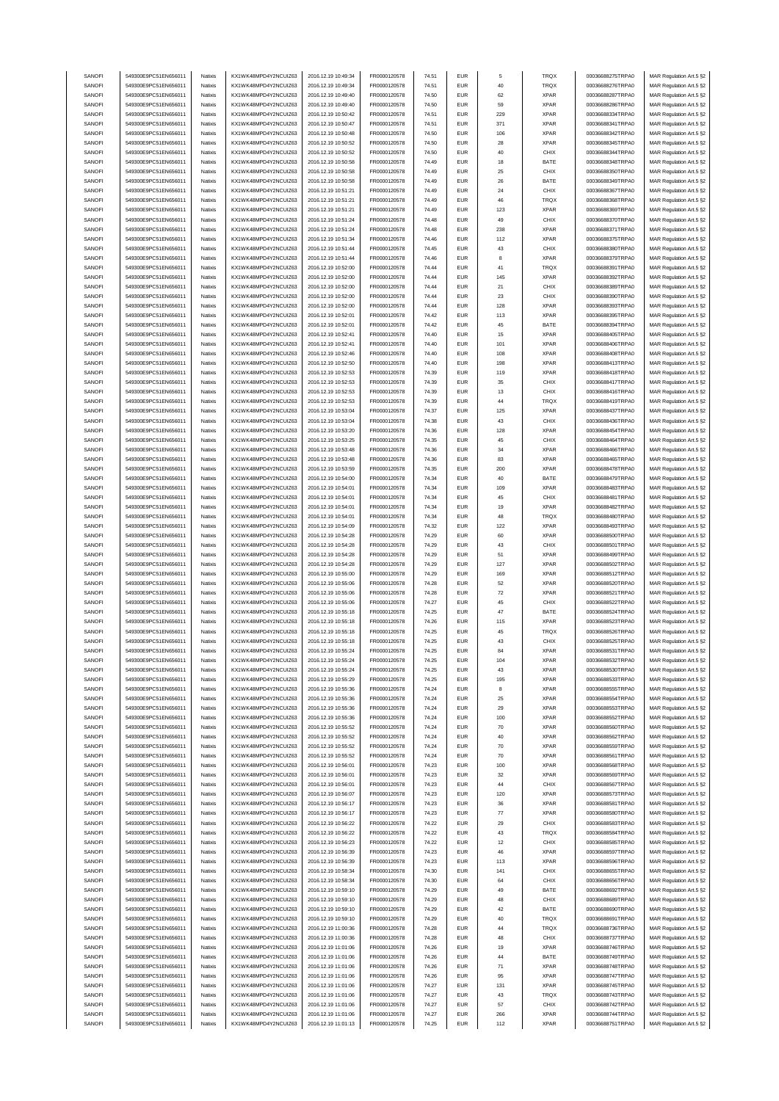| SANOFI           | 549300E9PC51EN656011                         | Natixis            | KX1WK48MPD4Y2NCUIZ63                         | 2016.12.19 10:49:34                        | FR0000120578                 | 74.51          | <b>EUR</b>               | 5                  | <b>TRQX</b>                | 00036688275TRPA0                     | MAR Regulation Art.5 §2                            |
|------------------|----------------------------------------------|--------------------|----------------------------------------------|--------------------------------------------|------------------------------|----------------|--------------------------|--------------------|----------------------------|--------------------------------------|----------------------------------------------------|
| SANOFI           | 549300E9PC51EN656011                         | Natixis            | KX1WK48MPD4Y2NCUIZ63                         | 2016.12.19 10:49:34                        | FR0000120578                 | 74.51          | <b>EUR</b>               | 40                 | <b>TRQX</b>                | 00036688276TRPA0                     | MAR Regulation Art.5 §2                            |
| SANOFI           | 549300E9PC51EN656011                         | Natixis            | KX1WK48MPD4Y2NCUIZ63                         | 2016.12.19 10:49:40                        | FR0000120578                 | 74.50          | <b>EUR</b>               | 62                 | <b>XPAR</b>                | 00036688287TRPA0                     | MAR Regulation Art.5 §2                            |
| SANOFI           | 549300E9PC51EN656011                         | Natixis            | KX1WK48MPD4Y2NCUIZ63                         | 2016.12.19 10:49:40                        | FR0000120578                 | 74.50          | <b>EUR</b>               | 59                 | <b>XPAR</b>                | 00036688286TRPA0                     | MAR Regulation Art.5 §2                            |
| SANOFI           | 549300E9PC51EN656011                         | Natixis            | KX1WK48MPD4Y2NCUIZ63                         | 2016.12.19 10:50:42                        | FR0000120578                 | 74.51          | <b>EUR</b>               | 229                | <b>XPAR</b>                | 00036688334TRPA0                     | MAR Regulation Art.5 §2                            |
|                  |                                              |                    |                                              |                                            |                              |                |                          |                    |                            |                                      |                                                    |
| SANOFI           | 549300E9PC51EN656011                         | Natixis            | KX1WK48MPD4Y2NCUIZ63                         | 2016.12.19 10:50:47                        | FR0000120578                 | 74.51          | <b>EUR</b>               | 371                | <b>XPAR</b>                | 00036688341TRPA0                     | MAR Regulation Art.5 §2                            |
| SANOFI           | 549300E9PC51EN656011                         | Natixis            | KX1WK48MPD4Y2NCUIZ63                         | 2016.12.19 10:50:48                        | FR0000120578                 | 74.50          | <b>EUR</b>               | 106                | <b>XPAR</b>                | 00036688342TRPA0                     | MAR Regulation Art.5 §2                            |
| SANOFI           | 549300E9PC51EN656011                         | Natixis            | KX1WK48MPD4Y2NCUIZ63                         | 2016.12.19 10:50:52                        | FR0000120578                 | 74.50          | <b>EUR</b>               | 28                 | <b>XPAR</b>                | 00036688345TRPA0                     | MAR Regulation Art.5 §2                            |
| SANOFI           | 549300E9PC51EN656011                         | Natixis            | KX1WK48MPD4Y2NCUIZ63                         | 2016.12.19 10:50:52                        | FR0000120578                 | 74.50          | <b>EUR</b>               | 40                 | CHIX                       | 00036688344TRPA0                     | MAR Regulation Art.5 §2                            |
| SANOFI           | 549300E9PC51EN656011                         | Natixis            | KX1WK48MPD4Y2NCUIZ63                         | 2016.12.19 10:50:58                        | FR0000120578                 | 74.49          | <b>EUR</b>               | 18                 | BATE                       | 00036688348TRPA0                     | MAR Regulation Art.5 §2                            |
| SANOFI           | 549300E9PC51EN656011                         | Natixis            | KX1WK48MPD4Y2NCUIZ63                         | 2016.12.19 10:50:58                        | FR0000120578                 | 74.49          | <b>EUR</b>               | 25                 | CHIX                       | 00036688350TRPA0                     | MAR Regulation Art.5 §2                            |
|                  | 549300E9PC51EN656011                         |                    |                                              |                                            |                              | 74.49          | <b>EUR</b>               |                    |                            | 00036688349TRPA0                     |                                                    |
| SANOFI           |                                              | Natixis            | KX1WK48MPD4Y2NCUIZ63                         | 2016.12.19 10:50:58                        | FR0000120578                 |                |                          | 26                 | BATE                       |                                      | MAR Regulation Art.5 §2                            |
| SANOFI           | 549300E9PC51EN656011                         | Natixis            | KX1WK48MPD4Y2NCUIZ63                         | 2016.12.19 10:51:21                        | FR0000120578                 | 74.49          | <b>EUR</b>               | 24                 | CHIX                       | 00036688367TRPA0                     | MAR Regulation Art.5 §2                            |
| SANOFI           | 549300E9PC51EN656011                         | Natixis            | KX1WK48MPD4Y2NCUIZ63                         | 2016.12.19 10:51:21                        | FR0000120578                 | 74.49          | <b>EUR</b>               | 46                 | TRQX                       | 00036688368TRPA0                     | MAR Regulation Art.5 §2                            |
| SANOFI           | 549300E9PC51EN656011                         | Natixis            | KX1WK48MPD4Y2NCUIZ63                         | 2016.12.19 10:51:21                        | FR0000120578                 | 74.49          | <b>EUR</b>               | 123                | <b>XPAR</b>                | 00036688369TRPA0                     | MAR Regulation Art.5 §2                            |
| SANOFI           | 549300E9PC51EN656011                         | Natixis            | KX1WK48MPD4Y2NCUIZ63                         | 2016.12.19 10:51:24                        | FR0000120578                 | 74.48          | <b>EUR</b>               | 49                 | CHIX                       | 00036688370TRPA0                     | MAR Regulation Art.5 §2                            |
| SANOFI           | 549300E9PC51EN656011                         | Natixis            | KX1WK48MPD4Y2NCUIZ63                         | 2016.12.19 10:51:24                        | FR0000120578                 | 74.48          | <b>EUR</b>               | 238                | <b>XPAR</b>                | 00036688371TRPA0                     | MAR Regulation Art.5 §2                            |
| SANOFI           | 549300E9PC51EN656011                         | Natixis            | KX1WK48MPD4Y2NCUIZ63                         | 2016.12.19 10:51:34                        | FR0000120578                 | 74.46          | <b>EUR</b>               | 112                | <b>XPAR</b>                | 00036688375TRPA0                     | MAR Regulation Art.5 §2                            |
|                  |                                              |                    |                                              |                                            |                              |                |                          |                    |                            |                                      |                                                    |
| SANOFI           | 549300E9PC51EN656011                         | Natixis            | KX1WK48MPD4Y2NCUIZ63                         | 2016.12.19 10:51:44                        | FR0000120578                 | 74.45          | <b>EUR</b>               | 43                 | CHIX                       | 00036688380TRPA0                     | MAR Regulation Art.5 §2                            |
| SANOFI           | 549300E9PC51EN656011                         | Natixis            | KX1WK48MPD4Y2NCUIZ63                         | 2016.12.19 10:51:44                        | FR0000120578                 | 74.46          | <b>EUR</b>               | 8                  | <b>XPAR</b>                | 00036688379TRPA0                     | MAR Regulation Art.5 §2                            |
| SANOFI           | 549300E9PC51EN656011                         | Natixis            | KX1WK48MPD4Y2NCUIZ63                         | 2016.12.19 10:52:00                        | FR0000120578                 | 74.44          | <b>EUR</b>               | 41                 | TRQX                       | 00036688391TRPA0                     | MAR Regulation Art.5 §2                            |
| SANOFI           | 549300E9PC51EN656011                         | Natixis            | KX1WK48MPD4Y2NCUIZ63                         | 2016.12.19 10:52:00                        | FR0000120578                 | 74.44          | <b>EUR</b>               | 145                | <b>XPAR</b>                | 00036688392TRPA0                     | MAR Regulation Art.5 §2                            |
| SANOFI           | 549300E9PC51EN656011                         | Natixis            | KX1WK48MPD4Y2NCUIZ63                         | 2016.12.19 10:52:00                        | FR0000120578                 | 74.44          | <b>EUR</b>               | 21                 | CHIX                       | 00036688389TRPA0                     | MAR Regulation Art.5 §2                            |
| SANOFI           | 549300E9PC51EN656011                         | Natixis            | KX1WK48MPD4Y2NCUIZ63                         | 2016.12.19 10:52:00                        | FR0000120578                 | 74.44          | <b>EUR</b>               | 23                 | CHIX                       | 00036688390TRPA0                     | MAR Regulation Art.5 §2                            |
| SANOFI           | 549300E9PC51EN656011                         | Natixis            | KX1WK48MPD4Y2NCUIZ63                         | 2016.12.19 10:52:00                        | FR0000120578                 | 74.44          | <b>EUR</b>               | 128                | <b>XPAR</b>                | 00036688393TRPA0                     | MAR Regulation Art.5 §2                            |
|                  |                                              |                    |                                              |                                            |                              |                |                          |                    |                            |                                      |                                                    |
| SANOFI           | 549300E9PC51EN656011                         | Natixis            | KX1WK48MPD4Y2NCUIZ63                         | 2016.12.19 10:52:01                        | FR0000120578                 | 74.42          | <b>EUR</b>               | 113                | <b>XPAR</b>                | 00036688395TRPA0                     | MAR Regulation Art.5 §2                            |
| SANOFI           | 549300E9PC51EN656011                         | Natixis            | KX1WK48MPD4Y2NCUIZ63                         | 2016.12.19 10:52:01                        | FR0000120578                 | 74.42          | <b>EUR</b>               | 45                 | BATE                       | 00036688394TRPA0                     | MAR Regulation Art.5 §2                            |
| SANOFI           | 549300E9PC51EN656011                         | Natixis            | KX1WK48MPD4Y2NCUIZ63                         | 2016.12.19 10:52:41                        | FR0000120578                 | 74.40          | <b>EUR</b>               | $15\,$             | <b>XPAR</b>                | 00036688405TRPA0                     | MAR Regulation Art.5 §2                            |
| SANOFI           | 549300E9PC51EN656011                         | Natixis            | KX1WK48MPD4Y2NCUIZ63                         | 2016.12.19 10:52:41                        | FR0000120578                 | 74.40          | <b>EUR</b>               | 101                | <b>XPAR</b>                | 00036688406TRPA0                     | MAR Regulation Art.5 §2                            |
| SANOFI           | 549300E9PC51EN656011                         | Natixis            | KX1WK48MPD4Y2NCUIZ63                         | 2016.12.19 10:52:46                        | FR0000120578                 | 74.40          | <b>EUR</b>               | 108                | <b>XPAR</b>                | 00036688408TRPA0                     | MAR Regulation Art.5 §2                            |
| SANOFI           | 549300E9PC51EN656011                         | Natixis            | KX1WK48MPD4Y2NCUIZ63                         | 2016.12.19 10:52:50                        | FR0000120578                 | 74.40          | <b>EUR</b>               | 198                | <b>XPAR</b>                | 00036688413TRPA0                     | MAR Regulation Art.5 §2                            |
|                  |                                              |                    | KX1WK48MPD4Y2NCUIZ63                         | 2016.12.19 10:52:53                        |                              |                | <b>EUR</b>               |                    |                            |                                      |                                                    |
| SANOFI           | 549300E9PC51EN656011                         | Natixis            |                                              |                                            | FR0000120578                 | 74.39          |                          | 119                | <b>XPAR</b>                | 00036688418TRPA0                     | MAR Regulation Art.5 §2                            |
| SANOFI           | 549300E9PC51EN656011                         | Natixis            | KX1WK48MPD4Y2NCUIZ63                         | 2016.12.19 10:52:53                        | FR0000120578                 | 74.39          | <b>EUR</b>               | 35                 | CHIX                       | 00036688417TRPA0                     | MAR Regulation Art.5 §2                            |
| SANOFI           | 549300E9PC51EN656011                         | Natixis            | KX1WK48MPD4Y2NCUIZ63                         | 2016.12.19 10:52:53                        | FR0000120578                 | 74.39          | <b>EUR</b>               | 13                 | CHIX                       | 00036688416TRPA0                     | MAR Regulation Art.5 §2                            |
| SANOFI           | 549300E9PC51EN656011                         | Natixis            | KX1WK48MPD4Y2NCUIZ63                         | 2016.12.19 10:52:53                        | FR0000120578                 | 74.39          | <b>EUR</b>               | 44                 | TRQX                       | 00036688419TRPA0                     | MAR Regulation Art.5 §2                            |
| SANOFI           | 549300E9PC51EN656011                         | Natixis            | KX1WK48MPD4Y2NCUIZ63                         | 2016.12.19 10:53:04                        | FR0000120578                 | 74.37          | <b>EUR</b>               | 125                | <b>XPAR</b>                | 00036688437TRPA0                     | MAR Regulation Art.5 §2                            |
| SANOFI           | 549300E9PC51EN656011                         | Natixis            | KX1WK48MPD4Y2NCUIZ63                         | 2016.12.19 10:53:04                        | FR0000120578                 | 74.38          | <b>EUR</b>               | 43                 | CHIX                       | 00036688436TRPA0                     | MAR Regulation Art.5 §2                            |
| SANOFI           | 549300E9PC51EN656011                         |                    |                                              |                                            |                              | 74.36          | <b>EUR</b>               |                    | <b>XPAR</b>                | 00036688454TRPA0                     |                                                    |
|                  |                                              | Natixis            | KX1WK48MPD4Y2NCUIZ63                         | 2016.12.19 10:53:20                        | FR0000120578                 |                |                          | 128                |                            |                                      | MAR Regulation Art.5 §2                            |
| SANOFI           | 549300E9PC51EN656011                         | Natixis            | KX1WK48MPD4Y2NCUIZ63                         | 2016.12.19 10:53:25                        | FR0000120578                 | 74.35          | <b>EUR</b>               | 45                 | CHIX                       | 00036688464TRPA0                     | MAR Regulation Art.5 §2                            |
| SANOFI           | 549300E9PC51EN656011                         | Natixis            | KX1WK48MPD4Y2NCUIZ63                         | 2016.12.19 10:53:48                        | FR0000120578                 | 74.36          | <b>EUR</b>               | 34                 | <b>XPAR</b>                | 00036688466TRPA0                     | MAR Regulation Art.5 §2                            |
| SANOFI           | 549300E9PC51EN656011                         | Natixis            | KX1WK48MPD4Y2NCUIZ63                         | 2016.12.19 10:53:48                        | FR0000120578                 | 74.36          | <b>EUR</b>               | 83                 | <b>XPAR</b>                | 00036688465TRPA0                     | MAR Regulation Art.5 §2                            |
| SANOFI           | 549300E9PC51EN656011                         | Natixis            | KX1WK48MPD4Y2NCUIZ63                         | 2016.12.19 10:53:59                        | FR0000120578                 | 74.35          | <b>EUR</b>               | 200                | <b>XPAR</b>                | 00036688478TRPA0                     | MAR Regulation Art.5 §2                            |
| SANOFI           | 549300E9PC51EN656011                         | Natixis            | KX1WK48MPD4Y2NCUIZ63                         | 2016.12.19 10:54:00                        | FR0000120578                 | 74.34          | <b>EUR</b>               | 40                 | BATE                       | 00036688479TRPA0                     | MAR Regulation Art.5 §2                            |
| SANOFI           | 549300E9PC51EN656011                         | Natixis            | KX1WK48MPD4Y2NCUIZ63                         | 2016.12.19 10:54:01                        | FR0000120578                 | 74.34          | <b>EUR</b>               | 109                | <b>XPAR</b>                | 00036688483TRPA0                     | MAR Regulation Art.5 §2                            |
|                  |                                              |                    |                                              |                                            | FR0000120578                 |                | <b>EUR</b>               |                    |                            |                                      |                                                    |
| SANOFI           | 549300E9PC51EN656011                         | Natixis            | KX1WK48MPD4Y2NCUIZ63                         | 2016.12.19 10:54:01                        |                              | 74.34          |                          | 45                 | CHIX                       | 00036688481TRPA0                     | MAR Regulation Art.5 §2                            |
| SANOFI           | 549300E9PC51EN656011                         | Natixis            | KX1WK48MPD4Y2NCUIZ63                         | 2016.12.19 10:54:01                        | FR0000120578                 | 74.34          | EUR                      | 19                 | <b>XPAR</b>                | 00036688482TRPA0                     | MAR Regulation Art.5 §2                            |
| SANOFI           | 549300E9PC51EN656011                         | Natixis            | KX1WK48MPD4Y2NCUIZ63                         | 2016.12.19 10:54:01                        | FR0000120578                 | 74.34          | <b>EUR</b>               | 48                 | <b>TRQX</b>                | 00036688480TRPA0                     | MAR Regulation Art.5 §2                            |
| SANOFI           | 549300E9PC51EN656011                         | Natixis            | KX1WK48MPD4Y2NCUIZ63                         | 2016.12.19 10:54:09                        | FR0000120578                 | 74.32          | <b>EUR</b>               | 122                | <b>XPAR</b>                | 00036688493TRPA0                     | MAR Regulation Art.5 §2                            |
| SANOFI           | 549300E9PC51EN656011                         |                    |                                              |                                            |                              |                |                          |                    |                            |                                      | MAR Regulation Art.5 §2                            |
|                  |                                              | Natixis            | KX1WK48MPD4Y2NCUIZ63                         | 2016.12.19 10:54:28                        | FR0000120578                 | 74.29          | <b>EUR</b>               | 60                 | <b>XPAR</b>                | 00036688500TRPA0                     |                                                    |
|                  |                                              |                    |                                              |                                            |                              |                | <b>EUR</b>               |                    |                            |                                      |                                                    |
| SANOFI           | 549300E9PC51EN656011                         | Natixis            | KX1WK48MPD4Y2NCUIZ63                         | 2016.12.19 10:54:28                        | FR0000120578                 | 74.29          |                          | 43                 | CHIX                       | 00036688501TRPA0                     | MAR Regulation Art.5 §2                            |
| SANOFI           | 549300E9PC51EN656011                         | Natixis            | KX1WK48MPD4Y2NCUIZ63                         | 2016.12.19 10:54:28                        | FR0000120578                 | 74.29          | <b>EUR</b>               | 51                 | <b>XPAR</b>                | 00036688499TRPA0                     | MAR Regulation Art.5 §2                            |
| SANOFI           | 549300E9PC51EN656011                         | Natixis            | KX1WK48MPD4Y2NCUIZ63                         | 2016.12.19 10:54:28                        | FR0000120578                 | 74.29          | <b>EUR</b>               | 127                | <b>XPAR</b>                | 00036688502TRPA0                     | MAR Regulation Art.5 §2                            |
| SANOFI           | 549300E9PC51EN656011                         | Natixis            | KX1WK48MPD4Y2NCUIZ63                         | 2016.12.19 10:55:00                        | FR0000120578                 | 74.29          | <b>EUR</b>               | 169                | <b>XPAR</b>                | 00036688512TRPA0                     | MAR Regulation Art.5 §2                            |
| SANOFI           | 549300E9PC51EN656011                         | Natixis            | KX1WK48MPD4Y2NCUIZ63                         | 2016.12.19 10:55:06                        | FR0000120578                 | 74.28          | <b>EUR</b>               | 52                 | <b>XPAR</b>                | 00036688520TRPA0                     | MAR Regulation Art.5 §2                            |
| SANOFI           | 549300E9PC51EN656011                         | Natixis            | KX1WK48MPD4Y2NCUIZ63                         | 2016.12.19 10:55:06                        | FR0000120578                 | 74.28          | EUR                      | $\scriptstyle{72}$ | <b>XPAR</b>                | 00036688521TRPA0                     | MAR Regulation Art.5 §2                            |
| SANOFI           | 549300E9PC51EN656011                         | Natixis            | KX1WK48MPD4Y2NCUIZ63                         | 2016.12.19 10:55:06                        | FR0000120578                 | 74.27          | <b>EUR</b>               | 45                 | CHIX                       | 00036688522TRPA0                     | MAR Regulation Art.5 §2                            |
| SANOFI           | 549300E9PC51EN656011                         | Natixis            | KX1WK48MPD4Y2NCUIZ63                         | 2016.12.19 10:55:18                        | FR0000120578                 | 74.25          | <b>EUR</b>               | 47                 | BATE                       | 00036688524TRPA0                     |                                                    |
|                  | 549300E9PC51EN656011                         |                    |                                              |                                            |                              |                |                          |                    |                            |                                      | MAR Regulation Art.5 §2                            |
| SANOFI           |                                              | Natixis            | KX1WK48MPD4Y2NCUIZ63                         | 2016.12.19 10:55:18                        | FR0000120578                 | 74.26          | <b>EUR</b>               | 115                | <b>XPAR</b>                | 00036688523TRPA0                     | MAR Regulation Art.5 §2                            |
| SANOFI           | 549300E9PC51EN656011                         | Natixis            | KX1WK48MPD4Y2NCUIZ63                         | 2016.12.19 10:55:18                        | FR0000120578                 | 74.25          | <b>EUR</b>               | 45                 | TRQX                       | 00036688526TRPA0                     | MAR Regulation Art.5 §2                            |
| SANOFI           | 549300E9PC51EN656011                         | Natixis            | KX1WK48MPD4Y2NCUIZ63                         | 2016.12.19 10:55:18                        | FR0000120578                 | 74.25          | <b>EUR</b>               | 43                 | CHIX                       | 00036688525TRPA0                     | MAR Regulation Art.5 §2                            |
|                  |                                              |                    | KX1WK48MPD4Y2NCUIZ63                         | 2016.12.19 10:55:24                        |                              |                |                          |                    |                            |                                      | MAR Regulation Art.5 §2                            |
| SANOFI           | 549300E9PC51EN656011                         | Natixis            | KX1WK48MPD4Y2NCUIZ63                         | 2016.12.19 10:55:24                        | FR0000120578                 | 74.25          | <b>EUR</b>               | 104                | <b>XPAR</b>                | 00036688532TRPA0                     | MAR Regulation Art.5 §2                            |
| SANOFI           | 549300E9PC51EN656011                         | Natixis            | KX1WK48MPD4Y2NCUIZ63                         | 2016.12.19 10:55:24                        | FR0000120578                 | 74.25          | <b>EUR</b>               | 43                 | <b>XPAR</b>                | 00036688530TRPA0                     | MAR Regulation Art.5 §2                            |
| SANOFI           | 549300E9PC51EN656011                         | Natixis            | KX1WK48MPD4Y2NCUIZ63                         | 2016.12.19 10:55:29                        | FR0000120578                 | 74.25          | <b>EUR</b>               | 195                | <b>XPAR</b>                | 00036688533TRPA0                     |                                                    |
|                  |                                              |                    |                                              |                                            |                              |                |                          |                    |                            |                                      | MAR Regulation Art.5 §2                            |
| SANOFI           | 549300E9PC51EN656011                         | Natixis            | KX1WK48MPD4Y2NCUIZ63                         | 2016.12.19 10:55:36                        | FR0000120578                 | 74.24          | <b>EUR</b>               | 8                  | <b>XPAR</b>                | 00036688555TRPA0                     | MAR Regulation Art.5 §2                            |
| SANOFI           | 549300E9PC51EN656011                         | Natixis            | KX1WK48MPD4Y2NCUIZ63                         | 2016.12.19 10:55:36                        | FR0000120578                 | 74.24          | <b>EUR</b>               | 25                 | <b>XPAR</b>                | 00036688554TRPA0                     | MAR Regulation Art.5 §2                            |
| SANOFI           | 549300E9PC51EN656011                         | Natixis            | KX1WK48MPD4Y2NCUIZ63                         | 2016.12.19 10:55:36                        | FR0000120578                 | 74.24          | <b>EUR</b>               | 29                 | <b>XPAR</b>                | 00036688553TRPA0                     | MAR Regulation Art.5 §2                            |
| SANOFI           | 549300E9PC51EN656011                         | Natixis            | KX1WK48MPD4Y2NCUIZ63                         | 2016.12.19 10:55:36                        | FR0000120578                 | 74.24          | <b>EUR</b>               | 100                | <b>XPAR</b>                | 00036688552TRPA0                     | MAR Regulation Art.5 §2                            |
| SANOFI           | 549300E9PC51EN656011                         | Natixis            | KX1WK48MPD4Y2NCUIZ63                         | 2016.12.19 10:55:52                        | FR0000120578                 | 74.24          | <b>EUR</b>               | 70                 | <b>XPAR</b>                | 00036688560TRPA0                     | MAR Regulation Art.5 §2                            |
| SANOFI           | 549300E9PC51EN656011                         | Natixis            | KX1WK48MPD4Y2NCUIZ63                         | 2016.12.19 10:55:52                        | FR0000120578                 | 74.24          | <b>EUR</b>               | 40                 | <b>XPAR</b>                | 00036688562TRPA0                     | MAR Regulation Art.5 §2                            |
| SANOFI           | 549300E9PC51EN656011                         | Natixis            | KX1WK48MPD4Y2NCUIZ63                         | 2016.12.19 10:55:52                        | FR0000120578                 | 74.24          | <b>EUR</b>               | 70                 | <b>XPAR</b>                | 00036688559TRPA0                     | MAR Regulation Art.5 §2                            |
|                  |                                              | Natixis            |                                              |                                            |                              | 74.24          |                          | 70                 |                            |                                      |                                                    |
| SANOFI           | 549300E9PC51EN656011                         | Natixis            | KX1WK48MPD4Y2NCUIZ63                         | 2016.12.19 10:55:52                        | FR0000120578                 |                | EUR                      |                    | <b>XPAR</b>                | 00036688561TRPA0<br>00036688568TRPA0 | MAR Regulation Art.5 §2                            |
| SANOFI           | 549300E9PC51EN656011                         |                    | KX1WK48MPD4Y2NCUIZ63                         | 2016.12.19 10:56:01                        | FR0000120578                 | 74.23          | <b>EUR</b>               | 100                | <b>XPAR</b>                |                                      | MAR Regulation Art.5 §2                            |
| SANOFI           | 549300E9PC51EN656011                         | Natixis            | KX1WK48MPD4Y2NCUIZ63                         | 2016.12.19 10:56:01                        | FR0000120578                 | 74.23          | <b>EUR</b>               | 32                 | <b>XPAR</b>                | 00036688569TRPA0                     | MAR Regulation Art.5 §2                            |
| SANOFI           | 549300E9PC51EN656011                         | Natixis            | KX1WK48MPD4Y2NCUIZ63                         | 2016.12.19 10:56:01                        | FR0000120578                 | 74.23          | <b>EUR</b>               | 44                 | CHIX                       | 00036688567TRPA0                     | MAR Regulation Art.5 §2                            |
| SANOFI           | 549300E9PC51EN656011                         | Natixis            | KX1WK48MPD4Y2NCUIZ63                         | 2016.12.19 10:56:07                        | FR0000120578                 | 74.23          | <b>EUR</b>               | 120                | <b>XPAR</b>                | 00036688573TRPA0                     | MAR Regulation Art.5 §2                            |
| SANOFI           | 549300E9PC51EN656011                         | Natixis            | KX1WK48MPD4Y2NCUIZ63                         | 2016.12.19 10:56:17                        | FR0000120578                 | 74.23          | <b>EUR</b>               | 36                 | <b>XPAR</b>                | 00036688581TRPA0                     | MAR Regulation Art.5 §2                            |
| SANOFI           | 549300E9PC51EN656011                         | Natixis            | KX1WK48MPD4Y2NCUIZ63                         | 2016.12.19 10:56:17                        | FR0000120578                 | 74.23          | <b>EUR</b>               | $77\,$             | <b>XPAR</b>                | 00036688580TRPA0                     | MAR Regulation Art.5 §2                            |
| SANOFI           | 549300E9PC51EN656011                         | Natixis            | KX1WK48MPD4Y2NCUIZ63                         | 2016.12.19 10:56:22                        | FR0000120578                 | 74.22          | <b>EUR</b>               | 29                 | CHIX                       | 00036688583TRPA0                     |                                                    |
|                  |                                              |                    |                                              |                                            |                              |                |                          |                    |                            |                                      | MAR Regulation Art.5 §2                            |
| SANOFI           | 549300E9PC51EN656011                         | Natixis            | KX1WK48MPD4Y2NCUIZ63                         | 2016.12.19 10:56:22                        | FR0000120578                 | 74.22          | <b>EUR</b>               | 43                 | TRQX                       | 00036688584TRPA0                     | MAR Regulation Art.5 §2                            |
| SANOFI           | 549300E9PC51EN656011                         | Natixis            | KX1WK48MPD4Y2NCUIZ63                         | 2016.12.19 10:56:23                        | FR0000120578                 | 74.22          | <b>EUR</b>               | 12                 | CHIX                       | 00036688585TRPA0                     | MAR Regulation Art.5 §2                            |
| SANOFI           | 549300E9PC51EN656011                         | Natixis            | KX1WK48MPD4Y2NCUIZ63                         | 2016.12.19 10:56:39                        | FR0000120578                 | 74.23          | <b>EUR</b>               | 46                 | <b>XPAR</b>                | 00036688597TRPA0                     | MAR Regulation Art.5 §2                            |
| SANOFI           | 549300E9PC51EN656011                         | Natixis            | KX1WK48MPD4Y2NCUIZ63                         | 2016.12.19 10:56:39                        | FR0000120578                 | 74.23          | <b>EUR</b>               | 113                | <b>XPAR</b>                | 00036688596TRPA0                     | MAR Regulation Art.5 §2                            |
| SANOFI           | 549300E9PC51EN656011                         | Natixis            | KX1WK48MPD4Y2NCUIZ63                         | 2016.12.19 10:58:34                        | FR0000120578                 | 74.30          | <b>EUR</b>               | 141                | CHIX                       | 00036688655TRPA0                     | MAR Regulation Art.5 §2                            |
| SANOFI           | 549300E9PC51EN656011                         | Natixis            | KX1WK48MPD4Y2NCUIZ63                         | 2016.12.19 10:58:34                        | FR0000120578                 | 74.30          | <b>EUR</b>               | 64                 | CHIX                       | 00036688656TRPA0                     | MAR Regulation Art.5 §2                            |
|                  |                                              |                    |                                              |                                            |                              |                |                          | 49                 |                            |                                      |                                                    |
| SANOFI           | 549300E9PC51EN656011                         | Natixis            | KX1WK48MPD4Y2NCUIZ63                         | 2016.12.19 10:59:10                        | FR0000120578                 | 74.29          | <b>EUR</b>               |                    | BATE                       | 00036688692TRPA0                     | MAR Regulation Art.5 §2                            |
| SANOFI           | 549300E9PC51EN656011                         | Natixis            | KX1WK48MPD4Y2NCUIZ63                         | 2016.12.19 10:59:10                        | FR0000120578                 | 74.29          | <b>EUR</b>               | 48                 | CHIX                       | 00036688689TRPA0                     | MAR Regulation Art.5 §2                            |
| SANOFI           | 549300E9PC51EN656011                         | Natixis            | KX1WK48MPD4Y2NCUIZ63                         | 2016.12.19 10:59:10                        | FR0000120578                 | 74.29          | <b>EUR</b>               | 42                 | BATE                       | 00036688690TRPA0                     | MAR Regulation Art.5 §2                            |
| SANOFI           | 549300E9PC51EN656011                         | Natixis            | KX1WK48MPD4Y2NCUIZ63                         | 2016.12.19 10:59:10                        | FR0000120578                 | 74.29          | <b>EUR</b>               | 40                 | TRQX                       | 00036688691TRPA0                     | MAR Regulation Art.5 §2                            |
| SANOFI           | 549300E9PC51EN656011                         | Natixis            | KX1WK48MPD4Y2NCUIZ63                         | 2016.12.19 11:00:36                        | FR0000120578                 | 74.28          | <b>EUR</b>               | 44                 | TRQX                       | 00036688736TRPA0                     | MAR Regulation Art.5 §2                            |
| SANOFI           | 549300E9PC51EN656011                         | Natixis            | KX1WK48MPD4Y2NCUIZ63                         | 2016.12.19 11:00:36                        | FR0000120578                 | 74.28          | <b>EUR</b>               | 48                 | CHIX                       | 00036688737TRPA0                     | MAR Regulation Art.5 §2                            |
| SANOFI           | 549300E9PC51EN656011                         | Natixis            | KX1WK48MPD4Y2NCUIZ63                         | 2016.12.19 11:01:06                        | FR0000120578                 | 74.26          | <b>EUR</b>               | 19                 | <b>XPAR</b>                | 00036688746TRPA0                     | MAR Regulation Art.5 §2                            |
| SANOFI           | 549300E9PC51EN656011                         | Natixis            | KX1WK48MPD4Y2NCUIZ63                         | 2016.12.19 11:01:06                        | FR0000120578                 | 74.26          | <b>EUR</b>               | 44                 | BATE                       | 00036688749TRPA0                     | MAR Regulation Art.5 §2                            |
|                  |                                              |                    |                                              |                                            |                              |                |                          |                    |                            |                                      |                                                    |
| SANOFI           | 549300E9PC51EN656011                         | Natixis            | KX1WK48MPD4Y2NCUIZ63                         | 2016.12.19 11:01:06                        | FR0000120578                 | 74.26          | <b>EUR</b>               | 71                 | <b>XPAR</b>                | 00036688748TRPA0                     | MAR Regulation Art.5 §2                            |
| SANOFI           | 549300E9PC51EN656011                         | Natixis            | KX1WK48MPD4Y2NCUIZ63                         | 2016.12.19 11:01:06                        | FR0000120578                 | 74.26          | <b>EUR</b>               | 95                 | <b>XPAR</b>                | 00036688747TRPA0                     | MAR Regulation Art.5 §2                            |
| SANOFI           | 549300E9PC51EN656011                         | Natixis            | KX1WK48MPD4Y2NCUIZ63                         | 2016.12.19 11:01:06                        | FR0000120578                 | 74.27          | <b>EUR</b>               | 131                | <b>XPAR</b>                | 00036688745TRPA0                     | MAR Regulation Art.5 §2                            |
| SANOFI           | 549300E9PC51EN656011                         | Natixis            | KX1WK48MPD4Y2NCUIZ63                         | 2016.12.19 11:01:06                        | FR0000120578                 | 74.27          | <b>EUR</b>               | 43                 | TRQX                       | 00036688743TRPA0                     | MAR Regulation Art.5 §2                            |
| SANOFI           | 549300E9PC51EN656011                         | Natixis            | KX1WK48MPD4Y2NCUIZ63                         | 2016.12.19 11:01:06                        | FR0000120578                 | 74.27          | <b>EUR</b>               | 57                 | CHIX                       | 00036688742TRPA0                     | MAR Regulation Art.5 §2                            |
| SANOFI<br>SANOFI | 549300E9PC51EN656011<br>549300E9PC51EN656011 | Natixis<br>Natixis | KX1WK48MPD4Y2NCUIZ63<br>KX1WK48MPD4Y2NCUIZ63 | 2016.12.19 11:01:06<br>2016.12.19 11:01:13 | FR0000120578<br>FR0000120578 | 74.27<br>74.25 | <b>EUR</b><br><b>EUR</b> | 266<br>112         | <b>XPAR</b><br><b>XPAR</b> | 00036688744TRPA0<br>00036688751TRPA0 | MAR Regulation Art.5 §2<br>MAR Regulation Art.5 §2 |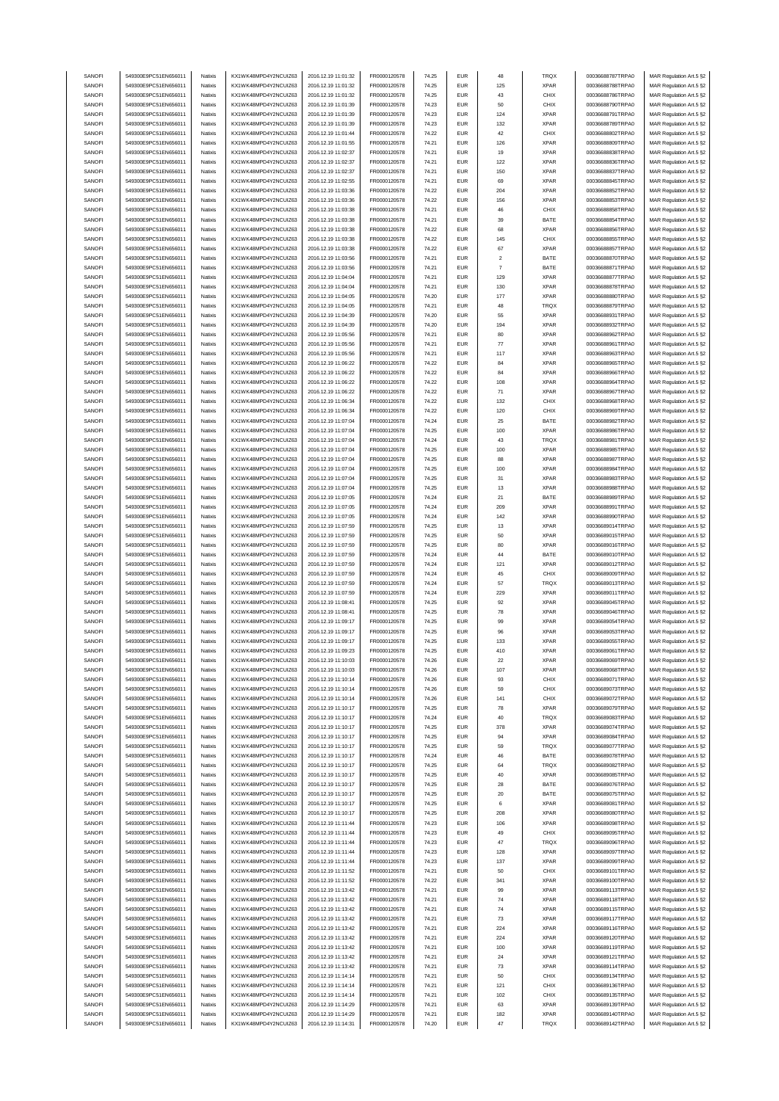| SANOFI | 549300E9PC51EN656011 | Natixis | KX1WK48MPD4Y2NCUIZ63 | 2016.12.19 11:01:32 | FR0000120578 | 74.25 | <b>EUR</b>                  | 48             | <b>TRQX</b> | 00036688787TRPA0 | MAR Regulation Art.5 §2 |
|--------|----------------------|---------|----------------------|---------------------|--------------|-------|-----------------------------|----------------|-------------|------------------|-------------------------|
| SANOFI | 549300E9PC51EN656011 | Natixis | KX1WK48MPD4Y2NCUIZ63 | 2016.12.19 11:01:32 | FR0000120578 | 74.25 | <b>EUR</b>                  | 125            | <b>XPAR</b> | 00036688788TRPA0 | MAR Regulation Art.5 §2 |
| SANOFI | 549300E9PC51EN656011 | Natixis | KX1WK48MPD4Y2NCUIZ63 | 2016.12.19 11:01:32 | FR0000120578 | 74.25 | <b>EUR</b>                  | 43             | CHIX        | 00036688786TRPA0 | MAR Regulation Art.5 §2 |
| SANOFI | 549300E9PC51EN656011 | Natixis | KX1WK48MPD4Y2NCUIZ63 | 2016.12.19 11:01:39 | FR0000120578 | 74.23 | <b>EUR</b>                  | 50             | CHIX        | 00036688790TRPA0 | MAR Regulation Art.5 §2 |
|        |                      |         |                      |                     |              |       |                             |                |             |                  |                         |
| SANOFI | 549300E9PC51EN656011 | Natixis | KX1WK48MPD4Y2NCUIZ63 | 2016.12.19 11:01:39 | FR0000120578 | 74.23 | <b>EUR</b>                  | 124            | <b>XPAR</b> | 00036688791TRPA0 | MAR Regulation Art.5 §2 |
| SANOFI | 549300E9PC51EN656011 | Natixis | KX1WK48MPD4Y2NCUIZ63 | 2016.12.19 11:01:39 | FR0000120578 | 74.23 | <b>EUR</b>                  | 132            | <b>XPAR</b> | 00036688789TRPA0 | MAR Regulation Art.5 §2 |
| SANOFI | 549300E9PC51EN656011 | Natixis | KX1WK48MPD4Y2NCUIZ63 | 2016.12.19 11:01:44 | FR0000120578 | 74.22 | <b>EUR</b>                  | 42             | CHIX        | 00036688802TRPA0 | MAR Regulation Art.5 §2 |
| SANOFI | 549300E9PC51EN656011 | Natixis | KX1WK48MPD4Y2NCUIZ63 | 2016.12.19 11:01:55 | FR0000120578 | 74.21 | <b>EUR</b>                  | 126            | <b>XPAR</b> | 00036688809TRPA0 | MAR Regulation Art.5 §2 |
| SANOFI | 549300E9PC51EN656011 | Natixis | KX1WK48MPD4Y2NCUIZ63 | 2016.12.19 11:02:37 | FR0000120578 | 74.21 | <b>EUR</b>                  | 19             | <b>XPAR</b> | 00036688838TRPA0 | MAR Regulation Art.5 §2 |
| SANOFI | 549300E9PC51EN656011 | Natixis | KX1WK48MPD4Y2NCUIZ63 | 2016.12.19 11:02:37 | FR0000120578 | 74.21 | <b>EUR</b>                  | 122            | <b>XPAR</b> | 00036688836TRPA0 | MAR Regulation Art.5 §2 |
| SANOFI | 549300E9PC51EN656011 | Natixis | KX1WK48MPD4Y2NCUIZ63 | 2016.12.19 11:02:37 | FR0000120578 | 74.21 | <b>EUR</b>                  | 150            | <b>XPAR</b> | 00036688837TRPA0 | MAR Regulation Art.5 §2 |
|        |                      |         |                      |                     |              |       |                             |                |             |                  |                         |
| SANOFI | 549300E9PC51EN656011 | Natixis | KX1WK48MPD4Y2NCUIZ63 | 2016.12.19 11:02:55 | FR0000120578 | 74.21 | <b>EUR</b>                  | 69             | <b>XPAR</b> | 00036688845TRPA0 | MAR Regulation Art.5 §2 |
| SANOFI | 549300E9PC51EN656011 | Natixis | KX1WK48MPD4Y2NCUIZ63 | 2016.12.19 11:03:36 | FR0000120578 | 74.22 | <b>EUR</b>                  | 204            | <b>XPAR</b> | 00036688852TRPA0 | MAR Regulation Art.5 §2 |
| SANOFI | 549300E9PC51EN656011 | Natixis | KX1WK48MPD4Y2NCUIZ63 | 2016.12.19 11:03:36 | FR0000120578 | 74.22 | <b>EUR</b>                  | 156            | <b>XPAR</b> | 00036688853TRPA0 | MAR Regulation Art.5 §2 |
| SANOFI | 549300E9PC51EN656011 | Natixis | KX1WK48MPD4Y2NCUIZ63 | 2016.12.19 11:03:38 | FR0000120578 | 74.21 | <b>EUR</b>                  | 46             | CHIX        | 00036688858TRPA0 | MAR Regulation Art.5 §2 |
|        |                      |         |                      |                     |              |       |                             |                |             |                  |                         |
| SANOFI | 549300E9PC51EN656011 | Natixis | KX1WK48MPD4Y2NCUIZ63 | 2016.12.19 11:03:38 | FR0000120578 | 74.21 | <b>EUR</b>                  | 39             | BATE        | 00036688854TRPA0 | MAR Regulation Art.5 §2 |
| SANOFI | 549300E9PC51EN656011 | Natixis | KX1WK48MPD4Y2NCUIZ63 | 2016.12.19 11:03:38 | FR0000120578 | 74.22 | <b>EUR</b>                  | 68             | <b>XPAR</b> | 00036688856TRPA0 | MAR Regulation Art.5 §2 |
| SANOFI | 549300E9PC51EN656011 | Natixis | KX1WK48MPD4Y2NCUIZ63 | 2016.12.19 11:03:38 | FR0000120578 | 74.22 | <b>EUR</b>                  | 145            | CHIX        | 00036688855TRPA0 | MAR Regulation Art.5 §2 |
| SANOFI | 549300E9PC51EN656011 | Natixis | KX1WK48MPD4Y2NCUIZ63 | 2016.12.19 11:03:38 | FR0000120578 | 74.22 | <b>EUR</b>                  | 67             | <b>XPAR</b> | 00036688857TRPA0 | MAR Regulation Art.5 §2 |
| SANOFI | 549300E9PC51EN656011 | Natixis | KX1WK48MPD4Y2NCUIZ63 | 2016.12.19 11:03:56 | FR0000120578 | 74.21 | <b>EUR</b>                  | $\overline{2}$ | BATE        | 00036688870TRPA0 | MAR Regulation Art.5 §2 |
|        |                      |         |                      |                     |              |       |                             |                |             |                  |                         |
| SANOFI | 549300E9PC51EN656011 | Natixis | KX1WK48MPD4Y2NCUIZ63 | 2016.12.19 11:03:56 | FR0000120578 | 74.21 | <b>EUR</b>                  | $\overline{7}$ | BATE        | 00036688871TRPA0 | MAR Regulation Art.5 §2 |
| SANOFI | 549300E9PC51EN656011 | Natixis | KX1WK48MPD4Y2NCUIZ63 | 2016.12.19 11:04:04 | FR0000120578 | 74.21 | <b>EUR</b>                  | 129            | <b>XPAR</b> | 00036688877TRPA0 | MAR Regulation Art.5 §2 |
| SANOFI | 549300E9PC51EN656011 | Natixis | KX1WK48MPD4Y2NCUIZ63 | 2016.12.19 11:04:04 | FR0000120578 | 74.21 | <b>EUR</b>                  | 130            | <b>XPAR</b> | 00036688878TRPA0 | MAR Regulation Art.5 §2 |
| SANOFI | 549300E9PC51EN656011 | Natixis | KX1WK48MPD4Y2NCUIZ63 | 2016.12.19 11:04:05 | FR0000120578 | 74.20 | <b>EUR</b>                  | 177            | <b>XPAR</b> | 00036688880TRPA0 | MAR Regulation Art.5 §2 |
| SANOFI | 549300E9PC51EN656011 | Natixis | KX1WK48MPD4Y2NCUIZ63 | 2016.12.19 11:04:05 | FR0000120578 | 74.21 | <b>EUR</b>                  | 48             | TRQX        | 00036688879TRPA0 |                         |
|        |                      |         |                      |                     |              |       |                             |                |             |                  | MAR Regulation Art.5 §2 |
| SANOFI | 549300E9PC51EN656011 | Natixis | KX1WK48MPD4Y2NCUIZ63 | 2016.12.19 11:04:39 | FR0000120578 | 74.20 | <b>EUR</b>                  | 55             | <b>XPAR</b> | 00036688931TRPA0 | MAR Regulation Art.5 §2 |
| SANOFI | 549300E9PC51EN656011 | Natixis | KX1WK48MPD4Y2NCUIZ63 | 2016.12.19 11:04:39 | FR0000120578 | 74.20 | <b>EUR</b>                  | 194            | <b>XPAR</b> | 00036688932TRPA0 | MAR Regulation Art.5 §2 |
| SANOFI | 549300E9PC51EN656011 | Natixis | KX1WK48MPD4Y2NCUIZ63 | 2016.12.19 11:05:56 | FR0000120578 | 74.21 | <b>EUR</b>                  | 80             | <b>XPAR</b> | 00036688962TRPA0 | MAR Regulation Art.5 §2 |
| SANOFI | 549300E9PC51EN656011 | Natixis | KX1WK48MPD4Y2NCUIZ63 | 2016 12:19 11:05:56 | FR0000120578 | 74.21 | <b>EUR</b>                  | $77$           | <b>XPAR</b> | 00036688961TRPA0 | MAR Regulation Art.5 §2 |
| SANOFI | 549300E9PC51EN656011 | Natixis | KX1WK48MPD4Y2NCUIZ63 | 2016.12.19 11:05:56 | FR0000120578 | 74.21 | <b>EUR</b>                  | 117            | <b>XPAR</b> | 00036688963TRPA0 | MAR Regulation Art.5 §2 |
|        |                      |         |                      |                     |              |       |                             |                |             |                  |                         |
| SANOFI | 549300E9PC51EN656011 | Natixis | KX1WK48MPD4Y2NCUIZ63 | 2016.12.19 11:06:22 | FR0000120578 | 74.22 | <b>EUR</b>                  | 84             | <b>XPAR</b> | 00036688965TRPA0 | MAR Regulation Art.5 §2 |
| SANOFI | 549300E9PC51EN656011 | Natixis | KX1WK48MPD4Y2NCUIZ63 | 2016.12.19 11:06:22 | FR0000120578 | 74.22 | <b>EUR</b>                  | 84             | <b>XPAR</b> | 00036688966TRPA0 | MAR Regulation Art.5 §2 |
| SANOFI | 549300E9PC51EN656011 | Natixis | KX1WK48MPD4Y2NCUIZ63 | 2016.12.19 11:06:22 | FR0000120578 | 74.22 | <b>EUR</b>                  | 108            | <b>XPAR</b> | 00036688964TRPA0 | MAR Regulation Art.5 §2 |
| SANOFI | 549300E9PC51EN656011 | Natixis | KX1WK48MPD4Y2NCUIZ63 | 2016.12.19 11:06:22 | FR0000120578 | 74.22 | <b>EUR</b>                  | 71             | <b>XPAR</b> | 00036688967TRPA0 | MAR Regulation Art.5 §2 |
|        |                      |         |                      |                     |              |       |                             |                |             |                  |                         |
| SANOFI | 549300E9PC51EN656011 | Natixis | KX1WK48MPD4Y2NCUIZ63 | 2016.12.19 11:06:34 | FR0000120578 | 74.22 | <b>EUR</b>                  | 132            | CHIX        | 00036688968TRPA0 | MAR Regulation Art.5 §2 |
| SANOFI | 549300E9PC51EN656011 | Natixis | KX1WK48MPD4Y2NCUIZ63 | 2016.12.19 11:06:34 | FR0000120578 | 74.22 | <b>EUR</b>                  | 120            | CHIX        | 00036688969TRPA0 | MAR Regulation Art.5 §2 |
| SANOFI | 549300E9PC51EN656011 | Natixis | KX1WK48MPD4Y2NCUIZ63 | 2016.12.19 11:07:04 | FR0000120578 | 74.24 | <b>EUR</b>                  | 25             | BATE        | 00036688982TRPA0 | MAR Regulation Art.5 §2 |
| SANOFI | 549300E9PC51EN656011 | Natixis | KX1WK48MPD4Y2NCUIZ63 | 2016.12.19.11:07:04 | FR0000120578 | 74.25 | <b>EUR</b>                  | 100            | <b>XPAR</b> | 00036688986TRPA0 | MAR Regulation Art.5 §2 |
|        |                      |         |                      |                     |              |       |                             |                |             |                  |                         |
| SANOFI | 549300E9PC51EN656011 | Natixis | KX1WK48MPD4Y2NCUIZ63 | 2016.12.19 11:07:04 | FR0000120578 | 74.24 | <b>EUR</b>                  | 43             | TRQX        | 00036688981TRPA0 | MAR Regulation Art.5 §2 |
| SANOFI | 549300E9PC51EN656011 | Natixis | KX1WK48MPD4Y2NCUIZ63 | 2016.12.19 11:07:04 | FR0000120578 | 74.25 | <b>EUR</b>                  | 100            | <b>XPAR</b> | 00036688985TRPA0 | MAR Regulation Art.5 §2 |
| SANOFI | 549300E9PC51EN656011 | Natixis | KX1WK48MPD4Y2NCUIZ63 | 2016.12.19 11:07:04 | FR0000120578 | 74.25 | <b>EUR</b>                  | 88             | <b>XPAR</b> | 00036688987TRPA0 | MAR Regulation Art.5 §2 |
| SANOFI | 549300E9PC51EN656011 | Natixis | KX1WK48MPD4Y2NCUIZ63 | 2016.12.19 11:07:04 | FR0000120578 | 74.25 | <b>EUR</b>                  | 100            | <b>XPAR</b> | 00036688984TRPA0 | MAR Regulation Art.5 §2 |
| SANOFI | 549300E9PC51EN656011 | Natixis | KX1WK48MPD4Y2NCUIZ63 | 2016.12.19 11:07:04 | FR0000120578 | 74.25 | <b>EUR</b>                  | 31             | <b>XPAR</b> | 00036688983TRPA0 | MAR Regulation Art.5 §2 |
|        |                      |         |                      |                     |              |       |                             |                |             |                  |                         |
| SANOFI | 549300E9PC51EN656011 | Natixis | KX1WK48MPD4Y2NCUIZ63 | 2016.12.19 11:07:04 | FR0000120578 | 74.25 | <b>EUR</b>                  | 13             | <b>XPAR</b> | 00036688988TRPA0 | MAR Regulation Art.5 §2 |
| SANOFI | 549300E9PC51EN656011 | Natixis | KX1WK48MPD4Y2NCUIZ63 | 2016.12.19 11:07:05 | FR0000120578 | 74.24 | <b>EUR</b>                  | 21             | BATE        | 00036688989TRPA0 | MAR Regulation Art.5 §2 |
| SANOFI | 549300E9PC51EN656011 | Natixis | KX1WK48MPD4Y2NCUIZ63 | 2016.12.19 11:07:05 | FR0000120578 | 74.24 | <b>EUR</b>                  | 209            | <b>XPAR</b> | 00036688991TRPA0 | MAR Regulation Art.5 §2 |
| SANOFI | 549300E9PC51EN656011 | Natixis | KX1WK48MPD4Y2NCUIZ63 | 2016.12.19 11:07:05 | FR0000120578 | 74.24 | <b>EUR</b>                  | 142            | <b>XPAR</b> | 00036688990TRPA0 | MAR Regulation Art.5 §2 |
| SANOFI | 549300E9PC51EN656011 | Natixis | KX1WK48MPD4Y2NCUIZ63 | 2016.12.19 11:07:59 | FR0000120578 | 74.25 | <b>EUR</b>                  | 13             | <b>XPAR</b> | 00036689014TRPA0 | MAR Regulation Art.5 §2 |
|        |                      |         |                      |                     |              |       |                             |                |             |                  |                         |
| SANOFI | 549300E9PC51EN656011 | Natixis | KX1WK48MPD4Y2NCUIZ63 | 2016.12.19 11:07:59 | FR0000120578 | 74.25 | <b>EUR</b>                  | 50             | <b>XPAR</b> | 00036689015TRPA0 | MAR Regulation Art.5 §2 |
| SANOFI | 549300E9PC51EN656011 | Natixis | KX1WK48MPD4Y2NCUIZ63 | 2016.12.19 11:07:59 | FR0000120578 | 74.25 | <b>EUR</b>                  | 80             | <b>XPAR</b> | 00036689016TRPA0 | MAR Regulation Art.5 §2 |
| SANOFI | 549300E9PC51EN656011 | Natixis | KX1WK48MPD4Y2NCUIZ63 | 2016.12.19 11:07:59 | FR0000120578 | 74.24 | <b>EUR</b>                  | 44             | BATE        | 00036689010TRPA0 | MAR Regulation Art.5 §2 |
| SANOFI | 549300E9PC51EN656011 | Natixis | KX1WK48MPD4Y2NCUIZ63 | 2016.12.19 11:07:59 | FR0000120578 | 74.24 | <b>EUR</b>                  | 121            | <b>XPAR</b> | 00036689012TRPA0 | MAR Regulation Art.5 §2 |
| SANOFI | 549300E9PC51EN656011 | Natixis | KX1WK48MPD4Y2NCUIZ63 | 2016.12.19 11:07:59 | FR0000120578 | 74.24 | <b>EUR</b>                  | 45             | CHIX        | 00036689009TRPA0 | MAR Regulation Art.5 §2 |
|        |                      |         |                      |                     |              |       |                             |                |             |                  |                         |
| SANOFI | 549300E9PC51EN656011 | Natixis | KX1WK48MPD4Y2NCUIZ63 | 2016.12.19 11:07:59 | FR0000120578 | 74.24 | <b>EUR</b>                  | 57             | <b>TRQX</b> | 00036689013TRPA0 | MAR Regulation Art.5 §2 |
| SANOFI | 549300E9PC51EN656011 | Natixis | KX1WK48MPD4Y2NCUIZ63 | 2016.12.19 11:07:59 | FR0000120578 | 74.24 | <b>EUR</b>                  | 229            | <b>XPAR</b> | 00036689011TRPA0 | MAR Regulation Art.5 §2 |
| SANOFI | 549300E9PC51EN656011 | Natixis | KX1WK48MPD4Y2NCUIZ63 | 2016.12.19 11:08:41 | FR0000120578 | 74.25 | <b>EUR</b>                  | 92             | <b>XPAR</b> | 00036689045TRPA0 | MAR Regulation Art.5 §2 |
| SANOFI | 549300E9PC51EN656011 | Natixis | KX1WK48MPD4Y2NCUIZ63 | 2016.12.19 11:08:41 | FR0000120578 | 74.25 | <b>EUR</b>                  | 78             | <b>XPAR</b> | 00036689046TRPA0 | MAR Regulation Art.5 §2 |
| SANOFI | 549300E9PC51EN656011 | Natixis | KX1WK48MPD4Y2NCUIZ63 | 2016.12.19 11:09:17 | FR0000120578 | 74.25 | <b>EUR</b>                  | 99             | <b>XPAR</b> | 00036689054TRPA0 |                         |
|        |                      |         |                      |                     |              |       |                             |                |             |                  | MAR Regulation Art.5 §2 |
| SANOFI | 549300E9PC51EN656011 | Natixis | KX1WK48MPD4Y2NCUIZ63 | 2016.12.19 11:09:17 | FR0000120578 | 74.25 | <b>EUR</b>                  | 96             | <b>XPAR</b> | 00036689053TRPA0 | MAR Regulation Art.5 §2 |
| SANOFI | 549300E9PC51EN656011 | Natixis | KX1WK48MPD4Y2NCUIZ63 | 2016.12.19 11:09:17 | FR0000120578 | 74.25 | <b>EUR</b>                  | 133            | <b>XPAR</b> | 00036689055TRPA0 | MAR Regulation Art.5 §2 |
| SANOF  | 549300E9PC51EN65601  | Natixis | KX1WK48MPD4Y2NCUIZ63 | 2016.12.19 11:09:23 | FR0000120578 | 74.25 | EUR                         | 410            | XPAR        | 00036689061TRPA0 | MAR Regulation Art.5 §2 |
| SANOFI | 549300E9PC51EN656011 | Natixis | KX1WK48MPD4Y2NCUIZ63 | 2016.12.19 11:10:03 | FR0000120578 | 74.26 | <b>EUR</b>                  | 22             | <b>XPAR</b> | 00036689069TRPA0 | MAR Regulation Art.5 §2 |
| SANOFI | 549300E9PC51EN656011 | Natixis | KX1WK48MPD4Y2NCUIZ63 | 2016.12.19 11:10:03 | FR0000120578 | 74.26 | <b>EUR</b>                  | 107            | <b>XPAR</b> | 00036689068TRPA0 | MAR Regulation Art.5 §2 |
|        |                      |         |                      |                     |              |       |                             |                |             |                  |                         |
| SANOFI | 549300E9PC51EN656011 | Natixis | KX1WK48MPD4Y2NCUIZ63 | 2016.12.19 11:10:14 | FR0000120578 | 74.26 | <b>EUR</b>                  | 93             | CHIX        | 00036689071TRPA0 | MAR Regulation Art.5 §2 |
| SANOFI | 549300E9PC51EN656011 | Natixis | KX1WK48MPD4Y2NCUIZ63 | 2016.12.19 11:10:14 | FR0000120578 | 74.26 | <b>EUR</b>                  | 59             | CHIX        | 00036689073TRPA0 | MAR Regulation Art.5 §2 |
| SANOFI | 549300E9PC51EN656011 | Natixis | KX1WK48MPD4Y2NCUIZ63 | 2016.12.19 11:10:14 | FR0000120578 | 74.26 | <b>EUR</b>                  | 141            | CHIX        | 00036689072TRPA0 | MAR Regulation Art.5 §2 |
| SANOFI | 549300E9PC51EN656011 | Natixis | KX1WK48MPD4Y2NCUIZ63 | 2016.12.19 11:10:17 | FR0000120578 | 74.25 | EUR                         | 78             | <b>XPAR</b> | 00036689079TRPA0 | MAR Regulation Art.5 §2 |
| SANOFI | 549300E9PC51EN656011 | Natixis | KX1WK48MPD4Y2NCUIZ63 | 2016.12.19 11:10:17 | FR0000120578 | 74.24 | <b>EUR</b>                  | 40             | TRQX        | 00036689083TRPA0 | MAR Regulation Art.5 §2 |
|        |                      |         |                      |                     |              |       |                             |                |             |                  |                         |
| SANOFI | 549300E9PC51EN656011 | Natixis | KX1WK48MPD4Y2NCUIZ63 | 2016.12.19 11:10:17 | FR0000120578 | 74.25 | <b>EUR</b>                  | 378            | <b>XPAR</b> | 00036689074TRPA0 | MAR Regulation Art.5 §2 |
| SANOFI | 549300E9PC51EN656011 | Natixis | KX1WK48MPD4Y2NCUIZ63 | 2016.12.19 11:10:17 | FR0000120578 | 74.25 | <b>EUR</b>                  | 94             | <b>XPAR</b> | 00036689084TRPA0 | MAR Regulation Art.5 §2 |
| SANOFI | 549300E9PC51EN656011 | Natixis | KX1WK48MPD4Y2NCUIZ63 | 2016.12.19 11:10:17 | FR0000120578 | 74.25 | <b>EUR</b>                  | 59             | TRQX        | 00036689077TRPA0 | MAR Regulation Art.5 §2 |
| SANOFI | 549300E9PC51EN656011 | Natixis | KX1WK48MPD4Y2NCUIZ63 | 2016.12.19 11:10:17 | FR0000120578 | 74.24 | <b>EUR</b>                  | 46             | BATE        | 00036689078TRPA0 | MAR Regulation Art.5 §2 |
| SANOFI | 549300E9PC51EN656011 | Natixis | KX1WK48MPD4Y2NCUIZ63 | 2016.12.19 11:10:17 | FR0000120578 | 74.25 | <b>EUR</b>                  | 64             | <b>TRQX</b> | 00036689082TRPA0 | MAR Regulation Art.5 §2 |
|        |                      |         |                      |                     |              |       |                             |                |             |                  |                         |
| SANOFI | 549300E9PC51EN656011 | Natixis | KX1WK48MPD4Y2NCUIZ63 | 2016.12.19 11:10:17 | FR0000120578 | 74.25 | <b>EUR</b>                  | 40             | <b>XPAR</b> | 00036689085TRPA0 | MAR Regulation Art.5 §2 |
| SANOFI | 549300E9PC51EN656011 | Natixis | KX1WK48MPD4Y2NCUIZ63 | 2016.12.19 11:10:17 | FR0000120578 | 74.25 | <b>EUR</b>                  | 28             | BATE        | 00036689076TRPA0 | MAR Regulation Art.5 §2 |
| SANOFI | 549300E9PC51EN656011 | Natixis | KX1WK48MPD4Y2NCUIZ63 | 2016.12.19 11:10:17 | FR0000120578 | 74.25 | $\ensuremath{\mathsf{EUR}}$ | 20             | BATE        | 00036689075TRPA0 | MAR Regulation Art.5 §2 |
| SANOFI | 549300E9PC51EN656011 | Natixis | KX1WK48MPD4Y2NCUIZ63 | 2016.12.19 11:10:17 | FR0000120578 | 74.25 | <b>EUR</b>                  | 6              | <b>XPAR</b> | 00036689081TRPA0 | MAR Regulation Art.5 §2 |
| SANOFI | 549300E9PC51EN656011 | Natixis | KX1WK48MPD4Y2NCUIZ63 | 2016.12.19 11:10:17 | FR0000120578 | 74.25 | <b>EUR</b>                  | 208            | <b>XPAR</b> | 00036689080TRPA0 | MAR Regulation Art.5 §2 |
|        |                      |         |                      |                     |              |       |                             |                |             |                  |                         |
| SANOFI | 549300E9PC51EN656011 | Natixis | KX1WK48MPD4Y2NCUIZ63 | 2016.12.19 11:11:44 | FR0000120578 | 74.23 | <b>EUR</b>                  | 106            | <b>XPAR</b> | 00036689098TRPA0 | MAR Regulation Art.5 §2 |
| SANOFI | 549300E9PC51EN656011 | Natixis | KX1WK48MPD4Y2NCUIZ63 | 2016.12.19 11:11:44 | FR0000120578 | 74.23 | <b>EUR</b>                  | 49             | CHIX        | 00036689095TRPA0 | MAR Regulation Art.5 §2 |
| SANOFI | 549300E9PC51EN656011 | Natixis | KX1WK48MPD4Y2NCUIZ63 | 2016.12.19 11:11:44 | FR0000120578 | 74.23 | <b>EUR</b>                  | 47             | <b>TRQX</b> | 00036689096TRPA0 | MAR Regulation Art.5 §2 |
|        |                      |         |                      |                     |              |       |                             |                |             |                  |                         |
| SANOFI | 549300E9PC51EN656011 | Natixis | KX1WK48MPD4Y2NCUIZ63 | 2016.12.19 11:11:44 | FR0000120578 | 74.23 | <b>EUR</b>                  | 128            | <b>XPAR</b> | 00036689097TRPA0 | MAR Regulation Art.5 §2 |
| SANOFI | 549300E9PC51EN656011 | Natixis | KX1WK48MPD4Y2NCUIZ63 | 2016.12.19 11:11:44 | FR0000120578 | 74.23 | <b>EUR</b>                  | 137            | <b>XPAR</b> | 00036689099TRPA0 | MAR Regulation Art.5 §2 |
| SANOFI | 549300E9PC51EN656011 | Natixis | KX1WK48MPD4Y2NCUIZ63 | 2016.12.19 11:11:52 | FR0000120578 | 74.21 | <b>EUR</b>                  | 50             | CHIX        | 00036689101TRPA0 | MAR Regulation Art.5 §2 |
| SANOFI | 549300E9PC51EN656011 | Natixis | KX1WK48MPD4Y2NCUIZ63 | 2016.12.19 11:11:52 | FR0000120578 | 74.22 | <b>EUR</b>                  | 341            | <b>XPAR</b> | 00036689100TRPA0 | MAR Regulation Art.5 §2 |
| SANOFI | 549300E9PC51EN656011 | Natixis | KX1WK48MPD4Y2NCUIZ63 | 2016.12.19 11:13:42 | FR0000120578 | 74.21 | <b>EUR</b>                  | 99             | <b>XPAR</b> | 00036689113TRPA0 | MAR Regulation Art.5 §2 |
|        |                      |         |                      |                     |              |       |                             |                |             |                  |                         |
| SANOFI | 549300E9PC51EN656011 | Natixis | KX1WK48MPD4Y2NCUIZ63 | 2016.12.19 11:13:42 | FR0000120578 | 74.21 | <b>EUR</b>                  | 74             | <b>XPAR</b> | 00036689118TRPA0 | MAR Regulation Art.5 §2 |
| SANOFI | 549300E9PC51EN656011 | Natixis | KX1WK48MPD4Y2NCUIZ63 | 2016.12.19 11:13:42 | FR0000120578 | 74.21 | <b>EUR</b>                  | 74             | <b>XPAR</b> | 00036689115TRPA0 | MAR Regulation Art.5 §2 |
| SANOFI | 549300E9PC51EN656011 | Natixis | KX1WK48MPD4Y2NCUIZ63 | 2016.12.19 11:13:42 | FR0000120578 | 74.21 | <b>EUR</b>                  | 73             | <b>XPAR</b> | 00036689117TRPA0 | MAR Regulation Art.5 §2 |
| SANOFI | 549300E9PC51EN656011 | Natixis | KX1WK48MPD4Y2NCUIZ63 | 2016.12.19 11:13:42 | FR0000120578 | 74.21 | <b>EUR</b>                  | 224            | <b>XPAR</b> | 00036689116TRPA0 | MAR Regulation Art.5 §2 |
|        |                      |         |                      |                     |              |       |                             |                |             |                  |                         |
| SANOFI | 549300E9PC51EN656011 | Natixis | KX1WK48MPD4Y2NCUIZ63 | 2016.12.19 11:13:42 | FR0000120578 | 74.21 | <b>EUR</b>                  | 224            | <b>XPAR</b> | 00036689120TRPA0 | MAR Regulation Art.5 §2 |
| SANOFI | 549300E9PC51EN656011 | Natixis | KX1WK48MPD4Y2NCUIZ63 | 2016.12.19 11:13:42 | FR0000120578 | 74.21 | <b>EUR</b>                  | 100            | <b>XPAR</b> | 00036689119TRPA0 | MAR Regulation Art.5 §2 |
| SANOFI | 549300E9PC51EN656011 | Natixis | KX1WK48MPD4Y2NCUIZ63 | 2016.12.19 11:13:42 | FR0000120578 | 74.21 | <b>EUR</b>                  | 24             | <b>XPAR</b> | 00036689121TRPA0 | MAR Regulation Art.5 §2 |
| SANOFI | 549300E9PC51EN656011 | Natixis | KX1WK48MPD4Y2NCUIZ63 | 2016.12.19 11:13:42 | FR0000120578 | 74.21 | <b>EUR</b>                  | 73             | <b>XPAR</b> | 00036689114TRPA0 | MAR Regulation Art.5 §2 |
| SANOFI | 549300E9PC51EN656011 | Natixis | KX1WK48MPD4Y2NCUIZ63 | 2016.12.19 11:14:14 |              |       | <b>EUR</b>                  | 50             | CHIX        | 00036689134TRPA0 |                         |
|        |                      |         |                      |                     | FR0000120578 | 74.21 |                             |                |             |                  | MAR Regulation Art.5 §2 |
| SANOFI | 549300E9PC51EN656011 | Natixis | KX1WK48MPD4Y2NCUIZ63 | 2016.12.19 11:14:14 | FR0000120578 | 74.21 | <b>EUR</b>                  | 121            | CHIX        | 00036689136TRPA0 | MAR Regulation Art.5 §2 |
| SANOFI | 549300E9PC51EN656011 | Natixis | KX1WK48MPD4Y2NCUIZ63 | 2016.12.19 11:14:14 | FR0000120578 | 74.21 | <b>EUR</b>                  | 102            | CHIX        | 00036689135TRPA0 | MAR Regulation Art.5 §2 |
| SANOFI | 549300E9PC51EN656011 | Natixis | KX1WK48MPD4Y2NCUIZ63 | 2016.12.19 11:14:29 | FR0000120578 | 74.21 | <b>EUR</b>                  | 63             | <b>XPAR</b> | 00036689139TRPA0 | MAR Regulation Art.5 §2 |
| SANOFI | 549300E9PC51EN656011 | Natixis | KX1WK48MPD4Y2NCUIZ63 | 2016.12.19 11:14:29 | FR0000120578 | 74.21 | <b>EUR</b>                  | 182            | <b>XPAR</b> | 00036689140TRPA0 | MAR Regulation Art.5 §2 |
| SANOFI | 549300E9PC51EN656011 | Natixis | KX1WK48MPD4Y2NCUIZ63 | 2016.12.19 11:14:31 | FR0000120578 | 74.20 | <b>EUR</b>                  | $47\,$         | <b>TRQX</b> | 00036689142TRPA0 | MAR Regulation Art.5 §2 |
|        |                      |         |                      |                     |              |       |                             |                |             |                  |                         |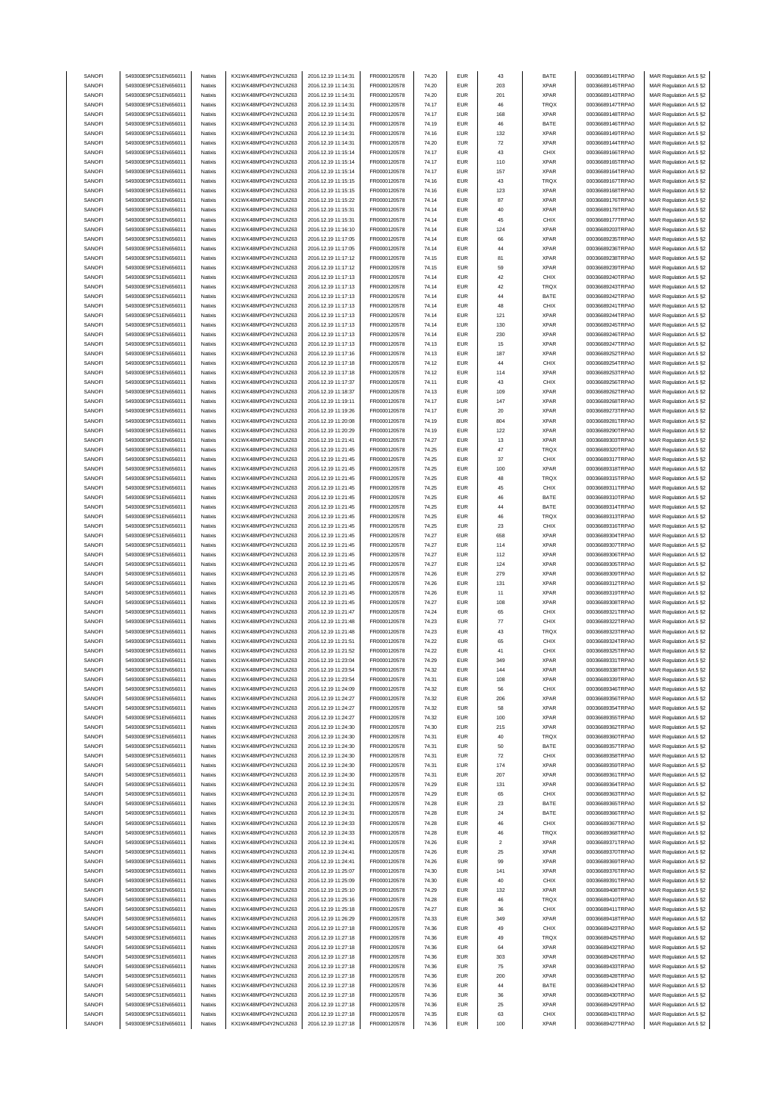| SANOFI           | 549300E9PC51EN656011                         | Natixis            | KX1WK48MPD4Y2NCUIZ63                         | 2016.12.19 11:14:31                        | FR0000120578                 | 74.20          | <b>EUR</b>               | 43                      | BATE                | 00036689141TRPA0                     | MAR Regulation Art.5 §2                            |
|------------------|----------------------------------------------|--------------------|----------------------------------------------|--------------------------------------------|------------------------------|----------------|--------------------------|-------------------------|---------------------|--------------------------------------|----------------------------------------------------|
| SANOFI           | 549300E9PC51EN656011                         | Natixis            | KX1WK48MPD4Y2NCUIZ63                         | 2016.12.19 11:14:31                        | FR0000120578                 | 74.20          | <b>EUR</b>               | 203                     | <b>XPAR</b>         | 00036689145TRPA0                     | MAR Regulation Art.5 §2                            |
| SANOFI           | 549300E9PC51EN656011                         | Natixis            | KX1WK48MPD4Y2NCUIZ63                         | 2016.12.19 11:14:31                        | FR0000120578                 | 74.20          | <b>EUR</b>               | 201                     | <b>XPAR</b>         | 00036689143TRPA0                     | MAR Regulation Art.5 §2                            |
| SANOFI           | 549300E9PC51EN656011                         | Natixis            | KX1WK48MPD4Y2NCUIZ63                         | 2016.12.19 11:14:31                        | FR0000120578                 | 74.17          | <b>EUR</b>               | 46                      | <b>TRQX</b>         | 00036689147TRPA0                     | MAR Regulation Art.5 §2                            |
|                  |                                              |                    |                                              |                                            |                              |                |                          |                         |                     |                                      |                                                    |
| SANOFI           | 549300E9PC51EN656011                         | Natixis            | KX1WK48MPD4Y2NCUIZ63                         | 2016.12.19 11:14:31                        | FR0000120578                 | 74.17          | <b>EUR</b>               | 168                     | <b>XPAR</b>         | 00036689148TRPA0                     | MAR Regulation Art.5 §2                            |
| SANOFI           | 549300E9PC51EN656011                         | Natixis            | KX1WK48MPD4Y2NCUIZ63                         | 2016.12.19 11:14:31                        | FR0000120578                 | 74.19          | <b>EUR</b>               | 46                      | BATE                | 00036689146TRPA0                     | MAR Regulation Art.5 §2                            |
| SANOFI           | 549300E9PC51EN656011                         | Natixis            | KX1WK48MPD4Y2NCUIZ63                         | 2016.12.19 11:14:31                        | FR0000120578                 | 74.16          | <b>EUR</b>               | 132                     | <b>XPAR</b>         | 00036689149TRPA0                     | MAR Regulation Art.5 §2                            |
| SANOFI           | 549300E9PC51EN656011                         | Natixis            | KX1WK48MPD4Y2NCUIZ63                         | 2016.12.19 11:14:31                        | FR0000120578                 | 74.20          | <b>EUR</b>               | $\scriptstyle{72}$      | <b>XPAR</b>         | 00036689144TRPA0                     | MAR Regulation Art.5 §2                            |
| SANOFI           | 549300E9PC51EN656011                         | Natixis            | KX1WK48MPD4Y2NCUIZ63                         | 2016.12.19 11:15:14                        | FR0000120578                 | 74.17          | <b>EUR</b>               | 43                      | CHIX                | 00036689166TRPA0                     | MAR Regulation Art.5 §2                            |
| SANOFI           | 549300E9PC51EN656011                         | Natixis            | KX1WK48MPD4Y2NCUIZ63                         | 2016.12.19 11:15:14                        | FR0000120578                 | 74.17          | <b>EUR</b>               | 110                     | <b>XPAR</b>         | 00036689165TRPA0                     | MAR Regulation Art.5 §2                            |
| SANOFI           | 549300E9PC51EN656011                         | Natixis            | KX1WK48MPD4Y2NCUIZ63                         | 2016.12.19 11:15:14                        | FR0000120578                 | 74.17          | <b>EUR</b>               | 157                     | <b>XPAR</b>         | 00036689164TRPA0                     | MAR Regulation Art.5 §2                            |
|                  |                                              |                    |                                              |                                            |                              |                |                          |                         |                     |                                      |                                                    |
| SANOFI           | 549300E9PC51EN656011                         | Natixis            | KX1WK48MPD4Y2NCUIZ63                         | 2016.12.19 11:15:15                        | FR0000120578                 | 74.16          | <b>EUR</b>               | 43                      | TRQX                | 00036689167TRPA0                     | MAR Regulation Art.5 §2                            |
| SANOFI           | 549300E9PC51EN656011                         | Natixis            | KX1WK48MPD4Y2NCUIZ63                         | 2016.12.19 11:15:15                        | FR0000120578                 | 74.16          | <b>EUR</b>               | 123                     | <b>XPAR</b>         | 00036689168TRPA0                     | MAR Regulation Art.5 §2                            |
| SANOFI           | 549300E9PC51EN656011                         | Natixis            | KX1WK48MPD4Y2NCUIZ63                         | 2016.12.19 11:15:22                        | FR0000120578                 | 74.14          | <b>EUR</b>               | 87                      | <b>XPAR</b>         | 00036689176TRPA0                     | MAR Regulation Art.5 §2                            |
| SANOFI           | 549300E9PC51EN656011                         | Natixis            | KX1WK48MPD4Y2NCUIZ63                         | 2016.12.19 11:15:31                        | FR0000120578                 | 74.14          | <b>EUR</b>               | 40                      | <b>XPAR</b>         | 00036689178TRPA0                     | MAR Regulation Art.5 §2                            |
| SANOFI           | 549300E9PC51EN656011                         | Natixis            | KX1WK48MPD4Y2NCUIZ63                         | 2016.12.19 11:15:31                        | FR0000120578                 | 74.14          | <b>EUR</b>               | 45                      | CHIX                | 00036689177TRPA0                     | MAR Regulation Art.5 §2                            |
|                  |                                              |                    |                                              |                                            |                              |                |                          |                         |                     |                                      |                                                    |
| SANOFI           | 549300E9PC51EN656011                         | Natixis            | KX1WK48MPD4Y2NCUIZ63                         | 2016.12.19 11:16:10                        | FR0000120578                 | 74.14          | <b>EUR</b>               | 124                     | <b>XPAR</b>         | 00036689203TRPA0                     | MAR Regulation Art.5 §2                            |
| SANOFI           | 549300E9PC51EN656011                         | Natixis            | KX1WK48MPD4Y2NCUIZ63                         | 2016.12.19 11:17:05                        | FR0000120578                 | 74.14          | <b>EUR</b>               | 66                      | <b>XPAR</b>         | 00036689235TRPA0                     | MAR Regulation Art.5 §2                            |
| SANOFI           | 549300E9PC51EN656011                         | Natixis            | KX1WK48MPD4Y2NCUIZ63                         | 2016.12.19 11:17:05                        | FR0000120578                 | 74.14          | <b>EUR</b>               | 44                      | <b>XPAR</b>         | 00036689236TRPA0                     | MAR Regulation Art.5 §2                            |
| SANOFI           | 549300E9PC51EN656011                         | Natixis            | KX1WK48MPD4Y2NCUIZ63                         | 2016.12.19 11:17:12                        | FR0000120578                 | 74.15          | <b>EUR</b>               | 81                      | <b>XPAR</b>         | 00036689238TRPA0                     | MAR Regulation Art.5 §2                            |
| SANOFI           | 549300E9PC51EN656011                         | Natixis            | KX1WK48MPD4Y2NCUIZ63                         | 2016.12.19 11:17:12                        | FR0000120578                 | 74.15          | <b>EUR</b>               | 59                      | <b>XPAR</b>         | 00036689239TRPA0                     | MAR Regulation Art.5 §2                            |
| SANOFI           | 549300E9PC51EN656011                         | Natixis            | KX1WK48MPD4Y2NCUIZ63                         | 2016.12.19 11:17:13                        | FR0000120578                 | 74.14          | <b>EUR</b>               | 42                      | CHIX                | 00036689240TRPA0                     | MAR Regulation Art.5 §2                            |
|                  |                                              |                    |                                              |                                            |                              |                |                          |                         |                     |                                      |                                                    |
| SANOFI           | 549300E9PC51EN656011                         | Natixis            | KX1WK48MPD4Y2NCUIZ63                         | 2016.12.19 11:17:13                        | FR0000120578                 | 74.14          | <b>EUR</b>               | 42                      | <b>TRQX</b>         | 00036689243TRPA0                     | MAR Regulation Art.5 §2                            |
| SANOFI           | 549300E9PC51EN656011                         | Natixis            | KX1WK48MPD4Y2NCUIZ63                         | 2016.12.19 11:17:13                        | FR0000120578                 | 74.14          | <b>EUR</b>               | 44                      | BATE                | 00036689242TRPA0                     | MAR Regulation Art.5 §2                            |
| SANOFI           | 549300E9PC51EN656011                         | Natixis            | KX1WK48MPD4Y2NCUIZ63                         | 2016.12.19 11:17:13                        | FR0000120578                 | 74.14          | <b>EUR</b>               | 48                      | CHIX                | 00036689241TRPA0                     | MAR Regulation Art.5 §2                            |
| SANOFI           | 549300E9PC51EN656011                         | Natixis            | KX1WK48MPD4Y2NCUIZ63                         | 2016.12.19 11:17:13                        | FR0000120578                 | 74.14          | <b>EUR</b>               | 121                     | <b>XPAR</b>         | 00036689244TRPA0                     | MAR Regulation Art.5 §2                            |
| SANOFI           | 549300E9PC51EN656011                         | Natixis            | KX1WK48MPD4Y2NCUIZ63                         | 2016.12.19 11:17:13                        | FR0000120578                 | 74.14          | <b>EUR</b>               | 130                     | <b>XPAR</b>         | 00036689245TRPA0                     | MAR Regulation Art.5 §2                            |
| SANOFI           | 549300E9PC51EN656011                         | Natixis            | KX1WK48MPD4Y2NCUIZ63                         | 2016.12.19 11:17:13                        | FR0000120578                 | 74.14          | <b>EUR</b>               | 230                     | <b>XPAR</b>         | 00036689246TRPA0                     | MAR Regulation Art.5 §2                            |
| SANOFI           | 549300E9PC51EN656011                         | Natixis            | KX1WK48MPD4Y2NCUIZ63                         | 2016.12.19 11:17:13                        | FR0000120578                 | 74.13          | <b>EUR</b>               | 15                      | <b>XPAR</b>         | 00036689247TRPA0                     | MAR Regulation Art.5 §2                            |
|                  |                                              |                    |                                              |                                            |                              |                |                          |                         |                     |                                      |                                                    |
| SANOFI           | 549300E9PC51EN656011                         | Natixis            | KX1WK48MPD4Y2NCUIZ63                         | 2016.12.19 11:17:16                        | FR0000120578                 | 74.13          | <b>EUR</b>               | 187                     | <b>XPAR</b>         | 00036689252TRPA0                     | MAR Regulation Art.5 §2                            |
| SANOFI           | 549300E9PC51EN656011                         | Natixis            | KX1WK48MPD4Y2NCUIZ63                         | 2016.12.19 11:17:18                        | FR0000120578                 | 74.12          | <b>EUR</b>               | 44                      | CHIX                | 00036689254TRPA0                     | MAR Regulation Art.5 §2                            |
| SANOFI           | 549300E9PC51EN656011                         | Natixis            | KX1WK48MPD4Y2NCUIZ63                         | 2016.12.19 11:17:18                        | FR0000120578                 | 74.12          | <b>EUR</b>               | 114                     | <b>XPAR</b>         | 00036689253TRPA0                     | MAR Regulation Art.5 §2                            |
| SANOFI           | 549300E9PC51EN656011                         | Natixis            | KX1WK48MPD4Y2NCUIZ63                         | 2016.12.19 11:17:37                        | FR0000120578                 | 74.11          | <b>EUR</b>               | 43                      | CHIX                | 00036689256TRPA0                     | MAR Regulation Art.5 §2                            |
| SANOFI           | 549300E9PC51EN656011                         | Natixis            | KX1WK48MPD4Y2NCUIZ63                         | 2016.12.19 11:18:37                        | FR0000120578                 | 74.13          | <b>EUR</b>               | 109                     | <b>XPAR</b>         | 00036689262TRPA0                     | MAR Regulation Art.5 §2                            |
| SANOFI           | 549300E9PC51EN656011                         | Natixis            |                                              |                                            | FR0000120578                 | 74.17          | <b>EUR</b>               | 147                     | <b>XPAR</b>         | 00036689268TRPA0                     |                                                    |
|                  |                                              |                    | KX1WK48MPD4Y2NCUIZ63                         | 2016.12.19 11:19:11                        |                              |                |                          |                         |                     |                                      | MAR Regulation Art.5 §2                            |
| SANOFI           | 549300E9PC51EN656011                         | Natixis            | KX1WK48MPD4Y2NCUIZ63                         | 2016.12.19 11:19:26                        | FR0000120578                 | 74.17          | <b>EUR</b>               | 20                      | <b>XPAR</b>         | 00036689273TRPA0                     | MAR Regulation Art.5 §2                            |
| SANOFI           | 549300E9PC51EN656011                         | Natixis            | KX1WK48MPD4Y2NCUIZ63                         | 2016.12.19 11:20:08                        | FR0000120578                 | 74.19          | <b>EUR</b>               | 804                     | <b>XPAR</b>         | 00036689281TRPA0                     | MAR Regulation Art.5 §2                            |
| SANOFI           | 549300E9PC51EN656011                         | Natixis            | KX1WK48MPD4Y2NCUIZ63                         | 2016.12.19 11:20:29                        | FR0000120578                 | 74.19          | <b>EUR</b>               | 122                     | <b>XPAR</b>         | 00036689290TRPA0                     | MAR Regulation Art.5 §2                            |
| SANOFI           | 549300E9PC51EN656011                         | Natixis            | KX1WK48MPD4Y2NCUIZ63                         | 2016.12.19 11:21:41                        | FR0000120578                 | 74.27          | <b>EUR</b>               | 13                      | <b>XPAR</b>         | 00036689303TRPA0                     | MAR Regulation Art.5 §2                            |
| SANOFI           | 549300E9PC51EN656011                         | Natixis            | KX1WK48MPD4Y2NCUIZ63                         | 2016.12.19 11:21:45                        | FR0000120578                 | 74.25          | <b>EUR</b>               | 47                      | TRQX                | 00036689320TRPA0                     | MAR Regulation Art.5 §2                            |
|                  |                                              |                    |                                              |                                            |                              |                |                          |                         |                     |                                      |                                                    |
| SANOFI           | 549300E9PC51EN656011                         | Natixis            | KX1WK48MPD4Y2NCUIZ63                         | 2016.12.19 11:21:45                        | FR0000120578                 | 74.25          | <b>EUR</b>               | 37                      | CHIX                | 00036689317TRPA0                     | MAR Regulation Art.5 §2                            |
| SANOFI           | 549300E9PC51EN656011                         | Natixis            | KX1WK48MPD4Y2NCUIZ63                         | 2016.12.19 11:21:45                        | FR0000120578                 | 74.25          | <b>EUR</b>               | 100                     | <b>XPAR</b>         | 00036689318TRPA0                     | MAR Regulation Art.5 §2                            |
| SANOFI           | 549300E9PC51EN656011                         | Natixis            | KX1WK48MPD4Y2NCUIZ63                         | 2016.12.19 11:21:45                        | FR0000120578                 | 74.25          | <b>EUR</b>               | 48                      | TRQX                | 00036689315TRPA0                     | MAR Regulation Art.5 §2                            |
| SANOFI           | 549300E9PC51EN656011                         | Natixis            | KX1WK48MPD4Y2NCUIZ63                         | 2016.12.19 11:21:45                        | FR0000120578                 | 74.25          | <b>EUR</b>               | 45                      | CHIX                | 00036689311TRPA0                     | MAR Regulation Art.5 §2                            |
| SANOFI           | 549300E9PC51EN656011                         | Natixis            | KX1WK48MPD4Y2NCUIZ63                         | 2016.12.19 11:21:45                        | FR0000120578                 | 74.25          | <b>EUR</b>               | 46                      | BATE                | 00036689310TRPA0                     | MAR Regulation Art.5 §2                            |
| SANOFI           | 549300E9PC51EN656011                         | Natixis            | KX1WK48MPD4Y2NCUIZ63                         | 2016.12.19 11:21:45                        | FR0000120578                 | 74.25          | <b>EUR</b>               | 44                      | BATE                | 00036689314TRPA0                     | MAR Regulation Art.5 §2                            |
|                  |                                              |                    |                                              |                                            |                              |                |                          |                         |                     |                                      |                                                    |
| SANOFI           | 549300E9PC51EN656011                         | Natixis            | KX1WK48MPD4Y2NCUIZ63                         | 2016.12.19 11:21:45                        | FR0000120578                 | 74.25          | <b>EUR</b>               | 46                      | TRQX                | 00036689313TRPA0                     | MAR Regulation Art.5 §2                            |
| SANOFI           | 549300E9PC51EN656011                         | Natixis            | KX1WK48MPD4Y2NCUIZ63                         | 2016.12.19 11:21:45                        | FR0000120578                 | 74.25          | <b>EUR</b>               | 23                      | CHIX                | 00036689316TRPA0                     | MAR Regulation Art.5 §2                            |
| SANOFI           | 549300E9PC51EN656011                         | Natixis            | KX1WK48MPD4Y2NCUIZ63                         | 2016.12.19 11:21:45                        | FR0000120578                 | 74.27          | <b>EUR</b>               | 658                     | <b>XPAR</b>         | 00036689304TRPA0                     | MAR Regulation Art.5 §2                            |
| SANOFI           | 549300E9PC51EN656011                         | Natixis            | KX1WK48MPD4Y2NCUIZ63                         | 2016.12.19 11:21:45                        | FR0000120578                 | 74.27          | <b>EUR</b>               | 114                     | <b>XPAR</b>         | 00036689307TRPA0                     | MAR Regulation Art.5 §2                            |
| SANOFI           | 549300E9PC51EN656011                         | Natixis            | KX1WK48MPD4Y2NCUIZ63                         | 2016.12.19 11:21:45                        | FR0000120578                 | 74.27          | <b>EUR</b>               | 112                     | <b>XPAR</b>         | 00036689306TRPA0                     | MAR Regulation Art.5 §2                            |
| SANOFI           | 549300E9PC51EN656011                         | Natixis            | KX1WK48MPD4Y2NCUIZ63                         | 2016.12.19 11:21:45                        | FR0000120578                 | 74.27          | <b>EUR</b>               | 124                     | <b>XPAR</b>         | 00036689305TRPA0                     | MAR Regulation Art.5 §2                            |
|                  |                                              |                    |                                              |                                            |                              |                |                          |                         |                     |                                      |                                                    |
| SANOFI           | 549300E9PC51EN656011                         | Natixis            | KX1WK48MPD4Y2NCUIZ63                         | 2016.12.19 11:21:45                        | FR0000120578                 | 74.26          | <b>EUR</b>               | 279                     | <b>XPAR</b>         | 00036689309TRPA0                     | MAR Regulation Art.5 §2                            |
| SANOFI           | 549300E9PC51EN656011                         | Natixis            | KX1WK48MPD4Y2NCUIZ63                         | 2016.12.19 11:21:45                        | FR0000120578                 | 74.26          | <b>EUR</b>               | 131                     | <b>XPAR</b>         | 00036689312TRPA0                     | MAR Regulation Art.5 §2                            |
| SANOFI           | 549300E9PC51EN656011                         | Natixis            | KX1WK48MPD4Y2NCUIZ63                         | 2016.12.19 11:21:45                        | FR0000120578                 | 74.26          | <b>EUR</b>               | 11                      | <b>XPAR</b>         | 00036689319TRPA0                     | MAR Regulation Art.5 §2                            |
| SANOFI           | 549300E9PC51EN656011                         | Natixis            | KX1WK48MPD4Y2NCUIZ63                         | 2016.12.19 11:21:45                        | FR0000120578                 | 74.27          | <b>EUR</b>               | 108                     | <b>XPAR</b>         | 00036689308TRPA0                     | MAR Regulation Art.5 §2                            |
| SANOFI           | 549300E9PC51EN656011                         | Natixis            | KX1WK48MPD4Y2NCUIZ63                         | 2016.12.19 11:21:47                        | FR0000120578                 | 74.24          | <b>EUR</b>               | 65                      | CHIX                | 00036689321TRPA0                     | MAR Regulation Art.5 §2                            |
| SANOFI           | 549300E9PC51EN656011                         | Natixis            | KX1WK48MPD4Y2NCUIZ63                         | 2016.12.19 11:21:48                        | FR0000120578                 | 74.23          | <b>EUR</b>               | 77                      | CHIX                | 00036689322TRPA0                     | MAR Regulation Art.5 §2                            |
|                  | 549300E9PC51EN656011                         | Natixis            |                                              |                                            | FR0000120578                 | 74.23          | <b>EUR</b>               |                         | <b>TRQX</b>         | 00036689323TRPA0                     |                                                    |
| SANOFI           |                                              |                    | KX1WK48MPD4Y2NCUIZ63                         | 2016.12.19 11:21:48                        |                              |                |                          | 43                      |                     |                                      | MAR Regulation Art.5 §2                            |
| SANOFI           | 549300E9PC51EN656011                         | Natixis            | KX1WK48MPD4Y2NCUIZ63                         | 2016.12.19 11:21:51                        | FR0000120578                 | 74.22          | <b>EUR</b>               | 65                      | CHIX                | 00036689324TRPA0                     | MAR Regulation Art.5 §2                            |
| SANOF            | 549300E9PC51EN65601                          | Natixis            | KX1WK48MPD4Y2NCUIZ63                         | 2016.12.19 11:21:52                        | FR0000120578                 | 74.22          | EUR                      |                         | CHIX                | 00036689325TRPA0                     | MAR Regulation Art.5 §2                            |
| SANOFI           | 549300E9PC51EN656011                         | Natixis            | KX1WK48MPD4Y2NCUIZ63                         | 2016.12.19 11:23:04                        | FR0000120578                 | 74.29          | <b>EUR</b>               | 349                     | <b>XPAR</b>         | 00036689331TRPA0                     | MAR Regulation Art.5 §2                            |
| SANOFI           | 549300E9PC51EN656011                         | Natixis            | KX1WK48MPD4Y2NCUIZ63                         | 2016.12.19 11:23:54                        | FR0000120578                 | 74.32          | <b>EUR</b>               | 144                     | <b>XPAR</b>         | 00036689338TRPA0                     | MAR Regulation Art.5 §2                            |
| SANOFI           | 549300E9PC51EN656011                         | Natixis            | KX1WK48MPD4Y2NCUIZ63                         | 2016.12.19 11:23:54                        | FR0000120578                 | 74.31          | <b>EUR</b>               | 108                     | <b>XPAR</b>         | 00036689339TRPA0                     | MAR Regulation Art.5 §2                            |
| SANOFI           | 549300E9PC51EN656011                         | Natixis            | KX1WK48MPD4Y2NCUIZ63                         | 2016.12.19 11:24:09                        | FR0000120578                 | 74.32          | <b>EUR</b>               | 56                      | CHIX                | 00036689346TRPA0                     | MAR Regulation Art.5 §2                            |
|                  |                                              |                    |                                              |                                            |                              |                |                          |                         |                     |                                      |                                                    |
| SANOFI           | 549300E9PC51EN656011                         | Natixis            | KX1WK48MPD4Y2NCUIZ63                         | 2016.12.19 11:24:27                        | FR0000120578                 | 74.32          | <b>EUR</b>               | 206                     | <b>XPAR</b>         | 00036689356TRPA0                     | MAR Regulation Art.5 §2                            |
| SANOFI           | 549300E9PC51EN656011                         | Natixis            | KX1WK48MPD4Y2NCUIZ63                         | 2016.12.19 11:24:27                        | FR0000120578                 | 74.32          | ${\sf EUR}$              | 58                      | <b>XPAR</b>         | 00036689354TRPA0                     | MAR Regulation Art.5 §2                            |
| SANOFI           | 549300E9PC51EN656011                         | Natixis            | KX1WK48MPD4Y2NCUIZ63                         | 2016.12.19 11:24:27                        | FR0000120578                 | 74.32          | <b>EUR</b>               | 100                     | <b>XPAR</b>         | 00036689355TRPA0                     | MAR Regulation Art.5 §2                            |
| SANOFI           | 549300E9PC51EN656011                         | Natixis            | KX1WK48MPD4Y2NCUIZ63                         | 2016.12.19 11:24:30                        | FR0000120578                 | 74.30          | <b>EUR</b>               | 215                     | <b>XPAR</b>         | 00036689362TRPA0                     | MAR Regulation Art.5 §2                            |
| SANOFI           | 549300E9PC51EN656011                         | Natixis            | KX1WK48MPD4Y2NCUIZ63                         | 2016.12.19 11:24:30                        | FR0000120578                 | 74.31          | <b>EUR</b>               | 40                      | <b>TRQX</b>         | 00036689360TRPA0                     | MAR Regulation Art.5 §2                            |
| SANOFI           | 549300E9PC51EN656011                         | Natixis            | KX1WK48MPD4Y2NCUIZ63                         | 2016.12.19 11:24:30                        | FR0000120578                 | 74.31          | <b>EUR</b>               | 50                      | BATE                | 00036689357TRPA0                     | MAR Regulation Art.5 §2                            |
| SANOFI           | 549300E9PC51EN656011                         | Natixis            | KX1WK48MPD4Y2NCUIZ63                         | 2016.12.19 11:24:30                        | FR0000120578                 | 74.31          | <b>EUR</b>               | 72                      | CHIX                | 00036689358TRPA0                     | MAR Regulation Art.5 §2                            |
| SANOFI           | 549300E9PC51EN656011                         | Natixis            | KX1WK48MPD4Y2NCUIZ63                         | 2016.12.19 11:24:30                        | FR0000120578                 | 74.31          | <b>EUR</b>               | 174                     | <b>XPAR</b>         | 00036689359TRPA0                     | MAR Regulation Art.5 §2                            |
|                  |                                              |                    |                                              |                                            |                              |                |                          |                         |                     |                                      |                                                    |
| SANOFI           | 549300E9PC51EN656011                         | Natixis            | KX1WK48MPD4Y2NCUIZ63                         | 2016.12.19 11:24:30                        | FR0000120578                 | 74.31          | <b>EUR</b>               | 207                     | <b>XPAR</b>         | 00036689361TRPA0                     | MAR Regulation Art.5 §2                            |
| SANOFI           | 549300E9PC51EN656011                         | Natixis            | KX1WK48MPD4Y2NCUIZ63                         | 2016.12.19 11:24:31                        | FR0000120578                 | 74.29          | <b>EUR</b>               | 131                     | <b>XPAR</b>         | 00036689364TRPA0                     | MAR Regulation Art.5 §2                            |
| SANOFI           | 549300E9PC51EN656011                         | Natixis            | KX1WK48MPD4Y2NCUIZ63                         | 2016.12.19 11:24:31                        | FR0000120578                 | 74.29          | <b>EUR</b>               | 65                      | CHIX                | 00036689363TRPA0                     | MAR Regulation Art.5 §2                            |
| SANOFI           | 549300E9PC51EN656011                         | Natixis            | KX1WK48MPD4Y2NCUIZ63                         | 2016.12.19 11:24:31                        | FR0000120578                 | 74.28          | <b>EUR</b>               | 23                      | BATE                | 00036689365TRPA0                     | MAR Regulation Art.5 §2                            |
| SANOFI           | 549300E9PC51EN656011                         | Natixis            | KX1WK48MPD4Y2NCUIZ63                         | 2016.12.19 11:24:31                        | FR0000120578                 | 74.28          | <b>EUR</b>               | 24                      | BATE                | 00036689366TRPA0                     | MAR Regulation Art.5 §2                            |
| SANOFI           |                                              |                    |                                              |                                            |                              |                |                          |                         |                     |                                      |                                                    |
|                  | 549300E9PC51EN656011<br>549300E9PC51EN656011 | Natixis            | KX1WK48MPD4Y2NCUIZ63                         | 2016.12.19 11:24:33                        | FR0000120578                 | 74.28          | <b>EUR</b><br><b>EUR</b> | 46                      | CHIX                | 00036689367TRPA0                     | MAR Regulation Art.5 §2                            |
| SANOFI           |                                              | Natixis            | KX1WK48MPD4Y2NCUIZ63                         | 2016.12.19 11:24:33                        | FR0000120578                 | 74.28          |                          | 46                      | TRQX                | 00036689368TRPA0                     | MAR Regulation Art.5 §2                            |
| SANOFI           | 549300E9PC51EN656011                         | Natixis            | KX1WK48MPD4Y2NCUIZ63                         | 2016.12.19 11:24:41                        | FR0000120578                 | 74.26          | <b>EUR</b>               | $\overline{\mathbf{c}}$ | <b>XPAR</b>         | 00036689371TRPA0                     | MAR Regulation Art.5 §2                            |
| SANOFI           | 549300E9PC51EN656011                         | Natixis            | KX1WK48MPD4Y2NCUIZ63                         | 2016.12.19 11:24:41                        | FR0000120578                 | 74.26          | <b>EUR</b>               | 25                      | <b>XPAR</b>         | 00036689370TRPA0                     | MAR Regulation Art.5 §2                            |
| SANOFI           | 549300E9PC51EN656011                         | Natixis            | KX1WK48MPD4Y2NCUIZ63                         | 2016.12.19 11:24:41                        | FR0000120578                 | 74.26          | <b>EUR</b>               | 99                      | <b>XPAR</b>         | 00036689369TRPA0                     | MAR Regulation Art.5 §2                            |
| SANOFI           | 549300E9PC51EN656011                         | Natixis            | KX1WK48MPD4Y2NCUIZ63                         | 2016.12.19 11:25:07                        | FR0000120578                 | 74.30          | <b>EUR</b>               | 141                     | <b>XPAR</b>         | 00036689376TRPA0                     | MAR Regulation Art.5 §2                            |
| SANOFI           | 549300E9PC51EN656011                         | Natixis            | KX1WK48MPD4Y2NCUIZ63                         | 2016.12.19 11:25:09                        | FR0000120578                 | 74.30          | <b>EUR</b>               | 40                      | CHIX                | 00036689391TRPA0                     | MAR Regulation Art.5 §2                            |
|                  |                                              |                    |                                              |                                            |                              |                |                          |                         |                     |                                      |                                                    |
| SANOFI           | 549300E9PC51EN656011                         | Natixis            | KX1WK48MPD4Y2NCUIZ63                         | 2016.12.19 11:25:10                        | FR0000120578                 | 74.29          | <b>EUR</b>               | 132                     | <b>XPAR</b>         | 00036689408TRPA0                     | MAR Regulation Art.5 §2                            |
| SANOFI           | 549300E9PC51EN656011                         | Natixis            | KX1WK48MPD4Y2NCUIZ63                         | 2016.12.19 11:25:16                        | FR0000120578                 | 74.28          | <b>EUR</b>               | 46                      | TRQX                | 00036689410TRPA0                     | MAR Regulation Art.5 §2                            |
| SANOFI           | 549300E9PC51EN656011                         | Natixis            | KX1WK48MPD4Y2NCUIZ63                         | 2016.12.19 11:25:18                        | FR0000120578                 | 74.27          | <b>EUR</b>               | 36                      | CHIX                | 00036689411TRPA0                     | MAR Regulation Art.5 §2                            |
| SANOFI           | 549300E9PC51EN656011                         | Natixis            | KX1WK48MPD4Y2NCUIZ63                         | 2016.12.19 11:26:29                        | FR0000120578                 | 74.33          | <b>EUR</b>               | 349                     | <b>XPAR</b>         | 00036689418TRPA0                     | MAR Regulation Art.5 §2                            |
| SANOFI           | 549300E9PC51EN656011                         | Natixis            | KX1WK48MPD4Y2NCUIZ63                         | 2016.12.19 11:27:18                        | FR0000120578                 | 74.36          | <b>EUR</b>               | 49                      | CHIX                | 00036689423TRPA0                     | MAR Regulation Art.5 §2                            |
|                  |                                              |                    |                                              |                                            |                              |                |                          |                         |                     |                                      |                                                    |
| SANOFI           | 549300E9PC51EN656011                         | Natixis            | KX1WK48MPD4Y2NCUIZ63                         | 2016.12.19 11:27:18                        | FR0000120578                 | 74.36          | <b>EUR</b>               | 49                      | <b>TRQX</b>         | 00036689425TRPA0                     | MAR Regulation Art.5 §2                            |
| SANOFI           | 549300E9PC51EN656011                         | Natixis            | KX1WK48MPD4Y2NCUIZ63                         | 2016.12.19 11:27:18                        | FR0000120578                 | 74.36          | <b>EUR</b>               | 64                      | <b>XPAR</b>         | 00036689432TRPA0                     | MAR Regulation Art.5 §2                            |
| SANOFI           | 549300E9PC51EN656011                         | Natixis            | KX1WK48MPD4Y2NCUIZ63                         | 2016.12.19 11:27:18                        | FR0000120578                 | 74.36          | <b>EUR</b>               | 303                     | <b>XPAR</b>         | 00036689426TRPA0                     | MAR Regulation Art.5 §2                            |
| SANOFI           | 549300E9PC51EN656011                         | Natixis            | KX1WK48MPD4Y2NCUIZ63                         | 2016.12.19 11:27:18                        | FR0000120578                 | 74.36          | <b>EUR</b>               | 75                      | <b>XPAR</b>         | 00036689433TRPA0                     | MAR Regulation Art.5 §2                            |
| SANOFI           | 549300E9PC51EN656011                         | Natixis            | KX1WK48MPD4Y2NCUIZ63                         | 2016.12.19 11:27:18                        | FR0000120578                 | 74.36          | <b>EUR</b>               | 200                     | <b>XPAR</b>         | 00036689428TRPA0                     | MAR Regulation Art.5 §2                            |
| SANOFI           | 549300E9PC51EN656011                         | Natixis            | KX1WK48MPD4Y2NCUIZ63                         | 2016.12.19 11:27:18                        | FR0000120578                 | 74.36          | <b>EUR</b>               | 44                      | BATE                | 00036689424TRPA0                     | MAR Regulation Art.5 §2                            |
| SANOFI           | 549300E9PC51EN656011                         | Natixis            | KX1WK48MPD4Y2NCUIZ63                         | 2016.12.19 11:27:18                        | FR0000120578                 | 74.36          | <b>EUR</b>               | 36                      | <b>XPAR</b>         | 00036689430TRPA0                     | MAR Regulation Art.5 §2                            |
|                  |                                              |                    |                                              |                                            |                              |                |                          |                         |                     |                                      |                                                    |
|                  |                                              |                    |                                              |                                            |                              |                |                          |                         |                     |                                      |                                                    |
| SANOFI           | 549300E9PC51EN656011                         | Natixis            | KX1WK48MPD4Y2NCUIZ63                         | 2016.12.19 11:27:18                        | FR0000120578                 | 74.36          | <b>EUR</b>               | 25                      | <b>XPAR</b>         | 00036689429TRPA0                     | MAR Regulation Art.5 §2                            |
| SANOFI<br>SANOFI | 549300E9PC51EN656011<br>549300E9PC51EN656011 | Natixis<br>Natixis | KX1WK48MPD4Y2NCUIZ63<br>KX1WK48MPD4Y2NCUIZ63 | 2016.12.19 11:27:18<br>2016.12.19 11:27:18 | FR0000120578<br>FR0000120578 | 74.35<br>74.36 | <b>EUR</b><br><b>EUR</b> | 63<br>100               | CHIX<br><b>XPAR</b> | 00036689431TRPA0<br>00036689427TRPA0 | MAR Regulation Art.5 §2<br>MAR Regulation Art.5 §2 |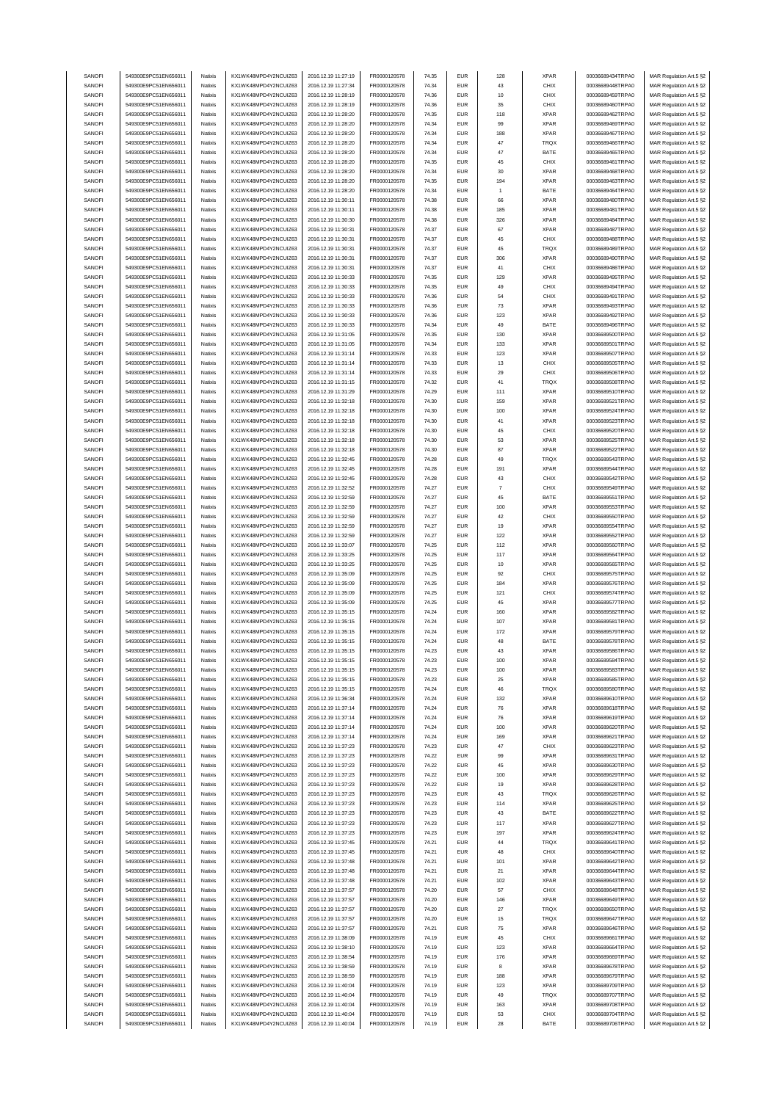| SANOFI           | 549300E9PC51EN656011                         | Natixis            | KX1WK48MPD4Y2NCUIZ63                         | 2016.12.19 11:27:19                        | FR0000120578                 | 74.35          | <b>EUR</b>        | 128            | <b>XPAR</b>  | 00036689434TRPA0                     | MAR Regulation Art.5 §2                            |
|------------------|----------------------------------------------|--------------------|----------------------------------------------|--------------------------------------------|------------------------------|----------------|-------------------|----------------|--------------|--------------------------------------|----------------------------------------------------|
| SANOFI           | 549300E9PC51EN656011                         | Natixis            | KX1WK48MPD4Y2NCUIZ63                         | 2016.12.19 11:27:34                        | FR0000120578                 | 74.34          | <b>EUR</b>        | 43             | CHIX         | 00036689448TRPA0                     | MAR Regulation Art.5 §2                            |
| SANOFI           | 549300E9PC51EN656011                         | Natixis            | KX1WK48MPD4Y2NCUIZ63                         | 2016.12.19 11:28:19                        | FR0000120578                 | 74.36          | <b>EUR</b>        | 10             | CHIX         | 00036689459TRPA0                     | MAR Regulation Art.5 §2                            |
| SANOFI           | 549300E9PC51EN656011                         | Natixis            | KX1WK48MPD4Y2NCUIZ63                         | 2016.12.19 11:28:19                        | FR0000120578                 | 74.36          | <b>EUR</b>        | 35             | CHIX         | 00036689460TRPA0                     | MAR Regulation Art.5 §2                            |
|                  |                                              |                    |                                              |                                            |                              |                |                   |                |              |                                      |                                                    |
| SANOFI           | 549300E9PC51EN656011                         | Natixis            | KX1WK48MPD4Y2NCUIZ63                         | 2016.12.19 11:28:20                        | FR0000120578                 | 74.35          | <b>EUR</b>        | 118            | <b>XPAR</b>  | 00036689462TRPA0                     | MAR Regulation Art.5 §2                            |
| SANOFI           | 549300E9PC51EN656011                         | Natixis            | KX1WK48MPD4Y2NCUIZ63                         | 2016.12.19 11:28:20                        | FR0000120578                 | 74.34          | <b>EUR</b>        | 99             | <b>XPAR</b>  | 00036689469TRPA0                     | MAR Regulation Art.5 §2                            |
| SANOFI           | 549300E9PC51EN656011                         | Natixis            | KX1WK48MPD4Y2NCUIZ63                         | 2016.12.19 11:28:20                        | FR0000120578                 | 74.34          | <b>EUR</b>        | 188            | <b>XPAR</b>  | 00036689467TRPA0                     | MAR Regulation Art.5 §2                            |
| SANOFI           | 549300E9PC51EN656011                         | Natixis            | KX1WK48MPD4Y2NCUIZ63                         | 2016.12.19 11:28:20                        | FR0000120578                 | 74.34          | <b>EUR</b>        | 47             | TRQX         | 00036689466TRPA0                     | MAR Regulation Art.5 §2                            |
| SANOFI           | 549300E9PC51EN656011                         | Natixis            | KX1WK48MPD4Y2NCLIIZ63                        | 2016.12.19 11:28:20                        | FR0000120578                 | 74.34          | <b>EUR</b>        | 47             | BATE         | 00036689465TRPA0                     | MAR Regulation Art.5 §2                            |
| SANOFI           | 549300E9PC51EN656011                         | Natixis            | KX1WK48MPD4Y2NCUIZ63                         | 2016.12.19 11:28:20                        | FR0000120578                 | 74.35          | <b>EUR</b>        | 45             | CHIX         | 00036689461TRPA0                     | MAR Regulation Art.5 §2                            |
| SANOFI           | 549300E9PC51EN656011                         | Natixis            | KX1WK48MPD4Y2NCUIZ63                         | 2016.12.19 11:28:20                        | FR0000120578                 | 74.34          | <b>EUR</b>        | 30             | <b>XPAR</b>  | 00036689468TRPA0                     | MAR Regulation Art.5 §2                            |
|                  |                                              |                    |                                              |                                            |                              |                |                   |                |              |                                      |                                                    |
| SANOFI           | 549300E9PC51EN656011                         | Natixis            | KX1WK48MPD4Y2NCUIZ63                         | 2016.12.19 11:28:20                        | FR0000120578                 | 74.35          | <b>EUR</b>        | 194            | <b>XPAR</b>  | 00036689463TRPA0                     | MAR Regulation Art.5 §2                            |
| SANOFI           | 549300E9PC51EN656011                         | Natixis            | KX1WK48MPD4Y2NCUIZ63                         | 2016.12.19 11:28:20                        | FR0000120578                 | 74.34          | <b>EUR</b>        | 1              | BATE         | 00036689464TRPA0                     | MAR Regulation Art.5 §2                            |
| SANOFI           | 549300E9PC51EN656011                         | Natixis            | KX1WK48MPD4Y2NCUIZ63                         | 2016.12.19 11:30:11                        | FR0000120578                 | 74.38          | <b>EUR</b>        | 66             | <b>XPAR</b>  | 00036689480TRPA0                     | MAR Regulation Art.5 §2                            |
| SANOFI           | 549300E9PC51EN656011                         | Natixis            | KX1WK48MPD4Y2NCUIZ63                         | 2016.12.19 11:30:11                        | FR0000120578                 | 74.38          | <b>EUR</b>        | 185            | <b>XPAR</b>  | 00036689481TRPA0                     | MAR Regulation Art.5 §2                            |
| SANOFI           | 549300E9PC51EN656011                         | Natixis            | KX1WK48MPD4Y2NCUIZ63                         | 2016.12.19 11:30:30                        | FR0000120578                 | 74.38          | <b>EUR</b>        | 326            | <b>XPAR</b>  | 00036689484TRPA0                     | MAR Regulation Art.5 §2                            |
|                  | 549300E9PC51EN656011                         |                    | KX1WK48MPD4Y2NCUIZ63                         |                                            |                              | 74.37          | <b>EUR</b>        |                |              |                                      |                                                    |
| SANOFI           |                                              | Natixis            |                                              | 2016.12.19 11:30:31                        | FR0000120578                 |                |                   | 67             | <b>XPAR</b>  | 00036689487TRPA0                     | MAR Regulation Art.5 §2                            |
| SANOFI           | 549300E9PC51EN656011                         | Natixis            | KX1WK48MPD4Y2NCLIIZ63                        | 2016.12.19 11:30:31                        | FR0000120578                 | 74.37          | <b>EUR</b>        | 45             | CHIX         | 00036689488TRPA0                     | MAR Regulation Art.5 §2                            |
| SANOFI           | 549300E9PC51EN656011                         | Natixis            | KX1WK48MPD4Y2NCUIZ63                         | 2016.12.19 11:30:31                        | FR0000120578                 | 74.37          | <b>EUR</b>        | 45             | TRQX         | 00036689489TRPA0                     | MAR Regulation Art.5 §2                            |
| SANOFI           | 549300E9PC51EN656011                         | Natixis            | KX1WK48MPD4Y2NCUIZ63                         | 2016.12.19 11:30:31                        | FR0000120578                 | 74.37          | <b>EUR</b>        | 306            | <b>XPAR</b>  | 00036689490TRPA0                     | MAR Regulation Art.5 §2                            |
| SANOFI           | 549300E9PC51EN656011                         | Natixis            | KX1WK48MPD4Y2NCUIZ63                         | 2016.12.19 11:30:31                        | FR0000120578                 | 74.37          | <b>EUR</b>        | 41             | CHIX         | 00036689486TRPA0                     | MAR Regulation Art.5 §2                            |
| SANOFI           | 549300E9PC51EN656011                         | Natixis            | KX1WK48MPD4Y2NCUIZ63                         | 2016.12.19 11:30:33                        | FR0000120578                 | 74.35          | <b>EUR</b>        | 129            | <b>XPAR</b>  | 00036689495TRPA0                     | MAR Regulation Art.5 §2                            |
| SANOFI           | 549300E9PC51EN656011                         | Natixis            | KX1WK48MPD4Y2NCUIZ63                         | 2016.12.19 11:30:33                        | FR0000120578                 | 74.35          | <b>EUR</b>        | 49             | CHIX         | 00036689494TRPA0                     | MAR Regulation Art.5 §2                            |
| SANOFI           | 549300E9PC51EN656011                         | Natixis            | KX1WK48MPD4Y2NCUIZ63                         | 2016.12.19 11:30:33                        | FR0000120578                 | 74.36          | <b>EUR</b>        | 54             | CHIX         | 00036689491TRPA0                     |                                                    |
|                  |                                              |                    |                                              |                                            |                              |                |                   |                |              |                                      | MAR Regulation Art.5 §2                            |
| SANOFI           | 549300E9PC51EN656011                         | Natixis            | KX1WK48MPD4Y2NCUIZ63                         | 2016.12.19 11:30:33                        | FR0000120578                 | 74.36          | <b>EUR</b>        | 73             | <b>XPAR</b>  | 00036689493TRPA0                     | MAR Regulation Art.5 §2                            |
| SANOFI           | 549300E9PC51EN656011                         | Natixis            | KX1WK48MPD4Y2NCUIZ63                         | 2016.12.19 11:30:33                        | FR0000120578                 | 74.36          | <b>EUR</b>        | 123            | <b>XPAR</b>  | 00036689492TRPA0                     | MAR Regulation Art.5 §2                            |
| SANOFI           | 549300E9PC51EN656011                         | Natixis            | KX1WK48MPD4Y2NCLIIZ63                        | 2016.12.19 11:30:33                        | FR0000120578                 | 74.34          | <b>EUR</b>        | 49             | BATE         | 00036689496TRPA0                     | MAR Regulation Art.5 §2                            |
| SANOFI           | 549300E9PC51EN656011                         | Natixis            | KX1WK48MPD4Y2NCUIZ63                         | 2016.12.19 11:31:05                        | FR0000120578                 | 74.35          | <b>EUR</b>        | 130            | <b>XPAR</b>  | 00036689500TRPA0                     | MAR Regulation Art.5 §2                            |
| SANOFI           | 549300E9PC51EN656011                         | Natixis            | KX1WK48MPD4Y2NCUIZ63                         | 2016.12.19 11:31:05                        | FR0000120578                 | 74.34          | <b>EUR</b>        | 133            | <b>XPAR</b>  | 00036689501TRPA0                     | MAR Regulation Art.5 §2                            |
| SANOFI           | 549300E9PC51EN656011                         | Natixis            | KX1WK48MPD4Y2NCUIZ63                         | 2016.12.19 11:31:14                        | FR0000120578                 | 74.33          | <b>EUR</b>        | 123            | <b>XPAR</b>  | 00036689507TRPA0                     | MAR Regulation Art.5 §2                            |
|                  |                                              |                    |                                              |                                            |                              |                |                   |                |              |                                      |                                                    |
| SANOFI           | 549300E9PC51EN656011                         | Natixis            | KX1WK48MPD4Y2NCUIZ63                         | 2016.12.19 11:31:14                        | FR0000120578                 | 74.33          | <b>EUR</b>        | 13             | CHIX         | 00036689505TRPA0                     | MAR Regulation Art.5 §2                            |
| SANOFI           | 549300E9PC51EN656011                         | Natixis            | KX1WK48MPD4Y2NCUIZ63                         | 2016.12.19 11:31:14                        | FR0000120578                 | 74.33          | <b>EUR</b>        | 29             | CHIX         | 00036689506TRPA0                     | MAR Regulation Art.5 §2                            |
| SANOFI           | 549300E9PC51EN656011                         | Natixis            | KX1WK48MPD4Y2NCUIZ63                         | 2016.12.19 11:31:15                        | FR0000120578                 | 74.32          | <b>EUR</b>        | 41             | TRQX         | 00036689508TRPA0                     | MAR Regulation Art.5 §2                            |
| SANOFI           | 549300E9PC51EN656011                         | Natixis            | KX1WK48MPD4Y2NCUIZ63                         | 2016.12.19 11:31:29                        | FR0000120578                 | 74.29          | <b>EUR</b>        | 111            | <b>XPAR</b>  | 00036689510TRPA0                     | MAR Regulation Art.5 §2                            |
| SANOFI           | 549300E9PC51EN656011                         | Natixis            | KX1WK48MPD4Y2NCUIZ63                         | 2016.12.19 11:32:18                        | FR0000120578                 | 74.30          | <b>EUR</b>        | 159            | <b>XPAR</b>  | 00036689521TRPA0                     | MAR Regulation Art.5 §2                            |
| SANOFI           | 549300E9PC51EN656011                         | Natixis            | KX1WK48MPD4Y2NCLIIZ63                        | 2016.12.19 11:32:18                        | FR0000120578                 | 74.30          | <b>EUR</b>        | 100            | <b>XPAR</b>  | 00036689524TRPA0                     | MAR Regulation Art.5 §2                            |
|                  |                                              |                    |                                              |                                            |                              |                |                   |                |              |                                      |                                                    |
| SANOFI           | 549300E9PC51EN656011                         | Natixis            | KX1WK48MPD4Y2NCUIZ63                         | 2016.12.19 11:32:18                        | FR0000120578                 | 74.30          | <b>EUR</b>        | 41             | <b>XPAR</b>  | 00036689523TRPA0                     | MAR Regulation Art.5 §2                            |
| SANOFI           | 549300E9PC51EN656011                         | Natixis            | KX1WK48MPD4Y2NCUIZ63                         | 2016.12.19 11:32:18                        | FR0000120578                 | 74.30          | <b>EUR</b>        | 45             | CHIX         | 00036689520TRPA0                     | MAR Regulation Art.5 §2                            |
| SANOFI           | 549300E9PC51EN656011                         | Natixis            | KX1WK48MPD4Y2NCUIZ63                         | 2016.12.19 11:32:18                        | FR0000120578                 | 74.30          | <b>EUR</b>        | 53             | <b>XPAR</b>  | 00036689525TRPA0                     | MAR Regulation Art.5 §2                            |
| SANOFI           | 549300E9PC51EN656011                         | Natixis            | KX1WK48MPD4Y2NCUIZ63                         | 2016.12.19 11:32:18                        | FR0000120578                 | 74.30          | <b>EUR</b>        | 87             | <b>XPAR</b>  | 00036689522TRPA0                     | MAR Regulation Art.5 §2                            |
| SANOFI           | 549300E9PC51EN656011                         | Natixis            | KX1WK48MPD4Y2NCUIZ63                         | 2016.12.19 11:32:45                        | FR0000120578                 | 74.28          | <b>EUR</b>        | 49             | TRQX         | 00036689543TRPA0                     | MAR Regulation Art.5 §2                            |
| SANOFI           | 549300E9PC51EN656011                         | Natixis            | KX1WK48MPD4Y2NCUIZ63                         | 2016.12.19 11:32:45                        | FR0000120578                 | 74.28          | <b>EUR</b>        | 191            | <b>XPAR</b>  | 00036689544TRPA0                     | MAR Regulation Art.5 §2                            |
| SANOFI           | 549300E9PC51EN656011                         | Natixis            | KX1WK48MPD4Y2NCUIZ63                         | 2016.12.19 11:32:45                        | FR0000120578                 | 74.28          | <b>EUR</b>        | 43             | CHIX         | 00036689542TRPA0                     | MAR Regulation Art.5 §2                            |
|                  |                                              |                    |                                              |                                            |                              |                |                   |                |              |                                      |                                                    |
| SANOFI           | 549300E9PC51EN656011                         | Natixis            | KX1WK48MPD4Y2NCUIZ63                         | 2016.12.19 11:32:52                        | FR0000120578                 | 74.27          | <b>EUR</b>        | $\overline{7}$ | CHIX         | 00036689549TRPA0                     | MAR Regulation Art.5 §2                            |
| SANOFI           | 549300E9PC51EN656011                         | Natixis            | KX1WK48MPD4Y2NCUIZ63                         | 2016.12.19 11:32:59                        | FR0000120578                 | 74.27          | <b>EUR</b>        | 45             | BATE         | 00036689551TRPA0                     | MAR Regulation Art.5 §2                            |
| SANOFI           | 549300E9PC51EN656011                         | Natixis            | KX1WK48MPD4Y2NCUIZ63                         | 2016.12.19 11:32:59                        | FR0000120578                 | 74.27          | <b>EUR</b>        | 100            | <b>XPAR</b>  | 00036689553TRPA0                     | MAR Regulation Art.5 §2                            |
| SANOFI           | 549300E9PC51EN656011                         | Natixis            | KX1WK48MPD4Y2NCUIZ63                         | 2016.12.19 11:32:59                        | FR0000120578                 | 74.27          | <b>EUR</b>        | 42             | CHIX         | 00036689550TRPA0                     | MAR Regulation Art.5 §2                            |
| SANOFI           | 549300E9PC51EN656011                         | Natixis            | KX1WK48MPD4Y2NCUIZ63                         | 2016.12.19 11:32:59                        | FR0000120578                 | 74.27          | <b>EUR</b>        | 19             | <b>XPAR</b>  | 00036689554TRPA0                     | MAR Regulation Art.5 §2                            |
| SANOFI           | 549300E9PC51EN656011                         | Natixis            | KX1WK48MPD4Y2NCUIZ63                         | 2016.12.19 11:32:59                        | FR0000120578                 | 74.27          | <b>EUR</b>        | 122            | <b>XPAR</b>  | 00036689552TRPA0                     | MAR Regulation Art.5 §2                            |
| SANOFI           | 549300E9PC51EN656011                         | Natixis            | KX1WK48MPD4Y2NCUIZ63                         | 2016.12.19 11:33:07                        | FR0000120578                 | 74.25          | <b>EUR</b>        | 112            | <b>XPAR</b>  | 00036689560TRPA0                     |                                                    |
|                  |                                              |                    |                                              |                                            |                              |                |                   |                |              |                                      | MAR Regulation Art.5 §2                            |
| SANOFI           | 549300E9PC51EN656011                         | Natixis            | KX1WK48MPD4Y2NCUIZ63                         | 2016.12.19 11:33:25                        | FR0000120578                 | 74.25          | <b>EUR</b>        | 117            | <b>XPAR</b>  | 00036689564TRPA0                     | MAR Regulation Art.5 §2                            |
| SANOFI           | 549300E9PC51EN656011                         | Natixis            | KX1WK48MPD4Y2NCUIZ63                         | 2016.12.19 11:33:25                        | FR0000120578                 | 74.25          | <b>EUR</b>        | 10             | <b>XPAR</b>  | 00036689565TRPA0                     | MAR Regulation Art.5 §2                            |
| SANOFI           | 549300E9PC51EN656011                         | Natixis            | KX1WK48MPD4Y2NCLIIZ63                        | 2016.12.19 11:35:09                        | FR0000120578                 | 74.25          | <b>EUR</b>        | 92             | CHIX         | 00036689575TRPA0                     | MAR Regulation Art.5 §2                            |
| SANOFI           | 549300E9PC51EN656011                         | Natixis            | KX1WK48MPD4Y2NCUIZ63                         | 2016.12.19 11:35:09                        | FR0000120578                 | 74.25          | <b>EUR</b>        | 184            | <b>XPAR</b>  | 00036689576TRPA0                     | MAR Regulation Art.5 §2                            |
| SANOFI           | 549300E9PC51EN656011                         | Natixis            | KX1WK48MPD4Y2NCUIZ63                         | 2016.12.19 11:35:09                        | FR0000120578                 | 74.25          | <b>EUR</b>        | 121            | CHIX         | 00036689574TRPA0                     | MAR Regulation Art.5 §2                            |
| SANOFI           | 549300E9PC51EN656011                         | Natixis            | KX1WK48MPD4Y2NCUIZ63                         | 2016.12.19 11:35:09                        | FR0000120578                 | 74.25          | <b>EUR</b>        | 45             | <b>XPAR</b>  | 00036689577TRPA0                     | MAR Regulation Art.5 §2                            |
|                  |                                              |                    |                                              |                                            |                              |                |                   |                |              |                                      |                                                    |
| SANOFI           | 549300E9PC51EN656011                         | Natixis            | KX1WK48MPD4Y2NCUIZ63                         | 2016.12.19 11:35:15                        | FR0000120578                 | 74.24          | <b>EUR</b>        | 160            | <b>XPAR</b>  | 00036689582TRPA0                     | MAR Regulation Art.5 §2                            |
| SANOFI           | 549300E9PC51EN656011                         | Natixis            | KX1WK48MPD4Y2NCUIZ63                         | 2016.12.19 11:35:15                        | FR0000120578                 | 74.24          | <b>EUR</b>        | 107            | <b>XPAR</b>  | 00036689581TRPA0                     | MAR Regulation Art.5 §2                            |
| SANOFI           | 549300E9PC51EN656011                         | Natixis            | KX1WK48MPD4Y2NCUIZ63                         | 2016.12.19 11:35:15                        | FR0000120578                 | 74.24          | <b>EUR</b>        | 172            | <b>XPAR</b>  | 00036689579TRPA0                     | MAR Regulation Art.5 §2                            |
| SANOFI           | 549300E9PC51EN656011                         | Natixis            | KX1WK48MPD4Y2NCUIZ63                         | 2016.12.19 11:35:15                        | FR0000120578                 | 74.24          | <b>EUR</b>        | 48             | BATE         | 00036689578TRPA0                     | MAR Regulation Art.5 §2                            |
| SANOF            | 549300E9PC51EN656011                         | Natixis            | KX1WK48MPD4Y2NCUIZ63                         | 2016.12.19 11:35:15                        | FR0000120578                 | 74.23          | EUR               |                | <b>XPAR</b>  | 00036689586TRPA0                     | MAR Regulation Art.5 §2                            |
| SANOFI           | 549300E9PC51EN656011                         | Natixis            | KX1WK48MPD4Y2NCUIZ63                         | 2016.12.19 11:35:15                        | FR0000120578                 | 74.23          | <b>EUR</b>        | 100            | <b>XPAR</b>  | 00036689584TRPA0                     | MAR Regulation Art.5 §2                            |
| SANOFI           | 549300E9PC51EN656011                         | Natixis            | KX1WK48MPD4Y2NCUIZ63                         | 2016.12.19 11:35:15                        | FR0000120578                 | 74.23          | EUR               | 100            | <b>XPAR</b>  | 00036689583TRPA0                     | MAR Regulation Art.5 §2                            |
|                  |                                              |                    | KX1WK48MPD4Y2NCUIZ63                         |                                            |                              |                |                   |                |              |                                      |                                                    |
| SANOFI           | 549300E9PC51EN656011                         | Natixis            |                                              | 2016.12.19 11:35:15                        | FR0000120578                 | 74.23          | <b>EUR</b>        | 25             | <b>XPAR</b>  | 00036689585TRPA0                     | MAR Regulation Art.5 §2                            |
| SANOFI           | 549300E9PC51EN656011                         | Natixis            | KX1WK48MPD4Y2NCUIZ63                         | 2016.12.19 11:35:15                        | FR0000120578                 | 74.24          | <b>EUR</b>        | 46             | TRQX         | 00036689580TRPA0                     | MAR Regulation Art.5 §2                            |
| SANOFI           | 549300E9PC51EN656011                         | Natixis            | KX1WK48MPD4Y2NCUIZ63                         | 2016.12.19 11:36:34                        | FR0000120578                 | 74.24          | <b>EUR</b>        | 132            | <b>XPAR</b>  | 00036689610TRPA0                     | MAR Regulation Art.5 §2                            |
| SANOFI           | 549300E9PC51EN656011                         | Natixis            | KX1WK48MPD4Y2NCUIZ63                         | 2016.12.19 11:37:14                        | FR0000120578                 | 74.24          | ${\sf EUR}$       | 76             | <b>XPAR</b>  | 00036689618TRPA0                     | MAR Regulation Art.5 §2                            |
| SANOFI           | 549300E9PC51EN656011                         | Natixis            | KX1WK48MPD4Y2NCUIZ63                         | 2016.12.19 11:37:14                        | FR0000120578                 | 74.24          | EUR               | 76             | <b>XPAR</b>  | 00036689619TRPA0                     | MAR Regulation Art.5 §2                            |
| SANOFI           | 549300E9PC51EN656011                         | Natixis            | KX1WK48MPD4Y2NCUIZ63                         | 2016.12.19 11:37:14                        | FR0000120578                 | 74.24          | <b>EUR</b>        | 100            | <b>XPAR</b>  | 00036689620TRPA0                     | MAR Regulation Art.5 §2                            |
| SANOFI           | 549300E9PC51EN656011                         | Natixis            | KX1WK48MPD4Y2NCUIZ63                         | 2016.12.19 11:37:14                        | FR0000120578                 | 74.24          | <b>EUR</b>        | 169            | <b>XPAR</b>  | 00036689621TRPA0                     | MAR Regulation Art.5 §2                            |
|                  | 549300E9PC51EN656011                         |                    | KX1WK48MPD4Y2NCUIZ63                         | 2016.12.19 11:37:23                        |                              |                | <b>EUR</b>        | 47             |              |                                      |                                                    |
| SANOFI           |                                              | Natixis            |                                              |                                            | FR0000120578                 | 74.23          |                   |                | CHIX         | 00036689623TRPA0                     | MAR Regulation Art.5 §2                            |
| SANOFI           | 549300E9PC51EN656011                         | Natixis            | KX1WK48MPD4Y2NCUIZ63                         | 2016.12.19 11:37:23                        | FR0000120578                 | 74.22          | <b>EUR</b>        | 99             | <b>XPAR</b>  | 00036689631TRPA0                     | MAR Regulation Art.5 §2                            |
| SANOFI           | 549300E9PC51EN656011                         | Natixis            | KX1WK48MPD4Y2NCUIZ63                         | 2016.12.19 11:37:23                        | FR0000120578                 | 74.22          | <b>EUR</b>        | 45             | <b>XPAR</b>  | 00036689630TRPA0                     | MAR Regulation Art.5 §2                            |
| SANOFI           | 549300E9PC51EN656011                         | Natixis            | KX1WK48MPD4Y2NCUIZ63                         | 2016.12.19 11:37:23                        | FR0000120578                 | 74.22          | <b>EUR</b>        | 100            | <b>XPAR</b>  | 00036689629TRPA0                     | MAR Regulation Art.5 §2                            |
| SANOFI           | 549300E9PC51EN656011                         | Natixis            | KX1WK48MPD4Y2NCUIZ63                         | 2016.12.19 11:37:23                        | FR0000120578                 | 74.22          | <b>EUR</b>        | 19             | <b>XPAR</b>  | 00036689628TRPA0                     | MAR Regulation Art.5 §2                            |
| SANOFI           | 549300E9PC51EN656011                         | Natixis            | KX1WK48MPD4Y2NCUIZ63                         | 2016.12.19 11:37:23                        | FR0000120578                 | 74.23          | <b>EUR</b>        | 43             | TRQX         | 00036689626TRPA0                     | MAR Regulation Art.5 §2                            |
| SANOFI           | 549300E9PC51EN656011                         | Natixis            | KX1WK48MPD4Y2NCUIZ63                         | 2016.12.19 11:37:23                        | FR0000120578                 | 74.23          | <b>EUR</b>        | 114            | <b>XPAR</b>  | 00036689625TRPA0                     | MAR Regulation Art.5 §2                            |
| SANOFI           | 549300E9PC51EN656011                         | Natixis            | KX1WK48MPD4Y2NCUIZ63                         | 2016.12.19 11:37:23                        | FR0000120578                 | 74.23          | <b>EUR</b>        | 43             | BATE         | 00036689622TRPA0                     |                                                    |
|                  |                                              |                    |                                              |                                            |                              |                |                   |                |              |                                      | MAR Regulation Art.5 §2                            |
| SANOFI           | 549300E9PC51EN656011                         | Natixis            | KX1WK48MPD4Y2NCUIZ63                         | 2016.12.19 11:37:23                        | FR0000120578                 | 74.23          | <b>EUR</b>        | 117            | <b>XPAR</b>  | 00036689627TRPA0                     | MAR Regulation Art.5 §2                            |
| SANOFI           | 549300E9PC51EN656011                         | Natixis            | KX1WK48MPD4Y2NCUIZ63                         | 2016.12.19 11:37:23                        | FR0000120578                 | 74.23          | <b>EUR</b>        | 197            | <b>XPAR</b>  | 00036689624TRPA0                     | MAR Regulation Art.5 §2                            |
| SANOFI           | 549300E9PC51EN656011                         | Natixis            | KX1WK48MPD4Y2NCUIZ63                         | 2016.12.19 11:37:45                        | FR0000120578                 | 74.21          | <b>EUR</b>        | 44             | TRQX         | 00036689641TRPA0                     | MAR Regulation Art.5 §2                            |
| SANOFI           | 549300E9PC51EN656011                         | Natixis            | KX1WK48MPD4Y2NCUIZ63                         | 2016.12.19 11:37:45                        | FR0000120578                 | 74.21          | <b>EUR</b>        | 48             | CHIX         | 00036689640TRPA0                     | MAR Regulation Art.5 §2                            |
| SANOFI           | 549300E9PC51EN656011                         | Natixis            | KX1WK48MPD4Y2NCUIZ63                         | 2016.12.19 11:37:48                        | FR0000120578                 | 74.21          | <b>EUR</b>        | 101            | <b>XPAR</b>  | 00036689642TRPA0                     | MAR Regulation Art.5 §2                            |
| SANOFI           | 549300E9PC51EN656011                         | Natixis            | KX1WK48MPD4Y2NCUIZ63                         | 2016.12.19 11:37:48                        | FR0000120578                 | 74.21          | <b>EUR</b>        | 21             | <b>XPAR</b>  | 00036689644TRPA0                     | MAR Regulation Art.5 §2                            |
|                  |                                              |                    |                                              |                                            |                              |                |                   |                |              |                                      |                                                    |
| SANOFI           | 549300E9PC51EN656011                         | Natixis            | KX1WK48MPD4Y2NCUIZ63                         | 2016.12.19 11:37:48                        | FR0000120578                 | 74.21          | <b>EUR</b>        | 102            | <b>XPAR</b>  | 00036689643TRPA0                     | MAR Regulation Art.5 §2                            |
| SANOFI           | 549300E9PC51EN656011                         | Natixis            | KX1WK48MPD4Y2NCUIZ63                         | 2016.12.19 11:37:57                        | FR0000120578                 | 74.20          | <b>EUR</b>        | 57             | CHIX         | 00036689648TRPA0                     | MAR Regulation Art.5 §2                            |
| SANOFI           | 549300E9PC51EN656011                         | Natixis            | KX1WK48MPD4Y2NCUIZ63                         | 2016.12.19 11:37:57                        | FR0000120578                 | 74.20          | <b>EUR</b>        | 146            | <b>XPAR</b>  | 00036689649TRPA0                     | MAR Regulation Art.5 §2                            |
| SANOFI           | 549300E9PC51EN656011                         | Natixis            | KX1WK48MPD4Y2NCUIZ63                         | 2016.12.19 11:37:57                        | FR0000120578                 | 74.20          | <b>EUR</b>        | 27             | TRQX         | 00036689650TRPA0                     | MAR Regulation Art.5 §2                            |
| SANOFI           | 549300E9PC51EN656011                         | Natixis            | KX1WK48MPD4Y2NCUIZ63                         | 2016.12.19 11:37:57                        | FR0000120578                 | 74.20          | <b>EUR</b>        | 15             | TRQX         | 00036689647TRPA0                     | MAR Regulation Art.5 §2                            |
| SANOFI           | 549300E9PC51EN656011                         | Natixis            | KX1WK48MPD4Y2NCUIZ63                         | 2016.12.19 11:37:57                        | FR0000120578                 | 74.21          | <b>EUR</b>        | 75             | <b>XPAR</b>  | 00036689646TRPA0                     | MAR Regulation Art.5 §2                            |
|                  |                                              |                    |                                              |                                            |                              |                |                   |                |              |                                      |                                                    |
| SANOFI           | 549300E9PC51EN656011                         | Natixis            | KX1WK48MPD4Y2NCUIZ63                         | 2016.12.19 11:38:09                        | FR0000120578                 | 74.19          | <b>EUR</b>        | 45             | CHIX         | 00036689661TRPA0                     | MAR Regulation Art.5 §2                            |
| SANOFI           | 549300E9PC51EN656011                         | Natixis            | KX1WK48MPD4Y2NCUIZ63                         | 2016.12.19 11:38:10                        | FR0000120578                 | 74.19          | <b>EUR</b>        | 123            | <b>XPAR</b>  | 00036689664TRPA0                     | MAR Regulation Art.5 §2                            |
| SANOFI           | 549300E9PC51EN656011                         | Natixis            | KX1WK48MPD4Y2NCUIZ63                         | 2016.12.19 11:38:54                        | FR0000120578                 | 74.19          | <b>EUR</b>        | 176            | <b>XPAR</b>  | 00036689669TRPA0                     | MAR Regulation Art.5 §2                            |
| SANOFI           | 549300E9PC51EN656011                         | Natixis            | KX1WK48MPD4Y2NCUIZ63                         | 2016.12.19 11:38:59                        | FR0000120578                 | 74.19          | <b>EUR</b>        | 8              | <b>XPAR</b>  | 00036689678TRPA0                     | MAR Regulation Art.5 §2                            |
| SANOFI           | 549300E9PC51EN656011                         | Natixis            | KX1WK48MPD4Y2NCUIZ63                         | 2016.12.19 11:38:59                        | FR0000120578                 | 74.19          | <b>EUR</b>        | 188            | <b>XPAR</b>  | 00036689679TRPA0                     | MAR Regulation Art.5 §2                            |
| SANOFI           | 549300E9PC51EN656011                         | Natixis            | KX1WK48MPD4Y2NCUIZ63                         | 2016.12.19 11:40:04                        | FR0000120578                 | 74.19          | <b>EUR</b>        | 123            | <b>XPAR</b>  | 00036689709TRPA0                     | MAR Regulation Art.5 §2                            |
| SANOFI           | 549300E9PC51EN656011                         | Natixis            | KX1WK48MPD4Y2NCUIZ63                         | 2016.12.19 11:40:04                        | FR0000120578                 | 74.19          | <b>EUR</b>        | 49             | TRQX         | 00036689707TRPA0                     | MAR Regulation Art.5 §2                            |
| SANOFI           | 549300E9PC51EN656011                         | Natixis            | KX1WK48MPD4Y2NCUIZ63                         | 2016.12.19 11:40:04                        | FR0000120578                 | 74.19          | <b>EUR</b>        | 163            | <b>XPAR</b>  | 00036689708TRPA0                     | MAR Regulation Art.5 §2                            |
|                  |                                              |                    |                                              |                                            |                              |                |                   |                |              |                                      |                                                    |
|                  |                                              |                    |                                              |                                            |                              |                |                   |                |              |                                      |                                                    |
| SANOFI<br>SANOFI | 549300E9PC51EN656011<br>549300E9PC51EN656011 | Natixis<br>Natixis | KX1WK48MPD4Y2NCUIZ63<br>KX1WK48MPD4Y2NCUIZ63 | 2016.12.19 11:40:04<br>2016.12.19 11:40:04 | FR0000120578<br>FR0000120578 | 74.19<br>74.19 | <b>EUR</b><br>EUR | 53<br>28       | CHIX<br>BATE | 00036689704TRPA0<br>00036689706TRPA0 | MAR Regulation Art.5 §2<br>MAR Regulation Art.5 §2 |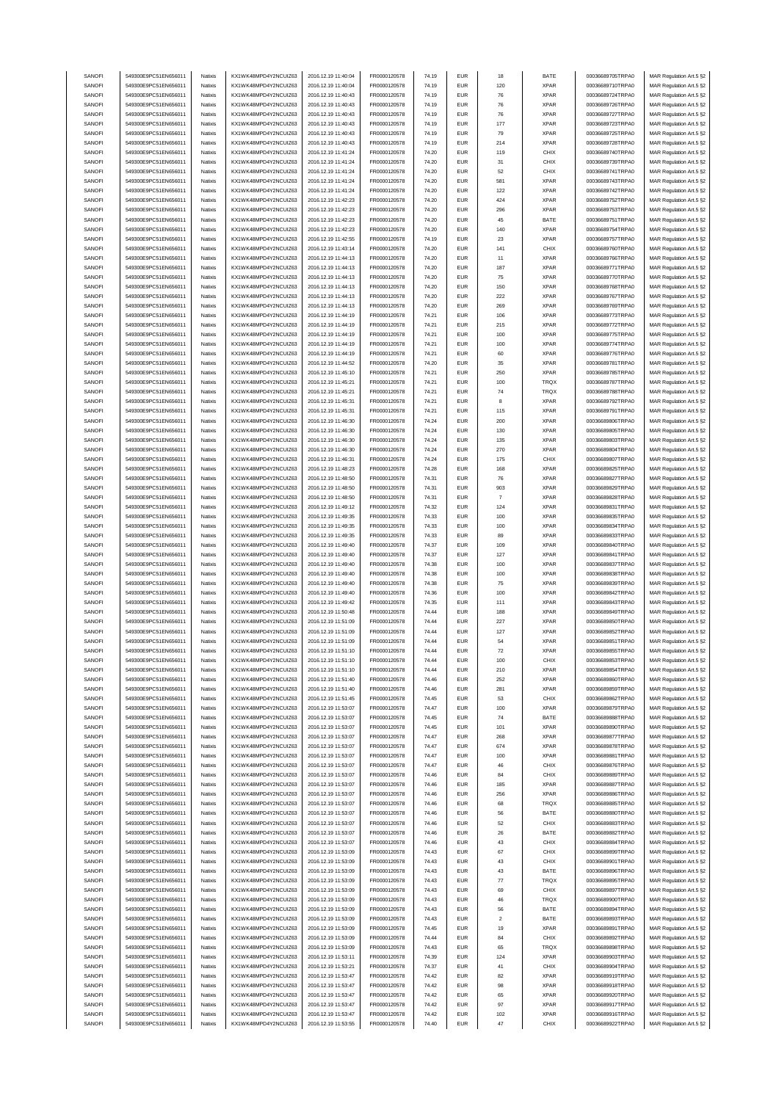| SANOFI<br>SANOFI<br>SANOFI<br>SANOFI |                      |         |                      |                     |              |       |            |                |             |                  |                         |
|--------------------------------------|----------------------|---------|----------------------|---------------------|--------------|-------|------------|----------------|-------------|------------------|-------------------------|
|                                      | 549300E9PC51EN656011 | Natixis | KX1WK48MPD4Y2NCUIZ63 | 2016.12.19 11:40:04 | FR0000120578 | 74.19 | <b>EUR</b> | 18             | BATE        | 00036689705TRPA0 | MAR Regulation Art.5 §2 |
|                                      | 549300E9PC51EN656011 | Natixis | KX1WK48MPD4Y2NCUIZ63 | 2016.12.19 11:40:04 | FR0000120578 | 74.19 | <b>EUR</b> | 120            | <b>XPAR</b> | 00036689710TRPA0 | MAR Regulation Art.5 §2 |
|                                      | 549300E9PC51EN656011 | Natixis | KX1WK48MPD4Y2NCUIZ63 | 2016.12.19 11:40:43 | FR0000120578 | 74.19 | <b>EUR</b> | 76             | <b>XPAR</b> | 00036689724TRPA0 | MAR Regulation Art.5 §2 |
|                                      | 549300E9PC51EN656011 | Natixis | KX1WK48MPD4Y2NCUIZ63 | 2016.12.19 11:40:43 | FR0000120578 | 74.19 | <b>EUR</b> | 76             | <b>XPAR</b> | 00036689726TRPA0 | MAR Regulation Art.5 §2 |
|                                      |                      |         |                      |                     |              |       |            |                |             |                  |                         |
| SANOFI                               | 549300E9PC51EN656011 | Natixis | KX1WK48MPD4Y2NCUIZ63 | 2016.12.19 11:40:43 | FR0000120578 | 74.19 | <b>EUR</b> | 76             | <b>XPAR</b> | 00036689727TRPA0 | MAR Regulation Art.5 §2 |
| SANOFI                               | 549300E9PC51EN656011 | Natixis | KX1WK48MPD4Y2NCUIZ63 | 2016.12.19 11:40:43 | FR0000120578 | 74.19 | <b>EUR</b> | 177            | <b>XPAR</b> | 00036689723TRPA0 | MAR Regulation Art.5 §2 |
| SANOFI                               | 549300E9PC51EN656011 | Natixis | KX1WK48MPD4Y2NCUIZ63 | 2016.12.19 11:40:43 | FR0000120578 | 74.19 | <b>EUR</b> | 79             | <b>XPAR</b> | 00036689725TRPA0 | MAR Regulation Art.5 §2 |
| SANOFI                               | 549300E9PC51EN656011 | Natixis | KX1WK48MPD4Y2NCUIZ63 | 2016.12.19 11:40:43 | FR0000120578 | 74.19 | <b>EUR</b> | 214            | <b>XPAR</b> | 00036689728TRPA0 | MAR Regulation Art.5 §2 |
| SANOFI                               | 549300E9PC51EN656011 | Natixis | KX1WK48MPD4Y2NCUIZ63 | 2016.12.19 11:41:24 | FR0000120578 | 74.20 | <b>EUR</b> | 119            | CHIX        | 00036689740TRPA0 | MAR Regulation Art.5 §2 |
| SANOFI                               | 549300E9PC51EN656011 | Natixis | KX1WK48MPD4Y2NCUIZ63 | 2016.12.19 11:41:24 | FR0000120578 | 74.20 | <b>EUR</b> | 31             | CHIX        | 00036689739TRPA0 | MAR Regulation Art.5 §2 |
| SANOFI                               | 549300E9PC51EN656011 | Natixis | KX1WK48MPD4Y2NCUIZ63 | 2016.12.19 11:41:24 | FR0000120578 | 74.20 | <b>EUR</b> | 52             | CHIX        | 00036689741TRPA0 | MAR Regulation Art.5 §2 |
|                                      |                      |         |                      |                     |              |       |            |                |             |                  |                         |
| SANOFI                               | 549300E9PC51EN656011 | Natixis | KX1WK48MPD4Y2NCUIZ63 | 2016.12.19 11:41:24 | FR0000120578 | 74.20 | <b>EUR</b> | 581            | <b>XPAR</b> | 00036689743TRPA0 | MAR Regulation Art.5 §2 |
| SANOFI                               | 549300E9PC51EN656011 | Natixis | KX1WK48MPD4Y2NCUIZ63 | 2016.12.19 11:41:24 | FR0000120578 | 74.20 | <b>EUR</b> | 122            | <b>XPAR</b> | 00036689742TRPA0 | MAR Regulation Art.5 §2 |
| SANOFI                               | 549300E9PC51EN656011 | Natixis | KX1WK48MPD4Y2NCUIZ63 | 2016.12.19 11:42:23 | FR0000120578 | 74.20 | <b>EUR</b> | 424            | <b>XPAR</b> | 00036689752TRPA0 | MAR Regulation Art.5 §2 |
| SANOFI                               | 549300E9PC51EN656011 | Natixis | KX1WK48MPD4Y2NCUIZ63 | 2016.12.19 11:42:23 | FR0000120578 | 74.20 | <b>EUR</b> | 296            | <b>XPAR</b> | 00036689753TRPA0 | MAR Regulation Art.5 §2 |
|                                      | 549300E9PC51EN656011 |         |                      | 2016.12.19 11:42:23 | FR0000120578 |       | <b>EUR</b> |                |             | 00036689751TRPA0 |                         |
| SANOFI                               |                      | Natixis | KX1WK48MPD4Y2NCUIZ63 |                     |              | 74.20 |            | 45             | BATE        |                  | MAR Regulation Art.5 §2 |
| SANOFI                               | 549300E9PC51EN656011 | Natixis | KX1WK48MPD4Y2NCUIZ63 | 2016.12.19 11:42:23 | FR0000120578 | 74.20 | <b>EUR</b> | 140            | <b>XPAR</b> | 00036689754TRPA0 | MAR Regulation Art.5 §2 |
| SANOFI                               | 549300E9PC51EN656011 | Natixis | KX1WK48MPD4Y2NCUIZ63 | 2016.12.19 11:42:55 | FR0000120578 | 74.19 | <b>EUR</b> | 23             | <b>XPAR</b> | 00036689757TRPA0 | MAR Regulation Art.5 §2 |
| SANOFI                               | 549300E9PC51EN656011 | Natixis | KX1WK48MPD4Y2NCUIZ63 | 2016.12.19 11:43:14 | FR0000120578 | 74.20 | <b>EUR</b> | 141            | CHIX        | 00036689760TRPA0 | MAR Regulation Art.5 §2 |
| SANOFI                               | 549300E9PC51EN656011 | Natixis | KX1WK48MPD4Y2NCUIZ63 | 2016.12.19 11:44:13 | FR0000120578 | 74.20 | <b>EUR</b> | 11             | <b>XPAR</b> | 00036689766TRPA0 | MAR Regulation Art.5 §2 |
| SANOFI                               | 549300E9PC51EN656011 | Natixis | KX1WK48MPD4Y2NCUIZ63 | 2016.12.19 11:44:13 | FR0000120578 | 74.20 | <b>EUR</b> | 187            | <b>XPAR</b> | 00036689771TRPA0 | MAR Regulation Art.5 §2 |
|                                      |                      |         |                      |                     |              |       |            |                |             |                  |                         |
| SANOFI                               | 549300E9PC51EN656011 | Natixis | KX1WK48MPD4Y2NCUIZ63 | 2016.12.19 11:44:13 | FR0000120578 | 74.20 | <b>EUR</b> | 75             | <b>XPAR</b> | 00036689770TRPA0 | MAR Regulation Art.5 §2 |
| SANOFI                               | 549300E9PC51EN656011 | Natixis | KX1WK48MPD4Y2NCUIZ63 | 2016.12.19 11:44:13 | FR0000120578 | 74.20 | <b>EUR</b> | 150            | <b>XPAR</b> | 00036689768TRPA0 | MAR Regulation Art.5 §2 |
| SANOFI                               | 549300E9PC51EN656011 | Natixis | KX1WK48MPD4Y2NCUIZ63 | 2016.12.19 11:44:13 | FR0000120578 | 74.20 | <b>EUR</b> | 222            | <b>XPAR</b> | 00036689767TRPA0 | MAR Regulation Art.5 §2 |
| SANOFI                               | 549300E9PC51EN656011 | Natixis | KX1WK48MPD4Y2NCUIZ63 | 2016.12.19 11:44:13 | FR0000120578 | 74.20 | <b>EUR</b> | 269            | <b>XPAR</b> | 00036689769TRPA0 | MAR Regulation Art.5 §2 |
| SANOFI                               | 549300E9PC51EN656011 | Natixis | KX1WK48MPD4Y2NCUIZ63 | 2016.12.19 11:44:19 | FR0000120578 | 74.21 | <b>EUR</b> | 106            | <b>XPAR</b> | 00036689773TRPA0 | MAR Regulation Art.5 §2 |
| SANOFI                               | 549300E9PC51EN656011 | Natixis | KX1WK48MPD4Y2NCUIZ63 | 2016.12.19 11:44:19 | FR0000120578 | 74.21 | <b>EUR</b> | 215            | <b>XPAR</b> | 00036689772TRPA0 | MAR Regulation Art.5 §2 |
|                                      |                      |         |                      |                     |              |       |            |                |             |                  |                         |
| SANOFI                               | 549300E9PC51EN656011 | Natixis | KX1WK48MPD4Y2NCUIZ63 | 2016.12.19 11:44:19 | FR0000120578 | 74.21 | <b>EUR</b> | 100            | <b>XPAR</b> | 00036689775TRPA0 | MAR Regulation Art.5 §2 |
| SANOFI                               | 549300E9PC51EN656011 | Natixis | KX1WK48MPD4Y2NCUIZ63 | 2016.12.19 11:44:19 | FR0000120578 | 74.21 | <b>EUR</b> | 100            | <b>XPAR</b> | 00036689774TRPA0 | MAR Regulation Art.5 §2 |
| SANOFI                               | 549300E9PC51EN656011 | Natixis | KX1WK48MPD4Y2NCUIZ63 | 2016.12.19 11:44:19 | FR0000120578 | 74.21 | <b>EUR</b> | 60             | <b>XPAR</b> | 00036689776TRPA0 | MAR Regulation Art.5 §2 |
| SANOFI                               | 549300E9PC51EN656011 | Natixis | KX1WK48MPD4Y2NCUIZ63 | 2016.12.19 11:44:52 | FR0000120578 | 74.20 | <b>EUR</b> | 35             | <b>XPAR</b> | 00036689781TRPA0 | MAR Regulation Art.5 §2 |
| SANOFI                               | 549300E9PC51EN656011 | Natixis | KX1WK48MPD4Y2NCUIZ63 | 2016.12.19 11:45:10 | FR0000120578 | 74.21 | <b>EUR</b> | 250            | <b>XPAR</b> | 00036689785TRPA0 | MAR Regulation Art.5 §2 |
| SANOFI                               | 549300E9PC51EN656011 |         |                      | 2016.12.19 11:45:21 |              | 74.21 | <b>EUR</b> |                |             |                  |                         |
|                                      |                      | Natixis | KX1WK48MPD4Y2NCUIZ63 |                     | FR0000120578 |       |            | 100            | <b>TRQX</b> | 00036689787TRPA0 | MAR Regulation Art.5 §2 |
| SANOFI                               | 549300E9PC51EN656011 | Natixis | KX1WK48MPD4Y2NCUIZ63 | 2016.12.19 11:45:21 | FR0000120578 | 74.21 | <b>EUR</b> | 74             | TRQX        | 00036689788TRPA0 | MAR Regulation Art.5 §2 |
| SANOFI                               | 549300E9PC51EN656011 | Natixis | KX1WK48MPD4Y2NCUIZ63 | 2016.12.19 11:45:31 | FR0000120578 | 74.21 | <b>EUR</b> | 8              | <b>XPAR</b> | 00036689792TRPA0 | MAR Regulation Art.5 §2 |
| SANOFI                               | 549300E9PC51EN656011 | Natixis | KX1WK48MPD4Y2NCUIZ63 | 2016.12.19 11:45:31 | FR0000120578 | 74.21 | <b>EUR</b> | 115            | <b>XPAR</b> | 00036689791TRPA0 | MAR Regulation Art.5 §2 |
| SANOFI                               | 549300E9PC51EN656011 | Natixis | KX1WK48MPD4Y2NCUIZ63 | 2016.12.19 11:46:30 | FR0000120578 | 74.24 | <b>EUR</b> | 200            | <b>XPAR</b> | 00036689806TRPA0 | MAR Regulation Art.5 §2 |
| SANOFI                               | 549300E9PC51EN656011 | Natixis | KX1WK48MPD4Y2NCUIZ63 | 2016.12.19 11:46:30 | FR0000120578 | 74.24 | <b>EUR</b> | 130            | <b>XPAR</b> | 00036689805TRPA0 | MAR Regulation Art.5 §2 |
|                                      |                      |         |                      |                     |              |       |            |                |             |                  |                         |
| SANOFI                               | 549300E9PC51EN656011 | Natixis | KX1WK48MPD4Y2NCUIZ63 | 2016.12.19 11:46:30 | FR0000120578 | 74.24 | <b>EUR</b> | 135            | <b>XPAR</b> | 00036689803TRPA0 | MAR Regulation Art.5 §2 |
| SANOFI                               | 549300E9PC51EN656011 | Natixis | KX1WK48MPD4Y2NCUIZ63 | 2016.12.19 11:46:30 | FR0000120578 | 74.24 | <b>EUR</b> | 270            | <b>XPAR</b> | 00036689804TRPA0 | MAR Regulation Art.5 §2 |
| SANOFI                               | 549300E9PC51EN656011 | Natixis | KX1WK48MPD4Y2NCUIZ63 | 2016.12.19 11:46:31 | FR0000120578 | 74.24 | <b>EUR</b> | 175            | CHIX        | 00036689807TRPA0 | MAR Regulation Art.5 §2 |
| SANOFI                               | 549300E9PC51EN656011 | Natixis | KX1WK48MPD4Y2NCUIZ63 | 2016.12.19 11:48:23 | FR0000120578 | 74.28 | <b>EUR</b> | 168            | <b>XPAR</b> | 00036689825TRPA0 | MAR Regulation Art.5 §2 |
| SANOFI                               | 549300E9PC51EN656011 | Natixis | KX1WK48MPD4Y2NCUIZ63 | 2016.12.19 11:48:50 | FR0000120578 | 74.31 | <b>EUR</b> | 76             | <b>XPAR</b> | 00036689827TRPA0 | MAR Regulation Art.5 §2 |
| SANOFI                               | 549300E9PC51EN656011 | Natixis | KX1WK48MPD4Y2NCUIZ63 | 2016.12.19 11:48:50 | FR0000120578 | 74.31 | <b>EUR</b> | 903            | <b>XPAR</b> | 00036689829TRPA0 |                         |
|                                      |                      |         |                      |                     |              |       |            |                |             |                  | MAR Regulation Art.5 §2 |
| SANOFI                               | 549300E9PC51EN656011 | Natixis | KX1WK48MPD4Y2NCUIZ63 | 2016.12.19 11:48:50 | FR0000120578 | 74.31 | <b>EUR</b> | $\overline{7}$ | <b>XPAR</b> | 00036689828TRPA0 | MAR Regulation Art.5 §2 |
| SANOFI                               | 549300E9PC51EN656011 | Natixis | KX1WK48MPD4Y2NCUIZ63 | 2016.12.19 11:49:12 | FR0000120578 | 74.32 | <b>EUR</b> | 124            | <b>XPAR</b> | 00036689831TRPA0 | MAR Regulation Art.5 §2 |
| SANOFI                               | 549300E9PC51EN656011 | Natixis | KX1WK48MPD4Y2NCUIZ63 | 2016.12.19 11:49:35 | FR0000120578 | 74.33 | <b>EUR</b> | 100            | <b>XPAR</b> | 00036689835TRPA0 | MAR Regulation Art.5 §2 |
| SANOFI                               | 549300E9PC51EN656011 | Natixis | KX1WK48MPD4Y2NCUIZ63 | 2016.12.19 11:49:35 | FR0000120578 | 74.33 | <b>EUR</b> | 100            | <b>XPAR</b> | 00036689834TRPA0 | MAR Regulation Art.5 §2 |
| SANOFI                               | 549300E9PC51EN656011 | Natixis | KX1WK48MPD4Y2NCUIZ63 | 2016.12.19 11:49:35 | FR0000120578 | 74.33 | <b>EUR</b> | 89             | <b>XPAR</b> | 00036689833TRPA0 | MAR Regulation Art.5 §2 |
|                                      |                      |         |                      |                     |              |       |            |                |             |                  |                         |
| SANOFI                               | 549300E9PC51EN656011 | Natixis | KX1WK48MPD4Y2NCUIZ63 | 2016.12.19 11:49:40 | FR0000120578 | 74.37 | <b>EUR</b> | 109            | <b>XPAR</b> | 00036689840TRPA0 | MAR Regulation Art.5 §2 |
| SANOFI                               | 549300E9PC51EN656011 | Natixis | KX1WK48MPD4Y2NCUIZ63 | 2016.12.19 11:49:40 | FR0000120578 | 74.37 | <b>EUR</b> | 127            | <b>XPAR</b> | 00036689841TRPA0 | MAR Regulation Art.5 §2 |
| SANOFI                               | 549300E9PC51EN656011 | Natixis | KX1WK48MPD4Y2NCUIZ63 | 2016.12.19 11:49:40 | FR0000120578 | 74.38 | <b>EUR</b> | 100            | <b>XPAR</b> | 00036689837TRPA0 | MAR Regulation Art.5 §2 |
| SANOFI                               | 549300E9PC51EN656011 | Natixis | KX1WK48MPD4Y2NCUIZ63 | 2016.12.19 11:49:40 | FR0000120578 | 74.38 | <b>EUR</b> | 100            | <b>XPAR</b> | 00036689838TRPA0 | MAR Regulation Art.5 §2 |
| SANOFI                               | 549300E9PC51EN656011 | Natixis | KX1WK48MPD4Y2NCUIZ63 | 2016.12.19 11:49:40 | FR0000120578 | 74.38 | <b>EUR</b> | 75             | <b>XPAR</b> | 00036689839TRPA0 | MAR Regulation Art.5 §2 |
| SANOFI                               | 549300E9PC51EN656011 | Natixis | KX1WK48MPD4Y2NCUIZ63 | 2016.12.19 11:49:40 | FR0000120578 | 74.36 | <b>EUR</b> | 100            | <b>XPAR</b> | 00036689842TRPA0 | MAR Regulation Art.5 §2 |
|                                      |                      |         |                      |                     |              |       |            |                |             |                  |                         |
| SANOFI                               | 549300E9PC51EN656011 | Natixis | KX1WK48MPD4Y2NCUIZ63 | 2016.12.19 11:49:42 | FR0000120578 | 74.35 | <b>EUR</b> | 111            | <b>XPAR</b> | 00036689843TRPA0 | MAR Regulation Art.5 §2 |
| SANOFI                               | 549300E9PC51EN656011 | Natixis | KX1WK48MPD4Y2NCUIZ63 | 2016.12.19 11:50:48 | FR0000120578 | 74.44 | <b>EUR</b> | 188            | <b>XPAR</b> | 00036689849TRPA0 | MAR Regulation Art.5 §2 |
| SANOFI                               | 549300E9PC51EN656011 | Natixis | KX1WK48MPD4Y2NCUIZ63 | 2016.12.19 11:51:09 | FR0000120578 |       | <b>EUR</b> |                |             |                  |                         |
| SANOFI                               | 549300E9PC51EN656011 |         |                      |                     |              | 74.44 |            | 227            | <b>XPAR</b> | 00036689850TRPA0 | MAR Regulation Art.5 §2 |
| SANOFI                               |                      | Natixis |                      | 2016.12.19 11:51:09 | FR0000120578 | 74.44 | <b>EUR</b> |                | <b>XPAR</b> |                  |                         |
|                                      |                      |         | KX1WK48MPD4Y2NCUIZ63 |                     |              |       |            | 127            |             | 00036689852TRPA0 | MAR Regulation Art.5 §2 |
|                                      | 549300E9PC51EN656011 | Natixis | KX1WK48MPD4Y2NCUIZ63 | 2016.12.19 11:51:09 | FR0000120578 | 74.44 | <b>EUR</b> | 54             | <b>XPAR</b> | 00036689851TRPA0 | MAR Regulation Art.5 §2 |
| SANOF                                | 549300E9PC51EN65601  | Natixis | KX1WK48MPD4Y2NCUIZ63 | 2016.12.19 11:51:10 | FR0000120578 | 74.44 | EUR        | 72             | XPAR        | 00036689855TRPA0 | MAR Regulation Art.5 §2 |
| SANOFI                               | 549300E9PC51EN656011 | Natixis | KX1WK48MPD4Y2NCUIZ63 | 2016.12.19 11:51:10 | FR0000120578 | 74.44 | <b>EUR</b> | 100            | CHIX        | 00036689853TRPA0 | MAR Regulation Art.5 §2 |
| SANOFI                               | 549300E9PC51EN656011 | Natixis | KX1WK48MPD4Y2NCUIZ63 | 2016.12.19 11:51:10 | FR0000120578 | 74.44 | <b>EUR</b> | 210            | <b>XPAR</b> | 00036689854TRPA0 | MAR Regulation Art.5 §2 |
| SANOFI                               | 549300E9PC51EN656011 | Natixis | KX1WK48MPD4Y2NCUIZ63 | 2016.12.19 11:51:40 | FR0000120578 | 74.46 | <b>EUR</b> | 252            | <b>XPAR</b> | 00036689860TRPA0 | MAR Regulation Art.5 §2 |
| SANOFI                               | 549300E9PC51EN656011 | Natixis | KX1WK48MPD4Y2NCUIZ63 | 2016.12.19 11:51:40 | FR0000120578 | 74.46 | <b>EUR</b> | 281            | <b>XPAR</b> | 00036689859TRPA0 | MAR Regulation Art.5 §2 |
|                                      | 549300E9PC51EN656011 |         |                      |                     |              |       |            |                |             |                  |                         |
| SANOFI                               |                      | Natixis | KX1WK48MPD4Y2NCUIZ63 | 2016.12.19 11:51:45 | FR0000120578 | 74.45 | <b>EUR</b> | 53             | CHIX        | 00036689862TRPA0 | MAR Regulation Art.5 §2 |
| SANOFI                               | 549300E9PC51EN656011 | Natixis | KX1WK48MPD4Y2NCUIZ63 | 2016.12.19 11:53:07 | FR0000120578 | 74.47 | <b>EUR</b> | 100            | <b>XPAR</b> | 00036689879TRPA0 | MAR Regulation Art.5 §2 |
| SANOFI                               | 549300E9PC51EN656011 | Natixis | KX1WK48MPD4Y2NCUIZ63 | 2016.12.19 11:53:07 | FR0000120578 | 74.45 | <b>EUR</b> | 74             | BATE        | 00036689888TRPA0 | MAR Regulation Art.5 §2 |
| SANOFI                               | 549300E9PC51EN656011 | Natixis | KX1WK48MPD4Y2NCUIZ63 | 2016.12.19 11:53:07 | FR0000120578 | 74.45 | <b>EUR</b> | 101            | <b>XPAR</b> | 00036689890TRPA0 | MAR Regulation Art.5 §2 |
| SANOFI                               | 549300E9PC51EN656011 | Natixis | KX1WK48MPD4Y2NCUIZ63 | 2016.12.19 11:53:07 | FR0000120578 | 74.47 | <b>EUR</b> | 268            | <b>XPAR</b> | 00036689877TRPA0 | MAR Regulation Art.5 §2 |
| SANOFI                               | 549300E9PC51EN656011 | Natixis | KX1WK48MPD4Y2NCUIZ63 | 2016.12.19 11:53:07 | FR0000120578 | 74.47 | <b>EUR</b> | 674            | <b>XPAR</b> | 00036689878TRPA0 | MAR Regulation Art.5 §2 |
| SANOFI                               | 549300E9PC51EN656011 | Natixis | KX1WK48MPD4Y2NCUIZ63 | 2016.12.19 11:53:07 | FR0000120578 | 74.47 | <b>EUR</b> | 100            | <b>XPAR</b> | 00036689881TRPA0 | MAR Regulation Art.5 §2 |
|                                      |                      |         | KX1WK48MPD4Y2NCUIZ63 |                     |              |       |            |                |             |                  |                         |
| SANOFI                               | 549300E9PC51EN656011 | Natixis |                      | 2016.12.19 11:53:07 | FR0000120578 | 74.47 | <b>EUR</b> | 46             | CHIX        | 00036689876TRPA0 | MAR Regulation Art.5 §2 |
| SANOFI                               | 549300E9PC51EN656011 | Natixis | KX1WK48MPD4Y2NCUIZ63 | 2016.12.19 11:53:07 | FR0000120578 | 74.46 | <b>EUR</b> | 84             | CHIX        | 00036689889TRPA0 | MAR Regulation Art.5 §2 |
| SANOFI                               | 549300E9PC51EN656011 | Natixis | KX1WK48MPD4Y2NCUIZ63 | 2016.12.19 11:53:07 | FR0000120578 | 74.46 | <b>EUR</b> | 185            | <b>XPAR</b> | 00036689887TRPA0 | MAR Regulation Art.5 §2 |
| SANOFI                               | 549300E9PC51EN656011 | Natixis | KX1WK48MPD4Y2NCUIZ63 | 2016.12.19 11:53:07 | FR0000120578 | 74.46 | <b>EUR</b> | 256            | <b>XPAR</b> | 00036689886TRPA0 | MAR Regulation Art.5 §2 |
| SANOFI                               | 549300E9PC51EN656011 | Natixis | KX1WK48MPD4Y2NCUIZ63 | 2016.12.19 11:53:07 | FR0000120578 | 74.46 | <b>EUR</b> | 68             | TRQX        | 00036689885TRPA0 | MAR Regulation Art.5 §2 |
|                                      | 549300E9PC51EN656011 | Natixis |                      |                     | FR0000120578 | 74.46 |            | 56             |             |                  |                         |
| SANOFI                               |                      |         | KX1WK48MPD4Y2NCUIZ63 | 2016.12.19 11:53:07 |              |       | <b>EUR</b> |                | BATE        | 00036689880TRPA0 | MAR Regulation Art.5 §2 |
| SANOFI                               | 549300E9PC51EN656011 | Natixis | KX1WK48MPD4Y2NCUIZ63 | 2016.12.19 11:53:07 | FR0000120578 | 74.46 | <b>EUR</b> | 52             | CHIX        | 00036689883TRPA0 | MAR Regulation Art.5 §2 |
| SANOFI                               | 549300E9PC51EN656011 | Natixis | KX1WK48MPD4Y2NCUIZ63 | 2016.12.19 11:53:07 | FR0000120578 | 74.46 | <b>EUR</b> | 26             | BATE        | 00036689882TRPA0 | MAR Regulation Art.5 §2 |
| SANOFI                               | 549300E9PC51EN656011 | Natixis | KX1WK48MPD4Y2NCUIZ63 | 2016.12.19 11:53:07 | FR0000120578 | 74.46 | <b>EUR</b> | 43             | CHIX        | 00036689884TRPA0 | MAR Regulation Art.5 §2 |
| SANOFI                               | 549300E9PC51EN656011 | Natixis | KX1WK48MPD4Y2NCUIZ63 | 2016.12.19 11:53:09 | FR0000120578 | 74.43 | <b>EUR</b> | 67             | CHIX        | 00036689899TRPA0 | MAR Regulation Art.5 §2 |
| SANOFI                               | 549300E9PC51EN656011 | Natixis | KX1WK48MPD4Y2NCUIZ63 | 2016.12.19 11:53:09 | FR0000120578 | 74.43 | <b>EUR</b> | 43             | CHIX        | 00036689901TRPA0 | MAR Regulation Art.5 §2 |
|                                      |                      |         |                      |                     |              |       |            |                |             |                  |                         |
| SANOFI                               | 549300E9PC51EN656011 | Natixis | KX1WK48MPD4Y2NCUIZ63 | 2016.12.19 11:53:09 | FR0000120578 | 74.43 | <b>EUR</b> | 43             | BATE        | 00036689896TRPA0 | MAR Regulation Art.5 §2 |
| SANOFI                               | 549300E9PC51EN656011 | Natixis | KX1WK48MPD4Y2NCUIZ63 | 2016.12.19 11:53:09 | FR0000120578 | 74.43 | <b>EUR</b> | 77             | TRQX        | 00036689895TRPA0 | MAR Regulation Art.5 §2 |
| SANOFI                               | 549300E9PC51EN656011 | Natixis | KX1WK48MPD4Y2NCUIZ63 | 2016.12.19 11:53:09 | FR0000120578 | 74.43 | <b>EUR</b> | 69             | CHIX        | 00036689897TRPA0 | MAR Regulation Art.5 §2 |
| SANOFI                               | 549300E9PC51EN656011 | Natixis | KX1WK48MPD4Y2NCUIZ63 | 2016.12.19 11:53:09 | FR0000120578 | 74.43 | <b>EUR</b> | 46             | <b>TRQX</b> | 00036689900TRPA0 | MAR Regulation Art.5 §2 |
| SANOFI                               | 549300E9PC51EN656011 | Natixis | KX1WK48MPD4Y2NCUIZ63 | 2016.12.19 11:53:09 | FR0000120578 | 74.43 | <b>EUR</b> | 56             | BATE        | 00036689894TRPA0 | MAR Regulation Art.5 §2 |
|                                      |                      |         |                      |                     |              |       | <b>EUR</b> | $\overline{2}$ |             |                  |                         |
| SANOFI                               | 549300E9PC51EN656011 | Natixis | KX1WK48MPD4Y2NCUIZ63 | 2016.12.19 11:53:09 | FR0000120578 | 74.43 |            |                | BATE        | 00036689893TRPA0 | MAR Regulation Art.5 §2 |
| SANOFI                               | 549300E9PC51EN656011 | Natixis | KX1WK48MPD4Y2NCUIZ63 | 2016.12.19 11:53:09 | FR0000120578 | 74.45 | <b>EUR</b> | 19             | <b>XPAR</b> | 00036689891TRPA0 | MAR Regulation Art.5 §2 |
| SANOFI                               | 549300E9PC51EN656011 | Natixis | KX1WK48MPD4Y2NCUIZ63 | 2016.12.19 11:53:09 | FR0000120578 | 74.44 | <b>EUR</b> | 84             | CHIX        | 00036689892TRPA0 | MAR Regulation Art.5 §2 |
| SANOFI                               | 549300E9PC51EN656011 | Natixis | KX1WK48MPD4Y2NCUIZ63 | 2016.12.19 11:53:09 | FR0000120578 | 74.43 | <b>EUR</b> | 65             | <b>TRQX</b> | 00036689898TRPA0 | MAR Regulation Art.5 §2 |
| SANOFI                               | 549300E9PC51EN656011 | Natixis | KX1WK48MPD4Y2NCUIZ63 | 2016.12.19 11:53:11 | FR0000120578 | 74.39 | <b>EUR</b> | 124            | <b>XPAR</b> | 00036689903TRPA0 | MAR Regulation Art.5 §2 |
|                                      |                      |         |                      |                     |              |       | <b>EUR</b> | 41             |             |                  |                         |
| SANOFI                               | 549300E9PC51EN656011 | Natixis | KX1WK48MPD4Y2NCUIZ63 | 2016.12.19 11:53:21 | FR0000120578 | 74.37 |            |                | CHIX        | 00036689904TRPA0 | MAR Regulation Art.5 §2 |
| SANOFI                               | 549300E9PC51EN656011 | Natixis | KX1WK48MPD4Y2NCUIZ63 | 2016.12.19 11:53:47 | FR0000120578 | 74.42 | <b>EUR</b> | 82             | <b>XPAR</b> | 00036689919TRPA0 | MAR Regulation Art.5 §2 |
| SANOFI                               | 549300E9PC51EN656011 | Natixis | KX1WK48MPD4Y2NCUIZ63 | 2016.12.19 11:53:47 | FR0000120578 | 74.42 | <b>EUR</b> | 98             | <b>XPAR</b> | 00036689918TRPA0 | MAR Regulation Art.5 §2 |
| SANOFI                               | 549300E9PC51EN656011 | Natixis | KX1WK48MPD4Y2NCUIZ63 | 2016.12.19 11:53:47 | FR0000120578 | 74.42 | <b>EUR</b> | 65             | <b>XPAR</b> | 00036689920TRPA0 | MAR Regulation Art.5 §2 |
| SANOFI                               | 549300E9PC51EN656011 | Natixis | KX1WK48MPD4Y2NCUIZ63 | 2016.12.19 11:53:47 | FR0000120578 | 74.42 | <b>EUR</b> | 97             | <b>XPAR</b> | 00036689917TRPA0 | MAR Regulation Art.5 §2 |
| SANOFI                               | 549300E9PC51EN656011 | Natixis | KX1WK48MPD4Y2NCUIZ63 | 2016.12.19 11:53:47 | FR0000120578 | 74.42 | <b>EUR</b> | 102            | <b>XPAR</b> | 00036689916TRPA0 | MAR Regulation Art.5 §2 |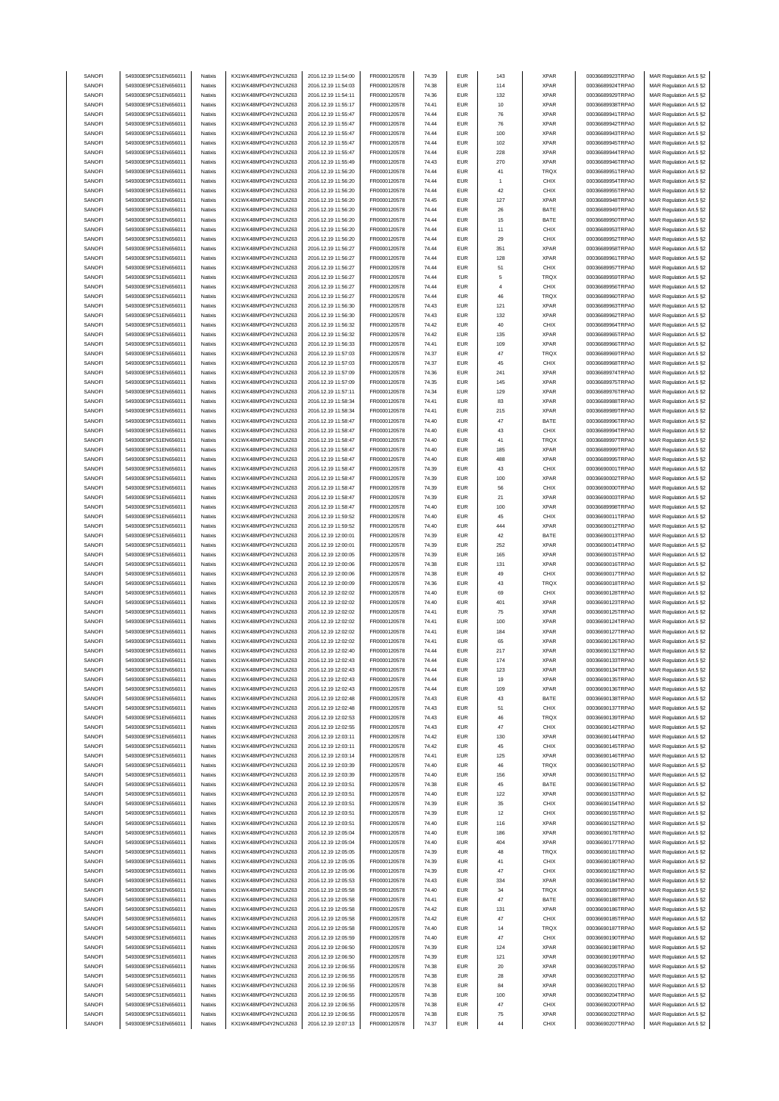| SANOFI           | 549300E9PC51EN656011                         | Natixis | KX1WK48MPD4Y2NCUIZ63  | 2016.12.19 11:54:00 | FR0000120578 | 74.39 | <b>EUR</b> | 143            | <b>XPAR</b> | 00036689923TRPA0 | MAR Regulation Art.5 §2                            |
|------------------|----------------------------------------------|---------|-----------------------|---------------------|--------------|-------|------------|----------------|-------------|------------------|----------------------------------------------------|
| SANOFI           | 549300E9PC51EN656011                         | Natixis | KX1WK48MPD4Y2NCUIZ63  | 2016.12.19 11:54:03 | FR0000120578 | 74.38 | <b>EUR</b> | 114            | <b>XPAR</b> | 00036689924TRPA0 | MAR Regulation Art.5 §2                            |
| SANOFI           | 549300E9PC51EN656011                         | Natixis | KX1WK48MPD4Y2NCUIZ63  | 2016.12.19 11:54:11 | FR0000120578 | 74.36 | <b>EUR</b> | 132            | <b>XPAR</b> | 00036689929TRPA0 | MAR Regulation Art.5 §2                            |
| SANOFI           | 549300E9PC51EN656011                         | Natixis | KX1WK48MPD4Y2NCUIZ63  | 2016.12.19 11:55:17 | FR0000120578 | 74.41 | <b>EUR</b> | 10             | <b>XPAR</b> | 00036689938TRPA0 | MAR Regulation Art.5 §2                            |
|                  |                                              |         |                       |                     |              |       |            |                |             |                  |                                                    |
| SANOFI           | 549300E9PC51EN656011                         | Natixis | KX1WK48MPD4Y2NCUIZ63  | 2016.12.19 11:55:47 | FR0000120578 | 74.44 | <b>EUR</b> | 76             | <b>XPAR</b> | 00036689941TRPA0 | MAR Regulation Art.5 §2                            |
| SANOFI           | 549300E9PC51EN656011                         | Natixis | KX1WK48MPD4Y2NCUIZ63  | 2016.12.19 11:55:47 | FR0000120578 | 74.44 | <b>EUR</b> | 76             | <b>XPAR</b> | 00036689942TRPA0 | MAR Regulation Art.5 §2                            |
| SANOFI           | 549300E9PC51EN656011                         | Natixis | KX1WK48MPD4Y2NCUIZ63  | 2016.12.19 11:55:47 | FR0000120578 | 74.44 | <b>EUR</b> | 100            | <b>XPAR</b> | 00036689943TRPA0 | MAR Regulation Art.5 §2                            |
| SANOFI           | 549300E9PC51EN656011                         | Natixis | KX1WK48MPD4Y2NCUIZ63  | 2016.12.19 11:55:47 | FR0000120578 | 74.44 | <b>EUR</b> | 102            | <b>XPAR</b> | 00036689945TRPA0 | MAR Regulation Art.5 §2                            |
| SANOFI           | 549300E9PC51EN656011                         | Natixis | KX1WK48MPD4Y2NCLIIZ63 | 2016.12.19 11:55:47 | FR0000120578 | 74.44 | <b>EUR</b> | 228            | <b>XPAR</b> | 00036689944TRPA0 | MAR Regulation Art.5 §2                            |
| SANOFI           | 549300E9PC51EN656011                         | Natixis | KX1WK48MPD4Y2NCUIZ63  | 2016.12.19 11:55:49 | FR0000120578 | 74.43 | <b>EUR</b> | 270            | <b>XPAR</b> | 00036689946TRPA0 | MAR Regulation Art.5 §2                            |
|                  |                                              | Natixis |                       |                     |              |       | <b>EUR</b> |                |             |                  |                                                    |
| SANOFI           | 549300E9PC51EN656011                         |         | KX1WK48MPD4Y2NCUIZ63  | 2016.12.19 11:56:20 | FR0000120578 | 74.44 |            | 41             | TRQX        | 00036689951TRPA0 | MAR Regulation Art.5 §2                            |
| SANOFI           | 549300E9PC51EN656011                         | Natixis | KX1WK48MPD4Y2NCUIZ63  | 2016.12.19 11:56:20 | FR0000120578 | 74.44 | <b>EUR</b> | $\mathbf{1}$   | CHIX        | 00036689954TRPA0 | MAR Regulation Art.5 §2                            |
| SANOFI           | 549300E9PC51EN656011                         | Natixis | KX1WK48MPD4Y2NCUIZ63  | 2016.12.19 11:56:20 | FR0000120578 | 74.44 | <b>EUR</b> | 42             | CHIX        | 00036689955TRPA0 | MAR Regulation Art.5 §2                            |
| SANOFI           | 549300E9PC51EN656011                         | Natixis | KX1WK48MPD4Y2NCUIZ63  | 2016.12.19 11:56:20 | FR0000120578 | 74.45 | <b>EUR</b> | 127            | <b>XPAR</b> | 00036689948TRPA0 | MAR Regulation Art.5 §2                            |
| SANOFI           | 549300E9PC51EN656011                         | Natixis | KX1WK48MPD4Y2NCUIZ63  | 2016.12.19 11:56:20 | FR0000120578 | 74.44 | <b>EUR</b> | 26             | BATE        | 00036689949TRPA0 | MAR Regulation Art.5 §2                            |
|                  | 549300E9PC51EN656011                         |         | KX1WK48MPD4Y2NCUIZ63  |                     |              |       | <b>EUR</b> |                |             | 00036689950TRPA0 |                                                    |
| SANOFI           |                                              | Natixis |                       | 2016.12.19 11:56:20 | FR0000120578 | 74.44 |            | 15             | BATE        |                  | MAR Regulation Art.5 §2                            |
| SANOFI           | 549300E9PC51EN656011                         | Natixis | KX1WK48MPD4Y2NCUIZ63  | 2016.12.19 11:56:20 | FR0000120578 | 74.44 | <b>EUR</b> | 11             | CHIX        | 00036689953TRPA0 | MAR Regulation Art.5 §2                            |
| SANOFI           | 549300E9PC51EN656011                         | Natixis | KX1WK48MPD4Y2NCLIIZ63 | 2016.12.19 11:56:20 | FR0000120578 | 74.44 | <b>EUR</b> | 29             | CHIX        | 00036689952TRPA0 | MAR Regulation Art.5 §2                            |
| SANOFI           | 549300E9PC51EN656011                         | Natixis | KX1WK48MPD4Y2NCUIZ63  | 2016.12.19 11:56:27 | FR0000120578 | 74.44 | <b>EUR</b> | 351            | <b>XPAR</b> | 00036689958TRPA0 | MAR Regulation Art.5 §2                            |
| SANOFI           | 549300E9PC51EN656011                         | Natixis | KX1WK48MPD4Y2NCUIZ63  | 2016.12.19 11:56:27 | FR0000120578 | 74.44 | <b>EUR</b> | 128            | <b>XPAR</b> | 00036689961TRPA0 | MAR Regulation Art.5 §2                            |
| SANOFI           | 549300E9PC51EN656011                         | Natixis | KX1WK48MPD4Y2NCUIZ63  | 2016.12.19 11:56:27 | FR0000120578 | 74.44 | <b>EUR</b> | 51             | CHIX        | 00036689957TRPA0 | MAR Regulation Art.5 §2                            |
| SANOFI           | 549300E9PC51EN656011                         | Natixis | KX1WK48MPD4Y2NCUIZ63  | 2016.12.19 11:56:27 | FR0000120578 | 74.44 | <b>EUR</b> | 5              | TRQX        | 00036689959TRPA0 | MAR Regulation Art.5 §2                            |
|                  |                                              |         |                       |                     |              |       |            |                |             |                  |                                                    |
| SANOFI           | 549300E9PC51EN656011                         | Natixis | KX1WK48MPD4Y2NCUIZ63  | 2016.12.19 11:56:27 | FR0000120578 | 74.44 | <b>EUR</b> | $\overline{4}$ | CHIX        | 00036689956TRPA0 | MAR Regulation Art.5 §2                            |
| SANOFI           | 549300E9PC51EN656011                         | Natixis | KX1WK48MPD4Y2NCUIZ63  | 2016.12.19 11:56:27 | FR0000120578 | 74.44 | <b>EUR</b> | 46             | TRQX        | 00036689960TRPA0 | MAR Regulation Art.5 §2                            |
| SANOFI           | 549300E9PC51EN656011                         | Natixis | KX1WK48MPD4Y2NCUIZ63  | 2016.12.19 11:56:30 | FR0000120578 | 74.43 | <b>EUR</b> | 121            | <b>XPAR</b> | 00036689963TRPA0 | MAR Regulation Art.5 §2                            |
| SANOFI           | 549300E9PC51EN656011                         | Natixis | KX1WK48MPD4Y2NCUIZ63  | 2016.12.19 11:56:30 | FR0000120578 | 74.43 | <b>EUR</b> | 132            | <b>XPAR</b> | 00036689962TRPA0 | MAR Regulation Art.5 §2                            |
| SANOFI           | 549300E9PC51EN656011                         | Natixis | KX1WK48MPD4Y2NCLIIZ63 | 2016.12.19 11:56:32 | FR0000120578 | 74.42 | <b>EUR</b> | 40             | CHIX        | 00036689964TRPA0 | MAR Regulation Art.5 §2                            |
| SANOFI           | 549300E9PC51EN656011                         | Natixis | KX1WK48MPD4Y2NCUIZ63  | 2016.12.19 11:56:32 | FR0000120578 | 74.42 | <b>EUR</b> | 135            | <b>XPAR</b> | 00036689965TRPA0 | MAR Regulation Art.5 §2                            |
|                  |                                              |         |                       |                     |              |       |            |                |             |                  |                                                    |
| SANOFI           | 549300E9PC51EN656011                         | Natixis | KX1WK48MPD4Y2NCUIZ63  | 2016.12.19 11:56:33 | FR0000120578 | 74.41 | <b>EUR</b> | 109            | <b>XPAR</b> | 00036689966TRPA0 | MAR Regulation Art.5 §2                            |
| SANOFI           | 549300E9PC51EN656011                         | Natixis | KX1WK48MPD4Y2NCUIZ63  | 2016.12.19 11:57:03 | FR0000120578 | 74.37 | <b>EUR</b> | 47             | TRQX        | 00036689969TRPA0 | MAR Regulation Art.5 §2                            |
| SANOFI           | 549300E9PC51EN656011                         | Natixis | KX1WK48MPD4Y2NCUIZ63  | 2016.12.19 11:57:03 | FR0000120578 | 74.37 | <b>EUR</b> | 45             | CHIX        | 00036689968TRPA0 | MAR Regulation Art.5 §2                            |
| SANOFI           | 549300E9PC51EN656011                         | Natixis | KX1WK48MPD4Y2NCUIZ63  | 2016.12.19 11:57:09 | FR0000120578 | 74.36 | <b>EUR</b> | 241            | <b>XPAR</b> | 00036689974TRPA0 | MAR Regulation Art.5 §2                            |
| SANOFI           | 549300E9PC51EN656011                         | Natixis | KX1WK48MPD4Y2NCUIZ63  | 2016.12.19 11:57:09 | FR0000120578 | 74.35 | <b>EUR</b> | 145            | <b>XPAR</b> | 00036689975TRPA0 | MAR Regulation Art.5 §2                            |
| SANOFI           | 549300E9PC51EN656011                         |         |                       | 2016.12.19 11:57:11 |              |       | <b>EUR</b> |                | <b>XPAR</b> | 00036689976TRPA0 |                                                    |
|                  |                                              | Natixis | KX1WK48MPD4Y2NCUIZ63  |                     | FR0000120578 | 74.34 |            | 129            |             |                  | MAR Regulation Art.5 §2                            |
| SANOFI           | 549300E9PC51EN656011                         | Natixis | KX1WK48MPD4Y2NCUIZ63  | 2016.12.19 11:58:34 | FR0000120578 | 74.41 | <b>EUR</b> | 83             | <b>XPAR</b> | 00036689988TRPA0 | MAR Regulation Art.5 §2                            |
| SANOFI           | 549300E9PC51EN656011                         | Natixis | KX1WK48MPD4Y2NCLIIZ63 | 2016.12.19 11:58:34 | FR0000120578 | 74.41 | <b>EUR</b> | 215            | <b>XPAR</b> | 00036689989TRPA0 | MAR Regulation Art.5 §2                            |
| SANOFI           | 549300E9PC51EN656011                         | Natixis | KX1WK48MPD4Y2NCUIZ63  | 2016.12.19 11:58:47 | FR0000120578 | 74.40 | <b>EUR</b> | 47             | BATE        | 00036689996TRPA0 | MAR Regulation Art.5 §2                            |
| SANOFI           | 549300E9PC51EN656011                         | Natixis | KX1WK48MPD4Y2NCUIZ63  | 2016.12.19 11:58:47 | FR0000120578 | 74.40 | <b>EUR</b> | 43             | CHIX        | 00036689994TRPA0 | MAR Regulation Art.5 §2                            |
| SANOFI           | 549300E9PC51EN656011                         | Natixis | KX1WK48MPD4Y2NCUIZ63  | 2016.12.19 11:58:47 | FR0000120578 | 74.40 | <b>EUR</b> | 41             | TRQX        | 00036689997TRPA0 | MAR Regulation Art.5 §2                            |
|                  |                                              |         |                       |                     |              |       |            |                |             |                  |                                                    |
| SANOFI           | 549300E9PC51EN656011                         | Natixis | KX1WK48MPD4Y2NCUIZ63  | 2016.12.19 11:58:47 | FR0000120578 | 74.40 | <b>EUR</b> | 185            | <b>XPAR</b> | 00036689999TRPA0 | MAR Regulation Art.5 §2                            |
| SANOFI           | 549300E9PC51EN656011                         | Natixis | KX1WK48MPD4Y2NCUIZ63  | 2016.12.19 11:58:47 | FR0000120578 | 74.40 | <b>EUR</b> | 488            | <b>XPAR</b> | 00036689995TRPA0 | MAR Regulation Art.5 §2                            |
| SANOFI           | 549300E9PC51EN656011                         | Natixis | KX1WK48MPD4Y2NCUIZ63  | 2016.12.19 11:58:47 | FR0000120578 | 74.39 | <b>EUR</b> | 43             | CHIX        | 00036690001TRPA0 | MAR Regulation Art.5 §2                            |
| SANOFI           | 549300E9PC51EN656011                         | Natixis | KX1WK48MPD4Y2NCUIZ63  | 2016.12.19 11:58:47 | FR0000120578 | 74.39 | <b>EUR</b> | 100            | <b>XPAR</b> | 00036690002TRPA0 | MAR Regulation Art.5 §2                            |
| SANOFI           | 549300E9PC51EN656011                         | Natixis | KX1WK48MPD4Y2NCUIZ63  | 2016.12.19 11:58:47 | FR0000120578 | 74.39 | <b>EUR</b> | 56             | CHIX        | 00036690000TRPA0 | MAR Regulation Art.5 §2                            |
| SANOFI           | 549300E9PC51EN656011                         | Natixis | KX1WK48MPD4Y2NCUIZ63  | 2016.12.19 11:58:47 | FR0000120578 | 74.39 | <b>EUR</b> | 21             | <b>XPAR</b> | 00036690003TRPA0 | MAR Regulation Art.5 §2                            |
|                  |                                              |         |                       |                     |              |       |            |                |             |                  |                                                    |
| SANOFI           | 549300E9PC51EN656011                         | Natixis | KX1WK48MPD4Y2NCUIZ63  | 2016.12.19 11:58:47 | FR0000120578 | 74.40 | <b>EUR</b> | 100            | <b>XPAR</b> | 00036689998TRPA0 | MAR Regulation Art.5 §2                            |
| SANOFI           | 549300E9PC51EN656011                         | Natixis | KX1WK48MPD4Y2NCUIZ63  | 2016.12.19 11:59:52 | FR0000120578 | 74.40 | <b>EUR</b> | 45             | CHIX        | 00036690011TRPA0 | MAR Regulation Art.5 §2                            |
| SANOFI           | 549300E9PC51EN656011                         | Natixis | KX1WK48MPD4Y2NCUIZ63  | 2016.12.19 11:59:52 | FR0000120578 | 74.40 | <b>EUR</b> | 444            | <b>XPAR</b> | 00036690012TRPA0 | MAR Regulation Art.5 §2                            |
| SANOFI           | 549300E9PC51EN656011                         | Natixis | KX1WK48MPD4Y2NCUIZ63  | 2016.12.19 12:00:01 | FR0000120578 | 74.39 | <b>EUR</b> | 42             | BATE        | 00036690013TRPA0 | MAR Regulation Art.5 §2                            |
| SANOFI           | 549300E9PC51EN656011                         | Natixis | KX1WK48MPD4Y2NCUIZ63  | 2016.12.19 12:00:01 | FR0000120578 | 74.39 | <b>EUR</b> | 252            | <b>XPAR</b> | 00036690014TRPA0 | MAR Regulation Art.5 §2                            |
|                  |                                              |         |                       |                     |              |       |            |                |             |                  |                                                    |
| SANOFI           | 549300E9PC51EN656011                         | Natixis | KX1WK48MPD4Y2NCUIZ63  | 2016.12.19 12:00:05 | FR0000120578 | 74.39 | <b>EUR</b> | 165            | <b>XPAR</b> | 00036690015TRPA0 | MAR Regulation Art.5 §2                            |
| SANOFI           | 549300E9PC51EN656011                         | Natixis | KX1WK48MPD4Y2NCUIZ63  | 2016.12.19 12:00:06 | FR0000120578 | 74.38 | <b>EUR</b> | 131            | <b>XPAR</b> | 00036690016TRPA0 | MAR Regulation Art.5 §2                            |
| SANOFI           | 549300E9PC51EN656011                         | Natixis | KX1WK48MPD4Y2NCLIIZ63 | 2016.12.19 12:00:06 | FR0000120578 | 74.38 | <b>EUR</b> | 49             | CHIX        | 00036690017TRPA0 | MAR Regulation Art.5 §2                            |
| SANOFI           | 549300E9PC51EN656011                         | Natixis | KX1WK48MPD4Y2NCUIZ63  | 2016.12.19 12:00:09 | FR0000120578 | 74.36 | <b>EUR</b> | 43             | TRQX        | 00036690018TRPA0 | MAR Regulation Art.5 §2                            |
| SANOFI           | 549300E9PC51EN656011                         | Natixis | KX1WK48MPD4Y2NCUIZ63  | 2016.12.19 12:02:02 | FR0000120578 | 74.40 | <b>EUR</b> | 69             | CHIX        | 00036690128TRPA0 | MAR Regulation Art.5 §2                            |
| SANOFI           | 549300E9PC51EN656011                         | Natixis | KX1WK48MPD4Y2NCUIZ63  | 2016.12.19 12:02:02 | FR0000120578 | 74.40 | <b>EUR</b> | 401            | <b>XPAR</b> | 00036690123TRPA0 | MAR Regulation Art.5 §2                            |
|                  |                                              |         |                       |                     |              |       |            |                |             |                  |                                                    |
| SANOFI           | 549300E9PC51EN656011                         | Natixis | KX1WK48MPD4Y2NCUIZ63  | 2016.12.19 12:02:02 | FR0000120578 | 74.41 | <b>EUR</b> | 75             | <b>XPAR</b> | 00036690125TRPA0 | MAR Regulation Art.5 §2                            |
| SANOFI           | 549300E9PC51EN656011                         | Natixis | KX1WK48MPD4Y2NCUIZ63  | 2016.12.19 12:02:02 | FR0000120578 | 74.41 | <b>EUR</b> | 100            | <b>XPAR</b> | 00036690124TRPA0 | MAR Regulation Art.5 §2                            |
| SANOFI           | 549300E9PC51EN656011                         | Natixis | KX1WK48MPD4Y2NCUIZ63  | 2016.12.19 12:02:02 | FR0000120578 | 74.41 | <b>EUR</b> | 184            | <b>XPAR</b> | 00036690127TRPA0 | MAR Regulation Art.5 §2                            |
| SANOFI           | 549300E9PC51EN656011                         | Natixis | KX1WK48MPD4Y2NCUIZ63  | 2016.12.19 12:02:02 | FR0000120578 | 74.41 | <b>EUR</b> | 65             | <b>XPAR</b> | 00036690126TRPA0 | MAR Regulation Art.5 §2                            |
| SANOF            | 549300E9PC51EN656011                         | Natixis | KX1WK48MPD4Y2NCUIZ63  | 2016.12.19 12:02:40 | FR0000120578 | 74.44 | EUR        | 217            | <b>XPAR</b> | 00036690132TRPA0 |                                                    |
|                  |                                              | Natixis |                       |                     |              |       | <b>EUR</b> |                |             |                  | MAR Regulation Art.5 §2<br>MAR Regulation Art.5 §2 |
| SANOFI           | 549300E9PC51EN656011                         |         | KX1WK48MPD4Y2NCUIZ63  | 2016.12.19 12:02:43 | FR0000120578 | 74.44 |            | 174            | <b>XPAR</b> | 00036690133TRPA0 |                                                    |
| SANOFI           | 549300E9PC51EN656011                         | Natixis | KX1WK48MPD4Y2NCUIZ63  | 2016.12.19 12:02:43 | FR0000120578 | 74.44 | <b>EUR</b> | 123            | <b>XPAR</b> | 00036690134TRPA0 | MAR Regulation Art.5 §2                            |
| SANOFI           | 549300E9PC51EN656011                         | Natixis | KX1WK48MPD4Y2NCUIZ63  | 2016.12.19 12:02:43 | FR0000120578 | 74.44 | <b>EUR</b> | 19             | <b>XPAR</b> | 00036690135TRPA0 | MAR Regulation Art.5 §2                            |
| SANOFI           | 549300E9PC51EN656011                         | Natixis | KX1WK48MPD4Y2NCUIZ63  | 2016.12.19 12:02:43 | FR0000120578 | 74.44 | <b>EUR</b> | 109            | <b>XPAR</b> | 00036690136TRPA0 | MAR Regulation Art.5 §2                            |
| SANOFI           | 549300E9PC51EN656011                         | Natixis | KX1WK48MPD4Y2NCUIZ63  | 2016.12.19 12:02:48 | FR0000120578 | 74.43 | <b>EUR</b> | 43             | BATE        | 00036690138TRPA0 | MAR Regulation Art.5 §2                            |
| SANOFI           | 549300E9PC51EN656011                         | Natixis | KX1WK48MPD4Y2NCUIZ63  | 2016.12.19 12:02:48 | FR0000120578 | 74.43 | <b>EUR</b> | 51             | CHIX        | 00036690137TRPA0 | MAR Regulation Art.5 §2                            |
| SANOFI           | 549300E9PC51EN656011                         | Natixis | KX1WK48MPD4Y2NCUIZ63  | 2016.12.19 12:02:53 | FR0000120578 | 74.43 | <b>EUR</b> | 46             | TRQX        | 00036690139TRPA0 | MAR Regulation Art.5 §2                            |
|                  |                                              |         |                       |                     |              |       |            |                |             |                  |                                                    |
| SANOFI           | 549300E9PC51EN656011                         | Natixis | KX1WK48MPD4Y2NCUIZ63  | 2016.12.19 12:02:55 | FR0000120578 | 74.43 | <b>EUR</b> | 47             | CHIX        | 00036690142TRPA0 | MAR Regulation Art.5 §2                            |
| SANOFI           | 549300E9PC51EN656011                         | Natixis | KX1WK48MPD4Y2NCUIZ63  | 2016.12.19 12:03:11 | FR0000120578 | 74.42 | <b>EUR</b> | 130            | <b>XPAR</b> | 00036690144TRPA0 | MAR Regulation Art.5 §2                            |
| SANOFI           | 549300E9PC51EN656011                         | Natixis | KX1WK48MPD4Y2NCUIZ63  | 2016.12.19 12:03:11 | FR0000120578 | 74.42 | <b>EUR</b> | 45             | CHIX        | 00036690145TRPA0 | MAR Regulation Art.5 §2                            |
| SANOFI           | 549300E9PC51EN656011                         | Natixis | KX1WK48MPD4Y2NCUIZ63  | 2016.12.19 12:03:14 | FR0000120578 | 74.41 | <b>EUR</b> | 125            | <b>XPAR</b> | 00036690146TRPA0 | MAR Regulation Art.5 §2                            |
| SANOFI           | 549300E9PC51EN656011                         | Natixis | KX1WK48MPD4Y2NCUIZ63  | 2016.12.19 12:03:39 | FR0000120578 | 74.40 | <b>EUR</b> | 46             | TRQX        | 00036690150TRPA0 | MAR Regulation Art.5 §2                            |
| SANOFI           | 549300E9PC51EN656011                         | Natixis | KX1WK48MPD4Y2NCUIZ63  | 2016.12.19 12:03:39 | FR0000120578 | 74.40 | <b>EUR</b> | 156            | <b>XPAR</b> | 00036690151TRPA0 | MAR Regulation Art.5 §2                            |
| SANOFI           | 549300E9PC51EN656011                         | Natixis | KX1WK48MPD4Y2NCUIZ63  | 2016.12.19 12:03:51 | FR0000120578 | 74.38 | <b>EUR</b> | 45             | BATE        | 00036690156TRPA0 |                                                    |
|                  |                                              |         |                       |                     |              |       |            |                |             |                  | MAR Regulation Art.5 §2                            |
| SANOFI           | 549300E9PC51EN656011                         | Natixis | KX1WK48MPD4Y2NCUIZ63  | 2016.12.19 12:03:51 | FR0000120578 | 74.40 | <b>EUR</b> | 122            | <b>XPAR</b> | 00036690153TRPA0 | MAR Regulation Art.5 §2                            |
| SANOFI           | 549300E9PC51EN656011                         | Natixis | KX1WK48MPD4Y2NCUIZ63  | 2016.12.19 12:03:51 | FR0000120578 | 74.39 | <b>EUR</b> | 35             | CHIX        | 00036690154TRPA0 | MAR Regulation Art.5 §2                            |
| SANOFI           | 549300E9PC51EN656011                         | Natixis | KX1WK48MPD4Y2NCUIZ63  | 2016.12.19 12:03:51 | FR0000120578 | 74.39 | <b>EUR</b> | 12             | CHIX        | 00036690155TRPA0 | MAR Regulation Art.5 §2                            |
| SANOFI           | 549300E9PC51EN656011                         | Natixis | KX1WK48MPD4Y2NCUIZ63  | 2016.12.19 12:03:51 | FR0000120578 | 74.40 | <b>EUR</b> | 116            | <b>XPAR</b> | 00036690152TRPA0 | MAR Regulation Art.5 §2                            |
| SANOFI           | 549300E9PC51EN656011                         | Natixis | KX1WK48MPD4Y2NCUIZ63  | 2016.12.19 12:05:04 | FR0000120578 | 74.40 | <b>EUR</b> | 186            | <b>XPAR</b> | 00036690178TRPA0 | MAR Regulation Art.5 §2                            |
|                  |                                              |         |                       |                     |              |       |            |                |             |                  |                                                    |
| SANOFI           | 549300E9PC51EN656011                         | Natixis | KX1WK48MPD4Y2NCUIZ63  | 2016.12.19 12:05:04 | FR0000120578 | 74.40 | <b>EUR</b> | 404            | <b>XPAR</b> | 00036690177TRPA0 | MAR Regulation Art.5 §2                            |
| SANOFI           | 549300E9PC51EN656011                         | Natixis | KX1WK48MPD4Y2NCUIZ63  | 2016.12.19 12:05:05 | FR0000120578 | 74.39 | <b>EUR</b> | 48             | TRQX        | 00036690181TRPA0 | MAR Regulation Art.5 §2                            |
| SANOFI           | 549300E9PC51EN656011                         | Natixis | KX1WK48MPD4Y2NCUIZ63  | 2016.12.19 12:05:05 | FR0000120578 | 74.39 | <b>EUR</b> | 41             | CHIX        | 00036690180TRPA0 | MAR Regulation Art.5 §2                            |
| SANOFI           | 549300E9PC51EN656011                         | Natixis | KX1WK48MPD4Y2NCUIZ63  | 2016.12.19 12:05:06 | FR0000120578 | 74.39 | <b>EUR</b> | 47             | CHIX        | 00036690182TRPA0 | MAR Regulation Art.5 §2                            |
| SANOFI           | 549300E9PC51EN656011                         | Natixis | KX1WK48MPD4Y2NCUIZ63  | 2016.12.19 12:05:53 | FR0000120578 | 74.43 | <b>EUR</b> | 334            | <b>XPAR</b> | 00036690184TRPA0 | MAR Regulation Art.5 §2                            |
| SANOFI           | 549300E9PC51EN656011                         | Natixis | KX1WK48MPD4Y2NCUIZ63  | 2016.12.19 12:05:58 | FR0000120578 | 74.40 | <b>EUR</b> | 34             | TRQX        | 00036690189TRPA0 | MAR Regulation Art.5 §2                            |
|                  |                                              |         |                       |                     |              |       |            |                |             |                  |                                                    |
| SANOFI           | 549300E9PC51EN656011                         | Natixis | KX1WK48MPD4Y2NCUIZ63  | 2016.12.19 12:05:58 | FR0000120578 | 74.41 | <b>EUR</b> | 47             | BATE        | 00036690188TRPA0 | MAR Regulation Art.5 §2                            |
| SANOFI           | 549300E9PC51EN656011                         | Natixis | KX1WK48MPD4Y2NCUIZ63  | 2016.12.19 12:05:58 | FR0000120578 | 74.42 | <b>EUR</b> | 131            | <b>XPAR</b> | 00036690186TRPA0 | MAR Regulation Art.5 §2                            |
| SANOFI           | 549300E9PC51EN656011                         | Natixis | KX1WK48MPD4Y2NCUIZ63  | 2016.12.19 12:05:58 | FR0000120578 | 74.42 | <b>EUR</b> | 47             | CHIX        | 00036690185TRPA0 | MAR Regulation Art.5 §2                            |
| SANOFI           | 549300E9PC51EN656011                         | Natixis | KX1WK48MPD4Y2NCUIZ63  | 2016.12.19 12:05:58 | FR0000120578 | 74.40 | <b>EUR</b> | 14             | TRQX        | 00036690187TRPA0 | MAR Regulation Art.5 §2                            |
| SANOFI           | 549300E9PC51EN656011                         | Natixis | KX1WK48MPD4Y2NCUIZ63  | 2016.12.19 12:05:59 | FR0000120578 | 74.40 | <b>EUR</b> | 47             | CHIX        | 00036690190TRPA0 | MAR Regulation Art.5 §2                            |
|                  |                                              |         |                       |                     |              |       |            |                |             |                  |                                                    |
| SANOFI           | 549300E9PC51EN656011                         | Natixis | KX1WK48MPD4Y2NCUIZ63  | 2016.12.19 12:06:50 | FR0000120578 | 74.39 | <b>EUR</b> | 124            | <b>XPAR</b> | 00036690198TRPA0 | MAR Regulation Art.5 §2                            |
| SANOFI           | 549300E9PC51EN656011                         | Natixis | KX1WK48MPD4Y2NCUIZ63  | 2016.12.19 12:06:50 | FR0000120578 | 74.39 | <b>EUR</b> | 121            | <b>XPAR</b> | 00036690199TRPA0 | MAR Regulation Art.5 §2                            |
| SANOFI           | 549300E9PC51EN656011                         | Natixis | KX1WK48MPD4Y2NCUIZ63  | 2016.12.19 12:06:55 | FR0000120578 | 74.38 | <b>EUR</b> | 20             | <b>XPAR</b> | 00036690205TRPA0 | MAR Regulation Art.5 §2                            |
| SANOFI           | 549300E9PC51EN656011                         | Natixis | KX1WK48MPD4Y2NCUIZ63  | 2016.12.19 12:06:55 | FR0000120578 | 74.38 | <b>EUR</b> | 28             | <b>XPAR</b> | 00036690203TRPA0 | MAR Regulation Art.5 §2                            |
| SANOFI           | 549300E9PC51EN656011                         | Natixis | KX1WK48MPD4Y2NCUIZ63  | 2016.12.19 12:06:55 | FR0000120578 | 74.38 | <b>EUR</b> | 84             | <b>XPAR</b> | 00036690201TRPA0 | MAR Regulation Art.5 §2                            |
| SANOFI           | 549300E9PC51EN656011                         | Natixis | KX1WK48MPD4Y2NCUIZ63  | 2016.12.19 12:06:55 | FR0000120578 | 74.38 | <b>EUR</b> | 100            | <b>XPAR</b> | 00036690204TRPA0 | MAR Regulation Art.5 §2                            |
|                  |                                              |         |                       |                     |              |       |            |                |             |                  |                                                    |
| SANOFI           | 549300E9PC51EN656011                         | Natixis | KX1WK48MPD4Y2NCUIZ63  | 2016.12.19 12:06:55 | FR0000120578 | 74.38 | <b>EUR</b> | 47             | CHIX        | 00036690200TRPA0 | MAR Regulation Art.5 §2                            |
|                  |                                              | Natixis | KX1WK48MPD4Y2NCUIZ63  | 2016.12.19 12:06:55 | FR0000120578 | 74.38 | <b>EUR</b> | 75             | <b>XPAR</b> | 00036690202TRPA0 | MAR Regulation Art.5 §2                            |
| SANOFI<br>SANOFI | 549300E9PC51EN656011<br>549300E9PC51EN656011 | Natixis | KX1WK48MPD4Y2NCUIZ63  | 2016.12.19 12:07:13 | FR0000120578 | 74.37 | EUR        | 44             | CHIX        | 00036690207TRPA0 | MAR Regulation Art.5 §2                            |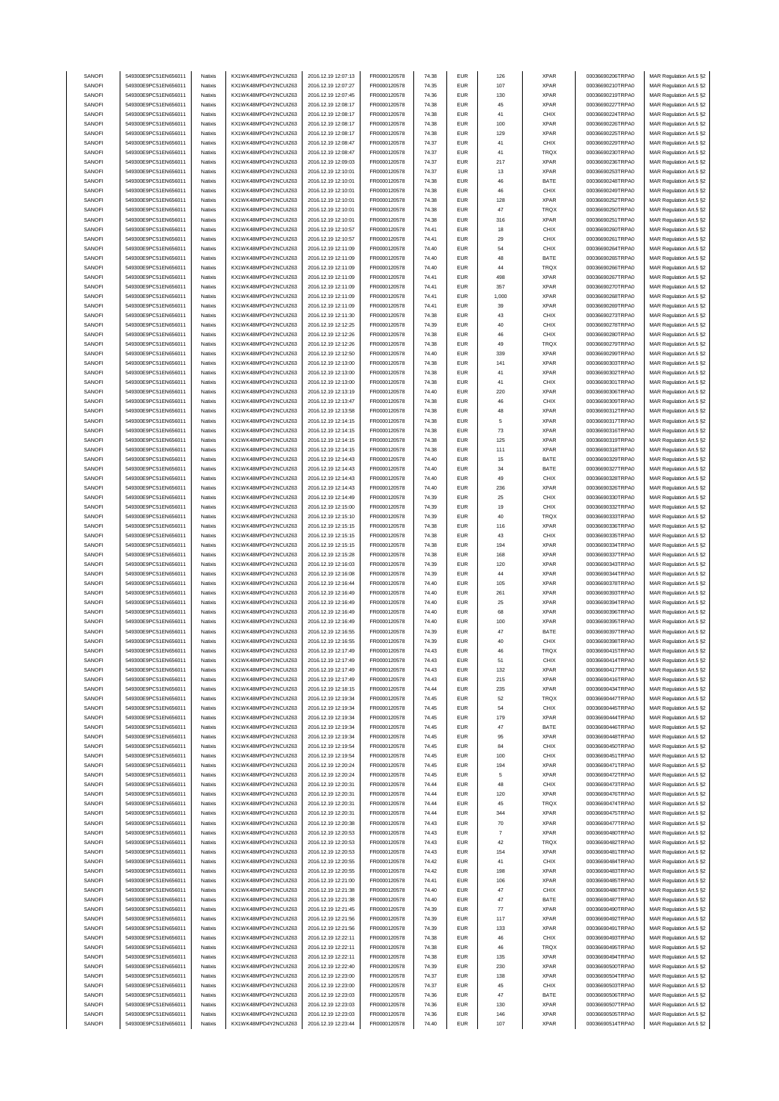| SANOFI | 549300E9PC51EN656011 | Natixis | KX1WK48MPD4Y2NCUIZ63  | 2016.12.19 12:07:13 | FR0000120578 | 74.38 | <b>EUR</b> | 126            | <b>XPAR</b> | 00036690206TRPA0 | MAR Regulation Art.5 §2 |
|--------|----------------------|---------|-----------------------|---------------------|--------------|-------|------------|----------------|-------------|------------------|-------------------------|
| SANOFI | 549300E9PC51EN656011 | Natixis | KX1WK48MPD4Y2NCUIZ63  | 2016.12.19 12:07:27 | FR0000120578 | 74.35 | <b>EUR</b> | 107            | <b>XPAR</b> | 00036690210TRPA0 | MAR Regulation Art.5 §2 |
| SANOFI | 549300E9PC51EN656011 | Natixis | KX1WK48MPD4Y2NCUIZ63  | 2016.12.19 12:07:45 | FR0000120578 | 74.36 | <b>EUR</b> | 130            | <b>XPAR</b> | 00036690219TRPA0 | MAR Regulation Art.5 §2 |
| SANOFI | 549300E9PC51EN656011 | Natixis | KX1WK48MPD4Y2NCUIZ63  | 2016.12.19.12:08:17 | FR0000120578 | 74.38 | <b>EUR</b> | 45             | <b>XPAR</b> | 00036690227TRPA0 | MAR Regulation Art.5 §2 |
| SANOFI | 549300E9PC51EN656011 | Natixis | KX1WK48MPD4Y2NCUIZ63  | 2016.12.19 12:08:17 | FR0000120578 | 74.38 | <b>EUR</b> | 41             | CHIX        | 00036690224TRPA0 | MAR Regulation Art.5 §2 |
| SANOFI | 549300E9PC51EN656011 | Natixis | KX1WK48MPD4Y2NCUIZ63  | 2016.12.19 12:08:17 | FR0000120578 | 74.38 | <b>EUR</b> | 100            | <b>XPAR</b> | 00036690226TRPA0 | MAR Regulation Art.5 §2 |
|        | 549300E9PC51EN656011 |         |                       |                     |              |       |            |                |             | 00036690225TRPA0 |                         |
| SANOFI |                      | Natixis | KX1WK48MPD4Y2NCUIZ63  | 2016.12.19 12:08:17 | FR0000120578 | 74.38 | <b>EUR</b> | 129            | <b>XPAR</b> |                  | MAR Regulation Art.5 §2 |
| SANOFI | 549300E9PC51EN656011 | Natixis | KX1WK48MPD4Y2NCUIZ63  | 2016.12.19 12:08:47 | FR0000120578 | 74.37 | <b>EUR</b> | 41             | CHIX        | 00036690229TRPA0 | MAR Regulation Art.5 §2 |
| SANOFI | 549300E9PC51EN656011 | Natixis | KX1WK48MPD4Y2NCLIIZ63 | 2016.12.19 12:08:47 | FR0000120578 | 74.37 | <b>EUR</b> | 41             | TRQX        | 00036690230TRPA0 | MAR Regulation Art.5 §2 |
| SANOFI | 549300E9PC51EN656011 | Natixis | KX1WK48MPD4Y2NCUIZ63  | 2016.12.19 12:09:03 | FR0000120578 | 74.37 | <b>EUR</b> | 217            | <b>XPAR</b> | 00036690236TRPA0 | MAR Regulation Art.5 §2 |
| SANOFI | 549300E9PC51EN656011 | Natixis | KX1WK48MPD4Y2NCUIZ63  | 2016.12.19 12:10:01 | FR0000120578 | 74.37 | <b>EUR</b> | 13             | <b>XPAR</b> | 00036690253TRPA0 | MAR Regulation Art.5 §2 |
| SANOFI | 549300E9PC51EN656011 | Natixis | KX1WK48MPD4Y2NCUIZ63  | 2016.12.19 12:10:01 | FR0000120578 | 74.38 | <b>EUR</b> | 46             | BATE        | 00036690248TRPA0 | MAR Regulation Art.5 §2 |
| SANOFI | 549300E9PC51EN656011 | Natixis | KX1WK48MPD4Y2NCUIZ63  | 2016.12.19 12:10:01 | FR0000120578 | 74.38 | <b>EUR</b> | 46             | CHIX        | 00036690249TRPA0 | MAR Regulation Art.5 §2 |
|        |                      |         |                       |                     |              |       |            |                |             |                  |                         |
| SANOFI | 549300E9PC51EN656011 | Natixis | KX1WK48MPD4Y2NCUIZ63  | 2016.12.19 12:10:01 | FR0000120578 | 74.38 | <b>EUR</b> | 128            | <b>XPAR</b> | 00036690252TRPA0 | MAR Regulation Art.5 §2 |
| SANOFI | 549300E9PC51EN656011 | Natixis | KX1WK48MPD4Y2NCUIZ63  | 2016.12.19 12:10:01 | FR0000120578 | 74.38 | <b>EUR</b> | 47             | TRQX        | 00036690250TRPA0 | MAR Regulation Art.5 §2 |
| SANOFI | 549300E9PC51EN656011 | Natixis | KX1WK48MPD4Y2NCUIZ63  | 2016.12.19 12:10:01 | FR0000120578 | 74.38 | <b>EUR</b> | 316            | <b>XPAR</b> | 00036690251TRPA0 | MAR Regulation Art.5 §2 |
| SANOFI | 549300E9PC51EN656011 | Natixis | KX1WK48MPD4Y2NCUIZ63  | 2016.12.19 12:10:57 | FR0000120578 | 74.41 | <b>EUR</b> | 18             | CHIX        | 00036690260TRPA0 | MAR Regulation Art.5 §2 |
| SANOFI | 549300E9PC51EN656011 | Natixis | KX1WK48MPD4Y2NCLIIZ63 | 2016.12.19 12:10:57 | FR0000120578 | 74.41 | <b>EUR</b> | 29             | CHIX        | 00036690261TRPA0 | MAR Regulation Art.5 §2 |
|        | 549300E9PC51EN656011 |         | KX1WK48MPD4Y2NCUIZ63  |                     |              |       |            |                |             |                  |                         |
| SANOFI |                      | Natixis |                       | 2016.12.19 12:11:09 | FR0000120578 | 74.40 | <b>EUR</b> | 54             | CHIX        | 00036690264TRPA0 | MAR Regulation Art.5 §2 |
| SANOFI | 549300E9PC51EN656011 | Natixis | KX1WK48MPD4Y2NCUIZ63  | 2016.12.19 12:11:09 | FR0000120578 | 74.40 | <b>EUR</b> | 48             | BATE        | 00036690265TRPA0 | MAR Regulation Art.5 §2 |
| SANOFI | 549300E9PC51EN656011 | Natixis | KX1WK48MPD4Y2NCUIZ63  | 2016.12.19 12:11:09 | FR0000120578 | 74.40 | <b>EUR</b> | 44             | TRQX        | 00036690266TRPA0 | MAR Regulation Art.5 §2 |
| SANOFI | 549300E9PC51EN656011 | Natixis | KX1WK48MPD4Y2NCUIZ63  | 2016.12.19 12:11:09 | FR0000120578 | 74.41 | <b>EUR</b> | 498            | <b>XPAR</b> | 00036690267TRPA0 | MAR Regulation Art.5 §2 |
| SANOFI | 549300E9PC51EN656011 | Natixis | KX1WK48MPD4Y2NCUIZ63  | 2016.12.19 12:11:09 | FR0000120578 | 74.41 | <b>EUR</b> | 357            | <b>XPAR</b> | 00036690270TRPA0 | MAR Regulation Art.5 §2 |
| SANOFI | 549300E9PC51EN656011 | Natixis | KX1WK48MPD4Y2NCUIZ63  | 2016.12.19 12:11:09 | FR0000120578 | 74.41 | <b>EUR</b> | 1,000          | <b>XPAR</b> | 00036690268TRPA0 | MAR Regulation Art.5 §2 |
|        |                      |         |                       |                     |              |       |            |                |             |                  |                         |
| SANOFI | 549300E9PC51EN656011 | Natixis | KX1WK48MPD4Y2NCUIZ63  | 2016.12.19 12:11:09 | FR0000120578 | 74.41 | <b>EUR</b> | 39             | <b>XPAR</b> | 00036690269TRPA0 | MAR Regulation Art.5 §2 |
| SANOFI | 549300E9PC51EN656011 | Natixis | KX1WK48MPD4Y2NCUIZ63  | 2016.12.19 12:11:30 | FR0000120578 | 74.38 | <b>EUR</b> | 43             | CHIX        | 00036690273TRPA0 | MAR Regulation Art.5 §2 |
| SANOFI | 549300E9PC51EN656011 | Natixis | KX1WK48MPD4Y2NCLIIZ63 | 2016.12.19 12:12:25 | FR0000120578 | 74.39 | <b>EUR</b> | 40             | CHIX        | 00036690278TRPA0 | MAR Regulation Art.5 §2 |
| SANOFI | 549300E9PC51EN656011 | Natixis | KX1WK48MPD4Y2NCUIZ63  | 2016.12.19 12:12:26 | FR0000120578 | 74.38 | <b>EUR</b> | 46             | CHIX        | 00036690280TRPA0 | MAR Regulation Art.5 §2 |
| SANOFI | 549300E9PC51EN656011 | Natixis | KX1WK48MPD4Y2NCUIZ63  | 2016.12.19 12:12:26 | FR0000120578 | 74.38 | <b>EUR</b> | 49             | TRQX        | 00036690279TRPA0 | MAR Regulation Art.5 §2 |
| SANOFI | 549300E9PC51EN656011 | Natixis | KX1WK48MPD4Y2NCUIZ63  | 2016.12.19 12:12:50 | FR0000120578 | 74.40 | <b>EUR</b> | 339            | <b>XPAR</b> | 00036690299TRPA0 | MAR Regulation Art.5 §2 |
|        |                      |         |                       |                     |              |       |            |                |             |                  |                         |
| SANOFI | 549300E9PC51EN656011 | Natixis | KX1WK48MPD4Y2NCUIZ63  | 2016.12.19 12:13:00 | FR0000120578 | 74.38 | <b>EUR</b> | 141            | <b>XPAR</b> | 00036690303TRPA0 | MAR Regulation Art.5 §2 |
| SANOFI | 549300E9PC51EN656011 | Natixis | KX1WK48MPD4Y2NCUIZ63  | 2016.12.19 12:13:00 | FR0000120578 | 74.38 | <b>EUR</b> | 41             | <b>XPAR</b> | 00036690302TRPA0 | MAR Regulation Art.5 §2 |
| SANOFI | 549300E9PC51EN656011 | Natixis | KX1WK48MPD4Y2NCUIZ63  | 2016.12.19 12:13:00 | FR0000120578 | 74.38 | <b>EUR</b> | 41             | CHIX        | 00036690301TRPA0 | MAR Regulation Art.5 §2 |
| SANOFI | 549300E9PC51EN656011 | Natixis | KX1WK48MPD4Y2NCUIZ63  | 2016.12.19 12:13:19 | FR0000120578 | 74.40 | <b>EUR</b> | 220            | <b>XPAR</b> | 00036690306TRPA0 | MAR Regulation Art.5 §2 |
| SANOFI | 549300E9PC51EN656011 | Natixis | KX1WK48MPD4Y2NCUIZ63  | 2016.12.19 12:13:47 | FR0000120578 | 74.38 | <b>EUR</b> | 46             | CHIX        | 00036690309TRPA0 | MAR Regulation Art.5 §2 |
| SANOFI | 549300E9PC51EN656011 | Natixis | KX1WK48MPD4Y2NCLIIZ63 | 2016.12.19 12:13:58 | FR0000120578 | 74.38 | <b>EUR</b> | 48             | <b>XPAR</b> | 00036690312TRPA0 |                         |
|        |                      |         |                       |                     |              |       |            |                |             |                  | MAR Regulation Art.5 §2 |
| SANOFI | 549300E9PC51EN656011 | Natixis | KX1WK48MPD4Y2NCUIZ63  | 2016.12.19 12:14:15 | FR0000120578 | 74.38 | <b>EUR</b> | 5              | <b>XPAR</b> | 00036690317TRPA0 | MAR Regulation Art.5 §2 |
| SANOFI | 549300E9PC51EN656011 | Natixis | KX1WK48MPD4Y2NCUIZ63  | 2016.12.19 12:14:15 | FR0000120578 | 74.38 | <b>EUR</b> | 73             | <b>XPAR</b> | 00036690316TRPA0 | MAR Regulation Art.5 §2 |
| SANOFI | 549300E9PC51EN656011 | Natixis | KX1WK48MPD4Y2NCUIZ63  | 2016.12.19 12:14:15 | FR0000120578 | 74.38 | <b>EUR</b> | 125            | <b>XPAR</b> | 00036690319TRPA0 | MAR Regulation Art.5 §2 |
| SANOFI | 549300E9PC51EN656011 | Natixis | KX1WK48MPD4Y2NCUIZ63  | 2016.12.19 12:14:15 | FR0000120578 | 74.38 | <b>EUR</b> | 111            | <b>XPAR</b> | 00036690318TRPA0 | MAR Regulation Art.5 §2 |
| SANOFI | 549300E9PC51EN656011 | Natixis | KX1WK48MPD4Y2NCUIZ63  | 2016.12.19 12:14:43 | FR0000120578 | 74.40 | <b>EUR</b> |                | BATE        | 00036690329TRPA0 |                         |
|        |                      |         |                       |                     |              |       |            | 15             |             |                  | MAR Regulation Art.5 §2 |
| SANOFI | 549300E9PC51EN656011 | Natixis | KX1WK48MPD4Y2NCUIZ63  | 2016.12.19 12:14:43 | FR0000120578 | 74.40 | <b>EUR</b> | 34             | BATE        | 00036690327TRPA0 | MAR Regulation Art.5 §2 |
| SANOFI | 549300E9PC51EN656011 | Natixis | KX1WK48MPD4Y2NCUIZ63  | 2016.12.19 12:14:43 | FR0000120578 | 74.40 | <b>EUR</b> | 49             | CHIX        | 00036690328TRPA0 | MAR Regulation Art.5 §2 |
| SANOFI | 549300E9PC51EN656011 | Natixis | KX1WK48MPD4Y2NCUIZ63  | 2016.12.19 12:14:43 | FR0000120578 | 74.40 | <b>EUR</b> | 236            | <b>XPAR</b> | 00036690326TRPA0 | MAR Regulation Art.5 §2 |
| SANOFI | 549300E9PC51EN656011 | Natixis | KX1WK48MPD4Y2NCUIZ63  | 2016.12.19 12:14:49 | FR0000120578 | 74.39 | <b>EUR</b> | 25             | CHIX        | 00036690330TRPA0 | MAR Regulation Art.5 §2 |
| SANOFI | 549300E9PC51EN656011 | Natixis | KX1WK48MPD4Y2NCUIZ63  | 2016.12.19 12:15:00 | FR0000120578 | 74.39 | <b>EUR</b> | 19             | CHIX        | 00036690332TRPA0 | MAR Regulation Art.5 §2 |
| SANOFI | 549300E9PC51EN656011 | Natixis | KX1WK48MPD4Y2NCUIZ63  | 2016.12.19 12:15:10 | FR0000120578 | 74.39 | <b>EUR</b> | 40             | TRQX        | 00036690333TRPA0 | MAR Regulation Art.5 §2 |
|        |                      |         |                       |                     |              |       |            |                |             |                  |                         |
| SANOFI | 549300E9PC51EN656011 | Natixis | KX1WK48MPD4Y2NCUIZ63  | 2016.12.19 12:15:15 | FR0000120578 | 74.38 | <b>EUR</b> | 116            | <b>XPAR</b> | 00036690336TRPA0 | MAR Regulation Art.5 §2 |
| SANOFI | 549300E9PC51EN656011 | Natixis | KX1WK48MPD4Y2NCUIZ63  | 2016.12.19 12:15:15 | FR0000120578 | 74.38 | <b>EUR</b> | 43             | CHIX        | 00036690335TRPA0 | MAR Regulation Art.5 §2 |
| SANOFI | 549300E9PC51EN656011 | Natixis | KX1WK48MPD4Y2NCUIZ63  | 2016.12.19 12:15:15 | FR0000120578 | 74.38 | <b>EUR</b> | 194            | <b>XPAR</b> | 00036690334TRPA0 | MAR Regulation Art.5 §2 |
| SANOFI | 549300E9PC51EN656011 | Natixis | KX1WK48MPD4Y2NCUIZ63  | 2016.12.19 12:15:28 | FR0000120578 | 74.38 | <b>EUR</b> | 168            | <b>XPAR</b> | 00036690337TRPA0 | MAR Regulation Art.5 §2 |
| SANOFI | 549300E9PC51EN656011 | Natixis | KX1WK48MPD4Y2NCUIZ63  | 2016.12.19 12:16:03 | FR0000120578 | 74.39 | <b>EUR</b> | 120            | <b>XPAR</b> | 00036690343TRPA0 | MAR Regulation Art.5 §2 |
| SANOFI | 549300E9PC51EN656011 | Natixis | KX1WK48MPD4Y2NCLIIZ63 | 2016.12.19 12:16:08 | FR0000120578 | 74.39 | <b>EUR</b> | 44             | <b>XPAR</b> | 00036690344TRPA0 | MAR Regulation Art.5 §2 |
|        |                      |         |                       |                     |              |       |            |                |             |                  |                         |
| SANOFI | 549300E9PC51EN656011 | Natixis | KX1WK48MPD4Y2NCUIZ63  | 2016.12.19 12:16:44 | FR0000120578 | 74.40 | <b>EUR</b> | 105            | <b>XPAR</b> | 00036690378TRPA0 | MAR Regulation Art.5 §2 |
| SANOFI | 549300E9PC51EN656011 | Natixis | KX1WK48MPD4Y2NCUIZ63  | 2016.12.19 12:16:49 | FR0000120578 | 74.40 | <b>EUR</b> | 261            | <b>XPAR</b> | 00036690393TRPA0 | MAR Regulation Art.5 §2 |
| SANOFI | 549300E9PC51EN656011 | Natixis | KX1WK48MPD4Y2NCUIZ63  | 2016.12.19 12:16:49 | FR0000120578 | 74.40 | <b>EUR</b> | 25             | <b>XPAR</b> | 00036690394TRPA0 | MAR Regulation Art.5 §2 |
| SANOFI | 549300E9PC51EN656011 | Natixis | KX1WK48MPD4Y2NCUIZ63  | 2016.12.19 12:16:49 | FR0000120578 | 74.40 | <b>EUR</b> | 68             | <b>XPAR</b> | 00036690396TRPA0 | MAR Regulation Art.5 §2 |
| SANOFI | 549300E9PC51EN656011 | Natixis | KX1WK48MPD4Y2NCUIZ63  | 2016.12.19 12:16:49 | FR0000120578 | 74.40 | <b>EUR</b> | 100            | <b>XPAR</b> | 00036690395TRPA0 | MAR Regulation Art.5 §2 |
|        | 549300E9PC51EN656011 | Natixis |                       |                     |              | 74.39 | <b>EUR</b> | 47             |             |                  |                         |
| SANOFI |                      |         | KX1WK48MPD4Y2NCUIZ63  | 2016.12.19 12:16:55 | FR0000120578 |       |            |                | BATE        | 00036690397TRPA0 | MAR Regulation Art.5 §2 |
| SANOFI | 549300E9PC51EN656011 | Natixis | KX1WK48MPD4Y2NCUIZ63  | 2016.12.19 12:16:55 | FR0000120578 | 74.39 | <b>EUR</b> | 40             | CHIX        | 00036690398TRPA0 | MAR Regulation Art.5 §2 |
| SANOF  | 549300E9PC51EN656011 | Natixis | KX1WK48MPD4Y2NCUIZ63  | 2016.12.19 12:17:49 | FR0000120578 | 74.43 | EUR        |                | TROX        | 00036690415TRPA0 | MAR Regulation Art.5 §2 |
| SANOFI | 549300E9PC51EN656011 | Natixis | KX1WK48MPD4Y2NCUIZ63  | 2016.12.19 12:17:49 | FR0000120578 | 74.43 | <b>EUR</b> | 51             | CHIX        | 00036690414TRPA0 | MAR Regulation Art.5 §2 |
| SANOFI | 549300E9PC51EN656011 | Natixis | KX1WK48MPD4Y2NCUIZ63  | 2016.12.19 12:17:49 | FR0000120578 | 74.43 | <b>EUR</b> | 132            | <b>XPAR</b> | 00036690417TRPA0 | MAR Regulation Art.5 §2 |
| SANOFI | 549300E9PC51EN656011 | Natixis | KX1WK48MPD4Y2NCUIZ63  | 2016.12.19 12:17:49 | FR0000120578 | 74.43 | <b>EUR</b> | 215            | <b>XPAR</b> | 00036690416TRPA0 | MAR Regulation Art.5 §2 |
| SANOFI | 549300E9PC51EN656011 | Natixis | KX1WK48MPD4Y2NCUIZ63  | 2016.12.19 12:18:15 | FR0000120578 | 74.44 | <b>EUR</b> | 235            | <b>XPAR</b> | 00036690434TRPA0 |                         |
|        |                      |         |                       |                     |              |       |            |                |             |                  | MAR Regulation Art.5 §2 |
| SANOFI | 549300E9PC51EN656011 | Natixis | KX1WK48MPD4Y2NCUIZ63  | 2016.12.19 12:19:34 | FR0000120578 | 74.45 | <b>EUR</b> | 52             | TRQX        | 00036690447TRPA0 | MAR Regulation Art.5 §2 |
| SANOFI | 549300E9PC51EN656011 | Natixis | KX1WK48MPD4Y2NCUIZ63  | 2016.12.19 12:19:34 | FR0000120578 | 74.45 | <b>EUR</b> | 54             | CHIX        | 00036690445TRPA0 | MAR Regulation Art.5 §2 |
| SANOFI | 549300E9PC51EN656011 | Natixis | KX1WK48MPD4Y2NCUIZ63  | 2016.12.19 12:19:34 | FR0000120578 | 74.45 | <b>EUR</b> | 179            | <b>XPAR</b> | 00036690444TRPA0 | MAR Regulation Art.5 §2 |
| SANOFI | 549300E9PC51EN656011 | Natixis | KX1WK48MPD4Y2NCUIZ63  | 2016.12.19 12:19:34 | FR0000120578 | 74.45 | <b>EUR</b> | 47             | BATE        | 00036690446TRPA0 | MAR Regulation Art.5 §2 |
| SANOFI | 549300E9PC51EN656011 | Natixis | KX1WK48MPD4Y2NCUIZ63  | 2016.12.19 12:19:34 | FR0000120578 | 74.45 | <b>EUR</b> | 95             | <b>XPAR</b> | 00036690448TRPA0 | MAR Regulation Art.5 §2 |
| SANOFI | 549300E9PC51EN656011 | Natixis | KX1WK48MPD4Y2NCUIZ63  | 2016.12.19 12:19:54 | FR0000120578 | 74.45 | <b>EUR</b> | 84             | CHIX        | 00036690450TRPA0 | MAR Regulation Art.5 §2 |
|        |                      |         | KX1WK48MPD4Y2NCUIZ63  |                     |              |       |            |                |             |                  | MAR Regulation Art.5 §2 |
| SANOFI | 549300E9PC51EN656011 | Natixis |                       | 2016.12.19 12:19:54 | FR0000120578 | 74.45 | <b>EUR</b> | 100            | CHIX        | 00036690451TRPA0 |                         |
| SANOFI | 549300E9PC51EN656011 | Natixis | KX1WK48MPD4Y2NCUIZ63  | 2016.12.19 12:20:24 | FR0000120578 | 74.45 | <b>EUR</b> | 194            | <b>XPAR</b> | 00036690471TRPA0 | MAR Regulation Art.5 §2 |
| SANOFI | 549300E9PC51EN656011 | Natixis | KX1WK48MPD4Y2NCUIZ63  | 2016.12.19 12:20:24 | FR0000120578 | 74.45 | <b>EUR</b> | 5              | <b>XPAR</b> | 00036690472TRPA0 | MAR Regulation Art.5 §2 |
| SANOFI | 549300E9PC51EN656011 | Natixis | KX1WK48MPD4Y2NCUIZ63  | 2016.12.19 12:20:31 | FR0000120578 | 74.44 | <b>EUR</b> | 48             | CHIX        | 00036690473TRPA0 | MAR Regulation Art.5 §2 |
| SANOFI | 549300E9PC51EN656011 | Natixis | KX1WK48MPD4Y2NCUIZ63  | 2016.12.19 12:20:31 | FR0000120578 | 74.44 | <b>EUR</b> | 120            | <b>XPAR</b> | 00036690476TRPA0 | MAR Regulation Art.5 §2 |
| SANOFI | 549300E9PC51EN656011 | Natixis | KX1WK48MPD4Y2NCUIZ63  | 2016.12.19 12:20:31 | FR0000120578 | 74.44 | <b>EUR</b> | 45             | TRQX        | 00036690474TRPA0 | MAR Regulation Art.5 §2 |
| SANOFI | 549300E9PC51EN656011 | Natixis | KX1WK48MPD4Y2NCUIZ63  | 2016.12.19 12:20:31 | FR0000120578 | 74.44 | <b>EUR</b> | 344            | <b>XPAR</b> | 00036690475TRPA0 |                         |
|        |                      |         |                       |                     |              |       |            |                |             |                  | MAR Regulation Art.5 §2 |
| SANOFI | 549300E9PC51EN656011 | Natixis | KX1WK48MPD4Y2NCUIZ63  | 2016.12.19 12:20:38 | FR0000120578 | 74.43 | <b>EUR</b> | 70             | <b>XPAR</b> | 00036690477TRPA0 | MAR Regulation Art.5 §2 |
| SANOFI | 549300E9PC51EN656011 | Natixis | KX1WK48MPD4Y2NCUIZ63  | 2016.12.19 12:20:53 | FR0000120578 | 74.43 | <b>EUR</b> | $\overline{7}$ | <b>XPAR</b> | 00036690480TRPA0 | MAR Regulation Art.5 §2 |
| SANOFI | 549300E9PC51EN656011 | Natixis | KX1WK48MPD4Y2NCUIZ63  | 2016.12.19 12:20:53 | FR0000120578 | 74.43 | <b>EUR</b> | 42             | TRQX        | 00036690482TRPA0 | MAR Regulation Art.5 §2 |
| SANOFI | 549300E9PC51EN656011 | Natixis | KX1WK48MPD4Y2NCUIZ63  | 2016.12.19 12:20:53 | FR0000120578 | 74.43 | <b>EUR</b> | 154            | <b>XPAR</b> | 00036690481TRPA0 | MAR Regulation Art.5 §2 |
| SANOFI | 549300E9PC51EN656011 | Natixis | KX1WK48MPD4Y2NCUIZ63  | 2016.12.19 12:20:55 | FR0000120578 | 74.42 | <b>EUR</b> | 41             | CHIX        | 00036690484TRPA0 | MAR Regulation Art.5 §2 |
|        |                      |         |                       |                     |              |       |            |                |             |                  |                         |
| SANOFI | 549300E9PC51EN656011 | Natixis | KX1WK48MPD4Y2NCUIZ63  | 2016.12.19 12:20:55 | FR0000120578 | 74.42 | <b>EUR</b> | 198            | <b>XPAR</b> | 00036690483TRPA0 | MAR Regulation Art.5 §2 |
| SANOFI | 549300E9PC51EN656011 | Natixis | KX1WK48MPD4Y2NCUIZ63  | 2016.12.19 12:21:00 | FR0000120578 | 74.41 | <b>EUR</b> | 106            | <b>XPAR</b> | 00036690485TRPA0 | MAR Regulation Art.5 §2 |
| SANOFI | 549300E9PC51EN656011 | Natixis | KX1WK48MPD4Y2NCUIZ63  | 2016.12.19 12:21:38 | FR0000120578 | 74.40 | <b>EUR</b> | 47             | CHIX        | 00036690486TRPA0 | MAR Regulation Art.5 §2 |
| SANOFI | 549300E9PC51EN656011 | Natixis | KX1WK48MPD4Y2NCUIZ63  | 2016.12.19 12:21:38 | FR0000120578 | 74.40 | <b>EUR</b> | 47             | BATE        | 00036690487TRPA0 | MAR Regulation Art.5 §2 |
| SANOFI | 549300E9PC51EN656011 | Natixis | KX1WK48MPD4Y2NCUIZ63  | 2016.12.19 12:21:45 | FR0000120578 | 74.39 | <b>EUR</b> | $77$           | <b>XPAR</b> | 00036690490TRPA0 | MAR Regulation Art.5 §2 |
|        |                      |         |                       |                     |              |       |            |                |             |                  |                         |
| SANOFI | 549300E9PC51EN656011 | Natixis | KX1WK48MPD4Y2NCUIZ63  | 2016.12.19 12:21:56 | FR0000120578 | 74.39 | <b>EUR</b> | 117            | <b>XPAR</b> | 00036690492TRPA0 | MAR Regulation Art.5 §2 |
| SANOFI | 549300E9PC51EN656011 | Natixis | KX1WK48MPD4Y2NCUIZ63  | 2016.12.19 12:21:56 | FR0000120578 | 74.39 | <b>EUR</b> | 133            | <b>XPAR</b> | 00036690491TRPA0 | MAR Regulation Art.5 §2 |
| SANOFI | 549300E9PC51EN656011 | Natixis | KX1WK48MPD4Y2NCUIZ63  | 2016.12.19 12:22:11 | FR0000120578 | 74.38 | <b>EUR</b> | 46             | CHIX        | 00036690493TRPA0 | MAR Regulation Art.5 §2 |
| SANOFI | 549300E9PC51EN656011 | Natixis | KX1WK48MPD4Y2NCUIZ63  | 2016.12.19 12:22:11 | FR0000120578 | 74.38 | <b>EUR</b> | 46             | TRQX        | 00036690495TRPA0 | MAR Regulation Art.5 §2 |
| SANOFI | 549300E9PC51EN656011 | Natixis | KX1WK48MPD4Y2NCUIZ63  | 2016.12.19 12:22:11 | FR0000120578 | 74.38 | <b>EUR</b> | 135            | <b>XPAR</b> | 00036690494TRPA0 | MAR Regulation Art.5 §2 |
| SANOFI | 549300E9PC51EN656011 | Natixis | KX1WK48MPD4Y2NCUIZ63  | 2016.12.19 12:22:40 | FR0000120578 | 74.39 | EUR        | 230            | <b>XPAR</b> | 00036690500TRPA0 | MAR Regulation Art.5 §2 |
|        |                      |         |                       |                     |              |       |            |                |             |                  |                         |
| SANOFI | 549300E9PC51EN656011 | Natixis | KX1WK48MPD4Y2NCUIZ63  | 2016.12.19 12:23:00 | FR0000120578 | 74.37 | <b>EUR</b> | 138            | <b>XPAR</b> | 00036690504TRPA0 | MAR Regulation Art.5 §2 |
| SANOFI | 549300E9PC51EN656011 | Natixis | KX1WK48MPD4Y2NCUIZ63  | 2016.12.19 12:23:00 | FR0000120578 | 74.37 | <b>EUR</b> | 45             | CHIX        | 00036690503TRPA0 | MAR Regulation Art.5 §2 |
| SANOFI | 549300E9PC51EN656011 | Natixis | KX1WK48MPD4Y2NCUIZ63  | 2016.12.19 12:23:03 | FR0000120578 | 74.36 | <b>EUR</b> | 47             | BATE        | 00036690506TRPA0 | MAR Regulation Art.5 §2 |
| SANOFI | 549300E9PC51EN656011 | Natixis | KX1WK48MPD4Y2NCUIZ63  | 2016.12.19 12:23:03 | FR0000120578 | 74.36 | <b>EUR</b> | 130            | <b>XPAR</b> | 00036690507TRPA0 | MAR Regulation Art.5 §2 |
| SANOFI | 549300E9PC51EN656011 | Natixis | KX1WK48MPD4Y2NCUIZ63  | 2016.12.19 12:23:03 | FR0000120578 | 74.36 | <b>EUR</b> | 146            | <b>XPAR</b> | 00036690505TRPA0 | MAR Regulation Art.5 §2 |
| SANOFI | 549300E9PC51EN656011 | Natixis | KX1WK48MPD4Y2NCUIZ63  | 2016.12.19 12:23:44 | FR0000120578 | 74.40 | EUR        | 107            | <b>XPAR</b> | 00036690514TRPA0 | MAR Regulation Art.5 §2 |
|        |                      |         |                       |                     |              |       |            |                |             |                  |                         |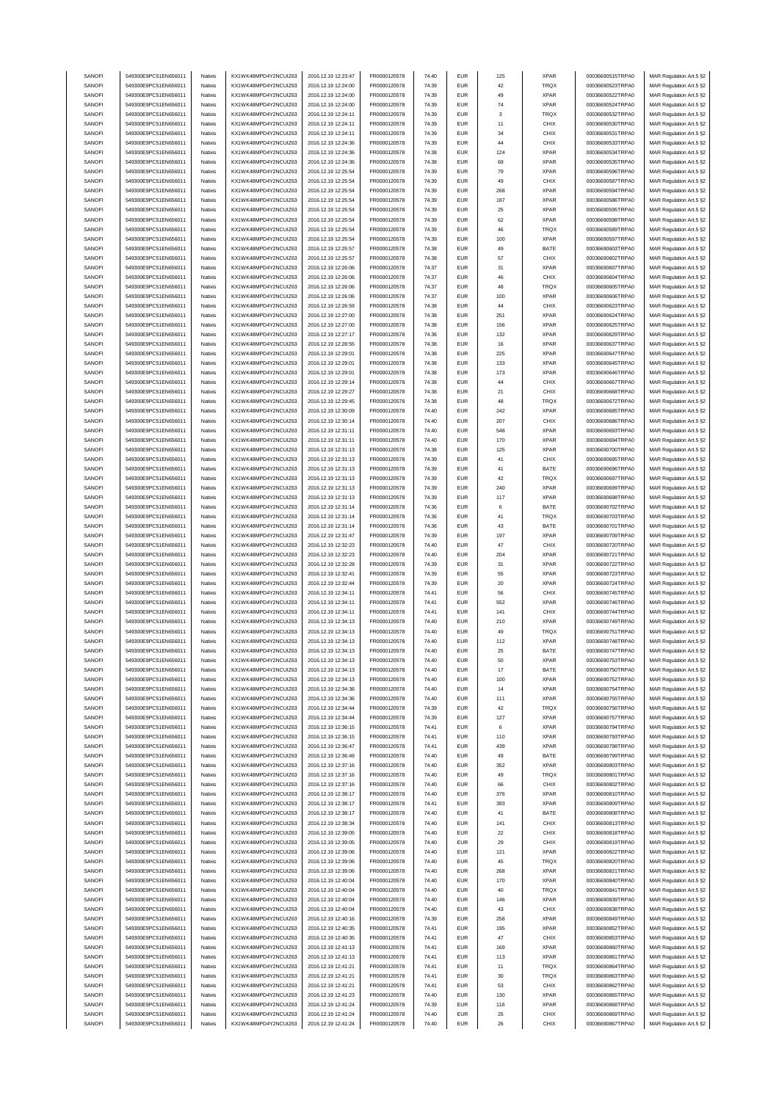| SANOFI<br>SANOFI |                      |         |                       |                     |              |       |            |     |             |                  |                         |
|------------------|----------------------|---------|-----------------------|---------------------|--------------|-------|------------|-----|-------------|------------------|-------------------------|
|                  | 549300E9PC51EN656011 | Natixis | KX1WK48MPD4Y2NCUIZ63  | 2016.12.19 12:23:47 | FR0000120578 | 74.40 | <b>EUR</b> | 125 | <b>XPAR</b> | 00036690515TRPA0 | MAR Regulation Art.5 §2 |
|                  | 549300E9PC51EN656011 | Natixis | KX1WK48MPD4Y2NCUIZ63  | 2016.12.19 12:24:00 | FR0000120578 | 74.39 | <b>EUR</b> | 42  | TRQX        | 00036690523TRPA0 | MAR Regulation Art.5 §2 |
| SANOFI           | 549300E9PC51EN656011 | Natixis | KX1WK48MPD4Y2NCUIZ63  | 2016.12.19 12:24:00 | FR0000120578 | 74.39 | <b>EUR</b> | 49  | <b>XPAR</b> | 00036690522TRPA0 | MAR Regulation Art.5 §2 |
| SANOFI           | 549300E9PC51EN656011 | Natixis | KX1WK48MPD4Y2NCUIZ63  | 2016.12.19 12:24:00 | FR0000120578 | 74.39 | <b>EUR</b> | 74  | <b>XPAR</b> | 00036690524TRPA0 | MAR Regulation Art.5 §2 |
|                  |                      |         |                       |                     |              |       |            | 3   |             |                  |                         |
| SANOFI           | 549300E9PC51EN656011 | Natixis | KX1WK48MPD4Y2NCUIZ63  | 2016.12.19 12:24:11 | FR0000120578 | 74.39 | <b>EUR</b> |     | TRQX        | 00036690532TRPA0 | MAR Regulation Art.5 §2 |
| SANOFI           | 549300E9PC51EN656011 | Natixis | KX1WK48MPD4Y2NCUIZ63  | 2016.12.19 12:24:11 | FR0000120578 | 74.39 | <b>EUR</b> | 11  | CHIX        | 00036690530TRPA0 | MAR Regulation Art.5 §2 |
| SANOFI           | 549300E9PC51EN656011 | Natixis | KX1WK48MPD4Y2NCUIZ63  | 2016.12.19 12:24:11 | FR0000120578 | 74.39 | <b>EUR</b> | 34  | CHIX        | 00036690531TRPA0 | MAR Regulation Art.5 §2 |
| SANOFI           | 549300E9PC51EN656011 | Natixis | KX1WK48MPD4Y2NCUIZ63  | 2016.12.19 12:24:36 | FR0000120578 | 74.39 | <b>EUR</b> | 44  | CHIX        | 00036690533TRPA0 | MAR Regulation Art.5 §2 |
| SANOFI           | 549300E9PC51EN656011 | Natixis | KX1WK48MPD4Y2NCLIIZ63 | 2016.12.19 12:24:36 | FR0000120578 | 74.38 | <b>EUR</b> | 124 | <b>XPAR</b> | 00036690534TRPA0 | MAR Regulation Art.5 §2 |
| SANOFI           | 549300E9PC51EN656011 | Natixis | KX1WK48MPD4Y2NCUIZ63  | 2016.12.19 12:24:36 | FR0000120578 | 74.38 | <b>EUR</b> | 69  | <b>XPAR</b> | 00036690535TRPA0 | MAR Regulation Art.5 §2 |
| SANOFI           | 549300E9PC51EN656011 | Natixis | KX1WK48MPD4Y2NCUIZ63  | 2016.12.19 12:25:54 | FR0000120578 | 74.39 | <b>EUR</b> | 79  | <b>XPAR</b> | 00036690596TRPA0 | MAR Regulation Art.5 §2 |
|                  |                      |         |                       |                     |              |       |            |     |             |                  |                         |
| SANOFI           | 549300E9PC51EN656011 | Natixis | KX1WK48MPD4Y2NCUIZ63  | 2016.12.19 12:25:54 | FR0000120578 | 74.39 | <b>EUR</b> | 49  | CHIX        | 00036690587TRPA0 | MAR Regulation Art.5 §2 |
| SANOFI           | 549300E9PC51EN656011 | Natixis | KX1WK48MPD4Y2NCUIZ63  | 2016.12.19 12:25:54 | FR0000120578 | 74.39 | <b>EUR</b> | 268 | <b>XPAR</b> | 00036690594TRPA0 | MAR Regulation Art.5 §2 |
| SANOFI           | 549300E9PC51EN656011 | Natixis | KX1WK48MPD4Y2NCUIZ63  | 2016.12.19 12:25:54 | FR0000120578 | 74.39 | <b>EUR</b> | 187 | <b>XPAR</b> | 00036690586TRPA0 | MAR Regulation Art.5 §2 |
| SANOFI           | 549300E9PC51EN656011 | Natixis | KX1WK48MPD4Y2NCUIZ63  | 2016.12.19 12:25:54 | FR0000120578 | 74.39 | <b>EUR</b> | 25  | <b>XPAR</b> | 00036690595TRPA0 | MAR Regulation Art.5 §2 |
| SANOFI           | 549300E9PC51EN656011 | Natixis | KX1WK48MPD4Y2NCUIZ63  | 2016.12.19 12:25:54 | FR0000120578 | 74.39 | <b>EUR</b> | 62  | <b>XPAR</b> | 00036690598TRPA0 | MAR Regulation Art.5 §2 |
|                  |                      |         |                       |                     |              |       |            |     |             |                  |                         |
| SANOFI           | 549300E9PC51EN656011 | Natixis | KX1WK48MPD4Y2NCUIZ63  | 2016.12.19 12:25:54 | FR0000120578 | 74.39 | <b>EUR</b> | 46  | TRQX        | 00036690589TRPA0 | MAR Regulation Art.5 §2 |
| SANOFI           | 549300E9PC51EN656011 | Natixis | KX1WK48MPD4Y2NCLIIZ63 | 2016.12.19 12:25:54 | FR0000120578 | 74.39 | <b>EUR</b> | 100 | <b>XPAR</b> | 00036690597TRPA0 | MAR Regulation Art.5 §2 |
| SANOFI           | 549300E9PC51EN656011 | Natixis | KX1WK48MPD4Y2NCUIZ63  | 2016.12.19 12:25:57 | FR0000120578 | 74.38 | <b>EUR</b> | 49  | BATE        | 00036690603TRPA0 | MAR Regulation Art.5 §2 |
| SANOFI           | 549300E9PC51EN656011 | Natixis | KX1WK48MPD4Y2NCUIZ63  | 2016.12.19 12:25:57 | FR0000120578 | 74.38 | <b>EUR</b> | 57  | CHIX        | 00036690602TRPA0 | MAR Regulation Art.5 §2 |
| SANOFI           | 549300E9PC51EN656011 | Natixis | KX1WK48MPD4Y2NCUIZ63  | 2016.12.19 12:26:06 | FR0000120578 | 74.37 | <b>EUR</b> | 31  | <b>XPAR</b> | 00036690607TRPA0 | MAR Regulation Art.5 §2 |
| SANOFI           | 549300E9PC51EN656011 | Natixis | KX1WK48MPD4Y2NCUIZ63  | 2016.12.19 12:26:06 | FR0000120578 | 74.37 | <b>EUR</b> | 46  | CHIX        | 00036690604TRPA0 | MAR Regulation Art.5 §2 |
|                  |                      |         |                       |                     |              |       |            |     |             |                  |                         |
| SANOFI           | 549300E9PC51EN656011 | Natixis | KX1WK48MPD4Y2NCUIZ63  | 2016.12.19 12:26:06 | FR0000120578 | 74.37 | <b>EUR</b> | 48  | TRQX        | 00036690605TRPA0 | MAR Regulation Art.5 §2 |
| SANOFI           | 549300E9PC51EN656011 | Natixis | KX1WK48MPD4Y2NCUIZ63  | 2016.12.19 12:26:06 | FR0000120578 | 74.37 | <b>EUR</b> | 100 | <b>XPAR</b> | 00036690606TRPA0 | MAR Regulation Art.5 §2 |
| SANOFI           | 549300E9PC51EN656011 | Natixis | KX1WK48MPD4Y2NCUIZ63  | 2016.12.19 12:26:59 | FR0000120578 | 74.38 | <b>EUR</b> | 44  | CHIX        | 00036690623TRPA0 | MAR Regulation Art.5 §2 |
| SANOFI           | 549300E9PC51EN656011 | Natixis | KX1WK48MPD4Y2NCUIZ63  | 2016.12.19 12:27:00 | FR0000120578 | 74.38 | <b>EUR</b> | 251 | <b>XPAR</b> | 00036690624TRPA0 | MAR Regulation Art.5 §2 |
| SANOFI           | 549300E9PC51EN656011 | Natixis | KX1WK48MPD4Y2NCLIIZ63 | 2016.12.19 12:27:00 | FR0000120578 | 74.38 | <b>EUR</b> | 156 | <b>XPAR</b> | 00036690625TRPA0 | MAR Regulation Art.5 §2 |
| SANOFI           | 549300E9PC51EN656011 | Natixis | KX1WK48MPD4Y2NCUIZ63  | 2016.12.19 12:27:17 | FR0000120578 | 74.36 | <b>EUR</b> | 132 | <b>XPAR</b> | 00036690629TRPA0 | MAR Regulation Art.5 §2 |
|                  |                      |         |                       | 2016.12.19 12:28:55 |              |       | <b>EUR</b> |     |             |                  |                         |
| SANOFI           | 549300E9PC51EN656011 | Natixis | KX1WK48MPD4Y2NCUIZ63  |                     | FR0000120578 | 74.38 |            | 16  | <b>XPAR</b> | 00036690637TRPA0 | MAR Regulation Art.5 §2 |
| SANOFI           | 549300E9PC51EN656011 | Natixis | KX1WK48MPD4Y2NCUIZ63  | 2016.12.19 12:29:01 | FR0000120578 | 74.38 | <b>EUR</b> | 225 | <b>XPAR</b> | 00036690647TRPA0 | MAR Regulation Art.5 §2 |
| SANOFI           | 549300E9PC51EN656011 | Natixis | KX1WK48MPD4Y2NCUIZ63  | 2016.12.19 12:29:01 | FR0000120578 | 74.38 | <b>EUR</b> | 133 | <b>XPAR</b> | 00036690645TRPA0 | MAR Regulation Art.5 §2 |
| SANOFI           | 549300E9PC51EN656011 | Natixis | KX1WK48MPD4Y2NCUIZ63  | 2016.12.19 12:29:01 | FR0000120578 | 74.38 | <b>EUR</b> | 173 | <b>XPAR</b> | 00036690646TRPA0 | MAR Regulation Art.5 §2 |
| SANOFI           | 549300E9PC51EN656011 | Natixis | KX1WK48MPD4Y2NCUIZ63  | 2016.12.19 12:29:14 | FR0000120578 | 74.38 | <b>EUR</b> | 44  | CHIX        | 00036690667TRPA0 | MAR Regulation Art.5 §2 |
| SANOFI           | 549300E9PC51EN656011 | Natixis | KX1WK48MPD4Y2NCUIZ63  | 2016.12.19 12:29:27 | FR0000120578 | 74.38 | <b>EUR</b> | 21  | CHIX        | 00036690668TRPA0 | MAR Regulation Art.5 §2 |
|                  |                      |         |                       |                     |              |       |            |     |             |                  |                         |
| SANOFI           | 549300E9PC51EN656011 | Natixis | KX1WK48MPD4Y2NCUIZ63  | 2016.12.19 12:29:45 | FR0000120578 | 74.38 | <b>EUR</b> | 48  | TRQX        | 00036690672TRPA0 | MAR Regulation Art.5 §2 |
| SANOFI           | 549300E9PC51EN656011 | Natixis | KX1WK48MPD4Y2NCLIIZ63 | 2016.12.19 12:30:09 | FR0000120578 | 74.40 | <b>EUR</b> | 242 | <b>XPAR</b> | 00036690685TRPA0 | MAR Regulation Art.5 §2 |
| SANOFI           | 549300E9PC51EN656011 | Natixis | KX1WK48MPD4Y2NCUIZ63  | 2016.12.19 12:30:14 | FR0000120578 | 74.40 | <b>EUR</b> | 207 | CHIX        | 00036690686TRPA0 | MAR Regulation Art.5 §2 |
| SANOFI           | 549300E9PC51EN656011 | Natixis | KX1WK48MPD4Y2NCUIZ63  | 2016.12.19 12:31:11 | FR0000120578 | 74.40 | <b>EUR</b> | 548 | <b>XPAR</b> | 00036690693TRPA0 | MAR Regulation Art.5 §2 |
| SANOFI           | 549300E9PC51EN656011 | Natixis | KX1WK48MPD4Y2NCUIZ63  | 2016.12.19 12:31:11 | FR0000120578 | 74.40 | <b>EUR</b> | 170 | <b>XPAR</b> | 00036690694TRPA0 | MAR Regulation Art.5 §2 |
|                  |                      |         |                       |                     |              |       |            |     |             |                  |                         |
| SANOFI           | 549300E9PC51EN656011 | Natixis | KX1WK48MPD4Y2NCUIZ63  | 2016.12.19 12:31:13 | FR0000120578 | 74.38 | <b>EUR</b> | 125 | <b>XPAR</b> | 00036690700TRPA0 | MAR Regulation Art.5 §2 |
| SANOFI           | 549300E9PC51EN656011 | Natixis | KX1WK48MPD4Y2NCUIZ63  | 2016.12.19 12:31:13 | FR0000120578 | 74.39 | <b>EUR</b> | 41  | CHIX        | 00036690695TRPA0 | MAR Regulation Art.5 §2 |
| SANOFI           | 549300E9PC51EN656011 | Natixis | KX1WK48MPD4Y2NCUIZ63  | 2016.12.19 12:31:13 | FR0000120578 | 74.39 | <b>EUR</b> | 41  | BATE        | 00036690696TRPA0 | MAR Regulation Art.5 §2 |
| SANOFI           | 549300E9PC51EN656011 | Natixis | KX1WK48MPD4Y2NCUIZ63  | 2016.12.19 12:31:13 | FR0000120578 | 74.39 | <b>EUR</b> | 42  | TRQX        | 00036690697TRPA0 | MAR Regulation Art.5 §2 |
| SANOFI           | 549300E9PC51EN656011 | Natixis | KX1WK48MPD4Y2NCUIZ63  | 2016.12.19 12:31:13 | FR0000120578 | 74.39 | <b>EUR</b> | 240 | <b>XPAR</b> | 00036690699TRPA0 | MAR Regulation Art.5 §2 |
| SANOFI           | 549300E9PC51EN656011 | Natixis | KX1WK48MPD4Y2NCUIZ63  | 2016.12.19 12:31:13 | FR0000120578 | 74.39 | <b>EUR</b> | 117 | <b>XPAR</b> | 00036690698TRPA0 | MAR Regulation Art.5 §2 |
|                  |                      |         |                       |                     |              |       | <b>EUR</b> | 6   |             |                  |                         |
| SANOFI           | 549300E9PC51EN656011 | Natixis | KX1WK48MPD4Y2NCUIZ63  | 2016.12.19 12:31:14 | FR0000120578 | 74.36 |            |     | BATE        | 00036690702TRPA0 | MAR Regulation Art.5 §2 |
| SANOFI           | 549300E9PC51EN656011 | Natixis | KX1WK48MPD4Y2NCUIZ63  | 2016.12.19 12:31:14 | FR0000120578 | 74.36 | <b>EUR</b> | 41  | TRQX        | 00036690703TRPA0 | MAR Regulation Art.5 §2 |
| SANOFI           | 549300E9PC51EN656011 | Natixis | KX1WK48MPD4Y2NCUIZ63  | 2016.12.19 12:31:14 | FR0000120578 | 74.36 | <b>EUR</b> | 43  | BATE        | 00036690701TRPA0 | MAR Regulation Art.5 §2 |
| SANOFI           | 549300E9PC51EN656011 | Natixis | KX1WK48MPD4Y2NCUIZ63  | 2016.12.19 12:31:47 | FR0000120578 | 74.39 | <b>EUR</b> | 197 | <b>XPAR</b> | 00036690709TRPA0 | MAR Regulation Art.5 §2 |
| SANOFI           | 549300E9PC51EN656011 | Natixis | KX1WK48MPD4Y2NCUIZ63  | 2016.12.19 12:32:23 | FR0000120578 | 74.40 | <b>EUR</b> | 47  | CHIX        | 00036690720TRPA0 | MAR Regulation Art.5 §2 |
| SANOFI           | 549300E9PC51EN656011 | Natixis | KX1WK48MPD4Y2NCUIZ63  | 2016.12.19 12:32:23 | FR0000120578 | 74.40 | <b>EUR</b> | 204 | <b>XPAR</b> | 00036690721TRPA0 | MAR Regulation Art.5 §2 |
| SANOFI           | 549300E9PC51EN656011 |         | KX1WK48MPD4Y2NCUIZ63  | 2016.12.19 12:32:28 | FR0000120578 |       | <b>EUR</b> | 31  | <b>XPAR</b> | 00036690722TRPA0 |                         |
|                  |                      | Natixis |                       |                     |              | 74.39 |            |     |             |                  | MAR Regulation Art.5 §2 |
| SANOFI           | 549300E9PC51EN656011 |         |                       |                     |              |       |            |     |             |                  |                         |
|                  |                      | Natixis | KX1WK48MPD4Y2NCUIZ63  | 2016 12:19 12:32:41 | FR0000120578 | 74.39 | <b>EUR</b> | 55  | <b>XPAR</b> | 00036690723TRPA0 | MAR Regulation Art.5 §2 |
| SANOFI           | 549300E9PC51EN656011 | Natixis | KX1WK48MPD4Y2NCUIZ63  | 2016.12.19 12:32:44 | FR0000120578 | 74.39 | <b>EUR</b> | 20  | <b>XPAR</b> | 00036690724TRPA0 | MAR Regulation Art.5 §2 |
| SANOFI           | 549300E9PC51EN656011 | Natixis | KX1WK48MPD4Y2NCUIZ63  | 2016.12.19 12:34:11 | FR0000120578 | 74.41 | <b>EUR</b> | 56  | CHIX        | 00036690745TRPA0 | MAR Regulation Art.5 §2 |
|                  |                      |         |                       |                     |              |       |            |     |             |                  |                         |
| SANOFI           | 549300E9PC51EN656011 | Natixis | KX1WK48MPD4Y2NCUIZ63  | 2016.12.19 12:34:11 | FR0000120578 | 74.41 | <b>EUR</b> | 552 | <b>XPAR</b> | 00036690746TRPA0 | MAR Regulation Art.5 §2 |
| SANOFI           | 549300E9PC51EN656011 | Natixis | KX1WK48MPD4Y2NCUIZ63  | 2016.12.19 12:34:11 | FR0000120578 | 74.41 | <b>EUR</b> | 141 | CHIX        | 00036690744TRPA0 | MAR Regulation Art.5 §2 |
| SANOFI           | 549300E9PC51EN656011 | Natixis | KX1WK48MPD4Y2NCUIZ63  | 2016.12.19 12:34:13 | FR0000120578 | 74.40 | <b>EUR</b> | 210 | <b>XPAR</b> | 00036690749TRPA0 | MAR Regulation Art.5 §2 |
| SANOFI           | 549300E9PC51EN656011 | Natixis | KX1WK48MPD4Y2NCUIZ63  | 2016.12.19 12:34:13 | FR0000120578 | 74.40 | <b>EUR</b> | 49  | TRQX        | 00036690751TRPA0 | MAR Regulation Art.5 §2 |
| SANOFI           | 549300E9PC51EN656011 | Natixis | KX1WK48MPD4Y2NCUIZ63  | 2016.12.19 12:34:13 | FR0000120578 | 74.40 | <b>EUR</b> | 112 | <b>XPAR</b> | 00036690748TRPA0 | MAR Regulation Art.5 §2 |
| SANOF            | 549300E9PC51EN656011 | Natixis | KX1WK48MPD4Y2NCUIZ63  | 2016.12.19 12:34:13 | FR0000120578 | 74.40 | EUR        | 25  | BATE        | 00036690747TRPA0 | MAR Regulation Art.5 §2 |
|                  |                      | Natixis |                       |                     |              |       | <b>EUR</b> | 50  |             |                  |                         |
| SANOFI           | 549300E9PC51EN656011 |         | KX1WK48MPD4Y2NCUIZ63  | 2016.12.19 12:34:13 | FR0000120578 | 74.40 |            |     | <b>XPAR</b> | 00036690753TRPA0 | MAR Regulation Art.5 §2 |
| SANOFI           | 549300E9PC51EN656011 | Natixis | KX1WK48MPD4Y2NCUIZ63  | 2016.12.19 12:34:13 | FR0000120578 | 74.40 | <b>EUR</b> | 17  | BATE        | 00036690750TRPA0 | MAR Regulation Art.5 §2 |
| SANOFI           | 549300E9PC51EN656011 | Natixis | KX1WK48MPD4Y2NCUIZ63  | 2016.12.19 12:34:13 | FR0000120578 | 74.40 | <b>EUR</b> | 100 | <b>XPAR</b> | 00036690752TRPA0 | MAR Regulation Art.5 §2 |
| SANOFI           | 549300E9PC51EN656011 | Natixis | KX1WK48MPD4Y2NCUIZ63  | 2016.12.19 12:34:36 | FR0000120578 | 74.40 | <b>EUR</b> | 14  | <b>XPAR</b> | 00036690754TRPA0 | MAR Regulation Art.5 §2 |
| SANOFI           | 549300E9PC51EN656011 | Natixis | KX1WK48MPD4Y2NCUIZ63  | 2016.12.19 12:34:36 | FR0000120578 | 74.40 | <b>EUR</b> | 111 | <b>XPAR</b> | 00036690755TRPA0 | MAR Regulation Art.5 §2 |
| SANOFI           | 549300E9PC51EN656011 | Natixis | KX1WK48MPD4Y2NCUIZ63  | 2016.12.19 12:34:44 | FR0000120578 | 74.39 | <b>EUR</b> | 42  | TRQX        | 00036690756TRPA0 | MAR Regulation Art.5 §2 |
| SANOFI           | 549300E9PC51EN656011 | Natixis | KX1WK48MPD4Y2NCUIZ63  | 2016.12.19 12:34:44 | FR0000120578 | 74.39 | EUR        | 127 | <b>XPAR</b> | 00036690757TRPA0 | MAR Regulation Art.5 §2 |
| SANOFI           | 549300E9PC51EN656011 | Natixis | KX1WK48MPD4Y2NCUIZ63  | 2016.12.19 12:36:15 | FR0000120578 | 74.41 | <b>EUR</b> | 6   | <b>XPAR</b> | 00036690794TRPA0 | MAR Regulation Art.5 §2 |
|                  |                      | Natixis | KX1WK48MPD4Y2NCUIZ63  |                     |              |       | <b>EUR</b> | 110 | <b>XPAR</b> | 00036690793TRPA0 |                         |
| SANOFI           | 549300E9PC51EN656011 |         |                       | 2016.12.19 12:36:15 | FR0000120578 | 74.41 |            |     |             |                  | MAR Regulation Art.5 §2 |
| SANOFI           | 549300E9PC51EN656011 | Natixis | KX1WK48MPD4Y2NCUIZ63  | 2016.12.19 12:36:47 | FR0000120578 | 74.41 | <b>EUR</b> | 439 | <b>XPAR</b> | 00036690798TRPA0 | MAR Regulation Art.5 §2 |
| SANOFI           | 549300E9PC51EN656011 | Natixis | KX1WK48MPD4Y2NCUIZ63  | 2016.12.19 12:36:49 | FR0000120578 | 74.40 | <b>EUR</b> | 49  | BATE        | 00036690799TRPA0 | MAR Regulation Art.5 §2 |
| SANOFI           | 549300E9PC51EN656011 | Natixis | KX1WK48MPD4Y2NCUIZ63  | 2016.12.19 12:37:16 | FR0000120578 | 74.40 | <b>EUR</b> | 352 | <b>XPAR</b> | 00036690803TRPA0 | MAR Regulation Art.5 §2 |
| SANOFI           | 549300E9PC51EN656011 | Natixis | KX1WK48MPD4Y2NCUIZ63  | 2016.12.19 12:37:16 | FR0000120578 | 74.40 | <b>EUR</b> | 49  | TRQX        | 00036690801TRPA0 | MAR Regulation Art.5 §2 |
|                  | 549300E9PC51EN656011 | Natixis | KX1WK48MPD4Y2NCUIZ63  |                     |              |       | <b>EUR</b> | 66  |             | 00036690802TRPA0 |                         |
| SANOFI           |                      |         |                       | 2016.12.19 12:37:16 | FR0000120578 | 74.40 |            |     | CHIX        | 00036690810TRPA0 | MAR Regulation Art.5 §2 |
| SANOFI           | 549300E9PC51EN656011 | Natixis | KX1WK48MPD4Y2NCUIZ63  | 2016.12.19 12:38:17 | FR0000120578 | 74.40 | <b>EUR</b> | 376 | <b>XPAR</b> |                  | MAR Regulation Art.5 §2 |
| SANOFI           | 549300E9PC51EN656011 | Natixis | KX1WK48MPD4Y2NCUIZ63  | 2016.12.19 12:38:17 | FR0000120578 | 74.41 | <b>EUR</b> | 393 | <b>XPAR</b> | 00036690809TRPA0 | MAR Regulation Art.5 §2 |
| SANOFI           | 549300E9PC51EN656011 | Natixis | KX1WK48MPD4Y2NCUIZ63  | 2016.12.19 12:38:17 | FR0000120578 | 74.40 | <b>EUR</b> | 41  | BATE        | 00036690808TRPA0 | MAR Regulation Art.5 §2 |
| SANOFI           | 549300E9PC51EN656011 | Natixis | KX1WK48MPD4Y2NCUIZ63  | 2016.12.19 12:38:34 | FR0000120578 | 74.40 | <b>EUR</b> | 141 | CHIX        | 00036690813TRPA0 | MAR Regulation Art.5 §2 |
| SANOFI           | 549300E9PC51EN656011 | Natixis | KX1WK48MPD4Y2NCUIZ63  | 2016.12.19 12:39:05 | FR0000120578 | 74.40 | <b>EUR</b> | 22  | CHIX        | 00036690818TRPA0 | MAR Regulation Art.5 §2 |
| SANOFI           | 549300E9PC51EN656011 | Natixis | KX1WK48MPD4Y2NCUIZ63  | 2016.12.19 12:39:05 | FR0000120578 | 74.40 | <b>EUR</b> | 29  | CHIX        | 00036690819TRPA0 | MAR Regulation Art.5 §2 |
|                  |                      |         |                       |                     |              |       |            |     |             |                  |                         |
| SANOFI           | 549300E9PC51EN656011 | Natixis | KX1WK48MPD4Y2NCUIZ63  | 2016.12.19 12:39:06 | FR0000120578 | 74.40 | <b>EUR</b> | 121 | <b>XPAR</b> | 00036690822TRPA0 | MAR Regulation Art.5 §2 |
| SANOFI           | 549300E9PC51EN656011 | Natixis | KX1WK48MPD4Y2NCUIZ63  | 2016.12.19 12:39:06 | FR0000120578 | 74.40 | <b>EUR</b> | 45  | TRQX        | 00036690820TRPA0 | MAR Regulation Art.5 §2 |
| SANOFI           | 549300E9PC51EN656011 | Natixis | KX1WK48MPD4Y2NCUIZ63  | 2016.12.19 12:39:06 | FR0000120578 | 74.40 | <b>EUR</b> | 268 | <b>XPAR</b> | 00036690821TRPA0 | MAR Regulation Art.5 §2 |
| SANOFI           | 549300E9PC51EN656011 | Natixis | KX1WK48MPD4Y2NCUIZ63  | 2016.12.19 12:40:04 | FR0000120578 | 74.40 | <b>EUR</b> | 170 | <b>XPAR</b> | 00036690840TRPA0 | MAR Regulation Art.5 §2 |
| SANOFI           | 549300E9PC51EN656011 | Natixis | KX1WK48MPD4Y2NCUIZ63  | 2016.12.19 12:40:04 | FR0000120578 | 74.40 | <b>EUR</b> | 40  | TRQX        | 00036690841TRPA0 | MAR Regulation Art.5 §2 |
| SANOFI           | 549300E9PC51EN656011 | Natixis | KX1WK48MPD4Y2NCUIZ63  | 2016.12.19 12:40:04 | FR0000120578 | 74.40 | <b>EUR</b> | 146 | <b>XPAR</b> | 00036690839TRPA0 |                         |
|                  |                      |         |                       |                     |              |       |            |     |             |                  | MAR Regulation Art.5 §2 |
| SANOFI           | 549300E9PC51EN656011 | Natixis | KX1WK48MPD4Y2NCUIZ63  | 2016.12.19 12:40:04 | FR0000120578 | 74.40 | <b>EUR</b> | 43  | CHIX        | 00036690838TRPA0 | MAR Regulation Art.5 §2 |
| SANOFI           | 549300E9PC51EN656011 | Natixis | KX1WK48MPD4Y2NCUIZ63  | 2016.12.19 12:40:16 | FR0000120578 | 74.39 | <b>EUR</b> | 258 | <b>XPAR</b> | 00036690849TRPA0 | MAR Regulation Art.5 §2 |
| SANOFI           | 549300E9PC51EN656011 | Natixis | KX1WK48MPD4Y2NCUIZ63  | 2016.12.19 12:40:35 | FR0000120578 | 74.41 | <b>EUR</b> | 195 | <b>XPAR</b> | 00036690852TRPA0 | MAR Regulation Art.5 §2 |
| SANOFI           | 549300E9PC51EN656011 | Natixis | KX1WK48MPD4Y2NCUIZ63  | 2016.12.19 12:40:35 | FR0000120578 | 74.41 | <b>EUR</b> | 47  | CHIX        | 00036690853TRPA0 | MAR Regulation Art.5 §2 |
| SANOFI           | 549300E9PC51EN656011 | Natixis | KX1WK48MPD4Y2NCUIZ63  | 2016.12.19 12:41:13 | FR0000120578 | 74.41 | <b>EUR</b> | 169 | <b>XPAR</b> | 00036690860TRPA0 | MAR Regulation Art.5 §2 |
| SANOFI           | 549300E9PC51EN656011 | Natixis | KX1WK48MPD4Y2NCUIZ63  | 2016.12.19 12:41:13 | FR0000120578 | 74.41 | <b>EUR</b> | 113 | <b>XPAR</b> | 00036690861TRPA0 | MAR Regulation Art.5 §2 |
|                  |                      |         |                       |                     |              | 74.41 |            | 11  |             |                  |                         |
| SANOFI           | 549300E9PC51EN656011 | Natixis | KX1WK48MPD4Y2NCUIZ63  | 2016.12.19 12:41:21 | FR0000120578 |       | <b>EUR</b> |     | TRQX        | 00036690864TRPA0 | MAR Regulation Art.5 §2 |
| SANOFI           | 549300E9PC51EN656011 | Natixis | KX1WK48MPD4Y2NCUIZ63  | 2016.12.19 12:41:21 | FR0000120578 | 74.41 | <b>EUR</b> | 30  | TRQX        | 00036690863TRPA0 | MAR Regulation Art.5 §2 |
| SANOFI           | 549300E9PC51EN656011 | Natixis | KX1WK48MPD4Y2NCUIZ63  | 2016.12.19 12:41:21 | FR0000120578 | 74.41 | <b>EUR</b> | 53  | CHIX        | 00036690862TRPA0 | MAR Regulation Art.5 §2 |
| SANOFI           | 549300E9PC51EN656011 | Natixis | KX1WK48MPD4Y2NCUIZ63  | 2016.12.19 12:41:23 | FR0000120578 | 74.40 | <b>EUR</b> | 130 | <b>XPAR</b> | 00036690865TRPA0 | MAR Regulation Art.5 §2 |
| SANOFI           | 549300E9PC51EN656011 | Natixis | KX1WK48MPD4Y2NCUIZ63  | 2016.12.19 12:41:24 | FR0000120578 | 74.39 | <b>EUR</b> | 116 | <b>XPAR</b> | 00036690868TRPA0 | MAR Regulation Art.5 §2 |
| SANOFI           | 549300E9PC51EN656011 | Natixis | KX1WK48MPD4Y2NCUIZ63  | 2016.12.19 12:41:24 | FR0000120578 | 74.40 | <b>EUR</b> | 25  | CHIX        | 00036690869TRPA0 | MAR Regulation Art.5 §2 |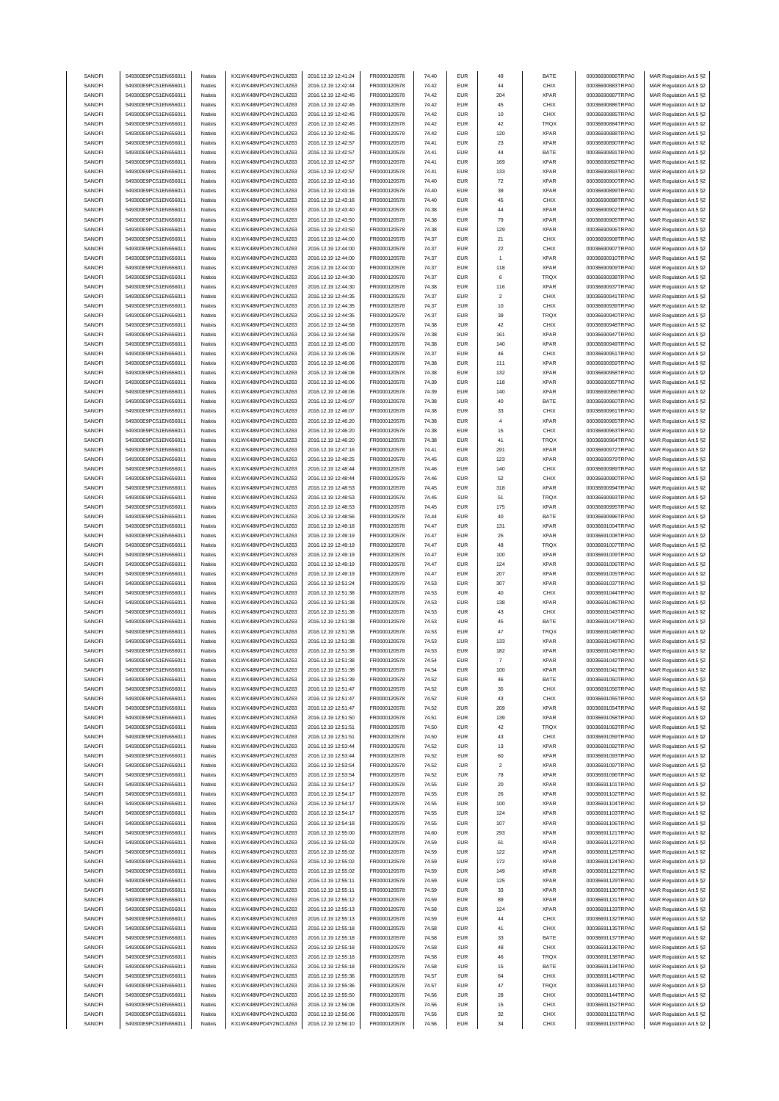| SANOFI | 549300E9PC51EN656011 | Natixis | KX1WK48MPD4Y2NCUIZ63  | 2016.12.19 12:41:24 | FR0000120578 | 74.40 | <b>EUR</b> | 49               | BATE        | 00036690866TRPA0 | MAR Regulation Art.5 §2 |
|--------|----------------------|---------|-----------------------|---------------------|--------------|-------|------------|------------------|-------------|------------------|-------------------------|
| SANOFI | 549300E9PC51EN656011 | Natixis | KX1WK48MPD4Y2NCUIZ63  | 2016.12.19 12:42:44 | FR0000120578 | 74.42 | <b>EUR</b> | 44               | CHIX        | 00036690883TRPA0 | MAR Regulation Art.5 §2 |
| SANOFI | 549300E9PC51EN656011 | Natixis | KX1WK48MPD4Y2NCUIZ63  | 2016.12.19 12:42:45 | FR0000120578 | 74.42 | <b>EUR</b> | 204              | <b>XPAR</b> | 00036690887TRPA0 | MAR Regulation Art.5 §2 |
| SANOFI | 549300E9PC51EN656011 | Natixis | KX1WK48MPD4Y2NCUIZ63  | 2016.12.19 12:42:45 | FR0000120578 | 74.42 | <b>EUR</b> | 45               | CHIX        | 00036690886TRPA0 | MAR Regulation Art.5 §2 |
|        |                      |         |                       |                     |              |       |            |                  |             |                  |                         |
| SANOFI | 549300E9PC51EN656011 | Natixis | KX1WK48MPD4Y2NCUIZ63  | 2016.12.19 12:42:45 | FR0000120578 | 74.42 | <b>EUR</b> | 10               | CHIX        | 00036690885TRPA0 | MAR Regulation Art.5 §2 |
| SANOFI | 549300E9PC51EN656011 | Natixis | KX1WK48MPD4Y2NCUIZ63  | 2016.12.19 12:42:45 | FR0000120578 | 74.42 | <b>EUR</b> | 42               | TRQX        | 00036690884TRPA0 | MAR Regulation Art.5 §2 |
| SANOFI | 549300E9PC51EN656011 | Natixis | KX1WK48MPD4Y2NCUIZ63  | 2016.12.19 12:42:45 | FR0000120578 | 74.42 | <b>EUR</b> | 120              | <b>XPAR</b> | 00036690888TRPA0 | MAR Regulation Art.5 §2 |
| SANOFI | 549300E9PC51EN656011 | Natixis | KX1WK48MPD4Y2NCUIZ63  | 2016.12.19 12:42:57 | FR0000120578 | 74.41 | <b>EUR</b> | 23               | <b>XPAR</b> | 00036690890TRPA0 | MAR Regulation Art.5 §2 |
| SANOFI | 549300E9PC51EN656011 | Natixis | KX1WK48MPD4Y2NCLIIZ63 | 2016.12.19 12:42:57 | FR0000120578 | 74.41 | <b>EUR</b> | 44               | BATE        | 00036690891TRPA0 | MAR Regulation Art.5 §2 |
| SANOFI | 549300E9PC51EN656011 | Natixis | KX1WK48MPD4Y2NCUIZ63  | 2016.12.19 12:42:57 | FR0000120578 | 74.41 | <b>EUR</b> | 169              | <b>XPAR</b> | 00036690892TRPA0 | MAR Regulation Art.5 §2 |
|        |                      | Natixis |                       |                     |              |       | <b>EUR</b> |                  |             |                  |                         |
| SANOFI | 549300E9PC51EN656011 |         | KX1WK48MPD4Y2NCUIZ63  | 2016.12.19 12:42:57 | FR0000120578 | 74.41 |            | 133              | <b>XPAR</b> | 00036690893TRPA0 | MAR Regulation Art.5 §2 |
| SANOFI | 549300E9PC51EN656011 | Natixis | KX1WK48MPD4Y2NCUIZ63  | 2016.12.19 12:43:16 | FR0000120578 | 74.40 | <b>EUR</b> | 72               | <b>XPAR</b> | 00036690900TRPA0 | MAR Regulation Art.5 §2 |
| SANOFI | 549300E9PC51EN656011 | Natixis | KX1WK48MPD4Y2NCUIZ63  | 2016.12.19 12:43:16 | FR0000120578 | 74.40 | <b>EUR</b> | 39               | <b>XPAR</b> | 00036690899TRPA0 | MAR Regulation Art.5 §2 |
| SANOFI | 549300E9PC51EN656011 | Natixis | KX1WK48MPD4Y2NCUIZ63  | 2016.12.19 12:43:16 | FR0000120578 | 74.40 | <b>EUR</b> | 45               | CHIX        | 00036690898TRPA0 | MAR Regulation Art.5 §2 |
| SANOFI | 549300E9PC51EN656011 | Natixis | KX1WK48MPD4Y2NCUIZ63  | 2016.12.19 12:43:40 | FR0000120578 | 74.38 | <b>EUR</b> | 44               | <b>XPAR</b> | 00036690902TRPA0 | MAR Regulation Art.5 §2 |
| SANOFI | 549300E9PC51EN656011 | Natixis | KX1WK48MPD4Y2NCUIZ63  | 2016.12.19 12:43:50 | FR0000120578 | 74.38 | <b>EUR</b> | 79               | <b>XPAR</b> | 00036690905TRPA0 |                         |
|        |                      |         |                       |                     |              |       |            |                  |             |                  | MAR Regulation Art.5 §2 |
| SANOFI | 549300E9PC51EN656011 | Natixis | KX1WK48MPD4Y2NCUIZ63  | 2016.12.19 12:43:50 | FR0000120578 | 74.38 | <b>EUR</b> | 129              | <b>XPAR</b> | 00036690906TRPA0 | MAR Regulation Art.5 §2 |
| SANOFI | 549300E9PC51EN656011 | Natixis | KX1WK48MPD4Y2NCLIIZ63 | 2016.12.19 12:44:00 | FR0000120578 | 74.37 | <b>EUR</b> | 21               | CHIX        | 00036690908TRPA0 | MAR Regulation Art.5 §2 |
| SANOFI | 549300E9PC51EN656011 | Natixis | KX1WK48MPD4Y2NCUIZ63  | 2016.12.19 12:44:00 | FR0000120578 | 74.37 | <b>EUR</b> | 22               | CHIX        | 00036690907TRPA0 | MAR Regulation Art.5 §2 |
| SANOFI | 549300E9PC51EN656011 | Natixis | KX1WK48MPD4Y2NCUIZ63  | 2016.12.19 12:44:00 | FR0000120578 | 74.37 | <b>EUR</b> | $\mathbf{1}$     | <b>XPAR</b> | 00036690910TRPA0 | MAR Regulation Art.5 §2 |
| SANOFI | 549300E9PC51EN656011 | Natixis | KX1WK48MPD4Y2NCUIZ63  | 2016.12.19 12:44:00 | FR0000120578 | 74.37 | <b>EUR</b> | 118              | <b>XPAR</b> | 00036690909TRPA0 | MAR Regulation Art.5 §2 |
| SANOFI | 549300E9PC51EN656011 | Natixis | KX1WK48MPD4Y2NCUIZ63  | 2016.12.19 12:44:30 | FR0000120578 | 74.37 | <b>EUR</b> | 6                | TRQX        | 00036690938TRPA0 | MAR Regulation Art.5 §2 |
|        |                      |         |                       |                     |              |       |            |                  |             |                  |                         |
| SANOFI | 549300E9PC51EN656011 | Natixis | KX1WK48MPD4Y2NCUIZ63  | 2016.12.19 12:44:30 | FR0000120578 | 74.38 | <b>EUR</b> | 116              | <b>XPAR</b> | 00036690937TRPA0 | MAR Regulation Art.5 §2 |
| SANOFI | 549300E9PC51EN656011 | Natixis | KX1WK48MPD4Y2NCUIZ63  | 2016.12.19 12:44:35 | FR0000120578 | 74.37 | <b>EUR</b> | $\sqrt{2}$       | CHIX        | 00036690941TRPA0 | MAR Regulation Art.5 §2 |
| SANOFI | 549300E9PC51EN656011 | Natixis | KX1WK48MPD4Y2NCUIZ63  | 2016.12.19 12:44:35 | FR0000120578 | 74.37 | <b>EUR</b> | 10               | CHIX        | 00036690939TRPA0 | MAR Regulation Art.5 §2 |
| SANOFI | 549300E9PC51EN656011 | Natixis | KX1WK48MPD4Y2NCUIZ63  | 2016.12.19 12:44:35 | FR0000120578 | 74.37 | <b>EUR</b> | 39               | TRQX        | 00036690940TRPA0 | MAR Regulation Art.5 §2 |
| SANOFI | 549300E9PC51EN656011 | Natixis | KX1WK48MPD4Y2NCLIIZ63 | 2016.12.19 12:44:58 | FR0000120578 | 74.38 | <b>EUR</b> | 42               | CHIX        | 00036690948TRPA0 | MAR Regulation Art.5 §2 |
| SANOFI | 549300E9PC51EN656011 | Natixis | KX1WK48MPD4Y2NCUIZ63  | 2016.12.19 12:44:58 | FR0000120578 | 74.38 | <b>EUR</b> | 161              | <b>XPAR</b> | 00036690947TRPA0 | MAR Regulation Art.5 §2 |
|        |                      |         |                       |                     |              |       |            |                  |             |                  |                         |
| SANOFI | 549300E9PC51EN656011 | Natixis | KX1WK48MPD4Y2NCUIZ63  | 2016.12.19 12:45:00 | FR0000120578 | 74.38 | <b>EUR</b> | 140              | <b>XPAR</b> | 00036690949TRPA0 | MAR Regulation Art.5 §2 |
| SANOFI | 549300E9PC51EN656011 | Natixis | KX1WK48MPD4Y2NCUIZ63  | 2016.12.19 12:45:06 | FR0000120578 | 74.37 | <b>EUR</b> | 46               | CHIX        | 00036690951TRPA0 | MAR Regulation Art.5 §2 |
| SANOFI | 549300E9PC51EN656011 | Natixis | KX1WK48MPD4Y2NCUIZ63  | 2016.12.19 12:46:06 | FR0000120578 | 74.38 | <b>EUR</b> | 111              | <b>XPAR</b> | 00036690959TRPA0 | MAR Regulation Art.5 §2 |
| SANOFI | 549300E9PC51EN656011 | Natixis | KX1WK48MPD4Y2NCUIZ63  | 2016.12.19 12:46:06 | FR0000120578 | 74.38 | <b>EUR</b> | 132              | <b>XPAR</b> | 00036690958TRPA0 | MAR Regulation Art.5 §2 |
| SANOFI | 549300E9PC51EN656011 | Natixis | KX1WK48MPD4Y2NCUIZ63  | 2016.12.19 12:46:06 | FR0000120578 | 74.39 | <b>EUR</b> | 118              | <b>XPAR</b> | 00036690957TRPA0 | MAR Regulation Art.5 §2 |
| SANOFI | 549300E9PC51EN656011 | Natixis |                       | 2016.12.19 12:46:06 |              | 74.39 | <b>EUR</b> | 140              | <b>XPAR</b> | 00036690956TRPA0 |                         |
|        |                      |         | KX1WK48MPD4Y2NCUIZ63  |                     | FR0000120578 |       |            |                  |             |                  | MAR Regulation Art.5 §2 |
| SANOFI | 549300E9PC51EN656011 | Natixis | KX1WK48MPD4Y2NCUIZ63  | 2016.12.19 12:46:07 | FR0000120578 | 74.38 | <b>EUR</b> | 40               | BATE        | 00036690960TRPA0 | MAR Regulation Art.5 §2 |
| SANOFI | 549300E9PC51EN656011 | Natixis | KX1WK48MPD4Y2NCLIIZ63 | 2016.12.19 12:46:07 | FR0000120578 | 74.38 | <b>EUR</b> | 33               | CHIX        | 00036690961TRPA0 | MAR Regulation Art.5 §2 |
| SANOFI | 549300E9PC51EN656011 | Natixis | KX1WK48MPD4Y2NCUIZ63  | 2016.12.19 12:46:20 | FR0000120578 | 74.38 | <b>EUR</b> | $\overline{4}$   | <b>XPAR</b> | 00036690965TRPA0 | MAR Regulation Art.5 §2 |
| SANOFI | 549300E9PC51EN656011 | Natixis | KX1WK48MPD4Y2NCUIZ63  | 2016.12.19 12:46:20 | FR0000120578 | 74.38 | <b>EUR</b> | 15               | CHIX        | 00036690963TRPA0 | MAR Regulation Art.5 §2 |
| SANOFI | 549300E9PC51EN656011 | Natixis | KX1WK48MPD4Y2NCUIZ63  | 2016.12.19 12:46:20 | FR0000120578 | 74.38 | <b>EUR</b> | 41               | TRQX        | 00036690964TRPA0 | MAR Regulation Art.5 §2 |
|        |                      |         |                       |                     |              |       |            |                  |             |                  |                         |
| SANOFI | 549300E9PC51EN656011 | Natixis | KX1WK48MPD4Y2NCUIZ63  | 2016.12.19 12:47:16 | FR0000120578 | 74.41 | <b>EUR</b> | 291              | <b>XPAR</b> | 00036690972TRPA0 | MAR Regulation Art.5 §2 |
| SANOFI | 549300E9PC51EN656011 | Natixis | KX1WK48MPD4Y2NCUIZ63  | 2016.12.19 12:48:25 | FR0000120578 | 74.45 | <b>EUR</b> | 123              | <b>XPAR</b> | 00036690979TRPA0 | MAR Regulation Art.5 §2 |
| SANOFI | 549300E9PC51EN656011 | Natixis | KX1WK48MPD4Y2NCUIZ63  | 2016.12.19 12:48:44 | FR0000120578 | 74.46 | <b>EUR</b> | 140              | CHIX        | 00036690989TRPA0 | MAR Regulation Art.5 §2 |
| SANOFI | 549300E9PC51EN656011 | Natixis | KX1WK48MPD4Y2NCUIZ63  | 2016.12.19 12:48:44 | FR0000120578 | 74.46 | <b>EUR</b> | 52               | CHIX        | 00036690990TRPA0 | MAR Regulation Art.5 §2 |
| SANOFI | 549300E9PC51EN656011 | Natixis | KX1WK48MPD4Y2NCUIZ63  | 2016.12.19 12:48:53 | FR0000120578 | 74.45 | <b>EUR</b> | 318              | <b>XPAR</b> | 00036690994TRPA0 | MAR Regulation Art.5 §2 |
| SANOFI | 549300E9PC51EN656011 | Natixis | KX1WK48MPD4Y2NCUIZ63  | 2016.12.19 12:48:53 | FR0000120578 | 74.45 | <b>EUR</b> | 51               | TRQX        | 00036690993TRPA0 | MAR Regulation Art.5 §2 |
|        |                      |         |                       |                     |              |       |            |                  |             |                  |                         |
| SANOFI | 549300E9PC51EN656011 | Natixis | KX1WK48MPD4Y2NCUIZ63  | 2016.12.19 12:48:53 | FR0000120578 | 74.45 | <b>EUR</b> | 175              | <b>XPAR</b> | 00036690995TRPA0 | MAR Regulation Art.5 §2 |
| SANOFI | 549300E9PC51EN656011 | Natixis | KX1WK48MPD4Y2NCUIZ63  | 2016.12.19 12:48:56 | FR0000120578 | 74.44 | <b>EUR</b> | 40               | BATE        | 00036690996TRPA0 | MAR Regulation Art.5 §2 |
| SANOFI | 549300E9PC51EN656011 | Natixis | KX1WK48MPD4Y2NCUIZ63  | 2016.12.19 12:49:18 | FR0000120578 | 74.47 | <b>EUR</b> | 131              | <b>XPAR</b> | 00036691004TRPA0 | MAR Regulation Art.5 §2 |
| SANOFI | 549300E9PC51EN656011 | Natixis | KX1WK48MPD4Y2NCUIZ63  | 2016.12.19 12:49:19 | FR0000120578 | 74.47 | <b>EUR</b> | 25               | <b>XPAR</b> | 00036691008TRPA0 | MAR Regulation Art.5 §2 |
| SANOFI | 549300E9PC51EN656011 | Natixis | KX1WK48MPD4Y2NCUIZ63  | 2016.12.19 12:49:19 | FR0000120578 | 74.47 | <b>EUR</b> | 48               | TRQX        | 00036691007TRPA0 | MAR Regulation Art.5 §2 |
| SANOFI | 549300E9PC51EN656011 | Natixis |                       |                     |              | 74.47 | <b>EUR</b> | 100              | <b>XPAR</b> | 00036691009TRPA0 |                         |
|        |                      |         | KX1WK48MPD4Y2NCUIZ63  | 2016.12.19 12:49:19 | FR0000120578 |       |            |                  |             |                  | MAR Regulation Art.5 §2 |
| SANOFI | 549300E9PC51EN656011 | Natixis | KX1WK48MPD4Y2NCUIZ63  | 2016.12.19 12:49:19 | FR0000120578 | 74.47 | <b>EUR</b> | 124              | <b>XPAR</b> | 00036691006TRPA0 | MAR Regulation Art.5 §2 |
| SANOFI | 549300E9PC51EN656011 | Natixis | KX1WK48MPD4Y2NCUIZ63  | 2016.12.19 12:49:19 | FR0000120578 | 74.47 | <b>EUR</b> | 207              | <b>XPAR</b> | 00036691005TRPA0 | MAR Regulation Art.5 §2 |
| SANOFI | 549300E9PC51EN656011 | Natixis | KX1WK48MPD4Y2NCUIZ63  | 2016.12.19 12:51:24 | FR0000120578 | 74.53 | <b>EUR</b> | 307              | <b>XPAR</b> | 00036691037TRPA0 | MAR Regulation Art.5 §2 |
| SANOFI | 549300E9PC51EN656011 | Natixis | KX1WK48MPD4Y2NCUIZ63  | 2016.12.19 12:51:38 | FR0000120578 | 74.53 | <b>EUR</b> | 40               | CHIX        | 00036691044TRPA0 | MAR Regulation Art.5 §2 |
| SANOFI | 549300E9PC51EN656011 | Natixis | KX1WK48MPD4Y2NCUIZ63  | 2016.12.19 12:51:38 | FR0000120578 | 74.53 | <b>EUR</b> | 138              | <b>XPAR</b> | 00036691046TRPA0 | MAR Regulation Art.5 §2 |
|        |                      |         |                       |                     |              |       |            |                  |             |                  |                         |
| SANOFI | 549300E9PC51EN656011 | Natixis | KX1WK48MPD4Y2NCUIZ63  | 2016.12.19 12:51:38 | FR0000120578 | 74.53 | <b>EUR</b> | 43               | CHIX        | 00036691043TRPA0 | MAR Regulation Art.5 §2 |
| SANOFI | 549300E9PC51EN656011 | Natixis | KX1WK48MPD4Y2NCUIZ63  | 2016.12.19 12:51:38 | FR0000120578 | 74.53 | <b>EUR</b> | 45               | BATE        | 00036691047TRPA0 | MAR Regulation Art.5 §2 |
| SANOFI | 549300E9PC51EN656011 | Natixis | KX1WK48MPD4Y2NCUIZ63  | 2016.12.19 12:51:38 | FR0000120578 | 74.53 | <b>EUR</b> | 47               | TRQX        | 00036691048TRPA0 | MAR Regulation Art.5 §2 |
| SANOFI | 549300E9PC51EN656011 | Natixis | KX1WK48MPD4Y2NCUIZ63  | 2016.12.19 12:51:38 | FR0000120578 | 74.53 | <b>EUR</b> | 133              | <b>XPAR</b> | 00036691049TRPA0 | MAR Regulation Art.5 §2 |
| SANOF  | 549300E9PC51EN656011 | Natixis | KX1WK48MPD4Y2NCUIZ63  | 2016.12.19 12:51:38 | FR0000120578 | 74.53 | EUR        | 182              | <b>XPAR</b> | 00036691045TRPA0 | MAR Regulation Art.5 §2 |
| SANOFI | 549300E9PC51EN656011 | Natixis | KX1WK48MPD4Y2NCUIZ63  | 2016.12.19 12:51:38 | FR0000120578 | 74.54 | <b>EUR</b> | $\overline{7}$   | <b>XPAR</b> | 00036691042TRPA0 | MAR Regulation Art.5 §2 |
|        |                      |         |                       |                     |              |       |            |                  |             |                  |                         |
| SANOFI | 549300E9PC51EN656011 | Natixis | KX1WK48MPD4Y2NCUIZ63  | 2016.12.19 12:51:38 | FR0000120578 | 74.54 | <b>EUR</b> | 100              | <b>XPAR</b> | 00036691041TRPA0 | MAR Regulation Art.5 §2 |
| SANOFI | 549300E9PC51EN656011 | Natixis | KX1WK48MPD4Y2NCUIZ63  | 2016.12.19 12:51:39 | FR0000120578 | 74.52 | <b>EUR</b> | 46               | BATE        | 00036691050TRPA0 | MAR Regulation Art.5 §2 |
| SANOFI | 549300E9PC51EN656011 | Natixis | KX1WK48MPD4Y2NCUIZ63  | 2016.12.19 12:51:47 | FR0000120578 | 74.52 | <b>EUR</b> | 35               | CHIX        | 00036691056TRPA0 | MAR Regulation Art.5 §2 |
| SANOFI | 549300E9PC51EN656011 | Natixis | KX1WK48MPD4Y2NCUIZ63  | 2016.12.19 12:51:47 | FR0000120578 | 74.52 | <b>EUR</b> | 43               | CHIX        | 00036691055TRPA0 | MAR Regulation Art.5 §2 |
| SANOFI | 549300E9PC51EN656011 | Natixis | KX1WK48MPD4Y2NCUIZ63  | 2016.12.19 12:51:47 | FR0000120578 | 74.52 | <b>EUR</b> | 209              | <b>XPAR</b> | 00036691054TRPA0 | MAR Regulation Art.5 §2 |
| SANOFI | 549300E9PC51EN656011 | Natixis | KX1WK48MPD4Y2NCUIZ63  | 2016.12.19 12:51:50 | FR0000120578 | 74.51 | EUR        | 139              | <b>XPAR</b> | 00036691058TRPA0 | MAR Regulation Art.5 §2 |
| SANOFI | 549300E9PC51EN656011 | Natixis | KX1WK48MPD4Y2NCUIZ63  | 2016.12.19 12:51:51 | FR0000120578 | 74.50 | <b>EUR</b> | 42               | TRQX        | 00036691063TRPA0 |                         |
| SANOFI | 549300E9PC51EN656011 |         | KX1WK48MPD4Y2NCUIZ63  | 2016.12.19 12:51:51 | FR0000120578 |       | <b>EUR</b> |                  | CHIX        | 00036691059TRPA0 | MAR Regulation Art.5 §2 |
|        |                      | Natixis |                       |                     |              | 74.50 |            | 43               |             |                  | MAR Regulation Art.5 §2 |
| SANOFI | 549300E9PC51EN656011 | Natixis | KX1WK48MPD4Y2NCUIZ63  | 2016.12.19 12:53:44 | FR0000120578 | 74.52 | <b>EUR</b> | 13               | <b>XPAR</b> | 00036691092TRPA0 | MAR Regulation Art.5 §2 |
| SANOFI | 549300E9PC51EN656011 | Natixis | KX1WK48MPD4Y2NCUIZ63  | 2016.12.19 12:53:44 | FR0000120578 | 74.52 | <b>EUR</b> | 60               | <b>XPAR</b> | 00036691093TRPA0 | MAR Regulation Art.5 §2 |
| SANOFI | 549300E9PC51EN656011 | Natixis | KX1WK48MPD4Y2NCUIZ63  | 2016.12.19 12:53:54 | FR0000120578 | 74.52 | <b>EUR</b> | $\boldsymbol{2}$ | <b>XPAR</b> | 00036691097TRPA0 | MAR Regulation Art.5 §2 |
| SANOFI | 549300E9PC51EN656011 | Natixis | KX1WK48MPD4Y2NCUIZ63  | 2016.12.19 12:53:54 | FR0000120578 | 74.52 | <b>EUR</b> | 78               | <b>XPAR</b> | 00036691096TRPA0 | MAR Regulation Art.5 §2 |
| SANOFI | 549300E9PC51EN656011 | Natixis | KX1WK48MPD4Y2NCUIZ63  | 2016.12.19 12:54:17 | FR0000120578 | 74.55 | <b>EUR</b> | 20               | <b>XPAR</b> | 00036691101TRPA0 | MAR Regulation Art.5 §2 |
| SANOFI | 549300E9PC51EN656011 | Natixis | KX1WK48MPD4Y2NCUIZ63  | 2016.12.19 12:54:17 | FR0000120578 | 74.55 | <b>EUR</b> | 26               | <b>XPAR</b> | 00036691102TRPA0 | MAR Regulation Art.5 §2 |
|        |                      |         |                       |                     |              |       |            |                  |             |                  |                         |
| SANOFI | 549300E9PC51EN656011 | Natixis | KX1WK48MPD4Y2NCUIZ63  | 2016.12.19 12:54:17 | FR0000120578 | 74.55 | <b>EUR</b> | 100              | <b>XPAR</b> | 00036691104TRPA0 | MAR Regulation Art.5 §2 |
| SANOFI | 549300E9PC51EN656011 | Natixis | KX1WK48MPD4Y2NCUIZ63  | 2016.12.19 12:54:17 | FR0000120578 | 74.55 | <b>EUR</b> | 124              | <b>XPAR</b> | 00036691103TRPA0 | MAR Regulation Art.5 §2 |
| SANOFI | 549300E9PC51EN656011 | Natixis | KX1WK48MPD4Y2NCUIZ63  | 2016.12.19 12:54:18 | FR0000120578 | 74.55 | <b>EUR</b> | 107              | <b>XPAR</b> | 00036691106TRPA0 | MAR Regulation Art.5 §2 |
| SANOFI | 549300E9PC51EN656011 | Natixis | KX1WK48MPD4Y2NCUIZ63  | 2016.12.19 12:55:00 | FR0000120578 | 74.60 | <b>EUR</b> | 293              | <b>XPAR</b> | 00036691121TRPA0 | MAR Regulation Art.5 §2 |
| SANOFI | 549300E9PC51EN656011 | Natixis | KX1WK48MPD4Y2NCUIZ63  | 2016.12.19 12:55:02 | FR0000120578 | 74.59 | <b>EUR</b> | 61               | <b>XPAR</b> | 00036691123TRPA0 | MAR Regulation Art.5 §2 |
|        |                      |         |                       |                     |              |       |            |                  |             |                  |                         |
| SANOFI | 549300E9PC51EN656011 | Natixis | KX1WK48MPD4Y2NCUIZ63  | 2016.12.19 12:55:02 | FR0000120578 | 74.59 | <b>EUR</b> | 122              | <b>XPAR</b> | 00036691125TRPA0 | MAR Regulation Art.5 §2 |
| SANOFI | 549300E9PC51EN656011 | Natixis | KX1WK48MPD4Y2NCUIZ63  | 2016.12.19 12:55:02 | FR0000120578 | 74.59 | <b>EUR</b> | 172              | <b>XPAR</b> | 00036691124TRPA0 | MAR Regulation Art.5 §2 |
| SANOFI | 549300E9PC51EN656011 | Natixis | KX1WK48MPD4Y2NCUIZ63  | 2016.12.19 12:55:02 | FR0000120578 | 74.59 | <b>EUR</b> | 149              | <b>XPAR</b> | 00036691122TRPA0 | MAR Regulation Art.5 §2 |
| SANOFI | 549300E9PC51EN656011 | Natixis | KX1WK48MPD4Y2NCUIZ63  | 2016.12.19 12:55:11 | FR0000120578 | 74.59 | <b>EUR</b> | 125              | <b>XPAR</b> | 00036691129TRPA0 | MAR Regulation Art.5 §2 |
| SANOFI | 549300E9PC51EN656011 | Natixis | KX1WK48MPD4Y2NCUIZ63  | 2016.12.19 12:55:11 | FR0000120578 | 74.59 | <b>EUR</b> | 33               | <b>XPAR</b> | 00036691130TRPA0 | MAR Regulation Art.5 §2 |
| SANOFI | 549300E9PC51EN656011 | Natixis | KX1WK48MPD4Y2NCUIZ63  | 2016.12.19 12:55:12 | FR0000120578 | 74.59 | <b>EUR</b> | 89               | <b>XPAR</b> | 00036691131TRPA0 | MAR Regulation Art.5 §2 |
|        |                      |         |                       |                     |              |       |            |                  |             |                  |                         |
| SANOFI | 549300E9PC51EN656011 | Natixis | KX1WK48MPD4Y2NCUIZ63  | 2016.12.19 12:55:13 | FR0000120578 | 74.58 | <b>EUR</b> | 124              | <b>XPAR</b> | 00036691133TRPA0 | MAR Regulation Art.5 §2 |
| SANOFI | 549300E9PC51EN656011 | Natixis | KX1WK48MPD4Y2NCUIZ63  | 2016.12.19 12:55:13 | FR0000120578 | 74.59 | <b>EUR</b> | 44               | CHIX        | 00036691132TRPA0 | MAR Regulation Art.5 §2 |
| SANOFI | 549300E9PC51EN656011 | Natixis | KX1WK48MPD4Y2NCUIZ63  | 2016.12.19 12:55:18 | FR0000120578 | 74.58 | <b>EUR</b> | 41               | CHIX        | 00036691135TRPA0 | MAR Regulation Art.5 §2 |
| SANOFI | 549300E9PC51EN656011 | Natixis | KX1WK48MPD4Y2NCUIZ63  | 2016.12.19 12:55:18 | FR0000120578 | 74.58 | <b>EUR</b> | 33               | BATE        | 00036691137TRPA0 | MAR Regulation Art.5 §2 |
| SANOFI | 549300E9PC51EN656011 | Natixis | KX1WK48MPD4Y2NCUIZ63  | 2016.12.19 12:55:18 | FR0000120578 | 74.58 | <b>EUR</b> | 48               | CHIX        | 00036691136TRPA0 | MAR Regulation Art.5 §2 |
| SANOFI | 549300E9PC51EN656011 | Natixis | KX1WK48MPD4Y2NCUIZ63  | 2016.12.19 12:55:18 | FR0000120578 | 74.58 | <b>EUR</b> | 46               | TRQX        | 00036691138TRPA0 | MAR Regulation Art.5 §2 |
|        |                      | Natixis |                       |                     |              |       |            |                  |             |                  |                         |
| SANOFI | 549300E9PC51EN656011 |         | KX1WK48MPD4Y2NCUIZ63  | 2016.12.19 12:55:18 | FR0000120578 | 74.58 | <b>EUR</b> | 15               | BATE        | 00036691134TRPA0 | MAR Regulation Art.5 §2 |
| SANOFI | 549300E9PC51EN656011 | Natixis | KX1WK48MPD4Y2NCUIZ63  | 2016.12.19 12:55:36 | FR0000120578 | 74.57 | <b>EUR</b> | 64               | CHIX        | 00036691140TRPA0 | MAR Regulation Art.5 §2 |
| SANOFI | 549300E9PC51EN656011 | Natixis | KX1WK48MPD4Y2NCUIZ63  | 2016.12.19 12:55:36 | FR0000120578 | 74.57 | <b>EUR</b> | 47               | TRQX        | 00036691141TRPA0 | MAR Regulation Art.5 §2 |
| SANOFI | 549300E9PC51EN656011 | Natixis | KX1WK48MPD4Y2NCUIZ63  | 2016.12.19 12:55:50 | FR0000120578 | 74.56 | <b>EUR</b> | 28               | CHIX        | 00036691144TRPA0 | MAR Regulation Art.5 §2 |
| SANOFI | 549300E9PC51EN656011 | Natixis | KX1WK48MPD4Y2NCUIZ63  | 2016.12.19 12:56:06 | FR0000120578 | 74.56 | <b>EUR</b> | 15               | CHIX        | 00036691152TRPA0 | MAR Regulation Art.5 §2 |
| SANOFI | 549300E9PC51EN656011 | Natixis | KX1WK48MPD4Y2NCUIZ63  | 2016.12.19 12:56:06 | FR0000120578 | 74.56 | <b>EUR</b> | 32               | CHIX        | 00036691151TRPA0 | MAR Regulation Art.5 §2 |
| SANOFI | 549300E9PC51EN656011 | Natixis | KX1WK48MPD4Y2NCUIZ63  | 2016.12.19 12:56:10 | FR0000120578 | 74.56 | EUR        | 34               | CHIX        | 00036691153TRPA0 | MAR Regulation Art.5 §2 |
|        |                      |         |                       |                     |              |       |            |                  |             |                  |                         |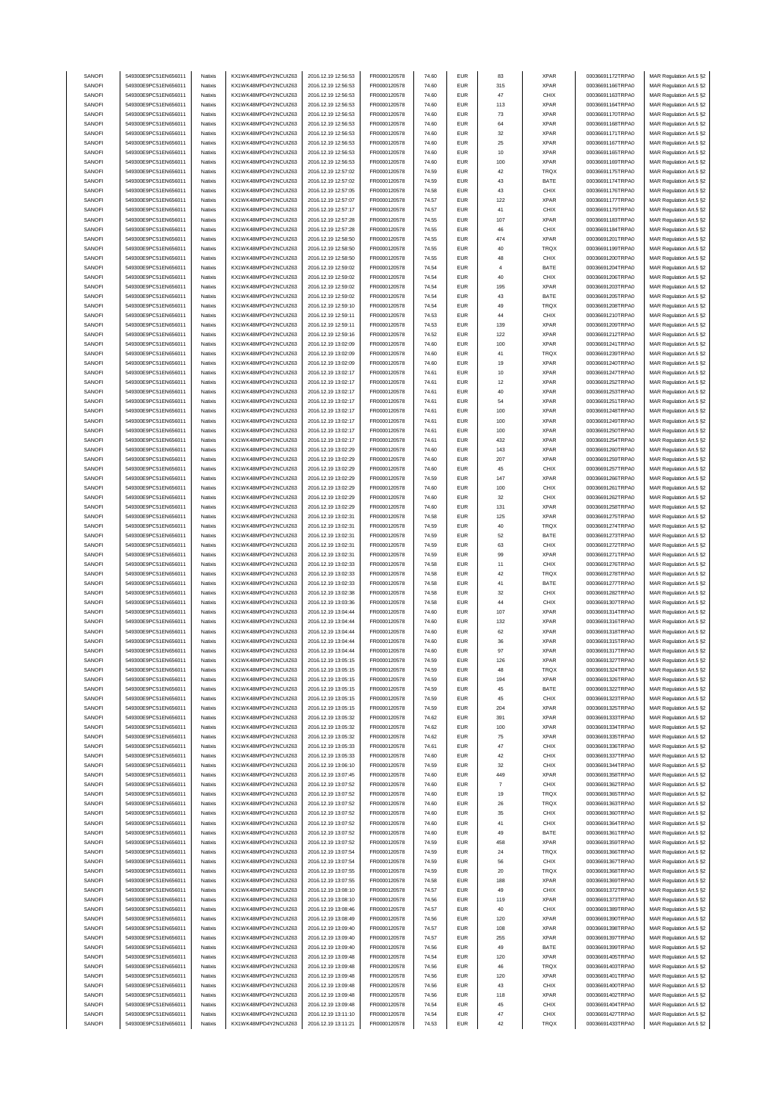| SANOFI           | 549300E9PC51EN656011 | Natixis | KX1WK48MPD4Y2NCUIZ63  | 2016.12.19 12:56:53 | FR0000120578 | 74.60 | <b>EUR</b>                  | 83             | <b>XPAR</b> | 00036691172TRPA0 | MAR Regulation Art.5 §2 |
|------------------|----------------------|---------|-----------------------|---------------------|--------------|-------|-----------------------------|----------------|-------------|------------------|-------------------------|
| SANOFI           | 549300E9PC51EN656011 | Natixis | KX1WK48MPD4Y2NCUIZ63  | 2016.12.19 12:56:53 | FR0000120578 | 74.60 | <b>EUR</b>                  | 315            | <b>XPAR</b> | 00036691166TRPA0 | MAR Regulation Art.5 §2 |
| SANOFI           | 549300E9PC51EN656011 | Natixis | KX1WK48MPD4Y2NCUIZ63  | 2016.12.19 12:56:53 | FR0000120578 | 74.60 | <b>EUR</b>                  | 47             | CHIX        | 00036691163TRPA0 | MAR Regulation Art.5 §2 |
| SANOFI           | 549300E9PC51EN656011 | Natixis | KX1WK48MPD4Y2NCUIZ63  | 2016.12.19 12:56:53 | FR0000120578 | 74.60 | <b>EUR</b>                  | 113            | <b>XPAR</b> | 00036691164TRPA0 | MAR Regulation Art.5 §2 |
|                  |                      |         |                       |                     |              |       |                             |                |             |                  |                         |
| SANOFI           | 549300E9PC51EN656011 | Natixis | KX1WK48MPD4Y2NCUIZ63  | 2016.12.19 12:56:53 | FR0000120578 | 74.60 | <b>EUR</b>                  | 73             | <b>XPAR</b> | 00036691170TRPA0 | MAR Regulation Art.5 §2 |
| SANOFI           | 549300E9PC51EN656011 | Natixis | KX1WK48MPD4Y2NCUIZ63  | 2016.12.19 12:56:53 | FR0000120578 | 74.60 | <b>EUR</b>                  | 64             | <b>XPAR</b> | 00036691168TRPA0 | MAR Regulation Art.5 §2 |
| SANOFI           | 549300E9PC51EN656011 | Natixis | KX1WK48MPD4Y2NCUIZ63  | 2016.12.19 12:56:53 | FR0000120578 | 74.60 | <b>EUR</b>                  | 32             | <b>XPAR</b> | 00036691171TRPA0 | MAR Regulation Art.5 §2 |
| SANOFI           | 549300E9PC51EN656011 | Natixis | KX1WK48MPD4Y2NCUIZ63  | 2016.12.19 12:56:53 | FR0000120578 | 74.60 | <b>EUR</b>                  | 25             | <b>XPAR</b> | 00036691167TRPA0 | MAR Regulation Art.5 §2 |
| SANOFI           | 549300E9PC51EN656011 | Natixis | KX1WK48MPD4Y2NCLIIZ63 | 2016.12.19 12:56:53 | FR0000120578 | 74.60 | <b>EUR</b>                  | 10             | <b>XPAR</b> | 00036691165TRPA0 | MAR Regulation Art.5 §2 |
| SANOFI           | 549300E9PC51EN656011 | Natixis | KX1WK48MPD4Y2NCUIZ63  | 2016.12.19 12:56:53 | FR0000120578 | 74.60 | <b>EUR</b>                  | 100            | <b>XPAR</b> | 00036691169TRPA0 | MAR Regulation Art.5 §2 |
|                  |                      | Natixis |                       |                     |              |       | <b>EUR</b>                  |                |             |                  |                         |
| SANOFI           | 549300E9PC51EN656011 |         | KX1WK48MPD4Y2NCUIZ63  | 2016.12.19 12:57:02 | FR0000120578 | 74.59 |                             | 42             | TRQX        | 00036691175TRPA0 | MAR Regulation Art.5 §2 |
| SANOFI           | 549300E9PC51EN656011 | Natixis | KX1WK48MPD4Y2NCUIZ63  | 2016.12.19 12:57:02 | FR0000120578 | 74.59 | <b>EUR</b>                  | 43             | BATE        | 00036691174TRPA0 | MAR Regulation Art.5 §2 |
| SANOFI           | 549300E9PC51EN656011 | Natixis | KX1WK48MPD4Y2NCUIZ63  | 2016.12.19 12:57:05 | FR0000120578 | 74.58 | <b>EUR</b>                  | 43             | CHIX        | 00036691176TRPA0 | MAR Regulation Art.5 §2 |
| SANOFI           | 549300E9PC51EN656011 | Natixis | KX1WK48MPD4Y2NCUIZ63  | 2016.12.19 12:57:07 | FR0000120578 | 74.57 | <b>EUR</b>                  | 122            | <b>XPAR</b> | 00036691177TRPA0 | MAR Regulation Art.5 §2 |
| SANOFI           | 549300E9PC51EN656011 | Natixis | KX1WK48MPD4Y2NCUIZ63  | 2016.12.19 12:57:17 | FR0000120578 | 74.57 | <b>EUR</b>                  | 41             | CHIX        | 00036691179TRPA0 | MAR Regulation Art.5 §2 |
|                  | 549300E9PC51EN656011 |         | KX1WK48MPD4Y2NCUIZ63  |                     |              |       |                             |                |             |                  |                         |
| SANOFI           |                      | Natixis |                       | 2016.12.19 12:57:28 | FR0000120578 | 74.55 | <b>EUR</b>                  | 107            | <b>XPAR</b> | 00036691183TRPA0 | MAR Regulation Art.5 §2 |
| SANOFI           | 549300E9PC51EN656011 | Natixis | KX1WK48MPD4Y2NCUIZ63  | 2016.12.19 12:57:28 | FR0000120578 | 74.55 | <b>EUR</b>                  | 46             | CHIX        | 00036691184TRPA0 | MAR Regulation Art.5 §2 |
| SANOFI           | 549300E9PC51EN656011 | Natixis | KX1WK48MPD4Y2NCLIIZ63 | 2016.12.19 12:58:50 | FR0000120578 | 74.55 | <b>EUR</b>                  | 474            | <b>XPAR</b> | 00036691201TRPA0 | MAR Regulation Art.5 §2 |
| SANOFI           | 549300E9PC51EN656011 | Natixis | KX1WK48MPD4Y2NCUIZ63  | 2016.12.19 12:58:50 | FR0000120578 | 74.55 | <b>EUR</b>                  | 40             | TRQX        | 00036691199TRPA0 | MAR Regulation Art.5 §2 |
| SANOFI           | 549300E9PC51EN656011 | Natixis | KX1WK48MPD4Y2NCUIZ63  | 2016.12.19 12:58:50 | FR0000120578 | 74.55 | <b>EUR</b>                  | 48             | CHIX        | 00036691200TRPA0 | MAR Regulation Art.5 §2 |
| SANOFI           | 549300E9PC51EN656011 | Natixis | KX1WK48MPD4Y2NCUIZ63  | 2016.12.19 12:59:02 | FR0000120578 | 74.54 | <b>EUR</b>                  | $\overline{4}$ | BATE        | 00036691204TRPA0 | MAR Regulation Art.5 §2 |
| SANOFI           | 549300E9PC51EN656011 | Natixis | KX1WK48MPD4Y2NCUIZ63  | 2016.12.19 12:59:02 | FR0000120578 | 74.54 | <b>EUR</b>                  | 40             | CHIX        | 00036691206TRPA0 | MAR Regulation Art.5 §2 |
|                  |                      |         |                       |                     |              |       |                             |                |             |                  |                         |
| SANOFI           | 549300E9PC51EN656011 | Natixis | KX1WK48MPD4Y2NCUIZ63  | 2016.12.19 12:59:02 | FR0000120578 | 74.54 | <b>EUR</b>                  | 195            | <b>XPAR</b> | 00036691203TRPA0 | MAR Regulation Art.5 §2 |
| SANOFI           | 549300E9PC51EN656011 | Natixis | KX1WK48MPD4Y2NCUIZ63  | 2016.12.19 12:59:02 | FR0000120578 | 74.54 | <b>EUR</b>                  | 43             | BATE        | 00036691205TRPA0 | MAR Regulation Art.5 §2 |
| SANOFI           | 549300E9PC51EN656011 | Natixis | KX1WK48MPD4Y2NCUIZ63  | 2016.12.19 12:59:10 | FR0000120578 | 74.54 | <b>EUR</b>                  | 49             | TRQX        | 00036691208TRPA0 | MAR Regulation Art.5 §2 |
| SANOFI           | 549300E9PC51EN656011 | Natixis | KX1WK48MPD4Y2NCUIZ63  | 2016.12.19 12:59:11 | FR0000120578 | 74.53 | <b>EUR</b>                  | 44             | CHIX        | 00036691210TRPA0 | MAR Regulation Art.5 §2 |
| SANOFI           | 549300E9PC51EN656011 | Natixis | KX1WK48MPD4Y2NCLIIZ63 | 2016.12.19 12:59:11 | FR0000120578 | 74.53 | <b>EUR</b>                  | 139            | <b>XPAR</b> | 00036691209TRPA0 | MAR Regulation Art.5 §2 |
| SANOFI           | 549300E9PC51EN656011 | Natixis | KX1WK48MPD4Y2NCUIZ63  | 2016.12.19 12:59:16 | FR0000120578 | 74.52 | <b>EUR</b>                  | 122            | <b>XPAR</b> | 00036691212TRPA0 | MAR Regulation Art.5 §2 |
|                  |                      |         |                       |                     |              |       |                             |                |             |                  |                         |
| SANOFI           | 549300E9PC51EN656011 | Natixis | KX1WK48MPD4Y2NCUIZ63  | 2016.12.19 13:02:09 | FR0000120578 | 74.60 | <b>EUR</b>                  | 100            | <b>XPAR</b> | 00036691241TRPA0 | MAR Regulation Art.5 §2 |
| SANOFI           | 549300E9PC51EN656011 | Natixis | KX1WK48MPD4Y2NCUIZ63  | 2016.12.19 13:02:09 | FR0000120578 | 74.60 | <b>EUR</b>                  | 41             | TRQX        | 00036691239TRPA0 | MAR Regulation Art.5 §2 |
| SANOFI           | 549300E9PC51EN656011 | Natixis | KX1WK48MPD4Y2NCUIZ63  | 2016.12.19 13:02:09 | FR0000120578 | 74.60 | <b>EUR</b>                  | 19             | <b>XPAR</b> | 00036691240TRPA0 | MAR Regulation Art.5 §2 |
| SANOFI           | 549300E9PC51EN656011 | Natixis | KX1WK48MPD4Y2NCUIZ63  | 2016.12.19 13:02:17 | FR0000120578 | 74.61 | <b>EUR</b>                  | 10             | <b>XPAR</b> | 00036691247TRPA0 | MAR Regulation Art.5 §2 |
| SANOFI           | 549300E9PC51EN656011 | Natixis | KX1WK48MPD4Y2NCUIZ63  | 2016.12.19 13:02:17 | FR0000120578 | 74.61 | <b>EUR</b>                  | 12             | <b>XPAR</b> | 00036691252TRPA0 | MAR Regulation Art.5 §2 |
| SANOFI           | 549300E9PC51EN656011 |         |                       | 2016.12.19 13:02:17 |              |       |                             |                | <b>XPAR</b> | 00036691253TRPA0 |                         |
|                  |                      | Natixis | KX1WK48MPD4Y2NCUIZ63  |                     | FR0000120578 | 74.61 | <b>EUR</b>                  | 40             |             |                  | MAR Regulation Art.5 §2 |
| SANOFI           | 549300E9PC51EN656011 | Natixis | KX1WK48MPD4Y2NCUIZ63  | 2016.12.19 13:02:17 | FR0000120578 | 74.61 | <b>EUR</b>                  | 54             | <b>XPAR</b> | 00036691251TRPA0 | MAR Regulation Art.5 §2 |
| SANOFI           | 549300E9PC51EN656011 | Natixis | KX1WK48MPD4Y2NCLIIZ63 | 2016.12.19 13:02:17 | FR0000120578 | 74.61 | <b>EUR</b>                  | 100            | <b>XPAR</b> | 00036691248TRPA0 | MAR Regulation Art.5 §2 |
| SANOFI           | 549300E9PC51EN656011 | Natixis | KX1WK48MPD4Y2NCUIZ63  | 2016.12.19 13:02:17 | FR0000120578 | 74.61 | <b>EUR</b>                  | 100            | <b>XPAR</b> | 00036691249TRPA0 | MAR Regulation Art.5 §2 |
| SANOFI           | 549300E9PC51EN656011 | Natixis | KX1WK48MPD4Y2NCUIZ63  | 2016.12.19 13:02:17 | FR0000120578 | 74.61 | <b>EUR</b>                  | 100            | <b>XPAR</b> | 00036691250TRPA0 | MAR Regulation Art.5 §2 |
| SANOFI           | 549300E9PC51EN656011 | Natixis | KX1WK48MPD4Y2NCUIZ63  | 2016.12.19 13:02:17 | FR0000120578 | 74.61 | <b>EUR</b>                  | 432            | <b>XPAR</b> | 00036691254TRPA0 | MAR Regulation Art.5 §2 |
|                  |                      |         |                       |                     |              |       |                             |                |             |                  |                         |
| SANOFI           | 549300E9PC51EN656011 | Natixis | KX1WK48MPD4Y2NCUIZ63  | 2016.12.19 13:02:29 | FR0000120578 | 74.60 | <b>EUR</b>                  | 143            | <b>XPAR</b> | 00036691260TRPA0 | MAR Regulation Art.5 §2 |
| SANOFI           | 549300E9PC51EN656011 | Natixis | KX1WK48MPD4Y2NCUIZ63  | 2016.12.19 13:02:29 | FR0000120578 | 74.60 | <b>EUR</b>                  | 207            | <b>XPAR</b> | 00036691259TRPA0 | MAR Regulation Art.5 §2 |
| SANOFI           | 549300E9PC51EN656011 | Natixis | KX1WK48MPD4Y2NCUIZ63  | 2016.12.19 13:02:29 | FR0000120578 | 74.60 | <b>EUR</b>                  | 45             | CHIX        | 00036691257TRPA0 | MAR Regulation Art.5 §2 |
| SANOFI           | 549300E9PC51EN656011 | Natixis | KX1WK48MPD4Y2NCUIZ63  | 2016.12.19 13:02:29 | FR0000120578 | 74.59 | <b>EUR</b>                  | 147            | <b>XPAR</b> | 00036691266TRPA0 | MAR Regulation Art.5 §2 |
| SANOFI           | 549300E9PC51EN656011 | Natixis | KX1WK48MPD4Y2NCUIZ63  | 2016.12.19 13:02:29 | FR0000120578 | 74.60 | <b>EUR</b>                  | 100            | CHIX        | 00036691261TRPA0 | MAR Regulation Art.5 §2 |
| SANOFI           | 549300E9PC51EN656011 | Natixis | KX1WK48MPD4Y2NCUIZ63  | 2016.12.19 13:02:29 | FR0000120578 | 74.60 | <b>EUR</b>                  | 32             | CHIX        | 00036691262TRPA0 | MAR Regulation Art.5 §2 |
|                  |                      |         |                       |                     |              |       |                             |                |             |                  |                         |
| SANOFI           | 549300E9PC51EN656011 | Natixis | KX1WK48MPD4Y2NCUIZ63  | 2016.12.19 13:02:29 | FR0000120578 | 74.60 | <b>EUR</b>                  | 131            | <b>XPAR</b> | 00036691258TRPA0 | MAR Regulation Art.5 §2 |
| SANOFI           | 549300E9PC51EN656011 | Natixis | KX1WK48MPD4Y2NCUIZ63  | 2016.12.19 13:02:31 | FR0000120578 | 74.58 | <b>EUR</b>                  | 125            | <b>XPAR</b> | 00036691275TRPA0 | MAR Regulation Art.5 §2 |
| SANOFI           | 549300E9PC51EN656011 | Natixis | KX1WK48MPD4Y2NCUIZ63  | 2016.12.19 13:02:31 | FR0000120578 | 74.59 | <b>EUR</b>                  | 40             | TRQX        | 00036691274TRPA0 | MAR Regulation Art.5 §2 |
| SANOFI           | 549300E9PC51EN656011 | Natixis | KX1WK48MPD4Y2NCUIZ63  | 2016.12.19 13:02:31 | FR0000120578 | 74.59 | <b>EUR</b>                  | 52             | BATE        | 00036691273TRPA0 | MAR Regulation Art.5 §2 |
| SANOFI           | 549300E9PC51EN656011 | Natixis | KX1WK48MPD4Y2NCUIZ63  | 2016.12.19 13:02:31 | FR0000120578 | 74.59 | <b>EUR</b>                  | 63             | CHIX        | 00036691272TRPA0 | MAR Regulation Art.5 §2 |
| SANOFI           | 549300E9PC51EN656011 | Natixis |                       |                     |              | 74.59 | <b>EUR</b>                  | 99             | <b>XPAR</b> | 00036691271TRPA0 |                         |
|                  |                      |         | KX1WK48MPD4Y2NCUIZ63  | 2016.12.19 13:02:31 | FR0000120578 |       |                             |                |             |                  | MAR Regulation Art.5 §2 |
| SANOFI           | 549300E9PC51EN656011 | Natixis | KX1WK48MPD4Y2NCUIZ63  | 2016.12.19 13:02:33 | FR0000120578 | 74.58 | <b>EUR</b>                  | 11             | CHIX        | 00036691276TRPA0 | MAR Regulation Art.5 §2 |
| SANOFI           | 549300E9PC51EN656011 | Natixis | KX1WK48MPD4Y2NCUIZ63  | 2016.12.19 13:02:33 | FR0000120578 | 74.58 | <b>EUR</b>                  | 42             | TRQX        | 00036691278TRPA0 | MAR Regulation Art.5 §2 |
| SANOFI           | 549300E9PC51EN656011 | Natixis | KX1WK48MPD4Y2NCUIZ63  | 2016.12.19 13:02:33 | FR0000120578 | 74.58 | <b>EUR</b>                  | 41             | BATE        | 00036691277TRPA0 | MAR Regulation Art.5 §2 |
| SANOFI           | 549300E9PC51EN656011 | Natixis | KX1WK48MPD4Y2NCUIZ63  | 2016.12.19 13:02:38 | FR0000120578 | 74.58 | <b>EUR</b>                  | 32             | CHIX        | 00036691282TRPA0 | MAR Regulation Art.5 §2 |
| SANOFI           | 549300E9PC51EN656011 | Natixis | KX1WK48MPD4Y2NCUIZ63  | 2016.12.19 13:03:36 | FR0000120578 | 74.58 | <b>EUR</b>                  | 44             | CHIX        | 00036691307TRPA0 | MAR Regulation Art.5 §2 |
|                  |                      |         |                       |                     |              |       |                             |                |             |                  |                         |
| SANOFI           | 549300E9PC51EN656011 | Natixis | KX1WK48MPD4Y2NCUIZ63  | 2016.12.19 13:04:44 | FR0000120578 | 74.60 | <b>EUR</b>                  | 107            | <b>XPAR</b> | 00036691314TRPA0 | MAR Regulation Art.5 §2 |
| SANOFI           | 549300E9PC51EN656011 | Natixis | KX1WK48MPD4Y2NCUIZ63  | 2016.12.19 13:04:44 | FR0000120578 | 74.60 | <b>EUR</b>                  | 132            | <b>XPAR</b> | 00036691316TRPA0 | MAR Regulation Art.5 §2 |
| SANOFI           | 549300E9PC51EN656011 | Natixis | KX1WK48MPD4Y2NCUIZ63  | 2016.12.19 13:04:44 | FR0000120578 | 74.60 | <b>EUR</b>                  | 62             | <b>XPAR</b> | 00036691318TRPA0 | MAR Regulation Art.5 §2 |
| SANOFI           | 549300E9PC51EN656011 | Natixis | KX1WK48MPD4Y2NCUIZ63  | 2016.12.19 13:04:44 | FR0000120578 | 74.60 | <b>EUR</b>                  | 36             | <b>XPAR</b> | 00036691315TRPA0 | MAR Regulation Art.5 §2 |
| SANOF            | 549300E9PC51EN656011 | Natixis | KX1WK48MPD4Y2NCUIZ63  | 2016.12.19 13:04:44 | FR0000120578 | 74.60 | EUR                         |                | <b>XPAR</b> | 00036691317TRPA0 | MAR Regulation Art.5 §2 |
| SANOFI           | 549300E9PC51EN656011 | Natixis | KX1WK48MPD4Y2NCUIZ63  | 2016.12.19 13:05:15 | FR0000120578 | 74.59 | <b>EUR</b>                  | 126            | <b>XPAR</b> | 00036691327TRPA0 | MAR Regulation Art.5 §2 |
|                  |                      |         |                       |                     |              |       |                             |                |             |                  |                         |
| SANOFI           | 549300E9PC51EN656011 | Natixis | KX1WK48MPD4Y2NCUIZ63  | 2016.12.19 13:05:15 | FR0000120578 | 74.59 | EUR                         | 48             | TRQX        | 00036691324TRPA0 | MAR Regulation Art.5 §2 |
| SANOFI           | 549300E9PC51EN656011 | Natixis | KX1WK48MPD4Y2NCUIZ63  | 2016.12.19 13:05:15 | FR0000120578 | 74.59 | <b>EUR</b>                  | 194            | <b>XPAR</b> | 00036691326TRPA0 | MAR Regulation Art.5 §2 |
| SANOFI           | 549300E9PC51EN656011 | Natixis | KX1WK48MPD4Y2NCUIZ63  | 2016.12.19 13:05:15 | FR0000120578 | 74.59 | <b>EUR</b>                  | 45             | BATE        | 00036691322TRPA0 | MAR Regulation Art.5 §2 |
| SANOFI           | 549300E9PC51EN656011 | Natixis | KX1WK48MPD4Y2NCUIZ63  | 2016.12.19 13:05:15 | FR0000120578 | 74.59 | <b>EUR</b>                  | 45             | CHIX        | 00036691323TRPA0 | MAR Regulation Art.5 §2 |
| SANOFI           | 549300E9PC51EN656011 | Natixis | KX1WK48MPD4Y2NCUIZ63  | 2016.12.19 13:05:15 | FR0000120578 | 74.59 | $\ensuremath{\mathsf{EUR}}$ | 204            | <b>XPAR</b> | 00036691325TRPA0 | MAR Regulation Art.5 §2 |
| SANOFI           | 549300E9PC51EN656011 | Natixis | KX1WK48MPD4Y2NCUIZ63  | 2016.12.19 13:05:32 | FR0000120578 | 74.62 | EUR                         | 391            | <b>XPAR</b> | 00036691333TRPA0 | MAR Regulation Art.5 §2 |
| SANOFI           | 549300E9PC51EN656011 | Natixis | KX1WK48MPD4Y2NCUIZ63  | 2016.12.19 13:05:32 | FR0000120578 | 74.62 | <b>EUR</b>                  | 100            | <b>XPAR</b> | 00036691334TRPA0 | MAR Regulation Art.5 §2 |
|                  |                      |         | KX1WK48MPD4Y2NCUIZ63  |                     |              |       |                             |                |             |                  |                         |
| SANOFI           | 549300E9PC51EN656011 | Natixis |                       | 2016.12.19 13:05:32 | FR0000120578 | 74.62 | <b>EUR</b>                  | 75             | <b>XPAR</b> | 00036691335TRPA0 | MAR Regulation Art.5 §2 |
| SANOFI           | 549300E9PC51EN656011 | Natixis | KX1WK48MPD4Y2NCUIZ63  | 2016.12.19 13:05:33 | FR0000120578 | 74.61 | <b>EUR</b>                  | 47             | CHIX        | 00036691336TRPA0 | MAR Regulation Art.5 §2 |
| SANOFI           | 549300E9PC51EN656011 | Natixis | KX1WK48MPD4Y2NCUIZ63  | 2016.12.19 13:05:33 | FR0000120578 | 74.60 | <b>EUR</b>                  | 42             | CHIX        | 00036691337TRPA0 | MAR Regulation Art.5 §2 |
| SANOFI           | 549300E9PC51EN656011 | Natixis | KX1WK48MPD4Y2NCUIZ63  | 2016.12.19 13:06:10 | FR0000120578 | 74.59 | <b>EUR</b>                  | 32             | CHIX        | 00036691344TRPA0 | MAR Regulation Art.5 §2 |
| SANOFI           | 549300E9PC51EN656011 | Natixis | KX1WK48MPD4Y2NCUIZ63  | 2016.12.19 13:07:45 | FR0000120578 | 74.60 | <b>EUR</b>                  | 449            | <b>XPAR</b> | 00036691358TRPA0 | MAR Regulation Art.5 §2 |
| SANOFI           | 549300E9PC51EN656011 | Natixis | KX1WK48MPD4Y2NCUIZ63  | 2016.12.19 13:07:52 | FR0000120578 | 74.60 | <b>EUR</b>                  | $\overline{7}$ | CHIX        | 00036691362TRPA0 | MAR Regulation Art.5 §2 |
|                  |                      |         |                       |                     |              |       |                             |                |             |                  |                         |
| SANOFI           | 549300E9PC51EN656011 | Natixis | KX1WK48MPD4Y2NCUIZ63  | 2016.12.19 13:07:52 | FR0000120578 | 74.60 | <b>EUR</b>                  | 19             | TRQX        | 00036691365TRPA0 | MAR Regulation Art.5 §2 |
| SANOFI           | 549300E9PC51EN656011 | Natixis | KX1WK48MPD4Y2NCUIZ63  | 2016.12.19 13:07:52 | FR0000120578 | 74.60 | <b>EUR</b>                  | 26             | TRQX        | 00036691363TRPA0 | MAR Regulation Art.5 §2 |
| SANOFI           | 549300E9PC51EN656011 | Natixis | KX1WK48MPD4Y2NCUIZ63  | 2016.12.19 13:07:52 | FR0000120578 | 74.60 | <b>EUR</b>                  | 35             | CHIX        | 00036691360TRPA0 | MAR Regulation Art.5 §2 |
| SANOFI           | 549300E9PC51EN656011 | Natixis | KX1WK48MPD4Y2NCUIZ63  | 2016.12.19 13:07:52 | FR0000120578 | 74.60 | <b>EUR</b>                  | 41             | CHIX        | 00036691364TRPA0 | MAR Regulation Art.5 §2 |
| SANOFI           | 549300E9PC51EN656011 | Natixis | KX1WK48MPD4Y2NCUIZ63  | 2016.12.19 13:07:52 | FR0000120578 | 74.60 | <b>EUR</b>                  | 49             | BATE        | 00036691361TRPA0 | MAR Regulation Art.5 §2 |
| SANOFI           | 549300E9PC51EN656011 | Natixis | KX1WK48MPD4Y2NCUIZ63  | 2016.12.19 13:07:52 | FR0000120578 | 74.59 | <b>EUR</b>                  | 458            | <b>XPAR</b> | 00036691359TRPA0 | MAR Regulation Art.5 §2 |
|                  |                      |         |                       |                     |              |       |                             |                |             |                  |                         |
| SANOFI           | 549300E9PC51EN656011 | Natixis | KX1WK48MPD4Y2NCUIZ63  | 2016.12.19 13:07:54 | FR0000120578 | 74.59 | <b>EUR</b>                  | 24             | TRQX        | 00036691366TRPA0 | MAR Regulation Art.5 §2 |
| SANOFI           | 549300E9PC51EN656011 | Natixis | KX1WK48MPD4Y2NCUIZ63  | 2016.12.19 13:07:54 | FR0000120578 | 74.59 | <b>EUR</b>                  | 56             | CHIX        | 00036691367TRPA0 | MAR Regulation Art.5 §2 |
| SANOFI           | 549300E9PC51EN656011 | Natixis | KX1WK48MPD4Y2NCUIZ63  | 2016.12.19 13:07:55 | FR0000120578 | 74.59 | <b>EUR</b>                  | 20             | TRQX        | 00036691368TRPA0 | MAR Regulation Art.5 §2 |
| SANOFI           | 549300E9PC51EN656011 | Natixis | KX1WK48MPD4Y2NCUIZ63  | 2016.12.19 13:07:55 | FR0000120578 | 74.58 | <b>EUR</b>                  | 188            | <b>XPAR</b> | 00036691369TRPA0 | MAR Regulation Art.5 §2 |
| SANOFI           | 549300E9PC51EN656011 | Natixis | KX1WK48MPD4Y2NCUIZ63  | 2016.12.19 13:08:10 | FR0000120578 | 74.57 | <b>EUR</b>                  | 49             | CHIX        | 00036691372TRPA0 | MAR Regulation Art.5 §2 |
|                  |                      |         |                       |                     |              |       |                             |                |             |                  |                         |
| SANOFI           | 549300E9PC51EN656011 | Natixis | KX1WK48MPD4Y2NCUIZ63  | 2016.12.19 13:08:10 | FR0000120578 | 74.56 | <b>EUR</b>                  | 119            | <b>XPAR</b> | 00036691373TRPA0 | MAR Regulation Art.5 §2 |
| SANOFI           | 549300E9PC51EN656011 | Natixis | KX1WK48MPD4Y2NCUIZ63  | 2016.12.19 13:08:46 | FR0000120578 | 74.57 | <b>EUR</b>                  | 40             | CHIX        | 00036691389TRPA0 | MAR Regulation Art.5 §2 |
| SANOFI           | 549300E9PC51EN656011 | Natixis | KX1WK48MPD4Y2NCUIZ63  | 2016.12.19 13:08:49 | FR0000120578 | 74.56 | <b>EUR</b>                  | 120            | <b>XPAR</b> | 00036691390TRPA0 | MAR Regulation Art.5 §2 |
| SANOFI           | 549300E9PC51EN656011 | Natixis | KX1WK48MPD4Y2NCUIZ63  | 2016.12.19 13:09:40 | FR0000120578 | 74.57 | <b>EUR</b>                  | 108            | <b>XPAR</b> | 00036691398TRPA0 | MAR Regulation Art.5 §2 |
| SANOFI           | 549300E9PC51EN656011 | Natixis | KX1WK48MPD4Y2NCUIZ63  | 2016.12.19 13:09:40 | FR0000120578 | 74.57 | <b>EUR</b>                  | 255            | <b>XPAR</b> | 00036691397TRPA0 | MAR Regulation Art.5 §2 |
|                  |                      |         |                       |                     |              |       |                             |                |             |                  |                         |
| SANOFI           | 549300E9PC51EN656011 | Natixis | KX1WK48MPD4Y2NCUIZ63  | 2016.12.19 13:09:40 | FR0000120578 | 74.56 | <b>EUR</b>                  | 49             | BATE        | 00036691399TRPA0 | MAR Regulation Art.5 §2 |
| SANOFI           | 549300E9PC51EN656011 | Natixis | KX1WK48MPD4Y2NCUIZ63  | 2016.12.19 13:09:48 | FR0000120578 | 74.54 | <b>EUR</b>                  | 120            | <b>XPAR</b> | 00036691405TRPA0 | MAR Regulation Art.5 §2 |
| SANOFI           | 549300E9PC51EN656011 | Natixis | KX1WK48MPD4Y2NCUIZ63  | 2016.12.19 13:09:48 | FR0000120578 | 74.56 | EUR                         | 46             | TRQX        | 00036691403TRPA0 | MAR Regulation Art.5 §2 |
| SANOFI           | 549300E9PC51EN656011 | Natixis | KX1WK48MPD4Y2NCUIZ63  | 2016.12.19 13:09:48 | FR0000120578 | 74.56 | <b>EUR</b>                  | 120            | <b>XPAR</b> | 00036691401TRPA0 | MAR Regulation Art.5 §2 |
| SANOFI           | 549300E9PC51EN656011 | Natixis | KX1WK48MPD4Y2NCUIZ63  | 2016.12.19 13:09:48 | FR0000120578 | 74.56 | <b>EUR</b>                  | 43             | CHIX        | 00036691400TRPA0 | MAR Regulation Art.5 §2 |
| SANOFI           | 549300E9PC51EN656011 | Natixis | KX1WK48MPD4Y2NCUIZ63  | 2016.12.19 13:09:48 | FR0000120578 | 74.56 | <b>EUR</b>                  | 118            | <b>XPAR</b> | 00036691402TRPA0 | MAR Regulation Art.5 §2 |
|                  |                      |         |                       |                     |              |       |                             |                |             |                  |                         |
| SANOFI           | 549300E9PC51EN656011 | Natixis | KX1WK48MPD4Y2NCUIZ63  | 2016.12.19 13:09:48 | FR0000120578 | 74.54 | <b>EUR</b>                  | 45             | CHIX        | 00036691404TRPA0 | MAR Regulation Art.5 §2 |
|                  | 549300E9PC51EN656011 | Natixis | KX1WK48MPD4Y2NCUIZ63  | 2016.12.19 13:11:10 | FR0000120578 | 74.54 | <b>EUR</b>                  | 47             | CHIX        | 00036691427TRPA0 | MAR Regulation Art.5 §2 |
| SANOFI<br>SANOFI | 549300E9PC51EN656011 | Natixis | KX1WK48MPD4Y2NCUIZ63  | 2016.12.19 13:11:21 | FR0000120578 | 74.53 | EUR                         | 42             | <b>TRQX</b> | 00036691433TRPA0 | MAR Regulation Art.5 §2 |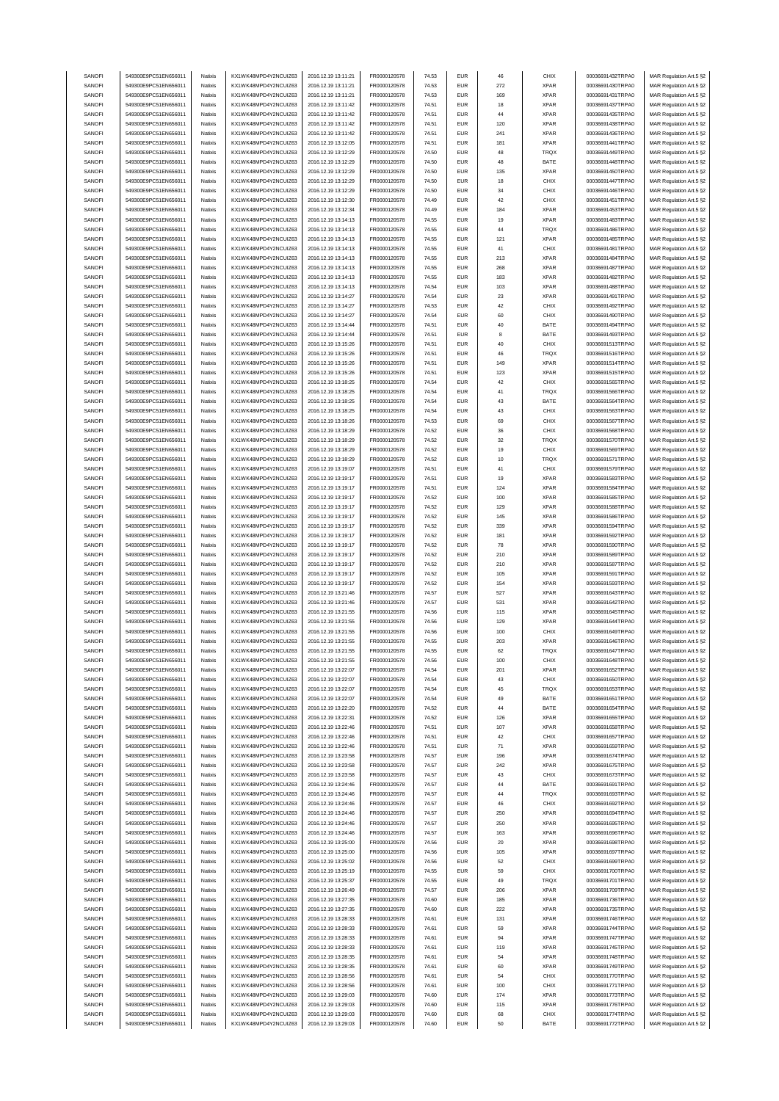| SANOFI | 549300E9PC51EN656011 | Natixis | KX1WK48MPD4Y2NCUIZ63                         | 2016.12.19 13:11:21                        | FR0000120578 | 74.53 | <b>EUR</b> | 46     | CHIX        | 00036691432TRPA0 | MAR Regulation Art.5 §2 |
|--------|----------------------|---------|----------------------------------------------|--------------------------------------------|--------------|-------|------------|--------|-------------|------------------|-------------------------|
| SANOFI | 549300E9PC51EN656011 | Natixis | KX1WK48MPD4Y2NCUIZ63                         | 2016.12.19 13:11:21                        | FR0000120578 | 74.53 | <b>EUR</b> | 272    | <b>XPAR</b> | 00036691430TRPA0 | MAR Regulation Art.5 §2 |
| SANOFI | 549300E9PC51EN656011 | Natixis | KX1WK48MPD4Y2NCUIZ63                         | 2016.12.19 13:11:21                        | FR0000120578 | 74.53 | <b>EUR</b> | 169    | <b>XPAR</b> | 00036691431TRPA0 | MAR Regulation Art.5 §2 |
| SANOFI | 549300E9PC51EN656011 | Natixis | KX1WK48MPD4Y2NCUIZ63                         | 2016.12.19 13:11:42                        | FR0000120578 | 74.51 | <b>EUR</b> | 18     | <b>XPAR</b> | 00036691437TRPA0 | MAR Regulation Art.5 §2 |
|        |                      |         |                                              |                                            |              |       |            |        |             |                  |                         |
| SANOFI | 549300E9PC51EN656011 | Natixis | KX1WK48MPD4Y2NCUIZ63                         | 2016.12.19 13:11:42                        | FR0000120578 | 74.51 | <b>EUR</b> | 44     | <b>XPAR</b> | 00036691435TRPA0 | MAR Regulation Art.5 §2 |
| SANOFI | 549300E9PC51EN656011 | Natixis | KX1WK48MPD4Y2NCUIZ63                         | 2016.12.19 13:11:42                        | FR0000120578 | 74.51 | <b>EUR</b> | 120    | <b>XPAR</b> | 00036691438TRPA0 | MAR Regulation Art.5 §2 |
| SANOFI | 549300E9PC51EN656011 | Natixis | KX1WK48MPD4Y2NCUIZ63                         | 2016.12.19 13:11:42                        | FR0000120578 | 74.51 | <b>EUR</b> | 241    | <b>XPAR</b> | 00036691436TRPA0 | MAR Regulation Art.5 §2 |
| SANOFI | 549300E9PC51EN656011 | Natixis | KX1WK48MPD4Y2NCUIZ63                         | 2016.12.19 13:12:05                        | FR0000120578 | 74.51 | <b>EUR</b> | 181    | <b>XPAR</b> | 00036691441TRPA0 | MAR Regulation Art.5 §2 |
| SANOFI | 549300E9PC51EN656011 | Natixis | KX1WK48MPD4Y2NCUIZ63                         | 2016.12.19 13:12:29                        | FR0000120578 | 74.50 | <b>EUR</b> | 48     | TRQX        | 00036691449TRPA0 | MAR Regulation Art.5 §2 |
| SANOFI | 549300E9PC51EN656011 | Natixis | KX1WK48MPD4Y2NCUIZ63                         | 2016.12.19 13:12:29                        | FR0000120578 | 74.50 | <b>EUR</b> | 48     | BATE        | 00036691448TRPA0 | MAR Regulation Art.5 §2 |
|        | 549300E9PC51EN656011 | Natixis |                                              |                                            |              | 74.50 | <b>EUR</b> |        |             |                  |                         |
| SANOFI |                      |         | KX1WK48MPD4Y2NCUIZ63                         | 2016.12.19 13:12:29                        | FR0000120578 |       |            | 135    | <b>XPAR</b> | 00036691450TRPA0 | MAR Regulation Art.5 §2 |
| SANOFI | 549300E9PC51EN656011 | Natixis | KX1WK48MPD4Y2NCUIZ63                         | 2016.12.19 13:12:29                        | FR0000120578 | 74.50 | <b>EUR</b> | 18     | CHIX        | 00036691447TRPA0 | MAR Regulation Art.5 §2 |
| SANOFI | 549300E9PC51EN656011 | Natixis | KX1WK48MPD4Y2NCUIZ63                         | 2016.12.19 13:12:29                        | FR0000120578 | 74.50 | <b>EUR</b> | 34     | CHIX        | 00036691446TRPA0 | MAR Regulation Art.5 §2 |
| SANOFI | 549300E9PC51EN656011 | Natixis | KX1WK48MPD4Y2NCUIZ63                         | 2016.12.19 13:12:30                        | FR0000120578 | 74.49 | <b>EUR</b> | 42     | CHIX        | 00036691451TRPA0 | MAR Regulation Art.5 §2 |
| SANOFI | 549300E9PC51EN656011 | Natixis | KX1WK48MPD4Y2NCUIZ63                         | 2016.12.19 13:12:34                        | FR0000120578 | 74.49 | <b>EUR</b> | 184    | <b>XPAR</b> | 00036691453TRPA0 | MAR Regulation Art.5 §2 |
|        |                      |         |                                              |                                            |              |       |            |        |             |                  |                         |
| SANOFI | 549300E9PC51EN656011 | Natixis | KX1WK48MPD4Y2NCUIZ63                         | 2016.12.19 13:14:13                        | FR0000120578 | 74.55 | <b>EUR</b> | 19     | <b>XPAR</b> | 00036691483TRPA0 | MAR Regulation Art.5 §2 |
| SANOFI | 549300E9PC51EN656011 | Natixis | KX1WK48MPD4Y2NCUIZ63                         | 2016.12.19 13:14:13                        | FR0000120578 | 74.55 | <b>EUR</b> | 44     | TRQX        | 00036691486TRPA0 | MAR Regulation Art.5 §2 |
| SANOFI | 549300E9PC51EN656011 | Natixis | KX1WK48MPD4Y2NCUIZ63                         | 2016.12.19 13:14:13                        | FR0000120578 | 74.55 | <b>EUR</b> | 121    | <b>XPAR</b> | 00036691485TRPA0 | MAR Regulation Art.5 §2 |
| SANOFI | 549300E9PC51EN656011 | Natixis | KX1WK48MPD4Y2NCUIZ63                         | 2016.12.19 13:14:13                        | FR0000120578 | 74.55 | <b>EUR</b> | 41     | CHIX        | 00036691481TRPA0 | MAR Regulation Art.5 §2 |
| SANOFI | 549300E9PC51EN656011 | Natixis | KX1WK48MPD4Y2NCUIZ63                         | 2016.12.19 13:14:13                        | FR0000120578 | 74.55 | <b>EUR</b> | 213    | <b>XPAR</b> | 00036691484TRPA0 | MAR Regulation Art.5 §2 |
| SANOFI | 549300E9PC51EN656011 | Natixis | KX1WK48MPD4Y2NCUIZ63                         | 2016.12.19 13:14:13                        | FR0000120578 | 74.55 | <b>EUR</b> | 268    | <b>XPAR</b> | 00036691487TRPA0 | MAR Regulation Art.5 §2 |
|        |                      |         |                                              |                                            |              |       |            |        |             |                  |                         |
| SANOFI | 549300E9PC51EN656011 | Natixis | KX1WK48MPD4Y2NCUIZ63                         | 2016.12.19 13:14:13                        | FR0000120578 | 74.55 | <b>EUR</b> | 183    | <b>XPAR</b> | 00036691482TRPA0 | MAR Regulation Art.5 §2 |
| SANOFI | 549300E9PC51EN656011 | Natixis | KX1WK48MPD4Y2NCUIZ63                         | 2016.12.19 13:14:13                        | FR0000120578 | 74.54 | <b>EUR</b> | 103    | <b>XPAR</b> | 00036691488TRPA0 | MAR Regulation Art.5 §2 |
| SANOFI | 549300E9PC51EN656011 | Natixis | KX1WK48MPD4Y2NCUIZ63                         | 2016.12.19 13:14:27                        | FR0000120578 | 74.54 | <b>EUR</b> | 23     | <b>XPAR</b> | 00036691491TRPA0 | MAR Regulation Art.5 §2 |
| SANOFI | 549300E9PC51EN656011 | Natixis | KX1WK48MPD4Y2NCUIZ63                         | 2016.12.19 13:14:27                        | FR0000120578 | 74.53 | <b>EUR</b> | 42     | CHIX        | 00036691492TRPA0 | MAR Regulation Art.5 §2 |
| SANOFI | 549300E9PC51EN656011 | Natixis | KX1WK48MPD4Y2NCUIZ63                         | 2016.12.19 13:14:27                        | FR0000120578 | 74.54 | <b>EUR</b> | 60     | CHIX        | 00036691490TRPA0 | MAR Regulation Art.5 §2 |
| SANOFI | 549300E9PC51EN656011 | Natixis | KX1WK48MPD4Y2NCUIZ63                         | 2016.12.19 13:14:44                        | FR0000120578 | 74.51 | <b>EUR</b> | 40     | BATE        | 00036691494TRPA0 |                         |
|        |                      |         |                                              |                                            |              |       |            |        |             |                  | MAR Regulation Art.5 §2 |
| SANOFI | 549300E9PC51EN656011 | Natixis | KX1WK48MPD4Y2NCUIZ63                         | 2016.12.19 13:14:44                        | FR0000120578 | 74.51 | <b>EUR</b> | 8      | BATE        | 00036691493TRPA0 | MAR Regulation Art.5 §2 |
| SANOFI | 549300E9PC51EN656011 | Natixis | KX1WK48MPD4Y2NCUIZ63                         | 2016.12.19 13:15:26                        | FR0000120578 | 74.51 | <b>EUR</b> | 40     | CHIX        | 00036691513TRPA0 | MAR Regulation Art.5 §2 |
| SANOFI | 549300E9PC51EN656011 | Natixis | KX1WK48MPD4Y2NCUIZ63                         | 2016.12.19 13:15:26                        | FR0000120578 | 74.51 | <b>EUR</b> | 46     | TRQX        | 00036691516TRPA0 | MAR Regulation Art.5 §2 |
| SANOFI | 549300E9PC51EN656011 | Natixis | KX1WK48MPD4Y2NCUIZ63                         | 2016.12.19 13:15:26                        | FR0000120578 | 74.51 | <b>EUR</b> | 149    | <b>XPAR</b> | 00036691514TRPA0 | MAR Regulation Art.5 §2 |
| SANOFI | 549300E9PC51EN656011 | Natixis | KX1WK48MPD4Y2NCUIZ63                         | 2016.12.19 13:15:26                        | FR0000120578 | 74.51 | <b>EUR</b> | 123    | <b>XPAR</b> | 00036691515TRPA0 | MAR Regulation Art.5 §2 |
|        |                      |         |                                              |                                            |              |       |            |        |             |                  |                         |
| SANOFI | 549300E9PC51EN656011 | Natixis | KX1WK48MPD4Y2NCUIZ63                         | 2016.12.19 13:18:25                        | FR0000120578 | 74.54 | <b>EUR</b> | 42     | CHIX        | 00036691565TRPA0 | MAR Regulation Art.5 §2 |
| SANOFI | 549300E9PC51EN656011 | Natixis | KX1WK48MPD4Y2NCUIZ63                         | 2016.12.19 13:18:25                        | FR0000120578 | 74.54 | <b>EUR</b> | 41     | TRQX        | 00036691566TRPA0 | MAR Regulation Art.5 §2 |
| SANOFI | 549300E9PC51EN656011 | Natixis | KX1WK48MPD4Y2NCUIZ63                         | 2016.12.19 13:18:25                        | FR0000120578 | 74.54 | <b>EUR</b> | 43     | BATE        | 00036691564TRPA0 | MAR Regulation Art.5 §2 |
| SANOFI | 549300E9PC51EN656011 | Natixis | KX1WK48MPD4Y2NCUIZ63                         | 2016.12.19 13:18:25                        | FR0000120578 | 74.54 | <b>EUR</b> | 43     | CHIX        | 00036691563TRPA0 | MAR Regulation Art.5 §2 |
| SANOFI | 549300E9PC51EN656011 | Natixis | KX1WK48MPD4Y2NCUIZ63                         | 2016.12.19 13:18:26                        | FR0000120578 | 74.53 | <b>EUR</b> | 69     | CHIX        | 00036691567TRPA0 | MAR Regulation Art.5 §2 |
|        |                      |         |                                              |                                            |              |       |            |        |             |                  |                         |
| SANOFI | 549300E9PC51EN656011 | Natixis | KX1WK48MPD4Y2NCUIZ63                         | 2016.12.19 13:18:29                        | FR0000120578 | 74.52 | <b>EUR</b> | 36     | CHIX        | 00036691568TRPA0 | MAR Regulation Art.5 §2 |
| SANOFI | 549300E9PC51EN656011 | Natixis | KX1WK48MPD4Y2NCUIZ63                         | 2016.12.19 13:18:29                        | FR0000120578 | 74.52 | <b>EUR</b> | 32     | TRQX        | 00036691570TRPA0 | MAR Regulation Art.5 §2 |
| SANOFI | 549300E9PC51EN656011 | Natixis | KX1WK48MPD4Y2NCUIZ63                         | 2016.12.19 13:18:29                        | FR0000120578 | 74.52 | <b>EUR</b> | 19     | CHIX        | 00036691569TRPA0 | MAR Regulation Art.5 §2 |
| SANOFI | 549300E9PC51EN656011 | Natixis | KX1WK48MPD4Y2NCUIZ63                         | 2016.12.19 13:18:29                        | FR0000120578 | 74.52 | <b>EUR</b> | 10     | <b>TRQX</b> | 00036691571TRPA0 | MAR Regulation Art.5 §2 |
| SANOFI | 549300E9PC51EN656011 | Natixis |                                              |                                            |              | 74.51 | <b>EUR</b> |        |             | 00036691579TRPA0 |                         |
|        |                      |         | KX1WK48MPD4Y2NCUIZ63                         | 2016.12.19 13:19:07                        | FR0000120578 |       |            | 41     | CHIX        |                  | MAR Regulation Art.5 §2 |
| SANOFI | 549300E9PC51EN656011 | Natixis | KX1WK48MPD4Y2NCUIZ63                         | 2016.12.19 13:19:17                        | FR0000120578 | 74.51 | <b>EUR</b> | 19     | <b>XPAR</b> | 00036691583TRPA0 | MAR Regulation Art.5 §2 |
| SANOFI | 549300E9PC51EN656011 | Natixis | KX1WK48MPD4Y2NCUIZ63                         | 2016.12.19 13:19:17                        | FR0000120578 | 74.51 | <b>EUR</b> | 124    | <b>XPAR</b> | 00036691584TRPA0 | MAR Regulation Art.5 §2 |
| SANOFI | 549300E9PC51EN656011 | Natixis | KX1WK48MPD4Y2NCUIZ63                         | 2016.12.19 13:19:17                        | FR0000120578 | 74.52 | <b>EUR</b> | 100    | <b>XPAR</b> | 00036691585TRPA0 | MAR Regulation Art.5 §2 |
| SANOFI | 549300E9PC51EN656011 | Natixis | KX1WK48MPD4Y2NCUIZ63                         | 2016.12.19 13:19:17                        | FR0000120578 | 74.52 | EUR        | 129    | <b>XPAR</b> | 00036691588TRPA0 | MAR Regulation Art.5 §2 |
| SANOFI | 549300E9PC51EN656011 | Natixis | KX1WK48MPD4Y2NCUIZ63                         | 2016.12.19 13:19:17                        | FR0000120578 | 74.52 | <b>EUR</b> | 145    | <b>XPAR</b> | 00036691586TRPA0 | MAR Regulation Art.5 §2 |
|        |                      |         |                                              |                                            |              |       |            |        |             |                  |                         |
| SANOFI | 549300E9PC51EN656011 | Natixis | KX1WK48MPD4Y2NCUIZ63                         | 2016.12.19 13:19:17                        | FR0000120578 | 74.52 | <b>EUR</b> | 339    | <b>XPAR</b> | 00036691594TRPA0 | MAR Regulation Art.5 §2 |
| SANOFI | 549300E9PC51EN656011 | Natixis | KX1WK48MPD4Y2NCUIZ63                         | 2016.12.19 13:19:17                        | FR0000120578 | 74.52 | <b>EUR</b> | 181    | <b>XPAR</b> | 00036691592TRPA0 | MAR Regulation Art.5 §2 |
| SANOFI | 549300E9PC51EN656011 | Natixis | KX1WK48MPD4Y2NCUIZ63                         | 2016.12.19 13:19:17                        | FR0000120578 | 74.52 | <b>EUR</b> | 78     | <b>XPAR</b> | 00036691590TRPA0 | MAR Regulation Art.5 §2 |
| SANOFI | 549300E9PC51EN656011 | Natixis | KX1WK48MPD4Y2NCUIZ63                         | 2016.12.19 13:19:17                        | FR0000120578 | 74.52 | <b>EUR</b> | 210    | <b>XPAR</b> | 00036691589TRPA0 | MAR Regulation Art.5 §2 |
| SANOFI | 549300E9PC51EN656011 | Natixis | KX1WK48MPD4Y2NCUIZ63                         | 2016.12.19 13:19:17                        | FR0000120578 | 74.52 | <b>EUR</b> | 210    | <b>XPAR</b> | 00036691587TRPA0 | MAR Regulation Art.5 §2 |
| SANOFI | 549300E9PC51EN656011 | Natixis | KX1WK48MPD4Y2NCUIZ63                         | 2016.12.19 13:19:17                        | FR0000120578 | 74.52 | <b>EUR</b> | 105    | <b>XPAR</b> | 00036691591TRPA0 |                         |
|        |                      |         |                                              |                                            |              |       |            |        |             |                  | MAR Regulation Art.5 §2 |
| SANOFI | 549300E9PC51EN656011 | Natixis | KX1WK48MPD4Y2NCUIZ63                         | 2016.12.19 13:19:17                        | FR0000120578 | 74.52 | <b>EUR</b> | 154    | <b>XPAR</b> | 00036691593TRPA0 | MAR Regulation Art.5 §2 |
| SANOFI | 549300E9PC51EN656011 | Natixis | KX1WK48MPD4Y2NCUIZ63                         | 2016.12.19 13:21:46                        | FR0000120578 | 74.57 | <b>EUR</b> | 527    | <b>XPAR</b> | 00036691643TRPA0 | MAR Regulation Art.5 §2 |
| SANOFI | 549300E9PC51EN656011 | Natixis | KX1WK48MPD4Y2NCUIZ63                         | 2016.12.19 13:21:46                        | FR0000120578 | 74.57 | <b>EUR</b> | 531    | <b>XPAR</b> | 00036691642TRPA0 | MAR Regulation Art.5 §2 |
| SANOFI | 549300E9PC51EN656011 | Natixis | KX1WK48MPD4Y2NCUIZ63                         | 2016.12.19 13:21:55                        | FR0000120578 | 74.56 | <b>EUR</b> | 115    | <b>XPAR</b> | 00036691645TRPA0 | MAR Regulation Art.5 §2 |
| SANOFI | 549300E9PC51EN656011 | Natixis | KX1WK48MPD4Y2NCUIZ63                         | 2016.12.19 13:21:55                        | FR0000120578 | 74.56 | <b>EUR</b> | 129    | <b>XPAR</b> | 00036691644TRPA0 |                         |
|        |                      |         |                                              |                                            |              |       |            |        |             |                  | MAR Regulation Art.5 §2 |
| SANOFI | 549300E9PC51EN656011 | Natixis | KX1WK48MPD4Y2NCUIZ63                         | 2016.12.19 13:21:55                        | FR0000120578 | 74.56 | <b>EUR</b> | 100    | CHIX        | 00036691649TRPA0 | MAR Regulation Art.5 §2 |
| SANOFI | 549300E9PC51EN656011 | Natixis | KX1WK48MPD4Y2NCUIZ63                         | 2016.12.19 13:21:55                        | FR0000120578 | 74.55 | <b>EUR</b> | 203    | <b>XPAR</b> | 00036691646TRPA0 | MAR Regulation Art.5 §2 |
| SANOF  | 549300E9PC51EN65601  | Natixis | KX1WK48MPD4Y2NCUIZ63                         | 2016.12.19 13:21:55                        | FR0000120578 | 74.55 | EUR        |        | TROX        | 00036691647TRPA0 | MAR Regulation Art.5 §2 |
| SANOFI | 549300E9PC51EN656011 | Natixis | KX1WK48MPD4Y2NCUIZ63                         | 2016.12.19 13:21:55                        | FR0000120578 | 74.56 | <b>EUR</b> | 100    | CHIX        | 00036691648TRPA0 | MAR Regulation Art.5 §2 |
| SANOFI | 549300E9PC51EN656011 | Natixis | KX1WK48MPD4Y2NCUIZ63                         | 2016.12.19 13:22:07                        | FR0000120578 | 74.54 | <b>EUR</b> | 201    | <b>XPAR</b> | 00036691652TRPA0 | MAR Regulation Art.5 §2 |
|        |                      |         | KX1WK48MPD4Y2NCUIZ63                         |                                            |              |       |            |        |             |                  |                         |
| SANOFI | 549300E9PC51EN656011 | Natixis |                                              | 2016.12.19 13:22:07                        | FR0000120578 | 74.54 | <b>EUR</b> | 43     | CHIX        | 00036691650TRPA0 | MAR Regulation Art.5 §2 |
| SANOFI | 549300E9PC51EN656011 | Natixis | KX1WK48MPD4Y2NCUIZ63                         | 2016.12.19 13:22:07                        | FR0000120578 | 74.54 | <b>EUR</b> | 45     | <b>TRQX</b> | 00036691653TRPA0 | MAR Regulation Art.5 §2 |
| SANOFI | 549300E9PC51EN656011 | Natixis | KX1WK48MPD4Y2NCUIZ63                         | 2016.12.19 13:22:07                        | FR0000120578 | 74.54 | <b>EUR</b> | 49     | BATE        | 00036691651TRPA0 | MAR Regulation Art.5 §2 |
| SANOFI | 549300E9PC51EN656011 | Natixis | KX1WK48MPD4Y2NCUIZ63                         | 2016.12.19 13:22:20                        | FR0000120578 | 74.52 | <b>EUR</b> | 44     | BATE        | 00036691654TRPA0 | MAR Regulation Art.5 §2 |
| SANOFI | 549300E9PC51EN656011 | Natixis | KX1WK48MPD4Y2NCUIZ63                         | 2016.12.19 13:22:31                        | FR0000120578 | 74.52 | <b>EUR</b> | 126    | <b>XPAR</b> | 00036691655TRPA0 | MAR Regulation Art.5 §2 |
| SANOFI | 549300E9PC51EN656011 | Natixis | KX1WK48MPD4Y2NCUIZ63                         | 2016.12.19 13:22:46                        | FR0000120578 | 74.51 | <b>EUR</b> | 107    | <b>XPAR</b> | 00036691658TRPA0 | MAR Regulation Art.5 §2 |
| SANOFI | 549300E9PC51EN656011 | Natixis | KX1WK48MPD4Y2NCUIZ63                         | 2016.12.19 13:22:46                        | FR0000120578 |       | <b>EUR</b> |        | CHIX        | 00036691657TRPA0 |                         |
|        |                      |         |                                              |                                            |              | 74.51 |            | 42     |             |                  | MAR Regulation Art.5 §2 |
| SANOFI | 549300E9PC51EN656011 | Natixis | KX1WK48MPD4Y2NCUIZ63                         | 2016.12.19 13:22:46                        | FR0000120578 | 74.51 | <b>EUR</b> | $71\,$ | <b>XPAR</b> | 00036691659TRPA0 | MAR Regulation Art.5 §2 |
| SANOFI | 549300E9PC51EN656011 | Natixis | KX1WK48MPD4Y2NCUIZ63                         | 2016.12.19 13:23:58                        | FR0000120578 | 74.57 | <b>EUR</b> | 196    | <b>XPAR</b> | 00036691674TRPA0 | MAR Regulation Art.5 §2 |
| SANOFI | 549300E9PC51EN656011 | Natixis | KX1WK48MPD4Y2NCUIZ63                         | 2016.12.19 13:23:58                        | FR0000120578 | 74.57 | <b>EUR</b> | 242    | <b>XPAR</b> | 00036691675TRPA0 | MAR Regulation Art.5 §2 |
| SANOFI | 549300E9PC51EN656011 | Natixis | KX1WK48MPD4Y2NCUIZ63                         | 2016.12.19 13:23:58                        | FR0000120578 | 74.57 | <b>EUR</b> | 43     | CHIX        | 00036691673TRPA0 | MAR Regulation Art.5 §2 |
| SANOFI | 549300E9PC51EN656011 | Natixis | KX1WK48MPD4Y2NCUIZ63                         | 2016.12.19 13:24:46                        | FR0000120578 | 74.57 | <b>EUR</b> | 44     | BATE        | 00036691691TRPA0 | MAR Regulation Art.5 §2 |
|        |                      |         |                                              |                                            |              |       |            |        |             |                  |                         |
| SANOFI | 549300E9PC51EN656011 | Natixis | KX1WK48MPD4Y2NCUIZ63                         | 2016.12.19 13:24:46                        | FR0000120578 | 74.57 | <b>EUR</b> | 44     | <b>TRQX</b> | 00036691693TRPA0 | MAR Regulation Art.5 §2 |
| SANOFI | 549300E9PC51EN656011 | Natixis | KX1WK48MPD4Y2NCUIZ63                         | 2016.12.19 13:24:46                        | FR0000120578 | 74.57 | <b>EUR</b> | 46     | CHIX        | 00036691692TRPA0 | MAR Regulation Art.5 §2 |
| SANOFI | 549300E9PC51EN656011 | Natixis | KX1WK48MPD4Y2NCUIZ63                         | 2016.12.19 13:24:46                        | FR0000120578 | 74.57 | <b>EUR</b> | 250    | <b>XPAR</b> | 00036691694TRPA0 | MAR Regulation Art.5 §2 |
| SANOFI | 549300E9PC51EN656011 | Natixis | KX1WK48MPD4Y2NCUIZ63                         | 2016.12.19 13:24:46                        | FR0000120578 | 74.57 | <b>EUR</b> | 250    | <b>XPAR</b> | 00036691695TRPA0 | MAR Regulation Art.5 §2 |
| SANOFI | 549300E9PC51EN656011 | Natixis | KX1WK48MPD4Y2NCUIZ63                         | 2016.12.19 13:24:46                        | FR0000120578 | 74.57 | <b>EUR</b> | 163    | <b>XPAR</b> | 00036691696TRPA0 | MAR Regulation Art.5 §2 |
| SANOFI | 549300E9PC51EN656011 | Natixis | KX1WK48MPD4Y2NCUIZ63                         | 2016.12.19 13:25:00                        | FR0000120578 | 74.56 | <b>EUR</b> | $20\,$ | <b>XPAR</b> | 00036691698TRPA0 |                         |
|        |                      |         |                                              |                                            |              |       |            |        |             |                  | MAR Regulation Art.5 §2 |
| SANOFI | 549300E9PC51EN656011 | Natixis | KX1WK48MPD4Y2NCUIZ63                         | 2016.12.19 13:25:00                        | FR0000120578 | 74.56 | <b>EUR</b> | 105    | <b>XPAR</b> | 00036691697TRPA0 | MAR Regulation Art.5 §2 |
| SANOFI | 549300E9PC51EN656011 | Natixis | KX1WK48MPD4Y2NCUIZ63                         | 2016.12.19 13:25:02                        | FR0000120578 | 74.56 | <b>EUR</b> | 52     | CHIX        | 00036691699TRPA0 | MAR Regulation Art.5 §2 |
| SANOFI | 549300E9PC51EN656011 | Natixis | KX1WK48MPD4Y2NCUIZ63                         | 2016.12.19 13:25:19                        | FR0000120578 | 74.55 | <b>EUR</b> | 59     | CHIX        | 00036691700TRPA0 | MAR Regulation Art.5 §2 |
| SANOFI | 549300E9PC51EN656011 | Natixis | KX1WK48MPD4Y2NCUIZ63                         | 2016.12.19 13:25:37                        | FR0000120578 | 74.55 | <b>EUR</b> | 49     | TRQX        | 00036691701TRPA0 | MAR Regulation Art.5 §2 |
| SANOFI | 549300E9PC51EN656011 | Natixis | KX1WK48MPD4Y2NCUIZ63                         | 2016.12.19 13:26:49                        | FR0000120578 | 74.57 | <b>EUR</b> | 206    | <b>XPAR</b> | 00036691709TRPA0 |                         |
|        |                      |         |                                              |                                            |              |       |            |        |             |                  | MAR Regulation Art.5 §2 |
| SANOFI | 549300E9PC51EN656011 | Natixis | KX1WK48MPD4Y2NCUIZ63                         | 2016.12.19 13:27:35                        | FR0000120578 | 74.60 | <b>EUR</b> | 185    | <b>XPAR</b> | 00036691736TRPA0 | MAR Regulation Art.5 §2 |
| SANOFI | 549300E9PC51EN656011 | Natixis | KX1WK48MPD4Y2NCUIZ63                         | 2016.12.19 13:27:35                        | FR0000120578 | 74.60 | <b>EUR</b> | 222    | <b>XPAR</b> | 00036691735TRPA0 | MAR Regulation Art.5 §2 |
| SANOFI | 549300E9PC51EN656011 | Natixis | KX1WK48MPD4Y2NCUIZ63                         | 2016.12.19 13:28:33                        | FR0000120578 | 74.61 | <b>EUR</b> | 131    | <b>XPAR</b> | 00036691746TRPA0 | MAR Regulation Art.5 §2 |
| SANOFI | 549300E9PC51EN656011 | Natixis | KX1WK48MPD4Y2NCUIZ63                         | 2016.12.19 13:28:33                        | FR0000120578 | 74.61 | <b>EUR</b> | 59     | <b>XPAR</b> | 00036691744TRPA0 | MAR Regulation Art.5 §2 |
|        |                      |         |                                              |                                            |              |       |            |        |             |                  |                         |
| SANOFI | 549300E9PC51EN656011 | Natixis | KX1WK48MPD4Y2NCUIZ63                         | 2016.12.19 13:28:33                        | FR0000120578 | 74.61 | <b>EUR</b> | 94     | <b>XPAR</b> | 00036691747TRPA0 | MAR Regulation Art.5 §2 |
| SANOFI | 549300E9PC51EN656011 | Natixis | KX1WK48MPD4Y2NCUIZ63                         | 2016.12.19 13:28:33                        | FR0000120578 | 74.61 | <b>EUR</b> | 119    | <b>XPAR</b> | 00036691745TRPA0 | MAR Regulation Art.5 §2 |
|        | 549300E9PC51EN656011 | Natixis | KX1WK48MPD4Y2NCUIZ63                         | 2016.12.19 13:28:35                        | FR0000120578 | 74.61 | <b>EUR</b> | 54     | <b>XPAR</b> | 00036691748TRPA0 | MAR Regulation Art.5 §2 |
| SANOFI |                      |         |                                              |                                            |              | 74.61 | <b>EUR</b> | 60     | <b>XPAR</b> |                  | MAR Regulation Art.5 §2 |
| SANOFI | 549300E9PC51EN656011 | Natixis | KX1WK48MPD4Y2NCUIZ63                         | 2016.12.19 13:28:35                        | FR0000120578 |       |            |        |             | 00036691749TRPA0 |                         |
| SANOFI | 549300E9PC51EN656011 | Natixis | KX1WK48MPD4Y2NCUIZ63                         | 2016.12.19 13:28:56                        | FR0000120578 | 74.61 | <b>EUR</b> | 54     | CHIX        | 00036691770TRPA0 |                         |
|        |                      |         |                                              |                                            |              |       |            |        |             |                  | MAR Regulation Art.5 §2 |
| SANOFI | 549300E9PC51EN656011 | Natixis | KX1WK48MPD4Y2NCUIZ63                         | 2016.12.19 13:28:56                        | FR0000120578 | 74.61 | <b>EUR</b> | 100    | CHIX        | 00036691771TRPA0 | MAR Regulation Art.5 §2 |
| SANOFI | 549300E9PC51EN656011 | Natixis | KX1WK48MPD4Y2NCUIZ63                         | 2016.12.19 13:29:03                        | FR0000120578 | 74.60 | <b>EUR</b> | 174    | <b>XPAR</b> | 00036691773TRPA0 | MAR Regulation Art.5 §2 |
| SANOFI | 549300E9PC51EN656011 | Natixis | KX1WK48MPD4Y2NCUIZ63                         | 2016.12.19 13:29:03                        | FR0000120578 | 74.60 | <b>EUR</b> | 115    | <b>XPAR</b> | 00036691776TRPA0 | MAR Regulation Art.5 §2 |
| SANOFI | 549300E9PC51EN656011 | Natixis | KX1WK48MPD4Y2NCUIZ63<br>KX1WK48MPD4Y2NCUIZ63 | 2016.12.19 13:29:03<br>2016.12.19 13:29:03 | FR0000120578 | 74.60 | <b>EUR</b> | 68     | CHIX        | 00036691774TRPA0 | MAR Regulation Art.5 §2 |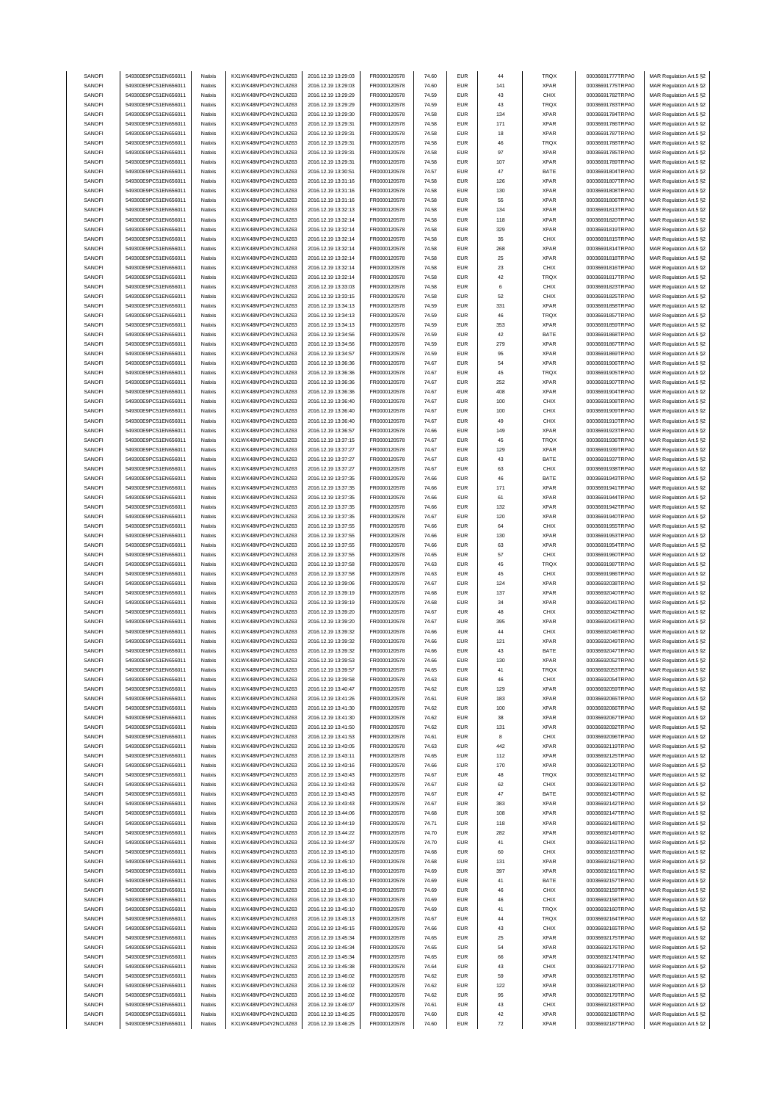| SANOFI | 549300E9PC51EN656011 | Natixis | KX1WK48MPD4Y2NCUIZ63  | 2016.12.19 13:29:03 | FR0000120578 | 74.60 | <b>EUR</b>  | 44  | TRQX        | 00036691777TRPA0 | MAR Regulation Art.5 §2 |
|--------|----------------------|---------|-----------------------|---------------------|--------------|-------|-------------|-----|-------------|------------------|-------------------------|
| SANOFI | 549300E9PC51EN656011 | Natixis | KX1WK48MPD4Y2NCUIZ63  | 2016.12.19 13:29:03 | FR0000120578 | 74.60 | <b>EUR</b>  | 141 | <b>XPAR</b> | 00036691775TRPA0 | MAR Regulation Art.5 §2 |
| SANOFI | 549300E9PC51EN656011 | Natixis | KX1WK48MPD4Y2NCUIZ63  | 2016.12.19 13:29:29 | FR0000120578 | 74.59 | <b>EUR</b>  | 43  | CHIX        | 00036691782TRPA0 | MAR Regulation Art.5 §2 |
| SANOFI | 549300E9PC51EN656011 | Natixis | KX1WK48MPD4Y2NCUIZ63  | 2016.12.19.13:29:29 | FR0000120578 | 74.59 | <b>EUR</b>  | 43  | TRQX        | 00036691783TRPA0 | MAR Regulation Art.5 §2 |
|        |                      |         |                       |                     |              |       |             |     |             |                  |                         |
| SANOFI | 549300E9PC51EN656011 | Natixis | KX1WK48MPD4Y2NCUIZ63  | 2016.12.19 13:29:30 | FR0000120578 | 74.58 | <b>EUR</b>  | 134 | <b>XPAR</b> | 00036691784TRPA0 | MAR Regulation Art.5 §2 |
| SANOFI | 549300E9PC51EN656011 | Natixis | KX1WK48MPD4Y2NCUIZ63  | 2016.12.19 13:29:31 | FR0000120578 | 74.58 | <b>EUR</b>  | 171 | <b>XPAR</b> | 00036691786TRPA0 | MAR Regulation Art.5 §2 |
| SANOFI | 549300E9PC51EN656011 | Natixis | KX1WK48MPD4Y2NCUIZ63  | 2016.12.19 13:29:31 | FR0000120578 | 74.58 | <b>EUR</b>  | 18  | <b>XPAR</b> | 00036691787TRPA0 | MAR Regulation Art.5 §2 |
| SANOFI | 549300E9PC51EN656011 | Natixis | KX1WK48MPD4Y2NCUIZ63  | 2016.12.19 13:29:31 | FR0000120578 | 74.58 | <b>EUR</b>  | 46  | TRQX        | 00036691788TRPA0 | MAR Regulation Art.5 §2 |
| SANOFI | 549300E9PC51EN656011 | Natixis | KX1WK48MPD4Y2NCLIIZ63 | 2016.12.19 13:29:31 | FR0000120578 | 74.58 | <b>EUR</b>  | 97  | <b>XPAR</b> | 00036691785TRPA0 | MAR Regulation Art.5 §2 |
| SANOFI | 549300E9PC51EN656011 | Natixis | KX1WK48MPD4Y2NCUIZ63  | 2016.12.19 13:29:31 | FR0000120578 | 74.58 | <b>EUR</b>  | 107 | <b>XPAR</b> | 00036691789TRPA0 | MAR Regulation Art.5 §2 |
| SANOFI | 549300E9PC51EN656011 | Natixis | KX1WK48MPD4Y2NCUIZ63  | 2016.12.19 13:30:51 | FR0000120578 | 74.57 | <b>EUR</b>  | 47  | BATE        | 00036691804TRPA0 | MAR Regulation Art.5 §2 |
|        |                      |         |                       |                     |              |       |             |     |             |                  |                         |
| SANOFI | 549300E9PC51EN656011 | Natixis | KX1WK48MPD4Y2NCUIZ63  | 2016.12.19 13:31:16 | FR0000120578 | 74.58 | <b>EUR</b>  | 126 | <b>XPAR</b> | 00036691807TRPA0 | MAR Regulation Art.5 §2 |
| SANOFI | 549300E9PC51EN656011 | Natixis | KX1WK48MPD4Y2NCUIZ63  | 2016.12.19 13:31:16 | FR0000120578 | 74.58 | <b>EUR</b>  | 130 | <b>XPAR</b> | 00036691808TRPA0 | MAR Regulation Art.5 §2 |
| SANOFI | 549300E9PC51EN656011 | Natixis | KX1WK48MPD4Y2NCUIZ63  | 2016.12.19 13:31:16 | FR0000120578 | 74.58 | <b>EUR</b>  | 55  | <b>XPAR</b> | 00036691806TRPA0 | MAR Regulation Art.5 §2 |
| SANOFI | 549300E9PC51EN656011 | Natixis | KX1WK48MPD4Y2NCUIZ63  | 2016.12.19 13:32:13 | FR0000120578 | 74.58 | <b>EUR</b>  | 134 | <b>XPAR</b> | 00036691813TRPA0 | MAR Regulation Art.5 §2 |
| SANOFI | 549300E9PC51EN656011 | Natixis | KX1WK48MPD4Y2NCUIZ63  | 2016.12.19 13:32:14 | FR0000120578 | 74.58 | <b>EUR</b>  | 118 | <b>XPAR</b> | 00036691820TRPA0 |                         |
|        |                      |         |                       |                     |              |       |             |     |             |                  | MAR Regulation Art.5 §2 |
| SANOFI | 549300E9PC51EN656011 | Natixis | KX1WK48MPD4Y2NCUIZ63  | 2016.12.19 13:32:14 | FR0000120578 | 74.58 | <b>EUR</b>  | 329 | <b>XPAR</b> | 00036691819TRPA0 | MAR Regulation Art.5 §2 |
| SANOFI | 549300E9PC51EN656011 | Natixis | KX1WK48MPD4Y2NCLIIZ63 | 2016.12.19 13:32:14 | FR0000120578 | 74.58 | <b>EUR</b>  | 35  | CHIX        | 00036691815TRPA0 | MAR Regulation Art.5 §2 |
| SANOFI | 549300E9PC51EN656011 | Natixis | KX1WK48MPD4Y2NCUIZ63  | 2016.12.19 13:32:14 | FR0000120578 | 74.58 | <b>EUR</b>  | 268 | <b>XPAR</b> | 00036691814TRPA0 | MAR Regulation Art.5 §2 |
| SANOFI | 549300E9PC51EN656011 | Natixis | KX1WK48MPD4Y2NCUIZ63  | 2016.12.19 13:32:14 | FR0000120578 | 74.58 | <b>EUR</b>  | 25  | <b>XPAR</b> | 00036691818TRPA0 | MAR Regulation Art.5 §2 |
| SANOFI | 549300E9PC51EN656011 | Natixis | KX1WK48MPD4Y2NCUIZ63  | 2016.12.19 13:32:14 | FR0000120578 | 74.58 | <b>EUR</b>  | 23  | CHIX        | 00036691816TRPA0 | MAR Regulation Art.5 §2 |
| SANOFI | 549300E9PC51EN656011 | Natixis | KX1WK48MPD4Y2NCUIZ63  | 2016.12.19 13:32:14 | FR0000120578 | 74.58 | <b>EUR</b>  | 42  | TRQX        | 00036691817TRPA0 | MAR Regulation Art.5 §2 |
|        |                      |         |                       |                     |              |       |             |     |             |                  |                         |
| SANOFI | 549300E9PC51EN656011 | Natixis | KX1WK48MPD4Y2NCUIZ63  | 2016.12.19 13:33:03 | FR0000120578 | 74.58 | <b>EUR</b>  | 6   | CHIX        | 00036691823TRPA0 | MAR Regulation Art.5 §2 |
| SANOFI | 549300E9PC51EN656011 | Natixis | KX1WK48MPD4Y2NCUIZ63  | 2016.12.19 13:33:15 | FR0000120578 | 74.58 | <b>EUR</b>  | 52  | CHIX        | 00036691825TRPA0 | MAR Regulation Art.5 §2 |
| SANOFI | 549300E9PC51EN656011 | Natixis | KX1WK48MPD4Y2NCUIZ63  | 2016.12.19 13:34:13 | FR0000120578 | 74.59 | <b>EUR</b>  | 331 | <b>XPAR</b> | 00036691858TRPA0 | MAR Regulation Art.5 §2 |
| SANOFI | 549300E9PC51EN656011 | Natixis | KX1WK48MPD4Y2NCUIZ63  | 2016.12.19 13:34:13 | FR0000120578 | 74.59 | <b>EUR</b>  | 46  | TRQX        | 00036691857TRPA0 | MAR Regulation Art.5 §2 |
| SANOFI | 549300E9PC51EN656011 | Natixis | KX1WK48MPD4Y2NCLIIZ63 | 2016.12.19 13:34:13 | FR0000120578 | 74.59 | <b>EUR</b>  | 353 | <b>XPAR</b> | 00036691859TRPA0 | MAR Regulation Art.5 §2 |
| SANOFI | 549300E9PC51EN656011 | Natixis | KX1WK48MPD4Y2NCUIZ63  | 2016.12.19 13:34:56 | FR0000120578 | 74.59 | <b>EUR</b>  | 42  | BATE        | 00036691868TRPA0 | MAR Regulation Art.5 §2 |
|        |                      | Natixis |                       | 2016.12.19 13:34:56 |              |       | <b>EUR</b>  |     |             |                  |                         |
| SANOFI | 549300E9PC51EN656011 |         | KX1WK48MPD4Y2NCUIZ63  |                     | FR0000120578 | 74.59 |             | 279 | <b>XPAR</b> | 00036691867TRPA0 | MAR Regulation Art.5 §2 |
| SANOFI | 549300E9PC51EN656011 | Natixis | KX1WK48MPD4Y2NCUIZ63  | 2016.12.19 13:34:57 | FR0000120578 | 74.59 | <b>EUR</b>  | 95  | <b>XPAR</b> | 00036691869TRPA0 | MAR Regulation Art.5 §2 |
| SANOFI | 549300E9PC51EN656011 | Natixis | KX1WK48MPD4Y2NCUIZ63  | 2016.12.19 13:36:36 | FR0000120578 | 74.67 | <b>EUR</b>  | 54  | <b>XPAR</b> | 00036691906TRPA0 | MAR Regulation Art.5 §2 |
| SANOFI | 549300E9PC51EN656011 | Natixis | KX1WK48MPD4Y2NCUIZ63  | 2016.12.19 13:36:36 | FR0000120578 | 74.67 | <b>EUR</b>  | 45  | TRQX        | 00036691905TRPA0 | MAR Regulation Art.5 §2 |
| SANOFI | 549300E9PC51EN656011 | Natixis | KX1WK48MPD4Y2NCUIZ63  | 2016.12.19 13:36:36 | FR0000120578 | 74.67 | <b>EUR</b>  | 252 | <b>XPAR</b> | 00036691907TRPA0 | MAR Regulation Art.5 §2 |
| SANOFI | 549300E9PC51EN656011 | Natixis |                       |                     |              |       | <b>EUR</b>  | 408 | <b>XPAR</b> | 00036691904TRPA0 |                         |
|        |                      |         | KX1WK48MPD4Y2NCUIZ63  | 2016.12.19 13:36:36 | FR0000120578 | 74.67 |             |     |             |                  | MAR Regulation Art.5 §2 |
| SANOFI | 549300E9PC51EN656011 | Natixis | KX1WK48MPD4Y2NCUIZ63  | 2016.12.19 13:36:40 | FR0000120578 | 74.67 | <b>EUR</b>  | 100 | CHIX        | 00036691908TRPA0 | MAR Regulation Art.5 §2 |
| SANOFI | 549300E9PC51EN656011 | Natixis | KX1WK48MPD4Y2NCLIIZ63 | 2016.12.19 13:36:40 | FR0000120578 | 74.67 | <b>EUR</b>  | 100 | CHIX        | 00036691909TRPA0 | MAR Regulation Art.5 §2 |
| SANOFI | 549300E9PC51EN656011 | Natixis | KX1WK48MPD4Y2NCUIZ63  | 2016.12.19 13:36:40 | FR0000120578 | 74.67 | <b>EUR</b>  | 49  | CHIX        | 00036691910TRPA0 | MAR Regulation Art.5 §2 |
| SANOFI | 549300E9PC51EN656011 | Natixis | KX1WK48MPD4Y2NCUIZ63  | 2016.12.19 13:36:57 | FR0000120578 | 74.66 | <b>EUR</b>  | 149 | <b>XPAR</b> | 00036691923TRPA0 | MAR Regulation Art.5 §2 |
| SANOFI | 549300E9PC51EN656011 | Natixis | KX1WK48MPD4Y2NCUIZ63  | 2016.12.19 13:37:15 | FR0000120578 | 74.67 | <b>EUR</b>  | 45  | TRQX        | 00036691936TRPA0 | MAR Regulation Art.5 §2 |
|        |                      |         |                       |                     |              |       |             |     |             |                  |                         |
| SANOFI | 549300E9PC51EN656011 | Natixis | KX1WK48MPD4Y2NCUIZ63  | 2016.12.19 13:37:27 | FR0000120578 | 74.67 | <b>EUR</b>  | 129 | <b>XPAR</b> | 00036691939TRPA0 | MAR Regulation Art.5 §2 |
| SANOFI | 549300E9PC51EN656011 | Natixis | KX1WK48MPD4Y2NCUIZ63  | 2016.12.19 13:37:27 | FR0000120578 | 74.67 | <b>EUR</b>  | 43  | BATE        | 00036691937TRPA0 | MAR Regulation Art.5 §2 |
| SANOFI | 549300E9PC51EN656011 | Natixis | KX1WK48MPD4Y2NCUIZ63  | 2016.12.19 13:37:27 | FR0000120578 | 74.67 | <b>EUR</b>  | 63  | CHIX        | 00036691938TRPA0 | MAR Regulation Art.5 §2 |
| SANOFI | 549300E9PC51EN656011 | Natixis | KX1WK48MPD4Y2NCUIZ63  | 2016.12.19 13:37:35 | FR0000120578 | 74.66 | <b>EUR</b>  | 46  | BATE        | 00036691943TRPA0 | MAR Regulation Art.5 §2 |
| SANOFI | 549300E9PC51EN656011 | Natixis | KX1WK48MPD4Y2NCUIZ63  | 2016.12.19 13:37:35 | FR0000120578 | 74.66 | <b>EUR</b>  | 171 | <b>XPAR</b> | 00036691941TRPA0 | MAR Regulation Art.5 §2 |
| SANOFI | 549300E9PC51EN656011 | Natixis | KX1WK48MPD4Y2NCUIZ63  | 2016.12.19 13:37:35 | FR0000120578 | 74.66 | <b>EUR</b>  | 61  | <b>XPAR</b> | 00036691944TRPA0 | MAR Regulation Art.5 §2 |
|        |                      |         |                       |                     |              |       |             |     |             |                  |                         |
| SANOFI | 549300E9PC51EN656011 | Natixis | KX1WK48MPD4Y2NCUIZ63  | 2016.12.19 13:37:35 | FR0000120578 | 74.66 | <b>EUR</b>  | 132 | <b>XPAR</b> | 00036691942TRPA0 | MAR Regulation Art.5 §2 |
| SANOFI | 549300E9PC51EN656011 | Natixis | KX1WK48MPD4Y2NCUIZ63  | 2016.12.19 13:37:35 | FR0000120578 | 74.67 | <b>EUR</b>  | 120 | <b>XPAR</b> | 00036691940TRPA0 | MAR Regulation Art.5 §2 |
| SANOFI | 549300E9PC51EN656011 | Natixis | KX1WK48MPD4Y2NCUIZ63  | 2016.12.19 13:37:55 | FR0000120578 | 74.66 | <b>EUR</b>  | 64  | CHIX        | 00036691955TRPA0 | MAR Regulation Art.5 §2 |
| SANOFI | 549300E9PC51EN656011 | Natixis | KX1WK48MPD4Y2NCUIZ63  | 2016.12.19 13:37:55 | FR0000120578 | 74.66 | <b>EUR</b>  | 130 | <b>XPAR</b> | 00036691953TRPA0 | MAR Regulation Art.5 §2 |
| SANOFI | 549300E9PC51EN656011 | Natixis | KX1WK48MPD4Y2NCUIZ63  | 2016.12.19 13:37:55 | FR0000120578 | 74.66 | <b>EUR</b>  | 63  | <b>XPAR</b> | 00036691954TRPA0 | MAR Regulation Art.5 §2 |
| SANOFI | 549300E9PC51EN656011 | Natixis | KX1WK48MPD4Y2NCUIZ63  | 2016.12.19 13:37:55 | FR0000120578 | 74.65 | <b>EUR</b>  | 57  | CHIX        | 00036691960TRPA0 | MAR Regulation Art.5 §2 |
|        |                      |         |                       |                     |              |       |             |     |             |                  |                         |
| SANOFI | 549300E9PC51EN656011 | Natixis | KX1WK48MPD4Y2NCUIZ63  | 2016.12.19 13:37:58 | FR0000120578 | 74.63 | <b>EUR</b>  | 45  | TRQX        | 00036691987TRPA0 | MAR Regulation Art.5 §2 |
| SANOFI | 549300E9PC51EN656011 | Natixis | KX1WK48MPD4Y2NCLIIZ63 | 2016.12.19 13:37:58 | FR0000120578 | 74.63 | <b>EUR</b>  | 45  | CHIX        | 00036691986TRPA0 | MAR Regulation Art.5 §2 |
| SANOFI | 549300E9PC51EN656011 | Natixis | KX1WK48MPD4Y2NCUIZ63  | 2016.12.19 13:39:06 | FR0000120578 | 74.67 | <b>EUR</b>  | 124 | <b>XPAR</b> | 00036692038TRPA0 | MAR Regulation Art.5 §2 |
| SANOFI | 549300E9PC51EN656011 | Natixis | KX1WK48MPD4Y2NCUIZ63  | 2016.12.19 13:39:19 | FR0000120578 | 74.68 | <b>EUR</b>  | 137 | <b>XPAR</b> | 00036692040TRPA0 | MAR Regulation Art.5 §2 |
| SANOFI | 549300E9PC51EN656011 | Natixis | KX1WK48MPD4Y2NCUIZ63  | 2016.12.19 13:39:19 | FR0000120578 | 74.68 | <b>EUR</b>  | 34  | <b>XPAR</b> | 00036692041TRPA0 | MAR Regulation Art.5 §2 |
|        |                      |         | KX1WK48MPD4Y2NCUIZ63  | 2016.12.19 13:39:20 |              |       |             |     |             |                  |                         |
| SANOFI | 549300E9PC51EN656011 | Natixis |                       |                     | FR0000120578 | 74.67 | <b>EUR</b>  | 48  | CHIX        | 00036692042TRPA0 | MAR Regulation Art.5 §2 |
| SANOFI | 549300E9PC51EN656011 | Natixis | KX1WK48MPD4Y2NCUIZ63  | 2016.12.19 13:39:20 | FR0000120578 | 74.67 | <b>EUR</b>  | 395 | <b>XPAR</b> | 00036692043TRPA0 | MAR Regulation Art.5 §2 |
| SANOFI | 549300E9PC51EN656011 | Natixis | KX1WK48MPD4Y2NCUIZ63  | 2016.12.19 13:39:32 | FR0000120578 | 74.66 | <b>EUR</b>  | 44  | CHIX        | 00036692046TRPA0 | MAR Regulation Art.5 §2 |
| SANOFI | 549300E9PC51EN656011 | Natixis | KX1WK48MPD4Y2NCUIZ63  | 2016.12.19 13:39:32 | FR0000120578 | 74.66 | <b>EUR</b>  | 121 | <b>XPAR</b> | 00036692049TRPA0 | MAR Regulation Art.5 §2 |
| SANOF  | 549300E9PC51EN656011 | Natixis | KX1WK48MPD4Y2NCUIZ63  | 2016.12.19 13:39:32 | FR0000120578 | 74.66 | EUR         |     | BATE        | 00036692047TRPA0 | MAR Regulation Art.5 §2 |
| SANOFI | 549300E9PC51EN656011 | Natixis | KX1WK48MPD4Y2NCUIZ63  | 2016.12.19 13:39:53 | FR0000120578 | 74.66 | <b>EUR</b>  | 130 | <b>XPAR</b> | 00036692052TRPA0 | MAR Regulation Art.5 §2 |
| SANOFI | 549300E9PC51EN656011 | Natixis | KX1WK48MPD4Y2NCUIZ63  | 2016.12.19 13:39:57 | FR0000120578 | 74.65 | EUR         | 41  | TRQX        | 00036692053TRPA0 | MAR Regulation Art.5 §2 |
|        |                      |         |                       |                     |              |       |             |     |             |                  |                         |
| SANOFI | 549300E9PC51EN656011 | Natixis | KX1WK48MPD4Y2NCUIZ63  | 2016.12.19 13:39:58 | FR0000120578 | 74.63 | <b>EUR</b>  | 46  | CHIX        | 00036692054TRPA0 | MAR Regulation Art.5 §2 |
| SANOFI | 549300E9PC51EN656011 | Natixis | KX1WK48MPD4Y2NCUIZ63  | 2016.12.19 13:40:47 | FR0000120578 | 74.62 | <b>EUR</b>  | 129 | <b>XPAR</b> | 00036692059TRPA0 | MAR Regulation Art.5 §2 |
| SANOFI | 549300E9PC51EN656011 | Natixis | KX1WK48MPD4Y2NCUIZ63  | 2016.12.19 13:41:26 | FR0000120578 | 74.61 | <b>EUR</b>  | 183 | <b>XPAR</b> | 00036692065TRPA0 | MAR Regulation Art.5 §2 |
| SANOFI | 549300E9PC51EN656011 | Natixis | KX1WK48MPD4Y2NCUIZ63  | 2016.12.19 13:41:30 | FR0000120578 | 74.62 | ${\sf EUR}$ | 100 | <b>XPAR</b> | 00036692066TRPA0 | MAR Regulation Art.5 §2 |
| SANOFI | 549300E9PC51EN656011 | Natixis | KX1WK48MPD4Y2NCUIZ63  | 2016.12.19 13:41:30 | FR0000120578 | 74.62 | EUR         | 38  | <b>XPAR</b> | 00036692067TRPA0 | MAR Regulation Art.5 §2 |
| SANOFI | 549300E9PC51EN656011 | Natixis | KX1WK48MPD4Y2NCUIZ63  | 2016.12.19 13:41:50 | FR0000120578 | 74.62 | <b>EUR</b>  | 131 | <b>XPAR</b> | 00036692092TRPA0 | MAR Regulation Art.5 §2 |
| SANOFI | 549300E9PC51EN656011 |         | KX1WK48MPD4Y2NCUIZ63  |                     | FR0000120578 |       | <b>EUR</b>  |     | CHIX        | 00036692096TRPA0 |                         |
|        |                      | Natixis |                       | 2016.12.19 13:41:53 |              | 74.61 |             | 8   |             |                  | MAR Regulation Art.5 §2 |
| SANOFI | 549300E9PC51EN656011 | Natixis | KX1WK48MPD4Y2NCUIZ63  | 2016.12.19 13:43:05 | FR0000120578 | 74.63 | <b>EUR</b>  | 442 | <b>XPAR</b> | 00036692119TRPA0 | MAR Regulation Art.5 §2 |
| SANOFI | 549300E9PC51EN656011 | Natixis | KX1WK48MPD4Y2NCUIZ63  | 2016.12.19 13:43:11 | FR0000120578 | 74.65 | <b>EUR</b>  | 112 | <b>XPAR</b> | 00036692125TRPA0 | MAR Regulation Art.5 §2 |
| SANOFI | 549300E9PC51EN656011 | Natixis | KX1WK48MPD4Y2NCUIZ63  | 2016.12.19 13:43:16 | FR0000120578 | 74.66 | <b>EUR</b>  | 170 | <b>XPAR</b> | 00036692130TRPA0 | MAR Regulation Art.5 §2 |
| SANOFI | 549300E9PC51EN656011 | Natixis | KX1WK48MPD4Y2NCUIZ63  | 2016.12.19 13:43:43 | FR0000120578 | 74.67 | <b>EUR</b>  | 48  | TRQX        | 00036692141TRPA0 | MAR Regulation Art.5 §2 |
| SANOFI | 549300E9PC51EN656011 | Natixis | KX1WK48MPD4Y2NCUIZ63  | 2016.12.19 13:43:43 | FR0000120578 | 74.67 | <b>EUR</b>  | 62  | CHIX        | 00036692139TRPA0 | MAR Regulation Art.5 §2 |
| SANOFI | 549300E9PC51EN656011 | Natixis | KX1WK48MPD4Y2NCUIZ63  | 2016.12.19 13:43:43 | FR0000120578 | 74.67 | <b>EUR</b>  | 47  | BATE        | 00036692140TRPA0 | MAR Regulation Art.5 §2 |
|        |                      |         | KX1WK48MPD4Y2NCUIZ63  |                     |              |       |             |     |             |                  |                         |
| SANOFI | 549300E9PC51EN656011 | Natixis |                       | 2016.12.19 13:43:43 | FR0000120578 | 74.67 | <b>EUR</b>  | 383 | <b>XPAR</b> | 00036692142TRPA0 | MAR Regulation Art.5 §2 |
| SANOFI | 549300E9PC51EN656011 | Natixis | KX1WK48MPD4Y2NCUIZ63  | 2016.12.19 13:44:06 | FR0000120578 | 74.68 | <b>EUR</b>  | 108 | <b>XPAR</b> | 00036692147TRPA0 | MAR Regulation Art.5 §2 |
| SANOFI | 549300E9PC51EN656011 | Natixis | KX1WK48MPD4Y2NCUIZ63  | 2016.12.19 13:44:19 | FR0000120578 | 74.71 | <b>EUR</b>  | 118 | <b>XPAR</b> | 00036692148TRPA0 | MAR Regulation Art.5 §2 |
| SANOFI | 549300E9PC51EN656011 | Natixis | KX1WK48MPD4Y2NCUIZ63  | 2016.12.19 13:44:22 | FR0000120578 | 74.70 | <b>EUR</b>  | 282 | <b>XPAR</b> | 00036692149TRPA0 | MAR Regulation Art.5 §2 |
| SANOFI | 549300E9PC51EN656011 | Natixis | KX1WK48MPD4Y2NCUIZ63  | 2016.12.19 13:44:37 | FR0000120578 | 74.70 | <b>EUR</b>  | 41  | CHIX        | 00036692151TRPA0 | MAR Regulation Art.5 §2 |
| SANOFI | 549300E9PC51EN656011 | Natixis | KX1WK48MPD4Y2NCUIZ63  | 2016.12.19 13:45:10 | FR0000120578 | 74.68 | <b>EUR</b>  | 60  | CHIX        | 00036692163TRPA0 | MAR Regulation Art.5 §2 |
|        |                      |         |                       |                     |              |       |             |     |             |                  |                         |
| SANOFI | 549300E9PC51EN656011 | Natixis | KX1WK48MPD4Y2NCUIZ63  | 2016.12.19 13:45:10 | FR0000120578 | 74.68 | <b>EUR</b>  | 131 | <b>XPAR</b> | 00036692162TRPA0 | MAR Regulation Art.5 §2 |
| SANOFI | 549300E9PC51EN656011 | Natixis | KX1WK48MPD4Y2NCUIZ63  | 2016.12.19 13:45:10 | FR0000120578 | 74.69 | <b>EUR</b>  | 397 | <b>XPAR</b> | 00036692161TRPA0 | MAR Regulation Art.5 §2 |
| SANOFI | 549300E9PC51EN656011 | Natixis | KX1WK48MPD4Y2NCUIZ63  | 2016.12.19 13:45:10 | FR0000120578 | 74.69 | <b>EUR</b>  | 41  | BATE        | 00036692157TRPA0 | MAR Regulation Art.5 §2 |
| SANOFI | 549300E9PC51EN656011 | Natixis | KX1WK48MPD4Y2NCUIZ63  | 2016.12.19 13:45:10 | FR0000120578 | 74.69 | <b>EUR</b>  | 46  | CHIX        | 00036692159TRPA0 | MAR Regulation Art.5 §2 |
| SANOFI | 549300E9PC51EN656011 | Natixis | KX1WK48MPD4Y2NCUIZ63  | 2016.12.19 13:45:10 | FR0000120578 | 74.69 | <b>EUR</b>  | 46  | CHIX        | 00036692158TRPA0 | MAR Regulation Art.5 §2 |
|        |                      |         |                       |                     |              |       |             |     |             |                  |                         |
| SANOFI | 549300E9PC51EN656011 | Natixis | KX1WK48MPD4Y2NCUIZ63  | 2016.12.19 13:45:10 | FR0000120578 | 74.69 | <b>EUR</b>  | 41  | TRQX        | 00036692160TRPA0 | MAR Regulation Art.5 §2 |
| SANOFI | 549300E9PC51EN656011 | Natixis | KX1WK48MPD4Y2NCUIZ63  | 2016.12.19 13:45:13 | FR0000120578 | 74.67 | <b>EUR</b>  | 44  | TRQX        | 00036692164TRPA0 | MAR Regulation Art.5 §2 |
| SANOFI | 549300E9PC51EN656011 | Natixis | KX1WK48MPD4Y2NCUIZ63  | 2016.12.19 13:45:15 | FR0000120578 | 74.66 | <b>EUR</b>  | 43  | CHIX        | 00036692165TRPA0 | MAR Regulation Art.5 §2 |
| SANOFI | 549300E9PC51EN656011 | Natixis | KX1WK48MPD4Y2NCUIZ63  | 2016.12.19 13:45:34 | FR0000120578 | 74.65 | <b>EUR</b>  | 25  | <b>XPAR</b> | 00036692175TRPA0 | MAR Regulation Art.5 §2 |
| SANOFI | 549300E9PC51EN656011 | Natixis | KX1WK48MPD4Y2NCUIZ63  | 2016.12.19 13:45:34 | FR0000120578 | 74.65 | <b>EUR</b>  | 54  | <b>XPAR</b> | 00036692176TRPA0 | MAR Regulation Art.5 §2 |
| SANOFI | 549300E9PC51EN656011 | Natixis | KX1WK48MPD4Y2NCUIZ63  | 2016.12.19 13:45:34 | FR0000120578 | 74.65 | <b>EUR</b>  | 66  | <b>XPAR</b> | 00036692174TRPA0 | MAR Regulation Art.5 §2 |
| SANOFI | 549300E9PC51EN656011 | Natixis | KX1WK48MPD4Y2NCUIZ63  | 2016.12.19 13:45:38 | FR0000120578 | 74.64 | <b>EUR</b>  | 43  | CHIX        | 00036692177TRPA0 | MAR Regulation Art.5 §2 |
|        |                      |         |                       |                     |              |       |             |     |             |                  |                         |
| SANOFI | 549300E9PC51EN656011 | Natixis | KX1WK48MPD4Y2NCUIZ63  | 2016.12.19 13:46:02 | FR0000120578 | 74.62 | <b>EUR</b>  | 59  | <b>XPAR</b> | 00036692178TRPA0 | MAR Regulation Art.5 §2 |
| SANOFI | 549300E9PC51EN656011 | Natixis | KX1WK48MPD4Y2NCUIZ63  | 2016.12.19 13:46:02 | FR0000120578 | 74.62 | <b>EUR</b>  | 122 | <b>XPAR</b> | 00036692180TRPA0 | MAR Regulation Art.5 §2 |
| SANOFI | 549300E9PC51EN656011 | Natixis | KX1WK48MPD4Y2NCUIZ63  | 2016.12.19 13:46:02 | FR0000120578 | 74.62 | <b>EUR</b>  | 95  | <b>XPAR</b> | 00036692179TRPA0 | MAR Regulation Art.5 §2 |
| SANOFI | 549300E9PC51EN656011 | Natixis | KX1WK48MPD4Y2NCUIZ63  | 2016.12.19 13:46:07 | FR0000120578 | 74.61 | <b>EUR</b>  | 43  | CHIX        | 00036692183TRPA0 | MAR Regulation Art.5 §2 |
| SANOFI | 549300E9PC51EN656011 | Natixis | KX1WK48MPD4Y2NCUIZ63  | 2016.12.19 13:46:25 | FR0000120578 | 74.60 | <b>EUR</b>  | 42  | <b>XPAR</b> | 00036692186TRPA0 | MAR Regulation Art.5 §2 |
| SANOFI | 549300E9PC51EN656011 | Natixis | KX1WK48MPD4Y2NCUIZ63  | 2016.12.19 13:46:25 | FR0000120578 | 74.60 | EUR         | 72  | <b>XPAR</b> | 00036692187TRPA0 | MAR Regulation Art.5 §2 |
|        |                      |         |                       |                     |              |       |             |     |             |                  |                         |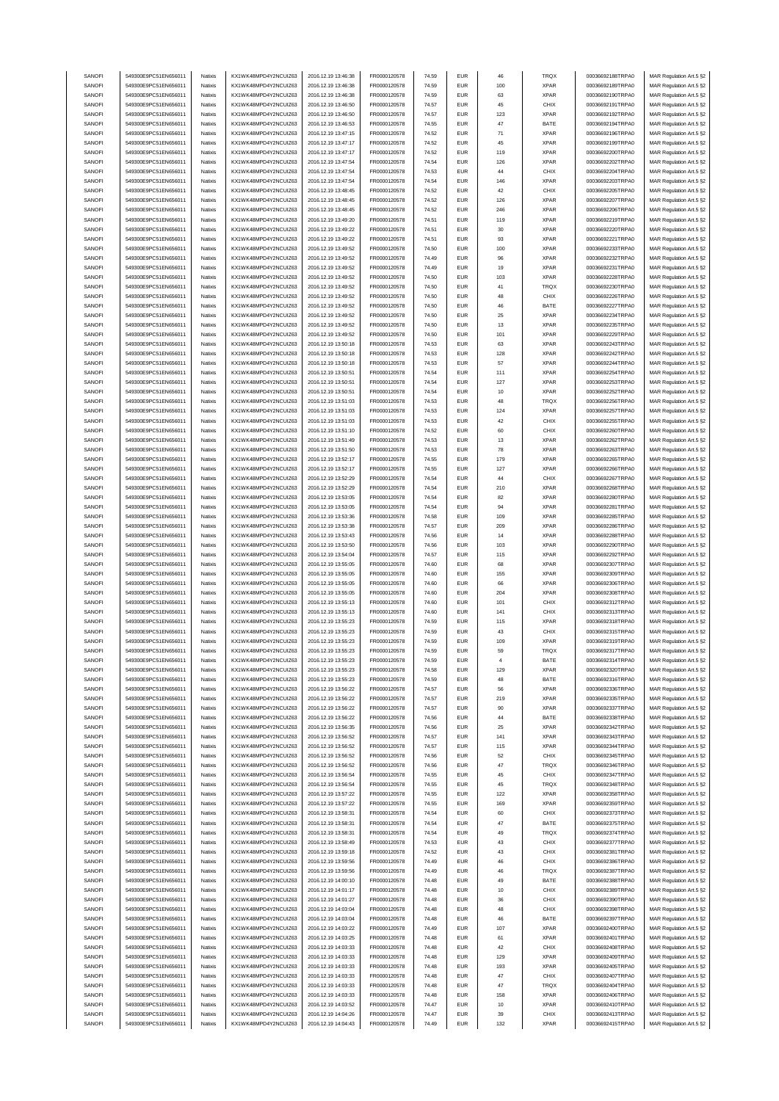| SANOFI<br>SANOFI |                      |         |                                              |                     |              |       |             |     |             |                  |                         |
|------------------|----------------------|---------|----------------------------------------------|---------------------|--------------|-------|-------------|-----|-------------|------------------|-------------------------|
|                  | 549300E9PC51EN656011 | Natixis | KX1WK48MPD4Y2NCUIZ63                         | 2016.12.19 13:46:38 | FR0000120578 | 74.59 | <b>EUR</b>  | 46  | <b>TRQX</b> | 00036692188TRPA0 | MAR Regulation Art.5 §2 |
|                  | 549300E9PC51EN656011 | Natixis | KX1WK48MPD4Y2NCUIZ63                         | 2016.12.19 13:46:38 | FR0000120578 | 74.59 | <b>EUR</b>  | 100 | <b>XPAR</b> | 00036692189TRPA0 | MAR Regulation Art.5 §2 |
| SANOFI           | 549300E9PC51EN656011 | Natixis | KX1WK48MPD4Y2NCUIZ63                         | 2016.12.19 13:46:38 | FR0000120578 | 74.59 | <b>EUR</b>  | 63  | <b>XPAR</b> | 00036692190TRPA0 | MAR Regulation Art.5 §2 |
| SANOFI           | 549300E9PC51EN656011 | Natixis | KX1WK48MPD4Y2NCUIZ63                         | 2016.12.19 13:46:50 | FR0000120578 | 74.57 | <b>EUR</b>  | 45  | CHIX        | 00036692191TRPA0 | MAR Regulation Art.5 §2 |
|                  |                      |         |                                              |                     |              |       |             |     |             |                  |                         |
| SANOFI           | 549300E9PC51EN656011 | Natixis | KX1WK48MPD4Y2NCUIZ63                         | 2016.12.19 13:46:50 | FR0000120578 | 74.57 | <b>EUR</b>  | 123 | <b>XPAR</b> | 00036692192TRPA0 | MAR Regulation Art.5 §2 |
| SANOFI           | 549300E9PC51EN656011 | Natixis | KX1WK48MPD4Y2NCUIZ63                         | 2016.12.19 13:46:53 | FR0000120578 | 74.55 | <b>EUR</b>  | 47  | BATE        | 00036692194TRPA0 | MAR Regulation Art.5 §2 |
| SANOFI           | 549300E9PC51EN656011 | Natixis | KX1WK48MPD4Y2NCUIZ63                         | 2016.12.19 13:47:15 | FR0000120578 | 74.52 | <b>EUR</b>  | 71  | <b>XPAR</b> | 00036692196TRPA0 | MAR Regulation Art.5 §2 |
| SANOFI           | 549300E9PC51EN656011 | Natixis | KX1WK48MPD4Y2NCUIZ63                         | 2016.12.19 13:47:17 | FR0000120578 | 74.52 | <b>EUR</b>  | 45  | <b>XPAR</b> | 00036692199TRPA0 | MAR Regulation Art.5 §2 |
| SANOFI           | 549300E9PC51EN656011 | Natixis | KX1WK48MPD4Y2NCUIZ63                         | 2016.12.19 13:47:17 | FR0000120578 | 74.52 | <b>EUR</b>  | 119 | <b>XPAR</b> | 00036692200TRPA0 | MAR Regulation Art.5 §2 |
| SANOFI           | 549300E9PC51EN656011 | Natixis | KX1WK48MPD4Y2NCUIZ63                         | 2016.12.19 13:47:54 | FR0000120578 | 74.54 | <b>EUR</b>  | 126 | <b>XPAR</b> | 00036692202TRPA0 | MAR Regulation Art.5 §2 |
|                  | 549300E9PC51EN656011 | Natixis |                                              |                     |              | 74.53 | <b>EUR</b>  |     |             |                  |                         |
| SANOFI           |                      |         | KX1WK48MPD4Y2NCUIZ63                         | 2016.12.19 13:47:54 | FR0000120578 |       |             | 44  | CHIX        | 00036692204TRPA0 | MAR Regulation Art.5 §2 |
| SANOFI           | 549300E9PC51EN656011 | Natixis | KX1WK48MPD4Y2NCUIZ63                         | 2016.12.19 13:47:54 | FR0000120578 | 74.54 | <b>EUR</b>  | 146 | <b>XPAR</b> | 00036692203TRPA0 | MAR Regulation Art.5 §2 |
| SANOFI           | 549300E9PC51EN656011 | Natixis | KX1WK48MPD4Y2NCUIZ63                         | 2016.12.19 13:48:45 | FR0000120578 | 74.52 | <b>EUR</b>  | 42  | CHIX        | 00036692205TRPA0 | MAR Regulation Art.5 §2 |
| SANOFI           | 549300E9PC51EN656011 | Natixis | KX1WK48MPD4Y2NCUIZ63                         | 2016.12.19 13:48:45 | FR0000120578 | 74.52 | <b>EUR</b>  | 126 | <b>XPAR</b> | 00036692207TRPA0 | MAR Regulation Art.5 §2 |
| SANOFI           | 549300E9PC51EN656011 | Natixis | KX1WK48MPD4Y2NCUIZ63                         | 2016.12.19 13:48:45 | FR0000120578 | 74.52 | <b>EUR</b>  | 246 | <b>XPAR</b> | 00036692206TRPA0 | MAR Regulation Art.5 §2 |
|                  | 549300E9PC51EN656011 |         |                                              |                     | FR0000120578 |       | <b>EUR</b>  |     |             | 00036692219TRPA0 |                         |
| SANOFI           |                      | Natixis | KX1WK48MPD4Y2NCUIZ63                         | 2016.12.19 13:49:20 |              | 74.51 |             | 119 | <b>XPAR</b> |                  | MAR Regulation Art.5 §2 |
| SANOFI           | 549300E9PC51EN656011 | Natixis | KX1WK48MPD4Y2NCUIZ63                         | 2016.12.19 13:49:22 | FR0000120578 | 74.51 | <b>EUR</b>  | 30  | <b>XPAR</b> | 00036692220TRPA0 | MAR Regulation Art.5 §2 |
| SANOFI           | 549300E9PC51EN656011 | Natixis | KX1WK48MPD4Y2NCUIZ63                         | 2016.12.19 13:49:22 | FR0000120578 | 74.51 | <b>EUR</b>  | 93  | <b>XPAR</b> | 00036692221TRPA0 | MAR Regulation Art.5 §2 |
| SANOFI           | 549300E9PC51EN656011 | Natixis | KX1WK48MPD4Y2NCUIZ63                         | 2016.12.19 13:49:52 | FR0000120578 | 74.50 | <b>EUR</b>  | 100 | <b>XPAR</b> | 00036692233TRPA0 | MAR Regulation Art.5 §2 |
| SANOFI           | 549300E9PC51EN656011 | Natixis | KX1WK48MPD4Y2NCUIZ63                         | 2016.12.19 13:49:52 | FR0000120578 | 74.49 | <b>EUR</b>  | 96  | <b>XPAR</b> | 00036692232TRPA0 | MAR Regulation Art.5 §2 |
| SANOFI           | 549300E9PC51EN656011 | Natixis | KX1WK48MPD4Y2NCUIZ63                         | 2016.12.19 13:49:52 | FR0000120578 | 74.49 | <b>EUR</b>  | 19  | <b>XPAR</b> | 00036692231TRPA0 | MAR Regulation Art.5 §2 |
| SANOFI           | 549300E9PC51EN656011 | Natixis | KX1WK48MPD4Y2NCUIZ63                         | 2016.12.19 13:49:52 | FR0000120578 | 74.50 | <b>EUR</b>  | 103 | <b>XPAR</b> | 00036692228TRPA0 | MAR Regulation Art.5 §2 |
|                  |                      |         |                                              |                     |              |       |             |     |             |                  |                         |
| SANOFI           | 549300E9PC51EN656011 | Natixis | KX1WK48MPD4Y2NCUIZ63                         | 2016.12.19 13:49:52 | FR0000120578 | 74.50 | <b>EUR</b>  | 41  | TRQX        | 00036692230TRPA0 | MAR Regulation Art.5 §2 |
| SANOFI           | 549300E9PC51EN656011 | Natixis | KX1WK48MPD4Y2NCUIZ63                         | 2016.12.19 13:49:52 | FR0000120578 | 74.50 | <b>EUR</b>  | 48  | CHIX        | 00036692226TRPA0 | MAR Regulation Art.5 §2 |
| SANOFI           | 549300E9PC51EN656011 | Natixis | KX1WK48MPD4Y2NCUIZ63                         | 2016.12.19 13:49:52 | FR0000120578 | 74.50 | <b>EUR</b>  | 46  | BATE        | 00036692227TRPA0 | MAR Regulation Art.5 §2 |
| SANOFI           | 549300E9PC51EN656011 | Natixis | KX1WK48MPD4Y2NCUIZ63                         | 2016.12.19 13:49:52 | FR0000120578 | 74.50 | <b>EUR</b>  | 25  | <b>XPAR</b> | 00036692234TRPA0 | MAR Regulation Art.5 §2 |
| SANOFI           | 549300E9PC51EN656011 | Natixis | KX1WK48MPD4Y2NCUIZ63                         | 2016.12.19 13:49:52 | FR0000120578 | 74.50 | <b>EUR</b>  | 13  | <b>XPAR</b> | 00036692235TRPA0 | MAR Regulation Art.5 §2 |
| SANOFI           | 549300E9PC51EN656011 | Natixis | KX1WK48MPD4Y2NCUIZ63                         | 2016.12.19 13:49:52 | FR0000120578 | 74.50 | <b>EUR</b>  | 101 | <b>XPAR</b> | 00036692229TRPA0 | MAR Regulation Art.5 §2 |
|                  |                      |         |                                              |                     |              |       |             |     |             |                  |                         |
| SANOFI           | 549300E9PC51EN656011 | Natixis | KX1WK48MPD4Y2NCUIZ63                         | 2016.12.19 13:50:18 | FR0000120578 | 74.53 | <b>EUR</b>  | 63  | <b>XPAR</b> | 00036692243TRPA0 | MAR Regulation Art.5 §2 |
| SANOFI           | 549300E9PC51EN656011 | Natixis | KX1WK48MPD4Y2NCUIZ63                         | 2016.12.19 13:50:18 | FR0000120578 | 74.53 | <b>EUR</b>  | 128 | <b>XPAR</b> | 00036692242TRPA0 | MAR Regulation Art.5 §2 |
| SANOFI           | 549300E9PC51EN656011 | Natixis | KX1WK48MPD4Y2NCUIZ63                         | 2016.12.19 13:50:18 | FR0000120578 | 74.53 | <b>EUR</b>  | 57  | <b>XPAR</b> | 00036692244TRPA0 | MAR Regulation Art.5 §2 |
| SANOFI           | 549300E9PC51EN656011 | Natixis | KX1WK48MPD4Y2NCUIZ63                         | 2016.12.19 13:50:51 | FR0000120578 | 74.54 | <b>EUR</b>  | 111 | <b>XPAR</b> | 00036692254TRPA0 | MAR Regulation Art.5 §2 |
| SANOFI           | 549300E9PC51EN656011 | Natixis | KX1WK48MPD4Y2NCUIZ63                         | 2016.12.19 13:50:51 | FR0000120578 | 74.54 | <b>EUR</b>  | 127 | <b>XPAR</b> | 00036692253TRPA0 | MAR Regulation Art.5 §2 |
|                  |                      |         |                                              |                     |              |       |             |     |             |                  |                         |
| SANOFI           | 549300E9PC51EN656011 | Natixis | KX1WK48MPD4Y2NCUIZ63                         | 2016.12.19 13:50:51 | FR0000120578 | 74.54 | <b>EUR</b>  | 10  | <b>XPAR</b> | 00036692252TRPA0 | MAR Regulation Art.5 §2 |
| SANOFI           | 549300E9PC51EN656011 | Natixis | KX1WK48MPD4Y2NCUIZ63                         | 2016.12.19 13:51:03 | FR0000120578 | 74.53 | <b>EUR</b>  | 48  | TRQX        | 00036692256TRPA0 | MAR Regulation Art.5 §2 |
| SANOFI           | 549300E9PC51EN656011 | Natixis | KX1WK48MPD4Y2NCUIZ63                         | 2016.12.19 13:51:03 | FR0000120578 | 74.53 | <b>EUR</b>  | 124 | <b>XPAR</b> | 00036692257TRPA0 | MAR Regulation Art.5 §2 |
| SANOFI           | 549300E9PC51EN656011 | Natixis | KX1WK48MPD4Y2NCUIZ63                         | 2016.12.19 13:51:03 | FR0000120578 | 74.53 | <b>EUR</b>  | 42  | CHIX        | 00036692255TRPA0 | MAR Regulation Art.5 §2 |
| SANOFI           | 549300E9PC51EN656011 | Natixis | KX1WK48MPD4Y2NCUIZ63                         | 2016.12.19 13:51:10 | FR0000120578 | 74.52 | <b>EUR</b>  | 60  | CHIX        | 00036692260TRPA0 | MAR Regulation Art.5 §2 |
|                  | 549300E9PC51EN656011 |         | KX1WK48MPD4Y2NCUIZ63                         |                     |              |       |             |     |             |                  | MAR Regulation Art.5 §2 |
| SANOFI           |                      | Natixis |                                              | 2016.12.19 13:51:49 | FR0000120578 | 74.53 | <b>EUR</b>  | 13  | <b>XPAR</b> | 00036692262TRPA0 |                         |
| SANOFI           | 549300E9PC51EN656011 | Natixis | KX1WK48MPD4Y2NCUIZ63                         | 2016.12.19 13:51:50 | FR0000120578 | 74.53 | <b>EUR</b>  | 78  | <b>XPAR</b> | 00036692263TRPA0 | MAR Regulation Art.5 §2 |
| SANOFI           | 549300E9PC51EN656011 | Natixis | KX1WK48MPD4Y2NCUIZ63                         | 2016.12.19 13:52:17 | FR0000120578 | 74.55 | <b>EUR</b>  | 179 | <b>XPAR</b> | 00036692265TRPA0 | MAR Regulation Art.5 §2 |
| SANOFI           | 549300E9PC51EN656011 | Natixis | KX1WK48MPD4Y2NCUIZ63                         | 2016.12.19 13:52:17 | FR0000120578 | 74.55 | <b>EUR</b>  | 127 | <b>XPAR</b> | 00036692266TRPA0 | MAR Regulation Art.5 §2 |
| SANOFI           | 549300E9PC51EN656011 | Natixis | KX1WK48MPD4Y2NCUIZ63                         | 2016.12.19 13:52:29 | FR0000120578 | 74.54 | <b>EUR</b>  | 44  | CHIX        | 00036692267TRPA0 | MAR Regulation Art.5 §2 |
| SANOFI           | 549300E9PC51EN656011 | Natixis | KX1WK48MPD4Y2NCUIZ63                         | 2016.12.19 13:52:29 | FR0000120578 | 74.54 | <b>EUR</b>  | 210 | <b>XPAR</b> | 00036692268TRPA0 | MAR Regulation Art.5 §2 |
|                  |                      |         |                                              |                     |              |       |             |     |             |                  |                         |
| SANOFI           | 549300E9PC51EN656011 | Natixis | KX1WK48MPD4Y2NCUIZ63                         | 2016.12.19 13:53:05 | FR0000120578 | 74.54 | <b>EUR</b>  | 82  | <b>XPAR</b> | 00036692280TRPA0 | MAR Regulation Art.5 §2 |
| SANOFI           | 549300E9PC51EN656011 | Natixis | KX1WK48MPD4Y2NCUIZ63                         | 2016.12.19 13:53:05 | FR0000120578 | 74.54 | <b>EUR</b>  | 94  | <b>XPAR</b> | 00036692281TRPA0 | MAR Regulation Art.5 §2 |
| SANOFI           | 549300E9PC51EN656011 | Natixis | KX1WK48MPD4Y2NCUIZ63                         | 2016.12.19 13:53:36 | FR0000120578 | 74.58 | <b>EUR</b>  | 109 | <b>XPAR</b> | 00036692285TRPA0 | MAR Regulation Art.5 §2 |
| SANOFI           | 549300E9PC51EN656011 | Natixis | KX1WK48MPD4Y2NCUIZ63                         | 2016.12.19 13:53:38 | FR0000120578 | 74.57 | <b>EUR</b>  | 209 | <b>XPAR</b> | 00036692286TRPA0 | MAR Regulation Art.5 §2 |
| SANOFI           | 549300E9PC51EN656011 | Natixis | KX1WK48MPD4Y2NCUIZ63                         | 2016.12.19 13:53:43 | FR0000120578 | 74.56 | <b>EUR</b>  | 14  | <b>XPAR</b> | 00036692288TRPA0 | MAR Regulation Art.5 §2 |
| SANOFI           | 549300E9PC51EN656011 | Natixis | KX1WK48MPD4Y2NCUIZ63                         | 2016.12.19 13:53:50 | FR0000120578 | 74.56 | ${\sf EUR}$ | 103 | <b>XPAR</b> | 00036692290TRPA0 |                         |
|                  |                      |         |                                              |                     |              |       |             |     |             |                  | MAR Regulation Art.5 §2 |
| SANOFI           | 549300E9PC51EN656011 | Natixis | KX1WK48MPD4Y2NCUIZ63                         | 2016.12.19 13:54:04 | FR0000120578 | 74.57 | <b>EUR</b>  | 115 | <b>XPAR</b> | 00036692292TRPA0 | MAR Regulation Art.5 §2 |
| SANOFI           | 549300E9PC51EN656011 | Natixis | KX1WK48MPD4Y2NCUIZ63                         | 2016.12.19 13:55:05 | FR0000120578 | 74.60 | <b>EUR</b>  | 68  | <b>XPAR</b> | 00036692307TRPA0 | MAR Regulation Art.5 §2 |
| SANOFI           | 549300E9PC51EN656011 | Natixis | KX1WK48MPD4Y2NCUIZ63                         | 2016.12.19 13:55:05 | FR0000120578 | 74.60 | <b>EUR</b>  | 155 | <b>XPAR</b> | 00036692309TRPA0 | MAR Regulation Art.5 §2 |
| SANOFI           | 549300E9PC51EN656011 | Natixis | KX1WK48MPD4Y2NCUIZ63                         | 2016.12.19 13:55:05 | FR0000120578 | 74.60 | <b>EUR</b>  | 66  | <b>XPAR</b> | 00036692306TRPA0 | MAR Regulation Art.5 §2 |
| SANOFI           | 549300E9PC51EN656011 | Natixis | KX1WK48MPD4Y2NCUIZ63                         | 2016.12.19 13:55:05 | FR0000120578 | 74.60 | <b>EUR</b>  | 204 | <b>XPAR</b> | 00036692308TRPA0 | MAR Regulation Art.5 §2 |
|                  |                      |         | KX1WK48MPD4Y2NCUIZ63                         |                     |              |       |             |     |             |                  |                         |
| SANOFI           | 549300E9PC51EN656011 | Natixis |                                              | 2016.12.19 13:55:13 | FR0000120578 | 74.60 | <b>EUR</b>  | 101 | CHIX        | 00036692312TRPA0 | MAR Regulation Art.5 §2 |
| SANOFI           | 549300E9PC51EN656011 | Natixis | KX1WK48MPD4Y2NCUIZ63                         | 2016.12.19 13:55:13 | FR0000120578 | 74.60 | <b>EUR</b>  | 141 | CHIX        | 00036692313TRPA0 | MAR Regulation Art.5 §2 |
| SANOFI           | 549300E9PC51EN656011 | Natixis | KX1WK48MPD4Y2NCUIZ63                         | 2016.12.19 13:55:23 | FR0000120578 | 74.59 | <b>EUR</b>  | 115 | <b>XPAR</b> | 00036692318TRPA0 | MAR Regulation Art.5 §2 |
| SANOFI           | 549300E9PC51EN656011 | Natixis | KX1WK48MPD4Y2NCUIZ63                         | 2016.12.19 13:55:23 | FR0000120578 | 74.59 | <b>EUR</b>  | 43  | CHIX        | 00036692315TRPA0 | MAR Regulation Art.5 §2 |
| SANOFI           | 549300E9PC51EN656011 | Natixis | KX1WK48MPD4Y2NCUIZ63                         | 2016.12.19 13:55:23 | FR0000120578 | 74.59 | <b>EUR</b>  | 109 | <b>XPAR</b> | 00036692319TRPA0 | MAR Regulation Art.5 §2 |
|                  |                      |         |                                              |                     |              |       |             | 59  |             |                  |                         |
| SANOF            | 549300E9PC51EN65601  | Natixis | KX1WK48MPD4Y2NCUIZ63                         | 2016.12.19 13:55:23 | FR0000120578 | 74.59 | EUR         |     | TROX        | 00036692317TRPA0 | MAR Regulation Art.5 §2 |
| SANOFI           | 549300E9PC51EN656011 | Natixis | KX1WK48MPD4Y2NCUIZ63                         | 2016.12.19 13:55:23 | FR0000120578 |       |             |     |             |                  |                         |
| SANOFI           | 549300E9PC51EN656011 | Natixis | KX1WK48MPD4Y2NCUIZ63                         | 2016.12.19 13:55:23 |              | 74.59 | <b>EUR</b>  |     | BATE        | 00036692314TRPA0 | MAR Regulation Art.5 §2 |
| SANOFI           | 549300E9PC51EN656011 | Natixis |                                              |                     | FR0000120578 | 74.58 | <b>EUR</b>  | 129 | <b>XPAR</b> | 00036692320TRPA0 | MAR Regulation Art.5 §2 |
| SANOFI           | 549300E9PC51EN656011 |         | KX1WK48MPD4Y2NCUIZ63                         | 2016.12.19 13:55:23 | FR0000120578 | 74.59 | <b>EUR</b>  | 48  | BATE        | 00036692316TRPA0 | MAR Regulation Art.5 §2 |
| SANOFI           | 549300E9PC51EN656011 | Natixis | KX1WK48MPD4Y2NCUIZ63                         | 2016.12.19 13:56:22 | FR0000120578 | 74.57 | <b>EUR</b>  | 56  | <b>XPAR</b> | 00036692336TRPA0 | MAR Regulation Art.5 §2 |
|                  |                      |         |                                              |                     |              |       |             |     |             |                  |                         |
|                  |                      | Natixis | KX1WK48MPD4Y2NCUIZ63                         | 2016.12.19 13:56:22 | FR0000120578 | 74.57 | <b>EUR</b>  | 219 | <b>XPAR</b> | 00036692335TRPA0 | MAR Regulation Art.5 §2 |
| SANOFI           | 549300E9PC51EN656011 | Natixis | KX1WK48MPD4Y2NCUIZ63                         | 2016.12.19 13:56:22 | FR0000120578 | 74.57 | EUR         | 90  | <b>XPAR</b> | 00036692337TRPA0 | MAR Regulation Art.5 §2 |
| SANOFI           | 549300E9PC51EN656011 | Natixis | KX1WK48MPD4Y2NCUIZ63                         | 2016.12.19 13:56:22 | FR0000120578 | 74.56 | <b>EUR</b>  | 44  | BATE        | 00036692338TRPA0 | MAR Regulation Art.5 §2 |
| SANOFI           | 549300E9PC51EN656011 | Natixis | KX1WK48MPD4Y2NCUIZ63                         | 2016.12.19 13:56:35 | FR0000120578 | 74.56 | <b>EUR</b>  | 25  | <b>XPAR</b> | 00036692342TRPA0 | MAR Regulation Art.5 §2 |
| SANOFI           | 549300E9PC51EN656011 | Natixis | KX1WK48MPD4Y2NCUIZ63                         | 2016.12.19 13:56:52 | FR0000120578 | 74.57 | <b>EUR</b>  | 141 | <b>XPAR</b> | 00036692343TRPA0 | MAR Regulation Art.5 §2 |
| SANOFI           | 549300E9PC51EN656011 | Natixis | KX1WK48MPD4Y2NCUIZ63                         | 2016.12.19 13:56:52 | FR0000120578 | 74.57 | <b>EUR</b>  | 115 | <b>XPAR</b> | 00036692344TRPA0 | MAR Regulation Art.5 §2 |
| SANOFI           | 549300E9PC51EN656011 | Natixis | KX1WK48MPD4Y2NCUIZ63                         | 2016.12.19 13:56:52 | FR0000120578 | 74.56 | <b>EUR</b>  | 52  | CHIX        | 00036692345TRPA0 | MAR Regulation Art.5 §2 |
| SANOFI           | 549300E9PC51EN656011 | Natixis | KX1WK48MPD4Y2NCUIZ63                         | 2016.12.19 13:56:52 | FR0000120578 | 74.56 | <b>EUR</b>  | 47  | <b>TRQX</b> | 00036692346TRPA0 | MAR Regulation Art.5 §2 |
|                  |                      |         |                                              |                     |              |       |             |     |             |                  |                         |
| SANOFI           | 549300E9PC51EN656011 | Natixis | KX1WK48MPD4Y2NCUIZ63                         | 2016.12.19 13:56:54 | FR0000120578 | 74.55 | <b>EUR</b>  | 45  | CHIX        | 00036692347TRPA0 | MAR Regulation Art.5 §2 |
| SANOFI           | 549300E9PC51EN656011 | Natixis | KX1WK48MPD4Y2NCUIZ63                         | 2016.12.19 13:56:54 | FR0000120578 | 74.55 | <b>EUR</b>  | 45  | <b>TRQX</b> | 00036692348TRPA0 | MAR Regulation Art.5 §2 |
| SANOFI           | 549300E9PC51EN656011 | Natixis | KX1WK48MPD4Y2NCUIZ63                         | 2016.12.19 13:57:22 | FR0000120578 | 74.55 | <b>EUR</b>  | 122 | <b>XPAR</b> | 00036692358TRPA0 | MAR Regulation Art.5 §2 |
| SANOFI           | 549300E9PC51EN656011 | Natixis | KX1WK48MPD4Y2NCUIZ63                         | 2016.12.19 13:57:22 | FR0000120578 | 74.55 | <b>EUR</b>  | 169 | <b>XPAR</b> | 00036692359TRPA0 | MAR Regulation Art.5 §2 |
| SANOFI           | 549300E9PC51EN656011 | Natixis | KX1WK48MPD4Y2NCUIZ63                         |                     | FR0000120578 | 74.54 | <b>EUR</b>  | 60  | CHIX        |                  | MAR Regulation Art.5 §2 |
|                  |                      |         |                                              | 2016.12.19 13:58:31 |              |       |             |     |             | 00036692373TRPA0 |                         |
| SANOFI           | 549300E9PC51EN656011 | Natixis | KX1WK48MPD4Y2NCUIZ63                         | 2016.12.19 13:58:31 | FR0000120578 | 74.54 | <b>EUR</b>  | 47  | BATE        | 00036692375TRPA0 | MAR Regulation Art.5 §2 |
| SANOFI           | 549300E9PC51EN656011 | Natixis | KX1WK48MPD4Y2NCUIZ63                         | 2016.12.19 13:58:31 | FR0000120578 | 74.54 | <b>EUR</b>  | 49  | TRQX        | 00036692374TRPA0 | MAR Regulation Art.5 §2 |
| SANOFI           | 549300E9PC51EN656011 | Natixis | KX1WK48MPD4Y2NCUIZ63                         | 2016.12.19 13:58:49 | FR0000120578 | 74.53 | <b>EUR</b>  | 43  | CHIX        | 00036692377TRPA0 | MAR Regulation Art.5 §2 |
| SANOFI           | 549300E9PC51EN656011 | Natixis | KX1WK48MPD4Y2NCUIZ63                         | 2016.12.19 13:59:18 | FR0000120578 | 74.52 | <b>EUR</b>  | 43  | CHIX        | 00036692381TRPA0 | MAR Regulation Art.5 §2 |
| SANOFI           | 549300E9PC51EN656011 | Natixis | KX1WK48MPD4Y2NCUIZ63                         | 2016.12.19 13:59:56 | FR0000120578 | 74.49 | <b>EUR</b>  | 46  | CHIX        | 00036692386TRPA0 | MAR Regulation Art.5 §2 |
|                  |                      | Natixis |                                              |                     |              | 74.49 | <b>EUR</b>  | 46  |             |                  |                         |
| SANOFI           | 549300E9PC51EN656011 |         | KX1WK48MPD4Y2NCUIZ63                         | 2016.12.19 13:59:56 | FR0000120578 |       |             |     | TRQX        | 00036692387TRPA0 | MAR Regulation Art.5 §2 |
| SANOFI           | 549300E9PC51EN656011 | Natixis | KX1WK48MPD4Y2NCUIZ63                         | 2016.12.19 14:00:10 | FR0000120578 | 74.48 | <b>EUR</b>  | 49  | BATE        | 00036692388TRPA0 | MAR Regulation Art.5 §2 |
| SANOFI           | 549300E9PC51EN656011 | Natixis | KX1WK48MPD4Y2NCUIZ63                         | 2016.12.19 14:01:17 | FR0000120578 | 74.48 | <b>EUR</b>  | 10  | CHIX        | 00036692389TRPA0 | MAR Regulation Art.5 §2 |
| SANOFI           | 549300E9PC51EN656011 | Natixis | KX1WK48MPD4Y2NCUIZ63                         | 2016.12.19 14:01:27 | FR0000120578 | 74.48 | <b>EUR</b>  | 36  | CHIX        | 00036692390TRPA0 | MAR Regulation Art.5 §2 |
| SANOFI           | 549300E9PC51EN656011 | Natixis | KX1WK48MPD4Y2NCUIZ63                         | 2016.12.19 14:03:04 | FR0000120578 | 74.48 | <b>EUR</b>  | 48  | CHIX        | 00036692398TRPA0 | MAR Regulation Art.5 §2 |
|                  |                      |         |                                              |                     |              |       | <b>EUR</b>  |     |             |                  |                         |
| SANOFI           | 549300E9PC51EN656011 | Natixis | KX1WK48MPD4Y2NCUIZ63                         | 2016.12.19 14:03:04 | FR0000120578 | 74.48 |             | 46  | BATE        | 00036692397TRPA0 | MAR Regulation Art.5 §2 |
| SANOFI           | 549300E9PC51EN656011 | Natixis | KX1WK48MPD4Y2NCUIZ63                         | 2016.12.19 14:03:22 | FR0000120578 | 74.49 | <b>EUR</b>  | 107 | <b>XPAR</b> | 00036692400TRPA0 | MAR Regulation Art.5 §2 |
| SANOFI           | 549300E9PC51EN656011 | Natixis | KX1WK48MPD4Y2NCUIZ63                         | 2016.12.19 14:03:25 | FR0000120578 | 74.48 | <b>EUR</b>  | 61  | <b>XPAR</b> | 00036692401TRPA0 | MAR Regulation Art.5 §2 |
| SANOFI           | 549300E9PC51EN656011 | Natixis | KX1WK48MPD4Y2NCUIZ63                         | 2016.12.19 14:03:33 | FR0000120578 | 74.48 | <b>EUR</b>  | 42  | CHIX        | 00036692408TRPA0 | MAR Regulation Art.5 §2 |
| SANOFI           | 549300E9PC51EN656011 | Natixis | KX1WK48MPD4Y2NCUIZ63                         | 2016.12.19 14:03:33 | FR0000120578 | 74.48 | <b>EUR</b>  | 129 | <b>XPAR</b> | 00036692409TRPA0 | MAR Regulation Art.5 §2 |
| SANOFI           | 549300E9PC51EN656011 | Natixis | KX1WK48MPD4Y2NCUIZ63                         | 2016.12.19 14:03:33 | FR0000120578 | 74.48 | <b>EUR</b>  | 193 | <b>XPAR</b> | 00036692405TRPA0 | MAR Regulation Art.5 §2 |
|                  |                      | Natixis |                                              |                     |              | 74.48 | <b>EUR</b>  | 47  |             |                  |                         |
| SANOFI           | 549300E9PC51EN656011 |         | KX1WK48MPD4Y2NCUIZ63                         | 2016.12.19 14:03:33 | FR0000120578 |       |             |     | CHIX        | 00036692407TRPA0 | MAR Regulation Art.5 §2 |
| SANOFI           | 549300E9PC51EN656011 | Natixis | KX1WK48MPD4Y2NCUIZ63                         | 2016.12.19 14:03:33 | FR0000120578 | 74.48 | <b>EUR</b>  | 47  | <b>TRQX</b> | 00036692404TRPA0 | MAR Regulation Art.5 §2 |
| SANOFI           | 549300E9PC51EN656011 | Natixis | KX1WK48MPD4Y2NCUIZ63                         | 2016.12.19 14:03:33 | FR0000120578 | 74.48 | <b>EUR</b>  | 158 | <b>XPAR</b> | 00036692406TRPA0 | MAR Regulation Art.5 §2 |
| SANOFI           | 549300E9PC51EN656011 | Natixis | KX1WK48MPD4Y2NCUIZ63                         | 2016.12.19 14:03:52 | FR0000120578 | 74.47 | <b>EUR</b>  | 10  | <b>XPAR</b> | 00036692410TRPA0 | MAR Regulation Art.5 §2 |
| SANOFI           | 549300E9PC51EN656011 | Natixis | KX1WK48MPD4Y2NCUIZ63<br>KX1WK48MPD4Y2NCUIZ63 | 2016.12.19 14:04:26 | FR0000120578 | 74.47 | <b>EUR</b>  | 39  | CHIX        | 00036692413TRPA0 | MAR Regulation Art.5 §2 |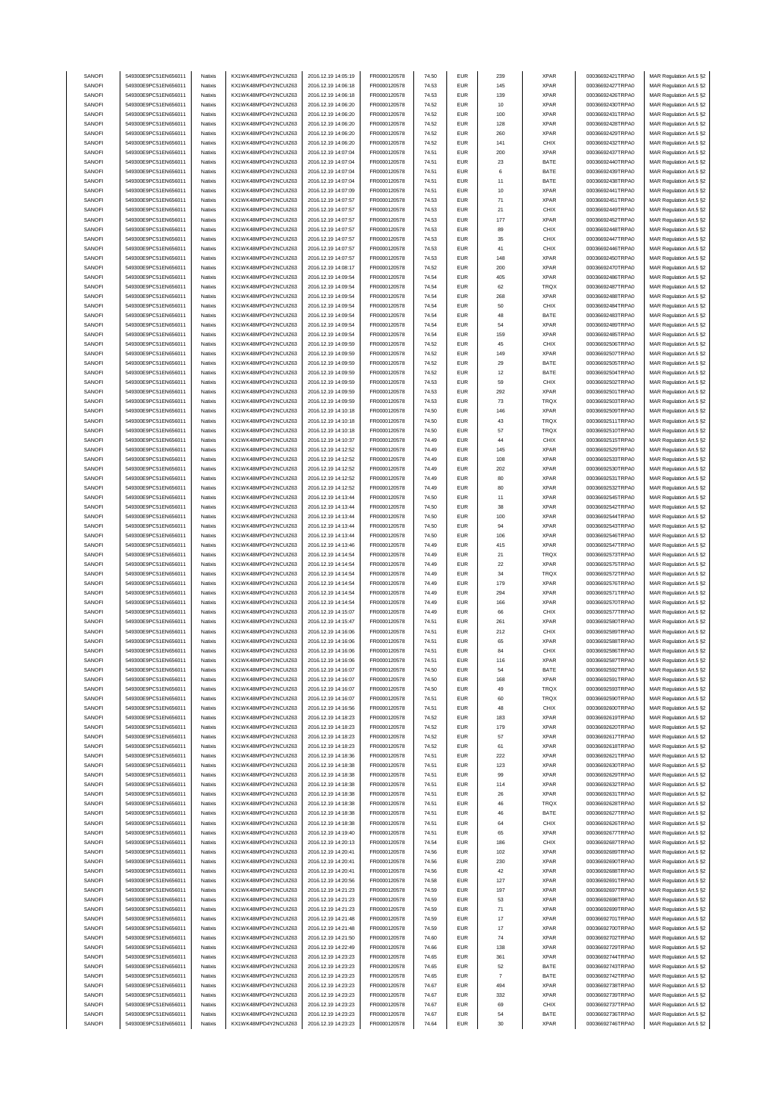| SANOFI           | 549300E9PC51EN656011                         | Natixis | KX1WK48MPD4Y2NCUIZ63                         | 2016.12.19 14:05:19                        | FR0000120578                 | 74.50          | <b>EUR</b>               | 239            | <b>XPAR</b>         | 00036692421TRPA0                     | MAR Regulation Art.5 §2                            |
|------------------|----------------------------------------------|---------|----------------------------------------------|--------------------------------------------|------------------------------|----------------|--------------------------|----------------|---------------------|--------------------------------------|----------------------------------------------------|
| SANOFI           | 549300E9PC51EN656011                         | Natixis | KX1WK48MPD4Y2NCUIZ63                         | 2016.12.19 14:06:18                        | FR0000120578                 | 74.53          | <b>EUR</b>               | 145            | <b>XPAR</b>         | 00036692427TRPA0                     | MAR Regulation Art.5 §2                            |
| SANOFI           | 549300E9PC51EN656011                         | Natixis | KX1WK48MPD4Y2NCUIZ63                         | 2016.12.19 14:06:18                        | FR0000120578                 | 74.53          | <b>EUR</b>               | 139            | <b>XPAR</b>         | 00036692426TRPA0                     | MAR Regulation Art.5 §2                            |
| SANOFI           | 549300E9PC51EN656011                         | Natixis | KX1WK48MPD4Y2NCUIZ63                         | 2016.12.19 14:06:20                        | FR0000120578                 | 74.52          | <b>EUR</b>               | 10             | <b>XPAR</b>         | 00036692430TRPA0                     | MAR Regulation Art.5 §2                            |
|                  |                                              |         |                                              |                                            |                              |                |                          |                |                     |                                      |                                                    |
| SANOFI           | 549300E9PC51EN656011                         | Natixis | KX1WK48MPD4Y2NCUIZ63                         | 2016.12.19 14:06:20                        | FR0000120578                 | 74.52          | <b>EUR</b>               | 100            | <b>XPAR</b>         | 00036692431TRPA0                     | MAR Regulation Art.5 §2                            |
| SANOFI           | 549300E9PC51EN656011                         | Natixis | KX1WK48MPD4Y2NCUIZ63                         | 2016.12.19 14:06:20                        | FR0000120578                 | 74.52          | <b>EUR</b>               | 128            | <b>XPAR</b>         | 00036692428TRPA0                     | MAR Regulation Art.5 §2                            |
| SANOFI           | 549300E9PC51EN656011                         | Natixis | KX1WK48MPD4Y2NCUIZ63                         | 2016.12.19 14:06:20                        | FR0000120578                 | 74.52          | <b>EUR</b>               | 260            | <b>XPAR</b>         | 00036692429TRPA0                     | MAR Regulation Art.5 §2                            |
| SANOFI           | 549300E9PC51EN656011                         | Natixis | KX1WK48MPD4Y2NCUIZ63                         | 2016.12.19 14:06:20                        | FR0000120578                 | 74.52          | <b>EUR</b>               | 141            | CHIX                | 00036692432TRPA0                     | MAR Regulation Art.5 §2                            |
| SANOFI           | 549300E9PC51EN656011                         | Natixis | KX1WK48MPD4Y2NCUIZ63                         | 2016.12.19 14:07:04                        | FR0000120578                 | 74.51          | <b>EUR</b>               | 200            | <b>XPAR</b>         | 00036692437TRPA0                     | MAR Regulation Art.5 §2                            |
| SANOFI           | 549300E9PC51EN656011                         | Natixis | KX1WK48MPD4Y2NCUIZ63                         | 2016.12.19 14:07:04                        | FR0000120578                 | 74.51          | <b>EUR</b>               | 23             | BATE                | 00036692440TRPA0                     | MAR Regulation Art.5 §2                            |
|                  | 549300E9PC51EN656011                         | Natixis |                                              |                                            |                              | 74.51          | <b>EUR</b>               | 6              | BATE                |                                      |                                                    |
| SANOFI           |                                              |         | KX1WK48MPD4Y2NCUIZ63                         | 2016.12.19 14:07:04                        | FR0000120578                 |                |                          |                |                     | 00036692439TRPA0                     | MAR Regulation Art.5 §2                            |
| SANOFI           | 549300E9PC51EN656011                         | Natixis | KX1WK48MPD4Y2NCUIZ63                         | 2016.12.19 14:07:04                        | FR0000120578                 | 74.51          | <b>EUR</b>               | 11             | BATE                | 00036692438TRPA0                     | MAR Regulation Art.5 §2                            |
| SANOFI           | 549300E9PC51EN656011                         | Natixis | KX1WK48MPD4Y2NCUIZ63                         | 2016.12.19 14:07:09                        | FR0000120578                 | 74.51          | <b>EUR</b>               | 10             | <b>XPAR</b>         | 00036692441TRPA0                     | MAR Regulation Art.5 §2                            |
| SANOFI           | 549300E9PC51EN656011                         | Natixis | KX1WK48MPD4Y2NCUIZ63                         | 2016.12.19 14:07:57                        | FR0000120578                 | 74.53          | <b>EUR</b>               | 71             | <b>XPAR</b>         | 00036692451TRPA0                     | MAR Regulation Art.5 §2                            |
| SANOFI           | 549300E9PC51EN656011                         | Natixis | KX1WK48MPD4Y2NCUIZ63                         | 2016.12.19 14:07:57                        | FR0000120578                 | 74.53          | <b>EUR</b>               | 21             | CHIX                | 00036692449TRPA0                     | MAR Regulation Art.5 §2                            |
|                  | 549300E9PC51EN656011                         |         |                                              |                                            | FR0000120578                 |                | <b>EUR</b>               |                |                     | 00036692452TRPA0                     |                                                    |
| SANOFI           |                                              | Natixis | KX1WK48MPD4Y2NCUIZ63                         | 2016.12.19 14:07:57                        |                              | 74.53          |                          | 177            | <b>XPAR</b>         |                                      | MAR Regulation Art.5 §2                            |
| SANOFI           | 549300E9PC51EN656011                         | Natixis | KX1WK48MPD4Y2NCUIZ63                         | 2016.12.19 14:07:57                        | FR0000120578                 | 74.53          | <b>EUR</b>               | 89             | CHIX                | 00036692448TRPA0                     | MAR Regulation Art.5 §2                            |
| SANOFI           | 549300E9PC51EN656011                         | Natixis | KX1WK48MPD4Y2NCUIZ63                         | 2016.12.19 14:07:57                        | FR0000120578                 | 74.53          | <b>EUR</b>               | 35             | CHIX                | 00036692447TRPA0                     | MAR Regulation Art.5 §2                            |
| SANOFI           | 549300E9PC51EN656011                         | Natixis | KX1WK48MPD4Y2NCUIZ63                         | 2016.12.19 14:07:57                        | FR0000120578                 | 74.53          | <b>EUR</b>               | 41             | CHIX                | 00036692446TRPA0                     | MAR Regulation Art.5 §2                            |
| SANOFI           | 549300E9PC51EN656011                         | Natixis | KX1WK48MPD4Y2NCUIZ63                         | 2016.12.19 14:07:57                        | FR0000120578                 | 74.53          | <b>EUR</b>               | 148            | <b>XPAR</b>         | 00036692450TRPA0                     | MAR Regulation Art.5 §2                            |
| SANOFI           | 549300E9PC51EN656011                         | Natixis | KX1WK48MPD4Y2NCUIZ63                         | 2016.12.19 14:08:17                        | FR0000120578                 | 74.52          | <b>EUR</b>               | 200            | <b>XPAR</b>         | 00036692470TRPA0                     | MAR Regulation Art.5 §2                            |
| SANOFI           | 549300E9PC51EN656011                         | Natixis | KX1WK48MPD4Y2NCUIZ63                         | 2016.12.19 14:09:54                        | FR0000120578                 | 74.54          | <b>EUR</b>               | 405            | <b>XPAR</b>         | 00036692486TRPA0                     | MAR Regulation Art.5 §2                            |
|                  |                                              |         |                                              |                                            |                              |                |                          |                |                     |                                      |                                                    |
| SANOFI           | 549300E9PC51EN656011                         | Natixis | KX1WK48MPD4Y2NCUIZ63                         | 2016.12.19 14:09:54                        | FR0000120578                 | 74.54          | <b>EUR</b>               | 62             | TRQX                | 00036692487TRPA0                     | MAR Regulation Art.5 §2                            |
| SANOFI           | 549300E9PC51EN656011                         | Natixis | KX1WK48MPD4Y2NCUIZ63                         | 2016.12.19 14:09:54                        | FR0000120578                 | 74.54          | <b>EUR</b>               | 268            | <b>XPAR</b>         | 00036692488TRPA0                     | MAR Regulation Art.5 §2                            |
| SANOFI           | 549300E9PC51EN656011                         | Natixis | KX1WK48MPD4Y2NCUIZ63                         | 2016.12.19 14:09:54                        | FR0000120578                 | 74.54          | <b>EUR</b>               | 50             | CHIX                | 00036692484TRPA0                     | MAR Regulation Art.5 §2                            |
| SANOFI           | 549300E9PC51EN656011                         | Natixis | KX1WK48MPD4Y2NCUIZ63                         | 2016.12.19 14:09:54                        | FR0000120578                 | 74.54          | <b>EUR</b>               | 48             | BATE                | 00036692483TRPA0                     | MAR Regulation Art.5 §2                            |
| SANOFI           | 549300E9PC51EN656011                         | Natixis | KX1WK48MPD4Y2NCUIZ63                         | 2016.12.19 14:09:54                        | FR0000120578                 | 74.54          | <b>EUR</b>               | 54             | <b>XPAR</b>         | 00036692489TRPA0                     | MAR Regulation Art.5 §2                            |
| SANOFI           | 549300E9PC51EN656011                         | Natixis | KX1WK48MPD4Y2NCUIZ63                         | 2016.12.19 14:09:54                        | FR0000120578                 | 74.54          | <b>EUR</b>               | 159            | <b>XPAR</b>         | 00036692485TRPA0                     | MAR Regulation Art.5 §2                            |
|                  |                                              |         |                                              |                                            |                              |                |                          |                |                     |                                      |                                                    |
| SANOFI           | 549300E9PC51EN656011                         | Natixis | KX1WK48MPD4Y2NCUIZ63                         | 2016.12.19.14:09:59                        | FR0000120578                 | 74.52          | <b>EUR</b>               | 45             | CHIX                | 00036692506TRPA0                     | MAR Regulation Art.5 §2                            |
| SANOFI           | 549300E9PC51EN656011                         | Natixis | KX1WK48MPD4Y2NCUIZ63                         | 2016.12.19 14:09:59                        | FR0000120578                 | 74.52          | <b>EUR</b>               | 149            | <b>XPAR</b>         | 00036692507TRPA0                     | MAR Regulation Art.5 §2                            |
| SANOFI           | 549300E9PC51EN656011                         | Natixis | KX1WK48MPD4Y2NCUIZ63                         | 2016.12.19 14:09:59                        | FR0000120578                 | 74.52          | <b>EUR</b>               | 29             | BATE                | 00036692505TRPA0                     | MAR Regulation Art.5 §2                            |
| SANOFI           | 549300E9PC51EN656011                         | Natixis | KX1WK48MPD4Y2NCUIZ63                         | 2016.12.19 14:09:59                        | FR0000120578                 | 74.52          | <b>EUR</b>               | 12             | BATE                | 00036692504TRPA0                     | MAR Regulation Art.5 §2                            |
| SANOFI           | 549300E9PC51EN656011                         | Natixis | KX1WK48MPD4Y2NCUIZ63                         | 2016.12.19 14:09:59                        | FR0000120578                 | 74.53          | <b>EUR</b>               | 59             | CHIX                | 00036692502TRPA0                     | MAR Regulation Art.5 §2                            |
|                  |                                              |         |                                              |                                            |                              |                |                          |                |                     |                                      |                                                    |
| SANOFI           | 549300E9PC51EN656011                         | Natixis | KX1WK48MPD4Y2NCUIZ63                         | 2016.12.19 14:09:59                        | FR0000120578                 | 74.53          | <b>EUR</b>               | 292            | <b>XPAR</b>         | 00036692501TRPA0                     | MAR Regulation Art.5 §2                            |
| SANOFI           | 549300E9PC51EN656011                         | Natixis | KX1WK48MPD4Y2NCUIZ63                         | 2016.12.19 14:09:59                        | FR0000120578                 | 74.53          | <b>EUR</b>               | 73             | TRQX                | 00036692503TRPA0                     | MAR Regulation Art.5 §2                            |
| SANOFI           | 549300E9PC51EN656011                         | Natixis | KX1WK48MPD4Y2NCUIZ63                         | 2016.12.19 14:10:18                        | FR0000120578                 | 74.50          | <b>EUR</b>               | 146            | <b>XPAR</b>         | 00036692509TRPA0                     | MAR Regulation Art.5 §2                            |
| SANOFI           | 549300E9PC51EN656011                         | Natixis | KX1WK48MPD4Y2NCUIZ63                         | 2016.12.19 14:10:18                        | FR0000120578                 | 74.50          | <b>EUR</b>               | 43             | <b>TRQX</b>         | 00036692511TRPA0                     | MAR Regulation Art.5 §2                            |
| SANOFI           | 549300E9PC51EN656011                         | Natixis | KX1WK48MPD4Y2NCUIZ63                         | 2016.12.19 14:10:18                        | FR0000120578                 | 74.50          | <b>EUR</b>               | 57             | TRQX                | 00036692510TRPA0                     | MAR Regulation Art.5 §2                            |
|                  | 549300E9PC51EN656011                         |         | KX1WK48MPD4Y2NCUIZ63                         | 2016.12.19 14:10:37                        | FR0000120578                 |                |                          |                |                     |                                      |                                                    |
| SANOFI           |                                              | Natixis |                                              |                                            |                              | 74.49          | <b>EUR</b>               | 44             | CHIX                | 00036692515TRPA0                     | MAR Regulation Art.5 §2                            |
| SANOFI           | 549300E9PC51EN656011                         | Natixis | KX1WK48MPD4Y2NCUIZ63                         | 2016.12.19 14:12:52                        | FR0000120578                 | 74.49          | <b>EUR</b>               | 145            | <b>XPAR</b>         | 00036692529TRPA0                     | MAR Regulation Art.5 §2                            |
| SANOFI           | 549300E9PC51EN656011                         | Natixis | KX1WK48MPD4Y2NCUIZ63                         | 2016.12.19 14:12:52                        | FR0000120578                 | 74.49          | <b>EUR</b>               | 108            | <b>XPAR</b>         | 00036692533TRPA0                     | MAR Regulation Art.5 §2                            |
| SANOFI           | 549300E9PC51EN656011                         | Natixis | KX1WK48MPD4Y2NCUIZ63                         | 2016.12.19 14:12:52                        | FR0000120578                 | 74.49          | <b>EUR</b>               | 202            | <b>XPAR</b>         | 00036692530TRPA0                     | MAR Regulation Art.5 §2                            |
| SANOFI           | 549300E9PC51EN656011                         | Natixis | KX1WK48MPD4Y2NCUIZ63                         | 2016.12.19 14:12:52                        | FR0000120578                 | 74.49          | <b>EUR</b>               | 80             | <b>XPAR</b>         | 00036692531TRPA0                     | MAR Regulation Art.5 §2                            |
| SANOFI           | 549300E9PC51EN656011                         | Natixis | KX1WK48MPD4Y2NCUIZ63                         | 2016.12.19 14:12:52                        | FR0000120578                 | 74.49          | <b>EUR</b>               | 80             | <b>XPAR</b>         | 00036692532TRPA0                     | MAR Regulation Art.5 §2                            |
|                  |                                              |         |                                              |                                            |                              |                |                          |                |                     |                                      |                                                    |
| SANOFI           | 549300E9PC51EN656011                         | Natixis | KX1WK48MPD4Y2NCUIZ63                         | 2016.12.19 14:13:44                        | FR0000120578                 | 74.50          | <b>EUR</b>               | 11             | <b>XPAR</b>         | 00036692545TRPA0                     | MAR Regulation Art.5 §2                            |
| SANOFI           | 549300E9PC51EN656011                         | Natixis | KX1WK48MPD4Y2NCUIZ63                         | 2016.12.19 14:13:44                        | FR0000120578                 | 74.50          | <b>EUR</b>               | 38             | <b>XPAR</b>         | 00036692542TRPA0                     | MAR Regulation Art.5 §2                            |
| SANOFI           | 549300E9PC51EN656011                         | Natixis | KX1WK48MPD4Y2NCUIZ63                         | 2016.12.19 14:13:44                        | FR0000120578                 | 74.50          | <b>EUR</b>               | 100            | <b>XPAR</b>         | 00036692544TRPA0                     | MAR Regulation Art.5 §2                            |
| SANOFI           | 549300E9PC51EN656011                         | Natixis | KX1WK48MPD4Y2NCUIZ63                         | 2016.12.19 14:13:44                        | FR0000120578                 | 74.50          | <b>EUR</b>               | 94             | <b>XPAR</b>         | 00036692543TRPA0                     | MAR Regulation Art.5 §2                            |
| SANOFI           | 549300E9PC51EN656011                         | Natixis | KX1WK48MPD4Y2NCUIZ63                         | 2016.12.19 14:13:44                        | FR0000120578                 | 74.50          | <b>EUR</b>               | 106            | <b>XPAR</b>         | 00036692546TRPA0                     | MAR Regulation Art.5 §2                            |
| SANOFI           | 549300E9PC51EN656011                         | Natixis | KX1WK48MPD4Y2NCUIZ63                         | 2016.12.19 14:13:46                        | FR0000120578                 | 74.49          | <b>EUR</b>               | 415            | <b>XPAR</b>         | 00036692547TRPA0                     |                                                    |
|                  |                                              |         |                                              |                                            |                              |                |                          |                |                     |                                      | MAR Regulation Art.5 §2                            |
| SANOFI           | 549300E9PC51EN656011                         | Natixis | KX1WK48MPD4Y2NCUIZ63                         | 2016.12.19 14:14:54                        | FR0000120578                 | 74.49          | <b>EUR</b>               | 21             | TRQX                | 00036692573TRPA0                     | MAR Regulation Art.5 §2                            |
| SANOFI           | 549300E9PC51EN656011                         | Natixis | KX1WK48MPD4Y2NCUIZ63                         | 2016.12.19 14:14:54                        | FR0000120578                 | 74.49          | <b>EUR</b>               | 22             | <b>XPAR</b>         | 00036692575TRPA0                     | MAR Regulation Art.5 §2                            |
| SANOFI           | 549300E9PC51EN656011                         | Natixis | KX1WK48MPD4Y2NCUIZ63                         | 2016.12.19 14:14:54                        | FR0000120578                 | 74.49          | <b>EUR</b>               | 34             | <b>TRQX</b>         | 00036692572TRPA0                     | MAR Regulation Art.5 §2                            |
| SANOFI           | 549300E9PC51EN656011                         | Natixis | KX1WK48MPD4Y2NCUIZ63                         | 2016.12.19 14:14:54                        | FR0000120578                 | 74.49          | <b>EUR</b>               | 179            | <b>XPAR</b>         | 00036692576TRPA0                     | MAR Regulation Art.5 §2                            |
| SANOFI           | 549300E9PC51EN656011                         | Natixis | KX1WK48MPD4Y2NCUIZ63                         | 2016.12.19 14:14:54                        | FR0000120578                 | 74.49          | <b>EUR</b>               | 294            | <b>XPAR</b>         | 00036692571TRPA0                     | MAR Regulation Art.5 §2                            |
|                  |                                              |         | KX1WK48MPD4Y2NCUIZ63                         |                                            |                              |                |                          |                |                     |                                      |                                                    |
| SANOFI           | 549300E9PC51EN656011                         | Natixis |                                              | 2016.12.19 14:14:54                        | FR0000120578                 | 74.49          | <b>EUR</b>               | 166            | <b>XPAR</b>         | 00036692570TRPA0                     | MAR Regulation Art.5 §2                            |
| SANOFI           | 549300E9PC51EN656011                         | Natixis | KX1WK48MPD4Y2NCUIZ63                         | 2016.12.19 14:15:07                        | FR0000120578                 | 74.49          | <b>EUR</b>               | 66             | CHIX                | 00036692577TRPA0                     | MAR Regulation Art.5 §2                            |
| SANOFI           | 549300E9PC51EN656011                         | Natixis | KX1WK48MPD4Y2NCUIZ63                         | 2016.12.19 14:15:47                        | FR0000120578                 | 74.51          | <b>EUR</b>               | 261            | <b>XPAR</b>         | 00036692580TRPA0                     | MAR Regulation Art.5 §2                            |
| SANOFI           | 549300E9PC51EN656011                         | Natixis | KX1WK48MPD4Y2NCUIZ63                         | 2016.12.19 14:16:06                        | FR0000120578                 | 74.51          | <b>EUR</b>               | 212            | CHIX                | 00036692589TRPA0                     | MAR Regulation Art.5 §2                            |
| SANOFI           | 549300E9PC51EN656011                         | Natixis | KX1WK48MPD4Y2NCUIZ63                         | 2016.12.19 14:16:06                        | FR0000120578                 | 74.51          | <b>EUR</b>               | 65             | <b>XPAR</b>         | 00036692588TRPA0                     | MAR Regulation Art.5 §2                            |
| SANOF            |                                              | Natixis |                                              |                                            |                              | 74.51          | EUR                      |                | CHIX                | 00036692586TRPA0                     | MAR Regulation Art.5 §2                            |
|                  | 549300E9PC51EN65601                          |         | KX1WK48MPD4Y2NCUIZ63                         | 2016.12.19 14:16:06                        | FR0000120578                 |                |                          |                |                     |                                      |                                                    |
| SANOFI           | 549300E9PC51EN656011                         | Natixis | KX1WK48MPD4Y2NCUIZ63                         | 2016.12.19 14:16:06                        | FR0000120578                 | 74.51          | <b>EUR</b>               | 116            | <b>XPAR</b>         | 00036692587TRPA0                     | MAR Regulation Art.5 §2                            |
| SANOFI           | 549300E9PC51EN656011                         | Natixis | KX1WK48MPD4Y2NCUIZ63                         | 2016.12.19 14:16:07                        | FR0000120578                 | 74.50          | <b>EUR</b>               | 54             | BATE                | 00036692592TRPA0                     | MAR Regulation Art.5 §2                            |
| SANOFI           | 549300E9PC51EN656011                         | Natixis | KX1WK48MPD4Y2NCUIZ63                         | 2016.12.19 14:16:07                        | FR0000120578                 | 74.50          | <b>EUR</b>               | 168            | <b>XPAR</b>         | 00036692591TRPA0                     | MAR Regulation Art.5 §2                            |
| SANOFI           | 549300E9PC51EN656011                         | Natixis | KX1WK48MPD4Y2NCUIZ63                         | 2016.12.19 14:16:07                        | FR0000120578                 | 74.50          | <b>EUR</b>               | 49             | <b>TRQX</b>         | 00036692593TRPA0                     | MAR Regulation Art.5 §2                            |
| SANOFI           | 549300E9PC51EN656011                         | Natixis | KX1WK48MPD4Y2NCUIZ63                         | 2016.12.19 14:16:07                        | FR0000120578                 | 74.51          | <b>EUR</b>               | 60             | TRQX                | 00036692590TRPA0                     | MAR Regulation Art.5 §2                            |
| SANOFI           | 549300E9PC51EN656011                         | Natixis | KX1WK48MPD4Y2NCUIZ63                         | 2016.12.19 14:16:56                        | FR0000120578                 | 74.51          | <b>EUR</b>               | 48             | CHIX                | 00036692600TRPA0                     | MAR Regulation Art.5 §2                            |
| SANOFI           | 549300E9PC51EN656011                         |         | KX1WK48MPD4Y2NCUIZ63                         | 2016.12.19 14:18:23                        |                              |                |                          | 183            | <b>XPAR</b>         | 00036692619TRPA0                     |                                                    |
|                  |                                              | Natixis |                                              |                                            | FR0000120578                 | 74.52          | <b>EUR</b>               |                |                     |                                      | MAR Regulation Art.5 §2                            |
| SANOFI           | 549300E9PC51EN656011                         | Natixis | KX1WK48MPD4Y2NCUIZ63                         | 2016.12.19 14:18:23                        | FR0000120578                 | 74.52          | <b>EUR</b>               | 179            | <b>XPAR</b>         | 00036692620TRPA0                     | MAR Regulation Art.5 §2                            |
| SANOFI           | 549300E9PC51EN656011                         | Natixis | KX1WK48MPD4Y2NCUIZ63                         | 2016.12.19 14:18:23                        | FR0000120578                 | 74.52          | <b>EUR</b>               | 57             | <b>XPAR</b>         | 00036692617TRPA0                     | MAR Regulation Art.5 §2                            |
| SANOFI           | 549300E9PC51EN656011                         | Natixis | KX1WK48MPD4Y2NCUIZ63                         | 2016.12.19 14:18:23                        | FR0000120578                 | 74.52          | <b>EUR</b>               | 61             | <b>XPAR</b>         | 00036692618TRPA0                     | MAR Regulation Art.5 §2                            |
| SANOFI           | 549300E9PC51EN656011                         | Natixis | KX1WK48MPD4Y2NCUIZ63                         | 2016.12.19 14:18:36                        | FR0000120578                 | 74.51          | <b>EUR</b>               | 222            | <b>XPAR</b>         | 00036692621TRPA0                     | MAR Regulation Art.5 §2                            |
| SANOFI           | 549300E9PC51EN656011                         | Natixis | KX1WK48MPD4Y2NCUIZ63                         | 2016.12.19 14:18:38                        | FR0000120578                 | 74.51          | <b>EUR</b>               | 123            | <b>XPAR</b>         | 00036692630TRPA0                     | MAR Regulation Art.5 §2                            |
| SANOFI           | 549300E9PC51EN656011                         | Natixis | KX1WK48MPD4Y2NCUIZ63                         | 2016.12.19 14:18:38                        | FR0000120578                 | 74.51          | <b>EUR</b>               | 99             | <b>XPAR</b>         | 00036692629TRPA0                     | MAR Regulation Art.5 §2                            |
|                  | 549300E9PC51EN656011                         |         |                                              |                                            | FR0000120578                 |                |                          |                |                     |                                      |                                                    |
| SANOFI           |                                              | Natixis | KX1WK48MPD4Y2NCUIZ63                         | 2016.12.19 14:18:38                        |                              | 74.51          | <b>EUR</b>               | 114            | <b>XPAR</b>         | 00036692632TRPA0                     | MAR Regulation Art.5 §2                            |
| SANOFI           | 549300E9PC51EN656011                         | Natixis | KX1WK48MPD4Y2NCUIZ63                         | 2016.12.19 14:18:38                        | FR0000120578                 | 74.51          | <b>EUR</b>               | 26             | <b>XPAR</b>         | 00036692631TRPA0                     | MAR Regulation Art.5 §2                            |
| SANOFI           | 549300E9PC51EN656011                         | Natixis | KX1WK48MPD4Y2NCUIZ63                         | 2016.12.19 14:18:38                        | FR0000120578                 | 74.51          | <b>EUR</b>               | 46             | TRQX                | 00036692628TRPA0                     | MAR Regulation Art.5 §2                            |
| SANOFI           |                                              |         | KX1WK48MPD4Y2NCUIZ63                         | 2016.12.19 14:18:38                        |                              |                |                          |                |                     |                                      |                                                    |
|                  | 549300E9PC51EN656011                         | Natixis |                                              |                                            | FR0000120578                 | 74.51          | <b>EUR</b>               | 46             | BATE                |                                      | MAR Regulation Art.5 §2                            |
|                  |                                              |         |                                              |                                            |                              |                |                          |                |                     | 00036692627TRPA0                     |                                                    |
| SANOFI           | 549300E9PC51EN656011                         | Natixis | KX1WK48MPD4Y2NCUIZ63                         | 2016.12.19 14:18:38                        | FR0000120578                 | 74.51          | <b>EUR</b>               | 64             | CHIX                | 00036692626TRPA0                     | MAR Regulation Art.5 §2                            |
| SANOFI           | 549300E9PC51EN656011                         | Natixis | KX1WK48MPD4Y2NCUIZ63                         | 2016.12.19 14:19:40                        | FR0000120578                 | 74.51          | <b>EUR</b>               | 65             | <b>XPAR</b>         | 00036692677TRPA0                     | MAR Regulation Art.5 §2                            |
| SANOFI           | 549300E9PC51EN656011                         | Natixis | KX1WK48MPD4Y2NCUIZ63                         | 2016.12.19 14:20:13                        | FR0000120578                 | 74.54          | <b>EUR</b>               | 186            | CHIX                | 00036692687TRPA0                     | MAR Regulation Art.5 §2                            |
| SANOFI           | 549300E9PC51EN656011                         | Natixis | KX1WK48MPD4Y2NCUIZ63                         | 2016.12.19 14:20:41                        | FR0000120578                 | 74.56          | <b>EUR</b>               | 102            | <b>XPAR</b>         | 00036692689TRPA0                     | MAR Regulation Art.5 §2                            |
| SANOFI           | 549300E9PC51EN656011                         | Natixis | KX1WK48MPD4Y2NCUIZ63                         | 2016.12.19 14:20:41                        | FR0000120578                 | 74.56          | <b>EUR</b>               | 230            | <b>XPAR</b>         | 00036692690TRPA0                     | MAR Regulation Art.5 §2                            |
|                  |                                              | Natixis |                                              |                                            |                              | 74.56          | <b>EUR</b>               |                |                     |                                      |                                                    |
| SANOFI           | 549300E9PC51EN656011                         |         | KX1WK48MPD4Y2NCUIZ63                         | 2016.12.19 14:20:41                        | FR0000120578                 |                |                          | 42             | <b>XPAR</b>         | 00036692688TRPA0                     | MAR Regulation Art.5 §2                            |
| SANOFI           | 549300E9PC51EN656011                         | Natixis | KX1WK48MPD4Y2NCUIZ63                         | 2016.12.19 14:20:56                        | FR0000120578                 | 74.58          | <b>EUR</b>               | 127            | <b>XPAR</b>         | 00036692691TRPA0                     | MAR Regulation Art.5 §2                            |
| SANOFI           | 549300E9PC51EN656011                         | Natixis | KX1WK48MPD4Y2NCUIZ63                         | 2016.12.19 14:21:23                        | FR0000120578                 | 74.59          | <b>EUR</b>               | 197            | <b>XPAR</b>         | 00036692697TRPA0                     | MAR Regulation Art.5 §2                            |
| SANOFI           | 549300E9PC51EN656011                         | Natixis | KX1WK48MPD4Y2NCUIZ63                         | 2016.12.19 14:21:23                        | FR0000120578                 | 74.59          | <b>EUR</b>               | 53             | <b>XPAR</b>         | 00036692698TRPA0                     | MAR Regulation Art.5 §2                            |
| SANOFI           | 549300E9PC51EN656011                         | Natixis | KX1WK48MPD4Y2NCUIZ63                         | 2016.12.19 14:21:23                        | FR0000120578                 | 74.59          | <b>EUR</b>               | 71             | <b>XPAR</b>         | 00036692699TRPA0                     | MAR Regulation Art.5 §2                            |
|                  | 549300E9PC51EN656011                         |         |                                              |                                            |                              |                | <b>EUR</b>               | 17             |                     |                                      |                                                    |
| SANOFI           |                                              | Natixis | KX1WK48MPD4Y2NCUIZ63                         | 2016.12.19 14:21:48                        | FR0000120578                 | 74.59          |                          |                | <b>XPAR</b>         | 00036692701TRPA0                     | MAR Regulation Art.5 §2                            |
| SANOFI           | 549300E9PC51EN656011                         | Natixis | KX1WK48MPD4Y2NCUIZ63                         | 2016.12.19 14:21:48                        | FR0000120578                 | 74.59          | <b>EUR</b>               | 17             | <b>XPAR</b>         | 00036692700TRPA0                     | MAR Regulation Art.5 §2                            |
| SANOFI           | 549300E9PC51EN656011                         | Natixis | KX1WK48MPD4Y2NCUIZ63                         | 2016.12.19 14:21:50                        | FR0000120578                 | 74.60          | <b>EUR</b>               | 74             | <b>XPAR</b>         | 00036692702TRPA0                     | MAR Regulation Art.5 §2                            |
| SANOFI           | 549300E9PC51EN656011                         | Natixis | KX1WK48MPD4Y2NCUIZ63                         | 2016.12.19 14:22:49                        | FR0000120578                 | 74.66          | <b>EUR</b>               | 138            | <b>XPAR</b>         | 00036692729TRPA0                     | MAR Regulation Art.5 §2                            |
| SANOFI           | 549300E9PC51EN656011                         | Natixis | KX1WK48MPD4Y2NCUIZ63                         | 2016.12.19 14:23:23                        | FR0000120578                 | 74.65          | <b>EUR</b>               | 361            | <b>XPAR</b>         | 00036692744TRPA0                     | MAR Regulation Art.5 §2                            |
| SANOFI           | 549300E9PC51EN656011                         | Natixis | KX1WK48MPD4Y2NCUIZ63                         | 2016.12.19 14:23:23                        | FR0000120578                 | 74.65          | <b>EUR</b>               | 52             | BATE                | 00036692743TRPA0                     | MAR Regulation Art.5 §2                            |
| SANOFI           | 549300E9PC51EN656011                         | Natixis | KX1WK48MPD4Y2NCUIZ63                         | 2016.12.19 14:23:23                        | FR0000120578                 | 74.65          | <b>EUR</b>               | $\overline{7}$ | BATE                | 00036692742TRPA0                     |                                                    |
|                  |                                              |         |                                              |                                            |                              |                |                          |                |                     |                                      | MAR Regulation Art.5 §2                            |
| SANOFI           | 549300E9PC51EN656011                         | Natixis | KX1WK48MPD4Y2NCUIZ63                         | 2016.12.19 14:23:23                        | FR0000120578                 | 74.67          | <b>EUR</b>               | 494            | <b>XPAR</b>         | 00036692738TRPA0                     | MAR Regulation Art.5 §2                            |
| SANOFI           | 549300E9PC51EN656011                         | Natixis | KX1WK48MPD4Y2NCUIZ63                         | 2016.12.19 14:23:23                        | FR0000120578                 | 74.67          | <b>EUR</b>               | 332            | <b>XPAR</b>         | 00036692739TRPA0                     | MAR Regulation Art.5 §2                            |
| SANOFI           | 549300E9PC51EN656011                         | Natixis | KX1WK48MPD4Y2NCUIZ63                         | 2016.12.19 14:23:23                        | FR0000120578                 | 74.67          | <b>EUR</b>               | 69             | CHIX                | 00036692737TRPA0                     | MAR Regulation Art.5 §2                            |
| SANOFI<br>SANOFI | 549300E9PC51EN656011<br>549300E9PC51EN656011 | Natixis | KX1WK48MPD4Y2NCUIZ63<br>KX1WK48MPD4Y2NCUIZ63 | 2016.12.19 14:23:23<br>2016.12.19 14:23:23 | FR0000120578<br>FR0000120578 | 74.67<br>74.64 | <b>EUR</b><br><b>EUR</b> | 54<br>30       | BATE<br><b>XPAR</b> | 00036692736TRPA0<br>00036692746TRPA0 | MAR Regulation Art.5 §2<br>MAR Regulation Art.5 §2 |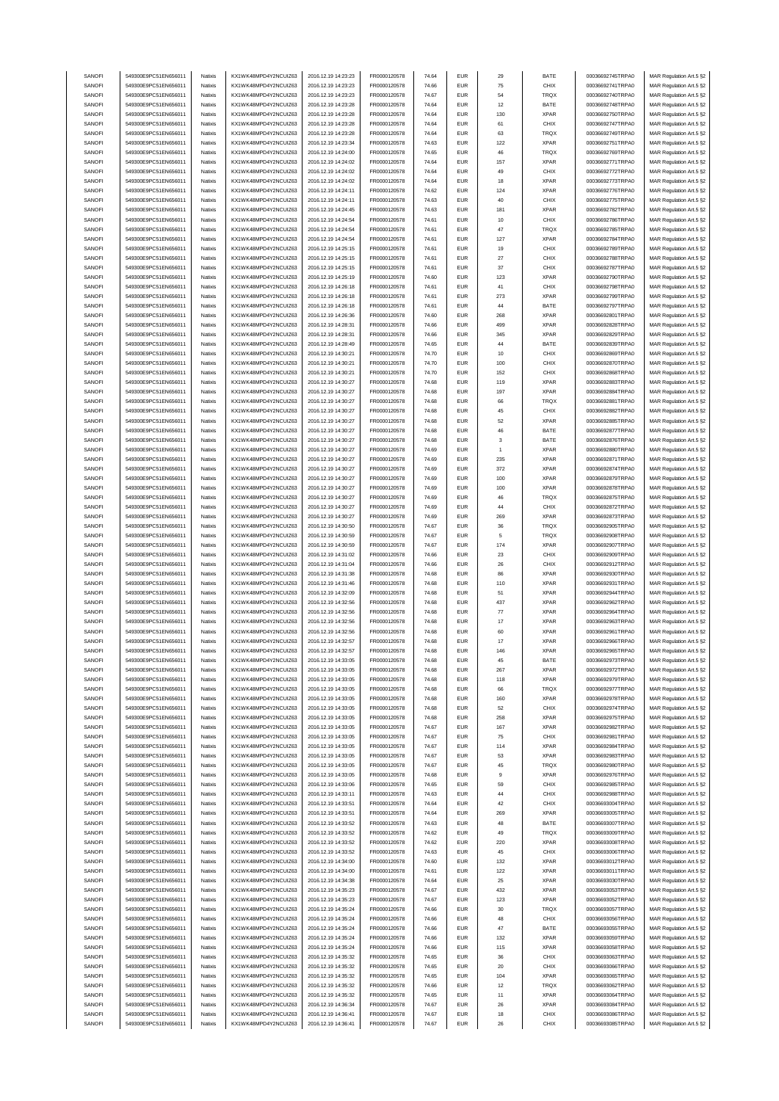| SANOFI<br>SANOFI<br>SANOFI | 549300E9PC51EN656011 |         |                       |                     |              |       |                             |      |             |                  |                         |
|----------------------------|----------------------|---------|-----------------------|---------------------|--------------|-------|-----------------------------|------|-------------|------------------|-------------------------|
|                            |                      | Natixis | KX1WK48MPD4Y2NCUIZ63  | 2016.12.19 14:23:23 | FR0000120578 | 74.64 | <b>EUR</b>                  | 29   | BATE        | 00036692745TRPA0 | MAR Regulation Art.5 §2 |
|                            | 549300E9PC51EN656011 | Natixis | KX1WK48MPD4Y2NCUIZ63  | 2016.12.19 14:23:23 | FR0000120578 | 74.66 | <b>EUR</b>                  | 75   | CHIX        | 00036692741TRPA0 | MAR Regulation Art.5 §2 |
|                            | 549300E9PC51EN656011 | Natixis | KX1WK48MPD4Y2NCUIZ63  | 2016.12.19 14:23:23 | FR0000120578 | 74.67 | <b>EUR</b>                  | 54   | TRQX        | 00036692740TRPA0 | MAR Regulation Art.5 §2 |
| SANOFI                     | 549300E9PC51EN656011 | Natixis | KX1WK48MPD4Y2NCUIZ63  | 2016.12.19 14:23:28 | FR0000120578 | 74.64 | <b>EUR</b>                  | 12   | BATE        | 00036692748TRPA0 | MAR Regulation Art.5 §2 |
|                            |                      |         |                       |                     |              |       |                             |      |             |                  |                         |
| SANOFI                     | 549300E9PC51EN656011 | Natixis | KX1WK48MPD4Y2NCUIZ63  | 2016.12.19 14:23:28 | FR0000120578 | 74.64 | <b>EUR</b>                  | 130  | <b>XPAR</b> | 00036692750TRPA0 | MAR Regulation Art.5 §2 |
| SANOFI                     | 549300E9PC51EN656011 | Natixis | KX1WK48MPD4Y2NCUIZ63  | 2016.12.19 14:23:28 | FR0000120578 | 74.64 | <b>EUR</b>                  | 61   | CHIX        | 00036692747TRPA0 | MAR Regulation Art.5 §2 |
| SANOFI                     | 549300E9PC51EN656011 | Natixis | KX1WK48MPD4Y2NCUIZ63  | 2016.12.19 14:23:28 | FR0000120578 | 74.64 | <b>EUR</b>                  | 63   | TRQX        | 00036692749TRPA0 | MAR Regulation Art.5 §2 |
| SANOFI                     | 549300E9PC51EN656011 | Natixis | KX1WK48MPD4Y2NCUIZ63  | 2016.12.19 14:23:34 | FR0000120578 | 74.63 | <b>EUR</b>                  | 122  | <b>XPAR</b> | 00036692751TRPA0 | MAR Regulation Art.5 §2 |
| SANOFI                     | 549300E9PC51EN656011 | Natixis | KX1WK48MPD4Y2NCLIIZ63 | 2016.12.19 14:24:00 | FR0000120578 | 74.65 | <b>EUR</b>                  | 46   | TRQX        | 00036692769TRPA0 | MAR Regulation Art.5 §2 |
| SANOFI                     | 549300E9PC51EN656011 | Natixis | KX1WK48MPD4Y2NCUIZ63  | 2016.12.19 14:24:02 | FR0000120578 | 74.64 | <b>EUR</b>                  | 157  | <b>XPAR</b> | 00036692771TRPA0 | MAR Regulation Art.5 §2 |
| SANOFI                     | 549300E9PC51EN656011 | Natixis | KX1WK48MPD4Y2NCUIZ63  | 2016.12.19 14:24:02 | FR0000120578 | 74.64 | <b>EUR</b>                  | 49   | CHIX        | 00036692772TRPA0 | MAR Regulation Art.5 §2 |
|                            |                      |         |                       |                     |              |       |                             |      |             |                  |                         |
| SANOFI                     | 549300E9PC51EN656011 | Natixis | KX1WK48MPD4Y2NCUIZ63  | 2016.12.19 14:24:02 | FR0000120578 | 74.64 | <b>EUR</b>                  | 18   | <b>XPAR</b> | 00036692773TRPA0 | MAR Regulation Art.5 §2 |
| SANOFI                     | 549300E9PC51EN656011 | Natixis | KX1WK48MPD4Y2NCUIZ63  | 2016.12.19 14:24:11 | FR0000120578 | 74.62 | <b>EUR</b>                  | 124  | <b>XPAR</b> | 00036692776TRPA0 | MAR Regulation Art.5 §2 |
| SANOFI                     | 549300E9PC51EN656011 | Natixis | KX1WK48MPD4Y2NCUIZ63  | 2016.12.19 14:24:11 | FR0000120578 | 74.63 | <b>EUR</b>                  | 40   | CHIX        | 00036692775TRPA0 | MAR Regulation Art.5 §2 |
| SANOFI                     | 549300E9PC51EN656011 | Natixis | KX1WK48MPD4Y2NCUIZ63  | 2016.12.19 14:24:45 | FR0000120578 | 74.63 | <b>EUR</b>                  | 181  | <b>XPAR</b> | 00036692782TRPA0 | MAR Regulation Art.5 §2 |
|                            | 549300E9PC51EN656011 |         | KX1WK48MPD4Y2NCUIZ63  |                     |              |       |                             |      |             |                  |                         |
| SANOFI                     |                      | Natixis |                       | 2016.12.19 14:24:54 | FR0000120578 | 74.61 | <b>EUR</b>                  | 10   | CHIX        | 00036692786TRPA0 | MAR Regulation Art.5 §2 |
| SANOFI                     | 549300E9PC51EN656011 | Natixis | KX1WK48MPD4Y2NCUIZ63  | 2016.12.19 14:24:54 | FR0000120578 | 74.61 | <b>EUR</b>                  | 47   | TRQX        | 00036692785TRPA0 | MAR Regulation Art.5 §2 |
| SANOFI                     | 549300E9PC51EN656011 | Natixis | KX1WK48MPD4Y2NCLIIZ63 | 2016.12.19 14:24:54 | FR0000120578 | 74.61 | <b>EUR</b>                  | 127  | <b>XPAR</b> | 00036692784TRPA0 | MAR Regulation Art.5 §2 |
| SANOFI                     | 549300E9PC51EN656011 | Natixis | KX1WK48MPD4Y2NCUIZ63  | 2016.12.19 14:25:15 | FR0000120578 | 74.61 | <b>EUR</b>                  | 19   | CHIX        | 00036692789TRPA0 | MAR Regulation Art.5 §2 |
| SANOFI                     | 549300E9PC51EN656011 | Natixis | KX1WK48MPD4Y2NCUIZ63  | 2016.12.19 14:25:15 | FR0000120578 | 74.61 | <b>EUR</b>                  | 27   | CHIX        | 00036692788TRPA0 | MAR Regulation Art.5 §2 |
| SANOFI                     | 549300E9PC51EN656011 | Natixis | KX1WK48MPD4Y2NCUIZ63  | 2016.12.19 14:25:15 | FR0000120578 | 74.61 | <b>EUR</b>                  | 37   | CHIX        | 00036692787TRPA0 | MAR Regulation Art.5 §2 |
|                            |                      |         |                       |                     |              |       |                             |      |             |                  |                         |
| SANOFI                     | 549300E9PC51EN656011 | Natixis | KX1WK48MPD4Y2NCUIZ63  | 2016.12.19 14:25:19 | FR0000120578 | 74.60 | <b>EUR</b>                  | 123  | <b>XPAR</b> | 00036692790TRPA0 | MAR Regulation Art.5 §2 |
| SANOFI                     | 549300E9PC51EN656011 | Natixis | KX1WK48MPD4Y2NCUIZ63  | 2016.12.19 14:26:18 | FR0000120578 | 74.61 | <b>EUR</b>                  | 41   | CHIX        | 00036692798TRPA0 | MAR Regulation Art.5 §2 |
| SANOFI                     | 549300E9PC51EN656011 | Natixis | KX1WK48MPD4Y2NCUIZ63  | 2016.12.19 14:26:18 | FR0000120578 | 74.61 | <b>EUR</b>                  | 273  | <b>XPAR</b> | 00036692799TRPA0 | MAR Regulation Art.5 §2 |
| SANOFI                     | 549300E9PC51EN656011 | Natixis | KX1WK48MPD4Y2NCUIZ63  | 2016.12.19 14:26:18 | FR0000120578 | 74.61 | <b>EUR</b>                  | 44   | BATE        | 00036692797TRPA0 | MAR Regulation Art.5 §2 |
| SANOFI                     | 549300E9PC51EN656011 | Natixis | KX1WK48MPD4Y2NCUIZ63  | 2016.12.19 14:26:36 | FR0000120578 | 74.60 | <b>EUR</b>                  | 268  | <b>XPAR</b> | 00036692801TRPA0 | MAR Regulation Art.5 §2 |
| SANOFI                     | 549300E9PC51EN656011 | Natixis | KX1WK48MPD4Y2NCLIIZ63 | 2016.12.19 14:28:31 | FR0000120578 | 74.66 | <b>EUR</b>                  | 499  | <b>XPAR</b> | 00036692828TRPA0 | MAR Regulation Art.5 §2 |
|                            |                      |         |                       |                     |              |       |                             |      |             |                  |                         |
| SANOFI                     | 549300E9PC51EN656011 | Natixis | KX1WK48MPD4Y2NCUIZ63  | 2016.12.19 14:28:31 | FR0000120578 | 74.66 | <b>EUR</b>                  | 345  | <b>XPAR</b> | 00036692829TRPA0 | MAR Regulation Art.5 §2 |
| SANOFI                     | 549300E9PC51EN656011 | Natixis | KX1WK48MPD4Y2NCUIZ63  | 2016.12.19 14:28:49 | FR0000120578 | 74.65 | <b>EUR</b>                  | 44   | BATE        | 00036692839TRPA0 | MAR Regulation Art.5 §2 |
| SANOFI                     | 549300E9PC51EN656011 | Natixis | KX1WK48MPD4Y2NCUIZ63  | 2016.12.19 14:30:21 | FR0000120578 | 74.70 | <b>EUR</b>                  | 10   | CHIX        | 00036692869TRPA0 | MAR Regulation Art.5 §2 |
| SANOFI                     | 549300E9PC51EN656011 | Natixis | KX1WK48MPD4Y2NCUIZ63  | 2016.12.19 14:30:21 | FR0000120578 | 74.70 | <b>EUR</b>                  | 100  | CHIX        | 00036692870TRPA0 | MAR Regulation Art.5 §2 |
| SANOFI                     | 549300E9PC51EN656011 | Natixis | KX1WK48MPD4Y2NCUIZ63  | 2016.12.19 14:30:21 | FR0000120578 | 74.70 | <b>EUR</b>                  | 152  | CHIX        | 00036692868TRPA0 | MAR Regulation Art.5 §2 |
| SANOFI                     | 549300E9PC51EN656011 | Natixis | KX1WK48MPD4Y2NCUIZ63  | 2016.12.19 14:30:27 | FR0000120578 | 74.68 | <b>EUR</b>                  | 119  | <b>XPAR</b> | 00036692883TRPA0 |                         |
|                            |                      |         |                       |                     |              |       |                             |      |             |                  | MAR Regulation Art.5 §2 |
| SANOFI                     | 549300E9PC51EN656011 | Natixis | KX1WK48MPD4Y2NCUIZ63  | 2016.12.19 14:30:27 | FR0000120578 | 74.68 | <b>EUR</b>                  | 197  | <b>XPAR</b> | 00036692884TRPA0 | MAR Regulation Art.5 §2 |
| SANOFI                     | 549300E9PC51EN656011 | Natixis | KX1WK48MPD4Y2NCUIZ63  | 2016.12.19 14:30:27 | FR0000120578 | 74.68 | <b>EUR</b>                  | 66   | TRQX        | 00036692881TRPA0 | MAR Regulation Art.5 §2 |
| SANOFI                     | 549300E9PC51EN656011 | Natixis | KX1WK48MPD4Y2NCLIIZ63 | 2016.12.19 14:30:27 | FR0000120578 | 74.68 | <b>EUR</b>                  | 45   | CHIX        | 00036692882TRPA0 | MAR Regulation Art.5 §2 |
| SANOFI                     | 549300E9PC51EN656011 | Natixis | KX1WK48MPD4Y2NCUIZ63  | 2016.12.19 14:30:27 | FR0000120578 | 74.68 | <b>EUR</b>                  | 52   | <b>XPAR</b> | 00036692885TRPA0 | MAR Regulation Art.5 §2 |
| SANOFI                     | 549300E9PC51EN656011 | Natixis | KX1WK48MPD4Y2NCUIZ63  | 2016.12.19 14:30:27 | FR0000120578 | 74.68 | <b>EUR</b>                  | 46   | BATE        | 00036692877TRPA0 | MAR Regulation Art.5 §2 |
|                            |                      |         |                       |                     |              |       |                             |      |             |                  |                         |
| SANOFI                     | 549300E9PC51EN656011 | Natixis | KX1WK48MPD4Y2NCUIZ63  | 2016.12.19 14:30:27 | FR0000120578 | 74.68 | <b>EUR</b>                  | 3    | BATE        | 00036692876TRPA0 | MAR Regulation Art.5 §2 |
| SANOFI                     | 549300E9PC51EN656011 | Natixis | KX1WK48MPD4Y2NCUIZ63  | 2016.12.19 14:30:27 | FR0000120578 | 74.69 | <b>EUR</b>                  | 1    | <b>XPAR</b> | 00036692880TRPA0 | MAR Regulation Art.5 §2 |
| SANOFI                     | 549300E9PC51EN656011 | Natixis | KX1WK48MPD4Y2NCUIZ63  | 2016.12.19 14:30:27 | FR0000120578 | 74.69 | <b>EUR</b>                  | 235  | <b>XPAR</b> | 00036692871TRPA0 | MAR Regulation Art.5 §2 |
| SANOFI                     | 549300E9PC51EN656011 | Natixis | KX1WK48MPD4Y2NCUIZ63  | 2016.12.19 14:30:27 | FR0000120578 | 74.69 | <b>EUR</b>                  | 372  | <b>XPAR</b> | 00036692874TRPA0 | MAR Regulation Art.5 §2 |
| SANOFI                     | 549300E9PC51EN656011 | Natixis | KX1WK48MPD4Y2NCUIZ63  | 2016.12.19 14:30:27 | FR0000120578 | 74.69 | <b>EUR</b>                  | 100  | <b>XPAR</b> | 00036692879TRPA0 | MAR Regulation Art.5 §2 |
| SANOFI                     | 549300E9PC51EN656011 | Natixis |                       | 2016.12.19 14:30:27 |              | 74.69 | <b>EUR</b>                  | 100  | <b>XPAR</b> | 00036692878TRPA0 |                         |
|                            |                      |         | KX1WK48MPD4Y2NCUIZ63  |                     | FR0000120578 |       |                             |      |             |                  | MAR Regulation Art.5 §2 |
| SANOFI                     | 549300E9PC51EN656011 | Natixis | KX1WK48MPD4Y2NCUIZ63  | 2016.12.19 14:30:27 | FR0000120578 | 74.69 | <b>EUR</b>                  | 46   | TRQX        | 00036692875TRPA0 | MAR Regulation Art.5 §2 |
| SANOFI                     | 549300E9PC51EN656011 | Natixis | KX1WK48MPD4Y2NCUIZ63  | 2016.12.19 14:30:27 | FR0000120578 | 74.69 | <b>EUR</b>                  | 44   | CHIX        | 00036692872TRPA0 | MAR Regulation Art.5 §2 |
| SANOFI                     | 549300E9PC51EN656011 | Natixis | KX1WK48MPD4Y2NCUIZ63  | 2016.12.19 14:30:27 | FR0000120578 | 74.69 | <b>EUR</b>                  | 269  | <b>XPAR</b> | 00036692873TRPA0 | MAR Regulation Art.5 §2 |
| SANOFI                     | 549300E9PC51EN656011 | Natixis | KX1WK48MPD4Y2NCUIZ63  | 2016.12.19 14:30:50 | FR0000120578 | 74.67 | <b>EUR</b>                  | 36   | TRQX        | 00036692905TRPA0 | MAR Regulation Art.5 §2 |
| SANOFI                     | 549300E9PC51EN656011 | Natixis | KX1WK48MPD4Y2NCUIZ63  | 2016.12.19 14:30:59 | FR0000120578 | 74.67 | <b>EUR</b>                  | 5    | TRQX        | 00036692908TRPA0 | MAR Regulation Art.5 §2 |
|                            |                      |         |                       |                     |              |       | <b>EUR</b>                  |      |             |                  |                         |
| SANOFI                     | 549300E9PC51EN656011 | Natixis | KX1WK48MPD4Y2NCUIZ63  | 2016.12.19 14:30:59 | FR0000120578 | 74.67 |                             | 174  | <b>XPAR</b> | 00036692907TRPA0 | MAR Regulation Art.5 §2 |
| SANOFI                     | 549300E9PC51EN656011 | Natixis | KX1WK48MPD4Y2NCUIZ63  | 2016.12.19 14:31:02 | FR0000120578 | 74.66 | <b>EUR</b>                  | 23   | CHIX        | 00036692909TRPA0 | MAR Regulation Art.5 §2 |
| SANOFI                     | 549300E9PC51EN656011 | Natixis | KX1WK48MPD4Y2NCUIZ63  | 2016.12.19 14:31:04 | FR0000120578 | 74.66 | <b>EUR</b>                  | 26   | CHIX        | 00036692912TRPA0 | MAR Regulation Art.5 §2 |
| SANOFI                     | 549300E9PC51EN656011 | Natixis | KX1WK48MPD4Y2NCLIIZ63 | 2016.12.19 14:31:38 | FR0000120578 | 74.68 | <b>EUR</b>                  | 86   | <b>XPAR</b> | 00036692930TRPA0 | MAR Regulation Art.5 §2 |
| SANOFI                     | 549300E9PC51EN656011 | Natixis | KX1WK48MPD4Y2NCUIZ63  | 2016.12.19 14:31:46 | FR0000120578 | 74.68 | <b>EUR</b>                  | 110  | <b>XPAR</b> | 00036692931TRPA0 | MAR Regulation Art.5 §2 |
| SANOFI                     | 549300E9PC51EN656011 | Natixis | KX1WK48MPD4Y2NCUIZ63  | 2016.12.19 14:32:09 | FR0000120578 | 74.68 | <b>EUR</b>                  | 51   | <b>XPAR</b> | 00036692944TRPA0 | MAR Regulation Art.5 §2 |
|                            |                      |         |                       |                     | FR0000120578 |       |                             |      |             |                  |                         |
| SANOFI                     | 549300E9PC51EN656011 | Natixis | KX1WK48MPD4Y2NCUIZ63  | 2016.12.19 14:32:56 |              |       |                             | 437  |             |                  |                         |
| SANOFI                     | 549300E9PC51EN656011 |         |                       |                     |              | 74.68 | <b>EUR</b>                  |      | <b>XPAR</b> | 00036692962TRPA0 | MAR Regulation Art.5 §2 |
| SANOFI                     |                      | Natixis | KX1WK48MPD4Y2NCUIZ63  | 2016.12.19 14:32:56 | FR0000120578 | 74.68 | <b>EUR</b>                  | $77$ | <b>XPAR</b> | 00036692964TRPA0 | MAR Regulation Art.5 §2 |
|                            | 549300E9PC51EN656011 | Natixis | KX1WK48MPD4Y2NCUIZ63  | 2016.12.19 14:32:56 | FR0000120578 | 74.68 | <b>EUR</b>                  | 17   | <b>XPAR</b> | 00036692963TRPA0 | MAR Regulation Art.5 §2 |
|                            | 549300E9PC51EN656011 | Natixis |                       | 2016.12.19 14:32:56 |              | 74.68 | <b>EUR</b>                  | 60   | <b>XPAR</b> | 00036692961TRPA0 |                         |
| SANOFI                     |                      |         | KX1WK48MPD4Y2NCUIZ63  |                     | FR0000120578 |       |                             |      |             |                  | MAR Regulation Art.5 §2 |
| SANOFI                     | 549300E9PC51EN656011 | Natixis | KX1WK48MPD4Y2NCUIZ63  | 2016.12.19 14:32:57 | FR0000120578 | 74.68 | <b>EUR</b>                  | 17   | <b>XPAR</b> | 00036692966TRPA0 | MAR Regulation Art.5 §2 |
| SANOF                      | 549300E9PC51EN656011 | Natixis | KX1WK48MPD4Y2NCUIZ63  | 2016.12.19 14:32:57 | FR0000120578 | 74.68 | EUR                         | 146  | <b>XPAR</b> | 00036692965TRPA0 | MAR Regulation Art.5 §2 |
| SANOFI                     | 549300E9PC51EN656011 | Natixis | KX1WK48MPD4Y2NCUIZ63  | 2016.12.19 14:33:05 | FR0000120578 | 74.68 | <b>EUR</b>                  | 45   | BATE        | 00036692973TRPA0 | MAR Regulation Art.5 §2 |
| SANOFI                     | 549300E9PC51EN656011 | Natixis | KX1WK48MPD4Y2NCUIZ63  | 2016.12.19 14:33:05 | FR0000120578 | 74.68 | EUR                         | 267  | <b>XPAR</b> | 00036692972TRPA0 | MAR Regulation Art.5 §2 |
| SANOFI                     | 549300E9PC51EN656011 | Natixis | KX1WK48MPD4Y2NCUIZ63  | 2016.12.19 14:33:05 | FR0000120578 | 74.68 | <b>EUR</b>                  | 118  | <b>XPAR</b> | 00036692979TRPA0 | MAR Regulation Art.5 §2 |
| SANOFI                     | 549300E9PC51EN656011 | Natixis | KX1WK48MPD4Y2NCUIZ63  | 2016.12.19 14:33:05 | FR0000120578 | 74.68 | <b>EUR</b>                  | 66   | TRQX        | 00036692977TRPA0 | MAR Regulation Art.5 §2 |
|                            | 549300E9PC51EN656011 |         |                       |                     |              |       |                             |      |             |                  |                         |
| SANOFI                     |                      | Natixis | KX1WK48MPD4Y2NCUIZ63  | 2016.12.19 14:33:05 | FR0000120578 | 74.68 | <b>EUR</b>                  | 160  | <b>XPAR</b> | 00036692978TRPA0 | MAR Regulation Art.5 §2 |
| SANOFI                     | 549300E9PC51EN656011 | Natixis | KX1WK48MPD4Y2NCUIZ63  | 2016.12.19 14:33:05 | FR0000120578 | 74.68 | $\ensuremath{\mathsf{EUR}}$ | 52   | CHIX        | 00036692974TRPA0 | MAR Regulation Art.5 §2 |
| SANOFI                     | 549300E9PC51EN656011 | Natixis | KX1WK48MPD4Y2NCUIZ63  | 2016.12.19 14:33:05 | FR0000120578 | 74.68 | <b>EUR</b>                  | 258  | <b>XPAR</b> | 00036692975TRPA0 | MAR Regulation Art.5 §2 |
| SANOFI                     | 549300E9PC51EN656011 | Natixis | KX1WK48MPD4Y2NCUIZ63  | 2016.12.19 14:33:05 | FR0000120578 | 74.67 | <b>EUR</b>                  | 167  | <b>XPAR</b> | 00036692982TRPA0 | MAR Regulation Art.5 §2 |
| SANOFI                     | 549300E9PC51EN656011 | Natixis | KX1WK48MPD4Y2NCUIZ63  | 2016.12.19 14:33:05 | FR0000120578 | 74.67 | <b>EUR</b>                  | 75   | CHIX        | 00036692981TRPA0 | MAR Regulation Art.5 §2 |
| SANOFI                     | 549300E9PC51EN656011 | Natixis | KX1WK48MPD4Y2NCUIZ63  | 2016.12.19 14:33:05 | FR0000120578 | 74.67 | <b>EUR</b>                  | 114  | <b>XPAR</b> | 00036692984TRPA0 | MAR Regulation Art.5 §2 |
| SANOFI                     | 549300E9PC51EN656011 | Natixis | KX1WK48MPD4Y2NCUIZ63  | 2016.12.19 14:33:05 | FR0000120578 | 74.67 | <b>EUR</b>                  | 53   | <b>XPAR</b> | 00036692983TRPA0 | MAR Regulation Art.5 §2 |
| SANOFI                     | 549300E9PC51EN656011 | Natixis | KX1WK48MPD4Y2NCUIZ63  | 2016.12.19 14:33:05 | FR0000120578 | 74.67 | <b>EUR</b>                  | 45   | TRQX        | 00036692980TRPA0 | MAR Regulation Art.5 §2 |
|                            |                      |         |                       |                     |              |       |                             |      |             |                  |                         |
| SANOFI                     | 549300E9PC51EN656011 | Natixis | KX1WK48MPD4Y2NCUIZ63  | 2016.12.19 14:33:05 | FR0000120578 | 74.68 | <b>EUR</b>                  | 9    | <b>XPAR</b> | 00036692976TRPA0 | MAR Regulation Art.5 §2 |
| SANOFI                     | 549300E9PC51EN656011 | Natixis | KX1WK48MPD4Y2NCUIZ63  | 2016.12.19 14:33:06 | FR0000120578 | 74.65 | <b>EUR</b>                  | 59   | CHIX        | 00036692985TRPA0 | MAR Regulation Art.5 §2 |
| SANOFI                     | 549300E9PC51EN656011 | Natixis | KX1WK48MPD4Y2NCUIZ63  | 2016.12.19 14:33:11 | FR0000120578 | 74.63 | <b>EUR</b>                  | 44   | CHIX        | 00036692988TRPA0 | MAR Regulation Art.5 §2 |
| SANOFI                     | 549300E9PC51EN656011 | Natixis | KX1WK48MPD4Y2NCUIZ63  | 2016.12.19 14:33:51 | FR0000120578 | 74.64 | <b>EUR</b>                  | 42   | CHIX        | 00036693004TRPA0 | MAR Regulation Art.5 §2 |
| SANOFI                     |                      |         | KX1WK48MPD4Y2NCUIZ63  |                     |              |       | <b>EUR</b>                  | 269  |             |                  |                         |
|                            | 549300E9PC51EN656011 | Natixis |                       | 2016.12.19 14:33:51 | FR0000120578 | 74.64 |                             |      | <b>XPAR</b> | 00036693005TRPA0 | MAR Regulation Art.5 §2 |
| SANOFI                     | 549300E9PC51EN656011 | Natixis | KX1WK48MPD4Y2NCUIZ63  | 2016.12.19 14:33:52 | FR0000120578 | 74.63 | <b>EUR</b>                  | 48   | BATE        | 00036693007TRPA0 | MAR Regulation Art.5 §2 |
| SANOFI                     | 549300E9PC51EN656011 | Natixis | KX1WK48MPD4Y2NCUIZ63  | 2016.12.19 14:33:52 | FR0000120578 | 74.62 | <b>EUR</b>                  | 49   | TRQX        | 00036693009TRPA0 | MAR Regulation Art.5 §2 |
| SANOFI                     | 549300E9PC51EN656011 | Natixis | KX1WK48MPD4Y2NCUIZ63  | 2016.12.19 14:33:52 | FR0000120578 | 74.62 | <b>EUR</b>                  | 220  | <b>XPAR</b> | 00036693008TRPA0 | MAR Regulation Art.5 §2 |
| SANOFI                     | 549300E9PC51EN656011 | Natixis | KX1WK48MPD4Y2NCUIZ63  | 2016.12.19 14:33:52 | FR0000120578 | 74.63 | <b>EUR</b>                  | 45   | CHIX        | 00036693006TRPA0 | MAR Regulation Art.5 §2 |
| SANOFI                     | 549300E9PC51EN656011 | Natixis | KX1WK48MPD4Y2NCUIZ63  | 2016.12.19 14:34:00 | FR0000120578 | 74.60 | <b>EUR</b>                  | 132  | <b>XPAR</b> | 00036693012TRPA0 | MAR Regulation Art.5 §2 |
|                            | 549300E9PC51EN656011 | Natixis |                       |                     |              |       | <b>EUR</b>                  |      |             | 00036693011TRPA0 |                         |
| SANOFI                     |                      |         | KX1WK48MPD4Y2NCUIZ63  | 2016.12.19 14:34:00 | FR0000120578 | 74.61 |                             | 122  | <b>XPAR</b> |                  | MAR Regulation Art.5 §2 |
| SANOFI                     | 549300E9PC51EN656011 | Natixis | KX1WK48MPD4Y2NCUIZ63  | 2016.12.19 14:34:38 | FR0000120578 | 74.64 | <b>EUR</b>                  | 25   | <b>XPAR</b> | 00036693030TRPA0 | MAR Regulation Art.5 §2 |
| SANOFI                     | 549300E9PC51EN656011 | Natixis | KX1WK48MPD4Y2NCUIZ63  | 2016.12.19 14:35:23 | FR0000120578 | 74.67 | <b>EUR</b>                  | 432  | <b>XPAR</b> | 00036693053TRPA0 | MAR Regulation Art.5 §2 |
| SANOFI                     | 549300E9PC51EN656011 | Natixis | KX1WK48MPD4Y2NCUIZ63  | 2016.12.19 14:35:23 | FR0000120578 | 74.67 | <b>EUR</b>                  | 123  | <b>XPAR</b> | 00036693052TRPA0 | MAR Regulation Art.5 §2 |
| SANOFI                     | 549300E9PC51EN656011 | Natixis | KX1WK48MPD4Y2NCUIZ63  | 2016.12.19 14:35:24 | FR0000120578 | 74.66 | <b>EUR</b>                  | 30   | TRQX        | 00036693057TRPA0 | MAR Regulation Art.5 §2 |
|                            |                      |         |                       |                     |              |       |                             |      |             |                  |                         |
| SANOFI                     | 549300E9PC51EN656011 | Natixis | KX1WK48MPD4Y2NCUIZ63  | 2016.12.19 14:35:24 | FR0000120578 | 74.66 | <b>EUR</b>                  | 48   | CHIX        | 00036693056TRPA0 | MAR Regulation Art.5 §2 |
| SANOFI                     | 549300E9PC51EN656011 | Natixis | KX1WK48MPD4Y2NCUIZ63  | 2016.12.19 14:35:24 | FR0000120578 | 74.66 | <b>EUR</b>                  | 47   | BATE        | 00036693055TRPA0 | MAR Regulation Art.5 §2 |
| SANOFI                     | 549300E9PC51EN656011 | Natixis | KX1WK48MPD4Y2NCUIZ63  | 2016.12.19 14:35:24 | FR0000120578 | 74.66 | <b>EUR</b>                  | 132  | <b>XPAR</b> | 00036693059TRPA0 | MAR Regulation Art.5 §2 |
| SANOFI                     | 549300E9PC51EN656011 | Natixis | KX1WK48MPD4Y2NCUIZ63  | 2016.12.19 14:35:24 | FR0000120578 | 74.66 | <b>EUR</b>                  | 115  | <b>XPAR</b> | 00036693058TRPA0 | MAR Regulation Art.5 §2 |
| SANOFI                     | 549300E9PC51EN656011 | Natixis | KX1WK48MPD4Y2NCUIZ63  | 2016.12.19 14:35:32 | FR0000120578 | 74.65 | <b>EUR</b>                  | 36   | CHIX        | 00036693063TRPA0 | MAR Regulation Art.5 §2 |
| SANOFI                     | 549300E9PC51EN656011 | Natixis | KX1WK48MPD4Y2NCUIZ63  | 2016.12.19 14:35:32 | FR0000120578 | 74.65 | EUR                         | 20   | CHIX        | 00036693066TRPA0 |                         |
|                            |                      | Natixis |                       |                     |              |       |                             | 104  |             | 00036693065TRPA0 | MAR Regulation Art.5 §2 |
| SANOFI                     | 549300E9PC51EN656011 |         | KX1WK48MPD4Y2NCUIZ63  | 2016.12.19 14:35:32 | FR0000120578 | 74.65 | <b>EUR</b>                  |      | <b>XPAR</b> |                  | MAR Regulation Art.5 §2 |
| SANOFI                     | 549300E9PC51EN656011 | Natixis | KX1WK48MPD4Y2NCUIZ63  | 2016.12.19 14:35:32 | FR0000120578 | 74.66 | <b>EUR</b>                  | 12   | TRQX        | 00036693062TRPA0 | MAR Regulation Art.5 §2 |
| SANOFI                     | 549300E9PC51EN656011 | Natixis | KX1WK48MPD4Y2NCUIZ63  | 2016.12.19 14:35:32 | FR0000120578 | 74.65 | <b>EUR</b>                  | 11   | <b>XPAR</b> | 00036693064TRPA0 | MAR Regulation Art.5 §2 |
| SANOFI                     | 549300E9PC51EN656011 | Natixis | KX1WK48MPD4Y2NCUIZ63  | 2016.12.19 14:36:34 | FR0000120578 | 74.67 | <b>EUR</b>                  | 26   | <b>XPAR</b> | 00036693084TRPA0 | MAR Regulation Art.5 §2 |
| SANOFI                     | 549300E9PC51EN656011 | Natixis | KX1WK48MPD4Y2NCUIZ63  | 2016.12.19 14:36:41 | FR0000120578 | 74.67 | <b>EUR</b>                  | 18   | CHIX        | 00036693086TRPA0 | MAR Regulation Art.5 §2 |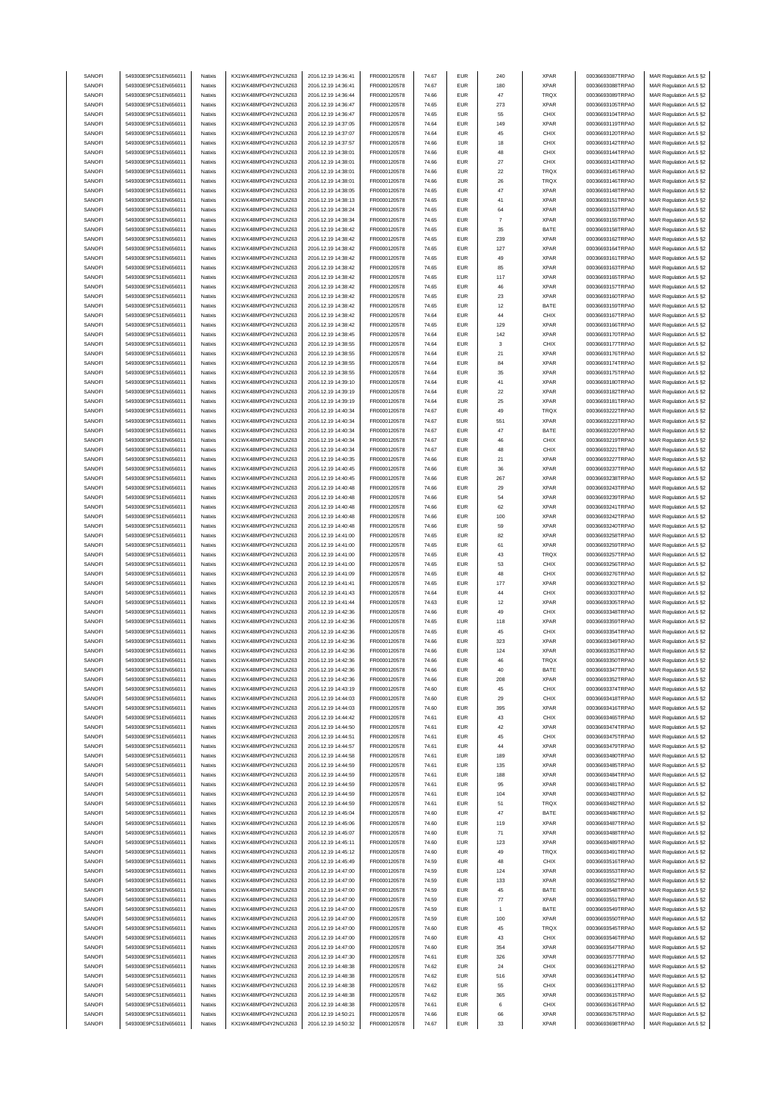| SANOFI |                      |         |                                              |                                            |              |       |            |                |             |                  |                         |
|--------|----------------------|---------|----------------------------------------------|--------------------------------------------|--------------|-------|------------|----------------|-------------|------------------|-------------------------|
|        | 549300E9PC51EN656011 | Natixis | KX1WK48MPD4Y2NCUIZ63                         | 2016.12.19 14:36:41                        | FR0000120578 | 74.67 | <b>EUR</b> | 240            | <b>XPAR</b> | 00036693087TRPA0 | MAR Regulation Art.5 §2 |
| SANOFI | 549300E9PC51EN656011 | Natixis | KX1WK48MPD4Y2NCUIZ63                         | 2016.12.19 14:36:41                        | FR0000120578 | 74.67 | <b>EUR</b> | 180            | <b>XPAR</b> | 00036693088TRPA0 | MAR Regulation Art.5 §2 |
| SANOFI | 549300E9PC51EN656011 | Natixis | KX1WK48MPD4Y2NCUIZ63                         | 2016.12.19 14:36:44                        | FR0000120578 | 74.66 | <b>EUR</b> | 47             | TRQX        | 00036693089TRPA0 | MAR Regulation Art.5 §2 |
| SANOFI | 549300E9PC51EN656011 | Natixis | KX1WK48MPD4Y2NCUIZ63                         | 2016.12.19 14:36:47                        | FR0000120578 | 74.65 | <b>EUR</b> | 273            | <b>XPAR</b> | 00036693105TRPA0 | MAR Regulation Art.5 §2 |
|        |                      |         |                                              |                                            |              |       |            |                |             |                  |                         |
| SANOFI | 549300E9PC51EN656011 | Natixis | KX1WK48MPD4Y2NCUIZ63                         | 2016.12.19 14:36:47                        | FR0000120578 | 74.65 | <b>EUR</b> | 55             | CHIX        | 00036693104TRPA0 | MAR Regulation Art.5 §2 |
| SANOFI | 549300E9PC51EN656011 | Natixis | KX1WK48MPD4Y2NCUIZ63                         | 2016.12.19 14:37:05                        | FR0000120578 | 74.64 | <b>EUR</b> | 149            | <b>XPAR</b> | 00036693119TRPA0 | MAR Regulation Art.5 §2 |
| SANOFI | 549300E9PC51EN656011 | Natixis | KX1WK48MPD4Y2NCUIZ63                         | 2016.12.19 14:37:07                        | FR0000120578 | 74.64 | <b>EUR</b> | 45             | CHIX        | 00036693120TRPA0 | MAR Regulation Art.5 §2 |
| SANOFI | 549300E9PC51EN656011 | Natixis | KX1WK48MPD4Y2NCUIZ63                         | 2016.12.19 14:37:57                        | FR0000120578 | 74.66 | <b>EUR</b> | 18             | CHIX        | 00036693142TRPA0 | MAR Regulation Art.5 §2 |
| SANOFI | 549300E9PC51EN656011 | Natixis | KX1WK48MPD4Y2NCUIZ63                         | 2016.12.19 14:38:01                        | FR0000120578 | 74.66 | <b>EUR</b> | 48             | CHIX        | 00036693144TRPA0 | MAR Regulation Art.5 §2 |
| SANOFI | 549300E9PC51EN656011 | Natixis | KX1WK48MPD4Y2NCUIZ63                         | 2016.12.19 14:38:01                        | FR0000120578 | 74.66 | <b>EUR</b> | 27             | CHIX        | 00036693143TRPA0 | MAR Regulation Art.5 §2 |
| SANOFI | 549300E9PC51EN656011 | Natixis | KX1WK48MPD4Y2NCUIZ63                         | 2016.12.19 14:38:01                        | FR0000120578 | 74.66 | <b>EUR</b> | $22\,$         | <b>TRQX</b> | 00036693145TRPA0 | MAR Regulation Art.5 §2 |
|        |                      |         |                                              |                                            |              |       |            |                |             |                  |                         |
| SANOFI | 549300E9PC51EN656011 | Natixis | KX1WK48MPD4Y2NCUIZ63                         | 2016.12.19 14:38:01                        | FR0000120578 | 74.66 | <b>EUR</b> | 26             | TRQX        | 00036693146TRPA0 | MAR Regulation Art.5 §2 |
| SANOFI | 549300E9PC51EN656011 | Natixis | KX1WK48MPD4Y2NCUIZ63                         | 2016.12.19 14:38:05                        | FR0000120578 | 74.65 | <b>EUR</b> | 47             | <b>XPAR</b> | 00036693148TRPA0 | MAR Regulation Art.5 §2 |
| SANOFI | 549300E9PC51EN656011 | Natixis | KX1WK48MPD4Y2NCUIZ63                         | 2016.12.19 14:38:13                        | FR0000120578 | 74.65 | <b>EUR</b> | 41             | <b>XPAR</b> | 00036693151TRPA0 | MAR Regulation Art.5 §2 |
| SANOFI | 549300E9PC51EN656011 | Natixis | KX1WK48MPD4Y2NCUIZ63                         | 2016.12.19 14:38:24                        | FR0000120578 | 74.65 | <b>EUR</b> | 64             | <b>XPAR</b> | 00036693153TRPA0 | MAR Regulation Art.5 §2 |
|        | 549300E9PC51EN656011 |         |                                              |                                            | FR0000120578 |       | <b>EUR</b> | $\overline{7}$ |             | 00036693155TRPA0 |                         |
| SANOFI |                      | Natixis | KX1WK48MPD4Y2NCUIZ63                         | 2016.12.19 14:38:34                        |              | 74.65 |            |                | <b>XPAR</b> |                  | MAR Regulation Art.5 §2 |
| SANOFI | 549300E9PC51EN656011 | Natixis | KX1WK48MPD4Y2NCUIZ63                         | 2016.12.19 14:38:42                        | FR0000120578 | 74.65 | <b>EUR</b> | 35             | BATE        | 00036693158TRPA0 | MAR Regulation Art.5 §2 |
| SANOFI | 549300E9PC51EN656011 | Natixis | KX1WK48MPD4Y2NCUIZ63                         | 2016.12.19 14:38:42                        | FR0000120578 | 74.65 | <b>EUR</b> | 239            | <b>XPAR</b> | 00036693162TRPA0 | MAR Regulation Art.5 §2 |
| SANOFI | 549300E9PC51EN656011 | Natixis | KX1WK48MPD4Y2NCUIZ63                         | 2016.12.19 14:38:42                        | FR0000120578 | 74.65 | <b>EUR</b> | 127            | <b>XPAR</b> | 00036693164TRPA0 | MAR Regulation Art.5 §2 |
| SANOFI | 549300E9PC51EN656011 | Natixis | KX1WK48MPD4Y2NCUIZ63                         | 2016.12.19 14:38:42                        | FR0000120578 | 74.65 | <b>EUR</b> | 49             | <b>XPAR</b> | 00036693161TRPA0 | MAR Regulation Art.5 §2 |
| SANOFI | 549300E9PC51EN656011 | Natixis | KX1WK48MPD4Y2NCUIZ63                         | 2016.12.19 14:38:42                        | FR0000120578 | 74.65 | <b>EUR</b> | 85             | <b>XPAR</b> | 00036693163TRPA0 | MAR Regulation Art.5 §2 |
| SANOFI | 549300E9PC51EN656011 | Natixis | KX1WK48MPD4Y2NCUIZ63                         | 2016.12.19 14:38:42                        | FR0000120578 | 74.65 | <b>EUR</b> | 117            | <b>XPAR</b> | 00036693165TRPA0 | MAR Regulation Art.5 §2 |
|        |                      |         |                                              |                                            |              |       |            |                |             |                  |                         |
| SANOFI | 549300E9PC51EN656011 | Natixis | KX1WK48MPD4Y2NCUIZ63                         | 2016.12.19 14:38:42                        | FR0000120578 | 74.65 | <b>EUR</b> | 46             | <b>XPAR</b> | 00036693157TRPA0 | MAR Regulation Art.5 §2 |
| SANOFI | 549300E9PC51EN656011 | Natixis | KX1WK48MPD4Y2NCUIZ63                         | 2016.12.19 14:38:42                        | FR0000120578 | 74.65 | <b>EUR</b> | 23             | <b>XPAR</b> | 00036693160TRPA0 | MAR Regulation Art.5 §2 |
| SANOFI | 549300E9PC51EN656011 | Natixis | KX1WK48MPD4Y2NCUIZ63                         | 2016.12.19 14:38:42                        | FR0000120578 | 74.65 | <b>EUR</b> | 12             | BATE        | 00036693159TRPA0 | MAR Regulation Art.5 §2 |
| SANOFI | 549300E9PC51EN656011 | Natixis | KX1WK48MPD4Y2NCUIZ63                         | 2016.12.19 14:38:42                        | FR0000120578 | 74.64 | <b>EUR</b> | 44             | CHIX        | 00036693167TRPA0 | MAR Regulation Art.5 §2 |
| SANOFI | 549300E9PC51EN656011 | Natixis | KX1WK48MPD4Y2NCUIZ63                         | 2016.12.19 14:38:42                        | FR0000120578 | 74.65 | <b>EUR</b> | 129            | <b>XPAR</b> | 00036693166TRPA0 | MAR Regulation Art.5 §2 |
| SANOFI | 549300E9PC51EN656011 | Natixis | KX1WK48MPD4Y2NCUIZ63                         | 2016.12.19 14:38:45                        | FR0000120578 | 74.64 | <b>EUR</b> | 142            | <b>XPAR</b> | 00036693170TRPA0 | MAR Regulation Art.5 §2 |
|        |                      |         |                                              |                                            |              |       |            |                |             |                  |                         |
| SANOFI | 549300E9PC51EN656011 | Natixis | KX1WK48MPD4Y2NCUIZ63                         | 2016.12.19 14:38:55                        | FR0000120578 | 74.64 | <b>EUR</b> | 3              | CHIX        | 00036693177TRPA0 | MAR Regulation Art.5 §2 |
| SANOFI | 549300E9PC51EN656011 | Natixis | KX1WK48MPD4Y2NCUIZ63                         | 2016.12.19 14:38:55                        | FR0000120578 | 74.64 | <b>EUR</b> | 21             | <b>XPAR</b> | 00036693176TRPA0 | MAR Regulation Art.5 §2 |
| SANOFI | 549300E9PC51EN656011 | Natixis | KX1WK48MPD4Y2NCUIZ63                         | 2016.12.19 14:38:55                        | FR0000120578 | 74.64 | <b>EUR</b> | 84             | <b>XPAR</b> | 00036693174TRPA0 | MAR Regulation Art.5 §2 |
| SANOFI | 549300E9PC51EN656011 | Natixis | KX1WK48MPD4Y2NCUIZ63                         | 2016.12.19 14:38:55                        | FR0000120578 | 74.64 | <b>EUR</b> | 35             | <b>XPAR</b> | 00036693175TRPA0 | MAR Regulation Art.5 §2 |
| SANOFI | 549300E9PC51EN656011 | Natixis | KX1WK48MPD4Y2NCUIZ63                         | 2016.12.19 14:39:10                        | FR0000120578 | 74.64 | <b>EUR</b> | 41             | <b>XPAR</b> | 00036693180TRPA0 | MAR Regulation Art.5 §2 |
|        |                      |         |                                              |                                            |              |       |            |                |             |                  |                         |
| SANOFI | 549300E9PC51EN656011 | Natixis | KX1WK48MPD4Y2NCUIZ63                         | 2016.12.19 14:39:19                        | FR0000120578 | 74.64 | <b>EUR</b> | $22\,$         | <b>XPAR</b> | 00036693182TRPA0 | MAR Regulation Art.5 §2 |
| SANOFI | 549300E9PC51EN656011 | Natixis | KX1WK48MPD4Y2NCUIZ63                         | 2016.12.19 14:39:19                        | FR0000120578 | 74.64 | <b>EUR</b> | 25             | <b>XPAR</b> | 00036693181TRPA0 | MAR Regulation Art.5 §2 |
| SANOFI | 549300E9PC51EN656011 | Natixis | KX1WK48MPD4Y2NCUIZ63                         | 2016.12.19 14:40:34                        | FR0000120578 | 74.67 | <b>EUR</b> | 49             | TRQX        | 00036693222TRPA0 | MAR Regulation Art.5 §2 |
| SANOFI | 549300E9PC51EN656011 | Natixis | KX1WK48MPD4Y2NCUIZ63                         | 2016.12.19 14:40:34                        | FR0000120578 | 74.67 | <b>EUR</b> | 551            | <b>XPAR</b> | 00036693223TRPA0 | MAR Regulation Art.5 §2 |
| SANOFI | 549300E9PC51EN656011 | Natixis | KX1WK48MPD4Y2NCUIZ63                         | 2016.12.19 14:40:34                        | FR0000120578 | 74.67 | <b>EUR</b> | 47             | BATE        | 00036693220TRPA0 | MAR Regulation Art.5 §2 |
|        |                      |         |                                              |                                            |              |       |            |                |             |                  |                         |
| SANOFI | 549300E9PC51EN656011 | Natixis | KX1WK48MPD4Y2NCUIZ63                         | 2016.12.19 14:40:34                        | FR0000120578 | 74.67 | <b>EUR</b> | 46             | CHIX        | 00036693219TRPA0 | MAR Regulation Art.5 §2 |
| SANOFI | 549300E9PC51EN656011 | Natixis | KX1WK48MPD4Y2NCUIZ63                         | 2016.12.19 14:40:34                        | FR0000120578 | 74.67 | <b>EUR</b> | 48             | CHIX        | 00036693221TRPA0 | MAR Regulation Art.5 §2 |
| SANOFI | 549300E9PC51EN656011 | Natixis | KX1WK48MPD4Y2NCUIZ63                         | 2016.12.19 14:40:35                        | FR0000120578 | 74.66 | EUR        | 21             | <b>XPAR</b> | 00036693227TRPA0 | MAR Regulation Art.5 §2 |
| SANOFI | 549300E9PC51EN656011 | Natixis | KX1WK48MPD4Y2NCUIZ63                         | 2016.12.19 14:40:45                        | FR0000120578 | 74.66 | <b>EUR</b> | 36             | <b>XPAR</b> | 00036693237TRPA0 | MAR Regulation Art.5 §2 |
| SANOFI | 549300E9PC51EN656011 | Natixis | KX1WK48MPD4Y2NCUIZ63                         | 2016.12.19 14:40:45                        | FR0000120578 | 74.66 | <b>EUR</b> | 267            | <b>XPAR</b> | 00036693238TRPA0 | MAR Regulation Art.5 §2 |
| SANOFI | 549300E9PC51EN656011 | Natixis | KX1WK48MPD4Y2NCUIZ63                         | 2016.12.19 14:40:48                        | FR0000120578 | 74.66 | <b>EUR</b> | 29             | <b>XPAR</b> | 00036693243TRPA0 |                         |
|        |                      |         |                                              |                                            |              |       |            |                |             |                  | MAR Regulation Art.5 §2 |
| SANOFI | 549300E9PC51EN656011 | Natixis | KX1WK48MPD4Y2NCUIZ63                         | 2016.12.19 14:40:48                        | FR0000120578 | 74.66 | <b>EUR</b> | 54             | <b>XPAR</b> | 00036693239TRPA0 | MAR Regulation Art.5 §2 |
| SANOFI | 549300E9PC51EN656011 | Natixis | KX1WK48MPD4Y2NCUIZ63                         | 2016.12.19 14:40:48                        | FR0000120578 | 74.66 | <b>EUR</b> | 62             | <b>XPAR</b> | 00036693241TRPA0 | MAR Regulation Art.5 §2 |
| SANOFI | 549300E9PC51EN656011 | Natixis | KX1WK48MPD4Y2NCUIZ63                         | 2016.12.19 14:40:48                        | FR0000120578 | 74.66 | <b>EUR</b> | 100            | <b>XPAR</b> | 00036693242TRPA0 | MAR Regulation Art.5 §2 |
| SANOFI | 549300E9PC51EN656011 | Natixis | KX1WK48MPD4Y2NCUIZ63                         | 2016.12.19 14:40:48                        | FR0000120578 | 74.66 | <b>EUR</b> | 59             | <b>XPAR</b> | 00036693240TRPA0 | MAR Regulation Art.5 §2 |
| SANOFI | 549300E9PC51EN656011 | Natixis | KX1WK48MPD4Y2NCUIZ63                         | 2016.12.19 14:41:00                        | FR0000120578 | 74.65 | <b>EUR</b> | 82             | <b>XPAR</b> | 00036693258TRPA0 | MAR Regulation Art.5 §2 |
|        |                      |         |                                              |                                            |              |       |            |                |             |                  |                         |
| SANOFI | 549300E9PC51EN656011 | Natixis | KX1WK48MPD4Y2NCUIZ63                         | 2016.12.19 14:41:00                        | FR0000120578 | 74.65 | <b>EUR</b> | 61             | <b>XPAR</b> | 00036693259TRPA0 | MAR Regulation Art.5 §2 |
| SANOFI | 549300E9PC51EN656011 | Natixis | KX1WK48MPD4Y2NCUIZ63                         | 2016.12.19 14:41:00                        | FR0000120578 | 74.65 | <b>EUR</b> | 43             | TRQX        | 00036693257TRPA0 | MAR Regulation Art.5 §2 |
| SANOFI | 549300E9PC51EN656011 | Natixis | KX1WK48MPD4Y2NCUIZ63                         | 2016.12.19 14:41:00                        | FR0000120578 | 74.65 | <b>EUR</b> | 53             | CHIX        | 00036693256TRPA0 | MAR Regulation Art.5 §2 |
| SANOFI | 549300E9PC51EN656011 | Natixis | KX1WK48MPD4Y2NCUIZ63                         | 2016.12.19 14:41:09                        | FR0000120578 | 74.65 | <b>EUR</b> | 48             | CHIX        | 00036693276TRPA0 | MAR Regulation Art.5 §2 |
| SANOFI | 549300E9PC51EN656011 | Natixis | KX1WK48MPD4Y2NCUIZ63                         | 2016.12.19 14:41:41                        | FR0000120578 | 74.65 | <b>EUR</b> | 177            | <b>XPAR</b> | 00036693302TRPA0 | MAR Regulation Art.5 §2 |
| SANOFI | 549300E9PC51EN656011 | Natixis | KX1WK48MPD4Y2NCUIZ63                         | 2016.12.19 14:41:43                        | FR0000120578 | 74.64 | <b>EUR</b> | 44             | CHIX        | 00036693303TRPA0 | MAR Regulation Art.5 §2 |
|        |                      |         |                                              |                                            |              |       |            |                |             |                  |                         |
| SANOFI | 549300E9PC51EN656011 | Natixis | KX1WK48MPD4Y2NCUIZ63                         | 2016.12.19 14:41:44                        | FR0000120578 | 74.63 | <b>EUR</b> | 12             | <b>XPAR</b> | 00036693305TRPA0 | MAR Regulation Art.5 §2 |
| SANOFI | 549300E9PC51EN656011 | Natixis | KX1WK48MPD4Y2NCUIZ63                         | 2016.12.19 14:42:36                        | FR0000120578 | 74.66 | <b>EUR</b> | 49             | CHIX        | 00036693348TRPA0 | MAR Regulation Art.5 §2 |
| SANOFI | 549300E9PC51EN656011 | Natixis | KX1WK48MPD4Y2NCUIZ63                         | 2016.12.19 14:42:36                        | FR0000120578 | 74.65 | <b>EUR</b> | 118            | <b>XPAR</b> | 00036693359TRPA0 | MAR Regulation Art.5 §2 |
| SANOFI | 549300E9PC51EN656011 | Natixis | KX1WK48MPD4Y2NCUIZ63                         | 2016.12.19 14:42:36                        | FR0000120578 | 74.65 | <b>EUR</b> | 45             | CHIX        | 00036693354TRPA0 | MAR Regulation Art.5 §2 |
| SANOFI | 549300E9PC51EN656011 | Natixis | KX1WK48MPD4Y2NCUIZ63                         | 2016.12.19 14:42:36                        | FR0000120578 | 74.66 | <b>EUR</b> | 323            | <b>XPAR</b> | 00036693349TRPA0 | MAR Regulation Art.5 §2 |
|        |                      |         |                                              |                                            |              |       |            |                |             |                  |                         |
| SANOF  | 549300E9PC51EN65601  | Natixis | KX1WK48MPD4Y2NCUIZ63                         | 2016.12.19 14:42:36                        | FR0000120578 | 74.66 | EUR        | 124            | XPAR        | 00036693353TRPA0 | MAR Regulation Art.5 §2 |
| SANOFI | 549300E9PC51EN656011 | Natixis | KX1WK48MPD4Y2NCUIZ63                         | 2016.12.19 14:42:36                        | FR0000120578 | 74.66 | <b>EUR</b> | 46             | TRQX        | 00036693350TRPA0 | MAR Regulation Art.5 §2 |
| SANOFI | 549300E9PC51EN656011 | Natixis | KX1WK48MPD4Y2NCUIZ63                         | 2016.12.19 14:42:36                        | FR0000120578 | 74.66 | <b>EUR</b> | 40             | BATE        | 00036693347TRPA0 | MAR Regulation Art.5 §2 |
| SANOFI | 549300E9PC51EN656011 | Natixis | KX1WK48MPD4Y2NCUIZ63                         | 2016.12.19 14:42:36                        | FR0000120578 | 74.66 | <b>EUR</b> | 208            | <b>XPAR</b> | 00036693352TRPA0 | MAR Regulation Art.5 §2 |
| SANOFI | 549300E9PC51EN656011 | Natixis | KX1WK48MPD4Y2NCUIZ63                         | 2016.12.19 14:43:19                        | FR0000120578 | 74.60 | <b>EUR</b> | 45             | CHIX        | 00036693374TRPA0 | MAR Regulation Art.5 §2 |
| SANOFI | 549300E9PC51EN656011 | Natixis | KX1WK48MPD4Y2NCUIZ63                         | 2016.12.19 14:44:03                        | FR0000120578 | 74.60 | <b>EUR</b> | 29             | CHIX        | 00036693418TRPA0 | MAR Regulation Art.5 §2 |
| SANOFI | 549300E9PC51EN656011 | Natixis | KX1WK48MPD4Y2NCUIZ63                         | 2016.12.19 14:44:03                        | FR0000120578 | 74.60 | <b>EUR</b> | 395            | <b>XPAR</b> | 00036693416TRPA0 | MAR Regulation Art.5 §2 |
| SANOFI | 549300E9PC51EN656011 |         | KX1WK48MPD4Y2NCUIZ63                         | 2016.12.19 14:44:42                        | FR0000120578 |       |            |                |             | 00036693465TRPA0 |                         |
|        |                      | Natixis |                                              |                                            |              | 74.61 | <b>EUR</b> | 43             | CHIX        |                  | MAR Regulation Art.5 §2 |
| SANOFI | 549300E9PC51EN656011 | Natixis | KX1WK48MPD4Y2NCUIZ63                         | 2016.12.19 14:44:50                        | FR0000120578 | 74.61 | <b>EUR</b> | 42             | <b>XPAR</b> | 00036693474TRPA0 | MAR Regulation Art.5 §2 |
| SANOFI | 549300E9PC51EN656011 | Natixis | KX1WK48MPD4Y2NCUIZ63                         | 2016.12.19 14:44:51                        | FR0000120578 |       | <b>EUR</b> |                |             |                  |                         |
| SANOFI | 549300E9PC51EN656011 | Natixis | KX1WK48MPD4Y2NCUIZ63                         |                                            |              | 74.61 |            | 45             | CHIX        | 00036693475TRPA0 | MAR Regulation Art.5 §2 |
|        |                      |         |                                              | 2016.12.19 14:44:57                        | FR0000120578 | 74.61 | <b>EUR</b> | 44             | <b>XPAR</b> | 00036693479TRPA0 | MAR Regulation Art.5 §2 |
| SANOFI | 549300E9PC51EN656011 | Natixis | KX1WK48MPD4Y2NCUIZ63                         | 2016.12.19 14:44:58                        | FR0000120578 | 74.61 | <b>EUR</b> | 189            | <b>XPAR</b> | 00036693480TRPA0 | MAR Regulation Art.5 §2 |
|        |                      |         |                                              |                                            |              |       |            |                |             |                  |                         |
| SANOFI | 549300E9PC51EN656011 | Natixis | KX1WK48MPD4Y2NCUIZ63                         | 2016.12.19 14:44:59                        | FR0000120578 | 74.61 | <b>EUR</b> | 135            | <b>XPAR</b> | 00036693485TRPA0 | MAR Regulation Art.5 §2 |
| SANOFI | 549300E9PC51EN656011 | Natixis | KX1WK48MPD4Y2NCUIZ63                         | 2016.12.19 14:44:59                        | FR0000120578 | 74.61 | <b>EUR</b> | 188            | <b>XPAR</b> | 00036693484TRPA0 | MAR Regulation Art.5 §2 |
| SANOFI | 549300E9PC51EN656011 | Natixis | KX1WK48MPD4Y2NCUIZ63                         | 2016.12.19 14:44:59                        | FR0000120578 | 74.61 | <b>EUR</b> | 95             | <b>XPAR</b> | 00036693481TRPA0 | MAR Regulation Art.5 §2 |
| SANOFI | 549300E9PC51EN656011 | Natixis | KX1WK48MPD4Y2NCUIZ63                         | 2016.12.19 14:44:59                        | FR0000120578 | 74.61 | <b>EUR</b> | 104            | <b>XPAR</b> | 00036693483TRPA0 | MAR Regulation Art.5 §2 |
| SANOFI | 549300E9PC51EN656011 | Natixis | KX1WK48MPD4Y2NCUIZ63                         | 2016.12.19 14:44:59                        | FR0000120578 | 74.61 | <b>EUR</b> | 51             | TRQX        | 00036693482TRPA0 | MAR Regulation Art.5 §2 |
|        | 549300E9PC51EN656011 | Natixis |                                              |                                            | FR0000120578 | 74.60 |            |                |             |                  |                         |
| SANOFI |                      |         | KX1WK48MPD4Y2NCUIZ63                         | 2016.12.19 14:45:04                        |              |       | <b>EUR</b> | 47             | BATE        | 00036693486TRPA0 | MAR Regulation Art.5 §2 |
| SANOFI | 549300E9PC51EN656011 | Natixis | KX1WK48MPD4Y2NCUIZ63                         | 2016.12.19 14:45:06                        | FR0000120578 | 74.60 | <b>EUR</b> | 119            | <b>XPAR</b> | 00036693487TRPA0 | MAR Regulation Art.5 §2 |
| SANOFI | 549300E9PC51EN656011 | Natixis | KX1WK48MPD4Y2NCUIZ63                         | 2016.12.19 14:45:07                        | FR0000120578 | 74.60 | <b>EUR</b> | $71\,$         | <b>XPAR</b> | 00036693488TRPA0 | MAR Regulation Art.5 §2 |
| SANOFI | 549300E9PC51EN656011 | Natixis | KX1WK48MPD4Y2NCUIZ63                         | 2016.12.19 14:45:11                        | FR0000120578 | 74.60 | <b>EUR</b> | 123            | <b>XPAR</b> | 00036693489TRPA0 | MAR Regulation Art.5 §2 |
| SANOFI | 549300E9PC51EN656011 | Natixis | KX1WK48MPD4Y2NCUIZ63                         | 2016.12.19 14:45:12                        | FR0000120578 | 74.60 | <b>EUR</b> | 49             | <b>TRQX</b> | 00036693491TRPA0 | MAR Regulation Art.5 §2 |
| SANOFI | 549300E9PC51EN656011 | Natixis | KX1WK48MPD4Y2NCUIZ63                         | 2016.12.19 14:45:49                        | FR0000120578 | 74.59 | <b>EUR</b> | 48             | CHIX        | 00036693516TRPA0 | MAR Regulation Art.5 §2 |
|        |                      |         |                                              |                                            |              |       | <b>EUR</b> |                |             | 00036693553TRPA0 |                         |
| SANOFI | 549300E9PC51EN656011 | Natixis | KX1WK48MPD4Y2NCUIZ63                         | 2016.12.19 14:47:00                        | FR0000120578 | 74.59 |            | 124            | <b>XPAR</b> |                  | MAR Regulation Art.5 §2 |
| SANOFI | 549300E9PC51EN656011 | Natixis | KX1WK48MPD4Y2NCUIZ63                         | 2016.12.19 14:47:00                        | FR0000120578 | 74.59 | <b>EUR</b> | 133            | <b>XPAR</b> | 00036693552TRPA0 | MAR Regulation Art.5 §2 |
| SANOFI | 549300E9PC51EN656011 | Natixis | KX1WK48MPD4Y2NCUIZ63                         | 2016.12.19 14:47:00                        | FR0000120578 | 74.59 | <b>EUR</b> | 45             | BATE        | 00036693548TRPA0 | MAR Regulation Art.5 §2 |
| SANOFI | 549300E9PC51EN656011 | Natixis | KX1WK48MPD4Y2NCUIZ63                         | 2016.12.19 14:47:00                        | FR0000120578 | 74.59 | <b>EUR</b> | $77\,$         | <b>XPAR</b> | 00036693551TRPA0 | MAR Regulation Art.5 §2 |
| SANOFI | 549300E9PC51EN656011 | Natixis | KX1WK48MPD4Y2NCUIZ63                         | 2016.12.19 14:47:00                        | FR0000120578 | 74.59 | <b>EUR</b> | 1              | BATE        | 00036693549TRPA0 | MAR Regulation Art.5 §2 |
|        |                      |         |                                              |                                            |              |       | <b>EUR</b> |                |             |                  |                         |
| SANOFI | 549300E9PC51EN656011 | Natixis | KX1WK48MPD4Y2NCUIZ63                         | 2016.12.19 14:47:00                        | FR0000120578 | 74.59 |            | 100            | <b>XPAR</b> | 00036693550TRPA0 | MAR Regulation Art.5 §2 |
| SANOFI | 549300E9PC51EN656011 | Natixis | KX1WK48MPD4Y2NCUIZ63                         | 2016.12.19 14:47:00                        | FR0000120578 | 74.60 | <b>EUR</b> | 45             | <b>TRQX</b> | 00036693545TRPA0 | MAR Regulation Art.5 §2 |
| SANOFI | 549300E9PC51EN656011 | Natixis | KX1WK48MPD4Y2NCUIZ63                         | 2016.12.19 14:47:00                        | FR0000120578 | 74.60 | <b>EUR</b> | 43             | CHIX        | 00036693546TRPA0 | MAR Regulation Art.5 §2 |
| SANOFI | 549300E9PC51EN656011 | Natixis | KX1WK48MPD4Y2NCUIZ63                         | 2016.12.19 14:47:00                        | FR0000120578 | 74.60 | <b>EUR</b> | 354            | <b>XPAR</b> | 00036693547TRPA0 | MAR Regulation Art.5 §2 |
| SANOFI | 549300E9PC51EN656011 | Natixis | KX1WK48MPD4Y2NCUIZ63                         | 2016.12.19 14:47:30                        | FR0000120578 | 74.61 | <b>EUR</b> | 326            | <b>XPAR</b> | 00036693577TRPA0 | MAR Regulation Art.5 §2 |
| SANOFI | 549300E9PC51EN656011 | Natixis | KX1WK48MPD4Y2NCUIZ63                         | 2016.12.19 14:48:38                        | FR0000120578 | 74.62 | <b>EUR</b> | 24             | CHIX        | 00036693612TRPA0 |                         |
|        |                      | Natixis |                                              |                                            |              |       | <b>EUR</b> |                |             |                  | MAR Regulation Art.5 §2 |
| SANOFI | 549300E9PC51EN656011 |         | KX1WK48MPD4Y2NCUIZ63                         | 2016.12.19 14:48:38                        | FR0000120578 | 74.62 |            | 516            | <b>XPAR</b> | 00036693614TRPA0 | MAR Regulation Art.5 §2 |
| SANOFI | 549300E9PC51EN656011 | Natixis | KX1WK48MPD4Y2NCUIZ63                         | 2016.12.19 14:48:38                        | FR0000120578 | 74.62 | <b>EUR</b> | 55             | CHIX        | 00036693613TRPA0 | MAR Regulation Art.5 §2 |
| SANOFI | 549300E9PC51EN656011 | Natixis | KX1WK48MPD4Y2NCUIZ63                         | 2016.12.19 14:48:38                        | FR0000120578 | 74.62 | <b>EUR</b> | 365            | <b>XPAR</b> | 00036693615TRPA0 | MAR Regulation Art.5 §2 |
| SANOFI | 549300E9PC51EN656011 | Natixis | KX1WK48MPD4Y2NCUIZ63                         | 2016.12.19 14:48:38                        | FR0000120578 | 74.61 | <b>EUR</b> | 6              | CHIX        | 00036693616TRPA0 | MAR Regulation Art.5 §2 |
| SANOFI | 549300E9PC51EN656011 | Natixis | KX1WK48MPD4Y2NCUIZ63<br>KX1WK48MPD4Y2NCUIZ63 | 2016.12.19 14:50:21<br>2016.12.19 14:50:32 | FR0000120578 | 74.66 | <b>EUR</b> | 66             | <b>XPAR</b> | 00036693675TRPA0 | MAR Regulation Art.5 §2 |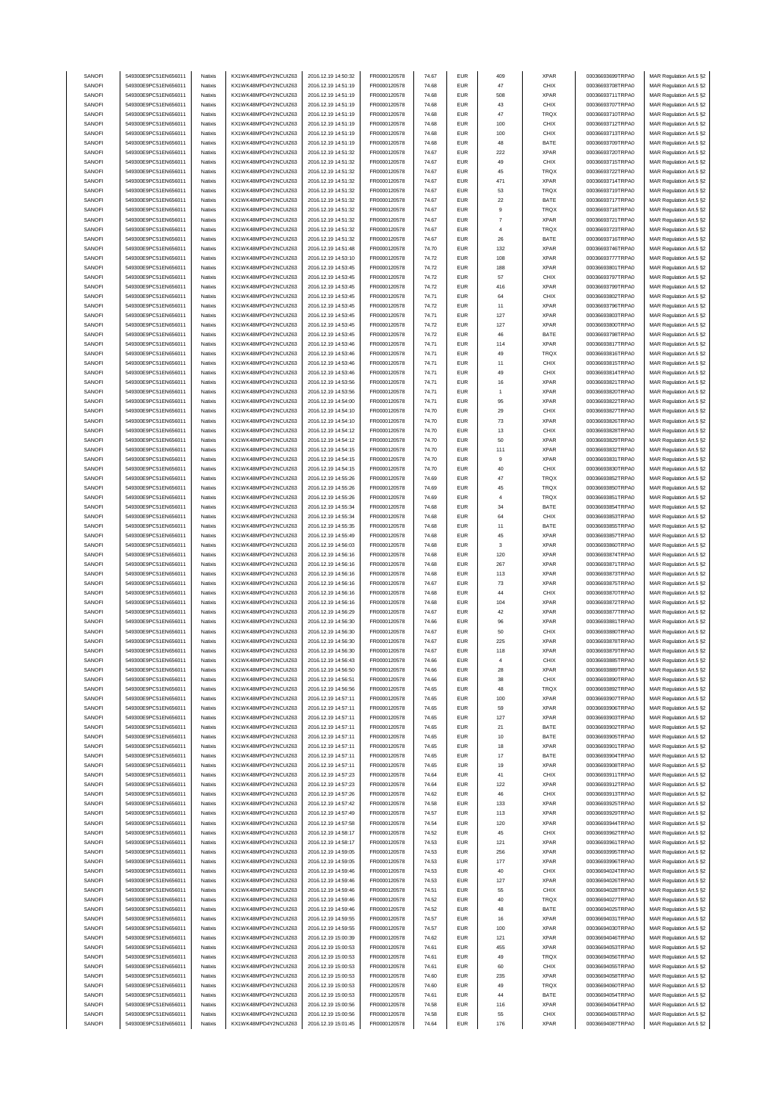| SANOFI | 549300E9PC51EN656011 | Natixis | KX1WK48MPD4Y2NCUIZ63                         | 2016.12.19 14:50:32 | FR0000120578 | 74.67 | <b>EUR</b>  | 409            | <b>XPAR</b> | 00036693699TRPA0 | MAR Regulation Art.5 §2 |
|--------|----------------------|---------|----------------------------------------------|---------------------|--------------|-------|-------------|----------------|-------------|------------------|-------------------------|
| SANOFI | 549300E9PC51EN656011 | Natixis | KX1WK48MPD4Y2NCUIZ63                         | 2016.12.19 14:51:19 | FR0000120578 | 74.68 | <b>EUR</b>  | 47             | CHIX        | 00036693708TRPA0 | MAR Regulation Art.5 §2 |
| SANOFI | 549300E9PC51EN656011 | Natixis | KX1WK48MPD4Y2NCUIZ63                         | 2016.12.19 14:51:19 | FR0000120578 | 74.68 | <b>EUR</b>  | 508            | <b>XPAR</b> | 00036693711TRPA0 | MAR Regulation Art.5 §2 |
| SANOFI | 549300E9PC51EN656011 | Natixis | KX1WK48MPD4Y2NCUIZ63                         | 2016.12.19 14:51:19 | FR0000120578 | 74.68 | <b>EUR</b>  | 43             | CHIX        | 00036693707TRPA0 | MAR Regulation Art.5 §2 |
|        |                      |         |                                              |                     |              |       |             |                |             |                  |                         |
| SANOFI | 549300E9PC51EN656011 | Natixis | KX1WK48MPD4Y2NCUIZ63                         | 2016.12.19 14:51:19 | FR0000120578 | 74.68 | <b>EUR</b>  | 47             | TRQX        | 00036693710TRPA0 | MAR Regulation Art.5 §2 |
| SANOFI | 549300E9PC51EN656011 | Natixis | KX1WK48MPD4Y2NCUIZ63                         | 2016.12.19 14:51:19 | FR0000120578 | 74.68 | <b>EUR</b>  | 100            | CHIX        | 00036693712TRPA0 | MAR Regulation Art.5 §2 |
| SANOFI | 549300E9PC51EN656011 | Natixis | KX1WK48MPD4Y2NCUIZ63                         | 2016.12.19 14:51:19 | FR0000120578 | 74.68 | <b>EUR</b>  | 100            | CHIX        | 00036693713TRPA0 | MAR Regulation Art.5 §2 |
| SANOFI | 549300E9PC51EN656011 | Natixis | KX1WK48MPD4Y2NCUIZ63                         | 2016.12.19 14:51:19 | FR0000120578 | 74.68 | <b>EUR</b>  | 48             | BATE        | 00036693709TRPA0 | MAR Regulation Art.5 §2 |
| SANOFI | 549300E9PC51EN656011 | Natixis | KX1WK48MPD4Y2NCLIIZ63                        | 2016.12.19 14:51:32 | FR0000120578 | 74.67 | <b>EUR</b>  | 222            | <b>XPAR</b> | 00036693720TRPA0 | MAR Regulation Art.5 §2 |
| SANOFI | 549300E9PC51EN656011 | Natixis | KX1WK48MPD4Y2NCUIZ63                         | 2016.12.19 14:51:32 | FR0000120578 | 74.67 | <b>EUR</b>  | 49             | CHIX        | 00036693715TRPA0 | MAR Regulation Art.5 §2 |
| SANOFI | 549300E9PC51EN656011 | Natixis | KX1WK48MPD4Y2NCUIZ63                         | 2016.12.19 14:51:32 | FR0000120578 | 74.67 | <b>EUR</b>  | 45             | TRQX        | 00036693722TRPA0 | MAR Regulation Art.5 §2 |
|        |                      |         |                                              |                     |              |       |             |                |             |                  |                         |
| SANOFI | 549300E9PC51EN656011 | Natixis | KX1WK48MPD4Y2NCUIZ63                         | 2016.12.19 14:51:32 | FR0000120578 | 74.67 | <b>EUR</b>  | 471            | <b>XPAR</b> | 00036693714TRPA0 | MAR Regulation Art.5 §2 |
| SANOFI | 549300E9PC51EN656011 | Natixis | KX1WK48MPD4Y2NCUIZ63                         | 2016.12.19 14:51:32 | FR0000120578 | 74.67 | <b>EUR</b>  | 53             | TRQX        | 00036693719TRPA0 | MAR Regulation Art.5 §2 |
| SANOFI | 549300E9PC51EN656011 | Natixis | KX1WK48MPD4Y2NCUIZ63                         | 2016.12.19 14:51:32 | FR0000120578 | 74.67 | <b>EUR</b>  | 22             | BATE        | 00036693717TRPA0 | MAR Regulation Art.5 §2 |
| SANOFI | 549300E9PC51EN656011 | Natixis | KX1WK48MPD4Y2NCUIZ63                         | 2016.12.19 14:51:32 | FR0000120578 | 74.67 | <b>EUR</b>  | 9              | TRQX        | 00036693718TRPA0 | MAR Regulation Art.5 §2 |
|        | 549300E9PC51EN656011 |         | KX1WK48MPD4Y2NCUIZ63                         |                     |              |       |             | $\overline{7}$ |             | 00036693721TRPA0 |                         |
| SANOFI |                      | Natixis |                                              | 2016.12.19 14:51:32 | FR0000120578 | 74.67 | <b>EUR</b>  |                | <b>XPAR</b> |                  | MAR Regulation Art.5 §2 |
| SANOFI | 549300E9PC51EN656011 | Natixis | KX1WK48MPD4Y2NCUIZ63                         | 2016.12.19 14:51:32 | FR0000120578 | 74.67 | <b>EUR</b>  | $\overline{4}$ | TRQX        | 00036693723TRPA0 | MAR Regulation Art.5 §2 |
| SANOFI | 549300E9PC51EN656011 | Natixis | KX1WK48MPD4Y2NCLIIZ63                        | 2016.12.19 14:51:32 | FR0000120578 | 74.67 | <b>EUR</b>  | 26             | BATE        | 00036693716TRPA0 | MAR Regulation Art.5 §2 |
| SANOFI | 549300E9PC51EN656011 | Natixis | KX1WK48MPD4Y2NCUIZ63                         | 2016.12.19 14:51:48 | FR0000120578 | 74.70 | <b>EUR</b>  | 132            | <b>XPAR</b> | 00036693746TRPA0 | MAR Regulation Art.5 §2 |
| SANOFI | 549300E9PC51EN656011 | Natixis | KX1WK48MPD4Y2NCUIZ63                         | 2016.12.19 14:53:10 | FR0000120578 | 74.72 | <b>EUR</b>  | 108            | <b>XPAR</b> | 00036693777TRPA0 | MAR Regulation Art.5 §2 |
| SANOFI | 549300E9PC51EN656011 | Natixis | KX1WK48MPD4Y2NCUIZ63                         | 2016.12.19 14:53:45 | FR0000120578 | 74.72 | <b>EUR</b>  | 188            | <b>XPAR</b> | 00036693801TRPA0 | MAR Regulation Art.5 §2 |
|        |                      |         |                                              |                     |              |       |             |                |             |                  |                         |
| SANOFI | 549300E9PC51EN656011 | Natixis | KX1WK48MPD4Y2NCUIZ63                         | 2016.12.19 14:53:45 | FR0000120578 | 74.72 | <b>EUR</b>  | 57             | CHIX        | 00036693797TRPA0 | MAR Regulation Art.5 §2 |
| SANOFI | 549300E9PC51EN656011 | Natixis | KX1WK48MPD4Y2NCUIZ63                         | 2016.12.19 14:53:45 | FR0000120578 | 74.72 | <b>EUR</b>  | 416            | <b>XPAR</b> | 00036693799TRPA0 | MAR Regulation Art.5 §2 |
| SANOFI | 549300E9PC51EN656011 | Natixis | KX1WK48MPD4Y2NCUIZ63                         | 2016.12.19 14:53:45 | FR0000120578 | 74.71 | <b>EUR</b>  | 64             | CHIX        | 00036693802TRPA0 | MAR Regulation Art.5 §2 |
| SANOFI | 549300E9PC51EN656011 | Natixis | KX1WK48MPD4Y2NCUIZ63                         | 2016.12.19 14:53:45 | FR0000120578 | 74.72 | <b>EUR</b>  | 11             | <b>XPAR</b> | 00036693796TRPA0 | MAR Regulation Art.5 §2 |
| SANOFI | 549300E9PC51EN656011 | Natixis | KX1WK48MPD4Y2NCUIZ63                         | 2016.12.19 14:53:45 | FR0000120578 | 74.71 | <b>EUR</b>  | 127            | <b>XPAR</b> | 00036693803TRPA0 | MAR Regulation Art.5 §2 |
| SANOFI | 549300E9PC51EN656011 | Natixis | KX1WK48MPD4Y2NCLIIZ63                        | 2016.12.19 14:53:45 | FR0000120578 | 74.72 | <b>EUR</b>  | 127            | <b>XPAR</b> | 00036693800TRPA0 | MAR Regulation Art.5 §2 |
|        |                      |         |                                              |                     |              |       |             |                |             |                  |                         |
| SANOFI | 549300E9PC51EN656011 | Natixis | KX1WK48MPD4Y2NCUIZ63                         | 2016.12.19 14:53:45 | FR0000120578 | 74.72 | <b>EUR</b>  | 46             | BATE        | 00036693798TRPA0 | MAR Regulation Art.5 §2 |
| SANOFI | 549300E9PC51EN656011 | Natixis | KX1WK48MPD4Y2NCUIZ63                         | 2016.12.19 14:53:46 | FR0000120578 | 74.71 | <b>EUR</b>  | 114            | <b>XPAR</b> | 00036693817TRPA0 | MAR Regulation Art.5 §2 |
| SANOFI | 549300E9PC51EN656011 | Natixis | KX1WK48MPD4Y2NCUIZ63                         | 2016.12.19 14:53:46 | FR0000120578 | 74.71 | <b>EUR</b>  | 49             | TRQX        | 00036693816TRPA0 | MAR Regulation Art.5 §2 |
| SANOFI | 549300E9PC51EN656011 | Natixis | KX1WK48MPD4Y2NCUIZ63                         | 2016.12.19 14:53:46 | FR0000120578 | 74.71 | <b>EUR</b>  | 11             | CHIX        | 00036693815TRPA0 | MAR Regulation Art.5 §2 |
| SANOFI | 549300E9PC51EN656011 | Natixis | KX1WK48MPD4Y2NCUIZ63                         | 2016.12.19 14:53:46 | FR0000120578 | 74.71 | <b>EUR</b>  | 49             | CHIX        | 00036693814TRPA0 | MAR Regulation Art.5 §2 |
|        |                      |         |                                              |                     |              |       |             |                |             |                  |                         |
| SANOFI | 549300E9PC51EN656011 | Natixis | KX1WK48MPD4Y2NCUIZ63                         | 2016.12.19 14:53:56 | FR0000120578 | 74.71 | <b>EUR</b>  | 16             | <b>XPAR</b> | 00036693821TRPA0 | MAR Regulation Art.5 §2 |
| SANOFI | 549300E9PC51EN656011 | Natixis | KX1WK48MPD4Y2NCUIZ63                         | 2016.12.19 14:53:56 | FR0000120578 | 74.71 | <b>EUR</b>  | $\mathbf{1}$   | <b>XPAR</b> | 00036693820TRPA0 | MAR Regulation Art.5 §2 |
| SANOFI | 549300E9PC51EN656011 | Natixis | KX1WK48MPD4Y2NCUIZ63                         | 2016.12.19 14:54:00 | FR0000120578 | 74.71 | <b>EUR</b>  | 95             | <b>XPAR</b> | 00036693822TRPA0 | MAR Regulation Art.5 §2 |
| SANOFI | 549300E9PC51EN656011 | Natixis | KX1WK48MPD4Y2NCLIIZ63                        | 2016.12.19 14:54:10 | FR0000120578 | 74.70 | <b>EUR</b>  | 29             | CHIX        | 00036693827TRPA0 | MAR Regulation Art.5 §2 |
| SANOFI | 549300E9PC51EN656011 | Natixis | KX1WK48MPD4Y2NCUIZ63                         | 2016.12.19 14:54:10 | FR0000120578 | 74.70 | <b>EUR</b>  | 73             | <b>XPAR</b> | 00036693826TRPA0 | MAR Regulation Art.5 §2 |
|        |                      |         |                                              |                     |              |       |             |                |             |                  |                         |
| SANOFI | 549300E9PC51EN656011 | Natixis | KX1WK48MPD4Y2NCUIZ63                         | 2016.12.19 14:54:12 | FR0000120578 | 74.70 | <b>EUR</b>  | 13             | CHIX        | 00036693828TRPA0 | MAR Regulation Art.5 §2 |
| SANOFI | 549300E9PC51EN656011 | Natixis | KX1WK48MPD4Y2NCUIZ63                         | 2016.12.19 14:54:12 | FR0000120578 | 74.70 | <b>EUR</b>  | 50             | <b>XPAR</b> | 00036693829TRPA0 | MAR Regulation Art.5 §2 |
| SANOFI | 549300E9PC51EN656011 | Natixis | KX1WK48MPD4Y2NCUIZ63                         | 2016.12.19 14:54:15 | FR0000120578 | 74.70 | <b>EUR</b>  | 111            | <b>XPAR</b> | 00036693832TRPA0 | MAR Regulation Art.5 §2 |
| SANOFI | 549300E9PC51EN656011 | Natixis | KX1WK48MPD4Y2NCUIZ63                         | 2016.12.19 14:54:15 | FR0000120578 | 74.70 | <b>EUR</b>  | 9              | <b>XPAR</b> | 00036693831TRPA0 | MAR Regulation Art.5 §2 |
| SANOFI | 549300E9PC51EN656011 | Natixis | KX1WK48MPD4Y2NCUIZ63                         | 2016.12.19 14:54:15 | FR0000120578 | 74.70 | <b>EUR</b>  | 40             | CHIX        | 00036693830TRPA0 | MAR Regulation Art.5 §2 |
| SANOFI | 549300E9PC51EN656011 | Natixis | KX1WK48MPD4Y2NCUIZ63                         | 2016.12.19 14:55:26 | FR0000120578 | 74.69 | <b>EUR</b>  | 47             | TRQX        | 00036693852TRPA0 |                         |
|        |                      |         |                                              |                     |              |       |             |                |             |                  | MAR Regulation Art.5 §2 |
| SANOFI | 549300E9PC51EN656011 | Natixis | KX1WK48MPD4Y2NCUIZ63                         | 2016.12.19 14:55:26 | FR0000120578 | 74.69 | <b>EUR</b>  | 45             | TRQX        | 00036693850TRPA0 | MAR Regulation Art.5 §2 |
| SANOFI | 549300E9PC51EN656011 | Natixis | KX1WK48MPD4Y2NCUIZ63                         | 2016.12.19 14:55:26 | FR0000120578 | 74.69 | <b>EUR</b>  | $\overline{4}$ | TRQX        | 00036693851TRPA0 | MAR Regulation Art.5 §2 |
| SANOFI | 549300E9PC51EN656011 | Natixis | KX1WK48MPD4Y2NCUIZ63                         | 2016.12.19 14:55:34 | FR0000120578 | 74.68 | <b>EUR</b>  | 34             | BATE        | 00036693854TRPA0 | MAR Regulation Art.5 §2 |
| SANOFI | 549300E9PC51EN656011 | Natixis | KX1WK48MPD4Y2NCUIZ63                         | 2016.12.19 14:55:34 | FR0000120578 | 74.68 | <b>EUR</b>  | 64             | CHIX        | 00036693853TRPA0 | MAR Regulation Art.5 §2 |
| SANOFI | 549300E9PC51EN656011 | Natixis | KX1WK48MPD4Y2NCUIZ63                         | 2016.12.19 14:55:35 | FR0000120578 | 74.68 | <b>EUR</b>  | 11             | BATE        | 00036693855TRPA0 | MAR Regulation Art.5 §2 |
|        |                      |         |                                              |                     |              |       |             |                |             |                  |                         |
| SANOFI | 549300E9PC51EN656011 | Natixis | KX1WK48MPD4Y2NCUIZ63                         | 2016.12.19 14:55:49 | FR0000120578 | 74.68 | <b>EUR</b>  | 45             | <b>XPAR</b> | 00036693857TRPA0 | MAR Regulation Art.5 §2 |
| SANOFI | 549300E9PC51EN656011 | Natixis | KX1WK48MPD4Y2NCUIZ63                         | 2016.12.19 14:56:03 | FR0000120578 | 74.68 | <b>EUR</b>  | 3              | <b>XPAR</b> | 00036693860TRPA0 | MAR Regulation Art.5 §2 |
| SANOFI | 549300E9PC51EN656011 | Natixis | KX1WK48MPD4Y2NCUIZ63                         | 2016.12.19 14:56:16 | FR0000120578 | 74.68 | <b>EUR</b>  | 120            | <b>XPAR</b> | 00036693874TRPA0 | MAR Regulation Art.5 §2 |
| SANOFI | 549300E9PC51EN656011 | Natixis | KX1WK48MPD4Y2NCUIZ63                         | 2016.12.19 14:56:16 | FR0000120578 | 74.68 | <b>EUR</b>  | 267            | <b>XPAR</b> | 00036693871TRPA0 | MAR Regulation Art.5 §2 |
| SANOFI | 549300E9PC51EN656011 | Natixis | KX1WK48MPD4Y2NCLIIZ63                        | 2016.12.19.14:56:16 | FR0000120578 | 74.68 | <b>EUR</b>  | 113            | <b>XPAR</b> | 00036693873TRPA0 | MAR Regulation Art.5 §2 |
|        |                      |         |                                              |                     |              |       |             |                |             |                  |                         |
| SANOFI | 549300E9PC51EN656011 | Natixis | KX1WK48MPD4Y2NCUIZ63                         | 2016.12.19 14:56:16 | FR0000120578 | 74.67 | <b>EUR</b>  | 73             | <b>XPAR</b> | 00036693875TRPA0 | MAR Regulation Art.5 §2 |
| SANOFI | 549300E9PC51EN656011 | Natixis | KX1WK48MPD4Y2NCUIZ63                         | 2016.12.19 14:56:16 | FR0000120578 | 74.68 | <b>EUR</b>  | 44             | CHIX        | 00036693870TRPA0 | MAR Regulation Art.5 §2 |
| SANOFI | 549300E9PC51EN656011 | Natixis | KX1WK48MPD4Y2NCUIZ63                         | 2016.12.19 14:56:16 | FR0000120578 | 74.68 | <b>EUR</b>  | 104            | <b>XPAR</b> | 00036693872TRPA0 | MAR Regulation Art.5 §2 |
| SANOFI | 549300E9PC51EN656011 | Natixis | KX1WK48MPD4Y2NCUIZ63                         | 2016.12.19 14:56:29 | FR0000120578 | 74.67 | <b>EUR</b>  | 42             | <b>XPAR</b> | 00036693877TRPA0 | MAR Regulation Art.5 §2 |
| SANOFI | 549300E9PC51EN656011 | Natixis | KX1WK48MPD4Y2NCUIZ63                         | 2016.12.19 14:56:30 | FR0000120578 | 74.66 | <b>EUR</b>  | 96             | <b>XPAR</b> | 00036693881TRPA0 | MAR Regulation Art.5 §2 |
|        | 549300E9PC51EN656011 | Natixis |                                              |                     |              | 74.67 | <b>EUR</b>  |                | CHIX        |                  |                         |
| SANOFI |                      |         | KX1WK48MPD4Y2NCUIZ63                         | 2016.12.19 14:56:30 | FR0000120578 |       |             | 50             |             | 00036693880TRPA0 | MAR Regulation Art.5 §2 |
| SANOFI | 549300E9PC51EN656011 | Natixis | KX1WK48MPD4Y2NCUIZ63                         | 2016.12.19 14:56:30 | FR0000120578 | 74.67 | <b>EUR</b>  | 225            | <b>XPAR</b> | 00036693878TRPA0 | MAR Regulation Art.5 §2 |
| SANOF  | 549300E9PC51EN656011 | Natixis | KX1WK48MPD4Y2NCUIZ63                         | 2016.12.19 14:56:30 | FR0000120578 | 74.67 | EUR         | 118            | <b>XPAR</b> | 00036693879TRPA0 | MAR Regulation Art.5 §2 |
| SANOFI | 549300E9PC51EN656011 | Natixis | KX1WK48MPD4Y2NCUIZ63                         | 2016.12.19 14:56:43 | FR0000120578 | 74.66 | <b>EUR</b>  | $\overline{4}$ | CHIX        | 00036693885TRPA0 | MAR Regulation Art.5 §2 |
| SANOFI | 549300E9PC51EN656011 | Natixis | KX1WK48MPD4Y2NCUIZ63                         | 2016.12.19 14:56:50 | FR0000120578 | 74.66 | <b>EUR</b>  | 28             | <b>XPAR</b> | 00036693889TRPA0 | MAR Regulation Art.5 §2 |
| SANOFI | 549300E9PC51EN656011 | Natixis | KX1WK48MPD4Y2NCUIZ63                         | 2016.12.19 14:56:51 | FR0000120578 | 74.66 | <b>EUR</b>  | 38             | CHIX        | 00036693890TRPA0 | MAR Regulation Art.5 §2 |
|        |                      |         |                                              |                     |              |       |             |                |             |                  |                         |
| SANOFI | 549300E9PC51EN656011 | Natixis | KX1WK48MPD4Y2NCUIZ63                         | 2016.12.19 14:56:56 | FR0000120578 | 74.65 | <b>EUR</b>  | 48             | TRQX        | 00036693892TRPA0 | MAR Regulation Art.5 §2 |
| SANOFI | 549300E9PC51EN656011 | Natixis | KX1WK48MPD4Y2NCUIZ63                         | 2016.12.19 14:57:11 | FR0000120578 | 74.65 | <b>EUR</b>  | 100            | <b>XPAR</b> | 00036693907TRPA0 | MAR Regulation Art.5 §2 |
| SANOFI | 549300E9PC51EN656011 | Natixis | KX1WK48MPD4Y2NCUIZ63                         | 2016.12.19 14:57:11 | FR0000120578 | 74.65 | ${\sf EUR}$ | 59             | <b>XPAR</b> | 00036693906TRPA0 | MAR Regulation Art.5 §2 |
| SANOFI | 549300E9PC51EN656011 | Natixis | KX1WK48MPD4Y2NCUIZ63                         | 2016.12.19 14:57:11 | FR0000120578 | 74.65 | EUR         | 127            | <b>XPAR</b> | 00036693903TRPA0 | MAR Regulation Art.5 §2 |
| SANOFI | 549300E9PC51EN656011 | Natixis | KX1WK48MPD4Y2NCUIZ63                         | 2016.12.19 14:57:11 | FR0000120578 | 74.65 | <b>EUR</b>  | 21             | BATE        | 00036693902TRPA0 | MAR Regulation Art.5 §2 |
| SANOFI | 549300E9PC51EN656011 | Natixis | KX1WK48MPD4Y2NCUIZ63                         | 2016.12.19 14:57:11 | FR0000120578 | 74.65 | <b>EUR</b>  | 10             | BATE        | 00036693905TRPA0 | MAR Regulation Art.5 §2 |
|        |                      |         | KX1WK48MPD4Y2NCUIZ63                         | 2016.12.19 14:57:11 |              |       | <b>EUR</b>  |                |             |                  |                         |
| SANOFI | 549300E9PC51EN656011 | Natixis |                                              |                     | FR0000120578 | 74.65 |             | 18             | <b>XPAR</b> | 00036693901TRPA0 | MAR Regulation Art.5 §2 |
| SANOFI | 549300E9PC51EN656011 | Natixis | KX1WK48MPD4Y2NCUIZ63                         | 2016.12.19 14:57:11 | FR0000120578 | 74.65 | <b>EUR</b>  | 17             | BATE        | 00036693904TRPA0 | MAR Regulation Art.5 §2 |
| SANOFI | 549300E9PC51EN656011 | Natixis | KX1WK48MPD4Y2NCUIZ63                         | 2016.12.19 14:57:11 | FR0000120578 | 74.65 | <b>EUR</b>  | 19             | <b>XPAR</b> | 00036693908TRPA0 | MAR Regulation Art.5 §2 |
| SANOFI | 549300E9PC51EN656011 | Natixis | KX1WK48MPD4Y2NCUIZ63                         | 2016.12.19 14:57:23 | FR0000120578 | 74.64 | <b>EUR</b>  | 41             | CHIX        | 00036693911TRPA0 | MAR Regulation Art.5 §2 |
| SANOFI | 549300E9PC51EN656011 | Natixis | KX1WK48MPD4Y2NCUIZ63                         | 2016.12.19 14:57:23 | FR0000120578 | 74.64 | <b>EUR</b>  | 122            | <b>XPAR</b> | 00036693912TRPA0 | MAR Regulation Art.5 §2 |
|        |                      |         |                                              |                     | FR0000120578 |       |             |                |             |                  |                         |
| SANOFI | 549300E9PC51EN656011 | Natixis | KX1WK48MPD4Y2NCUIZ63<br>KX1WK48MPD4Y2NCUIZ63 | 2016.12.19 14:57:26 |              | 74.62 | <b>EUR</b>  | 46             | CHIX        | 00036693913TRPA0 | MAR Regulation Art.5 §2 |
| SANOFI | 549300E9PC51EN656011 | Natixis |                                              | 2016.12.19 14:57:42 | FR0000120578 | 74.58 | <b>EUR</b>  | 133            | <b>XPAR</b> | 00036693925TRPA0 | MAR Regulation Art.5 §2 |
| SANOFI | 549300E9PC51EN656011 | Natixis | KX1WK48MPD4Y2NCUIZ63                         | 2016.12.19 14:57:49 | FR0000120578 | 74.57 | <b>EUR</b>  | 113            | <b>XPAR</b> | 00036693929TRPA0 | MAR Regulation Art.5 §2 |
| SANOFI | 549300E9PC51EN656011 | Natixis | KX1WK48MPD4Y2NCUIZ63                         | 2016.12.19 14:57:58 | FR0000120578 | 74.54 | <b>EUR</b>  | 120            | <b>XPAR</b> | 00036693944TRPA0 | MAR Regulation Art.5 §2 |
| SANOFI | 549300E9PC51EN656011 | Natixis | KX1WK48MPD4Y2NCUIZ63                         | 2016.12.19 14:58:17 | FR0000120578 | 74.52 | <b>EUR</b>  | 45             | CHIX        | 00036693962TRPA0 | MAR Regulation Art.5 §2 |
| SANOFI | 549300E9PC51EN656011 | Natixis | KX1WK48MPD4Y2NCUIZ63                         | 2016.12.19 14:58:17 | FR0000120578 | 74.53 | <b>EUR</b>  | 121            | <b>XPAR</b> | 00036693961TRPA0 |                         |
|        |                      |         |                                              |                     |              |       |             |                |             |                  | MAR Regulation Art.5 §2 |
| SANOFI | 549300E9PC51EN656011 | Natixis | KX1WK48MPD4Y2NCUIZ63                         | 2016.12.19 14:59:05 | FR0000120578 | 74.53 | <b>EUR</b>  | 256            | <b>XPAR</b> | 00036693995TRPA0 | MAR Regulation Art.5 §2 |
| SANOFI | 549300E9PC51EN656011 | Natixis | KX1WK48MPD4Y2NCUIZ63                         | 2016.12.19 14:59:05 | FR0000120578 | 74.53 | <b>EUR</b>  | 177            | <b>XPAR</b> | 00036693996TRPA0 | MAR Regulation Art.5 §2 |
| SANOFI | 549300E9PC51EN656011 | Natixis | KX1WK48MPD4Y2NCUIZ63                         | 2016.12.19 14:59:46 | FR0000120578 | 74.53 | <b>EUR</b>  | 40             | CHIX        | 00036694024TRPA0 | MAR Regulation Art.5 §2 |
| SANOFI | 549300E9PC51EN656011 | Natixis | KX1WK48MPD4Y2NCUIZ63                         | 2016.12.19 14:59:46 | FR0000120578 | 74.53 | <b>EUR</b>  | 127            | <b>XPAR</b> | 00036694026TRPA0 | MAR Regulation Art.5 §2 |
| SANOFI | 549300E9PC51EN656011 | Natixis | KX1WK48MPD4Y2NCUIZ63                         | 2016.12.19 14:59:46 | FR0000120578 | 74.51 | <b>EUR</b>  | 55             | CHIX        | 00036694028TRPA0 | MAR Regulation Art.5 §2 |
|        |                      |         |                                              |                     |              |       |             |                |             |                  |                         |
|        |                      |         | KX1WK48MPD4Y2NCUIZ63                         | 2016.12.19 14:59:46 | FR0000120578 | 74.52 | <b>EUR</b>  | 40             | TRQX        | 00036694027TRPA0 | MAR Regulation Art.5 §2 |
| SANOFI | 549300E9PC51EN656011 | Natixis |                                              |                     | FR0000120578 | 74.52 | <b>EUR</b>  | 48             | BATE        | 00036694025TRPA0 | MAR Regulation Art.5 §2 |
| SANOFI | 549300E9PC51EN656011 | Natixis | KX1WK48MPD4Y2NCUIZ63                         | 2016.12.19 14:59:46 |              |       |             |                |             |                  |                         |
| SANOFI | 549300E9PC51EN656011 | Natixis | KX1WK48MPD4Y2NCUIZ63                         | 2016.12.19 14:59:55 | FR0000120578 | 74.57 | <b>EUR</b>  | 16             | <b>XPAR</b> | 00036694031TRPA0 | MAR Regulation Art.5 §2 |
|        |                      |         |                                              |                     |              |       |             |                |             |                  |                         |
| SANOFI | 549300E9PC51EN656011 | Natixis | KX1WK48MPD4Y2NCUIZ63                         | 2016.12.19 14:59:55 | FR0000120578 | 74.57 | <b>EUR</b>  | 100            | <b>XPAR</b> | 00036694030TRPA0 | MAR Regulation Art.5 §2 |
| SANOFI | 549300E9PC51EN656011 | Natixis | KX1WK48MPD4Y2NCUIZ63                         | 2016.12.19 15:00:39 | FR0000120578 | 74.62 | <b>EUR</b>  | 121            | <b>XPAR</b> | 00036694046TRPA0 | MAR Regulation Art.5 §2 |
| SANOFI | 549300E9PC51EN656011 | Natixis | KX1WK48MPD4Y2NCUIZ63                         | 2016.12.19 15:00:53 | FR0000120578 | 74.61 | <b>EUR</b>  | 455            | <b>XPAR</b> | 00036694053TRPA0 | MAR Regulation Art.5 §2 |
| SANOFI | 549300E9PC51EN656011 | Natixis | KX1WK48MPD4Y2NCUIZ63                         | 2016.12.19 15:00:53 | FR0000120578 | 74.61 | <b>EUR</b>  | 49             | <b>TRQX</b> | 00036694056TRPA0 | MAR Regulation Art.5 §2 |
| SANOFI | 549300E9PC51EN656011 | Natixis | KX1WK48MPD4Y2NCUIZ63                         | 2016.12.19 15:00:53 | FR0000120578 | 74.61 | <b>EUR</b>  | 60             | CHIX        | 00036694055TRPA0 | MAR Regulation Art.5 §2 |
| SANOFI | 549300E9PC51EN656011 | Natixis | KX1WK48MPD4Y2NCUIZ63                         | 2016.12.19 15:00:53 | FR0000120578 | 74.60 | <b>EUR</b>  | 235            | <b>XPAR</b> | 00036694058TRPA0 |                         |
|        |                      |         |                                              |                     |              |       |             |                |             |                  | MAR Regulation Art.5 §2 |
| SANOFI | 549300E9PC51EN656011 | Natixis | KX1WK48MPD4Y2NCUIZ63                         | 2016.12.19 15:00:53 | FR0000120578 | 74.60 | <b>EUR</b>  | 49             | TRQX        | 00036694060TRPA0 | MAR Regulation Art.5 §2 |
| SANOFI | 549300E9PC51EN656011 | Natixis | KX1WK48MPD4Y2NCUIZ63                         | 2016.12.19 15:00:53 | FR0000120578 | 74.61 | <b>EUR</b>  | 44             | BATE        | 00036694054TRPA0 | MAR Regulation Art.5 §2 |
| SANOFI | 549300E9PC51EN656011 | Natixis | KX1WK48MPD4Y2NCUIZ63                         | 2016.12.19 15:00:56 | FR0000120578 | 74.58 | <b>EUR</b>  | 116            | <b>XPAR</b> | 00036694064TRPA0 | MAR Regulation Art.5 §2 |
| SANOFI | 549300E9PC51EN656011 | Natixis | KX1WK48MPD4Y2NCUIZ63                         | 2016.12.19 15:00:56 | FR0000120578 | 74.58 | <b>EUR</b>  | 55             | CHIX        | 00036694065TRPA0 | MAR Regulation Art.5 §2 |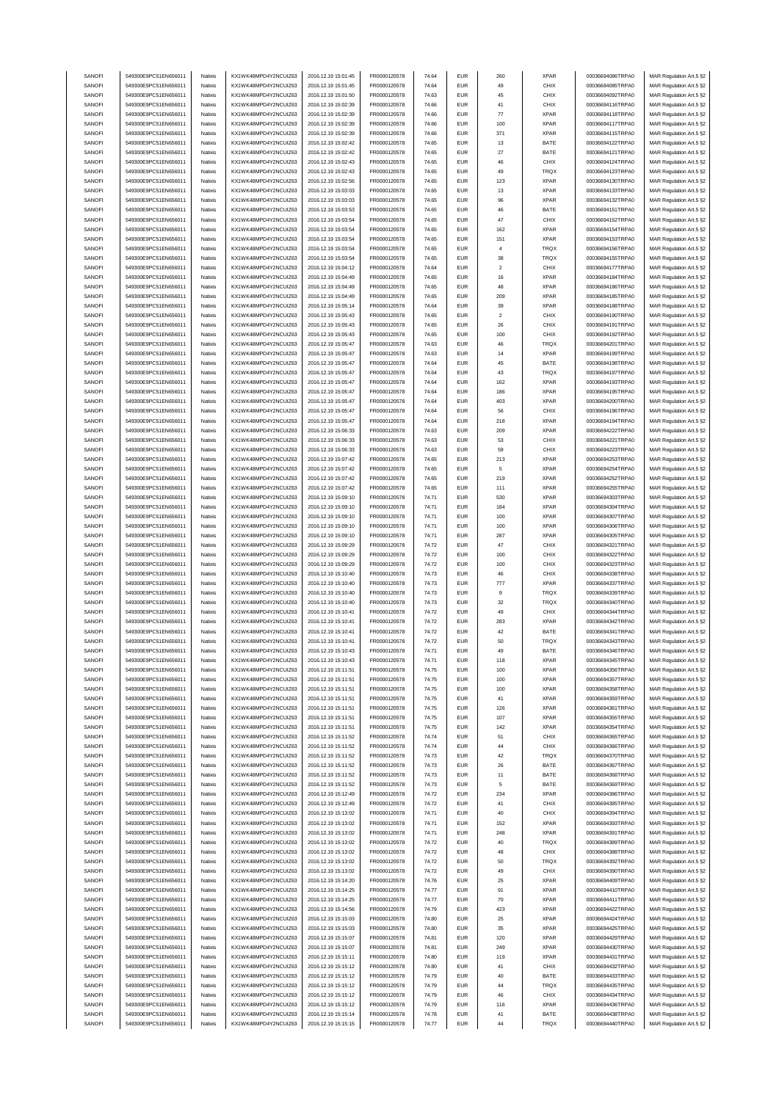| SANOFI | 549300E9PC51EN656011 | Natixis | KX1WK48MPD4Y2NCUIZ63  | 2016.12.19 15:01:45 | FR0000120578 | 74.64 | <b>EUR</b> | 260            | <b>XPAR</b> | 00036694086TRPA0 | MAR Regulation Art.5 §2 |
|--------|----------------------|---------|-----------------------|---------------------|--------------|-------|------------|----------------|-------------|------------------|-------------------------|
| SANOFI | 549300E9PC51EN656011 | Natixis | KX1WK48MPD4Y2NCUIZ63  | 2016.12.19 15:01:45 | FR0000120578 | 74.64 | <b>EUR</b> | 49             | CHIX        | 00036694085TRPA0 | MAR Regulation Art.5 §2 |
| SANOFI | 549300E9PC51EN656011 | Natixis | KX1WK48MPD4Y2NCUIZ63  | 2016.12.19 15:01:50 | FR0000120578 | 74.63 | <b>EUR</b> | 45             | CHIX        | 00036694092TRPA0 | MAR Regulation Art.5 §2 |
| SANOFI | 549300E9PC51EN656011 | Natixis | KX1WK48MPD4Y2NCUIZ63  | 2016.12.19 15:02:39 | FR0000120578 | 74.66 | <b>EUR</b> | 41             | CHIX        | 00036694116TRPA0 | MAR Regulation Art.5 §2 |
|        |                      |         |                       |                     |              |       |            |                |             |                  |                         |
| SANOFI | 549300E9PC51EN656011 | Natixis | KX1WK48MPD4Y2NCUIZ63  | 2016.12.19 15:02:39 | FR0000120578 | 74.66 | <b>EUR</b> | $77$           | <b>XPAR</b> | 00036694118TRPA0 | MAR Regulation Art.5 §2 |
| SANOFI | 549300E9PC51EN656011 | Natixis | KX1WK48MPD4Y2NCUIZ63  | 2016.12.19 15:02:39 | FR0000120578 | 74.66 | <b>EUR</b> | 100            | <b>XPAR</b> | 00036694117TRPA0 | MAR Regulation Art.5 §2 |
| SANOFI | 549300E9PC51EN656011 | Natixis | KX1WK48MPD4Y2NCUIZ63  | 2016.12.19 15:02:39 | FR0000120578 | 74.66 | <b>EUR</b> | 371            | <b>XPAR</b> | 00036694115TRPA0 | MAR Regulation Art.5 §2 |
| SANOFI | 549300E9PC51EN656011 | Natixis | KX1WK48MPD4Y2NCUIZ63  | 2016.12.19 15:02:42 | FR0000120578 | 74.65 | <b>EUR</b> | 13             | BATE        | 00036694122TRPA0 | MAR Regulation Art.5 §2 |
| SANOFI | 549300E9PC51EN656011 | Natixis | KX1WK48MPD4Y2NCLIIZ63 | 2016.12.19 15:02:42 | FR0000120578 | 74.65 | <b>EUR</b> | 27             | BATE        | 00036694121TRPA0 | MAR Regulation Art.5 §2 |
| SANOFI | 549300E9PC51EN656011 | Natixis | KX1WK48MPD4Y2NCUIZ63  | 2016.12.19 15:02:43 | FR0000120578 | 74.65 | <b>EUR</b> | 46             | CHIX        | 00036694124TRPA0 | MAR Regulation Art.5 §2 |
| SANOFI | 549300E9PC51EN656011 | Natixis | KX1WK48MPD4Y2NCUIZ63  | 2016.12.19 15:02:43 | FR0000120578 | 74.65 | <b>EUR</b> | 49             | TRQX        | 00036694123TRPA0 | MAR Regulation Art.5 §2 |
|        |                      |         |                       |                     |              |       |            |                |             |                  |                         |
| SANOFI | 549300E9PC51EN656011 | Natixis | KX1WK48MPD4Y2NCUIZ63  | 2016.12.19 15:02:56 | FR0000120578 | 74.65 | <b>EUR</b> | 123            | <b>XPAR</b> | 00036694130TRPA0 | MAR Regulation Art.5 §2 |
| SANOFI | 549300E9PC51EN656011 | Natixis | KX1WK48MPD4Y2NCUIZ63  | 2016.12.19 15:03:03 | FR0000120578 | 74.65 | <b>EUR</b> | 13             | <b>XPAR</b> | 00036694133TRPA0 | MAR Regulation Art.5 §2 |
| SANOFI | 549300E9PC51EN656011 | Natixis | KX1WK48MPD4Y2NCUIZ63  | 2016.12.19 15:03:03 | FR0000120578 | 74.65 | <b>EUR</b> | 96             | <b>XPAR</b> | 00036694132TRPA0 | MAR Regulation Art.5 §2 |
| SANOFI | 549300E9PC51EN656011 | Natixis | KX1WK48MPD4Y2NCUIZ63  | 2016.12.19 15:03:53 | FR0000120578 | 74.65 | <b>EUR</b> | 46             | BATE        | 00036694151TRPA0 | MAR Regulation Art.5 §2 |
|        |                      |         |                       |                     |              |       |            |                |             |                  |                         |
| SANOFI | 549300E9PC51EN656011 | Natixis | KX1WK48MPD4Y2NCUIZ63  | 2016.12.19 15:03:54 | FR0000120578 | 74.65 | <b>EUR</b> | 47             | CHIX        | 00036694152TRPA0 | MAR Regulation Art.5 §2 |
| SANOFI | 549300E9PC51EN656011 | Natixis | KX1WK48MPD4Y2NCUIZ63  | 2016.12.19 15:03:54 | FR0000120578 | 74.65 | <b>EUR</b> | 162            | <b>XPAR</b> | 00036694154TRPA0 | MAR Regulation Art.5 §2 |
| SANOFI | 549300E9PC51EN656011 | Natixis | KX1WK48MPD4Y2NCLIIZ63 | 2016.12.19 15:03:54 | FR0000120578 | 74.65 | <b>EUR</b> | 151            | <b>XPAR</b> | 00036694153TRPA0 | MAR Regulation Art.5 §2 |
| SANOFI | 549300E9PC51EN656011 | Natixis | KX1WK48MPD4Y2NCUIZ63  | 2016.12.19 15:03:54 | FR0000120578 | 74.65 | <b>EUR</b> | $\overline{4}$ | TRQX        | 00036694156TRPA0 | MAR Regulation Art.5 §2 |
| SANOFI | 549300E9PC51EN656011 | Natixis | KX1WK48MPD4Y2NCUIZ63  | 2016.12.19 15:03:54 | FR0000120578 | 74.65 | <b>EUR</b> | 38             | TRQX        | 00036694155TRPA0 | MAR Regulation Art.5 §2 |
|        |                      |         |                       |                     |              |       |            |                |             |                  |                         |
| SANOFI | 549300E9PC51EN656011 | Natixis | KX1WK48MPD4Y2NCUIZ63  | 2016.12.19 15:04:12 | FR0000120578 | 74.64 | <b>EUR</b> | $\overline{2}$ | CHIX        | 00036694177TRPA0 | MAR Regulation Art.5 §2 |
| SANOFI | 549300E9PC51EN656011 | Natixis | KX1WK48MPD4Y2NCUIZ63  | 2016.12.19 15:04:49 | FR0000120578 | 74.65 | <b>EUR</b> | 16             | <b>XPAR</b> | 00036694184TRPA0 | MAR Regulation Art.5 §2 |
| SANOFI | 549300E9PC51EN656011 | Natixis | KX1WK48MPD4Y2NCUIZ63  | 2016.12.19 15:04:49 | FR0000120578 | 74.65 | <b>EUR</b> | 48             | <b>XPAR</b> | 00036694186TRPA0 | MAR Regulation Art.5 §2 |
| SANOFI | 549300E9PC51EN656011 | Natixis | KX1WK48MPD4Y2NCUIZ63  | 2016.12.19 15:04:49 | FR0000120578 | 74.65 | <b>EUR</b> | 209            | <b>XPAR</b> | 00036694185TRPA0 | MAR Regulation Art.5 §2 |
| SANOFI | 549300E9PC51EN656011 | Natixis | KX1WK48MPD4Y2NCUIZ63  | 2016.12.19 15:05:14 | FR0000120578 | 74.64 | <b>EUR</b> | 39             | <b>XPAR</b> | 00036694188TRPA0 | MAR Regulation Art.5 §2 |
|        |                      |         |                       |                     |              |       |            |                |             |                  |                         |
| SANOFI | 549300E9PC51EN656011 | Natixis | KX1WK48MPD4Y2NCUIZ63  | 2016.12.19 15:05:43 | FR0000120578 | 74.65 | <b>EUR</b> | $\overline{2}$ | CHIX        | 00036694190TRPA0 | MAR Regulation Art.5 §2 |
| SANOFI | 549300E9PC51EN656011 | Natixis | KX1WK48MPD4Y2NCLIIZ63 | 2016.12.19.15:05:43 | FR0000120578 | 74.65 | <b>EUR</b> | 26             | CHIX        | 00036694191TRPA0 | MAR Regulation Art.5 §2 |
| SANOFI | 549300E9PC51EN656011 | Natixis | KX1WK48MPD4Y2NCUIZ63  | 2016.12.19 15:05:43 | FR0000120578 | 74.65 | <b>EUR</b> | 100            | CHIX        | 00036694192TRPA0 | MAR Regulation Art.5 §2 |
| SANOFI | 549300E9PC51EN656011 | Natixis | KX1WK48MPD4Y2NCUIZ63  | 2016.12.19 15:05:47 | FR0000120578 | 74.63 | <b>EUR</b> | 46             | TRQX        | 00036694201TRPA0 | MAR Regulation Art.5 §2 |
| SANOFI | 549300E9PC51EN656011 | Natixis | KX1WK48MPD4Y2NCUIZ63  | 2016.12.19 15:05:47 | FR0000120578 | 74.63 | <b>EUR</b> | 14             | <b>XPAR</b> | 00036694199TRPA0 | MAR Regulation Art.5 §2 |
|        |                      |         |                       |                     |              |       |            |                |             |                  |                         |
| SANOFI | 549300E9PC51EN656011 | Natixis | KX1WK48MPD4Y2NCUIZ63  | 2016.12.19 15:05:47 | FR0000120578 | 74.64 | <b>EUR</b> | 45             | BATE        | 00036694198TRPA0 | MAR Regulation Art.5 §2 |
| SANOFI | 549300E9PC51EN656011 | Natixis | KX1WK48MPD4Y2NCUIZ63  | 2016.12.19 15:05:47 | FR0000120578 | 74.64 | <b>EUR</b> | 43             | TRQX        | 00036694197TRPA0 | MAR Regulation Art.5 §2 |
| SANOFI | 549300E9PC51EN656011 | Natixis | KX1WK48MPD4Y2NCUIZ63  | 2016.12.19 15:05:47 | FR0000120578 | 74.64 | <b>EUR</b> | 162            | <b>XPAR</b> | 00036694193TRPA0 | MAR Regulation Art.5 §2 |
| SANOFI | 549300E9PC51EN656011 | Natixis | KX1WK48MPD4Y2NCUIZ63  | 2016.12.19 15:05:47 | FR0000120578 | 74.64 | <b>EUR</b> | 186            | <b>XPAR</b> | 00036694195TRPA0 | MAR Regulation Art.5 §2 |
|        |                      |         |                       |                     |              |       |            |                |             |                  |                         |
| SANOFI | 549300E9PC51EN656011 | Natixis | KX1WK48MPD4Y2NCUIZ63  | 2016.12.19 15:05:47 | FR0000120578 | 74.64 | <b>EUR</b> | 403            | <b>XPAR</b> | 00036694200TRPA0 | MAR Regulation Art.5 §2 |
| SANOFI | 549300E9PC51EN656011 | Natixis | KX1WK48MPD4Y2NCLIIZ63 | 2016.12.19 15:05:47 | FR0000120578 | 74.64 | <b>EUR</b> | 56             | CHIX        | 00036694196TRPA0 | MAR Regulation Art.5 §2 |
| SANOFI | 549300E9PC51EN656011 | Natixis | KX1WK48MPD4Y2NCUIZ63  | 2016.12.19 15:05:47 | FR0000120578 | 74.64 | <b>EUR</b> | 218            | <b>XPAR</b> | 00036694194TRPA0 | MAR Regulation Art.5 §2 |
| SANOFI | 549300E9PC51EN656011 | Natixis | KX1WK48MPD4Y2NCUIZ63  | 2016.12.19 15:06:33 | FR0000120578 | 74.63 | <b>EUR</b> | 209            | <b>XPAR</b> | 00036694222TRPA0 | MAR Regulation Art.5 §2 |
|        |                      |         |                       |                     |              |       |            |                |             |                  |                         |
| SANOFI | 549300E9PC51EN656011 | Natixis | KX1WK48MPD4Y2NCUIZ63  | 2016.12.19 15:06:33 | FR0000120578 | 74.63 | <b>EUR</b> | 53             | CHIX        | 00036694221TRPA0 | MAR Regulation Art.5 §2 |
| SANOFI | 549300E9PC51EN656011 | Natixis | KX1WK48MPD4Y2NCUIZ63  | 2016.12.19 15:06:33 | FR0000120578 | 74.63 | <b>EUR</b> | 59             | CHIX        | 00036694223TRPA0 | MAR Regulation Art.5 §2 |
| SANOFI | 549300E9PC51EN656011 | Natixis | KX1WK48MPD4Y2NCUIZ63  | 2016.12.19 15:07:42 | FR0000120578 | 74.65 | <b>EUR</b> | 213            | <b>XPAR</b> | 00036694253TRPA0 | MAR Regulation Art.5 §2 |
| SANOFI | 549300E9PC51EN656011 | Natixis | KX1WK48MPD4Y2NCUIZ63  | 2016.12.19 15:07:42 | FR0000120578 | 74.65 | <b>EUR</b> | 5              | <b>XPAR</b> | 00036694254TRPA0 | MAR Regulation Art.5 §2 |
| SANOFI | 549300E9PC51EN656011 | Natixis | KX1WK48MPD4Y2NCUIZ63  | 2016.12.19 15:07:42 | FR0000120578 | 74.65 | <b>EUR</b> | 219            | <b>XPAR</b> | 00036694252TRPA0 | MAR Regulation Art.5 §2 |
|        |                      |         |                       |                     |              |       |            |                |             |                  |                         |
| SANOFI | 549300E9PC51EN656011 | Natixis | KX1WK48MPD4Y2NCUIZ63  | 2016.12.19 15:07:42 | FR0000120578 | 74.65 | <b>EUR</b> | 111            | <b>XPAR</b> | 00036694255TRPA0 | MAR Regulation Art.5 §2 |
| SANOFI | 549300E9PC51EN656011 | Natixis | KX1WK48MPD4Y2NCUIZ63  | 2016.12.19 15:09:10 | FR0000120578 | 74.71 | <b>EUR</b> | 530            | <b>XPAR</b> | 00036694303TRPA0 | MAR Regulation Art.5 §2 |
| SANOFI | 549300E9PC51EN656011 | Natixis | KX1WK48MPD4Y2NCUIZ63  | 2016.12.19 15:09:10 | FR0000120578 | 74.71 | <b>EUR</b> | 184            | <b>XPAR</b> | 00036694304TRPA0 | MAR Regulation Art.5 §2 |
| SANOFI | 549300E9PC51EN656011 | Natixis | KX1WK48MPD4Y2NCUIZ63  | 2016.12.19 15:09:10 | FR0000120578 | 74.71 | <b>EUR</b> | 100            | <b>XPAR</b> | 00036694307TRPA0 | MAR Regulation Art.5 §2 |
| SANOFI | 549300E9PC51EN656011 | Natixis | KX1WK48MPD4Y2NCUIZ63  | 2016.12.19 15:09:10 | FR0000120578 | 74.71 | <b>EUR</b> | 100            | <b>XPAR</b> | 00036694306TRPA0 | MAR Regulation Art.5 §2 |
|        |                      |         |                       |                     |              |       |            |                |             |                  |                         |
| SANOFI | 549300E9PC51EN656011 | Natixis | KX1WK48MPD4Y2NCUIZ63  | 2016.12.19 15:09:10 | FR0000120578 | 74.71 | <b>EUR</b> | 287            | <b>XPAR</b> | 00036694305TRPA0 | MAR Regulation Art.5 §2 |
| SANOFI | 549300E9PC51EN656011 | Natixis | KX1WK48MPD4Y2NCUIZ63  | 2016.12.19 15:09:29 | FR0000120578 | 74.72 | <b>EUR</b> | 47             | CHIX        | 00036694321TRPA0 | MAR Regulation Art.5 §2 |
| SANOFI | 549300E9PC51EN656011 | Natixis | KX1WK48MPD4Y2NCUIZ63  | 2016.12.19 15:09:29 | FR0000120578 | 74.72 | <b>EUR</b> | 100            | CHIX        | 00036694322TRPA0 | MAR Regulation Art.5 §2 |
| SANOFI | 549300E9PC51EN656011 | Natixis | KX1WK48MPD4Y2NCUIZ63  | 2016.12.19 15:09:29 | FR0000120578 | 74.72 | <b>EUR</b> | 100            | CHIX        | 00036694323TRPA0 | MAR Regulation Art.5 §2 |
| SANOFI | 549300E9PC51EN656011 | Natixis | KX1WK48MPD4Y2NCLIIZ63 | 2016.12.19 15:10:40 | FR0000120578 | 74.73 | <b>EUR</b> | 46             | CHIX        | 00036694338TRPA0 | MAR Regulation Art.5 §2 |
|        |                      |         |                       |                     |              |       |            |                |             |                  |                         |
| SANOFI | 549300E9PC51EN656011 | Natixis | KX1WK48MPD4Y2NCUIZ63  | 2016.12.19 15:10:40 | FR0000120578 | 74.73 | <b>EUR</b> | 777            | <b>XPAR</b> | 00036694337TRPA0 | MAR Regulation Art.5 §2 |
| SANOFI | 549300E9PC51EN656011 | Natixis | KX1WK48MPD4Y2NCUIZ63  | 2016.12.19 15:10:40 | FR0000120578 | 74.73 | <b>EUR</b> | 9              | TRQX        | 00036694339TRPA0 | MAR Regulation Art.5 §2 |
| SANOFI | 549300E9PC51EN656011 | Natixis | KX1WK48MPD4Y2NCUIZ63  | 2016.12.19 15:10:40 | FR0000120578 | 74.73 | <b>EUR</b> | 32             | TRQX        | 00036694340TRPA0 | MAR Regulation Art.5 §2 |
| SANOFI | 549300E9PC51EN656011 | Natixis | KX1WK48MPD4Y2NCUIZ63  | 2016.12.19 15:10:41 | FR0000120578 | 74.72 | <b>EUR</b> | 49             | CHIX        | 00036694344TRPA0 | MAR Regulation Art.5 §2 |
| SANOFI | 549300E9PC51EN656011 | Natixis | KX1WK48MPD4Y2NCUIZ63  | 2016.12.19 15:10:41 | FR0000120578 | 74.72 | <b>EUR</b> | 283            | <b>XPAR</b> | 00036694342TRPA0 |                         |
|        |                      |         |                       |                     |              |       |            |                |             |                  | MAR Regulation Art.5 §2 |
| SANOFI | 549300E9PC51EN656011 | Natixis | KX1WK48MPD4Y2NCUIZ63  | 2016.12.19 15:10:41 | FR0000120578 | 74.72 | <b>EUR</b> | 42             | BATE        | 00036694341TRPA0 | MAR Regulation Art.5 §2 |
| SANOFI | 549300E9PC51EN656011 | Natixis | KX1WK48MPD4Y2NCUIZ63  | 2016.12.19 15:10:41 | FR0000120578 | 74.72 | <b>EUR</b> | 50             | TRQX        | 00036694343TRPA0 | MAR Regulation Art.5 §2 |
| SANOF  | 549300E9PC51EN656011 | Natixis | KX1WK48MPD4Y2NCUIZ63  | 2016.12.19 15:10:43 | FR0000120578 | 74.71 | EUR        |                | BATE        | 00036694346TRPA0 | MAR Regulation Art.5 §2 |
| SANOFI | 549300E9PC51EN656011 | Natixis | KX1WK48MPD4Y2NCUIZ63  | 2016.12.19 15:10:43 | FR0000120578 | 74.71 | <b>EUR</b> | 118            | <b>XPAR</b> | 00036694345TRPA0 | MAR Regulation Art.5 §2 |
| SANOFI | 549300E9PC51EN656011 | Natixis | KX1WK48MPD4Y2NCUIZ63  | 2016.12.19 15:11:51 | FR0000120578 | 74.75 | EUR        | 100            | <b>XPAR</b> | 00036694356TRPA0 | MAR Regulation Art.5 §2 |
|        |                      |         |                       |                     |              |       |            |                |             |                  |                         |
| SANOFI | 549300E9PC51EN656011 | Natixis | KX1WK48MPD4Y2NCUIZ63  | 2016.12.19 15:11:51 | FR0000120578 | 74.75 | <b>EUR</b> | 100            | <b>XPAR</b> | 00036694357TRPA0 | MAR Regulation Art.5 §2 |
| SANOFI | 549300E9PC51EN656011 | Natixis | KX1WK48MPD4Y2NCUIZ63  | 2016.12.19 15:11:51 | FR0000120578 | 74.75 | <b>EUR</b> | 100            | <b>XPAR</b> | 00036694358TRPA0 | MAR Regulation Art.5 §2 |
| SANOFI | 549300E9PC51EN656011 | Natixis | KX1WK48MPD4Y2NCUIZ63  | 2016.12.19 15:11:51 | FR0000120578 | 74.75 | <b>EUR</b> | 41             | <b>XPAR</b> | 00036694359TRPA0 | MAR Regulation Art.5 §2 |
| SANOFI | 549300E9PC51EN656011 | Natixis | KX1WK48MPD4Y2NCUIZ63  | 2016.12.19 15:11:51 | FR0000120578 | 74.75 | <b>EUR</b> | 126            | <b>XPAR</b> | 00036694361TRPA0 | MAR Regulation Art.5 §2 |
| SANOFI | 549300E9PC51EN656011 | Natixis | KX1WK48MPD4Y2NCUIZ63  | 2016.12.19 15:11:51 | FR0000120578 | 74.75 | EUR        | 107            | <b>XPAR</b> | 00036694355TRPA0 | MAR Regulation Art.5 §2 |
|        |                      |         |                       |                     |              |       |            |                |             |                  |                         |
| SANOFI | 549300E9PC51EN656011 | Natixis | KX1WK48MPD4Y2NCUIZ63  | 2016.12.19 15:11:51 | FR0000120578 | 74.75 | <b>EUR</b> | 142            | <b>XPAR</b> | 00036694354TRPA0 | MAR Regulation Art.5 §2 |
| SANOFI | 549300E9PC51EN656011 | Natixis | KX1WK48MPD4Y2NCUIZ63  | 2016.12.19 15:11:52 | FR0000120578 | 74.74 | <b>EUR</b> | 51             | CHIX        | 00036694365TRPA0 | MAR Regulation Art.5 §2 |
| SANOFI | 549300E9PC51EN656011 | Natixis | KX1WK48MPD4Y2NCUIZ63  | 2016.12.19 15:11:52 | FR0000120578 | 74.74 | <b>EUR</b> | 44             | CHIX        | 00036694366TRPA0 | MAR Regulation Art.5 §2 |
| SANOFI | 549300E9PC51EN656011 | Natixis | KX1WK48MPD4Y2NCUIZ63  | 2016.12.19 15:11:52 | FR0000120578 | 74.73 | <b>EUR</b> | 42             | TRQX        | 00036694370TRPA0 | MAR Regulation Art.5 §2 |
| SANOFI | 549300E9PC51EN656011 | Natixis | KX1WK48MPD4Y2NCUIZ63  | 2016.12.19 15:11:52 | FR0000120578 | 74.73 | <b>EUR</b> | 26             | BATE        | 00036694367TRPA0 | MAR Regulation Art.5 §2 |
|        |                      |         |                       |                     |              |       |            |                |             |                  |                         |
| SANOFI | 549300E9PC51EN656011 | Natixis | KX1WK48MPD4Y2NCUIZ63  | 2016.12.19 15:11:52 | FR0000120578 | 74.73 | <b>EUR</b> | 11             | BATE        | 00036694368TRPA0 | MAR Regulation Art.5 §2 |
| SANOFI | 549300E9PC51EN656011 | Natixis | KX1WK48MPD4Y2NCUIZ63  | 2016.12.19 15:11:52 | FR0000120578 | 74.73 | <b>EUR</b> | 5              | BATE        | 00036694369TRPA0 | MAR Regulation Art.5 §2 |
| SANOFI | 549300E9PC51EN656011 | Natixis | KX1WK48MPD4Y2NCUIZ63  | 2016.12.19 15:12:49 | FR0000120578 | 74.72 | <b>EUR</b> | 234            | <b>XPAR</b> | 00036694386TRPA0 | MAR Regulation Art.5 §2 |
| SANOFI | 549300E9PC51EN656011 | Natixis | KX1WK48MPD4Y2NCUIZ63  | 2016.12.19 15:12:49 | FR0000120578 | 74.72 | EUR        | 41             | CHIX        | 00036694385TRPA0 | MAR Regulation Art.5 §2 |
| SANOFI | 549300E9PC51EN656011 | Natixis | KX1WK48MPD4Y2NCUIZ63  | 2016.12.19 15:13:02 | FR0000120578 | 74.71 | <b>EUR</b> | 40             | CHIX        | 00036694394TRPA0 | MAR Regulation Art.5 §2 |
|        |                      |         |                       |                     |              |       |            |                |             |                  |                         |
| SANOFI | 549300E9PC51EN656011 | Natixis | KX1WK48MPD4Y2NCUIZ63  | 2016.12.19 15:13:02 | FR0000120578 | 74.71 | <b>EUR</b> | 152            | <b>XPAR</b> | 00036694393TRPA0 | MAR Regulation Art.5 §2 |
| SANOFI | 549300E9PC51EN656011 | Natixis | KX1WK48MPD4Y2NCUIZ63  | 2016.12.19 15:13:02 | FR0000120578 | 74.71 | <b>EUR</b> | 248            | <b>XPAR</b> | 00036694391TRPA0 | MAR Regulation Art.5 §2 |
| SANOFI | 549300E9PC51EN656011 | Natixis | KX1WK48MPD4Y2NCUIZ63  | 2016.12.19 15:13:02 | FR0000120578 | 74.72 | <b>EUR</b> | 40             | TRQX        | 00036694389TRPA0 | MAR Regulation Art.5 §2 |
| SANOFI | 549300E9PC51EN656011 | Natixis | KX1WK48MPD4Y2NCUIZ63  | 2016.12.19 15:13:02 | FR0000120578 | 74.72 | <b>EUR</b> | 48             | CHIX        | 00036694388TRPA0 | MAR Regulation Art.5 §2 |
|        |                      |         |                       |                     |              |       |            |                |             |                  |                         |
| SANOFI | 549300E9PC51EN656011 | Natixis | KX1WK48MPD4Y2NCUIZ63  | 2016.12.19 15:13:02 | FR0000120578 | 74.72 | <b>EUR</b> | 50             | TRQX        | 00036694392TRPA0 | MAR Regulation Art.5 §2 |
| SANOFI | 549300E9PC51EN656011 | Natixis | KX1WK48MPD4Y2NCUIZ63  | 2016.12.19 15:13:02 | FR0000120578 | 74.72 | <b>EUR</b> | 49             | CHIX        | 00036694390TRPA0 | MAR Regulation Art.5 §2 |
| SANOFI | 549300E9PC51EN656011 | Natixis | KX1WK48MPD4Y2NCUIZ63  | 2016.12.19 15:14:20 | FR0000120578 | 74.76 | <b>EUR</b> | 25             | <b>XPAR</b> | 00036694409TRPA0 | MAR Regulation Art.5 §2 |
| SANOFI | 549300E9PC51EN656011 | Natixis | KX1WK48MPD4Y2NCUIZ63  | 2016.12.19 15:14:25 | FR0000120578 | 74.77 | <b>EUR</b> | 91             | <b>XPAR</b> | 00036694410TRPA0 | MAR Regulation Art.5 §2 |
|        |                      |         |                       |                     |              |       |            |                |             |                  |                         |
| SANOFI | 549300E9PC51EN656011 | Natixis | KX1WK48MPD4Y2NCUIZ63  | 2016.12.19 15:14:25 | FR0000120578 | 74.77 | <b>EUR</b> | 70             | <b>XPAR</b> | 00036694411TRPA0 | MAR Regulation Art.5 §2 |
| SANOFI | 549300E9PC51EN656011 | Natixis | KX1WK48MPD4Y2NCUIZ63  | 2016.12.19 15:14:56 | FR0000120578 | 74.79 | <b>EUR</b> | 423            | <b>XPAR</b> | 00036694422TRPA0 | MAR Regulation Art.5 §2 |
| SANOFI | 549300E9PC51EN656011 | Natixis | KX1WK48MPD4Y2NCUIZ63  | 2016.12.19 15:15:03 | FR0000120578 | 74.80 | <b>EUR</b> | 25             | <b>XPAR</b> | 00036694424TRPA0 | MAR Regulation Art.5 §2 |
| SANOFI | 549300E9PC51EN656011 | Natixis | KX1WK48MPD4Y2NCUIZ63  | 2016.12.19 15:15:03 | FR0000120578 | 74.80 | <b>EUR</b> | 35             | <b>XPAR</b> | 00036694425TRPA0 | MAR Regulation Art.5 §2 |
|        |                      |         |                       |                     |              |       |            |                |             |                  |                         |
| SANOFI | 549300E9PC51EN656011 | Natixis | KX1WK48MPD4Y2NCUIZ63  | 2016.12.19 15:15:07 | FR0000120578 | 74.81 | <b>EUR</b> | 120            | <b>XPAR</b> | 00036694429TRPA0 | MAR Regulation Art.5 §2 |
| SANOFI | 549300E9PC51EN656011 | Natixis | KX1WK48MPD4Y2NCUIZ63  | 2016.12.19 15:15:07 | FR0000120578 | 74.81 | <b>EUR</b> | 249            | <b>XPAR</b> | 00036694430TRPA0 | MAR Regulation Art.5 §2 |
| SANOFI | 549300E9PC51EN656011 | Natixis | KX1WK48MPD4Y2NCUIZ63  | 2016.12.19 15:15:11 | FR0000120578 | 74.80 | <b>EUR</b> | 119            | <b>XPAR</b> | 00036694431TRPA0 | MAR Regulation Art.5 §2 |
| SANOFI | 549300E9PC51EN656011 | Natixis | KX1WK48MPD4Y2NCUIZ63  | 2016.12.19 15:15:12 | FR0000120578 | 74.80 | <b>EUR</b> | 41             | CHIX        | 00036694432TRPA0 | MAR Regulation Art.5 §2 |
| SANOFI | 549300E9PC51EN656011 | Natixis | KX1WK48MPD4Y2NCUIZ63  | 2016.12.19 15:15:12 | FR0000120578 | 74.79 | <b>EUR</b> | 40             | BATE        | 00036694433TRPA0 | MAR Regulation Art.5 §2 |
|        |                      |         |                       |                     |              |       |            |                |             |                  |                         |
| SANOFI | 549300E9PC51EN656011 | Natixis | KX1WK48MPD4Y2NCUIZ63  | 2016.12.19 15:15:12 | FR0000120578 | 74.79 | <b>EUR</b> | 44             | TRQX        | 00036694435TRPA0 | MAR Regulation Art.5 §2 |
| SANOFI | 549300E9PC51EN656011 | Natixis | KX1WK48MPD4Y2NCUIZ63  | 2016.12.19 15:15:12 | FR0000120578 | 74.79 | <b>EUR</b> | 46             | CHIX        | 00036694434TRPA0 | MAR Regulation Art.5 §2 |
| SANOFI | 549300E9PC51EN656011 | Natixis | KX1WK48MPD4Y2NCUIZ63  | 2016.12.19 15:15:12 | FR0000120578 | 74.79 | <b>EUR</b> | 116            | <b>XPAR</b> | 00036694436TRPA0 | MAR Regulation Art.5 §2 |
| SANOFI | 549300E9PC51EN656011 | Natixis | KX1WK48MPD4Y2NCUIZ63  | 2016.12.19 15:15:14 | FR0000120578 | 74.78 | <b>EUR</b> | 41             | BATE        | 00036694438TRPA0 | MAR Regulation Art.5 §2 |
| SANOFI | 549300E9PC51EN656011 | Natixis | KX1WK48MPD4Y2NCUIZ63  | 2016.12.19 15:15:15 | FR0000120578 | 74.77 | EUR        | 44             | <b>TRQX</b> | 00036694440TRPA0 | MAR Regulation Art.5 §2 |
|        |                      |         |                       |                     |              |       |            |                |             |                  |                         |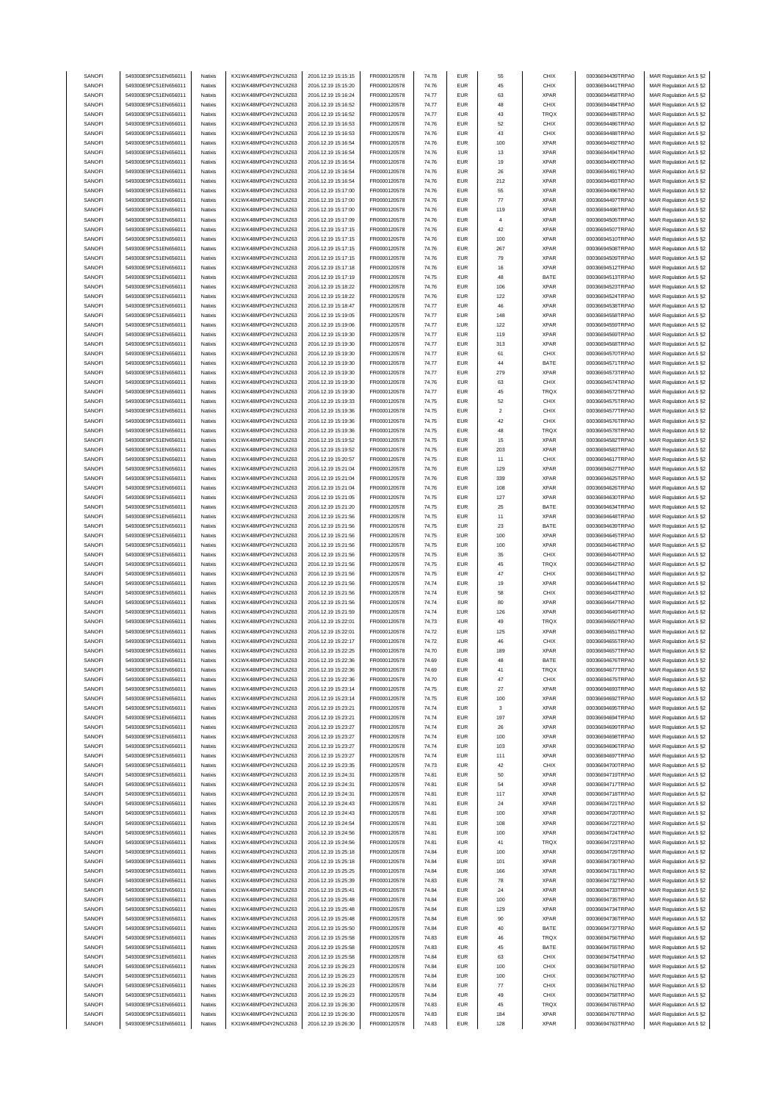| SANOFI | 549300E9PC51EN656011 | Natixis | KX1WK48MPD4Y2NCUIZ63  | 2016.12.19 15:15:15 | FR0000120578 | 74.78 | <b>EUR</b> | 55             | CHIX        | 00036694439TRPA0 | MAR Regulation Art.5 §2 |
|--------|----------------------|---------|-----------------------|---------------------|--------------|-------|------------|----------------|-------------|------------------|-------------------------|
| SANOFI | 549300E9PC51EN656011 | Natixis | KX1WK48MPD4Y2NCUIZ63  | 2016.12.19 15:15:20 | FR0000120578 | 74.76 | <b>EUR</b> | 45             | CHIX        | 00036694441TRPA0 | MAR Regulation Art.5 §2 |
| SANOFI | 549300E9PC51EN656011 | Natixis | KX1WK48MPD4Y2NCUIZ63  | 2016.12.19 15:16:24 | FR0000120578 | 74.77 | <b>EUR</b> | 63             | <b>XPAR</b> | 00036694458TRPA0 | MAR Regulation Art.5 §2 |
| SANOFI | 549300E9PC51EN656011 | Natixis | KX1WK48MPD4Y2NCUIZ63  | 2016.12.19 15:16:52 | FR0000120578 | 74.77 | <b>EUR</b> | 48             | CHIX        | 00036694484TRPA0 | MAR Regulation Art.5 §2 |
|        |                      |         |                       |                     |              |       |            |                |             |                  |                         |
| SANOFI | 549300E9PC51EN656011 | Natixis | KX1WK48MPD4Y2NCUIZ63  | 2016.12.19 15:16:52 | FR0000120578 | 74.77 | <b>EUR</b> | 43             | TRQX        | 00036694485TRPA0 | MAR Regulation Art.5 §2 |
| SANOFI | 549300E9PC51EN656011 | Natixis | KX1WK48MPD4Y2NCUIZ63  | 2016.12.19 15:16:53 | FR0000120578 | 74.76 | <b>EUR</b> | 52             | CHIX        | 00036694486TRPA0 | MAR Regulation Art.5 §2 |
| SANOFI | 549300E9PC51EN656011 | Natixis | KX1WK48MPD4Y2NCUIZ63  | 2016.12.19 15:16:53 | FR0000120578 | 74.76 | <b>EUR</b> | 43             | CHIX        | 00036694488TRPA0 | MAR Regulation Art.5 §2 |
| SANOFI | 549300E9PC51EN656011 | Natixis | KX1WK48MPD4Y2NCUIZ63  | 2016.12.19 15:16:54 | FR0000120578 | 74.76 | <b>EUR</b> | 100            | <b>XPAR</b> | 00036694492TRPA0 | MAR Regulation Art.5 §2 |
| SANOFI | 549300E9PC51EN656011 | Natixis | KX1WK48MPD4Y2NCLIIZ63 | 2016.12.19 15:16:54 | FR0000120578 | 74.76 | <b>EUR</b> | 13             | <b>XPAR</b> | 00036694494TRPA0 | MAR Regulation Art.5 §2 |
| SANOFI | 549300E9PC51EN656011 | Natixis | KX1WK48MPD4Y2NCUIZ63  | 2016.12.19 15:16:54 | FR0000120578 | 74.76 | <b>EUR</b> | 19             | <b>XPAR</b> | 00036694490TRPA0 | MAR Regulation Art.5 §2 |
|        |                      | Natixis |                       |                     |              |       | <b>EUR</b> |                |             |                  |                         |
| SANOFI | 549300E9PC51EN656011 |         | KX1WK48MPD4Y2NCUIZ63  | 2016.12.19 15:16:54 | FR0000120578 | 74.76 |            | 26             | <b>XPAR</b> | 00036694491TRPA0 | MAR Regulation Art.5 §2 |
| SANOFI | 549300E9PC51EN656011 | Natixis | KX1WK48MPD4Y2NCUIZ63  | 2016.12.19 15:16:54 | FR0000120578 | 74.76 | <b>EUR</b> | 212            | <b>XPAR</b> | 00036694493TRPA0 | MAR Regulation Art.5 §2 |
| SANOFI | 549300E9PC51EN656011 | Natixis | KX1WK48MPD4Y2NCUIZ63  | 2016.12.19 15:17:00 | FR0000120578 | 74.76 | <b>EUR</b> | 55             | <b>XPAR</b> | 00036694496TRPA0 | MAR Regulation Art.5 §2 |
| SANOFI | 549300E9PC51EN656011 | Natixis | KX1WK48MPD4Y2NCUIZ63  | 2016.12.19 15:17:00 | FR0000120578 | 74.76 | <b>EUR</b> | $77$           | <b>XPAR</b> | 00036694497TRPA0 | MAR Regulation Art.5 §2 |
| SANOFI | 549300E9PC51EN656011 | Natixis | KX1WK48MPD4Y2NCUIZ63  | 2016.12.19 15:17:00 | FR0000120578 | 74.76 | <b>EUR</b> | 119            | <b>XPAR</b> | 00036694498TRPA0 | MAR Regulation Art.5 §2 |
|        | 549300E9PC51EN656011 |         |                       |                     |              |       |            | $\overline{4}$ |             |                  |                         |
| SANOFI |                      | Natixis | KX1WK48MPD4Y2NCUIZ63  | 2016.12.19 15:17:09 | FR0000120578 | 74.76 | <b>EUR</b> |                | <b>XPAR</b> | 00036694505TRPA0 | MAR Regulation Art.5 §2 |
| SANOFI | 549300E9PC51EN656011 | Natixis | KX1WK48MPD4Y2NCUIZ63  | 2016.12.19 15:17:15 | FR0000120578 | 74.76 | <b>EUR</b> | 42             | <b>XPAR</b> | 00036694507TRPA0 | MAR Regulation Art.5 §2 |
| SANOFI | 549300E9PC51EN656011 | Natixis | KX1WK48MPD4Y2NCLIIZ63 | 2016.12.19 15:17:15 | FR0000120578 | 74.76 | <b>EUR</b> | 100            | <b>XPAR</b> | 00036694510TRPA0 | MAR Regulation Art.5 §2 |
| SANOFI | 549300E9PC51EN656011 | Natixis | KX1WK48MPD4Y2NCUIZ63  | 2016.12.19 15:17:15 | FR0000120578 | 74.76 | <b>EUR</b> | 267            | <b>XPAR</b> | 00036694508TRPA0 | MAR Regulation Art.5 §2 |
| SANOFI | 549300E9PC51EN656011 | Natixis | KX1WK48MPD4Y2NCUIZ63  | 2016.12.19 15:17:15 | FR0000120578 | 74.76 | <b>EUR</b> | 79             | <b>XPAR</b> | 00036694509TRPA0 | MAR Regulation Art.5 §2 |
| SANOFI | 549300E9PC51EN656011 | Natixis | KX1WK48MPD4Y2NCUIZ63  | 2016.12.19 15:17:18 | FR0000120578 | 74.76 | <b>EUR</b> | 16             | <b>XPAR</b> | 00036694512TRPA0 | MAR Regulation Art.5 §2 |
| SANOFI | 549300E9PC51EN656011 | Natixis | KX1WK48MPD4Y2NCUIZ63  | 2016.12.19 15:17:19 | FR0000120578 | 74.75 | <b>EUR</b> | 48             | BATE        | 00036694513TRPA0 | MAR Regulation Art.5 §2 |
|        |                      |         |                       |                     |              |       |            |                |             |                  |                         |
| SANOFI | 549300E9PC51EN656011 | Natixis | KX1WK48MPD4Y2NCUIZ63  | 2016.12.19 15:18:22 | FR0000120578 | 74.76 | <b>EUR</b> | 106            | <b>XPAR</b> | 00036694523TRPA0 | MAR Regulation Art.5 §2 |
| SANOFI | 549300E9PC51EN656011 | Natixis | KX1WK48MPD4Y2NCUIZ63  | 2016.12.19 15:18:22 | FR0000120578 | 74.76 | <b>EUR</b> | 122            | <b>XPAR</b> | 00036694524TRPA0 | MAR Regulation Art.5 §2 |
| SANOFI | 549300E9PC51EN656011 | Natixis | KX1WK48MPD4Y2NCUIZ63  | 2016.12.19 15:18:47 | FR0000120578 | 74.77 | <b>EUR</b> | 46             | <b>XPAR</b> | 00036694538TRPA0 | MAR Regulation Art.5 §2 |
| SANOFI | 549300E9PC51EN656011 | Natixis | KX1WK48MPD4Y2NCUIZ63  | 2016.12.19 15:19:05 | FR0000120578 | 74.77 | <b>EUR</b> | 148            | <b>XPAR</b> | 00036694558TRPA0 | MAR Regulation Art.5 §2 |
| SANOFI | 549300E9PC51EN656011 | Natixis | KX1WK48MPD4Y2NCLIIZ63 | 2016.12.19 15:19:06 | FR0000120578 | 74.77 | <b>EUR</b> | 122            | <b>XPAR</b> | 00036694559TRPA0 | MAR Regulation Art.5 §2 |
| SANOFI | 549300E9PC51EN656011 | Natixis | KX1WK48MPD4Y2NCUIZ63  | 2016.12.19 15:19:30 | FR0000120578 | 74.77 | <b>EUR</b> | 119            | <b>XPAR</b> | 00036694569TRPA0 | MAR Regulation Art.5 §2 |
|        |                      |         |                       |                     |              |       |            |                |             |                  |                         |
| SANOFI | 549300E9PC51EN656011 | Natixis | KX1WK48MPD4Y2NCUIZ63  | 2016.12.19 15:19:30 | FR0000120578 | 74.77 | <b>EUR</b> | 313            | <b>XPAR</b> | 00036694568TRPA0 | MAR Regulation Art.5 §2 |
| SANOFI | 549300E9PC51EN656011 | Natixis | KX1WK48MPD4Y2NCUIZ63  | 2016.12.19 15:19:30 | FR0000120578 | 74.77 | <b>EUR</b> | 61             | CHIX        | 00036694570TRPA0 | MAR Regulation Art.5 §2 |
| SANOFI | 549300E9PC51EN656011 | Natixis | KX1WK48MPD4Y2NCUIZ63  | 2016.12.19 15:19:30 | FR0000120578 | 74.77 | <b>EUR</b> | 44             | BATE        | 00036694571TRPA0 | MAR Regulation Art.5 §2 |
| SANOFI | 549300E9PC51EN656011 | Natixis | KX1WK48MPD4Y2NCUIZ63  | 2016.12.19 15:19:30 | FR0000120578 | 74.77 | <b>EUR</b> | 279            | <b>XPAR</b> | 00036694573TRPA0 | MAR Regulation Art.5 §2 |
| SANOFI | 549300E9PC51EN656011 | Natixis | KX1WK48MPD4Y2NCUIZ63  | 2016.12.19 15:19:30 | FR0000120578 | 74.76 | <b>EUR</b> | 63             | CHIX        | 00036694574TRPA0 | MAR Regulation Art.5 §2 |
| SANOFI | 549300E9PC51EN656011 |         |                       |                     |              |       |            |                |             | 00036694572TRPA0 |                         |
|        |                      | Natixis | KX1WK48MPD4Y2NCUIZ63  | 2016.12.19 15:19:30 | FR0000120578 | 74.77 | <b>EUR</b> | 45             | TRQX        |                  | MAR Regulation Art.5 §2 |
| SANOFI | 549300E9PC51EN656011 | Natixis | KX1WK48MPD4Y2NCUIZ63  | 2016.12.19 15:19:33 | FR0000120578 | 74.75 | <b>EUR</b> | 52             | CHIX        | 00036694575TRPA0 | MAR Regulation Art.5 §2 |
| SANOFI | 549300E9PC51EN656011 | Natixis | KX1WK48MPD4Y2NCLIIZ63 | 2016 12:19 15:19:36 | FR0000120578 | 74.75 | <b>EUR</b> | $\overline{2}$ | CHIX        | 00036694577TRPA0 | MAR Regulation Art.5 §2 |
| SANOFI | 549300E9PC51EN656011 | Natixis | KX1WK48MPD4Y2NCUIZ63  | 2016.12.19 15:19:36 | FR0000120578 | 74.75 | <b>EUR</b> | 42             | CHIX        | 00036694576TRPA0 | MAR Regulation Art.5 §2 |
| SANOFI | 549300E9PC51EN656011 | Natixis | KX1WK48MPD4Y2NCUIZ63  | 2016.12.19 15:19:36 | FR0000120578 | 74.75 | <b>EUR</b> | 48             | TRQX        | 00036694578TRPA0 | MAR Regulation Art.5 §2 |
| SANOFI | 549300E9PC51EN656011 | Natixis | KX1WK48MPD4Y2NCUIZ63  | 2016.12.19 15:19:52 | FR0000120578 | 74.75 | <b>EUR</b> | 15             | <b>XPAR</b> | 00036694582TRPA0 | MAR Regulation Art.5 §2 |
|        |                      |         |                       |                     |              |       |            |                |             |                  |                         |
| SANOFI | 549300E9PC51EN656011 | Natixis | KX1WK48MPD4Y2NCUIZ63  | 2016.12.19 15:19:52 | FR0000120578 | 74.75 | <b>EUR</b> | 203            | <b>XPAR</b> | 00036694583TRPA0 | MAR Regulation Art.5 §2 |
| SANOFI | 549300E9PC51EN656011 | Natixis | KX1WK48MPD4Y2NCUIZ63  | 2016.12.19 15:20:57 | FR0000120578 | 74.75 | <b>EUR</b> | 11             | CHIX        | 00036694617TRPA0 | MAR Regulation Art.5 §2 |
| SANOFI | 549300E9PC51EN656011 | Natixis | KX1WK48MPD4Y2NCUIZ63  | 2016.12.19 15:21:04 | FR0000120578 | 74.76 | <b>EUR</b> | 129            | <b>XPAR</b> | 00036694627TRPA0 | MAR Regulation Art.5 §2 |
| SANOFI | 549300E9PC51EN656011 | Natixis | KX1WK48MPD4Y2NCUIZ63  | 2016.12.19 15:21:04 | FR0000120578 | 74.76 | <b>EUR</b> | 339            | <b>XPAR</b> | 00036694625TRPA0 | MAR Regulation Art.5 §2 |
| SANOFI | 549300E9PC51EN656011 | Natixis | KX1WK48MPD4Y2NCUIZ63  | 2016.12.19 15:21:04 | FR0000120578 | 74.76 | <b>EUR</b> | 108            | <b>XPAR</b> | 00036694626TRPA0 | MAR Regulation Art.5 §2 |
| SANOFI | 549300E9PC51EN656011 | Natixis | KX1WK48MPD4Y2NCUIZ63  | 2016.12.19 15:21:05 | FR0000120578 | 74.75 | <b>EUR</b> | 127            | <b>XPAR</b> | 00036694630TRPA0 | MAR Regulation Art.5 §2 |
|        |                      |         |                       |                     |              |       |            |                |             |                  |                         |
| SANOFI | 549300E9PC51EN656011 | Natixis | KX1WK48MPD4Y2NCUIZ63  | 2016.12.19 15:21:20 | FR0000120578 | 74.75 | <b>EUR</b> | 25             | BATE        | 00036694634TRPA0 | MAR Regulation Art.5 §2 |
| SANOFI | 549300E9PC51EN656011 | Natixis | KX1WK48MPD4Y2NCUIZ63  | 2016.12.19 15:21:56 | FR0000120578 | 74.75 | <b>EUR</b> | 11             | <b>XPAR</b> | 00036694648TRPA0 | MAR Regulation Art.5 §2 |
| SANOFI | 549300E9PC51EN656011 | Natixis | KX1WK48MPD4Y2NCUIZ63  | 2016.12.19 15:21:56 | FR0000120578 | 74.75 | <b>EUR</b> | 23             | BATE        | 00036694639TRPA0 | MAR Regulation Art.5 §2 |
| SANOFI | 549300E9PC51EN656011 | Natixis | KX1WK48MPD4Y2NCUIZ63  | 2016.12.19 15:21:56 | FR0000120578 | 74.75 | <b>EUR</b> | 100            | <b>XPAR</b> | 00036694645TRPA0 | MAR Regulation Art.5 §2 |
| SANOFI | 549300E9PC51EN656011 | Natixis | KX1WK48MPD4Y2NCUIZ63  | 2016.12.19 15:21:56 | FR0000120578 | 74.75 | <b>EUR</b> | 100            | <b>XPAR</b> | 00036694646TRPA0 | MAR Regulation Art.5 §2 |
| SANOFI | 549300E9PC51EN656011 | Natixis | KX1WK48MPD4Y2NCUIZ63  | 2016.12.19 15:21:56 |              | 74.75 | <b>EUR</b> | 35             | CHIX        | 00036694640TRPA0 |                         |
|        |                      |         |                       |                     | FR0000120578 |       |            |                |             |                  | MAR Regulation Art.5 §2 |
| SANOFI | 549300E9PC51EN656011 | Natixis | KX1WK48MPD4Y2NCUIZ63  | 2016.12.19 15:21:56 | FR0000120578 | 74.75 | <b>EUR</b> | 45             | TRQX        | 00036694642TRPA0 | MAR Regulation Art.5 §2 |
| SANOFI | 549300E9PC51EN656011 | Natixis | KX1WK48MPD4Y2NCLIIZ63 | 2016.12.19 15:21:56 | FR0000120578 | 74.75 | <b>EUR</b> | 47             | CHIX        | 00036694641TRPA0 | MAR Regulation Art.5 §2 |
| SANOFI | 549300E9PC51EN656011 | Natixis | KX1WK48MPD4Y2NCUIZ63  | 2016.12.19 15:21:56 | FR0000120578 | 74.74 | <b>EUR</b> | 19             | <b>XPAR</b> | 00036694644TRPA0 | MAR Regulation Art.5 §2 |
| SANOFI | 549300E9PC51EN656011 | Natixis | KX1WK48MPD4Y2NCUIZ63  | 2016.12.19 15:21:56 | FR0000120578 | 74.74 | <b>EUR</b> | 58             | CHIX        | 00036694643TRPA0 | MAR Regulation Art.5 §2 |
| SANOFI | 549300E9PC51EN656011 | Natixis | KX1WK48MPD4Y2NCUIZ63  | 2016.12.19 15:21:56 | FR0000120578 | 74.74 | <b>EUR</b> | 80             | <b>XPAR</b> | 00036694647TRPA0 | MAR Regulation Art.5 §2 |
|        |                      |         |                       |                     |              |       |            |                |             |                  |                         |
| SANOFI | 549300E9PC51EN656011 | Natixis | KX1WK48MPD4Y2NCUIZ63  | 2016.12.19 15:21:59 | FR0000120578 | 74.74 | <b>EUR</b> | 126            | <b>XPAR</b> | 00036694649TRPA0 | MAR Regulation Art.5 §2 |
| SANOFI | 549300E9PC51EN656011 | Natixis | KX1WK48MPD4Y2NCUIZ63  | 2016.12.19 15:22:01 | FR0000120578 | 74.73 | <b>EUR</b> | 49             | TRQX        | 00036694650TRPA0 | MAR Regulation Art.5 §2 |
| SANOFI | 549300E9PC51EN656011 | Natixis | KX1WK48MPD4Y2NCUIZ63  | 2016.12.19 15:22:01 | FR0000120578 | 74.72 | <b>EUR</b> | 125            | <b>XPAR</b> | 00036694651TRPA0 | MAR Regulation Art.5 §2 |
| SANOFI | 549300E9PC51EN656011 | Natixis | KX1WK48MPD4Y2NCUIZ63  | 2016.12.19 15:22:17 | FR0000120578 | 74.72 | <b>EUR</b> | 46             | CHIX        | 00036694655TRPA0 | MAR Regulation Art.5 §2 |
| SANOF  | 549300E9PC51EN656011 | Natixis | KX1WK48MPD4Y2NCUIZ63  | 2016.12.19 15:22:25 | FR0000120578 | 74.70 | EUR        | 189            | <b>XPAR</b> | 00036694657TRPA0 | MAR Regulation Art.5 §2 |
| SANOFI | 549300E9PC51EN656011 | Natixis | KX1WK48MPD4Y2NCUIZ63  | 2016.12.19 15:22:36 | FR0000120578 | 74.69 | <b>EUR</b> | 48             | BATE        | 00036694676TRPA0 | MAR Regulation Art.5 §2 |
|        |                      |         |                       |                     |              |       |            |                |             |                  |                         |
| SANOFI | 549300E9PC51EN656011 | Natixis | KX1WK48MPD4Y2NCUIZ63  | 2016.12.19 15:22:36 | FR0000120578 | 74.69 | <b>EUR</b> | 41             | TRQX        | 00036694677TRPA0 | MAR Regulation Art.5 §2 |
| SANOFI | 549300E9PC51EN656011 | Natixis | KX1WK48MPD4Y2NCUIZ63  | 2016.12.19 15:22:36 | FR0000120578 | 74.70 | <b>EUR</b> | 47             | CHIX        | 00036694675TRPA0 | MAR Regulation Art.5 §2 |
| SANOFI | 549300E9PC51EN656011 | Natixis | KX1WK48MPD4Y2NCUIZ63  | 2016.12.19 15:23:14 | FR0000120578 | 74.75 | <b>EUR</b> | 27             | <b>XPAR</b> | 00036694693TRPA0 | MAR Regulation Art.5 §2 |
| SANOFI | 549300E9PC51EN656011 | Natixis | KX1WK48MPD4Y2NCUIZ63  | 2016.12.19 15:23:14 | FR0000120578 | 74.75 | <b>EUR</b> | 100            | <b>XPAR</b> | 00036694692TRPA0 | MAR Regulation Art.5 §2 |
| SANOFI | 549300E9PC51EN656011 | Natixis | KX1WK48MPD4Y2NCUIZ63  | 2016.12.19 15:23:21 | FR0000120578 | 74.74 | <b>EUR</b> | 3              | <b>XPAR</b> | 00036694695TRPA0 | MAR Regulation Art.5 §2 |
| SANOFI | 549300E9PC51EN656011 | Natixis | KX1WK48MPD4Y2NCUIZ63  | 2016.12.19 15:23:21 | FR0000120578 | 74.74 | EUR        | 197            | <b>XPAR</b> | 00036694694TRPA0 | MAR Regulation Art.5 §2 |
| SANOFI | 549300E9PC51EN656011 | Natixis | KX1WK48MPD4Y2NCUIZ63  | 2016.12.19 15:23:27 | FR0000120578 | 74.74 | <b>EUR</b> | 26             | <b>XPAR</b> | 00036694699TRPA0 | MAR Regulation Art.5 §2 |
|        |                      |         |                       |                     |              |       |            |                |             |                  |                         |
| SANOFI | 549300E9PC51EN656011 | Natixis | KX1WK48MPD4Y2NCUIZ63  | 2016.12.19 15:23:27 | FR0000120578 | 74.74 | <b>EUR</b> | 100            | <b>XPAR</b> | 00036694698TRPA0 | MAR Regulation Art.5 §2 |
| SANOFI | 549300E9PC51EN656011 | Natixis | KX1WK48MPD4Y2NCUIZ63  | 2016.12.19 15:23:27 | FR0000120578 | 74.74 | <b>EUR</b> | 103            | <b>XPAR</b> | 00036694696TRPA0 | MAR Regulation Art.5 §2 |
| SANOFI | 549300E9PC51EN656011 | Natixis | KX1WK48MPD4Y2NCUIZ63  | 2016.12.19 15:23:27 | FR0000120578 | 74.74 | <b>EUR</b> | 111            | <b>XPAR</b> | 00036694697TRPA0 | MAR Regulation Art.5 §2 |
| SANOFI | 549300E9PC51EN656011 | Natixis | KX1WK48MPD4Y2NCUIZ63  | 2016.12.19 15:23:35 | FR0000120578 | 74.73 | <b>EUR</b> | 42             | CHIX        | 00036694700TRPA0 | MAR Regulation Art.5 §2 |
| SANOFI | 549300E9PC51EN656011 | Natixis | KX1WK48MPD4Y2NCUIZ63  | 2016.12.19 15:24:31 | FR0000120578 | 74.81 | <b>EUR</b> | 50             | <b>XPAR</b> | 00036694719TRPA0 | MAR Regulation Art.5 §2 |
| SANOFI | 549300E9PC51EN656011 | Natixis | KX1WK48MPD4Y2NCUIZ63  | 2016.12.19 15:24:31 | FR0000120578 | 74.81 | <b>EUR</b> | 54             | <b>XPAR</b> | 00036694717TRPA0 | MAR Regulation Art.5 §2 |
| SANOFI | 549300E9PC51EN656011 |         | KX1WK48MPD4Y2NCUIZ63  | 2016.12.19 15:24:31 | FR0000120578 | 74.81 | <b>EUR</b> | 117            | <b>XPAR</b> | 00036694718TRPA0 |                         |
|        |                      | Natixis |                       |                     |              |       |            |                |             |                  | MAR Regulation Art.5 §2 |
| SANOFI | 549300E9PC51EN656011 | Natixis | KX1WK48MPD4Y2NCUIZ63  | 2016.12.19 15:24:43 | FR0000120578 | 74.81 | EUR        | 24             | <b>XPAR</b> | 00036694721TRPA0 | MAR Regulation Art.5 §2 |
| SANOFI | 549300E9PC51EN656011 | Natixis | KX1WK48MPD4Y2NCUIZ63  | 2016.12.19 15:24:43 | FR0000120578 | 74.81 | <b>EUR</b> | 100            | <b>XPAR</b> | 00036694720TRPA0 | MAR Regulation Art.5 §2 |
| SANOFI | 549300E9PC51EN656011 | Natixis | KX1WK48MPD4Y2NCUIZ63  | 2016.12.19 15:24:54 | FR0000120578 | 74.81 | <b>EUR</b> | 108            | <b>XPAR</b> | 00036694722TRPA0 | MAR Regulation Art.5 §2 |
| SANOFI | 549300E9PC51EN656011 | Natixis | KX1WK48MPD4Y2NCUIZ63  | 2016.12.19 15:24:56 | FR0000120578 | 74.81 | <b>EUR</b> | 100            | <b>XPAR</b> | 00036694724TRPA0 | MAR Regulation Art.5 §2 |
| SANOFI | 549300E9PC51EN656011 | Natixis | KX1WK48MPD4Y2NCUIZ63  | 2016.12.19 15:24:56 | FR0000120578 | 74.81 | <b>EUR</b> | 41             | TRQX        | 00036694723TRPA0 | MAR Regulation Art.5 §2 |
| SANOFI | 549300E9PC51EN656011 | Natixis | KX1WK48MPD4Y2NCUIZ63  | 2016.12.19 15:25:18 | FR0000120578 | 74.84 | <b>EUR</b> | 100            | <b>XPAR</b> | 00036694729TRPA0 |                         |
|        |                      |         |                       |                     |              |       |            |                |             |                  | MAR Regulation Art.5 §2 |
| SANOFI | 549300E9PC51EN656011 | Natixis | KX1WK48MPD4Y2NCUIZ63  | 2016.12.19 15:25:18 | FR0000120578 | 74.84 | <b>EUR</b> | 101            | <b>XPAR</b> | 00036694730TRPA0 | MAR Regulation Art.5 §2 |
| SANOFI | 549300E9PC51EN656011 | Natixis | KX1WK48MPD4Y2NCUIZ63  | 2016.12.19 15:25:25 | FR0000120578 | 74.84 | <b>EUR</b> | 166            | <b>XPAR</b> | 00036694731TRPA0 | MAR Regulation Art.5 §2 |
| SANOFI | 549300E9PC51EN656011 | Natixis | KX1WK48MPD4Y2NCUIZ63  | 2016.12.19 15:25:39 | FR0000120578 | 74.83 | <b>EUR</b> | 78             | <b>XPAR</b> | 00036694732TRPA0 | MAR Regulation Art.5 §2 |
| SANOFI | 549300E9PC51EN656011 | Natixis | KX1WK48MPD4Y2NCUIZ63  | 2016.12.19 15:25:41 | FR0000120578 | 74.84 | <b>EUR</b> | 24             | <b>XPAR</b> | 00036694733TRPA0 | MAR Regulation Art.5 §2 |
| SANOFI | 549300E9PC51EN656011 | Natixis | KX1WK48MPD4Y2NCUIZ63  | 2016.12.19 15:25:48 | FR0000120578 | 74.84 | <b>EUR</b> | 100            | <b>XPAR</b> | 00036694735TRPA0 | MAR Regulation Art.5 §2 |
|        |                      |         |                       |                     |              |       |            |                |             |                  |                         |
| SANOFI | 549300E9PC51EN656011 | Natixis | KX1WK48MPD4Y2NCUIZ63  | 2016.12.19 15:25:48 | FR0000120578 | 74.84 | <b>EUR</b> | 129            | <b>XPAR</b> | 00036694734TRPA0 | MAR Regulation Art.5 §2 |
| SANOFI | 549300E9PC51EN656011 | Natixis | KX1WK48MPD4Y2NCUIZ63  | 2016.12.19 15:25:48 | FR0000120578 | 74.84 | <b>EUR</b> | 90             | <b>XPAR</b> | 00036694736TRPA0 | MAR Regulation Art.5 §2 |
| SANOFI | 549300E9PC51EN656011 | Natixis | KX1WK48MPD4Y2NCUIZ63  | 2016.12.19 15:25:50 | FR0000120578 | 74.84 | <b>EUR</b> | 40             | BATE        | 00036694737TRPA0 | MAR Regulation Art.5 §2 |
| SANOFI | 549300E9PC51EN656011 | Natixis | KX1WK48MPD4Y2NCUIZ63  | 2016.12.19 15:25:58 | FR0000120578 | 74.83 | <b>EUR</b> | 46             | TRQX        | 00036694756TRPA0 | MAR Regulation Art.5 §2 |
| SANOFI | 549300E9PC51EN656011 | Natixis | KX1WK48MPD4Y2NCUIZ63  | 2016.12.19 15:25:58 | FR0000120578 | 74.83 | <b>EUR</b> | 45             | BATE        | 00036694755TRPA0 | MAR Regulation Art.5 §2 |
| SANOFI | 549300E9PC51EN656011 | Natixis | KX1WK48MPD4Y2NCUIZ63  | 2016.12.19 15:25:58 | FR0000120578 | 74.84 | <b>EUR</b> | 63             | CHIX        | 00036694754TRPA0 | MAR Regulation Art.5 §2 |
|        |                      | Natixis |                       |                     |              | 74.84 |            | 100            |             |                  |                         |
| SANOFI | 549300E9PC51EN656011 |         | KX1WK48MPD4Y2NCUIZ63  | 2016.12.19 15:26:23 | FR0000120578 |       | <b>EUR</b> |                | CHIX        | 00036694759TRPA0 | MAR Regulation Art.5 §2 |
| SANOFI | 549300E9PC51EN656011 | Natixis | KX1WK48MPD4Y2NCUIZ63  | 2016.12.19 15:26:23 | FR0000120578 | 74.84 | <b>EUR</b> | 100            | CHIX        | 00036694760TRPA0 | MAR Regulation Art.5 §2 |
| SANOFI | 549300E9PC51EN656011 | Natixis | KX1WK48MPD4Y2NCUIZ63  | 2016.12.19 15:26:23 | FR0000120578 | 74.84 | <b>EUR</b> | $77$           | CHIX        | 00036694761TRPA0 | MAR Regulation Art.5 §2 |
| SANOFI | 549300E9PC51EN656011 | Natixis | KX1WK48MPD4Y2NCUIZ63  | 2016.12.19 15:26:23 | FR0000120578 | 74.84 | <b>EUR</b> | 49             | CHIX        | 00036694758TRPA0 | MAR Regulation Art.5 §2 |
| SANOFI | 549300E9PC51EN656011 | Natixis | KX1WK48MPD4Y2NCUIZ63  | 2016.12.19 15:26:30 | FR0000120578 | 74.83 | <b>EUR</b> | 45             | TRQX        | 00036694765TRPA0 | MAR Regulation Art.5 §2 |
| SANOFI | 549300E9PC51EN656011 | Natixis | KX1WK48MPD4Y2NCUIZ63  | 2016.12.19 15:26:30 | FR0000120578 | 74.83 | <b>EUR</b> | 184            | <b>XPAR</b> | 00036694767TRPA0 | MAR Regulation Art.5 §2 |
| SANOFI | 549300E9PC51EN656011 | Natixis | KX1WK48MPD4Y2NCUIZ63  | 2016.12.19 15:26:30 | FR0000120578 | 74.83 | EUR        | 128            | <b>XPAR</b> | 00036694763TRPA0 | MAR Regulation Art.5 §2 |
|        |                      |         |                       |                     |              |       |            |                |             |                  |                         |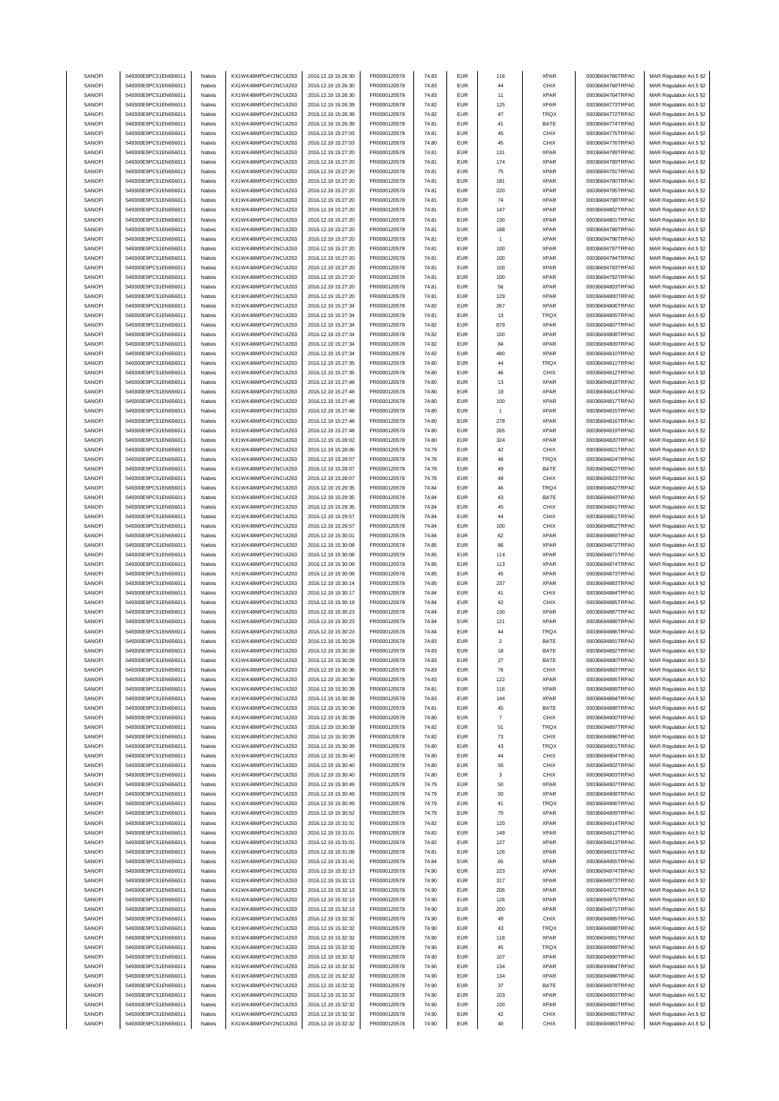| SANOFI           | 549300E9PC51EN656011                         | Natixis            | KX1WK48MPD4Y2NCUIZ63                         | 2016.12.19 15:26:30                        | FR0000120578                 | 74.83          | <b>EUR</b>                  | 116            | <b>XPAR</b>  | 00036694766TRPA0                     | MAR Regulation Art.5 §2                            |
|------------------|----------------------------------------------|--------------------|----------------------------------------------|--------------------------------------------|------------------------------|----------------|-----------------------------|----------------|--------------|--------------------------------------|----------------------------------------------------|
| SANOFI           | 549300E9PC51EN656011                         | Natixis            | KX1WK48MPD4Y2NCUIZ63                         | 2016.12.19 15:26:30                        | FR0000120578                 | 74.83          | <b>EUR</b>                  | 44             | CHIX         | 00036694768TRPA0                     | MAR Regulation Art.5 §2                            |
| SANOFI           | 549300E9PC51EN656011                         | Natixis            | KX1WK48MPD4Y2NCUIZ63                         | 2016.12.19 15:26:30                        | FR0000120578                 | 74.83          | <b>EUR</b>                  | 11             | <b>XPAR</b>  | 00036694764TRPA0                     | MAR Regulation Art.5 §2                            |
| SANOFI           | 549300E9PC51EN656011                         | Natixis            | KX1WK48MPD4Y2NCUIZ63                         | 2016.12.19 15:26:39                        | FR0000120578                 | 74.82          | <b>EUR</b>                  | 125            | <b>XPAR</b>  | 00036694773TRPA0                     | MAR Regulation Art.5 §2                            |
|                  |                                              |                    |                                              |                                            |                              |                |                             |                |              |                                      |                                                    |
| SANOFI           | 549300E9PC51EN656011                         | Natixis            | KX1WK48MPD4Y2NCUIZ63                         | 2016.12.19 15:26:39                        | FR0000120578                 | 74.82          | <b>EUR</b>                  | 47             | TRQX         | 00036694772TRPA0                     | MAR Regulation Art.5 §2                            |
| SANOFI           | 549300E9PC51EN656011                         | Natixis            | KX1WK48MPD4Y2NCUIZ63                         | 2016.12.19 15:26:39                        | FR0000120578                 | 74.81          | <b>EUR</b>                  | 41             | BATE         | 00036694774TRPA0                     | MAR Regulation Art.5 §2                            |
| SANOFI           | 549300E9PC51EN656011                         | Natixis            | KX1WK48MPD4Y2NCUIZ63                         | 2016.12.19 15:27:03                        | FR0000120578                 | 74.81          | <b>EUR</b>                  | 45             | CHIX         | 00036694775TRPA0                     | MAR Regulation Art.5 §2                            |
| SANOFI           | 549300E9PC51EN656011                         | Natixis            | KX1WK48MPD4Y2NCUIZ63                         | 2016.12.19 15:27:03                        | FR0000120578                 | 74.80          | <b>EUR</b>                  | 45             | CHIX         | 00036694776TRPA0                     | MAR Regulation Art.5 §2                            |
| SANOFI           | 549300E9PC51EN656011                         | Natixis            | KX1WK48MPD4Y2NCLIIZ63                        | 2016.12.19 15:27:20                        | FR0000120578                 | 74.81          | <b>EUR</b>                  | 131            | <b>XPAR</b>  | 00036694799TRPA0                     | MAR Regulation Art.5 §2                            |
| SANOFI           | 549300E9PC51EN656011                         | Natixis            | KX1WK48MPD4Y2NCUIZ63                         | 2016.12.19 15:27:20                        | FR0000120578                 | 74.81          | <b>EUR</b>                  | 174            | <b>XPAR</b>  | 00036694789TRPA0                     | MAR Regulation Art.5 §2                            |
|                  |                                              | Natixis            |                                              |                                            |                              |                | <b>EUR</b>                  |                |              |                                      |                                                    |
| SANOFI           | 549300E9PC51EN656011                         |                    | KX1WK48MPD4Y2NCUIZ63                         | 2016.12.19 15:27:20                        | FR0000120578                 | 74.81          |                             | 75             | <b>XPAR</b>  | 00036694791TRPA0                     | MAR Regulation Art.5 §2                            |
| SANOFI           | 549300E9PC51EN656011                         | Natixis            | KX1WK48MPD4Y2NCUIZ63                         | 2016.12.19 15:27:20                        | FR0000120578                 | 74.81          | <b>EUR</b>                  | 181            | <b>XPAR</b>  | 00036694790TRPA0                     | MAR Regulation Art.5 §2                            |
| SANOFI           | 549300E9PC51EN656011                         | Natixis            | KX1WK48MPD4Y2NCUIZ63                         | 2016.12.19 15:27:20                        | FR0000120578                 | 74.81          | <b>EUR</b>                  | 220            | <b>XPAR</b>  | 00036694795TRPA0                     | MAR Regulation Art.5 §2                            |
| SANOFI           | 549300E9PC51EN656011                         | Natixis            | KX1WK48MPD4Y2NCUIZ63                         | 2016.12.19 15:27:20                        | FR0000120578                 | 74.81          | <b>EUR</b>                  | 74             | <b>XPAR</b>  | 00036694798TRPA0                     | MAR Regulation Art.5 §2                            |
| SANOFI           | 549300E9PC51EN656011                         | Natixis            | KX1WK48MPD4Y2NCUIZ63                         | 2016.12.19 15:27:20                        | FR0000120578                 | 74.81          | <b>EUR</b>                  | 147            | <b>XPAR</b>  | 00036694802TRPA0                     | MAR Regulation Art.5 §2                            |
|                  | 549300E9PC51EN656011                         |                    | KX1WK48MPD4Y2NCUIZ63                         |                                            |                              |                | <b>EUR</b>                  |                |              | 00036694801TRPA0                     |                                                    |
| SANOFI           |                                              | Natixis            |                                              | 2016.12.19 15:27:20                        | FR0000120578                 | 74.81          |                             | 130            | <b>XPAR</b>  |                                      | MAR Regulation Art.5 §2                            |
| SANOFI           | 549300E9PC51EN656011                         | Natixis            | KX1WK48MPD4Y2NCUIZ63                         | 2016.12.19 15:27:20                        | FR0000120578                 | 74.81          | <b>EUR</b>                  | 168            | <b>XPAR</b>  | 00036694788TRPA0                     | MAR Regulation Art.5 §2                            |
| SANOFI           | 549300E9PC51EN656011                         | Natixis            | KX1WK48MPD4Y2NCLIIZ63                        | 2016.12.19 15:27:20                        | FR0000120578                 | 74.81          | <b>EUR</b>                  | $\overline{1}$ | <b>XPAR</b>  | 00036694796TRPA0                     | MAR Regulation Art.5 §2                            |
| SANOFI           | 549300E9PC51EN656011                         | Natixis            | KX1WK48MPD4Y2NCUIZ63                         | 2016.12.19 15:27:20                        | FR0000120578                 | 74.81          | <b>EUR</b>                  | 100            | <b>XPAR</b>  | 00036694797TRPA0                     | MAR Regulation Art.5 §2                            |
| SANOFI           | 549300E9PC51EN656011                         | Natixis            | KX1WK48MPD4Y2NCUIZ63                         | 2016.12.19 15:27:20                        | FR0000120578                 | 74.81          | <b>EUR</b>                  | 100            | <b>XPAR</b>  | 00036694794TRPA0                     | MAR Regulation Art.5 §2                            |
| SANOFI           | 549300E9PC51EN656011                         | Natixis            | KX1WK48MPD4Y2NCUIZ63                         | 2016.12.19 15:27:20                        | FR0000120578                 | 74.81          | <b>EUR</b>                  | 100            | <b>XPAR</b>  | 00036694793TRPA0                     | MAR Regulation Art.5 §2                            |
| SANOFI           | 549300E9PC51EN656011                         | Natixis            | KX1WK48MPD4Y2NCUIZ63                         | 2016.12.19 15:27:20                        | FR0000120578                 | 74.81          | <b>EUR</b>                  | 100            | <b>XPAR</b>  | 00036694792TRPA0                     | MAR Regulation Art.5 §2                            |
|                  |                                              |                    |                                              |                                            |                              |                |                             |                |              |                                      |                                                    |
| SANOFI           | 549300E9PC51EN656011                         | Natixis            | KX1WK48MPD4Y2NCUIZ63                         | 2016.12.19 15:27:20                        | FR0000120578                 | 74.81          | <b>EUR</b>                  | 56             | <b>XPAR</b>  | 00036694803TRPA0                     | MAR Regulation Art.5 §2                            |
| SANOFI           | 549300E9PC51EN656011                         | Natixis            | KX1WK48MPD4Y2NCUIZ63                         | 2016.12.19 15:27:20                        | FR0000120578                 | 74.81          | <b>EUR</b>                  | 129            | <b>XPAR</b>  | 00036694800TRPA0                     | MAR Regulation Art.5 §2                            |
| SANOFI           | 549300E9PC51EN656011                         | Natixis            | KX1WK48MPD4Y2NCUIZ63                         | 2016.12.19 15:27:34                        | FR0000120578                 | 74.82          | <b>EUR</b>                  | 267            | <b>XPAR</b>  | 00036694806TRPA0                     | MAR Regulation Art.5 §2                            |
| SANOFI           | 549300E9PC51EN656011                         | Natixis            | KX1WK48MPD4Y2NCUIZ63                         | 2016.12.19 15:27:34                        | FR0000120578                 | 74.81          | <b>EUR</b>                  | 13             | TRQX         | 00036694805TRPA0                     | MAR Regulation Art.5 §2                            |
| SANOFI           | 549300E9PC51EN656011                         | Natixis            | KX1WK48MPD4Y2NCLIIZ63                        | 2016.12.19 15:27:34                        | FR0000120578                 | 74.82          | <b>EUR</b>                  | 879            | <b>XPAR</b>  | 00036694807TRPA0                     | MAR Regulation Art.5 §2                            |
| SANOFI           | 549300E9PC51EN656011                         | Natixis            | KX1WK48MPD4Y2NCUIZ63                         | 2016.12.19 15:27:34                        | FR0000120578                 | 74.82          | <b>EUR</b>                  | 100            | <b>XPAR</b>  | 00036694808TRPA0                     | MAR Regulation Art.5 §2                            |
|                  |                                              |                    |                                              |                                            |                              |                |                             |                |              |                                      |                                                    |
| SANOFI           | 549300E9PC51EN656011                         | Natixis            | KX1WK48MPD4Y2NCUIZ63                         | 2016.12.19 15:27:34                        | FR0000120578                 | 74.82          | <b>EUR</b>                  | 84             | <b>XPAR</b>  | 00036694809TRPA0                     | MAR Regulation Art.5 §2                            |
| SANOFI           | 549300E9PC51EN656011                         | Natixis            | KX1WK48MPD4Y2NCUIZ63                         | 2016.12.19 15:27:34                        | FR0000120578                 | 74.82          | <b>EUR</b>                  | 480            | <b>XPAR</b>  | 00036694810TRPA0                     | MAR Regulation Art.5 §2                            |
| SANOFI           | 549300E9PC51EN656011                         | Natixis            | KX1WK48MPD4Y2NCUIZ63                         | 2016.12.19 15:27:35                        | FR0000120578                 | 74.80          | <b>EUR</b>                  | 44             | TRQX         | 00036694811TRPA0                     | MAR Regulation Art.5 §2                            |
| SANOFI           | 549300E9PC51EN656011                         | Natixis            | KX1WK48MPD4Y2NCUIZ63                         | 2016.12.19 15:27:35                        | FR0000120578                 | 74.80          | <b>EUR</b>                  | 46             | CHIX         | 00036694812TRPA0                     | MAR Regulation Art.5 §2                            |
| SANOFI           | 549300E9PC51EN656011                         | Natixis            | KX1WK48MPD4Y2NCUIZ63                         | 2016.12.19 15:27:48                        | FR0000120578                 | 74.80          | <b>EUR</b>                  | 13             | <b>XPAR</b>  | 00036694818TRPA0                     | MAR Regulation Art.5 §2                            |
|                  |                                              |                    |                                              |                                            |                              |                |                             |                |              |                                      |                                                    |
| SANOFI           | 549300E9PC51EN656011                         | Natixis            | KX1WK48MPD4Y2NCUIZ63                         | 2016.12.19 15:27:48                        | FR0000120578                 | 74.80          | <b>EUR</b>                  | 19             | <b>XPAR</b>  | 00036694814TRPA0                     | MAR Regulation Art.5 §2                            |
| SANOFI           | 549300E9PC51EN656011                         | Natixis            | KX1WK48MPD4Y2NCUIZ63                         | 2016.12.19 15:27:48                        | FR0000120578                 | 74.80          | <b>EUR</b>                  | 100            | <b>XPAR</b>  | 00036694817TRPA0                     | MAR Regulation Art.5 §2                            |
| SANOFI           | 549300E9PC51EN656011                         | Natixis            | KX1WK48MPD4Y2NCLIIZ63                        | 2016.12.19 15:27:48                        | FR0000120578                 | 74.80          | <b>EUR</b>                  | $\overline{1}$ | <b>XPAR</b>  | 00036694815TRPA0                     | MAR Regulation Art.5 §2                            |
| SANOFI           | 549300E9PC51EN656011                         | Natixis            | KX1WK48MPD4Y2NCUIZ63                         | 2016.12.19 15:27:48                        | FR0000120578                 | 74.80          | <b>EUR</b>                  | 278            | <b>XPAR</b>  | 00036694816TRPA0                     | MAR Regulation Art.5 §2                            |
| SANOFI           | 549300E9PC51EN656011                         | Natixis            | KX1WK48MPD4Y2NCUIZ63                         | 2016.12.19 15:27:48                        | FR0000120578                 | 74.80          | <b>EUR</b>                  | 265            | <b>XPAR</b>  | 00036694819TRPA0                     | MAR Regulation Art.5 §2                            |
|                  |                                              |                    | KX1WK48MPD4Y2NCUIZ63                         |                                            |                              |                |                             |                |              |                                      |                                                    |
| SANOFI           | 549300E9PC51EN656011                         | Natixis            |                                              | 2016.12.19 15:28:02                        | FR0000120578                 | 74.80          | <b>EUR</b>                  | 324            | <b>XPAR</b>  | 00036694820TRPA0                     | MAR Regulation Art.5 §2                            |
| SANOFI           | 549300E9PC51EN656011                         | Natixis            | KX1WK48MPD4Y2NCUIZ63                         | 2016.12.19 15:28:06                        | FR0000120578                 | 74.79          | <b>EUR</b>                  | 42             | CHIX         | 00036694821TRPA0                     | MAR Regulation Art.5 §2                            |
| SANOFI           | 549300E9PC51EN656011                         | Natixis            | KX1WK48MPD4Y2NCUIZ63                         | 2016.12.19 15:28:07                        | FR0000120578                 | 74.78          | <b>EUR</b>                  | 48             | TRQX         | 00036694824TRPA0                     | MAR Regulation Art.5 §2                            |
| SANOFI           | 549300E9PC51EN656011                         | Natixis            | KX1WK48MPD4Y2NCUIZ63                         | 2016.12.19 15:28:07                        | FR0000120578                 | 74.78          | <b>EUR</b>                  | 49             | BATE         | 00036694822TRPA0                     | MAR Regulation Art.5 §2                            |
| SANOFI           | 549300E9PC51EN656011                         | Natixis            | KX1WK48MPD4Y2NCUIZ63                         | 2016.12.19 15:28:07                        | FR0000120578                 | 74.78          | <b>EUR</b>                  | 49             | CHIX         | 00036694823TRPA0                     | MAR Regulation Art.5 §2                            |
| SANOFI           | 549300E9PC51EN656011                         | Natixis            | KX1WK48MPD4Y2NCUIZ63                         | 2016.12.19 15:29:35                        | FR0000120578                 | 74.84          | <b>EUR</b>                  | 46             | TRQX         | 00036694842TRPA0                     | MAR Regulation Art.5 §2                            |
|                  |                                              |                    |                                              |                                            |                              |                |                             |                |              |                                      |                                                    |
| SANOFI           | 549300E9PC51EN656011                         | Natixis            | KX1WK48MPD4Y2NCUIZ63                         | 2016.12.19 15:29:35                        | FR0000120578                 | 74.84          | <b>EUR</b>                  | 43             | BATE         | 00036694843TRPA0                     | MAR Regulation Art.5 §2                            |
| SANOFI           | 549300E9PC51EN656011                         | Natixis            | KX1WK48MPD4Y2NCUIZ63                         | 2016.12.19 15:29:35                        | FR0000120578                 | 74.84          | <b>EUR</b>                  | 45             | CHIX         | 00036694841TRPA0                     | MAR Regulation Art.5 §2                            |
| SANOFI           | 549300E9PC51EN656011                         | Natixis            | KX1WK48MPD4Y2NCUIZ63                         | 2016.12.19 15:29:57                        | FR0000120578                 | 74.84          | <b>EUR</b>                  | 44             | CHIX         | 00036694851TRPA0                     | MAR Regulation Art.5 §2                            |
| SANOFI           | 549300E9PC51EN656011                         | Natixis            | KX1WK48MPD4Y2NCUIZ63                         | 2016.12.19 15:29:57                        | FR0000120578                 | 74.84          | <b>EUR</b>                  | 100            | CHIX         | 00036694852TRPA0                     | MAR Regulation Art.5 §2                            |
| SANOFI           | 549300E9PC51EN656011                         | Natixis            | KX1WK48MPD4Y2NCUIZ63                         | 2016.12.19 15:30:01                        | FR0000120578                 | 74.84          | <b>EUR</b>                  | 62             | <b>XPAR</b>  | 00036694869TRPA0                     | MAR Regulation Art.5 §2                            |
| SANOFI           | 549300E9PC51EN656011                         | Natixis            | KX1WK48MPD4Y2NCUIZ63                         | 2016.12.19 15:30:08                        | FR0000120578                 | 74.85          | <b>EUR</b>                  | 86             | <b>XPAR</b>  | 00036694872TRPA0                     |                                                    |
|                  |                                              |                    |                                              |                                            |                              |                |                             |                |              |                                      | MAR Regulation Art.5 §2                            |
| SANOFI           | 549300E9PC51EN656011                         | Natixis            | KX1WK48MPD4Y2NCUIZ63                         | 2016.12.19 15:30:08                        | FR0000120578                 | 74.85          | <b>EUR</b>                  | 114            | <b>XPAR</b>  | 00036694871TRPA0                     | MAR Regulation Art.5 §2                            |
| SANOFI           | 549300E9PC51EN656011                         | Natixis            | KX1WK48MPD4Y2NCUIZ63                         | 2016.12.19 15:30:09                        | FR0000120578                 | 74.85          | <b>EUR</b>                  | 113            | <b>XPAR</b>  | 00036694874TRPA0                     | MAR Regulation Art.5 §2                            |
| SANOFI           | 549300E9PC51EN656011                         | Natixis            | KX1WK48MPD4Y2NCLIIZ63                        | 2016.12.19 15:30:09                        | FR0000120578                 | 74.85          | <b>EUR</b>                  | 45             | <b>XPAR</b>  | 00036694873TRPA0                     | MAR Regulation Art.5 §2                            |
| SANOFI           | 549300E9PC51EN656011                         | Natixis            | KX1WK48MPD4Y2NCUIZ63                         | 2016.12.19 15:30:14                        | FR0000120578                 | 74.85          | <b>EUR</b>                  | 237            | <b>XPAR</b>  | 00036694883TRPA0                     | MAR Regulation Art.5 §2                            |
| SANOFI           | 549300E9PC51EN656011                         | Natixis            | KX1WK48MPD4Y2NCUIZ63                         | 2016.12.19 15:30:17                        | FR0000120578                 | 74.84          | <b>EUR</b>                  | 41             | CHIX         | 00036694884TRPA0                     | MAR Regulation Art.5 §2                            |
| SANOFI           | 549300E9PC51EN656011                         | Natixis            | KX1WK48MPD4Y2NCUIZ63                         | 2016.12.19 15:30:19                        | FR0000120578                 | 74.84          | <b>EUR</b>                  | 42             | CHIX         | 00036694885TRPA0                     |                                                    |
|                  |                                              |                    |                                              |                                            |                              |                |                             |                |              |                                      | MAR Regulation Art.5 §2                            |
| SANOFI           | 549300E9PC51EN656011                         | Natixis            | KX1WK48MPD4Y2NCUIZ63                         | 2016.12.19 15:30:23                        | FR0000120578                 | 74.84          | <b>EUR</b>                  | 130            | <b>XPAR</b>  | 00036694887TRPA0                     | MAR Regulation Art.5 §2                            |
| SANOFI           | 549300E9PC51EN656011                         | Natixis            | KX1WK48MPD4Y2NCUIZ63                         | 2016.12.19 15:30:23                        | FR0000120578                 | 74.84          | <b>EUR</b>                  | 121            | <b>XPAR</b>  | 00036694888TRPA0                     | MAR Regulation Art.5 §2                            |
| SANOFI           | 549300E9PC51EN656011                         | Natixis            | KX1WK48MPD4Y2NCUIZ63                         | 2016.12.19 15:30:23                        | FR0000120578                 | 74.84          | <b>EUR</b>                  | 44             | TRQX         | 00036694886TRPA0                     | MAR Regulation Art.5 §2                            |
| SANOFI           | 549300E9PC51EN656011                         | Natixis            | KX1WK48MPD4Y2NCUIZ63                         | 2016.12.19 15:30:28                        | FR0000120578                 | 74.83          | <b>EUR</b>                  | $\overline{2}$ | BATE         | 00036694891TRPA0                     | MAR Regulation Art.5 §2                            |
| SANOF            | 549300E9PC51EN656011                         | Natixis            | KX1WK48MPD4Y2NCUIZ63                         | 2016.12.19 15:30:28                        | FR0000120578                 | 74.83          | EUR                         | 18             | BATE         | 00036694892TRPA0                     |                                                    |
|                  |                                              | Natixis            |                                              | 2016.12.19 15:30:28                        |                              |                | <b>EUR</b>                  | 27             |              |                                      | MAR Regulation Art.5 §2                            |
| SANOFI           | 549300E9PC51EN656011                         |                    | KX1WK48MPD4Y2NCUIZ63                         |                                            | FR0000120578                 | 74.83          |                             |                | BATE         | 00036694890TRPA0                     | MAR Regulation Art.5 §2                            |
| SANOFI           | 549300E9PC51EN656011                         | Natixis            | KX1WK48MPD4Y2NCUIZ63                         | 2016.12.19 15:30:36                        | FR0000120578                 | 74.83          | <b>EUR</b>                  | 76             | CHIX         | 00036694893TRPA0                     | MAR Regulation Art.5 §2                            |
| SANOFI           | 549300E9PC51EN656011                         | Natixis            | KX1WK48MPD4Y2NCUIZ63                         | 2016.12.19 15:30:39                        | FR0000120578                 | 74.83          | <b>EUR</b>                  | 122            | <b>XPAR</b>  | 00036694895TRPA0                     | MAR Regulation Art.5 §2                            |
| SANOFI           | 549300E9PC51EN656011                         | Natixis            | KX1WK48MPD4Y2NCUIZ63                         | 2016.12.19 15:30:39                        | FR0000120578                 | 74.81          | <b>EUR</b>                  | 116            | <b>XPAR</b>  | 00036694899TRPA0                     | MAR Regulation Art.5 §2                            |
| SANOFI           | 549300E9PC51EN656011                         | Natixis            | KX1WK48MPD4Y2NCUIZ63                         | 2016.12.19 15:30:39                        | FR0000120578                 | 74.83          | <b>EUR</b>                  | 144            | <b>XPAR</b>  | 00036694894TRPA0                     | MAR Regulation Art.5 §2                            |
| SANOFI           | 549300E9PC51EN656011                         | Natixis            | KX1WK48MPD4Y2NCUIZ63                         | 2016.12.19 15:30:39                        | FR0000120578                 | 74.81          | $\ensuremath{\mathsf{EUR}}$ | 45             | BATE         | 00036694898TRPA0                     | MAR Regulation Art.5 §2                            |
| SANOFI           | 549300E9PC51EN656011                         | Natixis            | KX1WK48MPD4Y2NCUIZ63                         | 2016.12.19 15:30:39                        | FR0000120578                 | 74.80          | <b>EUR</b>                  | $\overline{7}$ | CHIX         | 00036694900TRPA0                     | MAR Regulation Art.5 §2                            |
| SANOFI           |                                              | Natixis            | KX1WK48MPD4Y2NCUIZ63                         | 2016.12.19 15:30:39                        |                              | 74.82          | <b>EUR</b>                  |                | TRQX         | 00036694897TRPA0                     |                                                    |
|                  | 549300E9PC51EN656011                         |                    |                                              |                                            | FR0000120578                 |                |                             | 51             |              |                                      | MAR Regulation Art.5 §2                            |
| SANOFI           | 549300E9PC51EN656011                         | Natixis            | KX1WK48MPD4Y2NCUIZ63                         | 2016.12.19 15:30:39                        | FR0000120578                 | 74.82          | <b>EUR</b>                  | 73             | CHIX         | 00036694896TRPA0                     | MAR Regulation Art.5 §2                            |
| SANOFI           | 549300E9PC51EN656011                         | Natixis            | KX1WK48MPD4Y2NCUIZ63                         | 2016.12.19 15:30:39                        | FR0000120578                 | 74.80          | <b>EUR</b>                  | 43             | TRQX         | 00036694901TRPA0                     | MAR Regulation Art.5 §2                            |
| SANOFI           | 549300E9PC51EN656011                         | Natixis            | KX1WK48MPD4Y2NCUIZ63                         | 2016.12.19 15:30:40                        | FR0000120578                 | 74.80          | <b>EUR</b>                  | 44             | CHIX         | 00036694904TRPA0                     | MAR Regulation Art.5 §2                            |
| SANOFI           | 549300E9PC51EN656011                         | Natixis            | KX1WK48MPD4Y2NCUIZ63                         | 2016.12.19 15:30:40                        | FR0000120578                 | 74.80          | <b>EUR</b>                  | 50             | CHIX         | 00036694902TRPA0                     | MAR Regulation Art.5 §2                            |
| SANOFI           | 549300E9PC51EN656011                         | Natixis            | KX1WK48MPD4Y2NCUIZ63                         | 2016.12.19 15:30:40                        | FR0000120578                 | 74.80          | <b>EUR</b>                  | 3              | CHIX         | 00036694903TRPA0                     | MAR Regulation Art.5 §2                            |
|                  | 549300E9PC51EN656011                         |                    |                                              | 2016.12.19 15:30:49                        |                              |                |                             |                |              |                                      |                                                    |
| SANOFI           |                                              | Natixis            | KX1WK48MPD4Y2NCUIZ63                         |                                            | FR0000120578                 | 74.79          | <b>EUR</b>                  | 50             | <b>XPAR</b>  | 00036694907TRPA0                     | MAR Regulation Art.5 §2                            |
| SANOFI           | 549300E9PC51EN656011                         | Natixis            | KX1WK48MPD4Y2NCUIZ63                         | 2016.12.19 15:30:49                        | FR0000120578                 | 74.79          | <b>EUR</b>                  | 50             | <b>XPAR</b>  | 00036694908TRPA0                     | MAR Regulation Art.5 §2                            |
| SANOFI           | 549300E9PC51EN656011                         | Natixis            | KX1WK48MPD4Y2NCUIZ63                         | 2016.12.19 15:30:49                        | FR0000120578                 | 74.79          | <b>EUR</b>                  | 41             | TRQX         | 00036694906TRPA0                     | MAR Regulation Art.5 §2                            |
| SANOFI           | 549300E9PC51EN656011                         | Natixis            | KX1WK48MPD4Y2NCUIZ63                         | 2016.12.19 15:30:52                        | FR0000120578                 | 74.79          | <b>EUR</b>                  | 70             | <b>XPAR</b>  | 00036694909TRPA0                     | MAR Regulation Art.5 §2                            |
| SANOFI           | 549300E9PC51EN656011                         | Natixis            | KX1WK48MPD4Y2NCUIZ63                         | 2016.12.19 15:31:01                        | FR0000120578                 | 74.82          | <b>EUR</b>                  | 120            | <b>XPAR</b>  | 00036694914TRPA0                     | MAR Regulation Art.5 §2                            |
| SANOFI           | 549300E9PC51EN656011                         | Natixis            | KX1WK48MPD4Y2NCUIZ63                         | 2016.12.19 15:31:01                        | FR0000120578                 | 74.82          | <b>EUR</b>                  | 149            | <b>XPAR</b>  | 00036694912TRPA0                     | MAR Regulation Art.5 §2                            |
| SANOFI           | 549300E9PC51EN656011                         | Natixis            | KX1WK48MPD4Y2NCUIZ63                         | 2016.12.19 15:31:01                        | FR0000120578                 | 74.82          | <b>EUR</b>                  | 127            | <b>XPAR</b>  | 00036694913TRPA0                     | MAR Regulation Art.5 §2                            |
|                  |                                              |                    |                                              |                                            |                              |                |                             |                |              |                                      |                                                    |
| SANOFI           | 549300E9PC51EN656011                         | Natixis            | KX1WK48MPD4Y2NCUIZ63                         | 2016.12.19 15:31:08                        | FR0000120578                 | 74.81          | <b>EUR</b>                  | 126            | <b>XPAR</b>  | 00036694915TRPA0                     | MAR Regulation Art.5 §2                            |
| SANOFI           | 549300E9PC51EN656011                         | Natixis            | KX1WK48MPD4Y2NCUIZ63                         | 2016.12.19 15:31:41                        | FR0000120578                 | 74.84          | <b>EUR</b>                  | 65             | <b>XPAR</b>  | 00036694955TRPA0                     | MAR Regulation Art.5 §2                            |
| SANOFI           | 549300E9PC51EN656011                         | Natixis            | KX1WK48MPD4Y2NCUIZ63                         | 2016.12.19 15:32:13                        | FR0000120578                 | 74.90          | <b>EUR</b>                  | 223            | <b>XPAR</b>  | 00036694974TRPA0                     | MAR Regulation Art.5 §2                            |
| SANOFI           | 549300E9PC51EN656011                         | Natixis            | KX1WK48MPD4Y2NCUIZ63                         | 2016.12.19 15:32:13                        | FR0000120578                 | 74.90          | <b>EUR</b>                  | 317            | <b>XPAR</b>  | 00036694973TRPA0                     | MAR Regulation Art.5 §2                            |
| SANOFI           | 549300E9PC51EN656011                         | Natixis            | KX1WK48MPD4Y2NCUIZ63                         | 2016.12.19 15:32:13                        | FR0000120578                 | 74.90          | <b>EUR</b>                  | 205            | <b>XPAR</b>  | 00036694972TRPA0                     | MAR Regulation Art.5 §2                            |
|                  |                                              |                    |                                              |                                            |                              |                |                             |                |              |                                      |                                                    |
| SANOFI           | 549300E9PC51EN656011                         | Natixis            | KX1WK48MPD4Y2NCUIZ63                         | 2016.12.19 15:32:13                        | FR0000120578                 | 74.90          | <b>EUR</b>                  | 126            | <b>XPAR</b>  | 00036694975TRPA0                     | MAR Regulation Art.5 §2                            |
| SANOFI           | 549300E9PC51EN656011                         | Natixis            | KX1WK48MPD4Y2NCUIZ63                         | 2016.12.19 15:32:13                        | FR0000120578                 | 74.90          | <b>EUR</b>                  | 200            | <b>XPAR</b>  | 00036694971TRPA0                     | MAR Regulation Art.5 §2                            |
| SANOFI           | 549300E9PC51EN656011                         | Natixis            | KX1WK48MPD4Y2NCUIZ63                         | 2016.12.19 15:32:32                        | FR0000120578                 | 74.90          | <b>EUR</b>                  | 49             | CHIX         | 00036694985TRPA0                     | MAR Regulation Art.5 §2                            |
| SANOFI           | 549300E9PC51EN656011                         | Natixis            | KX1WK48MPD4Y2NCUIZ63                         | 2016.12.19 15:32:32                        | FR0000120578                 | 74.90          | <b>EUR</b>                  | 43             | TRQX         | 00036694988TRPA0                     | MAR Regulation Art.5 §2                            |
| SANOFI           | 549300E9PC51EN656011                         | Natixis            | KX1WK48MPD4Y2NCUIZ63                         | 2016.12.19 15:32:32                        | FR0000120578                 | 74.90          | <b>EUR</b>                  | 118            | <b>XPAR</b>  | 00036694991TRPA0                     | MAR Regulation Art.5 §2                            |
|                  |                                              |                    |                                              |                                            |                              |                |                             |                |              |                                      |                                                    |
| SANOFI           | 549300E9PC51EN656011                         | Natixis            | KX1WK48MPD4Y2NCUIZ63                         | 2016.12.19 15:32:32                        | FR0000120578                 | 74.90          | <b>EUR</b>                  | 45             | <b>TRQX</b>  | 00036694989TRPA0                     | MAR Regulation Art.5 §2                            |
| SANOFI           | 549300E9PC51EN656011                         | Natixis            | KX1WK48MPD4Y2NCUIZ63                         | 2016.12.19 15:32:32                        | FR0000120578                 | 74.90          | <b>EUR</b>                  | 107            | <b>XPAR</b>  | 00036694990TRPA0                     | MAR Regulation Art.5 §2                            |
| SANOFI           | 549300E9PC51EN656011                         | Natixis            | KX1WK48MPD4Y2NCUIZ63                         | 2016.12.19 15:32:32                        | FR0000120578                 | 74.90          | <b>EUR</b>                  | 134            | <b>XPAR</b>  | 00036694984TRPA0                     | MAR Regulation Art.5 §2                            |
| SANOFI           | 549300E9PC51EN656011                         | Natixis            | KX1WK48MPD4Y2NCUIZ63                         | 2016.12.19 15:32:32                        | FR0000120578                 | 74.90          | <b>EUR</b>                  | 134            | <b>XPAR</b>  | 00036694986TRPA0                     | MAR Regulation Art.5 §2                            |
| SANOFI           | 549300E9PC51EN656011                         | Natixis            | KX1WK48MPD4Y2NCUIZ63                         | 2016.12.19 15:32:32                        | FR0000120578                 | 74.90          | <b>EUR</b>                  | 37             | BATE         | 00036694978TRPA0                     | MAR Regulation Art.5 §2                            |
| SANOFI           | 549300E9PC51EN656011                         | Natixis            | KX1WK48MPD4Y2NCUIZ63                         | 2016.12.19 15:32:32                        | FR0000120578                 | 74.90          | <b>EUR</b>                  | 103            | <b>XPAR</b>  | 00036694993TRPA0                     | MAR Regulation Art.5 §2                            |
| SANOFI           |                                              |                    | KX1WK48MPD4Y2NCUIZ63                         | 2016.12.19 15:32:32                        | FR0000120578                 | 74.90          | <b>EUR</b>                  | 100            | <b>XPAR</b>  | 00036694980TRPA0                     | MAR Regulation Art.5 §2                            |
|                  |                                              |                    |                                              |                                            |                              |                |                             |                |              |                                      |                                                    |
|                  | 549300E9PC51EN656011                         | Natixis            |                                              |                                            |                              |                |                             |                |              |                                      |                                                    |
| SANOFI<br>SANOFI | 549300E9PC51EN656011<br>549300E9PC51EN656011 | Natixis<br>Natixis | KX1WK48MPD4Y2NCUIZ63<br>KX1WK48MPD4Y2NCUIZ63 | 2016.12.19 15:32:32<br>2016.12.19 15:32:32 | FR0000120578<br>FR0000120578 | 74.90<br>74.90 | <b>EUR</b><br>EUR           | 42<br>40       | CHIX<br>CHIX | 00036694981TRPA0<br>00036694983TRPA0 | MAR Regulation Art.5 §2<br>MAR Regulation Art.5 §2 |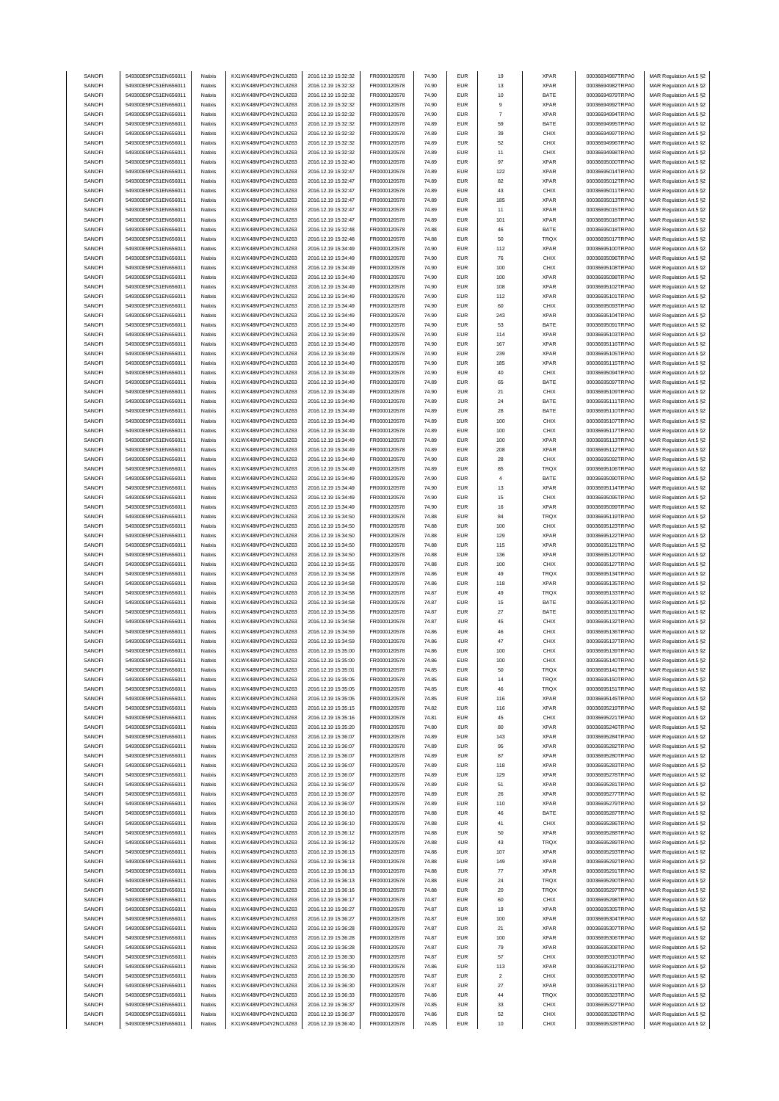| SANOFI | 549300E9PC51EN656011 | Natixis | KX1WK48MPD4Y2NCUIZ63  | 2016.12.19 15:32:32 | FR0000120578 | 74.90 | <b>EUR</b>  | 19                        | <b>XPAR</b> | 00036694987TRPA0 | MAR Regulation Art.5 §2 |
|--------|----------------------|---------|-----------------------|---------------------|--------------|-------|-------------|---------------------------|-------------|------------------|-------------------------|
| SANOFI | 549300E9PC51EN656011 | Natixis | KX1WK48MPD4Y2NCUIZ63  | 2016.12.19 15:32:32 | FR0000120578 | 74.90 | <b>EUR</b>  | 13                        | <b>XPAR</b> | 00036694982TRPA0 | MAR Regulation Art.5 §2 |
| SANOFI | 549300E9PC51EN656011 | Natixis | KX1WK48MPD4Y2NCUIZ63  | 2016.12.19 15:32:32 | FR0000120578 | 74.90 | <b>EUR</b>  | 10                        | BATE        | 00036694979TRPA0 | MAR Regulation Art.5 §2 |
| SANOFI | 549300E9PC51EN656011 | Natixis | KX1WK48MPD4Y2NCUIZ63  | 2016.12.19 15:32:32 | FR0000120578 | 74.90 | <b>EUR</b>  | 9                         | <b>XPAR</b> | 00036694992TRPA0 | MAR Regulation Art.5 §2 |
|        |                      |         |                       |                     |              |       |             |                           |             |                  |                         |
| SANOFI | 549300E9PC51EN656011 | Natixis | KX1WK48MPD4Y2NCUIZ63  | 2016.12.19 15:32:32 | FR0000120578 | 74.90 | <b>EUR</b>  | $\overline{\mathfrak{z}}$ | <b>XPAR</b> | 00036694994TRPA0 | MAR Regulation Art.5 §2 |
| SANOFI | 549300E9PC51EN656011 | Natixis | KX1WK48MPD4Y2NCUIZ63  | 2016.12.19 15:32:32 | FR0000120578 | 74.89 | <b>EUR</b>  | 59                        | BATE        | 00036694995TRPA0 | MAR Regulation Art.5 §2 |
| SANOFI | 549300E9PC51EN656011 | Natixis | KX1WK48MPD4Y2NCUIZ63  | 2016.12.19 15:32:32 | FR0000120578 | 74.89 | <b>EUR</b>  | 39                        | CHIX        | 00036694997TRPA0 | MAR Regulation Art.5 §2 |
| SANOFI | 549300E9PC51EN656011 | Natixis | KX1WK48MPD4Y2NCUIZ63  | 2016.12.19 15:32:32 | FR0000120578 | 74.89 | <b>EUR</b>  | 52                        | CHIX        | 00036694996TRPA0 | MAR Regulation Art.5 §2 |
| SANOFI | 549300E9PC51EN656011 | Natixis | KX1WK48MPD4Y2NCLIIZ63 | 2016.12.19 15:32:32 | FR0000120578 | 74.89 | <b>EUR</b>  | 11                        | CHIX        | 00036694998TRPA0 | MAR Regulation Art.5 §2 |
| SANOFI | 549300E9PC51EN656011 | Natixis | KX1WK48MPD4Y2NCUIZ63  | 2016.12.19 15:32:40 | FR0000120578 | 74.89 | <b>EUR</b>  | 97                        | <b>XPAR</b> | 00036695000TRPA0 | MAR Regulation Art.5 §2 |
| SANOFI | 549300E9PC51EN656011 | Natixis | KX1WK48MPD4Y2NCUIZ63  | 2016.12.19 15:32:47 | FR0000120578 | 74.89 | <b>EUR</b>  | 122                       | <b>XPAR</b> | 00036695014TRPA0 | MAR Regulation Art.5 §2 |
|        | 549300E9PC51EN656011 |         |                       |                     |              |       | <b>EUR</b>  |                           |             |                  |                         |
| SANOFI |                      | Natixis | KX1WK48MPD4Y2NCUIZ63  | 2016.12.19 15:32:47 | FR0000120578 | 74.89 |             | 82                        | <b>XPAR</b> | 00036695012TRPA0 | MAR Regulation Art.5 §2 |
| SANOFI | 549300E9PC51EN656011 | Natixis | KX1WK48MPD4Y2NCUIZ63  | 2016.12.19 15:32:47 | FR0000120578 | 74.89 | <b>EUR</b>  | 43                        | CHIX        | 00036695011TRPA0 | MAR Regulation Art.5 §2 |
| SANOFI | 549300E9PC51EN656011 | Natixis | KX1WK48MPD4Y2NCUIZ63  | 2016.12.19 15:32:47 | FR0000120578 | 74.89 | <b>EUR</b>  | 185                       | <b>XPAR</b> | 00036695013TRPA0 | MAR Regulation Art.5 §2 |
| SANOFI | 549300E9PC51EN656011 | Natixis | KX1WK48MPD4Y2NCUIZ63  | 2016.12.19 15:32:47 | FR0000120578 | 74.89 | <b>EUR</b>  | 11                        | <b>XPAR</b> | 00036695015TRPA0 | MAR Regulation Art.5 §2 |
| SANOFI | 549300E9PC51EN656011 | Natixis | KX1WK48MPD4Y2NCUIZ63  | 2016.12.19 15:32:47 | FR0000120578 | 74.89 | <b>EUR</b>  | 101                       | <b>XPAR</b> | 00036695016TRPA0 | MAR Regulation Art.5 §2 |
|        |                      |         |                       |                     |              |       |             |                           |             |                  |                         |
| SANOFI | 549300E9PC51EN656011 | Natixis | KX1WK48MPD4Y2NCUIZ63  | 2016.12.19 15:32:48 | FR0000120578 | 74.88 | <b>EUR</b>  | 46                        | BATE        | 00036695018TRPA0 | MAR Regulation Art.5 §2 |
| SANOFI | 549300E9PC51EN656011 | Natixis | KX1WK48MPD4Y2NCLIIZ63 | 2016.12.19 15:32:48 | FR0000120578 | 74.88 | <b>EUR</b>  | 50                        | TRQX        | 00036695017TRPA0 | MAR Regulation Art.5 §2 |
| SANOFI | 549300E9PC51EN656011 | Natixis | KX1WK48MPD4Y2NCUIZ63  | 2016.12.19 15:34:49 | FR0000120578 | 74.90 | <b>EUR</b>  | 112                       | <b>XPAR</b> | 00036695100TRPA0 | MAR Regulation Art.5 §2 |
| SANOFI | 549300E9PC51EN656011 | Natixis | KX1WK48MPD4Y2NCUIZ63  | 2016.12.19 15:34:49 | FR0000120578 | 74.90 | <b>EUR</b>  | 76                        | CHIX        | 00036695096TRPA0 | MAR Regulation Art.5 §2 |
| SANOFI | 549300E9PC51EN656011 | Natixis | KX1WK48MPD4Y2NCUIZ63  | 2016.12.19 15:34:49 | FR0000120578 | 74.90 | <b>EUR</b>  | 100                       | CHIX        | 00036695108TRPA0 | MAR Regulation Art.5 §2 |
| SANOFI | 549300E9PC51EN656011 | Natixis | KX1WK48MPD4Y2NCUIZ63  | 2016.12.19 15:34:49 | FR0000120578 | 74.90 | <b>EUR</b>  | 100                       | <b>XPAR</b> | 00036695098TRPA0 | MAR Regulation Art.5 §2 |
|        |                      |         |                       |                     |              |       |             |                           |             |                  |                         |
| SANOFI | 549300E9PC51EN656011 | Natixis | KX1WK48MPD4Y2NCUIZ63  | 2016.12.19 15:34:49 | FR0000120578 | 74.90 | <b>EUR</b>  | 108                       | <b>XPAR</b> | 00036695102TRPA0 | MAR Regulation Art.5 §2 |
| SANOFI | 549300E9PC51EN656011 | Natixis | KX1WK48MPD4Y2NCUIZ63  | 2016.12.19 15:34:49 | FR0000120578 | 74.90 | <b>EUR</b>  | 112                       | <b>XPAR</b> | 00036695101TRPA0 | MAR Regulation Art.5 §2 |
| SANOFI | 549300E9PC51EN656011 | Natixis | KX1WK48MPD4Y2NCUIZ63  | 2016.12.19 15:34:49 | FR0000120578 | 74.90 | <b>EUR</b>  | 60                        | CHIX        | 00036695093TRPA0 | MAR Regulation Art.5 §2 |
| SANOFI | 549300E9PC51EN656011 | Natixis | KX1WK48MPD4Y2NCUIZ63  | 2016.12.19 15:34:49 | FR0000120578 | 74.90 | <b>EUR</b>  | 243                       | <b>XPAR</b> | 00036695104TRPA0 | MAR Regulation Art.5 §2 |
| SANOFI | 549300E9PC51EN656011 | Natixis | KX1WK48MPD4Y2NCLIIZ63 | 2016.12.19 15:34:49 | FR0000120578 | 74.90 | <b>EUR</b>  | 53                        | BATE        | 00036695091TRPA0 | MAR Regulation Art.5 §2 |
|        |                      |         |                       |                     |              |       |             |                           |             |                  |                         |
| SANOFI | 549300E9PC51EN656011 | Natixis | KX1WK48MPD4Y2NCUIZ63  | 2016.12.19 15:34:49 | FR0000120578 | 74.90 | <b>EUR</b>  | 114                       | <b>XPAR</b> | 00036695103TRPA0 | MAR Regulation Art.5 §2 |
| SANOFI | 549300E9PC51EN656011 | Natixis | KX1WK48MPD4Y2NCUIZ63  | 2016.12.19 15:34:49 | FR0000120578 | 74.90 | <b>EUR</b>  | 167                       | <b>XPAR</b> | 00036695116TRPA0 | MAR Regulation Art.5 §2 |
| SANOFI | 549300E9PC51EN656011 | Natixis | KX1WK48MPD4Y2NCUIZ63  | 2016.12.19 15:34:49 | FR0000120578 | 74.90 | <b>EUR</b>  | 239                       | <b>XPAR</b> | 00036695105TRPA0 | MAR Regulation Art.5 §2 |
| SANOFI | 549300E9PC51EN656011 | Natixis | KX1WK48MPD4Y2NCUIZ63  | 2016.12.19 15:34:49 | FR0000120578 | 74.90 | <b>EUR</b>  | 185                       | <b>XPAR</b> | 00036695115TRPA0 | MAR Regulation Art.5 §2 |
| SANOFI | 549300E9PC51EN656011 | Natixis | KX1WK48MPD4Y2NCUIZ63  | 2016.12.19 15:34:49 | FR0000120578 | 74.90 | <b>EUR</b>  | 40                        | CHIX        | 00036695094TRPA0 | MAR Regulation Art.5 §2 |
|        |                      |         | KX1WK48MPD4Y2NCUIZ63  |                     |              |       | <b>EUR</b>  |                           |             |                  |                         |
| SANOFI | 549300E9PC51EN656011 | Natixis |                       | 2016.12.19 15:34:49 | FR0000120578 | 74.89 |             | 65                        | BATE        | 00036695097TRPA0 | MAR Regulation Art.5 §2 |
| SANOFI | 549300E9PC51EN656011 | Natixis | KX1WK48MPD4Y2NCUIZ63  | 2016.12.19 15:34:49 | FR0000120578 | 74.90 | <b>EUR</b>  | 21                        | CHIX        | 00036695109TRPA0 | MAR Regulation Art.5 §2 |
| SANOFI | 549300E9PC51EN656011 | Natixis | KX1WK48MPD4Y2NCUIZ63  | 2016.12.19 15:34:49 | FR0000120578 | 74.89 | <b>EUR</b>  | 24                        | BATE        | 00036695111TRPA0 | MAR Regulation Art.5 §2 |
| SANOFI | 549300E9PC51EN656011 | Natixis | KX1WK48MPD4Y2NCLIIZ63 | 2016.12.19 15:34:49 | FR0000120578 | 74.89 | <b>EUR</b>  | 28                        | BATE        | 00036695110TRPA0 | MAR Regulation Art.5 §2 |
| SANOFI | 549300E9PC51EN656011 | Natixis | KX1WK48MPD4Y2NCUIZ63  | 2016.12.19 15:34:49 | FR0000120578 | 74.89 | <b>EUR</b>  | 100                       | CHIX        | 00036695107TRPA0 | MAR Regulation Art.5 §2 |
|        | 549300E9PC51EN656011 |         |                       |                     |              |       |             |                           |             |                  |                         |
| SANOFI |                      | Natixis | KX1WK48MPD4Y2NCUIZ63  | 2016.12.19 15:34:49 | FR0000120578 | 74.89 | <b>EUR</b>  | 100                       | CHIX        | 00036695117TRPA0 | MAR Regulation Art.5 §2 |
| SANOFI | 549300E9PC51EN656011 | Natixis | KX1WK48MPD4Y2NCUIZ63  | 2016.12.19 15:34:49 | FR0000120578 | 74.89 | <b>EUR</b>  | 100                       | <b>XPAR</b> | 00036695113TRPA0 | MAR Regulation Art.5 §2 |
| SANOFI | 549300E9PC51EN656011 | Natixis | KX1WK48MPD4Y2NCUIZ63  | 2016.12.19 15:34:49 | FR0000120578 | 74.89 | <b>EUR</b>  | 208                       | <b>XPAR</b> | 00036695112TRPA0 | MAR Regulation Art.5 §2 |
| SANOFI | 549300E9PC51EN656011 | Natixis | KX1WK48MPD4Y2NCUIZ63  | 2016.12.19 15:34:49 | FR0000120578 | 74.90 | <b>EUR</b>  | 28                        | CHIX        | 00036695092TRPA0 | MAR Regulation Art.5 §2 |
| SANOFI | 549300E9PC51EN656011 | Natixis | KX1WK48MPD4Y2NCUIZ63  | 2016.12.19 15:34:49 | FR0000120578 | 74.89 | <b>EUR</b>  | 85                        | TRQX        | 00036695106TRPA0 | MAR Regulation Art.5 §2 |
| SANOFI | 549300E9PC51EN656011 | Natixis | KX1WK48MPD4Y2NCUIZ63  | 2016.12.19 15:34:49 | FR0000120578 | 74.90 | <b>EUR</b>  | $\overline{4}$            | BATE        | 00036695090TRPA0 | MAR Regulation Art.5 §2 |
|        |                      |         |                       |                     |              |       |             |                           |             |                  |                         |
| SANOFI | 549300E9PC51EN656011 | Natixis | KX1WK48MPD4Y2NCUIZ63  | 2016.12.19 15:34:49 | FR0000120578 | 74.90 | <b>EUR</b>  | 13                        | <b>XPAR</b> | 00036695114TRPA0 | MAR Regulation Art.5 §2 |
| SANOFI | 549300E9PC51EN656011 | Natixis | KX1WK48MPD4Y2NCUIZ63  | 2016.12.19 15:34:49 | FR0000120578 | 74.90 | <b>EUR</b>  | 15                        | CHIX        | 00036695095TRPA0 | MAR Regulation Art.5 §2 |
| SANOFI | 549300E9PC51EN656011 | Natixis | KX1WK48MPD4Y2NCUIZ63  | 2016.12.19 15:34:49 | FR0000120578 | 74.90 | <b>EUR</b>  | 16                        | <b>XPAR</b> | 00036695099TRPA0 | MAR Regulation Art.5 §2 |
| SANOFI | 549300E9PC51EN656011 | Natixis | KX1WK48MPD4Y2NCUIZ63  | 2016.12.19 15:34:50 | FR0000120578 | 74.88 | <b>EUR</b>  | 84                        | TRQX        | 00036695119TRPA0 | MAR Regulation Art.5 §2 |
| SANOFI | 549300E9PC51EN656011 | Natixis | KX1WK48MPD4Y2NCUIZ63  | 2016.12.19 15:34:50 | FR0000120578 | 74.88 | <b>EUR</b>  | 100                       | CHIX        | 00036695123TRPA0 | MAR Regulation Art.5 §2 |
| SANOFI | 549300E9PC51EN656011 | Natixis | KX1WK48MPD4Y2NCUIZ63  | 2016.12.19 15:34:50 | FR0000120578 | 74.88 | <b>EUR</b>  | 129                       | <b>XPAR</b> | 00036695122TRPA0 |                         |
|        |                      |         |                       |                     |              |       |             |                           |             |                  | MAR Regulation Art.5 §2 |
| SANOFI | 549300E9PC51EN656011 | Natixis | KX1WK48MPD4Y2NCUIZ63  | 2016.12.19 15:34:50 | FR0000120578 | 74.88 | <b>EUR</b>  | 115                       | <b>XPAR</b> | 00036695121TRPA0 | MAR Regulation Art.5 §2 |
| SANOFI | 549300E9PC51EN656011 | Natixis | KX1WK48MPD4Y2NCUIZ63  | 2016.12.19 15:34:50 | FR0000120578 | 74.88 | <b>EUR</b>  | 136                       | <b>XPAR</b> | 00036695120TRPA0 | MAR Regulation Art.5 §2 |
| SANOFI | 549300E9PC51EN656011 | Natixis | KX1WK48MPD4Y2NCUIZ63  | 2016.12.19 15:34:55 | FR0000120578 | 74.88 | <b>EUR</b>  | 100                       | CHIX        | 00036695127TRPA0 | MAR Regulation Art.5 §2 |
| SANOFI | 549300E9PC51EN656011 | Natixis | KX1WK48MPD4Y2NCUIZ63  | 2016.12.19 15:34:58 | FR0000120578 | 74.86 | <b>EUR</b>  | 49                        | TRQX        | 00036695134TRPA0 | MAR Regulation Art.5 §2 |
| SANOFI | 549300E9PC51EN656011 | Natixis | KX1WK48MPD4Y2NCUIZ63  | 2016.12.19 15:34:58 | FR0000120578 | 74.86 | <b>EUR</b>  | 118                       | <b>XPAR</b> | 00036695135TRPA0 | MAR Regulation Art.5 §2 |
|        |                      |         |                       |                     |              |       |             |                           |             |                  |                         |
| SANOFI | 549300E9PC51EN656011 | Natixis | KX1WK48MPD4Y2NCUIZ63  | 2016.12.19 15:34:58 | FR0000120578 | 74.87 | <b>EUR</b>  | 49                        | TRQX        | 00036695133TRPA0 | MAR Regulation Art.5 §2 |
| SANOFI | 549300E9PC51EN656011 | Natixis | KX1WK48MPD4Y2NCUIZ63  | 2016.12.19 15:34:58 | FR0000120578 | 74.87 | <b>EUR</b>  | 15                        | BATE        | 00036695130TRPA0 | MAR Regulation Art.5 §2 |
| SANOFI | 549300E9PC51EN656011 | Natixis | KX1WK48MPD4Y2NCUIZ63  | 2016.12.19 15:34:58 | FR0000120578 | 74.87 | <b>EUR</b>  | 27                        | BATE        | 00036695131TRPA0 | MAR Regulation Art.5 §2 |
| SANOFI | 549300E9PC51EN656011 | Natixis | KX1WK48MPD4Y2NCUIZ63  | 2016.12.19 15:34:58 | FR0000120578 | 74.87 | <b>EUR</b>  | 45                        | CHIX        | 00036695132TRPA0 | MAR Regulation Art.5 §2 |
| SANOFI | 549300E9PC51EN656011 | Natixis | KX1WK48MPD4Y2NCUIZ63  | 2016.12.19 15:34:59 | FR0000120578 | 74.86 | <b>EUR</b>  | 46                        | CHIX        | 00036695136TRPA0 | MAR Regulation Art.5 §2 |
| SANOFI | 549300E9PC51EN656011 | Natixis | KX1WK48MPD4Y2NCUIZ63  |                     | FR0000120578 | 74.86 | <b>EUR</b>  | 47                        | CHIX        | 00036695137TRPA0 |                         |
|        |                      |         |                       | 2016.12.19 15:34:59 |              |       |             |                           |             |                  | MAR Regulation Art.5 §2 |
| SANOF  | 549300E9PC51EN656011 | Natixis | KX1WK48MPD4Y2NCUIZ63  | 2016.12.19 15:35:00 | FR0000120578 | 74.86 | EUR         | 100                       | CHIX        | 00036695139TRPA0 | MAR Regulation Art.5 §2 |
| SANOFI | 549300E9PC51EN656011 | Natixis | KX1WK48MPD4Y2NCUIZ63  | 2016.12.19 15:35:00 | FR0000120578 | 74.86 | <b>EUR</b>  | 100                       | CHIX        | 00036695140TRPA0 | MAR Regulation Art.5 §2 |
| SANOFI | 549300E9PC51EN656011 | Natixis | KX1WK48MPD4Y2NCUIZ63  | 2016.12.19 15:35:01 | FR0000120578 | 74.85 | <b>EUR</b>  | 50                        | TRQX        | 00036695141TRPA0 | MAR Regulation Art.5 §2 |
| SANOFI | 549300E9PC51EN656011 | Natixis | KX1WK48MPD4Y2NCUIZ63  | 2016.12.19 15:35:05 | FR0000120578 | 74.85 | <b>EUR</b>  | 14                        | <b>TRQX</b> | 00036695150TRPA0 | MAR Regulation Art.5 §2 |
| SANOFI | 549300E9PC51EN656011 | Natixis | KX1WK48MPD4Y2NCUIZ63  | 2016.12.19 15:35:05 | FR0000120578 | 74.85 | <b>EUR</b>  | 46                        | TRQX        | 00036695151TRPA0 | MAR Regulation Art.5 §2 |
| SANOFI | 549300E9PC51EN656011 | Natixis | KX1WK48MPD4Y2NCUIZ63  | 2016.12.19 15:35:05 | FR0000120578 | 74.85 | <b>EUR</b>  | 116                       | <b>XPAR</b> | 00036695145TRPA0 |                         |
|        |                      |         |                       |                     |              |       |             |                           |             |                  | MAR Regulation Art.5 §2 |
| SANOFI | 549300E9PC51EN656011 | Natixis | KX1WK48MPD4Y2NCUIZ63  | 2016.12.19 15:35:15 | FR0000120578 | 74.82 | ${\sf EUR}$ | 116                       | <b>XPAR</b> | 00036695219TRPA0 | MAR Regulation Art.5 §2 |
| SANOFI | 549300E9PC51EN656011 | Natixis | KX1WK48MPD4Y2NCUIZ63  | 2016.12.19 15:35:16 | FR0000120578 | 74.81 | EUR         | 45                        | CHIX        | 00036695221TRPA0 | MAR Regulation Art.5 §2 |
| SANOFI | 549300E9PC51EN656011 | Natixis | KX1WK48MPD4Y2NCUIZ63  | 2016.12.19 15:35:20 | FR0000120578 | 74.80 | <b>EUR</b>  | 80                        | <b>XPAR</b> | 00036695246TRPA0 | MAR Regulation Art.5 §2 |
| SANOFI | 549300E9PC51EN656011 | Natixis | KX1WK48MPD4Y2NCUIZ63  | 2016.12.19 15:36:07 | FR0000120578 | 74.89 | <b>EUR</b>  | 143                       | <b>XPAR</b> | 00036695284TRPA0 | MAR Regulation Art.5 §2 |
| SANOFI | 549300E9PC51EN656011 | Natixis | KX1WK48MPD4Y2NCUIZ63  | 2016.12.19 15:36:07 | FR0000120578 | 74.89 | <b>EUR</b>  | 95                        | <b>XPAR</b> | 00036695282TRPA0 | MAR Regulation Art.5 §2 |
|        |                      |         |                       |                     |              |       |             |                           |             |                  | MAR Regulation Art.5 §2 |
| SANOFI | 549300E9PC51EN656011 | Natixis | KX1WK48MPD4Y2NCUIZ63  | 2016.12.19 15:36:07 | FR0000120578 | 74.89 | <b>EUR</b>  | 87                        | <b>XPAR</b> | 00036695280TRPA0 |                         |
| SANOFI | 549300E9PC51EN656011 | Natixis | KX1WK48MPD4Y2NCUIZ63  | 2016.12.19 15:36:07 | FR0000120578 | 74.89 | <b>EUR</b>  | 118                       | <b>XPAR</b> | 00036695283TRPA0 | MAR Regulation Art.5 §2 |
| SANOFI | 549300E9PC51EN656011 | Natixis | KX1WK48MPD4Y2NCUIZ63  | 2016.12.19 15:36:07 | FR0000120578 | 74.89 | <b>EUR</b>  | 129                       | <b>XPAR</b> | 00036695278TRPA0 | MAR Regulation Art.5 §2 |
| SANOFI | 549300E9PC51EN656011 | Natixis | KX1WK48MPD4Y2NCUIZ63  | 2016.12.19 15:36:07 | FR0000120578 | 74.89 | <b>EUR</b>  | 51                        | <b>XPAR</b> | 00036695281TRPA0 | MAR Regulation Art.5 §2 |
| SANOFI | 549300E9PC51EN656011 | Natixis | KX1WK48MPD4Y2NCUIZ63  | 2016.12.19 15:36:07 | FR0000120578 | 74.89 | <b>EUR</b>  | 26                        | <b>XPAR</b> | 00036695277TRPA0 | MAR Regulation Art.5 §2 |
| SANOFI | 549300E9PC51EN656011 | Natixis | KX1WK48MPD4Y2NCUIZ63  | 2016.12.19 15:36:07 | FR0000120578 | 74.89 | <b>EUR</b>  | 110                       | <b>XPAR</b> | 00036695279TRPA0 | MAR Regulation Art.5 §2 |
|        |                      |         |                       |                     |              |       |             |                           |             |                  |                         |
| SANOFI | 549300E9PC51EN656011 | Natixis | KX1WK48MPD4Y2NCUIZ63  | 2016.12.19 15:36:10 | FR0000120578 | 74.88 | <b>EUR</b>  | 46                        | BATE        | 00036695287TRPA0 | MAR Regulation Art.5 §2 |
| SANOFI | 549300E9PC51EN656011 | Natixis | KX1WK48MPD4Y2NCUIZ63  | 2016.12.19 15:36:10 | FR0000120578 | 74.88 | <b>EUR</b>  | 41                        | CHIX        | 00036695286TRPA0 | MAR Regulation Art.5 §2 |
| SANOFI | 549300E9PC51EN656011 | Natixis | KX1WK48MPD4Y2NCUIZ63  | 2016.12.19 15:36:12 | FR0000120578 | 74.88 | <b>EUR</b>  | 50                        | <b>XPAR</b> | 00036695288TRPA0 | MAR Regulation Art.5 §2 |
| SANOFI | 549300E9PC51EN656011 | Natixis | KX1WK48MPD4Y2NCUIZ63  | 2016.12.19 15:36:12 | FR0000120578 | 74.88 | <b>EUR</b>  | 43                        | TRQX        | 00036695289TRPA0 | MAR Regulation Art.5 §2 |
| SANOFI | 549300E9PC51EN656011 | Natixis | KX1WK48MPD4Y2NCUIZ63  | 2016.12.19 15:36:13 | FR0000120578 | 74.88 | <b>EUR</b>  | 107                       | <b>XPAR</b> | 00036695293TRPA0 | MAR Regulation Art.5 §2 |
|        |                      |         |                       |                     |              |       |             |                           |             |                  |                         |
| SANOFI | 549300E9PC51EN656011 | Natixis | KX1WK48MPD4Y2NCUIZ63  | 2016.12.19 15:36:13 | FR0000120578 | 74.88 | <b>EUR</b>  | 149                       | <b>XPAR</b> | 00036695292TRPA0 | MAR Regulation Art.5 §2 |
| SANOFI | 549300E9PC51EN656011 | Natixis | KX1WK48MPD4Y2NCUIZ63  | 2016.12.19 15:36:13 | FR0000120578 | 74.88 | <b>EUR</b>  | 77                        | <b>XPAR</b> | 00036695291TRPA0 | MAR Regulation Art.5 §2 |
| SANOFI | 549300E9PC51EN656011 | Natixis | KX1WK48MPD4Y2NCUIZ63  | 2016.12.19 15:36:13 | FR0000120578 | 74.88 | <b>EUR</b>  | 24                        | TRQX        | 00036695290TRPA0 | MAR Regulation Art.5 §2 |
| SANOFI | 549300E9PC51EN656011 | Natixis | KX1WK48MPD4Y2NCUIZ63  | 2016.12.19 15:36:16 | FR0000120578 | 74.88 | <b>EUR</b>  | 20                        | TRQX        | 00036695297TRPA0 | MAR Regulation Art.5 §2 |
| SANOFI | 549300E9PC51EN656011 | Natixis | KX1WK48MPD4Y2NCUIZ63  | 2016.12.19 15:36:17 | FR0000120578 | 74.87 | <b>EUR</b>  | 60                        | CHIX        | 00036695298TRPA0 |                         |
|        |                      |         |                       |                     |              |       |             |                           |             |                  | MAR Regulation Art.5 §2 |
| SANOFI | 549300E9PC51EN656011 | Natixis | KX1WK48MPD4Y2NCUIZ63  | 2016.12.19 15:36:27 | FR0000120578 | 74.87 | <b>EUR</b>  | 19                        | <b>XPAR</b> | 00036695305TRPA0 | MAR Regulation Art.5 §2 |
| SANOFI | 549300E9PC51EN656011 | Natixis | KX1WK48MPD4Y2NCUIZ63  | 2016.12.19 15:36:27 | FR0000120578 | 74.87 | <b>EUR</b>  | 100                       | <b>XPAR</b> | 00036695304TRPA0 | MAR Regulation Art.5 §2 |
| SANOFI | 549300E9PC51EN656011 | Natixis | KX1WK48MPD4Y2NCUIZ63  | 2016.12.19 15:36:28 | FR0000120578 | 74.87 | <b>EUR</b>  | 21                        | <b>XPAR</b> | 00036695307TRPA0 | MAR Regulation Art.5 §2 |
| SANOFI | 549300E9PC51EN656011 | Natixis | KX1WK48MPD4Y2NCUIZ63  | 2016.12.19 15:36:28 | FR0000120578 | 74.87 | <b>EUR</b>  | 100                       | <b>XPAR</b> | 00036695306TRPA0 | MAR Regulation Art.5 §2 |
| SANOFI | 549300E9PC51EN656011 | Natixis | KX1WK48MPD4Y2NCUIZ63  | 2016.12.19 15:36:28 | FR0000120578 | 74.87 | <b>EUR</b>  | 79                        | <b>XPAR</b> | 00036695308TRPA0 | MAR Regulation Art.5 §2 |
|        |                      |         |                       |                     |              |       |             |                           |             |                  |                         |
| SANOFI | 549300E9PC51EN656011 | Natixis | KX1WK48MPD4Y2NCUIZ63  | 2016.12.19 15:36:30 | FR0000120578 | 74.87 | <b>EUR</b>  | 57                        | CHIX        | 00036695310TRPA0 | MAR Regulation Art.5 §2 |
| SANOFI | 549300E9PC51EN656011 | Natixis | KX1WK48MPD4Y2NCUIZ63  | 2016.12.19 15:36:30 | FR0000120578 | 74.86 | <b>EUR</b>  | 113                       | <b>XPAR</b> | 00036695312TRPA0 | MAR Regulation Art.5 §2 |
| SANOFI | 549300E9PC51EN656011 | Natixis | KX1WK48MPD4Y2NCUIZ63  | 2016.12.19 15:36:30 | FR0000120578 | 74.87 | <b>EUR</b>  | $\overline{2}$            | CHIX        | 00036695309TRPA0 | MAR Regulation Art.5 §2 |
| SANOFI | 549300E9PC51EN656011 | Natixis | KX1WK48MPD4Y2NCUIZ63  | 2016.12.19 15:36:30 | FR0000120578 | 74.87 | <b>EUR</b>  | 27                        | <b>XPAR</b> | 00036695311TRPA0 | MAR Regulation Art.5 §2 |
| SANOFI | 549300E9PC51EN656011 | Natixis | KX1WK48MPD4Y2NCUIZ63  | 2016.12.19 15:36:33 | FR0000120578 | 74.86 | <b>EUR</b>  | 44                        | TRQX        | 00036695323TRPA0 | MAR Regulation Art.5 §2 |
| SANOFI | 549300E9PC51EN656011 | Natixis | KX1WK48MPD4Y2NCUIZ63  | 2016.12.19 15:36:37 | FR0000120578 | 74.85 | <b>EUR</b>  | 33                        | CHIX        | 00036695327TRPA0 |                         |
|        |                      |         |                       |                     |              |       |             |                           |             |                  | MAR Regulation Art.5 §2 |
| SANOFI | 549300E9PC51EN656011 | Natixis | KX1WK48MPD4Y2NCUIZ63  | 2016.12.19 15:36:37 | FR0000120578 | 74.86 | <b>EUR</b>  | 52                        | CHIX        | 00036695326TRPA0 | MAR Regulation Art.5 §2 |
| SANOFI | 549300E9PC51EN656011 | Natixis | KX1WK48MPD4Y2NCUIZ63  | 2016.12.19 15:36:40 | FR0000120578 | 74.85 | EUR         | $10$                      | CHIX        | 00036695328TRPA0 | MAR Regulation Art.5 §2 |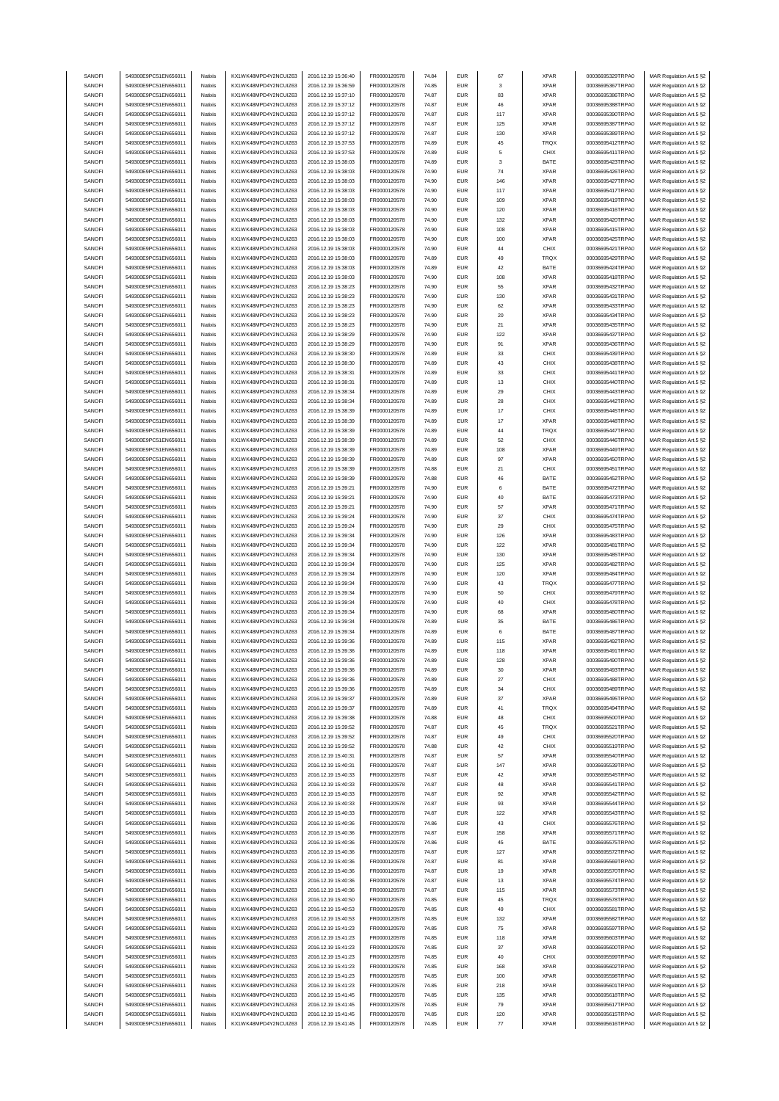| SANOFI<br>SANOFI<br>SANOFI | 549300E9PC51EN656011 |         |                       |                     |              |       |                             |     |             |                  |                         |
|----------------------------|----------------------|---------|-----------------------|---------------------|--------------|-------|-----------------------------|-----|-------------|------------------|-------------------------|
|                            |                      | Natixis | KX1WK48MPD4Y2NCUIZ63  | 2016.12.19 15:36:40 | FR0000120578 | 74.84 | <b>EUR</b>                  | 67  | <b>XPAR</b> | 00036695329TRPA0 | MAR Regulation Art.5 §2 |
|                            | 549300E9PC51EN656011 | Natixis | KX1WK48MPD4Y2NCUIZ63  | 2016.12.19 15:36:59 | FR0000120578 | 74.85 | <b>EUR</b>                  | 3   | <b>XPAR</b> | 00036695367TRPA0 | MAR Regulation Art.5 §2 |
|                            | 549300E9PC51EN656011 | Natixis | KX1WK48MPD4Y2NCUIZ63  | 2016.12.19 15:37:10 | FR0000120578 | 74.87 | <b>EUR</b>                  | 83  | <b>XPAR</b> | 00036695386TRPA0 | MAR Regulation Art.5 §2 |
| SANOFI                     | 549300E9PC51EN656011 | Natixis | KX1WK48MPD4Y2NCUIZ63  | 2016.12.19 15:37:12 | FR0000120578 | 74.87 | <b>EUR</b>                  | 46  | <b>XPAR</b> | 00036695388TRPA0 | MAR Regulation Art.5 §2 |
|                            |                      |         |                       |                     |              |       |                             |     |             |                  |                         |
| SANOFI                     | 549300E9PC51EN656011 | Natixis | KX1WK48MPD4Y2NCUIZ63  | 2016.12.19 15:37:12 | FR0000120578 | 74.87 | <b>EUR</b>                  | 117 | <b>XPAR</b> | 00036695390TRPA0 | MAR Regulation Art.5 §2 |
| SANOFI                     | 549300E9PC51EN656011 | Natixis | KX1WK48MPD4Y2NCUIZ63  | 2016.12.19 15:37:12 | FR0000120578 | 74.87 | <b>EUR</b>                  | 125 | <b>XPAR</b> | 00036695387TRPA0 | MAR Regulation Art.5 §2 |
| SANOFI                     | 549300E9PC51EN656011 | Natixis | KX1WK48MPD4Y2NCUIZ63  | 2016.12.19 15:37:12 | FR0000120578 | 74.87 | <b>EUR</b>                  | 130 | <b>XPAR</b> | 00036695389TRPA0 | MAR Regulation Art.5 §2 |
| SANOFI                     | 549300E9PC51EN656011 | Natixis | KX1WK48MPD4Y2NCUIZ63  | 2016.12.19 15:37:53 | FR0000120578 | 74.89 | <b>EUR</b>                  | 45  | TRQX        | 00036695412TRPA0 | MAR Regulation Art.5 §2 |
| SANOFI                     | 549300E9PC51EN656011 | Natixis | KX1WK48MPD4Y2NCLIIZ63 | 2016.12.19 15:37:53 | FR0000120578 | 74.89 | <b>EUR</b>                  | 5   | CHIX        | 00036695411TRPA0 | MAR Regulation Art.5 §2 |
| SANOFI                     | 549300E9PC51EN656011 | Natixis | KX1WK48MPD4Y2NCUIZ63  | 2016.12.19 15:38:03 | FR0000120578 | 74.89 | <b>EUR</b>                  | 3   | BATE        | 00036695423TRPA0 | MAR Regulation Art.5 §2 |
| SANOFI                     | 549300E9PC51EN656011 | Natixis | KX1WK48MPD4Y2NCUIZ63  | 2016.12.19 15:38:03 | FR0000120578 | 74.90 | <b>EUR</b>                  | 74  | <b>XPAR</b> | 00036695426TRPA0 | MAR Regulation Art.5 §2 |
|                            |                      |         |                       |                     |              |       |                             |     |             |                  |                         |
| SANOFI                     | 549300E9PC51EN656011 | Natixis | KX1WK48MPD4Y2NCUIZ63  | 2016.12.19 15:38:03 | FR0000120578 | 74.90 | <b>EUR</b>                  | 146 | <b>XPAR</b> | 00036695427TRPA0 | MAR Regulation Art.5 §2 |
| SANOFI                     | 549300E9PC51EN656011 | Natixis | KX1WK48MPD4Y2NCUIZ63  | 2016.12.19 15:38:03 | FR0000120578 | 74.90 | <b>EUR</b>                  | 117 | <b>XPAR</b> | 00036695417TRPA0 | MAR Regulation Art.5 §2 |
| SANOFI                     | 549300E9PC51EN656011 | Natixis | KX1WK48MPD4Y2NCUIZ63  | 2016.12.19 15:38:03 | FR0000120578 | 74.90 | <b>EUR</b>                  | 109 | <b>XPAR</b> | 00036695419TRPA0 | MAR Regulation Art.5 §2 |
| SANOFI                     | 549300E9PC51EN656011 | Natixis | KX1WK48MPD4Y2NCUIZ63  | 2016.12.19 15:38:03 | FR0000120578 | 74.90 | <b>EUR</b>                  | 120 | <b>XPAR</b> | 00036695416TRPA0 | MAR Regulation Art.5 §2 |
|                            | 549300E9PC51EN656011 |         | KX1WK48MPD4Y2NCUIZ63  |                     |              |       |                             |     |             |                  |                         |
| SANOFI                     |                      | Natixis |                       | 2016.12.19 15:38:03 | FR0000120578 | 74.90 | <b>EUR</b>                  | 132 | <b>XPAR</b> | 00036695420TRPA0 | MAR Regulation Art.5 §2 |
| SANOFI                     | 549300E9PC51EN656011 | Natixis | KX1WK48MPD4Y2NCUIZ63  | 2016.12.19 15:38:03 | FR0000120578 | 74.90 | <b>EUR</b>                  | 108 | <b>XPAR</b> | 00036695415TRPA0 | MAR Regulation Art.5 §2 |
| SANOFI                     | 549300E9PC51EN656011 | Natixis | KX1WK48MPD4Y2NCLIIZ63 | 2016.12.19 15:38:03 | FR0000120578 | 74.90 | <b>EUR</b>                  | 100 | <b>XPAR</b> | 00036695425TRPA0 | MAR Regulation Art.5 §2 |
| SANOFI                     | 549300E9PC51EN656011 | Natixis | KX1WK48MPD4Y2NCUIZ63  | 2016.12.19 15:38:03 | FR0000120578 | 74.90 | <b>EUR</b>                  | 44  | CHIX        | 00036695421TRPA0 | MAR Regulation Art.5 §2 |
| SANOFI                     | 549300E9PC51EN656011 | Natixis | KX1WK48MPD4Y2NCUIZ63  | 2016.12.19 15:38:03 | FR0000120578 | 74.89 | <b>EUR</b>                  | 49  | TRQX        | 00036695429TRPA0 | MAR Regulation Art.5 §2 |
| SANOFI                     | 549300E9PC51EN656011 | Natixis | KX1WK48MPD4Y2NCUIZ63  | 2016.12.19 15:38:03 | FR0000120578 | 74.89 | <b>EUR</b>                  | 42  | BATE        | 00036695424TRPA0 | MAR Regulation Art.5 §2 |
| SANOFI                     | 549300E9PC51EN656011 | Natixis | KX1WK48MPD4Y2NCUIZ63  | 2016.12.19 15:38:03 | FR0000120578 | 74.90 | <b>EUR</b>                  | 108 | <b>XPAR</b> | 00036695418TRPA0 | MAR Regulation Art.5 §2 |
|                            |                      |         |                       |                     |              |       |                             |     |             |                  |                         |
| SANOFI                     | 549300E9PC51EN656011 | Natixis | KX1WK48MPD4Y2NCUIZ63  | 2016.12.19 15:38:23 | FR0000120578 | 74.90 | <b>EUR</b>                  | 55  | <b>XPAR</b> | 00036695432TRPA0 | MAR Regulation Art.5 §2 |
| SANOFI                     | 549300E9PC51EN656011 | Natixis | KX1WK48MPD4Y2NCUIZ63  | 2016.12.19 15:38:23 | FR0000120578 | 74.90 | <b>EUR</b>                  | 130 | <b>XPAR</b> | 00036695431TRPA0 | MAR Regulation Art.5 §2 |
| SANOFI                     | 549300E9PC51EN656011 | Natixis | KX1WK48MPD4Y2NCUIZ63  | 2016.12.19 15:38:23 | FR0000120578 | 74.90 | <b>EUR</b>                  | 62  | <b>XPAR</b> | 00036695433TRPA0 | MAR Regulation Art.5 §2 |
| SANOFI                     | 549300E9PC51EN656011 | Natixis | KX1WK48MPD4Y2NCUIZ63  | 2016.12.19 15:38:23 | FR0000120578 | 74.90 | <b>EUR</b>                  | 20  | <b>XPAR</b> | 00036695434TRPA0 | MAR Regulation Art.5 §2 |
| SANOFI                     | 549300E9PC51EN656011 | Natixis | KX1WK48MPD4Y2NCLIIZ63 | 2016.12.19 15:38:23 | FR0000120578 | 74.90 | <b>EUR</b>                  | 21  | <b>XPAR</b> | 00036695435TRPA0 | MAR Regulation Art.5 §2 |
| SANOFI                     | 549300E9PC51EN656011 | Natixis | KX1WK48MPD4Y2NCUIZ63  | 2016.12.19 15:38:29 | FR0000120578 | 74.90 | <b>EUR</b>                  | 122 | <b>XPAR</b> | 00036695437TRPA0 | MAR Regulation Art.5 §2 |
|                            |                      |         |                       |                     |              |       |                             |     |             |                  |                         |
| SANOFI                     | 549300E9PC51EN656011 | Natixis | KX1WK48MPD4Y2NCUIZ63  | 2016.12.19 15:38:29 | FR0000120578 | 74.90 | <b>EUR</b>                  | 91  | <b>XPAR</b> | 00036695436TRPA0 | MAR Regulation Art.5 §2 |
| SANOFI                     | 549300E9PC51EN656011 | Natixis | KX1WK48MPD4Y2NCUIZ63  | 2016.12.19 15:38:30 | FR0000120578 | 74.89 | <b>EUR</b>                  | 33  | CHIX        | 00036695439TRPA0 | MAR Regulation Art.5 §2 |
| SANOFI                     | 549300E9PC51EN656011 | Natixis | KX1WK48MPD4Y2NCUIZ63  | 2016.12.19 15:38:30 | FR0000120578 | 74.89 | <b>EUR</b>                  | 43  | CHIX        | 00036695438TRPA0 | MAR Regulation Art.5 §2 |
| SANOFI                     | 549300E9PC51EN656011 | Natixis | KX1WK48MPD4Y2NCUIZ63  | 2016.12.19 15:38:31 | FR0000120578 | 74.89 | <b>EUR</b>                  | 33  | CHIX        | 00036695441TRPA0 | MAR Regulation Art.5 §2 |
| SANOFI                     | 549300E9PC51EN656011 | Natixis | KX1WK48MPD4Y2NCUIZ63  | 2016.12.19 15:38:31 | FR0000120578 | 74.89 | <b>EUR</b>                  | 13  | CHIX        | 00036695440TRPA0 | MAR Regulation Art.5 §2 |
|                            |                      |         |                       |                     |              |       |                             |     |             |                  |                         |
| SANOFI                     | 549300E9PC51EN656011 | Natixis | KX1WK48MPD4Y2NCUIZ63  | 2016.12.19 15:38:34 | FR0000120578 | 74.89 | <b>EUR</b>                  | 29  | CHIX        | 00036695443TRPA0 | MAR Regulation Art.5 §2 |
| SANOFI                     | 549300E9PC51EN656011 | Natixis | KX1WK48MPD4Y2NCUIZ63  | 2016.12.19 15:38:34 | FR0000120578 | 74.89 | <b>EUR</b>                  | 28  | CHIX        | 00036695442TRPA0 | MAR Regulation Art.5 §2 |
| SANOFI                     | 549300E9PC51EN656011 | Natixis | KX1WK48MPD4Y2NCLIIZ63 | 2016.12.19 15:38:39 | FR0000120578 | 74.89 | <b>EUR</b>                  | 17  | CHIX        | 00036695445TRPA0 | MAR Regulation Art.5 §2 |
| SANOFI                     | 549300E9PC51EN656011 | Natixis | KX1WK48MPD4Y2NCUIZ63  | 2016.12.19 15:38:39 | FR0000120578 | 74.89 | <b>EUR</b>                  | 17  | <b>XPAR</b> | 00036695448TRPA0 | MAR Regulation Art.5 §2 |
| SANOFI                     | 549300E9PC51EN656011 | Natixis | KX1WK48MPD4Y2NCUIZ63  | 2016.12.19 15:38:39 | FR0000120578 | 74.89 | <b>EUR</b>                  | 44  | TRQX        | 00036695447TRPA0 | MAR Regulation Art.5 §2 |
|                            |                      |         | KX1WK48MPD4Y2NCUIZ63  |                     |              |       |                             |     |             |                  |                         |
| SANOFI                     | 549300E9PC51EN656011 | Natixis |                       | 2016.12.19 15:38:39 | FR0000120578 | 74.89 | <b>EUR</b>                  | 52  | CHIX        | 00036695446TRPA0 | MAR Regulation Art.5 §2 |
| SANOFI                     | 549300E9PC51EN656011 | Natixis | KX1WK48MPD4Y2NCUIZ63  | 2016.12.19 15:38:39 | FR0000120578 | 74.89 | <b>EUR</b>                  | 108 | <b>XPAR</b> | 00036695449TRPA0 | MAR Regulation Art.5 §2 |
| SANOFI                     | 549300E9PC51EN656011 | Natixis | KX1WK48MPD4Y2NCUIZ63  | 2016.12.19 15:38:39 | FR0000120578 | 74.89 | <b>EUR</b>                  | 97  | <b>XPAR</b> | 00036695450TRPA0 | MAR Regulation Art.5 §2 |
| SANOFI                     | 549300E9PC51EN656011 | Natixis | KX1WK48MPD4Y2NCUIZ63  | 2016.12.19 15:38:39 | FR0000120578 | 74.88 | <b>EUR</b>                  | 21  | CHIX        | 00036695451TRPA0 | MAR Regulation Art.5 §2 |
| SANOFI                     | 549300E9PC51EN656011 | Natixis | KX1WK48MPD4Y2NCUIZ63  | 2016.12.19 15:38:39 | FR0000120578 | 74.88 | <b>EUR</b>                  | 46  | BATE        | 00036695452TRPA0 | MAR Regulation Art.5 §2 |
| SANOFI                     | 549300E9PC51EN656011 | Natixis | KX1WK48MPD4Y2NCUIZ63  | 2016.12.19 15:39:21 | FR0000120578 | 74.90 | <b>EUR</b>                  | 6   | BATE        | 00036695472TRPA0 | MAR Regulation Art.5 §2 |
|                            |                      |         |                       |                     |              |       |                             |     |             |                  |                         |
| SANOFI                     | 549300E9PC51EN656011 | Natixis | KX1WK48MPD4Y2NCUIZ63  | 2016.12.19 15:39:21 | FR0000120578 | 74.90 | <b>EUR</b>                  | 40  | BATE        | 00036695473TRPA0 | MAR Regulation Art.5 §2 |
| SANOFI                     | 549300E9PC51EN656011 | Natixis | KX1WK48MPD4Y2NCUIZ63  | 2016.12.19 15:39:21 | FR0000120578 | 74.90 | <b>EUR</b>                  | 57  | <b>XPAR</b> | 00036695471TRPA0 | MAR Regulation Art.5 §2 |
| SANOFI                     | 549300E9PC51EN656011 | Natixis | KX1WK48MPD4Y2NCUIZ63  | 2016.12.19 15:39:24 | FR0000120578 | 74.90 | <b>EUR</b>                  | 37  | CHIX        | 00036695474TRPA0 | MAR Regulation Art.5 §2 |
| SANOFI                     | 549300E9PC51EN656011 | Natixis | KX1WK48MPD4Y2NCUIZ63  | 2016.12.19 15:39:24 | FR0000120578 | 74.90 | <b>EUR</b>                  | 29  | CHIX        | 00036695475TRPA0 | MAR Regulation Art.5 §2 |
| SANOFI                     | 549300E9PC51EN656011 | Natixis | KX1WK48MPD4Y2NCUIZ63  | 2016.12.19 15:39:34 | FR0000120578 | 74.90 | <b>EUR</b>                  | 126 | <b>XPAR</b> | 00036695483TRPA0 | MAR Regulation Art.5 §2 |
| SANOFI                     | 549300E9PC51EN656011 | Natixis | KX1WK48MPD4Y2NCUIZ63  | 2016.12.19 15:39:34 | FR0000120578 | 74.90 | <b>EUR</b>                  | 122 | <b>XPAR</b> | 00036695481TRPA0 |                         |
|                            |                      |         |                       |                     |              |       |                             |     |             |                  | MAR Regulation Art.5 §2 |
| SANOFI                     | 549300E9PC51EN656011 | Natixis | KX1WK48MPD4Y2NCUIZ63  | 2016.12.19 15:39:34 | FR0000120578 | 74.90 | <b>EUR</b>                  | 130 | <b>XPAR</b> | 00036695485TRPA0 | MAR Regulation Art.5 §2 |
| SANOFI                     | 549300E9PC51EN656011 | Natixis | KX1WK48MPD4Y2NCUIZ63  | 2016.12.19 15:39:34 | FR0000120578 | 74.90 | <b>EUR</b>                  | 125 | <b>XPAR</b> | 00036695482TRPA0 | MAR Regulation Art.5 §2 |
| SANOFI                     | 549300E9PC51EN656011 | Natixis | KX1WK48MPD4Y2NCUIZ63  | 2016.12.19 15:39:34 | FR0000120578 | 74.90 | <b>EUR</b>                  | 120 | <b>XPAR</b> | 00036695484TRPA0 | MAR Regulation Art.5 §2 |
| SANOFI                     | 549300E9PC51EN656011 | Natixis | KX1WK48MPD4Y2NCUIZ63  | 2016.12.19 15:39:34 | FR0000120578 | 74.90 | <b>EUR</b>                  | 43  | TRQX        | 00036695477TRPA0 | MAR Regulation Art.5 §2 |
| SANOFI                     | 549300E9PC51EN656011 | Natixis | KX1WK48MPD4Y2NCUIZ63  | 2016.12.19 15:39:34 | FR0000120578 | 74.90 | <b>EUR</b>                  | 50  | CHIX        | 00036695479TRPA0 | MAR Regulation Art.5 §2 |
|                            |                      |         | KX1WK48MPD4Y2NCUIZ63  |                     | FR0000120578 | 74.90 | <b>EUR</b>                  |     |             |                  |                         |
| SANOFI                     | 549300E9PC51EN656011 |         |                       | 2016.12.19 15:39:34 |              |       |                             | 40  |             |                  |                         |
| SANOFI                     |                      | Natixis |                       |                     |              |       |                             |     | CHIX        | 00036695478TRPA0 | MAR Regulation Art.5 §2 |
| SANOFI                     | 549300E9PC51EN656011 | Natixis | KX1WK48MPD4Y2NCUIZ63  | 2016.12.19 15:39:34 | FR0000120578 | 74.90 | <b>EUR</b>                  | 68  | <b>XPAR</b> | 00036695480TRPA0 | MAR Regulation Art.5 §2 |
|                            | 549300E9PC51EN656011 | Natixis | KX1WK48MPD4Y2NCUIZ63  | 2016.12.19 15:39:34 | FR0000120578 | 74.89 | <b>EUR</b>                  | 35  | BATE        | 00036695486TRPA0 | MAR Regulation Art.5 §2 |
| SANOFI                     | 549300E9PC51EN656011 | Natixis | KX1WK48MPD4Y2NCUIZ63  | 2016.12.19 15:39:34 | FR0000120578 | 74.89 | <b>EUR</b>                  | 6   | BATE        | 00036695487TRPA0 |                         |
|                            |                      | Natixis |                       |                     |              |       |                             | 115 |             |                  | MAR Regulation Art.5 §2 |
| SANOFI                     | 549300E9PC51EN656011 |         | KX1WK48MPD4Y2NCUIZ63  | 2016.12.19 15:39:36 | FR0000120578 | 74.89 | <b>EUR</b>                  |     | <b>XPAR</b> | 00036695492TRPA0 | MAR Regulation Art.5 §2 |
| SANOF                      | 549300E9PC51EN656011 | Natixis | KX1WK48MPD4Y2NCUIZ63  | 2016.12.19 15:39:36 | FR0000120578 | 74.89 | EUR                         | 118 | <b>XPAR</b> | 00036695491TRPA0 | MAR Regulation Art.5 §2 |
| SANOFI                     | 549300E9PC51EN656011 | Natixis | KX1WK48MPD4Y2NCUIZ63  | 2016.12.19 15:39:36 | FR0000120578 | 74.89 | <b>EUR</b>                  | 128 | <b>XPAR</b> | 00036695490TRPA0 | MAR Regulation Art.5 §2 |
| SANOFI                     | 549300E9PC51EN656011 | Natixis | KX1WK48MPD4Y2NCUIZ63  | 2016.12.19 15:39:36 | FR0000120578 | 74.89 | <b>EUR</b>                  | 30  | <b>XPAR</b> | 00036695493TRPA0 | MAR Regulation Art.5 §2 |
| SANOFI                     | 549300E9PC51EN656011 | Natixis | KX1WK48MPD4Y2NCUIZ63  | 2016.12.19 15:39:36 | FR0000120578 | 74.89 | <b>EUR</b>                  | 27  | CHIX        | 00036695488TRPA0 | MAR Regulation Art.5 §2 |
| SANOFI                     | 549300E9PC51EN656011 | Natixis | KX1WK48MPD4Y2NCUIZ63  | 2016.12.19 15:39:36 | FR0000120578 | 74.89 | <b>EUR</b>                  | 34  | CHIX        | 00036695489TRPA0 | MAR Regulation Art.5 §2 |
|                            | 549300E9PC51EN656011 |         |                       |                     |              |       |                             |     |             |                  |                         |
| SANOFI                     |                      | Natixis | KX1WK48MPD4Y2NCUIZ63  | 2016.12.19 15:39:37 | FR0000120578 | 74.89 | <b>EUR</b>                  | 37  | <b>XPAR</b> | 00036695495TRPA0 | MAR Regulation Art.5 §2 |
| SANOFI                     | 549300E9PC51EN656011 | Natixis | KX1WK48MPD4Y2NCUIZ63  | 2016.12.19 15:39:37 | FR0000120578 | 74.89 | $\ensuremath{\mathsf{EUR}}$ | 41  | TRQX        | 00036695494TRPA0 | MAR Regulation Art.5 §2 |
| SANOFI                     | 549300E9PC51EN656011 | Natixis | KX1WK48MPD4Y2NCUIZ63  | 2016.12.19 15:39:38 | FR0000120578 | 74.88 | <b>EUR</b>                  | 48  | CHIX        | 00036695500TRPA0 | MAR Regulation Art.5 §2 |
| SANOFI                     | 549300E9PC51EN656011 | Natixis | KX1WK48MPD4Y2NCUIZ63  | 2016.12.19 15:39:52 | FR0000120578 | 74.87 | <b>EUR</b>                  | 45  | TRQX        | 00036695521TRPA0 | MAR Regulation Art.5 §2 |
| SANOFI                     | 549300E9PC51EN656011 | Natixis | KX1WK48MPD4Y2NCUIZ63  | 2016.12.19 15:39:52 | FR0000120578 | 74.87 | <b>EUR</b>                  | 49  | CHIX        | 00036695520TRPA0 | MAR Regulation Art.5 §2 |
| SANOFI                     | 549300E9PC51EN656011 | Natixis | KX1WK48MPD4Y2NCUIZ63  | 2016.12.19 15:39:52 | FR0000120578 | 74.88 | <b>EUR</b>                  | 42  | CHIX        | 00036695519TRPA0 | MAR Regulation Art.5 §2 |
| SANOFI                     | 549300E9PC51EN656011 | Natixis | KX1WK48MPD4Y2NCUIZ63  | 2016.12.19 15:40:31 | FR0000120578 | 74.87 | <b>EUR</b>                  | 57  | <b>XPAR</b> | 00036695540TRPA0 | MAR Regulation Art.5 §2 |
|                            |                      |         |                       |                     |              |       |                             |     |             |                  |                         |
| SANOFI                     | 549300E9PC51EN656011 | Natixis | KX1WK48MPD4Y2NCUIZ63  | 2016.12.19 15:40:31 | FR0000120578 | 74.87 | <b>EUR</b>                  | 147 | <b>XPAR</b> | 00036695539TRPA0 | MAR Regulation Art.5 §2 |
| SANOFI                     | 549300E9PC51EN656011 | Natixis | KX1WK48MPD4Y2NCUIZ63  | 2016.12.19 15:40:33 | FR0000120578 | 74.87 | <b>EUR</b>                  | 42  | <b>XPAR</b> | 00036695545TRPA0 | MAR Regulation Art.5 §2 |
| SANOFI                     | 549300E9PC51EN656011 | Natixis | KX1WK48MPD4Y2NCUIZ63  | 2016.12.19 15:40:33 | FR0000120578 | 74.87 | <b>EUR</b>                  | 48  | <b>XPAR</b> | 00036695541TRPA0 | MAR Regulation Art.5 §2 |
| SANOFI                     | 549300E9PC51EN656011 | Natixis | KX1WK48MPD4Y2NCUIZ63  | 2016.12.19 15:40:33 | FR0000120578 | 74.87 | <b>EUR</b>                  | 92  | <b>XPAR</b> | 00036695542TRPA0 | MAR Regulation Art.5 §2 |
| SANOFI                     | 549300E9PC51EN656011 | Natixis | KX1WK48MPD4Y2NCUIZ63  | 2016.12.19 15:40:33 | FR0000120578 | 74.87 | <b>EUR</b>                  | 93  | <b>XPAR</b> | 00036695544TRPA0 | MAR Regulation Art.5 §2 |
| SANOFI                     |                      |         | KX1WK48MPD4Y2NCUIZ63  |                     |              |       | <b>EUR</b>                  | 122 |             |                  |                         |
|                            | 549300E9PC51EN656011 | Natixis |                       | 2016.12.19 15:40:33 | FR0000120578 | 74.87 |                             |     | <b>XPAR</b> | 00036695543TRPA0 | MAR Regulation Art.5 §2 |
| SANOFI                     | 549300E9PC51EN656011 | Natixis | KX1WK48MPD4Y2NCUIZ63  | 2016.12.19 15:40:36 | FR0000120578 | 74.86 | <b>EUR</b>                  | 43  | CHIX        | 00036695576TRPA0 | MAR Regulation Art.5 §2 |
| SANOFI                     | 549300E9PC51EN656011 | Natixis | KX1WK48MPD4Y2NCUIZ63  | 2016.12.19 15:40:36 | FR0000120578 | 74.87 | <b>EUR</b>                  | 158 | <b>XPAR</b> | 00036695571TRPA0 | MAR Regulation Art.5 §2 |
| SANOFI                     | 549300E9PC51EN656011 | Natixis | KX1WK48MPD4Y2NCUIZ63  | 2016.12.19 15:40:36 | FR0000120578 | 74.86 | <b>EUR</b>                  | 45  | BATE        | 00036695575TRPA0 | MAR Regulation Art.5 §2 |
| SANOFI                     | 549300E9PC51EN656011 | Natixis | KX1WK48MPD4Y2NCUIZ63  | 2016.12.19 15:40:36 | FR0000120578 | 74.87 | <b>EUR</b>                  | 127 | <b>XPAR</b> | 00036695572TRPA0 | MAR Regulation Art.5 §2 |
| SANOFI                     | 549300E9PC51EN656011 | Natixis | KX1WK48MPD4Y2NCUIZ63  | 2016.12.19 15:40:36 | FR0000120578 | 74.87 | <b>EUR</b>                  | 81  | <b>XPAR</b> | 00036695569TRPA0 | MAR Regulation Art.5 §2 |
|                            | 549300E9PC51EN656011 | Natixis |                       |                     |              |       | <b>EUR</b>                  | 19  |             | 00036695570TRPA0 |                         |
| SANOFI                     |                      |         | KX1WK48MPD4Y2NCUIZ63  | 2016.12.19 15:40:36 | FR0000120578 | 74.87 |                             |     | <b>XPAR</b> |                  | MAR Regulation Art.5 §2 |
| SANOFI                     | 549300E9PC51EN656011 | Natixis | KX1WK48MPD4Y2NCUIZ63  | 2016.12.19 15:40:36 | FR0000120578 | 74.87 | <b>EUR</b>                  | 13  | <b>XPAR</b> | 00036695574TRPA0 | MAR Regulation Art.5 §2 |
| SANOFI                     | 549300E9PC51EN656011 | Natixis | KX1WK48MPD4Y2NCUIZ63  | 2016.12.19 15:40:36 | FR0000120578 | 74.87 | <b>EUR</b>                  | 115 | <b>XPAR</b> | 00036695573TRPA0 | MAR Regulation Art.5 §2 |
| SANOFI                     | 549300E9PC51EN656011 | Natixis | KX1WK48MPD4Y2NCUIZ63  | 2016.12.19 15:40:50 | FR0000120578 | 74.85 | <b>EUR</b>                  | 45  | TRQX        | 00036695578TRPA0 | MAR Regulation Art.5 §2 |
| SANOFI                     | 549300E9PC51EN656011 | Natixis | KX1WK48MPD4Y2NCUIZ63  | 2016.12.19 15:40:53 | FR0000120578 | 74.85 | <b>EUR</b>                  | 49  | CHIX        | 00036695581TRPA0 | MAR Regulation Art.5 §2 |
|                            |                      |         |                       |                     |              |       |                             |     |             |                  |                         |
| SANOFI                     | 549300E9PC51EN656011 | Natixis | KX1WK48MPD4Y2NCUIZ63  | 2016.12.19 15:40:53 | FR0000120578 | 74.85 | <b>EUR</b>                  | 132 | <b>XPAR</b> | 00036695582TRPA0 | MAR Regulation Art.5 §2 |
| SANOFI                     | 549300E9PC51EN656011 | Natixis | KX1WK48MPD4Y2NCUIZ63  | 2016.12.19 15:41:23 | FR0000120578 | 74.85 | <b>EUR</b>                  | 75  | <b>XPAR</b> | 00036695597TRPA0 | MAR Regulation Art.5 §2 |
| SANOFI                     | 549300E9PC51EN656011 | Natixis | KX1WK48MPD4Y2NCUIZ63  | 2016.12.19 15:41:23 | FR0000120578 | 74.85 | <b>EUR</b>                  | 118 | <b>XPAR</b> | 00036695603TRPA0 | MAR Regulation Art.5 §2 |
| SANOFI                     | 549300E9PC51EN656011 | Natixis | KX1WK48MPD4Y2NCUIZ63  | 2016.12.19 15:41:23 | FR0000120578 | 74.85 | <b>EUR</b>                  | 37  | <b>XPAR</b> | 00036695600TRPA0 | MAR Regulation Art.5 §2 |
| SANOFI                     | 549300E9PC51EN656011 | Natixis | KX1WK48MPD4Y2NCUIZ63  | 2016.12.19 15:41:23 | FR0000120578 | 74.85 | <b>EUR</b>                  | 40  | CHIX        | 00036695599TRPA0 | MAR Regulation Art.5 §2 |
| SANOFI                     | 549300E9PC51EN656011 | Natixis | KX1WK48MPD4Y2NCUIZ63  | 2016.12.19 15:41:23 | FR0000120578 | 74.85 | EUR                         | 168 | <b>XPAR</b> | 00036695602TRPA0 |                         |
|                            |                      | Natixis |                       |                     |              |       |                             | 100 |             |                  | MAR Regulation Art.5 §2 |
| SANOFI                     | 549300E9PC51EN656011 |         | KX1WK48MPD4Y2NCUIZ63  | 2016.12.19 15:41:23 | FR0000120578 | 74.85 | <b>EUR</b>                  |     | <b>XPAR</b> | 00036695598TRPA0 | MAR Regulation Art.5 §2 |
| SANOFI                     | 549300E9PC51EN656011 | Natixis | KX1WK48MPD4Y2NCUIZ63  | 2016.12.19 15:41:23 | FR0000120578 | 74.85 | <b>EUR</b>                  | 218 | <b>XPAR</b> | 00036695601TRPA0 | MAR Regulation Art.5 §2 |
| SANOFI                     | 549300E9PC51EN656011 | Natixis | KX1WK48MPD4Y2NCUIZ63  | 2016.12.19 15:41:45 | FR0000120578 | 74.85 | <b>EUR</b>                  | 135 | <b>XPAR</b> | 00036695618TRPA0 | MAR Regulation Art.5 §2 |
| SANOFI                     | 549300E9PC51EN656011 | Natixis | KX1WK48MPD4Y2NCUIZ63  | 2016.12.19 15:41:45 | FR0000120578 | 74.85 | <b>EUR</b>                  | 79  | <b>XPAR</b> | 00036695617TRPA0 | MAR Regulation Art.5 §2 |
| SANOFI                     | 549300E9PC51EN656011 | Natixis | KX1WK48MPD4Y2NCUIZ63  | 2016.12.19 15:41:45 | FR0000120578 | 74.85 | <b>EUR</b>                  | 120 | <b>XPAR</b> | 00036695615TRPA0 | MAR Regulation Art.5 §2 |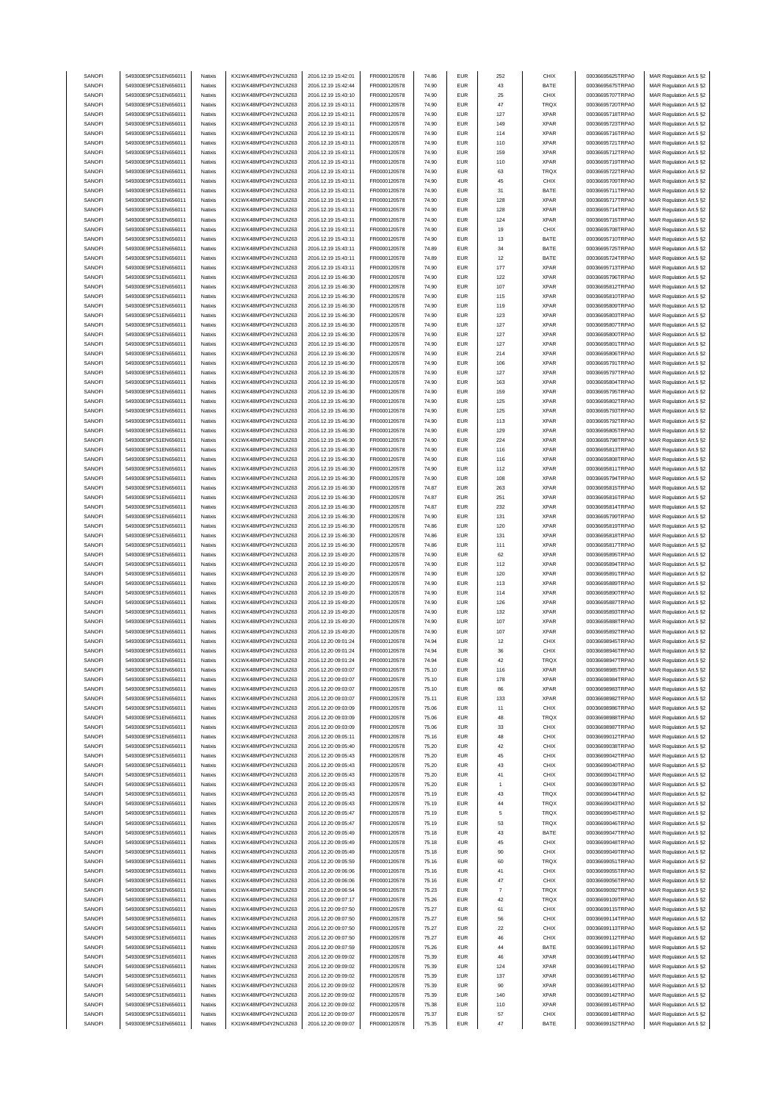| SANOFI           | 549300E9PC51EN656011                         | Natixis            | KX1WK48MPD4Y2NCUIZ63                         | 2016.12.19 15:42:01                        | FR0000120578                 | 74.86          | <b>EUR</b>               | 252            | CHIX         | 00036695625TRPA0                     | MAR Regulation Art.5 §2                            |
|------------------|----------------------------------------------|--------------------|----------------------------------------------|--------------------------------------------|------------------------------|----------------|--------------------------|----------------|--------------|--------------------------------------|----------------------------------------------------|
| SANOFI           | 549300E9PC51EN656011                         | Natixis            | KX1WK48MPD4Y2NCUIZ63                         | 2016.12.19 15:42:44                        | FR0000120578                 | 74.90          | <b>EUR</b>               | 43             | BATE         | 00036695675TRPA0                     | MAR Regulation Art.5 §2                            |
| SANOFI           | 549300E9PC51EN656011                         | Natixis            | KX1WK48MPD4Y2NCUIZ63                         | 2016.12.19 15:43:10                        | FR0000120578                 | 74.90          | <b>EUR</b>               | 25             | CHIX         | 00036695707TRPA0                     | MAR Regulation Art.5 §2                            |
| SANOFI           | 549300E9PC51EN656011                         | Natixis            | KX1WK48MPD4Y2NCUIZ63                         | 2016.12.19 15:43:11                        | FR0000120578                 | 74.90          | <b>EUR</b>               | 47             | TRQX         | 00036695720TRPA0                     | MAR Regulation Art.5 §2                            |
|                  |                                              |                    |                                              |                                            |                              |                |                          |                |              |                                      |                                                    |
| SANOFI           | 549300E9PC51EN656011                         | Natixis            | KX1WK48MPD4Y2NCUIZ63                         | 2016.12.19 15:43:11                        | FR0000120578                 | 74.90          | <b>EUR</b>               | 127            | <b>XPAR</b>  | 00036695718TRPA0                     | MAR Regulation Art.5 §2                            |
| SANOFI           | 549300E9PC51EN656011                         | Natixis            | KX1WK48MPD4Y2NCUIZ63                         | 2016.12.19 15:43:11                        | FR0000120578                 | 74.90          | <b>EUR</b>               | 149            | <b>XPAR</b>  | 00036695723TRPA0                     | MAR Regulation Art.5 §2                            |
| SANOFI           | 549300E9PC51EN656011                         | Natixis            | KX1WK48MPD4Y2NCUIZ63                         | 2016.12.19 15:43:11                        | FR0000120578                 | 74.90          | <b>EUR</b>               | 114            | <b>XPAR</b>  | 00036695716TRPA0                     | MAR Regulation Art.5 §2                            |
| SANOFI           | 549300E9PC51EN656011                         | Natixis            | KX1WK48MPD4Y2NCUIZ63                         | 2016.12.19 15:43:11                        | FR0000120578                 | 74.90          | <b>EUR</b>               | 110            | <b>XPAR</b>  | 00036695721TRPA0                     | MAR Regulation Art.5 §2                            |
| SANOFI           | 549300E9PC51EN656011                         | Natixis            | KX1WK48MPD4Y2NCUIZ63                         | 2016.12.19 15:43:11                        | FR0000120578                 | 74.90          | <b>EUR</b>               | 159            | <b>XPAR</b>  | 00036695712TRPA0                     | MAR Regulation Art.5 §2                            |
| SANOFI           | 549300E9PC51EN656011                         | Natixis            | KX1WK48MPD4Y2NCUIZ63                         | 2016.12.19 15:43:11                        | FR0000120578                 | 74.90          | <b>EUR</b>               | 110            | <b>XPAR</b>  | 00036695719TRPA0                     | MAR Regulation Art.5 §2                            |
|                  | 549300E9PC51EN656011                         | Natixis            |                                              |                                            |                              | 74.90          | <b>EUR</b>               |                |              |                                      |                                                    |
| SANOFI           |                                              |                    | KX1WK48MPD4Y2NCUIZ63                         | 2016.12.19 15:43:11                        | FR0000120578                 |                |                          | 63             | <b>TRQX</b>  | 00036695722TRPA0                     | MAR Regulation Art.5 §2                            |
| SANOFI           | 549300E9PC51EN656011                         | Natixis            | KX1WK48MPD4Y2NCUIZ63                         | 2016.12.19 15:43:11                        | FR0000120578                 | 74.90          | <b>EUR</b>               | 45             | CHIX         | 00036695709TRPA0                     | MAR Regulation Art.5 §2                            |
| SANOFI           | 549300E9PC51EN656011                         | Natixis            | KX1WK48MPD4Y2NCUIZ63                         | 2016.12.19 15:43:11                        | FR0000120578                 | 74.90          | <b>EUR</b>               | 31             | BATE         | 00036695711TRPA0                     | MAR Regulation Art.5 §2                            |
| SANOFI           | 549300E9PC51EN656011                         | Natixis            | KX1WK48MPD4Y2NCUIZ63                         | 2016.12.19 15:43:11                        | FR0000120578                 | 74.90          | <b>EUR</b>               | 128            | <b>XPAR</b>  | 00036695717TRPA0                     | MAR Regulation Art.5 §2                            |
| SANOFI           | 549300E9PC51EN656011                         | Natixis            | KX1WK48MPD4Y2NCUIZ63                         | 2016.12.19 15:43:11                        | FR0000120578                 | 74.90          | <b>EUR</b>               | 128            | <b>XPAR</b>  | 00036695714TRPA0                     | MAR Regulation Art.5 §2                            |
|                  | 549300E9PC51EN656011                         |                    | KX1WK48MPD4Y2NCUIZ63                         |                                            | FR0000120578                 |                | <b>EUR</b>               |                | <b>XPAR</b>  | 00036695715TRPA0                     |                                                    |
| SANOFI           |                                              | Natixis            |                                              | 2016.12.19 15:43:11                        |                              | 74.90          |                          | 124            |              |                                      | MAR Regulation Art.5 §2                            |
| SANOFI           | 549300E9PC51EN656011                         | Natixis            | KX1WK48MPD4Y2NCUIZ63                         | 2016.12.19 15:43:11                        | FR0000120578                 | 74.90          | <b>EUR</b>               | 19             | CHIX         | 00036695708TRPA0                     | MAR Regulation Art.5 §2                            |
| SANOFI           | 549300E9PC51EN656011                         | Natixis            | KX1WK48MPD4Y2NCUIZ63                         | 2016.12.19 15:43:11                        | FR0000120578                 | 74.90          | <b>EUR</b>               | 13             | BATE         | 00036695710TRPA0                     | MAR Regulation Art.5 §2                            |
| SANOFI           | 549300E9PC51EN656011                         | Natixis            | KX1WK48MPD4Y2NCUIZ63                         | 2016.12.19 15:43:11                        | FR0000120578                 | 74.89          | <b>EUR</b>               | 34             | BATE         | 00036695725TRPA0                     | MAR Regulation Art.5 §2                            |
| SANOFI           | 549300E9PC51EN656011                         | Natixis            | KX1WK48MPD4Y2NCUIZ63                         | 2016.12.19 15:43:11                        | FR0000120578                 | 74.89          | <b>EUR</b>               | 12             | BATE         | 00036695724TRPA0                     | MAR Regulation Art.5 §2                            |
| SANOFI           | 549300E9PC51EN656011                         | Natixis            | KX1WK48MPD4Y2NCUIZ63                         | 2016.12.19 15:43:11                        | FR0000120578                 | 74.90          | <b>EUR</b>               | 177            | <b>XPAR</b>  | 00036695713TRPA0                     | MAR Regulation Art.5 §2                            |
| SANOFI           | 549300E9PC51EN656011                         | Natixis            | KX1WK48MPD4Y2NCUIZ63                         | 2016.12.19 15:46:30                        | FR0000120578                 | 74.90          | <b>EUR</b>               | 122            | <b>XPAR</b>  | 00036695796TRPA0                     | MAR Regulation Art.5 §2                            |
|                  |                                              |                    |                                              |                                            |                              |                |                          |                |              |                                      |                                                    |
| SANOFI           | 549300E9PC51EN656011                         | Natixis            | KX1WK48MPD4Y2NCUIZ63                         | 2016.12.19 15:46:30                        | FR0000120578                 | 74.90          | <b>EUR</b>               | 107            | <b>XPAR</b>  | 00036695812TRPA0                     | MAR Regulation Art.5 §2                            |
| SANOFI           | 549300E9PC51EN656011                         | Natixis            | KX1WK48MPD4Y2NCUIZ63                         | 2016.12.19 15:46:30                        | FR0000120578                 | 74.90          | <b>EUR</b>               | 115            | <b>XPAR</b>  | 00036695810TRPA0                     | MAR Regulation Art.5 §2                            |
| SANOFI           | 549300E9PC51EN656011                         | Natixis            | KX1WK48MPD4Y2NCUIZ63                         | 2016.12.19 15:46:30                        | FR0000120578                 | 74.90          | <b>EUR</b>               | 119            | <b>XPAR</b>  | 00036695809TRPA0                     | MAR Regulation Art.5 §2                            |
| SANOFI           | 549300E9PC51EN656011                         | Natixis            | KX1WK48MPD4Y2NCUIZ63                         | 2016.12.19 15:46:30                        | FR0000120578                 | 74.90          | <b>EUR</b>               | 123            | <b>XPAR</b>  | 00036695803TRPA0                     | MAR Regulation Art.5 §2                            |
| SANOFI           | 549300E9PC51EN656011                         | Natixis            | KX1WK48MPD4Y2NCUIZ63                         | 2016.12.19 15:46:30                        | FR0000120578                 | 74.90          | <b>EUR</b>               | 127            | <b>XPAR</b>  | 00036695807TRPA0                     | MAR Regulation Art.5 §2                            |
| SANOFI           | 549300E9PC51EN656011                         | Natixis            | KX1WK48MPD4Y2NCUIZ63                         | 2016.12.19 15:46:30                        | FR0000120578                 | 74.90          | <b>EUR</b>               | 127            | <b>XPAR</b>  | 00036695800TRPA0                     | MAR Regulation Art.5 §2                            |
|                  |                                              |                    |                                              |                                            |                              |                |                          |                |              |                                      |                                                    |
| SANOFI           | 549300E9PC51EN656011                         | Natixis            | KX1WK48MPD4Y2NCUIZ63                         | 2016.12.19 15:46:30                        | FR0000120578                 | 74.90          | <b>EUR</b>               | 127            | <b>XPAR</b>  | 00036695801TRPA0                     | MAR Regulation Art.5 §2                            |
| SANOFI           | 549300E9PC51EN656011                         | Natixis            | KX1WK48MPD4Y2NCUIZ63                         | 2016.12.19 15:46:30                        | FR0000120578                 | 74.90          | <b>EUR</b>               | 214            | <b>XPAR</b>  | 00036695806TRPA0                     | MAR Regulation Art.5 §2                            |
| SANOFI           | 549300E9PC51EN656011                         | Natixis            | KX1WK48MPD4Y2NCUIZ63                         | 2016.12.19 15:46:30                        | FR0000120578                 | 74.90          | <b>EUR</b>               | 106            | <b>XPAR</b>  | 00036695791TRPA0                     | MAR Regulation Art.5 §2                            |
| SANOFI           | 549300E9PC51EN656011                         | Natixis            | KX1WK48MPD4Y2NCUIZ63                         | 2016.12.19 15:46:30                        | FR0000120578                 | 74.90          | <b>EUR</b>               | 127            | <b>XPAR</b>  | 00036695797TRPA0                     | MAR Regulation Art.5 §2                            |
| SANOFI           | 549300E9PC51EN656011                         | Natixis            | KX1WK48MPD4Y2NCUIZ63                         | 2016.12.19 15:46:30                        | FR0000120578                 | 74.90          | <b>EUR</b>               | 163            | <b>XPAR</b>  | 00036695804TRPA0                     | MAR Regulation Art.5 §2                            |
|                  |                                              |                    |                                              |                                            |                              |                |                          |                |              |                                      |                                                    |
| SANOFI           | 549300E9PC51EN656011                         | Natixis            | KX1WK48MPD4Y2NCUIZ63                         | 2016.12.19 15:46:30                        | FR0000120578                 | 74.90          | <b>EUR</b>               | 159            | <b>XPAR</b>  | 00036695795TRPA0                     | MAR Regulation Art.5 §2                            |
| SANOFI           | 549300E9PC51EN656011                         | Natixis            | KX1WK48MPD4Y2NCUIZ63                         | 2016.12.19 15:46:30                        | FR0000120578                 | 74.90          | <b>EUR</b>               | 125            | <b>XPAR</b>  | 00036695802TRPA0                     | MAR Regulation Art.5 §2                            |
| SANOFI           | 549300E9PC51EN656011                         | Natixis            | KX1WK48MPD4Y2NCUIZ63                         | 2016.12.19 15:46:30                        | FR0000120578                 | 74.90          | <b>EUR</b>               | 125            | <b>XPAR</b>  | 00036695793TRPA0                     | MAR Regulation Art.5 §2                            |
| SANOFI           | 549300E9PC51EN656011                         | Natixis            | KX1WK48MPD4Y2NCUIZ63                         | 2016.12.19 15:46:30                        | FR0000120578                 | 74.90          | <b>EUR</b>               | 113            | <b>XPAR</b>  | 00036695792TRPA0                     | MAR Regulation Art.5 §2                            |
| SANOFI           | 549300E9PC51EN656011                         | Natixis            | KX1WK48MPD4Y2NCUIZ63                         | 2016.12.19 15:46:30                        | FR0000120578                 | 74.90          | <b>EUR</b>               | 129            | <b>XPAR</b>  | 00036695805TRPA0                     | MAR Regulation Art.5 §2                            |
|                  | 549300E9PC51EN656011                         |                    | KX1WK48MPD4Y2NCUIZ63                         | 2016.12.19 15:46:30                        |                              |                |                          |                |              |                                      | MAR Regulation Art.5 §2                            |
| SANOFI           |                                              | Natixis            |                                              |                                            | FR0000120578                 | 74.90          | <b>EUR</b>               | 224            | <b>XPAR</b>  | 00036695798TRPA0                     |                                                    |
| SANOFI           | 549300E9PC51EN656011                         | Natixis            | KX1WK48MPD4Y2NCUIZ63                         | 2016.12.19 15:46:30                        | FR0000120578                 | 74.90          | <b>EUR</b>               | 116            | <b>XPAR</b>  | 00036695813TRPA0                     | MAR Regulation Art.5 §2                            |
| SANOFI           | 549300E9PC51EN656011                         | Natixis            | KX1WK48MPD4Y2NCUIZ63                         | 2016.12.19 15:46:30                        | FR0000120578                 | 74.90          | <b>EUR</b>               | 116            | <b>XPAR</b>  | 00036695808TRPA0                     | MAR Regulation Art.5 §2                            |
| SANOFI           | 549300E9PC51EN656011                         | Natixis            | KX1WK48MPD4Y2NCUIZ63                         | 2016.12.19 15:46:30                        | FR0000120578                 | 74.90          | <b>EUR</b>               | 112            | <b>XPAR</b>  | 00036695811TRPA0                     | MAR Regulation Art.5 §2                            |
| SANOFI           | 549300E9PC51EN656011                         | Natixis            | KX1WK48MPD4Y2NCUIZ63                         | 2016.12.19 15:46:30                        | FR0000120578                 | 74.90          | <b>EUR</b>               | 108            | <b>XPAR</b>  | 00036695794TRPA0                     | MAR Regulation Art.5 §2                            |
| SANOFI           | 549300E9PC51EN656011                         | Natixis            | KX1WK48MPD4Y2NCUIZ63                         | 2016.12.19 15:46:30                        | FR0000120578                 | 74.87          | <b>EUR</b>               | 263            | <b>XPAR</b>  | 00036695815TRPA0                     | MAR Regulation Art.5 §2                            |
|                  |                                              |                    |                                              |                                            |                              |                |                          |                |              |                                      |                                                    |
| SANOFI           | 549300E9PC51EN656011                         | Natixis            | KX1WK48MPD4Y2NCUIZ63                         | 2016.12.19 15:46:30                        | FR0000120578                 | 74.87          | <b>EUR</b>               | 251            | <b>XPAR</b>  | 00036695816TRPA0                     | MAR Regulation Art.5 §2                            |
| SANOFI           | 549300E9PC51EN656011                         | Natixis            | KX1WK48MPD4Y2NCUIZ63                         | 2016.12.19 15:46:30                        | FR0000120578                 | 74.87          | <b>EUR</b>               | 232            | <b>XPAR</b>  | 00036695814TRPA0                     | MAR Regulation Art.5 §2                            |
| SANOFI           | 549300E9PC51EN656011                         | Natixis            | KX1WK48MPD4Y2NCUIZ63                         | 2016.12.19 15:46:30                        | FR0000120578                 | 74.90          | <b>EUR</b>               | 131            | <b>XPAR</b>  | 00036695799TRPA0                     | MAR Regulation Art.5 §2                            |
| SANOFI           | 549300E9PC51EN656011                         | Natixis            | KX1WK48MPD4Y2NCUIZ63                         | 2016.12.19 15:46:30                        | FR0000120578                 | 74.86          | <b>EUR</b>               | 120            | <b>XPAR</b>  | 00036695819TRPA0                     | MAR Regulation Art.5 §2                            |
| SANOFI           | 549300E9PC51EN656011                         | Natixis            | KX1WK48MPD4Y2NCUIZ63                         | 2016.12.19 15:46:30                        | FR0000120578                 | 74.86          | EUR                      | 131            | <b>XPAR</b>  | 00036695818TRPA0                     | MAR Regulation Art.5 §2                            |
| SANOFI           | 549300E9PC51EN656011                         | Natixis            | KX1WK48MPD4Y2NCUIZ63                         | 2016.12.19 15:46:30                        | FR0000120578                 | 74.86          | <b>EUR</b>               | 111            | <b>XPAR</b>  | 00036695817TRPA0                     |                                                    |
|                  |                                              |                    |                                              |                                            |                              |                |                          |                |              |                                      | MAR Regulation Art.5 §2                            |
| SANOFI           | 549300E9PC51EN656011                         | Natixis            | KX1WK48MPD4Y2NCUIZ63                         | 2016.12.19 15:49:20                        | FR0000120578                 | 74.90          | <b>EUR</b>               | 62             | <b>XPAR</b>  | 00036695895TRPA0                     | MAR Regulation Art.5 §2                            |
| SANOFI           | 549300E9PC51EN656011                         | Natixis            | KX1WK48MPD4Y2NCUIZ63                         | 2016.12.19 15:49:20                        | FR0000120578                 | 74.90          | <b>EUR</b>               | 112            | <b>XPAR</b>  | 00036695894TRPA0                     | MAR Regulation Art.5 §2                            |
| SANOFI           | 549300E9PC51EN656011                         | Natixis            | KX1WK48MPD4Y2NCUIZ63                         | 2016.12.19 15:49:20                        | FR0000120578                 | 74.90          | <b>EUR</b>               | 120            | <b>XPAR</b>  | 00036695891TRPA0                     | MAR Regulation Art.5 §2                            |
| SANOFI           | 549300E9PC51EN656011                         | Natixis            | KX1WK48MPD4Y2NCUIZ63                         | 2016.12.19 15:49:20                        | FR0000120578                 | 74.90          | <b>EUR</b>               | 113            | <b>XPAR</b>  | 00036695889TRPA0                     | MAR Regulation Art.5 §2                            |
| SANOFI           | 549300E9PC51EN656011                         | Natixis            | KX1WK48MPD4Y2NCUIZ63                         | 2016.12.19 15:49:20                        | FR0000120578                 | 74.90          | <b>EUR</b>               | 114            | <b>XPAR</b>  | 00036695890TRPA0                     | MAR Regulation Art.5 §2                            |
|                  |                                              |                    | KX1WK48MPD4Y2NCUIZ63                         |                                            |                              |                |                          |                |              |                                      |                                                    |
| SANOFI           | 549300E9PC51EN656011                         | Natixis            |                                              | 2016.12.19 15:49:20                        | FR0000120578                 | 74.90          | <b>EUR</b>               | 126            | <b>XPAR</b>  | 00036695887TRPA0                     | MAR Regulation Art.5 §2                            |
| SANOFI           | 549300E9PC51EN656011                         | Natixis            | KX1WK48MPD4Y2NCUIZ63                         | 2016.12.19 15:49:20                        | FR0000120578                 | 74.90          | <b>EUR</b>               | 132            | <b>XPAR</b>  | 00036695893TRPA0                     | MAR Regulation Art.5 §2                            |
| SANOFI           | 549300E9PC51EN656011                         | Natixis            | KX1WK48MPD4Y2NCUIZ63                         | 2016.12.19 15:49:20                        | FR0000120578                 | 74.90          | EUR                      | 107            | <b>XPAR</b>  | 00036695888TRPA0                     | MAR Regulation Art.5 §2                            |
| SANOFI           | 549300E9PC51EN656011                         | Natixis            | KX1WK48MPD4Y2NCUIZ63                         | 2016.12.19 15:49:20                        | FR0000120578                 | 74.90          | <b>EUR</b>               | 107            | <b>XPAR</b>  | 00036695892TRPA0                     | MAR Regulation Art.5 §2                            |
| SANOFI           | 549300E9PC51EN656011                         | Natixis            | KX1WK48MPD4Y2NCUIZ63                         | 2016.12.20 09:01:24                        | FR0000120578                 | 74.94          | <b>EUR</b>               | 12             | CHIX         | 00036698945TRPA0                     | MAR Regulation Art.5 §2                            |
|                  | 549300E9PC51EN65601                          |                    |                                              |                                            |                              |                |                          |                |              |                                      |                                                    |
| SANOF            |                                              | Natixis            | KX1WK48MPD4Y2NCUIZ63                         | 2016.12.20 09:01:24                        | FR0000120578                 | 74.94          | EUR                      |                | CHIX         | 00036698946TRPA0                     | MAR Regulation Art.5 §2                            |
| SANOFI           | 549300E9PC51EN656011                         | Natixis            | KX1WK48MPD4Y2NCUIZ63                         | 2016.12.20 09:01:24                        | FR0000120578                 | 74.94          | <b>EUR</b>               | 42             | TRQX         | 00036698947TRPA0                     | MAR Regulation Art.5 §2                            |
| SANOFI           | 549300E9PC51EN656011                         | Natixis            | KX1WK48MPD4Y2NCUIZ63                         | 2016.12.20 09:03:07                        | FR0000120578                 | 75.10          | <b>EUR</b>               | 116            | <b>XPAR</b>  | 00036698985TRPA0                     | MAR Regulation Art.5 §2                            |
| SANOFI           | 549300E9PC51EN656011                         | Natixis            | KX1WK48MPD4Y2NCUIZ63                         | 2016.12.20 09:03:07                        | FR0000120578                 | 75.10          | <b>EUR</b>               | 178            | <b>XPAR</b>  | 00036698984TRPA0                     | MAR Regulation Art.5 §2                            |
| SANOFI           | 549300E9PC51EN656011                         | Natixis            | KX1WK48MPD4Y2NCUIZ63                         | 2016.12.20 09:03:07                        | FR0000120578                 | 75.10          | <b>EUR</b>               | 86             | <b>XPAR</b>  | 00036698983TRPA0                     | MAR Regulation Art.5 §2                            |
| SANOFI           | 549300E9PC51EN656011                         | Natixis            | KX1WK48MPD4Y2NCUIZ63                         | 2016.12.20 09:03:07                        | FR0000120578                 | 75.11          | <b>EUR</b>               | 133            | <b>XPAR</b>  | 00036698982TRPA0                     | MAR Regulation Art.5 §2                            |
| SANOFI           | 549300E9PC51EN656011                         | Natixis            | KX1WK48MPD4Y2NCUIZ63                         | 2016.12.20 09:03:09                        | FR0000120578                 | 75.06          | EUR                      | 11             | CHIX         | 00036698986TRPA0                     | MAR Regulation Art.5 §2                            |
| SANOFI           | 549300E9PC51EN656011                         |                    | KX1WK48MPD4Y2NCUIZ63                         | 2016.12.20 09:03:09                        |                              |                |                          |                | TRQX         | 00036698988TRPA0                     |                                                    |
|                  |                                              | Natixis            |                                              |                                            | FR0000120578                 | 75.06          | <b>EUR</b>               | 48             |              |                                      | MAR Regulation Art.5 §2                            |
| SANOFI           | 549300E9PC51EN656011                         | Natixis            | KX1WK48MPD4Y2NCUIZ63                         | 2016.12.20 09:03:09                        | FR0000120578                 | 75.06          | <b>EUR</b>               | 33             | CHIX         | 00036698987TRPA0                     | MAR Regulation Art.5 §2                            |
| SANOFI           | 549300E9PC51EN656011                         | Natixis            | KX1WK48MPD4Y2NCUIZ63                         | 2016.12.20 09:05:11                        | FR0000120578                 | 75.16          | <b>EUR</b>               | 48             | CHIX         | 00036699012TRPA0                     | MAR Regulation Art.5 §2                            |
| SANOFI           | 549300E9PC51EN656011                         | Natixis            | KX1WK48MPD4Y2NCUIZ63                         | 2016.12.20 09:05:40                        | FR0000120578                 | 75.20          | <b>EUR</b>               | 42             | CHIX         | 00036699038TRPA0                     | MAR Regulation Art.5 §2                            |
| SANOFI           | 549300E9PC51EN656011                         | Natixis            | KX1WK48MPD4Y2NCUIZ63                         | 2016.12.20 09:05:43                        | FR0000120578                 | 75.20          | <b>EUR</b>               | 45             | CHIX         | 00036699042TRPA0                     | MAR Regulation Art.5 §2                            |
| SANOFI           | 549300E9PC51EN656011                         | Natixis            | KX1WK48MPD4Y2NCUIZ63                         | 2016.12.20 09:05:43                        | FR0000120578                 | 75.20          | <b>EUR</b>               | 43             | CHIX         | 00036699040TRPA0                     | MAR Regulation Art.5 §2                            |
| SANOFI           | 549300E9PC51EN656011                         | Natixis            | KX1WK48MPD4Y2NCUIZ63                         | 2016.12.20 09:05:43                        | FR0000120578                 | 75.20          | <b>EUR</b>               | 41             | CHIX         | 00036699041TRPA0                     | MAR Regulation Art.5 §2                            |
|                  |                                              |                    |                                              |                                            |                              |                |                          |                |              |                                      |                                                    |
| SANOFI           | 549300E9PC51EN656011                         | Natixis            | KX1WK48MPD4Y2NCUIZ63                         | 2016.12.20 09:05:43                        | FR0000120578                 | 75.20          | <b>EUR</b>               | 1              | CHIX         | 00036699039TRPA0                     | MAR Regulation Art.5 §2                            |
| SANOFI           | 549300E9PC51EN656011                         | Natixis            | KX1WK48MPD4Y2NCUIZ63                         | 2016.12.20 09:05:43                        | FR0000120578                 | 75.19          | <b>EUR</b>               | 43             | <b>TRQX</b>  | 00036699044TRPA0                     | MAR Regulation Art.5 §2                            |
| SANOFI           | 549300E9PC51EN656011                         | Natixis            | KX1WK48MPD4Y2NCUIZ63                         | 2016.12.20 09:05:43                        | FR0000120578                 | 75.19          | <b>EUR</b>               | 44             | TRQX         | 00036699043TRPA0                     | MAR Regulation Art.5 §2                            |
| SANOFI           | 549300E9PC51EN656011                         | Natixis            | KX1WK48MPD4Y2NCUIZ63                         | 2016.12.20 09:05:47                        | FR0000120578                 | 75.19          | <b>EUR</b>               | 5              | <b>TRQX</b>  | 00036699045TRPA0                     | MAR Regulation Art.5 §2                            |
| SANOFI           | 549300E9PC51EN656011                         | Natixis            | KX1WK48MPD4Y2NCUIZ63                         | 2016.12.20 09:05:47                        | FR0000120578                 | 75.19          | <b>EUR</b>               | 53             | TRQX         | 00036699046TRPA0                     | MAR Regulation Art.5 §2                            |
| SANOFI           | 549300E9PC51EN656011                         | Natixis            | KX1WK48MPD4Y2NCUIZ63                         | 2016.12.20 09:05:49                        | FR0000120578                 | 75.18          | <b>EUR</b>               | 43             | BATE         | 00036699047TRPA0                     | MAR Regulation Art.5 §2                            |
|                  |                                              |                    |                                              |                                            |                              |                |                          |                |              |                                      |                                                    |
| SANOFI           | 549300E9PC51EN656011                         | Natixis            | KX1WK48MPD4Y2NCUIZ63                         | 2016.12.20 09:05:49                        | FR0000120578                 | 75.18          | <b>EUR</b>               | 45             | CHIX         | 00036699048TRPA0                     | MAR Regulation Art.5 §2                            |
| SANOFI           | 549300E9PC51EN656011                         | Natixis            | KX1WK48MPD4Y2NCUIZ63                         | 2016.12.20 09:05:49                        | FR0000120578                 | 75.18          | <b>EUR</b>               | 90             | CHIX         | 00036699049TRPA0                     | MAR Regulation Art.5 §2                            |
| SANOFI           | 549300E9PC51EN656011                         | Natixis            | KX1WK48MPD4Y2NCUIZ63                         | 2016.12.20 09:05:59                        | FR0000120578                 | 75.16          | <b>EUR</b>               | 60             | <b>TRQX</b>  | 00036699051TRPA0                     | MAR Regulation Art.5 §2                            |
| SANOFI           | 549300E9PC51EN656011                         | Natixis            | KX1WK48MPD4Y2NCUIZ63                         | 2016.12.20 09:06:06                        | FR0000120578                 | 75.16          | <b>EUR</b>               | 41             | CHIX         | 00036699055TRPA0                     | MAR Regulation Art.5 §2                            |
| SANOFI           | 549300E9PC51EN656011                         | Natixis            | KX1WK48MPD4Y2NCUIZ63                         | 2016.12.20 09:06:06                        | FR0000120578                 | 75.16          | <b>EUR</b>               | 47             | CHIX         | 00036699056TRPA0                     | MAR Regulation Art.5 §2                            |
|                  |                                              |                    |                                              |                                            |                              |                |                          |                |              |                                      |                                                    |
| SANOFI           | 549300E9PC51EN656011                         | Natixis            | KX1WK48MPD4Y2NCUIZ63                         | 2016.12.20 09:06:54                        | FR0000120578                 | 75.23          | <b>EUR</b>               | $\overline{7}$ | TRQX         | 00036699092TRPA0                     | MAR Regulation Art.5 §2                            |
| SANOFI           | 549300E9PC51EN656011                         | Natixis            | KX1WK48MPD4Y2NCUIZ63                         | 2016.12.20 09:07:17                        | FR0000120578                 | 75.26          | <b>EUR</b>               | 42             | <b>TRQX</b>  | 00036699109TRPA0                     | MAR Regulation Art.5 §2                            |
| SANOFI           | 549300E9PC51EN656011                         | Natixis            | KX1WK48MPD4Y2NCUIZ63                         | 2016.12.20 09:07:50                        | FR0000120578                 | 75.27          | <b>EUR</b>               | 61             | CHIX         | 00036699115TRPA0                     | MAR Regulation Art.5 §2                            |
| SANOFI           | 549300E9PC51EN656011                         | Natixis            | KX1WK48MPD4Y2NCUIZ63                         | 2016.12.20 09:07:50                        | FR0000120578                 | 75.27          | <b>EUR</b>               | 56             | CHIX         | 00036699114TRPA0                     | MAR Regulation Art.5 §2                            |
| SANOFI           | 549300E9PC51EN656011                         | Natixis            | KX1WK48MPD4Y2NCUIZ63                         | 2016.12.20 09:07:50                        | FR0000120578                 | 75.27          | <b>EUR</b>               | 22             | CHIX         | 00036699113TRPA0                     | MAR Regulation Art.5 §2                            |
|                  |                                              |                    |                                              |                                            |                              |                |                          |                |              |                                      |                                                    |
| SANOFI           | 549300E9PC51EN656011                         | Natixis            | KX1WK48MPD4Y2NCUIZ63                         | 2016.12.20 09:07:50                        | FR0000120578                 | 75.27          | <b>EUR</b>               | 46             | CHIX         | 00036699112TRPA0                     | MAR Regulation Art.5 §2                            |
| SANOFI           | 549300E9PC51EN656011                         | Natixis            | KX1WK48MPD4Y2NCUIZ63                         | 2016.12.20 09:07:59                        | FR0000120578                 | 75.26          | <b>EUR</b>               | 44             | BATE         | 00036699116TRPA0                     | MAR Regulation Art.5 §2                            |
| SANOFI           | 549300E9PC51EN656011                         | Natixis            | KX1WK48MPD4Y2NCUIZ63                         | 2016.12.20 09:09:02                        | FR0000120578                 | 75.39          | <b>EUR</b>               | 46             | <b>XPAR</b>  | 00036699144TRPA0                     | MAR Regulation Art.5 §2                            |
| SANOFI           | 549300E9PC51EN656011                         | Natixis            | KX1WK48MPD4Y2NCUIZ63                         | 2016.12.20 09:09:02                        | FR0000120578                 | 75.39          | <b>EUR</b>               | 124            | <b>XPAR</b>  | 00036699141TRPA0                     | MAR Regulation Art.5 §2                            |
| SANOFI           | 549300E9PC51EN656011                         | Natixis            | KX1WK48MPD4Y2NCUIZ63                         | 2016.12.20 09:09:02                        | FR0000120578                 | 75.39          | <b>EUR</b>               | 137            | <b>XPAR</b>  | 00036699146TRPA0                     | MAR Regulation Art.5 §2                            |
| SANOFI           | 549300E9PC51EN656011                         | Natixis            | KX1WK48MPD4Y2NCUIZ63                         | 2016.12.20 09:09:02                        | FR0000120578                 | 75.39          | <b>EUR</b>               | 90             | <b>XPAR</b>  | 00036699143TRPA0                     | MAR Regulation Art.5 §2                            |
| SANOFI           | 549300E9PC51EN656011                         |                    | KX1WK48MPD4Y2NCUIZ63                         | 2016.12.20 09:09:02                        |                              |                |                          |                |              |                                      |                                                    |
|                  |                                              | Natixis            |                                              |                                            | FR0000120578                 | 75.39          | <b>EUR</b>               | 140            | <b>XPAR</b>  | 00036699142TRPA0                     | MAR Regulation Art.5 §2                            |
| SANOFI           |                                              |                    |                                              |                                            |                              |                |                          | 110            | <b>XPAR</b>  |                                      |                                                    |
|                  | 549300E9PC51EN656011                         | Natixis            | KX1WK48MPD4Y2NCUIZ63                         | 2016.12.20 09:09:02                        | FR0000120578                 | 75.38          | <b>EUR</b>               |                |              | 00036699145TRPA0                     | MAR Regulation Art.5 §2                            |
| SANOFI<br>SANOFI | 549300E9PC51EN656011<br>549300E9PC51EN656011 | Natixis<br>Natixis | KX1WK48MPD4Y2NCUIZ63<br>KX1WK48MPD4Y2NCUIZ63 | 2016.12.20 09:09:07<br>2016.12.20 09:09:07 | FR0000120578<br>FR0000120578 | 75.37<br>75.35 | <b>EUR</b><br><b>EUR</b> | 57<br>47       | CHIX<br>BATE | 00036699148TRPA0<br>00036699152TRPA0 | MAR Regulation Art.5 §2<br>MAR Regulation Art.5 §2 |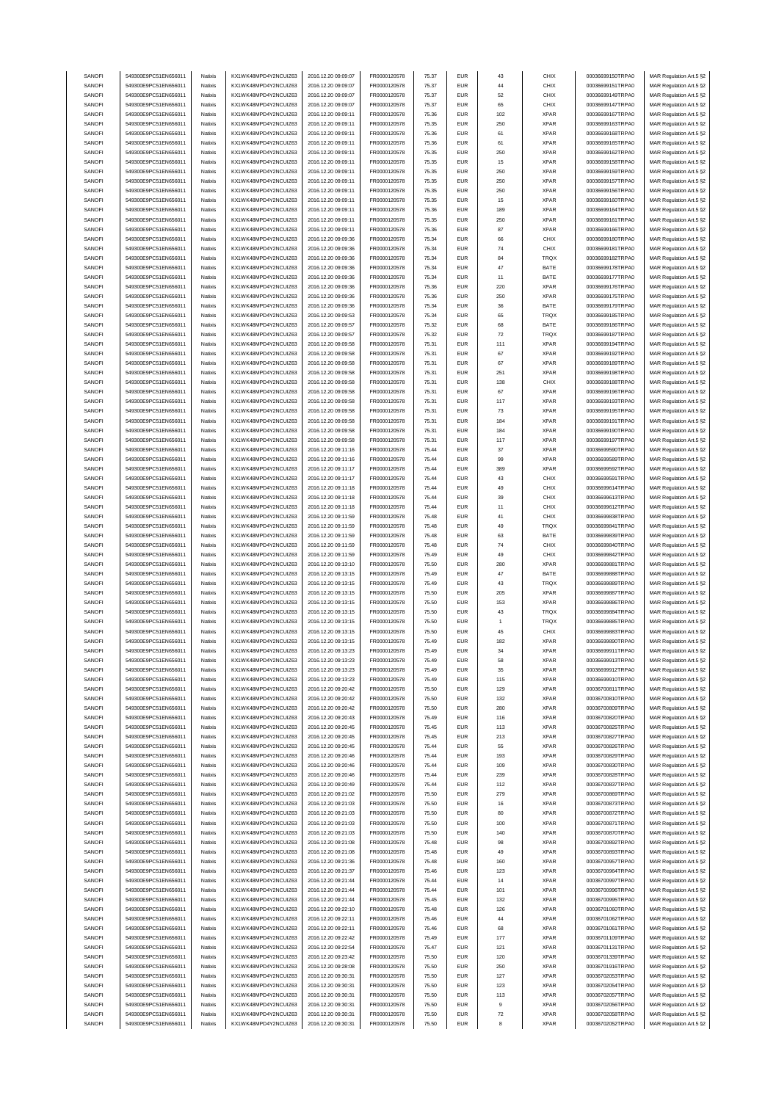| SANOFI | 549300E9PC51EN656011 | Natixis | KX1WK48MPD4Y2NCUIZ63  | 2016.12.20 09:09:07 | FR0000120578 | 75.37 | <b>EUR</b>                  | 43                 | CHIX        | 00036699150TRPA0 | MAR Regulation Art.5 §2 |
|--------|----------------------|---------|-----------------------|---------------------|--------------|-------|-----------------------------|--------------------|-------------|------------------|-------------------------|
| SANOFI | 549300E9PC51EN656011 | Natixis | KX1WK48MPD4Y2NCUIZ63  | 2016.12.20 09:09:07 | FR0000120578 | 75.37 | <b>EUR</b>                  | 44                 | CHIX        | 00036699151TRPA0 | MAR Regulation Art.5 §2 |
| SANOFI | 549300E9PC51EN656011 | Natixis | KX1WK48MPD4Y2NCUIZ63  | 2016.12.20 09:09:07 | FR0000120578 | 75.37 | <b>EUR</b>                  | 52                 | CHIX        | 00036699149TRPA0 | MAR Regulation Art.5 §2 |
| SANOFI | 549300E9PC51EN656011 | Natixis | KX1WK48MPD4Y2NCUIZ63  | 2016.12.20 09:09:07 | FR0000120578 | 75.37 | <b>EUR</b>                  | 65                 | CHIX        | 00036699147TRPA0 | MAR Regulation Art.5 §2 |
|        |                      |         |                       |                     |              |       |                             |                    |             |                  |                         |
| SANOFI | 549300E9PC51EN656011 | Natixis | KX1WK48MPD4Y2NCUIZ63  | 2016.12.20 09:09:11 | FR0000120578 | 75.36 | <b>EUR</b>                  | 102                | <b>XPAR</b> | 00036699167TRPA0 | MAR Regulation Art.5 §2 |
| SANOFI | 549300E9PC51EN656011 | Natixis | KX1WK48MPD4Y2NCUIZ63  | 2016.12.20 09:09:11 | FR0000120578 | 75.35 | <b>EUR</b>                  | 250                | <b>XPAR</b> | 00036699163TRPA0 | MAR Regulation Art.5 §2 |
| SANOFI | 549300E9PC51EN656011 | Natixis | KX1WK48MPD4Y2NCUIZ63  | 2016.12.20 09:09:11 | FR0000120578 | 75.36 | <b>EUR</b>                  | 61                 | <b>XPAR</b> | 00036699168TRPA0 | MAR Regulation Art.5 §2 |
| SANOFI | 549300E9PC51EN656011 | Natixis | KX1WK48MPD4Y2NCUIZ63  | 2016.12.20 09:09:11 | FR0000120578 | 75.36 | <b>EUR</b>                  | 61                 | <b>XPAR</b> | 00036699165TRPA0 | MAR Regulation Art.5 §2 |
| SANOFI | 549300E9PC51EN656011 | Natixis | KX1WK48MPD4Y2NCLIIZ63 | 2016.12.20.09:09:11 | FR0000120578 | 75.35 | <b>EUR</b>                  | 250                | <b>XPAR</b> | 00036699162TRPA0 | MAR Regulation Art.5 §2 |
| SANOFI | 549300E9PC51EN656011 | Natixis | KX1WK48MPD4Y2NCUIZ63  | 2016.12.20 09:09:11 | FR0000120578 | 75.35 | <b>EUR</b>                  | 15                 | <b>XPAR</b> | 00036699158TRPA0 | MAR Regulation Art.5 §2 |
| SANOFI | 549300E9PC51EN656011 | Natixis | KX1WK48MPD4Y2NCUIZ63  | 2016.12.20 09:09:11 | FR0000120578 | 75.35 | <b>EUR</b>                  | 250                | <b>XPAR</b> | 00036699159TRPA0 | MAR Regulation Art.5 §2 |
|        |                      |         |                       |                     |              |       |                             |                    |             |                  |                         |
| SANOFI | 549300E9PC51EN656011 | Natixis | KX1WK48MPD4Y2NCUIZ63  | 2016.12.20 09:09:11 | FR0000120578 | 75.35 | <b>EUR</b>                  | 250                | <b>XPAR</b> | 00036699157TRPA0 | MAR Regulation Art.5 §2 |
| SANOFI | 549300E9PC51EN656011 | Natixis | KX1WK48MPD4Y2NCUIZ63  | 2016.12.20 09:09:11 | FR0000120578 | 75.35 | <b>EUR</b>                  | 250                | <b>XPAR</b> | 00036699156TRPA0 | MAR Regulation Art.5 §2 |
| SANOFI | 549300E9PC51EN656011 | Natixis | KX1WK48MPD4Y2NCUIZ63  | 2016.12.20 09:09:11 | FR0000120578 | 75.35 | <b>EUR</b>                  | 15                 | <b>XPAR</b> | 00036699160TRPA0 | MAR Regulation Art.5 §2 |
| SANOFI | 549300E9PC51EN656011 | Natixis | KX1WK48MPD4Y2NCUIZ63  | 2016.12.20 09:09:11 | FR0000120578 | 75.36 | <b>EUR</b>                  | 189                | <b>XPAR</b> | 00036699164TRPA0 | MAR Regulation Art.5 §2 |
| SANOFI | 549300E9PC51EN656011 | Natixis | KX1WK48MPD4Y2NCUIZ63  | 2016.12.20 09:09:11 | FR0000120578 | 75.35 | <b>EUR</b>                  | 250                | <b>XPAR</b> | 00036699161TRPA0 | MAR Regulation Art.5 §2 |
| SANOFI | 549300E9PC51EN656011 | Natixis | KX1WK48MPD4Y2NCUIZ63  | 2016.12.20 09:09:11 | FR0000120578 | 75.36 | <b>EUR</b>                  | 87                 | <b>XPAR</b> | 00036699166TRPA0 | MAR Regulation Art.5 §2 |
|        | 549300E9PC51EN656011 |         | KX1WK48MPD4Y2NCLIIZ63 |                     |              |       |                             |                    |             |                  |                         |
| SANOFI |                      | Natixis |                       | 2016.12.20 09:09:36 | FR0000120578 | 75.34 | <b>EUR</b>                  | 66                 | CHIX        | 00036699180TRPA0 | MAR Regulation Art.5 §2 |
| SANOFI | 549300E9PC51EN656011 | Natixis | KX1WK48MPD4Y2NCUIZ63  | 2016.12.20 09:09:36 | FR0000120578 | 75.34 | <b>EUR</b>                  | 74                 | CHIX        | 00036699181TRPA0 | MAR Regulation Art.5 §2 |
| SANOFI | 549300E9PC51EN656011 | Natixis | KX1WK48MPD4Y2NCUIZ63  | 2016.12.20 09:09:36 | FR0000120578 | 75.34 | <b>EUR</b>                  | 84                 | TRQX        | 00036699182TRPA0 | MAR Regulation Art.5 §2 |
| SANOFI | 549300E9PC51EN656011 | Natixis | KX1WK48MPD4Y2NCUIZ63  | 2016.12.20 09:09:36 | FR0000120578 | 75.34 | <b>EUR</b>                  | 47                 | BATE        | 00036699178TRPA0 | MAR Regulation Art.5 §2 |
| SANOFI | 549300E9PC51EN656011 | Natixis | KX1WK48MPD4Y2NCUIZ63  | 2016.12.20 09:09:36 | FR0000120578 | 75.34 | <b>EUR</b>                  | 11                 | BATE        | 00036699177TRPA0 | MAR Regulation Art.5 §2 |
| SANOFI | 549300E9PC51EN656011 | Natixis | KX1WK48MPD4Y2NCUIZ63  | 2016.12.20 09:09:36 | FR0000120578 | 75.36 | <b>EUR</b>                  | 220                | <b>XPAR</b> | 00036699176TRPA0 | MAR Regulation Art.5 §2 |
| SANOFI | 549300E9PC51EN656011 | Natixis | KX1WK48MPD4Y2NCUIZ63  | 2016.12.20 09:09:36 | FR0000120578 | 75.36 | <b>EUR</b>                  | 250                | <b>XPAR</b> | 00036699175TRPA0 | MAR Regulation Art.5 §2 |
|        | 549300E9PC51EN656011 |         |                       |                     |              |       |                             | 36                 |             |                  |                         |
| SANOFI |                      | Natixis | KX1WK48MPD4Y2NCUIZ63  | 2016.12.20 09:09:36 | FR0000120578 | 75.34 | <b>EUR</b>                  |                    | BATE        | 00036699179TRPA0 | MAR Regulation Art.5 §2 |
| SANOFI | 549300E9PC51EN656011 | Natixis | KX1WK48MPD4Y2NCUIZ63  | 2016.12.20 09:09:53 | FR0000120578 | 75.34 | <b>EUR</b>                  | 65                 | TRQX        | 00036699185TRPA0 | MAR Regulation Art.5 §2 |
| SANOFI | 549300E9PC51EN656011 | Natixis | KX1WK48MPD4Y2NCLIIZ63 | 2016.12.20 09:09:57 | FR0000120578 | 75.32 | <b>EUR</b>                  | 68                 | BATE        | 00036699186TRPA0 | MAR Regulation Art.5 §2 |
| SANOFI | 549300E9PC51EN656011 | Natixis | KX1WK48MPD4Y2NCUIZ63  | 2016.12.20 09:09:57 | FR0000120578 | 75.32 | <b>EUR</b>                  | 72                 | TRQX        | 00036699187TRPA0 | MAR Regulation Art.5 §2 |
| SANOFI | 549300E9PC51EN656011 | Natixis | KX1WK48MPD4Y2NCUIZ63  | 2016.12.20 09:09:58 | FR0000120578 | 75.31 | EUR                         | 111                | <b>XPAR</b> | 00036699194TRPA0 | MAR Regulation Art.5 §2 |
| SANOFI | 549300E9PC51EN656011 | Natixis | KX1WK48MPD4Y2NCUIZ63  | 2016.12.20 09:09:58 | FR0000120578 | 75.31 | <b>EUR</b>                  | 67                 | <b>XPAR</b> | 00036699192TRPA0 | MAR Regulation Art.5 §2 |
| SANOFI | 549300E9PC51EN656011 | Natixis | KX1WK48MPD4Y2NCUIZ63  | 2016.12.20 09:09:58 | FR0000120578 | 75.31 | <b>EUR</b>                  | 67                 | <b>XPAR</b> | 00036699189TRPA0 | MAR Regulation Art.5 §2 |
|        |                      |         | KX1WK48MPD4Y2NCLIIZ63 |                     |              |       |                             |                    |             |                  |                         |
| SANOFI | 549300E9PC51EN656011 | Natixis |                       | 2016.12.20 09:09:58 | FR0000120578 | 75.31 | <b>EUR</b>                  | 251                | <b>XPAR</b> | 00036699198TRPA0 | MAR Regulation Art.5 §2 |
| SANOFI | 549300E9PC51EN656011 | Natixis | KX1WK48MPD4Y2NCUIZ63  | 2016.12.20 09:09:58 | FR0000120578 | 75.31 | <b>EUR</b>                  | 138                | CHIX        | 00036699188TRPA0 | MAR Regulation Art.5 §2 |
| SANOFI | 549300E9PC51EN656011 | Natixis | KX1WK48MPD4Y2NCUIZ63  | 2016.12.20 09:09:58 | FR0000120578 | 75.31 | <b>EUR</b>                  | 67                 | <b>XPAR</b> | 00036699196TRPA0 | MAR Regulation Art.5 §2 |
| SANOFI | 549300E9PC51EN656011 | Natixis | KX1WK48MPD4Y2NCUIZ63  | 2016.12.20 09:09:58 | FR0000120578 | 75.31 | <b>EUR</b>                  | 117                | <b>XPAR</b> | 00036699193TRPA0 | MAR Regulation Art.5 §2 |
| SANOFI | 549300E9PC51EN656011 | Natixis | KX1WK48MPD4Y2NCLIIZ63 | 2016.12.20 09:09:58 | FR0000120578 | 75.31 | <b>EUR</b>                  | 73                 | <b>XPAR</b> | 00036699195TRPA0 | MAR Regulation Art.5 §2 |
| SANOFI | 549300E9PC51EN656011 | Natixis | KX1WK48MPD4Y2NCUIZ63  | 2016.12.20 09:09:58 | FR0000120578 | 75.31 | <b>EUR</b>                  | 184                | <b>XPAR</b> | 00036699191TRPA0 | MAR Regulation Art.5 §2 |
|        |                      |         |                       |                     |              |       |                             |                    |             |                  |                         |
| SANOFI | 549300E9PC51EN656011 | Natixis | KX1WK48MPD4Y2NCUIZ63  | 2016.12.20 09:09:58 | FR0000120578 | 75.31 | <b>EUR</b>                  | 184                | <b>XPAR</b> | 00036699190TRPA0 | MAR Regulation Art.5 §2 |
| SANOFI | 549300E9PC51EN656011 | Natixis | KX1WK48MPD4Y2NCUIZ63  | 2016.12.20 09:09:58 | FR0000120578 | 75.31 | <b>EUR</b>                  | 117                | <b>XPAR</b> | 00036699197TRPA0 | MAR Regulation Art.5 §2 |
| SANOFI | 549300E9PC51EN656011 | Natixis | KX1WK48MPD4Y2NCUIZ63  | 2016.12.20 09:11:16 | FR0000120578 | 75.44 | <b>EUR</b>                  | 37                 | <b>XPAR</b> | 00036699590TRPA0 | MAR Regulation Art.5 §2 |
| SANOFI | 549300E9PC51EN656011 | Natixis | KX1WK48MPD4Y2NCUIZ63  | 2016.12.20 09:11:16 | FR0000120578 | 75.44 | <b>EUR</b>                  | 99                 | <b>XPAR</b> | 00036699589TRPA0 | MAR Regulation Art.5 §2 |
| SANOFI | 549300E9PC51EN656011 | Natixis | KX1WK48MPD4Y2NCUIZ63  | 2016.12.20 09:11:17 | FR0000120578 | 75.44 | <b>EUR</b>                  | 389                | <b>XPAR</b> | 00036699592TRPA0 | MAR Regulation Art.5 §2 |
| SANOFI | 549300E9PC51EN656011 | Natixis | KX1WK48MPD4Y2NCUIZ63  | 2016.12.20 09:11:17 | FR0000120578 | 75.44 | <b>EUR</b>                  | 43                 | CHIX        | 00036699591TRPA0 | MAR Regulation Art.5 §2 |
| SANOFI | 549300E9PC51EN656011 | Natixis |                       |                     |              | 75.44 | <b>EUR</b>                  | 49                 | CHIX        | 00036699614TRPA0 |                         |
|        |                      |         | KX1WK48MPD4Y2NCUIZ63  | 2016.12.20 09:11:18 | FR0000120578 |       |                             |                    |             |                  | MAR Regulation Art.5 §2 |
| SANOFI | 549300E9PC51EN656011 | Natixis | KX1WK48MPD4Y2NCUIZ63  | 2016.12.20 09:11:18 | FR0000120578 | 75.44 | <b>EUR</b>                  | 39                 | CHIX        | 00036699613TRPA0 | MAR Regulation Art.5 §2 |
| SANOFI | 549300E9PC51EN656011 | Natixis | KX1WK48MPD4Y2NCUIZ63  | 2016.12.20 09:11:18 | FR0000120578 | 75.44 | <b>EUR</b>                  | 11                 | CHIX        | 00036699612TRPA0 | MAR Regulation Art.5 §2 |
| SANOFI | 549300E9PC51EN656011 | Natixis | KX1WK48MPD4Y2NCUIZ63  | 2016.12.20 09:11:59 | FR0000120578 | 75.48 | <b>EUR</b>                  | 41                 | CHIX        | 00036699838TRPA0 | MAR Regulation Art.5 §2 |
| SANOFI | 549300E9PC51EN656011 | Natixis | KX1WK48MPD4Y2NCUIZ63  | 2016.12.20 09:11:59 | FR0000120578 | 75.48 | <b>EUR</b>                  | 49                 | TRQX        | 00036699841TRPA0 | MAR Regulation Art.5 §2 |
| SANOFI | 549300E9PC51EN656011 | Natixis | KX1WK48MPD4Y2NCUIZ63  | 2016.12.20 09:11:59 | FR0000120578 | 75.48 | <b>EUR</b>                  | 63                 | BATE        | 00036699839TRPA0 | MAR Regulation Art.5 §2 |
| SANOFI | 549300E9PC51EN656011 | Natixis | KX1WK48MPD4Y2NCUIZ63  | 2016.12.20 09:11:59 | FR0000120578 | 75.48 | <b>EUR</b>                  | 74                 | CHIX        | 00036699840TRPA0 | MAR Regulation Art.5 §2 |
| SANOFI | 549300E9PC51EN656011 | Natixis | KX1WK48MPD4Y2NCUIZ63  |                     |              | 75.49 | <b>EUR</b>                  | 49                 | CHIX        | 00036699842TRPA0 |                         |
|        |                      |         |                       | 2016.12.20 09:11:59 | FR0000120578 |       |                             |                    |             |                  | MAR Regulation Art.5 §2 |
| SANOFI | 549300E9PC51EN656011 | Natixis | KX1WK48MPD4Y2NCUIZ63  | 2016.12.20 09:13:10 | FR0000120578 | 75.50 | <b>EUR</b>                  | 280                | <b>XPAR</b> | 00036699881TRPA0 | MAR Regulation Art.5 §2 |
| SANOFI | 549300E9PC51EN656011 | Natixis | KX1WK48MPD4Y2NCLIIZ63 | 2016.12.20 09:13:15 | FR0000120578 | 75.49 | <b>EUR</b>                  | 47                 | BATE        | 00036699888TRPA0 | MAR Regulation Art.5 §2 |
| SANOFI | 549300E9PC51EN656011 | Natixis | KX1WK48MPD4Y2NCUIZ63  | 2016.12.20 09:13:15 | FR0000120578 | 75.49 | <b>EUR</b>                  | 43                 | TRQX        | 00036699889TRPA0 | MAR Regulation Art.5 §2 |
| SANOFI | 549300E9PC51EN656011 | Natixis | KX1WK48MPD4Y2NCUIZ63  | 2016.12.20 09:13:15 | FR0000120578 | 75.50 | <b>EUR</b>                  | 205                | <b>XPAR</b> | 00036699887TRPA0 | MAR Regulation Art.5 §2 |
| SANOFI | 549300E9PC51EN656011 | Natixis | KX1WK48MPD4Y2NCUIZ63  | 2016.12.20 09:13:15 | FR0000120578 | 75.50 | <b>EUR</b>                  | 153                | <b>XPAR</b> | 00036699886TRPA0 | MAR Regulation Art.5 §2 |
| SANOFI | 549300E9PC51EN656011 | Natixis | KX1WK48MPD4Y2NCUIZ63  | 2016.12.20 09:13:15 | FR0000120578 | 75.50 | <b>EUR</b>                  | 43                 | TRQX        | 00036699884TRPA0 | MAR Regulation Art.5 §2 |
| SANOFI | 549300E9PC51EN656011 | Natixis | KX1WK48MPD4Y2NCUIZ63  | 2016.12.20 09:13:15 | FR0000120578 | 75.50 | <b>EUR</b>                  | $\mathbf{1}$       | TRQX        | 00036699885TRPA0 |                         |
|        |                      |         |                       |                     |              |       |                             |                    |             |                  | MAR Regulation Art.5 §2 |
| SANOFI | 549300E9PC51EN656011 | Natixis | KX1WK48MPD4Y2NCUIZ63  | 2016.12.20 09:13:15 | FR0000120578 | 75.50 | <b>EUR</b>                  | 45                 | CHIX        | 00036699883TRPA0 | MAR Regulation Art.5 §2 |
| SANOFI | 549300E9PC51EN656011 | Natixis | KX1WK48MPD4Y2NCUIZ63  | 2016.12.20 09:13:15 | FR0000120578 | 75.49 | <b>EUR</b>                  | 182                | <b>XPAR</b> | 00036699890TRPA0 | MAR Regulation Art.5 §2 |
| SANOF  | 549300E9PC51EN656011 | Natixis | KX1WK48MPD4Y2NCUIZ63  | 2016.12.20 09:13:23 | FR0000120578 | 75.49 | EUR                         |                    | <b>XPAR</b> | 00036699911TRPA0 | MAR Regulation Art.5 §2 |
| SANOFI | 549300E9PC51EN656011 | Natixis | KX1WK48MPD4Y2NCUIZ63  | 2016.12.20 09:13:23 | FR0000120578 | 75.49 | <b>EUR</b>                  | 58                 | <b>XPAR</b> | 00036699913TRPA0 | MAR Regulation Art.5 §2 |
| SANOFI | 549300E9PC51EN656011 | Natixis | KX1WK48MPD4Y2NCUIZ63  | 2016.12.20 09:13:23 | FR0000120578 | 75.49 | <b>EUR</b>                  | 35                 | <b>XPAR</b> | 00036699912TRPA0 | MAR Regulation Art.5 §2 |
| SANOFI | 549300E9PC51EN656011 | Natixis | KX1WK48MPD4Y2NCUIZ63  | 2016.12.20 09:13:23 | FR0000120578 | 75.49 | <b>EUR</b>                  | 115                | <b>XPAR</b> | 00036699910TRPA0 | MAR Regulation Art.5 §2 |
| SANOFI | 549300E9PC51EN656011 | Natixis | KX1WK48MPD4Y2NCUIZ63  | 2016.12.20 09:20:42 | FR0000120578 | 75.50 | <b>EUR</b>                  | 129                | <b>XPAR</b> | 00036700811TRPA0 |                         |
|        |                      |         |                       |                     |              |       |                             |                    |             |                  | MAR Regulation Art.5 §2 |
| SANOFI | 549300E9PC51EN656011 | Natixis | KX1WK48MPD4Y2NCUIZ63  | 2016.12.20 09:20:42 | FR0000120578 | 75.50 | <b>EUR</b>                  | 132                | <b>XPAR</b> | 00036700810TRPA0 | MAR Regulation Art.5 §2 |
| SANOFI | 549300E9PC51EN656011 | Natixis | KX1WK48MPD4Y2NCUIZ63  | 2016.12.20 09:20:42 | FR0000120578 | 75.50 | $\ensuremath{\mathsf{EUR}}$ | 280                | <b>XPAR</b> | 00036700809TRPA0 | MAR Regulation Art.5 §2 |
| SANOFI | 549300E9PC51EN656011 | Natixis | KX1WK48MPD4Y2NCUIZ63  | 2016.12.20 09:20:43 | FR0000120578 | 75.49 | EUR                         | 116                | <b>XPAR</b> | 00036700820TRPA0 | MAR Regulation Art.5 §2 |
| SANOFI | 549300E9PC51EN656011 | Natixis | KX1WK48MPD4Y2NCUIZ63  | 2016.12.20 09:20:45 | FR0000120578 | 75.45 | <b>EUR</b>                  | 113                | <b>XPAR</b> | 00036700825TRPA0 | MAR Regulation Art.5 §2 |
| SANOFI | 549300E9PC51EN656011 | Natixis | KX1WK48MPD4Y2NCUIZ63  | 2016.12.20 09:20:45 | FR0000120578 | 75.45 | <b>EUR</b>                  | 213                | <b>XPAR</b> | 00036700827TRPA0 | MAR Regulation Art.5 §2 |
| SANOFI | 549300E9PC51EN656011 | Natixis | KX1WK48MPD4Y2NCUIZ63  | 2016.12.20 09:20:45 | FR0000120578 | 75.44 | <b>EUR</b>                  | 55                 | <b>XPAR</b> | 00036700826TRPA0 | MAR Regulation Art.5 §2 |
| SANOFI | 549300E9PC51EN656011 | Natixis | KX1WK48MPD4Y2NCUIZ63  | 2016.12.20 09:20:46 | FR0000120578 | 75.44 | <b>EUR</b>                  | 193                | <b>XPAR</b> | 00036700829TRPA0 | MAR Regulation Art.5 §2 |
| SANOFI | 549300E9PC51EN656011 | Natixis | KX1WK48MPD4Y2NCUIZ63  | 2016.12.20 09:20:46 | FR0000120578 | 75.44 | <b>EUR</b>                  | 109                | <b>XPAR</b> | 00036700830TRPA0 | MAR Regulation Art.5 §2 |
|        |                      |         |                       |                     |              |       |                             |                    |             |                  |                         |
| SANOFI | 549300E9PC51EN656011 | Natixis | KX1WK48MPD4Y2NCUIZ63  | 2016.12.20 09:20:46 | FR0000120578 | 75.44 | <b>EUR</b>                  | 239                | <b>XPAR</b> | 00036700828TRPA0 | MAR Regulation Art.5 §2 |
| SANOFI | 549300E9PC51EN656011 | Natixis | KX1WK48MPD4Y2NCUIZ63  | 2016.12.20 09:20:49 | FR0000120578 | 75.44 | <b>EUR</b>                  | 112                | <b>XPAR</b> | 00036700837TRPA0 | MAR Regulation Art.5 §2 |
| SANOFI | 549300E9PC51EN656011 | Natixis | KX1WK48MPD4Y2NCUIZ63  | 2016.12.20 09:21:02 | FR0000120578 | 75.50 | <b>EUR</b>                  | 279                | <b>XPAR</b> | 00036700869TRPA0 | MAR Regulation Art.5 §2 |
| SANOFI | 549300E9PC51EN656011 | Natixis | KX1WK48MPD4Y2NCUIZ63  | 2016.12.20 09:21:03 | FR0000120578 | 75.50 | <b>EUR</b>                  | 16                 | <b>XPAR</b> | 00036700873TRPA0 | MAR Regulation Art.5 §2 |
| SANOFI | 549300E9PC51EN656011 | Natixis | KX1WK48MPD4Y2NCUIZ63  | 2016.12.20 09:21:03 | FR0000120578 | 75.50 | <b>EUR</b>                  | 80                 | <b>XPAR</b> | 00036700872TRPA0 | MAR Regulation Art.5 §2 |
| SANOFI | 549300E9PC51EN656011 | Natixis | KX1WK48MPD4Y2NCUIZ63  | 2016.12.20 09:21:03 | FR0000120578 | 75.50 | <b>EUR</b>                  | 100                | <b>XPAR</b> | 00036700871TRPA0 | MAR Regulation Art.5 §2 |
|        |                      |         |                       |                     |              |       |                             |                    |             |                  |                         |
| SANOFI | 549300E9PC51EN656011 | Natixis | KX1WK48MPD4Y2NCUIZ63  | 2016.12.20 09:21:03 | FR0000120578 | 75.50 | <b>EUR</b>                  | 140                | <b>XPAR</b> | 00036700870TRPA0 | MAR Regulation Art.5 §2 |
| SANOFI | 549300E9PC51EN656011 | Natixis | KX1WK48MPD4Y2NCUIZ63  | 2016.12.20 09:21:08 | FR0000120578 | 75.48 | <b>EUR</b>                  | 98                 | <b>XPAR</b> | 00036700892TRPA0 | MAR Regulation Art.5 §2 |
| SANOFI | 549300E9PC51EN656011 | Natixis | KX1WK48MPD4Y2NCUIZ63  | 2016.12.20 09:21:08 | FR0000120578 | 75.48 | <b>EUR</b>                  | 49                 | <b>XPAR</b> | 00036700893TRPA0 | MAR Regulation Art.5 §2 |
| SANOFI | 549300E9PC51EN656011 | Natixis | KX1WK48MPD4Y2NCUIZ63  | 2016.12.20 09:21:36 | FR0000120578 | 75.48 | <b>EUR</b>                  | 160                | <b>XPAR</b> | 00036700957TRPA0 | MAR Regulation Art.5 §2 |
| SANOFI | 549300E9PC51EN656011 | Natixis | KX1WK48MPD4Y2NCUIZ63  | 2016.12.20 09:21:37 | FR0000120578 | 75.46 | <b>EUR</b>                  | 123                | <b>XPAR</b> | 00036700964TRPA0 | MAR Regulation Art.5 §2 |
| SANOFI | 549300E9PC51EN656011 | Natixis | KX1WK48MPD4Y2NCUIZ63  | 2016.12.20 09:21:44 | FR0000120578 | 75.44 | <b>EUR</b>                  | 14                 | <b>XPAR</b> | 00036700997TRPA0 | MAR Regulation Art.5 §2 |
|        |                      |         |                       |                     |              |       |                             |                    |             |                  |                         |
| SANOFI | 549300E9PC51EN656011 | Natixis | KX1WK48MPD4Y2NCUIZ63  | 2016.12.20 09:21:44 | FR0000120578 | 75.44 | <b>EUR</b>                  | 101                | <b>XPAR</b> | 00036700996TRPA0 | MAR Regulation Art.5 §2 |
| SANOFI | 549300E9PC51EN656011 | Natixis | KX1WK48MPD4Y2NCUIZ63  | 2016.12.20 09:21:44 | FR0000120578 | 75.45 | <b>EUR</b>                  | 132                | <b>XPAR</b> | 00036700995TRPA0 | MAR Regulation Art.5 §2 |
| SANOFI | 549300E9PC51EN656011 | Natixis | KX1WK48MPD4Y2NCUIZ63  | 2016.12.20 09:22:10 | FR0000120578 | 75.48 | <b>EUR</b>                  | 126                | <b>XPAR</b> | 00036701060TRPA0 | MAR Regulation Art.5 §2 |
| SANOFI | 549300E9PC51EN656011 | Natixis | KX1WK48MPD4Y2NCUIZ63  | 2016.12.20 09:22:11 | FR0000120578 | 75.46 | <b>EUR</b>                  | 44                 | <b>XPAR</b> | 00036701062TRPA0 | MAR Regulation Art.5 §2 |
| SANOFI | 549300E9PC51EN656011 | Natixis | KX1WK48MPD4Y2NCUIZ63  | 2016.12.20 09:22:11 | FR0000120578 | 75.46 | <b>EUR</b>                  | 68                 | <b>XPAR</b> | 00036701061TRPA0 | MAR Regulation Art.5 §2 |
| SANOFI | 549300E9PC51EN656011 | Natixis | KX1WK48MPD4Y2NCUIZ63  | 2016.12.20 09:22:42 | FR0000120578 | 75.49 | <b>EUR</b>                  | 177                | <b>XPAR</b> | 00036701109TRPA0 | MAR Regulation Art.5 §2 |
|        |                      |         |                       |                     |              |       |                             |                    |             |                  |                         |
| SANOFI | 549300E9PC51EN656011 | Natixis | KX1WK48MPD4Y2NCUIZ63  | 2016.12.20 09:22:54 | FR0000120578 | 75.47 | <b>EUR</b>                  | 121                | <b>XPAR</b> | 00036701131TRPA0 | MAR Regulation Art.5 §2 |
| SANOFI | 549300E9PC51EN656011 | Natixis | KX1WK48MPD4Y2NCUIZ63  | 2016.12.20 09:23:42 | FR0000120578 | 75.50 | <b>EUR</b>                  | 120                | <b>XPAR</b> | 00036701339TRPA0 | MAR Regulation Art.5 §2 |
| SANOFI | 549300E9PC51EN656011 | Natixis | KX1WK48MPD4Y2NCUIZ63  | 2016.12.20 09:28:08 | FR0000120578 | 75.50 | EUR                         | 250                | <b>XPAR</b> | 00036701916TRPA0 | MAR Regulation Art.5 §2 |
| SANOFI | 549300E9PC51EN656011 | Natixis | KX1WK48MPD4Y2NCUIZ63  | 2016.12.20 09:30:31 | FR0000120578 | 75.50 | <b>EUR</b>                  | 127                | <b>XPAR</b> | 00036702053TRPA0 | MAR Regulation Art.5 §2 |
| SANOFI | 549300E9PC51EN656011 | Natixis | KX1WK48MPD4Y2NCUIZ63  | 2016.12.20 09:30:31 | FR0000120578 | 75.50 | <b>EUR</b>                  | 123                | <b>XPAR</b> | 00036702054TRPA0 | MAR Regulation Art.5 §2 |
| SANOFI | 549300E9PC51EN656011 | Natixis | KX1WK48MPD4Y2NCUIZ63  | 2016.12.20 09:30:31 | FR0000120578 | 75.50 | <b>EUR</b>                  | 113                | <b>XPAR</b> | 00036702057TRPA0 | MAR Regulation Art.5 §2 |
| SANOFI | 549300E9PC51EN656011 | Natixis | KX1WK48MPD4Y2NCUIZ63  | 2016.12.20 09:30:31 | FR0000120578 | 75.50 | <b>EUR</b>                  | 9                  | <b>XPAR</b> | 00036702056TRPA0 | MAR Regulation Art.5 §2 |
| SANOFI | 549300E9PC51EN656011 | Natixis | KX1WK48MPD4Y2NCUIZ63  | 2016.12.20 09:30:31 | FR0000120578 | 75.50 | <b>EUR</b>                  | $\scriptstyle{72}$ | <b>XPAR</b> | 00036702058TRPA0 | MAR Regulation Art.5 §2 |
|        |                      |         |                       |                     |              |       |                             |                    |             |                  |                         |
| SANOFI | 549300E9PC51EN656011 | Natixis | KX1WK48MPD4Y2NCUIZ63  | 2016.12.20 09:30:31 | FR0000120578 | 75.50 | EUR                         | 8                  | <b>XPAR</b> | 00036702052TRPA0 | MAR Regulation Art.5 §2 |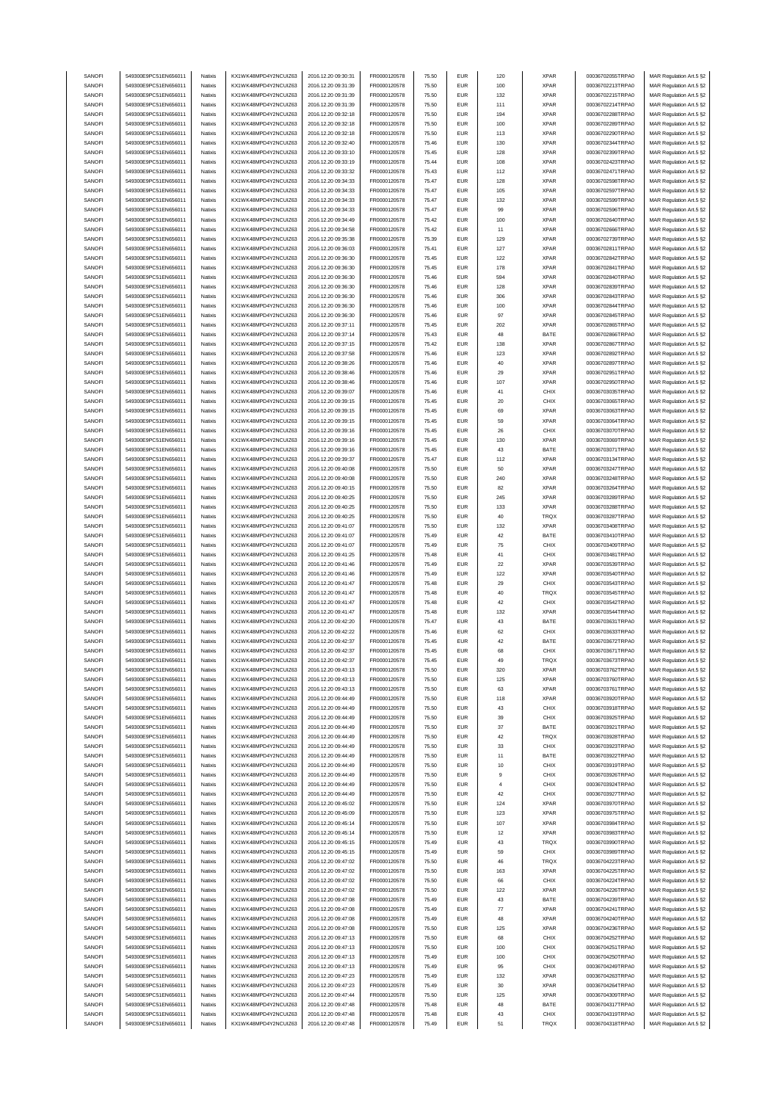| SANOFI           | 549300E9PC51EN656011                         | Natixis            | KX1WK48MPD4Y2NCUIZ63                         | 2016.12.20 09:30:31                        | FR0000120578                 | 75.50          | <b>EUR</b>                  | 120            | <b>XPAR</b>         | 00036702055TRPA0                     | MAR Regulation Art.5 §2                            |
|------------------|----------------------------------------------|--------------------|----------------------------------------------|--------------------------------------------|------------------------------|----------------|-----------------------------|----------------|---------------------|--------------------------------------|----------------------------------------------------|
| SANOFI           | 549300E9PC51EN656011                         | Natixis            | KX1WK48MPD4Y2NCUIZ63                         | 2016.12.20 09:31:39                        | FR0000120578                 | 75.50          | <b>EUR</b>                  | 100            | <b>XPAR</b>         | 00036702213TRPA0                     | MAR Regulation Art.5 §2                            |
| SANOFI           | 549300E9PC51EN656011                         | Natixis            | KX1WK48MPD4Y2NCUIZ63                         | 2016.12.20 09:31:39                        | FR0000120578                 | 75.50          | <b>EUR</b>                  | 132            | <b>XPAR</b>         | 00036702215TRPA0                     | MAR Regulation Art.5 §2                            |
| SANOFI           | 549300E9PC51EN656011                         | Natixis            | KX1WK48MPD4Y2NCUIZ63                         | 2016.12.20 09:31:39                        | FR0000120578                 | 75.50          | <b>EUR</b>                  | 111            | <b>XPAR</b>         | 00036702214TRPA0                     | MAR Regulation Art.5 §2                            |
|                  |                                              |                    |                                              |                                            |                              |                |                             |                |                     |                                      |                                                    |
| SANOFI           | 549300E9PC51EN656011                         | Natixis            | KX1WK48MPD4Y2NCUIZ63                         | 2016.12.20 09:32:18                        | FR0000120578                 | 75.50          | <b>EUR</b>                  | 194            | <b>XPAR</b>         | 00036702288TRPA0                     | MAR Regulation Art.5 §2                            |
| SANOFI           | 549300E9PC51EN656011                         | Natixis            | KX1WK48MPD4Y2NCUIZ63                         | 2016.12.20 09:32:18                        | FR0000120578                 | 75.50          | <b>EUR</b>                  | 100            | <b>XPAR</b>         | 00036702289TRPA0                     | MAR Regulation Art.5 §2                            |
| SANOFI           | 549300E9PC51EN656011                         | Natixis            | KX1WK48MPD4Y2NCUIZ63                         | 2016.12.20 09:32:18                        | FR0000120578                 | 75.50          | <b>EUR</b>                  | 113            | <b>XPAR</b>         | 00036702290TRPA0                     | MAR Regulation Art.5 §2                            |
| SANOFI           | 549300E9PC51EN656011                         | Natixis            | KX1WK48MPD4Y2NCUIZ63                         | 2016.12.20 09:32:40                        | FR0000120578                 | 75.46          | <b>EUR</b>                  | 130            | <b>XPAR</b>         | 00036702344TRPA0                     | MAR Regulation Art.5 §2                            |
| SANOFI           | 549300E9PC51EN656011                         | Natixis            | KX1WK48MPD4Y2NCLIIZ63                        | 2016.12.20 09:33:10                        | FR0000120578                 | 75.45          | <b>EUR</b>                  | 128            | <b>XPAR</b>         | 00036702399TRPA0                     | MAR Regulation Art.5 §2                            |
| SANOFI           | 549300E9PC51EN656011                         | Natixis            | KX1WK48MPD4Y2NCUIZ63                         | 2016.12.20 09:33:19                        | FR0000120578                 | 75.44          | <b>EUR</b>                  | 108            | <b>XPAR</b>         | 00036702423TRPA0                     | MAR Regulation Art.5 §2                            |
|                  |                                              | Natixis            |                                              |                                            |                              |                | <b>EUR</b>                  |                |                     |                                      |                                                    |
| SANOFI           | 549300E9PC51EN656011                         |                    | KX1WK48MPD4Y2NCUIZ63                         | 2016.12.20 09:33:32                        | FR0000120578                 | 75.43          |                             | 112            | <b>XPAR</b>         | 00036702471TRPA0                     | MAR Regulation Art.5 §2                            |
| SANOFI           | 549300E9PC51EN656011                         | Natixis            | KX1WK48MPD4Y2NCUIZ63                         | 2016.12.20 09:34:33                        | FR0000120578                 | 75.47          | <b>EUR</b>                  | 128            | <b>XPAR</b>         | 00036702598TRPA0                     | MAR Regulation Art.5 §2                            |
| SANOFI           | 549300E9PC51EN656011                         | Natixis            | KX1WK48MPD4Y2NCUIZ63                         | 2016.12.20 09:34:33                        | FR0000120578                 | 75.47          | <b>EUR</b>                  | 105            | <b>XPAR</b>         | 00036702597TRPA0                     | MAR Regulation Art.5 §2                            |
| SANOFI           | 549300E9PC51EN656011                         | Natixis            | KX1WK48MPD4Y2NCUIZ63                         | 2016.12.20 09:34:33                        | FR0000120578                 | 75.47          | <b>EUR</b>                  | 132            | <b>XPAR</b>         | 00036702599TRPA0                     | MAR Regulation Art.5 §2                            |
| SANOFI           | 549300E9PC51EN656011                         | Natixis            | KX1WK48MPD4Y2NCUIZ63                         | 2016.12.20 09:34:33                        | FR0000120578                 | 75.47          | <b>EUR</b>                  | 99             | <b>XPAR</b>         | 00036702596TRPA0                     | MAR Regulation Art.5 §2                            |
|                  | 549300E9PC51EN656011                         |                    |                                              | 2016.12.20 09:34:49                        |                              |                |                             |                |                     |                                      |                                                    |
| SANOFI           |                                              | Natixis            | KX1WK48MPD4Y2NCUIZ63                         |                                            | FR0000120578                 | 75.42          | <b>EUR</b>                  | 100            | <b>XPAR</b>         | 00036702640TRPA0                     | MAR Regulation Art.5 §2                            |
| SANOFI           | 549300E9PC51EN656011                         | Natixis            | KX1WK48MPD4Y2NCUIZ63                         | 2016.12.20 09:34:58                        | FR0000120578                 | 75.42          | <b>EUR</b>                  | 11             | <b>XPAR</b>         | 00036702666TRPA0                     | MAR Regulation Art.5 §2                            |
| SANOFI           | 549300E9PC51EN656011                         | Natixis            | KX1WK48MPD4Y2NCLIIZ63                        | 2016.12.20 09:35:38                        | FR0000120578                 | 75.39          | <b>EUR</b>                  | 129            | <b>XPAR</b>         | 00036702739TRPA0                     | MAR Regulation Art.5 §2                            |
| SANOFI           | 549300E9PC51EN656011                         | Natixis            | KX1WK48MPD4Y2NCUIZ63                         | 2016.12.20 09:36:03                        | FR0000120578                 | 75.41          | <b>EUR</b>                  | 127            | <b>XPAR</b>         | 00036702811TRPA0                     | MAR Regulation Art.5 §2                            |
| SANOFI           | 549300E9PC51EN656011                         | Natixis            | KX1WK48MPD4Y2NCUIZ63                         | 2016.12.20 09:36:30                        | FR0000120578                 | 75.45          | <b>EUR</b>                  | 122            | <b>XPAR</b>         | 00036702842TRPA0                     | MAR Regulation Art.5 §2                            |
| SANOFI           | 549300E9PC51EN656011                         | Natixis            | KX1WK48MPD4Y2NCUIZ63                         | 2016.12.20 09:36:30                        | FR0000120578                 | 75.45          | <b>EUR</b>                  | 178            | <b>XPAR</b>         | 00036702841TRPA0                     | MAR Regulation Art.5 §2                            |
| SANOFI           | 549300E9PC51EN656011                         | Natixis            | KX1WK48MPD4Y2NCUIZ63                         | 2016.12.20 09:36:30                        | FR0000120578                 | 75.46          | <b>EUR</b>                  | 594            | <b>XPAR</b>         | 00036702840TRPA0                     | MAR Regulation Art.5 §2                            |
|                  |                                              |                    |                                              |                                            |                              |                |                             |                |                     |                                      |                                                    |
| SANOFI           | 549300E9PC51EN656011                         | Natixis            | KX1WK48MPD4Y2NCUIZ63                         | 2016.12.20 09:36:30                        | FR0000120578                 | 75.46          | <b>EUR</b>                  | 128            | <b>XPAR</b>         | 00036702839TRPA0                     | MAR Regulation Art.5 §2                            |
| SANOFI           | 549300E9PC51EN656011                         | Natixis            | KX1WK48MPD4Y2NCUIZ63                         | 2016.12.20 09:36:30                        | FR0000120578                 | 75.46          | <b>EUR</b>                  | 306            | <b>XPAR</b>         | 00036702843TRPA0                     | MAR Regulation Art.5 §2                            |
| SANOFI           | 549300E9PC51EN656011                         | Natixis            | KX1WK48MPD4Y2NCUIZ63                         | 2016.12.20 09:36:30                        | FR0000120578                 | 75.46          | <b>EUR</b>                  | 100            | <b>XPAR</b>         | 00036702844TRPA0                     | MAR Regulation Art.5 §2                            |
| SANOFI           | 549300E9PC51EN656011                         | Natixis            | KX1WK48MPD4Y2NCUIZ63                         | 2016.12.20 09:36:30                        | FR0000120578                 | 75.46          | <b>EUR</b>                  | 97             | <b>XPAR</b>         | 00036702845TRPA0                     | MAR Regulation Art.5 §2                            |
| SANOFI           | 549300E9PC51EN656011                         | Natixis            | KX1WK48MPD4Y2NCLIIZ63                        | 2016.12.20 09:37:11                        | FR0000120578                 | 75.45          | <b>EUR</b>                  | 202            | <b>XPAR</b>         | 00036702865TRPA0                     | MAR Regulation Art.5 §2                            |
| SANOFI           | 549300E9PC51EN656011                         | Natixis            | KX1WK48MPD4Y2NCUIZ63                         | 2016.12.20 09:37:14                        | FR0000120578                 | 75.43          | <b>EUR</b>                  | 48             | BATE                | 00036702866TRPA0                     | MAR Regulation Art.5 §2                            |
|                  |                                              |                    |                                              |                                            |                              |                |                             |                |                     |                                      |                                                    |
| SANOFI           | 549300E9PC51EN656011                         | Natixis            | KX1WK48MPD4Y2NCUIZ63                         | 2016.12.20 09:37:15                        | FR0000120578                 | 75.42          | <b>EUR</b>                  | 138            | <b>XPAR</b>         | 00036702867TRPA0                     | MAR Regulation Art.5 §2                            |
| SANOFI           | 549300E9PC51EN656011                         | Natixis            | KX1WK48MPD4Y2NCUIZ63                         | 2016.12.20 09:37:58                        | FR0000120578                 | 75.46          | <b>EUR</b>                  | 123            | <b>XPAR</b>         | 00036702892TRPA0                     | MAR Regulation Art.5 §2                            |
| SANOFI           | 549300E9PC51EN656011                         | Natixis            | KX1WK48MPD4Y2NCUIZ63                         | 2016.12.20 09:38:26                        | FR0000120578                 | 75.46          | <b>EUR</b>                  | 40             | <b>XPAR</b>         | 00036702897TRPA0                     | MAR Regulation Art.5 §2                            |
| SANOFI           | 549300E9PC51EN656011                         | Natixis            | KX1WK48MPD4Y2NCLIIZ63                        | 2016.12.20 09:38:46                        | FR0000120578                 | 75.46          | <b>EUR</b>                  | 29             | <b>XPAR</b>         | 00036702951TRPA0                     | MAR Regulation Art.5 §2                            |
| SANOFI           | 549300E9PC51EN656011                         | Natixis            | KX1WK48MPD4Y2NCUIZ63                         | 2016.12.20 09:38:46                        | FR0000120578                 | 75.46          | <b>EUR</b>                  | 107            | <b>XPAR</b>         | 00036702950TRPA0                     | MAR Regulation Art.5 §2                            |
|                  |                                              |                    |                                              |                                            |                              |                |                             |                |                     |                                      |                                                    |
| SANOFI           | 549300E9PC51EN656011                         | Natixis            | KX1WK48MPD4Y2NCUIZ63                         | 2016.12.20 09:39:07                        | FR0000120578                 | 75.46          | <b>EUR</b>                  | 41             | CHIX                | 00036703035TRPA0                     | MAR Regulation Art.5 §2                            |
| SANOFI           | 549300E9PC51EN656011                         | Natixis            | KX1WK48MPD4Y2NCUIZ63                         | 2016.12.20 09:39:15                        | FR0000120578                 | 75.45          | <b>EUR</b>                  | 20             | CHIX                | 00036703065TRPA0                     | MAR Regulation Art.5 §2                            |
| SANOFI           | 549300E9PC51EN656011                         | Natixis            | KX1WK48MPD4Y2NCLIIZ63                        | 2016.12.20 09:39:15                        | FR0000120578                 | 75.45          | <b>EUR</b>                  | 69             | <b>XPAR</b>         | 00036703063TRPA0                     | MAR Regulation Art.5 §2                            |
| SANOFI           | 549300E9PC51EN656011                         | Natixis            | KX1WK48MPD4Y2NCUIZ63                         | 2016.12.20 09:39:15                        | FR0000120578                 | 75.45          | <b>EUR</b>                  | 59             | <b>XPAR</b>         | 00036703064TRPA0                     | MAR Regulation Art.5 §2                            |
| SANOFI           | 549300E9PC51EN656011                         | Natixis            | KX1WK48MPD4Y2NCUIZ63                         | 2016.12.20 09:39:16                        | FR0000120578                 | 75.45          | <b>EUR</b>                  | 26             | CHIX                | 00036703070TRPA0                     | MAR Regulation Art.5 §2                            |
|                  |                                              |                    | KX1WK48MPD4Y2NCUIZ63                         |                                            |                              |                |                             |                |                     |                                      |                                                    |
| SANOFI           | 549300E9PC51EN656011                         | Natixis            |                                              | 2016.12.20 09:39:16                        | FR0000120578                 | 75.45          | <b>EUR</b>                  | 130            | <b>XPAR</b>         | 00036703069TRPA0                     | MAR Regulation Art.5 §2                            |
| SANOFI           | 549300E9PC51EN656011                         | Natixis            | KX1WK48MPD4Y2NCUIZ63                         | 2016.12.20 09:39:16                        | FR0000120578                 | 75.45          | <b>EUR</b>                  | 43             | BATE                | 00036703071TRPA0                     | MAR Regulation Art.5 §2                            |
| SANOFI           | 549300E9PC51EN656011                         | Natixis            | KX1WK48MPD4Y2NCUIZ63                         | 2016.12.20 09:39:37                        | FR0000120578                 | 75.47          | <b>EUR</b>                  | 112            | <b>XPAR</b>         | 00036703134TRPA0                     | MAR Regulation Art.5 §2                            |
| SANOFI           | 549300E9PC51EN656011                         | Natixis            | KX1WK48MPD4Y2NCUIZ63                         | 2016.12.20 09:40:08                        | FR0000120578                 | 75.50          | <b>EUR</b>                  | 50             | <b>XPAR</b>         | 00036703247TRPA0                     | MAR Regulation Art.5 §2                            |
| SANOFI           | 549300E9PC51EN656011                         | Natixis            | KX1WK48MPD4Y2NCUIZ63                         | 2016.12.20 09:40:08                        | FR0000120578                 | 75.50          | <b>EUR</b>                  | 240            | <b>XPAR</b>         | 00036703248TRPA0                     | MAR Regulation Art.5 §2                            |
| SANOFI           | 549300E9PC51EN656011                         | Natixis            | KX1WK48MPD4Y2NCUIZ63                         | 2016.12.20 09:40:15                        | FR0000120578                 | 75.50          | <b>EUR</b>                  | 82             | <b>XPAR</b>         | 00036703264TRPA0                     | MAR Regulation Art.5 §2                            |
|                  |                                              |                    |                                              |                                            |                              |                |                             |                |                     |                                      |                                                    |
| SANOFI           | 549300E9PC51EN656011                         | Natixis            | KX1WK48MPD4Y2NCUIZ63                         | 2016.12.20 09:40:25                        | FR0000120578                 | 75.50          | <b>EUR</b>                  | 245            | <b>XPAR</b>         | 00036703289TRPA0                     | MAR Regulation Art.5 §2                            |
| SANOFI           | 549300E9PC51EN656011                         | Natixis            | KX1WK48MPD4Y2NCUIZ63                         | 2016.12.20 09:40:25                        | FR0000120578                 | 75.50          | <b>EUR</b>                  | 133            | <b>XPAR</b>         | 00036703288TRPA0                     | MAR Regulation Art.5 §2                            |
| SANOFI           | 549300E9PC51EN656011                         | Natixis            | KX1WK48MPD4Y2NCUIZ63                         | 2016.12.20 09:40:25                        | FR0000120578                 | 75.50          | <b>EUR</b>                  | 40             | TRQX                | 00036703287TRPA0                     | MAR Regulation Art.5 §2                            |
| SANOFI           | 549300E9PC51EN656011                         | Natixis            | KX1WK48MPD4Y2NCUIZ63                         | 2016.12.20 09:41:07                        | FR0000120578                 | 75.50          | <b>EUR</b>                  | 132            | <b>XPAR</b>         | 00036703408TRPA0                     | MAR Regulation Art.5 §2                            |
| SANOFI           | 549300E9PC51EN656011                         | Natixis            | KX1WK48MPD4Y2NCUIZ63                         | 2016.12.20 09:41:07                        | FR0000120578                 | 75.49          | <b>EUR</b>                  | 42             | BATE                | 00036703410TRPA0                     | MAR Regulation Art.5 §2                            |
| SANOFI           | 549300E9PC51EN656011                         | Natixis            | KX1WK48MPD4Y2NCUIZ63                         | 2016.12.20 09:41:07                        | FR0000120578                 | 75.49          | <b>EUR</b>                  | 75             | CHIX                | 00036703409TRPA0                     |                                                    |
|                  |                                              |                    |                                              |                                            |                              |                |                             |                |                     |                                      | MAR Regulation Art.5 §2                            |
| SANOFI           | 549300E9PC51EN656011                         | Natixis            | KX1WK48MPD4Y2NCUIZ63                         | 2016.12.20 09:41:25                        | FR0000120578                 | 75.48          | <b>EUR</b>                  | 41             | CHIX                | 00036703481TRPA0                     | MAR Regulation Art.5 §2                            |
| SANOFI           | 549300E9PC51EN656011                         | Natixis            | KX1WK48MPD4Y2NCUIZ63                         | 2016.12.20 09:41:46                        | FR0000120578                 | 75.49          | <b>EUR</b>                  | 22             | <b>XPAR</b>         | 00036703539TRPA0                     | MAR Regulation Art.5 §2                            |
| SANOFI           | 549300E9PC51EN656011                         | Natixis            | KX1WK48MPD4Y2NCLIIZ63                        | 2016.12.20 09:41:46                        | FR0000120578                 | 75.49          | <b>EUR</b>                  | 122            | <b>XPAR</b>         | 00036703540TRPA0                     | MAR Regulation Art.5 §2                            |
| SANOFI           | 549300E9PC51EN656011                         | Natixis            | KX1WK48MPD4Y2NCUIZ63                         | 2016.12.20 09:41:47                        | FR0000120578                 | 75.48          | <b>EUR</b>                  | 29             | CHIX                | 00036703543TRPA0                     | MAR Regulation Art.5 §2                            |
| SANOFI           | 549300E9PC51EN656011                         | Natixis            | KX1WK48MPD4Y2NCUIZ63                         | 2016.12.20 09:41:47                        | FR0000120578                 | 75.48          | <b>EUR</b>                  | 40             | TRQX                | 00036703545TRPA0                     | MAR Regulation Art.5 §2                            |
|                  |                                              |                    | KX1WK48MPD4Y2NCUIZ63                         |                                            | FR0000120578                 |                |                             |                |                     | 00036703542TRPA0                     |                                                    |
| SANOFI           | 549300E9PC51EN656011                         | Natixis            |                                              | 2016.12.20 09:41:47                        |                              | 75.48          | <b>EUR</b>                  | 42             | CHIX                |                                      | MAR Regulation Art.5 §2                            |
| SANOFI           | 549300E9PC51EN656011                         | Natixis            | KX1WK48MPD4Y2NCUIZ63                         | 2016.12.20 09:41:47                        | FR0000120578                 | 75.48          | <b>EUR</b>                  | 132            | <b>XPAR</b>         | 00036703544TRPA0                     | MAR Regulation Art.5 §2                            |
| SANOFI           | 549300E9PC51EN656011                         | Natixis            | KX1WK48MPD4Y2NCUIZ63                         | 2016.12.20 09:42:20                        | FR0000120578                 | 75.47          | <b>EUR</b>                  | 43             | BATE                | 00036703631TRPA0                     | MAR Regulation Art.5 §2                            |
| SANOFI           | 549300E9PC51EN656011                         | Natixis            | KX1WK48MPD4Y2NCUIZ63                         | 2016.12.20 09:42:22                        | FR0000120578                 | 75.46          | <b>EUR</b>                  | 62             | CHIX                | 00036703633TRPA0                     | MAR Regulation Art.5 §2                            |
| SANOFI           | 549300E9PC51EN656011                         | Natixis            | KX1WK48MPD4Y2NCUIZ63                         | 2016.12.20 09:42:37                        | FR0000120578                 | 75.45          | <b>EUR</b>                  | 42             | BATE                | 00036703672TRPA0                     | MAR Regulation Art.5 §2                            |
|                  |                                              |                    |                                              |                                            |                              |                |                             |                |                     |                                      |                                                    |
| SANOF            | 549300E9PC51EN656011                         | Natixis            | KX1WK48MPD4Y2NCUIZ63                         | 2016.12.20 09:42:37                        | FR0000120578                 | 75.45          | EUR                         |                | CHIX                | 00036703671TRPA0                     | MAR Regulation Art.5 §2                            |
| SANOFI           | 549300E9PC51EN656011                         | Natixis            | KX1WK48MPD4Y2NCUIZ63                         | 2016.12.20 09:42:37                        | FR0000120578                 | 75.45          | <b>EUR</b>                  | 49             | TRQX                | 00036703673TRPA0                     | MAR Regulation Art.5 §2                            |
| SANOFI           | 549300E9PC51EN656011                         | Natixis            | KX1WK48MPD4Y2NCUIZ63                         | 2016.12.20 09:43:13                        | FR0000120578                 | 75.50          | EUR                         | 320            | <b>XPAR</b>         | 00036703762TRPA0                     | MAR Regulation Art.5 §2                            |
| SANOFI           | 549300E9PC51EN656011                         | Natixis            | KX1WK48MPD4Y2NCUIZ63                         | 2016.12.20 09:43:13                        | FR0000120578                 | 75.50          | <b>EUR</b>                  | 125            | <b>XPAR</b>         | 00036703760TRPA0                     | MAR Regulation Art.5 §2                            |
| SANOFI           | 549300E9PC51EN656011                         | Natixis            | KX1WK48MPD4Y2NCUIZ63                         | 2016.12.20 09:43:13                        | FR0000120578                 | 75.50          | <b>EUR</b>                  | 63             | <b>XPAR</b>         | 00036703761TRPA0                     | MAR Regulation Art.5 §2                            |
| SANOFI           | 549300E9PC51EN656011                         | Natixis            | KX1WK48MPD4Y2NCUIZ63                         | 2016.12.20 09:44:49                        | FR0000120578                 | 75.50          | <b>EUR</b>                  | 118            | <b>XPAR</b>         | 00036703920TRPA0                     | MAR Regulation Art.5 §2                            |
| SANOFI           | 549300E9PC51EN656011                         | Natixis            | KX1WK48MPD4Y2NCUIZ63                         | 2016.12.20 09:44:49                        | FR0000120578                 | 75.50          | $\ensuremath{\mathsf{EUR}}$ | 43             | CHIX                | 00036703918TRPA0                     | MAR Regulation Art.5 §2                            |
| SANOFI           | 549300E9PC51EN656011                         | Natixis            | KX1WK48MPD4Y2NCUIZ63                         |                                            |                              |                |                             | 39             | CHIX                |                                      |                                                    |
|                  |                                              |                    |                                              | 2016.12.20 09:44:49                        | FR0000120578                 | 75.50          | <b>EUR</b>                  |                |                     | 00036703925TRPA0                     | MAR Regulation Art.5 §2                            |
| SANOFI           | 549300E9PC51EN656011                         | Natixis            | KX1WK48MPD4Y2NCUIZ63                         | 2016.12.20 09:44:49                        | FR0000120578                 | 75.50          | <b>EUR</b>                  | 37             | BATE                | 00036703921TRPA0                     | MAR Regulation Art.5 §2                            |
| SANOFI           | 549300E9PC51EN656011                         | Natixis            | KX1WK48MPD4Y2NCUIZ63                         | 2016.12.20 09:44:49                        | FR0000120578                 | 75.50          | <b>EUR</b>                  | 42             | TRQX                | 00036703928TRPA0                     | MAR Regulation Art.5 §2                            |
| SANOFI           | 549300E9PC51EN656011                         | Natixis            | KX1WK48MPD4Y2NCUIZ63                         | 2016.12.20 09:44:49                        | FR0000120578                 | 75.50          | <b>EUR</b>                  | 33             | CHIX                | 00036703923TRPA0                     | MAR Regulation Art.5 §2                            |
| SANOFI           | 549300E9PC51EN656011                         | Natixis            | KX1WK48MPD4Y2NCUIZ63                         | 2016.12.20 09:44:49                        | FR0000120578                 | 75.50          | <b>EUR</b>                  | 11             | BATE                | 00036703922TRPA0                     | MAR Regulation Art.5 §2                            |
| SANOFI           | 549300E9PC51EN656011                         | Natixis            | KX1WK48MPD4Y2NCUIZ63                         | 2016.12.20 09:44:49                        | FR0000120578                 | 75.50          | <b>EUR</b>                  | 10             | CHIX                | 00036703919TRPA0                     | MAR Regulation Art.5 §2                            |
| SANOFI           | 549300E9PC51EN656011                         | Natixis            | KX1WK48MPD4Y2NCUIZ63                         | 2016.12.20 09:44:49                        | FR0000120578                 | 75.50          | <b>EUR</b>                  | 9              | CHIX                | 00036703926TRPA0                     | MAR Regulation Art.5 §2                            |
|                  |                                              |                    |                                              |                                            |                              |                |                             |                |                     |                                      |                                                    |
| SANOFI           | 549300E9PC51EN656011                         | Natixis            | KX1WK48MPD4Y2NCUIZ63                         | 2016.12.20 09:44:49                        | FR0000120578                 | 75.50          | <b>EUR</b>                  | $\overline{4}$ | CHIX                | 00036703924TRPA0                     | MAR Regulation Art.5 §2                            |
| SANOFI           | 549300E9PC51EN656011                         | Natixis            | KX1WK48MPD4Y2NCUIZ63                         | 2016.12.20 09:44:49                        | FR0000120578                 | 75.50          | <b>EUR</b>                  | 42             | CHIX                | 00036703927TRPA0                     | MAR Regulation Art.5 §2                            |
| SANOFI           | 549300E9PC51EN656011                         | Natixis            | KX1WK48MPD4Y2NCUIZ63                         | 2016.12.20 09:45:02                        | FR0000120578                 | 75.50          | <b>EUR</b>                  | 124            | <b>XPAR</b>         | 00036703970TRPA0                     | MAR Regulation Art.5 §2                            |
| SANOFI           | 549300E9PC51EN656011                         | Natixis            | KX1WK48MPD4Y2NCUIZ63                         | 2016.12.20 09:45:09                        | FR0000120578                 | 75.50          | <b>EUR</b>                  | 123            | <b>XPAR</b>         | 00036703975TRPA0                     | MAR Regulation Art.5 §2                            |
| SANOFI           | 549300E9PC51EN656011                         | Natixis            | KX1WK48MPD4Y2NCUIZ63                         | 2016.12.20 09:45:14                        | FR0000120578                 | 75.50          | <b>EUR</b>                  | 107            | <b>XPAR</b>         | 00036703984TRPA0                     | MAR Regulation Art.5 §2                            |
| SANOFI           | 549300E9PC51EN656011                         | Natixis            | KX1WK48MPD4Y2NCUIZ63                         | 2016.12.20 09:45:14                        | FR0000120578                 | 75.50          | <b>EUR</b>                  | 12             | <b>XPAR</b>         | 00036703983TRPA0                     | MAR Regulation Art.5 §2                            |
|                  |                                              |                    |                                              |                                            |                              |                |                             |                |                     |                                      |                                                    |
| SANOFI           | 549300E9PC51EN656011                         | Natixis            | KX1WK48MPD4Y2NCUIZ63                         | 2016.12.20 09:45:15                        | FR0000120578                 | 75.49          | <b>EUR</b>                  | 43             | TRQX                | 00036703990TRPA0                     | MAR Regulation Art.5 §2                            |
| SANOFI           | 549300E9PC51EN656011                         | Natixis            | KX1WK48MPD4Y2NCUIZ63                         | 2016.12.20 09:45:15                        | FR0000120578                 | 75.49          | <b>EUR</b>                  | 59             | CHIX                | 00036703989TRPA0                     | MAR Regulation Art.5 §2                            |
| SANOFI           | 549300E9PC51EN656011                         | Natixis            | KX1WK48MPD4Y2NCUIZ63                         | 2016.12.20 09:47:02                        | FR0000120578                 | 75.50          | <b>EUR</b>                  | 46             | TRQX                | 00036704223TRPA0                     | MAR Regulation Art.5 §2                            |
| SANOFI           | 549300E9PC51EN656011                         | Natixis            | KX1WK48MPD4Y2NCUIZ63                         | 2016.12.20 09:47:02                        | FR0000120578                 | 75.50          | <b>EUR</b>                  | 163            | <b>XPAR</b>         | 00036704225TRPA0                     | MAR Regulation Art.5 §2                            |
| SANOFI           | 549300E9PC51EN656011                         | Natixis            | KX1WK48MPD4Y2NCUIZ63                         | 2016.12.20 09:47:02                        | FR0000120578                 | 75.50          | <b>EUR</b>                  | 66             | CHIX                | 00036704224TRPA0                     | MAR Regulation Art.5 §2                            |
|                  |                                              |                    |                                              |                                            |                              |                |                             |                |                     |                                      |                                                    |
| SANOFI           | 549300E9PC51EN656011                         | Natixis            | KX1WK48MPD4Y2NCUIZ63                         | 2016.12.20 09:47:02                        | FR0000120578                 | 75.50          | <b>EUR</b>                  | 122            | <b>XPAR</b>         | 00036704226TRPA0                     | MAR Regulation Art.5 §2                            |
| SANOFI           | 549300E9PC51EN656011                         | Natixis            | KX1WK48MPD4Y2NCUIZ63                         | 2016.12.20 09:47:08                        | FR0000120578                 | 75.49          | <b>EUR</b>                  | 43             | BATE                | 00036704239TRPA0                     | MAR Regulation Art.5 §2                            |
| SANOFI           | 549300E9PC51EN656011                         | Natixis            | KX1WK48MPD4Y2NCUIZ63                         | 2016.12.20 09:47:08                        | FR0000120578                 | 75.49          | <b>EUR</b>                  | $77$           | <b>XPAR</b>         | 00036704241TRPA0                     | MAR Regulation Art.5 §2                            |
| SANOFI           | 549300E9PC51EN656011                         | Natixis            | KX1WK48MPD4Y2NCUIZ63                         | 2016.12.20 09:47:08                        | FR0000120578                 | 75.49          | <b>EUR</b>                  | 48             | <b>XPAR</b>         | 00036704240TRPA0                     | MAR Regulation Art.5 §2                            |
| SANOFI           | 549300E9PC51EN656011                         | Natixis            | KX1WK48MPD4Y2NCUIZ63                         | 2016.12.20 09:47:08                        | FR0000120578                 | 75.50          | <b>EUR</b>                  | 125            | <b>XPAR</b>         | 00036704236TRPA0                     | MAR Regulation Art.5 §2                            |
|                  |                                              |                    |                                              |                                            |                              |                |                             |                |                     |                                      |                                                    |
| SANOFI           | 549300E9PC51EN656011                         | Natixis            | KX1WK48MPD4Y2NCUIZ63                         | 2016.12.20 09:47:13                        | FR0000120578                 | 75.50          | <b>EUR</b>                  | 68             | CHIX                | 00036704252TRPA0                     | MAR Regulation Art.5 §2                            |
| SANOFI           | 549300E9PC51EN656011                         | Natixis            | KX1WK48MPD4Y2NCUIZ63                         | 2016.12.20 09:47:13                        | FR0000120578                 | 75.50          | <b>EUR</b>                  | 100            | CHIX                | 00036704251TRPA0                     | MAR Regulation Art.5 §2                            |
| SANOFI           | 549300E9PC51EN656011                         | Natixis            | KX1WK48MPD4Y2NCUIZ63                         | 2016.12.20 09:47:13                        | FR0000120578                 | 75.49          | <b>EUR</b>                  | 100            | CHIX                | 00036704250TRPA0                     | MAR Regulation Art.5 §2                            |
| SANOFI           | 549300E9PC51EN656011                         | Natixis            | KX1WK48MPD4Y2NCUIZ63                         | 2016.12.20 09:47:13                        | FR0000120578                 | 75.49          | EUR                         | 95             | CHIX                | 00036704249TRPA0                     | MAR Regulation Art.5 §2                            |
| SANOFI           | 549300E9PC51EN656011                         | Natixis            | KX1WK48MPD4Y2NCUIZ63                         | 2016.12.20 09:47:23                        | FR0000120578                 | 75.49          | <b>EUR</b>                  | 132            | <b>XPAR</b>         | 00036704263TRPA0                     | MAR Regulation Art.5 §2                            |
| SANOFI           | 549300E9PC51EN656011                         | Natixis            | KX1WK48MPD4Y2NCUIZ63                         | 2016.12.20 09:47:23                        | FR0000120578                 | 75.49          | <b>EUR</b>                  | 30             | <b>XPAR</b>         | 00036704264TRPA0                     | MAR Regulation Art.5 §2                            |
| SANOFI           |                                              |                    |                                              |                                            |                              |                |                             |                |                     |                                      |                                                    |
|                  |                                              |                    |                                              |                                            |                              |                |                             |                |                     |                                      |                                                    |
|                  | 549300E9PC51EN656011                         | Natixis            | KX1WK48MPD4Y2NCUIZ63                         | 2016.12.20 09:47:44                        | FR0000120578                 | 75.50          | <b>EUR</b>                  | 125            | <b>XPAR</b>         | 00036704309TRPA0                     | MAR Regulation Art.5 §2                            |
| SANOFI           | 549300E9PC51EN656011                         | Natixis            | KX1WK48MPD4Y2NCUIZ63                         | 2016.12.20 09:47:48                        | FR0000120578                 | 75.48          | <b>EUR</b>                  | 48             | BATE                | 00036704317TRPA0                     | MAR Regulation Art.5 §2                            |
| SANOFI<br>SANOFI | 549300E9PC51EN656011<br>549300E9PC51EN656011 | Natixis<br>Natixis | KX1WK48MPD4Y2NCUIZ63<br>KX1WK48MPD4Y2NCUIZ63 | 2016.12.20 09:47:48<br>2016.12.20 09:47:48 | FR0000120578<br>FR0000120578 | 75.48<br>75.49 | <b>EUR</b><br>EUR           | 43<br>51       | CHIX<br><b>TRQX</b> | 00036704319TRPA0<br>00036704318TRPA0 | MAR Regulation Art.5 §2<br>MAR Regulation Art.5 §2 |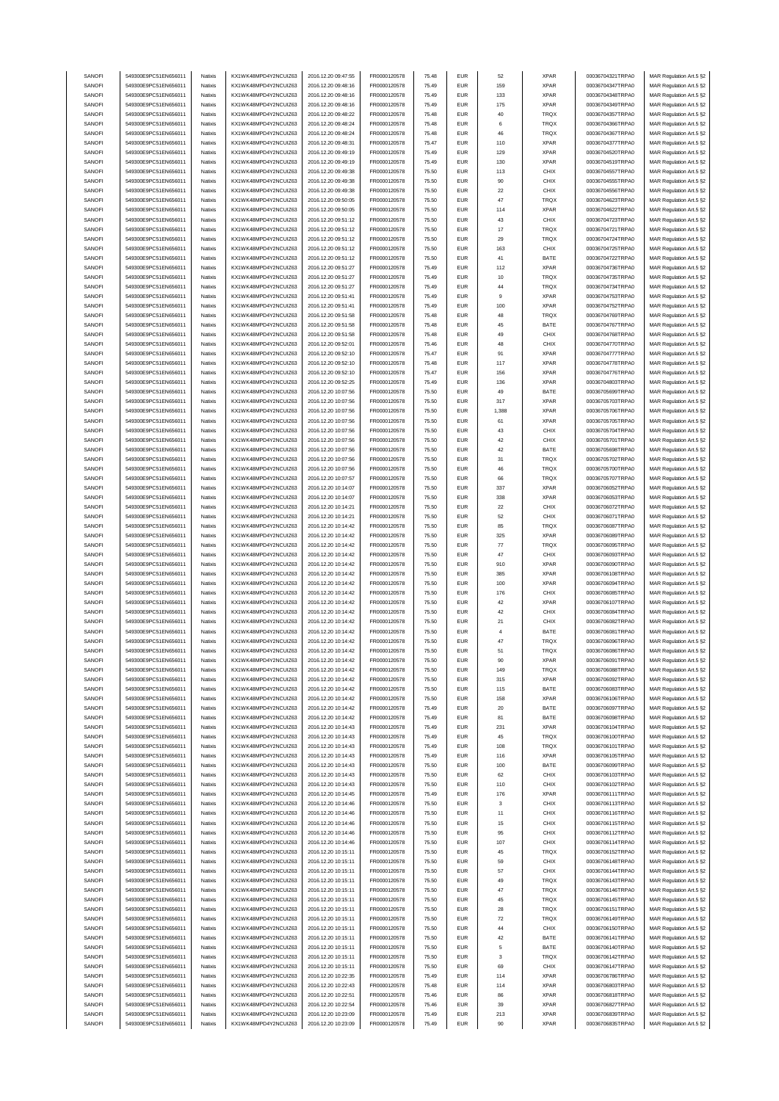| SANOFI | 549300E9PC51EN656011 | Natixis | KX1WK48MPD4Y2NCUIZ63 | 2016.12.20 09:47:55 | FR0000120578 | 75.48 | <b>EUR</b> | 52                 | <b>XPAR</b> | 00036704321TRPA0 | MAR Regulation Art.5 §2 |
|--------|----------------------|---------|----------------------|---------------------|--------------|-------|------------|--------------------|-------------|------------------|-------------------------|
| SANOFI | 549300E9PC51EN656011 | Natixis | KX1WK48MPD4Y2NCUIZ63 | 2016.12.20 09:48:16 | FR0000120578 | 75.49 | <b>EUR</b> | 159                | <b>XPAR</b> | 00036704347TRPA0 | MAR Regulation Art.5 §2 |
| SANOFI | 549300E9PC51EN656011 | Natixis | KX1WK48MPD4Y2NCUIZ63 | 2016.12.20 09:48:16 | FR0000120578 | 75.49 | <b>EUR</b> | 133                | <b>XPAR</b> | 00036704348TRPA0 | MAR Regulation Art.5 §2 |
| SANOFI | 549300E9PC51EN656011 | Natixis | KX1WK48MPD4Y2NCUIZ63 | 2016.12.20 09:48:16 | FR0000120578 | 75.49 | <b>EUR</b> | 175                | <b>XPAR</b> | 00036704349TRPA0 | MAR Regulation Art.5 §2 |
|        |                      |         |                      |                     |              |       |            |                    |             |                  |                         |
| SANOFI | 549300E9PC51EN656011 | Natixis | KX1WK48MPD4Y2NCUIZ63 | 2016.12.20 09:48:22 | FR0000120578 | 75.48 | <b>EUR</b> | 40                 | TRQX        | 00036704357TRPA0 | MAR Regulation Art.5 §2 |
| SANOFI | 549300E9PC51EN656011 | Natixis | KX1WK48MPD4Y2NCUIZ63 | 2016.12.20 09:48:24 | FR0000120578 | 75.48 | <b>EUR</b> | 6                  | TRQX        | 00036704366TRPA0 | MAR Regulation Art.5 §2 |
| SANOFI | 549300E9PC51EN656011 | Natixis | KX1WK48MPD4Y2NCUIZ63 | 2016.12.20 09:48:24 | FR0000120578 | 75.48 | <b>EUR</b> | 46                 | TRQX        | 00036704367TRPA0 | MAR Regulation Art.5 §2 |
| SANOFI | 549300E9PC51EN656011 | Natixis | KX1WK48MPD4Y2NCUIZ63 | 2016.12.20 09:48:31 | FR0000120578 | 75.47 | EUR        | 110                | <b>XPAR</b> | 00036704377TRPA0 | MAR Regulation Art.5 §2 |
| SANOFI | 549300E9PC51EN656011 | Natixis | KX1WK48MPD4Y2NCUIZ63 | 2016.12.20 09:49:19 | FR0000120578 | 75.49 | EUR        | 129                | <b>XPAR</b> | 00036704520TRPA0 | MAR Regulation Art.5 §2 |
| SANOFI | 549300E9PC51EN656011 | Natixis | KX1WK48MPD4Y2NCUIZ63 | 2016.12.20 09:49:19 | FR0000120578 | 75.49 | EUR        | 130                | <b>XPAR</b> | 00036704519TRPA0 | MAR Regulation Art.5 §2 |
| SANOFI | 549300E9PC51EN656011 | Natixis | KX1WK48MPD4Y2NCUIZ63 | 2016.12.20 09:49:38 | FR0000120578 | 75.50 | <b>EUR</b> | 113                | CHIX        | 00036704557TRPA0 | MAR Regulation Art.5 §2 |
|        |                      |         |                      |                     |              |       |            |                    |             |                  |                         |
| SANOFI | 549300E9PC51EN656011 | Natixis | KX1WK48MPD4Y2NCUIZ63 | 2016.12.20 09:49:38 | FR0000120578 | 75.50 | <b>EUR</b> | 90                 | CHIX        | 00036704555TRPA0 | MAR Regulation Art.5 §2 |
| SANOFI | 549300E9PC51EN656011 | Natixis | KX1WK48MPD4Y2NCUIZ63 | 2016.12.20 09:49:38 | FR0000120578 | 75.50 | <b>EUR</b> | $22\,$             | CHIX        | 00036704556TRPA0 | MAR Regulation Art.5 §2 |
| SANOFI | 549300E9PC51EN656011 | Natixis | KX1WK48MPD4Y2NCUIZ63 | 2016.12.20 09:50:05 | FR0000120578 | 75.50 | <b>EUR</b> | 47                 | TRQX        | 00036704623TRPA0 | MAR Regulation Art.5 §2 |
| SANOFI | 549300E9PC51EN656011 | Natixis | KX1WK48MPD4Y2NCUIZ63 | 2016.12.20 09:50:05 | FR0000120578 | 75.50 | EUR        | 114                | <b>XPAR</b> | 00036704622TRPA0 | MAR Regulation Art.5 §2 |
| SANOFI | 549300E9PC51EN656011 | Natixis | KX1WK48MPD4Y2NCUIZ63 | 2016.12.20 09:51:12 | FR0000120578 | 75.50 | <b>EUR</b> | 43                 | CHIX        | 00036704723TRPA0 |                         |
|        |                      |         |                      |                     |              |       |            |                    |             |                  | MAR Regulation Art.5 §2 |
| SANOFI | 549300E9PC51EN656011 | Natixis | KX1WK48MPD4Y2NCUIZ63 | 2016.12.20 09:51:12 | FR0000120578 | 75.50 | EUR        | 17                 | TRQX        | 00036704721TRPA0 | MAR Regulation Art.5 §2 |
| SANOFI | 549300E9PC51EN656011 | Natixis | KX1WK48MPD4Y2NCUIZ63 | 2016.12.20 09:51:12 | FR0000120578 | 75.50 | EUR        | 29                 | TRQX        | 00036704724TRPA0 | MAR Regulation Art.5 §2 |
| SANOFI | 549300E9PC51EN656011 | Natixis | KX1WK48MPD4Y2NCUIZ63 | 2016.12.20 09:51:12 | FR0000120578 | 75.50 | EUR        | 163                | CHIX        | 00036704725TRPA0 | MAR Regulation Art.5 §2 |
| SANOFI | 549300E9PC51EN656011 | Natixis | KX1WK48MPD4Y2NCUIZ63 | 2016.12.20 09:51:12 | FR0000120578 | 75.50 | <b>EUR</b> | 41                 | BATE        | 00036704722TRPA0 | MAR Regulation Art.5 §2 |
| SANOFI | 549300E9PC51EN656011 | Natixis | KX1WK48MPD4Y2NCUIZ63 | 2016.12.20 09:51:27 | FR0000120578 | 75.49 | <b>EUR</b> | 112                | <b>XPAR</b> | 00036704736TRPA0 | MAR Regulation Art.5 §2 |
|        |                      |         |                      |                     |              |       |            |                    |             |                  |                         |
| SANOFI | 549300E9PC51EN656011 | Natixis | KX1WK48MPD4Y2NCUIZ63 | 2016.12.20 09:51:27 | FR0000120578 | 75.49 | <b>EUR</b> | 10                 | TRQX        | 00036704735TRPA0 | MAR Regulation Art.5 §2 |
| SANOFI | 549300E9PC51EN656011 | Natixis | KX1WK48MPD4Y2NCUIZ63 | 2016.12.20 09:51:27 | FR0000120578 | 75.49 | <b>EUR</b> | 44                 | TRQX        | 00036704734TRPA0 | MAR Regulation Art.5 §2 |
| SANOFI | 549300E9PC51EN656011 | Natixis | KX1WK48MPD4Y2NCUIZ63 | 2016.12.20 09:51:41 | FR0000120578 | 75.49 | EUR        | 9                  | <b>XPAR</b> | 00036704753TRPA0 | MAR Regulation Art.5 §2 |
| SANOFI | 549300E9PC51EN656011 | Natixis | KX1WK48MPD4Y2NCUIZ63 | 2016.12.20 09:51:41 | FR0000120578 | 75.49 | <b>EUR</b> | 100                | <b>XPAR</b> | 00036704752TRPA0 | MAR Regulation Art.5 §2 |
| SANOFI | 549300E9PC51EN656011 | Natixis | KX1WK48MPD4Y2NCUIZ63 | 2016.12.20 09:51:58 | FR0000120578 | 75.48 | EUR        | 48                 | <b>TRQX</b> | 00036704769TRPA0 | MAR Regulation Art.5 §2 |
| SANOFI | 549300E9PC51EN656011 | Natixis | KX1WK48MPD4Y2NCUIZ63 | 2016.12.20 09:51:58 | FR0000120578 | 75.48 | <b>EUR</b> | 45                 | BATE        | 00036704767TRPA0 | MAR Regulation Art.5 §2 |
|        | 549300E9PC51EN656011 |         |                      |                     |              |       | <b>EUR</b> |                    |             | 00036704768TRPA0 |                         |
| SANOFI |                      | Natixis | KX1WK48MPD4Y2NCUIZ63 | 2016.12.20 09:51:58 | FR0000120578 | 75.48 |            | 49                 | CHIX        |                  | MAR Regulation Art.5 §2 |
| SANOFI | 549300E9PC51EN656011 | Natixis | KX1WK48MPD4Y2NCUIZ63 | 2016.12.20 09:52:01 | FR0000120578 | 75.46 | <b>EUR</b> | 48                 | CHIX        | 00036704770TRPA0 | MAR Regulation Art.5 §2 |
| SANOFI | 549300E9PC51EN656011 | Natixis | KX1WK48MPD4Y2NCUIZ63 | 2016.12.20 09:52:10 | FR0000120578 | 75.47 | <b>EUR</b> | 91                 | <b>XPAR</b> | 00036704777TRPA0 | MAR Regulation Art.5 §2 |
| SANOFI | 549300E9PC51EN656011 | Natixis | KX1WK48MPD4Y2NCUIZ63 | 2016.12.20 09:52:10 | FR0000120578 | 75.48 | <b>EUR</b> | 117                | <b>XPAR</b> | 00036704778TRPA0 | MAR Regulation Art.5 §2 |
| SANOFI | 549300E9PC51EN656011 | Natixis | KX1WK48MPD4Y2NCUIZ63 | 2016.12.20 09:52:10 | FR0000120578 | 75.47 | <b>EUR</b> | 156                | <b>XPAR</b> | 00036704776TRPA0 | MAR Regulation Art.5 §2 |
|        | 549300E9PC51EN656011 |         | KX1WK48MPD4Y2NCUIZ63 |                     |              |       | EUR        |                    |             |                  |                         |
| SANOFI |                      | Natixis |                      | 2016.12.20 09:52:25 | FR0000120578 | 75.49 |            | 136                | <b>XPAR</b> | 00036704803TRPA0 | MAR Regulation Art.5 §2 |
| SANOFI | 549300E9PC51EN656011 | Natixis | KX1WK48MPD4Y2NCUIZ63 | 2016.12.20 10:07:56 | FR0000120578 | 75.50 | <b>EUR</b> | 49                 | BATE        | 00036705699TRPA0 | MAR Regulation Art.5 §2 |
| SANOFI | 549300E9PC51EN656011 | Natixis | KX1WK48MPD4Y2NCUIZ63 | 2016.12.20 10:07:56 | FR0000120578 | 75.50 | <b>EUR</b> | 317                | <b>XPAR</b> | 00036705703TRPA0 | MAR Regulation Art.5 §2 |
| SANOFI | 549300E9PC51EN656011 | Natixis | KX1WK48MPD4Y2NCUIZ63 | 2016.12.20 10:07:56 | FR0000120578 | 75.50 | <b>EUR</b> | 1,388              | <b>XPAR</b> | 00036705706TRPA0 | MAR Regulation Art.5 §2 |
| SANOFI | 549300E9PC51EN656011 | Natixis | KX1WK48MPD4Y2NCUIZ63 | 2016.12.20 10:07:56 | FR0000120578 | 75.50 | <b>EUR</b> | 61                 | <b>XPAR</b> | 00036705705TRPA0 | MAR Regulation Art.5 §2 |
|        | 549300E9PC51EN656011 |         |                      |                     | FR0000120578 |       |            |                    |             |                  |                         |
| SANOFI |                      | Natixis | KX1WK48MPD4Y2NCUIZ63 | 2016.12.20 10:07:56 |              | 75.50 | <b>EUR</b> | 43                 | CHIX        | 00036705704TRPA0 | MAR Regulation Art.5 §2 |
| SANOFI | 549300E9PC51EN656011 | Natixis | KX1WK48MPD4Y2NCUIZ63 | 2016.12.20 10:07:56 | FR0000120578 | 75.50 | <b>EUR</b> | 42                 | CHIX        | 00036705701TRPA0 | MAR Regulation Art.5 §2 |
| SANOFI | 549300E9PC51EN656011 | Natixis | KX1WK48MPD4Y2NCUIZ63 | 2016.12.20 10:07:56 | FR0000120578 | 75.50 | <b>EUR</b> | 42                 | BATE        | 00036705698TRPA0 | MAR Regulation Art.5 §2 |
| SANOFI | 549300E9PC51EN656011 | Natixis | KX1WK48MPD4Y2NCUIZ63 | 2016.12.20 10:07:56 | FR0000120578 | 75.50 | EUR        | 31                 | TRQX        | 00036705702TRPA0 | MAR Regulation Art.5 §2 |
| SANOFI | 549300E9PC51EN656011 | Natixis | KX1WK48MPD4Y2NCUIZ63 | 2016.12.20 10:07:56 | FR0000120578 | 75.50 | EUR        | 46                 | TRQX        | 00036705700TRPA0 | MAR Regulation Art.5 §2 |
| SANOFI | 549300E9PC51EN656011 | Natixis | KX1WK48MPD4Y2NCUIZ63 | 2016.12.20 10:07:57 | FR0000120578 | 75.50 | <b>EUR</b> | 66                 | TRQX        | 00036705707TRPA0 | MAR Regulation Art.5 §2 |
|        |                      |         |                      |                     |              |       |            |                    |             |                  |                         |
| SANOFI | 549300E9PC51EN656011 | Natixis | KX1WK48MPD4Y2NCUIZ63 | 2016.12.20 10:14:07 | FR0000120578 | 75.50 | <b>EUR</b> | 337                | <b>XPAR</b> | 00036706052TRPA0 | MAR Regulation Art.5 §2 |
| SANOFI | 549300E9PC51EN656011 | Natixis | KX1WK48MPD4Y2NCUIZ63 | 2016.12.20 10:14:07 | FR0000120578 | 75.50 | <b>EUR</b> | 338                | <b>XPAR</b> | 00036706053TRPA0 | MAR Regulation Art.5 §2 |
| SANOFI | 549300E9PC51EN656011 | Natixis | KX1WK48MPD4Y2NCUIZ63 | 2016.12.20 10:14:21 | FR0000120578 | 75.50 | <b>EUR</b> | $22\,$             | CHIX        | 00036706072TRPA0 | MAR Regulation Art.5 §2 |
| SANOFI | 549300E9PC51EN656011 | Natixis | KX1WK48MPD4Y2NCUIZ63 | 2016.12.20 10:14:21 | FR0000120578 | 75.50 | <b>EUR</b> | 52                 | CHIX        | 00036706071TRPA0 | MAR Regulation Art.5 §2 |
| SANOFI | 549300E9PC51EN656011 | Natixis | KX1WK48MPD4Y2NCUIZ63 | 2016.12.20 10:14:42 | FR0000120578 | 75.50 | <b>EUR</b> | 85                 | TRQX        | 00036706087TRPA0 | MAR Regulation Art.5 §2 |
| SANOFI | 549300E9PC51EN656011 | Natixis | KX1WK48MPD4Y2NCUIZ63 | 2016.12.20 10:14:42 | FR0000120578 | 75.50 | EUR        | 325                | <b>XPAR</b> | 00036706089TRPA0 | MAR Regulation Art.5 §2 |
|        |                      |         |                      |                     |              |       |            |                    |             |                  |                         |
| SANOFI | 549300E9PC51EN656011 | Natixis | KX1WK48MPD4Y2NCUIZ63 | 2016.12.20 10:14:42 | FR0000120578 | 75.50 | EUR        | 77                 | TRQX        | 00036706095TRPA0 | MAR Regulation Art.5 §2 |
| SANOFI | 549300E9PC51EN656011 | Natixis | KX1WK48MPD4Y2NCUIZ63 | 2016.12.20 10:14:42 | FR0000120578 | 75.50 | <b>EUR</b> | 47                 | CHIX        | 00036706093TRPA0 | MAR Regulation Art.5 §2 |
| SANOFI | 549300E9PC51EN656011 | Natixis | KX1WK48MPD4Y2NCUIZ63 | 2016.12.20 10:14:42 | FR0000120578 | 75.50 | <b>EUR</b> | 910                | <b>XPAR</b> | 00036706090TRPA0 | MAR Regulation Art.5 §2 |
| SANOFI | 549300E9PC51EN656011 | Natixis | KX1WK48MPD4Y2NCUIZ63 | 2016.12.20 10:14:42 | FR0000120578 | 75.50 | <b>EUR</b> | 385                | <b>XPAR</b> | 00036706108TRPA0 | MAR Regulation Art.5 §2 |
| SANOFI | 549300E9PC51EN656011 | Natixis | KX1WK48MPD4Y2NCUIZ63 | 2016.12.20 10:14:42 | FR0000120578 | 75.50 | <b>EUR</b> | 100                | <b>XPAR</b> | 00036706094TRPA0 | MAR Regulation Art.5 §2 |
|        |                      |         |                      |                     |              |       |            |                    |             |                  |                         |
| SANOFI | 549300E9PC51EN656011 | Natixis | KX1WK48MPD4Y2NCUIZ63 | 2016.12.20 10:14:42 | FR0000120578 | 75.50 | <b>EUR</b> | 176                | CHIX        | 00036706085TRPA0 | MAR Regulation Art.5 §2 |
| SANOFI | 549300E9PC51EN656011 | Natixis | KX1WK48MPD4Y2NCUIZ63 | 2016.12.20 10:14:42 | FR0000120578 | 75.50 | <b>EUR</b> | 42                 | <b>XPAR</b> | 00036706107TRPA0 | MAR Regulation Art.5 §2 |
| SANOFI | 549300E9PC51EN656011 | Natixis | KX1WK48MPD4Y2NCUIZ63 | 2016.12.20 10:14:42 | FR0000120578 | 75.50 | <b>EUR</b> | 42                 | CHIX        | 00036706084TRPA0 | MAR Regulation Art.5 §2 |
| SANOFI | 549300E9PC51EN656011 | Natixis | KX1WK48MPD4Y2NCUIZ63 | 2016.12.20 10:14:42 | FR0000120578 | 75.50 | EUR        | 21                 | CHIX        | 00036706082TRPA0 | MAR Regulation Art.5 §2 |
| SANOFI | 549300E9PC51EN656011 | Natixis | KX1WK48MPD4Y2NCUIZ63 | 2016.12.20 10:14:42 | FR0000120578 | 75.50 | <b>EUR</b> | $\overline{4}$     | BATE        | 00036706081TRPA0 | MAR Regulation Art.5 §2 |
| SANOFI | 549300E9PC51EN656011 | Natixis | KX1WK48MPD4Y2NCUIZ63 | 2016.12.20 10:14:42 | FR0000120578 | 75.50 | <b>EUR</b> | 47                 | TRQX        | 00036706096TRPA0 |                         |
|        |                      |         |                      |                     |              |       |            |                    |             |                  | MAR Regulation Art.5 §2 |
| SANOF  | 549300E9PC51EN65601  | Natixis | KX1WK48MPD4Y2NCUIZ63 | 2016.12.20 10:14:42 | FR0000120578 | 75.50 | EUR        | 5.                 | TROX        | 00036706086TRPA0 | MAR Regulation Art.5 §2 |
| SANOFI | 549300E9PC51EN656011 | Natixis | KX1WK48MPD4Y2NCUIZ63 | 2016.12.20 10:14:42 | FR0000120578 | 75.50 | <b>EUR</b> | 90                 | <b>XPAR</b> | 00036706091TRPA0 | MAR Regulation Art.5 §2 |
| SANOFI | 549300E9PC51EN656011 | Natixis | KX1WK48MPD4Y2NCUIZ63 | 2016.12.20 10:14:42 | FR0000120578 | 75.50 | <b>EUR</b> | 149                | TRQX        | 00036706088TRPA0 | MAR Regulation Art.5 §2 |
| SANOFI | 549300E9PC51EN656011 | Natixis | KX1WK48MPD4Y2NCUIZ63 | 2016.12.20 10:14:42 | FR0000120578 | 75.50 | <b>EUR</b> | 315                | <b>XPAR</b> | 00036706092TRPA0 | MAR Regulation Art.5 §2 |
| SANOFI | 549300E9PC51EN656011 | Natixis | KX1WK48MPD4Y2NCUIZ63 | 2016.12.20 10:14:42 | FR0000120578 | 75.50 | <b>EUR</b> | 115                | BATE        | 00036706083TRPA0 | MAR Regulation Art.5 §2 |
| SANOFI | 549300E9PC51EN656011 | Natixis | KX1WK48MPD4Y2NCUIZ63 | 2016.12.20 10:14:42 | FR0000120578 | 75.50 | <b>EUR</b> |                    | <b>XPAR</b> | 00036706106TRPA0 |                         |
|        |                      |         |                      |                     |              |       |            | 158                |             |                  | MAR Regulation Art.5 §2 |
| SANOFI | 549300E9PC51EN656011 | Natixis | KX1WK48MPD4Y2NCUIZ63 | 2016.12.20 10:14:42 | FR0000120578 | 75.49 | <b>EUR</b> | 20                 | BATE        | 00036706097TRPA0 | MAR Regulation Art.5 §2 |
| SANOFI | 549300E9PC51EN656011 | Natixis | KX1WK48MPD4Y2NCUIZ63 | 2016.12.20 10:14:42 | FR0000120578 | 75.49 | <b>EUR</b> | 81                 | BATE        | 00036706098TRPA0 | MAR Regulation Art.5 §2 |
| SANOFI | 549300E9PC51EN656011 | Natixis | KX1WK48MPD4Y2NCUIZ63 | 2016.12.20 10:14:43 | FR0000120578 | 75.49 | <b>EUR</b> | 231                | <b>XPAR</b> | 00036706104TRPA0 | MAR Regulation Art.5 §2 |
| SANOFI | 549300E9PC51EN656011 | Natixis | KX1WK48MPD4Y2NCUIZ63 | 2016.12.20 10:14:43 | FR0000120578 | 75.49 | <b>EUR</b> | 45                 | <b>TRQX</b> | 00036706100TRPA0 | MAR Regulation Art.5 §2 |
| SANOFI | 549300E9PC51EN656011 | Natixis | KX1WK48MPD4Y2NCUIZ63 | 2016.12.20 10:14:43 | FR0000120578 | 75.49 | <b>EUR</b> | 108                | <b>TRQX</b> | 00036706101TRPA0 | MAR Regulation Art.5 §2 |
| SANOFI | 549300E9PC51EN656011 | Natixis | KX1WK48MPD4Y2NCUIZ63 | 2016.12.20 10:14:43 | FR0000120578 | 75.49 | <b>EUR</b> | 116                | <b>XPAR</b> | 00036706105TRPA0 | MAR Regulation Art.5 §2 |
|        |                      |         |                      |                     |              |       |            |                    |             |                  |                         |
| SANOFI | 549300E9PC51EN656011 | Natixis | KX1WK48MPD4Y2NCUIZ63 | 2016.12.20 10:14:43 | FR0000120578 | 75.50 | <b>EUR</b> | 100                | BATE        | 00036706099TRPA0 | MAR Regulation Art.5 §2 |
| SANOFI | 549300E9PC51EN656011 | Natixis | KX1WK48MPD4Y2NCUIZ63 | 2016.12.20 10:14:43 | FR0000120578 | 75.50 | <b>EUR</b> | 62                 | CHIX        | 00036706103TRPA0 | MAR Regulation Art.5 §2 |
| SANOFI | 549300E9PC51EN656011 | Natixis | KX1WK48MPD4Y2NCUIZ63 | 2016.12.20 10:14:43 | FR0000120578 | 75.50 | <b>EUR</b> | 110                | CHIX        | 00036706102TRPA0 | MAR Regulation Art.5 §2 |
| SANOFI | 549300E9PC51EN656011 | Natixis | KX1WK48MPD4Y2NCUIZ63 | 2016.12.20 10:14:45 | FR0000120578 | 75.49 | <b>EUR</b> | 176                | <b>XPAR</b> | 00036706111TRPA0 | MAR Regulation Art.5 §2 |
| SANOFI | 549300E9PC51EN656011 | Natixis | KX1WK48MPD4Y2NCUIZ63 | 2016.12.20 10:14:46 | FR0000120578 | 75.50 | <b>EUR</b> | 3                  | CHIX        | 00036706113TRPA0 | MAR Regulation Art.5 §2 |
| SANOFI | 549300E9PC51EN656011 | Natixis | KX1WK48MPD4Y2NCUIZ63 | 2016.12.20 10:14:46 | FR0000120578 | 75.50 | <b>EUR</b> | 11                 | CHIX        | 00036706116TRPA0 | MAR Regulation Art.5 §2 |
|        |                      |         |                      |                     |              |       |            |                    |             |                  |                         |
| SANOFI | 549300E9PC51EN656011 | Natixis | KX1WK48MPD4Y2NCUIZ63 | 2016.12.20 10:14:46 | FR0000120578 | 75.50 | <b>EUR</b> | 15                 | CHIX        | 00036706115TRPA0 | MAR Regulation Art.5 §2 |
| SANOFI | 549300E9PC51EN656011 | Natixis | KX1WK48MPD4Y2NCUIZ63 | 2016.12.20 10:14:46 | FR0000120578 | 75.50 | <b>EUR</b> | 95                 | CHIX        | 00036706112TRPA0 | MAR Regulation Art.5 §2 |
| SANOFI | 549300E9PC51EN656011 | Natixis | KX1WK48MPD4Y2NCUIZ63 | 2016.12.20 10:14:46 | FR0000120578 | 75.50 | <b>EUR</b> | 107                | CHIX        | 00036706114TRPA0 | MAR Regulation Art.5 §2 |
| SANOFI | 549300E9PC51EN656011 | Natixis | KX1WK48MPD4Y2NCUIZ63 | 2016.12.20 10:15:11 | FR0000120578 | 75.50 | <b>EUR</b> | 45                 | <b>TRQX</b> | 00036706152TRPA0 | MAR Regulation Art.5 §2 |
| SANOFI | 549300E9PC51EN656011 | Natixis | KX1WK48MPD4Y2NCUIZ63 | 2016.12.20 10:15:11 | FR0000120578 | 75.50 | <b>EUR</b> | 59                 | CHIX        | 00036706148TRPA0 | MAR Regulation Art.5 §2 |
|        |                      |         |                      |                     |              |       |            |                    |             |                  |                         |
| SANOFI | 549300E9PC51EN656011 | Natixis | KX1WK48MPD4Y2NCUIZ63 | 2016.12.20 10:15:11 | FR0000120578 | 75.50 | <b>EUR</b> | 57                 | CHIX        | 00036706144TRPA0 | MAR Regulation Art.5 §2 |
| SANOFI | 549300E9PC51EN656011 | Natixis | KX1WK48MPD4Y2NCUIZ63 | 2016.12.20 10:15:11 | FR0000120578 | 75.50 | <b>EUR</b> | 49                 | TRQX        | 00036706143TRPA0 | MAR Regulation Art.5 §2 |
| SANOFI | 549300E9PC51EN656011 | Natixis | KX1WK48MPD4Y2NCUIZ63 | 2016.12.20 10:15:11 | FR0000120578 | 75.50 | <b>EUR</b> | 47                 | TRQX        | 00036706146TRPA0 | MAR Regulation Art.5 §2 |
| SANOFI | 549300E9PC51EN656011 | Natixis | KX1WK48MPD4Y2NCUIZ63 | 2016.12.20 10:15:11 | FR0000120578 | 75.50 | <b>EUR</b> | 45                 | <b>TRQX</b> | 00036706145TRPA0 | MAR Regulation Art.5 §2 |
| SANOFI | 549300E9PC51EN656011 | Natixis | KX1WK48MPD4Y2NCUIZ63 | 2016.12.20 10:15:11 | FR0000120578 | 75.50 | <b>EUR</b> | 28                 | TRQX        | 00036706151TRPA0 | MAR Regulation Art.5 §2 |
|        |                      |         |                      |                     |              |       |            |                    |             |                  |                         |
| SANOFI | 549300E9PC51EN656011 | Natixis | KX1WK48MPD4Y2NCUIZ63 | 2016.12.20 10:15:11 | FR0000120578 | 75.50 | <b>EUR</b> | $\scriptstyle{72}$ | <b>TRQX</b> | 00036706149TRPA0 | MAR Regulation Art.5 §2 |
| SANOFI | 549300E9PC51EN656011 | Natixis | KX1WK48MPD4Y2NCUIZ63 | 2016.12.20 10:15:11 | FR0000120578 | 75.50 | <b>EUR</b> | 44                 | CHIX        | 00036706150TRPA0 | MAR Regulation Art.5 §2 |
| SANOFI | 549300E9PC51EN656011 | Natixis | KX1WK48MPD4Y2NCUIZ63 | 2016.12.20 10:15:11 | FR0000120578 | 75.50 | <b>EUR</b> | 42                 | BATE        | 00036706141TRPA0 | MAR Regulation Art.5 §2 |
| SANOFI | 549300E9PC51EN656011 | Natixis | KX1WK48MPD4Y2NCUIZ63 | 2016.12.20 10:15:11 | FR0000120578 | 75.50 | <b>EUR</b> | 5                  | BATE        | 00036706140TRPA0 | MAR Regulation Art.5 §2 |
| SANOFI | 549300E9PC51EN656011 | Natixis | KX1WK48MPD4Y2NCUIZ63 | 2016.12.20 10:15:11 | FR0000120578 | 75.50 | <b>EUR</b> | 3                  | <b>TRQX</b> | 00036706142TRPA0 | MAR Regulation Art.5 §2 |
| SANOFI | 549300E9PC51EN656011 | Natixis | KX1WK48MPD4Y2NCUIZ63 | 2016.12.20 10:15:11 | FR0000120578 | 75.50 | <b>EUR</b> | 69                 | CHIX        | 00036706147TRPA0 |                         |
|        |                      |         |                      |                     |              |       |            |                    |             |                  | MAR Regulation Art.5 §2 |
| SANOFI | 549300E9PC51EN656011 | Natixis | KX1WK48MPD4Y2NCUIZ63 | 2016.12.20 10:22:35 | FR0000120578 | 75.49 | <b>EUR</b> | 114                | <b>XPAR</b> | 00036706786TRPA0 | MAR Regulation Art.5 §2 |
| SANOFI | 549300E9PC51EN656011 | Natixis | KX1WK48MPD4Y2NCUIZ63 | 2016.12.20 10:22:43 | FR0000120578 | 75.48 | <b>EUR</b> | 114                | <b>XPAR</b> | 00036706803TRPA0 | MAR Regulation Art.5 §2 |
| SANOFI | 549300E9PC51EN656011 | Natixis | KX1WK48MPD4Y2NCUIZ63 | 2016.12.20 10:22:51 | FR0000120578 | 75.46 | <b>EUR</b> | 86                 | <b>XPAR</b> | 00036706818TRPA0 | MAR Regulation Art.5 §2 |
| SANOFI | 549300E9PC51EN656011 | Natixis | KX1WK48MPD4Y2NCUIZ63 | 2016.12.20 10:22:54 | FR0000120578 | 75.46 | <b>EUR</b> | 39                 | <b>XPAR</b> | 00036706827TRPA0 | MAR Regulation Art.5 §2 |
| SANOFI | 549300E9PC51EN656011 | Natixis | KX1WK48MPD4Y2NCUIZ63 | 2016.12.20 10:23:09 | FR0000120578 | 75.49 | <b>EUR</b> | 213                | <b>XPAR</b> | 00036706839TRPA0 | MAR Regulation Art.5 §2 |
| SANOFI | 549300E9PC51EN656011 | Natixis | KX1WK48MPD4Y2NCUIZ63 | 2016.12.20 10:23:09 | FR0000120578 | 75.49 | <b>EUR</b> | 90                 | <b>XPAR</b> | 00036706835TRPA0 | MAR Regulation Art.5 §2 |
|        |                      |         |                      |                     |              |       |            |                    |             |                  |                         |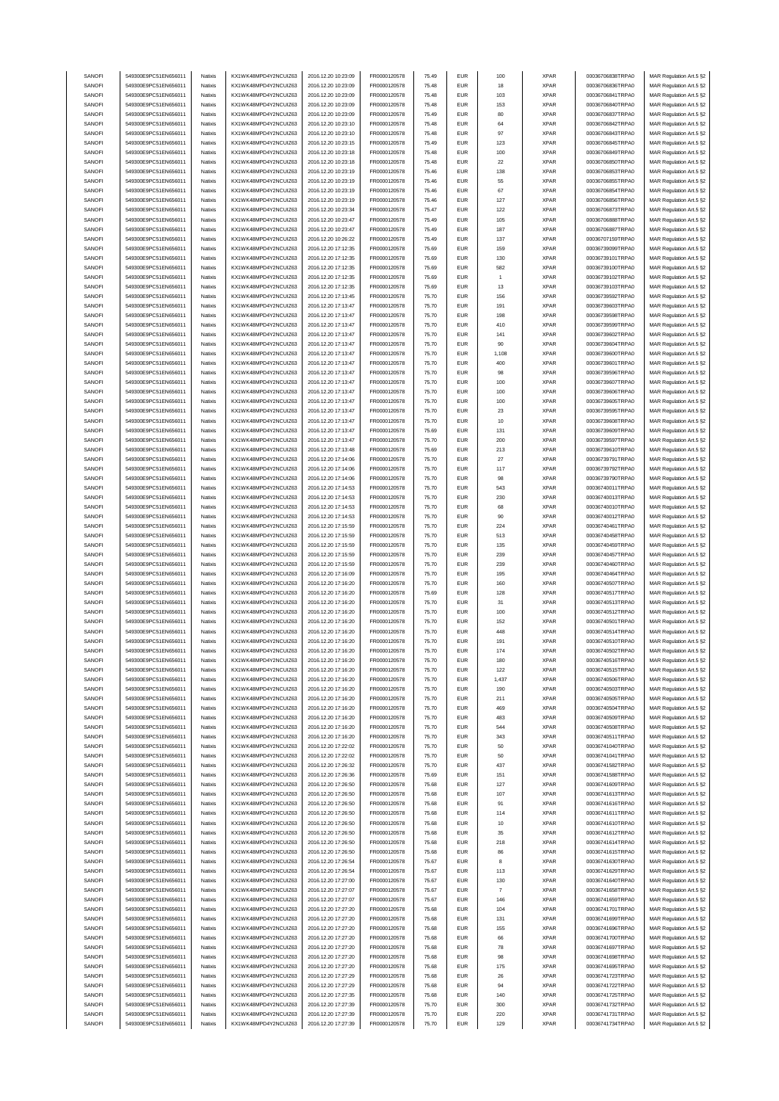| SANOFI | 549300E9PC51EN656011 | Natixis | KX1WK48MPD4Y2NCUIZ63                         | 2016.12.20 10:23:09                        | FR0000120578 | 75.49 | <b>EUR</b> | 100            | <b>XPAR</b> | 00036706838TRPA0 | MAR Regulation Art.5 §2 |
|--------|----------------------|---------|----------------------------------------------|--------------------------------------------|--------------|-------|------------|----------------|-------------|------------------|-------------------------|
| SANOFI | 549300E9PC51EN656011 | Natixis | KX1WK48MPD4Y2NCUIZ63                         | 2016.12.20 10:23:09                        | FR0000120578 | 75.48 | <b>EUR</b> | 18             | <b>XPAR</b> | 00036706836TRPA0 | MAR Regulation Art.5 §2 |
| SANOFI | 549300E9PC51EN656011 | Natixis | KX1WK48MPD4Y2NCUIZ63                         | 2016.12.20 10:23:09                        | FR0000120578 | 75.48 | <b>EUR</b> | 103            | <b>XPAR</b> | 00036706841TRPA0 | MAR Regulation Art.5 §2 |
| SANOFI | 549300E9PC51EN656011 | Natixis | KX1WK48MPD4Y2NCUIZ63                         | 2016.12.20 10:23:09                        | FR0000120578 | 75.48 | <b>EUR</b> | 153            | <b>XPAR</b> | 00036706840TRPA0 | MAR Regulation Art.5 §2 |
|        |                      |         |                                              |                                            |              |       |            |                |             |                  |                         |
| SANOFI | 549300E9PC51EN656011 | Natixis | KX1WK48MPD4Y2NCUIZ63                         | 2016.12.20 10:23:09                        | FR0000120578 | 75.49 | <b>EUR</b> | 80             | <b>XPAR</b> | 00036706837TRPA0 | MAR Regulation Art.5 §2 |
| SANOFI | 549300E9PC51EN656011 | Natixis | KX1WK48MPD4Y2NCUIZ63                         | 2016.12.20 10:23:10                        | FR0000120578 | 75.48 | <b>EUR</b> | 64             | <b>XPAR</b> | 00036706842TRPA0 | MAR Regulation Art.5 §2 |
| SANOFI | 549300E9PC51EN656011 | Natixis | KX1WK48MPD4Y2NCUIZ63                         | 2016.12.20 10:23:10                        | FR0000120578 | 75.48 | <b>EUR</b> | 97             | <b>XPAR</b> | 00036706843TRPA0 | MAR Regulation Art.5 §2 |
| SANOFI | 549300E9PC51EN656011 | Natixis | KX1WK48MPD4Y2NCUIZ63                         | 2016.12.20 10:23:15                        | FR0000120578 | 75.49 | <b>EUR</b> | 123            | <b>XPAR</b> | 00036706845TRPA0 | MAR Regulation Art.5 §2 |
| SANOFI | 549300E9PC51EN656011 | Natixis | KX1WK48MPD4Y2NCUIZ63                         | 2016.12.20 10:23:18                        | FR0000120578 | 75.48 | <b>EUR</b> | 100            | <b>XPAR</b> | 00036706849TRPA0 | MAR Regulation Art.5 §2 |
| SANOFI | 549300E9PC51EN656011 | Natixis | KX1WK48MPD4Y2NCUIZ63                         | 2016.12.20 10:23:18                        | FR0000120578 | 75.48 | <b>EUR</b> | 22             | <b>XPAR</b> | 00036706850TRPA0 | MAR Regulation Art.5 §2 |
|        | 549300E9PC51EN656011 | Natixis |                                              |                                            |              | 75.46 | <b>EUR</b> |                |             |                  |                         |
| SANOFI |                      |         | KX1WK48MPD4Y2NCUIZ63                         | 2016.12.20 10:23:19                        | FR0000120578 |       |            | 138            | <b>XPAR</b> | 00036706853TRPA0 | MAR Regulation Art.5 §2 |
| SANOFI | 549300E9PC51EN656011 | Natixis | KX1WK48MPD4Y2NCUIZ63                         | 2016.12.20 10:23:19                        | FR0000120578 | 75.46 | <b>EUR</b> | 55             | <b>XPAR</b> | 00036706855TRPA0 | MAR Regulation Art.5 §2 |
| SANOFI | 549300E9PC51EN656011 | Natixis | KX1WK48MPD4Y2NCUIZ63                         | 2016.12.20 10:23:19                        | FR0000120578 | 75.46 | <b>EUR</b> | 67             | <b>XPAR</b> | 00036706854TRPA0 | MAR Regulation Art.5 §2 |
| SANOFI | 549300E9PC51EN656011 | Natixis | KX1WK48MPD4Y2NCUIZ63                         | 2016.12.20 10:23:19                        | FR0000120578 | 75.46 | <b>EUR</b> | 127            | <b>XPAR</b> | 00036706856TRPA0 | MAR Regulation Art.5 §2 |
| SANOFI | 549300E9PC51EN656011 | Natixis | KX1WK48MPD4Y2NCUIZ63                         | 2016.12.20 10:23:34                        | FR0000120578 | 75.47 | <b>EUR</b> | 122            | <b>XPAR</b> | 00036706873TRPA0 | MAR Regulation Art.5 §2 |
|        | 549300E9PC51EN656011 |         |                                              | 2016.12.20 10:23:47                        | FR0000120578 |       | <b>EUR</b> |                |             | 00036706888TRPA0 |                         |
| SANOFI |                      | Natixis | KX1WK48MPD4Y2NCUIZ63                         |                                            |              | 75.49 |            | 105            | <b>XPAR</b> |                  | MAR Regulation Art.5 §2 |
| SANOFI | 549300E9PC51EN656011 | Natixis | KX1WK48MPD4Y2NCUIZ63                         | 2016.12.20 10:23:47                        | FR0000120578 | 75.49 | <b>EUR</b> | 187            | <b>XPAR</b> | 00036706887TRPA0 | MAR Regulation Art.5 §2 |
| SANOFI | 549300E9PC51EN656011 | Natixis | KX1WK48MPD4Y2NCUIZ63                         | 2016.12.20 10:26:22                        | FR0000120578 | 75.49 | <b>EUR</b> | 137            | <b>XPAR</b> | 00036707159TRPA0 | MAR Regulation Art.5 §2 |
| SANOFI | 549300E9PC51EN656011 | Natixis | KX1WK48MPD4Y2NCUIZ63                         | 2016.12.20 17:12:35                        | FR0000120578 | 75.69 | <b>EUR</b> | 159            | <b>XPAR</b> | 00036739099TRPA0 | MAR Regulation Art.5 §2 |
| SANOFI | 549300E9PC51EN656011 | Natixis | KX1WK48MPD4Y2NCUIZ63                         | 2016.12.20 17:12:35                        | FR0000120578 | 75.69 | <b>EUR</b> | 130            | <b>XPAR</b> | 00036739101TRPA0 | MAR Regulation Art.5 §2 |
| SANOFI | 549300E9PC51EN656011 | Natixis | KX1WK48MPD4Y2NCUIZ63                         | 2016.12.20 17:12:35                        | FR0000120578 | 75.69 | <b>EUR</b> | 582            | <b>XPAR</b> | 00036739100TRPA0 | MAR Regulation Art.5 §2 |
| SANOFI | 549300E9PC51EN656011 | Natixis | KX1WK48MPD4Y2NCUIZ63                         | 2016.12.20 17:12:35                        | FR0000120578 | 75.69 | <b>EUR</b> | 1              | <b>XPAR</b> | 00036739102TRPA0 | MAR Regulation Art.5 §2 |
|        |                      |         |                                              |                                            |              |       |            |                |             |                  |                         |
| SANOFI | 549300E9PC51EN656011 | Natixis | KX1WK48MPD4Y2NCUIZ63                         | 2016.12.20 17:12:35                        | FR0000120578 | 75.69 | <b>EUR</b> | 13             | <b>XPAR</b> | 00036739103TRPA0 | MAR Regulation Art.5 §2 |
| SANOFI | 549300E9PC51EN656011 | Natixis | KX1WK48MPD4Y2NCUIZ63                         | 2016.12.20 17:13:45                        | FR0000120578 | 75.70 | <b>EUR</b> | 156            | <b>XPAR</b> | 00036739592TRPA0 | MAR Regulation Art.5 §2 |
| SANOFI | 549300E9PC51EN656011 | Natixis | KX1WK48MPD4Y2NCUIZ63                         | 2016.12.20 17:13:47                        | FR0000120578 | 75.70 | <b>EUR</b> | 191            | <b>XPAR</b> | 00036739603TRPA0 | MAR Regulation Art.5 §2 |
| SANOFI | 549300E9PC51EN656011 | Natixis | KX1WK48MPD4Y2NCUIZ63                         | 2016.12.20 17:13:47                        | FR0000120578 | 75.70 | <b>EUR</b> | 198            | <b>XPAR</b> | 00036739598TRPA0 | MAR Regulation Art.5 §2 |
| SANOFI | 549300E9PC51EN656011 | Natixis | KX1WK48MPD4Y2NCUIZ63                         | 2016.12.20 17:13:47                        | FR0000120578 | 75.70 | <b>EUR</b> | 410            | <b>XPAR</b> | 00036739599TRPA0 | MAR Regulation Art.5 §2 |
| SANOFI | 549300E9PC51EN656011 | Natixis | KX1WK48MPD4Y2NCUIZ63                         | 2016.12.20 17:13:47                        | FR0000120578 | 75.70 | <b>EUR</b> | 141            | <b>XPAR</b> | 00036739602TRPA0 | MAR Regulation Art.5 §2 |
|        |                      |         |                                              |                                            |              |       |            |                |             |                  |                         |
| SANOFI | 549300E9PC51EN656011 | Natixis | KX1WK48MPD4Y2NCUIZ63                         | 2016.12.20 17:13:47                        | FR0000120578 | 75.70 | <b>EUR</b> | 90             | <b>XPAR</b> | 00036739604TRPA0 | MAR Regulation Art.5 §2 |
| SANOFI | 549300E9PC51EN656011 | Natixis | KX1WK48MPD4Y2NCUIZ63                         | 2016.12.20 17:13:47                        | FR0000120578 | 75.70 | <b>EUR</b> | 1,108          | <b>XPAR</b> | 00036739600TRPA0 | MAR Regulation Art.5 §2 |
| SANOFI | 549300E9PC51EN656011 | Natixis | KX1WK48MPD4Y2NCUIZ63                         | 2016.12.20 17:13:47                        | FR0000120578 | 75.70 | <b>EUR</b> | 400            | <b>XPAR</b> | 00036739601TRPA0 | MAR Regulation Art.5 §2 |
| SANOFI | 549300E9PC51EN656011 | Natixis | KX1WK48MPD4Y2NCUIZ63                         | 2016.12.20 17:13:47                        | FR0000120578 | 75.70 | <b>EUR</b> | 98             | <b>XPAR</b> | 00036739596TRPA0 | MAR Regulation Art.5 §2 |
| SANOFI | 549300E9PC51EN656011 | Natixis | KX1WK48MPD4Y2NCUIZ63                         | 2016.12.20 17:13:47                        | FR0000120578 | 75.70 | <b>EUR</b> | 100            | <b>XPAR</b> | 00036739607TRPA0 | MAR Regulation Art.5 §2 |
|        |                      |         |                                              |                                            |              |       |            |                |             |                  |                         |
| SANOFI | 549300E9PC51EN656011 | Natixis | KX1WK48MPD4Y2NCUIZ63                         | 2016.12.20 17:13:47                        | FR0000120578 | 75.70 | <b>EUR</b> | 100            | <b>XPAR</b> | 00036739606TRPA0 | MAR Regulation Art.5 §2 |
| SANOFI | 549300E9PC51EN656011 | Natixis | KX1WK48MPD4Y2NCUIZ63                         | 2016.12.20 17:13:47                        | FR0000120578 | 75.70 | <b>EUR</b> | 100            | <b>XPAR</b> | 00036739605TRPA0 | MAR Regulation Art.5 §2 |
| SANOFI | 549300E9PC51EN656011 | Natixis | KX1WK48MPD4Y2NCUIZ63                         | 2016.12.20 17:13:47                        | FR0000120578 | 75.70 | <b>EUR</b> | 23             | <b>XPAR</b> | 00036739595TRPA0 | MAR Regulation Art.5 §2 |
| SANOFI | 549300E9PC51EN656011 | Natixis | KX1WK48MPD4Y2NCUIZ63                         | 2016.12.20 17:13:47                        | FR0000120578 | 75.70 | <b>EUR</b> | 10             | <b>XPAR</b> | 00036739608TRPA0 | MAR Regulation Art.5 §2 |
| SANOFI | 549300E9PC51EN656011 | Natixis | KX1WK48MPD4Y2NCUIZ63                         | 2016.12.20 17:13:47                        | FR0000120578 | 75.69 | <b>EUR</b> | 131            | <b>XPAR</b> | 00036739609TRPA0 | MAR Regulation Art.5 §2 |
|        | 549300E9PC51EN656011 |         | KX1WK48MPD4Y2NCUIZ63                         |                                            |              |       |            |                |             | 00036739597TRPA0 |                         |
| SANOFI |                      | Natixis |                                              | 2016.12.20 17:13:47                        | FR0000120578 | 75.70 | <b>EUR</b> | 200            | <b>XPAR</b> |                  | MAR Regulation Art.5 §2 |
| SANOFI | 549300E9PC51EN656011 | Natixis | KX1WK48MPD4Y2NCUIZ63                         | 2016.12.20 17:13:48                        | FR0000120578 | 75.69 | <b>EUR</b> | 213            | <b>XPAR</b> | 00036739610TRPA0 | MAR Regulation Art.5 §2 |
| SANOFI | 549300E9PC51EN656011 | Natixis | KX1WK48MPD4Y2NCUIZ63                         | 2016.12.20 17:14:06                        | FR0000120578 | 75.70 | <b>EUR</b> | 27             | <b>XPAR</b> | 00036739791TRPA0 | MAR Regulation Art.5 §2 |
| SANOFI | 549300E9PC51EN656011 | Natixis | KX1WK48MPD4Y2NCUIZ63                         | 2016.12.20 17:14:06                        | FR0000120578 | 75.70 | <b>EUR</b> | 117            | <b>XPAR</b> | 00036739792TRPA0 | MAR Regulation Art.5 §2 |
| SANOFI | 549300E9PC51EN656011 | Natixis | KX1WK48MPD4Y2NCUIZ63                         | 2016.12.20 17:14:06                        | FR0000120578 | 75.70 | <b>EUR</b> | 98             | <b>XPAR</b> | 00036739790TRPA0 | MAR Regulation Art.5 §2 |
| SANOFI | 549300E9PC51EN656011 | Natixis | KX1WK48MPD4Y2NCUIZ63                         | 2016.12.20 17:14:53                        | FR0000120578 | 75.70 | <b>EUR</b> | 543            | <b>XPAR</b> | 00036740011TRPA0 | MAR Regulation Art.5 §2 |
|        |                      |         |                                              |                                            |              |       |            |                |             |                  |                         |
| SANOFI | 549300E9PC51EN656011 | Natixis | KX1WK48MPD4Y2NCUIZ63                         | 2016.12.20 17:14:53                        | FR0000120578 | 75.70 | <b>EUR</b> | 230            | <b>XPAR</b> | 00036740013TRPA0 | MAR Regulation Art.5 §2 |
| SANOFI | 549300E9PC51EN656011 | Natixis | KX1WK48MPD4Y2NCUIZ63                         | 2016.12.20 17:14:53                        | FR0000120578 | 75.70 | <b>EUR</b> | 68             | <b>XPAR</b> | 00036740010TRPA0 | MAR Regulation Art.5 §2 |
| SANOFI | 549300E9PC51EN656011 | Natixis | KX1WK48MPD4Y2NCUIZ63                         | 2016.12.20 17:14:53                        | FR0000120578 | 75.70 | <b>EUR</b> | 90             | <b>XPAR</b> | 00036740012TRPA0 | MAR Regulation Art.5 §2 |
| SANOFI | 549300E9PC51EN656011 | Natixis | KX1WK48MPD4Y2NCUIZ63                         | 2016.12.20 17:15:59                        | FR0000120578 | 75.70 | <b>EUR</b> | 224            | <b>XPAR</b> | 00036740461TRPA0 | MAR Regulation Art.5 §2 |
| SANOFI | 549300E9PC51EN656011 | Natixis | KX1WK48MPD4Y2NCUIZ63                         | 2016.12.20 17:15:59                        | FR0000120578 | 75.70 | <b>EUR</b> | 513            | <b>XPAR</b> | 00036740458TRPA0 | MAR Regulation Art.5 §2 |
| SANOFI | 549300E9PC51EN656011 | Natixis | KX1WK48MPD4Y2NCUIZ63                         | 2016.12.20 17:15:59                        | FR0000120578 | 75.70 | <b>EUR</b> | 135            | <b>XPAR</b> | 00036740459TRPA0 |                         |
|        |                      |         |                                              |                                            |              |       |            |                |             |                  | MAR Regulation Art.5 §2 |
| SANOFI | 549300E9PC51EN656011 | Natixis | KX1WK48MPD4Y2NCUIZ63                         | 2016.12.20 17:15:59                        | FR0000120578 | 75.70 | <b>EUR</b> | 239            | <b>XPAR</b> | 00036740457TRPA0 | MAR Regulation Art.5 §2 |
| SANOFI | 549300E9PC51EN656011 | Natixis | KX1WK48MPD4Y2NCUIZ63                         | 2016.12.20 17:15:59                        | FR0000120578 | 75.70 | <b>EUR</b> | 239            | <b>XPAR</b> | 00036740460TRPA0 | MAR Regulation Art.5 §2 |
| SANOFI | 549300E9PC51EN656011 | Natixis | KX1WK48MPD4Y2NCUIZ63                         | 2016.12.20 17:16:09                        | FR0000120578 | 75.70 | <b>EUR</b> | 195            | <b>XPAR</b> | 00036740464TRPA0 | MAR Regulation Art.5 §2 |
| SANOFI | 549300E9PC51EN656011 | Natixis | KX1WK48MPD4Y2NCUIZ63                         | 2016.12.20 17:16:20                        | FR0000120578 | 75.70 | <b>EUR</b> | 160            | <b>XPAR</b> | 00036740507TRPA0 | MAR Regulation Art.5 §2 |
| SANOFI | 549300E9PC51EN656011 | Natixis | KX1WK48MPD4Y2NCUIZ63                         | 2016.12.20 17:16:20                        | FR0000120578 | 75.69 | <b>EUR</b> | 128            | <b>XPAR</b> | 00036740517TRPA0 | MAR Regulation Art.5 §2 |
|        |                      |         | KX1WK48MPD4Y2NCUIZ63                         |                                            |              |       |            |                |             |                  |                         |
| SANOFI | 549300E9PC51EN656011 | Natixis |                                              | 2016.12.20 17:16:20                        | FR0000120578 | 75.70 | <b>EUR</b> | 31             | <b>XPAR</b> | 00036740513TRPA0 | MAR Regulation Art.5 §2 |
| SANOFI | 549300E9PC51EN656011 | Natixis | KX1WK48MPD4Y2NCUIZ63                         | 2016.12.20 17:16:20                        | FR0000120578 | 75.70 | <b>EUR</b> | 100            | <b>XPAR</b> | 00036740512TRPA0 | MAR Regulation Art.5 §2 |
| SANOFI | 549300E9PC51EN656011 | Natixis | KX1WK48MPD4Y2NCUIZ63                         | 2016.12.20 17:16:20                        | FR0000120578 | 75.70 | <b>EUR</b> | 152            | <b>XPAR</b> | 00036740501TRPA0 | MAR Regulation Art.5 §2 |
| SANOFI | 549300E9PC51EN656011 | Natixis | KX1WK48MPD4Y2NCUIZ63                         | 2016.12.20 17:16:20                        | FR0000120578 | 75.70 | <b>EUR</b> | 448            | <b>XPAR</b> | 00036740514TRPA0 | MAR Regulation Art.5 §2 |
| SANOFI | 549300E9PC51EN656011 | Natixis | KX1WK48MPD4Y2NCUIZ63                         | 2016.12.20 17:16:20                        | FR0000120578 | 75.70 | <b>EUR</b> | 191            | <b>XPAR</b> | 00036740510TRPA0 | MAR Regulation Art.5 §2 |
|        |                      |         |                                              |                                            |              |       |            |                |             |                  |                         |
| SANOF  | 549300E9PC51EN65601  | Natixis | KX1WK48MPD4Y2NCUIZ63                         | 2016.12.20 17:16:20                        | FR0000120578 | 75.70 | EUR        | 174            | XPAR        | 00036740502TRPA0 | MAR Regulation Art.5 §2 |
| SANOFI | 549300E9PC51EN656011 | Natixis | KX1WK48MPD4Y2NCUIZ63                         | 2016.12.20 17:16:20                        | FR0000120578 | 75.70 | <b>EUR</b> | 180            | <b>XPAR</b> | 00036740516TRPA0 | MAR Regulation Art.5 §2 |
| SANOFI | 549300E9PC51EN656011 | Natixis | KX1WK48MPD4Y2NCUIZ63                         | 2016.12.20 17:16:20                        | FR0000120578 | 75.70 | <b>EUR</b> | 122            | <b>XPAR</b> | 00036740515TRPA0 | MAR Regulation Art.5 §2 |
| SANOFI | 549300E9PC51EN656011 | Natixis | KX1WK48MPD4Y2NCUIZ63                         | 2016.12.20 17:16:20                        | FR0000120578 | 75.70 | <b>EUR</b> | 1,437          | <b>XPAR</b> | 00036740506TRPA0 | MAR Regulation Art.5 §2 |
| SANOFI | 549300E9PC51EN656011 | Natixis | KX1WK48MPD4Y2NCUIZ63                         | 2016.12.20 17:16:20                        | FR0000120578 | 75.70 | <b>EUR</b> | 190            | <b>XPAR</b> | 00036740503TRPA0 | MAR Regulation Art.5 §2 |
| SANOFI | 549300E9PC51EN656011 | Natixis | KX1WK48MPD4Y2NCUIZ63                         | 2016.12.20 17:16:20                        | FR0000120578 | 75.70 | <b>EUR</b> | 211            | <b>XPAR</b> | 00036740505TRPA0 | MAR Regulation Art.5 §2 |
| SANOFI | 549300E9PC51EN656011 | Natixis | KX1WK48MPD4Y2NCUIZ63                         | 2016.12.20 17:16:20                        | FR0000120578 | 75.70 | EUR        | 469            | <b>XPAR</b> | 00036740504TRPA0 | MAR Regulation Art.5 §2 |
| SANOFI | 549300E9PC51EN656011 |         | KX1WK48MPD4Y2NCUIZ63                         | 2016.12.20 17:16:20                        |              |       |            | 483            | <b>XPAR</b> | 00036740509TRPA0 |                         |
|        |                      | Natixis |                                              |                                            | FR0000120578 | 75.70 | <b>EUR</b> |                |             |                  | MAR Regulation Art.5 §2 |
| SANOFI | 549300E9PC51EN656011 | Natixis | KX1WK48MPD4Y2NCUIZ63                         | 2016.12.20 17:16:20                        | FR0000120578 | 75.70 | <b>EUR</b> | 544            | <b>XPAR</b> | 00036740508TRPA0 | MAR Regulation Art.5 §2 |
| SANOFI | 549300E9PC51EN656011 | Natixis | KX1WK48MPD4Y2NCUIZ63                         | 2016.12.20 17:16:20                        | FR0000120578 | 75.70 | <b>EUR</b> | 343            | <b>XPAR</b> | 00036740511TRPA0 | MAR Regulation Art.5 §2 |
| SANOFI | 549300E9PC51EN656011 | Natixis | KX1WK48MPD4Y2NCUIZ63                         | 2016.12.20 17:22:02                        | FR0000120578 | 75.70 | <b>EUR</b> | 50             | <b>XPAR</b> | 00036741040TRPA0 | MAR Regulation Art.5 §2 |
| SANOFI | 549300E9PC51EN656011 | Natixis | KX1WK48MPD4Y2NCUIZ63                         | 2016.12.20 17:22:02                        | FR0000120578 | 75.70 | <b>EUR</b> | 50             | <b>XPAR</b> | 00036741041TRPA0 | MAR Regulation Art.5 §2 |
| SANOFI | 549300E9PC51EN656011 | Natixis | KX1WK48MPD4Y2NCUIZ63                         | 2016.12.20 17:26:32                        | FR0000120578 | 75.70 | <b>EUR</b> | 437            | <b>XPAR</b> | 00036741582TRPA0 | MAR Regulation Art.5 §2 |
|        |                      |         |                                              |                                            |              |       |            |                |             |                  |                         |
| SANOFI | 549300E9PC51EN656011 | Natixis | KX1WK48MPD4Y2NCUIZ63                         | 2016.12.20 17:26:36                        | FR0000120578 | 75.69 | <b>EUR</b> | 151            | <b>XPAR</b> | 00036741588TRPA0 | MAR Regulation Art.5 §2 |
| SANOFI | 549300E9PC51EN656011 | Natixis | KX1WK48MPD4Y2NCUIZ63                         | 2016.12.20 17:26:50                        | FR0000120578 | 75.68 | <b>EUR</b> | 127            | <b>XPAR</b> | 00036741609TRPA0 | MAR Regulation Art.5 §2 |
| SANOFI | 549300E9PC51EN656011 | Natixis | KX1WK48MPD4Y2NCUIZ63                         | 2016.12.20 17:26:50                        | FR0000120578 | 75.68 | <b>EUR</b> | 107            | <b>XPAR</b> | 00036741613TRPA0 | MAR Regulation Art.5 §2 |
| SANOFI | 549300E9PC51EN656011 | Natixis | KX1WK48MPD4Y2NCUIZ63                         | 2016.12.20 17:26:50                        | FR0000120578 | 75.68 | <b>EUR</b> | 91             | <b>XPAR</b> | 00036741616TRPA0 | MAR Regulation Art.5 §2 |
| SANOFI | 549300E9PC51EN656011 | Natixis | KX1WK48MPD4Y2NCUIZ63                         | 2016.12.20 17:26:50                        | FR0000120578 | 75.68 | <b>EUR</b> |                |             | 00036741611TRPA0 | MAR Regulation Art.5 §2 |
| SANOFI |                      |         |                                              |                                            |              |       |            | 114            |             |                  |                         |
|        |                      |         |                                              |                                            |              |       |            |                | <b>XPAR</b> |                  |                         |
|        | 549300E9PC51EN656011 | Natixis | KX1WK48MPD4Y2NCUIZ63                         | 2016.12.20 17:26:50                        | FR0000120578 | 75.68 | <b>EUR</b> | 10             | <b>XPAR</b> | 00036741610TRPA0 | MAR Regulation Art.5 §2 |
| SANOFI | 549300E9PC51EN656011 | Natixis | KX1WK48MPD4Y2NCUIZ63                         | 2016.12.20 17:26:50                        | FR0000120578 | 75.68 | <b>EUR</b> | 35             | <b>XPAR</b> | 00036741612TRPA0 | MAR Regulation Art.5 §2 |
| SANOFI | 549300E9PC51EN656011 | Natixis | KX1WK48MPD4Y2NCUIZ63                         | 2016.12.20 17:26:50                        | FR0000120578 | 75.68 | <b>EUR</b> | 218            | <b>XPAR</b> | 00036741614TRPA0 | MAR Regulation Art.5 §2 |
| SANOFI | 549300E9PC51EN656011 | Natixis | KX1WK48MPD4Y2NCUIZ63                         | 2016.12.20 17:26:50                        | FR0000120578 | 75.68 | <b>EUR</b> | 86             | <b>XPAR</b> | 00036741615TRPA0 | MAR Regulation Art.5 §2 |
| SANOFI | 549300E9PC51EN656011 | Natixis | KX1WK48MPD4Y2NCUIZ63                         | 2016.12.20 17:26:54                        | FR0000120578 | 75.67 | <b>EUR</b> | 8              | <b>XPAR</b> | 00036741630TRPA0 | MAR Regulation Art.5 §2 |
|        |                      | Natixis |                                              |                                            |              | 75.67 | <b>EUR</b> | 113            |             |                  |                         |
| SANOFI | 549300E9PC51EN656011 |         | KX1WK48MPD4Y2NCUIZ63                         | 2016.12.20 17:26:54                        | FR0000120578 |       |            |                | <b>XPAR</b> | 00036741629TRPA0 | MAR Regulation Art.5 §2 |
| SANOFI | 549300E9PC51EN656011 | Natixis | KX1WK48MPD4Y2NCUIZ63                         | 2016.12.20 17:27:00                        | FR0000120578 | 75.67 | <b>EUR</b> | 130            | <b>XPAR</b> | 00036741640TRPA0 | MAR Regulation Art.5 §2 |
| SANOFI | 549300E9PC51EN656011 | Natixis | KX1WK48MPD4Y2NCUIZ63                         | 2016.12.20 17:27:07                        | FR0000120578 | 75.67 | <b>EUR</b> | $\overline{7}$ | <b>XPAR</b> | 00036741658TRPA0 | MAR Regulation Art.5 §2 |
| SANOFI | 549300E9PC51EN656011 | Natixis | KX1WK48MPD4Y2NCUIZ63                         | 2016.12.20 17:27:07                        | FR0000120578 | 75.67 | <b>EUR</b> | 146            | <b>XPAR</b> | 00036741659TRPA0 | MAR Regulation Art.5 §2 |
| SANOFI | 549300E9PC51EN656011 | Natixis | KX1WK48MPD4Y2NCUIZ63                         | 2016.12.20 17:27:20                        | FR0000120578 | 75.68 | <b>EUR</b> | 104            | <b>XPAR</b> | 00036741701TRPA0 | MAR Regulation Art.5 §2 |
|        | 549300E9PC51EN656011 |         |                                              |                                            |              |       | <b>EUR</b> |                |             |                  |                         |
| SANOFI |                      | Natixis | KX1WK48MPD4Y2NCUIZ63                         | 2016.12.20 17:27:20                        | FR0000120578 | 75.68 |            | 131            | <b>XPAR</b> | 00036741699TRPA0 | MAR Regulation Art.5 §2 |
| SANOFI | 549300E9PC51EN656011 | Natixis | KX1WK48MPD4Y2NCUIZ63                         | 2016.12.20 17:27:20                        | FR0000120578 | 75.68 | <b>EUR</b> | 155            | <b>XPAR</b> | 00036741696TRPA0 | MAR Regulation Art.5 §2 |
| SANOFI | 549300E9PC51EN656011 | Natixis | KX1WK48MPD4Y2NCUIZ63                         | 2016.12.20 17:27:20                        | FR0000120578 | 75.68 | <b>EUR</b> | 66             | <b>XPAR</b> | 00036741700TRPA0 | MAR Regulation Art.5 §2 |
| SANOFI | 549300E9PC51EN656011 | Natixis | KX1WK48MPD4Y2NCUIZ63                         | 2016.12.20 17:27:20                        | FR0000120578 | 75.68 | <b>EUR</b> | 78             | <b>XPAR</b> | 00036741697TRPA0 | MAR Regulation Art.5 §2 |
| SANOFI | 549300E9PC51EN656011 | Natixis | KX1WK48MPD4Y2NCUIZ63                         | 2016.12.20 17:27:20                        | FR0000120578 | 75.68 | <b>EUR</b> | 98             | <b>XPAR</b> | 00036741698TRPA0 | MAR Regulation Art.5 §2 |
| SANOFI | 549300E9PC51EN656011 | Natixis | KX1WK48MPD4Y2NCUIZ63                         | 2016.12.20 17:27:20                        | FR0000120578 | 75.68 | <b>EUR</b> | 175            | <b>XPAR</b> | 00036741695TRPA0 | MAR Regulation Art.5 §2 |
| SANOFI | 549300E9PC51EN656011 | Natixis | KX1WK48MPD4Y2NCUIZ63                         | 2016.12.20 17:27:29                        | FR0000120578 | 75.68 | <b>EUR</b> | 26             | <b>XPAR</b> | 00036741723TRPA0 |                         |
|        |                      |         |                                              |                                            |              |       |            |                |             |                  | MAR Regulation Art.5 §2 |
| SANOFI | 549300E9PC51EN656011 | Natixis | KX1WK48MPD4Y2NCUIZ63                         | 2016.12.20 17:27:29                        | FR0000120578 | 75.68 | <b>EUR</b> | 94             | <b>XPAR</b> | 00036741722TRPA0 | MAR Regulation Art.5 §2 |
| SANOFI | 549300E9PC51EN656011 | Natixis | KX1WK48MPD4Y2NCUIZ63                         | 2016.12.20 17:27:35                        | FR0000120578 | 75.68 | <b>EUR</b> | 140            | <b>XPAR</b> | 00036741725TRPA0 | MAR Regulation Art.5 §2 |
| SANOFI | 549300E9PC51EN656011 | Natixis | KX1WK48MPD4Y2NCUIZ63                         | 2016.12.20 17:27:39                        | FR0000120578 | 75.70 | <b>EUR</b> | 300            | <b>XPAR</b> | 00036741732TRPA0 | MAR Regulation Art.5 §2 |
| SANOFI | 549300E9PC51EN656011 | Natixis | KX1WK48MPD4Y2NCUIZ63<br>KX1WK48MPD4Y2NCUIZ63 | 2016.12.20 17:27:39<br>2016.12.20 17:27:39 | FR0000120578 | 75.70 | <b>EUR</b> | 220            | <b>XPAR</b> | 00036741731TRPA0 | MAR Regulation Art.5 §2 |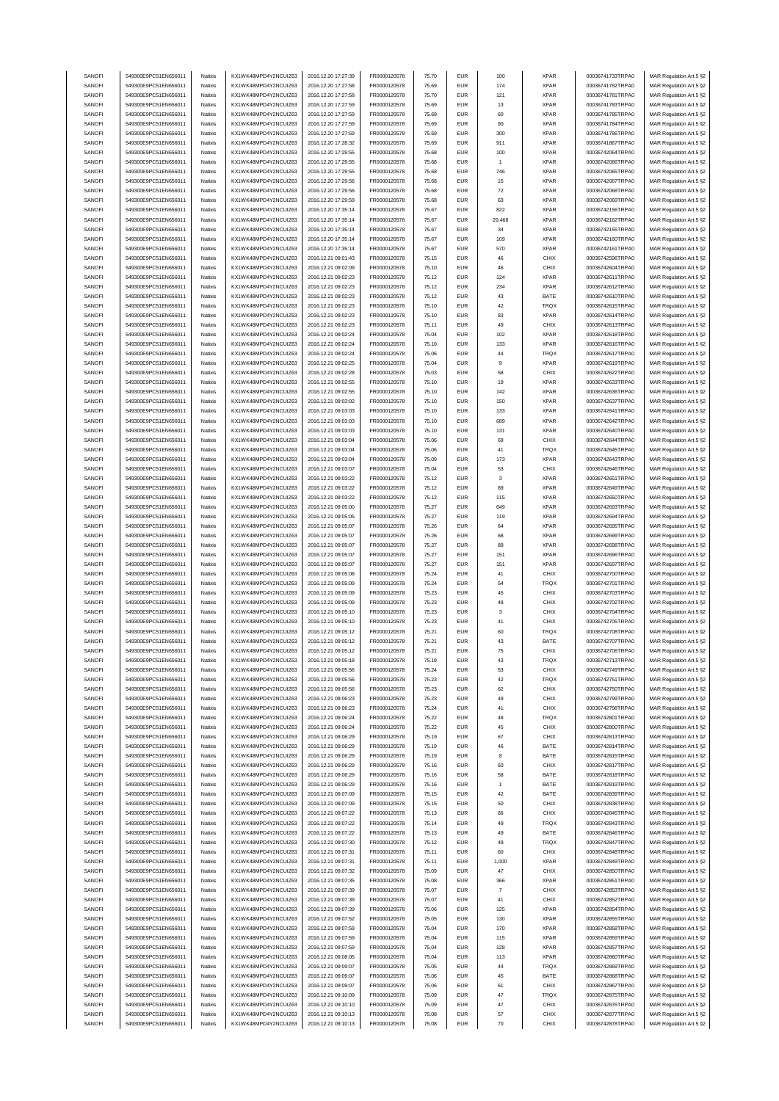| SANOFI | 549300E9PC51EN656011 | Natixis | KX1WK48MPD4Y2NCUIZ63 | 2016.12.20 17:27:39 | FR0000120578 | 75.70 | <b>EUR</b> | 100            | <b>XPAR</b> | 00036741733TRPA0 | MAR Regulation Art.5 §2 |
|--------|----------------------|---------|----------------------|---------------------|--------------|-------|------------|----------------|-------------|------------------|-------------------------|
| SANOFI | 549300E9PC51EN656011 | Natixis | KX1WK48MPD4Y2NCUIZ63 | 2016.12.20 17:27:58 | FR0000120578 | 75.69 | <b>EUR</b> | 174            | <b>XPAR</b> | 00036741782TRPA0 | MAR Regulation Art.5 §2 |
| SANOFI | 549300E9PC51EN656011 | Natixis | KX1WK48MPD4Y2NCUIZ63 | 2016.12.20 17:27:58 | FR0000120578 | 75.70 | <b>EUR</b> | 121            | <b>XPAR</b> | 00036741781TRPA0 | MAR Regulation Art.5 §2 |
| SANOFI | 549300E9PC51EN656011 | Natixis | KX1WK48MPD4Y2NCUIZ63 | 2016.12.20 17:27:59 | FR0000120578 | 75.69 | <b>EUR</b> | 13             | <b>XPAR</b> | 00036741783TRPA0 | MAR Regulation Art.5 §2 |
|        |                      |         |                      |                     |              |       |            |                |             |                  |                         |
| SANOFI | 549300E9PC51EN656011 | Natixis | KX1WK48MPD4Y2NCUIZ63 | 2016.12.20 17:27:59 | FR0000120578 | 75.69 | <b>EUR</b> | 60             | <b>XPAR</b> | 00036741785TRPA0 | MAR Regulation Art.5 §2 |
| SANOFI | 549300E9PC51EN656011 | Natixis | KX1WK48MPD4Y2NCUIZ63 | 2016.12.20 17:27:59 | FR0000120578 | 75.69 | <b>EUR</b> | 90             | <b>XPAR</b> | 00036741784TRPA0 | MAR Regulation Art.5 §2 |
| SANOFI | 549300E9PC51EN656011 | Natixis | KX1WK48MPD4Y2NCUIZ63 | 2016.12.20 17:27:59 | FR0000120578 | 75.69 | <b>EUR</b> | 300            | <b>XPAR</b> | 00036741786TRPA0 | MAR Regulation Art.5 §2 |
| SANOFI | 549300E9PC51EN656011 | Natixis | KX1WK48MPD4Y2NCUIZ63 | 2016.12.20 17:28:32 | FR0000120578 | 75.69 | <b>EUR</b> | 911            | <b>XPAR</b> | 00036741867TRPA0 | MAR Regulation Art.5 §2 |
| SANOFI | 549300E9PC51EN656011 | Natixis | KX1WK48MPD4Y2NCUIZ63 | 2016.12.20 17:29:55 | FR0000120578 | 75.68 | <b>EUR</b> | 100            | <b>XPAR</b> | 00036742064TRPA0 | MAR Regulation Art.5 §2 |
| SANOFI | 549300E9PC51EN656011 | Natixis | KX1WK48MPD4Y2NCUIZ63 | 2016.12.20 17:29:55 | FR0000120578 | 75.68 | <b>EUR</b> | $\overline{1}$ | <b>XPAR</b> | 00036742066TRPA0 | MAR Regulation Art.5 §2 |
|        | 549300E9PC51EN656011 | Natixis |                      |                     |              | 75.68 | <b>EUR</b> |                |             |                  |                         |
| SANOFI |                      |         | KX1WK48MPD4Y2NCUIZ63 | 2016.12.20 17:29:55 | FR0000120578 |       |            | 746            | <b>XPAR</b> | 00036742065TRPA0 | MAR Regulation Art.5 §2 |
| SANOFI | 549300E9PC51EN656011 | Natixis | KX1WK48MPD4Y2NCUIZ63 | 2016.12.20 17:29:56 | FR0000120578 | 75.68 | <b>EUR</b> | 15             | <b>XPAR</b> | 00036742067TRPA0 | MAR Regulation Art.5 §2 |
| SANOFI | 549300E9PC51EN656011 | Natixis | KX1WK48MPD4Y2NCUIZ63 | 2016.12.20 17:29:56 | FR0000120578 | 75.68 | <b>EUR</b> | $\bf 72$       | <b>XPAR</b> | 00036742068TRPA0 | MAR Regulation Art.5 §2 |
| SANOFI | 549300E9PC51EN656011 | Natixis | KX1WK48MPD4Y2NCUIZ63 | 2016.12.20 17:29:59 | FR0000120578 | 75.68 | <b>EUR</b> | 63             | <b>XPAR</b> | 00036742069TRPA0 | MAR Regulation Art.5 §2 |
| SANOFI | 549300E9PC51EN656011 | Natixis | KX1WK48MPD4Y2NCUIZ63 | 2016.12.20 17:35:14 | FR0000120578 | 75.67 | <b>EUR</b> | 822            | <b>XPAR</b> | 00036742156TRPA0 | MAR Regulation Art.5 §2 |
|        |                      |         |                      |                     |              |       |            |                |             |                  |                         |
| SANOFI | 549300E9PC51EN656011 | Natixis | KX1WK48MPD4Y2NCUIZ63 | 2016.12.20 17:35:14 | FR0000120578 | 75.67 | <b>EUR</b> | 29,468         | <b>XPAR</b> | 00036742162TRPA0 | MAR Regulation Art.5 §2 |
| SANOFI | 549300E9PC51EN656011 | Natixis | KX1WK48MPD4Y2NCUIZ63 | 2016.12.20 17:35:14 | FR0000120578 | 75.67 | <b>EUR</b> | 34             | <b>XPAR</b> | 00036742155TRPA0 | MAR Regulation Art.5 §2 |
| SANOFI | 549300E9PC51EN656011 | Natixis | KX1WK48MPD4Y2NCUIZ63 | 2016.12.20 17:35:14 | FR0000120578 | 75.67 | <b>EUR</b> | 109            | <b>XPAR</b> | 00036742160TRPA0 | MAR Regulation Art.5 §2 |
| SANOFI | 549300E9PC51EN656011 | Natixis | KX1WK48MPD4Y2NCUIZ63 | 2016.12.20 17:35:14 | FR0000120578 | 75.67 | <b>EUR</b> | 570            | <b>XPAR</b> | 00036742161TRPA0 | MAR Regulation Art.5 §2 |
| SANOFI | 549300E9PC51EN656011 | Natixis | KX1WK48MPD4Y2NCUIZ63 | 2016.12.21 09:01:43 | FR0000120578 | 75.15 | <b>EUR</b> | 46             | CHIX        | 00036742596TRPA0 | MAR Regulation Art.5 §2 |
|        |                      |         |                      |                     |              |       |            |                |             |                  |                         |
| SANOFI | 549300E9PC51EN656011 | Natixis | KX1WK48MPD4Y2NCUIZ63 | 2016.12.21 09:02:09 | FR0000120578 | 75.10 | <b>EUR</b> | 46             | CHIX        | 00036742604TRPA0 | MAR Regulation Art.5 §2 |
| SANOFI | 549300E9PC51EN656011 | Natixis | KX1WK48MPD4Y2NCUIZ63 | 2016.12.21 09:02:23 | FR0000120578 | 75.12 | <b>EUR</b> | 124            | <b>XPAR</b> | 00036742611TRPA0 | MAR Regulation Art.5 §2 |
| SANOFI | 549300E9PC51EN656011 | Natixis | KX1WK48MPD4Y2NCUIZ63 | 2016.12.21 09:02:23 | FR0000120578 | 75.12 | <b>EUR</b> | 234            | <b>XPAR</b> | 00036742612TRPA0 | MAR Regulation Art.5 §2 |
| SANOFI | 549300E9PC51EN656011 | Natixis | KX1WK48MPD4Y2NCUIZ63 | 2016.12.21 09:02:23 | FR0000120578 | 75.12 | <b>EUR</b> | 43             | BATE        | 00036742610TRPA0 | MAR Regulation Art.5 §2 |
| SANOFI | 549300E9PC51EN656011 | Natixis | KX1WK48MPD4Y2NCUIZ63 | 2016.12.21 09:02:23 | FR0000120578 | 75.10 | <b>EUR</b> | 42             | TRQX        | 00036742615TRPA0 | MAR Regulation Art.5 §2 |
|        |                      |         |                      |                     |              |       |            |                |             |                  |                         |
| SANOFI | 549300E9PC51EN656011 | Natixis | KX1WK48MPD4Y2NCUIZ63 | 2016.12.21 09:02:23 | FR0000120578 | 75.10 | <b>EUR</b> | 83             | <b>XPAR</b> | 00036742614TRPA0 | MAR Regulation Art.5 §2 |
| SANOFI | 549300E9PC51EN656011 | Natixis | KX1WK48MPD4Y2NCUIZ63 | 2016.12.21 09:02:23 | FR0000120578 | 75.11 | <b>EUR</b> | 49             | CHIX        | 00036742613TRPA0 | MAR Regulation Art.5 §2 |
| SANOFI | 549300E9PC51EN656011 | Natixis | KX1WK48MPD4Y2NCUIZ63 | 2016.12.21 09:02:24 | FR0000120578 | 75.04 | <b>EUR</b> | 102            | <b>XPAR</b> | 00036742618TRPA0 | MAR Regulation Art.5 §2 |
| SANOFI | 549300E9PC51EN656011 | Natixis | KX1WK48MPD4Y2NCUIZ63 | 2016.12.21 09:02:24 | FR0000120578 | 75.10 | <b>EUR</b> | 133            | <b>XPAR</b> | 00036742616TRPA0 | MAR Regulation Art.5 §2 |
| SANOFI | 549300E9PC51EN656011 | Natixis | KX1WK48MPD4Y2NCUIZ63 | 2016.12.21 09:02:24 | FR0000120578 | 75.06 | <b>EUR</b> | 44             | TRQX        | 00036742617TRPA0 | MAR Regulation Art.5 §2 |
|        |                      |         |                      |                     |              |       |            |                |             |                  |                         |
| SANOFI | 549300E9PC51EN656011 | Natixis | KX1WK48MPD4Y2NCUIZ63 | 2016.12.21 09:02:25 | FR0000120578 | 75.04 | <b>EUR</b> | 9              | <b>XPAR</b> | 00036742619TRPA0 | MAR Regulation Art.5 §2 |
| SANOFI | 549300E9PC51EN656011 | Natixis | KX1WK48MPD4Y2NCUIZ63 | 2016.12.21 09:02:28 | FR0000120578 | 75.03 | <b>EUR</b> | 58             | CHIX        | 00036742622TRPA0 | MAR Regulation Art.5 §2 |
| SANOFI | 549300E9PC51EN656011 | Natixis | KX1WK48MPD4Y2NCUIZ63 | 2016.12.21 09:02:55 | FR0000120578 | 75.10 | <b>EUR</b> | 19             | <b>XPAR</b> | 00036742633TRPA0 | MAR Regulation Art.5 §2 |
| SANOFI | 549300E9PC51EN656011 | Natixis | KX1WK48MPD4Y2NCUIZ63 | 2016.12.21 09:02:55 | FR0000120578 | 75.10 | <b>EUR</b> | 142            | <b>XPAR</b> | 00036742636TRPA0 | MAR Regulation Art.5 §2 |
|        |                      |         |                      |                     |              |       |            |                |             |                  |                         |
| SANOFI | 549300E9PC51EN656011 | Natixis | KX1WK48MPD4Y2NCUIZ63 | 2016.12.21 09:03:02 | FR0000120578 | 75.10 | <b>EUR</b> | 150            | <b>XPAR</b> | 00036742637TRPA0 | MAR Regulation Art.5 §2 |
| SANOFI | 549300E9PC51EN656011 | Natixis | KX1WK48MPD4Y2NCUIZ63 | 2016.12.21 09:03:03 | FR0000120578 | 75.10 | <b>EUR</b> | 133            | <b>XPAR</b> | 00036742641TRPA0 | MAR Regulation Art.5 §2 |
| SANOFI | 549300E9PC51EN656011 | Natixis | KX1WK48MPD4Y2NCUIZ63 | 2016.12.21 09:03:03 | FR0000120578 | 75.10 | <b>EUR</b> | 689            | <b>XPAR</b> | 00036742642TRPA0 | MAR Regulation Art.5 §2 |
| SANOFI | 549300E9PC51EN656011 | Natixis | KX1WK48MPD4Y2NCUIZ63 | 2016.12.21 09:03:03 | FR0000120578 | 75.10 | <b>EUR</b> | 131            | <b>XPAR</b> | 00036742640TRPA0 | MAR Regulation Art.5 §2 |
|        |                      |         |                      |                     |              |       |            |                |             |                  |                         |
| SANOFI | 549300E9PC51EN656011 | Natixis | KX1WK48MPD4Y2NCUIZ63 | 2016.12.21 09:03:04 | FR0000120578 | 75.06 | <b>EUR</b> | 69             | CHIX        | 00036742644TRPA0 | MAR Regulation Art.5 §2 |
| SANOFI | 549300E9PC51EN656011 | Natixis | KX1WK48MPD4Y2NCUIZ63 | 2016.12.21 09:03:04 | FR0000120578 | 75.06 | <b>EUR</b> | 41             | TRQX        | 00036742645TRPA0 | MAR Regulation Art.5 §2 |
| SANOFI | 549300E9PC51EN656011 | Natixis | KX1WK48MPD4Y2NCUIZ63 | 2016.12.21 09:03:04 | FR0000120578 | 75.09 | <b>EUR</b> | 173            | <b>XPAR</b> | 00036742643TRPA0 | MAR Regulation Art.5 §2 |
| SANOFI | 549300E9PC51EN656011 | Natixis | KX1WK48MPD4Y2NCUIZ63 | 2016.12.21 09:03:07 | FR0000120578 | 75.04 | <b>EUR</b> | 53             | CHIX        | 00036742646TRPA0 | MAR Regulation Art.5 §2 |
| SANOFI | 549300E9PC51EN656011 | Natixis | KX1WK48MPD4Y2NCUIZ63 | 2016.12.21 09:03:22 | FR0000120578 | 75.12 | <b>EUR</b> | 3              | <b>XPAR</b> | 00036742651TRPA0 | MAR Regulation Art.5 §2 |
|        |                      |         |                      |                     |              |       |            |                |             |                  |                         |
| SANOFI | 549300E9PC51EN656011 | Natixis | KX1WK48MPD4Y2NCUIZ63 | 2016.12.21 09:03:22 | FR0000120578 | 75.12 | <b>EUR</b> | 89             | <b>XPAR</b> | 00036742649TRPA0 | MAR Regulation Art.5 §2 |
| SANOFI | 549300E9PC51EN656011 | Natixis | KX1WK48MPD4Y2NCUIZ63 | 2016.12.21 09:03:22 | FR0000120578 | 75.12 | <b>EUR</b> | 115            | <b>XPAR</b> | 00036742650TRPA0 | MAR Regulation Art.5 §2 |
| SANOFI | 549300E9PC51EN656011 | Natixis | KX1WK48MPD4Y2NCUIZ63 | 2016.12.21 09:05:00 | FR0000120578 | 75.27 | <b>EUR</b> | 649            | <b>XPAR</b> | 00036742693TRPA0 | MAR Regulation Art.5 §2 |
| SANOFI | 549300E9PC51EN656011 | Natixis | KX1WK48MPD4Y2NCUIZ63 | 2016.12.21 09:05:05 | FR0000120578 | 75.27 | <b>EUR</b> | 119            | <b>XPAR</b> | 00036742694TRPA0 | MAR Regulation Art.5 §2 |
| SANOFI | 549300E9PC51EN656011 | Natixis | KX1WK48MPD4Y2NCUIZ63 | 2016.12.21 09:05:07 | FR0000120578 | 75.26 | <b>EUR</b> | 64             | <b>XPAR</b> | 00036742695TRPA0 | MAR Regulation Art.5 §2 |
|        |                      |         |                      |                     |              |       |            |                |             |                  |                         |
| SANOFI | 549300E9PC51EN656011 | Natixis | KX1WK48MPD4Y2NCUIZ63 | 2016.12.21 09:05:07 | FR0000120578 | 75.26 | <b>EUR</b> | 68             | <b>XPAR</b> | 00036742699TRPA0 | MAR Regulation Art.5 §2 |
| SANOFI | 549300E9PC51EN656011 | Natixis | KX1WK48MPD4Y2NCUIZ63 | 2016.12.21 09:05:07 | FR0000120578 | 75.27 | <b>EUR</b> | 89             | <b>XPAR</b> | 00036742698TRPA0 | MAR Regulation Art.5 §2 |
| SANOFI | 549300E9PC51EN656011 | Natixis | KX1WK48MPD4Y2NCUIZ63 | 2016.12.21 09:05:07 | FR0000120578 | 75.27 | <b>EUR</b> | 151            | <b>XPAR</b> | 00036742696TRPA0 | MAR Regulation Art.5 §2 |
| SANOFI | 549300E9PC51EN656011 | Natixis | KX1WK48MPD4Y2NCUIZ63 | 2016.12.21 09:05:07 | FR0000120578 | 75.27 | <b>EUR</b> | 151            | <b>XPAR</b> | 00036742697TRPA0 | MAR Regulation Art.5 §2 |
| SANOFI | 549300E9PC51EN656011 | Natixis | KX1WK48MPD4Y2NCUIZ63 | 2016.12.21 09:05:08 | FR0000120578 | 75.24 | <b>EUR</b> | 41             | CHIX        | 00036742700TRPA0 | MAR Regulation Art.5 §2 |
|        |                      |         |                      |                     |              |       |            |                |             |                  |                         |
| SANOFI | 549300E9PC51EN656011 | Natixis | KX1WK48MPD4Y2NCUIZ63 | 2016.12.21 09:05:09 | FR0000120578 | 75.24 | <b>EUR</b> | 54             | <b>TRQX</b> | 00036742701TRPA0 | MAR Regulation Art.5 §2 |
| SANOFI | 549300E9PC51EN656011 | Natixis | KX1WK48MPD4Y2NCUIZ63 | 2016.12.21 09:05:09 | FR0000120578 | 75.23 | <b>EUR</b> | 45             | CHIX        | 00036742703TRPA0 | MAR Regulation Art.5 §2 |
| SANOFI | 549300E9PC51EN656011 | Natixis | KX1WK48MPD4Y2NCUIZ63 | 2016.12.21 09:05:09 | FR0000120578 | 75.23 | <b>EUR</b> | 48             | CHIX        | 00036742702TRPA0 | MAR Regulation Art.5 §2 |
| SANOFI | 549300E9PC51EN656011 | Natixis | KX1WK48MPD4Y2NCUIZ63 | 2016.12.21 09:05:10 | FR0000120578 | 75.23 | <b>EUR</b> | 3              | CHIX        | 00036742704TRPA0 | MAR Regulation Art.5 §2 |
| SANOFI | 549300E9PC51EN656011 | Natixis | KX1WK48MPD4Y2NCUIZ63 | 2016.12.21 09:05:10 | FR0000120578 | 75.23 | <b>EUR</b> | 41             | CHIX        | 00036742705TRPA0 |                         |
|        |                      |         |                      |                     |              |       |            |                |             |                  | MAR Regulation Art.5 §2 |
| SANOFI | 549300E9PC51EN656011 | Natixis | KX1WK48MPD4Y2NCUIZ63 | 2016.12.21 09:05:12 | FR0000120578 | 75.21 | <b>EUR</b> | 60             | <b>TRQX</b> | 00036742708TRPA0 | MAR Regulation Art.5 §2 |
| SANOFI | 549300E9PC51EN656011 | Natixis | KX1WK48MPD4Y2NCUIZ63 | 2016.12.21 09:05:12 | FR0000120578 | 75.21 | <b>EUR</b> | 43             | BATE        | 00036742707TRPA0 | MAR Regulation Art.5 §2 |
| SANOF  | 549300E9PC51EN65601  | Natixis | KX1WK48MPD4Y2NCUIZ63 | 2016.12.21 09:05:12 | FR0000120578 | 75.21 | EUR        | 75             | CHIX        | 00036742706TRPA0 | MAR Regulation Art.5 §2 |
| SANOFI | 549300E9PC51EN656011 | Natixis | KX1WK48MPD4Y2NCUIZ63 | 2016.12.21 09:05:18 | FR0000120578 | 75.19 | <b>EUR</b> | 43             | TRQX        | 00036742713TRPA0 | MAR Regulation Art.5 §2 |
|        |                      |         |                      |                     |              |       |            |                |             |                  |                         |
| SANOFI | 549300E9PC51EN656011 | Natixis | KX1WK48MPD4Y2NCUIZ63 | 2016.12.21 09:05:56 | FR0000120578 | 75.24 | <b>EUR</b> | 53             | CHIX        | 00036742749TRPA0 | MAR Regulation Art.5 §2 |
| SANOFI | 549300E9PC51EN656011 | Natixis | KX1WK48MPD4Y2NCUIZ63 | 2016.12.21 09:05:56 | FR0000120578 | 75.23 | <b>EUR</b> | 42             | TRQX        | 00036742751TRPA0 | MAR Regulation Art.5 §2 |
| SANOFI | 549300E9PC51EN656011 | Natixis | KX1WK48MPD4Y2NCUIZ63 | 2016.12.21 09:05:56 | FR0000120578 | 75.23 | <b>EUR</b> | 62             | CHIX        | 00036742750TRPA0 | MAR Regulation Art.5 §2 |
| SANOFI | 549300E9PC51EN656011 | Natixis | KX1WK48MPD4Y2NCUIZ63 | 2016.12.21 09:06:23 | FR0000120578 | 75.23 | <b>EUR</b> | 49             | CHIX        | 00036742799TRPA0 | MAR Regulation Art.5 §2 |
| SANOFI | 549300E9PC51EN656011 | Natixis | KX1WK48MPD4Y2NCUIZ63 | 2016.12.21 09:06:23 | FR0000120578 | 75.24 | <b>EUR</b> | 41             | CHIX        | 00036742798TRPA0 | MAR Regulation Art.5 §2 |
|        |                      |         |                      |                     |              |       |            | 48             |             |                  |                         |
| SANOFI | 549300E9PC51EN656011 | Natixis | KX1WK48MPD4Y2NCUIZ63 | 2016.12.21 09:06:24 | FR0000120578 | 75.22 | <b>EUR</b> |                | TRQX        | 00036742801TRPA0 | MAR Regulation Art.5 §2 |
| SANOFI | 549300E9PC51EN656011 | Natixis | KX1WK48MPD4Y2NCUIZ63 | 2016.12.21 09:06:24 | FR0000120578 | 75.22 | <b>EUR</b> | 45             | CHIX        | 00036742800TRPA0 | MAR Regulation Art.5 §2 |
| SANOFI | 549300E9PC51EN656011 | Natixis | KX1WK48MPD4Y2NCUIZ63 | 2016.12.21 09:06:29 | FR0000120578 | 75.19 | <b>EUR</b> | 67             | CHIX        | 00036742813TRPA0 | MAR Regulation Art.5 §2 |
| SANOFI | 549300E9PC51EN656011 | Natixis | KX1WK48MPD4Y2NCUIZ63 | 2016.12.21 09:06:29 | FR0000120578 | 75.19 | <b>EUR</b> | 46             | BATE        | 00036742814TRPA0 | MAR Regulation Art.5 §2 |
| SANOFI | 549300E9PC51EN656011 | Natixis | KX1WK48MPD4Y2NCUIZ63 | 2016.12.21 09:06:29 | FR0000120578 | 75.19 | <b>EUR</b> | 8              | BATE        | 00036742815TRPA0 | MAR Regulation Art.5 §2 |
|        |                      |         | KX1WK48MPD4Y2NCUIZ63 |                     |              |       |            |                |             |                  | MAR Regulation Art.5 §2 |
| SANOFI | 549300E9PC51EN656011 | Natixis |                      | 2016.12.21 09:06:29 | FR0000120578 | 75.16 | <b>EUR</b> | 60             | CHIX        | 00036742817TRPA0 |                         |
| SANOFI | 549300E9PC51EN656011 | Natixis | KX1WK48MPD4Y2NCUIZ63 | 2016.12.21 09:06:29 | FR0000120578 | 75.16 | <b>EUR</b> | 58             | BATE        | 00036742818TRPA0 | MAR Regulation Art.5 §2 |
| SANOFI | 549300E9PC51EN656011 | Natixis | KX1WK48MPD4Y2NCUIZ63 | 2016.12.21 09:06:29 | FR0000120578 | 75.16 | <b>EUR</b> | $\mathbf{1}$   | BATE        | 00036742819TRPA0 | MAR Regulation Art.5 §2 |
| SANOFI | 549300E9PC51EN656011 | Natixis | KX1WK48MPD4Y2NCUIZ63 | 2016.12.21 09:07:09 | FR0000120578 | 75.15 | <b>EUR</b> | 42             | BATE        | 00036742839TRPA0 | MAR Regulation Art.5 §2 |
| SANOFI | 549300E9PC51EN656011 | Natixis | KX1WK48MPD4Y2NCUIZ63 | 2016.12.21 09:07:09 | FR0000120578 | 75.15 | <b>EUR</b> | 50             | CHIX        | 00036742838TRPA0 | MAR Regulation Art.5 §2 |
|        |                      |         |                      |                     |              |       |            |                |             |                  |                         |
| SANOFI | 549300E9PC51EN656011 | Natixis | KX1WK48MPD4Y2NCUIZ63 | 2016.12.21 09:07:22 | FR0000120578 | 75.13 | <b>EUR</b> | 66             | CHIX        | 00036742845TRPA0 | MAR Regulation Art.5 §2 |
| SANOFI | 549300E9PC51EN656011 | Natixis | KX1WK48MPD4Y2NCUIZ63 | 2016.12.21 09:07:22 | FR0000120578 | 75.14 | <b>EUR</b> | 49             | TRQX        | 00036742843TRPA0 | MAR Regulation Art.5 §2 |
| SANOFI | 549300E9PC51EN656011 | Natixis | KX1WK48MPD4Y2NCUIZ63 | 2016.12.21 09:07:22 | FR0000120578 | 75.13 | <b>EUR</b> | 49             | BATE        | 00036742846TRPA0 | MAR Regulation Art.5 §2 |
| SANOFI | 549300E9PC51EN656011 | Natixis | KX1WK48MPD4Y2NCUIZ63 | 2016.12.21 09:07:30 | FR0000120578 | 75.12 | <b>EUR</b> | 49             | <b>TRQX</b> | 00036742847TRPA0 | MAR Regulation Art.5 §2 |
|        |                      |         |                      |                     |              |       |            |                |             |                  |                         |
| SANOFI | 549300E9PC51EN656011 | Natixis | KX1WK48MPD4Y2NCUIZ63 | 2016.12.21 09:07:31 | FR0000120578 | 75.11 | <b>EUR</b> | 60             | CHIX        | 00036742848TRPA0 | MAR Regulation Art.5 §2 |
| SANOFI | 549300E9PC51EN656011 | Natixis | KX1WK48MPD4Y2NCUIZ63 | 2016.12.21 09:07:31 | FR0000120578 | 75.11 | <b>EUR</b> | 1,000          | <b>XPAR</b> | 00036742849TRPA0 | MAR Regulation Art.5 §2 |
| SANOFI | 549300E9PC51EN656011 | Natixis | KX1WK48MPD4Y2NCUIZ63 | 2016.12.21 09:07:32 | FR0000120578 | 75.09 | <b>EUR</b> | 47             | CHIX        | 00036742850TRPA0 | MAR Regulation Art.5 §2 |
| SANOFI | 549300E9PC51EN656011 | Natixis | KX1WK48MPD4Y2NCUIZ63 | 2016.12.21 09:07:35 | FR0000120578 | 75.08 | <b>EUR</b> | 366            | <b>XPAR</b> | 00036742851TRPA0 | MAR Regulation Art.5 §2 |
| SANOFI | 549300E9PC51EN656011 | Natixis | KX1WK48MPD4Y2NCUIZ63 | 2016.12.21 09:07:39 | FR0000120578 | 75.07 | <b>EUR</b> | $\overline{7}$ | CHIX        | 00036742853TRPA0 | MAR Regulation Art.5 §2 |
|        |                      |         |                      |                     |              |       |            |                |             |                  |                         |
| SANOFI | 549300E9PC51EN656011 | Natixis | KX1WK48MPD4Y2NCUIZ63 | 2016.12.21 09:07:39 | FR0000120578 | 75.07 | <b>EUR</b> | 41             | CHIX        | 00036742852TRPA0 | MAR Regulation Art.5 §2 |
| SANOFI | 549300E9PC51EN656011 | Natixis | KX1WK48MPD4Y2NCUIZ63 | 2016.12.21 09:07:39 | FR0000120578 | 75.06 | <b>EUR</b> | 125            | <b>XPAR</b> | 00036742854TRPA0 | MAR Regulation Art.5 §2 |
| SANOFI | 549300E9PC51EN656011 | Natixis | KX1WK48MPD4Y2NCUIZ63 | 2016.12.21 09:07:52 | FR0000120578 | 75.05 | <b>EUR</b> | 130            | <b>XPAR</b> | 00036742855TRPA0 | MAR Regulation Art.5 §2 |
| SANOFI | 549300E9PC51EN656011 | Natixis | KX1WK48MPD4Y2NCUIZ63 | 2016.12.21 09:07:59 | FR0000120578 | 75.04 | <b>EUR</b> | 170            | <b>XPAR</b> | 00036742858TRPA0 | MAR Regulation Art.5 §2 |
|        |                      |         |                      |                     |              |       |            |                |             |                  |                         |
| SANOFI | 549300E9PC51EN656011 | Natixis | KX1WK48MPD4Y2NCUIZ63 | 2016.12.21 09:07:59 | FR0000120578 | 75.04 | <b>EUR</b> | 115            | <b>XPAR</b> | 00036742859TRPA0 | MAR Regulation Art.5 §2 |
| SANOFI | 549300E9PC51EN656011 | Natixis | KX1WK48MPD4Y2NCUIZ63 | 2016.12.21 09:07:59 | FR0000120578 | 75.04 | <b>EUR</b> | 128            | <b>XPAR</b> | 00036742857TRPA0 | MAR Regulation Art.5 §2 |
| SANOFI | 549300E9PC51EN656011 | Natixis | KX1WK48MPD4Y2NCUIZ63 | 2016.12.21 09:08:05 | FR0000120578 | 75.04 | <b>EUR</b> | 113            | <b>XPAR</b> | 00036742860TRPA0 | MAR Regulation Art.5 §2 |
| SANOFI | 549300E9PC51EN656011 | Natixis | KX1WK48MPD4Y2NCUIZ63 | 2016.12.21 09:09:07 | FR0000120578 | 75.05 | <b>EUR</b> | 44             | TRQX        | 00036742869TRPA0 | MAR Regulation Art.5 §2 |
|        |                      |         |                      |                     |              |       |            |                |             |                  |                         |
| SANOFI | 549300E9PC51EN656011 | Natixis | KX1WK48MPD4Y2NCUIZ63 | 2016.12.21 09:09:07 | FR0000120578 | 75.06 | <b>EUR</b> | 45             | BATE        | 00036742868TRPA0 | MAR Regulation Art.5 §2 |
| SANOFI | 549300E9PC51EN656011 | Natixis | KX1WK48MPD4Y2NCUIZ63 | 2016.12.21 09:09:07 | FR0000120578 | 75.06 | <b>EUR</b> | 61             | CHIX        | 00036742867TRPA0 | MAR Regulation Art.5 §2 |
| SANOFI | 549300E9PC51EN656011 | Natixis | KX1WK48MPD4Y2NCUIZ63 | 2016.12.21 09:10:09 | FR0000120578 | 75.09 | <b>EUR</b> | 47             | TRQX        | 00036742875TRPA0 | MAR Regulation Art.5 §2 |
| SANOFI | 549300E9PC51EN656011 | Natixis | KX1WK48MPD4Y2NCUIZ63 | 2016.12.21 09:10:10 | FR0000120578 | 75.09 | <b>EUR</b> | 47             | CHIX        | 00036742876TRPA0 | MAR Regulation Art.5 §2 |
| SANOFI | 549300E9PC51EN656011 | Natixis | KX1WK48MPD4Y2NCUIZ63 | 2016.12.21 09:10:13 | FR0000120578 | 75.08 | <b>EUR</b> | 57             | CHIX        | 00036742877TRPA0 | MAR Regulation Art.5 §2 |
|        |                      |         |                      |                     |              |       |            |                |             |                  |                         |
| SANOFI | 549300E9PC51EN656011 | Natixis | KX1WK48MPD4Y2NCUIZ63 | 2016.12.21 09:10:13 | FR0000120578 | 75.08 | <b>EUR</b> | 70             | CHIX        | 00036742878TRPA0 | MAR Regulation Art.5 §2 |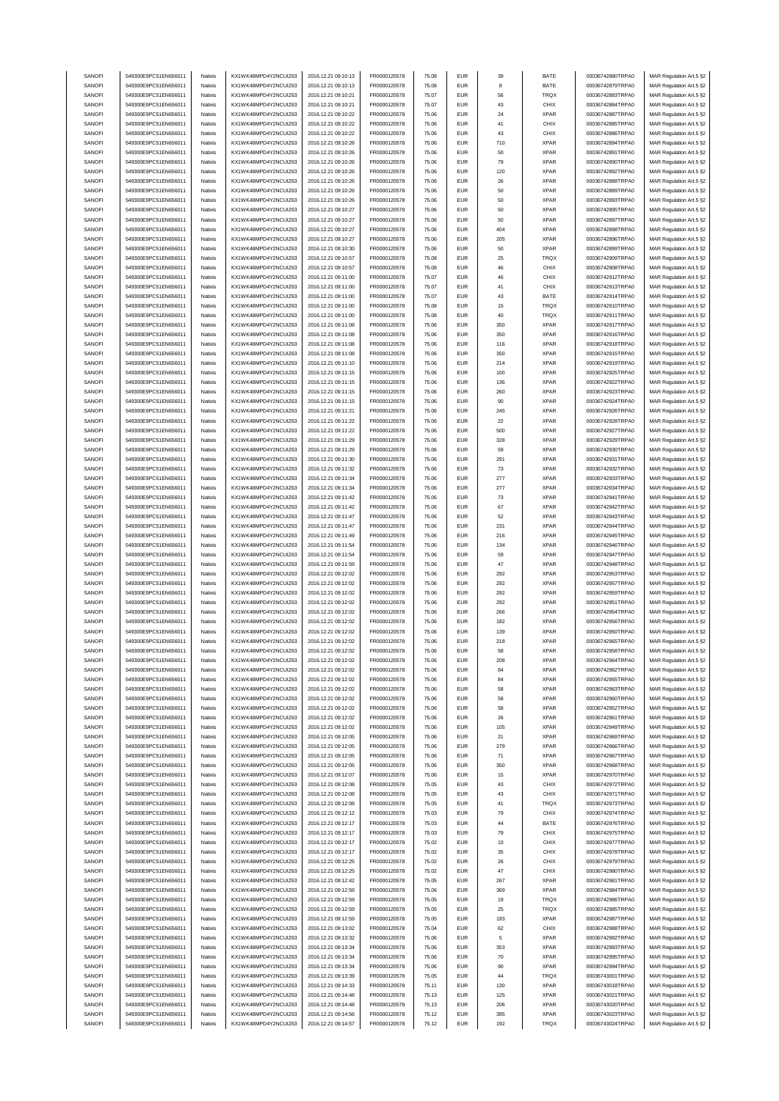| SANOFI | 549300E9PC51EN656011                         | Natixis | KX1WK48MPD4Y2NCUIZ63                         | 2016.12.21 09:10:13                        | FR0000120578                 | 75.08 | <b>EUR</b> | 39  | BATE        | 00036742880TRPA0 | MAR Regulation Art.5 §2 |
|--------|----------------------------------------------|---------|----------------------------------------------|--------------------------------------------|------------------------------|-------|------------|-----|-------------|------------------|-------------------------|
| SANOFI | 549300E9PC51EN656011                         | Natixis | KX1WK48MPD4Y2NCUIZ63                         | 2016.12.21 09:10:13                        | FR0000120578                 | 75.08 | <b>EUR</b> | 8   | BATE        | 00036742879TRPA0 | MAR Regulation Art.5 §2 |
| SANOFI | 549300E9PC51EN656011                         | Natixis | KX1WK48MPD4Y2NCUIZ63                         | 2016.12.21 09:10:21                        | FR0000120578                 | 75.07 | <b>EUR</b> | 56  | TRQX        | 00036742883TRPA0 | MAR Regulation Art.5 §2 |
| SANOFI | 549300E9PC51EN656011                         | Natixis | KX1WK48MPD4Y2NCUIZ63                         | 2016.12.21 09:10:21                        | FR0000120578                 | 75.07 | <b>EUR</b> | 43  | CHIX        | 00036742884TRPA0 | MAR Regulation Art.5 §2 |
| SANOFI | 549300E9PC51EN656011                         | Natixis | KX1WK48MPD4Y2NCUIZ63                         | 2016.12.21 09:10:22                        | FR0000120578                 | 75.06 | <b>EUR</b> | 24  | <b>XPAR</b> | 00036742887TRPA0 | MAR Regulation Art.5 §2 |
| SANOFI | 549300E9PC51EN656011                         | Natixis | KX1WK48MPD4Y2NCUIZ63                         | 2016.12.21 09:10:22                        | FR0000120578                 | 75.06 | <b>EUR</b> | 41  | CHIX        | 00036742885TRPA0 | MAR Regulation Art.5 §2 |
|        |                                              | Natixis |                                              |                                            |                              |       | <b>EUR</b> |     |             |                  |                         |
| SANOFI | 549300E9PC51EN656011                         |         | KX1WK48MPD4Y2NCUIZ63                         | 2016.12.21 09:10:22                        | FR0000120578                 | 75.06 |            | 43  | CHIX        | 00036742886TRPA0 | MAR Regulation Art.5 §2 |
| SANOFI | 549300E9PC51EN656011                         | Natixis | KX1WK48MPD4Y2NCUIZ63                         | 2016.12.21 09:10:26                        | FR0000120578                 | 75.06 | <b>EUR</b> | 710 | <b>XPAR</b> | 00036742894TRPA0 | MAR Regulation Art.5 §2 |
| SANOFI | 549300E9PC51EN656011                         | Natixis | KX1WK48MPD4Y2NCUIZ63                         | 2016.12.21 09:10:26                        | FR0000120578                 | 75.06 | <b>EUR</b> | 50  | <b>XPAR</b> | 00036742891TRPA0 | MAR Regulation Art.5 §2 |
| SANOFI | 549300E9PC51EN656011                         | Natixis | KX1WK48MPD4Y2NCUIZ63                         | 2016.12.21 09:10:26                        | FR0000120578                 | 75.06 | <b>EUR</b> | 79  | <b>XPAR</b> | 00036742890TRPA0 | MAR Regulation Art.5 §2 |
| SANOFI | 549300E9PC51EN656011                         | Natixis | KX1WK48MPD4Y2NCUIZ63                         | 2016.12.21 09:10:26                        | FR0000120578                 | 75.06 | <b>EUR</b> | 120 | <b>XPAR</b> | 00036742892TRPA0 | MAR Regulation Art.5 §2 |
|        | 549300E9PC51EN656011                         |         |                                              |                                            |                              |       |            |     |             |                  |                         |
| SANOFI |                                              | Natixis | KX1WK48MPD4Y2NCUIZ63                         | 2016.12.21 09:10:26                        | FR0000120578                 | 75.06 | <b>EUR</b> | 26  | <b>XPAR</b> | 00036742888TRPA0 | MAR Regulation Art.5 §2 |
| SANOFI | 549300E9PC51EN656011                         | Natixis | KX1WK48MPD4Y2NCUIZ63                         | 2016.12.21 09:10:26                        | FR0000120578                 | 75.06 | <b>EUR</b> | 50  | <b>XPAR</b> | 00036742889TRPA0 | MAR Regulation Art.5 §2 |
| SANOFI | 549300E9PC51EN656011                         | Natixis | KX1WK48MPD4Y2NCUIZ63                         | 2016.12.21 09:10:26                        | FR0000120578                 | 75.06 | <b>EUR</b> | 50  | <b>XPAR</b> | 00036742893TRPA0 | MAR Regulation Art.5 §2 |
| SANOFI | 549300E9PC51EN656011                         | Natixis | KX1WK48MPD4Y2NCUIZ63                         | 2016.12.21 09:10:27                        | FR0000120578                 | 75.06 | <b>EUR</b> | 50  | <b>XPAR</b> | 00036742895TRPA0 | MAR Regulation Art.5 §2 |
| SANOFI | 549300E9PC51EN656011                         | Natixis | KX1WK48MPD4Y2NCUIZ63                         | 2016.12.21 09:10:27                        | FR0000120578                 | 75.06 | <b>EUR</b> | 50  | <b>XPAR</b> | 00036742897TRPA0 | MAR Regulation Art.5 §2 |
|        |                                              |         |                                              |                                            |                              |       |            |     |             |                  |                         |
| SANOFI | 549300E9PC51EN656011                         | Natixis | KX1WK48MPD4Y2NCUIZ63                         | 2016.12.21 09:10:27                        | FR0000120578                 | 75.06 | <b>EUR</b> | 404 | <b>XPAR</b> | 00036742898TRPA0 | MAR Regulation Art.5 §2 |
| SANOFI | 549300E9PC51EN656011                         | Natixis | KX1WK48MPD4Y2NCUIZ63                         | 2016.12.21 09:10:27                        | FR0000120578                 | 75.06 | <b>EUR</b> | 205 | <b>XPAR</b> | 00036742896TRPA0 | MAR Regulation Art.5 §2 |
| SANOFI | 549300E9PC51EN656011                         | Natixis | KX1WK48MPD4Y2NCUIZ63                         | 2016.12.21 09:10:30                        | FR0000120578                 | 75.06 | <b>EUR</b> | 50  | <b>XPAR</b> | 00036742899TRPA0 | MAR Regulation Art.5 §2 |
| SANOFI | 549300E9PC51EN656011                         | Natixis | KX1WK48MPD4Y2NCUIZ63                         | 2016.12.21 09:10:57                        | FR0000120578                 | 75.08 | <b>EUR</b> | 25  | TRQX        | 00036742909TRPA0 | MAR Regulation Art.5 §2 |
| SANOFI | 549300E9PC51EN656011                         | Natixis | KX1WK48MPD4Y2NCUIZ63                         | 2016.12.21 09:10:57                        | FR0000120578                 | 75.08 | <b>EUR</b> | 46  | CHIX        | 00036742908TRPA0 | MAR Regulation Art.5 §2 |
| SANOFI | 549300E9PC51EN656011                         | Natixis | KX1WK48MPD4Y2NCUIZ63                         | 2016.12.21 09:11:00                        | FR0000120578                 | 75.07 | <b>EUR</b> | 46  | CHIX        | 00036742912TRPA0 | MAR Regulation Art.5 §2 |
|        |                                              |         |                                              |                                            |                              |       |            |     |             |                  |                         |
| SANOFI | 549300E9PC51EN656011                         | Natixis | KX1WK48MPD4Y2NCUIZ63                         | 2016.12.21 09:11:00                        | FR0000120578                 | 75.07 | <b>EUR</b> | 41  | CHIX        | 00036742913TRPA0 | MAR Regulation Art.5 §2 |
| SANOFI | 549300E9PC51EN656011                         | Natixis | KX1WK48MPD4Y2NCUIZ63                         | 2016.12.21 09:11:00                        | FR0000120578                 | 75.07 | <b>EUR</b> | 43  | BATE        | 00036742914TRPA0 | MAR Regulation Art.5 §2 |
| SANOFI | 549300E9PC51EN656011                         | Natixis | KX1WK48MPD4Y2NCUIZ63                         | 2016.12.21 09:11:00                        | FR0000120578                 | 75.08 | <b>EUR</b> | 15  | TRQX        | 00036742910TRPA0 | MAR Regulation Art.5 §2 |
| SANOFI | 549300E9PC51EN656011                         | Natixis | KX1WK48MPD4Y2NCUIZ63                         | 2016.12.21 09:11:00                        | FR0000120578                 | 75.08 | <b>EUR</b> | 40  | TRQX        | 00036742911TRPA0 | MAR Regulation Art.5 §2 |
| SANOFI | 549300E9PC51EN656011                         | Natixis | KX1WK48MPD4Y2NCUIZ63                         | 2016.12.21 09:11:08                        | FR0000120578                 | 75.06 | <b>EUR</b> | 350 | <b>XPAR</b> | 00036742917TRPA0 | MAR Regulation Art.5 §2 |
|        |                                              |         |                                              |                                            |                              |       |            |     |             |                  |                         |
| SANOFI | 549300E9PC51EN656011                         | Natixis | KX1WK48MPD4Y2NCUIZ63                         | 2016.12.21 09:11:08                        | FR0000120578                 | 75.06 | <b>EUR</b> | 350 | <b>XPAR</b> | 00036742916TRPA0 | MAR Regulation Art.5 §2 |
| SANOFI | 549300E9PC51EN656011                         | Natixis | KX1WK48MPD4Y2NCUIZ63                         | 2016.12.21 09:11:08                        | FR0000120578                 | 75.06 | <b>EUR</b> | 116 | <b>XPAR</b> | 00036742918TRPA0 | MAR Regulation Art.5 §2 |
| SANOFI | 549300E9PC51EN656011                         | Natixis | KX1WK48MPD4Y2NCUIZ63                         | 2016.12.21 09:11:08                        | FR0000120578                 | 75.06 | <b>EUR</b> | 350 | <b>XPAR</b> | 00036742915TRPA0 | MAR Regulation Art.5 §2 |
| SANOFI | 549300E9PC51EN656011                         | Natixis | KX1WK48MPD4Y2NCUIZ63                         | 2016.12.21 09:11:10                        | FR0000120578                 | 75.06 | <b>EUR</b> | 214 | <b>XPAR</b> | 00036742919TRPA0 | MAR Regulation Art.5 §2 |
| SANOFI | 549300E9PC51EN656011                         | Natixis | KX1WK48MPD4Y2NCUIZ63                         | 2016.12.21 09:11:15                        | FR0000120578                 | 75.06 | <b>EUR</b> | 100 | <b>XPAR</b> | 00036742925TRPA0 | MAR Regulation Art.5 §2 |
|        |                                              |         |                                              |                                            |                              |       |            |     |             |                  |                         |
| SANOFI | 549300E9PC51EN656011                         | Natixis | KX1WK48MPD4Y2NCUIZ63                         | 2016.12.21 09:11:15                        | FR0000120578                 | 75.06 | <b>EUR</b> | 136 | <b>XPAR</b> | 00036742922TRPA0 | MAR Regulation Art.5 §2 |
| SANOFI | 549300E9PC51EN656011                         | Natixis | KX1WK48MPD4Y2NCUIZ63                         | 2016.12.21 09:11:15                        | FR0000120578                 | 75.06 | <b>EUR</b> | 260 | <b>XPAR</b> | 00036742923TRPA0 | MAR Regulation Art.5 §2 |
| SANOFI | 549300E9PC51EN656011                         | Natixis | KX1WK48MPD4Y2NCUIZ63                         | 2016.12.21 09:11:15                        | FR0000120578                 | 75.06 | <b>EUR</b> | 90  | <b>XPAR</b> | 00036742924TRPA0 | MAR Regulation Art.5 §2 |
| SANOFI | 549300E9PC51EN656011                         | Natixis | KX1WK48MPD4Y2NCUIZ63                         | 2016.12.21 09:11:21                        | FR0000120578                 | 75.06 | <b>EUR</b> | 245 | <b>XPAR</b> | 00036742926TRPA0 | MAR Regulation Art.5 §2 |
| SANOFI | 549300E9PC51EN656011                         | Natixis | KX1WK48MPD4Y2NCUIZ63                         | 2016.12.21 09:11:22                        | FR0000120578                 | 75.06 | <b>EUR</b> | 22  | <b>XPAR</b> | 00036742928TRPA0 | MAR Regulation Art.5 §2 |
|        |                                              |         |                                              |                                            |                              |       |            |     |             |                  |                         |
| SANOFI | 549300E9PC51EN656011                         | Natixis | KX1WK48MPD4Y2NCUIZ63                         | 2016.12.21 09:11:22                        | FR0000120578                 | 75.06 | <b>EUR</b> | 500 | <b>XPAR</b> | 00036742927TRPA0 | MAR Regulation Art.5 §2 |
| SANOFI | 549300E9PC51EN656011                         | Natixis | KX1WK48MPD4Y2NCUIZ63                         | 2016.12.21 09:11:29                        | FR0000120578                 | 75.06 | <b>EUR</b> | 328 | <b>XPAR</b> | 00036742929TRPA0 | MAR Regulation Art.5 §2 |
| SANOFI | 549300E9PC51EN656011                         | Natixis | KX1WK48MPD4Y2NCUIZ63                         | 2016.12.21 09:11:29                        | FR0000120578                 | 75.06 | <b>EUR</b> | 59  | <b>XPAR</b> | 00036742930TRPA0 | MAR Regulation Art.5 §2 |
| SANOFI | 549300E9PC51EN656011                         | Natixis | KX1WK48MPD4Y2NCUIZ63                         | 2016.12.21 09:11:30                        | FR0000120578                 | 75.06 | <b>EUR</b> | 291 | <b>XPAR</b> | 00036742931TRPA0 | MAR Regulation Art.5 §2 |
| SANOFI | 549300E9PC51EN656011                         | Natixis | KX1WK48MPD4Y2NCUIZ63                         | 2016.12.21 09:11:32                        | FR0000120578                 | 75.06 | <b>EUR</b> | 73  | <b>XPAR</b> | 00036742932TRPA0 | MAR Regulation Art.5 §2 |
|        |                                              |         |                                              |                                            |                              |       |            |     |             |                  |                         |
| SANOFI | 549300E9PC51EN656011                         | Natixis | KX1WK48MPD4Y2NCUIZ63                         | 2016.12.21 09:11:34                        | FR0000120578                 | 75.06 | <b>EUR</b> | 277 | <b>XPAR</b> | 00036742933TRPA0 | MAR Regulation Art.5 §2 |
| SANOFI | 549300E9PC51EN656011                         | Natixis | KX1WK48MPD4Y2NCUIZ63                         | 2016.12.21 09:11:34                        | FR0000120578                 | 75.06 | <b>EUR</b> | 277 | <b>XPAR</b> | 00036742934TRPA0 | MAR Regulation Art.5 §2 |
| SANOFI | 549300E9PC51EN656011                         | Natixis | KX1WK48MPD4Y2NCUIZ63                         | 2016.12.21 09:11:42                        | FR0000120578                 | 75.06 | <b>EUR</b> | 73  | <b>XPAR</b> | 00036742941TRPA0 | MAR Regulation Art.5 §2 |
| SANOFI | 549300E9PC51EN656011                         | Natixis | KX1WK48MPD4Y2NCUIZ63                         | 2016.12.21 09:11:42                        | FR0000120578                 | 75.06 | <b>EUR</b> | 67  | <b>XPAR</b> | 00036742942TRPA0 | MAR Regulation Art.5 §2 |
| SANOFI | 549300E9PC51EN656011                         | Natixis | KX1WK48MPD4Y2NCUIZ63                         | 2016.12.21 09:11:47                        | FR0000120578                 | 75.06 | <b>EUR</b> | 52  | <b>XPAR</b> | 00036742943TRPA0 | MAR Regulation Art.5 §2 |
| SANOFI | 549300E9PC51EN656011                         | Natixis | KX1WK48MPD4Y2NCUIZ63                         | 2016.12.21 09:11:47                        | FR0000120578                 | 75.06 | <b>EUR</b> | 231 | <b>XPAR</b> | 00036742944TRPA0 |                         |
|        |                                              |         |                                              |                                            |                              |       |            |     |             |                  | MAR Regulation Art.5 §2 |
|        |                                              |         |                                              |                                            |                              |       |            |     |             |                  |                         |
| SANOFI | 549300E9PC51EN656011                         | Natixis | KX1WK48MPD4Y2NCUIZ63                         | 2016.12.21 09:11:49                        | FR0000120578                 | 75.06 | <b>EUR</b> | 216 | <b>XPAR</b> | 00036742945TRPA0 | MAR Regulation Art.5 §2 |
| SANOFI | 549300E9PC51EN656011                         | Natixis | KX1WK48MPD4Y2NCUIZ63                         | 2016.12.21 09:11:54                        | FR0000120578                 | 75.06 | <b>EUR</b> | 134 | <b>XPAR</b> | 00036742946TRPA0 | MAR Regulation Art.5 §2 |
| SANOFI | 549300E9PC51EN656011                         | Natixis | KX1WK48MPD4Y2NCUIZ63                         | 2016.12.21 09:11:54                        | FR0000120578                 | 75.06 | <b>EUR</b> | 59  | <b>XPAR</b> | 00036742947TRPA0 | MAR Regulation Art.5 §2 |
| SANOFI | 549300E9PC51EN656011                         | Natixis | KX1WK48MPD4Y2NCUIZ63                         | 2016.12.21 09:11:59                        | FR0000120578                 | 75.06 | <b>EUR</b> | 47  | <b>XPAR</b> | 00036742948TRPA0 | MAR Regulation Art.5 §2 |
|        |                                              |         |                                              |                                            |                              |       |            |     |             |                  |                         |
| SANOFI | 549300E9PC51EN656011                         | Natixis | KX1WK48MPD4Y2NCUIZ63                         | 2016.12.21 09:12:02                        | FR0000120578                 | 75.06 | <b>EUR</b> | 292 | <b>XPAR</b> | 00036742953TRPA0 | MAR Regulation Art.5 §2 |
| SANOFI | 549300E9PC51EN656011                         | Natixis | KX1WK48MPD4Y2NCUIZ63                         | 2016.12.21 09:12:02                        | FR0000120578                 | 75.06 | <b>EUR</b> | 292 | <b>XPAR</b> | 00036742957TRPA0 | MAR Regulation Art.5 §2 |
| SANOFI | 549300E9PC51EN656011                         | Natixis | KX1WK48MPD4Y2NCUIZ63                         | 2016.12.21 09:12:02                        | FR0000120578                 | 75.06 | <b>EUR</b> | 292 | <b>XPAR</b> | 00036742959TRPA0 | MAR Regulation Art.5 §2 |
| SANOFI | 549300E9PC51EN656011                         | Natixis | KX1WK48MPD4Y2NCUIZ63                         | 2016.12.21 09:12:02                        | FR0000120578                 | 75.06 | <b>EUR</b> | 292 | <b>XPAR</b> | 00036742951TRPA0 | MAR Regulation Art.5 §2 |
| SANOFI | 549300E9PC51EN656011                         | Natixis | KX1WK48MPD4Y2NCLIIZ63                        | 2016.12.21 09:12:02                        | FR0000120578                 | 75.06 | <b>EUR</b> | 266 | <b>XPAR</b> | 00036742954TRPA0 | MAR Regulation Art.5 §2 |
|        |                                              |         |                                              | 2016.12.21 09:12:02                        | FR0000120578                 |       | <b>EUR</b> |     |             |                  |                         |
| SANOFI | 549300E9PC51EN656011                         | Natixis | KX1WK48MPD4Y2NCUIZ63                         |                                            |                              | 75.06 |            | 182 | <b>XPAR</b> | 00036742956TRPA0 | MAR Regulation Art.5 §2 |
| SANOFI | 549300E9PC51EN656011                         | Natixis | KX1WK48MPD4Y2NCUIZ63                         | 2016.12.21 09:12:02                        | FR0000120578                 | 75.06 | <b>EUR</b> | 139 | <b>XPAR</b> | 00036742950TRPA0 | MAR Regulation Art.5 §2 |
| SANOFI | 549300E9PC51EN656011                         | Natixis | KX1WK48MPD4Y2NCUIZ63                         | 2016.12.21 09:12:02                        | FR0000120578                 | 75.06 | <b>EUR</b> | 218 | <b>XPAR</b> | 00036742965TRPA0 | MAR Regulation Art.5 §2 |
|        |                                              |         |                                              | 2016.12.21 09:12:02                        |                              |       |            |     |             |                  | MAR Regulation Art.5 §2 |
| SANOFI | 549300E9PC51EN656011                         | Natixis | KX1WK48MPD4Y2NCUIZ63                         | 2016.12.21 09:12:02                        | FR0000120578                 | 75.06 | <b>EUR</b> | 208 | <b>XPAR</b> | 00036742964TRPA0 | MAR Regulation Art.5 §2 |
| SANOFI | 549300E9PC51EN656011                         | Natixis | KX1WK48MPD4Y2NCUIZ63                         | 2016.12.21 09:12:02                        | FR0000120578                 | 75.06 | <b>EUR</b> | 84  | <b>XPAR</b> | 00036742962TRPA0 | MAR Regulation Art.5 §2 |
|        |                                              | Natixis |                                              |                                            |                              |       | <b>EUR</b> | 84  |             |                  |                         |
| SANOFI | 549300E9PC51EN656011                         |         | KX1WK48MPD4Y2NCUIZ63                         | 2016.12.21 09:12:02                        | FR0000120578                 | 75.06 |            |     | <b>XPAR</b> | 00036742955TRPA0 | MAR Regulation Art.5 §2 |
| SANOFI | 549300E9PC51EN656011                         | Natixis | KX1WK48MPD4Y2NCUIZ63                         | 2016.12.21 09:12:02                        | FR0000120578                 | 75.06 | <b>EUR</b> | 58  | <b>XPAR</b> | 00036742963TRPA0 | MAR Regulation Art.5 §2 |
| SANOFI | 549300E9PC51EN656011                         | Natixis | KX1WK48MPD4Y2NCUIZ63                         | 2016.12.21 09:12:02                        | FR0000120578                 | 75.06 | <b>EUR</b> | 58  | <b>XPAR</b> | 00036742960TRPA0 | MAR Regulation Art.5 §2 |
| SANOFI | 549300E9PC51EN656011                         | Natixis | KX1WK48MPD4Y2NCUIZ63                         | 2016.12.21 09:12:02                        | FR0000120578                 | 75.06 | <b>EUR</b> | 58  | <b>XPAR</b> | 00036742952TRPA0 | MAR Regulation Art.5 §2 |
| SANOFI | 549300E9PC51EN656011                         | Natixis | KX1WK48MPD4Y2NCUIZ63                         | 2016.12.21 09:12:02                        | FR0000120578                 | 75.06 | <b>EUR</b> | 26  | <b>XPAR</b> | 00036742961TRPA0 | MAR Regulation Art.5 §2 |
| SANOFI | 549300E9PC51EN656011                         | Natixis | KX1WK48MPD4Y2NCUIZ63                         | 2016.12.21 09:12:02                        | FR0000120578                 | 75.06 | <b>EUR</b> | 105 | <b>XPAR</b> | 00036742949TRPA0 | MAR Regulation Art.5 §2 |
|        |                                              |         |                                              |                                            |                              |       |            |     |             |                  |                         |
| SANOFI | 549300E9PC51EN656011<br>549300E9PC51EN656011 | Natixis | KX1WK48MPD4Y2NCUIZ63                         | 2016.12.21 09:12:05                        | FR0000120578                 | 75.06 | <b>EUR</b> | 21  | <b>XPAR</b> | 00036742969TRPA0 | MAR Regulation Art.5 §2 |
| SANOFI |                                              | Natixis | KX1WK48MPD4Y2NCUIZ63                         | 2016.12.21 09:12:05                        | FR0000120578                 | 75.06 | <b>EUR</b> | 279 | <b>XPAR</b> | 00036742966TRPA0 | MAR Regulation Art.5 §2 |
| SANOFI | 549300E9PC51EN656011                         | Natixis | KX1WK48MPD4Y2NCUIZ63                         | 2016.12.21 09:12:05                        | FR0000120578                 | 75.06 | <b>EUR</b> | 71  | <b>XPAR</b> | 00036742967TRPA0 | MAR Regulation Art.5 §2 |
| SANOFI | 549300E9PC51EN656011                         | Natixis | KX1WK48MPD4Y2NCUIZ63                         | 2016.12.21 09:12:05                        | FR0000120578                 | 75.06 | <b>EUR</b> | 350 | <b>XPAR</b> | 00036742968TRPA0 | MAR Regulation Art.5 §2 |
| SANOFI | 549300E9PC51EN656011                         | Natixis | KX1WK48MPD4Y2NCUIZ63                         | 2016.12.21 09:12:07                        | FR0000120578                 | 75.06 | <b>EUR</b> | 15  | <b>XPAR</b> | 00036742970TRPA0 | MAR Regulation Art.5 §2 |
|        |                                              |         | KX1WK48MPD4Y2NCUIZ63                         |                                            |                              |       |            |     |             |                  |                         |
| SANOFI | 549300E9PC51EN656011                         | Natixis |                                              | 2016.12.21 09:12:08                        | FR0000120578                 | 75.05 | <b>EUR</b> | 43  | CHIX        | 00036742972TRPA0 | MAR Regulation Art.5 §2 |
| SANOFI | 549300E9PC51EN656011                         | Natixis | KX1WK48MPD4Y2NCUIZ63                         | 2016.12.21 09:12:08                        | FR0000120578                 | 75.05 | <b>EUR</b> | 43  | CHIX        | 00036742971TRPA0 | MAR Regulation Art.5 §2 |
| SANOFI | 549300E9PC51EN656011                         | Natixis | KX1WK48MPD4Y2NCUIZ63                         | 2016.12.21 09:12:08                        | FR0000120578                 | 75.05 | <b>EUR</b> | 41  | TRQX        | 00036742973TRPA0 | MAR Regulation Art.5 §2 |
| SANOFI | 549300E9PC51EN656011                         | Natixis | KX1WK48MPD4Y2NCUIZ63                         | 2016.12.21 09:12:12                        | FR0000120578                 | 75.03 | <b>EUR</b> | 79  | CHIX        | 00036742974TRPA0 | MAR Regulation Art.5 §2 |
| SANOFI | 549300E9PC51EN656011                         | Natixis | KX1WK48MPD4Y2NCUIZ63                         | 2016.12.21 09:12:17                        | FR0000120578                 | 75.03 | <b>EUR</b> | 44  | BATE        | 00036742976TRPA0 | MAR Regulation Art.5 §2 |
|        |                                              | Natixis |                                              |                                            |                              |       | <b>EUR</b> | 79  |             |                  |                         |
| SANOFI | 549300E9PC51EN656011                         |         | KX1WK48MPD4Y2NCUIZ63                         | 2016.12.21 09:12:17                        | FR0000120578                 | 75.03 |            |     | CHIX        | 00036742975TRPA0 | MAR Regulation Art.5 §2 |
| SANOFI | 549300E9PC51EN656011                         | Natixis | KX1WK48MPD4Y2NCUIZ63                         | 2016.12.21 09:12:17                        | FR0000120578                 | 75.02 | <b>EUR</b> | 10  | CHIX        | 00036742977TRPA0 | MAR Regulation Art.5 §2 |
| SANOFI | 549300E9PC51EN656011                         | Natixis | KX1WK48MPD4Y2NCUIZ63                         | 2016.12.21 09:12:17                        | FR0000120578                 | 75.02 | <b>EUR</b> | 35  | CHIX        | 00036742978TRPA0 | MAR Regulation Art.5 §2 |
| SANOFI | 549300E9PC51EN656011                         | Natixis | KX1WK48MPD4Y2NCUIZ63                         | 2016.12.21 09:12:25                        | FR0000120578                 | 75.02 | <b>EUR</b> | 26  | CHIX        | 00036742979TRPA0 | MAR Regulation Art.5 §2 |
| SANOFI | 549300E9PC51EN656011                         | Natixis | KX1WK48MPD4Y2NCUIZ63                         | 2016.12.21 09:12:25                        | FR0000120578                 | 75.02 | <b>EUR</b> | 47  | CHIX        | 00036742980TRPA0 | MAR Regulation Art.5 §2 |
| SANOFI | 549300E9PC51EN656011                         | Natixis | KX1WK48MPD4Y2NCUIZ63                         | 2016.12.21 09:12:42                        | FR0000120578                 | 75.05 | <b>EUR</b> | 267 | <b>XPAR</b> | 00036742981TRPA0 |                         |
|        |                                              |         |                                              |                                            |                              |       |            |     |             |                  | MAR Regulation Art.5 §2 |
| SANOFI | 549300E9PC51EN656011                         | Natixis | KX1WK48MPD4Y2NCUIZ63                         | 2016.12.21 09:12:59                        | FR0000120578                 | 75.06 | <b>EUR</b> | 369 | <b>XPAR</b> | 00036742984TRPA0 | MAR Regulation Art.5 §2 |
| SANOFI | 549300E9PC51EN656011                         | Natixis | KX1WK48MPD4Y2NCUIZ63                         | 2016.12.21 09:12:59                        | FR0000120578                 | 75.05 | <b>EUR</b> | 19  | TRQX        | 00036742986TRPA0 | MAR Regulation Art.5 §2 |
| SANOFI | 549300E9PC51EN656011                         | Natixis | KX1WK48MPD4Y2NCUIZ63                         | 2016.12.21 09:12:59                        | FR0000120578                 | 75.05 | <b>EUR</b> | 25  | <b>TRQX</b> | 00036742985TRPA0 | MAR Regulation Art.5 §2 |
| SANOFI | 549300E9PC51EN656011                         | Natixis | KX1WK48MPD4Y2NCUIZ63                         | 2016.12.21 09:12:59                        | FR0000120578                 | 75.05 | <b>EUR</b> | 193 | <b>XPAR</b> | 00036742987TRPA0 | MAR Regulation Art.5 §2 |
| SANOFI | 549300E9PC51EN656011                         | Natixis | KX1WK48MPD4Y2NCUIZ63                         | 2016.12.21 09:13:02                        | FR0000120578                 | 75.04 | <b>EUR</b> | 62  | CHIX        | 00036742988TRPA0 |                         |
|        |                                              |         |                                              |                                            |                              |       |            |     |             |                  | MAR Regulation Art.5 §2 |
| SANOFI | 549300E9PC51EN656011                         | Natixis | KX1WK48MPD4Y2NCUIZ63                         | 2016.12.21 09:13:32                        | FR0000120578                 | 75.06 | <b>EUR</b> | 5   | <b>XPAR</b> | 00036742992TRPA0 | MAR Regulation Art.5 §2 |
| SANOFI | 549300E9PC51EN656011                         | Natixis | KX1WK48MPD4Y2NCUIZ63                         | 2016.12.21 09:13:34                        | FR0000120578                 | 75.06 | <b>EUR</b> | 353 | <b>XPAR</b> | 00036742993TRPA0 | MAR Regulation Art.5 §2 |
| SANOFI | 549300E9PC51EN656011                         | Natixis | KX1WK48MPD4Y2NCUIZ63                         | 2016.12.21 09:13:34                        | FR0000120578                 | 75.06 | <b>EUR</b> | 70  | <b>XPAR</b> | 00036742995TRPA0 | MAR Regulation Art.5 §2 |
| SANOFI | 549300E9PC51EN656011                         | Natixis | KX1WK48MPD4Y2NCUIZ63                         | 2016.12.21 09:13:34                        | FR0000120578                 | 75.06 | <b>EUR</b> | 90  | <b>XPAR</b> | 00036742994TRPA0 | MAR Regulation Art.5 §2 |
| SANOFI | 549300E9PC51EN656011                         | Natixis | KX1WK48MPD4Y2NCUIZ63                         | 2016.12.21 09:13:39                        | FR0000120578                 | 75.05 | <b>EUR</b> | 44  | TRQX        | 00036743001TRPA0 |                         |
|        |                                              |         |                                              |                                            |                              |       |            |     |             |                  | MAR Regulation Art.5 §2 |
| SANOFI | 549300E9PC51EN656011                         | Natixis | KX1WK48MPD4Y2NCUIZ63                         | 2016.12.21 09:14:33                        | FR0000120578                 | 75.11 | <b>EUR</b> | 130 | <b>XPAR</b> | 00036743018TRPA0 | MAR Regulation Art.5 §2 |
| SANOFI | 549300E9PC51EN656011                         | Natixis | KX1WK48MPD4Y2NCUIZ63                         | 2016.12.21 09:14:48                        | FR0000120578                 | 75.13 | <b>EUR</b> | 125 | <b>XPAR</b> | 00036743021TRPA0 | MAR Regulation Art.5 §2 |
| SANOFI | 549300E9PC51EN656011                         | Natixis | KX1WK48MPD4Y2NCUIZ63                         | 2016.12.21 09:14:48                        | FR0000120578                 | 75.13 | <b>EUR</b> | 206 | <b>XPAR</b> | 00036743020TRPA0 | MAR Regulation Art.5 §2 |
| SANOFI | 549300E9PC51EN656011<br>549300E9PC51EN656011 | Natixis | KX1WK48MPD4Y2NCUIZ63<br>KX1WK48MPD4Y2NCUIZ63 | 2016.12.21 09:14:56<br>2016.12.21 09:14:57 | FR0000120578<br>FR0000120578 | 75.12 | <b>EUR</b> | 395 | <b>XPAR</b> | 00036743023TRPA0 | MAR Regulation Art.5 §2 |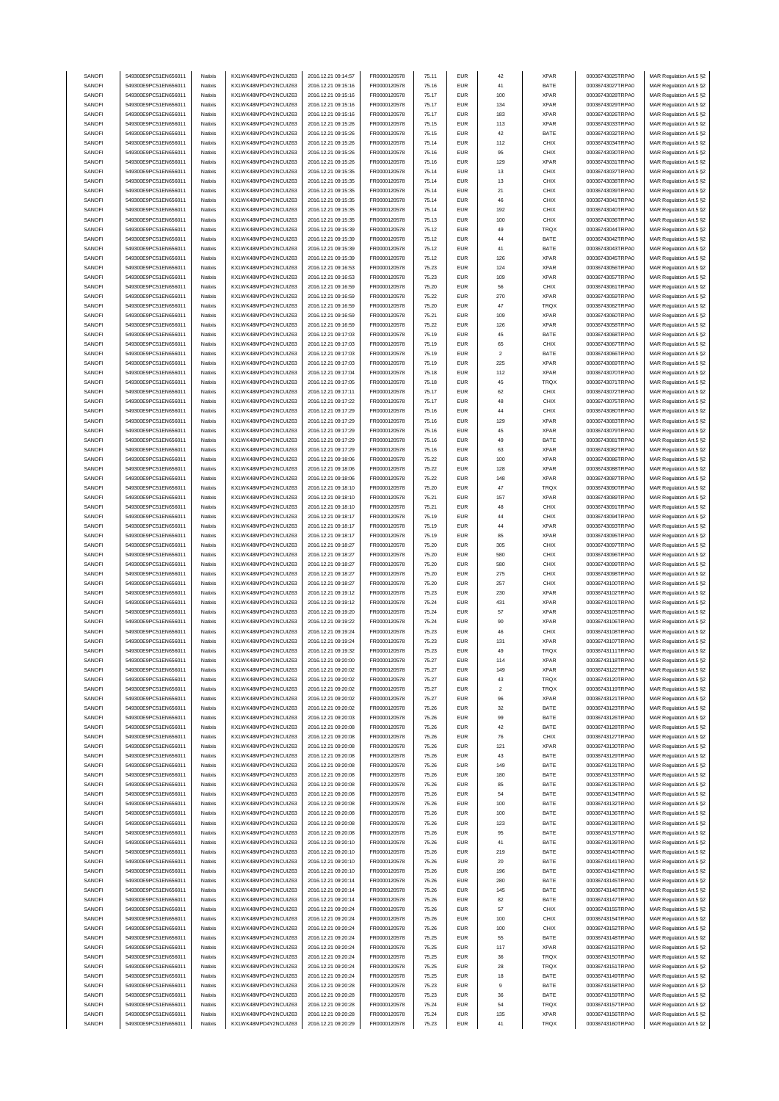| SANOFI | 549300E9PC51EN656011 | Natixis | KX1WK48MPD4Y2NCUIZ63 | 2016.12.21 09:14:57 | FR0000120578 | 75.11 | <b>EUR</b> | 42             | <b>XPAR</b> | 00036743025TRPA0 | MAR Regulation Art.5 §2 |
|--------|----------------------|---------|----------------------|---------------------|--------------|-------|------------|----------------|-------------|------------------|-------------------------|
| SANOFI | 549300E9PC51EN656011 | Natixis | KX1WK48MPD4Y2NCUIZ63 | 2016.12.21 09:15:16 | FR0000120578 | 75.16 | <b>EUR</b> | 41             | BATE        | 00036743027TRPA0 | MAR Regulation Art.5 §2 |
| SANOFI | 549300E9PC51EN656011 | Natixis | KX1WK48MPD4Y2NCUIZ63 | 2016.12.21 09:15:16 | FR0000120578 | 75.17 | <b>EUR</b> | 100            | <b>XPAR</b> | 00036743028TRPA0 | MAR Regulation Art.5 §2 |
| SANOFI | 549300E9PC51EN656011 | Natixis | KX1WK48MPD4Y2NCUIZ63 | 2016.12.21 09:15:16 | FR0000120578 | 75.17 | <b>EUR</b> | 134            | <b>XPAR</b> | 00036743029TRPA0 | MAR Regulation Art.5 §2 |
|        |                      |         |                      |                     |              |       |            |                |             |                  |                         |
| SANOFI | 549300E9PC51EN656011 | Natixis | KX1WK48MPD4Y2NCUIZ63 | 2016.12.21 09:15:16 | FR0000120578 | 75.17 | <b>EUR</b> | 183            | <b>XPAR</b> | 00036743026TRPA0 | MAR Regulation Art.5 §2 |
| SANOFI | 549300E9PC51EN656011 | Natixis | KX1WK48MPD4Y2NCUIZ63 | 2016.12.21 09:15:26 | FR0000120578 | 75.15 | <b>EUR</b> | 113            | <b>XPAR</b> | 00036743033TRPA0 | MAR Regulation Art.5 §2 |
| SANOFI | 549300E9PC51EN656011 | Natixis | KX1WK48MPD4Y2NCUIZ63 | 2016.12.21 09:15:26 | FR0000120578 | 75.15 | <b>EUR</b> | 42             | BATE        | 00036743032TRPA0 | MAR Regulation Art.5 §2 |
| SANOFI | 549300E9PC51EN656011 | Natixis | KX1WK48MPD4Y2NCUIZ63 | 2016.12.21 09:15:26 | FR0000120578 | 75.14 | <b>EUR</b> | 112            | CHIX        | 00036743034TRPA0 | MAR Regulation Art.5 §2 |
| SANOFI | 549300E9PC51EN656011 | Natixis | KX1WK48MPD4Y2NCUIZ63 | 2016.12.21 09:15:26 | FR0000120578 | 75.16 | <b>EUR</b> | 95             | CHIX        | 00036743030TRPA0 | MAR Regulation Art.5 §2 |
| SANOFI | 549300E9PC51EN656011 | Natixis | KX1WK48MPD4Y2NCUIZ63 | 2016.12.21 09:15:26 | FR0000120578 | 75.16 | <b>EUR</b> | 129            | <b>XPAR</b> | 00036743031TRPA0 | MAR Regulation Art.5 §2 |
|        | 549300E9PC51EN656011 | Natixis |                      |                     |              |       | <b>EUR</b> |                |             |                  |                         |
| SANOFI |                      |         | KX1WK48MPD4Y2NCUIZ63 | 2016.12.21 09:15:35 | FR0000120578 | 75.14 |            | 13             | CHIX        | 00036743037TRPA0 | MAR Regulation Art.5 §2 |
| SANOFI | 549300E9PC51EN656011 | Natixis | KX1WK48MPD4Y2NCUIZ63 | 2016.12.21 09:15:35 | FR0000120578 | 75.14 | <b>EUR</b> | 13             | CHIX        | 00036743038TRPA0 | MAR Regulation Art.5 §2 |
| SANOFI | 549300E9PC51EN656011 | Natixis | KX1WK48MPD4Y2NCUIZ63 | 2016.12.21 09:15:35 | FR0000120578 | 75.14 | <b>EUR</b> | 21             | CHIX        | 00036743039TRPA0 | MAR Regulation Art.5 §2 |
| SANOFI | 549300E9PC51EN656011 | Natixis | KX1WK48MPD4Y2NCUIZ63 | 2016.12.21 09:15:35 | FR0000120578 | 75.14 | <b>EUR</b> | 46             | CHIX        | 00036743041TRPA0 | MAR Regulation Art.5 §2 |
| SANOFI | 549300E9PC51EN656011 | Natixis | KX1WK48MPD4Y2NCUIZ63 | 2016.12.21 09:15:35 | FR0000120578 | 75.14 | <b>EUR</b> | 192            | CHIX        | 00036743040TRPA0 | MAR Regulation Art.5 §2 |
|        |                      |         |                      |                     |              |       |            |                |             |                  |                         |
| SANOFI | 549300E9PC51EN656011 | Natixis | KX1WK48MPD4Y2NCUIZ63 | 2016.12.21 09:15:35 | FR0000120578 | 75.13 | <b>EUR</b> | 100            | CHIX        | 00036743036TRPA0 | MAR Regulation Art.5 §2 |
| SANOFI | 549300E9PC51EN656011 | Natixis | KX1WK48MPD4Y2NCUIZ63 | 2016.12.21 09:15:39 | FR0000120578 | 75.12 | <b>EUR</b> | 49             | TRQX        | 00036743044TRPA0 | MAR Regulation Art.5 §2 |
| SANOFI | 549300E9PC51EN656011 | Natixis | KX1WK48MPD4Y2NCUIZ63 | 2016.12.21 09:15:39 | FR0000120578 | 75.12 | <b>EUR</b> | 44             | BATE        | 00036743042TRPA0 | MAR Regulation Art.5 §2 |
| SANOFI | 549300E9PC51EN656011 | Natixis | KX1WK48MPD4Y2NCUIZ63 | 2016.12.21 09:15:39 | FR0000120578 | 75.12 | <b>EUR</b> | 41             | BATE        | 00036743043TRPA0 | MAR Regulation Art.5 §2 |
| SANOFI | 549300E9PC51EN656011 | Natixis | KX1WK48MPD4Y2NCUIZ63 | 2016.12.21 09:15:39 | FR0000120578 | 75.12 | <b>EUR</b> | 126            | <b>XPAR</b> | 00036743045TRPA0 | MAR Regulation Art.5 §2 |
|        | 549300E9PC51EN656011 |         |                      |                     |              |       | <b>EUR</b> |                |             |                  |                         |
| SANOFI |                      | Natixis | KX1WK48MPD4Y2NCUIZ63 | 2016.12.21 09:16:53 | FR0000120578 | 75.23 |            | 124            | <b>XPAR</b> | 00036743056TRPA0 | MAR Regulation Art.5 §2 |
| SANOFI | 549300E9PC51EN656011 | Natixis | KX1WK48MPD4Y2NCUIZ63 | 2016.12.21 09:16:53 | FR0000120578 | 75.23 | <b>EUR</b> | 109            | <b>XPAR</b> | 00036743057TRPA0 | MAR Regulation Art.5 §2 |
| SANOFI | 549300E9PC51EN656011 | Natixis | KX1WK48MPD4Y2NCUIZ63 | 2016.12.21 09:16:59 | FR0000120578 | 75.20 | <b>EUR</b> | 56             | CHIX        | 00036743061TRPA0 | MAR Regulation Art.5 §2 |
| SANOFI | 549300E9PC51EN656011 | Natixis | KX1WK48MPD4Y2NCUIZ63 | 2016.12.21 09:16:59 | FR0000120578 | 75.22 | <b>EUR</b> | 270            | <b>XPAR</b> | 00036743059TRPA0 | MAR Regulation Art.5 §2 |
| SANOFI | 549300E9PC51EN656011 | Natixis | KX1WK48MPD4Y2NCUIZ63 | 2016.12.21 09:16:59 | FR0000120578 | 75.20 | <b>EUR</b> | 47             | TRQX        | 00036743062TRPA0 | MAR Regulation Art.5 §2 |
| SANOFI | 549300E9PC51EN656011 | Natixis | KX1WK48MPD4Y2NCUIZ63 | 2016.12.21 09:16:59 | FR0000120578 | 75.21 | <b>EUR</b> | 109            | <b>XPAR</b> | 00036743060TRPA0 | MAR Regulation Art.5 §2 |
|        |                      |         | KX1WK48MPD4Y2NCUIZ63 |                     |              |       |            |                |             |                  |                         |
| SANOFI | 549300E9PC51EN656011 | Natixis |                      | 2016.12.21 09:16:59 | FR0000120578 | 75.22 | <b>EUR</b> | 126            | <b>XPAR</b> | 00036743058TRPA0 | MAR Regulation Art.5 §2 |
| SANOFI | 549300E9PC51EN656011 | Natixis | KX1WK48MPD4Y2NCUIZ63 | 2016.12.21 09:17:03 | FR0000120578 | 75.19 | <b>EUR</b> | 45             | BATE        | 00036743068TRPA0 | MAR Regulation Art.5 §2 |
| SANOFI | 549300E9PC51EN656011 | Natixis | KX1WK48MPD4Y2NCUIZ63 | 2016.12.21 09:17:03 | FR0000120578 | 75.19 | <b>EUR</b> | 65             | CHIX        | 00036743067TRPA0 | MAR Regulation Art.5 §2 |
| SANOFI | 549300E9PC51EN656011 | Natixis | KX1WK48MPD4Y2NCUIZ63 | 2016.12.21 09:17:03 | FR0000120578 | 75.19 | <b>EUR</b> | $\overline{a}$ | BATE        | 00036743066TRPA0 | MAR Regulation Art.5 §2 |
| SANOFI | 549300E9PC51EN656011 | Natixis | KX1WK48MPD4Y2NCUIZ63 | 2016.12.21 09:17:03 | FR0000120578 | 75.19 | <b>EUR</b> | 225            | <b>XPAR</b> | 00036743069TRPA0 | MAR Regulation Art.5 §2 |
|        |                      |         | KX1WK48MPD4Y2NCUIZ63 |                     |              |       | <b>EUR</b> |                |             |                  |                         |
| SANOFI | 549300E9PC51EN656011 | Natixis |                      | 2016.12.21 09:17:04 | FR0000120578 | 75.18 |            | 112            | <b>XPAR</b> | 00036743070TRPA0 | MAR Regulation Art.5 §2 |
| SANOFI | 549300E9PC51EN656011 | Natixis | KX1WK48MPD4Y2NCUIZ63 | 2016.12.21 09:17:05 | FR0000120578 | 75.18 | <b>EUR</b> | 45             | <b>TRQX</b> | 00036743071TRPA0 | MAR Regulation Art.5 §2 |
| SANOFI | 549300E9PC51EN656011 | Natixis | KX1WK48MPD4Y2NCUIZ63 | 2016.12.21 09:17:11 | FR0000120578 | 75.17 | <b>EUR</b> | 62             | CHIX        | 00036743072TRPA0 | MAR Regulation Art.5 §2 |
| SANOFI | 549300E9PC51EN656011 | Natixis | KX1WK48MPD4Y2NCUIZ63 | 2016.12.21 09:17:22 | FR0000120578 | 75.17 | <b>EUR</b> | 48             | CHIX        | 00036743075TRPA0 | MAR Regulation Art.5 §2 |
| SANOFI | 549300E9PC51EN656011 | Natixis | KX1WK48MPD4Y2NCUIZ63 | 2016.12.21 09:17:29 | FR0000120578 | 75.16 | <b>EUR</b> | 44             | CHIX        | 00036743080TRPA0 | MAR Regulation Art.5 §2 |
|        |                      |         |                      |                     | FR0000120578 |       | <b>EUR</b> |                |             |                  |                         |
| SANOFI | 549300E9PC51EN656011 | Natixis | KX1WK48MPD4Y2NCUIZ63 | 2016.12.21 09:17:29 |              | 75.16 |            | 129            | <b>XPAR</b> | 00036743083TRPA0 | MAR Regulation Art.5 §2 |
| SANOFI | 549300E9PC51EN656011 | Natixis | KX1WK48MPD4Y2NCUIZ63 | 2016.12.21 09:17:29 | FR0000120578 | 75.16 | <b>EUR</b> | 45             | <b>XPAR</b> | 00036743079TRPA0 | MAR Regulation Art.5 §2 |
| SANOFI | 549300E9PC51EN656011 | Natixis | KX1WK48MPD4Y2NCUIZ63 | 2016.12.21 09:17:29 | FR0000120578 | 75.16 | <b>EUR</b> | 49             | BATE        | 00036743081TRPA0 | MAR Regulation Art.5 §2 |
| SANOFI | 549300E9PC51EN656011 | Natixis | KX1WK48MPD4Y2NCUIZ63 | 2016.12.21 09:17:29 | FR0000120578 | 75.16 | <b>EUR</b> | 63             | <b>XPAR</b> | 00036743082TRPA0 | MAR Regulation Art.5 §2 |
| SANOFI | 549300E9PC51EN656011 | Natixis | KX1WK48MPD4Y2NCUIZ63 | 2016.12.21 09:18:06 | FR0000120578 | 75.22 | <b>EUR</b> | 100            | <b>XPAR</b> | 00036743086TRPA0 | MAR Regulation Art.5 §2 |
| SANOFI | 549300E9PC51EN656011 |         |                      |                     |              | 75.22 | <b>EUR</b> |                | <b>XPAR</b> | 00036743088TRPA0 |                         |
|        |                      | Natixis | KX1WK48MPD4Y2NCUIZ63 | 2016.12.21 09:18:06 | FR0000120578 |       |            | 128            |             |                  | MAR Regulation Art.5 §2 |
| SANOFI | 549300E9PC51EN656011 | Natixis | KX1WK48MPD4Y2NCUIZ63 | 2016.12.21 09:18:06 | FR0000120578 | 75.22 | <b>EUR</b> | 148            | <b>XPAR</b> | 00036743087TRPA0 | MAR Regulation Art.5 §2 |
| SANOFI | 549300E9PC51EN656011 | Natixis | KX1WK48MPD4Y2NCUIZ63 | 2016.12.21 09:18:10 | FR0000120578 | 75.20 | <b>EUR</b> | 47             | <b>TRQX</b> | 00036743090TRPA0 | MAR Regulation Art.5 §2 |
| SANOFI | 549300E9PC51EN656011 | Natixis | KX1WK48MPD4Y2NCUIZ63 | 2016.12.21 09:18:10 | FR0000120578 | 75.21 | <b>EUR</b> | 157            | <b>XPAR</b> | 00036743089TRPA0 | MAR Regulation Art.5 §2 |
| SANOFI | 549300E9PC51EN656011 | Natixis | KX1WK48MPD4Y2NCUIZ63 | 2016.12.21 09:18:10 | FR0000120578 | 75.21 | <b>EUR</b> | 48             | CHIX        | 00036743091TRPA0 | MAR Regulation Art.5 §2 |
| SANOFI | 549300E9PC51EN656011 | Natixis | KX1WK48MPD4Y2NCUIZ63 | 2016.12.21 09:18:17 | FR0000120578 | 75.19 | <b>EUR</b> | 44             | CHIX        | 00036743094TRPA0 | MAR Regulation Art.5 §2 |
|        |                      |         |                      |                     |              |       |            |                |             |                  |                         |
| SANOFI | 549300E9PC51EN656011 | Natixis | KX1WK48MPD4Y2NCUIZ63 | 2016.12.21 09:18:17 | FR0000120578 | 75.19 | <b>EUR</b> | 44             | <b>XPAR</b> | 00036743093TRPA0 | MAR Regulation Art.5 §2 |
| SANOFI | 549300E9PC51EN656011 | Natixis | KX1WK48MPD4Y2NCUIZ63 | 2016.12.21 09:18:17 | FR0000120578 | 75.19 | <b>EUR</b> | 85             | <b>XPAR</b> | 00036743095TRPA0 | MAR Regulation Art.5 §2 |
| SANOFI | 549300E9PC51EN656011 | Natixis | KX1WK48MPD4Y2NCUIZ63 | 2016.12.21 09:18:27 | FR0000120578 | 75.20 | EUR        | 305            | CHIX        | 00036743097TRPA0 | MAR Regulation Art.5 §2 |
| SANOFI | 549300E9PC51EN656011 | Natixis | KX1WK48MPD4Y2NCUIZ63 | 2016.12.21 09:18:27 | FR0000120578 | 75.20 | <b>EUR</b> | 580            | CHIX        | 00036743096TRPA0 | MAR Regulation Art.5 §2 |
| SANOFI | 549300E9PC51EN656011 | Natixis | KX1WK48MPD4Y2NCUIZ63 | 2016.12.21 09:18:27 | FR0000120578 | 75.20 | <b>EUR</b> | 580            | CHIX        | 00036743099TRPA0 | MAR Regulation Art.5 §2 |
| SANOFI | 549300E9PC51EN656011 | Natixis | KX1WK48MPD4Y2NCUIZ63 | 2016.12.21 09:18:27 | FR0000120578 | 75.20 | <b>EUR</b> | 275            | CHIX        | 00036743098TRPA0 |                         |
|        |                      |         |                      |                     |              |       |            |                |             |                  | MAR Regulation Art.5 §2 |
| SANOFI | 549300E9PC51EN656011 | Natixis | KX1WK48MPD4Y2NCUIZ63 | 2016.12.21 09:18:27 | FR0000120578 | 75.20 | <b>EUR</b> | 257            | CHIX        | 00036743100TRPA0 | MAR Regulation Art.5 §2 |
| SANOFI | 549300E9PC51EN656011 | Natixis | KX1WK48MPD4Y2NCUIZ63 | 2016.12.21 09:19:12 | FR0000120578 | 75.23 | <b>EUR</b> | 230            | <b>XPAR</b> | 00036743102TRPA0 | MAR Regulation Art.5 §2 |
| SANOFI | 549300E9PC51EN656011 | Natixis | KX1WK48MPD4Y2NCUIZ63 | 2016.12.21 09:19:12 | FR0000120578 | 75.24 | <b>EUR</b> | 431            | <b>XPAR</b> | 00036743101TRPA0 | MAR Regulation Art.5 §2 |
| SANOFI | 549300E9PC51EN656011 | Natixis | KX1WK48MPD4Y2NCUIZ63 | 2016.12.21 09:19:20 | FR0000120578 | 75.24 | <b>EUR</b> | 57             | <b>XPAR</b> | 00036743105TRPA0 | MAR Regulation Art.5 §2 |
| SANOFI | 549300E9PC51EN656011 | Natixis | KX1WK48MPD4Y2NCUIZ63 | 2016.12.21 09:19:22 | FR0000120578 | 75.24 | <b>EUR</b> | 90             | <b>XPAR</b> | 00036743106TRPA0 |                         |
|        |                      |         |                      |                     |              |       |            |                |             |                  | MAR Regulation Art.5 §2 |
| SANOFI | 549300E9PC51EN656011 | Natixis | KX1WK48MPD4Y2NCUIZ63 | 2016.12.21 09:19:24 | FR0000120578 | 75.23 | <b>EUR</b> | 46             | CHIX        | 00036743108TRPA0 | MAR Regulation Art.5 §2 |
| SANOFI | 549300E9PC51EN656011 | Natixis | KX1WK48MPD4Y2NCUIZ63 | 2016.12.21 09:19:24 | FR0000120578 | 75.23 | <b>EUR</b> | 131            | <b>XPAR</b> | 00036743107TRPA0 | MAR Regulation Art.5 §2 |
| SANOF  | 549300E9PC51EN656011 | Natixis | KX1WK48MPD4Y2NCUIZ63 | 2016.12.21 09:19:32 | FR0000120578 | 75.23 | EUR        |                | TROX        | 00036743111TRPA0 | MAR Regulation Art.5 §2 |
| SANOFI | 549300E9PC51EN656011 | Natixis | KX1WK48MPD4Y2NCUIZ63 | 2016.12.21 09:20:00 | FR0000120578 | 75.27 | <b>EUR</b> | 114            | <b>XPAR</b> | 00036743118TRPA0 | MAR Regulation Art.5 §2 |
| SANOFI | 549300E9PC51EN656011 | Natixis | KX1WK48MPD4Y2NCUIZ63 | 2016.12.21 09:20:02 | FR0000120578 | 75.27 | <b>EUR</b> | 149            | <b>XPAR</b> | 00036743122TRPA0 | MAR Regulation Art.5 §2 |
|        |                      |         | KX1WK48MPD4Y2NCUIZ63 |                     |              |       |            |                |             |                  |                         |
| SANOFI | 549300E9PC51EN656011 | Natixis |                      | 2016.12.21 09:20:02 | FR0000120578 | 75.27 | <b>EUR</b> | 43             | TRQX        | 00036743120TRPA0 | MAR Regulation Art.5 §2 |
| SANOFI | 549300E9PC51EN656011 | Natixis | KX1WK48MPD4Y2NCUIZ63 | 2016.12.21 09:20:02 | FR0000120578 | 75.27 | <b>EUR</b> | $\overline{a}$ | <b>TRQX</b> | 00036743119TRPA0 | MAR Regulation Art.5 §2 |
| SANOFI | 549300E9PC51EN656011 | Natixis | KX1WK48MPD4Y2NCUIZ63 | 2016.12.21 09:20:02 | FR0000120578 | 75.27 | <b>EUR</b> | 96             | <b>XPAR</b> | 00036743121TRPA0 | MAR Regulation Art.5 §2 |
| SANOFI | 549300E9PC51EN656011 | Natixis | KX1WK48MPD4Y2NCUIZ63 | 2016.12.21 09:20:02 | FR0000120578 | 75.26 | <b>EUR</b> | 32             | BATE        | 00036743123TRPA0 | MAR Regulation Art.5 §2 |
| SANOFI | 549300E9PC51EN656011 | Natixis | KX1WK48MPD4Y2NCUIZ63 | 2016.12.21 09:20:03 | FR0000120578 | 75.26 | <b>EUR</b> | 99             | BATE        | 00036743126TRPA0 | MAR Regulation Art.5 §2 |
| SANOFI | 549300E9PC51EN656011 | Natixis | KX1WK48MPD4Y2NCUIZ63 | 2016.12.21 09:20:08 | FR0000120578 | 75.26 | <b>EUR</b> | 42             | BATE        | 00036743128TRPA0 | MAR Regulation Art.5 §2 |
|        |                      |         | KX1WK48MPD4Y2NCUIZ63 |                     |              |       |            |                |             |                  |                         |
| SANOFI | 549300E9PC51EN656011 | Natixis |                      | 2016.12.21 09:20:08 | FR0000120578 | 75.26 | <b>EUR</b> | 76             | CHIX        | 00036743127TRPA0 | MAR Regulation Art.5 §2 |
| SANOFI | 549300E9PC51EN656011 | Natixis | KX1WK48MPD4Y2NCUIZ63 | 2016.12.21 09:20:08 | FR0000120578 | 75.26 | <b>EUR</b> | 121            | <b>XPAR</b> | 00036743130TRPA0 | MAR Regulation Art.5 §2 |
| SANOFI | 549300E9PC51EN656011 | Natixis | KX1WK48MPD4Y2NCUIZ63 | 2016.12.21 09:20:08 | FR0000120578 | 75.26 | <b>EUR</b> | 43             | BATE        | 00036743129TRPA0 | MAR Regulation Art.5 §2 |
| SANOFI | 549300E9PC51EN656011 | Natixis | KX1WK48MPD4Y2NCUIZ63 | 2016.12.21 09:20:08 | FR0000120578 | 75.26 | <b>EUR</b> | 149            | BATE        | 00036743131TRPA0 | MAR Regulation Art.5 §2 |
| SANOFI | 549300E9PC51EN656011 | Natixis | KX1WK48MPD4Y2NCUIZ63 | 2016.12.21 09:20:08 | FR0000120578 | 75.26 | <b>EUR</b> | 180            | BATE        | 00036743133TRPA0 | MAR Regulation Art.5 §2 |
| SANOFI | 549300E9PC51EN656011 | Natixis | KX1WK48MPD4Y2NCUIZ63 | 2016.12.21 09:20:08 | FR0000120578 | 75.26 | <b>EUR</b> | 85             | BATE        | 00036743135TRPA0 |                         |
|        |                      |         |                      |                     |              |       |            |                |             |                  | MAR Regulation Art.5 §2 |
| SANOFI | 549300E9PC51EN656011 | Natixis | KX1WK48MPD4Y2NCUIZ63 | 2016.12.21 09:20:08 | FR0000120578 | 75.26 | <b>EUR</b> | 54             | BATE        | 00036743134TRPA0 | MAR Regulation Art.5 §2 |
| SANOFI | 549300E9PC51EN656011 | Natixis | KX1WK48MPD4Y2NCUIZ63 | 2016.12.21 09:20:08 | FR0000120578 | 75.26 | <b>EUR</b> | 100            | BATE        | 00036743132TRPA0 | MAR Regulation Art.5 §2 |
| SANOFI | 549300E9PC51EN656011 | Natixis | KX1WK48MPD4Y2NCUIZ63 | 2016.12.21 09:20:08 | FR0000120578 | 75.26 | <b>EUR</b> | 100            | BATE        | 00036743136TRPA0 | MAR Regulation Art.5 §2 |
| SANOFI | 549300E9PC51EN656011 | Natixis | KX1WK48MPD4Y2NCUIZ63 | 2016.12.21 09:20:08 | FR0000120578 | 75.26 | <b>EUR</b> | 123            | BATE        | 00036743138TRPA0 | MAR Regulation Art.5 §2 |
| SANOFI | 549300E9PC51EN656011 | Natixis | KX1WK48MPD4Y2NCUIZ63 | 2016.12.21 09:20:08 | FR0000120578 | 75.26 | <b>EUR</b> | 95             | BATE        | 00036743137TRPA0 | MAR Regulation Art.5 §2 |
|        |                      |         |                      |                     |              |       |            |                |             |                  |                         |
| SANOFI | 549300E9PC51EN656011 | Natixis | KX1WK48MPD4Y2NCUIZ63 | 2016.12.21 09:20:10 | FR0000120578 | 75.26 | <b>EUR</b> | 41             | BATE        | 00036743139TRPA0 | MAR Regulation Art.5 §2 |
| SANOFI | 549300E9PC51EN656011 | Natixis | KX1WK48MPD4Y2NCUIZ63 | 2016.12.21 09:20:10 | FR0000120578 | 75.26 | <b>EUR</b> | 219            | BATE        | 00036743140TRPA0 | MAR Regulation Art.5 §2 |
| SANOFI | 549300E9PC51EN656011 | Natixis | KX1WK48MPD4Y2NCUIZ63 | 2016.12.21 09:20:10 | FR0000120578 | 75.26 | <b>EUR</b> | 20             | BATE        | 00036743141TRPA0 | MAR Regulation Art.5 §2 |
| SANOFI | 549300E9PC51EN656011 | Natixis | KX1WK48MPD4Y2NCUIZ63 | 2016.12.21 09:20:10 | FR0000120578 | 75.26 | <b>EUR</b> | 196            | BATE        | 00036743142TRPA0 | MAR Regulation Art.5 §2 |
| SANOFI | 549300E9PC51EN656011 | Natixis | KX1WK48MPD4Y2NCUIZ63 | 2016.12.21 09:20:14 | FR0000120578 | 75.26 | EUR        | 280            | BATE        | 00036743145TRPA0 | MAR Regulation Art.5 §2 |
|        |                      |         |                      |                     |              |       |            |                |             |                  |                         |
| SANOFI | 549300E9PC51EN656011 | Natixis | KX1WK48MPD4Y2NCUIZ63 | 2016.12.21 09:20:14 | FR0000120578 | 75.26 | <b>EUR</b> | 145            | BATE        | 00036743146TRPA0 | MAR Regulation Art.5 §2 |
| SANOFI | 549300E9PC51EN656011 | Natixis | KX1WK48MPD4Y2NCUIZ63 | 2016.12.21 09:20:14 | FR0000120578 | 75.26 | <b>EUR</b> | 82             | BATE        | 00036743147TRPA0 | MAR Regulation Art.5 §2 |
| SANOFI | 549300E9PC51EN656011 | Natixis | KX1WK48MPD4Y2NCUIZ63 | 2016.12.21 09:20:24 | FR0000120578 | 75.26 | <b>EUR</b> | 57             | CHIX        | 00036743155TRPA0 | MAR Regulation Art.5 §2 |
| SANOFI | 549300E9PC51EN656011 | Natixis | KX1WK48MPD4Y2NCUIZ63 | 2016.12.21 09:20:24 | FR0000120578 | 75.26 | <b>EUR</b> | 100            | CHIX        | 00036743154TRPA0 | MAR Regulation Art.5 §2 |
| SANOFI | 549300E9PC51EN656011 | Natixis | KX1WK48MPD4Y2NCUIZ63 | 2016.12.21 09:20:24 | FR0000120578 | 75.26 | <b>EUR</b> | 100            | CHIX        | 00036743152TRPA0 |                         |
|        |                      |         |                      |                     |              |       |            |                |             |                  | MAR Regulation Art.5 §2 |
| SANOFI | 549300E9PC51EN656011 | Natixis | KX1WK48MPD4Y2NCUIZ63 | 2016.12.21 09:20:24 | FR0000120578 | 75.25 | <b>EUR</b> | 55             | BATE        | 00036743148TRPA0 | MAR Regulation Art.5 §2 |
| SANOFI | 549300E9PC51EN656011 | Natixis | KX1WK48MPD4Y2NCUIZ63 | 2016.12.21 09:20:24 | FR0000120578 | 75.25 | <b>EUR</b> | 117            | <b>XPAR</b> | 00036743153TRPA0 | MAR Regulation Art.5 §2 |
| SANOFI | 549300E9PC51EN656011 | Natixis | KX1WK48MPD4Y2NCUIZ63 | 2016.12.21 09:20:24 | FR0000120578 | 75.25 | <b>EUR</b> | 36             | TRQX        | 00036743150TRPA0 | MAR Regulation Art.5 §2 |
| SANOFI | 549300E9PC51EN656011 | Natixis | KX1WK48MPD4Y2NCUIZ63 | 2016.12.21 09:20:24 | FR0000120578 | 75.25 | <b>EUR</b> | 28             | TRQX        | 00036743151TRPA0 | MAR Regulation Art.5 §2 |
| SANOFI | 549300E9PC51EN656011 | Natixis | KX1WK48MPD4Y2NCUIZ63 | 2016.12.21 09:20:24 | FR0000120578 | 75.25 | <b>EUR</b> | 18             | BATE        | 00036743149TRPA0 |                         |
|        |                      |         |                      |                     |              |       |            |                |             |                  | MAR Regulation Art.5 §2 |
| SANOFI | 549300E9PC51EN656011 | Natixis | KX1WK48MPD4Y2NCUIZ63 | 2016.12.21 09:20:28 | FR0000120578 | 75.23 | <b>EUR</b> | 9              | BATE        | 00036743158TRPA0 | MAR Regulation Art.5 §2 |
| SANOFI | 549300E9PC51EN656011 | Natixis | KX1WK48MPD4Y2NCUIZ63 | 2016.12.21 09:20:28 | FR0000120578 | 75.23 | <b>EUR</b> | 36             | BATE        | 00036743159TRPA0 | MAR Regulation Art.5 §2 |
| SANOFI | 549300E9PC51EN656011 | Natixis | KX1WK48MPD4Y2NCUIZ63 | 2016.12.21 09:20:28 | FR0000120578 | 75.24 | <b>EUR</b> | 54             | <b>TRQX</b> | 00036743157TRPA0 | MAR Regulation Art.5 §2 |
| SANOFI | 549300E9PC51EN656011 | Natixis | KX1WK48MPD4Y2NCUIZ63 | 2016.12.21 09:20:28 | FR0000120578 | 75.24 | <b>EUR</b> | 135            | <b>XPAR</b> | 00036743156TRPA0 | MAR Regulation Art.5 §2 |
| SANOFI | 549300E9PC51EN656011 | Natixis | KX1WK48MPD4Y2NCUIZ63 | 2016.12.21 09:20:29 | FR0000120578 | 75.23 | <b>EUR</b> | 41             | TRQX        | 00036743160TRPA0 | MAR Regulation Art.5 §2 |
|        |                      |         |                      |                     |              |       |            |                |             |                  |                         |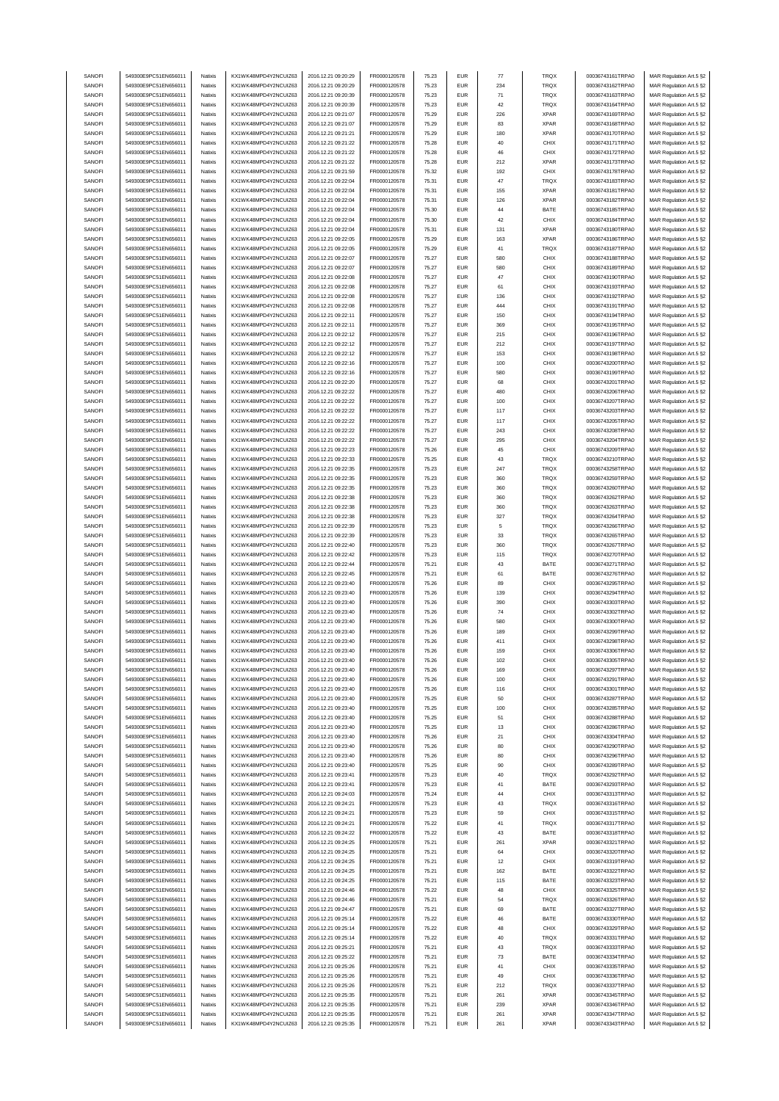| SANOFI | 549300E9PC51EN656011 | Natixis | KX1WK48MPD4Y2NCUIZ63 | 2016.12.21 09:20:29 | FR0000120578 | 75.23 | <b>EUR</b>                  | 77  | <b>TRQX</b> | 00036743161TRPA0 | MAR Regulation Art.5 §2 |
|--------|----------------------|---------|----------------------|---------------------|--------------|-------|-----------------------------|-----|-------------|------------------|-------------------------|
| SANOFI | 549300E9PC51EN656011 | Natixis | KX1WK48MPD4Y2NCUIZ63 | 2016.12.21 09:20:29 | FR0000120578 | 75.23 | <b>EUR</b>                  | 234 | TRQX        | 00036743162TRPA0 | MAR Regulation Art.5 §2 |
| SANOFI | 549300E9PC51EN656011 | Natixis | KX1WK48MPD4Y2NCUIZ63 | 2016.12.21 09:20:39 | FR0000120578 | 75.23 | <b>EUR</b>                  | 71  | <b>TRQX</b> | 00036743163TRPA0 | MAR Regulation Art.5 §2 |
| SANOFI | 549300E9PC51EN656011 | Natixis | KX1WK48MPD4Y2NCUIZ63 | 2016.12.21 09:20:39 | FR0000120578 | 75.23 | <b>EUR</b>                  | 42  | <b>TRQX</b> | 00036743164TRPA0 | MAR Regulation Art.5 §2 |
|        |                      |         |                      |                     |              |       |                             |     |             |                  |                         |
| SANOFI | 549300E9PC51EN656011 | Natixis | KX1WK48MPD4Y2NCUIZ63 | 2016.12.21 09:21:07 | FR0000120578 | 75.29 | <b>EUR</b>                  | 226 | <b>XPAR</b> | 00036743169TRPA0 | MAR Regulation Art.5 §2 |
| SANOFI | 549300E9PC51EN656011 | Natixis | KX1WK48MPD4Y2NCUIZ63 | 2016.12.21 09:21:07 | FR0000120578 | 75.29 | <b>EUR</b>                  | 83  | <b>XPAR</b> | 00036743168TRPA0 | MAR Regulation Art.5 §2 |
| SANOFI | 549300E9PC51EN656011 | Natixis | KX1WK48MPD4Y2NCUIZ63 | 2016.12.21 09:21:21 | FR0000120578 | 75.29 | <b>EUR</b>                  | 180 | <b>XPAR</b> | 00036743170TRPA0 | MAR Regulation Art.5 §2 |
| SANOFI | 549300E9PC51EN656011 | Natixis | KX1WK48MPD4Y2NCUIZ63 | 2016.12.21 09:21:22 | FR0000120578 | 75.28 | <b>EUR</b>                  | 40  | CHIX        | 00036743171TRPA0 | MAR Regulation Art.5 §2 |
| SANOFI | 549300E9PC51EN656011 | Natixis | KX1WK48MPD4Y2NCUIZ63 | 2016.12.21 09:21:22 | FR0000120578 | 75.28 | <b>EUR</b>                  | 46  | CHIX        | 00036743172TRPA0 | MAR Regulation Art.5 §2 |
| SANOFI | 549300E9PC51EN656011 | Natixis | KX1WK48MPD4Y2NCUIZ63 | 2016.12.21 09:21:22 | FR0000120578 | 75.28 | <b>EUR</b>                  | 212 | <b>XPAR</b> | 00036743173TRPA0 | MAR Regulation Art.5 §2 |
|        | 549300E9PC51EN656011 | Natixis |                      |                     |              | 75.32 | <b>EUR</b>                  |     |             |                  |                         |
| SANOFI |                      |         | KX1WK48MPD4Y2NCUIZ63 | 2016.12.21 09:21:59 | FR0000120578 |       |                             | 192 | CHIX        | 00036743178TRPA0 | MAR Regulation Art.5 §2 |
| SANOFI | 549300E9PC51EN656011 | Natixis | KX1WK48MPD4Y2NCUIZ63 | 2016.12.21 09:22:04 | FR0000120578 | 75.31 | <b>EUR</b>                  | 47  | TRQX        | 00036743183TRPA0 | MAR Regulation Art.5 §2 |
| SANOFI | 549300E9PC51EN656011 | Natixis | KX1WK48MPD4Y2NCUIZ63 | 2016.12.21 09:22:04 | FR0000120578 | 75.31 | <b>EUR</b>                  | 155 | <b>XPAR</b> | 00036743181TRPA0 | MAR Regulation Art.5 §2 |
| SANOFI | 549300E9PC51EN656011 | Natixis | KX1WK48MPD4Y2NCUIZ63 | 2016.12.21 09:22:04 | FR0000120578 | 75.31 | <b>EUR</b>                  | 126 | <b>XPAR</b> | 00036743182TRPA0 | MAR Regulation Art.5 §2 |
| SANOFI | 549300E9PC51EN656011 | Natixis | KX1WK48MPD4Y2NCUIZ63 | 2016.12.21 09:22:04 | FR0000120578 | 75.30 | <b>EUR</b>                  | 44  | BATE        | 00036743185TRPA0 | MAR Regulation Art.5 §2 |
| SANOFI | 549300E9PC51EN656011 | Natixis | KX1WK48MPD4Y2NCUIZ63 | 2016.12.21 09:22:04 | FR0000120578 | 75.30 | <b>EUR</b>                  | 42  | CHIX        | 00036743184TRPA0 |                         |
|        |                      |         |                      |                     |              |       |                             |     |             |                  | MAR Regulation Art.5 §2 |
| SANOFI | 549300E9PC51EN656011 | Natixis | KX1WK48MPD4Y2NCUIZ63 | 2016.12.21 09:22:04 | FR0000120578 | 75.31 | <b>EUR</b>                  | 131 | <b>XPAR</b> | 00036743180TRPA0 | MAR Regulation Art.5 §2 |
| SANOFI | 549300E9PC51EN656011 | Natixis | KX1WK48MPD4Y2NCUIZ63 | 2016.12.21 09:22:05 | FR0000120578 | 75.29 | <b>EUR</b>                  | 163 | <b>XPAR</b> | 00036743186TRPA0 | MAR Regulation Art.5 §2 |
| SANOFI | 549300E9PC51EN656011 | Natixis | KX1WK48MPD4Y2NCUIZ63 | 2016.12.21 09:22:05 | FR0000120578 | 75.29 | <b>EUR</b>                  | 41  | TRQX        | 00036743187TRPA0 | MAR Regulation Art.5 §2 |
| SANOFI | 549300E9PC51EN656011 | Natixis | KX1WK48MPD4Y2NCUIZ63 | 2016.12.21 09:22:07 | FR0000120578 | 75.27 | <b>EUR</b>                  | 580 | CHIX        | 00036743188TRPA0 | MAR Regulation Art.5 §2 |
| SANOFI | 549300E9PC51EN656011 | Natixis | KX1WK48MPD4Y2NCUIZ63 | 2016.12.21 09:22:07 | FR0000120578 | 75.27 | <b>EUR</b>                  | 580 | CHIX        | 00036743189TRPA0 | MAR Regulation Art.5 §2 |
| SANOFI | 549300E9PC51EN656011 | Natixis | KX1WK48MPD4Y2NCUIZ63 | 2016.12.21 09:22:08 | FR0000120578 | 75.27 | <b>EUR</b>                  | 47  | CHIX        | 00036743190TRPA0 | MAR Regulation Art.5 §2 |
|        |                      |         |                      |                     |              |       |                             |     |             |                  |                         |
| SANOFI | 549300E9PC51EN656011 | Natixis | KX1WK48MPD4Y2NCUIZ63 | 2016.12.21 09:22:08 | FR0000120578 | 75.27 | <b>EUR</b>                  | 61  | CHIX        | 00036743193TRPA0 | MAR Regulation Art.5 §2 |
| SANOFI | 549300E9PC51EN656011 | Natixis | KX1WK48MPD4Y2NCUIZ63 | 2016.12.21 09:22:08 | FR0000120578 | 75.27 | <b>EUR</b>                  | 136 | CHIX        | 00036743192TRPA0 | MAR Regulation Art.5 §2 |
| SANOFI | 549300E9PC51EN656011 | Natixis | KX1WK48MPD4Y2NCUIZ63 | 2016.12.21 09:22:08 | FR0000120578 | 75.27 | <b>EUR</b>                  | 444 | CHIX        | 00036743191TRPA0 | MAR Regulation Art.5 §2 |
| SANOFI | 549300E9PC51EN656011 | Natixis | KX1WK48MPD4Y2NCUIZ63 | 2016.12.21 09:22:11 | FR0000120578 | 75.27 | <b>EUR</b>                  | 150 | CHIX        | 00036743194TRPA0 | MAR Regulation Art.5 §2 |
| SANOFI | 549300E9PC51EN656011 | Natixis | KX1WK48MPD4Y2NCUIZ63 | 2016.12.21 09:22:11 | FR0000120578 | 75.27 | <b>EUR</b>                  | 369 | CHIX        | 00036743195TRPA0 | MAR Regulation Art.5 §2 |
| SANOFI | 549300E9PC51EN656011 | Natixis | KX1WK48MPD4Y2NCUIZ63 | 2016.12.21 09:22:12 | FR0000120578 | 75.27 | <b>EUR</b>                  | 215 | CHIX        | 00036743196TRPA0 | MAR Regulation Art.5 §2 |
|        |                      |         |                      |                     |              |       |                             |     |             |                  |                         |
| SANOFI | 549300E9PC51EN656011 | Natixis | KX1WK48MPD4Y2NCUIZ63 | 2016.12.21 09:22:12 | FR0000120578 | 75.27 | <b>EUR</b>                  | 212 | CHIX        | 00036743197TRPA0 | MAR Regulation Art.5 §2 |
| SANOFI | 549300E9PC51EN656011 | Natixis | KX1WK48MPD4Y2NCUIZ63 | 2016.12.21 09:22:12 | FR0000120578 | 75.27 | <b>EUR</b>                  | 153 | CHIX        | 00036743198TRPA0 | MAR Regulation Art.5 §2 |
| SANOFI | 549300E9PC51EN656011 | Natixis | KX1WK48MPD4Y2NCUIZ63 | 2016.12.21 09:22:16 | FR0000120578 | 75.27 | <b>EUR</b>                  | 100 | CHIX        | 00036743200TRPA0 | MAR Regulation Art.5 §2 |
| SANOFI | 549300E9PC51EN656011 | Natixis | KX1WK48MPD4Y2NCUIZ63 | 2016.12.21 09:22:16 | FR0000120578 | 75.27 | <b>EUR</b>                  | 580 | CHIX        | 00036743199TRPA0 | MAR Regulation Art.5 §2 |
| SANOFI | 549300E9PC51EN656011 | Natixis | KX1WK48MPD4Y2NCUIZ63 | 2016.12.21 09:22:20 | FR0000120578 | 75.27 | <b>EUR</b>                  | 68  | CHIX        | 00036743201TRPA0 | MAR Regulation Art.5 §2 |
|        |                      |         |                      |                     |              |       |                             |     |             |                  |                         |
| SANOFI | 549300E9PC51EN656011 | Natixis | KX1WK48MPD4Y2NCUIZ63 | 2016.12.21 09:22:22 | FR0000120578 | 75.27 | <b>EUR</b>                  | 480 | CHIX        | 00036743206TRPA0 | MAR Regulation Art.5 §2 |
| SANOFI | 549300E9PC51EN656011 | Natixis | KX1WK48MPD4Y2NCUIZ63 | 2016.12.21 09:22:22 | FR0000120578 | 75.27 | <b>EUR</b>                  | 100 | CHIX        | 00036743207TRPA0 | MAR Regulation Art.5 §2 |
| SANOFI | 549300E9PC51EN656011 | Natixis | KX1WK48MPD4Y2NCUIZ63 | 2016.12.21 09:22:22 | FR0000120578 | 75.27 | <b>EUR</b>                  | 117 | CHIX        | 00036743203TRPA0 | MAR Regulation Art.5 §2 |
| SANOFI | 549300E9PC51EN656011 | Natixis | KX1WK48MPD4Y2NCUIZ63 | 2016.12.21 09:22:22 | FR0000120578 | 75.27 | <b>EUR</b>                  | 117 | CHIX        | 00036743205TRPA0 | MAR Regulation Art.5 §2 |
| SANOFI | 549300E9PC51EN656011 | Natixis | KX1WK48MPD4Y2NCUIZ63 | 2016.12.21 09:22:22 | FR0000120578 | 75.27 | <b>EUR</b>                  | 243 | CHIX        | 00036743208TRPA0 | MAR Regulation Art.5 §2 |
|        | 549300E9PC51EN656011 |         | KX1WK48MPD4Y2NCUIZ63 | 2016.12.21 09:22:22 |              |       |                             |     |             | 00036743204TRPA0 |                         |
| SANOFI |                      | Natixis |                      |                     | FR0000120578 | 75.27 | <b>EUR</b>                  | 295 | CHIX        |                  | MAR Regulation Art.5 §2 |
| SANOFI | 549300E9PC51EN656011 | Natixis | KX1WK48MPD4Y2NCUIZ63 | 2016.12.21 09:22:23 | FR0000120578 | 75.26 | <b>EUR</b>                  | 45  | CHIX        | 00036743209TRPA0 | MAR Regulation Art.5 §2 |
| SANOFI | 549300E9PC51EN656011 | Natixis | KX1WK48MPD4Y2NCUIZ63 | 2016.12.21 09:22:33 | FR0000120578 | 75.25 | <b>EUR</b>                  | 43  | TRQX        | 00036743210TRPA0 | MAR Regulation Art.5 §2 |
| SANOFI | 549300E9PC51EN656011 | Natixis | KX1WK48MPD4Y2NCUIZ63 | 2016.12.21 09:22:35 | FR0000120578 | 75.23 | <b>EUR</b>                  | 247 | TRQX        | 00036743258TRPA0 | MAR Regulation Art.5 §2 |
| SANOFI | 549300E9PC51EN656011 | Natixis | KX1WK48MPD4Y2NCUIZ63 | 2016.12.21 09:22:35 | FR0000120578 | 75.23 | <b>EUR</b>                  | 360 | TRQX        | 00036743259TRPA0 | MAR Regulation Art.5 §2 |
| SANOFI | 549300E9PC51EN656011 | Natixis | KX1WK48MPD4Y2NCUIZ63 | 2016.12.21 09:22:35 | FR0000120578 | 75.23 | <b>EUR</b>                  | 360 | TRQX        | 00036743260TRPA0 | MAR Regulation Art.5 §2 |
|        |                      |         |                      |                     |              |       |                             |     |             |                  |                         |
| SANOFI | 549300E9PC51EN656011 | Natixis | KX1WK48MPD4Y2NCUIZ63 | 2016.12.21 09:22:38 | FR0000120578 | 75.23 | <b>EUR</b>                  | 360 | <b>TRQX</b> | 00036743262TRPA0 | MAR Regulation Art.5 §2 |
| SANOFI | 549300E9PC51EN656011 | Natixis | KX1WK48MPD4Y2NCUIZ63 | 2016.12.21 09:22:38 | FR0000120578 | 75.23 | <b>EUR</b>                  | 360 | <b>TRQX</b> | 00036743263TRPA0 | MAR Regulation Art.5 §2 |
| SANOFI | 549300E9PC51EN656011 | Natixis | KX1WK48MPD4Y2NCUIZ63 | 2016.12.21 09:22:38 | FR0000120578 | 75.23 | <b>EUR</b>                  | 327 | TRQX        | 00036743264TRPA0 | MAR Regulation Art.5 §2 |
| SANOFI | 549300E9PC51EN656011 | Natixis | KX1WK48MPD4Y2NCUIZ63 | 2016.12.21 09:22:39 | FR0000120578 | 75.23 | <b>EUR</b>                  | 5   | TRQX        | 00036743266TRPA0 | MAR Regulation Art.5 §2 |
| SANOFI | 549300E9PC51EN656011 | Natixis | KX1WK48MPD4Y2NCUIZ63 | 2016.12.21 09:22:39 | FR0000120578 | 75.23 | <b>EUR</b>                  | 33  | TRQX        | 00036743265TRPA0 | MAR Regulation Art.5 §2 |
| SANOFI | 549300E9PC51EN656011 | Natixis | KX1WK48MPD4Y2NCUIZ63 | 2016.12.21 09:22:40 | FR0000120578 | 75.23 | <b>EUR</b>                  | 360 | TRQX        | 00036743267TRPA0 |                         |
|        |                      |         |                      |                     |              |       |                             |     |             |                  | MAR Regulation Art.5 §2 |
| SANOFI | 549300E9PC51EN656011 | Natixis | KX1WK48MPD4Y2NCUIZ63 | 2016.12.21 09:22:42 | FR0000120578 | 75.23 | <b>EUR</b>                  | 115 | TRQX        | 00036743270TRPA0 | MAR Regulation Art.5 §2 |
| SANOFI | 549300E9PC51EN656011 | Natixis | KX1WK48MPD4Y2NCUIZ63 | 2016.12.21 09:22:44 | FR0000120578 | 75.21 | <b>EUR</b>                  | 43  | BATE        | 00036743271TRPA0 | MAR Regulation Art.5 §2 |
| SANOFI | 549300E9PC51EN656011 | Natixis | KX1WK48MPD4Y2NCUIZ63 | 2016.12.21 09:22:45 | FR0000120578 | 75.21 | <b>EUR</b>                  | 61  | BATE        | 00036743276TRPA0 | MAR Regulation Art.5 §2 |
| SANOFI | 549300E9PC51EN656011 | Natixis | KX1WK48MPD4Y2NCUIZ63 | 2016.12.21 09:23:40 | FR0000120578 | 75.26 | <b>EUR</b>                  | 89  | CHIX        | 00036743295TRPA0 | MAR Regulation Art.5 §2 |
| SANOFI | 549300E9PC51EN656011 | Natixis | KX1WK48MPD4Y2NCUIZ63 | 2016.12.21 09:23:40 | FR0000120578 | 75.26 | <b>EUR</b>                  | 139 | CHIX        | 00036743294TRPA0 | MAR Regulation Art.5 §2 |
| SANOFI | 549300E9PC51EN656011 | Natixis | KX1WK48MPD4Y2NCUIZ63 | 2016.12.21 09:23:40 | FR0000120578 | 75.26 | <b>EUR</b>                  | 390 | CHIX        | 00036743303TRPA0 | MAR Regulation Art.5 §2 |
|        |                      |         |                      |                     |              |       |                             |     |             |                  |                         |
| SANOFI | 549300E9PC51EN656011 | Natixis | KX1WK48MPD4Y2NCUIZ63 | 2016.12.21 09:23:40 | FR0000120578 | 75.26 | <b>EUR</b>                  | 74  | CHIX        | 00036743302TRPA0 | MAR Regulation Art.5 §2 |
| SANOFI | 549300E9PC51EN656011 | Natixis | KX1WK48MPD4Y2NCUIZ63 | 2016.12.21 09:23:40 | FR0000120578 | 75.26 | <b>EUR</b>                  | 580 | CHIX        | 00036743300TRPA0 | MAR Regulation Art.5 §2 |
| SANOFI | 549300E9PC51EN656011 | Natixis | KX1WK48MPD4Y2NCUIZ63 | 2016.12.21 09:23:40 | FR0000120578 | 75.26 | <b>EUR</b>                  | 189 | CHIX        | 00036743299TRPA0 | MAR Regulation Art.5 §2 |
| SANOFI | 549300E9PC51EN656011 | Natixis | KX1WK48MPD4Y2NCUIZ63 | 2016.12.21 09:23:40 | FR0000120578 | 75.26 | <b>EUR</b>                  | 411 | CHIX        | 00036743298TRPA0 | MAR Regulation Art.5 §2 |
| SANOF  | 549300E9PC51EN65601  | Natixis | KX1WK48MPD4Y2NCUIZ63 |                     | FR0000120578 | 75.26 | EUR                         | 159 | CHIX        | 00036743306TRPA0 | MAR Regulation Art.5 §2 |
|        |                      |         |                      | 2016.12.21 09:23:40 |              |       | <b>EUR</b>                  |     |             |                  |                         |
| SANOFI | 549300E9PC51EN656011 | Natixis | KX1WK48MPD4Y2NCUIZ63 | 2016.12.21 09:23:40 | FR0000120578 | 75.26 |                             | 102 | CHIX        | 00036743305TRPA0 | MAR Regulation Art.5 §2 |
| SANOFI | 549300E9PC51EN656011 | Natixis | KX1WK48MPD4Y2NCUIZ63 | 2016.12.21 09:23:40 | FR0000120578 | 75.26 | <b>EUR</b>                  | 169 | CHIX        | 00036743297TRPA0 | MAR Regulation Art.5 §2 |
| SANOFI | 549300E9PC51EN656011 | Natixis | KX1WK48MPD4Y2NCUIZ63 | 2016.12.21 09:23:40 | FR0000120578 | 75.26 | <b>EUR</b>                  | 100 | CHIX        | 00036743291TRPA0 | MAR Regulation Art.5 §2 |
| SANOFI | 549300E9PC51EN656011 | Natixis | KX1WK48MPD4Y2NCUIZ63 | 2016.12.21 09:23:40 | FR0000120578 | 75.26 | <b>EUR</b>                  | 116 | CHIX        | 00036743301TRPA0 | MAR Regulation Art.5 §2 |
| SANOFI | 549300E9PC51EN656011 | Natixis | KX1WK48MPD4Y2NCUIZ63 | 2016.12.21 09:23:40 | FR0000120578 | 75.25 | <b>EUR</b>                  | 50  | CHIX        | 00036743287TRPA0 | MAR Regulation Art.5 §2 |
| SANOFI | 549300E9PC51EN656011 | Natixis | KX1WK48MPD4Y2NCUIZ63 | 2016.12.21 09:23:40 | FR0000120578 | 75.25 | $\ensuremath{\mathsf{EUR}}$ | 100 | CHIX        | 00036743285TRPA0 | MAR Regulation Art.5 §2 |
| SANOFI | 549300E9PC51EN656011 | Natixis | KX1WK48MPD4Y2NCUIZ63 | 2016.12.21 09:23:40 | FR0000120578 | 75.25 | <b>EUR</b>                  | 51  | CHIX        | 00036743288TRPA0 | MAR Regulation Art.5 §2 |
|        |                      |         |                      |                     |              |       |                             |     |             |                  |                         |
| SANOFI | 549300E9PC51EN656011 | Natixis | KX1WK48MPD4Y2NCUIZ63 | 2016.12.21 09:23:40 | FR0000120578 | 75.25 | <b>EUR</b>                  | 13  | CHIX        | 00036743286TRPA0 | MAR Regulation Art.5 §2 |
| SANOFI | 549300E9PC51EN656011 | Natixis | KX1WK48MPD4Y2NCUIZ63 | 2016.12.21 09:23:40 | FR0000120578 | 75.26 | <b>EUR</b>                  | 21  | CHIX        | 00036743304TRPA0 | MAR Regulation Art.5 §2 |
| SANOFI | 549300E9PC51EN656011 | Natixis | KX1WK48MPD4Y2NCUIZ63 | 2016.12.21 09:23:40 | FR0000120578 | 75.26 | <b>EUR</b>                  | 80  | CHIX        | 00036743290TRPA0 | MAR Regulation Art.5 §2 |
| SANOFI | 549300E9PC51EN656011 | Natixis | KX1WK48MPD4Y2NCUIZ63 | 2016.12.21 09:23:40 | FR0000120578 | 75.26 | <b>EUR</b>                  | 80  | CHIX        | 00036743296TRPA0 | MAR Regulation Art.5 §2 |
| SANOFI | 549300E9PC51EN656011 | Natixis | KX1WK48MPD4Y2NCUIZ63 | 2016.12.21 09:23:40 | FR0000120578 | 75.25 | <b>EUR</b>                  | 90  | CHIX        | 00036743289TRPA0 | MAR Regulation Art.5 §2 |
| SANOFI | 549300E9PC51EN656011 | Natixis | KX1WK48MPD4Y2NCUIZ63 | 2016.12.21 09:23:41 | FR0000120578 | 75.23 | <b>EUR</b>                  | 40  | <b>TRQX</b> | 00036743292TRPA0 | MAR Regulation Art.5 §2 |
| SANOFI | 549300E9PC51EN656011 | Natixis | KX1WK48MPD4Y2NCUIZ63 | 2016.12.21 09:23:41 | FR0000120578 | 75.23 | <b>EUR</b>                  | 41  | BATE        | 00036743293TRPA0 | MAR Regulation Art.5 §2 |
|        |                      |         |                      |                     |              |       |                             |     |             |                  |                         |
| SANOFI | 549300E9PC51EN656011 | Natixis | KX1WK48MPD4Y2NCUIZ63 | 2016.12.21 09:24:03 | FR0000120578 | 75.24 | <b>EUR</b>                  | 44  | CHIX        | 00036743313TRPA0 | MAR Regulation Art.5 §2 |
| SANOFI | 549300E9PC51EN656011 | Natixis | KX1WK48MPD4Y2NCUIZ63 | 2016.12.21 09:24:21 | FR0000120578 | 75.23 | <b>EUR</b>                  | 43  | TRQX        | 00036743316TRPA0 | MAR Regulation Art.5 §2 |
| SANOFI | 549300E9PC51EN656011 | Natixis | KX1WK48MPD4Y2NCUIZ63 | 2016.12.21 09:24:21 | FR0000120578 | 75.23 | <b>EUR</b>                  | 59  | CHIX        | 00036743315TRPA0 | MAR Regulation Art.5 §2 |
| SANOFI | 549300E9PC51EN656011 | Natixis | KX1WK48MPD4Y2NCUIZ63 | 2016.12.21 09:24:21 | FR0000120578 | 75.22 | <b>EUR</b>                  | 41  | TRQX        | 00036743317TRPA0 | MAR Regulation Art.5 §2 |
| SANOFI | 549300E9PC51EN656011 | Natixis | KX1WK48MPD4Y2NCUIZ63 | 2016.12.21 09:24:22 | FR0000120578 | 75.22 | <b>EUR</b>                  | 43  | BATE        | 00036743318TRPA0 | MAR Regulation Art.5 §2 |
| SANOFI | 549300E9PC51EN656011 | Natixis | KX1WK48MPD4Y2NCUIZ63 | 2016.12.21 09:24:25 | FR0000120578 | 75.21 | <b>EUR</b>                  | 261 | <b>XPAR</b> | 00036743321TRPA0 | MAR Regulation Art.5 §2 |
|        |                      |         |                      |                     |              |       |                             |     |             |                  |                         |
| SANOFI | 549300E9PC51EN656011 | Natixis | KX1WK48MPD4Y2NCUIZ63 | 2016.12.21 09:24:25 | FR0000120578 | 75.21 | <b>EUR</b>                  | 64  | CHIX        | 00036743320TRPA0 | MAR Regulation Art.5 §2 |
| SANOFI | 549300E9PC51EN656011 | Natixis | KX1WK48MPD4Y2NCUIZ63 | 2016.12.21 09:24:25 | FR0000120578 | 75.21 | <b>EUR</b>                  | 12  | CHIX        | 00036743319TRPA0 | MAR Regulation Art.5 §2 |
| SANOFI | 549300E9PC51EN656011 | Natixis | KX1WK48MPD4Y2NCUIZ63 | 2016.12.21 09:24:25 | FR0000120578 | 75.21 | <b>EUR</b>                  | 162 | BATE        | 00036743322TRPA0 | MAR Regulation Art.5 §2 |
| SANOFI | 549300E9PC51EN656011 | Natixis | KX1WK48MPD4Y2NCUIZ63 | 2016.12.21 09:24:25 | FR0000120578 | 75.21 | <b>EUR</b>                  | 115 | BATE        | 00036743323TRPA0 | MAR Regulation Art.5 §2 |
| SANOFI | 549300E9PC51EN656011 | Natixis | KX1WK48MPD4Y2NCUIZ63 | 2016.12.21 09:24:46 | FR0000120578 | 75.22 | <b>EUR</b>                  | 48  | CHIX        | 00036743325TRPA0 | MAR Regulation Art.5 §2 |
|        |                      |         |                      |                     |              |       |                             |     |             |                  |                         |
| SANOFI | 549300E9PC51EN656011 | Natixis | KX1WK48MPD4Y2NCUIZ63 | 2016.12.21 09:24:46 | FR0000120578 | 75.21 | <b>EUR</b>                  | 54  | TRQX        | 00036743326TRPA0 | MAR Regulation Art.5 §2 |
| SANOFI | 549300E9PC51EN656011 | Natixis | KX1WK48MPD4Y2NCUIZ63 | 2016.12.21 09:24:47 | FR0000120578 | 75.21 | <b>EUR</b>                  | 69  | BATE        | 00036743327TRPA0 | MAR Regulation Art.5 §2 |
| SANOFI | 549300E9PC51EN656011 | Natixis | KX1WK48MPD4Y2NCUIZ63 | 2016.12.21 09:25:14 | FR0000120578 | 75.22 | <b>EUR</b>                  | 46  | BATE        | 00036743330TRPA0 | MAR Regulation Art.5 §2 |
| SANOFI | 549300E9PC51EN656011 | Natixis | KX1WK48MPD4Y2NCUIZ63 | 2016.12.21 09:25:14 | FR0000120578 | 75.22 | <b>EUR</b>                  | 48  | CHIX        | 00036743329TRPA0 | MAR Regulation Art.5 §2 |
| SANOFI | 549300E9PC51EN656011 | Natixis | KX1WK48MPD4Y2NCUIZ63 | 2016.12.21 09:25:14 | FR0000120578 | 75.22 | <b>EUR</b>                  | 40  | <b>TRQX</b> | 00036743331TRPA0 | MAR Regulation Art.5 §2 |
| SANOFI | 549300E9PC51EN656011 | Natixis | KX1WK48MPD4Y2NCUIZ63 | 2016.12.21 09:25:21 | FR0000120578 | 75.21 | <b>EUR</b>                  | 43  | <b>TRQX</b> | 00036743333TRPA0 | MAR Regulation Art.5 §2 |
|        |                      |         |                      |                     |              |       |                             |     |             |                  |                         |
| SANOFI | 549300E9PC51EN656011 | Natixis | KX1WK48MPD4Y2NCUIZ63 | 2016.12.21 09:25:22 | FR0000120578 | 75.21 | <b>EUR</b>                  | 73  | BATE        | 00036743334TRPA0 | MAR Regulation Art.5 §2 |
| SANOFI | 549300E9PC51EN656011 | Natixis | KX1WK48MPD4Y2NCUIZ63 | 2016.12.21 09:25:26 | FR0000120578 | 75.21 | <b>EUR</b>                  | 41  | CHIX        | 00036743335TRPA0 | MAR Regulation Art.5 §2 |
| SANOFI | 549300E9PC51EN656011 | Natixis | KX1WK48MPD4Y2NCUIZ63 | 2016.12.21 09:25:26 | FR0000120578 | 75.21 | <b>EUR</b>                  | 49  | CHIX        | 00036743336TRPA0 | MAR Regulation Art.5 §2 |
| SANOFI | 549300E9PC51EN656011 | Natixis | KX1WK48MPD4Y2NCUIZ63 | 2016.12.21 09:25:26 | FR0000120578 | 75.21 | <b>EUR</b>                  | 212 | <b>TRQX</b> | 00036743337TRPA0 | MAR Regulation Art.5 §2 |
| SANOFI | 549300E9PC51EN656011 | Natixis | KX1WK48MPD4Y2NCUIZ63 | 2016.12.21 09:25:35 | FR0000120578 | 75.21 | <b>EUR</b>                  | 261 | <b>XPAR</b> | 00036743345TRPA0 | MAR Regulation Art.5 §2 |
| SANOFI | 549300E9PC51EN656011 | Natixis | KX1WK48MPD4Y2NCUIZ63 | 2016.12.21 09:25:35 | FR0000120578 | 75.21 | <b>EUR</b>                  | 239 | <b>XPAR</b> | 00036743346TRPA0 | MAR Regulation Art.5 §2 |
|        |                      |         |                      |                     |              |       |                             |     |             |                  |                         |
| SANOFI | 549300E9PC51EN656011 | Natixis | KX1WK48MPD4Y2NCUIZ63 | 2016.12.21 09:25:35 | FR0000120578 | 75.21 | <b>EUR</b>                  | 261 | <b>XPAR</b> | 00036743347TRPA0 | MAR Regulation Art.5 §2 |
| SANOFI | 549300E9PC51EN656011 | Natixis | KX1WK48MPD4Y2NCUIZ63 | 2016.12.21 09:25:35 | FR0000120578 | 75.21 | <b>EUR</b>                  | 261 | <b>XPAR</b> | 00036743343TRPA0 | MAR Regulation Art.5 §2 |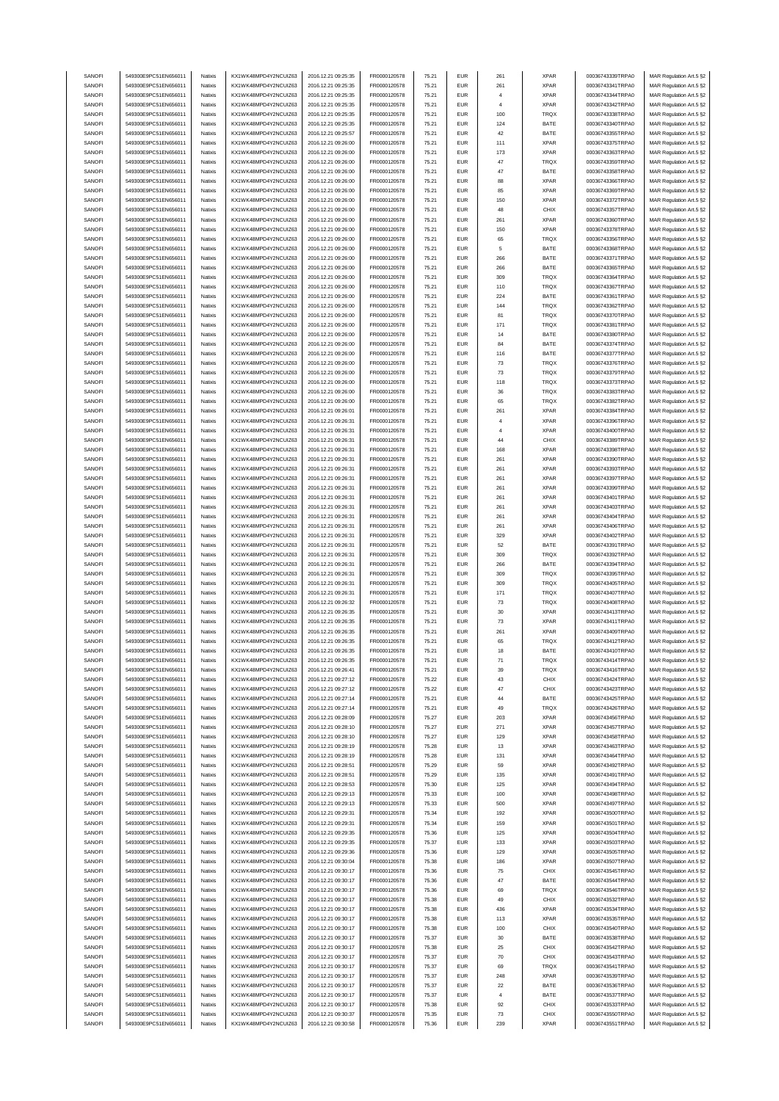| SANOFI | 549300E9PC51EN656011                         | Natixis | KX1WK48MPD4Y2NCUIZ63                         | 2016.12.21 09:25:35                        | FR0000120578 | 75.21 | <b>EUR</b> | 261            | <b>XPAR</b> | 00036743339TRPA0 | MAR Regulation Art.5 §2 |
|--------|----------------------------------------------|---------|----------------------------------------------|--------------------------------------------|--------------|-------|------------|----------------|-------------|------------------|-------------------------|
| SANOFI | 549300E9PC51EN656011                         | Natixis | KX1WK48MPD4Y2NCUIZ63                         | 2016.12.21 09:25:35                        | FR0000120578 | 75.21 | <b>EUR</b> | 261            | <b>XPAR</b> | 00036743341TRPA0 | MAR Regulation Art.5 §2 |
| SANOFI | 549300E9PC51EN656011                         | Natixis | KX1WK48MPD4Y2NCUIZ63                         | 2016.12.21 09:25:35                        | FR0000120578 | 75.21 | <b>EUR</b> | $\overline{4}$ | <b>XPAR</b> | 00036743344TRPA0 | MAR Regulation Art.5 §2 |
| SANOFI | 549300E9PC51EN656011                         | Natixis | KX1WK48MPD4Y2NCUIZ63                         | 2016.12.21 09:25:35                        | FR0000120578 | 75.21 | <b>EUR</b> | $\overline{4}$ | <b>XPAR</b> | 00036743342TRPA0 | MAR Regulation Art.5 §2 |
|        |                                              |         |                                              |                                            |              |       |            |                |             |                  |                         |
| SANOFI | 549300E9PC51EN656011                         | Natixis | KX1WK48MPD4Y2NCUIZ63                         | 2016.12.21 09:25:35                        | FR0000120578 | 75.21 | <b>EUR</b> | 100            | TRQX        | 00036743338TRPA0 | MAR Regulation Art.5 §2 |
| SANOFI | 549300E9PC51EN656011                         | Natixis | KX1WK48MPD4Y2NCUIZ63                         | 2016.12.21 09:25:35                        | FR0000120578 | 75.21 | <b>EUR</b> | 124            | BATE        | 00036743340TRPA0 | MAR Regulation Art.5 §2 |
| SANOFI | 549300E9PC51EN656011                         | Natixis | KX1WK48MPD4Y2NCUIZ63                         | 2016.12.21 09:25:57                        | FR0000120578 | 75.21 | <b>EUR</b> | 42             | BATE        | 00036743355TRPA0 | MAR Regulation Art.5 §2 |
| SANOFI | 549300E9PC51EN656011                         | Natixis | KX1WK48MPD4Y2NCUIZ63                         | 2016.12.21 09:26:00                        | FR0000120578 | 75.21 | <b>EUR</b> | 111            | <b>XPAR</b> | 00036743375TRPA0 | MAR Regulation Art.5 §2 |
| SANOFI | 549300E9PC51EN656011                         | Natixis | KX1WK48MPD4Y2NCUIZ63                         | 2016.12.21 09:26:00                        | FR0000120578 | 75.21 | <b>EUR</b> | 173            | <b>XPAR</b> | 00036743363TRPA0 | MAR Regulation Art.5 §2 |
| SANOFI | 549300E9PC51EN656011                         | Natixis | KX1WK48MPD4Y2NCUIZ63                         | 2016.12.21 09:26:00                        | FR0000120578 | 75.21 | <b>EUR</b> | 47             | TRQX        | 00036743359TRPA0 | MAR Regulation Art.5 §2 |
|        | 549300E9PC51EN656011                         | Natixis |                                              |                                            |              | 75.21 | <b>EUR</b> |                | BATE        |                  |                         |
| SANOFI |                                              |         | KX1WK48MPD4Y2NCUIZ63                         | 2016.12.21 09:26:00                        | FR0000120578 |       |            | 47             |             | 00036743358TRPA0 | MAR Regulation Art.5 §2 |
| SANOFI | 549300E9PC51EN656011                         | Natixis | KX1WK48MPD4Y2NCUIZ63                         | 2016.12.21 09:26:00                        | FR0000120578 | 75.21 | <b>EUR</b> | 88             | <b>XPAR</b> | 00036743366TRPA0 | MAR Regulation Art.5 §2 |
| SANOFI | 549300E9PC51EN656011                         | Natixis | KX1WK48MPD4Y2NCUIZ63                         | 2016.12.21 09:26:00                        | FR0000120578 | 75.21 | <b>EUR</b> | 85             | <b>XPAR</b> | 00036743369TRPA0 | MAR Regulation Art.5 §2 |
| SANOFI | 549300E9PC51EN656011                         | Natixis | KX1WK48MPD4Y2NCUIZ63                         | 2016.12.21 09:26:00                        | FR0000120578 | 75.21 | <b>EUR</b> | 150            | <b>XPAR</b> | 00036743372TRPA0 | MAR Regulation Art.5 §2 |
| SANOFI | 549300E9PC51EN656011                         | Natixis | KX1WK48MPD4Y2NCUIZ63                         | 2016.12.21 09:26:00                        | FR0000120578 | 75.21 | <b>EUR</b> | 48             | CHIX        | 00036743357TRPA0 | MAR Regulation Art.5 §2 |
|        | 549300E9PC51EN656011                         |         | KX1WK48MPD4Y2NCUIZ63                         | 2016.12.21 09:26:00                        | FR0000120578 |       | <b>EUR</b> |                | <b>XPAR</b> | 00036743360TRPA0 |                         |
| SANOFI |                                              | Natixis |                                              |                                            |              | 75.21 |            | 261            |             |                  | MAR Regulation Art.5 §2 |
| SANOFI | 549300E9PC51EN656011                         | Natixis | KX1WK48MPD4Y2NCUIZ63                         | 2016.12.21 09:26:00                        | FR0000120578 | 75.21 | <b>EUR</b> | 150            | <b>XPAR</b> | 00036743378TRPA0 | MAR Regulation Art.5 §2 |
| SANOFI | 549300E9PC51EN656011                         | Natixis | KX1WK48MPD4Y2NCUIZ63                         | 2016.12.21 09:26:00                        | FR0000120578 | 75.21 | <b>EUR</b> | 65             | TRQX        | 00036743356TRPA0 | MAR Regulation Art.5 §2 |
| SANOFI | 549300E9PC51EN656011                         | Natixis | KX1WK48MPD4Y2NCUIZ63                         | 2016.12.21 09:26:00                        | FR0000120578 | 75.21 | <b>EUR</b> | 5              | BATE        | 00036743368TRPA0 | MAR Regulation Art.5 §2 |
| SANOFI | 549300E9PC51EN656011                         | Natixis | KX1WK48MPD4Y2NCUIZ63                         | 2016.12.21 09:26:00                        | FR0000120578 | 75.21 | <b>EUR</b> | 266            | BATE        | 00036743371TRPA0 | MAR Regulation Art.5 §2 |
| SANOFI | 549300E9PC51EN656011                         | Natixis | KX1WK48MPD4Y2NCUIZ63                         | 2016.12.21 09:26:00                        | FR0000120578 | 75.21 | <b>EUR</b> | 266            | BATE        | 00036743365TRPA0 | MAR Regulation Art.5 §2 |
| SANOFI | 549300E9PC51EN656011                         | Natixis | KX1WK48MPD4Y2NCUIZ63                         | 2016.12.21 09:26:00                        | FR0000120578 | 75.21 | <b>EUR</b> | 309            | TRQX        | 00036743364TRPA0 | MAR Regulation Art.5 §2 |
|        |                                              |         |                                              |                                            |              |       |            |                |             |                  |                         |
| SANOFI | 549300E9PC51EN656011                         | Natixis | KX1WK48MPD4Y2NCUIZ63                         | 2016.12.21 09:26:00                        | FR0000120578 | 75.21 | <b>EUR</b> | 110            | TRQX        | 00036743367TRPA0 | MAR Regulation Art.5 §2 |
| SANOFI | 549300E9PC51EN656011                         | Natixis | KX1WK48MPD4Y2NCUIZ63                         | 2016.12.21 09:26:00                        | FR0000120578 | 75.21 | <b>EUR</b> | 224            | BATE        | 00036743361TRPA0 | MAR Regulation Art.5 §2 |
| SANOFI | 549300E9PC51EN656011                         | Natixis | KX1WK48MPD4Y2NCUIZ63                         | 2016.12.21 09:26:00                        | FR0000120578 | 75.21 | <b>EUR</b> | 144            | TRQX        | 00036743362TRPA0 | MAR Regulation Art.5 §2 |
| SANOFI | 549300E9PC51EN656011                         | Natixis | KX1WK48MPD4Y2NCUIZ63                         | 2016.12.21 09:26:00                        | FR0000120578 | 75.21 | <b>EUR</b> | 81             | TRQX        | 00036743370TRPA0 | MAR Regulation Art.5 §2 |
| SANOFI | 549300E9PC51EN656011                         | Natixis | KX1WK48MPD4Y2NCUIZ63                         | 2016.12.21 09:26:00                        | FR0000120578 | 75.21 | <b>EUR</b> | 171            | TRQX        | 00036743381TRPA0 | MAR Regulation Art.5 §2 |
| SANOFI | 549300E9PC51EN656011                         | Natixis | KX1WK48MPD4Y2NCUIZ63                         | 2016.12.21 09:26:00                        | FR0000120578 | 75.21 | <b>EUR</b> | 14             | BATE        | 00036743380TRPA0 | MAR Regulation Art.5 §2 |
|        |                                              |         |                                              |                                            |              |       |            |                |             |                  |                         |
| SANOFI | 549300E9PC51EN656011                         | Natixis | KX1WK48MPD4Y2NCUIZ63                         | 2016.12.21.09:26:00                        | FR0000120578 | 75.21 | <b>EUR</b> | 84             | BATE        | 00036743374TRPA0 | MAR Regulation Art.5 §2 |
| SANOFI | 549300E9PC51EN656011                         | Natixis | KX1WK48MPD4Y2NCUIZ63                         | 2016.12.21 09:26:00                        | FR0000120578 | 75.21 | <b>EUR</b> | 116            | BATE        | 00036743377TRPA0 | MAR Regulation Art.5 §2 |
| SANOFI | 549300E9PC51EN656011                         | Natixis | KX1WK48MPD4Y2NCUIZ63                         | 2016.12.21 09:26:00                        | FR0000120578 | 75.21 | <b>EUR</b> | 73             | TRQX        | 00036743376TRPA0 | MAR Regulation Art.5 §2 |
| SANOFI | 549300E9PC51EN656011                         | Natixis | KX1WK48MPD4Y2NCUIZ63                         | 2016.12.21 09:26:00                        | FR0000120578 | 75.21 | <b>EUR</b> | 73             | TRQX        | 00036743379TRPA0 | MAR Regulation Art.5 §2 |
| SANOFI | 549300E9PC51EN656011                         | Natixis | KX1WK48MPD4Y2NCUIZ63                         | 2016.12.21 09:26:00                        | FR0000120578 | 75.21 | <b>EUR</b> | 118            | TRQX        | 00036743373TRPA0 | MAR Regulation Art.5 §2 |
|        |                                              |         |                                              |                                            |              |       |            |                |             |                  |                         |
| SANOFI | 549300E9PC51EN656011                         | Natixis | KX1WK48MPD4Y2NCUIZ63                         | 2016.12.21 09:26:00                        | FR0000120578 | 75.21 | <b>EUR</b> | 36             | TRQX        | 00036743383TRPA0 | MAR Regulation Art.5 §2 |
| SANOFI | 549300E9PC51EN656011                         | Natixis | KX1WK48MPD4Y2NCUIZ63                         | 2016.12.21 09:26:00                        | FR0000120578 | 75.21 | <b>EUR</b> | 65             | TRQX        | 00036743382TRPA0 | MAR Regulation Art.5 §2 |
| SANOFI | 549300E9PC51EN656011                         | Natixis | KX1WK48MPD4Y2NCUIZ63                         | 2016.12.21 09:26:01                        | FR0000120578 | 75.21 | <b>EUR</b> | 261            | <b>XPAR</b> | 00036743384TRPA0 | MAR Regulation Art.5 §2 |
| SANOFI | 549300E9PC51EN656011                         | Natixis | KX1WK48MPD4Y2NCUIZ63                         | 2016.12.21 09:26:31                        | FR0000120578 | 75.21 | <b>EUR</b> | $\overline{4}$ | <b>XPAR</b> | 00036743396TRPA0 | MAR Regulation Art.5 §2 |
| SANOFI | 549300E9PC51EN656011                         | Natixis | KX1WK48MPD4Y2NCUIZ63                         | 2016.12.21 09:26:31                        | FR0000120578 | 75.21 | <b>EUR</b> | $\overline{4}$ | <b>XPAR</b> | 00036743400TRPA0 | MAR Regulation Art.5 §2 |
| SANOFI | 549300E9PC51EN656011                         | Natixis | KX1WK48MPD4Y2NCUIZ63                         | 2016.12.21 09:26:31                        | FR0000120578 | 75.21 | <b>EUR</b> | 44             | CHIX        | 00036743389TRPA0 | MAR Regulation Art.5 §2 |
|        |                                              |         |                                              |                                            |              |       |            |                |             |                  |                         |
| SANOFI | 549300E9PC51EN656011                         | Natixis | KX1WK48MPD4Y2NCUIZ63                         | 2016.12.21 09:26:31                        | FR0000120578 | 75.21 | <b>EUR</b> | 168            | <b>XPAR</b> | 00036743398TRPA0 | MAR Regulation Art.5 §2 |
| SANOFI | 549300E9PC51EN656011                         | Natixis | KX1WK48MPD4Y2NCUIZ63                         | 2016.12.21 09:26:31                        | FR0000120578 | 75.21 | <b>EUR</b> | 261            | <b>XPAR</b> | 00036743390TRPA0 | MAR Regulation Art.5 §2 |
| SANOFI | 549300E9PC51EN656011                         | Natixis | KX1WK48MPD4Y2NCUIZ63                         | 2016.12.21 09:26:31                        | FR0000120578 | 75.21 | <b>EUR</b> | 261            | <b>XPAR</b> | 00036743393TRPA0 | MAR Regulation Art.5 §2 |
| SANOFI | 549300E9PC51EN656011                         | Natixis | KX1WK48MPD4Y2NCUIZ63                         | 2016.12.21 09:26:31                        | FR0000120578 | 75.21 | <b>EUR</b> | 261            | <b>XPAR</b> | 00036743397TRPA0 | MAR Regulation Art.5 §2 |
| SANOFI | 549300E9PC51EN656011                         | Natixis | KX1WK48MPD4Y2NCUIZ63                         | 2016.12.21 09:26:31                        | FR0000120578 | 75.21 | <b>EUR</b> | 261            | <b>XPAR</b> | 00036743399TRPA0 | MAR Regulation Art.5 §2 |
| SANOFI | 549300E9PC51EN656011                         | Natixis | KX1WK48MPD4Y2NCUIZ63                         | 2016.12.21 09:26:31                        | FR0000120578 | 75.21 | <b>EUR</b> | 261            | <b>XPAR</b> | 00036743401TRPA0 | MAR Regulation Art.5 §2 |
|        |                                              |         |                                              |                                            |              |       |            |                |             |                  |                         |
| SANOFI | 549300E9PC51EN656011                         | Natixis | KX1WK48MPD4Y2NCUIZ63                         | 2016.12.21 09:26:31                        | FR0000120578 | 75.21 | <b>EUR</b> | 261            | <b>XPAR</b> | 00036743403TRPA0 | MAR Regulation Art.5 §2 |
| SANOFI | 549300E9PC51EN656011                         | Natixis | KX1WK48MPD4Y2NCUIZ63                         | 2016.12.21 09:26:31                        | FR0000120578 | 75.21 | <b>EUR</b> | 261            | <b>XPAR</b> | 00036743404TRPA0 | MAR Regulation Art.5 §2 |
| SANOFI | 549300E9PC51EN656011                         | Natixis | KX1WK48MPD4Y2NCUIZ63                         | 2016.12.21 09:26:31                        | FR0000120578 | 75.21 | <b>EUR</b> | 261            | <b>XPAR</b> | 00036743406TRPA0 | MAR Regulation Art.5 §2 |
| SANOFI | 549300E9PC51EN656011                         | Natixis | KX1WK48MPD4Y2NCUIZ63                         | 2016.12.21 09:26:31                        | FR0000120578 | 75.21 | <b>EUR</b> | 329            | <b>XPAR</b> | 00036743402TRPA0 | MAR Regulation Art.5 §2 |
| SANOFI | 549300E9PC51EN656011                         | Natixis | KX1WK48MPD4Y2NCUIZ63                         | 2016.12.21 09:26:31                        | FR0000120578 | 75.21 | EUR        | 52             | BATE        | 00036743391TRPA0 | MAR Regulation Art.5 §2 |
| SANOFI | 549300E9PC51EN656011                         | Natixis | KX1WK48MPD4Y2NCUIZ63                         | 2016.12.21 09:26:31                        | FR0000120578 | 75.21 | <b>EUR</b> | 309            | TRQX        | 00036743392TRPA0 |                         |
|        |                                              |         |                                              |                                            |              |       |            |                |             |                  | MAR Regulation Art.5 §2 |
| SANOFI | 549300E9PC51EN656011                         | Natixis | KX1WK48MPD4Y2NCUIZ63                         | 2016.12.21 09:26:31                        | FR0000120578 | 75.21 | <b>EUR</b> | 266            | BATE        | 00036743394TRPA0 | MAR Regulation Art.5 §2 |
| SANOFI | 549300E9PC51EN656011                         | Natixis | KX1WK48MPD4Y2NCUIZ63                         | 2016.12.21 09:26:31                        | FR0000120578 | 75.21 | <b>EUR</b> | 309            | TRQX        | 00036743395TRPA0 | MAR Regulation Art.5 §2 |
| SANOFI | 549300E9PC51EN656011                         | Natixis | KX1WK48MPD4Y2NCUIZ63                         | 2016.12.21 09:26:31                        | FR0000120578 | 75.21 | <b>EUR</b> | 309            | <b>TRQX</b> | 00036743405TRPA0 | MAR Regulation Art.5 §2 |
| SANOFI | 549300E9PC51EN656011                         | Natixis | KX1WK48MPD4Y2NCUIZ63                         | 2016.12.21 09:26:31                        | FR0000120578 | 75.21 | <b>EUR</b> | 171            | <b>TRQX</b> | 00036743407TRPA0 | MAR Regulation Art.5 §2 |
| SANOFI | 549300E9PC51EN656011                         | Natixis | KX1WK48MPD4Y2NCUIZ63                         | 2016.12.21 09:26:32                        | FR0000120578 | 75.21 | <b>EUR</b> | 73             | TRQX        | 00036743408TRPA0 | MAR Regulation Art.5 §2 |
|        |                                              |         |                                              |                                            |              |       |            |                |             |                  |                         |
| SANOFI | 549300E9PC51EN656011                         | Natixis | KX1WK48MPD4Y2NCUIZ63                         | 2016.12.21 09:26:35                        | FR0000120578 | 75.21 | <b>EUR</b> | 30             | <b>XPAR</b> | 00036743413TRPA0 | MAR Regulation Art.5 §2 |
| SANOFI | 549300E9PC51EN656011                         | Natixis | KX1WK48MPD4Y2NCUIZ63                         | 2016.12.21 09:26:35                        | FR0000120578 | 75.21 | <b>EUR</b> | 73             | <b>XPAR</b> | 00036743411TRPA0 | MAR Regulation Art.5 §2 |
| SANOFI | 549300E9PC51EN656011                         | Natixis | KX1WK48MPD4Y2NCUIZ63                         | 2016.12.21 09:26:35                        | FR0000120578 | 75.21 | <b>EUR</b> | 261            | <b>XPAR</b> | 00036743409TRPA0 | MAR Regulation Art.5 §2 |
| SANOFI | 549300E9PC51EN656011                         | Natixis | KX1WK48MPD4Y2NCUIZ63                         | 2016.12.21 09:26:35                        | FR0000120578 | 75.21 | <b>EUR</b> | 65             | TRQX        | 00036743412TRPA0 | MAR Regulation Art.5 §2 |
| SANOF  | 549300E9PC51EN65601                          | Natixis | KX1WK48MPD4Y2NCUIZ63                         | 2016.12.21 09:26:35                        | FR0000120578 | 75.21 | EUR        | 18             | BATE        | 00036743410TRPA0 | MAR Regulation Art.5 §2 |
| SANOFI | 549300E9PC51EN656011                         | Natixis | KX1WK48MPD4Y2NCUIZ63                         | 2016.12.21 09:26:35                        | FR0000120578 | 75.21 | <b>EUR</b> | 71             | TRQX        | 00036743414TRPA0 | MAR Regulation Art.5 §2 |
|        |                                              |         |                                              |                                            |              |       |            |                |             |                  |                         |
| SANOFI | 549300E9PC51EN656011                         | Natixis | KX1WK48MPD4Y2NCUIZ63                         | 2016.12.21 09:26:41                        | FR0000120578 | 75.21 | <b>EUR</b> | 39             | TRQX        | 00036743416TRPA0 | MAR Regulation Art.5 §2 |
| SANOFI | 549300E9PC51EN656011                         | Natixis | KX1WK48MPD4Y2NCUIZ63                         | 2016.12.21 09:27:12                        | FR0000120578 | 75.22 | <b>EUR</b> | 43             | CHIX        | 00036743424TRPA0 | MAR Regulation Art.5 §2 |
| SANOFI | 549300E9PC51EN656011                         | Natixis | KX1WK48MPD4Y2NCUIZ63                         | 2016.12.21 09:27:12                        | FR0000120578 | 75.22 | <b>EUR</b> | 47             | CHIX        | 00036743423TRPA0 | MAR Regulation Art.5 §2 |
| SANOFI | 549300E9PC51EN656011                         | Natixis | KX1WK48MPD4Y2NCUIZ63                         | 2016.12.21 09:27:14                        | FR0000120578 | 75.21 | <b>EUR</b> | 44             | BATE        | 00036743425TRPA0 | MAR Regulation Art.5 §2 |
| SANOFI | 549300E9PC51EN656011                         | Natixis | KX1WK48MPD4Y2NCUIZ63                         | 2016.12.21 09:27:14                        | FR0000120578 | 75.21 | EUR        | 49             | <b>TRQX</b> | 00036743426TRPA0 | MAR Regulation Art.5 §2 |
| SANOFI | 549300E9PC51EN656011                         | Natixis | KX1WK48MPD4Y2NCUIZ63                         | 2016.12.21 09:28:09                        | FR0000120578 | 75.27 | <b>EUR</b> | 203            | <b>XPAR</b> | 00036743456TRPA0 | MAR Regulation Art.5 §2 |
|        |                                              |         |                                              |                                            |              |       |            |                |             |                  |                         |
| SANOFI | 549300E9PC51EN656011                         | Natixis | KX1WK48MPD4Y2NCUIZ63                         | 2016.12.21 09:28:10                        | FR0000120578 | 75.27 | <b>EUR</b> | 271            | <b>XPAR</b> | 00036743457TRPA0 | MAR Regulation Art.5 §2 |
| SANOFI | 549300E9PC51EN656011                         | Natixis | KX1WK48MPD4Y2NCUIZ63                         | 2016.12.21 09:28:10                        | FR0000120578 | 75.27 | <b>EUR</b> | 129            | <b>XPAR</b> | 00036743458TRPA0 | MAR Regulation Art.5 §2 |
| SANOFI | 549300E9PC51EN656011                         | Natixis | KX1WK48MPD4Y2NCUIZ63                         | 2016.12.21 09:28:19                        | FR0000120578 | 75.28 | <b>EUR</b> | 13             | <b>XPAR</b> | 00036743463TRPA0 | MAR Regulation Art.5 §2 |
| SANOFI | 549300E9PC51EN656011                         | Natixis | KX1WK48MPD4Y2NCUIZ63                         | 2016.12.21 09:28:19                        | FR0000120578 | 75.28 | <b>EUR</b> | 131            | <b>XPAR</b> | 00036743464TRPA0 | MAR Regulation Art.5 §2 |
| SANOFI | 549300E9PC51EN656011                         | Natixis | KX1WK48MPD4Y2NCUIZ63                         | 2016.12.21 09:28:51                        | FR0000120578 | 75.29 | <b>EUR</b> | 59             | <b>XPAR</b> | 00036743492TRPA0 | MAR Regulation Art.5 §2 |
| SANOFI | 549300E9PC51EN656011                         | Natixis | KX1WK48MPD4Y2NCUIZ63                         | 2016.12.21 09:28:51                        | FR0000120578 | 75.29 | <b>EUR</b> | 135            | <b>XPAR</b> | 00036743491TRPA0 | MAR Regulation Art.5 §2 |
| SANOFI | 549300E9PC51EN656011                         | Natixis | KX1WK48MPD4Y2NCUIZ63                         | 2016.12.21 09:28:53                        | FR0000120578 | 75.30 | <b>EUR</b> | 125            | <b>XPAR</b> | 00036743494TRPA0 | MAR Regulation Art.5 §2 |
|        |                                              |         |                                              |                                            |              |       |            |                |             |                  |                         |
| SANOFI | 549300E9PC51EN656011                         | Natixis | KX1WK48MPD4Y2NCUIZ63                         | 2016.12.21 09:29:13                        | FR0000120578 | 75.33 | <b>EUR</b> | 100            | <b>XPAR</b> | 00036743498TRPA0 | MAR Regulation Art.5 §2 |
| SANOFI | 549300E9PC51EN656011                         | Natixis | KX1WK48MPD4Y2NCUIZ63                         | 2016.12.21 09:29:13                        | FR0000120578 | 75.33 | <b>EUR</b> | 500            | <b>XPAR</b> | 00036743497TRPA0 | MAR Regulation Art.5 §2 |
| SANOFI | 549300E9PC51EN656011                         | Natixis | KX1WK48MPD4Y2NCUIZ63                         | 2016.12.21 09:29:31                        | FR0000120578 | 75.34 | <b>EUR</b> | 192            | <b>XPAR</b> | 00036743500TRPA0 | MAR Regulation Art.5 §2 |
| SANOFI | 549300E9PC51EN656011                         | Natixis | KX1WK48MPD4Y2NCUIZ63                         | 2016.12.21 09:29:31                        | FR0000120578 | 75.34 | <b>EUR</b> | 159            | <b>XPAR</b> | 00036743501TRPA0 | MAR Regulation Art.5 §2 |
| SANOFI | 549300E9PC51EN656011                         | Natixis | KX1WK48MPD4Y2NCUIZ63                         | 2016.12.21 09:29:35                        | FR0000120578 | 75.36 | <b>EUR</b> | 125            | <b>XPAR</b> | 00036743504TRPA0 | MAR Regulation Art.5 §2 |
| SANOFI | 549300E9PC51EN656011                         | Natixis | KX1WK48MPD4Y2NCUIZ63                         | 2016.12.21 09:29:35                        | FR0000120578 | 75.37 | <b>EUR</b> | 133            | <b>XPAR</b> | 00036743503TRPA0 | MAR Regulation Art.5 §2 |
|        |                                              |         |                                              |                                            |              |       |            |                |             |                  |                         |
| SANOFI | 549300E9PC51EN656011                         | Natixis | KX1WK48MPD4Y2NCUIZ63                         | 2016.12.21 09:29:36                        | FR0000120578 | 75.36 | <b>EUR</b> | 129            | <b>XPAR</b> | 00036743505TRPA0 | MAR Regulation Art.5 §2 |
| SANOFI | 549300E9PC51EN656011                         | Natixis | KX1WK48MPD4Y2NCUIZ63                         | 2016.12.21 09:30:04                        | FR0000120578 | 75.38 | <b>EUR</b> | 186            | <b>XPAR</b> | 00036743507TRPA0 | MAR Regulation Art.5 §2 |
| SANOFI | 549300E9PC51EN656011                         | Natixis | KX1WK48MPD4Y2NCUIZ63                         | 2016.12.21 09:30:17                        | FR0000120578 | 75.36 | <b>EUR</b> | 75             | CHIX        | 00036743545TRPA0 | MAR Regulation Art.5 §2 |
| SANOFI | 549300E9PC51EN656011                         | Natixis | KX1WK48MPD4Y2NCUIZ63                         | 2016.12.21 09:30:17                        | FR0000120578 | 75.36 | <b>EUR</b> | 47             | BATE        | 00036743544TRPA0 | MAR Regulation Art.5 §2 |
| SANOFI | 549300E9PC51EN656011                         | Natixis | KX1WK48MPD4Y2NCUIZ63                         | 2016.12.21 09:30:17                        | FR0000120578 | 75.36 | <b>EUR</b> | 69             | <b>TRQX</b> | 00036743546TRPA0 | MAR Regulation Art.5 §2 |
| SANOFI | 549300E9PC51EN656011                         | Natixis | KX1WK48MPD4Y2NCUIZ63                         |                                            | FR0000120578 | 75.38 | <b>EUR</b> | 49             | CHIX        | 00036743532TRPA0 |                         |
|        |                                              |         |                                              | 2016.12.21 09:30:17                        |              |       |            |                |             |                  | MAR Regulation Art.5 §2 |
| SANOFI | 549300E9PC51EN656011                         | Natixis | KX1WK48MPD4Y2NCUIZ63                         | 2016.12.21 09:30:17                        | FR0000120578 | 75.38 | <b>EUR</b> | 436            | <b>XPAR</b> | 00036743534TRPA0 | MAR Regulation Art.5 §2 |
| SANOFI | 549300E9PC51EN656011                         | Natixis | KX1WK48MPD4Y2NCUIZ63                         | 2016.12.21 09:30:17                        | FR0000120578 | 75.38 | <b>EUR</b> | 113            | <b>XPAR</b> | 00036743535TRPA0 | MAR Regulation Art.5 §2 |
| SANOFI | 549300E9PC51EN656011                         | Natixis | KX1WK48MPD4Y2NCUIZ63                         | 2016.12.21 09:30:17                        | FR0000120578 | 75.38 | <b>EUR</b> | 100            | CHIX        | 00036743540TRPA0 | MAR Regulation Art.5 §2 |
| SANOFI | 549300E9PC51EN656011                         | Natixis | KX1WK48MPD4Y2NCUIZ63                         | 2016.12.21 09:30:17                        | FR0000120578 | 75.37 | <b>EUR</b> | 30             | BATE        | 00036743538TRPA0 | MAR Regulation Art.5 §2 |
| SANOFI | 549300E9PC51EN656011                         | Natixis | KX1WK48MPD4Y2NCUIZ63                         | 2016.12.21 09:30:17                        | FR0000120578 | 75.38 | <b>EUR</b> | 25             | CHIX        | 00036743542TRPA0 | MAR Regulation Art.5 §2 |
|        |                                              |         |                                              |                                            |              |       |            |                |             |                  |                         |
| SANOFI | 549300E9PC51EN656011                         | Natixis | KX1WK48MPD4Y2NCUIZ63                         | 2016.12.21 09:30:17                        | FR0000120578 | 75.37 | <b>EUR</b> | 70             | CHIX        | 00036743543TRPA0 | MAR Regulation Art.5 §2 |
| SANOFI | 549300E9PC51EN656011                         | Natixis | KX1WK48MPD4Y2NCUIZ63                         | 2016.12.21 09:30:17                        | FR0000120578 | 75.37 | <b>EUR</b> | 69             | TRQX        | 00036743541TRPA0 | MAR Regulation Art.5 §2 |
| SANOFI | 549300E9PC51EN656011                         | Natixis | KX1WK48MPD4Y2NCUIZ63                         | 2016.12.21 09:30:17                        | FR0000120578 | 75.37 | <b>EUR</b> | 248            | <b>XPAR</b> | 00036743539TRPA0 | MAR Regulation Art.5 §2 |
| SANOFI | 549300E9PC51EN656011                         | Natixis | KX1WK48MPD4Y2NCUIZ63                         | 2016.12.21 09:30:17                        | FR0000120578 | 75.37 | <b>EUR</b> | $22\,$         | BATE        | 00036743536TRPA0 | MAR Regulation Art.5 §2 |
| SANOFI | 549300E9PC51EN656011                         | Natixis | KX1WK48MPD4Y2NCUIZ63                         | 2016.12.21 09:30:17                        | FR0000120578 | 75.37 | <b>EUR</b> | $\overline{4}$ | BATE        | 00036743537TRPA0 | MAR Regulation Art.5 §2 |
| SANOFI | 549300E9PC51EN656011                         | Natixis | KX1WK48MPD4Y2NCUIZ63                         | 2016.12.21 09:30:17                        | FR0000120578 | 75.38 | <b>EUR</b> | 92             | CHIX        | 00036743533TRPA0 | MAR Regulation Art.5 §2 |
|        |                                              |         |                                              |                                            |              |       |            |                |             |                  |                         |
| SANOFI | 549300E9PC51EN656011<br>549300E9PC51EN656011 | Natixis | KX1WK48MPD4Y2NCUIZ63<br>KX1WK48MPD4Y2NCUIZ63 | 2016.12.21 09:30:37<br>2016.12.21 09:30:58 | FR0000120578 | 75.35 | <b>EUR</b> | $73\,$         | CHIX        | 00036743550TRPA0 | MAR Regulation Art.5 §2 |
| SANOFI |                                              | Natixis |                                              |                                            | FR0000120578 | 75.36 | <b>EUR</b> | 239            | <b>XPAR</b> | 00036743551TRPA0 | MAR Regulation Art.5 §2 |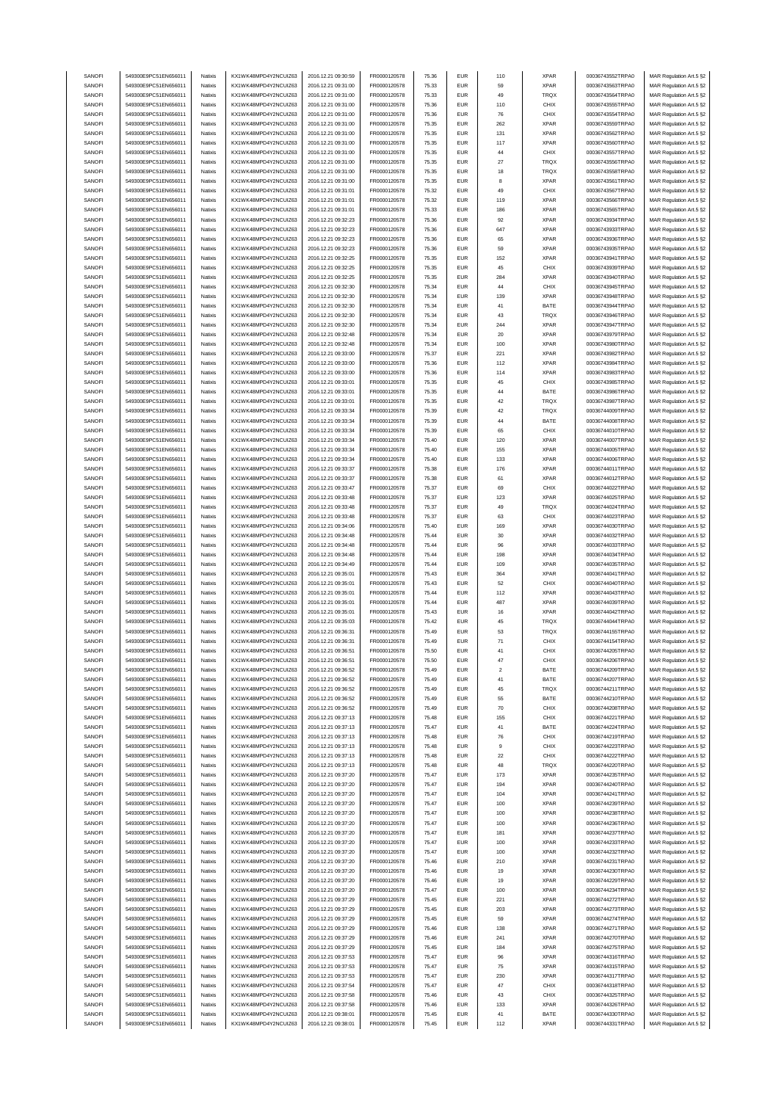| SANOFI | 549300E9PC51EN656011 | Natixis | KX1WK48MPD4Y2NCUIZ63  | 2016.12.21 09:30:59 | FR0000120578 | 75.36 | <b>EUR</b> | 110            | <b>XPAR</b> | 00036743552TRPA0 | MAR Regulation Art.5 §2 |
|--------|----------------------|---------|-----------------------|---------------------|--------------|-------|------------|----------------|-------------|------------------|-------------------------|
| SANOFI | 549300E9PC51EN656011 | Natixis | KX1WK48MPD4Y2NCUIZ63  | 2016.12.21 09:31:00 | FR0000120578 | 75.33 | <b>EUR</b> | 59             | <b>XPAR</b> | 00036743563TRPA0 | MAR Regulation Art.5 §2 |
| SANOFI | 549300E9PC51EN656011 | Natixis | KX1WK48MPD4Y2NCUIZ63  | 2016.12.21 09:31:00 | FR0000120578 | 75.33 | <b>EUR</b> | 49             | TRQX        | 00036743564TRPA0 | MAR Regulation Art.5 §2 |
| SANOFI | 549300E9PC51EN656011 | Natixis | KX1WK48MPD4Y2NCUIZ63  | 2016.12.21 09:31:00 | FR0000120578 | 75.36 | <b>EUR</b> | 110            | CHIX        | 00036743555TRPA0 | MAR Regulation Art.5 §2 |
|        |                      |         |                       |                     |              |       |            |                |             |                  |                         |
| SANOFI | 549300E9PC51EN656011 | Natixis | KX1WK48MPD4Y2NCUIZ63  | 2016.12.21 09:31:00 | FR0000120578 | 75.36 | <b>EUR</b> | 76             | CHIX        | 00036743554TRPA0 | MAR Regulation Art.5 §2 |
| SANOFI | 549300E9PC51EN656011 | Natixis | KX1WK48MPD4Y2NCUIZ63  | 2016.12.21 09:31:00 | FR0000120578 | 75.35 | <b>EUR</b> | 262            | <b>XPAR</b> | 00036743559TRPA0 | MAR Regulation Art.5 §2 |
| SANOFI | 549300E9PC51EN656011 | Natixis | KX1WK48MPD4Y2NCUIZ63  | 2016.12.21 09:31:00 | FR0000120578 | 75.35 | <b>EUR</b> | 131            | <b>XPAR</b> | 00036743562TRPA0 | MAR Regulation Art.5 §2 |
| SANOFI | 549300E9PC51EN656011 | Natixis | KX1WK48MPD4Y2NCUIZ63  | 2016.12.21 09:31:00 | FR0000120578 | 75.35 | <b>EUR</b> | 117            | <b>XPAR</b> | 00036743560TRPA0 | MAR Regulation Art.5 §2 |
| SANOFI | 549300E9PC51EN656011 | Natixis | KX1WK48MPD4Y2NCLIIZ63 | 2016.12.21 09:31:00 | FR0000120578 | 75.35 | <b>EUR</b> | 44             | CHIX        | 00036743557TRPA0 | MAR Regulation Art.5 §2 |
| SANOFI | 549300E9PC51EN656011 | Natixis | KX1WK48MPD4Y2NCUIZ63  | 2016.12.21 09:31:00 | FR0000120578 | 75.35 | <b>EUR</b> | 27             | TRQX        | 00036743556TRPA0 | MAR Regulation Art.5 §2 |
| SANOFI | 549300E9PC51EN656011 | Natixis | KX1WK48MPD4Y2NCUIZ63  | 2016.12.21 09:31:00 | FR0000120578 | 75.35 | <b>EUR</b> | 18             | TRQX        | 00036743558TRPA0 | MAR Regulation Art.5 §2 |
|        |                      |         |                       |                     |              |       |            |                |             |                  |                         |
| SANOFI | 549300E9PC51EN656011 | Natixis | KX1WK48MPD4Y2NCUIZ63  | 2016.12.21 09:31:00 | FR0000120578 | 75.35 | <b>EUR</b> | 8              | <b>XPAR</b> | 00036743561TRPA0 | MAR Regulation Art.5 §2 |
| SANOFI | 549300E9PC51EN656011 | Natixis | KX1WK48MPD4Y2NCUIZ63  | 2016.12.21 09:31:01 | FR0000120578 | 75.32 | <b>EUR</b> | 49             | CHIX        | 00036743567TRPA0 | MAR Regulation Art.5 §2 |
| SANOFI | 549300E9PC51EN656011 | Natixis | KX1WK48MPD4Y2NCUIZ63  | 2016.12.21 09:31:01 | FR0000120578 | 75.32 | <b>EUR</b> | 119            | <b>XPAR</b> | 00036743566TRPA0 | MAR Regulation Art.5 §2 |
| SANOFI | 549300E9PC51EN656011 | Natixis | KX1WK48MPD4Y2NCUIZ63  | 2016.12.21 09:31:01 | FR0000120578 | 75.33 | <b>EUR</b> | 186            | <b>XPAR</b> | 00036743565TRPA0 | MAR Regulation Art.5 §2 |
|        | 549300E9PC51EN656011 |         | KX1WK48MPD4Y2NCUIZ63  |                     |              |       | <b>EUR</b> |                |             |                  |                         |
| SANOFI |                      | Natixis |                       | 2016.12.21 09:32:23 | FR0000120578 | 75.36 |            | 92             | <b>XPAR</b> | 00036743934TRPA0 | MAR Regulation Art.5 §2 |
| SANOFI | 549300E9PC51EN656011 | Natixis | KX1WK48MPD4Y2NCUIZ63  | 2016.12.21 09:32:23 | FR0000120578 | 75.36 | <b>EUR</b> | 647            | <b>XPAR</b> | 00036743933TRPA0 | MAR Regulation Art.5 §2 |
| SANOFI | 549300E9PC51EN656011 | Natixis | KX1WK48MPD4Y2NCLIIZ63 | 2016.12.21 09:32:23 | FR0000120578 | 75.36 | <b>EUR</b> | 65             | <b>XPAR</b> | 00036743936TRPA0 | MAR Regulation Art.5 §2 |
| SANOFI | 549300E9PC51EN656011 | Natixis | KX1WK48MPD4Y2NCUIZ63  | 2016.12.21 09:32:23 | FR0000120578 | 75.36 | <b>EUR</b> | 59             | <b>XPAR</b> | 00036743935TRPA0 | MAR Regulation Art.5 §2 |
| SANOFI | 549300E9PC51EN656011 | Natixis | KX1WK48MPD4Y2NCUIZ63  | 2016.12.21 09:32:25 | FR0000120578 | 75.35 | <b>EUR</b> | 152            | <b>XPAR</b> | 00036743941TRPA0 | MAR Regulation Art.5 §2 |
| SANOFI | 549300E9PC51EN656011 | Natixis | KX1WK48MPD4Y2NCUIZ63  | 2016.12.21 09:32:25 | FR0000120578 | 75.35 | <b>EUR</b> | 45             | CHIX        | 00036743939TRPA0 | MAR Regulation Art.5 §2 |
|        |                      |         |                       |                     |              |       |            |                |             |                  |                         |
| SANOFI | 549300E9PC51EN656011 | Natixis | KX1WK48MPD4Y2NCUIZ63  | 2016.12.21 09:32:25 | FR0000120578 | 75.35 | <b>EUR</b> | 284            | <b>XPAR</b> | 00036743940TRPA0 | MAR Regulation Art.5 §2 |
| SANOFI | 549300E9PC51EN656011 | Natixis | KX1WK48MPD4Y2NCUIZ63  | 2016.12.21 09:32:30 | FR0000120578 | 75.34 | <b>EUR</b> | 44             | CHIX        | 00036743945TRPA0 | MAR Regulation Art.5 §2 |
| SANOFI | 549300E9PC51EN656011 | Natixis | KX1WK48MPD4Y2NCUIZ63  | 2016.12.21 09:32:30 | FR0000120578 | 75.34 | <b>EUR</b> | 139            | <b>XPAR</b> | 00036743948TRPA0 | MAR Regulation Art.5 §2 |
| SANOFI | 549300E9PC51EN656011 | Natixis | KX1WK48MPD4Y2NCUIZ63  | 2016.12.21 09:32:30 | FR0000120578 | 75.34 | <b>EUR</b> | 41             | BATE        | 00036743944TRPA0 | MAR Regulation Art.5 §2 |
| SANOFI | 549300E9PC51EN656011 | Natixis | KX1WK48MPD4Y2NCUIZ63  | 2016.12.21 09:32:30 | FR0000120578 | 75.34 | <b>EUR</b> | 43             | TRQX        | 00036743946TRPA0 | MAR Regulation Art.5 §2 |
| SANOFI | 549300E9PC51EN656011 | Natixis | KX1WK48MPD4Y2NCLIIZ63 | 2016.12.21 09:32:30 | FR0000120578 | 75.34 | <b>EUR</b> | 244            | <b>XPAR</b> | 00036743947TRPA0 | MAR Regulation Art.5 §2 |
|        |                      |         |                       |                     |              |       |            |                |             |                  |                         |
| SANOFI | 549300E9PC51EN656011 | Natixis | KX1WK48MPD4Y2NCUIZ63  | 2016.12.21 09:32:48 | FR0000120578 | 75.34 | <b>EUR</b> | 20             | <b>XPAR</b> | 00036743979TRPA0 | MAR Regulation Art.5 §2 |
| SANOFI | 549300E9PC51EN656011 | Natixis | KX1WK48MPD4Y2NCUIZ63  | 2016.12.21 09:32:48 | FR0000120578 | 75.34 | <b>EUR</b> | 100            | <b>XPAR</b> | 00036743980TRPA0 | MAR Regulation Art.5 §2 |
| SANOFI | 549300E9PC51EN656011 | Natixis | KX1WK48MPD4Y2NCUIZ63  | 2016.12.21 09:33:00 | FR0000120578 | 75.37 | <b>EUR</b> | 221            | <b>XPAR</b> | 00036743982TRPA0 | MAR Regulation Art.5 §2 |
| SANOFI | 549300E9PC51EN656011 | Natixis | KX1WK48MPD4Y2NCUIZ63  | 2016.12.21 09:33:00 | FR0000120578 | 75.36 | <b>EUR</b> | 112            | <b>XPAR</b> | 00036743984TRPA0 | MAR Regulation Art.5 §2 |
| SANOFI | 549300E9PC51EN656011 | Natixis | KX1WK48MPD4Y2NCUIZ63  | 2016.12.21 09:33:00 | FR0000120578 | 75.36 | <b>EUR</b> | 114            | <b>XPAR</b> | 00036743983TRPA0 | MAR Regulation Art.5 §2 |
|        |                      |         |                       |                     |              |       |            |                |             |                  |                         |
| SANOFI | 549300E9PC51EN656011 | Natixis | KX1WK48MPD4Y2NCUIZ63  | 2016.12.21 09:33:01 | FR0000120578 | 75.35 | <b>EUR</b> | 45             | CHIX        | 00036743985TRPA0 | MAR Regulation Art.5 §2 |
| SANOFI | 549300E9PC51EN656011 | Natixis | KX1WK48MPD4Y2NCUIZ63  | 2016.12.21 09:33:01 | FR0000120578 | 75.35 | <b>EUR</b> | 44             | BATE        | 00036743986TRPA0 | MAR Regulation Art.5 §2 |
| SANOFI | 549300E9PC51EN656011 | Natixis | KX1WK48MPD4Y2NCUIZ63  | 2016.12.21 09:33:01 | FR0000120578 | 75.35 | <b>EUR</b> | 42             | TRQX        | 00036743987TRPA0 | MAR Regulation Art.5 §2 |
| SANOFI | 549300E9PC51EN656011 | Natixis | KX1WK48MPD4Y2NCLIIZ63 | 2016.12.21 09:33:34 | FR0000120578 | 75.39 | <b>EUR</b> | 42             | TRQX        | 00036744009TRPA0 | MAR Regulation Art.5 §2 |
| SANOFI | 549300E9PC51EN656011 | Natixis | KX1WK48MPD4Y2NCUIZ63  | 2016.12.21 09:33:34 | FR0000120578 | 75.39 | <b>EUR</b> | 44             | BATE        | 00036744008TRPA0 | MAR Regulation Art.5 §2 |
|        |                      |         |                       |                     |              |       |            |                |             |                  |                         |
| SANOFI | 549300E9PC51EN656011 | Natixis | KX1WK48MPD4Y2NCUIZ63  | 2016.12.21 09:33:34 | FR0000120578 | 75.39 | <b>EUR</b> | 65             | CHIX        | 00036744010TRPA0 | MAR Regulation Art.5 §2 |
| SANOFI | 549300E9PC51EN656011 | Natixis | KX1WK48MPD4Y2NCUIZ63  | 2016.12.21 09:33:34 | FR0000120578 | 75.40 | <b>EUR</b> | 120            | <b>XPAR</b> | 00036744007TRPA0 | MAR Regulation Art.5 §2 |
| SANOFI | 549300E9PC51EN656011 | Natixis | KX1WK48MPD4Y2NCUIZ63  | 2016.12.21 09:33:34 | FR0000120578 | 75.40 | <b>EUR</b> | 155            | <b>XPAR</b> | 00036744005TRPA0 | MAR Regulation Art.5 §2 |
| SANOFI | 549300E9PC51EN656011 | Natixis | KX1WK48MPD4Y2NCUIZ63  | 2016.12.21 09:33:34 | FR0000120578 | 75.40 | <b>EUR</b> | 133            | <b>XPAR</b> | 00036744006TRPA0 | MAR Regulation Art.5 §2 |
| SANOFI | 549300E9PC51EN656011 | Natixis | KX1WK48MPD4Y2NCUIZ63  | 2016.12.21 09:33:37 | FR0000120578 | 75.38 | <b>EUR</b> | 176            | <b>XPAR</b> | 00036744011TRPA0 | MAR Regulation Art.5 §2 |
| SANOFI | 549300E9PC51EN656011 | Natixis | KX1WK48MPD4Y2NCUIZ63  | 2016.12.21 09:33:37 | FR0000120578 | 75.38 | <b>EUR</b> | 61             | <b>XPAR</b> | 00036744012TRPA0 |                         |
|        |                      |         |                       |                     |              |       |            |                |             |                  | MAR Regulation Art.5 §2 |
| SANOFI | 549300E9PC51EN656011 | Natixis | KX1WK48MPD4Y2NCUIZ63  | 2016.12.21 09:33:47 | FR0000120578 | 75.37 | <b>EUR</b> | 69             | CHIX        | 00036744022TRPA0 | MAR Regulation Art.5 §2 |
| SANOFI | 549300E9PC51EN656011 | Natixis | KX1WK48MPD4Y2NCUIZ63  | 2016.12.21 09:33:48 | FR0000120578 | 75.37 | <b>EUR</b> | 123            | <b>XPAR</b> | 00036744025TRPA0 | MAR Regulation Art.5 §2 |
| SANOFI | 549300E9PC51EN656011 | Natixis | KX1WK48MPD4Y2NCUIZ63  | 2016.12.21 09:33:48 | FR0000120578 | 75.37 | <b>EUR</b> | 49             | TRQX        | 00036744024TRPA0 | MAR Regulation Art.5 §2 |
| SANOFI | 549300E9PC51EN656011 | Natixis | KX1WK48MPD4Y2NCUIZ63  | 2016.12.21 09:33:48 | FR0000120578 | 75.37 | <b>EUR</b> | 63             | CHIX        | 00036744023TRPA0 | MAR Regulation Art.5 §2 |
| SANOFI | 549300E9PC51EN656011 | Natixis | KX1WK48MPD4Y2NCUIZ63  | 2016.12.21 09:34:06 | FR0000120578 | 75.40 | <b>EUR</b> | 169            | <b>XPAR</b> | 00036744030TRPA0 | MAR Regulation Art.5 §2 |
|        |                      |         |                       |                     |              |       |            |                |             |                  |                         |
| SANOFI | 549300E9PC51EN656011 | Natixis | KX1WK48MPD4Y2NCUIZ63  | 2016.12.21 09:34:48 | FR0000120578 | 75.44 | <b>EUR</b> | 30             | <b>XPAR</b> | 00036744032TRPA0 | MAR Regulation Art.5 §2 |
| SANOFI | 549300E9PC51EN656011 | Natixis | KX1WK48MPD4Y2NCUIZ63  | 2016.12.21 09:34:48 | FR0000120578 | 75.44 | <b>EUR</b> | 96             | <b>XPAR</b> | 00036744033TRPA0 | MAR Regulation Art.5 §2 |
| SANOFI | 549300E9PC51EN656011 | Natixis | KX1WK48MPD4Y2NCUIZ63  | 2016.12.21 09:34:48 | FR0000120578 | 75.44 | <b>EUR</b> | 198            | <b>XPAR</b> | 00036744034TRPA0 | MAR Regulation Art.5 §2 |
| SANOFI | 549300E9PC51EN656011 | Natixis | KX1WK48MPD4Y2NCUIZ63  | 2016.12.21 09:34:49 | FR0000120578 | 75.44 | <b>EUR</b> | 109            | <b>XPAR</b> | 00036744035TRPA0 | MAR Regulation Art.5 §2 |
| SANOFI | 549300E9PC51EN656011 | Natixis | KX1WK48MPD4Y2NCUIZ63  | 2016.12.21 09:35:01 | FR0000120578 | 75.43 | <b>EUR</b> | 364            | <b>XPAR</b> | 00036744041TRPA0 | MAR Regulation Art.5 §2 |
|        |                      |         |                       |                     |              |       |            |                |             |                  |                         |
| SANOFI | 549300E9PC51EN656011 | Natixis | KX1WK48MPD4Y2NCUIZ63  | 2016.12.21 09:35:01 | FR0000120578 | 75.43 | <b>EUR</b> | 52             | CHIX        | 00036744040TRPA0 | MAR Regulation Art.5 §2 |
| SANOFI | 549300E9PC51EN656011 | Natixis | KX1WK48MPD4Y2NCUIZ63  | 2016.12.21 09:35:01 | FR0000120578 | 75.44 | <b>EUR</b> | 112            | <b>XPAR</b> | 00036744043TRPA0 | MAR Regulation Art.5 §2 |
| SANOFI | 549300E9PC51EN656011 | Natixis | KX1WK48MPD4Y2NCUIZ63  | 2016.12.21 09:35:01 | FR0000120578 | 75.44 | <b>EUR</b> | 487            | <b>XPAR</b> | 00036744039TRPA0 | MAR Regulation Art.5 §2 |
| SANOFI | 549300E9PC51EN656011 | Natixis | KX1WK48MPD4Y2NCUIZ63  | 2016.12.21 09:35:01 | FR0000120578 | 75.43 | <b>EUR</b> | 16             | <b>XPAR</b> | 00036744042TRPA0 | MAR Regulation Art.5 §2 |
| SANOFI | 549300E9PC51EN656011 | Natixis | KX1WK48MPD4Y2NCUIZ63  | 2016.12.21 09:35:03 | FR0000120578 | 75.42 | <b>EUR</b> | 45             | TRQX        | 00036744044TRPA0 | MAR Regulation Art.5 §2 |
|        |                      | Natixis | KX1WK48MPD4Y2NCUIZ63  | 2016.12.21 09:36:31 |              | 75.49 | <b>EUR</b> |                | TRQX        |                  |                         |
| SANOFI | 549300E9PC51EN656011 |         |                       |                     | FR0000120578 |       |            | 53             |             | 00036744155TRPA0 | MAR Regulation Art.5 §2 |
| SANOFI | 549300E9PC51EN656011 | Natixis | KX1WK48MPD4Y2NCUIZ63  | 2016.12.21 09:36:31 | FR0000120578 | 75.49 | <b>EUR</b> | 71             | CHIX        | 00036744154TRPA0 | MAR Regulation Art.5 §2 |
| SANOF  | 549300E9PC51EN656011 | Natixis | KX1WK48MPD4Y2NCUIZ63  | 2016.12.21 09:36:51 | FR0000120578 | 75.50 | EUR        |                | CHIX        | 00036744205TRPA0 | MAR Regulation Art.5 §2 |
| SANOFI | 549300E9PC51EN656011 | Natixis | KX1WK48MPD4Y2NCUIZ63  | 2016.12.21 09:36:51 | FR0000120578 | 75.50 | <b>EUR</b> | 47             | CHIX        | 00036744206TRPA0 | MAR Regulation Art.5 §2 |
| SANOFI | 549300E9PC51EN656011 | Natixis | KX1WK48MPD4Y2NCUIZ63  | 2016.12.21 09:36:52 | FR0000120578 | 75.49 | <b>EUR</b> | $\overline{2}$ | BATE        | 00036744209TRPA0 | MAR Regulation Art.5 §2 |
| SANOFI | 549300E9PC51EN656011 | Natixis | KX1WK48MPD4Y2NCUIZ63  | 2016.12.21 09:36:52 | FR0000120578 | 75.49 | <b>EUR</b> | 41             | BATE        | 00036744207TRPA0 | MAR Regulation Art.5 §2 |
|        |                      |         |                       |                     |              |       |            |                |             |                  |                         |
| SANOFI | 549300E9PC51EN656011 | Natixis | KX1WK48MPD4Y2NCUIZ63  | 2016.12.21 09:36:52 | FR0000120578 | 75.49 | <b>EUR</b> | 45             | TRQX        | 00036744211TRPA0 | MAR Regulation Art.5 §2 |
| SANOFI | 549300E9PC51EN656011 | Natixis | KX1WK48MPD4Y2NCUIZ63  | 2016.12.21 09:36:52 | FR0000120578 | 75.49 | <b>EUR</b> | 55             | BATE        | 00036744210TRPA0 | MAR Regulation Art.5 §2 |
| SANOFI | 549300E9PC51EN656011 | Natixis | KX1WK48MPD4Y2NCUIZ63  | 2016.12.21 09:36:52 | FR0000120578 | 75.49 | <b>EUR</b> | 70             | CHIX        | 00036744208TRPA0 | MAR Regulation Art.5 §2 |
| SANOFI | 549300E9PC51EN656011 | Natixis | KX1WK48MPD4Y2NCUIZ63  | 2016.12.21 09:37:13 | FR0000120578 | 75.48 | EUR        | 155            | CHIX        | 00036744221TRPA0 | MAR Regulation Art.5 §2 |
| SANOFI | 549300E9PC51EN656011 | Natixis | KX1WK48MPD4Y2NCUIZ63  | 2016.12.21 09:37:13 | FR0000120578 | 75.47 | <b>EUR</b> | 41             | BATE        | 00036744224TRPA0 | MAR Regulation Art.5 §2 |
| SANOFI | 549300E9PC51EN656011 | Natixis | KX1WK48MPD4Y2NCUIZ63  | 2016.12.21 09:37:13 | FR0000120578 | 75.48 | <b>EUR</b> | 76             | CHIX        | 00036744219TRPA0 |                         |
|        |                      |         |                       |                     |              |       |            |                |             |                  | MAR Regulation Art.5 §2 |
| SANOFI | 549300E9PC51EN656011 | Natixis | KX1WK48MPD4Y2NCUIZ63  | 2016.12.21 09:37:13 | FR0000120578 | 75.48 | <b>EUR</b> | 9              | CHIX        | 00036744223TRPA0 | MAR Regulation Art.5 §2 |
| SANOFI | 549300E9PC51EN656011 | Natixis | KX1WK48MPD4Y2NCUIZ63  | 2016.12.21 09:37:13 | FR0000120578 | 75.48 | <b>EUR</b> | 22             | CHIX        | 00036744222TRPA0 | MAR Regulation Art.5 §2 |
| SANOFI | 549300E9PC51EN656011 | Natixis | KX1WK48MPD4Y2NCUIZ63  | 2016.12.21 09:37:13 | FR0000120578 | 75.48 | <b>EUR</b> | 48             | TRQX        | 00036744220TRPA0 | MAR Regulation Art.5 §2 |
| SANOFI | 549300E9PC51EN656011 | Natixis | KX1WK48MPD4Y2NCUIZ63  | 2016.12.21 09:37:20 | FR0000120578 | 75.47 | <b>EUR</b> | 173            | <b>XPAR</b> | 00036744235TRPA0 | MAR Regulation Art.5 §2 |
| SANOFI | 549300E9PC51EN656011 | Natixis | KX1WK48MPD4Y2NCUIZ63  | 2016.12.21 09:37:20 | FR0000120578 | 75.47 | <b>EUR</b> | 194            | <b>XPAR</b> | 00036744240TRPA0 | MAR Regulation Art.5 §2 |
|        |                      |         |                       |                     |              |       | <b>EUR</b> |                |             |                  |                         |
| SANOFI | 549300E9PC51EN656011 | Natixis | KX1WK48MPD4Y2NCUIZ63  | 2016.12.21 09:37:20 | FR0000120578 |       |            |                |             | 00036744241TRPA0 |                         |
| SANOFI |                      |         |                       |                     |              | 75.47 |            | 104            | <b>XPAR</b> |                  | MAR Regulation Art.5 §2 |
|        | 549300E9PC51EN656011 | Natixis | KX1WK48MPD4Y2NCUIZ63  | 2016.12.21 09:37:20 | FR0000120578 | 75.47 | <b>EUR</b> | 100            | <b>XPAR</b> | 00036744239TRPA0 | MAR Regulation Art.5 §2 |
| SANOFI | 549300E9PC51EN656011 | Natixis | KX1WK48MPD4Y2NCUIZ63  | 2016.12.21 09:37:20 | FR0000120578 | 75.47 | <b>EUR</b> | 100            | <b>XPAR</b> | 00036744238TRPA0 | MAR Regulation Art.5 §2 |
| SANOFI | 549300E9PC51EN656011 | Natixis | KX1WK48MPD4Y2NCUIZ63  | 2016.12.21 09:37:20 | FR0000120578 | 75.47 | <b>EUR</b> | 100            | <b>XPAR</b> | 00036744236TRPA0 | MAR Regulation Art.5 §2 |
|        |                      |         |                       |                     |              |       |            |                |             |                  |                         |
| SANOFI | 549300E9PC51EN656011 | Natixis | KX1WK48MPD4Y2NCUIZ63  | 2016.12.21 09:37:20 | FR0000120578 | 75.47 | <b>EUR</b> | 181            | <b>XPAR</b> | 00036744237TRPA0 | MAR Regulation Art.5 §2 |
| SANOFI | 549300E9PC51EN656011 | Natixis | KX1WK48MPD4Y2NCUIZ63  | 2016.12.21 09:37:20 | FR0000120578 | 75.47 | <b>EUR</b> | 100            | <b>XPAR</b> | 00036744233TRPA0 | MAR Regulation Art.5 §2 |
| SANOFI | 549300E9PC51EN656011 | Natixis | KX1WK48MPD4Y2NCUIZ63  | 2016.12.21 09:37:20 | FR0000120578 | 75.47 | <b>EUR</b> | 100            | <b>XPAR</b> | 00036744232TRPA0 | MAR Regulation Art.5 §2 |
| SANOFI | 549300E9PC51EN656011 | Natixis | KX1WK48MPD4Y2NCUIZ63  | 2016.12.21 09:37:20 | FR0000120578 | 75.46 | <b>EUR</b> | 210            | <b>XPAR</b> | 00036744231TRPA0 | MAR Regulation Art.5 §2 |
| SANOFI | 549300E9PC51EN656011 | Natixis | KX1WK48MPD4Y2NCUIZ63  | 2016.12.21 09:37:20 | FR0000120578 | 75.46 | <b>EUR</b> | 19             | <b>XPAR</b> | 00036744230TRPA0 | MAR Regulation Art.5 §2 |
|        |                      |         |                       |                     |              |       |            |                |             |                  |                         |
| SANOFI | 549300E9PC51EN656011 | Natixis | KX1WK48MPD4Y2NCUIZ63  | 2016.12.21 09:37:20 | FR0000120578 | 75.46 | <b>EUR</b> | 19             | <b>XPAR</b> | 00036744229TRPA0 | MAR Regulation Art.5 §2 |
| SANOFI | 549300E9PC51EN656011 | Natixis | KX1WK48MPD4Y2NCUIZ63  | 2016.12.21 09:37:20 | FR0000120578 | 75.47 | <b>EUR</b> | 100            | <b>XPAR</b> | 00036744234TRPA0 | MAR Regulation Art.5 §2 |
| SANOFI | 549300E9PC51EN656011 | Natixis | KX1WK48MPD4Y2NCUIZ63  | 2016.12.21 09:37:29 | FR0000120578 | 75.45 | <b>EUR</b> | 221            | <b>XPAR</b> | 00036744272TRPA0 | MAR Regulation Art.5 §2 |
| SANOFI | 549300E9PC51EN656011 | Natixis | KX1WK48MPD4Y2NCUIZ63  | 2016.12.21 09:37:29 | FR0000120578 | 75.45 | <b>EUR</b> | 203            | <b>XPAR</b> | 00036744273TRPA0 | MAR Regulation Art.5 §2 |
| SANOFI | 549300E9PC51EN656011 | Natixis | KX1WK48MPD4Y2NCUIZ63  | 2016.12.21 09:37:29 | FR0000120578 | 75.45 | <b>EUR</b> | 59             | <b>XPAR</b> | 00036744274TRPA0 | MAR Regulation Art.5 §2 |
|        |                      |         |                       |                     |              |       |            |                |             |                  |                         |
| SANOFI | 549300E9PC51EN656011 | Natixis | KX1WK48MPD4Y2NCUIZ63  | 2016.12.21 09:37:29 | FR0000120578 | 75.46 | <b>EUR</b> | 138            | <b>XPAR</b> | 00036744271TRPA0 | MAR Regulation Art.5 §2 |
| SANOFI | 549300E9PC51EN656011 | Natixis | KX1WK48MPD4Y2NCUIZ63  | 2016.12.21 09:37:29 | FR0000120578 | 75.46 | <b>EUR</b> | 241            | <b>XPAR</b> | 00036744270TRPA0 | MAR Regulation Art.5 §2 |
| SANOFI | 549300E9PC51EN656011 | Natixis | KX1WK48MPD4Y2NCUIZ63  | 2016.12.21 09:37:29 | FR0000120578 | 75.45 | <b>EUR</b> | 184            | <b>XPAR</b> | 00036744275TRPA0 | MAR Regulation Art.5 §2 |
| SANOFI | 549300E9PC51EN656011 | Natixis | KX1WK48MPD4Y2NCUIZ63  | 2016.12.21 09:37:53 | FR0000120578 | 75.47 | <b>EUR</b> | 96             | <b>XPAR</b> | 00036744316TRPA0 | MAR Regulation Art.5 §2 |
| SANOFI | 549300E9PC51EN656011 | Natixis | KX1WK48MPD4Y2NCUIZ63  | 2016.12.21 09:37:53 | FR0000120578 | 75.47 | <b>EUR</b> | 75             | <b>XPAR</b> | 00036744315TRPA0 | MAR Regulation Art.5 §2 |
| SANOFI | 549300E9PC51EN656011 | Natixis | KX1WK48MPD4Y2NCUIZ63  | 2016.12.21 09:37:53 | FR0000120578 | 75.47 | <b>EUR</b> | 230            | <b>XPAR</b> | 00036744317TRPA0 |                         |
|        |                      |         |                       |                     |              |       |            |                |             |                  | MAR Regulation Art.5 §2 |
| SANOFI | 549300E9PC51EN656011 | Natixis | KX1WK48MPD4Y2NCUIZ63  | 2016.12.21 09:37:54 | FR0000120578 | 75.47 | <b>EUR</b> | 47             | CHIX        | 00036744318TRPA0 | MAR Regulation Art.5 §2 |
| SANOFI | 549300E9PC51EN656011 | Natixis | KX1WK48MPD4Y2NCUIZ63  | 2016.12.21 09:37:58 | FR0000120578 | 75.46 | <b>EUR</b> | 43             | CHIX        | 00036744325TRPA0 | MAR Regulation Art.5 §2 |
| SANOFI | 549300E9PC51EN656011 | Natixis | KX1WK48MPD4Y2NCUIZ63  | 2016.12.21 09:37:58 | FR0000120578 | 75.46 | <b>EUR</b> | 133            | <b>XPAR</b> | 00036744326TRPA0 | MAR Regulation Art.5 §2 |
| SANOFI | 549300E9PC51EN656011 | Natixis | KX1WK48MPD4Y2NCUIZ63  | 2016.12.21 09:38:01 | FR0000120578 | 75.45 | <b>EUR</b> | 41             | BATE        | 00036744330TRPA0 | MAR Regulation Art.5 §2 |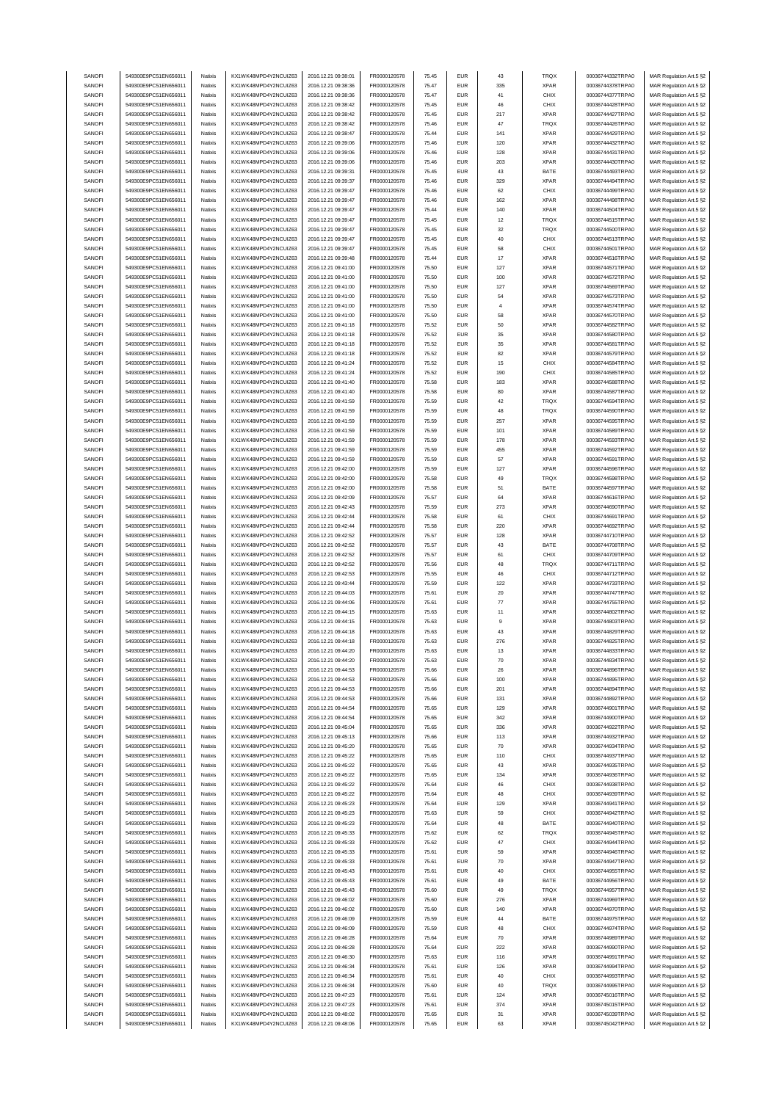| SANOFI           | 549300E9PC51EN656011 | Natixis | KX1WK48MPD4Y2NCUIZ63 | 2016.12.21 09:38:01 | FR0000120578 | 75.45 | <b>EUR</b> | 43             | <b>TRQX</b> | 00036744332TRPA0 | MAR Regulation Art.5 §2 |
|------------------|----------------------|---------|----------------------|---------------------|--------------|-------|------------|----------------|-------------|------------------|-------------------------|
| SANOFI           | 549300E9PC51EN656011 | Natixis | KX1WK48MPD4Y2NCUIZ63 | 2016.12.21 09:38:36 | FR0000120578 | 75.47 | <b>EUR</b> | 335            | <b>XPAR</b> | 00036744378TRPA0 | MAR Regulation Art.5 §2 |
| SANOFI           | 549300E9PC51EN656011 | Natixis | KX1WK48MPD4Y2NCUIZ63 | 2016.12.21 09:38:36 | FR0000120578 | 75.47 | <b>EUR</b> | 41             | CHIX        | 00036744377TRPA0 | MAR Regulation Art.5 §2 |
| SANOFI           | 549300E9PC51EN656011 | Natixis | KX1WK48MPD4Y2NCUIZ63 | 2016.12.21 09:38:42 | FR0000120578 | 75.45 | <b>EUR</b> | 46             | CHIX        | 00036744428TRPA0 | MAR Regulation Art.5 §2 |
|                  |                      |         |                      |                     |              |       |            |                |             |                  |                         |
| SANOFI           | 549300E9PC51EN656011 | Natixis | KX1WK48MPD4Y2NCUIZ63 | 2016.12.21 09:38:42 | FR0000120578 | 75.45 | <b>EUR</b> | 217            | <b>XPAR</b> | 00036744427TRPA0 | MAR Regulation Art.5 §2 |
| SANOFI           | 549300E9PC51EN656011 | Natixis | KX1WK48MPD4Y2NCUIZ63 | 2016.12.21 09:38:42 | FR0000120578 | 75.46 | <b>EUR</b> | 47             | TRQX        | 00036744426TRPA0 | MAR Regulation Art.5 §2 |
| SANOFI           | 549300E9PC51EN656011 | Natixis | KX1WK48MPD4Y2NCUIZ63 | 2016.12.21 09:38:47 | FR0000120578 | 75.44 | <b>EUR</b> | 141            | <b>XPAR</b> | 00036744429TRPA0 | MAR Regulation Art.5 §2 |
| SANOFI           | 549300E9PC51EN656011 | Natixis | KX1WK48MPD4Y2NCUIZ63 | 2016.12.21 09:39:06 | FR0000120578 | 75.46 | <b>EUR</b> | 120            | <b>XPAR</b> | 00036744432TRPA0 | MAR Regulation Art.5 §2 |
| SANOFI           | 549300E9PC51EN656011 | Natixis | KX1WK48MPD4Y2NCUIZ63 | 2016.12.21 09:39:06 | FR0000120578 | 75.46 | <b>EUR</b> | 128            | <b>XPAR</b> | 00036744431TRPA0 | MAR Regulation Art.5 §2 |
| SANOFI           | 549300E9PC51EN656011 | Natixis | KX1WK48MPD4Y2NCUIZ63 | 2016.12.21 09:39:06 | FR0000120578 | 75.46 | <b>EUR</b> | 203            | <b>XPAR</b> | 00036744430TRPA0 | MAR Regulation Art.5 §2 |
|                  | 549300E9PC51EN656011 | Natixis |                      |                     |              | 75.45 | <b>EUR</b> |                | BATE        |                  |                         |
| SANOFI           |                      |         | KX1WK48MPD4Y2NCUIZ63 | 2016.12.21 09:39:31 | FR0000120578 |       |            | 43             |             | 00036744493TRPA0 | MAR Regulation Art.5 §2 |
| SANOFI           | 549300E9PC51EN656011 | Natixis | KX1WK48MPD4Y2NCUIZ63 | 2016.12.21 09:39:37 | FR0000120578 | 75.46 | <b>EUR</b> | 329            | <b>XPAR</b> | 00036744494TRPA0 | MAR Regulation Art.5 §2 |
| SANOFI           | 549300E9PC51EN656011 | Natixis | KX1WK48MPD4Y2NCUIZ63 | 2016.12.21 09:39:47 | FR0000120578 | 75.46 | <b>EUR</b> | 62             | CHIX        | 00036744499TRPA0 | MAR Regulation Art.5 §2 |
| SANOFI           | 549300E9PC51EN656011 | Natixis | KX1WK48MPD4Y2NCUIZ63 | 2016.12.21 09:39:47 | FR0000120578 | 75.46 | <b>EUR</b> | 162            | <b>XPAR</b> | 00036744498TRPA0 | MAR Regulation Art.5 §2 |
| SANOFI           | 549300E9PC51EN656011 | Natixis | KX1WK48MPD4Y2NCUIZ63 | 2016.12.21 09:39:47 | FR0000120578 | 75.44 | <b>EUR</b> | 140            | <b>XPAR</b> | 00036744504TRPA0 | MAR Regulation Art.5 §2 |
|                  | 549300E9PC51EN656011 |         | KX1WK48MPD4Y2NCUIZ63 | 2016.12.21 09:39:47 | FR0000120578 | 75.45 | <b>EUR</b> |                |             | 00036744515TRPA0 |                         |
| SANOFI           |                      | Natixis |                      |                     |              |       |            | 12             | TRQX        |                  | MAR Regulation Art.5 §2 |
| SANOFI           | 549300E9PC51EN656011 | Natixis | KX1WK48MPD4Y2NCUIZ63 | 2016.12.21 09:39:47 | FR0000120578 | 75.45 | <b>EUR</b> | 32             | TRQX        | 00036744500TRPA0 | MAR Regulation Art.5 §2 |
| SANOFI           | 549300E9PC51EN656011 | Natixis | KX1WK48MPD4Y2NCUIZ63 | 2016.12.21 09:39:47 | FR0000120578 | 75.45 | <b>EUR</b> | 40             | CHIX        | 00036744513TRPA0 | MAR Regulation Art.5 §2 |
| SANOFI           | 549300E9PC51EN656011 | Natixis | KX1WK48MPD4Y2NCUIZ63 | 2016.12.21 09:39:47 | FR0000120578 | 75.45 | <b>EUR</b> | 58             | CHIX        | 00036744501TRPA0 | MAR Regulation Art.5 §2 |
| SANOFI           | 549300E9PC51EN656011 | Natixis | KX1WK48MPD4Y2NCUIZ63 | 2016.12.21 09:39:48 | FR0000120578 | 75.44 | <b>EUR</b> | 17             | <b>XPAR</b> | 00036744516TRPA0 | MAR Regulation Art.5 §2 |
| SANOFI           | 549300E9PC51EN656011 | Natixis | KX1WK48MPD4Y2NCUIZ63 | 2016.12.21 09:41:00 | FR0000120578 | 75.50 | <b>EUR</b> | 127            | <b>XPAR</b> | 00036744571TRPA0 | MAR Regulation Art.5 §2 |
| SANOFI           | 549300E9PC51EN656011 | Natixis | KX1WK48MPD4Y2NCUIZ63 | 2016.12.21 09:41:00 | FR0000120578 | 75.50 | <b>EUR</b> | 100            | <b>XPAR</b> | 00036744572TRPA0 | MAR Regulation Art.5 §2 |
|                  |                      |         |                      |                     |              |       |            |                |             |                  |                         |
| SANOFI           | 549300E9PC51EN656011 | Natixis | KX1WK48MPD4Y2NCUIZ63 | 2016.12.21 09:41:00 | FR0000120578 | 75.50 | <b>EUR</b> | 127            | <b>XPAR</b> | 00036744569TRPA0 | MAR Regulation Art.5 §2 |
| SANOFI           | 549300E9PC51EN656011 | Natixis | KX1WK48MPD4Y2NCUIZ63 | 2016.12.21 09:41:00 | FR0000120578 | 75.50 | <b>EUR</b> | 54             | <b>XPAR</b> | 00036744573TRPA0 | MAR Regulation Art.5 §2 |
| SANOFI           | 549300E9PC51EN656011 | Natixis | KX1WK48MPD4Y2NCUIZ63 | 2016.12.21 09:41:00 | FR0000120578 | 75.50 | <b>EUR</b> | $\overline{4}$ | <b>XPAR</b> | 00036744574TRPA0 | MAR Regulation Art.5 §2 |
| SANOFI           | 549300E9PC51EN656011 | Natixis | KX1WK48MPD4Y2NCUIZ63 | 2016.12.21 09:41:00 | FR0000120578 | 75.50 | <b>EUR</b> | 58             | <b>XPAR</b> | 00036744570TRPA0 | MAR Regulation Art.5 §2 |
| SANOFI           | 549300E9PC51EN656011 | Natixis | KX1WK48MPD4Y2NCUIZ63 | 2016.12.21 09:41:18 | FR0000120578 | 75.52 | <b>EUR</b> | 50             | <b>XPAR</b> | 00036744582TRPA0 | MAR Regulation Art.5 §2 |
| SANOFI           | 549300E9PC51EN656011 | Natixis | KX1WK48MPD4Y2NCUIZ63 | 2016.12.21 09:41:18 | FR0000120578 | 75.52 | <b>EUR</b> | 35             | <b>XPAR</b> | 00036744580TRPA0 | MAR Regulation Art.5 §2 |
|                  |                      |         |                      |                     |              |       |            |                |             |                  |                         |
| SANOFI           | 549300E9PC51EN656011 | Natixis | KX1WK48MPD4Y2NCUIZ63 | 2016.12.21 09:41:18 | FR0000120578 | 75.52 | <b>EUR</b> | 35             | <b>XPAR</b> | 00036744581TRPA0 | MAR Regulation Art.5 §2 |
| SANOFI           | 549300E9PC51EN656011 | Natixis | KX1WK48MPD4Y2NCUIZ63 | 2016.12.21 09:41:18 | FR0000120578 | 75.52 | <b>EUR</b> | 82             | <b>XPAR</b> | 00036744579TRPA0 | MAR Regulation Art.5 §2 |
| SANOFI           | 549300E9PC51EN656011 | Natixis | KX1WK48MPD4Y2NCUIZ63 | 2016.12.21 09:41:24 | FR0000120578 | 75.52 | <b>EUR</b> | 15             | CHIX        | 00036744584TRPA0 | MAR Regulation Art.5 §2 |
| SANOFI           | 549300E9PC51EN656011 | Natixis | KX1WK48MPD4Y2NCUIZ63 | 2016.12.21 09:41:24 | FR0000120578 | 75.52 | <b>EUR</b> | 190            | CHIX        | 00036744585TRPA0 | MAR Regulation Art.5 §2 |
| SANOFI           | 549300E9PC51EN656011 | Natixis | KX1WK48MPD4Y2NCUIZ63 | 2016.12.21 09:41:40 | FR0000120578 | 75.58 | <b>EUR</b> | 183            | <b>XPAR</b> | 00036744588TRPA0 | MAR Regulation Art.5 §2 |
|                  |                      |         |                      |                     |              |       |            |                |             |                  |                         |
| SANOFI           | 549300E9PC51EN656011 | Natixis | KX1WK48MPD4Y2NCUIZ63 | 2016.12.21 09:41:40 | FR0000120578 | 75.58 | <b>EUR</b> | 80             | <b>XPAR</b> | 00036744587TRPA0 | MAR Regulation Art.5 §2 |
| SANOFI           | 549300E9PC51EN656011 | Natixis | KX1WK48MPD4Y2NCUIZ63 | 2016.12.21 09:41:59 | FR0000120578 | 75.59 | <b>EUR</b> | 42             | TRQX        | 00036744594TRPA0 | MAR Regulation Art.5 §2 |
| SANOFI           | 549300E9PC51EN656011 | Natixis | KX1WK48MPD4Y2NCUIZ63 | 2016.12.21 09:41:59 | FR0000120578 | 75.59 | <b>EUR</b> | 48             | TRQX        | 00036744590TRPA0 | MAR Regulation Art.5 §2 |
| SANOFI           | 549300E9PC51EN656011 | Natixis | KX1WK48MPD4Y2NCUIZ63 | 2016.12.21 09:41:59 | FR0000120578 | 75.59 | <b>EUR</b> | 257            | <b>XPAR</b> | 00036744595TRPA0 | MAR Regulation Art.5 §2 |
| SANOFI           | 549300E9PC51EN656011 | Natixis | KX1WK48MPD4Y2NCUIZ63 | 2016.12.21 09:41:59 | FR0000120578 | 75.59 | <b>EUR</b> | 101            | <b>XPAR</b> | 00036744589TRPA0 | MAR Regulation Art.5 §2 |
|                  |                      |         | KX1WK48MPD4Y2NCUIZ63 |                     | FR0000120578 |       |            |                |             |                  |                         |
| SANOFI           | 549300E9PC51EN656011 | Natixis |                      | 2016.12.21 09:41:59 |              | 75.59 | <b>EUR</b> | 178            | <b>XPAR</b> | 00036744593TRPA0 | MAR Regulation Art.5 §2 |
| SANOFI           | 549300E9PC51EN656011 | Natixis | KX1WK48MPD4Y2NCUIZ63 | 2016.12.21 09:41:59 | FR0000120578 | 75.59 | <b>EUR</b> | 455            | <b>XPAR</b> | 00036744592TRPA0 | MAR Regulation Art.5 §2 |
| SANOFI           | 549300E9PC51EN656011 | Natixis | KX1WK48MPD4Y2NCUIZ63 | 2016.12.21 09:41:59 | FR0000120578 | 75.59 | <b>EUR</b> | 57             | <b>XPAR</b> | 00036744591TRPA0 | MAR Regulation Art.5 §2 |
| SANOFI           | 549300E9PC51EN656011 | Natixis | KX1WK48MPD4Y2NCUIZ63 | 2016.12.21 09:42:00 | FR0000120578 | 75.59 | <b>EUR</b> | 127            | <b>XPAR</b> | 00036744596TRPA0 | MAR Regulation Art.5 §2 |
| SANOFI           | 549300E9PC51EN656011 | Natixis | KX1WK48MPD4Y2NCUIZ63 | 2016.12.21 09:42:00 | FR0000120578 | 75.58 | <b>EUR</b> | 49             | TRQX        | 00036744598TRPA0 | MAR Regulation Art.5 §2 |
| SANOFI           | 549300E9PC51EN656011 | Natixis | KX1WK48MPD4Y2NCUIZ63 | 2016.12.21 09:42:00 | FR0000120578 | 75.58 | <b>EUR</b> | 51             | BATE        | 00036744597TRPA0 | MAR Regulation Art.5 §2 |
|                  |                      |         |                      |                     |              |       |            |                |             |                  |                         |
| SANOFI           | 549300E9PC51EN656011 | Natixis | KX1WK48MPD4Y2NCUIZ63 | 2016.12.21 09:42:09 | FR0000120578 | 75.57 | <b>EUR</b> | 64             | <b>XPAR</b> | 00036744616TRPA0 | MAR Regulation Art.5 §2 |
| SANOFI           | 549300E9PC51EN656011 | Natixis | KX1WK48MPD4Y2NCUIZ63 | 2016.12.21 09:42:43 | FR0000120578 | 75.59 | <b>EUR</b> | 273            | <b>XPAR</b> | 00036744690TRPA0 | MAR Regulation Art.5 §2 |
| SANOFI           | 549300E9PC51EN656011 | Natixis | KX1WK48MPD4Y2NCUIZ63 | 2016.12.21 09:42:44 | FR0000120578 | 75.58 | <b>EUR</b> | 61             | CHIX        | 00036744691TRPA0 | MAR Regulation Art.5 §2 |
| SANOFI           | 549300E9PC51EN656011 | Natixis | KX1WK48MPD4Y2NCUIZ63 | 2016.12.21 09:42:44 | FR0000120578 | 75.58 | <b>EUR</b> | 220            | <b>XPAR</b> | 00036744692TRPA0 | MAR Regulation Art.5 §2 |
| SANOFI           | 549300E9PC51EN656011 | Natixis | KX1WK48MPD4Y2NCUIZ63 | 2016.12.21 09:42:52 | FR0000120578 | 75.57 | <b>EUR</b> | 128            | <b>XPAR</b> | 00036744710TRPA0 | MAR Regulation Art.5 §2 |
| SANOFI           | 549300E9PC51EN656011 | Natixis | KX1WK48MPD4Y2NCUIZ63 | 2016.12.21 09:42:52 | FR0000120578 | 75.57 | <b>EUR</b> | 43             | BATE        | 00036744708TRPA0 |                         |
|                  |                      |         |                      |                     |              |       |            |                |             |                  | MAR Regulation Art.5 §2 |
| SANOFI           | 549300E9PC51EN656011 | Natixis | KX1WK48MPD4Y2NCUIZ63 | 2016.12.21 09:42:52 | FR0000120578 | 75.57 | <b>EUR</b> | 61             | CHIX        | 00036744709TRPA0 | MAR Regulation Art.5 §2 |
| SANOFI           | 549300E9PC51EN656011 | Natixis | KX1WK48MPD4Y2NCUIZ63 | 2016.12.21 09:42:52 | FR0000120578 | 75.56 | <b>EUR</b> | 48             | TRQX        | 00036744711TRPA0 | MAR Regulation Art.5 §2 |
| SANOFI           | 549300E9PC51EN656011 | Natixis | KX1WK48MPD4Y2NCUIZ63 | 2016.12.21 09:42:53 | FR0000120578 | 75.55 | <b>EUR</b> | 46             | CHIX        | 00036744712TRPA0 | MAR Regulation Art.5 §2 |
| SANOFI           | 549300E9PC51EN656011 | Natixis | KX1WK48MPD4Y2NCUIZ63 | 2016.12.21 09:43:44 | FR0000120578 | 75.59 | <b>EUR</b> | 122            | <b>XPAR</b> | 00036744733TRPA0 | MAR Regulation Art.5 §2 |
| SANOFI           | 549300E9PC51EN656011 | Natixis | KX1WK48MPD4Y2NCUIZ63 | 2016.12.21 09:44:03 | FR0000120578 | 75.61 | <b>EUR</b> | $20\,$         | <b>XPAR</b> | 00036744747TRPA0 | MAR Regulation Art.5 §2 |
|                  |                      |         | KX1WK48MPD4Y2NCUIZ63 |                     |              |       |            |                |             |                  |                         |
| SANOFI           | 549300E9PC51EN656011 | Natixis |                      | 2016.12.21 09:44:06 | FR0000120578 | 75.61 | <b>EUR</b> | 77             | <b>XPAR</b> | 00036744755TRPA0 | MAR Regulation Art.5 §2 |
| SANOFI           | 549300E9PC51EN656011 | Natixis | KX1WK48MPD4Y2NCUIZ63 | 2016.12.21 09:44:15 | FR0000120578 | 75.63 | <b>EUR</b> | 11             | <b>XPAR</b> | 00036744802TRPA0 | MAR Regulation Art.5 §2 |
| SANOFI           | 549300E9PC51EN656011 | Natixis | KX1WK48MPD4Y2NCUIZ63 | 2016.12.21 09:44:15 | FR0000120578 | 75.63 | <b>EUR</b> | 9              | <b>XPAR</b> | 00036744803TRPA0 | MAR Regulation Art.5 §2 |
| SANOFI           | 549300E9PC51EN656011 | Natixis | KX1WK48MPD4Y2NCUIZ63 | 2016.12.21 09:44:18 | FR0000120578 | 75.63 | <b>EUR</b> | 43             | <b>XPAR</b> | 00036744829TRPA0 | MAR Regulation Art.5 §2 |
| SANOFI           | 549300E9PC51EN656011 | Natixis | KX1WK48MPD4Y2NCUIZ63 | 2016.12.21 09:44:18 | FR0000120578 | 75.63 | <b>EUR</b> | 276            | <b>XPAR</b> | 00036744825TRPA0 | MAR Regulation Art.5 §2 |
|                  |                      |         |                      |                     |              |       |            |                |             |                  |                         |
| SANOF            | 549300E9PC51EN65601  | Natixis | KX1WK48MPD4Y2NCUIZ63 | 2016.12.21 09:44:20 | FR0000120578 | 75.63 | EUR        | 13             | XPAR        | 00036744833TRPA0 | MAR Regulation Art.5 §2 |
| SANOFI           | 549300E9PC51EN656011 | Natixis | KX1WK48MPD4Y2NCUIZ63 | 2016.12.21 09:44:20 | FR0000120578 | 75.63 | <b>EUR</b> | 70             | <b>XPAR</b> | 00036744834TRPA0 | MAR Regulation Art.5 §2 |
| SANOFI           | 549300E9PC51EN656011 | Natixis | KX1WK48MPD4Y2NCUIZ63 | 2016.12.21 09:44:53 | FR0000120578 | 75.66 | <b>EUR</b> | 26             | <b>XPAR</b> | 00036744896TRPA0 | MAR Regulation Art.5 §2 |
| SANOFI           | 549300E9PC51EN656011 | Natixis | KX1WK48MPD4Y2NCUIZ63 | 2016.12.21 09:44:53 | FR0000120578 | 75.66 | <b>EUR</b> | 100            | <b>XPAR</b> | 00036744895TRPA0 | MAR Regulation Art.5 §2 |
| SANOFI           | 549300E9PC51EN656011 | Natixis | KX1WK48MPD4Y2NCUIZ63 | 2016.12.21 09:44:53 | FR0000120578 | 75.66 | <b>EUR</b> | 201            | <b>XPAR</b> | 00036744894TRPA0 | MAR Regulation Art.5 §2 |
| SANOFI           | 549300E9PC51EN656011 | Natixis | KX1WK48MPD4Y2NCUIZ63 | 2016.12.21 09:44:53 | FR0000120578 | 75.66 | <b>EUR</b> | 131            | <b>XPAR</b> | 00036744892TRPA0 | MAR Regulation Art.5 §2 |
| SANOFI           | 549300E9PC51EN656011 | Natixis | KX1WK48MPD4Y2NCUIZ63 | 2016.12.21 09:44:54 | FR0000120578 | 75.65 | <b>EUR</b> | 129            | <b>XPAR</b> | 00036744901TRPA0 | MAR Regulation Art.5 §2 |
| SANOFI           | 549300E9PC51EN656011 |         | KX1WK48MPD4Y2NCUIZ63 | 2016.12.21 09:44:54 |              |       |            |                | <b>XPAR</b> | 00036744900TRPA0 |                         |
|                  |                      | Natixis |                      |                     | FR0000120578 | 75.65 | <b>EUR</b> | 342            |             |                  | MAR Regulation Art.5 §2 |
| SANOFI           | 549300E9PC51EN656011 | Natixis | KX1WK48MPD4Y2NCUIZ63 | 2016.12.21 09:45:04 | FR0000120578 | 75.65 | <b>EUR</b> | 336            | <b>XPAR</b> | 00036744922TRPA0 | MAR Regulation Art.5 §2 |
| SANOFI           | 549300E9PC51EN656011 | Natixis | KX1WK48MPD4Y2NCUIZ63 | 2016.12.21 09:45:13 | FR0000120578 | 75.66 | <b>EUR</b> | 113            | <b>XPAR</b> | 00036744932TRPA0 | MAR Regulation Art.5 §2 |
| SANOFI           | 549300E9PC51EN656011 | Natixis | KX1WK48MPD4Y2NCUIZ63 | 2016.12.21 09:45:20 | FR0000120578 | 75.65 | <b>EUR</b> | 70             | <b>XPAR</b> | 00036744934TRPA0 | MAR Regulation Art.5 §2 |
| SANOFI           | 549300E9PC51EN656011 | Natixis | KX1WK48MPD4Y2NCUIZ63 | 2016.12.21 09:45:22 | FR0000120578 | 75.65 | <b>EUR</b> | 110            | CHIX        | 00036744937TRPA0 | MAR Regulation Art.5 §2 |
| SANOFI           | 549300E9PC51EN656011 | Natixis | KX1WK48MPD4Y2NCUIZ63 | 2016.12.21 09:45:22 | FR0000120578 | 75.65 | <b>EUR</b> | 43             | <b>XPAR</b> | 00036744935TRPA0 | MAR Regulation Art.5 §2 |
| SANOFI           | 549300E9PC51EN656011 | Natixis | KX1WK48MPD4Y2NCUIZ63 | 2016.12.21 09:45:22 | FR0000120578 | 75.65 | <b>EUR</b> | 134            | <b>XPAR</b> | 00036744936TRPA0 | MAR Regulation Art.5 §2 |
|                  |                      |         |                      |                     |              |       |            |                |             |                  |                         |
| SANOFI           | 549300E9PC51EN656011 | Natixis | KX1WK48MPD4Y2NCUIZ63 | 2016.12.21 09:45:22 | FR0000120578 | 75.64 | <b>EUR</b> | 46             | CHIX        | 00036744938TRPA0 | MAR Regulation Art.5 §2 |
| SANOFI           | 549300E9PC51EN656011 | Natixis | KX1WK48MPD4Y2NCUIZ63 | 2016.12.21 09:45:22 | FR0000120578 | 75.64 | <b>EUR</b> | 48             | CHIX        | 00036744939TRPA0 | MAR Regulation Art.5 §2 |
| SANOFI           | 549300E9PC51EN656011 | Natixis | KX1WK48MPD4Y2NCUIZ63 | 2016.12.21 09:45:23 | FR0000120578 | 75.64 | <b>EUR</b> | 129            | <b>XPAR</b> | 00036744941TRPA0 | MAR Regulation Art.5 §2 |
| SANOFI           | 549300E9PC51EN656011 | Natixis | KX1WK48MPD4Y2NCUIZ63 | 2016.12.21 09:45:23 | FR0000120578 | 75.63 | <b>EUR</b> | 59             | CHIX        | 00036744942TRPA0 | MAR Regulation Art.5 §2 |
| SANOFI           | 549300E9PC51EN656011 | Natixis | KX1WK48MPD4Y2NCUIZ63 | 2016.12.21 09:45:23 | FR0000120578 | 75.64 | <b>EUR</b> | 48             | BATE        | 00036744940TRPA0 | MAR Regulation Art.5 §2 |
| SANOFI           | 549300E9PC51EN656011 | Natixis | KX1WK48MPD4Y2NCUIZ63 | 2016.12.21 09:45:33 | FR0000120578 | 75.62 | <b>EUR</b> | 62             | TRQX        | 00036744945TRPA0 | MAR Regulation Art.5 §2 |
|                  |                      |         |                      |                     |              |       |            |                |             |                  |                         |
| SANOFI           | 549300E9PC51EN656011 | Natixis | KX1WK48MPD4Y2NCUIZ63 | 2016.12.21 09:45:33 | FR0000120578 | 75.62 | <b>EUR</b> | 47             | CHIX        | 00036744944TRPA0 | MAR Regulation Art.5 §2 |
| SANOFI           | 549300E9PC51EN656011 | Natixis | KX1WK48MPD4Y2NCUIZ63 | 2016.12.21 09:45:33 | FR0000120578 | 75.61 | <b>EUR</b> | 59             | <b>XPAR</b> | 00036744946TRPA0 | MAR Regulation Art.5 §2 |
| SANOFI           | 549300E9PC51EN656011 | Natixis | KX1WK48MPD4Y2NCUIZ63 | 2016.12.21 09:45:33 | FR0000120578 | 75.61 | <b>EUR</b> | 70             | <b>XPAR</b> | 00036744947TRPA0 | MAR Regulation Art.5 §2 |
| SANOFI           | 549300E9PC51EN656011 | Natixis | KX1WK48MPD4Y2NCUIZ63 | 2016.12.21 09:45:43 | FR0000120578 | 75.61 | <b>EUR</b> | 40             | CHIX        | 00036744955TRPA0 | MAR Regulation Art.5 §2 |
| SANOFI           | 549300E9PC51EN656011 | Natixis | KX1WK48MPD4Y2NCUIZ63 | 2016.12.21 09:45:43 | FR0000120578 | 75.61 | <b>EUR</b> | 49             | BATE        | 00036744956TRPA0 | MAR Regulation Art.5 §2 |
|                  |                      |         |                      |                     |              |       |            |                |             |                  |                         |
| SANOFI           | 549300E9PC51EN656011 | Natixis | KX1WK48MPD4Y2NCUIZ63 | 2016.12.21 09:45:43 | FR0000120578 | 75.60 | <b>EUR</b> | 49             | <b>TRQX</b> | 00036744957TRPA0 | MAR Regulation Art.5 §2 |
| SANOFI           | 549300E9PC51EN656011 | Natixis | KX1WK48MPD4Y2NCUIZ63 | 2016.12.21 09:46:02 | FR0000120578 | 75.60 | <b>EUR</b> | 276            | <b>XPAR</b> | 00036744969TRPA0 | MAR Regulation Art.5 §2 |
| SANOFI           | 549300E9PC51EN656011 | Natixis | KX1WK48MPD4Y2NCUIZ63 | 2016.12.21 09:46:02 | FR0000120578 | 75.60 | <b>EUR</b> | 140            | <b>XPAR</b> | 00036744970TRPA0 | MAR Regulation Art.5 §2 |
| SANOFI           | 549300E9PC51EN656011 | Natixis | KX1WK48MPD4Y2NCUIZ63 | 2016.12.21 09:46:09 | FR0000120578 | 75.59 | <b>EUR</b> | 44             | BATE        | 00036744975TRPA0 | MAR Regulation Art.5 §2 |
| SANOFI           | 549300E9PC51EN656011 | Natixis | KX1WK48MPD4Y2NCUIZ63 | 2016.12.21 09:46:09 | FR0000120578 | 75.59 | <b>EUR</b> | 48             | CHIX        | 00036744974TRPA0 | MAR Regulation Art.5 §2 |
|                  |                      |         |                      |                     |              |       |            |                |             |                  |                         |
| SANOFI           | 549300E9PC51EN656011 | Natixis | KX1WK48MPD4Y2NCUIZ63 | 2016.12.21 09:46:28 | FR0000120578 | 75.64 | <b>EUR</b> | 70             | <b>XPAR</b> | 00036744989TRPA0 | MAR Regulation Art.5 §2 |
| SANOFI           | 549300E9PC51EN656011 | Natixis | KX1WK48MPD4Y2NCUIZ63 | 2016.12.21 09:46:28 | FR0000120578 | 75.64 | <b>EUR</b> | 222            | <b>XPAR</b> | 00036744990TRPA0 | MAR Regulation Art.5 §2 |
| SANOFI           | 549300E9PC51EN656011 | Natixis | KX1WK48MPD4Y2NCUIZ63 | 2016.12.21 09:46:30 | FR0000120578 | 75.63 | <b>EUR</b> | 116            | <b>XPAR</b> | 00036744991TRPA0 | MAR Regulation Art.5 §2 |
| SANOFI           | 549300E9PC51EN656011 | Natixis | KX1WK48MPD4Y2NCUIZ63 | 2016.12.21 09:46:34 | FR0000120578 | 75.61 | <b>EUR</b> | 126            | <b>XPAR</b> | 00036744994TRPA0 | MAR Regulation Art.5 §2 |
| SANOFI           | 549300E9PC51EN656011 | Natixis | KX1WK48MPD4Y2NCUIZ63 | 2016.12.21 09:46:34 | FR0000120578 | 75.61 | <b>EUR</b> | 40             | CHIX        | 00036744993TRPA0 | MAR Regulation Art.5 §2 |
| SANOFI           | 549300E9PC51EN656011 | Natixis | KX1WK48MPD4Y2NCUIZ63 | 2016.12.21 09:46:34 | FR0000120578 | 75.60 | <b>EUR</b> | 40             | TRQX        | 00036744995TRPA0 | MAR Regulation Art.5 §2 |
| SANOFI           | 549300E9PC51EN656011 |         | KX1WK48MPD4Y2NCUIZ63 | 2016.12.21 09:47:23 |              |       |            |                |             |                  |                         |
|                  |                      | Natixis |                      |                     | FR0000120578 | 75.61 | <b>EUR</b> | 124            | <b>XPAR</b> | 00036745016TRPA0 | MAR Regulation Art.5 §2 |
| SANOFI           | 549300E9PC51EN656011 | Natixis | KX1WK48MPD4Y2NCUIZ63 | 2016.12.21 09:47:23 | FR0000120578 | 75.61 | <b>EUR</b> | 374            | <b>XPAR</b> | 00036745015TRPA0 | MAR Regulation Art.5 §2 |
|                  | 549300E9PC51EN656011 | Natixis | KX1WK48MPD4Y2NCUIZ63 | 2016.12.21 09:48:02 | FR0000120578 | 75.65 | <b>EUR</b> | 31             | <b>XPAR</b> | 00036745039TRPA0 | MAR Regulation Art.5 §2 |
| SANOFI<br>SANOFI | 549300E9PC51EN656011 | Natixis | KX1WK48MPD4Y2NCUIZ63 | 2016.12.21 09:48:06 | FR0000120578 | 75.65 | <b>EUR</b> | 63             | <b>XPAR</b> | 00036745042TRPA0 | MAR Regulation Art.5 §2 |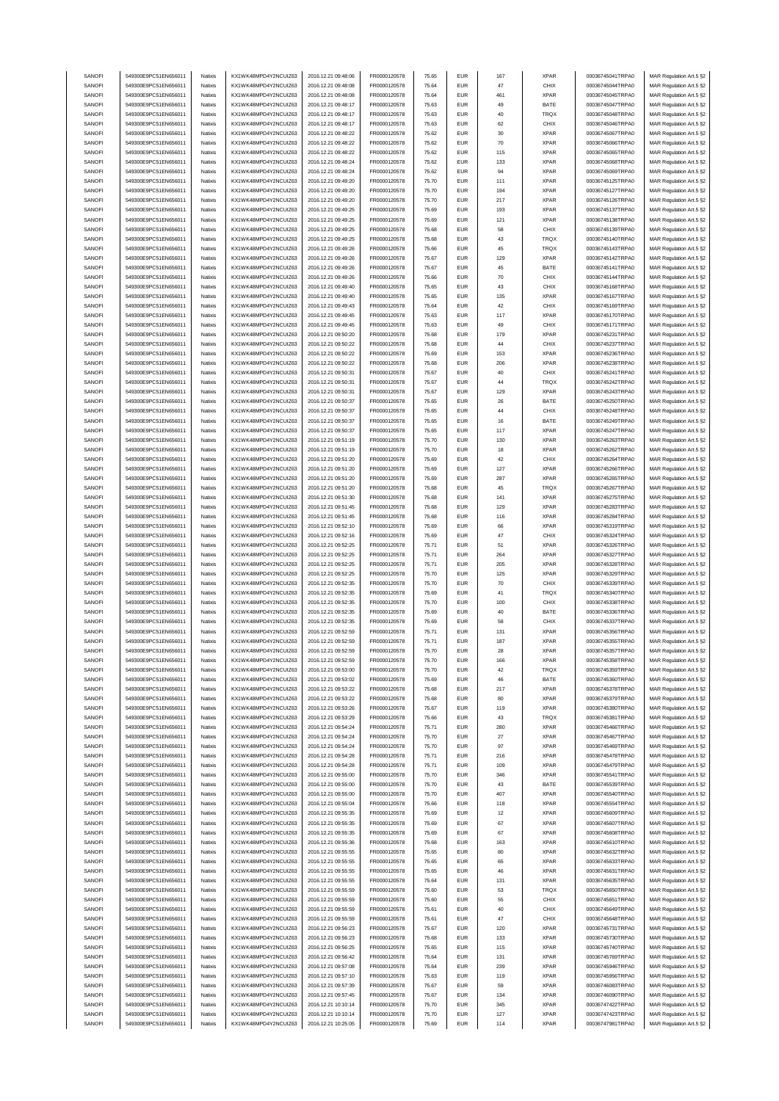| SANOFI           | 549300E9PC51EN656011                         | Natixis | KX1WK48MPD4Y2NCUIZ63  | 2016.12.21 09:48:06 | FR0000120578 | 75.65 | <b>EUR</b> | 167 | <b>XPAR</b> | 00036745041TRPA0 | MAR Regulation Art.5 §2 |
|------------------|----------------------------------------------|---------|-----------------------|---------------------|--------------|-------|------------|-----|-------------|------------------|-------------------------|
| SANOFI           | 549300E9PC51EN656011                         | Natixis | KX1WK48MPD4Y2NCUIZ63  | 2016.12.21 09:48:08 | FR0000120578 | 75.64 | <b>EUR</b> | 47  | CHIX        | 00036745044TRPA0 | MAR Regulation Art.5 §2 |
| SANOFI           | 549300E9PC51EN656011                         | Natixis | KX1WK48MPD4Y2NCUIZ63  | 2016.12.21 09:48:08 | FR0000120578 | 75.64 | <b>EUR</b> | 461 | <b>XPAR</b> | 00036745045TRPA0 | MAR Regulation Art.5 §2 |
| SANOFI           | 549300E9PC51EN656011                         | Natixis | KX1WK48MPD4Y2NCUIZ63  | 2016.12.21 09:48:17 | FR0000120578 | 75.63 | <b>EUR</b> | 49  | BATE        | 00036745047TRPA0 | MAR Regulation Art.5 §2 |
|                  |                                              |         |                       |                     |              |       |            |     |             |                  |                         |
| SANOFI           | 549300E9PC51EN656011                         | Natixis | KX1WK48MPD4Y2NCUIZ63  | 2016.12.21 09:48:17 | FR0000120578 | 75.63 | <b>EUR</b> | 40  | TRQX        | 00036745048TRPA0 | MAR Regulation Art.5 §2 |
| SANOFI           | 549300E9PC51EN656011                         | Natixis | KX1WK48MPD4Y2NCUIZ63  | 2016.12.21 09:48:17 | FR0000120578 | 75.63 | <b>EUR</b> | 62  | CHIX        | 00036745046TRPA0 | MAR Regulation Art.5 §2 |
| SANOFI           | 549300E9PC51EN656011                         | Natixis | KX1WK48MPD4Y2NCUIZ63  | 2016.12.21 09:48:22 | FR0000120578 | 75.62 | <b>EUR</b> | 30  | <b>XPAR</b> | 00036745067TRPA0 | MAR Regulation Art.5 §2 |
| SANOFI           | 549300E9PC51EN656011                         | Natixis | KX1WK48MPD4Y2NCUIZ63  | 2016.12.21 09:48:22 | FR0000120578 | 75.62 | <b>EUR</b> | 70  | <b>XPAR</b> | 00036745066TRPA0 | MAR Regulation Art.5 §2 |
| SANOFI           | 549300E9PC51EN656011                         | Natixis | KX1WK48MPD4Y2NCLIIZ63 | 2016.12.21 09:48:22 | FR0000120578 | 75.62 | <b>EUR</b> | 115 | <b>XPAR</b> | 00036745065TRPA0 | MAR Regulation Art.5 §2 |
| SANOFI           | 549300E9PC51EN656011                         | Natixis | KX1WK48MPD4Y2NCUIZ63  | 2016.12.21 09:48:24 | FR0000120578 | 75.62 | <b>EUR</b> | 133 | <b>XPAR</b> | 00036745068TRPA0 | MAR Regulation Art.5 §2 |
| SANOFI           | 549300E9PC51EN656011                         | Natixis | KX1WK48MPD4Y2NCUIZ63  | 2016.12.21 09:48:24 | FR0000120578 | 75.62 | <b>EUR</b> | 94  | <b>XPAR</b> | 00036745069TRPA0 | MAR Regulation Art.5 §2 |
|                  |                                              |         |                       |                     |              |       |            |     |             |                  |                         |
| SANOFI           | 549300E9PC51EN656011                         | Natixis | KX1WK48MPD4Y2NCUIZ63  | 2016.12.21 09:49:20 | FR0000120578 | 75.70 | <b>EUR</b> | 111 | <b>XPAR</b> | 00036745125TRPA0 | MAR Regulation Art.5 §2 |
| SANOFI           | 549300E9PC51EN656011                         | Natixis | KX1WK48MPD4Y2NCUIZ63  | 2016.12.21 09:49:20 | FR0000120578 | 75.70 | <b>EUR</b> | 194 | <b>XPAR</b> | 00036745127TRPA0 | MAR Regulation Art.5 §2 |
| SANOFI           | 549300E9PC51EN656011                         | Natixis | KX1WK48MPD4Y2NCUIZ63  | 2016.12.21 09:49:20 | FR0000120578 | 75.70 | <b>EUR</b> | 217 | <b>XPAR</b> | 00036745126TRPA0 | MAR Regulation Art.5 §2 |
| SANOFI           | 549300E9PC51EN656011                         | Natixis | KX1WK48MPD4Y2NCUIZ63  | 2016.12.21 09:49:25 | FR0000120578 | 75.69 | <b>EUR</b> | 193 | <b>XPAR</b> | 00036745137TRPA0 | MAR Regulation Art.5 §2 |
| SANOFI           | 549300E9PC51EN656011                         | Natixis | KX1WK48MPD4Y2NCUIZ63  | 2016.12.21 09:49:25 | FR0000120578 | 75.69 | <b>EUR</b> | 121 | <b>XPAR</b> | 00036745138TRPA0 |                         |
|                  |                                              |         |                       |                     |              |       |            |     |             |                  | MAR Regulation Art.5 §2 |
| SANOFI           | 549300E9PC51EN656011                         | Natixis | KX1WK48MPD4Y2NCUIZ63  | 2016.12.21 09:49:25 | FR0000120578 | 75.68 | <b>EUR</b> | 58  | CHIX        | 00036745139TRPA0 | MAR Regulation Art.5 §2 |
| SANOFI           | 549300E9PC51EN656011                         | Natixis | KX1WK48MPD4Y2NCLIIZ63 | 2016.12.21 09:49:25 | FR0000120578 | 75.68 | <b>EUR</b> | 43  | TRQX        | 00036745140TRPA0 | MAR Regulation Art.5 §2 |
| SANOFI           | 549300E9PC51EN656011                         | Natixis | KX1WK48MPD4Y2NCUIZ63  | 2016.12.21 09:49:26 | FR0000120578 | 75.66 | <b>EUR</b> | 45  | TRQX        | 00036745143TRPA0 | MAR Regulation Art.5 §2 |
| SANOFI           | 549300E9PC51EN656011                         | Natixis | KX1WK48MPD4Y2NCUIZ63  | 2016.12.21 09:49:26 | FR0000120578 | 75.67 | <b>EUR</b> | 129 | <b>XPAR</b> | 00036745142TRPA0 | MAR Regulation Art.5 §2 |
| SANOFI           | 549300E9PC51EN656011                         | Natixis | KX1WK48MPD4Y2NCUIZ63  | 2016.12.21 09:49:26 | FR0000120578 | 75.67 | <b>EUR</b> | 45  | BATE        | 00036745141TRPA0 | MAR Regulation Art.5 §2 |
| SANOFI           | 549300E9PC51EN656011                         | Natixis | KX1WK48MPD4Y2NCUIZ63  | 2016.12.21 09:49:26 | FR0000120578 | 75.66 | <b>EUR</b> | 70  | CHIX        | 00036745144TRPA0 | MAR Regulation Art.5 §2 |
|                  |                                              |         |                       |                     |              |       |            |     |             |                  |                         |
| SANOFI           | 549300E9PC51EN656011                         | Natixis | KX1WK48MPD4Y2NCUIZ63  | 2016.12.21 09:49:40 | FR0000120578 | 75.65 | <b>EUR</b> | 43  | CHIX        | 00036745168TRPA0 | MAR Regulation Art.5 §2 |
| SANOFI           | 549300E9PC51EN656011                         | Natixis | KX1WK48MPD4Y2NCUIZ63  | 2016.12.21 09:49:40 | FR0000120578 | 75.65 | <b>EUR</b> | 135 | <b>XPAR</b> | 00036745167TRPA0 | MAR Regulation Art.5 §2 |
| SANOFI           | 549300E9PC51EN656011                         | Natixis | KX1WK48MPD4Y2NCUIZ63  | 2016.12.21 09:49:43 | FR0000120578 | 75.64 | <b>EUR</b> | 42  | CHIX        | 00036745169TRPA0 | MAR Regulation Art.5 §2 |
| SANOFI           | 549300E9PC51EN656011                         | Natixis | KX1WK48MPD4Y2NCUIZ63  | 2016.12.21 09:49:45 | FR0000120578 | 75.63 | <b>EUR</b> | 117 | <b>XPAR</b> | 00036745170TRPA0 | MAR Regulation Art.5 §2 |
| SANOFI           | 549300E9PC51EN656011                         | Natixis | KX1WK48MPD4Y2NCLIIZ63 | 2016.12.21 09:49:45 | FR0000120578 | 75.63 | <b>EUR</b> | 49  | CHIX        | 00036745171TRPA0 | MAR Regulation Art.5 §2 |
| SANOFI           | 549300E9PC51EN656011                         | Natixis | KX1WK48MPD4Y2NCUIZ63  | 2016.12.21 09:50:20 | FR0000120578 | 75.68 | <b>EUR</b> | 179 | <b>XPAR</b> | 00036745231TRPA0 | MAR Regulation Art.5 §2 |
|                  |                                              | Natixis |                       |                     | FR0000120578 |       | <b>EUR</b> | 44  |             |                  |                         |
| SANOFI           | 549300E9PC51EN656011                         |         | KX1WK48MPD4Y2NCUIZ63  | 2016.12.21 09:50:22 |              | 75.68 |            |     | CHIX        | 00036745237TRPA0 | MAR Regulation Art.5 §2 |
| SANOFI           | 549300E9PC51EN656011                         | Natixis | KX1WK48MPD4Y2NCUIZ63  | 2016.12.21 09:50:22 | FR0000120578 | 75.69 | <b>EUR</b> | 153 | <b>XPAR</b> | 00036745236TRPA0 | MAR Regulation Art.5 §2 |
| SANOFI           | 549300E9PC51EN656011                         | Natixis | KX1WK48MPD4Y2NCUIZ63  | 2016.12.21 09:50:22 | FR0000120578 | 75.68 | <b>EUR</b> | 206 | <b>XPAR</b> | 00036745238TRPA0 | MAR Regulation Art.5 §2 |
| SANOFI           | 549300E9PC51EN656011                         | Natixis | KX1WK48MPD4Y2NCUIZ63  | 2016.12.21 09:50:31 | FR0000120578 | 75.67 | <b>EUR</b> | 40  | CHIX        | 00036745241TRPA0 | MAR Regulation Art.5 §2 |
| SANOFI           | 549300E9PC51EN656011                         | Natixis | KX1WK48MPD4Y2NCUIZ63  | 2016.12.21 09:50:31 | FR0000120578 | 75.67 | <b>EUR</b> | 44  | TRQX        | 00036745242TRPA0 | MAR Regulation Art.5 §2 |
| SANOFI           | 549300E9PC51EN656011                         | Natixis | KX1WK48MPD4Y2NCUIZ63  | 2016.12.21 09:50:31 | FR0000120578 | 75.67 | <b>EUR</b> | 129 | <b>XPAR</b> | 00036745243TRPA0 | MAR Regulation Art.5 §2 |
|                  | 549300E9PC51EN656011                         |         |                       |                     |              |       |            |     |             |                  |                         |
| SANOFI           |                                              | Natixis | KX1WK48MPD4Y2NCUIZ63  | 2016.12.21 09:50:37 | FR0000120578 | 75.65 | <b>EUR</b> | 26  | BATE        | 00036745250TRPA0 | MAR Regulation Art.5 §2 |
| SANOFI           | 549300E9PC51EN656011                         | Natixis | KX1WK48MPD4Y2NCLIIZ63 | 2016.12.21 09:50:37 | FR0000120578 | 75.65 | <b>EUR</b> | 44  | CHIX        | 00036745248TRPA0 | MAR Regulation Art.5 §2 |
| SANOFI           | 549300E9PC51EN656011                         | Natixis | KX1WK48MPD4Y2NCUIZ63  | 2016.12.21 09:50:37 | FR0000120578 | 75.65 | <b>EUR</b> | 16  | BATE        | 00036745249TRPA0 | MAR Regulation Art.5 §2 |
| SANOFI           | 549300E9PC51EN656011                         | Natixis | KX1WK48MPD4Y2NCUIZ63  | 2016.12.21 09:50:37 | FR0000120578 | 75.65 | <b>EUR</b> | 117 | <b>XPAR</b> | 00036745247TRPA0 | MAR Regulation Art.5 §2 |
| SANOFI           | 549300E9PC51EN656011                         | Natixis | KX1WK48MPD4Y2NCUIZ63  | 2016.12.21 09:51:19 | FR0000120578 | 75.70 | <b>EUR</b> | 130 | <b>XPAR</b> | 00036745263TRPA0 | MAR Regulation Art.5 §2 |
|                  |                                              |         |                       |                     |              |       |            |     |             |                  |                         |
| SANOFI           | 549300E9PC51EN656011                         | Natixis | KX1WK48MPD4Y2NCUIZ63  | 2016.12.21 09:51:19 | FR0000120578 | 75.70 | <b>EUR</b> | 18  | <b>XPAR</b> | 00036745262TRPA0 | MAR Regulation Art.5 §2 |
| SANOFI           | 549300E9PC51EN656011                         | Natixis | KX1WK48MPD4Y2NCUIZ63  | 2016.12.21 09:51:20 | FR0000120578 | 75.69 | <b>EUR</b> | 42  | CHIX        | 00036745264TRPA0 | MAR Regulation Art.5 §2 |
| SANOFI           | 549300E9PC51EN656011                         | Natixis | KX1WK48MPD4Y2NCUIZ63  | 2016.12.21 09:51:20 | FR0000120578 | 75.69 | <b>EUR</b> | 127 | <b>XPAR</b> | 00036745266TRPA0 | MAR Regulation Art.5 §2 |
| SANOFI           | 549300E9PC51EN656011                         | Natixis | KX1WK48MPD4Y2NCUIZ63  | 2016.12.21 09:51:20 | FR0000120578 | 75.69 | <b>EUR</b> | 287 | <b>XPAR</b> | 00036745265TRPA0 | MAR Regulation Art.5 §2 |
| SANOFI           | 549300E9PC51EN656011                         | Natixis | KX1WK48MPD4Y2NCUIZ63  | 2016.12.21 09:51:20 | FR0000120578 | 75.68 | <b>EUR</b> | 45  | TRQX        | 00036745267TRPA0 | MAR Regulation Art.5 §2 |
| SANOFI           | 549300E9PC51EN656011                         | Natixis | KX1WK48MPD4Y2NCUIZ63  | 2016.12.21 09:51:30 | FR0000120578 | 75.68 | <b>EUR</b> | 141 | <b>XPAR</b> | 00036745275TRPA0 | MAR Regulation Art.5 §2 |
|                  |                                              |         |                       |                     |              |       |            |     |             |                  |                         |
| SANOFI           | 549300E9PC51EN656011                         | Natixis | KX1WK48MPD4Y2NCUIZ63  | 2016.12.21 09:51:45 | FR0000120578 | 75.68 | <b>EUR</b> | 129 | <b>XPAR</b> | 00036745283TRPA0 | MAR Regulation Art.5 §2 |
| SANOFI           | 549300E9PC51EN656011                         | Natixis | KX1WK48MPD4Y2NCUIZ63  | 2016.12.21 09:51:45 | FR0000120578 | 75.68 | <b>EUR</b> | 116 | <b>XPAR</b> | 00036745284TRPA0 | MAR Regulation Art.5 §2 |
| SANOFI           | 549300E9PC51EN656011                         | Natixis | KX1WK48MPD4Y2NCUIZ63  | 2016.12.21 09:52:10 | FR0000120578 | 75.69 | <b>EUR</b> | 66  | <b>XPAR</b> | 00036745319TRPA0 | MAR Regulation Art.5 §2 |
| SANOFI           | 549300E9PC51EN656011                         | Natixis | KX1WK48MPD4Y2NCUIZ63  | 2016.12.21 09:52:16 | FR0000120578 | 75.69 | <b>EUR</b> | 47  | CHIX        | 00036745324TRPA0 | MAR Regulation Art.5 §2 |
| SANOFI           | 549300E9PC51EN656011                         | Natixis | KX1WK48MPD4Y2NCUIZ63  | 2016.12.21 09:52:25 | FR0000120578 | 75.71 | <b>EUR</b> | 51  | <b>XPAR</b> | 00036745326TRPA0 | MAR Regulation Art.5 §2 |
| SANOFI           | 549300E9PC51EN656011                         | Natixis | KX1WK48MPD4Y2NCUIZ63  | 2016.12.21 09:52:25 | FR0000120578 | 75.71 | <b>EUR</b> | 264 | <b>XPAR</b> | 00036745327TRPA0 | MAR Regulation Art.5 §2 |
|                  |                                              |         |                       |                     |              |       |            |     |             |                  |                         |
| SANOFI           | 549300E9PC51EN656011                         | Natixis | KX1WK48MPD4Y2NCUIZ63  | 2016.12.21 09:52:25 | FR0000120578 | 75.71 | <b>EUR</b> | 205 | <b>XPAR</b> | 00036745328TRPA0 | MAR Regulation Art.5 §2 |
| SANOFI           | 549300E9PC51EN656011                         | Natixis | KX1WK48MPD4Y2NCUIZ63  | 2016.12.21 09:52:25 | FR0000120578 | 75.70 | <b>EUR</b> | 125 | <b>XPAR</b> | 00036745329TRPA0 | MAR Regulation Art.5 §2 |
| SANOFI           | 549300E9PC51EN656011                         | Natixis | KX1WK48MPD4Y2NCUIZ63  | 2016.12.21 09:52:35 | FR0000120578 | 75.70 | <b>EUR</b> | 70  | CHIX        | 00036745339TRPA0 | MAR Regulation Art.5 §2 |
| SANOFI           | 549300E9PC51EN656011                         | Natixis | KX1WK48MPD4Y2NCUIZ63  | 2016.12.21 09:52:35 | FR0000120578 | 75.69 | <b>EUR</b> | 41  | TRQX        | 00036745340TRPA0 | MAR Regulation Art.5 §2 |
| SANOFI           | 549300E9PC51EN656011                         | Natixis | KX1WK48MPD4Y2NCUIZ63  | 2016.12.21 09:52:35 | FR0000120578 | 75.70 | <b>EUR</b> | 100 | CHIX        | 00036745338TRPA0 | MAR Regulation Art.5 §2 |
|                  |                                              |         | KX1WK48MPD4Y2NCUIZ63  |                     |              |       |            |     |             | 00036745336TRPA0 |                         |
| SANOFI           | 549300E9PC51EN656011                         | Natixis |                       | 2016.12.21 09:52:35 | FR0000120578 | 75.69 | <b>EUR</b> | 40  | BATE        |                  | MAR Regulation Art.5 §2 |
| SANOFI           | 549300E9PC51EN656011                         | Natixis | KX1WK48MPD4Y2NCUIZ63  | 2016.12.21 09:52:35 | FR0000120578 | 75.69 | <b>EUR</b> | 58  | CHIX        | 00036745337TRPA0 | MAR Regulation Art.5 §2 |
| SANOFI           | 549300E9PC51EN656011                         | Natixis | KX1WK48MPD4Y2NCUIZ63  | 2016.12.21 09:52:59 | FR0000120578 | 75.71 | <b>EUR</b> | 131 | <b>XPAR</b> | 00036745356TRPA0 | MAR Regulation Art.5 §2 |
| SANOFI           | 549300E9PC51EN656011                         | Natixis | KX1WK48MPD4Y2NCUIZ63  | 2016.12.21 09:52:59 | FR0000120578 | 75.71 | <b>EUR</b> | 187 | <b>XPAR</b> | 00036745355TRPA0 | MAR Regulation Art.5 §2 |
| SANOF            | 549300E9PC51EN656011                         | Natixis | KX1WK48MPD4Y2NCUIZ63  | 2016.12.21 09:52:59 | FR0000120578 | 75.70 | EUR        |     | <b>XPAR</b> | 00036745357TRPA0 | MAR Regulation Art.5 §2 |
| SANOFI           | 549300E9PC51EN656011                         | Natixis | KX1WK48MPD4Y2NCUIZ63  | 2016.12.21 09:52:59 | FR0000120578 | 75.70 | <b>EUR</b> | 166 | <b>XPAR</b> | 00036745358TRPA0 | MAR Regulation Art.5 §2 |
|                  |                                              |         |                       |                     |              |       |            |     |             |                  |                         |
| SANOFI           | 549300E9PC51EN656011                         | Natixis | KX1WK48MPD4Y2NCUIZ63  | 2016.12.21 09:53:00 | FR0000120578 | 75.70 | <b>EUR</b> | 42  | TRQX        | 00036745359TRPA0 | MAR Regulation Art.5 §2 |
| SANOFI           | 549300E9PC51EN656011                         | Natixis | KX1WK48MPD4Y2NCUIZ63  | 2016.12.21 09:53:02 | FR0000120578 | 75.69 | <b>EUR</b> | 46  | BATE        | 00036745360TRPA0 | MAR Regulation Art.5 §2 |
| SANOFI           | 549300E9PC51EN656011                         | Natixis | KX1WK48MPD4Y2NCUIZ63  | 2016.12.21 09:53:22 | FR0000120578 | 75.68 | <b>EUR</b> | 217 | <b>XPAR</b> | 00036745378TRPA0 | MAR Regulation Art.5 §2 |
| SANOFI           | 549300E9PC51EN656011                         | Natixis | KX1WK48MPD4Y2NCUIZ63  | 2016.12.21 09:53:22 | FR0000120578 | 75.68 | <b>EUR</b> | 80  | <b>XPAR</b> | 00036745379TRPA0 | MAR Regulation Art.5 §2 |
| SANOFI           | 549300E9PC51EN656011                         | Natixis | KX1WK48MPD4Y2NCUIZ63  | 2016.12.21 09:53:26 | FR0000120578 | 75.67 | <b>EUR</b> | 119 | <b>XPAR</b> | 00036745380TRPA0 | MAR Regulation Art.5 §2 |
| SANOFI           | 549300E9PC51EN656011                         | Natixis | KX1WK48MPD4Y2NCUIZ63  | 2016.12.21 09:53:29 | FR0000120578 | 75.66 | EUR        | 43  | TRQX        | 00036745381TRPA0 | MAR Regulation Art.5 §2 |
| SANOFI           | 549300E9PC51EN656011                         | Natixis | KX1WK48MPD4Y2NCUIZ63  | 2016.12.21 09:54:24 | FR0000120578 | 75.71 | <b>EUR</b> | 280 | <b>XPAR</b> | 00036745466TRPA0 | MAR Regulation Art.5 §2 |
|                  |                                              |         | KX1WK48MPD4Y2NCUIZ63  |                     |              |       |            |     |             |                  |                         |
| SANOFI           | 549300E9PC51EN656011                         | Natixis |                       | 2016.12.21 09:54:24 | FR0000120578 | 75.70 | <b>EUR</b> | 27  | <b>XPAR</b> | 00036745467TRPA0 | MAR Regulation Art.5 §2 |
| SANOFI           | 549300E9PC51EN656011                         | Natixis | KX1WK48MPD4Y2NCUIZ63  | 2016.12.21 09:54:24 | FR0000120578 | 75.70 | <b>EUR</b> | 97  | <b>XPAR</b> | 00036745469TRPA0 | MAR Regulation Art.5 §2 |
| SANOFI           | 549300E9PC51EN656011                         | Natixis | KX1WK48MPD4Y2NCUIZ63  | 2016.12.21 09:54:28 | FR0000120578 | 75.71 | <b>EUR</b> | 216 | <b>XPAR</b> | 00036745478TRPA0 | MAR Regulation Art.5 §2 |
| SANOFI           | 549300E9PC51EN656011                         | Natixis | KX1WK48MPD4Y2NCUIZ63  | 2016.12.21 09:54:28 | FR0000120578 | 75.71 | <b>EUR</b> | 109 | <b>XPAR</b> | 00036745479TRPA0 | MAR Regulation Art.5 §2 |
| SANOFI           | 549300E9PC51EN656011                         | Natixis | KX1WK48MPD4Y2NCUIZ63  | 2016.12.21 09:55:00 | FR0000120578 | 75.70 | <b>EUR</b> | 346 | <b>XPAR</b> | 00036745541TRPA0 | MAR Regulation Art.5 §2 |
| SANOFI           | 549300E9PC51EN656011                         | Natixis | KX1WK48MPD4Y2NCUIZ63  | 2016.12.21 09:55:00 | FR0000120578 | 75.70 | <b>EUR</b> | 43  | BATE        | 00036745539TRPA0 | MAR Regulation Art.5 §2 |
|                  |                                              |         |                       |                     |              |       |            |     |             |                  |                         |
| SANOFI           | 549300E9PC51EN656011                         | Natixis | KX1WK48MPD4Y2NCUIZ63  | 2016.12.21 09:55:00 | FR0000120578 | 75.70 | <b>EUR</b> | 407 | <b>XPAR</b> | 00036745540TRPA0 | MAR Regulation Art.5 §2 |
| SANOFI           | 549300E9PC51EN656011                         | Natixis | KX1WK48MPD4Y2NCUIZ63  | 2016.12.21 09:55:04 | FR0000120578 | 75.66 | <b>EUR</b> | 118 | <b>XPAR</b> | 00036745554TRPA0 | MAR Regulation Art.5 §2 |
| SANOFI           | 549300E9PC51EN656011                         | Natixis | KX1WK48MPD4Y2NCUIZ63  | 2016.12.21 09:55:35 | FR0000120578 | 75.69 | <b>EUR</b> | 12  | <b>XPAR</b> | 00036745609TRPA0 | MAR Regulation Art.5 §2 |
| SANOFI           | 549300E9PC51EN656011                         | Natixis | KX1WK48MPD4Y2NCUIZ63  | 2016.12.21 09:55:35 | FR0000120578 | 75.69 | <b>EUR</b> | 67  | <b>XPAR</b> | 00036745607TRPA0 | MAR Regulation Art.5 §2 |
| SANOFI           | 549300E9PC51EN656011                         | Natixis | KX1WK48MPD4Y2NCUIZ63  | 2016.12.21 09:55:35 | FR0000120578 | 75.69 | <b>EUR</b> | 67  | <b>XPAR</b> | 00036745608TRPA0 | MAR Regulation Art.5 §2 |
| SANOFI           | 549300E9PC51EN656011                         | Natixis | KX1WK48MPD4Y2NCUIZ63  | 2016.12.21 09:55:36 | FR0000120578 | 75.68 | <b>EUR</b> | 163 | <b>XPAR</b> | 00036745610TRPA0 | MAR Regulation Art.5 §2 |
|                  |                                              |         |                       |                     |              |       |            |     |             |                  |                         |
| SANOFI           | 549300E9PC51EN656011                         | Natixis | KX1WK48MPD4Y2NCUIZ63  | 2016.12.21 09:55:55 | FR0000120578 | 75.65 | <b>EUR</b> | 80  | <b>XPAR</b> | 00036745632TRPA0 | MAR Regulation Art.5 §2 |
| SANOFI           | 549300E9PC51EN656011                         | Natixis | KX1WK48MPD4Y2NCUIZ63  | 2016.12.21 09:55:55 | FR0000120578 | 75.65 | <b>EUR</b> | 65  | <b>XPAR</b> | 00036745633TRPA0 | MAR Regulation Art.5 §2 |
| SANOFI           | 549300E9PC51EN656011                         | Natixis | KX1WK48MPD4Y2NCUIZ63  | 2016.12.21 09:55:55 | FR0000120578 | 75.65 | <b>EUR</b> | 46  | <b>XPAR</b> | 00036745631TRPA0 | MAR Regulation Art.5 §2 |
| SANOFI           | 549300E9PC51EN656011                         | Natixis | KX1WK48MPD4Y2NCUIZ63  | 2016.12.21 09:55:55 | FR0000120578 | 75.64 | <b>EUR</b> | 131 | <b>XPAR</b> | 00036745635TRPA0 | MAR Regulation Art.5 §2 |
| SANOFI           | 549300E9PC51EN656011                         | Natixis | KX1WK48MPD4Y2NCUIZ63  | 2016.12.21 09:55:59 | FR0000120578 | 75.60 | <b>EUR</b> | 53  | TRQX        | 00036745650TRPA0 | MAR Regulation Art.5 §2 |
|                  |                                              |         |                       |                     |              |       |            |     |             |                  |                         |
| SANOFI           | 549300E9PC51EN656011                         | Natixis | KX1WK48MPD4Y2NCUIZ63  | 2016.12.21 09:55:59 | FR0000120578 | 75.60 | <b>EUR</b> | 55  | CHIX        | 00036745651TRPA0 | MAR Regulation Art.5 §2 |
| SANOFI           | 549300E9PC51EN656011                         | Natixis | KX1WK48MPD4Y2NCUIZ63  | 2016.12.21 09:55:59 | FR0000120578 | 75.61 | <b>EUR</b> | 40  | CHIX        | 00036745649TRPA0 | MAR Regulation Art.5 §2 |
| SANOFI           | 549300E9PC51EN656011                         | Natixis | KX1WK48MPD4Y2NCUIZ63  | 2016.12.21 09:55:59 | FR0000120578 | 75.61 | <b>EUR</b> | 47  | CHIX        | 00036745648TRPA0 | MAR Regulation Art.5 §2 |
| SANOFI           | 549300E9PC51EN656011                         | Natixis | KX1WK48MPD4Y2NCUIZ63  | 2016.12.21 09:56:23 | FR0000120578 | 75.67 | <b>EUR</b> | 120 | <b>XPAR</b> | 00036745731TRPA0 | MAR Regulation Art.5 §2 |
| SANOFI           | 549300E9PC51EN656011                         | Natixis | KX1WK48MPD4Y2NCUIZ63  | 2016.12.21 09:56:23 | FR0000120578 | 75.68 | <b>EUR</b> | 133 | <b>XPAR</b> | 00036745730TRPA0 | MAR Regulation Art.5 §2 |
|                  |                                              |         |                       |                     |              |       |            |     |             |                  |                         |
| SANOFI           | 549300E9PC51EN656011                         | Natixis | KX1WK48MPD4Y2NCUIZ63  | 2016.12.21 09:56:25 | FR0000120578 | 75.65 | <b>EUR</b> | 115 | <b>XPAR</b> | 00036745740TRPA0 | MAR Regulation Art.5 §2 |
| SANOFI           | 549300E9PC51EN656011                         | Natixis | KX1WK48MPD4Y2NCUIZ63  | 2016.12.21 09:56:42 | FR0000120578 | 75.64 | <b>EUR</b> | 131 | <b>XPAR</b> | 00036745769TRPA0 | MAR Regulation Art.5 §2 |
| SANOFI           | 549300E9PC51EN656011                         | Natixis | KX1WK48MPD4Y2NCUIZ63  | 2016.12.21 09:57:08 | FR0000120578 | 75.64 | EUR        | 239 | <b>XPAR</b> | 00036745946TRPA0 | MAR Regulation Art.5 §2 |
| SANOFI           | 549300E9PC51EN656011                         | Natixis | KX1WK48MPD4Y2NCUIZ63  | 2016.12.21 09:57:10 | FR0000120578 | 75.63 | <b>EUR</b> | 119 | <b>XPAR</b> | 00036745956TRPA0 | MAR Regulation Art.5 §2 |
| SANOFI           | 549300E9PC51EN656011                         | Natixis | KX1WK48MPD4Y2NCUIZ63  | 2016.12.21 09:57:39 | FR0000120578 | 75.67 | <b>EUR</b> | 59  | <b>XPAR</b> | 00036746083TRPA0 | MAR Regulation Art.5 §2 |
| SANOFI           | 549300E9PC51EN656011                         | Natixis | KX1WK48MPD4Y2NCUIZ63  | 2016.12.21 09:57:45 | FR0000120578 | 75.67 | <b>EUR</b> | 134 | <b>XPAR</b> | 00036746090TRPA0 | MAR Regulation Art.5 §2 |
|                  |                                              |         |                       |                     |              |       |            |     |             |                  |                         |
| SANOFI           | 549300E9PC51EN656011                         | Natixis | KX1WK48MPD4Y2NCUIZ63  | 2016.12.21 10:10:14 | FR0000120578 | 75.70 | <b>EUR</b> | 345 | <b>XPAR</b> | 00036747422TRPA0 | MAR Regulation Art.5 §2 |
|                  |                                              | Natixis | KX1WK48MPD4Y2NCUIZ63  | 2016.12.21 10:10:14 | FR0000120578 | 75.70 | <b>EUR</b> | 127 | <b>XPAR</b> | 00036747423TRPA0 | MAR Regulation Art.5 §2 |
| SANOFI<br>SANOFI | 549300E9PC51EN656011<br>549300E9PC51EN656011 | Natixis | KX1WK48MPD4Y2NCUIZ63  | 2016.12.21 10:25:05 | FR0000120578 | 75.69 | EUR        | 114 | <b>XPAR</b> | 00036747981TRPA0 | MAR Regulation Art.5 §2 |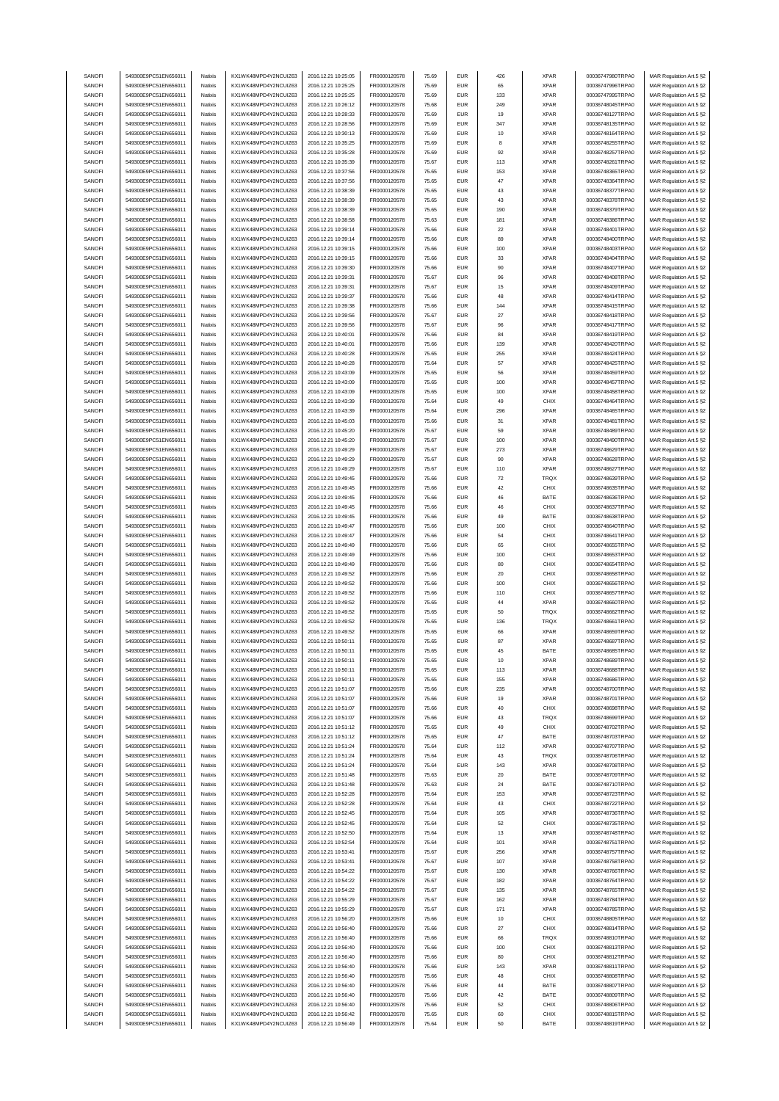| SANOFI | 549300E9PC51EN656011 | Natixis | KX1WK48MPD4Y2NCUIZ63  | 2016.12.21 10:25:05 | FR0000120578 | 75.69 | <b>EUR</b> | 426 | <b>XPAR</b> | 00036747980TRPA0 | MAR Regulation Art.5 §2 |
|--------|----------------------|---------|-----------------------|---------------------|--------------|-------|------------|-----|-------------|------------------|-------------------------|
| SANOFI | 549300E9PC51EN656011 | Natixis | KX1WK48MPD4Y2NCUIZ63  | 2016.12.21 10:25:25 | FR0000120578 | 75.69 | <b>EUR</b> | 65  | <b>XPAR</b> | 00036747996TRPA0 | MAR Regulation Art.5 §2 |
| SANOFI | 549300E9PC51EN656011 | Natixis | KX1WK48MPD4Y2NCUIZ63  | 2016.12.21 10:25:25 | FR0000120578 | 75.69 | <b>EUR</b> | 133 | <b>XPAR</b> | 00036747995TRPA0 | MAR Regulation Art.5 §2 |
| SANOFI | 549300E9PC51EN656011 | Natixis | KX1WK48MPD4Y2NCUIZ63  | 2016.12.21 10:26:12 | FR0000120578 | 75.68 | <b>EUR</b> | 249 | <b>XPAR</b> | 00036748045TRPA0 | MAR Regulation Art.5 §2 |
|        |                      |         |                       |                     |              |       |            |     |             |                  |                         |
| SANOFI | 549300E9PC51EN656011 | Natixis | KX1WK48MPD4Y2NCUIZ63  | 2016.12.21 10:28:33 | FR0000120578 | 75.69 | <b>EUR</b> | 19  | <b>XPAR</b> | 00036748127TRPA0 | MAR Regulation Art.5 §2 |
| SANOFI | 549300E9PC51EN656011 | Natixis | KX1WK48MPD4Y2NCUIZ63  | 2016.12.21 10:28:56 | FR0000120578 | 75.69 | <b>EUR</b> | 347 | <b>XPAR</b> | 00036748135TRPA0 | MAR Regulation Art.5 §2 |
| SANOFI | 549300E9PC51EN656011 | Natixis | KX1WK48MPD4Y2NCUIZ63  | 2016.12.21 10:30:13 | FR0000120578 | 75.69 | <b>EUR</b> | 10  | <b>XPAR</b> | 00036748164TRPA0 | MAR Regulation Art.5 §2 |
| SANOFI | 549300E9PC51EN656011 | Natixis | KX1WK48MPD4Y2NCUIZ63  | 2016.12.21 10:35:25 | FR0000120578 | 75.69 | <b>EUR</b> | 8   | <b>XPAR</b> | 00036748255TRPA0 | MAR Regulation Art.5 §2 |
| SANOFI | 549300E9PC51EN656011 | Natixis | KX1WK48MPD4Y2NCLIIZ63 | 2016.12.21 10:35:28 | FR0000120578 | 75.69 | <b>EUR</b> | 92  | <b>XPAR</b> | 00036748257TRPA0 | MAR Regulation Art.5 §2 |
| SANOFI | 549300E9PC51EN656011 | Natixis | KX1WK48MPD4Y2NCUIZ63  | 2016.12.21 10:35:39 | FR0000120578 | 75.67 | <b>EUR</b> | 113 | <b>XPAR</b> | 00036748261TRPA0 | MAR Regulation Art.5 §2 |
|        |                      | Natixis |                       |                     |              |       | <b>EUR</b> |     |             |                  |                         |
| SANOFI | 549300E9PC51EN656011 |         | KX1WK48MPD4Y2NCUIZ63  | 2016.12.21 10:37:56 | FR0000120578 | 75.65 |            | 153 | <b>XPAR</b> | 00036748365TRPA0 | MAR Regulation Art.5 §2 |
| SANOFI | 549300E9PC51EN656011 | Natixis | KX1WK48MPD4Y2NCUIZ63  | 2016.12.21 10:37:56 | FR0000120578 | 75.65 | <b>EUR</b> | 47  | <b>XPAR</b> | 00036748364TRPA0 | MAR Regulation Art.5 §2 |
| SANOFI | 549300E9PC51EN656011 | Natixis | KX1WK48MPD4Y2NCUIZ63  | 2016.12.21 10:38:39 | FR0000120578 | 75.65 | <b>EUR</b> | 43  | <b>XPAR</b> | 00036748377TRPA0 | MAR Regulation Art.5 §2 |
| SANOFI | 549300E9PC51EN656011 | Natixis | KX1WK48MPD4Y2NCUIZ63  | 2016.12.21 10:38:39 | FR0000120578 | 75.65 | <b>EUR</b> | 43  | <b>XPAR</b> | 00036748378TRPA0 | MAR Regulation Art.5 §2 |
| SANOFI | 549300E9PC51EN656011 | Natixis | KX1WK48MPD4Y2NCUIZ63  | 2016.12.21 10:38:39 | FR0000120578 | 75.65 | <b>EUR</b> | 190 | <b>XPAR</b> | 00036748379TRPA0 | MAR Regulation Art.5 §2 |
| SANOFI | 549300E9PC51EN656011 | Natixis | KX1WK48MPD4Y2NCUIZ63  | 2016.12.21 10:38:58 | FR0000120578 | 75.63 | <b>EUR</b> | 181 | <b>XPAR</b> | 00036748386TRPA0 |                         |
|        |                      |         |                       |                     |              |       |            |     |             |                  | MAR Regulation Art.5 §2 |
| SANOFI | 549300E9PC51EN656011 | Natixis | KX1WK48MPD4Y2NCUIZ63  | 2016.12.21 10:39:14 | FR0000120578 | 75.66 | <b>EUR</b> | 22  | <b>XPAR</b> | 00036748401TRPA0 | MAR Regulation Art.5 §2 |
| SANOFI | 549300E9PC51EN656011 | Natixis | KX1WK48MPD4Y2NCLIIZ63 | 2016.12.21 10:39:14 | FR0000120578 | 75.66 | <b>EUR</b> | 89  | <b>XPAR</b> | 00036748400TRPA0 | MAR Regulation Art.5 §2 |
| SANOFI | 549300E9PC51EN656011 | Natixis | KX1WK48MPD4Y2NCUIZ63  | 2016.12.21 10:39:15 | FR0000120578 | 75.66 | <b>EUR</b> | 100 | <b>XPAR</b> | 00036748403TRPA0 | MAR Regulation Art.5 §2 |
| SANOFI | 549300E9PC51EN656011 | Natixis | KX1WK48MPD4Y2NCUIZ63  | 2016.12.21 10:39:15 | FR0000120578 | 75.66 | <b>EUR</b> | 33  | <b>XPAR</b> | 00036748404TRPA0 | MAR Regulation Art.5 §2 |
| SANOFI | 549300E9PC51EN656011 | Natixis | KX1WK48MPD4Y2NCUIZ63  | 2016.12.21 10:39:30 | FR0000120578 | 75.66 | <b>EUR</b> | 90  | <b>XPAR</b> | 00036748407TRPA0 | MAR Regulation Art.5 §2 |
| SANOFI | 549300E9PC51EN656011 | Natixis | KX1WK48MPD4Y2NCUIZ63  | 2016.12.21 10:39:31 | FR0000120578 | 75.67 | <b>EUR</b> | 96  | <b>XPAR</b> | 00036748408TRPA0 | MAR Regulation Art.5 §2 |
|        |                      |         |                       |                     |              |       |            |     |             |                  |                         |
| SANOFI | 549300E9PC51EN656011 | Natixis | KX1WK48MPD4Y2NCUIZ63  | 2016.12.21 10:39:31 | FR0000120578 | 75.67 | <b>EUR</b> | 15  | <b>XPAR</b> | 00036748409TRPA0 | MAR Regulation Art.5 §2 |
| SANOFI | 549300E9PC51EN656011 | Natixis | KX1WK48MPD4Y2NCUIZ63  | 2016.12.21 10:39:37 | FR0000120578 | 75.66 | <b>EUR</b> | 48  | <b>XPAR</b> | 00036748414TRPA0 | MAR Regulation Art.5 §2 |
| SANOFI | 549300E9PC51EN656011 | Natixis | KX1WK48MPD4Y2NCUIZ63  | 2016.12.21 10:39:38 | FR0000120578 | 75.66 | <b>EUR</b> | 144 | <b>XPAR</b> | 00036748415TRPA0 | MAR Regulation Art.5 §2 |
| SANOFI | 549300E9PC51EN656011 | Natixis | KX1WK48MPD4Y2NCUIZ63  | 2016.12.21 10:39:56 | FR0000120578 | 75.67 | <b>EUR</b> | 27  | <b>XPAR</b> | 00036748418TRPA0 | MAR Regulation Art.5 §2 |
| SANOFI | 549300E9PC51EN656011 | Natixis | KX1WK48MPD4Y2NCLIIZ63 | 2016.12.21 10:39:56 | FR0000120578 | 75.67 | <b>EUR</b> | 96  | <b>XPAR</b> | 00036748417TRPA0 | MAR Regulation Art.5 §2 |
| SANOFI | 549300E9PC51EN656011 | Natixis | KX1WK48MPD4Y2NCUIZ63  | 2016.12.21 10:40:01 | FR0000120578 | 75.66 | <b>EUR</b> | 84  | <b>XPAR</b> | 00036748419TRPA0 | MAR Regulation Art.5 §2 |
|        |                      |         |                       |                     |              |       |            |     |             |                  |                         |
| SANOFI | 549300E9PC51EN656011 | Natixis | KX1WK48MPD4Y2NCUIZ63  | 2016.12.21 10:40:01 | FR0000120578 | 75.66 | <b>EUR</b> | 139 | <b>XPAR</b> | 00036748420TRPA0 | MAR Regulation Art.5 §2 |
| SANOFI | 549300E9PC51EN656011 | Natixis | KX1WK48MPD4Y2NCUIZ63  | 2016.12.21 10:40:28 | FR0000120578 | 75.65 | <b>EUR</b> | 255 | <b>XPAR</b> | 00036748424TRPA0 | MAR Regulation Art.5 §2 |
| SANOFI | 549300E9PC51EN656011 | Natixis | KX1WK48MPD4Y2NCUIZ63  | 2016.12.21 10:40:28 | FR0000120578 | 75.64 | <b>EUR</b> | 57  | <b>XPAR</b> | 00036748425TRPA0 | MAR Regulation Art.5 §2 |
| SANOFI | 549300E9PC51EN656011 | Natixis | KX1WK48MPD4Y2NCUIZ63  | 2016.12.21 10:43:09 | FR0000120578 | 75.65 | <b>EUR</b> | 56  | <b>XPAR</b> | 00036748459TRPA0 | MAR Regulation Art.5 §2 |
| SANOFI | 549300E9PC51EN656011 | Natixis | KX1WK48MPD4Y2NCUIZ63  | 2016.12.21 10:43:09 | FR0000120578 | 75.65 | <b>EUR</b> | 100 | <b>XPAR</b> | 00036748457TRPA0 | MAR Regulation Art.5 §2 |
|        |                      |         |                       |                     |              |       |            |     |             |                  |                         |
| SANOFI | 549300E9PC51EN656011 | Natixis | KX1WK48MPD4Y2NCUIZ63  | 2016.12.21 10:43:09 | FR0000120578 | 75.65 | <b>EUR</b> | 100 | <b>XPAR</b> | 00036748458TRPA0 | MAR Regulation Art.5 §2 |
| SANOFI | 549300E9PC51EN656011 | Natixis | KX1WK48MPD4Y2NCUIZ63  | 2016.12.21 10:43:39 | FR0000120578 | 75.64 | <b>EUR</b> | 49  | CHIX        | 00036748464TRPA0 | MAR Regulation Art.5 §2 |
| SANOFI | 549300E9PC51EN656011 | Natixis | KX1WK48MPD4Y2NCLIIZ63 | 2016.12.21 10:43:39 | FR0000120578 | 75.64 | <b>EUR</b> | 296 | <b>XPAR</b> | 00036748465TRPA0 | MAR Regulation Art.5 §2 |
| SANOFI | 549300E9PC51EN656011 | Natixis | KX1WK48MPD4Y2NCUIZ63  | 2016.12.21 10:45:03 | FR0000120578 | 75.66 | <b>EUR</b> | 31  | <b>XPAR</b> | 00036748481TRPA0 | MAR Regulation Art.5 §2 |
| SANOFI | 549300E9PC51EN656011 | Natixis | KX1WK48MPD4Y2NCUIZ63  | 2016.12.21 10:45:20 | FR0000120578 | 75.67 | <b>EUR</b> | 59  | <b>XPAR</b> | 00036748489TRPA0 | MAR Regulation Art.5 §2 |
| SANOFI | 549300E9PC51EN656011 | Natixis | KX1WK48MPD4Y2NCUIZ63  | 2016.12.21 10:45:20 | FR0000120578 | 75.67 | <b>EUR</b> | 100 | <b>XPAR</b> | 00036748490TRPA0 | MAR Regulation Art.5 §2 |
|        |                      |         |                       |                     |              |       |            |     |             |                  |                         |
| SANOFI | 549300E9PC51EN656011 | Natixis | KX1WK48MPD4Y2NCUIZ63  | 2016.12.21 10:49:29 | FR0000120578 | 75.67 | <b>EUR</b> | 273 | <b>XPAR</b> | 00036748629TRPA0 | MAR Regulation Art.5 §2 |
| SANOFI | 549300E9PC51EN656011 | Natixis | KX1WK48MPD4Y2NCUIZ63  | 2016.12.21 10:49:29 | FR0000120578 | 75.67 | <b>EUR</b> | 90  | <b>XPAR</b> | 00036748628TRPA0 | MAR Regulation Art.5 §2 |
| SANOFI | 549300E9PC51EN656011 | Natixis | KX1WK48MPD4Y2NCUIZ63  | 2016.12.21 10:49:29 | FR0000120578 | 75.67 | <b>EUR</b> | 110 | <b>XPAR</b> | 00036748627TRPA0 | MAR Regulation Art.5 §2 |
| SANOFI | 549300E9PC51EN656011 | Natixis | KX1WK48MPD4Y2NCUIZ63  | 2016.12.21 10:49:45 | FR0000120578 | 75.66 | <b>EUR</b> | 72  | TRQX        | 00036748639TRPA0 | MAR Regulation Art.5 §2 |
| SANOFI | 549300E9PC51EN656011 | Natixis | KX1WK48MPD4Y2NCUIZ63  | 2016.12.21 10:49:45 | FR0000120578 | 75.66 | <b>EUR</b> | 42  | CHIX        | 00036748635TRPA0 | MAR Regulation Art.5 §2 |
| SANOFI | 549300E9PC51EN656011 | Natixis | KX1WK48MPD4Y2NCUIZ63  | 2016.12.21 10:49:45 | FR0000120578 | 75.66 | <b>EUR</b> | 46  | BATE        | 00036748636TRPA0 | MAR Regulation Art.5 §2 |
|        |                      |         |                       |                     |              |       |            |     |             |                  |                         |
| SANOFI | 549300E9PC51EN656011 | Natixis | KX1WK48MPD4Y2NCUIZ63  | 2016.12.21 10:49:45 | FR0000120578 | 75.66 | <b>EUR</b> | 46  | CHIX        | 00036748637TRPA0 | MAR Regulation Art.5 §2 |
| SANOFI | 549300E9PC51EN656011 | Natixis | KX1WK48MPD4Y2NCUIZ63  | 2016.12.21 10:49:45 | FR0000120578 | 75.66 | <b>EUR</b> | 49  | BATE        | 00036748638TRPA0 | MAR Regulation Art.5 §2 |
| SANOFI | 549300E9PC51EN656011 | Natixis | KX1WK48MPD4Y2NCUIZ63  | 2016.12.21 10:49:47 | FR0000120578 | 75.66 | <b>EUR</b> | 100 | CHIX        | 00036748640TRPA0 | MAR Regulation Art.5 §2 |
| SANOFI | 549300E9PC51EN656011 | Natixis | KX1WK48MPD4Y2NCUIZ63  | 2016.12.21 10:49:47 | FR0000120578 | 75.66 | <b>EUR</b> | 54  | CHIX        | 00036748641TRPA0 | MAR Regulation Art.5 §2 |
| SANOFI | 549300E9PC51EN656011 | Natixis | KX1WK48MPD4Y2NCUIZ63  | 2016.12.21 10:49:49 | FR0000120578 | 75.66 | <b>EUR</b> | 65  | CHIX        | 00036748655TRPA0 | MAR Regulation Art.5 §2 |
| SANOFI | 549300E9PC51EN656011 | Natixis | KX1WK48MPD4Y2NCUIZ63  | 2016.12.21 10:49:49 |              | 75.66 | <b>EUR</b> | 100 | CHIX        | 00036748653TRPA0 |                         |
|        |                      |         |                       |                     | FR0000120578 |       |            |     |             |                  | MAR Regulation Art.5 §2 |
| SANOFI | 549300E9PC51EN656011 | Natixis | KX1WK48MPD4Y2NCUIZ63  | 2016.12.21 10:49:49 | FR0000120578 | 75.66 | <b>EUR</b> | 80  | CHIX        | 00036748654TRPA0 | MAR Regulation Art.5 §2 |
| SANOFI | 549300E9PC51EN656011 | Natixis | KX1WK48MPD4Y2NCUIZ63  | 2016.12.21 10:49:52 | FR0000120578 | 75.66 | <b>EUR</b> | 20  | CHIX        | 00036748658TRPA0 | MAR Regulation Art.5 §2 |
| SANOFI | 549300E9PC51EN656011 | Natixis | KX1WK48MPD4Y2NCUIZ63  | 2016.12.21 10:49:52 | FR0000120578 | 75.66 | <b>EUR</b> | 100 | CHIX        | 00036748656TRPA0 | MAR Regulation Art.5 §2 |
| SANOFI | 549300E9PC51EN656011 | Natixis | KX1WK48MPD4Y2NCUIZ63  | 2016.12.21 10:49:52 | FR0000120578 | 75.66 | <b>EUR</b> | 110 | CHIX        | 00036748657TRPA0 | MAR Regulation Art.5 §2 |
| SANOFI | 549300E9PC51EN656011 | Natixis | KX1WK48MPD4Y2NCUIZ63  | 2016.12.21 10:49:52 | FR0000120578 | 75.65 | <b>EUR</b> | 44  | <b>XPAR</b> | 00036748660TRPA0 | MAR Regulation Art.5 §2 |
|        |                      |         |                       |                     |              |       |            |     |             |                  |                         |
| SANOFI | 549300E9PC51EN656011 | Natixis | KX1WK48MPD4Y2NCUIZ63  | 2016.12.21 10:49:52 | FR0000120578 | 75.65 | <b>EUR</b> | 50  | TRQX        | 00036748662TRPA0 | MAR Regulation Art.5 §2 |
| SANOFI | 549300E9PC51EN656011 | Natixis | KX1WK48MPD4Y2NCUIZ63  | 2016.12.21 10:49:52 | FR0000120578 | 75.65 | <b>EUR</b> | 136 | TRQX        | 00036748661TRPA0 | MAR Regulation Art.5 §2 |
| SANOFI | 549300E9PC51EN656011 | Natixis | KX1WK48MPD4Y2NCUIZ63  | 2016.12.21 10:49:52 | FR0000120578 | 75.65 | <b>EUR</b> | 66  | <b>XPAR</b> | 00036748659TRPA0 | MAR Regulation Art.5 §2 |
| SANOFI | 549300E9PC51EN656011 | Natixis | KX1WK48MPD4Y2NCUIZ63  | 2016.12.21 10:50:11 | FR0000120578 | 75.65 | <b>EUR</b> | 87  | <b>XPAR</b> | 00036748687TRPA0 | MAR Regulation Art.5 §2 |
| SANOF  | 549300E9PC51EN656011 | Natixis | KX1WK48MPD4Y2NCUIZ63  | 2016.12.21 10:50:11 | FR0000120578 | 75.65 | EUR        | 45  | BATE        | 00036748685TRPA0 | MAR Regulation Art.5 §2 |
| SANOFI | 549300E9PC51EN656011 | Natixis | KX1WK48MPD4Y2NCUIZ63  | 2016.12.21 10:50:11 | FR0000120578 | 75.65 | <b>EUR</b> | 10  | <b>XPAR</b> | 00036748689TRPA0 | MAR Regulation Art.5 §2 |
|        |                      |         |                       |                     |              |       |            |     |             |                  |                         |
| SANOFI | 549300E9PC51EN656011 | Natixis | KX1WK48MPD4Y2NCUIZ63  | 2016.12.21 10:50:11 | FR0000120578 | 75.65 | <b>EUR</b> | 113 | <b>XPAR</b> | 00036748688TRPA0 | MAR Regulation Art.5 §2 |
| SANOFI | 549300E9PC51EN656011 | Natixis | KX1WK48MPD4Y2NCUIZ63  | 2016.12.21 10:50:11 | FR0000120578 | 75.65 | <b>EUR</b> | 155 | <b>XPAR</b> | 00036748686TRPA0 | MAR Regulation Art.5 §2 |
| SANOFI | 549300E9PC51EN656011 | Natixis | KX1WK48MPD4Y2NCUIZ63  | 2016.12.21 10:51:07 | FR0000120578 | 75.66 | <b>EUR</b> | 235 | <b>XPAR</b> | 00036748700TRPA0 | MAR Regulation Art.5 §2 |
| SANOFI | 549300E9PC51EN656011 | Natixis | KX1WK48MPD4Y2NCUIZ63  | 2016.12.21 10:51:07 | FR0000120578 | 75.66 | <b>EUR</b> | 19  | <b>XPAR</b> | 00036748701TRPA0 | MAR Regulation Art.5 §2 |
| SANOFI | 549300E9PC51EN656011 | Natixis | KX1WK48MPD4Y2NCUIZ63  | 2016.12.21 10:51:07 | FR0000120578 | 75.66 | <b>EUR</b> | 40  | CHIX        | 00036748698TRPA0 | MAR Regulation Art.5 §2 |
| SANOFI | 549300E9PC51EN656011 | Natixis | KX1WK48MPD4Y2NCUIZ63  | 2016.12.21 10:51:07 | FR0000120578 | 75.66 | <b>EUR</b> | 43  | TRQX        | 00036748699TRPA0 | MAR Regulation Art.5 §2 |
| SANOFI | 549300E9PC51EN656011 | Natixis | KX1WK48MPD4Y2NCUIZ63  | 2016.12.21 10:51:12 | FR0000120578 | 75.65 | <b>EUR</b> | 49  | CHIX        | 00036748702TRPA0 | MAR Regulation Art.5 §2 |
|        |                      |         | KX1WK48MPD4Y2NCUIZ63  |                     |              |       |            |     |             | 00036748703TRPA0 |                         |
| SANOFI | 549300E9PC51EN656011 | Natixis |                       | 2016.12.21 10:51:12 | FR0000120578 | 75.65 | <b>EUR</b> | 47  | BATE        |                  | MAR Regulation Art.5 §2 |
| SANOFI | 549300E9PC51EN656011 | Natixis | KX1WK48MPD4Y2NCUIZ63  | 2016.12.21 10:51:24 | FR0000120578 | 75.64 | <b>EUR</b> | 112 | <b>XPAR</b> | 00036748707TRPA0 | MAR Regulation Art.5 §2 |
| SANOFI | 549300E9PC51EN656011 | Natixis | KX1WK48MPD4Y2NCUIZ63  | 2016.12.21 10:51:24 | FR0000120578 | 75.64 | <b>EUR</b> | 43  | TRQX        | 00036748706TRPA0 | MAR Regulation Art.5 §2 |
| SANOFI | 549300E9PC51EN656011 | Natixis | KX1WK48MPD4Y2NCUIZ63  | 2016.12.21 10:51:24 | FR0000120578 | 75.64 | <b>EUR</b> | 143 | <b>XPAR</b> | 00036748708TRPA0 | MAR Regulation Art.5 §2 |
| SANOFI | 549300E9PC51EN656011 | Natixis | KX1WK48MPD4Y2NCUIZ63  | 2016.12.21 10:51:48 | FR0000120578 | 75.63 | <b>EUR</b> | 20  | BATE        | 00036748709TRPA0 | MAR Regulation Art.5 §2 |
| SANOFI | 549300E9PC51EN656011 | Natixis | KX1WK48MPD4Y2NCUIZ63  | 2016.12.21 10:51:48 | FR0000120578 | 75.63 | <b>EUR</b> | 24  | BATE        | 00036748710TRPA0 | MAR Regulation Art.5 §2 |
| SANOFI | 549300E9PC51EN656011 |         | KX1WK48MPD4Y2NCUIZ63  | 2016.12.21 10:52:28 | FR0000120578 | 75.64 | <b>EUR</b> |     | <b>XPAR</b> | 00036748723TRPA0 |                         |
|        |                      | Natixis |                       |                     |              |       |            | 153 |             |                  | MAR Regulation Art.5 §2 |
| SANOFI | 549300E9PC51EN656011 | Natixis | KX1WK48MPD4Y2NCUIZ63  | 2016.12.21 10:52:28 | FR0000120578 | 75.64 | <b>EUR</b> | 43  | CHIX        | 00036748722TRPA0 | MAR Regulation Art.5 §2 |
| SANOFI | 549300E9PC51EN656011 | Natixis | KX1WK48MPD4Y2NCUIZ63  | 2016.12.21 10:52:45 | FR0000120578 | 75.64 | <b>EUR</b> | 105 | <b>XPAR</b> | 00036748736TRPA0 | MAR Regulation Art.5 §2 |
| SANOFI | 549300E9PC51EN656011 | Natixis | KX1WK48MPD4Y2NCUIZ63  | 2016.12.21 10:52:45 | FR0000120578 | 75.64 | <b>EUR</b> | 52  | CHIX        | 00036748735TRPA0 | MAR Regulation Art.5 §2 |
| SANOFI | 549300E9PC51EN656011 | Natixis | KX1WK48MPD4Y2NCUIZ63  | 2016.12.21 10:52:50 | FR0000120578 | 75.64 | <b>EUR</b> | 13  | <b>XPAR</b> | 00036748748TRPA0 | MAR Regulation Art.5 §2 |
| SANOFI | 549300E9PC51EN656011 | Natixis | KX1WK48MPD4Y2NCUIZ63  | 2016.12.21 10:52:54 | FR0000120578 | 75.64 | <b>EUR</b> | 101 | <b>XPAR</b> | 00036748751TRPA0 | MAR Regulation Art.5 §2 |
| SANOFI | 549300E9PC51EN656011 | Natixis | KX1WK48MPD4Y2NCUIZ63  | 2016.12.21 10:53:41 | FR0000120578 | 75.67 | <b>EUR</b> | 256 | <b>XPAR</b> | 00036748757TRPA0 | MAR Regulation Art.5 §2 |
|        |                      |         |                       |                     |              |       |            |     |             |                  |                         |
| SANOFI | 549300E9PC51EN656011 | Natixis | KX1WK48MPD4Y2NCUIZ63  | 2016.12.21 10:53:41 | FR0000120578 | 75.67 | <b>EUR</b> | 107 | <b>XPAR</b> | 00036748758TRPA0 | MAR Regulation Art.5 §2 |
| SANOFI | 549300E9PC51EN656011 | Natixis | KX1WK48MPD4Y2NCUIZ63  | 2016.12.21 10:54:22 | FR0000120578 | 75.67 | <b>EUR</b> | 130 | <b>XPAR</b> | 00036748766TRPA0 | MAR Regulation Art.5 §2 |
| SANOFI | 549300E9PC51EN656011 | Natixis | KX1WK48MPD4Y2NCUIZ63  | 2016.12.21 10:54:22 | FR0000120578 | 75.67 | <b>EUR</b> | 182 | <b>XPAR</b> | 00036748764TRPA0 | MAR Regulation Art.5 §2 |
| SANOFI | 549300E9PC51EN656011 | Natixis | KX1WK48MPD4Y2NCUIZ63  | 2016.12.21 10:54:22 | FR0000120578 | 75.67 | <b>EUR</b> | 135 | <b>XPAR</b> | 00036748765TRPA0 | MAR Regulation Art.5 §2 |
| SANOFI | 549300E9PC51EN656011 | Natixis | KX1WK48MPD4Y2NCUIZ63  | 2016.12.21 10:55:29 | FR0000120578 | 75.67 | <b>EUR</b> | 162 | <b>XPAR</b> | 00036748784TRPA0 | MAR Regulation Art.5 §2 |
|        |                      |         |                       | 2016.12.21 10:55:29 |              |       |            |     |             |                  |                         |
| SANOFI | 549300E9PC51EN656011 | Natixis | KX1WK48MPD4Y2NCUIZ63  |                     | FR0000120578 | 75.67 | <b>EUR</b> | 171 | <b>XPAR</b> | 00036748785TRPA0 | MAR Regulation Art.5 §2 |
| SANOFI | 549300E9PC51EN656011 | Natixis | KX1WK48MPD4Y2NCUIZ63  | 2016.12.21 10:56:20 | FR0000120578 | 75.66 | <b>EUR</b> | 10  | CHIX        | 00036748805TRPA0 | MAR Regulation Art.5 §2 |
| SANOFI | 549300E9PC51EN656011 | Natixis | KX1WK48MPD4Y2NCUIZ63  | 2016.12.21 10:56:40 | FR0000120578 | 75.66 | <b>EUR</b> | 27  | CHIX        | 00036748814TRPA0 | MAR Regulation Art.5 §2 |
| SANOFI | 549300E9PC51EN656011 | Natixis | KX1WK48MPD4Y2NCUIZ63  | 2016.12.21 10:56:40 | FR0000120578 | 75.66 | <b>EUR</b> | 66  | TRQX        | 00036748810TRPA0 | MAR Regulation Art.5 §2 |
| SANOFI | 549300E9PC51EN656011 | Natixis | KX1WK48MPD4Y2NCUIZ63  | 2016.12.21 10:56:40 | FR0000120578 | 75.66 | <b>EUR</b> | 100 | CHIX        | 00036748813TRPA0 | MAR Regulation Art.5 §2 |
| SANOFI | 549300E9PC51EN656011 | Natixis | KX1WK48MPD4Y2NCUIZ63  | 2016.12.21 10:56:40 | FR0000120578 | 75.66 | <b>EUR</b> | 80  | CHIX        | 00036748812TRPA0 | MAR Regulation Art.5 §2 |
| SANOFI | 549300E9PC51EN656011 | Natixis | KX1WK48MPD4Y2NCUIZ63  | 2016.12.21 10:56:40 | FR0000120578 | 75.66 | <b>EUR</b> | 143 | <b>XPAR</b> | 00036748811TRPA0 | MAR Regulation Art.5 §2 |
|        |                      |         |                       |                     |              |       |            |     |             |                  |                         |
| SANOFI | 549300E9PC51EN656011 | Natixis | KX1WK48MPD4Y2NCUIZ63  | 2016.12.21 10:56:40 | FR0000120578 | 75.66 | <b>EUR</b> | 48  | CHIX        | 00036748808TRPA0 | MAR Regulation Art.5 §2 |
| SANOFI | 549300E9PC51EN656011 | Natixis | KX1WK48MPD4Y2NCUIZ63  | 2016.12.21 10:56:40 | FR0000120578 | 75.66 | <b>EUR</b> | 44  | BATE        | 00036748807TRPA0 | MAR Regulation Art.5 §2 |
| SANOFI | 549300E9PC51EN656011 | Natixis | KX1WK48MPD4Y2NCUIZ63  | 2016.12.21 10:56:40 | FR0000120578 | 75.66 | <b>EUR</b> | 42  | BATE        | 00036748809TRPA0 | MAR Regulation Art.5 §2 |
| SANOFI | 549300E9PC51EN656011 | Natixis | KX1WK48MPD4Y2NCUIZ63  | 2016.12.21 10:56:40 | FR0000120578 | 75.66 | <b>EUR</b> | 52  | CHIX        | 00036748806TRPA0 | MAR Regulation Art.5 §2 |
| SANOFI | 549300E9PC51EN656011 | Natixis | KX1WK48MPD4Y2NCUIZ63  | 2016.12.21 10:56:42 | FR0000120578 | 75.65 | <b>EUR</b> | 60  | CHIX        | 00036748815TRPA0 | MAR Regulation Art.5 §2 |
| SANOFI | 549300E9PC51EN656011 | Natixis | KX1WK48MPD4Y2NCUIZ63  | 2016.12.21 10:56:49 | FR0000120578 | 75.64 | EUR        | 50  | BATE        | 00036748819TRPA0 | MAR Regulation Art.5 §2 |
|        |                      |         |                       |                     |              |       |            |     |             |                  |                         |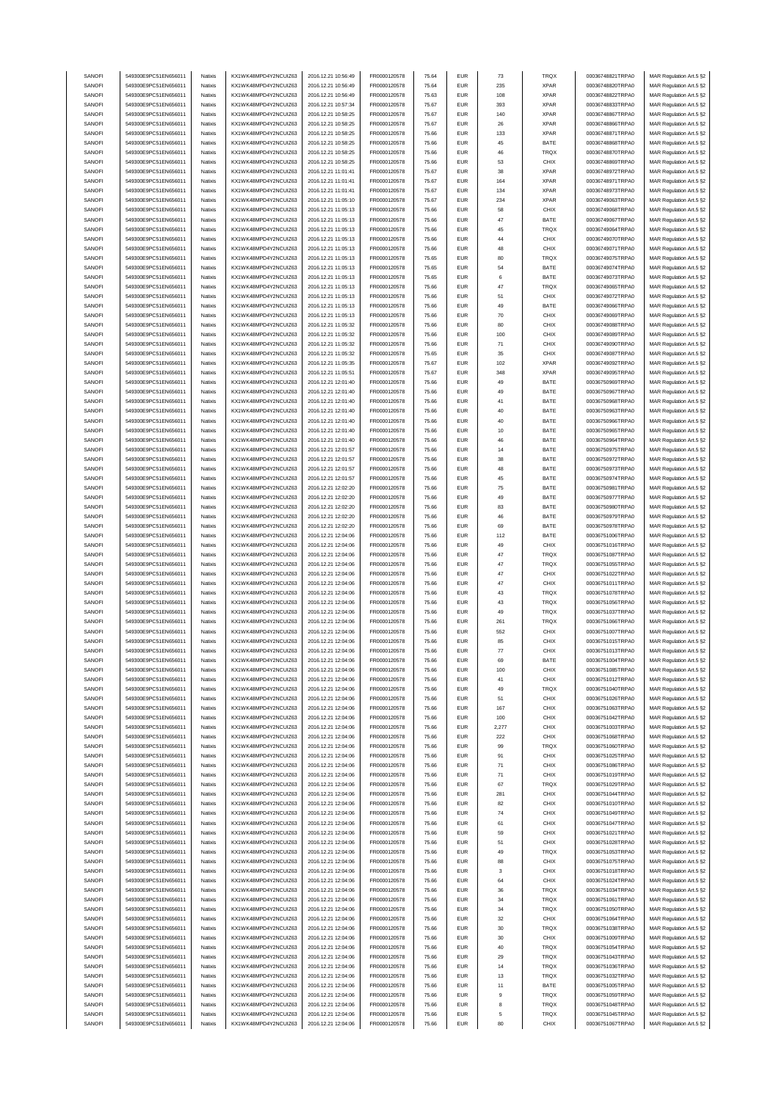| SANOFI | 549300E9PC51EN656011 | Natixis | KX1WK48MPD4Y2NCUIZ63 | 2016.12.21 10:56:49 | FR0000120578 | 75.64 | <b>EUR</b> | 73    | <b>TRQX</b> | 00036748821TRPA0 | MAR Regulation Art.5 §2 |
|--------|----------------------|---------|----------------------|---------------------|--------------|-------|------------|-------|-------------|------------------|-------------------------|
| SANOFI | 549300E9PC51EN656011 | Natixis | KX1WK48MPD4Y2NCUIZ63 | 2016.12.21 10:56:49 | FR0000120578 | 75.64 | <b>EUR</b> | 235   | <b>XPAR</b> | 00036748820TRPA0 | MAR Regulation Art.5 §2 |
| SANOFI | 549300E9PC51EN656011 | Natixis | KX1WK48MPD4Y2NCUIZ63 | 2016.12.21 10:56:49 | FR0000120578 | 75.63 | <b>EUR</b> | 108   | <b>XPAR</b> | 00036748822TRPA0 | MAR Regulation Art.5 §2 |
| SANOFI | 549300E9PC51EN656011 | Natixis | KX1WK48MPD4Y2NCUIZ63 | 2016.12.21 10:57:34 | FR0000120578 | 75.67 | <b>EUR</b> | 393   | <b>XPAR</b> | 00036748833TRPA0 | MAR Regulation Art.5 §2 |
| SANOFI | 549300E9PC51EN656011 | Natixis | KX1WK48MPD4Y2NCUIZ63 | 2016.12.21 10:58:25 | FR0000120578 | 75.67 | <b>EUR</b> | 140   | <b>XPAR</b> | 00036748867TRPA0 | MAR Regulation Art.5 §2 |
|        |                      |         |                      |                     |              |       |            |       |             |                  |                         |
| SANOFI | 549300E9PC51EN656011 | Natixis | KX1WK48MPD4Y2NCUIZ63 | 2016.12.21 10:58:25 | FR0000120578 | 75.67 | <b>EUR</b> | 26    | <b>XPAR</b> | 00036748866TRPA0 | MAR Regulation Art.5 §2 |
| SANOFI | 549300E9PC51EN656011 | Natixis | KX1WK48MPD4Y2NCUIZ63 | 2016.12.21 10:58:25 | FR0000120578 | 75.66 | <b>EUR</b> | 133   | <b>XPAR</b> | 00036748871TRPA0 | MAR Regulation Art.5 §2 |
| SANOFI | 549300E9PC51EN656011 | Natixis | KX1WK48MPD4Y2NCUIZ63 | 2016.12.21 10:58:25 | FR0000120578 | 75.66 | <b>EUR</b> | 45    | BATE        | 00036748868TRPA0 | MAR Regulation Art.5 §2 |
| SANOFI | 549300E9PC51EN656011 | Natixis | KX1WK48MPD4Y2NCUIZ63 | 2016.12.21 10:58:25 | FR0000120578 | 75.66 | <b>EUR</b> | 46    | TRQX        | 00036748870TRPA0 | MAR Regulation Art.5 §2 |
| SANOFI | 549300E9PC51EN656011 | Natixis | KX1WK48MPD4Y2NCUIZ63 | 2016.12.21 10:58:25 | FR0000120578 | 75.66 | <b>EUR</b> | 53    | CHIX        | 00036748869TRPA0 | MAR Regulation Art.5 §2 |
| SANOFI | 549300E9PC51EN656011 | Natixis | KX1WK48MPD4Y2NCUIZ63 | 2016.12.21 11:01:41 | FR0000120578 | 75.67 | <b>EUR</b> | 38    | <b>XPAR</b> | 00036748972TRPA0 | MAR Regulation Art.5 §2 |
|        |                      |         |                      |                     |              |       |            |       |             |                  |                         |
| SANOFI | 549300E9PC51EN656011 | Natixis | KX1WK48MPD4Y2NCUIZ63 | 2016.12.21 11:01:41 | FR0000120578 | 75.67 | <b>EUR</b> | 164   | <b>XPAR</b> | 00036748971TRPA0 | MAR Regulation Art.5 §2 |
| SANOFI | 549300E9PC51EN656011 | Natixis | KX1WK48MPD4Y2NCUIZ63 | 2016.12.21 11:01:41 | FR0000120578 | 75.67 | <b>EUR</b> | 134   | <b>XPAR</b> | 00036748973TRPA0 | MAR Regulation Art.5 §2 |
| SANOFI | 549300E9PC51EN656011 | Natixis | KX1WK48MPD4Y2NCUIZ63 | 2016.12.21 11:05:10 | FR0000120578 | 75.67 | <b>EUR</b> | 234   | <b>XPAR</b> | 00036749063TRPA0 | MAR Regulation Art.5 §2 |
| SANOFI | 549300E9PC51EN656011 | Natixis | KX1WK48MPD4Y2NCUIZ63 | 2016.12.21 11:05:13 | FR0000120578 | 75.66 | <b>EUR</b> | 58    | CHIX        | 00036749068TRPA0 | MAR Regulation Art.5 §2 |
| SANOFI | 549300E9PC51EN656011 | Natixis | KX1WK48MPD4Y2NCUIZ63 | 2016.12.21 11:05:13 | FR0000120578 | 75.66 | <b>EUR</b> | 47    | BATE        | 00036749067TRPA0 | MAR Regulation Art.5 §2 |
|        |                      |         |                      |                     |              |       |            |       |             |                  |                         |
| SANOFI | 549300E9PC51EN656011 | Natixis | KX1WK48MPD4Y2NCUIZ63 | 2016.12.21 11:05:13 | FR0000120578 | 75.66 | <b>EUR</b> | 45    | TRQX        | 00036749064TRPA0 | MAR Regulation Art.5 §2 |
| SANOFI | 549300E9PC51EN656011 | Natixis | KX1WK48MPD4Y2NCUIZ63 | 2016.12.21 11:05:13 | FR0000120578 | 75.66 | <b>EUR</b> | 44    | CHIX        | 00036749070TRPA0 | MAR Regulation Art.5 §2 |
| SANOFI | 549300E9PC51EN656011 | Natixis | KX1WK48MPD4Y2NCUIZ63 | 2016.12.21 11:05:13 | FR0000120578 | 75.66 | <b>EUR</b> | 48    | CHIX        | 00036749071TRPA0 | MAR Regulation Art.5 §2 |
| SANOFI | 549300E9PC51EN656011 | Natixis | KX1WK48MPD4Y2NCUIZ63 | 2016.12.21 11:05:13 | FR0000120578 | 75.65 | <b>EUR</b> | 80    | <b>TRQX</b> | 00036749075TRPA0 | MAR Regulation Art.5 §2 |
| SANOFI | 549300E9PC51EN656011 | Natixis | KX1WK48MPD4Y2NCUIZ63 | 2016.12.21 11:05:13 | FR0000120578 | 75.65 | <b>EUR</b> | 54    | BATE        | 00036749074TRPA0 | MAR Regulation Art.5 §2 |
| SANOFI | 549300E9PC51EN656011 | Natixis | KX1WK48MPD4Y2NCUIZ63 | 2016.12.21 11:05:13 | FR0000120578 | 75.65 | <b>EUR</b> | 6     | BATE        | 00036749073TRPA0 | MAR Regulation Art.5 §2 |
| SANOFI | 549300E9PC51EN656011 | Natixis | KX1WK48MPD4Y2NCUIZ63 | 2016.12.21 11:05:13 | FR0000120578 | 75.66 | <b>EUR</b> | 47    | TRQX        | 00036749065TRPA0 | MAR Regulation Art.5 §2 |
|        |                      |         |                      |                     |              |       |            |       |             |                  |                         |
| SANOFI | 549300E9PC51EN656011 | Natixis | KX1WK48MPD4Y2NCUIZ63 | 2016.12.21 11:05:13 | FR0000120578 | 75.66 | <b>EUR</b> | 51    | CHIX        | 00036749072TRPA0 | MAR Regulation Art.5 §2 |
| SANOFI | 549300E9PC51EN656011 | Natixis | KX1WK48MPD4Y2NCUIZ63 | 2016.12.21 11:05:13 | FR0000120578 | 75.66 | <b>EUR</b> | 49    | BATE        | 00036749066TRPA0 | MAR Regulation Art.5 §2 |
| SANOFI | 549300E9PC51EN656011 | Natixis | KX1WK48MPD4Y2NCUIZ63 | 2016.12.21 11:05:13 | FR0000120578 | 75.66 | <b>EUR</b> | 70    | CHIX        | 00036749069TRPA0 | MAR Regulation Art.5 §2 |
| SANOFI | 549300E9PC51EN656011 | Natixis | KX1WK48MPD4Y2NCUIZ63 | 2016.12.21 11:05:32 | FR0000120578 | 75.66 | <b>EUR</b> | 80    | CHIX        | 00036749088TRPA0 | MAR Regulation Art.5 §2 |
| SANOFI | 549300E9PC51EN656011 | Natixis | KX1WK48MPD4Y2NCUIZ63 | 2016.12.21 11:05:32 | FR0000120578 | 75.66 | <b>EUR</b> | 100   | CHIX        | 00036749089TRPA0 | MAR Regulation Art.5 §2 |
| SANOFI | 549300E9PC51EN656011 | Natixis | KX1WK48MPD4Y2NCUIZ63 | 2016.12.21 11:05:32 | FR0000120578 | 75.66 | <b>EUR</b> | 71    | CHIX        | 00036749090TRPA0 | MAR Regulation Art.5 §2 |
|        | 549300E9PC51EN656011 |         |                      |                     |              |       |            |       |             |                  |                         |
| SANOFI |                      | Natixis | KX1WK48MPD4Y2NCUIZ63 | 2016.12.21 11:05:32 | FR0000120578 | 75.65 | <b>EUR</b> | 35    | CHIX        | 00036749087TRPA0 | MAR Regulation Art.5 §2 |
| SANOFI | 549300E9PC51EN656011 | Natixis | KX1WK48MPD4Y2NCUIZ63 | 2016.12.21 11:05:35 | FR0000120578 | 75.67 | <b>EUR</b> | 102   | <b>XPAR</b> | 00036749092TRPA0 | MAR Regulation Art.5 §2 |
| SANOFI | 549300E9PC51EN656011 | Natixis | KX1WK48MPD4Y2NCUIZ63 | 2016.12.21 11:05:51 | FR0000120578 | 75.67 | <b>EUR</b> | 348   | <b>XPAR</b> | 00036749095TRPA0 | MAR Regulation Art.5 §2 |
| SANOFI | 549300E9PC51EN656011 | Natixis | KX1WK48MPD4Y2NCUIZ63 | 2016.12.21 12:01:40 | FR0000120578 | 75.66 | <b>EUR</b> | 49    | BATE        | 00036750969TRPA0 | MAR Regulation Art.5 §2 |
| SANOFI | 549300E9PC51EN656011 | Natixis | KX1WK48MPD4Y2NCUIZ63 | 2016.12.21 12:01:40 | FR0000120578 | 75.66 | <b>EUR</b> | 49    | BATE        | 00036750967TRPA0 | MAR Regulation Art.5 §2 |
|        |                      |         |                      |                     |              |       |            |       |             |                  |                         |
| SANOFI | 549300E9PC51EN656011 | Natixis | KX1WK48MPD4Y2NCUIZ63 | 2016.12.21 12:01:40 | FR0000120578 | 75.66 | <b>EUR</b> | 41    | BATE        | 00036750968TRPA0 | MAR Regulation Art.5 §2 |
| SANOFI | 549300E9PC51EN656011 | Natixis | KX1WK48MPD4Y2NCUIZ63 | 2016.12.21 12:01:40 | FR0000120578 | 75.66 | <b>EUR</b> | 40    | BATE        | 00036750963TRPA0 | MAR Regulation Art.5 §2 |
| SANOFI | 549300E9PC51EN656011 | Natixis | KX1WK48MPD4Y2NCUIZ63 | 2016.12.21 12:01:40 | FR0000120578 | 75.66 | <b>EUR</b> | 40    | BATE        | 00036750966TRPA0 | MAR Regulation Art.5 §2 |
| SANOFI | 549300E9PC51EN656011 | Natixis | KX1WK48MPD4Y2NCUIZ63 | 2016.12.21 12:01:40 | FR0000120578 | 75.66 | <b>EUR</b> | 10    | BATE        | 00036750965TRPA0 | MAR Regulation Art.5 §2 |
| SANOFI | 549300E9PC51EN656011 | Natixis | KX1WK48MPD4Y2NCUIZ63 | 2016.12.21 12:01:40 | FR0000120578 | 75.66 | <b>EUR</b> | 46    | BATE        | 00036750964TRPA0 | MAR Regulation Art.5 §2 |
| SANOFI | 549300E9PC51EN656011 | Natixis | KX1WK48MPD4Y2NCUIZ63 | 2016.12.21 12:01:57 | FR0000120578 | 75.66 | <b>EUR</b> | 14    | BATE        | 00036750975TRPA0 |                         |
|        |                      |         |                      |                     |              |       |            |       |             |                  | MAR Regulation Art.5 §2 |
| SANOFI | 549300E9PC51EN656011 | Natixis | KX1WK48MPD4Y2NCUIZ63 | 2016.12.21 12:01:57 | FR0000120578 | 75.66 | <b>EUR</b> | 38    | BATE        | 00036750972TRPA0 | MAR Regulation Art.5 §2 |
| SANOFI | 549300E9PC51EN656011 | Natixis | KX1WK48MPD4Y2NCUIZ63 | 2016.12.21 12:01:57 | FR0000120578 | 75.66 | <b>EUR</b> | 48    | BATE        | 00036750973TRPA0 | MAR Regulation Art.5 §2 |
| SANOFI | 549300E9PC51EN656011 | Natixis | KX1WK48MPD4Y2NCUIZ63 | 2016.12.21 12:01:57 | FR0000120578 | 75.66 | <b>EUR</b> | 45    | BATE        | 00036750974TRPA0 | MAR Regulation Art.5 §2 |
| SANOFI | 549300E9PC51EN656011 | Natixis | KX1WK48MPD4Y2NCUIZ63 | 2016.12.21 12:02:20 | FR0000120578 | 75.66 | <b>EUR</b> | 75    | BATE        | 00036750981TRPA0 | MAR Regulation Art.5 §2 |
| SANOFI | 549300E9PC51EN656011 | Natixis | KX1WK48MPD4Y2NCUIZ63 | 2016.12.21 12:02:20 | FR0000120578 | 75.66 | <b>EUR</b> | 49    | BATE        | 00036750977TRPA0 | MAR Regulation Art.5 §2 |
|        |                      |         |                      |                     |              |       |            |       |             |                  |                         |
| SANOFI | 549300E9PC51EN656011 | Natixis | KX1WK48MPD4Y2NCUIZ63 | 2016.12.21 12:02:20 | FR0000120578 | 75.66 | <b>EUR</b> | 83    | BATE        | 00036750980TRPA0 | MAR Regulation Art.5 §2 |
| SANOFI | 549300E9PC51EN656011 | Natixis | KX1WK48MPD4Y2NCUIZ63 | 2016.12.21 12:02:20 | FR0000120578 | 75.66 | <b>EUR</b> | 46    | BATE        | 00036750979TRPA0 | MAR Regulation Art.5 §2 |
| SANOFI | 549300E9PC51EN656011 | Natixis | KX1WK48MPD4Y2NCUIZ63 | 2016.12.21 12:02:20 | FR0000120578 | 75.66 | <b>EUR</b> | 69    | BATE        | 00036750978TRPA0 | MAR Regulation Art.5 §2 |
| SANOFI | 549300E9PC51EN656011 | Natixis |                      |                     |              |       |            |       | BATE        | 00036751006TRPA0 | MAR Regulation Art.5 §2 |
|        |                      |         | KX1WK48MPD4Y2NCUIZ63 | 2016.12.21 12:04:06 | FR0000120578 | 75.66 | <b>EUR</b> | 112   |             |                  |                         |
|        |                      |         |                      |                     |              |       |            |       |             |                  |                         |
| SANOFI | 549300E9PC51EN656011 | Natixis | KX1WK48MPD4Y2NCUIZ63 | 2016.12.21 12:04:06 | FR0000120578 | 75.66 | <b>EUR</b> | 49    | CHIX        | 00036751016TRPA0 | MAR Regulation Art.5 §2 |
| SANOFI | 549300E9PC51EN656011 | Natixis | KX1WK48MPD4Y2NCUIZ63 | 2016.12.21 12:04:06 | FR0000120578 | 75.66 | <b>EUR</b> | 47    | TRQX        | 00036751087TRPA0 | MAR Regulation Art.5 §2 |
| SANOFI | 549300E9PC51EN656011 | Natixis | KX1WK48MPD4Y2NCUIZ63 | 2016.12.21 12:04:06 | FR0000120578 | 75.66 | <b>EUR</b> | 47    | TRQX        | 00036751055TRPA0 | MAR Regulation Art.5 §2 |
| SANOFI | 549300E9PC51EN656011 | Natixis | KX1WK48MPD4Y2NCUIZ63 | 2016.12.21 12:04:06 | FR0000120578 | 75.66 | <b>EUR</b> | 47    | CHIX        | 00036751022TRPA0 | MAR Regulation Art.5 §2 |
| SANOFI | 549300E9PC51EN656011 | Natixis | KX1WK48MPD4Y2NCUIZ63 | 2016.12.21 12:04:06 | FR0000120578 | 75.66 | <b>EUR</b> | 47    | CHIX        | 00036751011TRPA0 | MAR Regulation Art.5 §2 |
| SANOFI | 549300E9PC51EN656011 | Natixis | KX1WK48MPD4Y2NCUIZ63 | 2016.12.21 12:04:06 | FR0000120578 | 75.66 | EUR        | 43    | TRQX        | 00036751078TRPA0 | MAR Regulation Art.5 §2 |
|        | 549300E9PC51EN656011 | Natixis |                      |                     | FR0000120578 | 75.66 |            |       |             |                  |                         |
| SANOFI |                      |         | KX1WK48MPD4Y2NCUIZ63 | 2016.12.21 12:04:06 |              |       | <b>EUR</b> | 43    | TRQX        | 00036751056TRPA0 | MAR Regulation Art.5 §2 |
| SANOFI | 549300E9PC51EN656011 | Natixis | KX1WK48MPD4Y2NCUIZ63 | 2016.12.21 12:04:06 | FR0000120578 | 75.66 | <b>EUR</b> | 49    | TRQX        | 00036751037TRPA0 | MAR Regulation Art.5 §2 |
| SANOFI | 549300E9PC51EN656011 | Natixis | KX1WK48MPD4Y2NCUIZ63 | 2016.12.21 12:04:06 | FR0000120578 | 75.66 | <b>EUR</b> | 261   | TRQX        | 00036751066TRPA0 | MAR Regulation Art.5 §2 |
| SANOFI | 549300E9PC51EN656011 | Natixis | KX1WK48MPD4Y2NCUIZ63 | 2016.12.21 12:04:06 | FR0000120578 | 75.66 | <b>EUR</b> | 552   | CHIX        | 00036751007TRPA0 | MAR Regulation Art.5 §2 |
| SANOFI | 549300E9PC51EN656011 | Natixis | KX1WK48MPD4Y2NCUIZ63 | 2016.12.21 12:04:06 | FR0000120578 | 75.66 | <b>EUR</b> | 85    | CHIX        | 00036751015TRPA0 | MAR Regulation Art.5 §2 |
|        |                      |         | KX1WK48MPD4Y2NCUIZ63 | 2016.12.21 12:04:06 |              |       |            |       |             | 00036751013TRPA0 |                         |
|        |                      | Natixis |                      |                     | FR0000120578 | 75.66 | <b>EUR</b> | 69    | BATE        | 00036751004TRPA0 | MAR Regulation Art.5 §2 |
| SANOFI | 549300E9PC51EN656011 |         | KX1WK48MPD4Y2NCUIZ63 | 2016.12.21 12:04:06 |              |       |            |       |             |                  | MAR Regulation Art.5 §2 |
| SANOFI | 549300E9PC51EN656011 | Natixis | KX1WK48MPD4Y2NCUIZ63 | 2016.12.21 12:04:06 | FR0000120578 | 75.66 | <b>EUR</b> | 100   | CHIX        | 00036751085TRPA0 | MAR Regulation Art.5 §2 |
| SANOFI | 549300E9PC51EN656011 | Natixis | KX1WK48MPD4Y2NCUIZ63 | 2016.12.21 12:04:06 | FR0000120578 | 75.66 | <b>EUR</b> | 41    | CHIX        | 00036751012TRPA0 | MAR Regulation Art.5 §2 |
| SANOFI | 549300E9PC51EN656011 | Natixis | KX1WK48MPD4Y2NCUIZ63 | 2016.12.21 12:04:06 | FR0000120578 | 75.66 | <b>EUR</b> | 49    | <b>TRQX</b> | 00036751040TRPA0 | MAR Regulation Art.5 §2 |
| SANOFI | 549300E9PC51EN656011 | Natixis | KX1WK48MPD4Y2NCUIZ63 | 2016.12.21 12:04:06 | FR0000120578 | 75.66 | <b>EUR</b> | 51    | CHIX        | 00036751026TRPA0 | MAR Regulation Art.5 §2 |
| SANOFI | 549300E9PC51EN656011 | Natixis | KX1WK48MPD4Y2NCUIZ63 | 2016.12.21 12:04:06 | FR0000120578 | 75.66 | <b>EUR</b> | 167   | CHIX        | 00036751063TRPA0 | MAR Regulation Art.5 §2 |
| SANOFI | 549300E9PC51EN656011 | Natixis | KX1WK48MPD4Y2NCUIZ63 | 2016.12.21 12:04:06 | FR0000120578 | 75.66 | <b>EUR</b> | 100   | CHIX        | 00036751042TRPA0 | MAR Regulation Art.5 §2 |
|        |                      |         |                      |                     |              |       |            |       |             |                  |                         |
| SANOFI | 549300E9PC51EN656011 | Natixis | KX1WK48MPD4Y2NCUIZ63 | 2016.12.21 12:04:06 | FR0000120578 | 75.66 | <b>EUR</b> | 2,277 | CHIX        | 00036751003TRPA0 | MAR Regulation Art.5 §2 |
| SANOFI | 549300E9PC51EN656011 | Natixis | KX1WK48MPD4Y2NCUIZ63 | 2016.12.21 12:04:06 | FR0000120578 | 75.66 | <b>EUR</b> | 222   | CHIX        | 00036751068TRPA0 | MAR Regulation Art.5 §2 |
| SANOFI | 549300E9PC51EN656011 | Natixis | KX1WK48MPD4Y2NCUIZ63 | 2016.12.21 12:04:06 | FR0000120578 | 75.66 | <b>EUR</b> | 99    | TRQX        | 00036751060TRPA0 | MAR Regulation Art.5 §2 |
| SANOFI | 549300E9PC51EN656011 | Natixis | KX1WK48MPD4Y2NCUIZ63 | 2016.12.21 12:04:06 | FR0000120578 | 75.66 | <b>EUR</b> | 91    | CHIX        | 00036751025TRPA0 | MAR Regulation Art.5 §2 |
| SANOFI | 549300E9PC51EN656011 | Natixis | KX1WK48MPD4Y2NCUIZ63 | 2016.12.21 12:04:06 | FR0000120578 | 75.66 | <b>EUR</b> | 71    | CHIX        | 00036751086TRPA0 | MAR Regulation Art.5 §2 |
| SANOFI | 549300E9PC51EN656011 | Natixis | KX1WK48MPD4Y2NCUIZ63 | 2016.12.21 12:04:06 | FR0000120578 | 75.66 | <b>EUR</b> | 71    | CHIX        | 00036751019TRPA0 | MAR Regulation Art.5 §2 |
| SANOFI | 549300E9PC51EN656011 | Natixis | KX1WK48MPD4Y2NCUIZ63 | 2016.12.21 12:04:06 | FR0000120578 | 75.66 | <b>EUR</b> | 67    | TRQX        | 00036751029TRPA0 | MAR Regulation Art.5 §2 |
|        |                      |         |                      |                     |              |       |            |       |             |                  |                         |
| SANOFI | 549300E9PC51EN656011 | Natixis | KX1WK48MPD4Y2NCUIZ63 | 2016.12.21 12:04:06 | FR0000120578 | 75.66 | <b>EUR</b> | 281   | CHIX        | 00036751044TRPA0 | MAR Regulation Art.5 §2 |
| SANOFI | 549300E9PC51EN656011 | Natixis | KX1WK48MPD4Y2NCUIZ63 | 2016.12.21 12:04:06 | FR0000120578 | 75.66 | <b>EUR</b> | 82    | CHIX        | 00036751010TRPA0 | MAR Regulation Art.5 §2 |
| SANOFI | 549300E9PC51EN656011 | Natixis | KX1WK48MPD4Y2NCUIZ63 | 2016.12.21 12:04:06 | FR0000120578 | 75.66 | <b>EUR</b> | 74    | CHIX        | 00036751049TRPA0 | MAR Regulation Art.5 §2 |
| SANOFI | 549300E9PC51EN656011 | Natixis | KX1WK48MPD4Y2NCUIZ63 | 2016.12.21 12:04:06 | FR0000120578 | 75.66 | <b>EUR</b> | 61    | CHIX        | 00036751047TRPA0 | MAR Regulation Art.5 §2 |
| SANOFI | 549300E9PC51EN656011 | Natixis | KX1WK48MPD4Y2NCUIZ63 | 2016.12.21 12:04:06 | FR0000120578 | 75.66 | <b>EUR</b> | 59    | CHIX        | 00036751021TRPA0 | MAR Regulation Art.5 §2 |
| SANOFI | 549300E9PC51EN656011 | Natixis | KX1WK48MPD4Y2NCUIZ63 | 2016.12.21 12:04:06 | FR0000120578 | 75.66 | <b>EUR</b> | 51    | CHIX        | 00036751028TRPA0 |                         |
|        |                      |         |                      |                     |              |       |            |       |             |                  | MAR Regulation Art.5 §2 |
| SANOFI | 549300E9PC51EN656011 | Natixis | KX1WK48MPD4Y2NCUIZ63 | 2016.12.21 12:04:06 | FR0000120578 | 75.66 | <b>EUR</b> | 49    | <b>TRQX</b> | 00036751053TRPA0 | MAR Regulation Art.5 §2 |
| SANOFI | 549300E9PC51EN656011 | Natixis | KX1WK48MPD4Y2NCUIZ63 | 2016.12.21 12:04:06 | FR0000120578 | 75.66 | <b>EUR</b> | 88    | CHIX        | 00036751075TRPA0 | MAR Regulation Art.5 §2 |
| SANOFI | 549300E9PC51EN656011 | Natixis | KX1WK48MPD4Y2NCUIZ63 | 2016.12.21 12:04:06 | FR0000120578 | 75.66 | <b>EUR</b> | 3     | CHIX        | 00036751018TRPA0 | MAR Regulation Art.5 §2 |
| SANOFI | 549300E9PC51EN656011 | Natixis | KX1WK48MPD4Y2NCUIZ63 | 2016.12.21 12:04:06 | FR0000120578 | 75.66 | <b>EUR</b> | 64    | CHIX        | 00036751024TRPA0 | MAR Regulation Art.5 §2 |
| SANOFI | 549300E9PC51EN656011 | Natixis | KX1WK48MPD4Y2NCUIZ63 | 2016.12.21 12:04:06 | FR0000120578 | 75.66 | <b>EUR</b> | 36    | TRQX        | 00036751034TRPA0 | MAR Regulation Art.5 §2 |
|        |                      |         |                      |                     |              |       |            |       |             |                  |                         |
| SANOFI | 549300E9PC51EN656011 | Natixis | KX1WK48MPD4Y2NCUIZ63 | 2016.12.21 12:04:06 | FR0000120578 | 75.66 | <b>EUR</b> | 34    | TRQX        | 00036751061TRPA0 | MAR Regulation Art.5 §2 |
| SANOFI | 549300E9PC51EN656011 | Natixis | KX1WK48MPD4Y2NCUIZ63 | 2016.12.21 12:04:06 | FR0000120578 | 75.66 | <b>EUR</b> | 34    | TRQX        | 00036751050TRPA0 | MAR Regulation Art.5 §2 |
| SANOFI | 549300E9PC51EN656011 | Natixis | KX1WK48MPD4Y2NCUIZ63 | 2016.12.21 12:04:06 | FR0000120578 | 75.66 | <b>EUR</b> | 32    | CHIX        | 00036751064TRPA0 | MAR Regulation Art.5 §2 |
| SANOFI | 549300E9PC51EN656011 | Natixis | KX1WK48MPD4Y2NCUIZ63 | 2016.12.21 12:04:06 | FR0000120578 | 75.66 | <b>EUR</b> | 30    | TRQX        | 00036751038TRPA0 | MAR Regulation Art.5 §2 |
| SANOFI | 549300E9PC51EN656011 | Natixis | KX1WK48MPD4Y2NCUIZ63 | 2016.12.21 12:04:06 | FR0000120578 | 75.66 | <b>EUR</b> | 30    | CHIX        | 00036751009TRPA0 | MAR Regulation Art.5 §2 |
| SANOFI | 549300E9PC51EN656011 | Natixis | KX1WK48MPD4Y2NCUIZ63 | 2016.12.21 12:04:06 | FR0000120578 | 75.66 | <b>EUR</b> | 40    | <b>TRQX</b> | 00036751054TRPA0 | MAR Regulation Art.5 §2 |
|        |                      | Natixis |                      |                     |              |       |            |       |             |                  |                         |
| SANOFI | 549300E9PC51EN656011 |         | KX1WK48MPD4Y2NCUIZ63 | 2016.12.21 12:04:06 | FR0000120578 | 75.66 | <b>EUR</b> | 29    | TRQX        | 00036751043TRPA0 | MAR Regulation Art.5 §2 |
| SANOFI | 549300E9PC51EN656011 | Natixis | KX1WK48MPD4Y2NCUIZ63 | 2016.12.21 12:04:06 | FR0000120578 | 75.66 | <b>EUR</b> | 14    | <b>TRQX</b> | 00036751036TRPA0 | MAR Regulation Art.5 §2 |
| SANOFI | 549300E9PC51EN656011 | Natixis | KX1WK48MPD4Y2NCUIZ63 | 2016.12.21 12:04:06 | FR0000120578 | 75.66 | <b>EUR</b> | 13    | TRQX        | 00036751032TRPA0 | MAR Regulation Art.5 §2 |
| SANOFI | 549300E9PC51EN656011 | Natixis | KX1WK48MPD4Y2NCUIZ63 | 2016.12.21 12:04:06 | FR0000120578 | 75.66 | <b>EUR</b> | 11    | BATE        | 00036751005TRPA0 | MAR Regulation Art.5 §2 |
| SANOFI | 549300E9PC51EN656011 | Natixis | KX1WK48MPD4Y2NCUIZ63 | 2016.12.21 12:04:06 | FR0000120578 | 75.66 | <b>EUR</b> | 9     | <b>TRQX</b> | 00036751059TRPA0 | MAR Regulation Art.5 §2 |
| SANOFI | 549300E9PC51EN656011 | Natixis | KX1WK48MPD4Y2NCUIZ63 | 2016.12.21 12:04:06 | FR0000120578 | 75.66 | <b>EUR</b> | 8     | <b>TRQX</b> | 00036751048TRPA0 | MAR Regulation Art.5 §2 |
| SANOFI | 549300E9PC51EN656011 | Natixis | KX1WK48MPD4Y2NCUIZ63 | 2016.12.21 12:04:06 | FR0000120578 | 75.66 | <b>EUR</b> | 5     | TRQX        | 00036751045TRPA0 | MAR Regulation Art.5 §2 |
| SANOFI | 549300E9PC51EN656011 | Natixis | KX1WK48MPD4Y2NCUIZ63 | 2016.12.21 12:04:06 | FR0000120578 | 75.66 | <b>EUR</b> | 80    | CHIX        | 00036751067TRPA0 | MAR Regulation Art.5 §2 |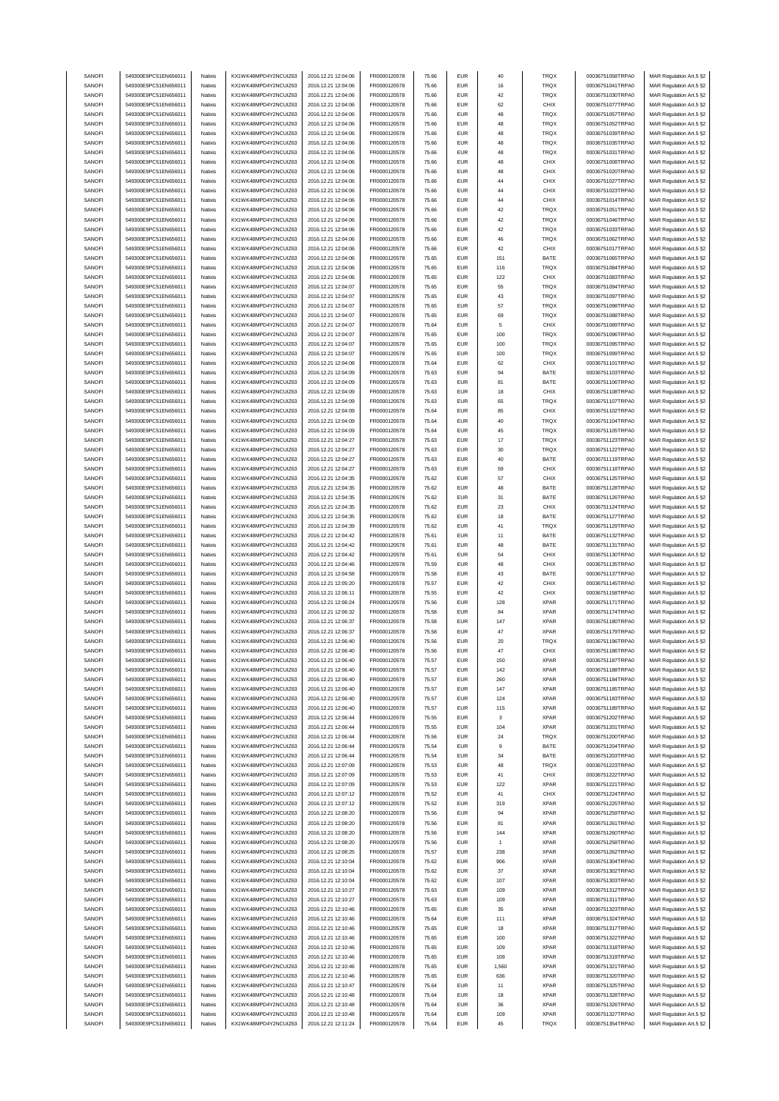| SANOFI | 549300E9PC51EN656011 | Natixis | KX1WK48MPD4Y2NCUIZ63 | 2016.12.21 12:04:06 | FR0000120578 | 75.66 | <b>EUR</b> | 40    | <b>TRQX</b> | 00036751058TRPA0 | MAR Regulation Art.5 §2 |
|--------|----------------------|---------|----------------------|---------------------|--------------|-------|------------|-------|-------------|------------------|-------------------------|
| SANOFI | 549300E9PC51EN656011 | Natixis | KX1WK48MPD4Y2NCUIZ63 | 2016.12.21 12:04:06 | FR0000120578 | 75.66 | <b>EUR</b> | 16    | TRQX        | 00036751041TRPA0 | MAR Regulation Art.5 §2 |
| SANOFI | 549300E9PC51EN656011 | Natixis | KX1WK48MPD4Y2NCUIZ63 | 2016.12.21 12:04:06 | FR0000120578 | 75.66 | <b>EUR</b> | 42    | <b>TRQX</b> | 00036751030TRPA0 | MAR Regulation Art.5 §2 |
| SANOFI | 549300E9PC51EN656011 | Natixis | KX1WK48MPD4Y2NCUIZ63 | 2016.12.21 12:04:06 | FR0000120578 | 75.66 | <b>EUR</b> | 62    | CHIX        | 00036751077TRPA0 | MAR Regulation Art.5 §2 |
|        |                      |         |                      |                     |              |       |            |       |             |                  |                         |
| SANOFI | 549300E9PC51EN656011 | Natixis | KX1WK48MPD4Y2NCUIZ63 | 2016.12.21 12:04:06 | FR0000120578 | 75.66 | <b>EUR</b> | 48    | TRQX        | 00036751057TRPA0 | MAR Regulation Art.5 §2 |
| SANOFI | 549300E9PC51EN656011 | Natixis | KX1WK48MPD4Y2NCUIZ63 | 2016.12.21 12:04:06 | FR0000120578 | 75.66 | <b>EUR</b> | 48    | TRQX        | 00036751052TRPA0 | MAR Regulation Art.5 §2 |
| SANOFI | 549300E9PC51EN656011 | Natixis | KX1WK48MPD4Y2NCUIZ63 | 2016.12.21 12:04:06 | FR0000120578 | 75.66 | <b>EUR</b> | 48    | TRQX        | 00036751039TRPA0 | MAR Regulation Art.5 §2 |
| SANOFI | 549300E9PC51EN656011 | Natixis | KX1WK48MPD4Y2NCUIZ63 | 2016.12.21 12:04:06 | FR0000120578 | 75.66 | <b>EUR</b> | 48    | TRQX        | 00036751035TRPA0 | MAR Regulation Art.5 §2 |
| SANOFI | 549300E9PC51EN656011 | Natixis | KX1WK48MPD4Y2NCUIZ63 | 2016.12.21 12:04:06 | FR0000120578 | 75.66 | <b>EUR</b> | 48    | TRQX        | 00036751031TRPA0 | MAR Regulation Art.5 §2 |
| SANOFI | 549300E9PC51EN656011 | Natixis | KX1WK48MPD4Y2NCUIZ63 | 2016.12.21 12:04:06 | FR0000120578 | 75.66 | <b>EUR</b> | 48    | CHIX        | 00036751008TRPA0 | MAR Regulation Art.5 §2 |
| SANOFI | 549300E9PC51EN656011 | Natixis | KX1WK48MPD4Y2NCUIZ63 | 2016.12.21 12:04:06 | FR0000120578 | 75.66 | <b>EUR</b> | 48    | CHIX        | 00036751020TRPA0 | MAR Regulation Art.5 §2 |
|        |                      |         |                      |                     |              |       |            |       |             |                  |                         |
| SANOFI | 549300E9PC51EN656011 | Natixis | KX1WK48MPD4Y2NCUIZ63 | 2016.12.21 12:04:06 | FR0000120578 | 75.66 | <b>EUR</b> | 44    | CHIX        | 00036751027TRPA0 | MAR Regulation Art.5 §2 |
| SANOFI | 549300E9PC51EN656011 | Natixis | KX1WK48MPD4Y2NCUIZ63 | 2016.12.21 12:04:06 | FR0000120578 | 75.66 | <b>EUR</b> | 44    | CHIX        | 00036751023TRPA0 | MAR Regulation Art.5 §2 |
| SANOFI | 549300E9PC51EN656011 | Natixis | KX1WK48MPD4Y2NCUIZ63 | 2016.12.21 12:04:06 | FR0000120578 | 75.66 | <b>EUR</b> | 44    | CHIX        | 00036751014TRPA0 | MAR Regulation Art.5 §2 |
| SANOFI | 549300E9PC51EN656011 | Natixis | KX1WK48MPD4Y2NCUIZ63 | 2016.12.21 12:04:06 | FR0000120578 | 75.66 | <b>EUR</b> | 42    | TRQX        | 00036751051TRPA0 | MAR Regulation Art.5 §2 |
|        | 549300E9PC51EN656011 |         | KX1WK48MPD4Y2NCUIZ63 | 2016.12.21 12:04:06 |              |       | <b>EUR</b> |       |             | 00036751046TRPA0 |                         |
| SANOFI |                      | Natixis |                      |                     | FR0000120578 | 75.66 |            | 42    | TRQX        |                  | MAR Regulation Art.5 §2 |
| SANOFI | 549300E9PC51EN656011 | Natixis | KX1WK48MPD4Y2NCUIZ63 | 2016.12.21 12:04:06 | FR0000120578 | 75.66 | <b>EUR</b> | 42    | TRQX        | 00036751033TRPA0 | MAR Regulation Art.5 §2 |
| SANOFI | 549300E9PC51EN656011 | Natixis | KX1WK48MPD4Y2NCUIZ63 | 2016.12.21 12:04:06 | FR0000120578 | 75.66 | <b>EUR</b> | 46    | TRQX        | 00036751062TRPA0 | MAR Regulation Art.5 §2 |
| SANOFI | 549300E9PC51EN656011 | Natixis | KX1WK48MPD4Y2NCUIZ63 | 2016.12.21 12:04:06 | FR0000120578 | 75.66 | <b>EUR</b> | 42    | CHIX        | 00036751017TRPA0 | MAR Regulation Art.5 §2 |
| SANOFI | 549300E9PC51EN656011 | Natixis | KX1WK48MPD4Y2NCUIZ63 | 2016.12.21 12:04:06 | FR0000120578 | 75.65 | <b>EUR</b> | 151   | BATE        | 00036751065TRPA0 | MAR Regulation Art.5 §2 |
| SANOFI | 549300E9PC51EN656011 | Natixis | KX1WK48MPD4Y2NCUIZ63 | 2016.12.21 12:04:06 | FR0000120578 | 75.65 | <b>EUR</b> | 116   | TRQX        | 00036751084TRPA0 | MAR Regulation Art.5 §2 |
|        |                      |         |                      |                     |              |       |            |       |             |                  |                         |
| SANOFI | 549300E9PC51EN656011 | Natixis | KX1WK48MPD4Y2NCUIZ63 | 2016.12.21 12:04:06 | FR0000120578 | 75.65 | <b>EUR</b> | 122   | CHIX        | 00036751083TRPA0 | MAR Regulation Art.5 §2 |
| SANOFI | 549300E9PC51EN656011 | Natixis | KX1WK48MPD4Y2NCUIZ63 | 2016.12.21 12:04:07 | FR0000120578 | 75.65 | <b>EUR</b> | 55    | TRQX        | 00036751094TRPA0 | MAR Regulation Art.5 §2 |
| SANOFI | 549300E9PC51EN656011 | Natixis | KX1WK48MPD4Y2NCUIZ63 | 2016.12.21 12:04:07 | FR0000120578 | 75.65 | <b>EUR</b> | 43    | TRQX        | 00036751097TRPA0 | MAR Regulation Art.5 §2 |
| SANOFI | 549300E9PC51EN656011 | Natixis | KX1WK48MPD4Y2NCUIZ63 | 2016.12.21 12:04:07 | FR0000120578 | 75.65 | <b>EUR</b> | 57    | TRQX        | 00036751098TRPA0 | MAR Regulation Art.5 §2 |
| SANOFI | 549300E9PC51EN656011 | Natixis | KX1WK48MPD4Y2NCUIZ63 | 2016.12.21 12:04:07 | FR0000120578 | 75.65 | <b>EUR</b> | 69    | TRQX        | 00036751088TRPA0 | MAR Regulation Art.5 §2 |
| SANOFI | 549300E9PC51EN656011 | Natixis | KX1WK48MPD4Y2NCUIZ63 | 2016.12.21 12:04:07 | FR0000120578 | 75.64 | <b>EUR</b> | 5     | CHIX        | 00036751089TRPA0 |                         |
|        |                      |         |                      |                     |              |       |            |       |             |                  | MAR Regulation Art.5 §2 |
| SANOFI | 549300E9PC51EN656011 | Natixis | KX1WK48MPD4Y2NCUIZ63 | 2016.12.21 12:04:07 | FR0000120578 | 75.65 | <b>EUR</b> | 100   | TRQX        | 00036751096TRPA0 | MAR Regulation Art.5 §2 |
| SANOFI | 549300E9PC51EN656011 | Natixis | KX1WK48MPD4Y2NCUIZ63 | 2016.12.21 12:04:07 | FR0000120578 | 75.65 | <b>EUR</b> | 100   | <b>TRQX</b> | 00036751095TRPA0 | MAR Regulation Art.5 §2 |
| SANOFI | 549300E9PC51EN656011 | Natixis | KX1WK48MPD4Y2NCUIZ63 | 2016.12.21 12:04:07 | FR0000120578 | 75.65 | <b>EUR</b> | 100   | TRQX        | 00036751099TRPA0 | MAR Regulation Art.5 §2 |
| SANOFI | 549300E9PC51EN656011 | Natixis | KX1WK48MPD4Y2NCUIZ63 | 2016.12.21 12:04:08 | FR0000120578 | 75.64 | <b>EUR</b> | 62    | CHIX        | 00036751101TRPA0 | MAR Regulation Art.5 §2 |
| SANOFI | 549300E9PC51EN656011 | Natixis | KX1WK48MPD4Y2NCUIZ63 | 2016.12.21 12:04:09 | FR0000120578 | 75.63 | <b>EUR</b> | 94    | BATE        | 00036751103TRPA0 |                         |
|        |                      |         |                      |                     |              |       |            |       |             |                  | MAR Regulation Art.5 §2 |
| SANOFI | 549300E9PC51EN656011 | Natixis | KX1WK48MPD4Y2NCUIZ63 | 2016.12.21 12:04:09 | FR0000120578 | 75.63 | <b>EUR</b> | 81    | BATE        | 00036751106TRPA0 | MAR Regulation Art.5 §2 |
| SANOFI | 549300E9PC51EN656011 | Natixis | KX1WK48MPD4Y2NCUIZ63 | 2016.12.21 12:04:09 | FR0000120578 | 75.63 | <b>EUR</b> | 18    | CHIX        | 00036751108TRPA0 | MAR Regulation Art.5 §2 |
| SANOFI | 549300E9PC51EN656011 | Natixis | KX1WK48MPD4Y2NCUIZ63 | 2016.12.21 12:04:09 | FR0000120578 | 75.63 | <b>EUR</b> | 65    | TRQX        | 00036751107TRPA0 | MAR Regulation Art.5 §2 |
| SANOFI | 549300E9PC51EN656011 | Natixis | KX1WK48MPD4Y2NCUIZ63 | 2016.12.21 12:04:09 | FR0000120578 | 75.64 | <b>EUR</b> | 85    | CHIX        | 00036751102TRPA0 | MAR Regulation Art.5 §2 |
| SANOFI | 549300E9PC51EN656011 | Natixis | KX1WK48MPD4Y2NCUIZ63 | 2016.12.21 12:04:09 | FR0000120578 | 75.64 | <b>EUR</b> | 40    | TRQX        | 00036751104TRPA0 | MAR Regulation Art.5 §2 |
|        |                      |         |                      |                     |              |       |            |       |             |                  |                         |
| SANOFI | 549300E9PC51EN656011 | Natixis | KX1WK48MPD4Y2NCUIZ63 | 2016.12.21 12:04:09 | FR0000120578 | 75.64 | <b>EUR</b> | 45    | <b>TRQX</b> | 00036751105TRPA0 | MAR Regulation Art.5 §2 |
| SANOFI | 549300E9PC51EN656011 | Natixis | KX1WK48MPD4Y2NCUIZ63 | 2016.12.21 12:04:27 | FR0000120578 | 75.63 | <b>EUR</b> | 17    | TRQX        | 00036751123TRPA0 | MAR Regulation Art.5 §2 |
| SANOFI | 549300E9PC51EN656011 | Natixis | KX1WK48MPD4Y2NCUIZ63 | 2016.12.21 12:04:27 | FR0000120578 | 75.63 | <b>EUR</b> | 30    | TRQX        | 00036751122TRPA0 | MAR Regulation Art.5 §2 |
| SANOFI | 549300E9PC51EN656011 | Natixis | KX1WK48MPD4Y2NCUIZ63 | 2016.12.21 12:04:27 | FR0000120578 | 75.63 | EUR        | 40    | BATE        | 00036751119TRPA0 | MAR Regulation Art.5 §2 |
| SANOFI | 549300E9PC51EN656011 | Natixis |                      |                     |              | 75.63 | <b>EUR</b> |       | CHIX        |                  |                         |
|        |                      |         | KX1WK48MPD4Y2NCUIZ63 | 2016.12.21 12:04:27 | FR0000120578 |       |            | 59    |             | 00036751118TRPA0 | MAR Regulation Art.5 §2 |
| SANOFI | 549300E9PC51EN656011 | Natixis | KX1WK48MPD4Y2NCUIZ63 | 2016.12.21 12:04:35 | FR0000120578 | 75.62 | <b>EUR</b> | 57    | CHIX        | 00036751125TRPA0 | MAR Regulation Art.5 §2 |
| SANOFI | 549300E9PC51EN656011 | Natixis | KX1WK48MPD4Y2NCUIZ63 | 2016.12.21 12:04:35 | FR0000120578 | 75.62 | <b>EUR</b> | 48    | BATE        | 00036751128TRPA0 | MAR Regulation Art.5 §2 |
| SANOFI | 549300E9PC51EN656011 | Natixis | KX1WK48MPD4Y2NCUIZ63 | 2016.12.21 12:04:35 | FR0000120578 | 75.62 | <b>EUR</b> | 31    | BATE        | 00036751126TRPA0 | MAR Regulation Art.5 §2 |
| SANOFI | 549300E9PC51EN656011 | Natixis | KX1WK48MPD4Y2NCUIZ63 | 2016.12.21 12:04:35 | FR0000120578 | 75.62 | <b>EUR</b> | 23    | CHIX        | 00036751124TRPA0 | MAR Regulation Art.5 §2 |
| SANOFI | 549300E9PC51EN656011 | Natixis | KX1WK48MPD4Y2NCUIZ63 | 2016.12.21 12:04:35 | FR0000120578 | 75.62 | <b>EUR</b> | 18    | BATE        | 00036751127TRPA0 | MAR Regulation Art.5 §2 |
|        |                      |         |                      |                     |              |       |            |       |             |                  |                         |
| SANOFI | 549300E9PC51EN656011 | Natixis | KX1WK48MPD4Y2NCUIZ63 | 2016.12.21 12:04:39 | FR0000120578 | 75.62 | <b>EUR</b> | 41    | TRQX        | 00036751129TRPA0 | MAR Regulation Art.5 §2 |
| SANOFI | 549300E9PC51EN656011 | Natixis | KX1WK48MPD4Y2NCUIZ63 | 2016.12.21 12:04:42 | FR0000120578 | 75.61 | <b>EUR</b> | 11    | BATE        | 00036751132TRPA0 | MAR Regulation Art.5 §2 |
| SANOFI | 549300E9PC51EN656011 | Natixis | KX1WK48MPD4Y2NCUIZ63 | 2016.12.21 12:04:42 | FR0000120578 | 75.61 | EUR        | 48    | BATE        | 00036751131TRPA0 | MAR Regulation Art.5 §2 |
| SANOFI | 549300E9PC51EN656011 | Natixis | KX1WK48MPD4Y2NCUIZ63 | 2016.12.21 12:04:42 | FR0000120578 | 75.61 | <b>EUR</b> | 54    | CHIX        | 00036751130TRPA0 | MAR Regulation Art.5 §2 |
| SANOFI | 549300E9PC51EN656011 | Natixis | KX1WK48MPD4Y2NCUIZ63 | 2016.12.21 12:04:46 | FR0000120578 | 75.59 | <b>EUR</b> | 48    | CHIX        | 00036751135TRPA0 | MAR Regulation Art.5 §2 |
|        |                      |         |                      |                     |              |       |            |       |             |                  |                         |
| SANOFI | 549300E9PC51EN656011 | Natixis | KX1WK48MPD4Y2NCUIZ63 | 2016.12.21 12:04:58 | FR0000120578 | 75.58 | <b>EUR</b> | 43    | BATE        | 00036751137TRPA0 | MAR Regulation Art.5 §2 |
| SANOFI | 549300E9PC51EN656011 | Natixis | KX1WK48MPD4Y2NCUIZ63 | 2016.12.21 12:05:20 | FR0000120578 | 75.57 | <b>EUR</b> | 42    | CHIX        | 00036751145TRPA0 | MAR Regulation Art.5 §2 |
| SANOFI | 549300E9PC51EN656011 | Natixis | KX1WK48MPD4Y2NCUIZ63 | 2016.12.21 12:06:11 | FR0000120578 | 75.55 | <b>EUR</b> | 42    | CHIX        | 00036751158TRPA0 | MAR Regulation Art.5 §2 |
| SANOFI | 549300E9PC51EN656011 | Natixis | KX1WK48MPD4Y2NCUIZ63 | 2016.12.21 12:06:24 | FR0000120578 | 75.56 | <b>EUR</b> | 128   | <b>XPAR</b> | 00036751171TRPA0 | MAR Regulation Art.5 §2 |
| SANOFI | 549300E9PC51EN656011 | Natixis | KX1WK48MPD4Y2NCUIZ63 | 2016.12.21 12:06:32 | FR0000120578 | 75.58 | <b>EUR</b> | 84    | <b>XPAR</b> | 00036751174TRPA0 | MAR Regulation Art.5 §2 |
|        |                      |         |                      |                     |              |       |            |       |             |                  |                         |
| SANOFI | 549300E9PC51EN656011 | Natixis | KX1WK48MPD4Y2NCUIZ63 | 2016.12.21 12:06:37 | FR0000120578 | 75.58 | <b>EUR</b> | 147   | <b>XPAR</b> | 00036751180TRPA0 | MAR Regulation Art.5 §2 |
| SANOFI | 549300E9PC51EN656011 | Natixis | KX1WK48MPD4Y2NCUIZ63 | 2016.12.21 12:06:37 | FR0000120578 | 75.58 | <b>EUR</b> | 47    | <b>XPAR</b> | 00036751179TRPA0 | MAR Regulation Art.5 §2 |
| SANOFI | 549300E9PC51EN656011 | Natixis | KX1WK48MPD4Y2NCUIZ63 | 2016.12.21 12:06:40 | FR0000120578 | 75.56 | <b>EUR</b> | 20    | <b>TRQX</b> | 00036751196TRPA0 | MAR Regulation Art.5 §2 |
| SANOF  | 549300E9PC51EN65601  | Natixis | KX1WK48MPD4Y2NCUIZ63 | 2016.12.21 12:06:40 | FR0000120578 | 75.56 | EUR        |       | CHIX        | 00036751186TRPA0 | MAR Regulation Art.5 §2 |
| SANOFI | 549300E9PC51EN656011 | Natixis | KX1WK48MPD4Y2NCUIZ63 | 2016.12.21 12:06:40 | FR0000120578 | 75.57 | <b>EUR</b> | 150   | <b>XPAR</b> | 00036751187TRPA0 | MAR Regulation Art.5 §2 |
|        |                      |         | KX1WK48MPD4Y2NCUIZ63 |                     |              |       |            |       |             |                  |                         |
| SANOFI | 549300E9PC51EN656011 | Natixis |                      | 2016.12.21 12:06:40 | FR0000120578 | 75.57 | <b>EUR</b> | 142   | <b>XPAR</b> | 00036751188TRPA0 | MAR Regulation Art.5 §2 |
| SANOFI | 549300E9PC51EN656011 | Natixis | KX1WK48MPD4Y2NCUIZ63 | 2016.12.21 12:06:40 | FR0000120578 | 75.57 | <b>EUR</b> | 260   | <b>XPAR</b> | 00036751184TRPA0 | MAR Regulation Art.5 §2 |
| SANOFI | 549300E9PC51EN656011 | Natixis | KX1WK48MPD4Y2NCUIZ63 | 2016.12.21 12:06:40 | FR0000120578 | 75.57 | <b>EUR</b> | 147   | <b>XPAR</b> | 00036751185TRPA0 | MAR Regulation Art.5 §2 |
| SANOFI | 549300E9PC51EN656011 | Natixis | KX1WK48MPD4Y2NCUIZ63 | 2016.12.21 12:06:40 | FR0000120578 | 75.57 | <b>EUR</b> | 124   | <b>XPAR</b> | 00036751183TRPA0 | MAR Regulation Art.5 §2 |
| SANOFI | 549300E9PC51EN656011 | Natixis | KX1WK48MPD4Y2NCUIZ63 | 2016.12.21 12:06:40 | FR0000120578 | 75.57 | <b>EUR</b> | 115   | <b>XPAR</b> | 00036751189TRPA0 | MAR Regulation Art.5 §2 |
| SANOFI | 549300E9PC51EN656011 | Natixis | KX1WK48MPD4Y2NCUIZ63 | 2016.12.21 12:06:44 | FR0000120578 | 75.55 | <b>EUR</b> | 3     | <b>XPAR</b> | 00036751202TRPA0 | MAR Regulation Art.5 §2 |
|        |                      |         |                      |                     |              |       |            |       |             |                  |                         |
| SANOFI | 549300E9PC51EN656011 | Natixis | KX1WK48MPD4Y2NCUIZ63 | 2016.12.21 12:06:44 | FR0000120578 | 75.55 | <b>EUR</b> | 104   | <b>XPAR</b> | 00036751201TRPA0 | MAR Regulation Art.5 §2 |
| SANOFI | 549300E9PC51EN656011 | Natixis | KX1WK48MPD4Y2NCUIZ63 | 2016.12.21 12:06:44 | FR0000120578 | 75.56 | <b>EUR</b> | 24    | <b>TRQX</b> | 00036751200TRPA0 | MAR Regulation Art.5 §2 |
| SANOFI | 549300E9PC51EN656011 | Natixis | KX1WK48MPD4Y2NCUIZ63 | 2016.12.21 12:06:44 | FR0000120578 | 75.54 | <b>EUR</b> | 9     | BATE        | 00036751204TRPA0 | MAR Regulation Art.5 §2 |
| SANOFI | 549300E9PC51EN656011 | Natixis | KX1WK48MPD4Y2NCUIZ63 | 2016.12.21 12:06:44 | FR0000120578 | 75.54 | <b>EUR</b> | 34    | BATE        | 00036751203TRPA0 | MAR Regulation Art.5 §2 |
| SANOFI | 549300E9PC51EN656011 | Natixis | KX1WK48MPD4Y2NCUIZ63 | 2016.12.21 12:07:09 | FR0000120578 | 75.53 | <b>EUR</b> | 48    | TRQX        | 00036751223TRPA0 | MAR Regulation Art.5 §2 |
| SANOFI | 549300E9PC51EN656011 | Natixis | KX1WK48MPD4Y2NCUIZ63 | 2016.12.21 12:07:09 | FR0000120578 | 75.53 | <b>EUR</b> | 41    | CHIX        | 00036751222TRPA0 | MAR Regulation Art.5 §2 |
|        |                      |         |                      |                     |              |       |            |       |             |                  |                         |
| SANOFI | 549300E9PC51EN656011 | Natixis | KX1WK48MPD4Y2NCUIZ63 | 2016.12.21 12:07:09 | FR0000120578 | 75.53 | <b>EUR</b> | 122   | <b>XPAR</b> | 00036751221TRPA0 | MAR Regulation Art.5 §2 |
| SANOFI | 549300E9PC51EN656011 | Natixis | KX1WK48MPD4Y2NCUIZ63 | 2016.12.21 12:07:12 | FR0000120578 | 75.52 | <b>EUR</b> | 41    | CHIX        | 00036751224TRPA0 | MAR Regulation Art.5 §2 |
| SANOFI | 549300E9PC51EN656011 | Natixis | KX1WK48MPD4Y2NCUIZ63 | 2016.12.21 12:07:12 | FR0000120578 | 75.52 | <b>EUR</b> | 319   | <b>XPAR</b> | 00036751225TRPA0 | MAR Regulation Art.5 §2 |
| SANOFI | 549300E9PC51EN656011 | Natixis | KX1WK48MPD4Y2NCUIZ63 | 2016.12.21 12:08:20 | FR0000120578 | 75.56 | <b>EUR</b> | 94    | <b>XPAR</b> | 00036751259TRPA0 | MAR Regulation Art.5 §2 |
| SANOFI | 549300E9PC51EN656011 | Natixis | KX1WK48MPD4Y2NCUIZ63 | 2016.12.21 12:08:20 | FR0000120578 | 75.56 | <b>EUR</b> | 81    | <b>XPAR</b> | 00036751261TRPA0 | MAR Regulation Art.5 §2 |
| SANOFI | 549300E9PC51EN656011 |         | KX1WK48MPD4Y2NCUIZ63 | 2016.12.21 12:08:20 |              |       | <b>EUR</b> |       |             | 00036751260TRPA0 |                         |
|        |                      | Natixis |                      |                     | FR0000120578 | 75.56 |            | 144   | <b>XPAR</b> |                  | MAR Regulation Art.5 §2 |
| SANOFI | 549300E9PC51EN656011 | Natixis | KX1WK48MPD4Y2NCUIZ63 | 2016.12.21 12:08:20 | FR0000120578 | 75.56 | <b>EUR</b> | 1     | <b>XPAR</b> | 00036751258TRPA0 | MAR Regulation Art.5 §2 |
| SANOFI | 549300E9PC51EN656011 | Natixis | KX1WK48MPD4Y2NCUIZ63 | 2016.12.21 12:08:25 | FR0000120578 | 75.57 | <b>EUR</b> | 238   | <b>XPAR</b> | 00036751262TRPA0 | MAR Regulation Art.5 §2 |
| SANOFI | 549300E9PC51EN656011 | Natixis | KX1WK48MPD4Y2NCUIZ63 | 2016.12.21 12:10:04 | FR0000120578 | 75.62 | <b>EUR</b> | 906   | <b>XPAR</b> | 00036751304TRPA0 | MAR Regulation Art.5 §2 |
| SANOFI | 549300E9PC51EN656011 | Natixis | KX1WK48MPD4Y2NCUIZ63 | 2016.12.21 12:10:04 | FR0000120578 | 75.62 | <b>EUR</b> | 37    | <b>XPAR</b> | 00036751302TRPA0 | MAR Regulation Art.5 §2 |
|        |                      |         |                      |                     |              |       |            |       |             |                  |                         |
| SANOFI | 549300E9PC51EN656011 | Natixis | KX1WK48MPD4Y2NCUIZ63 | 2016.12.21 12:10:04 | FR0000120578 | 75.62 | <b>EUR</b> | 107   | <b>XPAR</b> | 00036751303TRPA0 | MAR Regulation Art.5 §2 |
| SANOFI | 549300E9PC51EN656011 | Natixis | KX1WK48MPD4Y2NCUIZ63 | 2016.12.21 12:10:27 | FR0000120578 | 75.63 | <b>EUR</b> | 109   | <b>XPAR</b> | 00036751312TRPA0 | MAR Regulation Art.5 §2 |
| SANOFI | 549300E9PC51EN656011 | Natixis | KX1WK48MPD4Y2NCUIZ63 | 2016.12.21 12:10:27 | FR0000120578 | 75.63 | <b>EUR</b> | 109   | <b>XPAR</b> | 00036751311TRPA0 | MAR Regulation Art.5 §2 |
| SANOFI | 549300E9PC51EN656011 | Natixis | KX1WK48MPD4Y2NCUIZ63 | 2016.12.21 12:10:46 | FR0000120578 | 75.65 | <b>EUR</b> | 35    | <b>XPAR</b> | 00036751323TRPA0 | MAR Regulation Art.5 §2 |
|        | 549300E9PC51EN656011 |         |                      |                     |              |       | <b>EUR</b> |       |             |                  |                         |
| SANOFI |                      | Natixis | KX1WK48MPD4Y2NCUIZ63 | 2016.12.21 12:10:46 | FR0000120578 | 75.64 |            | 111   | <b>XPAR</b> | 00036751324TRPA0 | MAR Regulation Art.5 §2 |
| SANOFI | 549300E9PC51EN656011 | Natixis | KX1WK48MPD4Y2NCUIZ63 | 2016.12.21 12:10:46 | FR0000120578 | 75.65 | <b>EUR</b> | 18    | <b>XPAR</b> | 00036751317TRPA0 | MAR Regulation Art.5 §2 |
| SANOFI | 549300E9PC51EN656011 | Natixis | KX1WK48MPD4Y2NCUIZ63 | 2016.12.21 12:10:46 | FR0000120578 | 75.65 | <b>EUR</b> | 100   | <b>XPAR</b> | 00036751322TRPA0 | MAR Regulation Art.5 §2 |
| SANOFI | 549300E9PC51EN656011 | Natixis | KX1WK48MPD4Y2NCUIZ63 | 2016.12.21 12:10:46 | FR0000120578 | 75.65 | <b>EUR</b> | 109   | <b>XPAR</b> | 00036751318TRPA0 | MAR Regulation Art.5 §2 |
| SANOFI | 549300E9PC51EN656011 | Natixis | KX1WK48MPD4Y2NCUIZ63 | 2016.12.21 12:10:46 | FR0000120578 | 75.65 | <b>EUR</b> | 109   | <b>XPAR</b> | 00036751319TRPA0 | MAR Regulation Art.5 §2 |
| SANOFI | 549300E9PC51EN656011 | Natixis | KX1WK48MPD4Y2NCUIZ63 | 2016.12.21 12:10:46 | FR0000120578 | 75.65 | <b>EUR</b> | 1,560 | <b>XPAR</b> | 00036751321TRPA0 |                         |
|        |                      |         |                      |                     |              |       |            |       |             |                  | MAR Regulation Art.5 §2 |
| SANOFI | 549300E9PC51EN656011 | Natixis | KX1WK48MPD4Y2NCUIZ63 | 2016.12.21 12:10:46 | FR0000120578 | 75.65 | <b>EUR</b> | 636   | <b>XPAR</b> | 00036751320TRPA0 | MAR Regulation Art.5 §2 |
| SANOFI | 549300E9PC51EN656011 | Natixis | KX1WK48MPD4Y2NCUIZ63 | 2016.12.21 12:10:47 | FR0000120578 | 75.64 | <b>EUR</b> | 11    | <b>XPAR</b> | 00036751325TRPA0 | MAR Regulation Art.5 §2 |
| SANOFI | 549300E9PC51EN656011 | Natixis | KX1WK48MPD4Y2NCUIZ63 | 2016.12.21 12:10:48 | FR0000120578 | 75.64 | <b>EUR</b> | 18    | <b>XPAR</b> | 00036751328TRPA0 | MAR Regulation Art.5 §2 |
| SANOFI | 549300E9PC51EN656011 | Natixis | KX1WK48MPD4Y2NCUIZ63 | 2016.12.21 12:10:48 | FR0000120578 | 75.64 | <b>EUR</b> | 36    | <b>XPAR</b> | 00036751326TRPA0 | MAR Regulation Art.5 §2 |
| SANOFI | 549300E9PC51EN656011 | Natixis | KX1WK48MPD4Y2NCUIZ63 | 2016.12.21 12:10:48 | FR0000120578 | 75.64 | <b>EUR</b> | 109   | <b>XPAR</b> | 00036751327TRPA0 | MAR Regulation Art.5 §2 |
| SANOFI | 549300E9PC51EN656011 | Natixis | KX1WK48MPD4Y2NCUIZ63 | 2016.12.21 12:11:24 | FR0000120578 | 75.64 | <b>EUR</b> | 45    | <b>TRQX</b> | 00036751354TRPA0 |                         |
|        |                      |         |                      |                     |              |       |            |       |             |                  | MAR Regulation Art.5 §2 |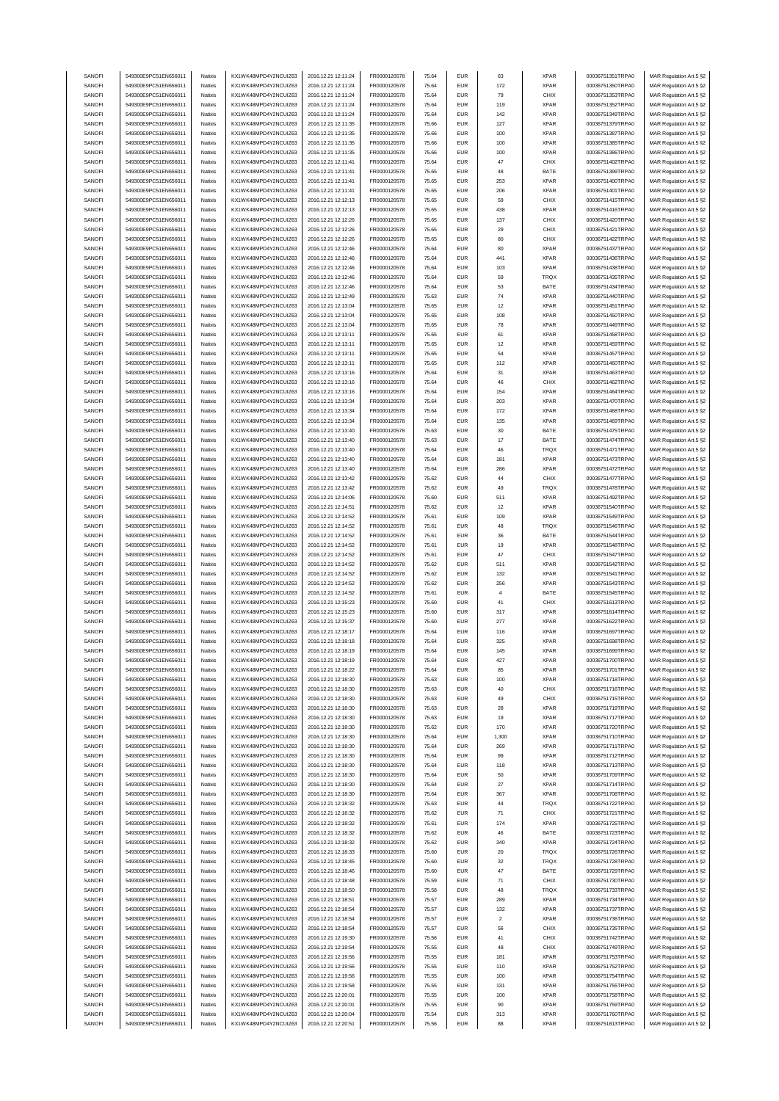| SANOFI | 549300E9PC51EN656011 | Natixis | KX1WK48MPD4Y2NCUIZ63 | 2016.12.21 12:11:24 | FR0000120578 | 75.64 | <b>EUR</b> | 63             | <b>XPAR</b> | 00036751351TRPA0 | MAR Regulation Art.5 §2 |
|--------|----------------------|---------|----------------------|---------------------|--------------|-------|------------|----------------|-------------|------------------|-------------------------|
| SANOFI | 549300E9PC51EN656011 | Natixis | KX1WK48MPD4Y2NCUIZ63 | 2016.12.21 12:11:24 | FR0000120578 | 75.64 | <b>EUR</b> | 172            | <b>XPAR</b> | 00036751350TRPA0 | MAR Regulation Art.5 §2 |
| SANOFI | 549300E9PC51EN656011 | Natixis | KX1WK48MPD4Y2NCUIZ63 | 2016.12.21 12:11:24 | FR0000120578 | 75.64 | <b>EUR</b> | 79             | CHIX        | 00036751353TRPA0 | MAR Regulation Art.5 §2 |
| SANOFI | 549300E9PC51EN656011 | Natixis | KX1WK48MPD4Y2NCUIZ63 | 2016.12.21 12:11:24 | FR0000120578 | 75.64 | <b>EUR</b> | 119            | <b>XPAR</b> | 00036751352TRPA0 | MAR Regulation Art.5 §2 |
|        |                      |         |                      |                     |              |       |            |                |             |                  |                         |
| SANOFI | 549300E9PC51EN656011 | Natixis | KX1WK48MPD4Y2NCUIZ63 | 2016.12.21 12:11:24 | FR0000120578 | 75.64 | <b>EUR</b> | 142            | <b>XPAR</b> | 00036751349TRPA0 | MAR Regulation Art.5 §2 |
| SANOFI | 549300E9PC51EN656011 | Natixis | KX1WK48MPD4Y2NCUIZ63 | 2016.12.21 12:11:35 | FR0000120578 | 75.66 | <b>EUR</b> | 127            | <b>XPAR</b> | 00036751379TRPA0 | MAR Regulation Art.5 §2 |
| SANOFI | 549300E9PC51EN656011 | Natixis | KX1WK48MPD4Y2NCUIZ63 | 2016.12.21 12:11:35 | FR0000120578 | 75.66 | <b>EUR</b> | 100            | <b>XPAR</b> | 00036751387TRPA0 | MAR Regulation Art.5 §2 |
| SANOFI | 549300E9PC51EN656011 | Natixis | KX1WK48MPD4Y2NCUIZ63 | 2016.12.21 12:11:35 | FR0000120578 | 75.66 | <b>EUR</b> | 100            | <b>XPAR</b> | 00036751385TRPA0 | MAR Regulation Art.5 §2 |
| SANOFI | 549300E9PC51EN656011 | Natixis | KX1WK48MPD4Y2NCUIZ63 | 2016.12.21 12:11:35 | FR0000120578 | 75.66 | <b>EUR</b> | 100            | <b>XPAR</b> | 00036751386TRPA0 | MAR Regulation Art.5 §2 |
| SANOFI | 549300E9PC51EN656011 | Natixis | KX1WK48MPD4Y2NCUIZ63 | 2016.12.21 12:11:41 | FR0000120578 | 75.64 | <b>EUR</b> | 47             | CHIX        | 00036751402TRPA0 | MAR Regulation Art.5 §2 |
| SANOFI | 549300E9PC51EN656011 | Natixis | KX1WK48MPD4Y2NCUIZ63 | 2016.12.21 12:11:41 | FR0000120578 | 75.65 | <b>EUR</b> | 48             | BATE        | 00036751399TRPA0 | MAR Regulation Art.5 §2 |
|        |                      |         |                      |                     |              |       |            |                |             |                  |                         |
| SANOFI | 549300E9PC51EN656011 | Natixis | KX1WK48MPD4Y2NCUIZ63 | 2016.12.21 12:11:41 | FR0000120578 | 75.65 | <b>EUR</b> | 253            | <b>XPAR</b> | 00036751400TRPA0 | MAR Regulation Art.5 §2 |
| SANOFI | 549300E9PC51EN656011 | Natixis | KX1WK48MPD4Y2NCUIZ63 | 2016.12.21 12:11:41 | FR0000120578 | 75.65 | <b>EUR</b> | 206            | <b>XPAR</b> | 00036751401TRPA0 | MAR Regulation Art.5 §2 |
| SANOFI | 549300E9PC51EN656011 | Natixis | KX1WK48MPD4Y2NCUIZ63 | 2016.12.21 12:12:13 | FR0000120578 | 75.65 | <b>EUR</b> | 59             | CHIX        | 00036751415TRPA0 | MAR Regulation Art.5 §2 |
| SANOFI | 549300E9PC51EN656011 | Natixis | KX1WK48MPD4Y2NCUIZ63 | 2016.12.21 12:12:13 | FR0000120578 | 75.65 | <b>EUR</b> | 438            | <b>XPAR</b> | 00036751416TRPA0 | MAR Regulation Art.5 §2 |
|        |                      |         |                      |                     |              |       |            |                |             |                  |                         |
| SANOFI | 549300E9PC51EN656011 | Natixis | KX1WK48MPD4Y2NCUIZ63 | 2016.12.21 12:12:26 | FR0000120578 | 75.65 | <b>EUR</b> | 137            | CHIX        | 00036751420TRPA0 | MAR Regulation Art.5 §2 |
| SANOFI | 549300E9PC51EN656011 | Natixis | KX1WK48MPD4Y2NCUIZ63 | 2016.12.21 12:12:26 | FR0000120578 | 75.65 | EUR        | 29             | CHIX        | 00036751421TRPA0 | MAR Regulation Art.5 §2 |
| SANOFI | 549300E9PC51EN656011 | Natixis | KX1WK48MPD4Y2NCUIZ63 | 2016.12.21 12:12:26 | FR0000120578 | 75.65 | EUR        | 80             | CHIX        | 00036751422TRPA0 | MAR Regulation Art.5 §2 |
| SANOFI | 549300E9PC51EN656011 | Natixis | KX1WK48MPD4Y2NCUIZ63 | 2016.12.21 12:12:46 | FR0000120578 | 75.64 | EUR        | 80             | <b>XPAR</b> | 00036751437TRPA0 | MAR Regulation Art.5 §2 |
| SANOFI | 549300E9PC51EN656011 | Natixis | KX1WK48MPD4Y2NCUIZ63 | 2016.12.21 12:12:46 | FR0000120578 | 75.64 | <b>EUR</b> | 441            | <b>XPAR</b> | 00036751436TRPA0 | MAR Regulation Art.5 §2 |
|        |                      |         |                      |                     |              |       |            |                |             |                  |                         |
| SANOFI | 549300E9PC51EN656011 | Natixis | KX1WK48MPD4Y2NCUIZ63 | 2016.12.21 12:12:46 | FR0000120578 | 75.64 | <b>EUR</b> | 103            | <b>XPAR</b> | 00036751438TRPA0 | MAR Regulation Art.5 §2 |
| SANOFI | 549300E9PC51EN656011 | Natixis | KX1WK48MPD4Y2NCUIZ63 | 2016.12.21 12:12:46 | FR0000120578 | 75.64 | <b>EUR</b> | 59             | TRQX        | 00036751435TRPA0 | MAR Regulation Art.5 §2 |
| SANOFI | 549300E9PC51EN656011 | Natixis | KX1WK48MPD4Y2NCUIZ63 | 2016.12.21 12:12:46 | FR0000120578 | 75.64 | <b>EUR</b> | 53             | BATE        | 00036751434TRPA0 | MAR Regulation Art.5 §2 |
| SANOFI | 549300E9PC51EN656011 | Natixis | KX1WK48MPD4Y2NCUIZ63 | 2016.12.21 12:12:49 | FR0000120578 | 75.63 | EUR        | 74             | <b>XPAR</b> | 00036751440TRPA0 | MAR Regulation Art.5 §2 |
| SANOFI | 549300E9PC51EN656011 | Natixis | KX1WK48MPD4Y2NCUIZ63 | 2016.12.21 12:13:04 | FR0000120578 | 75.65 | <b>EUR</b> | 12             | <b>XPAR</b> | 00036751451TRPA0 | MAR Regulation Art.5 §2 |
|        |                      |         |                      |                     |              |       |            |                |             |                  |                         |
| SANOFI | 549300E9PC51EN656011 | Natixis | KX1WK48MPD4Y2NCUIZ63 | 2016.12.21 12:13:04 | FR0000120578 | 75.65 | EUR        | 108            | <b>XPAR</b> | 00036751450TRPA0 | MAR Regulation Art.5 §2 |
| SANOFI | 549300E9PC51EN656011 | Natixis | KX1WK48MPD4Y2NCUIZ63 | 2016.12.21 12:13:04 | FR0000120578 | 75.65 | <b>EUR</b> | 78             | <b>XPAR</b> | 00036751449TRPA0 | MAR Regulation Art.5 §2 |
| SANOFI | 549300E9PC51EN656011 | Natixis | KX1WK48MPD4Y2NCUIZ63 | 2016.12.21 12:13:11 | FR0000120578 | 75.65 | <b>EUR</b> | 61             | <b>XPAR</b> | 00036751458TRPA0 | MAR Regulation Art.5 §2 |
| SANOFI | 549300E9PC51EN656011 | Natixis | KX1WK48MPD4Y2NCUIZ63 | 2016.12.21 12:13:11 | FR0000120578 | 75.65 | <b>EUR</b> | 12             | <b>XPAR</b> | 00036751459TRPA0 | MAR Regulation Art.5 §2 |
| SANOFI | 549300E9PC51EN656011 | Natixis | KX1WK48MPD4Y2NCUIZ63 | 2016.12.21 12:13:11 | FR0000120578 | 75.65 | <b>EUR</b> | 54             | <b>XPAR</b> | 00036751457TRPA0 | MAR Regulation Art.5 §2 |
|        |                      |         |                      |                     |              |       |            |                |             |                  |                         |
| SANOFI | 549300E9PC51EN656011 | Natixis | KX1WK48MPD4Y2NCUIZ63 | 2016.12.21 12:13:11 | FR0000120578 | 75.65 | <b>EUR</b> | 112            | <b>XPAR</b> | 00036751460TRPA0 | MAR Regulation Art.5 §2 |
| SANOFI | 549300E9PC51EN656011 | Natixis | KX1WK48MPD4Y2NCUIZ63 | 2016.12.21 12:13:16 | FR0000120578 | 75.64 | EUR        | 31             | <b>XPAR</b> | 00036751463TRPA0 | MAR Regulation Art.5 §2 |
| SANOFI | 549300E9PC51EN656011 | Natixis | KX1WK48MPD4Y2NCUIZ63 | 2016.12.21 12:13:16 | FR0000120578 | 75.64 | EUR        | 46             | CHIX        | 00036751462TRPA0 | MAR Regulation Art.5 §2 |
| SANOFI | 549300E9PC51EN656011 | Natixis | KX1WK48MPD4Y2NCUIZ63 | 2016.12.21 12:13:16 | FR0000120578 | 75.64 | <b>EUR</b> | 154            | <b>XPAR</b> | 00036751464TRPA0 |                         |
|        |                      |         |                      |                     |              |       |            |                |             |                  | MAR Regulation Art.5 §2 |
| SANOFI | 549300E9PC51EN656011 | Natixis | KX1WK48MPD4Y2NCUIZ63 | 2016.12.21 12:13:34 | FR0000120578 | 75.64 | <b>EUR</b> | 203            | <b>XPAR</b> | 00036751470TRPA0 | MAR Regulation Art.5 §2 |
| SANOFI | 549300E9PC51EN656011 | Natixis | KX1WK48MPD4Y2NCUIZ63 | 2016.12.21 12:13:34 | FR0000120578 | 75.64 | <b>EUR</b> | 172            | <b>XPAR</b> | 00036751468TRPA0 | MAR Regulation Art.5 §2 |
| SANOFI | 549300E9PC51EN656011 | Natixis | KX1WK48MPD4Y2NCUIZ63 | 2016.12.21 12:13:34 | FR0000120578 | 75.64 | <b>EUR</b> | 135            | <b>XPAR</b> | 00036751469TRPA0 | MAR Regulation Art.5 §2 |
| SANOFI | 549300E9PC51EN656011 | Natixis | KX1WK48MPD4Y2NCUIZ63 | 2016.12.21 12:13:40 | FR0000120578 | 75.63 | <b>EUR</b> | $30\,$         | BATE        | 00036751475TRPA0 | MAR Regulation Art.5 §2 |
|        |                      |         |                      |                     |              |       |            |                |             |                  |                         |
| SANOFI | 549300E9PC51EN656011 | Natixis | KX1WK48MPD4Y2NCUIZ63 | 2016.12.21 12:13:40 | FR0000120578 | 75.63 | <b>EUR</b> | 17             | BATE        | 00036751474TRPA0 | MAR Regulation Art.5 §2 |
| SANOFI | 549300E9PC51EN656011 | Natixis | KX1WK48MPD4Y2NCUIZ63 | 2016.12.21 12:13:40 | FR0000120578 | 75.64 | <b>EUR</b> | 46             | TRQX        | 00036751471TRPA0 | MAR Regulation Art.5 §2 |
| SANOFI | 549300E9PC51EN656011 | Natixis | KX1WK48MPD4Y2NCUIZ63 | 2016.12.21 12:13:40 | FR0000120578 | 75.64 | EUR        | 181            | <b>XPAR</b> | 00036751473TRPA0 | MAR Regulation Art.5 §2 |
| SANOFI | 549300E9PC51EN656011 | Natixis | KX1WK48MPD4Y2NCUIZ63 | 2016.12.21 12:13:40 | FR0000120578 | 75.64 | EUR        | 286            | <b>XPAR</b> | 00036751472TRPA0 | MAR Regulation Art.5 §2 |
| SANOFI | 549300E9PC51EN656011 | Natixis | KX1WK48MPD4Y2NCUIZ63 | 2016.12.21 12:13:42 | FR0000120578 | 75.62 | <b>EUR</b> | 44             | CHIX        | 00036751477TRPA0 | MAR Regulation Art.5 §2 |
|        |                      |         |                      |                     |              |       |            |                |             |                  |                         |
| SANOFI | 549300E9PC51EN656011 | Natixis | KX1WK48MPD4Y2NCUIZ63 | 2016.12.21 12:13:42 | FR0000120578 | 75.62 | <b>EUR</b> | 49             | TRQX        | 00036751478TRPA0 | MAR Regulation Art.5 §2 |
| SANOFI | 549300E9PC51EN656011 | Natixis | KX1WK48MPD4Y2NCUIZ63 | 2016.12.21 12:14:06 | FR0000120578 | 75.60 | <b>EUR</b> | 511            | <b>XPAR</b> | 00036751492TRPA0 | MAR Regulation Art.5 §2 |
| SANOFI | 549300E9PC51EN656011 | Natixis | KX1WK48MPD4Y2NCUIZ63 | 2016.12.21 12:14:51 | FR0000120578 | 75.62 | <b>EUR</b> | 12             | <b>XPAR</b> | 00036751540TRPA0 | MAR Regulation Art.5 §2 |
| SANOFI | 549300E9PC51EN656011 | Natixis | KX1WK48MPD4Y2NCUIZ63 | 2016.12.21 12:14:52 | FR0000120578 | 75.61 | <b>EUR</b> | 109            | <b>XPAR</b> | 00036751549TRPA0 | MAR Regulation Art.5 §2 |
| SANOFI | 549300E9PC51EN656011 | Natixis | KX1WK48MPD4Y2NCUIZ63 | 2016.12.21 12:14:52 | FR0000120578 | 75.61 | <b>EUR</b> | 48             | <b>TRQX</b> | 00036751546TRPA0 | MAR Regulation Art.5 §2 |
|        |                      |         |                      |                     |              |       |            |                |             |                  |                         |
| SANOFI | 549300E9PC51EN656011 | Natixis | KX1WK48MPD4Y2NCUIZ63 | 2016.12.21 12:14:52 | FR0000120578 | 75.61 | EUR        | 36             | BATE        | 00036751544TRPA0 | MAR Regulation Art.5 §2 |
| SANOFI | 549300E9PC51EN656011 | Natixis | KX1WK48MPD4Y2NCUIZ63 | 2016.12.21 12:14:52 | FR0000120578 | 75.61 | EUR        | 19             | <b>XPAR</b> | 00036751548TRPA0 | MAR Regulation Art.5 §2 |
| SANOFI | 549300E9PC51EN656011 | Natixis | KX1WK48MPD4Y2NCUIZ63 | 2016.12.21 12:14:52 | FR0000120578 | 75.61 | EUR        | 47             | CHIX        | 00036751547TRPA0 | MAR Regulation Art.5 §2 |
| SANOFI | 549300E9PC51EN656011 | Natixis | KX1WK48MPD4Y2NCUIZ63 | 2016.12.21 12:14:52 | FR0000120578 | 75.62 | <b>EUR</b> | 511            | <b>XPAR</b> | 00036751542TRPA0 | MAR Regulation Art.5 §2 |
| SANOFI | 549300E9PC51EN656011 | Natixis | KX1WK48MPD4Y2NCUIZ63 | 2016.12.21 12:14:52 | FR0000120578 | 75.62 | <b>EUR</b> | 132            | <b>XPAR</b> | 00036751541TRPA0 | MAR Regulation Art.5 §2 |
|        |                      |         |                      |                     |              |       |            |                |             |                  |                         |
| SANOFI | 549300E9PC51EN656011 | Natixis | KX1WK48MPD4Y2NCUIZ63 | 2016.12.21 12:14:52 | FR0000120578 | 75.62 | <b>EUR</b> | 256            | <b>XPAR</b> | 00036751543TRPA0 | MAR Regulation Art.5 §2 |
| SANOFI | 549300E9PC51EN656011 | Natixis | KX1WK48MPD4Y2NCUIZ63 | 2016.12.21 12:14:52 | FR0000120578 | 75.61 | <b>EUR</b> | $\overline{4}$ | BATE        | 00036751545TRPA0 | MAR Regulation Art.5 §2 |
| SANOFI | 549300E9PC51EN656011 | Natixis | KX1WK48MPD4Y2NCUIZ63 | 2016.12.21 12:15:23 | FR0000120578 | 75.60 | <b>EUR</b> | 41             | CHIX        | 00036751613TRPA0 | MAR Regulation Art.5 §2 |
| SANOFI | 549300E9PC51EN656011 | Natixis | KX1WK48MPD4Y2NCUIZ63 | 2016.12.21 12:15:23 | FR0000120578 | 75.60 | <b>EUR</b> | 317            | <b>XPAR</b> | 00036751614TRPA0 | MAR Regulation Art.5 §2 |
| SANOFI | 549300E9PC51EN656011 | Natixis | KX1WK48MPD4Y2NCUIZ63 | 2016.12.21 12:15:37 | FR0000120578 | 75.60 | EUR        | 277            | <b>XPAR</b> | 00036751622TRPA0 |                         |
|        |                      |         |                      |                     |              |       |            |                |             |                  | MAR Regulation Art.5 §2 |
| SANOFI | 549300E9PC51EN656011 | Natixis | KX1WK48MPD4Y2NCUIZ63 | 2016.12.21 12:18:17 | FR0000120578 | 75.64 | <b>EUR</b> | 116            | <b>XPAR</b> | 00036751697TRPA0 | MAR Regulation Art.5 §2 |
| SANOFI | 549300E9PC51EN656011 | Natixis | KX1WK48MPD4Y2NCUIZ63 | 2016.12.21 12:18:18 | FR0000120578 | 75.64 | <b>EUR</b> | 325            | <b>XPAR</b> | 00036751698TRPA0 | MAR Regulation Art.5 §2 |
| SANOF  | 549300E9PC51EN656011 | Natixis | KX1WK48MPD4Y2NCUIZ63 | 2016.12.21 12:18:19 | FR0000120578 | 75.64 | EUR        | 145            | XPAR        | 00036751699TRPA0 | MAR Regulation Art.5 §2 |
| SANOFI | 549300E9PC51EN656011 | Natixis | KX1WK48MPD4Y2NCUIZ63 | 2016.12.21 12:18:19 | FR0000120578 | 75.64 | <b>EUR</b> | 427            | <b>XPAR</b> | 00036751700TRPA0 | MAR Regulation Art.5 §2 |
|        |                      |         | KX1WK48MPD4Y2NCUIZ63 |                     |              |       |            |                |             |                  |                         |
| SANOFI | 549300E9PC51EN656011 | Natixis |                      | 2016.12.21 12:18:22 | FR0000120578 | 75.64 | <b>EUR</b> | 85             | <b>XPAR</b> | 00036751701TRPA0 | MAR Regulation Art.5 §2 |
| SANOFI | 549300E9PC51EN656011 | Natixis | KX1WK48MPD4Y2NCUIZ63 | 2016.12.21 12:18:30 | FR0000120578 | 75.63 | <b>EUR</b> | 100            | <b>XPAR</b> | 00036751718TRPA0 | MAR Regulation Art.5 §2 |
| SANOFI | 549300E9PC51EN656011 | Natixis | KX1WK48MPD4Y2NCUIZ63 | 2016.12.21 12:18:30 | FR0000120578 | 75.63 | <b>EUR</b> | 40             | CHIX        | 00036751716TRPA0 | MAR Regulation Art.5 §2 |
| SANOFI | 549300E9PC51EN656011 | Natixis | KX1WK48MPD4Y2NCUIZ63 | 2016.12.21 12:18:30 | FR0000120578 | 75.63 | <b>EUR</b> | 49             | CHIX        | 00036751715TRPA0 | MAR Regulation Art.5 §2 |
| SANOFI | 549300E9PC51EN656011 | Natixis | KX1WK48MPD4Y2NCUIZ63 | 2016.12.21 12:18:30 | FR0000120578 | 75.63 | <b>EUR</b> | 28             | <b>XPAR</b> | 00036751719TRPA0 | MAR Regulation Art.5 §2 |
| SANOFI | 549300E9PC51EN656011 | Natixis | KX1WK48MPD4Y2NCUIZ63 | 2016.12.21 12:18:30 | FR0000120578 | 75.63 | <b>EUR</b> | 19             | <b>XPAR</b> | 00036751717TRPA0 | MAR Regulation Art.5 §2 |
|        |                      |         |                      |                     |              |       |            |                |             |                  |                         |
| SANOFI | 549300E9PC51EN656011 | Natixis | KX1WK48MPD4Y2NCUIZ63 | 2016.12.21 12:18:30 | FR0000120578 | 75.62 | <b>EUR</b> | 170            | <b>XPAR</b> | 00036751720TRPA0 | MAR Regulation Art.5 §2 |
| SANOFI | 549300E9PC51EN656011 | Natixis | KX1WK48MPD4Y2NCUIZ63 | 2016.12.21 12:18:30 | FR0000120578 | 75.64 | <b>EUR</b> | 1,300          | <b>XPAR</b> | 00036751710TRPA0 | MAR Regulation Art.5 §2 |
| SANOFI | 549300E9PC51EN656011 | Natixis | KX1WK48MPD4Y2NCUIZ63 | 2016.12.21 12:18:30 | FR0000120578 | 75.64 | <b>EUR</b> | 269            | <b>XPAR</b> | 00036751711TRPA0 | MAR Regulation Art.5 §2 |
| SANOFI | 549300E9PC51EN656011 | Natixis | KX1WK48MPD4Y2NCUIZ63 | 2016.12.21 12:18:30 | FR0000120578 | 75.64 | <b>EUR</b> | 99             | <b>XPAR</b> | 00036751712TRPA0 | MAR Regulation Art.5 §2 |
| SANOFI | 549300E9PC51EN656011 | Natixis | KX1WK48MPD4Y2NCUIZ63 | 2016.12.21 12:18:30 | FR0000120578 | 75.64 | <b>EUR</b> | 118            | <b>XPAR</b> | 00036751713TRPA0 |                         |
|        |                      |         |                      |                     |              |       |            |                |             |                  | MAR Regulation Art.5 §2 |
| SANOFI | 549300E9PC51EN656011 | Natixis | KX1WK48MPD4Y2NCUIZ63 | 2016.12.21 12:18:30 | FR0000120578 | 75.64 | <b>EUR</b> | 50             | <b>XPAR</b> | 00036751709TRPA0 | MAR Regulation Art.5 §2 |
| SANOFI | 549300E9PC51EN656011 | Natixis | KX1WK48MPD4Y2NCUIZ63 | 2016.12.21 12:18:30 | FR0000120578 | 75.64 | <b>EUR</b> | 27             | <b>XPAR</b> | 00036751714TRPA0 | MAR Regulation Art.5 §2 |
| SANOFI | 549300E9PC51EN656011 | Natixis | KX1WK48MPD4Y2NCUIZ63 | 2016.12.21 12:18:30 | FR0000120578 | 75.64 | <b>EUR</b> | 367            | <b>XPAR</b> | 00036751708TRPA0 | MAR Regulation Art.5 §2 |
| SANOFI | 549300E9PC51EN656011 | Natixis | KX1WK48MPD4Y2NCUIZ63 | 2016.12.21 12:18:32 | FR0000120578 | 75.63 | <b>EUR</b> | 44             | TRQX        | 00036751722TRPA0 | MAR Regulation Art.5 §2 |
|        |                      |         |                      |                     |              |       |            |                |             |                  |                         |
| SANOFI | 549300E9PC51EN656011 | Natixis | KX1WK48MPD4Y2NCUIZ63 | 2016.12.21 12:18:32 | FR0000120578 | 75.62 | <b>EUR</b> | 71             | CHIX        | 00036751721TRPA0 | MAR Regulation Art.5 §2 |
| SANOFI | 549300E9PC51EN656011 | Natixis | KX1WK48MPD4Y2NCUIZ63 | 2016.12.21 12:18:32 | FR0000120578 | 75.61 | <b>EUR</b> | 174            | <b>XPAR</b> | 00036751725TRPA0 | MAR Regulation Art.5 §2 |
| SANOFI | 549300E9PC51EN656011 | Natixis | KX1WK48MPD4Y2NCUIZ63 | 2016.12.21 12:18:32 | FR0000120578 | 75.62 | <b>EUR</b> | 46             | BATE        | 00036751723TRPA0 | MAR Regulation Art.5 §2 |
| SANOFI | 549300E9PC51EN656011 | Natixis | KX1WK48MPD4Y2NCUIZ63 | 2016.12.21 12:18:32 | FR0000120578 | 75.62 | <b>EUR</b> | 340            | <b>XPAR</b> | 00036751724TRPA0 | MAR Regulation Art.5 §2 |
|        |                      |         |                      |                     |              |       |            |                |             |                  |                         |
| SANOFI | 549300E9PC51EN656011 | Natixis | KX1WK48MPD4Y2NCUIZ63 | 2016.12.21 12:18:33 | FR0000120578 | 75.60 | <b>EUR</b> | $20\,$         | TRQX        | 00036751726TRPA0 | MAR Regulation Art.5 §2 |
| SANOFI | 549300E9PC51EN656011 | Natixis | KX1WK48MPD4Y2NCUIZ63 | 2016.12.21 12:18:45 | FR0000120578 | 75.60 | <b>EUR</b> | 32             | TRQX        | 00036751728TRPA0 | MAR Regulation Art.5 §2 |
| SANOFI | 549300E9PC51EN656011 | Natixis | KX1WK48MPD4Y2NCUIZ63 | 2016.12.21 12:18:46 | FR0000120578 | 75.60 | <b>EUR</b> | 47             | BATE        | 00036751729TRPA0 | MAR Regulation Art.5 §2 |
| SANOFI | 549300E9PC51EN656011 | Natixis | KX1WK48MPD4Y2NCUIZ63 | 2016.12.21 12:18:48 | FR0000120578 | 75.59 | <b>EUR</b> | 71             | CHIX        | 00036751730TRPA0 | MAR Regulation Art.5 §2 |
| SANOFI | 549300E9PC51EN656011 | Natixis | KX1WK48MPD4Y2NCUIZ63 | 2016.12.21 12:18:50 | FR0000120578 | 75.58 | <b>EUR</b> | 48             | <b>TRQX</b> | 00036751733TRPA0 | MAR Regulation Art.5 §2 |
|        |                      |         |                      |                     |              |       |            |                |             |                  |                         |
| SANOFI | 549300E9PC51EN656011 | Natixis | KX1WK48MPD4Y2NCUIZ63 | 2016.12.21 12:18:51 | FR0000120578 | 75.57 | EUR        | 289            | <b>XPAR</b> | 00036751734TRPA0 | MAR Regulation Art.5 §2 |
| SANOFI | 549300E9PC51EN656011 | Natixis | KX1WK48MPD4Y2NCUIZ63 | 2016.12.21 12:18:54 | FR0000120578 | 75.57 | <b>EUR</b> | 132            | <b>XPAR</b> | 00036751737TRPA0 | MAR Regulation Art.5 §2 |
| SANOFI | 549300E9PC51EN656011 | Natixis | KX1WK48MPD4Y2NCUIZ63 | 2016.12.21 12:18:54 | FR0000120578 | 75.57 | <b>EUR</b> | $\overline{2}$ | <b>XPAR</b> | 00036751736TRPA0 | MAR Regulation Art.5 §2 |
| SANOFI | 549300E9PC51EN656011 | Natixis | KX1WK48MPD4Y2NCUIZ63 | 2016.12.21 12:18:54 | FR0000120578 | 75.57 | <b>EUR</b> | 56             | CHIX        | 00036751735TRPA0 | MAR Regulation Art.5 §2 |
|        |                      |         |                      |                     |              |       |            |                |             |                  |                         |
| SANOFI | 549300E9PC51EN656011 | Natixis | KX1WK48MPD4Y2NCUIZ63 | 2016.12.21 12:19:30 | FR0000120578 | 75.56 | <b>EUR</b> | 41             | CHIX        | 00036751742TRPA0 | MAR Regulation Art.5 §2 |
| SANOFI | 549300E9PC51EN656011 | Natixis | KX1WK48MPD4Y2NCUIZ63 | 2016.12.21 12:19:54 | FR0000120578 | 75.55 | <b>EUR</b> | 48             | CHIX        | 00036751749TRPA0 | MAR Regulation Art.5 §2 |
| SANOFI | 549300E9PC51EN656011 | Natixis | KX1WK48MPD4Y2NCUIZ63 | 2016.12.21 12:19:56 | FR0000120578 | 75.55 | <b>EUR</b> | 181            | <b>XPAR</b> | 00036751753TRPA0 | MAR Regulation Art.5 §2 |
| SANOFI | 549300E9PC51EN656011 | Natixis | KX1WK48MPD4Y2NCUIZ63 | 2016.12.21 12:19:56 | FR0000120578 | 75.55 | <b>EUR</b> | 110            | <b>XPAR</b> | 00036751752TRPA0 | MAR Regulation Art.5 §2 |
|        |                      |         |                      |                     |              |       |            |                |             |                  |                         |
| SANOFI | 549300E9PC51EN656011 | Natixis | KX1WK48MPD4Y2NCUIZ63 | 2016.12.21 12:19:56 | FR0000120578 | 75.55 | <b>EUR</b> | 100            | <b>XPAR</b> | 00036751754TRPA0 | MAR Regulation Art.5 §2 |
| SANOFI | 549300E9PC51EN656011 | Natixis | KX1WK48MPD4Y2NCUIZ63 | 2016.12.21 12:19:58 | FR0000120578 | 75.55 | <b>EUR</b> | 131            | <b>XPAR</b> | 00036751755TRPA0 | MAR Regulation Art.5 §2 |
| SANOFI | 549300E9PC51EN656011 | Natixis | KX1WK48MPD4Y2NCUIZ63 | 2016.12.21 12:20:01 | FR0000120578 | 75.55 | <b>EUR</b> | 100            | <b>XPAR</b> | 00036751758TRPA0 | MAR Regulation Art.5 §2 |
| SANOFI | 549300E9PC51EN656011 | Natixis | KX1WK48MPD4Y2NCUIZ63 | 2016.12.21 12:20:01 | FR0000120578 | 75.55 | <b>EUR</b> | 90             | <b>XPAR</b> | 00036751759TRPA0 | MAR Regulation Art.5 §2 |
| SANOFI | 549300E9PC51EN656011 | Natixis | KX1WK48MPD4Y2NCUIZ63 | 2016.12.21 12:20:04 | FR0000120578 | 75.54 | <b>EUR</b> | 313            | <b>XPAR</b> | 00036751760TRPA0 | MAR Regulation Art.5 §2 |
|        |                      |         |                      |                     |              |       |            |                |             |                  |                         |
| SANOFI | 549300E9PC51EN656011 | Natixis | KX1WK48MPD4Y2NCUIZ63 | 2016.12.21 12:20:51 | FR0000120578 | 75.56 | <b>EUR</b> | 88             | <b>XPAR</b> | 00036751813TRPA0 | MAR Regulation Art.5 §2 |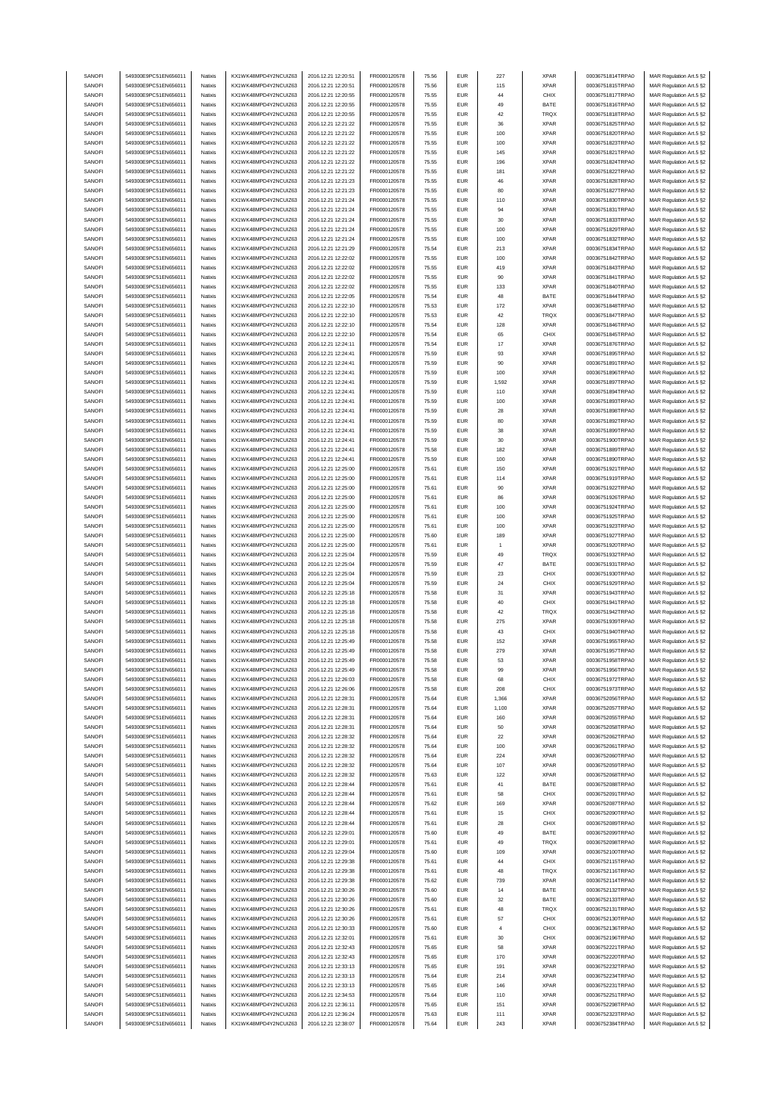| SANOFI           | 549300E9PC51EN656011                         | Natixis            | KX1WK48MPD4Y2NCUIZ63                         | 2016.12.21 12:20:51                        | FR0000120578                 | 75.56          | <b>EUR</b>        | 227        | <b>XPAR</b>                | 00036751814TRPA0                     | MAR Regulation Art.5 §2                            |
|------------------|----------------------------------------------|--------------------|----------------------------------------------|--------------------------------------------|------------------------------|----------------|-------------------|------------|----------------------------|--------------------------------------|----------------------------------------------------|
| SANOFI           | 549300E9PC51EN656011                         | Natixis            | KX1WK48MPD4Y2NCUIZ63                         | 2016.12.21 12:20:51                        | FR0000120578                 | 75.56          | <b>EUR</b>        | 115        | <b>XPAR</b>                | 00036751815TRPA0                     | MAR Regulation Art.5 §2                            |
| SANOFI           | 549300E9PC51EN656011                         | Natixis            | KX1WK48MPD4Y2NCUIZ63                         | 2016.12.21 12:20:55                        | FR0000120578                 | 75.55          | <b>EUR</b>        | 44         | CHIX                       | 00036751817TRPA0                     | MAR Regulation Art.5 §2                            |
| SANOFI           | 549300E9PC51EN656011                         | Natixis            | KX1WK48MPD4Y2NCUIZ63                         | 2016.12.21 12:20:55                        | FR0000120578                 | 75.55          | <b>EUR</b>        | 49         | BATE                       | 00036751816TRPA0                     | MAR Regulation Art.5 §2                            |
|                  |                                              |                    |                                              |                                            |                              |                |                   |            |                            |                                      |                                                    |
| SANOFI           | 549300E9PC51EN656011                         | Natixis            | KX1WK48MPD4Y2NCUIZ63                         | 2016.12.21 12:20:55                        | FR0000120578                 | 75.55          | <b>EUR</b>        | 42         | TRQX                       | 00036751818TRPA0                     | MAR Regulation Art.5 §2                            |
| SANOFI           | 549300E9PC51EN656011                         | Natixis            | KX1WK48MPD4Y2NCUIZ63                         | 2016.12.21 12:21:22                        | FR0000120578                 | 75.55          | <b>EUR</b>        | 36         | <b>XPAR</b>                | 00036751825TRPA0                     | MAR Regulation Art.5 §2                            |
| SANOFI           | 549300E9PC51EN656011                         | Natixis            | KX1WK48MPD4Y2NCUIZ63                         | 2016.12.21 12:21:22                        | FR0000120578                 | 75.55          | <b>EUR</b>        | 100        | <b>XPAR</b>                | 00036751820TRPA0                     | MAR Regulation Art.5 §2                            |
| SANOFI           | 549300E9PC51EN656011                         | Natixis            | KX1WK48MPD4Y2NCUIZ63                         | 2016.12.21 12:21:22                        | FR0000120578                 | 75.55          | <b>EUR</b>        | 100        | <b>XPAR</b>                | 00036751823TRPA0                     | MAR Regulation Art.5 §2                            |
| SANOFI           | 549300E9PC51EN656011                         | Natixis            | KX1WK48MPD4Y2NCLIIZ63                        | 2016.12.21 12:21:22                        | FR0000120578                 | 75.55          | <b>EUR</b>        | 145        | <b>XPAR</b>                | 00036751821TRPA0                     | MAR Regulation Art.5 §2                            |
| SANOFI           | 549300E9PC51EN656011                         | Natixis            | KX1WK48MPD4Y2NCUIZ63                         | 2016.12.21 12:21:22                        | FR0000120578                 | 75.55          | <b>EUR</b>        | 196        | <b>XPAR</b>                | 00036751824TRPA0                     | MAR Regulation Art.5 §2                            |
| SANOFI           | 549300E9PC51EN656011                         | Natixis            | KX1WK48MPD4Y2NCUIZ63                         | 2016.12.21 12:21:22                        | FR0000120578                 | 75.55          | <b>EUR</b>        | 181        | <b>XPAR</b>                | 00036751822TRPA0                     | MAR Regulation Art.5 §2                            |
|                  |                                              |                    |                                              |                                            |                              |                |                   |            |                            |                                      |                                                    |
| SANOFI           | 549300E9PC51EN656011                         | Natixis            | KX1WK48MPD4Y2NCUIZ63                         | 2016.12.21 12:21:23                        | FR0000120578                 | 75.55          | <b>EUR</b>        | 46         | <b>XPAR</b>                | 00036751828TRPA0                     | MAR Regulation Art.5 §2                            |
| SANOFI           | 549300E9PC51EN656011                         | Natixis            | KX1WK48MPD4Y2NCUIZ63                         | 2016.12.21 12:21:23                        | FR0000120578                 | 75.55          | <b>EUR</b>        | 80         | <b>XPAR</b>                | 00036751827TRPA0                     | MAR Regulation Art.5 §2                            |
| SANOFI           | 549300E9PC51EN656011                         | Natixis            | KX1WK48MPD4Y2NCUIZ63                         | 2016.12.21 12:21:24                        | FR0000120578                 | 75.55          | <b>EUR</b>        | 110        | <b>XPAR</b>                | 00036751830TRPA0                     | MAR Regulation Art.5 §2                            |
| SANOFI           | 549300E9PC51EN656011                         | Natixis            | KX1WK48MPD4Y2NCUIZ63                         | 2016.12.21 12:21:24                        | FR0000120578                 | 75.55          | <b>EUR</b>        | 94         | <b>XPAR</b>                | 00036751831TRPA0                     | MAR Regulation Art.5 §2                            |
| SANOFI           | 549300E9PC51EN656011                         | Natixis            | KX1WK48MPD4Y2NCUIZ63                         | 2016.12.21 12:21:24                        | FR0000120578                 | 75.55          | <b>EUR</b>        | 30         | <b>XPAR</b>                | 00036751833TRPA0                     |                                                    |
|                  |                                              |                    |                                              |                                            |                              |                |                   |            |                            |                                      | MAR Regulation Art.5 §2                            |
| SANOFI           | 549300E9PC51EN656011                         | Natixis            | KX1WK48MPD4Y2NCUIZ63                         | 2016.12.21 12:21:24                        | FR0000120578                 | 75.55          | <b>EUR</b>        | 100        | <b>XPAR</b>                | 00036751829TRPA0                     | MAR Regulation Art.5 §2                            |
| SANOFI           | 549300E9PC51EN656011                         | Natixis            | KX1WK48MPD4Y2NCLIIZ63                        | 2016.12.21 12:21:24                        | FR0000120578                 | 75.55          | <b>EUR</b>        | 100        | <b>XPAR</b>                | 00036751832TRPA0                     | MAR Regulation Art.5 §2                            |
| SANOFI           | 549300E9PC51EN656011                         | Natixis            | KX1WK48MPD4Y2NCUIZ63                         | 2016.12.21 12:21:29                        | FR0000120578                 | 75.54          | <b>EUR</b>        | 213        | <b>XPAR</b>                | 00036751834TRPA0                     | MAR Regulation Art.5 §2                            |
| SANOFI           | 549300E9PC51EN656011                         | Natixis            | KX1WK48MPD4Y2NCUIZ63                         | 2016.12.21 12:22:02                        | FR0000120578                 | 75.55          | <b>EUR</b>        | 100        | <b>XPAR</b>                | 00036751842TRPA0                     | MAR Regulation Art.5 §2                            |
| SANOFI           | 549300E9PC51EN656011                         | Natixis            | KX1WK48MPD4Y2NCUIZ63                         | 2016.12.21 12:22:02                        | FR0000120578                 | 75.55          | <b>EUR</b>        | 419        | <b>XPAR</b>                | 00036751843TRPA0                     | MAR Regulation Art.5 §2                            |
| SANOFI           | 549300E9PC51EN656011                         | Natixis            | KX1WK48MPD4Y2NCUIZ63                         | 2016.12.21 12:22:02                        | FR0000120578                 | 75.55          | <b>EUR</b>        | 90         | <b>XPAR</b>                | 00036751841TRPA0                     | MAR Regulation Art.5 §2                            |
|                  |                                              |                    |                                              |                                            |                              |                |                   |            |                            |                                      |                                                    |
| SANOFI           | 549300E9PC51EN656011                         | Natixis            | KX1WK48MPD4Y2NCUIZ63                         | 2016.12.21 12:22:02                        | FR0000120578                 | 75.55          | <b>EUR</b>        | 133        | <b>XPAR</b>                | 00036751840TRPA0                     | MAR Regulation Art.5 §2                            |
| SANOFI           | 549300E9PC51EN656011                         | Natixis            | KX1WK48MPD4Y2NCUIZ63                         | 2016.12.21 12:22:05                        | FR0000120578                 | 75.54          | <b>EUR</b>        | 48         | BATE                       | 00036751844TRPA0                     | MAR Regulation Art.5 §2                            |
| SANOFI           | 549300E9PC51EN656011                         | Natixis            | KX1WK48MPD4Y2NCUIZ63                         | 2016.12.21 12:22:10                        | FR0000120578                 | 75.53          | <b>EUR</b>        | 172        | <b>XPAR</b>                | 00036751848TRPA0                     | MAR Regulation Art.5 §2                            |
| SANOFI           | 549300E9PC51EN656011                         | Natixis            | KX1WK48MPD4Y2NCUIZ63                         | 2016.12.21 12:22:10                        | FR0000120578                 | 75.53          | <b>EUR</b>        | 42         | TRQX                       | 00036751847TRPA0                     | MAR Regulation Art.5 §2                            |
| SANOFI           | 549300E9PC51EN656011                         | Natixis            | KX1WK48MPD4Y2NCLIIZ63                        | 2016.12.21 12:22:10                        | FR0000120578                 | 75.54          | <b>EUR</b>        | 128        | <b>XPAR</b>                | 00036751846TRPA0                     | MAR Regulation Art.5 §2                            |
| SANOFI           | 549300E9PC51EN656011                         | Natixis            | KX1WK48MPD4Y2NCUIZ63                         | 2016.12.21 12:22:10                        | FR0000120578                 | 75.54          | <b>EUR</b>        | 65         | CHIX                       | 00036751845TRPA0                     | MAR Regulation Art.5 §2                            |
|                  |                                              |                    |                                              |                                            |                              |                | EUR               |            |                            |                                      |                                                    |
| SANOFI           | 549300E9PC51EN656011                         | Natixis            | KX1WK48MPD4Y2NCUIZ63                         | 2016.12.21 12:24:11                        | FR0000120578                 | 75.54          |                   | 17         | <b>XPAR</b>                | 00036751876TRPA0                     | MAR Regulation Art.5 §2                            |
| SANOFI           | 549300E9PC51EN656011                         | Natixis            | KX1WK48MPD4Y2NCUIZ63                         | 2016.12.21 12:24:41                        | FR0000120578                 | 75.59          | <b>EUR</b>        | 93         | <b>XPAR</b>                | 00036751895TRPA0                     | MAR Regulation Art.5 §2                            |
| SANOFI           | 549300E9PC51EN656011                         | Natixis            | KX1WK48MPD4Y2NCUIZ63                         | 2016.12.21 12:24:41                        | FR0000120578                 | 75.59          | <b>EUR</b>        | 90         | <b>XPAR</b>                | 00036751891TRPA0                     | MAR Regulation Art.5 §2                            |
| SANOFI           | 549300E9PC51EN656011                         | Natixis            | KX1WK48MPD4Y2NCUIZ63                         | 2016.12.21 12:24:41                        | FR0000120578                 | 75.59          | <b>EUR</b>        | 100        | <b>XPAR</b>                | 00036751896TRPA0                     | MAR Regulation Art.5 §2                            |
| SANOFI           | 549300E9PC51EN656011                         | Natixis            | KX1WK48MPD4Y2NCUIZ63                         | 2016.12.21 12:24:41                        | FR0000120578                 | 75.59          | <b>EUR</b>        | 1,592      | <b>XPAR</b>                | 00036751897TRPA0                     | MAR Regulation Art.5 §2                            |
| SANOFI           | 549300E9PC51EN656011                         | Natixis            | KX1WK48MPD4Y2NCUIZ63                         | 2016.12.21 12:24:41                        | FR0000120578                 | 75.59          | <b>EUR</b>        | 110        | <b>XPAR</b>                | 00036751894TRPA0                     | MAR Regulation Art.5 §2                            |
|                  |                                              |                    |                                              |                                            |                              |                |                   |            |                            |                                      |                                                    |
| SANOFI           | 549300E9PC51EN656011                         | Natixis            | KX1WK48MPD4Y2NCUIZ63                         | 2016.12.21 12:24:41                        | FR0000120578                 | 75.59          | <b>EUR</b>        | 100        | <b>XPAR</b>                | 00036751893TRPA0                     | MAR Regulation Art.5 §2                            |
| SANOFI           | 549300E9PC51EN656011                         | Natixis            | KX1WK48MPD4Y2NCLIIZ63                        | 2016.12.21 12:24:41                        | FR0000120578                 | 75.59          | <b>EUR</b>        | 28         | <b>XPAR</b>                | 00036751898TRPA0                     | MAR Regulation Art.5 §2                            |
| SANOFI           | 549300E9PC51EN656011                         | Natixis            | KX1WK48MPD4Y2NCUIZ63                         | 2016.12.21 12:24:41                        | FR0000120578                 | 75.59          | <b>EUR</b>        | 80         | <b>XPAR</b>                | 00036751892TRPA0                     | MAR Regulation Art.5 §2                            |
| SANOFI           | 549300E9PC51EN656011                         | Natixis            | KX1WK48MPD4Y2NCUIZ63                         | 2016.12.21 12:24:41                        | FR0000120578                 | 75.59          | <b>EUR</b>        | 38         | <b>XPAR</b>                | 00036751899TRPA0                     | MAR Regulation Art.5 §2                            |
| SANOFI           | 549300E9PC51EN656011                         | Natixis            | KX1WK48MPD4Y2NCUIZ63                         | 2016.12.21 12:24:41                        | FR0000120578                 | 75.59          | <b>EUR</b>        | 30         | <b>XPAR</b>                | 00036751900TRPA0                     | MAR Regulation Art.5 §2                            |
| SANOFI           | 549300E9PC51EN656011                         | Natixis            | KX1WK48MPD4Y2NCUIZ63                         | 2016.12.21 12:24:41                        | FR0000120578                 | 75.58          | <b>EUR</b>        | 182        | <b>XPAR</b>                | 00036751889TRPA0                     |                                                    |
|                  |                                              |                    |                                              |                                            |                              |                |                   |            |                            |                                      | MAR Regulation Art.5 §2                            |
| SANOFI           | 549300E9PC51EN656011                         | Natixis            | KX1WK48MPD4Y2NCUIZ63                         | 2016.12.21 12:24:41                        | FR0000120578                 | 75.59          | <b>EUR</b>        | 100        | <b>XPAR</b>                | 00036751890TRPA0                     | MAR Regulation Art.5 §2                            |
| SANOFI           | 549300E9PC51EN656011                         | Natixis            | KX1WK48MPD4Y2NCUIZ63                         | 2016.12.21 12:25:00                        | FR0000120578                 | 75.61          | <b>EUR</b>        | 150        | <b>XPAR</b>                | 00036751921TRPA0                     | MAR Regulation Art.5 §2                            |
| SANOFI           | 549300E9PC51EN656011                         | Natixis            | KX1WK48MPD4Y2NCUIZ63                         | 2016.12.21 12:25:00                        | FR0000120578                 | 75.61          | <b>EUR</b>        | 114        | <b>XPAR</b>                | 00036751919TRPA0                     | MAR Regulation Art.5 §2                            |
| SANOFI           | 549300E9PC51EN656011                         | Natixis            | KX1WK48MPD4Y2NCUIZ63                         | 2016.12.21 12:25:00                        | FR0000120578                 | 75.61          | <b>EUR</b>        | 90         | <b>XPAR</b>                | 00036751922TRPA0                     | MAR Regulation Art.5 §2                            |
| SANOFI           | 549300E9PC51EN656011                         | Natixis            | KX1WK48MPD4Y2NCUIZ63                         | 2016.12.21 12:25:00                        | FR0000120578                 | 75.61          | <b>EUR</b>        | 86         | <b>XPAR</b>                | 00036751926TRPA0                     | MAR Regulation Art.5 §2                            |
| SANOFI           | 549300E9PC51EN656011                         | Natixis            | KX1WK48MPD4Y2NCUIZ63                         | 2016.12.21 12:25:00                        | FR0000120578                 | 75.61          | <b>EUR</b>        | 100        | <b>XPAR</b>                | 00036751924TRPA0                     | MAR Regulation Art.5 §2                            |
|                  |                                              |                    |                                              |                                            |                              |                |                   |            |                            |                                      |                                                    |
| SANOFI           | 549300E9PC51EN656011                         | Natixis            | KX1WK48MPD4Y2NCUIZ63                         | 2016.12.21 12:25:00                        | FR0000120578                 | 75.61          | <b>EUR</b>        | 100        | <b>XPAR</b>                | 00036751925TRPA0                     | MAR Regulation Art.5 §2                            |
| SANOFI           | 549300E9PC51EN656011                         | Natixis            | KX1WK48MPD4Y2NCUIZ63                         | 2016.12.21 12:25:00                        | FR0000120578                 | 75.61          | <b>EUR</b>        | 100        | <b>XPAR</b>                | 00036751923TRPA0                     | MAR Regulation Art.5 §2                            |
| SANOFI           | 549300E9PC51EN656011                         | Natixis            | KX1WK48MPD4Y2NCUIZ63                         | 2016.12.21 12:25:00                        | FR0000120578                 | 75.60          | <b>EUR</b>        | 189        | <b>XPAR</b>                | 00036751927TRPA0                     | MAR Regulation Art.5 §2                            |
| SANOFI           | 549300E9PC51EN656011                         | Natixis            | KX1WK48MPD4Y2NCUIZ63                         | 2016.12.21 12:25:00                        | FR0000120578                 | 75.61          | <b>EUR</b>        | 1          | <b>XPAR</b>                | 00036751920TRPA0                     | MAR Regulation Art.5 §2                            |
| SANOFI           | 549300E9PC51EN656011                         | Natixis            | KX1WK48MPD4Y2NCUIZ63                         | 2016.12.21 12:25:04                        | FR0000120578                 | 75.59          | <b>EUR</b>        | 49         | TRQX                       | 00036751932TRPA0                     | MAR Regulation Art.5 §2                            |
| SANOFI           | 549300E9PC51EN656011                         | Natixis            | KX1WK48MPD4Y2NCUIZ63                         | 2016.12.21 12:25:04                        | FR0000120578                 | 75.59          | <b>EUR</b>        | 47         | BATE                       | 00036751931TRPA0                     | MAR Regulation Art.5 §2                            |
|                  | 549300E9PC51EN656011                         |                    |                                              |                                            |                              |                |                   |            |                            |                                      |                                                    |
| SANOFI           |                                              | Natixis            | KX1WK48MPD4Y2NCUIZ63                         | 2016.12.21 12:25:04                        | FR0000120578                 | 75.59          | <b>EUR</b>        | 23         | CHIX                       | 00036751930TRPA0                     | MAR Regulation Art.5 §2                            |
| SANOFI           | 549300E9PC51EN656011                         | Natixis            | KX1WK48MPD4Y2NCUIZ63                         | 2016.12.21 12:25:04                        | FR0000120578                 | 75.59          | <b>EUR</b>        | 24         | CHIX                       | 00036751929TRPA0                     | MAR Regulation Art.5 §2                            |
| SANOFI           | 549300E9PC51EN656011                         | Natixis            | KX1WK48MPD4Y2NCUIZ63                         | 2016.12.21 12:25:18                        | FR0000120578                 | 75.58          | <b>EUR</b>        | 31         | <b>XPAR</b>                | 00036751943TRPA0                     | MAR Regulation Art.5 §2                            |
| SANOFI           | 549300E9PC51EN656011                         | Natixis            | KX1WK48MPD4Y2NCUIZ63                         | 2016.12.21 12:25:18                        | FR0000120578                 | 75.58          | <b>EUR</b>        | 40         | CHIX                       | 00036751941TRPA0                     | MAR Regulation Art.5 §2                            |
| SANOFI           | 549300E9PC51EN656011                         | Natixis            | KX1WK48MPD4Y2NCUIZ63                         | 2016.12.21 12:25:18                        | FR0000120578                 | 75.58          | <b>EUR</b>        | 42         | TRQX                       | 00036751942TRPA0                     | MAR Regulation Art.5 §2                            |
| SANOFI           | 549300E9PC51EN656011                         | Natixis            | KX1WK48MPD4Y2NCUIZ63                         | 2016.12.21 12:25:18                        | FR0000120578                 | 75.58          | <b>EUR</b>        | 275        | <b>XPAR</b>                | 00036751939TRPA0                     | MAR Regulation Art.5 §2                            |
|                  | 549300E9PC51EN656011                         | Natixis            |                                              |                                            |                              | 75.58          | <b>EUR</b>        |            |                            |                                      |                                                    |
| SANOFI           |                                              |                    | KX1WK48MPD4Y2NCUIZ63                         | 2016.12.21 12:25:18                        | FR0000120578                 |                |                   | 43         | CHIX                       | 00036751940TRPA0                     | MAR Regulation Art.5 §2                            |
| SANOFI           | 549300E9PC51EN656011                         | Natixis            | KX1WK48MPD4Y2NCUIZ63                         | 2016.12.21 12:25:49                        | FR0000120578                 | 75.58          | <b>EUR</b>        | 152        | <b>XPAR</b>                | 00036751955TRPA0                     | MAR Regulation Art.5 §2                            |
| SANOF            | 549300E9PC51EN656011                         | Natixis            | KX1WK48MPD4Y2NCUIZ63                         | 2016.12.21 12:25:49                        | FR0000120578                 | 75.58          | EUR               | 279        | <b>XPAR</b>                | 00036751957TRPA0                     | MAR Regulation Art.5 §2                            |
| SANOFI           | 549300E9PC51EN656011                         | Natixis            | KX1WK48MPD4Y2NCUIZ63                         | 2016.12.21 12:25:49                        | FR0000120578                 | 75.58          | <b>EUR</b>        | 53         | <b>XPAR</b>                | 00036751958TRPA0                     | MAR Regulation Art.5 §2                            |
| SANOFI           | 549300E9PC51EN656011                         | Natixis            | KX1WK48MPD4Y2NCUIZ63                         | 2016.12.21 12:25:49                        | FR0000120578                 | 75.58          | <b>EUR</b>        | 99         | <b>XPAR</b>                | 00036751956TRPA0                     | MAR Regulation Art.5 §2                            |
| SANOFI           | 549300E9PC51EN656011                         | Natixis            | KX1WK48MPD4Y2NCUIZ63                         | 2016.12.21 12:26:03                        | FR0000120578                 | 75.58          | <b>EUR</b>        | 68         | CHIX                       | 00036751972TRPA0                     | MAR Regulation Art.5 §2                            |
| SANOFI           | 549300E9PC51EN656011                         | Natixis            | KX1WK48MPD4Y2NCUIZ63                         | 2016.12.21 12:26:06                        | FR0000120578                 | 75.58          | <b>EUR</b>        | 208        | CHIX                       | 00036751973TRPA0                     | MAR Regulation Art.5 §2                            |
|                  |                                              |                    |                                              |                                            |                              |                |                   |            |                            |                                      |                                                    |
| SANOFI           | 549300E9PC51EN656011                         | Natixis            | KX1WK48MPD4Y2NCUIZ63                         | 2016.12.21 12:28:31                        | FR0000120578                 | 75.64          | <b>EUR</b>        | 1,366      | <b>XPAR</b>                | 00036752056TRPA0                     | MAR Regulation Art.5 §2                            |
| SANOFI           | 549300E9PC51EN656011                         | Natixis            | KX1WK48MPD4Y2NCUIZ63                         | 2016.12.21 12:28:31                        | FR0000120578                 | 75.64          | <b>EUR</b>        | 1,100      | <b>XPAR</b>                | 00036752057TRPA0                     | MAR Regulation Art.5 §2                            |
| SANOFI           | 549300E9PC51EN656011                         | Natixis            | KX1WK48MPD4Y2NCUIZ63                         | 2016.12.21 12:28:31                        | FR0000120578                 | 75.64          | EUR               | 160        | <b>XPAR</b>                | 00036752055TRPA0                     | MAR Regulation Art.5 §2                            |
| SANOFI           | 549300E9PC51EN656011                         | Natixis            | KX1WK48MPD4Y2NCUIZ63                         | 2016.12.21 12:28:31                        | FR0000120578                 | 75.64          | <b>EUR</b>        | 50         | <b>XPAR</b>                | 00036752058TRPA0                     | MAR Regulation Art.5 §2                            |
| SANOFI           | 549300E9PC51EN656011                         | Natixis            | KX1WK48MPD4Y2NCUIZ63                         | 2016.12.21 12:28:32                        | FR0000120578                 | 75.64          | <b>EUR</b>        | 22         | <b>XPAR</b>                | 00036752062TRPA0                     | MAR Regulation Art.5 §2                            |
| SANOFI           | 549300E9PC51EN656011                         | Natixis            | KX1WK48MPD4Y2NCUIZ63                         | 2016.12.21 12:28:32                        | FR0000120578                 | 75.64          | <b>EUR</b>        | 100        | <b>XPAR</b>                | 00036752061TRPA0                     | MAR Regulation Art.5 §2                            |
| SANOFI           | 549300E9PC51EN656011                         | Natixis            | KX1WK48MPD4Y2NCUIZ63                         | 2016.12.21 12:28:32                        | FR0000120578                 | 75.64          | <b>EUR</b>        | 224        | <b>XPAR</b>                | 00036752060TRPA0                     | MAR Regulation Art.5 §2                            |
| SANOFI           | 549300E9PC51EN656011                         | Natixis            | KX1WK48MPD4Y2NCUIZ63                         | 2016.12.21 12:28:32                        | FR0000120578                 | 75.64          | <b>EUR</b>        | 107        | <b>XPAR</b>                | 00036752059TRPA0                     |                                                    |
|                  |                                              |                    |                                              |                                            |                              |                |                   |            |                            |                                      | MAR Regulation Art.5 §2                            |
| SANOFI           | 549300E9PC51EN656011                         | Natixis            | KX1WK48MPD4Y2NCUIZ63                         | 2016.12.21 12:28:32                        | FR0000120578                 | 75.63          | <b>EUR</b>        | 122        | <b>XPAR</b>                | 00036752068TRPA0                     | MAR Regulation Art.5 §2                            |
| SANOFI           | 549300E9PC51EN656011                         | Natixis            | KX1WK48MPD4Y2NCUIZ63                         | 2016.12.21 12:28:44                        | FR0000120578                 | 75.61          | <b>EUR</b>        | 41         | BATE                       | 00036752088TRPA0                     | MAR Regulation Art.5 §2                            |
| SANOFI           | 549300E9PC51EN656011                         | Natixis            | KX1WK48MPD4Y2NCUIZ63                         | 2016.12.21 12:28:44                        | FR0000120578                 | 75.61          | <b>EUR</b>        | 58         | CHIX                       | 00036752091TRPA0                     | MAR Regulation Art.5 §2                            |
| SANOFI           | 549300E9PC51EN656011                         | Natixis            | KX1WK48MPD4Y2NCUIZ63                         | 2016.12.21 12:28:44                        | FR0000120578                 | 75.62          | <b>EUR</b>        | 169        | <b>XPAR</b>                | 00036752087TRPA0                     | MAR Regulation Art.5 §2                            |
| SANOFI           | 549300E9PC51EN656011                         | Natixis            | KX1WK48MPD4Y2NCUIZ63                         | 2016.12.21 12:28:44                        | FR0000120578                 | 75.61          | <b>EUR</b>        | 15         | CHIX                       | 00036752090TRPA0                     | MAR Regulation Art.5 §2                            |
| SANOFI           | 549300E9PC51EN656011                         | Natixis            | KX1WK48MPD4Y2NCUIZ63                         | 2016.12.21 12:28:44                        | FR0000120578                 | 75.61          | <b>EUR</b>        | 28         | CHIX                       | 00036752089TRPA0                     | MAR Regulation Art.5 §2                            |
|                  |                                              |                    |                                              |                                            |                              |                |                   |            |                            |                                      |                                                    |
| SANOFI           | 549300E9PC51EN656011                         | Natixis            | KX1WK48MPD4Y2NCUIZ63                         | 2016.12.21 12:29:01                        | FR0000120578                 | 75.60          | <b>EUR</b>        | 49         | BATE                       | 00036752099TRPA0                     | MAR Regulation Art.5 §2                            |
| SANOFI           | 549300E9PC51EN656011                         | Natixis            | KX1WK48MPD4Y2NCUIZ63                         | 2016.12.21 12:29:01                        | FR0000120578                 | 75.61          | <b>EUR</b>        | 49         | TRQX                       | 00036752098TRPA0                     | MAR Regulation Art.5 §2                            |
| SANOFI           | 549300E9PC51EN656011                         | Natixis            | KX1WK48MPD4Y2NCUIZ63                         | 2016.12.21 12:29:04                        | FR0000120578                 | 75.60          | <b>EUR</b>        | 109        | <b>XPAR</b>                | 00036752100TRPA0                     | MAR Regulation Art.5 §2                            |
| SANOFI           | 549300E9PC51EN656011                         | Natixis            | KX1WK48MPD4Y2NCUIZ63                         | 2016.12.21 12:29:38                        | FR0000120578                 | 75.61          | <b>EUR</b>        | 44         | CHIX                       | 00036752115TRPA0                     | MAR Regulation Art.5 §2                            |
| SANOFI           | 549300E9PC51EN656011                         | Natixis            | KX1WK48MPD4Y2NCUIZ63                         | 2016.12.21 12:29:38                        | FR0000120578                 | 75.61          | <b>EUR</b>        | 48         | TRQX                       | 00036752116TRPA0                     | MAR Regulation Art.5 §2                            |
| SANOFI           | 549300E9PC51EN656011                         | Natixis            | KX1WK48MPD4Y2NCUIZ63                         | 2016.12.21 12:29:38                        | FR0000120578                 | 75.62          | <b>EUR</b>        | 739        | <b>XPAR</b>                | 00036752114TRPA0                     |                                                    |
|                  |                                              |                    |                                              |                                            |                              |                |                   |            |                            |                                      | MAR Regulation Art.5 §2                            |
| SANOFI           | 549300E9PC51EN656011                         | Natixis            | KX1WK48MPD4Y2NCUIZ63                         | 2016.12.21 12:30:26                        | FR0000120578                 | 75.60          | <b>EUR</b>        | 14         | BATE                       | 00036752132TRPA0                     | MAR Regulation Art.5 §2                            |
| SANOFI           | 549300E9PC51EN656011                         | Natixis            | KX1WK48MPD4Y2NCUIZ63                         | 2016.12.21 12:30:26                        | FR0000120578                 | 75.60          | <b>EUR</b>        | 32         | BATE                       | 00036752133TRPA0                     | MAR Regulation Art.5 §2                            |
| SANOFI           | 549300E9PC51EN656011                         | Natixis            | KX1WK48MPD4Y2NCUIZ63                         | 2016.12.21 12:30:26                        | FR0000120578                 | 75.61          | <b>EUR</b>        | 48         | TRQX                       | 00036752131TRPA0                     | MAR Regulation Art.5 §2                            |
| SANOFI           | 549300E9PC51EN656011                         | Natixis            | KX1WK48MPD4Y2NCUIZ63                         | 2016.12.21 12:30:26                        | FR0000120578                 | 75.61          | <b>EUR</b>        | 57         | CHIX                       | 00036752130TRPA0                     | MAR Regulation Art.5 §2                            |
| SANOFI           | 549300E9PC51EN656011                         | Natixis            | KX1WK48MPD4Y2NCUIZ63                         | 2016.12.21 12:30:33                        | FR0000120578                 | 75.60          | <b>EUR</b>        | 4          | CHIX                       | 00036752136TRPA0                     | MAR Regulation Art.5 §2                            |
|                  |                                              |                    |                                              |                                            |                              |                |                   |            |                            |                                      |                                                    |
| SANOFI           | 549300E9PC51EN656011                         | Natixis            | KX1WK48MPD4Y2NCUIZ63                         | 2016.12.21 12:32:01                        | FR0000120578                 | 75.61          | <b>EUR</b>        | 30         | CHIX                       | 00036752196TRPA0                     | MAR Regulation Art.5 §2                            |
| SANOFI           | 549300E9PC51EN656011                         | Natixis            | KX1WK48MPD4Y2NCUIZ63                         | 2016.12.21 12:32:43                        | FR0000120578                 | 75.65          | <b>EUR</b>        | 58         | <b>XPAR</b>                | 00036752221TRPA0                     | MAR Regulation Art.5 §2                            |
| SANOFI           | 549300E9PC51EN656011                         | Natixis            | KX1WK48MPD4Y2NCUIZ63                         | 2016.12.21 12:32:43                        | FR0000120578                 | 75.65          | <b>EUR</b>        | 170        | <b>XPAR</b>                | 00036752220TRPA0                     | MAR Regulation Art.5 §2                            |
| SANOFI           | 549300E9PC51EN656011                         | Natixis            | KX1WK48MPD4Y2NCUIZ63                         | 2016.12.21 12:33:13                        | FR0000120578                 | 75.65          | EUR               | 191        | <b>XPAR</b>                | 00036752232TRPA0                     | MAR Regulation Art.5 §2                            |
| SANOFI           | 549300E9PC51EN656011                         | Natixis            | KX1WK48MPD4Y2NCUIZ63                         | 2016.12.21 12:33:13                        | FR0000120578                 | 75.64          | <b>EUR</b>        | 214        | <b>XPAR</b>                | 00036752234TRPA0                     | MAR Regulation Art.5 §2                            |
| SANOFI           |                                              | Natixis            | KX1WK48MPD4Y2NCUIZ63                         | 2016.12.21 12:33:13                        | FR0000120578                 | 75.65          | <b>EUR</b>        | 146        | <b>XPAR</b>                | 00036752231TRPA0                     | MAR Regulation Art.5 §2                            |
|                  | 549300E9PC51EN656011                         |                    |                                              |                                            |                              |                |                   |            |                            |                                      |                                                    |
|                  |                                              |                    |                                              |                                            |                              |                |                   |            |                            |                                      |                                                    |
| SANOFI           | 549300E9PC51EN656011                         | Natixis            | KX1WK48MPD4Y2NCUIZ63                         | 2016.12.21 12:34:53                        | FR0000120578                 | 75.64          | <b>EUR</b>        | 110        | <b>XPAR</b>                | 00036752251TRPA0                     | MAR Regulation Art.5 §2                            |
| SANOFI           | 549300E9PC51EN656011                         | Natixis            | KX1WK48MPD4Y2NCUIZ63                         | 2016.12.21 12:36:11                        | FR0000120578                 | 75.65          | <b>EUR</b>        | 151        | <b>XPAR</b>                | 00036752298TRPA0                     | MAR Regulation Art.5 §2                            |
| SANOFI<br>SANOFI | 549300E9PC51EN656011<br>549300E9PC51EN656011 | Natixis<br>Natixis | KX1WK48MPD4Y2NCUIZ63<br>KX1WK48MPD4Y2NCUIZ63 | 2016.12.21 12:36:24<br>2016.12.21 12:38:07 | FR0000120578<br>FR0000120578 | 75.63<br>75.64 | <b>EUR</b><br>EUR | 111<br>243 | <b>XPAR</b><br><b>XPAR</b> | 00036752323TRPA0<br>00036752384TRPA0 | MAR Regulation Art.5 §2<br>MAR Regulation Art.5 §2 |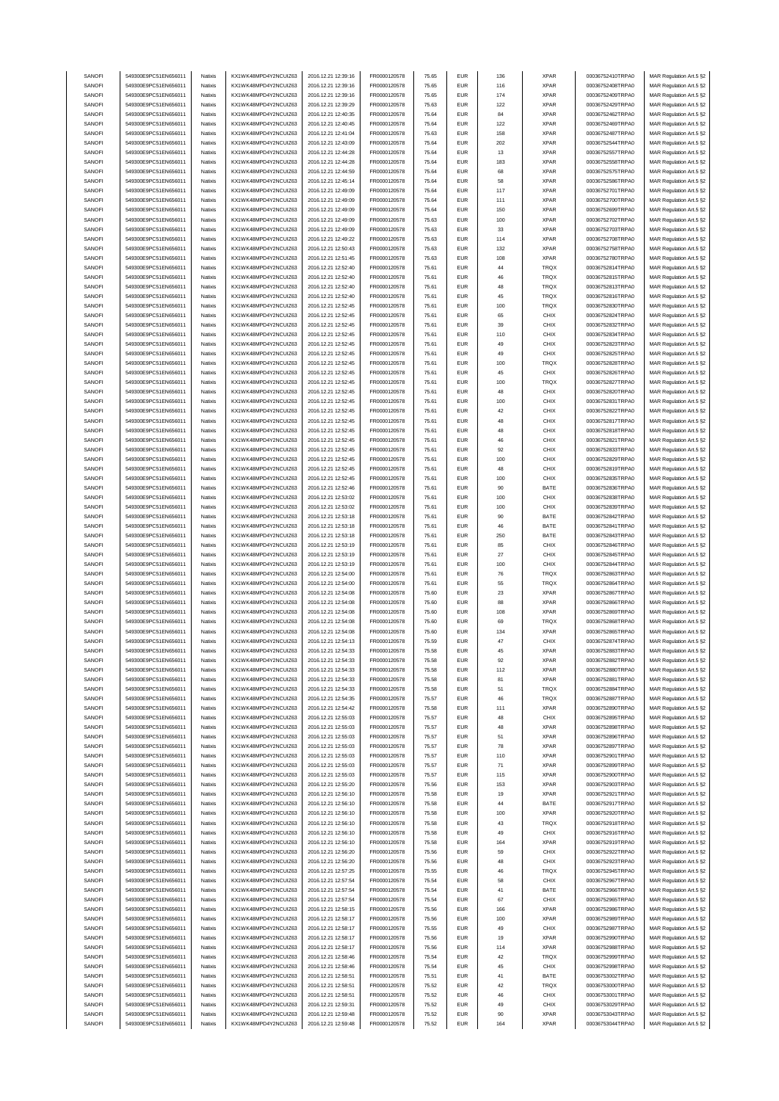| SANOFI           | 549300E9PC51EN656011                         | Natixis | KX1WK48MPD4Y2NCUIZ63  | 2016.12.21 12:39:16 | FR0000120578 | 75.65 | <b>EUR</b> | 136 | <b>XPAR</b> | 00036752410TRPA0 | MAR Regulation Art.5 §2 |
|------------------|----------------------------------------------|---------|-----------------------|---------------------|--------------|-------|------------|-----|-------------|------------------|-------------------------|
| SANOFI           | 549300E9PC51EN656011                         | Natixis | KX1WK48MPD4Y2NCUIZ63  | 2016.12.21 12:39:16 | FR0000120578 | 75.65 | <b>EUR</b> | 116 | <b>XPAR</b> | 00036752408TRPA0 | MAR Regulation Art.5 §2 |
| SANOFI           | 549300E9PC51EN656011                         | Natixis | KX1WK48MPD4Y2NCUIZ63  | 2016.12.21 12:39:16 | FR0000120578 | 75.65 | <b>EUR</b> | 174 | <b>XPAR</b> | 00036752409TRPA0 | MAR Regulation Art.5 §2 |
| SANOFI           | 549300E9PC51EN656011                         | Natixis | KX1WK48MPD4Y2NCUIZ63  | 2016.12.21 12:39:29 | FR0000120578 | 75.63 | <b>EUR</b> | 122 | <b>XPAR</b> | 00036752429TRPA0 | MAR Regulation Art.5 §2 |
|                  |                                              |         |                       |                     |              |       |            |     |             |                  |                         |
| SANOFI           | 549300E9PC51EN656011                         | Natixis | KX1WK48MPD4Y2NCUIZ63  | 2016.12.21 12:40:35 | FR0000120578 | 75.64 | <b>EUR</b> | 84  | <b>XPAR</b> | 00036752462TRPA0 | MAR Regulation Art.5 §2 |
| SANOFI           | 549300E9PC51EN656011                         | Natixis | KX1WK48MPD4Y2NCUIZ63  | 2016.12.21 12:40:45 | FR0000120578 | 75.64 | <b>EUR</b> | 122 | <b>XPAR</b> | 00036752469TRPA0 | MAR Regulation Art.5 §2 |
| SANOFI           | 549300E9PC51EN656011                         | Natixis | KX1WK48MPD4Y2NCUIZ63  | 2016.12.21 12:41:04 | FR0000120578 | 75.63 | <b>EUR</b> | 158 | <b>XPAR</b> | 00036752487TRPA0 | MAR Regulation Art.5 §2 |
| SANOFI           | 549300E9PC51EN656011                         | Natixis | KX1WK48MPD4Y2NCUIZ63  | 2016.12.21 12:43:09 | FR0000120578 | 75.64 | <b>EUR</b> | 202 | <b>XPAR</b> | 00036752544TRPA0 | MAR Regulation Art.5 §2 |
| SANOFI           | 549300E9PC51EN656011                         | Natixis | KX1WK48MPD4Y2NCLIIZ63 | 2016.12.21 12:44:28 | FR0000120578 | 75.64 | <b>EUR</b> | 13  | <b>XPAR</b> | 00036752557TRPA0 | MAR Regulation Art.5 §2 |
| SANOFI           | 549300E9PC51EN656011                         | Natixis | KX1WK48MPD4Y2NCUIZ63  | 2016.12.21 12:44:28 | FR0000120578 | 75.64 | <b>EUR</b> | 183 | <b>XPAR</b> | 00036752558TRPA0 | MAR Regulation Art.5 §2 |
|                  |                                              | Natixis |                       |                     |              |       | <b>EUR</b> |     |             |                  |                         |
| SANOFI           | 549300E9PC51EN656011                         |         | KX1WK48MPD4Y2NCUIZ63  | 2016.12.21 12:44:59 | FR0000120578 | 75.64 |            | 68  | <b>XPAR</b> | 00036752575TRPA0 | MAR Regulation Art.5 §2 |
| SANOFI           | 549300E9PC51EN656011                         | Natixis | KX1WK48MPD4Y2NCUIZ63  | 2016.12.21 12:45:14 | FR0000120578 | 75.64 | <b>EUR</b> | 58  | <b>XPAR</b> | 00036752586TRPA0 | MAR Regulation Art.5 §2 |
| SANOFI           | 549300E9PC51EN656011                         | Natixis | KX1WK48MPD4Y2NCUIZ63  | 2016.12.21 12:49:09 | FR0000120578 | 75.64 | <b>EUR</b> | 117 | <b>XPAR</b> | 00036752701TRPA0 | MAR Regulation Art.5 §2 |
| SANOFI           | 549300E9PC51EN656011                         | Natixis | KX1WK48MPD4Y2NCUIZ63  | 2016.12.21 12:49:09 | FR0000120578 | 75.64 | <b>EUR</b> | 111 | <b>XPAR</b> | 00036752700TRPA0 | MAR Regulation Art.5 §2 |
| SANOFI           | 549300E9PC51EN656011                         | Natixis | KX1WK48MPD4Y2NCUIZ63  | 2016.12.21 12:49:09 | FR0000120578 | 75.64 | <b>EUR</b> | 150 | <b>XPAR</b> | 00036752699TRPA0 | MAR Regulation Art.5 §2 |
|                  | 549300E9PC51EN656011                         |         | KX1WK48MPD4Y2NCUIZ63  | 2016.12.21 12:49:09 |              |       |            |     |             |                  |                         |
| SANOFI           |                                              | Natixis |                       |                     | FR0000120578 | 75.63 | <b>EUR</b> | 100 | <b>XPAR</b> | 00036752702TRPA0 | MAR Regulation Art.5 §2 |
| SANOFI           | 549300E9PC51EN656011                         | Natixis | KX1WK48MPD4Y2NCUIZ63  | 2016.12.21 12:49:09 | FR0000120578 | 75.63 | <b>EUR</b> | 33  | <b>XPAR</b> | 00036752703TRPA0 | MAR Regulation Art.5 §2 |
| SANOFI           | 549300E9PC51EN656011                         | Natixis | KX1WK48MPD4Y2NCLIIZ63 | 2016.12.21 12:49:22 | FR0000120578 | 75.63 | <b>EUR</b> | 114 | <b>XPAR</b> | 00036752708TRPA0 | MAR Regulation Art.5 §2 |
| SANOFI           | 549300E9PC51EN656011                         | Natixis | KX1WK48MPD4Y2NCUIZ63  | 2016.12.21 12:50:43 | FR0000120578 | 75.63 | <b>EUR</b> | 132 | <b>XPAR</b> | 00036752758TRPA0 | MAR Regulation Art.5 §2 |
| SANOFI           | 549300E9PC51EN656011                         | Natixis | KX1WK48MPD4Y2NCUIZ63  | 2016.12.21 12:51:45 | FR0000120578 | 75.63 | EUR        | 108 | <b>XPAR</b> | 00036752780TRPA0 | MAR Regulation Art.5 §2 |
| SANOFI           | 549300E9PC51EN656011                         | Natixis | KX1WK48MPD4Y2NCUIZ63  | 2016.12.21 12:52:40 | FR0000120578 | 75.61 | <b>EUR</b> | 44  | TRQX        | 00036752814TRPA0 | MAR Regulation Art.5 §2 |
| SANOFI           | 549300E9PC51EN656011                         | Natixis | KX1WK48MPD4Y2NCUIZ63  | 2016.12.21 12:52:40 | FR0000120578 | 75.61 | <b>EUR</b> | 46  | TRQX        | 00036752815TRPA0 | MAR Regulation Art.5 §2 |
|                  |                                              |         |                       |                     |              |       |            |     |             |                  |                         |
| SANOFI           | 549300E9PC51EN656011                         | Natixis | KX1WK48MPD4Y2NCUIZ63  | 2016.12.21 12:52:40 | FR0000120578 | 75.61 | <b>EUR</b> | 48  | TRQX        | 00036752813TRPA0 | MAR Regulation Art.5 §2 |
| SANOFI           | 549300E9PC51EN656011                         | Natixis | KX1WK48MPD4Y2NCUIZ63  | 2016.12.21 12:52:40 | FR0000120578 | 75.61 | <b>EUR</b> | 45  | TRQX        | 00036752816TRPA0 | MAR Regulation Art.5 §2 |
| SANOFI           | 549300E9PC51EN656011                         | Natixis | KX1WK48MPD4Y2NCUIZ63  | 2016.12.21 12:52:45 | FR0000120578 | 75.61 | <b>EUR</b> | 100 | TRQX        | 00036752830TRPA0 | MAR Regulation Art.5 §2 |
| SANOFI           | 549300E9PC51EN656011                         | Natixis | KX1WK48MPD4Y2NCUIZ63  | 2016.12.21 12:52:45 | FR0000120578 | 75.61 | <b>EUR</b> | 65  | CHIX        | 00036752824TRPA0 | MAR Regulation Art.5 §2 |
| SANOFI           | 549300E9PC51EN656011                         | Natixis | KX1WK48MPD4Y2NCLIIZ63 | 2016.12.21 12:52:45 | FR0000120578 | 75.61 | <b>EUR</b> | 39  | CHIX        | 00036752832TRPA0 | MAR Regulation Art.5 §2 |
| SANOFI           | 549300E9PC51EN656011                         | Natixis | KX1WK48MPD4Y2NCUIZ63  | 2016.12.21 12:52:45 | FR0000120578 | 75.61 | <b>EUR</b> | 110 | CHIX        | 00036752834TRPA0 | MAR Regulation Art.5 §2 |
|                  |                                              |         |                       |                     |              |       |            |     |             |                  |                         |
| SANOFI           | 549300E9PC51EN656011                         | Natixis | KX1WK48MPD4Y2NCUIZ63  | 2016.12.21 12:52:45 | FR0000120578 | 75.61 | <b>EUR</b> | 49  | CHIX        | 00036752823TRPA0 | MAR Regulation Art.5 §2 |
| SANOFI           | 549300E9PC51EN656011                         | Natixis | KX1WK48MPD4Y2NCUIZ63  | 2016.12.21 12:52:45 | FR0000120578 | 75.61 | <b>EUR</b> | 49  | CHIX        | 00036752825TRPA0 | MAR Regulation Art.5 §2 |
| SANOFI           | 549300E9PC51EN656011                         | Natixis | KX1WK48MPD4Y2NCUIZ63  | 2016.12.21 12:52:45 | FR0000120578 | 75.61 | <b>EUR</b> | 100 | TRQX        | 00036752828TRPA0 | MAR Regulation Art.5 §2 |
| SANOFI           | 549300E9PC51EN656011                         | Natixis | KX1WK48MPD4Y2NCUIZ63  | 2016.12.21 12:52:45 | FR0000120578 | 75.61 | <b>EUR</b> | 45  | CHIX        | 00036752826TRPA0 | MAR Regulation Art.5 §2 |
| SANOFI           | 549300E9PC51EN656011                         | Natixis | KX1WK48MPD4Y2NCUIZ63  | 2016.12.21 12:52:45 | FR0000120578 | 75.61 | <b>EUR</b> | 100 | TRQX        | 00036752827TRPA0 | MAR Regulation Art.5 §2 |
| SANOFI           | 549300E9PC51EN656011                         | Natixis |                       |                     |              |       | <b>EUR</b> |     | CHIX        | 00036752820TRPA0 |                         |
|                  |                                              |         | KX1WK48MPD4Y2NCUIZ63  | 2016.12.21 12:52:45 | FR0000120578 | 75.61 |            | 48  |             |                  | MAR Regulation Art.5 §2 |
| SANOFI           | 549300E9PC51EN656011                         | Natixis | KX1WK48MPD4Y2NCUIZ63  | 2016.12.21 12:52:45 | FR0000120578 | 75.61 | <b>EUR</b> | 100 | CHIX        | 00036752831TRPA0 | MAR Regulation Art.5 §2 |
| SANOFI           | 549300E9PC51EN656011                         | Natixis | KX1WK48MPD4Y2NCLIIZ63 | 2016.12.21 12:52:45 | FR0000120578 | 75.61 | <b>EUR</b> | 42  | CHIX        | 00036752822TRPA0 | MAR Regulation Art.5 §2 |
| SANOFI           | 549300E9PC51EN656011                         | Natixis | KX1WK48MPD4Y2NCUIZ63  | 2016.12.21 12:52:45 | FR0000120578 | 75.61 | <b>EUR</b> | 48  | CHIX        | 00036752817TRPA0 | MAR Regulation Art.5 §2 |
| SANOFI           | 549300E9PC51EN656011                         | Natixis | KX1WK48MPD4Y2NCUIZ63  | 2016.12.21 12:52:45 | FR0000120578 | 75.61 | <b>EUR</b> | 48  | CHIX        | 00036752818TRPA0 | MAR Regulation Art.5 §2 |
| SANOFI           | 549300E9PC51EN656011                         | Natixis | KX1WK48MPD4Y2NCUIZ63  | 2016.12.21 12:52:45 | FR0000120578 | 75.61 | <b>EUR</b> | 46  | CHIX        | 00036752821TRPA0 | MAR Regulation Art.5 §2 |
|                  |                                              |         |                       |                     |              |       |            |     |             |                  |                         |
| SANOFI           | 549300E9PC51EN656011                         | Natixis | KX1WK48MPD4Y2NCUIZ63  | 2016.12.21 12:52:45 | FR0000120578 | 75.61 | <b>EUR</b> | 92  | CHIX        | 00036752833TRPA0 | MAR Regulation Art.5 §2 |
| SANOFI           | 549300E9PC51EN656011                         | Natixis | KX1WK48MPD4Y2NCUIZ63  | 2016.12.21 12:52:45 | FR0000120578 | 75.61 | <b>EUR</b> | 100 | CHIX        | 00036752829TRPA0 | MAR Regulation Art.5 §2 |
| SANOFI           | 549300E9PC51EN656011                         | Natixis | KX1WK48MPD4Y2NCUIZ63  | 2016.12.21 12:52:45 | FR0000120578 | 75.61 | <b>EUR</b> | 48  | CHIX        | 00036752819TRPA0 | MAR Regulation Art.5 §2 |
| SANOFI           | 549300E9PC51EN656011                         | Natixis | KX1WK48MPD4Y2NCUIZ63  | 2016.12.21 12:52:45 | FR0000120578 | 75.61 | <b>EUR</b> | 100 | CHIX        | 00036752835TRPA0 | MAR Regulation Art.5 §2 |
| SANOFI           | 549300E9PC51EN656011                         | Natixis | KX1WK48MPD4Y2NCUIZ63  | 2016.12.21 12:52:46 | FR0000120578 | 75.61 | <b>EUR</b> | 90  | BATE        | 00036752836TRPA0 | MAR Regulation Art.5 §2 |
| SANOFI           | 549300E9PC51EN656011                         | Natixis | KX1WK48MPD4Y2NCUIZ63  | 2016.12.21 12:53:02 | FR0000120578 | 75.61 | <b>EUR</b> | 100 | CHIX        | 00036752838TRPA0 | MAR Regulation Art.5 §2 |
|                  |                                              |         |                       |                     |              |       |            |     |             |                  |                         |
| SANOFI           | 549300E9PC51EN656011                         | Natixis | KX1WK48MPD4Y2NCUIZ63  | 2016.12.21 12:53:02 | FR0000120578 | 75.61 | <b>EUR</b> | 100 | CHIX        | 00036752839TRPA0 | MAR Regulation Art.5 §2 |
| SANOFI           | 549300E9PC51EN656011                         | Natixis | KX1WK48MPD4Y2NCUIZ63  | 2016.12.21 12:53:18 | FR0000120578 | 75.61 | <b>EUR</b> | 90  | BATE        | 00036752842TRPA0 | MAR Regulation Art.5 §2 |
| SANOFI           | 549300E9PC51EN656011                         | Natixis | KX1WK48MPD4Y2NCUIZ63  | 2016.12.21 12:53:18 | FR0000120578 | 75.61 | <b>EUR</b> | 46  | BATE        | 00036752841TRPA0 | MAR Regulation Art.5 §2 |
| SANOFI           | 549300E9PC51EN656011                         | Natixis | KX1WK48MPD4Y2NCUIZ63  | 2016.12.21 12:53:18 | FR0000120578 | 75.61 | <b>EUR</b> | 250 | BATE        | 00036752843TRPA0 | MAR Regulation Art.5 §2 |
| SANOFI           | 549300E9PC51EN656011                         | Natixis | KX1WK48MPD4Y2NCUIZ63  | 2016.12.21 12:53:19 | FR0000120578 | 75.61 | <b>EUR</b> | 85  | CHIX        | 00036752846TRPA0 | MAR Regulation Art.5 §2 |
| SANOFI           | 549300E9PC51EN656011                         | Natixis |                       | 2016.12.21 12:53:19 |              | 75.61 | <b>EUR</b> | 27  | CHIX        |                  |                         |
|                  |                                              |         | KX1WK48MPD4Y2NCUIZ63  |                     | FR0000120578 |       |            |     |             | 00036752845TRPA0 | MAR Regulation Art.5 §2 |
| SANOFI           | 549300E9PC51EN656011                         | Natixis | KX1WK48MPD4Y2NCUIZ63  | 2016.12.21 12:53:19 | FR0000120578 | 75.61 | <b>EUR</b> | 100 | CHIX        | 00036752844TRPA0 | MAR Regulation Art.5 §2 |
| SANOFI           | 549300E9PC51EN656011                         | Natixis | KX1WK48MPD4Y2NCUIZ63  | 2016.12.21 12:54:00 | FR0000120578 | 75.61 | <b>EUR</b> | 76  | TRQX        | 00036752863TRPA0 | MAR Regulation Art.5 §2 |
| SANOFI           | 549300E9PC51EN656011                         | Natixis | KX1WK48MPD4Y2NCUIZ63  | 2016.12.21 12:54:00 | FR0000120578 | 75.61 | <b>EUR</b> | 55  | TRQX        | 00036752864TRPA0 | MAR Regulation Art.5 §2 |
| SANOFI           | 549300E9PC51EN656011                         | Natixis | KX1WK48MPD4Y2NCUIZ63  | 2016.12.21 12:54:08 | FR0000120578 | 75.60 | <b>EUR</b> | 23  | <b>XPAR</b> | 00036752867TRPA0 | MAR Regulation Art.5 §2 |
| SANOFI           | 549300E9PC51EN656011                         | Natixis | KX1WK48MPD4Y2NCUIZ63  | 2016.12.21 12:54:08 | FR0000120578 | 75.60 | <b>EUR</b> | 88  | <b>XPAR</b> | 00036752866TRPA0 | MAR Regulation Art.5 §2 |
|                  |                                              |         |                       |                     |              |       |            |     |             |                  |                         |
| SANOFI           | 549300E9PC51EN656011                         | Natixis | KX1WK48MPD4Y2NCUIZ63  | 2016.12.21 12:54:08 | FR0000120578 | 75.60 | <b>EUR</b> | 108 | <b>XPAR</b> | 00036752869TRPA0 | MAR Regulation Art.5 §2 |
| SANOFI           | 549300E9PC51EN656011                         | Natixis | KX1WK48MPD4Y2NCUIZ63  | 2016.12.21 12:54:08 | FR0000120578 | 75.60 | <b>EUR</b> | 69  | TRQX        | 00036752868TRPA0 | MAR Regulation Art.5 §2 |
| SANOFI           | 549300E9PC51EN656011                         | Natixis | KX1WK48MPD4Y2NCUIZ63  | 2016.12.21 12:54:08 | FR0000120578 | 75.60 | <b>EUR</b> | 134 | <b>XPAR</b> | 00036752865TRPA0 | MAR Regulation Art.5 §2 |
| SANOFI           | 549300E9PC51EN656011                         | Natixis | KX1WK48MPD4Y2NCUIZ63  | 2016.12.21 12:54:13 | FR0000120578 | 75.59 | <b>EUR</b> | 47  | CHIX        | 00036752874TRPA0 | MAR Regulation Art.5 §2 |
| SANOF            | 549300E9PC51EN656011                         | Natixis | KX1WK48MPD4Y2NCUIZ63  | 2016.12.21 12:54:33 | FR0000120578 | 75.58 | EUR        |     | <b>XPAR</b> | 00036752883TRPA0 | MAR Regulation Art.5 §2 |
| SANOFI           | 549300E9PC51EN656011                         | Natixis | KX1WK48MPD4Y2NCUIZ63  | 2016.12.21 12:54:33 | FR0000120578 | 75.58 | <b>EUR</b> | 92  | <b>XPAR</b> | 00036752882TRPA0 | MAR Regulation Art.5 §2 |
|                  |                                              |         |                       |                     |              |       |            |     |             |                  |                         |
| SANOFI           | 549300E9PC51EN656011                         | Natixis | KX1WK48MPD4Y2NCUIZ63  | 2016.12.21 12:54:33 | FR0000120578 | 75.58 | <b>EUR</b> | 112 | <b>XPAR</b> | 00036752880TRPA0 | MAR Regulation Art.5 §2 |
| SANOFI           | 549300E9PC51EN656011                         | Natixis | KX1WK48MPD4Y2NCUIZ63  | 2016.12.21 12:54:33 | FR0000120578 | 75.58 | <b>EUR</b> | 81  | <b>XPAR</b> | 00036752881TRPA0 | MAR Regulation Art.5 §2 |
| SANOFI           | 549300E9PC51EN656011                         | Natixis | KX1WK48MPD4Y2NCUIZ63  | 2016.12.21 12:54:33 | FR0000120578 | 75.58 | <b>EUR</b> | 51  | TRQX        | 00036752884TRPA0 | MAR Regulation Art.5 §2 |
| SANOFI           | 549300E9PC51EN656011                         | Natixis | KX1WK48MPD4Y2NCUIZ63  | 2016.12.21 12:54:35 | FR0000120578 | 75.57 | <b>EUR</b> | 46  | TRQX        | 00036752887TRPA0 | MAR Regulation Art.5 §2 |
| SANOFI           | 549300E9PC51EN656011                         | Natixis | KX1WK48MPD4Y2NCUIZ63  | 2016.12.21 12:54:42 | FR0000120578 | 75.58 | <b>EUR</b> | 111 | <b>XPAR</b> | 00036752890TRPA0 | MAR Regulation Art.5 §2 |
| SANOFI           | 549300E9PC51EN656011                         | Natixis | KX1WK48MPD4Y2NCUIZ63  | 2016.12.21 12:55:03 | FR0000120578 | 75.57 | <b>EUR</b> | 48  | CHIX        | 00036752895TRPA0 | MAR Regulation Art.5 §2 |
| SANOFI           | 549300E9PC51EN656011                         | Natixis | KX1WK48MPD4Y2NCUIZ63  | 2016.12.21 12:55:03 | FR0000120578 | 75.57 | <b>EUR</b> | 48  | <b>XPAR</b> | 00036752898TRPA0 | MAR Regulation Art.5 §2 |
|                  |                                              |         | KX1WK48MPD4Y2NCUIZ63  |                     |              |       |            |     |             |                  |                         |
| SANOFI           | 549300E9PC51EN656011                         | Natixis |                       | 2016.12.21 12:55:03 | FR0000120578 | 75.57 | <b>EUR</b> | 51  | <b>XPAR</b> | 00036752896TRPA0 | MAR Regulation Art.5 §2 |
| SANOFI           | 549300E9PC51EN656011                         | Natixis | KX1WK48MPD4Y2NCUIZ63  | 2016.12.21 12:55:03 | FR0000120578 | 75.57 | <b>EUR</b> | 78  | <b>XPAR</b> | 00036752897TRPA0 | MAR Regulation Art.5 §2 |
| SANOFI           | 549300E9PC51EN656011                         | Natixis | KX1WK48MPD4Y2NCUIZ63  | 2016.12.21 12:55:03 | FR0000120578 | 75.57 | <b>EUR</b> | 110 | <b>XPAR</b> | 00036752901TRPA0 | MAR Regulation Art.5 §2 |
| SANOFI           | 549300E9PC51EN656011                         | Natixis | KX1WK48MPD4Y2NCUIZ63  | 2016.12.21 12:55:03 | FR0000120578 | 75.57 | <b>EUR</b> | 71  | <b>XPAR</b> | 00036752899TRPA0 | MAR Regulation Art.5 §2 |
| SANOFI           | 549300E9PC51EN656011                         | Natixis | KX1WK48MPD4Y2NCUIZ63  | 2016.12.21 12:55:03 | FR0000120578 | 75.57 | <b>EUR</b> | 115 | <b>XPAR</b> | 00036752900TRPA0 | MAR Regulation Art.5 §2 |
| SANOFI           | 549300E9PC51EN656011                         | Natixis | KX1WK48MPD4Y2NCUIZ63  | 2016.12.21 12:55:20 | FR0000120578 | 75.56 | <b>EUR</b> | 153 | <b>XPAR</b> | 00036752903TRPA0 | MAR Regulation Art.5 §2 |
|                  |                                              |         |                       |                     |              |       |            |     |             |                  |                         |
| SANOFI           | 549300E9PC51EN656011                         | Natixis | KX1WK48MPD4Y2NCUIZ63  | 2016.12.21 12:56:10 | FR0000120578 | 75.58 | <b>EUR</b> | 19  | <b>XPAR</b> | 00036752921TRPA0 | MAR Regulation Art.5 §2 |
| SANOFI           | 549300E9PC51EN656011                         | Natixis | KX1WK48MPD4Y2NCUIZ63  | 2016.12.21 12:56:10 | FR0000120578 | 75.58 | <b>EUR</b> | 44  | BATE        | 00036752917TRPA0 | MAR Regulation Art.5 §2 |
| SANOFI           | 549300E9PC51EN656011                         | Natixis | KX1WK48MPD4Y2NCUIZ63  | 2016.12.21 12:56:10 | FR0000120578 | 75.58 | <b>EUR</b> | 100 | <b>XPAR</b> | 00036752920TRPA0 | MAR Regulation Art.5 §2 |
| SANOFI           | 549300E9PC51EN656011                         | Natixis | KX1WK48MPD4Y2NCUIZ63  | 2016.12.21 12:56:10 | FR0000120578 | 75.58 | <b>EUR</b> | 43  | TRQX        | 00036752918TRPA0 | MAR Regulation Art.5 §2 |
| SANOFI           | 549300E9PC51EN656011                         | Natixis | KX1WK48MPD4Y2NCUIZ63  | 2016.12.21 12:56:10 | FR0000120578 | 75.58 | <b>EUR</b> | 49  | CHIX        | 00036752916TRPA0 | MAR Regulation Art.5 §2 |
|                  |                                              |         |                       |                     |              |       |            |     |             |                  |                         |
| SANOFI           | 549300E9PC51EN656011                         | Natixis | KX1WK48MPD4Y2NCUIZ63  | 2016.12.21 12:56:10 | FR0000120578 | 75.58 | <b>EUR</b> | 164 | <b>XPAR</b> | 00036752919TRPA0 | MAR Regulation Art.5 §2 |
| SANOFI           | 549300E9PC51EN656011                         | Natixis | KX1WK48MPD4Y2NCUIZ63  | 2016.12.21 12:56:20 | FR0000120578 | 75.56 | <b>EUR</b> | 59  | CHIX        | 00036752922TRPA0 | MAR Regulation Art.5 §2 |
| SANOFI           | 549300E9PC51EN656011                         | Natixis | KX1WK48MPD4Y2NCUIZ63  | 2016.12.21 12:56:20 | FR0000120578 | 75.56 | <b>EUR</b> | 48  | CHIX        | 00036752923TRPA0 | MAR Regulation Art.5 §2 |
| SANOFI           | 549300E9PC51EN656011                         | Natixis | KX1WK48MPD4Y2NCUIZ63  | 2016.12.21 12:57:25 | FR0000120578 | 75.55 | <b>EUR</b> | 46  | TRQX        | 00036752945TRPA0 | MAR Regulation Art.5 §2 |
| SANOFI           | 549300E9PC51EN656011                         | Natixis | KX1WK48MPD4Y2NCUIZ63  | 2016.12.21 12:57:54 | FR0000120578 | 75.54 | <b>EUR</b> | 58  | CHIX        | 00036752967TRPA0 | MAR Regulation Art.5 §2 |
| SANOFI           | 549300E9PC51EN656011                         | Natixis | KX1WK48MPD4Y2NCUIZ63  | 2016.12.21 12:57:54 | FR0000120578 | 75.54 | <b>EUR</b> | 41  | BATE        | 00036752966TRPA0 | MAR Regulation Art.5 §2 |
|                  |                                              |         |                       |                     |              |       |            |     |             |                  |                         |
| SANOFI           | 549300E9PC51EN656011                         | Natixis | KX1WK48MPD4Y2NCUIZ63  | 2016.12.21 12:57:54 | FR0000120578 | 75.54 | <b>EUR</b> | 67  | CHIX        | 00036752965TRPA0 | MAR Regulation Art.5 §2 |
| SANOFI           | 549300E9PC51EN656011                         | Natixis | KX1WK48MPD4Y2NCUIZ63  | 2016.12.21 12:58:15 | FR0000120578 | 75.56 | <b>EUR</b> | 166 | <b>XPAR</b> | 00036752986TRPA0 | MAR Regulation Art.5 §2 |
| SANOFI           | 549300E9PC51EN656011                         | Natixis | KX1WK48MPD4Y2NCUIZ63  | 2016.12.21 12:58:17 | FR0000120578 | 75.56 | <b>EUR</b> | 100 | <b>XPAR</b> | 00036752989TRPA0 | MAR Regulation Art.5 §2 |
| SANOFI           | 549300E9PC51EN656011                         | Natixis | KX1WK48MPD4Y2NCUIZ63  | 2016.12.21 12:58:17 | FR0000120578 | 75.55 | <b>EUR</b> | 49  | CHIX        | 00036752987TRPA0 | MAR Regulation Art.5 §2 |
| SANOFI           | 549300E9PC51EN656011                         | Natixis | KX1WK48MPD4Y2NCUIZ63  | 2016.12.21 12:58:17 | FR0000120578 | 75.56 | <b>EUR</b> | 19  | <b>XPAR</b> | 00036752990TRPA0 | MAR Regulation Art.5 §2 |
|                  |                                              |         |                       |                     |              |       |            |     |             |                  |                         |
| SANOFI           | 549300E9PC51EN656011                         | Natixis | KX1WK48MPD4Y2NCUIZ63  | 2016.12.21 12:58:17 | FR0000120578 | 75.56 | <b>EUR</b> | 114 | <b>XPAR</b> | 00036752988TRPA0 | MAR Regulation Art.5 §2 |
| SANOFI           | 549300E9PC51EN656011                         | Natixis | KX1WK48MPD4Y2NCUIZ63  | 2016.12.21 12:58:46 | FR0000120578 | 75.54 | <b>EUR</b> | 42  | TRQX        | 00036752999TRPA0 | MAR Regulation Art.5 §2 |
| SANOFI           | 549300E9PC51EN656011                         | Natixis | KX1WK48MPD4Y2NCUIZ63  | 2016.12.21 12:58:46 | FR0000120578 | 75.54 | <b>EUR</b> | 45  | CHIX        | 00036752998TRPA0 | MAR Regulation Art.5 §2 |
| SANOFI           | 549300E9PC51EN656011                         | Natixis | KX1WK48MPD4Y2NCUIZ63  | 2016.12.21 12:58:51 | FR0000120578 | 75.51 | <b>EUR</b> | 41  | BATE        | 00036753002TRPA0 | MAR Regulation Art.5 §2 |
| SANOFI           | 549300E9PC51EN656011                         | Natixis | KX1WK48MPD4Y2NCUIZ63  | 2016.12.21 12:58:51 | FR0000120578 | 75.52 | <b>EUR</b> | 42  | TRQX        | 00036753000TRPA0 | MAR Regulation Art.5 §2 |
| SANOFI           | 549300E9PC51EN656011                         | Natixis | KX1WK48MPD4Y2NCUIZ63  | 2016.12.21 12:58:51 | FR0000120578 | 75.52 | <b>EUR</b> | 46  | CHIX        | 00036753001TRPA0 | MAR Regulation Art.5 §2 |
| SANOFI           | 549300E9PC51EN656011                         | Natixis | KX1WK48MPD4Y2NCUIZ63  | 2016.12.21 12:59:31 | FR0000120578 | 75.52 | <b>EUR</b> | 49  | CHIX        | 00036753029TRPA0 | MAR Regulation Art.5 §2 |
|                  |                                              | Natixis |                       |                     |              |       |            |     |             |                  |                         |
|                  |                                              |         | KX1WK48MPD4Y2NCUIZ63  | 2016.12.21 12:59:48 | FR0000120578 | 75.52 | <b>EUR</b> | 90  | <b>XPAR</b> | 00036753043TRPA0 | MAR Regulation Art.5 §2 |
| SANOFI<br>SANOFI | 549300E9PC51EN656011<br>549300E9PC51EN656011 | Natixis | KX1WK48MPD4Y2NCUIZ63  | 2016.12.21 12:59:48 | FR0000120578 | 75.52 | EUR        | 164 | <b>XPAR</b> | 00036753044TRPA0 | MAR Regulation Art.5 §2 |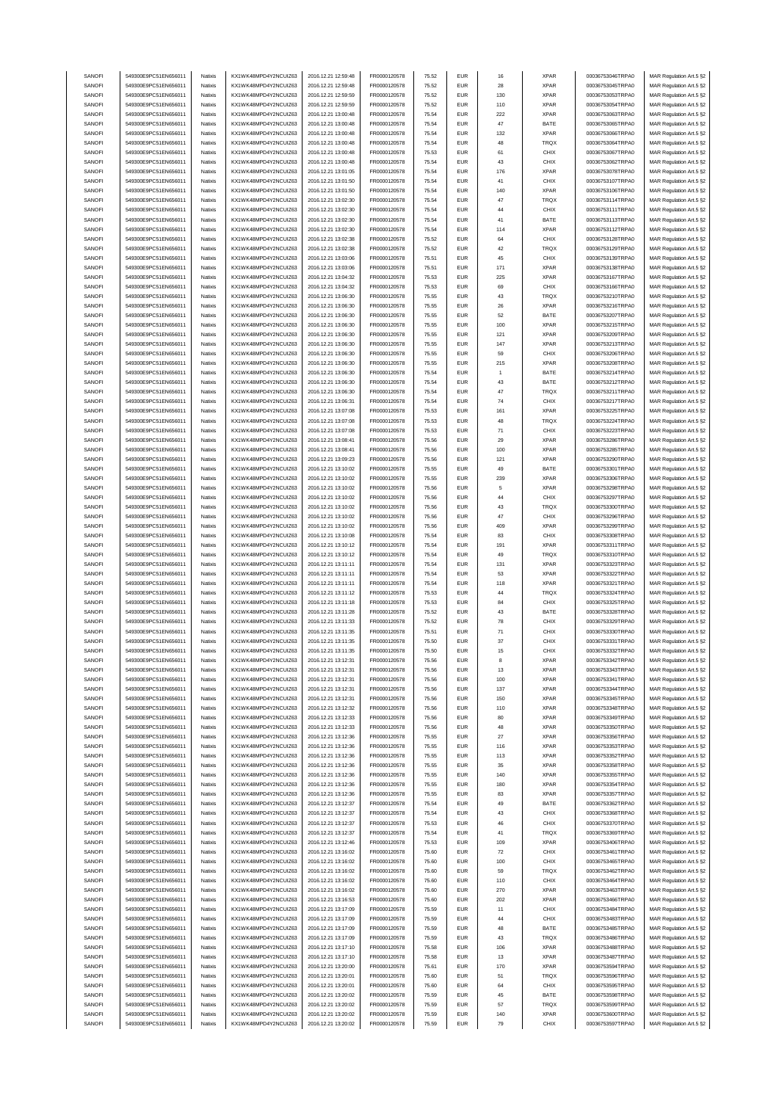| SANOFI | 549300E9PC51EN656011 | Natixis | KX1WK48MPD4Y2NCUIZ63 | 2016.12.21 12:59:48 | FR0000120578 | 75.52 | <b>EUR</b> | 16  | <b>XPAR</b> | 00036753046TRPA0 | MAR Regulation Art.5 §2 |
|--------|----------------------|---------|----------------------|---------------------|--------------|-------|------------|-----|-------------|------------------|-------------------------|
| SANOFI | 549300E9PC51EN656011 | Natixis | KX1WK48MPD4Y2NCUIZ63 | 2016.12.21 12:59:48 | FR0000120578 | 75.52 | <b>EUR</b> | 28  | <b>XPAR</b> | 00036753045TRPA0 | MAR Regulation Art.5 §2 |
| SANOFI | 549300E9PC51EN656011 | Natixis | KX1WK48MPD4Y2NCUIZ63 | 2016.12.21 12:59:59 | FR0000120578 | 75.52 | <b>EUR</b> | 130 | <b>XPAR</b> | 00036753053TRPA0 | MAR Regulation Art.5 §2 |
| SANOFI | 549300E9PC51EN656011 | Natixis | KX1WK48MPD4Y2NCUIZ63 | 2016.12.21 12:59:59 | FR0000120578 | 75.52 | <b>EUR</b> | 110 | <b>XPAR</b> | 00036753054TRPA0 | MAR Regulation Art.5 §2 |
|        |                      |         |                      |                     |              |       |            |     |             |                  |                         |
| SANOFI | 549300E9PC51EN656011 | Natixis | KX1WK48MPD4Y2NCUIZ63 | 2016.12.21 13:00:48 | FR0000120578 | 75.54 | <b>EUR</b> | 222 | <b>XPAR</b> | 00036753063TRPA0 | MAR Regulation Art.5 §2 |
| SANOFI | 549300E9PC51EN656011 | Natixis | KX1WK48MPD4Y2NCUIZ63 | 2016.12.21 13:00:48 | FR0000120578 | 75.54 | <b>EUR</b> | 47  | BATE        | 00036753065TRPA0 | MAR Regulation Art.5 §2 |
| SANOFI | 549300E9PC51EN656011 | Natixis | KX1WK48MPD4Y2NCUIZ63 | 2016.12.21 13:00:48 | FR0000120578 | 75.54 | <b>EUR</b> | 132 | <b>XPAR</b> | 00036753066TRPA0 | MAR Regulation Art.5 §2 |
| SANOFI | 549300E9PC51EN656011 | Natixis | KX1WK48MPD4Y2NCUIZ63 | 2016.12.21 13:00:48 | FR0000120578 | 75.54 | <b>EUR</b> | 48  | TRQX        | 00036753064TRPA0 | MAR Regulation Art.5 §2 |
| SANOFI | 549300E9PC51EN656011 | Natixis | KX1WK48MPD4Y2NCUIZ63 | 2016.12.21 13:00:48 | FR0000120578 | 75.53 | <b>EUR</b> | 61  | CHIX        | 00036753067TRPA0 | MAR Regulation Art.5 §2 |
| SANOFI | 549300E9PC51EN656011 | Natixis | KX1WK48MPD4Y2NCUIZ63 | 2016.12.21 13:00:48 | FR0000120578 | 75.54 | <b>EUR</b> | 43  | CHIX        | 00036753062TRPA0 | MAR Regulation Art.5 §2 |
|        | 549300E9PC51EN656011 | Natixis |                      |                     |              | 75.54 | <b>EUR</b> |     |             |                  |                         |
| SANOFI |                      |         | KX1WK48MPD4Y2NCUIZ63 | 2016.12.21 13:01:05 | FR0000120578 |       |            | 176 | <b>XPAR</b> | 00036753078TRPA0 | MAR Regulation Art.5 §2 |
| SANOFI | 549300E9PC51EN656011 | Natixis | KX1WK48MPD4Y2NCUIZ63 | 2016.12.21 13:01:50 | FR0000120578 | 75.54 | <b>EUR</b> | 41  | CHIX        | 00036753107TRPA0 | MAR Regulation Art.5 §2 |
| SANOFI | 549300E9PC51EN656011 | Natixis | KX1WK48MPD4Y2NCUIZ63 | 2016.12.21 13:01:50 | FR0000120578 | 75.54 | <b>EUR</b> | 140 | <b>XPAR</b> | 00036753106TRPA0 | MAR Regulation Art.5 §2 |
| SANOFI | 549300E9PC51EN656011 | Natixis | KX1WK48MPD4Y2NCUIZ63 | 2016.12.21 13:02:30 | FR0000120578 | 75.54 | <b>EUR</b> | 47  | TRQX        | 00036753114TRPA0 | MAR Regulation Art.5 §2 |
| SANOFI | 549300E9PC51EN656011 | Natixis | KX1WK48MPD4Y2NCUIZ63 | 2016.12.21 13:02:30 | FR0000120578 | 75.54 | <b>EUR</b> | 44  | CHIX        | 00036753111TRPA0 | MAR Regulation Art.5 §2 |
|        |                      |         |                      |                     |              |       |            |     |             |                  |                         |
| SANOFI | 549300E9PC51EN656011 | Natixis | KX1WK48MPD4Y2NCUIZ63 | 2016.12.21 13:02:30 | FR0000120578 | 75.54 | <b>EUR</b> | 41  | BATE        | 00036753113TRPA0 | MAR Regulation Art.5 §2 |
| SANOFI | 549300E9PC51EN656011 | Natixis | KX1WK48MPD4Y2NCUIZ63 | 2016.12.21 13:02:30 | FR0000120578 | 75.54 | <b>EUR</b> | 114 | <b>XPAR</b> | 00036753112TRPA0 | MAR Regulation Art.5 §2 |
| SANOFI | 549300E9PC51EN656011 | Natixis | KX1WK48MPD4Y2NCUIZ63 | 2016.12.21 13:02:38 | FR0000120578 | 75.52 | <b>EUR</b> | 64  | CHIX        | 00036753128TRPA0 | MAR Regulation Art.5 §2 |
| SANOFI | 549300E9PC51EN656011 | Natixis | KX1WK48MPD4Y2NCUIZ63 | 2016.12.21 13:02:38 | FR0000120578 | 75.52 | <b>EUR</b> | 42  | TRQX        | 00036753129TRPA0 | MAR Regulation Art.5 §2 |
| SANOFI | 549300E9PC51EN656011 | Natixis | KX1WK48MPD4Y2NCUIZ63 | 2016.12.21 13:03:06 | FR0000120578 | 75.51 | <b>EUR</b> | 45  | CHIX        | 00036753139TRPA0 | MAR Regulation Art.5 §2 |
|        |                      |         |                      |                     |              |       |            |     |             |                  |                         |
| SANOFI | 549300E9PC51EN656011 | Natixis | KX1WK48MPD4Y2NCUIZ63 | 2016.12.21 13:03:06 | FR0000120578 | 75.51 | <b>EUR</b> | 171 | <b>XPAR</b> | 00036753138TRPA0 | MAR Regulation Art.5 §2 |
| SANOFI | 549300E9PC51EN656011 | Natixis | KX1WK48MPD4Y2NCUIZ63 | 2016.12.21 13:04:32 | FR0000120578 | 75.53 | <b>EUR</b> | 225 | <b>XPAR</b> | 00036753167TRPA0 | MAR Regulation Art.5 §2 |
| SANOFI | 549300E9PC51EN656011 | Natixis | KX1WK48MPD4Y2NCUIZ63 | 2016.12.21 13:04:32 | FR0000120578 | 75.53 | <b>EUR</b> | 69  | CHIX        | 00036753166TRPA0 | MAR Regulation Art.5 §2 |
| SANOFI | 549300E9PC51EN656011 | Natixis | KX1WK48MPD4Y2NCUIZ63 | 2016.12.21 13:06:30 | FR0000120578 | 75.55 | <b>EUR</b> | 43  | <b>TRQX</b> | 00036753210TRPA0 | MAR Regulation Art.5 §2 |
| SANOFI | 549300E9PC51EN656011 | Natixis | KX1WK48MPD4Y2NCUIZ63 | 2016.12.21 13:06:30 | FR0000120578 | 75.55 | <b>EUR</b> | 26  | <b>XPAR</b> | 00036753216TRPA0 | MAR Regulation Art.5 §2 |
|        | 549300E9PC51EN656011 | Natixis |                      |                     | FR0000120578 | 75.55 | <b>EUR</b> | 52  | BATE        |                  |                         |
| SANOFI |                      |         | KX1WK48MPD4Y2NCUIZ63 | 2016.12.21 13:06:30 |              |       |            |     |             | 00036753207TRPA0 | MAR Regulation Art.5 §2 |
| SANOFI | 549300E9PC51EN656011 | Natixis | KX1WK48MPD4Y2NCUIZ63 | 2016.12.21 13:06:30 | FR0000120578 | 75.55 | <b>EUR</b> | 100 | <b>XPAR</b> | 00036753215TRPA0 | MAR Regulation Art.5 §2 |
| SANOFI | 549300E9PC51EN656011 | Natixis | KX1WK48MPD4Y2NCUIZ63 | 2016.12.21 13:06:30 | FR0000120578 | 75.55 | <b>EUR</b> | 121 | <b>XPAR</b> | 00036753209TRPA0 | MAR Regulation Art.5 §2 |
| SANOFI | 549300E9PC51EN656011 | Natixis | KX1WK48MPD4Y2NCUIZ63 | 2016.12.21 13:06:30 | FR0000120578 | 75.55 | <b>EUR</b> | 147 | <b>XPAR</b> | 00036753213TRPA0 | MAR Regulation Art.5 §2 |
| SANOFI | 549300E9PC51EN656011 | Natixis | KX1WK48MPD4Y2NCUIZ63 | 2016.12.21 13:06:30 | FR0000120578 | 75.55 | <b>EUR</b> | 59  | CHIX        | 00036753206TRPA0 | MAR Regulation Art.5 §2 |
|        |                      |         |                      |                     |              |       |            |     |             |                  |                         |
| SANOFI | 549300E9PC51EN656011 | Natixis | KX1WK48MPD4Y2NCUIZ63 | 2016.12.21 13:06:30 | FR0000120578 | 75.55 | <b>EUR</b> | 215 | <b>XPAR</b> | 00036753208TRPA0 | MAR Regulation Art.5 §2 |
| SANOFI | 549300E9PC51EN656011 | Natixis | KX1WK48MPD4Y2NCUIZ63 | 2016.12.21 13:06:30 | FR0000120578 | 75.54 | <b>EUR</b> | 1   | BATE        | 00036753214TRPA0 | MAR Regulation Art.5 §2 |
| SANOFI | 549300E9PC51EN656011 | Natixis | KX1WK48MPD4Y2NCUIZ63 | 2016.12.21 13:06:30 | FR0000120578 | 75.54 | <b>EUR</b> | 43  | BATE        | 00036753212TRPA0 | MAR Regulation Art.5 §2 |
| SANOFI | 549300E9PC51EN656011 | Natixis | KX1WK48MPD4Y2NCUIZ63 | 2016.12.21 13:06:30 | FR0000120578 | 75.54 | <b>EUR</b> | 47  | TRQX        | 00036753211TRPA0 | MAR Regulation Art.5 §2 |
|        | 549300E9PC51EN656011 |         |                      |                     |              |       |            |     |             |                  |                         |
| SANOFI |                      | Natixis | KX1WK48MPD4Y2NCUIZ63 | 2016.12.21 13:06:31 | FR0000120578 | 75.54 | <b>EUR</b> | 74  | CHIX        | 00036753217TRPA0 | MAR Regulation Art.5 §2 |
| SANOFI | 549300E9PC51EN656011 | Natixis | KX1WK48MPD4Y2NCUIZ63 | 2016.12.21 13:07:08 | FR0000120578 | 75.53 | <b>EUR</b> | 161 | <b>XPAR</b> | 00036753225TRPA0 | MAR Regulation Art.5 §2 |
| SANOFI | 549300E9PC51EN656011 | Natixis | KX1WK48MPD4Y2NCUIZ63 | 2016.12.21 13:07:08 | FR0000120578 | 75.53 | <b>EUR</b> | 48  | TRQX        | 00036753224TRPA0 | MAR Regulation Art.5 §2 |
| SANOFI | 549300E9PC51EN656011 | Natixis | KX1WK48MPD4Y2NCUIZ63 | 2016.12.21 13:07:08 | FR0000120578 | 75.53 | <b>EUR</b> | 71  | CHIX        | 00036753223TRPA0 | MAR Regulation Art.5 §2 |
| SANOFI | 549300E9PC51EN656011 | Natixis | KX1WK48MPD4Y2NCUIZ63 | 2016.12.21 13:08:41 | FR0000120578 | 75.56 | <b>EUR</b> | 29  | <b>XPAR</b> | 00036753286TRPA0 | MAR Regulation Art.5 §2 |
|        |                      |         |                      |                     |              |       |            |     |             |                  |                         |
| SANOFI | 549300E9PC51EN656011 | Natixis | KX1WK48MPD4Y2NCUIZ63 | 2016.12.21 13:08:41 | FR0000120578 | 75.56 | <b>EUR</b> | 100 | <b>XPAR</b> | 00036753285TRPA0 | MAR Regulation Art.5 §2 |
| SANOFI | 549300E9PC51EN656011 | Natixis | KX1WK48MPD4Y2NCUIZ63 | 2016.12.21 13:09:23 | FR0000120578 | 75.56 | <b>EUR</b> | 121 | <b>XPAR</b> | 00036753290TRPA0 | MAR Regulation Art.5 §2 |
| SANOFI | 549300E9PC51EN656011 | Natixis | KX1WK48MPD4Y2NCUIZ63 | 2016.12.21 13:10:02 | FR0000120578 | 75.55 | <b>EUR</b> | 49  | BATE        | 00036753301TRPA0 | MAR Regulation Art.5 §2 |
| SANOFI | 549300E9PC51EN656011 | Natixis | KX1WK48MPD4Y2NCUIZ63 | 2016.12.21 13:10:02 | FR0000120578 | 75.55 | <b>EUR</b> | 239 | <b>XPAR</b> | 00036753306TRPA0 | MAR Regulation Art.5 §2 |
| SANOFI | 549300E9PC51EN656011 | Natixis | KX1WK48MPD4Y2NCUIZ63 | 2016.12.21 13:10:02 | FR0000120578 | 75.56 | <b>EUR</b> | 5   | <b>XPAR</b> | 00036753298TRPA0 | MAR Regulation Art.5 §2 |
|        |                      |         |                      |                     |              |       |            |     |             |                  |                         |
| SANOFI | 549300E9PC51EN656011 | Natixis | KX1WK48MPD4Y2NCUIZ63 | 2016.12.21 13:10:02 | FR0000120578 | 75.56 | <b>EUR</b> | 44  | CHIX        | 00036753297TRPA0 | MAR Regulation Art.5 §2 |
| SANOFI | 549300E9PC51EN656011 | Natixis | KX1WK48MPD4Y2NCUIZ63 | 2016.12.21 13:10:02 | FR0000120578 | 75.56 | <b>EUR</b> | 43  | TRQX        | 00036753300TRPA0 | MAR Regulation Art.5 §2 |
| SANOFI | 549300E9PC51EN656011 | Natixis | KX1WK48MPD4Y2NCUIZ63 | 2016.12.21 13:10:02 | FR0000120578 | 75.56 | <b>EUR</b> | 47  | CHIX        | 00036753296TRPA0 | MAR Regulation Art.5 §2 |
| SANOFI | 549300E9PC51EN656011 | Natixis | KX1WK48MPD4Y2NCUIZ63 | 2016.12.21 13:10:02 | FR0000120578 | 75.56 | <b>EUR</b> | 409 | <b>XPAR</b> | 00036753299TRPA0 | MAR Regulation Art.5 §2 |
| SANOFI | 549300E9PC51EN656011 | Natixis | KX1WK48MPD4Y2NCUIZ63 | 2016.12.21 13:10:08 | FR0000120578 | 75.54 | <b>EUR</b> | 83  | CHIX        | 00036753308TRPA0 | MAR Regulation Art.5 §2 |
|        |                      |         |                      |                     |              |       |            |     |             |                  |                         |
| SANOFI | 549300E9PC51EN656011 | Natixis | KX1WK48MPD4Y2NCUIZ63 | 2016.12.21 13:10:12 | FR0000120578 | 75.54 | EUR        | 191 | <b>XPAR</b> | 00036753311TRPA0 | MAR Regulation Art.5 §2 |
| SANOFI | 549300E9PC51EN656011 | Natixis | KX1WK48MPD4Y2NCUIZ63 | 2016.12.21 13:10:12 | FR0000120578 | 75.54 | <b>EUR</b> | 49  | <b>TRQX</b> | 00036753310TRPA0 | MAR Regulation Art.5 §2 |
| SANOFI | 549300E9PC51EN656011 | Natixis | KX1WK48MPD4Y2NCUIZ63 | 2016.12.21 13:11:11 | FR0000120578 | 75.54 | <b>EUR</b> | 131 | <b>XPAR</b> | 00036753323TRPA0 | MAR Regulation Art.5 §2 |
| SANOFI | 549300E9PC51EN656011 | Natixis | KX1WK48MPD4Y2NCUIZ63 | 2016.12.21 13:11:11 | FR0000120578 | 75.54 | <b>EUR</b> | 53  | <b>XPAR</b> | 00036753322TRPA0 | MAR Regulation Art.5 §2 |
| SANOFI | 549300E9PC51EN656011 | Natixis | KX1WK48MPD4Y2NCUIZ63 | 2016.12.21 13:11:11 | FR0000120578 | 75.54 | <b>EUR</b> | 118 | <b>XPAR</b> | 00036753321TRPA0 | MAR Regulation Art.5 §2 |
|        |                      |         |                      |                     |              |       |            |     |             |                  |                         |
| SANOFI | 549300E9PC51EN656011 | Natixis | KX1WK48MPD4Y2NCUIZ63 | 2016.12.21 13:11:12 | FR0000120578 | 75.53 | <b>EUR</b> | 44  | TRQX        | 00036753324TRPA0 | MAR Regulation Art.5 §2 |
| SANOFI | 549300E9PC51EN656011 | Natixis | KX1WK48MPD4Y2NCUIZ63 | 2016.12.21 13:11:18 | FR0000120578 | 75.53 | <b>EUR</b> | 84  | CHIX        | 00036753325TRPA0 | MAR Regulation Art.5 §2 |
| SANOFI | 549300E9PC51EN656011 | Natixis | KX1WK48MPD4Y2NCUIZ63 | 2016.12.21 13:11:28 | FR0000120578 | 75.52 | <b>EUR</b> | 43  | BATE        | 00036753328TRPA0 | MAR Regulation Art.5 §2 |
| SANOFI | 549300E9PC51EN656011 | Natixis | KX1WK48MPD4Y2NCUIZ63 | 2016.12.21 13:11:33 | FR0000120578 | 75.52 | <b>EUR</b> | 78  | CHIX        | 00036753329TRPA0 | MAR Regulation Art.5 §2 |
| SANOFI | 549300E9PC51EN656011 | Natixis | KX1WK48MPD4Y2NCUIZ63 | 2016.12.21 13:11:35 | FR0000120578 | 75.51 | <b>EUR</b> | 71  | CHIX        | 00036753330TRPA0 | MAR Regulation Art.5 §2 |
|        |                      |         |                      |                     |              |       |            |     |             |                  |                         |
| SANOFI | 549300E9PC51EN656011 | Natixis | KX1WK48MPD4Y2NCUIZ63 | 2016.12.21 13:11:35 | FR0000120578 | 75.50 | <b>EUR</b> | 37  | CHIX        | 00036753331TRPA0 | MAR Regulation Art.5 §2 |
| SANOF  | 549300E9PC51EN65601  | Natixis | KX1WK48MPD4Y2NCUIZ63 | 2016.12.21 13:11:35 | FR0000120578 | 75.50 | EUR        | 15  | CHIX        | 00036753332TRPA0 | MAR Regulation Art.5 §2 |
| SANOFI | 549300E9PC51EN656011 | Natixis | KX1WK48MPD4Y2NCUIZ63 | 2016.12.21 13:12:31 | FR0000120578 | 75.56 | <b>EUR</b> | 8   | <b>XPAR</b> | 00036753342TRPA0 | MAR Regulation Art.5 §2 |
| SANOFI | 549300E9PC51EN656011 | Natixis | KX1WK48MPD4Y2NCUIZ63 | 2016.12.21 13:12:31 | FR0000120578 | 75.56 | <b>EUR</b> | 13  | <b>XPAR</b> | 00036753343TRPA0 | MAR Regulation Art.5 §2 |
| SANOFI | 549300E9PC51EN656011 | Natixis | KX1WK48MPD4Y2NCUIZ63 | 2016.12.21 13:12:31 | FR0000120578 | 75.56 | <b>EUR</b> | 100 | <b>XPAR</b> | 00036753341TRPA0 | MAR Regulation Art.5 §2 |
|        |                      |         |                      |                     |              |       |            |     |             |                  |                         |
| SANOFI | 549300E9PC51EN656011 | Natixis | KX1WK48MPD4Y2NCUIZ63 | 2016.12.21 13:12:31 | FR0000120578 | 75.56 | <b>EUR</b> | 137 | <b>XPAR</b> | 00036753344TRPA0 | MAR Regulation Art.5 §2 |
| SANOFI | 549300E9PC51EN656011 | Natixis | KX1WK48MPD4Y2NCUIZ63 | 2016.12.21 13:12:31 | FR0000120578 | 75.56 | <b>EUR</b> | 150 | <b>XPAR</b> | 00036753345TRPA0 | MAR Regulation Art.5 §2 |
| SANOFI | 549300E9PC51EN656011 | Natixis | KX1WK48MPD4Y2NCUIZ63 | 2016.12.21 13:12:32 | FR0000120578 | 75.56 | <b>EUR</b> | 110 | <b>XPAR</b> | 00036753348TRPA0 | MAR Regulation Art.5 §2 |
| SANOFI | 549300E9PC51EN656011 | Natixis | KX1WK48MPD4Y2NCUIZ63 | 2016.12.21 13:12:33 | FR0000120578 | 75.56 | <b>EUR</b> | 80  | <b>XPAR</b> | 00036753349TRPA0 | MAR Regulation Art.5 §2 |
| SANOFI | 549300E9PC51EN656011 | Natixis | KX1WK48MPD4Y2NCUIZ63 | 2016.12.21 13:12:33 | FR0000120578 | 75.56 | <b>EUR</b> | 48  | <b>XPAR</b> | 00036753350TRPA0 | MAR Regulation Art.5 §2 |
| SANOFI | 549300E9PC51EN656011 | Natixis | KX1WK48MPD4Y2NCUIZ63 | 2016.12.21 13:12:36 | FR0000120578 | 75.55 | <b>EUR</b> | 27  | <b>XPAR</b> | 00036753356TRPA0 |                         |
|        |                      |         |                      |                     |              |       |            |     |             |                  | MAR Regulation Art.5 §2 |
| SANOFI | 549300E9PC51EN656011 | Natixis | KX1WK48MPD4Y2NCUIZ63 | 2016.12.21 13:12:36 | FR0000120578 | 75.55 | <b>EUR</b> | 116 | <b>XPAR</b> | 00036753353TRPA0 | MAR Regulation Art.5 §2 |
| SANOFI | 549300E9PC51EN656011 | Natixis | KX1WK48MPD4Y2NCUIZ63 | 2016.12.21 13:12:36 | FR0000120578 | 75.55 | <b>EUR</b> | 113 | <b>XPAR</b> | 00036753352TRPA0 | MAR Regulation Art.5 §2 |
| SANOFI | 549300E9PC51EN656011 | Natixis | KX1WK48MPD4Y2NCUIZ63 | 2016.12.21 13:12:36 | FR0000120578 | 75.55 | <b>EUR</b> | 35  | <b>XPAR</b> | 00036753358TRPA0 | MAR Regulation Art.5 §2 |
| SANOFI | 549300E9PC51EN656011 | Natixis | KX1WK48MPD4Y2NCUIZ63 | 2016.12.21 13:12:36 | FR0000120578 | 75.55 | <b>EUR</b> | 140 | <b>XPAR</b> | 00036753355TRPA0 | MAR Regulation Art.5 §2 |
| SANOFI | 549300E9PC51EN656011 | Natixis | KX1WK48MPD4Y2NCUIZ63 | 2016.12.21 13:12:36 | FR0000120578 | 75.55 | <b>EUR</b> | 180 | <b>XPAR</b> | 00036753354TRPA0 |                         |
|        |                      |         |                      |                     |              |       |            |     |             |                  | MAR Regulation Art.5 §2 |
| SANOFI | 549300E9PC51EN656011 | Natixis | KX1WK48MPD4Y2NCUIZ63 | 2016.12.21 13:12:36 | FR0000120578 | 75.55 | <b>EUR</b> | 83  | <b>XPAR</b> | 00036753357TRPA0 | MAR Regulation Art.5 §2 |
| SANOFI | 549300E9PC51EN656011 | Natixis | KX1WK48MPD4Y2NCUIZ63 | 2016.12.21 13:12:37 | FR0000120578 | 75.54 | <b>EUR</b> | 49  | BATE        | 00036753362TRPA0 | MAR Regulation Art.5 §2 |
| SANOFI | 549300E9PC51EN656011 | Natixis | KX1WK48MPD4Y2NCUIZ63 | 2016.12.21 13:12:37 | FR0000120578 | 75.54 | <b>EUR</b> | 43  | CHIX        | 00036753368TRPA0 | MAR Regulation Art.5 §2 |
| SANOFI | 549300E9PC51EN656011 | Natixis | KX1WK48MPD4Y2NCUIZ63 | 2016.12.21 13:12:37 | FR0000120578 | 75.53 | <b>EUR</b> | 46  | CHIX        | 00036753370TRPA0 | MAR Regulation Art.5 §2 |
| SANOFI | 549300E9PC51EN656011 | Natixis | KX1WK48MPD4Y2NCUIZ63 | 2016.12.21 13:12:37 | FR0000120578 | 75.54 | <b>EUR</b> | 41  | TRQX        | 00036753369TRPA0 | MAR Regulation Art.5 §2 |
|        |                      |         |                      |                     |              |       |            |     |             |                  |                         |
| SANOFI | 549300E9PC51EN656011 | Natixis | KX1WK48MPD4Y2NCUIZ63 | 2016.12.21 13:12:46 | FR0000120578 | 75.53 | <b>EUR</b> | 109 | <b>XPAR</b> | 00036753406TRPA0 | MAR Regulation Art.5 §2 |
| SANOFI | 549300E9PC51EN656011 | Natixis | KX1WK48MPD4Y2NCUIZ63 | 2016.12.21 13:16:02 | FR0000120578 | 75.60 | <b>EUR</b> | 72  | CHIX        | 00036753461TRPA0 | MAR Regulation Art.5 §2 |
| SANOFI | 549300E9PC51EN656011 | Natixis | KX1WK48MPD4Y2NCUIZ63 | 2016.12.21 13:16:02 | FR0000120578 | 75.60 | <b>EUR</b> | 100 | CHIX        | 00036753465TRPA0 | MAR Regulation Art.5 §2 |
| SANOFI | 549300E9PC51EN656011 | Natixis | KX1WK48MPD4Y2NCUIZ63 | 2016.12.21 13:16:02 | FR0000120578 | 75.60 | <b>EUR</b> | 59  | TRQX        | 00036753462TRPA0 | MAR Regulation Art.5 §2 |
|        |                      |         |                      |                     |              |       |            |     |             |                  |                         |
| SANOFI | 549300E9PC51EN656011 | Natixis | KX1WK48MPD4Y2NCUIZ63 | 2016.12.21 13:16:02 | FR0000120578 | 75.60 | <b>EUR</b> | 110 | CHIX        | 00036753464TRPA0 | MAR Regulation Art.5 §2 |
| SANOFI | 549300E9PC51EN656011 | Natixis | KX1WK48MPD4Y2NCUIZ63 | 2016.12.21 13:16:02 | FR0000120578 | 75.60 | <b>EUR</b> | 270 | <b>XPAR</b> | 00036753463TRPA0 | MAR Regulation Art.5 §2 |
| SANOFI | 549300E9PC51EN656011 | Natixis | KX1WK48MPD4Y2NCUIZ63 | 2016.12.21 13:16:53 | FR0000120578 | 75.60 | <b>EUR</b> | 202 | <b>XPAR</b> | 00036753466TRPA0 | MAR Regulation Art.5 §2 |
| SANOFI | 549300E9PC51EN656011 | Natixis | KX1WK48MPD4Y2NCUIZ63 | 2016.12.21 13:17:09 | FR0000120578 | 75.59 | <b>EUR</b> | 11  | CHIX        | 00036753484TRPA0 | MAR Regulation Art.5 §2 |
|        | 549300E9PC51EN656011 |         |                      |                     |              |       | <b>EUR</b> | 44  |             |                  |                         |
| SANOFI |                      | Natixis | KX1WK48MPD4Y2NCUIZ63 | 2016.12.21 13:17:09 | FR0000120578 | 75.59 |            |     | CHIX        | 00036753483TRPA0 | MAR Regulation Art.5 §2 |
| SANOFI | 549300E9PC51EN656011 | Natixis | KX1WK48MPD4Y2NCUIZ63 | 2016.12.21 13:17:09 | FR0000120578 | 75.59 | <b>EUR</b> | 48  | BATE        | 00036753485TRPA0 | MAR Regulation Art.5 §2 |
| SANOFI | 549300E9PC51EN656011 | Natixis | KX1WK48MPD4Y2NCUIZ63 | 2016.12.21 13:17:09 | FR0000120578 | 75.59 | <b>EUR</b> | 43  | TRQX        | 00036753486TRPA0 | MAR Regulation Art.5 §2 |
| SANOFI | 549300E9PC51EN656011 | Natixis | KX1WK48MPD4Y2NCUIZ63 | 2016.12.21 13:17:10 | FR0000120578 | 75.58 | <b>EUR</b> | 106 | <b>XPAR</b> | 00036753488TRPA0 | MAR Regulation Art.5 §2 |
| SANOFI | 549300E9PC51EN656011 | Natixis | KX1WK48MPD4Y2NCUIZ63 | 2016.12.21 13:17:10 | FR0000120578 | 75.58 | <b>EUR</b> | 13  | <b>XPAR</b> | 00036753487TRPA0 | MAR Regulation Art.5 §2 |
| SANOFI |                      |         |                      |                     |              |       | <b>EUR</b> |     |             |                  |                         |
|        | 549300E9PC51EN656011 | Natixis | KX1WK48MPD4Y2NCUIZ63 | 2016.12.21 13:20:00 | FR0000120578 | 75.61 |            | 170 | <b>XPAR</b> | 00036753594TRPA0 | MAR Regulation Art.5 §2 |
| SANOFI | 549300E9PC51EN656011 | Natixis | KX1WK48MPD4Y2NCUIZ63 | 2016.12.21 13:20:01 | FR0000120578 | 75.60 | <b>EUR</b> | 51  | <b>TRQX</b> | 00036753596TRPA0 | MAR Regulation Art.5 §2 |
| SANOFI | 549300E9PC51EN656011 | Natixis | KX1WK48MPD4Y2NCUIZ63 | 2016.12.21 13:20:01 | FR0000120578 | 75.60 | <b>EUR</b> | 64  | CHIX        | 00036753595TRPA0 | MAR Regulation Art.5 §2 |
| SANOFI | 549300E9PC51EN656011 | Natixis | KX1WK48MPD4Y2NCUIZ63 | 2016.12.21 13:20:02 | FR0000120578 | 75.59 | <b>EUR</b> | 45  | BATE        | 00036753598TRPA0 | MAR Regulation Art.5 §2 |
| SANOFI | 549300E9PC51EN656011 | Natixis | KX1WK48MPD4Y2NCUIZ63 | 2016.12.21 13:20:02 | FR0000120578 | 75.59 | <b>EUR</b> | 57  | TRQX        | 00036753599TRPA0 | MAR Regulation Art.5 §2 |
|        |                      |         |                      |                     |              |       |            |     |             |                  |                         |
| SANOFI | 549300E9PC51EN656011 | Natixis | KX1WK48MPD4Y2NCUIZ63 | 2016.12.21 13:20:02 | FR0000120578 | 75.59 | <b>EUR</b> | 140 | <b>XPAR</b> | 00036753600TRPA0 | MAR Regulation Art.5 §2 |
| SANOFI | 549300E9PC51EN656011 | Natixis | KX1WK48MPD4Y2NCUIZ63 | 2016.12.21 13:20:02 | FR0000120578 | 75.59 | <b>EUR</b> | 79  | CHIX        | 00036753597TRPA0 | MAR Regulation Art.5 §2 |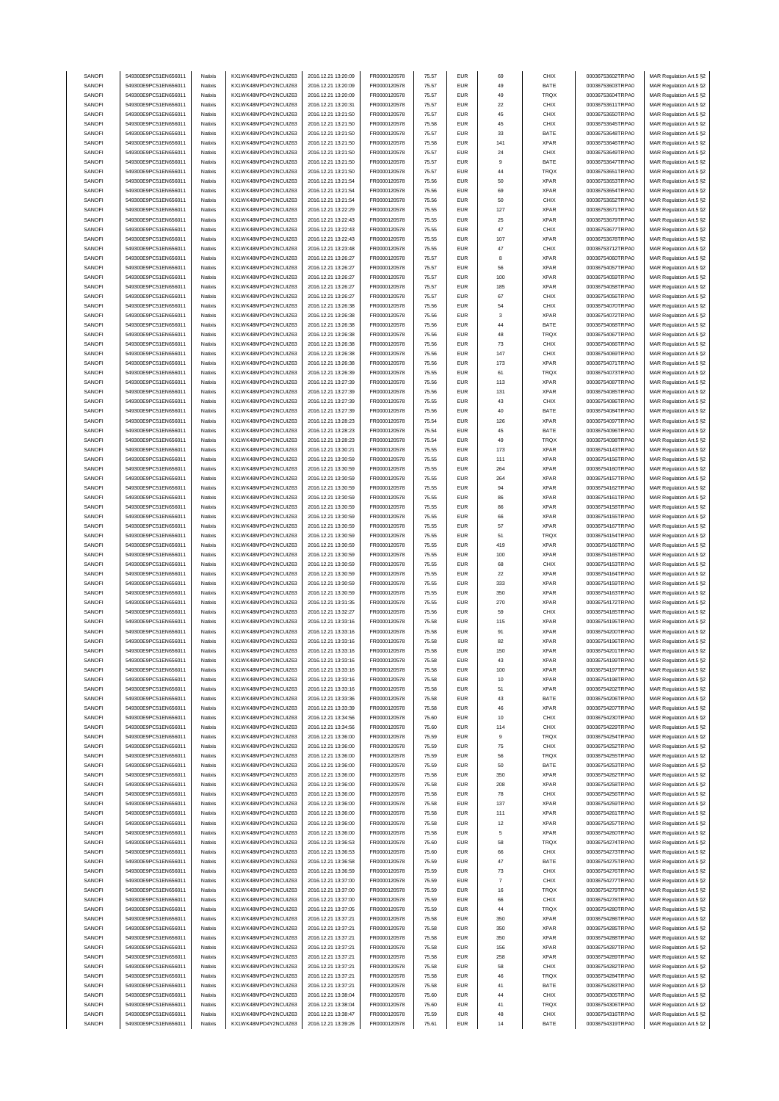| SANOFI           | 549300E9PC51EN656011 | Natixis | KX1WK48MPD4Y2NCUIZ63 | 2016.12.21 13:20:09 | FR0000120578 | 75.57 | <b>EUR</b> | 69             | CHIX        | 00036753602TRPA0 | MAR Regulation Art.5 §2 |
|------------------|----------------------|---------|----------------------|---------------------|--------------|-------|------------|----------------|-------------|------------------|-------------------------|
| SANOFI           | 549300E9PC51EN656011 | Natixis | KX1WK48MPD4Y2NCUIZ63 | 2016.12.21 13:20:09 | FR0000120578 | 75.57 | <b>EUR</b> | 49             | BATE        | 00036753603TRPA0 | MAR Regulation Art.5 §2 |
| SANOFI           | 549300E9PC51EN656011 | Natixis | KX1WK48MPD4Y2NCUIZ63 | 2016.12.21 13:20:09 | FR0000120578 | 75.57 | <b>EUR</b> | 49             | TRQX        | 00036753604TRPA0 | MAR Regulation Art.5 §2 |
| SANOFI           | 549300E9PC51EN656011 | Natixis | KX1WK48MPD4Y2NCUIZ63 | 2016.12.21 13:20:31 | FR0000120578 | 75.57 | <b>EUR</b> | $22\,$         | CHIX        | 00036753611TRPA0 | MAR Regulation Art.5 §2 |
|                  |                      |         |                      |                     |              |       |            |                |             |                  |                         |
| SANOFI           | 549300E9PC51EN656011 | Natixis | KX1WK48MPD4Y2NCUIZ63 | 2016.12.21 13:21:50 | FR0000120578 | 75.57 | <b>EUR</b> | 45             | CHIX        | 00036753650TRPA0 | MAR Regulation Art.5 §2 |
| SANOFI           | 549300E9PC51EN656011 | Natixis | KX1WK48MPD4Y2NCUIZ63 | 2016.12.21 13:21:50 | FR0000120578 | 75.58 | <b>EUR</b> | 45             | CHIX        | 00036753645TRPA0 | MAR Regulation Art.5 §2 |
| SANOFI           | 549300E9PC51EN656011 | Natixis | KX1WK48MPD4Y2NCUIZ63 | 2016.12.21 13:21:50 | FR0000120578 | 75.57 | <b>EUR</b> | 33             | BATE        | 00036753648TRPA0 | MAR Regulation Art.5 §2 |
| SANOFI           | 549300E9PC51EN656011 | Natixis | KX1WK48MPD4Y2NCUIZ63 | 2016.12.21 13:21:50 | FR0000120578 | 75.58 | <b>EUR</b> | 141            | <b>XPAR</b> | 00036753646TRPA0 | MAR Regulation Art.5 §2 |
| SANOFI           | 549300E9PC51EN656011 | Natixis | KX1WK48MPD4Y2NCUIZ63 | 2016.12.21 13:21:50 | FR0000120578 | 75.57 | <b>EUR</b> | 24             | CHIX        | 00036753649TRPA0 | MAR Regulation Art.5 §2 |
| SANOFI           | 549300E9PC51EN656011 | Natixis | KX1WK48MPD4Y2NCUIZ63 | 2016.12.21 13:21:50 | FR0000120578 | 75.57 | <b>EUR</b> | 9              | BATE        | 00036753647TRPA0 | MAR Regulation Art.5 §2 |
| SANOFI           | 549300E9PC51EN656011 | Natixis | KX1WK48MPD4Y2NCUIZ63 | 2016.12.21 13:21:50 | FR0000120578 | 75.57 | <b>EUR</b> | 44             | <b>TRQX</b> | 00036753651TRPA0 | MAR Regulation Art.5 §2 |
|                  |                      |         |                      |                     |              |       |            |                |             |                  |                         |
| SANOFI           | 549300E9PC51EN656011 | Natixis | KX1WK48MPD4Y2NCUIZ63 | 2016.12.21 13:21:54 | FR0000120578 | 75.56 | <b>EUR</b> | 50             | <b>XPAR</b> | 00036753653TRPA0 | MAR Regulation Art.5 §2 |
| SANOFI           | 549300E9PC51EN656011 | Natixis | KX1WK48MPD4Y2NCUIZ63 | 2016.12.21 13:21:54 | FR0000120578 | 75.56 | <b>EUR</b> | 69             | <b>XPAR</b> | 00036753654TRPA0 | MAR Regulation Art.5 §2 |
| SANOFI           | 549300E9PC51EN656011 | Natixis | KX1WK48MPD4Y2NCUIZ63 | 2016.12.21 13:21:54 | FR0000120578 | 75.56 | <b>EUR</b> | 50             | CHIX        | 00036753652TRPA0 | MAR Regulation Art.5 §2 |
| SANOFI           | 549300E9PC51EN656011 | Natixis | KX1WK48MPD4Y2NCUIZ63 | 2016.12.21 13:22:29 | FR0000120578 | 75.55 | <b>EUR</b> | 127            | <b>XPAR</b> | 00036753671TRPA0 | MAR Regulation Art.5 §2 |
| SANOFI           | 549300E9PC51EN656011 | Natixis | KX1WK48MPD4Y2NCUIZ63 | 2016.12.21 13:22:43 | FR0000120578 | 75.55 | <b>EUR</b> | 25             | <b>XPAR</b> | 00036753679TRPA0 |                         |
|                  |                      |         |                      |                     |              |       |            |                |             |                  | MAR Regulation Art.5 §2 |
| SANOFI           | 549300E9PC51EN656011 | Natixis | KX1WK48MPD4Y2NCUIZ63 | 2016.12.21 13:22:43 | FR0000120578 | 75.55 | <b>EUR</b> | 47             | CHIX        | 00036753677TRPA0 | MAR Regulation Art.5 §2 |
| SANOFI           | 549300E9PC51EN656011 | Natixis | KX1WK48MPD4Y2NCUIZ63 | 2016.12.21 13:22:43 | FR0000120578 | 75.55 | <b>EUR</b> | 107            | <b>XPAR</b> | 00036753678TRPA0 | MAR Regulation Art.5 §2 |
| SANOFI           | 549300E9PC51EN656011 | Natixis | KX1WK48MPD4Y2NCUIZ63 | 2016.12.21 13:23:48 | FR0000120578 | 75.55 | <b>EUR</b> | 47             | CHIX        | 00036753712TRPA0 | MAR Regulation Art.5 §2 |
| SANOFI           | 549300E9PC51EN656011 | Natixis | KX1WK48MPD4Y2NCUIZ63 | 2016.12.21 13:26:27 | FR0000120578 | 75.57 | <b>EUR</b> | 8              | <b>XPAR</b> | 00036754060TRPA0 | MAR Regulation Art.5 §2 |
| SANOFI           | 549300E9PC51EN656011 | Natixis | KX1WK48MPD4Y2NCUIZ63 | 2016.12.21 13:26:27 | FR0000120578 | 75.57 | <b>EUR</b> | 56             | <b>XPAR</b> | 00036754057TRPA0 | MAR Regulation Art.5 §2 |
| SANOFI           | 549300E9PC51EN656011 | Natixis | KX1WK48MPD4Y2NCUIZ63 | 2016.12.21 13:26:27 | FR0000120578 | 75.57 | <b>EUR</b> | 100            | <b>XPAR</b> | 00036754059TRPA0 | MAR Regulation Art.5 §2 |
|                  |                      |         |                      |                     |              |       |            |                |             |                  |                         |
| SANOFI           | 549300E9PC51EN656011 | Natixis | KX1WK48MPD4Y2NCUIZ63 | 2016.12.21 13:26:27 | FR0000120578 | 75.57 | <b>EUR</b> | 185            | <b>XPAR</b> | 00036754058TRPA0 | MAR Regulation Art.5 §2 |
| SANOFI           | 549300E9PC51EN656011 | Natixis | KX1WK48MPD4Y2NCUIZ63 | 2016.12.21 13:26:27 | FR0000120578 | 75.57 | <b>EUR</b> | 67             | CHIX        | 00036754056TRPA0 | MAR Regulation Art.5 §2 |
| SANOFI           | 549300E9PC51EN656011 | Natixis | KX1WK48MPD4Y2NCUIZ63 | 2016.12.21 13:26:38 | FR0000120578 | 75.56 | <b>EUR</b> | 54             | CHIX        | 00036754070TRPA0 | MAR Regulation Art.5 §2 |
| SANOFI           | 549300E9PC51EN656011 | Natixis | KX1WK48MPD4Y2NCUIZ63 | 2016.12.21 13:26:38 | FR0000120578 | 75.56 | <b>EUR</b> | 3              | <b>XPAR</b> | 00036754072TRPA0 | MAR Regulation Art.5 §2 |
| SANOFI           | 549300E9PC51EN656011 | Natixis | KX1WK48MPD4Y2NCUIZ63 | 2016.12.21 13:26:38 | FR0000120578 | 75.56 | <b>EUR</b> | 44             | BATE        | 00036754068TRPA0 | MAR Regulation Art.5 §2 |
| SANOFI           | 549300E9PC51EN656011 | Natixis | KX1WK48MPD4Y2NCUIZ63 | 2016.12.21 13:26:38 | FR0000120578 | 75.56 | <b>EUR</b> | 48             | TRQX        | 00036754067TRPA0 | MAR Regulation Art.5 §2 |
|                  | 549300E9PC51EN656011 |         |                      |                     |              |       |            |                |             |                  |                         |
| SANOFI           |                      | Natixis | KX1WK48MPD4Y2NCUIZ63 | 2016.12.21 13:26:38 | FR0000120578 | 75.56 | <b>EUR</b> | $\mathbf{73}$  | CHIX        | 00036754066TRPA0 | MAR Regulation Art.5 §2 |
| SANOFI           | 549300E9PC51EN656011 | Natixis | KX1WK48MPD4Y2NCUIZ63 | 2016.12.21 13:26:38 | FR0000120578 | 75.56 | <b>EUR</b> | 147            | CHIX        | 00036754069TRPA0 | MAR Regulation Art.5 §2 |
| SANOFI           | 549300E9PC51EN656011 | Natixis | KX1WK48MPD4Y2NCUIZ63 | 2016.12.21 13:26:38 | FR0000120578 | 75.56 | <b>EUR</b> | 173            | <b>XPAR</b> | 00036754071TRPA0 | MAR Regulation Art.5 §2 |
| SANOFI           | 549300E9PC51EN656011 | Natixis | KX1WK48MPD4Y2NCUIZ63 | 2016.12.21 13:26:39 | FR0000120578 | 75.55 | <b>EUR</b> | 61             | TRQX        | 00036754073TRPA0 | MAR Regulation Art.5 §2 |
| SANOFI           | 549300E9PC51EN656011 | Natixis | KX1WK48MPD4Y2NCUIZ63 | 2016.12.21 13:27:39 | FR0000120578 | 75.56 | <b>EUR</b> | 113            | <b>XPAR</b> | 00036754087TRPA0 | MAR Regulation Art.5 §2 |
|                  | 549300E9PC51EN656011 |         | KX1WK48MPD4Y2NCUIZ63 | 2016.12.21 13:27:39 |              |       | <b>EUR</b> |                |             | 00036754085TRPA0 |                         |
| SANOFI           |                      | Natixis |                      |                     | FR0000120578 | 75.56 |            | 131            | <b>XPAR</b> |                  | MAR Regulation Art.5 §2 |
| SANOFI           | 549300E9PC51EN656011 | Natixis | KX1WK48MPD4Y2NCUIZ63 | 2016.12.21 13:27:39 | FR0000120578 | 75.55 | <b>EUR</b> | 43             | CHIX        | 00036754086TRPA0 | MAR Regulation Art.5 §2 |
| SANOFI           | 549300E9PC51EN656011 | Natixis | KX1WK48MPD4Y2NCUIZ63 | 2016.12.21 13:27:39 | FR0000120578 | 75.56 | <b>EUR</b> | 40             | BATE        | 00036754084TRPA0 | MAR Regulation Art.5 §2 |
| SANOFI           | 549300E9PC51EN656011 | Natixis | KX1WK48MPD4Y2NCUIZ63 | 2016.12.21 13:28:23 | FR0000120578 | 75.54 | <b>EUR</b> | 126            | <b>XPAR</b> | 00036754097TRPA0 | MAR Regulation Art.5 §2 |
| SANOFI           | 549300E9PC51EN656011 | Natixis | KX1WK48MPD4Y2NCUIZ63 | 2016.12.21 13:28:23 | FR0000120578 | 75.54 | <b>EUR</b> | 45             | BATE        | 00036754096TRPA0 | MAR Regulation Art.5 §2 |
| SANOFI           | 549300E9PC51EN656011 | Natixis | KX1WK48MPD4Y2NCUIZ63 | 2016.12.21 13:28:23 | FR0000120578 | 75.54 | <b>EUR</b> | 49             | TRQX        | 00036754098TRPA0 | MAR Regulation Art.5 §2 |
|                  |                      |         |                      |                     |              |       |            |                |             |                  |                         |
| SANOFI           | 549300E9PC51EN656011 | Natixis | KX1WK48MPD4Y2NCUIZ63 | 2016.12.21 13:30:21 | FR0000120578 | 75.55 | <b>EUR</b> | 173            | <b>XPAR</b> | 00036754143TRPA0 | MAR Regulation Art.5 §2 |
| SANOFI           | 549300E9PC51EN656011 | Natixis | KX1WK48MPD4Y2NCUIZ63 | 2016.12.21 13:30:59 | FR0000120578 | 75.55 | <b>EUR</b> | 111            | <b>XPAR</b> | 00036754156TRPA0 | MAR Regulation Art.5 §2 |
| SANOFI           | 549300E9PC51EN656011 | Natixis | KX1WK48MPD4Y2NCUIZ63 | 2016.12.21 13:30:59 | FR0000120578 | 75.55 | <b>EUR</b> | 264            | <b>XPAR</b> | 00036754160TRPA0 | MAR Regulation Art.5 §2 |
| SANOFI           | 549300E9PC51EN656011 | Natixis | KX1WK48MPD4Y2NCUIZ63 | 2016.12.21 13:30:59 | FR0000120578 | 75.55 | <b>EUR</b> | 264            | <b>XPAR</b> | 00036754157TRPA0 | MAR Regulation Art.5 §2 |
| SANOFI           | 549300E9PC51EN656011 | Natixis | KX1WK48MPD4Y2NCUIZ63 | 2016.12.21 13:30:59 | FR0000120578 | 75.55 | <b>EUR</b> | 94             | <b>XPAR</b> | 00036754162TRPA0 | MAR Regulation Art.5 §2 |
| SANOFI           | 549300E9PC51EN656011 | Natixis | KX1WK48MPD4Y2NCUIZ63 | 2016.12.21 13:30:59 | FR0000120578 | 75.55 | <b>EUR</b> | 86             | <b>XPAR</b> | 00036754161TRPA0 | MAR Regulation Art.5 §2 |
|                  |                      |         |                      |                     |              |       |            |                |             |                  |                         |
| SANOFI           | 549300E9PC51EN656011 | Natixis | KX1WK48MPD4Y2NCUIZ63 | 2016.12.21 13:30:59 | FR0000120578 | 75.55 | <b>EUR</b> | 86             | <b>XPAR</b> | 00036754158TRPA0 | MAR Regulation Art.5 §2 |
| SANOFI           | 549300E9PC51EN656011 | Natixis | KX1WK48MPD4Y2NCUIZ63 | 2016.12.21 13:30:59 | FR0000120578 | 75.55 | <b>EUR</b> | 66             | <b>XPAR</b> | 00036754155TRPA0 | MAR Regulation Art.5 §2 |
| SANOFI           | 549300E9PC51EN656011 | Natixis | KX1WK48MPD4Y2NCUIZ63 | 2016.12.21 13:30:59 | FR0000120578 | 75.55 | <b>EUR</b> | 57             | <b>XPAR</b> | 00036754167TRPA0 | MAR Regulation Art.5 §2 |
| SANOFI           | 549300E9PC51EN656011 | Natixis | KX1WK48MPD4Y2NCUIZ63 | 2016.12.21 13:30:59 | FR0000120578 | 75.55 | <b>EUR</b> | 51             | TRQX        | 00036754154TRPA0 | MAR Regulation Art.5 §2 |
| SANOFI           | 549300E9PC51EN656011 | Natixis | KX1WK48MPD4Y2NCUIZ63 | 2016.12.21 13:30:59 | FR0000120578 | 75.55 | <b>EUR</b> | 419            | <b>XPAR</b> | 00036754166TRPA0 | MAR Regulation Art.5 §2 |
| SANOFI           | 549300E9PC51EN656011 | Natixis | KX1WK48MPD4Y2NCUIZ63 | 2016.12.21 13:30:59 | FR0000120578 | 75.55 | <b>EUR</b> | 100            | <b>XPAR</b> | 00036754165TRPA0 |                         |
|                  |                      |         |                      |                     |              |       |            |                |             |                  | MAR Regulation Art.5 §2 |
| SANOFI           | 549300E9PC51EN656011 | Natixis | KX1WK48MPD4Y2NCUIZ63 | 2016.12.21 13:30:59 | FR0000120578 | 75.55 | <b>EUR</b> | 68             | CHIX        | 00036754153TRPA0 | MAR Regulation Art.5 §2 |
| SANOFI           | 549300E9PC51EN656011 | Natixis | KX1WK48MPD4Y2NCUIZ63 | 2016.12.21 13:30:59 | FR0000120578 | 75.55 | <b>EUR</b> | 22             | <b>XPAR</b> | 00036754164TRPA0 | MAR Regulation Art.5 §2 |
| SANOFI           | 549300E9PC51EN656011 | Natixis | KX1WK48MPD4Y2NCUIZ63 | 2016.12.21 13:30:59 | FR0000120578 | 75.55 | <b>EUR</b> | 333            | <b>XPAR</b> | 00036754159TRPA0 | MAR Regulation Art.5 §2 |
| SANOFI           | 549300E9PC51EN656011 | Natixis | KX1WK48MPD4Y2NCUIZ63 | 2016.12.21 13:30:59 | FR0000120578 | 75.55 | <b>EUR</b> | 350            | <b>XPAR</b> | 00036754163TRPA0 | MAR Regulation Art.5 §2 |
| SANOFI           | 549300E9PC51EN656011 | Natixis | KX1WK48MPD4Y2NCUIZ63 | 2016.12.21 13:31:35 | FR0000120578 | 75.55 | <b>EUR</b> | 270            | <b>XPAR</b> | 00036754172TRPA0 | MAR Regulation Art.5 §2 |
|                  |                      |         |                      |                     |              |       |            |                |             |                  |                         |
| SANOFI           | 549300E9PC51EN656011 | Natixis | KX1WK48MPD4Y2NCUIZ63 | 2016.12.21 13:32:27 | FR0000120578 | 75.56 | <b>EUR</b> | 59             | CHIX        | 00036754185TRPA0 | MAR Regulation Art.5 §2 |
| SANOFI           | 549300E9PC51EN656011 | Natixis | KX1WK48MPD4Y2NCUIZ63 | 2016.12.21 13:33:16 | FR0000120578 | 75.58 | <b>EUR</b> | 115            | <b>XPAR</b> | 00036754195TRPA0 | MAR Regulation Art.5 §2 |
| SANOFI           | 549300E9PC51EN656011 | Natixis | KX1WK48MPD4Y2NCUIZ63 | 2016.12.21 13:33:16 | FR0000120578 | 75.58 | <b>EUR</b> | 91             | <b>XPAR</b> | 00036754200TRPA0 | MAR Regulation Art.5 §2 |
| SANOFI           | 549300E9PC51EN656011 | Natixis | KX1WK48MPD4Y2NCUIZ63 | 2016.12.21 13:33:16 | FR0000120578 | 75.58 | <b>EUR</b> | 82             | <b>XPAR</b> | 00036754196TRPA0 | MAR Regulation Art.5 §2 |
| SANOF            | 549300E9PC51EN65601  | Natixis | KX1WK48MPD4Y2NCUIZ63 | 2016.12.21 13:33:16 | FR0000120578 | 75.58 | EUR        | 150            | XPAR        | 00036754201TRPA0 | MAR Regulation Art.5 §2 |
| SANOFI           | 549300E9PC51EN656011 | Natixis | KX1WK48MPD4Y2NCUIZ63 | 2016.12.21 13:33:16 | FR0000120578 | 75.58 | <b>EUR</b> | 43             | <b>XPAR</b> | 00036754199TRPA0 | MAR Regulation Art.5 §2 |
|                  |                      |         |                      |                     |              |       |            |                |             |                  |                         |
| SANOFI           | 549300E9PC51EN656011 | Natixis | KX1WK48MPD4Y2NCUIZ63 | 2016.12.21 13:33:16 | FR0000120578 | 75.58 | <b>EUR</b> | 100            | <b>XPAR</b> | 00036754197TRPA0 | MAR Regulation Art.5 §2 |
| SANOFI           | 549300E9PC51EN656011 | Natixis | KX1WK48MPD4Y2NCUIZ63 | 2016.12.21 13:33:16 | FR0000120578 | 75.58 | <b>EUR</b> | 10             | <b>XPAR</b> | 00036754198TRPA0 | MAR Regulation Art.5 §2 |
| SANOFI           | 549300E9PC51EN656011 | Natixis | KX1WK48MPD4Y2NCUIZ63 | 2016.12.21 13:33:16 | FR0000120578 | 75.58 | <b>EUR</b> | 51             | <b>XPAR</b> | 00036754202TRPA0 | MAR Regulation Art.5 §2 |
| SANOFI           | 549300E9PC51EN656011 | Natixis | KX1WK48MPD4Y2NCUIZ63 | 2016.12.21 13:33:36 | FR0000120578 | 75.58 | <b>EUR</b> | 43             | BATE        | 00036754206TRPA0 | MAR Regulation Art.5 §2 |
| SANOFI           | 549300E9PC51EN656011 | Natixis | KX1WK48MPD4Y2NCUIZ63 | 2016.12.21 13:33:39 | FR0000120578 | 75.58 | <b>EUR</b> | 46             | <b>XPAR</b> | 00036754207TRPA0 | MAR Regulation Art.5 §2 |
| SANOFI           | 549300E9PC51EN656011 | Natixis | KX1WK48MPD4Y2NCUIZ63 | 2016.12.21 13:34:56 | FR0000120578 | 75.60 | <b>EUR</b> | 10             | CHIX        | 00036754230TRPA0 | MAR Regulation Art.5 §2 |
|                  |                      |         |                      |                     | FR0000120578 |       |            |                |             |                  |                         |
| SANOFI           | 549300E9PC51EN656011 | Natixis | KX1WK48MPD4Y2NCUIZ63 | 2016.12.21 13:34:56 |              | 75.60 | <b>EUR</b> | 114            | CHIX        | 00036754229TRPA0 | MAR Regulation Art.5 §2 |
| SANOFI           | 549300E9PC51EN656011 | Natixis | KX1WK48MPD4Y2NCUIZ63 | 2016.12.21 13:36:00 | FR0000120578 | 75.59 | <b>EUR</b> | 9              | <b>TRQX</b> | 00036754254TRPA0 | MAR Regulation Art.5 §2 |
| SANOFI           | 549300E9PC51EN656011 | Natixis | KX1WK48MPD4Y2NCUIZ63 | 2016.12.21 13:36:00 | FR0000120578 | 75.59 | <b>EUR</b> | 75             | CHIX        | 00036754252TRPA0 | MAR Regulation Art.5 §2 |
| SANOFI           | 549300E9PC51EN656011 | Natixis | KX1WK48MPD4Y2NCUIZ63 | 2016.12.21 13:36:00 | FR0000120578 | 75.59 | <b>EUR</b> | 56             | TRQX        | 00036754255TRPA0 | MAR Regulation Art.5 §2 |
| SANOFI           | 549300E9PC51EN656011 | Natixis | KX1WK48MPD4Y2NCUIZ63 | 2016.12.21 13:36:00 | FR0000120578 | 75.59 | <b>EUR</b> | 50             | BATE        | 00036754253TRPA0 | MAR Regulation Art.5 §2 |
| SANOFI           | 549300E9PC51EN656011 | Natixis | KX1WK48MPD4Y2NCUIZ63 | 2016.12.21 13:36:00 | FR0000120578 | 75.58 | <b>EUR</b> | 350            | <b>XPAR</b> | 00036754262TRPA0 | MAR Regulation Art.5 §2 |
|                  |                      |         |                      | 2016.12.21 13:36:00 |              |       |            |                |             |                  |                         |
| SANOFI           | 549300E9PC51EN656011 | Natixis | KX1WK48MPD4Y2NCUIZ63 |                     | FR0000120578 | 75.58 | <b>EUR</b> | 208            | <b>XPAR</b> | 00036754258TRPA0 | MAR Regulation Art.5 §2 |
| SANOFI           | 549300E9PC51EN656011 | Natixis | KX1WK48MPD4Y2NCUIZ63 | 2016.12.21 13:36:00 | FR0000120578 | 75.58 | <b>EUR</b> | 78             | CHIX        | 00036754256TRPA0 | MAR Regulation Art.5 §2 |
| SANOFI           | 549300E9PC51EN656011 | Natixis | KX1WK48MPD4Y2NCUIZ63 | 2016.12.21 13:36:00 | FR0000120578 | 75.58 | <b>EUR</b> | 137            | <b>XPAR</b> | 00036754259TRPA0 | MAR Regulation Art.5 §2 |
| SANOFI           | 549300E9PC51EN656011 | Natixis | KX1WK48MPD4Y2NCUIZ63 | 2016.12.21 13:36:00 | FR0000120578 | 75.58 | <b>EUR</b> | 111            | <b>XPAR</b> | 00036754261TRPA0 | MAR Regulation Art.5 §2 |
| SANOFI           | 549300E9PC51EN656011 | Natixis | KX1WK48MPD4Y2NCUIZ63 | 2016.12.21 13:36:00 | FR0000120578 | 75.58 | <b>EUR</b> | 12             | <b>XPAR</b> | 00036754257TRPA0 | MAR Regulation Art.5 §2 |
| SANOFI           | 549300E9PC51EN656011 | Natixis | KX1WK48MPD4Y2NCUIZ63 | 2016.12.21 13:36:00 | FR0000120578 | 75.58 | <b>EUR</b> | 5              | <b>XPAR</b> | 00036754260TRPA0 | MAR Regulation Art.5 §2 |
|                  |                      |         |                      |                     |              |       |            |                |             |                  |                         |
| SANOFI           | 549300E9PC51EN656011 | Natixis | KX1WK48MPD4Y2NCUIZ63 | 2016.12.21 13:36:53 | FR0000120578 | 75.60 | <b>EUR</b> | 58             | <b>TRQX</b> | 00036754274TRPA0 | MAR Regulation Art.5 §2 |
| SANOFI           | 549300E9PC51EN656011 | Natixis | KX1WK48MPD4Y2NCUIZ63 | 2016.12.21 13:36:53 | FR0000120578 | 75.60 | <b>EUR</b> | 66             | CHIX        | 00036754273TRPA0 | MAR Regulation Art.5 §2 |
| SANOFI           | 549300E9PC51EN656011 | Natixis | KX1WK48MPD4Y2NCUIZ63 | 2016.12.21 13:36:58 | FR0000120578 | 75.59 | <b>EUR</b> | 47             | BATE        | 00036754275TRPA0 | MAR Regulation Art.5 §2 |
| SANOFI           | 549300E9PC51EN656011 | Natixis | KX1WK48MPD4Y2NCUIZ63 | 2016.12.21 13:36:59 | FR0000120578 | 75.59 | <b>EUR</b> | 73             | CHIX        | 00036754276TRPA0 | MAR Regulation Art.5 §2 |
| SANOFI           | 549300E9PC51EN656011 | Natixis | KX1WK48MPD4Y2NCUIZ63 | 2016.12.21 13:37:00 | FR0000120578 | 75.59 | <b>EUR</b> | $\overline{7}$ | CHIX        | 00036754277TRPA0 | MAR Regulation Art.5 §2 |
|                  |                      |         |                      |                     |              |       |            |                |             |                  |                         |
| SANOFI           | 549300E9PC51EN656011 | Natixis | KX1WK48MPD4Y2NCUIZ63 | 2016.12.21 13:37:00 | FR0000120578 | 75.59 | <b>EUR</b> | 16             | TRQX        | 00036754279TRPA0 | MAR Regulation Art.5 §2 |
| SANOFI           | 549300E9PC51EN656011 | Natixis | KX1WK48MPD4Y2NCUIZ63 | 2016.12.21 13:37:00 | FR0000120578 | 75.59 | <b>EUR</b> | 66             | CHIX        | 00036754278TRPA0 | MAR Regulation Art.5 §2 |
| SANOFI           | 549300E9PC51EN656011 | Natixis | KX1WK48MPD4Y2NCUIZ63 | 2016.12.21 13:37:05 | FR0000120578 | 75.59 | <b>EUR</b> | 44             | TRQX        | 00036754280TRPA0 | MAR Regulation Art.5 §2 |
| SANOFI           | 549300E9PC51EN656011 | Natixis | KX1WK48MPD4Y2NCUIZ63 | 2016.12.21 13:37:21 | FR0000120578 | 75.58 | <b>EUR</b> | 350            | <b>XPAR</b> | 00036754286TRPA0 | MAR Regulation Art.5 §2 |
| SANOFI           | 549300E9PC51EN656011 | Natixis | KX1WK48MPD4Y2NCUIZ63 | 2016.12.21 13:37:21 | FR0000120578 | 75.58 | <b>EUR</b> | 350            | <b>XPAR</b> | 00036754285TRPA0 | MAR Regulation Art.5 §2 |
| SANOFI           | 549300E9PC51EN656011 | Natixis | KX1WK48MPD4Y2NCUIZ63 | 2016.12.21 13:37:21 | FR0000120578 | 75.58 | <b>EUR</b> | 350            | <b>XPAR</b> | 00036754288TRPA0 | MAR Regulation Art.5 §2 |
|                  |                      |         |                      |                     |              |       |            |                |             |                  |                         |
| SANOFI           | 549300E9PC51EN656011 | Natixis | KX1WK48MPD4Y2NCUIZ63 | 2016.12.21 13:37:21 | FR0000120578 | 75.58 | <b>EUR</b> | 156            | <b>XPAR</b> | 00036754287TRPA0 | MAR Regulation Art.5 §2 |
| SANOFI           | 549300E9PC51EN656011 | Natixis | KX1WK48MPD4Y2NCUIZ63 | 2016.12.21 13:37:21 | FR0000120578 | 75.58 | <b>EUR</b> | 258            | <b>XPAR</b> | 00036754289TRPA0 | MAR Regulation Art.5 §2 |
| SANOFI           | 549300E9PC51EN656011 | Natixis | KX1WK48MPD4Y2NCUIZ63 | 2016.12.21 13:37:21 | FR0000120578 | 75.58 | <b>EUR</b> | 58             | CHIX        | 00036754282TRPA0 | MAR Regulation Art.5 §2 |
| SANOFI           | 549300E9PC51EN656011 | Natixis | KX1WK48MPD4Y2NCUIZ63 | 2016.12.21 13:37:21 | FR0000120578 | 75.58 | <b>EUR</b> | 46             | TRQX        | 00036754284TRPA0 | MAR Regulation Art.5 §2 |
| SANOFI           | 549300E9PC51EN656011 | Natixis | KX1WK48MPD4Y2NCUIZ63 | 2016.12.21 13:37:21 | FR0000120578 | 75.58 | <b>EUR</b> | 41             | BATE        | 00036754283TRPA0 | MAR Regulation Art.5 §2 |
| SANOFI           | 549300E9PC51EN656011 | Natixis | KX1WK48MPD4Y2NCUIZ63 | 2016.12.21 13:38:04 | FR0000120578 | 75.60 | <b>EUR</b> | 44             | CHIX        | 00036754305TRPA0 | MAR Regulation Art.5 §2 |
|                  |                      |         |                      |                     |              |       |            |                |             |                  |                         |
| SANOFI           | 549300E9PC51EN656011 | Natixis | KX1WK48MPD4Y2NCUIZ63 | 2016.12.21 13:38:04 | FR0000120578 | 75.60 | <b>EUR</b> | 41             | <b>TRQX</b> | 00036754306TRPA0 | MAR Regulation Art.5 §2 |
|                  | 549300E9PC51EN656011 | Natixis | KX1WK48MPD4Y2NCUIZ63 | 2016.12.21 13:38:47 | FR0000120578 | 75.59 | <b>EUR</b> | 48             | CHIX        | 00036754316TRPA0 | MAR Regulation Art.5 §2 |
| SANOFI<br>SANOFI | 549300E9PC51EN656011 | Natixis | KX1WK48MPD4Y2NCUIZ63 | 2016.12.21 13:39:26 | FR0000120578 | 75.61 | <b>EUR</b> | 14             | BATE        | 00036754319TRPA0 | MAR Regulation Art.5 §2 |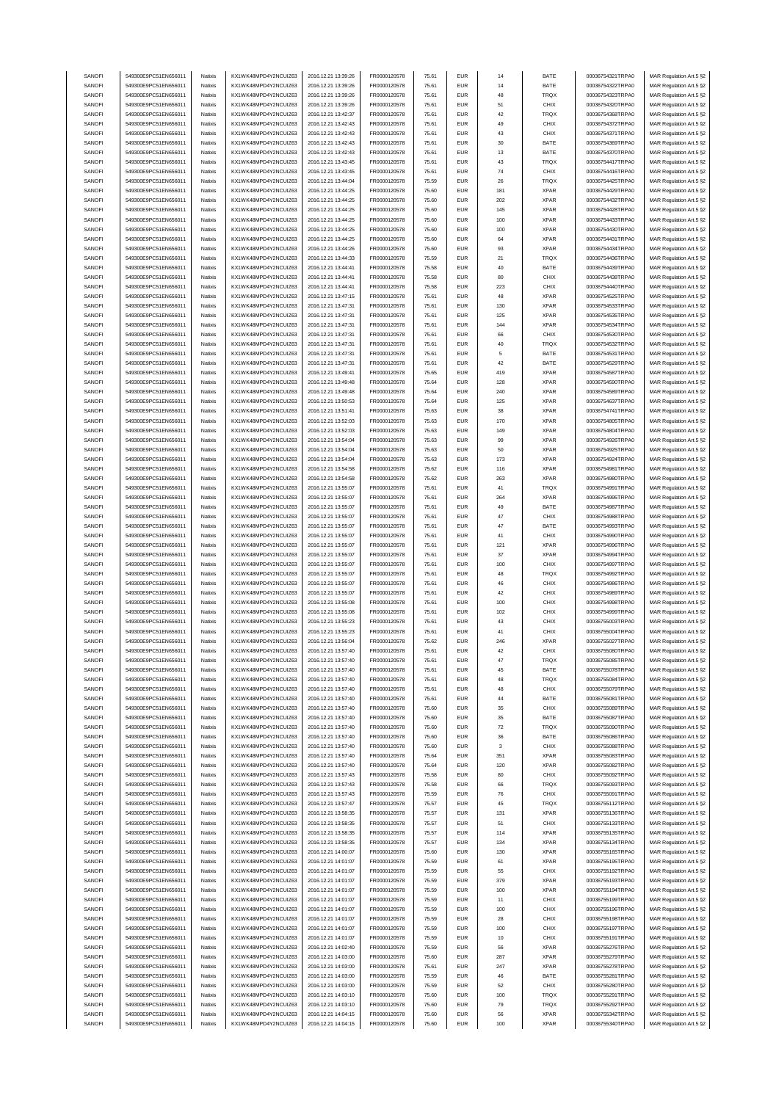| SANOFI           | 549300E9PC51EN656011                         | Natixis | KX1WK48MPD4Y2NCUIZ63                         | 2016.12.21 13:39:26                        | FR0000120578                 | 75.61 | <b>EUR</b>               | 14        | BATE                       | 00036754321TRPA0                     | MAR Regulation Art.5 §2                            |
|------------------|----------------------------------------------|---------|----------------------------------------------|--------------------------------------------|------------------------------|-------|--------------------------|-----------|----------------------------|--------------------------------------|----------------------------------------------------|
| SANOFI           | 549300E9PC51EN656011                         | Natixis | KX1WK48MPD4Y2NCUIZ63                         | 2016.12.21 13:39:26                        | FR0000120578                 | 75.61 | <b>EUR</b>               | 14        | BATE                       | 00036754322TRPA0                     | MAR Regulation Art.5 §2                            |
| SANOFI           | 549300E9PC51EN656011                         | Natixis | KX1WK48MPD4Y2NCUIZ63                         | 2016.12.21 13:39:26                        | FR0000120578                 | 75.61 | <b>EUR</b>               | 48        | TRQX                       | 00036754323TRPA0                     | MAR Regulation Art.5 §2                            |
| SANOFI           | 549300E9PC51EN656011                         | Natixis | KX1WK48MPD4Y2NCUIZ63                         | 2016.12.21 13:39:26                        | FR0000120578                 | 75.61 | <b>EUR</b>               | 51        | CHIX                       | 00036754320TRPA0                     | MAR Regulation Art.5 §2                            |
| SANOFI           | 549300E9PC51EN656011                         | Natixis | KX1WK48MPD4Y2NCUIZ63                         | 2016.12.21 13:42:37                        | FR0000120578                 | 75.61 | <b>EUR</b>               | 42        | TRQX                       | 00036754368TRPA0                     | MAR Regulation Art.5 §2                            |
| SANOFI           | 549300E9PC51EN656011                         | Natixis | KX1WK48MPD4Y2NCUIZ63                         | 2016.12.21 13:42:43                        | FR0000120578                 | 75.61 | <b>EUR</b>               | 49        | CHIX                       | 00036754372TRPA0                     | MAR Regulation Art.5 §2                            |
|                  |                                              | Natixis |                                              |                                            |                              |       | <b>EUR</b>               |           |                            |                                      |                                                    |
| SANOFI           | 549300E9PC51EN656011                         |         | KX1WK48MPD4Y2NCUIZ63                         | 2016.12.21 13:42:43                        | FR0000120578                 | 75.61 |                          | 43        | CHIX                       | 00036754371TRPA0                     | MAR Regulation Art.5 §2                            |
| SANOFI           | 549300E9PC51EN656011                         | Natixis | KX1WK48MPD4Y2NCUIZ63                         | 2016.12.21 13:42:43                        | FR0000120578                 | 75.61 | <b>EUR</b>               | 30        | BATE                       | 00036754369TRPA0                     | MAR Regulation Art.5 §2                            |
| SANOFI           | 549300E9PC51EN656011                         | Natixis | KX1WK48MPD4Y2NCUIZ63                         | 2016.12.21 13:42:43                        | FR0000120578                 | 75.61 | <b>EUR</b>               | 13        | BATE                       | 00036754370TRPA0                     | MAR Regulation Art.5 §2                            |
| SANOFI           | 549300E9PC51EN656011                         | Natixis | KX1WK48MPD4Y2NCUIZ63                         | 2016.12.21 13:43:45                        | FR0000120578                 | 75.61 | <b>EUR</b>               | 43        | TRQX                       | 00036754417TRPA0                     | MAR Regulation Art.5 §2                            |
| SANOFI           | 549300E9PC51EN656011                         | Natixis | KX1WK48MPD4Y2NCUIZ63                         | 2016.12.21 13:43:45                        | FR0000120578                 | 75.61 | <b>EUR</b>               | 74        | CHIX                       | 00036754416TRPA0                     | MAR Regulation Art.5 §2                            |
|                  | 549300E9PC51EN656011                         |         |                                              |                                            |                              |       |                          |           |                            |                                      |                                                    |
| SANOFI           |                                              | Natixis | KX1WK48MPD4Y2NCUIZ63                         | 2016.12.21 13:44:04                        | FR0000120578                 | 75.59 | <b>EUR</b>               | 26        | TRQX                       | 00036754425TRPA0                     | MAR Regulation Art.5 §2                            |
| SANOFI           | 549300E9PC51EN656011                         | Natixis | KX1WK48MPD4Y2NCUIZ63                         | 2016.12.21 13:44:25                        | FR0000120578                 | 75.60 | <b>EUR</b>               | 181       | <b>XPAR</b>                | 00036754429TRPA0                     | MAR Regulation Art.5 §2                            |
| SANOFI           | 549300E9PC51EN656011                         | Natixis | KX1WK48MPD4Y2NCLIIZ63                        | 2016.12.21 13:44:25                        | FR0000120578                 | 75.60 | <b>EUR</b>               | 202       | <b>XPAR</b>                | 00036754432TRPA0                     | MAR Regulation Art.5 §2                            |
| SANOFI           | 549300E9PC51EN656011                         | Natixis | KX1WK48MPD4Y2NCUIZ63                         | 2016.12.21 13:44:25                        | FR0000120578                 | 75.60 | <b>EUR</b>               | 145       | <b>XPAR</b>                | 00036754428TRPA0                     | MAR Regulation Art.5 §2                            |
| SANOFI           | 549300E9PC51EN656011                         | Natixis | KX1WK48MPD4Y2NCUIZ63                         | 2016.12.21 13:44:25                        | FR0000120578                 | 75.60 | <b>EUR</b>               | 100       | <b>XPAR</b>                | 00036754433TRPA0                     | MAR Regulation Art.5 §2                            |
|                  |                                              |         |                                              |                                            |                              |       |                          |           |                            |                                      |                                                    |
| SANOFI           | 549300E9PC51EN656011                         | Natixis | KX1WK48MPD4Y2NCUIZ63                         | 2016.12.21 13:44:25                        | FR0000120578                 | 75.60 | <b>EUR</b>               | 100       | <b>XPAR</b>                | 00036754430TRPA0                     | MAR Regulation Art.5 §2                            |
| SANOFI           | 549300E9PC51EN656011                         | Natixis | KX1WK48MPD4Y2NCUIZ63                         | 2016.12.21 13:44:25                        | FR0000120578                 | 75.60 | <b>EUR</b>               | 64        | <b>XPAR</b>                | 00036754431TRPA0                     | MAR Regulation Art.5 §2                            |
| SANOFI           | 549300E9PC51EN656011                         | Natixis | KX1WK48MPD4Y2NCUIZ63                         | 2016.12.21 13:44:26                        | FR0000120578                 | 75.60 | <b>EUR</b>               | 93        | <b>XPAR</b>                | 00036754434TRPA0                     | MAR Regulation Art.5 §2                            |
| SANOFI           | 549300E9PC51EN656011                         | Natixis | KX1WK48MPD4Y2NCUIZ63                         | 2016.12.21 13:44:33                        | FR0000120578                 | 75.59 | <b>EUR</b>               | 21        | TRQX                       | 00036754436TRPA0                     | MAR Regulation Art.5 §2                            |
| SANOFI           | 549300E9PC51EN656011                         | Natixis | KX1WK48MPD4Y2NCUIZ63                         | 2016.12.21 13:44:41                        | FR0000120578                 | 75.58 | <b>EUR</b>               | 40        | BATE                       | 00036754439TRPA0                     | MAR Regulation Art.5 §2                            |
| SANOFI           | 549300E9PC51EN656011                         | Natixis | KX1WK48MPD4Y2NCUIZ63                         | 2016.12.21 13:44:41                        | FR0000120578                 | 75.58 | <b>EUR</b>               | 80        | CHIX                       | 00036754438TRPA0                     | MAR Regulation Art.5 §2                            |
|                  |                                              |         |                                              |                                            |                              |       |                          |           |                            |                                      |                                                    |
| SANOFI           | 549300E9PC51EN656011                         | Natixis | KX1WK48MPD4Y2NCUIZ63                         | 2016.12.21 13:44:41                        | FR0000120578                 | 75.58 | <b>EUR</b>               | 223       | CHIX                       | 00036754440TRPA0                     | MAR Regulation Art.5 §2                            |
| SANOFI           | 549300E9PC51EN656011                         | Natixis | KX1WK48MPD4Y2NCUIZ63                         | 2016.12.21 13:47:15                        | FR0000120578                 | 75.61 | <b>EUR</b>               | 48        | <b>XPAR</b>                | 00036754525TRPA0                     | MAR Regulation Art.5 §2                            |
| SANOFI           | 549300E9PC51EN656011                         | Natixis | KX1WK48MPD4Y2NCUIZ63                         | 2016.12.21 13:47:31                        | FR0000120578                 | 75.61 | <b>EUR</b>               | 130       | <b>XPAR</b>                | 00036754533TRPA0                     | MAR Regulation Art.5 §2                            |
| SANOFI           | 549300E9PC51EN656011                         | Natixis | KX1WK48MPD4Y2NCUIZ63                         | 2016.12.21 13:47:31                        | FR0000120578                 | 75.61 | <b>EUR</b>               | 125       | <b>XPAR</b>                | 00036754535TRPA0                     | MAR Regulation Art.5 §2                            |
| SANOFI           | 549300E9PC51EN656011                         | Natixis | KX1WK48MPD4Y2NCUIZ63                         | 2016.12.21 13:47:31                        | FR0000120578                 | 75.61 | <b>EUR</b>               | 144       | <b>XPAR</b>                | 00036754534TRPA0                     | MAR Regulation Art.5 §2                            |
|                  |                                              |         |                                              | 2016.12.21 13:47:31                        |                              |       | <b>EUR</b>               |           |                            | 00036754530TRPA0                     |                                                    |
| SANOFI           | 549300E9PC51EN656011                         | Natixis | KX1WK48MPD4Y2NCUIZ63                         |                                            | FR0000120578                 | 75.61 |                          | 66        | CHIX                       |                                      | MAR Regulation Art.5 §2                            |
| SANOFI           | 549300E9PC51EN656011                         | Natixis | KX1WK48MPD4Y2NCUIZ63                         | 2016.12.21 13:47:31                        | FR0000120578                 | 75.61 | <b>EUR</b>               | 40        | TRQX                       | 00036754532TRPA0                     | MAR Regulation Art.5 §2                            |
| SANOFI           | 549300E9PC51EN656011                         | Natixis | KX1WK48MPD4Y2NCLIIZ63                        | 2016.12.21 13:47:31                        | FR0000120578                 | 75.61 | <b>EUR</b>               | 5         | BATE                       | 00036754531TRPA0                     | MAR Regulation Art.5 §2                            |
| SANOFI           | 549300E9PC51EN656011                         | Natixis | KX1WK48MPD4Y2NCUIZ63                         | 2016.12.21 13:47:31                        | FR0000120578                 | 75.61 | <b>EUR</b>               | 42        | BATE                       | 00036754529TRPA0                     | MAR Regulation Art.5 §2                            |
| SANOFI           | 549300E9PC51EN656011                         | Natixis | KX1WK48MPD4Y2NCUIZ63                         | 2016.12.21 13:49:41                        | FR0000120578                 | 75.65 | <b>EUR</b>               | 419       | <b>XPAR</b>                | 00036754587TRPA0                     | MAR Regulation Art.5 §2                            |
|                  |                                              |         | KX1WK48MPD4Y2NCUIZ63                         |                                            |                              |       | <b>EUR</b>               |           |                            |                                      |                                                    |
| SANOFI           | 549300E9PC51EN656011                         | Natixis |                                              | 2016.12.21 13:49:48                        | FR0000120578                 | 75.64 |                          | 128       | <b>XPAR</b>                | 00036754590TRPA0                     | MAR Regulation Art.5 §2                            |
| SANOFI           | 549300E9PC51EN656011                         | Natixis | KX1WK48MPD4Y2NCUIZ63                         | 2016.12.21 13:49:48                        | FR0000120578                 | 75.64 | <b>EUR</b>               | 240       | <b>XPAR</b>                | 00036754589TRPA0                     | MAR Regulation Art.5 §2                            |
| SANOFI           | 549300E9PC51EN656011                         | Natixis | KX1WK48MPD4Y2NCUIZ63                         | 2016.12.21 13:50:53                        | FR0000120578                 | 75.64 | <b>EUR</b>               | 125       | <b>XPAR</b>                | 00036754637TRPA0                     | MAR Regulation Art.5 §2                            |
| SANOFI           | 549300E9PC51EN656011                         | Natixis | KX1WK48MPD4Y2NCUIZ63                         | 2016.12.21 13:51:41                        | FR0000120578                 | 75.63 | <b>EUR</b>               | 38        | <b>XPAR</b>                | 00036754741TRPA0                     | MAR Regulation Art.5 §2                            |
| SANOFI           | 549300E9PC51EN656011                         | Natixis | KX1WK48MPD4Y2NCUIZ63                         | 2016.12.21 13:52:03                        | FR0000120578                 | 75.63 | <b>EUR</b>               | 170       | <b>XPAR</b>                | 00036754805TRPA0                     | MAR Regulation Art.5 §2                            |
|                  |                                              |         |                                              |                                            |                              |       |                          |           |                            |                                      |                                                    |
| SANOFI           | 549300E9PC51EN656011                         | Natixis | KX1WK48MPD4Y2NCUIZ63                         | 2016.12.21 13:52:03                        | FR0000120578                 | 75.63 | <b>EUR</b>               | 149       | <b>XPAR</b>                | 00036754804TRPA0                     | MAR Regulation Art.5 §2                            |
| SANOFI           | 549300E9PC51EN656011                         | Natixis | KX1WK48MPD4Y2NCUIZ63                         | 2016.12.21 13:54:04                        | FR0000120578                 | 75.63 | <b>EUR</b>               | 99        | <b>XPAR</b>                | 00036754926TRPA0                     | MAR Regulation Art.5 §2                            |
| SANOFI           | 549300E9PC51EN656011                         | Natixis | KX1WK48MPD4Y2NCUIZ63                         | 2016.12.21 13:54:04                        | FR0000120578                 | 75.63 | <b>EUR</b>               | 50        | <b>XPAR</b>                | 00036754925TRPA0                     | MAR Regulation Art.5 §2                            |
| SANOFI           | 549300E9PC51EN656011                         | Natixis | KX1WK48MPD4Y2NCUIZ63                         | 2016.12.21 13:54:04                        | FR0000120578                 | 75.63 | <b>EUR</b>               | 173       | <b>XPAR</b>                | 00036754924TRPA0                     | MAR Regulation Art.5 §2                            |
| SANOFI           | 549300E9PC51EN656011                         | Natixis | KX1WK48MPD4Y2NCUIZ63                         | 2016.12.21 13:54:58                        | FR0000120578                 | 75.62 | <b>EUR</b>               | 116       | <b>XPAR</b>                | 00036754981TRPA0                     | MAR Regulation Art.5 §2                            |
|                  |                                              |         |                                              |                                            |                              |       |                          |           |                            |                                      |                                                    |
| SANOFI           | 549300E9PC51EN656011                         | Natixis | KX1WK48MPD4Y2NCUIZ63                         | 2016.12.21 13:54:58                        | FR0000120578                 | 75.62 | <b>EUR</b>               | 263       | <b>XPAR</b>                | 00036754980TRPA0                     | MAR Regulation Art.5 §2                            |
| SANOFI           | 549300E9PC51EN656011                         | Natixis | KX1WK48MPD4Y2NCUIZ63                         | 2016.12.21 13:55:07                        | FR0000120578                 | 75.61 | <b>EUR</b>               | 41        | TRQX                       | 00036754991TRPA0                     | MAR Regulation Art.5 §2                            |
| SANOFI           | 549300E9PC51EN656011                         | Natixis | KX1WK48MPD4Y2NCUIZ63                         | 2016.12.21 13:55:07                        | FR0000120578                 | 75.61 | <b>EUR</b>               | 264       | <b>XPAR</b>                | 00036754995TRPA0                     | MAR Regulation Art.5 §2                            |
| SANOFI           | 549300E9PC51EN656011                         | Natixis | KX1WK48MPD4Y2NCUIZ63                         | 2016.12.21 13:55:07                        | FR0000120578                 | 75.61 | <b>EUR</b>               | 49        | BATE                       | 00036754987TRPA0                     | MAR Regulation Art.5 §2                            |
| SANOFI           | 549300E9PC51EN656011                         | Natixis | KX1WK48MPD4Y2NCUIZ63                         | 2016.12.21 13:55:07                        | FR0000120578                 | 75.61 | <b>EUR</b>               | 47        | CHIX                       | 00036754988TRPA0                     | MAR Regulation Art.5 §2                            |
| SANOFI           | 549300E9PC51EN656011                         | Natixis | KX1WK48MPD4Y2NCUIZ63                         | 2016.12.21 13:55:07                        | FR0000120578                 | 75.61 | <b>EUR</b>               | 47        | BATE                       | 00036754993TRPA0                     |                                                    |
|                  |                                              |         |                                              |                                            |                              |       |                          |           |                            |                                      | MAR Regulation Art.5 §2                            |
|                  |                                              |         |                                              |                                            |                              |       |                          |           |                            |                                      |                                                    |
| SANOFI           | 549300E9PC51EN656011                         | Natixis | KX1WK48MPD4Y2NCUIZ63                         | 2016.12.21 13:55:07                        | FR0000120578                 | 75.61 | <b>EUR</b>               | 41        | CHIX                       | 00036754990TRPA0                     | MAR Regulation Art.5 §2                            |
| SANOFI           | 549300E9PC51EN656011                         | Natixis | KX1WK48MPD4Y2NCUIZ63                         | 2016.12.21 13:55:07                        | FR0000120578                 | 75.61 | <b>EUR</b>               | 121       | <b>XPAR</b>                | 00036754996TRPA0                     | MAR Regulation Art.5 §2                            |
| SANOFI           | 549300E9PC51EN656011                         | Natixis | KX1WK48MPD4Y2NCUIZ63                         | 2016.12.21 13:55:07                        | FR0000120578                 | 75.61 | <b>EUR</b>               | 37        | <b>XPAR</b>                | 00036754994TRPA0                     | MAR Regulation Art.5 §2                            |
|                  |                                              |         |                                              |                                            |                              |       |                          |           |                            |                                      |                                                    |
| SANOFI           | 549300E9PC51EN656011                         | Natixis | KX1WK48MPD4Y2NCUIZ63                         | 2016.12.21 13:55:07                        | FR0000120578                 | 75.61 | <b>EUR</b>               | 100       | CHIX                       | 00036754997TRPA0                     | MAR Regulation Art.5 §2                            |
| SANOFI           | 549300E9PC51EN656011                         | Natixis | KX1WK48MPD4Y2NCUIZ63                         | 2016.12.21 13:55:07                        | FR0000120578                 | 75.61 | <b>EUR</b>               | 48        | TRQX                       | 00036754992TRPA0                     | MAR Regulation Art.5 §2                            |
| SANOFI           | 549300E9PC51EN656011                         | Natixis | KX1WK48MPD4Y2NCUIZ63                         | 2016.12.21 13:55:07                        | FR0000120578                 | 75.61 | <b>EUR</b>               | 46        | CHIX                       | 00036754986TRPA0                     | MAR Regulation Art.5 §2                            |
| SANOFI           | 549300E9PC51EN656011                         | Natixis | KX1WK48MPD4Y2NCUIZ63                         | 2016.12.21 13:55:07                        | FR0000120578                 | 75.61 | <b>EUR</b>               | 42        | CHIX                       | 00036754989TRPA0                     | MAR Regulation Art.5 §2                            |
| SANOFI           | 549300E9PC51EN656011                         | Natixis | KX1WK48MPD4Y2NCUIZ63                         | 2016.12.21 13:55:08                        | FR0000120578                 | 75.61 | <b>EUR</b>               | 100       | CHIX                       | 00036754998TRPA0                     | MAR Regulation Art.5 §2                            |
| SANOFI           | 549300E9PC51EN656011                         | Natixis | KX1WK48MPD4Y2NCLIIZ63                        |                                            | FR0000120578                 | 75.61 | <b>EUR</b>               | 102       | CHIX                       | 00036754999TRPA0                     | MAR Regulation Art.5 §2                            |
|                  |                                              |         |                                              | 2016.12.21 13:55:08                        |                              |       |                          |           |                            |                                      |                                                    |
| SANOFI           | 549300E9PC51EN656011                         | Natixis | KX1WK48MPD4Y2NCUIZ63                         | 2016.12.21 13:55:23                        | FR0000120578                 | 75.61 | <b>EUR</b>               | 43        | CHIX                       | 00036755003TRPA0                     | MAR Regulation Art.5 §2                            |
| SANOFI           | 549300E9PC51EN656011                         | Natixis | KX1WK48MPD4Y2NCUIZ63                         | 2016.12.21 13:55:23                        | FR0000120578                 | 75.61 | <b>EUR</b>               | 41        | CHIX                       | 00036755004TRPA0                     | MAR Regulation Art.5 §2                            |
| SANOFI           | 549300E9PC51EN656011                         | Natixis | KX1WK48MPD4Y2NCUIZ63                         | 2016.12.21 13:56:04                        | FR0000120578                 | 75.62 | <b>EUR</b>               | 246       | <b>XPAR</b>                | 00036755027TRPA0                     | MAR Regulation Art.5 §2                            |
|                  |                                              |         |                                              | 2016.12.21 13:57:40                        |                              |       |                          |           |                            |                                      | MAR Regulation Art.5 §2                            |
| SANOFI           | 549300E9PC51EN656011                         | Natixis | KX1WK48MPD4Y2NCUIZ63                         | 2016.12.21 13:57:40                        | FR0000120578                 | 75.61 | <b>EUR</b>               | 47        | TRQX                       | 00036755085TRPA0                     |                                                    |
|                  |                                              |         |                                              |                                            |                              |       |                          |           |                            |                                      | MAR Regulation Art.5 §2                            |
| SANOFI           | 549300E9PC51EN656011                         | Natixis | KX1WK48MPD4Y2NCUIZ63                         | 2016.12.21 13:57:40                        | FR0000120578                 | 75.61 | <b>EUR</b>               | 45        | BATE                       | 00036755078TRPA0                     | MAR Regulation Art.5 §2                            |
| SANOFI           | 549300E9PC51EN656011                         | Natixis | KX1WK48MPD4Y2NCUIZ63                         | 2016.12.21 13:57:40                        | FR0000120578                 | 75.61 | <b>EUR</b>               | 48        | TRQX                       | 00036755084TRPA0                     | MAR Regulation Art.5 §2                            |
| SANOFI           | 549300E9PC51EN656011                         | Natixis | KX1WK48MPD4Y2NCUIZ63                         | 2016.12.21 13:57:40                        | FR0000120578                 | 75.61 | <b>EUR</b>               | 48        | CHIX                       | 00036755079TRPA0                     | MAR Regulation Art.5 §2                            |
| SANOFI           | 549300E9PC51EN656011                         | Natixis | KX1WK48MPD4Y2NCUIZ63                         | 2016.12.21 13:57:40                        | FR0000120578                 | 75.61 | <b>EUR</b>               | 44        | BATE                       | 00036755081TRPA0                     | MAR Regulation Art.5 §2                            |
| SANOFI           | 549300E9PC51EN656011                         | Natixis | KX1WK48MPD4Y2NCUIZ63                         | 2016.12.21 13:57:40                        | FR0000120578                 | 75.60 | <b>EUR</b>               | 35        | CHIX                       | 00036755089TRPA0                     | MAR Regulation Art.5 §2                            |
| SANOFI           | 549300E9PC51EN656011                         | Natixis | KX1WK48MPD4Y2NCUIZ63                         | 2016.12.21 13:57:40                        | FR0000120578                 | 75.60 | <b>EUR</b>               | 35        | BATE                       | 00036755087TRPA0                     | MAR Regulation Art.5 §2                            |
|                  |                                              |         |                                              |                                            |                              |       |                          |           |                            |                                      |                                                    |
| SANOFI           | 549300E9PC51EN656011                         | Natixis | KX1WK48MPD4Y2NCUIZ63                         | 2016.12.21 13:57:40                        | FR0000120578                 | 75.60 | <b>EUR</b>               | 72        | TRQX                       | 00036755090TRPA0                     | MAR Regulation Art.5 §2                            |
| SANOFI           | 549300E9PC51EN656011                         | Natixis | KX1WK48MPD4Y2NCUIZ63                         | 2016.12.21 13:57:40                        | FR0000120578                 | 75.60 | <b>EUR</b>               | 36        | BATE                       | 00036755086TRPA0                     | MAR Regulation Art.5 §2                            |
| SANOFI           | 549300E9PC51EN656011                         | Natixis | KX1WK48MPD4Y2NCUIZ63                         | 2016.12.21 13:57:40                        | FR0000120578                 | 75.60 | <b>EUR</b>               | 3         | CHIX                       | 00036755088TRPA0                     | MAR Regulation Art.5 §2                            |
| SANOFI           | 549300E9PC51EN656011                         | Natixis | KX1WK48MPD4Y2NCUIZ63                         | 2016.12.21 13:57:40                        | FR0000120578                 | 75.64 | <b>EUR</b>               | 351       | <b>XPAR</b>                | 00036755083TRPA0                     | MAR Regulation Art.5 §2                            |
| SANOFI           | 549300E9PC51EN656011                         | Natixis | KX1WK48MPD4Y2NCUIZ63                         | 2016.12.21 13:57:40                        | FR0000120578                 | 75.64 | <b>EUR</b>               | 120       | <b>XPAR</b>                | 00036755082TRPA0                     | MAR Regulation Art.5 §2                            |
| SANOFI           | 549300E9PC51EN656011                         | Natixis | KX1WK48MPD4Y2NCUIZ63                         | 2016.12.21 13:57:43                        | FR0000120578                 | 75.58 | <b>EUR</b>               | 80        | CHIX                       | 00036755092TRPA0                     |                                                    |
|                  |                                              |         |                                              |                                            |                              |       |                          |           |                            |                                      | MAR Regulation Art.5 §2                            |
| SANOFI           | 549300E9PC51EN656011                         | Natixis | KX1WK48MPD4Y2NCUIZ63                         | 2016.12.21 13:57:43                        | FR0000120578                 | 75.58 | <b>EUR</b>               | 66        | TRQX                       | 00036755093TRPA0                     | MAR Regulation Art.5 §2                            |
| SANOFI           | 549300E9PC51EN656011                         | Natixis | KX1WK48MPD4Y2NCUIZ63                         | 2016.12.21 13:57:43                        | FR0000120578                 | 75.59 | <b>EUR</b>               | 76        | CHIX                       | 00036755091TRPA0                     | MAR Regulation Art.5 §2                            |
| SANOFI           | 549300E9PC51EN656011                         | Natixis | KX1WK48MPD4Y2NCUIZ63                         | 2016.12.21 13:57:47                        | FR0000120578                 | 75.57 | <b>EUR</b>               | 45        | TRQX                       | 00036755112TRPA0                     | MAR Regulation Art.5 §2                            |
| SANOFI           | 549300E9PC51EN656011                         | Natixis | KX1WK48MPD4Y2NCUIZ63                         | 2016.12.21 13:58:35                        | FR0000120578                 | 75.57 | <b>EUR</b>               | 131       | <b>XPAR</b>                | 00036755136TRPA0                     | MAR Regulation Art.5 §2                            |
| SANOFI           | 549300E9PC51EN656011                         | Natixis | KX1WK48MPD4Y2NCUIZ63                         |                                            | FR0000120578                 | 75.57 | <b>EUR</b>               |           | CHIX                       | 00036755133TRPA0                     |                                                    |
|                  |                                              |         |                                              | 2016.12.21 13:58:35                        |                              |       |                          | 51        |                            |                                      | MAR Regulation Art.5 §2                            |
| SANOFI           | 549300E9PC51EN656011                         | Natixis | KX1WK48MPD4Y2NCUIZ63                         | 2016.12.21 13:58:35                        | FR0000120578                 | 75.57 | <b>EUR</b>               | 114       | <b>XPAR</b>                | 00036755135TRPA0                     | MAR Regulation Art.5 §2                            |
| SANOFI           | 549300E9PC51EN656011                         | Natixis | KX1WK48MPD4Y2NCUIZ63                         | 2016.12.21 13:58:35                        | FR0000120578                 | 75.57 | <b>EUR</b>               | 134       | <b>XPAR</b>                | 00036755134TRPA0                     | MAR Regulation Art.5 §2                            |
| SANOFI           | 549300E9PC51EN656011                         | Natixis | KX1WK48MPD4Y2NCUIZ63                         | 2016.12.21 14:00:07                        | FR0000120578                 | 75.60 | <b>EUR</b>               | 130       | <b>XPAR</b>                | 00036755165TRPA0                     | MAR Regulation Art.5 §2                            |
| SANOFI           | 549300E9PC51EN656011                         | Natixis | KX1WK48MPD4Y2NCUIZ63                         | 2016.12.21 14:01:07                        | FR0000120578                 | 75.59 | <b>EUR</b>               | 61        | <b>XPAR</b>                | 00036755195TRPA0                     | MAR Regulation Art.5 §2                            |
|                  | 549300E9PC51EN656011                         | Natixis |                                              |                                            |                              |       | <b>EUR</b>               |           |                            |                                      |                                                    |
| SANOFI           |                                              |         | KX1WK48MPD4Y2NCUIZ63                         | 2016.12.21 14:01:07                        | FR0000120578                 | 75.59 |                          | 55        | CHIX                       | 00036755192TRPA0                     | MAR Regulation Art.5 §2                            |
| SANOFI           | 549300E9PC51EN656011                         | Natixis | KX1WK48MPD4Y2NCUIZ63                         | 2016.12.21 14:01:07                        | FR0000120578                 | 75.59 | <b>EUR</b>               | 379       | <b>XPAR</b>                | 00036755193TRPA0                     | MAR Regulation Art.5 §2                            |
| SANOFI           | 549300E9PC51EN656011                         | Natixis | KX1WK48MPD4Y2NCUIZ63                         | 2016.12.21 14:01:07                        | FR0000120578                 | 75.59 | <b>EUR</b>               | 100       | <b>XPAR</b>                | 00036755194TRPA0                     | MAR Regulation Art.5 §2                            |
| SANOFI           | 549300E9PC51EN656011                         | Natixis | KX1WK48MPD4Y2NCUIZ63                         | 2016.12.21 14:01:07                        | FR0000120578                 | 75.59 | <b>EUR</b>               | 11        | CHIX                       | 00036755199TRPA0                     | MAR Regulation Art.5 §2                            |
| SANOFI           | 549300E9PC51EN656011                         | Natixis | KX1WK48MPD4Y2NCUIZ63                         | 2016.12.21 14:01:07                        | FR0000120578                 | 75.59 | <b>EUR</b>               | 100       | CHIX                       | 00036755196TRPA0                     | MAR Regulation Art.5 §2                            |
|                  |                                              |         |                                              |                                            |                              |       |                          |           |                            |                                      |                                                    |
| SANOFI           | 549300E9PC51EN656011                         | Natixis | KX1WK48MPD4Y2NCUIZ63                         | 2016.12.21 14:01:07                        | FR0000120578                 | 75.59 | <b>EUR</b>               | 28        | CHIX                       | 00036755198TRPA0                     | MAR Regulation Art.5 §2                            |
| SANOFI           | 549300E9PC51EN656011                         | Natixis | KX1WK48MPD4Y2NCUIZ63                         | 2016.12.21 14:01:07                        | FR0000120578                 | 75.59 | <b>EUR</b>               | 100       | CHIX                       | 00036755197TRPA0                     | MAR Regulation Art.5 §2                            |
| SANOFI           | 549300E9PC51EN656011                         | Natixis | KX1WK48MPD4Y2NCUIZ63                         | 2016.12.21 14:01:07                        | FR0000120578                 | 75.59 | <b>EUR</b>               | 10        | CHIX                       | 00036755191TRPA0                     | MAR Regulation Art.5 §2                            |
| SANOFI           | 549300E9PC51EN656011                         | Natixis | KX1WK48MPD4Y2NCUIZ63                         | 2016.12.21 14:02:40                        | FR0000120578                 | 75.59 | <b>EUR</b>               | 56        | <b>XPAR</b>                | 00036755276TRPA0                     | MAR Regulation Art.5 §2                            |
|                  |                                              |         |                                              |                                            |                              |       | <b>EUR</b>               |           |                            |                                      |                                                    |
| SANOFI           | 549300E9PC51EN656011                         | Natixis | KX1WK48MPD4Y2NCUIZ63                         | 2016.12.21 14:03:00                        | FR0000120578                 | 75.60 |                          | 287       | <b>XPAR</b>                | 00036755279TRPA0                     | MAR Regulation Art.5 §2                            |
| SANOFI           | 549300E9PC51EN656011                         | Natixis | KX1WK48MPD4Y2NCUIZ63                         | 2016.12.21 14:03:00                        | FR0000120578                 | 75.61 | <b>EUR</b>               | 247       | <b>XPAR</b>                | 00036755278TRPA0                     | MAR Regulation Art.5 §2                            |
| SANOFI           | 549300E9PC51EN656011                         | Natixis | KX1WK48MPD4Y2NCUIZ63                         | 2016.12.21 14:03:00                        | FR0000120578                 | 75.59 | <b>EUR</b>               | 46        | BATE                       | 00036755281TRPA0                     | MAR Regulation Art.5 §2                            |
| SANOFI           | 549300E9PC51EN656011                         | Natixis | KX1WK48MPD4Y2NCUIZ63                         | 2016.12.21 14:03:00                        | FR0000120578                 | 75.59 | <b>EUR</b>               | 52        | CHIX                       | 00036755280TRPA0                     | MAR Regulation Art.5 §2                            |
| SANOFI           | 549300E9PC51EN656011                         | Natixis | KX1WK48MPD4Y2NCUIZ63                         | 2016.12.21 14:03:10                        | FR0000120578                 | 75.60 | <b>EUR</b>               | 100       | TRQX                       | 00036755291TRPA0                     | MAR Regulation Art.5 §2                            |
| SANOFI           | 549300E9PC51EN656011                         | Natixis | KX1WK48MPD4Y2NCUIZ63                         | 2016.12.21 14:03:10                        | FR0000120578                 | 75.60 | <b>EUR</b>               | 79        | TRQX                       | 00036755292TRPA0                     | MAR Regulation Art.5 §2                            |
|                  |                                              | Natixis |                                              |                                            |                              | 75.60 |                          |           |                            |                                      |                                                    |
| SANOFI<br>SANOFI | 549300E9PC51EN656011<br>549300E9PC51EN656011 | Natixis | KX1WK48MPD4Y2NCUIZ63<br>KX1WK48MPD4Y2NCUIZ63 | 2016.12.21 14:04:15<br>2016.12.21 14:04:15 | FR0000120578<br>FR0000120578 | 75.60 | <b>EUR</b><br><b>EUR</b> | 56<br>100 | <b>XPAR</b><br><b>XPAR</b> | 00036755342TRPA0<br>00036755340TRPA0 | MAR Regulation Art.5 §2<br>MAR Regulation Art.5 §2 |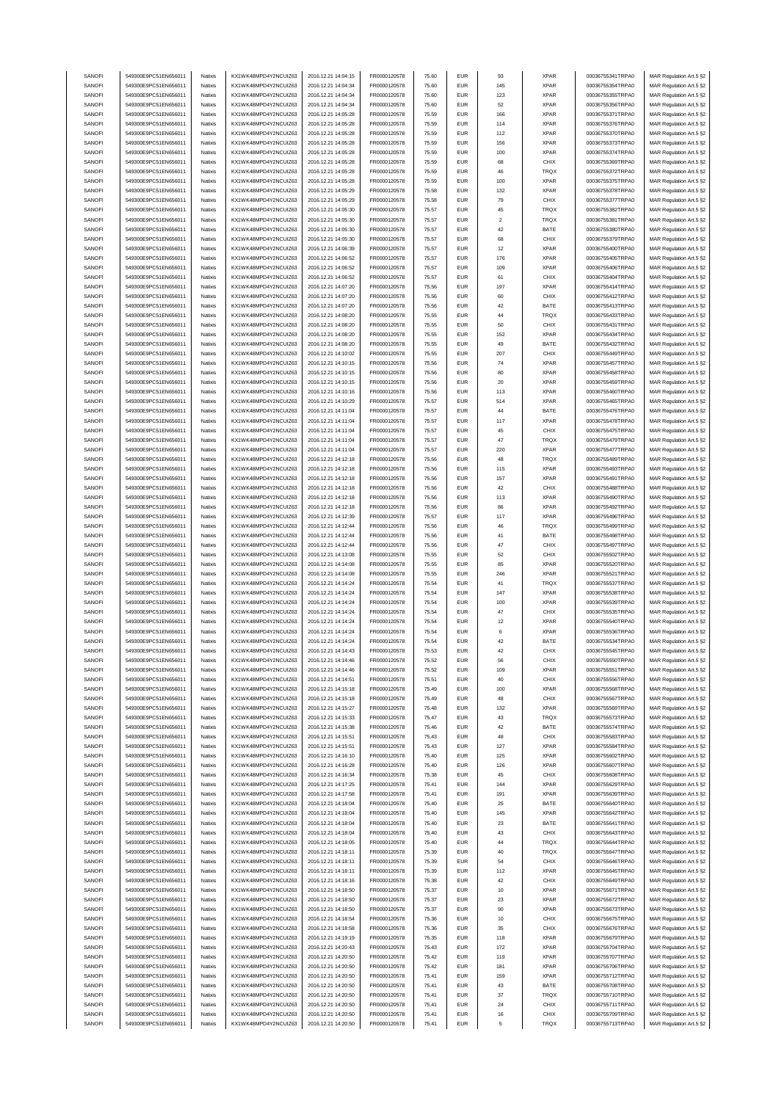| SANOFI           | 549300E9PC51EN656011                         | Natixis | KX1WK48MPD4Y2NCUIZ63                         | 2016.12.21 14:04:15                        | FR0000120578                 | 75.60          | <b>EUR</b>        | 93                      | <b>XPAR</b>  | 00036755341TRPA0                     | MAR Regulation Art.5 §2                            |
|------------------|----------------------------------------------|---------|----------------------------------------------|--------------------------------------------|------------------------------|----------------|-------------------|-------------------------|--------------|--------------------------------------|----------------------------------------------------|
| SANOFI           | 549300E9PC51EN656011                         | Natixis | KX1WK48MPD4Y2NCUIZ63                         | 2016.12.21 14:04:34                        | FR0000120578                 | 75.60          | <b>EUR</b>        | 145                     | <b>XPAR</b>  | 00036755354TRPA0                     | MAR Regulation Art.5 §2                            |
| SANOFI           | 549300E9PC51EN656011                         | Natixis | KX1WK48MPD4Y2NCUIZ63                         | 2016.12.21 14:04:34                        | FR0000120578                 | 75.60          | <b>EUR</b>        | 123                     | <b>XPAR</b>  | 00036755355TRPA0                     | MAR Regulation Art.5 §2                            |
| SANOFI           | 549300E9PC51EN656011                         | Natixis | KX1WK48MPD4Y2NCUIZ63                         | 2016.12.21 14:04:34                        | FR0000120578                 | 75.60          | <b>EUR</b>        | 52                      | <b>XPAR</b>  | 00036755356TRPA0                     | MAR Regulation Art.5 §2                            |
|                  |                                              |         |                                              |                                            |                              |                |                   |                         |              |                                      |                                                    |
| SANOFI           | 549300E9PC51EN656011                         | Natixis | KX1WK48MPD4Y2NCUIZ63                         | 2016.12.21 14:05:28                        | FR0000120578                 | 75.59          | <b>EUR</b>        | 166                     | <b>XPAR</b>  | 00036755371TRPA0                     | MAR Regulation Art.5 §2                            |
| SANOFI           | 549300E9PC51EN656011                         | Natixis | KX1WK48MPD4Y2NCUIZ63                         | 2016.12.21 14:05:28                        | FR0000120578                 | 75.59          | <b>EUR</b>        | 114                     | <b>XPAR</b>  | 00036755376TRPA0                     | MAR Regulation Art.5 §2                            |
| SANOFI           | 549300E9PC51EN656011                         | Natixis | KX1WK48MPD4Y2NCUIZ63                         | 2016.12.21 14:05:28                        | FR0000120578                 | 75.59          | <b>EUR</b>        | 112                     | <b>XPAR</b>  | 00036755370TRPA0                     | MAR Regulation Art.5 §2                            |
| SANOFI           | 549300E9PC51EN656011                         | Natixis | KX1WK48MPD4Y2NCUIZ63                         | 2016.12.21 14:05:28                        | FR0000120578                 | 75.59          | <b>EUR</b>        | 156                     | <b>XPAR</b>  | 00036755373TRPA0                     | MAR Regulation Art.5 §2                            |
| SANOFI           | 549300E9PC51EN656011                         | Natixis | KX1WK48MPD4Y2NCLIIZ63                        | 2016.12.21 14:05:28                        | FR0000120578                 | 75.59          | <b>EUR</b>        | 100                     | <b>XPAR</b>  | 00036755374TRPA0                     | MAR Regulation Art.5 §2                            |
| SANOFI           | 549300E9PC51EN656011                         | Natixis | KX1WK48MPD4Y2NCUIZ63                         | 2016.12.21 14:05:28                        | FR0000120578                 | 75.59          | <b>EUR</b>        | 68                      | CHIX         | 00036755369TRPA0                     | MAR Regulation Art.5 §2                            |
| SANOFI           | 549300E9PC51EN656011                         | Natixis | KX1WK48MPD4Y2NCUIZ63                         | 2016.12.21 14:05:28                        | FR0000120578                 | 75.59          | <b>EUR</b>        | 46                      | TRQX         | 00036755372TRPA0                     | MAR Regulation Art.5 §2                            |
|                  |                                              |         |                                              |                                            |                              |                |                   |                         |              |                                      |                                                    |
| SANOFI           | 549300E9PC51EN656011                         | Natixis | KX1WK48MPD4Y2NCUIZ63                         | 2016.12.21 14:05:28                        | FR0000120578                 | 75.59          | <b>EUR</b>        | 100                     | <b>XPAR</b>  | 00036755375TRPA0                     | MAR Regulation Art.5 §2                            |
| SANOFI           | 549300E9PC51EN656011                         | Natixis | KX1WK48MPD4Y2NCUIZ63                         | 2016.12.21 14:05:29                        | FR0000120578                 | 75.58          | <b>EUR</b>        | 132                     | <b>XPAR</b>  | 00036755378TRPA0                     | MAR Regulation Art.5 §2                            |
| SANOFI           | 549300E9PC51EN656011                         | Natixis | KX1WK48MPD4Y2NCUIZ63                         | 2016.12.21 14:05:29                        | FR0000120578                 | 75.58          | <b>EUR</b>        | 79                      | CHIX         | 00036755377TRPA0                     | MAR Regulation Art.5 §2                            |
| SANOFI           | 549300E9PC51EN656011                         | Natixis | KX1WK48MPD4Y2NCUIZ63                         | 2016.12.21 14:05:30                        | FR0000120578                 | 75.57          | <b>EUR</b>        | 45                      | TRQX         | 00036755382TRPA0                     | MAR Regulation Art.5 §2                            |
|                  | 549300E9PC51EN656011                         |         |                                              |                                            |                              |                | <b>EUR</b>        |                         |              | 00036755381TRPA0                     |                                                    |
| SANOFI           |                                              | Natixis | KX1WK48MPD4Y2NCUIZ63                         | 2016.12.21 14:05:30                        | FR0000120578                 | 75.57          |                   | $\overline{\mathbf{2}}$ | TRQX         |                                      | MAR Regulation Art.5 §2                            |
| SANOFI           | 549300E9PC51EN656011                         | Natixis | KX1WK48MPD4Y2NCUIZ63                         | 2016.12.21 14:05:30                        | FR0000120578                 | 75.57          | <b>EUR</b>        | 42                      | BATE         | 00036755380TRPA0                     | MAR Regulation Art.5 §2                            |
| SANOFI           | 549300E9PC51EN656011                         | Natixis | KX1WK48MPD4Y2NCLIIZ63                        | 2016.12.21 14:05:30                        | FR0000120578                 | 75.57          | <b>EUR</b>        | 68                      | CHIX         | 00036755379TRPA0                     | MAR Regulation Art.5 §2                            |
| SANOFI           | 549300E9PC51EN656011                         | Natixis | KX1WK48MPD4Y2NCUIZ63                         | 2016.12.21 14:06:39                        | FR0000120578                 | 75.57          | <b>EUR</b>        | 12                      | <b>XPAR</b>  | 00036755400TRPA0                     | MAR Regulation Art.5 §2                            |
| SANOFI           | 549300E9PC51EN656011                         | Natixis | KX1WK48MPD4Y2NCUIZ63                         | 2016.12.21 14:06:52                        | FR0000120578                 | 75.57          | <b>EUR</b>        | 176                     | <b>XPAR</b>  | 00036755405TRPA0                     | MAR Regulation Art.5 §2                            |
| SANOFI           | 549300E9PC51EN656011                         | Natixis | KX1WK48MPD4Y2NCUIZ63                         | 2016.12.21 14:06:52                        | FR0000120578                 | 75.57          | <b>EUR</b>        | 109                     | <b>XPAR</b>  | 00036755406TRPA0                     | MAR Regulation Art.5 §2                            |
|                  |                                              |         |                                              |                                            |                              |                |                   |                         |              |                                      |                                                    |
| SANOFI           | 549300E9PC51EN656011                         | Natixis | KX1WK48MPD4Y2NCUIZ63                         | 2016.12.21 14:06:52                        | FR0000120578                 | 75.57          | <b>EUR</b>        | 61                      | CHIX         | 00036755404TRPA0                     | MAR Regulation Art.5 §2                            |
| SANOFI           | 549300E9PC51EN656011                         | Natixis | KX1WK48MPD4Y2NCUIZ63                         | 2016.12.21 14:07:20                        | FR0000120578                 | 75.56          | <b>EUR</b>        | 197                     | <b>XPAR</b>  | 00036755414TRPA0                     | MAR Regulation Art.5 §2                            |
| SANOFI           | 549300E9PC51EN656011                         | Natixis | KX1WK48MPD4Y2NCUIZ63                         | 2016.12.21 14:07:20                        | FR0000120578                 | 75.56          | <b>EUR</b>        | 60                      | CHIX         | 00036755412TRPA0                     | MAR Regulation Art.5 §2                            |
| SANOFI           | 549300E9PC51EN656011                         | Natixis | KX1WK48MPD4Y2NCUIZ63                         | 2016.12.21 14:07:20                        | FR0000120578                 | 75.56          | <b>EUR</b>        | 42                      | BATE         | 00036755413TRPA0                     | MAR Regulation Art.5 §2                            |
| SANOFI           | 549300E9PC51EN656011                         | Natixis | KX1WK48MPD4Y2NCUIZ63                         | 2016.12.21 14:08:20                        | FR0000120578                 | 75.55          | <b>EUR</b>        | 44                      | TRQX         | 00036755433TRPA0                     | MAR Regulation Art.5 §2                            |
| SANOFI           | 549300E9PC51EN656011                         | Natixis | KX1WK48MPD4Y2NCLIIZ63                        | 2016.12.21 14:08:20                        | FR0000120578                 | 75.55          | <b>EUR</b>        | 50                      | CHIX         | 00036755431TRPA0                     | MAR Regulation Art.5 §2                            |
|                  |                                              |         |                                              |                                            |                              |                |                   |                         |              |                                      |                                                    |
| SANOFI           | 549300E9PC51EN656011                         | Natixis | KX1WK48MPD4Y2NCUIZ63                         | 2016.12.21 14:08:20                        | FR0000120578                 | 75.55          | <b>EUR</b>        | 152                     | <b>XPAR</b>  | 00036755434TRPA0                     | MAR Regulation Art.5 §2                            |
| SANOFI           | 549300E9PC51EN656011                         | Natixis | KX1WK48MPD4Y2NCUIZ63                         | 2016.12.21 14:08:20                        | FR0000120578                 | 75.55          | <b>EUR</b>        | 49                      | BATE         | 00036755432TRPA0                     | MAR Regulation Art.5 §2                            |
| SANOFI           | 549300E9PC51EN656011                         | Natixis | KX1WK48MPD4Y2NCUIZ63                         | 2016.12.21 14:10:02                        | FR0000120578                 | 75.55          | <b>EUR</b>        | 207                     | CHIX         | 00036755449TRPA0                     | MAR Regulation Art.5 §2                            |
| SANOFI           | 549300E9PC51EN656011                         | Natixis | KX1WK48MPD4Y2NCUIZ63                         | 2016.12.21 14:10:15                        | FR0000120578                 | 75.56          | <b>EUR</b>        | 74                      | <b>XPAR</b>  | 00036755457TRPA0                     | MAR Regulation Art.5 §2                            |
| SANOFI           | 549300E9PC51EN656011                         | Natixis | KX1WK48MPD4Y2NCUIZ63                         | 2016.12.21 14:10:15                        | FR0000120578                 | 75.56          | <b>EUR</b>        | 80                      | <b>XPAR</b>  | 00036755458TRPA0                     | MAR Regulation Art.5 §2                            |
|                  |                                              |         |                                              |                                            |                              |                |                   |                         |              |                                      |                                                    |
| SANOFI           | 549300E9PC51EN656011                         | Natixis | KX1WK48MPD4Y2NCUIZ63                         | 2016.12.21 14:10:15                        | FR0000120578                 | 75.56          | <b>EUR</b>        | 20                      | <b>XPAR</b>  | 00036755459TRPA0                     | MAR Regulation Art.5 §2                            |
| SANOFI           | 549300E9PC51EN656011                         | Natixis | KX1WK48MPD4Y2NCUIZ63                         | 2016.12.21 14:10:16                        | FR0000120578                 | 75.56          | <b>EUR</b>        | 113                     | <b>XPAR</b>  | 00036755460TRPA0                     | MAR Regulation Art.5 §2                            |
| SANOFI           | 549300E9PC51EN656011                         | Natixis | KX1WK48MPD4Y2NCUIZ63                         | 2016.12.21 14:10:29                        | FR0000120578                 | 75.57          | <b>EUR</b>        | 514                     | <b>XPAR</b>  | 00036755465TRPA0                     | MAR Regulation Art.5 §2                            |
| SANOFI           | 549300E9PC51EN656011                         | Natixis | KX1WK48MPD4Y2NCLIIZ63                        | 2016.12.21 14:11:04                        | FR0000120578                 | 75.57          | <b>EUR</b>        | 44                      | BATE         | 00036755476TRPA0                     | MAR Regulation Art.5 §2                            |
| SANOFI           | 549300E9PC51EN656011                         | Natixis | KX1WK48MPD4Y2NCUIZ63                         | 2016.12.21 14:11:04                        | FR0000120578                 | 75.57          | <b>EUR</b>        | 117                     | <b>XPAR</b>  | 00036755478TRPA0                     | MAR Regulation Art.5 §2                            |
|                  |                                              |         |                                              |                                            |                              |                |                   |                         |              |                                      |                                                    |
| SANOFI           | 549300E9PC51EN656011                         | Natixis | KX1WK48MPD4Y2NCUIZ63                         | 2016.12.21 14:11:04                        | FR0000120578                 | 75.57          | <b>EUR</b>        | 45                      | CHIX         | 00036755475TRPA0                     | MAR Regulation Art.5 §2                            |
| SANOFI           | 549300E9PC51EN656011                         | Natixis | KX1WK48MPD4Y2NCUIZ63                         | 2016.12.21 14:11:04                        | FR0000120578                 | 75.57          | <b>EUR</b>        | 47                      | TRQX         | 00036755479TRPA0                     | MAR Regulation Art.5 §2                            |
| SANOFI           | 549300E9PC51EN656011                         | Natixis | KX1WK48MPD4Y2NCUIZ63                         | 2016.12.21 14:11:04                        | FR0000120578                 | 75.57          | <b>EUR</b>        | 220                     | <b>XPAR</b>  | 00036755477TRPA0                     | MAR Regulation Art.5 §2                            |
| SANOFI           | 549300E9PC51EN656011                         | Natixis | KX1WK48MPD4Y2NCUIZ63                         | 2016.12.21 14:12:18                        | FR0000120578                 | 75.56          | <b>EUR</b>        | 48                      | TRQX         | 00036755489TRPA0                     | MAR Regulation Art.5 §2                            |
| SANOFI           | 549300E9PC51EN656011                         | Natixis | KX1WK48MPD4Y2NCUIZ63                         | 2016.12.21 14:12:18                        | FR0000120578                 | 75.56          | <b>EUR</b>        | 115                     | <b>XPAR</b>  | 00036755493TRPA0                     | MAR Regulation Art.5 §2                            |
| SANOFI           | 549300E9PC51EN656011                         | Natixis | KX1WK48MPD4Y2NCUIZ63                         | 2016.12.21 14:12:18                        | FR0000120578                 | 75.56          | <b>EUR</b>        | 157                     | <b>XPAR</b>  | 00036755491TRPA0                     |                                                    |
|                  |                                              |         |                                              |                                            |                              |                |                   |                         |              |                                      | MAR Regulation Art.5 §2                            |
| SANOFI           | 549300E9PC51EN656011                         | Natixis | KX1WK48MPD4Y2NCUIZ63                         | 2016.12.21 14:12:18                        | FR0000120578                 | 75.56          | <b>EUR</b>        | 42                      | CHIX         | 00036755488TRPA0                     | MAR Regulation Art.5 §2                            |
| SANOFI           | 549300E9PC51EN656011                         | Natixis | KX1WK48MPD4Y2NCUIZ63                         | 2016.12.21 14:12:18                        | FR0000120578                 | 75.56          | <b>EUR</b>        | 113                     | <b>XPAR</b>  | 00036755490TRPA0                     | MAR Regulation Art.5 §2                            |
| SANOFI           | 549300E9PC51EN656011                         | Natixis | KX1WK48MPD4Y2NCUIZ63                         | 2016.12.21 14:12:18                        | FR0000120578                 | 75.56          | <b>EUR</b>        | 86                      | <b>XPAR</b>  | 00036755492TRPA0                     | MAR Regulation Art.5 §2                            |
| SANOFI           | 549300E9PC51EN656011                         | Natixis | KX1WK48MPD4Y2NCUIZ63                         | 2016.12.21 14:12:39                        | FR0000120578                 | 75.57          | <b>EUR</b>        | 117                     | <b>XPAR</b>  | 00036755496TRPA0                     | MAR Regulation Art.5 §2                            |
| SANOFI           | 549300E9PC51EN656011                         | Natixis | KX1WK48MPD4Y2NCUIZ63                         | 2016.12.21 14:12:44                        | FR0000120578                 | 75.56          | <b>EUR</b>        | 46                      | TRQX         | 00036755499TRPA0                     | MAR Regulation Art.5 §2                            |
|                  |                                              |         |                                              |                                            |                              |                |                   |                         |              |                                      |                                                    |
| SANOFI           | 549300E9PC51EN656011                         | Natixis | KX1WK48MPD4Y2NCUIZ63                         | 2016.12.21 14:12:44                        | FR0000120578                 | 75.56          | <b>EUR</b>        | 41                      | BATE         | 00036755498TRPA0                     | MAR Regulation Art.5 §2                            |
| SANOFI           | 549300E9PC51EN656011                         | Natixis | KX1WK48MPD4Y2NCUIZ63                         | 2016.12.21 14:12:44                        | FR0000120578                 | 75.56          | <b>EUR</b>        | 47                      | CHIX         | 00036755497TRPA0                     | MAR Regulation Art.5 §2                            |
| SANOFI           | 549300E9PC51EN656011                         | Natixis | KX1WK48MPD4Y2NCUIZ63                         | 2016.12.21 14:13:08                        | FR0000120578                 | 75.55          | <b>EUR</b>        | 52                      | CHIX         | 00036755502TRPA0                     | MAR Regulation Art.5 §2                            |
| SANOFI           | 549300E9PC51EN656011                         | Natixis | KX1WK48MPD4Y2NCUIZ63                         | 2016.12.21 14:14:08                        | FR0000120578                 | 75.55          | <b>EUR</b>        | 85                      | <b>XPAR</b>  | 00036755520TRPA0                     | MAR Regulation Art.5 §2                            |
| SANOFI           | 549300E9PC51EN656011                         | Natixis | KX1WK48MPD4Y2NCUIZ63                         | 2016.12.21 14:14:08                        | FR0000120578                 | 75.55          | <b>EUR</b>        | 246                     | <b>XPAR</b>  | 00036755521TRPA0                     | MAR Regulation Art.5 §2                            |
|                  |                                              |         |                                              |                                            |                              |                |                   |                         |              |                                      |                                                    |
| SANOFI           | 549300E9PC51EN656011                         | Natixis | KX1WK48MPD4Y2NCUIZ63                         | 2016.12.21 14:14:24                        | FR0000120578                 | 75.54          | <b>EUR</b>        | 41                      | TRQX         | 00036755537TRPA0                     | MAR Regulation Art.5 §2                            |
| SANOFI           | 549300E9PC51EN656011                         | Natixis | KX1WK48MPD4Y2NCUIZ63                         | 2016.12.21 14:14:24                        | FR0000120578                 | 75.54          | <b>EUR</b>        | 147                     | <b>XPAR</b>  | 00036755538TRPA0                     | MAR Regulation Art.5 §2                            |
| SANOFI           | 549300E9PC51EN656011                         | Natixis | KX1WK48MPD4Y2NCUIZ63                         | 2016.12.21 14:14:24                        | FR0000120578                 | 75.54          | <b>EUR</b>        | 100                     | <b>XPAR</b>  | 00036755539TRPA0                     | MAR Regulation Art.5 §2                            |
| SANOFI           | 549300E9PC51EN656011                         | Natixis | KX1WK48MPD4Y2NCUIZ63                         | 2016.12.21 14:14:24                        | FR0000120578                 | 75.54          | <b>EUR</b>        | 47                      | CHIX         | 00036755535TRPA0                     | MAR Regulation Art.5 §2                            |
| SANOFI           | 549300E9PC51EN656011                         | Natixis | KX1WK48MPD4Y2NCUIZ63                         | 2016.12.21 14:14:24                        | FR0000120578                 | 75.54          | <b>EUR</b>        | 12                      | <b>XPAR</b>  | 00036755540TRPA0                     | MAR Regulation Art.5 §2                            |
|                  |                                              | Natixis | KX1WK48MPD4Y2NCUIZ63                         |                                            |                              |                | <b>EUR</b>        |                         | <b>XPAR</b>  |                                      |                                                    |
| SANOFI           | 549300E9PC51EN656011                         |         |                                              | 2016.12.21 14:14:24                        | FR0000120578                 | 75.54          |                   | 6                       |              | 00036755536TRPA0                     | MAR Regulation Art.5 §2                            |
| SANOFI           | 549300E9PC51EN656011                         | Natixis | KX1WK48MPD4Y2NCUIZ63                         | 2016.12.21 14:14:24                        | FR0000120578                 | 75.54          | <b>EUR</b>        | 42                      | BATE         | 00036755534TRPA0                     | MAR Regulation Art.5 §2                            |
| SANOF            | 549300E9PC51EN656011                         | Natixis | KX1WK48MPD4Y2NCUIZ63                         | 2016.12.21 14:14:43                        | FR0000120578                 | 75.53          | EUR               |                         | CHIX         | 00036755545TRPA0                     | MAR Regulation Art.5 §2                            |
| SANOFI           | 549300E9PC51EN656011                         | Natixis | KX1WK48MPD4Y2NCUIZ63                         | 2016.12.21 14:14:46                        | FR0000120578                 | 75.52          | <b>EUR</b>        | 56                      | CHIX         | 00036755550TRPA0                     | MAR Regulation Art.5 §2                            |
| SANOFI           | 549300E9PC51EN656011                         | Natixis | KX1WK48MPD4Y2NCUIZ63                         | 2016.12.21 14:14:46                        | FR0000120578                 | 75.52          | EUR               | 109                     | <b>XPAR</b>  | 00036755551TRPA0                     | MAR Regulation Art.5 §2                            |
| SANOFI           | 549300E9PC51EN656011                         | Natixis | KX1WK48MPD4Y2NCUIZ63                         | 2016.12.21 14:14:51                        | FR0000120578                 | 75.51          | <b>EUR</b>        | 40                      | CHIX         | 00036755556TRPA0                     | MAR Regulation Art.5 §2                            |
|                  |                                              |         |                                              |                                            |                              |                |                   |                         |              |                                      |                                                    |
| SANOFI           | 549300E9PC51EN656011                         | Natixis | KX1WK48MPD4Y2NCUIZ63                         | 2016.12.21 14:15:18                        | FR0000120578                 | 75.49          | <b>EUR</b>        | 100                     | <b>XPAR</b>  | 00036755568TRPA0                     | MAR Regulation Art.5 §2                            |
| SANOFI           | 549300E9PC51EN656011                         | Natixis | KX1WK48MPD4Y2NCUIZ63                         | 2016.12.21 14:15:18                        | FR0000120578                 | 75.49          | <b>EUR</b>        | 48                      | CHIX         | 00036755567TRPA0                     | MAR Regulation Art.5 §2                            |
| SANOFI           | 549300E9PC51EN656011                         | Natixis | KX1WK48MPD4Y2NCUIZ63                         | 2016.12.21 14:15:27                        | FR0000120578                 | 75.48          | <b>EUR</b>        | 132                     | <b>XPAR</b>  | 00036755569TRPA0                     | MAR Regulation Art.5 §2                            |
| SANOFI           | 549300E9PC51EN656011                         | Natixis | KX1WK48MPD4Y2NCUIZ63                         | 2016.12.21 14:15:33                        | FR0000120578                 | 75.47          | EUR               | 43                      | TRQX         | 00036755573TRPA0                     | MAR Regulation Art.5 §2                            |
| SANOFI           | 549300E9PC51EN656011                         | Natixis | KX1WK48MPD4Y2NCUIZ63                         | 2016.12.21 14:15:38                        | FR0000120578                 | 75.46          | <b>EUR</b>        | 42                      | BATE         | 00036755574TRPA0                     | MAR Regulation Art.5 §2                            |
| SANOFI           | 549300E9PC51EN656011                         |         | KX1WK48MPD4Y2NCUIZ63                         | 2016.12.21 14:15:51                        | FR0000120578                 |                | <b>EUR</b>        | 48                      |              | 00036755583TRPA0                     |                                                    |
|                  |                                              | Natixis |                                              |                                            |                              | 75.43          | <b>EUR</b>        |                         | CHIX         |                                      | MAR Regulation Art.5 §2<br>MAR Regulation Art.5 §2 |
| SANOFI           | 549300E9PC51EN656011                         | Natixis | KX1WK48MPD4Y2NCUIZ63                         | 2016.12.21 14:15:51                        | FR0000120578                 | 75.43          |                   | 127                     | <b>XPAR</b>  | 00036755584TRPA0                     |                                                    |
| SANOFI           | 549300E9PC51EN656011                         | Natixis | KX1WK48MPD4Y2NCUIZ63                         | 2016.12.21 14:16:10                        | FR0000120578                 | 75.40          | <b>EUR</b>        | 125                     | <b>XPAR</b>  | 00036755602TRPA0                     | MAR Regulation Art.5 §2                            |
| SANOFI           | 549300E9PC51EN656011                         | Natixis | KX1WK48MPD4Y2NCUIZ63                         | 2016.12.21 14:16:28                        | FR0000120578                 | 75.40          | <b>EUR</b>        | 126                     | <b>XPAR</b>  | 00036755607TRPA0                     | MAR Regulation Art.5 §2                            |
| SANOFI           | 549300E9PC51EN656011                         | Natixis | KX1WK48MPD4Y2NCUIZ63                         | 2016.12.21 14:16:34                        | FR0000120578                 | 75.38          | <b>EUR</b>        | 45                      | CHIX         | 00036755608TRPA0                     | MAR Regulation Art.5 §2                            |
| SANOFI           | 549300E9PC51EN656011                         | Natixis | KX1WK48MPD4Y2NCUIZ63                         | 2016.12.21 14:17:25                        | FR0000120578                 | 75.41          | <b>EUR</b>        | 144                     | <b>XPAR</b>  | 00036755629TRPA0                     | MAR Regulation Art.5 §2                            |
|                  |                                              |         |                                              |                                            |                              |                |                   |                         |              |                                      |                                                    |
| SANOFI           | 549300E9PC51EN656011                         | Natixis | KX1WK48MPD4Y2NCUIZ63                         | 2016.12.21 14:17:58                        | FR0000120578                 | 75.41          | <b>EUR</b>        | 191                     | <b>XPAR</b>  | 00036755639TRPA0                     | MAR Regulation Art.5 §2                            |
| SANOFI           | 549300E9PC51EN656011                         | Natixis | KX1WK48MPD4Y2NCUIZ63                         | 2016.12.21 14:18:04                        | FR0000120578                 | 75.40          | <b>EUR</b>        | 25                      | BATE         | 00036755640TRPA0                     | MAR Regulation Art.5 §2                            |
| SANOFI           | 549300E9PC51EN656011                         | Natixis | KX1WK48MPD4Y2NCUIZ63                         | 2016.12.21 14:18:04                        | FR0000120578                 | 75.40          | <b>EUR</b>        | 145                     | <b>XPAR</b>  | 00036755642TRPA0                     | MAR Regulation Art.5 §2                            |
| SANOFI           | 549300E9PC51EN656011                         | Natixis | KX1WK48MPD4Y2NCUIZ63                         | 2016.12.21 14:18:04                        | FR0000120578                 | 75.40          | <b>EUR</b>        | 23                      | BATE         | 00036755641TRPA0                     | MAR Regulation Art.5 §2                            |
| SANOFI           | 549300E9PC51EN656011                         | Natixis | KX1WK48MPD4Y2NCUIZ63                         | 2016.12.21 14:18:04                        | FR0000120578                 | 75.40          | <b>EUR</b>        | 43                      | CHIX         | 00036755643TRPA0                     | MAR Regulation Art.5 §2                            |
| SANOFI           | 549300E9PC51EN656011                         | Natixis | KX1WK48MPD4Y2NCUIZ63                         | 2016.12.21 14:18:05                        | FR0000120578                 | 75.40          | <b>EUR</b>        | 44                      | TRQX         | 00036755644TRPA0                     | MAR Regulation Art.5 §2                            |
|                  |                                              |         |                                              |                                            |                              |                |                   |                         |              |                                      |                                                    |
| SANOFI           | 549300E9PC51EN656011                         | Natixis | KX1WK48MPD4Y2NCUIZ63                         | 2016.12.21 14:18:11                        | FR0000120578                 | 75.39          | <b>EUR</b>        | 40                      | TRQX         | 00036755647TRPA0                     | MAR Regulation Art.5 §2                            |
| SANOFI           | 549300E9PC51EN656011                         | Natixis | KX1WK48MPD4Y2NCUIZ63                         | 2016.12.21 14:18:11                        | FR0000120578                 | 75.39          | <b>EUR</b>        | 54                      | CHIX         | 00036755646TRPA0                     | MAR Regulation Art.5 §2                            |
| SANOFI           |                                              | Natixis | KX1WK48MPD4Y2NCUIZ63                         | 2016.12.21 14:18:11                        | FR0000120578                 | 75.39          | <b>EUR</b>        | 112                     | <b>XPAR</b>  | 00036755645TRPA0                     | MAR Regulation Art.5 §2                            |
|                  | 549300E9PC51EN656011                         |         |                                              |                                            |                              | 75.38          | <b>EUR</b>        |                         | CHIX         |                                      |                                                    |
| SANOFI           | 549300E9PC51EN656011                         | Natixis | KX1WK48MPD4Y2NCUIZ63                         | 2016.12.21 14:18:16                        | FR0000120578                 |                |                   | 42                      |              | 00036755649TRPA0                     |                                                    |
|                  |                                              |         |                                              |                                            |                              |                |                   |                         |              |                                      | MAR Regulation Art.5 §2                            |
| SANOFI           | 549300E9PC51EN656011                         | Natixis | KX1WK48MPD4Y2NCUIZ63                         | 2016.12.21 14:18:50                        | FR0000120578                 | 75.37          | <b>EUR</b>        | 10                      | <b>XPAR</b>  | 00036755671TRPA0                     | MAR Regulation Art.5 §2                            |
| SANOFI           | 549300E9PC51EN656011                         | Natixis | KX1WK48MPD4Y2NCUIZ63                         | 2016.12.21 14:18:50                        | FR0000120578                 | 75.37          | <b>EUR</b>        | 23                      | <b>XPAR</b>  | 00036755672TRPA0                     | MAR Regulation Art.5 §2                            |
| SANOFI           | 549300E9PC51EN656011                         | Natixis | KX1WK48MPD4Y2NCUIZ63                         | 2016.12.21 14:18:50                        | FR0000120578                 | 75.37          | <b>EUR</b>        | 90                      | <b>XPAR</b>  | 00036755673TRPA0                     | MAR Regulation Art.5 §2                            |
| SANOFI           | 549300E9PC51EN656011                         | Natixis | KX1WK48MPD4Y2NCUIZ63                         | 2016.12.21 14:18:54                        | FR0000120578                 | 75.36          | <b>EUR</b>        | 10                      | CHIX         | 00036755675TRPA0                     | MAR Regulation Art.5 §2                            |
|                  |                                              |         |                                              |                                            |                              |                |                   |                         |              |                                      |                                                    |
| SANOFI           | 549300E9PC51EN656011                         | Natixis | KX1WK48MPD4Y2NCUIZ63                         | 2016.12.21 14:18:58                        | FR0000120578                 | 75.36          | <b>EUR</b>        | 35                      | CHIX         | 00036755676TRPA0                     | MAR Regulation Art.5 §2                            |
| SANOFI           | 549300E9PC51EN656011                         | Natixis | KX1WK48MPD4Y2NCUIZ63                         | 2016.12.21 14:19:19                        | FR0000120578                 | 75.35          | <b>EUR</b>        | 118                     | <b>XPAR</b>  | 00036755679TRPA0                     | MAR Regulation Art.5 §2                            |
| SANOFI           | 549300E9PC51EN656011                         | Natixis | KX1WK48MPD4Y2NCUIZ63                         | 2016.12.21 14:20:43                        | FR0000120578                 | 75.43          | <b>EUR</b>        | 172                     | <b>XPAR</b>  | 00036755704TRPA0                     | MAR Regulation Art.5 §2                            |
| SANOFI           | 549300E9PC51EN656011                         | Natixis | KX1WK48MPD4Y2NCUIZ63                         | 2016.12.21 14:20:50                        | FR0000120578                 | 75.42          | <b>EUR</b>        | 119                     | <b>XPAR</b>  | 00036755707TRPA0                     | MAR Regulation Art.5 §2                            |
| SANOFI           | 549300E9PC51EN656011                         | Natixis | KX1WK48MPD4Y2NCUIZ63                         | 2016.12.21 14:20:50                        | FR0000120578                 | 75.42          | EUR               | 181                     | <b>XPAR</b>  | 00036755706TRPA0                     | MAR Regulation Art.5 §2                            |
| SANOFI           | 549300E9PC51EN656011                         | Natixis | KX1WK48MPD4Y2NCUIZ63                         | 2016.12.21 14:20:50                        | FR0000120578                 | 75.41          | <b>EUR</b>        | 159                     | <b>XPAR</b>  | 00036755712TRPA0                     | MAR Regulation Art.5 §2                            |
|                  |                                              |         |                                              |                                            |                              |                |                   |                         |              |                                      |                                                    |
| SANOFI           | 549300E9PC51EN656011                         | Natixis | KX1WK48MPD4Y2NCUIZ63                         | 2016.12.21 14:20:50                        | FR0000120578                 | 75.41          | <b>EUR</b>        | 43                      | BATE         | 00036755708TRPA0                     | MAR Regulation Art.5 §2                            |
| SANOFI           | 549300E9PC51EN656011                         | Natixis | KX1WK48MPD4Y2NCUIZ63                         | 2016.12.21 14:20:50                        | FR0000120578                 | 75.41          | <b>EUR</b>        | 37                      | TRQX         | 00036755710TRPA0                     | MAR Regulation Art.5 §2                            |
| SANOFI           | 549300E9PC51EN656011                         | Natixis | KX1WK48MPD4Y2NCUIZ63                         | 2016.12.21 14:20:50                        | FR0000120578                 | 75.41          | <b>EUR</b>        | 24                      | CHIX         | 00036755711TRPA0                     | MAR Regulation Art.5 §2                            |
| SANOFI<br>SANOFI | 549300E9PC51EN656011<br>549300E9PC51EN656011 | Natixis | KX1WK48MPD4Y2NCUIZ63<br>KX1WK48MPD4Y2NCUIZ63 | 2016.12.21 14:20:50<br>2016.12.21 14:20:50 | FR0000120578<br>FR0000120578 | 75.41<br>75.41 | <b>EUR</b><br>EUR | 16<br>5                 | CHIX<br>TRQX | 00036755709TRPA0<br>00036755713TRPA0 | MAR Regulation Art.5 §2                            |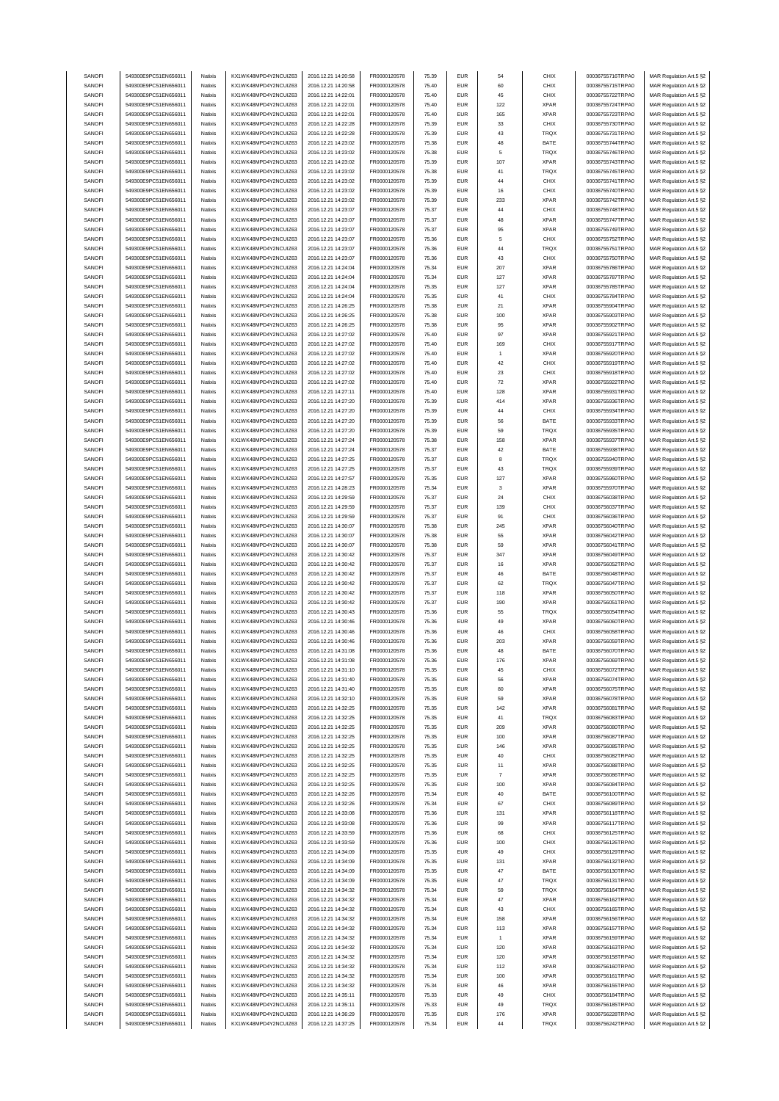| SANOFI<br>SANOFI<br>SANOFI |                      |         |                       |                     |              |       |            |                |             |                  |                         |
|----------------------------|----------------------|---------|-----------------------|---------------------|--------------|-------|------------|----------------|-------------|------------------|-------------------------|
|                            | 549300E9PC51EN656011 | Natixis | KX1WK48MPD4Y2NCUIZ63  | 2016.12.21 14:20:58 | FR0000120578 | 75.39 | <b>EUR</b> | 54             | CHIX        | 00036755716TRPA0 | MAR Regulation Art.5 §2 |
|                            | 549300E9PC51EN656011 | Natixis | KX1WK48MPD4Y2NCUIZ63  | 2016.12.21 14:20:58 | FR0000120578 | 75.40 | <b>EUR</b> | 60             | CHIX        | 00036755715TRPA0 | MAR Regulation Art.5 §2 |
|                            | 549300E9PC51EN656011 | Natixis | KX1WK48MPD4Y2NCUIZ63  | 2016.12.21 14:22:01 | FR0000120578 | 75.40 | <b>EUR</b> | 45             | CHIX        | 00036755722TRPA0 | MAR Regulation Art.5 §2 |
| SANOFI                     | 549300E9PC51EN656011 | Natixis | KX1WK48MPD4Y2NCUIZ63  | 2016.12.21 14:22:01 | FR0000120578 | 75.40 | <b>EUR</b> | 122            | <b>XPAR</b> | 00036755724TRPA0 | MAR Regulation Art.5 §2 |
|                            |                      |         |                       |                     |              |       |            |                |             |                  |                         |
| SANOFI                     | 549300E9PC51EN656011 | Natixis | KX1WK48MPD4Y2NCUIZ63  | 2016.12.21 14:22:01 | FR0000120578 | 75.40 | <b>EUR</b> | 165            | <b>XPAR</b> | 00036755723TRPA0 | MAR Regulation Art.5 §2 |
| SANOFI                     | 549300E9PC51EN656011 | Natixis | KX1WK48MPD4Y2NCUIZ63  | 2016.12.21 14:22:28 | FR0000120578 | 75.39 | <b>EUR</b> | 33             | CHIX        | 00036755730TRPA0 | MAR Regulation Art.5 §2 |
| SANOFI                     | 549300E9PC51EN656011 | Natixis | KX1WK48MPD4Y2NCUIZ63  | 2016.12.21 14:22:28 | FR0000120578 | 75.39 | <b>EUR</b> | 43             | TRQX        | 00036755731TRPA0 | MAR Regulation Art.5 §2 |
| SANOFI                     | 549300E9PC51EN656011 | Natixis | KX1WK48MPD4Y2NCUIZ63  | 2016.12.21 14:23:02 | FR0000120578 | 75.38 | <b>EUR</b> | 48             | BATE        | 00036755744TRPA0 | MAR Regulation Art.5 §2 |
| SANOFI                     | 549300E9PC51EN656011 | Natixis | KX1WK48MPD4Y2NCLIIZ63 | 2016.12.21 14:23:02 | FR0000120578 | 75.38 | <b>EUR</b> | 5              | TRQX        | 00036755746TRPA0 | MAR Regulation Art.5 §2 |
| SANOFI                     | 549300E9PC51EN656011 | Natixis | KX1WK48MPD4Y2NCUIZ63  | 2016.12.21 14:23:02 | FR0000120578 | 75.39 | <b>EUR</b> | 107            | <b>XPAR</b> | 00036755743TRPA0 | MAR Regulation Art.5 §2 |
| SANOFI                     | 549300E9PC51EN656011 | Natixis | KX1WK48MPD4Y2NCUIZ63  | 2016.12.21 14:23:02 | FR0000120578 | 75.38 | <b>EUR</b> | 41             | TRQX        | 00036755745TRPA0 | MAR Regulation Art.5 §2 |
|                            |                      |         |                       |                     |              |       |            |                |             |                  |                         |
| SANOFI                     | 549300E9PC51EN656011 | Natixis | KX1WK48MPD4Y2NCUIZ63  | 2016.12.21 14:23:02 | FR0000120578 | 75.39 | <b>EUR</b> | 44             | CHIX        | 00036755741TRPA0 | MAR Regulation Art.5 §2 |
| SANOFI                     | 549300E9PC51EN656011 | Natixis | KX1WK48MPD4Y2NCUIZ63  | 2016.12.21 14:23:02 | FR0000120578 | 75.39 | <b>EUR</b> | 16             | CHIX        | 00036755740TRPA0 | MAR Regulation Art.5 §2 |
| SANOFI                     | 549300E9PC51EN656011 | Natixis | KX1WK48MPD4Y2NCUIZ63  | 2016.12.21 14:23:02 | FR0000120578 | 75.39 | <b>EUR</b> | 233            | <b>XPAR</b> | 00036755742TRPA0 | MAR Regulation Art.5 §2 |
| SANOFI                     | 549300E9PC51EN656011 | Natixis | KX1WK48MPD4Y2NCUIZ63  | 2016.12.21 14:23:07 | FR0000120578 | 75.37 | <b>EUR</b> | 44             | CHIX        | 00036755748TRPA0 | MAR Regulation Art.5 §2 |
| SANOFI                     | 549300E9PC51EN656011 | Natixis | KX1WK48MPD4Y2NCUIZ63  | 2016.12.21 14:23:07 | FR0000120578 | 75.37 | <b>EUR</b> | 48             | <b>XPAR</b> | 00036755747TRPA0 |                         |
|                            |                      |         |                       |                     |              |       |            |                |             |                  | MAR Regulation Art.5 §2 |
| SANOFI                     | 549300E9PC51EN656011 | Natixis | KX1WK48MPD4Y2NCUIZ63  | 2016.12.21 14:23:07 | FR0000120578 | 75.37 | <b>EUR</b> | 95             | <b>XPAR</b> | 00036755749TRPA0 | MAR Regulation Art.5 §2 |
| SANOFI                     | 549300E9PC51EN656011 | Natixis | KX1WK48MPD4Y2NCLIIZ63 | 2016.12.21 14:23:07 | FR0000120578 | 75.36 | <b>EUR</b> | 5              | CHIX        | 00036755752TRPA0 | MAR Regulation Art.5 §2 |
| SANOFI                     | 549300E9PC51EN656011 | Natixis | KX1WK48MPD4Y2NCUIZ63  | 2016.12.21 14:23:07 | FR0000120578 | 75.36 | <b>EUR</b> | 44             | TRQX        | 00036755751TRPA0 | MAR Regulation Art.5 §2 |
| SANOFI                     | 549300E9PC51EN656011 | Natixis | KX1WK48MPD4Y2NCUIZ63  | 2016.12.21 14:23:07 | FR0000120578 | 75.36 | <b>EUR</b> | 43             | CHIX        | 00036755750TRPA0 | MAR Regulation Art.5 §2 |
| SANOFI                     | 549300E9PC51EN656011 | Natixis | KX1WK48MPD4Y2NCUIZ63  | 2016.12.21 14:24:04 | FR0000120578 | 75.34 | <b>EUR</b> | 207            | <b>XPAR</b> | 00036755786TRPA0 | MAR Regulation Art.5 §2 |
| SANOFI                     | 549300E9PC51EN656011 | Natixis | KX1WK48MPD4Y2NCUIZ63  | 2016.12.21 14:24:04 | FR0000120578 | 75.34 | <b>EUR</b> | 127            | <b>XPAR</b> | 00036755787TRPA0 | MAR Regulation Art.5 §2 |
|                            |                      |         |                       |                     |              |       |            |                |             |                  |                         |
| SANOFI                     | 549300E9PC51EN656011 | Natixis | KX1WK48MPD4Y2NCUIZ63  | 2016.12.21 14:24:04 | FR0000120578 | 75.35 | <b>EUR</b> | 127            | <b>XPAR</b> | 00036755785TRPA0 | MAR Regulation Art.5 §2 |
| SANOFI                     | 549300E9PC51EN656011 | Natixis | KX1WK48MPD4Y2NCUIZ63  | 2016.12.21 14:24:04 | FR0000120578 | 75.35 | <b>EUR</b> | 41             | CHIX        | 00036755784TRPA0 | MAR Regulation Art.5 §2 |
| SANOFI                     | 549300E9PC51EN656011 | Natixis | KX1WK48MPD4Y2NCUIZ63  | 2016.12.21 14:26:25 | FR0000120578 | 75.38 | <b>EUR</b> | 21             | <b>XPAR</b> | 00036755904TRPA0 | MAR Regulation Art.5 §2 |
| SANOFI                     | 549300E9PC51EN656011 | Natixis | KX1WK48MPD4Y2NCUIZ63  | 2016.12.21 14:26:25 | FR0000120578 | 75.38 | <b>EUR</b> | 100            | <b>XPAR</b> | 00036755903TRPA0 | MAR Regulation Art.5 §2 |
| SANOFI                     | 549300E9PC51EN656011 | Natixis | KX1WK48MPD4Y2NCLIIZ63 | 2016.12.21 14:26:25 | FR0000120578 | 75.38 | <b>EUR</b> | 95             | <b>XPAR</b> | 00036755902TRPA0 | MAR Regulation Art.5 §2 |
| SANOFI                     | 549300E9PC51EN656011 | Natixis | KX1WK48MPD4Y2NCUIZ63  | 2016.12.21 14:27:02 | FR0000120578 | 75.40 | <b>EUR</b> | 97             | <b>XPAR</b> | 00036755921TRPA0 | MAR Regulation Art.5 §2 |
|                            |                      |         |                       |                     | FR0000120578 | 75.40 | <b>EUR</b> |                |             |                  |                         |
| SANOFI                     | 549300E9PC51EN656011 | Natixis | KX1WK48MPD4Y2NCUIZ63  | 2016.12.21 14:27:02 |              |       |            | 169            | CHIX        | 00036755917TRPA0 | MAR Regulation Art.5 §2 |
| SANOFI                     | 549300E9PC51EN656011 | Natixis | KX1WK48MPD4Y2NCUIZ63  | 2016.12.21 14:27:02 | FR0000120578 | 75.40 | <b>EUR</b> | 1              | <b>XPAR</b> | 00036755920TRPA0 | MAR Regulation Art.5 §2 |
| SANOFI                     | 549300E9PC51EN656011 | Natixis | KX1WK48MPD4Y2NCUIZ63  | 2016.12.21 14:27:02 | FR0000120578 | 75.40 | <b>EUR</b> | 42             | CHIX        | 00036755919TRPA0 | MAR Regulation Art.5 §2 |
| SANOFI                     | 549300E9PC51EN656011 | Natixis | KX1WK48MPD4Y2NCUIZ63  | 2016.12.21 14:27:02 | FR0000120578 | 75.40 | <b>EUR</b> | 23             | CHIX        | 00036755918TRPA0 | MAR Regulation Art.5 §2 |
| SANOFI                     | 549300E9PC51EN656011 | Natixis | KX1WK48MPD4Y2NCUIZ63  | 2016.12.21 14:27:02 | FR0000120578 | 75.40 | <b>EUR</b> | 72             | <b>XPAR</b> | 00036755922TRPA0 | MAR Regulation Art.5 §2 |
| SANOFI                     | 549300E9PC51EN656011 | Natixis | KX1WK48MPD4Y2NCUIZ63  | 2016.12.21 14:27:11 | FR0000120578 | 75.40 | <b>EUR</b> | 128            | <b>XPAR</b> | 00036755931TRPA0 | MAR Regulation Art.5 §2 |
|                            | 549300E9PC51EN656011 |         |                       |                     |              |       |            |                |             |                  |                         |
| SANOFI                     |                      | Natixis | KX1WK48MPD4Y2NCUIZ63  | 2016.12.21 14:27:20 | FR0000120578 | 75.39 | <b>EUR</b> | 414            | <b>XPAR</b> | 00036755936TRPA0 | MAR Regulation Art.5 §2 |
| SANOFI                     | 549300E9PC51EN656011 | Natixis | KX1WK48MPD4Y2NCLIIZ63 | 2016.12.21 14:27:20 | FR0000120578 | 75.39 | <b>EUR</b> | 44             | CHIX        | 00036755934TRPA0 | MAR Regulation Art.5 §2 |
| SANOFI                     | 549300E9PC51EN656011 | Natixis | KX1WK48MPD4Y2NCUIZ63  | 2016.12.21 14:27:20 | FR0000120578 | 75.39 | <b>EUR</b> | 56             | BATE        | 00036755933TRPA0 | MAR Regulation Art.5 §2 |
| SANOFI                     | 549300E9PC51EN656011 | Natixis | KX1WK48MPD4Y2NCUIZ63  | 2016.12.21 14:27:20 | FR0000120578 | 75.39 | <b>EUR</b> | 59             | TRQX        | 00036755935TRPA0 | MAR Regulation Art.5 §2 |
| SANOFI                     | 549300E9PC51EN656011 | Natixis | KX1WK48MPD4Y2NCUIZ63  | 2016.12.21 14:27:24 | FR0000120578 | 75.38 | <b>EUR</b> | 158            | <b>XPAR</b> | 00036755937TRPA0 | MAR Regulation Art.5 §2 |
|                            |                      |         |                       |                     |              |       |            |                |             |                  |                         |
| SANOFI                     | 549300E9PC51EN656011 | Natixis | KX1WK48MPD4Y2NCUIZ63  | 2016.12.21 14:27:24 | FR0000120578 | 75.37 | <b>EUR</b> | 42             | BATE        | 00036755938TRPA0 | MAR Regulation Art.5 §2 |
| SANOFI                     | 549300E9PC51EN656011 | Natixis | KX1WK48MPD4Y2NCUIZ63  | 2016.12.21 14:27:25 | FR0000120578 | 75.37 | <b>EUR</b> | 8              | TRQX        | 00036755940TRPA0 | MAR Regulation Art.5 §2 |
| SANOFI                     | 549300E9PC51EN656011 | Natixis | KX1WK48MPD4Y2NCUIZ63  | 2016.12.21 14:27:25 | FR0000120578 | 75.37 | <b>EUR</b> | 43             | TRQX        | 00036755939TRPA0 | MAR Regulation Art.5 §2 |
| SANOFI                     | 549300E9PC51EN656011 | Natixis | KX1WK48MPD4Y2NCUIZ63  | 2016.12.21 14:27:57 | FR0000120578 | 75.35 | <b>EUR</b> | 127            | <b>XPAR</b> | 00036755960TRPA0 | MAR Regulation Art.5 §2 |
| SANOFI                     | 549300E9PC51EN656011 | Natixis | KX1WK48MPD4Y2NCUIZ63  | 2016.12.21 14:28:23 | FR0000120578 | 75.34 | <b>EUR</b> | 3              | <b>XPAR</b> | 00036755970TRPA0 | MAR Regulation Art.5 §2 |
| SANOFI                     | 549300E9PC51EN656011 | Natixis | KX1WK48MPD4Y2NCUIZ63  | 2016.12.21 14:29:59 | FR0000120578 | 75.37 | <b>EUR</b> | 24             | CHIX        | 00036756038TRPA0 | MAR Regulation Art.5 §2 |
|                            |                      |         |                       |                     |              |       | <b>EUR</b> |                |             |                  |                         |
| SANOFI                     | 549300E9PC51EN656011 | Natixis | KX1WK48MPD4Y2NCUIZ63  | 2016.12.21 14:29:59 | FR0000120578 | 75.37 |            | 139            | CHIX        | 00036756037TRPA0 | MAR Regulation Art.5 §2 |
| SANOFI                     | 549300E9PC51EN656011 | Natixis | KX1WK48MPD4Y2NCUIZ63  | 2016.12.21 14:29:59 | FR0000120578 | 75.37 | <b>EUR</b> | 91             | CHIX        | 00036756036TRPA0 | MAR Regulation Art.5 §2 |
| SANOFI                     | 549300E9PC51EN656011 | Natixis | KX1WK48MPD4Y2NCUIZ63  | 2016.12.21 14:30:07 | FR0000120578 | 75.38 | <b>EUR</b> | 245            | <b>XPAR</b> | 00036756040TRPA0 | MAR Regulation Art.5 §2 |
| SANOFI                     | 549300E9PC51EN656011 | Natixis | KX1WK48MPD4Y2NCUIZ63  | 2016.12.21 14:30:07 | FR0000120578 | 75.38 | <b>EUR</b> | 55             | <b>XPAR</b> | 00036756042TRPA0 | MAR Regulation Art.5 §2 |
| SANOFI                     | 549300E9PC51EN656011 | Natixis | KX1WK48MPD4Y2NCUIZ63  | 2016.12.21 14:30:07 | FR0000120578 | 75.38 | <b>EUR</b> | 59             | <b>XPAR</b> | 00036756041TRPA0 | MAR Regulation Art.5 §2 |
| SANOFI                     | 549300E9PC51EN656011 | Natixis | KX1WK48MPD4Y2NCUIZ63  | 2016.12.21 14:30:42 | FR0000120578 | 75.37 | <b>EUR</b> | 347            | <b>XPAR</b> | 00036756049TRPA0 | MAR Regulation Art.5 §2 |
| SANOFI                     | 549300E9PC51EN656011 |         | KX1WK48MPD4Y2NCUIZ63  | 2016.12.21 14:30:42 | FR0000120578 | 75.37 | <b>EUR</b> | 16             | <b>XPAR</b> | 00036756052TRPA0 |                         |
|                            |                      | Natixis |                       |                     |              |       |            |                |             |                  | MAR Regulation Art.5 §2 |
| SANOFI                     | 549300E9PC51EN656011 | Natixis | KX1WK48MPD4Y2NCUIZ63  | 2016.12.21 14:30:42 | FR0000120578 | 75.37 | <b>EUR</b> | 46             |             | 00036756048TRPA0 | MAR Regulation Art.5 §2 |
|                            |                      |         |                       |                     |              |       |            |                | BATE        |                  |                         |
| SANOFI                     | 549300E9PC51EN656011 | Natixis | KX1WK48MPD4Y2NCUIZ63  | 2016.12.21 14:30:42 | FR0000120578 | 75.37 | <b>EUR</b> | 62             | TRQX        | 00036756047TRPA0 | MAR Regulation Art.5 §2 |
| SANOFI                     | 549300E9PC51EN656011 | Natixis | KX1WK48MPD4Y2NCUIZ63  | 2016.12.21 14:30:42 | FR0000120578 | 75.37 | <b>EUR</b> | 118            | <b>XPAR</b> | 00036756050TRPA0 | MAR Regulation Art.5 §2 |
|                            |                      |         |                       |                     |              |       |            |                |             |                  |                         |
| SANOFI                     | 549300E9PC51EN656011 | Natixis | KX1WK48MPD4Y2NCUIZ63  | 2016.12.21 14:30:42 | FR0000120578 | 75.37 | <b>EUR</b> | 190            | <b>XPAR</b> | 00036756051TRPA0 | MAR Regulation Art.5 §2 |
| SANOFI                     | 549300E9PC51EN656011 | Natixis | KX1WK48MPD4Y2NCUIZ63  | 2016.12.21 14:30:43 | FR0000120578 | 75.36 | <b>EUR</b> | 55             | TRQX        | 00036756054TRPA0 | MAR Regulation Art.5 §2 |
| SANOFI                     | 549300E9PC51EN656011 | Natixis | KX1WK48MPD4Y2NCUIZ63  | 2016.12.21 14:30:46 | FR0000120578 | 75.36 | <b>EUR</b> | 49             | <b>XPAR</b> | 00036756060TRPA0 | MAR Regulation Art.5 §2 |
| SANOFI                     | 549300E9PC51EN656011 | Natixis | KX1WK48MPD4Y2NCUIZ63  | 2016.12.21 14:30:46 | FR0000120578 | 75.36 | <b>EUR</b> | 46             | CHIX        | 00036756058TRPA0 | MAR Regulation Art.5 §2 |
| SANOFI                     | 549300E9PC51EN656011 | Natixis | KX1WK48MPD4Y2NCUIZ63  | 2016.12.21 14:30:46 | FR0000120578 | 75.36 | <b>EUR</b> | 203            | <b>XPAR</b> | 00036756059TRPA0 | MAR Regulation Art.5 §2 |
| SANOF                      | 549300E9PC51EN656011 | Natixis | KX1WK48MPD4Y2NCUIZ63  | 2016.12.21 14:31:08 | FR0000120578 | 75.36 | EUR        |                | BATE        | 00036756070TRPA0 | MAR Regulation Art.5 §2 |
|                            |                      | Natixis |                       |                     |              |       |            |                |             |                  |                         |
| SANOFI                     | 549300E9PC51EN656011 |         | KX1WK48MPD4Y2NCUIZ63  | 2016.12.21 14:31:08 | FR0000120578 | 75.36 | <b>EUR</b> | 176            | <b>XPAR</b> | 00036756069TRPA0 | MAR Regulation Art.5 §2 |
| SANOFI                     | 549300E9PC51EN656011 | Natixis | KX1WK48MPD4Y2NCUIZ63  | 2016.12.21 14:31:10 | FR0000120578 | 75.35 | <b>EUR</b> | 45             | CHIX        | 00036756072TRPA0 | MAR Regulation Art.5 §2 |
| SANOFI                     | 549300E9PC51EN656011 | Natixis | KX1WK48MPD4Y2NCUIZ63  | 2016.12.21 14:31:40 | FR0000120578 | 75.35 | <b>EUR</b> | 56             | <b>XPAR</b> | 00036756074TRPA0 | MAR Regulation Art.5 §2 |
| SANOFI                     | 549300E9PC51EN656011 | Natixis | KX1WK48MPD4Y2NCUIZ63  | 2016.12.21 14:31:40 | FR0000120578 | 75.35 | <b>EUR</b> | 80             | <b>XPAR</b> | 00036756075TRPA0 | MAR Regulation Art.5 §2 |
| SANOFI                     | 549300E9PC51EN656011 | Natixis | KX1WK48MPD4Y2NCUIZ63  | 2016.12.21 14:32:10 | FR0000120578 | 75.35 | <b>EUR</b> | 59             | <b>XPAR</b> | 00036756078TRPA0 | MAR Regulation Art.5 §2 |
| SANOFI                     | 549300E9PC51EN656011 | Natixis | KX1WK48MPD4Y2NCUIZ63  | 2016.12.21 14:32:25 | FR0000120578 | 75.35 | <b>EUR</b> | 142            | <b>XPAR</b> | 00036756081TRPA0 | MAR Regulation Art.5 §2 |
| SANOFI                     | 549300E9PC51EN656011 | Natixis | KX1WK48MPD4Y2NCUIZ63  | 2016.12.21 14:32:25 | FR0000120578 | 75.35 | EUR        | 41             | TRQX        | 00036756083TRPA0 | MAR Regulation Art.5 §2 |
| SANOFI                     | 549300E9PC51EN656011 | Natixis | KX1WK48MPD4Y2NCUIZ63  | 2016.12.21 14:32:25 | FR0000120578 | 75.35 | <b>EUR</b> | 209            | <b>XPAR</b> | 00036756080TRPA0 | MAR Regulation Art.5 §2 |
|                            |                      | Natixis | KX1WK48MPD4Y2NCUIZ63  | 2016.12.21 14:32:25 |              |       |            | 100            | <b>XPAR</b> |                  |                         |
| SANOFI                     | 549300E9PC51EN656011 |         |                       |                     | FR0000120578 | 75.35 | <b>EUR</b> |                |             | 00036756087TRPA0 | MAR Regulation Art.5 §2 |
| SANOFI                     | 549300E9PC51EN656011 | Natixis | KX1WK48MPD4Y2NCUIZ63  | 2016.12.21 14:32:25 | FR0000120578 | 75.35 | <b>EUR</b> | 146            | <b>XPAR</b> | 00036756085TRPA0 | MAR Regulation Art.5 §2 |
| SANOFI                     | 549300E9PC51EN656011 | Natixis | KX1WK48MPD4Y2NCUIZ63  | 2016.12.21 14:32:25 | FR0000120578 | 75.35 | <b>EUR</b> | 40             | CHIX        | 00036756082TRPA0 | MAR Regulation Art.5 §2 |
| SANOFI                     | 549300E9PC51EN656011 | Natixis | KX1WK48MPD4Y2NCUIZ63  | 2016.12.21 14:32:25 | FR0000120578 | 75.35 | <b>EUR</b> | 11             | <b>XPAR</b> | 00036756088TRPA0 | MAR Regulation Art.5 §2 |
| SANOFI                     | 549300E9PC51EN656011 | Natixis | KX1WK48MPD4Y2NCUIZ63  | 2016.12.21 14:32:25 | FR0000120578 | 75.35 | <b>EUR</b> | $\overline{7}$ | <b>XPAR</b> | 00036756086TRPA0 | MAR Regulation Art.5 §2 |
| SANOFI                     | 549300E9PC51EN656011 | Natixis | KX1WK48MPD4Y2NCUIZ63  | 2016.12.21 14:32:25 | FR0000120578 | 75.35 | <b>EUR</b> | 100            | <b>XPAR</b> | 00036756084TRPA0 | MAR Regulation Art.5 §2 |
|                            |                      |         |                       |                     |              |       |            |                |             |                  |                         |
| SANOFI                     | 549300E9PC51EN656011 | Natixis | KX1WK48MPD4Y2NCUIZ63  | 2016.12.21 14:32:26 | FR0000120578 | 75.34 | <b>EUR</b> | 40             | BATE        | 00036756100TRPA0 | MAR Regulation Art.5 §2 |
| SANOFI                     | 549300E9PC51EN656011 | Natixis | KX1WK48MPD4Y2NCUIZ63  | 2016.12.21 14:32:26 | FR0000120578 | 75.34 | <b>EUR</b> | 67             | CHIX        | 00036756089TRPA0 | MAR Regulation Art.5 §2 |
| SANOFI                     | 549300E9PC51EN656011 | Natixis | KX1WK48MPD4Y2NCUIZ63  | 2016.12.21 14:33:08 | FR0000120578 | 75.36 | <b>EUR</b> | 131            | <b>XPAR</b> | 00036756118TRPA0 | MAR Regulation Art.5 §2 |
| SANOFI                     | 549300E9PC51EN656011 | Natixis | KX1WK48MPD4Y2NCUIZ63  | 2016.12.21 14:33:08 | FR0000120578 | 75.36 | <b>EUR</b> | 99             | <b>XPAR</b> | 00036756117TRPA0 | MAR Regulation Art.5 §2 |
| SANOFI                     | 549300E9PC51EN656011 | Natixis | KX1WK48MPD4Y2NCUIZ63  | 2016.12.21 14:33:59 | FR0000120578 | 75.36 | <b>EUR</b> | 68             | CHIX        | 00036756125TRPA0 | MAR Regulation Art.5 §2 |
| SANOFI                     | 549300E9PC51EN656011 | Natixis | KX1WK48MPD4Y2NCUIZ63  | 2016.12.21 14:33:59 | FR0000120578 | 75.36 | <b>EUR</b> | 100            | CHIX        | 00036756126TRPA0 | MAR Regulation Art.5 §2 |
|                            |                      |         |                       |                     |              |       |            |                |             |                  |                         |
| SANOFI                     | 549300E9PC51EN656011 | Natixis | KX1WK48MPD4Y2NCUIZ63  | 2016.12.21 14:34:09 | FR0000120578 | 75.35 | <b>EUR</b> | 49             | CHIX        | 00036756129TRPA0 | MAR Regulation Art.5 §2 |
| SANOFI                     | 549300E9PC51EN656011 | Natixis | KX1WK48MPD4Y2NCUIZ63  | 2016.12.21 14:34:09 | FR0000120578 | 75.35 | <b>EUR</b> | 131            | <b>XPAR</b> | 00036756132TRPA0 | MAR Regulation Art.5 §2 |
| SANOFI                     | 549300E9PC51EN656011 | Natixis | KX1WK48MPD4Y2NCUIZ63  | 2016.12.21 14:34:09 | FR0000120578 | 75.35 | <b>EUR</b> | 47             | BATE        | 00036756130TRPA0 | MAR Regulation Art.5 §2 |
| SANOFI                     | 549300E9PC51EN656011 | Natixis | KX1WK48MPD4Y2NCUIZ63  | 2016.12.21 14:34:09 | FR0000120578 | 75.35 | <b>EUR</b> | 47             | TRQX        | 00036756131TRPA0 | MAR Regulation Art.5 §2 |
| SANOFI                     | 549300E9PC51EN656011 | Natixis | KX1WK48MPD4Y2NCUIZ63  | 2016.12.21 14:34:32 | FR0000120578 | 75.34 | <b>EUR</b> | 59             | <b>TRQX</b> | 00036756164TRPA0 | MAR Regulation Art.5 §2 |
| SANOFI                     | 549300E9PC51EN656011 | Natixis | KX1WK48MPD4Y2NCUIZ63  | 2016.12.21 14:34:32 | FR0000120578 | 75.34 | <b>EUR</b> | 47             | <b>XPAR</b> | 00036756162TRPA0 |                         |
|                            |                      |         |                       |                     |              |       |            |                |             |                  | MAR Regulation Art.5 §2 |
| SANOFI                     | 549300E9PC51EN656011 | Natixis | KX1WK48MPD4Y2NCUIZ63  | 2016.12.21 14:34:32 | FR0000120578 | 75.34 | <b>EUR</b> | 43             | CHIX        | 00036756165TRPA0 | MAR Regulation Art.5 §2 |
| SANOFI                     | 549300E9PC51EN656011 | Natixis | KX1WK48MPD4Y2NCUIZ63  | 2016.12.21 14:34:32 | FR0000120578 | 75.34 | <b>EUR</b> | 158            | <b>XPAR</b> | 00036756156TRPA0 | MAR Regulation Art.5 §2 |
| SANOFI                     | 549300E9PC51EN656011 | Natixis | KX1WK48MPD4Y2NCUIZ63  | 2016.12.21 14:34:32 | FR0000120578 | 75.34 | <b>EUR</b> | 113            | <b>XPAR</b> | 00036756157TRPA0 | MAR Regulation Art.5 §2 |
| SANOFI                     | 549300E9PC51EN656011 | Natixis | KX1WK48MPD4Y2NCUIZ63  | 2016.12.21 14:34:32 | FR0000120578 | 75.34 | <b>EUR</b> | 1              | <b>XPAR</b> | 00036756159TRPA0 | MAR Regulation Art.5 §2 |
| SANOFI                     | 549300E9PC51EN656011 | Natixis | KX1WK48MPD4Y2NCUIZ63  | 2016.12.21 14:34:32 | FR0000120578 | 75.34 | <b>EUR</b> | 120            | <b>XPAR</b> | 00036756163TRPA0 | MAR Regulation Art.5 §2 |
| SANOFI                     | 549300E9PC51EN656011 | Natixis | KX1WK48MPD4Y2NCUIZ63  | 2016.12.21 14:34:32 | FR0000120578 | 75.34 | <b>EUR</b> | 120            | <b>XPAR</b> | 00036756158TRPA0 | MAR Regulation Art.5 §2 |
|                            |                      |         |                       |                     |              |       |            |                |             |                  |                         |
| SANOFI                     | 549300E9PC51EN656011 | Natixis | KX1WK48MPD4Y2NCUIZ63  | 2016.12.21 14:34:32 | FR0000120578 | 75.34 | EUR        | 112            | <b>XPAR</b> | 00036756160TRPA0 | MAR Regulation Art.5 §2 |
| SANOFI                     | 549300E9PC51EN656011 | Natixis | KX1WK48MPD4Y2NCUIZ63  | 2016.12.21 14:34:32 | FR0000120578 | 75.34 | <b>EUR</b> | 100            | <b>XPAR</b> | 00036756161TRPA0 | MAR Regulation Art.5 §2 |
| SANOFI                     | 549300E9PC51EN656011 | Natixis | KX1WK48MPD4Y2NCUIZ63  | 2016.12.21 14:34:32 | FR0000120578 | 75.34 | <b>EUR</b> | 46             | <b>XPAR</b> | 00036756155TRPA0 | MAR Regulation Art.5 §2 |
| SANOFI                     | 549300E9PC51EN656011 | Natixis | KX1WK48MPD4Y2NCUIZ63  | 2016.12.21 14:35:11 | FR0000120578 | 75.33 | <b>EUR</b> | 49             | CHIX        | 00036756184TRPA0 | MAR Regulation Art.5 §2 |
| SANOFI                     | 549300E9PC51EN656011 | Natixis | KX1WK48MPD4Y2NCUIZ63  | 2016.12.21 14:35:11 | FR0000120578 | 75.33 | <b>EUR</b> | 49             | TRQX        | 00036756185TRPA0 | MAR Regulation Art.5 §2 |
| SANOFI                     | 549300E9PC51EN656011 | Natixis | KX1WK48MPD4Y2NCUIZ63  | 2016.12.21 14:36:29 | FR0000120578 | 75.35 | <b>EUR</b> | 176            | <b>XPAR</b> | 00036756228TRPA0 | MAR Regulation Art.5 §2 |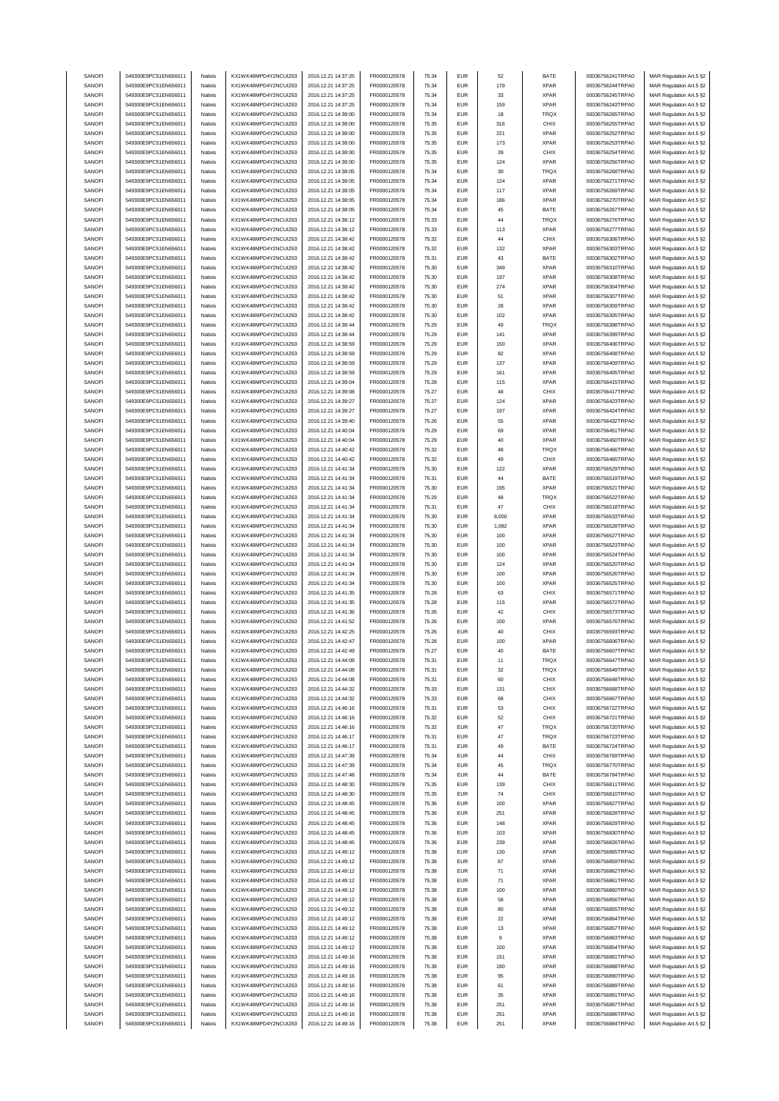| SANOFI           | 549300E9PC51EN656011                         | Natixis            | KX1WK48MPD4Y2NCUIZ63                         | 2016.12.21 14:37:25                        | FR0000120578                 | 75.34          | <b>EUR</b>                  | 52         | BATE                       | 00036756241TRPA0                     | MAR Regulation Art.5 §2                            |
|------------------|----------------------------------------------|--------------------|----------------------------------------------|--------------------------------------------|------------------------------|----------------|-----------------------------|------------|----------------------------|--------------------------------------|----------------------------------------------------|
| SANOFI           | 549300E9PC51EN656011                         | Natixis            | KX1WK48MPD4Y2NCUIZ63                         | 2016.12.21 14:37:25                        | FR0000120578                 | 75.34          | <b>EUR</b>                  | 179        | <b>XPAR</b>                | 00036756244TRPA0                     | MAR Regulation Art.5 §2                            |
| SANOFI           | 549300E9PC51EN656011                         | Natixis            | KX1WK48MPD4Y2NCUIZ63                         | 2016.12.21 14:37:25                        | FR0000120578                 | 75.34          | <b>EUR</b>                  | 33         | <b>XPAR</b>                | 00036756245TRPA0                     | MAR Regulation Art.5 §2                            |
| SANOFI           | 549300E9PC51EN656011                         | Natixis            | KX1WK48MPD4Y2NCUIZ63                         | 2016.12.21 14:37:25                        | FR0000120578                 | 75.34          | <b>EUR</b>                  | 159        | <b>XPAR</b>                | 00036756243TRPA0                     | MAR Regulation Art.5 §2                            |
|                  |                                              |                    |                                              |                                            |                              |                |                             |            |                            |                                      |                                                    |
| SANOFI           | 549300E9PC51EN656011                         | Natixis            | KX1WK48MPD4Y2NCUIZ63                         | 2016.12.21 14:38:00                        | FR0000120578                 | 75.34          | <b>EUR</b>                  | 18         | TRQX                       | 00036756265TRPA0                     | MAR Regulation Art.5 §2                            |
| SANOFI           | 549300E9PC51EN656011                         | Natixis            | KX1WK48MPD4Y2NCUIZ63                         | 2016.12.21 14:38:00                        | FR0000120578                 | 75.35          | <b>EUR</b>                  | 316        | CHIX                       | 00036756255TRPA0                     | MAR Regulation Art.5 §2                            |
| SANOFI           | 549300E9PC51EN656011                         | Natixis            | KX1WK48MPD4Y2NCUIZ63                         | 2016.12.21 14:38:00                        | FR0000120578                 | 75.35          | <b>EUR</b>                  | 221        | <b>XPAR</b>                | 00036756252TRPA0                     | MAR Regulation Art.5 §2                            |
| SANOFI           | 549300E9PC51EN656011                         | Natixis            | KX1WK48MPD4Y2NCUIZ63                         | 2016.12.21 14:38:00                        | FR0000120578                 | 75.35          | <b>EUR</b>                  | 173        | <b>XPAR</b>                | 00036756253TRPA0                     | MAR Regulation Art.5 §2                            |
| SANOFI           | 549300E9PC51EN656011                         | Natixis            | KX1WK48MPD4Y2NCLIIZ63                        | 2016.12.21 14:38:00                        | FR0000120578                 | 75.35          | <b>EUR</b>                  | 39         | CHIX                       | 00036756254TRPA0                     | MAR Regulation Art.5 §2                            |
| SANOFI           | 549300E9PC51EN656011                         | Natixis            | KX1WK48MPD4Y2NCUIZ63                         | 2016.12.21 14:38:00                        | FR0000120578                 | 75.35          | <b>EUR</b>                  | 124        | <b>XPAR</b>                | 00036756256TRPA0                     | MAR Regulation Art.5 §2                            |
|                  |                                              | Natixis            |                                              |                                            |                              |                | <b>EUR</b>                  |            |                            |                                      |                                                    |
| SANOFI           | 549300E9PC51EN656011                         |                    | KX1WK48MPD4Y2NCUIZ63                         | 2016.12.21 14:38:05                        | FR0000120578                 | 75.34          |                             | 30         | TRQX                       | 00036756268TRPA0                     | MAR Regulation Art.5 §2                            |
| SANOFI           | 549300E9PC51EN656011                         | Natixis            | KX1WK48MPD4Y2NCUIZ63                         | 2016.12.21 14:38:05                        | FR0000120578                 | 75.34          | <b>EUR</b>                  | 124        | <b>XPAR</b>                | 00036756271TRPA0                     | MAR Regulation Art.5 §2                            |
| SANOFI           | 549300E9PC51EN656011                         | Natixis            | KX1WK48MPD4Y2NCUIZ63                         | 2016.12.21 14:38:05                        | FR0000120578                 | 75.34          | <b>EUR</b>                  | 117        | <b>XPAR</b>                | 00036756269TRPA0                     | MAR Regulation Art.5 §2                            |
| SANOFI           | 549300E9PC51EN656011                         | Natixis            | KX1WK48MPD4Y2NCUIZ63                         | 2016.12.21 14:38:05                        | FR0000120578                 | 75.34          | <b>EUR</b>                  | 186        | <b>XPAR</b>                | 00036756270TRPA0                     | MAR Regulation Art.5 §2                            |
| SANOFI           | 549300E9PC51EN656011                         | Natixis            | KX1WK48MPD4Y2NCUIZ63                         | 2016.12.21 14:38:05                        | FR0000120578                 | 75.34          | <b>EUR</b>                  | 45         | BATE                       | 00036756267TRPA0                     | MAR Regulation Art.5 §2                            |
| SANOFI           | 549300E9PC51EN656011                         | Natixis            | KX1WK48MPD4Y2NCUIZ63                         | 2016.12.21 14:38:12                        | FR0000120578                 | 75.33          | <b>EUR</b>                  | 44         | TRQX                       | 00036756276TRPA0                     |                                                    |
|                  |                                              |                    |                                              |                                            |                              |                |                             |            |                            |                                      | MAR Regulation Art.5 §2                            |
| SANOFI           | 549300E9PC51EN656011                         | Natixis            | KX1WK48MPD4Y2NCUIZ63                         | 2016.12.21 14:38:12                        | FR0000120578                 | 75.33          | <b>EUR</b>                  | 113        | <b>XPAR</b>                | 00036756277TRPA0                     | MAR Regulation Art.5 §2                            |
| SANOFI           | 549300E9PC51EN656011                         | Natixis            | KX1WK48MPD4Y2NCLIIZ63                        | 2016.12.21 14:38:42                        | FR0000120578                 | 75.32          | <b>EUR</b>                  | 44         | CHIX                       | 00036756306TRPA0                     | MAR Regulation Art.5 §2                            |
| SANOFI           | 549300E9PC51EN656011                         | Natixis            | KX1WK48MPD4Y2NCUIZ63                         | 2016.12.21 14:38:42                        | FR0000120578                 | 75.32          | <b>EUR</b>                  | 132        | <b>XPAR</b>                | 00036756303TRPA0                     | MAR Regulation Art.5 §2                            |
| SANOFI           | 549300E9PC51EN656011                         | Natixis            | KX1WK48MPD4Y2NCUIZ63                         | 2016.12.21 14:38:42                        | FR0000120578                 | 75.31          | <b>EUR</b>                  | 43         | BATE                       | 00036756302TRPA0                     | MAR Regulation Art.5 §2                            |
| SANOFI           | 549300E9PC51EN656011                         | Natixis            | KX1WK48MPD4Y2NCUIZ63                         | 2016.12.21 14:38:42                        | FR0000120578                 | 75.30          | <b>EUR</b>                  | 349        | <b>XPAR</b>                | 00036756310TRPA0                     | MAR Regulation Art.5 §2                            |
| SANOFI           | 549300E9PC51EN656011                         | Natixis            | KX1WK48MPD4Y2NCUIZ63                         | 2016.12.21 14:38:42                        | FR0000120578                 | 75.30          | <b>EUR</b>                  | 197        | <b>XPAR</b>                | 00036756308TRPA0                     | MAR Regulation Art.5 §2                            |
|                  |                                              |                    |                                              |                                            |                              |                |                             |            |                            |                                      |                                                    |
| SANOFI           | 549300E9PC51EN656011                         | Natixis            | KX1WK48MPD4Y2NCUIZ63                         | 2016.12.21 14:38:42                        | FR0000120578                 | 75.30          | <b>EUR</b>                  | 274        | <b>XPAR</b>                | 00036756304TRPA0                     | MAR Regulation Art.5 §2                            |
| SANOFI           | 549300E9PC51EN656011                         | Natixis            | KX1WK48MPD4Y2NCUIZ63                         | 2016.12.21 14:38:42                        | FR0000120578                 | 75.30          | <b>EUR</b>                  | 51         | <b>XPAR</b>                | 00036756307TRPA0                     | MAR Regulation Art.5 §2                            |
| SANOFI           | 549300E9PC51EN656011                         | Natixis            | KX1WK48MPD4Y2NCUIZ63                         | 2016.12.21 14:38:42                        | FR0000120578                 | 75.30          | <b>EUR</b>                  | 28         | <b>XPAR</b>                | 00036756309TRPA0                     | MAR Regulation Art.5 §2                            |
| SANOFI           | 549300E9PC51EN656011                         | Natixis            | KX1WK48MPD4Y2NCUIZ63                         | 2016.12.21 14:38:42                        | FR0000120578                 | 75.30          | <b>EUR</b>                  | 102        | <b>XPAR</b>                | 00036756305TRPA0                     | MAR Regulation Art.5 §2                            |
| SANOFI           | 549300E9PC51EN656011                         | Natixis            | KX1WK48MPD4Y2NCLIIZ63                        | 2016.12.21 14:38:44                        | FR0000120578                 | 75.29          | <b>EUR</b>                  | 49         | TRQX                       | 00036756398TRPA0                     | MAR Regulation Art.5 §2                            |
| SANOFI           | 549300E9PC51EN656011                         | Natixis            | KX1WK48MPD4Y2NCUIZ63                         | 2016.12.21 14:38:44                        | FR0000120578                 | 75.29          | <b>EUR</b>                  | 141        | <b>XPAR</b>                | 00036756399TRPA0                     | MAR Regulation Art.5 §2                            |
| SANOFI           | 549300E9PC51EN656011                         | Natixis            | KX1WK48MPD4Y2NCUIZ63                         | 2016.12.21 14:38:59                        | FR0000120578                 | 75.29          | <b>EUR</b>                  | 150        | <b>XPAR</b>                | 00036756406TRPA0                     | MAR Regulation Art.5 §2                            |
|                  |                                              |                    |                                              |                                            |                              |                |                             |            |                            |                                      |                                                    |
| SANOFI           | 549300E9PC51EN656011                         | Natixis            | KX1WK48MPD4Y2NCUIZ63                         | 2016.12.21 14:38:59                        | FR0000120578                 | 75.29          | <b>EUR</b>                  | 82         | <b>XPAR</b>                | 00036756408TRPA0                     | MAR Regulation Art.5 §2                            |
| SANOFI           | 549300E9PC51EN656011                         | Natixis            | KX1WK48MPD4Y2NCUIZ63                         | 2016.12.21 14:38:59                        | FR0000120578                 | 75.29          | <b>EUR</b>                  | 137        | <b>XPAR</b>                | 00036756409TRPA0                     | MAR Regulation Art.5 §2                            |
| SANOFI           | 549300E9PC51EN656011                         | Natixis            | KX1WK48MPD4Y2NCUIZ63                         | 2016.12.21 14:38:59                        | FR0000120578                 | 75.29          | <b>EUR</b>                  | 161        | <b>XPAR</b>                | 00036756405TRPA0                     | MAR Regulation Art.5 §2                            |
| SANOFI           | 549300E9PC51EN656011                         | Natixis            | KX1WK48MPD4Y2NCUIZ63                         | 2016.12.21 14:39:04                        | FR0000120578                 | 75.28          | <b>EUR</b>                  | 115        | <b>XPAR</b>                | 00036756415TRPA0                     | MAR Regulation Art.5 §2                            |
| SANOFI           | 549300E9PC51EN656011                         | Natixis            | KX1WK48MPD4Y2NCUIZ63                         | 2016.12.21 14:39:08                        | FR0000120578                 | 75.27          | <b>EUR</b>                  | 48         | CHIX                       | 00036756417TRPA0                     | MAR Regulation Art.5 §2                            |
|                  | 549300E9PC51EN656011                         | Natixis            |                                              |                                            |                              | 75.27          | <b>EUR</b>                  | 124        | <b>XPAR</b>                | 00036756423TRPA0                     |                                                    |
| SANOFI           |                                              |                    | KX1WK48MPD4Y2NCUIZ63                         | 2016.12.21 14:39:27                        | FR0000120578                 |                |                             |            |                            |                                      | MAR Regulation Art.5 §2                            |
| SANOFI           | 549300E9PC51EN656011                         | Natixis            | KX1WK48MPD4Y2NCLIIZ63                        | 2016.12.21 14:39:27                        | FR0000120578                 | 75.27          | <b>EUR</b>                  | 197        | <b>XPAR</b>                | 00036756424TRPA0                     | MAR Regulation Art.5 §2                            |
| SANOFI           | 549300E9PC51EN656011                         | Natixis            | KX1WK48MPD4Y2NCUIZ63                         | 2016.12.21 14:39:40                        | FR0000120578                 | 75.26          | <b>EUR</b>                  | 55         | <b>XPAR</b>                | 00036756432TRPA0                     | MAR Regulation Art.5 §2                            |
| SANOFI           | 549300E9PC51EN656011                         | Natixis            | KX1WK48MPD4Y2NCUIZ63                         | 2016.12.21 14:40:04                        | FR0000120578                 | 75.29          | <b>EUR</b>                  | 69         | <b>XPAR</b>                | 00036756451TRPA0                     | MAR Regulation Art.5 §2                            |
| SANOFI           | 549300E9PC51EN656011                         | Natixis            | KX1WK48MPD4Y2NCUIZ63                         | 2016.12.21 14:40:04                        | FR0000120578                 | 75.29          | <b>EUR</b>                  | 40         | <b>XPAR</b>                | 00036756450TRPA0                     | MAR Regulation Art.5 §2                            |
| SANOFI           | 549300E9PC51EN656011                         | Natixis            | KX1WK48MPD4Y2NCUIZ63                         | 2016.12.21 14:40:42                        | FR0000120578                 | 75.32          | <b>EUR</b>                  | 48         | TRQX                       | 00036756466TRPA0                     | MAR Regulation Art.5 §2                            |
|                  |                                              |                    |                                              |                                            |                              |                |                             |            |                            |                                      |                                                    |
| SANOFI           | 549300E9PC51EN656011                         | Natixis            | KX1WK48MPD4Y2NCUIZ63                         | 2016.12.21 14:40:42                        | FR0000120578                 | 75.32          | <b>EUR</b>                  | 49         | CHIX                       | 00036756465TRPA0                     | MAR Regulation Art.5 §2                            |
| SANOFI           | 549300E9PC51EN656011                         | Natixis            | KX1WK48MPD4Y2NCUIZ63                         | 2016.12.21 14:41:34                        | FR0000120578                 | 75.30          | <b>EUR</b>                  | 122        | <b>XPAR</b>                | 00036756529TRPA0                     | MAR Regulation Art.5 §2                            |
| SANOFI           | 549300E9PC51EN656011                         | Natixis            | KX1WK48MPD4Y2NCUIZ63                         | 2016.12.21 14:41:34                        | FR0000120578                 | 75.31          | <b>EUR</b>                  | 44         | BATE                       | 00036756519TRPA0                     | MAR Regulation Art.5 §2                            |
| SANOFI           | 549300E9PC51EN656011                         | Natixis            | KX1WK48MPD4Y2NCUIZ63                         | 2016.12.21 14:41:34                        | FR0000120578                 | 75.30          | <b>EUR</b>                  | 195        | <b>XPAR</b>                | 00036756521TRPA0                     | MAR Regulation Art.5 §2                            |
| SANOFI           | 549300E9PC51EN656011                         | Natixis            | KX1WK48MPD4Y2NCUIZ63                         | 2016.12.21 14:41:34                        | FR0000120578                 | 75.29          | <b>EUR</b>                  | 48         | TRQX                       | 00036756522TRPA0                     | MAR Regulation Art.5 §2                            |
| SANOFI           | 549300E9PC51EN656011                         | Natixis            | KX1WK48MPD4Y2NCUIZ63                         | 2016.12.21 14:41:34                        | FR0000120578                 | 75.31          | <b>EUR</b>                  | 47         | CHIX                       | 00036756518TRPA0                     | MAR Regulation Art.5 §2                            |
|                  |                                              |                    |                                              |                                            |                              |                |                             |            |                            |                                      |                                                    |
| SANOFI           | 549300E9PC51EN656011                         | Natixis            | KX1WK48MPD4Y2NCUIZ63                         | 2016.12.21 14:41:34                        | FR0000120578                 | 75.30          | <b>EUR</b>                  | 8,000      | <b>XPAR</b>                | 00036756533TRPA0                     | MAR Regulation Art.5 §2                            |
| SANOFI           | 549300E9PC51EN656011                         | Natixis            | KX1WK48MPD4Y2NCUIZ63                         | 2016.12.21 14:41:34                        | FR0000120578                 | 75.30          | <b>EUR</b>                  | 1,082      | <b>XPAR</b>                | 00036756528TRPA0                     | MAR Regulation Art.5 §2                            |
| SANOFI           | 549300E9PC51EN656011                         | Natixis            | KX1WK48MPD4Y2NCUIZ63                         | 2016.12.21 14:41:34                        | FR0000120578                 | 75.30          | <b>EUR</b>                  | 100        | <b>XPAR</b>                | 00036756527TRPA0                     | MAR Regulation Art.5 §2                            |
| SANOFI           | 549300E9PC51EN656011                         | Natixis            | KX1WK48MPD4Y2NCUIZ63                         | 2016.12.21 14:41:34                        | FR0000120578                 | 75.30          | <b>EUR</b>                  | 100        | <b>XPAR</b>                | 00036756523TRPA0                     | MAR Regulation Art.5 §2                            |
| SANOFI           | 549300E9PC51EN656011                         | Natixis            | KX1WK48MPD4Y2NCUIZ63                         | 2016.12.21 14:41:34                        | FR0000120578                 | 75.30          | <b>EUR</b>                  | 100        | <b>XPAR</b>                | 00036756524TRPA0                     | MAR Regulation Art.5 §2                            |
| SANOFI           | 549300E9PC51EN656011                         | Natixis            | KX1WK48MPD4Y2NCUIZ63                         | 2016.12.21 14:41:34                        | FR0000120578                 | 75.30          | <b>EUR</b>                  | 124        | <b>XPAR</b>                | 00036756520TRPA0                     | MAR Regulation Art.5 §2                            |
|                  |                                              |                    |                                              |                                            |                              |                |                             |            |                            |                                      |                                                    |
| SANOFI           | 549300E9PC51EN656011                         | Natixis            | KX1WK48MPD4Y2NCUIZ63                         | 2016.12.21 14:41:34                        | FR0000120578                 | 75.30          | <b>EUR</b>                  | 100        | <b>XPAR</b>                | 00036756526TRPA0                     | MAR Regulation Art.5 §2                            |
| SANOFI           | 549300E9PC51EN656011                         | Natixis            | KX1WK48MPD4Y2NCUIZ63                         | 2016.12.21 14:41:34                        | FR0000120578                 | 75.30          | <b>EUR</b>                  | 100        | <b>XPAR</b>                | 00036756525TRPA0                     | MAR Regulation Art.5 §2                            |
| SANOFI           | 549300E9PC51EN656011                         | Natixis            | KX1WK48MPD4Y2NCUIZ63                         | 2016.12.21 14:41:35                        | FR0000120578                 | 75.28          | <b>EUR</b>                  | 63         | CHIX                       | 00036756571TRPA0                     | MAR Regulation Art.5 §2                            |
| SANOFI           | 549300E9PC51EN656011                         | Natixis            | KX1WK48MPD4Y2NCUIZ63                         | 2016.12.21 14:41:35                        | FR0000120578                 | 75.28          | <b>EUR</b>                  | 115        | <b>XPAR</b>                | 00036756572TRPA0                     | MAR Regulation Art.5 §2                            |
| SANOFI           | 549300E9PC51EN656011                         | Natixis            | KX1WK48MPD4Y2NCUIZ63                         | 2016.12.21 14:41:36                        | FR0000120578                 | 75.26          | <b>EUR</b>                  | 42         | CHIX                       | 00036756573TRPA0                     | MAR Regulation Art.5 §2                            |
| SANOFI           | 549300E9PC51EN656011                         | Natixis            | KX1WK48MPD4Y2NCUIZ63                         | 2016.12.21 14:41:52                        | FR0000120578                 | 75.26          | <b>EUR</b>                  | 100        | <b>XPAR</b>                | 00036756576TRPA0                     | MAR Regulation Art.5 §2                            |
|                  |                                              | Natixis            |                                              | 2016.12.21 14:42:25                        |                              | 75.26          | <b>EUR</b>                  |            |                            | 00036756593TRPA0                     |                                                    |
| SANOFI           | 549300E9PC51EN656011                         |                    | KX1WK48MPD4Y2NCUIZ63                         |                                            | FR0000120578                 |                |                             | 40         | CHIX                       |                                      | MAR Regulation Art.5 §2                            |
| SANOFI           | 549300E9PC51EN656011                         | Natixis            | KX1WK48MPD4Y2NCUIZ63                         | 2016.12.21 14:42:47                        | FR0000120578                 | 75.28          | <b>EUR</b>                  | 100        | <b>XPAR</b>                | 00036756606TRPA0                     | MAR Regulation Art.5 §2                            |
| SANOF            | 549300E9PC51EN656011                         | Natixis            | KX1WK48MPD4Y2NCUIZ63                         | 2016.12.21 14:42:49                        | FR0000120578                 | 75.27          | EUR                         |            | BATE                       | 00036756607TRPA0                     | MAR Regulation Art.5 §2                            |
| SANOFI           | 549300E9PC51EN656011                         | Natixis            | KX1WK48MPD4Y2NCUIZ63                         | 2016.12.21 14:44:08                        | FR0000120578                 | 75.31          | <b>EUR</b>                  | 11         | TRQX                       | 00036756647TRPA0                     | MAR Regulation Art.5 §2                            |
| SANOFI           | 549300E9PC51EN656011                         | Natixis            | KX1WK48MPD4Y2NCUIZ63                         | 2016.12.21 14:44:08                        | FR0000120578                 | 75.31          | <b>EUR</b>                  | 32         | TRQX                       | 00036756649TRPA0                     | MAR Regulation Art.5 §2                            |
| SANOFI           | 549300E9PC51EN656011                         | Natixis            | KX1WK48MPD4Y2NCUIZ63                         | 2016.12.21 14:44:08                        | FR0000120578                 | 75.31          | <b>EUR</b>                  | 60         | CHIX                       | 00036756648TRPA0                     | MAR Regulation Art.5 §2                            |
| SANOFI           | 549300E9PC51EN656011                         | Natixis            | KX1WK48MPD4Y2NCUIZ63                         | 2016.12.21 14:44:32                        | FR0000120578                 | 75.33          | <b>EUR</b>                  | 131        | CHIX                       | 00036756668TRPA0                     | MAR Regulation Art.5 §2                            |
|                  |                                              |                    |                                              |                                            |                              |                |                             |            |                            |                                      |                                                    |
| SANOFI           | 549300E9PC51EN656011                         | Natixis            | KX1WK48MPD4Y2NCUIZ63                         | 2016.12.21 14:44:32                        | FR0000120578                 | 75.33          | <b>EUR</b>                  | 68         | CHIX                       | 00036756667TRPA0                     | MAR Regulation Art.5 §2                            |
| SANOFI           | 549300E9PC51EN656011                         | Natixis            | KX1WK48MPD4Y2NCUIZ63                         | 2016.12.21 14:46:16                        | FR0000120578                 | 75.31          | $\ensuremath{\mathsf{EUR}}$ | 53         | CHIX                       | 00036756722TRPA0                     | MAR Regulation Art.5 §2                            |
| SANOFI           | 549300E9PC51EN656011                         | Natixis            | KX1WK48MPD4Y2NCUIZ63                         | 2016.12.21 14:46:16                        | FR0000120578                 | 75.32          | <b>EUR</b>                  | 52         | CHIX                       | 00036756721TRPA0                     | MAR Regulation Art.5 §2                            |
| SANOFI           | 549300E9PC51EN656011                         | Natixis            | KX1WK48MPD4Y2NCUIZ63                         | 2016.12.21 14:46:16                        | FR0000120578                 | 75.32          | <b>EUR</b>                  | 47         | TRQX                       | 00036756720TRPA0                     | MAR Regulation Art.5 §2                            |
| SANOFI           | 549300E9PC51EN656011                         | Natixis            | KX1WK48MPD4Y2NCUIZ63                         | 2016.12.21 14:46:17                        | FR0000120578                 | 75.31          | <b>EUR</b>                  | 47         | <b>TRQX</b>                | 00036756723TRPA0                     | MAR Regulation Art.5 §2                            |
| SANOFI           | 549300E9PC51EN656011                         | Natixis            | KX1WK48MPD4Y2NCUIZ63                         | 2016.12.21 14:46:17                        | FR0000120578                 | 75.31          | <b>EUR</b>                  | 49         | BATE                       | 00036756724TRPA0                     | MAR Regulation Art.5 §2                            |
| SANOFI           | 549300E9PC51EN656011                         | Natixis            | KX1WK48MPD4Y2NCUIZ63                         | 2016.12.21 14:47:39                        | FR0000120578                 | 75.34          | <b>EUR</b>                  | 44         | CHIX                       | 00036756769TRPA0                     | MAR Regulation Art.5 §2                            |
| SANOFI           | 549300E9PC51EN656011                         | Natixis            | KX1WK48MPD4Y2NCUIZ63                         | 2016.12.21 14:47:39                        | FR0000120578                 | 75.34          | <b>EUR</b>                  | 45         | TRQX                       | 00036756770TRPA0                     | MAR Regulation Art.5 §2                            |
|                  |                                              |                    |                                              |                                            |                              |                |                             |            |                            |                                      |                                                    |
| SANOFI           | 549300E9PC51EN656011                         | Natixis            | KX1WK48MPD4Y2NCUIZ63                         | 2016.12.21 14:47:48                        | FR0000120578                 | 75.34          | <b>EUR</b>                  | 44         | BATE                       | 00036756784TRPA0                     | MAR Regulation Art.5 §2                            |
| SANOFI           | 549300E9PC51EN656011                         | Natixis            | KX1WK48MPD4Y2NCUIZ63                         | 2016.12.21 14:48:30                        | FR0000120578                 | 75.35          | <b>EUR</b>                  | 139        | CHIX                       | 00036756811TRPA0                     | MAR Regulation Art.5 §2                            |
| SANOFI           | 549300E9PC51EN656011                         | Natixis            | KX1WK48MPD4Y2NCUIZ63                         | 2016.12.21 14:48:30                        | FR0000120578                 | 75.35          | <b>EUR</b>                  | 74         | CHIX                       | 00036756810TRPA0                     | MAR Regulation Art.5 §2                            |
| SANOFI           | 549300E9PC51EN656011                         | Natixis            | KX1WK48MPD4Y2NCUIZ63                         | 2016.12.21 14:48:45                        | FR0000120578                 | 75.36          | <b>EUR</b>                  | 100        | <b>XPAR</b>                | 00036756827TRPA0                     | MAR Regulation Art.5 §2                            |
| SANOFI           | 549300E9PC51EN656011                         | Natixis            | KX1WK48MPD4Y2NCUIZ63                         | 2016.12.21 14:48:45                        | FR0000120578                 | 75.36          | <b>EUR</b>                  | 251        | <b>XPAR</b>                | 00036756828TRPA0                     | MAR Regulation Art.5 §2                            |
| SANOFI           | 549300E9PC51EN656011                         | Natixis            | KX1WK48MPD4Y2NCUIZ63                         | 2016.12.21 14:48:45                        | FR0000120578                 | 75.36          | <b>EUR</b>                  | 148        | <b>XPAR</b>                | 00036756829TRPA0                     | MAR Regulation Art.5 §2                            |
|                  |                                              |                    |                                              |                                            |                              |                |                             |            |                            |                                      |                                                    |
| SANOFI           | 549300E9PC51EN656011                         | Natixis            | KX1WK48MPD4Y2NCUIZ63                         | 2016.12.21 14:48:45                        | FR0000120578                 | 75.36          | <b>EUR</b>                  | 103        | <b>XPAR</b>                | 00036756830TRPA0                     | MAR Regulation Art.5 §2                            |
| SANOFI           | 549300E9PC51EN656011                         | Natixis            | KX1WK48MPD4Y2NCUIZ63                         | 2016.12.21 14:48:45                        | FR0000120578                 | 75.36          | <b>EUR</b>                  | 239        | <b>XPAR</b>                | 00036756826TRPA0                     | MAR Regulation Art.5 §2                            |
| SANOFI           | 549300E9PC51EN656011                         | Natixis            | KX1WK48MPD4Y2NCUIZ63                         | 2016.12.21 14:49:12                        | FR0000120578                 | 75.38          | <b>EUR</b>                  | 130        | <b>XPAR</b>                | 00036756865TRPA0                     | MAR Regulation Art.5 §2                            |
| SANOFI           | 549300E9PC51EN656011                         | Natixis            | KX1WK48MPD4Y2NCUIZ63                         | 2016.12.21 14:49:12                        | FR0000120578                 | 75.38          | <b>EUR</b>                  | 87         | <b>XPAR</b>                | 00036756859TRPA0                     | MAR Regulation Art.5 §2                            |
| SANOFI           | 549300E9PC51EN656011                         | Natixis            | KX1WK48MPD4Y2NCUIZ63                         | 2016.12.21 14:49:12                        | FR0000120578                 | 75.38          | <b>EUR</b>                  | 71         | <b>XPAR</b>                | 00036756862TRPA0                     | MAR Regulation Art.5 §2                            |
| SANOFI           | 549300E9PC51EN656011                         |                    | KX1WK48MPD4Y2NCUIZ63                         | 2016.12.21 14:49:12                        |                              |                | <b>EUR</b>                  | 71         |                            |                                      |                                                    |
|                  |                                              | Natixis            |                                              |                                            | FR0000120578                 | 75.38          |                             |            | <b>XPAR</b>                | 00036756861TRPA0                     | MAR Regulation Art.5 §2                            |
| SANOFI           | 549300E9PC51EN656011                         | Natixis            | KX1WK48MPD4Y2NCUIZ63                         | 2016.12.21 14:49:12                        | FR0000120578                 | 75.38          | <b>EUR</b>                  | 100        | <b>XPAR</b>                | 00036756860TRPA0                     | MAR Regulation Art.5 §2                            |
| SANOFI           | 549300E9PC51EN656011                         | Natixis            | KX1WK48MPD4Y2NCUIZ63                         | 2016.12.21 14:49:12                        | FR0000120578                 | 75.38          | <b>EUR</b>                  | 58         | <b>XPAR</b>                | 00036756856TRPA0                     | MAR Regulation Art.5 §2                            |
| SANOFI           | 549300E9PC51EN656011                         | Natixis            | KX1WK48MPD4Y2NCUIZ63                         | 2016.12.21 14:49:12                        | FR0000120578                 | 75.38          | <b>EUR</b>                  | 80         | <b>XPAR</b>                | 00036756855TRPA0                     | MAR Regulation Art.5 §2                            |
| SANOFI           | 549300E9PC51EN656011                         | Natixis            | KX1WK48MPD4Y2NCUIZ63                         | 2016.12.21 14:49:12                        | FR0000120578                 | 75.38          | <b>EUR</b>                  | 22         | <b>XPAR</b>                | 00036756864TRPA0                     | MAR Regulation Art.5 §2                            |
| SANOFI           | 549300E9PC51EN656011                         | Natixis            | KX1WK48MPD4Y2NCUIZ63                         | 2016.12.21 14:49:12                        | FR0000120578                 | 75.38          | <b>EUR</b>                  | 13         | <b>XPAR</b>                | 00036756857TRPA0                     | MAR Regulation Art.5 §2                            |
|                  |                                              |                    |                                              |                                            |                              |                |                             |            |                            |                                      |                                                    |
| SANOFI           | 549300E9PC51EN656011                         | Natixis            | KX1WK48MPD4Y2NCUIZ63                         | 2016.12.21 14:49:12                        | FR0000120578                 | 75.38          | <b>EUR</b>                  | 9          | <b>XPAR</b>                | 00036756863TRPA0                     | MAR Regulation Art.5 §2                            |
| SANOFI           | 549300E9PC51EN656011                         | Natixis            | KX1WK48MPD4Y2NCUIZ63                         | 2016.12.21 14:49:12                        | FR0000120578                 | 75.38          | <b>EUR</b>                  | 100        | <b>XPAR</b>                | 00036756854TRPA0                     | MAR Regulation Art.5 §2                            |
| SANOFI           | 549300E9PC51EN656011                         | Natixis            | KX1WK48MPD4Y2NCUIZ63                         | 2016.12.21 14:49:16                        | FR0000120578                 | 75.38          | <b>EUR</b>                  | 151        | <b>XPAR</b>                | 00036756881TRPA0                     | MAR Regulation Art.5 §2                            |
| SANOFI           | 549300E9PC51EN656011                         | Natixis            | KX1WK48MPD4Y2NCUIZ63                         | 2016.12.21 14:49:16                        | FR0000120578                 | 75.38          | EUR                         | 190        | <b>XPAR</b>                | 00036756888TRPA0                     | MAR Regulation Art.5 §2                            |
| SANOFI           | 549300E9PC51EN656011                         | Natixis            | KX1WK48MPD4Y2NCUIZ63                         | 2016.12.21 14:49:16                        | FR0000120578                 | 75.38          | <b>EUR</b>                  | 95         | <b>XPAR</b>                | 00036756890TRPA0                     | MAR Regulation Art.5 §2                            |
|                  |                                              |                    | KX1WK48MPD4Y2NCUIZ63                         | 2016.12.21 14:49:16                        | FR0000120578                 | 75.38          | <b>EUR</b>                  | 61         | <b>XPAR</b>                | 00036756889TRPA0                     | MAR Regulation Art.5 §2                            |
| SANOFI           | 549300E9PC51EN656011                         | Natixis            |                                              |                                            |                              |                |                             |            |                            |                                      |                                                    |
|                  |                                              |                    |                                              |                                            |                              |                |                             |            |                            |                                      |                                                    |
| SANOFI           | 549300E9PC51EN656011                         | Natixis            | KX1WK48MPD4Y2NCUIZ63                         | 2016.12.21 14:49:16                        | FR0000120578                 | 75.38          | <b>EUR</b>                  | 35         | <b>XPAR</b>                | 00036756891TRPA0                     | MAR Regulation Art.5 §2                            |
| SANOFI           | 549300E9PC51EN656011                         | Natixis            | KX1WK48MPD4Y2NCUIZ63                         | 2016.12.21 14:49:16                        | FR0000120578                 | 75.38          | <b>EUR</b>                  | 251        | <b>XPAR</b>                | 00036756887TRPA0                     | MAR Regulation Art.5 §2                            |
| SANOFI<br>SANOFI | 549300E9PC51EN656011<br>549300E9PC51EN656011 | Natixis<br>Natixis | KX1WK48MPD4Y2NCUIZ63<br>KX1WK48MPD4Y2NCUIZ63 | 2016.12.21 14:49:16<br>2016.12.21 14:49:16 | FR0000120578<br>FR0000120578 | 75.38<br>75.38 | <b>EUR</b><br>EUR           | 251<br>251 | <b>XPAR</b><br><b>XPAR</b> | 00036756886TRPA0<br>00036756884TRPA0 | MAR Regulation Art.5 §2<br>MAR Regulation Art.5 §2 |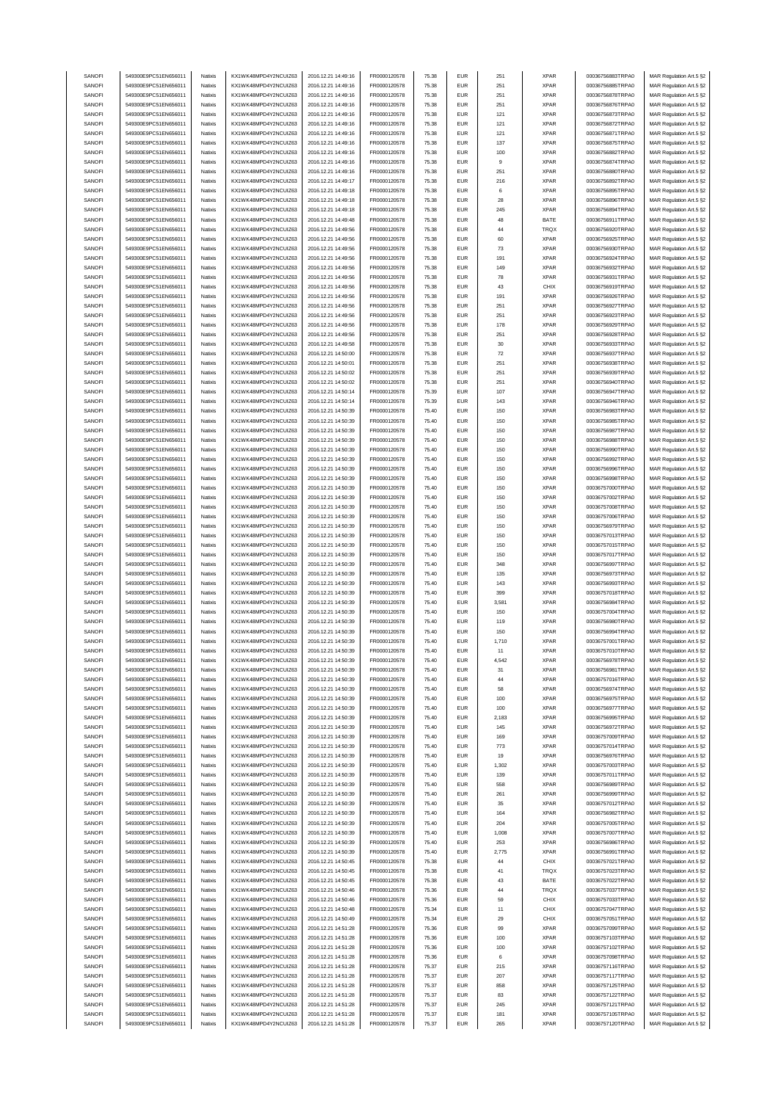| SANOFI<br>SANOFI<br>SANOFI |                      |         |                                              |                     |              | 75.38 |            |          |             |                  | MAR Regulation Art.5 §2 |
|----------------------------|----------------------|---------|----------------------------------------------|---------------------|--------------|-------|------------|----------|-------------|------------------|-------------------------|
|                            | 549300E9PC51EN656011 | Natixis | KX1WK48MPD4Y2NCUIZ63                         | 2016.12.21 14:49:16 | FR0000120578 |       | <b>EUR</b> | 251      | <b>XPAR</b> | 00036756883TRPA0 |                         |
|                            | 549300E9PC51EN656011 | Natixis | KX1WK48MPD4Y2NCUIZ63                         | 2016.12.21 14:49:16 | FR0000120578 | 75.38 | <b>EUR</b> | 251      | <b>XPAR</b> | 00036756885TRPA0 | MAR Regulation Art.5 §2 |
|                            | 549300E9PC51EN656011 | Natixis | KX1WK48MPD4Y2NCUIZ63                         | 2016.12.21 14:49:16 | FR0000120578 | 75.38 | <b>EUR</b> | 251      | <b>XPAR</b> | 00036756878TRPA0 | MAR Regulation Art.5 §2 |
| SANOFI                     | 549300E9PC51EN656011 | Natixis | KX1WK48MPD4Y2NCUIZ63                         | 2016.12.21 14:49:16 | FR0000120578 | 75.38 | <b>EUR</b> | 251      | <b>XPAR</b> | 00036756876TRPA0 | MAR Regulation Art.5 §2 |
|                            |                      |         |                                              |                     |              |       |            |          |             |                  |                         |
| SANOFI                     | 549300E9PC51EN656011 | Natixis | KX1WK48MPD4Y2NCUIZ63                         | 2016.12.21 14:49:16 | FR0000120578 | 75.38 | <b>EUR</b> | 121      | <b>XPAR</b> | 00036756873TRPA0 | MAR Regulation Art.5 §2 |
| SANOFI                     | 549300E9PC51EN656011 | Natixis | KX1WK48MPD4Y2NCUIZ63                         | 2016.12.21 14:49:16 | FR0000120578 | 75.38 | <b>EUR</b> | 121      | <b>XPAR</b> | 00036756872TRPA0 | MAR Regulation Art.5 §2 |
| SANOFI                     | 549300E9PC51EN656011 | Natixis | KX1WK48MPD4Y2NCUIZ63                         | 2016.12.21 14:49:16 | FR0000120578 | 75.38 | <b>EUR</b> | 121      | <b>XPAR</b> | 00036756871TRPA0 | MAR Regulation Art.5 §2 |
| SANOFI                     | 549300E9PC51EN656011 | Natixis | KX1WK48MPD4Y2NCUIZ63                         | 2016.12.21 14:49:16 | FR0000120578 | 75.38 | <b>EUR</b> | 137      | <b>XPAR</b> | 00036756875TRPA0 | MAR Regulation Art.5 §2 |
| SANOFI                     | 549300E9PC51EN656011 | Natixis | KX1WK48MPD4Y2NCUIZ63                         | 2016.12.21 14:49:16 | FR0000120578 | 75.38 | <b>EUR</b> | 100      | <b>XPAR</b> | 00036756882TRPA0 | MAR Regulation Art.5 §2 |
| SANOFI                     | 549300E9PC51EN656011 | Natixis | KX1WK48MPD4Y2NCUIZ63                         | 2016.12.21 14:49:16 | FR0000120578 | 75.38 | <b>EUR</b> | 9        | <b>XPAR</b> | 00036756874TRPA0 | MAR Regulation Art.5 §2 |
|                            | 549300E9PC51EN656011 | Natixis |                                              |                     |              | 75.38 | <b>EUR</b> |          |             |                  |                         |
| SANOFI                     |                      |         | KX1WK48MPD4Y2NCUIZ63                         | 2016.12.21 14:49:16 | FR0000120578 |       |            | 251      | <b>XPAR</b> | 00036756880TRPA0 | MAR Regulation Art.5 §2 |
| SANOFI                     | 549300E9PC51EN656011 | Natixis | KX1WK48MPD4Y2NCUIZ63                         | 2016.12.21 14:49:17 | FR0000120578 | 75.38 | <b>EUR</b> | 216      | <b>XPAR</b> | 00036756892TRPA0 | MAR Regulation Art.5 §2 |
| SANOFI                     | 549300E9PC51EN656011 | Natixis | KX1WK48MPD4Y2NCUIZ63                         | 2016.12.21 14:49:18 | FR0000120578 | 75.38 | <b>EUR</b> | 6        | <b>XPAR</b> | 00036756895TRPA0 | MAR Regulation Art.5 §2 |
| SANOFI                     | 549300E9PC51EN656011 | Natixis | KX1WK48MPD4Y2NCUIZ63                         | 2016.12.21 14:49:18 | FR0000120578 | 75.38 | <b>EUR</b> | 28       | <b>XPAR</b> | 00036756896TRPA0 | MAR Regulation Art.5 §2 |
| SANOFI                     | 549300E9PC51EN656011 | Natixis | KX1WK48MPD4Y2NCUIZ63                         | 2016.12.21 14:49:18 | FR0000120578 | 75.38 | <b>EUR</b> | 245      | <b>XPAR</b> | 00036756894TRPA0 | MAR Regulation Art.5 §2 |
|                            | 549300E9PC51EN656011 |         |                                              |                     |              |       |            |          |             | 00036756911TRPA0 |                         |
| SANOFI                     |                      | Natixis | KX1WK48MPD4Y2NCUIZ63                         | 2016.12.21 14:49:48 | FR0000120578 | 75.38 | <b>EUR</b> | 48       | BATE        |                  | MAR Regulation Art.5 §2 |
| SANOFI                     | 549300E9PC51EN656011 | Natixis | KX1WK48MPD4Y2NCUIZ63                         | 2016.12.21 14:49:56 | FR0000120578 | 75.38 | <b>EUR</b> | 44       | TRQX        | 00036756920TRPA0 | MAR Regulation Art.5 §2 |
| SANOFI                     | 549300E9PC51EN656011 | Natixis | KX1WK48MPD4Y2NCUIZ63                         | 2016.12.21 14:49:56 | FR0000120578 | 75.38 | <b>EUR</b> | 60       | <b>XPAR</b> | 00036756925TRPA0 | MAR Regulation Art.5 §2 |
| SANOFI                     | 549300E9PC51EN656011 | Natixis | KX1WK48MPD4Y2NCUIZ63                         | 2016.12.21 14:49:56 | FR0000120578 | 75.38 | <b>EUR</b> | 73       | <b>XPAR</b> | 00036756930TRPA0 | MAR Regulation Art.5 §2 |
| SANOFI                     | 549300E9PC51EN656011 | Natixis | KX1WK48MPD4Y2NCUIZ63                         | 2016.12.21 14:49:56 | FR0000120578 | 75.38 | <b>EUR</b> | 191      | <b>XPAR</b> | 00036756924TRPA0 | MAR Regulation Art.5 §2 |
| SANOFI                     | 549300E9PC51EN656011 | Natixis | KX1WK48MPD4Y2NCUIZ63                         | 2016.12.21 14:49:56 | FR0000120578 | 75.38 | <b>EUR</b> | 149      | <b>XPAR</b> | 00036756932TRPA0 | MAR Regulation Art.5 §2 |
|                            |                      |         |                                              |                     |              |       |            |          |             |                  |                         |
| SANOFI                     | 549300E9PC51EN656011 | Natixis | KX1WK48MPD4Y2NCUIZ63                         | 2016.12.21 14:49:56 | FR0000120578 | 75.38 | <b>EUR</b> | 78       | <b>XPAR</b> | 00036756931TRPA0 | MAR Regulation Art.5 §2 |
| SANOFI                     | 549300E9PC51EN656011 | Natixis | KX1WK48MPD4Y2NCUIZ63                         | 2016.12.21 14:49:56 | FR0000120578 | 75.38 | <b>EUR</b> | 43       | CHIX        | 00036756919TRPA0 | MAR Regulation Art.5 §2 |
| SANOFI                     | 549300E9PC51EN656011 | Natixis | KX1WK48MPD4Y2NCUIZ63                         | 2016.12.21 14:49:56 | FR0000120578 | 75.38 | <b>EUR</b> | 191      | <b>XPAR</b> | 00036756926TRPA0 | MAR Regulation Art.5 §2 |
| SANOFI                     | 549300E9PC51EN656011 | Natixis | KX1WK48MPD4Y2NCUIZ63                         | 2016.12.21 14:49:56 | FR0000120578 | 75.38 | <b>EUR</b> | 251      | <b>XPAR</b> | 00036756927TRPA0 | MAR Regulation Art.5 §2 |
| SANOFI                     | 549300E9PC51EN656011 | Natixis | KX1WK48MPD4Y2NCUIZ63                         | 2016.12.21 14:49:56 | FR0000120578 | 75.38 | <b>EUR</b> | 251      | <b>XPAR</b> | 00036756923TRPA0 | MAR Regulation Art.5 §2 |
| SANOFI                     | 549300E9PC51EN656011 | Natixis | KX1WK48MPD4Y2NCUIZ63                         | 2016.12.21 14:49:56 | FR0000120578 | 75.38 | <b>EUR</b> | 178      | <b>XPAR</b> | 00036756929TRPA0 | MAR Regulation Art.5 §2 |
|                            |                      |         |                                              |                     |              |       |            |          |             |                  |                         |
| SANOFI                     | 549300E9PC51EN656011 | Natixis | KX1WK48MPD4Y2NCUIZ63                         | 2016.12.21 14:49:56 | FR0000120578 | 75.38 | <b>EUR</b> | 251      | <b>XPAR</b> | 00036756928TRPA0 | MAR Regulation Art.5 §2 |
| SANOFI                     | 549300E9PC51EN656011 | Natixis | KX1WK48MPD4Y2NCUIZ63                         | 2016.12.21 14:49:58 | FR0000120578 | 75.38 | <b>EUR</b> | 30       | <b>XPAR</b> | 00036756933TRPA0 | MAR Regulation Art.5 §2 |
| SANOFI                     | 549300E9PC51EN656011 | Natixis | KX1WK48MPD4Y2NCUIZ63                         | 2016.12.21 14:50:00 | FR0000120578 | 75.38 | <b>EUR</b> | $\bf 72$ | <b>XPAR</b> | 00036756937TRPA0 | MAR Regulation Art.5 §2 |
| SANOFI                     | 549300E9PC51EN656011 | Natixis | KX1WK48MPD4Y2NCUIZ63                         | 2016.12.21 14:50:01 | FR0000120578 | 75.38 | <b>EUR</b> | 251      | <b>XPAR</b> | 00036756938TRPA0 | MAR Regulation Art.5 §2 |
| SANOFI                     | 549300E9PC51EN656011 | Natixis | KX1WK48MPD4Y2NCUIZ63                         | 2016.12.21 14:50:02 | FR0000120578 | 75.38 | <b>EUR</b> | 251      | <b>XPAR</b> | 00036756939TRPA0 | MAR Regulation Art.5 §2 |
| SANOFI                     | 549300E9PC51EN656011 |         |                                              |                     |              |       | <b>EUR</b> |          |             |                  |                         |
|                            |                      | Natixis | KX1WK48MPD4Y2NCUIZ63                         | 2016.12.21 14:50:02 | FR0000120578 | 75.38 |            | 251      | <b>XPAR</b> | 00036756940TRPA0 | MAR Regulation Art.5 §2 |
| SANOFI                     | 549300E9PC51EN656011 | Natixis | KX1WK48MPD4Y2NCUIZ63                         | 2016.12.21 14:50:14 | FR0000120578 | 75.39 | <b>EUR</b> | 107      | <b>XPAR</b> | 00036756947TRPA0 | MAR Regulation Art.5 §2 |
| SANOFI                     | 549300E9PC51EN656011 | Natixis | KX1WK48MPD4Y2NCUIZ63                         | 2016.12.21 14:50:14 | FR0000120578 | 75.39 | <b>EUR</b> | 143      | <b>XPAR</b> | 00036756946TRPA0 | MAR Regulation Art.5 §2 |
| SANOFI                     | 549300E9PC51EN656011 | Natixis | KX1WK48MPD4Y2NCUIZ63                         | 2016.12.21 14:50:39 | FR0000120578 | 75.40 | <b>EUR</b> | 150      | <b>XPAR</b> | 00036756983TRPA0 | MAR Regulation Art.5 §2 |
| SANOFI                     | 549300E9PC51EN656011 | Natixis | KX1WK48MPD4Y2NCUIZ63                         | 2016.12.21 14:50:39 | FR0000120578 | 75.40 | <b>EUR</b> | 150      | <b>XPAR</b> | 00036756985TRPA0 | MAR Regulation Art.5 §2 |
|                            | 549300E9PC51EN656011 | Natixis |                                              |                     | FR0000120578 | 75.40 | <b>EUR</b> |          |             |                  | MAR Regulation Art.5 §2 |
| SANOFI                     |                      |         | KX1WK48MPD4Y2NCUIZ63                         | 2016.12.21 14:50:39 |              |       |            | 150      | <b>XPAR</b> | 00036756987TRPA0 |                         |
| SANOFI                     | 549300E9PC51EN656011 | Natixis | KX1WK48MPD4Y2NCUIZ63                         | 2016.12.21 14:50:39 | FR0000120578 | 75.40 | <b>EUR</b> | 150      | <b>XPAR</b> | 00036756988TRPA0 | MAR Regulation Art.5 §2 |
| SANOFI                     | 549300E9PC51EN656011 | Natixis | KX1WK48MPD4Y2NCUIZ63                         | 2016.12.21 14:50:39 | FR0000120578 | 75.40 | <b>EUR</b> | 150      | <b>XPAR</b> | 00036756990TRPA0 | MAR Regulation Art.5 §2 |
| SANOFI                     | 549300E9PC51EN656011 | Natixis | KX1WK48MPD4Y2NCUIZ63                         | 2016.12.21 14:50:39 | FR0000120578 | 75.40 | <b>EUR</b> | 150      | <b>XPAR</b> | 00036756992TRPA0 | MAR Regulation Art.5 §2 |
| SANOFI                     | 549300E9PC51EN656011 | Natixis | KX1WK48MPD4Y2NCUIZ63                         | 2016.12.21 14:50:39 | FR0000120578 | 75.40 | <b>EUR</b> | 150      | <b>XPAR</b> | 00036756996TRPA0 | MAR Regulation Art.5 §2 |
| SANOFI                     | 549300E9PC51EN656011 | Natixis | KX1WK48MPD4Y2NCUIZ63                         | 2016.12.21 14:50:39 | FR0000120578 | 75.40 | <b>EUR</b> | 150      | <b>XPAR</b> | 00036756998TRPA0 | MAR Regulation Art.5 §2 |
|                            |                      |         |                                              |                     |              |       |            |          |             |                  |                         |
| SANOFI                     | 549300E9PC51EN656011 | Natixis | KX1WK48MPD4Y2NCUIZ63                         | 2016.12.21 14:50:39 | FR0000120578 | 75.40 | <b>EUR</b> | 150      | <b>XPAR</b> | 00036757000TRPA0 | MAR Regulation Art.5 §2 |
| SANOFI                     | 549300E9PC51EN656011 | Natixis | KX1WK48MPD4Y2NCUIZ63                         | 2016.12.21 14:50:39 | FR0000120578 | 75.40 | <b>EUR</b> | 150      | <b>XPAR</b> | 00036757002TRPA0 | MAR Regulation Art.5 §2 |
| SANOFI                     | 549300E9PC51EN656011 | Natixis | KX1WK48MPD4Y2NCUIZ63                         | 2016.12.21 14:50:39 | FR0000120578 | 75.40 | <b>EUR</b> | 150      | <b>XPAR</b> | 00036757008TRPA0 | MAR Regulation Art.5 §2 |
| SANOFI                     | 549300E9PC51EN656011 | Natixis | KX1WK48MPD4Y2NCUIZ63                         | 2016.12.21 14:50:39 | FR0000120578 | 75.40 | <b>EUR</b> | 150      | <b>XPAR</b> | 00036757006TRPA0 | MAR Regulation Art.5 §2 |
| SANOFI                     | 549300E9PC51EN656011 | Natixis | KX1WK48MPD4Y2NCUIZ63                         | 2016.12.21 14:50:39 | FR0000120578 | 75.40 | <b>EUR</b> | 150      | <b>XPAR</b> | 00036756979TRPA0 | MAR Regulation Art.5 §2 |
| SANOFI                     | 549300E9PC51EN656011 | Natixis | KX1WK48MPD4Y2NCUIZ63                         | 2016.12.21 14:50:39 | FR0000120578 | 75.40 | <b>EUR</b> | 150      | <b>XPAR</b> | 00036757013TRPA0 | MAR Regulation Art.5 §2 |
|                            |                      |         |                                              |                     |              |       |            |          |             |                  |                         |
| SANOFI                     | 549300E9PC51EN656011 | Natixis | KX1WK48MPD4Y2NCUIZ63                         | 2016.12.21 14:50:39 | FR0000120578 | 75.40 | <b>EUR</b> | 150      | <b>XPAR</b> | 00036757015TRPA0 | MAR Regulation Art.5 §2 |
| SANOFI                     | 549300E9PC51EN656011 | Natixis | KX1WK48MPD4Y2NCUIZ63                         | 2016.12.21 14:50:39 | FR0000120578 | 75.40 | <b>EUR</b> | 150      | <b>XPAR</b> | 00036757017TRPA0 | MAR Regulation Art.5 §2 |
| SANOFI                     | 549300E9PC51EN656011 | Natixis | KX1WK48MPD4Y2NCUIZ63                         | 2016.12.21 14:50:39 | FR0000120578 | 75.40 | <b>EUR</b> | 348      | <b>XPAR</b> | 00036756997TRPA0 | MAR Regulation Art.5 §2 |
| SANOFI                     | 549300E9PC51EN656011 | Natixis | KX1WK48MPD4Y2NCUIZ63                         | 2016.12.21 14:50:39 | FR0000120578 | 75.40 | <b>EUR</b> | 135      | <b>XPAR</b> | 00036756973TRPA0 | MAR Regulation Art.5 §2 |
| SANOFI                     | 549300E9PC51EN656011 | Natixis | KX1WK48MPD4Y2NCUIZ63                         | 2016.12.21 14:50:39 | FR0000120578 | 75.40 | <b>EUR</b> | 143      | <b>XPAR</b> | 00036756993TRPA0 | MAR Regulation Art.5 §2 |
|                            | 549300E9PC51EN656011 | Natixis |                                              |                     | FR0000120578 | 75.40 | <b>EUR</b> | 399      |             | 00036757018TRPA0 |                         |
| SANOFI                     |                      |         | KX1WK48MPD4Y2NCUIZ63                         | 2016.12.21 14:50:39 |              |       |            |          | <b>XPAR</b> |                  | MAR Regulation Art.5 §2 |
| SANOFI                     | 549300E9PC51EN656011 | Natixis | KX1WK48MPD4Y2NCUIZ63                         | 2016.12.21 14:50:39 | FR0000120578 | 75.40 | <b>EUR</b> | 3,581    | <b>XPAR</b> | 00036756984TRPA0 | MAR Regulation Art.5 §2 |
| SANOFI                     | 549300E9PC51EN656011 | Natixis | KX1WK48MPD4Y2NCUIZ63                         | 2016.12.21 14:50:39 | FR0000120578 | 75.40 | <b>EUR</b> | 150      | <b>XPAR</b> | 00036757004TRPA0 | MAR Regulation Art.5 §2 |
| SANOFI                     | 549300E9PC51EN656011 | Natixis | KX1WK48MPD4Y2NCUIZ63                         | 2016.12.21 14:50:39 | FR0000120578 | 75.40 | <b>EUR</b> | 119      | <b>XPAR</b> | 00036756980TRPA0 | MAR Regulation Art.5 §2 |
| SANOFI                     | 549300E9PC51EN656011 | Natixis | KX1WK48MPD4Y2NCUIZ63                         | 2016.12.21 14:50:39 | FR0000120578 | 75.40 | <b>EUR</b> | 150      | <b>XPAR</b> | 00036756994TRPA0 | MAR Regulation Art.5 §2 |
| SANOFI                     | 549300E9PC51EN656011 | Natixis | KX1WK48MPD4Y2NCUIZ63                         | 2016.12.21 14:50:39 | FR0000120578 | 75.40 | <b>EUR</b> | 1.710    | <b>XPAR</b> | 00036757001TRPA0 | MAR Regulation Art.5 §2 |
|                            |                      |         |                                              |                     |              |       |            |          |             |                  |                         |
| SANOF                      | 549300E9PC51EN65601  | Natixis | KX1WK48MPD4Y2NCUIZ63                         | 2016.12.21 14:50:39 | FR0000120578 |       |            |          |             |                  |                         |
| SANOFI                     | 549300E9PC51EN656011 | Natixis | KX1WK48MPD4Y2NCUIZ63                         | 2016.12.21 14:50:39 |              | 75.40 | EUR        | 11       | XPAR        | 00036757010TRPAC | MAR Regulation Art.5 §2 |
| SANOFI                     | 549300E9PC51EN656011 |         |                                              |                     | FR0000120578 | 75.40 | <b>EUR</b> | 4,542    | <b>XPAR</b> | 00036756978TRPA0 | MAR Regulation Art.5 §2 |
| SANOFI                     | 549300E9PC51EN656011 | Natixis | KX1WK48MPD4Y2NCUIZ63                         | 2016.12.21 14:50:39 | FR0000120578 | 75.40 | <b>EUR</b> | 31       | <b>XPAR</b> | 00036756981TRPA0 | MAR Regulation Art.5 §2 |
| SANOFI                     |                      | Natixis | KX1WK48MPD4Y2NCUIZ63                         | 2016.12.21 14:50:39 | FR0000120578 | 75.40 | <b>EUR</b> | 44       | <b>XPAR</b> | 00036757016TRPA0 | MAR Regulation Art.5 §2 |
|                            |                      | Natixis |                                              |                     | FR0000120578 |       |            |          |             | 00036756974TRPA0 |                         |
|                            | 549300E9PC51EN656011 |         | KX1WK48MPD4Y2NCUIZ63                         | 2016.12.21 14:50:39 |              | 75.40 | <b>EUR</b> | 58       | <b>XPAR</b> |                  | MAR Regulation Art.5 §2 |
| SANOFI                     | 549300E9PC51EN656011 | Natixis | KX1WK48MPD4Y2NCUIZ63                         | 2016.12.21 14:50:39 | FR0000120578 | 75.40 | <b>EUR</b> | 100      | <b>XPAR</b> | 00036756975TRPA0 | MAR Regulation Art.5 §2 |
| SANOFI                     | 549300E9PC51EN656011 | Natixis | KX1WK48MPD4Y2NCUIZ63                         | 2016.12.21 14:50:39 | FR0000120578 | 75.40 | <b>EUR</b> | 100      | <b>XPAR</b> | 00036756977TRPA0 | MAR Regulation Art.5 §2 |
| SANOFI                     | 549300E9PC51EN656011 | Natixis | KX1WK48MPD4Y2NCUIZ63                         | 2016.12.21 14:50:39 | FR0000120578 | 75.40 | <b>EUR</b> | 2,183    | <b>XPAR</b> | 00036756995TRPA0 | MAR Regulation Art.5 §2 |
| SANOFI                     | 549300E9PC51EN656011 | Natixis | KX1WK48MPD4Y2NCUIZ63                         | 2016.12.21 14:50:39 | FR0000120578 | 75.40 | <b>EUR</b> | 145      | <b>XPAR</b> | 00036756972TRPA0 | MAR Regulation Art.5 §2 |
| SANOFI                     | 549300E9PC51EN656011 | Natixis | KX1WK48MPD4Y2NCUIZ63                         | 2016.12.21 14:50:39 | FR0000120578 | 75.40 | <b>EUR</b> | 169      | <b>XPAR</b> | 00036757009TRPA0 | MAR Regulation Art.5 §2 |
| SANOFI                     | 549300E9PC51EN656011 | Natixis | KX1WK48MPD4Y2NCUIZ63                         | 2016.12.21 14:50:39 | FR0000120578 | 75.40 | <b>EUR</b> | 773      | <b>XPAR</b> | 00036757014TRPA0 | MAR Regulation Art.5 §2 |
|                            |                      |         |                                              |                     |              |       |            |          |             |                  |                         |
| SANOFI                     | 549300E9PC51EN656011 | Natixis | KX1WK48MPD4Y2NCUIZ63                         | 2016.12.21 14:50:39 | FR0000120578 | 75.40 | <b>EUR</b> | 19       | <b>XPAR</b> | 00036756976TRPA0 | MAR Regulation Art.5 §2 |
| SANOFI                     | 549300E9PC51EN656011 | Natixis | KX1WK48MPD4Y2NCUIZ63                         | 2016.12.21 14:50:39 | FR0000120578 | 75.40 | <b>EUR</b> | 1,302    | <b>XPAR</b> | 00036757003TRPA0 | MAR Regulation Art.5 §2 |
| SANOFI                     | 549300E9PC51EN656011 | Natixis | KX1WK48MPD4Y2NCUIZ63                         | 2016.12.21 14:50:39 | FR0000120578 | 75.40 | <b>EUR</b> | 139      | <b>XPAR</b> | 00036757011TRPA0 | MAR Regulation Art.5 §2 |
| SANOFI                     | 549300E9PC51EN656011 | Natixis | KX1WK48MPD4Y2NCUIZ63                         | 2016.12.21 14:50:39 | FR0000120578 | 75.40 | <b>EUR</b> | 558      | <b>XPAR</b> | 00036756989TRPA0 | MAR Regulation Art.5 §2 |
| SANOFI                     | 549300E9PC51EN656011 | Natixis | KX1WK48MPD4Y2NCUIZ63                         | 2016.12.21 14:50:39 | FR0000120578 | 75.40 | <b>EUR</b> | 261      | <b>XPAR</b> | 00036756999TRPA0 | MAR Regulation Art.5 §2 |
|                            | 549300E9PC51EN656011 | Natixis |                                              |                     | FR0000120578 |       |            | 35       |             |                  |                         |
| SANOFI                     |                      |         | KX1WK48MPD4Y2NCUIZ63                         | 2016.12.21 14:50:39 |              | 75.40 | <b>EUR</b> |          | <b>XPAR</b> | 00036757012TRPA0 | MAR Regulation Art.5 §2 |
| SANOFI                     | 549300E9PC51EN656011 | Natixis | KX1WK48MPD4Y2NCUIZ63                         | 2016.12.21 14:50:39 | FR0000120578 | 75.40 | <b>EUR</b> | 164      | <b>XPAR</b> | 00036756982TRPA0 | MAR Regulation Art.5 §2 |
| SANOFI                     | 549300E9PC51EN656011 | Natixis | KX1WK48MPD4Y2NCUIZ63                         | 2016.12.21 14:50:39 | FR0000120578 | 75.40 | <b>EUR</b> | 204      | <b>XPAR</b> | 00036757005TRPA0 | MAR Regulation Art.5 §2 |
| SANOFI                     | 549300E9PC51EN656011 | Natixis | KX1WK48MPD4Y2NCUIZ63                         | 2016.12.21 14:50:39 | FR0000120578 | 75.40 | <b>EUR</b> | 1,008    | <b>XPAR</b> | 00036757007TRPA0 | MAR Regulation Art.5 §2 |
| SANOFI                     | 549300E9PC51EN656011 | Natixis | KX1WK48MPD4Y2NCUIZ63                         | 2016.12.21 14:50:39 | FR0000120578 | 75.40 | <b>EUR</b> | 253      | <b>XPAR</b> | 00036756986TRPA0 | MAR Regulation Art.5 §2 |
| SANOFI                     | 549300E9PC51EN656011 | Natixis | KX1WK48MPD4Y2NCUIZ63                         | 2016.12.21 14:50:39 | FR0000120578 | 75.40 | <b>EUR</b> | 2,775    | <b>XPAR</b> | 00036756991TRPA0 | MAR Regulation Art.5 §2 |
| SANOFI                     | 549300E9PC51EN656011 | Natixis | KX1WK48MPD4Y2NCUIZ63                         | 2016.12.21 14:50:45 | FR0000120578 | 75.38 | <b>EUR</b> | 44       | CHIX        | 00036757021TRPA0 | MAR Regulation Art.5 §2 |
|                            |                      |         |                                              |                     |              |       |            |          |             |                  |                         |
| SANOFI                     | 549300E9PC51EN656011 | Natixis | KX1WK48MPD4Y2NCUIZ63                         | 2016.12.21 14:50:45 | FR0000120578 | 75.38 | <b>EUR</b> | 41       | TRQX        | 00036757023TRPA0 | MAR Regulation Art.5 §2 |
| SANOFI                     | 549300E9PC51EN656011 | Natixis | KX1WK48MPD4Y2NCUIZ63                         | 2016.12.21 14:50:45 | FR0000120578 | 75.38 | <b>EUR</b> | 43       | BATE        | 00036757022TRPA0 | MAR Regulation Art.5 §2 |
| SANOFI                     | 549300E9PC51EN656011 | Natixis | KX1WK48MPD4Y2NCUIZ63                         | 2016.12.21 14:50:46 | FR0000120578 | 75.36 | <b>EUR</b> | 44       | <b>TRQX</b> | 00036757037TRPA0 | MAR Regulation Art.5 §2 |
| SANOFI                     | 549300E9PC51EN656011 | Natixis | KX1WK48MPD4Y2NCUIZ63                         | 2016.12.21 14:50:46 | FR0000120578 | 75.36 | <b>EUR</b> | 59       | CHIX        | 00036757033TRPA0 | MAR Regulation Art.5 §2 |
| SANOFI                     | 549300E9PC51EN656011 | Natixis | KX1WK48MPD4Y2NCUIZ63                         | 2016.12.21 14:50:48 | FR0000120578 | 75.34 | <b>EUR</b> | 11       | CHIX        | 00036757047TRPA0 | MAR Regulation Art.5 §2 |
|                            |                      |         |                                              |                     |              |       |            |          |             |                  |                         |
| SANOFI                     | 549300E9PC51EN656011 | Natixis | KX1WK48MPD4Y2NCUIZ63                         | 2016.12.21 14:50:49 | FR0000120578 | 75.34 | <b>EUR</b> | 29       | CHIX        | 00036757051TRPA0 | MAR Regulation Art.5 §2 |
| SANOFI                     | 549300E9PC51EN656011 | Natixis | KX1WK48MPD4Y2NCUIZ63                         | 2016.12.21 14:51:28 | FR0000120578 | 75.36 | <b>EUR</b> | 99       | <b>XPAR</b> | 00036757099TRPA0 | MAR Regulation Art.5 §2 |
| SANOFI                     | 549300E9PC51EN656011 | Natixis | KX1WK48MPD4Y2NCUIZ63                         | 2016.12.21 14:51:28 | FR0000120578 | 75.36 | <b>EUR</b> | 100      | <b>XPAR</b> | 00036757103TRPA0 | MAR Regulation Art.5 §2 |
| SANOFI                     | 549300E9PC51EN656011 | Natixis | KX1WK48MPD4Y2NCUIZ63                         | 2016.12.21 14:51:28 | FR0000120578 | 75.36 | <b>EUR</b> | 100      | <b>XPAR</b> | 00036757102TRPA0 | MAR Regulation Art.5 §2 |
| SANOFI                     | 549300E9PC51EN656011 | Natixis | KX1WK48MPD4Y2NCUIZ63                         | 2016.12.21 14:51:28 | FR0000120578 | 75.36 | <b>EUR</b> | 6        | <b>XPAR</b> | 00036757098TRPA0 | MAR Regulation Art.5 §2 |
| SANOFI                     |                      | Natixis |                                              |                     |              |       | <b>EUR</b> | 215      |             |                  |                         |
|                            | 549300E9PC51EN656011 |         | KX1WK48MPD4Y2NCUIZ63                         | 2016.12.21 14:51:28 | FR0000120578 | 75.37 |            |          | <b>XPAR</b> | 00036757116TRPA0 | MAR Regulation Art.5 §2 |
| SANOFI                     | 549300E9PC51EN656011 | Natixis | KX1WK48MPD4Y2NCUIZ63                         | 2016.12.21 14:51:28 | FR0000120578 | 75.37 | <b>EUR</b> | 207      | <b>XPAR</b> | 00036757117TRPA0 | MAR Regulation Art.5 §2 |
| SANOFI                     | 549300E9PC51EN656011 | Natixis | KX1WK48MPD4Y2NCUIZ63                         | 2016.12.21 14:51:28 | FR0000120578 | 75.37 | <b>EUR</b> | 858      | <b>XPAR</b> | 00036757125TRPA0 | MAR Regulation Art.5 §2 |
| SANOFI                     | 549300E9PC51EN656011 | Natixis | KX1WK48MPD4Y2NCUIZ63                         | 2016.12.21 14:51:28 | FR0000120578 | 75.37 | <b>EUR</b> | 83       | <b>XPAR</b> | 00036757122TRPA0 | MAR Regulation Art.5 §2 |
| SANOFI                     | 549300E9PC51EN656011 | Natixis | KX1WK48MPD4Y2NCUIZ63                         | 2016.12.21 14:51:28 | FR0000120578 | 75.37 | <b>EUR</b> | 245      | <b>XPAR</b> | 00036757121TRPA0 | MAR Regulation Art.5 §2 |
| SANOFI                     | 549300E9PC51EN656011 | Natixis | KX1WK48MPD4Y2NCUIZ63<br>KX1WK48MPD4Y2NCUIZ63 | 2016.12.21 14:51:28 | FR0000120578 | 75.37 | <b>EUR</b> | 181      | <b>XPAR</b> | 00036757105TRPA0 | MAR Regulation Art.5 §2 |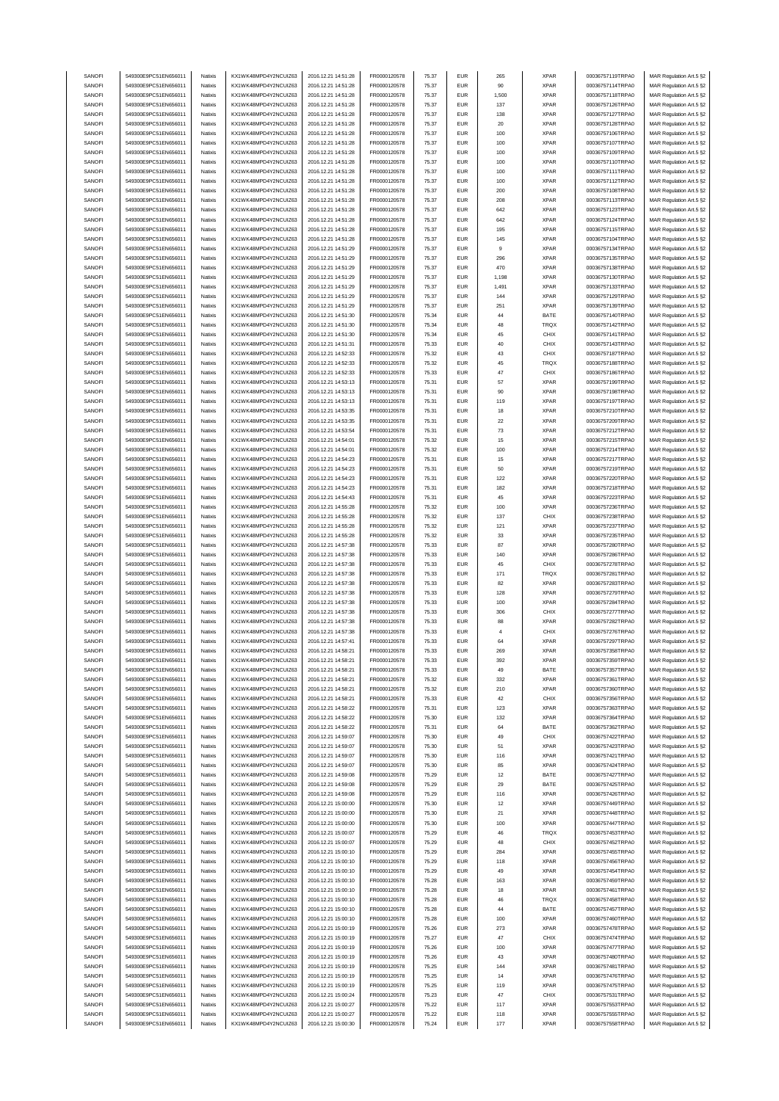| SANOFI | 549300E9PC51EN656011 | Natixis | KX1WK48MPD4Y2NCUIZ63  | 2016.12.21 14:51:28 | FR0000120578 | 75.37 | <b>EUR</b> | 265            | <b>XPAR</b> | 00036757119TRPA0 | MAR Regulation Art.5 §2 |
|--------|----------------------|---------|-----------------------|---------------------|--------------|-------|------------|----------------|-------------|------------------|-------------------------|
| SANOFI | 549300E9PC51EN656011 | Natixis | KX1WK48MPD4Y2NCUIZ63  | 2016.12.21 14:51:28 | FR0000120578 | 75.37 | <b>EUR</b> | 90             | <b>XPAR</b> | 00036757114TRPA0 | MAR Regulation Art.5 §2 |
| SANOFI | 549300E9PC51EN656011 | Natixis | KX1WK48MPD4Y2NCUIZ63  | 2016.12.21 14:51:28 | FR0000120578 | 75.37 | <b>EUR</b> | 1,500          | <b>XPAR</b> | 00036757118TRPA0 | MAR Regulation Art.5 §2 |
| SANOFI | 549300E9PC51EN656011 | Natixis | KX1WK48MPD4Y2NCUIZ63  | 2016.12.21 14:51:28 | FR0000120578 | 75.37 | <b>EUR</b> | 137            | <b>XPAR</b> | 00036757126TRPA0 | MAR Regulation Art.5 §2 |
|        |                      |         |                       |                     |              |       |            |                |             |                  |                         |
| SANOFI | 549300E9PC51EN656011 | Natixis | KX1WK48MPD4Y2NCUIZ63  | 2016.12.21 14:51:28 | FR0000120578 | 75.37 | <b>EUR</b> | 138            | <b>XPAR</b> | 00036757127TRPA0 | MAR Regulation Art.5 §2 |
| SANOFI | 549300E9PC51EN656011 | Natixis | KX1WK48MPD4Y2NCUIZ63  | 2016.12.21 14:51:28 | FR0000120578 | 75.37 | <b>EUR</b> | 20             | <b>XPAR</b> | 00036757128TRPA0 | MAR Regulation Art.5 §2 |
| SANOFI | 549300E9PC51EN656011 | Natixis | KX1WK48MPD4Y2NCUIZ63  | 2016.12.21 14:51:28 | FR0000120578 | 75.37 | <b>EUR</b> | 100            | <b>XPAR</b> | 00036757106TRPA0 | MAR Regulation Art.5 §2 |
| SANOFI | 549300E9PC51EN656011 | Natixis | KX1WK48MPD4Y2NCUIZ63  | 2016.12.21 14:51:28 | FR0000120578 | 75.37 | <b>EUR</b> | 100            | <b>XPAR</b> | 00036757107TRPA0 | MAR Regulation Art.5 §2 |
| SANOFI | 549300E9PC51EN656011 | Natixis | KX1WK48MPD4Y2NCLIIZ63 | 2016.12.21 14:51:28 | FR0000120578 | 75.37 | <b>EUR</b> | 100            | <b>XPAR</b> | 00036757109TRPA0 | MAR Regulation Art.5 §2 |
| SANOFI | 549300E9PC51EN656011 | Natixis | KX1WK48MPD4Y2NCUIZ63  | 2016.12.21 14:51:28 | FR0000120578 | 75.37 | <b>EUR</b> | 100            | <b>XPAR</b> | 00036757110TRPA0 | MAR Regulation Art.5 §2 |
|        |                      | Natixis |                       |                     |              |       | <b>EUR</b> |                |             |                  |                         |
| SANOFI | 549300E9PC51EN656011 |         | KX1WK48MPD4Y2NCUIZ63  | 2016.12.21 14:51:28 | FR0000120578 | 75.37 |            | 100            | <b>XPAR</b> | 00036757111TRPA0 | MAR Regulation Art.5 §2 |
| SANOFI | 549300E9PC51EN656011 | Natixis | KX1WK48MPD4Y2NCUIZ63  | 2016.12.21 14:51:28 | FR0000120578 | 75.37 | <b>EUR</b> | 100            | <b>XPAR</b> | 00036757112TRPA0 | MAR Regulation Art.5 §2 |
| SANOFI | 549300E9PC51EN656011 | Natixis | KX1WK48MPD4Y2NCUIZ63  | 2016.12.21 14:51:28 | FR0000120578 | 75.37 | <b>EUR</b> | 200            | <b>XPAR</b> | 00036757108TRPA0 | MAR Regulation Art.5 §2 |
| SANOFI | 549300E9PC51EN656011 | Natixis | KX1WK48MPD4Y2NCUIZ63  | 2016.12.21 14:51:28 | FR0000120578 | 75.37 | <b>EUR</b> | 208            | <b>XPAR</b> | 00036757113TRPA0 | MAR Regulation Art.5 §2 |
| SANOFI | 549300E9PC51EN656011 | Natixis | KX1WK48MPD4Y2NCUIZ63  | 2016.12.21 14:51:28 | FR0000120578 | 75.37 | <b>EUR</b> | 642            | <b>XPAR</b> | 00036757123TRPA0 | MAR Regulation Art.5 §2 |
|        |                      |         |                       |                     |              |       |            |                |             |                  |                         |
| SANOFI | 549300E9PC51EN656011 | Natixis | KX1WK48MPD4Y2NCUIZ63  | 2016.12.21 14:51:28 | FR0000120578 | 75.37 | <b>EUR</b> | 642            | <b>XPAR</b> | 00036757124TRPA0 | MAR Regulation Art.5 §2 |
| SANOFI | 549300E9PC51EN656011 | Natixis | KX1WK48MPD4Y2NCUIZ63  | 2016.12.21 14:51:28 | FR0000120578 | 75.37 | <b>EUR</b> | 195            | <b>XPAR</b> | 00036757115TRPA0 | MAR Regulation Art.5 §2 |
| SANOFI | 549300E9PC51EN656011 | Natixis | KX1WK48MPD4Y2NCLIIZ63 | 2016.12.21 14:51:28 | FR0000120578 | 75.37 | <b>EUR</b> | 145            | <b>XPAR</b> | 00036757104TRPA0 | MAR Regulation Art.5 §2 |
| SANOFI | 549300E9PC51EN656011 | Natixis | KX1WK48MPD4Y2NCUIZ63  | 2016.12.21 14:51:29 | FR0000120578 | 75.37 | <b>EUR</b> | 9              | <b>XPAR</b> | 00036757134TRPA0 | MAR Regulation Art.5 §2 |
| SANOFI | 549300E9PC51EN656011 | Natixis | KX1WK48MPD4Y2NCUIZ63  | 2016.12.21 14:51:29 | FR0000120578 | 75.37 | <b>EUR</b> | 296            | <b>XPAR</b> | 00036757135TRPA0 | MAR Regulation Art.5 §2 |
| SANOFI | 549300E9PC51EN656011 | Natixis | KX1WK48MPD4Y2NCUIZ63  | 2016.12.21 14:51:29 | FR0000120578 | 75.37 | <b>EUR</b> | 470            | <b>XPAR</b> | 00036757138TRPA0 | MAR Regulation Art.5 §2 |
|        |                      |         |                       |                     |              |       |            |                |             |                  |                         |
| SANOFI | 549300E9PC51EN656011 | Natixis | KX1WK48MPD4Y2NCUIZ63  | 2016.12.21 14:51:29 | FR0000120578 | 75.37 | <b>EUR</b> | 1,198          | <b>XPAR</b> | 00036757130TRPA0 | MAR Regulation Art.5 §2 |
| SANOFI | 549300E9PC51EN656011 | Natixis | KX1WK48MPD4Y2NCUIZ63  | 2016.12.21 14:51:29 | FR0000120578 | 75.37 | <b>EUR</b> | 1,491          | <b>XPAR</b> | 00036757133TRPA0 | MAR Regulation Art.5 §2 |
| SANOFI | 549300E9PC51EN656011 | Natixis | KX1WK48MPD4Y2NCUIZ63  | 2016.12.21 14:51:29 | FR0000120578 | 75.37 | <b>EUR</b> | 144            | <b>XPAR</b> | 00036757129TRPA0 | MAR Regulation Art.5 §2 |
| SANOFI | 549300E9PC51EN656011 | Natixis | KX1WK48MPD4Y2NCUIZ63  | 2016.12.21 14:51:29 | FR0000120578 | 75.37 | <b>EUR</b> | 251            | <b>XPAR</b> | 00036757139TRPA0 | MAR Regulation Art.5 §2 |
| SANOFI | 549300E9PC51EN656011 | Natixis | KX1WK48MPD4Y2NCUIZ63  | 2016.12.21 14:51:30 | FR0000120578 | 75.34 | <b>EUR</b> | 44             | BATE        | 00036757140TRPA0 | MAR Regulation Art.5 §2 |
| SANOFI | 549300E9PC51EN656011 | Natixis | KX1WK48MPD4Y2NCLIIZ63 | 2016.12.21 14:51:30 | FR0000120578 | 75.34 | <b>EUR</b> | 48             | TRQX        | 00036757142TRPA0 |                         |
|        |                      |         |                       |                     |              |       |            |                |             |                  | MAR Regulation Art.5 §2 |
| SANOFI | 549300E9PC51EN656011 | Natixis | KX1WK48MPD4Y2NCUIZ63  | 2016.12.21 14:51:30 | FR0000120578 | 75.34 | <b>EUR</b> | 45             | CHIX        | 00036757141TRPA0 | MAR Regulation Art.5 §2 |
| SANOFI | 549300E9PC51EN656011 | Natixis | KX1WK48MPD4Y2NCUIZ63  | 2016.12.21 14:51:31 | FR0000120578 | 75.33 | <b>EUR</b> | 40             | CHIX        | 00036757143TRPA0 | MAR Regulation Art.5 §2 |
| SANOFI | 549300E9PC51EN656011 | Natixis | KX1WK48MPD4Y2NCUIZ63  | 2016.12.21 14:52:33 | FR0000120578 | 75.32 | <b>EUR</b> | 43             | CHIX        | 00036757187TRPA0 | MAR Regulation Art.5 §2 |
| SANOFI | 549300E9PC51EN656011 | Natixis | KX1WK48MPD4Y2NCUIZ63  | 2016.12.21 14:52:33 | FR0000120578 | 75.32 | <b>EUR</b> | 45             | TRQX        | 00036757188TRPA0 | MAR Regulation Art.5 §2 |
| SANOFI | 549300E9PC51EN656011 | Natixis | KX1WK48MPD4Y2NCUIZ63  | 2016.12.21 14:52:33 | FR0000120578 | 75.33 | <b>EUR</b> | 47             | CHIX        | 00036757186TRPA0 | MAR Regulation Art.5 §2 |
|        |                      |         |                       |                     |              |       |            |                |             |                  |                         |
| SANOFI | 549300E9PC51EN656011 | Natixis | KX1WK48MPD4Y2NCUIZ63  | 2016.12.21 14:53:13 | FR0000120578 | 75.31 | <b>EUR</b> | 57             | <b>XPAR</b> | 00036757199TRPA0 | MAR Regulation Art.5 §2 |
| SANOFI | 549300E9PC51EN656011 | Natixis | KX1WK48MPD4Y2NCUIZ63  | 2016.12.21 14:53:13 | FR0000120578 | 75.31 | <b>EUR</b> | 90             | <b>XPAR</b> | 00036757198TRPA0 | MAR Regulation Art.5 §2 |
| SANOFI | 549300E9PC51EN656011 | Natixis | KX1WK48MPD4Y2NCUIZ63  | 2016.12.21 14:53:13 | FR0000120578 | 75.31 | <b>EUR</b> | 119            | <b>XPAR</b> | 00036757197TRPA0 | MAR Regulation Art.5 §2 |
| SANOFI | 549300E9PC51EN656011 | Natixis | KX1WK48MPD4Y2NCLIIZ63 | 2016.12.21 14:53:35 | FR0000120578 | 75.31 | <b>EUR</b> | 18             | <b>XPAR</b> | 00036757210TRPA0 | MAR Regulation Art.5 §2 |
| SANOFI | 549300E9PC51EN656011 | Natixis | KX1WK48MPD4Y2NCUIZ63  | 2016.12.21 14:53:35 | FR0000120578 | 75.31 | <b>EUR</b> | 22             | <b>XPAR</b> | 00036757209TRPA0 | MAR Regulation Art.5 §2 |
|        |                      |         |                       |                     |              |       |            |                |             |                  |                         |
| SANOFI | 549300E9PC51EN656011 | Natixis | KX1WK48MPD4Y2NCUIZ63  | 2016.12.21 14:53:54 | FR0000120578 | 75.31 | <b>EUR</b> | 73             | <b>XPAR</b> | 00036757212TRPA0 | MAR Regulation Art.5 §2 |
| SANOFI | 549300E9PC51EN656011 | Natixis | KX1WK48MPD4Y2NCUIZ63  | 2016.12.21 14:54:01 | FR0000120578 | 75.32 | <b>EUR</b> | 15             | <b>XPAR</b> | 00036757215TRPA0 | MAR Regulation Art.5 §2 |
| SANOFI | 549300E9PC51EN656011 | Natixis | KX1WK48MPD4Y2NCUIZ63  | 2016.12.21 14:54:01 | FR0000120578 | 75.32 | <b>EUR</b> | 100            | <b>XPAR</b> | 00036757214TRPA0 | MAR Regulation Art.5 §2 |
| SANOFI | 549300E9PC51EN656011 | Natixis | KX1WK48MPD4Y2NCUIZ63  | 2016.12.21 14:54:23 | FR0000120578 | 75.31 | <b>EUR</b> | 15             | <b>XPAR</b> | 00036757217TRPA0 | MAR Regulation Art.5 §2 |
| SANOFI | 549300E9PC51EN656011 | Natixis | KX1WK48MPD4Y2NCUIZ63  | 2016.12.21 14:54:23 | FR0000120578 | 75.31 | <b>EUR</b> | 50             | <b>XPAR</b> | 00036757219TRPA0 | MAR Regulation Art.5 §2 |
| SANOFI | 549300E9PC51EN656011 | Natixis | KX1WK48MPD4Y2NCUIZ63  | 2016.12.21 14:54:23 | FR0000120578 | 75.31 | <b>EUR</b> | 122            | <b>XPAR</b> | 00036757220TRPA0 |                         |
|        |                      |         |                       |                     |              |       |            |                |             |                  | MAR Regulation Art.5 §2 |
| SANOFI | 549300E9PC51EN656011 | Natixis | KX1WK48MPD4Y2NCUIZ63  | 2016.12.21 14:54:23 | FR0000120578 | 75.31 | <b>EUR</b> | 182            | <b>XPAR</b> | 00036757218TRPA0 | MAR Regulation Art.5 §2 |
| SANOFI | 549300E9PC51EN656011 | Natixis | KX1WK48MPD4Y2NCUIZ63  | 2016.12.21 14:54:43 | FR0000120578 | 75.31 | <b>EUR</b> | 45             | <b>XPAR</b> | 00036757223TRPA0 | MAR Regulation Art.5 §2 |
| SANOFI | 549300E9PC51EN656011 | Natixis | KX1WK48MPD4Y2NCUIZ63  | 2016.12.21 14:55:28 | FR0000120578 | 75.32 | <b>EUR</b> | 100            | <b>XPAR</b> | 00036757236TRPA0 | MAR Regulation Art.5 §2 |
| SANOFI | 549300E9PC51EN656011 | Natixis | KX1WK48MPD4Y2NCUIZ63  | 2016.12.21 14:55:28 | FR0000120578 | 75.32 | <b>EUR</b> | 137            | CHIX        | 00036757238TRPA0 | MAR Regulation Art.5 §2 |
| SANOFI | 549300E9PC51EN656011 | Natixis | KX1WK48MPD4Y2NCUIZ63  | 2016.12.21 14:55:28 | FR0000120578 | 75.32 | <b>EUR</b> | 121            | <b>XPAR</b> | 00036757237TRPA0 | MAR Regulation Art.5 §2 |
|        |                      |         |                       |                     |              |       |            |                |             |                  |                         |
| SANOFI | 549300E9PC51EN656011 | Natixis | KX1WK48MPD4Y2NCUIZ63  | 2016.12.21 14:55:28 | FR0000120578 | 75.32 | <b>EUR</b> | 33             | <b>XPAR</b> | 00036757235TRPA0 | MAR Regulation Art.5 §2 |
| SANOFI | 549300E9PC51EN656011 | Natixis | KX1WK48MPD4Y2NCUIZ63  | 2016.12.21 14:57:38 | FR0000120578 | 75.33 | <b>EUR</b> | 87             | <b>XPAR</b> | 00036757280TRPA0 | MAR Regulation Art.5 §2 |
| SANOFI | 549300E9PC51EN656011 | Natixis | KX1WK48MPD4Y2NCUIZ63  | 2016.12.21 14:57:38 | FR0000120578 | 75.33 | <b>EUR</b> | 140            | <b>XPAR</b> | 00036757286TRPA0 | MAR Regulation Art.5 §2 |
| SANOFI | 549300E9PC51EN656011 | Natixis | KX1WK48MPD4Y2NCUIZ63  | 2016.12.21 14:57:38 | FR0000120578 | 75.33 | <b>EUR</b> | 45             | CHIX        | 00036757278TRPA0 | MAR Regulation Art.5 §2 |
| SANOFI | 549300E9PC51EN656011 | Natixis | KX1WK48MPD4Y2NCUIZ63  | 2016.12.21 14:57:38 | FR0000120578 | 75.33 | <b>EUR</b> | 171            | TRQX        | 00036757281TRPA0 | MAR Regulation Art.5 §2 |
|        |                      |         |                       |                     |              |       |            |                |             |                  |                         |
| SANOFI | 549300E9PC51EN656011 | Natixis | KX1WK48MPD4Y2NCUIZ63  | 2016.12.21 14:57:38 | FR0000120578 | 75.33 | <b>EUR</b> | 82             | <b>XPAR</b> | 00036757283TRPA0 | MAR Regulation Art.5 §2 |
| SANOFI | 549300E9PC51EN656011 | Natixis | KX1WK48MPD4Y2NCUIZ63  | 2016.12.21 14:57:38 | FR0000120578 | 75.33 | <b>EUR</b> | 128            | <b>XPAR</b> | 00036757279TRPA0 | MAR Regulation Art.5 §2 |
| SANOFI | 549300E9PC51EN656011 | Natixis | KX1WK48MPD4Y2NCUIZ63  | 2016.12.21 14:57:38 | FR0000120578 | 75.33 | <b>EUR</b> | 100            | <b>XPAR</b> | 00036757284TRPA0 | MAR Regulation Art.5 §2 |
| SANOFI | 549300E9PC51EN656011 | Natixis | KX1WK48MPD4Y2NCUIZ63  | 2016.12.21 14:57:38 | FR0000120578 | 75.33 | <b>EUR</b> | 306            | CHIX        | 00036757277TRPA0 | MAR Regulation Art.5 §2 |
| SANOFI | 549300E9PC51EN656011 | Natixis | KX1WK48MPD4Y2NCUIZ63  | 2016.12.21 14:57:38 | FR0000120578 | 75.33 | <b>EUR</b> | 88             | <b>XPAR</b> | 00036757282TRPA0 | MAR Regulation Art.5 §2 |
|        |                      | Natixis |                       |                     |              | 75.33 | <b>EUR</b> | $\overline{4}$ |             |                  |                         |
| SANOFI | 549300E9PC51EN656011 |         | KX1WK48MPD4Y2NCUIZ63  | 2016.12.21 14:57:38 | FR0000120578 |       |            |                | CHIX        | 00036757276TRPA0 | MAR Regulation Art.5 §2 |
| SANOFI | 549300E9PC51EN656011 | Natixis | KX1WK48MPD4Y2NCUIZ63  | 2016.12.21 14:57:41 | FR0000120578 | 75.33 | <b>EUR</b> | 64             | <b>XPAR</b> | 00036757297TRPA0 | MAR Regulation Art.5 §2 |
| SANOF  | 549300E9PC51EN656011 | Natixis | KX1WK48MPD4Y2NCUIZ63  | 2016.12.21 14:58:21 | FR0000120578 | 75.33 | EUR        | 269            | <b>XPAR</b> | 00036757358TRPA0 | MAR Regulation Art.5 §2 |
| SANOFI | 549300E9PC51EN656011 | Natixis | KX1WK48MPD4Y2NCUIZ63  | 2016.12.21 14:58:21 | FR0000120578 | 75.33 | <b>EUR</b> | 392            | <b>XPAR</b> | 00036757359TRPA0 | MAR Regulation Art.5 §2 |
| SANOFI | 549300E9PC51EN656011 | Natixis | KX1WK48MPD4Y2NCUIZ63  | 2016.12.21 14:58:21 | FR0000120578 | 75.33 | EUR        | 49             | BATE        | 00036757357TRPA0 | MAR Regulation Art.5 §2 |
| SANOFI | 549300E9PC51EN656011 | Natixis | KX1WK48MPD4Y2NCUIZ63  | 2016.12.21 14:58:21 | FR0000120578 | 75.32 | <b>EUR</b> | 332            | <b>XPAR</b> | 00036757361TRPA0 | MAR Regulation Art.5 §2 |
|        |                      |         |                       |                     |              |       |            |                |             |                  |                         |
| SANOFI | 549300E9PC51EN656011 | Natixis | KX1WK48MPD4Y2NCUIZ63  | 2016.12.21 14:58:21 | FR0000120578 | 75.32 | <b>EUR</b> | 210            | <b>XPAR</b> | 00036757360TRPA0 | MAR Regulation Art.5 §2 |
| SANOFI | 549300E9PC51EN656011 | Natixis | KX1WK48MPD4Y2NCUIZ63  | 2016.12.21 14:58:21 | FR0000120578 | 75.33 | <b>EUR</b> | 42             | CHIX        | 00036757356TRPA0 | MAR Regulation Art.5 §2 |
| SANOFI | 549300E9PC51EN656011 | Natixis | KX1WK48MPD4Y2NCUIZ63  | 2016.12.21 14:58:22 | FR0000120578 | 75.31 | <b>EUR</b> | 123            | <b>XPAR</b> | 00036757363TRPA0 | MAR Regulation Art.5 §2 |
| SANOFI | 549300E9PC51EN656011 | Natixis | KX1WK48MPD4Y2NCUIZ63  | 2016.12.21 14:58:22 | FR0000120578 | 75.30 | EUR        | 132            | <b>XPAR</b> | 00036757364TRPA0 | MAR Regulation Art.5 §2 |
| SANOFI | 549300E9PC51EN656011 | Natixis | KX1WK48MPD4Y2NCUIZ63  | 2016.12.21 14:58:22 | FR0000120578 | 75.31 | <b>EUR</b> | 64             | BATE        | 00036757362TRPA0 | MAR Regulation Art.5 §2 |
| SANOFI | 549300E9PC51EN656011 | Natixis | KX1WK48MPD4Y2NCUIZ63  | 2016.12.21 14:59:07 | FR0000120578 | 75.30 | <b>EUR</b> | 49             | CHIX        | 00036757422TRPA0 | MAR Regulation Art.5 §2 |
| SANOFI | 549300E9PC51EN656011 | Natixis | KX1WK48MPD4Y2NCUIZ63  | 2016.12.21 14:59:07 | FR0000120578 | 75.30 | <b>EUR</b> | 51             | <b>XPAR</b> | 00036757423TRPA0 | MAR Regulation Art.5 §2 |
|        |                      |         |                       |                     |              |       |            |                |             |                  |                         |
| SANOFI | 549300E9PC51EN656011 | Natixis | KX1WK48MPD4Y2NCUIZ63  | 2016.12.21 14:59:07 | FR0000120578 | 75.30 | <b>EUR</b> | 116            | <b>XPAR</b> | 00036757421TRPA0 | MAR Regulation Art.5 §2 |
| SANOFI | 549300E9PC51EN656011 | Natixis | KX1WK48MPD4Y2NCUIZ63  | 2016.12.21 14:59:07 | FR0000120578 | 75.30 | <b>EUR</b> | 85             | <b>XPAR</b> | 00036757424TRPA0 | MAR Regulation Art.5 §2 |
| SANOFI | 549300E9PC51EN656011 | Natixis | KX1WK48MPD4Y2NCUIZ63  | 2016.12.21 14:59:08 | FR0000120578 | 75.29 | <b>EUR</b> | 12             | BATE        | 00036757427TRPA0 | MAR Regulation Art.5 §2 |
| SANOFI | 549300E9PC51EN656011 | Natixis | KX1WK48MPD4Y2NCUIZ63  | 2016.12.21 14:59:08 | FR0000120578 | 75.29 | <b>EUR</b> | 29             | BATE        | 00036757425TRPA0 | MAR Regulation Art.5 §2 |
|        |                      |         |                       |                     |              |       |            |                |             |                  |                         |
| SANOFI | 549300E9PC51EN656011 | Natixis | KX1WK48MPD4Y2NCUIZ63  | 2016.12.21 14:59:08 | FR0000120578 | 75.29 | <b>EUR</b> | 116            | <b>XPAR</b> | 00036757426TRPA0 | MAR Regulation Art.5 §2 |
| SANOFI | 549300E9PC51EN656011 | Natixis | KX1WK48MPD4Y2NCUIZ63  | 2016.12.21 15:00:00 | FR0000120578 | 75.30 | <b>EUR</b> | 12             | <b>XPAR</b> | 00036757449TRPA0 | MAR Regulation Art.5 §2 |
| SANOFI | 549300E9PC51EN656011 | Natixis | KX1WK48MPD4Y2NCUIZ63  | 2016.12.21 15:00:00 | FR0000120578 | 75.30 | <b>EUR</b> | 21             | <b>XPAR</b> | 00036757448TRPA0 | MAR Regulation Art.5 §2 |
| SANOFI | 549300E9PC51EN656011 | Natixis | KX1WK48MPD4Y2NCUIZ63  | 2016.12.21 15:00:00 | FR0000120578 | 75.30 | <b>EUR</b> | 100            | <b>XPAR</b> | 00036757447TRPA0 | MAR Regulation Art.5 §2 |
| SANOFI | 549300E9PC51EN656011 | Natixis | KX1WK48MPD4Y2NCUIZ63  | 2016.12.21 15:00:07 | FR0000120578 | 75.29 | <b>EUR</b> | 46             | TRQX        | 00036757453TRPA0 | MAR Regulation Art.5 §2 |
| SANOFI | 549300E9PC51EN656011 | Natixis | KX1WK48MPD4Y2NCUIZ63  | 2016.12.21 15:00:07 | FR0000120578 | 75.29 | <b>EUR</b> | 48             | CHIX        | 00036757452TRPA0 | MAR Regulation Art.5 §2 |
|        |                      |         |                       |                     |              |       |            |                |             |                  |                         |
| SANOFI | 549300E9PC51EN656011 | Natixis | KX1WK48MPD4Y2NCUIZ63  | 2016.12.21 15:00:10 | FR0000120578 | 75.29 | <b>EUR</b> | 284            | <b>XPAR</b> | 00036757455TRPA0 | MAR Regulation Art.5 §2 |
| SANOFI | 549300E9PC51EN656011 | Natixis | KX1WK48MPD4Y2NCUIZ63  | 2016.12.21 15:00:10 | FR0000120578 | 75.29 | <b>EUR</b> | 118            | <b>XPAR</b> | 00036757456TRPA0 | MAR Regulation Art.5 §2 |
| SANOFI | 549300E9PC51EN656011 | Natixis | KX1WK48MPD4Y2NCUIZ63  | 2016.12.21 15:00:10 | FR0000120578 | 75.29 | <b>EUR</b> | 49             | <b>XPAR</b> | 00036757454TRPA0 | MAR Regulation Art.5 §2 |
| SANOFI |                      |         |                       | 2016.12.21 15:00:10 | FR0000120578 | 75.28 | <b>EUR</b> | 163            | <b>XPAR</b> | 00036757459TRPA0 | MAR Regulation Art.5 §2 |
|        |                      |         |                       |                     |              |       |            |                |             |                  |                         |
|        | 549300E9PC51EN656011 | Natixis | KX1WK48MPD4Y2NCUIZ63  |                     |              |       |            |                |             |                  |                         |
| SANOFI | 549300E9PC51EN656011 | Natixis | KX1WK48MPD4Y2NCUIZ63  | 2016.12.21 15:00:10 | FR0000120578 | 75.28 | <b>EUR</b> | 18             | <b>XPAR</b> | 00036757461TRPA0 | MAR Regulation Art.5 §2 |
| SANOFI | 549300E9PC51EN656011 | Natixis | KX1WK48MPD4Y2NCUIZ63  | 2016.12.21 15:00:10 | FR0000120578 | 75.28 | <b>EUR</b> | 46             | TRQX        | 00036757458TRPA0 | MAR Regulation Art.5 §2 |
| SANOFI | 549300E9PC51EN656011 | Natixis | KX1WK48MPD4Y2NCUIZ63  | 2016.12.21 15:00:10 | FR0000120578 | 75.28 | <b>EUR</b> | 44             | BATE        | 00036757457TRPA0 | MAR Regulation Art.5 §2 |
| SANOFI | 549300E9PC51EN656011 | Natixis | KX1WK48MPD4Y2NCUIZ63  | 2016.12.21 15:00:10 | FR0000120578 | 75.28 | <b>EUR</b> | 100            | <b>XPAR</b> | 00036757460TRPA0 | MAR Regulation Art.5 §2 |
|        |                      |         |                       |                     |              |       |            |                |             |                  |                         |
| SANOFI | 549300E9PC51EN656011 | Natixis | KX1WK48MPD4Y2NCUIZ63  | 2016.12.21 15:00:19 | FR0000120578 | 75.26 | <b>EUR</b> | 273            | <b>XPAR</b> | 00036757478TRPA0 | MAR Regulation Art.5 §2 |
| SANOFI | 549300E9PC51EN656011 | Natixis | KX1WK48MPD4Y2NCUIZ63  | 2016.12.21 15:00:19 | FR0000120578 | 75.27 | <b>EUR</b> | 47             | CHIX        | 00036757474TRPA0 | MAR Regulation Art.5 §2 |
| SANOFI | 549300E9PC51EN656011 | Natixis | KX1WK48MPD4Y2NCUIZ63  | 2016.12.21 15:00:19 | FR0000120578 | 75.26 | <b>EUR</b> | 100            | <b>XPAR</b> | 00036757477TRPA0 | MAR Regulation Art.5 §2 |
| SANOFI | 549300E9PC51EN656011 | Natixis | KX1WK48MPD4Y2NCUIZ63  | 2016.12.21 15:00:19 | FR0000120578 | 75.26 | <b>EUR</b> | 43             | <b>XPAR</b> | 00036757480TRPA0 | MAR Regulation Art.5 §2 |
| SANOFI | 549300E9PC51EN656011 | Natixis | KX1WK48MPD4Y2NCUIZ63  | 2016.12.21 15:00:19 | FR0000120578 | 75.25 | <b>EUR</b> | 144            | <b>XPAR</b> | 00036757481TRPA0 | MAR Regulation Art.5 §2 |
| SANOFI | 549300E9PC51EN656011 | Natixis | KX1WK48MPD4Y2NCUIZ63  | 2016.12.21 15:00:19 | FR0000120578 | 75.25 | <b>EUR</b> | 14             | <b>XPAR</b> | 00036757476TRPA0 |                         |
|        |                      |         |                       |                     |              |       |            |                |             |                  | MAR Regulation Art.5 §2 |
| SANOFI | 549300E9PC51EN656011 | Natixis | KX1WK48MPD4Y2NCUIZ63  | 2016.12.21 15:00:19 | FR0000120578 | 75.25 | <b>EUR</b> | 119            | <b>XPAR</b> | 00036757475TRPA0 | MAR Regulation Art.5 §2 |
| SANOFI | 549300E9PC51EN656011 | Natixis | KX1WK48MPD4Y2NCUIZ63  | 2016.12.21 15:00:24 | FR0000120578 | 75.23 | <b>EUR</b> | 47             | CHIX        | 00036757531TRPA0 | MAR Regulation Art.5 §2 |
| SANOFI | 549300E9PC51EN656011 | Natixis | KX1WK48MPD4Y2NCUIZ63  | 2016.12.21 15:00:27 | FR0000120578 | 75.22 | <b>EUR</b> | 117            | <b>XPAR</b> | 00036757553TRPA0 | MAR Regulation Art.5 §2 |
| SANOFI | 549300E9PC51EN656011 | Natixis | KX1WK48MPD4Y2NCUIZ63  | 2016.12.21 15:00:27 | FR0000120578 | 75.22 | <b>EUR</b> | 118            | <b>XPAR</b> | 00036757555TRPA0 | MAR Regulation Art.5 §2 |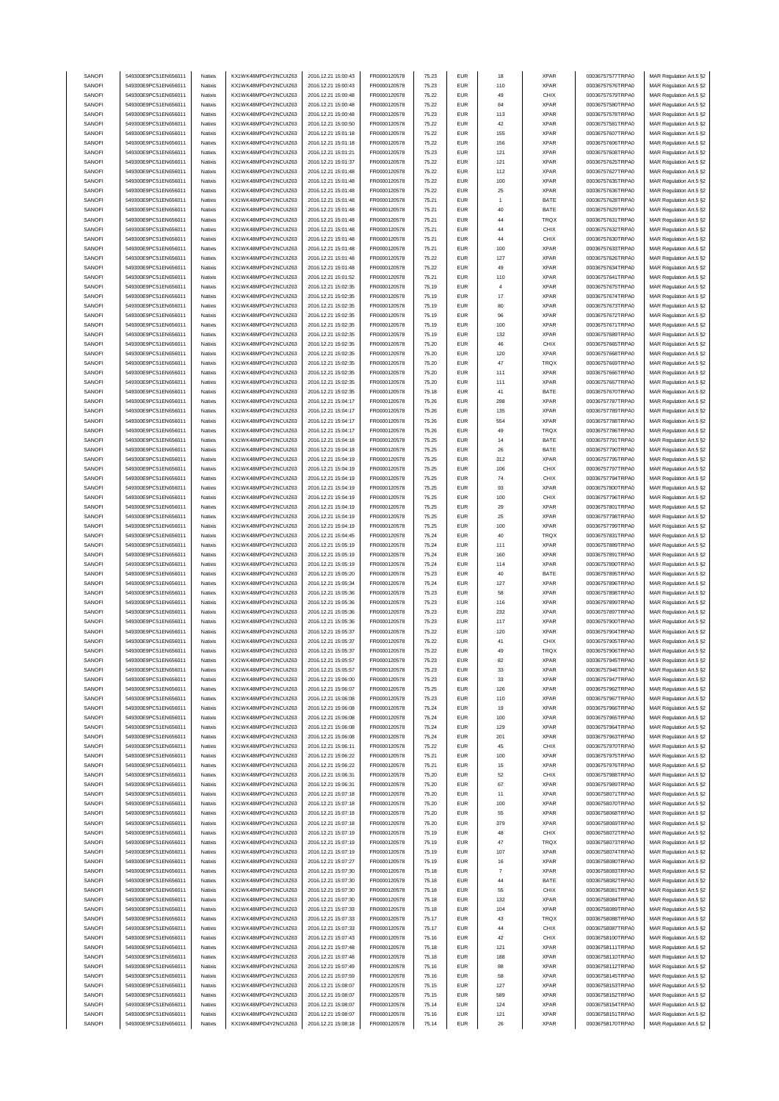| SANOFI           | 549300E9PC51EN656011                         | Natixis            | KX1WK48MPD4Y2NCUIZ63                         | 2016.12.21 15:00:43                        | FR0000120578                 | 75.23          | <b>EUR</b>        | 18             | <b>XPAR</b>                | 00036757577TRPA0                     | MAR Regulation Art.5 §2                            |
|------------------|----------------------------------------------|--------------------|----------------------------------------------|--------------------------------------------|------------------------------|----------------|-------------------|----------------|----------------------------|--------------------------------------|----------------------------------------------------|
| SANOFI           | 549300E9PC51EN656011                         | Natixis            | KX1WK48MPD4Y2NCUIZ63                         | 2016.12.21 15:00:43                        | FR0000120578                 | 75.23          | <b>EUR</b>        | 110            | <b>XPAR</b>                | 00036757576TRPA0                     | MAR Regulation Art.5 §2                            |
| SANOFI           | 549300E9PC51EN656011                         | Natixis            | KX1WK48MPD4Y2NCUIZ63                         | 2016.12.21 15:00:48                        | FR0000120578                 | 75.22          | <b>EUR</b>        | 49             | CHIX                       | 00036757579TRPA0                     | MAR Regulation Art.5 §2                            |
| SANOFI           | 549300E9PC51EN656011                         | Natixis            | KX1WK48MPD4Y2NCUIZ63                         | 2016.12.21 15:00:48                        | FR0000120578                 | 75.22          | <b>EUR</b>        | 84             | <b>XPAR</b>                | 00036757580TRPA0                     | MAR Regulation Art.5 §2                            |
|                  |                                              |                    |                                              |                                            |                              |                |                   |                |                            |                                      |                                                    |
| SANOFI           | 549300E9PC51EN656011                         | Natixis            | KX1WK48MPD4Y2NCUIZ63                         | 2016.12.21 15:00:48                        | FR0000120578                 | 75.23          | <b>EUR</b>        | 113            | <b>XPAR</b>                | 00036757578TRPA0                     | MAR Regulation Art.5 §2                            |
| SANOFI           | 549300E9PC51EN656011                         | Natixis            | KX1WK48MPD4Y2NCUIZ63                         | 2016.12.21 15:00:50                        | FR0000120578                 | 75.22          | <b>EUR</b>        | 42             | <b>XPAR</b>                | 00036757581TRPA0                     | MAR Regulation Art.5 §2                            |
| SANOFI           | 549300E9PC51EN656011                         | Natixis            | KX1WK48MPD4Y2NCUIZ63                         | 2016.12.21 15:01:18                        | FR0000120578                 | 75.22          | <b>EUR</b>        | 155            | <b>XPAR</b>                | 00036757607TRPA0                     | MAR Regulation Art.5 §2                            |
| SANOFI           | 549300E9PC51EN656011                         | Natixis            | KX1WK48MPD4Y2NCUIZ63                         | 2016.12.21 15:01:18                        | FR0000120578                 | 75.22          | <b>EUR</b>        | 156            | <b>XPAR</b>                | 00036757606TRPA0                     | MAR Regulation Art.5 §2                            |
| SANOFI           | 549300E9PC51EN656011                         | Natixis            | KX1WK48MPD4Y2NCLIIZ63                        | 2016.12.21 15:01:21                        | FR0000120578                 | 75.23          | <b>EUR</b>        | 121            | <b>XPAR</b>                | 00036757608TRPA0                     | MAR Regulation Art.5 §2                            |
| SANOFI           | 549300E9PC51EN656011                         | Natixis            | KX1WK48MPD4Y2NCUIZ63                         | 2016.12.21 15:01:37                        | FR0000120578                 | 75.22          | <b>EUR</b>        | 121            | <b>XPAR</b>                | 00036757625TRPA0                     | MAR Regulation Art.5 §2                            |
|                  |                                              | Natixis            |                                              |                                            |                              |                | <b>EUR</b>        |                |                            |                                      |                                                    |
| SANOFI           | 549300E9PC51EN656011                         |                    | KX1WK48MPD4Y2NCUIZ63                         | 2016.12.21 15:01:48                        | FR0000120578                 | 75.22          |                   | 112            | <b>XPAR</b>                | 00036757627TRPA0                     | MAR Regulation Art.5 §2                            |
| SANOFI           | 549300E9PC51EN656011                         | Natixis            | KX1WK48MPD4Y2NCUIZ63                         | 2016.12.21 15:01:48                        | FR0000120578                 | 75.22          | <b>EUR</b>        | 100            | <b>XPAR</b>                | 00036757635TRPA0                     | MAR Regulation Art.5 §2                            |
| SANOFI           | 549300E9PC51EN656011                         | Natixis            | KX1WK48MPD4Y2NCUIZ63                         | 2016.12.21 15:01:48                        | FR0000120578                 | 75.22          | <b>EUR</b>        | 25             | <b>XPAR</b>                | 00036757636TRPA0                     | MAR Regulation Art.5 §2                            |
| SANOFI           | 549300E9PC51EN656011                         | Natixis            | KX1WK48MPD4Y2NCUIZ63                         | 2016.12.21 15:01:48                        | FR0000120578                 | 75.21          | <b>EUR</b>        | 1              | BATE                       | 00036757628TRPA0                     | MAR Regulation Art.5 §2                            |
| SANOFI           | 549300E9PC51EN656011                         | Natixis            | KX1WK48MPD4Y2NCUIZ63                         | 2016.12.21 15:01:48                        | FR0000120578                 | 75.21          | <b>EUR</b>        | 40             | BATE                       | 00036757629TRPA0                     | MAR Regulation Art.5 §2                            |
| SANOFI           | 549300E9PC51EN656011                         | Natixis            | KX1WK48MPD4Y2NCUIZ63                         | 2016.12.21 15:01:48                        | FR0000120578                 | 75.21          | <b>EUR</b>        | 44             | TRQX                       | 00036757631TRPA0                     |                                                    |
|                  |                                              |                    |                                              |                                            |                              |                |                   |                |                            |                                      | MAR Regulation Art.5 §2                            |
| SANOFI           | 549300E9PC51EN656011                         | Natixis            | KX1WK48MPD4Y2NCUIZ63                         | 2016.12.21 15:01:48                        | FR0000120578                 | 75.21          | <b>EUR</b>        | 44             | CHIX                       | 00036757632TRPA0                     | MAR Regulation Art.5 §2                            |
| SANOFI           | 549300E9PC51EN656011                         | Natixis            | KX1WK48MPD4Y2NCLIIZ63                        | 2016.12.21 15:01:48                        | FR0000120578                 | 75.21          | <b>EUR</b>        | 44             | CHIX                       | 00036757630TRPA0                     | MAR Regulation Art.5 §2                            |
| SANOFI           | 549300E9PC51EN656011                         | Natixis            | KX1WK48MPD4Y2NCUIZ63                         | 2016.12.21 15:01:48                        | FR0000120578                 | 75.21          | <b>EUR</b>        | 100            | <b>XPAR</b>                | 00036757633TRPA0                     | MAR Regulation Art.5 §2                            |
| SANOFI           | 549300E9PC51EN656011                         | Natixis            | KX1WK48MPD4Y2NCUIZ63                         | 2016.12.21 15:01:48                        | FR0000120578                 | 75.22          | <b>EUR</b>        | 127            | <b>XPAR</b>                | 00036757626TRPA0                     | MAR Regulation Art.5 §2                            |
| SANOFI           | 549300E9PC51EN656011                         | Natixis            | KX1WK48MPD4Y2NCUIZ63                         | 2016.12.21 15:01:48                        | FR0000120578                 | 75.22          | <b>EUR</b>        | 49             | <b>XPAR</b>                | 00036757634TRPA0                     | MAR Regulation Art.5 §2                            |
| SANOFI           | 549300E9PC51EN656011                         | Natixis            | KX1WK48MPD4Y2NCUIZ63                         | 2016.12.21 15:01:52                        | FR0000120578                 | 75.21          | <b>EUR</b>        | 110            | <b>XPAR</b>                | 00036757641TRPA0                     | MAR Regulation Art.5 §2                            |
|                  |                                              |                    |                                              |                                            |                              |                |                   |                |                            |                                      |                                                    |
| SANOFI           | 549300E9PC51EN656011                         | Natixis            | KX1WK48MPD4Y2NCUIZ63                         | 2016.12.21 15:02:35                        | FR0000120578                 | 75.19          | <b>EUR</b>        | 4              | <b>XPAR</b>                | 00036757675TRPA0                     | MAR Regulation Art.5 §2                            |
| SANOFI           | 549300E9PC51EN656011                         | Natixis            | KX1WK48MPD4Y2NCUIZ63                         | 2016.12.21 15:02:35                        | FR0000120578                 | 75.19          | <b>EUR</b>        | 17             | <b>XPAR</b>                | 00036757674TRPA0                     | MAR Regulation Art.5 §2                            |
| SANOFI           | 549300E9PC51EN656011                         | Natixis            | KX1WK48MPD4Y2NCUIZ63                         | 2016.12.21 15:02:35                        | FR0000120578                 | 75.19          | <b>EUR</b>        | 80             | <b>XPAR</b>                | 00036757673TRPA0                     | MAR Regulation Art.5 §2                            |
| SANOFI           | 549300E9PC51EN656011                         | Natixis            | KX1WK48MPD4Y2NCUIZ63                         | 2016.12.21 15:02:35                        | FR0000120578                 | 75.19          | <b>EUR</b>        | 96             | <b>XPAR</b>                | 00036757672TRPA0                     | MAR Regulation Art.5 §2                            |
| SANOFI           | 549300E9PC51EN656011                         | Natixis            | KX1WK48MPD4Y2NCLIIZ63                        | 2016.12.21 15:02:35                        | FR0000120578                 | 75.19          | <b>EUR</b>        | 100            | <b>XPAR</b>                | 00036757671TRPA0                     | MAR Regulation Art.5 §2                            |
| SANOFI           | 549300E9PC51EN656011                         | Natixis            | KX1WK48MPD4Y2NCUIZ63                         | 2016.12.21 15:02:35                        | FR0000120578                 | 75.19          | <b>EUR</b>        | 132            | <b>XPAR</b>                | 00036757689TRPA0                     | MAR Regulation Art.5 §2                            |
|                  |                                              |                    |                                              |                                            |                              |                |                   |                |                            |                                      |                                                    |
| SANOFI           | 549300E9PC51EN656011                         | Natixis            | KX1WK48MPD4Y2NCUIZ63                         | 2016.12.21 15:02:35                        | FR0000120578                 | 75.20          | <b>EUR</b>        | 46             | CHIX                       | 00036757665TRPA0                     | MAR Regulation Art.5 §2                            |
| SANOFI           | 549300E9PC51EN656011                         | Natixis            | KX1WK48MPD4Y2NCUIZ63                         | 2016.12.21 15:02:35                        | FR0000120578                 | 75.20          | <b>EUR</b>        | 120            | <b>XPAR</b>                | 00036757668TRPA0                     | MAR Regulation Art.5 §2                            |
| SANOFI           | 549300E9PC51EN656011                         | Natixis            | KX1WK48MPD4Y2NCUIZ63                         | 2016.12.21 15:02:35                        | FR0000120578                 | 75.20          | <b>EUR</b>        | 47             | TRQX                       | 00036757669TRPA0                     | MAR Regulation Art.5 §2                            |
| SANOFI           | 549300E9PC51EN656011                         | Natixis            | KX1WK48MPD4Y2NCUIZ63                         | 2016.12.21 15:02:35                        | FR0000120578                 | 75.20          | <b>EUR</b>        | 111            | <b>XPAR</b>                | 00036757666TRPA0                     | MAR Regulation Art.5 §2                            |
| SANOFI           | 549300E9PC51EN656011                         | Natixis            | KX1WK48MPD4Y2NCUIZ63                         | 2016.12.21 15:02:35                        | FR0000120578                 | 75.20          | <b>EUR</b>        | 111            | <b>XPAR</b>                | 00036757667TRPA0                     | MAR Regulation Art.5 §2                            |
|                  |                                              |                    |                                              |                                            |                              |                |                   |                |                            |                                      |                                                    |
| SANOFI           | 549300E9PC51EN656011                         | Natixis            | KX1WK48MPD4Y2NCUIZ63                         | 2016.12.21 15:02:35                        | FR0000120578                 | 75.18          | <b>EUR</b>        | 41             | BATE                       | 00036757670TRPA0                     | MAR Regulation Art.5 §2                            |
| SANOFI           | 549300E9PC51EN656011                         | Natixis            | KX1WK48MPD4Y2NCUIZ63                         | 2016.12.21 15:04:17                        | FR0000120578                 | 75.26          | <b>EUR</b>        | 298            | <b>XPAR</b>                | 00036757787TRPA0                     | MAR Regulation Art.5 §2                            |
| SANOFI           | 549300E9PC51EN656011                         | Natixis            | KX1WK48MPD4Y2NCLIIZ63                        | 2016.12.21 15:04:17                        | FR0000120578                 | 75.26          | <b>EUR</b>        | 135            | <b>XPAR</b>                | 00036757789TRPA0                     | MAR Regulation Art.5 §2                            |
| SANOFI           | 549300E9PC51EN656011                         | Natixis            | KX1WK48MPD4Y2NCUIZ63                         | 2016.12.21 15:04:17                        | FR0000120578                 | 75.26          | <b>EUR</b>        | 554            | <b>XPAR</b>                | 00036757788TRPA0                     | MAR Regulation Art.5 §2                            |
| SANOFI           | 549300E9PC51EN656011                         | Natixis            | KX1WK48MPD4Y2NCUIZ63                         | 2016.12.21 15:04:17                        | FR0000120578                 | 75.26          | <b>EUR</b>        | 49             | TRQX                       | 00036757786TRPA0                     | MAR Regulation Art.5 §2                            |
|                  |                                              |                    | KX1WK48MPD4Y2NCUIZ63                         |                                            |                              |                |                   |                |                            |                                      |                                                    |
| SANOFI           | 549300E9PC51EN656011                         | Natixis            |                                              | 2016.12.21 15:04:18                        | FR0000120578                 | 75.25          | <b>EUR</b>        | 14             | BATE                       | 00036757791TRPA0                     | MAR Regulation Art.5 §2                            |
| SANOFI           | 549300E9PC51EN656011                         | Natixis            | KX1WK48MPD4Y2NCUIZ63                         | 2016.12.21 15:04:18                        | FR0000120578                 | 75.25          | <b>EUR</b>        | 26             | BATE                       | 00036757790TRPA0                     | MAR Regulation Art.5 §2                            |
| SANOFI           | 549300E9PC51EN656011                         | Natixis            | KX1WK48MPD4Y2NCUIZ63                         | 2016.12.21 15:04:19                        | FR0000120578                 | 75.25          | <b>EUR</b>        | 312            | <b>XPAR</b>                | 00036757795TRPA0                     | MAR Regulation Art.5 §2                            |
| SANOFI           | 549300E9PC51EN656011                         | Natixis            | KX1WK48MPD4Y2NCUIZ63                         | 2016.12.21 15:04:19                        | FR0000120578                 | 75.25          | <b>EUR</b>        | 106            | CHIX                       | 00036757797TRPA0                     | MAR Regulation Art.5 §2                            |
| SANOFI           | 549300E9PC51EN656011                         | Natixis            | KX1WK48MPD4Y2NCUIZ63                         | 2016.12.21 15:04:19                        | FR0000120578                 | 75.25          | <b>EUR</b>        | 74             | CHIX                       | 00036757794TRPA0                     | MAR Regulation Art.5 §2                            |
| SANOFI           | 549300E9PC51EN656011                         | Natixis            | KX1WK48MPD4Y2NCUIZ63                         | 2016.12.21 15:04:19                        | FR0000120578                 | 75.25          | <b>EUR</b>        | 93             | <b>XPAR</b>                | 00036757800TRPA0                     | MAR Regulation Art.5 §2                            |
|                  |                                              |                    |                                              |                                            |                              |                |                   |                |                            |                                      |                                                    |
| SANOFI           | 549300E9PC51EN656011                         | Natixis            | KX1WK48MPD4Y2NCUIZ63                         | 2016.12.21 15:04:19                        | FR0000120578                 | 75.25          | <b>EUR</b>        | 100            | CHIX                       | 00036757796TRPA0                     | MAR Regulation Art.5 §2                            |
| SANOFI           | 549300E9PC51EN656011                         | Natixis            | KX1WK48MPD4Y2NCUIZ63                         | 2016.12.21 15:04:19                        | FR0000120578                 | 75.25          | <b>EUR</b>        | 29             | <b>XPAR</b>                | 00036757801TRPA0                     | MAR Regulation Art.5 §2                            |
| SANOFI           | 549300E9PC51EN656011                         | Natixis            | KX1WK48MPD4Y2NCUIZ63                         | 2016.12.21 15:04:19                        | FR0000120578                 | 75.25          | <b>EUR</b>        | 25             | <b>XPAR</b>                | 00036757798TRPA0                     | MAR Regulation Art.5 §2                            |
| SANOFI           | 549300E9PC51EN656011                         | Natixis            | KX1WK48MPD4Y2NCUIZ63                         | 2016.12.21 15:04:19                        | FR0000120578                 | 75.25          | <b>EUR</b>        | 100            | <b>XPAR</b>                | 00036757799TRPA0                     | MAR Regulation Art.5 §2                            |
| SANOFI           | 549300E9PC51EN656011                         | Natixis            | KX1WK48MPD4Y2NCUIZ63                         | 2016.12.21 15:04:45                        | FR0000120578                 | 75.24          | <b>EUR</b>        | 40             | TRQX                       | 00036757831TRPA0                     | MAR Regulation Art.5 §2                            |
| SANOFI           | 549300E9PC51EN656011                         | Natixis            | KX1WK48MPD4Y2NCUIZ63                         | 2016.12.21 15:05:19                        | FR0000120578                 | 75.24          | <b>EUR</b>        | 111            | <b>XPAR</b>                | 00036757889TRPA0                     |                                                    |
|                  |                                              |                    |                                              |                                            |                              |                |                   |                |                            |                                      | MAR Regulation Art.5 §2                            |
| SANOFI           | 549300E9PC51EN656011                         | Natixis            | KX1WK48MPD4Y2NCUIZ63                         | 2016.12.21 15:05:19                        | FR0000120578                 | 75.24          | <b>EUR</b>        | 160            | <b>XPAR</b>                | 00036757891TRPA0                     | MAR Regulation Art.5 §2                            |
| SANOFI           | 549300E9PC51EN656011                         | Natixis            | KX1WK48MPD4Y2NCUIZ63                         | 2016.12.21 15:05:19                        | FR0000120578                 | 75.24          | <b>EUR</b>        | 114            | <b>XPAR</b>                | 00036757890TRPA0                     | MAR Regulation Art.5 §2                            |
| SANOFI           | 549300E9PC51EN656011                         | Natixis            | KX1WK48MPD4Y2NCUIZ63                         | 2016.12.21 15:05:20                        | FR0000120578                 | 75.23          | <b>EUR</b>        | 40             | BATE                       | 00036757895TRPA0                     | MAR Regulation Art.5 §2                            |
| SANOFI           | 549300E9PC51EN656011                         | Natixis            | KX1WK48MPD4Y2NCUIZ63                         | 2016.12.21 15:05:34                        | FR0000120578                 | 75.24          | <b>EUR</b>        | 127            | <b>XPAR</b>                | 00036757896TRPA0                     | MAR Regulation Art.5 §2                            |
| SANOFI           | 549300E9PC51EN656011                         | Natixis            | KX1WK48MPD4Y2NCUIZ63                         | 2016.12.21 15:05:36                        | FR0000120578                 | 75.23          | <b>EUR</b>        | 58             | <b>XPAR</b>                | 00036757898TRPA0                     | MAR Regulation Art.5 §2                            |
| SANOFI           | 549300E9PC51EN656011                         | Natixis            | KX1WK48MPD4Y2NCUIZ63                         | 2016.12.21 15:05:36                        | FR0000120578                 | 75.23          | <b>EUR</b>        | 116            | <b>XPAR</b>                | 00036757899TRPA0                     |                                                    |
|                  |                                              |                    |                                              |                                            |                              |                |                   |                |                            |                                      | MAR Regulation Art.5 §2                            |
| SANOFI           | 549300E9PC51EN656011                         | Natixis            | KX1WK48MPD4Y2NCUIZ63                         | 2016.12.21 15:05:36                        | FR0000120578                 | 75.23          | <b>EUR</b>        | 232            | <b>XPAR</b>                | 00036757897TRPA0                     | MAR Regulation Art.5 §2                            |
| SANOFI           | 549300E9PC51EN656011                         | Natixis            | KX1WK48MPD4Y2NCUIZ63                         | 2016.12.21 15:05:36                        | FR0000120578                 | 75.23          | <b>EUR</b>        | 117            | <b>XPAR</b>                | 00036757900TRPA0                     | MAR Regulation Art.5 §2                            |
| SANOFI           | 549300E9PC51EN656011                         | Natixis            | KX1WK48MPD4Y2NCUIZ63                         | 2016.12.21 15:05:37                        | FR0000120578                 | 75.22          | <b>EUR</b>        | 120            | <b>XPAR</b>                | 00036757904TRPA0                     | MAR Regulation Art.5 §2                            |
| SANOFI           | 549300E9PC51EN656011                         | Natixis            | KX1WK48MPD4Y2NCUIZ63                         | 2016.12.21 15:05:37                        | FR0000120578                 | 75.22          | <b>EUR</b>        | 41             | CHIX                       | 00036757905TRPA0                     | MAR Regulation Art.5 §2                            |
| SANOF            | 549300E9PC51EN656011                         | Natixis            | KX1WK48MPD4Y2NCUIZ63                         | 2016.12.21 15:05:37                        | FR0000120578                 | 75.22          | EUR               |                | TROX                       | 00036757906TRPA0                     |                                                    |
|                  |                                              | Natixis            |                                              | 2016.12.21 15:05:57                        |                              |                | <b>EUR</b>        | 82             |                            |                                      | MAR Regulation Art.5 §2                            |
| SANOFI           | 549300E9PC51EN656011                         |                    | KX1WK48MPD4Y2NCUIZ63                         |                                            | FR0000120578                 | 75.23          |                   |                | <b>XPAR</b>                | 00036757945TRPA0                     | MAR Regulation Art.5 §2                            |
| SANOFI           | 549300E9PC51EN656011                         | Natixis            | KX1WK48MPD4Y2NCUIZ63                         | 2016.12.21 15:05:57                        | FR0000120578                 | 75.23          | <b>EUR</b>        | 33             | <b>XPAR</b>                | 00036757946TRPA0                     | MAR Regulation Art.5 §2                            |
| SANOFI           | 549300E9PC51EN656011                         | Natixis            | KX1WK48MPD4Y2NCUIZ63                         | 2016.12.21 15:06:00                        | FR0000120578                 | 75.23          | <b>EUR</b>        | 33             | <b>XPAR</b>                | 00036757947TRPA0                     | MAR Regulation Art.5 §2                            |
| SANOFI           | 549300E9PC51EN656011                         | Natixis            | KX1WK48MPD4Y2NCUIZ63                         | 2016.12.21 15:06:07                        | FR0000120578                 | 75.25          | <b>EUR</b>        | 126            | <b>XPAR</b>                | 00036757962TRPA0                     | MAR Regulation Art.5 §2                            |
| SANOFI           | 549300E9PC51EN656011                         | Natixis            | KX1WK48MPD4Y2NCUIZ63                         | 2016.12.21 15:06:08                        | FR0000120578                 | 75.23          | <b>EUR</b>        | 110            | <b>XPAR</b>                | 00036757967TRPA0                     | MAR Regulation Art.5 §2                            |
| SANOFI           | 549300E9PC51EN656011                         | Natixis            | KX1WK48MPD4Y2NCUIZ63                         | 2016.12.21 15:06:08                        | FR0000120578                 | 75.24          | <b>EUR</b>        | 19             | <b>XPAR</b>                | 00036757966TRPA0                     | MAR Regulation Art.5 §2                            |
| SANOFI           | 549300E9PC51EN656011                         | Natixis            | KX1WK48MPD4Y2NCUIZ63                         | 2016.12.21 15:06:08                        | FR0000120578                 | 75.24          | EUR               | 100            | <b>XPAR</b>                | 00036757965TRPA0                     | MAR Regulation Art.5 §2                            |
| SANOFI           | 549300E9PC51EN656011                         | Natixis            | KX1WK48MPD4Y2NCUIZ63                         | 2016.12.21 15:06:08                        | FR0000120578                 | 75.24          | <b>EUR</b>        | 129            | <b>XPAR</b>                | 00036757964TRPA0                     |                                                    |
|                  |                                              |                    |                                              |                                            |                              |                |                   |                |                            |                                      | MAR Regulation Art.5 §2                            |
| SANOFI           | 549300E9PC51EN656011                         | Natixis            | KX1WK48MPD4Y2NCUIZ63                         | 2016.12.21 15:06:08                        | FR0000120578                 | 75.24          | <b>EUR</b>        | 201            | <b>XPAR</b>                | 00036757963TRPA0                     | MAR Regulation Art.5 §2                            |
| SANOFI           | 549300E9PC51EN656011                         | Natixis            | KX1WK48MPD4Y2NCUIZ63                         | 2016.12.21 15:06:11                        | FR0000120578                 | 75.22          | <b>EUR</b>        | 45             | CHIX                       | 00036757970TRPA0                     | MAR Regulation Art.5 §2                            |
| SANOFI           | 549300E9PC51EN656011                         | Natixis            | KX1WK48MPD4Y2NCUIZ63                         | 2016.12.21 15:06:22                        | FR0000120578                 | 75.21          | <b>EUR</b>        | 100            | <b>XPAR</b>                | 00036757975TRPA0                     | MAR Regulation Art.5 §2                            |
| SANOFI           | 549300E9PC51EN656011                         | Natixis            | KX1WK48MPD4Y2NCUIZ63                         | 2016.12.21 15:06:22                        | FR0000120578                 | 75.21          | <b>EUR</b>        | 15             | <b>XPAR</b>                | 00036757976TRPA0                     | MAR Regulation Art.5 §2                            |
| SANOFI           | 549300E9PC51EN656011                         | Natixis            | KX1WK48MPD4Y2NCUIZ63                         | 2016.12.21 15:06:31                        | FR0000120578                 | 75.20          | <b>EUR</b>        | 52             | CHIX                       | 00036757988TRPA0                     | MAR Regulation Art.5 §2                            |
| SANOFI           | 549300E9PC51EN656011                         | Natixis            | KX1WK48MPD4Y2NCUIZ63                         | 2016.12.21 15:06:31                        | FR0000120578                 | 75.20          | <b>EUR</b>        | 67             | <b>XPAR</b>                | 00036757989TRPA0                     |                                                    |
|                  |                                              |                    |                                              |                                            |                              |                |                   |                |                            |                                      | MAR Regulation Art.5 §2                            |
| SANOFI           | 549300E9PC51EN656011                         | Natixis            | KX1WK48MPD4Y2NCUIZ63                         | 2016.12.21 15:07:18                        | FR0000120578                 | 75.20          | <b>EUR</b>        | 11             | <b>XPAR</b>                | 00036758071TRPA0                     | MAR Regulation Art.5 §2                            |
| SANOFI           | 549300E9PC51EN656011                         | Natixis            | KX1WK48MPD4Y2NCUIZ63                         | 2016.12.21 15:07:18                        | FR0000120578                 | 75.20          | <b>EUR</b>        | 100            | <b>XPAR</b>                | 00036758070TRPA0                     | MAR Regulation Art.5 §2                            |
| SANOFI           | 549300E9PC51EN656011                         | Natixis            | KX1WK48MPD4Y2NCUIZ63                         | 2016.12.21 15:07:18                        | FR0000120578                 | 75.20          | <b>EUR</b>        | 55             | <b>XPAR</b>                | 00036758068TRPA0                     | MAR Regulation Art.5 §2                            |
| SANOFI           | 549300E9PC51EN656011                         | Natixis            | KX1WK48MPD4Y2NCUIZ63                         | 2016.12.21 15:07:18                        | FR0000120578                 | 75.20          | <b>EUR</b>        | 379            | <b>XPAR</b>                | 00036758069TRPA0                     | MAR Regulation Art.5 §2                            |
| SANOFI           | 549300E9PC51EN656011                         | Natixis            | KX1WK48MPD4Y2NCUIZ63                         | 2016.12.21 15:07:19                        | FR0000120578                 | 75.19          | <b>EUR</b>        | 48             | CHIX                       | 00036758072TRPA0                     | MAR Regulation Art.5 §2                            |
|                  |                                              |                    |                                              |                                            |                              |                |                   |                |                            |                                      |                                                    |
| SANOFI           | 549300E9PC51EN656011                         | Natixis            | KX1WK48MPD4Y2NCUIZ63                         | 2016.12.21 15:07:19                        | FR0000120578                 | 75.19          | <b>EUR</b>        | 47             | TRQX                       | 00036758073TRPA0                     | MAR Regulation Art.5 §2                            |
| SANOFI           | 549300E9PC51EN656011                         | Natixis            | KX1WK48MPD4Y2NCUIZ63                         | 2016.12.21 15:07:19                        | FR0000120578                 | 75.19          | <b>EUR</b>        | 107            | <b>XPAR</b>                | 00036758074TRPA0                     | MAR Regulation Art.5 §2                            |
| SANOFI           | 549300E9PC51EN656011                         | Natixis            | KX1WK48MPD4Y2NCUIZ63                         | 2016.12.21 15:07:27                        | FR0000120578                 | 75.19          | <b>EUR</b>        | 16             | <b>XPAR</b>                | 00036758080TRPA0                     | MAR Regulation Art.5 §2                            |
| SANOFI           | 549300E9PC51EN656011                         | Natixis            | KX1WK48MPD4Y2NCUIZ63                         | 2016.12.21 15:07:30                        | FR0000120578                 | 75.18          | <b>EUR</b>        | $\overline{7}$ | <b>XPAR</b>                | 00036758083TRPA0                     | MAR Regulation Art.5 §2                            |
| SANOFI           | 549300E9PC51EN656011                         | Natixis            | KX1WK48MPD4Y2NCUIZ63                         | 2016.12.21 15:07:30                        | FR0000120578                 | 75.18          | <b>EUR</b>        | 44             | BATE                       | 00036758082TRPA0                     | MAR Regulation Art.5 §2                            |
| SANOFI           | 549300E9PC51EN656011                         | Natixis            | KX1WK48MPD4Y2NCUIZ63                         | 2016.12.21 15:07:30                        |                              |                | <b>EUR</b>        | 55             | CHIX                       | 00036758081TRPA0                     |                                                    |
|                  |                                              |                    |                                              |                                            | FR0000120578                 | 75.18          |                   |                |                            |                                      | MAR Regulation Art.5 §2                            |
| SANOFI           | 549300E9PC51EN656011                         | Natixis            | KX1WK48MPD4Y2NCUIZ63                         | 2016.12.21 15:07:30                        | FR0000120578                 | 75.18          | <b>EUR</b>        | 132            | <b>XPAR</b>                | 00036758084TRPA0                     | MAR Regulation Art.5 §2                            |
| SANOFI           | 549300E9PC51EN656011                         | Natixis            | KX1WK48MPD4Y2NCUIZ63                         | 2016.12.21 15:07:33                        | FR0000120578                 | 75.18          | <b>EUR</b>        | 104            | <b>XPAR</b>                | 00036758089TRPA0                     | MAR Regulation Art.5 §2                            |
| SANOFI           | 549300E9PC51EN656011                         | Natixis            | KX1WK48MPD4Y2NCUIZ63                         | 2016.12.21 15:07:33                        | FR0000120578                 | 75.17          | <b>EUR</b>        | 43             | TRQX                       | 00036758088TRPA0                     | MAR Regulation Art.5 §2                            |
| SANOFI           | 549300E9PC51EN656011                         | Natixis            | KX1WK48MPD4Y2NCUIZ63                         | 2016.12.21 15:07:33                        | FR0000120578                 | 75.17          | <b>EUR</b>        | 44             | CHIX                       | 00036758087TRPA0                     | MAR Regulation Art.5 §2                            |
| SANOFI           | 549300E9PC51EN656011                         | Natixis            | KX1WK48MPD4Y2NCUIZ63                         | 2016.12.21 15:07:43                        | FR0000120578                 | 75.16          | <b>EUR</b>        | 42             | CHIX                       | 00036758100TRPA0                     |                                                    |
|                  |                                              |                    |                                              |                                            |                              |                |                   |                |                            |                                      | MAR Regulation Art.5 §2                            |
| SANOFI           | 549300E9PC51EN656011                         | Natixis            | KX1WK48MPD4Y2NCUIZ63                         | 2016.12.21 15:07:48                        | FR0000120578                 | 75.18          | <b>EUR</b>        | 121            | <b>XPAR</b>                | 00036758111TRPA0                     | MAR Regulation Art.5 §2                            |
| SANOFI           | 549300E9PC51EN656011                         | Natixis            | KX1WK48MPD4Y2NCUIZ63                         | 2016.12.21 15:07:48                        | FR0000120578                 | 75.18          | <b>EUR</b>        | 188            | <b>XPAR</b>                | 00036758110TRPA0                     | MAR Regulation Art.5 §2                            |
| SANOFI           | 549300E9PC51EN656011                         | Natixis            | KX1WK48MPD4Y2NCUIZ63                         | 2016.12.21 15:07:49                        | FR0000120578                 | 75.16          | <b>EUR</b>        | 88             | <b>XPAR</b>                | 00036758112TRPA0                     | MAR Regulation Art.5 §2                            |
| SANOFI           | 549300E9PC51EN656011                         | Natixis            | KX1WK48MPD4Y2NCUIZ63                         | 2016.12.21 15:07:59                        | FR0000120578                 | 75.16          | <b>EUR</b>        | 58             | <b>XPAR</b>                | 00036758145TRPA0                     | MAR Regulation Art.5 §2                            |
| SANOFI           | 549300E9PC51EN656011                         | Natixis            | KX1WK48MPD4Y2NCUIZ63                         | 2016.12.21 15:08:07                        | FR0000120578                 | 75.15          | <b>EUR</b>        | 127            | <b>XPAR</b>                | 00036758153TRPA0                     | MAR Regulation Art.5 §2                            |
| SANOFI           |                                              |                    | KX1WK48MPD4Y2NCUIZ63                         | 2016.12.21 15:08:07                        | FR0000120578                 | 75.15          | <b>EUR</b>        | 589            |                            |                                      |                                                    |
|                  |                                              |                    |                                              |                                            |                              |                |                   |                |                            |                                      |                                                    |
|                  | 549300E9PC51EN656011                         | Natixis            |                                              |                                            |                              |                |                   |                | <b>XPAR</b>                | 00036758152TRPA0                     | MAR Regulation Art.5 §2                            |
| SANOFI           | 549300E9PC51EN656011                         | Natixis            | KX1WK48MPD4Y2NCUIZ63                         | 2016.12.21 15:08:07                        | FR0000120578                 | 75.14          | <b>EUR</b>        | 124            | <b>XPAR</b>                | 00036758154TRPA0                     | MAR Regulation Art.5 §2                            |
| SANOFI<br>SANOFI | 549300E9PC51EN656011<br>549300E9PC51EN656011 | Natixis<br>Natixis | KX1WK48MPD4Y2NCUIZ63<br>KX1WK48MPD4Y2NCUIZ63 | 2016.12.21 15:08:07<br>2016.12.21 15:08:18 | FR0000120578<br>FR0000120578 | 75.16<br>75.14 | <b>EUR</b><br>EUR | 121<br>26      | <b>XPAR</b><br><b>XPAR</b> | 00036758151TRPA0<br>00036758170TRPA0 | MAR Regulation Art.5 §2<br>MAR Regulation Art.5 §2 |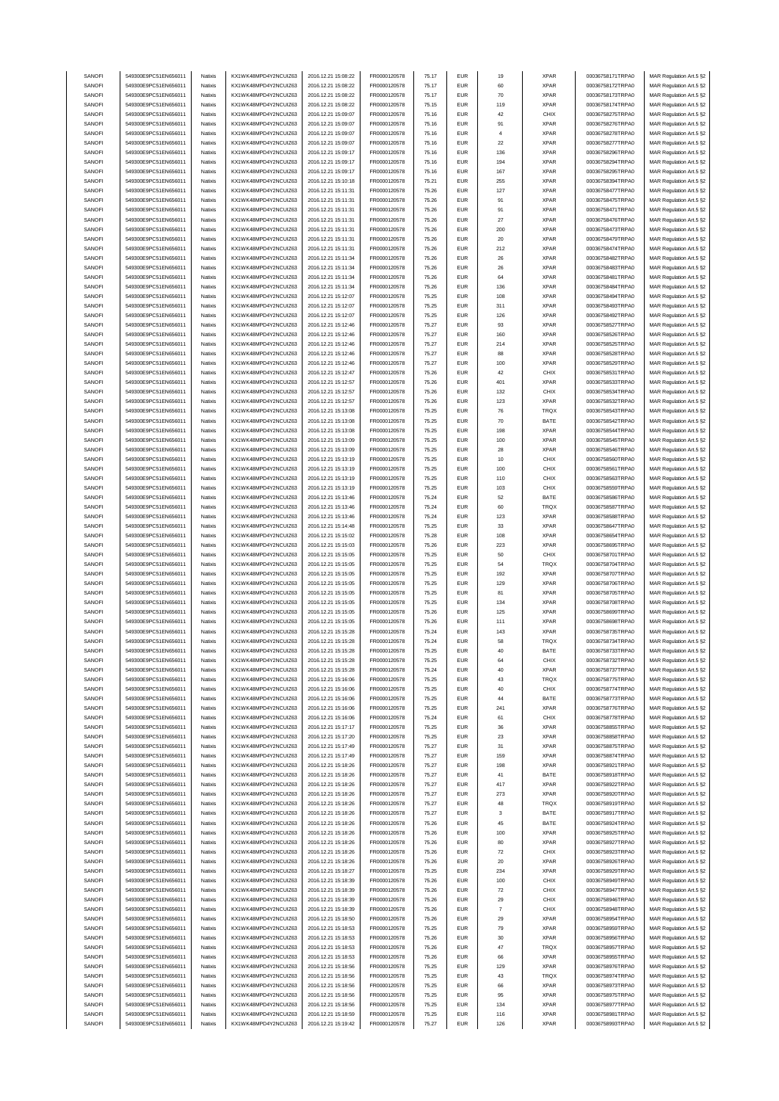| SANOFI | 549300E9PC51EN656011 | Natixis | KX1WK48MPD4Y2NCUIZ63  | 2016.12.21 15:08:22 | FR0000120578 | 75.17 | <b>EUR</b> | 19             | <b>XPAR</b> | 00036758171TRPA0 | MAR Regulation Art.5 §2 |
|--------|----------------------|---------|-----------------------|---------------------|--------------|-------|------------|----------------|-------------|------------------|-------------------------|
| SANOFI | 549300E9PC51EN656011 | Natixis | KX1WK48MPD4Y2NCUIZ63  | 2016.12.21 15:08:22 | FR0000120578 | 75.17 | <b>EUR</b> | 60             | <b>XPAR</b> | 00036758172TRPA0 | MAR Regulation Art.5 §2 |
| SANOFI | 549300E9PC51EN656011 | Natixis | KX1WK48MPD4Y2NCUIZ63  | 2016.12.21 15:08:22 | FR0000120578 | 75.17 | <b>EUR</b> | 70             | <b>XPAR</b> | 00036758173TRPA0 | MAR Regulation Art.5 §2 |
| SANOFI | 549300E9PC51EN656011 | Natixis | KX1WK48MPD4Y2NCUIZ63  | 2016.12.21 15:08:22 | FR0000120578 | 75.15 | <b>EUR</b> | 119            | <b>XPAR</b> | 00036758174TRPA0 | MAR Regulation Art.5 §2 |
|        |                      |         |                       |                     |              |       |            |                |             |                  |                         |
| SANOFI | 549300E9PC51EN656011 | Natixis | KX1WK48MPD4Y2NCUIZ63  | 2016.12.21 15:09:07 | FR0000120578 | 75.16 | <b>EUR</b> | 42             | CHIX        | 00036758275TRPA0 | MAR Regulation Art.5 §2 |
| SANOFI | 549300E9PC51EN656011 | Natixis | KX1WK48MPD4Y2NCUIZ63  | 2016.12.21 15:09:07 | FR0000120578 | 75.16 | <b>EUR</b> | 91             | <b>XPAR</b> | 00036758276TRPA0 | MAR Regulation Art.5 §2 |
| SANOFI | 549300E9PC51EN656011 | Natixis | KX1WK48MPD4Y2NCUIZ63  | 2016.12.21 15:09:07 | FR0000120578 | 75.16 | <b>EUR</b> | $\overline{4}$ | <b>XPAR</b> | 00036758278TRPA0 | MAR Regulation Art.5 §2 |
| SANOFI | 549300E9PC51EN656011 | Natixis | KX1WK48MPD4Y2NCUIZ63  | 2016.12.21 15:09:07 | FR0000120578 | 75.16 | <b>EUR</b> | 22             | <b>XPAR</b> | 00036758277TRPA0 | MAR Regulation Art.5 §2 |
| SANOFI | 549300E9PC51EN656011 | Natixis | KX1WK48MPD4Y2NCLIIZ63 | 2016.12.21 15:09:17 | FR0000120578 | 75.16 | <b>EUR</b> | 136            | <b>XPAR</b> | 00036758296TRPA0 | MAR Regulation Art.5 §2 |
| SANOFI | 549300E9PC51EN656011 | Natixis | KX1WK48MPD4Y2NCUIZ63  | 2016.12.21 15:09:17 | FR0000120578 | 75.16 | <b>EUR</b> | 194            | <b>XPAR</b> | 00036758294TRPA0 | MAR Regulation Art.5 §2 |
|        |                      | Natixis |                       |                     |              |       | <b>EUR</b> |                |             |                  |                         |
| SANOFI | 549300E9PC51EN656011 |         | KX1WK48MPD4Y2NCUIZ63  | 2016.12.21 15:09:17 | FR0000120578 | 75.16 |            | 167            | <b>XPAR</b> | 00036758295TRPA0 | MAR Regulation Art.5 §2 |
| SANOFI | 549300E9PC51EN656011 | Natixis | KX1WK48MPD4Y2NCUIZ63  | 2016.12.21 15:10:18 | FR0000120578 | 75.21 | <b>EUR</b> | 255            | <b>XPAR</b> | 00036758394TRPA0 | MAR Regulation Art.5 §2 |
| SANOFI | 549300E9PC51EN656011 | Natixis | KX1WK48MPD4Y2NCUIZ63  | 2016.12.21 15:11:31 | FR0000120578 | 75.26 | <b>EUR</b> | 127            | <b>XPAR</b> | 00036758477TRPA0 | MAR Regulation Art.5 §2 |
| SANOFI | 549300E9PC51EN656011 | Natixis | KX1WK48MPD4Y2NCUIZ63  | 2016.12.21 15:11:31 | FR0000120578 | 75.26 | <b>EUR</b> | 91             | <b>XPAR</b> | 00036758475TRPA0 | MAR Regulation Art.5 §2 |
| SANOFI | 549300E9PC51EN656011 | Natixis | KX1WK48MPD4Y2NCUIZ63  | 2016.12.21 15:11:31 | FR0000120578 | 75.26 | <b>EUR</b> | 91             | <b>XPAR</b> | 00036758471TRPA0 | MAR Regulation Art.5 §2 |
| SANOFI | 549300E9PC51EN656011 | Natixis | KX1WK48MPD4Y2NCUIZ63  | 2016.12.21 15:11:31 | FR0000120578 | 75.26 | <b>EUR</b> | 27             | <b>XPAR</b> | 00036758476TRPA0 |                         |
|        |                      |         |                       |                     |              |       |            |                |             |                  | MAR Regulation Art.5 §2 |
| SANOFI | 549300E9PC51EN656011 | Natixis | KX1WK48MPD4Y2NCUIZ63  | 2016.12.21 15:11:31 | FR0000120578 | 75.26 | <b>EUR</b> | 200            | <b>XPAR</b> | 00036758473TRPA0 | MAR Regulation Art.5 §2 |
| SANOFI | 549300E9PC51EN656011 | Natixis | KX1WK48MPD4Y2NCLIIZ63 | 2016.12.21 15:11:31 | FR0000120578 | 75.26 | <b>EUR</b> | 20             | <b>XPAR</b> | 00036758479TRPA0 | MAR Regulation Art.5 §2 |
| SANOFI | 549300E9PC51EN656011 | Natixis | KX1WK48MPD4Y2NCUIZ63  | 2016.12.21 15:11:31 | FR0000120578 | 75.26 | <b>EUR</b> | 212            | <b>XPAR</b> | 00036758474TRPA0 | MAR Regulation Art.5 §2 |
| SANOFI | 549300E9PC51EN656011 | Natixis | KX1WK48MPD4Y2NCUIZ63  | 2016.12.21 15:11:34 | FR0000120578 | 75.26 | <b>EUR</b> | 26             | <b>XPAR</b> | 00036758482TRPA0 | MAR Regulation Art.5 §2 |
| SANOFI | 549300E9PC51EN656011 | Natixis | KX1WK48MPD4Y2NCUIZ63  | 2016.12.21 15:11:34 | FR0000120578 | 75.26 | <b>EUR</b> | 26             | <b>XPAR</b> | 00036758483TRPA0 | MAR Regulation Art.5 §2 |
| SANOFI | 549300E9PC51EN656011 | Natixis | KX1WK48MPD4Y2NCUIZ63  | 2016.12.21 15:11:34 | FR0000120578 | 75.26 | <b>EUR</b> | 64             | <b>XPAR</b> | 00036758481TRPA0 | MAR Regulation Art.5 §2 |
|        |                      |         |                       |                     |              |       |            |                |             |                  |                         |
| SANOFI | 549300E9PC51EN656011 | Natixis | KX1WK48MPD4Y2NCUIZ63  | 2016.12.21 15:11:34 | FR0000120578 | 75.26 | <b>EUR</b> | 136            | <b>XPAR</b> | 00036758484TRPA0 | MAR Regulation Art.5 §2 |
| SANOFI | 549300E9PC51EN656011 | Natixis | KX1WK48MPD4Y2NCUIZ63  | 2016.12.21 15:12:07 | FR0000120578 | 75.25 | <b>EUR</b> | 108            | <b>XPAR</b> | 00036758494TRPA0 | MAR Regulation Art.5 §2 |
| SANOFI | 549300E9PC51EN656011 | Natixis | KX1WK48MPD4Y2NCUIZ63  | 2016.12.21 15:12:07 | FR0000120578 | 75.25 | <b>EUR</b> | 311            | <b>XPAR</b> | 00036758493TRPA0 | MAR Regulation Art.5 §2 |
| SANOFI | 549300E9PC51EN656011 | Natixis | KX1WK48MPD4Y2NCUIZ63  | 2016.12.21 15:12:07 | FR0000120578 | 75.25 | <b>EUR</b> | 126            | <b>XPAR</b> | 00036758492TRPA0 | MAR Regulation Art.5 §2 |
| SANOFI | 549300E9PC51EN656011 | Natixis | KX1WK48MPD4Y2NCLIIZ63 | 2016.12.21 15:12:46 | FR0000120578 | 75.27 | <b>EUR</b> | 93             | <b>XPAR</b> | 00036758527TRPA0 | MAR Regulation Art.5 §2 |
| SANOFI | 549300E9PC51EN656011 | Natixis | KX1WK48MPD4Y2NCUIZ63  | 2016.12.21 15:12:46 | FR0000120578 | 75.27 | <b>EUR</b> | 160            | <b>XPAR</b> | 00036758526TRPA0 | MAR Regulation Art.5 §2 |
|        |                      |         |                       |                     |              |       |            |                |             |                  |                         |
| SANOFI | 549300E9PC51EN656011 | Natixis | KX1WK48MPD4Y2NCUIZ63  | 2016.12.21 15:12:46 | FR0000120578 | 75.27 | <b>EUR</b> | 214            | <b>XPAR</b> | 00036758525TRPA0 | MAR Regulation Art.5 §2 |
| SANOFI | 549300E9PC51EN656011 | Natixis | KX1WK48MPD4Y2NCUIZ63  | 2016.12.21 15:12:46 | FR0000120578 | 75.27 | <b>EUR</b> | 88             | <b>XPAR</b> | 00036758528TRPA0 | MAR Regulation Art.5 §2 |
| SANOFI | 549300E9PC51EN656011 | Natixis | KX1WK48MPD4Y2NCUIZ63  | 2016.12.21 15:12:46 | FR0000120578 | 75.27 | <b>EUR</b> | 100            | <b>XPAR</b> | 00036758529TRPA0 | MAR Regulation Art.5 §2 |
| SANOFI | 549300E9PC51EN656011 | Natixis | KX1WK48MPD4Y2NCUIZ63  | 2016.12.21 15:12:47 | FR0000120578 | 75.26 | <b>EUR</b> | 42             | CHIX        | 00036758531TRPA0 | MAR Regulation Art.5 §2 |
| SANOFI | 549300E9PC51EN656011 | Natixis | KX1WK48MPD4Y2NCUIZ63  | 2016.12.21 15:12:57 | FR0000120578 | 75.26 | <b>EUR</b> | 401            | <b>XPAR</b> | 00036758533TRPA0 | MAR Regulation Art.5 §2 |
| SANOFI | 549300E9PC51EN656011 | Natixis | KX1WK48MPD4Y2NCUIZ63  | 2016.12.21 15:12:57 | FR0000120578 | 75.26 | <b>EUR</b> | 132            | CHIX        | 00036758534TRPA0 | MAR Regulation Art.5 §2 |
|        |                      |         |                       |                     |              |       |            |                |             |                  |                         |
| SANOFI | 549300E9PC51EN656011 | Natixis | KX1WK48MPD4Y2NCUIZ63  | 2016.12.21 15:12:57 | FR0000120578 | 75.26 | <b>EUR</b> | 123            | <b>XPAR</b> | 00036758532TRPA0 | MAR Regulation Art.5 §2 |
| SANOFI | 549300E9PC51EN656011 | Natixis | KX1WK48MPD4Y2NCLIIZ63 | 2016.12.21 15:13:08 | FR0000120578 | 75.25 | <b>EUR</b> | 76             | TRQX        | 00036758543TRPA0 | MAR Regulation Art.5 §2 |
| SANOFI | 549300E9PC51EN656011 | Natixis | KX1WK48MPD4Y2NCUIZ63  | 2016.12.21 15:13:08 | FR0000120578 | 75.25 | <b>EUR</b> | 70             | BATE        | 00036758542TRPA0 | MAR Regulation Art.5 §2 |
| SANOFI | 549300E9PC51EN656011 | Natixis | KX1WK48MPD4Y2NCUIZ63  | 2016.12.21 15:13:08 | FR0000120578 | 75.25 | <b>EUR</b> | 198            | <b>XPAR</b> | 00036758544TRPA0 | MAR Regulation Art.5 §2 |
| SANOFI | 549300E9PC51EN656011 | Natixis | KX1WK48MPD4Y2NCUIZ63  | 2016.12.21 15:13:09 | FR0000120578 | 75.25 | <b>EUR</b> | 100            | <b>XPAR</b> | 00036758545TRPA0 | MAR Regulation Art.5 §2 |
|        |                      |         |                       |                     |              |       |            |                |             |                  |                         |
| SANOFI | 549300E9PC51EN656011 | Natixis | KX1WK48MPD4Y2NCUIZ63  | 2016.12.21 15:13:09 | FR0000120578 | 75.25 | <b>EUR</b> | 28             | <b>XPAR</b> | 00036758546TRPA0 | MAR Regulation Art.5 §2 |
| SANOFI | 549300E9PC51EN656011 | Natixis | KX1WK48MPD4Y2NCUIZ63  | 2016.12.21 15:13:19 | FR0000120578 | 75.25 | <b>EUR</b> | 10             | CHIX        | 00036758560TRPA0 | MAR Regulation Art.5 §2 |
| SANOFI | 549300E9PC51EN656011 | Natixis | KX1WK48MPD4Y2NCUIZ63  | 2016.12.21 15:13:19 | FR0000120578 | 75.25 | <b>EUR</b> | 100            | CHIX        | 00036758561TRPA0 | MAR Regulation Art.5 §2 |
| SANOFI | 549300E9PC51EN656011 | Natixis | KX1WK48MPD4Y2NCUIZ63  | 2016.12.21 15:13:19 | FR0000120578 | 75.25 | <b>EUR</b> | 110            | CHIX        | 00036758563TRPA0 | MAR Regulation Art.5 §2 |
| SANOFI | 549300E9PC51EN656011 | Natixis | KX1WK48MPD4Y2NCUIZ63  | 2016.12.21 15:13:19 | FR0000120578 | 75.25 | <b>EUR</b> | 103            | CHIX        | 00036758559TRPA0 | MAR Regulation Art.5 §2 |
| SANOFI | 549300E9PC51EN656011 | Natixis | KX1WK48MPD4Y2NCUIZ63  | 2016.12.21 15:13:46 | FR0000120578 | 75.24 | <b>EUR</b> | 52             | BATE        | 00036758586TRPA0 | MAR Regulation Art.5 §2 |
|        |                      |         |                       |                     |              |       |            |                |             |                  |                         |
| SANOFI | 549300E9PC51EN656011 | Natixis | KX1WK48MPD4Y2NCUIZ63  | 2016.12.21 15:13:46 | FR0000120578 | 75.24 | <b>EUR</b> | 60             | TRQX        | 00036758587TRPA0 | MAR Regulation Art.5 §2 |
| SANOFI | 549300E9PC51EN656011 | Natixis | KX1WK48MPD4Y2NCUIZ63  | 2016.12.21 15:13:46 | FR0000120578 | 75.24 | <b>EUR</b> | 123            | <b>XPAR</b> | 00036758588TRPA0 | MAR Regulation Art.5 §2 |
| SANOFI | 549300E9PC51EN656011 | Natixis | KX1WK48MPD4Y2NCUIZ63  | 2016.12.21 15:14:48 | FR0000120578 | 75.25 | <b>EUR</b> | 33             | <b>XPAR</b> | 00036758647TRPA0 | MAR Regulation Art.5 §2 |
| SANOFI | 549300E9PC51EN656011 | Natixis | KX1WK48MPD4Y2NCUIZ63  | 2016.12.21 15:15:02 | FR0000120578 | 75.28 | <b>EUR</b> | 108            | <b>XPAR</b> | 00036758654TRPA0 | MAR Regulation Art.5 §2 |
| SANOFI | 549300E9PC51EN656011 | Natixis | KX1WK48MPD4Y2NCUIZ63  | 2016.12.21 15:15:03 | FR0000120578 | 75.26 | <b>EUR</b> | 223            | <b>XPAR</b> | 00036758695TRPA0 | MAR Regulation Art.5 §2 |
| SANOFI | 549300E9PC51EN656011 | Natixis | KX1WK48MPD4Y2NCUIZ63  | 2016.12.21 15:15:05 |              | 75.25 | <b>EUR</b> | 50             | CHIX        |                  |                         |
|        |                      |         |                       |                     | FR0000120578 |       |            |                |             | 00036758701TRPA0 | MAR Regulation Art.5 §2 |
| SANOFI | 549300E9PC51EN656011 | Natixis | KX1WK48MPD4Y2NCUIZ63  | 2016.12.21 15:15:05 | FR0000120578 | 75.25 | <b>EUR</b> | 54             | TRQX        | 00036758704TRPA0 | MAR Regulation Art.5 §2 |
| SANOFI | 549300E9PC51EN656011 | Natixis | KX1WK48MPD4Y2NCUIZ63  | 2016.12.21 15:15:05 | FR0000120578 | 75.25 | <b>EUR</b> | 192            | <b>XPAR</b> | 00036758707TRPA0 | MAR Regulation Art.5 §2 |
| SANOFI | 549300E9PC51EN656011 | Natixis | KX1WK48MPD4Y2NCUIZ63  | 2016.12.21 15:15:05 | FR0000120578 | 75.25 | <b>EUR</b> | 129            | <b>XPAR</b> | 00036758706TRPA0 | MAR Regulation Art.5 §2 |
| SANOFI | 549300E9PC51EN656011 | Natixis | KX1WK48MPD4Y2NCUIZ63  | 2016.12.21 15:15:05 | FR0000120578 | 75.25 | <b>EUR</b> | 81             | <b>XPAR</b> | 00036758705TRPA0 | MAR Regulation Art.5 §2 |
| SANOFI | 549300E9PC51EN656011 | Natixis | KX1WK48MPD4Y2NCUIZ63  | 2016.12.21 15:15:05 | FR0000120578 | 75.25 | <b>EUR</b> | 134            | <b>XPAR</b> | 00036758708TRPA0 | MAR Regulation Art.5 §2 |
|        |                      |         |                       |                     |              |       |            |                |             |                  |                         |
| SANOFI | 549300E9PC51EN656011 | Natixis | KX1WK48MPD4Y2NCUIZ63  | 2016.12.21 15:15:05 | FR0000120578 | 75.26 | <b>EUR</b> | 125            | <b>XPAR</b> | 00036758699TRPA0 | MAR Regulation Art.5 §2 |
| SANOFI | 549300E9PC51EN656011 | Natixis | KX1WK48MPD4Y2NCUIZ63  | 2016.12.21 15:15:05 | FR0000120578 | 75.26 | <b>EUR</b> | 111            | <b>XPAR</b> | 00036758698TRPA0 | MAR Regulation Art.5 §2 |
| SANOFI | 549300E9PC51EN656011 | Natixis | KX1WK48MPD4Y2NCUIZ63  | 2016.12.21 15:15:28 | FR0000120578 | 75.24 | <b>EUR</b> | 143            | <b>XPAR</b> | 00036758735TRPA0 | MAR Regulation Art.5 §2 |
| SANOFI | 549300E9PC51EN656011 | Natixis | KX1WK48MPD4Y2NCUIZ63  | 2016.12.21 15:15:28 | FR0000120578 | 75.24 | <b>EUR</b> | 58             | TRQX        | 00036758734TRPA0 | MAR Regulation Art.5 §2 |
| SANOF  | 549300E9PC51EN656011 | Natixis | KX1WK48MPD4Y2NCUIZ63  | 2016.12.21 15:15:28 | FR0000120578 | 75.25 | EUR        |                | BATE        | 00036758733TRPA0 | MAR Regulation Art.5 §2 |
| SANOFI | 549300E9PC51EN656011 | Natixis | KX1WK48MPD4Y2NCUIZ63  | 2016.12.21 15:15:28 | FR0000120578 | 75.25 | <b>EUR</b> | 64             | CHIX        | 00036758732TRPA0 | MAR Regulation Art.5 §2 |
|        |                      |         |                       |                     |              |       |            |                |             |                  |                         |
| SANOFI | 549300E9PC51EN656011 | Natixis | KX1WK48MPD4Y2NCUIZ63  | 2016.12.21 15:15:28 | FR0000120578 | 75.24 | <b>EUR</b> | 40             | <b>XPAR</b> | 00036758737TRPA0 | MAR Regulation Art.5 §2 |
| SANOFI | 549300E9PC51EN656011 | Natixis | KX1WK48MPD4Y2NCUIZ63  | 2016.12.21 15:16:06 | FR0000120578 | 75.25 | <b>EUR</b> | 43             | TRQX        | 00036758775TRPA0 | MAR Regulation Art.5 §2 |
| SANOFI | 549300E9PC51EN656011 | Natixis | KX1WK48MPD4Y2NCUIZ63  | 2016.12.21 15:16:06 | FR0000120578 | 75.25 | <b>EUR</b> | 40             | CHIX        | 00036758774TRPA0 | MAR Regulation Art.5 §2 |
| SANOFI | 549300E9PC51EN656011 | Natixis | KX1WK48MPD4Y2NCUIZ63  | 2016.12.21 15:16:06 | FR0000120578 | 75.25 | <b>EUR</b> | 44             | BATE        | 00036758773TRPA0 | MAR Regulation Art.5 §2 |
| SANOFI | 549300E9PC51EN656011 | Natixis | KX1WK48MPD4Y2NCUIZ63  | 2016.12.21 15:16:06 | FR0000120578 | 75.25 | <b>EUR</b> | 241            | <b>XPAR</b> | 00036758776TRPA0 | MAR Regulation Art.5 §2 |
| SANOFI | 549300E9PC51EN656011 | Natixis | KX1WK48MPD4Y2NCUIZ63  | 2016.12.21 15:16:06 | FR0000120578 | 75.24 | <b>EUR</b> | 61             | CHIX        | 00036758778TRPA0 | MAR Regulation Art.5 §2 |
| SANOFI | 549300E9PC51EN656011 | Natixis | KX1WK48MPD4Y2NCUIZ63  | 2016.12.21 15:17:17 | FR0000120578 | 75.25 | <b>EUR</b> | 36             | <b>XPAR</b> | 00036758855TRPA0 | MAR Regulation Art.5 §2 |
|        |                      |         | KX1WK48MPD4Y2NCUIZ63  |                     |              |       |            |                |             |                  |                         |
| SANOFI | 549300E9PC51EN656011 | Natixis |                       | 2016.12.21 15:17:20 | FR0000120578 | 75.25 | <b>EUR</b> | 23             | <b>XPAR</b> | 00036758858TRPA0 | MAR Regulation Art.5 §2 |
| SANOFI | 549300E9PC51EN656011 | Natixis | KX1WK48MPD4Y2NCUIZ63  | 2016.12.21 15:17:49 | FR0000120578 | 75.27 | <b>EUR</b> | 31             | <b>XPAR</b> | 00036758875TRPA0 | MAR Regulation Art.5 §2 |
| SANOFI | 549300E9PC51EN656011 | Natixis | KX1WK48MPD4Y2NCUIZ63  | 2016.12.21 15:17:49 | FR0000120578 | 75.27 | <b>EUR</b> | 159            | <b>XPAR</b> | 00036758874TRPA0 | MAR Regulation Art.5 §2 |
| SANOFI | 549300E9PC51EN656011 | Natixis | KX1WK48MPD4Y2NCUIZ63  | 2016.12.21 15:18:26 | FR0000120578 | 75.27 | <b>EUR</b> | 198            | <b>XPAR</b> | 00036758921TRPA0 | MAR Regulation Art.5 §2 |
| SANOFI | 549300E9PC51EN656011 | Natixis | KX1WK48MPD4Y2NCUIZ63  | 2016.12.21 15:18:26 | FR0000120578 | 75.27 | <b>EUR</b> | 41             | BATE        | 00036758918TRPA0 | MAR Regulation Art.5 §2 |
| SANOFI | 549300E9PC51EN656011 | Natixis | KX1WK48MPD4Y2NCUIZ63  | 2016.12.21 15:18:26 | FR0000120578 | 75.27 | <b>EUR</b> | 417            | <b>XPAR</b> | 00036758922TRPA0 | MAR Regulation Art.5 §2 |
|        |                      |         |                       |                     |              |       |            |                |             |                  |                         |
| SANOFI | 549300E9PC51EN656011 | Natixis | KX1WK48MPD4Y2NCUIZ63  | 2016.12.21 15:18:26 | FR0000120578 | 75.27 | <b>EUR</b> | 273            | <b>XPAR</b> | 00036758920TRPA0 | MAR Regulation Art.5 §2 |
| SANOFI | 549300E9PC51EN656011 | Natixis | KX1WK48MPD4Y2NCUIZ63  | 2016.12.21 15:18:26 | FR0000120578 | 75.27 | <b>EUR</b> | 48             | TRQX        | 00036758919TRPA0 | MAR Regulation Art.5 §2 |
| SANOFI | 549300E9PC51EN656011 | Natixis | KX1WK48MPD4Y2NCUIZ63  | 2016.12.21 15:18:26 | FR0000120578 | 75.27 | <b>EUR</b> | 3              | BATE        | 00036758917TRPA0 | MAR Regulation Art.5 §2 |
| SANOFI | 549300E9PC51EN656011 | Natixis | KX1WK48MPD4Y2NCUIZ63  | 2016.12.21 15:18:26 | FR0000120578 | 75.26 | <b>EUR</b> | 45             | BATE        | 00036758924TRPA0 | MAR Regulation Art.5 §2 |
| SANOFI | 549300E9PC51EN656011 | Natixis | KX1WK48MPD4Y2NCUIZ63  | 2016.12.21 15:18:26 | FR0000120578 | 75.26 | <b>EUR</b> | 100            | <b>XPAR</b> | 00036758925TRPA0 | MAR Regulation Art.5 §2 |
| SANOFI | 549300E9PC51EN656011 | Natixis | KX1WK48MPD4Y2NCUIZ63  | 2016.12.21 15:18:26 | FR0000120578 | 75.26 | <b>EUR</b> | 80             | <b>XPAR</b> | 00036758927TRPA0 | MAR Regulation Art.5 §2 |
| SANOFI | 549300E9PC51EN656011 | Natixis | KX1WK48MPD4Y2NCUIZ63  | 2016.12.21 15:18:26 | FR0000120578 | 75.26 | <b>EUR</b> | 72             | CHIX        | 00036758923TRPA0 |                         |
|        |                      |         |                       |                     |              |       |            |                |             |                  | MAR Regulation Art.5 §2 |
| SANOFI | 549300E9PC51EN656011 | Natixis | KX1WK48MPD4Y2NCUIZ63  | 2016.12.21 15:18:26 | FR0000120578 | 75.26 | <b>EUR</b> | 20             | <b>XPAR</b> | 00036758926TRPA0 | MAR Regulation Art.5 §2 |
| SANOFI | 549300E9PC51EN656011 | Natixis | KX1WK48MPD4Y2NCUIZ63  | 2016.12.21 15:18:27 | FR0000120578 | 75.25 | <b>EUR</b> | 234            | <b>XPAR</b> | 00036758929TRPA0 | MAR Regulation Art.5 §2 |
| SANOFI | 549300E9PC51EN656011 | Natixis | KX1WK48MPD4Y2NCUIZ63  | 2016.12.21 15:18:39 | FR0000120578 | 75.26 | <b>EUR</b> | 100            | CHIX        | 00036758949TRPA0 | MAR Regulation Art.5 §2 |
| SANOFI | 549300E9PC51EN656011 | Natixis | KX1WK48MPD4Y2NCUIZ63  | 2016.12.21 15:18:39 | FR0000120578 | 75.26 | <b>EUR</b> | 72             | CHIX        | 00036758947TRPA0 | MAR Regulation Art.5 §2 |
| SANOFI | 549300E9PC51EN656011 | Natixis | KX1WK48MPD4Y2NCUIZ63  | 2016.12.21 15:18:39 | FR0000120578 | 75.26 | <b>EUR</b> | 29             | CHIX        | 00036758946TRPA0 | MAR Regulation Art.5 §2 |
|        |                      |         |                       | 2016.12.21 15:18:39 |              |       |            | $\overline{7}$ |             |                  |                         |
| SANOFI | 549300E9PC51EN656011 | Natixis | KX1WK48MPD4Y2NCUIZ63  |                     | FR0000120578 | 75.26 | <b>EUR</b> |                | CHIX        | 00036758948TRPA0 | MAR Regulation Art.5 §2 |
| SANOFI | 549300E9PC51EN656011 | Natixis | KX1WK48MPD4Y2NCUIZ63  | 2016.12.21 15:18:50 | FR0000120578 | 75.26 | <b>EUR</b> | 29             | <b>XPAR</b> | 00036758954TRPA0 | MAR Regulation Art.5 §2 |
| SANOFI | 549300E9PC51EN656011 | Natixis | KX1WK48MPD4Y2NCUIZ63  | 2016.12.21 15:18:53 | FR0000120578 | 75.25 | <b>EUR</b> | 79             | <b>XPAR</b> | 00036758959TRPA0 | MAR Regulation Art.5 §2 |
| SANOFI | 549300E9PC51EN656011 | Natixis | KX1WK48MPD4Y2NCUIZ63  | 2016.12.21 15:18:53 | FR0000120578 | 75.26 | <b>EUR</b> | 30             | <b>XPAR</b> | 00036758956TRPA0 | MAR Regulation Art.5 §2 |
| SANOFI | 549300E9PC51EN656011 | Natixis | KX1WK48MPD4Y2NCUIZ63  | 2016.12.21 15:18:53 | FR0000120578 | 75.26 | <b>EUR</b> | 47             | <b>TRQX</b> | 00036758957TRPA0 | MAR Regulation Art.5 §2 |
| SANOFI | 549300E9PC51EN656011 | Natixis | KX1WK48MPD4Y2NCUIZ63  | 2016.12.21 15:18:53 | FR0000120578 | 75.26 | <b>EUR</b> | 66             | <b>XPAR</b> | 00036758955TRPA0 | MAR Regulation Art.5 §2 |
| SANOFI | 549300E9PC51EN656011 | Natixis | KX1WK48MPD4Y2NCUIZ63  | 2016.12.21 15:18:56 | FR0000120578 | 75.25 | <b>EUR</b> | 129            | <b>XPAR</b> | 00036758976TRPA0 | MAR Regulation Art.5 §2 |
|        |                      |         |                       |                     |              |       |            |                |             |                  |                         |
| SANOFI | 549300E9PC51EN656011 | Natixis | KX1WK48MPD4Y2NCUIZ63  | 2016.12.21 15:18:56 | FR0000120578 | 75.25 | <b>EUR</b> | 43             | <b>TRQX</b> | 00036758974TRPA0 | MAR Regulation Art.5 §2 |
| SANOFI | 549300E9PC51EN656011 | Natixis | KX1WK48MPD4Y2NCUIZ63  | 2016.12.21 15:18:56 | FR0000120578 | 75.25 | <b>EUR</b> | 66             | <b>XPAR</b> | 00036758973TRPA0 | MAR Regulation Art.5 §2 |
| SANOFI | 549300E9PC51EN656011 | Natixis | KX1WK48MPD4Y2NCUIZ63  | 2016.12.21 15:18:56 | FR0000120578 | 75.25 | <b>EUR</b> | 95             | <b>XPAR</b> | 00036758975TRPA0 | MAR Regulation Art.5 §2 |
| SANOFI | 549300E9PC51EN656011 | Natixis | KX1WK48MPD4Y2NCUIZ63  | 2016.12.21 15:18:56 | FR0000120578 | 75.25 | <b>EUR</b> | 134            | <b>XPAR</b> | 00036758977TRPA0 | MAR Regulation Art.5 §2 |
| SANOFI | 549300E9PC51EN656011 | Natixis | KX1WK48MPD4Y2NCUIZ63  | 2016.12.21 15:18:59 | FR0000120578 | 75.25 | <b>EUR</b> | 116            | <b>XPAR</b> | 00036758981TRPA0 | MAR Regulation Art.5 §2 |
| SANOFI | 549300E9PC51EN656011 | Natixis | KX1WK48MPD4Y2NCUIZ63  | 2016.12.21 15:19:42 | FR0000120578 | 75.27 | EUR        | 126            | <b>XPAR</b> | 00036758993TRPA0 | MAR Regulation Art.5 §2 |
|        |                      |         |                       |                     |              |       |            |                |             |                  |                         |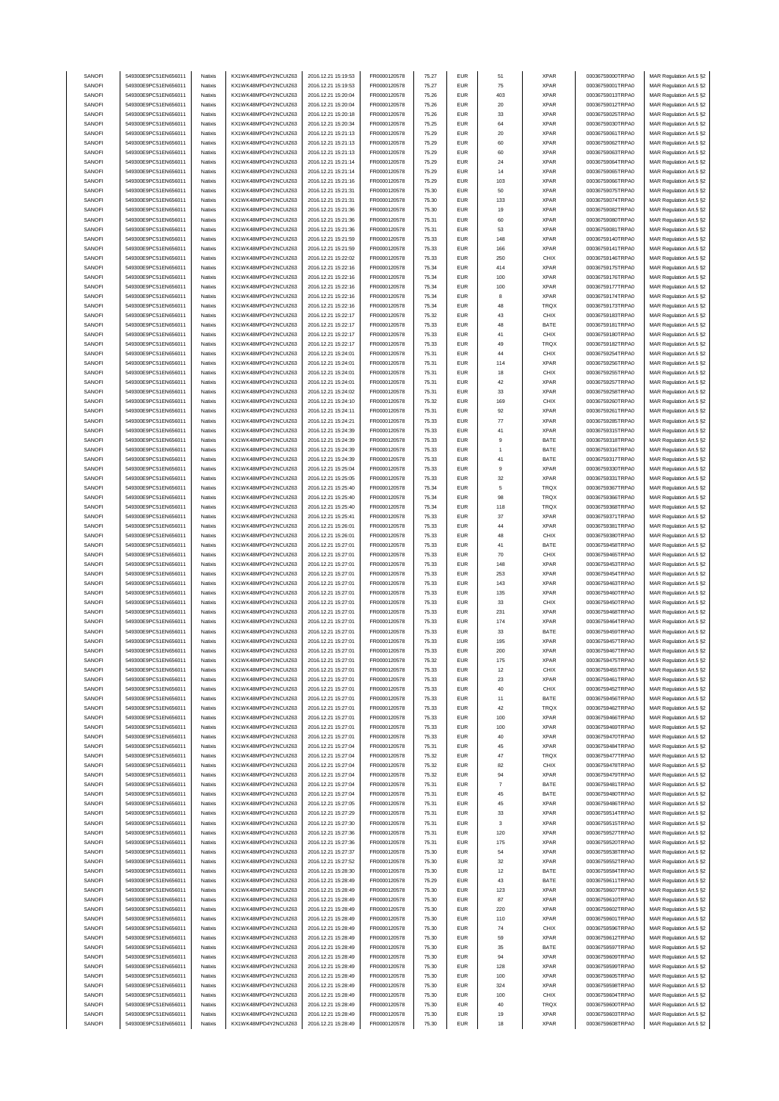| SANOFI           | 549300E9PC51EN656011                         | Natixis            | KX1WK48MPD4Y2NCUIZ63                         | 2016.12.21 15:19:53                        | FR0000120578                 | 75.27          | <b>EUR</b>        | 51             | <b>XPAR</b>                | 00036759000TRPA0                     | MAR Regulation Art.5 §2                            |
|------------------|----------------------------------------------|--------------------|----------------------------------------------|--------------------------------------------|------------------------------|----------------|-------------------|----------------|----------------------------|--------------------------------------|----------------------------------------------------|
| SANOFI           | 549300E9PC51EN656011                         | Natixis            | KX1WK48MPD4Y2NCUIZ63                         | 2016.12.21 15:19:53                        | FR0000120578                 | 75.27          | <b>EUR</b>        | 75             | <b>XPAR</b>                | 00036759001TRPA0                     | MAR Regulation Art.5 §2                            |
| SANOFI           | 549300E9PC51EN656011                         | Natixis            | KX1WK48MPD4Y2NCUIZ63                         | 2016.12.21 15:20:04                        | FR0000120578                 | 75.26          | <b>EUR</b>        | 403            | <b>XPAR</b>                | 00036759013TRPA0                     | MAR Regulation Art.5 §2                            |
| SANOFI           | 549300E9PC51EN656011                         | Natixis            | KX1WK48MPD4Y2NCUIZ63                         | 2016.12.21 15:20:04                        | FR0000120578                 | 75.26          | <b>EUR</b>        | 20             | <b>XPAR</b>                | 00036759012TRPA0                     | MAR Regulation Art.5 §2                            |
|                  |                                              |                    |                                              |                                            |                              |                |                   |                |                            |                                      |                                                    |
| SANOFI           | 549300E9PC51EN656011                         | Natixis            | KX1WK48MPD4Y2NCUIZ63                         | 2016.12.21 15:20:18                        | FR0000120578                 | 75.26          | <b>EUR</b>        | 33             | <b>XPAR</b>                | 00036759025TRPA0                     | MAR Regulation Art.5 §2                            |
| SANOFI           | 549300E9PC51EN656011                         | Natixis            | KX1WK48MPD4Y2NCUIZ63                         | 2016.12.21 15:20:34                        | FR0000120578                 | 75.25          | <b>EUR</b>        | 64             | <b>XPAR</b>                | 00036759030TRPA0                     | MAR Regulation Art.5 §2                            |
| SANOFI           | 549300E9PC51EN656011                         | Natixis            | KX1WK48MPD4Y2NCUIZ63                         | 2016.12.21 15:21:13                        | FR0000120578                 | 75.29          | <b>EUR</b>        | 20             | <b>XPAR</b>                | 00036759061TRPA0                     | MAR Regulation Art.5 §2                            |
| SANOFI           | 549300E9PC51EN656011                         | Natixis            | KX1WK48MPD4Y2NCUIZ63                         | 2016.12.21 15:21:13                        | FR0000120578                 | 75.29          | <b>EUR</b>        | 60             | <b>XPAR</b>                | 00036759062TRPA0                     | MAR Regulation Art.5 §2                            |
| SANOFI           | 549300E9PC51EN656011                         | Natixis            | KX1WK48MPD4Y2NCLIIZ63                        | 2016.12.21 15:21:13                        | FR0000120578                 | 75.29          | <b>EUR</b>        | 60             | <b>XPAR</b>                | 00036759063TRPA0                     | MAR Regulation Art.5 §2                            |
| SANOFI           | 549300E9PC51EN656011                         | Natixis            | KX1WK48MPD4Y2NCUIZ63                         | 2016.12.21 15:21:14                        | FR0000120578                 | 75.29          | <b>EUR</b>        | 24             | <b>XPAR</b>                | 00036759064TRPA0                     | MAR Regulation Art.5 §2                            |
| SANOFI           | 549300E9PC51EN656011                         | Natixis            | KX1WK48MPD4Y2NCUIZ63                         | 2016.12.21 15:21:14                        | FR0000120578                 | 75.29          | <b>EUR</b>        | 14             | <b>XPAR</b>                | 00036759065TRPA0                     | MAR Regulation Art.5 §2                            |
|                  |                                              |                    |                                              |                                            |                              |                |                   |                |                            |                                      |                                                    |
| SANOFI           | 549300E9PC51EN656011                         | Natixis            | KX1WK48MPD4Y2NCUIZ63                         | 2016.12.21 15:21:16                        | FR0000120578                 | 75.29          | <b>EUR</b>        | 103            | <b>XPAR</b>                | 00036759066TRPA0                     | MAR Regulation Art.5 §2                            |
| SANOFI           | 549300E9PC51EN656011                         | Natixis            | KX1WK48MPD4Y2NCUIZ63                         | 2016.12.21 15:21:31                        | FR0000120578                 | 75.30          | <b>EUR</b>        | 50             | <b>XPAR</b>                | 00036759075TRPA0                     | MAR Regulation Art.5 §2                            |
| SANOFI           | 549300E9PC51EN656011                         | Natixis            | KX1WK48MPD4Y2NCUIZ63                         | 2016.12.21 15:21:31                        | FR0000120578                 | 75.30          | <b>EUR</b>        | 133            | <b>XPAR</b>                | 00036759074TRPA0                     | MAR Regulation Art.5 §2                            |
| SANOFI           | 549300E9PC51EN656011                         | Natixis            | KX1WK48MPD4Y2NCUIZ63                         | 2016.12.21 15:21:36                        | FR0000120578                 | 75.30          | <b>EUR</b>        | 19             | <b>XPAR</b>                | 00036759082TRPA0                     | MAR Regulation Art.5 §2                            |
| SANOFI           | 549300E9PC51EN656011                         | Natixis            | KX1WK48MPD4Y2NCUIZ63                         | 2016.12.21 15:21:36                        | FR0000120578                 | 75.31          | <b>EUR</b>        | 60             | <b>XPAR</b>                | 00036759080TRPA0                     | MAR Regulation Art.5 §2                            |
| SANOFI           | 549300E9PC51EN656011                         | Natixis            | KX1WK48MPD4Y2NCUIZ63                         | 2016.12.21 15:21:36                        | FR0000120578                 | 75.31          | <b>EUR</b>        | 53             | <b>XPAR</b>                | 00036759081TRPA0                     |                                                    |
|                  | 549300E9PC51EN656011                         |                    | KX1WK48MPD4Y2NCLIIZ63                        |                                            |                              |                |                   |                |                            |                                      | MAR Regulation Art.5 §2                            |
| SANOFI           |                                              | Natixis            |                                              | 2016.12.21 15:21:59                        | FR0000120578                 | 75.33          | <b>EUR</b>        | 148            | <b>XPAR</b>                | 00036759140TRPA0                     | MAR Regulation Art.5 §2                            |
| SANOFI           | 549300E9PC51EN656011                         | Natixis            | KX1WK48MPD4Y2NCUIZ63                         | 2016.12.21 15:21:59                        | FR0000120578                 | 75.33          | <b>EUR</b>        | 166            | <b>XPAR</b>                | 00036759141TRPA0                     | MAR Regulation Art.5 §2                            |
| SANOFI           | 549300E9PC51EN656011                         | Natixis            | KX1WK48MPD4Y2NCUIZ63                         | 2016.12.21 15:22:02                        | FR0000120578                 | 75.33          | <b>EUR</b>        | 250            | CHIX                       | 00036759146TRPA0                     | MAR Regulation Art.5 §2                            |
| SANOFI           | 549300E9PC51EN656011                         | Natixis            | KX1WK48MPD4Y2NCUIZ63                         | 2016.12.21 15:22:16                        | FR0000120578                 | 75.34          | <b>EUR</b>        | 414            | <b>XPAR</b>                | 00036759175TRPA0                     | MAR Regulation Art.5 §2                            |
| SANOFI           | 549300E9PC51EN656011                         | Natixis            | KX1WK48MPD4Y2NCUIZ63                         | 2016.12.21 15:22:16                        | FR0000120578                 | 75.34          | <b>EUR</b>        | 100            | <b>XPAR</b>                | 00036759176TRPA0                     | MAR Regulation Art.5 §2                            |
| SANOFI           | 549300E9PC51EN656011                         | Natixis            | KX1WK48MPD4Y2NCUIZ63                         | 2016.12.21 15:22:16                        | FR0000120578                 | 75.34          | <b>EUR</b>        | 100            | <b>XPAR</b>                | 00036759177TRPA0                     | MAR Regulation Art.5 §2                            |
|                  |                                              |                    |                                              |                                            |                              |                | <b>EUR</b>        |                |                            |                                      |                                                    |
| SANOFI           | 549300E9PC51EN656011                         | Natixis            | KX1WK48MPD4Y2NCUIZ63                         | 2016.12.21 15:22:16                        | FR0000120578                 | 75.34          |                   | 8              | <b>XPAR</b>                | 00036759174TRPA0                     | MAR Regulation Art.5 §2                            |
| SANOFI           | 549300E9PC51EN656011                         | Natixis            | KX1WK48MPD4Y2NCUIZ63                         | 2016.12.21 15:22:16                        | FR0000120578                 | 75.34          | <b>EUR</b>        | 48             | TRQX                       | 00036759173TRPA0                     | MAR Regulation Art.5 §2                            |
| SANOFI           | 549300E9PC51EN656011                         | Natixis            | KX1WK48MPD4Y2NCUIZ63                         | 2016.12.21 15:22:17                        | FR0000120578                 | 75.32          | <b>EUR</b>        | 43             | CHIX                       | 00036759183TRPA0                     | MAR Regulation Art.5 §2                            |
| SANOFI           | 549300E9PC51EN656011                         | Natixis            | KX1WK48MPD4Y2NCLIIZ63                        | 2016.12.21 15:22:17                        | FR0000120578                 | 75.33          | <b>EUR</b>        | 48             | BATE                       | 00036759181TRPA0                     | MAR Regulation Art.5 §2                            |
| SANOFI           | 549300E9PC51EN656011                         | Natixis            | KX1WK48MPD4Y2NCUIZ63                         | 2016.12.21 15:22:17                        | FR0000120578                 | 75.33          | <b>EUR</b>        | 41             | CHIX                       | 00036759180TRPA0                     | MAR Regulation Art.5 §2                            |
| SANOFI           | 549300E9PC51EN656011                         | Natixis            | KX1WK48MPD4Y2NCUIZ63                         | 2016.12.21 15:22:17                        | FR0000120578                 | 75.33          | <b>EUR</b>        | 49             | TRQX                       | 00036759182TRPA0                     | MAR Regulation Art.5 §2                            |
| SANOFI           | 549300E9PC51EN656011                         | Natixis            | KX1WK48MPD4Y2NCUIZ63                         | 2016.12.21 15:24:01                        | FR0000120578                 | 75.31          | <b>EUR</b>        | 44             | CHIX                       | 00036759254TRPA0                     | MAR Regulation Art.5 §2                            |
|                  |                                              |                    |                                              |                                            |                              |                |                   |                |                            |                                      |                                                    |
| SANOFI           | 549300E9PC51EN656011                         | Natixis            | KX1WK48MPD4Y2NCUIZ63                         | 2016.12.21 15:24:01                        | FR0000120578                 | 75.31          | <b>EUR</b>        | 114            | <b>XPAR</b>                | 00036759256TRPA0                     | MAR Regulation Art.5 §2                            |
| SANOFI           | 549300E9PC51EN656011                         | Natixis            | KX1WK48MPD4Y2NCUIZ63                         | 2016.12.21 15:24:01                        | FR0000120578                 | 75.31          | <b>EUR</b>        | 18             | CHIX                       | 00036759255TRPA0                     | MAR Regulation Art.5 §2                            |
| SANOFI           | 549300E9PC51EN656011                         | Natixis            | KX1WK48MPD4Y2NCUIZ63                         | 2016.12.21 15:24:01                        | FR0000120578                 | 75.31          | <b>EUR</b>        | 42             | <b>XPAR</b>                | 00036759257TRPA0                     | MAR Regulation Art.5 §2                            |
| SANOFI           | 549300E9PC51EN656011                         | Natixis            | KX1WK48MPD4Y2NCUIZ63                         | 2016.12.21 15:24:02                        | FR0000120578                 | 75.31          | <b>EUR</b>        | 33             | <b>XPAR</b>                | 00036759258TRPA0                     | MAR Regulation Art.5 §2                            |
| SANOFI           | 549300E9PC51EN656011                         | Natixis            | KX1WK48MPD4Y2NCUIZ63                         | 2016.12.21 15:24:10                        | FR0000120578                 | 75.32          | <b>EUR</b>        | 169            | CHIX                       | 00036759260TRPA0                     | MAR Regulation Art.5 §2                            |
| SANOFI           | 549300E9PC51EN656011                         | Natixis            | KX1WK48MPD4Y2NCLIIZ63                        | 2016.12.21 15:24:11                        | FR0000120578                 | 75.31          | <b>EUR</b>        | 92             | <b>XPAR</b>                | 00036759261TRPA0                     | MAR Regulation Art.5 §2                            |
|                  |                                              |                    |                                              |                                            |                              |                |                   |                |                            |                                      |                                                    |
| SANOFI           | 549300E9PC51EN656011                         | Natixis            | KX1WK48MPD4Y2NCUIZ63                         | 2016.12.21 15:24:21                        | FR0000120578                 | 75.33          | <b>EUR</b>        | $77$           | <b>XPAR</b>                | 00036759285TRPA0                     | MAR Regulation Art.5 §2                            |
| SANOFI           | 549300E9PC51EN656011                         | Natixis            | KX1WK48MPD4Y2NCUIZ63                         | 2016.12.21 15:24:39                        | FR0000120578                 | 75.33          | <b>EUR</b>        | 41             | <b>XPAR</b>                | 00036759315TRPA0                     | MAR Regulation Art.5 §2                            |
| SANOFI           | 549300E9PC51EN656011                         | Natixis            | KX1WK48MPD4Y2NCUIZ63                         | 2016.12.21 15:24:39                        | FR0000120578                 | 75.33          | <b>EUR</b>        | 9              | BATE                       | 00036759318TRPA0                     | MAR Regulation Art.5 §2                            |
| SANOFI           | 549300E9PC51EN656011                         | Natixis            | KX1WK48MPD4Y2NCUIZ63                         | 2016.12.21 15:24:39                        | FR0000120578                 | 75.33          | <b>EUR</b>        | 1              | BATE                       | 00036759316TRPA0                     | MAR Regulation Art.5 §2                            |
| SANOFI           | 549300E9PC51EN656011                         | Natixis            | KX1WK48MPD4Y2NCUIZ63                         | 2016.12.21 15:24:39                        | FR0000120578                 | 75.33          | <b>EUR</b>        | 41             | BATE                       | 00036759317TRPA0                     | MAR Regulation Art.5 §2                            |
| SANOFI           | 549300E9PC51EN656011                         | Natixis            | KX1WK48MPD4Y2NCUIZ63                         | 2016.12.21 15:25:04                        | FR0000120578                 | 75.33          | <b>EUR</b>        | 9              | <b>XPAR</b>                | 00036759330TRPA0                     |                                                    |
|                  |                                              |                    |                                              |                                            |                              |                |                   |                |                            |                                      | MAR Regulation Art.5 §2                            |
| SANOFI           | 549300E9PC51EN656011                         | Natixis            | KX1WK48MPD4Y2NCUIZ63                         | 2016.12.21 15:25:05                        | FR0000120578                 | 75.33          | <b>EUR</b>        | 32             | <b>XPAR</b>                | 00036759331TRPA0                     | MAR Regulation Art.5 §2                            |
| SANOFI           | 549300E9PC51EN656011                         | Natixis            | KX1WK48MPD4Y2NCUIZ63                         | 2016.12.21 15:25:40                        | FR0000120578                 | 75.34          | <b>EUR</b>        | 5              | TRQX                       | 00036759367TRPA0                     | MAR Regulation Art.5 §2                            |
| SANOFI           | 549300E9PC51EN656011                         | Natixis            | KX1WK48MPD4Y2NCUIZ63                         | 2016.12.21 15:25:40                        | FR0000120578                 | 75.34          | <b>EUR</b>        | 98             | TRQX                       | 00036759366TRPA0                     | MAR Regulation Art.5 §2                            |
| SANOFI           | 549300E9PC51EN656011                         | Natixis            | KX1WK48MPD4Y2NCUIZ63                         | 2016.12.21 15:25:40                        | FR0000120578                 | 75.34          | <b>EUR</b>        | 118            | TRQX                       | 00036759368TRPA0                     | MAR Regulation Art.5 §2                            |
| SANOFI           | 549300E9PC51EN656011                         | Natixis            | KX1WK48MPD4Y2NCUIZ63                         | 2016.12.21 15:25:41                        | FR0000120578                 | 75.33          | <b>EUR</b>        | 37             | <b>XPAR</b>                | 00036759371TRPA0                     | MAR Regulation Art.5 §2                            |
| SANOFI           | 549300E9PC51EN656011                         | Natixis            | KX1WK48MPD4Y2NCUIZ63                         | 2016.12.21 15:26:01                        | FR0000120578                 | 75.33          | <b>EUR</b>        | 44             | <b>XPAR</b>                | 00036759381TRPA0                     | MAR Regulation Art.5 §2                            |
| SANOFI           | 549300E9PC51EN656011                         | Natixis            | KX1WK48MPD4Y2NCUIZ63                         | 2016.12.21 15:26:01                        | FR0000120578                 | 75.33          | <b>EUR</b>        | 48             | CHIX                       | 00036759380TRPA0                     | MAR Regulation Art.5 §2                            |
|                  |                                              |                    |                                              |                                            |                              |                |                   |                |                            |                                      |                                                    |
| SANOFI           | 549300E9PC51EN656011                         | Natixis            | KX1WK48MPD4Y2NCUIZ63                         | 2016.12.21 15:27:01                        | FR0000120578                 | 75.33          | <b>EUR</b>        | 41             | BATE                       | 00036759458TRPA0                     | MAR Regulation Art.5 §2                            |
| SANOFI           | 549300E9PC51EN656011                         | Natixis            | KX1WK48MPD4Y2NCUIZ63                         | 2016.12.21 15:27:01                        | FR0000120578                 | 75.33          | <b>EUR</b>        | 70             | CHIX                       | 00036759465TRPA0                     | MAR Regulation Art.5 §2                            |
| SANOFI           | 549300E9PC51EN656011                         | Natixis            | KX1WK48MPD4Y2NCUIZ63                         | 2016.12.21 15:27:01                        | FR0000120578                 | 75.33          | <b>EUR</b>        | 148            | <b>XPAR</b>                | 00036759453TRPA0                     | MAR Regulation Art.5 §2                            |
| SANOFI           | 549300E9PC51EN656011                         | Natixis            | KX1WK48MPD4Y2NCUIZ63                         | 2016.12.21 15:27:01                        | FR0000120578                 | 75.33          | <b>EUR</b>        | 253            | <b>XPAR</b>                | 00036759454TRPA0                     | MAR Regulation Art.5 §2                            |
| SANOFI           | 549300E9PC51EN656011                         | Natixis            | KX1WK48MPD4Y2NCUIZ63                         | 2016.12.21 15:27:01                        | FR0000120578                 | 75.33          | <b>EUR</b>        | 143            | <b>XPAR</b>                | 00036759463TRPA0                     | MAR Regulation Art.5 §2                            |
| SANOFI           | 549300E9PC51EN656011                         | Natixis            | KX1WK48MPD4Y2NCUIZ63                         | 2016.12.21 15:27:01                        | FR0000120578                 | 75.33          | <b>EUR</b>        | 135            | <b>XPAR</b>                | 00036759460TRPA0                     | MAR Regulation Art.5 §2                            |
| SANOFI           | 549300E9PC51EN656011                         | Natixis            | KX1WK48MPD4Y2NCUIZ63                         | 2016.12.21 15:27:01                        | FR0000120578                 | 75.33          | <b>EUR</b>        | 33             | CHIX                       | 00036759450TRPA0                     | MAR Regulation Art.5 §2                            |
|                  |                                              |                    |                                              |                                            |                              |                |                   |                |                            |                                      |                                                    |
| SANOFI           | 549300E9PC51EN656011                         | Natixis            | KX1WK48MPD4Y2NCUIZ63                         | 2016.12.21 15:27:01                        | FR0000120578                 | 75.33          | <b>EUR</b>        | 231            | <b>XPAR</b>                | 00036759468TRPA0                     | MAR Regulation Art.5 §2                            |
| SANOFI           | 549300E9PC51EN656011                         | Natixis            | KX1WK48MPD4Y2NCUIZ63                         | 2016.12.21 15:27:01                        | FR0000120578                 | 75.33          | <b>EUR</b>        | 174            | <b>XPAR</b>                | 00036759464TRPA0                     | MAR Regulation Art.5 §2                            |
| SANOFI           | 549300E9PC51EN656011                         | Natixis            | KX1WK48MPD4Y2NCUIZ63                         | 2016.12.21 15:27:01                        | FR0000120578                 | 75.33          | <b>EUR</b>        | 33             | BATE                       | 00036759459TRPA0                     | MAR Regulation Art.5 §2                            |
| SANOFI           | 549300E9PC51EN656011                         | Natixis            | KX1WK48MPD4Y2NCUIZ63                         | 2016.12.21 15:27:01                        | FR0000120578                 | 75.33          | <b>EUR</b>        | 195            | <b>XPAR</b>                | 00036759457TRPA0                     | MAR Regulation Art.5 §2                            |
| SANOF            | 549300E9PC51EN656011                         | Natixis            | KX1WK48MPD4Y2NCUIZ63                         | 2016.12.21 15:27:01                        | FR0000120578                 | 75.33          | EUR               | 200            | XPAR                       | 00036759467TRPA0                     | MAR Regulation Art.5 §2                            |
| SANOFI           | 549300E9PC51EN656011                         | Natixis            | KX1WK48MPD4Y2NCUIZ63                         | 2016.12.21 15:27:01                        | FR0000120578                 | 75.32          | <b>EUR</b>        | 175            | <b>XPAR</b>                | 00036759475TRPA0                     | MAR Regulation Art.5 §2                            |
| SANOFI           | 549300E9PC51EN656011                         | Natixis            | KX1WK48MPD4Y2NCUIZ63                         | 2016.12.21 15:27:01                        | FR0000120578                 | 75.33          | <b>EUR</b>        | 12             | CHIX                       | 00036759455TRPA0                     | MAR Regulation Art.5 §2                            |
|                  |                                              |                    |                                              |                                            |                              |                |                   |                |                            |                                      |                                                    |
| SANOFI           | 549300E9PC51EN656011                         | Natixis            | KX1WK48MPD4Y2NCUIZ63                         | 2016.12.21 15:27:01                        | FR0000120578                 | 75.33          | <b>EUR</b>        | 23             | <b>XPAR</b>                | 00036759461TRPA0                     | MAR Regulation Art.5 §2                            |
| SANOFI           | 549300E9PC51EN656011                         | Natixis            | KX1WK48MPD4Y2NCUIZ63                         | 2016.12.21 15:27:01                        | FR0000120578                 | 75.33          | <b>EUR</b>        | 40             | CHIX                       | 00036759452TRPA0                     | MAR Regulation Art.5 §2                            |
| SANOFI           | 549300E9PC51EN656011                         | Natixis            | KX1WK48MPD4Y2NCUIZ63                         | 2016.12.21 15:27:01                        | FR0000120578                 | 75.33          | <b>EUR</b>        | 11             | BATE                       | 00036759456TRPA0                     | MAR Regulation Art.5 §2                            |
| SANOFI           | 549300E9PC51EN656011                         | Natixis            | KX1WK48MPD4Y2NCUIZ63                         | 2016.12.21 15:27:01                        | FR0000120578                 | 75.33          | <b>EUR</b>        | 42             | TRQX                       | 00036759462TRPA0                     | MAR Regulation Art.5 §2                            |
| SANOFI           | 549300E9PC51EN656011                         | Natixis            | KX1WK48MPD4Y2NCUIZ63                         | 2016.12.21 15:27:01                        | FR0000120578                 | 75.33          | <b>EUR</b>        | 100            | <b>XPAR</b>                | 00036759466TRPA0                     | MAR Regulation Art.5 §2                            |
| SANOFI           | 549300E9PC51EN656011                         | Natixis            | KX1WK48MPD4Y2NCUIZ63                         | 2016.12.21 15:27:01                        | FR0000120578                 | 75.33          | <b>EUR</b>        | 100            | <b>XPAR</b>                | 00036759469TRPA0                     | MAR Regulation Art.5 §2                            |
| SANOFI           | 549300E9PC51EN656011                         | Natixis            | KX1WK48MPD4Y2NCUIZ63                         | 2016.12.21 15:27:01                        | FR0000120578                 | 75.33          | <b>EUR</b>        | 40             | <b>XPAR</b>                | 00036759470TRPA0                     | MAR Regulation Art.5 §2                            |
| SANOFI           | 549300E9PC51EN656011                         | Natixis            | KX1WK48MPD4Y2NCUIZ63                         | 2016.12.21 15:27:04                        | FR0000120578                 | 75.31          | <b>EUR</b>        | 45             | <b>XPAR</b>                | 00036759484TRPA0                     | MAR Regulation Art.5 §2                            |
|                  |                                              |                    |                                              |                                            |                              |                |                   |                |                            |                                      |                                                    |
| SANOFI           | 549300E9PC51EN656011                         | Natixis            | KX1WK48MPD4Y2NCUIZ63                         | 2016.12.21 15:27:04                        | FR0000120578                 | 75.32          | <b>EUR</b>        | 47             | TRQX                       | 00036759477TRPA0                     | MAR Regulation Art.5 §2                            |
| SANOFI           | 549300E9PC51EN656011                         | Natixis            | KX1WK48MPD4Y2NCUIZ63                         | 2016.12.21 15:27:04                        | FR0000120578                 | 75.32          | <b>EUR</b>        | 82             | CHIX                       | 00036759478TRPA0                     | MAR Regulation Art.5 §2                            |
| SANOFI           | 549300E9PC51EN656011                         | Natixis            | KX1WK48MPD4Y2NCUIZ63                         | 2016.12.21 15:27:04                        | FR0000120578                 | 75.32          | <b>EUR</b>        | 94             | <b>XPAR</b>                | 00036759479TRPA0                     | MAR Regulation Art.5 §2                            |
| SANOFI           | 549300E9PC51EN656011                         | Natixis            | KX1WK48MPD4Y2NCUIZ63                         | 2016.12.21 15:27:04                        | FR0000120578                 | 75.31          | <b>EUR</b>        | $\overline{7}$ | BATE                       | 00036759481TRPA0                     | MAR Regulation Art.5 §2                            |
| SANOFI           | 549300E9PC51EN656011                         | Natixis            | KX1WK48MPD4Y2NCUIZ63                         | 2016.12.21 15:27:04                        | FR0000120578                 | 75.31          | <b>EUR</b>        | 45             | BATE                       | 00036759480TRPA0                     | MAR Regulation Art.5 §2                            |
| SANOFI           | 549300E9PC51EN656011                         | Natixis            | KX1WK48MPD4Y2NCUIZ63                         | 2016.12.21 15:27:05                        | FR0000120578                 | 75.31          | <b>EUR</b>        | 45             | <b>XPAR</b>                | 00036759486TRPA0                     | MAR Regulation Art.5 §2                            |
| SANOFI           |                                              |                    | KX1WK48MPD4Y2NCUIZ63                         |                                            |                              |                | <b>EUR</b>        |                |                            | 00036759514TRPA0                     |                                                    |
|                  | 549300E9PC51EN656011                         | Natixis            |                                              | 2016.12.21 15:27:29                        | FR0000120578                 | 75.31          |                   | 33             | <b>XPAR</b>                |                                      | MAR Regulation Art.5 §2                            |
| SANOFI           | 549300E9PC51EN656011                         | Natixis            | KX1WK48MPD4Y2NCUIZ63                         | 2016.12.21 15:27:30                        | FR0000120578                 | 75.31          | <b>EUR</b>        | 3              | <b>XPAR</b>                | 00036759515TRPA0                     | MAR Regulation Art.5 §2                            |
| SANOFI           | 549300E9PC51EN656011                         | Natixis            | KX1WK48MPD4Y2NCUIZ63                         | 2016.12.21 15:27:36                        | FR0000120578                 | 75.31          | <b>EUR</b>        | 120            | <b>XPAR</b>                | 00036759527TRPA0                     | MAR Regulation Art.5 §2                            |
| SANOFI           | 549300E9PC51EN656011                         | Natixis            | KX1WK48MPD4Y2NCUIZ63                         | 2016.12.21 15:27:36                        | FR0000120578                 | 75.31          | <b>EUR</b>        | 175            | <b>XPAR</b>                | 00036759520TRPA0                     | MAR Regulation Art.5 §2                            |
| SANOFI           | 549300E9PC51EN656011                         | Natixis            | KX1WK48MPD4Y2NCUIZ63                         | 2016.12.21 15:27:37                        | FR0000120578                 | 75.30          | <b>EUR</b>        | 54             | <b>XPAR</b>                | 00036759538TRPA0                     | MAR Regulation Art.5 §2                            |
| SANOFI           | 549300E9PC51EN656011                         | Natixis            | KX1WK48MPD4Y2NCUIZ63                         | 2016.12.21 15:27:52                        | FR0000120578                 | 75.30          | <b>EUR</b>        | 32             | <b>XPAR</b>                | 00036759552TRPA0                     | MAR Regulation Art.5 §2                            |
| SANOFI           | 549300E9PC51EN656011                         | Natixis            | KX1WK48MPD4Y2NCUIZ63                         | 2016.12.21 15:28:30                        | FR0000120578                 | 75.30          | <b>EUR</b>        | 12             | BATE                       | 00036759584TRPA0                     |                                                    |
|                  |                                              |                    |                                              |                                            |                              |                |                   |                |                            |                                      | MAR Regulation Art.5 §2                            |
| SANOFI           | 549300E9PC51EN656011                         | Natixis            | KX1WK48MPD4Y2NCUIZ63                         | 2016.12.21 15:28:49                        | FR0000120578                 | 75.29          | <b>EUR</b>        | 43             | BATE                       | 00036759611TRPA0                     | MAR Regulation Art.5 §2                            |
| SANOFI           | 549300E9PC51EN656011                         | Natixis            | KX1WK48MPD4Y2NCUIZ63                         | 2016.12.21 15:28:49                        | FR0000120578                 | 75.30          | <b>EUR</b>        | 123            | <b>XPAR</b>                | 00036759607TRPA0                     | MAR Regulation Art.5 §2                            |
| SANOFI           | 549300E9PC51EN656011                         | Natixis            | KX1WK48MPD4Y2NCUIZ63                         | 2016.12.21 15:28:49                        | FR0000120578                 | 75.30          | <b>EUR</b>        | 87             | <b>XPAR</b>                | 00036759610TRPA0                     | MAR Regulation Art.5 §2                            |
| SANOFI           | 549300E9PC51EN656011                         | Natixis            | KX1WK48MPD4Y2NCUIZ63                         | 2016.12.21 15:28:49                        | FR0000120578                 | 75.30          | <b>EUR</b>        | 220            | <b>XPAR</b>                | 00036759602TRPA0                     | MAR Regulation Art.5 §2                            |
| SANOFI           | 549300E9PC51EN656011                         | Natixis            | KX1WK48MPD4Y2NCUIZ63                         | 2016.12.21 15:28:49                        | FR0000120578                 | 75.30          | <b>EUR</b>        | 110            | <b>XPAR</b>                | 00036759601TRPA0                     | MAR Regulation Art.5 §2                            |
| SANOFI           | 549300E9PC51EN656011                         | Natixis            | KX1WK48MPD4Y2NCUIZ63                         | 2016.12.21 15:28:49                        | FR0000120578                 | 75.30          | <b>EUR</b>        | 74             | CHIX                       | 00036759596TRPA0                     | MAR Regulation Art.5 §2                            |
|                  |                                              |                    |                                              |                                            |                              |                |                   |                |                            |                                      |                                                    |
| SANOFI           | 549300E9PC51EN656011                         | Natixis            | KX1WK48MPD4Y2NCUIZ63                         | 2016.12.21 15:28:49                        | FR0000120578                 | 75.30          | <b>EUR</b>        | 59             | <b>XPAR</b>                | 00036759612TRPA0                     | MAR Regulation Art.5 §2                            |
| SANOFI           | 549300E9PC51EN656011                         | Natixis            | KX1WK48MPD4Y2NCUIZ63                         | 2016.12.21 15:28:49                        | FR0000120578                 | 75.30          | <b>EUR</b>        | 35             | BATE                       | 00036759597TRPA0                     | MAR Regulation Art.5 §2                            |
| SANOFI           | 549300E9PC51EN656011                         | Natixis            | KX1WK48MPD4Y2NCUIZ63                         | 2016.12.21 15:28:49                        | FR0000120578                 | 75.30          | <b>EUR</b>        | 94             | <b>XPAR</b>                | 00036759609TRPA0                     | MAR Regulation Art.5 §2                            |
| SANOFI           | 549300E9PC51EN656011                         | Natixis            | KX1WK48MPD4Y2NCUIZ63                         | 2016.12.21 15:28:49                        | FR0000120578                 | 75.30          | <b>EUR</b>        | 128            | <b>XPAR</b>                | 00036759599TRPA0                     | MAR Regulation Art.5 §2                            |
|                  | 549300E9PC51EN656011                         | Natixis            | KX1WK48MPD4Y2NCUIZ63                         | 2016.12.21 15:28:49                        | FR0000120578                 | 75.30          | <b>EUR</b>        | 100            | <b>XPAR</b>                | 00036759605TRPA0                     | MAR Regulation Art.5 §2                            |
| SANOFI           |                                              |                    |                                              |                                            |                              |                |                   |                |                            |                                      |                                                    |
| SANOFI           | 549300E9PC51EN656011                         | Natixis            | KX1WK48MPD4Y2NCUIZ63                         | 2016.12.21 15:28:49                        | FR0000120578                 | 75.30          | <b>EUR</b>        | 324            | <b>XPAR</b>                | 00036759598TRPA0                     | MAR Regulation Art.5 §2                            |
|                  |                                              |                    |                                              |                                            |                              |                |                   |                |                            |                                      |                                                    |
| SANOFI           | 549300E9PC51EN656011                         | Natixis            | KX1WK48MPD4Y2NCUIZ63                         | 2016.12.21 15:28:49                        | FR0000120578                 | 75.30          | <b>EUR</b>        | 100            | CHIX                       | 00036759604TRPA0                     | MAR Regulation Art.5 §2                            |
| SANOFI           | 549300E9PC51EN656011                         | Natixis            | KX1WK48MPD4Y2NCUIZ63                         | 2016.12.21 15:28:49                        | FR0000120578                 | 75.30          | <b>EUR</b>        | 40             | TRQX                       | 00036759600TRPA0                     | MAR Regulation Art.5 §2                            |
| SANOFI<br>SANOFI | 549300E9PC51EN656011<br>549300E9PC51EN656011 | Natixis<br>Natixis | KX1WK48MPD4Y2NCUIZ63<br>KX1WK48MPD4Y2NCUIZ63 | 2016.12.21 15:28:49<br>2016.12.21 15:28:49 | FR0000120578<br>FR0000120578 | 75.30<br>75.30 | <b>EUR</b><br>EUR | 19<br>18       | <b>XPAR</b><br><b>XPAR</b> | 00036759603TRPA0<br>00036759608TRPA0 | MAR Regulation Art.5 §2<br>MAR Regulation Art.5 §2 |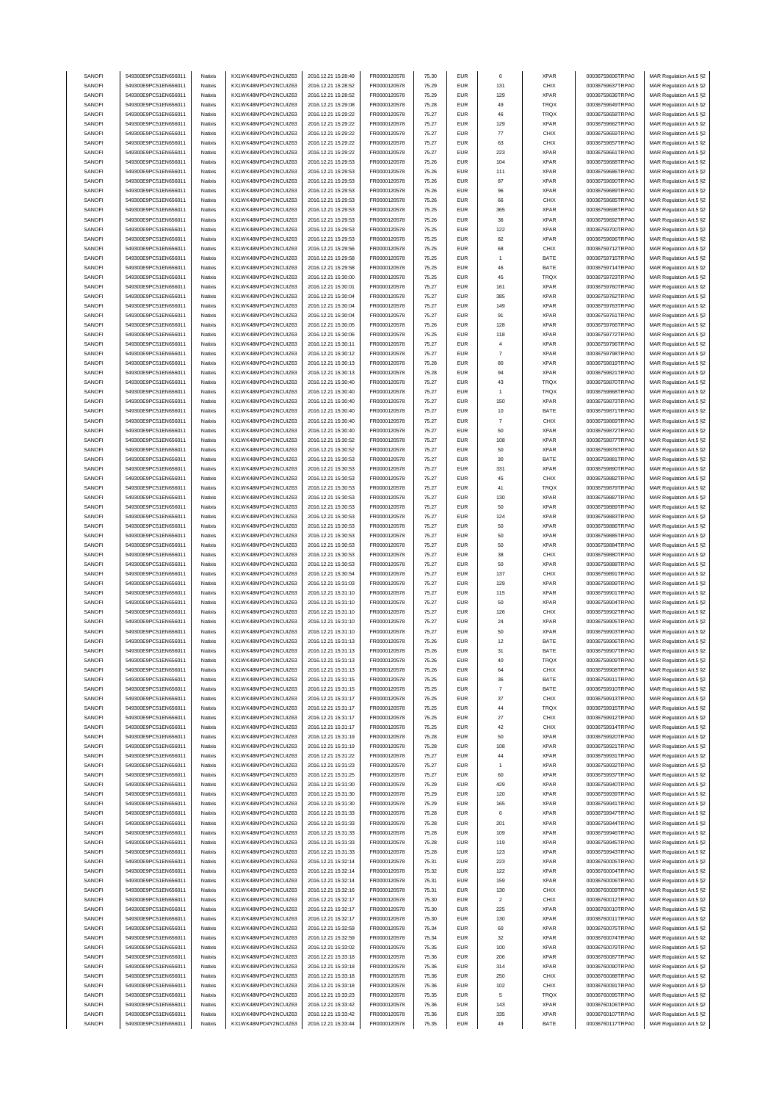| SANOFI | 549300E9PC51EN656011 | Natixis | KX1WK48MPD4Y2NCUIZ63  | 2016.12.21 15:28:49 | FR0000120578 | 75.30 | <b>EUR</b>                  | 6              | <b>XPAR</b> | 00036759606TRPA0 | MAR Regulation Art.5 §2 |
|--------|----------------------|---------|-----------------------|---------------------|--------------|-------|-----------------------------|----------------|-------------|------------------|-------------------------|
| SANOFI | 549300E9PC51EN656011 | Natixis | KX1WK48MPD4Y2NCUIZ63  | 2016.12.21 15:28:52 | FR0000120578 | 75.29 | <b>EUR</b>                  | 131            | CHIX        | 00036759637TRPA0 | MAR Regulation Art.5 §2 |
| SANOFI | 549300E9PC51EN656011 | Natixis | KX1WK48MPD4Y2NCUIZ63  | 2016.12.21 15:28:52 | FR0000120578 | 75.29 | <b>EUR</b>                  | 129            | <b>XPAR</b> | 00036759636TRPA0 | MAR Regulation Art.5 §2 |
| SANOFI | 549300E9PC51EN656011 | Natixis | KX1WK48MPD4Y2NCUIZ63  | 2016.12.21 15:29:08 | FR0000120578 | 75.28 | <b>EUR</b>                  | 49             | TRQX        | 00036759649TRPA0 | MAR Regulation Art.5 §2 |
|        |                      |         |                       |                     |              |       |                             |                |             |                  |                         |
| SANOFI | 549300E9PC51EN656011 | Natixis | KX1WK48MPD4Y2NCUIZ63  | 2016.12.21 15:29:22 | FR0000120578 | 75.27 | <b>EUR</b>                  | 46             | TRQX        | 00036759658TRPA0 | MAR Regulation Art.5 §2 |
| SANOFI | 549300E9PC51EN656011 | Natixis | KX1WK48MPD4Y2NCUIZ63  | 2016.12.21 15:29:22 | FR0000120578 | 75.27 | <b>EUR</b>                  | 129            | <b>XPAR</b> | 00036759662TRPA0 | MAR Regulation Art.5 §2 |
| SANOFI | 549300E9PC51EN656011 | Natixis | KX1WK48MPD4Y2NCUIZ63  | 2016.12.21 15:29:22 | FR0000120578 | 75.27 | <b>EUR</b>                  | $77$           | CHIX        | 00036759659TRPA0 | MAR Regulation Art.5 §2 |
| SANOFI | 549300E9PC51EN656011 | Natixis | KX1WK48MPD4Y2NCUIZ63  | 2016.12.21 15:29:22 | FR0000120578 | 75.27 | <b>EUR</b>                  | 63             | CHIX        | 00036759657TRPA0 | MAR Regulation Art.5 §2 |
| SANOFI | 549300E9PC51EN656011 | Natixis | KX1WK48MPD4Y2NCLIIZ63 | 2016.12.21 15:29:22 | FR0000120578 | 75.27 | <b>EUR</b>                  | 223            | <b>XPAR</b> | 00036759661TRPA0 | MAR Regulation Art.5 §2 |
| SANOFI | 549300E9PC51EN656011 | Natixis | KX1WK48MPD4Y2NCUIZ63  | 2016.12.21 15:29:53 | FR0000120578 | 75.26 | <b>EUR</b>                  | 104            | <b>XPAR</b> | 00036759688TRPA0 | MAR Regulation Art.5 §2 |
|        |                      | Natixis |                       |                     |              |       | <b>EUR</b>                  |                |             |                  |                         |
| SANOFI | 549300E9PC51EN656011 |         | KX1WK48MPD4Y2NCUIZ63  | 2016.12.21 15:29:53 | FR0000120578 | 75.26 |                             | 111            | <b>XPAR</b> | 00036759686TRPA0 | MAR Regulation Art.5 §2 |
| SANOFI | 549300E9PC51EN656011 | Natixis | KX1WK48MPD4Y2NCUIZ63  | 2016.12.21 15:29:53 | FR0000120578 | 75.26 | <b>EUR</b>                  | 87             | <b>XPAR</b> | 00036759690TRPA0 | MAR Regulation Art.5 §2 |
| SANOFI | 549300E9PC51EN656011 | Natixis | KX1WK48MPD4Y2NCUIZ63  | 2016.12.21 15:29:53 | FR0000120578 | 75.26 | <b>EUR</b>                  | 96             | <b>XPAR</b> | 00036759689TRPA0 | MAR Regulation Art.5 §2 |
| SANOFI | 549300E9PC51EN656011 | Natixis | KX1WK48MPD4Y2NCUIZ63  | 2016.12.21 15:29:53 | FR0000120578 | 75.26 | <b>EUR</b>                  | 66             | CHIX        | 00036759685TRPA0 | MAR Regulation Art.5 §2 |
| SANOFI | 549300E9PC51EN656011 | Natixis | KX1WK48MPD4Y2NCUIZ63  | 2016.12.21 15:29:53 | FR0000120578 | 75.25 | <b>EUR</b>                  | 365            | <b>XPAR</b> | 00036759698TRPA0 | MAR Regulation Art.5 §2 |
|        | 549300E9PC51EN656011 |         | KX1WK48MPD4Y2NCUIZ63  |                     |              |       | <b>EUR</b>                  |                |             |                  |                         |
| SANOFI |                      | Natixis |                       | 2016.12.21 15:29:53 | FR0000120578 | 75.26 |                             | 36             | <b>XPAR</b> | 00036759692TRPA0 | MAR Regulation Art.5 §2 |
| SANOFI | 549300E9PC51EN656011 | Natixis | KX1WK48MPD4Y2NCUIZ63  | 2016.12.21 15:29:53 | FR0000120578 | 75.25 | <b>EUR</b>                  | 122            | <b>XPAR</b> | 00036759700TRPA0 | MAR Regulation Art.5 §2 |
| SANOFI | 549300E9PC51EN656011 | Natixis | KX1WK48MPD4Y2NCLIIZ63 | 2016.12.21 15:29:53 | FR0000120578 | 75.25 | <b>EUR</b>                  | 82             | <b>XPAR</b> | 00036759696TRPA0 | MAR Regulation Art.5 §2 |
| SANOFI | 549300E9PC51EN656011 | Natixis | KX1WK48MPD4Y2NCUIZ63  | 2016.12.21 15:29:56 | FR0000120578 | 75.25 | <b>EUR</b>                  | 68             | CHIX        | 00036759712TRPA0 | MAR Regulation Art.5 §2 |
| SANOFI | 549300E9PC51EN656011 | Natixis | KX1WK48MPD4Y2NCUIZ63  | 2016.12.21 15:29:58 | FR0000120578 | 75.25 | <b>EUR</b>                  | 1              | BATE        | 00036759715TRPA0 | MAR Regulation Art.5 §2 |
| SANOFI | 549300E9PC51EN656011 | Natixis | KX1WK48MPD4Y2NCUIZ63  | 2016.12.21 15:29:58 | FR0000120578 | 75.25 | <b>EUR</b>                  | 46             | BATE        | 00036759714TRPA0 | MAR Regulation Art.5 §2 |
| SANOFI | 549300E9PC51EN656011 | Natixis | KX1WK48MPD4Y2NCUIZ63  | 2016.12.21 15:30:00 | FR0000120578 | 75.25 | <b>EUR</b>                  | 45             | TRQX        | 00036759723TRPA0 | MAR Regulation Art.5 §2 |
|        |                      |         |                       |                     |              |       |                             |                |             |                  |                         |
| SANOFI | 549300E9PC51EN656011 | Natixis | KX1WK48MPD4Y2NCUIZ63  | 2016.12.21 15:30:01 | FR0000120578 | 75.27 | <b>EUR</b>                  | 161            | <b>XPAR</b> | 00036759760TRPA0 | MAR Regulation Art.5 §2 |
| SANOFI | 549300E9PC51EN656011 | Natixis | KX1WK48MPD4Y2NCUIZ63  | 2016.12.21 15:30:04 | FR0000120578 | 75.27 | <b>EUR</b>                  | 385            | <b>XPAR</b> | 00036759762TRPA0 | MAR Regulation Art.5 §2 |
| SANOFI | 549300E9PC51EN656011 | Natixis | KX1WK48MPD4Y2NCUIZ63  | 2016.12.21 15:30:04 | FR0000120578 | 75.27 | <b>EUR</b>                  | 149            | <b>XPAR</b> | 00036759763TRPA0 | MAR Regulation Art.5 §2 |
| SANOFI | 549300E9PC51EN656011 | Natixis | KX1WK48MPD4Y2NCUIZ63  | 2016.12.21 15:30:04 | FR0000120578 | 75.27 | <b>EUR</b>                  | 91             | <b>XPAR</b> | 00036759761TRPA0 | MAR Regulation Art.5 §2 |
| SANOFI | 549300E9PC51EN656011 | Natixis | KX1WK48MPD4Y2NCLIIZ63 | 2016.12.21 15:30:05 | FR0000120578 | 75.26 | <b>EUR</b>                  | 128            | <b>XPAR</b> | 00036759766TRPA0 | MAR Regulation Art.5 §2 |
| SANOFI | 549300E9PC51EN656011 | Natixis | KX1WK48MPD4Y2NCUIZ63  | 2016.12.21 15:30:06 | FR0000120578 | 75.25 | <b>EUR</b>                  | 118            | <b>XPAR</b> | 00036759772TRPA0 | MAR Regulation Art.5 §2 |
|        |                      |         |                       |                     |              |       |                             |                |             |                  |                         |
| SANOFI | 549300E9PC51EN656011 | Natixis | KX1WK48MPD4Y2NCUIZ63  | 2016.12.21 15:30:11 | FR0000120578 | 75.27 | EUR                         | $\sqrt{4}$     | <b>XPAR</b> | 00036759796TRPA0 | MAR Regulation Art.5 §2 |
| SANOFI | 549300E9PC51EN656011 | Natixis | KX1WK48MPD4Y2NCUIZ63  | 2016.12.21 15:30:12 | FR0000120578 | 75.27 | <b>EUR</b>                  | $\overline{7}$ | <b>XPAR</b> | 00036759798TRPA0 | MAR Regulation Art.5 §2 |
| SANOFI | 549300E9PC51EN656011 | Natixis | KX1WK48MPD4Y2NCUIZ63  | 2016.12.21 15:30:13 | FR0000120578 | 75.28 | <b>EUR</b>                  | 80             | <b>XPAR</b> | 00036759819TRPA0 | MAR Regulation Art.5 §2 |
| SANOFI | 549300E9PC51EN656011 | Natixis | KX1WK48MPD4Y2NCUIZ63  | 2016.12.21 15:30:13 | FR0000120578 | 75.28 | <b>EUR</b>                  | 94             | <b>XPAR</b> | 00036759821TRPA0 | MAR Regulation Art.5 §2 |
| SANOFI | 549300E9PC51EN656011 | Natixis | KX1WK48MPD4Y2NCUIZ63  | 2016.12.21 15:30:40 | FR0000120578 | 75.27 | <b>EUR</b>                  | 43             | TRQX        | 00036759870TRPA0 | MAR Regulation Art.5 §2 |
| SANOFI | 549300E9PC51EN656011 |         |                       |                     |              |       |                             |                |             | 00036759868TRPA0 |                         |
|        |                      | Natixis | KX1WK48MPD4Y2NCUIZ63  | 2016.12.21 15:30:40 | FR0000120578 | 75.27 | <b>EUR</b>                  | 1              | TRQX        |                  | MAR Regulation Art.5 §2 |
| SANOFI | 549300E9PC51EN656011 | Natixis | KX1WK48MPD4Y2NCUIZ63  | 2016.12.21 15:30:40 | FR0000120578 | 75.27 | <b>EUR</b>                  | 150            | <b>XPAR</b> | 00036759873TRPA0 | MAR Regulation Art.5 §2 |
| SANOFI | 549300E9PC51EN656011 | Natixis | KX1WK48MPD4Y2NCLIIZ63 | 2016.12.21 15:30:40 | FR0000120578 | 75.27 | <b>EUR</b>                  | 10             | BATE        | 00036759871TRPA0 | MAR Regulation Art.5 §2 |
| SANOFI | 549300E9PC51EN656011 | Natixis | KX1WK48MPD4Y2NCUIZ63  | 2016.12.21 15:30:40 | FR0000120578 | 75.27 | <b>EUR</b>                  | $\overline{7}$ | CHIX        | 00036759869TRPA0 | MAR Regulation Art.5 §2 |
| SANOFI | 549300E9PC51EN656011 | Natixis | KX1WK48MPD4Y2NCUIZ63  | 2016.12.21 15:30:40 | FR0000120578 | 75.27 | <b>EUR</b>                  | 50             | <b>XPAR</b> | 00036759872TRPA0 | MAR Regulation Art.5 §2 |
| SANOFI | 549300E9PC51EN656011 | Natixis | KX1WK48MPD4Y2NCUIZ63  | 2016.12.21 15:30:52 | FR0000120578 | 75.27 | <b>EUR</b>                  | 108            | <b>XPAR</b> | 00036759877TRPA0 | MAR Regulation Art.5 §2 |
|        |                      |         |                       |                     |              |       |                             |                |             |                  |                         |
| SANOFI | 549300E9PC51EN656011 | Natixis | KX1WK48MPD4Y2NCUIZ63  | 2016.12.21 15:30:52 | FR0000120578 | 75.27 | <b>EUR</b>                  | 50             | <b>XPAR</b> | 00036759878TRPA0 | MAR Regulation Art.5 §2 |
| SANOFI | 549300E9PC51EN656011 | Natixis | KX1WK48MPD4Y2NCUIZ63  | 2016.12.21 15:30:53 | FR0000120578 | 75.27 | <b>EUR</b>                  | 30             | BATE        | 00036759881TRPA0 | MAR Regulation Art.5 §2 |
| SANOFI | 549300E9PC51EN656011 | Natixis | KX1WK48MPD4Y2NCUIZ63  | 2016.12.21 15:30:53 | FR0000120578 | 75.27 | <b>EUR</b>                  | 331            | <b>XPAR</b> | 00036759890TRPA0 | MAR Regulation Art.5 §2 |
| SANOFI | 549300E9PC51EN656011 | Natixis | KX1WK48MPD4Y2NCUIZ63  | 2016.12.21 15:30:53 | FR0000120578 | 75.27 | <b>EUR</b>                  | 45             | CHIX        | 00036759882TRPA0 | MAR Regulation Art.5 §2 |
| SANOFI | 549300E9PC51EN656011 | Natixis | KX1WK48MPD4Y2NCUIZ63  | 2016.12.21 15:30:53 | FR0000120578 | 75.27 | <b>EUR</b>                  | 41             | TRQX        | 00036759879TRPA0 | MAR Regulation Art.5 §2 |
| SANOFI | 549300E9PC51EN656011 | Natixis | KX1WK48MPD4Y2NCUIZ63  | 2016.12.21 15:30:53 | FR0000120578 | 75.27 | <b>EUR</b>                  | 130            | <b>XPAR</b> | 00036759887TRPA0 | MAR Regulation Art.5 §2 |
|        |                      |         |                       |                     |              |       |                             |                |             |                  |                         |
| SANOFI | 549300E9PC51EN656011 | Natixis | KX1WK48MPD4Y2NCUIZ63  | 2016.12.21 15:30:53 | FR0000120578 | 75.27 | <b>EUR</b>                  | 50             | <b>XPAR</b> | 00036759889TRPA0 | MAR Regulation Art.5 §2 |
| SANOFI | 549300E9PC51EN656011 | Natixis | KX1WK48MPD4Y2NCUIZ63  | 2016.12.21 15:30:53 | FR0000120578 | 75.27 | <b>EUR</b>                  | 124            | <b>XPAR</b> | 00036759883TRPA0 | MAR Regulation Art.5 §2 |
| SANOFI | 549300E9PC51EN656011 | Natixis | KX1WK48MPD4Y2NCUIZ63  | 2016.12.21 15:30:53 | FR0000120578 | 75.27 | <b>EUR</b>                  | 50             | <b>XPAR</b> | 00036759886TRPA0 | MAR Regulation Art.5 §2 |
| SANOFI | 549300E9PC51EN656011 | Natixis | KX1WK48MPD4Y2NCUIZ63  | 2016.12.21 15:30:53 | FR0000120578 | 75.27 | <b>EUR</b>                  | 50             | <b>XPAR</b> | 00036759885TRPA0 | MAR Regulation Art.5 §2 |
| SANOFI | 549300E9PC51EN656011 | Natixis | KX1WK48MPD4Y2NCUIZ63  | 2016.12.21 15:30:53 | FR0000120578 | 75.27 | <b>EUR</b>                  | 50             | <b>XPAR</b> | 00036759884TRPA0 | MAR Regulation Art.5 §2 |
| SANOFI | 549300E9PC51EN656011 | Natixis | KX1WK48MPD4Y2NCUIZ63  | 2016.12.21 15:30:53 |              | 75.27 | <b>EUR</b>                  | 38             | CHIX        |                  |                         |
|        |                      |         |                       |                     | FR0000120578 |       |                             |                |             | 00036759880TRPA0 | MAR Regulation Art.5 §2 |
| SANOFI | 549300E9PC51EN656011 | Natixis | KX1WK48MPD4Y2NCUIZ63  | 2016.12.21 15:30:53 | FR0000120578 | 75.27 | <b>EUR</b>                  | 50             | <b>XPAR</b> | 00036759888TRPA0 | MAR Regulation Art.5 §2 |
| SANOFI | 549300E9PC51EN656011 | Natixis | KX1WK48MPD4Y2NCUIZ63  | 2016.12.21 15:30:54 | FR0000120578 | 75.27 | <b>EUR</b>                  | 137            | CHIX        | 00036759891TRPA0 | MAR Regulation Art.5 §2 |
| SANOFI | 549300E9PC51EN656011 | Natixis | KX1WK48MPD4Y2NCUIZ63  | 2016.12.21 15:31:03 | FR0000120578 | 75.27 | <b>EUR</b>                  | 129            | <b>XPAR</b> | 00036759899TRPA0 | MAR Regulation Art.5 §2 |
| SANOFI | 549300E9PC51EN656011 | Natixis | KX1WK48MPD4Y2NCUIZ63  | 2016.12.21 15:31:10 | FR0000120578 | 75.27 | <b>EUR</b>                  | 115            | <b>XPAR</b> | 00036759901TRPA0 | MAR Regulation Art.5 §2 |
| SANOFI | 549300E9PC51EN656011 | Natixis | KX1WK48MPD4Y2NCUIZ63  | 2016.12.21 15:31:10 | FR0000120578 | 75.27 | <b>EUR</b>                  | 50             | <b>XPAR</b> | 00036759904TRPA0 | MAR Regulation Art.5 §2 |
|        |                      |         |                       |                     |              |       |                             |                |             |                  |                         |
| SANOFI | 549300E9PC51EN656011 | Natixis | KX1WK48MPD4Y2NCUIZ63  | 2016.12.21 15:31:10 | FR0000120578 | 75.27 | <b>EUR</b>                  | 126            | CHIX        | 00036759902TRPA0 | MAR Regulation Art.5 §2 |
| SANOFI | 549300E9PC51EN656011 | Natixis | KX1WK48MPD4Y2NCUIZ63  | 2016.12.21 15:31:10 | FR0000120578 | 75.27 | <b>EUR</b>                  | 24             | <b>XPAR</b> | 00036759905TRPA0 | MAR Regulation Art.5 §2 |
| SANOFI | 549300E9PC51EN656011 | Natixis | KX1WK48MPD4Y2NCUIZ63  | 2016.12.21 15:31:10 | FR0000120578 | 75.27 | <b>EUR</b>                  | 50             | <b>XPAR</b> | 00036759903TRPA0 | MAR Regulation Art.5 §2 |
| SANOFI | 549300E9PC51EN656011 | Natixis | KX1WK48MPD4Y2NCUIZ63  | 2016.12.21 15:31:13 | FR0000120578 | 75.26 | <b>EUR</b>                  | 12             | BATE        | 00036759906TRPA0 | MAR Regulation Art.5 §2 |
| SANOF  | 549300E9PC51EN656011 | Natixis | KX1WK48MPD4Y2NCUIZ63  | 2016.12.21 15:31:13 | FR0000120578 | 75.26 | EUR                         | 31             | BATE        | 00036759907TRPA0 | MAR Regulation Art.5 §2 |
| SANOFI | 549300E9PC51EN656011 | Natixis | KX1WK48MPD4Y2NCUIZ63  | 2016.12.21 15:31:13 | FR0000120578 | 75.26 | <b>EUR</b>                  | 40             | TRQX        | 00036759909TRPA0 | MAR Regulation Art.5 §2 |
|        |                      |         |                       |                     |              |       |                             |                |             |                  |                         |
| SANOFI | 549300E9PC51EN656011 | Natixis | KX1WK48MPD4Y2NCUIZ63  | 2016.12.21 15:31:13 | FR0000120578 | 75.26 | <b>EUR</b>                  | 64             | CHIX        | 00036759908TRPA0 | MAR Regulation Art.5 §2 |
| SANOFI | 549300E9PC51EN656011 | Natixis | KX1WK48MPD4Y2NCUIZ63  | 2016.12.21 15:31:15 | FR0000120578 | 75.25 | <b>EUR</b>                  | 36             | BATE        | 00036759911TRPA0 | MAR Regulation Art.5 §2 |
| SANOFI | 549300E9PC51EN656011 | Natixis | KX1WK48MPD4Y2NCUIZ63  | 2016.12.21 15:31:15 | FR0000120578 | 75.25 | <b>EUR</b>                  | $\overline{7}$ | BATE        | 00036759910TRPA0 | MAR Regulation Art.5 §2 |
| SANOFI | 549300E9PC51EN656011 | Natixis | KX1WK48MPD4Y2NCUIZ63  | 2016.12.21 15:31:17 | FR0000120578 | 75.25 | <b>EUR</b>                  | 37             | CHIX        | 00036759913TRPA0 | MAR Regulation Art.5 §2 |
| SANOFI | 549300E9PC51EN656011 | Natixis | KX1WK48MPD4Y2NCUIZ63  | 2016.12.21 15:31:17 | FR0000120578 | 75.25 | $\ensuremath{\mathsf{EUR}}$ | 44             | TRQX        | 00036759915TRPA0 | MAR Regulation Art.5 §2 |
| SANOFI | 549300E9PC51EN656011 | Natixis | KX1WK48MPD4Y2NCUIZ63  | 2016.12.21 15:31:17 | FR0000120578 | 75.25 | <b>EUR</b>                  | 27             | CHIX        | 00036759912TRPA0 | MAR Regulation Art.5 §2 |
| SANOFI | 549300E9PC51EN656011 | Natixis | KX1WK48MPD4Y2NCUIZ63  | 2016.12.21 15:31:17 | FR0000120578 | 75.25 | <b>EUR</b>                  | 42             | CHIX        | 00036759914TRPA0 | MAR Regulation Art.5 §2 |
|        |                      |         | KX1WK48MPD4Y2NCUIZ63  |                     |              |       |                             |                |             |                  |                         |
| SANOFI | 549300E9PC51EN656011 | Natixis |                       | 2016.12.21 15:31:19 | FR0000120578 | 75.28 | <b>EUR</b>                  | 50             | <b>XPAR</b> | 00036759920TRPA0 | MAR Regulation Art.5 §2 |
| SANOFI | 549300E9PC51EN656011 | Natixis | KX1WK48MPD4Y2NCUIZ63  | 2016.12.21 15:31:19 | FR0000120578 | 75.28 | <b>EUR</b>                  | 108            | <b>XPAR</b> | 00036759921TRPA0 | MAR Regulation Art.5 §2 |
| SANOFI | 549300E9PC51EN656011 | Natixis | KX1WK48MPD4Y2NCUIZ63  | 2016.12.21 15:31:22 | FR0000120578 | 75.27 | <b>EUR</b>                  | 44             | <b>XPAR</b> | 00036759931TRPA0 | MAR Regulation Art.5 §2 |
| SANOFI | 549300E9PC51EN656011 | Natixis | KX1WK48MPD4Y2NCUIZ63  | 2016.12.21 15:31:23 | FR0000120578 | 75.27 | <b>EUR</b>                  | 1              | <b>XPAR</b> | 00036759932TRPA0 | MAR Regulation Art.5 §2 |
| SANOFI | 549300E9PC51EN656011 | Natixis | KX1WK48MPD4Y2NCUIZ63  | 2016.12.21 15:31:25 | FR0000120578 | 75.27 | <b>EUR</b>                  | 60             | <b>XPAR</b> | 00036759937TRPA0 | MAR Regulation Art.5 §2 |
| SANOFI | 549300E9PC51EN656011 | Natixis | KX1WK48MPD4Y2NCUIZ63  | 2016.12.21 15:31:30 | FR0000120578 | 75.29 | <b>EUR</b>                  | 429            | <b>XPAR</b> | 00036759940TRPA0 | MAR Regulation Art.5 §2 |
|        |                      |         |                       |                     |              |       |                             |                |             |                  |                         |
| SANOFI | 549300E9PC51EN656011 | Natixis | KX1WK48MPD4Y2NCUIZ63  | 2016.12.21 15:31:30 | FR0000120578 | 75.29 | <b>EUR</b>                  | 120            | <b>XPAR</b> | 00036759939TRPA0 | MAR Regulation Art.5 §2 |
| SANOFI | 549300E9PC51EN656011 | Natixis | KX1WK48MPD4Y2NCUIZ63  | 2016.12.21 15:31:30 | FR0000120578 | 75.29 | <b>EUR</b>                  | 165            | <b>XPAR</b> | 00036759941TRPA0 | MAR Regulation Art.5 §2 |
| SANOFI | 549300E9PC51EN656011 | Natixis | KX1WK48MPD4Y2NCUIZ63  | 2016.12.21 15:31:33 | FR0000120578 | 75.28 | <b>EUR</b>                  | 6              | <b>XPAR</b> | 00036759947TRPA0 | MAR Regulation Art.5 §2 |
| SANOFI | 549300E9PC51EN656011 | Natixis | KX1WK48MPD4Y2NCUIZ63  | 2016.12.21 15:31:33 | FR0000120578 | 75.28 | <b>EUR</b>                  | 201            | <b>XPAR</b> | 00036759944TRPA0 | MAR Regulation Art.5 §2 |
| SANOFI | 549300E9PC51EN656011 | Natixis | KX1WK48MPD4Y2NCUIZ63  | 2016.12.21 15:31:33 | FR0000120578 | 75.28 | <b>EUR</b>                  | 109            | <b>XPAR</b> | 00036759946TRPA0 | MAR Regulation Art.5 §2 |
| SANOFI | 549300E9PC51EN656011 | Natixis | KX1WK48MPD4Y2NCUIZ63  | 2016.12.21 15:31:33 | FR0000120578 | 75.28 | <b>EUR</b>                  | 119            | <b>XPAR</b> | 00036759945TRPA0 | MAR Regulation Art.5 §2 |
|        |                      |         |                       |                     |              |       |                             |                |             |                  |                         |
| SANOFI | 549300E9PC51EN656011 | Natixis | KX1WK48MPD4Y2NCUIZ63  | 2016.12.21 15:31:33 | FR0000120578 | 75.28 | <b>EUR</b>                  | 123            | <b>XPAR</b> | 00036759943TRPA0 | MAR Regulation Art.5 §2 |
| SANOFI | 549300E9PC51EN656011 | Natixis | KX1WK48MPD4Y2NCUIZ63  | 2016.12.21 15:32:14 | FR0000120578 | 75.31 | <b>EUR</b>                  | 223            | <b>XPAR</b> | 00036760005TRPA0 | MAR Regulation Art.5 §2 |
| SANOFI | 549300E9PC51EN656011 | Natixis | KX1WK48MPD4Y2NCUIZ63  | 2016.12.21 15:32:14 | FR0000120578 | 75.32 | <b>EUR</b>                  | 122            | <b>XPAR</b> | 00036760004TRPA0 | MAR Regulation Art.5 §2 |
| SANOFI | 549300E9PC51EN656011 | Natixis | KX1WK48MPD4Y2NCUIZ63  | 2016.12.21 15:32:14 | FR0000120578 | 75.31 | <b>EUR</b>                  | 159            | <b>XPAR</b> | 00036760006TRPA0 | MAR Regulation Art.5 §2 |
| SANOFI | 549300E9PC51EN656011 | Natixis | KX1WK48MPD4Y2NCUIZ63  | 2016.12.21 15:32:16 | FR0000120578 | 75.31 | <b>EUR</b>                  | 130            | CHIX        | 00036760009TRPA0 | MAR Regulation Art.5 §2 |
|        |                      |         |                       |                     |              |       |                             |                |             |                  |                         |
| SANOFI | 549300E9PC51EN656011 | Natixis | KX1WK48MPD4Y2NCUIZ63  | 2016.12.21 15:32:17 | FR0000120578 | 75.30 | <b>EUR</b>                  | $\overline{2}$ | CHIX        | 00036760012TRPA0 | MAR Regulation Art.5 §2 |
| SANOFI | 549300E9PC51EN656011 | Natixis | KX1WK48MPD4Y2NCUIZ63  | 2016.12.21 15:32:17 | FR0000120578 | 75.30 | <b>EUR</b>                  | 225            | <b>XPAR</b> | 00036760010TRPA0 | MAR Regulation Art.5 §2 |
| SANOFI | 549300E9PC51EN656011 | Natixis | KX1WK48MPD4Y2NCUIZ63  | 2016.12.21 15:32:17 | FR0000120578 | 75.30 | <b>EUR</b>                  | 130            | <b>XPAR</b> | 00036760011TRPA0 | MAR Regulation Art.5 §2 |
| SANOFI | 549300E9PC51EN656011 | Natixis | KX1WK48MPD4Y2NCUIZ63  | 2016.12.21 15:32:59 | FR0000120578 | 75.34 | <b>EUR</b>                  | 60             | <b>XPAR</b> | 00036760075TRPA0 | MAR Regulation Art.5 §2 |
| SANOFI | 549300E9PC51EN656011 | Natixis | KX1WK48MPD4Y2NCUIZ63  | 2016.12.21 15:32:59 | FR0000120578 | 75.34 | <b>EUR</b>                  | 32             | <b>XPAR</b> | 00036760074TRPA0 | MAR Regulation Art.5 §2 |
| SANOFI | 549300E9PC51EN656011 | Natixis | KX1WK48MPD4Y2NCUIZ63  | 2016.12.21 15:33:02 | FR0000120578 | 75.35 | <b>EUR</b>                  | 100            | <b>XPAR</b> | 00036760079TRPA0 | MAR Regulation Art.5 §2 |
|        |                      |         |                       |                     |              |       |                             |                |             |                  |                         |
| SANOFI | 549300E9PC51EN656011 | Natixis | KX1WK48MPD4Y2NCUIZ63  | 2016.12.21 15:33:18 | FR0000120578 | 75.36 | <b>EUR</b>                  | 206            | <b>XPAR</b> | 00036760087TRPA0 | MAR Regulation Art.5 §2 |
| SANOFI | 549300E9PC51EN656011 | Natixis | KX1WK48MPD4Y2NCUIZ63  | 2016.12.21 15:33:18 | FR0000120578 | 75.36 | EUR                         | 314            | <b>XPAR</b> | 00036760090TRPA0 | MAR Regulation Art.5 §2 |
| SANOFI | 549300E9PC51EN656011 | Natixis | KX1WK48MPD4Y2NCUIZ63  | 2016.12.21 15:33:18 | FR0000120578 | 75.36 | <b>EUR</b>                  | 250            | CHIX        | 00036760088TRPA0 | MAR Regulation Art.5 §2 |
| SANOFI | 549300E9PC51EN656011 | Natixis | KX1WK48MPD4Y2NCUIZ63  | 2016.12.21 15:33:18 | FR0000120578 | 75.36 | <b>EUR</b>                  | 102            | CHIX        | 00036760091TRPA0 | MAR Regulation Art.5 §2 |
| SANOFI | 549300E9PC51EN656011 | Natixis | KX1WK48MPD4Y2NCUIZ63  | 2016.12.21 15:33:23 | FR0000120578 | 75.35 | <b>EUR</b>                  | 5              | TRQX        | 00036760095TRPA0 | MAR Regulation Art.5 §2 |
| SANOFI | 549300E9PC51EN656011 | Natixis | KX1WK48MPD4Y2NCUIZ63  | 2016.12.21 15:33:42 | FR0000120578 | 75.36 | <b>EUR</b>                  | 143            | <b>XPAR</b> | 00036760106TRPA0 | MAR Regulation Art.5 §2 |
|        |                      |         |                       |                     |              |       |                             |                |             |                  |                         |
| SANOFI | 549300E9PC51EN656011 | Natixis | KX1WK48MPD4Y2NCUIZ63  | 2016.12.21 15:33:42 | FR0000120578 | 75.36 | <b>EUR</b>                  | 335            | <b>XPAR</b> | 00036760107TRPA0 | MAR Regulation Art.5 §2 |
| SANOFI | 549300E9PC51EN656011 | Natixis | KX1WK48MPD4Y2NCUIZ63  | 2016.12.21 15:33:44 | FR0000120578 | 75.35 | EUR                         | 49             | BATE        | 00036760117TRPA0 | MAR Regulation Art.5 §2 |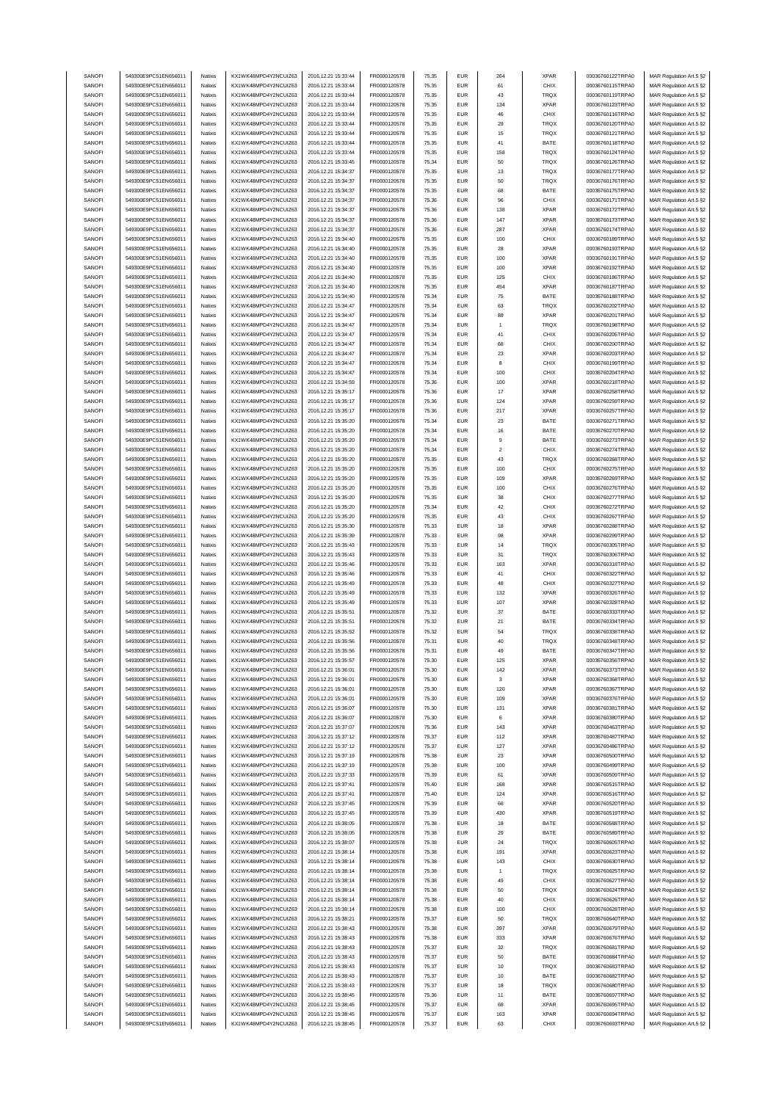| SANOFI           | 549300E9PC51EN656011                         | Natixis            | KX1WK48MPD4Y2NCUIZ63                         | 2016.12.21 15:33:44                        | FR0000120578                 | 75.35          | <b>EUR</b>        | 264                     | <b>XPAR</b>         | 00036760122TRPA0                     | MAR Regulation Art.5 §2                            |
|------------------|----------------------------------------------|--------------------|----------------------------------------------|--------------------------------------------|------------------------------|----------------|-------------------|-------------------------|---------------------|--------------------------------------|----------------------------------------------------|
| SANOFI           | 549300E9PC51EN656011                         | Natixis            | KX1WK48MPD4Y2NCUIZ63                         | 2016.12.21 15:33:44                        | FR0000120578                 | 75.35          | <b>EUR</b>        | 61                      | CHIX                | 00036760115TRPA0                     | MAR Regulation Art.5 §2                            |
| SANOFI           | 549300E9PC51EN656011                         | Natixis            | KX1WK48MPD4Y2NCUIZ63                         | 2016.12.21 15:33:44                        | FR0000120578                 | 75.35          | <b>EUR</b>        | 43                      | TRQX                | 00036760119TRPA0                     | MAR Regulation Art.5 §2                            |
| SANOFI           | 549300E9PC51EN656011                         | Natixis            | KX1WK48MPD4Y2NCUIZ63                         | 2016.12.21 15:33:44                        | FR0000120578                 | 75.35          | <b>EUR</b>        | 134                     | <b>XPAR</b>         | 00036760123TRPA0                     | MAR Regulation Art.5 §2                            |
|                  |                                              |                    |                                              |                                            |                              |                |                   |                         |                     |                                      |                                                    |
| SANOFI           | 549300E9PC51EN656011                         | Natixis            | KX1WK48MPD4Y2NCUIZ63                         | 2016.12.21 15:33:44                        | FR0000120578                 | 75.35          | <b>EUR</b>        | 46                      | CHIX                | 00036760116TRPA0                     | MAR Regulation Art.5 §2                            |
| SANOFI           | 549300E9PC51EN656011                         | Natixis            | KX1WK48MPD4Y2NCUIZ63                         | 2016.12.21 15:33:44                        | FR0000120578                 | 75.35          | <b>EUR</b>        | 29                      | TRQX                | 00036760120TRPA0                     | MAR Regulation Art.5 §2                            |
| SANOFI           | 549300E9PC51EN656011                         | Natixis            | KX1WK48MPD4Y2NCUIZ63                         | 2016.12.21 15:33:44                        | FR0000120578                 | 75.35          | <b>EUR</b>        | 15                      | TRQX                | 00036760121TRPA0                     | MAR Regulation Art.5 §2                            |
| SANOFI           | 549300E9PC51EN656011                         | Natixis            | KX1WK48MPD4Y2NCUIZ63                         | 2016.12.21 15:33:44                        | FR0000120578                 | 75.35          | <b>EUR</b>        | 41                      | BATE                | 00036760118TRPA0                     | MAR Regulation Art.5 §2                            |
| SANOFI           | 549300E9PC51EN656011                         | Natixis            | KX1WK48MPD4Y2NCLIIZ63                        | 2016.12.21 15:33:44                        | FR0000120578                 | 75.35          | <b>EUR</b>        | 158                     | TRQX                | 00036760124TRPA0                     | MAR Regulation Art.5 §2                            |
| SANOFI           | 549300E9PC51EN656011                         | Natixis            | KX1WK48MPD4Y2NCUIZ63                         | 2016.12.21 15:33:45                        | FR0000120578                 | 75.34          | <b>EUR</b>        | 50                      | TRQX                | 00036760126TRPA0                     | MAR Regulation Art.5 §2                            |
|                  |                                              | Natixis            |                                              |                                            |                              |                | <b>EUR</b>        |                         |                     |                                      |                                                    |
| SANOFI           | 549300E9PC51EN656011                         |                    | KX1WK48MPD4Y2NCUIZ63                         | 2016.12.21 15:34:37                        | FR0000120578                 | 75.35          |                   | 13                      | TRQX                | 00036760177TRPA0                     | MAR Regulation Art.5 §2                            |
| SANOFI           | 549300E9PC51EN656011                         | Natixis            | KX1WK48MPD4Y2NCUIZ63                         | 2016.12.21 15:34:37                        | FR0000120578                 | 75.35          | <b>EUR</b>        | 50                      | TRQX                | 00036760176TRPA0                     | MAR Regulation Art.5 §2                            |
| SANOFI           | 549300E9PC51EN656011                         | Natixis            | KX1WK48MPD4Y2NCUIZ63                         | 2016.12.21 15:34:37                        | FR0000120578                 | 75.35          | <b>EUR</b>        | 68                      | BATE                | 00036760175TRPA0                     | MAR Regulation Art.5 §2                            |
| SANOFI           | 549300E9PC51EN656011                         | Natixis            | KX1WK48MPD4Y2NCUIZ63                         | 2016.12.21 15:34:37                        | FR0000120578                 | 75.36          | <b>EUR</b>        | 96                      | CHIX                | 00036760171TRPA0                     | MAR Regulation Art.5 §2                            |
| SANOFI           | 549300E9PC51EN656011                         | Natixis            | KX1WK48MPD4Y2NCUIZ63                         | 2016.12.21 15:34:37                        | FR0000120578                 | 75.36          | <b>EUR</b>        | 138                     | <b>XPAR</b>         | 00036760172TRPA0                     | MAR Regulation Art.5 §2                            |
|                  | 549300E9PC51EN656011                         |                    | KX1WK48MPD4Y2NCUIZ63                         |                                            |                              |                |                   |                         |                     | 00036760173TRPA0                     |                                                    |
| SANOFI           |                                              | Natixis            |                                              | 2016.12.21 15:34:37                        | FR0000120578                 | 75.36          | <b>EUR</b>        | 147                     | <b>XPAR</b>         |                                      | MAR Regulation Art.5 §2                            |
| SANOFI           | 549300E9PC51EN656011                         | Natixis            | KX1WK48MPD4Y2NCUIZ63                         | 2016.12.21 15:34:37                        | FR0000120578                 | 75.36          | <b>EUR</b>        | 287                     | <b>XPAR</b>         | 00036760174TRPA0                     | MAR Regulation Art.5 §2                            |
| SANOFI           | 549300E9PC51EN656011                         | Natixis            | KX1WK48MPD4Y2NCLIIZ63                        | 2016.12.21 15:34:40                        | FR0000120578                 | 75.35          | <b>EUR</b>        | 100                     | CHIX                | 00036760189TRPA0                     | MAR Regulation Art.5 §2                            |
| SANOFI           | 549300E9PC51EN656011                         | Natixis            | KX1WK48MPD4Y2NCUIZ63                         | 2016.12.21 15:34:40                        | FR0000120578                 | 75.35          | <b>EUR</b>        | 28                      | <b>XPAR</b>         | 00036760193TRPA0                     | MAR Regulation Art.5 §2                            |
| SANOFI           | 549300E9PC51EN656011                         | Natixis            | KX1WK48MPD4Y2NCUIZ63                         | 2016.12.21 15:34:40                        | FR0000120578                 | 75.35          | <b>EUR</b>        | 100                     | <b>XPAR</b>         | 00036760191TRPA0                     | MAR Regulation Art.5 §2                            |
| SANOFI           | 549300E9PC51EN656011                         | Natixis            | KX1WK48MPD4Y2NCUIZ63                         | 2016.12.21 15:34:40                        | FR0000120578                 | 75.35          | <b>EUR</b>        | 100                     | <b>XPAR</b>         | 00036760192TRPA0                     | MAR Regulation Art.5 §2                            |
| SANOFI           | 549300E9PC51EN656011                         | Natixis            | KX1WK48MPD4Y2NCUIZ63                         | 2016.12.21 15:34:40                        | FR0000120578                 | 75.35          | <b>EUR</b>        | 125                     | CHIX                | 00036760186TRPA0                     | MAR Regulation Art.5 §2                            |
|                  |                                              |                    |                                              |                                            |                              |                |                   |                         |                     |                                      |                                                    |
| SANOFI           | 549300E9PC51EN656011                         | Natixis            | KX1WK48MPD4Y2NCUIZ63                         | 2016.12.21 15:34:40                        | FR0000120578                 | 75.35          | <b>EUR</b>        | 454                     | <b>XPAR</b>         | 00036760187TRPA0                     | MAR Regulation Art.5 §2                            |
| SANOFI           | 549300E9PC51EN656011                         | Natixis            | KX1WK48MPD4Y2NCUIZ63                         | 2016.12.21 15:34:40                        | FR0000120578                 | 75.34          | <b>EUR</b>        | 75                      | BATE                | 00036760188TRPA0                     | MAR Regulation Art.5 §2                            |
| SANOFI           | 549300E9PC51EN656011                         | Natixis            | KX1WK48MPD4Y2NCUIZ63                         | 2016.12.21 15:34:47                        | FR0000120578                 | 75.34          | <b>EUR</b>        | 63                      | TRQX                | 00036760202TRPA0                     | MAR Regulation Art.5 §2                            |
| SANOFI           | 549300E9PC51EN656011                         | Natixis            | KX1WK48MPD4Y2NCUIZ63                         | 2016.12.21 15:34:47                        | FR0000120578                 | 75.34          | <b>EUR</b>        | 89                      | <b>XPAR</b>         | 00036760201TRPA0                     | MAR Regulation Art.5 §2                            |
| SANOFI           | 549300E9PC51EN656011                         | Natixis            | KX1WK48MPD4Y2NCLIIZ63                        | 2016.12.21 15:34:47                        | FR0000120578                 | 75.34          | <b>EUR</b>        | $\mathbf{1}$            | TRQX                | 00036760198TRPA0                     | MAR Regulation Art.5 §2                            |
| SANOFI           | 549300E9PC51EN656011                         | Natixis            | KX1WK48MPD4Y2NCUIZ63                         | 2016.12.21 15:34:47                        | FR0000120578                 | 75.34          | <b>EUR</b>        | 41                      | CHIX                | 00036760205TRPA0                     | MAR Regulation Art.5 §2                            |
|                  |                                              |                    |                                              |                                            |                              |                |                   |                         |                     |                                      |                                                    |
| SANOFI           | 549300E9PC51EN656011                         | Natixis            | KX1WK48MPD4Y2NCUIZ63                         | 2016.12.21 15:34:47                        | FR0000120578                 | 75.34          | <b>EUR</b>        | 68                      | CHIX                | 00036760200TRPA0                     | MAR Regulation Art.5 §2                            |
| SANOFI           | 549300E9PC51EN656011                         | Natixis            | KX1WK48MPD4Y2NCUIZ63                         | 2016.12.21 15:34:47                        | FR0000120578                 | 75.34          | <b>EUR</b>        | 23                      | <b>XPAR</b>         | 00036760203TRPA0                     | MAR Regulation Art.5 §2                            |
| SANOFI           | 549300E9PC51EN656011                         | Natixis            | KX1WK48MPD4Y2NCUIZ63                         | 2016.12.21 15:34:47                        | FR0000120578                 | 75.34          | <b>EUR</b>        | 8                       | CHIX                | 00036760199TRPA0                     | MAR Regulation Art.5 §2                            |
| SANOFI           | 549300E9PC51EN656011                         | Natixis            | KX1WK48MPD4Y2NCUIZ63                         | 2016.12.21 15:34:47                        | FR0000120578                 | 75.34          | <b>EUR</b>        | 100                     | CHIX                | 00036760204TRPA0                     | MAR Regulation Art.5 §2                            |
| SANOFI           | 549300E9PC51EN656011                         | Natixis            | KX1WK48MPD4Y2NCUIZ63                         | 2016.12.21 15:34:59                        | FR0000120578                 | 75.36          | <b>EUR</b>        | 100                     | <b>XPAR</b>         | 00036760218TRPA0                     | MAR Regulation Art.5 §2                            |
|                  |                                              |                    |                                              |                                            |                              |                |                   |                         |                     |                                      |                                                    |
| SANOFI           | 549300E9PC51EN656011                         | Natixis            | KX1WK48MPD4Y2NCUIZ63                         | 2016.12.21 15:35:17                        | FR0000120578                 | 75.36          | <b>EUR</b>        | 17                      | <b>XPAR</b>         | 00036760258TRPA0                     | MAR Regulation Art.5 §2                            |
| SANOFI           | 549300E9PC51EN656011                         | Natixis            | KX1WK48MPD4Y2NCUIZ63                         | 2016.12.21 15:35:17                        | FR0000120578                 | 75.36          | <b>EUR</b>        | 124                     | <b>XPAR</b>         | 00036760259TRPA0                     | MAR Regulation Art.5 §2                            |
| SANOFI           | 549300E9PC51EN656011                         | Natixis            | KX1WK48MPD4Y2NCLIIZ63                        | 2016.12.21 15:35:17                        | FR0000120578                 | 75.36          | <b>EUR</b>        | 217                     | <b>XPAR</b>         | 00036760257TRPA0                     | MAR Regulation Art.5 §2                            |
| SANOFI           | 549300E9PC51EN656011                         | Natixis            | KX1WK48MPD4Y2NCUIZ63                         | 2016.12.21 15:35:20                        | FR0000120578                 | 75.34          | <b>EUR</b>        | 23                      | BATE                | 00036760271TRPA0                     | MAR Regulation Art.5 §2                            |
| SANOFI           | 549300E9PC51EN656011                         | Natixis            | KX1WK48MPD4Y2NCUIZ63                         | 2016.12.21 15:35:20                        | FR0000120578                 | 75.34          | <b>EUR</b>        | 16                      | BATE                | 00036760270TRPA0                     | MAR Regulation Art.5 §2                            |
|                  |                                              |                    | KX1WK48MPD4Y2NCUIZ63                         |                                            |                              |                |                   |                         |                     |                                      |                                                    |
| SANOFI           | 549300E9PC51EN656011                         | Natixis            |                                              | 2016.12.21 15:35:20                        | FR0000120578                 | 75.34          | <b>EUR</b>        | 9                       | BATE                | 00036760273TRPA0                     | MAR Regulation Art.5 §2                            |
| SANOFI           | 549300E9PC51EN656011                         | Natixis            | KX1WK48MPD4Y2NCUIZ63                         | 2016.12.21 15:35:20                        | FR0000120578                 | 75.34          | <b>EUR</b>        | $\overline{\mathbf{2}}$ | CHIX                | 00036760274TRPA0                     | MAR Regulation Art.5 §2                            |
| SANOFI           | 549300E9PC51EN656011                         | Natixis            | KX1WK48MPD4Y2NCUIZ63                         | 2016.12.21 15:35:20                        | FR0000120578                 | 75.35          | <b>EUR</b>        | 43                      | TRQX                | 00036760268TRPA0                     | MAR Regulation Art.5 §2                            |
| SANOFI           | 549300E9PC51EN656011                         | Natixis            | KX1WK48MPD4Y2NCUIZ63                         | 2016.12.21 15:35:20                        | FR0000120578                 | 75.35          | <b>EUR</b>        | 100                     | CHIX                | 00036760275TRPA0                     | MAR Regulation Art.5 §2                            |
| SANOFI           | 549300E9PC51EN656011                         | Natixis            | KX1WK48MPD4Y2NCUIZ63                         | 2016.12.21 15:35:20                        | FR0000120578                 | 75.35          | <b>EUR</b>        | 109                     | <b>XPAR</b>         | 00036760269TRPA0                     | MAR Regulation Art.5 §2                            |
| SANOFI           | 549300E9PC51EN656011                         | Natixis            | KX1WK48MPD4Y2NCUIZ63                         | 2016.12.21 15:35:20                        | FR0000120578                 | 75.35          | <b>EUR</b>        | 100                     | CHIX                | 00036760276TRPA0                     | MAR Regulation Art.5 §2                            |
|                  |                                              |                    |                                              |                                            |                              |                |                   |                         |                     |                                      |                                                    |
| SANOFI           | 549300E9PC51EN656011                         | Natixis            | KX1WK48MPD4Y2NCUIZ63                         | 2016.12.21 15:35:20                        | FR0000120578                 | 75.35          | <b>EUR</b>        | 38                      | CHIX                | 00036760277TRPA0                     | MAR Regulation Art.5 §2                            |
| SANOFI           | 549300E9PC51EN656011                         | Natixis            | KX1WK48MPD4Y2NCUIZ63                         | 2016.12.21 15:35:20                        | FR0000120578                 | 75.34          | <b>EUR</b>        | 42                      | CHIX                | 00036760272TRPA0                     | MAR Regulation Art.5 §2                            |
| SANOFI           | 549300E9PC51EN656011                         | Natixis            | KX1WK48MPD4Y2NCUIZ63                         | 2016.12.21 15:35:20                        | FR0000120578                 | 75.35          | <b>EUR</b>        | 43                      | CHIX                | 00036760267TRPA0                     | MAR Regulation Art.5 §2                            |
| SANOFI           | 549300E9PC51EN656011                         | Natixis            | KX1WK48MPD4Y2NCUIZ63                         | 2016.12.21 15:35:30                        | FR0000120578                 | 75.33          | <b>EUR</b>        | 18                      | <b>XPAR</b>         | 00036760288TRPA0                     | MAR Regulation Art.5 §2                            |
| SANOFI           | 549300E9PC51EN656011                         | Natixis            | KX1WK48MPD4Y2NCUIZ63                         | 2016.12.21 15:35:39                        | FR0000120578                 | 75.33          | <b>EUR</b>        | 98                      | <b>XPAR</b>         | 00036760299TRPA0                     | MAR Regulation Art.5 §2                            |
| SANOFI           | 549300E9PC51EN656011                         | Natixis            | KX1WK48MPD4Y2NCUIZ63                         | 2016.12.21 15:35:43                        | FR0000120578                 | 75.33          | <b>EUR</b>        | 14                      | TRQX                | 00036760305TRPA0                     |                                                    |
|                  |                                              |                    |                                              |                                            |                              |                |                   |                         |                     |                                      | MAR Regulation Art.5 §2                            |
| SANOFI           | 549300E9PC51EN656011                         | Natixis            | KX1WK48MPD4Y2NCUIZ63                         | 2016.12.21 15:35:43                        | FR0000120578                 | 75.33          | <b>EUR</b>        | 31                      | TRQX                | 00036760306TRPA0                     | MAR Regulation Art.5 §2                            |
| SANOFI           | 549300E9PC51EN656011                         | Natixis            | KX1WK48MPD4Y2NCUIZ63                         | 2016.12.21 15:35:46                        | FR0000120578                 | 75.33          | <b>EUR</b>        | 163                     | <b>XPAR</b>         | 00036760318TRPA0                     | MAR Regulation Art.5 §2                            |
| SANOFI           | 549300E9PC51EN656011                         | Natixis            | KX1WK48MPD4Y2NCUIZ63                         | 2016.12.21 15:35:46                        | FR0000120578                 | 75.33          | <b>EUR</b>        | 41                      | CHIX                | 00036760322TRPA0                     | MAR Regulation Art.5 §2                            |
| SANOFI           | 549300E9PC51EN656011                         | Natixis            | KX1WK48MPD4Y2NCUIZ63                         | 2016.12.21 15:35:49                        | FR0000120578                 | 75.33          | <b>EUR</b>        | 48                      | CHIX                | 00036760327TRPA0                     | MAR Regulation Art.5 §2                            |
| SANOFI           | 549300E9PC51EN656011                         | Natixis            | KX1WK48MPD4Y2NCUIZ63                         | 2016.12.21 15:35:49                        | FR0000120578                 | 75.33          | <b>EUR</b>        | 132                     | <b>XPAR</b>         | 00036760326TRPA0                     | MAR Regulation Art.5 §2                            |
|                  |                                              |                    | KX1WK48MPD4Y2NCUIZ63                         |                                            |                              |                |                   |                         |                     | 00036760328TRPA0                     |                                                    |
| SANOFI           | 549300E9PC51EN656011                         | Natixis            |                                              | 2016.12.21 15:35:49                        | FR0000120578                 | 75.33          | <b>EUR</b>        | 107                     | <b>XPAR</b>         |                                      | MAR Regulation Art.5 §2                            |
| SANOFI           | 549300E9PC51EN656011                         | Natixis            | KX1WK48MPD4Y2NCUIZ63                         | 2016.12.21 15:35:51                        | FR0000120578                 | 75.32          | <b>EUR</b>        | 37                      | BATE                | 00036760333TRPA0                     | MAR Regulation Art.5 §2                            |
| SANOFI           | 549300E9PC51EN656011                         | Natixis            | KX1WK48MPD4Y2NCUIZ63                         | 2016.12.21 15:35:51                        | FR0000120578                 | 75.32          | <b>EUR</b>        | 21                      | BATE                | 00036760334TRPA0                     | MAR Regulation Art.5 §2                            |
| SANOFI           | 549300E9PC51EN656011                         | Natixis            | KX1WK48MPD4Y2NCUIZ63                         | 2016.12.21 15:35:52                        | FR0000120578                 | 75.32          | <b>EUR</b>        | 54                      | TRQX                | 00036760338TRPA0                     | MAR Regulation Art.5 §2                            |
| SANOFI           | 549300E9PC51EN656011                         | Natixis            | KX1WK48MPD4Y2NCUIZ63                         | 2016.12.21 15:35:56                        | FR0000120578                 | 75.31          | <b>EUR</b>        | 40                      | TRQX                | 00036760348TRPA0                     | MAR Regulation Art.5 §2                            |
|                  |                                              |                    |                                              |                                            |                              |                |                   |                         |                     |                                      |                                                    |
| SANOF            | 549300E9PC51EN656011                         | Natixis            | KX1WK48MPD4Y2NCUIZ63                         | 2016.12.21 15:35:56                        | FR0000120578                 | 75.31          | EUR               |                         | BATE                | 00036760347TRPA0                     | MAR Regulation Art.5 §2                            |
| SANOFI           | 549300E9PC51EN656011                         | Natixis            | KX1WK48MPD4Y2NCUIZ63                         | 2016.12.21 15:35:57                        | FR0000120578                 | 75.30          | <b>EUR</b>        | 125                     | <b>XPAR</b>         | 00036760356TRPA0                     | MAR Regulation Art.5 §2                            |
| SANOFI           | 549300E9PC51EN656011                         | Natixis            | KX1WK48MPD4Y2NCUIZ63                         | 2016.12.21 15:36:01                        | FR0000120578                 | 75.30          | EUR               | 142                     | <b>XPAR</b>         | 00036760373TRPA0                     | MAR Regulation Art.5 §2                            |
| SANOFI           | 549300E9PC51EN656011                         | Natixis            | KX1WK48MPD4Y2NCUIZ63                         | 2016.12.21 15:36:01                        | FR0000120578                 | 75.30          | <b>EUR</b>        | 3                       | <b>XPAR</b>         | 00036760368TRPA0                     | MAR Regulation Art.5 §2                            |
| SANOFI           | 549300E9PC51EN656011                         | Natixis            | KX1WK48MPD4Y2NCUIZ63                         | 2016.12.21 15:36:01                        | FR0000120578                 | 75.30          | <b>EUR</b>        | 120                     | <b>XPAR</b>         | 00036760367TRPA0                     | MAR Regulation Art.5 §2                            |
| SANOFI           | 549300E9PC51EN656011                         | Natixis            | KX1WK48MPD4Y2NCUIZ63                         | 2016.12.21 15:36:01                        | FR0000120578                 | 75.30          | <b>EUR</b>        | 109                     | <b>XPAR</b>         | 00036760376TRPA0                     | MAR Regulation Art.5 §2                            |
| SANOFI           | 549300E9PC51EN656011                         | Natixis            | KX1WK48MPD4Y2NCUIZ63                         | 2016.12.21 15:36:07                        | FR0000120578                 | 75.30          | ${\sf EUR}$       | 131                     | <b>XPAR</b>         | 00036760381TRPA0                     | MAR Regulation Art.5 §2                            |
|                  |                                              |                    |                                              |                                            |                              |                |                   |                         |                     |                                      |                                                    |
| SANOFI           | 549300E9PC51EN656011                         | Natixis            | KX1WK48MPD4Y2NCUIZ63                         | 2016.12.21 15:36:07                        | FR0000120578                 | 75.30          | EUR               | 6                       | <b>XPAR</b>         | 00036760380TRPA0                     | MAR Regulation Art.5 §2                            |
| SANOFI           | 549300E9PC51EN656011                         | Natixis            | KX1WK48MPD4Y2NCUIZ63                         | 2016.12.21 15:37:07                        | FR0000120578                 | 75.36          | <b>EUR</b>        | 143                     | <b>XPAR</b>         | 00036760463TRPA0                     | MAR Regulation Art.5 §2                            |
| SANOFI           | 549300E9PC51EN656011                         | Natixis            | KX1WK48MPD4Y2NCUIZ63                         | 2016.12.21 15:37:12                        | FR0000120578                 | 75.37          | <b>EUR</b>        | 112                     | <b>XPAR</b>         | 00036760487TRPA0                     | MAR Regulation Art.5 §2                            |
| SANOFI           | 549300E9PC51EN656011                         | Natixis            | KX1WK48MPD4Y2NCUIZ63                         | 2016.12.21 15:37:12                        | FR0000120578                 | 75.37          | <b>EUR</b>        | 127                     | <b>XPAR</b>         | 00036760486TRPA0                     | MAR Regulation Art.5 §2                            |
| SANOFI           | 549300E9PC51EN656011                         | Natixis            | KX1WK48MPD4Y2NCUIZ63                         | 2016.12.21 15:37:19                        | FR0000120578                 | 75.38          | <b>EUR</b>        | 23                      | <b>XPAR</b>         | 00036760500TRPA0                     | MAR Regulation Art.5 §2                            |
| SANOFI           | 549300E9PC51EN656011                         | Natixis            | KX1WK48MPD4Y2NCUIZ63                         | 2016.12.21 15:37:19                        | FR0000120578                 | 75.38          | <b>EUR</b>        | 100                     | <b>XPAR</b>         | 00036760499TRPA0                     | MAR Regulation Art.5 §2                            |
| SANOFI           | 549300E9PC51EN656011                         | Natixis            | KX1WK48MPD4Y2NCUIZ63                         | 2016.12.21 15:37:33                        | FR0000120578                 | 75.39          | <b>EUR</b>        | 61                      | <b>XPAR</b>         | 00036760509TRPA0                     | MAR Regulation Art.5 §2                            |
|                  |                                              |                    |                                              |                                            |                              |                |                   |                         |                     |                                      |                                                    |
| SANOFI           | 549300E9PC51EN656011                         | Natixis            | KX1WK48MPD4Y2NCUIZ63                         | 2016.12.21 15:37:41                        | FR0000120578                 | 75.40          | <b>EUR</b>        | 168                     | <b>XPAR</b>         | 00036760515TRPA0                     | MAR Regulation Art.5 §2                            |
| SANOFI           | 549300E9PC51EN656011                         | Natixis            | KX1WK48MPD4Y2NCUIZ63                         | 2016.12.21 15:37:41                        | FR0000120578                 | 75.40          | <b>EUR</b>        | 124                     | <b>XPAR</b>         | 00036760516TRPA0                     | MAR Regulation Art.5 §2                            |
| SANOFI           | 549300E9PC51EN656011                         | Natixis            | KX1WK48MPD4Y2NCUIZ63                         | 2016.12.21 15:37:45                        | FR0000120578                 | 75.39          | <b>EUR</b>        | 66                      | <b>XPAR</b>         | 00036760520TRPA0                     | MAR Regulation Art.5 §2                            |
| SANOFI           | 549300E9PC51EN656011                         | Natixis            | KX1WK48MPD4Y2NCUIZ63                         | 2016.12.21 15:37:45                        | FR0000120578                 | 75.39          | <b>EUR</b>        | 430                     | <b>XPAR</b>         | 00036760519TRPA0                     | MAR Regulation Art.5 §2                            |
| SANOFI           | 549300E9PC51EN656011                         | Natixis            | KX1WK48MPD4Y2NCUIZ63                         | 2016.12.21 15:38:05                        | FR0000120578                 | 75.38          | <b>EUR</b>        | 18                      | BATE                | 00036760588TRPA0                     | MAR Regulation Art.5 §2                            |
| SANOFI           | 549300E9PC51EN656011                         | Natixis            | KX1WK48MPD4Y2NCUIZ63                         | 2016.12.21 15:38:05                        | FR0000120578                 | 75.38          | <b>EUR</b>        | 29                      | BATE                | 00036760589TRPA0                     | MAR Regulation Art.5 §2                            |
|                  |                                              |                    |                                              |                                            |                              |                |                   |                         |                     |                                      |                                                    |
| SANOFI           | 549300E9PC51EN656011                         | Natixis            | KX1WK48MPD4Y2NCUIZ63                         | 2016.12.21 15:38:07                        | FR0000120578                 | 75.38          | <b>EUR</b>        | 24                      | TRQX                | 00036760605TRPA0                     | MAR Regulation Art.5 §2                            |
| SANOFI           | 549300E9PC51EN656011                         | Natixis            | KX1WK48MPD4Y2NCUIZ63                         | 2016.12.21 15:38:14                        | FR0000120578                 | 75.38          | <b>EUR</b>        | 191                     | <b>XPAR</b>         | 00036760623TRPA0                     | MAR Regulation Art.5 §2                            |
| SANOFI           | 549300E9PC51EN656011                         | Natixis            | KX1WK48MPD4Y2NCUIZ63                         | 2016.12.21 15:38:14                        | FR0000120578                 | 75.38          | <b>EUR</b>        | 143                     | CHIX                | 00036760630TRPA0                     | MAR Regulation Art.5 §2                            |
| SANOFI           | 549300E9PC51EN656011                         | Natixis            | KX1WK48MPD4Y2NCUIZ63                         | 2016.12.21 15:38:14                        | FR0000120578                 | 75.38          | <b>EUR</b>        | 1                       | TRQX                | 00036760625TRPA0                     | MAR Regulation Art.5 §2                            |
| SANOFI           | 549300E9PC51EN656011                         | Natixis            | KX1WK48MPD4Y2NCUIZ63                         | 2016.12.21 15:38:14                        | FR0000120578                 | 75.38          | <b>EUR</b>        | 49                      | CHIX                | 00036760627TRPA0                     | MAR Regulation Art.5 §2                            |
|                  |                                              |                    |                                              |                                            |                              |                |                   |                         |                     |                                      |                                                    |
| SANOFI           | 549300E9PC51EN656011                         | Natixis            | KX1WK48MPD4Y2NCUIZ63                         | 2016.12.21 15:38:14                        | FR0000120578                 | 75.38          | <b>EUR</b>        | 50                      | TRQX                | 00036760624TRPA0                     | MAR Regulation Art.5 §2                            |
| SANOFI           | 549300E9PC51EN656011                         | Natixis            | KX1WK48MPD4Y2NCUIZ63                         | 2016.12.21 15:38:14                        | FR0000120578                 | 75.38          | <b>EUR</b>        | 40                      | CHIX                | 00036760626TRPA0                     | MAR Regulation Art.5 §2                            |
| SANOFI           | 549300E9PC51EN656011                         | Natixis            | KX1WK48MPD4Y2NCUIZ63                         | 2016.12.21 15:38:14                        | FR0000120578                 | 75.38          | <b>EUR</b>        | 100                     | CHIX                | 00036760628TRPA0                     | MAR Regulation Art.5 §2                            |
| SANOFI           | 549300E9PC51EN656011                         | Natixis            | KX1WK48MPD4Y2NCUIZ63                         | 2016.12.21 15:38:21                        | FR0000120578                 | 75.37          | <b>EUR</b>        | 50                      | TRQX                | 00036760640TRPA0                     | MAR Regulation Art.5 §2                            |
| SANOFI           | 549300E9PC51EN656011                         | Natixis            | KX1WK48MPD4Y2NCUIZ63                         | 2016.12.21 15:38:43                        | FR0000120578                 | 75.38          | <b>EUR</b>        | 397                     | <b>XPAR</b>         | 00036760679TRPA0                     | MAR Regulation Art.5 §2                            |
|                  |                                              |                    |                                              |                                            |                              |                |                   |                         |                     |                                      |                                                    |
| SANOFI           | 549300E9PC51EN656011                         | Natixis            | KX1WK48MPD4Y2NCUIZ63                         | 2016.12.21 15:38:43                        | FR0000120578                 | 75.38          | <b>EUR</b>        | 333                     | <b>XPAR</b>         | 00036760676TRPA0                     | MAR Regulation Art.5 §2                            |
| SANOFI           | 549300E9PC51EN656011                         | Natixis            | KX1WK48MPD4Y2NCUIZ63                         | 2016.12.21 15:38:43                        | FR0000120578                 | 75.37          | <b>EUR</b>        | 32                      | TRQX                | 00036760681TRPA0                     | MAR Regulation Art.5 §2                            |
| SANOFI           | 549300E9PC51EN656011                         | Natixis            | KX1WK48MPD4Y2NCUIZ63                         | 2016.12.21 15:38:43                        | FR0000120578                 | 75.37          | <b>EUR</b>        | 50                      | BATE                | 00036760684TRPA0                     | MAR Regulation Art.5 §2                            |
| SANOFI           | 549300E9PC51EN656011                         | Natixis            | KX1WK48MPD4Y2NCUIZ63                         | 2016.12.21 15:38:43                        | FR0000120578                 | 75.37          | <b>EUR</b>        | 10                      | TRQX                | 00036760683TRPA0                     | MAR Regulation Art.5 §2                            |
| SANOFI           | 549300E9PC51EN656011                         | Natixis            | KX1WK48MPD4Y2NCUIZ63                         | 2016.12.21 15:38:43                        | FR0000120578                 | 75.37          | <b>EUR</b>        | 10                      | BATE                | 00036760682TRPA0                     | MAR Regulation Art.5 §2                            |
| SANOFI           | 549300E9PC51EN656011                         | Natixis            | KX1WK48MPD4Y2NCUIZ63                         | 2016.12.21 15:38:43                        | FR0000120578                 | 75.37          | <b>EUR</b>        | 18                      | TRQX                | 00036760680TRPA0                     | MAR Regulation Art.5 §2                            |
| SANOFI           | 549300E9PC51EN656011                         | Natixis            | KX1WK48MPD4Y2NCUIZ63                         | 2016.12.21 15:38:45                        | FR0000120578                 |                |                   |                         | BATE                | 00036760697TRPA0                     | MAR Regulation Art.5 §2                            |
|                  |                                              |                    |                                              |                                            |                              | 75.36          | <b>EUR</b>        | 11                      |                     |                                      |                                                    |
|                  |                                              |                    |                                              |                                            |                              |                |                   |                         |                     |                                      |                                                    |
| SANOFI           | 549300E9PC51EN656011                         | Natixis            | KX1WK48MPD4Y2NCUIZ63                         | 2016.12.21 15:38:45                        | FR0000120578                 | 75.37          | <b>EUR</b>        | 68                      | <b>XPAR</b>         | 00036760695TRPA0                     | MAR Regulation Art.5 §2                            |
| SANOFI<br>SANOFI | 549300E9PC51EN656011<br>549300E9PC51EN656011 | Natixis<br>Natixis | KX1WK48MPD4Y2NCUIZ63<br>KX1WK48MPD4Y2NCUIZ63 | 2016.12.21 15:38:45<br>2016.12.21 15:38:45 | FR0000120578<br>FR0000120578 | 75.37<br>75.37 | <b>EUR</b><br>EUR | 163<br>63               | <b>XPAR</b><br>CHIX | 00036760694TRPA0<br>00036760693TRPA0 | MAR Regulation Art.5 §2<br>MAR Regulation Art.5 §2 |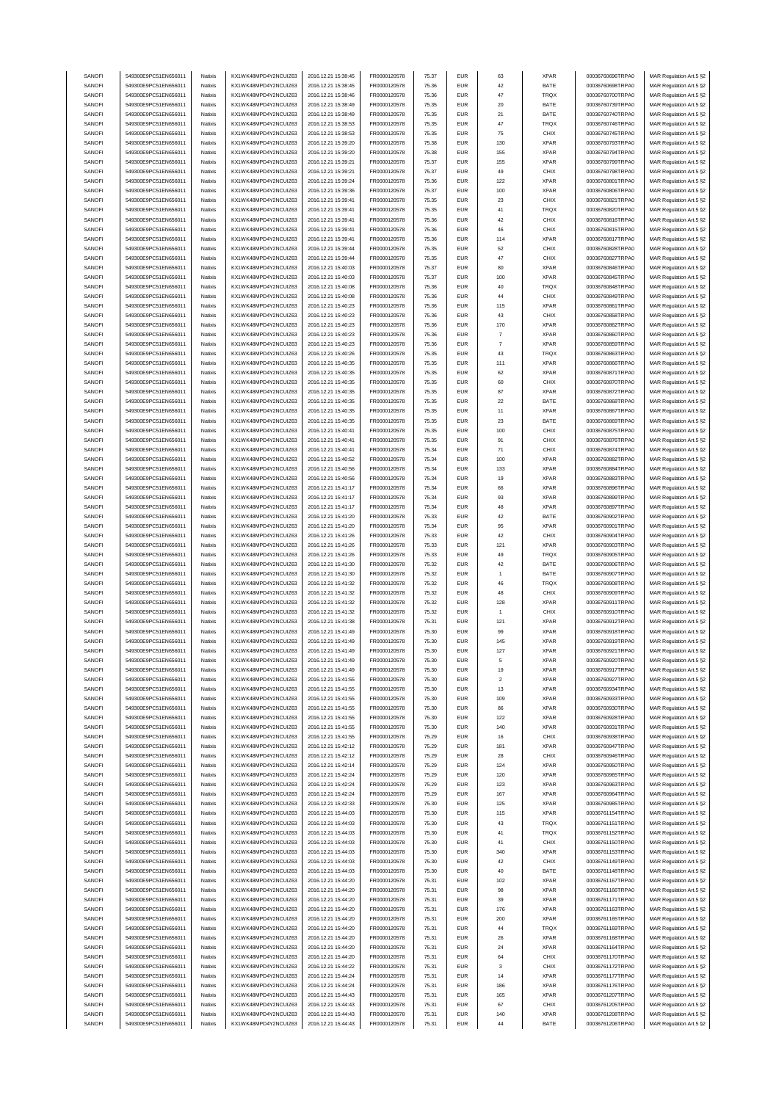| SANOFI           | 549300E9PC51EN656011                         | Natixis            | KX1WK48MPD4Y2NCUIZ63                         | 2016.12.21 15:38:45                        | FR0000120578                 | 75.37          | <b>EUR</b>        | 63                      | <b>XPAR</b>         | 00036760696TRPA0                     | MAR Regulation Art.5 §2                            |
|------------------|----------------------------------------------|--------------------|----------------------------------------------|--------------------------------------------|------------------------------|----------------|-------------------|-------------------------|---------------------|--------------------------------------|----------------------------------------------------|
| SANOFI           | 549300E9PC51EN656011                         | Natixis            | KX1WK48MPD4Y2NCUIZ63                         | 2016.12.21 15:38:45                        | FR0000120578                 | 75.36          | <b>EUR</b>        | 42                      | BATE                | 00036760698TRPA0                     | MAR Regulation Art.5 §2                            |
| SANOFI           | 549300E9PC51EN656011                         | Natixis            | KX1WK48MPD4Y2NCUIZ63                         | 2016.12.21 15:38:46                        | FR0000120578                 | 75.36          | <b>EUR</b>        | 47                      | TRQX                | 00036760700TRPA0                     | MAR Regulation Art.5 §2                            |
| SANOFI           | 549300E9PC51EN656011                         | Natixis            | KX1WK48MPD4Y2NCUIZ63                         | 2016.12.21 15:38:49                        | FR0000120578                 | 75.35          | <b>EUR</b>        | 20                      | BATE                | 00036760739TRPA0                     | MAR Regulation Art.5 §2                            |
|                  |                                              |                    |                                              |                                            |                              |                |                   |                         |                     |                                      |                                                    |
| SANOFI           | 549300E9PC51EN656011                         | Natixis            | KX1WK48MPD4Y2NCUIZ63                         | 2016.12.21 15:38:49                        | FR0000120578                 | 75.35          | <b>EUR</b>        | 21                      | BATE                | 00036760740TRPA0                     | MAR Regulation Art.5 §2                            |
| SANOFI           | 549300E9PC51EN656011                         | Natixis            | KX1WK48MPD4Y2NCUIZ63                         | 2016.12.21 15:38:53                        | FR0000120578                 | 75.35          | <b>EUR</b>        | 47                      | TRQX                | 00036760746TRPA0                     | MAR Regulation Art.5 §2                            |
| SANOFI           | 549300E9PC51EN656011                         | Natixis            | KX1WK48MPD4Y2NCUIZ63                         | 2016.12.21 15:38:53                        | FR0000120578                 | 75.35          | <b>EUR</b>        | 75                      | CHIX                | 00036760745TRPA0                     | MAR Regulation Art.5 §2                            |
| SANOFI           | 549300E9PC51EN656011                         | Natixis            | KX1WK48MPD4Y2NCUIZ63                         | 2016.12.21 15:39:20                        | FR0000120578                 | 75.38          | <b>EUR</b>        | 130                     | <b>XPAR</b>         | 00036760793TRPA0                     | MAR Regulation Art.5 §2                            |
| SANOFI           | 549300E9PC51EN656011                         | Natixis            | KX1WK48MPD4Y2NCLIIZ63                        | 2016.12.21 15:39:20                        | FR0000120578                 | 75.38          | <b>EUR</b>        | 155                     | <b>XPAR</b>         | 00036760794TRPA0                     | MAR Regulation Art.5 §2                            |
| SANOFI           | 549300E9PC51EN656011                         | Natixis            | KX1WK48MPD4Y2NCUIZ63                         | 2016.12.21 15:39:21                        | FR0000120578                 | 75.37          | <b>EUR</b>        | 155                     | <b>XPAR</b>         | 00036760799TRPA0                     | MAR Regulation Art.5 §2                            |
|                  |                                              | Natixis            |                                              |                                            |                              |                | <b>EUR</b>        |                         |                     |                                      |                                                    |
| SANOFI           | 549300E9PC51EN656011                         |                    | KX1WK48MPD4Y2NCUIZ63                         | 2016.12.21 15:39:21                        | FR0000120578                 | 75.37          |                   | 49                      | CHIX                | 00036760798TRPA0                     | MAR Regulation Art.5 §2                            |
| SANOFI           | 549300E9PC51EN656011                         | Natixis            | KX1WK48MPD4Y2NCUIZ63                         | 2016.12.21 15:39:24                        | FR0000120578                 | 75.36          | <b>EUR</b>        | 122                     | <b>XPAR</b>         | 00036760801TRPA0                     | MAR Regulation Art.5 §2                            |
| SANOFI           | 549300E9PC51EN656011                         | Natixis            | KX1WK48MPD4Y2NCUIZ63                         | 2016.12.21 15:39:36                        | FR0000120578                 | 75.37          | <b>EUR</b>        | 100                     | <b>XPAR</b>         | 00036760806TRPA0                     | MAR Regulation Art.5 §2                            |
| SANOFI           | 549300E9PC51EN656011                         | Natixis            | KX1WK48MPD4Y2NCUIZ63                         | 2016.12.21 15:39:41                        | FR0000120578                 | 75.35          | <b>EUR</b>        | 23                      | CHIX                | 00036760821TRPA0                     | MAR Regulation Art.5 §2                            |
| SANOFI           | 549300E9PC51EN656011                         | Natixis            | KX1WK48MPD4Y2NCUIZ63                         | 2016.12.21 15:39:41                        | FR0000120578                 | 75.35          | <b>EUR</b>        | 41                      | TRQX                | 00036760820TRPA0                     | MAR Regulation Art.5 §2                            |
|                  | 549300E9PC51EN656011                         |                    | KX1WK48MPD4Y2NCUIZ63                         | 2016.12.21 15:39:41                        |                              |                |                   |                         |                     |                                      |                                                    |
| SANOFI           |                                              | Natixis            |                                              |                                            | FR0000120578                 | 75.36          | <b>EUR</b>        | 42                      | CHIX                | 00036760816TRPA0                     | MAR Regulation Art.5 §2                            |
| SANOFI           | 549300E9PC51EN656011                         | Natixis            | KX1WK48MPD4Y2NCUIZ63                         | 2016.12.21 15:39:41                        | FR0000120578                 | 75.36          | <b>EUR</b>        | 46                      | CHIX                | 00036760815TRPA0                     | MAR Regulation Art.5 §2                            |
| SANOFI           | 549300E9PC51EN656011                         | Natixis            | KX1WK48MPD4Y2NCLIIZ63                        | 2016.12.21 15:39:41                        | FR0000120578                 | 75.36          | <b>EUR</b>        | 114                     | <b>XPAR</b>         | 00036760817TRPA0                     | MAR Regulation Art.5 §2                            |
| SANOFI           | 549300E9PC51EN656011                         | Natixis            | KX1WK48MPD4Y2NCUIZ63                         | 2016.12.21 15:39:44                        | FR0000120578                 | 75.35          | <b>EUR</b>        | 52                      | CHIX                | 00036760828TRPA0                     | MAR Regulation Art.5 §2                            |
| SANOFI           | 549300E9PC51EN656011                         | Natixis            | KX1WK48MPD4Y2NCUIZ63                         | 2016.12.21 15:39:44                        | FR0000120578                 | 75.35          | <b>EUR</b>        | 47                      | CHIX                | 00036760827TRPA0                     | MAR Regulation Art.5 §2                            |
| SANOFI           | 549300E9PC51EN656011                         | Natixis            | KX1WK48MPD4Y2NCUIZ63                         | 2016.12.21 15:40:03                        | FR0000120578                 | 75.37          | <b>EUR</b>        | 80                      | <b>XPAR</b>         | 00036760846TRPA0                     | MAR Regulation Art.5 §2                            |
| SANOFI           | 549300E9PC51EN656011                         | Natixis            | KX1WK48MPD4Y2NCUIZ63                         | 2016.12.21 15:40:03                        | FR0000120578                 | 75.37          | <b>EUR</b>        | 100                     | <b>XPAR</b>         | 00036760845TRPA0                     | MAR Regulation Art.5 §2                            |
|                  |                                              |                    |                                              |                                            |                              |                |                   |                         |                     |                                      |                                                    |
| SANOFI           | 549300E9PC51EN656011                         | Natixis            | KX1WK48MPD4Y2NCUIZ63                         | 2016.12.21 15:40:08                        | FR0000120578                 | 75.36          | <b>EUR</b>        | 40                      | TRQX                | 00036760848TRPA0                     | MAR Regulation Art.5 §2                            |
| SANOFI           | 549300E9PC51EN656011                         | Natixis            | KX1WK48MPD4Y2NCUIZ63                         | 2016.12.21 15:40:08                        | FR0000120578                 | 75.36          | <b>EUR</b>        | 44                      | CHIX                | 00036760849TRPA0                     | MAR Regulation Art.5 §2                            |
| SANOFI           | 549300E9PC51EN656011                         | Natixis            | KX1WK48MPD4Y2NCUIZ63                         | 2016.12.21 15:40:23                        | FR0000120578                 | 75.36          | <b>EUR</b>        | 115                     | <b>XPAR</b>         | 00036760861TRPA0                     | MAR Regulation Art.5 §2                            |
| SANOFI           | 549300E9PC51EN656011                         | Natixis            | KX1WK48MPD4Y2NCUIZ63                         | 2016.12.21 15:40:23                        | FR0000120578                 | 75.36          | <b>EUR</b>        | 43                      | CHIX                | 00036760858TRPA0                     | MAR Regulation Art.5 §2                            |
| SANOFI           | 549300E9PC51EN656011                         | Natixis            | KX1WK48MPD4Y2NCLIIZ63                        | 2016.12.21 15:40:23                        | FR0000120578                 | 75.36          | <b>EUR</b>        | 170                     | <b>XPAR</b>         | 00036760862TRPA0                     | MAR Regulation Art.5 §2                            |
| SANOFI           | 549300E9PC51EN656011                         | Natixis            | KX1WK48MPD4Y2NCUIZ63                         | 2016.12.21 15:40:23                        | FR0000120578                 | 75.36          | <b>EUR</b>        | $\scriptstyle{7}$       | <b>XPAR</b>         | 00036760860TRPA0                     | MAR Regulation Art.5 §2                            |
|                  |                                              |                    |                                              |                                            |                              |                |                   |                         |                     |                                      |                                                    |
| SANOFI           | 549300E9PC51EN656011                         | Natixis            | KX1WK48MPD4Y2NCUIZ63                         | 2016.12.21 15:40:23                        | FR0000120578                 | 75.36          | EUR               | $\overline{7}$          | <b>XPAR</b>         | 00036760859TRPA0                     | MAR Regulation Art.5 §2                            |
| SANOFI           | 549300E9PC51EN656011                         | Natixis            | KX1WK48MPD4Y2NCUIZ63                         | 2016.12.21 15:40:26                        | FR0000120578                 | 75.35          | <b>EUR</b>        | 43                      | TRQX                | 00036760863TRPA0                     | MAR Regulation Art.5 §2                            |
| SANOFI           | 549300E9PC51EN656011                         | Natixis            | KX1WK48MPD4Y2NCUIZ63                         | 2016.12.21 15:40:35                        | FR0000120578                 | 75.35          | <b>EUR</b>        | 111                     | <b>XPAR</b>         | 00036760866TRPA0                     | MAR Regulation Art.5 §2                            |
| SANOFI           | 549300E9PC51EN656011                         | Natixis            | KX1WK48MPD4Y2NCUIZ63                         | 2016.12.21 15:40:35                        | FR0000120578                 | 75.35          | <b>EUR</b>        | 62                      | <b>XPAR</b>         | 00036760871TRPA0                     | MAR Regulation Art.5 §2                            |
| SANOFI           | 549300E9PC51EN656011                         | Natixis            | KX1WK48MPD4Y2NCUIZ63                         | 2016.12.21 15:40:35                        | FR0000120578                 | 75.35          | <b>EUR</b>        | 60                      | CHIX                | 00036760870TRPA0                     | MAR Regulation Art.5 §2                            |
|                  |                                              |                    |                                              |                                            |                              |                |                   |                         |                     |                                      |                                                    |
| SANOFI           | 549300E9PC51EN656011                         | Natixis            | KX1WK48MPD4Y2NCUIZ63                         | 2016.12.21 15:40:35                        | FR0000120578                 | 75.35          | <b>EUR</b>        | 87                      | <b>XPAR</b>         | 00036760872TRPA0                     | MAR Regulation Art.5 §2                            |
| SANOFI           | 549300E9PC51EN656011                         | Natixis            | KX1WK48MPD4Y2NCUIZ63                         | 2016.12.21 15:40:35                        | FR0000120578                 | 75.35          | <b>EUR</b>        | 22                      | BATE                | 00036760868TRPA0                     | MAR Regulation Art.5 §2                            |
| SANOFI           | 549300E9PC51EN656011                         | Natixis            | KX1WK48MPD4Y2NCLIIZ63                        | 2016.12.21 15:40:35                        | FR0000120578                 | 75.35          | <b>EUR</b>        | 11                      | <b>XPAR</b>         | 00036760867TRPA0                     | MAR Regulation Art.5 §2                            |
| SANOFI           | 549300E9PC51EN656011                         | Natixis            | KX1WK48MPD4Y2NCUIZ63                         | 2016.12.21 15:40:35                        | FR0000120578                 | 75.35          | <b>EUR</b>        | 23                      | BATE                | 00036760869TRPA0                     | MAR Regulation Art.5 §2                            |
| SANOFI           | 549300E9PC51EN656011                         | Natixis            | KX1WK48MPD4Y2NCUIZ63                         | 2016.12.21 15:40:41                        | FR0000120578                 | 75.35          | <b>EUR</b>        | 100                     | CHIX                | 00036760875TRPA0                     | MAR Regulation Art.5 §2                            |
| SANOFI           | 549300E9PC51EN656011                         | Natixis            | KX1WK48MPD4Y2NCUIZ63                         | 2016.12.21 15:40:41                        | FR0000120578                 | 75.35          | <b>EUR</b>        | 91                      | CHIX                | 00036760876TRPA0                     | MAR Regulation Art.5 §2                            |
|                  |                                              |                    |                                              |                                            |                              |                |                   |                         |                     |                                      |                                                    |
| SANOFI           | 549300E9PC51EN656011                         | Natixis            | KX1WK48MPD4Y2NCUIZ63                         | 2016.12.21 15:40:41                        | FR0000120578                 | 75.34          | <b>EUR</b>        | 71                      | CHIX                | 00036760874TRPA0                     | MAR Regulation Art.5 §2                            |
| SANOFI           | 549300E9PC51EN656011                         | Natixis            | KX1WK48MPD4Y2NCUIZ63                         | 2016.12.21 15:40:52                        | FR0000120578                 | 75.34          | <b>EUR</b>        | 100                     | <b>XPAR</b>         | 00036760882TRPA0                     | MAR Regulation Art.5 §2                            |
| SANOFI           | 549300E9PC51EN656011                         | Natixis            | KX1WK48MPD4Y2NCUIZ63                         | 2016.12.21 15:40:56                        | FR0000120578                 | 75.34          | <b>EUR</b>        | 133                     | <b>XPAR</b>         | 00036760884TRPA0                     | MAR Regulation Art.5 §2                            |
| SANOFI           | 549300E9PC51EN656011                         | Natixis            | KX1WK48MPD4Y2NCUIZ63                         | 2016.12.21 15:40:56                        | FR0000120578                 | 75.34          | <b>EUR</b>        | 19                      | <b>XPAR</b>         | 00036760883TRPA0                     | MAR Regulation Art.5 §2                            |
| SANOFI           | 549300E9PC51EN656011                         | Natixis            | KX1WK48MPD4Y2NCUIZ63                         | 2016.12.21 15:41:17                        | FR0000120578                 | 75.34          | <b>EUR</b>        | 66                      | <b>XPAR</b>         | 00036760896TRPA0                     | MAR Regulation Art.5 §2                            |
|                  |                                              | Natixis            |                                              |                                            |                              |                | <b>EUR</b>        |                         |                     |                                      |                                                    |
| SANOFI           | 549300E9PC51EN656011                         |                    | KX1WK48MPD4Y2NCUIZ63                         | 2016.12.21 15:41:17                        | FR0000120578                 | 75.34          |                   | 93                      | <b>XPAR</b>         | 00036760899TRPA0                     | MAR Regulation Art.5 §2                            |
| SANOFI           | 549300E9PC51EN656011                         | Natixis            | KX1WK48MPD4Y2NCUIZ63                         | 2016.12.21 15:41:17                        | FR0000120578                 | 75.34          | <b>EUR</b>        | 48                      | <b>XPAR</b>         | 00036760897TRPA0                     | MAR Regulation Art.5 §2                            |
| SANOFI           | 549300E9PC51EN656011                         | Natixis            | KX1WK48MPD4Y2NCUIZ63                         | 2016.12.21 15:41:20                        | FR0000120578                 | 75.33          | <b>EUR</b>        | 42                      | BATE                | 00036760902TRPA0                     | MAR Regulation Art.5 §2                            |
| SANOFI           | 549300E9PC51EN656011                         | Natixis            | KX1WK48MPD4Y2NCUIZ63                         | 2016.12.21 15:41:20                        | FR0000120578                 | 75.34          | <b>EUR</b>        | 95                      | <b>XPAR</b>         | 00036760901TRPA0                     | MAR Regulation Art.5 §2                            |
| SANOFI           | 549300E9PC51EN656011                         | Natixis            | KX1WK48MPD4Y2NCUIZ63                         | 2016.12.21 15:41:26                        | FR0000120578                 | 75.33          | <b>EUR</b>        | 42                      | CHIX                | 00036760904TRPA0                     | MAR Regulation Art.5 §2                            |
| SANOFI           | 549300E9PC51EN656011                         | Natixis            | KX1WK48MPD4Y2NCUIZ63                         | 2016.12.21 15:41:26                        | FR0000120578                 | 75.33          | <b>EUR</b>        | 121                     | <b>XPAR</b>         | 00036760903TRPA0                     | MAR Regulation Art.5 §2                            |
|                  |                                              |                    |                                              |                                            |                              |                |                   |                         |                     |                                      |                                                    |
| SANOFI           | 549300E9PC51EN656011                         | Natixis            | KX1WK48MPD4Y2NCUIZ63                         | 2016.12.21 15:41:26                        | FR0000120578                 | 75.33          | <b>EUR</b>        | 49                      | TRQX                | 00036760905TRPA0                     | MAR Regulation Art.5 §2                            |
| SANOFI           | 549300E9PC51EN656011                         | Natixis            | KX1WK48MPD4Y2NCUIZ63                         | 2016.12.21 15:41:30                        | FR0000120578                 | 75.32          | <b>EUR</b>        | 42                      | BATE                | 00036760906TRPA0                     | MAR Regulation Art.5 §2                            |
| SANOFI           | 549300E9PC51EN656011                         | Natixis            | KX1WK48MPD4Y2NCUIZ63                         | 2016.12.21 15:41:30                        | FR0000120578                 | 75.32          | <b>EUR</b>        | $\mathbf{1}$            | BATE                | 00036760907TRPA0                     | MAR Regulation Art.5 §2                            |
| SANOFI           | 549300E9PC51EN656011                         | Natixis            | KX1WK48MPD4Y2NCUIZ63                         | 2016.12.21 15:41:32                        | FR0000120578                 | 75.32          | <b>EUR</b>        | 46                      | TRQX                | 00036760908TRPA0                     | MAR Regulation Art.5 §2                            |
| SANOFI           | 549300E9PC51EN656011                         | Natixis            | KX1WK48MPD4Y2NCUIZ63                         | 2016.12.21 15:41:32                        | FR0000120578                 | 75.32          | <b>EUR</b>        | 48                      | CHIX                | 00036760909TRPA0                     | MAR Regulation Art.5 §2                            |
| SANOFI           | 549300E9PC51EN656011                         | Natixis            | KX1WK48MPD4Y2NCUIZ63                         | 2016.12.21 15:41:32                        | FR0000120578                 | 75.32          | <b>EUR</b>        | 128                     | <b>XPAR</b>         | 00036760911TRPA0                     |                                                    |
|                  |                                              |                    |                                              |                                            |                              |                |                   |                         |                     |                                      | MAR Regulation Art.5 §2                            |
| SANOFI           | 549300E9PC51EN656011                         | Natixis            | KX1WK48MPD4Y2NCUIZ63                         | 2016.12.21 15:41:32                        | FR0000120578                 | 75.32          | <b>EUR</b>        | 1                       | CHIX                | 00036760910TRPA0                     | MAR Regulation Art.5 §2                            |
| SANOFI           | 549300E9PC51EN656011                         | Natixis            | KX1WK48MPD4Y2NCUIZ63                         | 2016.12.21 15:41:38                        | FR0000120578                 | 75.31          | <b>EUR</b>        | 121                     | <b>XPAR</b>         | 00036760912TRPA0                     | MAR Regulation Art.5 §2                            |
| SANOFI           | 549300E9PC51EN656011                         | Natixis            | KX1WK48MPD4Y2NCUIZ63                         | 2016.12.21 15:41:49                        | FR0000120578                 | 75.30          | <b>EUR</b>        | 99                      | <b>XPAR</b>         | 00036760918TRPA0                     | MAR Regulation Art.5 §2                            |
| SANOFI           | 549300E9PC51EN656011                         | Natixis            | KX1WK48MPD4Y2NCUIZ63                         | 2016.12.21 15:41:49                        | FR0000120578                 | 75.30          | <b>EUR</b>        | 145                     | <b>XPAR</b>         | 00036760919TRPA0                     | MAR Regulation Art.5 §2                            |
| SANOF            | 549300E9PC51EN656011                         | Natixis            | KX1WK48MPD4Y2NCUIZ63                         | 2016.12.21 15:41:49                        | FR0000120578                 | 75.30          | EUR               | 127                     | <b>XPAR</b>         | 00036760921TRPA0                     |                                                    |
|                  |                                              | Natixis            |                                              | 2016.12.21 15:41:49                        |                              |                | <b>EUR</b>        |                         |                     |                                      | MAR Regulation Art.5 §2<br>MAR Regulation Art.5 §2 |
| SANOFI           | 549300E9PC51EN656011                         |                    | KX1WK48MPD4Y2NCUIZ63                         |                                            | FR0000120578                 | 75.30          |                   | 5                       | <b>XPAR</b>         | 00036760920TRPA0                     |                                                    |
| SANOFI           | 549300E9PC51EN656011                         | Natixis            | KX1WK48MPD4Y2NCUIZ63                         | 2016.12.21 15:41:49                        | FR0000120578                 | 75.30          | <b>EUR</b>        | 19                      | <b>XPAR</b>         | 00036760917TRPA0                     | MAR Regulation Art.5 §2                            |
| SANOFI           | 549300E9PC51EN656011                         | Natixis            | KX1WK48MPD4Y2NCUIZ63                         | 2016.12.21 15:41:55                        | FR0000120578                 | 75.30          | <b>EUR</b>        | $\overline{\mathbf{c}}$ | <b>XPAR</b>         | 00036760927TRPA0                     | MAR Regulation Art.5 §2                            |
| SANOFI           | 549300E9PC51EN656011                         | Natixis            | KX1WK48MPD4Y2NCUIZ63                         | 2016.12.21 15:41:55                        | FR0000120578                 | 75.30          | <b>EUR</b>        | 13                      | <b>XPAR</b>         | 00036760934TRPA0                     | MAR Regulation Art.5 §2                            |
| SANOFI           | 549300E9PC51EN656011                         | Natixis            | KX1WK48MPD4Y2NCUIZ63                         | 2016.12.21 15:41:55                        | FR0000120578                 | 75.30          | <b>EUR</b>        | 109                     | <b>XPAR</b>         | 00036760933TRPA0                     | MAR Regulation Art.5 §2                            |
| SANOFI           | 549300E9PC51EN656011                         | Natixis            | KX1WK48MPD4Y2NCUIZ63                         | 2016.12.21 15:41:55                        | FR0000120578                 | 75.30          | <b>EUR</b>        | 86                      | <b>XPAR</b>         | 00036760930TRPA0                     | MAR Regulation Art.5 §2                            |
| SANOFI           | 549300E9PC51EN656011                         | Natixis            | KX1WK48MPD4Y2NCUIZ63                         | 2016.12.21 15:41:55                        | FR0000120578                 | 75.30          | EUR               | 122                     | <b>XPAR</b>         | 00036760928TRPA0                     | MAR Regulation Art.5 §2                            |
| SANOFI           |                                              | Natixis            |                                              |                                            |                              | 75.30          | <b>EUR</b>        | 140                     | <b>XPAR</b>         | 00036760931TRPA0                     |                                                    |
|                  | 549300E9PC51EN656011                         |                    | KX1WK48MPD4Y2NCUIZ63                         | 2016.12.21 15:41:55                        | FR0000120578                 |                |                   |                         |                     |                                      | MAR Regulation Art.5 §2                            |
| SANOFI           | 549300E9PC51EN656011                         | Natixis            | KX1WK48MPD4Y2NCUIZ63                         | 2016.12.21 15:41:55                        | FR0000120578                 | 75.29          | <b>EUR</b>        | 16                      | CHIX                | 00036760938TRPA0                     | MAR Regulation Art.5 §2                            |
| SANOFI           | 549300E9PC51EN656011                         | Natixis            | KX1WK48MPD4Y2NCUIZ63                         | 2016.12.21 15:42:12                        | FR0000120578                 | 75.29          | <b>EUR</b>        | 181                     | <b>XPAR</b>         | 00036760947TRPA0                     | MAR Regulation Art.5 §2                            |
| SANOFI           | 549300E9PC51EN656011                         | Natixis            | KX1WK48MPD4Y2NCUIZ63                         | 2016.12.21 15:42:12                        | FR0000120578                 | 75.29          | <b>EUR</b>        | 28                      | CHIX                | 00036760946TRPA0                     | MAR Regulation Art.5 §2                            |
| SANOFI           | 549300E9PC51EN656011                         | Natixis            | KX1WK48MPD4Y2NCUIZ63                         | 2016.12.21 15:42:14                        | FR0000120578                 | 75.29          | <b>EUR</b>        | 124                     | <b>XPAR</b>         | 00036760950TRPA0                     | MAR Regulation Art.5 §2                            |
| SANOFI           | 549300E9PC51EN656011                         | Natixis            | KX1WK48MPD4Y2NCUIZ63                         | 2016.12.21 15:42:24                        | FR0000120578                 | 75.29          | <b>EUR</b>        | 120                     | <b>XPAR</b>         | 00036760965TRPA0                     | MAR Regulation Art.5 §2                            |
|                  | 549300E9PC51EN656011                         |                    |                                              | 2016.12.21 15:42:24                        |                              |                |                   |                         |                     |                                      |                                                    |
| SANOFI           |                                              | Natixis            | KX1WK48MPD4Y2NCUIZ63                         |                                            | FR0000120578                 | 75.29          | <b>EUR</b>        | 123                     | <b>XPAR</b>         | 00036760963TRPA0                     | MAR Regulation Art.5 §2                            |
| SANOFI           | 549300E9PC51EN656011                         | Natixis            | KX1WK48MPD4Y2NCUIZ63                         | 2016.12.21 15:42:24                        | FR0000120578                 | 75.29          | <b>EUR</b>        | 167                     | <b>XPAR</b>         | 00036760964TRPA0                     | MAR Regulation Art.5 §2                            |
| SANOFI           | 549300E9PC51EN656011                         | Natixis            | KX1WK48MPD4Y2NCUIZ63                         | 2016.12.21 15:42:33                        | FR0000120578                 | 75.30          | <b>EUR</b>        | 125                     | <b>XPAR</b>         | 00036760985TRPA0                     | MAR Regulation Art.5 §2                            |
| SANOFI           | 549300E9PC51EN656011                         | Natixis            | KX1WK48MPD4Y2NCUIZ63                         | 2016.12.21 15:44:03                        | FR0000120578                 | 75.30          | <b>EUR</b>        | 115                     | <b>XPAR</b>         | 00036761154TRPA0                     | MAR Regulation Art.5 §2                            |
| SANOFI           | 549300E9PC51EN656011                         | Natixis            | KX1WK48MPD4Y2NCUIZ63                         | 2016.12.21 15:44:03                        | FR0000120578                 | 75.30          | <b>EUR</b>        | 43                      | <b>TRQX</b>         | 00036761151TRPA0                     | MAR Regulation Art.5 §2                            |
| SANOFI           | 549300E9PC51EN656011                         | Natixis            | KX1WK48MPD4Y2NCUIZ63                         | 2016.12.21 15:44:03                        | FR0000120578                 | 75.30          | <b>EUR</b>        | 41                      | TRQX                | 00036761152TRPA0                     | MAR Regulation Art.5 §2                            |
|                  |                                              |                    |                                              |                                            |                              |                |                   |                         |                     |                                      |                                                    |
| SANOFI           | 549300E9PC51EN656011                         | Natixis            | KX1WK48MPD4Y2NCUIZ63                         | 2016.12.21 15:44:03                        | FR0000120578                 | 75.30          | <b>EUR</b>        | 41                      | CHIX                | 00036761150TRPA0                     | MAR Regulation Art.5 §2                            |
| SANOFI           | 549300E9PC51EN656011                         | Natixis            | KX1WK48MPD4Y2NCUIZ63                         | 2016.12.21 15:44:03                        | FR0000120578                 | 75.30          | <b>EUR</b>        | 340                     | <b>XPAR</b>         | 00036761153TRPA0                     | MAR Regulation Art.5 §2                            |
| SANOFI           | 549300E9PC51EN656011                         | Natixis            | KX1WK48MPD4Y2NCUIZ63                         | 2016.12.21 15:44:03                        | FR0000120578                 | 75.30          | <b>EUR</b>        | 42                      | <b>CHIX</b>         | 00036761149TRPA0                     | MAR Regulation Art.5 §2                            |
| SANOFI           | 549300E9PC51EN656011                         | Natixis            | KX1WK48MPD4Y2NCUIZ63                         | 2016.12.21 15:44:03                        | FR0000120578                 | 75.30          | <b>EUR</b>        | 40                      | BATE                | 00036761148TRPA0                     | MAR Regulation Art.5 §2                            |
| SANOFI           | 549300E9PC51EN656011                         | Natixis            | KX1WK48MPD4Y2NCUIZ63                         | 2016.12.21 15:44:20                        | FR0000120578                 | 75.31          | <b>EUR</b>        | 102                     | <b>XPAR</b>         | 00036761167TRPA0                     | MAR Regulation Art.5 §2                            |
|                  |                                              |                    |                                              |                                            |                              |                |                   |                         |                     |                                      |                                                    |
| SANOFI           | 549300E9PC51EN656011                         | Natixis            | KX1WK48MPD4Y2NCUIZ63                         | 2016.12.21 15:44:20                        | FR0000120578                 | 75.31          | <b>EUR</b>        | 98                      | <b>XPAR</b>         | 00036761166TRPA0                     | MAR Regulation Art.5 §2                            |
| SANOFI           | 549300E9PC51EN656011                         | Natixis            | KX1WK48MPD4Y2NCUIZ63                         | 2016.12.21 15:44:20                        | FR0000120578                 | 75.31          | <b>EUR</b>        | 39                      | <b>XPAR</b>         | 00036761171TRPA0                     | MAR Regulation Art.5 §2                            |
| SANOFI           | 549300E9PC51EN656011                         | Natixis            | KX1WK48MPD4Y2NCUIZ63                         | 2016.12.21 15:44:20                        | FR0000120578                 | 75.31          | <b>EUR</b>        | 176                     | <b>XPAR</b>         | 00036761163TRPA0                     | MAR Regulation Art.5 §2                            |
| SANOFI           | 549300E9PC51EN656011                         | Natixis            | KX1WK48MPD4Y2NCUIZ63                         | 2016.12.21 15:44:20                        | FR0000120578                 | 75.31          | <b>EUR</b>        | 200                     | <b>XPAR</b>         | 00036761165TRPA0                     | MAR Regulation Art.5 §2                            |
| SANOFI           | 549300E9PC51EN656011                         | Natixis            | KX1WK48MPD4Y2NCUIZ63                         | 2016.12.21 15:44:20                        | FR0000120578                 | 75.31          | <b>EUR</b>        | 44                      | TRQX                | 00036761169TRPA0                     | MAR Regulation Art.5 §2                            |
|                  |                                              |                    |                                              |                                            |                              |                |                   |                         |                     |                                      |                                                    |
| SANOFI           | 549300E9PC51EN656011                         | Natixis            | KX1WK48MPD4Y2NCUIZ63                         | 2016.12.21 15:44:20                        | FR0000120578                 | 75.31          | <b>EUR</b>        | 26                      | <b>XPAR</b>         | 00036761168TRPA0                     | MAR Regulation Art.5 §2                            |
| SANOFI           | 549300E9PC51EN656011                         | Natixis            | KX1WK48MPD4Y2NCUIZ63                         | 2016.12.21 15:44:20                        | FR0000120578                 | 75.31          | <b>EUR</b>        | 24                      | <b>XPAR</b>         | 00036761164TRPA0                     | MAR Regulation Art.5 §2                            |
| SANOFI           | 549300E9PC51EN656011                         | Natixis            | KX1WK48MPD4Y2NCUIZ63                         | 2016.12.21 15:44:20                        | FR0000120578                 | 75.31          | <b>EUR</b>        | 64                      | CHIX                | 00036761170TRPA0                     | MAR Regulation Art.5 §2                            |
| SANOFI           | 549300E9PC51EN656011                         | Natixis            | KX1WK48MPD4Y2NCUIZ63                         | 2016.12.21 15:44:22                        | FR0000120578                 | 75.31          | <b>EUR</b>        | 3                       | CHIX                | 00036761172TRPA0                     | MAR Regulation Art.5 §2                            |
| SANOFI           | 549300E9PC51EN656011                         | Natixis            | KX1WK48MPD4Y2NCUIZ63                         | 2016.12.21 15:44:24                        | FR0000120578                 | 75.31          | <b>EUR</b>        | 14                      | <b>XPAR</b>         | 00036761177TRPA0                     | MAR Regulation Art.5 §2                            |
| SANOFI           | 549300E9PC51EN656011                         | Natixis            | KX1WK48MPD4Y2NCUIZ63                         | 2016.12.21 15:44:24                        | FR0000120578                 | 75.31          | <b>EUR</b>        | 186                     | <b>XPAR</b>         | 00036761176TRPA0                     | MAR Regulation Art.5 §2                            |
|                  |                                              |                    |                                              |                                            |                              |                |                   |                         |                     |                                      |                                                    |
|                  |                                              |                    |                                              |                                            |                              |                |                   |                         |                     |                                      |                                                    |
| SANOFI           | 549300E9PC51EN656011                         | Natixis            | KX1WK48MPD4Y2NCUIZ63                         | 2016.12.21 15:44:43                        | FR0000120578                 | 75.31          | <b>EUR</b>        | 165                     | <b>XPAR</b>         | 00036761207TRPA0                     | MAR Regulation Art.5 §2                            |
| SANOFI           | 549300E9PC51EN656011                         | Natixis            | KX1WK48MPD4Y2NCUIZ63                         | 2016.12.21 15:44:43                        | FR0000120578                 | 75.31          | <b>EUR</b>        | 67                      | CHIX                | 00036761205TRPA0                     | MAR Regulation Art.5 §2                            |
| SANOFI<br>SANOFI | 549300E9PC51EN656011<br>549300E9PC51EN656011 | Natixis<br>Natixis | KX1WK48MPD4Y2NCUIZ63<br>KX1WK48MPD4Y2NCUIZ63 | 2016.12.21 15:44:43<br>2016.12.21 15:44:43 | FR0000120578<br>FR0000120578 | 75.31<br>75.31 | <b>EUR</b><br>EUR | 140<br>44               | <b>XPAR</b><br>BATE | 00036761208TRPA0<br>00036761206TRPA0 | MAR Regulation Art.5 §2<br>MAR Regulation Art.5 §2 |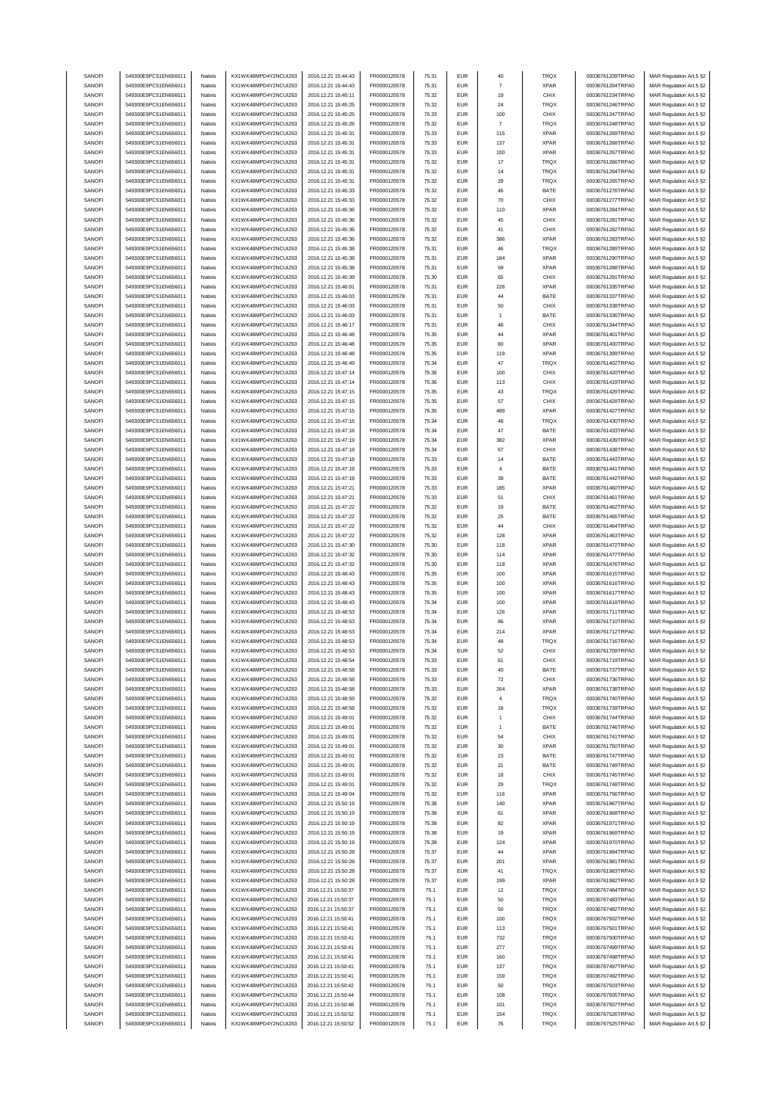| SANOFI | 549300E9PC51EN656011 | Natixis | KX1WK48MPD4Y2NCUIZ63 | 2016.12.21 15:44:43 | FR0000120578 | 75.31 | <b>EUR</b>  | 40             | <b>TRQX</b> | 00036761209TRPA0 | MAR Regulation Art.5 §2 |
|--------|----------------------|---------|----------------------|---------------------|--------------|-------|-------------|----------------|-------------|------------------|-------------------------|
| SANOFI | 549300E9PC51EN656011 | Natixis | KX1WK48MPD4Y2NCUIZ63 | 2016.12.21 15:44:43 | FR0000120578 | 75.31 | <b>EUR</b>  | $\overline{7}$ | <b>XPAR</b> | 00036761204TRPA0 | MAR Regulation Art.5 §2 |
| SANOFI | 549300E9PC51EN656011 | Natixis | KX1WK48MPD4Y2NCUIZ63 | 2016.12.21 15:45:11 | FR0000120578 | 75.32 | <b>EUR</b>  | 19             | CHIX        | 00036761234TRPA0 | MAR Regulation Art.5 §2 |
| SANOFI | 549300E9PC51EN656011 | Natixis | KX1WK48MPD4Y2NCUIZ63 | 2016.12.21 15:45:25 | FR0000120578 | 75.32 | <b>EUR</b>  | 24             | <b>TRQX</b> | 00036761246TRPA0 | MAR Regulation Art.5 §2 |
| SANOFI | 549300E9PC51EN656011 | Natixis | KX1WK48MPD4Y2NCUIZ63 | 2016.12.21 15:45:25 | FR0000120578 | 75.33 | <b>EUR</b>  | 100            | CHIX        | 00036761247TRPA0 | MAR Regulation Art.5 §2 |
|        |                      |         |                      |                     |              |       |             |                |             |                  |                         |
| SANOFI | 549300E9PC51EN656011 | Natixis | KX1WK48MPD4Y2NCUIZ63 | 2016.12.21 15:45:26 | FR0000120578 | 75.32 | <b>EUR</b>  | $\overline{7}$ | <b>TRQX</b> | 00036761248TRPA0 | MAR Regulation Art.5 §2 |
| SANOFI | 549300E9PC51EN656011 | Natixis | KX1WK48MPD4Y2NCUIZ63 | 2016.12.21 15:45:31 | FR0000120578 | 75.33 | <b>EUR</b>  | 115            | <b>XPAR</b> | 00036761269TRPA0 | MAR Regulation Art.5 §2 |
| SANOFI | 549300E9PC51EN656011 | Natixis | KX1WK48MPD4Y2NCUIZ63 | 2016.12.21 15:45:31 | FR0000120578 | 75.33 | <b>EUR</b>  | 137            | <b>XPAR</b> | 00036761268TRPA0 | MAR Regulation Art.5 §2 |
| SANOFI | 549300E9PC51EN656011 | Natixis | KX1WK48MPD4Y2NCUIZ63 | 2016.12.21 15:45:31 | FR0000120578 | 75.33 | <b>EUR</b>  | 100            | <b>XPAR</b> | 00036761267TRPA0 | MAR Regulation Art.5 §2 |
| SANOFI | 549300E9PC51EN656011 | Natixis | KX1WK48MPD4Y2NCUIZ63 | 2016.12.21 15:45:31 | FR0000120578 | 75.32 | <b>EUR</b>  | 17             | TRQX        | 00036761266TRPA0 | MAR Regulation Art.5 §2 |
| SANOFI | 549300E9PC51EN656011 | Natixis | KX1WK48MPD4Y2NCUIZ63 | 2016.12.21 15:45:31 | FR0000120578 | 75.32 | <b>EUR</b>  | 14             | <b>TRQX</b> | 00036761264TRPA0 | MAR Regulation Art.5 §2 |
|        |                      |         |                      |                     |              |       |             |                |             |                  |                         |
| SANOFI | 549300E9PC51EN656011 | Natixis | KX1WK48MPD4Y2NCUIZ63 | 2016.12.21 15:45:31 | FR0000120578 | 75.32 | <b>EUR</b>  | 29             | TRQX        | 00036761265TRPA0 | MAR Regulation Art.5 §2 |
| SANOFI | 549300E9PC51EN656011 | Natixis | KX1WK48MPD4Y2NCUIZ63 | 2016.12.21 15:45:33 | FR0000120578 | 75.32 | <b>EUR</b>  | 46             | BATE        | 00036761278TRPA0 | MAR Regulation Art.5 §2 |
| SANOFI | 549300E9PC51EN656011 | Natixis | KX1WK48MPD4Y2NCUIZ63 | 2016.12.21 15:45:33 | FR0000120578 | 75.32 | <b>EUR</b>  | 70             | CHIX        | 00036761277TRPA0 | MAR Regulation Art.5 §2 |
| SANOFI | 549300E9PC51EN656011 | Natixis | KX1WK48MPD4Y2NCUIZ63 | 2016.12.21 15:45:36 | FR0000120578 | 75.32 | <b>EUR</b>  | 110            | <b>XPAR</b> | 00036761284TRPA0 | MAR Regulation Art.5 §2 |
| SANOFI | 549300E9PC51EN656011 | Natixis | KX1WK48MPD4Y2NCUIZ63 | 2016.12.21 15:45:36 | FR0000120578 | 75.32 | <b>EUR</b>  | 45             | CHIX        | 00036761281TRPA0 | MAR Regulation Art.5 §2 |
|        |                      |         |                      |                     |              |       |             |                |             |                  |                         |
| SANOFI | 549300E9PC51EN656011 | Natixis | KX1WK48MPD4Y2NCUIZ63 | 2016.12.21 15:45:36 | FR0000120578 | 75.32 | <b>EUR</b>  | 41             | CHIX        | 00036761282TRPA0 | MAR Regulation Art.5 §2 |
| SANOFI | 549300E9PC51EN656011 | Natixis | KX1WK48MPD4Y2NCUIZ63 | 2016.12.21 15:45:36 | FR0000120578 | 75.32 | <b>EUR</b>  | 386            | <b>XPAR</b> | 00036761283TRPA0 | MAR Regulation Art.5 §2 |
| SANOFI | 549300E9PC51EN656011 | Natixis | KX1WK48MPD4Y2NCUIZ63 | 2016.12.21 15:45:38 | FR0000120578 | 75.31 | <b>EUR</b>  | 46             | TRQX        | 00036761289TRPA0 | MAR Regulation Art.5 §2 |
| SANOFI | 549300E9PC51EN656011 | Natixis | KX1WK48MPD4Y2NCUIZ63 | 2016.12.21 15:45:38 | FR0000120578 | 75.31 | <b>EUR</b>  | 184            | <b>XPAR</b> | 00036761290TRPA0 | MAR Regulation Art.5 §2 |
| SANOFI | 549300E9PC51EN656011 | Natixis | KX1WK48MPD4Y2NCUIZ63 | 2016.12.21 15:45:38 | FR0000120578 | 75.31 | <b>EUR</b>  | 59             | <b>XPAR</b> | 00036761288TRPA0 | MAR Regulation Art.5 §2 |
| SANOFI | 549300E9PC51EN656011 | Natixis | KX1WK48MPD4Y2NCUIZ63 | 2016.12.21 15:45:39 | FR0000120578 | 75.30 | <b>EUR</b>  | 65             | CHIX        | 00036761291TRPA0 | MAR Regulation Art.5 §2 |
|        |                      |         |                      |                     |              |       |             |                |             |                  |                         |
| SANOFI | 549300E9PC51EN656011 | Natixis | KX1WK48MPD4Y2NCUIZ63 | 2016.12.21 15:46:01 | FR0000120578 | 75.31 | <b>EUR</b>  | 228            | <b>XPAR</b> | 00036761335TRPA0 | MAR Regulation Art.5 §2 |
| SANOFI | 549300E9PC51EN656011 | Natixis | KX1WK48MPD4Y2NCUIZ63 | 2016.12.21 15:46:03 | FR0000120578 | 75.31 | <b>EUR</b>  | 44             | BATE        | 00036761337TRPA0 | MAR Regulation Art.5 §2 |
| SANOFI | 549300E9PC51EN656011 | Natixis | KX1WK48MPD4Y2NCUIZ63 | 2016.12.21 15:46:03 | FR0000120578 | 75.31 | <b>EUR</b>  | 50             | CHIX        | 00036761338TRPA0 | MAR Regulation Art.5 §2 |
| SANOFI | 549300E9PC51EN656011 | Natixis | KX1WK48MPD4Y2NCUIZ63 | 2016.12.21 15:46:03 | FR0000120578 | 75.31 | <b>EUR</b>  | 1              | BATE        | 00036761336TRPA0 | MAR Regulation Art.5 §2 |
| SANOFI | 549300E9PC51EN656011 | Natixis | KX1WK48MPD4Y2NCUIZ63 | 2016.12.21 15:46:17 | FR0000120578 | 75.31 | <b>EUR</b>  | 46             | CHIX        | 00036761344TRPA0 | MAR Regulation Art.5 §2 |
|        |                      |         |                      |                     |              |       |             |                |             | 00036761401TRPA0 |                         |
| SANOFI | 549300E9PC51EN656011 | Natixis | KX1WK48MPD4Y2NCUIZ63 | 2016.12.21 15:46:48 | FR0000120578 | 75.35 | EUR         | 44             | <b>XPAR</b> |                  | MAR Regulation Art.5 §2 |
| SANOFI | 549300E9PC51EN656011 | Natixis | KX1WK48MPD4Y2NCUIZ63 | 2016.12.21 15:46:48 | FR0000120578 | 75.35 | <b>EUR</b>  | 80             | <b>XPAR</b> | 00036761400TRPA0 | MAR Regulation Art.5 §2 |
| SANOFI | 549300E9PC51EN656011 | Natixis | KX1WK48MPD4Y2NCUIZ63 | 2016.12.21 15:46:48 | FR0000120578 | 75.35 | <b>EUR</b>  | 119            | <b>XPAR</b> | 00036761399TRPA0 | MAR Regulation Art.5 §2 |
| SANOFI | 549300E9PC51EN656011 | Natixis | KX1WK48MPD4Y2NCUIZ63 | 2016.12.21 15:46:49 | FR0000120578 | 75.34 | <b>EUR</b>  | 47             | TRQX        | 00036761402TRPA0 | MAR Regulation Art.5 §2 |
| SANOFI | 549300E9PC51EN656011 | Natixis | KX1WK48MPD4Y2NCUIZ63 | 2016.12.21 15:47:14 | FR0000120578 | 75.36 | <b>EUR</b>  | 100            | CHIX        | 00036761420TRPA0 | MAR Regulation Art.5 §2 |
| SANOFI | 549300E9PC51EN656011 | Natixis | KX1WK48MPD4Y2NCUIZ63 | 2016.12.21 15:47:14 | FR0000120578 | 75.36 | <b>EUR</b>  | 113            | CHIX        | 00036761419TRPA0 | MAR Regulation Art.5 §2 |
|        |                      |         |                      |                     |              |       |             |                |             |                  |                         |
| SANOFI | 549300E9PC51EN656011 | Natixis | KX1WK48MPD4Y2NCUIZ63 | 2016.12.21 15:47:15 | FR0000120578 | 75.35 | <b>EUR</b>  | 43             | TRQX        | 00036761429TRPA0 | MAR Regulation Art.5 §2 |
| SANOFI | 549300E9PC51EN656011 | Natixis | KX1WK48MPD4Y2NCUIZ63 | 2016.12.21 15:47:15 | FR0000120578 | 75.35 | <b>EUR</b>  | 57             | CHIX        | 00036761428TRPA0 | MAR Regulation Art.5 §2 |
| SANOFI | 549300E9PC51EN656011 | Natixis | KX1WK48MPD4Y2NCUIZ63 | 2016.12.21 15:47:15 | FR0000120578 | 75.35 | <b>EUR</b>  | 489            | <b>XPAR</b> | 00036761427TRPA0 | MAR Regulation Art.5 §2 |
| SANOFI | 549300E9PC51EN656011 | Natixis | KX1WK48MPD4Y2NCUIZ63 | 2016.12.21 15:47:15 | FR0000120578 | 75.34 | EUR         | 48             | TRQX        | 00036761430TRPA0 | MAR Regulation Art.5 §2 |
| SANOFI | 549300E9PC51EN656011 | Natixis | KX1WK48MPD4Y2NCUIZ63 | 2016.12.21 15:47:16 | FR0000120578 | 75.34 | <b>EUR</b>  | 47             | BATE        | 00036761433TRPA0 |                         |
|        |                      |         |                      |                     |              |       |             |                |             |                  | MAR Regulation Art.5 §2 |
| SANOFI | 549300E9PC51EN656011 | Natixis | KX1WK48MPD4Y2NCUIZ63 | 2016.12.21 15:47:19 | FR0000120578 | 75.34 | <b>EUR</b>  | 382            | <b>XPAR</b> | 00036761439TRPA0 | MAR Regulation Art.5 §2 |
| SANOFI | 549300E9PC51EN656011 | Natixis | KX1WK48MPD4Y2NCUIZ63 | 2016.12.21 15:47:19 | FR0000120578 | 75.34 | <b>EUR</b>  | 67             | CHIX        | 00036761438TRPA0 | MAR Regulation Art.5 §2 |
| SANOFI | 549300E9PC51EN656011 | Natixis | KX1WK48MPD4Y2NCUIZ63 | 2016.12.21 15:47:19 | FR0000120578 | 75.33 | <b>EUR</b>  | 14             | BATE        | 00036761443TRPA0 | MAR Regulation Art.5 §2 |
| SANOFI | 549300E9PC51EN656011 | Natixis | KX1WK48MPD4Y2NCUIZ63 | 2016.12.21 15:47:19 | FR0000120578 | 75.33 | <b>EUR</b>  |                | BATE        | 00036761441TRPA0 | MAR Regulation Art.5 §2 |
| SANOFI | 549300E9PC51EN656011 | Natixis | KX1WK48MPD4Y2NCUIZ63 | 2016.12.21 15:47:19 | FR0000120578 | 75.33 | <b>EUR</b>  | 39             | BATE        | 00036761442TRPA0 | MAR Regulation Art.5 §2 |
|        |                      |         |                      |                     |              |       |             |                |             |                  |                         |
| SANOFI | 549300E9PC51EN656011 | Natixis | KX1WK48MPD4Y2NCUIZ63 | 2016.12.21 15:47:21 | FR0000120578 | 75.33 | <b>EUR</b>  | 185            | <b>XPAR</b> | 00036761460TRPA0 | MAR Regulation Art.5 §2 |
| SANOFI | 549300E9PC51EN656011 | Natixis | KX1WK48MPD4Y2NCUIZ63 | 2016.12.21 15:47:21 | FR0000120578 | 75.33 | <b>EUR</b>  | 51             | CHIX        | 00036761461TRPA0 | MAR Regulation Art.5 §2 |
| SANOFI | 549300E9PC51EN656011 | Natixis | KX1WK48MPD4Y2NCUIZ63 | 2016.12.21 15:47:22 | FR0000120578 | 75.32 | <b>EUR</b>  | 19             | BATE        | 00036761462TRPA0 | MAR Regulation Art.5 §2 |
| SANOFI | 549300E9PC51EN656011 | Natixis | KX1WK48MPD4Y2NCUIZ63 | 2016.12.21 15:47:22 | FR0000120578 | 75.32 | <b>EUR</b>  | 25             | BATE        | 00036761465TRPA0 | MAR Regulation Art.5 §2 |
| SANOFI | 549300E9PC51EN656011 | Natixis | KX1WK48MPD4Y2NCUIZ63 | 2016.12.21 15:47:22 | FR0000120578 | 75.32 | <b>EUR</b>  | 44             | CHIX        | 00036761464TRPA0 | MAR Regulation Art.5 §2 |
|        |                      |         |                      |                     |              |       |             |                |             |                  |                         |
|        |                      |         |                      |                     |              |       |             |                |             |                  |                         |
| SANOFI | 549300E9PC51EN656011 | Natixis | KX1WK48MPD4Y2NCUIZ63 | 2016.12.21 15:47:22 | FR0000120578 | 75.32 | <b>EUR</b>  | 128            | <b>XPAR</b> | 00036761463TRPA0 | MAR Regulation Art.5 §2 |
| SANOFI | 549300E9PC51EN656011 | Natixis | KX1WK48MPD4Y2NCUIZ63 | 2016.12.21 15:47:30 | FR0000120578 | 75.30 | <b>EUR</b>  | 118            | <b>XPAR</b> | 00036761472TRPA0 | MAR Regulation Art.5 §2 |
| SANOFI | 549300E9PC51EN656011 | Natixis | KX1WK48MPD4Y2NCUIZ63 | 2016.12.21 15:47:32 | FR0000120578 | 75.30 | <b>EUR</b>  | 114            | <b>XPAR</b> | 00036761477TRPA0 | MAR Regulation Art.5 §2 |
| SANOFI | 549300E9PC51EN656011 | Natixis | KX1WK48MPD4Y2NCUIZ63 | 2016.12.21 15:47:32 | FR0000120578 | 75.30 | <b>EUR</b>  | 118            | <b>XPAR</b> | 00036761476TRPA0 | MAR Regulation Art.5 §2 |
| SANOFI | 549300E9PC51EN656011 | Natixis | KX1WK48MPD4Y2NCUIZ63 | 2016.12.21 15:48:43 | FR0000120578 | 75.35 | <b>EUR</b>  | 100            | <b>XPAR</b> | 00036761615TRPA0 | MAR Regulation Art.5 §2 |
| SANOFI | 549300E9PC51EN656011 | Natixis | KX1WK48MPD4Y2NCUIZ63 | 2016.12.21 15:48:43 |              | 75.35 | <b>EUR</b>  | 100            | <b>XPAR</b> | 00036761616TRPA0 |                         |
|        |                      |         |                      |                     | FR0000120578 |       |             |                |             |                  | MAR Regulation Art.5 §2 |
| SANOFI | 549300E9PC51EN656011 | Natixis | KX1WK48MPD4Y2NCUIZ63 | 2016.12.21 15:48:43 | FR0000120578 | 75.35 | EUR         | 100            | <b>XPAR</b> | 00036761617TRPA0 | MAR Regulation Art.5 §2 |
| SANOFI | 549300E9PC51EN656011 | Natixis | KX1WK48MPD4Y2NCUIZ63 | 2016.12.21 15:48:43 | FR0000120578 | 75.34 | <b>EUR</b>  | 100            | <b>XPAR</b> | 00036761618TRPA0 | MAR Regulation Art.5 §2 |
| SANOFI | 549300E9PC51EN656011 | Natixis | KX1WK48MPD4Y2NCUIZ63 | 2016.12.21 15:48:53 | FR0000120578 | 75.34 | <b>EUR</b>  | 126            | <b>XPAR</b> | 00036761711TRPA0 | MAR Regulation Art.5 §2 |
| SANOFI | 549300E9PC51EN656011 | Natixis | KX1WK48MPD4Y2NCUIZ63 | 2016.12.21 15:48:53 | FR0000120578 | 75.34 | <b>EUR</b>  | 86             | <b>XPAR</b> | 00036761710TRPA0 | MAR Regulation Art.5 §2 |
| SANOFI | 549300E9PC51EN656011 | Natixis | KX1WK48MPD4Y2NCUIZ63 | 2016.12.21 15:48:53 | FR0000120578 | 75.34 | <b>EUR</b>  | 214            | <b>XPAR</b> | 00036761712TRPA0 | MAR Regulation Art.5 §2 |
|        |                      |         |                      |                     |              | 75.34 | <b>EUR</b>  |                |             |                  |                         |
| SANOFI | 549300E9PC51EN656011 | Natixis | KX1WK48MPD4Y2NCUIZ63 | 2016.12.21 15:48:53 | FR0000120578 |       |             | 48             | <b>TRQX</b> | 00036761716TRPA0 | MAR Regulation Art.5 §2 |
|        |                      |         | KX1WK48MPD4Y2NCUIZ63 | 2016.12.21 15:48:53 |              |       |             |                |             | 036761709TRPA0   | MAR Regulation Art.5 §2 |
| SANOFI | 549300E9PC51EN656011 | Natixis | KX1WK48MPD4Y2NCUIZ63 | 2016.12.21 15:48:54 | FR0000120578 | 75.33 | <b>EUR</b>  | 61             | CHIX        | 00036761719TRPA0 | MAR Regulation Art.5 §2 |
| SANOFI | 549300E9PC51EN656011 | Natixis | KX1WK48MPD4Y2NCUIZ63 | 2016.12.21 15:48:58 | FR0000120578 | 75.33 | <b>EUR</b>  | 40             | BATE        | 00036761737TRPA0 | MAR Regulation Art.5 §2 |
| SANOFI | 549300E9PC51EN656011 | Natixis | KX1WK48MPD4Y2NCUIZ63 | 2016.12.21 15:48:58 | FR0000120578 | 75.33 | <b>EUR</b>  | 72             | CHIX        | 00036761736TRPA0 | MAR Regulation Art.5 §2 |
| SANOFI | 549300E9PC51EN656011 | Natixis | KX1WK48MPD4Y2NCUIZ63 | 2016.12.21 15:48:58 | FR0000120578 | 75.33 | <b>EUR</b>  | 264            | <b>XPAR</b> | 00036761738TRPA0 | MAR Regulation Art.5 §2 |
|        |                      |         |                      |                     |              |       |             | $\overline{4}$ |             |                  |                         |
| SANOFI | 549300E9PC51EN656011 | Natixis | KX1WK48MPD4Y2NCUIZ63 | 2016.12.21 15:48:59 | FR0000120578 | 75.32 | <b>EUR</b>  |                | TRQX        | 00036761740TRPA0 | MAR Regulation Art.5 §2 |
| SANOFI | 549300E9PC51EN656011 | Natixis | KX1WK48MPD4Y2NCUIZ63 | 2016.12.21 15:48:59 | FR0000120578 | 75.32 | <b>EUR</b>  | 16             | <b>TRQX</b> | 00036761739TRPA0 | MAR Regulation Art.5 §2 |
| SANOFI | 549300E9PC51EN656011 | Natixis | KX1WK48MPD4Y2NCUIZ63 | 2016.12.21 15:49:01 | FR0000120578 | 75.32 | <b>EUR</b>  |                | CHIX        | 00036761744TRPA0 | MAR Regulation Art.5 §2 |
| SANOFI | 549300E9PC51EN656011 | Natixis | KX1WK48MPD4Y2NCUIZ63 | 2016.12.21 15:49:01 | FR0000120578 | 75.32 | <b>EUR</b>  | 1              | BATE        | 00036761746TRPA0 | MAR Regulation Art.5 §2 |
| SANOFI | 549300E9PC51EN656011 | Natixis | KX1WK48MPD4Y2NCUIZ63 | 2016.12.21 15:49:01 | FR0000120578 | 75.32 | <b>EUR</b>  | 54             | CHIX        | 00036761741TRPA0 | MAR Regulation Art.5 §2 |
| SANOFI | 549300E9PC51EN656011 | Natixis | KX1WK48MPD4Y2NCUIZ63 | 2016.12.21 15:49:01 | FR0000120578 | 75.32 | <b>EUR</b>  | 30             | <b>XPAR</b> | 00036761750TRPA0 | MAR Regulation Art.5 §2 |
| SANOFI | 549300E9PC51EN656011 | Natixis | KX1WK48MPD4Y2NCUIZ63 | 2016.12.21 15:49:01 | FR0000120578 | 75.32 |             | 23             | BATE        | 00036761747TRPA0 |                         |
|        |                      | Natixis |                      |                     |              |       | ${\sf EUR}$ |                |             |                  | MAR Regulation Art.5 §2 |
| SANOFI | 549300E9PC51EN656011 |         | KX1WK48MPD4Y2NCUIZ63 | 2016.12.21 15:49:01 | FR0000120578 | 75.32 | <b>EUR</b>  | 21             | BATE        | 00036761749TRPA0 | MAR Regulation Art.5 §2 |
| SANOFI | 549300E9PC51EN656011 | Natixis | KX1WK48MPD4Y2NCUIZ63 | 2016.12.21 15:49:01 | FR0000120578 | 75.32 | <b>EUR</b>  | 18             | CHIX        | 00036761745TRPA0 | MAR Regulation Art.5 §2 |
| SANOFI | 549300E9PC51EN656011 | Natixis | KX1WK48MPD4Y2NCUIZ63 | 2016.12.21 15:49:01 | FR0000120578 | 75.32 | <b>EUR</b>  | 29             | TRQX        | 00036761748TRPA0 | MAR Regulation Art.5 §2 |
| SANOFI | 549300E9PC51EN656011 | Natixis | KX1WK48MPD4Y2NCUIZ63 | 2016.12.21 15:49:04 | FR0000120578 | 75.32 | <b>EUR</b>  | 116            | <b>XPAR</b> | 00036761756TRPA0 | MAR Regulation Art.5 §2 |
| SANOFI | 549300E9PC51EN656011 | Natixis | KX1WK48MPD4Y2NCUIZ63 | 2016.12.21 15:50:19 | FR0000120578 | 75.38 | <b>EUR</b>  | 140            | <b>XPAR</b> | 00036761967TRPA0 | MAR Regulation Art.5 §2 |
|        |                      |         |                      |                     |              |       |             |                |             |                  |                         |
| SANOFI | 549300E9PC51EN656011 | Natixis | KX1WK48MPD4Y2NCUIZ63 | 2016.12.21 15:50:19 | FR0000120578 | 75.38 | <b>EUR</b>  | 61             | <b>XPAR</b> | 00036761968TRPA0 | MAR Regulation Art.5 §2 |
| SANOFI | 549300E9PC51EN656011 | Natixis | KX1WK48MPD4Y2NCUIZ63 | 2016.12.21 15:50:19 | FR0000120578 | 75.38 | <b>EUR</b>  | 82             | <b>XPAR</b> | 00036761971TRPA0 | MAR Regulation Art.5 §2 |
| SANOFI | 549300E9PC51EN656011 | Natixis | KX1WK48MPD4Y2NCUIZ63 | 2016.12.21 15:50:19 | FR0000120578 | 75.38 | <b>EUR</b>  | 19             | <b>XPAR</b> | 00036761969TRPA0 | MAR Regulation Art.5 §2 |
| SANOFI | 549300E9PC51EN656011 | Natixis | KX1WK48MPD4Y2NCUIZ63 | 2016.12.21 15:50:19 | FR0000120578 | 75.38 | <b>EUR</b>  | 124            | <b>XPAR</b> | 00036761970TRPA0 | MAR Regulation Art.5 §2 |
| SANOFI | 549300E9PC51EN656011 | Natixis | KX1WK48MPD4Y2NCUIZ63 | 2016.12.21 15:50:28 | FR0000120578 | 75.37 | <b>EUR</b>  | 44             | <b>XPAR</b> | 00036761984TRPA0 | MAR Regulation Art.5 §2 |
| SANOFI | 549300E9PC51EN656011 | Natixis | KX1WK48MPD4Y2NCUIZ63 | 2016.12.21 15:50:28 | FR0000120578 | 75.37 | <b>EUR</b>  | 201            | <b>XPAR</b> | 00036761981TRPA0 | MAR Regulation Art.5 §2 |
|        |                      | Natixis |                      |                     |              |       |             |                |             |                  |                         |
| SANOFI | 549300E9PC51EN656011 |         | KX1WK48MPD4Y2NCUIZ63 | 2016.12.21 15:50:28 | FR0000120578 | 75.37 | <b>EUR</b>  | 41             | TRQX        | 00036761983TRPA0 | MAR Regulation Art.5 §2 |
| SANOFI | 549300E9PC51EN656011 | Natixis | KX1WK48MPD4Y2NCUIZ63 | 2016.12.21 15:50:28 | FR0000120578 | 75.37 | <b>EUR</b>  | 199            | <b>XPAR</b> | 00036761982TRPA0 | MAR Regulation Art.5 §2 |
| SANOFI | 549300E9PC51EN656011 | Natixis | KX1WK48MPD4Y2NCUIZ63 | 2016.12.21 15:50:37 | FR0000120578 | 75.1  | <b>EUR</b>  | 12             | TRQX        | 00036767484TRPA0 | MAR Regulation Art.5 §2 |
| SANOFI | 549300E9PC51EN656011 | Natixis | KX1WK48MPD4Y2NCUIZ63 | 2016.12.21 15:50:37 | FR0000120578 | 75.1  | <b>EUR</b>  | 50             | <b>TRQX</b> | 00036767483TRPA0 | MAR Regulation Art.5 §2 |
| SANOFI | 549300E9PC51EN656011 | Natixis | KX1WK48MPD4Y2NCUIZ63 | 2016.12.21 15:50:37 | FR0000120578 | 75.1  | <b>EUR</b>  | 50             | TRQX        | 00036767482TRPA0 | MAR Regulation Art.5 §2 |
|        |                      |         |                      |                     |              |       | <b>EUR</b>  |                |             |                  |                         |
| SANOFI | 549300E9PC51EN656011 | Natixis | KX1WK48MPD4Y2NCUIZ63 | 2016.12.21 15:50:41 | FR0000120578 | 75.1  |             | 100            | TRQX        | 00036767502TRPA0 | MAR Regulation Art.5 §2 |
| SANOFI | 549300E9PC51EN656011 | Natixis | KX1WK48MPD4Y2NCUIZ63 | 2016.12.21 15:50:41 | FR0000120578 | 75.1  | <b>EUR</b>  | 113            | TRQX        | 00036767501TRPA0 | MAR Regulation Art.5 §2 |
| SANOFI | 549300E9PC51EN656011 | Natixis | KX1WK48MPD4Y2NCUIZ63 | 2016.12.21 15:50:41 | FR0000120578 | 75.1  | <b>EUR</b>  | 732            | TRQX        | 00036767500TRPA0 | MAR Regulation Art.5 §2 |
| SANOFI | 549300E9PC51EN656011 | Natixis | KX1WK48MPD4Y2NCUIZ63 | 2016.12.21 15:50:41 | FR0000120578 | 75.1  | <b>EUR</b>  | 277            | TRQX        | 00036767499TRPA0 | MAR Regulation Art.5 §2 |
| SANOFI | 549300E9PC51EN656011 | Natixis | KX1WK48MPD4Y2NCUIZ63 | 2016.12.21 15:50:41 | FR0000120578 | 75.1  | <b>EUR</b>  | 160            | TRQX        | 00036767498TRPA0 | MAR Regulation Art.5 §2 |
| SANOFI | 549300E9PC51EN656011 | Natixis | KX1WK48MPD4Y2NCUIZ63 | 2016.12.21 15:50:41 | FR0000120578 | 75.1  | <b>EUR</b>  | 137            | TRQX        | 00036767497TRPA0 |                         |
|        |                      |         |                      |                     |              |       |             |                |             |                  | MAR Regulation Art.5 §2 |
| SANOFI | 549300E9PC51EN656011 | Natixis | KX1WK48MPD4Y2NCUIZ63 | 2016.12.21 15:50:41 | FR0000120578 | 75.1  | <b>EUR</b>  | 159            | TRQX        | 00036767492TRPA0 | MAR Regulation Art.5 §2 |
| SANOFI | 549300E9PC51EN656011 | Natixis | KX1WK48MPD4Y2NCUIZ63 | 2016.12.21 15:50:42 | FR0000120578 | 75.1  | <b>EUR</b>  | 50             | TRQX        | 00036767503TRPA0 | MAR Regulation Art.5 §2 |
| SANOFI | 549300E9PC51EN656011 | Natixis | KX1WK48MPD4Y2NCUIZ63 | 2016.12.21 15:50:44 | FR0000120578 | 75.1  | <b>EUR</b>  | 108            | TRQX        | 00036767505TRPA0 | MAR Regulation Art.5 §2 |
| SANOFI | 549300E9PC51EN656011 | Natixis | KX1WK48MPD4Y2NCUIZ63 | 2016.12.21 15:50:48 | FR0000120578 | 75.1  | <b>EUR</b>  | 101            | <b>TRQX</b> | 00036767507TRPA0 | MAR Regulation Art.5 §2 |
| SANOFI | 549300E9PC51EN656011 | Natixis | KX1WK48MPD4Y2NCUIZ63 | 2016.12.21 15:50:52 | FR0000120578 | 75.1  | <b>EUR</b>  | 154            | TRQX        | 00036767526TRPA0 | MAR Regulation Art.5 §2 |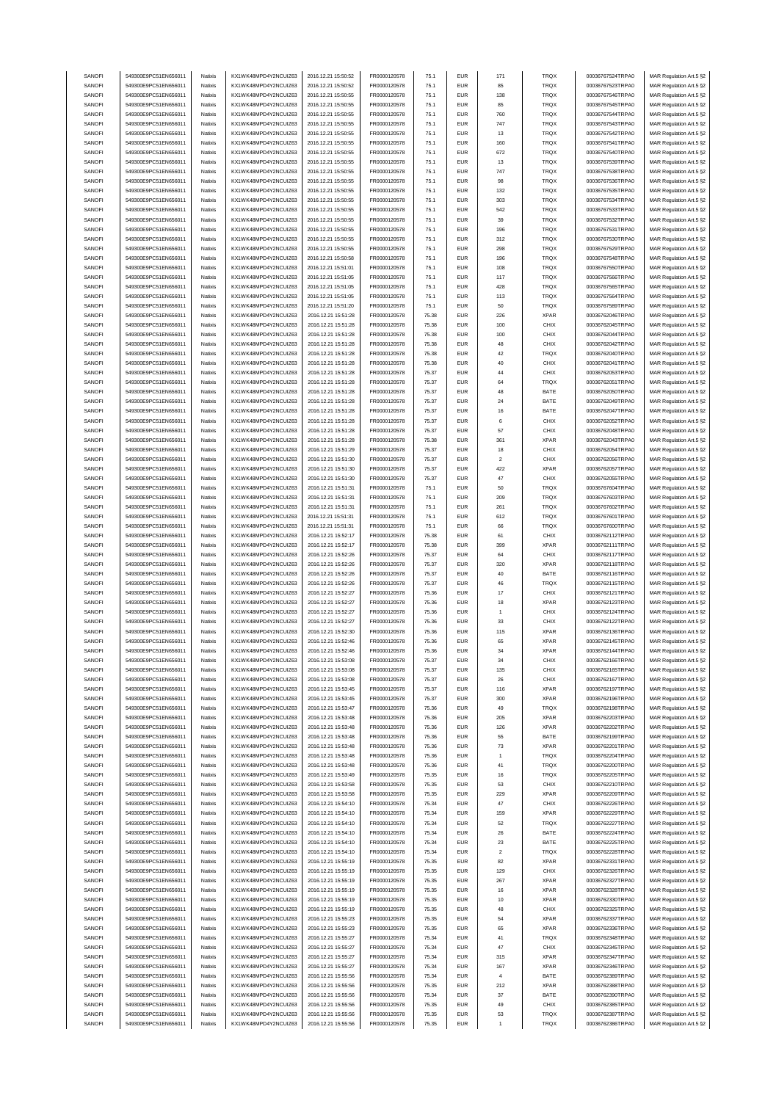| SANOFI           | 549300E9PC51EN656011                         | Natixis            | KX1WK48MPD4Y2NCUIZ63                         | 2016.12.21 15:50:52                        | FR0000120578                 | 75.1           | <b>EUR</b>        | 171                | TRQX         | 00036767524TRPA0                     | MAR Regulation Art.5 §2                            |
|------------------|----------------------------------------------|--------------------|----------------------------------------------|--------------------------------------------|------------------------------|----------------|-------------------|--------------------|--------------|--------------------------------------|----------------------------------------------------|
| SANOFI           | 549300E9PC51EN656011                         | Natixis            | KX1WK48MPD4Y2NCUIZ63                         | 2016.12.21 15:50:52                        | FR0000120578                 | 75.1           | <b>EUR</b>        | 85                 | TRQX         | 00036767523TRPA0                     | MAR Regulation Art.5 §2                            |
| SANOFI           | 549300E9PC51EN656011                         | Natixis            | KX1WK48MPD4Y2NCUIZ63                         | 2016.12.21 15:50:55                        | FR0000120578                 | 75.1           | <b>EUR</b>        | 138                | TRQX         | 00036767546TRPA0                     | MAR Regulation Art.5 §2                            |
| SANOFI           | 549300E9PC51EN656011                         | Natixis            | KX1WK48MPD4Y2NCUIZ63                         | 2016.12.21 15:50:55                        | FR0000120578                 | 75.1           | <b>EUR</b>        | 85                 | TRQX         | 00036767545TRPA0                     | MAR Regulation Art.5 §2                            |
|                  |                                              |                    |                                              |                                            |                              |                |                   |                    |              |                                      |                                                    |
| SANOFI           | 549300E9PC51EN656011                         | Natixis            | KX1WK48MPD4Y2NCUIZ63                         | 2016.12.21 15:50:55                        | FR0000120578                 | 75.1           | <b>EUR</b>        | 760                | TRQX         | 00036767544TRPA0                     | MAR Regulation Art.5 §2                            |
| SANOFI           | 549300E9PC51EN656011                         | Natixis            | KX1WK48MPD4Y2NCUIZ63                         | 2016.12.21 15:50:55                        | FR0000120578                 | 75.1           | <b>EUR</b>        | 747                | TRQX         | 00036767543TRPA0                     | MAR Regulation Art.5 §2                            |
| SANOFI           | 549300E9PC51EN656011                         | Natixis            | KX1WK48MPD4Y2NCUIZ63                         | 2016.12.21 15:50:55                        | FR0000120578                 | 75.1           | <b>EUR</b>        | 13                 | TRQX         | 00036767542TRPA0                     | MAR Regulation Art.5 §2                            |
| SANOFI           | 549300E9PC51EN656011                         | Natixis            | KX1WK48MPD4Y2NCUIZ63                         | 2016.12.21 15:50:55                        | FR0000120578                 | 75.1           | <b>EUR</b>        | 160                | TRQX         | 00036767541TRPA0                     | MAR Regulation Art.5 §2                            |
| SANOFI           | 549300E9PC51EN656011                         | Natixis            | KX1WK48MPD4Y2NCLIIZ63                        | 2016.12.21 15:50:55                        | FR0000120578                 | 75.1           | <b>EUR</b>        | 672                | TRQX         | 00036767540TRPA0                     | MAR Regulation Art.5 §2                            |
| SANOFI           | 549300E9PC51EN656011                         | Natixis            | KX1WK48MPD4Y2NCUIZ63                         | 2016.12.21 15:50:55                        | FR0000120578                 | 75.1           | <b>EUR</b>        | 13                 | TRQX         | 00036767539TRPA0                     | MAR Regulation Art.5 §2                            |
| SANOFI           | 549300E9PC51EN656011                         | Natixis            | KX1WK48MPD4Y2NCUIZ63                         | 2016.12.21 15:50:55                        | FR0000120578                 | 75.1           | <b>EUR</b>        | 747                | TRQX         | 00036767538TRPA0                     | MAR Regulation Art.5 §2                            |
|                  |                                              |                    |                                              |                                            |                              |                |                   |                    |              |                                      |                                                    |
| SANOFI           | 549300E9PC51EN656011                         | Natixis            | KX1WK48MPD4Y2NCUIZ63                         | 2016.12.21 15:50:55                        | FR0000120578                 | 75.1           | <b>EUR</b>        | 98                 | TRQX         | 00036767536TRPA0                     | MAR Regulation Art.5 §2                            |
| SANOFI           | 549300E9PC51EN656011                         | Natixis            | KX1WK48MPD4Y2NCUIZ63                         | 2016.12.21 15:50:55                        | FR0000120578                 | 75.1           | <b>EUR</b>        | 132                | TRQX         | 00036767535TRPA0                     | MAR Regulation Art.5 §2                            |
| SANOFI           | 549300E9PC51EN656011                         | Natixis            | KX1WK48MPD4Y2NCUIZ63                         | 2016.12.21 15:50:55                        | FR0000120578                 | 75.1           | <b>EUR</b>        | 303                | TRQX         | 00036767534TRPA0                     | MAR Regulation Art.5 §2                            |
| SANOFI           | 549300E9PC51EN656011                         | Natixis            | KX1WK48MPD4Y2NCUIZ63                         | 2016.12.21 15:50:55                        | FR0000120578                 | 75.1           | <b>EUR</b>        | 542                | TRQX         | 00036767533TRPA0                     | MAR Regulation Art.5 §2                            |
| SANOFI           | 549300E9PC51EN656011                         | Natixis            | KX1WK48MPD4Y2NCUIZ63                         | 2016.12.21 15:50:55                        | FR0000120578                 | 75.1           | <b>EUR</b>        | 39                 | TRQX         | 00036767532TRPA0                     |                                                    |
|                  |                                              |                    |                                              |                                            |                              |                |                   |                    |              |                                      | MAR Regulation Art.5 §2                            |
| SANOFI           | 549300E9PC51EN656011                         | Natixis            | KX1WK48MPD4Y2NCUIZ63                         | 2016.12.21 15:50:55                        | FR0000120578                 | 75.1           | <b>EUR</b>        | 196                | TRQX         | 00036767531TRPA0                     | MAR Regulation Art.5 §2                            |
| SANOFI           | 549300E9PC51EN656011                         | Natixis            | KX1WK48MPD4Y2NCLIIZ63                        | 2016.12.21 15:50:55                        | FR0000120578                 | 75.1           | <b>EUR</b>        | 312                | TRQX         | 00036767530TRPA0                     | MAR Regulation Art.5 §2                            |
| SANOFI           | 549300E9PC51EN656011                         | Natixis            | KX1WK48MPD4Y2NCUIZ63                         | 2016.12.21 15:50:55                        | FR0000120578                 | 75.1           | <b>EUR</b>        | 298                | TRQX         | 00036767529TRPA0                     | MAR Regulation Art.5 §2                            |
| SANOFI           | 549300E9PC51EN656011                         | Natixis            | KX1WK48MPD4Y2NCUIZ63                         | 2016.12.21 15:50:58                        | FR0000120578                 | 75.1           | <b>EUR</b>        | 196                | TRQX         | 00036767548TRPA0                     | MAR Regulation Art.5 §2                            |
| SANOFI           | 549300E9PC51EN656011                         | Natixis            | KX1WK48MPD4Y2NCUIZ63                         | 2016.12.21 15:51:01                        | FR0000120578                 | 75.1           | <b>EUR</b>        | 108                | TRQX         | 00036767550TRPA0                     | MAR Regulation Art.5 §2                            |
| SANOFI           | 549300E9PC51EN656011                         | Natixis            | KX1WK48MPD4Y2NCUIZ63                         | 2016.12.21 15:51:05                        | FR0000120578                 | 75.1           | <b>EUR</b>        | 117                | TRQX         | 00036767566TRPA0                     | MAR Regulation Art.5 §2                            |
|                  |                                              |                    |                                              |                                            |                              |                |                   |                    |              |                                      |                                                    |
| SANOFI           | 549300E9PC51EN656011                         | Natixis            | KX1WK48MPD4Y2NCUIZ63                         | 2016.12.21 15:51:05                        | FR0000120578                 | 75.1           | <b>EUR</b>        | 428                | TRQX         | 00036767565TRPA0                     | MAR Regulation Art.5 §2                            |
| SANOFI           | 549300E9PC51EN656011                         | Natixis            | KX1WK48MPD4Y2NCUIZ63                         | 2016.12.21 15:51:05                        | FR0000120578                 | 75.1           | <b>EUR</b>        | 113                | TRQX         | 00036767564TRPA0                     | MAR Regulation Art.5 §2                            |
| SANOFI           | 549300E9PC51EN656011                         | Natixis            | KX1WK48MPD4Y2NCUIZ63                         | 2016.12.21 15:51:20                        | FR0000120578                 | 75.1           | <b>EUR</b>        | 50                 | TRQX         | 00036767589TRPA0                     | MAR Regulation Art.5 §2                            |
| SANOFI           | 549300E9PC51EN656011                         | Natixis            | KX1WK48MPD4Y2NCUIZ63                         | 2016.12.21 15:51:28                        | FR0000120578                 | 75.38          | <b>EUR</b>        | 226                | <b>XPAR</b>  | 00036762046TRPA0                     | MAR Regulation Art.5 §2                            |
| SANOFI           | 549300E9PC51EN656011                         | Natixis            | KX1WK48MPD4Y2NCLIIZ63                        | 2016.12.21 15:51:28                        | FR0000120578                 | 75.38          | <b>EUR</b>        | 100                | CHIX         | 00036762045TRPA0                     | MAR Regulation Art.5 §2                            |
| SANOFI           | 549300E9PC51EN656011                         | Natixis            | KX1WK48MPD4Y2NCUIZ63                         | 2016.12.21 15:51:28                        | FR0000120578                 | 75.38          | <b>EUR</b>        | 100                | CHIX         | 00036762044TRPA0                     | MAR Regulation Art.5 §2                            |
|                  |                                              |                    |                                              |                                            |                              |                |                   |                    |              |                                      |                                                    |
| SANOFI           | 549300E9PC51EN656011                         | Natixis            | KX1WK48MPD4Y2NCUIZ63                         | 2016.12.21 15:51:28                        | FR0000120578                 | 75.38          | <b>EUR</b>        | 48                 | CHIX         | 00036762042TRPA0                     | MAR Regulation Art.5 §2                            |
| SANOFI           | 549300E9PC51EN656011                         | Natixis            | KX1WK48MPD4Y2NCUIZ63                         | 2016.12.21 15:51:28                        | FR0000120578                 | 75.38          | <b>EUR</b>        | 42                 | TRQX         | 00036762040TRPA0                     | MAR Regulation Art.5 §2                            |
| SANOFI           | 549300E9PC51EN656011                         | Natixis            | KX1WK48MPD4Y2NCUIZ63                         | 2016.12.21 15:51:28                        | FR0000120578                 | 75.38          | <b>EUR</b>        | 40                 | CHIX         | 00036762041TRPA0                     | MAR Regulation Art.5 §2                            |
| SANOFI           | 549300E9PC51EN656011                         | Natixis            | KX1WK48MPD4Y2NCUIZ63                         | 2016.12.21 15:51:28                        | FR0000120578                 | 75.37          | <b>EUR</b>        | 44                 | CHIX         | 00036762053TRPA0                     | MAR Regulation Art.5 §2                            |
| SANOFI           | 549300E9PC51EN656011                         | Natixis            | KX1WK48MPD4Y2NCUIZ63                         | 2016.12.21 15:51:28                        | FR0000120578                 | 75.37          | <b>EUR</b>        | 64                 | TRQX         | 00036762051TRPA0                     | MAR Regulation Art.5 §2                            |
| SANOFI           | 549300E9PC51EN656011                         | Natixis            |                                              |                                            |                              |                | <b>EUR</b>        | 48                 | BATE         | 00036762050TRPA0                     |                                                    |
|                  |                                              |                    | KX1WK48MPD4Y2NCUIZ63                         | 2016.12.21 15:51:28                        | FR0000120578                 | 75.37          |                   |                    |              |                                      | MAR Regulation Art.5 §2                            |
| SANOFI           | 549300E9PC51EN656011                         | Natixis            | KX1WK48MPD4Y2NCUIZ63                         | 2016.12.21 15:51:28                        | FR0000120578                 | 75.37          | <b>EUR</b>        | 24                 | BATE         | 00036762049TRPA0                     | MAR Regulation Art.5 §2                            |
| SANOFI           | 549300E9PC51EN656011                         | Natixis            | KX1WK48MPD4Y2NCLIIZ63                        | 2016.12.21 15:51:28                        | FR0000120578                 | 75.37          | <b>EUR</b>        | 16                 | BATE         | 00036762047TRPA0                     | MAR Regulation Art.5 §2                            |
| SANOFI           | 549300E9PC51EN656011                         | Natixis            | KX1WK48MPD4Y2NCUIZ63                         | 2016.12.21 15:51:28                        | FR0000120578                 | 75.37          | <b>EUR</b>        | 6                  | CHIX         | 00036762052TRPA0                     | MAR Regulation Art.5 §2                            |
| SANOFI           | 549300E9PC51EN656011                         | Natixis            | KX1WK48MPD4Y2NCUIZ63                         | 2016.12.21 15:51:28                        | FR0000120578                 | 75.37          | <b>EUR</b>        | 57                 | CHIX         | 00036762048TRPA0                     | MAR Regulation Art.5 §2                            |
| SANOFI           | 549300E9PC51EN656011                         | Natixis            | KX1WK48MPD4Y2NCUIZ63                         | 2016.12.21 15:51:28                        | FR0000120578                 | 75.38          | <b>EUR</b>        | 361                | <b>XPAR</b>  | 00036762043TRPA0                     | MAR Regulation Art.5 §2                            |
|                  |                                              |                    |                                              |                                            |                              |                |                   |                    |              |                                      |                                                    |
| SANOFI           | 549300E9PC51EN656011                         | Natixis            | KX1WK48MPD4Y2NCUIZ63                         | 2016.12.21 15:51:29                        | FR0000120578                 | 75.37          | <b>EUR</b>        | 18                 | CHIX         | 00036762054TRPA0                     | MAR Regulation Art.5 §2                            |
| SANOFI           | 549300E9PC51EN656011                         | Natixis            | KX1WK48MPD4Y2NCUIZ63                         | 2016.12.21 15:51:30                        | FR0000120578                 | 75.37          | <b>EUR</b>        | $\overline{2}$     | CHIX         | 00036762056TRPA0                     | MAR Regulation Art.5 §2                            |
| SANOFI           | 549300E9PC51EN656011                         | Natixis            | KX1WK48MPD4Y2NCUIZ63                         | 2016.12.21 15:51:30                        | FR0000120578                 | 75.37          | <b>EUR</b>        | 422                | <b>XPAR</b>  | 00036762057TRPA0                     | MAR Regulation Art.5 §2                            |
| SANOFI           | 549300E9PC51EN656011                         | Natixis            | KX1WK48MPD4Y2NCUIZ63                         | 2016.12.21 15:51:30                        | FR0000120578                 | 75.37          | <b>EUR</b>        | 47                 | CHIX         | 00036762055TRPA0                     | MAR Regulation Art.5 §2                            |
| SANOFI           | 549300E9PC51EN656011                         | Natixis            | KX1WK48MPD4Y2NCUIZ63                         | 2016.12.21 15:51:31                        | FR0000120578                 | 75.1           | <b>EUR</b>        | 50                 | TRQX         | 00036767604TRPA0                     | MAR Regulation Art.5 §2                            |
| SANOFI           | 549300E9PC51EN656011                         | Natixis            | KX1WK48MPD4Y2NCUIZ63                         | 2016.12.21 15:51:31                        | FR0000120578                 | 75.1           | <b>EUR</b>        | 209                | TRQX         | 00036767603TRPA0                     | MAR Regulation Art.5 §2                            |
|                  |                                              |                    |                                              |                                            |                              |                |                   |                    |              |                                      |                                                    |
| SANOFI           | 549300E9PC51EN656011                         | Natixis            | KX1WK48MPD4Y2NCUIZ63                         | 2016.12.21 15:51:31                        | FR0000120578                 | 75.1           | <b>EUR</b>        | 261                | TRQX         | 00036767602TRPA0                     | MAR Regulation Art.5 §2                            |
| SANOFI           | 549300E9PC51EN656011                         | Natixis            | KX1WK48MPD4Y2NCUIZ63                         | 2016.12.21 15:51:31                        | FR0000120578                 | 75.1           | <b>EUR</b>        | 612                | TRQX         | 00036767601TRPA0                     | MAR Regulation Art.5 §2                            |
| SANOFI           | 549300E9PC51EN656011                         | Natixis            | KX1WK48MPD4Y2NCUIZ63                         | 2016.12.21 15:51:31                        | FR0000120578                 | 75.1           | <b>EUR</b>        | 66                 | TRQX         | 00036767600TRPA0                     | MAR Regulation Art.5 §2                            |
| SANOFI           | 549300E9PC51EN656011                         | Natixis            | KX1WK48MPD4Y2NCUIZ63                         | 2016.12.21 15:52:17                        | FR0000120578                 | 75.38          | <b>EUR</b>        | 61                 | CHIX         | 00036762112TRPA0                     | MAR Regulation Art.5 §2                            |
| SANOFI           | 549300E9PC51EN656011                         | Natixis            | KX1WK48MPD4Y2NCUIZ63                         | 2016.12.21 15:52:17                        | FR0000120578                 | 75.38          | <b>EUR</b>        | 399                | <b>XPAR</b>  | 00036762111TRPA0                     | MAR Regulation Art.5 §2                            |
| SANOFI           | 549300E9PC51EN656011                         | Natixis            |                                              | 2016.12.21 15:52:26                        |                              | 75.37          | <b>EUR</b>        | 64                 | CHIX         |                                      |                                                    |
|                  |                                              |                    | KX1WK48MPD4Y2NCUIZ63                         |                                            | FR0000120578                 |                |                   |                    |              | 00036762117TRPA0                     | MAR Regulation Art.5 §2                            |
| SANOFI           | 549300E9PC51EN656011                         | Natixis            | KX1WK48MPD4Y2NCUIZ63                         | 2016.12.21 15:52:26                        | FR0000120578                 | 75.37          | <b>EUR</b>        | 320                | <b>XPAR</b>  | 00036762118TRPA0                     | MAR Regulation Art.5 §2                            |
| SANOFI           | 549300E9PC51EN656011                         | Natixis            | KX1WK48MPD4Y2NCUIZ63                         | 2016.12.21 15:52:26                        | FR0000120578                 | 75.37          | <b>EUR</b>        | 40                 | BATE         | 00036762116TRPA0                     | MAR Regulation Art.5 §2                            |
| SANOFI           | 549300E9PC51EN656011                         | Natixis            | KX1WK48MPD4Y2NCUIZ63                         | 2016.12.21 15:52:26                        | FR0000120578                 | 75.37          | <b>EUR</b>        | 46                 | TRQX         | 00036762115TRPA0                     | MAR Regulation Art.5 §2                            |
| SANOFI           | 549300E9PC51EN656011                         | Natixis            | KX1WK48MPD4Y2NCUIZ63                         | 2016.12.21 15:52:27                        | FR0000120578                 | 75.36          | <b>EUR</b>        | 17                 | CHIX         | 00036762121TRPA0                     | MAR Regulation Art.5 §2                            |
| SANOFI           | 549300E9PC51EN656011                         | Natixis            | KX1WK48MPD4Y2NCUIZ63                         | 2016.12.21 15:52:27                        | FR0000120578                 | 75.36          | <b>EUR</b>        | 18                 | <b>XPAR</b>  | 00036762123TRPA0                     |                                                    |
|                  |                                              |                    |                                              |                                            |                              |                |                   |                    |              |                                      | MAR Regulation Art.5 §2                            |
| SANOFI           | 549300E9PC51EN656011                         | Natixis            | KX1WK48MPD4Y2NCUIZ63                         | 2016.12.21 15:52:27                        | FR0000120578                 | 75.36          | <b>EUR</b>        | 1                  | CHIX         | 00036762124TRPA0                     | MAR Regulation Art.5 §2                            |
| SANOFI           | 549300E9PC51EN656011                         | Natixis            | KX1WK48MPD4Y2NCUIZ63                         | 2016.12.21 15:52:27                        | FR0000120578                 | 75.36          | <b>EUR</b>        | 33                 | CHIX         | 00036762122TRPA0                     | MAR Regulation Art.5 §2                            |
| SANOFI           | 549300E9PC51EN656011                         | Natixis            | KX1WK48MPD4Y2NCUIZ63                         | 2016.12.21 15:52:30                        | FR0000120578                 | 75.36          | <b>EUR</b>        | 115                | <b>XPAR</b>  | 00036762136TRPA0                     | MAR Regulation Art.5 §2                            |
| SANOFI           | 549300E9PC51EN656011                         | Natixis            | KX1WK48MPD4Y2NCUIZ63                         | 2016.12.21 15:52:46                        | FR0000120578                 | 75.36          | <b>EUR</b>        | 65                 | <b>XPAR</b>  | 00036762145TRPA0                     | MAR Regulation Art.5 §2                            |
| SANOF            | 549300E9PC51EN656011                         | Natixis            | KX1WK48MPD4Y2NCUIZ63                         | 2016.12.21 15:52:46                        | FR0000120578                 | 75.36          | EUR               |                    | <b>XPAR</b>  | 00036762144TRPA0                     |                                                    |
|                  |                                              | Natixis            |                                              |                                            |                              |                | <b>EUR</b>        | 34                 |              |                                      | MAR Regulation Art.5 §2<br>MAR Regulation Art.5 §2 |
| SANOFI           | 549300E9PC51EN656011                         |                    | KX1WK48MPD4Y2NCUIZ63                         | 2016.12.21 15:53:08                        | FR0000120578                 | 75.37          |                   |                    | CHIX         | 00036762166TRPA0                     |                                                    |
| SANOFI           | 549300E9PC51EN656011                         | Natixis            | KX1WK48MPD4Y2NCUIZ63                         | 2016.12.21 15:53:08                        | FR0000120578                 | 75.37          | <b>EUR</b>        | 135                | CHIX         | 00036762165TRPA0                     | MAR Regulation Art.5 §2                            |
| SANOFI           | 549300E9PC51EN656011                         | Natixis            | KX1WK48MPD4Y2NCUIZ63                         | 2016.12.21 15:53:08                        | FR0000120578                 | 75.37          | <b>EUR</b>        | 26                 | CHIX         | 00036762167TRPA0                     | MAR Regulation Art.5 §2                            |
| SANOFI           | 549300E9PC51EN656011                         | Natixis            | KX1WK48MPD4Y2NCUIZ63                         | 2016.12.21 15:53:45                        | FR0000120578                 | 75.37          | <b>EUR</b>        | 116                | <b>XPAR</b>  | 00036762197TRPA0                     | MAR Regulation Art.5 §2                            |
| SANOFI           | 549300E9PC51EN656011                         | Natixis            | KX1WK48MPD4Y2NCUIZ63                         | 2016.12.21 15:53:45                        | FR0000120578                 | 75.37          | <b>EUR</b>        | 300                | <b>XPAR</b>  | 00036762196TRPA0                     | MAR Regulation Art.5 §2                            |
| SANOFI           | 549300E9PC51EN656011                         | Natixis            | KX1WK48MPD4Y2NCUIZ63                         | 2016.12.21 15:53:47                        | FR0000120578                 | 75.36          | <b>EUR</b>        | 49                 | TRQX         | 00036762198TRPA0                     | MAR Regulation Art.5 §2                            |
| SANOFI           | 549300E9PC51EN656011                         | Natixis            | KX1WK48MPD4Y2NCUIZ63                         |                                            |                              |                |                   | 205                |              |                                      |                                                    |
|                  |                                              |                    |                                              | 2016.12.21 15:53:48                        | FR0000120578                 | 75.36          | EUR               |                    | <b>XPAR</b>  | 00036762203TRPA0                     | MAR Regulation Art.5 §2                            |
| SANOFI           | 549300E9PC51EN656011                         | Natixis            | KX1WK48MPD4Y2NCUIZ63                         | 2016.12.21 15:53:48                        | FR0000120578                 | 75.36          | <b>EUR</b>        | 126                | <b>XPAR</b>  | 00036762202TRPA0                     | MAR Regulation Art.5 §2                            |
| SANOFI           | 549300E9PC51EN656011                         | Natixis            | KX1WK48MPD4Y2NCUIZ63                         | 2016.12.21 15:53:48                        | FR0000120578                 | 75.36          | <b>EUR</b>        | 55                 | BATE         | 00036762199TRPA0                     | MAR Regulation Art.5 §2                            |
| SANOFI           | 549300E9PC51EN656011                         | Natixis            | KX1WK48MPD4Y2NCUIZ63                         | 2016.12.21 15:53:48                        | FR0000120578                 | 75.36          | <b>EUR</b>        | 73                 | <b>XPAR</b>  | 00036762201TRPA0                     | MAR Regulation Art.5 §2                            |
| SANOFI           | 549300E9PC51EN656011                         | Natixis            | KX1WK48MPD4Y2NCUIZ63                         | 2016.12.21 15:53:48                        | FR0000120578                 | 75.36          | <b>EUR</b>        | -1                 | TRQX         | 00036762204TRPA0                     | MAR Regulation Art.5 §2                            |
| SANOFI           | 549300E9PC51EN656011                         | Natixis            | KX1WK48MPD4Y2NCUIZ63                         | 2016.12.21 15:53:48                        | FR0000120578                 | 75.36          | <b>EUR</b>        | 41                 | TRQX         | 00036762200TRPA0                     | MAR Regulation Art.5 §2                            |
| SANOFI           | 549300E9PC51EN656011                         | Natixis            | KX1WK48MPD4Y2NCUIZ63                         | 2016.12.21 15:53:49                        | FR0000120578                 | 75.35          | <b>EUR</b>        | 16                 | TRQX         | 00036762205TRPA0                     |                                                    |
|                  |                                              |                    |                                              |                                            |                              |                |                   |                    |              |                                      | MAR Regulation Art.5 §2                            |
| SANOFI           | 549300E9PC51EN656011                         | Natixis            | KX1WK48MPD4Y2NCUIZ63                         | 2016.12.21 15:53:58                        | FR0000120578                 | 75.35          | <b>EUR</b>        | 53                 | CHIX         | 00036762210TRPA0                     | MAR Regulation Art.5 §2                            |
| SANOFI           | 549300E9PC51EN656011                         | Natixis            | KX1WK48MPD4Y2NCUIZ63                         | 2016.12.21 15:53:58                        | FR0000120578                 | 75.35          | <b>EUR</b>        | 229                | <b>XPAR</b>  | 00036762209TRPA0                     | MAR Regulation Art.5 §2                            |
| SANOFI           | 549300E9PC51EN656011                         | Natixis            | KX1WK48MPD4Y2NCUIZ63                         | 2016.12.21 15:54:10                        | FR0000120578                 | 75.34          | <b>EUR</b>        | 47                 | CHIX         | 00036762226TRPA0                     | MAR Regulation Art.5 §2                            |
| SANOFI           | 549300E9PC51EN656011                         | Natixis            | KX1WK48MPD4Y2NCUIZ63                         | 2016.12.21 15:54:10                        | FR0000120578                 | 75.34          | <b>EUR</b>        | 159                | <b>XPAR</b>  | 00036762229TRPA0                     | MAR Regulation Art.5 §2                            |
| SANOFI           | 549300E9PC51EN656011                         | Natixis            | KX1WK48MPD4Y2NCUIZ63                         | 2016.12.21 15:54:10                        | FR0000120578                 | 75.34          | <b>EUR</b>        | 52                 | TRQX         | 00036762227TRPA0                     | MAR Regulation Art.5 §2                            |
| SANOFI           | 549300E9PC51EN656011                         | Natixis            | KX1WK48MPD4Y2NCUIZ63                         | 2016.12.21 15:54:10                        | FR0000120578                 | 75.34          | <b>EUR</b>        | 26                 | BATE         | 00036762224TRPA0                     | MAR Regulation Art.5 §2                            |
|                  |                                              |                    |                                              |                                            |                              |                |                   |                    |              |                                      |                                                    |
| SANOFI           | 549300E9PC51EN656011                         | Natixis            | KX1WK48MPD4Y2NCUIZ63                         | 2016.12.21 15:54:10                        | FR0000120578                 | 75.34          | <b>EUR</b>        | 23                 | BATE         | 00036762225TRPA0                     | MAR Regulation Art.5 §2                            |
| SANOFI           | 549300E9PC51EN656011                         | Natixis            | KX1WK48MPD4Y2NCUIZ63                         | 2016.12.21 15:54:10                        | FR0000120578                 | 75.34          | <b>EUR</b>        | $\boldsymbol{2}$   | TRQX         | 00036762228TRPA0                     | MAR Regulation Art.5 §2                            |
| SANOFI           | 549300E9PC51EN656011                         | Natixis            | KX1WK48MPD4Y2NCUIZ63                         | 2016.12.21 15:55:19                        | FR0000120578                 | 75.35          | <b>EUR</b>        | 82                 | <b>XPAR</b>  | 00036762331TRPA0                     | MAR Regulation Art.5 §2                            |
| SANOFI           | 549300E9PC51EN656011                         | Natixis            | KX1WK48MPD4Y2NCUIZ63                         | 2016.12.21 15:55:19                        | FR0000120578                 | 75.35          | <b>EUR</b>        | 129                | CHIX         | 00036762326TRPA0                     | MAR Regulation Art.5 §2                            |
| SANOFI           | 549300E9PC51EN656011                         | Natixis            | KX1WK48MPD4Y2NCUIZ63                         | 2016.12.21 15:55:19                        | FR0000120578                 | 75.35          | <b>EUR</b>        | 267                | <b>XPAR</b>  | 00036762327TRPA0                     | MAR Regulation Art.5 §2                            |
|                  |                                              |                    |                                              |                                            |                              |                |                   |                    |              |                                      |                                                    |
| SANOFI           | 549300E9PC51EN656011                         | Natixis            | KX1WK48MPD4Y2NCUIZ63                         | 2016.12.21 15:55:19                        | FR0000120578                 | 75.35          | <b>EUR</b>        | 16                 | <b>XPAR</b>  | 00036762328TRPA0                     | MAR Regulation Art.5 §2                            |
| SANOFI           | 549300E9PC51EN656011                         | Natixis            | KX1WK48MPD4Y2NCUIZ63                         | 2016.12.21 15:55:19                        | FR0000120578                 | 75.35          | <b>EUR</b>        | 10                 | <b>XPAR</b>  | 00036762330TRPA0                     | MAR Regulation Art.5 §2                            |
| SANOFI           | 549300E9PC51EN656011                         | Natixis            | KX1WK48MPD4Y2NCUIZ63                         | 2016.12.21 15:55:19                        | FR0000120578                 | 75.35          | <b>EUR</b>        | 48                 | CHIX         | 00036762325TRPA0                     | MAR Regulation Art.5 §2                            |
| SANOFI           | 549300E9PC51EN656011                         | Natixis            | KX1WK48MPD4Y2NCUIZ63                         | 2016.12.21 15:55:23                        | FR0000120578                 | 75.35          | <b>EUR</b>        | 54                 | <b>XPAR</b>  | 00036762337TRPA0                     | MAR Regulation Art.5 §2                            |
| SANOFI           | 549300E9PC51EN656011                         | Natixis            | KX1WK48MPD4Y2NCUIZ63                         | 2016.12.21 15:55:23                        | FR0000120578                 | 75.35          | <b>EUR</b>        | 65                 | <b>XPAR</b>  | 00036762336TRPA0                     | MAR Regulation Art.5 §2                            |
|                  |                                              |                    |                                              |                                            |                              |                |                   |                    |              |                                      |                                                    |
| SANOFI           | 549300E9PC51EN656011                         | Natixis            | KX1WK48MPD4Y2NCUIZ63                         | 2016.12.21 15:55:27                        | FR0000120578                 | 75.34          | <b>EUR</b>        | 41                 | TRQX         | 00036762348TRPA0                     | MAR Regulation Art.5 §2                            |
| SANOFI           | 549300E9PC51EN656011                         | Natixis            | KX1WK48MPD4Y2NCUIZ63                         | 2016.12.21 15:55:27                        | FR0000120578                 | 75.34          | <b>EUR</b>        | 47                 | CHIX         | 00036762345TRPA0                     | MAR Regulation Art.5 §2                            |
| SANOFI           | 549300E9PC51EN656011                         | Natixis            | KX1WK48MPD4Y2NCUIZ63                         | 2016.12.21 15:55:27                        | FR0000120578                 | 75.34          | <b>EUR</b>        | 315                | <b>XPAR</b>  | 00036762347TRPA0                     | MAR Regulation Art.5 §2                            |
| SANOFI           | 549300E9PC51EN656011                         | Natixis            | KX1WK48MPD4Y2NCUIZ63                         | 2016.12.21 15:55:27                        | FR0000120578                 | 75.34          | <b>EUR</b>        | 167                | <b>XPAR</b>  | 00036762346TRPA0                     | MAR Regulation Art.5 §2                            |
| SANOFI           | 549300E9PC51EN656011                         | Natixis            | KX1WK48MPD4Y2NCUIZ63                         | 2016.12.21 15:55:56                        | FR0000120578                 | 75.34          | <b>EUR</b>        | $\overline{4}$     | BATE         | 00036762389TRPA0                     | MAR Regulation Art.5 §2                            |
| SANOFI           | 549300E9PC51EN656011                         | Natixis            | KX1WK48MPD4Y2NCUIZ63                         | 2016.12.21 15:55:56                        | FR0000120578                 | 75.35          | <b>EUR</b>        | 212                | <b>XPAR</b>  | 00036762388TRPA0                     | MAR Regulation Art.5 §2                            |
|                  |                                              |                    |                                              |                                            |                              |                |                   |                    |              |                                      |                                                    |
|                  |                                              |                    |                                              |                                            |                              |                |                   |                    |              |                                      |                                                    |
| SANOFI           | 549300E9PC51EN656011                         | Natixis            | KX1WK48MPD4Y2NCUIZ63                         | 2016.12.21 15:55:56                        | FR0000120578                 | 75.34          | <b>EUR</b>        | 37                 | BATE         | 00036762390TRPA0                     | MAR Regulation Art.5 §2                            |
| SANOFI           | 549300E9PC51EN656011                         | Natixis            | KX1WK48MPD4Y2NCUIZ63                         | 2016.12.21 15:55:56                        | FR0000120578                 | 75.35          | <b>EUR</b>        | 49                 | CHIX         | 00036762385TRPA0                     | MAR Regulation Art.5 §2                            |
| SANOFI<br>SANOFI | 549300E9PC51EN656011<br>549300E9PC51EN656011 | Natixis<br>Natixis | KX1WK48MPD4Y2NCUIZ63<br>KX1WK48MPD4Y2NCUIZ63 | 2016.12.21 15:55:56<br>2016.12.21 15:55:56 | FR0000120578<br>FR0000120578 | 75.35<br>75.35 | <b>EUR</b><br>EUR | 53<br>$\mathbf{1}$ | TRQX<br>TRQX | 00036762387TRPA0<br>00036762386TRPA0 | MAR Regulation Art.5 §2<br>MAR Regulation Art.5 §2 |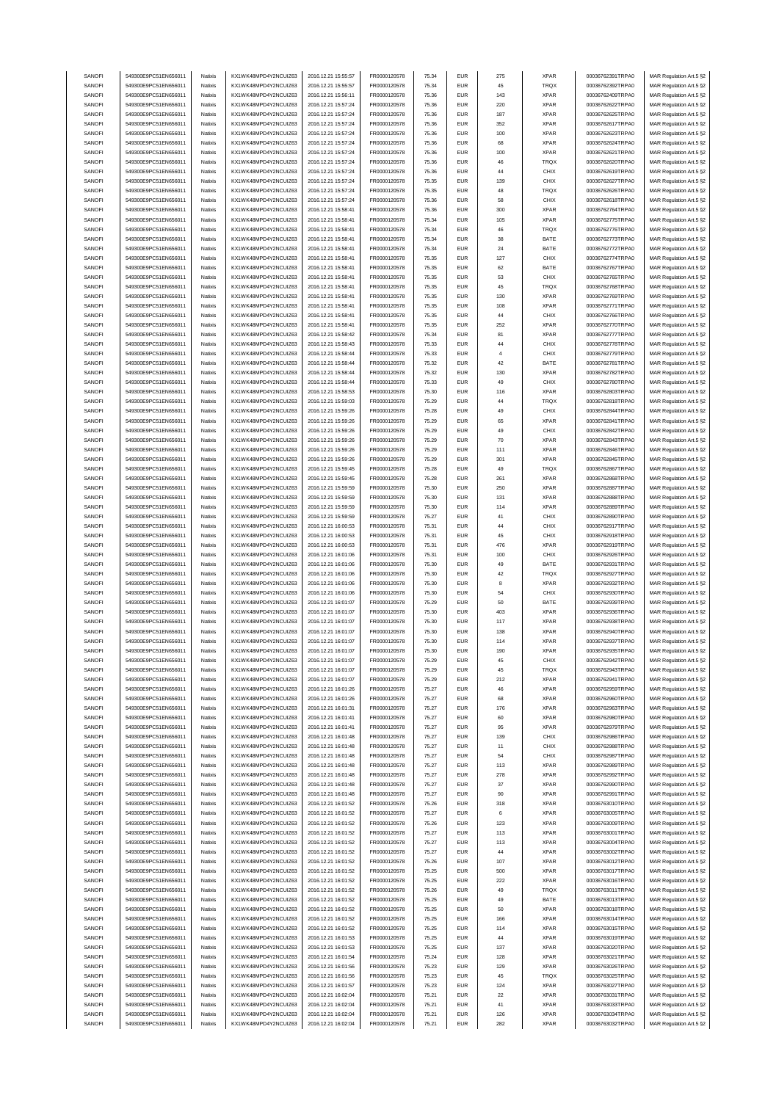| SANOFI | 549300E9PC51EN656011 | Natixis | KX1WK48MPD4Y2NCUIZ63  | 2016.12.21 15:55:57 | FR0000120578 | 75.34 | <b>EUR</b> | 275            | <b>XPAR</b> | 00036762391TRPA0 | MAR Regulation Art.5 §2 |
|--------|----------------------|---------|-----------------------|---------------------|--------------|-------|------------|----------------|-------------|------------------|-------------------------|
| SANOFI | 549300E9PC51EN656011 | Natixis | KX1WK48MPD4Y2NCUIZ63  | 2016.12.21 15:55:57 | FR0000120578 | 75.34 | <b>EUR</b> | 45             | TRQX        | 00036762392TRPA0 | MAR Regulation Art.5 §2 |
| SANOFI | 549300E9PC51EN656011 | Natixis | KX1WK48MPD4Y2NCUIZ63  | 2016.12.21 15:56:11 | FR0000120578 | 75.36 | <b>EUR</b> | 143            | <b>XPAR</b> | 00036762409TRPA0 | MAR Regulation Art.5 §2 |
| SANOFI | 549300E9PC51EN656011 | Natixis | KX1WK48MPD4Y2NCUIZ63  | 2016.12.21 15:57:24 | FR0000120578 | 75.36 | <b>EUR</b> | 220            | <b>XPAR</b> | 00036762622TRPA0 | MAR Regulation Art.5 §2 |
|        |                      |         |                       |                     |              |       |            |                |             |                  |                         |
| SANOFI | 549300E9PC51EN656011 | Natixis | KX1WK48MPD4Y2NCUIZ63  | 2016.12.21 15:57:24 | FR0000120578 | 75.36 | <b>EUR</b> | 187            | <b>XPAR</b> | 00036762625TRPA0 | MAR Regulation Art.5 §2 |
| SANOFI | 549300E9PC51EN656011 | Natixis | KX1WK48MPD4Y2NCUIZ63  | 2016.12.21 15:57:24 | FR0000120578 | 75.36 | <b>EUR</b> | 352            | <b>XPAR</b> | 00036762617TRPA0 | MAR Regulation Art.5 §2 |
| SANOFI | 549300E9PC51EN656011 | Natixis | KX1WK48MPD4Y2NCUIZ63  | 2016.12.21 15:57:24 | FR0000120578 | 75.36 | <b>EUR</b> | 100            | <b>XPAR</b> | 00036762623TRPA0 | MAR Regulation Art.5 §2 |
| SANOFI | 549300E9PC51EN656011 | Natixis | KX1WK48MPD4Y2NCUIZ63  | 2016.12.21 15:57:24 | FR0000120578 | 75.36 | <b>EUR</b> | 68             | <b>XPAR</b> | 00036762624TRPA0 | MAR Regulation Art.5 §2 |
| SANOFI | 549300E9PC51EN656011 | Natixis | KX1WK48MPD4Y2NCLIIZ63 | 2016.12.21 15:57:24 | FR0000120578 | 75.36 | <b>EUR</b> | 100            | <b>XPAR</b> | 00036762621TRPA0 | MAR Regulation Art.5 §2 |
| SANOFI | 549300E9PC51EN656011 | Natixis | KX1WK48MPD4Y2NCUIZ63  | 2016.12.21 15:57:24 | FR0000120578 | 75.36 | <b>EUR</b> | 46             | TRQX        | 00036762620TRPA0 | MAR Regulation Art.5 §2 |
|        |                      | Natixis |                       |                     |              |       | <b>EUR</b> | 44             |             |                  |                         |
| SANOFI | 549300E9PC51EN656011 |         | KX1WK48MPD4Y2NCUIZ63  | 2016.12.21 15:57:24 | FR0000120578 | 75.36 |            |                | CHIX        | 00036762619TRPA0 | MAR Regulation Art.5 §2 |
| SANOFI | 549300E9PC51EN656011 | Natixis | KX1WK48MPD4Y2NCUIZ63  | 2016.12.21 15:57:24 | FR0000120578 | 75.35 | <b>EUR</b> | 139            | CHIX        | 00036762627TRPA0 | MAR Regulation Art.5 §2 |
| SANOFI | 549300E9PC51EN656011 | Natixis | KX1WK48MPD4Y2NCUIZ63  | 2016.12.21 15:57:24 | FR0000120578 | 75.35 | <b>EUR</b> | 48             | TRQX        | 00036762626TRPA0 | MAR Regulation Art.5 §2 |
| SANOFI | 549300E9PC51EN656011 | Natixis | KX1WK48MPD4Y2NCUIZ63  | 2016.12.21 15:57:24 | FR0000120578 | 75.36 | <b>EUR</b> | 58             | CHIX        | 00036762618TRPA0 | MAR Regulation Art.5 §2 |
| SANOFI | 549300E9PC51EN656011 | Natixis | KX1WK48MPD4Y2NCUIZ63  | 2016.12.21 15:58:41 | FR0000120578 | 75.36 | <b>EUR</b> | 300            | <b>XPAR</b> | 00036762764TRPA0 | MAR Regulation Art.5 §2 |
|        |                      |         |                       |                     |              |       |            |                |             |                  |                         |
| SANOFI | 549300E9PC51EN656011 | Natixis | KX1WK48MPD4Y2NCUIZ63  | 2016.12.21 15:58:41 | FR0000120578 | 75.34 | <b>EUR</b> | 105            | <b>XPAR</b> | 00036762775TRPA0 | MAR Regulation Art.5 §2 |
| SANOFI | 549300E9PC51EN656011 | Natixis | KX1WK48MPD4Y2NCUIZ63  | 2016.12.21 15:58:41 | FR0000120578 | 75.34 | <b>EUR</b> | 46             | TRQX        | 00036762776TRPA0 | MAR Regulation Art.5 §2 |
| SANOFI | 549300E9PC51EN656011 | Natixis | KX1WK48MPD4Y2NCLIIZ63 | 2016.12.21 15:58:41 | FR0000120578 | 75.34 | <b>EUR</b> | 38             | BATE        | 00036762773TRPA0 | MAR Regulation Art.5 §2 |
| SANOFI | 549300E9PC51EN656011 | Natixis | KX1WK48MPD4Y2NCUIZ63  | 2016.12.21 15:58:41 | FR0000120578 | 75.34 | <b>EUR</b> | 24             | BATE        | 00036762772TRPA0 | MAR Regulation Art.5 §2 |
| SANOFI | 549300E9PC51EN656011 | Natixis | KX1WK48MPD4Y2NCUIZ63  | 2016.12.21 15:58:41 | FR0000120578 | 75.35 | <b>EUR</b> | 127            | CHIX        | 00036762774TRPA0 | MAR Regulation Art.5 §2 |
|        |                      |         |                       |                     |              |       |            |                |             |                  |                         |
| SANOFI | 549300E9PC51EN656011 | Natixis | KX1WK48MPD4Y2NCUIZ63  | 2016.12.21 15:58:41 | FR0000120578 | 75.35 | <b>EUR</b> | 62             | BATE        | 00036762767TRPA0 | MAR Regulation Art.5 §2 |
| SANOFI | 549300E9PC51EN656011 | Natixis | KX1WK48MPD4Y2NCUIZ63  | 2016.12.21 15:58:41 | FR0000120578 | 75.35 | <b>EUR</b> | 53             | CHIX        | 00036762765TRPA0 | MAR Regulation Art.5 §2 |
| SANOFI | 549300E9PC51EN656011 | Natixis | KX1WK48MPD4Y2NCUIZ63  | 2016.12.21 15:58:41 | FR0000120578 | 75.35 | <b>EUR</b> | 45             | TRQX        | 00036762768TRPA0 | MAR Regulation Art.5 §2 |
| SANOFI | 549300E9PC51EN656011 | Natixis | KX1WK48MPD4Y2NCUIZ63  | 2016.12.21 15:58:41 | FR0000120578 | 75.35 | <b>EUR</b> | 130            | <b>XPAR</b> | 00036762769TRPA0 | MAR Regulation Art.5 §2 |
| SANOFI | 549300E9PC51EN656011 | Natixis | KX1WK48MPD4Y2NCUIZ63  | 2016.12.21 15:58:41 | FR0000120578 | 75.35 | <b>EUR</b> | 108            | <b>XPAR</b> | 00036762771TRPA0 | MAR Regulation Art.5 §2 |
| SANOFI | 549300E9PC51EN656011 | Natixis | KX1WK48MPD4Y2NCUIZ63  | 2016.12.21 15:58:41 | FR0000120578 | 75.35 | <b>EUR</b> | 44             | CHIX        | 00036762766TRPA0 | MAR Regulation Art.5 §2 |
|        |                      |         |                       |                     |              |       |            |                |             |                  |                         |
| SANOFI | 549300E9PC51EN656011 | Natixis | KX1WK48MPD4Y2NCLIIZ63 | 2016.12.21 15:58:41 | FR0000120578 | 75.35 | <b>EUR</b> | 252            | <b>XPAR</b> | 00036762770TRPA0 | MAR Regulation Art.5 §2 |
| SANOFI | 549300E9PC51EN656011 | Natixis | KX1WK48MPD4Y2NCUIZ63  | 2016.12.21 15:58:42 | FR0000120578 | 75.34 | <b>EUR</b> | 81             | <b>XPAR</b> | 00036762777TRPA0 | MAR Regulation Art.5 §2 |
| SANOFI | 549300E9PC51EN656011 | Natixis | KX1WK48MPD4Y2NCUIZ63  | 2016.12.21 15:58:43 | FR0000120578 | 75.33 | EUR        | 44             | CHIX        | 00036762778TRPA0 | MAR Regulation Art.5 §2 |
| SANOFI | 549300E9PC51EN656011 | Natixis | KX1WK48MPD4Y2NCUIZ63  | 2016.12.21 15:58:44 | FR0000120578 | 75.33 | <b>EUR</b> | $\overline{4}$ | CHIX        | 00036762779TRPA0 | MAR Regulation Art.5 §2 |
|        |                      |         | KX1WK48MPD4Y2NCUIZ63  |                     | FR0000120578 |       |            |                |             |                  |                         |
| SANOFI | 549300E9PC51EN656011 | Natixis |                       | 2016.12.21 15:58:44 |              | 75.32 | <b>EUR</b> | 42             | BATE        | 00036762781TRPA0 | MAR Regulation Art.5 §2 |
| SANOFI | 549300E9PC51EN656011 | Natixis | KX1WK48MPD4Y2NCUIZ63  | 2016.12.21 15:58:44 | FR0000120578 | 75.32 | <b>EUR</b> | 130            | <b>XPAR</b> | 00036762782TRPA0 | MAR Regulation Art.5 §2 |
| SANOFI | 549300E9PC51EN656011 | Natixis | KX1WK48MPD4Y2NCUIZ63  | 2016.12.21 15:58:44 | FR0000120578 | 75.33 | <b>EUR</b> | 49             | CHIX        | 00036762780TRPA0 | MAR Regulation Art.5 §2 |
| SANOFI | 549300E9PC51EN656011 | Natixis | KX1WK48MPD4Y2NCUIZ63  | 2016.12.21 15:58:53 | FR0000120578 | 75.30 | <b>EUR</b> | 116            | <b>XPAR</b> | 00036762803TRPA0 | MAR Regulation Art.5 §2 |
| SANOFI | 549300E9PC51EN656011 | Natixis | KX1WK48MPD4Y2NCUIZ63  | 2016.12.21 15:59:03 | FR0000120578 | 75.29 | <b>EUR</b> | 44             | TRQX        | 00036762818TRPA0 | MAR Regulation Art.5 §2 |
|        |                      |         |                       |                     |              |       |            |                |             |                  |                         |
| SANOFI | 549300E9PC51EN656011 | Natixis | KX1WK48MPD4Y2NCLIIZ63 | 2016.12.21 15:59:26 | FR0000120578 | 75.28 | <b>EUR</b> | 49             | CHIX        | 00036762844TRPA0 | MAR Regulation Art.5 §2 |
| SANOFI | 549300E9PC51EN656011 | Natixis | KX1WK48MPD4Y2NCUIZ63  | 2016.12.21 15:59:26 | FR0000120578 | 75.29 | <b>EUR</b> | 65             | <b>XPAR</b> | 00036762841TRPA0 | MAR Regulation Art.5 §2 |
| SANOFI | 549300E9PC51EN656011 | Natixis | KX1WK48MPD4Y2NCUIZ63  | 2016.12.21 15:59:26 | FR0000120578 | 75.29 | <b>EUR</b> | 49             | CHIX        | 00036762842TRPA0 | MAR Regulation Art.5 §2 |
| SANOFI | 549300E9PC51EN656011 | Natixis | KX1WK48MPD4Y2NCUIZ63  | 2016.12.21 15:59:26 | FR0000120578 | 75.29 | <b>EUR</b> | 70             | <b>XPAR</b> | 00036762843TRPA0 | MAR Regulation Art.5 §2 |
|        |                      |         |                       |                     |              |       |            |                |             |                  |                         |
| SANOFI | 549300E9PC51EN656011 | Natixis | KX1WK48MPD4Y2NCUIZ63  | 2016.12.21 15:59:26 | FR0000120578 | 75.29 | <b>EUR</b> | 111            | <b>XPAR</b> | 00036762846TRPA0 | MAR Regulation Art.5 §2 |
| SANOFI | 549300E9PC51EN656011 | Natixis | KX1WK48MPD4Y2NCUIZ63  | 2016.12.21 15:59:26 | FR0000120578 | 75.29 | <b>EUR</b> | 301            | <b>XPAR</b> | 00036762845TRPA0 | MAR Regulation Art.5 §2 |
| SANOFI | 549300E9PC51EN656011 | Natixis | KX1WK48MPD4Y2NCUIZ63  | 2016.12.21 15:59:45 | FR0000120578 | 75.28 | <b>EUR</b> | 49             | TRQX        | 00036762867TRPA0 | MAR Regulation Art.5 §2 |
| SANOFI | 549300E9PC51EN656011 | Natixis | KX1WK48MPD4Y2NCUIZ63  | 2016.12.21 15:59:45 | FR0000120578 | 75.28 | <b>EUR</b> | 261            | <b>XPAR</b> | 00036762868TRPA0 | MAR Regulation Art.5 §2 |
| SANOFI | 549300E9PC51EN656011 | Natixis | KX1WK48MPD4Y2NCUIZ63  | 2016.12.21 15:59:59 | FR0000120578 | 75.30 | <b>EUR</b> | 250            | <b>XPAR</b> | 00036762887TRPA0 | MAR Regulation Art.5 §2 |
|        |                      | Natixis |                       |                     |              |       | <b>EUR</b> |                |             |                  |                         |
| SANOFI | 549300E9PC51EN656011 |         | KX1WK48MPD4Y2NCUIZ63  | 2016.12.21 15:59:59 | FR0000120578 | 75.30 |            | 131            | <b>XPAR</b> | 00036762888TRPA0 | MAR Regulation Art.5 §2 |
| SANOFI | 549300E9PC51EN656011 | Natixis | KX1WK48MPD4Y2NCUIZ63  | 2016.12.21 15:59:59 | FR0000120578 | 75.30 | <b>EUR</b> | 114            | <b>XPAR</b> | 00036762889TRPA0 | MAR Regulation Art.5 §2 |
| SANOFI | 549300E9PC51EN656011 | Natixis | KX1WK48MPD4Y2NCUIZ63  | 2016.12.21 15:59:59 | FR0000120578 | 75.27 | <b>EUR</b> | 41             | CHIX        | 00036762890TRPA0 | MAR Regulation Art.5 §2 |
| SANOFI | 549300E9PC51EN656011 | Natixis | KX1WK48MPD4Y2NCUIZ63  | 2016.12.21 16:00:53 | FR0000120578 | 75.31 | <b>EUR</b> | 44             | CHIX        | 00036762917TRPA0 | MAR Regulation Art.5 §2 |
| SANOFI | 549300E9PC51EN656011 | Natixis | KX1WK48MPD4Y2NCUIZ63  | 2016.12.21 16:00:53 | FR0000120578 | 75.31 | <b>EUR</b> | 45             | CHIX        | 00036762918TRPA0 | MAR Regulation Art.5 §2 |
|        |                      |         |                       |                     |              |       | <b>EUR</b> |                |             |                  |                         |
| SANOFI | 549300E9PC51EN656011 | Natixis | KX1WK48MPD4Y2NCUIZ63  | 2016.12.21 16:00:53 | FR0000120578 | 75.31 |            | 476            | <b>XPAR</b> | 00036762919TRPA0 | MAR Regulation Art.5 §2 |
| SANOFI | 549300E9PC51EN656011 | Natixis | KX1WK48MPD4Y2NCUIZ63  | 2016.12.21 16:01:06 | FR0000120578 | 75.31 | <b>EUR</b> | 100            | CHIX        | 00036762926TRPA0 | MAR Regulation Art.5 §2 |
| SANOFI | 549300E9PC51EN656011 | Natixis | KX1WK48MPD4Y2NCUIZ63  | 2016.12.21 16:01:06 | FR0000120578 | 75.30 | <b>EUR</b> | 49             | BATE        | 00036762931TRPA0 | MAR Regulation Art.5 §2 |
| SANOFI | 549300E9PC51EN656011 | Natixis | KX1WK48MPD4Y2NCUIZ63  | 2016.12.21 16:01:06 | FR0000120578 | 75.30 | <b>EUR</b> | 42             | TRQX        | 00036762927TRPA0 | MAR Regulation Art.5 §2 |
| SANOFI | 549300E9PC51EN656011 | Natixis | KX1WK48MPD4Y2NCUIZ63  | 2016.12.21 16:01:06 | FR0000120578 | 75.30 | <b>EUR</b> | 8              | <b>XPAR</b> | 00036762932TRPA0 | MAR Regulation Art.5 §2 |
|        | 549300E9PC51EN656011 |         |                       |                     |              |       |            |                |             |                  |                         |
| SANOFI |                      | Natixis | KX1WK48MPD4Y2NCUIZ63  | 2016.12.21 16:01:06 | FR0000120578 | 75.30 | <b>EUR</b> | 54             | CHIX        | 00036762930TRPA0 | MAR Regulation Art.5 §2 |
| SANOFI | 549300E9PC51EN656011 | Natixis | KX1WK48MPD4Y2NCUIZ63  | 2016.12.21 16:01:07 | FR0000120578 | 75.29 | <b>EUR</b> | 50             | BATE        | 00036762939TRPA0 | MAR Regulation Art.5 §2 |
| SANOFI | 549300E9PC51EN656011 | Natixis | KX1WK48MPD4Y2NCUIZ63  | 2016.12.21 16:01:07 | FR0000120578 | 75.30 | <b>EUR</b> | 403            | <b>XPAR</b> | 00036762936TRPA0 | MAR Regulation Art.5 §2 |
| SANOFI | 549300E9PC51EN656011 | Natixis | KX1WK48MPD4Y2NCUIZ63  | 2016.12.21 16:01:07 | FR0000120578 | 75.30 | <b>EUR</b> | 117            | <b>XPAR</b> | 00036762938TRPA0 | MAR Regulation Art.5 §2 |
| SANOFI | 549300E9PC51EN656011 | Natixis | KX1WK48MPD4Y2NCUIZ63  | 2016.12.21 16:01:07 | FR0000120578 | 75.30 | <b>EUR</b> | 138            | <b>XPAR</b> | 00036762940TRPA0 | MAR Regulation Art.5 §2 |
| SANOFI | 549300E9PC51EN656011 | Natixis | KX1WK48MPD4Y2NCUIZ63  | 2016.12.21 16:01:07 | FR0000120578 | 75.30 | <b>EUR</b> | 114            | <b>XPAR</b> | 00036762937TRPA0 |                         |
|        |                      |         |                       |                     |              |       |            |                |             |                  | MAR Regulation Art.5 §2 |
| SANOF  | 549300E9PC51EN656011 | Natixis | KX1WK48MPD4Y2NCUIZ63  | 2016.12.21 16:01:07 | FR0000120578 | 75.30 | EUR        | 190            | <b>XPAR</b> | 00036762935TRPA0 | MAR Regulation Art.5 §2 |
| SANOFI | 549300E9PC51EN656011 | Natixis | KX1WK48MPD4Y2NCUIZ63  | 2016.12.21 16:01:07 | FR0000120578 | 75.29 | <b>EUR</b> | 45             | CHIX        | 00036762942TRPA0 | MAR Regulation Art.5 §2 |
| SANOFI | 549300E9PC51EN656011 | Natixis | KX1WK48MPD4Y2NCUIZ63  | 2016.12.21 16:01:07 | FR0000120578 | 75.29 | <b>EUR</b> | 45             | TRQX        | 00036762943TRPA0 | MAR Regulation Art.5 §2 |
| SANOFI | 549300E9PC51EN656011 | Natixis | KX1WK48MPD4Y2NCUIZ63  | 2016.12.21 16:01:07 | FR0000120578 | 75.29 | <b>EUR</b> | 212            | <b>XPAR</b> | 00036762941TRPA0 | MAR Regulation Art.5 §2 |
|        |                      |         |                       |                     |              |       |            |                |             |                  |                         |
| SANOFI | 549300E9PC51EN656011 | Natixis | KX1WK48MPD4Y2NCUIZ63  | 2016.12.21 16:01:26 | FR0000120578 | 75.27 | <b>EUR</b> | 46             | <b>XPAR</b> | 00036762959TRPA0 | MAR Regulation Art.5 §2 |
| SANOFI | 549300E9PC51EN656011 | Natixis | KX1WK48MPD4Y2NCUIZ63  | 2016.12.21 16:01:26 | FR0000120578 | 75.27 | <b>EUR</b> | 68             | <b>XPAR</b> | 00036762960TRPA0 | MAR Regulation Art.5 §2 |
| SANOFI | 549300E9PC51EN656011 | Natixis | KX1WK48MPD4Y2NCUIZ63  | 2016.12.21 16:01:31 | FR0000120578 | 75.27 | <b>EUR</b> | 176            | <b>XPAR</b> | 00036762963TRPA0 | MAR Regulation Art.5 §2 |
| SANOFI | 549300E9PC51EN656011 | Natixis | KX1WK48MPD4Y2NCUIZ63  | 2016.12.21 16:01:41 | FR0000120578 | 75.27 | EUR        | 60             | <b>XPAR</b> | 00036762980TRPA0 | MAR Regulation Art.5 §2 |
| SANOFI | 549300E9PC51EN656011 | Natixis | KX1WK48MPD4Y2NCUIZ63  | 2016.12.21 16:01:41 | FR0000120578 | 75.27 | <b>EUR</b> | 95             | <b>XPAR</b> | 00036762979TRPA0 | MAR Regulation Art.5 §2 |
| SANOFI | 549300E9PC51EN656011 | Natixis | KX1WK48MPD4Y2NCUIZ63  | 2016.12.21 16:01:48 | FR0000120578 |       | <b>EUR</b> | 139            | CHIX        | 00036762986TRPA0 |                         |
|        |                      |         |                       |                     |              | 75.27 |            |                |             |                  | MAR Regulation Art.5 §2 |
| SANOFI | 549300E9PC51EN656011 | Natixis | KX1WK48MPD4Y2NCUIZ63  | 2016.12.21 16:01:48 | FR0000120578 | 75.27 | <b>EUR</b> | 11             | CHIX        | 00036762988TRPA0 | MAR Regulation Art.5 §2 |
| SANOFI | 549300E9PC51EN656011 | Natixis | KX1WK48MPD4Y2NCUIZ63  | 2016.12.21 16:01:48 | FR0000120578 | 75.27 | <b>EUR</b> | 54             | CHIX        | 00036762987TRPA0 | MAR Regulation Art.5 §2 |
| SANOFI | 549300E9PC51EN656011 | Natixis | KX1WK48MPD4Y2NCUIZ63  | 2016.12.21 16:01:48 | FR0000120578 | 75.27 | <b>EUR</b> | 113            | <b>XPAR</b> | 00036762989TRPA0 | MAR Regulation Art.5 §2 |
| SANOFI | 549300E9PC51EN656011 | Natixis | KX1WK48MPD4Y2NCUIZ63  | 2016.12.21 16:01:48 | FR0000120578 | 75.27 | <b>EUR</b> | 278            | <b>XPAR</b> | 00036762992TRPA0 | MAR Regulation Art.5 §2 |
| SANOFI | 549300E9PC51EN656011 | Natixis | KX1WK48MPD4Y2NCUIZ63  | 2016.12.21 16:01:48 | FR0000120578 | 75.27 | <b>EUR</b> | 37             | <b>XPAR</b> | 00036762990TRPA0 | MAR Regulation Art.5 §2 |
|        |                      |         |                       |                     |              |       |            |                |             |                  |                         |
| SANOFI | 549300E9PC51EN656011 | Natixis | KX1WK48MPD4Y2NCUIZ63  | 2016.12.21 16:01:48 | FR0000120578 | 75.27 | <b>EUR</b> | 90             | <b>XPAR</b> | 00036762991TRPA0 | MAR Regulation Art.5 §2 |
| SANOFI | 549300E9PC51EN656011 | Natixis | KX1WK48MPD4Y2NCUIZ63  | 2016.12.21 16:01:52 | FR0000120578 | 75.26 | <b>EUR</b> | 318            | <b>XPAR</b> | 00036763010TRPA0 | MAR Regulation Art.5 §2 |
| SANOFI | 549300E9PC51EN656011 | Natixis | KX1WK48MPD4Y2NCUIZ63  | 2016.12.21 16:01:52 | FR0000120578 | 75.27 | <b>EUR</b> | 6              | <b>XPAR</b> | 00036763005TRPA0 | MAR Regulation Art.5 §2 |
| SANOFI | 549300E9PC51EN656011 | Natixis | KX1WK48MPD4Y2NCUIZ63  | 2016.12.21 16:01:52 | FR0000120578 | 75.26 | <b>EUR</b> | 123            | <b>XPAR</b> | 00036763009TRPA0 | MAR Regulation Art.5 §2 |
| SANOFI | 549300E9PC51EN656011 | Natixis | KX1WK48MPD4Y2NCUIZ63  | 2016.12.21 16:01:52 | FR0000120578 | 75.27 | <b>EUR</b> | 113            | <b>XPAR</b> | 00036763001TRPA0 | MAR Regulation Art.5 §2 |
|        |                      |         |                       |                     |              |       |            |                |             |                  |                         |
| SANOFI | 549300E9PC51EN656011 | Natixis | KX1WK48MPD4Y2NCUIZ63  | 2016.12.21 16:01:52 | FR0000120578 | 75.27 | <b>EUR</b> | 113            | <b>XPAR</b> | 00036763004TRPA0 | MAR Regulation Art.5 §2 |
| SANOFI | 549300E9PC51EN656011 | Natixis | KX1WK48MPD4Y2NCUIZ63  | 2016.12.21 16:01:52 | FR0000120578 | 75.27 | <b>EUR</b> | 44             | <b>XPAR</b> | 00036763002TRPA0 | MAR Regulation Art.5 §2 |
| SANOFI | 549300E9PC51EN656011 | Natixis | KX1WK48MPD4Y2NCUIZ63  | 2016.12.21 16:01:52 | FR0000120578 | 75.26 | <b>EUR</b> | 107            | <b>XPAR</b> | 00036763012TRPA0 | MAR Regulation Art.5 §2 |
| SANOFI | 549300E9PC51EN656011 | Natixis | KX1WK48MPD4Y2NCUIZ63  | 2016.12.21 16:01:52 | FR0000120578 | 75.25 | <b>EUR</b> | 500            | <b>XPAR</b> | 00036763017TRPA0 | MAR Regulation Art.5 §2 |
| SANOFI | 549300E9PC51EN656011 | Natixis | KX1WK48MPD4Y2NCUIZ63  | 2016.12.21 16:01:52 | FR0000120578 | 75.25 | <b>EUR</b> | 222            | <b>XPAR</b> | 00036763016TRPA0 |                         |
|        |                      |         |                       |                     |              |       |            |                |             |                  | MAR Regulation Art.5 §2 |
| SANOFI | 549300E9PC51EN656011 | Natixis | KX1WK48MPD4Y2NCUIZ63  | 2016.12.21 16:01:52 | FR0000120578 | 75.26 | <b>EUR</b> | 49             | <b>TRQX</b> | 00036763011TRPA0 | MAR Regulation Art.5 §2 |
| SANOFI | 549300E9PC51EN656011 | Natixis | KX1WK48MPD4Y2NCUIZ63  | 2016.12.21 16:01:52 | FR0000120578 | 75.25 | <b>EUR</b> | 49             | BATE        | 00036763013TRPA0 | MAR Regulation Art.5 §2 |
| SANOFI | 549300E9PC51EN656011 | Natixis | KX1WK48MPD4Y2NCUIZ63  | 2016.12.21 16:01:52 | FR0000120578 | 75.25 | <b>EUR</b> | 50             | <b>XPAR</b> | 00036763018TRPA0 | MAR Regulation Art.5 §2 |
| SANOFI | 549300E9PC51EN656011 | Natixis | KX1WK48MPD4Y2NCUIZ63  | 2016.12.21 16:01:52 | FR0000120578 | 75.25 | <b>EUR</b> | 166            | <b>XPAR</b> | 00036763014TRPA0 | MAR Regulation Art.5 §2 |
|        |                      |         |                       |                     |              |       |            |                |             |                  |                         |
| SANOFI | 549300E9PC51EN656011 | Natixis | KX1WK48MPD4Y2NCUIZ63  | 2016.12.21 16:01:52 | FR0000120578 | 75.25 | <b>EUR</b> | 114            | <b>XPAR</b> | 00036763015TRPA0 | MAR Regulation Art.5 §2 |
| SANOFI | 549300E9PC51EN656011 | Natixis | KX1WK48MPD4Y2NCUIZ63  | 2016.12.21 16:01:53 | FR0000120578 | 75.25 | <b>EUR</b> | 44             | <b>XPAR</b> | 00036763019TRPA0 | MAR Regulation Art.5 §2 |
| SANOFI | 549300E9PC51EN656011 | Natixis | KX1WK48MPD4Y2NCUIZ63  | 2016.12.21 16:01:53 | FR0000120578 | 75.25 | <b>EUR</b> | 137            | <b>XPAR</b> | 00036763020TRPA0 | MAR Regulation Art.5 §2 |
| SANOFI | 549300E9PC51EN656011 | Natixis | KX1WK48MPD4Y2NCUIZ63  | 2016.12.21 16:01:54 | FR0000120578 | 75.24 | <b>EUR</b> | 128            | <b>XPAR</b> | 00036763021TRPA0 | MAR Regulation Art.5 §2 |
| SANOFI | 549300E9PC51EN656011 | Natixis | KX1WK48MPD4Y2NCUIZ63  | 2016.12.21 16:01:56 | FR0000120578 | 75.23 | EUR        | 129            | <b>XPAR</b> | 00036763026TRPA0 | MAR Regulation Art.5 §2 |
|        |                      |         |                       |                     |              |       |            |                |             |                  |                         |
| SANOFI | 549300E9PC51EN656011 | Natixis | KX1WK48MPD4Y2NCUIZ63  | 2016.12.21 16:01:56 | FR0000120578 | 75.23 | <b>EUR</b> | 45             | <b>TRQX</b> | 00036763025TRPA0 | MAR Regulation Art.5 §2 |
| SANOFI | 549300E9PC51EN656011 | Natixis | KX1WK48MPD4Y2NCUIZ63  | 2016.12.21 16:01:57 | FR0000120578 | 75.23 | <b>EUR</b> | 124            | <b>XPAR</b> | 00036763027TRPA0 | MAR Regulation Art.5 §2 |
| SANOFI | 549300E9PC51EN656011 | Natixis | KX1WK48MPD4Y2NCUIZ63  | 2016.12.21 16:02:04 | FR0000120578 | 75.21 | <b>EUR</b> | 22             | <b>XPAR</b> | 00036763031TRPA0 | MAR Regulation Art.5 §2 |
| SANOFI | 549300E9PC51EN656011 | Natixis | KX1WK48MPD4Y2NCUIZ63  | 2016.12.21 16:02:04 | FR0000120578 | 75.21 | <b>EUR</b> | 41             | <b>XPAR</b> | 00036763033TRPA0 | MAR Regulation Art.5 §2 |
| SANOFI | 549300E9PC51EN656011 | Natixis | KX1WK48MPD4Y2NCUIZ63  | 2016.12.21 16:02:04 | FR0000120578 | 75.21 | <b>EUR</b> | 126            | <b>XPAR</b> | 00036763034TRPA0 | MAR Regulation Art.5 §2 |
| SANOFI |                      |         |                       |                     |              |       |            |                |             |                  |                         |
|        | 549300E9PC51EN656011 | Natixis | KX1WK48MPD4Y2NCUIZ63  | 2016.12.21 16:02:04 | FR0000120578 | 75.21 | EUR        | 282            | <b>XPAR</b> | 00036763032TRPA0 | MAR Regulation Art.5 §2 |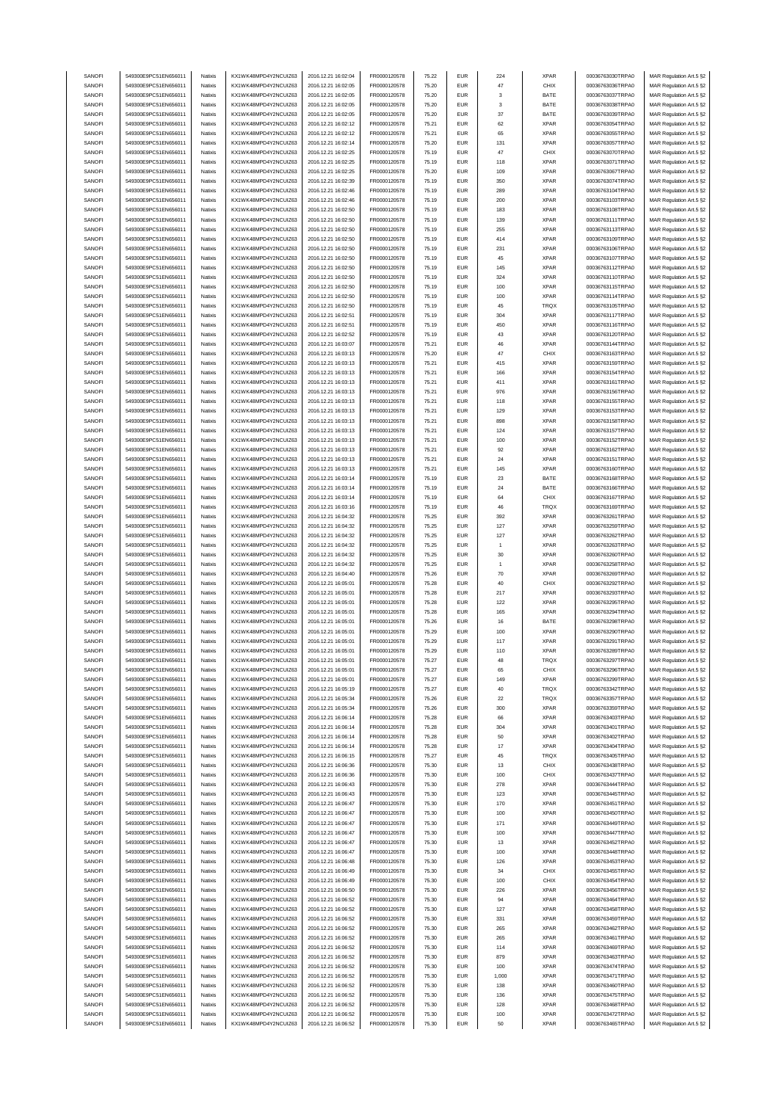| SANOFI           | 549300E9PC51EN656011                         | Natixis            | KX1WK48MPD4Y2NCUIZ63                         | 2016.12.21 16:02:04                        | FR0000120578                 | 75.22          | <b>EUR</b>               | 224       | <b>XPAR</b>                | 00036763030TRPA0                     | MAR Regulation Art.5 §2                            |
|------------------|----------------------------------------------|--------------------|----------------------------------------------|--------------------------------------------|------------------------------|----------------|--------------------------|-----------|----------------------------|--------------------------------------|----------------------------------------------------|
| SANOFI           | 549300E9PC51EN656011                         | Natixis            | KX1WK48MPD4Y2NCUIZ63                         | 2016.12.21 16:02:05                        | FR0000120578                 | 75.20          | <b>EUR</b>               | 47        | CHIX                       | 00036763036TRPA0                     | MAR Regulation Art.5 §2                            |
| SANOFI           | 549300E9PC51EN656011                         | Natixis            | KX1WK48MPD4Y2NCUIZ63                         | 2016.12.21 16:02:05                        | FR0000120578                 | 75.20          | <b>EUR</b>               | 3         | BATE                       | 00036763037TRPA0                     | MAR Regulation Art.5 §2                            |
| SANOFI           | 549300E9PC51EN656011                         | Natixis            | KX1WK48MPD4Y2NCUIZ63                         | 2016.12.21 16:02:05                        | FR0000120578                 | 75.20          | <b>EUR</b>               | 3         | BATE                       | 00036763038TRPA0                     | MAR Regulation Art.5 §2                            |
|                  |                                              |                    |                                              |                                            |                              |                |                          |           |                            |                                      |                                                    |
| SANOFI           | 549300E9PC51EN656011                         | Natixis            | KX1WK48MPD4Y2NCUIZ63                         | 2016.12.21 16:02:05                        | FR0000120578                 | 75.20          | <b>EUR</b>               | 37        | BATE                       | 00036763039TRPA0                     | MAR Regulation Art.5 §2                            |
| SANOFI           | 549300E9PC51EN656011                         | Natixis            | KX1WK48MPD4Y2NCUIZ63                         | 2016.12.21 16:02:12                        | FR0000120578                 | 75.21          | <b>EUR</b>               | 62        | <b>XPAR</b>                | 00036763054TRPA0                     | MAR Regulation Art.5 §2                            |
| SANOFI           | 549300E9PC51EN656011                         | Natixis            | KX1WK48MPD4Y2NCUIZ63                         | 2016.12.21 16:02:12                        | FR0000120578                 | 75.21          | <b>EUR</b>               | 65        | <b>XPAR</b>                | 00036763055TRPA0                     | MAR Regulation Art.5 §2                            |
| SANOFI           | 549300E9PC51EN656011                         | Natixis            | KX1WK48MPD4Y2NCUIZ63                         | 2016.12.21 16:02:14                        | FR0000120578                 | 75.20          | <b>EUR</b>               | 131       | <b>XPAR</b>                | 00036763057TRPA0                     | MAR Regulation Art.5 §2                            |
| SANOFI           | 549300E9PC51EN656011                         | Natixis            | KX1WK48MPD4Y2NCUIZ63                         | 2016.12.21 16:02:25                        | FR0000120578                 | 75.19          | <b>EUR</b>               | 47        | CHIX                       | 00036763070TRPA0                     | MAR Regulation Art.5 §2                            |
| SANOFI           | 549300E9PC51EN656011                         | Natixis            | KX1WK48MPD4Y2NCUIZ63                         | 2016.12.21 16:02:25                        | FR0000120578                 | 75.19          | <b>EUR</b>               | 118       | <b>XPAR</b>                | 00036763071TRPA0                     | MAR Regulation Art.5 §2                            |
| SANOFI           | 549300E9PC51EN656011                         | Natixis            | KX1WK48MPD4Y2NCUIZ63                         | 2016.12.21 16:02:25                        | FR0000120578                 | 75.20          | <b>EUR</b>               | 109       | <b>XPAR</b>                | 00036763067TRPA0                     | MAR Regulation Art.5 §2                            |
|                  |                                              |                    |                                              |                                            |                              |                |                          |           |                            |                                      |                                                    |
| SANOFI           | 549300E9PC51EN656011                         | Natixis            | KX1WK48MPD4Y2NCUIZ63                         | 2016.12.21 16:02:39                        | FR0000120578                 | 75.19          | <b>EUR</b>               | 350       | <b>XPAR</b>                | 00036763074TRPA0                     | MAR Regulation Art.5 §2                            |
| SANOFI           | 549300E9PC51EN656011                         | Natixis            | KX1WK48MPD4Y2NCUIZ63                         | 2016.12.21 16:02:46                        | FR0000120578                 | 75.19          | <b>EUR</b>               | 289       | <b>XPAR</b>                | 00036763104TRPA0                     | MAR Regulation Art.5 §2                            |
| SANOFI           | 549300E9PC51EN656011                         | Natixis            | KX1WK48MPD4Y2NCUIZ63                         | 2016.12.21 16:02:46                        | FR0000120578                 | 75.19          | <b>EUR</b>               | 200       | <b>XPAR</b>                | 00036763103TRPA0                     | MAR Regulation Art.5 §2                            |
| SANOFI           | 549300E9PC51EN656011                         | Natixis            | KX1WK48MPD4Y2NCUIZ63                         | 2016.12.21 16:02:50                        | FR0000120578                 | 75.19          | <b>EUR</b>               | 183       | <b>XPAR</b>                | 00036763108TRPA0                     | MAR Regulation Art.5 §2                            |
| SANOFI           | 549300E9PC51EN656011                         | Natixis            | KX1WK48MPD4Y2NCUIZ63                         | 2016.12.21 16:02:50                        | FR0000120578                 | 75.19          | <b>EUR</b>               | 139       | <b>XPAR</b>                | 00036763111TRPA0                     | MAR Regulation Art.5 §2                            |
|                  |                                              |                    |                                              |                                            |                              |                |                          |           |                            |                                      |                                                    |
| SANOFI           | 549300E9PC51EN656011                         | Natixis            | KX1WK48MPD4Y2NCUIZ63                         | 2016.12.21 16:02:50                        | FR0000120578                 | 75.19          | EUR                      | 255       | <b>XPAR</b>                | 00036763113TRPA0                     | MAR Regulation Art.5 §2                            |
| SANOFI           | 549300E9PC51EN656011                         | Natixis            | KX1WK48MPD4Y2NCUIZ63                         | 2016.12.21 16:02:50                        | FR0000120578                 | 75.19          | <b>EUR</b>               | 414       | <b>XPAR</b>                | 00036763109TRPA0                     | MAR Regulation Art.5 §2                            |
| SANOFI           | 549300E9PC51EN656011                         | Natixis            | KX1WK48MPD4Y2NCUIZ63                         | 2016.12.21 16:02:50                        | FR0000120578                 | 75.19          | <b>EUR</b>               | 231       | <b>XPAR</b>                | 00036763106TRPA0                     | MAR Regulation Art.5 §2                            |
| SANOFI           | 549300E9PC51EN656011                         | Natixis            | KX1WK48MPD4Y2NCUIZ63                         | 2016.12.21 16:02:50                        | FR0000120578                 | 75.19          | <b>EUR</b>               | 45        | <b>XPAR</b>                | 00036763107TRPA0                     | MAR Regulation Art.5 §2                            |
| SANOFI           | 549300E9PC51EN656011                         | Natixis            | KX1WK48MPD4Y2NCUIZ63                         | 2016.12.21 16:02:50                        | FR0000120578                 | 75.19          | <b>EUR</b>               | 145       | <b>XPAR</b>                | 00036763112TRPA0                     | MAR Regulation Art.5 §2                            |
| SANOFI           | 549300E9PC51EN656011                         | Natixis            | KX1WK48MPD4Y2NCUIZ63                         | 2016.12.21 16:02:50                        | FR0000120578                 | 75.19          | <b>EUR</b>               | 324       | <b>XPAR</b>                | 00036763110TRPA0                     | MAR Regulation Art.5 §2                            |
|                  |                                              |                    |                                              |                                            |                              |                |                          |           |                            |                                      |                                                    |
| SANOFI           | 549300E9PC51EN656011                         | Natixis            | KX1WK48MPD4Y2NCUIZ63                         | 2016.12.21 16:02:50                        | FR0000120578                 | 75.19          | <b>EUR</b>               | 100       | <b>XPAR</b>                | 00036763115TRPA0                     | MAR Regulation Art.5 §2                            |
| SANOFI           | 549300E9PC51EN656011                         | Natixis            | KX1WK48MPD4Y2NCUIZ63                         | 2016.12.21 16:02:50                        | FR0000120578                 | 75.19          | EUR                      | 100       | <b>XPAR</b>                | 00036763114TRPA0                     | MAR Regulation Art.5 §2                            |
| SANOFI           | 549300E9PC51EN656011                         | Natixis            | KX1WK48MPD4Y2NCUIZ63                         | 2016.12.21 16:02:50                        | FR0000120578                 | 75.19          | <b>EUR</b>               | 45        | TRQX                       | 00036763105TRPA0                     | MAR Regulation Art.5 §2                            |
| SANOFI           | 549300E9PC51EN656011                         | Natixis            | KX1WK48MPD4Y2NCUIZ63                         | 2016.12.21 16:02:51                        | FR0000120578                 | 75.19          | <b>EUR</b>               | 304       | <b>XPAR</b>                | 00036763117TRPA0                     | MAR Regulation Art.5 §2                            |
| SANOFI           | 549300E9PC51EN656011                         | Natixis            | KX1WK48MPD4Y2NCUIZ63                         | 2016.12.21 16:02:51                        | FR0000120578                 | 75.19          | <b>EUR</b>               | 450       | <b>XPAR</b>                | 00036763116TRPA0                     | MAR Regulation Art.5 §2                            |
| SANOFI           | 549300E9PC51EN656011                         | Natixis            | KX1WK48MPD4Y2NCUIZ63                         | 2016.12.21 16:02:52                        | FR0000120578                 | 75.19          | EUR                      | 43        | <b>XPAR</b>                | 00036763120TRPA0                     | MAR Regulation Art.5 §2                            |
| SANOFI           | 549300E9PC51EN656011                         | Natixis            | KX1WK48MPD4Y2NCUIZ63                         | 2016.12.21 16:03:07                        | FR0000120578                 | 75.21          | <b>EUR</b>               | 46        | <b>XPAR</b>                | 00036763144TRPA0                     | MAR Regulation Art.5 §2                            |
|                  | 549300E9PC51EN656011                         |                    | KX1WK48MPD4Y2NCUIZ63                         |                                            |                              |                |                          |           |                            |                                      |                                                    |
| SANOFI           |                                              | Natixis            |                                              | 2016.12.21 16:03:13                        | FR0000120578                 | 75.20          | <b>EUR</b>               | 47        | CHIX                       | 00036763163TRPA0                     | MAR Regulation Art.5 §2                            |
| SANOFI           | 549300E9PC51EN656011                         | Natixis            | KX1WK48MPD4Y2NCUIZ63                         | 2016.12.21 16:03:13                        | FR0000120578                 | 75.21          | <b>EUR</b>               | 415       | <b>XPAR</b>                | 00036763159TRPA0                     | MAR Regulation Art.5 §2                            |
| SANOFI           | 549300E9PC51EN656011                         | Natixis            | KX1WK48MPD4Y2NCUIZ63                         | 2016.12.21 16:03:13                        | FR0000120578                 | 75.21          | <b>EUR</b>               | 166       | <b>XPAR</b>                | 00036763154TRPA0                     | MAR Regulation Art.5 §2                            |
| SANOFI           | 549300E9PC51EN656011                         | Natixis            | KX1WK48MPD4Y2NCUIZ63                         | 2016.12.21 16:03:13                        | FR0000120578                 | 75.21          | EUR                      | 411       | <b>XPAR</b>                | 00036763161TRPA0                     | MAR Regulation Art.5 §2                            |
| SANOFI           | 549300E9PC51EN656011                         | Natixis            | KX1WK48MPD4Y2NCUIZ63                         | 2016.12.21 16:03:13                        | FR0000120578                 | 75.21          | <b>EUR</b>               | 976       | <b>XPAR</b>                | 00036763156TRPA0                     | MAR Regulation Art.5 §2                            |
| SANOFI           | 549300E9PC51EN656011                         | Natixis            | KX1WK48MPD4Y2NCUIZ63                         | 2016.12.21 16:03:13                        | FR0000120578                 | 75.21          | <b>EUR</b>               | 118       | <b>XPAR</b>                | 00036763155TRPA0                     | MAR Regulation Art.5 §2                            |
|                  |                                              |                    |                                              |                                            |                              |                |                          |           |                            |                                      |                                                    |
| SANOFI           | 549300E9PC51EN656011                         | Natixis            | KX1WK48MPD4Y2NCUIZ63                         | 2016.12.21 16:03:13                        | FR0000120578                 | 75.21          | <b>EUR</b>               | 129       | <b>XPAR</b>                | 00036763153TRPA0                     | MAR Regulation Art.5 §2                            |
| SANOFI           | 549300E9PC51EN656011                         | Natixis            | KX1WK48MPD4Y2NCUIZ63                         | 2016.12.21 16:03:13                        | FR0000120578                 | 75.21          | <b>EUR</b>               | 898       | <b>XPAR</b>                | 00036763158TRPA0                     | MAR Regulation Art.5 §2                            |
| SANOFI           | 549300E9PC51EN656011                         | Natixis            | KX1WK48MPD4Y2NCUIZ63                         | 2016.12.21 16:03:13                        | FR0000120578                 | 75.21          | <b>EUR</b>               | 124       | <b>XPAR</b>                | 00036763157TRPA0                     | MAR Regulation Art.5 §2                            |
| SANOFI           | 549300E9PC51EN656011                         | Natixis            | KX1WK48MPD4Y2NCUIZ63                         | 2016.12.21 16:03:13                        | FR0000120578                 | 75.21          | <b>EUR</b>               | 100       | <b>XPAR</b>                | 00036763152TRPA0                     | MAR Regulation Art.5 §2                            |
| SANOFI           | 549300E9PC51EN656011                         | Natixis            | KX1WK48MPD4Y2NCUIZ63                         | 2016.12.21 16:03:13                        | FR0000120578                 | 75.21          | <b>EUR</b>               | 92        | <b>XPAR</b>                | 00036763162TRPA0                     | MAR Regulation Art.5 §2                            |
| SANOFI           | 549300E9PC51EN656011                         | Natixis            | KX1WK48MPD4Y2NCUIZ63                         | 2016.12.21 16:03:13                        | FR0000120578                 | 75.21          | EUR                      | 24        | <b>XPAR</b>                | 00036763151TRPA0                     |                                                    |
|                  |                                              |                    |                                              |                                            |                              |                |                          |           |                            |                                      | MAR Regulation Art.5 §2                            |
| SANOFI           | 549300E9PC51EN656011                         | Natixis            | KX1WK48MPD4Y2NCUIZ63                         | 2016.12.21 16:03:13                        | FR0000120578                 | 75.21          | EUR                      | 145       | <b>XPAR</b>                | 00036763160TRPA0                     | MAR Regulation Art.5 §2                            |
| SANOFI           | 549300E9PC51EN656011                         | Natixis            | KX1WK48MPD4Y2NCUIZ63                         | 2016.12.21 16:03:14                        | FR0000120578                 | 75.19          | <b>EUR</b>               | 23        | BATE                       | 00036763168TRPA0                     | MAR Regulation Art.5 §2                            |
| SANOFI           | 549300E9PC51EN656011                         | Natixis            | KX1WK48MPD4Y2NCUIZ63                         | 2016.12.21 16:03:14                        | FR0000120578                 | 75.19          | <b>EUR</b>               | 24        | BATE                       | 00036763166TRPA0                     | MAR Regulation Art.5 §2                            |
| SANOFI           | 549300E9PC51EN656011                         | Natixis            | KX1WK48MPD4Y2NCUIZ63                         | 2016.12.21 16:03:14                        | FR0000120578                 | 75.19          | <b>EUR</b>               | 64        | CHIX                       | 00036763167TRPA0                     | MAR Regulation Art.5 §2                            |
| SANOFI           | 549300E9PC51EN656011                         | Natixis            | KX1WK48MPD4Y2NCUIZ63                         | 2016.12.21 16:03:16                        | FR0000120578                 | 75.19          | <b>EUR</b>               | 46        | TRQX                       | 00036763169TRPA0                     | MAR Regulation Art.5 §2                            |
| SANOFI           | 549300E9PC51EN656011                         | Natixis            | KX1WK48MPD4Y2NCUIZ63                         | 2016.12.21 16:04:32                        | FR0000120578                 | 75.25          | <b>EUR</b>               | 392       | <b>XPAR</b>                | 00036763261TRPA0                     | MAR Regulation Art.5 §2                            |
| SANOFI           | 549300E9PC51EN656011                         | Natixis            | KX1WK48MPD4Y2NCUIZ63                         | 2016.12.21 16:04:32                        | FR0000120578                 | 75.25          | <b>EUR</b>               | 127       | <b>XPAR</b>                | 00036763259TRPA0                     | MAR Regulation Art.5 §2                            |
|                  |                                              |                    |                                              |                                            |                              |                | <b>EUR</b>               |           |                            |                                      |                                                    |
| SANOFI           | 549300E9PC51EN656011                         | Natixis            | KX1WK48MPD4Y2NCUIZ63                         | 2016.12.21 16:04:32                        | FR0000120578                 | 75.25          |                          | 127       | <b>XPAR</b>                | 00036763262TRPA0                     | MAR Regulation Art.5 §2                            |
| SANOFI           | 549300E9PC51EN656011                         | Natixis            | KX1WK48MPD4Y2NCUIZ63                         | 2016.12.21 16:04:32                        | FR0000120578                 | 75.25          | EUR                      | 1         | <b>XPAR</b>                | 00036763263TRPA0                     | MAR Regulation Art.5 §2                            |
| SANOFI           | 549300E9PC51EN656011                         | Natixis            | KX1WK48MPD4Y2NCUIZ63                         | 2016.12.21 16:04:32                        | FR0000120578                 | 75.25          | <b>EUR</b>               | 30        | <b>XPAR</b>                | 00036763260TRPA0                     | MAR Regulation Art.5 §2                            |
| SANOFI           | 549300E9PC51EN656011                         | Natixis            | KX1WK48MPD4Y2NCUIZ63                         | 2016.12.21 16:04:32                        | FR0000120578                 | 75.25          | <b>EUR</b>               | -1        | <b>XPAR</b>                | 00036763258TRPA0                     | MAR Regulation Art.5 §2                            |
| SANOFI           | 549300E9PC51EN656011                         | Natixis            | KX1WK48MPD4Y2NCUIZ63                         | 2016.12.21 16:04:40                        | FR0000120578                 | 75.26          | <b>EUR</b>               | 70        | <b>XPAR</b>                | 00036763269TRPA0                     | MAR Regulation Art.5 §2                            |
| SANOFI           | 549300E9PC51EN656011                         | Natixis            | KX1WK48MPD4Y2NCUIZ63                         | 2016.12.21 16:05:01                        | FR0000120578                 | 75.28          | <b>EUR</b>               | 40        | CHIX                       | 00036763292TRPA0                     | MAR Regulation Art.5 §2                            |
|                  | 549300E9PC51EN656011                         |                    |                                              |                                            |                              |                |                          |           |                            |                                      |                                                    |
| SANOFI           |                                              | Natixis            | KX1WK48MPD4Y2NCUIZ63                         | 2016.12.21 16:05:01                        | FR0000120578                 | 75.28          | <b>EUR</b>               | 217       | <b>XPAR</b>                | 00036763293TRPA0                     | MAR Regulation Art.5 §2                            |
| SANOFI           | 549300E9PC51EN656011                         | Natixis            | KX1WK48MPD4Y2NCUIZ63                         | 2016.12.21 16:05:01                        | FR0000120578                 | 75.28          | <b>EUR</b>               | 122       | <b>XPAR</b>                | 00036763295TRPA0                     | MAR Regulation Art.5 §2                            |
| SANOFI           | 549300E9PC51EN656011                         | Natixis            | KX1WK48MPD4Y2NCUIZ63                         | 2016.12.21 16:05:01                        | FR0000120578                 | 75.28          | <b>EUR</b>               | 165       | <b>XPAR</b>                | 00036763294TRPA0                     | MAR Regulation Art.5 §2                            |
| SANOFI           | 549300E9PC51EN656011                         | Natixis            | KX1WK48MPD4Y2NCUIZ63                         | 2016.12.21 16:05:01                        | FR0000120578                 | 75.26          | <b>EUR</b>               | 16        | BATE                       | 00036763298TRPA0                     | MAR Regulation Art.5 §2                            |
| SANOFI           | 549300E9PC51EN656011                         | Natixis            | KX1WK48MPD4Y2NCUIZ63                         | 2016.12.21 16:05:01                        | FR0000120578                 | 75.29          | <b>EUR</b>               | 100       | <b>XPAR</b>                | 00036763290TRPA0                     | MAR Regulation Art.5 §2                            |
| SANOFI           | 549300E9PC51EN656011                         | Natixis            | KX1WK48MPD4Y2NCUIZ63                         | 2016.12.21 16:05:01                        | FR0000120578                 | 75.29          | <b>EUR</b>               | 117       | <b>XPAR</b>                | 00036763291TRPA0                     | MAR Regulation Art.5 §2                            |
| SANOF            | 549300E9PC51EN65601                          | Natixis            | KX1WK48MPD4Y2NCUIZ63                         |                                            | FR0000120578                 | 75.29          | EUR                      | 110       | XPAR                       | 00036763289TRPA0                     | MAR Regulation Art.5 §2                            |
|                  |                                              |                    |                                              | 2016.12.21 16:05:01                        |                              |                | <b>EUR</b>               | 48        |                            |                                      |                                                    |
| SANOFI           | 549300E9PC51EN656011                         | Natixis            | KX1WK48MPD4Y2NCUIZ63                         | 2016.12.21 16:05:01                        | FR0000120578                 | 75.27          |                          |           | TRQX                       | 00036763297TRPA0                     | MAR Regulation Art.5 §2                            |
| SANOFI           | 549300E9PC51EN656011                         | Natixis            | KX1WK48MPD4Y2NCUIZ63                         | 2016.12.21 16:05:01                        | FR0000120578                 | 75.27          | <b>EUR</b>               | 65        | CHIX                       | 00036763296TRPA0                     | MAR Regulation Art.5 §2                            |
| SANOFI           | 549300E9PC51EN656011                         | Natixis            | KX1WK48MPD4Y2NCUIZ63                         | 2016.12.21 16:05:01                        | FR0000120578                 | 75.27          | <b>EUR</b>               | 149       | <b>XPAR</b>                | 00036763299TRPA0                     | MAR Regulation Art.5 §2                            |
| SANOFI           | 549300E9PC51EN656011                         | Natixis            | KX1WK48MPD4Y2NCUIZ63                         | 2016.12.21 16:05:19                        | FR0000120578                 | 75.27          | <b>EUR</b>               | 40        | <b>TRQX</b>                | 00036763342TRPA0                     | MAR Regulation Art.5 §2                            |
| SANOFI           | 549300E9PC51EN656011                         | Natixis            | KX1WK48MPD4Y2NCUIZ63                         | 2016.12.21 16:05:34                        | FR0000120578                 | 75.26          | <b>EUR</b>               | 22        | TRQX                       | 00036763357TRPA0                     | MAR Regulation Art.5 §2                            |
| SANOFI           | 549300E9PC51EN656011                         | Natixis            | KX1WK48MPD4Y2NCUIZ63                         | 2016.12.21 16:05:34                        | FR0000120578                 | 75.26          | <b>EUR</b>               | 300       | <b>XPAR</b>                | 00036763359TRPA0                     | MAR Regulation Art.5 §2                            |
| SANOFI           | 549300E9PC51EN656011                         | Natixis            | KX1WK48MPD4Y2NCUIZ63                         | 2016.12.21 16:06:14                        | FR0000120578                 | 75.28          | <b>EUR</b>               | 66        | <b>XPAR</b>                | 00036763403TRPA0                     | MAR Regulation Art.5 §2                            |
| SANOFI           | 549300E9PC51EN656011                         | Natixis            | KX1WK48MPD4Y2NCUIZ63                         | 2016.12.21 16:06:14                        | FR0000120578                 | 75.28          | <b>EUR</b>               | 304       | <b>XPAR</b>                | 00036763401TRPA0                     |                                                    |
| SANOFI           | 549300E9PC51EN656011                         |                    | KX1WK48MPD4Y2NCUIZ63                         | 2016.12.21 16:06:14                        | FR0000120578                 | 75.28          | <b>EUR</b>               | 50        | <b>XPAR</b>                | 00036763402TRPA0                     | MAR Regulation Art.5 §2                            |
|                  |                                              | Natixis            |                                              |                                            |                              |                |                          |           |                            |                                      | MAR Regulation Art.5 §2                            |
| SANOFI           | 549300E9PC51EN656011                         | Natixis            | KX1WK48MPD4Y2NCUIZ63                         | 2016.12.21 16:06:14                        | FR0000120578                 | 75.28          | <b>EUR</b>               | 17        | <b>XPAR</b>                | 00036763404TRPA0                     | MAR Regulation Art.5 §2                            |
| SANOFI           | 549300E9PC51EN656011                         | Natixis            | KX1WK48MPD4Y2NCUIZ63                         | 2016.12.21 16:06:15                        | FR0000120578                 | 75.27          | <b>EUR</b>               | 45        | TRQX                       | 00036763405TRPA0                     | MAR Regulation Art.5 §2                            |
| SANOFI           | 549300E9PC51EN656011                         | Natixis            | KX1WK48MPD4Y2NCUIZ63                         | 2016.12.21 16:06:36                        | FR0000120578                 | 75.30          | <b>EUR</b>               | 13        | CHIX                       | 00036763438TRPA0                     | MAR Regulation Art.5 §2                            |
| SANOFI           | 549300E9PC51EN656011                         | Natixis            | KX1WK48MPD4Y2NCUIZ63                         | 2016.12.21 16:06:36                        | FR0000120578                 | 75.30          | <b>EUR</b>               | 100       | CHIX                       | 00036763437TRPA0                     | MAR Regulation Art.5 §2                            |
| SANOFI           | 549300E9PC51EN656011                         | Natixis            | KX1WK48MPD4Y2NCUIZ63                         | 2016.12.21 16:06:43                        | FR0000120578                 | 75.30          | <b>EUR</b>               | 278       | <b>XPAR</b>                | 00036763444TRPA0                     | MAR Regulation Art.5 §2                            |
| SANOFI           | 549300E9PC51EN656011                         | Natixis            | KX1WK48MPD4Y2NCUIZ63                         | 2016.12.21 16:06:43                        | FR0000120578                 | 75.30          | <b>EUR</b>               | 123       | <b>XPAR</b>                | 00036763445TRPA0                     | MAR Regulation Art.5 §2                            |
|                  | 549300E9PC51EN656011                         |                    |                                              |                                            |                              |                |                          |           | <b>XPAR</b>                | 00036763451TRPA0                     |                                                    |
| SANOFI           |                                              | Natixis            | KX1WK48MPD4Y2NCUIZ63                         | 2016.12.21 16:06:47                        | FR0000120578                 | 75.30          | <b>EUR</b>               | 170       |                            |                                      | MAR Regulation Art.5 §2                            |
| SANOFI           | 549300E9PC51EN656011                         | Natixis            | KX1WK48MPD4Y2NCUIZ63                         | 2016.12.21 16:06:47                        | FR0000120578                 | 75.30          | <b>EUR</b>               | 100       | <b>XPAR</b>                | 00036763450TRPA0                     | MAR Regulation Art.5 §2                            |
| SANOFI           | 549300E9PC51EN656011                         | Natixis            | KX1WK48MPD4Y2NCUIZ63                         | 2016.12.21 16:06:47                        | FR0000120578                 | 75.30          | <b>EUR</b>               | 171       | <b>XPAR</b>                | 00036763449TRPA0                     | MAR Regulation Art.5 §2                            |
| SANOFI           | 549300E9PC51EN656011                         | Natixis            | KX1WK48MPD4Y2NCUIZ63                         | 2016.12.21 16:06:47                        | FR0000120578                 | 75.30          | <b>EUR</b>               | 100       | <b>XPAR</b>                | 00036763447TRPA0                     | MAR Regulation Art.5 §2                            |
| SANOFI           | 549300E9PC51EN656011                         | Natixis            | KX1WK48MPD4Y2NCUIZ63                         | 2016.12.21 16:06:47                        | FR0000120578                 | 75.30          | <b>EUR</b>               | 13        | <b>XPAR</b>                | 00036763452TRPA0                     | MAR Regulation Art.5 §2                            |
| SANOFI           | 549300E9PC51EN656011                         | Natixis            | KX1WK48MPD4Y2NCUIZ63                         | 2016.12.21 16:06:47                        | FR0000120578                 | 75.30          | <b>EUR</b>               | 100       | <b>XPAR</b>                | 00036763448TRPA0                     | MAR Regulation Art.5 §2                            |
| SANOFI           | 549300E9PC51EN656011                         | Natixis            | KX1WK48MPD4Y2NCUIZ63                         | 2016.12.21 16:06:48                        | FR0000120578                 | 75.30          | <b>EUR</b>               | 126       | <b>XPAR</b>                | 00036763453TRPA0                     |                                                    |
|                  |                                              |                    |                                              |                                            |                              |                |                          |           |                            |                                      | MAR Regulation Art.5 §2                            |
| SANOFI           | 549300E9PC51EN656011                         | Natixis            | KX1WK48MPD4Y2NCUIZ63                         | 2016.12.21 16:06:49                        | FR0000120578                 | 75.30          | <b>EUR</b>               | 34        | CHIX                       | 00036763455TRPA0                     | MAR Regulation Art.5 §2                            |
| SANOFI           | 549300E9PC51EN656011                         | Natixis            | KX1WK48MPD4Y2NCUIZ63                         | 2016.12.21 16:06:49                        | FR0000120578                 | 75.30          | <b>EUR</b>               | 100       | CHIX                       | 00036763454TRPA0                     | MAR Regulation Art.5 §2                            |
| SANOFI           | 549300E9PC51EN656011                         | Natixis            | KX1WK48MPD4Y2NCUIZ63                         | 2016.12.21 16:06:50                        | FR0000120578                 | 75.30          | <b>EUR</b>               | 226       | <b>XPAR</b>                | 00036763456TRPA0                     | MAR Regulation Art.5 §2                            |
| SANOFI           | 549300E9PC51EN656011                         | Natixis            | KX1WK48MPD4Y2NCUIZ63                         | 2016.12.21 16:06:52                        | FR0000120578                 | 75.30          | <b>EUR</b>               | 94        | <b>XPAR</b>                | 00036763464TRPA0                     | MAR Regulation Art.5 §2                            |
| SANOFI           | 549300E9PC51EN656011                         | Natixis            | KX1WK48MPD4Y2NCUIZ63                         | 2016.12.21 16:06:52                        | FR0000120578                 | 75.30          | <b>EUR</b>               | 127       | <b>XPAR</b>                | 00036763458TRPA0                     | MAR Regulation Art.5 §2                            |
| SANOFI           | 549300E9PC51EN656011                         |                    | KX1WK48MPD4Y2NCUIZ63                         | 2016.12.21 16:06:52                        |                              |                | <b>EUR</b>               |           |                            |                                      |                                                    |
|                  |                                              | Natixis            |                                              |                                            | FR0000120578                 | 75.30          |                          | 331       | <b>XPAR</b>                | 00036763459TRPA0                     | MAR Regulation Art.5 §2                            |
| SANOFI           | 549300E9PC51EN656011                         | Natixis            | KX1WK48MPD4Y2NCUIZ63                         | 2016.12.21 16:06:52                        | FR0000120578                 | 75.30          | <b>EUR</b>               | 265       | <b>XPAR</b>                | 00036763462TRPA0                     | MAR Regulation Art.5 §2                            |
| SANOFI           | 549300E9PC51EN656011                         | Natixis            | KX1WK48MPD4Y2NCUIZ63                         | 2016.12.21 16:06:52                        | FR0000120578                 | 75.30          | <b>EUR</b>               | 265       | <b>XPAR</b>                | 00036763461TRPA0                     | MAR Regulation Art.5 §2                            |
| SANOFI           | 549300E9PC51EN656011                         | Natixis            | KX1WK48MPD4Y2NCUIZ63                         | 2016.12.21 16:06:52                        | FR0000120578                 | 75.30          | <b>EUR</b>               | 114       | <b>XPAR</b>                | 00036763469TRPA0                     | MAR Regulation Art.5 §2                            |
| SANOFI           | 549300E9PC51EN656011                         | Natixis            | KX1WK48MPD4Y2NCUIZ63                         | 2016.12.21 16:06:52                        | FR0000120578                 | 75.30          | <b>EUR</b>               | 879       | <b>XPAR</b>                | 00036763463TRPA0                     | MAR Regulation Art.5 §2                            |
| SANOFI           | 549300E9PC51EN656011                         | Natixis            | KX1WK48MPD4Y2NCUIZ63                         | 2016.12.21 16:06:52                        | FR0000120578                 | 75.30          | <b>EUR</b>               | 100       | <b>XPAR</b>                | 00036763474TRPA0                     | MAR Regulation Art.5 §2                            |
| SANOFI           | 549300E9PC51EN656011                         | Natixis            | KX1WK48MPD4Y2NCUIZ63                         | 2016.12.21 16:06:52                        | FR0000120578                 | 75.30          | <b>EUR</b>               | 1,000     | <b>XPAR</b>                | 00036763471TRPA0                     | MAR Regulation Art.5 §2                            |
| SANOFI           | 549300E9PC51EN656011                         | Natixis            | KX1WK48MPD4Y2NCUIZ63                         | 2016.12.21 16:06:52                        | FR0000120578                 | 75.30          | <b>EUR</b>               | 138       | <b>XPAR</b>                | 00036763460TRPA0                     | MAR Regulation Art.5 §2                            |
| SANOFI           |                                              |                    |                                              |                                            |                              |                |                          |           |                            |                                      |                                                    |
|                  |                                              |                    |                                              |                                            |                              |                |                          |           |                            |                                      |                                                    |
|                  | 549300E9PC51EN656011                         | Natixis            | KX1WK48MPD4Y2NCUIZ63                         | 2016.12.21 16:06:52                        | FR0000120578                 | 75.30          | <b>EUR</b>               | 136       | <b>XPAR</b>                | 00036763475TRPA0                     | MAR Regulation Art.5 §2                            |
| SANOFI           | 549300E9PC51EN656011                         | Natixis            | KX1WK48MPD4Y2NCUIZ63                         | 2016.12.21 16:06:52                        | FR0000120578                 | 75.30          | <b>EUR</b>               | 128       | <b>XPAR</b>                | 00036763468TRPA0                     | MAR Regulation Art.5 §2                            |
| SANOFI<br>SANOFI | 549300E9PC51EN656011<br>549300E9PC51EN656011 | Natixis<br>Natixis | KX1WK48MPD4Y2NCUIZ63<br>KX1WK48MPD4Y2NCUIZ63 | 2016.12.21 16:06:52<br>2016.12.21 16:06:52 | FR0000120578<br>FR0000120578 | 75.30<br>75.30 | <b>EUR</b><br><b>EUR</b> | 100<br>50 | <b>XPAR</b><br><b>XPAR</b> | 00036763472TRPA0<br>00036763465TRPA0 | MAR Regulation Art.5 §2<br>MAR Regulation Art.5 §2 |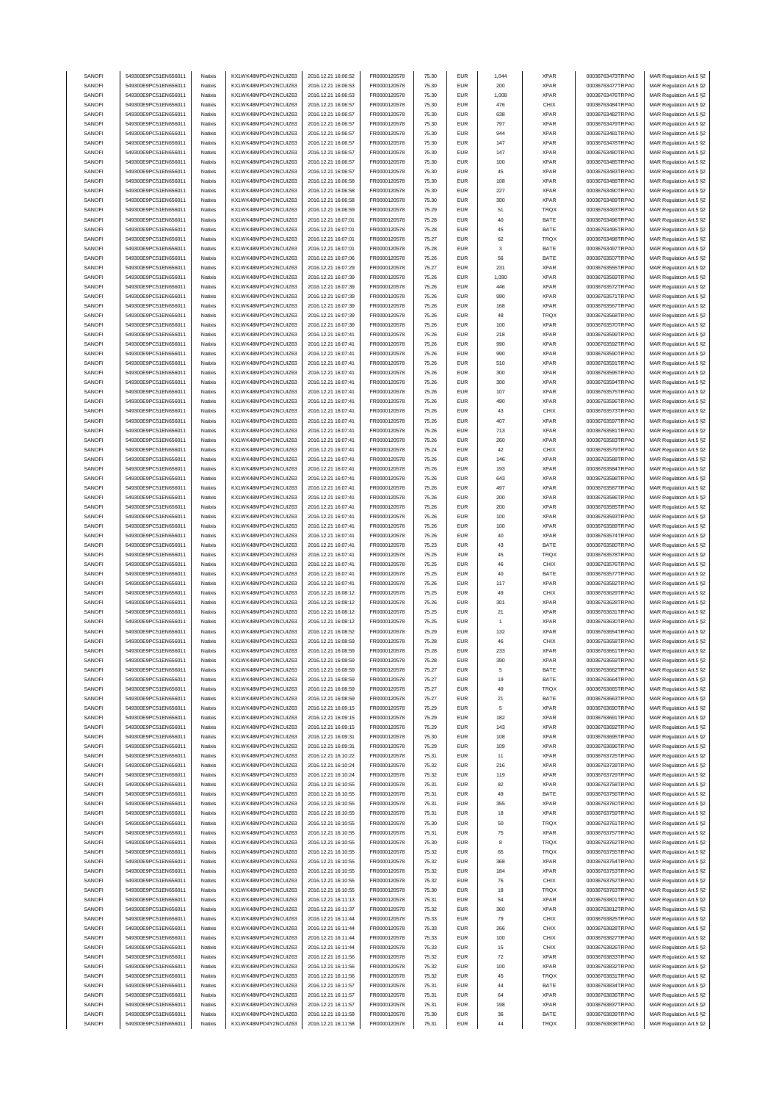| SANOFI | 549300E9PC51EN656011 | Natixis | KX1WK48MPD4Y2NCUIZ63 | 2016.12.21 16:06:52 | FR0000120578 | 75.30 | <b>EUR</b> | 1.044        | <b>XPAR</b> | 00036763473TRPA0 | MAR Regulation Art.5 §2 |
|--------|----------------------|---------|----------------------|---------------------|--------------|-------|------------|--------------|-------------|------------------|-------------------------|
| SANOFI | 549300E9PC51EN656011 | Natixis | KX1WK48MPD4Y2NCUIZ63 | 2016.12.21 16:06:53 | FR0000120578 | 75.30 | <b>EUR</b> | 200          | <b>XPAR</b> | 00036763477TRPA0 | MAR Regulation Art.5 §2 |
| SANOFI | 549300E9PC51EN656011 | Natixis | KX1WK48MPD4Y2NCUIZ63 | 2016.12.21 16:06:53 | FR0000120578 | 75.30 | <b>EUR</b> | 1,008        | <b>XPAR</b> | 00036763476TRPA0 | MAR Regulation Art.5 §2 |
| SANOFI | 549300E9PC51EN656011 | Natixis | KX1WK48MPD4Y2NCUIZ63 | 2016.12.21 16:06:57 | FR0000120578 | 75.30 | <b>EUR</b> | 476          | CHIX        | 00036763484TRPA0 | MAR Regulation Art.5 §2 |
|        |                      |         |                      |                     |              |       |            |              |             |                  |                         |
| SANOFI | 549300E9PC51EN656011 | Natixis | KX1WK48MPD4Y2NCUIZ63 | 2016.12.21 16:06:57 | FR0000120578 | 75.30 | <b>EUR</b> | 638          | <b>XPAR</b> | 00036763482TRPA0 | MAR Regulation Art.5 §2 |
| SANOFI | 549300E9PC51EN656011 | Natixis | KX1WK48MPD4Y2NCUIZ63 | 2016.12.21 16:06:57 | FR0000120578 | 75.30 | <b>EUR</b> | 797          | <b>XPAR</b> | 00036763479TRPA0 | MAR Regulation Art.5 §2 |
| SANOFI | 549300E9PC51EN656011 | Natixis | KX1WK48MPD4Y2NCUIZ63 | 2016.12.21 16:06:57 | FR0000120578 | 75.30 | <b>EUR</b> | 944          | <b>XPAR</b> | 00036763481TRPA0 | MAR Regulation Art.5 §2 |
| SANOFI | 549300E9PC51EN656011 | Natixis | KX1WK48MPD4Y2NCUIZ63 | 2016.12.21 16:06:57 | FR0000120578 | 75.30 | <b>EUR</b> | 147          | <b>XPAR</b> | 00036763478TRPA0 | MAR Regulation Art.5 §2 |
| SANOFI | 549300E9PC51EN656011 | Natixis | KX1WK48MPD4Y2NCUIZ63 | 2016.12.21 16:06:57 | FR0000120578 | 75.30 | <b>EUR</b> | 147          | <b>XPAR</b> | 00036763480TRPA0 | MAR Regulation Art.5 §2 |
| SANOFI | 549300E9PC51EN656011 | Natixis | KX1WK48MPD4Y2NCUIZ63 | 2016.12.21 16:06:57 | FR0000120578 | 75.30 | <b>EUR</b> | 100          | <b>XPAR</b> | 00036763485TRPA0 | MAR Regulation Art.5 §2 |
|        | 549300E9PC51EN656011 | Natixis |                      |                     |              | 75.30 | <b>EUR</b> |              |             |                  |                         |
| SANOFI |                      |         | KX1WK48MPD4Y2NCUIZ63 | 2016.12.21 16:06:57 | FR0000120578 |       |            | 45           | <b>XPAR</b> | 00036763483TRPA0 | MAR Regulation Art.5 §2 |
| SANOFI | 549300E9PC51EN656011 | Natixis | KX1WK48MPD4Y2NCUIZ63 | 2016.12.21 16:06:58 | FR0000120578 | 75.30 | <b>EUR</b> | 108          | <b>XPAR</b> | 00036763488TRPA0 | MAR Regulation Art.5 §2 |
| SANOFI | 549300E9PC51EN656011 | Natixis | KX1WK48MPD4Y2NCUIZ63 | 2016.12.21 16:06:58 | FR0000120578 | 75.30 | <b>EUR</b> | 227          | <b>XPAR</b> | 00036763490TRPA0 | MAR Regulation Art.5 §2 |
| SANOFI | 549300E9PC51EN656011 | Natixis | KX1WK48MPD4Y2NCUIZ63 | 2016.12.21 16:06:58 | FR0000120578 | 75.30 | <b>EUR</b> | 300          | <b>XPAR</b> | 00036763489TRPA0 | MAR Regulation Art.5 §2 |
| SANOFI | 549300E9PC51EN656011 | Natixis | KX1WK48MPD4Y2NCUIZ63 | 2016.12.21 16:06:59 | FR0000120578 | 75.29 | EUR        | 51           | <b>TRQX</b> | 00036763493TRPA0 | MAR Regulation Art.5 §2 |
|        | 549300E9PC51EN656011 |         | KX1WK48MPD4Y2NCUIZ63 |                     | FR0000120578 |       | <b>EUR</b> | 40           |             | 00036763496TRPA0 |                         |
| SANOFI |                      | Natixis |                      | 2016.12.21 16:07:01 |              | 75.28 |            |              | BATE        |                  | MAR Regulation Art.5 §2 |
| SANOFI | 549300E9PC51EN656011 | Natixis | KX1WK48MPD4Y2NCUIZ63 | 2016.12.21 16:07:01 | FR0000120578 | 75.28 | EUR        | 45           | BATE        | 00036763495TRPA0 | MAR Regulation Art.5 §2 |
| SANOFI | 549300E9PC51EN656011 | Natixis | KX1WK48MPD4Y2NCUIZ63 | 2016.12.21 16:07:01 | FR0000120578 | 75.27 | EUR        | 62           | TRQX        | 00036763498TRPA0 | MAR Regulation Art.5 §2 |
| SANOFI | 549300E9PC51EN656011 | Natixis | KX1WK48MPD4Y2NCUIZ63 | 2016.12.21 16:07:01 | FR0000120578 | 75.28 | <b>EUR</b> | 3            | BATE        | 00036763497TRPA0 | MAR Regulation Art.5 §2 |
| SANOFI | 549300E9PC51EN656011 | Natixis | KX1WK48MPD4Y2NCUIZ63 | 2016.12.21 16:07:06 | FR0000120578 | 75.26 | <b>EUR</b> | 56           | BATE        | 00036763507TRPA0 | MAR Regulation Art.5 §2 |
| SANOFI | 549300E9PC51EN656011 | Natixis | KX1WK48MPD4Y2NCUIZ63 | 2016.12.21 16:07:29 | FR0000120578 | 75.27 | <b>EUR</b> | 231          | <b>XPAR</b> | 00036763555TRPA0 | MAR Regulation Art.5 §2 |
| SANOFI | 549300E9PC51EN656011 | Natixis | KX1WK48MPD4Y2NCUIZ63 | 2016.12.21 16:07:39 | FR0000120578 | 75.26 | <b>EUR</b> | 1,090        | <b>XPAR</b> | 00036763569TRPA0 | MAR Regulation Art.5 §2 |
|        |                      |         |                      |                     |              |       |            |              |             |                  |                         |
| SANOFI | 549300E9PC51EN656011 | Natixis | KX1WK48MPD4Y2NCUIZ63 | 2016.12.21 16:07:39 | FR0000120578 | 75.26 | <b>EUR</b> | 446          | <b>XPAR</b> | 00036763572TRPA0 | MAR Regulation Art.5 §2 |
| SANOFI | 549300E9PC51EN656011 | Natixis | KX1WK48MPD4Y2NCUIZ63 | 2016.12.21 16:07:39 | FR0000120578 | 75.26 | EUR        | 990          | <b>XPAR</b> | 00036763571TRPA0 | MAR Regulation Art.5 §2 |
| SANOFI | 549300E9PC51EN656011 | Natixis | KX1WK48MPD4Y2NCUIZ63 | 2016.12.21 16:07:39 | FR0000120578 | 75.26 | <b>EUR</b> | 168          | <b>XPAR</b> | 00036763567TRPA0 | MAR Regulation Art.5 §2 |
| SANOFI | 549300E9PC51EN656011 | Natixis | KX1WK48MPD4Y2NCUIZ63 | 2016.12.21 16:07:39 | FR0000120578 | 75.26 | <b>EUR</b> | 48           | TRQX        | 00036763568TRPA0 | MAR Regulation Art.5 §2 |
| SANOFI | 549300E9PC51EN656011 | Natixis | KX1WK48MPD4Y2NCUIZ63 | 2016.12.21 16:07:39 | FR0000120578 | 75.26 | <b>EUR</b> | 100          | <b>XPAR</b> | 00036763570TRPA0 | MAR Regulation Art.5 §2 |
| SANOFI | 549300E9PC51EN656011 | Natixis | KX1WK48MPD4Y2NCUIZ63 | 2016.12.21 16:07:41 | FR0000120578 | 75.26 | <b>EUR</b> | 218          | <b>XPAR</b> | 00036763599TRPA0 | MAR Regulation Art.5 §2 |
|        |                      |         |                      |                     |              |       |            |              |             |                  |                         |
| SANOFI | 549300E9PC51EN656011 | Natixis | KX1WK48MPD4Y2NCUIZ63 | 2016.12.21.16:07:41 | FR0000120578 | 75.26 | <b>EUR</b> | 990          | <b>XPAR</b> | 00036763592TRPA0 | MAR Regulation Art.5 §2 |
| SANOFI | 549300E9PC51EN656011 | Natixis | KX1WK48MPD4Y2NCUIZ63 | 2016.12.21 16:07:41 | FR0000120578 | 75.26 | <b>EUR</b> | 990          | <b>XPAR</b> | 00036763590TRPA0 | MAR Regulation Art.5 §2 |
| SANOFI | 549300E9PC51EN656011 | Natixis | KX1WK48MPD4Y2NCUIZ63 | 2016.12.21 16:07:41 | FR0000120578 | 75.26 | <b>EUR</b> | 510          | <b>XPAR</b> | 00036763591TRPA0 | MAR Regulation Art.5 §2 |
| SANOFI | 549300E9PC51EN656011 | Natixis | KX1WK48MPD4Y2NCUIZ63 | 2016.12.21 16:07:41 | FR0000120578 | 75.26 | EUR        | 300          | <b>XPAR</b> | 00036763595TRPA0 | MAR Regulation Art.5 §2 |
| SANOFI | 549300E9PC51EN656011 | Natixis | KX1WK48MPD4Y2NCUIZ63 | 2016.12.21 16:07:41 | FR0000120578 | 75.26 | EUR        | 300          | <b>XPAR</b> | 00036763594TRPA0 | MAR Regulation Art.5 §2 |
|        | 549300E9PC51EN656011 |         | KX1WK48MPD4Y2NCUIZ63 |                     |              |       |            |              |             | 00036763575TRPA0 |                         |
| SANOFI |                      | Natixis |                      | 2016.12.21 16:07:41 | FR0000120578 | 75.26 | <b>EUR</b> | 107          | <b>XPAR</b> |                  | MAR Regulation Art.5 §2 |
| SANOFI | 549300E9PC51EN656011 | Natixis | KX1WK48MPD4Y2NCUIZ63 | 2016.12.21 16:07:41 | FR0000120578 | 75.26 | <b>EUR</b> | 490          | <b>XPAR</b> | 00036763596TRPA0 | MAR Regulation Art.5 §2 |
| SANOFI | 549300E9PC51EN656011 | Natixis | KX1WK48MPD4Y2NCUIZ63 | 2016.12.21 16:07:41 | FR0000120578 | 75.26 | <b>EUR</b> | 43           | CHIX        | 00036763573TRPA0 | MAR Regulation Art.5 §2 |
| SANOFI | 549300E9PC51EN656011 | Natixis | KX1WK48MPD4Y2NCUIZ63 | 2016.12.21 16:07:41 | FR0000120578 | 75.26 | <b>EUR</b> | 407          | <b>XPAR</b> | 00036763597TRPA0 | MAR Regulation Art.5 §2 |
| SANOFI | 549300E9PC51EN656011 | Natixis | KX1WK48MPD4Y2NCUIZ63 | 2016.12.21 16:07:41 | FR0000120578 | 75.26 | <b>EUR</b> | 713          | <b>XPAR</b> | 00036763581TRPA0 | MAR Regulation Art.5 §2 |
| SANOFI | 549300E9PC51EN656011 | Natixis | KX1WK48MPD4Y2NCUIZ63 | 2016.12.21 16:07:41 | FR0000120578 | 75.26 | <b>EUR</b> | 260          | <b>XPAR</b> | 00036763583TRPA0 | MAR Regulation Art.5 §2 |
|        |                      |         |                      |                     |              |       |            |              |             |                  |                         |
| SANOFI | 549300E9PC51EN656011 | Natixis | KX1WK48MPD4Y2NCUIZ63 | 2016.12.21 16:07:41 | FR0000120578 | 75.24 | <b>EUR</b> | 42           | CHIX        | 00036763579TRPA0 | MAR Regulation Art.5 §2 |
| SANOFI | 549300E9PC51EN656011 | Natixis | KX1WK48MPD4Y2NCUIZ63 | 2016.12.21 16:07:41 | FR0000120578 | 75.26 | <b>EUR</b> | 146          | <b>XPAR</b> | 00036763588TRPA0 | MAR Regulation Art.5 §2 |
| SANOFI | 549300E9PC51EN656011 | Natixis | KX1WK48MPD4Y2NCUIZ63 | 2016.12.21 16:07:41 | FR0000120578 | 75.26 | <b>EUR</b> | 193          | <b>XPAR</b> | 00036763584TRPA0 | MAR Regulation Art.5 §2 |
| SANOFI | 549300E9PC51EN656011 | Natixis | KX1WK48MPD4Y2NCUIZ63 | 2016.12.21 16:07:41 | FR0000120578 | 75.26 | <b>EUR</b> | 643          | <b>XPAR</b> | 00036763598TRPA0 | MAR Regulation Art.5 §2 |
| SANOFI | 549300E9PC51EN656011 | Natixis | KX1WK48MPD4Y2NCUIZ63 | 2016.12.21 16:07:41 | FR0000120578 | 75.26 | <b>EUR</b> | 497          | <b>XPAR</b> | 00036763587TRPA0 | MAR Regulation Art.5 §2 |
| SANOFI | 549300E9PC51EN656011 | Natixis | KX1WK48MPD4Y2NCUIZ63 | 2016.12.21 16:07:41 | FR0000120578 | 75.26 | <b>EUR</b> | 200          | <b>XPAR</b> | 00036763586TRPA0 | MAR Regulation Art.5 §2 |
|        |                      |         |                      |                     |              |       |            |              |             |                  |                         |
| SANOFI | 549300E9PC51EN656011 | Natixis | KX1WK48MPD4Y2NCUIZ63 | 2016.12.21 16:07:41 | FR0000120578 | 75.26 | <b>EUR</b> | 200          | <b>XPAR</b> | 00036763585TRPA0 | MAR Regulation Art.5 §2 |
| SANOFI | 549300E9PC51EN656011 | Natixis | KX1WK48MPD4Y2NCUIZ63 | 2016.12.21 16:07:41 | FR0000120578 | 75.26 | <b>EUR</b> | 100          | <b>XPAR</b> | 00036763593TRPA0 | MAR Regulation Art.5 §2 |
| SANOFI | 549300E9PC51EN656011 | Natixis | KX1WK48MPD4Y2NCUIZ63 | 2016.12.21 16:07:41 | FR0000120578 | 75.26 | <b>EUR</b> | 100          | <b>XPAR</b> | 00036763589TRPA0 | MAR Regulation Art.5 §2 |
| SANOFI | 549300E9PC51EN656011 | Natixis | KX1WK48MPD4Y2NCUIZ63 | 2016.12.21 16:07:41 | FR0000120578 | 75.26 | <b>EUR</b> | 40           | <b>XPAR</b> | 00036763574TRPA0 | MAR Regulation Art.5 §2 |
| SANOFI | 549300E9PC51EN656011 | Natixis | KX1WK48MPD4Y2NCUIZ63 | 2016.12.21 16:07:41 | FR0000120578 | 75.23 | <b>EUR</b> | 43           | BATE        | 00036763580TRPA0 | MAR Regulation Art.5 §2 |
| SANOFI | 549300E9PC51EN656011 | Natixis | KX1WK48MPD4Y2NCUIZ63 | 2016.12.21 16:07:41 | FR0000120578 | 75.25 | <b>EUR</b> | 45           | TRQX        | 00036763578TRPA0 |                         |
|        |                      |         |                      |                     |              |       |            |              |             |                  | MAR Regulation Art.5 §2 |
| SANOFI | 549300E9PC51EN656011 | Natixis | KX1WK48MPD4Y2NCUIZ63 | 2016.12.21 16:07:41 | FR0000120578 | 75.25 | <b>EUR</b> | 46           | CHIX        | 00036763576TRPA0 | MAR Regulation Art.5 §2 |
| SANOFI | 549300E9PC51EN656011 | Natixis | KX1WK48MPD4Y2NCUIZ63 | 2016.12.21 16:07:41 | FR0000120578 | 75.25 | <b>EUR</b> | 40           | BATE        | 00036763577TRPA0 | MAR Regulation Art.5 §2 |
| SANOFI | 549300E9PC51EN656011 | Natixis | KX1WK48MPD4Y2NCUIZ63 | 2016.12.21 16:07:41 | FR0000120578 | 75.26 | <b>EUR</b> | 117          | <b>XPAR</b> | 00036763582TRPA0 | MAR Regulation Art.5 §2 |
| SANOFI | 549300E9PC51EN656011 | Natixis | KX1WK48MPD4Y2NCUIZ63 | 2016.12.21 16:08:12 | FR0000120578 | 75.25 | <b>EUR</b> | 49           | CHIX        | 00036763629TRPA0 | MAR Regulation Art.5 §2 |
| SANOFI | 549300E9PC51EN656011 | Natixis | KX1WK48MPD4Y2NCUIZ63 | 2016.12.21 16:08:12 | FR0000120578 | 75.26 | <b>EUR</b> | 301          | <b>XPAR</b> | 00036763628TRPA0 | MAR Regulation Art.5 §2 |
|        |                      |         |                      |                     |              |       |            |              |             |                  |                         |
| SANOFI | 549300E9PC51EN656011 | Natixis | KX1WK48MPD4Y2NCUIZ63 | 2016.12.21 16:08:12 | FR0000120578 | 75.25 | <b>EUR</b> | 21           | <b>XPAR</b> | 00036763631TRPA0 | MAR Regulation Art.5 §2 |
| SANOFI | 549300E9PC51EN656011 | Natixis | KX1WK48MPD4Y2NCUIZ63 | 2016.12.21 16:08:12 | FR0000120578 | 75.25 | <b>EUR</b> | $\mathbf{1}$ | <b>XPAR</b> | 00036763630TRPA0 | MAR Regulation Art.5 §2 |
| SANOFI | 549300E9PC51EN656011 | Natixis | KX1WK48MPD4Y2NCUIZ63 | 2016.12.21 16:08:52 | FR0000120578 | 75.29 | <b>EUR</b> | 132          | <b>XPAR</b> | 00036763654TRPA0 | MAR Regulation Art.5 §2 |
| SANOFI | 549300E9PC51EN656011 | Natixis | KX1WK48MPD4Y2NCUIZ63 | 2016.12.21 16:08:59 | FR0000120578 | 75.28 | <b>EUR</b> | 46           | CHIX        | 00036763658TRPA0 | MAR Regulation Art.5 §2 |
| SANOF  | 549300E9PC51EN65601  | Natixis | KX1WK48MPD4Y2NCUIZ63 | 2016.12.21 16:08:59 | FR0000120578 | 75.28 | EUR        | 233          | XPAR        | 00036763661TRPA0 | MAR Regulation Art.5 §2 |
| SANOFI | 549300E9PC51EN656011 | Natixis | KX1WK48MPD4Y2NCUIZ63 | 2016.12.21 16:08:59 | FR0000120578 | 75.28 | <b>EUR</b> | 390          | <b>XPAR</b> | 00036763659TRPA0 | MAR Regulation Art.5 §2 |
|        |                      |         |                      |                     |              |       |            |              |             |                  |                         |
| SANOFI | 549300E9PC51EN656011 | Natixis | KX1WK48MPD4Y2NCUIZ63 | 2016.12.21 16:08:59 | FR0000120578 | 75.27 | <b>EUR</b> | 5            | BATE        | 00036763662TRPA0 | MAR Regulation Art.5 §2 |
| SANOFI | 549300E9PC51EN656011 | Natixis | KX1WK48MPD4Y2NCUIZ63 | 2016.12.21 16:08:59 | FR0000120578 | 75.27 | <b>EUR</b> | 19           | BATE        | 00036763664TRPA0 | MAR Regulation Art.5 §2 |
| SANOFI | 549300E9PC51EN656011 | Natixis | KX1WK48MPD4Y2NCUIZ63 | 2016.12.21 16:08:59 | FR0000120578 | 75.27 | <b>EUR</b> | 49           | TRQX        | 00036763665TRPA0 | MAR Regulation Art.5 §2 |
| SANOFI | 549300E9PC51EN656011 | Natixis | KX1WK48MPD4Y2NCUIZ63 | 2016.12.21 16:08:59 | FR0000120578 | 75.27 | <b>EUR</b> | 21           | BATE        | 00036763663TRPA0 | MAR Regulation Art.5 §2 |
| SANOFI | 549300E9PC51EN656011 | Natixis | KX1WK48MPD4Y2NCUIZ63 | 2016.12.21 16:09:15 | FR0000120578 | 75.29 | <b>EUR</b> | 5            | <b>XPAR</b> | 00036763690TRPA0 | MAR Regulation Art.5 §2 |
| SANOFI | 549300E9PC51EN656011 | Natixis | KX1WK48MPD4Y2NCUIZ63 | 2016.12.21 16:09:15 | FR0000120578 | 75.29 | <b>EUR</b> | 182          | <b>XPAR</b> | 00036763691TRPA0 | MAR Regulation Art.5 §2 |
| SANOFI | 549300E9PC51EN656011 | Natixis | KX1WK48MPD4Y2NCUIZ63 | 2016.12.21 16:09:15 | FR0000120578 | 75.29 | <b>EUR</b> | 143          | <b>XPAR</b> | 00036763692TRPA0 |                         |
|        |                      |         | KX1WK48MPD4Y2NCUIZ63 |                     |              |       |            |              |             |                  | MAR Regulation Art.5 §2 |
| SANOFI | 549300E9PC51EN656011 | Natixis |                      | 2016.12.21 16:09:31 | FR0000120578 | 75.30 | <b>EUR</b> | 108          | <b>XPAR</b> | 00036763695TRPA0 | MAR Regulation Art.5 §2 |
| SANOFI | 549300E9PC51EN656011 | Natixis | KX1WK48MPD4Y2NCUIZ63 | 2016.12.21 16:09:31 | FR0000120578 | 75.29 | <b>EUR</b> | 109          | <b>XPAR</b> | 00036763696TRPA0 | MAR Regulation Art.5 §2 |
| SANOFI | 549300E9PC51EN656011 | Natixis | KX1WK48MPD4Y2NCUIZ63 | 2016.12.21 16:10:22 | FR0000120578 | 75.31 | <b>EUR</b> | 11           | <b>XPAR</b> | 00036763725TRPA0 | MAR Regulation Art.5 §2 |
| SANOFI | 549300E9PC51EN656011 | Natixis | KX1WK48MPD4Y2NCUIZ63 | 2016.12.21 16:10:24 | FR0000120578 | 75.32 | <b>EUR</b> | 216          | <b>XPAR</b> | 00036763728TRPA0 | MAR Regulation Art.5 §2 |
| SANOFI | 549300E9PC51EN656011 | Natixis | KX1WK48MPD4Y2NCUIZ63 | 2016.12.21 16:10:24 | FR0000120578 | 75.32 | <b>EUR</b> | 119          | <b>XPAR</b> | 00036763729TRPA0 | MAR Regulation Art.5 §2 |
| SANOFI | 549300E9PC51EN656011 | Natixis | KX1WK48MPD4Y2NCUIZ63 | 2016.12.21 16:10:55 | FR0000120578 | 75.31 | <b>EUR</b> | 82           | <b>XPAR</b> | 00036763758TRPA0 | MAR Regulation Art.5 §2 |
| SANOFI | 549300E9PC51EN656011 | Natixis | KX1WK48MPD4Y2NCUIZ63 | 2016.12.21 16:10:55 | FR0000120578 | 75.31 | <b>EUR</b> | 49           | BATE        | 00036763756TRPA0 | MAR Regulation Art.5 §2 |
|        |                      |         |                      |                     |              |       |            |              |             |                  |                         |
| SANOFI | 549300E9PC51EN656011 | Natixis | KX1WK48MPD4Y2NCUIZ63 | 2016.12.21 16:10:55 | FR0000120578 | 75.31 | <b>EUR</b> | 355          | <b>XPAR</b> | 00036763760TRPA0 | MAR Regulation Art.5 §2 |
| SANOFI | 549300E9PC51EN656011 | Natixis | KX1WK48MPD4Y2NCUIZ63 | 2016.12.21 16:10:55 | FR0000120578 | 75.31 | <b>EUR</b> | 18           | <b>XPAR</b> | 00036763759TRPA0 | MAR Regulation Art.5 §2 |
| SANOFI | 549300E9PC51EN656011 | Natixis | KX1WK48MPD4Y2NCUIZ63 | 2016.12.21 16:10:55 | FR0000120578 | 75.30 | <b>EUR</b> | 50           | TRQX        | 00036763761TRPA0 | MAR Regulation Art.5 §2 |
| SANOFI | 549300E9PC51EN656011 | Natixis | KX1WK48MPD4Y2NCUIZ63 | 2016.12.21 16:10:55 | FR0000120578 | 75.31 | <b>EUR</b> | 75           | <b>XPAR</b> | 00036763757TRPA0 | MAR Regulation Art.5 §2 |
| SANOFI | 549300E9PC51EN656011 | Natixis | KX1WK48MPD4Y2NCUIZ63 | 2016.12.21 16:10:55 | FR0000120578 | 75.30 | <b>EUR</b> | 8            | <b>TRQX</b> | 00036763762TRPA0 | MAR Regulation Art.5 §2 |
| SANOFI | 549300E9PC51EN656011 | Natixis | KX1WK48MPD4Y2NCUIZ63 | 2016.12.21 16:10:55 | FR0000120578 | 75.32 | <b>EUR</b> | 65           | <b>TRQX</b> | 00036763755TRPA0 |                         |
|        |                      |         |                      |                     |              |       |            |              |             |                  | MAR Regulation Art.5 §2 |
| SANOFI | 549300E9PC51EN656011 | Natixis | KX1WK48MPD4Y2NCUIZ63 | 2016.12.21 16:10:55 | FR0000120578 | 75.32 | <b>EUR</b> | 368          | <b>XPAR</b> | 00036763754TRPA0 | MAR Regulation Art.5 §2 |
| SANOFI | 549300E9PC51EN656011 | Natixis | KX1WK48MPD4Y2NCUIZ63 | 2016.12.21 16:10:55 | FR0000120578 | 75.32 | <b>EUR</b> | 184          | <b>XPAR</b> | 00036763753TRPA0 | MAR Regulation Art.5 §2 |
| SANOFI | 549300E9PC51EN656011 | Natixis | KX1WK48MPD4Y2NCUIZ63 | 2016.12.21 16:10:55 | FR0000120578 | 75.32 | <b>EUR</b> | 76           | CHIX        | 00036763752TRPA0 | MAR Regulation Art.5 §2 |
| SANOFI | 549300E9PC51EN656011 | Natixis | KX1WK48MPD4Y2NCUIZ63 | 2016.12.21 16:10:55 | FR0000120578 | 75.30 | <b>EUR</b> | 18           | TRQX        | 00036763763TRPA0 | MAR Regulation Art.5 §2 |
| SANOFI | 549300E9PC51EN656011 | Natixis | KX1WK48MPD4Y2NCUIZ63 | 2016.12.21 16:11:13 | FR0000120578 | 75.31 | <b>EUR</b> | 54           | <b>XPAR</b> | 00036763801TRPA0 | MAR Regulation Art.5 §2 |
| SANOFI |                      |         |                      | 2016.12.21 16:11:37 |              |       |            |              |             |                  |                         |
|        | 549300E9PC51EN656011 | Natixis | KX1WK48MPD4Y2NCUIZ63 |                     | FR0000120578 | 75.32 | <b>EUR</b> | 360          | <b>XPAR</b> | 00036763812TRPA0 | MAR Regulation Art.5 §2 |
| SANOFI | 549300E9PC51EN656011 | Natixis | KX1WK48MPD4Y2NCUIZ63 | 2016.12.21 16:11:44 | FR0000120578 | 75.33 | <b>EUR</b> | 79           | CHIX        | 00036763825TRPA0 | MAR Regulation Art.5 §2 |
| SANOFI | 549300E9PC51EN656011 | Natixis | KX1WK48MPD4Y2NCUIZ63 | 2016.12.21 16:11:44 | FR0000120578 | 75.33 | <b>EUR</b> | 266          | CHIX        | 00036763828TRPA0 | MAR Regulation Art.5 §2 |
| SANOFI | 549300E9PC51EN656011 | Natixis | KX1WK48MPD4Y2NCUIZ63 | 2016.12.21 16:11:44 | FR0000120578 | 75.33 | <b>EUR</b> | 100          | CHIX        | 00036763827TRPA0 | MAR Regulation Art.5 §2 |
| SANOFI | 549300E9PC51EN656011 | Natixis | KX1WK48MPD4Y2NCUIZ63 | 2016.12.21 16:11:44 | FR0000120578 | 75.33 | <b>EUR</b> | 15           | CHIX        | 00036763826TRPA0 | MAR Regulation Art.5 §2 |
| SANOFI | 549300E9PC51EN656011 | Natixis | KX1WK48MPD4Y2NCUIZ63 | 2016.12.21 16:11:56 | FR0000120578 | 75.32 | <b>EUR</b> | 72           | <b>XPAR</b> | 00036763833TRPA0 | MAR Regulation Art.5 §2 |
| SANOFI | 549300E9PC51EN656011 | Natixis | KX1WK48MPD4Y2NCUIZ63 | 2016.12.21 16:11:56 | FR0000120578 | 75.32 | <b>EUR</b> | 100          | <b>XPAR</b> | 00036763832TRPA0 | MAR Regulation Art.5 §2 |
|        |                      |         |                      |                     |              |       |            |              |             |                  |                         |
| SANOFI | 549300E9PC51EN656011 | Natixis | KX1WK48MPD4Y2NCUIZ63 | 2016.12.21 16:11:56 | FR0000120578 | 75.32 | <b>EUR</b> | 45           | <b>TRQX</b> | 00036763831TRPA0 | MAR Regulation Art.5 §2 |
| SANOFI | 549300E9PC51EN656011 | Natixis | KX1WK48MPD4Y2NCUIZ63 | 2016.12.21 16:11:57 | FR0000120578 | 75.31 | <b>EUR</b> | 44           | BATE        | 00036763834TRPA0 | MAR Regulation Art.5 §2 |
| SANOFI | 549300E9PC51EN656011 | Natixis | KX1WK48MPD4Y2NCUIZ63 | 2016.12.21 16:11:57 | FR0000120578 | 75.31 | <b>EUR</b> | 64           | <b>XPAR</b> | 00036763836TRPA0 | MAR Regulation Art.5 §2 |
| SANOFI | 549300E9PC51EN656011 | Natixis | KX1WK48MPD4Y2NCUIZ63 | 2016.12.21 16:11:57 | FR0000120578 | 75.31 | <b>EUR</b> | 198          | <b>XPAR</b> | 00036763837TRPA0 | MAR Regulation Art.5 §2 |
| SANOFI | 549300E9PC51EN656011 | Natixis | KX1WK48MPD4Y2NCUIZ63 | 2016.12.21 16:11:58 | FR0000120578 | 75.30 | <b>EUR</b> | 36           | BATE        | 00036763839TRPA0 | MAR Regulation Art.5 §2 |
| SANOFI | 549300E9PC51EN656011 | Natixis | KX1WK48MPD4Y2NCUIZ63 | 2016.12.21 16:11:58 | FR0000120578 | 75.31 | <b>EUR</b> | 44           | <b>TRQX</b> | 00036763838TRPA0 | MAR Regulation Art.5 §2 |
|        |                      |         |                      |                     |              |       |            |              |             |                  |                         |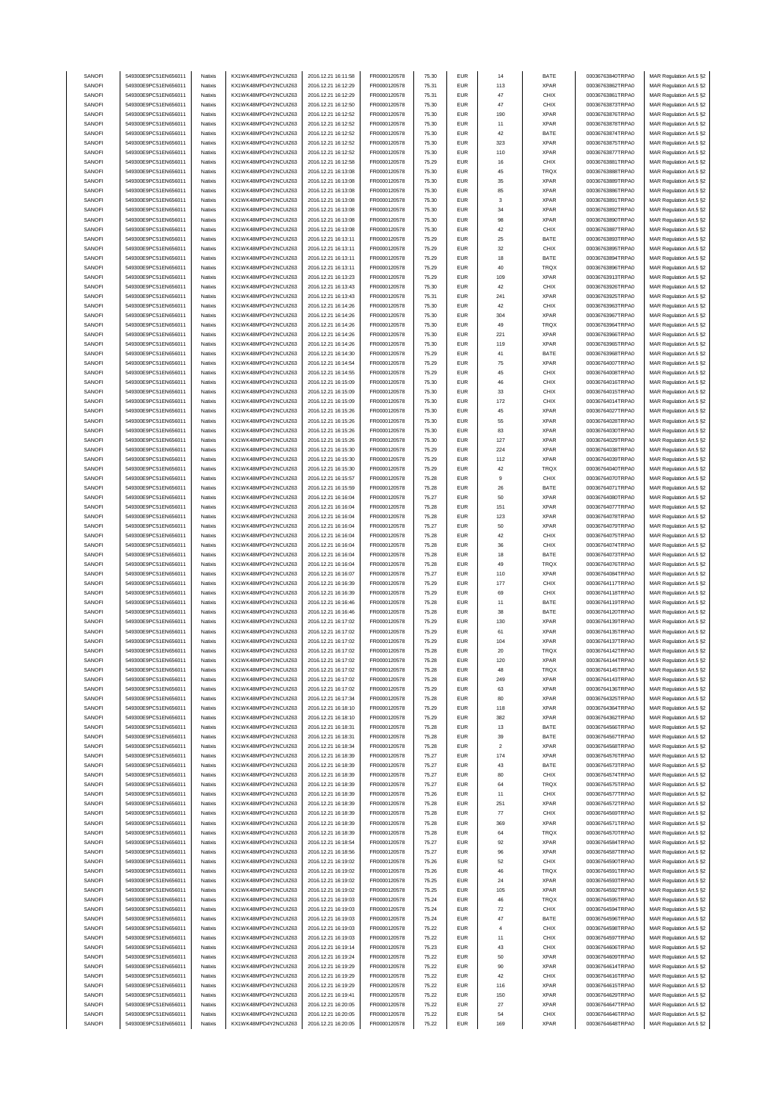| SANOFI           | 549300E9PC51EN656011                         | Natixis            | KX1WK48MPD4Y2NCUIZ63                         | 2016.12.21 16:11:58                        | FR0000120578                 | 75.30          | <b>EUR</b>               | 14                      | BATE                | 00036763840TRPA0                     | MAR Regulation Art.5 §2                            |
|------------------|----------------------------------------------|--------------------|----------------------------------------------|--------------------------------------------|------------------------------|----------------|--------------------------|-------------------------|---------------------|--------------------------------------|----------------------------------------------------|
| SANOFI           | 549300E9PC51EN656011                         | Natixis            | KX1WK48MPD4Y2NCUIZ63                         | 2016.12.21 16:12:29                        | FR0000120578                 | 75.31          | <b>EUR</b>               | 113                     | <b>XPAR</b>         | 00036763862TRPA0                     | MAR Regulation Art.5 §2                            |
| SANOFI           | 549300E9PC51EN656011                         | Natixis            | KX1WK48MPD4Y2NCUIZ63                         | 2016.12.21 16:12:29                        | FR0000120578                 | 75.31          | <b>EUR</b>               | 47                      | CHIX                | 00036763861TRPA0                     | MAR Regulation Art.5 §2                            |
| SANOFI           | 549300E9PC51EN656011                         | Natixis            | KX1WK48MPD4Y2NCUIZ63                         | 2016.12.21 16:12:50                        | FR0000120578                 | 75.30          | <b>EUR</b>               | 47                      | CHIX                | 00036763873TRPA0                     | MAR Regulation Art.5 §2                            |
| SANOFI           | 549300E9PC51EN656011                         | Natixis            | KX1WK48MPD4Y2NCUIZ63                         | 2016.12.21 16:12:52                        | FR0000120578                 | 75.30          | <b>EUR</b>               | 190                     | <b>XPAR</b>         | 00036763876TRPA0                     | MAR Regulation Art.5 §2                            |
|                  |                                              |                    |                                              |                                            |                              |                |                          |                         |                     |                                      |                                                    |
| SANOFI           | 549300E9PC51EN656011                         | Natixis            | KX1WK48MPD4Y2NCUIZ63                         | 2016.12.21 16:12:52                        | FR0000120578                 | 75.30          | EUR                      | 11                      | <b>XPAR</b>         | 00036763878TRPA0                     | MAR Regulation Art.5 §2                            |
| SANOFI           | 549300E9PC51EN656011                         | Natixis            | KX1WK48MPD4Y2NCUIZ63                         | 2016.12.21 16:12:52                        | FR0000120578                 | 75.30          | <b>EUR</b>               | 42                      | BATE                | 00036763874TRPA0                     | MAR Regulation Art.5 §2                            |
| SANOFI           | 549300E9PC51EN656011                         | Natixis            | KX1WK48MPD4Y2NCUIZ63                         | 2016.12.21 16:12:52                        | FR0000120578                 | 75.30          | <b>EUR</b>               | 323                     | <b>XPAR</b>         | 00036763875TRPA0                     | MAR Regulation Art.5 §2                            |
| SANOFI           | 549300E9PC51EN656011                         | Natixis            | KX1WK48MPD4Y2NCUIZ63                         | 2016.12.21 16:12:52                        | FR0000120578                 | 75.30          | <b>EUR</b>               | 110                     | <b>XPAR</b>         | 00036763877TRPA0                     | MAR Regulation Art.5 §2                            |
| SANOFI           | 549300E9PC51EN656011                         | Natixis            | KX1WK48MPD4Y2NCUIZ63                         | 2016.12.21 16:12:58                        | FR0000120578                 | 75.29          | <b>EUR</b>               | 16                      | CHIX                | 00036763881TRPA0                     | MAR Regulation Art.5 §2                            |
| SANOFI           | 549300E9PC51EN656011                         | Natixis            | KX1WK48MPD4Y2NCUIZ63                         | 2016.12.21 16:13:08                        | FR0000120578                 | 75.30          | EUR                      | 45                      | TRQX                | 00036763888TRPA0                     | MAR Regulation Art.5 §2                            |
|                  |                                              |                    |                                              |                                            |                              |                |                          |                         |                     |                                      |                                                    |
| SANOFI           | 549300E9PC51EN656011                         | Natixis            | KX1WK48MPD4Y2NCUIZ63                         | 2016.12.21 16:13:08                        | FR0000120578                 | 75.30          | <b>EUR</b>               | 35                      | <b>XPAR</b>         | 00036763889TRPA0                     | MAR Regulation Art.5 §2                            |
| SANOFI           | 549300E9PC51EN656011                         | Natixis            | KX1WK48MPD4Y2NCUIZ63                         | 2016.12.21 16:13:08                        | FR0000120578                 | 75.30          | EUR                      | 85                      | <b>XPAR</b>         | 00036763886TRPA0                     | MAR Regulation Art.5 §2                            |
| SANOFI           | 549300E9PC51EN656011                         | Natixis            | KX1WK48MPD4Y2NCUIZ63                         | 2016.12.21 16:13:08                        | FR0000120578                 | 75.30          | EUR                      | 3                       | <b>XPAR</b>         | 00036763891TRPA0                     | MAR Regulation Art.5 §2                            |
| SANOFI           | 549300E9PC51EN656011                         | Natixis            | KX1WK48MPD4Y2NCUIZ63                         | 2016.12.21 16:13:08                        | FR0000120578                 | 75.30          | EUR                      | 34                      | <b>XPAR</b>         | 00036763892TRPA0                     | MAR Regulation Art.5 §2                            |
| SANOFI           | 549300E9PC51EN656011                         | Natixis            | KX1WK48MPD4Y2NCUIZ63                         | 2016.12.21 16:13:08                        | FR0000120578                 | 75.30          | <b>EUR</b>               | 98                      | <b>XPAR</b>         | 00036763890TRPA0                     | MAR Regulation Art.5 §2                            |
|                  | 549300E9PC51EN656011                         |                    | KX1WK48MPD4Y2NCUIZ63                         |                                            |                              |                |                          |                         |                     |                                      |                                                    |
| SANOFI           |                                              | Natixis            |                                              | 2016.12.21 16:13:08                        | FR0000120578                 | 75.30          | <b>EUR</b>               | 42                      | CHIX                | 00036763887TRPA0                     | MAR Regulation Art.5 §2                            |
| SANOFI           | 549300E9PC51EN656011                         | Natixis            | KX1WK48MPD4Y2NCUIZ63                         | 2016.12.21 16:13:11                        | FR0000120578                 | 75.29          | <b>EUR</b>               | 25                      | BATE                | 00036763893TRPA0                     | MAR Regulation Art.5 §2                            |
| SANOFI           | 549300E9PC51EN656011                         | Natixis            | KX1WK48MPD4Y2NCUIZ63                         | 2016.12.21 16:13:11                        | FR0000120578                 | 75.29          | <b>EUR</b>               | 32                      | CHIX                | 00036763895TRPA0                     | MAR Regulation Art.5 §2                            |
| SANOFI           | 549300E9PC51EN656011                         | Natixis            | KX1WK48MPD4Y2NCUIZ63                         | 2016.12.21 16:13:11                        | FR0000120578                 | 75.29          | EUR                      | 18                      | BATE                | 00036763894TRPA0                     | MAR Regulation Art.5 §2                            |
| SANOFI           | 549300E9PC51EN656011                         | Natixis            | KX1WK48MPD4Y2NCUIZ63                         | 2016.12.21 16:13:11                        | FR0000120578                 | 75.29          | <b>EUR</b>               | 40                      | TRQX                | 00036763896TRPA0                     | MAR Regulation Art.5 §2                            |
| SANOFI           | 549300E9PC51EN656011                         | Natixis            | KX1WK48MPD4Y2NCUIZ63                         | 2016.12.21 16:13:23                        | FR0000120578                 | 75.29          | <b>EUR</b>               | 109                     | <b>XPAR</b>         | 00036763913TRPA0                     | MAR Regulation Art.5 §2                            |
| SANOFI           | 549300E9PC51EN656011                         | Natixis            | KX1WK48MPD4Y2NCUIZ63                         | 2016.12.21 16:13:43                        | FR0000120578                 | 75.30          | <b>EUR</b>               | 42                      |                     | 00036763926TRPA0                     |                                                    |
|                  |                                              |                    |                                              |                                            |                              |                |                          |                         | CHIX                |                                      | MAR Regulation Art.5 §2                            |
| SANOFI           | 549300E9PC51EN656011                         | Natixis            | KX1WK48MPD4Y2NCUIZ63                         | 2016.12.21 16:13:43                        | FR0000120578                 | 75.31          | EUR                      | 241                     | <b>XPAR</b>         | 00036763925TRPA0                     | MAR Regulation Art.5 §2                            |
| SANOFI           | 549300E9PC51EN656011                         | Natixis            | KX1WK48MPD4Y2NCUIZ63                         | 2016.12.21 16:14:26                        | FR0000120578                 | 75.30          | <b>EUR</b>               | 42                      | CHIX                | 00036763963TRPA0                     | MAR Regulation Art.5 §2                            |
| SANOFI           | 549300E9PC51EN656011                         | Natixis            | KX1WK48MPD4Y2NCUIZ63                         | 2016.12.21 16:14:26                        | FR0000120578                 | 75.30          | <b>EUR</b>               | 304                     | <b>XPAR</b>         | 00036763967TRPA0                     | MAR Regulation Art.5 §2                            |
| SANOFI           | 549300E9PC51EN656011                         | Natixis            | KX1WK48MPD4Y2NCUIZ63                         | 2016.12.21 16:14:26                        | FR0000120578                 | 75.30          | <b>EUR</b>               | 49                      | TRQX                | 00036763964TRPA0                     | MAR Regulation Art.5 §2                            |
| SANOFI           | 549300E9PC51EN656011                         | Natixis            | KX1WK48MPD4Y2NCUIZ63                         | 2016.12.21 16:14:26                        | FR0000120578                 | 75.30          | EUR                      | 221                     | <b>XPAR</b>         | 00036763966TRPA0                     | MAR Regulation Art.5 §2                            |
|                  |                                              |                    |                                              |                                            |                              |                |                          |                         |                     |                                      |                                                    |
| SANOFI           | 549300E9PC51EN656011                         | Natixis            | KX1WK48MPD4Y2NCUIZ63                         | 2016.12.21 16:14:26                        | FR0000120578                 | 75.30          | EUR                      | 119                     | <b>XPAR</b>         | 00036763965TRPA0                     | MAR Regulation Art.5 §2                            |
| SANOFI           | 549300E9PC51EN656011                         | Natixis            | KX1WK48MPD4Y2NCUIZ63                         | 2016.12.21 16:14:30                        | FR0000120578                 | 75.29          | <b>EUR</b>               | 41                      | BATE                | 00036763968TRPA0                     | MAR Regulation Art.5 §2                            |
| SANOFI           | 549300E9PC51EN656011                         | Natixis            | KX1WK48MPD4Y2NCUIZ63                         | 2016.12.21 16:14:54                        | FR0000120578                 | 75.29          | <b>EUR</b>               | 75                      | <b>XPAR</b>         | 00036764007TRPA0                     | MAR Regulation Art.5 §2                            |
| SANOFI           | 549300E9PC51EN656011                         | Natixis            | KX1WK48MPD4Y2NCUIZ63                         | 2016.12.21 16:14:55                        | FR0000120578                 | 75.29          | <b>EUR</b>               | 45                      | CHIX                | 00036764008TRPA0                     | MAR Regulation Art.5 §2                            |
| SANOFI           | 549300E9PC51EN656011                         | Natixis            | KX1WK48MPD4Y2NCUIZ63                         | 2016.12.21 16:15:09                        | FR0000120578                 | 75.30          | EUR                      | 46                      | CHIX                | 00036764016TRPA0                     | MAR Regulation Art.5 §2                            |
|                  | 549300E9PC51EN656011                         | Natixis            | KX1WK48MPD4Y2NCUIZ63                         |                                            |                              | 75.30          | <b>EUR</b>               | 33                      |                     | 00036764015TRPA0                     |                                                    |
| SANOFI           |                                              |                    |                                              | 2016.12.21 16:15:09                        | FR0000120578                 |                |                          |                         | CHIX                |                                      | MAR Regulation Art.5 §2                            |
| SANOFI           | 549300E9PC51EN656011                         | Natixis            | KX1WK48MPD4Y2NCUIZ63                         | 2016.12.21 16:15:09                        | FR0000120578                 | 75.30          | <b>EUR</b>               | 172                     | CHIX                | 00036764014TRPA0                     | MAR Regulation Art.5 §2                            |
| SANOFI           | 549300E9PC51EN656011                         | Natixis            | KX1WK48MPD4Y2NCUIZ63                         | 2016.12.21 16:15:26                        | FR0000120578                 | 75.30          | <b>EUR</b>               | 45                      | <b>XPAR</b>         | 00036764027TRPA0                     | MAR Regulation Art.5 §2                            |
| SANOFI           | 549300E9PC51EN656011                         | Natixis            | KX1WK48MPD4Y2NCUIZ63                         | 2016.12.21 16:15:26                        | FR0000120578                 | 75.30          | <b>EUR</b>               | 55                      | <b>XPAR</b>         | 00036764028TRPA0                     | MAR Regulation Art.5 §2                            |
| SANOFI           | 549300E9PC51EN656011                         | Natixis            | KX1WK48MPD4Y2NCUIZ63                         | 2016.12.21 16:15:26                        | FR0000120578                 | 75.30          | EUR                      | 83                      | <b>XPAR</b>         | 00036764030TRPA0                     | MAR Regulation Art.5 §2                            |
| SANOFI           | 549300E9PC51EN656011                         | Natixis            | KX1WK48MPD4Y2NCUIZ63                         | 2016.12.21 16:15:26                        | FR0000120578                 | 75.30          | <b>EUR</b>               | 127                     | <b>XPAR</b>         | 00036764029TRPA0                     | MAR Regulation Art.5 §2                            |
|                  |                                              |                    |                                              |                                            |                              |                |                          |                         |                     |                                      |                                                    |
| SANOFI           | 549300E9PC51EN656011                         | Natixis            | KX1WK48MPD4Y2NCUIZ63                         | 2016.12.21 16:15:30                        | FR0000120578                 | 75.29          | <b>EUR</b>               | 224                     | <b>XPAR</b>         | 00036764038TRPA0                     | MAR Regulation Art.5 §2                            |
| SANOFI           | 549300E9PC51EN656011                         | Natixis            | KX1WK48MPD4Y2NCUIZ63                         | 2016.12.21 16:15:30                        | FR0000120578                 | 75.29          | <b>EUR</b>               | 112                     | <b>XPAR</b>         | 00036764039TRPA0                     | MAR Regulation Art.5 §2                            |
| SANOFI           | 549300E9PC51EN656011                         | Natixis            | KX1WK48MPD4Y2NCUIZ63                         | 2016.12.21 16:15:30                        | FR0000120578                 | 75.29          | <b>EUR</b>               | 42                      | TRQX                | 00036764040TRPA0                     | MAR Regulation Art.5 §2                            |
| SANOFI           | 549300E9PC51EN656011                         | Natixis            | KX1WK48MPD4Y2NCUIZ63                         | 2016.12.21 16:15:57                        | FR0000120578                 | 75.28          | <b>EUR</b>               | 9                       | CHIX                | 00036764070TRPA0                     | MAR Regulation Art.5 §2                            |
| SANOFI           | 549300E9PC51EN656011                         | Natixis            | KX1WK48MPD4Y2NCUIZ63                         | 2016.12.21 16:15:59                        | FR0000120578                 | 75.28          | <b>EUR</b>               | 26                      | BATE                | 00036764071TRPA0                     | MAR Regulation Art.5 §2                            |
| SANOFI           | 549300E9PC51EN656011                         | Natixis            | KX1WK48MPD4Y2NCUIZ63                         | 2016.12.21 16:16:04                        | FR0000120578                 | 75.27          | <b>EUR</b>               | 50                      | <b>XPAR</b>         | 00036764080TRPA0                     |                                                    |
|                  |                                              |                    |                                              |                                            |                              |                |                          |                         |                     |                                      | MAR Regulation Art.5 §2                            |
| SANOFI           | 549300E9PC51EN656011                         | Natixis            | KX1WK48MPD4Y2NCUIZ63                         | 2016.12.21 16:16:04                        | FR0000120578                 | 75.28          | EUR                      | 151                     | <b>XPAR</b>         | 00036764077TRPA0                     | MAR Regulation Art.5 §2                            |
| SANOFI           | 549300E9PC51EN656011                         | Natixis            | KX1WK48MPD4Y2NCUIZ63                         | 2016.12.21 16:16:04                        | FR0000120578                 | 75.28          | <b>EUR</b>               | 123                     | <b>XPAR</b>         | 00036764078TRPA0                     | MAR Regulation Art.5 §2                            |
| SANOFI           | 549300E9PC51EN656011                         | Natixis            | KX1WK48MPD4Y2NCUIZ63                         | 2016.12.21 16:16:04                        | FR0000120578                 | 75.27          | <b>EUR</b>               | 50                      | <b>XPAR</b>         | 00036764079TRPA0                     | MAR Regulation Art.5 §2                            |
|                  |                                              |                    |                                              |                                            |                              |                |                          |                         |                     |                                      |                                                    |
|                  |                                              |                    |                                              |                                            |                              | 75.28          | <b>EUR</b>               |                         |                     |                                      |                                                    |
| SANOFI           | 549300E9PC51EN656011                         | Natixis            | KX1WK48MPD4Y2NCUIZ63                         | 2016.12.21 16:16:04                        | FR0000120578                 |                |                          | 42                      | CHIX                | 00036764075TRPA0                     | MAR Regulation Art.5 §2                            |
| SANOFI           | 549300E9PC51EN656011                         | Natixis            | KX1WK48MPD4Y2NCUIZ63                         | 2016.12.21 16:16:04                        | FR0000120578                 | 75.28          | <b>EUR</b>               | 36                      | CHIX                | 00036764074TRPA0                     | MAR Regulation Art.5 §2                            |
| SANOFI           | 549300E9PC51EN656011                         | Natixis            | KX1WK48MPD4Y2NCUIZ63                         | 2016.12.21 16:16:04                        | FR0000120578                 | 75.28          | <b>EUR</b>               | 18                      | BATE                | 00036764073TRPA0                     | MAR Regulation Art.5 §2                            |
| SANOFI           | 549300E9PC51EN656011                         | Natixis            | KX1WK48MPD4Y2NCUIZ63                         | 2016.12.21 16:16:04                        | FR0000120578                 | 75.28          | <b>EUR</b>               | 49                      | TRQX                | 00036764076TRPA0                     | MAR Regulation Art.5 §2                            |
| SANOFI           | 549300E9PC51EN656011                         | Natixis            | KX1WK48MPD4Y2NCUIZ63                         | 2016.12.21 16:16:07                        | FR0000120578                 | 75.27          | <b>EUR</b>               | 110                     | <b>XPAR</b>         | 00036764084TRPA0                     | MAR Regulation Art.5 §2                            |
| SANOFI           | 549300E9PC51EN656011                         | Natixis            | KX1WK48MPD4Y2NCUIZ63                         | 2016.12.21 16:16:39                        | FR0000120578                 | 75.29          | <b>EUR</b>               | 177                     | CHIX                | 00036764117TRPA0                     | MAR Regulation Art.5 §2                            |
| SANOFI           | 549300E9PC51EN656011                         | Natixis            | KX1WK48MPD4Y2NCUIZ63                         | 2016.12.21 16:16:39                        | FR0000120578                 | 75.29          |                          | 69                      | CHIX                | 00036764118TRPA0                     | MAR Regulation Art.5 §2                            |
|                  |                                              |                    |                                              |                                            |                              |                | EUR                      |                         |                     |                                      |                                                    |
| SANOFI           | 549300E9PC51EN656011                         | Natixis            | KX1WK48MPD4Y2NCUIZ63                         | 2016.12.21 16:16:46                        | FR0000120578                 | 75.28          | <b>EUR</b>               | 11                      | BATE                | 00036764119TRPA0                     | MAR Regulation Art.5 §2                            |
| SANOFI           | 549300E9PC51EN656011                         | Natixis            | KX1WK48MPD4Y2NCUIZ63                         | 2016.12.21 16:16:46                        | FR0000120578                 | 75.28          | <b>EUR</b>               | 38                      | BATE                | 00036764120TRPA0                     | MAR Regulation Art.5 §2                            |
| SANOFI           | 549300E9PC51EN656011                         | Natixis            | KX1WK48MPD4Y2NCUIZ63                         | 2016.12.21 16:17:02                        | FR0000120578                 | 75.29          | <b>EUR</b>               | 130                     | <b>XPAR</b>         | 00036764139TRPA0                     | MAR Regulation Art.5 §2                            |
| SANOFI           | 549300E9PC51EN656011                         | Natixis            | KX1WK48MPD4Y2NCUIZ63                         | 2016.12.21 16:17:02                        | FR0000120578                 | 75.29          | <b>EUR</b>               | 61                      | <b>XPAR</b>         | 00036764135TRPA0                     | MAR Regulation Art.5 §2                            |
| SANOFI           | 549300E9PC51EN656011                         | Natixis            | KX1WK48MPD4Y2NCUIZ63                         | 2016.12.21 16:17:02                        | FR0000120578                 | 75.29          | EUR                      | 104                     | <b>XPAR</b>         | 00036764137TRPA0                     | MAR Regulation Art.5 §2                            |
|                  |                                              |                    |                                              | 2016.12.21 16:17:02                        |                              |                |                          |                         |                     | 0036764142TRPA0                      |                                                    |
|                  |                                              |                    | KX1WK48MPD4Y2NCUIZ63                         |                                            |                              |                |                          |                         |                     |                                      | MAR Regulation Art.5 §2                            |
| SANOFI           | 549300E9PC51EN656011                         | Natixis            | KX1WK48MPD4Y2NCUIZ63                         | 2016.12.21 16:17:02                        | FR0000120578                 | 75.28          | <b>EUR</b>               | 120                     | <b>XPAR</b>         | 00036764144TRPA0                     | MAR Regulation Art.5 §2                            |
| SANOFI           | 549300E9PC51EN656011                         | Natixis            | KX1WK48MPD4Y2NCUIZ63                         | 2016.12.21 16:17:02                        | FR0000120578                 | 75.28          | <b>EUR</b>               | 48                      | TRQX                | 00036764145TRPA0                     | MAR Regulation Art.5 §2                            |
| SANOFI           | 549300E9PC51EN656011                         | Natixis            | KX1WK48MPD4Y2NCUIZ63                         | 2016.12.21 16:17:02                        | FR0000120578                 | 75.28          | <b>EUR</b>               | 249                     | <b>XPAR</b>         | 00036764143TRPA0                     | MAR Regulation Art.5 §2                            |
| SANOFI           | 549300E9PC51EN656011                         | Natixis            | KX1WK48MPD4Y2NCUIZ63                         | 2016.12.21 16:17:02                        | FR0000120578                 | 75.29          | <b>EUR</b>               | 63                      | <b>XPAR</b>         | 00036764136TRPA0                     | MAR Regulation Art.5 §2                            |
| SANOFI           | 549300E9PC51EN656011                         | Natixis            | KX1WK48MPD4Y2NCUIZ63                         | 2016.12.21 16:17:34                        | FR0000120578                 | 75.28          | <b>EUR</b>               | 80                      | <b>XPAR</b>         | 00036764325TRPA0                     | MAR Regulation Art.5 §2                            |
| SANOFI           | 549300E9PC51EN656011                         | Natixis            | KX1WK48MPD4Y2NCUIZ63                         | 2016.12.21 16:18:10                        | FR0000120578                 | 75.29          | <b>EUR</b>               | 118                     | <b>XPAR</b>         | 00036764364TRPA0                     | MAR Regulation Art.5 §2                            |
|                  |                                              |                    | KX1WK48MPD4Y2NCUIZ63                         |                                            | FR0000120578                 |                |                          |                         |                     |                                      |                                                    |
| SANOFI           | 549300E9PC51EN656011                         | Natixis            |                                              | 2016.12.21 16:18:10                        |                              | 75.29          | <b>EUR</b>               | 382                     | <b>XPAR</b>         | 00036764362TRPA0                     | MAR Regulation Art.5 §2                            |
| SANOFI           | 549300E9PC51EN656011                         | Natixis            | KX1WK48MPD4Y2NCUIZ63                         | 2016.12.21 16:18:31                        | FR0000120578                 | 75.28          | <b>EUR</b>               | 13                      | BATE                | 00036764566TRPA0                     | MAR Regulation Art.5 §2                            |
| SANOFI           | 549300E9PC51EN656011                         | Natixis            | KX1WK48MPD4Y2NCUIZ63                         | 2016.12.21 16:18:31                        | FR0000120578                 | 75.28          | <b>EUR</b>               | 39                      | BATE                | 00036764567TRPA0                     | MAR Regulation Art.5 §2                            |
| SANOFI           | 549300E9PC51EN656011                         | Natixis            | KX1WK48MPD4Y2NCUIZ63                         | 2016.12.21 16:18:34                        | FR0000120578                 | 75.28          | <b>EUR</b>               | $\overline{\mathbf{c}}$ | <b>XPAR</b>         | 00036764568TRPA0                     | MAR Regulation Art.5 §2                            |
| SANOFI           | 549300E9PC51EN656011                         | Natixis            | KX1WK48MPD4Y2NCUIZ63                         | 2016.12.21 16:18:39                        | FR0000120578                 | 75.27          | ${\sf EUR}$              | 174                     | <b>XPAR</b>         | 00036764576TRPA0                     | MAR Regulation Art.5 §2                            |
| SANOFI           | 549300E9PC51EN656011                         | Natixis            | KX1WK48MPD4Y2NCUIZ63                         | 2016.12.21 16:18:39                        | FR0000120578                 | 75.27          | <b>EUR</b>               | 43                      | BATE                | 00036764573TRPA0                     | MAR Regulation Art.5 §2                            |
| SANOFI           | 549300E9PC51EN656011                         | Natixis            | KX1WK48MPD4Y2NCUIZ63                         | 2016.12.21 16:18:39                        | FR0000120578                 | 75.27          | <b>EUR</b>               | 80                      | CHIX                | 00036764574TRPA0                     | MAR Regulation Art.5 §2                            |
|                  |                                              |                    |                                              |                                            |                              |                |                          |                         |                     |                                      |                                                    |
| SANOFI           | 549300E9PC51EN656011                         | Natixis            | KX1WK48MPD4Y2NCUIZ63                         | 2016.12.21 16:18:39                        | FR0000120578                 | 75.27          | <b>EUR</b>               | 64                      | TRQX                | 00036764575TRPA0                     | MAR Regulation Art.5 §2                            |
| SANOFI           | 549300E9PC51EN656011                         | Natixis            | KX1WK48MPD4Y2NCUIZ63                         | 2016.12.21 16:18:39                        | FR0000120578                 | 75.26          | <b>EUR</b>               | 11                      | CHIX                | 00036764577TRPA0                     | MAR Regulation Art.5 §2                            |
| SANOFI           | 549300E9PC51EN656011                         | Natixis            | KX1WK48MPD4Y2NCUIZ63                         | 2016.12.21 16:18:39                        | FR0000120578                 | 75.28          | <b>EUR</b>               | 251                     | <b>XPAR</b>         | 00036764572TRPA0                     | MAR Regulation Art.5 §2                            |
| SANOFI           | 549300E9PC51EN656011                         | Natixis            | KX1WK48MPD4Y2NCUIZ63                         | 2016.12.21 16:18:39                        | FR0000120578                 | 75.28          | <b>EUR</b>               | 77                      | CHIX                | 00036764569TRPA0                     | MAR Regulation Art.5 §2                            |
| SANOFI           | 549300E9PC51EN656011                         | Natixis            | KX1WK48MPD4Y2NCUIZ63                         | 2016.12.21 16:18:39                        | FR0000120578                 | 75.28          | <b>EUR</b>               | 369                     | <b>XPAR</b>         | 00036764571TRPA0                     | MAR Regulation Art.5 §2                            |
|                  |                                              |                    |                                              |                                            |                              |                | <b>EUR</b>               |                         |                     |                                      |                                                    |
| SANOFI           | 549300E9PC51EN656011                         | Natixis            | KX1WK48MPD4Y2NCUIZ63                         | 2016.12.21 16:18:39                        | FR0000120578                 | 75.28          |                          | 64                      | TRQX                | 00036764570TRPA0                     | MAR Regulation Art.5 §2                            |
| SANOFI           | 549300E9PC51EN656011                         | Natixis            | KX1WK48MPD4Y2NCUIZ63                         | 2016.12.21 16:18:54                        | FR0000120578                 | 75.27          | <b>EUR</b>               | 92                      | <b>XPAR</b>         | 00036764584TRPA0                     | MAR Regulation Art.5 §2                            |
| SANOFI           | 549300E9PC51EN656011                         | Natixis            | KX1WK48MPD4Y2NCUIZ63                         | 2016.12.21 16:18:56                        | FR0000120578                 | 75.27          | <b>EUR</b>               | 96                      | <b>XPAR</b>         | 00036764587TRPA0                     | MAR Regulation Art.5 §2                            |
| SANOFI           | 549300E9PC51EN656011                         | Natixis            | KX1WK48MPD4Y2NCUIZ63                         | 2016.12.21 16:19:02                        | FR0000120578                 | 75.26          | <b>EUR</b>               | 52                      | CHIX                | 00036764590TRPA0                     | MAR Regulation Art.5 §2                            |
| SANOFI           | 549300E9PC51EN656011                         | Natixis            | KX1WK48MPD4Y2NCUIZ63                         | 2016.12.21 16:19:02                        | FR0000120578                 | 75.26          | <b>EUR</b>               | 46                      | TRQX                | 00036764591TRPA0                     | MAR Regulation Art.5 §2                            |
| SANOFI           | 549300E9PC51EN656011                         | Natixis            | KX1WK48MPD4Y2NCUIZ63                         | 2016.12.21 16:19:02                        | FR0000120578                 | 75.25          | <b>EUR</b>               | 24                      | <b>XPAR</b>         | 00036764593TRPA0                     | MAR Regulation Art.5 §2                            |
|                  |                                              |                    |                                              |                                            |                              |                |                          |                         |                     |                                      |                                                    |
| SANOFI           | 549300E9PC51EN656011                         | Natixis            | KX1WK48MPD4Y2NCUIZ63                         | 2016.12.21 16:19:02                        | FR0000120578                 | 75.25          | <b>EUR</b>               | 105                     | <b>XPAR</b>         | 00036764592TRPA0                     | MAR Regulation Art.5 §2                            |
| SANOFI           | 549300E9PC51EN656011                         | Natixis            | KX1WK48MPD4Y2NCUIZ63                         | 2016.12.21 16:19:03                        | FR0000120578                 | 75.24          | <b>EUR</b>               | 46                      | <b>TRQX</b>         | 00036764595TRPA0                     | MAR Regulation Art.5 §2                            |
| SANOFI           | 549300E9PC51EN656011                         | Natixis            | KX1WK48MPD4Y2NCUIZ63                         | 2016.12.21 16:19:03                        | FR0000120578                 | 75.24          | <b>EUR</b>               | 72                      | CHIX                | 00036764594TRPA0                     | MAR Regulation Art.5 §2                            |
| SANOFI           | 549300E9PC51EN656011                         | Natixis            | KX1WK48MPD4Y2NCUIZ63                         | 2016.12.21 16:19:03                        | FR0000120578                 | 75.24          | <b>EUR</b>               | 47                      | BATE                | 00036764596TRPA0                     | MAR Regulation Art.5 §2                            |
| SANOFI           | 549300E9PC51EN656011                         | Natixis            | KX1WK48MPD4Y2NCUIZ63                         | 2016.12.21 16:19:03                        | FR0000120578                 | 75.22          | <b>EUR</b>               | $\overline{4}$          | CHIX                | 00036764598TRPA0                     | MAR Regulation Art.5 §2                            |
| SANOFI           | 549300E9PC51EN656011                         | Natixis            | KX1WK48MPD4Y2NCUIZ63                         | 2016.12.21 16:19:03                        | FR0000120578                 | 75.22          | <b>EUR</b>               | 11                      | CHIX                | 00036764597TRPA0                     |                                                    |
|                  |                                              |                    |                                              |                                            |                              |                | <b>EUR</b>               |                         |                     |                                      | MAR Regulation Art.5 §2                            |
| SANOFI           | 549300E9PC51EN656011                         | Natixis            | KX1WK48MPD4Y2NCUIZ63                         | 2016.12.21 16:19:14                        | FR0000120578                 | 75.23          |                          | 43                      | CHIX                | 00036764606TRPA0                     | MAR Regulation Art.5 §2                            |
| SANOFI           | 549300E9PC51EN656011                         | Natixis            | KX1WK48MPD4Y2NCUIZ63                         | 2016.12.21 16:19:24                        | FR0000120578                 | 75.22          | <b>EUR</b>               | 50                      | <b>XPAR</b>         | 00036764609TRPA0                     | MAR Regulation Art.5 §2                            |
| SANOFI           | 549300E9PC51EN656011                         | Natixis            | KX1WK48MPD4Y2NCUIZ63                         | 2016.12.21 16:19:29                        | FR0000120578                 | 75.22          | <b>EUR</b>               | 90                      | <b>XPAR</b>         | 00036764614TRPA0                     | MAR Regulation Art.5 §2                            |
| SANOFI           | 549300E9PC51EN656011                         | Natixis            | KX1WK48MPD4Y2NCUIZ63                         | 2016.12.21 16:19:29                        | FR0000120578                 | 75.22          | <b>EUR</b>               | 42                      | CHIX                | 00036764616TRPA0                     | MAR Regulation Art.5 §2                            |
| SANOFI           | 549300E9PC51EN656011                         | Natixis            | KX1WK48MPD4Y2NCUIZ63                         | 2016.12.21 16:19:29                        | FR0000120578                 | 75.22          | <b>EUR</b>               | 116                     | <b>XPAR</b>         | 00036764615TRPA0                     | MAR Regulation Art.5 §2                            |
| SANOFI           | 549300E9PC51EN656011                         | Natixis            | KX1WK48MPD4Y2NCUIZ63                         | 2016.12.21 16:19:41                        | FR0000120578                 | 75.22          | <b>EUR</b>               | 150                     | <b>XPAR</b>         | 00036764629TRPA0                     | MAR Regulation Art.5 §2                            |
| SANOFI           | 549300E9PC51EN656011                         | Natixis            |                                              | 2016.12.21 16:20:05                        | FR0000120578                 | 75.22          | <b>EUR</b>               | 27                      | <b>XPAR</b>         | 00036764647TRPA0                     |                                                    |
|                  |                                              |                    | KX1WK48MPD4Y2NCUIZ63                         |                                            |                              |                |                          |                         |                     |                                      | MAR Regulation Art.5 §2                            |
| SANOFI<br>SANOFI | 549300E9PC51EN656011<br>549300E9PC51EN656011 | Natixis<br>Natixis | KX1WK48MPD4Y2NCUIZ63<br>KX1WK48MPD4Y2NCUIZ63 | 2016.12.21 16:20:05<br>2016.12.21 16:20:05 | FR0000120578<br>FR0000120578 | 75.22<br>75.22 | <b>EUR</b><br><b>EUR</b> | 54<br>169               | CHIX<br><b>XPAR</b> | 00036764646TRPA0<br>00036764648TRPA0 | MAR Regulation Art.5 §2<br>MAR Regulation Art.5 §2 |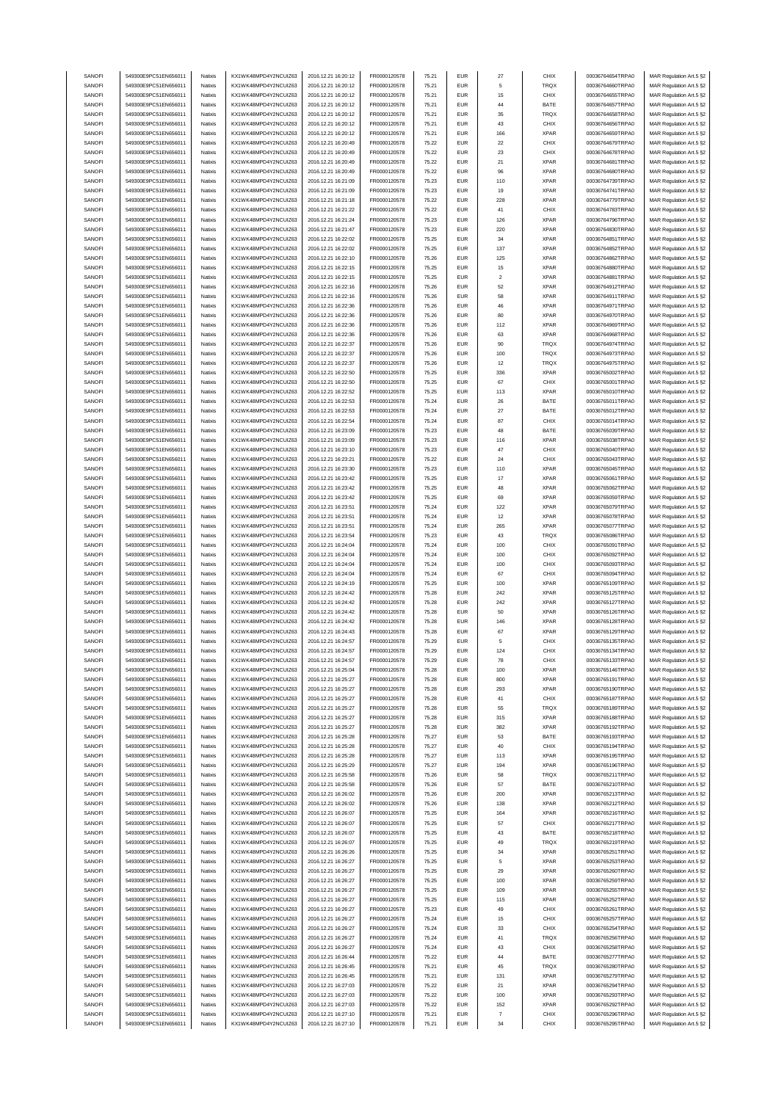| SANOFI           | 549300E9PC51EN656011                         | Natixis            | KX1WK48MPD4Y2NCUIZ63                         | 2016.12.21 16:20:12                        | FR0000120578                 | 75.21          | <b>EUR</b>               | 27                   | CHIX         | 00036764654TRPA0                     | MAR Regulation Art.5 §2                            |
|------------------|----------------------------------------------|--------------------|----------------------------------------------|--------------------------------------------|------------------------------|----------------|--------------------------|----------------------|--------------|--------------------------------------|----------------------------------------------------|
| SANOFI           | 549300E9PC51EN656011                         | Natixis            | KX1WK48MPD4Y2NCUIZ63                         | 2016.12.21 16:20:12                        | FR0000120578                 | 75.21          | <b>EUR</b>               | 5                    | <b>TRQX</b>  | 00036764660TRPA0                     | MAR Regulation Art.5 §2                            |
| SANOFI           | 549300E9PC51EN656011                         | Natixis            | KX1WK48MPD4Y2NCUIZ63                         | 2016.12.21 16:20:12                        | FR0000120578                 | 75.21          | <b>EUR</b>               | 15                   | CHIX         | 00036764655TRPA0                     | MAR Regulation Art.5 §2                            |
| SANOFI           | 549300E9PC51EN656011                         | Natixis            | KX1WK48MPD4Y2NCUIZ63                         | 2016.12.21 16:20:12                        | FR0000120578                 | 75.21          | <b>EUR</b>               | 44                   | BATE         | 00036764657TRPA0                     | MAR Regulation Art.5 §2                            |
| SANOFI           | 549300E9PC51EN656011                         | Natixis            | KX1WK48MPD4Y2NCUIZ63                         | 2016.12.21 16:20:12                        | FR0000120578                 | 75.21          | <b>EUR</b>               | 35                   | TRQX         | 00036764658TRPA0                     | MAR Regulation Art.5 §2                            |
|                  |                                              |                    |                                              |                                            |                              |                |                          |                      |              |                                      |                                                    |
| SANOFI           | 549300E9PC51EN656011                         | Natixis            | KX1WK48MPD4Y2NCUIZ63                         | 2016.12.21 16:20:12                        | FR0000120578                 | 75.21          | <b>EUR</b>               | 43                   | CHIX         | 00036764656TRPA0                     | MAR Regulation Art.5 §2                            |
| SANOFI           | 549300E9PC51EN656011                         | Natixis            | KX1WK48MPD4Y2NCUIZ63                         | 2016.12.21 16:20:12                        | FR0000120578                 | 75.21          | <b>EUR</b>               | 166                  | <b>XPAR</b>  | 00036764659TRPA0                     | MAR Regulation Art.5 §2                            |
| SANOFI           | 549300E9PC51EN656011                         | Natixis            | KX1WK48MPD4Y2NCUIZ63                         | 2016.12.21 16:20:49                        | FR0000120578                 | 75.22          | <b>EUR</b>               | $22\,$               | CHIX         | 00036764679TRPA0                     | MAR Regulation Art.5 §2                            |
| SANOFI           | 549300E9PC51EN656011                         | Natixis            | KX1WK48MPD4Y2NCUIZ63                         | 2016.12.21 16:20:49                        | FR0000120578                 | 75.22          | <b>EUR</b>               | 23                   | CHIX         | 00036764678TRPA0                     | MAR Regulation Art.5 §2                            |
| SANOFI           | 549300E9PC51EN656011                         | Natixis            | KX1WK48MPD4Y2NCUIZ63                         | 2016.12.21 16:20:49                        | FR0000120578                 | 75.22          | <b>EUR</b>               | 21                   | <b>XPAR</b>  | 00036764681TRPA0                     | MAR Regulation Art.5 §2                            |
| SANOFI           | 549300E9PC51EN656011                         | Natixis            | KX1WK48MPD4Y2NCUIZ63                         | 2016.12.21 16:20:49                        | FR0000120578                 | 75.22          | <b>EUR</b>               | 96                   | <b>XPAR</b>  | 00036764680TRPA0                     | MAR Regulation Art.5 §2                            |
|                  |                                              |                    |                                              |                                            |                              |                |                          |                      |              |                                      |                                                    |
| SANOFI           | 549300E9PC51EN656011                         | Natixis            | KX1WK48MPD4Y2NCUIZ63                         | 2016.12.21 16:21:09                        | FR0000120578                 | 75.23          | <b>EUR</b>               | 110                  | <b>XPAR</b>  | 00036764739TRPA0                     | MAR Regulation Art.5 §2                            |
| SANOFI           | 549300E9PC51EN656011                         | Natixis            | KX1WK48MPD4Y2NCUIZ63                         | 2016.12.21 16:21:09                        | FR0000120578                 | 75.23          | <b>EUR</b>               | 19                   | <b>XPAR</b>  | 00036764741TRPA0                     | MAR Regulation Art.5 §2                            |
| SANOFI           | 549300E9PC51EN656011                         | Natixis            | KX1WK48MPD4Y2NCUIZ63                         | 2016.12.21 16:21:18                        | FR0000120578                 | 75.22          | <b>EUR</b>               | 228                  | <b>XPAR</b>  | 00036764779TRPA0                     | MAR Regulation Art.5 §2                            |
| SANOFI           | 549300E9PC51EN656011                         | Natixis            | KX1WK48MPD4Y2NCUIZ63                         | 2016.12.21 16:21:22                        | FR0000120578                 | 75.22          | <b>EUR</b>               | 41                   | CHIX         | 00036764783TRPA0                     | MAR Regulation Art.5 §2                            |
| SANOFI           | 549300E9PC51EN656011                         | Natixis            | KX1WK48MPD4Y2NCUIZ63                         | 2016.12.21 16:21:24                        | FR0000120578                 | 75.23          | <b>EUR</b>               | 126                  | <b>XPAR</b>  | 00036764796TRPA0                     | MAR Regulation Art.5 §2                            |
|                  | 549300E9PC51EN656011                         |                    |                                              |                                            |                              |                |                          |                      |              |                                      |                                                    |
| SANOFI           |                                              | Natixis            | KX1WK48MPD4Y2NCUIZ63                         | 2016.12.21 16:21:47                        | FR0000120578                 | 75.23          | <b>EUR</b>               | 220                  | <b>XPAR</b>  | 00036764830TRPA0                     | MAR Regulation Art.5 §2                            |
| SANOFI           | 549300E9PC51EN656011                         | Natixis            | KX1WK48MPD4Y2NCUIZ63                         | 2016.12.21 16:22:02                        | FR0000120578                 | 75.25          | <b>EUR</b>               | 34                   | <b>XPAR</b>  | 00036764851TRPA0                     | MAR Regulation Art.5 §2                            |
| SANOFI           | 549300E9PC51EN656011                         | Natixis            | KX1WK48MPD4Y2NCUIZ63                         | 2016.12.21 16:22:02                        | FR0000120578                 | 75.25          | <b>EUR</b>               | 137                  | <b>XPAR</b>  | 00036764852TRPA0                     | MAR Regulation Art.5 §2                            |
| SANOFI           | 549300E9PC51EN656011                         | Natixis            | KX1WK48MPD4Y2NCUIZ63                         | 2016.12.21 16:22:10                        | FR0000120578                 | 75.26          | <b>EUR</b>               | 125                  | <b>XPAR</b>  | 00036764862TRPA0                     | MAR Regulation Art.5 §2                            |
| SANOFI           | 549300E9PC51EN656011                         | Natixis            | KX1WK48MPD4Y2NCUIZ63                         | 2016.12.21 16:22:15                        | FR0000120578                 | 75.25          | <b>EUR</b>               | 15                   | <b>XPAR</b>  | 00036764880TRPA0                     | MAR Regulation Art.5 §2                            |
| SANOFI           | 549300E9PC51EN656011                         | Natixis            | KX1WK48MPD4Y2NCUIZ63                         | 2016.12.21 16:22:15                        | FR0000120578                 | 75.25          | <b>EUR</b>               | $\overline{2}$       | <b>XPAR</b>  | 00036764881TRPA0                     | MAR Regulation Art.5 §2                            |
| SANOFI           | 549300E9PC51EN656011                         | Natixis            | KX1WK48MPD4Y2NCUIZ63                         | 2016.12.21 16:22:16                        | FR0000120578                 | 75.26          | <b>EUR</b>               | 52                   | <b>XPAR</b>  | 00036764912TRPA0                     | MAR Regulation Art.5 §2                            |
|                  |                                              |                    |                                              |                                            |                              |                |                          |                      |              |                                      |                                                    |
| SANOFI           | 549300E9PC51EN656011                         | Natixis            | KX1WK48MPD4Y2NCUIZ63                         | 2016.12.21 16:22:16                        | FR0000120578                 | 75.26          | <b>EUR</b>               | 58                   | <b>XPAR</b>  | 00036764911TRPA0                     | MAR Regulation Art.5 §2                            |
| SANOFI           | 549300E9PC51EN656011                         | Natixis            | KX1WK48MPD4Y2NCUIZ63                         | 2016.12.21 16:22:36                        | FR0000120578                 | 75.26          | <b>EUR</b>               | 46                   | <b>XPAR</b>  | 00036764971TRPA0                     | MAR Regulation Art.5 §2                            |
| SANOFI           | 549300E9PC51EN656011                         | Natixis            | KX1WK48MPD4Y2NCUIZ63                         | 2016.12.21 16:22:36                        | FR0000120578                 | 75.26          | <b>EUR</b>               | 80                   | <b>XPAR</b>  | 00036764970TRPA0                     | MAR Regulation Art.5 §2                            |
| SANOFI           | 549300E9PC51EN656011                         | Natixis            | KX1WK48MPD4Y2NCUIZ63                         | 2016.12.21 16:22:36                        | FR0000120578                 | 75.26          | <b>EUR</b>               | 112                  | <b>XPAR</b>  | 00036764969TRPA0                     | MAR Regulation Art.5 §2                            |
| SANOFI           | 549300E9PC51EN656011                         | Natixis            | KX1WK48MPD4Y2NCUIZ63                         | 2016.12.21 16:22:36                        | FR0000120578                 | 75.26          | <b>EUR</b>               | 63                   | <b>XPAR</b>  | 00036764968TRPA0                     | MAR Regulation Art.5 §2                            |
| SANOFI           | 549300E9PC51EN656011                         | Natixis            | KX1WK48MPD4Y2NCUIZ63                         | 2016.12.21 16:22:37                        | FR0000120578                 | 75.26          | <b>EUR</b>               | 90                   | <b>TRQX</b>  | 00036764974TRPA0                     | MAR Regulation Art.5 §2                            |
|                  | 549300E9PC51EN656011                         |                    |                                              |                                            |                              |                |                          |                      |              |                                      |                                                    |
| SANOFI           |                                              | Natixis            | KX1WK48MPD4Y2NCUIZ63                         | 2016.12.21 16:22:37                        | FR0000120578                 | 75.26          | <b>EUR</b>               | 100                  | TRQX         | 00036764973TRPA0                     | MAR Regulation Art.5 §2                            |
| SANOFI           | 549300E9PC51EN656011                         | Natixis            | KX1WK48MPD4Y2NCUIZ63                         | 2016.12.21 16:22:37                        | FR0000120578                 | 75.26          | <b>EUR</b>               | 12                   | TRQX         | 00036764975TRPA0                     | MAR Regulation Art.5 §2                            |
| SANOFI           | 549300E9PC51EN656011                         | Natixis            | KX1WK48MPD4Y2NCUIZ63                         | 2016.12.21 16:22:50                        | FR0000120578                 | 75.25          | <b>EUR</b>               | 336                  | <b>XPAR</b>  | 00036765002TRPA0                     | MAR Regulation Art.5 §2                            |
| SANOFI           | 549300E9PC51EN656011                         | Natixis            | KX1WK48MPD4Y2NCUIZ63                         | 2016.12.21 16:22:50                        | FR0000120578                 | 75.25          | <b>EUR</b>               | 67                   | CHIX         | 00036765001TRPA0                     | MAR Regulation Art.5 §2                            |
| SANOFI           | 549300E9PC51EN656011                         | Natixis            | KX1WK48MPD4Y2NCUIZ63                         | 2016.12.21 16:22:52                        | FR0000120578                 | 75.25          | <b>EUR</b>               | 113                  | <b>XPAR</b>  | 00036765010TRPA0                     | MAR Regulation Art.5 §2                            |
|                  |                                              |                    |                                              |                                            |                              |                |                          |                      |              |                                      |                                                    |
| SANOFI           | 549300E9PC51EN656011                         | Natixis            | KX1WK48MPD4Y2NCUIZ63                         | 2016.12.21 16:22:53                        | FR0000120578                 | 75.24          | <b>EUR</b>               | 26                   | BATE         | 00036765011TRPA0                     | MAR Regulation Art.5 §2                            |
| SANOFI           | 549300E9PC51EN656011                         | Natixis            | KX1WK48MPD4Y2NCUIZ63                         | 2016.12.21 16:22:53                        | FR0000120578                 | 75.24          | <b>EUR</b>               | 27                   | BATE         | 00036765012TRPA0                     | MAR Regulation Art.5 §2                            |
| SANOFI           | 549300E9PC51EN656011                         | Natixis            | KX1WK48MPD4Y2NCUIZ63                         | 2016.12.21 16:22:54                        | FR0000120578                 | 75.24          | <b>EUR</b>               | 87                   | CHIX         | 00036765014TRPA0                     | MAR Regulation Art.5 §2                            |
| SANOFI           | 549300E9PC51EN656011                         | Natixis            | KX1WK48MPD4Y2NCUIZ63                         | 2016.12.21 16:23:09                        | FR0000120578                 | 75.23          | <b>EUR</b>               | 48                   | BATE         | 00036765039TRPA0                     | MAR Regulation Art.5 §2                            |
| SANOFI           | 549300E9PC51EN656011                         | Natixis            | KX1WK48MPD4Y2NCUIZ63                         | 2016.12.21 16:23:09                        | FR0000120578                 | 75.23          | <b>EUR</b>               | 116                  | <b>XPAR</b>  | 00036765038TRPA0                     | MAR Regulation Art.5 §2                            |
| SANOFI           | 549300E9PC51EN656011                         | Natixis            | KX1WK48MPD4Y2NCUIZ63                         | 2016.12.21 16:23:10                        | FR0000120578                 | 75.23          | <b>EUR</b>               | 47                   | CHIX         | 00036765040TRPA0                     |                                                    |
|                  |                                              |                    |                                              |                                            |                              |                |                          |                      |              |                                      | MAR Regulation Art.5 §2                            |
| SANOFI           | 549300E9PC51EN656011                         | Natixis            | KX1WK48MPD4Y2NCUIZ63                         | 2016.12.21 16:23:21                        | FR0000120578                 | 75.22          | <b>EUR</b>               | 24                   | CHIX         | 00036765043TRPA0                     | MAR Regulation Art.5 §2                            |
| SANOFI           | 549300E9PC51EN656011                         | Natixis            | KX1WK48MPD4Y2NCUIZ63                         | 2016.12.21 16:23:30                        | FR0000120578                 | 75.23          | <b>EUR</b>               | 110                  | <b>XPAR</b>  | 00036765045TRPA0                     | MAR Regulation Art.5 §2                            |
| SANOFI           | 549300E9PC51EN656011                         | Natixis            | KX1WK48MPD4Y2NCUIZ63                         | 2016.12.21 16:23:42                        | FR0000120578                 | 75.25          | <b>EUR</b>               | 17                   | <b>XPAR</b>  | 00036765061TRPA0                     | MAR Regulation Art.5 §2                            |
| SANOFI           | 549300E9PC51EN656011                         | Natixis            | KX1WK48MPD4Y2NCUIZ63                         | 2016.12.21 16:23:42                        | FR0000120578                 | 75.25          | <b>EUR</b>               | 48                   | <b>XPAR</b>  | 00036765062TRPA0                     | MAR Regulation Art.5 §2                            |
| SANOFI           | 549300E9PC51EN656011                         | Natixis            | KX1WK48MPD4Y2NCUIZ63                         | 2016.12.21 16:23:42                        | FR0000120578                 | 75.25          | <b>EUR</b>               | 69                   | <b>XPAR</b>  | 00036765059TRPA0                     | MAR Regulation Art.5 §2                            |
| SANOFI           | 549300E9PC51EN656011                         | Natixis            | KX1WK48MPD4Y2NCUIZ63                         | 2016.12.21 16:23:51                        | FR0000120578                 | 75.24          | <b>EUR</b>               | 122                  | <b>XPAR</b>  | 00036765079TRPA0                     |                                                    |
|                  |                                              |                    |                                              |                                            |                              |                |                          |                      |              |                                      | MAR Regulation Art.5 §2                            |
| SANOFI           | 549300E9PC51EN656011                         | Natixis            | KX1WK48MPD4Y2NCUIZ63                         | 2016.12.21 16:23:51                        | FR0000120578                 | 75.24          | <b>EUR</b>               | 12                   | <b>XPAR</b>  | 00036765078TRPA0                     | MAR Regulation Art.5 §2                            |
| SANOFI           | 549300E9PC51EN656011                         | Natixis            | KX1WK48MPD4Y2NCUIZ63                         | 2016.12.21 16:23:51                        | FR0000120578                 | 75.24          | <b>EUR</b>               | 265                  | <b>XPAR</b>  | 00036765077TRPA0                     | MAR Regulation Art.5 §2                            |
|                  |                                              |                    |                                              |                                            |                              |                |                          |                      |              |                                      |                                                    |
| SANOFI           | 549300E9PC51EN656011                         | Natixis            | KX1WK48MPD4Y2NCUIZ63                         | 2016.12.21 16:23:54                        | FR0000120578                 | 75.23          | <b>EUR</b>               | 43                   | TRQX         | 00036765086TRPA0                     | MAR Regulation Art.5 §2                            |
| SANOFI           | 549300E9PC51EN656011                         | Natixis            | KX1WK48MPD4Y2NCUIZ63                         | 2016.12.21 16:24:04                        | FR0000120578                 | 75.24          | <b>EUR</b>               | 100                  | CHIX         | 00036765091TRPA0                     | MAR Regulation Art.5 §2                            |
|                  |                                              |                    |                                              |                                            |                              |                |                          |                      |              |                                      |                                                    |
| SANOFI           | 549300E9PC51EN656011                         | Natixis            | KX1WK48MPD4Y2NCUIZ63                         | 2016.12.21 16:24:04                        | FR0000120578                 | 75.24          | <b>EUR</b>               | 100                  | CHIX         | 00036765092TRPA0                     | MAR Regulation Art.5 §2                            |
| SANOFI           | 549300E9PC51EN656011                         | Natixis            | KX1WK48MPD4Y2NCUIZ63                         | 2016.12.21 16:24:04                        | FR0000120578                 | 75.24          | <b>EUR</b>               | 100                  | CHIX         | 00036765093TRPA0                     | MAR Regulation Art.5 §2                            |
| SANOFI           | 549300E9PC51EN656011                         | Natixis            | KX1WK48MPD4Y2NCUIZ63                         | 2016.12.21 16:24:04                        | FR0000120578                 | 75.24          | <b>EUR</b>               | 67                   | CHIX         | 00036765094TRPA0                     | MAR Regulation Art.5 §2                            |
| SANOFI           | 549300E9PC51EN656011                         | Natixis            | KX1WK48MPD4Y2NCUIZ63                         | 2016.12.21 16:24:19                        | FR0000120578                 | 75.25          | <b>EUR</b>               | 100                  | <b>XPAR</b>  | 00036765109TRPA0                     | MAR Regulation Art.5 §2                            |
| SANOFI           | 549300E9PC51EN656011                         | Natixis            | KX1WK48MPD4Y2NCUIZ63                         | 2016.12.21 16:24:42                        | FR0000120578                 | 75.28          | <b>EUR</b>               | 242                  | <b>XPAR</b>  | 00036765125TRPA0                     | MAR Regulation Art.5 §2                            |
| SANOFI           | 549300E9PC51EN656011                         | Natixis            | KX1WK48MPD4Y2NCUIZ63                         | 2016.12.21 16:24:42                        | FR0000120578                 | 75.28          | <b>EUR</b>               | 242                  | <b>XPAR</b>  | 00036765127TRPA0                     | MAR Regulation Art.5 §2                            |
| SANOFI           | 549300E9PC51EN656011                         | Natixis            |                                              | 2016.12.21 16:24:42                        | FR0000120578                 | 75.28          | <b>EUR</b>               | 50                   | <b>XPAR</b>  | 00036765126TRPA0                     |                                                    |
|                  |                                              |                    | KX1WK48MPD4Y2NCUIZ63                         |                                            |                              |                |                          |                      |              |                                      | MAR Regulation Art.5 §2                            |
| SANOFI           | 549300E9PC51EN656011                         | Natixis            | KX1WK48MPD4Y2NCUIZ63                         | 2016.12.21 16:24:42                        | FR0000120578                 | 75.28          | <b>EUR</b>               | 146                  | <b>XPAR</b>  | 00036765128TRPA0                     | MAR Regulation Art.5 §2                            |
| SANOFI           | 549300E9PC51EN656011                         | Natixis            | KX1WK48MPD4Y2NCUIZ63                         | 2016.12.21 16:24:43                        | FR0000120578                 | 75.28          | <b>EUR</b>               | 67                   | <b>XPAR</b>  | 00036765129TRPA0                     | MAR Regulation Art.5 §2                            |
| SANOFI           | 549300E9PC51EN656011                         | Natixis            | KX1WK48MPD4Y2NCUIZ63                         | 2016.12.21 16:24:57                        | FR0000120578                 | 75.29          | <b>EUR</b>               | 5                    | CHIX         | 00036765135TRPA0                     | MAR Regulation Art.5 §2                            |
|                  |                                              |                    | KX1WK48MPD4Y2NCUIZ63                         | 2016.12.21 16:24:57                        |                              |                |                          |                      |              | 0036765134TRPA0                      | MAR Regulation Art.5 §2                            |
| SANOFI           | 549300E9PC51EN656011                         | Natixis            | KX1WK48MPD4Y2NCUIZ63                         | 2016.12.21 16:24:57                        | FR0000120578                 | 75.29          | <b>EUR</b>               | 78                   | CHIX         | 00036765133TRPA0                     | MAR Regulation Art.5 §2                            |
| SANOFI           | 549300E9PC51EN656011                         | Natixis            | KX1WK48MPD4Y2NCUIZ63                         | 2016.12.21 16:25:04                        | FR0000120578                 | 75.28          | <b>EUR</b>               | 100                  | <b>XPAR</b>  | 00036765146TRPA0                     |                                                    |
|                  |                                              | Natixis            |                                              |                                            |                              |                | <b>EUR</b>               | 800                  |              | 00036765191TRPA0                     | MAR Regulation Art.5 §2                            |
| SANOFI           | 549300E9PC51EN656011                         |                    | KX1WK48MPD4Y2NCUIZ63                         | 2016.12.21 16:25:27                        | FR0000120578                 | 75.28          |                          |                      | <b>XPAR</b>  |                                      | MAR Regulation Art.5 §2                            |
| SANOFI           | 549300E9PC51EN656011                         | Natixis            | KX1WK48MPD4Y2NCUIZ63                         | 2016.12.21 16:25:27                        | FR0000120578                 | 75.28          | <b>EUR</b>               | 293                  | <b>XPAR</b>  | 00036765190TRPA0                     | MAR Regulation Art.5 §2                            |
| SANOFI           | 549300E9PC51EN656011                         | Natixis            | KX1WK48MPD4Y2NCUIZ63                         | 2016.12.21 16:25:27                        | FR0000120578                 | 75.28          | <b>EUR</b>               | 41                   | CHIX         | 00036765187TRPA0                     | MAR Regulation Art.5 §2                            |
| SANOFI           | 549300E9PC51EN656011                         | Natixis            | KX1WK48MPD4Y2NCUIZ63                         | 2016.12.21 16:25:27                        | FR0000120578                 | 75.28          | <b>EUR</b>               | 55                   | TRQX         | 00036765189TRPA0                     | MAR Regulation Art.5 §2                            |
| SANOFI           | 549300E9PC51EN656011                         | Natixis            | KX1WK48MPD4Y2NCUIZ63                         | 2016.12.21 16:25:27                        | FR0000120578                 | 75.28          | <b>EUR</b>               | 315                  | <b>XPAR</b>  | 00036765188TRPA0                     | MAR Regulation Art.5 §2                            |
| SANOFI           | 549300E9PC51EN656011                         | Natixis            | KX1WK48MPD4Y2NCUIZ63                         | 2016.12.21 16:25:27                        | FR0000120578                 | 75.28          | <b>EUR</b>               | 382                  | <b>XPAR</b>  | 00036765192TRPA0                     | MAR Regulation Art.5 §2                            |
| SANOFI           | 549300E9PC51EN656011                         | Natixis            | KX1WK48MPD4Y2NCUIZ63                         | 2016.12.21 16:25:28                        | FR0000120578                 | 75.27          | <b>EUR</b>               | 53                   | BATE         | 00036765193TRPA0                     |                                                    |
|                  |                                              |                    |                                              |                                            |                              |                |                          |                      |              |                                      | MAR Regulation Art.5 §2                            |
| SANOFI           | 549300E9PC51EN656011                         | Natixis            | KX1WK48MPD4Y2NCUIZ63                         | 2016.12.21 16:25:28                        | FR0000120578                 | 75.27          | <b>EUR</b>               | 40                   | CHIX         | 00036765194TRPA0                     | MAR Regulation Art.5 §2                            |
| SANOFI           | 549300E9PC51EN656011                         | Natixis            | KX1WK48MPD4Y2NCUIZ63                         | 2016.12.21 16:25:28                        | FR0000120578                 | 75.27          | EUR                      | 113                  | <b>XPAR</b>  | 00036765195TRPA0                     | MAR Regulation Art.5 §2                            |
| SANOFI           | 549300E9PC51EN656011                         | Natixis            | KX1WK48MPD4Y2NCUIZ63                         | 2016.12.21 16:25:29                        | FR0000120578                 | 75.27          | <b>EUR</b>               | 194                  | <b>XPAR</b>  | 00036765196TRPA0                     | MAR Regulation Art.5 §2                            |
| SANOFI           | 549300E9PC51EN656011                         | Natixis            | KX1WK48MPD4Y2NCUIZ63                         | 2016.12.21 16:25:58                        | FR0000120578                 | 75.26          | <b>EUR</b>               | 58                   | <b>TRQX</b>  | 00036765211TRPA0                     | MAR Regulation Art.5 §2                            |
| SANOFI           | 549300E9PC51EN656011                         | Natixis            | KX1WK48MPD4Y2NCUIZ63                         | 2016.12.21 16:25:58                        | FR0000120578                 | 75.26          | <b>EUR</b>               | 57                   | BATE         | 00036765210TRPA0                     | MAR Regulation Art.5 §2                            |
|                  |                                              |                    |                                              |                                            |                              |                | <b>EUR</b>               |                      |              |                                      |                                                    |
| SANOFI           | 549300E9PC51EN656011                         | Natixis            | KX1WK48MPD4Y2NCUIZ63                         | 2016.12.21 16:26:02                        | FR0000120578                 | 75.26          |                          | 200                  | <b>XPAR</b>  | 00036765213TRPA0                     | MAR Regulation Art.5 §2                            |
| SANOFI           | 549300E9PC51EN656011                         | Natixis            | KX1WK48MPD4Y2NCUIZ63                         | 2016.12.21 16:26:02                        | FR0000120578                 | 75.26          | <b>EUR</b>               | 138                  | <b>XPAR</b>  | 00036765212TRPA0                     | MAR Regulation Art.5 §2                            |
| SANOFI           | 549300E9PC51EN656011                         | Natixis            | KX1WK48MPD4Y2NCUIZ63                         | 2016.12.21 16:26:07                        | FR0000120578                 | 75.25          | <b>EUR</b>               | 164                  | <b>XPAR</b>  | 00036765216TRPA0                     | MAR Regulation Art.5 §2                            |
| SANOFI           | 549300E9PC51EN656011                         | Natixis            | KX1WK48MPD4Y2NCUIZ63                         | 2016.12.21 16:26:07                        | FR0000120578                 | 75.25          | <b>EUR</b>               | 57                   | CHIX         | 00036765217TRPA0                     | MAR Regulation Art.5 §2                            |
| SANOFI           | 549300E9PC51EN656011                         | Natixis            | KX1WK48MPD4Y2NCUIZ63                         | 2016.12.21 16:26:07                        | FR0000120578                 | 75.25          | <b>EUR</b>               | 43                   | BATE         | 00036765218TRPA0                     | MAR Regulation Art.5 §2                            |
| SANOFI           | 549300E9PC51EN656011                         | Natixis            | KX1WK48MPD4Y2NCUIZ63                         | 2016.12.21 16:26:07                        | FR0000120578                 | 75.25          | <b>EUR</b>               | 49                   | TRQX         | 00036765219TRPA0                     | MAR Regulation Art.5 §2                            |
| SANOFI           | 549300E9PC51EN656011                         | Natixis            | KX1WK48MPD4Y2NCUIZ63                         | 2016.12.21 16:26:26                        | FR0000120578                 | 75.25          | <b>EUR</b>               | 34                   | <b>XPAR</b>  | 00036765251TRPA0                     |                                                    |
|                  |                                              |                    |                                              |                                            |                              |                | <b>EUR</b>               | 5                    |              |                                      | MAR Regulation Art.5 §2                            |
| SANOFI           | 549300E9PC51EN656011                         | Natixis            | KX1WK48MPD4Y2NCUIZ63                         | 2016.12.21 16:26:27                        | FR0000120578                 | 75.25          |                          |                      | <b>XPAR</b>  | 00036765253TRPA0                     | MAR Regulation Art.5 §2                            |
| SANOFI           | 549300E9PC51EN656011                         | Natixis            | KX1WK48MPD4Y2NCUIZ63                         | 2016.12.21 16:26:27                        | FR0000120578                 | 75.25          | <b>EUR</b>               | 29                   | <b>XPAR</b>  | 00036765260TRPA0                     | MAR Regulation Art.5 §2                            |
| SANOFI           | 549300E9PC51EN656011                         | Natixis            | KX1WK48MPD4Y2NCUIZ63                         | 2016.12.21 16:26:27                        | FR0000120578                 | 75.25          | <b>EUR</b>               | 100                  | <b>XPAR</b>  | 00036765259TRPA0                     | MAR Regulation Art.5 §2                            |
| SANOFI           | 549300E9PC51EN656011                         | Natixis            | KX1WK48MPD4Y2NCUIZ63                         | 2016.12.21 16:26:27                        | FR0000120578                 | 75.25          | <b>EUR</b>               | 109                  | <b>XPAR</b>  | 00036765255TRPA0                     | MAR Regulation Art.5 §2                            |
| SANOFI           | 549300E9PC51EN656011                         | Natixis            | KX1WK48MPD4Y2NCUIZ63                         | 2016.12.21 16:26:27                        | FR0000120578                 | 75.25          | <b>EUR</b>               | 115                  | <b>XPAR</b>  | 00036765252TRPA0                     | MAR Regulation Art.5 §2                            |
| SANOFI           | 549300E9PC51EN656011                         | Natixis            | KX1WK48MPD4Y2NCUIZ63                         | 2016.12.21 16:26:27                        | FR0000120578                 | 75.23          | <b>EUR</b>               |                      | CHIX         | 00036765261TRPA0                     |                                                    |
|                  |                                              |                    |                                              |                                            |                              |                |                          | 49                   |              |                                      | MAR Regulation Art.5 §2                            |
| SANOFI           | 549300E9PC51EN656011                         | Natixis            | KX1WK48MPD4Y2NCUIZ63                         | 2016.12.21 16:26:27                        | FR0000120578                 | 75.24          | <b>EUR</b>               | 15                   | CHIX         | 00036765257TRPA0                     | MAR Regulation Art.5 §2                            |
| SANOFI           | 549300E9PC51EN656011                         | Natixis            | KX1WK48MPD4Y2NCUIZ63                         | 2016.12.21 16:26:27                        | FR0000120578                 | 75.24          | <b>EUR</b>               | 33                   | CHIX         | 00036765254TRPA0                     | MAR Regulation Art.5 §2                            |
| SANOFI           | 549300E9PC51EN656011                         | Natixis            | KX1WK48MPD4Y2NCUIZ63                         | 2016.12.21 16:26:27                        | FR0000120578                 | 75.24          | <b>EUR</b>               | 41                   | <b>TRQX</b>  | 00036765256TRPA0                     | MAR Regulation Art.5 §2                            |
| SANOFI           | 549300E9PC51EN656011                         | Natixis            | KX1WK48MPD4Y2NCUIZ63                         | 2016.12.21 16:26:27                        | FR0000120578                 | 75.24          | <b>EUR</b>               | 43                   | CHIX         | 00036765258TRPA0                     | MAR Regulation Art.5 §2                            |
| SANOFI           | 549300E9PC51EN656011                         | Natixis            | KX1WK48MPD4Y2NCUIZ63                         | 2016.12.21 16:26:44                        | FR0000120578                 | 75.22          | <b>EUR</b>               | 44                   | BATE         | 00036765277TRPA0                     | MAR Regulation Art.5 §2                            |
| SANOFI           | 549300E9PC51EN656011                         | Natixis            | KX1WK48MPD4Y2NCUIZ63                         | 2016.12.21 16:26:45                        | FR0000120578                 | 75.21          | <b>EUR</b>               | 45                   | <b>TRQX</b>  | 00036765280TRPA0                     | MAR Regulation Art.5 §2                            |
|                  |                                              |                    |                                              |                                            |                              |                |                          |                      |              |                                      |                                                    |
| SANOFI           | 549300E9PC51EN656011                         | Natixis            | KX1WK48MPD4Y2NCUIZ63                         | 2016.12.21 16:26:45                        | FR0000120578                 | 75.21          | <b>EUR</b>               | 131                  | <b>XPAR</b>  | 00036765279TRPA0                     | MAR Regulation Art.5 §2                            |
| SANOFI           | 549300E9PC51EN656011                         | Natixis            | KX1WK48MPD4Y2NCUIZ63                         | 2016.12.21 16:27:03                        | FR0000120578                 | 75.22          | <b>EUR</b>               | 21                   | <b>XPAR</b>  | 00036765294TRPA0                     | MAR Regulation Art.5 §2                            |
| SANOFI           | 549300E9PC51EN656011                         | Natixis            | KX1WK48MPD4Y2NCUIZ63                         | 2016.12.21 16:27:03                        | FR0000120578                 | 75.22          | <b>EUR</b>               | 100                  | <b>XPAR</b>  | 00036765293TRPA0                     | MAR Regulation Art.5 §2                            |
| SANOFI           | 549300E9PC51EN656011                         | Natixis            | KX1WK48MPD4Y2NCUIZ63                         | 2016.12.21 16:27:03                        | FR0000120578                 | 75.22          | <b>EUR</b>               | 152                  | <b>XPAR</b>  | 00036765292TRPA0                     | MAR Regulation Art.5 §2                            |
| SANOFI<br>SANOFI | 549300E9PC51EN656011<br>549300E9PC51EN656011 | Natixis<br>Natixis | KX1WK48MPD4Y2NCUIZ63<br>KX1WK48MPD4Y2NCUIZ63 | 2016.12.21 16:27:10<br>2016.12.21 16:27:10 | FR0000120578<br>FR0000120578 | 75.21<br>75.21 | <b>EUR</b><br><b>EUR</b> | $\overline{7}$<br>34 | CHIX<br>CHIX | 00036765296TRPA0<br>00036765295TRPA0 | MAR Regulation Art.5 §2<br>MAR Regulation Art.5 §2 |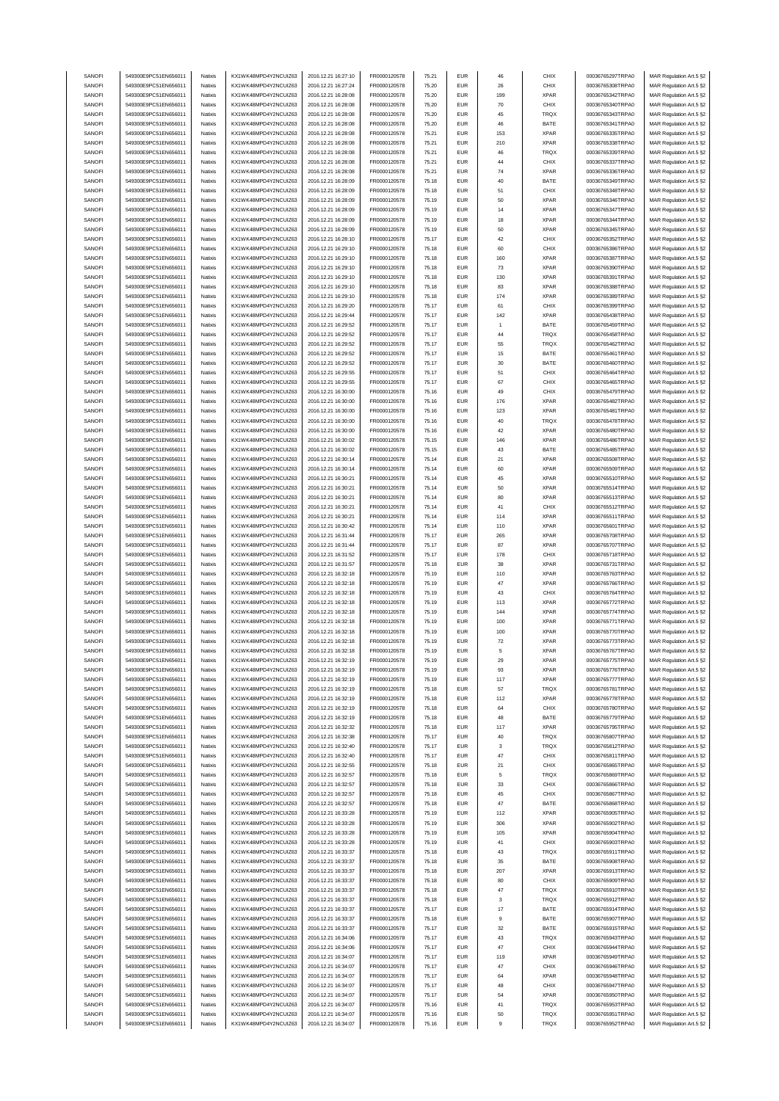| SANOFI           | 549300E9PC51EN656011                         | Natixis            | KX1WK48MPD4Y2NCUIZ63                         | 2016.12.21 16:27:10                        | FR0000120578                 | 75.21          | <b>EUR</b>                  | 46           | CHIX         | 00036765297TRPA0                     | MAR Regulation Art.5 §2                            |
|------------------|----------------------------------------------|--------------------|----------------------------------------------|--------------------------------------------|------------------------------|----------------|-----------------------------|--------------|--------------|--------------------------------------|----------------------------------------------------|
| SANOFI           | 549300E9PC51EN656011                         | Natixis            | KX1WK48MPD4Y2NCUIZ63                         | 2016.12.21 16:27:24                        | FR0000120578                 | 75.20          | <b>EUR</b>                  | 26           | CHIX         | 00036765308TRPA0                     | MAR Regulation Art.5 §2                            |
| SANOFI           | 549300E9PC51EN656011                         | Natixis            | KX1WK48MPD4Y2NCUIZ63                         | 2016.12.21 16:28:08                        | FR0000120578                 | 75.20          | <b>EUR</b>                  | 199          | <b>XPAR</b>  | 00036765342TRPA0                     | MAR Regulation Art.5 §2                            |
| SANOFI           | 549300E9PC51EN656011                         | Natixis            | KX1WK48MPD4Y2NCUIZ63                         | 2016.12.21 16:28:08                        | FR0000120578                 | 75.20          | <b>EUR</b>                  | 70           | CHIX         | 00036765340TRPA0                     | MAR Regulation Art.5 §2                            |
|                  |                                              |                    |                                              |                                            |                              |                |                             |              |              |                                      |                                                    |
| SANOFI           | 549300E9PC51EN656011                         | Natixis            | KX1WK48MPD4Y2NCUIZ63                         | 2016.12.21 16:28:08                        | FR0000120578                 | 75.20          | <b>EUR</b>                  | 45           | TRQX         | 00036765343TRPA0                     | MAR Regulation Art.5 §2                            |
| SANOFI           | 549300E9PC51EN656011                         | Natixis            | KX1WK48MPD4Y2NCUIZ63                         | 2016.12.21 16:28:08                        | FR0000120578                 | 75.20          | <b>EUR</b>                  | 46           | BATE         | 00036765341TRPA0                     | MAR Regulation Art.5 §2                            |
| SANOFI           | 549300E9PC51EN656011                         | Natixis            | KX1WK48MPD4Y2NCUIZ63                         | 2016.12.21 16:28:08                        | FR0000120578                 | 75.21          | <b>EUR</b>                  | 153          | <b>XPAR</b>  | 00036765335TRPA0                     | MAR Regulation Art.5 §2                            |
| SANOFI           | 549300E9PC51EN656011                         | Natixis            | KX1WK48MPD4Y2NCUIZ63                         | 2016.12.21 16:28:08                        | FR0000120578                 | 75.21          | <b>EUR</b>                  | 210          | <b>XPAR</b>  | 00036765338TRPA0                     | MAR Regulation Art.5 §2                            |
| SANOFI           | 549300E9PC51EN656011                         | Natixis            | KX1WK48MPD4Y2NCLIIZ63                        | 2016.12.21 16:28:08                        | FR0000120578                 | 75.21          | <b>EUR</b>                  | 46           | TRQX         | 00036765339TRPA0                     | MAR Regulation Art.5 §2                            |
| SANOFI           | 549300E9PC51EN656011                         | Natixis            | KX1WK48MPD4Y2NCUIZ63                         | 2016.12.21 16:28:08                        | FR0000120578                 | 75.21          | <b>EUR</b>                  | 44           | CHIX         | 00036765337TRPA0                     | MAR Regulation Art.5 §2                            |
| SANOFI           | 549300E9PC51EN656011                         | Natixis            | KX1WK48MPD4Y2NCUIZ63                         | 2016.12.21 16:28:08                        | FR0000120578                 | 75.21          | <b>EUR</b>                  | 74           | <b>XPAR</b>  | 00036765336TRPA0                     | MAR Regulation Art.5 §2                            |
|                  |                                              |                    |                                              |                                            |                              |                |                             |              |              |                                      |                                                    |
| SANOFI           | 549300E9PC51EN656011                         | Natixis            | KX1WK48MPD4Y2NCUIZ63                         | 2016.12.21 16:28:09                        | FR0000120578                 | 75.18          | <b>EUR</b>                  | 40           | BATE         | 00036765349TRPA0                     | MAR Regulation Art.5 §2                            |
| SANOFI           | 549300E9PC51EN656011                         | Natixis            | KX1WK48MPD4Y2NCUIZ63                         | 2016.12.21 16:28:09                        | FR0000120578                 | 75.18          | <b>EUR</b>                  | 51           | CHIX         | 00036765348TRPA0                     | MAR Regulation Art.5 §2                            |
| SANOFI           | 549300E9PC51EN656011                         | Natixis            | KX1WK48MPD4Y2NCUIZ63                         | 2016.12.21 16:28:09                        | FR0000120578                 | 75.19          | <b>EUR</b>                  | 50           | <b>XPAR</b>  | 00036765346TRPA0                     | MAR Regulation Art.5 §2                            |
| SANOFI           | 549300E9PC51EN656011                         | Natixis            | KX1WK48MPD4Y2NCUIZ63                         | 2016.12.21 16:28:09                        | FR0000120578                 | 75.19          | <b>EUR</b>                  | 14           | <b>XPAR</b>  | 00036765347TRPA0                     | MAR Regulation Art.5 §2                            |
| SANOFI           | 549300E9PC51EN656011                         | Natixis            | KX1WK48MPD4Y2NCUIZ63                         | 2016.12.21 16:28:09                        | FR0000120578                 | 75.19          | <b>EUR</b>                  | 18           | <b>XPAR</b>  | 00036765344TRPA0                     | MAR Regulation Art.5 §2                            |
| SANOFI           | 549300E9PC51EN656011                         | Natixis            | KX1WK48MPD4Y2NCUIZ63                         | 2016.12.21 16:28:09                        | FR0000120578                 | 75.19          | <b>EUR</b>                  | 50           | <b>XPAR</b>  | 00036765345TRPA0                     | MAR Regulation Art.5 §2                            |
|                  | 549300E9PC51EN656011                         | Natixis            | KX1WK48MPD4Y2NCLIIZ63                        |                                            |                              |                | <b>EUR</b>                  |              | CHIX         | 00036765352TRPA0                     |                                                    |
| SANOFI           |                                              |                    |                                              | 2016.12.21 16:28:10                        | FR0000120578                 | 75.17          |                             | 42           |              |                                      | MAR Regulation Art.5 §2                            |
| SANOFI           | 549300E9PC51EN656011                         | Natixis            | KX1WK48MPD4Y2NCUIZ63                         | 2016.12.21 16:29:10                        | FR0000120578                 | 75.18          | <b>EUR</b>                  | 60           | CHIX         | 00036765386TRPA0                     | MAR Regulation Art.5 §2                            |
| SANOFI           | 549300E9PC51EN656011                         | Natixis            | KX1WK48MPD4Y2NCUIZ63                         | 2016.12.21 16:29:10                        | FR0000120578                 | 75.18          | <b>EUR</b>                  | 160          | <b>XPAR</b>  | 00036765387TRPA0                     | MAR Regulation Art.5 §2                            |
| SANOFI           | 549300E9PC51EN656011                         | Natixis            | KX1WK48MPD4Y2NCUIZ63                         | 2016.12.21 16:29:10                        | FR0000120578                 | 75.18          | <b>EUR</b>                  | 73           | <b>XPAR</b>  | 00036765390TRPA0                     | MAR Regulation Art.5 §2                            |
| SANOFI           | 549300E9PC51EN656011                         | Natixis            | KX1WK48MPD4Y2NCUIZ63                         | 2016.12.21 16:29:10                        | FR0000120578                 | 75.18          | <b>EUR</b>                  | 130          | <b>XPAR</b>  | 00036765391TRPA0                     | MAR Regulation Art.5 §2                            |
| SANOFI           | 549300E9PC51EN656011                         | Natixis            | KX1WK48MPD4Y2NCUIZ63                         | 2016.12.21 16:29:10                        | FR0000120578                 | 75.18          | <b>EUR</b>                  | 83           | <b>XPAR</b>  | 00036765388TRPA0                     | MAR Regulation Art.5 §2                            |
| SANOFI           | 549300E9PC51EN656011                         | Natixis            | KX1WK48MPD4Y2NCUIZ63                         | 2016.12.21 16:29:10                        | FR0000120578                 | 75.18          | <b>EUR</b>                  | 174          | <b>XPAR</b>  | 00036765389TRPA0                     | MAR Regulation Art.5 §2                            |
| SANOFI           | 549300E9PC51EN656011                         | Natixis            | KX1WK48MPD4Y2NCUIZ63                         | 2016.12.21 16:29:20                        | FR0000120578                 | 75.17          | <b>EUR</b>                  | 61           | CHIX         | 00036765399TRPA0                     |                                                    |
| SANOFI           | 549300E9PC51EN656011                         | Natixis            |                                              |                                            |                              | 75.17          | <b>EUR</b>                  | 142          | <b>XPAR</b>  | 00036765438TRPA0                     | MAR Regulation Art.5 §2                            |
|                  |                                              |                    | KX1WK48MPD4Y2NCUIZ63                         | 2016.12.21 16:29:44                        | FR0000120578                 |                |                             |              |              |                                      | MAR Regulation Art.5 §2                            |
| SANOFI           | 549300E9PC51EN656011                         | Natixis            | KX1WK48MPD4Y2NCLIIZ63                        | 2016.12.21 16:29:52                        | FR0000120578                 | 75.17          | <b>EUR</b>                  | $\mathbf{1}$ | BATE         | 00036765459TRPA0                     | MAR Regulation Art.5 §2                            |
| SANOFI           | 549300E9PC51EN656011                         | Natixis            | KX1WK48MPD4Y2NCUIZ63                         | 2016.12.21 16:29:52                        | FR0000120578                 | 75.17          | <b>EUR</b>                  | 44           | TRQX         | 00036765458TRPA0                     | MAR Regulation Art.5 §2                            |
| SANOFI           | 549300E9PC51EN656011                         | Natixis            | KX1WK48MPD4Y2NCUIZ63                         | 2016.12.21 16:29:52                        | FR0000120578                 | 75.17          | <b>EUR</b>                  | 55           | TRQX         | 00036765462TRPA0                     | MAR Regulation Art.5 §2                            |
| SANOFI           | 549300E9PC51EN656011                         | Natixis            | KX1WK48MPD4Y2NCUIZ63                         | 2016.12.21 16:29:52                        | FR0000120578                 | 75.17          | <b>EUR</b>                  | 15           | BATE         | 00036765461TRPA0                     | MAR Regulation Art.5 §2                            |
| SANOFI           | 549300E9PC51EN656011                         | Natixis            | KX1WK48MPD4Y2NCUIZ63                         | 2016.12.21 16:29:52                        | FR0000120578                 | 75.17          | <b>EUR</b>                  | 30           | BATE         | 00036765460TRPA0                     | MAR Regulation Art.5 §2                            |
| SANOFI           | 549300E9PC51EN656011                         | Natixis            | KX1WK48MPD4Y2NCUIZ63                         | 2016.12.21 16:29:55                        | FR0000120578                 | 75.17          | <b>EUR</b>                  | 51           | CHIX         | 00036765464TRPA0                     | MAR Regulation Art.5 §2                            |
| SANOFI           | 549300E9PC51EN656011                         | Natixis            | KX1WK48MPD4Y2NCUIZ63                         | 2016.12.21 16:29:55                        | FR0000120578                 | 75.17          | <b>EUR</b>                  | 67           | CHIX         | 00036765465TRPA0                     | MAR Regulation Art.5 §2                            |
|                  |                                              |                    |                                              |                                            |                              |                |                             |              |              |                                      |                                                    |
| SANOFI           | 549300E9PC51EN656011                         | Natixis            | KX1WK48MPD4Y2NCUIZ63                         | 2016.12.21 16:30:00                        | FR0000120578                 | 75.16          | <b>EUR</b>                  | 49           | CHIX         | 00036765479TRPA0                     | MAR Regulation Art.5 §2                            |
| SANOFI           | 549300E9PC51EN656011                         | Natixis            | KX1WK48MPD4Y2NCUIZ63                         | 2016.12.21 16:30:00                        | FR0000120578                 | 75.16          | <b>EUR</b>                  | 176          | <b>XPAR</b>  | 00036765482TRPA0                     | MAR Regulation Art.5 §2                            |
| SANOFI           | 549300E9PC51EN656011                         | Natixis            | KX1WK48MPD4Y2NCLIIZ63                        | 2016.12.21 16:30:00                        | FR0000120578                 | 75.16          | <b>EUR</b>                  | 123          | <b>XPAR</b>  | 00036765481TRPA0                     | MAR Regulation Art.5 §2                            |
| SANOFI           | 549300E9PC51EN656011                         | Natixis            | KX1WK48MPD4Y2NCUIZ63                         | 2016.12.21 16:30:00                        | FR0000120578                 | 75.16          | <b>EUR</b>                  | 40           | TRQX         | 00036765478TRPA0                     | MAR Regulation Art.5 §2                            |
| SANOFI           | 549300E9PC51EN656011                         | Natixis            | KX1WK48MPD4Y2NCUIZ63                         | 2016.12.21 16:30:00                        | FR0000120578                 | 75.16          | <b>EUR</b>                  | 42           | <b>XPAR</b>  | 00036765480TRPA0                     | MAR Regulation Art.5 §2                            |
| SANOFI           | 549300E9PC51EN656011                         | Natixis            | KX1WK48MPD4Y2NCUIZ63                         | 2016.12.21 16:30:02                        | FR0000120578                 | 75.15          | <b>EUR</b>                  | 146          | <b>XPAR</b>  | 00036765486TRPA0                     | MAR Regulation Art.5 §2                            |
| SANOFI           | 549300E9PC51EN656011                         | Natixis            | KX1WK48MPD4Y2NCUIZ63                         | 2016.12.21 16:30:02                        | FR0000120578                 | 75.15          | <b>EUR</b>                  | 43           | BATE         | 00036765485TRPA0                     | MAR Regulation Art.5 §2                            |
| SANOFI           | 549300E9PC51EN656011                         | Natixis            | KX1WK48MPD4Y2NCUIZ63                         | 2016.12.21 16:30:14                        | FR0000120578                 | 75.14          | <b>EUR</b>                  | 21           | <b>XPAR</b>  | 00036765508TRPA0                     |                                                    |
|                  |                                              |                    |                                              |                                            |                              |                |                             |              |              |                                      | MAR Regulation Art.5 §2                            |
| SANOFI           | 549300E9PC51EN656011                         | Natixis            | KX1WK48MPD4Y2NCUIZ63                         | 2016.12.21 16:30:14                        | FR0000120578                 | 75.14          | <b>EUR</b>                  | 60           | <b>XPAR</b>  | 00036765509TRPA0                     | MAR Regulation Art.5 §2                            |
| SANOFI           | 549300E9PC51EN656011                         | Natixis            | KX1WK48MPD4Y2NCUIZ63                         | 2016.12.21 16:30:21                        | FR0000120578                 | 75.14          | <b>EUR</b>                  | 45           | <b>XPAR</b>  | 00036765510TRPA0                     | MAR Regulation Art.5 §2                            |
| SANOFI           | 549300E9PC51EN656011                         | Natixis            | KX1WK48MPD4Y2NCUIZ63                         | 2016.12.21 16:30:21                        | FR0000120578                 | 75.14          | <b>EUR</b>                  | 50           | <b>XPAR</b>  | 00036765514TRPA0                     | MAR Regulation Art.5 §2                            |
| SANOFI           | 549300E9PC51EN656011                         | Natixis            | KX1WK48MPD4Y2NCUIZ63                         | 2016.12.21 16:30:21                        | FR0000120578                 | 75.14          | <b>EUR</b>                  | 80           | <b>XPAR</b>  | 00036765513TRPA0                     | MAR Regulation Art.5 §2                            |
| SANOFI           | 549300E9PC51EN656011                         | Natixis            | KX1WK48MPD4Y2NCUIZ63                         | 2016.12.21 16:30:21                        | FR0000120578                 | 75.14          | <b>EUR</b>                  | 41           | CHIX         | 00036765512TRPA0                     | MAR Regulation Art.5 §2                            |
| SANOFI           | 549300E9PC51EN656011                         | Natixis            | KX1WK48MPD4Y2NCUIZ63                         | 2016.12.21 16:30:21                        | FR0000120578                 | 75.14          | <b>EUR</b>                  | 114          | <b>XPAR</b>  | 00036765511TRPA0                     | MAR Regulation Art.5 §2                            |
| SANOFI           | 549300E9PC51EN656011                         | Natixis            | KX1WK48MPD4Y2NCUIZ63                         | 2016.12.21 16:30:42                        | FR0000120578                 | 75.14          | <b>EUR</b>                  | 110          | <b>XPAR</b>  | 00036765601TRPA0                     | MAR Regulation Art.5 §2                            |
|                  |                                              |                    |                                              |                                            |                              |                |                             |              |              |                                      |                                                    |
|                  | 549300E9PC51EN656011                         | Natixis            | KX1WK48MPD4Y2NCUIZ63                         | 2016.12.21 16:31:44                        | FR0000120578                 | 75.17          |                             | 265          |              | 00036765708TRPA0                     |                                                    |
| SANOFI           |                                              |                    |                                              |                                            |                              |                | <b>EUR</b>                  |              | <b>XPAR</b>  |                                      | MAR Regulation Art.5 §2                            |
| SANOFI           | 549300E9PC51EN656011                         | Natixis            | KX1WK48MPD4Y2NCUIZ63                         | 2016.12.21 16:31:44                        | FR0000120578                 | 75.17          | <b>EUR</b>                  | 87           | <b>XPAR</b>  | 00036765707TRPA0                     | MAR Regulation Art.5 §2                            |
| SANOFI           | 549300E9PC51EN656011                         | Natixis            | KX1WK48MPD4Y2NCUIZ63                         | 2016.12.21 16:31:52                        | FR0000120578                 | 75.17          | <b>EUR</b>                  | 178          | CHIX         | 00036765718TRPA0                     | MAR Regulation Art.5 §2                            |
| SANOFI           | 549300E9PC51EN656011                         | Natixis            | KX1WK48MPD4Y2NCUIZ63                         | 2016.12.21 16:31:57                        | FR0000120578                 | 75.18          | <b>EUR</b>                  | 38           | <b>XPAR</b>  | 00036765731TRPA0                     | MAR Regulation Art.5 §2                            |
| SANOFI           | 549300E9PC51EN656011                         | Natixis            | KX1WK48MPD4Y2NCUIZ63                         | 2016.12.21 16:32:18                        | FR0000120578                 | 75.19          | <b>EUR</b>                  | 110          | <b>XPAR</b>  | 00036765763TRPA0                     | MAR Regulation Art.5 §2                            |
| SANOFI           | 549300E9PC51EN656011                         | Natixis            | KX1WK48MPD4Y2NCUIZ63                         | 2016.12.21 16:32:18                        | FR0000120578                 | 75.19          | <b>EUR</b>                  | 47           | <b>XPAR</b>  | 00036765766TRPA0                     | MAR Regulation Art.5 §2                            |
| SANOFI           | 549300E9PC51EN656011                         | Natixis            | KX1WK48MPD4Y2NCUIZ63                         | 2016.12.21 16:32:18                        | FR0000120578                 | 75.19          | <b>EUR</b>                  | 43           | CHIX         | 00036765764TRPA0                     | MAR Regulation Art.5 §2                            |
| SANOFI           | 549300E9PC51EN656011                         | Natixis            | KX1WK48MPD4Y2NCUIZ63                         | 2016.12.21 16:32:18                        | FR0000120578                 | 75.19          | <b>EUR</b>                  | 113          | <b>XPAR</b>  | 00036765772TRPA0                     | MAR Regulation Art.5 §2                            |
| SANOFI           | 549300E9PC51EN656011                         | Natixis            | KX1WK48MPD4Y2NCUIZ63                         | 2016.12.21 16:32:18                        | FR0000120578                 | 75.19          | <b>EUR</b>                  | 144          | <b>XPAR</b>  | 00036765774TRPA0                     | MAR Regulation Art.5 §2                            |
|                  | 549300E9PC51EN656011                         |                    | KX1WK48MPD4Y2NCUIZ63                         | 2016.12.21 16:32:18                        |                              | 75.19          | <b>EUR</b>                  | 100          |              | 00036765771TRPA0                     |                                                    |
| SANOFI           |                                              | Natixis            |                                              |                                            | FR0000120578                 |                |                             |              | <b>XPAR</b>  |                                      | MAR Regulation Art.5 §2                            |
| SANOFI           | 549300E9PC51EN656011                         | Natixis            | KX1WK48MPD4Y2NCUIZ63                         | 2016.12.21 16:32:18                        | FR0000120578                 | 75.19          | <b>EUR</b>                  | 100          | <b>XPAR</b>  | 00036765770TRPA0                     | MAR Regulation Art.5 §2                            |
| SANOFI           | 549300E9PC51EN656011                         | Natixis            | KX1WK48MPD4Y2NCUIZ63                         | 2016.12.21 16:32:18                        | FR0000120578                 | 75.19          | <b>EUR</b>                  | 72           | <b>XPAR</b>  | 00036765773TRPA0                     | MAR Regulation Art.5 §2                            |
| SANOF            | 549300E9PC51EN656011                         | Natixis            | KX1WK48MPD4Y2NCUIZ63                         | 2016.12.21 16:32:18                        | FR0000120578                 | 75.19          | EUR                         |              | <b>XPAR</b>  | 00036765767TRPA0                     | MAR Regulation Art.5 §2                            |
| SANOFI           | 549300E9PC51EN656011                         | Natixis            | KX1WK48MPD4Y2NCUIZ63                         | 2016.12.21 16:32:19                        | FR0000120578                 | 75.19          | <b>EUR</b>                  | 29           | <b>XPAR</b>  | 00036765775TRPA0                     | MAR Regulation Art.5 §2                            |
| SANOFI           | 549300E9PC51EN656011                         | Natixis            | KX1WK48MPD4Y2NCUIZ63                         | 2016.12.21 16:32:19                        | FR0000120578                 | 75.19          | <b>EUR</b>                  | 93           | <b>XPAR</b>  | 00036765776TRPA0                     | MAR Regulation Art.5 §2                            |
| SANOFI           | 549300E9PC51EN656011                         | Natixis            | KX1WK48MPD4Y2NCUIZ63                         | 2016.12.21 16:32:19                        | FR0000120578                 | 75.19          | <b>EUR</b>                  | 117          | <b>XPAR</b>  | 00036765777TRPA0                     | MAR Regulation Art.5 §2                            |
| SANOFI           | 549300E9PC51EN656011                         | Natixis            | KX1WK48MPD4Y2NCUIZ63                         | 2016.12.21 16:32:19                        | FR0000120578                 | 75.18          | <b>EUR</b>                  | 57           | TRQX         | 00036765781TRPA0                     | MAR Regulation Art.5 §2                            |
|                  |                                              | Natixis            |                                              | 2016.12.21 16:32:19                        |                              |                |                             | 112          |              |                                      |                                                    |
| SANOFI           | 549300E9PC51EN656011                         |                    | KX1WK48MPD4Y2NCUIZ63                         |                                            | FR0000120578                 | 75.18          | <b>EUR</b>                  |              | <b>XPAR</b>  | 00036765778TRPA0                     | MAR Regulation Art.5 §2                            |
| SANOFI           | 549300E9PC51EN656011                         | Natixis            | KX1WK48MPD4Y2NCUIZ63                         | 2016.12.21 16:32:19                        | FR0000120578                 | 75.18          | $\ensuremath{\mathsf{EUR}}$ | 64           | CHIX         | 00036765780TRPA0                     | MAR Regulation Art.5 §2                            |
| SANOFI           | 549300E9PC51EN656011                         | Natixis            | KX1WK48MPD4Y2NCUIZ63                         | 2016.12.21 16:32:19                        | FR0000120578                 | 75.18          | EUR                         | 48           | BATE         | 00036765779TRPA0                     | MAR Regulation Art.5 §2                            |
| SANOFI           | 549300E9PC51EN656011                         | Natixis            | KX1WK48MPD4Y2NCUIZ63                         | 2016.12.21 16:32:32                        | FR0000120578                 | 75.18          | <b>EUR</b>                  | 117          | <b>XPAR</b>  | 00036765795TRPA0                     | MAR Regulation Art.5 §2                            |
| SANOFI           | 549300E9PC51EN656011                         | Natixis            | KX1WK48MPD4Y2NCUIZ63                         | 2016.12.21 16:32:38                        | FR0000120578                 | 75.17          | <b>EUR</b>                  | 40           | TRQX         | 00036765807TRPA0                     | MAR Regulation Art.5 §2                            |
| SANOFI           | 549300E9PC51EN656011                         | Natixis            | KX1WK48MPD4Y2NCUIZ63                         | 2016.12.21 16:32:40                        | FR0000120578                 | 75.17          | <b>EUR</b>                  | 3            | TRQX         | 00036765812TRPA0                     | MAR Regulation Art.5 §2                            |
| SANOFI           | 549300E9PC51EN656011                         | Natixis            | KX1WK48MPD4Y2NCUIZ63                         | 2016.12.21 16:32:40                        | FR0000120578                 | 75.17          | <b>EUR</b>                  | 47           | CHIX         | 00036765811TRPA0                     | MAR Regulation Art.5 §2                            |
| SANOFI           | 549300E9PC51EN656011                         | Natixis            | KX1WK48MPD4Y2NCUIZ63                         | 2016.12.21 16:32:55                        | FR0000120578                 | 75.18          | <b>EUR</b>                  | 21           | CHIX         | 00036765865TRPA0                     | MAR Regulation Art.5 §2                            |
| SANOFI           | 549300E9PC51EN656011                         | Natixis            | KX1WK48MPD4Y2NCUIZ63                         | 2016.12.21 16:32:57                        | FR0000120578                 | 75.18          | <b>EUR</b>                  | 5            | TRQX         | 00036765869TRPA0                     |                                                    |
|                  |                                              | Natixis            |                                              | 2016.12.21 16:32:57                        |                              |                |                             | 33           |              |                                      | MAR Regulation Art.5 §2                            |
| SANOFI           | 549300E9PC51EN656011                         |                    | KX1WK48MPD4Y2NCUIZ63                         |                                            | FR0000120578                 | 75.18          | <b>EUR</b>                  |              | CHIX         | 00036765866TRPA0                     | MAR Regulation Art.5 §2                            |
| SANOFI           | 549300E9PC51EN656011                         | Natixis            | KX1WK48MPD4Y2NCUIZ63                         | 2016.12.21 16:32:57                        | FR0000120578                 | 75.18          | <b>EUR</b>                  | 45           | CHIX         | 00036765867TRPA0                     | MAR Regulation Art.5 §2                            |
| SANOFI           | 549300E9PC51EN656011                         | Natixis            | KX1WK48MPD4Y2NCUIZ63                         | 2016.12.21 16:32:57                        | FR0000120578                 | 75.18          | <b>EUR</b>                  | 47           | BATE         | 00036765868TRPA0                     | MAR Regulation Art.5 §2                            |
| SANOFI           | 549300E9PC51EN656011                         | Natixis            | KX1WK48MPD4Y2NCUIZ63                         | 2016.12.21 16:33:28                        | FR0000120578                 | 75.19          | <b>EUR</b>                  | 112          | <b>XPAR</b>  | 00036765905TRPA0                     | MAR Regulation Art.5 §2                            |
| SANOFI           | 549300E9PC51EN656011                         | Natixis            | KX1WK48MPD4Y2NCUIZ63                         | 2016.12.21 16:33:28                        | FR0000120578                 | 75.19          | <b>EUR</b>                  | 306          | <b>XPAR</b>  | 00036765902TRPA0                     | MAR Regulation Art.5 §2                            |
| SANOFI           | 549300E9PC51EN656011                         | Natixis            | KX1WK48MPD4Y2NCUIZ63                         | 2016.12.21 16:33:28                        | FR0000120578                 | 75.19          | <b>EUR</b>                  | 105          | <b>XPAR</b>  | 00036765904TRPA0                     | MAR Regulation Art.5 §2                            |
| SANOFI           | 549300E9PC51EN656011                         | Natixis            | KX1WK48MPD4Y2NCUIZ63                         | 2016.12.21 16:33:28                        | FR0000120578                 | 75.19          | <b>EUR</b>                  | 41           | CHIX         | 00036765903TRPA0                     | MAR Regulation Art.5 §2                            |
| SANOFI           | 549300E9PC51EN656011                         | Natixis            | KX1WK48MPD4Y2NCUIZ63                         | 2016.12.21 16:33:37                        | FR0000120578                 | 75.18          | <b>EUR</b>                  | 43           | TRQX         | 00036765911TRPA0                     |                                                    |
| SANOFI           | 549300E9PC51EN656011                         | Natixis            | KX1WK48MPD4Y2NCUIZ63                         | 2016.12.21 16:33:37                        | FR0000120578                 | 75.18          | <b>EUR</b>                  | 35           | BATE         | 00036765908TRPA0                     | MAR Regulation Art.5 §2<br>MAR Regulation Art.5 §2 |
|                  |                                              |                    |                                              |                                            |                              |                |                             |              |              |                                      |                                                    |
| SANOFI           | 549300E9PC51EN656011                         | Natixis            | KX1WK48MPD4Y2NCUIZ63                         | 2016.12.21 16:33:37                        | FR0000120578                 | 75.18          | <b>EUR</b>                  | 207          | <b>XPAR</b>  | 00036765913TRPA0                     | MAR Regulation Art.5 §2                            |
| SANOFI           | 549300E9PC51EN656011                         | Natixis            | KX1WK48MPD4Y2NCUIZ63                         | 2016.12.21 16:33:37                        | FR0000120578                 | 75.18          | <b>EUR</b>                  | 80           | CHIX         | 00036765909TRPA0                     | MAR Regulation Art.5 §2                            |
| SANOFI           | 549300E9PC51EN656011                         | Natixis            | KX1WK48MPD4Y2NCUIZ63                         | 2016.12.21 16:33:37                        | FR0000120578                 | 75.18          | <b>EUR</b>                  | 47           | TRQX         | 00036765910TRPA0                     | MAR Regulation Art.5 §2                            |
| SANOFI           | 549300E9PC51EN656011                         | Natixis            | KX1WK48MPD4Y2NCUIZ63                         | 2016.12.21 16:33:37                        | FR0000120578                 | 75.18          | <b>EUR</b>                  | 3            | TRQX         | 00036765912TRPA0                     | MAR Regulation Art.5 §2                            |
| SANOFI           | 549300E9PC51EN656011                         | Natixis            | KX1WK48MPD4Y2NCUIZ63                         | 2016.12.21 16:33:37                        | FR0000120578                 | 75.17          | <b>EUR</b>                  | 17           | BATE         | 00036765914TRPA0                     | MAR Regulation Art.5 §2                            |
| SANOFI           | 549300E9PC51EN656011                         | Natixis            | KX1WK48MPD4Y2NCUIZ63                         | 2016.12.21 16:33:37                        | FR0000120578                 | 75.18          | <b>EUR</b>                  | 9            | BATE         | 00036765907TRPA0                     | MAR Regulation Art.5 §2                            |
| SANOFI           | 549300E9PC51EN656011                         | Natixis            | KX1WK48MPD4Y2NCUIZ63                         | 2016.12.21 16:33:37                        | FR0000120578                 | 75.17          | <b>EUR</b>                  | 32           | BATE         | 00036765915TRPA0                     | MAR Regulation Art.5 §2                            |
| SANOFI           | 549300E9PC51EN656011                         | Natixis            | KX1WK48MPD4Y2NCUIZ63                         | 2016.12.21 16:34:06                        | FR0000120578                 | 75.17          | <b>EUR</b>                  | 43           | TRQX         | 00036765943TRPA0                     | MAR Regulation Art.5 §2                            |
| SANOFI           | 549300E9PC51EN656011                         | Natixis            | KX1WK48MPD4Y2NCUIZ63                         | 2016.12.21 16:34:06                        | FR0000120578                 | 75.17          | <b>EUR</b>                  | 47           | CHIX         | 00036765944TRPA0                     | MAR Regulation Art.5 §2                            |
| SANOFI           | 549300E9PC51EN656011                         | Natixis            | KX1WK48MPD4Y2NCUIZ63                         | 2016.12.21 16:34:07                        | FR0000120578                 | 75.17          | <b>EUR</b>                  | 119          | <b>XPAR</b>  | 00036765949TRPA0                     | MAR Regulation Art.5 §2                            |
| SANOFI           | 549300E9PC51EN656011                         | Natixis            | KX1WK48MPD4Y2NCUIZ63                         | 2016.12.21 16:34:07                        | FR0000120578                 | 75.17          | <b>EUR</b>                  | 47           | CHIX         | 00036765946TRPA0                     | MAR Regulation Art.5 §2                            |
| SANOFI           | 549300E9PC51EN656011                         | Natixis            |                                              |                                            |                              |                | <b>EUR</b>                  | 64           | <b>XPAR</b>  |                                      |                                                    |
|                  |                                              |                    | KX1WK48MPD4Y2NCUIZ63                         | 2016.12.21 16:34:07                        | FR0000120578                 | 75.17          |                             |              |              | 00036765948TRPA0                     | MAR Regulation Art.5 §2                            |
| SANOFI           | 549300E9PC51EN656011                         | Natixis            | KX1WK48MPD4Y2NCUIZ63                         | 2016.12.21 16:34:07                        | FR0000120578                 | 75.17          | <b>EUR</b>                  | 48           | CHIX         | 00036765947TRPA0                     | MAR Regulation Art.5 §2                            |
| SANOFI           | 549300E9PC51EN656011                         | Natixis            | KX1WK48MPD4Y2NCUIZ63                         | 2016.12.21 16:34:07                        | FR0000120578                 | 75.17          | <b>EUR</b>                  | 54           | <b>XPAR</b>  | 00036765950TRPA0                     | MAR Regulation Art.5 §2                            |
| SANOFI           | 549300E9PC51EN656011                         | Natixis            | KX1WK48MPD4Y2NCUIZ63                         | 2016.12.21 16:34:07                        | FR0000120578                 | 75.16          | <b>EUR</b>                  | 41           | TRQX         | 00036765953TRPA0                     | MAR Regulation Art.5 §2                            |
| SANOFI<br>SANOFI | 549300E9PC51EN656011<br>549300E9PC51EN656011 | Natixis<br>Natixis | KX1WK48MPD4Y2NCUIZ63<br>KX1WK48MPD4Y2NCUIZ63 | 2016.12.21 16:34:07<br>2016.12.21 16:34:07 | FR0000120578<br>FR0000120578 | 75.16<br>75.16 | <b>EUR</b><br><b>EUR</b>    | 50<br>9      | TRQX<br>TRQX | 00036765951TRPA0<br>00036765952TRPA0 | MAR Regulation Art.5 §2<br>MAR Regulation Art.5 §2 |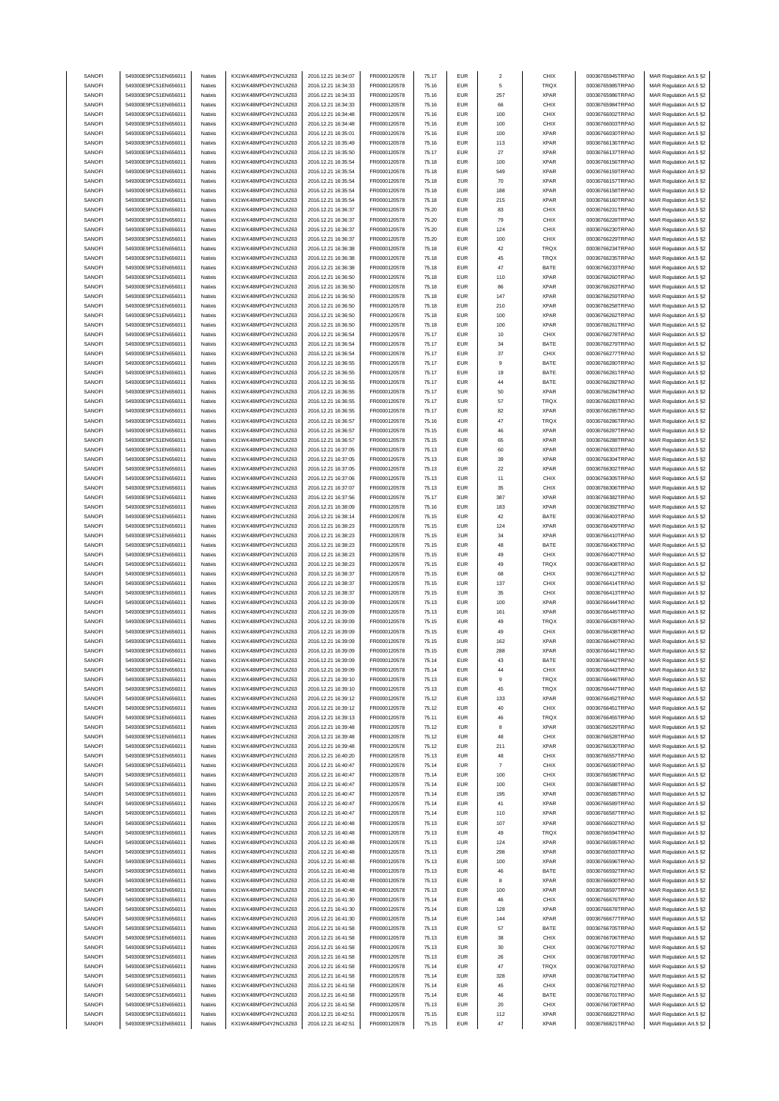| SANOFI | 549300E9PC51EN656011                         | Natixis | KX1WK48MPD4Y2NCUIZ63                         | 2016.12.21 16:34:07                        | FR0000120578                 | 75.17 | <b>EUR</b> | $\overline{a}$ | CHIX        | 00036765945TRPA0 | MAR Regulation Art.5 §2 |
|--------|----------------------------------------------|---------|----------------------------------------------|--------------------------------------------|------------------------------|-------|------------|----------------|-------------|------------------|-------------------------|
| SANOFI | 549300E9PC51EN656011                         | Natixis | KX1WK48MPD4Y2NCUIZ63                         | 2016.12.21 16:34:33                        | FR0000120578                 | 75.16 | <b>EUR</b> | 5              | TRQX        | 00036765985TRPA0 | MAR Regulation Art.5 §2 |
| SANOFI | 549300E9PC51EN656011                         | Natixis | KX1WK48MPD4Y2NCUIZ63                         | 2016.12.21 16:34:33                        | FR0000120578                 | 75.16 | <b>EUR</b> | 257            | <b>XPAR</b> | 00036765986TRPA0 | MAR Regulation Art.5 §2 |
| SANOFI | 549300E9PC51EN656011                         | Natixis | KX1WK48MPD4Y2NCUIZ63                         | 2016.12.21 16:34:33                        | FR0000120578                 | 75.16 | <b>EUR</b> | 66             | CHIX        | 00036765984TRPA0 | MAR Regulation Art.5 §2 |
| SANOFI | 549300E9PC51EN656011                         | Natixis | KX1WK48MPD4Y2NCUIZ63                         | 2016.12.21 16:34:48                        | FR0000120578                 | 75.16 | <b>EUR</b> | 100            | CHIX        | 00036766002TRPA0 | MAR Regulation Art.5 §2 |
|        |                                              |         |                                              |                                            |                              |       |            |                |             |                  |                         |
| SANOFI | 549300E9PC51EN656011                         | Natixis | KX1WK48MPD4Y2NCUIZ63                         | 2016.12.21 16:34:48                        | FR0000120578                 | 75.16 | <b>EUR</b> | 100            | CHIX        | 00036766003TRPA0 | MAR Regulation Art.5 §2 |
| SANOFI | 549300E9PC51EN656011                         | Natixis | KX1WK48MPD4Y2NCUIZ63                         | 2016.12.21 16:35:01                        | FR0000120578                 | 75.16 | <b>EUR</b> | 100            | <b>XPAR</b> | 00036766030TRPA0 | MAR Regulation Art.5 §2 |
| SANOFI | 549300E9PC51EN656011                         | Natixis | KX1WK48MPD4Y2NCUIZ63                         | 2016.12.21 16:35:49                        | FR0000120578                 | 75.16 | <b>EUR</b> | 113            | <b>XPAR</b> | 00036766136TRPA0 | MAR Regulation Art.5 §2 |
| SANOFI | 549300E9PC51EN656011                         | Natixis | KX1WK48MPD4Y2NCUIZ63                         | 2016.12.21 16:35:50                        | FR0000120578                 | 75.17 | <b>EUR</b> | 27             | <b>XPAR</b> | 00036766137TRPA0 | MAR Regulation Art.5 §2 |
| SANOFI | 549300E9PC51EN656011                         | Natixis | KX1WK48MPD4Y2NCUIZ63                         | 2016.12.21 16:35:54                        | FR0000120578                 | 75.18 | <b>EUR</b> | 100            | <b>XPAR</b> | 00036766156TRPA0 | MAR Regulation Art.5 §2 |
| SANOFI | 549300E9PC51EN656011                         | Natixis | KX1WK48MPD4Y2NCUIZ63                         | 2016.12.21 16:35:54                        | FR0000120578                 | 75.18 | <b>EUR</b> | 549            | <b>XPAR</b> | 00036766159TRPA0 | MAR Regulation Art.5 §2 |
|        |                                              |         |                                              |                                            |                              |       |            |                |             |                  |                         |
| SANOFI | 549300E9PC51EN656011                         | Natixis | KX1WK48MPD4Y2NCUIZ63                         | 2016.12.21 16:35:54                        | FR0000120578                 | 75.18 | <b>EUR</b> | 70             | <b>XPAR</b> | 00036766157TRPA0 | MAR Regulation Art.5 §2 |
| SANOFI | 549300E9PC51EN656011                         | Natixis | KX1WK48MPD4Y2NCUIZ63                         | 2016.12.21 16:35:54                        | FR0000120578                 | 75.18 | <b>EUR</b> | 188            | <b>XPAR</b> | 00036766158TRPA0 | MAR Regulation Art.5 §2 |
| SANOFI | 549300E9PC51EN656011                         | Natixis | KX1WK48MPD4Y2NCUIZ63                         | 2016.12.21 16:35:54                        | FR0000120578                 | 75.18 | <b>EUR</b> | 215            | <b>XPAR</b> | 00036766160TRPA0 | MAR Regulation Art.5 §2 |
| SANOFI | 549300E9PC51EN656011                         | Natixis | KX1WK48MPD4Y2NCUIZ63                         | 2016.12.21 16:36:37                        | FR0000120578                 | 75.20 | <b>EUR</b> | 83             | CHIX        | 00036766231TRPA0 | MAR Regulation Art.5 §2 |
| SANOFI | 549300E9PC51EN656011                         | Natixis | KX1WK48MPD4Y2NCUIZ63                         | 2016.12.21 16:36:37                        | FR0000120578                 | 75.20 | <b>EUR</b> | 79             | CHIX        | 00036766228TRPA0 | MAR Regulation Art.5 §2 |
|        | 549300E9PC51EN656011                         |         |                                              | 2016.12.21 16:36:37                        |                              |       | <b>EUR</b> |                |             |                  |                         |
| SANOFI |                                              | Natixis | KX1WK48MPD4Y2NCUIZ63                         |                                            | FR0000120578                 | 75.20 |            | 124            | CHIX        | 00036766230TRPA0 | MAR Regulation Art.5 §2 |
| SANOFI | 549300E9PC51EN656011                         | Natixis | KX1WK48MPD4Y2NCUIZ63                         | 2016.12.21 16:36:37                        | FR0000120578                 | 75.20 | <b>EUR</b> | 100            | CHIX        | 00036766229TRPA0 | MAR Regulation Art.5 §2 |
| SANOFI | 549300E9PC51EN656011                         | Natixis | KX1WK48MPD4Y2NCUIZ63                         | 2016.12.21 16:36:38                        | FR0000120578                 | 75.18 | <b>EUR</b> | 42             | TRQX        | 00036766234TRPA0 | MAR Regulation Art.5 §2 |
| SANOFI | 549300E9PC51EN656011                         | Natixis | KX1WK48MPD4Y2NCUIZ63                         | 2016.12.21 16:36:38                        | FR0000120578                 | 75.18 | <b>EUR</b> | 45             | <b>TRQX</b> | 00036766235TRPA0 | MAR Regulation Art.5 §2 |
| SANOFI | 549300E9PC51EN656011                         | Natixis | KX1WK48MPD4Y2NCUIZ63                         | 2016.12.21 16:36:38                        | FR0000120578                 | 75.18 | <b>EUR</b> | 47             | BATE        | 00036766233TRPA0 | MAR Regulation Art.5 §2 |
| SANOFI | 549300E9PC51EN656011                         | Natixis | KX1WK48MPD4Y2NCUIZ63                         | 2016.12.21 16:36:50                        | FR0000120578                 | 75.18 | <b>EUR</b> | 110            | <b>XPAR</b> | 00036766260TRPA0 | MAR Regulation Art.5 §2 |
| SANOFI | 549300E9PC51EN656011                         | Natixis | KX1WK48MPD4Y2NCUIZ63                         | 2016.12.21 16:36:50                        | FR0000120578                 | 75.18 | <b>EUR</b> | 86             | <b>XPAR</b> | 00036766263TRPA0 | MAR Regulation Art.5 §2 |
|        |                                              |         |                                              |                                            |                              |       |            |                |             |                  |                         |
| SANOFI | 549300E9PC51EN656011                         | Natixis | KX1WK48MPD4Y2NCUIZ63                         | 2016.12.21 16:36:50                        | FR0000120578                 | 75.18 | <b>EUR</b> | 147            | <b>XPAR</b> | 00036766259TRPA0 | MAR Regulation Art.5 §2 |
| SANOFI | 549300E9PC51EN656011                         | Natixis | KX1WK48MPD4Y2NCUIZ63                         | 2016.12.21 16:36:50                        | FR0000120578                 | 75.18 | <b>EUR</b> | 210            | <b>XPAR</b> | 00036766258TRPA0 | MAR Regulation Art.5 §2 |
| SANOFI | 549300E9PC51EN656011                         | Natixis | KX1WK48MPD4Y2NCUIZ63                         | 2016.12.21 16:36:50                        | FR0000120578                 | 75.18 | <b>EUR</b> | 100            | <b>XPAR</b> | 00036766262TRPA0 | MAR Regulation Art.5 §2 |
| SANOFI | 549300E9PC51EN656011                         | Natixis | KX1WK48MPD4Y2NCUIZ63                         | 2016.12.21 16:36:50                        | FR0000120578                 | 75.18 | <b>EUR</b> | 100            | <b>XPAR</b> | 00036766261TRPA0 | MAR Regulation Art.5 §2 |
| SANOFI | 549300E9PC51EN656011                         | Natixis | KX1WK48MPD4Y2NCUIZ63                         | 2016.12.21 16:36:54                        | FR0000120578                 | 75.17 | <b>EUR</b> | 10             | CHIX        | 00036766278TRPA0 | MAR Regulation Art.5 §2 |
| SANOFI | 549300E9PC51EN656011                         | Natixis | KX1WK48MPD4Y2NCUIZ63                         | 2016.12.21 16:36:54                        | FR0000120578                 | 75.17 | <b>EUR</b> | 34             | BATE        | 00036766279TRPA0 | MAR Regulation Art.5 §2 |
| SANOFI | 549300E9PC51EN656011                         |         | KX1WK48MPD4Y2NCUIZ63                         | 2016.12.21 16:36:54                        | FR0000120578                 | 75.17 | <b>EUR</b> | 37             | CHIX        | 00036766277TRPA0 | MAR Regulation Art.5 §2 |
|        |                                              | Natixis |                                              |                                            |                              |       |            |                |             |                  |                         |
| SANOFI | 549300E9PC51EN656011                         | Natixis | KX1WK48MPD4Y2NCUIZ63                         | 2016.12.21 16:36:55                        | FR0000120578                 | 75.17 | <b>EUR</b> | 9              | BATE        | 00036766280TRPA0 | MAR Regulation Art.5 §2 |
| SANOFI | 549300E9PC51EN656011                         | Natixis | KX1WK48MPD4Y2NCUIZ63                         | 2016.12.21 16:36:55                        | FR0000120578                 | 75.17 | <b>EUR</b> | 19             | BATE        | 00036766281TRPA0 | MAR Regulation Art.5 §2 |
| SANOFI | 549300E9PC51EN656011                         | Natixis | KX1WK48MPD4Y2NCUIZ63                         | 2016.12.21 16:36:55                        | FR0000120578                 | 75.17 | <b>EUR</b> | 44             | BATE        | 00036766282TRPA0 | MAR Regulation Art.5 §2 |
| SANOFI | 549300E9PC51EN656011                         | Natixis | KX1WK48MPD4Y2NCUIZ63                         | 2016.12.21 16:36:55                        | FR0000120578                 | 75.17 | <b>EUR</b> | 50             | <b>XPAR</b> | 00036766284TRPA0 | MAR Regulation Art.5 §2 |
|        | 549300E9PC51EN656011                         |         | KX1WK48MPD4Y2NCUIZ63                         |                                            |                              |       |            |                |             |                  |                         |
| SANOFI |                                              | Natixis |                                              | 2016.12.21 16:36:55                        | FR0000120578                 | 75.17 | <b>EUR</b> | 57             | TRQX        | 00036766283TRPA0 | MAR Regulation Art.5 §2 |
| SANOFI | 549300E9PC51EN656011                         | Natixis | KX1WK48MPD4Y2NCUIZ63                         | 2016.12.21 16:36:55                        | FR0000120578                 | 75.17 | <b>EUR</b> | 82             | <b>XPAR</b> | 00036766285TRPA0 | MAR Regulation Art.5 §2 |
| SANOFI | 549300E9PC51EN656011                         | Natixis | KX1WK48MPD4Y2NCUIZ63                         | 2016.12.21 16:36:57                        | FR0000120578                 | 75.16 | EUR        | 47             | TRQX        | 00036766286TRPA0 | MAR Regulation Art.5 §2 |
| SANOFI | 549300E9PC51EN656011                         | Natixis | KX1WK48MPD4Y2NCUIZ63                         | 2016.12.21 16:36:57                        | FR0000120578                 | 75.15 | <b>EUR</b> | 46             | <b>XPAR</b> | 00036766287TRPA0 | MAR Regulation Art.5 §2 |
| SANOFI | 549300E9PC51EN656011                         | Natixis | KX1WK48MPD4Y2NCUIZ63                         | 2016.12.21 16:36:57                        | FR0000120578                 | 75.15 | <b>EUR</b> | 65             | <b>XPAR</b> | 00036766288TRPA0 | MAR Regulation Art.5 §2 |
| SANOFI | 549300E9PC51EN656011                         | Natixis | KX1WK48MPD4Y2NCUIZ63                         | 2016.12.21 16:37:05                        | FR0000120578                 | 75.13 | <b>EUR</b> | 60             | <b>XPAR</b> | 00036766303TRPA0 |                         |
|        |                                              |         |                                              |                                            |                              |       |            |                |             |                  | MAR Regulation Art.5 §2 |
| SANOFI | 549300E9PC51EN656011                         | Natixis | KX1WK48MPD4Y2NCUIZ63                         | 2016.12.21 16:37:05                        | FR0000120578                 | 75.13 | <b>EUR</b> | 39             | <b>XPAR</b> | 00036766304TRPA0 | MAR Regulation Art.5 §2 |
| SANOFI | 549300E9PC51EN656011                         | Natixis | KX1WK48MPD4Y2NCUIZ63                         | 2016.12.21 16:37:05                        | FR0000120578                 | 75.13 | <b>EUR</b> | $22\,$         | <b>XPAR</b> | 00036766302TRPA0 | MAR Regulation Art.5 §2 |
| SANOFI | 549300E9PC51EN656011                         | Natixis | KX1WK48MPD4Y2NCUIZ63                         | 2016.12.21 16:37:06                        | FR0000120578                 | 75.13 | <b>EUR</b> | 11             | CHIX        | 00036766305TRPA0 | MAR Regulation Art.5 §2 |
| SANOFI | 549300E9PC51EN656011                         | Natixis | KX1WK48MPD4Y2NCUIZ63                         | 2016.12.21 16:37:07                        | FR0000120578                 | 75.13 | <b>EUR</b> | 35             | CHIX        | 00036766306TRPA0 | MAR Regulation Art.5 §2 |
| SANOFI | 549300E9PC51EN656011                         | Natixis | KX1WK48MPD4Y2NCUIZ63                         | 2016.12.21 16:37:56                        | FR0000120578                 | 75.17 | <b>EUR</b> | 387            | <b>XPAR</b> | 00036766382TRPA0 | MAR Regulation Art.5 §2 |
|        | 549300E9PC51EN656011                         |         |                                              |                                            |                              |       | <b>EUR</b> |                |             |                  |                         |
| SANOFI |                                              | Natixis | KX1WK48MPD4Y2NCUIZ63                         | 2016.12.21 16:38:09                        | FR0000120578                 | 75.16 |            | 183            | <b>XPAR</b> | 00036766392TRPA0 | MAR Regulation Art.5 §2 |
| SANOFI | 549300E9PC51EN656011                         | Natixis | KX1WK48MPD4Y2NCUIZ63                         | 2016.12.21 16:38:14                        | FR0000120578                 | 75.15 | <b>EUR</b> | 42             | BATE        | 00036766403TRPA0 | MAR Regulation Art.5 §2 |
| SANOFI | 549300E9PC51EN656011                         | Natixis | KX1WK48MPD4Y2NCUIZ63                         | 2016.12.21 16:38:23                        | FR0000120578                 | 75.15 | <b>EUR</b> | 124            | <b>XPAR</b> | 00036766409TRPA0 | MAR Regulation Art.5 §2 |
|        |                                              |         |                                              |                                            |                              |       |            |                |             |                  |                         |
| SANOFI | 549300E9PC51EN656011                         | Natixis | KX1WK48MPD4Y2NCUIZ63                         | 2016.12.21 16:38:23                        | FR0000120578                 | 75.15 | <b>EUR</b> | 34             | <b>XPAR</b> | 00036766410TRPA0 | MAR Regulation Art.5 §2 |
|        |                                              |         |                                              |                                            |                              |       | <b>EUR</b> |                |             |                  |                         |
| SANOFI | 549300E9PC51EN656011                         | Natixis | KX1WK48MPD4Y2NCUIZ63                         | 2016.12.21 16:38:23                        | FR0000120578                 | 75.15 |            | 48             | BATE        | 00036766406TRPA0 | MAR Regulation Art.5 §2 |
| SANOFI | 549300E9PC51EN656011                         | Natixis | KX1WK48MPD4Y2NCUIZ63                         | 2016.12.21 16:38:23                        | FR0000120578                 | 75.15 | <b>EUR</b> | 49             | CHIX        | 00036766407TRPA0 | MAR Regulation Art.5 §2 |
| SANOFI | 549300E9PC51EN656011                         | Natixis | KX1WK48MPD4Y2NCUIZ63                         | 2016.12.21 16:38:23                        | FR0000120578                 | 75.15 | <b>EUR</b> | 49             | TRQX        | 00036766408TRPA0 | MAR Regulation Art.5 §2 |
| SANOFI | 549300E9PC51EN656011                         | Natixis | KX1WK48MPD4Y2NCUIZ63                         | 2016.12.21 16:38:37                        | FR0000120578                 | 75.15 | <b>EUR</b> | 68             | CHIX        | 00036766412TRPA0 | MAR Regulation Art.5 §2 |
| SANOFI | 549300E9PC51EN656011                         | Natixis | KX1WK48MPD4Y2NCUIZ63                         | 2016.12.21 16:38:37                        | FR0000120578                 | 75.15 | <b>EUR</b> | 137            | CHIX        | 00036766414TRPA0 | MAR Regulation Art.5 §2 |
| SANOFI | 549300E9PC51EN656011                         | Natixis | KX1WK48MPD4Y2NCUIZ63                         | 2016.12.21 16:38:37                        | FR0000120578                 | 75.15 | <b>EUR</b> | 35             | CHIX        | 00036766413TRPA0 | MAR Regulation Art.5 §2 |
| SANOFI | 549300E9PC51EN656011                         | Natixis | KX1WK48MPD4Y2NCUIZ63                         | 2016.12.21 16:39:09                        | FR0000120578                 | 75.13 | <b>EUR</b> | 100            | <b>XPAR</b> | 00036766444TRPA0 | MAR Regulation Art.5 §2 |
|        |                                              |         |                                              |                                            |                              |       |            |                |             |                  |                         |
| SANOFI | 549300E9PC51EN656011                         | Natixis | KX1WK48MPD4Y2NCUIZ63                         | 2016.12.21 16:39:09                        | FR0000120578                 | 75.13 | <b>EUR</b> | 161            | <b>XPAR</b> | 00036766445TRPA0 | MAR Regulation Art.5 §2 |
| SANOFI | 549300E9PC51EN656011                         | Natixis | KX1WK48MPD4Y2NCUIZ63                         | 2016.12.21 16:39:09                        | FR0000120578                 | 75.15 | <b>EUR</b> | 49             | TRQX        | 00036766439TRPA0 | MAR Regulation Art.5 §2 |
| SANOFI | 549300E9PC51EN656011                         | Natixis | KX1WK48MPD4Y2NCUIZ63                         | 2016.12.21 16:39:09                        | FR0000120578                 | 75.15 | <b>EUR</b> | 49             | CHIX        | 00036766438TRPA0 | MAR Regulation Art.5 §2 |
| SANOFI | 549300E9PC51EN656011                         | Natixis | KX1WK48MPD4Y2NCUIZ63                         | 2016.12.21 16:39:09                        | FR0000120578                 | 75.15 | <b>EUR</b> | 162            | <b>XPAR</b> | 00036766440TRPA0 | MAR Regulation Art.5 §2 |
|        |                                              |         | KX1WK48MPD4Y2NCUIZ63                         |                                            |                              |       |            |                |             |                  | MAR Regulation Art.5 §2 |
| SANOFI | 549300E9PC51EN656011                         | Natixis | KX1WK48MPD4Y2NCUIZ63                         | 2016.12.21 16:39:09                        | FR0000120578                 | 75.14 | <b>EUR</b> | 43             | BATE        | 00036766442TRPA0 |                         |
|        |                                              |         |                                              |                                            |                              |       |            |                |             |                  | MAR Regulation Art.5 §2 |
| SANOFI | 549300E9PC51EN656011                         | Natixis | KX1WK48MPD4Y2NCUIZ63                         | 2016.12.21 16:39:09                        | FR0000120578                 | 75.14 | <b>EUR</b> | 44             | CHIX        | 00036766443TRPA0 | MAR Regulation Art.5 §2 |
| SANOFI | 549300E9PC51EN656011                         | Natixis | KX1WK48MPD4Y2NCUIZ63                         | 2016.12.21 16:39:10                        | FR0000120578                 | 75.13 | <b>EUR</b> | 9              | TRQX        | 00036766446TRPA0 | MAR Regulation Art.5 §2 |
| SANOFI | 549300E9PC51EN656011                         | Natixis | KX1WK48MPD4Y2NCUIZ63                         | 2016.12.21 16:39:10                        | FR0000120578                 | 75.13 | <b>EUR</b> | 45             | <b>TRQX</b> | 00036766447TRPA0 | MAR Regulation Art.5 §2 |
| SANOFI | 549300E9PC51EN656011                         | Natixis | KX1WK48MPD4Y2NCUIZ63                         | 2016.12.21 16:39:12                        | FR0000120578                 | 75.12 | <b>EUR</b> | 133            | <b>XPAR</b> | 00036766452TRPA0 | MAR Regulation Art.5 §2 |
| SANOFI | 549300E9PC51EN656011                         | Natixis | KX1WK48MPD4Y2NCUIZ63                         | 2016.12.21 16:39:12                        | FR0000120578                 | 75.12 | <b>EUR</b> | 40             | CHIX        | 00036766451TRPA0 | MAR Regulation Art.5 §2 |
| SANOFI | 549300E9PC51EN656011                         | Natixis | KX1WK48MPD4Y2NCUIZ63                         | 2016.12.21 16:39:13                        | FR0000120578                 | 75.11 | <b>EUR</b> | 46             | <b>TRQX</b> | 00036766455TRPA0 | MAR Regulation Art.5 §2 |
| SANOFI | 549300E9PC51EN656011                         | Natixis | KX1WK48MPD4Y2NCUIZ63                         | 2016.12.21 16:39:48                        | FR0000120578                 | 75.12 | <b>EUR</b> | 8              | <b>XPAR</b> | 00036766529TRPA0 |                         |
|        |                                              | Natixis |                                              | 2016.12.21 16:39:48                        |                              |       |            |                |             |                  | MAR Regulation Art.5 §2 |
| SANOFI | 549300E9PC51EN656011<br>549300E9PC51EN656011 |         | KX1WK48MPD4Y2NCUIZ63                         |                                            | FR0000120578                 | 75.12 | <b>EUR</b> | 48             | CHIX        | 00036766528TRPA0 | MAR Regulation Art.5 §2 |
| SANOFI |                                              | Natixis | KX1WK48MPD4Y2NCUIZ63                         | 2016.12.21 16:39:48                        | FR0000120578                 | 75.12 | <b>EUR</b> | 211            | <b>XPAR</b> | 00036766530TRPA0 | MAR Regulation Art.5 §2 |
| SANOFI | 549300E9PC51EN656011                         | Natixis | KX1WK48MPD4Y2NCUIZ63                         | 2016.12.21 16:40:20                        | FR0000120578                 | 75.13 | EUR        | 48             | CHIX        | 00036766557TRPA0 | MAR Regulation Art.5 §2 |
| SANOFI | 549300E9PC51EN656011                         | Natixis | KX1WK48MPD4Y2NCUIZ63                         | 2016.12.21 16:40:47                        | FR0000120578                 | 75.14 | <b>EUR</b> | $\overline{7}$ | CHIX        | 00036766590TRPA0 | MAR Regulation Art.5 §2 |
| SANOFI | 549300E9PC51EN656011                         | Natixis | KX1WK48MPD4Y2NCUIZ63                         | 2016.12.21 16:40:47                        | FR0000120578                 | 75.14 | <b>EUR</b> | 100            | CHIX        | 00036766586TRPA0 | MAR Regulation Art.5 §2 |
| SANOFI | 549300E9PC51EN656011                         | Natixis | KX1WK48MPD4Y2NCUIZ63                         | 2016.12.21 16:40:47                        | FR0000120578                 | 75.14 | <b>EUR</b> | 100            | CHIX        | 00036766588TRPA0 | MAR Regulation Art.5 §2 |
|        | 549300E9PC51EN656011                         |         |                                              |                                            |                              |       | <b>EUR</b> |                |             | 00036766585TRPA0 |                         |
| SANOFI |                                              | Natixis | KX1WK48MPD4Y2NCUIZ63                         | 2016.12.21 16:40:47                        | FR0000120578                 | 75.14 |            | 195            | <b>XPAR</b> |                  | MAR Regulation Art.5 §2 |
| SANOFI | 549300E9PC51EN656011                         | Natixis | KX1WK48MPD4Y2NCUIZ63                         | 2016.12.21 16:40:47                        | FR0000120578                 | 75.14 | <b>EUR</b> | 41             | <b>XPAR</b> | 00036766589TRPA0 | MAR Regulation Art.5 §2 |
| SANOFI | 549300E9PC51EN656011                         | Natixis | KX1WK48MPD4Y2NCUIZ63                         | 2016.12.21 16:40:47                        | FR0000120578                 | 75.14 | <b>EUR</b> | 110            | <b>XPAR</b> | 00036766587TRPA0 | MAR Regulation Art.5 §2 |
| SANOFI | 549300E9PC51EN656011                         | Natixis | KX1WK48MPD4Y2NCUIZ63                         | 2016.12.21 16:40:48                        | FR0000120578                 | 75.13 | <b>EUR</b> | 107            | <b>XPAR</b> | 00036766602TRPA0 | MAR Regulation Art.5 §2 |
| SANOFI | 549300E9PC51EN656011                         | Natixis | KX1WK48MPD4Y2NCUIZ63                         | 2016.12.21 16:40:48                        | FR0000120578                 | 75.13 | <b>EUR</b> | 49             | TRQX        | 00036766594TRPA0 | MAR Regulation Art.5 §2 |
| SANOFI | 549300E9PC51EN656011                         | Natixis | KX1WK48MPD4Y2NCUIZ63                         | 2016.12.21 16:40:48                        | FR0000120578                 | 75.13 | <b>EUR</b> | 124            | <b>XPAR</b> | 00036766595TRPA0 | MAR Regulation Art.5 §2 |
| SANOFI | 549300E9PC51EN656011                         | Natixis | KX1WK48MPD4Y2NCUIZ63                         | 2016.12.21 16:40:48                        | FR0000120578                 | 75.13 | <b>EUR</b> | 298            | <b>XPAR</b> | 00036766593TRPA0 |                         |
|        |                                              |         |                                              |                                            |                              |       | <b>EUR</b> |                |             |                  | MAR Regulation Art.5 §2 |
| SANOFI | 549300E9PC51EN656011                         | Natixis | KX1WK48MPD4Y2NCUIZ63                         | 2016.12.21 16:40:48                        | FR0000120578                 | 75.13 |            | 100            | <b>XPAR</b> | 00036766596TRPA0 | MAR Regulation Art.5 §2 |
| SANOFI | 549300E9PC51EN656011                         | Natixis | KX1WK48MPD4Y2NCUIZ63                         | 2016.12.21 16:40:48                        | FR0000120578                 | 75.13 | <b>EUR</b> | 46             | BATE        | 00036766592TRPA0 | MAR Regulation Art.5 §2 |
| SANOFI | 549300E9PC51EN656011                         | Natixis | KX1WK48MPD4Y2NCUIZ63                         | 2016.12.21 16:40:48                        | FR0000120578                 | 75.13 | <b>EUR</b> | 8              | <b>XPAR</b> | 00036766600TRPA0 | MAR Regulation Art.5 §2 |
| SANOFI | 549300E9PC51EN656011                         | Natixis | KX1WK48MPD4Y2NCUIZ63                         | 2016.12.21 16:40:48                        | FR0000120578                 | 75.13 | <b>EUR</b> | 100            | <b>XPAR</b> | 00036766597TRPA0 | MAR Regulation Art.5 §2 |
| SANOFI | 549300E9PC51EN656011                         | Natixis | KX1WK48MPD4Y2NCUIZ63                         | 2016.12.21 16:41:30                        | FR0000120578                 | 75.14 | <b>EUR</b> | 46             | CHIX        | 00036766676TRPA0 | MAR Regulation Art.5 §2 |
|        |                                              | Natixis |                                              |                                            | FR0000120578                 | 75.14 |            |                |             |                  |                         |
| SANOFI | 549300E9PC51EN656011                         |         | KX1WK48MPD4Y2NCUIZ63                         | 2016.12.21 16:41:30                        |                              |       | <b>EUR</b> | 128            | <b>XPAR</b> | 00036766678TRPA0 | MAR Regulation Art.5 §2 |
| SANOFI | 549300E9PC51EN656011                         | Natixis | KX1WK48MPD4Y2NCUIZ63                         | 2016.12.21 16:41:30                        | FR0000120578                 | 75.14 | <b>EUR</b> | 144            | <b>XPAR</b> | 00036766677TRPA0 | MAR Regulation Art.5 §2 |
| SANOFI | 549300E9PC51EN656011                         | Natixis | KX1WK48MPD4Y2NCUIZ63                         | 2016.12.21 16:41:58                        | FR0000120578                 | 75.13 | <b>EUR</b> | 57             | BATE        | 00036766705TRPA0 | MAR Regulation Art.5 §2 |
| SANOFI | 549300E9PC51EN656011                         | Natixis | KX1WK48MPD4Y2NCUIZ63                         | 2016.12.21 16:41:58                        | FR0000120578                 | 75.13 | <b>EUR</b> | 38             | CHIX        | 00036766706TRPA0 | MAR Regulation Art.5 §2 |
| SANOFI | 549300E9PC51EN656011                         | Natixis | KX1WK48MPD4Y2NCUIZ63                         | 2016.12.21 16:41:58                        | FR0000120578                 | 75.13 | <b>EUR</b> | 30             | CHIX        | 00036766707TRPA0 | MAR Regulation Art.5 §2 |
| SANOFI | 549300E9PC51EN656011                         | Natixis | KX1WK48MPD4Y2NCUIZ63                         | 2016.12.21 16:41:58                        | FR0000120578                 | 75.13 | <b>EUR</b> | 26             | CHIX        | 00036766709TRPA0 | MAR Regulation Art.5 §2 |
|        |                                              |         |                                              |                                            |                              |       |            |                |             |                  |                         |
| SANOFI | 549300E9PC51EN656011                         | Natixis | KX1WK48MPD4Y2NCUIZ63                         | 2016.12.21 16:41:58                        | FR0000120578                 | 75.14 | <b>EUR</b> | 47             | TRQX        | 00036766703TRPA0 | MAR Regulation Art.5 §2 |
| SANOFI | 549300E9PC51EN656011                         | Natixis | KX1WK48MPD4Y2NCUIZ63                         | 2016.12.21 16:41:58                        | FR0000120578                 | 75.14 | <b>EUR</b> | 328            | <b>XPAR</b> | 00036766704TRPA0 | MAR Regulation Art.5 §2 |
| SANOFI | 549300E9PC51EN656011                         | Natixis | KX1WK48MPD4Y2NCUIZ63                         | 2016.12.21 16:41:58                        | FR0000120578                 | 75.14 | <b>EUR</b> | 45             | CHIX        | 00036766702TRPA0 | MAR Regulation Art.5 §2 |
| SANOFI | 549300E9PC51EN656011                         | Natixis | KX1WK48MPD4Y2NCUIZ63                         | 2016.12.21 16:41:58                        | FR0000120578                 | 75.14 | <b>EUR</b> | 46             | BATE        | 00036766701TRPA0 | MAR Regulation Art.5 §2 |
| SANOFI | 549300E9PC51EN656011                         | Natixis | KX1WK48MPD4Y2NCUIZ63                         | 2016.12.21 16:41:58                        | FR0000120578                 | 75.13 | <b>EUR</b> | 20             | CHIX        | 00036766708TRPA0 | MAR Regulation Art.5 §2 |
| SANOFI | 549300E9PC51EN656011<br>549300E9PC51EN656011 | Natixis | KX1WK48MPD4Y2NCUIZ63<br>KX1WK48MPD4Y2NCUIZ63 | 2016.12.21 16:42:51<br>2016.12.21 16:42:51 | FR0000120578<br>FR0000120578 | 75.15 | <b>EUR</b> | 112            | <b>XPAR</b> | 00036766822TRPA0 | MAR Regulation Art.5 §2 |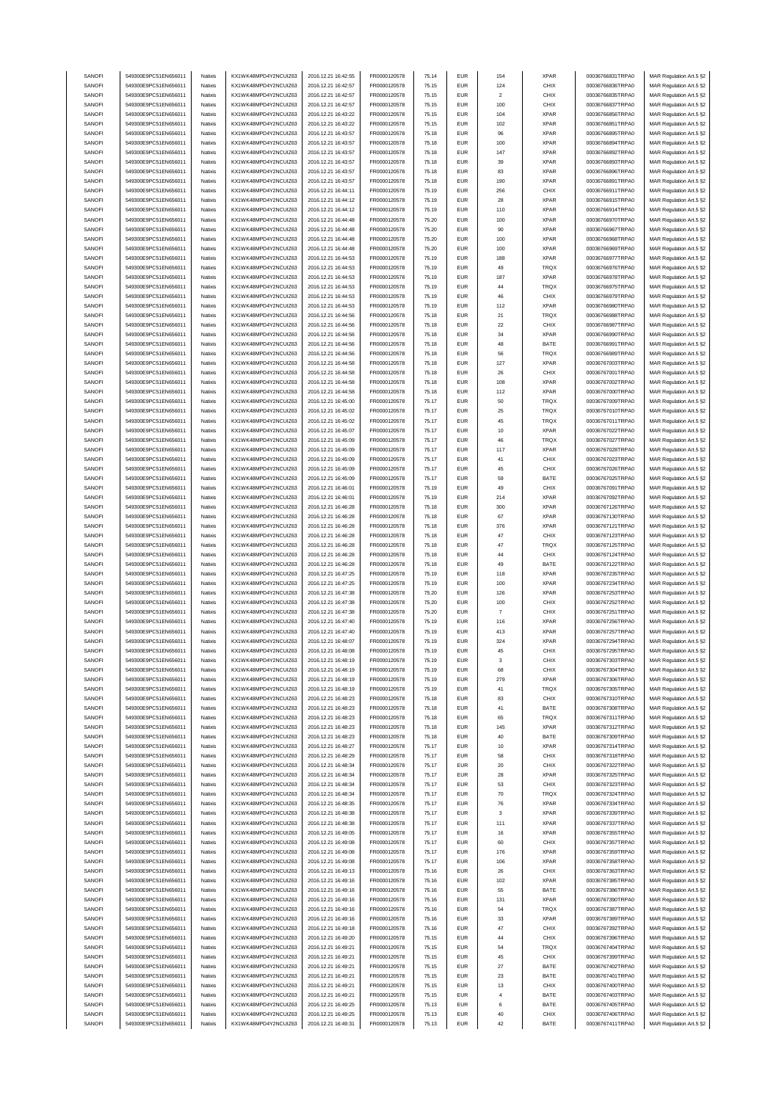| SANOFI | 549300E9PC51EN656011 | Natixis | KX1WK48MPD4Y2NCUIZ63                         | 2016.12.21 16:42:55 | FR0000120578 | 75.14 | <b>EUR</b> | 154            | <b>XPAR</b> | 00036766831TRPA0 | MAR Regulation Art.5 §2 |
|--------|----------------------|---------|----------------------------------------------|---------------------|--------------|-------|------------|----------------|-------------|------------------|-------------------------|
| SANOFI | 549300E9PC51EN656011 | Natixis | KX1WK48MPD4Y2NCUIZ63                         | 2016.12.21 16:42:57 | FR0000120578 | 75.15 | <b>EUR</b> | 124            | CHIX        | 00036766836TRPA0 | MAR Regulation Art.5 §2 |
| SANOFI | 549300E9PC51EN656011 | Natixis | KX1WK48MPD4Y2NCUIZ63                         | 2016.12.21 16:42:57 | FR0000120578 | 75.15 | <b>EUR</b> | $\overline{2}$ | CHIX        | 00036766835TRPA0 | MAR Regulation Art.5 §2 |
| SANOFI | 549300E9PC51EN656011 | Natixis | KX1WK48MPD4Y2NCUIZ63                         | 2016.12.21 16:42:57 | FR0000120578 | 75.15 | <b>EUR</b> | 100            | CHIX        | 00036766837TRPA0 | MAR Regulation Art.5 §2 |
|        |                      |         |                                              |                     |              |       |            |                |             |                  |                         |
| SANOFI | 549300E9PC51EN656011 | Natixis | KX1WK48MPD4Y2NCUIZ63                         | 2016.12.21 16:43:22 | FR0000120578 | 75.15 | <b>EUR</b> | 104            | <b>XPAR</b> | 00036766856TRPA0 | MAR Regulation Art.5 §2 |
| SANOFI | 549300E9PC51EN656011 | Natixis | KX1WK48MPD4Y2NCUIZ63                         | 2016.12.21 16:43:22 | FR0000120578 | 75.15 | <b>EUR</b> | 102            | <b>XPAR</b> | 00036766851TRPA0 | MAR Regulation Art.5 §2 |
| SANOFI | 549300E9PC51EN656011 | Natixis | KX1WK48MPD4Y2NCUIZ63                         | 2016.12.21 16:43:57 | FR0000120578 | 75.18 | <b>EUR</b> | 96             | <b>XPAR</b> | 00036766895TRPA0 | MAR Regulation Art.5 §2 |
| SANOFI | 549300E9PC51EN656011 | Natixis | KX1WK48MPD4Y2NCUIZ63                         | 2016.12.21 16:43:57 | FR0000120578 | 75.18 | <b>EUR</b> | 100            | <b>XPAR</b> | 00036766894TRPA0 | MAR Regulation Art.5 §2 |
| SANOFI | 549300E9PC51EN656011 | Natixis | KX1WK48MPD4Y2NCUIZ63                         | 2016.12.21 16:43:57 | FR0000120578 | 75.18 | <b>EUR</b> | 147            | <b>XPAR</b> | 00036766892TRPA0 | MAR Regulation Art.5 §2 |
| SANOFI | 549300E9PC51EN656011 | Natixis | KX1WK48MPD4Y2NCUIZ63                         | 2016.12.21 16:43:57 | FR0000120578 | 75.18 | <b>EUR</b> | 39             | <b>XPAR</b> | 00036766893TRPA0 | MAR Regulation Art.5 §2 |
| SANOFI | 549300E9PC51EN656011 | Natixis | KX1WK48MPD4Y2NCUIZ63                         | 2016.12.21 16:43:57 | FR0000120578 | 75.18 | <b>EUR</b> | 83             | <b>XPAR</b> | 00036766896TRPA0 | MAR Regulation Art.5 §2 |
|        |                      |         |                                              |                     |              |       |            |                |             |                  |                         |
| SANOFI | 549300E9PC51EN656011 | Natixis | KX1WK48MPD4Y2NCUIZ63                         | 2016.12.21 16:43:57 | FR0000120578 | 75.18 | <b>EUR</b> | 190            | <b>XPAR</b> | 00036766891TRPA0 | MAR Regulation Art.5 §2 |
| SANOFI | 549300E9PC51EN656011 | Natixis | KX1WK48MPD4Y2NCUIZ63                         | 2016.12.21 16:44:11 | FR0000120578 | 75.19 | <b>EUR</b> | 256            | CHIX        | 00036766911TRPA0 | MAR Regulation Art.5 §2 |
| SANOFI | 549300E9PC51EN656011 | Natixis | KX1WK48MPD4Y2NCUIZ63                         | 2016.12.21 16:44:12 | FR0000120578 | 75.19 | <b>EUR</b> | 28             | <b>XPAR</b> | 00036766915TRPA0 | MAR Regulation Art.5 §2 |
| SANOFI | 549300E9PC51EN656011 | Natixis | KX1WK48MPD4Y2NCUIZ63                         | 2016.12.21 16:44:12 | FR0000120578 | 75.19 | <b>EUR</b> | 110            | <b>XPAR</b> | 00036766914TRPA0 | MAR Regulation Art.5 §2 |
| SANOFI | 549300E9PC51EN656011 | Natixis | KX1WK48MPD4Y2NCUIZ63                         | 2016.12.21 16:44:48 | FR0000120578 | 75.20 | <b>EUR</b> | 100            | <b>XPAR</b> | 00036766970TRPA0 | MAR Regulation Art.5 §2 |
| SANOFI | 549300E9PC51EN656011 | Natixis | KX1WK48MPD4Y2NCUIZ63                         | 2016.12.21 16:44:48 | FR0000120578 | 75.20 | <b>EUR</b> | 90             | <b>XPAR</b> | 00036766967TRPA0 | MAR Regulation Art.5 §2 |
| SANOFI | 549300E9PC51EN656011 | Natixis | KX1WK48MPD4Y2NCUIZ63                         | 2016.12.21 16:44:48 | FR0000120578 | 75.20 | <b>EUR</b> | 100            | <b>XPAR</b> | 00036766968TRPA0 | MAR Regulation Art.5 §2 |
|        | 549300E9PC51EN656011 |         |                                              |                     |              |       |            |                |             |                  |                         |
| SANOFI |                      | Natixis | KX1WK48MPD4Y2NCUIZ63                         | 2016.12.21 16:44:48 | FR0000120578 | 75.20 | <b>EUR</b> | 100            | <b>XPAR</b> | 00036766969TRPA0 | MAR Regulation Art.5 §2 |
| SANOFI | 549300E9PC51EN656011 | Natixis | KX1WK48MPD4Y2NCUIZ63                         | 2016.12.21 16:44:53 | FR0000120578 | 75.19 | <b>EUR</b> | 188            | <b>XPAR</b> | 00036766977TRPA0 | MAR Regulation Art.5 §2 |
| SANOFI | 549300E9PC51EN656011 | Natixis | KX1WK48MPD4Y2NCUIZ63                         | 2016.12.21 16:44:53 | FR0000120578 | 75.19 | <b>EUR</b> | 49             | TRQX        | 00036766976TRPA0 | MAR Regulation Art.5 §2 |
| SANOFI | 549300E9PC51EN656011 | Natixis | KX1WK48MPD4Y2NCUIZ63                         | 2016.12.21 16:44:53 | FR0000120578 | 75.19 | <b>EUR</b> | 187            | <b>XPAR</b> | 00036766978TRPA0 | MAR Regulation Art.5 §2 |
| SANOFI | 549300E9PC51EN656011 | Natixis | KX1WK48MPD4Y2NCUIZ63                         | 2016.12.21 16:44:53 | FR0000120578 | 75.19 | <b>EUR</b> | 44             | TRQX        | 00036766975TRPA0 | MAR Regulation Art.5 §2 |
| SANOFI | 549300E9PC51EN656011 | Natixis | KX1WK48MPD4Y2NCUIZ63                         | 2016.12.21 16:44:53 | FR0000120578 | 75.19 | <b>EUR</b> | 46             | CHIX        | 00036766979TRPA0 | MAR Regulation Art.5 §2 |
| SANOFI | 549300E9PC51EN656011 | Natixis | KX1WK48MPD4Y2NCUIZ63                         | 2016.12.21 16:44:53 | FR0000120578 | 75.19 | <b>EUR</b> | 112            | <b>XPAR</b> | 00036766980TRPA0 | MAR Regulation Art.5 §2 |
| SANOFI | 549300E9PC51EN656011 | Natixis | KX1WK48MPD4Y2NCUIZ63                         | 2016.12.21 16:44:56 | FR0000120578 | 75.18 | <b>EUR</b> | 21             | TRQX        | 00036766988TRPA0 | MAR Regulation Art.5 §2 |
|        |                      |         | KX1WK48MPD4Y2NCUIZ63                         |                     | FR0000120578 |       |            |                |             |                  |                         |
| SANOFI | 549300E9PC51EN656011 | Natixis |                                              | 2016.12.21 16:44:56 |              | 75.18 | <b>EUR</b> | 22             | CHIX        | 00036766987TRPA0 | MAR Regulation Art.5 §2 |
| SANOFI | 549300E9PC51EN656011 | Natixis | KX1WK48MPD4Y2NCUIZ63                         | 2016.12.21 16:44:56 | FR0000120578 | 75.18 | <b>EUR</b> | 34             | <b>XPAR</b> | 00036766990TRPA0 | MAR Regulation Art.5 §2 |
| SANOFI | 549300E9PC51EN656011 | Natixis | KX1WK48MPD4Y2NCUIZ63                         | 2016.12.21 16:44:56 | FR0000120578 | 75.18 | <b>EUR</b> | 48             | BATE        | 00036766991TRPA0 | MAR Regulation Art.5 §2 |
| SANOFI | 549300E9PC51EN656011 | Natixis | KX1WK48MPD4Y2NCUIZ63                         | 2016.12.21 16:44:56 | FR0000120578 | 75.18 | <b>EUR</b> | 56             | TRQX        | 00036766989TRPA0 | MAR Regulation Art.5 §2 |
| SANOFI | 549300E9PC51EN656011 | Natixis | KX1WK48MPD4Y2NCUIZ63                         | 2016.12.21 16:44:58 | FR0000120578 | 75.18 | <b>EUR</b> | 127            | <b>XPAR</b> | 00036767003TRPA0 | MAR Regulation Art.5 §2 |
| SANOFI | 549300E9PC51EN656011 | Natixis | KX1WK48MPD4Y2NCUIZ63                         | 2016.12.21 16:44:58 | FR0000120578 | 75.18 | <b>EUR</b> | 26             | CHIX        | 00036767001TRPA0 | MAR Regulation Art.5 §2 |
| SANOFI | 549300E9PC51EN656011 | Natixis | KX1WK48MPD4Y2NCUIZ63                         | 2016.12.21 16:44:58 | FR0000120578 | 75.18 | <b>EUR</b> | 108            | <b>XPAR</b> | 00036767002TRPA0 | MAR Regulation Art.5 §2 |
|        | 549300E9PC51EN656011 |         | KX1WK48MPD4Y2NCUIZ63                         |                     |              |       |            |                |             | 00036767000TRPA0 |                         |
| SANOFI |                      | Natixis |                                              | 2016.12.21 16:44:58 | FR0000120578 | 75.18 | <b>EUR</b> | 112            | <b>XPAR</b> |                  | MAR Regulation Art.5 §2 |
| SANOFI | 549300E9PC51EN656011 | Natixis | KX1WK48MPD4Y2NCUIZ63                         | 2016.12.21 16:45:00 | FR0000120578 | 75.17 | <b>EUR</b> | 50             | TRQX        | 00036767009TRPA0 | MAR Regulation Art.5 §2 |
| SANOFI | 549300E9PC51EN656011 | Natixis | KX1WK48MPD4Y2NCUIZ63                         | 2016.12.21 16:45:02 | FR0000120578 | 75.17 | <b>EUR</b> | 25             | TRQX        | 00036767010TRPA0 | MAR Regulation Art.5 §2 |
| SANOFI | 549300E9PC51EN656011 | Natixis | KX1WK48MPD4Y2NCUIZ63                         | 2016.12.21 16:45:02 | FR0000120578 | 75.17 | <b>EUR</b> | 45             | <b>TRQX</b> | 00036767011TRPA0 | MAR Regulation Art.5 §2 |
| SANOFI | 549300E9PC51EN656011 | Natixis | KX1WK48MPD4Y2NCUIZ63                         | 2016.12.21 16:45:07 | FR0000120578 | 75.17 | <b>EUR</b> | 10             | <b>XPAR</b> | 00036767022TRPA0 | MAR Regulation Art.5 §2 |
| SANOFI | 549300E9PC51EN656011 | Natixis | KX1WK48MPD4Y2NCUIZ63                         | 2016.12.21 16:45:09 | FR0000120578 | 75.17 | <b>EUR</b> | 46             | TRQX        | 00036767027TRPA0 | MAR Regulation Art.5 §2 |
| SANOFI | 549300E9PC51EN656011 | Natixis | KX1WK48MPD4Y2NCUIZ63                         | 2016.12.21 16:45:09 | FR0000120578 | 75.17 | <b>EUR</b> | 117            | <b>XPAR</b> | 00036767028TRPA0 | MAR Regulation Art.5 §2 |
| SANOFI | 549300E9PC51EN656011 | Natixis | KX1WK48MPD4Y2NCUIZ63                         | 2016.12.21 16:45:09 | FR0000120578 | 75.17 | <b>EUR</b> | 41             | CHIX        | 00036767023TRPA0 | MAR Regulation Art.5 §2 |
| SANOFI | 549300E9PC51EN656011 | Natixis | KX1WK48MPD4Y2NCUIZ63                         | 2016.12.21 16:45:09 | FR0000120578 | 75.17 | <b>EUR</b> | 45             | CHIX        | 00036767026TRPA0 | MAR Regulation Art.5 §2 |
|        |                      |         |                                              |                     |              |       |            |                |             |                  |                         |
| SANOFI | 549300E9PC51EN656011 | Natixis | KX1WK48MPD4Y2NCUIZ63                         | 2016.12.21 16:45:09 | FR0000120578 | 75.17 | <b>EUR</b> | 59             | BATE        | 00036767025TRPA0 | MAR Regulation Art.5 §2 |
| SANOFI | 549300E9PC51EN656011 | Natixis | KX1WK48MPD4Y2NCUIZ63                         | 2016.12.21 16:46:01 | FR0000120578 | 75.19 | <b>EUR</b> | 49             | CHIX        | 00036767091TRPA0 | MAR Regulation Art.5 §2 |
| SANOFI | 549300E9PC51EN656011 | Natixis | KX1WK48MPD4Y2NCUIZ63                         | 2016.12.21 16:46:01 | FR0000120578 | 75.19 | <b>EUR</b> | 214            | <b>XPAR</b> | 00036767092TRPA0 | MAR Regulation Art.5 §2 |
| SANOFI | 549300E9PC51EN656011 | Natixis | KX1WK48MPD4Y2NCUIZ63                         | 2016.12.21 16:46:28 | FR0000120578 | 75.18 | <b>EUR</b> | 300            | <b>XPAR</b> | 00036767126TRPA0 | MAR Regulation Art.5 §2 |
| SANOFI | 549300E9PC51EN656011 | Natixis | KX1WK48MPD4Y2NCUIZ63                         | 2016.12.21 16:46:28 | FR0000120578 | 75.18 | <b>EUR</b> | 67             | <b>XPAR</b> | 00036767130TRPA0 | MAR Regulation Art.5 §2 |
| SANOFI | 549300E9PC51EN656011 | Natixis | KX1WK48MPD4Y2NCUIZ63                         | 2016.12.21 16:46:28 | FR0000120578 | 75.18 | <b>EUR</b> | 376            | <b>XPAR</b> | 00036767121TRPA0 | MAR Regulation Art.5 §2 |
|        |                      |         |                                              |                     |              |       |            |                |             |                  |                         |
|        |                      |         |                                              |                     |              |       |            |                |             |                  |                         |
| SANOFI | 549300E9PC51EN656011 | Natixis | KX1WK48MPD4Y2NCUIZ63                         | 2016.12.21 16:46:28 | FR0000120578 | 75.18 | <b>EUR</b> | 47             | CHIX        | 00036767123TRPA0 | MAR Regulation Art.5 §2 |
| SANOFI | 549300E9PC51EN656011 | Natixis | KX1WK48MPD4Y2NCUIZ63                         | 2016.12.21 16:46:28 | FR0000120578 | 75.18 | EUR        | 47             | <b>TRQX</b> | 00036767125TRPA0 | MAR Regulation Art.5 §2 |
| SANOFI | 549300E9PC51EN656011 | Natixis | KX1WK48MPD4Y2NCUIZ63                         | 2016.12.21 16:46:28 | FR0000120578 | 75.18 | <b>EUR</b> | 44             | CHIX        | 00036767124TRPA0 | MAR Regulation Art.5 §2 |
| SANOFI | 549300E9PC51EN656011 | Natixis | KX1WK48MPD4Y2NCUIZ63                         | 2016.12.21 16:46:28 | FR0000120578 | 75.18 | <b>EUR</b> | 49             | BATE        | 00036767122TRPA0 | MAR Regulation Art.5 §2 |
| SANOFI | 549300E9PC51EN656011 | Natixis | KX1WK48MPD4Y2NCUIZ63                         | 2016.12.21 16:47:25 | FR0000120578 | 75.19 | <b>EUR</b> | 118            | <b>XPAR</b> | 00036767235TRPA0 | MAR Regulation Art.5 §2 |
| SANOFI | 549300E9PC51EN656011 | Natixis | KX1WK48MPD4Y2NCUIZ63                         | 2016.12.21 16:47:25 | FR0000120578 | 75.19 | <b>EUR</b> | 100            | <b>XPAR</b> | 00036767234TRPA0 | MAR Regulation Art.5 §2 |
| SANOFI | 549300E9PC51EN656011 | Natixis | KX1WK48MPD4Y2NCUIZ63                         | 2016.12.21 16:47:38 | FR0000120578 | 75.20 | <b>EUR</b> | 126            | <b>XPAR</b> | 00036767253TRPA0 | MAR Regulation Art.5 §2 |
| SANOFI | 549300E9PC51EN656011 | Natixis | KX1WK48MPD4Y2NCUIZ63                         | 2016.12.21 16:47:38 | FR0000120578 | 75.20 | <b>EUR</b> | 100            | CHIX        | 00036767252TRPA0 | MAR Regulation Art.5 §2 |
|        |                      |         |                                              |                     |              |       |            |                |             |                  |                         |
| SANOFI | 549300E9PC51EN656011 | Natixis | KX1WK48MPD4Y2NCUIZ63                         | 2016.12.21 16:47:38 | FR0000120578 | 75.20 | <b>EUR</b> | $\overline{7}$ | CHIX        | 00036767251TRPA0 | MAR Regulation Art.5 §2 |
| SANOFI | 549300E9PC51EN656011 | Natixis | KX1WK48MPD4Y2NCUIZ63                         | 2016.12.21 16:47:40 | FR0000120578 | 75.19 | EUR        | 116            | <b>XPAR</b> | 00036767256TRPA0 | MAR Regulation Art.5 §2 |
| SANOFI | 549300E9PC51EN656011 | Natixis | KX1WK48MPD4Y2NCUIZ63                         | 2016.12.21 16:47:40 | FR0000120578 | 75.19 | <b>EUR</b> | 413            | <b>XPAR</b> | 00036767257TRPA0 | MAR Regulation Art.5 §2 |
| SANOFI | 549300E9PC51EN656011 | Natixis | KX1WK48MPD4Y2NCUIZ63                         | 2016.12.21 16:48:07 | FR0000120578 | 75.19 | <b>EUR</b> | 324            | <b>XPAR</b> | 00036767294TRPA0 | MAR Regulation Art.5 §2 |
| SANOF  | 549300E9PC51EN65601  | Natixis | KX1WK48MPD4Y2NCUIZ63                         | 2016.12.21 16:48:08 | FR0000120578 | 75.19 | EUR        | 45             | CHIX        | 00036767295TRPA0 | MAR Regulation Art.5 §2 |
| SANOFI | 549300E9PC51EN656011 | Natixis | KX1WK48MPD4Y2NCUIZ63                         | 2016.12.21 16:48:19 | FR0000120578 | 75.19 | <b>EUR</b> | 3              | CHIX        | 00036767303TRPA0 | MAR Regulation Art.5 §2 |
| SANOFI | 549300E9PC51EN656011 | Natixis | KX1WK48MPD4Y2NCUIZ63                         | 2016.12.21 16:48:19 | FR0000120578 | 75.19 | <b>EUR</b> | 68             | CHIX        | 00036767304TRPA0 | MAR Regulation Art.5 §2 |
| SANOFI | 549300E9PC51EN656011 | Natixis | KX1WK48MPD4Y2NCUIZ63                         | 2016.12.21 16:48:19 | FR0000120578 | 75.19 | <b>EUR</b> | 279            | <b>XPAR</b> | 00036767306TRPA0 |                         |
|        |                      |         |                                              |                     |              |       |            |                |             |                  | MAR Regulation Art.5 §2 |
| SANOFI | 549300E9PC51EN656011 | Natixis | KX1WK48MPD4Y2NCUIZ63                         | 2016.12.21 16:48:19 | FR0000120578 | 75.19 | <b>EUR</b> | 41             | <b>TRQX</b> | 00036767305TRPA0 | MAR Regulation Art.5 §2 |
| SANOFI | 549300E9PC51EN656011 | Natixis | KX1WK48MPD4Y2NCUIZ63                         | 2016.12.21 16:48:23 | FR0000120578 | 75.18 | <b>EUR</b> | 83             | CHIX        | 00036767310TRPA0 | MAR Regulation Art.5 §2 |
| SANOFI | 549300E9PC51EN656011 | Natixis | KX1WK48MPD4Y2NCUIZ63                         | 2016.12.21 16:48:23 | FR0000120578 | 75.18 | <b>EUR</b> | 41             | BATE        | 00036767308TRPA0 | MAR Regulation Art.5 §2 |
| SANOFI | 549300E9PC51EN656011 | Natixis | KX1WK48MPD4Y2NCUIZ63                         | 2016.12.21 16:48:23 | FR0000120578 | 75.18 | <b>EUR</b> | 65             | TRQX        | 00036767311TRPA0 | MAR Regulation Art.5 §2 |
| SANOFI | 549300E9PC51EN656011 | Natixis | KX1WK48MPD4Y2NCUIZ63                         | 2016.12.21 16:48:23 | FR0000120578 | 75.18 | <b>EUR</b> | 145            | <b>XPAR</b> | 00036767312TRPA0 | MAR Regulation Art.5 §2 |
| SANOFI | 549300E9PC51EN656011 | Natixis | KX1WK48MPD4Y2NCUIZ63                         | 2016.12.21 16:48:23 | FR0000120578 | 75.18 | <b>EUR</b> | 40             | BATE        | 00036767309TRPA0 | MAR Regulation Art.5 §2 |
| SANOFI | 549300E9PC51EN656011 | Natixis | KX1WK48MPD4Y2NCUIZ63                         | 2016.12.21 16:48:27 | FR0000120578 | 75.17 | <b>EUR</b> | 10             | <b>XPAR</b> | 00036767314TRPA0 | MAR Regulation Art.5 §2 |
| SANOFI | 549300E9PC51EN656011 | Natixis | KX1WK48MPD4Y2NCUIZ63                         | 2016.12.21 16:48:29 | FR0000120578 | 75.17 | <b>EUR</b> | 58             | CHIX        | 00036767318TRPA0 | MAR Regulation Art.5 §2 |
|        |                      |         | KX1WK48MPD4Y2NCUIZ63                         |                     |              |       |            |                |             |                  |                         |
| SANOFI | 549300E9PC51EN656011 | Natixis |                                              | 2016.12.21 16:48:34 | FR0000120578 | 75.17 | <b>EUR</b> | $20\,$         | CHIX        | 00036767322TRPA0 | MAR Regulation Art.5 §2 |
| SANOFI | 549300E9PC51EN656011 | Natixis | KX1WK48MPD4Y2NCUIZ63                         | 2016.12.21 16:48:34 | FR0000120578 | 75.17 | <b>EUR</b> | 28             | <b>XPAR</b> | 00036767325TRPA0 | MAR Regulation Art.5 §2 |
| SANOFI | 549300E9PC51EN656011 | Natixis | KX1WK48MPD4Y2NCUIZ63                         | 2016.12.21 16:48:34 | FR0000120578 | 75.17 | <b>EUR</b> | 53             | CHIX        | 00036767323TRPA0 | MAR Regulation Art.5 §2 |
| SANOFI | 549300E9PC51EN656011 | Natixis | KX1WK48MPD4Y2NCUIZ63                         | 2016.12.21 16:48:34 | FR0000120578 | 75.17 | <b>EUR</b> | 70             | TRQX        | 00036767324TRPA0 | MAR Regulation Art.5 §2 |
| SANOFI | 549300E9PC51EN656011 | Natixis | KX1WK48MPD4Y2NCUIZ63                         | 2016.12.21 16:48:35 | FR0000120578 | 75.17 | <b>EUR</b> | 76             | <b>XPAR</b> | 00036767334TRPA0 | MAR Regulation Art.5 §2 |
| SANOFI | 549300E9PC51EN656011 | Natixis | KX1WK48MPD4Y2NCUIZ63                         | 2016.12.21 16:48:38 | FR0000120578 | 75.17 | <b>EUR</b> | 3              | <b>XPAR</b> | 00036767339TRPA0 | MAR Regulation Art.5 §2 |
| SANOFI | 549300E9PC51EN656011 | Natixis | KX1WK48MPD4Y2NCUIZ63                         | 2016.12.21 16:48:38 | FR0000120578 | 75.17 | <b>EUR</b> | 111            | <b>XPAR</b> | 00036767337TRPA0 | MAR Regulation Art.5 §2 |
|        | 549300E9PC51EN656011 |         |                                              |                     |              |       | <b>EUR</b> |                |             |                  |                         |
| SANOFI |                      | Natixis | KX1WK48MPD4Y2NCUIZ63                         | 2016.12.21 16:49:05 | FR0000120578 | 75.17 |            | 16             | <b>XPAR</b> | 00036767355TRPA0 | MAR Regulation Art.5 §2 |
| SANOFI | 549300E9PC51EN656011 | Natixis | KX1WK48MPD4Y2NCUIZ63                         | 2016.12.21 16:49:08 | FR0000120578 | 75.17 | <b>EUR</b> | 60             | CHIX        | 00036767357TRPA0 | MAR Regulation Art.5 §2 |
| SANOFI | 549300E9PC51EN656011 | Natixis | KX1WK48MPD4Y2NCUIZ63                         | 2016.12.21 16:49:08 | FR0000120578 | 75.17 | <b>EUR</b> | 176            | <b>XPAR</b> | 00036767359TRPA0 | MAR Regulation Art.5 §2 |
| SANOFI | 549300E9PC51EN656011 | Natixis | KX1WK48MPD4Y2NCUIZ63                         | 2016.12.21 16:49:08 | FR0000120578 | 75.17 | <b>EUR</b> | 106            | <b>XPAR</b> | 00036767358TRPA0 | MAR Regulation Art.5 §2 |
| SANOFI | 549300E9PC51EN656011 | Natixis | KX1WK48MPD4Y2NCUIZ63                         | 2016.12.21 16:49:13 | FR0000120578 | 75.16 | <b>EUR</b> | 26             | CHIX        | 00036767363TRPA0 | MAR Regulation Art.5 §2 |
| SANOFI | 549300E9PC51EN656011 | Natixis | KX1WK48MPD4Y2NCUIZ63                         | 2016.12.21 16:49:16 | FR0000120578 | 75.16 | <b>EUR</b> | 102            | <b>XPAR</b> | 00036767385TRPA0 | MAR Regulation Art.5 §2 |
| SANOFI | 549300E9PC51EN656011 | Natixis | KX1WK48MPD4Y2NCUIZ63                         | 2016.12.21 16:49:16 | FR0000120578 | 75.16 | <b>EUR</b> | 55             | BATE        | 00036767386TRPA0 | MAR Regulation Art.5 §2 |
| SANOFI | 549300E9PC51EN656011 | Natixis | KX1WK48MPD4Y2NCUIZ63                         | 2016.12.21 16:49:16 | FR0000120578 | 75.16 | <b>EUR</b> | 131            | <b>XPAR</b> | 00036767390TRPA0 | MAR Regulation Art.5 §2 |
| SANOFI | 549300E9PC51EN656011 | Natixis | KX1WK48MPD4Y2NCUIZ63                         | 2016.12.21 16:49:16 | FR0000120578 | 75.16 | <b>EUR</b> | 54             | TRQX        | 00036767387TRPA0 | MAR Regulation Art.5 §2 |
|        | 549300E9PC51EN656011 |         |                                              |                     |              |       | <b>EUR</b> | 33             |             |                  |                         |
| SANOFI |                      | Natixis | KX1WK48MPD4Y2NCUIZ63                         | 2016.12.21 16:49:16 | FR0000120578 | 75.16 |            | 47             | <b>XPAR</b> | 00036767389TRPA0 | MAR Regulation Art.5 §2 |
| SANOFI | 549300E9PC51EN656011 | Natixis | KX1WK48MPD4Y2NCUIZ63                         | 2016.12.21 16:49:18 | FR0000120578 | 75.16 | <b>EUR</b> |                | CHIX        | 00036767392TRPA0 | MAR Regulation Art.5 §2 |
| SANOFI | 549300E9PC51EN656011 | Natixis | KX1WK48MPD4Y2NCUIZ63                         | 2016.12.21 16:49:20 | FR0000120578 | 75.15 | <b>EUR</b> | 44             | CHIX        | 00036767396TRPA0 | MAR Regulation Art.5 §2 |
| SANOFI | 549300E9PC51EN656011 | Natixis | KX1WK48MPD4Y2NCUIZ63                         | 2016.12.21 16:49:21 | FR0000120578 | 75.15 | <b>EUR</b> | 54             | TRQX        | 00036767404TRPA0 | MAR Regulation Art.5 §2 |
| SANOFI | 549300E9PC51EN656011 | Natixis | KX1WK48MPD4Y2NCUIZ63                         | 2016.12.21 16:49:21 | FR0000120578 | 75.15 | <b>EUR</b> | 45             | CHIX        | 00036767399TRPA0 | MAR Regulation Art.5 §2 |
| SANOFI | 549300E9PC51EN656011 | Natixis | KX1WK48MPD4Y2NCUIZ63                         | 2016.12.21 16:49:21 | FR0000120578 | 75.15 | <b>EUR</b> | 27             | BATE        | 00036767402TRPA0 | MAR Regulation Art.5 §2 |
| SANOFI | 549300E9PC51EN656011 | Natixis | KX1WK48MPD4Y2NCUIZ63                         | 2016.12.21 16:49:21 | FR0000120578 | 75.15 | <b>EUR</b> | 23             | BATE        | 00036767401TRPA0 | MAR Regulation Art.5 §2 |
| SANOFI | 549300E9PC51EN656011 | Natixis | KX1WK48MPD4Y2NCUIZ63                         | 2016.12.21 16:49:21 | FR0000120578 | 75.15 | <b>EUR</b> | 13             | CHIX        | 00036767400TRPA0 | MAR Regulation Art.5 §2 |
| SANOFI | 549300E9PC51EN656011 | Natixis | KX1WK48MPD4Y2NCUIZ63                         | 2016.12.21 16:49:21 | FR0000120578 | 75.15 | <b>EUR</b> | $\overline{4}$ | BATE        | 00036767403TRPA0 | MAR Regulation Art.5 §2 |
| SANOFI | 549300E9PC51EN656011 | Natixis | KX1WK48MPD4Y2NCUIZ63                         | 2016.12.21 16:49:25 | FR0000120578 | 75.13 | <b>EUR</b> | 6              | BATE        | 00036767405TRPA0 | MAR Regulation Art.5 §2 |
| SANOFI | 549300E9PC51EN656011 | Natixis | KX1WK48MPD4Y2NCUIZ63<br>KX1WK48MPD4Y2NCUIZ63 | 2016.12.21 16:49:25 | FR0000120578 | 75.13 | <b>EUR</b> | 40             | CHIX        | 00036767406TRPA0 | MAR Regulation Art.5 §2 |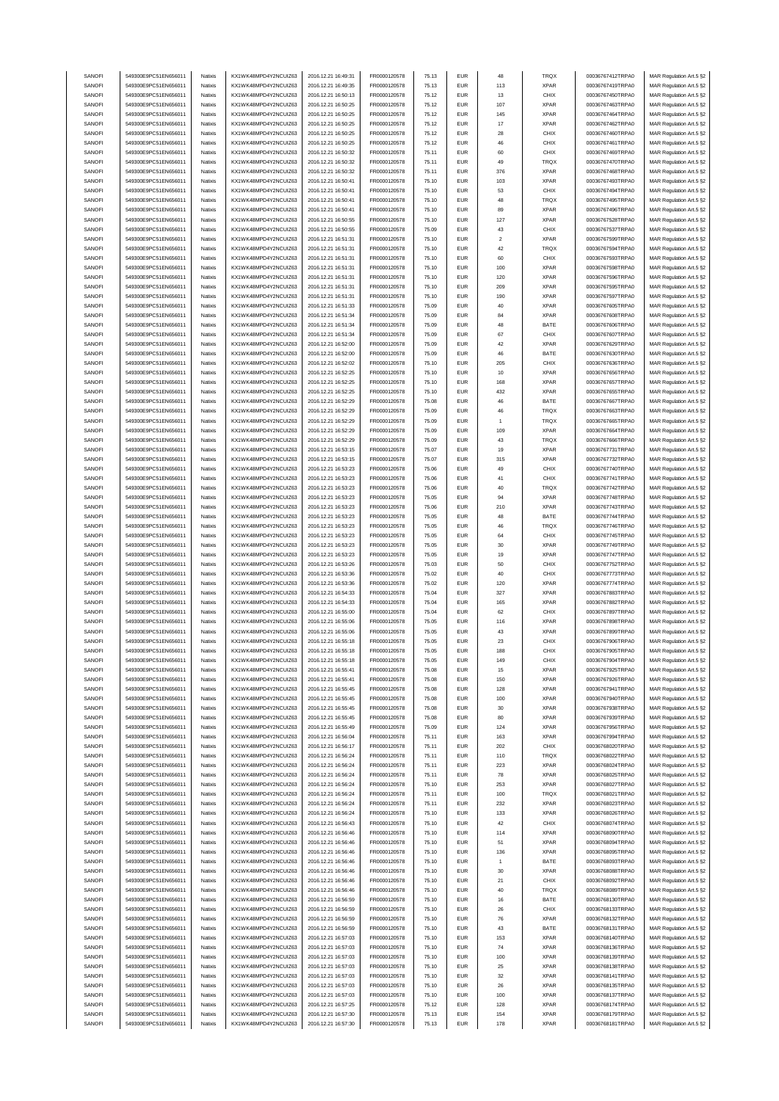| SANOFI           | 549300E9PC51EN656011                         | Natixis            | KX1WK48MPD4Y2NCUIZ63                         | 2016.12.21 16:49:31                        | FR0000120578                 | 75.13          | <b>EUR</b>               | 48             | <b>TRQX</b> | 00036767412TRPA0                     | MAR Regulation Art.5 §2                            |
|------------------|----------------------------------------------|--------------------|----------------------------------------------|--------------------------------------------|------------------------------|----------------|--------------------------|----------------|-------------|--------------------------------------|----------------------------------------------------|
| SANOFI           | 549300E9PC51EN656011                         | Natixis            | KX1WK48MPD4Y2NCUIZ63                         | 2016.12.21 16:49:35                        | FR0000120578                 | 75.13          | <b>EUR</b>               | 113            | <b>XPAR</b> | 00036767419TRPA0                     | MAR Regulation Art.5 §2                            |
| SANOFI           | 549300E9PC51EN656011                         | Natixis            | KX1WK48MPD4Y2NCUIZ63                         | 2016.12.21 16:50:13                        | FR0000120578                 | 75.12          | <b>EUR</b>               | 13             | CHIX        | 00036767450TRPA0                     | MAR Regulation Art.5 §2                            |
| SANOFI           | 549300E9PC51EN656011                         | Natixis            | KX1WK48MPD4Y2NCUIZ63                         | 2016.12.21 16:50:25                        | FR0000120578                 | 75.12          | <b>EUR</b>               | 107            | <b>XPAR</b> | 00036767463TRPA0                     | MAR Regulation Art.5 §2                            |
|                  |                                              |                    |                                              |                                            |                              |                |                          |                |             |                                      |                                                    |
| SANOFI           | 549300E9PC51EN656011                         | Natixis            | KX1WK48MPD4Y2NCUIZ63                         | 2016.12.21 16:50:25                        | FR0000120578                 | 75.12          | <b>EUR</b>               | 145            | <b>XPAR</b> | 00036767464TRPA0                     | MAR Regulation Art.5 §2                            |
| SANOFI           | 549300E9PC51EN656011                         | Natixis            | KX1WK48MPD4Y2NCUIZ63                         | 2016.12.21 16:50:25                        | FR0000120578                 | 75.12          | <b>EUR</b>               | 17             | <b>XPAR</b> | 00036767462TRPA0                     | MAR Regulation Art.5 §2                            |
| SANOFI           | 549300E9PC51EN656011                         | Natixis            | KX1WK48MPD4Y2NCUIZ63                         | 2016.12.21 16:50:25                        | FR0000120578                 | 75.12          | <b>EUR</b>               | 28             | CHIX        | 00036767460TRPA0                     | MAR Regulation Art.5 §2                            |
| SANOFI           | 549300E9PC51EN656011                         | Natixis            | KX1WK48MPD4Y2NCUIZ63                         | 2016.12.21 16:50:25                        | FR0000120578                 | 75.12          | <b>EUR</b>               | 46             | CHIX        | 00036767461TRPA0                     | MAR Regulation Art.5 §2                            |
| SANOFI           | 549300E9PC51EN656011                         | Natixis            | KX1WK48MPD4Y2NCUIZ63                         | 2016.12.21 16:50:32                        | FR0000120578                 | 75.11          | <b>EUR</b>               | 60             | CHIX        | 00036767469TRPA0                     | MAR Regulation Art.5 §2                            |
| SANOFI           | 549300E9PC51EN656011                         | Natixis            | KX1WK48MPD4Y2NCUIZ63                         | 2016.12.21 16:50:32                        | FR0000120578                 | 75.11          | <b>EUR</b>               | 49             | TRQX        | 00036767470TRPA0                     | MAR Regulation Art.5 §2                            |
| SANOFI           | 549300E9PC51EN656011                         | Natixis            | KX1WK48MPD4Y2NCUIZ63                         | 2016.12.21 16:50:32                        | FR0000120578                 | 75.11          | <b>EUR</b>               | 376            | <b>XPAR</b> | 00036767468TRPA0                     | MAR Regulation Art.5 §2                            |
|                  |                                              |                    |                                              |                                            |                              |                |                          |                |             |                                      |                                                    |
| SANOFI           | 549300E9PC51EN656011                         | Natixis            | KX1WK48MPD4Y2NCUIZ63                         | 2016.12.21 16:50:41                        | FR0000120578                 | 75.10          | <b>EUR</b>               | 103            | <b>XPAR</b> | 00036767493TRPA0                     | MAR Regulation Art.5 §2                            |
| SANOFI           | 549300E9PC51EN656011                         | Natixis            | KX1WK48MPD4Y2NCUIZ63                         | 2016.12.21 16:50:41                        | FR0000120578                 | 75.10          | <b>EUR</b>               | 53             | CHIX        | 00036767494TRPA0                     | MAR Regulation Art.5 §2                            |
| SANOFI           | 549300E9PC51EN656011                         | Natixis            | KX1WK48MPD4Y2NCUIZ63                         | 2016.12.21 16:50:41                        | FR0000120578                 | 75.10          | <b>EUR</b>               | 48             | TRQX        | 00036767495TRPA0                     | MAR Regulation Art.5 §2                            |
| SANOFI           | 549300E9PC51EN656011                         | Natixis            | KX1WK48MPD4Y2NCUIZ63                         | 2016.12.21 16:50:41                        | FR0000120578                 | 75.10          | <b>EUR</b>               | 89             | <b>XPAR</b> | 00036767496TRPA0                     | MAR Regulation Art.5 §2                            |
| SANOFI           | 549300E9PC51EN656011                         | Natixis            | KX1WK48MPD4Y2NCUIZ63                         | 2016.12.21 16:50:55                        | FR0000120578                 | 75.10          | <b>EUR</b>               | 127            | <b>XPAR</b> | 00036767528TRPA0                     | MAR Regulation Art.5 §2                            |
|                  |                                              |                    |                                              |                                            |                              |                |                          |                |             |                                      |                                                    |
| SANOFI           | 549300E9PC51EN656011                         | Natixis            | KX1WK48MPD4Y2NCUIZ63                         | 2016.12.21 16:50:55                        | FR0000120578                 | 75.09          | <b>EUR</b>               | 43             | CHIX        | 00036767537TRPA0                     | MAR Regulation Art.5 §2                            |
| SANOFI           | 549300E9PC51EN656011                         | Natixis            | KX1WK48MPD4Y2NCUIZ63                         | 2016.12.21 16:51:31                        | FR0000120578                 | 75.10          | <b>EUR</b>               | $\overline{2}$ | <b>XPAR</b> | 00036767599TRPA0                     | MAR Regulation Art.5 §2                            |
| SANOFI           | 549300E9PC51EN656011                         | Natixis            | KX1WK48MPD4Y2NCUIZ63                         | 2016.12.21 16:51:31                        | FR0000120578                 | 75.10          | <b>EUR</b>               | 42             | TRQX        | 00036767594TRPA0                     | MAR Regulation Art.5 §2                            |
| SANOFI           | 549300E9PC51EN656011                         | Natixis            | KX1WK48MPD4Y2NCUIZ63                         | 2016.12.21 16:51:31                        | FR0000120578                 | 75.10          | <b>EUR</b>               | 60             | CHIX        | 00036767593TRPA0                     | MAR Regulation Art.5 §2                            |
| SANOFI           | 549300E9PC51EN656011                         | Natixis            | KX1WK48MPD4Y2NCUIZ63                         | 2016.12.21 16:51:31                        | FR0000120578                 | 75.10          | <b>EUR</b>               | 100            | <b>XPAR</b> | 00036767598TRPA0                     | MAR Regulation Art.5 §2                            |
| SANOFI           | 549300E9PC51EN656011                         | Natixis            | KX1WK48MPD4Y2NCUIZ63                         | 2016.12.21 16:51:31                        | FR0000120578                 | 75.10          | <b>EUR</b>               | 120            | <b>XPAR</b> | 00036767596TRPA0                     | MAR Regulation Art.5 §2                            |
|                  |                                              |                    |                                              |                                            |                              |                |                          |                |             |                                      |                                                    |
| SANOFI           | 549300E9PC51EN656011                         | Natixis            | KX1WK48MPD4Y2NCUIZ63                         | 2016.12.21 16:51:31                        | FR0000120578                 | 75.10          | <b>EUR</b>               | 209            | <b>XPAR</b> | 00036767595TRPA0                     | MAR Regulation Art.5 §2                            |
| SANOFI           | 549300E9PC51EN656011                         | Natixis            | KX1WK48MPD4Y2NCUIZ63                         | 2016.12.21 16:51:31                        | FR0000120578                 | 75.10          | <b>EUR</b>               | 190            | <b>XPAR</b> | 00036767597TRPA0                     | MAR Regulation Art.5 §2                            |
| SANOFI           | 549300E9PC51EN656011                         | Natixis            | KX1WK48MPD4Y2NCUIZ63                         | 2016.12.21 16:51:33                        | FR0000120578                 | 75.09          | <b>EUR</b>               | 40             | <b>XPAR</b> | 00036767605TRPA0                     | MAR Regulation Art.5 §2                            |
| SANOFI           | 549300E9PC51EN656011                         | Natixis            | KX1WK48MPD4Y2NCUIZ63                         | 2016.12.21 16:51:34                        | FR0000120578                 | 75.09          | <b>EUR</b>               | 84             | <b>XPAR</b> | 00036767608TRPA0                     | MAR Regulation Art.5 §2                            |
| SANOFI           | 549300E9PC51EN656011                         | Natixis            | KX1WK48MPD4Y2NCUIZ63                         | 2016.12.21 16:51:34                        | FR0000120578                 | 75.09          | <b>EUR</b>               | 48             | BATE        | 00036767606TRPA0                     | MAR Regulation Art.5 §2                            |
| SANOFI           | 549300E9PC51EN656011                         | Natixis            | KX1WK48MPD4Y2NCUIZ63                         | 2016.12.21 16:51:34                        | FR0000120578                 | 75.09          | <b>EUR</b>               | 67             | CHIX        | 00036767607TRPA0                     | MAR Regulation Art.5 §2                            |
| SANOFI           | 549300E9PC51EN656011                         | Natixis            |                                              | 2016.12.21 16:52:00                        | FR0000120578                 | 75.09          | <b>EUR</b>               | 42             |             |                                      | MAR Regulation Art.5 §2                            |
|                  |                                              |                    | KX1WK48MPD4Y2NCUIZ63                         |                                            |                              |                |                          |                | <b>XPAR</b> | 00036767629TRPA0                     |                                                    |
| SANOFI           | 549300E9PC51EN656011                         | Natixis            | KX1WK48MPD4Y2NCUIZ63                         | 2016.12.21 16:52:00                        | FR0000120578                 | 75.09          | <b>EUR</b>               | 46             | BATE        | 00036767630TRPA0                     | MAR Regulation Art.5 §2                            |
| SANOFI           | 549300E9PC51EN656011                         | Natixis            | KX1WK48MPD4Y2NCUIZ63                         | 2016.12.21 16:52:02                        | FR0000120578                 | 75.10          | <b>EUR</b>               | 205            | CHIX        | 00036767636TRPA0                     | MAR Regulation Art.5 §2                            |
| SANOFI           | 549300E9PC51EN656011                         | Natixis            | KX1WK48MPD4Y2NCUIZ63                         | 2016.12.21 16:52:25                        | FR0000120578                 | 75.10          | <b>EUR</b>               | 10             | <b>XPAR</b> | 00036767656TRPA0                     | MAR Regulation Art.5 §2                            |
| SANOFI           | 549300E9PC51EN656011                         | Natixis            | KX1WK48MPD4Y2NCUIZ63                         | 2016.12.21 16:52:25                        | FR0000120578                 | 75.10          | <b>EUR</b>               | 168            | <b>XPAR</b> | 00036767657TRPA0                     | MAR Regulation Art.5 §2                            |
| SANOFI           | 549300E9PC51EN656011                         | Natixis            | KX1WK48MPD4Y2NCUIZ63                         | 2016.12.21 16:52:25                        | FR0000120578                 | 75.10          | <b>EUR</b>               | 432            | <b>XPAR</b> | 00036767655TRPA0                     | MAR Regulation Art.5 §2                            |
|                  | 549300E9PC51EN656011                         |                    |                                              |                                            |                              |                |                          |                |             | 00036767667TRPA0                     |                                                    |
| SANOFI           |                                              | Natixis            | KX1WK48MPD4Y2NCUIZ63                         | 2016.12.21 16:52:29                        | FR0000120578                 | 75.08          | <b>EUR</b>               | 46             | BATE        |                                      | MAR Regulation Art.5 §2                            |
| SANOFI           | 549300E9PC51EN656011                         | Natixis            | KX1WK48MPD4Y2NCUIZ63                         | 2016.12.21 16:52:29                        | FR0000120578                 | 75.09          | <b>EUR</b>               | 46             | TRQX        | 00036767663TRPA0                     | MAR Regulation Art.5 §2                            |
| SANOFI           | 549300E9PC51EN656011                         | Natixis            | KX1WK48MPD4Y2NCUIZ63                         | 2016.12.21 16:52:29                        | FR0000120578                 | 75.09          | <b>EUR</b>               | 1              | <b>TRQX</b> | 00036767665TRPA0                     | MAR Regulation Art.5 §2                            |
| SANOFI           | 549300E9PC51EN656011                         | Natixis            | KX1WK48MPD4Y2NCUIZ63                         | 2016.12.21 16:52:29                        | FR0000120578                 | 75.09          | <b>EUR</b>               | 109            | <b>XPAR</b> | 00036767664TRPA0                     | MAR Regulation Art.5 §2                            |
| SANOFI           | 549300E9PC51EN656011                         | Natixis            | KX1WK48MPD4Y2NCUIZ63                         | 2016.12.21 16:52:29                        | FR0000120578                 | 75.09          | <b>EUR</b>               | 43             | TRQX        | 00036767666TRPA0                     | MAR Regulation Art.5 §2                            |
| SANOFI           | 549300E9PC51EN656011                         | Natixis            | KX1WK48MPD4Y2NCUIZ63                         | 2016.12.21 16:53:15                        | FR0000120578                 | 75.07          | <b>EUR</b>               | 19             | <b>XPAR</b> | 00036767731TRPA0                     | MAR Regulation Art.5 §2                            |
|                  |                                              |                    |                                              |                                            |                              |                |                          |                |             |                                      |                                                    |
| SANOFI           | 549300E9PC51EN656011                         | Natixis            | KX1WK48MPD4Y2NCUIZ63                         | 2016.12.21 16:53:15                        | FR0000120578                 | 75.07          | <b>EUR</b>               | 315            | <b>XPAR</b> | 00036767732TRPA0                     | MAR Regulation Art.5 §2                            |
| SANOFI           | 549300E9PC51EN656011                         | Natixis            | KX1WK48MPD4Y2NCUIZ63                         | 2016.12.21 16:53:23                        | FR0000120578                 | 75.06          | <b>EUR</b>               | 49             | CHIX        | 00036767740TRPA0                     | MAR Regulation Art.5 §2                            |
| SANOFI           | 549300E9PC51EN656011                         | Natixis            | KX1WK48MPD4Y2NCUIZ63                         | 2016.12.21 16:53:23                        | FR0000120578                 | 75.06          | <b>EUR</b>               | 41             | CHIX        | 00036767741TRPA0                     | MAR Regulation Art.5 §2                            |
| SANOFI           | 549300E9PC51EN656011                         | Natixis            | KX1WK48MPD4Y2NCUIZ63                         | 2016.12.21 16:53:23                        | FR0000120578                 | 75.06          | <b>EUR</b>               | 40             | TRQX        | 00036767742TRPA0                     | MAR Regulation Art.5 §2                            |
| SANOFI           | 549300E9PC51EN656011                         | Natixis            | KX1WK48MPD4Y2NCUIZ63                         | 2016.12.21 16:53:23                        | FR0000120578                 | 75.05          | <b>EUR</b>               | 94             | <b>XPAR</b> | 00036767748TRPA0                     | MAR Regulation Art.5 §2                            |
| SANOFI           | 549300E9PC51EN656011                         | Natixis            | KX1WK48MPD4Y2NCUIZ63                         | 2016.12.21 16:53:23                        | FR0000120578                 | 75.06          | <b>EUR</b>               | 210            | <b>XPAR</b> | 00036767743TRPA0                     | MAR Regulation Art.5 §2                            |
|                  |                                              |                    |                                              |                                            |                              |                |                          |                |             |                                      |                                                    |
| SANOFI           | 549300E9PC51EN656011                         | Natixis            | KX1WK48MPD4Y2NCUIZ63                         | 2016.12.21 16:53:23                        | FR0000120578                 | 75.05          | <b>EUR</b>               | 48             | BATE        | 00036767744TRPA0                     | MAR Regulation Art.5 §2                            |
| SANOFI           | 549300E9PC51EN656011                         | Natixis            | KX1WK48MPD4Y2NCUIZ63                         | 2016.12.21 16:53:23                        | FR0000120578                 | 75.05          | <b>EUR</b>               | 46             | TRQX        | 00036767746TRPA0                     | MAR Regulation Art.5 §2                            |
| SANOFI           | 549300E9PC51EN656011                         | Natixis            | KX1WK48MPD4Y2NCUIZ63                         | 2016.12.21 16:53:23                        | FR0000120578                 | 75.05          | <b>EUR</b>               | 64             | CHIX        | 00036767745TRPA0                     | MAR Regulation Art.5 §2                            |
| SANOFI           | 549300E9PC51EN656011                         | Natixis            | KX1WK48MPD4Y2NCUIZ63                         | 2016.12.21 16:53:23                        | FR0000120578                 | 75.05          | <b>EUR</b>               | 30             | <b>XPAR</b> | 00036767749TRPA0                     | MAR Regulation Art.5 §2                            |
| SANOFI           | 549300E9PC51EN656011                         | Natixis            | KX1WK48MPD4Y2NCUIZ63                         | 2016.12.21 16:53:23                        | FR0000120578                 | 75.05          | <b>EUR</b>               | 19             | <b>XPAR</b> | 00036767747TRPA0                     | MAR Regulation Art.5 §2                            |
| SANOFI           | 549300E9PC51EN656011                         | Natixis            | KX1WK48MPD4Y2NCUIZ63                         | 2016.12.21 16:53:26                        | FR0000120578                 | 75.03          | <b>EUR</b>               | 50             | CHIX        | 00036767752TRPA0                     | MAR Regulation Art.5 §2                            |
|                  |                                              |                    |                                              |                                            | FR0000120578                 |                |                          |                |             |                                      |                                                    |
| SANOFI           | 549300E9PC51EN656011                         | Natixis            | KX1WK48MPD4Y2NCUIZ63                         | 2016.12.21 16:53:36                        |                              | 75.02          | <b>EUR</b>               | 40             | CHIX        | 00036767773TRPA0                     | MAR Regulation Art.5 §2                            |
| SANOFI           | 549300E9PC51EN656011                         | Natixis            | KX1WK48MPD4Y2NCUIZ63                         | 2016.12.21 16:53:36                        | FR0000120578                 | 75.02          | <b>EUR</b>               | 120            | <b>XPAR</b> | 00036767774TRPA0                     | MAR Regulation Art.5 §2                            |
| SANOFI           | 549300E9PC51EN656011                         | Natixis            | KX1WK48MPD4Y2NCUIZ63                         | 2016.12.21 16:54:33                        | FR0000120578                 | 75.04          | <b>EUR</b>               | 327            | <b>XPAR</b> | 00036767883TRPA0                     | MAR Regulation Art.5 §2                            |
| SANOFI           | 549300E9PC51EN656011                         | Natixis            | KX1WK48MPD4Y2NCUIZ63                         | 2016.12.21 16:54:33                        | FR0000120578                 | 75.04          | <b>EUR</b>               | 165            | <b>XPAR</b> | 00036767882TRPA0                     | MAR Regulation Art.5 §2                            |
| SANOFI           | 549300E9PC51EN656011                         | Natixis            | KX1WK48MPD4Y2NCUIZ63                         | 2016.12.21 16:55:00                        | FR0000120578                 | 75.04          | <b>EUR</b>               | 62             | CHIX        | 00036767897TRPA0                     | MAR Regulation Art.5 §2                            |
| SANOFI           | 549300E9PC51EN656011                         | Natixis            | KX1WK48MPD4Y2NCUIZ63                         | 2016.12.21 16:55:06                        | FR0000120578                 | 75.05          | <b>EUR</b>               | 116            | <b>XPAR</b> | 00036767898TRPA0                     | MAR Regulation Art.5 §2                            |
|                  | 549300E9PC51EN656011                         | Natixis            |                                              |                                            |                              | 75.05          | <b>EUR</b>               |                | <b>XPAR</b> | 00036767899TRPA0                     |                                                    |
| SANOFI           |                                              |                    | KX1WK48MPD4Y2NCUIZ63                         | 2016.12.21 16:55:06                        | FR0000120578                 |                |                          | 43             |             |                                      | MAR Regulation Art.5 §2                            |
| SANOFI           | 549300E9PC51EN656011                         | Natixis            | KX1WK48MPD4Y2NCUIZ63                         | 2016.12.21 16:55:18                        | FR0000120578                 | 75.05          | <b>EUR</b>               | 23             | CHIX        | 00036767906TRPA0                     | MAR Regulation Art.5 §2                            |
| SANOF            | 549300E9PC51EN65601                          | Natixis            | KX1WK48MPD4Y2NCUIZ63                         | 2016.12.21 16:55:18                        | FR0000120578                 | 75.05          | EUR                      | 188            | CHIX        | 00036767905TRPA0                     | MAR Regulation Art.5 §2                            |
| SANOFI           | 549300E9PC51EN656011                         | Natixis            | KX1WK48MPD4Y2NCUIZ63                         | 2016.12.21 16:55:18                        | FR0000120578                 | 75.05          | <b>EUR</b>               | 149            | CHIX        | 00036767904TRPA0                     | MAR Regulation Art.5 §2                            |
| SANOFI           | 549300E9PC51EN656011                         | Natixis            | KX1WK48MPD4Y2NCUIZ63                         | 2016.12.21 16:55:41                        | FR0000120578                 | 75.08          | <b>EUR</b>               | 15             | <b>XPAR</b> | 00036767925TRPA0                     | MAR Regulation Art.5 §2                            |
| SANOFI           | 549300E9PC51EN656011                         | Natixis            | KX1WK48MPD4Y2NCUIZ63                         | 2016.12.21 16:55:41                        | FR0000120578                 | 75.08          | <b>EUR</b>               | 150            | <b>XPAR</b> | 00036767926TRPA0                     | MAR Regulation Art.5 §2                            |
| SANOFI           | 549300E9PC51EN656011                         | Natixis            | KX1WK48MPD4Y2NCUIZ63                         | 2016.12.21 16:55:45                        | FR0000120578                 | 75.08          | <b>EUR</b>               | 128            | <b>XPAR</b> | 00036767941TRPA0                     | MAR Regulation Art.5 §2                            |
| SANOFI           | 549300E9PC51EN656011                         | Natixis            | KX1WK48MPD4Y2NCUIZ63                         | 2016.12.21 16:55:45                        | FR0000120578                 | 75.08          | <b>EUR</b>               | 100            | <b>XPAR</b> | 00036767940TRPA0                     |                                                    |
|                  |                                              |                    |                                              |                                            |                              |                |                          |                |             |                                      | MAR Regulation Art.5 §2                            |
| SANOFI           | 549300E9PC51EN656011                         | Natixis            | KX1WK48MPD4Y2NCUIZ63                         | 2016.12.21 16:55:45                        | FR0000120578                 | 75.08          | <b>EUR</b>               | 30             | <b>XPAR</b> | 00036767938TRPA0                     | MAR Regulation Art.5 §2                            |
| SANOFI           | 549300E9PC51EN656011                         | Natixis            | KX1WK48MPD4Y2NCUIZ63                         | 2016.12.21 16:55:45                        | FR0000120578                 | 75.08          | <b>EUR</b>               | 80             | <b>XPAR</b> | 00036767939TRPA0                     | MAR Regulation Art.5 §2                            |
| SANOFI           | 549300E9PC51EN656011                         | Natixis            | KX1WK48MPD4Y2NCUIZ63                         | 2016.12.21 16:55:49                        | FR0000120578                 | 75.09          | <b>EUR</b>               | 124            | <b>XPAR</b> | 00036767956TRPA0                     | MAR Regulation Art.5 §2                            |
| SANOFI           | 549300E9PC51EN656011                         | Natixis            | KX1WK48MPD4Y2NCUIZ63                         | 2016.12.21 16:56:04                        | FR0000120578                 | 75.11          | <b>EUR</b>               | 163            | <b>XPAR</b> | 00036767994TRPA0                     | MAR Regulation Art.5 §2                            |
| SANOFI           | 549300E9PC51EN656011                         | Natixis            | KX1WK48MPD4Y2NCUIZ63                         | 2016.12.21 16:56:17                        | FR0000120578                 | 75.11          | <b>EUR</b>               | 202            | CHIX        | 00036768020TRPA0                     | MAR Regulation Art.5 §2                            |
| SANOFI           | 549300E9PC51EN656011                         | Natixis            | KX1WK48MPD4Y2NCUIZ63                         | 2016.12.21 16:56:24                        | FR0000120578                 | 75.11          | <b>EUR</b>               | 110            | TRQX        | 00036768022TRPA0                     | MAR Regulation Art.5 §2                            |
| SANOFI           | 549300E9PC51EN656011                         | Natixis            | KX1WK48MPD4Y2NCUIZ63                         | 2016.12.21 16:56:24                        | FR0000120578                 | 75.11          | <b>EUR</b>               | 223            | <b>XPAR</b> | 00036768024TRPA0                     | MAR Regulation Art.5 §2                            |
|                  |                                              |                    |                                              |                                            |                              |                |                          |                |             |                                      |                                                    |
| SANOFI           | 549300E9PC51EN656011                         | Natixis            | KX1WK48MPD4Y2NCUIZ63                         | 2016.12.21 16:56:24                        | FR0000120578                 | 75.11          | <b>EUR</b>               | 78             | <b>XPAR</b> | 00036768025TRPA0                     | MAR Regulation Art.5 §2                            |
| SANOFI           | 549300E9PC51EN656011                         | Natixis            | KX1WK48MPD4Y2NCUIZ63                         | 2016.12.21 16:56:24                        | FR0000120578                 | 75.10          | <b>EUR</b>               | 253            | <b>XPAR</b> | 00036768027TRPA0                     | MAR Regulation Art.5 §2                            |
| SANOFI           | 549300E9PC51EN656011                         | Natixis            | KX1WK48MPD4Y2NCUIZ63                         | 2016.12.21 16:56:24                        | FR0000120578                 | 75.11          | <b>EUR</b>               | 100            | TRQX        | 00036768021TRPA0                     | MAR Regulation Art.5 §2                            |
| SANOFI           | 549300E9PC51EN656011                         | Natixis            | KX1WK48MPD4Y2NCUIZ63                         | 2016.12.21 16:56:24                        | FR0000120578                 | 75.11          | <b>EUR</b>               | 232            | <b>XPAR</b> | 00036768023TRPA0                     | MAR Regulation Art.5 §2                            |
| SANOFI           | 549300E9PC51EN656011                         | Natixis            | KX1WK48MPD4Y2NCUIZ63                         | 2016.12.21 16:56:24                        | FR0000120578                 | 75.10          | <b>EUR</b>               | 133            | <b>XPAR</b> | 00036768026TRPA0                     | MAR Regulation Art.5 §2                            |
| SANOFI           | 549300E9PC51EN656011                         | Natixis            | KX1WK48MPD4Y2NCUIZ63                         | 2016.12.21 16:56:43                        | FR0000120578                 | 75.10          | <b>EUR</b>               | 42             | CHIX        | 00036768074TRPA0                     | MAR Regulation Art.5 §2                            |
| SANOFI           | 549300E9PC51EN656011                         |                    | KX1WK48MPD4Y2NCUIZ63                         | 2016.12.21 16:56:46                        |                              |                | <b>EUR</b>               |                |             |                                      |                                                    |
|                  |                                              | Natixis            |                                              |                                            | FR0000120578                 | 75.10          |                          | 114            | <b>XPAR</b> | 00036768090TRPA0                     | MAR Regulation Art.5 §2                            |
| SANOFI           | 549300E9PC51EN656011                         | Natixis            | KX1WK48MPD4Y2NCUIZ63                         | 2016.12.21 16:56:46                        | FR0000120578                 | 75.10          | <b>EUR</b>               | 51             | <b>XPAR</b> | 00036768094TRPA0                     | MAR Regulation Art.5 §2                            |
| SANOFI           | 549300E9PC51EN656011                         | Natixis            | KX1WK48MPD4Y2NCUIZ63                         | 2016.12.21 16:56:46                        | FR0000120578                 | 75.10          | <b>EUR</b>               | 136            | <b>XPAR</b> | 00036768095TRPA0                     | MAR Regulation Art.5 §2                            |
| SANOFI           | 549300E9PC51EN656011                         | Natixis            | KX1WK48MPD4Y2NCUIZ63                         | 2016.12.21 16:56:46                        | FR0000120578                 | 75.10          | <b>EUR</b>               | $\mathbf{1}$   | BATE        | 00036768093TRPA0                     | MAR Regulation Art.5 §2                            |
| SANOFI           | 549300E9PC51EN656011                         | Natixis            | KX1WK48MPD4Y2NCUIZ63                         | 2016.12.21 16:56:46                        | FR0000120578                 | 75.10          | <b>EUR</b>               | 30             | <b>XPAR</b> | 00036768088TRPA0                     | MAR Regulation Art.5 §2                            |
| SANOFI           | 549300E9PC51EN656011                         | Natixis            | KX1WK48MPD4Y2NCUIZ63                         | 2016.12.21 16:56:46                        | FR0000120578                 | 75.10          | <b>EUR</b>               | 21             | CHIX        | 00036768092TRPA0                     | MAR Regulation Art.5 §2                            |
|                  |                                              |                    |                                              |                                            |                              |                |                          | 40             |             | 00036768089TRPA0                     |                                                    |
| SANOFI           | 549300E9PC51EN656011                         | Natixis            | KX1WK48MPD4Y2NCUIZ63                         | 2016.12.21 16:56:46                        | FR0000120578                 | 75.10          | <b>EUR</b>               |                | TRQX        |                                      | MAR Regulation Art.5 §2                            |
| SANOFI           | 549300E9PC51EN656011                         | Natixis            | KX1WK48MPD4Y2NCUIZ63                         | 2016.12.21 16:56:59                        | FR0000120578                 | 75.10          | <b>EUR</b>               | 16             | BATE        | 00036768130TRPA0                     | MAR Regulation Art.5 §2                            |
| SANOFI           | 549300E9PC51EN656011                         | Natixis            | KX1WK48MPD4Y2NCUIZ63                         | 2016.12.21 16:56:59                        | FR0000120578                 | 75.10          | <b>EUR</b>               | 26             | CHIX        | 00036768133TRPA0                     | MAR Regulation Art.5 §2                            |
| SANOFI           | 549300E9PC51EN656011                         | Natixis            | KX1WK48MPD4Y2NCUIZ63                         | 2016.12.21 16:56:59                        | FR0000120578                 | 75.10          | <b>EUR</b>               | 76             | <b>XPAR</b> | 00036768132TRPA0                     | MAR Regulation Art.5 §2                            |
| SANOFI           | 549300E9PC51EN656011                         | Natixis            | KX1WK48MPD4Y2NCUIZ63                         | 2016.12.21 16:56:59                        | FR0000120578                 | 75.10          | <b>EUR</b>               | 43             | BATE        | 00036768131TRPA0                     | MAR Regulation Art.5 §2                            |
| SANOFI           | 549300E9PC51EN656011                         | Natixis            | KX1WK48MPD4Y2NCUIZ63                         | 2016.12.21 16:57:03                        | FR0000120578                 | 75.10          | <b>EUR</b>               | 153            | <b>XPAR</b> | 00036768140TRPA0                     | MAR Regulation Art.5 §2                            |
|                  |                                              |                    |                                              |                                            |                              |                |                          |                |             |                                      |                                                    |
| SANOFI           | 549300E9PC51EN656011                         | Natixis            | KX1WK48MPD4Y2NCUIZ63                         | 2016.12.21 16:57:03                        | FR0000120578                 | 75.10          | <b>EUR</b>               | 74             | <b>XPAR</b> | 00036768136TRPA0                     | MAR Regulation Art.5 §2                            |
| SANOFI           | 549300E9PC51EN656011                         | Natixis            | KX1WK48MPD4Y2NCUIZ63                         | 2016.12.21 16:57:03                        | FR0000120578                 | 75.10          | <b>EUR</b>               | 100            | <b>XPAR</b> | 00036768139TRPA0                     | MAR Regulation Art.5 §2                            |
| SANOFI           | 549300E9PC51EN656011                         | Natixis            | KX1WK48MPD4Y2NCUIZ63                         | 2016.12.21 16:57:03                        | FR0000120578                 | 75.10          | <b>EUR</b>               | 25             | <b>XPAR</b> | 00036768138TRPA0                     | MAR Regulation Art.5 §2                            |
| SANOFI           | 549300E9PC51EN656011                         | Natixis            | KX1WK48MPD4Y2NCUIZ63                         | 2016.12.21 16:57:03                        | FR0000120578                 | 75.10          | <b>EUR</b>               | 32             | <b>XPAR</b> | 00036768141TRPA0                     | MAR Regulation Art.5 §2                            |
| SANOFI           | 549300E9PC51EN656011                         | Natixis            | KX1WK48MPD4Y2NCUIZ63                         | 2016.12.21 16:57:03                        | FR0000120578                 | 75.10          | <b>EUR</b>               | 26             | <b>XPAR</b> | 00036768135TRPA0                     | MAR Regulation Art.5 §2                            |
| SANOFI           | 549300E9PC51EN656011                         | Natixis            | KX1WK48MPD4Y2NCUIZ63                         | 2016.12.21 16:57:03                        | FR0000120578                 | 75.10          | <b>EUR</b>               | 100            | <b>XPAR</b> | 00036768137TRPA0                     | MAR Regulation Art.5 §2                            |
| SANOFI           | 549300E9PC51EN656011                         | Natixis            | KX1WK48MPD4Y2NCUIZ63                         | 2016.12.21 16:57:25                        | FR0000120578                 | 75.12          | <b>EUR</b>               | 128            | <b>XPAR</b> | 00036768174TRPA0                     | MAR Regulation Art.5 §2                            |
|                  |                                              |                    |                                              |                                            |                              |                |                          | 154            | <b>XPAR</b> |                                      |                                                    |
|                  |                                              |                    |                                              |                                            |                              |                |                          |                |             |                                      |                                                    |
| SANOFI<br>SANOFI | 549300E9PC51EN656011<br>549300E9PC51EN656011 | Natixis<br>Natixis | KX1WK48MPD4Y2NCUIZ63<br>KX1WK48MPD4Y2NCUIZ63 | 2016.12.21 16:57:30<br>2016.12.21 16:57:30 | FR0000120578<br>FR0000120578 | 75.13<br>75.13 | <b>EUR</b><br><b>EUR</b> | 178            | <b>XPAR</b> | 00036768179TRPA0<br>00036768181TRPA0 | MAR Regulation Art.5 §2<br>MAR Regulation Art.5 §2 |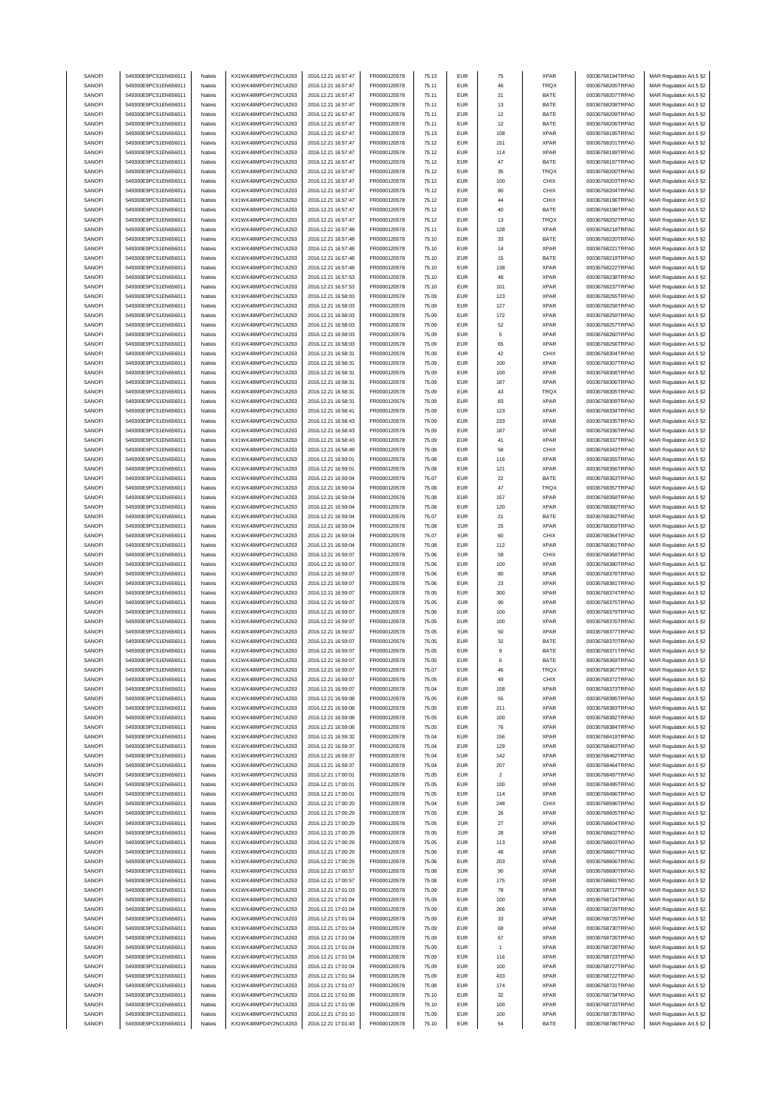| SANOFI | 549300E9PC51EN656011 | Natixis | KX1WK48MPD4Y2NCUIZ63  | 2016.12.21 16:57:47 | FR0000120578 | 75.13 | <b>EUR</b> | 75               | <b>XPAR</b> | 00036768194TRPA0 | MAR Regulation Art.5 §2 |
|--------|----------------------|---------|-----------------------|---------------------|--------------|-------|------------|------------------|-------------|------------------|-------------------------|
| SANOFI | 549300E9PC51EN656011 | Natixis | KX1WK48MPD4Y2NCUIZ63  | 2016.12.21 16:57:47 | FR0000120578 | 75.11 | <b>EUR</b> | 46               | TRQX        | 00036768205TRPA0 | MAR Regulation Art.5 §2 |
| SANOFI | 549300E9PC51EN656011 | Natixis | KX1WK48MPD4Y2NCUIZ63  | 2016.12.21 16:57:47 | FR0000120578 | 75.11 | <b>EUR</b> | 21               | BATE        | 00036768207TRPA0 | MAR Regulation Art.5 §2 |
| SANOFI | 549300E9PC51EN656011 | Natixis | KX1WK48MPD4Y2NCUIZ63  | 2016.12.21 16:57:47 | FR0000120578 | 75.11 | <b>EUR</b> | 13               | BATE        | 00036768208TRPA0 | MAR Regulation Art.5 §2 |
|        |                      |         |                       |                     |              |       |            |                  |             |                  |                         |
| SANOFI | 549300E9PC51EN656011 | Natixis | KX1WK48MPD4Y2NCUIZ63  | 2016.12.21 16:57:47 | FR0000120578 | 75.11 | <b>EUR</b> | 12               | BATE        | 00036768209TRPA0 | MAR Regulation Art.5 §2 |
| SANOFI | 549300E9PC51EN656011 | Natixis | KX1WK48MPD4Y2NCUIZ63  | 2016.12.21 16:57:47 | FR0000120578 | 75.11 | <b>EUR</b> | 12               | BATE        | 00036768206TRPA0 | MAR Regulation Art.5 §2 |
| SANOFI | 549300E9PC51EN656011 | Natixis | KX1WK48MPD4Y2NCUIZ63  | 2016.12.21 16:57:47 | FR0000120578 | 75.13 | <b>EUR</b> | 108              | <b>XPAR</b> | 00036768195TRPA0 | MAR Regulation Art.5 §2 |
| SANOFI | 549300E9PC51EN656011 | Natixis | KX1WK48MPD4Y2NCUIZ63  | 2016.12.21 16:57:47 | FR0000120578 | 75.12 | <b>EUR</b> | 151              | <b>XPAR</b> | 00036768201TRPA0 | MAR Regulation Art.5 §2 |
| SANOFI | 549300E9PC51EN656011 | Natixis | KX1WK48MPD4Y2NCLIIZ63 | 2016.12.21 16:57:47 | FR0000120578 | 75.12 | <b>EUR</b> | 114              | <b>XPAR</b> | 00036768199TRPA0 | MAR Regulation Art.5 §2 |
| SANOFI | 549300E9PC51EN656011 | Natixis | KX1WK48MPD4Y2NCUIZ63  | 2016.12.21 16:57:47 | FR0000120578 | 75.12 | <b>EUR</b> | 47               | BATE        | 00036768197TRPA0 | MAR Regulation Art.5 §2 |
| SANOFI | 549300E9PC51EN656011 | Natixis | KX1WK48MPD4Y2NCUIZ63  | 2016.12.21 16:57:47 | FR0000120578 | 75.12 | <b>EUR</b> | 35               | TRQX        | 00036768200TRPA0 | MAR Regulation Art.5 §2 |
|        |                      |         |                       |                     |              |       |            |                  |             |                  |                         |
| SANOFI | 549300E9PC51EN656011 | Natixis | KX1WK48MPD4Y2NCUIZ63  | 2016.12.21 16:57:47 | FR0000120578 | 75.12 | <b>EUR</b> | 100              | CHIX        | 00036768203TRPA0 | MAR Regulation Art.5 §2 |
| SANOFI | 549300E9PC51EN656011 | Natixis | KX1WK48MPD4Y2NCUIZ63  | 2016.12.21 16:57:47 | FR0000120578 | 75.12 | <b>EUR</b> | 80               | CHIX        | 00036768204TRPA0 | MAR Regulation Art.5 §2 |
| SANOFI | 549300E9PC51EN656011 | Natixis | KX1WK48MPD4Y2NCUIZ63  | 2016.12.21 16:57:47 | FR0000120578 | 75.12 | <b>EUR</b> | 44               | CHIX        | 00036768196TRPA0 | MAR Regulation Art.5 §2 |
| SANOFI | 549300E9PC51EN656011 | Natixis | KX1WK48MPD4Y2NCUIZ63  | 2016.12.21 16:57:47 | FR0000120578 | 75.12 | <b>EUR</b> | 40               | BATE        | 00036768198TRPA0 | MAR Regulation Art.5 §2 |
| SANOFI | 549300E9PC51EN656011 | Natixis | KX1WK48MPD4Y2NCUIZ63  | 2016.12.21 16:57:47 | FR0000120578 | 75.12 | <b>EUR</b> | 13               | TRQX        | 00036768202TRPA0 | MAR Regulation Art.5 §2 |
|        |                      |         |                       |                     |              |       |            |                  |             |                  |                         |
| SANOFI | 549300E9PC51EN656011 | Natixis | KX1WK48MPD4Y2NCUIZ63  | 2016.12.21 16:57:48 | FR0000120578 | 75.11 | <b>EUR</b> | 128              | <b>XPAR</b> | 00036768218TRPA0 | MAR Regulation Art.5 §2 |
| SANOFI | 549300E9PC51EN656011 | Natixis | KX1WK48MPD4Y2NCLIIZ63 | 2016.12.21 16:57:48 | FR0000120578 | 75.10 | <b>EUR</b> | 33               | BATE        | 00036768220TRPA0 | MAR Regulation Art.5 §2 |
| SANOFI | 549300E9PC51EN656011 | Natixis | KX1WK48MPD4Y2NCUIZ63  | 2016.12.21 16:57:48 | FR0000120578 | 75.10 | <b>EUR</b> | 14               | <b>XPAR</b> | 00036768221TRPA0 | MAR Regulation Art.5 §2 |
| SANOFI | 549300E9PC51EN656011 | Natixis | KX1WK48MPD4Y2NCUIZ63  | 2016.12.21 16:57:48 | FR0000120578 | 75.10 | <b>EUR</b> | 15               | BATE        | 00036768219TRPA0 | MAR Regulation Art.5 §2 |
| SANOFI | 549300E9PC51EN656011 | Natixis | KX1WK48MPD4Y2NCUIZ63  | 2016.12.21 16:57:48 | FR0000120578 | 75.10 | <b>EUR</b> | 138              | <b>XPAR</b> | 00036768222TRPA0 | MAR Regulation Art.5 §2 |
| SANOFI | 549300E9PC51EN656011 | Natixis | KX1WK48MPD4Y2NCUIZ63  | 2016.12.21 16:57:53 | FR0000120578 | 75.10 | <b>EUR</b> | 48               | <b>XPAR</b> | 00036768238TRPA0 | MAR Regulation Art.5 §2 |
|        |                      |         |                       |                     |              |       |            |                  |             |                  |                         |
| SANOFI | 549300E9PC51EN656011 | Natixis | KX1WK48MPD4Y2NCUIZ63  | 2016.12.21 16:57:53 | FR0000120578 | 75.10 | <b>EUR</b> | 101              | <b>XPAR</b> | 00036768237TRPA0 | MAR Regulation Art.5 §2 |
| SANOFI | 549300E9PC51EN656011 | Natixis | KX1WK48MPD4Y2NCUIZ63  | 2016.12.21 16:58:03 | FR0000120578 | 75.09 | <b>EUR</b> | 123              | <b>XPAR</b> | 00036768255TRPA0 | MAR Regulation Art.5 §2 |
| SANOFI | 549300E9PC51EN656011 | Natixis | KX1WK48MPD4Y2NCUIZ63  | 2016.12.21 16:58:03 | FR0000120578 | 75.09 | <b>EUR</b> | 127              | <b>XPAR</b> | 00036768258TRPA0 | MAR Regulation Art.5 §2 |
| SANOFI | 549300E9PC51EN656011 | Natixis | KX1WK48MPD4Y2NCUIZ63  | 2016.12.21 16:58:03 | FR0000120578 | 75.09 | <b>EUR</b> | 172              | <b>XPAR</b> | 00036768259TRPA0 | MAR Regulation Art.5 §2 |
| SANOFI | 549300E9PC51EN656011 | Natixis | KX1WK48MPD4Y2NCLIIZ63 | 2016.12.21 16:58:03 | FR0000120578 | 75.09 | <b>EUR</b> | 52               | <b>XPAR</b> | 00036768257TRPA0 | MAR Regulation Art.5 §2 |
| SANOFI | 549300E9PC51EN656011 | Natixis | KX1WK48MPD4Y2NCUIZ63  | 2016.12.21 16:58:03 | FR0000120578 | 75.09 | <b>EUR</b> | 5                | <b>XPAR</b> | 00036768260TRPA0 | MAR Regulation Art.5 §2 |
|        |                      | Natixis |                       |                     |              |       | <b>EUR</b> |                  |             |                  |                         |
| SANOFI | 549300E9PC51EN656011 |         | KX1WK48MPD4Y2NCUIZ63  | 2016.12.21 16:58:03 | FR0000120578 | 75.09 |            | 65               | <b>XPAR</b> | 00036768256TRPA0 | MAR Regulation Art.5 §2 |
| SANOFI | 549300E9PC51EN656011 | Natixis | KX1WK48MPD4Y2NCUIZ63  | 2016.12.21 16:58:31 | FR0000120578 | 75.09 | <b>EUR</b> | 42               | CHIX        | 00036768304TRPA0 | MAR Regulation Art.5 §2 |
| SANOFI | 549300E9PC51EN656011 | Natixis | KX1WK48MPD4Y2NCUIZ63  | 2016.12.21 16:58:31 | FR0000120578 | 75.09 | <b>EUR</b> | 100              | <b>XPAR</b> | 00036768307TRPA0 | MAR Regulation Art.5 §2 |
| SANOFI | 549300E9PC51EN656011 | Natixis | KX1WK48MPD4Y2NCUIZ63  | 2016.12.21 16:58:31 | FR0000120578 | 75.09 | <b>EUR</b> | 100              | <b>XPAR</b> | 00036768308TRPA0 | MAR Regulation Art.5 §2 |
| SANOFI | 549300E9PC51EN656011 | Natixis | KX1WK48MPD4Y2NCUIZ63  | 2016.12.21 16:58:31 | FR0000120578 | 75.09 | <b>EUR</b> | 187              | <b>XPAR</b> | 00036768306TRPA0 | MAR Regulation Art.5 §2 |
| SANOFI | 549300E9PC51EN656011 | Natixis |                       | 2016.12.21 16:58:31 |              |       | <b>EUR</b> |                  |             | 00036768305TRPA0 |                         |
|        |                      |         | KX1WK48MPD4Y2NCUIZ63  |                     | FR0000120578 | 75.09 |            | 43               | TRQX        |                  | MAR Regulation Art.5 §2 |
| SANOFI | 549300E9PC51EN656011 | Natixis | KX1WK48MPD4Y2NCUIZ63  | 2016.12.21 16:58:31 | FR0000120578 | 75.09 | <b>EUR</b> | 83               | <b>XPAR</b> | 00036768309TRPA0 | MAR Regulation Art.5 §2 |
| SANOFI | 549300E9PC51EN656011 | Natixis | KX1WK48MPD4Y2NCLIIZ63 | 2016.12.21 16:58:41 | FR0000120578 | 75.09 | <b>EUR</b> | 123              | <b>XPAR</b> | 00036768334TRPA0 | MAR Regulation Art.5 §2 |
| SANOFI | 549300E9PC51EN656011 | Natixis | KX1WK48MPD4Y2NCUIZ63  | 2016.12.21 16:58:43 | FR0000120578 | 75.09 | <b>EUR</b> | 233              | <b>XPAR</b> | 00036768335TRPA0 | MAR Regulation Art.5 §2 |
| SANOFI | 549300E9PC51EN656011 | Natixis | KX1WK48MPD4Y2NCUIZ63  | 2016.12.21 16:58:43 | FR0000120578 | 75.09 | <b>EUR</b> | 187              | <b>XPAR</b> | 00036768336TRPA0 | MAR Regulation Art.5 §2 |
| SANOFI | 549300E9PC51EN656011 | Natixis | KX1WK48MPD4Y2NCUIZ63  | 2016.12.21 16:58:43 | FR0000120578 | 75.09 | <b>EUR</b> | 41               | <b>XPAR</b> | 00036768337TRPA0 | MAR Regulation Art.5 §2 |
|        |                      |         |                       |                     |              |       |            |                  |             |                  |                         |
| SANOFI | 549300E9PC51EN656011 | Natixis | KX1WK48MPD4Y2NCUIZ63  | 2016.12.21 16:58:49 | FR0000120578 | 75.08 | <b>EUR</b> | 58               | CHIX        | 00036768343TRPA0 | MAR Regulation Art.5 §2 |
| SANOFI | 549300E9PC51EN656011 | Natixis | KX1WK48MPD4Y2NCUIZ63  | 2016.12.21 16:59:01 | FR0000120578 | 75.08 | <b>EUR</b> | 116              | <b>XPAR</b> | 00036768355TRPA0 | MAR Regulation Art.5 §2 |
| SANOFI | 549300E9PC51EN656011 | Natixis | KX1WK48MPD4Y2NCUIZ63  | 2016.12.21 16:59:01 | FR0000120578 | 75.08 | <b>EUR</b> | 121              | <b>XPAR</b> | 00036768356TRPA0 | MAR Regulation Art.5 §2 |
| SANOFI | 549300E9PC51EN656011 | Natixis | KX1WK48MPD4Y2NCUIZ63  | 2016.12.21 16:59:04 | FR0000120578 | 75.07 | <b>EUR</b> | 22               | BATE        | 00036768363TRPA0 | MAR Regulation Art.5 §2 |
| SANOFI | 549300E9PC51EN656011 | Natixis | KX1WK48MPD4Y2NCUIZ63  | 2016.12.21 16:59:04 | FR0000120578 | 75.08 | <b>EUR</b> | 47               | TRQX        | 00036768357TRPA0 | MAR Regulation Art.5 §2 |
| SANOFI | 549300E9PC51EN656011 | Natixis | KX1WK48MPD4Y2NCUIZ63  | 2016.12.21 16:59:04 | FR0000120578 | 75.08 | <b>EUR</b> | 157              | <b>XPAR</b> | 00036768358TRPA0 | MAR Regulation Art.5 §2 |
|        |                      |         |                       |                     |              |       |            |                  |             |                  |                         |
| SANOFI | 549300E9PC51EN656011 | Natixis | KX1WK48MPD4Y2NCUIZ63  | 2016.12.21 16:59:04 | FR0000120578 | 75.08 | <b>EUR</b> | 120              | <b>XPAR</b> | 00036768360TRPA0 | MAR Regulation Art.5 §2 |
| SANOFI | 549300E9PC51EN656011 | Natixis | KX1WK48MPD4Y2NCUIZ63  | 2016.12.21 16:59:04 | FR0000120578 | 75.07 | <b>EUR</b> | 21               | BATE        | 00036768362TRPA0 | MAR Regulation Art.5 §2 |
| SANOFI | 549300E9PC51EN656011 | Natixis | KX1WK48MPD4Y2NCUIZ63  | 2016.12.21 16:59:04 | FR0000120578 | 75.08 | <b>EUR</b> | 25               | <b>XPAR</b> | 00036768359TRPA0 | MAR Regulation Art.5 §2 |
| SANOFI | 549300E9PC51EN656011 | Natixis | KX1WK48MPD4Y2NCUIZ63  | 2016.12.21 16:59:04 | FR0000120578 | 75.07 | <b>EUR</b> | 60               | CHIX        | 00036768364TRPA0 | MAR Regulation Art.5 §2 |
| SANOFI | 549300E9PC51EN656011 | Natixis | KX1WK48MPD4Y2NCUIZ63  | 2016.12.21 16:59:04 | FR0000120578 | 75.08 | <b>EUR</b> | 112              | <b>XPAR</b> | 00036768361TRPA0 | MAR Regulation Art.5 §2 |
| SANOFI | 549300E9PC51EN656011 | Natixis | KX1WK48MPD4Y2NCUIZ63  | 2016.12.21 16:59:07 |              | 75.06 | <b>EUR</b> | 59               | CHIX        | 00036768368TRPA0 |                         |
|        |                      |         |                       |                     | FR0000120578 |       |            |                  |             |                  | MAR Regulation Art.5 §2 |
| SANOFI | 549300E9PC51EN656011 | Natixis | KX1WK48MPD4Y2NCUIZ63  | 2016.12.21 16:59:07 | FR0000120578 | 75.06 | <b>EUR</b> | 100              | <b>XPAR</b> | 00036768380TRPA0 | MAR Regulation Art.5 §2 |
| SANOFI | 549300E9PC51EN656011 | Natixis | KX1WK48MPD4Y2NCUIZ63  | 2016.12.21 16:59:07 | FR0000120578 | 75.06 | <b>EUR</b> | 80               | <b>XPAR</b> | 00036768378TRPA0 | MAR Regulation Art.5 §2 |
| SANOFI | 549300E9PC51EN656011 | Natixis | KX1WK48MPD4Y2NCUIZ63  | 2016.12.21 16:59:07 | FR0000120578 | 75.06 | <b>EUR</b> | 23               | <b>XPAR</b> | 00036768381TRPA0 | MAR Regulation Art.5 §2 |
| SANOFI | 549300E9PC51EN656011 | Natixis | KX1WK48MPD4Y2NCUIZ63  | 2016.12.21 16:59:07 | FR0000120578 | 75.05 | <b>EUR</b> | 300              | <b>XPAR</b> | 00036768374TRPA0 | MAR Regulation Art.5 §2 |
| SANOFI | 549300E9PC51EN656011 | Natixis | KX1WK48MPD4Y2NCUIZ63  | 2016.12.21 16:59:07 | FR0000120578 | 75.05 | <b>EUR</b> | 90               | <b>XPAR</b> | 00036768375TRPA0 | MAR Regulation Art.5 §2 |
|        |                      |         |                       |                     |              |       |            |                  |             |                  |                         |
| SANOFI | 549300E9PC51EN656011 | Natixis | KX1WK48MPD4Y2NCUIZ63  | 2016.12.21 16:59:07 | FR0000120578 | 75.06 | <b>EUR</b> | 100              | <b>XPAR</b> | 00036768379TRPA0 | MAR Regulation Art.5 §2 |
| SANOFI | 549300E9PC51EN656011 | Natixis | KX1WK48MPD4Y2NCUIZ63  | 2016.12.21 16:59:07 | FR0000120578 | 75.05 | <b>EUR</b> | 100              | <b>XPAR</b> | 00036768376TRPA0 | MAR Regulation Art.5 §2 |
| SANOFI | 549300E9PC51EN656011 | Natixis | KX1WK48MPD4Y2NCUIZ63  | 2016.12.21 16:59:07 | FR0000120578 | 75.05 | <b>EUR</b> | 50               | <b>XPAR</b> | 00036768377TRPA0 | MAR Regulation Art.5 §2 |
| SANOFI | 549300E9PC51EN656011 | Natixis | KX1WK48MPD4Y2NCUIZ63  | 2016.12.21 16:59:07 | FR0000120578 | 75.05 | <b>EUR</b> | 32               | BATE        | 00036768370TRPA0 | MAR Regulation Art.5 §2 |
| SANOF  | 549300E9PC51EN656011 | Natixis | KX1WK48MPD4Y2NCUIZ63  | 2016.12.21 16:59:07 | FR0000120578 | 75.05 | EUR        |                  | BATE        | 00036768371TRPA0 | MAR Regulation Art.5 §2 |
| SANOFI | 549300E9PC51EN656011 | Natixis | KX1WK48MPD4Y2NCUIZ63  | 2016.12.21 16:59:07 | FR0000120578 | 75.05 | <b>EUR</b> | 6                | BATE        | 00036768369TRPA0 | MAR Regulation Art.5 §2 |
|        |                      |         |                       |                     |              |       |            |                  |             |                  |                         |
| SANOFI | 549300E9PC51EN656011 | Natixis | KX1WK48MPD4Y2NCUIZ63  | 2016.12.21 16:59:07 | FR0000120578 | 75.07 | <b>EUR</b> | 46               | TRQX        | 00036768367TRPA0 | MAR Regulation Art.5 §2 |
| SANOFI | 549300E9PC51EN656011 | Natixis | KX1WK48MPD4Y2NCUIZ63  | 2016.12.21 16:59:07 | FR0000120578 | 75.05 | <b>EUR</b> | 49               | CHIX        | 00036768372TRPA0 | MAR Regulation Art.5 §2 |
| SANOFI | 549300E9PC51EN656011 | Natixis | KX1WK48MPD4Y2NCUIZ63  | 2016.12.21 16:59:07 | FR0000120578 | 75.04 | <b>EUR</b> | 158              | <b>XPAR</b> | 00036768373TRPA0 | MAR Regulation Art.5 §2 |
| SANOFI | 549300E9PC51EN656011 | Natixis | KX1WK48MPD4Y2NCUIZ63  | 2016.12.21 16:59:08 | FR0000120578 | 75.05 | <b>EUR</b> | 55               | <b>XPAR</b> | 00036768385TRPA0 | MAR Regulation Art.5 §2 |
| SANOFI | 549300E9PC51EN656011 | Natixis | KX1WK48MPD4Y2NCUIZ63  | 2016.12.21 16:59:08 | FR0000120578 | 75.05 | <b>EUR</b> | 211              | <b>XPAR</b> | 00036768383TRPA0 | MAR Regulation Art.5 §2 |
| SANOFI | 549300E9PC51EN656011 | Natixis | KX1WK48MPD4Y2NCUIZ63  | 2016.12.21 16:59:08 | FR0000120578 | 75.05 | EUR        | 100              | <b>XPAR</b> | 00036768382TRPA0 | MAR Regulation Art.5 §2 |
| SANOFI | 549300E9PC51EN656011 | Natixis | KX1WK48MPD4Y2NCUIZ63  | 2016.12.21 16:59:08 | FR0000120578 | 75.05 | <b>EUR</b> | 76               | <b>XPAR</b> | 00036768384TRPA0 |                         |
|        |                      |         | KX1WK48MPD4Y2NCUIZ63  |                     |              |       |            |                  |             |                  | MAR Regulation Art.5 §2 |
| SANOFI | 549300E9PC51EN656011 | Natixis |                       | 2016.12.21 16:59:32 | FR0000120578 | 75.04 | <b>EUR</b> | 156              | <b>XPAR</b> | 00036768419TRPA0 | MAR Regulation Art.5 §2 |
| SANOFI | 549300E9PC51EN656011 | Natixis | KX1WK48MPD4Y2NCUIZ63  | 2016.12.21 16:59:37 | FR0000120578 | 75.04 | <b>EUR</b> | 129              | <b>XPAR</b> | 00036768463TRPA0 | MAR Regulation Art.5 §2 |
| SANOFI | 549300E9PC51EN656011 | Natixis | KX1WK48MPD4Y2NCUIZ63  | 2016.12.21 16:59:37 | FR0000120578 | 75.04 | <b>EUR</b> | 142              | <b>XPAR</b> | 00036768462TRPA0 | MAR Regulation Art.5 §2 |
| SANOFI | 549300E9PC51EN656011 | Natixis | KX1WK48MPD4Y2NCUIZ63  | 2016.12.21 16:59:37 | FR0000120578 | 75.04 | <b>EUR</b> | 207              | <b>XPAR</b> | 00036768464TRPA0 | MAR Regulation Art.5 §2 |
| SANOFI | 549300E9PC51EN656011 | Natixis | KX1WK48MPD4Y2NCUIZ63  | 2016.12.21 17:00:01 | FR0000120578 | 75.05 | <b>EUR</b> | $\boldsymbol{2}$ | <b>XPAR</b> | 00036768497TRPA0 | MAR Regulation Art.5 §2 |
| SANOFI | 549300E9PC51EN656011 | Natixis | KX1WK48MPD4Y2NCUIZ63  | 2016.12.21 17:00:01 | FR0000120578 | 75.05 | <b>EUR</b> | 100              | <b>XPAR</b> | 00036768495TRPA0 | MAR Regulation Art.5 §2 |
| SANOFI | 549300E9PC51EN656011 | Natixis | KX1WK48MPD4Y2NCUIZ63  | 2016.12.21 17:00:01 | FR0000120578 | 75.05 | <b>EUR</b> | 114              | <b>XPAR</b> | 00036768496TRPA0 | MAR Regulation Art.5 §2 |
|        |                      |         | KX1WK48MPD4Y2NCUIZ63  |                     |              |       |            |                  |             |                  |                         |
| SANOFI | 549300E9PC51EN656011 | Natixis |                       | 2016.12.21 17:00:20 | FR0000120578 | 75.04 | <b>EUR</b> | 248              | CHIX        | 00036768596TRPA0 | MAR Regulation Art.5 §2 |
| SANOFI | 549300E9PC51EN656011 | Natixis | KX1WK48MPD4Y2NCUIZ63  | 2016.12.21 17:00:29 | FR0000120578 | 75.05 | <b>EUR</b> | 26               | <b>XPAR</b> | 00036768605TRPA0 | MAR Regulation Art.5 §2 |
| SANOFI | 549300E9PC51EN656011 | Natixis | KX1WK48MPD4Y2NCUIZ63  | 2016.12.21 17:00:29 | FR0000120578 | 75.05 | <b>EUR</b> | 27               | <b>XPAR</b> | 00036768604TRPA0 | MAR Regulation Art.5 §2 |
| SANOFI | 549300E9PC51EN656011 | Natixis | KX1WK48MPD4Y2NCUIZ63  | 2016.12.21 17:00:29 | FR0000120578 | 75.05 | <b>EUR</b> | 28               | <b>XPAR</b> | 00036768602TRPA0 | MAR Regulation Art.5 §2 |
| SANOFI | 549300E9PC51EN656011 | Natixis | KX1WK48MPD4Y2NCUIZ63  | 2016.12.21 17:00:29 | FR0000120578 | 75.05 | <b>EUR</b> | 113              | <b>XPAR</b> | 00036768603TRPA0 | MAR Regulation Art.5 §2 |
| SANOFI | 549300E9PC51EN656011 | Natixis | KX1WK48MPD4Y2NCUIZ63  | 2016.12.21 17:00:29 | FR0000120578 | 75.06 | <b>EUR</b> | 48               | <b>XPAR</b> | 00036768607TRPA0 |                         |
|        |                      |         |                       |                     |              |       |            |                  |             |                  | MAR Regulation Art.5 §2 |
| SANOFI | 549300E9PC51EN656011 | Natixis | KX1WK48MPD4Y2NCUIZ63  | 2016.12.21 17:00:29 | FR0000120578 | 75.06 | <b>EUR</b> | 203              | <b>XPAR</b> | 00036768606TRPA0 | MAR Regulation Art.5 §2 |
| SANOFI | 549300E9PC51EN656011 | Natixis | KX1WK48MPD4Y2NCUIZ63  | 2016.12.21 17:00:57 | FR0000120578 | 75.08 | <b>EUR</b> | 90               | <b>XPAR</b> | 00036768690TRPA0 | MAR Regulation Art.5 §2 |
| SANOFI | 549300E9PC51EN656011 | Natixis | KX1WK48MPD4Y2NCUIZ63  | 2016.12.21 17:00:57 | FR0000120578 | 75.08 | <b>EUR</b> | 175              | <b>XPAR</b> | 00036768691TRPA0 | MAR Regulation Art.5 §2 |
| SANOFI | 549300E9PC51EN656011 | Natixis | KX1WK48MPD4Y2NCUIZ63  | 2016.12.21 17:01:03 | FR0000120578 | 75.09 | <b>EUR</b> | 78               | <b>XPAR</b> | 00036768717TRPA0 | MAR Regulation Art.5 §2 |
| SANOFI | 549300E9PC51EN656011 | Natixis | KX1WK48MPD4Y2NCUIZ63  | 2016.12.21 17:01:04 | FR0000120578 | 75.09 | <b>EUR</b> | 100              | <b>XPAR</b> | 00036768724TRPA0 | MAR Regulation Art.5 §2 |
|        |                      |         |                       | 2016.12.21 17:01:04 |              |       |            |                  |             |                  |                         |
| SANOFI | 549300E9PC51EN656011 | Natixis | KX1WK48MPD4Y2NCUIZ63  |                     | FR0000120578 | 75.09 | <b>EUR</b> | 266              | <b>XPAR</b> | 00036768729TRPA0 | MAR Regulation Art.5 §2 |
| SANOFI | 549300E9PC51EN656011 | Natixis | KX1WK48MPD4Y2NCUIZ63  | 2016.12.21 17:01:04 | FR0000120578 | 75.09 | <b>EUR</b> | 33               | <b>XPAR</b> | 00036768725TRPA0 | MAR Regulation Art.5 §2 |
| SANOFI | 549300E9PC51EN656011 | Natixis | KX1WK48MPD4Y2NCUIZ63  | 2016.12.21 17:01:04 | FR0000120578 | 75.09 | <b>EUR</b> | 69               | <b>XPAR</b> | 00036768730TRPA0 | MAR Regulation Art.5 §2 |
| SANOFI | 549300E9PC51EN656011 | Natixis | KX1WK48MPD4Y2NCUIZ63  | 2016.12.21 17:01:04 | FR0000120578 | 75.09 | <b>EUR</b> | 67               | <b>XPAR</b> | 00036768726TRPA0 | MAR Regulation Art.5 §2 |
| SANOFI | 549300E9PC51EN656011 | Natixis | KX1WK48MPD4Y2NCUIZ63  | 2016.12.21 17:01:04 | FR0000120578 | 75.09 | <b>EUR</b> | $\mathbf{1}$     | <b>XPAR</b> | 00036768728TRPA0 | MAR Regulation Art.5 §2 |
| SANOFI | 549300E9PC51EN656011 | Natixis | KX1WK48MPD4Y2NCUIZ63  | 2016.12.21 17:01:04 | FR0000120578 | 75.09 | <b>EUR</b> | 116              | <b>XPAR</b> | 00036768723TRPA0 | MAR Regulation Art.5 §2 |
| SANOFI | 549300E9PC51EN656011 | Natixis | KX1WK48MPD4Y2NCUIZ63  | 2016.12.21 17:01:04 | FR0000120578 | 75.09 | EUR        | 100              | <b>XPAR</b> | 00036768727TRPA0 | MAR Regulation Art.5 §2 |
|        |                      |         |                       |                     |              |       |            |                  |             |                  |                         |
| SANOFI | 549300E9PC51EN656011 | Natixis | KX1WK48MPD4Y2NCUIZ63  | 2016.12.21 17:01:04 | FR0000120578 | 75.09 | <b>EUR</b> | 433              | <b>XPAR</b> | 00036768722TRPA0 | MAR Regulation Art.5 §2 |
| SANOFI | 549300E9PC51EN656011 | Natixis | KX1WK48MPD4Y2NCUIZ63  | 2016.12.21 17:01:07 | FR0000120578 | 75.08 | <b>EUR</b> | 174              | <b>XPAR</b> | 00036768731TRPA0 | MAR Regulation Art.5 §2 |
| SANOFI | 549300E9PC51EN656011 | Natixis | KX1WK48MPD4Y2NCUIZ63  | 2016.12.21 17:01:09 | FR0000120578 | 75.10 | <b>EUR</b> | 32               | <b>XPAR</b> | 00036768734TRPA0 | MAR Regulation Art.5 §2 |
| SANOFI | 549300E9PC51EN656011 | Natixis | KX1WK48MPD4Y2NCUIZ63  | 2016.12.21 17:01:09 | FR0000120578 | 75.10 | <b>EUR</b> | 100              | <b>XPAR</b> | 00036768733TRPA0 | MAR Regulation Art.5 §2 |
| SANOFI | 549300E9PC51EN656011 | Natixis | KX1WK48MPD4Y2NCUIZ63  | 2016.12.21 17:01:10 | FR0000120578 | 75.09 | <b>EUR</b> | 100              | <b>XPAR</b> | 00036768735TRPA0 | MAR Regulation Art.5 §2 |
| SANOFI | 549300E9PC51EN656011 | Natixis | KX1WK48MPD4Y2NCUIZ63  | 2016.12.21 17:01:43 | FR0000120578 | 75.10 | EUR        | 54               | BATE        | 00036768786TRPA0 | MAR Regulation Art.5 §2 |
|        |                      |         |                       |                     |              |       |            |                  |             |                  |                         |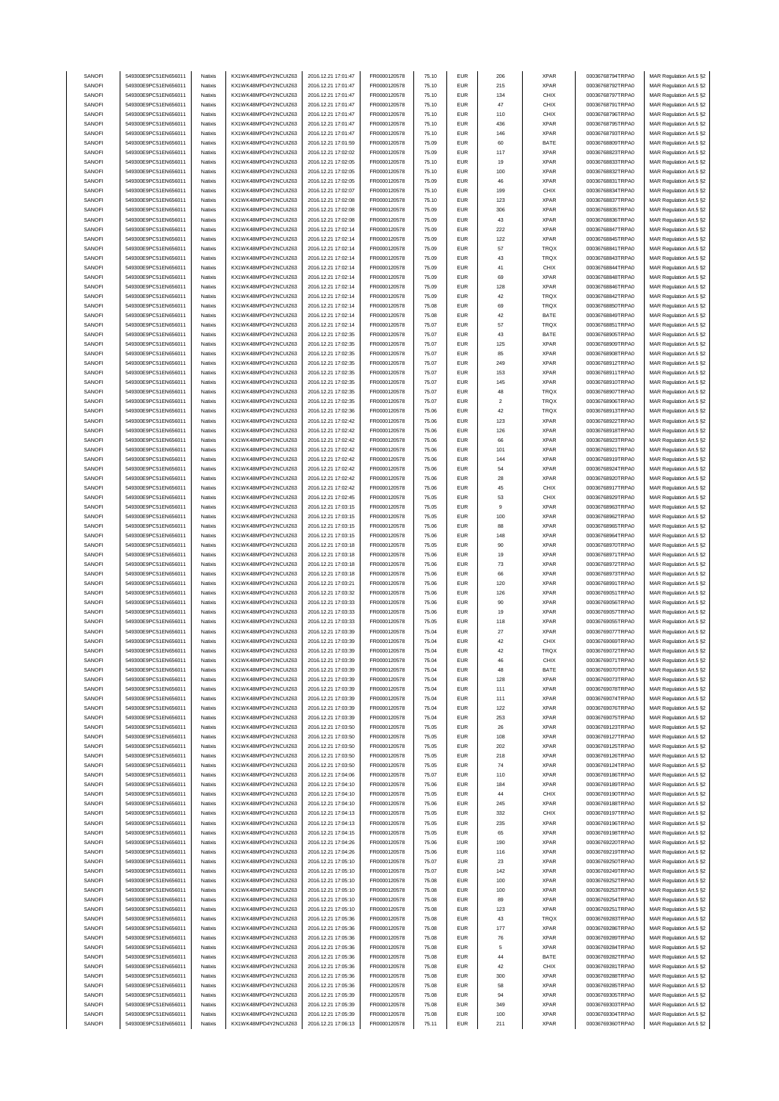| SANOFI           | 549300E9PC51EN656011                         | Natixis            | KX1WK48MPD4Y2NCUIZ63                         | 2016.12.21 17:01:47                        | FR0000120578                 | 75.10          | <b>EUR</b>        | 206            | <b>XPAR</b>                | 00036768794TRPA0                     | MAR Regulation Art.5 §2                            |
|------------------|----------------------------------------------|--------------------|----------------------------------------------|--------------------------------------------|------------------------------|----------------|-------------------|----------------|----------------------------|--------------------------------------|----------------------------------------------------|
| SANOFI           | 549300E9PC51EN656011                         | Natixis            | KX1WK48MPD4Y2NCUIZ63                         | 2016.12.21 17:01:47                        | FR0000120578                 | 75.10          | <b>EUR</b>        | 215            | <b>XPAR</b>                | 00036768792TRPA0                     | MAR Regulation Art.5 §2                            |
| SANOFI           | 549300E9PC51EN656011                         | Natixis            | KX1WK48MPD4Y2NCUIZ63                         | 2016.12.21 17:01:47                        | FR0000120578                 | 75.10          | <b>EUR</b>        | 134            | CHIX                       | 00036768797TRPA0                     | MAR Regulation Art.5 §2                            |
| SANOFI           | 549300E9PC51EN656011                         | Natixis            | KX1WK48MPD4Y2NCUIZ63                         | 2016.12.21 17:01:47                        | FR0000120578                 | 75.10          | <b>EUR</b>        | 47             | CHIX                       | 00036768791TRPA0                     | MAR Regulation Art.5 §2                            |
|                  |                                              |                    |                                              |                                            |                              |                |                   |                |                            |                                      |                                                    |
| SANOFI           | 549300E9PC51EN656011                         | Natixis            | KX1WK48MPD4Y2NCUIZ63                         | 2016.12.21 17:01:47                        | FR0000120578                 | 75.10          | <b>EUR</b>        | 110            | CHIX                       | 00036768796TRPA0                     | MAR Regulation Art.5 §2                            |
| SANOFI           | 549300E9PC51EN656011                         | Natixis            | KX1WK48MPD4Y2NCUIZ63                         | 2016.12.21 17:01:47                        | FR0000120578                 | 75.10          | <b>EUR</b>        | 436            | <b>XPAR</b>                | 00036768795TRPA0                     | MAR Regulation Art.5 §2                            |
| SANOFI           | 549300E9PC51EN656011                         | Natixis            | KX1WK48MPD4Y2NCUIZ63                         | 2016.12.21 17:01:47                        | FR0000120578                 | 75.10          | <b>EUR</b>        | 146            | <b>XPAR</b>                | 00036768793TRPA0                     | MAR Regulation Art.5 §2                            |
| SANOFI           | 549300E9PC51EN656011                         | Natixis            | KX1WK48MPD4Y2NCUIZ63                         | 2016.12.21 17:01:59                        | FR0000120578                 | 75.09          | <b>EUR</b>        | 60             | BATE                       | 00036768809TRPA0                     | MAR Regulation Art.5 §2                            |
| SANOFI           | 549300E9PC51EN656011                         | Natixis            | KX1WK48MPD4Y2NCLIIZ63                        | 2016.12.21 17:02:02                        | FR0000120578                 | 75.09          | <b>EUR</b>        | 117            | <b>XPAR</b>                | 00036768823TRPA0                     | MAR Regulation Art.5 §2                            |
| SANOFI           | 549300E9PC51EN656011                         | Natixis            | KX1WK48MPD4Y2NCUIZ63                         | 2016.12.21 17:02:05                        | FR0000120578                 | 75.10          | <b>EUR</b>        | 19             | <b>XPAR</b>                | 00036768833TRPA0                     | MAR Regulation Art.5 §2                            |
| SANOFI           | 549300E9PC51EN656011                         | Natixis            | KX1WK48MPD4Y2NCUIZ63                         | 2016.12.21 17:02:05                        | FR0000120578                 | 75.10          | <b>EUR</b>        | 100            | <b>XPAR</b>                | 00036768832TRPA0                     | MAR Regulation Art.5 §2                            |
|                  |                                              |                    |                                              |                                            |                              |                |                   |                |                            |                                      |                                                    |
| SANOFI           | 549300E9PC51EN656011                         | Natixis            | KX1WK48MPD4Y2NCUIZ63                         | 2016.12.21 17:02:05                        | FR0000120578                 | 75.09          | <b>EUR</b>        | 46             | <b>XPAR</b>                | 00036768831TRPA0                     | MAR Regulation Art.5 §2                            |
| SANOFI           | 549300E9PC51EN656011                         | Natixis            | KX1WK48MPD4Y2NCUIZ63                         | 2016.12.21 17:02:07                        | FR0000120578                 | 75.10          | <b>EUR</b>        | 199            | CHIX                       | 00036768834TRPA0                     | MAR Regulation Art.5 §2                            |
| SANOFI           | 549300E9PC51EN656011                         | Natixis            | KX1WK48MPD4Y2NCUIZ63                         | 2016.12.21 17:02:08                        | FR0000120578                 | 75.10          | <b>EUR</b>        | 123            | <b>XPAR</b>                | 00036768837TRPA0                     | MAR Regulation Art.5 §2                            |
| SANOFI           | 549300E9PC51EN656011                         | Natixis            | KX1WK48MPD4Y2NCUIZ63                         | 2016.12.21 17:02:08                        | FR0000120578                 | 75.09          | <b>EUR</b>        | 306            | <b>XPAR</b>                | 00036768835TRPA0                     | MAR Regulation Art.5 §2                            |
| SANOFI           | 549300E9PC51EN656011                         | Natixis            | KX1WK48MPD4Y2NCUIZ63                         | 2016.12.21 17:02:08                        | FR0000120578                 | 75.09          | <b>EUR</b>        | 43             | <b>XPAR</b>                | 00036768836TRPA0                     | MAR Regulation Art.5 §2                            |
|                  |                                              |                    |                                              |                                            |                              |                |                   |                |                            |                                      |                                                    |
| SANOFI           | 549300E9PC51EN656011                         | Natixis            | KX1WK48MPD4Y2NCUIZ63                         | 2016.12.21 17:02:14                        | FR0000120578                 | 75.09          | <b>EUR</b>        | 222            | <b>XPAR</b>                | 00036768847TRPA0                     | MAR Regulation Art.5 §2                            |
| SANOFI           | 549300E9PC51EN656011                         | Natixis            | KX1WK48MPD4Y2NCLIIZ63                        | 2016.12.21 17:02:14                        | FR0000120578                 | 75.09          | <b>EUR</b>        | 122            | <b>XPAR</b>                | 00036768845TRPA0                     | MAR Regulation Art.5 §2                            |
| SANOFI           | 549300E9PC51EN656011                         | Natixis            | KX1WK48MPD4Y2NCUIZ63                         | 2016.12.21 17:02:14                        | FR0000120578                 | 75.09          | <b>EUR</b>        | 57             | TRQX                       | 00036768841TRPA0                     | MAR Regulation Art.5 §2                            |
| SANOFI           | 549300E9PC51EN656011                         | Natixis            | KX1WK48MPD4Y2NCUIZ63                         | 2016.12.21 17:02:14                        | FR0000120578                 | 75.09          | EUR               | 43             | TRQX                       | 00036768843TRPA0                     | MAR Regulation Art.5 §2                            |
| SANOFI           | 549300E9PC51EN656011                         | Natixis            | KX1WK48MPD4Y2NCUIZ63                         | 2016.12.21 17:02:14                        | FR0000120578                 | 75.09          | <b>EUR</b>        | 41             | CHIX                       | 00036768844TRPA0                     | MAR Regulation Art.5 §2                            |
| SANOFI           | 549300E9PC51EN656011                         | Natixis            | KX1WK48MPD4Y2NCUIZ63                         | 2016.12.21 17:02:14                        | FR0000120578                 | 75.09          | <b>EUR</b>        | 69             | <b>XPAR</b>                | 00036768848TRPA0                     | MAR Regulation Art.5 §2                            |
| SANOFI           | 549300E9PC51EN656011                         | Natixis            | KX1WK48MPD4Y2NCUIZ63                         | 2016.12.21 17:02:14                        | FR0000120578                 | 75.09          | <b>EUR</b>        | 128            | <b>XPAR</b>                | 00036768846TRPA0                     | MAR Regulation Art.5 §2                            |
| SANOFI           |                                              |                    |                                              |                                            |                              |                | <b>EUR</b>        |                |                            |                                      |                                                    |
|                  | 549300E9PC51EN656011                         | Natixis            | KX1WK48MPD4Y2NCUIZ63                         | 2016.12.21 17:02:14                        | FR0000120578                 | 75.09          |                   | 42             | TRQX                       | 00036768842TRPA0                     | MAR Regulation Art.5 §2                            |
| SANOFI           | 549300E9PC51EN656011                         | Natixis            | KX1WK48MPD4Y2NCUIZ63                         | 2016.12.21 17:02:14                        | FR0000120578                 | 75.08          | <b>EUR</b>        | 69             | TRQX                       | 00036768850TRPA0                     | MAR Regulation Art.5 §2                            |
| SANOFI           | 549300E9PC51EN656011                         | Natixis            | KX1WK48MPD4Y2NCUIZ63                         | 2016.12.21 17:02:14                        | FR0000120578                 | 75.08          | <b>EUR</b>        | 42             | BATE                       | 00036768849TRPA0                     | MAR Regulation Art.5 §2                            |
| SANOFI           | 549300E9PC51EN656011                         | Natixis            | KX1WK48MPD4Y2NCLIIZ63                        | 2016.12.21 17:02:14                        | FR0000120578                 | 75.07          | <b>EUR</b>        | 57             | TRQX                       | 00036768851TRPA0                     | MAR Regulation Art.5 §2                            |
| SANOFI           | 549300E9PC51EN656011                         | Natixis            | KX1WK48MPD4Y2NCUIZ63                         | 2016.12.21 17:02:35                        | FR0000120578                 | 75.07          | <b>EUR</b>        | 43             | BATE                       | 00036768905TRPA0                     | MAR Regulation Art.5 §2                            |
| SANOFI           | 549300E9PC51EN656011                         | Natixis            | KX1WK48MPD4Y2NCUIZ63                         | 2016.12.21 17:02:35                        | FR0000120578                 | 75.07          | <b>EUR</b>        | 125            | <b>XPAR</b>                | 00036768909TRPA0                     | MAR Regulation Art.5 §2                            |
| SANOFI           | 549300E9PC51EN656011                         | Natixis            | KX1WK48MPD4Y2NCUIZ63                         | 2016.12.21 17:02:35                        | FR0000120578                 | 75.07          | <b>EUR</b>        | 85             | <b>XPAR</b>                | 00036768908TRPA0                     | MAR Regulation Art.5 §2                            |
|                  |                                              |                    |                                              |                                            |                              |                |                   |                |                            |                                      |                                                    |
| SANOFI           | 549300E9PC51EN656011                         | Natixis            | KX1WK48MPD4Y2NCUIZ63                         | 2016.12.21 17:02:35                        | FR0000120578                 | 75.07          | <b>EUR</b>        | 249            | <b>XPAR</b>                | 00036768912TRPA0                     | MAR Regulation Art.5 §2                            |
| SANOFI           | 549300E9PC51EN656011                         | Natixis            | KX1WK48MPD4Y2NCUIZ63                         | 2016.12.21 17:02:35                        | FR0000120578                 | 75.07          | <b>EUR</b>        | 153            | <b>XPAR</b>                | 00036768911TRPA0                     | MAR Regulation Art.5 §2                            |
| SANOFI           | 549300E9PC51EN656011                         | Natixis            | KX1WK48MPD4Y2NCUIZ63                         | 2016.12.21 17:02:35                        | FR0000120578                 | 75.07          | <b>EUR</b>        | 145            | <b>XPAR</b>                | 00036768910TRPA0                     | MAR Regulation Art.5 §2                            |
| SANOFI           | 549300E9PC51EN656011                         | Natixis            | KX1WK48MPD4Y2NCUIZ63                         | 2016.12.21 17:02:35                        | FR0000120578                 | 75.07          | <b>EUR</b>        | 48             | TRQX                       | 00036768907TRPA0                     | MAR Regulation Art.5 §2                            |
| SANOFI           | 549300E9PC51EN656011                         | Natixis            | KX1WK48MPD4Y2NCUIZ63                         | 2016.12.21 17:02:35                        | FR0000120578                 | 75.07          | <b>EUR</b>        | $\overline{2}$ | TRQX                       | 00036768906TRPA0                     | MAR Regulation Art.5 §2                            |
| SANOFI           | 549300E9PC51EN656011                         | Natixis            | KX1WK48MPD4Y2NCLIIZ63                        | 2016.12.21 17:02:36                        | FR0000120578                 | 75.06          | <b>EUR</b>        | 42             | TRQX                       | 00036768913TRPA0                     |                                                    |
|                  |                                              |                    |                                              |                                            |                              |                |                   |                |                            |                                      | MAR Regulation Art.5 §2                            |
| SANOFI           | 549300E9PC51EN656011                         | Natixis            | KX1WK48MPD4Y2NCUIZ63                         | 2016.12.21 17:02:42                        | FR0000120578                 | 75.06          | <b>EUR</b>        | 123            | <b>XPAR</b>                | 00036768922TRPA0                     | MAR Regulation Art.5 §2                            |
| SANOFI           | 549300E9PC51EN656011                         | Natixis            | KX1WK48MPD4Y2NCUIZ63                         | 2016.12.21 17:02:42                        | FR0000120578                 | 75.06          | <b>EUR</b>        | 126            | <b>XPAR</b>                | 00036768918TRPA0                     | MAR Regulation Art.5 §2                            |
| SANOFI           | 549300E9PC51EN656011                         | Natixis            | KX1WK48MPD4Y2NCUIZ63                         | 2016.12.21 17:02:42                        | FR0000120578                 | 75.06          | <b>EUR</b>        | 66             | <b>XPAR</b>                | 00036768923TRPA0                     | MAR Regulation Art.5 §2                            |
| SANOFI           | 549300E9PC51EN656011                         | Natixis            | KX1WK48MPD4Y2NCUIZ63                         | 2016.12.21 17:02:42                        | FR0000120578                 | 75.06          | <b>EUR</b>        | 101            | <b>XPAR</b>                | 00036768921TRPA0                     | MAR Regulation Art.5 §2                            |
| SANOFI           | 549300E9PC51EN656011                         | Natixis            | KX1WK48MPD4Y2NCUIZ63                         | 2016.12.21 17:02:42                        | FR0000120578                 | 75.06          | <b>EUR</b>        | 144            | <b>XPAR</b>                | 00036768919TRPA0                     | MAR Regulation Art.5 §2                            |
| SANOFI           |                                              |                    |                                              |                                            |                              |                | <b>EUR</b>        |                |                            |                                      |                                                    |
|                  | 549300E9PC51EN656011                         | Natixis            | KX1WK48MPD4Y2NCUIZ63                         | 2016.12.21 17:02:42                        | FR0000120578                 | 75.06          |                   | 54             | <b>XPAR</b>                | 00036768924TRPA0                     | MAR Regulation Art.5 §2                            |
| SANOFI           | 549300E9PC51EN656011                         | Natixis            | KX1WK48MPD4Y2NCUIZ63                         | 2016.12.21 17:02:42                        | FR0000120578                 | 75.06          | <b>EUR</b>        | 28             | <b>XPAR</b>                | 00036768920TRPA0                     | MAR Regulation Art.5 §2                            |
| SANOFI           | 549300E9PC51EN656011                         | Natixis            | KX1WK48MPD4Y2NCUIZ63                         | 2016.12.21 17:02:42                        | FR0000120578                 | 75.06          | <b>EUR</b>        | 45             | CHIX                       | 00036768917TRPA0                     | MAR Regulation Art.5 §2                            |
| SANOFI           | 549300E9PC51EN656011                         | Natixis            | KX1WK48MPD4Y2NCUIZ63                         | 2016.12.21 17:02:45                        | FR0000120578                 | 75.05          | <b>EUR</b>        | 53             | CHIX                       | 00036768929TRPA0                     | MAR Regulation Art.5 §2                            |
| SANOFI           | 549300E9PC51EN656011                         | Natixis            | KX1WK48MPD4Y2NCUIZ63                         | 2016.12.21 17:03:15                        | FR0000120578                 | 75.05          | <b>EUR</b>        | 9              | <b>XPAR</b>                | 00036768963TRPA0                     | MAR Regulation Art.5 §2                            |
| SANOFI           | 549300E9PC51EN656011                         | Natixis            | KX1WK48MPD4Y2NCUIZ63                         | 2016.12.21 17:03:15                        | FR0000120578                 | 75.05          | <b>EUR</b>        | 100            | <b>XPAR</b>                | 00036768962TRPA0                     | MAR Regulation Art.5 §2                            |
| SANOFI           | 549300E9PC51EN656011                         | Natixis            | KX1WK48MPD4Y2NCUIZ63                         | 2016.12.21 17:03:15                        | FR0000120578                 | 75.06          | <b>EUR</b>        | 88             | <b>XPAR</b>                | 00036768965TRPA0                     | MAR Regulation Art.5 §2                            |
| SANOFI           | 549300E9PC51EN656011                         | Natixis            | KX1WK48MPD4Y2NCUIZ63                         | 2016.12.21 17:03:15                        | FR0000120578                 | 75.06          | <b>EUR</b>        | 148            | <b>XPAR</b>                | 00036768964TRPA0                     | MAR Regulation Art.5 §2                            |
|                  |                                              |                    |                                              |                                            |                              |                |                   |                |                            |                                      |                                                    |
| SANOFI           | 549300E9PC51EN656011                         | Natixis            | KX1WK48MPD4Y2NCUIZ63                         | 2016.12.21 17:03:18                        | FR0000120578                 | 75.05          | <b>EUR</b>        | 90             | <b>XPAR</b>                | 00036768970TRPA0                     | MAR Regulation Art.5 §2                            |
| SANOFI           | 549300E9PC51EN656011                         | Natixis            | KX1WK48MPD4Y2NCUIZ63                         | 2016.12.21 17:03:18                        | FR0000120578                 | 75.06          | <b>EUR</b>        | 19             | <b>XPAR</b>                | 00036768971TRPA0                     | MAR Regulation Art.5 §2                            |
| SANOFI           | 549300E9PC51EN656011                         | Natixis            | KX1WK48MPD4Y2NCUIZ63                         | 2016.12.21 17:03:18                        | FR0000120578                 | 75.06          | <b>EUR</b>        | 73             | <b>XPAR</b>                | 00036768972TRPA0                     | MAR Regulation Art.5 §2                            |
| SANOFI           | 549300E9PC51EN656011                         | Natixis            | KX1WK48MPD4Y2NCUIZ63                         | 2016.12.21 17:03:18                        | FR0000120578                 | 75.06          | <b>EUR</b>        | 66             | <b>XPAR</b>                | 00036768973TRPA0                     | MAR Regulation Art.5 §2                            |
| SANOFI           | 549300E9PC51EN656011                         | Natixis            | KX1WK48MPD4Y2NCUIZ63                         | 2016.12.21 17:03:21                        | FR0000120578                 | 75.06          | <b>EUR</b>        | 120            | <b>XPAR</b>                | 00036768991TRPA0                     | MAR Regulation Art.5 §2                            |
| SANOFI           | 549300E9PC51EN656011                         | Natixis            | KX1WK48MPD4Y2NCUIZ63                         | 2016.12.21 17:03:32                        | FR0000120578                 | 75.06          | <b>EUR</b>        | 126            | <b>XPAR</b>                | 00036769051TRPA0                     | MAR Regulation Art.5 §2                            |
| SANOFI           | 549300E9PC51EN656011                         | Natixis            | KX1WK48MPD4Y2NCUIZ63                         | 2016.12.21 17:03:33                        | FR0000120578                 | 75.06          | <b>EUR</b>        | 90             | <b>XPAR</b>                | 00036769056TRPA0                     |                                                    |
|                  |                                              |                    |                                              |                                            |                              |                |                   |                |                            |                                      | MAR Regulation Art.5 §2                            |
| SANOFI           | 549300E9PC51EN656011                         | Natixis            | KX1WK48MPD4Y2NCUIZ63                         | 2016.12.21 17:03:33                        | FR0000120578                 | 75.06          | <b>EUR</b>        | 19             | <b>XPAR</b>                | 00036769057TRPA0                     | MAR Regulation Art.5 §2                            |
| SANOFI           | 549300E9PC51EN656011                         | Natixis            | KX1WK48MPD4Y2NCUIZ63                         | 2016.12.21 17:03:33                        | FR0000120578                 | 75.05          | <b>EUR</b>        | 118            | <b>XPAR</b>                | 00036769055TRPA0                     | MAR Regulation Art.5 §2                            |
| SANOFI           | 549300E9PC51EN656011                         | Natixis            | KX1WK48MPD4Y2NCUIZ63                         | 2016.12.21 17:03:39                        | FR0000120578                 | 75.04          | <b>EUR</b>        | 27             | <b>XPAR</b>                | 00036769077TRPA0                     | MAR Regulation Art.5 §2                            |
| SANOFI           | 549300E9PC51EN656011                         | Natixis            | KX1WK48MPD4Y2NCUIZ63                         | 2016.12.21 17:03:39                        | FR0000120578                 | 75.04          | <b>EUR</b>        | 42             | CHIX                       | 00036769069TRPA0                     | MAR Regulation Art.5 §2                            |
| SANOF            | 549300E9PC51EN656011                         | Natixis            | KX1WK48MPD4Y2NCUIZ63                         | 2016.12.21 17:03:39                        | FR0000120578                 | 75.04          | EUR               |                | TRQX                       | 00036769072TRPA0                     | MAR Regulation Art.5 §2                            |
| SANOFI           | 549300E9PC51EN656011                         | Natixis            | KX1WK48MPD4Y2NCUIZ63                         | 2016.12.21 17:03:39                        | FR0000120578                 | 75.04          | <b>EUR</b>        | 46             | CHIX                       | 00036769071TRPA0                     | MAR Regulation Art.5 §2                            |
|                  |                                              |                    |                                              |                                            |                              |                |                   |                |                            |                                      |                                                    |
| SANOFI           | 549300E9PC51EN656011                         | Natixis            | KX1WK48MPD4Y2NCUIZ63                         | 2016.12.21 17:03:39                        | FR0000120578                 | 75.04          | <b>EUR</b>        | 48             | BATE                       | 00036769070TRPA0                     | MAR Regulation Art.5 §2                            |
| SANOFI           | 549300E9PC51EN656011                         | Natixis            | KX1WK48MPD4Y2NCUIZ63                         | 2016.12.21 17:03:39                        | FR0000120578                 | 75.04          | <b>EUR</b>        | 128            | <b>XPAR</b>                | 00036769073TRPA0                     | MAR Regulation Art.5 §2                            |
| SANOFI           | 549300E9PC51EN656011                         | Natixis            | KX1WK48MPD4Y2NCUIZ63                         | 2016.12.21 17:03:39                        | FR0000120578                 | 75.04          | <b>EUR</b>        | 111            | <b>XPAR</b>                | 00036769078TRPA0                     | MAR Regulation Art.5 §2                            |
| SANOFI           | 549300E9PC51EN656011                         | Natixis            | KX1WK48MPD4Y2NCUIZ63                         | 2016.12.21 17:03:39                        | FR0000120578                 | 75.04          | <b>EUR</b>        | 111            | <b>XPAR</b>                | 00036769074TRPA0                     | MAR Regulation Art.5 §2                            |
| SANOFI           | 549300E9PC51EN656011                         | Natixis            | KX1WK48MPD4Y2NCUIZ63                         | 2016.12.21 17:03:39                        | FR0000120578                 | 75.04          | <b>EUR</b>        | 122            | <b>XPAR</b>                | 00036769076TRPA0                     | MAR Regulation Art.5 §2                            |
| SANOFI           | 549300E9PC51EN656011                         | Natixis            | KX1WK48MPD4Y2NCUIZ63                         | 2016.12.21 17:03:39                        | FR0000120578                 | 75.04          | EUR               | 253            | <b>XPAR</b>                | 00036769075TRPA0                     | MAR Regulation Art.5 §2                            |
| SANOFI           | 549300E9PC51EN656011                         | Natixis            | KX1WK48MPD4Y2NCUIZ63                         | 2016.12.21 17:03:50                        | FR0000120578                 | 75.05          | <b>EUR</b>        | 26             | <b>XPAR</b>                | 00036769123TRPA0                     | MAR Regulation Art.5 §2                            |
| SANOFI           | 549300E9PC51EN656011                         | Natixis            | KX1WK48MPD4Y2NCUIZ63                         | 2016.12.21 17:03:50                        | FR0000120578                 |                | <b>EUR</b>        | 108            | <b>XPAR</b>                | 00036769127TRPA0                     |                                                    |
|                  | 549300E9PC51EN656011                         |                    |                                              | 2016.12.21 17:03:50                        |                              | 75.05          | <b>EUR</b>        |                |                            |                                      | MAR Regulation Art.5 §2                            |
| SANOFI           |                                              | Natixis            | KX1WK48MPD4Y2NCUIZ63                         |                                            | FR0000120578                 | 75.05          |                   | 202            | <b>XPAR</b>                | 00036769125TRPA0                     | MAR Regulation Art.5 §2                            |
| SANOFI           | 549300E9PC51EN656011                         | Natixis            | KX1WK48MPD4Y2NCUIZ63                         | 2016.12.21 17:03:50                        | FR0000120578                 | 75.05          | <b>EUR</b>        | 218            | <b>XPAR</b>                | 00036769126TRPA0                     | MAR Regulation Art.5 §2                            |
| SANOFI           | 549300E9PC51EN656011                         | Natixis            | KX1WK48MPD4Y2NCUIZ63                         | 2016.12.21 17:03:50                        | FR0000120578                 | 75.05          | <b>EUR</b>        | 74             | <b>XPAR</b>                | 00036769124TRPA0                     | MAR Regulation Art.5 §2                            |
| SANOFI           | 549300E9PC51EN656011                         | Natixis            | KX1WK48MPD4Y2NCUIZ63                         | 2016.12.21 17:04:06                        | FR0000120578                 | 75.07          | <b>EUR</b>        | 110            | <b>XPAR</b>                | 00036769186TRPA0                     | MAR Regulation Art.5 §2                            |
| SANOFI           | 549300E9PC51EN656011                         | Natixis            | KX1WK48MPD4Y2NCUIZ63                         | 2016.12.21 17:04:10                        | FR0000120578                 | 75.06          | <b>EUR</b>        | 184            | <b>XPAR</b>                | 00036769189TRPA0                     | MAR Regulation Art.5 §2                            |
| SANOFI           | 549300E9PC51EN656011                         | Natixis            | KX1WK48MPD4Y2NCUIZ63                         | 2016.12.21 17:04:10                        | FR0000120578                 | 75.05          | <b>EUR</b>        | 44             | CHIX                       | 00036769190TRPA0                     | MAR Regulation Art.5 §2                            |
| SANOFI           | 549300E9PC51EN656011                         | Natixis            | KX1WK48MPD4Y2NCUIZ63                         | 2016.12.21 17:04:10                        | FR0000120578                 | 75.06          | <b>EUR</b>        | 245            | <b>XPAR</b>                | 00036769188TRPA0                     | MAR Regulation Art.5 §2                            |
| SANOFI           |                                              |                    | KX1WK48MPD4Y2NCUIZ63                         |                                            |                              |                | <b>EUR</b>        | 332            |                            |                                      |                                                    |
|                  | 549300E9PC51EN656011                         | Natixis            |                                              | 2016.12.21 17:04:13                        | FR0000120578                 | 75.05          |                   |                | CHIX                       | 00036769197TRPA0                     | MAR Regulation Art.5 §2                            |
| SANOFI           | 549300E9PC51EN656011                         | Natixis            | KX1WK48MPD4Y2NCUIZ63                         | 2016.12.21 17:04:13                        | FR0000120578                 | 75.05          | <b>EUR</b>        | 235            | <b>XPAR</b>                | 00036769196TRPA0                     | MAR Regulation Art.5 §2                            |
| SANOFI           | 549300E9PC51EN656011                         | Natixis            | KX1WK48MPD4Y2NCUIZ63                         | 2016.12.21 17:04:15                        | FR0000120578                 | 75.05          | <b>EUR</b>        | 65             | <b>XPAR</b>                | 00036769198TRPA0                     | MAR Regulation Art.5 §2                            |
| SANOFI           | 549300E9PC51EN656011                         | Natixis            | KX1WK48MPD4Y2NCUIZ63                         | 2016.12.21 17:04:26                        | FR0000120578                 | 75.06          | <b>EUR</b>        | 190            | <b>XPAR</b>                | 00036769220TRPA0                     | MAR Regulation Art.5 §2                            |
| SANOFI           | 549300E9PC51EN656011                         | Natixis            | KX1WK48MPD4Y2NCUIZ63                         | 2016.12.21 17:04:26                        | FR0000120578                 | 75.06          | <b>EUR</b>        | 116            | <b>XPAR</b>                | 00036769219TRPA0                     | MAR Regulation Art.5 §2                            |
| SANOFI           | 549300E9PC51EN656011                         | Natixis            | KX1WK48MPD4Y2NCUIZ63                         | 2016.12.21 17:05:10                        | FR0000120578                 | 75.07          | <b>EUR</b>        | 23             | <b>XPAR</b>                | 00036769250TRPA0                     | MAR Regulation Art.5 §2                            |
|                  |                                              |                    |                                              |                                            |                              |                |                   |                |                            |                                      |                                                    |
| SANOFI           | 549300E9PC51EN656011                         | Natixis            | KX1WK48MPD4Y2NCUIZ63                         | 2016.12.21 17:05:10                        | FR0000120578                 | 75.07          | <b>EUR</b>        | 142            | <b>XPAR</b>                | 00036769249TRPA0                     | MAR Regulation Art.5 §2                            |
| SANOFI           | 549300E9PC51EN656011                         | Natixis            | KX1WK48MPD4Y2NCUIZ63                         | 2016.12.21 17:05:10                        | FR0000120578                 | 75.08          | <b>EUR</b>        | 100            | <b>XPAR</b>                | 00036769252TRPA0                     | MAR Regulation Art.5 §2                            |
| SANOFI           | 549300E9PC51EN656011                         | Natixis            | KX1WK48MPD4Y2NCUIZ63                         | 2016.12.21 17:05:10                        | FR0000120578                 | 75.08          | <b>EUR</b>        | 100            | <b>XPAR</b>                | 00036769253TRPA0                     | MAR Regulation Art.5 §2                            |
| SANOFI           | 549300E9PC51EN656011                         | Natixis            | KX1WK48MPD4Y2NCUIZ63                         | 2016.12.21 17:05:10                        | FR0000120578                 | 75.08          | <b>EUR</b>        | 89             | <b>XPAR</b>                | 00036769254TRPA0                     | MAR Regulation Art.5 §2                            |
| SANOFI           | 549300E9PC51EN656011                         | Natixis            | KX1WK48MPD4Y2NCUIZ63                         | 2016.12.21 17:05:10                        | FR0000120578                 | 75.08          | <b>EUR</b>        | 123            | <b>XPAR</b>                | 00036769251TRPA0                     | MAR Regulation Art.5 §2                            |
| SANOFI           | 549300E9PC51EN656011                         | Natixis            | KX1WK48MPD4Y2NCUIZ63                         | 2016.12.21 17:05:36                        | FR0000120578                 | 75.08          | <b>EUR</b>        | 43             | TRQX                       | 00036769283TRPA0                     | MAR Regulation Art.5 §2                            |
|                  |                                              |                    |                                              |                                            |                              |                |                   |                |                            |                                      |                                                    |
| SANOFI           | 549300E9PC51EN656011                         | Natixis            | KX1WK48MPD4Y2NCUIZ63                         | 2016.12.21 17:05:36                        | FR0000120578                 | 75.08          | <b>EUR</b>        | 177            | <b>XPAR</b>                | 00036769286TRPA0                     | MAR Regulation Art.5 §2                            |
| SANOFI           | 549300E9PC51EN656011                         | Natixis            | KX1WK48MPD4Y2NCUIZ63                         | 2016.12.21 17:05:36                        | FR0000120578                 | 75.08          | <b>EUR</b>        | 76             | <b>XPAR</b>                | 00036769289TRPA0                     | MAR Regulation Art.5 §2                            |
| SANOFI           | 549300E9PC51EN656011                         | Natixis            | KX1WK48MPD4Y2NCUIZ63                         | 2016.12.21 17:05:36                        | FR0000120578                 | 75.08          | <b>EUR</b>        | 5              | <b>XPAR</b>                | 00036769284TRPA0                     | MAR Regulation Art.5 §2                            |
| SANOFI           | 549300E9PC51EN656011                         | Natixis            | KX1WK48MPD4Y2NCUIZ63                         | 2016.12.21 17:05:36                        | FR0000120578                 | 75.08          | <b>EUR</b>        | 44             | BATE                       | 00036769282TRPA0                     | MAR Regulation Art.5 §2                            |
|                  | 549300E9PC51EN656011                         | Natixis            | KX1WK48MPD4Y2NCUIZ63                         | 2016.12.21 17:05:36                        | FR0000120578                 | 75.08          | <b>EUR</b>        | 42             | CHIX                       | 00036769281TRPA0                     | MAR Regulation Art.5 §2                            |
| SANOFI           |                                              |                    |                                              |                                            |                              |                | <b>EUR</b>        | 300            | <b>XPAR</b>                |                                      |                                                    |
| SANOFI           | 549300E9PC51EN656011                         | Natixis            | KX1WK48MPD4Y2NCUIZ63                         |                                            |                              |                |                   |                |                            |                                      |                                                    |
|                  |                                              |                    |                                              | 2016.12.21 17:05:36                        | FR0000120578                 | 75.08          |                   |                |                            | 00036769288TRPA0                     | MAR Regulation Art.5 §2                            |
| SANOFI           | 549300E9PC51EN656011                         | Natixis            | KX1WK48MPD4Y2NCUIZ63                         | 2016.12.21 17:05:36                        | FR0000120578                 | 75.08          | <b>EUR</b>        | 58             | <b>XPAR</b>                | 00036769285TRPA0                     | MAR Regulation Art.5 §2                            |
| SANOFI           | 549300E9PC51EN656011                         | Natixis            | KX1WK48MPD4Y2NCUIZ63                         | 2016.12.21 17:05:39                        | FR0000120578                 | 75.08          | <b>EUR</b>        | 94             | <b>XPAR</b>                | 00036769305TRPA0                     | MAR Regulation Art.5 §2                            |
| SANOFI           | 549300E9PC51EN656011                         | Natixis            | KX1WK48MPD4Y2NCUIZ63                         | 2016.12.21 17:05:39                        | FR0000120578                 | 75.08          | <b>EUR</b>        | 349            | <b>XPAR</b>                | 00036769303TRPA0                     | MAR Regulation Art.5 §2                            |
| SANOFI<br>SANOFI | 549300E9PC51EN656011<br>549300E9PC51EN656011 | Natixis<br>Natixis | KX1WK48MPD4Y2NCUIZ63<br>KX1WK48MPD4Y2NCUIZ63 | 2016.12.21 17:05:39<br>2016.12.21 17:06:13 | FR0000120578<br>FR0000120578 | 75.08<br>75.11 | <b>EUR</b><br>EUR | 100<br>211     | <b>XPAR</b><br><b>XPAR</b> | 00036769304TRPA0<br>00036769360TRPA0 | MAR Regulation Art.5 §2<br>MAR Regulation Art.5 §2 |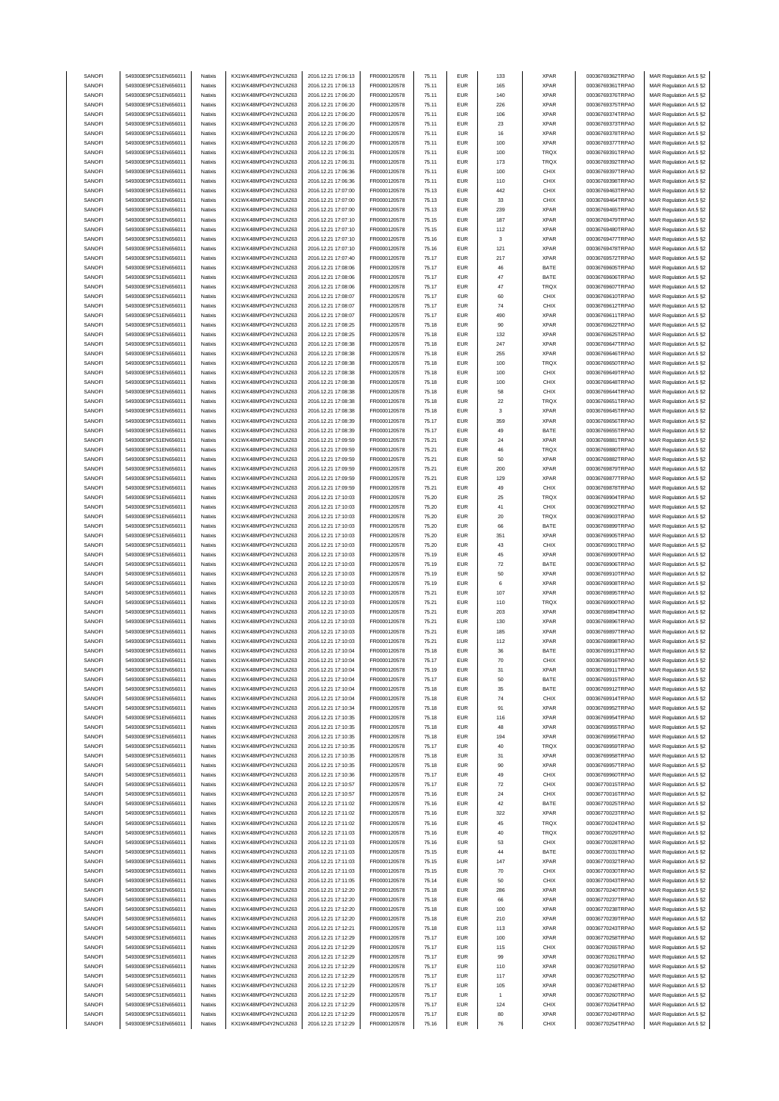| SANOFI           | 549300E9PC51EN656011                         | Natixis | KX1WK48MPD4Y2NCUIZ63                         | 2016.12.21 17:06:13                        | FR0000120578                 | 75.11          | <b>EUR</b>               | 133      | <b>XPAR</b>         | 00036769362TRPA0                     | MAR Regulation Art.5 §2 |
|------------------|----------------------------------------------|---------|----------------------------------------------|--------------------------------------------|------------------------------|----------------|--------------------------|----------|---------------------|--------------------------------------|-------------------------|
| SANOFI           | 549300E9PC51EN656011                         | Natixis | KX1WK48MPD4Y2NCUIZ63                         | 2016.12.21 17:06:13                        | FR0000120578                 | 75.11          | <b>EUR</b>               | 165      | <b>XPAR</b>         | 00036769361TRPA0                     | MAR Regulation Art.5 §2 |
| SANOFI           | 549300E9PC51EN656011                         | Natixis | KX1WK48MPD4Y2NCUIZ63                         | 2016.12.21 17:06:20                        | FR0000120578                 | 75.11          | <b>EUR</b>               | 140      | <b>XPAR</b>         | 00036769376TRPA0                     | MAR Regulation Art.5 §2 |
| SANOFI           | 549300E9PC51EN656011                         | Natixis | KX1WK48MPD4Y2NCUIZ63                         | 2016.12.21 17:06:20                        | FR0000120578                 | 75.11          | <b>EUR</b>               | 226      | <b>XPAR</b>         | 00036769375TRPA0                     | MAR Regulation Art.5 §2 |
|                  |                                              |         |                                              |                                            |                              |                |                          |          |                     |                                      |                         |
| SANOFI           | 549300E9PC51EN656011                         | Natixis | KX1WK48MPD4Y2NCUIZ63                         | 2016.12.21 17:06:20                        | FR0000120578                 | 75.11          | <b>EUR</b>               | 106      | <b>XPAR</b>         | 00036769374TRPA0                     | MAR Regulation Art.5 §2 |
| SANOFI           | 549300E9PC51EN656011                         | Natixis | KX1WK48MPD4Y2NCUIZ63                         | 2016.12.21 17:06:20                        | FR0000120578                 | 75.11          | <b>EUR</b>               | 23       | <b>XPAR</b>         | 00036769373TRPA0                     | MAR Regulation Art.5 §2 |
| SANOFI           | 549300E9PC51EN656011                         | Natixis | KX1WK48MPD4Y2NCUIZ63                         | 2016.12.21 17:06:20                        | FR0000120578                 | 75.11          | <b>EUR</b>               | 16       | <b>XPAR</b>         | 00036769378TRPA0                     | MAR Regulation Art.5 §2 |
| SANOFI           | 549300E9PC51EN656011                         | Natixis | KX1WK48MPD4Y2NCUIZ63                         | 2016.12.21 17:06:20                        | FR0000120578                 | 75.11          | <b>EUR</b>               | 100      | <b>XPAR</b>         | 00036769377TRPA0                     | MAR Regulation Art.5 §2 |
| SANOFI           | 549300E9PC51EN656011                         | Natixis | KX1WK48MPD4Y2NCUIZ63                         | 2016.12.21 17:06:31                        | FR0000120578                 | 75.11          | <b>EUR</b>               | 100      | TRQX                | 00036769391TRPA0                     | MAR Regulation Art.5 §2 |
| SANOFI           | 549300E9PC51EN656011                         | Natixis | KX1WK48MPD4Y2NCUIZ63                         | 2016.12.21 17:06:31                        | FR0000120578                 | 75.11          | <b>EUR</b>               | 173      | TRQX                | 00036769392TRPA0                     | MAR Regulation Art.5 §2 |
|                  | 549300E9PC51EN656011                         | Natixis |                                              |                                            |                              |                | <b>EUR</b>               |          |                     |                                      |                         |
| SANOFI           |                                              |         | KX1WK48MPD4Y2NCUIZ63                         | 2016.12.21 17:06:36                        | FR0000120578                 | 75.11          |                          | 100      | CHIX                | 00036769397TRPA0                     | MAR Regulation Art.5 §2 |
| SANOFI           | 549300E9PC51EN656011                         | Natixis | KX1WK48MPD4Y2NCUIZ63                         | 2016.12.21 17:06:36                        | FR0000120578                 | 75.11          | <b>EUR</b>               | 110      | CHIX                | 00036769398TRPA0                     | MAR Regulation Art.5 §2 |
| SANOFI           | 549300E9PC51EN656011                         | Natixis | KX1WK48MPD4Y2NCUIZ63                         | 2016.12.21 17:07:00                        | FR0000120578                 | 75.13          | <b>EUR</b>               | 442      | CHIX                | 00036769463TRPA0                     | MAR Regulation Art.5 §2 |
| SANOFI           | 549300E9PC51EN656011                         | Natixis | KX1WK48MPD4Y2NCUIZ63                         | 2016.12.21 17:07:00                        | FR0000120578                 | 75.13          | <b>EUR</b>               | 33       | CHIX                | 00036769464TRPA0                     | MAR Regulation Art.5 §2 |
| SANOFI           | 549300E9PC51EN656011                         | Natixis | KX1WK48MPD4Y2NCUIZ63                         | 2016.12.21 17:07:00                        | FR0000120578                 | 75.13          | <b>EUR</b>               | 239      | <b>XPAR</b>         | 00036769465TRPA0                     | MAR Regulation Art.5 §2 |
|                  |                                              |         |                                              |                                            |                              |                |                          |          |                     |                                      |                         |
| SANOFI           | 549300E9PC51EN656011                         | Natixis | KX1WK48MPD4Y2NCUIZ63                         | 2016.12.21 17:07:10                        | FR0000120578                 | 75.15          | <b>EUR</b>               | 187      | <b>XPAR</b>         | 00036769479TRPA0                     | MAR Regulation Art.5 §2 |
| SANOFI           | 549300E9PC51EN656011                         | Natixis | KX1WK48MPD4Y2NCUIZ63                         | 2016.12.21 17:07:10                        | FR0000120578                 | 75.15          | <b>EUR</b>               | 112      | <b>XPAR</b>         | 00036769480TRPA0                     | MAR Regulation Art.5 §2 |
| SANOFI           | 549300E9PC51EN656011                         | Natixis | KX1WK48MPD4Y2NCUIZ63                         | 2016.12.21 17:07:10                        | FR0000120578                 | 75.16          | <b>EUR</b>               | 3        | <b>XPAR</b>         | 00036769477TRPA0                     | MAR Regulation Art.5 §2 |
| SANOFI           | 549300E9PC51EN656011                         | Natixis | KX1WK48MPD4Y2NCUIZ63                         | 2016.12.21 17:07:10                        | FR0000120578                 | 75.16          | <b>EUR</b>               | 121      | <b>XPAR</b>         | 00036769478TRPA0                     | MAR Regulation Art.5 §2 |
| SANOFI           | 549300E9PC51EN656011                         | Natixis | KX1WK48MPD4Y2NCUIZ63                         | 2016.12.21 17:07:40                        | FR0000120578                 | 75.17          | <b>EUR</b>               | 217      | <b>XPAR</b>         | 00036769572TRPA0                     | MAR Regulation Art.5 §2 |
|                  |                                              |         |                                              |                                            |                              |                |                          |          |                     |                                      |                         |
| SANOFI           | 549300E9PC51EN656011                         | Natixis | KX1WK48MPD4Y2NCUIZ63                         | 2016.12.21 17:08:06                        | FR0000120578                 | 75.17          | <b>EUR</b>               | 46       | BATE                | 00036769605TRPA0                     | MAR Regulation Art.5 §2 |
| SANOFI           | 549300E9PC51EN656011                         | Natixis | KX1WK48MPD4Y2NCUIZ63                         | 2016.12.21 17:08:06                        | FR0000120578                 | 75.17          | <b>EUR</b>               | 47       | BATE                | 00036769606TRPA0                     | MAR Regulation Art.5 §2 |
| SANOFI           | 549300E9PC51EN656011                         | Natixis | KX1WK48MPD4Y2NCUIZ63                         | 2016.12.21 17:08:06                        | FR0000120578                 | 75.17          | <b>EUR</b>               | 47       | TRQX                | 00036769607TRPA0                     | MAR Regulation Art.5 §2 |
| SANOFI           | 549300E9PC51EN656011                         | Natixis | KX1WK48MPD4Y2NCUIZ63                         | 2016.12.21 17:08:07                        | FR0000120578                 | 75.17          | <b>EUR</b>               | 60       | CHIX                | 00036769610TRPA0                     | MAR Regulation Art.5 §2 |
| SANOFI           | 549300E9PC51EN656011                         | Natixis | KX1WK48MPD4Y2NCUIZ63                         | 2016.12.21 17:08:07                        | FR0000120578                 | 75.17          | <b>EUR</b>               | 74       | CHIX                | 00036769612TRPA0                     | MAR Regulation Art.5 §2 |
| SANOFI           | 549300E9PC51EN656011                         | Natixis |                                              |                                            | FR0000120578                 | 75.17          | <b>EUR</b>               | 490      | <b>XPAR</b>         | 00036769611TRPA0                     | MAR Regulation Art.5 §2 |
|                  |                                              |         | KX1WK48MPD4Y2NCUIZ63                         | 2016.12.21 17:08:07                        |                              |                |                          |          |                     |                                      |                         |
| SANOFI           | 549300E9PC51EN656011                         | Natixis | KX1WK48MPD4Y2NCUIZ63                         | 2016.12.21 17:08:25                        | FR0000120578                 | 75.18          | <b>EUR</b>               | 90       | <b>XPAR</b>         | 00036769622TRPA0                     | MAR Regulation Art.5 §2 |
| SANOFI           | 549300E9PC51EN656011                         | Natixis | KX1WK48MPD4Y2NCUIZ63                         | 2016.12.21 17:08:25                        | FR0000120578                 | 75.18          | <b>EUR</b>               | 132      | <b>XPAR</b>         | 00036769625TRPA0                     | MAR Regulation Art.5 §2 |
| SANOFI           | 549300E9PC51EN656011                         | Natixis | KX1WK48MPD4Y2NCUIZ63                         | 2016.12.21 17:08:38                        | FR0000120578                 | 75.18          | <b>EUR</b>               | 247      | <b>XPAR</b>         | 00036769647TRPA0                     | MAR Regulation Art.5 §2 |
| SANOFI           | 549300E9PC51EN656011                         | Natixis | KX1WK48MPD4Y2NCUIZ63                         | 2016.12.21 17:08:38                        | FR0000120578                 | 75.18          | <b>EUR</b>               | 255      | <b>XPAR</b>         | 00036769646TRPA0                     | MAR Regulation Art.5 §2 |
|                  |                                              |         |                                              |                                            |                              |                |                          |          |                     |                                      |                         |
| SANOFI           | 549300E9PC51EN656011                         | Natixis | KX1WK48MPD4Y2NCUIZ63                         | 2016.12.21 17:08:38                        | FR0000120578                 | 75.18          | <b>EUR</b>               | 100      | TRQX                | 00036769650TRPA0                     | MAR Regulation Art.5 §2 |
| SANOFI           | 549300E9PC51EN656011                         | Natixis | KX1WK48MPD4Y2NCUIZ63                         | 2016.12.21 17:08:38                        | FR0000120578                 | 75.18          | <b>EUR</b>               | 100      | CHIX                | 00036769649TRPA0                     | MAR Regulation Art.5 §2 |
| SANOFI           | 549300E9PC51EN656011                         | Natixis | KX1WK48MPD4Y2NCUIZ63                         | 2016.12.21 17:08:38                        | FR0000120578                 | 75.18          | <b>EUR</b>               | 100      | CHIX                | 00036769648TRPA0                     | MAR Regulation Art.5 §2 |
| SANOFI           | 549300E9PC51EN656011                         | Natixis | KX1WK48MPD4Y2NCUIZ63                         | 2016.12.21 17:08:38                        | FR0000120578                 | 75.18          | <b>EUR</b>               | 58       | CHIX                | 00036769644TRPA0                     | MAR Regulation Art.5 §2 |
|                  | 549300E9PC51EN656011                         |         |                                              |                                            |                              |                |                          |          |                     |                                      |                         |
| SANOFI           |                                              | Natixis | KX1WK48MPD4Y2NCUIZ63                         | 2016.12.21 17:08:38                        | FR0000120578                 | 75.18          | <b>EUR</b>               | 22       | TRQX                | 00036769651TRPA0                     | MAR Regulation Art.5 §2 |
| SANOFI           | 549300E9PC51EN656011                         | Natixis | KX1WK48MPD4Y2NCUIZ63                         | 2016.12.21 17:08:38                        | FR0000120578                 | 75.18          | <b>EUR</b>               | 3        | <b>XPAR</b>         | 00036769645TRPA0                     | MAR Regulation Art.5 §2 |
| SANOFI           | 549300E9PC51EN656011                         | Natixis | KX1WK48MPD4Y2NCUIZ63                         | 2016.12.21 17:08:39                        | FR0000120578                 | 75.17          | <b>EUR</b>               | 359      | <b>XPAR</b>         | 00036769656TRPA0                     | MAR Regulation Art.5 §2 |
| SANOFI           | 549300E9PC51EN656011                         | Natixis | KX1WK48MPD4Y2NCUIZ63                         | 2016.12.21 17:08:39                        | FR0000120578                 | 75.17          | <b>EUR</b>               | 49       | BATE                | 00036769655TRPA0                     | MAR Regulation Art.5 §2 |
| SANOFI           | 549300E9PC51EN656011                         | Natixis | KX1WK48MPD4Y2NCUIZ63                         | 2016.12.21 17:09:59                        | FR0000120578                 | 75.21          | <b>EUR</b>               | 24       | <b>XPAR</b>         | 00036769881TRPA0                     | MAR Regulation Art.5 §2 |
|                  |                                              |         |                                              |                                            |                              |                |                          |          |                     |                                      |                         |
| SANOFI           | 549300E9PC51EN656011                         | Natixis | KX1WK48MPD4Y2NCUIZ63                         | 2016.12.21 17:09:59                        | FR0000120578                 | 75.21          | <b>EUR</b>               | 46       | TRQX                | 00036769880TRPA0                     | MAR Regulation Art.5 §2 |
| SANOFI           | 549300E9PC51EN656011                         | Natixis | KX1WK48MPD4Y2NCUIZ63                         | 2016.12.21 17:09:59                        | FR0000120578                 | 75.21          | <b>EUR</b>               | 50       | <b>XPAR</b>         | 00036769882TRPA0                     | MAR Regulation Art.5 §2 |
| SANOFI           | 549300E9PC51EN656011                         | Natixis | KX1WK48MPD4Y2NCUIZ63                         | 2016.12.21 17:09:59                        | FR0000120578                 | 75.21          | <b>EUR</b>               | 200      | <b>XPAR</b>         | 00036769879TRPA0                     | MAR Regulation Art.5 §2 |
| SANOFI           | 549300E9PC51EN656011                         | Natixis | KX1WK48MPD4Y2NCUIZ63                         | 2016.12.21 17:09:59                        | FR0000120578                 | 75.21          | <b>EUR</b>               | 129      | <b>XPAR</b>         | 00036769877TRPA0                     | MAR Regulation Art.5 §2 |
| SANOFI           | 549300E9PC51EN656011                         | Natixis | KX1WK48MPD4Y2NCUIZ63                         | 2016.12.21 17:09:59                        | FR0000120578                 | 75.21          | <b>EUR</b>               | 49       | CHIX                | 00036769878TRPA0                     |                         |
|                  |                                              |         |                                              |                                            |                              |                |                          |          |                     |                                      | MAR Regulation Art.5 §2 |
| SANOFI           | 549300E9PC51EN656011                         | Natixis | KX1WK48MPD4Y2NCUIZ63                         | 2016.12.21 17:10:03                        | FR0000120578                 | 75.20          | <b>EUR</b>               | 25       | <b>TRQX</b>         | 00036769904TRPA0                     | MAR Regulation Art.5 §2 |
| SANOFI           | 549300E9PC51EN656011                         | Natixis | KX1WK48MPD4Y2NCUIZ63                         | 2016.12.21 17:10:03                        | FR0000120578                 | 75.20          | <b>EUR</b>               | 41       | CHIX                | 00036769902TRPA0                     | MAR Regulation Art.5 §2 |
| SANOFI           | 549300E9PC51EN656011                         | Natixis | KX1WK48MPD4Y2NCUIZ63                         | 2016.12.21 17:10:03                        | FR0000120578                 | 75.20          | <b>EUR</b>               | $20\,$   | TRQX                | 00036769903TRPA0                     | MAR Regulation Art.5 §2 |
| SANOFI           | 549300E9PC51EN656011                         | Natixis | KX1WK48MPD4Y2NCUIZ63                         | 2016.12.21 17:10:03                        | FR0000120578                 | 75.20          | <b>EUR</b>               | 66       | BATE                | 00036769899TRPA0                     | MAR Regulation Art.5 §2 |
| SANOFI           | 549300E9PC51EN656011                         | Natixis | KX1WK48MPD4Y2NCUIZ63                         | 2016.12.21 17:10:03                        | FR0000120578                 | 75.20          | <b>EUR</b>               | 351      | <b>XPAR</b>         | 00036769905TRPA0                     |                         |
|                  |                                              |         |                                              |                                            |                              |                |                          |          |                     |                                      | MAR Regulation Art.5 §2 |
| SANOFI           | 549300E9PC51EN656011                         | Natixis | KX1WK48MPD4Y2NCUIZ63                         | 2016.12.21 17:10:03                        | FR0000120578                 | 75.20          | <b>EUR</b>               | 43       | CHIX                | 00036769901TRPA0                     | MAR Regulation Art.5 §2 |
| SANOFI           | 549300E9PC51EN656011                         | Natixis | KX1WK48MPD4Y2NCUIZ63                         | 2016.12.21 17:10:03                        | FR0000120578                 | 75.19          | <b>EUR</b>               | 45       | <b>XPAR</b>         | 00036769909TRPA0                     | MAR Regulation Art.5 §2 |
| SANOFI           | 549300E9PC51EN656011                         | Natixis | KX1WK48MPD4Y2NCUIZ63                         | 2016.12.21 17:10:03                        | FR0000120578                 | 75.19          | <b>EUR</b>               | 72       | BATE                | 00036769906TRPA0                     | MAR Regulation Art.5 §2 |
| SANOFI           | 549300E9PC51EN656011                         | Natixis | KX1WK48MPD4Y2NCUIZ63                         | 2016.12.21 17:10:03                        | FR0000120578                 | 75.19          | <b>EUR</b>               | 50       | <b>XPAR</b>         | 00036769910TRPA0                     | MAR Regulation Art.5 §2 |
| SANOFI           | 549300E9PC51EN656011                         | Natixis | KX1WK48MPD4Y2NCUIZ63                         | 2016.12.21 17:10:03                        | FR0000120578                 | 75.19          | <b>EUR</b>               | 6        | <b>XPAR</b>         | 00036769908TRPA0                     | MAR Regulation Art.5 §2 |
|                  |                                              |         |                                              |                                            |                              |                |                          |          |                     |                                      |                         |
| SANOFI           | 549300E9PC51EN656011                         | Natixis | KX1WK48MPD4Y2NCUIZ63                         | 2016.12.21 17:10:03                        | FR0000120578                 | 75.21          | <b>EUR</b>               | 107      | <b>XPAR</b>         | 00036769895TRPA0                     | MAR Regulation Art.5 §2 |
| SANOFI           | 549300E9PC51EN656011                         | Natixis | KX1WK48MPD4Y2NCUIZ63                         | 2016.12.21 17:10:03                        | FR0000120578                 | 75.21          | <b>EUR</b>               | 110      | TRQX                | 00036769900TRPA0                     | MAR Regulation Art.5 §2 |
| SANOFI           | 549300E9PC51EN656011                         | Natixis | KX1WK48MPD4Y2NCUIZ63                         | 2016.12.21 17:10:03                        | FR0000120578                 | 75.21          | <b>EUR</b>               | 203      | <b>XPAR</b>         | 00036769894TRPA0                     | MAR Regulation Art.5 §2 |
| SANOFI           | 549300E9PC51EN656011                         | Natixis | KX1WK48MPD4Y2NCUIZ63                         | 2016.12.21 17:10:03                        | FR0000120578                 | 75.21          | <b>EUR</b>               | 130      | <b>XPAR</b>         | 00036769896TRPA0                     | MAR Regulation Art.5 §2 |
|                  | 549300E9PC51EN656011                         |         |                                              |                                            |                              | 75.21          | <b>EUR</b>               |          | <b>XPAR</b>         |                                      |                         |
| SANOFI           |                                              | Natixis | KX1WK48MPD4Y2NCUIZ63                         | 2016.12.21 17:10:03                        | FR0000120578                 |                |                          | 185      |                     | 00036769897TRPA0                     | MAR Regulation Art.5 §2 |
| SANOFI           | 549300E9PC51EN656011                         | Natixis | KX1WK48MPD4Y2NCUIZ63                         | 2016.12.21 17:10:03                        | FR0000120578                 | 75.21          | <b>EUR</b>               | 112      | <b>XPAR</b>         | 00036769898TRPA0                     | MAR Regulation Art.5 §2 |
| SANOF            | 549300E9PC51EN65601                          | Natixis | KX1WK48MPD4Y2NCUIZ63                         | 2016.12.21 17:10:04                        | FR0000120578                 | 75.18          | EUR                      | 36       | BATE                | 00036769913TRPA0                     | MAR Regulation Art.5 §2 |
| SANOFI           | 549300E9PC51EN656011                         | Natixis | KX1WK48MPD4Y2NCUIZ63                         | 2016.12.21 17:10:04                        | FR0000120578                 | 75.17          | <b>EUR</b>               | 70       | CHIX                | 00036769916TRPA0                     | MAR Regulation Art.5 §2 |
| SANOFI           | 549300E9PC51EN656011                         | Natixis | KX1WK48MPD4Y2NCUIZ63                         | 2016.12.21 17:10:04                        | FR0000120578                 | 75.19          | <b>EUR</b>               | 31       | <b>XPAR</b>         | 00036769911TRPA0                     | MAR Regulation Art.5 §2 |
| SANOFI           | 549300E9PC51EN656011                         | Natixis | KX1WK48MPD4Y2NCUIZ63                         | 2016.12.21 17:10:04                        | FR0000120578                 | 75.17          | <b>EUR</b>               | 50       | BATE                | 00036769915TRPA0                     |                         |
|                  |                                              |         |                                              |                                            |                              |                |                          |          |                     |                                      | MAR Regulation Art.5 §2 |
| SANOFI           | 549300E9PC51EN656011                         | Natixis | KX1WK48MPD4Y2NCUIZ63                         | 2016.12.21 17:10:04                        | FR0000120578                 | 75.18          | <b>EUR</b>               | 35       | BATE                | 00036769912TRPA0                     | MAR Regulation Art.5 §2 |
| SANOFI           | 549300E9PC51EN656011                         | Natixis | KX1WK48MPD4Y2NCUIZ63                         | 2016.12.21 17:10:04                        | FR0000120578                 | 75.18          | <b>EUR</b>               | 74       | CHIX                | 00036769914TRPA0                     | MAR Regulation Art.5 §2 |
| SANOFI           | 549300E9PC51EN656011                         | Natixis | KX1WK48MPD4Y2NCUIZ63                         | 2016.12.21 17:10:34                        | FR0000120578                 | 75.18          | <b>EUR</b>               | 91       | <b>XPAR</b>         | 00036769952TRPA0                     | MAR Regulation Art.5 §2 |
| SANOFI           | 549300E9PC51EN656011                         | Natixis | KX1WK48MPD4Y2NCUIZ63                         | 2016.12.21 17:10:35                        | FR0000120578                 | 75.18          | <b>EUR</b>               | 116      | <b>XPAR</b>         | 00036769954TRPA0                     | MAR Regulation Art.5 §2 |
| SANOFI           | 549300E9PC51EN656011                         | Natixis | KX1WK48MPD4Y2NCUIZ63                         | 2016.12.21 17:10:35                        |                              | 75.18          | <b>EUR</b>               | 48       | <b>XPAR</b>         | 00036769955TRPA0                     |                         |
|                  |                                              |         |                                              |                                            | FR0000120578                 |                |                          |          |                     |                                      | MAR Regulation Art.5 §2 |
| SANOFI           | 549300E9PC51EN656011                         | Natixis | KX1WK48MPD4Y2NCUIZ63                         | 2016.12.21 17:10:35                        | FR0000120578                 | 75.18          | <b>EUR</b>               | 194      | <b>XPAR</b>         | 00036769956TRPA0                     | MAR Regulation Art.5 §2 |
| SANOFI           | 549300E9PC51EN656011                         | Natixis | KX1WK48MPD4Y2NCUIZ63                         | 2016.12.21 17:10:35                        | FR0000120578                 | 75.17          | <b>EUR</b>               | 40       | TRQX                | 00036769959TRPA0                     | MAR Regulation Art.5 §2 |
| SANOFI           | 549300E9PC51EN656011                         | Natixis | KX1WK48MPD4Y2NCUIZ63                         | 2016.12.21 17:10:35                        | FR0000120578                 | 75.18          | <b>EUR</b>               | 31       | <b>XPAR</b>         | 00036769958TRPA0                     | MAR Regulation Art.5 §2 |
| SANOFI           | 549300E9PC51EN656011                         | Natixis | KX1WK48MPD4Y2NCUIZ63                         | 2016.12.21 17:10:35                        | FR0000120578                 | 75.18          | <b>EUR</b>               | 90       | <b>XPAR</b>         | 00036769957TRPA0                     | MAR Regulation Art.5 §2 |
|                  |                                              |         | KX1WK48MPD4Y2NCUIZ63                         | 2016.12.21 17:10:36                        |                              |                |                          |          |                     |                                      |                         |
| SANOFI           | 549300E9PC51EN656011                         | Natixis |                                              |                                            | FR0000120578                 | 75.17          | <b>EUR</b>               | 49       | CHIX                | 00036769960TRPA0                     | MAR Regulation Art.5 §2 |
| SANOFI           | 549300E9PC51EN656011                         | Natixis | KX1WK48MPD4Y2NCUIZ63                         | 2016.12.21 17:10:57                        | FR0000120578                 | 75.17          | <b>EUR</b>               | 72       | CHIX                | 00036770015TRPA0                     | MAR Regulation Art.5 §2 |
| SANOFI           | 549300E9PC51EN656011                         | Natixis | KX1WK48MPD4Y2NCUIZ63                         | 2016.12.21 17:10:57                        | FR0000120578                 | 75.16          | <b>EUR</b>               | 24       | CHIX                | 00036770016TRPA0                     | MAR Regulation Art.5 §2 |
| SANOFI           | 549300E9PC51EN656011                         | Natixis | KX1WK48MPD4Y2NCUIZ63                         | 2016.12.21 17:11:02                        | FR0000120578                 | 75.16          | <b>EUR</b>               | 42       | BATE                | 00036770025TRPA0                     | MAR Regulation Art.5 §2 |
| SANOFI           | 549300E9PC51EN656011                         | Natixis | KX1WK48MPD4Y2NCUIZ63                         | 2016.12.21 17:11:02                        | FR0000120578                 | 75.16          | <b>EUR</b>               | 322      | <b>XPAR</b>         | 00036770023TRPA0                     | MAR Regulation Art.5 §2 |
|                  |                                              |         |                                              |                                            |                              |                |                          |          |                     |                                      |                         |
| SANOFI           | 549300E9PC51EN656011                         | Natixis | KX1WK48MPD4Y2NCUIZ63                         | 2016.12.21 17:11:02                        | FR0000120578                 | 75.16          | <b>EUR</b>               | 45       | TRQX                | 00036770024TRPA0                     | MAR Regulation Art.5 §2 |
| SANOFI           | 549300E9PC51EN656011                         | Natixis | KX1WK48MPD4Y2NCUIZ63                         | 2016.12.21 17:11:03                        | FR0000120578                 | 75.16          | <b>EUR</b>               | 40       | TRQX                | 00036770029TRPA0                     | MAR Regulation Art.5 §2 |
| SANOFI           | 549300E9PC51EN656011                         | Natixis | KX1WK48MPD4Y2NCUIZ63                         | 2016.12.21 17:11:03                        | FR0000120578                 | 75.16          | <b>EUR</b>               | 53       | CHIX                | 00036770028TRPA0                     | MAR Regulation Art.5 §2 |
| SANOFI           | 549300E9PC51EN656011                         | Natixis | KX1WK48MPD4Y2NCUIZ63                         | 2016.12.21 17:11:03                        | FR0000120578                 | 75.15          | <b>EUR</b>               | 44       | BATE                | 00036770031TRPA0                     | MAR Regulation Art.5 §2 |
| SANOFI           | 549300E9PC51EN656011                         | Natixis | KX1WK48MPD4Y2NCUIZ63                         | 2016.12.21 17:11:03                        | FR0000120578                 | 75.15          | <b>EUR</b>               | 147      | <b>XPAR</b>         | 00036770032TRPA0                     | MAR Regulation Art.5 §2 |
|                  |                                              |         |                                              |                                            |                              |                |                          |          |                     |                                      |                         |
| SANOFI           | 549300E9PC51EN656011                         | Natixis | KX1WK48MPD4Y2NCUIZ63                         | 2016.12.21 17:11:03                        | FR0000120578                 | 75.15          | <b>EUR</b>               | 70       | CHIX                | 00036770030TRPA0                     | MAR Regulation Art.5 §2 |
| SANOFI           | 549300E9PC51EN656011                         | Natixis | KX1WK48MPD4Y2NCUIZ63                         | 2016.12.21 17:11:05                        | FR0000120578                 | 75.14          | <b>EUR</b>               | 50       | CHIX                | 00036770043TRPA0                     | MAR Regulation Art.5 §2 |
| SANOFI           | 549300E9PC51EN656011                         | Natixis | KX1WK48MPD4Y2NCUIZ63                         | 2016.12.21 17:12:20                        | FR0000120578                 | 75.18          | <b>EUR</b>               | 286      | <b>XPAR</b>         | 00036770240TRPA0                     | MAR Regulation Art.5 §2 |
| SANOFI           | 549300E9PC51EN656011                         | Natixis | KX1WK48MPD4Y2NCUIZ63                         | 2016.12.21 17:12:20                        | FR0000120578                 | 75.18          | <b>EUR</b>               | 66       | <b>XPAR</b>         | 00036770237TRPA0                     | MAR Regulation Art.5 §2 |
| SANOFI           | 549300E9PC51EN656011                         | Natixis | KX1WK48MPD4Y2NCUIZ63                         | 2016.12.21 17:12:20                        | FR0000120578                 | 75.18          | <b>EUR</b>               | 100      | <b>XPAR</b>         | 00036770238TRPA0                     | MAR Regulation Art.5 §2 |
|                  |                                              |         |                                              |                                            |                              |                |                          |          |                     |                                      |                         |
| SANOFI           | 549300E9PC51EN656011                         | Natixis | KX1WK48MPD4Y2NCUIZ63                         | 2016.12.21 17:12:20                        | FR0000120578                 | 75.18          | <b>EUR</b>               | 210      | <b>XPAR</b>         | 00036770239TRPA0                     | MAR Regulation Art.5 §2 |
| SANOFI           | 549300E9PC51EN656011                         | Natixis | KX1WK48MPD4Y2NCUIZ63                         | 2016.12.21 17:12:21                        | FR0000120578                 | 75.18          | <b>EUR</b>               | 113      | <b>XPAR</b>         | 00036770243TRPA0                     | MAR Regulation Art.5 §2 |
| SANOFI           | 549300E9PC51EN656011                         | Natixis | KX1WK48MPD4Y2NCUIZ63                         | 2016.12.21 17:12:29                        | FR0000120578                 | 75.17          | <b>EUR</b>               | 100      | <b>XPAR</b>         | 00036770258TRPA0                     | MAR Regulation Art.5 §2 |
|                  |                                              | Natixis | KX1WK48MPD4Y2NCUIZ63                         | 2016.12.21 17:12:29                        | FR0000120578                 | 75.17          | <b>EUR</b>               | 115      | CHIX                | 00036770265TRPA0                     | MAR Regulation Art.5 §2 |
|                  |                                              |         |                                              |                                            |                              | 75.17          |                          |          | <b>XPAR</b>         | 00036770261TRPA0                     |                         |
| SANOFI           | 549300E9PC51EN656011                         |         |                                              |                                            |                              |                | <b>EUR</b>               | 99       |                     |                                      |                         |
| SANOFI           | 549300E9PC51EN656011                         | Natixis | KX1WK48MPD4Y2NCUIZ63                         | 2016.12.21 17:12:29                        | FR0000120578                 |                |                          |          |                     |                                      | MAR Regulation Art.5 §2 |
| SANOFI           | 549300E9PC51EN656011                         | Natixis | KX1WK48MPD4Y2NCUIZ63                         | 2016.12.21 17:12:29                        | FR0000120578                 | 75.17          | <b>EUR</b>               | 110      | <b>XPAR</b>         | 00036770259TRPA0                     | MAR Regulation Art.5 §2 |
| SANOFI           | 549300E9PC51EN656011                         | Natixis | KX1WK48MPD4Y2NCUIZ63                         | 2016.12.21 17:12:29                        | FR0000120578                 | 75.17          | <b>EUR</b>               | 117      | <b>XPAR</b>         | 00036770250TRPA0                     | MAR Regulation Art.5 §2 |
| SANOFI           | 549300E9PC51EN656011                         | Natixis | KX1WK48MPD4Y2NCUIZ63                         | 2016.12.21 17:12:29                        | FR0000120578                 | 75.17          | <b>EUR</b>               | 105      | <b>XPAR</b>         | 00036770248TRPA0                     | MAR Regulation Art.5 §2 |
|                  |                                              |         |                                              |                                            |                              |                |                          |          |                     |                                      |                         |
| SANOFI           | 549300E9PC51EN656011                         | Natixis | KX1WK48MPD4Y2NCUIZ63                         | 2016.12.21 17:12:29                        | FR0000120578                 | 75.17          | <b>EUR</b>               | -1       | <b>XPAR</b>         | 00036770260TRPA0                     | MAR Regulation Art.5 §2 |
| SANOFI           | 549300E9PC51EN656011                         | Natixis | KX1WK48MPD4Y2NCUIZ63                         | 2016.12.21 17:12:29                        | FR0000120578                 | 75.17          | <b>EUR</b>               | 124      | CHIX                | 00036770264TRPA0                     | MAR Regulation Art.5 §2 |
| SANOFI<br>SANOFI | 549300E9PC51EN656011<br>549300E9PC51EN656011 | Natixis | KX1WK48MPD4Y2NCUIZ63<br>KX1WK48MPD4Y2NCUIZ63 | 2016.12.21 17:12:29<br>2016.12.21 17:12:29 | FR0000120578<br>FR0000120578 | 75.17<br>75.16 | <b>EUR</b><br><b>EUR</b> | 80<br>76 | <b>XPAR</b><br>CHIX | 00036770249TRPA0<br>00036770254TRPA0 | MAR Regulation Art.5 §2 |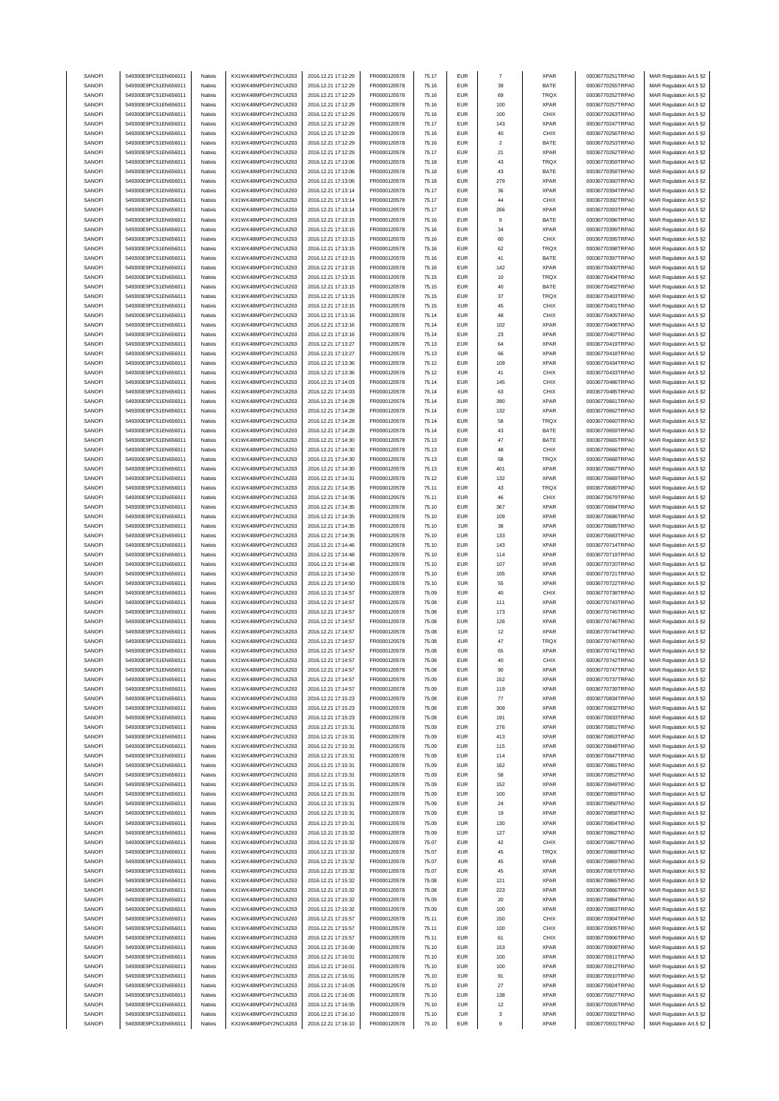| SANOFI | 549300E9PC51EN656011                         | Natixis | KX1WK48MPD4Y2NCUIZ63                         | 2016.12.21 17:12:29                        | FR0000120578                 | 75.17 | <b>EUR</b> | $\overline{7}$ | <b>XPAR</b> | 00036770251TRPA0 | MAR Regulation Art.5 §2 |
|--------|----------------------------------------------|---------|----------------------------------------------|--------------------------------------------|------------------------------|-------|------------|----------------|-------------|------------------|-------------------------|
| SANOFI | 549300E9PC51EN656011                         | Natixis | KX1WK48MPD4Y2NCUIZ63                         | 2016.12.21 17:12:29                        | FR0000120578                 | 75.16 | <b>EUR</b> | 39             | BATE        | 00036770255TRPA0 | MAR Regulation Art.5 §2 |
| SANOFI | 549300E9PC51EN656011                         | Natixis | KX1WK48MPD4Y2NCUIZ63                         | 2016.12.21 17:12:29                        | FR0000120578                 | 75.16 | <b>EUR</b> | 69             | TRQX        | 00036770252TRPA0 | MAR Regulation Art.5 §2 |
| SANOFI | 549300E9PC51EN656011                         | Natixis | KX1WK48MPD4Y2NCUIZ63                         | 2016.12.21 17:12:29                        | FR0000120578                 | 75.16 | <b>EUR</b> | 100            | <b>XPAR</b> | 00036770257TRPA0 | MAR Regulation Art.5 §2 |
| SANOFI | 549300E9PC51EN656011                         | Natixis | KX1WK48MPD4Y2NCUIZ63                         | 2016.12.21 17:12:29                        | FR0000120578                 | 75.16 | <b>EUR</b> | 100            | CHIX        | 00036770263TRPA0 | MAR Regulation Art.5 §2 |
|        |                                              |         |                                              |                                            |                              |       |            |                |             |                  |                         |
| SANOFI | 549300E9PC51EN656011                         | Natixis | KX1WK48MPD4Y2NCUIZ63                         | 2016.12.21 17:12:29                        | FR0000120578                 | 75.17 | <b>EUR</b> | 143            | <b>XPAR</b> | 00036770247TRPA0 | MAR Regulation Art.5 §2 |
| SANOFI | 549300E9PC51EN656011                         | Natixis | KX1WK48MPD4Y2NCUIZ63                         | 2016.12.21 17:12:29                        | FR0000120578                 | 75.16 | <b>EUR</b> | 40             | CHIX        | 00036770256TRPA0 | MAR Regulation Art.5 §2 |
| SANOFI | 549300E9PC51EN656011                         | Natixis | KX1WK48MPD4Y2NCUIZ63                         | 2016.12.21 17:12:29                        | FR0000120578                 | 75.16 | <b>EUR</b> | $\overline{2}$ | BATE        | 00036770253TRPA0 | MAR Regulation Art.5 §2 |
| SANOFI | 549300E9PC51EN656011                         | Natixis | KX1WK48MPD4Y2NCUIZ63                         | 2016.12.21 17:12:29                        | FR0000120578                 | 75.17 | <b>EUR</b> | 21             | <b>XPAR</b> | 00036770262TRPA0 | MAR Regulation Art.5 §2 |
| SANOFI | 549300E9PC51EN656011                         | Natixis | KX1WK48MPD4Y2NCUIZ63                         | 2016.12.21 17:13:06                        | FR0000120578                 | 75.18 | <b>EUR</b> | 43             | TRQX        | 00036770359TRPA0 | MAR Regulation Art.5 §2 |
| SANOFI | 549300E9PC51EN656011                         | Natixis | KX1WK48MPD4Y2NCUIZ63                         | 2016.12.21 17:13:06                        | FR0000120578                 | 75.18 | <b>EUR</b> | 43             | BATE        | 00036770358TRPA0 | MAR Regulation Art.5 §2 |
|        |                                              |         |                                              |                                            |                              |       |            |                |             |                  |                         |
| SANOFI | 549300E9PC51EN656011                         | Natixis | KX1WK48MPD4Y2NCUIZ63                         | 2016.12.21 17:13:06                        | FR0000120578                 | 75.18 | <b>EUR</b> | 279            | <b>XPAR</b> | 00036770360TRPA0 | MAR Regulation Art.5 §2 |
| SANOFI | 549300E9PC51EN656011                         | Natixis | KX1WK48MPD4Y2NCUIZ63                         | 2016.12.21 17:13:14                        | FR0000120578                 | 75.17 | <b>EUR</b> | 36             | <b>XPAR</b> | 00036770394TRPA0 | MAR Regulation Art.5 §2 |
| SANOFI | 549300E9PC51EN656011                         | Natixis | KX1WK48MPD4Y2NCUIZ63                         | 2016.12.21 17:13:14                        | FR0000120578                 | 75.17 | <b>EUR</b> | 44             | CHIX        | 00036770392TRPA0 | MAR Regulation Art.5 §2 |
| SANOFI | 549300E9PC51EN656011                         | Natixis | KX1WK48MPD4Y2NCUIZ63                         | 2016.12.21 17:13:14                        | FR0000120578                 | 75.17 | <b>EUR</b> | 266            | <b>XPAR</b> | 00036770393TRPA0 | MAR Regulation Art.5 §2 |
| SANOFI | 549300E9PC51EN656011                         | Natixis | KX1WK48MPD4Y2NCUIZ63                         | 2016.12.21 17:13:15                        | FR0000120578                 | 75.16 | <b>EUR</b> | 9              | BATE        | 00036770396TRPA0 | MAR Regulation Art.5 §2 |
|        | 549300E9PC51EN656011                         |         | KX1WK48MPD4Y2NCUIZ63                         | 2016.12.21 17:13:15                        |                              |       | <b>EUR</b> | 34             |             |                  |                         |
| SANOFI |                                              | Natixis |                                              |                                            | FR0000120578                 | 75.16 |            |                | <b>XPAR</b> | 00036770399TRPA0 | MAR Regulation Art.5 §2 |
| SANOFI | 549300E9PC51EN656011                         | Natixis | KX1WK48MPD4Y2NCUIZ63                         | 2016.12.21 17:13:15                        | FR0000120578                 | 75.16 | <b>EUR</b> | 60             | CHIX        | 00036770395TRPA0 | MAR Regulation Art.5 §2 |
| SANOFI | 549300E9PC51EN656011                         | Natixis | KX1WK48MPD4Y2NCUIZ63                         | 2016.12.21 17:13:15                        | FR0000120578                 | 75.16 | <b>EUR</b> | 62             | TRQX        | 00036770398TRPA0 | MAR Regulation Art.5 §2 |
| SANOFI | 549300E9PC51EN656011                         | Natixis | KX1WK48MPD4Y2NCUIZ63                         | 2016.12.21 17:13:15                        | FR0000120578                 | 75.16 | <b>EUR</b> | 41             | BATE        | 00036770397TRPA0 | MAR Regulation Art.5 §2 |
| SANOFI | 549300E9PC51EN656011                         | Natixis | KX1WK48MPD4Y2NCUIZ63                         | 2016.12.21 17:13:15                        | FR0000120578                 | 75.16 | <b>EUR</b> | 142            | <b>XPAR</b> | 00036770400TRPA0 | MAR Regulation Art.5 §2 |
| SANOFI | 549300E9PC51EN656011                         | Natixis | KX1WK48MPD4Y2NCUIZ63                         | 2016.12.21 17:13:15                        | FR0000120578                 | 75.15 | <b>EUR</b> | 10             | TRQX        | 00036770404TRPA0 | MAR Regulation Art.5 §2 |
| SANOFI | 549300E9PC51EN656011                         | Natixis | KX1WK48MPD4Y2NCUIZ63                         | 2016.12.21 17:13:15                        | FR0000120578                 | 75.15 | <b>EUR</b> | 40             | BATE        | 00036770402TRPA0 | MAR Regulation Art.5 §2 |
|        |                                              |         |                                              |                                            |                              |       |            |                |             |                  |                         |
| SANOFI | 549300E9PC51EN656011                         | Natixis | KX1WK48MPD4Y2NCUIZ63                         | 2016.12.21 17:13:15                        | FR0000120578                 | 75.15 | <b>EUR</b> | 37             | TRQX        | 00036770403TRPA0 | MAR Regulation Art.5 §2 |
| SANOFI | 549300E9PC51EN656011                         | Natixis | KX1WK48MPD4Y2NCUIZ63                         | 2016.12.21 17:13:15                        | FR0000120578                 | 75.15 | <b>EUR</b> | 45             | CHIX        | 00036770401TRPA0 | MAR Regulation Art.5 §2 |
| SANOFI | 549300E9PC51EN656011                         | Natixis | KX1WK48MPD4Y2NCUIZ63                         | 2016.12.21 17:13:16                        | FR0000120578                 | 75.14 | <b>EUR</b> | 48             | CHIX        | 00036770405TRPA0 | MAR Regulation Art.5 §2 |
| SANOFI | 549300E9PC51EN656011                         | Natixis | KX1WK48MPD4Y2NCUIZ63                         | 2016.12.21 17:13:16                        | FR0000120578                 | 75.14 | <b>EUR</b> | 102            | <b>XPAR</b> | 00036770406TRPA0 | MAR Regulation Art.5 §2 |
| SANOFI | 549300E9PC51EN656011                         | Natixis | KX1WK48MPD4Y2NCUIZ63                         | 2016.12.21 17:13:16                        | FR0000120578                 | 75.14 | <b>EUR</b> | 23             | <b>XPAR</b> | 00036770407TRPA0 | MAR Regulation Art.5 §2 |
| SANOFI | 549300E9PC51EN656011                         | Natixis | KX1WK48MPD4Y2NCUIZ63                         | 2016.12.21 17:13:27                        | FR0000120578                 | 75.13 | <b>EUR</b> | 64             | <b>XPAR</b> | 00036770419TRPA0 | MAR Regulation Art.5 §2 |
| SANOFI | 549300E9PC51EN656011                         |         | KX1WK48MPD4Y2NCUIZ63                         | 2016.12.21 17:13:27                        | FR0000120578                 | 75.13 | <b>EUR</b> | 66             | <b>XPAR</b> | 00036770418TRPA0 | MAR Regulation Art.5 §2 |
|        |                                              | Natixis |                                              |                                            |                              |       |            |                |             |                  |                         |
| SANOFI | 549300E9PC51EN656011                         | Natixis | KX1WK48MPD4Y2NCUIZ63                         | 2016.12.21 17:13:36                        | FR0000120578                 | 75.12 | <b>EUR</b> | 109            | <b>XPAR</b> | 00036770434TRPA0 | MAR Regulation Art.5 §2 |
| SANOFI | 549300E9PC51EN656011                         | Natixis | KX1WK48MPD4Y2NCUIZ63                         | 2016.12.21 17:13:36                        | FR0000120578                 | 75.12 | <b>EUR</b> | 41             | CHIX        | 00036770433TRPA0 | MAR Regulation Art.5 §2 |
| SANOFI | 549300E9PC51EN656011                         | Natixis | KX1WK48MPD4Y2NCUIZ63                         | 2016.12.21 17:14:03                        | FR0000120578                 | 75.14 | <b>EUR</b> | 145            | CHIX        | 00036770486TRPA0 | MAR Regulation Art.5 §2 |
| SANOFI | 549300E9PC51EN656011                         | Natixis | KX1WK48MPD4Y2NCUIZ63                         | 2016.12.21 17:14:03                        | FR0000120578                 | 75.14 | <b>EUR</b> | 63             | CHIX        | 00036770485TRPA0 | MAR Regulation Art.5 §2 |
|        | 549300E9PC51EN656011                         |         | KX1WK48MPD4Y2NCUIZ63                         | 2016.12.21 17:14:28                        |                              |       |            |                |             |                  | MAR Regulation Art.5 §2 |
| SANOFI |                                              | Natixis |                                              |                                            | FR0000120578                 | 75.14 | <b>EUR</b> | 390            | <b>XPAR</b> | 00036770661TRPA0 |                         |
| SANOFI | 549300E9PC51EN656011                         | Natixis | KX1WK48MPD4Y2NCUIZ63                         | 2016.12.21 17:14:28                        | FR0000120578                 | 75.14 | <b>EUR</b> | 132            | <b>XPAR</b> | 00036770662TRPA0 | MAR Regulation Art.5 §2 |
| SANOFI | 549300E9PC51EN656011                         | Natixis | KX1WK48MPD4Y2NCUIZ63                         | 2016.12.21 17:14:28                        | FR0000120578                 | 75.14 | <b>EUR</b> | 58             | TRQX        | 00036770660TRPA0 | MAR Regulation Art.5 §2 |
| SANOFI | 549300E9PC51EN656011                         | Natixis | KX1WK48MPD4Y2NCUIZ63                         | 2016.12.21 17:14:28                        | FR0000120578                 | 75.14 | <b>EUR</b> | 43             | BATE        | 00036770659TRPA0 | MAR Regulation Art.5 §2 |
| SANOFI | 549300E9PC51EN656011                         | Natixis | KX1WK48MPD4Y2NCUIZ63                         | 2016.12.21 17:14:30                        | FR0000120578                 | 75.13 | <b>EUR</b> | 47             | BATE        | 00036770665TRPA0 | MAR Regulation Art.5 §2 |
| SANOFI | 549300E9PC51EN656011                         | Natixis | KX1WK48MPD4Y2NCUIZ63                         | 2016.12.21 17:14:30                        | FR0000120578                 | 75.13 | <b>EUR</b> | 48             | CHIX        | 00036770666TRPA0 | MAR Regulation Art.5 §2 |
|        |                                              |         |                                              |                                            |                              |       |            |                |             |                  |                         |
| SANOFI | 549300E9PC51EN656011                         | Natixis | KX1WK48MPD4Y2NCUIZ63                         | 2016.12.21 17:14:30                        | FR0000120578                 | 75.13 | <b>EUR</b> | 58             | <b>TRQX</b> | 00036770668TRPA0 | MAR Regulation Art.5 §2 |
| SANOFI | 549300E9PC51EN656011                         | Natixis | KX1WK48MPD4Y2NCUIZ63                         | 2016.12.21 17:14:30                        | FR0000120578                 | 75.13 | <b>EUR</b> | 401            | <b>XPAR</b> | 00036770667TRPA0 | MAR Regulation Art.5 §2 |
| SANOFI | 549300E9PC51EN656011                         | Natixis | KX1WK48MPD4Y2NCUIZ63                         | 2016.12.21 17:14:31                        | FR0000120578                 | 75.12 | <b>EUR</b> | 132            | <b>XPAR</b> | 00036770669TRPA0 | MAR Regulation Art.5 §2 |
| SANOFI | 549300E9PC51EN656011                         | Natixis | KX1WK48MPD4Y2NCUIZ63                         | 2016.12.21 17:14:35                        | FR0000120578                 | 75.11 | <b>EUR</b> | 43             | TRQX        | 00036770680TRPA0 | MAR Regulation Art.5 §2 |
| SANOFI | 549300E9PC51EN656011                         | Natixis | KX1WK48MPD4Y2NCUIZ63                         | 2016.12.21 17:14:35                        | FR0000120578                 | 75.11 | <b>EUR</b> | 46             | CHIX        | 00036770679TRPA0 | MAR Regulation Art.5 §2 |
|        | 549300E9PC51EN656011                         |         |                                              |                                            |                              |       |            |                |             |                  |                         |
| SANOFI |                                              | Natixis | KX1WK48MPD4Y2NCUIZ63                         | 2016.12.21 17:14:35                        | FR0000120578                 | 75.10 | <b>EUR</b> | 367            | <b>XPAR</b> | 00036770684TRPA0 | MAR Regulation Art.5 §2 |
| SANOFI | 549300E9PC51EN656011                         | Natixis | KX1WK48MPD4Y2NCUIZ63                         | 2016.12.21 17:14:35                        | FR0000120578                 | 75.10 | <b>EUR</b> | 109            | <b>XPAR</b> | 00036770686TRPA0 | MAR Regulation Art.5 §2 |
| SANOFI | 549300E9PC51EN656011                         | Natixis | KX1WK48MPD4Y2NCUIZ63                         | 2016.12.21 17:14:35                        | FR0000120578                 | 75.10 | <b>EUR</b> | 38             | <b>XPAR</b> | 00036770685TRPA0 | MAR Regulation Art.5 §2 |
| SANOFI | 549300E9PC51EN656011                         |         |                                              |                                            |                              |       |            |                |             |                  |                         |
|        |                                              | Natixis | KX1WK48MPD4Y2NCUIZ63                         | 2016.12.21 17:14:35                        | FR0000120578                 | 75.10 | <b>EUR</b> | 133            | <b>XPAR</b> | 00036770683TRPA0 | MAR Regulation Art.5 §2 |
|        |                                              |         |                                              |                                            |                              |       | <b>EUR</b> |                |             |                  |                         |
| SANOFI | 549300E9PC51EN656011                         | Natixis | KX1WK48MPD4Y2NCUIZ63                         | 2016.12.21 17:14:46                        | FR0000120578                 | 75.10 |            | 143            | <b>XPAR</b> | 00036770714TRPA0 | MAR Regulation Art.5 §2 |
| SANOFI | 549300E9PC51EN656011                         | Natixis | KX1WK48MPD4Y2NCUIZ63                         | 2016.12.21 17:14:48                        | FR0000120578                 | 75.10 | <b>EUR</b> | 114            | <b>XPAR</b> | 00036770719TRPA0 | MAR Regulation Art.5 §2 |
| SANOFI | 549300E9PC51EN656011                         | Natixis | KX1WK48MPD4Y2NCUIZ63                         | 2016.12.21 17:14:48                        | FR0000120578                 | 75.10 | <b>EUR</b> | 107            | <b>XPAR</b> | 00036770720TRPA0 | MAR Regulation Art.5 §2 |
| SANOFI | 549300E9PC51EN656011                         | Natixis | KX1WK48MPD4Y2NCUIZ63                         | 2016.12.21 17:14:50                        | FR0000120578                 | 75.10 | <b>EUR</b> | 105            | <b>XPAR</b> | 00036770721TRPA0 | MAR Regulation Art.5 §2 |
| SANOFI | 549300E9PC51EN656011                         | Natixis | KX1WK48MPD4Y2NCUIZ63                         | 2016.12.21 17:14:50                        | FR0000120578                 | 75.10 | <b>EUR</b> | 55             | <b>XPAR</b> | 00036770722TRPA0 | MAR Regulation Art.5 §2 |
| SANOFI | 549300E9PC51EN656011                         | Natixis | KX1WK48MPD4Y2NCUIZ63                         | 2016.12.21 17:14:57                        | FR0000120578                 | 75.09 | <b>EUR</b> | 40             | CHIX        | 00036770738TRPA0 | MAR Regulation Art.5 §2 |
| SANOFI | 549300E9PC51EN656011                         | Natixis | KX1WK48MPD4Y2NCUIZ63                         | 2016.12.21 17:14:57                        | FR0000120578                 | 75.08 | <b>EUR</b> | 111            | <b>XPAR</b> | 00036770743TRPA0 | MAR Regulation Art.5 §2 |
|        |                                              |         |                                              |                                            |                              |       |            |                |             |                  |                         |
| SANOFI | 549300E9PC51EN656011                         | Natixis | KX1WK48MPD4Y2NCUIZ63                         | 2016.12.21 17:14:57                        | FR0000120578                 | 75.08 | <b>EUR</b> | 173            | <b>XPAR</b> | 00036770745TRPA0 | MAR Regulation Art.5 §2 |
| SANOFI | 549300E9PC51EN656011                         | Natixis | KX1WK48MPD4Y2NCUIZ63                         | 2016.12.21 17:14:57                        | FR0000120578                 | 75.08 | <b>EUR</b> | 126            | <b>XPAR</b> | 00036770746TRPA0 | MAR Regulation Art.5 §2 |
| SANOFI | 549300E9PC51EN656011                         | Natixis | KX1WK48MPD4Y2NCUIZ63                         | 2016.12.21 17:14:57                        | FR0000120578                 | 75.08 | <b>EUR</b> | 12             | <b>XPAR</b> | 00036770744TRPA0 | MAR Regulation Art.5 §2 |
| SANOFI | 549300E9PC51EN656011                         | Natixis | KX1WK48MPD4Y2NCUIZ63                         | 2016.12.21 17:14:57                        | FR0000120578                 | 75.08 | <b>EUR</b> | 47             | TRQX        | 00036770740TRPA0 | MAR Regulation Art.5 §2 |
|        |                                              |         | KX1WK48MPD4Y2NCUIZ63                         | 2016.12.21 17:14:57                        |                              |       |            |                |             | 0036770741TRPA0  | MAR Regulation Art.5 §2 |
| SANOFI | 549300E9PC51EN656011                         | Natixis | KX1WK48MPD4Y2NCUIZ63                         | 2016.12.21 17:14:57                        | FR0000120578                 | 75.08 | <b>EUR</b> | 40             | CHIX        | 00036770742TRPA0 |                         |
|        |                                              |         |                                              |                                            |                              |       |            |                |             |                  | MAR Regulation Art.5 §2 |
| SANOFI | 549300E9PC51EN656011                         | Natixis | KX1WK48MPD4Y2NCUIZ63                         | 2016.12.21 17:14:57                        | FR0000120578                 | 75.08 | <b>EUR</b> | 90             | <b>XPAR</b> | 00036770747TRPA0 | MAR Regulation Art.5 §2 |
| SANOFI | 549300E9PC51EN656011                         | Natixis | KX1WK48MPD4Y2NCUIZ63                         | 2016.12.21 17:14:57                        | FR0000120578                 | 75.09 | <b>EUR</b> | 152            | <b>XPAR</b> | 00036770737TRPA0 | MAR Regulation Art.5 §2 |
| SANOFI | 549300E9PC51EN656011                         | Natixis | KX1WK48MPD4Y2NCUIZ63                         | 2016.12.21 17:14:57                        | FR0000120578                 | 75.09 | <b>EUR</b> | 119            | <b>XPAR</b> | 00036770739TRPA0 | MAR Regulation Art.5 §2 |
| SANOFI | 549300E9PC51EN656011                         | Natixis | KX1WK48MPD4Y2NCUIZ63                         | 2016.12.21 17:15:23                        | FR0000120578                 | 75.08 | <b>EUR</b> | $77\,$         | <b>XPAR</b> | 00036770834TRPA0 | MAR Regulation Art.5 §2 |
| SANOFI | 549300E9PC51EN656011                         | Natixis | KX1WK48MPD4Y2NCUIZ63                         | 2016.12.21 17:15:23                        | FR0000120578                 | 75.08 | <b>EUR</b> | 309            | <b>XPAR</b> | 00036770832TRPA0 | MAR Regulation Art.5 §2 |
| SANOFI | 549300E9PC51EN656011                         | Natixis | KX1WK48MPD4Y2NCUIZ63                         | 2016.12.21 17:15:23                        | FR0000120578                 | 75.08 | <b>EUR</b> | 191            | <b>XPAR</b> | 00036770833TRPA0 | MAR Regulation Art.5 §2 |
| SANOFI | 549300E9PC51EN656011                         | Natixis | KX1WK48MPD4Y2NCUIZ63                         | 2016.12.21 17:15:31                        | FR0000120578                 | 75.09 | <b>EUR</b> | 276            | <b>XPAR</b> | 00036770851TRPA0 | MAR Regulation Art.5 §2 |
|        |                                              | Natixis |                                              |                                            |                              |       |            |                |             |                  |                         |
| SANOFI | 549300E9PC51EN656011<br>549300E9PC51EN656011 |         | KX1WK48MPD4Y2NCUIZ63                         | 2016.12.21 17:15:31                        | FR0000120578                 | 75.09 | <b>EUR</b> | 413            | <b>XPAR</b> | 00036770853TRPA0 | MAR Regulation Art.5 §2 |
| SANOFI |                                              | Natixis | KX1WK48MPD4Y2NCUIZ63                         | 2016.12.21 17:15:31                        | FR0000120578                 | 75.09 | <b>EUR</b> | 115            | <b>XPAR</b> | 00036770848TRPA0 | MAR Regulation Art.5 §2 |
| SANOFI | 549300E9PC51EN656011                         | Natixis | KX1WK48MPD4Y2NCUIZ63                         | 2016.12.21 17:15:31                        | FR0000120578                 | 75.09 | EUR        | 114            | <b>XPAR</b> | 00036770847TRPA0 | MAR Regulation Art.5 §2 |
| SANOFI | 549300E9PC51EN656011                         | Natixis | KX1WK48MPD4Y2NCUIZ63                         | 2016.12.21 17:15:31                        | FR0000120578                 | 75.09 | <b>EUR</b> | 162            | <b>XPAR</b> | 00036770861TRPA0 | MAR Regulation Art.5 §2 |
| SANOFI | 549300E9PC51EN656011                         | Natixis | KX1WK48MPD4Y2NCUIZ63                         | 2016.12.21 17:15:31                        | FR0000120578                 | 75.09 | <b>EUR</b> | 58             | <b>XPAR</b> | 00036770852TRPA0 | MAR Regulation Art.5 §2 |
| SANOFI | 549300E9PC51EN656011                         | Natixis | KX1WK48MPD4Y2NCUIZ63                         | 2016.12.21 17:15:31                        | FR0000120578                 | 75.09 | <b>EUR</b> | 152            | <b>XPAR</b> | 00036770849TRPA0 | MAR Regulation Art.5 §2 |
|        |                                              |         |                                              |                                            |                              |       | <b>EUR</b> |                |             |                  |                         |
| SANOFI | 549300E9PC51EN656011                         | Natixis | KX1WK48MPD4Y2NCUIZ63                         | 2016.12.21 17:15:31                        | FR0000120578                 | 75.09 |            | 100            | <b>XPAR</b> | 00036770859TRPA0 | MAR Regulation Art.5 §2 |
| SANOFI | 549300E9PC51EN656011                         | Natixis | KX1WK48MPD4Y2NCUIZ63                         | 2016.12.21 17:15:31                        | FR0000120578                 | 75.09 | <b>EUR</b> | 24             | <b>XPAR</b> | 00036770850TRPA0 | MAR Regulation Art.5 §2 |
| SANOFI | 549300E9PC51EN656011                         | Natixis | KX1WK48MPD4Y2NCUIZ63                         | 2016.12.21 17:15:31                        | FR0000120578                 | 75.09 | <b>EUR</b> | 19             | <b>XPAR</b> | 00036770858TRPA0 | MAR Regulation Art.5 §2 |
| SANOFI | 549300E9PC51EN656011                         | Natixis | KX1WK48MPD4Y2NCUIZ63                         | 2016.12.21 17:15:31                        | FR0000120578                 | 75.09 | <b>EUR</b> | 130            | <b>XPAR</b> | 00036770854TRPA0 | MAR Regulation Art.5 §2 |
| SANOFI | 549300E9PC51EN656011                         | Natixis | KX1WK48MPD4Y2NCUIZ63                         | 2016.12.21 17:15:32                        | FR0000120578                 | 75.09 | <b>EUR</b> | 127            | <b>XPAR</b> | 00036770862TRPA0 | MAR Regulation Art.5 §2 |
| SANOFI | 549300E9PC51EN656011                         | Natixis | KX1WK48MPD4Y2NCUIZ63                         | 2016.12.21 17:15:32                        | FR0000120578                 | 75.07 | <b>EUR</b> | 42             | CHIX        | 00036770867TRPA0 | MAR Regulation Art.5 §2 |
| SANOFI | 549300E9PC51EN656011                         | Natixis | KX1WK48MPD4Y2NCUIZ63                         | 2016.12.21 17:15:32                        | FR0000120578                 | 75.07 | <b>EUR</b> | 45             | <b>TRQX</b> | 00036770868TRPA0 |                         |
|        |                                              |         |                                              |                                            |                              |       | <b>EUR</b> |                |             |                  | MAR Regulation Art.5 §2 |
| SANOFI | 549300E9PC51EN656011                         | Natixis | KX1WK48MPD4Y2NCUIZ63                         | 2016.12.21 17:15:32                        | FR0000120578                 | 75.07 |            | 45             | <b>XPAR</b> | 00036770869TRPA0 | MAR Regulation Art.5 §2 |
| SANOFI | 549300E9PC51EN656011                         | Natixis | KX1WK48MPD4Y2NCUIZ63                         | 2016.12.21 17:15:32                        | FR0000120578                 | 75.07 | <b>EUR</b> | 45             | <b>XPAR</b> | 00036770870TRPA0 | MAR Regulation Art.5 §2 |
| SANOFI | 549300E9PC51EN656011                         | Natixis | KX1WK48MPD4Y2NCUIZ63                         | 2016.12.21 17:15:32                        | FR0000120578                 | 75.08 | <b>EUR</b> | 121            | <b>XPAR</b> | 00036770865TRPA0 | MAR Regulation Art.5 §2 |
| SANOFI | 549300E9PC51EN656011                         | Natixis | KX1WK48MPD4Y2NCUIZ63                         | 2016.12.21 17:15:32                        | FR0000120578                 | 75.08 | <b>EUR</b> | 223            | <b>XPAR</b> | 00036770866TRPA0 | MAR Regulation Art.5 §2 |
| SANOFI | 549300E9PC51EN656011                         | Natixis | KX1WK48MPD4Y2NCUIZ63                         | 2016.12.21 17:15:32                        | FR0000120578                 | 75.09 | <b>EUR</b> | 20             | <b>XPAR</b> | 00036770864TRPA0 | MAR Regulation Art.5 §2 |
| SANOFI | 549300E9PC51EN656011                         | Natixis | KX1WK48MPD4Y2NCUIZ63                         | 2016.12.21 17:15:32                        | FR0000120578                 | 75.09 | <b>EUR</b> |                | <b>XPAR</b> | 00036770863TRPA0 |                         |
|        |                                              |         |                                              |                                            |                              |       |            | 100            |             |                  | MAR Regulation Art.5 §2 |
| SANOFI | 549300E9PC51EN656011                         | Natixis | KX1WK48MPD4Y2NCUIZ63                         | 2016.12.21 17:15:57                        | FR0000120578                 | 75.11 | <b>EUR</b> | 150            | CHIX        | 00036770904TRPA0 | MAR Regulation Art.5 §2 |
| SANOFI | 549300E9PC51EN656011                         | Natixis | KX1WK48MPD4Y2NCUIZ63                         | 2016.12.21 17:15:57                        | FR0000120578                 | 75.11 | <b>EUR</b> | 100            | CHIX        | 00036770905TRPA0 | MAR Regulation Art.5 §2 |
| SANOFI | 549300E9PC51EN656011                         | Natixis | KX1WK48MPD4Y2NCUIZ63                         | 2016.12.21 17:15:57                        | FR0000120578                 | 75.11 | <b>EUR</b> | 61             | CHIX        | 00036770906TRPA0 | MAR Regulation Art.5 §2 |
| SANOFI | 549300E9PC51EN656011                         | Natixis | KX1WK48MPD4Y2NCUIZ63                         | 2016.12.21 17:16:00                        | FR0000120578                 | 75.10 | <b>EUR</b> | 153            | <b>XPAR</b> | 00036770908TRPA0 | MAR Regulation Art.5 §2 |
| SANOFI | 549300E9PC51EN656011                         | Natixis | KX1WK48MPD4Y2NCUIZ63                         | 2016.12.21 17:16:01                        | FR0000120578                 | 75.10 | <b>EUR</b> | 100            | <b>XPAR</b> | 00036770911TRPA0 | MAR Regulation Art.5 §2 |
| SANOFI | 549300E9PC51EN656011                         | Natixis | KX1WK48MPD4Y2NCUIZ63                         | 2016.12.21 17:16:01                        | FR0000120578                 | 75.10 | <b>EUR</b> | 100            | <b>XPAR</b> | 00036770912TRPA0 | MAR Regulation Art.5 §2 |
|        |                                              |         |                                              |                                            |                              |       |            |                |             |                  |                         |
| SANOFI | 549300E9PC51EN656011                         | Natixis | KX1WK48MPD4Y2NCUIZ63                         | 2016.12.21 17:16:01                        | FR0000120578                 | 75.10 | <b>EUR</b> | 91             | <b>XPAR</b> | 00036770910TRPA0 | MAR Regulation Art.5 §2 |
| SANOFI | 549300E9PC51EN656011                         | Natixis | KX1WK48MPD4Y2NCUIZ63                         | 2016.12.21 17:16:05                        | FR0000120578                 | 75.10 | <b>EUR</b> | 27             | <b>XPAR</b> | 00036770924TRPA0 | MAR Regulation Art.5 §2 |
| SANOFI | 549300E9PC51EN656011                         | Natixis | KX1WK48MPD4Y2NCUIZ63                         | 2016.12.21 17:16:05                        | FR0000120578                 | 75.10 | <b>EUR</b> | 138            | <b>XPAR</b> | 00036770927TRPA0 | MAR Regulation Art.5 §2 |
| SANOFI | 549300E9PC51EN656011                         | Natixis | KX1WK48MPD4Y2NCUIZ63                         | 2016.12.21 17:16:05                        | FR0000120578                 | 75.10 | <b>EUR</b> | 12             | <b>XPAR</b> | 00036770926TRPA0 | MAR Regulation Art.5 §2 |
| SANOFI | 549300E9PC51EN656011<br>549300E9PC51EN656011 | Natixis | KX1WK48MPD4Y2NCUIZ63<br>KX1WK48MPD4Y2NCUIZ63 | 2016.12.21 17:16:10<br>2016.12.21 17:16:10 | FR0000120578<br>FR0000120578 | 75.10 | <b>EUR</b> | 3              | <b>XPAR</b> | 00036770932TRPA0 | MAR Regulation Art.5 §2 |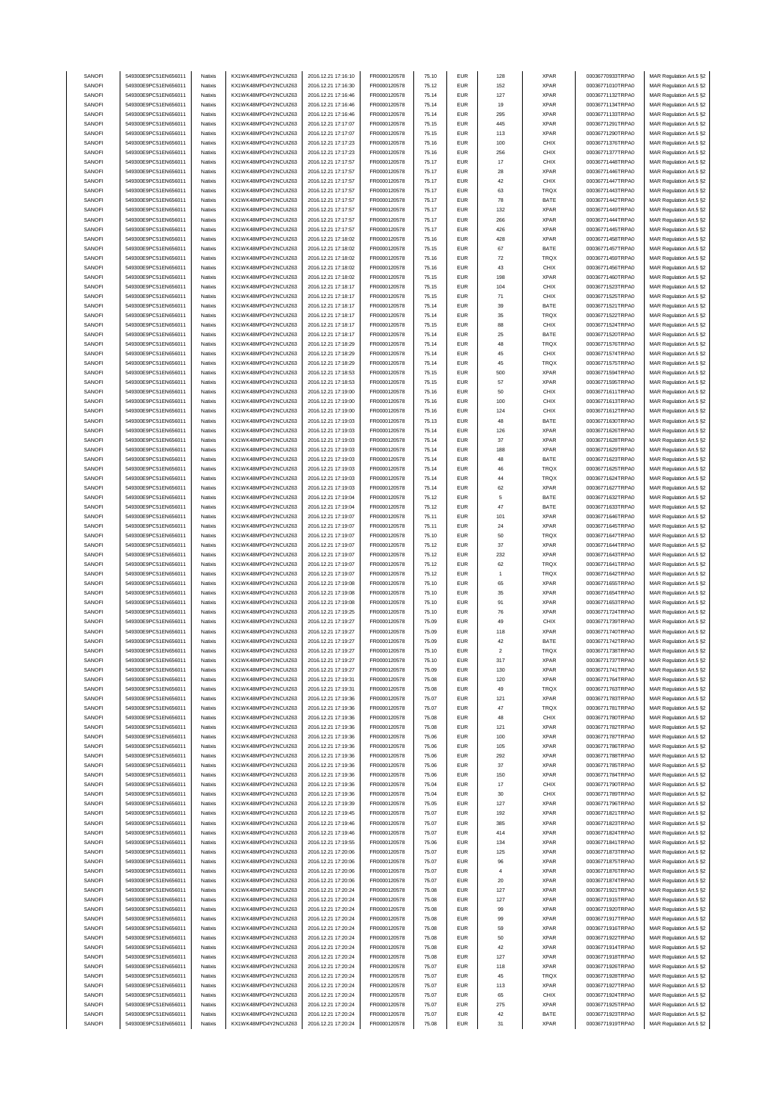| SANOFI           | 549300E9PC51EN656011                         | Natixis            | KX1WK48MPD4Y2NCUIZ63                         | 2016.12.21 17:16:10                        | FR0000120578                 | 75.10          | <b>EUR</b>               | 128          | <b>XPAR</b>         | 00036770933TRPA0                     | MAR Regulation Art.5 §2                            |
|------------------|----------------------------------------------|--------------------|----------------------------------------------|--------------------------------------------|------------------------------|----------------|--------------------------|--------------|---------------------|--------------------------------------|----------------------------------------------------|
| SANOFI           | 549300E9PC51EN656011                         | Natixis            | KX1WK48MPD4Y2NCUIZ63                         | 2016.12.21 17:16:30                        | FR0000120578                 | 75.12          | <b>EUR</b>               | 152          | <b>XPAR</b>         | 00036771010TRPA0                     | MAR Regulation Art.5 §2                            |
| SANOFI           | 549300E9PC51EN656011                         | Natixis            | KX1WK48MPD4Y2NCUIZ63                         | 2016.12.21 17:16:46                        | FR0000120578                 | 75.14          | <b>EUR</b>               | 127          | <b>XPAR</b>         | 00036771132TRPA0                     | MAR Regulation Art.5 §2                            |
| SANOFI           | 549300E9PC51EN656011                         | Natixis            | KX1WK48MPD4Y2NCUIZ63                         | 2016.12.21 17:16:46                        | FR0000120578                 | 75.14          | <b>EUR</b>               | 19           | <b>XPAR</b>         | 00036771134TRPA0                     | MAR Regulation Art.5 §2                            |
|                  |                                              |                    |                                              |                                            |                              |                |                          |              |                     |                                      |                                                    |
| SANOFI           | 549300E9PC51EN656011                         | Natixis            | KX1WK48MPD4Y2NCUIZ63                         | 2016.12.21 17:16:46                        | FR0000120578                 | 75.14          | <b>EUR</b>               | 295          | <b>XPAR</b>         | 00036771133TRPA0                     | MAR Regulation Art.5 §2                            |
| SANOFI           | 549300E9PC51EN656011                         | Natixis            | KX1WK48MPD4Y2NCUIZ63                         | 2016.12.21 17:17:07                        | FR0000120578                 | 75.15          | <b>EUR</b>               | 445          | <b>XPAR</b>         | 00036771291TRPA0                     | MAR Regulation Art.5 §2                            |
| SANOFI           | 549300E9PC51EN656011                         | Natixis            | KX1WK48MPD4Y2NCUIZ63                         | 2016.12.21 17:17:07                        | FR0000120578                 | 75.15          | <b>EUR</b>               | 113          | <b>XPAR</b>         | 00036771290TRPA0                     | MAR Regulation Art.5 §2                            |
| SANOFI           | 549300E9PC51EN656011                         | Natixis            | KX1WK48MPD4Y2NCUIZ63                         | 2016.12.21 17:17:23                        | FR0000120578                 | 75.16          | <b>EUR</b>               | 100          | CHIX                | 00036771376TRPA0                     | MAR Regulation Art.5 §2                            |
| SANOFI           | 549300E9PC51EN656011                         | Natixis            | KX1WK48MPD4Y2NCUIZ63                         | 2016.12.21 17:17:23                        | FR0000120578                 | 75.16          | <b>EUR</b>               | 256          | CHIX                | 00036771377TRPA0                     | MAR Regulation Art.5 §2                            |
| SANOFI           | 549300E9PC51EN656011                         | Natixis            | KX1WK48MPD4Y2NCUIZ63                         | 2016.12.21 17:17:57                        | FR0000120578                 | 75.17          | <b>EUR</b>               | 17           | CHIX                | 00036771448TRPA0                     | MAR Regulation Art.5 §2                            |
|                  | 549300E9PC51EN656011                         | Natixis            |                                              |                                            |                              |                | <b>EUR</b>               |              |                     |                                      |                                                    |
| SANOFI           |                                              |                    | KX1WK48MPD4Y2NCUIZ63                         | 2016.12.21 17:17:57                        | FR0000120578                 | 75.17          |                          | 28           | <b>XPAR</b>         | 00036771446TRPA0                     | MAR Regulation Art.5 §2                            |
| SANOFI           | 549300E9PC51EN656011                         | Natixis            | KX1WK48MPD4Y2NCUIZ63                         | 2016.12.21 17:17:57                        | FR0000120578                 | 75.17          | <b>EUR</b>               | 42           | CHIX                | 00036771447TRPA0                     | MAR Regulation Art.5 §2                            |
| SANOFI           | 549300E9PC51EN656011                         | Natixis            | KX1WK48MPD4Y2NCUIZ63                         | 2016.12.21 17:17:57                        | FR0000120578                 | 75.17          | <b>EUR</b>               | 63           | TRQX                | 00036771443TRPA0                     | MAR Regulation Art.5 §2                            |
| SANOFI           | 549300E9PC51EN656011                         | Natixis            | KX1WK48MPD4Y2NCUIZ63                         | 2016.12.21 17:17:57                        | FR0000120578                 | 75.17          | <b>EUR</b>               | 78           | BATE                | 00036771442TRPA0                     | MAR Regulation Art.5 §2                            |
| SANOFI           | 549300E9PC51EN656011                         | Natixis            | KX1WK48MPD4Y2NCUIZ63                         | 2016.12.21 17:17:57                        | FR0000120578                 | 75.17          | <b>EUR</b>               | 132          | <b>XPAR</b>         | 00036771449TRPA0                     | MAR Regulation Art.5 §2                            |
| SANOFI           | 549300E9PC51EN656011                         | Natixis            | KX1WK48MPD4Y2NCUIZ63                         | 2016.12.21 17:17:57                        | FR0000120578                 | 75.17          | <b>EUR</b>               | 266          | <b>XPAR</b>         | 00036771444TRPA0                     |                                                    |
|                  |                                              |                    |                                              |                                            |                              |                |                          |              |                     |                                      | MAR Regulation Art.5 §2                            |
| SANOFI           | 549300E9PC51EN656011                         | Natixis            | KX1WK48MPD4Y2NCUIZ63                         | 2016.12.21 17:17:57                        | FR0000120578                 | 75.17          | <b>EUR</b>               | 426          | <b>XPAR</b>         | 00036771445TRPA0                     | MAR Regulation Art.5 §2                            |
| SANOFI           | 549300E9PC51EN656011                         | Natixis            | KX1WK48MPD4Y2NCUIZ63                         | 2016.12.21 17:18:02                        | FR0000120578                 | 75.16          | <b>EUR</b>               | 428          | <b>XPAR</b>         | 00036771458TRPA0                     | MAR Regulation Art.5 §2                            |
| SANOFI           | 549300E9PC51EN656011                         | Natixis            | KX1WK48MPD4Y2NCUIZ63                         | 2016.12.21 17:18:02                        | FR0000120578                 | 75.15          | <b>EUR</b>               | 67           | BATE                | 00036771457TRPA0                     | MAR Regulation Art.5 §2                            |
| SANOFI           | 549300E9PC51EN656011                         | Natixis            | KX1WK48MPD4Y2NCUIZ63                         | 2016.12.21 17:18:02                        | FR0000120578                 | 75.16          | <b>EUR</b>               | $\bf 72$     | <b>TRQX</b>         | 00036771459TRPA0                     | MAR Regulation Art.5 §2                            |
| SANOFI           | 549300E9PC51EN656011                         | Natixis            | KX1WK48MPD4Y2NCUIZ63                         | 2016.12.21 17:18:02                        | FR0000120578                 | 75.16          | <b>EUR</b>               | 43           | CHIX                | 00036771456TRPA0                     | MAR Regulation Art.5 §2                            |
| SANOFI           | 549300E9PC51EN656011                         | Natixis            | KX1WK48MPD4Y2NCUIZ63                         | 2016.12.21 17:18:02                        | FR0000120578                 | 75.15          | <b>EUR</b>               | 198          | <b>XPAR</b>         | 00036771460TRPA0                     | MAR Regulation Art.5 §2                            |
|                  |                                              |                    |                                              |                                            |                              |                |                          |              |                     |                                      |                                                    |
| SANOFI           | 549300E9PC51EN656011                         | Natixis            | KX1WK48MPD4Y2NCUIZ63                         | 2016.12.21 17:18:17                        | FR0000120578                 | 75.15          | <b>EUR</b>               | 104          | CHIX                | 00036771523TRPA0                     | MAR Regulation Art.5 §2                            |
| SANOFI           | 549300E9PC51EN656011                         | Natixis            | KX1WK48MPD4Y2NCUIZ63                         | 2016.12.21 17:18:17                        | FR0000120578                 | 75.15          | <b>EUR</b>               | 71           | CHIX                | 00036771525TRPA0                     | MAR Regulation Art.5 §2                            |
| SANOFI           | 549300E9PC51EN656011                         | Natixis            | KX1WK48MPD4Y2NCUIZ63                         | 2016.12.21 17:18:17                        | FR0000120578                 | 75.14          | <b>EUR</b>               | 39           | BATE                | 00036771521TRPA0                     | MAR Regulation Art.5 §2                            |
| SANOFI           | 549300E9PC51EN656011                         | Natixis            | KX1WK48MPD4Y2NCUIZ63                         | 2016.12.21 17:18:17                        | FR0000120578                 | 75.14          | <b>EUR</b>               | 35           | TRQX                | 00036771522TRPA0                     | MAR Regulation Art.5 §2                            |
| SANOFI           | 549300E9PC51EN656011                         | Natixis            | KX1WK48MPD4Y2NCUIZ63                         | 2016.12.21 17:18:17                        | FR0000120578                 | 75.15          | <b>EUR</b>               | 88           | CHIX                | 00036771524TRPA0                     | MAR Regulation Art.5 §2                            |
| SANOFI           | 549300E9PC51EN656011                         | Natixis            | KX1WK48MPD4Y2NCUIZ63                         | 2016.12.21 17:18:17                        | FR0000120578                 | 75.14          | <b>EUR</b>               | 25           | BATE                | 00036771520TRPA0                     | MAR Regulation Art.5 §2                            |
| SANOFI           | 549300E9PC51EN656011                         | Natixis            | KX1WK48MPD4Y2NCUIZ63                         | 2016.12.21 17:18:29                        | FR0000120578                 | 75.14          | <b>EUR</b>               | 48           | <b>TRQX</b>         | 00036771576TRPA0                     | MAR Regulation Art.5 §2                            |
|                  | 549300E9PC51EN656011                         |                    | KX1WK48MPD4Y2NCUIZ63                         | 2016.12.21 17:18:29                        |                              |                |                          |              |                     |                                      |                                                    |
| SANOFI           |                                              | Natixis            |                                              |                                            | FR0000120578                 | 75.14          | <b>EUR</b>               | 45           | CHIX                | 00036771574TRPA0                     | MAR Regulation Art.5 §2                            |
| SANOFI           | 549300E9PC51EN656011                         | Natixis            | KX1WK48MPD4Y2NCUIZ63                         | 2016.12.21 17:18:29                        | FR0000120578                 | 75.14          | <b>EUR</b>               | 45           | TRQX                | 00036771575TRPA0                     | MAR Regulation Art.5 §2                            |
| SANOFI           | 549300E9PC51EN656011                         | Natixis            | KX1WK48MPD4Y2NCUIZ63                         | 2016.12.21 17:18:53                        | FR0000120578                 | 75.15          | <b>EUR</b>               | 500          | <b>XPAR</b>         | 00036771594TRPA0                     | MAR Regulation Art.5 §2                            |
| SANOFI           | 549300E9PC51EN656011                         | Natixis            | KX1WK48MPD4Y2NCUIZ63                         | 2016.12.21 17:18:53                        | FR0000120578                 | 75.15          | <b>EUR</b>               | 57           | <b>XPAR</b>         | 00036771595TRPA0                     | MAR Regulation Art.5 §2                            |
| SANOFI           | 549300E9PC51EN656011                         | Natixis            | KX1WK48MPD4Y2NCUIZ63                         | 2016.12.21 17:19:00                        | FR0000120578                 | 75.16          | <b>EUR</b>               | 50           | CHIX                | 00036771611TRPA0                     | MAR Regulation Art.5 §2                            |
| SANOFI           | 549300E9PC51EN656011                         | Natixis            | KX1WK48MPD4Y2NCUIZ63                         | 2016.12.21 17:19:00                        | FR0000120578                 | 75.16          | <b>EUR</b>               | 100          | CHIX                | 00036771613TRPA0                     | MAR Regulation Art.5 §2                            |
|                  |                                              |                    |                                              |                                            |                              |                |                          |              |                     |                                      |                                                    |
| SANOFI           | 549300E9PC51EN656011                         | Natixis            | KX1WK48MPD4Y2NCUIZ63                         | 2016.12.21 17:19:00                        | FR0000120578                 | 75.16          | <b>EUR</b>               | 124          | CHIX                | 00036771612TRPA0                     | MAR Regulation Art.5 §2                            |
| SANOFI           | 549300E9PC51EN656011                         | Natixis            | KX1WK48MPD4Y2NCUIZ63                         | 2016.12.21 17:19:03                        | FR0000120578                 | 75.13          | <b>EUR</b>               | 48           | BATE                | 00036771630TRPA0                     | MAR Regulation Art.5 §2                            |
| SANOFI           | 549300E9PC51EN656011                         | Natixis            | KX1WK48MPD4Y2NCUIZ63                         | 2016.12.21 17:19:03                        | FR0000120578                 | 75.14          | <b>EUR</b>               | 126          | <b>XPAR</b>         | 00036771626TRPA0                     | MAR Regulation Art.5 §2                            |
| SANOFI           | 549300E9PC51EN656011                         | Natixis            | KX1WK48MPD4Y2NCUIZ63                         | 2016.12.21 17:19:03                        | FR0000120578                 | 75.14          | <b>EUR</b>               | 37           | <b>XPAR</b>         | 00036771628TRPA0                     | MAR Regulation Art.5 §2                            |
| SANOFI           | 549300E9PC51EN656011                         | Natixis            | KX1WK48MPD4Y2NCUIZ63                         | 2016.12.21 17:19:03                        | FR0000120578                 | 75.14          | <b>EUR</b>               | 188          | <b>XPAR</b>         | 00036771629TRPA0                     | MAR Regulation Art.5 §2                            |
| SANOFI           | 549300E9PC51EN656011                         | Natixis            | KX1WK48MPD4Y2NCUIZ63                         | 2016.12.21 17:19:03                        | FR0000120578                 | 75.14          | <b>EUR</b>               | 48           | BATE                | 00036771623TRPA0                     |                                                    |
|                  |                                              |                    |                                              |                                            |                              |                |                          |              |                     |                                      | MAR Regulation Art.5 §2                            |
| SANOFI           | 549300E9PC51EN656011                         | Natixis            | KX1WK48MPD4Y2NCUIZ63                         | 2016.12.21 17:19:03                        | FR0000120578                 | 75.14          | <b>EUR</b>               | 46           | TRQX                | 00036771625TRPA0                     | MAR Regulation Art.5 §2                            |
| SANOFI           | 549300E9PC51EN656011                         | Natixis            | KX1WK48MPD4Y2NCUIZ63                         | 2016.12.21 17:19:03                        | FR0000120578                 | 75.14          | <b>EUR</b>               | 44           | TRQX                | 00036771624TRPA0                     | MAR Regulation Art.5 §2                            |
| SANOFI           | 549300E9PC51EN656011                         | Natixis            | KX1WK48MPD4Y2NCUIZ63                         | 2016.12.21 17:19:03                        | FR0000120578                 | 75.14          | <b>EUR</b>               | 62           | <b>XPAR</b>         | 00036771627TRPA0                     | MAR Regulation Art.5 §2                            |
| SANOFI           | 549300E9PC51EN656011                         | Natixis            | KX1WK48MPD4Y2NCUIZ63                         | 2016.12.21 17:19:04                        | FR0000120578                 | 75.12          | <b>EUR</b>               | 5            | BATE                | 00036771632TRPA0                     | MAR Regulation Art.5 §2                            |
| SANOFI           | 549300E9PC51EN656011                         | Natixis            | KX1WK48MPD4Y2NCUIZ63                         | 2016.12.21 17:19:04                        | FR0000120578                 | 75.12          | <b>EUR</b>               | 47           | BATE                | 00036771633TRPA0                     | MAR Regulation Art.5 §2                            |
| SANOFI           | 549300E9PC51EN656011                         | Natixis            | KX1WK48MPD4Y2NCUIZ63                         | 2016.12.21 17:19:07                        | FR0000120578                 | 75.11          | <b>EUR</b>               | 101          | <b>XPAR</b>         | 00036771646TRPA0                     | MAR Regulation Art.5 §2                            |
|                  |                                              |                    |                                              |                                            |                              |                |                          |              |                     |                                      |                                                    |
| SANOFI           | 549300E9PC51EN656011                         | Natixis            | KX1WK48MPD4Y2NCUIZ63                         | 2016.12.21 17:19:07                        | FR0000120578                 | 75.11          | <b>EUR</b>               | 24           | <b>XPAR</b>         | 00036771645TRPA0                     | MAR Regulation Art.5 §2                            |
| SANOFI           | 549300E9PC51EN656011                         | Natixis            | KX1WK48MPD4Y2NCUIZ63                         | 2016.12.21 17:19:07                        | FR0000120578                 | 75.10          | <b>EUR</b>               | 50           | <b>TRQX</b>         | 00036771647TRPA0                     | MAR Regulation Art.5 §2                            |
| SANOFI           | 549300E9PC51EN656011                         | Natixis            | KX1WK48MPD4Y2NCUIZ63                         | 2016.12.21 17:19:07                        | FR0000120578                 | 75.12          | <b>EUR</b>               | 37           | <b>XPAR</b>         | 00036771644TRPA0                     | MAR Regulation Art.5 §2                            |
| SANOFI           | 549300E9PC51EN656011                         | Natixis            | KX1WK48MPD4Y2NCUIZ63                         | 2016.12.21 17:19:07                        | FR0000120578                 | 75.12          | <b>EUR</b>               | 232          | <b>XPAR</b>         | 00036771643TRPA0                     | MAR Regulation Art.5 §2                            |
| SANOFI           | 549300E9PC51EN656011                         | Natixis            | KX1WK48MPD4Y2NCUIZ63                         | 2016.12.21 17:19:07                        | FR0000120578                 | 75.12          | <b>EUR</b>               | 62           | TRQX                | 00036771641TRPA0                     | MAR Regulation Art.5 §2                            |
| SANOFI           | 549300E9PC51EN656011                         | Natixis            | KX1WK48MPD4Y2NCUIZ63                         | 2016.12.21 17:19:07                        | FR0000120578                 | 75.12          | <b>EUR</b>               | $\mathbf{1}$ | TRQX                | 00036771642TRPA0                     | MAR Regulation Art.5 §2                            |
| SANOFI           | 549300E9PC51EN656011                         | Natixis            | KX1WK48MPD4Y2NCUIZ63                         | 2016.12.21 17:19:08                        | FR0000120578                 | 75.10          | <b>EUR</b>               | 65           | <b>XPAR</b>         | 00036771655TRPA0                     | MAR Regulation Art.5 §2                            |
|                  |                                              |                    |                                              |                                            |                              |                |                          |              |                     |                                      |                                                    |
| SANOFI           | 549300E9PC51EN656011                         | Natixis            | KX1WK48MPD4Y2NCUIZ63                         | 2016.12.21 17:19:08                        | FR0000120578                 | 75.10          | <b>EUR</b>               | 35           | <b>XPAR</b>         | 00036771654TRPA0                     | MAR Regulation Art.5 §2                            |
| SANOFI           | 549300E9PC51EN656011                         | Natixis            | KX1WK48MPD4Y2NCUIZ63                         | 2016.12.21 17:19:08                        | FR0000120578                 | 75.10          | <b>EUR</b>               | 91           | <b>XPAR</b>         | 00036771653TRPA0                     | MAR Regulation Art.5 §2                            |
| SANOFI           | 549300E9PC51EN656011                         | Natixis            | KX1WK48MPD4Y2NCUIZ63                         | 2016.12.21 17:19:25                        | FR0000120578                 | 75.10          | <b>EUR</b>               | 76           | <b>XPAR</b>         | 00036771724TRPA0                     | MAR Regulation Art.5 §2                            |
| SANOFI           | 549300E9PC51EN656011                         | Natixis            | KX1WK48MPD4Y2NCUIZ63                         | 2016.12.21 17:19:27                        | FR0000120578                 | 75.09          | <b>EUR</b>               | 49           | CHIX                | 00036771739TRPA0                     | MAR Regulation Art.5 §2                            |
| SANOFI           | 549300E9PC51EN656011                         | Natixis            | KX1WK48MPD4Y2NCUIZ63                         | 2016.12.21 17:19:27                        | FR0000120578                 | 75.09          | <b>EUR</b>               | 118          | <b>XPAR</b>         | 00036771740TRPA0                     | MAR Regulation Art.5 §2                            |
| SANOFI           | 549300E9PC51EN656011                         | Natixis            | KX1WK48MPD4Y2NCUIZ63                         | 2016.12.21 17:19:27                        | FR0000120578                 | 75.09          | <b>EUR</b>               | 42           | BATE                | 00036771742TRPA0                     | MAR Regulation Art.5 §2                            |
|                  |                                              |                    |                                              |                                            |                              |                |                          |              |                     |                                      |                                                    |
| SANOF            | 549300E9PC51EN65601                          | Natixis            | KX1WK48MPD4Y2NCUIZ63                         | 2016.12.21 17:19:27                        | FR0000120578                 | 75.10          | EUR                      |              | TROX                | 00036771738TRPA0                     | MAR Regulation Art.5 §2                            |
| SANOFI           | 549300E9PC51EN656011                         | Natixis            | KX1WK48MPD4Y2NCUIZ63                         | 2016.12.21 17:19:27                        | FR0000120578                 | 75.10          | <b>EUR</b>               | 317          | <b>XPAR</b>         | 00036771737TRPA0                     | MAR Regulation Art.5 §2                            |
| SANOFI           | 549300E9PC51EN656011                         | Natixis            | KX1WK48MPD4Y2NCUIZ63                         | 2016.12.21 17:19:27                        | FR0000120578                 | 75.09          | <b>EUR</b>               | 130          | <b>XPAR</b>         | 00036771741TRPA0                     | MAR Regulation Art.5 §2                            |
| SANOFI           | 549300E9PC51EN656011                         | Natixis            | KX1WK48MPD4Y2NCUIZ63                         | 2016.12.21 17:19:31                        | FR0000120578                 | 75.08          | <b>EUR</b>               | 120          | <b>XPAR</b>         | 00036771764TRPA0                     | MAR Regulation Art.5 §2                            |
| SANOFI           | 549300E9PC51EN656011                         | Natixis            | KX1WK48MPD4Y2NCUIZ63                         | 2016.12.21 17:19:31                        | FR0000120578                 | 75.08          | <b>EUR</b>               | 49           | TRQX                | 00036771763TRPA0                     | MAR Regulation Art.5 §2                            |
| SANOFI           | 549300E9PC51EN656011                         | Natixis            | KX1WK48MPD4Y2NCUIZ63                         | 2016.12.21 17:19:36                        | FR0000120578                 | 75.07          | <b>EUR</b>               | 121          | <b>XPAR</b>         | 00036771783TRPA0                     | MAR Regulation Art.5 §2                            |
| SANOFI           | 549300E9PC51EN656011                         | Natixis            | KX1WK48MPD4Y2NCUIZ63                         | 2016.12.21 17:19:36                        | FR0000120578                 | 75.07          | <b>EUR</b>               | 47           | TRQX                | 00036771781TRPA0                     | MAR Regulation Art.5 §2                            |
|                  |                                              |                    |                                              |                                            |                              |                |                          |              |                     |                                      |                                                    |
| SANOFI           | 549300E9PC51EN656011                         | Natixis            | KX1WK48MPD4Y2NCUIZ63                         | 2016.12.21 17:19:36                        | FR0000120578                 | 75.08          | <b>EUR</b>               | 48           | CHIX                | 00036771780TRPA0                     | MAR Regulation Art.5 §2                            |
| SANOFI           | 549300E9PC51EN656011                         | Natixis            | KX1WK48MPD4Y2NCUIZ63                         | 2016.12.21 17:19:36                        | FR0000120578                 | 75.08          | <b>EUR</b>               | 121          | <b>XPAR</b>         | 00036771782TRPA0                     | MAR Regulation Art.5 §2                            |
| SANOFI           | 549300E9PC51EN656011                         | Natixis            | KX1WK48MPD4Y2NCUIZ63                         | 2016.12.21 17:19:36                        | FR0000120578                 | 75.06          | <b>EUR</b>               | 100          | <b>XPAR</b>         | 00036771787TRPA0                     | MAR Regulation Art.5 §2                            |
| SANOFI           | 549300E9PC51EN656011                         | Natixis            | KX1WK48MPD4Y2NCUIZ63                         | 2016.12.21 17:19:36                        | FR0000120578                 | 75.06          | <b>EUR</b>               | 105          | <b>XPAR</b>         | 00036771786TRPA0                     | MAR Regulation Art.5 §2                            |
| SANOFI           | 549300E9PC51EN656011                         | Natixis            | KX1WK48MPD4Y2NCUIZ63                         | 2016.12.21 17:19:36                        | FR0000120578                 | 75.06          | <b>EUR</b>               | 292          | <b>XPAR</b>         | 00036771788TRPA0                     | MAR Regulation Art.5 §2                            |
| SANOFI           | 549300E9PC51EN656011                         | Natixis            | KX1WK48MPD4Y2NCUIZ63                         | 2016.12.21 17:19:36                        | FR0000120578                 | 75.06          | <b>EUR</b>               | 37           | <b>XPAR</b>         | 00036771785TRPA0                     | MAR Regulation Art.5 §2                            |
|                  |                                              |                    | KX1WK48MPD4Y2NCUIZ63                         | 2016.12.21 17:19:36                        |                              |                |                          |              |                     | 00036771784TRPA0                     | MAR Regulation Art.5 §2                            |
| SANOFI           | 549300E9PC51EN656011<br>549300E9PC51EN656011 | Natixis            | KX1WK48MPD4Y2NCUIZ63                         |                                            | FR0000120578                 | 75.06          | <b>EUR</b>               | 150          | <b>XPAR</b>         | 00036771790TRPA0                     |                                                    |
| SANOFI           |                                              | Natixis            |                                              | 2016.12.21 17:19:36                        | FR0000120578                 | 75.04          | <b>EUR</b>               | 17           | CHIX                |                                      | MAR Regulation Art.5 §2                            |
| SANOFI           | 549300E9PC51EN656011                         | Natixis            | KX1WK48MPD4Y2NCUIZ63                         | 2016.12.21 17:19:36                        | FR0000120578                 | 75.04          | <b>EUR</b>               | 30           | CHIX                | 00036771789TRPA0                     | MAR Regulation Art.5 §2                            |
| SANOFI           | 549300E9PC51EN656011                         | Natixis            | KX1WK48MPD4Y2NCUIZ63                         | 2016.12.21 17:19:39                        | FR0000120578                 | 75.05          | <b>EUR</b>               | 127          | <b>XPAR</b>         | 00036771796TRPA0                     | MAR Regulation Art.5 §2                            |
| SANOFI           | 549300E9PC51EN656011                         | Natixis            | KX1WK48MPD4Y2NCUIZ63                         | 2016.12.21 17:19:45                        | FR0000120578                 | 75.07          | <b>EUR</b>               | 192          | <b>XPAR</b>         | 00036771821TRPA0                     | MAR Regulation Art.5 §2                            |
| SANOFI           | 549300E9PC51EN656011                         | Natixis            | KX1WK48MPD4Y2NCUIZ63                         | 2016.12.21 17:19:46                        | FR0000120578                 | 75.07          | <b>EUR</b>               | 385          | <b>XPAR</b>         | 00036771823TRPA0                     | MAR Regulation Art.5 §2                            |
| SANOFI           | 549300E9PC51EN656011                         | Natixis            | KX1WK48MPD4Y2NCUIZ63                         | 2016.12.21 17:19:46                        | FR0000120578                 | 75.07          | <b>EUR</b>               | 414          | <b>XPAR</b>         | 00036771824TRPA0                     | MAR Regulation Art.5 §2                            |
|                  |                                              |                    |                                              |                                            |                              |                |                          |              |                     |                                      |                                                    |
| SANOFI           | 549300E9PC51EN656011                         | Natixis            | KX1WK48MPD4Y2NCUIZ63                         | 2016.12.21 17:19:55                        | FR0000120578                 | 75.06          | <b>EUR</b>               | 134          | <b>XPAR</b>         | 00036771841TRPA0                     | MAR Regulation Art.5 §2                            |
| SANOFI           | 549300E9PC51EN656011                         | Natixis            | KX1WK48MPD4Y2NCUIZ63                         | 2016.12.21 17:20:06                        | FR0000120578                 | 75.07          | <b>EUR</b>               | 125          | <b>XPAR</b>         | 00036771873TRPA0                     | MAR Regulation Art.5 §2                            |
| SANOFI           | 549300E9PC51EN656011                         | Natixis            | KX1WK48MPD4Y2NCUIZ63                         | 2016.12.21 17:20:06                        | FR0000120578                 | 75.07          | <b>EUR</b>               | 96           | <b>XPAR</b>         | 00036771875TRPA0                     | MAR Regulation Art.5 §2                            |
| SANOFI           | 549300E9PC51EN656011                         | Natixis            | KX1WK48MPD4Y2NCUIZ63                         | 2016.12.21 17:20:06                        | FR0000120578                 | 75.07          | <b>EUR</b>               | 4            | <b>XPAR</b>         | 00036771876TRPA0                     | MAR Regulation Art.5 §2                            |
| SANOFI           | 549300E9PC51EN656011                         | Natixis            | KX1WK48MPD4Y2NCUIZ63                         | 2016.12.21 17:20:06                        | FR0000120578                 | 75.07          | EUR                      | 20           | <b>XPAR</b>         | 00036771874TRPA0                     | MAR Regulation Art.5 §2                            |
| SANOFI           | 549300E9PC51EN656011                         | Natixis            | KX1WK48MPD4Y2NCUIZ63                         | 2016.12.21 17:20:24                        |                              |                |                          |              | <b>XPAR</b>         | 00036771921TRPA0                     |                                                    |
|                  |                                              |                    |                                              |                                            | FR0000120578                 | 75.08          | <b>EUR</b>               | 127          |                     |                                      | MAR Regulation Art.5 §2                            |
| SANOFI           | 549300E9PC51EN656011                         | Natixis            | KX1WK48MPD4Y2NCUIZ63                         | 2016.12.21 17:20:24                        | FR0000120578                 | 75.08          | <b>EUR</b>               | 127          | <b>XPAR</b>         | 00036771915TRPA0                     | MAR Regulation Art.5 §2                            |
| SANOFI           | 549300E9PC51EN656011                         | Natixis            | KX1WK48MPD4Y2NCUIZ63                         | 2016.12.21 17:20:24                        | FR0000120578                 | 75.08          | <b>EUR</b>               | 99           | <b>XPAR</b>         | 00036771920TRPA0                     | MAR Regulation Art.5 §2                            |
| SANOFI           | 549300E9PC51EN656011                         | Natixis            | KX1WK48MPD4Y2NCUIZ63                         | 2016.12.21 17:20:24                        | FR0000120578                 | 75.08          | <b>EUR</b>               | 99           | <b>XPAR</b>         | 00036771917TRPA0                     | MAR Regulation Art.5 §2                            |
| SANOFI           | 549300E9PC51EN656011                         | Natixis            | KX1WK48MPD4Y2NCUIZ63                         | 2016.12.21 17:20:24                        | FR0000120578                 | 75.08          | <b>EUR</b>               | 59           | <b>XPAR</b>         | 00036771916TRPA0                     | MAR Regulation Art.5 §2                            |
| SANOFI           | 549300E9PC51EN656011                         | Natixis            | KX1WK48MPD4Y2NCUIZ63                         | 2016.12.21 17:20:24                        | FR0000120578                 | 75.08          | <b>EUR</b>               | 50           | <b>XPAR</b>         | 00036771922TRPA0                     | MAR Regulation Art.5 §2                            |
|                  |                                              |                    |                                              |                                            |                              |                |                          |              |                     |                                      |                                                    |
| SANOFI           | 549300E9PC51EN656011                         | Natixis            | KX1WK48MPD4Y2NCUIZ63                         | 2016.12.21 17:20:24                        | FR0000120578                 | 75.08          | <b>EUR</b>               | 42           | <b>XPAR</b>         | 00036771914TRPA0                     | MAR Regulation Art.5 §2                            |
| SANOFI           | 549300E9PC51EN656011                         | Natixis            | KX1WK48MPD4Y2NCUIZ63                         | 2016.12.21 17:20:24                        | FR0000120578                 | 75.08          | <b>EUR</b>               | 127          | <b>XPAR</b>         | 00036771918TRPA0                     | MAR Regulation Art.5 §2                            |
| SANOFI           | 549300E9PC51EN656011                         | Natixis            | KX1WK48MPD4Y2NCUIZ63                         | 2016.12.21 17:20:24                        | FR0000120578                 | 75.07          | <b>EUR</b>               | 118          | <b>XPAR</b>         | 00036771926TRPA0                     | MAR Regulation Art.5 §2                            |
| SANOFI           | 549300E9PC51EN656011                         | Natixis            | KX1WK48MPD4Y2NCUIZ63                         | 2016.12.21 17:20:24                        | FR0000120578                 | 75.07          | <b>EUR</b>               | 45           | <b>TRQX</b>         | 00036771928TRPA0                     | MAR Regulation Art.5 §2                            |
| SANOFI           | 549300E9PC51EN656011                         | Natixis            | KX1WK48MPD4Y2NCUIZ63                         | 2016.12.21 17:20:24                        | FR0000120578                 | 75.07          | <b>EUR</b>               | 113          | <b>XPAR</b>         | 00036771927TRPA0                     | MAR Regulation Art.5 §2                            |
| SANOFI           | 549300E9PC51EN656011                         | Natixis            | KX1WK48MPD4Y2NCUIZ63                         | 2016.12.21 17:20:24                        | FR0000120578                 | 75.07          | <b>EUR</b>               | 65           | CHIX                | 00036771924TRPA0                     | MAR Regulation Art.5 §2                            |
|                  |                                              |                    |                                              |                                            |                              |                |                          |              |                     |                                      |                                                    |
|                  |                                              |                    |                                              |                                            |                              |                |                          |              |                     |                                      |                                                    |
| SANOFI           | 549300E9PC51EN656011                         | Natixis            | KX1WK48MPD4Y2NCUIZ63                         | 2016.12.21 17:20:24                        | FR0000120578                 | 75.07          | <b>EUR</b>               | 275          | <b>XPAR</b>         | 00036771925TRPA0                     | MAR Regulation Art.5 §2                            |
| SANOFI<br>SANOFI | 549300E9PC51EN656011<br>549300E9PC51EN656011 | Natixis<br>Natixis | KX1WK48MPD4Y2NCUIZ63<br>KX1WK48MPD4Y2NCUIZ63 | 2016.12.21 17:20:24<br>2016.12.21 17:20:24 | FR0000120578<br>FR0000120578 | 75.07<br>75.08 | <b>EUR</b><br><b>EUR</b> | 42<br>31     | BATE<br><b>XPAR</b> | 00036771923TRPA0<br>00036771919TRPA0 | MAR Regulation Art.5 §2<br>MAR Regulation Art.5 §2 |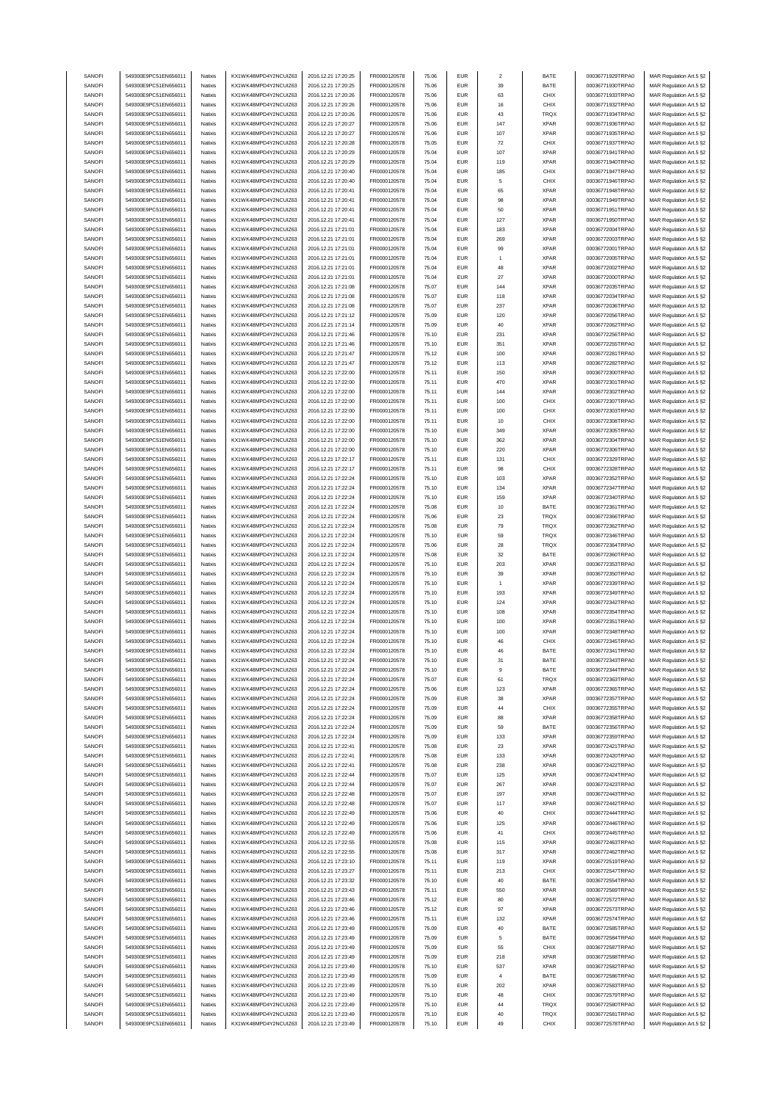| SANOFI | 549300E9PC51EN656011                         | Natixis | KX1WK48MPD4Y2NCUIZ63 | 2016.12.21 17:20:25 | FR0000120578 | 75.06 | <b>EUR</b> | $\overline{a}$ | BATE        | 00036771929TRPA0 | MAR Regulation Art.5 §2 |
|--------|----------------------------------------------|---------|----------------------|---------------------|--------------|-------|------------|----------------|-------------|------------------|-------------------------|
| SANOFI | 549300E9PC51EN656011                         | Natixis | KX1WK48MPD4Y2NCUIZ63 | 2016.12.21 17:20:25 | FR0000120578 | 75.06 | <b>EUR</b> | 39             | BATE        | 00036771930TRPA0 | MAR Regulation Art.5 §2 |
| SANOFI | 549300E9PC51EN656011                         | Natixis | KX1WK48MPD4Y2NCUIZ63 | 2016.12.21 17:20:26 | FR0000120578 | 75.06 | <b>EUR</b> | 63             | CHIX        | 00036771933TRPA0 | MAR Regulation Art.5 §2 |
| SANOFI | 549300E9PC51EN656011                         | Natixis | KX1WK48MPD4Y2NCUIZ63 | 2016.12.21 17:20:26 | FR0000120578 | 75.06 | <b>EUR</b> | 16             | CHIX        | 00036771932TRPA0 | MAR Regulation Art.5 §2 |
| SANOFI | 549300E9PC51EN656011                         | Natixis | KX1WK48MPD4Y2NCUIZ63 | 2016.12.21 17:20:26 | FR0000120578 | 75.06 | <b>EUR</b> | 43             | TRQX        | 00036771934TRPA0 | MAR Regulation Art.5 §2 |
|        |                                              |         |                      |                     |              |       |            |                |             |                  |                         |
| SANOFI | 549300E9PC51EN656011                         | Natixis | KX1WK48MPD4Y2NCUIZ63 | 2016.12.21 17:20:27 | FR0000120578 | 75.06 | <b>EUR</b> | 147            | <b>XPAR</b> | 00036771936TRPA0 | MAR Regulation Art.5 §2 |
| SANOFI | 549300E9PC51EN656011                         | Natixis | KX1WK48MPD4Y2NCUIZ63 | 2016.12.21 17:20:27 | FR0000120578 | 75.06 | <b>EUR</b> | 107            | <b>XPAR</b> | 00036771935TRPA0 | MAR Regulation Art.5 §2 |
| SANOFI | 549300E9PC51EN656011                         | Natixis | KX1WK48MPD4Y2NCUIZ63 | 2016.12.21 17:20:28 | FR0000120578 | 75.05 | <b>EUR</b> | 72             | CHIX        | 00036771937TRPA0 | MAR Regulation Art.5 §2 |
| SANOFI | 549300E9PC51EN656011                         | Natixis | KX1WK48MPD4Y2NCUIZ63 | 2016.12.21 17:20:29 | FR0000120578 | 75.04 | <b>EUR</b> | 107            | <b>XPAR</b> | 00036771941TRPA0 | MAR Regulation Art.5 §2 |
| SANOFI | 549300E9PC51EN656011                         | Natixis | KX1WK48MPD4Y2NCUIZ63 | 2016.12.21 17:20:29 | FR0000120578 | 75.04 | <b>EUR</b> | 119            | <b>XPAR</b> | 00036771940TRPA0 | MAR Regulation Art.5 §2 |
| SANOFI | 549300E9PC51EN656011                         | Natixis | KX1WK48MPD4Y2NCUIZ63 | 2016.12.21 17:20:40 | FR0000120578 | 75.04 | <b>EUR</b> | 185            | CHIX        | 00036771947TRPA0 | MAR Regulation Art.5 §2 |
|        |                                              |         |                      |                     |              |       |            |                |             |                  |                         |
| SANOFI | 549300E9PC51EN656011                         | Natixis | KX1WK48MPD4Y2NCUIZ63 | 2016.12.21 17:20:40 | FR0000120578 | 75.04 | <b>EUR</b> | 5              | CHIX        | 00036771946TRPA0 | MAR Regulation Art.5 §2 |
| SANOFI | 549300E9PC51EN656011                         | Natixis | KX1WK48MPD4Y2NCUIZ63 | 2016.12.21 17:20:41 | FR0000120578 | 75.04 | <b>EUR</b> | 65             | <b>XPAR</b> | 00036771948TRPA0 | MAR Regulation Art.5 §2 |
| SANOFI | 549300E9PC51EN656011                         | Natixis | KX1WK48MPD4Y2NCUIZ63 | 2016.12.21 17:20:41 | FR0000120578 | 75.04 | <b>EUR</b> | 98             | <b>XPAR</b> | 00036771949TRPA0 | MAR Regulation Art.5 §2 |
| SANOFI | 549300E9PC51EN656011                         | Natixis | KX1WK48MPD4Y2NCUIZ63 | 2016.12.21 17:20:41 | FR0000120578 | 75.04 | <b>EUR</b> | 50             | <b>XPAR</b> | 00036771951TRPA0 | MAR Regulation Art.5 §2 |
| SANOFI | 549300E9PC51EN656011                         | Natixis | KX1WK48MPD4Y2NCUIZ63 | 2016.12.21 17:20:41 | FR0000120578 | 75.04 | <b>EUR</b> | 127            | <b>XPAR</b> | 00036771950TRPA0 | MAR Regulation Art.5 §2 |
|        | 549300E9PC51EN656011                         |         |                      |                     |              |       |            |                |             |                  |                         |
| SANOFI |                                              | Natixis | KX1WK48MPD4Y2NCUIZ63 | 2016.12.21 17:21:01 | FR0000120578 | 75.04 | <b>EUR</b> | 183            | <b>XPAR</b> | 00036772004TRPA0 | MAR Regulation Art.5 §2 |
| SANOFI | 549300E9PC51EN656011                         | Natixis | KX1WK48MPD4Y2NCUIZ63 | 2016.12.21 17:21:01 | FR0000120578 | 75.04 | <b>EUR</b> | 269            | <b>XPAR</b> | 00036772003TRPA0 | MAR Regulation Art.5 §2 |
| SANOFI | 549300E9PC51EN656011                         | Natixis | KX1WK48MPD4Y2NCUIZ63 | 2016.12.21 17:21:01 | FR0000120578 | 75.04 | <b>EUR</b> | 99             | <b>XPAR</b> | 00036772001TRPA0 | MAR Regulation Art.5 §2 |
| SANOFI | 549300E9PC51EN656011                         | Natixis | KX1WK48MPD4Y2NCUIZ63 | 2016.12.21 17:21:01 | FR0000120578 | 75.04 | <b>EUR</b> | $\overline{1}$ | <b>XPAR</b> | 00036772005TRPA0 | MAR Regulation Art.5 §2 |
| SANOFI | 549300E9PC51EN656011                         | Natixis | KX1WK48MPD4Y2NCUIZ63 | 2016.12.21 17:21:01 | FR0000120578 | 75.04 | <b>EUR</b> | 48             | <b>XPAR</b> | 00036772002TRPA0 | MAR Regulation Art.5 §2 |
| SANOFI | 549300E9PC51EN656011                         | Natixis | KX1WK48MPD4Y2NCUIZ63 | 2016.12.21 17:21:01 | FR0000120578 | 75.04 | <b>EUR</b> | 27             | <b>XPAR</b> | 00036772000TRPA0 | MAR Regulation Art.5 §2 |
| SANOFI | 549300E9PC51EN656011                         | Natixis | KX1WK48MPD4Y2NCUIZ63 | 2016.12.21 17:21:08 | FR0000120578 | 75.07 | <b>EUR</b> | 144            | <b>XPAR</b> | 00036772035TRPA0 | MAR Regulation Art.5 §2 |
|        |                                              |         |                      |                     |              |       |            |                |             |                  |                         |
| SANOFI | 549300E9PC51EN656011                         | Natixis | KX1WK48MPD4Y2NCUIZ63 | 2016.12.21 17:21:08 | FR0000120578 | 75.07 | <b>EUR</b> | 118            | <b>XPAR</b> | 00036772034TRPA0 | MAR Regulation Art.5 §2 |
| SANOFI | 549300E9PC51EN656011                         | Natixis | KX1WK48MPD4Y2NCUIZ63 | 2016.12.21 17:21:08 | FR0000120578 | 75.07 | <b>EUR</b> | 237            | <b>XPAR</b> | 00036772036TRPA0 | MAR Regulation Art.5 §2 |
| SANOFI | 549300E9PC51EN656011                         | Natixis | KX1WK48MPD4Y2NCUIZ63 | 2016.12.21 17:21:12 | FR0000120578 | 75.09 | <b>EUR</b> | 120            | <b>XPAR</b> | 00036772056TRPA0 | MAR Regulation Art.5 §2 |
| SANOFI | 549300E9PC51EN656011                         | Natixis | KX1WK48MPD4Y2NCUIZ63 | 2016.12.21 17:21:14 | FR0000120578 | 75.09 | <b>EUR</b> | 40             | <b>XPAR</b> | 00036772062TRPA0 | MAR Regulation Art.5 §2 |
| SANOFI | 549300E9PC51EN656011                         | Natixis | KX1WK48MPD4Y2NCUIZ63 | 2016.12.21 17:21:46 | FR0000120578 | 75.10 | <b>EUR</b> | 231            | <b>XPAR</b> | 00036772256TRPA0 | MAR Regulation Art.5 §2 |
| SANOFI | 549300E9PC51EN656011                         | Natixis | KX1WK48MPD4Y2NCUIZ63 | 2016.12.21 17:21:46 | FR0000120578 | 75.10 | <b>EUR</b> | 351            | <b>XPAR</b> | 00036772255TRPA0 | MAR Regulation Art.5 §2 |
|        | 549300E9PC51EN656011                         |         |                      |                     |              |       |            |                |             |                  |                         |
| SANOFI |                                              | Natixis | KX1WK48MPD4Y2NCUIZ63 | 2016.12.21 17:21:47 | FR0000120578 | 75.12 | <b>EUR</b> | 100            | <b>XPAR</b> | 00036772281TRPA0 | MAR Regulation Art.5 §2 |
| SANOFI | 549300E9PC51EN656011                         | Natixis | KX1WK48MPD4Y2NCUIZ63 | 2016.12.21 17:21:47 | FR0000120578 | 75.12 | <b>EUR</b> | 113            | <b>XPAR</b> | 00036772282TRPA0 | MAR Regulation Art.5 §2 |
| SANOFI | 549300E9PC51EN656011                         | Natixis | KX1WK48MPD4Y2NCUIZ63 | 2016.12.21 17:22:00 | FR0000120578 | 75.11 | <b>EUR</b> | 150            | <b>XPAR</b> | 00036772300TRPA0 | MAR Regulation Art.5 §2 |
| SANOFI | 549300E9PC51EN656011                         | Natixis | KX1WK48MPD4Y2NCUIZ63 | 2016.12.21 17:22:00 | FR0000120578 | 75.11 | <b>EUR</b> | 470            | <b>XPAR</b> | 00036772301TRPA0 | MAR Regulation Art.5 §2 |
| SANOFI | 549300E9PC51EN656011                         | Natixis | KX1WK48MPD4Y2NCUIZ63 | 2016.12.21 17:22:00 | FR0000120578 | 75.11 | <b>EUR</b> | 144            | <b>XPAR</b> | 00036772302TRPA0 | MAR Regulation Art.5 §2 |
|        |                                              |         |                      |                     |              |       |            |                |             |                  |                         |
| SANOFI | 549300E9PC51EN656011                         | Natixis | KX1WK48MPD4Y2NCUIZ63 | 2016.12.21 17:22:00 | FR0000120578 | 75.11 | <b>EUR</b> | 100            | CHIX        | 00036772307TRPA0 | MAR Regulation Art.5 §2 |
| SANOFI | 549300E9PC51EN656011                         | Natixis | KX1WK48MPD4Y2NCUIZ63 | 2016.12.21 17:22:00 | FR0000120578 | 75.11 | <b>EUR</b> | 100            | CHIX        | 00036772303TRPA0 | MAR Regulation Art.5 §2 |
| SANOFI | 549300E9PC51EN656011                         | Natixis | KX1WK48MPD4Y2NCUIZ63 | 2016.12.21 17:22:00 | FR0000120578 | 75.11 | <b>EUR</b> | 10             | CHIX        | 00036772308TRPA0 | MAR Regulation Art.5 §2 |
| SANOFI | 549300E9PC51EN656011                         | Natixis | KX1WK48MPD4Y2NCUIZ63 | 2016.12.21 17:22:00 | FR0000120578 | 75.10 | <b>EUR</b> | 349            | <b>XPAR</b> | 00036772305TRPA0 | MAR Regulation Art.5 §2 |
| SANOFI | 549300E9PC51EN656011                         | Natixis | KX1WK48MPD4Y2NCUIZ63 | 2016.12.21 17:22:00 | FR0000120578 | 75.10 | <b>EUR</b> | 362            | <b>XPAR</b> | 00036772304TRPA0 | MAR Regulation Art.5 §2 |
| SANOFI | 549300E9PC51EN656011                         | Natixis | KX1WK48MPD4Y2NCUIZ63 | 2016.12.21 17:22:00 | FR0000120578 | 75.10 | <b>EUR</b> | 220            | <b>XPAR</b> | 00036772306TRPA0 |                         |
|        |                                              |         |                      |                     |              |       |            |                |             |                  | MAR Regulation Art.5 §2 |
| SANOFI | 549300E9PC51EN656011                         | Natixis | KX1WK48MPD4Y2NCUIZ63 | 2016.12.21 17:22:17 | FR0000120578 | 75.11 | <b>EUR</b> | 131            | CHIX        | 00036772329TRPA0 | MAR Regulation Art.5 §2 |
| SANOFI | 549300E9PC51EN656011                         | Natixis | KX1WK48MPD4Y2NCUIZ63 | 2016.12.21 17:22:17 | FR0000120578 | 75.11 | <b>EUR</b> | 98             | CHIX        | 00036772328TRPA0 | MAR Regulation Art.5 §2 |
| SANOFI | 549300E9PC51EN656011                         | Natixis | KX1WK48MPD4Y2NCUIZ63 | 2016.12.21 17:22:24 | FR0000120578 | 75.10 | <b>EUR</b> | 103            | <b>XPAR</b> | 00036772352TRPA0 | MAR Regulation Art.5 §2 |
| SANOFI | 549300E9PC51EN656011                         | Natixis | KX1WK48MPD4Y2NCUIZ63 | 2016.12.21 17:22:24 | FR0000120578 | 75.10 | <b>EUR</b> | 134            | <b>XPAR</b> | 00036772347TRPA0 | MAR Regulation Art.5 §2 |
| SANOFI | 549300E9PC51EN656011                         | Natixis | KX1WK48MPD4Y2NCUIZ63 | 2016.12.21 17:22:24 | FR0000120578 | 75.10 | <b>EUR</b> | 159            | <b>XPAR</b> | 00036772340TRPA0 | MAR Regulation Art.5 §2 |
|        |                                              |         |                      |                     |              |       |            |                |             |                  |                         |
| SANOFI | 549300E9PC51EN656011                         | Natixis | KX1WK48MPD4Y2NCUIZ63 | 2016.12.21 17:22:24 | FR0000120578 | 75.08 | <b>EUR</b> | 10             | BATE        | 00036772361TRPA0 | MAR Regulation Art.5 §2 |
| SANOFI | 549300E9PC51EN656011                         | Natixis | KX1WK48MPD4Y2NCUIZ63 | 2016.12.21 17:22:24 | FR0000120578 | 75.06 | <b>EUR</b> | 23             | TRQX        | 00036772366TRPA0 | MAR Regulation Art.5 §2 |
| SANOFI | 549300E9PC51EN656011                         | Natixis | KX1WK48MPD4Y2NCUIZ63 | 2016.12.21 17:22:24 | FR0000120578 | 75.08 | <b>EUR</b> | 79             | TRQX        | 00036772362TRPA0 | MAR Regulation Art.5 §2 |
| SANOFI | 549300E9PC51EN656011                         | Natixis | KX1WK48MPD4Y2NCUIZ63 | 2016.12.21 17:22:24 |              |       |            | 59             | TRQX        | 00036772346TRPA0 | MAR Regulation Art.5 §2 |
|        |                                              |         |                      |                     | FR0000120578 | 75.10 | <b>EUR</b> |                |             |                  |                         |
|        |                                              |         |                      |                     |              |       |            |                |             |                  |                         |
| SANOFI | 549300E9PC51EN656011                         | Natixis | KX1WK48MPD4Y2NCUIZ63 | 2016.12.21 17:22:24 | FR0000120578 | 75.06 | <b>EUR</b> | 28             | TRQX        | 00036772364TRPA0 | MAR Regulation Art.5 §2 |
| SANOFI | 549300E9PC51EN656011                         | Natixis | KX1WK48MPD4Y2NCUIZ63 | 2016.12.21 17:22:24 | FR0000120578 | 75.08 | <b>EUR</b> | 32             | BATE        | 00036772360TRPA0 | MAR Regulation Art.5 §2 |
| SANOFI | 549300E9PC51EN656011                         | Natixis | KX1WK48MPD4Y2NCUIZ63 | 2016.12.21 17:22:24 | FR0000120578 | 75.10 | <b>EUR</b> | 203            | <b>XPAR</b> | 00036772353TRPA0 | MAR Regulation Art.5 §2 |
| SANOFI | 549300E9PC51EN656011                         | Natixis | KX1WK48MPD4Y2NCUIZ63 | 2016.12.21 17:22:24 | FR0000120578 | 75.10 | <b>EUR</b> | 39             | <b>XPAR</b> | 00036772350TRPA0 | MAR Regulation Art.5 §2 |
| SANOFI | 549300E9PC51EN656011                         | Natixis | KX1WK48MPD4Y2NCUIZ63 | 2016.12.21 17:22:24 | FR0000120578 | 75.10 | <b>EUR</b> | $\mathbf{1}$   | <b>XPAR</b> | 00036772339TRPA0 | MAR Regulation Art.5 §2 |
| SANOFI | 549300E9PC51EN656011                         | Natixis | KX1WK48MPD4Y2NCUIZ63 | 2016.12.21 17:22:24 | FR0000120578 | 75.10 | EUR        | 193            | <b>XPAR</b> | 00036772349TRPA0 | MAR Regulation Art.5 §2 |
| SANOFI | 549300E9PC51EN656011                         | Natixis | KX1WK48MPD4Y2NCUIZ63 | 2016.12.21 17:22:24 | FR0000120578 | 75.10 | <b>EUR</b> | 124            | <b>XPAR</b> | 00036772342TRPA0 | MAR Regulation Art.5 §2 |
|        |                                              |         |                      |                     |              |       |            |                |             |                  |                         |
| SANOFI | 549300E9PC51EN656011                         | Natixis | KX1WK48MPD4Y2NCUIZ63 | 2016.12.21 17:22:24 | FR0000120578 | 75.10 | <b>EUR</b> | 108            | <b>XPAR</b> | 00036772354TRPA0 | MAR Regulation Art.5 §2 |
| SANOFI | 549300E9PC51EN656011                         | Natixis | KX1WK48MPD4Y2NCUIZ63 | 2016.12.21 17:22:24 | FR0000120578 | 75.10 | <b>EUR</b> | 100            | <b>XPAR</b> | 00036772351TRPA0 | MAR Regulation Art.5 §2 |
| SANOFI | 549300E9PC51EN656011                         | Natixis | KX1WK48MPD4Y2NCUIZ63 | 2016.12.21 17:22:24 | FR0000120578 | 75.10 | <b>EUR</b> | 100            | <b>XPAR</b> | 00036772348TRPA0 | MAR Regulation Art.5 §2 |
| SANOFI | 549300E9PC51EN656011                         | Natixis | KX1WK48MPD4Y2NCUIZ63 | 2016.12.21 17:22:24 | FR0000120578 | 75.10 | <b>EUR</b> | 46             | CHIX        | 00036772345TRPA0 | MAR Regulation Art.5 §2 |
|        |                                              |         | KX1WK48MPD4Y2NCUIZ63 | 2016.12.21 17:22:24 |              |       |            |                |             | 00036772341TRPA0 | MAR Regulation Art.5 §2 |
| SANOFI | 549300E9PC51EN656011                         | Natixis | KX1WK48MPD4Y2NCUIZ63 | 2016.12.21 17:22:24 | FR0000120578 | 75.10 | <b>EUR</b> | 31             | BATE        | 00036772343TRPA0 |                         |
|        |                                              |         |                      |                     |              |       |            | 9              |             |                  | MAR Regulation Art.5 §2 |
| SANOFI | 549300E9PC51EN656011                         | Natixis | KX1WK48MPD4Y2NCUIZ63 | 2016.12.21 17:22:24 | FR0000120578 | 75.10 | <b>EUR</b> |                | BATE        | 00036772344TRPA0 | MAR Regulation Art.5 §2 |
| SANOFI | 549300E9PC51EN656011                         | Natixis | KX1WK48MPD4Y2NCUIZ63 | 2016.12.21 17:22:24 | FR0000120578 | 75.07 | <b>EUR</b> | 61             | TRQX        | 00036772363TRPA0 | MAR Regulation Art.5 §2 |
| SANOFI | 549300E9PC51EN656011                         | Natixis | KX1WK48MPD4Y2NCUIZ63 | 2016.12.21 17:22:24 | FR0000120578 | 75.06 | <b>EUR</b> | 123            | <b>XPAR</b> | 00036772365TRPA0 | MAR Regulation Art.5 §2 |
| SANOFI | 549300E9PC51EN656011                         | Natixis | KX1WK48MPD4Y2NCUIZ63 | 2016.12.21 17:22:24 | FR0000120578 | 75.09 | <b>EUR</b> | 38             | <b>XPAR</b> | 00036772357TRPA0 | MAR Regulation Art.5 §2 |
| SANOFI | 549300E9PC51EN656011                         | Natixis | KX1WK48MPD4Y2NCUIZ63 | 2016.12.21 17:22:24 | FR0000120578 | 75.09 | <b>EUR</b> | 44             | CHIX        | 00036772355TRPA0 | MAR Regulation Art.5 §2 |
| SANOFI | 549300E9PC51EN656011                         | Natixis | KX1WK48MPD4Y2NCUIZ63 | 2016.12.21 17:22:24 | FR0000120578 | 75.09 | <b>EUR</b> | 88             | <b>XPAR</b> | 00036772358TRPA0 | MAR Regulation Art.5 §2 |
| SANOFI | 549300E9PC51EN656011                         | Natixis | KX1WK48MPD4Y2NCUIZ63 | 2016.12.21 17:22:24 | FR0000120578 | 75.09 | <b>EUR</b> | 59             | BATE        | 00036772356TRPA0 | MAR Regulation Art.5 §2 |
|        |                                              | Natixis | KX1WK48MPD4Y2NCUIZ63 | 2016.12.21 17:22:24 |              |       |            |                |             |                  |                         |
| SANOFI | 549300E9PC51EN656011<br>549300E9PC51EN656011 |         |                      |                     | FR0000120578 | 75.09 | <b>EUR</b> | 133            | <b>XPAR</b> | 00036772359TRPA0 | MAR Regulation Art.5 §2 |
| SANOFI |                                              | Natixis | KX1WK48MPD4Y2NCUIZ63 | 2016.12.21 17:22:41 | FR0000120578 | 75.08 | <b>EUR</b> | 23             | <b>XPAR</b> | 00036772421TRPA0 | MAR Regulation Art.5 §2 |
| SANOFI | 549300E9PC51EN656011                         | Natixis | KX1WK48MPD4Y2NCUIZ63 | 2016.12.21 17:22:41 | FR0000120578 | 75.08 | <b>EUR</b> | 133            | <b>XPAR</b> | 00036772420TRPA0 | MAR Regulation Art.5 §2 |
| SANOFI | 549300E9PC51EN656011                         | Natixis | KX1WK48MPD4Y2NCUIZ63 | 2016.12.21 17:22:41 | FR0000120578 | 75.08 | <b>EUR</b> | 238            | <b>XPAR</b> | 00036772422TRPA0 | MAR Regulation Art.5 §2 |
| SANOFI | 549300E9PC51EN656011                         | Natixis | KX1WK48MPD4Y2NCUIZ63 | 2016.12.21 17:22:44 | FR0000120578 | 75.07 | <b>EUR</b> | 125            | <b>XPAR</b> | 00036772424TRPA0 | MAR Regulation Art.5 §2 |
| SANOFI | 549300E9PC51EN656011                         | Natixis | KX1WK48MPD4Y2NCUIZ63 | 2016.12.21 17:22:44 | FR0000120578 | 75.07 | <b>EUR</b> | 267            | <b>XPAR</b> | 00036772423TRPA0 | MAR Regulation Art.5 §2 |
|        |                                              |         |                      |                     |              |       | <b>EUR</b> |                |             |                  |                         |
| SANOFI | 549300E9PC51EN656011                         | Natixis | KX1WK48MPD4Y2NCUIZ63 | 2016.12.21 17:22:48 | FR0000120578 | 75.07 |            | 197            | <b>XPAR</b> | 00036772443TRPA0 | MAR Regulation Art.5 §2 |
| SANOFI | 549300E9PC51EN656011                         | Natixis | KX1WK48MPD4Y2NCUIZ63 | 2016.12.21 17:22:48 | FR0000120578 | 75.07 | <b>EUR</b> | 117            | <b>XPAR</b> | 00036772442TRPA0 | MAR Regulation Art.5 §2 |
| SANOFI | 549300E9PC51EN656011                         | Natixis | KX1WK48MPD4Y2NCUIZ63 | 2016.12.21 17:22:49 | FR0000120578 | 75.06 | <b>EUR</b> | 40             | CHIX        | 00036772444TRPA0 | MAR Regulation Art.5 §2 |
| SANOFI | 549300E9PC51EN656011                         | Natixis | KX1WK48MPD4Y2NCUIZ63 | 2016.12.21 17:22:49 | FR0000120578 | 75.06 | <b>EUR</b> | 125            | <b>XPAR</b> | 00036772446TRPA0 | MAR Regulation Art.5 §2 |
| SANOFI | 549300E9PC51EN656011                         | Natixis | KX1WK48MPD4Y2NCUIZ63 | 2016.12.21 17:22:49 | FR0000120578 | 75.06 | <b>EUR</b> | 41             | CHIX        | 00036772445TRPA0 | MAR Regulation Art.5 §2 |
| SANOFI | 549300E9PC51EN656011                         | Natixis | KX1WK48MPD4Y2NCUIZ63 | 2016.12.21 17:22:55 | FR0000120578 | 75.08 | <b>EUR</b> | 115            | <b>XPAR</b> | 00036772463TRPA0 | MAR Regulation Art.5 §2 |
| SANOFI | 549300E9PC51EN656011                         | Natixis | KX1WK48MPD4Y2NCUIZ63 | 2016.12.21 17:22:55 | FR0000120578 | 75.08 | <b>EUR</b> | 317            | <b>XPAR</b> | 00036772462TRPA0 |                         |
|        |                                              |         |                      |                     |              |       |            |                |             |                  | MAR Regulation Art.5 §2 |
| SANOFI | 549300E9PC51EN656011                         | Natixis | KX1WK48MPD4Y2NCUIZ63 | 2016.12.21 17:23:10 | FR0000120578 | 75.11 | <b>EUR</b> | 119            | <b>XPAR</b> | 00036772519TRPA0 | MAR Regulation Art.5 §2 |
| SANOFI | 549300E9PC51EN656011                         | Natixis | KX1WK48MPD4Y2NCUIZ63 | 2016.12.21 17:23:27 | FR0000120578 | 75.11 | <b>EUR</b> | 213            | CHIX        | 00036772547TRPA0 | MAR Regulation Art.5 §2 |
| SANOFI | 549300E9PC51EN656011                         | Natixis | KX1WK48MPD4Y2NCUIZ63 | 2016.12.21 17:23:32 | FR0000120578 | 75.10 | <b>EUR</b> | 40             | BATE        | 00036772554TRPA0 | MAR Regulation Art.5 §2 |
| SANOFI | 549300E9PC51EN656011                         | Natixis | KX1WK48MPD4Y2NCUIZ63 | 2016.12.21 17:23:43 | FR0000120578 | 75.11 | <b>EUR</b> | 550            | <b>XPAR</b> | 00036772569TRPA0 | MAR Regulation Art.5 §2 |
| SANOFI | 549300E9PC51EN656011                         | Natixis | KX1WK48MPD4Y2NCUIZ63 | 2016.12.21 17:23:46 | FR0000120578 | 75.12 | <b>EUR</b> | 80             | <b>XPAR</b> | 00036772572TRPA0 | MAR Regulation Art.5 §2 |
|        |                                              |         |                      |                     |              |       |            |                |             |                  |                         |
| SANOFI | 549300E9PC51EN656011                         | Natixis | KX1WK48MPD4Y2NCUIZ63 | 2016.12.21 17:23:46 | FR0000120578 | 75.12 | <b>EUR</b> | 97             | <b>XPAR</b> | 00036772573TRPA0 | MAR Regulation Art.5 §2 |
| SANOFI | 549300E9PC51EN656011                         | Natixis | KX1WK48MPD4Y2NCUIZ63 | 2016.12.21 17:23:46 | FR0000120578 | 75.11 | <b>EUR</b> | 132            | <b>XPAR</b> | 00036772574TRPA0 | MAR Regulation Art.5 §2 |
| SANOFI | 549300E9PC51EN656011                         | Natixis | KX1WK48MPD4Y2NCUIZ63 | 2016.12.21 17:23:49 | FR0000120578 | 75.09 | <b>EUR</b> | 40             | BATE        | 00036772585TRPA0 | MAR Regulation Art.5 §2 |
| SANOFI | 549300E9PC51EN656011                         | Natixis | KX1WK48MPD4Y2NCUIZ63 | 2016.12.21 17:23:49 | FR0000120578 | 75.09 | <b>EUR</b> | 5              | BATE        | 00036772584TRPA0 | MAR Regulation Art.5 §2 |
| SANOFI | 549300E9PC51EN656011                         | Natixis | KX1WK48MPD4Y2NCUIZ63 | 2016.12.21 17:23:49 | FR0000120578 | 75.09 | <b>EUR</b> | 55             | CHIX        | 00036772587TRPA0 | MAR Regulation Art.5 §2 |
| SANOFI | 549300E9PC51EN656011                         | Natixis | KX1WK48MPD4Y2NCUIZ63 | 2016.12.21 17:23:49 | FR0000120578 | 75.09 | <b>EUR</b> | 218            | <b>XPAR</b> | 00036772588TRPA0 | MAR Regulation Art.5 §2 |
|        |                                              |         |                      |                     |              |       |            |                |             |                  |                         |
| SANOFI | 549300E9PC51EN656011                         | Natixis | KX1WK48MPD4Y2NCUIZ63 | 2016.12.21 17:23:49 | FR0000120578 | 75.10 | <b>EUR</b> | 537            | <b>XPAR</b> | 00036772582TRPA0 | MAR Regulation Art.5 §2 |
| SANOFI | 549300E9PC51EN656011                         | Natixis | KX1WK48MPD4Y2NCUIZ63 | 2016.12.21 17:23:49 | FR0000120578 | 75.09 | <b>EUR</b> | 4              | BATE        | 00036772586TRPA0 | MAR Regulation Art.5 §2 |
| SANOFI | 549300E9PC51EN656011                         | Natixis | KX1WK48MPD4Y2NCUIZ63 | 2016.12.21 17:23:49 | FR0000120578 | 75.10 | <b>EUR</b> | 202            | <b>XPAR</b> | 00036772583TRPA0 | MAR Regulation Art.5 §2 |
| SANOFI | 549300E9PC51EN656011                         | Natixis | KX1WK48MPD4Y2NCUIZ63 | 2016.12.21 17:23:49 | FR0000120578 | 75.10 | <b>EUR</b> | 48             | CHIX        | 00036772579TRPA0 | MAR Regulation Art.5 §2 |
| SANOFI | 549300E9PC51EN656011                         | Natixis | KX1WK48MPD4Y2NCUIZ63 | 2016.12.21 17:23:49 | FR0000120578 | 75.10 | <b>EUR</b> | 44             | <b>TRQX</b> | 00036772580TRPA0 | MAR Regulation Art.5 §2 |
| SANOFI | 549300E9PC51EN656011                         | Natixis | KX1WK48MPD4Y2NCUIZ63 | 2016.12.21 17:23:49 | FR0000120578 | 75.10 | <b>EUR</b> | 40             | <b>TRQX</b> | 00036772581TRPA0 | MAR Regulation Art.5 §2 |
| SANOFI | 549300E9PC51EN656011                         | Natixis | KX1WK48MPD4Y2NCUIZ63 | 2016.12.21 17:23:49 | FR0000120578 | 75.10 | <b>EUR</b> | 49             | CHIX        | 00036772578TRPA0 | MAR Regulation Art.5 §2 |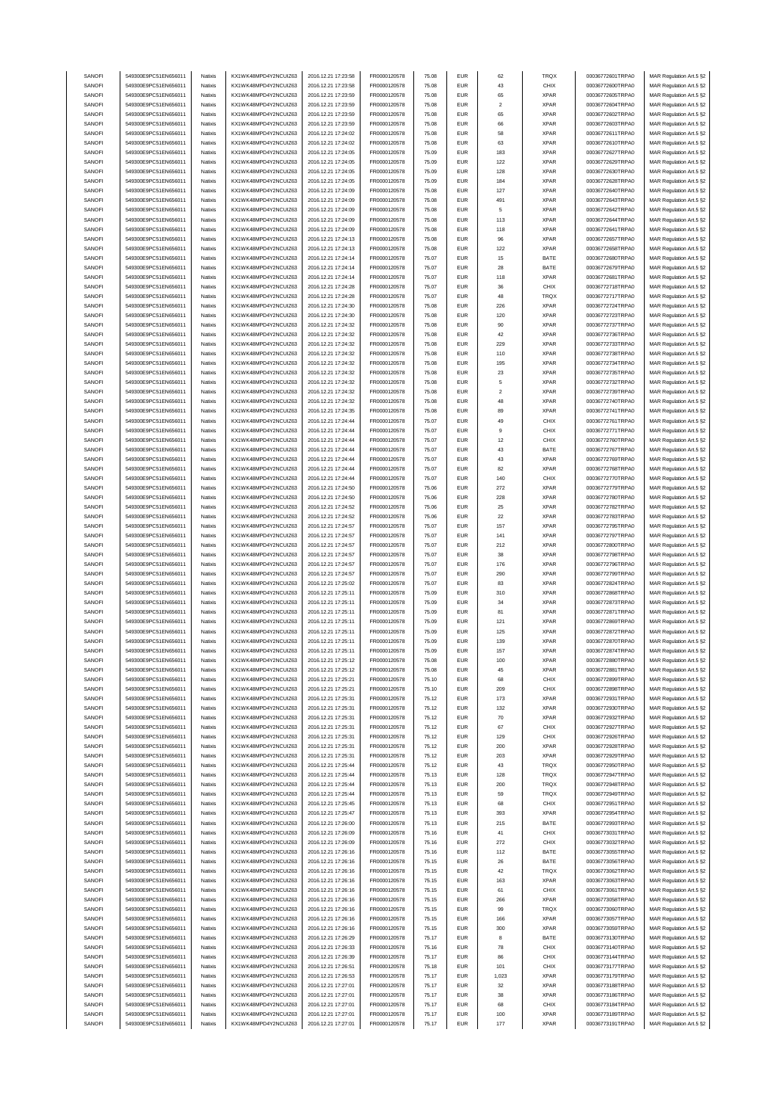| SANOFI | 549300E9PC51EN656011 | Natixis | KX1WK48MPD4Y2NCUIZ63  | 2016.12.21 17:23:58 | FR0000120578 | 75.08 | <b>EUR</b> | 62             | TRQX        | 00036772601TRPA0 | MAR Regulation Art.5 §2 |
|--------|----------------------|---------|-----------------------|---------------------|--------------|-------|------------|----------------|-------------|------------------|-------------------------|
| SANOFI | 549300E9PC51EN656011 | Natixis | KX1WK48MPD4Y2NCUIZ63  | 2016.12.21 17:23:58 | FR0000120578 | 75.08 | <b>EUR</b> | 43             | CHIX        | 00036772600TRPA0 | MAR Regulation Art.5 §2 |
| SANOFI | 549300E9PC51EN656011 | Natixis | KX1WK48MPD4Y2NCUIZ63  | 2016.12.21 17:23:59 | FR0000120578 | 75.08 | <b>EUR</b> | 65             | <b>XPAR</b> | 00036772605TRPA0 | MAR Regulation Art.5 §2 |
| SANOFI | 549300E9PC51EN656011 | Natixis | KX1WK48MPD4Y2NCUIZ63  | 2016.12.21 17:23:59 | FR0000120578 | 75.08 | <b>EUR</b> | $\overline{2}$ | <b>XPAR</b> | 00036772604TRPA0 | MAR Regulation Art.5 §2 |
|        |                      |         |                       |                     |              |       |            |                |             |                  |                         |
| SANOFI | 549300E9PC51EN656011 | Natixis | KX1WK48MPD4Y2NCUIZ63  | 2016.12.21 17:23:59 | FR0000120578 | 75.08 | <b>EUR</b> | 65             | <b>XPAR</b> | 00036772602TRPA0 | MAR Regulation Art.5 §2 |
| SANOFI | 549300E9PC51EN656011 | Natixis | KX1WK48MPD4Y2NCUIZ63  | 2016.12.21 17:23:59 | FR0000120578 | 75.08 | <b>EUR</b> | 66             | <b>XPAR</b> | 00036772603TRPA0 | MAR Regulation Art.5 §2 |
| SANOFI | 549300E9PC51EN656011 | Natixis | KX1WK48MPD4Y2NCUIZ63  | 2016.12.21 17:24:02 | FR0000120578 | 75.08 | <b>EUR</b> | 58             | <b>XPAR</b> | 00036772611TRPA0 | MAR Regulation Art.5 §2 |
| SANOFI | 549300E9PC51EN656011 | Natixis | KX1WK48MPD4Y2NCUIZ63  | 2016.12.21 17:24:02 | FR0000120578 | 75.08 | <b>EUR</b> | 63             | <b>XPAR</b> | 00036772610TRPA0 | MAR Regulation Art.5 §2 |
| SANOFI | 549300E9PC51EN656011 | Natixis | KX1WK48MPD4Y2NCLIIZ63 | 2016.12.21 17:24:05 | FR0000120578 | 75.09 | <b>EUR</b> | 183            | <b>XPAR</b> | 00036772627TRPA0 | MAR Regulation Art.5 §2 |
| SANOFI | 549300E9PC51EN656011 | Natixis | KX1WK48MPD4Y2NCUIZ63  | 2016.12.21 17:24:05 | FR0000120578 | 75.09 | <b>EUR</b> | 122            | <b>XPAR</b> | 00036772629TRPA0 | MAR Regulation Art.5 §2 |
| SANOFI | 549300E9PC51EN656011 | Natixis | KX1WK48MPD4Y2NCUIZ63  | 2016.12.21 17:24:05 | FR0000120578 | 75.09 | <b>EUR</b> | 128            | <b>XPAR</b> | 00036772630TRPA0 | MAR Regulation Art.5 §2 |
|        |                      |         |                       |                     |              |       |            |                |             |                  |                         |
| SANOFI | 549300E9PC51EN656011 | Natixis | KX1WK48MPD4Y2NCUIZ63  | 2016.12.21 17:24:05 | FR0000120578 | 75.09 | <b>EUR</b> | 184            | <b>XPAR</b> | 00036772628TRPA0 | MAR Regulation Art.5 §2 |
| SANOFI | 549300E9PC51EN656011 | Natixis | KX1WK48MPD4Y2NCUIZ63  | 2016.12.21 17:24:09 | FR0000120578 | 75.08 | <b>EUR</b> | 127            | <b>XPAR</b> | 00036772640TRPA0 | MAR Regulation Art.5 §2 |
| SANOFI | 549300E9PC51EN656011 | Natixis | KX1WK48MPD4Y2NCUIZ63  | 2016.12.21 17:24:09 | FR0000120578 | 75.08 | <b>EUR</b> | 491            | <b>XPAR</b> | 00036772643TRPA0 | MAR Regulation Art.5 §2 |
| SANOFI | 549300E9PC51EN656011 | Natixis | KX1WK48MPD4Y2NCUIZ63  | 2016.12.21 17:24:09 | FR0000120578 | 75.08 | <b>EUR</b> | 5              | <b>XPAR</b> | 00036772642TRPA0 | MAR Regulation Art.5 §2 |
| SANOFI | 549300E9PC51EN656011 | Natixis | KX1WK48MPD4Y2NCUIZ63  | 2016.12.21 17:24:09 | FR0000120578 | 75.08 | <b>EUR</b> | 113            | <b>XPAR</b> | 00036772644TRPA0 | MAR Regulation Art.5 §2 |
|        |                      |         | KX1WK48MPD4Y2NCUIZ63  |                     |              |       | <b>EUR</b> |                |             |                  |                         |
| SANOFI | 549300E9PC51EN656011 | Natixis |                       | 2016.12.21 17:24:09 | FR0000120578 | 75.08 |            | 118            | <b>XPAR</b> | 00036772641TRPA0 | MAR Regulation Art.5 §2 |
| SANOFI | 549300E9PC51EN656011 | Natixis | KX1WK48MPD4Y2NCLIIZ63 | 2016.12.21 17:24:13 | FR0000120578 | 75.08 | <b>EUR</b> | 96             | <b>XPAR</b> | 00036772657TRPA0 | MAR Regulation Art.5 §2 |
| SANOFI | 549300E9PC51EN656011 | Natixis | KX1WK48MPD4Y2NCUIZ63  | 2016.12.21 17:24:13 | FR0000120578 | 75.08 | <b>EUR</b> | 122            | <b>XPAR</b> | 00036772658TRPA0 | MAR Regulation Art.5 §2 |
| SANOFI | 549300E9PC51EN656011 | Natixis | KX1WK48MPD4Y2NCUIZ63  | 2016.12.21 17:24:14 | FR0000120578 | 75.07 | <b>EUR</b> | 15             | BATE        | 00036772680TRPA0 | MAR Regulation Art.5 §2 |
| SANOFI | 549300E9PC51EN656011 | Natixis | KX1WK48MPD4Y2NCUIZ63  | 2016.12.21 17:24:14 | FR0000120578 | 75.07 | <b>EUR</b> | 28             | BATE        | 00036772679TRPA0 | MAR Regulation Art.5 §2 |
| SANOFI | 549300E9PC51EN656011 | Natixis | KX1WK48MPD4Y2NCUIZ63  | 2016.12.21 17:24:14 | FR0000120578 | 75.07 | <b>EUR</b> | 118            | <b>XPAR</b> | 00036772681TRPA0 | MAR Regulation Art.5 §2 |
| SANOFI | 549300E9PC51EN656011 | Natixis | KX1WK48MPD4Y2NCUIZ63  | 2016.12.21 17:24:28 | FR0000120578 | 75.07 | <b>EUR</b> | 36             | CHIX        | 00036772718TRPA0 | MAR Regulation Art.5 §2 |
| SANOFI | 549300E9PC51EN656011 | Natixis | KX1WK48MPD4Y2NCUIZ63  | 2016.12.21 17:24:28 | FR0000120578 | 75.07 | <b>EUR</b> | 48             | TRQX        | 00036772717TRPA0 |                         |
|        |                      |         |                       |                     |              |       |            |                |             |                  | MAR Regulation Art.5 §2 |
| SANOFI | 549300E9PC51EN656011 | Natixis | KX1WK48MPD4Y2NCUIZ63  | 2016.12.21 17:24:30 | FR0000120578 | 75.08 | <b>EUR</b> | 226            | <b>XPAR</b> | 00036772724TRPA0 | MAR Regulation Art.5 §2 |
| SANOFI | 549300E9PC51EN656011 | Natixis | KX1WK48MPD4Y2NCUIZ63  | 2016.12.21 17:24:30 | FR0000120578 | 75.08 | <b>EUR</b> | 120            | <b>XPAR</b> | 00036772723TRPA0 | MAR Regulation Art.5 §2 |
| SANOFI | 549300E9PC51EN656011 | Natixis | KX1WK48MPD4Y2NCLIIZ63 | 2016.12.21 17:24:32 | FR0000120578 | 75.08 | <b>EUR</b> | 90             | <b>XPAR</b> | 00036772737TRPA0 | MAR Regulation Art.5 §2 |
| SANOFI | 549300E9PC51EN656011 | Natixis | KX1WK48MPD4Y2NCUIZ63  | 2016.12.21 17:24:32 | FR0000120578 | 75.08 | <b>EUR</b> | 42             | <b>XPAR</b> | 00036772736TRPA0 | MAR Regulation Art.5 §2 |
| SANOFI | 549300E9PC51EN656011 | Natixis | KX1WK48MPD4Y2NCUIZ63  | 2016.12.21 17:24:32 | FR0000120578 | 75.08 | <b>EUR</b> | 229            | <b>XPAR</b> | 00036772733TRPA0 | MAR Regulation Art.5 §2 |
| SANOFI | 549300E9PC51EN656011 | Natixis | KX1WK48MPD4Y2NCUIZ63  | 2016.12.21 17:24:32 | FR0000120578 | 75.08 | <b>EUR</b> | 110            | <b>XPAR</b> | 00036772738TRPA0 | MAR Regulation Art.5 §2 |
|        |                      |         |                       |                     |              |       |            |                |             |                  |                         |
| SANOFI | 549300E9PC51EN656011 | Natixis | KX1WK48MPD4Y2NCUIZ63  | 2016.12.21 17:24:32 | FR0000120578 | 75.08 | <b>EUR</b> | 195            | <b>XPAR</b> | 00036772734TRPA0 | MAR Regulation Art.5 §2 |
| SANOFI | 549300E9PC51EN656011 | Natixis | KX1WK48MPD4Y2NCUIZ63  | 2016.12.21 17:24:32 | FR0000120578 | 75.08 | <b>EUR</b> | 23             | <b>XPAR</b> | 00036772735TRPA0 | MAR Regulation Art.5 §2 |
| SANOFI | 549300E9PC51EN656011 | Natixis | KX1WK48MPD4Y2NCUIZ63  | 2016.12.21 17:24:32 | FR0000120578 | 75.08 | <b>EUR</b> | 5              | <b>XPAR</b> | 00036772732TRPA0 | MAR Regulation Art.5 §2 |
| SANOFI | 549300E9PC51EN656011 | Natixis | KX1WK48MPD4Y2NCUIZ63  | 2016.12.21 17:24:32 | FR0000120578 | 75.08 | <b>EUR</b> | $\overline{2}$ | <b>XPAR</b> | 00036772739TRPA0 | MAR Regulation Art.5 §2 |
| SANOFI | 549300E9PC51EN656011 | Natixis | KX1WK48MPD4Y2NCUIZ63  | 2016.12.21 17:24:32 | FR0000120578 | 75.08 | <b>EUR</b> | 48             | <b>XPAR</b> | 00036772740TRPA0 | MAR Regulation Art.5 §2 |
| SANOFI | 549300E9PC51EN656011 | Natixis | KX1WK48MPD4Y2NCLIIZ63 | 2016.12.21 17:24:35 | FR0000120578 | 75.08 | <b>EUR</b> | 89             | <b>XPAR</b> | 00036772741TRPA0 | MAR Regulation Art.5 §2 |
|        |                      |         |                       |                     | FR0000120578 |       | <b>EUR</b> |                |             |                  |                         |
| SANOFI | 549300E9PC51EN656011 | Natixis | KX1WK48MPD4Y2NCUIZ63  | 2016.12.21 17:24:44 |              | 75.07 |            | 49             | CHIX        | 00036772761TRPA0 | MAR Regulation Art.5 §2 |
| SANOFI | 549300E9PC51EN656011 | Natixis | KX1WK48MPD4Y2NCUIZ63  | 2016.12.21 17:24:44 | FR0000120578 | 75.07 | <b>EUR</b> | 9              | CHIX        | 00036772771TRPA0 | MAR Regulation Art.5 §2 |
| SANOFI | 549300E9PC51EN656011 | Natixis | KX1WK48MPD4Y2NCUIZ63  | 2016.12.21 17:24:44 | FR0000120578 | 75.07 | <b>EUR</b> | 12             | CHIX        | 00036772760TRPA0 | MAR Regulation Art.5 §2 |
| SANOFI | 549300E9PC51EN656011 | Natixis | KX1WK48MPD4Y2NCUIZ63  | 2016.12.21 17:24:44 | FR0000120578 | 75.07 | <b>EUR</b> | 43             | BATE        | 00036772767TRPA0 | MAR Regulation Art.5 §2 |
| SANOFI | 549300E9PC51EN656011 | Natixis | KX1WK48MPD4Y2NCUIZ63  | 2016.12.21 17:24:44 | FR0000120578 | 75.07 | <b>EUR</b> | 43             | <b>XPAR</b> | 00036772769TRPA0 | MAR Regulation Art.5 §2 |
| SANOFI | 549300E9PC51EN656011 | Natixis | KX1WK48MPD4Y2NCUIZ63  | 2016.12.21 17:24:44 | FR0000120578 | 75.07 | <b>EUR</b> | 82             | <b>XPAR</b> | 00036772768TRPA0 | MAR Regulation Art.5 §2 |
| SANOFI | 549300E9PC51EN656011 | Natixis | KX1WK48MPD4Y2NCUIZ63  | 2016.12.21 17:24:44 | FR0000120578 | 75.07 | <b>EUR</b> | 140            | CHIX        | 00036772770TRPA0 | MAR Regulation Art.5 §2 |
| SANOFI | 549300E9PC51EN656011 | Natixis |                       | 2016.12.21 17:24:50 |              | 75.06 | <b>EUR</b> | 272            | <b>XPAR</b> | 00036772779TRPA0 |                         |
|        |                      |         | KX1WK48MPD4Y2NCUIZ63  |                     | FR0000120578 |       |            |                |             |                  | MAR Regulation Art.5 §2 |
| SANOFI | 549300E9PC51EN656011 | Natixis | KX1WK48MPD4Y2NCUIZ63  | 2016.12.21 17:24:50 | FR0000120578 | 75.06 | <b>EUR</b> | 228            | <b>XPAR</b> | 00036772780TRPA0 | MAR Regulation Art.5 §2 |
| SANOFI | 549300E9PC51EN656011 | Natixis | KX1WK48MPD4Y2NCUIZ63  | 2016.12.21 17:24:52 | FR0000120578 | 75.06 | <b>EUR</b> | 25             | <b>XPAR</b> | 00036772782TRPA0 | MAR Regulation Art.5 §2 |
| SANOFI | 549300E9PC51EN656011 | Natixis | KX1WK48MPD4Y2NCUIZ63  | 2016.12.21 17:24:52 | FR0000120578 | 75.06 | <b>EUR</b> | 22             | <b>XPAR</b> | 00036772783TRPA0 | MAR Regulation Art.5 §2 |
| SANOFI | 549300E9PC51EN656011 | Natixis | KX1WK48MPD4Y2NCUIZ63  | 2016.12.21 17:24:57 | FR0000120578 | 75.07 | <b>EUR</b> | 157            | <b>XPAR</b> | 00036772795TRPA0 | MAR Regulation Art.5 §2 |
| SANOFI | 549300E9PC51EN656011 | Natixis | KX1WK48MPD4Y2NCUIZ63  | 2016.12.21 17:24:57 | FR0000120578 | 75.07 | <b>EUR</b> | 141            | <b>XPAR</b> | 00036772797TRPA0 | MAR Regulation Art.5 §2 |
| SANOFI | 549300E9PC51EN656011 | Natixis | KX1WK48MPD4Y2NCUIZ63  | 2016.12.21 17:24:57 | FR0000120578 | 75.07 | <b>EUR</b> | 212            | <b>XPAR</b> | 00036772800TRPA0 | MAR Regulation Art.5 §2 |
|        |                      |         |                       |                     |              |       |            |                |             |                  |                         |
| SANOFI | 549300E9PC51EN656011 | Natixis | KX1WK48MPD4Y2NCUIZ63  | 2016.12.21 17:24:57 | FR0000120578 | 75.07 | <b>EUR</b> | 38             | <b>XPAR</b> | 00036772798TRPA0 | MAR Regulation Art.5 §2 |
| SANOFI | 549300E9PC51EN656011 | Natixis | KX1WK48MPD4Y2NCUIZ63  | 2016.12.21 17:24:57 | FR0000120578 | 75.07 | <b>EUR</b> | 176            | <b>XPAR</b> | 00036772796TRPA0 | MAR Regulation Art.5 §2 |
| SANOFI | 549300E9PC51EN656011 | Natixis | KX1WK48MPD4Y2NCUIZ63  | 2016.12.21 17:24:57 | FR0000120578 | 75.07 | <b>EUR</b> | 290            | <b>XPAR</b> | 00036772799TRPA0 | MAR Regulation Art.5 §2 |
| SANOFI | 549300E9PC51EN656011 | Natixis | KX1WK48MPD4Y2NCUIZ63  | 2016.12.21 17:25:02 | FR0000120578 | 75.07 | <b>EUR</b> | 83             | <b>XPAR</b> | 00036772824TRPA0 | MAR Regulation Art.5 §2 |
| SANOFI | 549300E9PC51EN656011 | Natixis | KX1WK48MPD4Y2NCUIZ63  | 2016.12.21 17:25:11 | FR0000120578 | 75.09 | <b>EUR</b> | 310            | <b>XPAR</b> | 00036772868TRPA0 | MAR Regulation Art.5 §2 |
| SANOFI | 549300E9PC51EN656011 | Natixis | KX1WK48MPD4Y2NCUIZ63  | 2016.12.21 17:25:11 | FR0000120578 | 75.09 | <b>EUR</b> | 34             | <b>XPAR</b> | 00036772873TRPA0 | MAR Regulation Art.5 §2 |
|        |                      |         | KX1WK48MPD4Y2NCUIZ63  |                     | FR0000120578 |       |            |                |             |                  |                         |
| SANOFI | 549300E9PC51EN656011 | Natixis |                       | 2016.12.21 17:25:11 |              | 75.09 | <b>EUR</b> | 81             | <b>XPAR</b> | 00036772871TRPA0 | MAR Regulation Art.5 §2 |
| SANOFI | 549300E9PC51EN656011 | Natixis | KX1WK48MPD4Y2NCUIZ63  | 2016.12.21 17:25:11 | FR0000120578 | 75.09 | <b>EUR</b> | 121            | <b>XPAR</b> | 00036772869TRPA0 | MAR Regulation Art.5 §2 |
| SANOFI | 549300E9PC51EN656011 | Natixis | KX1WK48MPD4Y2NCUIZ63  | 2016.12.21 17:25:11 | FR0000120578 | 75.09 | <b>EUR</b> | 125            | <b>XPAR</b> | 00036772872TRPA0 | MAR Regulation Art.5 §2 |
| SANOFI | 549300E9PC51EN656011 | Natixis | KX1WK48MPD4Y2NCUIZ63  | 2016.12.21 17:25:11 | FR0000120578 | 75.09 | <b>EUR</b> | 139            | <b>XPAR</b> | 00036772870TRPA0 | MAR Regulation Art.5 §2 |
| SANOF  | 549300E9PC51EN656011 | Natixis | KX1WK48MPD4Y2NCUIZ63  | 2016.12.21 17:25:11 | FR0000120578 | 75.09 | EUR        | 157            | <b>XPAR</b> | 00036772874TRPA0 | MAR Regulation Art.5 §2 |
| SANOFI | 549300E9PC51EN656011 | Natixis | KX1WK48MPD4Y2NCUIZ63  | 2016.12.21 17:25:12 | FR0000120578 | 75.08 | <b>EUR</b> | 100            | <b>XPAR</b> | 00036772880TRPA0 | MAR Regulation Art.5 §2 |
| SANOFI | 549300E9PC51EN656011 | Natixis | KX1WK48MPD4Y2NCUIZ63  | 2016.12.21 17:25:12 | FR0000120578 | 75.08 | EUR        | 45             | <b>XPAR</b> | 00036772881TRPA0 | MAR Regulation Art.5 §2 |
| SANOFI | 549300E9PC51EN656011 | Natixis | KX1WK48MPD4Y2NCUIZ63  | 2016.12.21 17:25:21 | FR0000120578 | 75.10 | <b>EUR</b> | 68             | CHIX        | 00036772899TRPA0 | MAR Regulation Art.5 §2 |
|        |                      |         |                       |                     |              |       |            |                |             |                  |                         |
| SANOFI | 549300E9PC51EN656011 | Natixis | KX1WK48MPD4Y2NCUIZ63  | 2016.12.21 17:25:21 | FR0000120578 | 75.10 | <b>EUR</b> | 209            | CHIX        | 00036772898TRPA0 | MAR Regulation Art.5 §2 |
| SANOFI | 549300E9PC51EN656011 | Natixis | KX1WK48MPD4Y2NCUIZ63  | 2016.12.21 17:25:31 | FR0000120578 | 75.12 | <b>EUR</b> | 173            | <b>XPAR</b> | 00036772931TRPA0 | MAR Regulation Art.5 §2 |
| SANOFI | 549300E9PC51EN656011 | Natixis | KX1WK48MPD4Y2NCUIZ63  | 2016.12.21 17:25:31 | FR0000120578 | 75.12 | <b>EUR</b> | 132            | <b>XPAR</b> | 00036772930TRPA0 | MAR Regulation Art.5 §2 |
| SANOFI | 549300E9PC51EN656011 | Natixis | KX1WK48MPD4Y2NCUIZ63  | 2016.12.21 17:25:31 | FR0000120578 | 75.12 | EUR        | 70             | <b>XPAR</b> | 00036772932TRPA0 | MAR Regulation Art.5 §2 |
| SANOFI | 549300E9PC51EN656011 | Natixis | KX1WK48MPD4Y2NCUIZ63  | 2016.12.21 17:25:31 | FR0000120578 | 75.12 | <b>EUR</b> | 67             | CHIX        | 00036772927TRPA0 | MAR Regulation Art.5 §2 |
| SANOFI | 549300E9PC51EN656011 | Natixis | KX1WK48MPD4Y2NCUIZ63  | 2016.12.21 17:25:31 | FR0000120578 | 75.12 | <b>EUR</b> | 129            | CHIX        | 00036772926TRPA0 | MAR Regulation Art.5 §2 |
| SANOFI | 549300E9PC51EN656011 | Natixis | KX1WK48MPD4Y2NCUIZ63  | 2016.12.21 17:25:31 | FR0000120578 | 75.12 | <b>EUR</b> | 200            | <b>XPAR</b> | 00036772928TRPA0 | MAR Regulation Art.5 §2 |
|        |                      |         | KX1WK48MPD4Y2NCUIZ63  | 2016.12.21 17:25:31 |              |       |            |                |             |                  | MAR Regulation Art.5 §2 |
| SANOFI | 549300E9PC51EN656011 | Natixis |                       |                     | FR0000120578 | 75.12 | <b>EUR</b> | 203            | <b>XPAR</b> | 00036772929TRPA0 |                         |
| SANOFI | 549300E9PC51EN656011 | Natixis | KX1WK48MPD4Y2NCUIZ63  | 2016.12.21 17:25:44 | FR0000120578 | 75.12 | <b>EUR</b> | 43             | TRQX        | 00036772950TRPA0 | MAR Regulation Art.5 §2 |
| SANOFI | 549300E9PC51EN656011 | Natixis | KX1WK48MPD4Y2NCUIZ63  | 2016.12.21 17:25:44 | FR0000120578 | 75.13 | <b>EUR</b> | 128            | TRQX        | 00036772947TRPA0 | MAR Regulation Art.5 §2 |
| SANOFI | 549300E9PC51EN656011 | Natixis | KX1WK48MPD4Y2NCUIZ63  | 2016.12.21 17:25:44 | FR0000120578 | 75.13 | <b>EUR</b> | 200            | <b>TRQX</b> | 00036772948TRPA0 | MAR Regulation Art.5 §2 |
| SANOFI | 549300E9PC51EN656011 | Natixis | KX1WK48MPD4Y2NCUIZ63  | 2016.12.21 17:25:44 | FR0000120578 | 75.13 | <b>EUR</b> | 59             | TRQX        | 00036772949TRPA0 | MAR Regulation Art.5 §2 |
| SANOFI | 549300E9PC51EN656011 | Natixis | KX1WK48MPD4Y2NCUIZ63  | 2016.12.21 17:25:45 | FR0000120578 | 75.13 | <b>EUR</b> | 68             | CHIX        | 00036772951TRPA0 | MAR Regulation Art.5 §2 |
| SANOFI | 549300E9PC51EN656011 | Natixis | KX1WK48MPD4Y2NCUIZ63  | 2016.12.21 17:25:47 | FR0000120578 | 75.13 | <b>EUR</b> | 393            | <b>XPAR</b> | 00036772954TRPA0 | MAR Regulation Art.5 §2 |
| SANOFI | 549300E9PC51EN656011 | Natixis | KX1WK48MPD4Y2NCUIZ63  | 2016.12.21 17:26:00 | FR0000120578 | 75.13 | <b>EUR</b> | 215            | BATE        | 00036772993TRPA0 | MAR Regulation Art.5 §2 |
|        |                      |         |                       |                     |              |       |            |                |             |                  |                         |
| SANOFI | 549300E9PC51EN656011 | Natixis | KX1WK48MPD4Y2NCUIZ63  | 2016.12.21 17:26:09 | FR0000120578 | 75.16 | <b>EUR</b> | 41             | CHIX        | 00036773031TRPA0 | MAR Regulation Art.5 §2 |
| SANOFI | 549300E9PC51EN656011 | Natixis | KX1WK48MPD4Y2NCUIZ63  | 2016.12.21 17:26:09 | FR0000120578 | 75.16 | <b>EUR</b> | 272            | CHIX        | 00036773032TRPA0 | MAR Regulation Art.5 §2 |
| SANOFI | 549300E9PC51EN656011 | Natixis | KX1WK48MPD4Y2NCUIZ63  | 2016.12.21 17:26:16 | FR0000120578 | 75.16 | <b>EUR</b> | 112            | BATE        | 00036773055TRPA0 | MAR Regulation Art.5 §2 |
| SANOFI | 549300E9PC51EN656011 | Natixis | KX1WK48MPD4Y2NCUIZ63  | 2016.12.21 17:26:16 | FR0000120578 | 75.15 | <b>EUR</b> | 26             | BATE        | 00036773056TRPA0 | MAR Regulation Art.5 §2 |
| SANOFI | 549300E9PC51EN656011 | Natixis | KX1WK48MPD4Y2NCUIZ63  | 2016.12.21 17:26:16 | FR0000120578 | 75.15 | <b>EUR</b> | 42             | TRQX        | 00036773062TRPA0 | MAR Regulation Art.5 §2 |
| SANOFI | 549300E9PC51EN656011 | Natixis | KX1WK48MPD4Y2NCUIZ63  | 2016.12.21 17:26:16 | FR0000120578 | 75.15 | <b>EUR</b> | 163            | <b>XPAR</b> | 00036773063TRPA0 | MAR Regulation Art.5 §2 |
| SANOFI | 549300E9PC51EN656011 | Natixis | KX1WK48MPD4Y2NCUIZ63  | 2016.12.21 17:26:16 |              |       | <b>EUR</b> | 61             | CHIX        | 00036773061TRPA0 |                         |
|        |                      |         |                       |                     | FR0000120578 | 75.15 |            |                |             |                  | MAR Regulation Art.5 §2 |
| SANOFI | 549300E9PC51EN656011 | Natixis | KX1WK48MPD4Y2NCUIZ63  | 2016.12.21 17:26:16 | FR0000120578 | 75.15 | <b>EUR</b> | 266            | <b>XPAR</b> | 00036773058TRPA0 | MAR Regulation Art.5 §2 |
| SANOFI | 549300E9PC51EN656011 | Natixis | KX1WK48MPD4Y2NCUIZ63  | 2016.12.21 17:26:16 | FR0000120578 | 75.15 | <b>EUR</b> | 99             | TRQX        | 00036773060TRPA0 | MAR Regulation Art.5 §2 |
| SANOFI | 549300E9PC51EN656011 | Natixis | KX1WK48MPD4Y2NCUIZ63  | 2016.12.21 17:26:16 | FR0000120578 | 75.15 | <b>EUR</b> | 166            | <b>XPAR</b> | 00036773057TRPA0 | MAR Regulation Art.5 §2 |
| SANOFI | 549300E9PC51EN656011 | Natixis | KX1WK48MPD4Y2NCUIZ63  | 2016.12.21 17:26:16 | FR0000120578 | 75.15 | <b>EUR</b> | 300            | <b>XPAR</b> | 00036773059TRPA0 | MAR Regulation Art.5 §2 |
| SANOFI | 549300E9PC51EN656011 | Natixis | KX1WK48MPD4Y2NCUIZ63  | 2016.12.21 17:26:29 | FR0000120578 | 75.17 | <b>EUR</b> | 8              | BATE        | 00036773130TRPA0 | MAR Regulation Art.5 §2 |
| SANOFI | 549300E9PC51EN656011 | Natixis | KX1WK48MPD4Y2NCUIZ63  | 2016.12.21 17:26:33 | FR0000120578 | 75.16 | <b>EUR</b> | 78             | CHIX        | 00036773140TRPA0 | MAR Regulation Art.5 §2 |
|        |                      |         |                       |                     |              |       |            |                |             |                  |                         |
| SANOFI | 549300E9PC51EN656011 | Natixis | KX1WK48MPD4Y2NCUIZ63  | 2016.12.21 17:26:39 | FR0000120578 | 75.17 | <b>EUR</b> | 86             | CHIX        | 00036773144TRPA0 | MAR Regulation Art.5 §2 |
| SANOFI | 549300E9PC51EN656011 | Natixis | KX1WK48MPD4Y2NCUIZ63  | 2016.12.21 17:26:51 | FR0000120578 | 75.18 | EUR        | 101            | CHIX        | 00036773177TRPA0 | MAR Regulation Art.5 §2 |
| SANOFI | 549300E9PC51EN656011 | Natixis | KX1WK48MPD4Y2NCUIZ63  | 2016.12.21 17:26:53 | FR0000120578 | 75.17 | <b>EUR</b> | 1,023          | <b>XPAR</b> | 00036773179TRPA0 | MAR Regulation Art.5 §2 |
| SANOFI | 549300E9PC51EN656011 | Natixis | KX1WK48MPD4Y2NCUIZ63  | 2016.12.21 17:27:01 | FR0000120578 | 75.17 | <b>EUR</b> | 32             | <b>XPAR</b> | 00036773188TRPA0 | MAR Regulation Art.5 §2 |
| SANOFI | 549300E9PC51EN656011 | Natixis | KX1WK48MPD4Y2NCUIZ63  | 2016.12.21 17:27:01 | FR0000120578 | 75.17 | <b>EUR</b> | 38             | <b>XPAR</b> | 00036773186TRPA0 | MAR Regulation Art.5 §2 |
| SANOFI | 549300E9PC51EN656011 | Natixis | KX1WK48MPD4Y2NCUIZ63  | 2016.12.21 17:27:01 | FR0000120578 | 75.17 | <b>EUR</b> | 68             | CHIX        | 00036773184TRPA0 | MAR Regulation Art.5 §2 |
| SANOFI | 549300E9PC51EN656011 | Natixis | KX1WK48MPD4Y2NCUIZ63  | 2016.12.21 17:27:01 | FR0000120578 | 75.17 | <b>EUR</b> | 100            | <b>XPAR</b> | 00036773189TRPA0 | MAR Regulation Art.5 §2 |
| SANOFI | 549300E9PC51EN656011 | Natixis | KX1WK48MPD4Y2NCUIZ63  | 2016.12.21 17:27:01 | FR0000120578 | 75.17 | EUR        | 177            | <b>XPAR</b> | 00036773191TRPA0 | MAR Regulation Art.5 §2 |
|        |                      |         |                       |                     |              |       |            |                |             |                  |                         |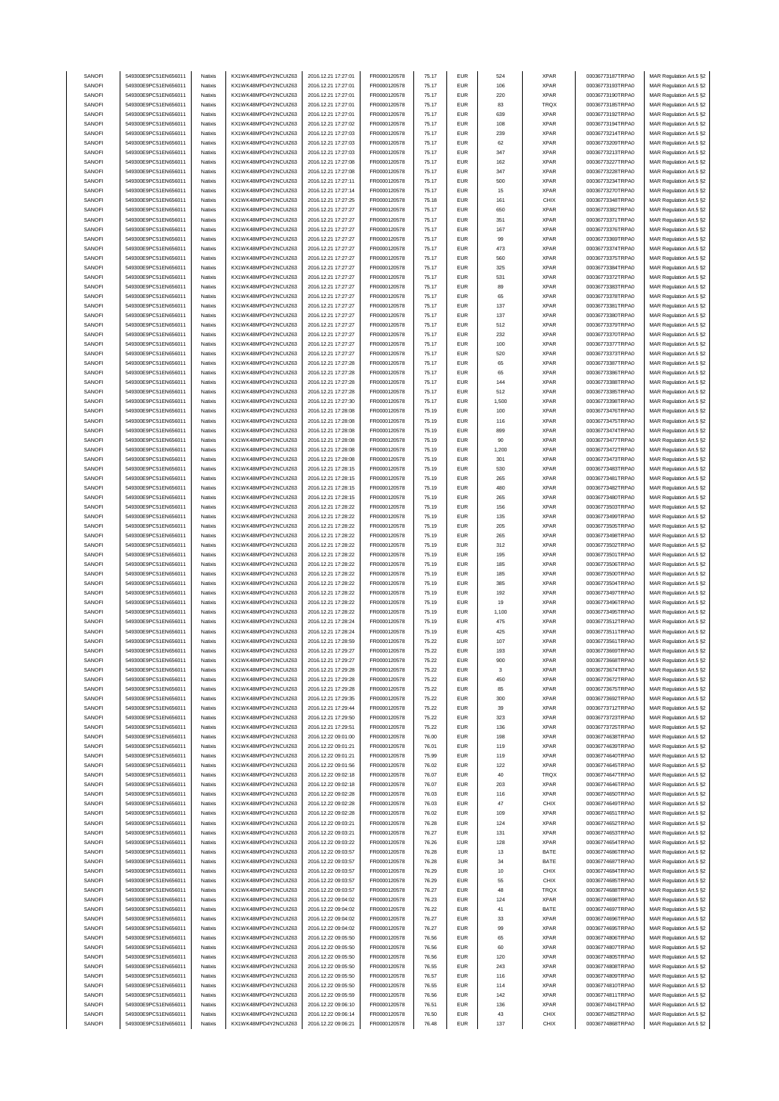| SANOFI           | 549300E9PC51EN656011                         | Natixis            | KX1WK48MPD4Y2NCUIZ63                         | 2016.12.21 17:27:01                        | FR0000120578 | 75.17 | <b>EUR</b>                  | 524   | <b>XPAR</b> | 00036773187TRPA0 | MAR Regulation Art.5 §2                            |
|------------------|----------------------------------------------|--------------------|----------------------------------------------|--------------------------------------------|--------------|-------|-----------------------------|-------|-------------|------------------|----------------------------------------------------|
| SANOFI           | 549300E9PC51EN656011                         | Natixis            | KX1WK48MPD4Y2NCUIZ63                         | 2016.12.21 17:27:01                        | FR0000120578 | 75.17 | <b>EUR</b>                  | 106   | <b>XPAR</b> | 00036773193TRPA0 | MAR Regulation Art.5 §2                            |
| SANOFI           | 549300E9PC51EN656011                         | Natixis            | KX1WK48MPD4Y2NCUIZ63                         | 2016.12.21 17:27:01                        | FR0000120578 | 75.17 | <b>EUR</b>                  | 220   | <b>XPAR</b> | 00036773190TRPA0 | MAR Regulation Art.5 §2                            |
| SANOFI           | 549300E9PC51EN656011                         | Natixis            | KX1WK48MPD4Y2NCUIZ63                         | 2016.12.21 17:27:01                        | FR0000120578 | 75.17 | <b>EUR</b>                  | 83    | TRQX        | 00036773185TRPA0 | MAR Regulation Art.5 §2                            |
|                  |                                              |                    |                                              |                                            |              |       |                             |       |             |                  |                                                    |
| SANOFI           | 549300E9PC51EN656011                         | Natixis            | KX1WK48MPD4Y2NCUIZ63                         | 2016.12.21 17:27:01                        | FR0000120578 | 75.17 | <b>EUR</b>                  | 639   | <b>XPAR</b> | 00036773192TRPA0 | MAR Regulation Art.5 §2                            |
| SANOFI           | 549300E9PC51EN656011                         | Natixis            | KX1WK48MPD4Y2NCUIZ63                         | 2016.12.21 17:27:02                        | FR0000120578 | 75.17 | <b>EUR</b>                  | 108   | <b>XPAR</b> | 00036773194TRPA0 | MAR Regulation Art.5 §2                            |
| SANOFI           | 549300E9PC51EN656011                         | Natixis            | KX1WK48MPD4Y2NCUIZ63                         | 2016.12.21 17:27:03                        | FR0000120578 | 75.17 | <b>EUR</b>                  | 239   | <b>XPAR</b> | 00036773214TRPA0 | MAR Regulation Art.5 §2                            |
| SANOFI           | 549300E9PC51EN656011                         | Natixis            | KX1WK48MPD4Y2NCUIZ63                         | 2016.12.21 17:27:03                        | FR0000120578 | 75.17 | <b>EUR</b>                  | 62    | <b>XPAR</b> | 00036773209TRPA0 | MAR Regulation Art.5 §2                            |
| SANOFI           | 549300E9PC51EN656011                         | Natixis            | KX1WK48MPD4Y2NCLIIZ63                        | 2016.12.21 17:27:03                        | FR0000120578 | 75.17 | <b>EUR</b>                  | 347   | <b>XPAR</b> | 00036773213TRPA0 | MAR Regulation Art.5 §2                            |
| SANOFI           | 549300E9PC51EN656011                         | Natixis            | KX1WK48MPD4Y2NCUIZ63                         | 2016.12.21 17:27:08                        | FR0000120578 | 75.17 | <b>EUR</b>                  | 162   | <b>XPAR</b> | 00036773227TRPA0 | MAR Regulation Art.5 §2                            |
| SANOFI           | 549300E9PC51EN656011                         | Natixis            | KX1WK48MPD4Y2NCUIZ63                         | 2016.12.21 17:27:08                        | FR0000120578 | 75.17 | <b>EUR</b>                  | 347   | <b>XPAR</b> | 00036773228TRPA0 | MAR Regulation Art.5 §2                            |
|                  |                                              |                    |                                              |                                            |              |       |                             |       |             |                  |                                                    |
| SANOFI           | 549300E9PC51EN656011                         | Natixis            | KX1WK48MPD4Y2NCUIZ63                         | 2016.12.21 17:27:11                        | FR0000120578 | 75.17 | <b>EUR</b>                  | 500   | <b>XPAR</b> | 00036773234TRPA0 | MAR Regulation Art.5 §2                            |
| SANOFI           | 549300E9PC51EN656011                         | Natixis            | KX1WK48MPD4Y2NCUIZ63                         | 2016.12.21 17:27:14                        | FR0000120578 | 75.17 | <b>EUR</b>                  | 15    | <b>XPAR</b> | 00036773270TRPA0 | MAR Regulation Art.5 §2                            |
| SANOFI           | 549300E9PC51EN656011                         | Natixis            | KX1WK48MPD4Y2NCUIZ63                         | 2016.12.21 17:27:25                        | FR0000120578 | 75.18 | <b>EUR</b>                  | 161   | CHIX        | 00036773348TRPA0 | MAR Regulation Art.5 §2                            |
| SANOFI           | 549300E9PC51EN656011                         | Natixis            | KX1WK48MPD4Y2NCUIZ63                         | 2016.12.21 17:27:27                        | FR0000120578 | 75.17 | <b>EUR</b>                  | 650   | <b>XPAR</b> | 00036773382TRPA0 | MAR Regulation Art.5 §2                            |
| SANOFI           | 549300E9PC51EN656011                         | Natixis            | KX1WK48MPD4Y2NCUIZ63                         | 2016.12.21 17:27:27                        | FR0000120578 | 75.17 | <b>EUR</b>                  | 351   | <b>XPAR</b> | 00036773371TRPA0 |                                                    |
|                  |                                              |                    |                                              |                                            |              |       |                             |       |             |                  | MAR Regulation Art.5 §2                            |
| SANOFI           | 549300E9PC51EN656011                         | Natixis            | KX1WK48MPD4Y2NCUIZ63                         | 2016.12.21 17:27:27                        | FR0000120578 | 75.17 | <b>EUR</b>                  | 167   | <b>XPAR</b> | 00036773376TRPA0 | MAR Regulation Art.5 §2                            |
| SANOFI           | 549300E9PC51EN656011                         | Natixis            | KX1WK48MPD4Y2NCLIIZ63                        | 2016.12.21 17:27:27                        | FR0000120578 | 75.17 | <b>EUR</b>                  | 99    | <b>XPAR</b> | 00036773369TRPA0 | MAR Regulation Art.5 §2                            |
| SANOFI           | 549300E9PC51EN656011                         | Natixis            | KX1WK48MPD4Y2NCUIZ63                         | 2016.12.21 17:27:27                        | FR0000120578 | 75.17 | <b>EUR</b>                  | 473   | <b>XPAR</b> | 00036773374TRPA0 | MAR Regulation Art.5 §2                            |
| SANOFI           | 549300E9PC51EN656011                         | Natixis            | KX1WK48MPD4Y2NCUIZ63                         | 2016.12.21 17:27:27                        | FR0000120578 | 75.17 | <b>EUR</b>                  | 560   | <b>XPAR</b> | 00036773375TRPA0 | MAR Regulation Art.5 §2                            |
| SANOFI           | 549300E9PC51EN656011                         | Natixis            | KX1WK48MPD4Y2NCUIZ63                         | 2016.12.21 17:27:27                        | FR0000120578 | 75.17 | <b>EUR</b>                  | 325   | <b>XPAR</b> | 00036773384TRPA0 | MAR Regulation Art.5 §2                            |
| SANOFI           | 549300E9PC51EN656011                         | Natixis            | KX1WK48MPD4Y2NCUIZ63                         | 2016.12.21 17:27:27                        | FR0000120578 | 75.17 | <b>EUR</b>                  | 531   | <b>XPAR</b> | 00036773372TRPA0 | MAR Regulation Art.5 §2                            |
|                  |                                              |                    |                                              |                                            |              |       |                             |       |             |                  |                                                    |
| SANOFI           | 549300E9PC51EN656011                         | Natixis            | KX1WK48MPD4Y2NCUIZ63                         | 2016.12.21 17:27:27                        | FR0000120578 | 75.17 | <b>EUR</b>                  | 89    | <b>XPAR</b> | 00036773383TRPA0 | MAR Regulation Art.5 §2                            |
| SANOFI           | 549300E9PC51EN656011                         | Natixis            | KX1WK48MPD4Y2NCUIZ63                         | 2016.12.21 17:27:27                        | FR0000120578 | 75.17 | <b>EUR</b>                  | 65    | <b>XPAR</b> | 00036773378TRPA0 | MAR Regulation Art.5 §2                            |
| SANOFI           | 549300E9PC51EN656011                         | Natixis            | KX1WK48MPD4Y2NCUIZ63                         | 2016.12.21 17:27:27                        | FR0000120578 | 75.17 | <b>EUR</b>                  | 137   | <b>XPAR</b> | 00036773381TRPA0 | MAR Regulation Art.5 §2                            |
| SANOFI           | 549300E9PC51EN656011                         | Natixis            | KX1WK48MPD4Y2NCUIZ63                         | 2016.12.21 17:27:27                        | FR0000120578 | 75.17 | <b>EUR</b>                  | 137   | <b>XPAR</b> | 00036773380TRPA0 | MAR Regulation Art.5 §2                            |
| SANOFI           | 549300E9PC51EN656011                         | Natixis            | KX1WK48MPD4Y2NCLIIZ63                        | 2016.12.21 17:27:27                        | FR0000120578 | 75.17 | <b>EUR</b>                  | 512   | <b>XPAR</b> | 00036773379TRPA0 | MAR Regulation Art.5 §2                            |
| SANOFI           | 549300E9PC51EN656011                         | Natixis            | KX1WK48MPD4Y2NCUIZ63                         | 2016.12.21 17:27:27                        | FR0000120578 | 75.17 | <b>EUR</b>                  | 232   | <b>XPAR</b> | 00036773370TRPA0 | MAR Regulation Art.5 §2                            |
|                  |                                              |                    |                                              |                                            |              |       |                             |       |             |                  |                                                    |
| SANOFI           | 549300E9PC51EN656011                         | Natixis            | KX1WK48MPD4Y2NCUIZ63                         | 2016.12.21 17:27:27                        | FR0000120578 | 75.17 | <b>EUR</b>                  | 100   | <b>XPAR</b> | 00036773377TRPA0 | MAR Regulation Art.5 §2                            |
| SANOFI           | 549300E9PC51EN656011                         | Natixis            | KX1WK48MPD4Y2NCUIZ63                         | 2016.12.21 17:27:27                        | FR0000120578 | 75.17 | <b>EUR</b>                  | 520   | <b>XPAR</b> | 00036773373TRPA0 | MAR Regulation Art.5 §2                            |
| SANOFI           | 549300E9PC51EN656011                         | Natixis            | KX1WK48MPD4Y2NCUIZ63                         | 2016.12.21 17:27:28                        | FR0000120578 | 75.17 | <b>EUR</b>                  | 65    | <b>XPAR</b> | 00036773387TRPA0 | MAR Regulation Art.5 §2                            |
| SANOFI           | 549300E9PC51EN656011                         | Natixis            | KX1WK48MPD4Y2NCUIZ63                         | 2016.12.21 17:27:28                        | FR0000120578 | 75.17 | <b>EUR</b>                  | 65    | <b>XPAR</b> | 00036773386TRPA0 | MAR Regulation Art.5 §2                            |
| SANOFI           | 549300E9PC51EN656011                         | Natixis            | KX1WK48MPD4Y2NCUIZ63                         | 2016.12.21 17:27:28                        | FR0000120578 | 75.17 | <b>EUR</b>                  | 144   | <b>XPAR</b> | 00036773388TRPA0 | MAR Regulation Art.5 §2                            |
| SANOFI           | 549300E9PC51EN656011                         | Natixis            |                                              |                                            |              |       | <b>EUR</b>                  |       | <b>XPAR</b> | 00036773385TRPA0 |                                                    |
|                  |                                              |                    | KX1WK48MPD4Y2NCUIZ63                         | 2016.12.21 17:27:28                        | FR0000120578 | 75.17 |                             | 512   |             |                  | MAR Regulation Art.5 §2                            |
| SANOFI           | 549300E9PC51EN656011                         | Natixis            | KX1WK48MPD4Y2NCUIZ63                         | 2016.12.21 17:27:30                        | FR0000120578 | 75.17 | <b>EUR</b>                  | 1,500 | <b>XPAR</b> | 00036773398TRPA0 | MAR Regulation Art.5 §2                            |
| SANOFI           | 549300E9PC51EN656011                         | Natixis            | KX1WK48MPD4Y2NCLIIZ63                        | 2016.12.21 17:28:08                        | FR0000120578 | 75.19 | <b>EUR</b>                  | 100   | <b>XPAR</b> | 00036773476TRPA0 | MAR Regulation Art.5 §2                            |
| SANOFI           | 549300E9PC51EN656011                         | Natixis            | KX1WK48MPD4Y2NCUIZ63                         | 2016.12.21 17:28:08                        | FR0000120578 | 75.19 | <b>EUR</b>                  | 116   | <b>XPAR</b> | 00036773475TRPA0 | MAR Regulation Art.5 §2                            |
| SANOFI           | 549300E9PC51EN656011                         | Natixis            | KX1WK48MPD4Y2NCUIZ63                         | 2016.12.21 17:28:08                        | FR0000120578 | 75.19 | <b>EUR</b>                  | 899   | <b>XPAR</b> | 00036773474TRPA0 | MAR Regulation Art.5 §2                            |
| SANOFI           | 549300E9PC51EN656011                         | Natixis            | KX1WK48MPD4Y2NCUIZ63                         | 2016.12.21 17:28:08                        | FR0000120578 | 75.19 | <b>EUR</b>                  | 90    | <b>XPAR</b> | 00036773477TRPA0 | MAR Regulation Art.5 §2                            |
|                  |                                              |                    |                                              |                                            |              |       |                             |       |             |                  |                                                    |
| SANOFI           | 549300E9PC51EN656011                         | Natixis            | KX1WK48MPD4Y2NCUIZ63                         | 2016.12.21 17:28:08                        | FR0000120578 | 75.19 | <b>EUR</b>                  | 1,200 | <b>XPAR</b> | 00036773472TRPA0 | MAR Regulation Art.5 §2                            |
| SANOFI           | 549300E9PC51EN656011                         | Natixis            | KX1WK48MPD4Y2NCUIZ63                         | 2016.12.21 17:28:08                        | FR0000120578 | 75.19 | <b>EUR</b>                  | 301   | <b>XPAR</b> | 00036773473TRPA0 | MAR Regulation Art.5 §2                            |
| SANOFI           | 549300E9PC51EN656011                         | Natixis            | KX1WK48MPD4Y2NCUIZ63                         | 2016.12.21 17:28:15                        | FR0000120578 | 75.19 | <b>EUR</b>                  | 530   | <b>XPAR</b> | 00036773483TRPA0 | MAR Regulation Art.5 §2                            |
| SANOFI           | 549300E9PC51EN656011                         | Natixis            | KX1WK48MPD4Y2NCUIZ63                         | 2016.12.21 17:28:15                        | FR0000120578 | 75.19 | <b>EUR</b>                  | 265   | <b>XPAR</b> | 00036773481TRPA0 | MAR Regulation Art.5 §2                            |
| SANOFI           | 549300E9PC51EN656011                         | Natixis            | KX1WK48MPD4Y2NCUIZ63                         | 2016.12.21 17:28:15                        | FR0000120578 | 75.19 | <b>EUR</b>                  | 480   | <b>XPAR</b> | 00036773482TRPA0 | MAR Regulation Art.5 §2                            |
| SANOFI           | 549300E9PC51EN656011                         | Natixis            | KX1WK48MPD4Y2NCUIZ63                         | 2016.12.21 17:28:15                        | FR0000120578 | 75.19 | <b>EUR</b>                  | 265   | <b>XPAR</b> | 00036773480TRPA0 | MAR Regulation Art.5 §2                            |
|                  |                                              |                    |                                              |                                            |              |       |                             |       |             |                  |                                                    |
| SANOFI           | 549300E9PC51EN656011                         | Natixis            | KX1WK48MPD4Y2NCUIZ63                         | 2016.12.21 17:28:22                        | FR0000120578 | 75.19 | <b>EUR</b>                  | 156   | <b>XPAR</b> | 00036773503TRPA0 | MAR Regulation Art.5 §2                            |
| SANOFI           | 549300E9PC51EN656011                         | Natixis            | KX1WK48MPD4Y2NCUIZ63                         | 2016.12.21 17:28:22                        | FR0000120578 | 75.19 | <b>EUR</b>                  | 135   | <b>XPAR</b> | 00036773499TRPA0 | MAR Regulation Art.5 §2                            |
| SANOFI           | 549300E9PC51EN656011                         | Natixis            | KX1WK48MPD4Y2NCUIZ63                         | 2016.12.21 17:28:22                        | FR0000120578 | 75.19 | <b>EUR</b>                  | 205   | <b>XPAR</b> | 00036773505TRPA0 | MAR Regulation Art.5 §2                            |
| SANOFI           | 549300E9PC51EN656011                         | Natixis            | KX1WK48MPD4Y2NCUIZ63                         | 2016.12.21 17:28:22                        | FR0000120578 | 75.19 | <b>EUR</b>                  | 265   | <b>XPAR</b> | 00036773498TRPA0 | MAR Regulation Art.5 §2                            |
| SANOFI           | 549300E9PC51EN656011                         | Natixis            | KX1WK48MPD4Y2NCUIZ63                         | 2016.12.21 17:28:22                        | FR0000120578 | 75.19 | <b>EUR</b>                  | 312   | <b>XPAR</b> | 00036773502TRPA0 | MAR Regulation Art.5 §2                            |
| SANOFI           | 549300E9PC51EN656011                         | Natixis            | KX1WK48MPD4Y2NCUIZ63                         | 2016.12.21 17:28:22                        |              | 75.19 | <b>EUR</b>                  | 195   | <b>XPAR</b> | 00036773501TRPA0 |                                                    |
|                  |                                              |                    |                                              |                                            | FR0000120578 |       |                             |       |             |                  | MAR Regulation Art.5 §2                            |
| SANOFI           | 549300E9PC51EN656011                         | Natixis            | KX1WK48MPD4Y2NCUIZ63                         | 2016.12.21 17:28:22                        | FR0000120578 | 75.19 | <b>EUR</b>                  | 185   | <b>XPAR</b> | 00036773506TRPA0 | MAR Regulation Art.5 §2                            |
| SANOFI           | 549300E9PC51EN656011                         | Natixis            | KX1WK48MPD4Y2NCUIZ63                         | 2016.12.21 17:28:22                        | FR0000120578 | 75.19 | <b>EUR</b>                  | 185   | <b>XPAR</b> | 00036773500TRPA0 | MAR Regulation Art.5 §2                            |
| SANOFI           | 549300E9PC51EN656011                         | Natixis            | KX1WK48MPD4Y2NCUIZ63                         | 2016.12.21 17:28:22                        | FR0000120578 | 75.19 | <b>EUR</b>                  | 385   | <b>XPAR</b> | 00036773504TRPA0 | MAR Regulation Art.5 §2                            |
| SANOFI           | 549300E9PC51EN656011                         | Natixis            | KX1WK48MPD4Y2NCUIZ63                         | 2016.12.21 17:28:22                        | FR0000120578 | 75.19 | <b>EUR</b>                  | 192   | <b>XPAR</b> | 00036773497TRPA0 | MAR Regulation Art.5 §2                            |
| SANOFI           | 549300E9PC51EN656011                         | Natixis            | KX1WK48MPD4Y2NCUIZ63                         | 2016.12.21 17:28:22                        | FR0000120578 | 75.19 | <b>EUR</b>                  | 19    | <b>XPAR</b> | 00036773496TRPA0 | MAR Regulation Art.5 §2                            |
|                  |                                              |                    |                                              |                                            |              |       |                             |       |             |                  |                                                    |
| SANOFI           | 549300E9PC51EN656011                         | Natixis            | KX1WK48MPD4Y2NCUIZ63                         | 2016.12.21 17:28:22                        | FR0000120578 | 75.19 | <b>EUR</b>                  | 1,100 | <b>XPAR</b> | 00036773495TRPA0 | MAR Regulation Art.5 §2                            |
| SANOFI           | 549300E9PC51EN656011                         | Natixis            | KX1WK48MPD4Y2NCUIZ63                         | 2016.12.21 17:28:24                        | FR0000120578 | 75.19 | <b>EUR</b>                  | 475   | <b>XPAR</b> | 00036773512TRPA0 | MAR Regulation Art.5 §2                            |
| SANOFI           | 549300E9PC51EN656011                         | Natixis            | KX1WK48MPD4Y2NCUIZ63                         | 2016.12.21 17:28:24                        | FR0000120578 | 75.19 | <b>EUR</b>                  | 425   | <b>XPAR</b> | 00036773511TRPA0 | MAR Regulation Art.5 §2                            |
| SANOFI           | 549300E9PC51EN656011                         | Natixis            | KX1WK48MPD4Y2NCUIZ63                         | 2016.12.21 17:28:59                        | FR0000120578 | 75.22 | <b>EUR</b>                  | 107   | <b>XPAR</b> | 00036773561TRPA0 | MAR Regulation Art.5 §2                            |
| SANOF            | 549300E9PC51EN656011                         | Natixis            | KX1WK48MPD4Y2NCUIZ63                         | 2016.12.21 17:29:27                        | FR0000120578 | 75.22 | EUR                         | 193   | XPAR        | 00036773669TRPA0 | MAR Regulation Art.5 §2                            |
| SANOFI           | 549300E9PC51EN656011                         | Natixis            | KX1WK48MPD4Y2NCUIZ63                         | 2016.12.21 17:29:27                        | FR0000120578 | 75.22 | <b>EUR</b>                  | 900   | <b>XPAR</b> | 00036773668TRPA0 | MAR Regulation Art.5 §2                            |
|                  |                                              |                    |                                              |                                            |              |       |                             |       |             |                  |                                                    |
| SANOFI           | 549300E9PC51EN656011                         | Natixis            | KX1WK48MPD4Y2NCUIZ63                         | 2016.12.21 17:29:28                        | FR0000120578 | 75.22 | EUR                         | 3     | <b>XPAR</b> | 00036773674TRPA0 | MAR Regulation Art.5 §2                            |
| SANOFI           | 549300E9PC51EN656011                         | Natixis            | KX1WK48MPD4Y2NCUIZ63                         | 2016.12.21 17:29:28                        | FR0000120578 | 75.22 | <b>EUR</b>                  | 450   | <b>XPAR</b> | 00036773672TRPA0 | MAR Regulation Art.5 §2                            |
| SANOFI           | 549300E9PC51EN656011                         | Natixis            | KX1WK48MPD4Y2NCUIZ63                         | 2016.12.21 17:29:28                        | FR0000120578 | 75.22 | <b>EUR</b>                  | 85    | <b>XPAR</b> | 00036773675TRPA0 | MAR Regulation Art.5 §2                            |
| SANOFI           | 549300E9PC51EN656011                         | Natixis            | KX1WK48MPD4Y2NCUIZ63                         | 2016.12.21 17:29:35                        | FR0000120578 | 75.22 | <b>EUR</b>                  | 300   | <b>XPAR</b> | 00036773692TRPA0 | MAR Regulation Art.5 §2                            |
| SANOFI           | 549300E9PC51EN656011                         | Natixis            | KX1WK48MPD4Y2NCUIZ63                         | 2016.12.21 17:29:44                        | FR0000120578 | 75.22 | $\ensuremath{\mathsf{EUR}}$ | 39    | <b>XPAR</b> | 00036773712TRPA0 | MAR Regulation Art.5 §2                            |
| SANOFI           | 549300E9PC51EN656011                         | Natixis            | KX1WK48MPD4Y2NCUIZ63                         | 2016.12.21 17:29:50                        | FR0000120578 | 75.22 | <b>EUR</b>                  | 323   | <b>XPAR</b> | 00036773723TRPA0 | MAR Regulation Art.5 §2                            |
| SANOFI           | 549300E9PC51EN656011                         | Natixis            | KX1WK48MPD4Y2NCUIZ63                         | 2016.12.21 17:29:51                        | FR0000120578 | 75.22 | <b>EUR</b>                  | 136   | <b>XPAR</b> | 00036773725TRPA0 | MAR Regulation Art.5 §2                            |
|                  |                                              |                    |                                              |                                            |              |       |                             |       |             |                  |                                                    |
| SANOFI           | 549300E9PC51EN656011                         | Natixis            | KX1WK48MPD4Y2NCUIZ63                         | 2016.12.22 09:01:00                        | FR0000120578 | 76.00 | <b>EUR</b>                  | 198   | <b>XPAR</b> | 00036774638TRPA0 | MAR Regulation Art.5 §2                            |
| SANOFI           | 549300E9PC51EN656011                         | Natixis            | KX1WK48MPD4Y2NCUIZ63                         | 2016.12.22 09:01:21                        | FR0000120578 | 76.01 | <b>EUR</b>                  | 119   | <b>XPAR</b> | 00036774639TRPA0 | MAR Regulation Art.5 §2                            |
| SANOFI           | 549300E9PC51EN656011                         | Natixis            | KX1WK48MPD4Y2NCUIZ63                         | 2016.12.22 09:01:21                        | FR0000120578 | 75.99 | <b>EUR</b>                  | 119   | <b>XPAR</b> | 00036774640TRPA0 | MAR Regulation Art.5 §2                            |
| SANOFI           | 549300E9PC51EN656011                         | Natixis            | KX1WK48MPD4Y2NCUIZ63                         | 2016.12.22 09:01:56                        | FR0000120578 | 76.02 | <b>EUR</b>                  | 122   | <b>XPAR</b> | 00036774645TRPA0 | MAR Regulation Art.5 §2                            |
| SANOFI           | 549300E9PC51EN656011                         | Natixis            | KX1WK48MPD4Y2NCUIZ63                         | 2016.12.22 09:02:18                        | FR0000120578 | 76.07 | <b>EUR</b>                  | 40    | TRQX        | 00036774647TRPA0 | MAR Regulation Art.5 §2                            |
| SANOFI           | 549300E9PC51EN656011                         | Natixis            | KX1WK48MPD4Y2NCUIZ63                         | 2016.12.22 09:02:18                        | FR0000120578 | 76.07 | <b>EUR</b>                  | 203   | <b>XPAR</b> | 00036774646TRPA0 | MAR Regulation Art.5 §2                            |
|                  |                                              |                    |                                              |                                            |              |       |                             |       |             |                  |                                                    |
| SANOFI           | 549300E9PC51EN656011                         | Natixis            | KX1WK48MPD4Y2NCUIZ63<br>KX1WK48MPD4Y2NCUIZ63 | 2016.12.22 09:02:28                        | FR0000120578 | 76.03 | <b>EUR</b>                  | 116   | <b>XPAR</b> | 00036774650TRPA0 | MAR Regulation Art.5 §2                            |
| SANOFI           | 549300E9PC51EN656011                         | Natixis            |                                              | 2016.12.22 09:02:28                        | FR0000120578 | 76.03 | <b>EUR</b>                  | 47    | CHIX        | 00036774649TRPA0 | MAR Regulation Art.5 §2                            |
| SANOFI           | 549300E9PC51EN656011                         | Natixis            | KX1WK48MPD4Y2NCUIZ63                         | 2016.12.22 09:02:28                        | FR0000120578 | 76.02 | <b>EUR</b>                  | 109   | <b>XPAR</b> | 00036774651TRPA0 | MAR Regulation Art.5 §2                            |
| SANOFI           | 549300E9PC51EN656011                         | Natixis            | KX1WK48MPD4Y2NCUIZ63                         | 2016.12.22 09:03:21                        | FR0000120578 | 76.28 | <b>EUR</b>                  | 124   | <b>XPAR</b> | 00036774652TRPA0 | MAR Regulation Art.5 §2                            |
| SANOFI           | 549300E9PC51EN656011                         | Natixis            | KX1WK48MPD4Y2NCUIZ63                         | 2016.12.22 09:03:21                        | FR0000120578 | 76.27 | <b>EUR</b>                  | 131   | <b>XPAR</b> | 00036774653TRPA0 | MAR Regulation Art.5 §2                            |
| SANOFI           | 549300E9PC51EN656011                         | Natixis            | KX1WK48MPD4Y2NCUIZ63                         | 2016.12.22 09:03:22                        | FR0000120578 | 76.26 | <b>EUR</b>                  | 128   | <b>XPAR</b> | 00036774654TRPA0 | MAR Regulation Art.5 §2                            |
|                  |                                              |                    |                                              |                                            |              |       |                             |       |             |                  |                                                    |
| SANOFI           | 549300E9PC51EN656011                         | Natixis            | KX1WK48MPD4Y2NCUIZ63                         | 2016.12.22 09:03:57                        | FR0000120578 | 76.28 | <b>EUR</b>                  | 13    | BATE        | 00036774686TRPA0 | MAR Regulation Art.5 §2                            |
| SANOFI           | 549300E9PC51EN656011                         | Natixis            | KX1WK48MPD4Y2NCUIZ63                         | 2016.12.22 09:03:57                        | FR0000120578 | 76.28 | <b>EUR</b>                  | 34    | BATE        | 00036774687TRPA0 | MAR Regulation Art.5 §2                            |
| SANOFI           | 549300E9PC51EN656011                         | Natixis            | KX1WK48MPD4Y2NCUIZ63                         | 2016.12.22 09:03:57                        | FR0000120578 | 76.29 | <b>EUR</b>                  | 10    | CHIX        | 00036774684TRPA0 | MAR Regulation Art.5 §2                            |
| SANOFI           | 549300E9PC51EN656011                         | Natixis            | KX1WK48MPD4Y2NCUIZ63                         | 2016.12.22 09:03:57                        | FR0000120578 | 76.29 | <b>EUR</b>                  | 55    | CHIX        | 00036774685TRPA0 | MAR Regulation Art.5 §2                            |
| SANOFI           | 549300E9PC51EN656011                         | Natixis            | KX1WK48MPD4Y2NCUIZ63                         | 2016.12.22 09:03:57                        | FR0000120578 | 76.27 | <b>EUR</b>                  | 48    | <b>TRQX</b> | 00036774688TRPA0 | MAR Regulation Art.5 §2                            |
|                  |                                              |                    |                                              |                                            |              |       |                             |       |             |                  |                                                    |
| SANOFI           | 549300E9PC51EN656011                         | Natixis            | KX1WK48MPD4Y2NCUIZ63                         | 2016.12.22 09:04:02                        | FR0000120578 | 76.23 | <b>EUR</b>                  | 124   | <b>XPAR</b> | 00036774698TRPA0 | MAR Regulation Art.5 §2                            |
| SANOFI           | 549300E9PC51EN656011                         | Natixis            | KX1WK48MPD4Y2NCUIZ63                         | 2016.12.22 09:04:02                        | FR0000120578 | 76.22 | <b>EUR</b>                  | 41    | BATE        | 00036774697TRPA0 | MAR Regulation Art.5 §2                            |
| SANOFI           | 549300E9PC51EN656011                         | Natixis            | KX1WK48MPD4Y2NCUIZ63                         | 2016.12.22 09:04:02                        | FR0000120578 | 76.27 | <b>EUR</b>                  | 33    | <b>XPAR</b> | 00036774696TRPA0 | MAR Regulation Art.5 §2                            |
| SANOFI           | 549300E9PC51EN656011                         | Natixis            | KX1WK48MPD4Y2NCUIZ63                         | 2016.12.22 09:04:02                        | FR0000120578 | 76.27 | <b>EUR</b>                  | 99    | <b>XPAR</b> | 00036774695TRPA0 | MAR Regulation Art.5 §2                            |
| SANOFI           | 549300E9PC51EN656011                         | Natixis            | KX1WK48MPD4Y2NCUIZ63                         | 2016.12.22 09:05:50                        | FR0000120578 | 76.56 | <b>EUR</b>                  | 65    | <b>XPAR</b> | 00036774806TRPA0 | MAR Regulation Art.5 §2                            |
| SANOFI           | 549300E9PC51EN656011                         | Natixis            | KX1WK48MPD4Y2NCUIZ63                         | 2016.12.22 09:05:50                        | FR0000120578 | 76.56 | <b>EUR</b>                  | 60    | <b>XPAR</b> | 00036774807TRPA0 |                                                    |
|                  |                                              |                    |                                              |                                            |              |       |                             |       |             |                  | MAR Regulation Art.5 §2                            |
| SANOFI           | 549300E9PC51EN656011                         | Natixis            | KX1WK48MPD4Y2NCUIZ63                         | 2016.12.22 09:05:50                        | FR0000120578 | 76.56 | <b>EUR</b>                  | 120   | <b>XPAR</b> | 00036774805TRPA0 | MAR Regulation Art.5 §2                            |
| SANOFI           | 549300E9PC51EN656011                         | Natixis            | KX1WK48MPD4Y2NCUIZ63                         | 2016.12.22 09:05:50                        | FR0000120578 | 76.55 | EUR                         | 243   | <b>XPAR</b> | 00036774808TRPA0 | MAR Regulation Art.5 §2                            |
| SANOFI           | 549300E9PC51EN656011                         | Natixis            | KX1WK48MPD4Y2NCUIZ63                         | 2016.12.22 09:05:50                        | FR0000120578 | 76.57 | <b>EUR</b>                  | 116   | <b>XPAR</b> | 00036774809TRPA0 | MAR Regulation Art.5 §2                            |
| SANOFI           | 549300E9PC51EN656011                         | Natixis            | KX1WK48MPD4Y2NCUIZ63                         | 2016.12.22 09:05:50                        | FR0000120578 | 76.55 | <b>EUR</b>                  | 114   | <b>XPAR</b> | 00036774810TRPA0 | MAR Regulation Art.5 §2                            |
| SANOFI           | 549300E9PC51EN656011                         | Natixis            | KX1WK48MPD4Y2NCUIZ63                         | 2016.12.22 09:05:59                        | FR0000120578 | 76.56 | <b>EUR</b>                  | 142   | <b>XPAR</b> | 00036774811TRPA0 | MAR Regulation Art.5 §2                            |
| SANOFI           | 549300E9PC51EN656011                         | Natixis            | KX1WK48MPD4Y2NCUIZ63                         | 2016.12.22 09:06:10                        | FR0000120578 | 76.51 | <b>EUR</b>                  | 136   | <b>XPAR</b> | 00036774841TRPA0 | MAR Regulation Art.5 §2                            |
|                  |                                              |                    |                                              |                                            | FR0000120578 | 76.50 | <b>EUR</b>                  |       |             | 00036774852TRPA0 |                                                    |
|                  |                                              |                    |                                              |                                            |              |       |                             | 43    | CHIX        |                  |                                                    |
| SANOFI<br>SANOFI | 549300E9PC51EN656011<br>549300E9PC51EN656011 | Natixis<br>Natixis | KX1WK48MPD4Y2NCUIZ63<br>KX1WK48MPD4Y2NCUIZ63 | 2016.12.22 09:06:14<br>2016.12.22 09:06:21 | FR0000120578 | 76.48 | EUR                         | 137   | CHIX        | 00036774868TRPA0 | MAR Regulation Art.5 §2<br>MAR Regulation Art.5 §2 |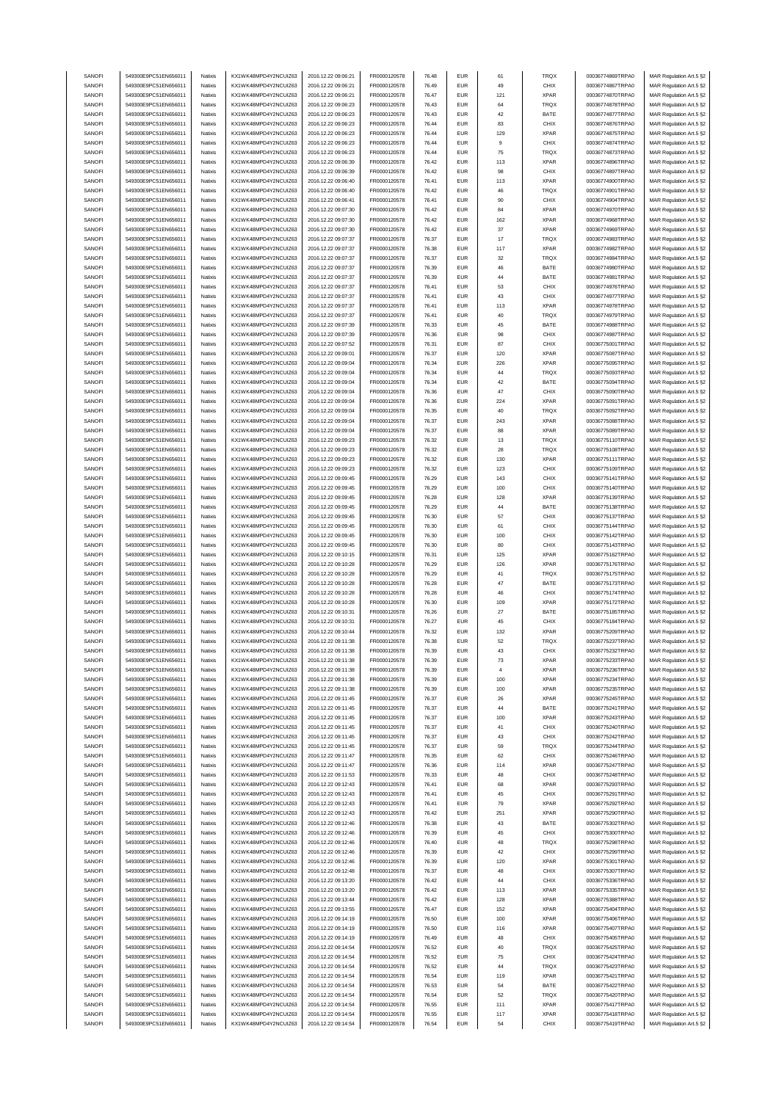| SANOFI | 549300E9PC51EN656011 | Natixis | KX1WK48MPD4Y2NCUIZ63 | 2016.12.22 09:06:21 | FR0000120578 | 76.48 | <b>EUR</b> | 61             | TRQX        | 00036774869TRPA0 | MAR Regulation Art.5 §2 |
|--------|----------------------|---------|----------------------|---------------------|--------------|-------|------------|----------------|-------------|------------------|-------------------------|
| SANOFI | 549300E9PC51EN656011 | Natixis | KX1WK48MPD4Y2NCUIZ63 | 2016.12.22 09:06:21 | FR0000120578 | 76.49 | <b>EUR</b> | 49             | CHIX        | 00036774867TRPA0 | MAR Regulation Art.5 §2 |
| SANOFI | 549300E9PC51EN656011 | Natixis | KX1WK48MPD4Y2NCUIZ63 | 2016.12.22 09:06:21 | FR0000120578 | 76.47 | <b>EUR</b> | 121            | <b>XPAR</b> | 00036774870TRPA0 | MAR Regulation Art.5 §2 |
| SANOFI | 549300E9PC51EN656011 | Natixis | KX1WK48MPD4Y2NCUIZ63 | 2016.12.22 09:06:23 | FR0000120578 | 76.43 | <b>EUR</b> | 64             | TRQX        | 00036774878TRPA0 | MAR Regulation Art.5 §2 |
|        |                      |         |                      |                     |              |       |            |                |             |                  |                         |
| SANOFI | 549300E9PC51EN656011 | Natixis | KX1WK48MPD4Y2NCUIZ63 | 2016.12.22 09:06:23 | FR0000120578 | 76.43 | <b>EUR</b> | 42             | BATE        | 00036774877TRPA0 | MAR Regulation Art.5 §2 |
| SANOFI | 549300E9PC51EN656011 | Natixis | KX1WK48MPD4Y2NCUIZ63 | 2016.12.22 09:06:23 | FR0000120578 | 76.44 | <b>EUR</b> | 83             | CHIX        | 00036774876TRPA0 | MAR Regulation Art.5 §2 |
| SANOFI | 549300E9PC51EN656011 | Natixis | KX1WK48MPD4Y2NCUIZ63 | 2016.12.22 09:06:23 | FR0000120578 | 76.44 | <b>EUR</b> | 129            | <b>XPAR</b> | 00036774875TRPA0 | MAR Regulation Art.5 §2 |
| SANOFI | 549300E9PC51EN656011 | Natixis | KX1WK48MPD4Y2NCUIZ63 | 2016.12.22 09:06:23 | FR0000120578 | 76.44 | <b>EUR</b> | 9              | CHIX        | 00036774874TRPA0 | MAR Regulation Art.5 §2 |
| SANOFI | 549300E9PC51EN656011 | Natixis | KX1WK48MPD4Y2NCUIZ63 | 2016.12.22 09:06:23 | FR0000120578 | 76.44 | <b>EUR</b> | 75             | TRQX        | 00036774873TRPA0 | MAR Regulation Art.5 §2 |
| SANOFI | 549300E9PC51EN656011 | Natixis | KX1WK48MPD4Y2NCUIZ63 | 2016.12.22 09:06:39 | FR0000120578 | 76.42 | <b>EUR</b> | 113            | <b>XPAR</b> | 00036774896TRPA0 | MAR Regulation Art.5 §2 |
|        | 549300E9PC51EN656011 | Natixis |                      |                     |              | 76.42 | <b>EUR</b> | 98             |             |                  |                         |
| SANOFI |                      |         | KX1WK48MPD4Y2NCUIZ63 | 2016.12.22 09:06:39 | FR0000120578 |       |            |                | CHIX        | 00036774897TRPA0 | MAR Regulation Art.5 §2 |
| SANOFI | 549300E9PC51EN656011 | Natixis | KX1WK48MPD4Y2NCUIZ63 | 2016.12.22 09:06:40 | FR0000120578 | 76.41 | <b>EUR</b> | 113            | <b>XPAR</b> | 00036774900TRPA0 | MAR Regulation Art.5 §2 |
| SANOFI | 549300E9PC51EN656011 | Natixis | KX1WK48MPD4Y2NCUIZ63 | 2016.12.22 09:06:40 | FR0000120578 | 76.42 | <b>EUR</b> | 46             | TRQX        | 00036774901TRPA0 | MAR Regulation Art.5 §2 |
| SANOFI | 549300E9PC51EN656011 | Natixis | KX1WK48MPD4Y2NCUIZ63 | 2016.12.22 09:06:41 | FR0000120578 | 76.41 | <b>EUR</b> | 90             | CHIX        | 00036774904TRPA0 | MAR Regulation Art.5 §2 |
| SANOFI | 549300E9PC51EN656011 | Natixis | KX1WK48MPD4Y2NCUIZ63 | 2016.12.22 09:07:30 | FR0000120578 | 76.42 | <b>EUR</b> | 84             | <b>XPAR</b> | 00036774970TRPA0 | MAR Regulation Art.5 §2 |
|        |                      |         |                      |                     |              |       |            |                |             |                  |                         |
| SANOFI | 549300E9PC51EN656011 | Natixis | KX1WK48MPD4Y2NCUIZ63 | 2016.12.22 09:07:30 | FR0000120578 | 76.42 | <b>EUR</b> | 162            | <b>XPAR</b> | 00036774968TRPA0 | MAR Regulation Art.5 §2 |
| SANOFI | 549300E9PC51EN656011 | Natixis | KX1WK48MPD4Y2NCUIZ63 | 2016.12.22 09:07:30 | FR0000120578 | 76.42 | <b>EUR</b> | 37             | <b>XPAR</b> | 00036774969TRPA0 | MAR Regulation Art.5 §2 |
| SANOFI | 549300E9PC51EN656011 | Natixis | KX1WK48MPD4Y2NCUIZ63 | 2016.12.22 09:07:37 | FR0000120578 | 76.37 | <b>EUR</b> | 17             | TRQX        | 00036774983TRPA0 | MAR Regulation Art.5 §2 |
| SANOFI | 549300E9PC51EN656011 | Natixis | KX1WK48MPD4Y2NCUIZ63 | 2016.12.22 09:07:37 | FR0000120578 | 76.38 | <b>EUR</b> | 117            | <b>XPAR</b> | 00036774982TRPA0 | MAR Regulation Art.5 §2 |
| SANOFI | 549300E9PC51EN656011 | Natixis | KX1WK48MPD4Y2NCUIZ63 | 2016.12.22 09:07:37 | FR0000120578 | 76.37 | <b>EUR</b> | 32             | <b>TRQX</b> | 00036774984TRPA0 | MAR Regulation Art.5 §2 |
|        |                      |         |                      |                     |              |       |            |                |             |                  |                         |
| SANOFI | 549300E9PC51EN656011 | Natixis | KX1WK48MPD4Y2NCUIZ63 | 2016.12.22 09:07:37 | FR0000120578 | 76.39 | <b>EUR</b> | 46             | BATE        | 00036774980TRPA0 | MAR Regulation Art.5 §2 |
| SANOFI | 549300E9PC51EN656011 | Natixis | KX1WK48MPD4Y2NCUIZ63 | 2016.12.22 09:07:37 | FR0000120578 | 76.39 | <b>EUR</b> | 44             | BATE        | 00036774981TRPA0 | MAR Regulation Art.5 §2 |
| SANOFI | 549300E9PC51EN656011 | Natixis | KX1WK48MPD4Y2NCUIZ63 | 2016.12.22 09:07:37 | FR0000120578 | 76.41 | <b>EUR</b> | 53             | CHIX        | 00036774976TRPA0 | MAR Regulation Art.5 §2 |
| SANOFI | 549300E9PC51EN656011 | Natixis | KX1WK48MPD4Y2NCUIZ63 | 2016.12.22 09:07:37 | FR0000120578 | 76.41 | <b>EUR</b> | 43             | CHIX        | 00036774977TRPA0 | MAR Regulation Art.5 §2 |
| SANOFI | 549300E9PC51EN656011 | Natixis | KX1WK48MPD4Y2NCUIZ63 | 2016.12.22 09:07:37 | FR0000120578 | 76.41 | <b>EUR</b> | 113            | <b>XPAR</b> | 00036774978TRPA0 | MAR Regulation Art.5 §2 |
|        |                      |         |                      |                     |              |       |            |                |             |                  |                         |
| SANOFI | 549300E9PC51EN656011 | Natixis | KX1WK48MPD4Y2NCUIZ63 | 2016.12.22 09:07:37 | FR0000120578 | 76.41 | <b>EUR</b> | 40             | TRQX        | 00036774979TRPA0 | MAR Regulation Art.5 §2 |
| SANOFI | 549300E9PC51EN656011 | Natixis | KX1WK48MPD4Y2NCUIZ63 | 2016.12.22 09:07:39 | FR0000120578 | 76.33 | <b>EUR</b> | 45             | BATE        | 00036774988TRPA0 | MAR Regulation Art.5 §2 |
| SANOFI | 549300E9PC51EN656011 | Natixis | KX1WK48MPD4Y2NCUIZ63 | 2016.12.22 09:07:39 | FR0000120578 | 76.36 | <b>EUR</b> | 98             | CHIX        | 00036774987TRPA0 | MAR Regulation Art.5 §2 |
| SANOFI | 549300E9PC51EN656011 | Natixis | KX1WK48MPD4Y2NCUIZ63 | 2016.12.22 09:07:52 | FR0000120578 | 76.31 | <b>EUR</b> | 87             | CHIX        | 00036775001TRPA0 | MAR Regulation Art.5 §2 |
| SANOFI | 549300E9PC51EN656011 | Natixis | KX1WK48MPD4Y2NCUIZ63 | 2016.12.22 09:09:01 | FR0000120578 | 76.37 | <b>EUR</b> | 120            | <b>XPAR</b> | 00036775087TRPA0 | MAR Regulation Art.5 §2 |
|        |                      |         |                      |                     |              |       |            |                |             |                  |                         |
| SANOFI | 549300E9PC51EN656011 | Natixis | KX1WK48MPD4Y2NCUIZ63 | 2016.12.22 09:09:04 | FR0000120578 | 76.34 | <b>EUR</b> | 226            | <b>XPAR</b> | 00036775095TRPA0 | MAR Regulation Art.5 §2 |
| SANOFI | 549300E9PC51EN656011 | Natixis | KX1WK48MPD4Y2NCUIZ63 | 2016.12.22 09:09:04 | FR0000120578 | 76.34 | <b>EUR</b> | 44             | TRQX        | 00036775093TRPA0 | MAR Regulation Art.5 §2 |
| SANOFI | 549300E9PC51EN656011 | Natixis | KX1WK48MPD4Y2NCUIZ63 | 2016.12.22 09:09:04 | FR0000120578 | 76.34 | <b>EUR</b> | 42             | BATE        | 00036775094TRPA0 | MAR Regulation Art.5 §2 |
| SANOFI | 549300E9PC51EN656011 | Natixis | KX1WK48MPD4Y2NCUIZ63 | 2016.12.22 09:09:04 | FR0000120578 | 76.36 | <b>EUR</b> | 47             | CHIX        | 00036775090TRPA0 | MAR Regulation Art.5 §2 |
|        |                      |         |                      |                     |              |       |            |                |             |                  |                         |
| SANOFI | 549300E9PC51EN656011 | Natixis | KX1WK48MPD4Y2NCUIZ63 | 2016.12.22 09:09:04 | FR0000120578 | 76.36 | <b>EUR</b> | 224            | <b>XPAR</b> | 00036775091TRPA0 | MAR Regulation Art.5 §2 |
| SANOFI | 549300E9PC51EN656011 | Natixis | KX1WK48MPD4Y2NCUIZ63 | 2016.12.22 09:09:04 | FR0000120578 | 76.35 | <b>EUR</b> | 40             | TRQX        | 00036775092TRPA0 | MAR Regulation Art.5 §2 |
| SANOFI | 549300E9PC51EN656011 | Natixis | KX1WK48MPD4Y2NCUIZ63 | 2016.12.22 09:09:04 | FR0000120578 | 76.37 | <b>EUR</b> | 243            | <b>XPAR</b> | 00036775088TRPA0 | MAR Regulation Art.5 §2 |
| SANOFI | 549300E9PC51EN656011 | Natixis | KX1WK48MPD4Y2NCUIZ63 | 2016.12.22 09:09:04 | FR0000120578 | 76.37 | <b>EUR</b> | 88             | <b>XPAR</b> | 00036775089TRPA0 | MAR Regulation Art.5 §2 |
|        |                      |         |                      |                     |              |       |            |                |             |                  |                         |
| SANOFI | 549300E9PC51EN656011 | Natixis | KX1WK48MPD4Y2NCUIZ63 | 2016.12.22 09:09:23 | FR0000120578 | 76.32 | <b>EUR</b> | 13             | TRQX        | 00036775110TRPA0 | MAR Regulation Art.5 §2 |
| SANOFI | 549300E9PC51EN656011 | Natixis | KX1WK48MPD4Y2NCUIZ63 | 2016.12.22 09:09:23 | FR0000120578 | 76.32 | <b>EUR</b> | 28             | TRQX        | 00036775108TRPA0 | MAR Regulation Art.5 §2 |
| SANOFI | 549300E9PC51EN656011 | Natixis | KX1WK48MPD4Y2NCUIZ63 | 2016.12.22 09:09:23 | FR0000120578 | 76.32 | <b>EUR</b> | 130            | <b>XPAR</b> | 00036775111TRPA0 | MAR Regulation Art.5 §2 |
| SANOFI | 549300E9PC51EN656011 | Natixis | KX1WK48MPD4Y2NCUIZ63 | 2016.12.22 09:09:23 | FR0000120578 | 76.32 | <b>EUR</b> | 123            | CHIX        | 00036775109TRPA0 | MAR Regulation Art.5 §2 |
| SANOFI | 549300E9PC51EN656011 | Natixis | KX1WK48MPD4Y2NCUIZ63 | 2016.12.22 09:09:45 | FR0000120578 | 76.29 | <b>EUR</b> | 143            | CHIX        | 00036775141TRPA0 | MAR Regulation Art.5 §2 |
|        |                      |         |                      |                     |              |       |            |                |             |                  |                         |
| SANOFI | 549300E9PC51EN656011 | Natixis | KX1WK48MPD4Y2NCUIZ63 | 2016.12.22 09:09:45 | FR0000120578 | 76.29 | <b>EUR</b> | 100            | CHIX        | 00036775140TRPA0 | MAR Regulation Art.5 §2 |
| SANOFI | 549300E9PC51EN656011 | Natixis | KX1WK48MPD4Y2NCUIZ63 | 2016.12.22 09:09:45 | FR0000120578 | 76.28 | <b>EUR</b> | 128            | <b>XPAR</b> | 00036775139TRPA0 | MAR Regulation Art.5 §2 |
| SANOFI | 549300E9PC51EN656011 | Natixis | KX1WK48MPD4Y2NCUIZ63 | 2016.12.22 09:09:45 | FR0000120578 | 76.29 | <b>EUR</b> | 44             | BATE        | 00036775138TRPA0 | MAR Regulation Art.5 §2 |
| SANOFI | 549300E9PC51EN656011 | Natixis | KX1WK48MPD4Y2NCUIZ63 | 2016.12.22 09:09:45 | FR0000120578 | 76.30 | <b>EUR</b> | 57             | CHIX        | 00036775137TRPA0 | MAR Regulation Art.5 §2 |
| SANOFI | 549300E9PC51EN656011 | Natixis | KX1WK48MPD4Y2NCUIZ63 | 2016.12.22 09:09:45 | FR0000120578 | 76.30 | <b>EUR</b> | 61             | CHIX        | 00036775144TRPA0 | MAR Regulation Art.5 §2 |
|        |                      |         |                      |                     |              |       |            |                |             |                  |                         |
| SANOFI | 549300E9PC51EN656011 | Natixis | KX1WK48MPD4Y2NCUIZ63 | 2016.12.22 09:09:45 | FR0000120578 | 76.30 | <b>EUR</b> | 100            | CHIX        | 00036775142TRPA0 | MAR Regulation Art.5 §2 |
| SANOFI | 549300E9PC51EN656011 | Natixis | KX1WK48MPD4Y2NCUIZ63 | 2016.12.22 09:09:45 | FR0000120578 | 76.30 | <b>EUR</b> | 80             | CHIX        | 00036775143TRPA0 | MAR Regulation Art.5 §2 |
| SANOFI | 549300E9PC51EN656011 | Natixis | KX1WK48MPD4Y2NCUIZ63 | 2016.12.22 09:10:15 | FR0000120578 | 76.31 | <b>EUR</b> | 125            | <b>XPAR</b> | 00036775162TRPA0 | MAR Regulation Art.5 §2 |
| SANOFI | 549300E9PC51EN656011 | Natixis | KX1WK48MPD4Y2NCUIZ63 | 2016.12.22 09:10:28 | FR0000120578 | 76.29 | <b>EUR</b> | 126            | <b>XPAR</b> | 00036775176TRPA0 | MAR Regulation Art.5 §2 |
| SANOFI | 549300E9PC51EN656011 | Natixis | KX1WK48MPD4Y2NCUIZ63 | 2016.12.22 09:10:28 | FR0000120578 | 76.29 | <b>EUR</b> | 41             | <b>TRQX</b> | 00036775175TRPA0 | MAR Regulation Art.5 §2 |
|        |                      |         |                      |                     |              |       |            |                |             |                  |                         |
| SANOFI | 549300E9PC51EN656011 | Natixis | KX1WK48MPD4Y2NCUIZ63 | 2016.12.22 09:10:28 | FR0000120578 | 76.28 | <b>EUR</b> | 47             | BATE        | 00036775173TRPA0 | MAR Regulation Art.5 §2 |
| SANOFI | 549300E9PC51EN656011 | Natixis | KX1WK48MPD4Y2NCUIZ63 | 2016.12.22 09:10:28 | FR0000120578 | 76.28 | <b>EUR</b> | 46             | CHIX        | 00036775174TRPA0 | MAR Regulation Art.5 §2 |
| SANOFI | 549300E9PC51EN656011 | Natixis | KX1WK48MPD4Y2NCUIZ63 | 2016.12.22 09:10:28 | FR0000120578 | 76.30 | <b>EUR</b> | 109            | <b>XPAR</b> | 00036775172TRPA0 | MAR Regulation Art.5 §2 |
| SANOFI | 549300E9PC51EN656011 | Natixis | KX1WK48MPD4Y2NCUIZ63 | 2016.12.22 09:10:31 | FR0000120578 | 76.26 | <b>EUR</b> | 27             | BATE        | 00036775185TRPA0 | MAR Regulation Art.5 §2 |
| SANOFI | 549300E9PC51EN656011 | Natixis | KX1WK48MPD4Y2NCUIZ63 | 2016.12.22 09:10:31 | FR0000120578 | 76.27 | <b>EUR</b> | 45             | CHIX        | 00036775184TRPA0 |                         |
|        |                      |         |                      |                     |              |       |            |                |             |                  | MAR Regulation Art.5 §2 |
| SANOFI | 549300E9PC51EN656011 | Natixis | KX1WK48MPD4Y2NCUIZ63 | 2016.12.22 09:10:44 | FR0000120578 | 76.32 | <b>EUR</b> | 132            | <b>XPAR</b> | 00036775209TRPA0 | MAR Regulation Art.5 §2 |
| SANOFI | 549300E9PC51EN656011 | Natixis | KX1WK48MPD4Y2NCUIZ63 | 2016.12.22 09:11:38 | FR0000120578 | 76.38 | <b>EUR</b> | 52             | <b>TRQX</b> | 00036775237TRPA0 | MAR Regulation Art.5 §2 |
| SANOF  | 549300E9PC51EN65601  | Natixis | KX1WK48MPD4Y2NCUIZ63 | 2016.12.22 09:11:38 | FR0000120578 | 76.39 | EUR        | 43             | CHIX        | 00036775232TRPA0 | MAR Regulation Art.5 §2 |
| SANOFI | 549300E9PC51EN656011 | Natixis | KX1WK48MPD4Y2NCUIZ63 | 2016.12.22 09:11:38 | FR0000120578 | 76.39 | <b>EUR</b> | 73             | <b>XPAR</b> | 00036775233TRPA0 | MAR Regulation Art.5 §2 |
| SANOFI | 549300E9PC51EN656011 | Natixis | KX1WK48MPD4Y2NCUIZ63 | 2016.12.22 09:11:38 | FR0000120578 | 76.39 | <b>EUR</b> | $\overline{4}$ | <b>XPAR</b> | 00036775236TRPA0 | MAR Regulation Art.5 §2 |
|        |                      |         |                      |                     |              |       |            |                |             |                  |                         |
| SANOFI | 549300E9PC51EN656011 | Natixis | KX1WK48MPD4Y2NCUIZ63 | 2016.12.22 09:11:38 | FR0000120578 | 76.39 | <b>EUR</b> | 100            | <b>XPAR</b> | 00036775234TRPA0 | MAR Regulation Art.5 §2 |
| SANOFI | 549300E9PC51EN656011 | Natixis | KX1WK48MPD4Y2NCUIZ63 | 2016.12.22 09:11:38 | FR0000120578 | 76.39 | <b>EUR</b> | 100            | <b>XPAR</b> | 00036775235TRPA0 | MAR Regulation Art.5 §2 |
| SANOFI | 549300E9PC51EN656011 | Natixis | KX1WK48MPD4Y2NCUIZ63 | 2016.12.22 09:11:45 | FR0000120578 | 76.37 | <b>EUR</b> | 26             | <b>XPAR</b> | 00036775245TRPA0 | MAR Regulation Art.5 §2 |
| SANOFI | 549300E9PC51EN656011 | Natixis | KX1WK48MPD4Y2NCUIZ63 | 2016.12.22 09:11:45 | FR0000120578 | 76.37 | <b>EUR</b> | 44             | BATE        | 00036775241TRPA0 | MAR Regulation Art.5 §2 |
| SANOFI | 549300E9PC51EN656011 | Natixis | KX1WK48MPD4Y2NCUIZ63 | 2016.12.22 09:11:45 | FR0000120578 | 76.37 | <b>EUR</b> | 100            | <b>XPAR</b> | 00036775243TRPA0 |                         |
|        |                      |         |                      |                     |              |       |            |                |             |                  | MAR Regulation Art.5 §2 |
| SANOFI | 549300E9PC51EN656011 | Natixis | KX1WK48MPD4Y2NCUIZ63 | 2016.12.22 09:11:45 | FR0000120578 | 76.37 | <b>EUR</b> | 41             | CHIX        | 00036775240TRPA0 | MAR Regulation Art.5 §2 |
| SANOFI | 549300E9PC51EN656011 | Natixis | KX1WK48MPD4Y2NCUIZ63 | 2016.12.22 09:11:45 | FR0000120578 | 76.37 | <b>EUR</b> | 43             | CHIX        | 00036775242TRPA0 | MAR Regulation Art.5 §2 |
| SANOFI | 549300E9PC51EN656011 | Natixis | KX1WK48MPD4Y2NCUIZ63 | 2016.12.22 09:11:45 | FR0000120578 | 76.37 | <b>EUR</b> | 59             | TRQX        | 00036775244TRPA0 | MAR Regulation Art.5 §2 |
| SANOFI | 549300E9PC51EN656011 | Natixis | KX1WK48MPD4Y2NCUIZ63 | 2016.12.22 09:11:47 | FR0000120578 | 76.35 | <b>EUR</b> | 62             | CHIX        | 00036775246TRPA0 | MAR Regulation Art.5 §2 |
| SANOFI | 549300E9PC51EN656011 | Natixis | KX1WK48MPD4Y2NCUIZ63 | 2016.12.22 09:11:47 | FR0000120578 | 76.36 | <b>EUR</b> | 114            | <b>XPAR</b> | 00036775247TRPA0 |                         |
|        |                      |         |                      |                     |              |       |            |                |             |                  | MAR Regulation Art.5 §2 |
| SANOFI | 549300E9PC51EN656011 | Natixis | KX1WK48MPD4Y2NCUIZ63 | 2016.12.22 09:11:53 | FR0000120578 | 76.33 | <b>EUR</b> | 48             | CHIX        | 00036775248TRPA0 | MAR Regulation Art.5 §2 |
| SANOFI | 549300E9PC51EN656011 | Natixis | KX1WK48MPD4Y2NCUIZ63 | 2016.12.22 09:12:43 | FR0000120578 | 76.41 | <b>EUR</b> | 68             | <b>XPAR</b> | 00036775293TRPA0 | MAR Regulation Art.5 §2 |
| SANOFI | 549300E9PC51EN656011 | Natixis | KX1WK48MPD4Y2NCUIZ63 | 2016.12.22 09:12:43 | FR0000120578 | 76.41 | <b>EUR</b> | 45             | CHIX        | 00036775291TRPA0 | MAR Regulation Art.5 §2 |
| SANOFI | 549300E9PC51EN656011 | Natixis | KX1WK48MPD4Y2NCUIZ63 | 2016.12.22 09:12:43 | FR0000120578 | 76.41 | <b>EUR</b> | 79             | <b>XPAR</b> | 00036775292TRPA0 | MAR Regulation Art.5 §2 |
|        |                      |         |                      |                     |              |       |            |                |             |                  |                         |
| SANOFI | 549300E9PC51EN656011 | Natixis | KX1WK48MPD4Y2NCUIZ63 | 2016.12.22 09:12:43 | FR0000120578 | 76.42 | <b>EUR</b> | 251            | <b>XPAR</b> | 00036775290TRPA0 | MAR Regulation Art.5 §2 |
| SANOFI | 549300E9PC51EN656011 | Natixis | KX1WK48MPD4Y2NCUIZ63 | 2016.12.22 09:12:46 | FR0000120578 | 76.38 | <b>EUR</b> | 43             | BATE        | 00036775302TRPA0 | MAR Regulation Art.5 §2 |
| SANOFI | 549300E9PC51EN656011 | Natixis | KX1WK48MPD4Y2NCUIZ63 | 2016.12.22 09:12:46 | FR0000120578 | 76.39 | <b>EUR</b> | 45             | CHIX        | 00036775300TRPA0 | MAR Regulation Art.5 §2 |
| SANOFI | 549300E9PC51EN656011 | Natixis | KX1WK48MPD4Y2NCUIZ63 | 2016.12.22 09:12:46 | FR0000120578 | 76.40 | <b>EUR</b> | 48             | TRQX        | 00036775298TRPA0 | MAR Regulation Art.5 §2 |
|        |                      |         |                      |                     |              |       |            |                |             |                  |                         |
| SANOFI | 549300E9PC51EN656011 | Natixis | KX1WK48MPD4Y2NCUIZ63 | 2016.12.22 09:12:46 | FR0000120578 | 76.39 | <b>EUR</b> | 42             | CHIX        | 00036775299TRPA0 | MAR Regulation Art.5 §2 |
| SANOFI | 549300E9PC51EN656011 | Natixis | KX1WK48MPD4Y2NCUIZ63 | 2016.12.22 09:12:46 | FR0000120578 | 76.39 | <b>EUR</b> | 120            | <b>XPAR</b> | 00036775301TRPA0 | MAR Regulation Art.5 §2 |
| SANOFI | 549300E9PC51EN656011 | Natixis | KX1WK48MPD4Y2NCUIZ63 | 2016.12.22 09:12:48 | FR0000120578 | 76.37 | <b>EUR</b> | 48             | CHIX        | 00036775307TRPA0 | MAR Regulation Art.5 §2 |
| SANOFI | 549300E9PC51EN656011 | Natixis | KX1WK48MPD4Y2NCUIZ63 | 2016.12.22 09:13:20 | FR0000120578 | 76.42 | <b>EUR</b> | 44             | CHIX        | 00036775336TRPA0 | MAR Regulation Art.5 §2 |
|        |                      |         |                      |                     |              |       |            |                |             |                  |                         |
| SANOFI | 549300E9PC51EN656011 | Natixis | KX1WK48MPD4Y2NCUIZ63 | 2016.12.22 09:13:20 | FR0000120578 | 76.42 | <b>EUR</b> | 113            | <b>XPAR</b> | 00036775335TRPA0 | MAR Regulation Art.5 §2 |
| SANOFI | 549300E9PC51EN656011 | Natixis | KX1WK48MPD4Y2NCUIZ63 | 2016.12.22 09:13:44 | FR0000120578 | 76.42 | <b>EUR</b> | 128            | <b>XPAR</b> | 00036775388TRPA0 | MAR Regulation Art.5 §2 |
| SANOFI | 549300E9PC51EN656011 | Natixis | KX1WK48MPD4Y2NCUIZ63 | 2016.12.22 09:13:55 | FR0000120578 | 76.47 | <b>EUR</b> | 152            | <b>XPAR</b> | 00036775404TRPA0 | MAR Regulation Art.5 §2 |
| SANOFI | 549300E9PC51EN656011 | Natixis | KX1WK48MPD4Y2NCUIZ63 | 2016.12.22 09:14:19 | FR0000120578 | 76.50 | <b>EUR</b> | 100            | <b>XPAR</b> | 00036775406TRPA0 | MAR Regulation Art.5 §2 |
|        |                      |         |                      |                     |              |       |            |                |             |                  |                         |
| SANOFI | 549300E9PC51EN656011 | Natixis | KX1WK48MPD4Y2NCUIZ63 | 2016.12.22 09:14:19 | FR0000120578 | 76.50 | <b>EUR</b> | 116            | <b>XPAR</b> | 00036775407TRPA0 | MAR Regulation Art.5 §2 |
| SANOFI | 549300E9PC51EN656011 | Natixis | KX1WK48MPD4Y2NCUIZ63 | 2016.12.22 09:14:19 | FR0000120578 | 76.49 | <b>EUR</b> | 48             | CHIX        | 00036775405TRPA0 | MAR Regulation Art.5 §2 |
| SANOFI | 549300E9PC51EN656011 | Natixis | KX1WK48MPD4Y2NCUIZ63 | 2016.12.22 09:14:54 | FR0000120578 | 76.52 | <b>EUR</b> | 40             | <b>TRQX</b> | 00036775425TRPA0 | MAR Regulation Art.5 §2 |
| SANOFI | 549300E9PC51EN656011 | Natixis | KX1WK48MPD4Y2NCUIZ63 | 2016.12.22 09:14:54 | FR0000120578 | 76.52 | <b>EUR</b> | 75             | CHIX        | 00036775424TRPA0 | MAR Regulation Art.5 §2 |
| SANOFI | 549300E9PC51EN656011 | Natixis | KX1WK48MPD4Y2NCUIZ63 | 2016.12.22 09:14:54 | FR0000120578 | 76.52 | <b>EUR</b> | 44             | TRQX        | 00036775423TRPA0 | MAR Regulation Art.5 §2 |
|        |                      |         |                      |                     |              |       |            |                |             |                  |                         |
| SANOFI | 549300E9PC51EN656011 | Natixis | KX1WK48MPD4Y2NCUIZ63 | 2016.12.22 09:14:54 | FR0000120578 | 76.54 | <b>EUR</b> | 119            | <b>XPAR</b> | 00036775421TRPA0 | MAR Regulation Art.5 §2 |
| SANOFI | 549300E9PC51EN656011 | Natixis | KX1WK48MPD4Y2NCUIZ63 | 2016.12.22 09:14:54 | FR0000120578 | 76.53 | <b>EUR</b> | 54             | BATE        | 00036775422TRPA0 | MAR Regulation Art.5 §2 |
| SANOFI | 549300E9PC51EN656011 | Natixis | KX1WK48MPD4Y2NCUIZ63 | 2016.12.22 09:14:54 | FR0000120578 | 76.54 | <b>EUR</b> | 52             | TRQX        | 00036775420TRPA0 | MAR Regulation Art.5 §2 |
| SANOFI | 549300E9PC51EN656011 | Natixis | KX1WK48MPD4Y2NCUIZ63 | 2016.12.22 09:14:54 | FR0000120578 | 76.55 | <b>EUR</b> | 111            | <b>XPAR</b> | 00036775417TRPA0 | MAR Regulation Art.5 §2 |
|        |                      |         |                      |                     |              |       |            |                |             |                  |                         |
| SANOFI | 549300E9PC51EN656011 | Natixis | KX1WK48MPD4Y2NCUIZ63 | 2016.12.22 09:14:54 | FR0000120578 | 76.55 | <b>EUR</b> | 117            | <b>XPAR</b> | 00036775418TRPA0 | MAR Regulation Art.5 §2 |
| SANOFI | 549300E9PC51EN656011 | Natixis | KX1WK48MPD4Y2NCUIZ63 | 2016.12.22 09:14:54 | FR0000120578 | 76.54 | <b>EUR</b> | 54             | CHIX        | 00036775419TRPA0 | MAR Regulation Art.5 §2 |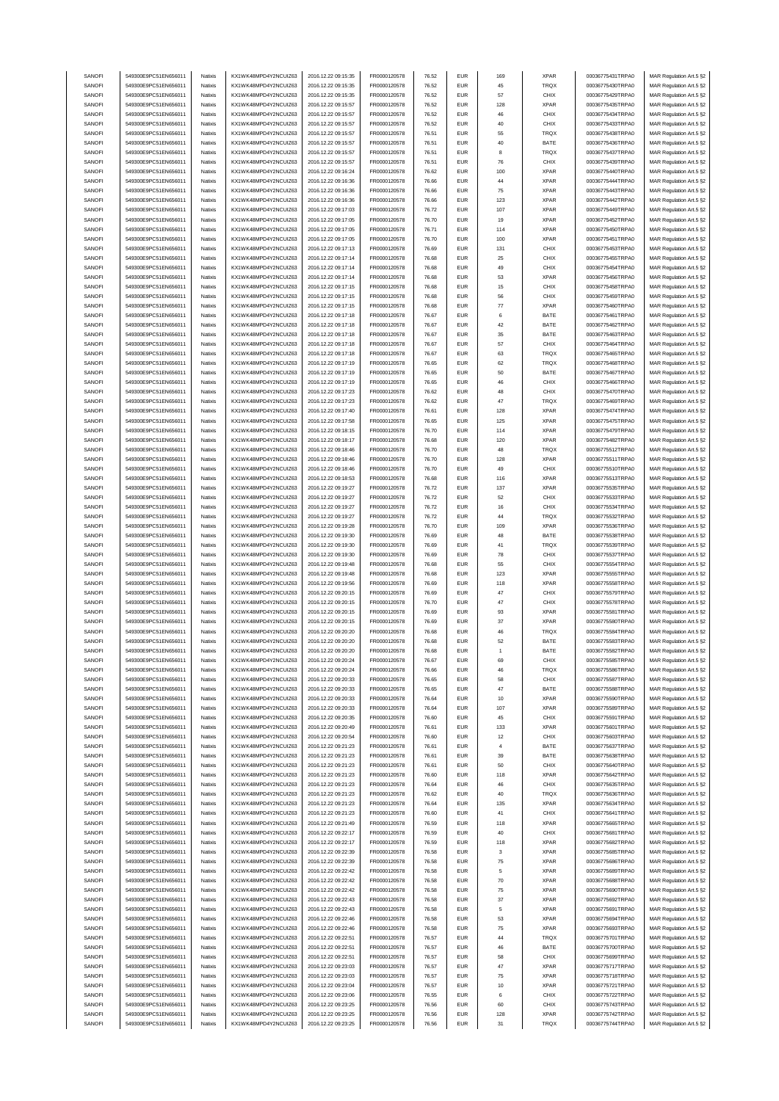| SANOFI           | 549300E9PC51EN656011                         | Natixis | KX1WK48MPD4Y2NCUIZ63                         | 2016.12.22 09:15:35                        | FR0000120578                 | 76.52 | <b>EUR</b> | 169            | <b>XPAR</b>         | 00036775431TRPA0                     | MAR Regulation Art.5 §2 |
|------------------|----------------------------------------------|---------|----------------------------------------------|--------------------------------------------|------------------------------|-------|------------|----------------|---------------------|--------------------------------------|-------------------------|
| SANOFI           | 549300E9PC51EN656011                         | Natixis | KX1WK48MPD4Y2NCUIZ63                         | 2016.12.22 09:15:35                        | FR0000120578                 | 76.52 | <b>EUR</b> | 45             | TRQX                | 00036775430TRPA0                     | MAR Regulation Art.5 §2 |
| SANOFI           | 549300E9PC51EN656011                         | Natixis | KX1WK48MPD4Y2NCUIZ63                         | 2016.12.22 09:15:35                        | FR0000120578                 | 76.52 | <b>EUR</b> | 57             | CHIX                | 00036775429TRPA0                     | MAR Regulation Art.5 §2 |
| SANOFI           | 549300E9PC51EN656011                         | Natixis | KX1WK48MPD4Y2NCUIZ63                         | 2016.12.22 09:15:57                        | FR0000120578                 | 76.52 | <b>EUR</b> | 128            | <b>XPAR</b>         | 00036775435TRPA0                     | MAR Regulation Art.5 §2 |
|                  |                                              |         |                                              |                                            |                              |       |            |                |                     |                                      |                         |
| SANOFI           | 549300E9PC51EN656011                         | Natixis | KX1WK48MPD4Y2NCUIZ63                         | 2016.12.22 09:15:57                        | FR0000120578                 | 76.52 | <b>EUR</b> | 46             | CHIX                | 00036775434TRPA0                     | MAR Regulation Art.5 §2 |
| SANOFI           | 549300E9PC51EN656011                         | Natixis | KX1WK48MPD4Y2NCUIZ63                         | 2016.12.22 09:15:57                        | FR0000120578                 | 76.52 | <b>EUR</b> | 40             | CHIX                | 00036775433TRPA0                     | MAR Regulation Art.5 §2 |
| SANOFI           | 549300E9PC51EN656011                         | Natixis | KX1WK48MPD4Y2NCUIZ63                         | 2016.12.22 09:15:57                        | FR0000120578                 | 76.51 | <b>EUR</b> | 55             | <b>TRQX</b>         | 00036775438TRPA0                     | MAR Regulation Art.5 §2 |
| SANOFI           | 549300E9PC51EN656011                         | Natixis | KX1WK48MPD4Y2NCUIZ63                         | 2016.12.22 09:15:57                        | FR0000120578                 | 76.51 | <b>EUR</b> | 40             | BATE                | 00036775436TRPA0                     | MAR Regulation Art.5 §2 |
| SANOFI           | 549300E9PC51EN656011                         | Natixis | KX1WK48MPD4Y2NCUIZ63                         | 2016.12.22 09:15:57                        | FR0000120578                 | 76.51 | <b>EUR</b> | 8              | TRQX                | 00036775437TRPA0                     | MAR Regulation Art.5 §2 |
| SANOFI           | 549300E9PC51EN656011                         | Natixis | KX1WK48MPD4Y2NCUIZ63                         | 2016.12.22 09:15:57                        | FR0000120578                 | 76.51 | <b>EUR</b> | 76             | CHIX                | 00036775439TRPA0                     | MAR Regulation Art.5 §2 |
| SANOFI           | 549300E9PC51EN656011                         | Natixis | KX1WK48MPD4Y2NCUIZ63                         | 2016.12.22 09:16:24                        | FR0000120578                 | 76.62 | <b>EUR</b> | 100            | <b>XPAR</b>         | 00036775440TRPA0                     | MAR Regulation Art.5 §2 |
|                  |                                              |         |                                              |                                            |                              |       |            |                |                     |                                      |                         |
| SANOFI           | 549300E9PC51EN656011                         | Natixis | KX1WK48MPD4Y2NCUIZ63                         | 2016.12.22 09:16:36                        | FR0000120578                 | 76.66 | <b>EUR</b> | 44             | <b>XPAR</b>         | 00036775444TRPA0                     | MAR Regulation Art.5 §2 |
| SANOFI           | 549300E9PC51EN656011                         | Natixis | KX1WK48MPD4Y2NCUIZ63                         | 2016.12.22 09:16:36                        | FR0000120578                 | 76.66 | <b>EUR</b> | 75             | <b>XPAR</b>         | 00036775443TRPA0                     | MAR Regulation Art.5 §2 |
| SANOFI           | 549300E9PC51EN656011                         | Natixis | KX1WK48MPD4Y2NCUIZ63                         | 2016.12.22 09:16:36                        | FR0000120578                 | 76.66 | <b>EUR</b> | 123            | <b>XPAR</b>         | 00036775442TRPA0                     | MAR Regulation Art.5 §2 |
| SANOFI           | 549300E9PC51EN656011                         | Natixis | KX1WK48MPD4Y2NCUIZ63                         | 2016.12.22 09:17:03                        | FR0000120578                 | 76.72 | <b>EUR</b> | 107            | <b>XPAR</b>         | 00036775449TRPA0                     | MAR Regulation Art.5 §2 |
| SANOFI           | 549300E9PC51EN656011                         | Natixis | KX1WK48MPD4Y2NCUIZ63                         | 2016.12.22 09:17:05                        | FR0000120578                 | 76.70 | <b>EUR</b> | 19             | <b>XPAR</b>         | 00036775452TRPA0                     |                         |
|                  |                                              |         |                                              |                                            |                              |       |            |                |                     |                                      | MAR Regulation Art.5 §2 |
| SANOFI           | 549300E9PC51EN656011                         | Natixis | KX1WK48MPD4Y2NCUIZ63                         | 2016.12.22 09:17:05                        | FR0000120578                 | 76.71 | <b>EUR</b> | 114            | <b>XPAR</b>         | 00036775450TRPA0                     | MAR Regulation Art.5 §2 |
| SANOFI           | 549300E9PC51EN656011                         | Natixis | KX1WK48MPD4Y2NCUIZ63                         | 2016.12.22 09:17:05                        | FR0000120578                 | 76.70 | <b>EUR</b> | 100            | <b>XPAR</b>         | 00036775451TRPA0                     | MAR Regulation Art.5 §2 |
| SANOFI           | 549300E9PC51EN656011                         | Natixis | KX1WK48MPD4Y2NCUIZ63                         | 2016.12.22 09:17:13                        | FR0000120578                 | 76.69 | <b>EUR</b> | 131            | CHIX                | 00036775453TRPA0                     | MAR Regulation Art.5 §2 |
| SANOFI           | 549300E9PC51EN656011                         | Natixis | KX1WK48MPD4Y2NCUIZ63                         | 2016.12.22 09:17:14                        | FR0000120578                 | 76.68 | <b>EUR</b> | 25             | CHIX                | 00036775455TRPA0                     | MAR Regulation Art.5 §2 |
| SANOFI           | 549300E9PC51EN656011                         | Natixis | KX1WK48MPD4Y2NCUIZ63                         | 2016.12.22 09:17:14                        | FR0000120578                 | 76.68 | <b>EUR</b> | 49             | CHIX                | 00036775454TRPA0                     | MAR Regulation Art.5 §2 |
| SANOFI           | 549300E9PC51EN656011                         | Natixis | KX1WK48MPD4Y2NCUIZ63                         | 2016.12.22 09:17:14                        | FR0000120578                 | 76.68 | <b>EUR</b> | 53             | <b>XPAR</b>         | 00036775456TRPA0                     | MAR Regulation Art.5 §2 |
|                  |                                              |         |                                              |                                            |                              |       |            |                |                     |                                      |                         |
| SANOFI           | 549300E9PC51EN656011                         | Natixis | KX1WK48MPD4Y2NCUIZ63                         | 2016.12.22 09:17:15                        | FR0000120578                 | 76.68 | <b>EUR</b> | 15             | CHIX                | 00036775458TRPA0                     | MAR Regulation Art.5 §2 |
| SANOFI           | 549300E9PC51EN656011                         | Natixis | KX1WK48MPD4Y2NCUIZ63                         | 2016.12.22 09:17:15                        | FR0000120578                 | 76.68 | <b>EUR</b> | 56             | CHIX                | 00036775459TRPA0                     | MAR Regulation Art.5 §2 |
| SANOFI           | 549300E9PC51EN656011                         | Natixis | KX1WK48MPD4Y2NCUIZ63                         | 2016.12.22 09:17:15                        | FR0000120578                 | 76.68 | <b>EUR</b> | 77             | <b>XPAR</b>         | 00036775460TRPA0                     | MAR Regulation Art.5 §2 |
| SANOFI           | 549300E9PC51EN656011                         | Natixis | KX1WK48MPD4Y2NCUIZ63                         | 2016.12.22 09:17:18                        | FR0000120578                 | 76.67 | <b>EUR</b> | 6              | BATE                | 00036775461TRPA0                     | MAR Regulation Art.5 §2 |
| SANOFI           | 549300E9PC51EN656011                         | Natixis | KX1WK48MPD4Y2NCUIZ63                         | 2016.12.22 09:17:18                        | FR0000120578                 | 76.67 | <b>EUR</b> | 42             | BATE                | 00036775462TRPA0                     | MAR Regulation Art.5 §2 |
| SANOFI           | 549300E9PC51EN656011                         | Natixis | KX1WK48MPD4Y2NCUIZ63                         | 2016.12.22 09:17:18                        | FR0000120578                 | 76.67 | <b>EUR</b> | 35             | BATE                | 00036775463TRPA0                     | MAR Regulation Art.5 §2 |
| SANOFI           | 549300E9PC51EN656011                         | Natixis |                                              | 2016.12.22 09:17:18                        | FR0000120578                 | 76.67 | <b>EUR</b> |                | CHIX                | 00036775464TRPA0                     |                         |
|                  |                                              |         | KX1WK48MPD4Y2NCUIZ63                         |                                            |                              |       |            | 57             |                     |                                      | MAR Regulation Art.5 §2 |
| SANOFI           | 549300E9PC51EN656011                         | Natixis | KX1WK48MPD4Y2NCUIZ63                         | 2016.12.22 09:17:18                        | FR0000120578                 | 76.67 | <b>EUR</b> | 63             | TRQX                | 00036775465TRPA0                     | MAR Regulation Art.5 §2 |
| SANOFI           | 549300E9PC51EN656011                         | Natixis | KX1WK48MPD4Y2NCUIZ63                         | 2016.12.22 09:17:19                        | FR0000120578                 | 76.65 | <b>EUR</b> | 62             | TRQX                | 00036775468TRPA0                     | MAR Regulation Art.5 §2 |
| SANOFI           | 549300E9PC51EN656011                         | Natixis | KX1WK48MPD4Y2NCUIZ63                         | 2016.12.22 09:17:19                        | FR0000120578                 | 76.65 | <b>EUR</b> | 50             | BATE                | 00036775467TRPA0                     | MAR Regulation Art.5 §2 |
| SANOFI           | 549300E9PC51EN656011                         | Natixis | KX1WK48MPD4Y2NCUIZ63                         | 2016.12.22 09:17:19                        | FR0000120578                 | 76.65 | <b>EUR</b> | 46             | CHIX                | 00036775466TRPA0                     | MAR Regulation Art.5 §2 |
| SANOFI           | 549300E9PC51EN656011                         | Natixis | KX1WK48MPD4Y2NCUIZ63                         | 2016.12.22 09:17:23                        | FR0000120578                 | 76.62 | <b>EUR</b> | 48             | CHIX                | 00036775470TRPA0                     | MAR Regulation Art.5 §2 |
|                  |                                              |         |                                              |                                            |                              |       |            |                |                     |                                      |                         |
| SANOFI           | 549300E9PC51EN656011                         | Natixis | KX1WK48MPD4Y2NCUIZ63                         | 2016.12.22 09:17:23                        | FR0000120578                 | 76.62 | <b>EUR</b> | 47             | TRQX                | 00036775469TRPA0                     | MAR Regulation Art.5 §2 |
| SANOFI           | 549300E9PC51EN656011                         | Natixis | KX1WK48MPD4Y2NCUIZ63                         | 2016.12.22 09:17:40                        | FR0000120578                 | 76.61 | <b>EUR</b> | 128            | <b>XPAR</b>         | 00036775474TRPA0                     | MAR Regulation Art.5 §2 |
| SANOFI           | 549300E9PC51EN656011                         | Natixis | KX1WK48MPD4Y2NCUIZ63                         | 2016.12.22 09:17:58                        | FR0000120578                 | 76.65 | <b>EUR</b> | 125            | <b>XPAR</b>         | 00036775475TRPA0                     | MAR Regulation Art.5 §2 |
| SANOFI           | 549300E9PC51EN656011                         | Natixis | KX1WK48MPD4Y2NCUIZ63                         | 2016.12.22 09:18:15                        | FR0000120578                 | 76.70 | <b>EUR</b> | 114            | <b>XPAR</b>         | 00036775479TRPA0                     | MAR Regulation Art.5 §2 |
| SANOFI           | 549300E9PC51EN656011                         | Natixis | KX1WK48MPD4Y2NCUIZ63                         | 2016.12.22 09:18:17                        | FR0000120578                 | 76.68 | <b>EUR</b> | 120            | <b>XPAR</b>         | 00036775482TRPA0                     | MAR Regulation Art.5 §2 |
|                  |                                              |         |                                              |                                            |                              |       |            |                |                     |                                      |                         |
| SANOFI           | 549300E9PC51EN656011                         | Natixis | KX1WK48MPD4Y2NCUIZ63                         | 2016.12.22 09:18:46                        | FR0000120578                 | 76.70 | <b>EUR</b> | 48             | TRQX                | 00036775512TRPA0                     | MAR Regulation Art.5 §2 |
| SANOFI           | 549300E9PC51EN656011                         | Natixis | KX1WK48MPD4Y2NCUIZ63                         | 2016.12.22 09:18:46                        | FR0000120578                 | 76.70 | EUR        | 128            | <b>XPAR</b>         | 00036775511TRPA0                     | MAR Regulation Art.5 §2 |
| SANOFI           | 549300E9PC51EN656011                         | Natixis | KX1WK48MPD4Y2NCUIZ63                         | 2016.12.22 09:18:46                        | FR0000120578                 | 76.70 | <b>EUR</b> | 49             | CHIX                | 00036775510TRPA0                     | MAR Regulation Art.5 §2 |
| SANOFI           | 549300E9PC51EN656011                         | Natixis | KX1WK48MPD4Y2NCUIZ63                         | 2016.12.22 09:18:53                        | FR0000120578                 | 76.68 | <b>EUR</b> | 116            | <b>XPAR</b>         | 00036775513TRPA0                     | MAR Regulation Art.5 §2 |
| SANOFI           | 549300E9PC51EN656011                         | Natixis | KX1WK48MPD4Y2NCUIZ63                         | 2016.12.22 09:19:27                        | FR0000120578                 | 76.72 | <b>EUR</b> | 137            | <b>XPAR</b>         | 00036775535TRPA0                     | MAR Regulation Art.5 §2 |
| SANOFI           | 549300E9PC51EN656011                         | Natixis | KX1WK48MPD4Y2NCUIZ63                         | 2016.12.22 09:19:27                        | FR0000120578                 | 76.72 | <b>EUR</b> | 52             | CHIX                | 00036775533TRPA0                     | MAR Regulation Art.5 §2 |
|                  |                                              |         |                                              |                                            |                              |       |            |                |                     |                                      |                         |
| SANOFI           | 549300E9PC51EN656011                         | Natixis | KX1WK48MPD4Y2NCUIZ63                         | 2016.12.22 09:19:27                        | FR0000120578                 | 76.72 | <b>EUR</b> | 16             | CHIX                | 00036775534TRPA0                     | MAR Regulation Art.5 §2 |
| SANOFI           | 549300E9PC51EN656011                         | Natixis | KX1WK48MPD4Y2NCUIZ63                         | 2016.12.22 09:19:27                        | FR0000120578                 | 76.72 | <b>EUR</b> | 44             | TRQX                | 00036775532TRPA0                     | MAR Regulation Art.5 §2 |
| SANOFI           | 549300E9PC51EN656011                         | Natixis | KX1WK48MPD4Y2NCUIZ63                         | 2016.12.22 09:19:28                        | FR0000120578                 | 76.70 | <b>EUR</b> | 109            | <b>XPAR</b>         | 00036775536TRPA0                     | MAR Regulation Art.5 §2 |
| SANOFI           | 549300E9PC51EN656011                         | Natixis | KX1WK48MPD4Y2NCUIZ63                         | 2016.12.22 09:19:30                        | FR0000120578                 | 76.69 | <b>EUR</b> | 48             | BATE                | 00036775538TRPA0                     | MAR Regulation Art.5 §2 |
| SANOFI           | 549300E9PC51EN656011                         | Natixis | KX1WK48MPD4Y2NCUIZ63                         | 2016.12.22 09:19:30                        | FR0000120578                 | 76.69 | EUR        | 41             | TRQX                | 00036775539TRPA0                     | MAR Regulation Art.5 §2 |
| SANOFI           | 549300E9PC51EN656011                         | Natixis | KX1WK48MPD4Y2NCUIZ63                         | 2016.12.22 09:19:30                        | FR0000120578                 | 76.69 | <b>EUR</b> | 78             | CHIX                | 00036775537TRPA0                     | MAR Regulation Art.5 §2 |
|                  |                                              |         |                                              |                                            |                              |       |            |                |                     |                                      |                         |
| SANOFI           | 549300E9PC51EN656011                         | Natixis | KX1WK48MPD4Y2NCUIZ63                         | 2016.12.22 09:19:48                        | FR0000120578                 | 76.68 | <b>EUR</b> | 55             | CHIX                | 00036775554TRPA0                     | MAR Regulation Art.5 §2 |
| SANOFI           | 549300E9PC51EN656011                         | Natixis | KX1WK48MPD4Y2NCUIZ63                         | 2016.12.22 09:19:48                        | FR0000120578                 | 76.68 | <b>EUR</b> | 123            | <b>XPAR</b>         | 00036775555TRPA0                     | MAR Regulation Art.5 §2 |
| SANOFI           | 549300E9PC51EN656011                         | Natixis | KX1WK48MPD4Y2NCUIZ63                         | 2016.12.22 09:19:56                        | FR0000120578                 | 76.69 | <b>EUR</b> | 118            | <b>XPAR</b>         | 00036775558TRPA0                     | MAR Regulation Art.5 §2 |
| SANOFI           | 549300E9PC51EN656011                         | Natixis | KX1WK48MPD4Y2NCUIZ63                         | 2016.12.22 09:20:15                        | FR0000120578                 | 76.69 | <b>EUR</b> | 47             | CHIX                | 00036775579TRPA0                     | MAR Regulation Art.5 §2 |
| SANOFI           | 549300E9PC51EN656011                         | Natixis | KX1WK48MPD4Y2NCUIZ63                         | 2016.12.22 09:20:15                        | FR0000120578                 | 76.70 | <b>EUR</b> | 47             | CHIX                | 00036775578TRPA0                     | MAR Regulation Art.5 §2 |
|                  |                                              |         | KX1WK48MPD4Y2NCUIZ63                         |                                            | FR0000120578                 |       |            |                |                     |                                      |                         |
| SANOFI           | 549300E9PC51EN656011                         | Natixis |                                              | 2016.12.22 09:20:15                        |                              | 76.69 | <b>EUR</b> | 93             | <b>XPAR</b>         | 00036775581TRPA0                     | MAR Regulation Art.5 §2 |
| SANOFI           | 549300E9PC51EN656011                         | Natixis | KX1WK48MPD4Y2NCUIZ63                         | 2016.12.22 09:20:15                        | FR0000120578                 | 76.69 | <b>EUR</b> | 37             | <b>XPAR</b>         | 00036775580TRPA0                     | MAR Regulation Art.5 §2 |
| SANOFI           | 549300E9PC51EN656011                         | Natixis | KX1WK48MPD4Y2NCUIZ63                         | 2016.12.22 09:20:20                        | FR0000120578                 | 76.68 | <b>EUR</b> | 46             | <b>TRQX</b>         | 00036775584TRPA0                     | MAR Regulation Art.5 §2 |
| SANOFI           | 549300E9PC51EN656011                         | Natixis | KX1WK48MPD4Y2NCUIZ63                         | 2016.12.22 09:20:20                        | FR0000120578                 | 76.68 | <b>EUR</b> | 52             | BATE                | 00036775583TRPA0                     | MAR Regulation Art.5 §2 |
| SANOF            | 549300E9PC51EN65601                          | Natixis | KX1WK48MPD4Y2NCUIZ63                         | 2016.12.22 09:20:20                        | FR0000120578                 | 76.68 | EUR        |                | BATE                | 00036775582TRPA0                     | MAR Regulation Art.5 §2 |
| SANOFI           | 549300E9PC51EN656011                         | Natixis | KX1WK48MPD4Y2NCUIZ63                         | 2016.12.22 09:20:24                        | FR0000120578                 | 76.67 | <b>EUR</b> | 69             | CHIX                | 00036775585TRPA0                     | MAR Regulation Art.5 §2 |
| SANOFI           | 549300E9PC51EN656011                         | Natixis | KX1WK48MPD4Y2NCUIZ63                         | 2016.12.22 09:20:24                        | FR0000120578                 | 76.66 | <b>EUR</b> | 46             | TRQX                | 00036775586TRPA0                     | MAR Regulation Art.5 §2 |
|                  |                                              |         |                                              |                                            |                              |       |            |                |                     |                                      |                         |
| SANOFI           | 549300E9PC51EN656011                         | Natixis | KX1WK48MPD4Y2NCUIZ63                         | 2016.12.22 09:20:33                        | FR0000120578                 | 76.65 | <b>EUR</b> | 58             | CHIX                | 00036775587TRPA0                     | MAR Regulation Art.5 §2 |
| SANOFI           | 549300E9PC51EN656011                         | Natixis | KX1WK48MPD4Y2NCUIZ63                         | 2016.12.22 09:20:33                        | FR0000120578                 | 76.65 | <b>EUR</b> | 47             | BATE                | 00036775588TRPA0                     | MAR Regulation Art.5 §2 |
| SANOFI           | 549300E9PC51EN656011                         | Natixis | KX1WK48MPD4Y2NCUIZ63                         | 2016.12.22 09:20:33                        | FR0000120578                 | 76.64 | <b>EUR</b> | 10             | <b>XPAR</b>         | 00036775590TRPA0                     | MAR Regulation Art.5 §2 |
| SANOFI           | 549300E9PC51EN656011                         | Natixis | KX1WK48MPD4Y2NCUIZ63                         | 2016.12.22 09:20:33                        | FR0000120578                 | 76.64 | <b>EUR</b> | 107            | <b>XPAR</b>         | 00036775589TRPA0                     | MAR Regulation Art.5 §2 |
| SANOFI           | 549300E9PC51EN656011                         | Natixis | KX1WK48MPD4Y2NCUIZ63                         | 2016.12.22 09:20:35                        | FR0000120578                 | 76.60 | <b>EUR</b> | 45             | CHIX                | 00036775591TRPA0                     | MAR Regulation Art.5 §2 |
| SANOFI           | 549300E9PC51EN656011                         | Natixis | KX1WK48MPD4Y2NCUIZ63                         | 2016.12.22 09:20:49                        | FR0000120578                 | 76.61 | <b>EUR</b> | 133            | <b>XPAR</b>         | 00036775601TRPA0                     | MAR Regulation Art.5 §2 |
| SANOFI           | 549300E9PC51EN656011                         | Natixis | KX1WK48MPD4Y2NCUIZ63                         | 2016.12.22 09:20:54                        | FR0000120578                 | 76.60 | <b>EUR</b> | 12             | CHIX                | 00036775603TRPA0                     |                         |
|                  |                                              |         |                                              |                                            |                              |       |            |                |                     |                                      | MAR Regulation Art.5 §2 |
| SANOFI           | 549300E9PC51EN656011                         | Natixis | KX1WK48MPD4Y2NCUIZ63                         | 2016.12.22 09:21:23                        | FR0000120578                 | 76.61 | <b>EUR</b> | $\overline{4}$ | BATE                | 00036775637TRPA0                     | MAR Regulation Art.5 §2 |
| SANOFI           | 549300E9PC51EN656011                         | Natixis | KX1WK48MPD4Y2NCUIZ63                         | 2016.12.22 09:21:23                        | FR0000120578                 | 76.61 | <b>EUR</b> | 39             | BATE                | 00036775638TRPA0                     | MAR Regulation Art.5 §2 |
| SANOFI           | 549300E9PC51EN656011                         | Natixis | KX1WK48MPD4Y2NCUIZ63                         | 2016.12.22 09:21:23                        | FR0000120578                 | 76.61 | <b>EUR</b> | 50             | CHIX                | 00036775640TRPA0                     | MAR Regulation Art.5 §2 |
| SANOFI           | 549300E9PC51EN656011                         | Natixis | KX1WK48MPD4Y2NCUIZ63                         | 2016.12.22 09:21:23                        | FR0000120578                 | 76.60 | <b>EUR</b> | 118            | <b>XPAR</b>         | 00036775642TRPA0                     | MAR Regulation Art.5 §2 |
| SANOFI           | 549300E9PC51EN656011                         | Natixis | KX1WK48MPD4Y2NCUIZ63                         | 2016.12.22 09:21:23                        | FR0000120578                 | 76.64 | <b>EUR</b> | 46             | CHIX                | 00036775635TRPA0                     | MAR Regulation Art.5 §2 |
|                  |                                              |         |                                              |                                            |                              |       |            |                |                     |                                      |                         |
| SANOFI<br>SANOFI | 549300E9PC51EN656011<br>549300E9PC51EN656011 | Natixis | KX1WK48MPD4Y2NCUIZ63<br>KX1WK48MPD4Y2NCUIZ63 | 2016.12.22 09:21:23<br>2016.12.22 09:21:23 | FR0000120578<br>FR0000120578 | 76.62 | <b>EUR</b> | 40             | TRQX<br><b>XPAR</b> | 00036775636TRPA0<br>00036775634TRPA0 | MAR Regulation Art.5 §2 |
|                  |                                              | Natixis |                                              |                                            |                              | 76.64 | <b>EUR</b> | 135            |                     |                                      | MAR Regulation Art.5 §2 |
| SANOFI           | 549300E9PC51EN656011                         | Natixis | KX1WK48MPD4Y2NCUIZ63                         | 2016.12.22 09:21:23                        | FR0000120578                 | 76.60 | <b>EUR</b> | 41             | CHIX                | 00036775641TRPA0                     | MAR Regulation Art.5 §2 |
| SANOFI           | 549300E9PC51EN656011                         | Natixis | KX1WK48MPD4Y2NCUIZ63                         | 2016.12.22 09:21:49                        | FR0000120578                 | 76.59 | <b>EUR</b> | 118            | <b>XPAR</b>         | 00036775665TRPA0                     | MAR Regulation Art.5 §2 |
| SANOFI           | 549300E9PC51EN656011                         | Natixis | KX1WK48MPD4Y2NCUIZ63                         | 2016.12.22 09:22:17                        | FR0000120578                 | 76.59 | <b>EUR</b> | 40             | CHIX                | 00036775681TRPA0                     | MAR Regulation Art.5 §2 |
| SANOFI           | 549300E9PC51EN656011                         | Natixis | KX1WK48MPD4Y2NCUIZ63                         | 2016.12.22 09:22:17                        | FR0000120578                 | 76.59 | <b>EUR</b> | 118            | <b>XPAR</b>         | 00036775682TRPA0                     | MAR Regulation Art.5 §2 |
| SANOFI           | 549300E9PC51EN656011                         | Natixis | KX1WK48MPD4Y2NCUIZ63                         | 2016.12.22 09:22:39                        | FR0000120578                 | 76.58 | <b>EUR</b> | 3              | <b>XPAR</b>         | 00036775685TRPA0                     | MAR Regulation Art.5 §2 |
|                  |                                              |         |                                              |                                            |                              |       |            |                |                     |                                      |                         |
| SANOFI           | 549300E9PC51EN656011                         | Natixis | KX1WK48MPD4Y2NCUIZ63                         | 2016.12.22 09:22:39                        | FR0000120578                 | 76.58 | <b>EUR</b> | ${\bf 75}$     | <b>XPAR</b>         | 00036775686TRPA0                     | MAR Regulation Art.5 §2 |
| SANOFI           | 549300E9PC51EN656011                         | Natixis | KX1WK48MPD4Y2NCUIZ63                         | 2016.12.22 09:22:42                        | FR0000120578                 | 76.58 | <b>EUR</b> | 5              | <b>XPAR</b>         | 00036775689TRPA0                     | MAR Regulation Art.5 §2 |
| SANOFI           | 549300E9PC51EN656011                         | Natixis | KX1WK48MPD4Y2NCUIZ63                         | 2016.12.22 09:22:42                        | FR0000120578                 | 76.58 | <b>EUR</b> | 70             | <b>XPAR</b>         | 00036775688TRPA0                     | MAR Regulation Art.5 §2 |
| SANOFI           | 549300E9PC51EN656011                         | Natixis | KX1WK48MPD4Y2NCUIZ63                         | 2016.12.22 09:22:42                        | FR0000120578                 | 76.58 | <b>EUR</b> | 75             | <b>XPAR</b>         | 00036775690TRPA0                     | MAR Regulation Art.5 §2 |
| SANOFI           | 549300E9PC51EN656011                         | Natixis | KX1WK48MPD4Y2NCUIZ63                         | 2016.12.22 09:22:43                        | FR0000120578                 | 76.58 | <b>EUR</b> | 37             | <b>XPAR</b>         | 00036775692TRPA0                     | MAR Regulation Art.5 §2 |
| SANOFI           |                                              |         |                                              | 2016.12.22 09:22:43                        |                              |       |            | 5              |                     |                                      |                         |
|                  | 549300E9PC51EN656011                         | Natixis | KX1WK48MPD4Y2NCUIZ63                         |                                            | FR0000120578                 | 76.58 | <b>EUR</b> |                | <b>XPAR</b>         | 00036775691TRPA0                     | MAR Regulation Art.5 §2 |
| SANOFI           | 549300E9PC51EN656011                         | Natixis | KX1WK48MPD4Y2NCUIZ63                         | 2016.12.22 09:22:46                        | FR0000120578                 | 76.58 | <b>EUR</b> | 53             | <b>XPAR</b>         | 00036775694TRPA0                     | MAR Regulation Art.5 §2 |
| SANOFI           | 549300E9PC51EN656011                         | Natixis | KX1WK48MPD4Y2NCUIZ63                         | 2016.12.22 09:22:46                        | FR0000120578                 | 76.58 | <b>EUR</b> | 75             | <b>XPAR</b>         | 00036775693TRPA0                     | MAR Regulation Art.5 §2 |
| SANOFI           | 549300E9PC51EN656011                         | Natixis | KX1WK48MPD4Y2NCUIZ63                         | 2016.12.22 09:22:51                        | FR0000120578                 | 76.57 | <b>EUR</b> | 44             | <b>TRQX</b>         | 00036775701TRPA0                     | MAR Regulation Art.5 §2 |
| SANOFI           | 549300E9PC51EN656011                         | Natixis | KX1WK48MPD4Y2NCUIZ63                         | 2016.12.22 09:22:51                        | FR0000120578                 | 76.57 | <b>EUR</b> | 46             | BATE                | 00036775700TRPA0                     | MAR Regulation Art.5 §2 |
| SANOFI           | 549300E9PC51EN656011                         | Natixis | KX1WK48MPD4Y2NCUIZ63                         | 2016.12.22 09:22:51                        | FR0000120578                 | 76.57 | <b>EUR</b> | 58             | CHIX                | 00036775699TRPA0                     | MAR Regulation Art.5 §2 |
| SANOFI           | 549300E9PC51EN656011                         | Natixis | KX1WK48MPD4Y2NCUIZ63                         | 2016.12.22 09:23:03                        | FR0000120578                 | 76.57 | <b>EUR</b> | 47             | <b>XPAR</b>         | 00036775717TRPA0                     | MAR Regulation Art.5 §2 |
|                  |                                              |         |                                              |                                            |                              |       |            |                |                     |                                      |                         |
| SANOFI           | 549300E9PC51EN656011                         | Natixis | KX1WK48MPD4Y2NCUIZ63                         | 2016.12.22 09:23:03                        | FR0000120578                 | 76.57 | <b>EUR</b> | 75             | <b>XPAR</b>         | 00036775718TRPA0                     | MAR Regulation Art.5 §2 |
| SANOFI           | 549300E9PC51EN656011                         | Natixis | KX1WK48MPD4Y2NCUIZ63                         | 2016.12.22 09:23:04                        | FR0000120578                 | 76.57 | <b>EUR</b> | 10             | <b>XPAR</b>         | 00036775721TRPA0                     | MAR Regulation Art.5 §2 |
| SANOFI           | 549300E9PC51EN656011                         | Natixis | KX1WK48MPD4Y2NCUIZ63                         | 2016.12.22 09:23:06                        | FR0000120578                 | 76.55 | <b>EUR</b> | 6              | CHIX                | 00036775722TRPA0                     | MAR Regulation Art.5 §2 |
| SANOFI           | 549300E9PC51EN656011                         | Natixis | KX1WK48MPD4Y2NCUIZ63                         | 2016.12.22 09:23:25                        | FR0000120578                 | 76.56 | <b>EUR</b> | 60             | CHIX                | 00036775743TRPA0                     | MAR Regulation Art.5 §2 |
| SANOFI           | 549300E9PC51EN656011                         | Natixis | KX1WK48MPD4Y2NCUIZ63                         | 2016.12.22 09:23:25                        | FR0000120578                 | 76.56 | <b>EUR</b> | 128            | <b>XPAR</b>         | 00036775742TRPA0                     | MAR Regulation Art.5 §2 |
| SANOFI           | 549300E9PC51EN656011                         | Natixis | KX1WK48MPD4Y2NCUIZ63                         | 2016.12.22 09:23:25                        | FR0000120578                 | 76.56 | <b>EUR</b> | 31             | <b>TRQX</b>         | 00036775744TRPA0                     | MAR Regulation Art.5 §2 |
|                  |                                              |         |                                              |                                            |                              |       |            |                |                     |                                      |                         |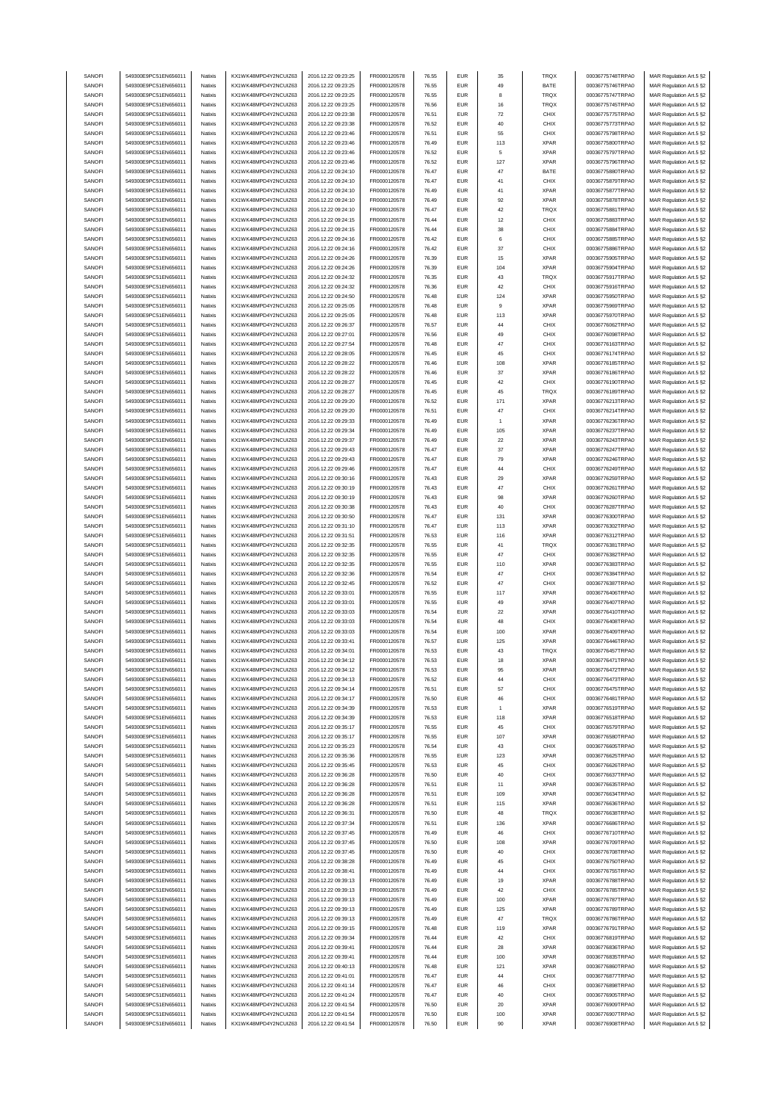| SANOFI | 549300E9PC51EN656011 | Natixis | KX1WK48MPD4Y2NCUIZ63 | 2016.12.22 09:23:25 | FR0000120578 | 76.55 | <b>EUR</b> | 35                 | <b>TRQX</b> | 00036775748TRPA0 | MAR Regulation Art.5 §2 |
|--------|----------------------|---------|----------------------|---------------------|--------------|-------|------------|--------------------|-------------|------------------|-------------------------|
| SANOFI | 549300E9PC51EN656011 | Natixis | KX1WK48MPD4Y2NCUIZ63 | 2016.12.22 09:23:25 | FR0000120578 | 76.55 | <b>EUR</b> | 49                 | BATE        | 00036775746TRPA0 | MAR Regulation Art.5 §2 |
| SANOFI | 549300E9PC51EN656011 | Natixis | KX1WK48MPD4Y2NCUIZ63 | 2016.12.22 09:23:25 | FR0000120578 | 76.55 | <b>EUR</b> | 8                  | <b>TRQX</b> | 00036775747TRPA0 | MAR Regulation Art.5 §2 |
| SANOFI | 549300E9PC51EN656011 | Natixis | KX1WK48MPD4Y2NCUIZ63 | 2016.12.22 09:23:25 | FR0000120578 | 76.56 | <b>EUR</b> | 16                 | TRQX        | 00036775745TRPA0 | MAR Regulation Art.5 §2 |
|        |                      |         |                      |                     |              |       |            |                    |             |                  |                         |
| SANOFI | 549300E9PC51EN656011 | Natixis | KX1WK48MPD4Y2NCUIZ63 | 2016.12.22 09:23:38 | FR0000120578 | 76.51 | <b>EUR</b> | $\scriptstyle{72}$ | CHIX        | 00036775775TRPA0 | MAR Regulation Art.5 §2 |
| SANOFI | 549300E9PC51EN656011 | Natixis | KX1WK48MPD4Y2NCUIZ63 | 2016.12.22 09:23:38 | FR0000120578 | 76.52 | <b>EUR</b> | 40                 | CHIX        | 00036775773TRPA0 | MAR Regulation Art.5 §2 |
| SANOFI | 549300E9PC51EN656011 | Natixis | KX1WK48MPD4Y2NCUIZ63 | 2016.12.22 09:23:46 | FR0000120578 | 76.51 | <b>EUR</b> | 55                 | CHIX        | 00036775798TRPA0 | MAR Regulation Art.5 §2 |
| SANOFI | 549300E9PC51EN656011 | Natixis | KX1WK48MPD4Y2NCUIZ63 | 2016.12.22 09:23:46 | FR0000120578 | 76.49 | <b>EUR</b> | 113                | <b>XPAR</b> | 00036775800TRPA0 | MAR Regulation Art.5 §2 |
| SANOFI | 549300E9PC51EN656011 | Natixis | KX1WK48MPD4Y2NCUIZ63 | 2016.12.22 09:23:46 | FR0000120578 | 76.52 | <b>EUR</b> | 5                  | <b>XPAR</b> | 00036775797TRPA0 | MAR Regulation Art.5 §2 |
| SANOFI | 549300E9PC51EN656011 | Natixis | KX1WK48MPD4Y2NCUIZ63 | 2016.12.22 09:23:46 | FR0000120578 | 76.52 | <b>EUR</b> | 127                | <b>XPAR</b> | 00036775796TRPA0 | MAR Regulation Art.5 §2 |
|        | 549300E9PC51EN656011 | Natixis |                      |                     |              | 76.47 | <b>EUR</b> |                    | BATE        |                  |                         |
| SANOFI |                      |         | KX1WK48MPD4Y2NCUIZ63 | 2016.12.22 09:24:10 | FR0000120578 |       |            | 47                 |             | 00036775880TRPA0 | MAR Regulation Art.5 §2 |
| SANOFI | 549300E9PC51EN656011 | Natixis | KX1WK48MPD4Y2NCUIZ63 | 2016.12.22 09:24:10 | FR0000120578 | 76.47 | <b>EUR</b> | 41                 | CHIX        | 00036775879TRPA0 | MAR Regulation Art.5 §2 |
| SANOFI | 549300E9PC51EN656011 | Natixis | KX1WK48MPD4Y2NCUIZ63 | 2016.12.22 09:24:10 | FR0000120578 | 76.49 | <b>EUR</b> | 41                 | <b>XPAR</b> | 00036775877TRPA0 | MAR Regulation Art.5 §2 |
| SANOFI | 549300E9PC51EN656011 | Natixis | KX1WK48MPD4Y2NCUIZ63 | 2016.12.22 09:24:10 | FR0000120578 | 76.49 | <b>EUR</b> | 92                 | <b>XPAR</b> | 00036775878TRPA0 | MAR Regulation Art.5 §2 |
| SANOFI | 549300E9PC51EN656011 | Natixis | KX1WK48MPD4Y2NCUIZ63 | 2016.12.22 09:24:10 | FR0000120578 | 76.47 | <b>EUR</b> | 42                 | <b>TRQX</b> | 00036775881TRPA0 | MAR Regulation Art.5 §2 |
|        | 549300E9PC51EN656011 |         | KX1WK48MPD4Y2NCUIZ63 | 2016.12.22 09:24:15 | FR0000120578 |       | <b>EUR</b> |                    |             | 00036775883TRPA0 |                         |
| SANOFI |                      | Natixis |                      |                     |              | 76.44 |            | 12                 | CHIX        |                  | MAR Regulation Art.5 §2 |
| SANOFI | 549300E9PC51EN656011 | Natixis | KX1WK48MPD4Y2NCUIZ63 | 2016.12.22 09:24:15 | FR0000120578 | 76.44 | <b>EUR</b> | 38                 | CHIX        | 00036775884TRPA0 | MAR Regulation Art.5 §2 |
| SANOFI | 549300E9PC51EN656011 | Natixis | KX1WK48MPD4Y2NCUIZ63 | 2016.12.22 09:24:16 | FR0000120578 | 76.42 | <b>EUR</b> | 6                  | CHIX        | 00036775885TRPA0 | MAR Regulation Art.5 §2 |
| SANOFI | 549300E9PC51EN656011 | Natixis | KX1WK48MPD4Y2NCUIZ63 | 2016.12.22 09:24:16 | FR0000120578 | 76.42 | <b>EUR</b> | 37                 | CHIX        | 00036775886TRPA0 | MAR Regulation Art.5 §2 |
| SANOFI | 549300E9PC51EN656011 | Natixis | KX1WK48MPD4Y2NCUIZ63 | 2016.12.22 09:24:26 | FR0000120578 | 76.39 | <b>EUR</b> | 15                 | <b>XPAR</b> | 00036775905TRPA0 | MAR Regulation Art.5 §2 |
| SANOFI | 549300E9PC51EN656011 | Natixis | KX1WK48MPD4Y2NCUIZ63 | 2016.12.22 09:24:26 | FR0000120578 | 76.39 | <b>EUR</b> | 104                | <b>XPAR</b> | 00036775904TRPA0 | MAR Regulation Art.5 §2 |
| SANOFI | 549300E9PC51EN656011 | Natixis | KX1WK48MPD4Y2NCUIZ63 | 2016.12.22 09:24:32 | FR0000120578 | 76.35 | <b>EUR</b> | 43                 | TRQX        | 00036775917TRPA0 | MAR Regulation Art.5 §2 |
|        |                      |         |                      |                     |              |       |            |                    |             |                  |                         |
| SANOFI | 549300E9PC51EN656011 | Natixis | KX1WK48MPD4Y2NCUIZ63 | 2016.12.22 09:24:32 | FR0000120578 | 76.36 | <b>EUR</b> | 42                 | CHIX        | 00036775916TRPA0 | MAR Regulation Art.5 §2 |
| SANOFI | 549300E9PC51EN656011 | Natixis | KX1WK48MPD4Y2NCUIZ63 | 2016.12.22 09:24:50 | FR0000120578 | 76.48 | <b>EUR</b> | 124                | <b>XPAR</b> | 00036775950TRPA0 | MAR Regulation Art.5 §2 |
| SANOFI | 549300E9PC51EN656011 | Natixis | KX1WK48MPD4Y2NCUIZ63 | 2016.12.22 09:25:05 | FR0000120578 | 76.48 | <b>EUR</b> | 9                  | <b>XPAR</b> | 00036775969TRPA0 | MAR Regulation Art.5 §2 |
| SANOFI | 549300E9PC51EN656011 | Natixis | KX1WK48MPD4Y2NCUIZ63 | 2016.12.22 09:25:05 | FR0000120578 | 76.48 | <b>EUR</b> | 113                | <b>XPAR</b> | 00036775970TRPA0 | MAR Regulation Art.5 §2 |
| SANOFI | 549300E9PC51EN656011 | Natixis | KX1WK48MPD4Y2NCUIZ63 | 2016.12.22 09:26:37 | FR0000120578 | 76.57 | <b>EUR</b> | 44                 | CHIX        | 00036776062TRPA0 | MAR Regulation Art.5 §2 |
| SANOFI | 549300E9PC51EN656011 | Natixis | KX1WK48MPD4Y2NCUIZ63 | 2016.12.22 09:27:01 | FR0000120578 | 76.56 | <b>EUR</b> | 49                 | CHIX        | 00036776098TRPA0 | MAR Regulation Art.5 §2 |
|        |                      |         |                      |                     |              |       |            |                    |             |                  |                         |
| SANOFI | 549300E9PC51EN656011 | Natixis | KX1WK48MPD4Y2NCUIZ63 | 2016.12.22 09:27:54 | FR0000120578 | 76.48 | <b>EUR</b> | 47                 | CHIX        | 00036776163TRPA0 | MAR Regulation Art.5 §2 |
| SANOFI | 549300E9PC51EN656011 | Natixis | KX1WK48MPD4Y2NCUIZ63 | 2016.12.22 09:28:05 | FR0000120578 | 76.45 | <b>EUR</b> | 45                 | CHIX        | 00036776174TRPA0 | MAR Regulation Art.5 §2 |
| SANOFI | 549300E9PC51EN656011 | Natixis | KX1WK48MPD4Y2NCUIZ63 | 2016.12.22 09:28:22 | FR0000120578 | 76.46 | <b>EUR</b> | 108                | <b>XPAR</b> | 00036776185TRPA0 | MAR Regulation Art.5 §2 |
| SANOFI | 549300E9PC51EN656011 | Natixis | KX1WK48MPD4Y2NCUIZ63 | 2016.12.22 09:28:22 | FR0000120578 | 76.46 | <b>EUR</b> | 37                 | <b>XPAR</b> | 00036776186TRPA0 | MAR Regulation Art.5 §2 |
| SANOFI | 549300E9PC51EN656011 | Natixis | KX1WK48MPD4Y2NCUIZ63 | 2016.12.22 09:28:27 | FR0000120578 | 76.45 | <b>EUR</b> | 42                 | CHIX        | 00036776190TRPA0 | MAR Regulation Art.5 §2 |
|        |                      |         |                      |                     |              |       |            |                    |             |                  |                         |
| SANOFI | 549300E9PC51EN656011 | Natixis | KX1WK48MPD4Y2NCUIZ63 | 2016.12.22 09:28:27 | FR0000120578 | 76.45 | <b>EUR</b> | 45                 | TRQX        | 00036776189TRPA0 | MAR Regulation Art.5 §2 |
| SANOFI | 549300E9PC51EN656011 | Natixis | KX1WK48MPD4Y2NCUIZ63 | 2016.12.22 09:29:20 | FR0000120578 | 76.52 | <b>EUR</b> | 171                | <b>XPAR</b> | 00036776213TRPA0 | MAR Regulation Art.5 §2 |
| SANOFI | 549300E9PC51EN656011 | Natixis | KX1WK48MPD4Y2NCUIZ63 | 2016.12.22 09:29:20 | FR0000120578 | 76.51 | <b>EUR</b> | 47                 | CHIX        | 00036776214TRPA0 | MAR Regulation Art.5 §2 |
| SANOFI | 549300E9PC51EN656011 | Natixis | KX1WK48MPD4Y2NCUIZ63 | 2016.12.22 09:29:33 | FR0000120578 | 76.49 | <b>EUR</b> | 1                  | <b>XPAR</b> | 00036776236TRPA0 | MAR Regulation Art.5 §2 |
| SANOFI | 549300E9PC51EN656011 | Natixis | KX1WK48MPD4Y2NCUIZ63 | 2016.12.22 09:29:34 | FR0000120578 | 76.49 | <b>EUR</b> | 105                | <b>XPAR</b> | 00036776237TRPA0 | MAR Regulation Art.5 §2 |
| SANOFI | 549300E9PC51EN656011 | Natixis | KX1WK48MPD4Y2NCUIZ63 | 2016.12.22 09:29:37 | FR0000120578 | 76.49 | <b>EUR</b> | $22\,$             | <b>XPAR</b> | 00036776243TRPA0 | MAR Regulation Art.5 §2 |
|        |                      |         |                      |                     |              |       |            |                    |             |                  |                         |
| SANOFI | 549300E9PC51EN656011 | Natixis | KX1WK48MPD4Y2NCUIZ63 | 2016.12.22 09:29:43 | FR0000120578 | 76.47 | <b>EUR</b> | 37                 | <b>XPAR</b> | 00036776247TRPA0 | MAR Regulation Art.5 §2 |
| SANOFI | 549300E9PC51EN656011 | Natixis | KX1WK48MPD4Y2NCUIZ63 | 2016.12.22 09:29:43 | FR0000120578 | 76.47 | EUR        | 79                 | <b>XPAR</b> | 00036776246TRPA0 | MAR Regulation Art.5 §2 |
| SANOFI | 549300E9PC51EN656011 | Natixis | KX1WK48MPD4Y2NCUIZ63 | 2016.12.22 09:29:46 | FR0000120578 | 76.47 | <b>EUR</b> | 44                 | CHIX        | 00036776249TRPA0 | MAR Regulation Art.5 §2 |
| SANOFI | 549300E9PC51EN656011 | Natixis | KX1WK48MPD4Y2NCUIZ63 | 2016.12.22 09:30:16 | FR0000120578 | 76.43 | <b>EUR</b> | 29                 | <b>XPAR</b> | 00036776259TRPA0 | MAR Regulation Art.5 §2 |
| SANOFI | 549300E9PC51EN656011 | Natixis | KX1WK48MPD4Y2NCUIZ63 | 2016.12.22 09:30:19 | FR0000120578 | 76.43 | <b>EUR</b> | 47                 | CHIX        | 00036776261TRPA0 | MAR Regulation Art.5 §2 |
| SANOFI | 549300E9PC51EN656011 | Natixis | KX1WK48MPD4Y2NCUIZ63 | 2016.12.22 09:30:19 | FR0000120578 | 76.43 | <b>EUR</b> | 98                 | <b>XPAR</b> | 00036776260TRPA0 | MAR Regulation Art.5 §2 |
|        |                      |         |                      |                     |              |       |            |                    |             |                  |                         |
| SANOFI | 549300E9PC51EN656011 | Natixis | KX1WK48MPD4Y2NCUIZ63 | 2016.12.22 09:30:38 | FR0000120578 | 76.43 | <b>EUR</b> | 40                 | CHIX        | 00036776287TRPA0 | MAR Regulation Art.5 §2 |
| SANOFI | 549300E9PC51EN656011 | Natixis | KX1WK48MPD4Y2NCUIZ63 | 2016.12.22 09:30:50 | FR0000120578 | 76.47 | <b>EUR</b> | 131                | <b>XPAR</b> | 00036776300TRPA0 | MAR Regulation Art.5 §2 |
| SANOFI | 549300E9PC51EN656011 | Natixis | KX1WK48MPD4Y2NCUIZ63 | 2016.12.22 09:31:10 | FR0000120578 | 76.47 | <b>EUR</b> | 113                | <b>XPAR</b> | 00036776302TRPA0 | MAR Regulation Art.5 §2 |
| SANOFI | 549300E9PC51EN656011 | Natixis | KX1WK48MPD4Y2NCUIZ63 | 2016.12.22 09:31:51 | FR0000120578 | 76.53 | <b>EUR</b> | 116                | <b>XPAR</b> | 00036776312TRPA0 | MAR Regulation Art.5 §2 |
| SANOFI | 549300E9PC51EN656011 | Natixis | KX1WK48MPD4Y2NCUIZ63 | 2016.12.22 09:32:35 | FR0000120578 | 76.55 | <b>EUR</b> | 41                 | TRQX        | 00036776381TRPA0 | MAR Regulation Art.5 §2 |
| SANOFI | 549300E9PC51EN656011 | Natixis | KX1WK48MPD4Y2NCUIZ63 | 2016.12.22 09:32:35 | FR0000120578 | 76.55 | <b>EUR</b> | 47                 | CHIX        | 00036776382TRPA0 |                         |
|        |                      |         |                      |                     |              |       |            |                    |             |                  | MAR Regulation Art.5 §2 |
| SANOFI | 549300E9PC51EN656011 | Natixis | KX1WK48MPD4Y2NCUIZ63 | 2016.12.22 09:32:35 | FR0000120578 | 76.55 | <b>EUR</b> | 110                | <b>XPAR</b> | 00036776383TRPA0 | MAR Regulation Art.5 §2 |
| SANOFI | 549300E9PC51EN656011 | Natixis | KX1WK48MPD4Y2NCUIZ63 | 2016.12.22 09:32:36 | FR0000120578 | 76.54 | <b>EUR</b> | 47                 | CHIX        | 00036776384TRPA0 | MAR Regulation Art.5 §2 |
| SANOFI | 549300E9PC51EN656011 | Natixis | KX1WK48MPD4Y2NCUIZ63 | 2016.12.22 09:32:45 | FR0000120578 | 76.52 | <b>EUR</b> | 47                 | CHIX        | 00036776387TRPA0 | MAR Regulation Art.5 §2 |
| SANOFI | 549300E9PC51EN656011 | Natixis | KX1WK48MPD4Y2NCUIZ63 | 2016.12.22 09:33:01 | FR0000120578 | 76.55 | <b>EUR</b> | 117                | <b>XPAR</b> | 00036776406TRPA0 | MAR Regulation Art.5 §2 |
| SANOFI | 549300E9PC51EN656011 | Natixis | KX1WK48MPD4Y2NCUIZ63 | 2016.12.22 09:33:01 | FR0000120578 | 76.55 | <b>EUR</b> | 49                 | <b>XPAR</b> | 00036776407TRPA0 | MAR Regulation Art.5 §2 |
|        |                      |         |                      |                     |              |       |            |                    |             |                  |                         |
| SANOFI | 549300E9PC51EN656011 | Natixis | KX1WK48MPD4Y2NCUIZ63 | 2016.12.22 09:33:03 | FR0000120578 | 76.54 | <b>EUR</b> | 22                 | <b>XPAR</b> | 00036776410TRPA0 | MAR Regulation Art.5 §2 |
| SANOFI | 549300E9PC51EN656011 | Natixis | KX1WK48MPD4Y2NCUIZ63 | 2016.12.22 09:33:03 | FR0000120578 | 76.54 | <b>EUR</b> | 48                 | CHIX        | 00036776408TRPA0 | MAR Regulation Art.5 §2 |
| SANOFI | 549300E9PC51EN656011 | Natixis | KX1WK48MPD4Y2NCUIZ63 | 2016.12.22 09:33:03 | FR0000120578 | 76.54 | <b>EUR</b> | 100                | <b>XPAR</b> | 00036776409TRPA0 | MAR Regulation Art.5 §2 |
| SANOFI | 549300E9PC51EN656011 | Natixis | KX1WK48MPD4Y2NCUIZ63 | 2016.12.22 09:33:41 | FR0000120578 | 76.57 | <b>EUR</b> | 125                | <b>XPAR</b> | 00036776446TRPA0 | MAR Regulation Art.5 §2 |
| SANOF  | 549300E9PC51EN65601  | Natixis | KX1WK48MPD4Y2NCUIZ63 | 2016.12.22 09:34:01 | FR0000120578 | 76.53 | EUR        |                    | TROX        | 00036776457TRPA0 | MAR Regulation Art.5 §2 |
| SANOFI | 549300E9PC51EN656011 | Natixis | KX1WK48MPD4Y2NCUIZ63 | 2016.12.22 09:34:12 | FR0000120578 | 76.53 | <b>EUR</b> | 18                 | <b>XPAR</b> | 00036776471TRPA0 | MAR Regulation Art.5 §2 |
|        |                      |         |                      |                     |              |       |            |                    |             |                  |                         |
| SANOFI | 549300E9PC51EN656011 | Natixis | KX1WK48MPD4Y2NCUIZ63 | 2016.12.22 09:34:12 | FR0000120578 | 76.53 | <b>EUR</b> | 95                 | <b>XPAR</b> | 00036776472TRPA0 | MAR Regulation Art.5 §2 |
| SANOFI | 549300E9PC51EN656011 | Natixis | KX1WK48MPD4Y2NCUIZ63 | 2016.12.22 09:34:13 | FR0000120578 | 76.52 | <b>EUR</b> | 44                 | CHIX        | 00036776473TRPA0 | MAR Regulation Art.5 §2 |
| SANOFI | 549300E9PC51EN656011 | Natixis | KX1WK48MPD4Y2NCUIZ63 | 2016.12.22 09:34:14 | FR0000120578 | 76.51 | <b>EUR</b> | 57                 | CHIX        | 00036776475TRPA0 | MAR Regulation Art.5 §2 |
| SANOFI | 549300E9PC51EN656011 | Natixis | KX1WK48MPD4Y2NCUIZ63 | 2016.12.22 09:34:17 | FR0000120578 | 76.50 | <b>EUR</b> | 46                 | CHIX        | 00036776481TRPA0 | MAR Regulation Art.5 §2 |
| SANOFI | 549300E9PC51EN656011 | Natixis | KX1WK48MPD4Y2NCUIZ63 | 2016.12.22 09:34:39 | FR0000120578 | 76.53 | <b>EUR</b> | $\mathbf{1}$       | <b>XPAR</b> | 00036776519TRPA0 | MAR Regulation Art.5 §2 |
| SANOFI | 549300E9PC51EN656011 | Natixis | KX1WK48MPD4Y2NCUIZ63 | 2016.12.22 09:34:39 | FR0000120578 | 76.53 | <b>EUR</b> | 118                | <b>XPAR</b> | 00036776518TRPA0 | MAR Regulation Art.5 §2 |
| SANOFI | 549300E9PC51EN656011 | Natixis | KX1WK48MPD4Y2NCUIZ63 | 2016.12.22 09:35:17 | FR0000120578 | 76.55 | <b>EUR</b> | 45                 | CHIX        | 00036776579TRPA0 |                         |
|        |                      |         | KX1WK48MPD4Y2NCUIZ63 |                     |              |       |            |                    |             |                  | MAR Regulation Art.5 §2 |
| SANOFI | 549300E9PC51EN656011 | Natixis |                      | 2016.12.22 09:35:17 | FR0000120578 | 76.55 | <b>EUR</b> | 107                | <b>XPAR</b> | 00036776580TRPA0 | MAR Regulation Art.5 §2 |
| SANOFI | 549300E9PC51EN656011 | Natixis | KX1WK48MPD4Y2NCUIZ63 | 2016.12.22 09:35:23 | FR0000120578 | 76.54 | <b>EUR</b> | 43                 | CHIX        | 00036776605TRPA0 | MAR Regulation Art.5 §2 |
| SANOFI | 549300E9PC51EN656011 | Natixis | KX1WK48MPD4Y2NCUIZ63 | 2016.12.22 09:35:36 | FR0000120578 | 76.55 | <b>EUR</b> | 123                | <b>XPAR</b> | 00036776625TRPA0 | MAR Regulation Art.5 §2 |
| SANOFI | 549300E9PC51EN656011 | Natixis | KX1WK48MPD4Y2NCUIZ63 | 2016.12.22 09:35:45 | FR0000120578 | 76.53 | <b>EUR</b> | 45                 | CHIX        | 00036776626TRPA0 | MAR Regulation Art.5 §2 |
| SANOFI | 549300E9PC51EN656011 | Natixis | KX1WK48MPD4Y2NCUIZ63 | 2016.12.22 09:36:28 | FR0000120578 | 76.50 | <b>EUR</b> | 40                 | CHIX        | 00036776637TRPA0 | MAR Regulation Art.5 §2 |
| SANOFI | 549300E9PC51EN656011 | Natixis | KX1WK48MPD4Y2NCUIZ63 | 2016.12.22 09:36:28 | FR0000120578 | 76.51 | <b>EUR</b> | 11                 | <b>XPAR</b> | 00036776635TRPA0 | MAR Regulation Art.5 §2 |
| SANOFI | 549300E9PC51EN656011 | Natixis | KX1WK48MPD4Y2NCUIZ63 | 2016.12.22 09:36:28 | FR0000120578 | 76.51 | <b>EUR</b> | 109                | <b>XPAR</b> | 00036776634TRPA0 |                         |
|        |                      |         |                      |                     |              |       |            |                    |             |                  | MAR Regulation Art.5 §2 |
| SANOFI | 549300E9PC51EN656011 | Natixis | KX1WK48MPD4Y2NCUIZ63 | 2016.12.22 09:36:28 | FR0000120578 | 76.51 | <b>EUR</b> | 115                | <b>XPAR</b> | 00036776636TRPA0 | MAR Regulation Art.5 §2 |
| SANOFI | 549300E9PC51EN656011 | Natixis | KX1WK48MPD4Y2NCUIZ63 | 2016.12.22 09:36:31 | FR0000120578 | 76.50 | <b>EUR</b> | 48                 | TRQX        | 00036776638TRPA0 | MAR Regulation Art.5 §2 |
| SANOFI | 549300E9PC51EN656011 | Natixis | KX1WK48MPD4Y2NCUIZ63 | 2016.12.22 09:37:34 | FR0000120578 | 76.51 | <b>EUR</b> | 136                | <b>XPAR</b> | 00036776686TRPA0 | MAR Regulation Art.5 §2 |
| SANOFI | 549300E9PC51EN656011 | Natixis | KX1WK48MPD4Y2NCUIZ63 | 2016.12.22 09:37:45 | FR0000120578 | 76.49 | <b>EUR</b> | 46                 | CHIX        | 00036776710TRPA0 | MAR Regulation Art.5 §2 |
| SANOFI | 549300E9PC51EN656011 | Natixis | KX1WK48MPD4Y2NCUIZ63 | 2016.12.22 09:37:45 | FR0000120578 | 76.50 | <b>EUR</b> | 108                | <b>XPAR</b> | 00036776709TRPA0 | MAR Regulation Art.5 §2 |
| SANOFI | 549300E9PC51EN656011 | Natixis | KX1WK48MPD4Y2NCUIZ63 | 2016.12.22 09:37:45 | FR0000120578 | 76.50 | <b>EUR</b> | 40                 | CHIX        | 00036776708TRPA0 |                         |
|        |                      |         |                      |                     |              |       |            |                    |             |                  | MAR Regulation Art.5 §2 |
| SANOFI | 549300E9PC51EN656011 | Natixis | KX1WK48MPD4Y2NCUIZ63 | 2016.12.22 09:38:28 | FR0000120578 | 76.49 | <b>EUR</b> | 45                 | CHIX        | 00036776750TRPA0 | MAR Regulation Art.5 §2 |
| SANOFI | 549300E9PC51EN656011 | Natixis | KX1WK48MPD4Y2NCUIZ63 | 2016.12.22 09:38:41 | FR0000120578 | 76.49 | <b>EUR</b> | 44                 | CHIX        | 00036776755TRPA0 | MAR Regulation Art.5 §2 |
| SANOFI | 549300E9PC51EN656011 | Natixis | KX1WK48MPD4Y2NCUIZ63 | 2016.12.22 09:39:13 | FR0000120578 | 76.49 | EUR        | 19                 | <b>XPAR</b> | 00036776788TRPA0 | MAR Regulation Art.5 §2 |
| SANOFI | 549300E9PC51EN656011 | Natixis | KX1WK48MPD4Y2NCUIZ63 | 2016.12.22 09:39:13 | FR0000120578 | 76.49 | <b>EUR</b> | 42                 | CHIX        | 00036776785TRPA0 | MAR Regulation Art.5 §2 |
| SANOFI | 549300E9PC51EN656011 | Natixis | KX1WK48MPD4Y2NCUIZ63 | 2016.12.22 09:39:13 | FR0000120578 | 76.49 | <b>EUR</b> | 100                | <b>XPAR</b> | 00036776787TRPA0 | MAR Regulation Art.5 §2 |
| SANOFI | 549300E9PC51EN656011 | Natixis | KX1WK48MPD4Y2NCUIZ63 | 2016.12.22 09:39:13 | FR0000120578 | 76.49 | <b>EUR</b> | 125                | <b>XPAR</b> | 00036776789TRPA0 | MAR Regulation Art.5 §2 |
|        |                      |         |                      |                     |              |       |            |                    |             |                  |                         |
| SANOFI | 549300E9PC51EN656011 | Natixis | KX1WK48MPD4Y2NCUIZ63 | 2016.12.22 09:39:13 | FR0000120578 | 76.49 | <b>EUR</b> | 47                 | TRQX        | 00036776786TRPA0 | MAR Regulation Art.5 §2 |
| SANOFI | 549300E9PC51EN656011 | Natixis | KX1WK48MPD4Y2NCUIZ63 | 2016.12.22 09:39:15 | FR0000120578 | 76.48 | <b>EUR</b> | 119                | <b>XPAR</b> | 00036776791TRPA0 | MAR Regulation Art.5 §2 |
| SANOFI | 549300E9PC51EN656011 | Natixis | KX1WK48MPD4Y2NCUIZ63 | 2016.12.22 09:39:34 | FR0000120578 | 76.44 | <b>EUR</b> | 42                 | CHIX        | 00036776819TRPA0 | MAR Regulation Art.5 §2 |
| SANOFI | 549300E9PC51EN656011 | Natixis | KX1WK48MPD4Y2NCUIZ63 | 2016.12.22 09:39:41 | FR0000120578 | 76.44 | <b>EUR</b> | 28                 | <b>XPAR</b> | 00036776836TRPA0 | MAR Regulation Art.5 §2 |
| SANOFI | 549300E9PC51EN656011 | Natixis | KX1WK48MPD4Y2NCUIZ63 | 2016.12.22 09:39:41 | FR0000120578 | 76.44 | <b>EUR</b> | 100                | <b>XPAR</b> | 00036776835TRPA0 | MAR Regulation Art.5 §2 |
| SANOFI | 549300E9PC51EN656011 | Natixis | KX1WK48MPD4Y2NCUIZ63 | 2016.12.22 09:40:13 | FR0000120578 | 76.48 | <b>EUR</b> | 121                | <b>XPAR</b> | 00036776860TRPA0 | MAR Regulation Art.5 §2 |
|        |                      |         |                      |                     |              |       |            |                    |             |                  |                         |
| SANOFI | 549300E9PC51EN656011 | Natixis | KX1WK48MPD4Y2NCUIZ63 | 2016.12.22 09:41:01 | FR0000120578 | 76.47 | <b>EUR</b> | 44                 | CHIX        | 00036776877TRPA0 | MAR Regulation Art.5 §2 |
| SANOFI | 549300E9PC51EN656011 | Natixis | KX1WK48MPD4Y2NCUIZ63 | 2016.12.22 09:41:14 | FR0000120578 | 76.47 | <b>EUR</b> | 46                 | CHIX        | 00036776898TRPA0 | MAR Regulation Art.5 §2 |
| SANOFI | 549300E9PC51EN656011 | Natixis | KX1WK48MPD4Y2NCUIZ63 | 2016.12.22 09:41:24 | FR0000120578 | 76.47 | <b>EUR</b> | 40                 | CHIX        | 00036776905TRPA0 | MAR Regulation Art.5 §2 |
| SANOFI | 549300E9PC51EN656011 | Natixis | KX1WK48MPD4Y2NCUIZ63 | 2016.12.22 09:41:54 | FR0000120578 | 76.50 | <b>EUR</b> | $20\,$             | <b>XPAR</b> | 00036776909TRPA0 | MAR Regulation Art.5 §2 |
| SANOFI | 549300E9PC51EN656011 | Natixis | KX1WK48MPD4Y2NCUIZ63 | 2016.12.22 09:41:54 | FR0000120578 | 76.50 | <b>EUR</b> | 100                | <b>XPAR</b> | 00036776907TRPA0 | MAR Regulation Art.5 §2 |
| SANOFI | 549300E9PC51EN656011 | Natixis | KX1WK48MPD4Y2NCUIZ63 | 2016.12.22 09:41:54 | FR0000120578 | 76.50 | <b>EUR</b> | 90                 | <b>XPAR</b> | 00036776908TRPA0 | MAR Regulation Art.5 §2 |
|        |                      |         |                      |                     |              |       |            |                    |             |                  |                         |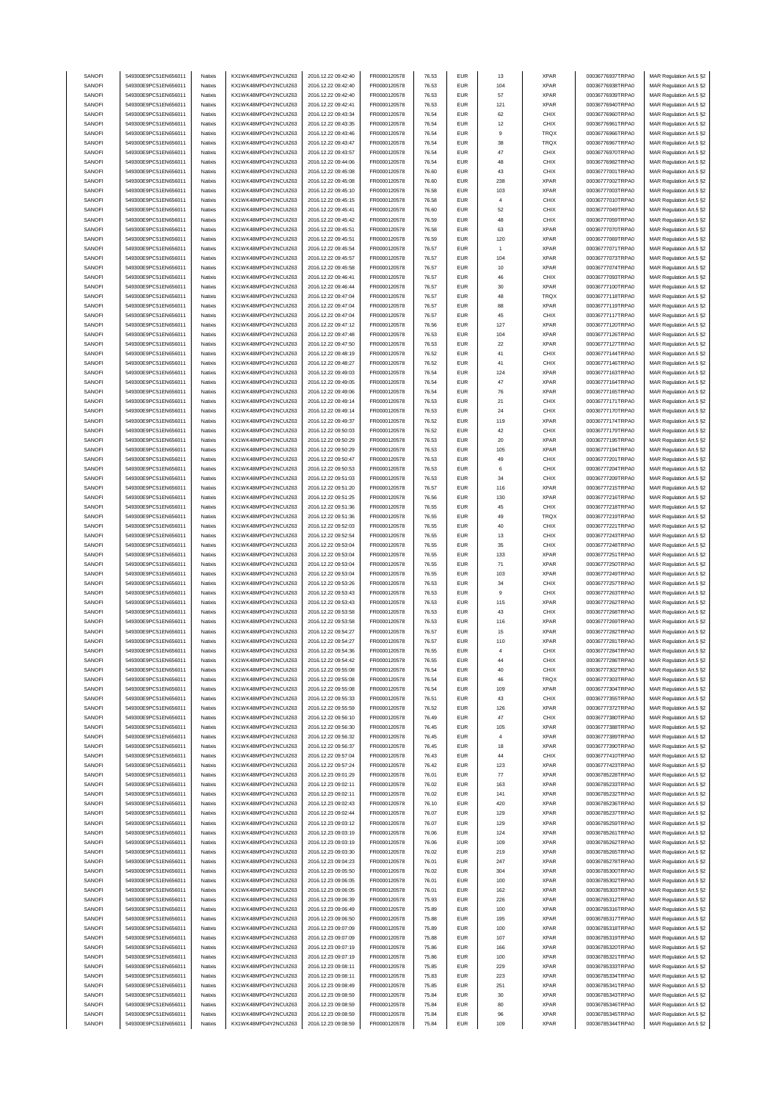| SANOFI | 549300E9PC51EN656011 | Natixis | KX1WK48MPD4Y2NCUIZ63  | 2016.12.22 09:42:40 | FR0000120578 | 76.53 | <b>EUR</b>  | 13             | <b>XPAR</b> | 00036776937TRPA0 | MAR Regulation Art.5 §2 |
|--------|----------------------|---------|-----------------------|---------------------|--------------|-------|-------------|----------------|-------------|------------------|-------------------------|
| SANOFI | 549300E9PC51EN656011 | Natixis | KX1WK48MPD4Y2NCUIZ63  | 2016.12.22 09:42:40 | FR0000120578 | 76.53 | <b>EUR</b>  | 104            | <b>XPAR</b> | 00036776938TRPA0 | MAR Regulation Art.5 §2 |
| SANOFI | 549300E9PC51EN656011 | Natixis | KX1WK48MPD4Y2NCUIZ63  | 2016.12.22 09:42:40 | FR0000120578 | 76.53 | <b>EUR</b>  | 57             | <b>XPAR</b> | 00036776939TRPA0 | MAR Regulation Art.5 §2 |
| SANOFI | 549300E9PC51EN656011 | Natixis | KX1WK48MPD4Y2NCUIZ63  | 2016.12.22 09:42:41 | FR0000120578 | 76.53 | <b>EUR</b>  | 121            | <b>XPAR</b> | 00036776940TRPA0 | MAR Regulation Art.5 §2 |
|        |                      |         |                       |                     |              |       |             |                |             |                  |                         |
| SANOFI | 549300E9PC51EN656011 | Natixis | KX1WK48MPD4Y2NCUIZ63  | 2016.12.22 09:43:34 | FR0000120578 | 76.54 | <b>EUR</b>  | 62             | CHIX        | 00036776960TRPA0 | MAR Regulation Art.5 §2 |
| SANOFI | 549300E9PC51EN656011 | Natixis | KX1WK48MPD4Y2NCUIZ63  | 2016.12.22 09:43:35 | FR0000120578 | 76.54 | <b>EUR</b>  | 12             | CHIX        | 00036776961TRPA0 | MAR Regulation Art.5 §2 |
| SANOFI | 549300E9PC51EN656011 | Natixis | KX1WK48MPD4Y2NCUIZ63  | 2016.12.22 09:43:46 | FR0000120578 | 76.54 | <b>EUR</b>  | 9              | TRQX        | 00036776966TRPA0 | MAR Regulation Art.5 §2 |
| SANOFI | 549300E9PC51EN656011 | Natixis | KX1WK48MPD4Y2NCUIZ63  | 2016.12.22 09:43:47 | FR0000120578 | 76.54 | <b>EUR</b>  | 38             | TRQX        | 00036776967TRPA0 | MAR Regulation Art.5 §2 |
| SANOFI | 549300E9PC51EN656011 | Natixis | KX1WK48MPD4Y2NCLIIZ63 | 2016.12.22 09:43:57 | FR0000120578 | 76.54 | <b>EUR</b>  | 47             | CHIX        | 00036776970TRPA0 | MAR Regulation Art.5 §2 |
| SANOFI | 549300E9PC51EN656011 | Natixis | KX1WK48MPD4Y2NCUIZ63  | 2016.12.22 09:44:06 | FR0000120578 | 76.54 | <b>EUR</b>  | 48             | CHIX        | 00036776982TRPA0 | MAR Regulation Art.5 §2 |
| SANOFI | 549300E9PC51EN656011 | Natixis | KX1WK48MPD4Y2NCUIZ63  | 2016.12.22 09:45:08 | FR0000120578 | 76.60 | <b>EUR</b>  | 43             | CHIX        | 00036777001TRPA0 | MAR Regulation Art.5 §2 |
|        |                      |         |                       |                     |              |       |             |                |             |                  |                         |
| SANOFI | 549300E9PC51EN656011 | Natixis | KX1WK48MPD4Y2NCUIZ63  | 2016.12.22 09:45:08 | FR0000120578 | 76.60 | <b>EUR</b>  | 238            | <b>XPAR</b> | 00036777002TRPA0 | MAR Regulation Art.5 §2 |
| SANOFI | 549300E9PC51EN656011 | Natixis | KX1WK48MPD4Y2NCUIZ63  | 2016.12.22 09:45:10 | FR0000120578 | 76.58 | <b>EUR</b>  | 103            | <b>XPAR</b> | 00036777003TRPA0 | MAR Regulation Art.5 §2 |
| SANOFI | 549300E9PC51EN656011 | Natixis | KX1WK48MPD4Y2NCUIZ63  | 2016.12.22 09:45:15 | FR0000120578 | 76.58 | <b>EUR</b>  | $\sqrt{4}$     | CHIX        | 00036777010TRPA0 | MAR Regulation Art.5 §2 |
| SANOFI | 549300E9PC51EN656011 | Natixis | KX1WK48MPD4Y2NCUIZ63  | 2016.12.22 09:45:41 | FR0000120578 | 76.60 | <b>EUR</b>  | 52             | CHIX        | 00036777049TRPA0 | MAR Regulation Art.5 §2 |
| SANOFI | 549300E9PC51EN656011 | Natixis | KX1WK48MPD4Y2NCUIZ63  | 2016.12.22 09:45:42 | FR0000120578 | 76.59 | <b>EUR</b>  | 48             | CHIX        | 00036777059TRPA0 |                         |
|        |                      |         |                       |                     |              |       |             |                |             |                  | MAR Regulation Art.5 §2 |
| SANOFI | 549300E9PC51EN656011 | Natixis | KX1WK48MPD4Y2NCUIZ63  | 2016.12.22 09:45:51 | FR0000120578 | 76.58 | <b>EUR</b>  | 63             | <b>XPAR</b> | 00036777070TRPA0 | MAR Regulation Art.5 §2 |
| SANOFI | 549300E9PC51EN656011 | Natixis | KX1WK48MPD4Y2NCLIIZ63 | 2016.12.22 09:45:51 | FR0000120578 | 76.59 | <b>EUR</b>  | 120            | <b>XPAR</b> | 00036777069TRPA0 | MAR Regulation Art.5 §2 |
| SANOFI | 549300E9PC51EN656011 | Natixis | KX1WK48MPD4Y2NCUIZ63  | 2016.12.22 09:45:54 | FR0000120578 | 76.57 | <b>EUR</b>  | $\overline{1}$ | <b>XPAR</b> | 00036777071TRPA0 | MAR Regulation Art.5 §2 |
| SANOFI | 549300E9PC51EN656011 | Natixis | KX1WK48MPD4Y2NCUIZ63  | 2016.12.22 09:45:57 | FR0000120578 | 76.57 | <b>EUR</b>  | 104            | <b>XPAR</b> | 00036777073TRPA0 | MAR Regulation Art.5 §2 |
| SANOFI | 549300E9PC51EN656011 | Natixis | KX1WK48MPD4Y2NCUIZ63  | 2016.12.22 09:45:58 | FR0000120578 | 76.57 | <b>EUR</b>  | 10             | <b>XPAR</b> | 00036777074TRPA0 | MAR Regulation Art.5 §2 |
|        |                      |         |                       |                     |              |       |             |                |             |                  |                         |
| SANOFI | 549300E9PC51EN656011 | Natixis | KX1WK48MPD4Y2NCUIZ63  | 2016.12.22 09:46:41 | FR0000120578 | 76.57 | <b>EUR</b>  | 46             | CHIX        | 00036777093TRPA0 | MAR Regulation Art.5 §2 |
| SANOFI | 549300E9PC51EN656011 | Natixis | KX1WK48MPD4Y2NCUIZ63  | 2016.12.22 09:46:44 | FR0000120578 | 76.57 | <b>EUR</b>  | 30             | <b>XPAR</b> | 00036777100TRPA0 | MAR Regulation Art.5 §2 |
| SANOFI | 549300E9PC51EN656011 | Natixis | KX1WK48MPD4Y2NCUIZ63  | 2016.12.22 09:47:04 | FR0000120578 | 76.57 | <b>EUR</b>  | 48             | TRQX        | 00036777118TRPA0 | MAR Regulation Art.5 §2 |
| SANOFI | 549300E9PC51EN656011 | Natixis | KX1WK48MPD4Y2NCUIZ63  | 2016.12.22 09:47:04 | FR0000120578 | 76.57 | <b>EUR</b>  | 88             | <b>XPAR</b> | 00036777119TRPA0 | MAR Regulation Art.5 §2 |
| SANOFI | 549300E9PC51EN656011 | Natixis | KX1WK48MPD4Y2NCUIZ63  | 2016.12.22 09:47:04 | FR0000120578 | 76.57 | <b>EUR</b>  | 45             | CHIX        | 00036777117TRPA0 | MAR Regulation Art.5 §2 |
| SANOFI | 549300E9PC51EN656011 | Natixis | KX1WK48MPD4Y2NCLIIZ63 | 2016.12.22.09:47:12 | FR0000120578 | 76.56 | <b>EUR</b>  | 127            | <b>XPAR</b> | 00036777120TRPA0 | MAR Regulation Art.5 §2 |
|        |                      |         |                       |                     |              |       |             |                |             |                  |                         |
| SANOFI | 549300E9PC51EN656011 | Natixis | KX1WK48MPD4Y2NCUIZ63  | 2016.12.22 09:47:48 | FR0000120578 | 76.53 | <b>EUR</b>  | 104            | <b>XPAR</b> | 00036777126TRPA0 | MAR Regulation Art.5 §2 |
| SANOFI | 549300E9PC51EN656011 | Natixis | KX1WK48MPD4Y2NCUIZ63  | 2016.12.22 09:47:50 | FR0000120578 | 76.53 | <b>EUR</b>  | 22             | <b>XPAR</b> | 00036777127TRPA0 | MAR Regulation Art.5 §2 |
| SANOFI | 549300E9PC51EN656011 | Natixis | KX1WK48MPD4Y2NCUIZ63  | 2016.12.22 09:48:19 | FR0000120578 | 76.52 | <b>EUR</b>  | 41             | CHIX        | 00036777144TRPA0 | MAR Regulation Art.5 §2 |
| SANOFI | 549300E9PC51EN656011 | Natixis | KX1WK48MPD4Y2NCUIZ63  | 2016.12.22 09:48:27 | FR0000120578 | 76.52 | <b>EUR</b>  | 41             | CHIX        | 00036777146TRPA0 | MAR Regulation Art.5 §2 |
| SANOFI | 549300E9PC51EN656011 | Natixis | KX1WK48MPD4Y2NCUIZ63  | 2016.12.22 09:49:03 | FR0000120578 | 76.54 | <b>EUR</b>  | 124            | <b>XPAR</b> | 00036777163TRPA0 | MAR Regulation Art.5 §2 |
|        |                      |         |                       |                     |              |       |             |                |             |                  |                         |
| SANOFI | 549300E9PC51EN656011 | Natixis | KX1WK48MPD4Y2NCUIZ63  | 2016.12.22 09:49:05 | FR0000120578 | 76.54 | <b>EUR</b>  | 47             | <b>XPAR</b> | 00036777164TRPA0 | MAR Regulation Art.5 §2 |
| SANOFI | 549300E9PC51EN656011 | Natixis | KX1WK48MPD4Y2NCUIZ63  | 2016.12.22 09:49:06 | FR0000120578 | 76.54 | <b>EUR</b>  | 76             | <b>XPAR</b> | 00036777165TRPA0 | MAR Regulation Art.5 §2 |
| SANOFI | 549300E9PC51EN656011 | Natixis | KX1WK48MPD4Y2NCUIZ63  | 2016.12.22 09:49:14 | FR0000120578 | 76.53 | <b>EUR</b>  | 21             | CHIX        | 00036777171TRPA0 | MAR Regulation Art.5 §2 |
| SANOFI | 549300E9PC51EN656011 | Natixis | KX1WK48MPD4Y2NCLIIZ63 | 2016.12.22 09:49:14 | FR0000120578 | 76.53 | <b>EUR</b>  | 24             | CHIX        | 00036777170TRPA0 | MAR Regulation Art.5 §2 |
| SANOFI | 549300E9PC51EN656011 | Natixis | KX1WK48MPD4Y2NCUIZ63  | 2016.12.22 09:49:37 | FR0000120578 | 76.52 | <b>EUR</b>  | 119            | <b>XPAR</b> | 00036777174TRPA0 | MAR Regulation Art.5 §2 |
|        |                      |         |                       |                     |              |       |             |                |             |                  |                         |
| SANOFI | 549300E9PC51EN656011 | Natixis | KX1WK48MPD4Y2NCUIZ63  | 2016.12.22 09:50:03 | FR0000120578 | 76.52 | <b>EUR</b>  | 42             | CHIX        | 00036777179TRPA0 | MAR Regulation Art.5 §2 |
| SANOFI | 549300E9PC51EN656011 | Natixis | KX1WK48MPD4Y2NCUIZ63  | 2016.12.22 09:50:29 | FR0000120578 | 76.53 | <b>EUR</b>  | 20             | <b>XPAR</b> | 00036777195TRPA0 | MAR Regulation Art.5 §2 |
| SANOFI | 549300E9PC51EN656011 | Natixis | KX1WK48MPD4Y2NCUIZ63  | 2016.12.22 09:50:29 | FR0000120578 | 76.53 | <b>EUR</b>  | 105            | <b>XPAR</b> | 00036777194TRPA0 | MAR Regulation Art.5 §2 |
| SANOFI | 549300E9PC51EN656011 | Natixis | KX1WK48MPD4Y2NCUIZ63  | 2016.12.22 09:50:47 | FR0000120578 | 76.53 | <b>EUR</b>  | 49             | CHIX        | 00036777201TRPA0 | MAR Regulation Art.5 §2 |
| SANOFI | 549300E9PC51EN656011 | Natixis | KX1WK48MPD4Y2NCUIZ63  | 2016.12.22 09:50:53 | FR0000120578 | 76.53 | <b>EUR</b>  | 6              | CHIX        | 00036777204TRPA0 | MAR Regulation Art.5 §2 |
| SANOFI | 549300E9PC51EN656011 | Natixis | KX1WK48MPD4Y2NCUIZ63  | 2016.12.22 09:51:03 | FR0000120578 | 76.53 | <b>EUR</b>  | 34             | CHIX        | 00036777209TRPA0 |                         |
|        |                      |         |                       |                     |              |       |             |                |             |                  | MAR Regulation Art.5 §2 |
| SANOFI | 549300E9PC51EN656011 | Natixis | KX1WK48MPD4Y2NCUIZ63  | 2016.12.22 09:51:20 | FR0000120578 | 76.57 | <b>EUR</b>  | 116            | <b>XPAR</b> | 00036777215TRPA0 | MAR Regulation Art.5 §2 |
| SANOFI | 549300E9PC51EN656011 | Natixis | KX1WK48MPD4Y2NCUIZ63  | 2016.12.22 09:51:25 | FR0000120578 | 76.56 | <b>EUR</b>  | 130            | <b>XPAR</b> | 00036777216TRPA0 | MAR Regulation Art.5 §2 |
| SANOFI | 549300E9PC51EN656011 | Natixis | KX1WK48MPD4Y2NCUIZ63  | 2016.12.22 09:51:36 | FR0000120578 | 76.55 | <b>EUR</b>  | 45             | CHIX        | 00036777218TRPA0 | MAR Regulation Art.5 §2 |
| SANOFI | 549300E9PC51EN656011 | Natixis | KX1WK48MPD4Y2NCUIZ63  | 2016.12.22 09:51:36 | FR0000120578 | 76.55 | <b>EUR</b>  | 49             | TRQX        | 00036777219TRPA0 | MAR Regulation Art.5 §2 |
| SANOFI | 549300E9PC51EN656011 | Natixis | KX1WK48MPD4Y2NCUIZ63  | 2016.12.22 09:52:03 | FR0000120578 | 76.55 | <b>EUR</b>  | 40             | CHIX        | 00036777221TRPA0 | MAR Regulation Art.5 §2 |
|        |                      |         |                       |                     |              |       |             |                |             |                  |                         |
| SANOFI | 549300E9PC51EN656011 | Natixis | KX1WK48MPD4Y2NCUIZ63  | 2016.12.22 09:52:54 | FR0000120578 | 76.55 | <b>EUR</b>  | 13             | CHIX        | 00036777243TRPA0 | MAR Regulation Art.5 §2 |
| SANOFI | 549300E9PC51EN656011 | Natixis | KX1WK48MPD4Y2NCUIZ63  | 2016.12.22 09:53:04 | FR0000120578 | 76.55 | <b>EUR</b>  | 35             | CHIX        | 00036777248TRPA0 | MAR Regulation Art.5 §2 |
| SANOFI | 549300E9PC51EN656011 | Natixis | KX1WK48MPD4Y2NCUIZ63  | 2016.12.22 09:53:04 | FR0000120578 | 76.55 | <b>EUR</b>  | 133            | <b>XPAR</b> | 00036777251TRPA0 | MAR Regulation Art.5 §2 |
| SANOFI | 549300E9PC51EN656011 | Natixis | KX1WK48MPD4Y2NCUIZ63  | 2016.12.22 09:53:04 | FR0000120578 | 76.55 | <b>EUR</b>  | 71             | <b>XPAR</b> | 00036777250TRPA0 | MAR Regulation Art.5 §2 |
| SANOFI | 549300E9PC51EN656011 | Natixis | KX1WK48MPD4Y2NCUIZ63  | 2016.12.22 09:53:04 | FR0000120578 | 76.55 | <b>EUR</b>  | 103            | <b>XPAR</b> | 00036777249TRPA0 | MAR Regulation Art.5 §2 |
|        |                      |         |                       |                     |              |       |             |                |             |                  |                         |
| SANOFI | 549300E9PC51EN656011 | Natixis | KX1WK48MPD4Y2NCUIZ63  | 2016.12.22 09:53:26 | FR0000120578 | 76.53 | <b>EUR</b>  | 34             | CHIX        | 00036777257TRPA0 | MAR Regulation Art.5 §2 |
| SANOFI | 549300E9PC51EN656011 | Natixis | KX1WK48MPD4Y2NCUIZ63  | 2016.12.22 09:53:43 | FR0000120578 | 76.53 | <b>EUR</b>  | 9              | CHIX        | 00036777263TRPA0 | MAR Regulation Art.5 §2 |
| SANOFI | 549300E9PC51EN656011 | Natixis | KX1WK48MPD4Y2NCUIZ63  | 2016.12.22 09:53:43 | FR0000120578 | 76.53 | <b>EUR</b>  | 115            | <b>XPAR</b> | 00036777262TRPA0 | MAR Regulation Art.5 §2 |
| SANOFI | 549300E9PC51EN656011 | Natixis | KX1WK48MPD4Y2NCUIZ63  | 2016.12.22 09:53:58 | FR0000120578 | 76.53 | <b>EUR</b>  | 43             | CHIX        | 00036777268TRPA0 | MAR Regulation Art.5 §2 |
| SANOFI | 549300E9PC51EN656011 | Natixis | KX1WK48MPD4Y2NCUIZ63  | 2016.12.22 09:53:58 | FR0000120578 | 76.53 | <b>EUR</b>  | 116            | <b>XPAR</b> | 00036777269TRPA0 | MAR Regulation Art.5 §2 |
|        | 549300E9PC51EN656011 | Natixis | KX1WK48MPD4Y2NCUIZ63  |                     |              |       | <b>EUR</b>  |                | <b>XPAR</b> | 00036777282TRPA0 |                         |
| SANOFI |                      |         |                       | 2016.12.22 09:54:27 | FR0000120578 | 76.57 |             | 15             |             |                  | MAR Regulation Art.5 §2 |
| SANOFI | 549300E9PC51EN656011 | Natixis | KX1WK48MPD4Y2NCUIZ63  | 2016.12.22 09:54:27 | FR0000120578 | 76.57 | <b>EUR</b>  | 110            | <b>XPAR</b> | 00036777281TRPA0 | MAR Regulation Art.5 §2 |
| SANOF  | 549300E9PC51EN656011 | Natixis | KX1WK48MPD4Y2NCUIZ63  | 2016.12.22 09:54:36 | FR0000120578 | 76.55 | EUR         |                | CHIX        | 00036777284TRPA0 | MAR Regulation Art.5 §2 |
| SANOFI | 549300E9PC51EN656011 | Natixis | KX1WK48MPD4Y2NCUIZ63  | 2016.12.22 09:54:42 | FR0000120578 | 76.55 | <b>EUR</b>  | 44             | CHIX        | 00036777286TRPA0 | MAR Regulation Art.5 §2 |
| SANOFI | 549300E9PC51EN656011 | Natixis | KX1WK48MPD4Y2NCUIZ63  | 2016.12.22 09:55:08 | FR0000120578 | 76.54 | <b>EUR</b>  | 40             | CHIX        | 00036777302TRPA0 | MAR Regulation Art.5 §2 |
| SANOFI | 549300E9PC51EN656011 | Natixis | KX1WK48MPD4Y2NCUIZ63  | 2016.12.22 09:55:08 | FR0000120578 | 76.54 | <b>EUR</b>  | 46             | TRQX        | 00036777303TRPA0 | MAR Regulation Art.5 §2 |
|        |                      |         |                       |                     |              |       |             |                |             |                  | MAR Regulation Art.5 §2 |
| SANOFI | 549300E9PC51EN656011 | Natixis | KX1WK48MPD4Y2NCUIZ63  | 2016.12.22 09:55:08 | FR0000120578 | 76.54 | <b>EUR</b>  | 109            | <b>XPAR</b> | 00036777304TRPA0 |                         |
| SANOFI | 549300E9PC51EN656011 | Natixis | KX1WK48MPD4Y2NCUIZ63  | 2016.12.22 09:55:33 | FR0000120578 | 76.51 | <b>EUR</b>  | 43             | CHIX        | 00036777355TRPA0 | MAR Regulation Art.5 §2 |
| SANOFI | 549300E9PC51EN656011 | Natixis | KX1WK48MPD4Y2NCUIZ63  | 2016.12.22 09:55:59 | FR0000120578 | 76.52 | ${\sf EUR}$ | 126            | <b>XPAR</b> | 00036777372TRPA0 | MAR Regulation Art.5 §2 |
| SANOFI | 549300E9PC51EN656011 | Natixis | KX1WK48MPD4Y2NCUIZ63  | 2016.12.22 09:56:10 | FR0000120578 | 76.49 | EUR         | 47             | CHIX        | 00036777380TRPA0 | MAR Regulation Art.5 §2 |
| SANOFI | 549300E9PC51EN656011 | Natixis | KX1WK48MPD4Y2NCUIZ63  | 2016.12.22 09:56:30 | FR0000120578 | 76.45 | <b>EUR</b>  | 105            | <b>XPAR</b> | 00036777388TRPA0 | MAR Regulation Art.5 §2 |
| SANOFI | 549300E9PC51EN656011 | Natixis | KX1WK48MPD4Y2NCUIZ63  | 2016.12.22 09:56:32 | FR0000120578 | 76.45 | <b>EUR</b>  | 4              | <b>XPAR</b> | 00036777389TRPA0 | MAR Regulation Art.5 §2 |
|        | 549300E9PC51EN656011 |         |                       | 2016.12.22 09:56:37 |              |       | <b>EUR</b>  |                |             |                  | MAR Regulation Art.5 §2 |
| SANOFI |                      | Natixis | KX1WK48MPD4Y2NCUIZ63  |                     | FR0000120578 | 76.45 |             | 18             | <b>XPAR</b> | 00036777390TRPA0 |                         |
| SANOFI | 549300E9PC51EN656011 | Natixis | KX1WK48MPD4Y2NCUIZ63  | 2016.12.22 09:57:04 | FR0000120578 | 76.43 | <b>EUR</b>  | 44             | CHIX        | 00036777410TRPA0 | MAR Regulation Art.5 §2 |
| SANOFI | 549300E9PC51EN656011 | Natixis | KX1WK48MPD4Y2NCUIZ63  | 2016.12.22 09:57:24 | FR0000120578 | 76.42 | <b>EUR</b>  | 123            | <b>XPAR</b> | 00036777423TRPA0 | MAR Regulation Art.5 §2 |
| SANOFI | 549300E9PC51EN656011 | Natixis | KX1WK48MPD4Y2NCUIZ63  | 2016.12.23 09:01:29 | FR0000120578 | 76.01 | <b>EUR</b>  | $77$           | <b>XPAR</b> | 00036785228TRPA0 | MAR Regulation Art.5 §2 |
| SANOFI | 549300E9PC51EN656011 | Natixis | KX1WK48MPD4Y2NCUIZ63  | 2016.12.23 09:02:11 | FR0000120578 | 76.02 | <b>EUR</b>  | 163            | <b>XPAR</b> | 00036785233TRPA0 | MAR Regulation Art.5 §2 |
| SANOFI | 549300E9PC51EN656011 | Natixis | KX1WK48MPD4Y2NCUIZ63  | 2016.12.23 09:02:11 | FR0000120578 | 76.02 | <b>EUR</b>  | 141            | <b>XPAR</b> | 00036785232TRPA0 | MAR Regulation Art.5 §2 |
|        |                      |         |                       |                     |              |       |             |                |             |                  |                         |
| SANOFI | 549300E9PC51EN656011 | Natixis | KX1WK48MPD4Y2NCUIZ63  | 2016.12.23 09:02:43 | FR0000120578 | 76.10 | <b>EUR</b>  | 420            | <b>XPAR</b> | 00036785236TRPA0 | MAR Regulation Art.5 §2 |
| SANOFI | 549300E9PC51EN656011 | Natixis | KX1WK48MPD4Y2NCUIZ63  | 2016.12.23 09:02:44 | FR0000120578 | 76.07 | <b>EUR</b>  | 129            | <b>XPAR</b> | 00036785237TRPA0 | MAR Regulation Art.5 §2 |
| SANOFI | 549300E9PC51EN656011 | Natixis | KX1WK48MPD4Y2NCUIZ63  | 2016.12.23 09:03:12 | FR0000120578 | 76.07 | <b>EUR</b>  | 129            | <b>XPAR</b> | 00036785259TRPA0 | MAR Regulation Art.5 §2 |
| SANOFI | 549300E9PC51EN656011 | Natixis | KX1WK48MPD4Y2NCUIZ63  | 2016.12.23 09:03:19 | FR0000120578 | 76.06 | <b>EUR</b>  |                | <b>XPAR</b> | 00036785261TRPA0 | MAR Regulation Art.5 §2 |
|        |                      |         |                       |                     |              |       |             |                |             |                  |                         |
| SANOFI |                      |         |                       |                     |              |       |             | 124            |             |                  |                         |
|        | 549300E9PC51EN656011 | Natixis | KX1WK48MPD4Y2NCUIZ63  | 2016.12.23 09:03:19 | FR0000120578 | 76.06 | <b>EUR</b>  | 109            | <b>XPAR</b> | 00036785262TRPA0 | MAR Regulation Art.5 §2 |
| SANOFI | 549300E9PC51EN656011 | Natixis | KX1WK48MPD4Y2NCUIZ63  | 2016.12.23 09:03:30 | FR0000120578 | 76.02 | <b>EUR</b>  | 219            | <b>XPAR</b> | 00036785265TRPA0 | MAR Regulation Art.5 §2 |
| SANOFI | 549300E9PC51EN656011 | Natixis | KX1WK48MPD4Y2NCUIZ63  | 2016.12.23 09:04:23 | FR0000120578 | 76.01 | <b>EUR</b>  | ${\bf 247}$    | <b>XPAR</b> | 00036785278TRPA0 | MAR Regulation Art.5 §2 |
| SANOFI | 549300E9PC51EN656011 | Natixis | KX1WK48MPD4Y2NCUIZ63  | 2016.12.23 09:05:50 | FR0000120578 | 76.02 | <b>EUR</b>  | 304            | <b>XPAR</b> | 00036785300TRPA0 | MAR Regulation Art.5 §2 |
|        |                      |         |                       |                     |              |       |             | 100            |             |                  |                         |
| SANOFI | 549300E9PC51EN656011 | Natixis | KX1WK48MPD4Y2NCUIZ63  | 2016.12.23 09:06:05 | FR0000120578 | 76.01 | <b>EUR</b>  |                | <b>XPAR</b> | 00036785302TRPA0 | MAR Regulation Art.5 §2 |
| SANOFI | 549300E9PC51EN656011 | Natixis | KX1WK48MPD4Y2NCUIZ63  | 2016.12.23 09:06:05 | FR0000120578 | 76.01 | <b>EUR</b>  | 162            | <b>XPAR</b> | 00036785303TRPA0 | MAR Regulation Art.5 §2 |
| SANOFI | 549300E9PC51EN656011 | Natixis | KX1WK48MPD4Y2NCUIZ63  | 2016.12.23 09:06:39 | FR0000120578 | 75.93 | <b>EUR</b>  | 226            | <b>XPAR</b> | 00036785312TRPA0 | MAR Regulation Art.5 §2 |
| SANOFI | 549300E9PC51EN656011 | Natixis | KX1WK48MPD4Y2NCUIZ63  | 2016.12.23 09:06:49 | FR0000120578 | 75.89 | <b>EUR</b>  | 100            | <b>XPAR</b> | 00036785316TRPA0 | MAR Regulation Art.5 §2 |
| SANOFI | 549300E9PC51EN656011 | Natixis | KX1WK48MPD4Y2NCUIZ63  | 2016.12.23 09:06:50 | FR0000120578 | 75.88 | <b>EUR</b>  | 195            | <b>XPAR</b> | 00036785317TRPA0 | MAR Regulation Art.5 §2 |
|        |                      |         |                       |                     |              |       |             |                |             |                  |                         |
| SANOFI | 549300E9PC51EN656011 | Natixis | KX1WK48MPD4Y2NCUIZ63  | 2016.12.23 09:07:09 | FR0000120578 | 75.89 | <b>EUR</b>  | 100            | <b>XPAR</b> | 00036785318TRPA0 | MAR Regulation Art.5 §2 |
| SANOFI | 549300E9PC51EN656011 | Natixis | KX1WK48MPD4Y2NCUIZ63  | 2016.12.23 09:07:09 | FR0000120578 | 75.88 | <b>EUR</b>  | 107            | <b>XPAR</b> | 00036785319TRPA0 | MAR Regulation Art.5 §2 |
| SANOFI | 549300E9PC51EN656011 | Natixis | KX1WK48MPD4Y2NCUIZ63  | 2016.12.23 09:07:19 | FR0000120578 | 75.86 | <b>EUR</b>  | 166            | <b>XPAR</b> | 00036785320TRPA0 | MAR Regulation Art.5 §2 |
| SANOFI | 549300E9PC51EN656011 | Natixis | KX1WK48MPD4Y2NCUIZ63  | 2016.12.23 09:07:19 | FR0000120578 | 75.86 | <b>EUR</b>  | 100            | <b>XPAR</b> | 00036785321TRPA0 | MAR Regulation Art.5 §2 |
| SANOFI | 549300E9PC51EN656011 | Natixis | KX1WK48MPD4Y2NCUIZ63  | 2016.12.23 09:08:11 | FR0000120578 | 75.85 | EUR         | 229            | <b>XPAR</b> | 00036785333TRPA0 | MAR Regulation Art.5 §2 |
| SANOFI | 549300E9PC51EN656011 | Natixis | KX1WK48MPD4Y2NCUIZ63  | 2016.12.23 09:08:11 | FR0000120578 | 75.83 | <b>EUR</b>  | 223            | <b>XPAR</b> | 00036785334TRPA0 |                         |
|        |                      |         |                       |                     |              |       |             |                |             |                  | MAR Regulation Art.5 §2 |
| SANOFI | 549300E9PC51EN656011 | Natixis | KX1WK48MPD4Y2NCUIZ63  | 2016.12.23 09:08:49 | FR0000120578 | 75.85 | <b>EUR</b>  | 251            | <b>XPAR</b> | 00036785341TRPA0 | MAR Regulation Art.5 §2 |
| SANOFI | 549300E9PC51EN656011 | Natixis | KX1WK48MPD4Y2NCUIZ63  | 2016.12.23 09:08:59 | FR0000120578 | 75.84 | <b>EUR</b>  | 30             | <b>XPAR</b> | 00036785343TRPA0 | MAR Regulation Art.5 §2 |
| SANOFI | 549300E9PC51EN656011 | Natixis | KX1WK48MPD4Y2NCUIZ63  | 2016.12.23 09:08:59 | FR0000120578 | 75.84 | <b>EUR</b>  | 80             | <b>XPAR</b> | 00036785346TRPA0 | MAR Regulation Art.5 §2 |
| SANOFI | 549300E9PC51EN656011 | Natixis | KX1WK48MPD4Y2NCUIZ63  | 2016.12.23 09:08:59 | FR0000120578 | 75.84 | <b>EUR</b>  | 96             | <b>XPAR</b> | 00036785345TRPA0 | MAR Regulation Art.5 §2 |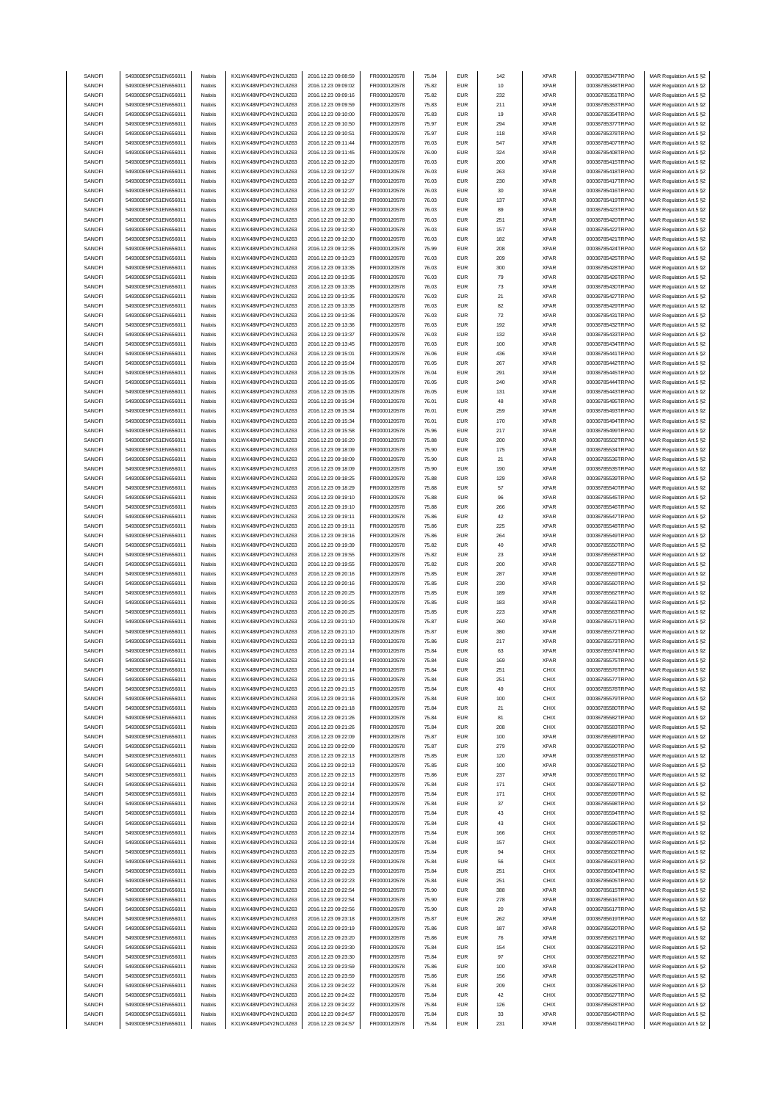| SANOFI | 549300E9PC51EN656011                         | Natixis | KX1WK48MPD4Y2NCUIZ63 | 2016.12.23 09:08:59 | FR0000120578                 | 75.84          | <b>EUR</b>               | 142    | <b>XPAR</b> | 00036785347TRPA0 | MAR Regulation Art.5 §2 |
|--------|----------------------------------------------|---------|----------------------|---------------------|------------------------------|----------------|--------------------------|--------|-------------|------------------|-------------------------|
| SANOFI | 549300E9PC51EN656011                         | Natixis | KX1WK48MPD4Y2NCUIZ63 | 2016.12.23 09:09:02 | FR0000120578                 | 75.82          | <b>EUR</b>               | 10     | <b>XPAR</b> | 00036785348TRPA0 | MAR Regulation Art.5 §2 |
| SANOFI | 549300E9PC51EN656011                         | Natixis | KX1WK48MPD4Y2NCUIZ63 | 2016.12.23 09:09:16 | FR0000120578                 | 75.82          | <b>EUR</b>               | 232    | <b>XPAR</b> | 00036785351TRPA0 | MAR Regulation Art.5 §2 |
| SANOFI | 549300E9PC51EN656011                         | Natixis | KX1WK48MPD4Y2NCUIZ63 | 2016.12.23 09:09:59 | FR0000120578                 | 75.83          | <b>EUR</b>               | 211    | <b>XPAR</b> | 00036785353TRPA0 | MAR Regulation Art.5 §2 |
|        |                                              |         |                      |                     |                              |                |                          |        |             |                  |                         |
| SANOFI | 549300E9PC51EN656011                         | Natixis | KX1WK48MPD4Y2NCUIZ63 | 2016.12.23 09:10:00 | FR0000120578                 | 75.83          | <b>EUR</b>               | 19     | <b>XPAR</b> | 00036785354TRPA0 | MAR Regulation Art.5 §2 |
| SANOFI | 549300E9PC51EN656011                         | Natixis | KX1WK48MPD4Y2NCUIZ63 | 2016.12.23 09:10:50 | FR0000120578                 | 75.97          | <b>EUR</b>               | 294    | <b>XPAR</b> | 00036785377TRPA0 | MAR Regulation Art.5 §2 |
| SANOFI | 549300E9PC51EN656011                         | Natixis | KX1WK48MPD4Y2NCUIZ63 | 2016.12.23.09:10:51 | FR0000120578                 | 75.97          | <b>EUR</b>               | 118    | <b>XPAR</b> | 00036785378TRPA0 | MAR Regulation Art.5 §2 |
| SANOFI | 549300E9PC51EN656011                         | Natixis | KX1WK48MPD4Y2NCUIZ63 | 2016.12.23 09:11:44 | FR0000120578                 | 76.03          | <b>EUR</b>               | 547    | <b>XPAR</b> | 00036785407TRPA0 | MAR Regulation Art.5 §2 |
| SANOFI | 549300E9PC51EN656011                         | Natixis | KX1WK48MPD4Y2NCUIZ63 | 2016.12.23 09:11:45 | FR0000120578                 | 76.00          | <b>EUR</b>               | 324    | <b>XPAR</b> | 00036785408TRPA0 | MAR Regulation Art.5 §2 |
| SANOFI | 549300E9PC51EN656011                         | Natixis | KX1WK48MPD4Y2NCUIZ63 | 2016.12.23 09:12:20 | FR0000120578                 | 76.03          | <b>EUR</b>               | 200    | <b>XPAR</b> | 00036785415TRPA0 | MAR Regulation Art.5 §2 |
| SANOFI | 549300E9PC51EN656011                         | Natixis | KX1WK48MPD4Y2NCUIZ63 | 2016.12.23 09:12:27 | FR0000120578                 | 76.03          | <b>EUR</b>               | 263    | <b>XPAR</b> | 00036785418TRPA0 | MAR Regulation Art.5 §2 |
|        |                                              |         |                      |                     |                              |                |                          |        |             |                  |                         |
| SANOFI | 549300E9PC51EN656011                         | Natixis | KX1WK48MPD4Y2NCUIZ63 | 2016.12.23 09:12:27 | FR0000120578                 | 76.03          | <b>EUR</b>               | 230    | <b>XPAR</b> | 00036785417TRPA0 | MAR Regulation Art.5 §2 |
| SANOFI | 549300E9PC51EN656011                         | Natixis | KX1WK48MPD4Y2NCUIZ63 | 2016.12.23 09:12:27 | FR0000120578                 | 76.03          | <b>EUR</b>               | $30\,$ | <b>XPAR</b> | 00036785416TRPA0 | MAR Regulation Art.5 §2 |
| SANOFI | 549300E9PC51EN656011                         | Natixis | KX1WK48MPD4Y2NCUIZ63 | 2016.12.23 09:12:28 | FR0000120578                 | 76.03          | <b>EUR</b>               | 137    | <b>XPAR</b> | 00036785419TRPA0 | MAR Regulation Art.5 §2 |
| SANOFI | 549300E9PC51EN656011                         | Natixis | KX1WK48MPD4Y2NCUIZ63 | 2016.12.23 09:12:30 | FR0000120578                 | 76.03          | <b>EUR</b>               | 89     | <b>XPAR</b> | 00036785423TRPA0 | MAR Regulation Art.5 §2 |
|        | 549300E9PC51EN656011                         |         | KX1WK48MPD4Y2NCUIZ63 | 2016.12.23 09:12:30 | FR0000120578                 |                | <b>EUR</b>               |        |             | 00036785420TRPA0 |                         |
| SANOFI |                                              | Natixis |                      |                     |                              | 76.03          |                          | 251    | <b>XPAR</b> |                  | MAR Regulation Art.5 §2 |
| SANOFI | 549300E9PC51EN656011                         | Natixis | KX1WK48MPD4Y2NCUIZ63 | 2016.12.23 09:12:30 | FR0000120578                 | 76.03          | <b>EUR</b>               | 157    | <b>XPAR</b> | 00036785422TRPA0 | MAR Regulation Art.5 §2 |
| SANOFI | 549300E9PC51EN656011                         | Natixis | KX1WK48MPD4Y2NCUIZ63 | 2016.12.23 09:12:30 | FR0000120578                 | 76.03          | <b>EUR</b>               | 182    | <b>XPAR</b> | 00036785421TRPA0 | MAR Regulation Art.5 §2 |
| SANOFI | 549300E9PC51EN656011                         | Natixis | KX1WK48MPD4Y2NCUIZ63 | 2016.12.23 09:12:35 | FR0000120578                 | 75.99          | <b>EUR</b>               | 208    | <b>XPAR</b> | 00036785424TRPA0 | MAR Regulation Art.5 §2 |
| SANOFI | 549300E9PC51EN656011                         | Natixis | KX1WK48MPD4Y2NCUIZ63 | 2016.12.23 09:13:23 | FR0000120578                 | 76.03          | <b>EUR</b>               | 209    | <b>XPAR</b> | 00036785425TRPA0 | MAR Regulation Art.5 §2 |
| SANOFI | 549300E9PC51EN656011                         | Natixis | KX1WK48MPD4Y2NCUIZ63 | 2016.12.23 09:13:35 | FR0000120578                 | 76.03          | <b>EUR</b>               | 300    | <b>XPAR</b> | 00036785428TRPA0 | MAR Regulation Art.5 §2 |
|        |                                              |         |                      |                     |                              |                |                          |        |             |                  |                         |
| SANOFI | 549300E9PC51EN656011                         | Natixis | KX1WK48MPD4Y2NCUIZ63 | 2016.12.23 09:13:35 | FR0000120578                 | 76.03          | <b>EUR</b>               | 79     | <b>XPAR</b> | 00036785426TRPA0 | MAR Regulation Art.5 §2 |
| SANOFI | 549300E9PC51EN656011                         | Natixis | KX1WK48MPD4Y2NCUIZ63 | 2016.12.23 09:13:35 | FR0000120578                 | 76.03          | <b>EUR</b>               | 73     | <b>XPAR</b> | 00036785430TRPA0 | MAR Regulation Art.5 §2 |
| SANOFI | 549300E9PC51EN656011                         | Natixis | KX1WK48MPD4Y2NCUIZ63 | 2016.12.23 09:13:35 | FR0000120578                 | 76.03          | <b>EUR</b>               | 21     | <b>XPAR</b> | 00036785427TRPA0 | MAR Regulation Art.5 §2 |
| SANOFI | 549300E9PC51EN656011                         | Natixis | KX1WK48MPD4Y2NCUIZ63 | 2016.12.23 09:13:35 | FR0000120578                 | 76.03          | <b>EUR</b>               | 82     | <b>XPAR</b> | 00036785429TRPA0 | MAR Regulation Art.5 §2 |
| SANOFI | 549300E9PC51EN656011                         | Natixis | KX1WK48MPD4Y2NCUIZ63 | 2016.12.23 09:13:36 | FR0000120578                 | 76.03          | <b>EUR</b>               | 72     | <b>XPAR</b> | 00036785431TRPA0 | MAR Regulation Art.5 §2 |
| SANOFI | 549300E9PC51EN656011                         | Natixis | KX1WK48MPD4Y2NCUIZ63 | 2016.12.23 09:13:36 | FR0000120578                 | 76.03          | <b>EUR</b>               | 192    | <b>XPAR</b> | 00036785432TRPA0 | MAR Regulation Art.5 §2 |
|        |                                              |         |                      |                     |                              |                |                          |        |             |                  |                         |
| SANOFI | 549300E9PC51EN656011                         | Natixis | KX1WK48MPD4Y2NCUIZ63 | 2016.12.23 09:13:37 | FR0000120578                 | 76.03          | <b>EUR</b>               | 132    | <b>XPAR</b> | 00036785433TRPA0 | MAR Regulation Art.5 §2 |
| SANOFI | 549300E9PC51EN656011                         | Natixis | KX1WK48MPD4Y2NCUIZ63 | 2016.12.23 09:13:45 | FR0000120578                 | 76.03          | <b>EUR</b>               | 100    | <b>XPAR</b> | 00036785434TRPA0 | MAR Regulation Art.5 §2 |
| SANOFI | 549300E9PC51EN656011                         | Natixis | KX1WK48MPD4Y2NCUIZ63 | 2016.12.23 09:15:01 | FR0000120578                 | 76.06          | <b>EUR</b>               | 436    | <b>XPAR</b> | 00036785441TRPA0 | MAR Regulation Art.5 §2 |
| SANOFI | 549300E9PC51EN656011                         | Natixis | KX1WK48MPD4Y2NCUIZ63 | 2016.12.23 09:15:04 | FR0000120578                 | 76.05          | <b>EUR</b>               | 267    | <b>XPAR</b> | 00036785442TRPA0 | MAR Regulation Art.5 §2 |
| SANOFI | 549300E9PC51EN656011                         | Natixis | KX1WK48MPD4Y2NCUIZ63 | 2016.12.23 09:15:05 | FR0000120578                 | 76.04          | <b>EUR</b>               | 291    | <b>XPAR</b> | 00036785445TRPA0 | MAR Regulation Art.5 §2 |
|        |                                              |         |                      |                     |                              |                |                          |        |             |                  |                         |
| SANOFI | 549300E9PC51EN656011                         | Natixis | KX1WK48MPD4Y2NCUIZ63 | 2016.12.23 09:15:05 | FR0000120578                 | 76.05          | <b>EUR</b>               | 240    | <b>XPAR</b> | 00036785444TRPA0 | MAR Regulation Art.5 §2 |
| SANOFI | 549300E9PC51EN656011                         | Natixis | KX1WK48MPD4Y2NCUIZ63 | 2016.12.23 09:15:05 | FR0000120578                 | 76.05          | <b>EUR</b>               | 131    | <b>XPAR</b> | 00036785443TRPA0 | MAR Regulation Art.5 §2 |
| SANOFI | 549300E9PC51EN656011                         | Natixis | KX1WK48MPD4Y2NCUIZ63 | 2016.12.23 09:15:34 | FR0000120578                 | 76.01          | <b>EUR</b>               | 48     | <b>XPAR</b> | 00036785495TRPA0 | MAR Regulation Art.5 §2 |
| SANOFI | 549300E9PC51EN656011                         | Natixis | KX1WK48MPD4Y2NCUIZ63 | 2016.12.23 09:15:34 | FR0000120578                 | 76.01          | <b>EUR</b>               | 259    | <b>XPAR</b> | 00036785493TRPA0 | MAR Regulation Art.5 §2 |
| SANOFI | 549300E9PC51EN656011                         | Natixis | KX1WK48MPD4Y2NCUIZ63 | 2016.12.23 09:15:34 | FR0000120578                 | 76.01          | <b>EUR</b>               | 170    | <b>XPAR</b> | 00036785494TRPA0 | MAR Regulation Art.5 §2 |
|        |                                              |         |                      |                     |                              |                |                          |        |             |                  |                         |
| SANOFI | 549300E9PC51EN656011                         | Natixis | KX1WK48MPD4Y2NCUIZ63 | 2016.12.23 09:15:58 | FR0000120578                 | 75.96          | <b>EUR</b>               | 217    | <b>XPAR</b> | 00036785499TRPA0 | MAR Regulation Art.5 §2 |
| SANOFI | 549300E9PC51EN656011                         | Natixis | KX1WK48MPD4Y2NCUIZ63 | 2016.12.23 09:16:20 | FR0000120578                 | 75.88          | <b>EUR</b>               | 200    | <b>XPAR</b> | 00036785502TRPA0 | MAR Regulation Art.5 §2 |
| SANOFI | 549300E9PC51EN656011                         | Natixis | KX1WK48MPD4Y2NCUIZ63 | 2016.12.23 09:18:09 | FR0000120578                 | 75.90          | <b>EUR</b>               | 175    | <b>XPAR</b> | 00036785534TRPA0 | MAR Regulation Art.5 §2 |
| SANOFI | 549300E9PC51EN656011                         | Natixis | KX1WK48MPD4Y2NCUIZ63 | 2016.12.23 09:18:09 | FR0000120578                 | 75.90          | <b>EUR</b>               | 21     | <b>XPAR</b> | 00036785536TRPA0 | MAR Regulation Art.5 §2 |
| SANOFI | 549300E9PC51EN656011                         | Natixis | KX1WK48MPD4Y2NCUIZ63 | 2016.12.23 09:18:09 | FR0000120578                 | 75.90          | <b>EUR</b>               | 190    | <b>XPAR</b> | 00036785535TRPA0 | MAR Regulation Art.5 §2 |
| SANOFI | 549300E9PC51EN656011                         |         | KX1WK48MPD4Y2NCUIZ63 | 2016.12.23 09:18:25 | FR0000120578                 | 75.88          | <b>EUR</b>               | 129    | <b>XPAR</b> | 00036785539TRPA0 |                         |
|        |                                              | Natixis |                      |                     |                              |                |                          |        |             |                  | MAR Regulation Art.5 §2 |
| SANOFI | 549300E9PC51EN656011                         | Natixis | KX1WK48MPD4Y2NCUIZ63 | 2016.12.23 09:18:29 | FR0000120578                 | 75.88          | <b>EUR</b>               | 57     | <b>XPAR</b> | 00036785540TRPA0 | MAR Regulation Art.5 §2 |
| SANOFI | 549300E9PC51EN656011                         | Natixis | KX1WK48MPD4Y2NCUIZ63 | 2016.12.23 09:19:10 | FR0000120578                 | 75.88          | <b>EUR</b>               | 96     | <b>XPAR</b> | 00036785545TRPA0 | MAR Regulation Art.5 §2 |
| SANOFI | 549300E9PC51EN656011                         | Natixis | KX1WK48MPD4Y2NCUIZ63 | 2016.12.23 09:19:10 | FR0000120578                 | 75.88          | <b>EUR</b>               | 266    | <b>XPAR</b> | 00036785546TRPA0 | MAR Regulation Art.5 §2 |
| SANOFI | 549300E9PC51EN656011                         | Natixis | KX1WK48MPD4Y2NCUIZ63 | 2016.12.23 09:19:11 | FR0000120578                 | 75.86          | <b>EUR</b>               | 42     | <b>XPAR</b> | 00036785547TRPA0 | MAR Regulation Art.5 §2 |
| SANOFI | 549300E9PC51EN656011                         | Natixis | KX1WK48MPD4Y2NCUIZ63 | 2016.12.23 09:19:11 | FR0000120578                 | 75.86          | <b>EUR</b>               | 225    | <b>XPAR</b> | 00036785548TRPA0 | MAR Regulation Art.5 §2 |
|        |                                              |         |                      |                     |                              |                |                          |        |             |                  |                         |
| SANOFI | 549300E9PC51EN656011                         | Natixis | KX1WK48MPD4Y2NCUIZ63 | 2016.12.23 09:19:16 | FR0000120578                 | 75.86          | <b>EUR</b>               | 264    | <b>XPAR</b> | 00036785549TRPA0 | MAR Regulation Art.5 §2 |
| SANOFI | 549300E9PC51EN656011                         | Natixis | KX1WK48MPD4Y2NCUIZ63 | 2016.12.23 09:19:39 | FR0000120578                 | 75.82          | <b>EUR</b>               | 40     | <b>XPAR</b> | 00036785550TRPA0 | MAR Regulation Art.5 §2 |
| SANOFI | 549300E9PC51EN656011                         | Natixis | KX1WK48MPD4Y2NCUIZ63 | 2016.12.23 09:19:55 | FR0000120578                 | 75.82          | <b>EUR</b>               | 23     | <b>XPAR</b> | 00036785558TRPA0 | MAR Regulation Art.5 §2 |
| SANOFI | 549300E9PC51EN656011                         | Natixis | KX1WK48MPD4Y2NCUIZ63 | 2016.12.23 09:19:55 | FR0000120578                 | 75.82          | <b>EUR</b>               | 200    | <b>XPAR</b> | 00036785557TRPA0 | MAR Regulation Art.5 §2 |
| SANOFI | 549300E9PC51EN656011                         | Natixis | KX1WK48MPD4Y2NCUIZ63 | 2016.12.23 09:20:16 | FR0000120578                 | 75.85          | <b>EUR</b>               | 287    | <b>XPAR</b> | 00036785559TRPA0 | MAR Regulation Art.5 §2 |
|        |                                              |         |                      |                     |                              |                |                          |        |             |                  |                         |
| SANOFI | 549300E9PC51EN656011                         | Natixis | KX1WK48MPD4Y2NCUIZ63 | 2016.12.23 09:20:16 | FR0000120578                 | 75.85          | <b>EUR</b>               | 230    | <b>XPAR</b> | 00036785560TRPA0 | MAR Regulation Art.5 §2 |
| SANOFI | 549300E9PC51EN656011                         | Natixis | KX1WK48MPD4Y2NCUIZ63 | 2016.12.23 09:20:25 | FR0000120578                 | 75.85          | <b>EUR</b>               | 189    | <b>XPAR</b> | 00036785562TRPA0 | MAR Regulation Art.5 §2 |
| SANOFI | 549300E9PC51EN656011                         | Natixis | KX1WK48MPD4Y2NCUIZ63 | 2016.12.23 09:20:25 | FR0000120578                 | 75.85          | <b>EUR</b>               | 183    | <b>XPAR</b> | 00036785561TRPA0 | MAR Regulation Art.5 §2 |
| SANOFI | 549300E9PC51EN656011                         | Natixis | KX1WK48MPD4Y2NCUIZ63 | 2016.12.23 09:20:25 | FR0000120578                 | 75.85          | <b>EUR</b>               | 223    | <b>XPAR</b> | 00036785563TRPA0 | MAR Regulation Art.5 §2 |
| SANOFI | 549300E9PC51EN656011                         | Natixis | KX1WK48MPD4Y2NCUIZ63 | 2016.12.23 09:21:10 | FR0000120578                 | 75.87          | <b>EUR</b>               | 260    | <b>XPAR</b> | 00036785571TRPA0 | MAR Regulation Art.5 §2 |
|        | 549300E9PC51EN656011                         |         |                      | 2016.12.23 09:21:10 | FR0000120578                 | 75.87          | <b>EUR</b>               |        | <b>XPAR</b> |                  |                         |
| SANOFI |                                              | Natixis | KX1WK48MPD4Y2NCUIZ63 |                     |                              |                |                          | 380    |             | 00036785572TRPA0 | MAR Regulation Art.5 §2 |
| SANOFI | 549300E9PC51EN656011                         | Natixis | KX1WK48MPD4Y2NCUIZ63 | 2016.12.23 09:21:13 | FR0000120578                 | 75.86          | <b>EUR</b>               | 217    | <b>XPAR</b> | 00036785573TRPA0 | MAR Regulation Art.5 §2 |
| SANOF  | 549300E9PC51EN65601                          | Natixis | KX1WK48MPD4Y2NCUIZ63 | 2016.12.23 09:21:14 | FR0000120578                 | 75.84          | EUR                      |        | XPAR        | 00036785574TRPA0 | MAR Regulation Art.5 §2 |
| SANOFI | 549300E9PC51EN656011                         | Natixis | KX1WK48MPD4Y2NCUIZ63 | 2016.12.23 09:21:14 | FR0000120578                 | 75.84          | <b>EUR</b>               | 169    | <b>XPAR</b> | 00036785575TRPA0 | MAR Regulation Art.5 §2 |
| SANOFI | 549300E9PC51EN656011                         | Natixis | KX1WK48MPD4Y2NCUIZ63 | 2016.12.23 09:21:14 | FR0000120578                 | 75.84          | <b>EUR</b>               | 251    | CHIX        | 00036785576TRPA0 | MAR Regulation Art.5 §2 |
| SANOFI | 549300E9PC51EN656011                         | Natixis | KX1WK48MPD4Y2NCUIZ63 | 2016.12.23 09:21:15 | FR0000120578                 | 75.84          | <b>EUR</b>               | 251    | CHIX        | 00036785577TRPA0 | MAR Regulation Art.5 §2 |
|        |                                              |         |                      |                     |                              |                |                          |        |             |                  |                         |
| SANOFI | 549300E9PC51EN656011                         | Natixis | KX1WK48MPD4Y2NCUIZ63 | 2016.12.23 09:21:15 | FR0000120578                 | 75.84          | <b>EUR</b>               | 49     | CHIX        | 00036785578TRPA0 | MAR Regulation Art.5 §2 |
| SANOFI | 549300E9PC51EN656011                         | Natixis | KX1WK48MPD4Y2NCUIZ63 | 2016.12.23 09:21:16 | FR0000120578                 | 75.84          | <b>EUR</b>               | 100    | CHIX        | 00036785579TRPA0 | MAR Regulation Art.5 §2 |
| SANOFI | 549300E9PC51EN656011                         | Natixis | KX1WK48MPD4Y2NCUIZ63 | 2016.12.23 09:21:18 | FR0000120578                 | 75.84          | <b>EUR</b>               | 21     | CHIX        | 00036785580TRPA0 | MAR Regulation Art.5 §2 |
| SANOFI | 549300E9PC51EN656011                         | Natixis | KX1WK48MPD4Y2NCUIZ63 | 2016.12.23 09:21:26 | FR0000120578                 | 75.84          | <b>EUR</b>               | 81     | CHIX        | 00036785582TRPA0 | MAR Regulation Art.5 §2 |
| SANOFI | 549300E9PC51EN656011                         | Natixis | KX1WK48MPD4Y2NCUIZ63 | 2016.12.23 09:21:26 | FR0000120578                 | 75.84          | <b>EUR</b>               | 208    | CHIX        | 00036785583TRPA0 | MAR Regulation Art.5 §2 |
| SANOFI | 549300E9PC51EN656011                         | Natixis | KX1WK48MPD4Y2NCUIZ63 | 2016.12.23 09:22:09 | FR0000120578                 | 75.87          | <b>EUR</b>               | 100    | <b>XPAR</b> | 00036785589TRPA0 |                         |
|        |                                              |         |                      |                     |                              |                |                          |        |             |                  | MAR Regulation Art.5 §2 |
| SANOFI | 549300E9PC51EN656011                         | Natixis | KX1WK48MPD4Y2NCUIZ63 | 2016.12.23 09:22:09 | FR0000120578                 | 75.87          | <b>EUR</b>               | 279    | <b>XPAR</b> | 00036785590TRPA0 | MAR Regulation Art.5 §2 |
| SANOFI | 549300E9PC51EN656011                         | Natixis | KX1WK48MPD4Y2NCUIZ63 | 2016.12.23 09:22:13 | FR0000120578                 | 75.85          |                          |        |             | 00036785593TRPA0 |                         |
| SANOFI | 549300E9PC51EN656011                         | Natixis | KX1WK48MPD4Y2NCUIZ63 | 2016.12.23 09:22:13 |                              |                | <b>EUR</b>               | 120    | <b>XPAR</b> |                  | MAR Regulation Art.5 §2 |
| SANOFI |                                              |         |                      |                     | FR0000120578                 | 75.85          | <b>EUR</b>               | 100    | <b>XPAR</b> | 00036785592TRPA0 | MAR Regulation Art.5 §2 |
|        |                                              | Natixis | KX1WK48MPD4Y2NCUIZ63 |                     |                              |                |                          |        |             |                  |                         |
|        | 549300E9PC51EN656011<br>549300E9PC51EN656011 | Natixis |                      | 2016.12.23 09:22:13 | FR0000120578<br>FR0000120578 | 75.86<br>75.84 | <b>EUR</b><br><b>EUR</b> | 237    | <b>XPAR</b> | 00036785591TRPA0 | MAR Regulation Art.5 §2 |
| SANOFI |                                              |         | KX1WK48MPD4Y2NCUIZ63 | 2016.12.23 09:22:14 |                              |                |                          | 171    | CHIX        | 00036785597TRPA0 | MAR Regulation Art.5 §2 |
| SANOFI | 549300E9PC51EN656011                         | Natixis | KX1WK48MPD4Y2NCUIZ63 | 2016.12.23 09:22:14 | FR0000120578                 | 75.84          | <b>EUR</b>               | 171    | CHIX        | 00036785599TRPA0 | MAR Regulation Art.5 §2 |
| SANOFI | 549300E9PC51EN656011                         | Natixis | KX1WK48MPD4Y2NCUIZ63 | 2016.12.23 09:22:14 | FR0000120578                 | 75.84          | <b>EUR</b>               | 37     | CHIX        | 00036785598TRPA0 | MAR Regulation Art.5 §2 |
| SANOFI | 549300E9PC51EN656011                         | Natixis | KX1WK48MPD4Y2NCUIZ63 | 2016.12.23 09:22:14 | FR0000120578                 | 75.84          | <b>EUR</b>               | 43     | CHIX        | 00036785594TRPA0 | MAR Regulation Art.5 §2 |
| SANOFI | 549300E9PC51EN656011                         | Natixis | KX1WK48MPD4Y2NCUIZ63 | 2016.12.23 09:22:14 | FR0000120578                 | 75.84          | <b>EUR</b>               | 43     | CHIX        | 00036785596TRPA0 | MAR Regulation Art.5 §2 |
|        | 549300E9PC51EN656011                         |         |                      |                     |                              |                | <b>EUR</b>               |        |             |                  |                         |
| SANOFI |                                              | Natixis | KX1WK48MPD4Y2NCUIZ63 | 2016.12.23 09:22:14 | FR0000120578                 | 75.84          |                          | 166    | CHIX        | 00036785595TRPA0 | MAR Regulation Art.5 §2 |
| SANOFI | 549300E9PC51EN656011                         | Natixis | KX1WK48MPD4Y2NCUIZ63 | 2016.12.23 09:22:14 | FR0000120578                 | 75.84          | <b>EUR</b>               | 157    | CHIX        | 00036785600TRPA0 | MAR Regulation Art.5 §2 |
| SANOFI | 549300E9PC51EN656011                         | Natixis | KX1WK48MPD4Y2NCUIZ63 | 2016.12.23 09:22:23 | FR0000120578                 | 75.84          | <b>EUR</b>               | 94     | CHIX        | 00036785602TRPA0 | MAR Regulation Art.5 §2 |
| SANOFI | 549300E9PC51EN656011                         | Natixis | KX1WK48MPD4Y2NCUIZ63 | 2016.12.23 09:22:23 | FR0000120578                 | 75.84          | <b>EUR</b>               | 56     | CHIX        | 00036785603TRPA0 | MAR Regulation Art.5 §2 |
| SANOFI | 549300E9PC51EN656011                         | Natixis | KX1WK48MPD4Y2NCUIZ63 | 2016.12.23 09:22:23 | FR0000120578                 | 75.84          | <b>EUR</b>               | 251    | CHIX        | 00036785604TRPA0 | MAR Regulation Art.5 §2 |
|        |                                              |         |                      |                     |                              |                |                          | 251    |             |                  |                         |
| SANOFI | 549300E9PC51EN656011                         | Natixis | KX1WK48MPD4Y2NCUIZ63 | 2016.12.23 09:22:23 | FR0000120578                 | 75.84          | <b>EUR</b>               |        | CHIX        | 00036785605TRPA0 | MAR Regulation Art.5 §2 |
| SANOFI | 549300E9PC51EN656011                         | Natixis | KX1WK48MPD4Y2NCUIZ63 | 2016.12.23 09:22:54 | FR0000120578                 | 75.90          | <b>EUR</b>               | 388    | <b>XPAR</b> | 00036785615TRPA0 | MAR Regulation Art.5 §2 |
| SANOFI | 549300E9PC51EN656011                         | Natixis | KX1WK48MPD4Y2NCUIZ63 | 2016.12.23 09:22:54 | FR0000120578                 | 75.90          | <b>EUR</b>               | 278    | <b>XPAR</b> | 00036785616TRPA0 | MAR Regulation Art.5 §2 |
| SANOFI | 549300E9PC51EN656011                         | Natixis | KX1WK48MPD4Y2NCUIZ63 | 2016.12.23 09:22:56 | FR0000120578                 | 75.90          | <b>EUR</b>               | 20     | <b>XPAR</b> | 00036785617TRPA0 | MAR Regulation Art.5 §2 |
| SANOFI | 549300E9PC51EN656011                         | Natixis | KX1WK48MPD4Y2NCUIZ63 | 2016.12.23 09:23:18 | FR0000120578                 | 75.87          | <b>EUR</b>               | 262    | <b>XPAR</b> | 00036785619TRPA0 | MAR Regulation Art.5 §2 |
|        |                                              |         |                      |                     |                              |                |                          |        |             |                  |                         |
| SANOFI | 549300E9PC51EN656011                         | Natixis | KX1WK48MPD4Y2NCUIZ63 | 2016.12.23 09:23:19 | FR0000120578                 | 75.86          | <b>EUR</b>               | 187    | <b>XPAR</b> | 00036785620TRPA0 | MAR Regulation Art.5 §2 |
| SANOFI | 549300E9PC51EN656011                         | Natixis | KX1WK48MPD4Y2NCUIZ63 | 2016.12.23 09:23:20 | FR0000120578                 | 75.86          | <b>EUR</b>               | 76     | <b>XPAR</b> | 00036785621TRPA0 | MAR Regulation Art.5 §2 |
| SANOFI | 549300E9PC51EN656011                         | Natixis | KX1WK48MPD4Y2NCUIZ63 | 2016.12.23 09:23:30 | FR0000120578                 | 75.84          | <b>EUR</b>               | 154    | CHIX        | 00036785623TRPA0 | MAR Regulation Art.5 §2 |
| SANOFI | 549300E9PC51EN656011                         | Natixis | KX1WK48MPD4Y2NCUIZ63 | 2016.12.23 09:23:30 | FR0000120578                 | 75.84          | <b>EUR</b>               | 97     | CHIX        | 00036785622TRPA0 | MAR Regulation Art.5 §2 |
| SANOFI | 549300E9PC51EN656011                         | Natixis | KX1WK48MPD4Y2NCUIZ63 | 2016.12.23 09:23:59 | FR0000120578                 | 75.86          | <b>EUR</b>               | 100    | <b>XPAR</b> | 00036785624TRPA0 | MAR Regulation Art.5 §2 |
|        |                                              | Natixis |                      |                     |                              |                | <b>EUR</b>               | 156    |             |                  |                         |
| SANOFI | 549300E9PC51EN656011                         |         | KX1WK48MPD4Y2NCUIZ63 | 2016.12.23 09:23:59 | FR0000120578                 | 75.86          |                          |        | <b>XPAR</b> | 00036785625TRPA0 | MAR Regulation Art.5 §2 |
| SANOFI | 549300E9PC51EN656011                         | Natixis | KX1WK48MPD4Y2NCUIZ63 | 2016.12.23 09:24:22 | FR0000120578                 | 75.84          | <b>EUR</b>               | 209    | CHIX        | 00036785626TRPA0 | MAR Regulation Art.5 §2 |
| SANOFI | 549300E9PC51EN656011                         | Natixis | KX1WK48MPD4Y2NCUIZ63 | 2016.12.23 09:24:22 | FR0000120578                 | 75.84          | <b>EUR</b>               | 42     | CHIX        | 00036785627TRPA0 | MAR Regulation Art.5 §2 |
| SANOFI | 549300E9PC51EN656011                         | Natixis | KX1WK48MPD4Y2NCUIZ63 | 2016.12.23 09:24:22 | FR0000120578                 | 75.84          | <b>EUR</b>               | 126    | CHIX        | 00036785628TRPA0 | MAR Regulation Art.5 §2 |
| SANOFI | 549300E9PC51EN656011                         | Natixis | KX1WK48MPD4Y2NCUIZ63 | 2016.12.23 09:24:57 | FR0000120578                 | 75.84          | <b>EUR</b>               | 33     | <b>XPAR</b> | 00036785640TRPA0 | MAR Regulation Art.5 §2 |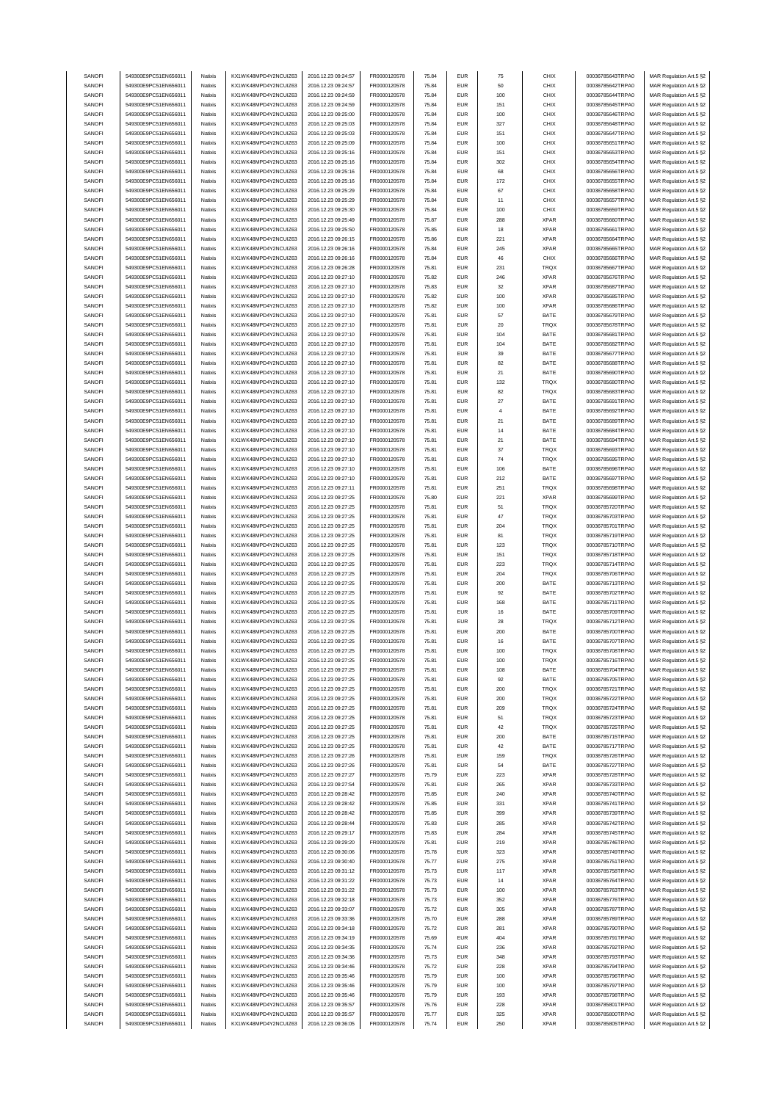| SANOFI | 549300E9PC51EN656011 | Natixis | KX1WK48MPD4Y2NCUIZ63  | 2016.12.23 09:24:57 | FR0000120578 | 75.84 | <b>EUR</b>                  | 75             | CHIX        | 00036785643TRPA0 | MAR Regulation Art.5 §2 |
|--------|----------------------|---------|-----------------------|---------------------|--------------|-------|-----------------------------|----------------|-------------|------------------|-------------------------|
| SANOFI | 549300E9PC51EN656011 | Natixis | KX1WK48MPD4Y2NCUIZ63  | 2016.12.23 09:24:57 | FR0000120578 | 75.84 | <b>EUR</b>                  | 50             | CHIX        | 00036785642TRPA0 | MAR Regulation Art.5 §2 |
| SANOFI | 549300E9PC51EN656011 | Natixis | KX1WK48MPD4Y2NCUIZ63  | 2016.12.23 09:24:59 | FR0000120578 | 75.84 | <b>EUR</b>                  | 100            | CHIX        | 00036785644TRPA0 | MAR Regulation Art.5 §2 |
| SANOFI | 549300E9PC51EN656011 | Natixis | KX1WK48MPD4Y2NCUIZ63  | 2016.12.23 09:24:59 | FR0000120578 | 75.84 | <b>EUR</b>                  | 151            | CHIX        | 00036785645TRPA0 | MAR Regulation Art.5 §2 |
|        |                      |         |                       |                     |              |       |                             |                |             |                  |                         |
| SANOFI | 549300E9PC51EN656011 | Natixis | KX1WK48MPD4Y2NCUIZ63  | 2016.12.23 09:25:00 | FR0000120578 | 75.84 | <b>EUR</b>                  | 100            | CHIX        | 00036785646TRPA0 | MAR Regulation Art.5 §2 |
| SANOFI | 549300E9PC51EN656011 | Natixis | KX1WK48MPD4Y2NCUIZ63  | 2016.12.23 09:25:03 | FR0000120578 | 75.84 | <b>EUR</b>                  | 327            | CHIX        | 00036785648TRPA0 | MAR Regulation Art.5 §2 |
| SANOFI | 549300E9PC51EN656011 | Natixis | KX1WK48MPD4Y2NCUIZ63  | 2016.12.23 09:25:03 | FR0000120578 | 75.84 | <b>EUR</b>                  | 151            | CHIX        | 00036785647TRPA0 | MAR Regulation Art.5 §2 |
| SANOFI | 549300E9PC51EN656011 | Natixis | KX1WK48MPD4Y2NCUIZ63  | 2016.12.23 09:25:09 | FR0000120578 | 75.84 | <b>EUR</b>                  | 100            | CHIX        | 00036785651TRPA0 | MAR Regulation Art.5 §2 |
| SANOFI | 549300E9PC51EN656011 | Natixis | KX1WK48MPD4Y2NCLIIZ63 | 2016.12.23 09:25:16 | FR0000120578 | 75.84 | <b>EUR</b>                  | 151            | CHIX        | 00036785653TRPA0 | MAR Regulation Art.5 §2 |
| SANOFI | 549300E9PC51EN656011 | Natixis | KX1WK48MPD4Y2NCUIZ63  | 2016.12.23 09:25:16 | FR0000120578 | 75.84 | <b>EUR</b>                  | 302            | CHIX        | 00036785654TRPA0 | MAR Regulation Art.5 §2 |
|        |                      | Natixis |                       |                     |              |       | <b>EUR</b>                  |                |             |                  |                         |
| SANOFI | 549300E9PC51EN656011 |         | KX1WK48MPD4Y2NCUIZ63  | 2016.12.23 09:25:16 | FR0000120578 | 75.84 |                             | 68             | CHIX        | 00036785656TRPA0 | MAR Regulation Art.5 §2 |
| SANOFI | 549300E9PC51EN656011 | Natixis | KX1WK48MPD4Y2NCUIZ63  | 2016.12.23 09:25:16 | FR0000120578 | 75.84 | <b>EUR</b>                  | 172            | CHIX        | 00036785655TRPA0 | MAR Regulation Art.5 §2 |
| SANOFI | 549300E9PC51EN656011 | Natixis | KX1WK48MPD4Y2NCUIZ63  | 2016.12.23 09:25:29 | FR0000120578 | 75.84 | <b>EUR</b>                  | 67             | CHIX        | 00036785658TRPA0 | MAR Regulation Art.5 §2 |
| SANOFI | 549300E9PC51EN656011 | Natixis | KX1WK48MPD4Y2NCUIZ63  | 2016.12.23 09:25:29 | FR0000120578 | 75.84 | <b>EUR</b>                  | 11             | CHIX        | 00036785657TRPA0 | MAR Regulation Art.5 §2 |
| SANOFI | 549300E9PC51EN656011 | Natixis | KX1WK48MPD4Y2NCUIZ63  | 2016.12.23 09:25:30 | FR0000120578 | 75.84 | <b>EUR</b>                  | 100            | CHIX        | 00036785659TRPA0 | MAR Regulation Art.5 §2 |
|        |                      |         |                       |                     |              |       |                             |                |             |                  |                         |
| SANOFI | 549300E9PC51EN656011 | Natixis | KX1WK48MPD4Y2NCUIZ63  | 2016.12.23 09:25:49 | FR0000120578 | 75.87 | <b>EUR</b>                  | 288            | <b>XPAR</b> | 00036785660TRPA0 | MAR Regulation Art.5 §2 |
| SANOFI | 549300E9PC51EN656011 | Natixis | KX1WK48MPD4Y2NCUIZ63  | 2016.12.23 09:25:50 | FR0000120578 | 75.85 | <b>EUR</b>                  | 18             | <b>XPAR</b> | 00036785661TRPA0 | MAR Regulation Art.5 §2 |
| SANOFI | 549300E9PC51EN656011 | Natixis | KX1WK48MPD4Y2NCLIIZ63 | 2016.12.23 09:26:15 | FR0000120578 | 75.86 | <b>EUR</b>                  | 221            | <b>XPAR</b> | 00036785664TRPA0 | MAR Regulation Art.5 §2 |
| SANOFI | 549300E9PC51EN656011 | Natixis | KX1WK48MPD4Y2NCUIZ63  | 2016.12.23 09:26:16 | FR0000120578 | 75.84 | <b>EUR</b>                  | 245            | <b>XPAR</b> | 00036785665TRPA0 | MAR Regulation Art.5 §2 |
| SANOFI | 549300E9PC51EN656011 | Natixis | KX1WK48MPD4Y2NCUIZ63  | 2016.12.23 09:26:16 | FR0000120578 | 75.84 | <b>EUR</b>                  | 46             | CHIX        | 00036785666TRPA0 | MAR Regulation Art.5 §2 |
|        | 549300E9PC51EN656011 |         |                       |                     |              | 75.81 | <b>EUR</b>                  |                |             |                  |                         |
| SANOFI |                      | Natixis | KX1WK48MPD4Y2NCUIZ63  | 2016.12.23 09:26:28 | FR0000120578 |       |                             | 231            | TRQX        | 00036785667TRPA0 | MAR Regulation Art.5 §2 |
| SANOFI | 549300E9PC51EN656011 | Natixis | KX1WK48MPD4Y2NCUIZ63  | 2016.12.23 09:27:10 | FR0000120578 | 75.82 | <b>EUR</b>                  | 246            | <b>XPAR</b> | 00036785676TRPA0 | MAR Regulation Art.5 §2 |
| SANOFI | 549300E9PC51EN656011 | Natixis | KX1WK48MPD4Y2NCUIZ63  | 2016.12.23 09:27:10 | FR0000120578 | 75.83 | <b>EUR</b>                  | 32             | <b>XPAR</b> | 00036785687TRPA0 | MAR Regulation Art.5 §2 |
| SANOFI | 549300E9PC51EN656011 | Natixis | KX1WK48MPD4Y2NCUIZ63  | 2016.12.23 09:27:10 | FR0000120578 | 75.82 | <b>EUR</b>                  | 100            | <b>XPAR</b> | 00036785685TRPA0 | MAR Regulation Art.5 §2 |
| SANOFI | 549300E9PC51EN656011 | Natixis | KX1WK48MPD4Y2NCUIZ63  | 2016.12.23 09:27:10 | FR0000120578 | 75.82 | <b>EUR</b>                  | 100            | <b>XPAR</b> | 00036785686TRPA0 | MAR Regulation Art.5 §2 |
| SANOFI | 549300E9PC51EN656011 | Natixis | KX1WK48MPD4Y2NCUIZ63  | 2016.12.23 09:27:10 | FR0000120578 | 75.81 | <b>EUR</b>                  | 57             | BATE        | 00036785679TRPA0 | MAR Regulation Art.5 §2 |
|        |                      |         | KX1WK48MPD4Y2NCLIIZ63 |                     |              |       |                             |                |             |                  |                         |
| SANOFI | 549300E9PC51EN656011 | Natixis |                       | 2016.12.23 09:27:10 | FR0000120578 | 75.81 | <b>EUR</b>                  | 20             | TRQX        | 00036785678TRPA0 | MAR Regulation Art.5 §2 |
| SANOFI | 549300E9PC51EN656011 | Natixis | KX1WK48MPD4Y2NCUIZ63  | 2016.12.23 09:27:10 | FR0000120578 | 75.81 | <b>EUR</b>                  | 104            | BATE        | 00036785681TRPA0 | MAR Regulation Art.5 §2 |
| SANOFI | 549300E9PC51EN656011 | Natixis | KX1WK48MPD4Y2NCUIZ63  | 2016.12.23 09:27:10 | FR0000120578 | 75.81 | <b>EUR</b>                  | 104            | BATE        | 00036785682TRPA0 | MAR Regulation Art.5 §2 |
| SANOFI | 549300E9PC51EN656011 | Natixis | KX1WK48MPD4Y2NCUIZ63  | 2016.12.23 09:27:10 | FR0000120578 | 75.81 | <b>EUR</b>                  | 39             | BATE        | 00036785677TRPA0 | MAR Regulation Art.5 §2 |
| SANOFI | 549300E9PC51EN656011 | Natixis | KX1WK48MPD4Y2NCUIZ63  | 2016.12.23 09:27:10 | FR0000120578 | 75.81 | <b>EUR</b>                  | 82             | BATE        | 00036785688TRPA0 | MAR Regulation Art.5 §2 |
| SANOFI | 549300E9PC51EN656011 | Natixis | KX1WK48MPD4Y2NCUIZ63  | 2016.12.23 09:27:10 | FR0000120578 | 75.81 | <b>EUR</b>                  | 21             | BATE        | 00036785690TRPA0 |                         |
|        |                      |         |                       |                     |              |       |                             |                |             |                  | MAR Regulation Art.5 §2 |
| SANOFI | 549300E9PC51EN656011 | Natixis | KX1WK48MPD4Y2NCUIZ63  | 2016.12.23 09:27:10 | FR0000120578 | 75.81 | <b>EUR</b>                  | 132            | TRQX        | 00036785680TRPA0 | MAR Regulation Art.5 §2 |
| SANOFI | 549300E9PC51EN656011 | Natixis | KX1WK48MPD4Y2NCUIZ63  | 2016.12.23 09:27:10 | FR0000120578 | 75.81 | <b>EUR</b>                  | 82             | TRQX        | 00036785683TRPA0 | MAR Regulation Art.5 §2 |
| SANOFI | 549300E9PC51EN656011 | Natixis | KX1WK48MPD4Y2NCUIZ63  | 2016.12.23 09:27:10 | FR0000120578 | 75.81 | <b>EUR</b>                  | 27             | BATE        | 00036785691TRPA0 | MAR Regulation Art.5 §2 |
| SANOFI | 549300E9PC51EN656011 | Natixis | KX1WK48MPD4Y2NCLIIZ63 | 2016.12.23 09:27:10 | FR0000120578 | 75.81 | <b>EUR</b>                  | $\overline{4}$ | BATE        | 00036785692TRPA0 | MAR Regulation Art.5 §2 |
|        | 549300E9PC51EN656011 |         |                       | 2016.12.23 09:27:10 |              |       | <b>EUR</b>                  |                |             |                  |                         |
| SANOFI |                      | Natixis | KX1WK48MPD4Y2NCUIZ63  |                     | FR0000120578 | 75.81 |                             | 21             | BATE        | 00036785689TRPA0 | MAR Regulation Art.5 §2 |
| SANOFI | 549300E9PC51EN656011 | Natixis | KX1WK48MPD4Y2NCUIZ63  | 2016.12.23 09:27:10 | FR0000120578 | 75.81 | <b>EUR</b>                  | 14             | BATE        | 00036785684TRPA0 | MAR Regulation Art.5 §2 |
| SANOFI | 549300E9PC51EN656011 | Natixis | KX1WK48MPD4Y2NCUIZ63  | 2016.12.23 09:27:10 | FR0000120578 | 75.81 | <b>EUR</b>                  | 21             | BATE        | 00036785694TRPA0 | MAR Regulation Art.5 §2 |
| SANOFI | 549300E9PC51EN656011 | Natixis | KX1WK48MPD4Y2NCUIZ63  | 2016.12.23 09:27:10 | FR0000120578 | 75.81 | <b>EUR</b>                  | 37             | TRQX        | 00036785693TRPA0 | MAR Regulation Art.5 §2 |
| SANOFI | 549300E9PC51EN656011 | Natixis | KX1WK48MPD4Y2NCUIZ63  | 2016.12.23 09:27:10 | FR0000120578 | 75.81 | <b>EUR</b>                  | 74             | TRQX        | 00036785695TRPA0 | MAR Regulation Art.5 §2 |
|        |                      |         |                       |                     |              |       |                             |                |             |                  |                         |
| SANOFI | 549300E9PC51EN656011 | Natixis | KX1WK48MPD4Y2NCUIZ63  | 2016.12.23 09:27:10 | FR0000120578 | 75.81 | <b>EUR</b>                  | 106            | BATE        | 00036785696TRPA0 | MAR Regulation Art.5 §2 |
| SANOFI | 549300E9PC51EN656011 | Natixis | KX1WK48MPD4Y2NCUIZ63  | 2016.12.23 09:27:10 | FR0000120578 | 75.81 | <b>EUR</b>                  | 212            | BATE        | 00036785697TRPA0 | MAR Regulation Art.5 §2 |
| SANOFI | 549300E9PC51EN656011 | Natixis | KX1WK48MPD4Y2NCUIZ63  | 2016.12.23 09:27:11 | FR0000120578 | 75.81 | <b>EUR</b>                  | 251            | TRQX        | 00036785698TRPA0 | MAR Regulation Art.5 §2 |
| SANOFI | 549300E9PC51EN656011 | Natixis | KX1WK48MPD4Y2NCUIZ63  | 2016.12.23 09:27:25 | FR0000120578 | 75.80 | <b>EUR</b>                  | 221            | <b>XPAR</b> | 00036785699TRPA0 | MAR Regulation Art.5 §2 |
| SANOFI | 549300E9PC51EN656011 | Natixis | KX1WK48MPD4Y2NCUIZ63  | 2016.12.23 09:27:25 | FR0000120578 | 75.81 | <b>EUR</b>                  | 51             | TRQX        | 00036785720TRPA0 | MAR Regulation Art.5 §2 |
| SANOFI | 549300E9PC51EN656011 | Natixis | KX1WK48MPD4Y2NCUIZ63  | 2016.12.23 09:27:25 | FR0000120578 | 75.81 | <b>EUR</b>                  | 47             | TRQX        | 00036785703TRPA0 | MAR Regulation Art.5 §2 |
|        |                      |         |                       |                     |              |       |                             |                |             |                  |                         |
| SANOFI | 549300E9PC51EN656011 | Natixis | KX1WK48MPD4Y2NCUIZ63  | 2016.12.23 09:27:25 | FR0000120578 | 75.81 | <b>EUR</b>                  | 204            | TRQX        | 00036785701TRPA0 | MAR Regulation Art.5 §2 |
| SANOFI | 549300E9PC51EN656011 | Natixis | KX1WK48MPD4Y2NCUIZ63  | 2016.12.23 09:27:25 | FR0000120578 | 75.81 | <b>EUR</b>                  | 81             | TRQX        | 00036785719TRPA0 | MAR Regulation Art.5 §2 |
| SANOFI | 549300E9PC51EN656011 | Natixis | KX1WK48MPD4Y2NCUIZ63  | 2016.12.23 09:27:25 | FR0000120578 | 75.81 | <b>EUR</b>                  | 123            | TRQX        | 00036785710TRPA0 | MAR Regulation Art.5 §2 |
| SANOFI | 549300E9PC51EN656011 | Natixis | KX1WK48MPD4Y2NCUIZ63  | 2016.12.23 09:27:25 | FR0000120578 | 75.81 | <b>EUR</b>                  | 151            | TRQX        | 00036785718TRPA0 | MAR Regulation Art.5 §2 |
| SANOFI | 549300E9PC51EN656011 | Natixis | KX1WK48MPD4Y2NCUIZ63  | 2016.12.23 09:27:25 | FR0000120578 | 75.81 | <b>EUR</b>                  | 223            | TRQX        | 00036785714TRPA0 | MAR Regulation Art.5 §2 |
|        |                      |         |                       |                     |              |       |                             |                |             |                  |                         |
| SANOFI | 549300E9PC51EN656011 | Natixis | KX1WK48MPD4Y2NCUIZ63  | 2016.12.23 09:27:25 | FR0000120578 | 75.81 | <b>EUR</b>                  | 204            | TRQX        | 00036785706TRPA0 | MAR Regulation Art.5 §2 |
| SANOFI | 549300E9PC51EN656011 | Natixis | KX1WK48MPD4Y2NCUIZ63  | 2016.12.23 09:27:25 | FR0000120578 | 75.81 | <b>EUR</b>                  | 200            | BATE        | 00036785713TRPA0 | MAR Regulation Art.5 §2 |
| SANOFI | 549300E9PC51EN656011 | Natixis | KX1WK48MPD4Y2NCUIZ63  | 2016.12.23 09:27:25 | FR0000120578 | 75.81 | <b>EUR</b>                  | 92             | BATE        | 00036785702TRPA0 | MAR Regulation Art.5 §2 |
| SANOFI | 549300E9PC51EN656011 | Natixis | KX1WK48MPD4Y2NCUIZ63  | 2016.12.23 09:27:25 | FR0000120578 | 75.81 | <b>EUR</b>                  | 168            | BATE        | 00036785711TRPA0 | MAR Regulation Art.5 §2 |
| SANOFI | 549300E9PC51EN656011 | Natixis | KX1WK48MPD4Y2NCUIZ63  | 2016.12.23 09:27:25 | FR0000120578 | 75.81 | <b>EUR</b>                  | 16             | BATE        | 00036785709TRPA0 | MAR Regulation Art.5 §2 |
|        |                      |         |                       |                     |              |       |                             |                |             |                  |                         |
| SANOFI | 549300E9PC51EN656011 | Natixis | KX1WK48MPD4Y2NCUIZ63  | 2016.12.23 09:27:25 | FR0000120578 | 75.81 | <b>EUR</b>                  | 28             | TRQX        | 00036785712TRPA0 | MAR Regulation Art.5 §2 |
| SANOFI | 549300E9PC51EN656011 | Natixis | KX1WK48MPD4Y2NCUIZ63  | 2016.12.23 09:27:25 | FR0000120578 | 75.81 | <b>EUR</b>                  | 200            | BATE        | 00036785700TRPA0 | MAR Regulation Art.5 §2 |
| SANOFI | 549300E9PC51EN656011 | Natixis | KX1WK48MPD4Y2NCUIZ63  | 2016.12.23 09:27:25 | FR0000120578 | 75.81 | <b>EUR</b>                  | 16             | BATE        | 00036785707TRPA0 | MAR Regulation Art.5 §2 |
| SANOF  | 549300E9PC51EN656011 | Natixis | KX1WK48MPD4Y2NCUIZ63  | 2016.12.23 09:27:25 | FR0000120578 | 75.81 | EUR                         | 100            | TRQX        | 00036785708TRPA0 | MAR Regulation Art.5 §2 |
| SANOFI | 549300E9PC51EN656011 | Natixis | KX1WK48MPD4Y2NCUIZ63  | 2016.12.23 09:27:25 | FR0000120578 | 75.81 | <b>EUR</b>                  | 100            | TRQX        | 00036785716TRPA0 | MAR Regulation Art.5 §2 |
|        |                      |         |                       |                     |              |       |                             |                |             |                  | MAR Regulation Art.5 §2 |
| SANOFI | 549300E9PC51EN656011 | Natixis | KX1WK48MPD4Y2NCUIZ63  | 2016.12.23 09:27:25 | FR0000120578 | 75.81 | EUR                         | 108            | BATE        | 00036785704TRPA0 |                         |
| SANOFI | 549300E9PC51EN656011 | Natixis | KX1WK48MPD4Y2NCUIZ63  | 2016.12.23 09:27:25 | FR0000120578 | 75.81 | <b>EUR</b>                  | 92             | BATE        | 00036785705TRPA0 | MAR Regulation Art.5 §2 |
| SANOFI | 549300E9PC51EN656011 | Natixis | KX1WK48MPD4Y2NCUIZ63  | 2016.12.23 09:27:25 | FR0000120578 | 75.81 | <b>EUR</b>                  | 200            | TRQX        | 00036785721TRPA0 | MAR Regulation Art.5 §2 |
| SANOFI | 549300E9PC51EN656011 | Natixis | KX1WK48MPD4Y2NCUIZ63  | 2016.12.23 09:27:25 | FR0000120578 | 75.81 | <b>EUR</b>                  | 200            | <b>TRQX</b> | 00036785722TRPA0 | MAR Regulation Art.5 §2 |
| SANOFI | 549300E9PC51EN656011 | Natixis | KX1WK48MPD4Y2NCUIZ63  | 2016.12.23 09:27:25 | FR0000120578 | 75.81 | $\ensuremath{\mathsf{EUR}}$ | 209            | <b>TRQX</b> | 00036785724TRPA0 | MAR Regulation Art.5 §2 |
| SANOFI | 549300E9PC51EN656011 | Natixis | KX1WK48MPD4Y2NCUIZ63  | 2016.12.23 09:27:25 | FR0000120578 | 75.81 | EUR                         | 51             | TRQX        | 00036785723TRPA0 | MAR Regulation Art.5 §2 |
| SANOFI |                      | Natixis |                       | 2016.12.23 09:27:25 |              | 75.81 | <b>EUR</b>                  | 42             |             |                  |                         |
|        | 549300E9PC51EN656011 |         | KX1WK48MPD4Y2NCUIZ63  |                     | FR0000120578 |       |                             |                | TRQX        | 00036785725TRPA0 | MAR Regulation Art.5 §2 |
| SANOFI | 549300E9PC51EN656011 | Natixis | KX1WK48MPD4Y2NCUIZ63  | 2016.12.23 09:27:25 | FR0000120578 | 75.81 | <b>EUR</b>                  | 200            | BATE        | 00036785715TRPA0 | MAR Regulation Art.5 §2 |
| SANOFI | 549300E9PC51EN656011 | Natixis | KX1WK48MPD4Y2NCUIZ63  | 2016.12.23 09:27:25 | FR0000120578 | 75.81 | <b>EUR</b>                  | 42             | BATE        | 00036785717TRPA0 | MAR Regulation Art.5 §2 |
| SANOFI | 549300E9PC51EN656011 | Natixis | KX1WK48MPD4Y2NCUIZ63  | 2016.12.23 09:27:26 | FR0000120578 | 75.81 | <b>EUR</b>                  | 159            | TRQX        | 00036785726TRPA0 | MAR Regulation Art.5 §2 |
| SANOFI | 549300E9PC51EN656011 | Natixis | KX1WK48MPD4Y2NCUIZ63  | 2016.12.23 09:27:26 | FR0000120578 | 75.81 | <b>EUR</b>                  | 54             | BATE        | 00036785727TRPA0 | MAR Regulation Art.5 §2 |
| SANOFI | 549300E9PC51EN656011 | Natixis | KX1WK48MPD4Y2NCUIZ63  | 2016.12.23 09:27:27 | FR0000120578 | 75.79 | <b>EUR</b>                  | 223            | <b>XPAR</b> | 00036785728TRPA0 | MAR Regulation Art.5 §2 |
|        |                      |         |                       |                     |              |       |                             |                |             |                  |                         |
| SANOFI | 549300E9PC51EN656011 | Natixis | KX1WK48MPD4Y2NCUIZ63  | 2016.12.23 09:27:54 | FR0000120578 | 75.81 | <b>EUR</b>                  | 265            | <b>XPAR</b> | 00036785733TRPA0 | MAR Regulation Art.5 §2 |
| SANOFI | 549300E9PC51EN656011 | Natixis | KX1WK48MPD4Y2NCUIZ63  | 2016.12.23 09:28:42 | FR0000120578 | 75.85 | <b>EUR</b>                  | 240            | <b>XPAR</b> | 00036785740TRPA0 | MAR Regulation Art.5 §2 |
| SANOFI | 549300E9PC51EN656011 | Natixis | KX1WK48MPD4Y2NCUIZ63  | 2016.12.23 09:28:42 | FR0000120578 | 75.85 | <b>EUR</b>                  | 331            | <b>XPAR</b> | 00036785741TRPA0 | MAR Regulation Art.5 §2 |
| SANOFI | 549300E9PC51EN656011 | Natixis | KX1WK48MPD4Y2NCUIZ63  | 2016.12.23 09:28:42 | FR0000120578 | 75.85 | <b>EUR</b>                  | 399            | <b>XPAR</b> | 00036785739TRPA0 | MAR Regulation Art.5 §2 |
| SANOFI | 549300E9PC51EN656011 | Natixis | KX1WK48MPD4Y2NCUIZ63  | 2016.12.23 09:28:44 | FR0000120578 | 75.83 | <b>EUR</b>                  | 285            | <b>XPAR</b> | 00036785742TRPA0 | MAR Regulation Art.5 §2 |
|        |                      |         |                       |                     |              |       |                             |                |             |                  |                         |
| SANOFI | 549300E9PC51EN656011 | Natixis | KX1WK48MPD4Y2NCUIZ63  | 2016.12.23 09:29:17 | FR0000120578 | 75.83 | <b>EUR</b>                  | 284            | <b>XPAR</b> | 00036785745TRPA0 | MAR Regulation Art.5 §2 |
| SANOFI | 549300E9PC51EN656011 | Natixis | KX1WK48MPD4Y2NCUIZ63  | 2016.12.23 09:29:20 | FR0000120578 | 75.81 | <b>EUR</b>                  | 219            | <b>XPAR</b> | 00036785746TRPA0 | MAR Regulation Art.5 §2 |
| SANOFI | 549300E9PC51EN656011 | Natixis | KX1WK48MPD4Y2NCUIZ63  | 2016.12.23 09:30:06 | FR0000120578 | 75.78 | <b>EUR</b>                  | 323            | <b>XPAR</b> | 00036785749TRPA0 | MAR Regulation Art.5 §2 |
| SANOFI | 549300E9PC51EN656011 | Natixis | KX1WK48MPD4Y2NCUIZ63  | 2016.12.23 09:30:40 | FR0000120578 | 75.77 | <b>EUR</b>                  | 275            | <b>XPAR</b> | 00036785751TRPA0 | MAR Regulation Art.5 §2 |
| SANOFI | 549300E9PC51EN656011 | Natixis | KX1WK48MPD4Y2NCUIZ63  | 2016.12.23 09:31:12 | FR0000120578 | 75.73 | <b>EUR</b>                  | 117            | <b>XPAR</b> | 00036785758TRPA0 |                         |
|        |                      |         |                       |                     |              |       |                             |                |             |                  | MAR Regulation Art.5 §2 |
| SANOFI | 549300E9PC51EN656011 | Natixis | KX1WK48MPD4Y2NCUIZ63  | 2016.12.23 09:31:22 | FR0000120578 | 75.73 | <b>EUR</b>                  | 14             | <b>XPAR</b> | 00036785764TRPA0 | MAR Regulation Art.5 §2 |
| SANOFI | 549300E9PC51EN656011 | Natixis | KX1WK48MPD4Y2NCUIZ63  | 2016.12.23 09:31:22 | FR0000120578 | 75.73 | <b>EUR</b>                  | 100            | <b>XPAR</b> | 00036785763TRPA0 | MAR Regulation Art.5 §2 |
| SANOFI | 549300E9PC51EN656011 | Natixis | KX1WK48MPD4Y2NCUIZ63  | 2016.12.23 09:32:18 | FR0000120578 | 75.73 | <b>EUR</b>                  | 352            | <b>XPAR</b> | 00036785776TRPA0 | MAR Regulation Art.5 §2 |
| SANOFI | 549300E9PC51EN656011 | Natixis | KX1WK48MPD4Y2NCUIZ63  | 2016.12.23 09:33:07 | FR0000120578 | 75.72 | <b>EUR</b>                  | 305            | <b>XPAR</b> | 00036785787TRPA0 | MAR Regulation Art.5 §2 |
|        |                      |         |                       |                     |              |       |                             |                |             |                  |                         |
| SANOFI | 549300E9PC51EN656011 | Natixis | KX1WK48MPD4Y2NCUIZ63  | 2016.12.23 09:33:36 | FR0000120578 | 75.70 | <b>EUR</b>                  | 288            | <b>XPAR</b> | 00036785789TRPA0 | MAR Regulation Art.5 §2 |
| SANOFI | 549300E9PC51EN656011 | Natixis | KX1WK48MPD4Y2NCUIZ63  | 2016.12.23 09:34:18 | FR0000120578 | 75.72 | <b>EUR</b>                  | 281            | <b>XPAR</b> | 00036785790TRPA0 | MAR Regulation Art.5 §2 |
| SANOFI | 549300E9PC51EN656011 | Natixis | KX1WK48MPD4Y2NCUIZ63  | 2016.12.23 09:34:19 | FR0000120578 | 75.69 | <b>EUR</b>                  | 404            | <b>XPAR</b> | 00036785791TRPA0 | MAR Regulation Art.5 §2 |
| SANOFI | 549300E9PC51EN656011 | Natixis | KX1WK48MPD4Y2NCUIZ63  | 2016.12.23 09:34:35 | FR0000120578 | 75.74 | <b>EUR</b>                  | 236            | <b>XPAR</b> | 00036785792TRPA0 | MAR Regulation Art.5 §2 |
| SANOFI | 549300E9PC51EN656011 | Natixis | KX1WK48MPD4Y2NCUIZ63  | 2016.12.23 09:34:36 | FR0000120578 | 75.73 | <b>EUR</b>                  | 348            | <b>XPAR</b> | 00036785793TRPA0 | MAR Regulation Art.5 §2 |
| SANOFI | 549300E9PC51EN656011 | Natixis | KX1WK48MPD4Y2NCUIZ63  | 2016.12.23 09:34:46 | FR0000120578 | 75.72 | EUR                         | 228            | <b>XPAR</b> | 00036785794TRPA0 |                         |
|        |                      |         |                       |                     |              |       |                             |                |             |                  | MAR Regulation Art.5 §2 |
| SANOFI | 549300E9PC51EN656011 | Natixis | KX1WK48MPD4Y2NCUIZ63  | 2016.12.23 09:35:46 | FR0000120578 | 75.79 | <b>EUR</b>                  | 100            | <b>XPAR</b> | 00036785796TRPA0 | MAR Regulation Art.5 §2 |
| SANOFI | 549300E9PC51EN656011 | Natixis | KX1WK48MPD4Y2NCUIZ63  | 2016.12.23 09:35:46 | FR0000120578 | 75.79 | <b>EUR</b>                  | 100            | <b>XPAR</b> | 00036785797TRPA0 | MAR Regulation Art.5 §2 |
| SANOFI | 549300E9PC51EN656011 | Natixis | KX1WK48MPD4Y2NCUIZ63  | 2016.12.23 09:35:46 | FR0000120578 | 75.79 | <b>EUR</b>                  | 193            | <b>XPAR</b> | 00036785798TRPA0 | MAR Regulation Art.5 §2 |
| SANOFI | 549300E9PC51EN656011 | Natixis | KX1WK48MPD4Y2NCUIZ63  | 2016.12.23 09:35:57 | FR0000120578 | 75.76 | <b>EUR</b>                  | 228            | <b>XPAR</b> | 00036785801TRPA0 | MAR Regulation Art.5 §2 |
| SANOFI | 549300E9PC51EN656011 | Natixis | KX1WK48MPD4Y2NCUIZ63  | 2016.12.23 09:35:57 | FR0000120578 | 75.77 | <b>EUR</b>                  | 325            | <b>XPAR</b> | 00036785800TRPA0 | MAR Regulation Art.5 §2 |
| SANOFI | 549300E9PC51EN656011 | Natixis | KX1WK48MPD4Y2NCUIZ63  | 2016.12.23 09:36:05 | FR0000120578 | 75.74 | EUR                         | 250            | <b>XPAR</b> | 00036785805TRPA0 | MAR Regulation Art.5 §2 |
|        |                      |         |                       |                     |              |       |                             |                |             |                  |                         |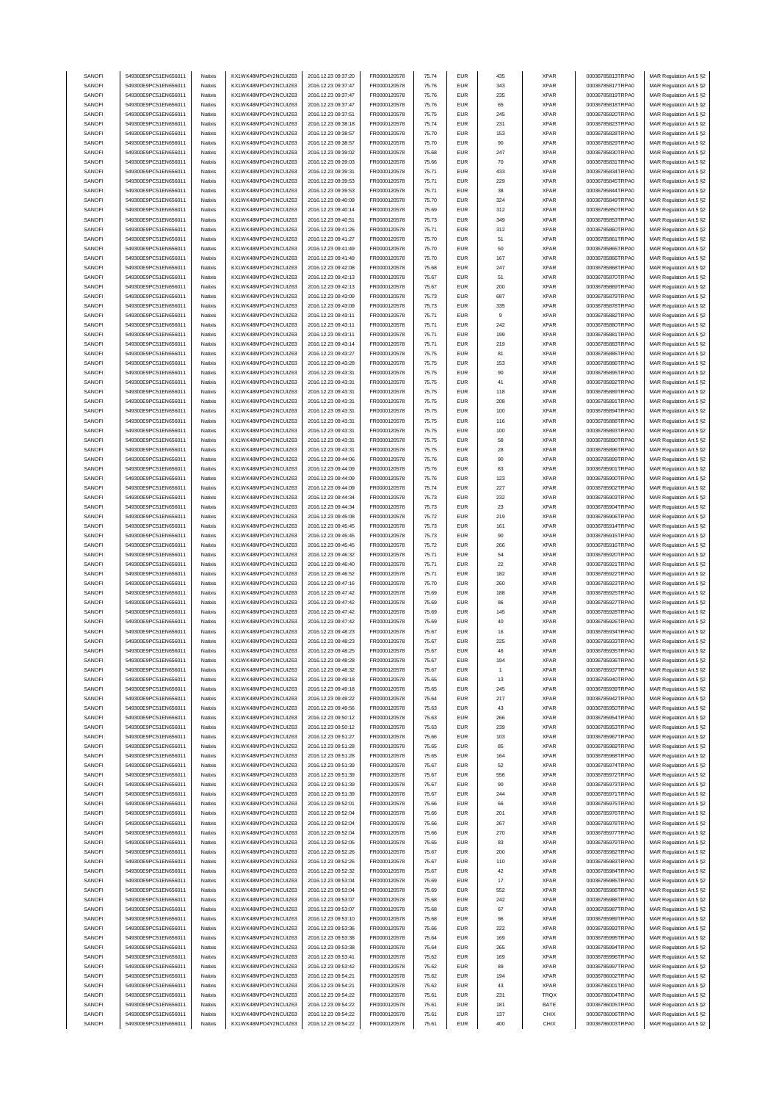| SANOFI           | 549300E9PC51EN656011                         | Natixis            | KX1WK48MPD4Y2NCUIZ63                         | 2016.12.23 09:37:20                        | FR0000120578                 | 75.74          | <b>EUR</b>        | 435        | <b>XPAR</b>  | 00036785813TRPA0                     | MAR Regulation Art.5 §2                            |
|------------------|----------------------------------------------|--------------------|----------------------------------------------|--------------------------------------------|------------------------------|----------------|-------------------|------------|--------------|--------------------------------------|----------------------------------------------------|
| SANOFI           | 549300E9PC51EN656011                         | Natixis            | KX1WK48MPD4Y2NCUIZ63                         | 2016.12.23 09:37:47                        | FR0000120578                 | 75.76          | <b>EUR</b>        | 343        | <b>XPAR</b>  | 00036785817TRPA0                     | MAR Regulation Art.5 §2                            |
| SANOFI           | 549300E9PC51EN656011                         | Natixis            | KX1WK48MPD4Y2NCUIZ63                         | 2016.12.23 09:37:47                        | FR0000120578                 | 75.76          | <b>EUR</b>        | 235        | <b>XPAR</b>  | 00036785819TRPA0                     | MAR Regulation Art.5 §2                            |
| SANOFI           | 549300E9PC51EN656011                         | Natixis            | KX1WK48MPD4Y2NCUIZ63                         | 2016.12.23 09:37:47                        | FR0000120578                 | 75.76          | <b>EUR</b>        | 65         | <b>XPAR</b>  | 00036785818TRPA0                     | MAR Regulation Art.5 §2                            |
|                  |                                              |                    |                                              |                                            |                              |                |                   |            |              |                                      |                                                    |
| SANOFI           | 549300E9PC51EN656011                         | Natixis            | KX1WK48MPD4Y2NCUIZ63                         | 2016.12.23 09:37:51                        | FR0000120578                 | 75.75          | <b>EUR</b>        | 245        | <b>XPAR</b>  | 00036785820TRPA0                     | MAR Regulation Art.5 §2                            |
| SANOFI           | 549300E9PC51EN656011                         | Natixis            | KX1WK48MPD4Y2NCUIZ63                         | 2016.12.23 09:38:18                        | FR0000120578                 | 75.74          | <b>EUR</b>        | 231        | <b>XPAR</b>  | 00036785823TRPA0                     | MAR Regulation Art.5 §2                            |
| SANOFI           | 549300E9PC51EN656011                         | Natixis            | KX1WK48MPD4Y2NCUIZ63                         | 2016.12.23 09:38:57                        | FR0000120578                 | 75.70          | <b>EUR</b>        | 153        | <b>XPAR</b>  | 00036785828TRPA0                     | MAR Regulation Art.5 §2                            |
| SANOFI           | 549300E9PC51EN656011                         | Natixis            | KX1WK48MPD4Y2NCUIZ63                         | 2016.12.23 09:38:57                        | FR0000120578                 | 75.70          | <b>EUR</b>        | 90         | <b>XPAR</b>  | 00036785829TRPA0                     | MAR Regulation Art.5 §2                            |
| SANOFI           | 549300E9PC51EN656011                         | Natixis            | KX1WK48MPD4Y2NCLIIZ63                        | 2016.12.23 09:39:02                        | FR0000120578                 | 75.68          | <b>EUR</b>        | 247        | <b>XPAR</b>  | 00036785830TRPA0                     | MAR Regulation Art.5 §2                            |
| SANOFI           | 549300E9PC51EN656011                         | Natixis            | KX1WK48MPD4Y2NCUIZ63                         | 2016.12.23 09:39:03                        | FR0000120578                 | 75.66          | <b>EUR</b>        | 70         | <b>XPAR</b>  | 00036785831TRPA0                     | MAR Regulation Art.5 §2                            |
|                  |                                              | Natixis            |                                              |                                            |                              |                | <b>EUR</b>        |            |              |                                      |                                                    |
| SANOFI           | 549300E9PC51EN656011                         |                    | KX1WK48MPD4Y2NCUIZ63                         | 2016.12.23 09:39:31                        | FR0000120578                 | 75.71          |                   | 433        | <b>XPAR</b>  | 00036785834TRPA0                     | MAR Regulation Art.5 §2                            |
| SANOFI           | 549300E9PC51EN656011                         | Natixis            | KX1WK48MPD4Y2NCUIZ63                         | 2016.12.23 09:39:53                        | FR0000120578                 | 75.71          | <b>EUR</b>        | 229        | <b>XPAR</b>  | 00036785845TRPA0                     | MAR Regulation Art.5 §2                            |
| SANOFI           | 549300E9PC51EN656011                         | Natixis            | KX1WK48MPD4Y2NCUIZ63                         | 2016.12.23 09:39:53                        | FR0000120578                 | 75.71          | <b>EUR</b>        | 38         | <b>XPAR</b>  | 00036785844TRPA0                     | MAR Regulation Art.5 §2                            |
| SANOFI           | 549300E9PC51EN656011                         | Natixis            | KX1WK48MPD4Y2NCUIZ63                         | 2016.12.23 09:40:09                        | FR0000120578                 | 75.70          | <b>EUR</b>        | 324        | <b>XPAR</b>  | 00036785849TRPA0                     | MAR Regulation Art.5 §2                            |
| SANOFI           | 549300E9PC51EN656011                         | Natixis            | KX1WK48MPD4Y2NCUIZ63                         | 2016.12.23 09:40:14                        | FR0000120578                 | 75.69          | <b>EUR</b>        | 312        | <b>XPAR</b>  | 00036785850TRPA0                     | MAR Regulation Art.5 §2                            |
|                  | 549300E9PC51EN656011                         |                    |                                              |                                            |                              |                | <b>EUR</b>        |            |              |                                      |                                                    |
| SANOFI           |                                              | Natixis            | KX1WK48MPD4Y2NCUIZ63                         | 2016.12.23 09:40:51                        | FR0000120578                 | 75.73          |                   | 349        | <b>XPAR</b>  | 00036785853TRPA0                     | MAR Regulation Art.5 §2                            |
| SANOFI           | 549300E9PC51EN656011                         | Natixis            | KX1WK48MPD4Y2NCUIZ63                         | 2016.12.23 09:41:26                        | FR0000120578                 | 75.71          | <b>EUR</b>        | 312        | <b>XPAR</b>  | 00036785860TRPA0                     | MAR Regulation Art.5 §2                            |
| SANOFI           | 549300E9PC51EN656011                         | Natixis            | KX1WK48MPD4Y2NCLIIZ63                        | 2016.12.23 09:41:27                        | FR0000120578                 | 75.70          | <b>EUR</b>        | 51         | <b>XPAR</b>  | 00036785861TRPA0                     | MAR Regulation Art.5 §2                            |
| SANOFI           | 549300E9PC51EN656011                         | Natixis            | KX1WK48MPD4Y2NCUIZ63                         | 2016.12.23 09:41:49                        | FR0000120578                 | 75.70          | <b>EUR</b>        | 50         | <b>XPAR</b>  | 00036785865TRPA0                     | MAR Regulation Art.5 §2                            |
| SANOFI           | 549300E9PC51EN656011                         | Natixis            | KX1WK48MPD4Y2NCUIZ63                         | 2016.12.23 09:41:49                        | FR0000120578                 | 75.70          | <b>EUR</b>        | 167        | <b>XPAR</b>  | 00036785866TRPA0                     | MAR Regulation Art.5 §2                            |
| SANOFI           | 549300E9PC51EN656011                         | Natixis            | KX1WK48MPD4Y2NCUIZ63                         | 2016.12.23 09:42:08                        | FR0000120578                 | 75.68          | <b>EUR</b>        | 247        | <b>XPAR</b>  | 00036785868TRPA0                     | MAR Regulation Art.5 §2                            |
| SANOFI           | 549300E9PC51EN656011                         | Natixis            | KX1WK48MPD4Y2NCUIZ63                         | 2016.12.23 09:42:13                        | FR0000120578                 | 75.67          | <b>EUR</b>        | 51         | <b>XPAR</b>  | 00036785870TRPA0                     | MAR Regulation Art.5 §2                            |
|                  |                                              |                    |                                              |                                            |                              |                |                   |            |              |                                      |                                                    |
| SANOFI           | 549300E9PC51EN656011                         | Natixis            | KX1WK48MPD4Y2NCUIZ63                         | 2016.12.23 09:42:13                        | FR0000120578                 | 75.67          | <b>EUR</b>        | 200        | <b>XPAR</b>  | 00036785869TRPA0                     | MAR Regulation Art.5 §2                            |
| SANOFI           | 549300E9PC51EN656011                         | Natixis            | KX1WK48MPD4Y2NCUIZ63                         | 2016.12.23 09:43:09                        | FR0000120578                 | 75.73          | <b>EUR</b>        | 687        | <b>XPAR</b>  | 00036785879TRPA0                     | MAR Regulation Art.5 §2                            |
| SANOFI           | 549300E9PC51EN656011                         | Natixis            | KX1WK48MPD4Y2NCUIZ63                         | 2016.12.23 09:43:09                        | FR0000120578                 | 75.73          | <b>EUR</b>        | 335        | <b>XPAR</b>  | 00036785878TRPA0                     | MAR Regulation Art.5 §2                            |
| SANOFI           | 549300E9PC51EN656011                         | Natixis            | KX1WK48MPD4Y2NCUIZ63                         | 2016.12.23 09:43:11                        | FR0000120578                 | 75.71          | <b>EUR</b>        | 9          | <b>XPAR</b>  | 00036785882TRPA0                     | MAR Regulation Art.5 §2                            |
| SANOFI           | 549300E9PC51EN656011                         | Natixis            | KX1WK48MPD4Y2NCLIIZ63                        | 2016 12:23 09:43:11                        | FR0000120578                 | 75.71          | <b>EUR</b>        | 242        | <b>XPAR</b>  | 00036785880TRPA0                     | MAR Regulation Art.5 §2                            |
| SANOFI           | 549300E9PC51EN656011                         | Natixis            | KX1WK48MPD4Y2NCUIZ63                         | 2016.12.23 09:43:11                        | FR0000120578                 | 75.71          | <b>EUR</b>        | 199        | <b>XPAR</b>  | 00036785881TRPA0                     | MAR Regulation Art.5 §2                            |
|                  |                                              |                    |                                              |                                            |                              |                |                   |            |              |                                      |                                                    |
| SANOFI           | 549300E9PC51EN656011                         | Natixis            | KX1WK48MPD4Y2NCUIZ63                         | 2016.12.23 09:43:14                        | FR0000120578                 | 75.71          | <b>EUR</b>        | 219        | <b>XPAR</b>  | 00036785883TRPA0                     | MAR Regulation Art.5 §2                            |
| SANOFI           | 549300E9PC51EN656011                         | Natixis            | KX1WK48MPD4Y2NCUIZ63                         | 2016.12.23 09:43:27                        | FR0000120578                 | 75.75          | <b>EUR</b>        | 81         | <b>XPAR</b>  | 00036785885TRPA0                     | MAR Regulation Art.5 §2                            |
| SANOFI           | 549300E9PC51EN656011                         | Natixis            | KX1WK48MPD4Y2NCUIZ63                         | 2016.12.23 09:43:28                        | FR0000120578                 | 75.75          | <b>EUR</b>        | 153        | <b>XPAR</b>  | 00036785886TRPA0                     | MAR Regulation Art.5 §2                            |
| SANOFI           | 549300E9PC51EN656011                         | Natixis            | KX1WK48MPD4Y2NCLIIZ63                        | 2016.12.23 09:43:31                        | FR0000120578                 | 75.75          | <b>EUR</b>        | 90         | <b>XPAR</b>  | 00036785895TRPA0                     | MAR Regulation Art.5 §2                            |
| SANOFI           | 549300E9PC51EN656011                         | Natixis            | KX1WK48MPD4Y2NCUIZ63                         | 2016.12.23 09:43:31                        | FR0000120578                 | 75.75          | <b>EUR</b>        | 41         | <b>XPAR</b>  | 00036785892TRPA0                     | MAR Regulation Art.5 §2                            |
|                  |                                              |                    |                                              |                                            |                              |                |                   |            |              |                                      |                                                    |
| SANOFI           | 549300E9PC51EN656011                         | Natixis            | KX1WK48MPD4Y2NCUIZ63                         | 2016.12.23 09:43:31                        | FR0000120578                 | 75.75          | <b>EUR</b>        | 118        | <b>XPAR</b>  | 00036785889TRPA0                     | MAR Regulation Art.5 §2                            |
| SANOFI           | 549300E9PC51EN656011                         | Natixis            | KX1WK48MPD4Y2NCUIZ63                         | 2016.12.23 09:43:31                        | FR0000120578                 | 75.75          | <b>EUR</b>        | 208        | <b>XPAR</b>  | 00036785891TRPA0                     | MAR Regulation Art.5 §2                            |
| SANOFI           | 549300E9PC51EN656011                         | Natixis            | KX1WK48MPD4Y2NCLIIZ63                        | 2016.12.23.09:43:31                        | FR0000120578                 | 75.75          | <b>EUR</b>        | 100        | <b>XPAR</b>  | 00036785894TRPA0                     | MAR Regulation Art.5 §2                            |
| SANOFI           | 549300E9PC51EN656011                         | Natixis            | KX1WK48MPD4Y2NCUIZ63                         | 2016.12.23 09:43:31                        | FR0000120578                 | 75.75          | <b>EUR</b>        | 116        | <b>XPAR</b>  | 00036785888TRPA0                     | MAR Regulation Art.5 §2                            |
| SANOFI           | 549300E9PC51EN656011                         | Natixis            | KX1WK48MPD4Y2NCUIZ63                         | 2016.12.23 09:43:31                        | FR0000120578                 | 75.75          | <b>EUR</b>        | 100        | <b>XPAR</b>  | 00036785893TRPA0                     | MAR Regulation Art.5 §2                            |
| SANOFI           | 549300E9PC51EN656011                         | Natixis            | KX1WK48MPD4Y2NCUIZ63                         | 2016.12.23 09:43:31                        | FR0000120578                 | 75.75          | <b>EUR</b>        | 58         | <b>XPAR</b>  | 00036785890TRPA0                     | MAR Regulation Art.5 §2                            |
|                  |                                              |                    |                                              |                                            |                              |                |                   |            |              |                                      |                                                    |
| SANOFI           | 549300E9PC51EN656011                         | Natixis            | KX1WK48MPD4Y2NCUIZ63                         | 2016.12.23 09:43:31                        | FR0000120578                 | 75.75          | <b>EUR</b>        | 28         | <b>XPAR</b>  | 00036785896TRPA0                     | MAR Regulation Art.5 §2                            |
| SANOFI           | 549300E9PC51EN656011                         | Natixis            | KX1WK48MPD4Y2NCUIZ63                         | 2016.12.23 09:44:06                        | FR0000120578                 | 75.76          | <b>EUR</b>        | 90         | <b>XPAR</b>  | 00036785899TRPA0                     | MAR Regulation Art.5 §2                            |
| SANOFI           | 549300E9PC51EN656011                         | Natixis            | KX1WK48MPD4Y2NCUIZ63                         | 2016.12.23 09:44:09                        | FR0000120578                 | 75.76          | <b>EUR</b>        | 83         | <b>XPAR</b>  | 00036785901TRPA0                     | MAR Regulation Art.5 §2                            |
| SANOFI           | 549300E9PC51EN656011                         | Natixis            | KX1WK48MPD4Y2NCUIZ63                         | 2016.12.23 09:44:09                        | FR0000120578                 | 75.76          | <b>EUR</b>        | 123        | <b>XPAR</b>  | 00036785900TRPA0                     | MAR Regulation Art.5 §2                            |
| SANOFI           | 549300E9PC51EN656011                         | Natixis            | KX1WK48MPD4Y2NCUIZ63                         | 2016.12.23 09:44:09                        | FR0000120578                 | 75.74          | <b>EUR</b>        | 227        | <b>XPAR</b>  | 00036785902TRPA0                     | MAR Regulation Art.5 §2                            |
|                  |                                              | Natixis            |                                              |                                            |                              |                | <b>EUR</b>        |            |              |                                      |                                                    |
| SANOFI           | 549300E9PC51EN656011                         |                    | KX1WK48MPD4Y2NCUIZ63                         | 2016.12.23 09:44:34                        | FR0000120578                 | 75.73          |                   | 232        | <b>XPAR</b>  | 00036785903TRPA0                     | MAR Regulation Art.5 §2                            |
| SANOFI           | 549300E9PC51EN656011                         | Natixis            | KX1WK48MPD4Y2NCUIZ63                         | 2016.12.23 09:44:34                        | FR0000120578                 | 75.73          | <b>EUR</b>        | 23         | <b>XPAR</b>  | 00036785904TRPA0                     | MAR Regulation Art.5 §2                            |
| SANOFI           | 549300E9PC51EN656011                         | Natixis            | KX1WK48MPD4Y2NCUIZ63                         | 2016.12.23 09:45:08                        | FR0000120578                 | 75.72          | <b>EUR</b>        | 219        | <b>XPAR</b>  | 00036785906TRPA0                     | MAR Regulation Art.5 §2                            |
| SANOFI           | 549300E9PC51EN656011                         | Natixis            | KX1WK48MPD4Y2NCUIZ63                         | 2016.12.23 09:45:45                        | FR0000120578                 | 75.73          | <b>EUR</b>        | 161        | <b>XPAR</b>  | 00036785914TRPA0                     | MAR Regulation Art.5 §2                            |
| SANOFI           | 549300E9PC51EN656011                         | Natixis            | KX1WK48MPD4Y2NCUIZ63                         | 2016.12.23 09:45:45                        | FR0000120578                 | 75.73          | <b>EUR</b>        | 90         | <b>XPAR</b>  | 00036785915TRPA0                     | MAR Regulation Art.5 §2                            |
| SANOFI           | 549300E9PC51EN656011                         | Natixis            | KX1WK48MPD4Y2NCUIZ63                         | 2016.12.23 09:45:45                        | FR0000120578                 | 75.72          | <b>EUR</b>        | 266        | <b>XPAR</b>  | 00036785916TRPA0                     | MAR Regulation Art.5 §2                            |
|                  |                                              |                    |                                              |                                            |                              |                |                   |            |              |                                      |                                                    |
| SANOFI           | 549300E9PC51EN656011                         | Natixis            | KX1WK48MPD4Y2NCUIZ63                         | 2016.12.23 09:46:32                        | FR0000120578                 | 75.71          | <b>EUR</b>        | 54         | <b>XPAR</b>  | 00036785920TRPA0                     | MAR Regulation Art.5 §2                            |
| SANOFI           | 549300E9PC51EN656011                         | Natixis            | KX1WK48MPD4Y2NCUIZ63                         | 2016.12.23 09:46:40                        | FR0000120578                 | 75.71          | <b>EUR</b>        | 22         | <b>XPAR</b>  | 00036785921TRPA0                     | MAR Regulation Art.5 §2                            |
| SANOFI           | 549300E9PC51EN656011                         | Natixis            | KX1WK48MPD4Y2NCLIIZ63                        | 2016.12.23 09:46:52                        | FR0000120578                 | 75.71          | <b>EUR</b>        | 182        | <b>XPAR</b>  | 00036785922TRPA0                     | MAR Regulation Art.5 §2                            |
| SANOFI           | 549300E9PC51EN656011                         | Natixis            | KX1WK48MPD4Y2NCUIZ63                         | 2016.12.23 09:47:16                        | FR0000120578                 | 75.70          | <b>EUR</b>        | 260        | <b>XPAR</b>  | 00036785923TRPA0                     | MAR Regulation Art.5 §2                            |
| SANOFI           | 549300E9PC51EN656011                         | Natixis            | KX1WK48MPD4Y2NCUIZ63                         | 2016.12.23 09:47:42                        | FR0000120578                 | 75.69          | <b>EUR</b>        | 188        | <b>XPAR</b>  | 00036785925TRPA0                     | MAR Regulation Art.5 §2                            |
| SANOFI           | 549300E9PC51EN656011                         | Natixis            | KX1WK48MPD4Y2NCUIZ63                         | 2016.12.23 09:47:42                        | FR0000120578                 | 75.69          | <b>EUR</b>        | 86         | <b>XPAR</b>  | 00036785927TRPA0                     | MAR Regulation Art.5 §2                            |
|                  |                                              |                    |                                              |                                            |                              |                |                   |            |              |                                      |                                                    |
| SANOFI           | 549300E9PC51EN656011                         | Natixis            | KX1WK48MPD4Y2NCUIZ63                         | 2016.12.23 09:47:42                        | FR0000120578                 | 75.69          | <b>EUR</b>        | 145        | <b>XPAR</b>  | 00036785928TRPA0                     | MAR Regulation Art.5 §2                            |
| SANOFI           | 549300E9PC51EN656011                         | Natixis            | KX1WK48MPD4Y2NCUIZ63                         | 2016.12.23 09:47:42                        | FR0000120578                 | 75.69          | <b>EUR</b>        | 40         | <b>XPAR</b>  | 00036785926TRPA0                     | MAR Regulation Art.5 §2                            |
| SANOFI           | 549300E9PC51EN656011                         | Natixis            | KX1WK48MPD4Y2NCUIZ63                         | 2016.12.23 09:48:23                        | FR0000120578                 | 75.67          | <b>EUR</b>        | 16         | <b>XPAR</b>  | 00036785934TRPA0                     | MAR Regulation Art.5 §2                            |
| SANOFI           | 549300E9PC51EN656011                         | Natixis            | KX1WK48MPD4Y2NCUIZ63                         | 2016.12.23 09:48:23                        | FR0000120578                 | 75.67          | <b>EUR</b>        | 225        | <b>XPAR</b>  | 00036785933TRPA0                     | MAR Regulation Art.5 §2                            |
| SANOF            | 549300E9PC51EN656011                         | Natixis            | KX1WK48MPD4Y2NCUIZ63                         | 2016.12.23 09:48:25                        | FR0000120578                 | 75.67          | EUR               |            | <b>XPAR</b>  | 00036785935TRPA0                     |                                                    |
|                  |                                              | Natixis            |                                              |                                            |                              |                | <b>EUR</b>        |            |              | 00036785936TRPA0                     | MAR Regulation Art.5 §2<br>MAR Regulation Art.5 §2 |
| SANOFI           | 549300E9PC51EN656011                         |                    | KX1WK48MPD4Y2NCUIZ63                         | 2016.12.23 09:48:28                        | FR0000120578                 | 75.67          |                   | 194        | <b>XPAR</b>  |                                      |                                                    |
| SANOFI           | 549300E9PC51EN656011                         | Natixis            | KX1WK48MPD4Y2NCUIZ63                         | 2016.12.23 09:48:32                        | FR0000120578                 | 75.67          | <b>EUR</b>        | 1          | <b>XPAR</b>  | 00036785937TRPA0                     | MAR Regulation Art.5 §2                            |
| SANOFI           | 549300E9PC51EN656011                         | Natixis            | KX1WK48MPD4Y2NCUIZ63                         | 2016.12.23 09:49:18                        | FR0000120578                 | 75.65          | <b>EUR</b>        | 13         | <b>XPAR</b>  | 00036785940TRPA0                     | MAR Regulation Art.5 §2                            |
| SANOFI           | 549300E9PC51EN656011                         | Natixis            | KX1WK48MPD4Y2NCUIZ63                         | 2016.12.23 09:49:18                        | FR0000120578                 | 75.65          | <b>EUR</b>        | 245        | <b>XPAR</b>  | 00036785939TRPA0                     | MAR Regulation Art.5 §2                            |
| SANOFI           | 549300E9PC51EN656011                         | Natixis            | KX1WK48MPD4Y2NCUIZ63                         | 2016.12.23 09:49:22                        | FR0000120578                 | 75.64          | <b>EUR</b>        | 217        | <b>XPAR</b>  | 00036785942TRPA0                     | MAR Regulation Art.5 §2                            |
| SANOFI           | 549300E9PC51EN656011                         | Natixis            | KX1WK48MPD4Y2NCUIZ63                         | 2016.12.23 09:49:56                        | FR0000120578                 | 75.63          | ${\sf EUR}$       | 43         | <b>XPAR</b>  | 00036785950TRPA0                     | MAR Regulation Art.5 §2                            |
| SANOFI           | 549300E9PC51EN656011                         | Natixis            | KX1WK48MPD4Y2NCUIZ63                         | 2016.12.23 09:50:12                        | FR0000120578                 | 75.63          | <b>EUR</b>        | 266        | <b>XPAR</b>  | 00036785954TRPA0                     | MAR Regulation Art.5 §2                            |
| SANOFI           | 549300E9PC51EN656011                         | Natixis            | KX1WK48MPD4Y2NCUIZ63                         | 2016.12.23 09:50:12                        | FR0000120578                 | 75.63          | <b>EUR</b>        | 239        | <b>XPAR</b>  | 00036785953TRPA0                     | MAR Regulation Art.5 §2                            |
|                  |                                              |                    |                                              |                                            |                              |                |                   |            |              |                                      |                                                    |
| SANOFI           | 549300E9PC51EN656011                         | Natixis            | KX1WK48MPD4Y2NCUIZ63                         | 2016.12.23 09:51:27                        | FR0000120578                 | 75.66          | <b>EUR</b>        | 103        | <b>XPAR</b>  | 00036785967TRPA0                     | MAR Regulation Art.5 §2                            |
| SANOFI           | 549300E9PC51EN656011                         | Natixis            | KX1WK48MPD4Y2NCUIZ63                         | 2016.12.23 09:51:28                        | FR0000120578                 | 75.65          | <b>EUR</b>        | 85         | <b>XPAR</b>  | 00036785969TRPA0                     | MAR Regulation Art.5 §2                            |
| SANOFI           | 549300E9PC51EN656011                         | Natixis            | KX1WK48MPD4Y2NCUIZ63                         | 2016.12.23 09:51:28                        | FR0000120578                 | 75.65          | <b>EUR</b>        | 164        | <b>XPAR</b>  | 00036785968TRPA0                     | MAR Regulation Art.5 §2                            |
| SANOFI           | 549300E9PC51EN656011                         | Natixis            | KX1WK48MPD4Y2NCUIZ63                         | 2016.12.23 09:51:39                        | FR0000120578                 | 75.67          | <b>EUR</b>        | 52         | <b>XPAR</b>  | 00036785974TRPA0                     | MAR Regulation Art.5 §2                            |
| SANOFI           | 549300E9PC51EN656011                         | Natixis            | KX1WK48MPD4Y2NCUIZ63                         | 2016.12.23 09:51:39                        | FR0000120578                 | 75.67          | <b>EUR</b>        | 556        | <b>XPAR</b>  | 00036785972TRPA0                     | MAR Regulation Art.5 §2                            |
|                  | 549300E9PC51EN656011                         |                    |                                              | 2016.12.23 09:51:39                        |                              |                | <b>EUR</b>        |            |              | 00036785973TRPA0                     |                                                    |
| SANOFI           |                                              | Natixis            | KX1WK48MPD4Y2NCUIZ63                         |                                            | FR0000120578                 | 75.67          |                   | 90         | <b>XPAR</b>  |                                      | MAR Regulation Art.5 §2                            |
| SANOFI           | 549300E9PC51EN656011                         | Natixis            | KX1WK48MPD4Y2NCUIZ63                         | 2016.12.23 09:51:39                        | FR0000120578                 | 75.67          | <b>EUR</b>        | 244        | <b>XPAR</b>  | 00036785971TRPA0                     | MAR Regulation Art.5 §2                            |
| SANOFI           | 549300E9PC51EN656011                         | Natixis            | KX1WK48MPD4Y2NCUIZ63                         | 2016.12.23 09:52:01                        | FR0000120578                 | 75.66          | <b>EUR</b>        | 66         | <b>XPAR</b>  | 00036785975TRPA0                     | MAR Regulation Art.5 §2                            |
| SANOFI           | 549300E9PC51EN656011                         | Natixis            | KX1WK48MPD4Y2NCUIZ63                         | 2016.12.23 09:52:04                        | FR0000120578                 | 75.66          | <b>EUR</b>        | 201        | <b>XPAR</b>  | 00036785976TRPA0                     | MAR Regulation Art.5 §2                            |
| SANOFI           | 549300E9PC51EN656011                         | Natixis            | KX1WK48MPD4Y2NCUIZ63                         | 2016.12.23 09:52:04                        | FR0000120578                 | 75.66          | <b>EUR</b>        | 267        | <b>XPAR</b>  | 00036785978TRPA0                     | MAR Regulation Art.5 §2                            |
| SANOFI           | 549300E9PC51EN656011                         | Natixis            | KX1WK48MPD4Y2NCUIZ63                         | 2016.12.23 09:52:04                        | FR0000120578                 | 75.66          | <b>EUR</b>        | 270        | <b>XPAR</b>  | 00036785977TRPA0                     | MAR Regulation Art.5 §2                            |
|                  |                                              |                    |                                              |                                            |                              |                |                   |            |              |                                      |                                                    |
| SANOFI           | 549300E9PC51EN656011                         | Natixis            | KX1WK48MPD4Y2NCUIZ63                         | 2016.12.23 09:52:05                        | FR0000120578                 | 75.65          | <b>EUR</b>        | 83         | <b>XPAR</b>  | 00036785979TRPA0                     | MAR Regulation Art.5 §2                            |
| SANOFI           | 549300E9PC51EN656011                         | Natixis            | KX1WK48MPD4Y2NCUIZ63                         | 2016.12.23 09:52:26                        | FR0000120578                 | 75.67          | <b>EUR</b>        | 200        | <b>XPAR</b>  | 00036785982TRPA0                     | MAR Regulation Art.5 §2                            |
| SANOFI           | 549300E9PC51EN656011                         | Natixis            | KX1WK48MPD4Y2NCUIZ63                         | 2016.12.23 09:52:26                        | FR0000120578                 | 75.67          | <b>EUR</b>        | 110        | <b>XPAR</b>  | 00036785983TRPA0                     | MAR Regulation Art.5 §2                            |
| SANOFI           | 549300E9PC51EN656011                         | Natixis            | KX1WK48MPD4Y2NCUIZ63                         | 2016.12.23 09:52:32                        | FR0000120578                 | 75.67          | <b>EUR</b>        | 42         | <b>XPAR</b>  | 00036785984TRPA0                     | MAR Regulation Art.5 §2                            |
| SANOFI           | 549300E9PC51EN656011                         | Natixis            | KX1WK48MPD4Y2NCUIZ63                         | 2016.12.23 09:53:04                        | FR0000120578                 | 75.69          | <b>EUR</b>        | 17         | <b>XPAR</b>  | 00036785985TRPA0                     | MAR Regulation Art.5 §2                            |
|                  |                                              |                    |                                              |                                            |                              |                |                   |            |              |                                      |                                                    |
| SANOFI           | 549300E9PC51EN656011                         | Natixis            | KX1WK48MPD4Y2NCUIZ63                         | 2016.12.23 09:53:04                        | FR0000120578                 | 75.69          | <b>EUR</b>        | 552        | <b>XPAR</b>  | 00036785986TRPA0                     | MAR Regulation Art.5 §2                            |
| SANOFI           | 549300E9PC51EN656011                         | Natixis            | KX1WK48MPD4Y2NCUIZ63                         | 2016.12.23 09:53:07                        | FR0000120578                 | 75.68          | <b>EUR</b>        | 242        | <b>XPAR</b>  | 00036785988TRPA0                     | MAR Regulation Art.5 §2                            |
| SANOFI           | 549300E9PC51EN656011                         | Natixis            | KX1WK48MPD4Y2NCUIZ63                         | 2016.12.23 09:53:07                        | FR0000120578                 | 75.68          | <b>EUR</b>        | 67         | <b>XPAR</b>  | 00036785987TRPA0                     | MAR Regulation Art.5 §2                            |
| SANOFI           | 549300E9PC51EN656011                         | Natixis            | KX1WK48MPD4Y2NCUIZ63                         | 2016.12.23 09:53:10                        | FR0000120578                 | 75.68          | <b>EUR</b>        | 96         | <b>XPAR</b>  | 00036785989TRPA0                     | MAR Regulation Art.5 §2                            |
| SANOFI           | 549300E9PC51EN656011                         | Natixis            | KX1WK48MPD4Y2NCUIZ63                         | 2016.12.23 09:53:36                        | FR0000120578                 | 75.66          | <b>EUR</b>        | 222        | <b>XPAR</b>  | 00036785993TRPA0                     | MAR Regulation Art.5 §2                            |
|                  |                                              |                    |                                              |                                            |                              |                |                   |            |              |                                      |                                                    |
| SANOFI           | 549300E9PC51EN656011                         | Natixis            | KX1WK48MPD4Y2NCUIZ63                         | 2016.12.23 09:53:38                        | FR0000120578                 | 75.64          | <b>EUR</b>        | 169        | <b>XPAR</b>  | 00036785995TRPA0                     | MAR Regulation Art.5 §2                            |
| SANOFI           | 549300E9PC51EN656011                         | Natixis            | KX1WK48MPD4Y2NCUIZ63                         | 2016.12.23 09:53:38                        | FR0000120578                 | 75.64          | <b>EUR</b>        | 265        | <b>XPAR</b>  | 00036785994TRPA0                     | MAR Regulation Art.5 §2                            |
| SANOFI           | 549300E9PC51EN656011                         | Natixis            | KX1WK48MPD4Y2NCUIZ63                         | 2016.12.23 09:53:41                        | FR0000120578                 | 75.62          | <b>EUR</b>        | 169        | <b>XPAR</b>  | 00036785996TRPA0                     | MAR Regulation Art.5 §2                            |
| SANOFI           | 549300E9PC51EN656011                         | Natixis            | KX1WK48MPD4Y2NCUIZ63                         | 2016.12.23 09:53:42                        | FR0000120578                 | 75.62          | EUR               | 89         | <b>XPAR</b>  | 00036785997TRPA0                     | MAR Regulation Art.5 §2                            |
| SANOFI           | 549300E9PC51EN656011                         | Natixis            | KX1WK48MPD4Y2NCUIZ63                         | 2016.12.23 09:54:21                        | FR0000120578                 | 75.62          | <b>EUR</b>        | 194        | <b>XPAR</b>  | 00036786002TRPA0                     | MAR Regulation Art.5 §2                            |
| SANOFI           | 549300E9PC51EN656011                         | Natixis            | KX1WK48MPD4Y2NCUIZ63                         | 2016.12.23 09:54:21                        | FR0000120578                 | 75.62          | <b>EUR</b>        | 43         | <b>XPAR</b>  | 00036786001TRPA0                     | MAR Regulation Art.5 §2                            |
|                  |                                              |                    |                                              |                                            |                              |                |                   |            |              |                                      |                                                    |
|                  |                                              |                    |                                              |                                            |                              |                |                   |            |              |                                      |                                                    |
| SANOFI           | 549300E9PC51EN656011                         | Natixis            | KX1WK48MPD4Y2NCUIZ63                         | 2016.12.23 09:54:22                        | FR0000120578                 | 75.61          | <b>EUR</b>        | 231        | TRQX         | 00036786004TRPA0                     | MAR Regulation Art.5 §2                            |
| SANOFI           | 549300E9PC51EN656011                         | Natixis            | KX1WK48MPD4Y2NCUIZ63                         | 2016.12.23 09:54:22                        | FR0000120578                 | 75.61          | <b>EUR</b>        | 181        | BATE         | 00036786005TRPA0                     | MAR Regulation Art.5 §2                            |
| SANOFI<br>SANOFI | 549300E9PC51EN656011<br>549300E9PC51EN656011 | Natixis<br>Natixis | KX1WK48MPD4Y2NCUIZ63<br>KX1WK48MPD4Y2NCUIZ63 | 2016.12.23 09:54:22<br>2016.12.23 09:54:22 | FR0000120578<br>FR0000120578 | 75.61<br>75.61 | <b>EUR</b><br>EUR | 137<br>400 | CHIX<br>CHIX | 00036786006TRPA0<br>00036786003TRPA0 | MAR Regulation Art.5 §2<br>MAR Regulation Art.5 §2 |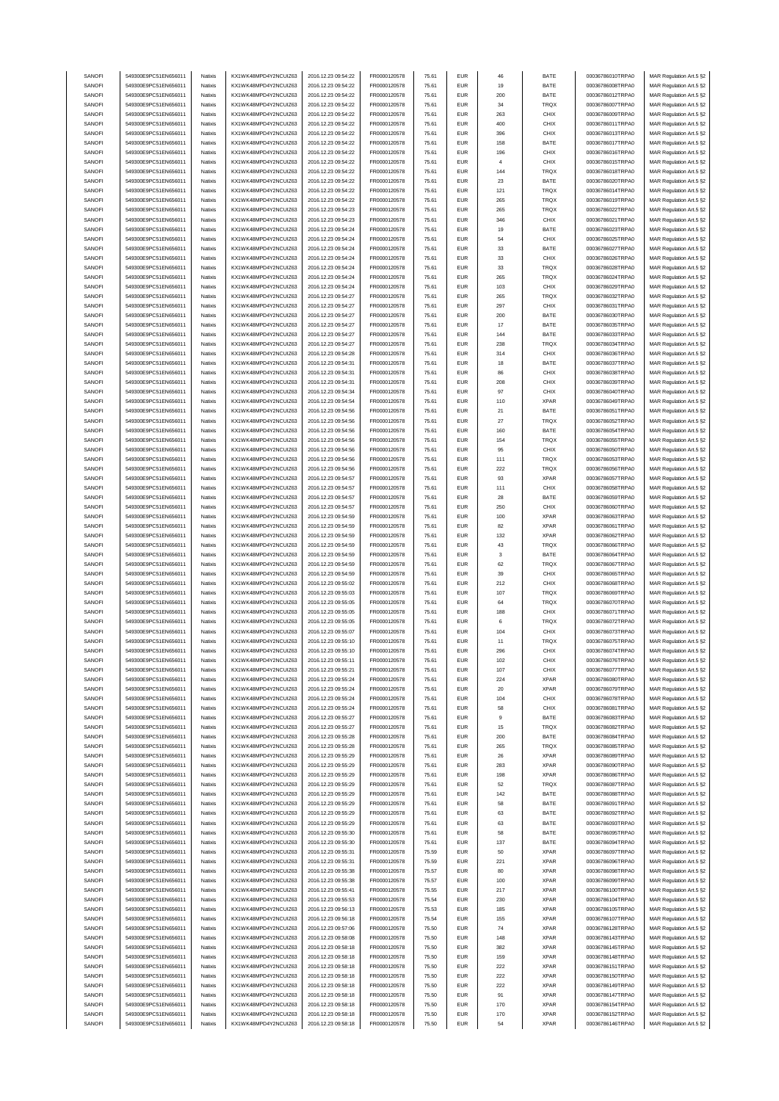| SANOFI | 549300E9PC51EN656011 | Natixis | KX1WK48MPD4Y2NCUIZ63  | 2016.12.23 09:54:22 | FR0000120578 | 75.61 | <b>EUR</b>  | 46             | BATE        | 00036786010TRPA0 | MAR Regulation Art.5 §2 |
|--------|----------------------|---------|-----------------------|---------------------|--------------|-------|-------------|----------------|-------------|------------------|-------------------------|
| SANOFI | 549300E9PC51EN656011 | Natixis | KX1WK48MPD4Y2NCUIZ63  | 2016.12.23 09:54:22 | FR0000120578 | 75.61 | <b>EUR</b>  | 19             | BATE        | 00036786008TRPA0 | MAR Regulation Art.5 §2 |
| SANOFI | 549300E9PC51EN656011 | Natixis | KX1WK48MPD4Y2NCUIZ63  | 2016.12.23 09:54:22 | FR0000120578 | 75.61 | <b>EUR</b>  | 200            | BATE        | 00036786012TRPA0 | MAR Regulation Art.5 §2 |
| SANOFI | 549300E9PC51EN656011 | Natixis | KX1WK48MPD4Y2NCUIZ63  | 2016.12.23 09:54:22 | FR0000120578 | 75.61 | <b>EUR</b>  | 34             | TRQX        | 00036786007TRPA0 | MAR Regulation Art.5 §2 |
|        |                      |         |                       |                     |              |       |             |                |             |                  |                         |
| SANOFI | 549300E9PC51EN656011 | Natixis | KX1WK48MPD4Y2NCUIZ63  | 2016.12.23 09:54:22 | FR0000120578 | 75.61 | <b>EUR</b>  | 263            | CHIX        | 00036786009TRPA0 | MAR Regulation Art.5 §2 |
| SANOFI | 549300E9PC51EN656011 | Natixis | KX1WK48MPD4Y2NCUIZ63  | 2016.12.23 09:54:22 | FR0000120578 | 75.61 | <b>EUR</b>  | 400            | CHIX        | 00036786011TRPA0 | MAR Regulation Art.5 §2 |
| SANOFI | 549300E9PC51EN656011 | Natixis | KX1WK48MPD4Y2NCUIZ63  | 2016.12.23 09:54:22 | FR0000120578 | 75.61 | <b>EUR</b>  | 396            | CHIX        | 00036786013TRPA0 | MAR Regulation Art.5 §2 |
| SANOFI | 549300E9PC51EN656011 | Natixis | KX1WK48MPD4Y2NCUIZ63  | 2016.12.23 09:54:22 | FR0000120578 | 75.61 | <b>EUR</b>  | 158            | BATE        | 00036786017TRPA0 | MAR Regulation Art.5 §2 |
| SANOFI | 549300E9PC51EN656011 | Natixis | KX1WK48MPD4Y2NCLIIZ63 | 2016.12.23 09:54:22 | FR0000120578 | 75.61 | <b>EUR</b>  | 196            | CHIX        | 00036786016TRPA0 | MAR Regulation Art.5 §2 |
| SANOFI | 549300E9PC51EN656011 | Natixis | KX1WK48MPD4Y2NCUIZ63  | 2016.12.23 09:54:22 | FR0000120578 | 75.61 | <b>EUR</b>  | $\overline{4}$ | CHIX        | 00036786015TRPA0 | MAR Regulation Art.5 §2 |
|        |                      | Natixis |                       |                     |              |       | <b>EUR</b>  |                |             |                  |                         |
| SANOFI | 549300E9PC51EN656011 |         | KX1WK48MPD4Y2NCUIZ63  | 2016.12.23 09:54:22 | FR0000120578 | 75.61 |             | 144            | TRQX        | 00036786018TRPA0 | MAR Regulation Art.5 §2 |
| SANOFI | 549300E9PC51EN656011 | Natixis | KX1WK48MPD4Y2NCUIZ63  | 2016.12.23 09:54:22 | FR0000120578 | 75.61 | <b>EUR</b>  | 23             | BATE        | 00036786020TRPA0 | MAR Regulation Art.5 §2 |
| SANOFI | 549300E9PC51EN656011 | Natixis | KX1WK48MPD4Y2NCUIZ63  | 2016.12.23 09:54:22 | FR0000120578 | 75.61 | <b>EUR</b>  | 121            | TRQX        | 00036786014TRPA0 | MAR Regulation Art.5 §2 |
| SANOFI | 549300E9PC51EN656011 | Natixis | KX1WK48MPD4Y2NCUIZ63  | 2016.12.23 09:54:22 | FR0000120578 | 75.61 | <b>EUR</b>  | 265            | TRQX        | 00036786019TRPA0 | MAR Regulation Art.5 §2 |
| SANOFI | 549300E9PC51EN656011 | Natixis | KX1WK48MPD4Y2NCUIZ63  | 2016.12.23 09:54:23 | FR0000120578 | 75.61 | <b>EUR</b>  | 265            | TRQX        | 00036786022TRPA0 | MAR Regulation Art.5 §2 |
| SANOFI | 549300E9PC51EN656011 | Natixis | KX1WK48MPD4Y2NCUIZ63  | 2016.12.23 09:54:23 | FR0000120578 | 75.61 | <b>EUR</b>  | 346            | CHIX        | 00036786021TRPA0 | MAR Regulation Art.5 §2 |
|        |                      |         |                       |                     |              |       |             |                |             |                  |                         |
| SANOFI | 549300E9PC51EN656011 | Natixis | KX1WK48MPD4Y2NCUIZ63  | 2016.12.23 09:54:24 | FR0000120578 | 75.61 | <b>EUR</b>  | 19             | BATE        | 00036786023TRPA0 | MAR Regulation Art.5 §2 |
| SANOFI | 549300E9PC51EN656011 | Natixis | KX1WK48MPD4Y2NCLIIZ63 | 2016.12.23 09:54:24 | FR0000120578 | 75.61 | <b>EUR</b>  | 54             | CHIX        | 00036786025TRPA0 | MAR Regulation Art.5 §2 |
| SANOFI | 549300E9PC51EN656011 | Natixis | KX1WK48MPD4Y2NCUIZ63  | 2016.12.23 09:54:24 | FR0000120578 | 75.61 | <b>EUR</b>  | 33             | BATE        | 00036786027TRPA0 | MAR Regulation Art.5 §2 |
| SANOFI | 549300E9PC51EN656011 | Natixis | KX1WK48MPD4Y2NCUIZ63  | 2016.12.23 09:54:24 | FR0000120578 | 75.61 | <b>EUR</b>  | 33             | CHIX        | 00036786026TRPA0 | MAR Regulation Art.5 §2 |
| SANOFI | 549300E9PC51EN656011 | Natixis | KX1WK48MPD4Y2NCUIZ63  | 2016.12.23 09:54:24 | FR0000120578 | 75.61 | <b>EUR</b>  | 33             | TRQX        | 00036786028TRPA0 | MAR Regulation Art.5 §2 |
| SANOFI | 549300E9PC51EN656011 | Natixis | KX1WK48MPD4Y2NCUIZ63  | 2016.12.23 09:54:24 | FR0000120578 | 75.61 | <b>EUR</b>  | 265            | TRQX        | 00036786024TRPA0 | MAR Regulation Art.5 §2 |
|        |                      |         |                       |                     |              |       |             |                |             |                  |                         |
| SANOFI | 549300E9PC51EN656011 | Natixis | KX1WK48MPD4Y2NCUIZ63  | 2016.12.23 09:54:24 | FR0000120578 | 75.61 | <b>EUR</b>  | 103            | CHIX        | 00036786029TRPA0 | MAR Regulation Art.5 §2 |
| SANOFI | 549300E9PC51EN656011 | Natixis | KX1WK48MPD4Y2NCUIZ63  | 2016.12.23 09:54:27 | FR0000120578 | 75.61 | <b>EUR</b>  | 265            | TRQX        | 00036786032TRPA0 | MAR Regulation Art.5 §2 |
| SANOFI | 549300E9PC51EN656011 | Natixis | KX1WK48MPD4Y2NCUIZ63  | 2016.12.23 09:54:27 | FR0000120578 | 75.61 | <b>EUR</b>  | 297            | CHIX        | 00036786031TRPA0 | MAR Regulation Art.5 §2 |
| SANOFI | 549300E9PC51EN656011 | Natixis | KX1WK48MPD4Y2NCUIZ63  | 2016.12.23 09:54:27 | FR0000120578 | 75.61 | <b>EUR</b>  | 200            | BATE        | 00036786030TRPA0 | MAR Regulation Art.5 §2 |
| SANOFI | 549300E9PC51EN656011 | Natixis | KX1WK48MPD4Y2NCLIIZ63 | 2016.12.23 09:54:27 | FR0000120578 | 75.61 | <b>EUR</b>  | 17             | BATE        | 00036786035TRPA0 | MAR Regulation Art.5 §2 |
| SANOFI | 549300E9PC51EN656011 | Natixis | KX1WK48MPD4Y2NCUIZ63  | 2016.12.23 09:54:27 | FR0000120578 | 75.61 | <b>EUR</b>  | 144            | BATE        | 00036786033TRPA0 | MAR Regulation Art.5 §2 |
|        |                      |         |                       |                     |              |       |             |                |             |                  |                         |
| SANOFI | 549300E9PC51EN656011 | Natixis | KX1WK48MPD4Y2NCUIZ63  | 2016.12.23 09:54:27 | FR0000120578 | 75.61 | EUR         | 238            | TRQX        | 00036786034TRPA0 | MAR Regulation Art.5 §2 |
| SANOFI | 549300E9PC51EN656011 | Natixis | KX1WK48MPD4Y2NCUIZ63  | 2016.12.23 09:54:28 | FR0000120578 | 75.61 | <b>EUR</b>  | 314            | CHIX        | 00036786036TRPA0 | MAR Regulation Art.5 §2 |
| SANOFI | 549300E9PC51EN656011 | Natixis | KX1WK48MPD4Y2NCUIZ63  | 2016.12.23 09:54:31 | FR0000120578 | 75.61 | <b>EUR</b>  | 18             | BATE        | 00036786037TRPA0 | MAR Regulation Art.5 §2 |
| SANOFI | 549300E9PC51EN656011 | Natixis | KX1WK48MPD4Y2NCLIIZ63 | 2016.12.23 09:54:31 | FR0000120578 | 75.61 | <b>EUR</b>  | 86             | CHIX        | 00036786038TRPA0 | MAR Regulation Art.5 §2 |
| SANOFI | 549300E9PC51EN656011 | Natixis | KX1WK48MPD4Y2NCUIZ63  | 2016.12.23 09:54:31 | FR0000120578 | 75.61 | <b>EUR</b>  | 208            | CHIX        | 00036786039TRPA0 | MAR Regulation Art.5 §2 |
| SANOFI | 549300E9PC51EN656011 | Natixis |                       |                     | FR0000120578 |       | <b>EUR</b>  | 97             | CHIX        | 00036786040TRPA0 |                         |
|        |                      |         | KX1WK48MPD4Y2NCUIZ63  | 2016.12.23 09:54:34 |              | 75.61 |             |                |             |                  | MAR Regulation Art.5 §2 |
| SANOFI | 549300E9PC51EN656011 | Natixis | KX1WK48MPD4Y2NCUIZ63  | 2016.12.23 09:54:54 | FR0000120578 | 75.61 | <b>EUR</b>  | 110            | <b>XPAR</b> | 00036786049TRPA0 | MAR Regulation Art.5 §2 |
| SANOFI | 549300E9PC51EN656011 | Natixis | KX1WK48MPD4Y2NCLIIZ63 | 2016.12.23 09:54:56 | FR0000120578 | 75.61 | <b>EUR</b>  | 21             | BATE        | 00036786051TRPA0 | MAR Regulation Art.5 §2 |
| SANOFI | 549300E9PC51EN656011 | Natixis | KX1WK48MPD4Y2NCUIZ63  | 2016.12.23 09:54:56 | FR0000120578 | 75.61 | <b>EUR</b>  | 27             | TRQX        | 00036786052TRPA0 | MAR Regulation Art.5 §2 |
| SANOFI | 549300E9PC51EN656011 | Natixis | KX1WK48MPD4Y2NCUIZ63  | 2016.12.23 09:54:56 | FR0000120578 | 75.61 | <b>EUR</b>  | 160            | BATE        | 00036786054TRPA0 | MAR Regulation Art.5 §2 |
| SANOFI | 549300E9PC51EN656011 | Natixis | KX1WK48MPD4Y2NCUIZ63  | 2016.12.23 09:54:56 | FR0000120578 | 75.61 | <b>EUR</b>  | 154            | TRQX        | 00036786055TRPA0 | MAR Regulation Art.5 §2 |
|        |                      |         |                       |                     |              |       |             |                |             |                  |                         |
| SANOFI | 549300E9PC51EN656011 | Natixis | KX1WK48MPD4Y2NCUIZ63  | 2016.12.23 09:54:56 | FR0000120578 | 75.61 | <b>EUR</b>  | 95             | CHIX        | 00036786050TRPA0 | MAR Regulation Art.5 §2 |
| SANOFI | 549300E9PC51EN656011 | Natixis | KX1WK48MPD4Y2NCUIZ63  | 2016.12.23 09:54:56 | FR0000120578 | 75.61 | <b>EUR</b>  | 111            | TRQX        | 00036786053TRPA0 | MAR Regulation Art.5 §2 |
| SANOFI | 549300E9PC51EN656011 | Natixis | KX1WK48MPD4Y2NCUIZ63  | 2016.12.23 09:54:56 | FR0000120578 | 75.61 | <b>EUR</b>  | 222            | TRQX        | 00036786056TRPA0 | MAR Regulation Art.5 §2 |
| SANOFI | 549300E9PC51EN656011 | Natixis | KX1WK48MPD4Y2NCUIZ63  | 2016.12.23 09:54:57 | FR0000120578 | 75.61 | <b>EUR</b>  | 93             | <b>XPAR</b> | 00036786057TRPA0 | MAR Regulation Art.5 §2 |
| SANOFI | 549300E9PC51EN656011 | Natixis | KX1WK48MPD4Y2NCUIZ63  | 2016.12.23 09:54:57 | FR0000120578 | 75.61 | <b>EUR</b>  | 111            | CHIX        | 00036786058TRPA0 | MAR Regulation Art.5 §2 |
| SANOFI | 549300E9PC51EN656011 | Natixis | KX1WK48MPD4Y2NCUIZ63  | 2016.12.23 09:54:57 | FR0000120578 | 75.61 | <b>EUR</b>  | 28             | BATE        | 00036786059TRPA0 | MAR Regulation Art.5 §2 |
|        |                      |         |                       |                     |              |       |             |                |             |                  |                         |
| SANOFI | 549300E9PC51EN656011 | Natixis | KX1WK48MPD4Y2NCUIZ63  | 2016.12.23 09:54:57 | FR0000120578 | 75.61 | <b>EUR</b>  | 250            | CHIX        | 00036786060TRPA0 | MAR Regulation Art.5 §2 |
| SANOFI | 549300E9PC51EN656011 | Natixis | KX1WK48MPD4Y2NCUIZ63  | 2016.12.23 09:54:59 | FR0000120578 | 75.61 | <b>EUR</b>  | 100            | <b>XPAR</b> | 00036786063TRPA0 | MAR Regulation Art.5 §2 |
| SANOFI | 549300E9PC51EN656011 | Natixis | KX1WK48MPD4Y2NCUIZ63  | 2016.12.23 09:54:59 | FR0000120578 | 75.61 | <b>EUR</b>  | 82             | <b>XPAR</b> | 00036786061TRPA0 | MAR Regulation Art.5 §2 |
| SANOFI | 549300E9PC51EN656011 | Natixis | KX1WK48MPD4Y2NCUIZ63  | 2016.12.23 09:54:59 | FR0000120578 | 75.61 | <b>EUR</b>  | 132            | <b>XPAR</b> | 00036786062TRPA0 | MAR Regulation Art.5 §2 |
| SANOFI | 549300E9PC51EN656011 | Natixis | KX1WK48MPD4Y2NCUIZ63  | 2016.12.23 09:54:59 | FR0000120578 | 75.61 | <b>EUR</b>  | 43             | TRQX        | 00036786066TRPA0 | MAR Regulation Art.5 §2 |
| SANOFI | 549300E9PC51EN656011 | Natixis | KX1WK48MPD4Y2NCUIZ63  |                     |              | 75.61 | <b>EUR</b>  | 3              | BATE        | 00036786064TRPA0 |                         |
|        |                      |         |                       | 2016.12.23 09:54:59 | FR0000120578 |       |             |                |             |                  | MAR Regulation Art.5 §2 |
| SANOFI | 549300E9PC51EN656011 | Natixis | KX1WK48MPD4Y2NCUIZ63  | 2016.12.23 09:54:59 | FR0000120578 | 75.61 | <b>EUR</b>  | 62             | TRQX        | 00036786067TRPA0 | MAR Regulation Art.5 §2 |
| SANOFI | 549300E9PC51EN656011 | Natixis | KX1WK48MPD4Y2NCLIIZ63 | 2016.12.23 09:54:59 | FR0000120578 | 75.61 | <b>EUR</b>  | 39             | CHIX        | 00036786065TRPA0 | MAR Regulation Art.5 §2 |
| SANOFI | 549300E9PC51EN656011 | Natixis | KX1WK48MPD4Y2NCUIZ63  | 2016.12.23 09:55:02 | FR0000120578 | 75.61 | <b>EUR</b>  | 212            | CHIX        | 00036786068TRPA0 | MAR Regulation Art.5 §2 |
| SANOFI | 549300E9PC51EN656011 | Natixis | KX1WK48MPD4Y2NCUIZ63  | 2016.12.23 09:55:03 | FR0000120578 | 75.61 | <b>EUR</b>  | 107            | TRQX        | 00036786069TRPA0 | MAR Regulation Art.5 §2 |
| SANOFI | 549300E9PC51EN656011 | Natixis | KX1WK48MPD4Y2NCUIZ63  | 2016.12.23 09:55:05 | FR0000120578 | 75.61 | <b>EUR</b>  | 64             | TRQX        | 00036786070TRPA0 | MAR Regulation Art.5 §2 |
|        |                      |         |                       |                     |              |       |             |                |             |                  |                         |
| SANOFI | 549300E9PC51EN656011 | Natixis | KX1WK48MPD4Y2NCUIZ63  | 2016.12.23 09:55:05 | FR0000120578 | 75.61 | <b>EUR</b>  | 188            | CHIX        | 00036786071TRPA0 | MAR Regulation Art.5 §2 |
| SANOFI | 549300E9PC51EN656011 | Natixis | KX1WK48MPD4Y2NCUIZ63  | 2016.12.23 09:55:05 | FR0000120578 | 75.61 | <b>EUR</b>  | 6              | TRQX        | 00036786072TRPA0 | MAR Regulation Art.5 §2 |
| SANOFI | 549300E9PC51EN656011 | Natixis | KX1WK48MPD4Y2NCUIZ63  | 2016.12.23 09:55:07 | FR0000120578 | 75.61 | <b>EUR</b>  | 104            | CHIX        | 00036786073TRPA0 | MAR Regulation Art.5 §2 |
| SANOFI | 549300E9PC51EN656011 | Natixis | KX1WK48MPD4Y2NCUIZ63  | 2016.12.23 09:55:10 | FR0000120578 | 75.61 | <b>EUR</b>  | 11             | TRQX        | 00036786075TRPA0 | MAR Regulation Art.5 §2 |
| SANOF  | 549300E9PC51EN656011 | Natixis | KX1WK48MPD4Y2NCUIZ63  | 2016.12.23 09:55:10 | FR0000120578 | 75.61 | EUR         | 296            | CHIX        | 00036786074TRPA0 | MAR Regulation Art.5 §2 |
| SANOFI | 549300E9PC51EN656011 | Natixis | KX1WK48MPD4Y2NCUIZ63  | 2016.12.23 09:55:11 | FR0000120578 | 75.61 | <b>EUR</b>  | 102            | CHIX        | 00036786076TRPA0 | MAR Regulation Art.5 §2 |
|        |                      |         |                       |                     |              |       |             |                |             |                  |                         |
| SANOFI | 549300E9PC51EN656011 | Natixis | KX1WK48MPD4Y2NCUIZ63  | 2016.12.23 09:55:21 | FR0000120578 | 75.61 | EUR         | 107            | CHIX        | 00036786077TRPA0 | MAR Regulation Art.5 §2 |
| SANOFI | 549300E9PC51EN656011 | Natixis | KX1WK48MPD4Y2NCUIZ63  | 2016.12.23 09:55:24 | FR0000120578 | 75.61 | <b>EUR</b>  | 224            | <b>XPAR</b> | 00036786080TRPA0 | MAR Regulation Art.5 §2 |
| SANOFI | 549300E9PC51EN656011 | Natixis | KX1WK48MPD4Y2NCUIZ63  | 2016.12.23 09:55:24 | FR0000120578 | 75.61 | <b>EUR</b>  | 20             | <b>XPAR</b> | 00036786079TRPA0 | MAR Regulation Art.5 §2 |
| SANOFI | 549300E9PC51EN656011 | Natixis | KX1WK48MPD4Y2NCUIZ63  | 2016.12.23 09:55:24 | FR0000120578 | 75.61 | <b>EUR</b>  | 104            | CHIX        | 00036786078TRPA0 | MAR Regulation Art.5 §2 |
| SANOFI | 549300E9PC51EN656011 | Natixis | KX1WK48MPD4Y2NCUIZ63  | 2016.12.23 09:55:24 | FR0000120578 | 75.61 | ${\sf EUR}$ | 58             | CHIX        | 00036786081TRPA0 | MAR Regulation Art.5 §2 |
| SANOFI | 549300E9PC51EN656011 | Natixis | KX1WK48MPD4Y2NCUIZ63  | 2016.12.23 09:55:27 | FR0000120578 | 75.61 | <b>EUR</b>  | 9              | BATE        | 00036786083TRPA0 | MAR Regulation Art.5 §2 |
| SANOFI | 549300E9PC51EN656011 | Natixis | KX1WK48MPD4Y2NCUIZ63  | 2016.12.23 09:55:27 | FR0000120578 | 75.61 | <b>EUR</b>  | 15             | TRQX        | 00036786082TRPA0 | MAR Regulation Art.5 §2 |
|        |                      |         | KX1WK48MPD4Y2NCUIZ63  |                     |              |       |             |                |             |                  |                         |
| SANOFI | 549300E9PC51EN656011 | Natixis |                       | 2016.12.23 09:55:28 | FR0000120578 | 75.61 | <b>EUR</b>  | 200            | BATE        | 00036786084TRPA0 | MAR Regulation Art.5 §2 |
| SANOFI | 549300E9PC51EN656011 | Natixis | KX1WK48MPD4Y2NCUIZ63  | 2016.12.23 09:55:28 | FR0000120578 | 75.61 | <b>EUR</b>  | 265            | TRQX        | 00036786085TRPA0 | MAR Regulation Art.5 §2 |
| SANOFI | 549300E9PC51EN656011 | Natixis | KX1WK48MPD4Y2NCUIZ63  | 2016.12.23 09:55:29 | FR0000120578 | 75.61 | <b>EUR</b>  | 26             | <b>XPAR</b> | 00036786089TRPA0 | MAR Regulation Art.5 §2 |
| SANOFI | 549300E9PC51EN656011 | Natixis | KX1WK48MPD4Y2NCUIZ63  | 2016.12.23 09:55:29 | FR0000120578 | 75.61 | <b>EUR</b>  | 283            | <b>XPAR</b> | 00036786090TRPA0 | MAR Regulation Art.5 §2 |
| SANOFI | 549300E9PC51EN656011 | Natixis | KX1WK48MPD4Y2NCUIZ63  | 2016.12.23 09:55:29 | FR0000120578 | 75.61 | <b>EUR</b>  | 198            | <b>XPAR</b> | 00036786086TRPA0 | MAR Regulation Art.5 §2 |
| SANOFI | 549300E9PC51EN656011 | Natixis | KX1WK48MPD4Y2NCUIZ63  | 2016.12.23 09:55:29 | FR0000120578 | 75.61 | <b>EUR</b>  | 52             | <b>TRQX</b> | 00036786087TRPA0 | MAR Regulation Art.5 §2 |
| SANOFI | 549300E9PC51EN656011 | Natixis | KX1WK48MPD4Y2NCUIZ63  | 2016.12.23 09:55:29 | FR0000120578 | 75.61 | <b>EUR</b>  | 142            | BATE        | 00036786088TRPA0 | MAR Regulation Art.5 §2 |
|        |                      |         |                       |                     |              |       |             |                |             |                  |                         |
| SANOFI | 549300E9PC51EN656011 | Natixis | KX1WK48MPD4Y2NCUIZ63  | 2016.12.23 09:55:29 | FR0000120578 | 75.61 | <b>EUR</b>  | 58             | BATE        | 00036786091TRPA0 | MAR Regulation Art.5 §2 |
| SANOFI | 549300E9PC51EN656011 | Natixis | KX1WK48MPD4Y2NCUIZ63  | 2016.12.23 09:55:29 | FR0000120578 | 75.61 | <b>EUR</b>  | 63             | BATE        | 00036786092TRPA0 | MAR Regulation Art.5 §2 |
| SANOFI | 549300E9PC51EN656011 | Natixis | KX1WK48MPD4Y2NCUIZ63  | 2016.12.23 09:55:29 | FR0000120578 | 75.61 | <b>EUR</b>  | 63             | BATE        | 00036786093TRPA0 | MAR Regulation Art.5 §2 |
| SANOFI | 549300E9PC51EN656011 | Natixis | KX1WK48MPD4Y2NCUIZ63  | 2016.12.23 09:55:30 | FR0000120578 | 75.61 | <b>EUR</b>  | 58             | BATE        | 00036786095TRPA0 | MAR Regulation Art.5 §2 |
| SANOFI | 549300E9PC51EN656011 | Natixis | KX1WK48MPD4Y2NCUIZ63  | 2016.12.23 09:55:30 | FR0000120578 | 75.61 | <b>EUR</b>  | 137            | BATE        | 00036786094TRPA0 | MAR Regulation Art.5 §2 |
|        |                      |         |                       |                     |              |       |             |                |             |                  |                         |
| SANOFI | 549300E9PC51EN656011 | Natixis | KX1WK48MPD4Y2NCUIZ63  | 2016.12.23 09:55:31 | FR0000120578 | 75.59 | <b>EUR</b>  | 50             | <b>XPAR</b> | 00036786097TRPA0 | MAR Regulation Art.5 §2 |
| SANOFI | 549300E9PC51EN656011 | Natixis | KX1WK48MPD4Y2NCUIZ63  | 2016.12.23 09:55:31 | FR0000120578 | 75.59 | <b>EUR</b>  | 221            | <b>XPAR</b> | 00036786096TRPA0 | MAR Regulation Art.5 §2 |
| SANOFI | 549300E9PC51EN656011 | Natixis | KX1WK48MPD4Y2NCUIZ63  | 2016.12.23 09:55:38 | FR0000120578 | 75.57 | <b>EUR</b>  | 80             | <b>XPAR</b> | 00036786098TRPA0 | MAR Regulation Art.5 §2 |
| SANOFI | 549300E9PC51EN656011 | Natixis | KX1WK48MPD4Y2NCUIZ63  | 2016.12.23 09:55:38 | FR0000120578 | 75.57 | <b>EUR</b>  | 100            | <b>XPAR</b> | 00036786099TRPA0 | MAR Regulation Art.5 §2 |
| SANOFI | 549300E9PC51EN656011 | Natixis | KX1WK48MPD4Y2NCUIZ63  | 2016.12.23 09:55:41 | FR0000120578 | 75.55 | <b>EUR</b>  | 217            | <b>XPAR</b> | 00036786100TRPA0 | MAR Regulation Art.5 §2 |
| SANOFI | 549300E9PC51EN656011 | Natixis | KX1WK48MPD4Y2NCUIZ63  | 2016.12.23 09:55:53 | FR0000120578 | 75.54 | <b>EUR</b>  | 230            | <b>XPAR</b> | 00036786104TRPA0 |                         |
|        |                      |         |                       |                     |              |       |             |                |             |                  | MAR Regulation Art.5 §2 |
| SANOFI | 549300E9PC51EN656011 | Natixis | KX1WK48MPD4Y2NCUIZ63  | 2016.12.23 09:56:13 | FR0000120578 | 75.53 | <b>EUR</b>  | 185            | <b>XPAR</b> | 00036786105TRPA0 | MAR Regulation Art.5 §2 |
| SANOFI | 549300E9PC51EN656011 | Natixis | KX1WK48MPD4Y2NCUIZ63  | 2016.12.23 09:56:18 | FR0000120578 | 75.54 | <b>EUR</b>  | 155            | <b>XPAR</b> | 00036786107TRPA0 | MAR Regulation Art.5 §2 |
| SANOFI | 549300E9PC51EN656011 | Natixis | KX1WK48MPD4Y2NCUIZ63  | 2016.12.23 09:57:06 | FR0000120578 | 75.50 | <b>EUR</b>  | 74             | <b>XPAR</b> | 00036786128TRPA0 | MAR Regulation Art.5 §2 |
| SANOFI | 549300E9PC51EN656011 | Natixis | KX1WK48MPD4Y2NCUIZ63  | 2016.12.23 09:58:08 | FR0000120578 | 75.50 | <b>EUR</b>  | 148            | <b>XPAR</b> | 00036786143TRPA0 | MAR Regulation Art.5 §2 |
| SANOFI | 549300E9PC51EN656011 | Natixis | KX1WK48MPD4Y2NCUIZ63  | 2016.12.23 09:58:18 | FR0000120578 | 75.50 | <b>EUR</b>  | 382            | <b>XPAR</b> | 00036786145TRPA0 | MAR Regulation Art.5 §2 |
| SANOFI | 549300E9PC51EN656011 | Natixis | KX1WK48MPD4Y2NCUIZ63  | 2016.12.23 09:58:18 | FR0000120578 | 75.50 | <b>EUR</b>  | 159            | <b>XPAR</b> | 00036786148TRPA0 | MAR Regulation Art.5 §2 |
|        |                      | Natixis |                       |                     |              |       |             | 222            |             |                  |                         |
| SANOFI | 549300E9PC51EN656011 |         | KX1WK48MPD4Y2NCUIZ63  | 2016.12.23 09:58:18 | FR0000120578 | 75.50 | EUR         |                | <b>XPAR</b> | 00036786151TRPA0 | MAR Regulation Art.5 §2 |
| SANOFI | 549300E9PC51EN656011 | Natixis | KX1WK48MPD4Y2NCUIZ63  | 2016.12.23 09:58:18 | FR0000120578 | 75.50 | <b>EUR</b>  | 222            | <b>XPAR</b> | 00036786150TRPA0 | MAR Regulation Art.5 §2 |
| SANOFI | 549300E9PC51EN656011 | Natixis | KX1WK48MPD4Y2NCUIZ63  | 2016.12.23 09:58:18 | FR0000120578 | 75.50 | <b>EUR</b>  | 222            | <b>XPAR</b> | 00036786149TRPA0 | MAR Regulation Art.5 §2 |
| SANOFI | 549300E9PC51EN656011 | Natixis | KX1WK48MPD4Y2NCUIZ63  | 2016.12.23 09:58:18 | FR0000120578 | 75.50 | <b>EUR</b>  | 91             | <b>XPAR</b> | 00036786147TRPA0 | MAR Regulation Art.5 §2 |
| SANOFI | 549300E9PC51EN656011 | Natixis | KX1WK48MPD4Y2NCUIZ63  | 2016.12.23 09:58:18 | FR0000120578 | 75.50 | <b>EUR</b>  | 170            | <b>XPAR</b> | 00036786154TRPA0 | MAR Regulation Art.5 §2 |
| SANOFI | 549300E9PC51EN656011 | Natixis | KX1WK48MPD4Y2NCUIZ63  | 2016.12.23 09:58:18 | FR0000120578 | 75.50 | <b>EUR</b>  | 170            | <b>XPAR</b> | 00036786152TRPA0 | MAR Regulation Art.5 §2 |
| SANOFI | 549300E9PC51EN656011 | Natixis | KX1WK48MPD4Y2NCUIZ63  | 2016.12.23 09:58:18 | FR0000120578 | 75.50 | EUR         | 54             | <b>XPAR</b> | 00036786146TRPA0 | MAR Regulation Art.5 §2 |
|        |                      |         |                       |                     |              |       |             |                |             |                  |                         |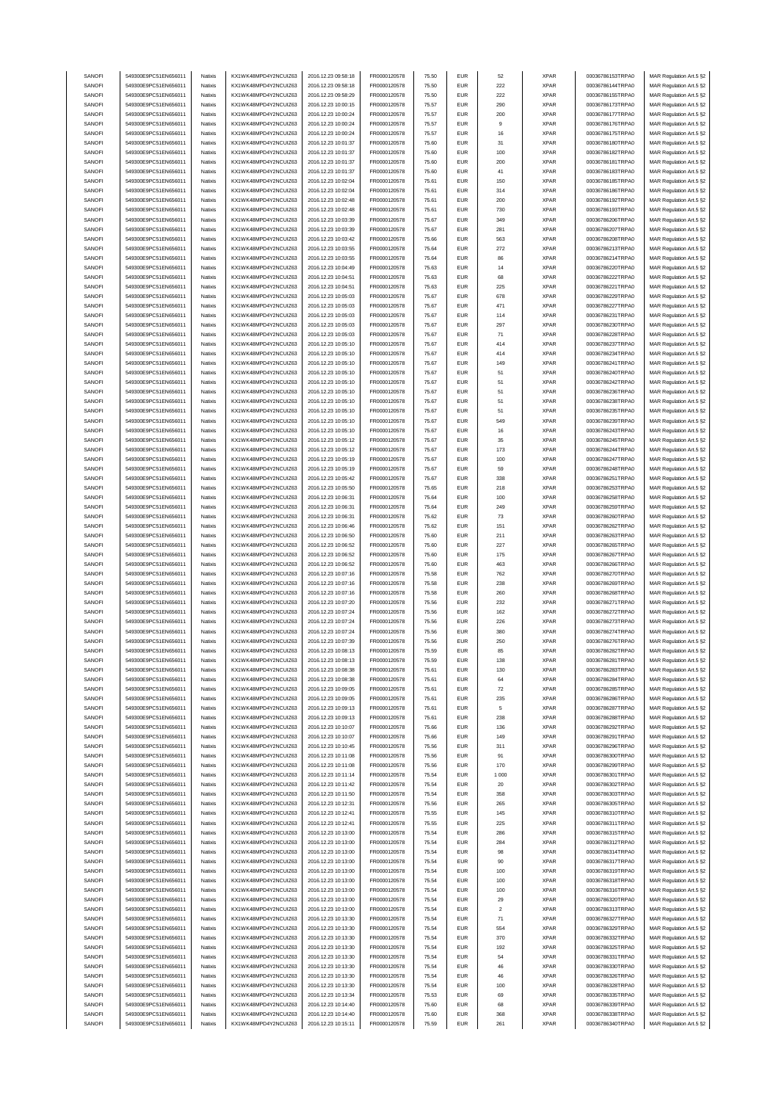| SANOFI           | 549300E9PC51EN656011                         | Natixis            | KX1WK48MPD4Y2NCUIZ63                         | 2016.12.23 09:58:18                        | FR0000120578                 | 75.50          | <b>EUR</b>        | 52             | <b>XPAR</b>                | 00036786153TRPA0                     | MAR Regulation Art.5 §2                            |
|------------------|----------------------------------------------|--------------------|----------------------------------------------|--------------------------------------------|------------------------------|----------------|-------------------|----------------|----------------------------|--------------------------------------|----------------------------------------------------|
| SANOFI           | 549300E9PC51EN656011                         | Natixis            | KX1WK48MPD4Y2NCUIZ63                         | 2016.12.23 09:58:18                        | FR0000120578                 | 75.50          | <b>EUR</b>        | 222            | <b>XPAR</b>                | 00036786144TRPA0                     | MAR Regulation Art.5 §2                            |
| SANOFI           | 549300E9PC51EN656011                         | Natixis            | KX1WK48MPD4Y2NCUIZ63                         | 2016.12.23 09:58:29                        | FR0000120578                 | 75.50          | <b>EUR</b>        | 222            | <b>XPAR</b>                | 00036786155TRPA0                     | MAR Regulation Art.5 §2                            |
| SANOFI           | 549300E9PC51EN656011                         | Natixis            | KX1WK48MPD4Y2NCUIZ63                         | 2016.12.23 10:00:15                        | FR0000120578                 | 75.57          | <b>EUR</b>        | 290            | <b>XPAR</b>                | 00036786173TRPA0                     | MAR Regulation Art.5 §2                            |
| SANOFI           | 549300E9PC51EN656011                         | Natixis            | KX1WK48MPD4Y2NCUIZ63                         | 2016.12.23 10:00:24                        | FR0000120578                 | 75.57          | <b>EUR</b>        | 200            | <b>XPAR</b>                | 00036786177TRPA0                     | MAR Regulation Art.5 §2                            |
| SANOFI           | 549300E9PC51EN656011                         | Natixis            | KX1WK48MPD4Y2NCUIZ63                         | 2016.12.23 10:00:24                        | FR0000120578                 | 75.57          | <b>EUR</b>        | 9              | <b>XPAR</b>                | 00036786176TRPA0                     | MAR Regulation Art.5 §2                            |
|                  | 549300E9PC51EN656011                         |                    |                                              |                                            | FR0000120578                 |                |                   |                |                            |                                      |                                                    |
| SANOFI           |                                              | Natixis            | KX1WK48MPD4Y2NCUIZ63                         | 2016.12.23 10:00:24                        |                              | 75.57          | <b>EUR</b>        | 16             | <b>XPAR</b>                | 00036786175TRPA0                     | MAR Regulation Art.5 §2                            |
| SANOFI           | 549300E9PC51EN656011                         | Natixis            | KX1WK48MPD4Y2NCUIZ63                         | 2016.12.23 10:01:37                        | FR0000120578                 | 75.60          | <b>EUR</b>        | 31             | <b>XPAR</b>                | 00036786180TRPA0                     | MAR Regulation Art.5 §2                            |
| SANOFI           | 549300E9PC51EN656011                         | Natixis            | KX1WK48MPD4Y2NCLIIZ63                        | 2016.12.23 10:01:37                        | FR0000120578                 | 75.60          | <b>EUR</b>        | 100            | <b>XPAR</b>                | 00036786182TRPA0                     | MAR Regulation Art.5 §2                            |
| SANOFI           | 549300E9PC51EN656011                         | Natixis            | KX1WK48MPD4Y2NCUIZ63                         | 2016.12.23 10:01:37                        | FR0000120578                 | 75.60          | <b>EUR</b>        | 200            | <b>XPAR</b>                | 00036786181TRPA0                     | MAR Regulation Art.5 §2                            |
| SANOFI           | 549300E9PC51EN656011                         | Natixis            | KX1WK48MPD4Y2NCUIZ63                         | 2016.12.23 10:01:37                        | FR0000120578                 | 75.60          | <b>EUR</b>        | 41             | <b>XPAR</b>                | 00036786183TRPA0                     | MAR Regulation Art.5 §2                            |
| SANOFI           | 549300E9PC51EN656011                         | Natixis            | KX1WK48MPD4Y2NCUIZ63                         | 2016.12.23 10:02:04                        | FR0000120578                 | 75.61          | <b>EUR</b>        | 150            | <b>XPAR</b>                | 00036786185TRPA0                     | MAR Regulation Art.5 §2                            |
| SANOFI           | 549300E9PC51EN656011                         | Natixis            | KX1WK48MPD4Y2NCUIZ63                         | 2016.12.23 10:02:04                        | FR0000120578                 | 75.61          | <b>EUR</b>        | 314            | <b>XPAR</b>                | 00036786186TRPA0                     | MAR Regulation Art.5 §2                            |
|                  |                                              |                    |                                              |                                            |                              |                |                   |                |                            |                                      |                                                    |
| SANOFI           | 549300E9PC51EN656011                         | Natixis            | KX1WK48MPD4Y2NCUIZ63                         | 2016.12.23 10:02:48                        | FR0000120578                 | 75.61          | <b>EUR</b>        | 200            | <b>XPAR</b>                | 00036786192TRPA0                     | MAR Regulation Art.5 §2                            |
| SANOFI           | 549300E9PC51EN656011                         | Natixis            | KX1WK48MPD4Y2NCUIZ63                         | 2016.12.23 10:02:48                        | FR0000120578                 | 75.61          | <b>EUR</b>        | 730            | <b>XPAR</b>                | 00036786193TRPA0                     | MAR Regulation Art.5 §2                            |
| SANOFI           | 549300E9PC51EN656011                         | Natixis            | KX1WK48MPD4Y2NCUIZ63                         | 2016.12.23 10:03:39                        | FR0000120578                 | 75.67          | <b>EUR</b>        | 349            | <b>XPAR</b>                | 00036786206TRPA0                     | MAR Regulation Art.5 §2                            |
| SANOFI           | 549300E9PC51EN656011                         | Natixis            | KX1WK48MPD4Y2NCUIZ63                         | 2016.12.23 10:03:39                        | FR0000120578                 | 75.67          | <b>EUR</b>        | 281            | <b>XPAR</b>                | 00036786207TRPA0                     | MAR Regulation Art.5 §2                            |
| SANOFI           | 549300E9PC51EN656011                         | Natixis            | KX1WK48MPD4Y2NCLIIZ63                        | 2016.12.23 10:03:42                        | FR0000120578                 | 75.66          | <b>EUR</b>        | 563            | <b>XPAR</b>                | 00036786208TRPA0                     | MAR Regulation Art.5 §2                            |
|                  |                                              |                    |                                              |                                            |                              |                |                   |                |                            |                                      |                                                    |
| SANOFI           | 549300E9PC51EN656011                         | Natixis            | KX1WK48MPD4Y2NCUIZ63                         | 2016.12.23 10:03:55                        | FR0000120578                 | 75.64          | <b>EUR</b>        | 272            | <b>XPAR</b>                | 00036786213TRPA0                     | MAR Regulation Art.5 §2                            |
| SANOFI           | 549300E9PC51EN656011                         | Natixis            | KX1WK48MPD4Y2NCUIZ63                         | 2016.12.23 10:03:55                        | FR0000120578                 | 75.64          | <b>EUR</b>        | 86             | <b>XPAR</b>                | 00036786214TRPA0                     | MAR Regulation Art.5 §2                            |
| SANOFI           | 549300E9PC51EN656011                         | Natixis            | KX1WK48MPD4Y2NCUIZ63                         | 2016.12.23 10:04:49                        | FR0000120578                 | 75.63          | <b>EUR</b>        | 14             | <b>XPAR</b>                | 00036786220TRPA0                     | MAR Regulation Art.5 §2                            |
| SANOFI           | 549300E9PC51EN656011                         | Natixis            | KX1WK48MPD4Y2NCUIZ63                         | 2016.12.23 10:04:51                        | FR0000120578                 | 75.63          | <b>EUR</b>        | 68             | <b>XPAR</b>                | 00036786222TRPA0                     | MAR Regulation Art.5 §2                            |
| SANOFI           | 549300E9PC51EN656011                         | Natixis            | KX1WK48MPD4Y2NCUIZ63                         | 2016.12.23 10:04:51                        | FR0000120578                 | 75.63          | <b>EUR</b>        | 225            | <b>XPAR</b>                | 00036786221TRPA0                     | MAR Regulation Art.5 §2                            |
| SANOFI           | 549300E9PC51EN656011                         | Natixis            | KX1WK48MPD4Y2NCUIZ63                         | 2016.12.23 10:05:03                        | FR0000120578                 | 75.67          | <b>EUR</b>        | 678            | <b>XPAR</b>                | 00036786229TRPA0                     | MAR Regulation Art.5 §2                            |
|                  |                                              |                    |                                              |                                            |                              |                |                   |                |                            |                                      |                                                    |
| SANOFI           | 549300E9PC51EN656011                         | Natixis            | KX1WK48MPD4Y2NCUIZ63                         | 2016.12.23 10:05:03                        | FR0000120578                 | 75.67          | <b>EUR</b>        | 471            | <b>XPAR</b>                | 00036786227TRPA0                     | MAR Regulation Art.5 §2                            |
| SANOFI           | 549300E9PC51EN656011                         | Natixis            | KX1WK48MPD4Y2NCUIZ63                         | 2016.12.23 10:05:03                        | FR0000120578                 | 75.67          | <b>EUR</b>        | 114            | <b>XPAR</b>                | 00036786231TRPA0                     | MAR Regulation Art.5 §2                            |
| SANOFI           | 549300E9PC51EN656011                         | Natixis            | KX1WK48MPD4Y2NCLIIZ63                        | 2016.12.23 10:05:03                        | FR0000120578                 | 75.67          | <b>EUR</b>        | 297            | <b>XPAR</b>                | 00036786230TRPA0                     | MAR Regulation Art.5 §2                            |
| SANOFI           | 549300E9PC51EN656011                         | Natixis            | KX1WK48MPD4Y2NCUIZ63                         | 2016.12.23 10:05:03                        | FR0000120578                 | 75.67          | <b>EUR</b>        | 71             | <b>XPAR</b>                | 00036786228TRPA0                     | MAR Regulation Art.5 §2                            |
| SANOFI           | 549300E9PC51EN656011                         | Natixis            | KX1WK48MPD4Y2NCUIZ63                         | 2016.12.23 10:05:10                        | FR0000120578                 | 75.67          | <b>EUR</b>        | 414            | <b>XPAR</b>                | 00036786237TRPA0                     | MAR Regulation Art.5 §2                            |
| SANOFI           | 549300E9PC51EN656011                         | Natixis            | KX1WK48MPD4Y2NCUIZ63                         | 2016.12.23 10:05:10                        | FR0000120578                 | 75.67          | <b>EUR</b>        | 414            | <b>XPAR</b>                | 00036786234TRPA0                     | MAR Regulation Art.5 §2                            |
|                  |                                              |                    |                                              |                                            |                              |                |                   |                |                            |                                      |                                                    |
| SANOFI           | 549300E9PC51EN656011                         | Natixis            | KX1WK48MPD4Y2NCUIZ63                         | 2016.12.23 10:05:10                        | FR0000120578                 | 75.67          | <b>EUR</b>        | 149            | <b>XPAR</b>                | 00036786241TRPA0                     | MAR Regulation Art.5 §2                            |
| SANOFI           | 549300E9PC51EN656011                         | Natixis            | KX1WK48MPD4Y2NCUIZ63                         | 2016.12.23 10:05:10                        | FR0000120578                 | 75.67          | <b>EUR</b>        | 51             | <b>XPAR</b>                | 00036786240TRPA0                     | MAR Regulation Art.5 §2                            |
| SANOFI           | 549300E9PC51EN656011                         | Natixis            | KX1WK48MPD4Y2NCUIZ63                         | 2016.12.23 10:05:10                        | FR0000120578                 | 75.67          | <b>EUR</b>        | 51             | <b>XPAR</b>                | 00036786242TRPA0                     | MAR Regulation Art.5 §2                            |
| SANOFI           | 549300E9PC51EN656011                         | Natixis            | KX1WK48MPD4Y2NCUIZ63                         | 2016.12.23 10:05:10                        | FR0000120578                 | 75.67          | <b>EUR</b>        | 51             | <b>XPAR</b>                | 00036786236TRPA0                     | MAR Regulation Art.5 §2                            |
| SANOFI           | 549300E9PC51EN656011                         | Natixis            | KX1WK48MPD4Y2NCUIZ63                         | 2016.12.23 10:05:10                        | FR0000120578                 | 75.67          | <b>EUR</b>        | 51             | <b>XPAR</b>                | 00036786238TRPA0                     | MAR Regulation Art.5 §2                            |
| SANOFI           | 549300E9PC51EN656011                         | Natixis            | KX1WK48MPD4Y2NCLIIZ63                        | 2016.12.23 10:05:10                        | FR0000120578                 | 75.67          | <b>EUR</b>        | 51             | <b>XPAR</b>                | 00036786235TRPA0                     |                                                    |
|                  |                                              |                    |                                              |                                            |                              |                |                   |                |                            |                                      | MAR Regulation Art.5 §2                            |
| SANOFI           | 549300E9PC51EN656011                         | Natixis            | KX1WK48MPD4Y2NCUIZ63                         | 2016.12.23 10:05:10                        | FR0000120578                 | 75.67          | <b>EUR</b>        | 549            | <b>XPAR</b>                | 00036786239TRPA0                     | MAR Regulation Art.5 §2                            |
| SANOFI           | 549300E9PC51EN656011                         | Natixis            | KX1WK48MPD4Y2NCUIZ63                         | 2016.12.23 10:05:10                        | FR0000120578                 | 75.67          | <b>EUR</b>        | 16             | <b>XPAR</b>                | 00036786243TRPA0                     | MAR Regulation Art.5 §2                            |
| SANOFI           | 549300E9PC51EN656011                         | Natixis            | KX1WK48MPD4Y2NCUIZ63                         | 2016.12.23 10:05:12                        | FR0000120578                 | 75.67          | <b>EUR</b>        | 35             | <b>XPAR</b>                | 00036786245TRPA0                     | MAR Regulation Art.5 §2                            |
| SANOFI           | 549300E9PC51EN656011                         | Natixis            | KX1WK48MPD4Y2NCUIZ63                         | 2016.12.23 10:05:12                        | FR0000120578                 | 75.67          | <b>EUR</b>        | 173            | <b>XPAR</b>                | 00036786244TRPA0                     | MAR Regulation Art.5 §2                            |
| SANOFI           | 549300E9PC51EN656011                         | Natixis            | KX1WK48MPD4Y2NCUIZ63                         | 2016.12.23 10:05:19                        | FR0000120578                 | 75.67          | <b>EUR</b>        | 100            | <b>XPAR</b>                | 00036786247TRPA0                     | MAR Regulation Art.5 §2                            |
|                  |                                              |                    |                                              |                                            |                              |                |                   |                |                            |                                      |                                                    |
| SANOFI           | 549300E9PC51EN656011                         | Natixis            | KX1WK48MPD4Y2NCUIZ63                         | 2016.12.23 10:05:19                        | FR0000120578                 | 75.67          | <b>EUR</b>        | 59             | <b>XPAR</b>                | 00036786248TRPA0                     | MAR Regulation Art.5 §2                            |
| SANOFI           | 549300E9PC51EN656011                         | Natixis            | KX1WK48MPD4Y2NCUIZ63                         | 2016.12.23 10:05:42                        | FR0000120578                 | 75.67          | <b>EUR</b>        | 338            | <b>XPAR</b>                | 00036786251TRPA0                     | MAR Regulation Art.5 §2                            |
| SANOFI           | 549300E9PC51EN656011                         | Natixis            | KX1WK48MPD4Y2NCUIZ63                         | 2016.12.23 10:05:50                        | FR0000120578                 | 75.65          | <b>EUR</b>        | 218            | <b>XPAR</b>                | 00036786253TRPA0                     | MAR Regulation Art.5 §2                            |
| SANOFI           | 549300E9PC51EN656011                         | Natixis            | KX1WK48MPD4Y2NCUIZ63                         | 2016.12.23 10:06:31                        | FR0000120578                 | 75.64          | <b>EUR</b>        | 100            | <b>XPAR</b>                | 00036786258TRPA0                     | MAR Regulation Art.5 §2                            |
| SANOFI           | 549300E9PC51EN656011                         | Natixis            | KX1WK48MPD4Y2NCUIZ63                         | 2016.12.23 10:06:31                        | FR0000120578                 | 75.64          | <b>EUR</b>        | 249            | <b>XPAR</b>                | 00036786259TRPA0                     | MAR Regulation Art.5 §2                            |
| SANOFI           | 549300E9PC51EN656011                         | Natixis            | KX1WK48MPD4Y2NCUIZ63                         | 2016.12.23 10:06:31                        | FR0000120578                 | 75.62          | <b>EUR</b>        | 73             | <b>XPAR</b>                | 00036786260TRPA0                     | MAR Regulation Art.5 §2                            |
|                  |                                              |                    |                                              |                                            |                              |                |                   |                |                            |                                      |                                                    |
| SANOFI           | 549300E9PC51EN656011                         | Natixis            | KX1WK48MPD4Y2NCUIZ63                         | 2016.12.23 10:06:46                        | FR0000120578                 | 75.62          | <b>EUR</b>        | 151            | <b>XPAR</b>                | 00036786262TRPA0                     | MAR Regulation Art.5 §2                            |
| SANOFI           | 549300E9PC51EN656011                         | Natixis            | KX1WK48MPD4Y2NCUIZ63                         | 2016.12.23 10:06:50                        | FR0000120578                 | 75.60          | <b>EUR</b>        | 211            | <b>XPAR</b>                | 00036786263TRPA0                     | MAR Regulation Art.5 §2                            |
| SANOFI           | 549300E9PC51EN656011                         | Natixis            | KX1WK48MPD4Y2NCUIZ63                         | 2016.12.23 10:06:52                        | FR0000120578                 | 75.60          | <b>EUR</b>        | 227            | <b>XPAR</b>                | 00036786265TRPA0                     | MAR Regulation Art.5 §2                            |
| SANOFI           | 549300E9PC51EN656011                         | Natixis            | KX1WK48MPD4Y2NCUIZ63                         | 2016.12.23 10:06:52                        | FR0000120578                 | 75.60          | <b>EUR</b>        | 175            | <b>XPAR</b>                | 00036786267TRPA0                     | MAR Regulation Art.5 §2                            |
| SANOFI           | 549300E9PC51EN656011                         | Natixis            | KX1WK48MPD4Y2NCUIZ63                         | 2016.12.23 10:06:52                        | FR0000120578                 | 75.60          | <b>EUR</b>        | 463            | <b>XPAR</b>                | 00036786266TRPA0                     | MAR Regulation Art.5 §2                            |
| SANOFI           | 549300E9PC51EN656011                         | Natixis            | KX1WK48MPD4Y2NCUIZ63                         | 2016.12.23 10:07:16                        | FR0000120578                 | 75.58          | <b>EUR</b>        | 762            | <b>XPAR</b>                | 00036786270TRPA0                     | MAR Regulation Art.5 §2                            |
|                  | 549300E9PC51EN656011                         | Natixis            | KX1WK48MPD4Y2NCUIZ63                         |                                            |                              |                | <b>EUR</b>        |                |                            | 00036786269TRPA0                     |                                                    |
| SANOFI           |                                              |                    |                                              | 2016.12.23 10:07:16                        | FR0000120578                 | 75.58          |                   | 238            | <b>XPAR</b>                |                                      | MAR Regulation Art.5 §2                            |
| SANOFI           | 549300E9PC51EN656011                         | Natixis            | KX1WK48MPD4Y2NCUIZ63                         | 2016.12.23 10:07:16                        | FR0000120578                 | 75.58          | <b>EUR</b>        | 260            | <b>XPAR</b>                | 00036786268TRPA0                     | MAR Regulation Art.5 §2                            |
| SANOFI           | 549300E9PC51EN656011                         | Natixis            | KX1WK48MPD4Y2NCUIZ63                         | 2016.12.23 10:07:20                        | FR0000120578                 | 75.56          | <b>EUR</b>        | 232            | <b>XPAR</b>                | 00036786271TRPA0                     | MAR Regulation Art.5 §2                            |
| SANOFI           | 549300E9PC51EN656011                         | Natixis            | KX1WK48MPD4Y2NCUIZ63                         | 2016.12.23 10:07:24                        | FR0000120578                 | 75.56          | <b>EUR</b>        | 162            | <b>XPAR</b>                | 00036786272TRPA0                     | MAR Regulation Art.5 §2                            |
| SANOFI           | 549300E9PC51EN656011                         | Natixis            | KX1WK48MPD4Y2NCUIZ63                         | 2016.12.23 10:07:24                        | FR0000120578                 | 75.56          | <b>EUR</b>        | 226            | <b>XPAR</b>                | 00036786273TRPA0                     | MAR Regulation Art.5 §2                            |
| SANOFI           | 549300E9PC51EN656011                         | Natixis            | KX1WK48MPD4Y2NCUIZ63                         | 2016.12.23 10:07:24                        | FR0000120578                 | 75.56          | <b>EUR</b>        | 380            | <b>XPAR</b>                | 00036786274TRPA0                     | MAR Regulation Art.5 §2                            |
| SANOFI           | 549300E9PC51EN656011                         | Natixis            | KX1WK48MPD4Y2NCUIZ63                         | 2016.12.23 10:07:39                        | FR0000120578                 | 75.56          | <b>EUR</b>        | 250            | <b>XPAR</b>                | 00036786276TRPA0                     |                                                    |
|                  |                                              |                    |                                              |                                            |                              |                |                   |                |                            |                                      | MAR Regulation Art.5 §2                            |
| SANOF            | 549300E9PC51EN656011                         | Natixis            | KX1WK48MPD4Y2NCUIZ63                         | 2016.12.23 10:08:13                        | FR0000120578                 | 75.59          | EUR               |                | <b>XPAR</b>                | 00036786282TRPA0                     | MAR Regulation Art.5 §2                            |
| SANOFI           | 549300E9PC51EN656011                         | Natixis            | KX1WK48MPD4Y2NCUIZ63                         | 2016.12.23 10:08:13                        | FR0000120578                 | 75.59          | <b>EUR</b>        | 138            | <b>XPAR</b>                | 00036786281TRPA0                     | MAR Regulation Art.5 §2                            |
| SANOFI           | 549300E9PC51EN656011                         | Natixis            | KX1WK48MPD4Y2NCUIZ63                         | 2016.12.23 10:08:38                        | FR0000120578                 | 75.61          | EUR               | 130            | <b>XPAR</b>                | 00036786283TRPA0                     | MAR Regulation Art.5 §2                            |
| SANOFI           | 549300E9PC51EN656011                         | Natixis            | KX1WK48MPD4Y2NCUIZ63                         | 2016.12.23 10:08:38                        | FR0000120578                 | 75.61          | <b>EUR</b>        | 64             | <b>XPAR</b>                | 00036786284TRPA0                     | MAR Regulation Art.5 §2                            |
| SANOFI           | 549300E9PC51EN656011                         | Natixis            | KX1WK48MPD4Y2NCUIZ63                         | 2016.12.23 10:09:05                        | FR0000120578                 | 75.61          | <b>EUR</b>        | 72             | <b>XPAR</b>                | 00036786285TRPA0                     | MAR Regulation Art.5 §2                            |
| SANOFI           | 549300E9PC51EN656011                         | Natixis            | KX1WK48MPD4Y2NCUIZ63                         | 2016.12.23 10:09:05                        | FR0000120578                 | 75.61          | <b>EUR</b>        | 235            | <b>XPAR</b>                | 00036786286TRPA0                     | MAR Regulation Art.5 §2                            |
|                  |                                              |                    |                                              |                                            |                              |                |                   |                |                            |                                      |                                                    |
| SANOFI           | 549300E9PC51EN656011                         | Natixis            | KX1WK48MPD4Y2NCUIZ63                         | 2016.12.23 10:09:13                        | FR0000120578                 | 75.61          | ${\sf EUR}$       | 5              | <b>XPAR</b>                | 00036786287TRPA0                     | MAR Regulation Art.5 §2                            |
| SANOFI           | 549300E9PC51EN656011                         | Natixis            | KX1WK48MPD4Y2NCUIZ63                         | 2016.12.23 10:09:13                        | FR0000120578                 | 75.61          | EUR               | 238            | <b>XPAR</b>                | 00036786288TRPA0                     | MAR Regulation Art.5 §2                            |
| SANOFI           | 549300E9PC51EN656011                         | Natixis            | KX1WK48MPD4Y2NCUIZ63                         | 2016.12.23 10:10:07                        | FR0000120578                 | 75.66          | <b>EUR</b>        | 136            | <b>XPAR</b>                | 00036786292TRPA0                     | MAR Regulation Art.5 §2                            |
| SANOFI           | 549300E9PC51EN656011                         | Natixis            | KX1WK48MPD4Y2NCUIZ63                         | 2016.12.23 10:10:07                        | FR0000120578                 | 75.66          | <b>EUR</b>        | 149            | <b>XPAR</b>                | 00036786291TRPA0                     | MAR Regulation Art.5 §2                            |
| SANOFI           | 549300E9PC51EN656011                         | Natixis            | KX1WK48MPD4Y2NCUIZ63                         | 2016.12.23 10:10:45                        | FR0000120578                 | 75.56          | <b>EUR</b>        | 311            | <b>XPAR</b>                | 00036786296TRPA0                     | MAR Regulation Art.5 §2                            |
| SANOFI           | 549300E9PC51EN656011                         | Natixis            | KX1WK48MPD4Y2NCUIZ63                         | 2016.12.23 10:11:08                        | FR0000120578                 | 75.56          | <b>EUR</b>        | 91             | <b>XPAR</b>                | 00036786300TRPA0                     | MAR Regulation Art.5 §2                            |
| SANOFI           | 549300E9PC51EN656011                         | Natixis            | KX1WK48MPD4Y2NCUIZ63                         | 2016.12.23 10:11:08                        | FR0000120578                 | 75.56          | <b>EUR</b>        | 170            | <b>XPAR</b>                | 00036786299TRPA0                     | MAR Regulation Art.5 §2                            |
|                  |                                              |                    |                                              |                                            |                              |                |                   |                |                            |                                      |                                                    |
| SANOFI           | 549300E9PC51EN656011                         | Natixis            | KX1WK48MPD4Y2NCUIZ63                         | 2016.12.23 10:11:14                        | FR0000120578                 | 75.54          | <b>EUR</b>        | 1 000          | <b>XPAR</b>                | 00036786301TRPA0                     | MAR Regulation Art.5 §2                            |
| SANOFI           | 549300E9PC51EN656011                         | Natixis            | KX1WK48MPD4Y2NCUIZ63                         | 2016.12.23 10:11:42                        | FR0000120578                 | 75.54          | <b>EUR</b>        | 20             | <b>XPAR</b>                | 00036786302TRPA0                     | MAR Regulation Art.5 §2                            |
| SANOFI           | 549300E9PC51EN656011                         | Natixis            | KX1WK48MPD4Y2NCUIZ63                         | 2016.12.23 10:11:50                        | FR0000120578                 | 75.54          | <b>EUR</b>        | 358            | <b>XPAR</b>                | 00036786303TRPA0                     | MAR Regulation Art.5 §2                            |
| SANOFI           | 549300E9PC51EN656011                         | Natixis            | KX1WK48MPD4Y2NCUIZ63                         | 2016.12.23 10:12:31                        | FR0000120578                 | 75.56          | <b>EUR</b>        | 265            | <b>XPAR</b>                | 00036786305TRPA0                     | MAR Regulation Art.5 §2                            |
| SANOFI           | 549300E9PC51EN656011                         | Natixis            | KX1WK48MPD4Y2NCUIZ63                         | 2016.12.23 10:12:41                        | FR0000120578                 | 75.55          | <b>EUR</b>        | 145            | <b>XPAR</b>                | 00036786310TRPA0                     | MAR Regulation Art.5 §2                            |
| SANOFI           | 549300E9PC51EN656011                         | Natixis            | KX1WK48MPD4Y2NCUIZ63                         | 2016.12.23 10:12:41                        | FR0000120578                 | 75.55          | <b>EUR</b>        | 225            | <b>XPAR</b>                | 00036786311TRPA0                     | MAR Regulation Art.5 §2                            |
| SANOFI           | 549300E9PC51EN656011                         | Natixis            | KX1WK48MPD4Y2NCUIZ63                         | 2016.12.23 10:13:00                        | FR0000120578                 | 75.54          | <b>EUR</b>        | 286            | <b>XPAR</b>                | 00036786315TRPA0                     | MAR Regulation Art.5 §2                            |
|                  |                                              |                    |                                              |                                            |                              |                |                   |                |                            |                                      |                                                    |
| SANOFI           | 549300E9PC51EN656011                         | Natixis            | KX1WK48MPD4Y2NCUIZ63                         | 2016.12.23 10:13:00                        | FR0000120578                 | 75.54          | <b>EUR</b>        | 284            | <b>XPAR</b>                | 00036786312TRPA0                     | MAR Regulation Art.5 §2                            |
| SANOFI           | 549300E9PC51EN656011                         | Natixis            | KX1WK48MPD4Y2NCUIZ63                         | 2016.12.23 10:13:00                        | FR0000120578                 | 75.54          | <b>EUR</b>        | 98             | <b>XPAR</b>                | 00036786314TRPA0                     | MAR Regulation Art.5 §2                            |
| SANOFI           | 549300E9PC51EN656011                         | Natixis            | KX1WK48MPD4Y2NCUIZ63                         | 2016.12.23 10:13:00                        | FR0000120578                 | 75.54          | <b>EUR</b>        | 90             | <b>XPAR</b>                | 00036786317TRPA0                     | MAR Regulation Art.5 §2                            |
| SANOFI           | 549300E9PC51EN656011                         | Natixis            | KX1WK48MPD4Y2NCUIZ63                         | 2016.12.23 10:13:00                        | FR0000120578                 | 75.54          | <b>EUR</b>        | 100            | <b>XPAR</b>                | 00036786319TRPA0                     | MAR Regulation Art.5 §2                            |
| SANOFI           | 549300E9PC51EN656011                         | Natixis            | KX1WK48MPD4Y2NCUIZ63                         | 2016.12.23 10:13:00                        | FR0000120578                 | 75.54          | <b>EUR</b>        | 100            | <b>XPAR</b>                | 00036786318TRPA0                     | MAR Regulation Art.5 §2                            |
|                  |                                              |                    |                                              |                                            |                              |                |                   |                |                            |                                      |                                                    |
| SANOFI           | 549300E9PC51EN656011                         | Natixis            | KX1WK48MPD4Y2NCUIZ63                         | 2016.12.23 10:13:00                        | FR0000120578                 | 75.54          | <b>EUR</b>        | 100            | <b>XPAR</b>                | 00036786316TRPA0                     | MAR Regulation Art.5 §2                            |
| SANOFI           | 549300E9PC51EN656011                         | Natixis            | KX1WK48MPD4Y2NCUIZ63                         | 2016.12.23 10:13:00                        | FR0000120578                 | 75.54          | <b>EUR</b>        | 29             | <b>XPAR</b>                | 00036786320TRPA0                     | MAR Regulation Art.5 §2                            |
| SANOFI           | 549300E9PC51EN656011                         | Natixis            | KX1WK48MPD4Y2NCUIZ63                         | 2016.12.23 10:13:00                        | FR0000120578                 | 75.54          | <b>EUR</b>        | $\overline{2}$ | <b>XPAR</b>                | 00036786313TRPA0                     | MAR Regulation Art.5 §2                            |
| SANOFI           | 549300E9PC51EN656011                         | Natixis            | KX1WK48MPD4Y2NCUIZ63                         | 2016.12.23 10:13:30                        | FR0000120578                 | 75.54          | <b>EUR</b>        | 71             | <b>XPAR</b>                | 00036786327TRPA0                     | MAR Regulation Art.5 §2                            |
| SANOFI           | 549300E9PC51EN656011                         | Natixis            | KX1WK48MPD4Y2NCUIZ63                         | 2016.12.23 10:13:30                        | FR0000120578                 | 75.54          | <b>EUR</b>        | 554            | <b>XPAR</b>                | 00036786329TRPA0                     | MAR Regulation Art.5 §2                            |
|                  |                                              |                    |                                              |                                            |                              |                |                   |                |                            |                                      |                                                    |
| SANOFI           | 549300E9PC51EN656011                         | Natixis            | KX1WK48MPD4Y2NCUIZ63                         | 2016.12.23 10:13:30                        | FR0000120578                 | 75.54          | <b>EUR</b>        | 370            | <b>XPAR</b>                | 00036786332TRPA0                     | MAR Regulation Art.5 §2                            |
| SANOFI           | 549300E9PC51EN656011                         | Natixis            | KX1WK48MPD4Y2NCUIZ63                         | 2016.12.23 10:13:30                        | FR0000120578                 | 75.54          | <b>EUR</b>        | 192            | <b>XPAR</b>                | 00036786325TRPA0                     | MAR Regulation Art.5 §2                            |
| SANOFI           | 549300E9PC51EN656011                         | Natixis            | KX1WK48MPD4Y2NCUIZ63                         | 2016.12.23 10:13:30                        | FR0000120578                 | 75.54          | <b>EUR</b>        | 54             | <b>XPAR</b>                | 00036786331TRPA0                     | MAR Regulation Art.5 §2                            |
| SANOFI           | 549300E9PC51EN656011                         | Natixis            | KX1WK48MPD4Y2NCUIZ63                         | 2016.12.23 10:13:30                        | FR0000120578                 | 75.54          | <b>EUR</b>        | 46             | <b>XPAR</b>                | 00036786330TRPA0                     | MAR Regulation Art.5 §2                            |
| SANOFI           | 549300E9PC51EN656011                         | Natixis            | KX1WK48MPD4Y2NCUIZ63                         | 2016.12.23 10:13:30                        | FR0000120578                 | 75.54          | <b>EUR</b>        | 46             | <b>XPAR</b>                | 00036786326TRPA0                     | MAR Regulation Art.5 §2                            |
|                  |                                              | Natixis            | KX1WK48MPD4Y2NCUIZ63                         | 2016.12.23 10:13:30                        | FR0000120578                 | 75.54          | <b>EUR</b>        | 100            | <b>XPAR</b>                | 00036786328TRPA0                     | MAR Regulation Art.5 §2                            |
| SANOFI           | 549300E9PC51EN656011                         |                    |                                              |                                            |                              |                |                   |                |                            |                                      |                                                    |
|                  |                                              |                    |                                              |                                            |                              |                |                   |                |                            |                                      |                                                    |
| SANOFI           | 549300E9PC51EN656011                         | Natixis            | KX1WK48MPD4Y2NCUIZ63                         | 2016.12.23 10:13:34                        | FR0000120578                 | 75.53          | <b>EUR</b>        | 69             | <b>XPAR</b>                | 00036786335TRPA0                     | MAR Regulation Art.5 §2                            |
| SANOFI           | 549300E9PC51EN656011                         | Natixis            | KX1WK48MPD4Y2NCUIZ63                         | 2016.12.23 10:14:40                        | FR0000120578                 | 75.60          | <b>EUR</b>        | 68             | <b>XPAR</b>                | 00036786339TRPA0                     | MAR Regulation Art.5 §2                            |
| SANOFI<br>SANOFI | 549300E9PC51EN656011<br>549300E9PC51EN656011 | Natixis<br>Natixis | KX1WK48MPD4Y2NCUIZ63<br>KX1WK48MPD4Y2NCUIZ63 | 2016.12.23 10:14:40<br>2016.12.23 10:15:11 | FR0000120578<br>FR0000120578 | 75.60<br>75.59 | <b>EUR</b><br>EUR | 368<br>261     | <b>XPAR</b><br><b>XPAR</b> | 00036786338TRPA0<br>00036786340TRPA0 | MAR Regulation Art.5 §2<br>MAR Regulation Art.5 §2 |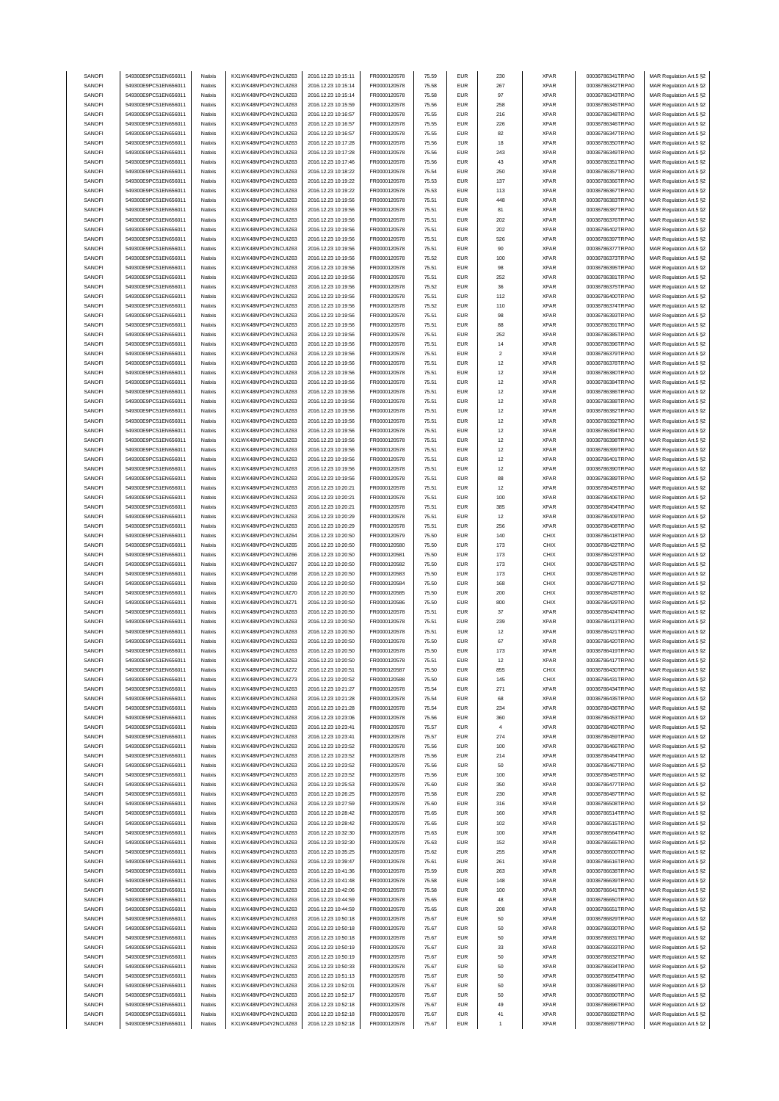| SANOFI | 549300E9PC51EN656011 | Natixis | KX1WK48MPD4Y2NCUIZ63                         | 2016.12.23 10:15:11                        | FR0000120578 | 75.59 | <b>EUR</b> | 230            | <b>XPAR</b> | 00036786341TRPA0 | MAR Regulation Art.5 §2 |
|--------|----------------------|---------|----------------------------------------------|--------------------------------------------|--------------|-------|------------|----------------|-------------|------------------|-------------------------|
| SANOFI | 549300E9PC51EN656011 | Natixis | KX1WK48MPD4Y2NCUIZ63                         | 2016.12.23 10:15:14                        | FR0000120578 | 75.58 | <b>EUR</b> | 267            | <b>XPAR</b> | 00036786342TRPA0 | MAR Regulation Art.5 §2 |
| SANOFI | 549300E9PC51EN656011 | Natixis | KX1WK48MPD4Y2NCUIZ63                         | 2016.12.23 10:15:14                        | FR0000120578 | 75.58 | <b>EUR</b> | 97             | <b>XPAR</b> | 00036786343TRPA0 | MAR Regulation Art.5 §2 |
| SANOFI | 549300E9PC51EN656011 | Natixis | KX1WK48MPD4Y2NCUIZ63                         | 2016.12.23 10:15:59                        | FR0000120578 | 75.56 | <b>EUR</b> | 258            | <b>XPAR</b> | 00036786345TRPA0 | MAR Regulation Art.5 §2 |
|        |                      |         |                                              |                                            |              |       |            |                |             |                  |                         |
| SANOFI | 549300E9PC51EN656011 | Natixis | KX1WK48MPD4Y2NCUIZ63                         | 2016.12.23 10:16:57                        | FR0000120578 | 75.55 | <b>EUR</b> | 216            | <b>XPAR</b> | 00036786348TRPA0 | MAR Regulation Art.5 §2 |
| SANOFI | 549300E9PC51EN656011 | Natixis | KX1WK48MPD4Y2NCUIZ63                         | 2016.12.23 10:16:57                        | FR0000120578 | 75.55 | <b>EUR</b> | 226            | <b>XPAR</b> | 00036786346TRPA0 | MAR Regulation Art.5 §2 |
| SANOFI | 549300E9PC51EN656011 | Natixis | KX1WK48MPD4Y2NCUIZ63                         | 2016.12.23 10:16:57                        | FR0000120578 | 75.55 | <b>EUR</b> | 82             | <b>XPAR</b> | 00036786347TRPA0 | MAR Regulation Art.5 §2 |
| SANOFI | 549300E9PC51EN656011 | Natixis | KX1WK48MPD4Y2NCUIZ63                         | 2016.12.23 10:17:28                        | FR0000120578 | 75.56 | <b>EUR</b> | 18             | <b>XPAR</b> | 00036786350TRPA0 | MAR Regulation Art.5 §2 |
| SANOFI | 549300E9PC51EN656011 | Natixis | KX1WK48MPD4Y2NCUIZ63                         | 2016.12.23 10:17:28                        | FR0000120578 | 75.56 | <b>EUR</b> | 243            | <b>XPAR</b> | 00036786349TRPA0 | MAR Regulation Art.5 §2 |
| SANOFI | 549300E9PC51EN656011 | Natixis | KX1WK48MPD4Y2NCUIZ63                         | 2016.12.23 10:17:46                        | FR0000120578 | 75.56 | <b>EUR</b> | 43             | <b>XPAR</b> | 00036786351TRPA0 | MAR Regulation Art.5 §2 |
|        | 549300E9PC51EN656011 | Natixis |                                              |                                            |              | 75.54 | <b>EUR</b> |                |             |                  |                         |
| SANOFI |                      |         | KX1WK48MPD4Y2NCUIZ63                         | 2016.12.23 10:18:22                        | FR0000120578 |       |            | 250            | <b>XPAR</b> | 00036786357TRPA0 | MAR Regulation Art.5 §2 |
| SANOFI | 549300E9PC51EN656011 | Natixis | KX1WK48MPD4Y2NCUIZ63                         | 2016.12.23 10:19:22                        | FR0000120578 | 75.53 | <b>EUR</b> | 137            | <b>XPAR</b> | 00036786366TRPA0 | MAR Regulation Art.5 §2 |
| SANOFI | 549300E9PC51EN656011 | Natixis | KX1WK48MPD4Y2NCUIZ63                         | 2016.12.23 10:19:22                        | FR0000120578 | 75.53 | <b>EUR</b> | 113            | <b>XPAR</b> | 00036786367TRPA0 | MAR Regulation Art.5 §2 |
| SANOFI | 549300E9PC51EN656011 | Natixis | KX1WK48MPD4Y2NCUIZ63                         | 2016.12.23 10:19:56                        | FR0000120578 | 75.51 | <b>EUR</b> | 448            | <b>XPAR</b> | 00036786383TRPA0 | MAR Regulation Art.5 §2 |
| SANOFI | 549300E9PC51EN656011 | Natixis | KX1WK48MPD4Y2NCUIZ63                         | 2016.12.23 10:19:56                        | FR0000120578 | 75.51 | <b>EUR</b> | 81             | <b>XPAR</b> | 00036786387TRPA0 | MAR Regulation Art.5 §2 |
|        | 549300E9PC51EN656011 |         | KX1WK48MPD4Y2NCUIZ63                         |                                            | FR0000120578 |       |            |                |             | 00036786376TRPA0 |                         |
| SANOFI |                      | Natixis |                                              | 2016.12.23 10:19:56                        |              | 75.51 | <b>EUR</b> | 202            | <b>XPAR</b> |                  | MAR Regulation Art.5 §2 |
| SANOFI | 549300E9PC51EN656011 | Natixis | KX1WK48MPD4Y2NCUIZ63                         | 2016.12.23 10:19:56                        | FR0000120578 | 75.51 | <b>EUR</b> | 202            | <b>XPAR</b> | 00036786402TRPA0 | MAR Regulation Art.5 §2 |
| SANOFI | 549300E9PC51EN656011 | Natixis | KX1WK48MPD4Y2NCUIZ63                         | 2016.12.23 10:19:56                        | FR0000120578 | 75.51 | <b>EUR</b> | 526            | <b>XPAR</b> | 00036786397TRPA0 | MAR Regulation Art.5 §2 |
| SANOFI | 549300E9PC51EN656011 | Natixis | KX1WK48MPD4Y2NCUIZ63                         | 2016.12.23 10:19:56                        | FR0000120578 | 75.51 | <b>EUR</b> | 90             | <b>XPAR</b> | 00036786377TRPA0 | MAR Regulation Art.5 §2 |
| SANOFI | 549300E9PC51EN656011 | Natixis | KX1WK48MPD4Y2NCUIZ63                         | 2016.12.23 10:19:56                        | FR0000120578 | 75.52 | <b>EUR</b> | 100            | <b>XPAR</b> | 00036786373TRPA0 | MAR Regulation Art.5 §2 |
| SANOFI | 549300E9PC51EN656011 | Natixis | KX1WK48MPD4Y2NCUIZ63                         | 2016.12.23 10:19:56                        | FR0000120578 | 75.51 | <b>EUR</b> | 98             | <b>XPAR</b> | 00036786395TRPA0 | MAR Regulation Art.5 §2 |
| SANOFI | 549300E9PC51EN656011 | Natixis | KX1WK48MPD4Y2NCUIZ63                         | 2016.12.23 10:19:56                        | FR0000120578 | 75.51 | <b>EUR</b> | 252            | <b>XPAR</b> | 00036786381TRPA0 | MAR Regulation Art.5 §2 |
|        |                      |         |                                              |                                            |              |       |            |                |             |                  |                         |
| SANOFI | 549300E9PC51EN656011 | Natixis | KX1WK48MPD4Y2NCUIZ63                         | 2016.12.23 10:19:56                        | FR0000120578 | 75.52 | <b>EUR</b> | 36             | <b>XPAR</b> | 00036786375TRPA0 | MAR Regulation Art.5 §2 |
| SANOFI | 549300E9PC51EN656011 | Natixis | KX1WK48MPD4Y2NCUIZ63                         | 2016.12.23 10:19:56                        | FR0000120578 | 75.51 | <b>EUR</b> | 112            | <b>XPAR</b> | 00036786400TRPA0 | MAR Regulation Art.5 §2 |
| SANOFI | 549300E9PC51EN656011 | Natixis | KX1WK48MPD4Y2NCUIZ63                         | 2016.12.23 10:19:56                        | FR0000120578 | 75.52 | <b>EUR</b> | 110            | <b>XPAR</b> | 00036786374TRPA0 | MAR Regulation Art.5 §2 |
| SANOFI | 549300E9PC51EN656011 | Natixis | KX1WK48MPD4Y2NCUIZ63                         | 2016.12.23 10:19:56                        | FR0000120578 | 75.51 | <b>EUR</b> | 98             | <b>XPAR</b> | 00036786393TRPA0 | MAR Regulation Art.5 §2 |
| SANOFI | 549300E9PC51EN656011 | Natixis | KX1WK48MPD4Y2NCUIZ63                         | 2016.12.23 10:19:56                        | FR0000120578 | 75.51 | <b>EUR</b> | 88             | <b>XPAR</b> | 00036786391TRPA0 | MAR Regulation Art.5 §2 |
| SANOFI | 549300E9PC51EN656011 | Natixis | KX1WK48MPD4Y2NCUIZ63                         | 2016.12.23 10:19:56                        | FR0000120578 | 75.51 | <b>EUR</b> | 252            | <b>XPAR</b> | 00036786385TRPA0 | MAR Regulation Art.5 §2 |
|        |                      |         |                                              |                                            |              |       |            |                |             |                  |                         |
| SANOFI | 549300E9PC51EN656011 | Natixis | KX1WK48MPD4Y2NCUIZ63                         | 2016.12.23 10:19:56                        | FR0000120578 | 75.51 | <b>EUR</b> | 14             | <b>XPAR</b> | 00036786396TRPA0 | MAR Regulation Art.5 §2 |
| SANOFI | 549300E9PC51EN656011 | Natixis | KX1WK48MPD4Y2NCUIZ63                         | 2016.12.23 10:19:56                        | FR0000120578 | 75.51 | <b>EUR</b> | $\overline{a}$ | <b>XPAR</b> | 00036786379TRPA0 | MAR Regulation Art.5 §2 |
| SANOFI | 549300E9PC51EN656011 | Natixis | KX1WK48MPD4Y2NCUIZ63                         | 2016.12.23 10:19:56                        | FR0000120578 | 75.51 | <b>EUR</b> | 12             | <b>XPAR</b> | 00036786378TRPA0 | MAR Regulation Art.5 §2 |
| SANOFI | 549300E9PC51EN656011 | Natixis | KX1WK48MPD4Y2NCUIZ63                         | 2016.12.23 10:19:56                        | FR0000120578 | 75.51 | <b>EUR</b> | 12             | <b>XPAR</b> | 00036786380TRPA0 | MAR Regulation Art.5 §2 |
| SANOFI | 549300E9PC51EN656011 | Natixis | KX1WK48MPD4Y2NCUIZ63                         | 2016.12.23 10:19:56                        | FR0000120578 | 75.51 | <b>EUR</b> | 12             | <b>XPAR</b> | 00036786384TRPA0 | MAR Regulation Art.5 §2 |
|        |                      |         |                                              |                                            |              |       |            |                |             |                  |                         |
| SANOFI | 549300E9PC51EN656011 | Natixis | KX1WK48MPD4Y2NCUIZ63                         | 2016.12.23 10:19:56                        | FR0000120578 | 75.51 | <b>EUR</b> | 12             | <b>XPAR</b> | 00036786386TRPA0 | MAR Regulation Art.5 §2 |
| SANOFI | 549300E9PC51EN656011 | Natixis | KX1WK48MPD4Y2NCUIZ63                         | 2016.12.23 10:19:56                        | FR0000120578 | 75.51 | <b>EUR</b> | 12             | <b>XPAR</b> | 00036786388TRPA0 | MAR Regulation Art.5 §2 |
| SANOFI | 549300E9PC51EN656011 | Natixis | KX1WK48MPD4Y2NCUIZ63                         | 2016.12.23 10:19:56                        | FR0000120578 | 75.51 | <b>EUR</b> | 12             | <b>XPAR</b> | 00036786382TRPA0 | MAR Regulation Art.5 §2 |
| SANOFI | 549300E9PC51EN656011 | Natixis | KX1WK48MPD4Y2NCUIZ63                         | 2016.12.23 10:19:56                        | FR0000120578 | 75.51 | <b>EUR</b> | 12             | <b>XPAR</b> | 00036786392TRPA0 | MAR Regulation Art.5 §2 |
| SANOFI | 549300E9PC51EN656011 | Natixis | KX1WK48MPD4Y2NCUIZ63                         | 2016.12.23 10:19:56                        | FR0000120578 | 75.51 | <b>EUR</b> | 12             | <b>XPAR</b> | 00036786394TRPA0 | MAR Regulation Art.5 §2 |
|        | 549300E9PC51EN656011 |         | KX1WK48MPD4Y2NCUIZ63                         |                                            |              |       |            |                |             | 00036786398TRPA0 |                         |
| SANOFI |                      | Natixis |                                              | 2016.12.23 10:19:56                        | FR0000120578 | 75.51 | <b>EUR</b> | 12             | <b>XPAR</b> |                  | MAR Regulation Art.5 §2 |
| SANOFI | 549300E9PC51EN656011 | Natixis | KX1WK48MPD4Y2NCUIZ63                         | 2016.12.23 10:19:56                        | FR0000120578 | 75.51 | <b>EUR</b> | 12             | <b>XPAR</b> | 00036786399TRPA0 | MAR Regulation Art.5 §2 |
| SANOFI | 549300E9PC51EN656011 | Natixis | KX1WK48MPD4Y2NCUIZ63                         | 2016.12.23 10:19:56                        | FR0000120578 | 75.51 | <b>EUR</b> | 12             | <b>XPAR</b> | 00036786401TRPA0 | MAR Regulation Art.5 §2 |
| SANOFI | 549300E9PC51EN656011 | Natixis | KX1WK48MPD4Y2NCUIZ63                         | 2016.12.23 10:19:56                        | FR0000120578 | 75.51 | <b>EUR</b> | 12             | <b>XPAR</b> | 00036786390TRPA0 | MAR Regulation Art.5 §2 |
| SANOFI | 549300E9PC51EN656011 | Natixis | KX1WK48MPD4Y2NCUIZ63                         | 2016.12.23 10:19:56                        | FR0000120578 | 75.51 | <b>EUR</b> | 88             | <b>XPAR</b> | 00036786389TRPA0 | MAR Regulation Art.5 §2 |
| SANOFI | 549300E9PC51EN656011 | Natixis | KX1WK48MPD4Y2NCUIZ63                         | 2016.12.23 10:20:21                        | FR0000120578 | 75.51 | <b>EUR</b> | 12             | <b>XPAR</b> | 00036786405TRPA0 | MAR Regulation Art.5 §2 |
|        |                      |         |                                              |                                            |              |       |            |                |             |                  |                         |
| SANOFI | 549300E9PC51EN656011 | Natixis | KX1WK48MPD4Y2NCUIZ63                         | 2016.12.23 10:20:21                        | FR0000120578 | 75.51 | <b>EUR</b> | 100            | <b>XPAR</b> | 00036786406TRPA0 | MAR Regulation Art.5 §2 |
| SANOFI | 549300E9PC51EN656011 | Natixis | KX1WK48MPD4Y2NCUIZ63                         | 2016.12.23 10:20:21                        | FR0000120578 | 75.51 | <b>EUR</b> | 385            | <b>XPAR</b> | 00036786404TRPA0 | MAR Regulation Art.5 §2 |
| SANOFI | 549300E9PC51EN656011 | Natixis | KX1WK48MPD4Y2NCUIZ63                         | 2016.12.23 10:20:29                        | FR0000120578 | 75.51 | <b>EUR</b> | 12             | <b>XPAR</b> | 00036786409TRPA0 | MAR Regulation Art.5 §2 |
| SANOFI | 549300E9PC51EN656011 | Natixis | KX1WK48MPD4Y2NCUIZ63                         | 2016.12.23 10:20:29                        | FR0000120578 | 75.51 | <b>EUR</b> | 256            | <b>XPAR</b> | 00036786408TRPA0 | MAR Regulation Art.5 §2 |
| SANOFI | 549300E9PC51EN656011 | Natixis | KX1WK48MPD4Y2NCUIZ64                         | 2016.12.23 10:20:50                        | FR0000120579 | 75.50 | <b>EUR</b> | 140            | CHIX        | 00036786418TRPA0 | MAR Regulation Art.5 §2 |
| SANOFI | 549300E9PC51EN656011 | Natixis | KX1WK48MPD4Y2NCUIZ65                         | 2016.12.23 10:20:50                        | FR0000120580 | 75.50 | <b>EUR</b> | 173            | CHIX        | 00036786422TRPA0 |                         |
|        |                      |         |                                              |                                            |              |       |            |                |             |                  | MAR Regulation Art.5 §2 |
| SANOFI | 549300E9PC51EN656011 | Natixis | KX1WK48MPD4Y2NCUIZ66                         | 2016.12.23 10:20:50                        | FR0000120581 | 75.50 | <b>EUR</b> | 173            | CHIX        | 00036786423TRPA0 | MAR Regulation Art.5 §2 |
| SANOFI | 549300E9PC51EN656011 | Natixis | KX1WK48MPD4Y2NCUIZ67                         | 2016.12.23 10:20:50                        | FR0000120582 | 75.50 | <b>EUR</b> | 173            | CHIX        | 00036786425TRPA0 | MAR Regulation Art.5 §2 |
| SANOFI | 549300E9PC51EN656011 | Natixis | KX1WK48MPD4Y2NCUIZ68                         | 2016.12.23 10:20:50                        | FR0000120583 | 75.50 | <b>EUR</b> | 173            | CHIX        | 00036786426TRPA0 | MAR Regulation Art.5 §2 |
| SANOFI | 549300E9PC51EN656011 | Natixis | KX1WK48MPD4Y2NCUIZ69                         | 2016.12.23 10:20:50                        | FR0000120584 | 75.50 | <b>EUR</b> | 168            | CHIX        | 00036786427TRPA0 | MAR Regulation Art.5 §2 |
| SANOFI | 549300E9PC51EN656011 | Natixis | KX1WK48MPD4Y2NCUIZ70                         | 2016.12.23 10:20:50                        | FR0000120585 | 75.50 | <b>EUR</b> | 200            | CHIX        | 00036786428TRPA0 | MAR Regulation Art.5 §2 |
|        |                      |         | KX1WK48MPD4Y2NCUIZ71                         |                                            |              |       |            |                |             |                  |                         |
| SANOFI | 549300E9PC51EN656011 | Natixis |                                              | 2016.12.23 10:20:50                        | FR0000120586 | 75.50 | <b>EUR</b> | 800            | CHIX        | 00036786429TRPA0 | MAR Regulation Art.5 §2 |
| SANOFI | 549300E9PC51EN656011 | Natixis | KX1WK48MPD4Y2NCUIZ63                         | 2016.12.23 10:20:50                        | FR0000120578 | 75.51 | <b>EUR</b> | 37             | <b>XPAR</b> | 00036786424TRPA0 | MAR Regulation Art.5 §2 |
| SANOFI | 549300E9PC51EN656011 | Natixis | KX1WK48MPD4Y2NCUIZ63                         | 2016.12.23 10:20:50                        | FR0000120578 | 75.51 | <b>EUR</b> | 239            | <b>XPAR</b> | 00036786413TRPA0 | MAR Regulation Art.5 §2 |
| SANOFI | 549300E9PC51EN656011 | Natixis | KX1WK48MPD4Y2NCUIZ63                         | 2016.12.23 10:20:50                        | FR0000120578 | 75.51 | <b>EUR</b> | 12             | <b>XPAR</b> | 00036786421TRPA0 | MAR Regulation Art.5 §2 |
| SANOFI | 549300E9PC51EN656011 | Natixis | KX1WK48MPD4Y2NCUIZ63                         | 2016.12.23 10:20:50                        | FR0000120578 | 75.50 | <b>EUR</b> | 67             | <b>XPAR</b> | 00036786420TRPA0 | MAR Regulation Art.5 §2 |
|        |                      |         |                                              |                                            |              |       |            |                |             |                  |                         |
| SANOF  | 549300E9PC51EN65601  | Natixis | KX1WK48MPD4Y2NCUIZ63                         | 2016.12.23 10:20:50                        | FR0000120578 | 75.50 | EUR        | 173            | XPAR        | 00036786419TRPA0 | MAR Regulation Art.5 §2 |
| SANOFI | 549300E9PC51EN656011 | Natixis | KX1WK48MPD4Y2NCUIZ63                         | 2016.12.23 10:20:50                        | FR0000120578 | 75.51 | <b>EUR</b> | 12             | <b>XPAR</b> | 00036786417TRPA0 | MAR Regulation Art.5 §2 |
| SANOFI | 549300E9PC51EN656011 | Natixis | KX1WK48MPD4Y2NCUIZ72                         | 2016.12.23 10:20:51                        | FR0000120587 | 75.50 | <b>EUR</b> | 855            | CHIX        | 00036786430TRPA0 | MAR Regulation Art.5 §2 |
| SANOFI | 549300E9PC51EN656011 | Natixis | KX1WK48MPD4Y2NCUIZ73                         | 2016.12.23 10:20:52                        | FR0000120588 | 75.50 | <b>EUR</b> | 145            | CHIX        | 00036786431TRPA0 | MAR Regulation Art.5 §2 |
| SANOFI | 549300E9PC51EN656011 | Natixis | KX1WK48MPD4Y2NCUIZ63                         | 2016.12.23 10:21:27                        | FR0000120578 | 75.54 | <b>EUR</b> | 271            | <b>XPAR</b> | 00036786434TRPA0 | MAR Regulation Art.5 §2 |
| SANOFI | 549300E9PC51EN656011 | Natixis | KX1WK48MPD4Y2NCUIZ63                         | 2016.12.23 10:21:28                        | FR0000120578 | 75.54 | <b>EUR</b> | 68             | <b>XPAR</b> | 00036786435TRPA0 | MAR Regulation Art.5 §2 |
| SANOFI | 549300E9PC51EN656011 | Natixis | KX1WK48MPD4Y2NCUIZ63                         | 2016.12.23 10:21:28                        | FR0000120578 | 75.54 | <b>EUR</b> | 234            | <b>XPAR</b> | 00036786436TRPA0 | MAR Regulation Art.5 §2 |
| SANOFI | 549300E9PC51EN656011 |         | KX1WK48MPD4Y2NCUIZ63                         | 2016.12.23 10:23:06                        |              |       |            | 360            |             |                  |                         |
|        |                      | Natixis |                                              |                                            | FR0000120578 | 75.56 | <b>EUR</b> |                | <b>XPAR</b> | 00036786453TRPA0 | MAR Regulation Art.5 §2 |
| SANOFI | 549300E9PC51EN656011 | Natixis | KX1WK48MPD4Y2NCUIZ63                         | 2016.12.23 10:23:41                        | FR0000120578 | 75.57 | <b>EUR</b> | $\overline{4}$ | <b>XPAR</b> | 00036786460TRPA0 | MAR Regulation Art.5 §2 |
| SANOFI | 549300E9PC51EN656011 | Natixis | KX1WK48MPD4Y2NCUIZ63                         | 2016.12.23 10:23:41                        | FR0000120578 | 75.57 | <b>EUR</b> | 274            | <b>XPAR</b> | 00036786459TRPA0 | MAR Regulation Art.5 §2 |
| SANOFI | 549300E9PC51EN656011 | Natixis | KX1WK48MPD4Y2NCUIZ63                         | 2016.12.23 10:23:52                        | FR0000120578 | 75.56 | <b>EUR</b> | 100            | <b>XPAR</b> | 00036786466TRPA0 | MAR Regulation Art.5 §2 |
| SANOFI | 549300E9PC51EN656011 | Natixis | KX1WK48MPD4Y2NCUIZ63                         | 2016.12.23 10:23:52                        | FR0000120578 | 75.56 | <b>EUR</b> | 214            | <b>XPAR</b> | 00036786464TRPA0 | MAR Regulation Art.5 §2 |
| SANOFI | 549300E9PC51EN656011 | Natixis | KX1WK48MPD4Y2NCUIZ63                         | 2016.12.23 10:23:52                        | FR0000120578 | 75.56 | <b>EUR</b> | 50             | <b>XPAR</b> | 00036786467TRPA0 | MAR Regulation Art.5 §2 |
| SANOFI | 549300E9PC51EN656011 | Natixis | KX1WK48MPD4Y2NCUIZ63                         | 2016.12.23 10:23:52                        | FR0000120578 | 75.56 | <b>EUR</b> | 100            | <b>XPAR</b> | 00036786465TRPA0 | MAR Regulation Art.5 §2 |
|        |                      |         |                                              |                                            |              |       |            |                |             |                  |                         |
| SANOFI | 549300E9PC51EN656011 | Natixis | KX1WK48MPD4Y2NCUIZ63                         | 2016.12.23 10:25:53                        | FR0000120578 | 75.60 | <b>EUR</b> | 350            | <b>XPAR</b> | 00036786477TRPA0 | MAR Regulation Art.5 §2 |
| SANOFI | 549300E9PC51EN656011 | Natixis | KX1WK48MPD4Y2NCUIZ63                         | 2016.12.23 10:26:25                        | FR0000120578 | 75.58 | <b>EUR</b> | 230            | <b>XPAR</b> | 00036786487TRPA0 | MAR Regulation Art.5 §2 |
| SANOFI | 549300E9PC51EN656011 | Natixis | KX1WK48MPD4Y2NCUIZ63                         | 2016.12.23 10:27:59                        | FR0000120578 | 75.60 | <b>EUR</b> | 316            | <b>XPAR</b> | 00036786508TRPA0 | MAR Regulation Art.5 §2 |
| SANOFI | 549300E9PC51EN656011 | Natixis | KX1WK48MPD4Y2NCUIZ63                         | 2016.12.23 10:28:42                        | FR0000120578 | 75.65 | <b>EUR</b> | 160            | <b>XPAR</b> | 00036786514TRPA0 | MAR Regulation Art.5 §2 |
| SANOFI | 549300E9PC51EN656011 | Natixis | KX1WK48MPD4Y2NCUIZ63                         | 2016.12.23 10:28:42                        | FR0000120578 | 75.65 | <b>EUR</b> | 102            | <b>XPAR</b> | 00036786515TRPA0 | MAR Regulation Art.5 §2 |
| SANOFI | 549300E9PC51EN656011 |         | KX1WK48MPD4Y2NCUIZ63                         | 2016.12.23 10:32:30                        |              |       | <b>EUR</b> |                |             |                  |                         |
|        |                      | Natixis |                                              |                                            | FR0000120578 | 75.63 |            | 100            | <b>XPAR</b> | 00036786564TRPA0 | MAR Regulation Art.5 §2 |
| SANOFI | 549300E9PC51EN656011 | Natixis | KX1WK48MPD4Y2NCUIZ63                         | 2016.12.23 10:32:30                        | FR0000120578 | 75.63 | <b>EUR</b> | 152            | <b>XPAR</b> | 00036786565TRPA0 | MAR Regulation Art.5 §2 |
| SANOFI | 549300E9PC51EN656011 | Natixis | KX1WK48MPD4Y2NCUIZ63                         | 2016.12.23 10:35:25                        | FR0000120578 | 75.62 | <b>EUR</b> | 255            | <b>XPAR</b> | 00036786600TRPA0 | MAR Regulation Art.5 §2 |
| SANOFI | 549300E9PC51EN656011 | Natixis | KX1WK48MPD4Y2NCUIZ63                         | 2016.12.23 10:39:47                        | FR0000120578 | 75.61 | <b>EUR</b> | 261            | <b>XPAR</b> | 00036786616TRPA0 | MAR Regulation Art.5 §2 |
| SANOFI | 549300E9PC51EN656011 | Natixis | KX1WK48MPD4Y2NCUIZ63                         | 2016.12.23 10:41:36                        | FR0000120578 | 75.59 | <b>EUR</b> | 263            | <b>XPAR</b> | 00036786638TRPA0 | MAR Regulation Art.5 §2 |
| SANOFI | 549300E9PC51EN656011 | Natixis | KX1WK48MPD4Y2NCUIZ63                         | 2016.12.23 10:41:48                        |              | 75.58 | <b>EUR</b> | 148            |             |                  |                         |
|        |                      |         |                                              |                                            | FR0000120578 |       |            |                | <b>XPAR</b> | 00036786639TRPA0 | MAR Regulation Art.5 §2 |
| SANOFI | 549300E9PC51EN656011 | Natixis | KX1WK48MPD4Y2NCUIZ63                         | 2016.12.23 10:42:06                        | FR0000120578 | 75.58 | <b>EUR</b> | 100            | <b>XPAR</b> | 00036786641TRPA0 | MAR Regulation Art.5 §2 |
| SANOFI | 549300E9PC51EN656011 | Natixis | KX1WK48MPD4Y2NCUIZ63                         | 2016.12.23 10:44:59                        | FR0000120578 | 75.65 | <b>EUR</b> | 48             | <b>XPAR</b> | 00036786650TRPA0 | MAR Regulation Art.5 §2 |
| SANOFI | 549300E9PC51EN656011 | Natixis | KX1WK48MPD4Y2NCUIZ63                         | 2016.12.23 10:44:59                        | FR0000120578 | 75.65 | <b>EUR</b> | 208            | <b>XPAR</b> | 00036786651TRPA0 | MAR Regulation Art.5 §2 |
| SANOFI | 549300E9PC51EN656011 | Natixis | KX1WK48MPD4Y2NCUIZ63                         | 2016.12.23 10:50:18                        | FR0000120578 | 75.67 | <b>EUR</b> | 50             | <b>XPAR</b> | 00036786829TRPA0 | MAR Regulation Art.5 §2 |
| SANOFI | 549300E9PC51EN656011 | Natixis | KX1WK48MPD4Y2NCUIZ63                         | 2016.12.23 10:50:18                        | FR0000120578 | 75.67 | <b>EUR</b> | 50             | <b>XPAR</b> | 00036786830TRPA0 |                         |
|        |                      |         |                                              |                                            |              |       |            |                |             |                  | MAR Regulation Art.5 §2 |
|        | 549300E9PC51EN656011 | Natixis | KX1WK48MPD4Y2NCUIZ63                         | 2016.12.23 10:50:18                        | FR0000120578 | 75.67 | <b>EUR</b> | 50             | <b>XPAR</b> | 00036786831TRPA0 | MAR Regulation Art.5 §2 |
| SANOFI |                      |         | KX1WK48MPD4Y2NCUIZ63                         | 2016.12.23 10:50:19                        | FR0000120578 | 75.67 | <b>EUR</b> | 33             | <b>XPAR</b> | 00036786833TRPA0 | MAR Regulation Art.5 §2 |
| SANOFI | 549300E9PC51EN656011 | Natixis |                                              |                                            |              |       |            |                |             |                  |                         |
| SANOFI | 549300E9PC51EN656011 | Natixis | KX1WK48MPD4Y2NCUIZ63                         | 2016.12.23 10:50:19                        | FR0000120578 | 75.67 | <b>EUR</b> | 50             | <b>XPAR</b> | 00036786832TRPA0 | MAR Regulation Art.5 §2 |
| SANOFI | 549300E9PC51EN656011 | Natixis | KX1WK48MPD4Y2NCUIZ63                         | 2016.12.23 10:50:33                        | FR0000120578 | 75.67 | <b>EUR</b> | 50             | <b>XPAR</b> | 00036786834TRPA0 |                         |
|        |                      | Natixis |                                              |                                            |              |       | <b>EUR</b> | 50             |             |                  | MAR Regulation Art.5 §2 |
| SANOFI | 549300E9PC51EN656011 |         | KX1WK48MPD4Y2NCUIZ63                         | 2016.12.23 10:51:13                        | FR0000120578 | 75.67 |            |                | <b>XPAR</b> | 00036786854TRPA0 | MAR Regulation Art.5 §2 |
| SANOFI | 549300E9PC51EN656011 | Natixis | KX1WK48MPD4Y2NCUIZ63                         | 2016.12.23 10:52:01                        | FR0000120578 | 75.67 | <b>EUR</b> | 50             | <b>XPAR</b> | 00036786889TRPA0 | MAR Regulation Art.5 §2 |
| SANOFI | 549300E9PC51EN656011 | Natixis | KX1WK48MPD4Y2NCUIZ63                         | 2016.12.23 10:52:17                        | FR0000120578 | 75.67 | <b>EUR</b> | 50             | <b>XPAR</b> | 00036786890TRPA0 | MAR Regulation Art.5 §2 |
| SANOFI | 549300E9PC51EN656011 | Natixis | KX1WK48MPD4Y2NCUIZ63                         | 2016.12.23 10:52:18                        | FR0000120578 | 75.67 | <b>EUR</b> | 49             | <b>XPAR</b> | 00036786896TRPA0 | MAR Regulation Art.5 §2 |
| SANOFI | 549300E9PC51EN656011 | Natixis | KX1WK48MPD4Y2NCUIZ63<br>KX1WK48MPD4Y2NCUIZ63 | 2016.12.23 10:52:18<br>2016.12.23 10:52:18 | FR0000120578 | 75.67 | <b>EUR</b> | 41             | <b>XPAR</b> | 00036786892TRPA0 | MAR Regulation Art.5 §2 |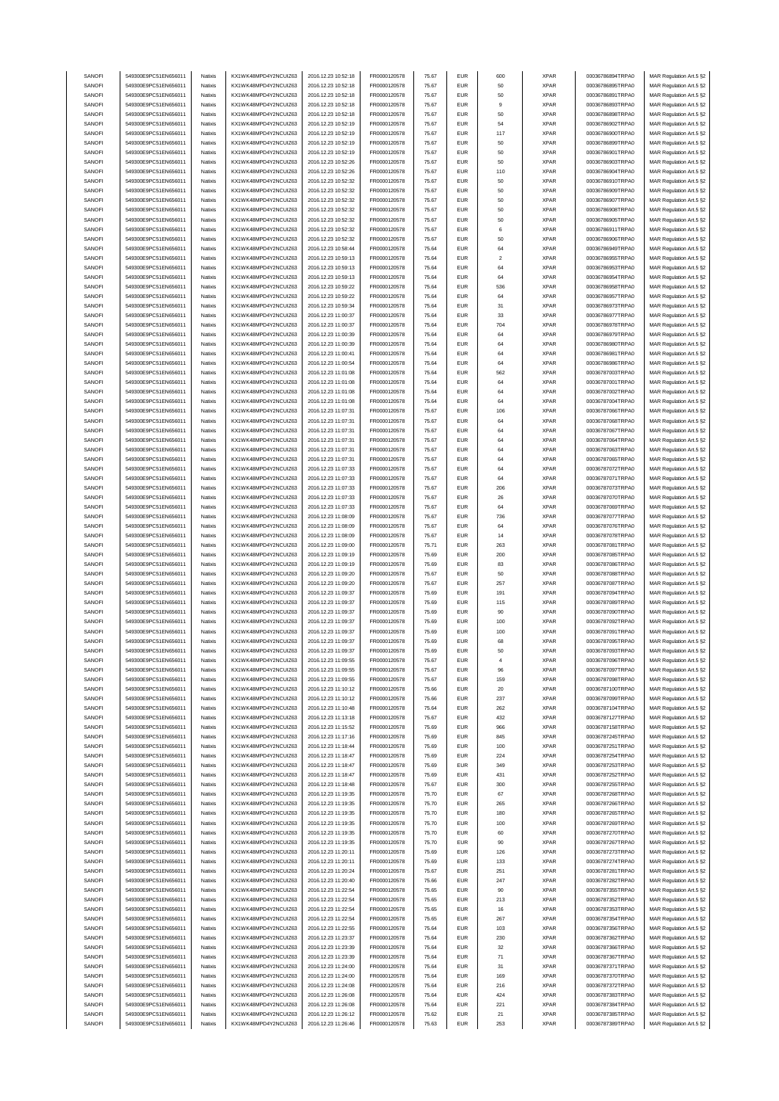| SANOFI | 549300E9PC51EN656011 | Natixis | KX1WK48MPD4Y2NCUIZ63 | 2016.12.23 10:52:18                        | FR0000120578 | 75.67 | <b>EUR</b> | 600            | <b>XPAR</b> | 00036786894TRPA0 | MAR Regulation Art.5 §2 |
|--------|----------------------|---------|----------------------|--------------------------------------------|--------------|-------|------------|----------------|-------------|------------------|-------------------------|
| SANOFI | 549300E9PC51EN656011 | Natixis | KX1WK48MPD4Y2NCUIZ63 | 2016.12.23 10:52:18                        | FR0000120578 | 75.67 | <b>EUR</b> | 50             | <b>XPAR</b> | 00036786895TRPA0 | MAR Regulation Art.5 §2 |
| SANOFI | 549300E9PC51EN656011 | Natixis | KX1WK48MPD4Y2NCUIZ63 | 2016.12.23 10:52:18                        | FR0000120578 | 75.67 | <b>EUR</b> | 50             | <b>XPAR</b> | 00036786891TRPA0 | MAR Regulation Art.5 §2 |
| SANOFI | 549300E9PC51EN656011 | Natixis | KX1WK48MPD4Y2NCUIZ63 | 2016.12.23 10:52:18                        | FR0000120578 | 75.67 | <b>EUR</b> | 9              | <b>XPAR</b> | 00036786893TRPA0 | MAR Regulation Art.5 §2 |
|        |                      |         |                      |                                            |              |       |            |                |             |                  |                         |
| SANOFI | 549300E9PC51EN656011 | Natixis | KX1WK48MPD4Y2NCUIZ63 | 2016.12.23 10:52:18                        | FR0000120578 | 75.67 | <b>EUR</b> | 50             | <b>XPAR</b> | 00036786898TRPA0 | MAR Regulation Art.5 §2 |
| SANOFI | 549300E9PC51EN656011 | Natixis | KX1WK48MPD4Y2NCUIZ63 | 2016.12.23 10:52:19                        | FR0000120578 | 75.67 | <b>EUR</b> | 54             | <b>XPAR</b> | 00036786902TRPA0 | MAR Regulation Art.5 §2 |
| SANOFI | 549300E9PC51EN656011 | Natixis | KX1WK48MPD4Y2NCUIZ63 | 2016.12.23 10:52:19                        | FR0000120578 | 75.67 | <b>EUR</b> | 117            | <b>XPAR</b> | 00036786900TRPA0 | MAR Regulation Art.5 §2 |
| SANOFI | 549300E9PC51EN656011 | Natixis | KX1WK48MPD4Y2NCUIZ63 | 2016.12.23 10:52:19                        | FR0000120578 | 75.67 | <b>EUR</b> | 50             | <b>XPAR</b> | 00036786899TRPA0 | MAR Regulation Art.5 §2 |
| SANOFI | 549300E9PC51EN656011 | Natixis | KX1WK48MPD4Y2NCUIZ63 | 2016.12.23 10:52:19                        | FR0000120578 | 75.67 | <b>EUR</b> | 50             | <b>XPAR</b> | 00036786901TRPA0 | MAR Regulation Art.5 §2 |
| SANOFI | 549300E9PC51EN656011 | Natixis | KX1WK48MPD4Y2NCUIZ63 | 2016.12.23 10:52:26                        | FR0000120578 | 75.67 | <b>EUR</b> | 50             | <b>XPAR</b> | 00036786903TRPA0 | MAR Regulation Art.5 §2 |
| SANOFI | 549300E9PC51EN656011 | Natixis | KX1WK48MPD4Y2NCUIZ63 | 2016.12.23 10:52:26                        | FR0000120578 | 75.67 | <b>EUR</b> | 110            | <b>XPAR</b> | 00036786904TRPA0 | MAR Regulation Art.5 §2 |
|        |                      |         |                      |                                            |              |       |            |                |             |                  |                         |
| SANOFI | 549300E9PC51EN656011 | Natixis | KX1WK48MPD4Y2NCUIZ63 | 2016.12.23 10:52:32                        | FR0000120578 | 75.67 | <b>EUR</b> | 50             | <b>XPAR</b> | 00036786910TRPA0 | MAR Regulation Art.5 §2 |
| SANOFI | 549300E9PC51EN656011 | Natixis | KX1WK48MPD4Y2NCUIZ63 | 2016.12.23 10:52:32                        | FR0000120578 | 75.67 | <b>EUR</b> | 50             | <b>XPAR</b> | 00036786909TRPA0 | MAR Regulation Art.5 §2 |
| SANOFI | 549300E9PC51EN656011 | Natixis | KX1WK48MPD4Y2NCUIZ63 | 2016.12.23 10:52:32                        | FR0000120578 | 75.67 | <b>EUR</b> | 50             | <b>XPAR</b> | 00036786907TRPA0 | MAR Regulation Art.5 §2 |
| SANOFI | 549300E9PC51EN656011 | Natixis | KX1WK48MPD4Y2NCUIZ63 | 2016.12.23 10:52:32                        | FR0000120578 | 75.67 | <b>EUR</b> | 50             | <b>XPAR</b> | 00036786908TRPA0 | MAR Regulation Art.5 §2 |
|        | 549300E9PC51EN656011 |         | KX1WK48MPD4Y2NCUIZ63 |                                            | FR0000120578 |       | <b>EUR</b> |                |             | 00036786905TRPA0 |                         |
| SANOFI |                      | Natixis |                      | 2016.12.23 10:52:32                        |              | 75.67 |            | 50             | <b>XPAR</b> |                  | MAR Regulation Art.5 §2 |
| SANOFI | 549300E9PC51EN656011 | Natixis | KX1WK48MPD4Y2NCUIZ63 | 2016.12.23 10:52:32                        | FR0000120578 | 75.67 | <b>EUR</b> | 6              | <b>XPAR</b> | 00036786911TRPA0 | MAR Regulation Art.5 §2 |
| SANOFI | 549300E9PC51EN656011 | Natixis | KX1WK48MPD4Y2NCUIZ63 | 2016.12.23 10:52:32                        | FR0000120578 | 75.67 | <b>EUR</b> | 50             | <b>XPAR</b> | 00036786906TRPA0 | MAR Regulation Art.5 §2 |
| SANOFI | 549300E9PC51EN656011 | Natixis | KX1WK48MPD4Y2NCUIZ63 | 2016.12.23 10:58:44                        | FR0000120578 | 75.64 | <b>EUR</b> | 64             | <b>XPAR</b> | 00036786949TRPA0 | MAR Regulation Art.5 §2 |
| SANOFI | 549300E9PC51EN656011 | Natixis | KX1WK48MPD4Y2NCUIZ63 | 2016.12.23 10:59:13                        | FR0000120578 | 75.64 | <b>EUR</b> | $\overline{2}$ | <b>XPAR</b> | 00036786955TRPA0 | MAR Regulation Art.5 §2 |
| SANOFI | 549300E9PC51EN656011 | Natixis | KX1WK48MPD4Y2NCUIZ63 | 2016.12.23 10:59:13                        | FR0000120578 | 75.64 | <b>EUR</b> | 64             | <b>XPAR</b> | 00036786953TRPA0 | MAR Regulation Art.5 §2 |
|        |                      |         |                      |                                            |              |       |            |                |             |                  |                         |
| SANOFI | 549300E9PC51EN656011 | Natixis | KX1WK48MPD4Y2NCUIZ63 | 2016.12.23 10:59:13                        | FR0000120578 | 75.64 | <b>EUR</b> | 64             | <b>XPAR</b> | 00036786954TRPA0 | MAR Regulation Art.5 §2 |
| SANOFI | 549300E9PC51EN656011 | Natixis | KX1WK48MPD4Y2NCUIZ63 | 2016.12.23 10:59:22                        | FR0000120578 | 75.64 | <b>EUR</b> | 536            | <b>XPAR</b> | 00036786958TRPA0 | MAR Regulation Art.5 §2 |
| SANOFI | 549300E9PC51EN656011 | Natixis | KX1WK48MPD4Y2NCUIZ63 | 2016.12.23 10:59:22                        | FR0000120578 | 75.64 | <b>EUR</b> | 64             | <b>XPAR</b> | 00036786957TRPA0 | MAR Regulation Art.5 §2 |
| SANOFI | 549300E9PC51EN656011 | Natixis | KX1WK48MPD4Y2NCUIZ63 | 2016.12.23 10:59:34                        | FR0000120578 | 75.64 | <b>EUR</b> | 31             | <b>XPAR</b> | 00036786973TRPA0 | MAR Regulation Art.5 §2 |
| SANOFI | 549300E9PC51EN656011 | Natixis | KX1WK48MPD4Y2NCUIZ63 | 2016.12.23 11:00:37                        | FR0000120578 | 75.64 | <b>EUR</b> | 33             | <b>XPAR</b> | 00036786977TRPA0 | MAR Regulation Art.5 §2 |
| SANOFI | 549300E9PC51EN656011 | Natixis | KX1WK48MPD4Y2NCUIZ63 | 2016.12.23 11:00:37                        | FR0000120578 | 75.64 | <b>EUR</b> | 704            | <b>XPAR</b> | 00036786978TRPA0 | MAR Regulation Art.5 §2 |
|        |                      |         |                      |                                            |              |       |            |                |             |                  |                         |
| SANOFI | 549300E9PC51EN656011 | Natixis | KX1WK48MPD4Y2NCUIZ63 | 2016.12.23 11:00:39                        | FR0000120578 | 75.64 | <b>EUR</b> | 64             | <b>XPAR</b> | 00036786979TRPA0 | MAR Regulation Art.5 §2 |
| SANOFI | 549300E9PC51EN656011 | Natixis | KX1WK48MPD4Y2NCUIZ63 | 2016.12.23 11:00:39                        | FR0000120578 | 75.64 | <b>EUR</b> | 64             | <b>XPAR</b> | 00036786980TRPA0 | MAR Regulation Art.5 §2 |
| SANOFI | 549300E9PC51EN656011 | Natixis | KX1WK48MPD4Y2NCUIZ63 | 2016.12.23 11:00:41                        | FR0000120578 | 75.64 | <b>EUR</b> | 64             | <b>XPAR</b> | 00036786981TRPA0 | MAR Regulation Art.5 §2 |
| SANOFI | 549300E9PC51EN656011 | Natixis | KX1WK48MPD4Y2NCUIZ63 | 2016.12.23 11:00:54                        | FR0000120578 | 75.64 | <b>EUR</b> | 64             | <b>XPAR</b> | 00036786986TRPA0 | MAR Regulation Art.5 §2 |
| SANOFI | 549300E9PC51EN656011 | Natixis | KX1WK48MPD4Y2NCUIZ63 | 2016.12.23 11:01:08                        | FR0000120578 | 75.64 | <b>EUR</b> | 562            | <b>XPAR</b> | 00036787003TRPA0 | MAR Regulation Art.5 §2 |
|        |                      |         |                      |                                            |              |       |            |                |             |                  |                         |
| SANOFI | 549300E9PC51EN656011 | Natixis | KX1WK48MPD4Y2NCUIZ63 | 2016.12.23 11:01:08                        | FR0000120578 | 75.64 | <b>EUR</b> | 64             | <b>XPAR</b> | 00036787001TRPA0 | MAR Regulation Art.5 §2 |
| SANOFI | 549300E9PC51EN656011 | Natixis | KX1WK48MPD4Y2NCUIZ63 | 2016.12.23 11:01:08                        | FR0000120578 | 75.64 | <b>EUR</b> | 64             | <b>XPAR</b> | 00036787002TRPA0 | MAR Regulation Art.5 §2 |
| SANOFI | 549300E9PC51EN656011 | Natixis | KX1WK48MPD4Y2NCUIZ63 | 2016.12.23 11:01:08                        | FR0000120578 | 75.64 | <b>EUR</b> | 64             | <b>XPAR</b> | 00036787004TRPA0 | MAR Regulation Art.5 §2 |
| SANOFI | 549300E9PC51EN656011 | Natixis | KX1WK48MPD4Y2NCUIZ63 | 2016.12.23 11:07:31                        | FR0000120578 | 75.67 | <b>EUR</b> | 106            | <b>XPAR</b> | 00036787066TRPA0 | MAR Regulation Art.5 §2 |
| SANOFI | 549300E9PC51EN656011 | Natixis | KX1WK48MPD4Y2NCUIZ63 | 2016.12.23 11:07:31                        | FR0000120578 | 75.67 | <b>EUR</b> | 64             | <b>XPAR</b> | 00036787068TRPA0 | MAR Regulation Art.5 §2 |
|        |                      |         |                      |                                            |              |       |            |                |             |                  |                         |
| SANOFI | 549300E9PC51EN656011 | Natixis | KX1WK48MPD4Y2NCUIZ63 | 2016.12.23 11:07:31                        | FR0000120578 | 75.67 | <b>EUR</b> | 64             | <b>XPAR</b> | 00036787067TRPA0 | MAR Regulation Art.5 §2 |
| SANOFI | 549300E9PC51EN656011 | Natixis | KX1WK48MPD4Y2NCUIZ63 | 2016.12.23 11:07:31                        | FR0000120578 | 75.67 | <b>EUR</b> | 64             | <b>XPAR</b> | 00036787064TRPA0 | MAR Regulation Art.5 §2 |
| SANOFI | 549300E9PC51EN656011 | Natixis | KX1WK48MPD4Y2NCUIZ63 | 2016.12.23 11:07:31                        | FR0000120578 | 75.67 | <b>EUR</b> | 64             | <b>XPAR</b> | 00036787063TRPA0 | MAR Regulation Art.5 §2 |
| SANOFI | 549300E9PC51EN656011 | Natixis | KX1WK48MPD4Y2NCUIZ63 | 2016.12.23 11:07:31                        | FR0000120578 | 75.67 | EUR        | 64             | <b>XPAR</b> | 00036787065TRPA0 | MAR Regulation Art.5 §2 |
| SANOFI | 549300E9PC51EN656011 | Natixis | KX1WK48MPD4Y2NCUIZ63 | 2016.12.23 11:07:33                        | FR0000120578 | 75.67 | <b>EUR</b> | 64             | <b>XPAR</b> | 00036787072TRPA0 | MAR Regulation Art.5 §2 |
| SANOFI | 549300E9PC51EN656011 |         | KX1WK48MPD4Y2NCUIZ63 | 2016.12.23 11:07:33                        | FR0000120578 | 75.67 | <b>EUR</b> | 64             | <b>XPAR</b> | 00036787071TRPA0 |                         |
|        |                      | Natixis |                      |                                            |              |       |            |                |             |                  | MAR Regulation Art.5 §2 |
| SANOFI | 549300E9PC51EN656011 | Natixis | KX1WK48MPD4Y2NCUIZ63 | 2016.12.23 11:07:33                        | FR0000120578 | 75.67 | <b>EUR</b> | 206            | <b>XPAR</b> | 00036787073TRPA0 | MAR Regulation Art.5 §2 |
| SANOFI | 549300E9PC51EN656011 | Natixis | KX1WK48MPD4Y2NCUIZ63 | 2016.12.23 11:07:33                        | FR0000120578 | 75.67 | <b>EUR</b> | 26             | <b>XPAR</b> | 00036787070TRPA0 | MAR Regulation Art.5 §2 |
| SANOFI | 549300E9PC51EN656011 | Natixis | KX1WK48MPD4Y2NCUIZ63 | 2016.12.23 11:07:33                        | FR0000120578 | 75.67 | <b>EUR</b> | 64             | <b>XPAR</b> | 00036787069TRPA0 | MAR Regulation Art.5 §2 |
| SANOFI | 549300E9PC51EN656011 | Natixis | KX1WK48MPD4Y2NCUIZ63 | 2016.12.23 11:08:09                        | FR0000120578 | 75.67 | <b>EUR</b> | 736            | <b>XPAR</b> | 00036787077TRPA0 | MAR Regulation Art.5 §2 |
| SANOFI | 549300E9PC51EN656011 | Natixis | KX1WK48MPD4Y2NCUIZ63 | 2016.12.23 11:08:09                        | FR0000120578 | 75.67 | <b>EUR</b> | 64             | <b>XPAR</b> | 00036787076TRPA0 | MAR Regulation Art.5 §2 |
|        |                      |         |                      |                                            |              |       |            |                |             |                  |                         |
| SANOFI | 549300E9PC51EN656011 | Natixis | KX1WK48MPD4Y2NCUIZ63 | 2016.12.23 11:08:09                        | FR0000120578 | 75.67 | <b>EUR</b> | 14             | <b>XPAR</b> | 00036787078TRPA0 | MAR Regulation Art.5 §2 |
| SANOFI | 549300E9PC51EN656011 | Natixis | KX1WK48MPD4Y2NCUIZ63 | 2016.12.23 11:09:00                        | FR0000120578 | 75.71 | <b>EUR</b> | 263            | <b>XPAR</b> | 00036787081TRPA0 | MAR Regulation Art.5 §2 |
| SANOFI | 549300E9PC51EN656011 | Natixis | KX1WK48MPD4Y2NCUIZ63 | 2016.12.23 11:09:19                        | FR0000120578 | 75.69 | <b>EUR</b> | 200            | <b>XPAR</b> | 00036787085TRPA0 | MAR Regulation Art.5 §2 |
| SANOFI | 549300E9PC51EN656011 | Natixis | KX1WK48MPD4Y2NCUIZ63 | 2016.12.23 11:09:19                        | FR0000120578 | 75.69 | <b>EUR</b> | 83             | <b>XPAR</b> | 00036787086TRPA0 | MAR Regulation Art.5 §2 |
| SANOFI | 549300E9PC51EN656011 | Natixis | KX1WK48MPD4Y2NCUIZ63 | 2016.12.23 11:09:20                        | FR0000120578 | 75.67 | <b>EUR</b> | 50             | <b>XPAR</b> | 00036787088TRPA0 | MAR Regulation Art.5 §2 |
|        |                      |         |                      |                                            |              |       |            |                |             |                  |                         |
| SANOFI | 549300E9PC51EN656011 | Natixis | KX1WK48MPD4Y2NCUIZ63 | 2016.12.23 11:09:20                        | FR0000120578 | 75.67 | <b>EUR</b> | 257            | <b>XPAR</b> | 00036787087TRPA0 | MAR Regulation Art.5 §2 |
| SANOFI | 549300E9PC51EN656011 | Natixis | KX1WK48MPD4Y2NCUIZ63 | 2016.12.23 11:09:37                        | FR0000120578 | 75.69 | <b>EUR</b> | 191            | <b>XPAR</b> | 00036787094TRPA0 | MAR Regulation Art.5 §2 |
| SANOFI | 549300E9PC51EN656011 | Natixis | KX1WK48MPD4Y2NCUIZ63 | 2016.12.23 11:09:37                        | FR0000120578 | 75.69 | <b>EUR</b> | 115            | <b>XPAR</b> | 00036787089TRPA0 | MAR Regulation Art.5 §2 |
| SANOFI | 549300E9PC51EN656011 | Natixis | KX1WK48MPD4Y2NCUIZ63 | 2016.12.23 11:09:37                        | FR0000120578 | 75.69 | <b>EUR</b> | 90             | <b>XPAR</b> | 00036787090TRPA0 | MAR Regulation Art.5 §2 |
| SANOFI | 549300E9PC51EN656011 | Natixis | KX1WK48MPD4Y2NCUIZ63 | 2016.12.23 11:09:37                        | FR0000120578 | 75.69 | <b>EUR</b> | 100            | <b>XPAR</b> | 00036787092TRPA0 | MAR Regulation Art.5 §2 |
|        | 549300E9PC51EN656011 |         |                      | 2016.12.23 11:09:37                        |              | 75.69 | <b>EUR</b> |                | <b>XPAR</b> |                  |                         |
| SANOFI |                      | Natixis | KX1WK48MPD4Y2NCUIZ63 |                                            | FR0000120578 |       |            | 100            |             | 00036787091TRPA0 | MAR Regulation Art.5 §2 |
| SANOFI | 549300E9PC51EN656011 | Natixis | KX1WK48MPD4Y2NCUIZ63 | 2016.12.23 11:09:37                        | FR0000120578 | 75.69 | <b>EUR</b> | 68             | <b>XPAR</b> | 00036787095TRPA0 | MAR Regulation Art.5 §2 |
| SANOF  | 549300E9PC51EN65601  | Natixis | KX1WK48MPD4Y2NCUIZ63 | 2016.12.23 11:09:37                        | FR0000120578 | 75.69 | EUR        | 50             | XPAR        | 00036787093TRPA0 | MAR Regulation Art.5 §2 |
| SANOFI | 549300E9PC51EN656011 | Natixis | KX1WK48MPD4Y2NCUIZ63 | 2016.12.23 11:09:55                        | FR0000120578 | 75.67 | <b>EUR</b> |                | <b>XPAR</b> | 00036787096TRPA0 | MAR Regulation Art.5 §2 |
| SANOFI | 549300E9PC51EN656011 | Natixis | KX1WK48MPD4Y2NCUIZ63 | 2016.12.23 11:09:55                        | FR0000120578 | 75.67 | <b>EUR</b> | 96             | <b>XPAR</b> | 00036787097TRPA0 | MAR Regulation Art.5 §2 |
| SANOFI | 549300E9PC51EN656011 | Natixis | KX1WK48MPD4Y2NCUIZ63 | 2016.12.23 11:09:55                        | FR0000120578 | 75.67 | <b>EUR</b> | 159            | <b>XPAR</b> | 00036787098TRPA0 | MAR Regulation Art.5 §2 |
|        |                      |         |                      |                                            |              |       |            |                |             |                  |                         |
| SANOFI | 549300E9PC51EN656011 | Natixis | KX1WK48MPD4Y2NCUIZ63 | 2016.12.23 11:10:12                        | FR0000120578 | 75.66 | <b>EUR</b> | $20\,$         | <b>XPAR</b> | 00036787100TRPA0 | MAR Regulation Art.5 §2 |
| SANOFI | 549300E9PC51EN656011 | Natixis | KX1WK48MPD4Y2NCUIZ63 | 2016.12.23 11:10:12                        | FR0000120578 | 75.66 | <b>EUR</b> | 237            | <b>XPAR</b> | 00036787099TRPA0 | MAR Regulation Art.5 §2 |
| SANOFI | 549300E9PC51EN656011 | Natixis | KX1WK48MPD4Y2NCUIZ63 | 2016.12.23 11:10:48                        | FR0000120578 | 75.64 | <b>EUR</b> | 262            | <b>XPAR</b> | 00036787104TRPA0 | MAR Regulation Art.5 §2 |
| SANOFI | 549300E9PC51EN656011 | Natixis | KX1WK48MPD4Y2NCUIZ63 | 2016.12.23 11:13:18                        | FR0000120578 | 75.67 | <b>EUR</b> | 432            | <b>XPAR</b> | 00036787127TRPA0 | MAR Regulation Art.5 §2 |
| SANOFI | 549300E9PC51EN656011 | Natixis | KX1WK48MPD4Y2NCUIZ63 | 2016.12.23 11:15:52                        | FR0000120578 | 75.69 | <b>EUR</b> | 966            | <b>XPAR</b> | 00036787158TRPA0 | MAR Regulation Art.5 §2 |
|        | 549300E9PC51EN656011 |         | KX1WK48MPD4Y2NCUIZ63 |                                            |              |       |            |                |             |                  |                         |
| SANOFI |                      | Natixis |                      | 2016.12.23 11:17:16<br>2016.12.23 11:18:44 | FR0000120578 | 75.69 | <b>EUR</b> | 845            | <b>XPAR</b> | 00036787245TRPA0 | MAR Regulation Art.5 §2 |
| SANOFI | 549300E9PC51EN656011 | Natixis | KX1WK48MPD4Y2NCUIZ63 |                                            | FR0000120578 | 75.69 | <b>EUR</b> | 100            | <b>XPAR</b> | 00036787251TRPA0 | MAR Regulation Art.5 §2 |
| SANOFI | 549300E9PC51EN656011 | Natixis | KX1WK48MPD4Y2NCUIZ63 | 2016.12.23 11:18:47                        | FR0000120578 | 75.69 | <b>EUR</b> | 224            | <b>XPAR</b> | 00036787254TRPA0 | MAR Regulation Art.5 §2 |
| SANOFI | 549300E9PC51EN656011 | Natixis | KX1WK48MPD4Y2NCUIZ63 | 2016.12.23 11:18:47                        | FR0000120578 | 75.69 | <b>EUR</b> | 349            | <b>XPAR</b> | 00036787253TRPA0 | MAR Regulation Art.5 §2 |
| SANOFI | 549300E9PC51EN656011 | Natixis | KX1WK48MPD4Y2NCUIZ63 | 2016.12.23 11:18:47                        | FR0000120578 | 75.69 | <b>EUR</b> | 431            | <b>XPAR</b> | 00036787252TRPA0 | MAR Regulation Art.5 §2 |
| SANOFI | 549300E9PC51EN656011 | Natixis | KX1WK48MPD4Y2NCUIZ63 | 2016.12.23 11:18:48                        | FR0000120578 | 75.67 | <b>EUR</b> | 300            | <b>XPAR</b> | 00036787255TRPA0 | MAR Regulation Art.5 §2 |
|        |                      |         |                      |                                            |              |       |            |                |             |                  |                         |
| SANOFI | 549300E9PC51EN656011 | Natixis | KX1WK48MPD4Y2NCUIZ63 | 2016.12.23 11:19:35                        | FR0000120578 | 75.70 | <b>EUR</b> | 67             | <b>XPAR</b> | 00036787268TRPA0 | MAR Regulation Art.5 §2 |
| SANOFI | 549300E9PC51EN656011 | Natixis | KX1WK48MPD4Y2NCUIZ63 | 2016.12.23 11:19:35                        | FR0000120578 | 75.70 | <b>EUR</b> | 265            | <b>XPAR</b> | 00036787266TRPA0 | MAR Regulation Art.5 §2 |
| SANOFI | 549300E9PC51EN656011 | Natixis | KX1WK48MPD4Y2NCUIZ63 | 2016.12.23 11:19:35                        | FR0000120578 | 75.70 | <b>EUR</b> | 180            | <b>XPAR</b> | 00036787265TRPA0 | MAR Regulation Art.5 §2 |
| SANOFI | 549300E9PC51EN656011 | Natixis | KX1WK48MPD4Y2NCUIZ63 | 2016.12.23 11:19:35                        | FR0000120578 | 75.70 | <b>EUR</b> | 100            | <b>XPAR</b> | 00036787269TRPA0 | MAR Regulation Art.5 §2 |
| SANOFI | 549300E9PC51EN656011 | Natixis | KX1WK48MPD4Y2NCUIZ63 | 2016.12.23 11:19:35                        | FR0000120578 | 75.70 | <b>EUR</b> | 60             | <b>XPAR</b> | 00036787270TRPA0 | MAR Regulation Art.5 §2 |
|        |                      |         |                      |                                            |              |       |            |                |             |                  |                         |
| SANOFI | 549300E9PC51EN656011 | Natixis | KX1WK48MPD4Y2NCUIZ63 | 2016.12.23 11:19:35                        | FR0000120578 | 75.70 | <b>EUR</b> | 90             | <b>XPAR</b> | 00036787267TRPA0 | MAR Regulation Art.5 §2 |
| SANOFI | 549300E9PC51EN656011 | Natixis | KX1WK48MPD4Y2NCUIZ63 | 2016.12.23 11:20:11                        | FR0000120578 | 75.69 | <b>EUR</b> | 126            | <b>XPAR</b> | 00036787273TRPA0 | MAR Regulation Art.5 §2 |
| SANOFI | 549300E9PC51EN656011 | Natixis | KX1WK48MPD4Y2NCUIZ63 | 2016.12.23 11:20:11                        | FR0000120578 | 75.69 | <b>EUR</b> | 133            | <b>XPAR</b> | 00036787274TRPA0 | MAR Regulation Art.5 §2 |
| SANOFI | 549300E9PC51EN656011 | Natixis | KX1WK48MPD4Y2NCUIZ63 | 2016.12.23 11:20:24                        | FR0000120578 | 75.67 | <b>EUR</b> | 251            | <b>XPAR</b> | 00036787281TRPA0 | MAR Regulation Art.5 §2 |
| SANOFI | 549300E9PC51EN656011 | Natixis | KX1WK48MPD4Y2NCUIZ63 | 2016.12.23 11:20:40                        | FR0000120578 | 75.66 | <b>EUR</b> | 247            | <b>XPAR</b> | 00036787282TRPA0 | MAR Regulation Art.5 §2 |
|        |                      |         |                      |                                            |              |       |            |                |             |                  |                         |
| SANOFI | 549300E9PC51EN656011 | Natixis | KX1WK48MPD4Y2NCUIZ63 | 2016.12.23 11:22:54                        | FR0000120578 | 75.65 | <b>EUR</b> | 90             | <b>XPAR</b> | 00036787355TRPA0 | MAR Regulation Art.5 §2 |
| SANOFI | 549300E9PC51EN656011 | Natixis | KX1WK48MPD4Y2NCUIZ63 | 2016.12.23 11:22:54                        | FR0000120578 | 75.65 | <b>EUR</b> | 213            | <b>XPAR</b> | 00036787352TRPA0 | MAR Regulation Art.5 §2 |
| SANOFI | 549300E9PC51EN656011 | Natixis | KX1WK48MPD4Y2NCUIZ63 | 2016.12.23 11:22:54                        | FR0000120578 | 75.65 | <b>EUR</b> | 16             | <b>XPAR</b> | 00036787353TRPA0 | MAR Regulation Art.5 §2 |
| SANOFI | 549300E9PC51EN656011 | Natixis | KX1WK48MPD4Y2NCUIZ63 | 2016.12.23 11:22:54                        | FR0000120578 | 75.65 | <b>EUR</b> | 267            | <b>XPAR</b> | 00036787354TRPA0 | MAR Regulation Art.5 §2 |
| SANOFI | 549300E9PC51EN656011 | Natixis | KX1WK48MPD4Y2NCUIZ63 | 2016.12.23 11:22:55                        | FR0000120578 | 75.64 | <b>EUR</b> | 103            | <b>XPAR</b> | 00036787356TRPA0 |                         |
|        |                      |         |                      |                                            |              |       |            |                |             |                  | MAR Regulation Art.5 §2 |
| SANOFI | 549300E9PC51EN656011 | Natixis | KX1WK48MPD4Y2NCUIZ63 | 2016.12.23 11:23:37                        | FR0000120578 | 75.64 | <b>EUR</b> | 230            | <b>XPAR</b> | 00036787362TRPA0 | MAR Regulation Art.5 §2 |
| SANOFI | 549300E9PC51EN656011 | Natixis | KX1WK48MPD4Y2NCUIZ63 | 2016.12.23 11:23:39                        | FR0000120578 | 75.64 | <b>EUR</b> | $32\,$         | <b>XPAR</b> | 00036787366TRPA0 | MAR Regulation Art.5 §2 |
| SANOFI | 549300E9PC51EN656011 | Natixis | KX1WK48MPD4Y2NCUIZ63 | 2016.12.23 11:23:39                        | FR0000120578 | 75.64 | <b>EUR</b> | 71             | <b>XPAR</b> | 00036787367TRPA0 | MAR Regulation Art.5 §2 |
| SANOFI | 549300E9PC51EN656011 | Natixis | KX1WK48MPD4Y2NCUIZ63 | 2016.12.23 11:24:00                        | FR0000120578 | 75.64 | <b>EUR</b> | 31             | <b>XPAR</b> | 00036787371TRPA0 | MAR Regulation Art.5 §2 |
| SANOFI | 549300E9PC51EN656011 | Natixis | KX1WK48MPD4Y2NCUIZ63 | 2016.12.23 11:24:00                        | FR0000120578 | 75.64 | <b>EUR</b> | 169            | <b>XPAR</b> | 00036787370TRPA0 |                         |
|        |                      |         |                      |                                            |              |       |            |                |             |                  | MAR Regulation Art.5 §2 |
| SANOFI | 549300E9PC51EN656011 | Natixis | KX1WK48MPD4Y2NCUIZ63 | 2016.12.23 11:24:08                        | FR0000120578 | 75.64 | <b>EUR</b> | 216            | <b>XPAR</b> | 00036787372TRPA0 | MAR Regulation Art.5 §2 |
| SANOFI | 549300E9PC51EN656011 | Natixis | KX1WK48MPD4Y2NCUIZ63 | 2016.12.23 11:26:08                        | FR0000120578 | 75.64 | <b>EUR</b> | 424            | <b>XPAR</b> | 00036787383TRPA0 | MAR Regulation Art.5 §2 |
| SANOFI | 549300E9PC51EN656011 | Natixis | KX1WK48MPD4Y2NCUIZ63 | 2016.12.23 11:26:08                        | FR0000120578 | 75.64 | <b>EUR</b> | 221            | <b>XPAR</b> | 00036787384TRPA0 | MAR Regulation Art.5 §2 |
| SANOFI | 549300E9PC51EN656011 | Natixis | KX1WK48MPD4Y2NCUIZ63 | 2016.12.23 11:26:12                        | FR0000120578 | 75.62 | <b>EUR</b> | 21             | <b>XPAR</b> | 00036787385TRPA0 | MAR Regulation Art.5 §2 |
| SANOFI | 549300E9PC51EN656011 | Natixis | KX1WK48MPD4Y2NCUIZ63 | 2016.12.23 11:26:46                        | FR0000120578 | 75.63 | <b>EUR</b> | 253            | <b>XPAR</b> | 00036787389TRPA0 | MAR Regulation Art.5 §2 |
|        |                      |         |                      |                                            |              |       |            |                |             |                  |                         |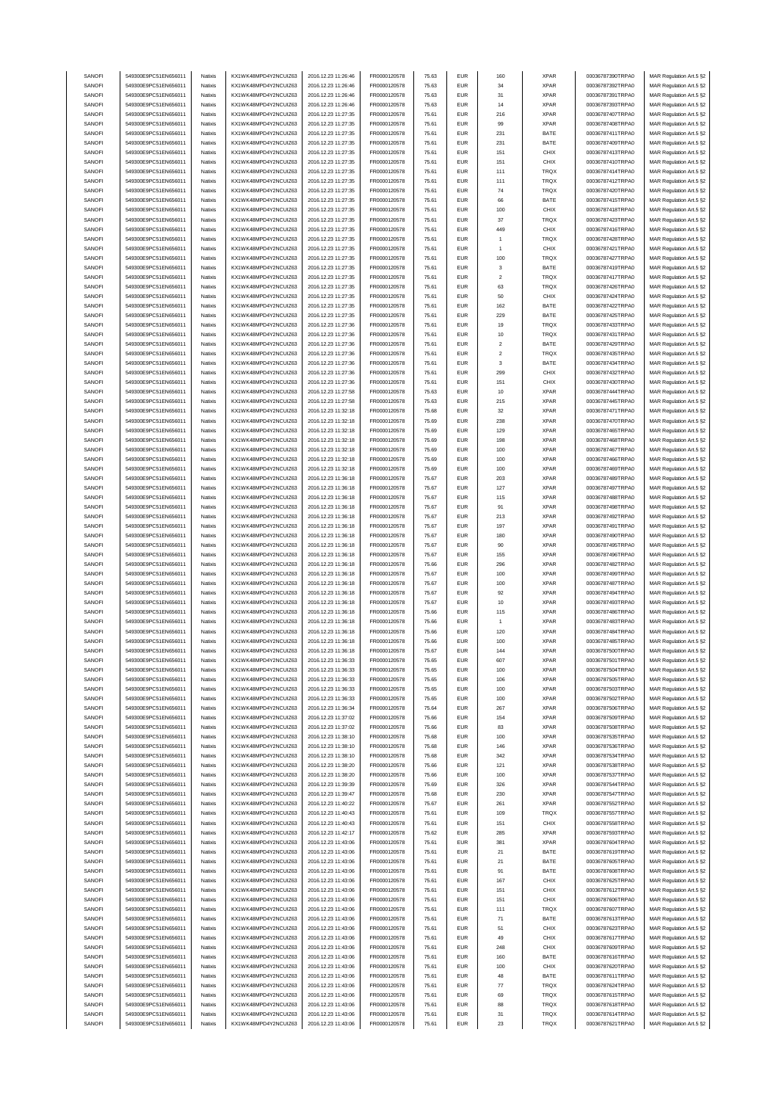| SANOFI | 549300E9PC51EN656011 | Natixis | KX1WK48MPD4Y2NCUIZ63 | 2016.12.23 11:26:46 | FR0000120578 | 75.63 | <b>EUR</b>  | 160                     | <b>XPAR</b> | 00036787390TRPA0 | MAR Regulation Art.5 §2 |
|--------|----------------------|---------|----------------------|---------------------|--------------|-------|-------------|-------------------------|-------------|------------------|-------------------------|
| SANOFI | 549300E9PC51EN656011 | Natixis | KX1WK48MPD4Y2NCUIZ63 | 2016.12.23 11:26:46 | FR0000120578 | 75.63 | <b>EUR</b>  | 34                      | <b>XPAR</b> | 00036787392TRPA0 | MAR Regulation Art.5 §2 |
| SANOFI | 549300E9PC51EN656011 | Natixis | KX1WK48MPD4Y2NCUIZ63 | 2016.12.23 11:26:46 | FR0000120578 | 75.63 | <b>EUR</b>  | 31                      | <b>XPAR</b> | 00036787391TRPA0 | MAR Regulation Art.5 §2 |
| SANOFI | 549300E9PC51EN656011 | Natixis | KX1WK48MPD4Y2NCUIZ63 | 2016.12.23 11:26:46 | FR0000120578 | 75.63 | <b>EUR</b>  | 14                      | <b>XPAR</b> | 00036787393TRPA0 | MAR Regulation Art.5 §2 |
|        |                      |         |                      |                     |              |       |             |                         |             |                  |                         |
| SANOFI | 549300E9PC51EN656011 | Natixis | KX1WK48MPD4Y2NCUIZ63 | 2016.12.23 11:27:35 | FR0000120578 | 75.61 | <b>EUR</b>  | 216                     | <b>XPAR</b> | 00036787407TRPA0 | MAR Regulation Art.5 §2 |
| SANOFI | 549300E9PC51EN656011 | Natixis | KX1WK48MPD4Y2NCUIZ63 | 2016.12.23 11:27:35 | FR0000120578 | 75.61 | <b>EUR</b>  | 99                      | <b>XPAR</b> | 00036787408TRPA0 | MAR Regulation Art.5 §2 |
| SANOFI | 549300E9PC51EN656011 | Natixis | KX1WK48MPD4Y2NCUIZ63 | 2016.12.23 11:27:35 | FR0000120578 | 75.61 | <b>EUR</b>  | 231                     | BATE        | 00036787411TRPA0 | MAR Regulation Art.5 §2 |
| SANOFI | 549300E9PC51EN656011 | Natixis | KX1WK48MPD4Y2NCUIZ63 | 2016.12.23 11:27:35 | FR0000120578 | 75.61 | <b>EUR</b>  | 231                     | BATE        | 00036787409TRPA0 | MAR Regulation Art.5 §2 |
| SANOFI | 549300E9PC51EN656011 | Natixis | KX1WK48MPD4Y2NCUIZ63 | 2016.12.23 11:27:35 | FR0000120578 | 75.61 | <b>EUR</b>  | 151                     | CHIX        | 00036787413TRPA0 | MAR Regulation Art.5 §2 |
| SANOFI | 549300E9PC51EN656011 | Natixis | KX1WK48MPD4Y2NCUIZ63 | 2016.12.23 11:27:35 | FR0000120578 | 75.61 | <b>EUR</b>  | 151                     | CHIX        | 00036787410TRPA0 | MAR Regulation Art.5 §2 |
| SANOFI | 549300E9PC51EN656011 | Natixis | KX1WK48MPD4Y2NCUIZ63 | 2016.12.23 11:27:35 | FR0000120578 | 75.61 | <b>EUR</b>  | 111                     | <b>TRQX</b> | 00036787414TRPA0 | MAR Regulation Art.5 §2 |
|        |                      |         |                      |                     |              |       |             |                         |             |                  |                         |
| SANOFI | 549300E9PC51EN656011 | Natixis | KX1WK48MPD4Y2NCUIZ63 | 2016.12.23 11:27:35 | FR0000120578 | 75.61 | <b>EUR</b>  | 111                     | TRQX        | 00036787412TRPA0 | MAR Regulation Art.5 §2 |
| SANOFI | 549300E9PC51EN656011 | Natixis | KX1WK48MPD4Y2NCUIZ63 | 2016.12.23 11:27:35 | FR0000120578 | 75.61 | <b>EUR</b>  | 74                      | TRQX        | 00036787420TRPA0 | MAR Regulation Art.5 §2 |
| SANOFI | 549300E9PC51EN656011 | Natixis | KX1WK48MPD4Y2NCUIZ63 | 2016.12.23 11:27:35 | FR0000120578 | 75.61 | <b>EUR</b>  | 66                      | BATE        | 00036787415TRPA0 | MAR Regulation Art.5 §2 |
| SANOFI | 549300E9PC51EN656011 | Natixis | KX1WK48MPD4Y2NCUIZ63 | 2016.12.23 11:27:35 | FR0000120578 | 75.61 | <b>EUR</b>  | 100                     | CHIX        | 00036787418TRPA0 | MAR Regulation Art.5 §2 |
| SANOFI | 549300E9PC51EN656011 | Natixis | KX1WK48MPD4Y2NCUIZ63 | 2016.12.23 11:27:35 | FR0000120578 | 75.61 | <b>EUR</b>  | 37                      | TRQX        | 00036787423TRPA0 | MAR Regulation Art.5 §2 |
|        | 549300E9PC51EN656011 |         | KX1WK48MPD4Y2NCUIZ63 |                     |              |       | <b>EUR</b>  |                         |             |                  |                         |
| SANOFI |                      | Natixis |                      | 2016.12.23 11:27:35 | FR0000120578 | 75.61 |             | 449                     | CHIX        | 00036787416TRPA0 | MAR Regulation Art.5 §2 |
| SANOFI | 549300E9PC51EN656011 | Natixis | KX1WK48MPD4Y2NCUIZ63 | 2016.12.23 11:27:35 | FR0000120578 | 75.61 | <b>EUR</b>  | $\mathbf{1}$            | TRQX        | 00036787428TRPA0 | MAR Regulation Art.5 §2 |
| SANOFI | 549300E9PC51EN656011 | Natixis | KX1WK48MPD4Y2NCUIZ63 | 2016.12.23 11:27:35 | FR0000120578 | 75.61 | <b>EUR</b>  | $\overline{1}$          | CHIX        | 00036787421TRPA0 | MAR Regulation Art.5 §2 |
| SANOFI | 549300E9PC51EN656011 | Natixis | KX1WK48MPD4Y2NCUIZ63 | 2016.12.23 11:27:35 | FR0000120578 | 75.61 | <b>EUR</b>  | 100                     | <b>TRQX</b> | 00036787427TRPA0 | MAR Regulation Art.5 §2 |
| SANOFI | 549300E9PC51EN656011 | Natixis | KX1WK48MPD4Y2NCUIZ63 | 2016.12.23 11:27:35 | FR0000120578 | 75.61 | <b>EUR</b>  | 3                       | BATE        | 00036787419TRPA0 | MAR Regulation Art.5 §2 |
| SANOFI | 549300E9PC51EN656011 | Natixis | KX1WK48MPD4Y2NCUIZ63 | 2016.12.23 11:27:35 | FR0000120578 | 75.61 | <b>EUR</b>  | $\overline{a}$          | TRQX        | 00036787417TRPA0 | MAR Regulation Art.5 §2 |
| SANOFI | 549300E9PC51EN656011 | Natixis | KX1WK48MPD4Y2NCUIZ63 | 2016.12.23 11:27:35 | FR0000120578 | 75.61 | <b>EUR</b>  | 63                      | <b>TRQX</b> | 00036787426TRPA0 | MAR Regulation Art.5 §2 |
| SANOFI | 549300E9PC51EN656011 |         |                      |                     |              | 75.61 | <b>EUR</b>  |                         |             | 00036787424TRPA0 |                         |
|        |                      | Natixis | KX1WK48MPD4Y2NCUIZ63 | 2016.12.23 11:27:35 | FR0000120578 |       |             | 50                      | CHIX        |                  | MAR Regulation Art.5 §2 |
| SANOFI | 549300E9PC51EN656011 | Natixis | KX1WK48MPD4Y2NCUIZ63 | 2016.12.23 11:27:35 | FR0000120578 | 75.61 | <b>EUR</b>  | 162                     | BATE        | 00036787422TRPA0 | MAR Regulation Art.5 §2 |
| SANOFI | 549300E9PC51EN656011 | Natixis | KX1WK48MPD4Y2NCUIZ63 | 2016.12.23 11:27:35 | FR0000120578 | 75.61 | <b>EUR</b>  | 229                     | BATE        | 00036787425TRPA0 | MAR Regulation Art.5 §2 |
| SANOFI | 549300E9PC51EN656011 | Natixis | KX1WK48MPD4Y2NCUIZ63 | 2016.12.23 11:27:36 | FR0000120578 | 75.61 | <b>EUR</b>  | 19                      | TRQX        | 00036787433TRPA0 | MAR Regulation Art.5 §2 |
| SANOFI | 549300E9PC51EN656011 | Natixis | KX1WK48MPD4Y2NCUIZ63 | 2016.12.23 11:27:36 | FR0000120578 | 75.61 | <b>EUR</b>  | 10                      | <b>TRQX</b> | 00036787431TRPA0 | MAR Regulation Art.5 §2 |
| SANOFI | 549300E9PC51EN656011 | Natixis | KX1WK48MPD4Y2NCUIZ63 | 2016.12.23 11:27:36 | FR0000120578 | 75.61 | <b>EUR</b>  | $\overline{2}$          | BATE        | 00036787429TRPA0 | MAR Regulation Art.5 §2 |
| SANOFI | 549300E9PC51EN656011 | Natixis | KX1WK48MPD4Y2NCUIZ63 | 2016.12.23 11:27:36 | FR0000120578 | 75.61 | <b>EUR</b>  | $\overline{\mathbf{c}}$ | TRQX        | 00036787435TRPA0 | MAR Regulation Art.5 §2 |
|        |                      |         |                      |                     |              |       |             |                         |             |                  |                         |
| SANOFI | 549300E9PC51EN656011 | Natixis | KX1WK48MPD4Y2NCUIZ63 | 2016.12.23 11:27:36 | FR0000120578 | 75.61 | <b>EUR</b>  | 3                       | BATE        | 00036787434TRPA0 | MAR Regulation Art.5 §2 |
| SANOFI | 549300E9PC51EN656011 | Natixis | KX1WK48MPD4Y2NCUIZ63 | 2016.12.23 11:27:36 | FR0000120578 | 75.61 | <b>EUR</b>  | 299                     | CHIX        | 00036787432TRPA0 | MAR Regulation Art.5 §2 |
| SANOFI | 549300E9PC51EN656011 | Natixis | KX1WK48MPD4Y2NCUIZ63 | 2016.12.23 11:27:36 | FR0000120578 | 75.61 | <b>EUR</b>  | 151                     | CHIX        | 00036787430TRPA0 | MAR Regulation Art.5 §2 |
| SANOFI | 549300E9PC51EN656011 | Natixis | KX1WK48MPD4Y2NCUIZ63 | 2016.12.23 11:27:58 | FR0000120578 | 75.63 | <b>EUR</b>  | 10                      | <b>XPAR</b> | 00036787444TRPA0 | MAR Regulation Art.5 §2 |
| SANOFI | 549300E9PC51EN656011 | Natixis | KX1WK48MPD4Y2NCUIZ63 | 2016.12.23 11:27:58 | FR0000120578 | 75.63 | <b>EUR</b>  | 215                     | <b>XPAR</b> | 00036787445TRPA0 | MAR Regulation Art.5 §2 |
| SANOFI | 549300E9PC51EN656011 | Natixis | KX1WK48MPD4Y2NCUIZ63 | 2016.12.23 11:32:18 | FR0000120578 | 75.68 | <b>EUR</b>  | 32                      | <b>XPAR</b> | 00036787471TRPA0 | MAR Regulation Art.5 §2 |
|        |                      |         |                      |                     |              |       |             |                         |             |                  |                         |
| SANOFI | 549300E9PC51EN656011 | Natixis | KX1WK48MPD4Y2NCUIZ63 | 2016.12.23 11:32:18 | FR0000120578 | 75.69 | <b>EUR</b>  | 238                     | <b>XPAR</b> | 00036787470TRPA0 | MAR Regulation Art.5 §2 |
| SANOFI | 549300E9PC51EN656011 | Natixis | KX1WK48MPD4Y2NCUIZ63 | 2016.12.23 11:32:18 | FR0000120578 | 75.69 | <b>EUR</b>  | 129                     | <b>XPAR</b> | 00036787465TRPA0 | MAR Regulation Art.5 §2 |
| SANOFI | 549300E9PC51EN656011 | Natixis | KX1WK48MPD4Y2NCUIZ63 | 2016.12.23 11:32:18 | FR0000120578 | 75.69 | <b>EUR</b>  | 198                     | <b>XPAR</b> | 00036787468TRPA0 | MAR Regulation Art.5 §2 |
| SANOFI | 549300E9PC51EN656011 | Natixis | KX1WK48MPD4Y2NCUIZ63 | 2016.12.23 11:32:18 | FR0000120578 | 75.69 | <b>EUR</b>  | 100                     | <b>XPAR</b> | 00036787467TRPA0 | MAR Regulation Art.5 §2 |
| SANOFI | 549300E9PC51EN656011 | Natixis | KX1WK48MPD4Y2NCUIZ63 | 2016.12.23 11:32:18 | FR0000120578 | 75.69 | <b>EUR</b>  | 100                     | <b>XPAR</b> | 00036787466TRPA0 | MAR Regulation Art.5 §2 |
| SANOFI | 549300E9PC51EN656011 | Natixis | KX1WK48MPD4Y2NCUIZ63 | 2016.12.23 11:32:18 | FR0000120578 | 75.69 | <b>EUR</b>  | 100                     | <b>XPAR</b> | 00036787469TRPA0 | MAR Regulation Art.5 §2 |
| SANOFI | 549300E9PC51EN656011 | Natixis | KX1WK48MPD4Y2NCUIZ63 | 2016.12.23 11:36:18 | FR0000120578 | 75.67 | <b>EUR</b>  | 203                     | <b>XPAR</b> | 00036787489TRPA0 | MAR Regulation Art.5 §2 |
|        |                      |         |                      |                     |              |       |             |                         |             |                  |                         |
| SANOFI | 549300E9PC51EN656011 | Natixis | KX1WK48MPD4Y2NCUIZ63 | 2016.12.23 11:36:18 | FR0000120578 | 75.67 | <b>EUR</b>  | 127                     | <b>XPAR</b> | 00036787497TRPA0 | MAR Regulation Art.5 §2 |
| SANOFI | 549300E9PC51EN656011 | Natixis | KX1WK48MPD4Y2NCUIZ63 | 2016.12.23 11:36:18 | FR0000120578 | 75.67 | <b>EUR</b>  | 115                     | <b>XPAR</b> | 00036787488TRPA0 | MAR Regulation Art.5 §2 |
| SANOFI | 549300E9PC51EN656011 | Natixis | KX1WK48MPD4Y2NCUIZ63 | 2016.12.23 11:36:18 | FR0000120578 | 75.67 | <b>EUR</b>  | 91                      | <b>XPAR</b> | 00036787498TRPA0 | MAR Regulation Art.5 §2 |
| SANOFI | 549300E9PC51EN656011 | Natixis | KX1WK48MPD4Y2NCUIZ63 | 2016.12.23 11:36:18 | FR0000120578 | 75.67 | <b>EUR</b>  | 213                     | <b>XPAR</b> | 00036787492TRPA0 | MAR Regulation Art.5 §2 |
| SANOFI | 549300E9PC51EN656011 | Natixis | KX1WK48MPD4Y2NCUIZ63 | 2016.12.23 11:36:18 | FR0000120578 | 75.67 | <b>EUR</b>  | 197                     | <b>XPAR</b> | 00036787491TRPA0 | MAR Regulation Art.5 §2 |
| SANOFI | 549300E9PC51EN656011 | Natixis | KX1WK48MPD4Y2NCUIZ63 | 2016.12.23 11:36:18 | FR0000120578 | 75.67 | <b>EUR</b>  | 180                     | <b>XPAR</b> | 00036787490TRPA0 | MAR Regulation Art.5 §2 |
| SANOFI | 549300E9PC51EN656011 | Natixis | KX1WK48MPD4Y2NCUIZ63 | 2016.12.23 11:36:18 | FR0000120578 | 75.67 | <b>EUR</b>  | 90                      | <b>XPAR</b> | 00036787495TRPA0 |                         |
|        |                      |         |                      |                     |              |       |             |                         |             |                  | MAR Regulation Art.5 §2 |
| SANOFI | 549300E9PC51EN656011 | Natixis | KX1WK48MPD4Y2NCUIZ63 | 2016.12.23 11:36:18 | FR0000120578 | 75.67 | <b>EUR</b>  | 155                     | <b>XPAR</b> | 00036787496TRPA0 | MAR Regulation Art.5 §2 |
| SANOFI | 549300E9PC51EN656011 | Natixis | KX1WK48MPD4Y2NCUIZ63 | 2016.12.23 11:36:18 | FR0000120578 | 75.66 | <b>EUR</b>  | 296                     | <b>XPAR</b> | 00036787482TRPA0 | MAR Regulation Art.5 §2 |
| SANOFI | 549300E9PC51EN656011 | Natixis | KX1WK48MPD4Y2NCUIZ63 | 2016.12.23 11:36:18 | FR0000120578 | 75.67 | <b>EUR</b>  | 100                     | <b>XPAR</b> | 00036787499TRPA0 | MAR Regulation Art.5 §2 |
| SANOFI | 549300E9PC51EN656011 | Natixis | KX1WK48MPD4Y2NCUIZ63 | 2016.12.23 11:36:18 | FR0000120578 | 75.67 | <b>EUR</b>  | 100                     | <b>XPAR</b> | 00036787487TRPA0 | MAR Regulation Art.5 §2 |
| SANOFI | 549300E9PC51EN656011 | Natixis | KX1WK48MPD4Y2NCUIZ63 | 2016.12.23 11:36:18 | FR0000120578 | 75.67 | <b>EUR</b>  | 92                      | <b>XPAR</b> | 00036787494TRPA0 | MAR Regulation Art.5 §2 |
| SANOFI | 549300E9PC51EN656011 | Natixis | KX1WK48MPD4Y2NCUIZ63 | 2016.12.23 11:36:18 | FR0000120578 | 75.67 | <b>EUR</b>  | 10                      | <b>XPAR</b> | 00036787493TRPA0 | MAR Regulation Art.5 §2 |
|        |                      |         |                      |                     |              |       |             |                         |             |                  |                         |
| SANOFI | 549300E9PC51EN656011 | Natixis | KX1WK48MPD4Y2NCUIZ63 | 2016.12.23 11:36:18 | FR0000120578 | 75.66 | <b>EUR</b>  | 115                     | <b>XPAR</b> | 00036787486TRPA0 | MAR Regulation Art.5 §2 |
| SANOFI | 549300E9PC51EN656011 | Natixis | KX1WK48MPD4Y2NCUIZ63 | 2016.12.23 11:36:18 | FR0000120578 | 75.66 | <b>EUR</b>  | 1                       | <b>XPAR</b> | 00036787483TRPA0 | MAR Regulation Art.5 §2 |
| SANOFI | 549300E9PC51EN656011 | Natixis | KX1WK48MPD4Y2NCUIZ63 | 2016.12.23 11:36:18 | FR0000120578 | 75.66 | <b>EUR</b>  | 120                     | <b>XPAR</b> | 00036787484TRPA0 | MAR Regulation Art.5 §2 |
| SANOFI | 549300E9PC51EN656011 | Natixis | KX1WK48MPD4Y2NCUIZ63 | 2016.12.23 11:36:18 | FR0000120578 | 75.66 | <b>EUR</b>  | 100                     | <b>XPAR</b> | 00036787485TRPA0 | MAR Regulation Art.5 §2 |
| SANOF  | 549300E9PC51EN65601  | Natixis | KX1WK48MPD4Y2NCUIZ63 | 2016.12.23 11:36:18 | FR0000120578 | 75.67 | EUR         | 144                     | XPAR        | 00036787500TRPA0 | MAR Regulation Art.5 §2 |
| SANOFI | 549300E9PC51EN656011 | Natixis | KX1WK48MPD4Y2NCUIZ63 | 2016.12.23 11:36:33 | FR0000120578 | 75.65 | <b>EUR</b>  | 607                     | <b>XPAR</b> | 00036787501TRPA0 | MAR Regulation Art.5 §2 |
| SANOFI | 549300E9PC51EN656011 | Natixis | KX1WK48MPD4Y2NCUIZ63 | 2016.12.23 11:36:33 | FR0000120578 | 75.65 | <b>EUR</b>  | 100                     | <b>XPAR</b> | 00036787504TRPA0 | MAR Regulation Art.5 §2 |
|        |                      |         |                      |                     |              |       |             |                         |             |                  |                         |
| SANOFI | 549300E9PC51EN656011 | Natixis | KX1WK48MPD4Y2NCUIZ63 | 2016.12.23 11:36:33 | FR0000120578 | 75.65 | <b>EUR</b>  | 106                     | <b>XPAR</b> | 00036787505TRPA0 | MAR Regulation Art.5 §2 |
| SANOFI | 549300E9PC51EN656011 | Natixis | KX1WK48MPD4Y2NCUIZ63 | 2016.12.23 11:36:33 | FR0000120578 | 75.65 | <b>EUR</b>  | 100                     | <b>XPAR</b> | 00036787503TRPA0 | MAR Regulation Art.5 §2 |
| SANOFI | 549300E9PC51EN656011 | Natixis | KX1WK48MPD4Y2NCUIZ63 | 2016.12.23 11:36:33 | FR0000120578 | 75.65 | <b>EUR</b>  | 100                     | <b>XPAR</b> | 00036787502TRPA0 | MAR Regulation Art.5 §2 |
| SANOFI | 549300E9PC51EN656011 | Natixis | KX1WK48MPD4Y2NCUIZ63 | 2016.12.23 11:36:34 | FR0000120578 | 75.64 | <b>EUR</b>  | 267                     | <b>XPAR</b> | 00036787506TRPA0 | MAR Regulation Art.5 §2 |
| SANOFI | 549300E9PC51EN656011 | Natixis | KX1WK48MPD4Y2NCUIZ63 | 2016.12.23 11:37:02 | FR0000120578 | 75.66 | <b>EUR</b>  | 154                     | <b>XPAR</b> | 00036787509TRPA0 | MAR Regulation Art.5 §2 |
| SANOFI | 549300E9PC51EN656011 | Natixis | KX1WK48MPD4Y2NCUIZ63 | 2016.12.23 11:37:02 | FR0000120578 | 75.66 | <b>EUR</b>  | 83                      | <b>XPAR</b> | 00036787508TRPA0 | MAR Regulation Art.5 §2 |
| SANOFI | 549300E9PC51EN656011 | Natixis | KX1WK48MPD4Y2NCUIZ63 | 2016.12.23 11:38:10 | FR0000120578 | 75.68 | <b>EUR</b>  | 100                     | <b>XPAR</b> | 00036787535TRPA0 | MAR Regulation Art.5 §2 |
| SANOFI | 549300E9PC51EN656011 | Natixis | KX1WK48MPD4Y2NCUIZ63 | 2016.12.23 11:38:10 | FR0000120578 | 75.68 | <b>EUR</b>  | 146                     | <b>XPAR</b> | 00036787536TRPA0 | MAR Regulation Art.5 §2 |
|        |                      |         |                      |                     |              |       |             |                         |             |                  |                         |
| SANOFI | 549300E9PC51EN656011 | Natixis | KX1WK48MPD4Y2NCUIZ63 | 2016.12.23 11:38:10 | FR0000120578 | 75.68 | <b>EUR</b>  | 342                     | <b>XPAR</b> | 00036787534TRPA0 | MAR Regulation Art.5 §2 |
| SANOFI | 549300E9PC51EN656011 | Natixis | KX1WK48MPD4Y2NCUIZ63 | 2016.12.23 11:38:20 | FR0000120578 | 75.66 | <b>EUR</b>  | 121                     | <b>XPAR</b> | 00036787538TRPA0 | MAR Regulation Art.5 §2 |
| SANOFI | 549300E9PC51EN656011 | Natixis | KX1WK48MPD4Y2NCUIZ63 | 2016.12.23 11:38:20 | FR0000120578 | 75.66 | <b>EUR</b>  | 100                     | <b>XPAR</b> | 00036787537TRPA0 | MAR Regulation Art.5 §2 |
| SANOFI | 549300E9PC51EN656011 | Natixis | KX1WK48MPD4Y2NCUIZ63 | 2016.12.23 11:39:39 | FR0000120578 | 75.69 | <b>EUR</b>  | 326                     | <b>XPAR</b> | 00036787544TRPA0 | MAR Regulation Art.5 §2 |
| SANOFI | 549300E9PC51EN656011 | Natixis | KX1WK48MPD4Y2NCUIZ63 | 2016.12.23 11:39:47 | FR0000120578 | 75.68 | ${\sf EUR}$ | 230                     | <b>XPAR</b> | 00036787547TRPA0 | MAR Regulation Art.5 §2 |
| SANOFI | 549300E9PC51EN656011 | Natixis | KX1WK48MPD4Y2NCUIZ63 | 2016.12.23 11:40:22 | FR0000120578 | 75.67 | <b>EUR</b>  | 261                     | <b>XPAR</b> | 00036787552TRPA0 | MAR Regulation Art.5 §2 |
| SANOFI | 549300E9PC51EN656011 | Natixis | KX1WK48MPD4Y2NCUIZ63 | 2016.12.23 11:40:43 | FR0000120578 | 75.61 | <b>EUR</b>  | 109                     | <b>TRQX</b> | 00036787557TRPA0 | MAR Regulation Art.5 §2 |
|        |                      |         |                      |                     |              |       |             |                         |             |                  |                         |
| SANOFI | 549300E9PC51EN656011 | Natixis | KX1WK48MPD4Y2NCUIZ63 | 2016.12.23 11:40:43 | FR0000120578 | 75.61 | <b>EUR</b>  | 151                     | CHIX        | 00036787558TRPA0 | MAR Regulation Art.5 §2 |
| SANOFI | 549300E9PC51EN656011 | Natixis | KX1WK48MPD4Y2NCUIZ63 | 2016.12.23 11:42:17 | FR0000120578 | 75.62 | <b>EUR</b>  | 285                     | <b>XPAR</b> | 00036787593TRPA0 | MAR Regulation Art.5 §2 |
| SANOFI | 549300E9PC51EN656011 | Natixis | KX1WK48MPD4Y2NCUIZ63 | 2016.12.23 11:43:06 | FR0000120578 | 75.61 | <b>EUR</b>  | 381                     | <b>XPAR</b> | 00036787604TRPA0 | MAR Regulation Art.5 §2 |
| SANOFI | 549300E9PC51EN656011 | Natixis | KX1WK48MPD4Y2NCUIZ63 | 2016.12.23 11:43:06 | FR0000120578 | 75.61 | <b>EUR</b>  | 21                      | BATE        | 00036787619TRPA0 | MAR Regulation Art.5 §2 |
| SANOFI | 549300E9PC51EN656011 | Natixis | KX1WK48MPD4Y2NCUIZ63 | 2016.12.23 11:43:06 | FR0000120578 | 75.61 | <b>EUR</b>  | 21                      | BATE        | 00036787605TRPA0 | MAR Regulation Art.5 §2 |
| SANOFI | 549300E9PC51EN656011 | Natixis | KX1WK48MPD4Y2NCUIZ63 | 2016.12.23 11:43:06 | FR0000120578 | 75.61 | <b>EUR</b>  | 91                      | BATE        | 00036787608TRPA0 | MAR Regulation Art.5 §2 |
| SANOFI | 549300E9PC51EN656011 | Natixis | KX1WK48MPD4Y2NCUIZ63 | 2016.12.23 11:43:06 | FR0000120578 | 75.61 | <b>EUR</b>  | 167                     | CHIX        | 00036787625TRPA0 | MAR Regulation Art.5 §2 |
|        |                      |         |                      |                     |              |       |             |                         |             |                  |                         |
| SANOFI | 549300E9PC51EN656011 | Natixis | KX1WK48MPD4Y2NCUIZ63 | 2016.12.23 11:43:06 | FR0000120578 | 75.61 | <b>EUR</b>  | 151                     | CHIX        | 00036787612TRPA0 | MAR Regulation Art.5 §2 |
| SANOFI | 549300E9PC51EN656011 | Natixis | KX1WK48MPD4Y2NCUIZ63 | 2016.12.23 11:43:06 | FR0000120578 | 75.61 | <b>EUR</b>  | 151                     | CHIX        | 00036787606TRPA0 | MAR Regulation Art.5 §2 |
| SANOFI | 549300E9PC51EN656011 | Natixis | KX1WK48MPD4Y2NCUIZ63 | 2016.12.23 11:43:06 | FR0000120578 | 75.61 | <b>EUR</b>  | 111                     | TRQX        | 00036787607TRPA0 | MAR Regulation Art.5 §2 |
| SANOFI | 549300E9PC51EN656011 | Natixis | KX1WK48MPD4Y2NCUIZ63 | 2016.12.23 11:43:06 | FR0000120578 | 75.61 | <b>EUR</b>  | 71                      | BATE        | 00036787613TRPA0 | MAR Regulation Art.5 §2 |
| SANOFI | 549300E9PC51EN656011 | Natixis | KX1WK48MPD4Y2NCUIZ63 | 2016.12.23 11:43:06 | FR0000120578 | 75.61 | <b>EUR</b>  | 51                      | CHIX        | 00036787623TRPA0 | MAR Regulation Art.5 §2 |
| SANOFI | 549300E9PC51EN656011 | Natixis | KX1WK48MPD4Y2NCUIZ63 | 2016.12.23 11:43:06 | FR0000120578 | 75.61 | <b>EUR</b>  | 49                      | CHIX        | 00036787617TRPA0 | MAR Regulation Art.5 §2 |
|        |                      |         |                      |                     |              |       |             |                         |             |                  |                         |
| SANOFI | 549300E9PC51EN656011 | Natixis | KX1WK48MPD4Y2NCUIZ63 | 2016.12.23 11:43:06 | FR0000120578 | 75.61 | <b>EUR</b>  | 248                     | CHIX        | 00036787609TRPA0 | MAR Regulation Art.5 §2 |
| SANOFI | 549300E9PC51EN656011 | Natixis | KX1WK48MPD4Y2NCUIZ63 | 2016.12.23 11:43:06 | FR0000120578 | 75.61 | <b>EUR</b>  | 160                     | BATE        | 00036787616TRPA0 | MAR Regulation Art.5 §2 |
| SANOFI | 549300E9PC51EN656011 | Natixis | KX1WK48MPD4Y2NCUIZ63 | 2016.12.23 11:43:06 | FR0000120578 | 75.61 | <b>EUR</b>  | 100                     | CHIX        | 00036787620TRPA0 | MAR Regulation Art.5 §2 |
| SANOFI | 549300E9PC51EN656011 | Natixis | KX1WK48MPD4Y2NCUIZ63 | 2016.12.23 11:43:06 | FR0000120578 | 75.61 | <b>EUR</b>  | 48                      | BATE        | 00036787611TRPA0 | MAR Regulation Art.5 §2 |
| SANOFI | 549300E9PC51EN656011 | Natixis | KX1WK48MPD4Y2NCUIZ63 | 2016.12.23 11:43:06 | FR0000120578 | 75.61 | <b>EUR</b>  | 77                      | TRQX        | 00036787624TRPA0 | MAR Regulation Art.5 §2 |
| SANOFI | 549300E9PC51EN656011 | Natixis | KX1WK48MPD4Y2NCUIZ63 | 2016.12.23 11:43:06 | FR0000120578 | 75.61 | <b>EUR</b>  | 69                      | TRQX        | 00036787615TRPA0 | MAR Regulation Art.5 §2 |
| SANOFI | 549300E9PC51EN656011 | Natixis | KX1WK48MPD4Y2NCUIZ63 | 2016.12.23 11:43:06 | FR0000120578 | 75.61 | <b>EUR</b>  | 88                      | <b>TRQX</b> | 00036787618TRPA0 | MAR Regulation Art.5 §2 |
| SANOFI | 549300E9PC51EN656011 | Natixis | KX1WK48MPD4Y2NCUIZ63 | 2016.12.23 11:43:06 | FR0000120578 | 75.61 | <b>EUR</b>  | 31                      | <b>TRQX</b> | 00036787614TRPA0 | MAR Regulation Art.5 §2 |
|        |                      |         | KX1WK48MPD4Y2NCUIZ63 | 2016.12.23 11:43:06 |              |       |             | 23                      | <b>TRQX</b> |                  |                         |
| SANOFI | 549300E9PC51EN656011 | Natixis |                      |                     | FR0000120578 | 75.61 | <b>EUR</b>  |                         |             | 00036787621TRPA0 | MAR Regulation Art.5 §2 |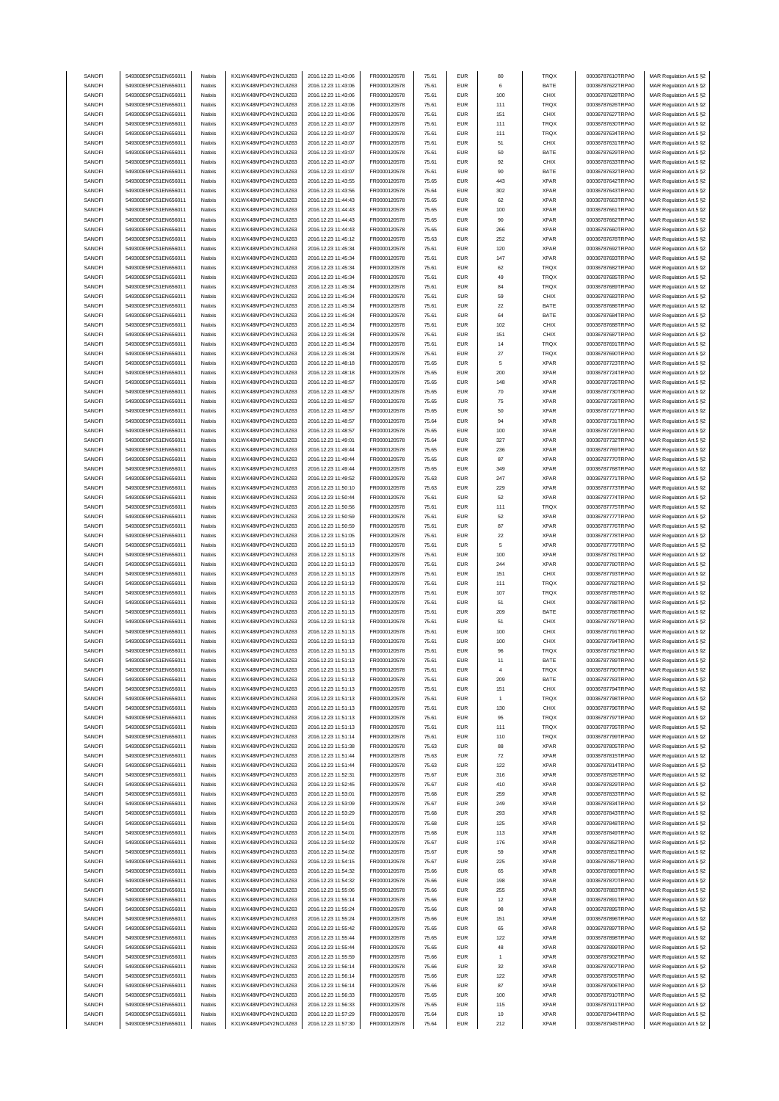| SANOFI | 549300E9PC51EN656011 | Natixis | KX1WK48MPD4Y2NCUIZ63 | 2016.12.23 11:43:06 | FR0000120578 | 75.61 | <b>EUR</b>                  | 80             | <b>TRQX</b> | 00036787610TRPA0 | MAR Regulation Art.5 §2 |
|--------|----------------------|---------|----------------------|---------------------|--------------|-------|-----------------------------|----------------|-------------|------------------|-------------------------|
| SANOFI | 549300E9PC51EN656011 | Natixis | KX1WK48MPD4Y2NCUIZ63 | 2016.12.23 11:43:06 | FR0000120578 | 75.61 | <b>EUR</b>                  | 6              | BATE        | 00036787622TRPA0 | MAR Regulation Art.5 §2 |
| SANOFI | 549300E9PC51EN656011 | Natixis | KX1WK48MPD4Y2NCUIZ63 | 2016.12.23 11:43:06 | FR0000120578 | 75.61 | <b>EUR</b>                  | 100            | CHIX        | 00036787628TRPA0 | MAR Regulation Art.5 §2 |
| SANOFI | 549300E9PC51EN656011 | Natixis | KX1WK48MPD4Y2NCUIZ63 | 2016.12.23 11:43:06 | FR0000120578 | 75.61 | <b>EUR</b>                  | 111            | TRQX        | 00036787626TRPA0 | MAR Regulation Art.5 §2 |
|        |                      |         |                      |                     |              |       |                             |                |             |                  |                         |
| SANOFI | 549300E9PC51EN656011 | Natixis | KX1WK48MPD4Y2NCUIZ63 | 2016.12.23 11:43:06 | FR0000120578 | 75.61 | <b>EUR</b>                  | 151            | CHIX        | 00036787627TRPA0 | MAR Regulation Art.5 §2 |
| SANOFI | 549300E9PC51EN656011 | Natixis | KX1WK48MPD4Y2NCUIZ63 | 2016.12.23 11:43:07 | FR0000120578 | 75.61 | <b>EUR</b>                  | 111            | TRQX        | 00036787630TRPA0 | MAR Regulation Art.5 §2 |
| SANOFI | 549300E9PC51EN656011 | Natixis | KX1WK48MPD4Y2NCUIZ63 | 2016.12.23 11:43:07 | FR0000120578 | 75.61 | <b>EUR</b>                  | 111            | TRQX        | 00036787634TRPA0 | MAR Regulation Art.5 §2 |
| SANOFI | 549300E9PC51EN656011 | Natixis | KX1WK48MPD4Y2NCUIZ63 | 2016.12.23 11:43:07 | FR0000120578 | 75.61 | <b>EUR</b>                  | 51             | CHIX        | 00036787631TRPA0 | MAR Regulation Art.5 §2 |
| SANOFI | 549300E9PC51EN656011 | Natixis | KX1WK48MPD4Y2NCUIZ63 | 2016.12.23 11:43:07 | FR0000120578 | 75.61 | <b>EUR</b>                  | 50             | BATE        | 00036787629TRPA0 | MAR Regulation Art.5 §2 |
| SANOFI | 549300E9PC51EN656011 | Natixis | KX1WK48MPD4Y2NCUIZ63 | 2016.12.23 11:43:07 | FR0000120578 | 75.61 | <b>EUR</b>                  | 92             | CHIX        | 00036787633TRPA0 | MAR Regulation Art.5 §2 |
|        | 549300E9PC51EN656011 | Natixis |                      |                     |              | 75.61 | <b>EUR</b>                  | 90             | BATE        |                  |                         |
| SANOFI |                      |         | KX1WK48MPD4Y2NCUIZ63 | 2016.12.23 11:43:07 | FR0000120578 |       |                             |                |             | 00036787632TRPA0 | MAR Regulation Art.5 §2 |
| SANOFI | 549300E9PC51EN656011 | Natixis | KX1WK48MPD4Y2NCUIZ63 | 2016.12.23 11:43:55 | FR0000120578 | 75.65 | <b>EUR</b>                  | 443            | <b>XPAR</b> | 00036787642TRPA0 | MAR Regulation Art.5 §2 |
| SANOFI | 549300E9PC51EN656011 | Natixis | KX1WK48MPD4Y2NCUIZ63 | 2016.12.23 11:43:56 | FR0000120578 | 75.64 | <b>EUR</b>                  | 302            | <b>XPAR</b> | 00036787643TRPA0 | MAR Regulation Art.5 §2 |
| SANOFI | 549300E9PC51EN656011 | Natixis | KX1WK48MPD4Y2NCUIZ63 | 2016.12.23 11:44:43 | FR0000120578 | 75.65 | <b>EUR</b>                  | 62             | <b>XPAR</b> | 00036787663TRPA0 | MAR Regulation Art.5 §2 |
| SANOFI | 549300E9PC51EN656011 | Natixis | KX1WK48MPD4Y2NCUIZ63 | 2016.12.23 11:44:43 | FR0000120578 | 75.65 | <b>EUR</b>                  | 100            | <b>XPAR</b> | 00036787661TRPA0 | MAR Regulation Art.5 §2 |
| SANOFI | 549300E9PC51EN656011 | Natixis | KX1WK48MPD4Y2NCUIZ63 | 2016.12.23 11:44:43 | FR0000120578 | 75.65 | <b>EUR</b>                  | 90             | <b>XPAR</b> | 00036787662TRPA0 |                         |
|        |                      |         |                      |                     |              |       |                             |                |             |                  | MAR Regulation Art.5 §2 |
| SANOFI | 549300E9PC51EN656011 | Natixis | KX1WK48MPD4Y2NCUIZ63 | 2016.12.23 11:44:43 | FR0000120578 | 75.65 | <b>EUR</b>                  | 266            | <b>XPAR</b> | 00036787660TRPA0 | MAR Regulation Art.5 §2 |
| SANOFI | 549300E9PC51EN656011 | Natixis | KX1WK48MPD4Y2NCUIZ63 | 2016.12.23 11:45:12 | FR0000120578 | 75.63 | <b>EUR</b>                  | 252            | <b>XPAR</b> | 00036787678TRPA0 | MAR Regulation Art.5 §2 |
| SANOFI | 549300E9PC51EN656011 | Natixis | KX1WK48MPD4Y2NCUIZ63 | 2016.12.23 11:45:34 | FR0000120578 | 75.61 | <b>EUR</b>                  | 120            | <b>XPAR</b> | 00036787692TRPA0 | MAR Regulation Art.5 §2 |
| SANOFI | 549300E9PC51EN656011 | Natixis | KX1WK48MPD4Y2NCUIZ63 | 2016.12.23 11:45:34 | FR0000120578 | 75.61 | <b>EUR</b>                  | 147            | <b>XPAR</b> | 00036787693TRPA0 | MAR Regulation Art.5 §2 |
| SANOFI | 549300E9PC51EN656011 | Natixis | KX1WK48MPD4Y2NCUIZ63 | 2016.12.23 11:45:34 | FR0000120578 | 75.61 | <b>EUR</b>                  | 62             | TRQX        | 00036787682TRPA0 | MAR Regulation Art.5 §2 |
| SANOFI | 549300E9PC51EN656011 | Natixis | KX1WK48MPD4Y2NCUIZ63 | 2016.12.23 11:45:34 | FR0000120578 | 75.61 | <b>EUR</b>                  | 49             | TRQX        | 00036787685TRPA0 | MAR Regulation Art.5 §2 |
|        |                      |         |                      |                     |              |       |                             |                |             |                  |                         |
| SANOFI | 549300E9PC51EN656011 | Natixis | KX1WK48MPD4Y2NCUIZ63 | 2016.12.23 11:45:34 | FR0000120578 | 75.61 | <b>EUR</b>                  | 84             | TRQX        | 00036787689TRPA0 | MAR Regulation Art.5 §2 |
| SANOFI | 549300E9PC51EN656011 | Natixis | KX1WK48MPD4Y2NCUIZ63 | 2016.12.23 11:45:34 | FR0000120578 | 75.61 | <b>EUR</b>                  | 59             | CHIX        | 00036787683TRPA0 | MAR Regulation Art.5 §2 |
| SANOFI | 549300E9PC51EN656011 | Natixis | KX1WK48MPD4Y2NCUIZ63 | 2016.12.23 11:45:34 | FR0000120578 | 75.61 | <b>EUR</b>                  | $22\,$         | BATE        | 00036787686TRPA0 | MAR Regulation Art.5 §2 |
| SANOFI | 549300E9PC51EN656011 | Natixis | KX1WK48MPD4Y2NCUIZ63 | 2016.12.23 11:45:34 | FR0000120578 | 75.61 | <b>EUR</b>                  | 64             | BATE        | 00036787684TRPA0 | MAR Regulation Art.5 §2 |
| SANOFI | 549300E9PC51EN656011 | Natixis | KX1WK48MPD4Y2NCUIZ63 | 2016.12.23 11:45:34 | FR0000120578 | 75.61 | <b>EUR</b>                  | 102            | CHIX        | 00036787688TRPA0 | MAR Regulation Art.5 §2 |
| SANOFI | 549300E9PC51EN656011 | Natixis | KX1WK48MPD4Y2NCUIZ63 | 2016.12.23 11:45:34 | FR0000120578 | 75.61 | <b>EUR</b>                  | 151            | CHIX        | 00036787687TRPA0 | MAR Regulation Art.5 §2 |
|        |                      |         |                      |                     |              |       |                             |                |             |                  |                         |
| SANOFI | 549300E9PC51EN656011 | Natixis | KX1WK48MPD4Y2NCUIZ63 | 2016.12.23 11:45:34 | FR0000120578 | 75.61 | <b>EUR</b>                  | 14             | TRQX        | 00036787691TRPA0 | MAR Regulation Art.5 §2 |
| SANOFI | 549300E9PC51EN656011 | Natixis | KX1WK48MPD4Y2NCUIZ63 | 2016.12.23 11:45:34 | FR0000120578 | 75.61 | <b>EUR</b>                  | 27             | TRQX        | 00036787690TRPA0 | MAR Regulation Art.5 §2 |
| SANOFI | 549300E9PC51EN656011 | Natixis | KX1WK48MPD4Y2NCUIZ63 | 2016.12.23 11:48:18 | FR0000120578 | 75.65 | <b>EUR</b>                  | 5              | <b>XPAR</b> | 00036787723TRPA0 | MAR Regulation Art.5 §2 |
| SANOFI | 549300E9PC51EN656011 | Natixis | KX1WK48MPD4Y2NCUIZ63 | 2016.12.23 11:48:18 | FR0000120578 | 75.65 | <b>EUR</b>                  | 200            | <b>XPAR</b> | 00036787724TRPA0 | MAR Regulation Art.5 §2 |
| SANOFI | 549300E9PC51EN656011 | Natixis | KX1WK48MPD4Y2NCUIZ63 | 2016.12.23 11:48:57 | FR0000120578 | 75.65 | <b>EUR</b>                  | 148            | <b>XPAR</b> | 00036787726TRPA0 | MAR Regulation Art.5 §2 |
|        |                      |         |                      |                     |              |       |                             |                |             |                  |                         |
| SANOFI | 549300E9PC51EN656011 | Natixis | KX1WK48MPD4Y2NCUIZ63 | 2016.12.23 11:48:57 | FR0000120578 | 75.65 | <b>EUR</b>                  | 70             | <b>XPAR</b> | 00036787730TRPA0 | MAR Regulation Art.5 §2 |
| SANOFI | 549300E9PC51EN656011 | Natixis | KX1WK48MPD4Y2NCUIZ63 | 2016.12.23 11:48:57 | FR0000120578 | 75.65 | <b>EUR</b>                  | 75             | <b>XPAR</b> | 00036787728TRPA0 | MAR Regulation Art.5 §2 |
| SANOFI | 549300E9PC51EN656011 | Natixis | KX1WK48MPD4Y2NCUIZ63 | 2016.12.23 11:48:57 | FR0000120578 | 75.65 | <b>EUR</b>                  | 50             | <b>XPAR</b> | 00036787727TRPA0 | MAR Regulation Art.5 §2 |
| SANOFI | 549300E9PC51EN656011 | Natixis | KX1WK48MPD4Y2NCUIZ63 | 2016.12.23 11:48:57 | FR0000120578 | 75.64 | <b>EUR</b>                  | 94             | <b>XPAR</b> | 00036787731TRPA0 | MAR Regulation Art.5 §2 |
| SANOFI | 549300E9PC51EN656011 | Natixis | KX1WK48MPD4Y2NCUIZ63 | 2016.12.23 11:48:57 | FR0000120578 | 75.65 | <b>EUR</b>                  | 100            | <b>XPAR</b> | 00036787729TRPA0 | MAR Regulation Art.5 §2 |
|        | 549300E9PC51EN656011 |         | KX1WK48MPD4Y2NCUIZ63 | 2016.12.23 11:49:01 |              |       |                             |                |             |                  |                         |
| SANOFI |                      | Natixis |                      |                     | FR0000120578 | 75.64 | <b>EUR</b>                  | 327            | <b>XPAR</b> | 00036787732TRPA0 | MAR Regulation Art.5 §2 |
| SANOFI | 549300E9PC51EN656011 | Natixis | KX1WK48MPD4Y2NCUIZ63 | 2016.12.23 11:49:44 | FR0000120578 | 75.65 | <b>EUR</b>                  | 236            | <b>XPAR</b> | 00036787769TRPA0 | MAR Regulation Art.5 §2 |
| SANOFI | 549300E9PC51EN656011 | Natixis | KX1WK48MPD4Y2NCUIZ63 | 2016.12.23 11:49:44 | FR0000120578 | 75.65 | <b>EUR</b>                  | 87             | <b>XPAR</b> | 00036787770TRPA0 | MAR Regulation Art.5 §2 |
| SANOFI | 549300E9PC51EN656011 | Natixis | KX1WK48MPD4Y2NCUIZ63 | 2016.12.23 11:49:44 | FR0000120578 | 75.65 | <b>EUR</b>                  | 349            | <b>XPAR</b> | 00036787768TRPA0 | MAR Regulation Art.5 §2 |
| SANOFI | 549300E9PC51EN656011 | Natixis | KX1WK48MPD4Y2NCUIZ63 | 2016.12.23 11:49:52 | FR0000120578 | 75.63 | <b>EUR</b>                  | 247            | <b>XPAR</b> | 00036787771TRPA0 | MAR Regulation Art.5 §2 |
| SANOFI | 549300E9PC51EN656011 | Natixis | KX1WK48MPD4Y2NCUIZ63 | 2016.12.23 11:50:10 | FR0000120578 | 75.63 | <b>EUR</b>                  | 229            | <b>XPAR</b> | 00036787773TRPA0 | MAR Regulation Art.5 §2 |
|        |                      |         |                      |                     |              |       |                             |                |             |                  |                         |
| SANOFI | 549300E9PC51EN656011 | Natixis | KX1WK48MPD4Y2NCUIZ63 | 2016.12.23 11:50:44 | FR0000120578 | 75.61 | <b>EUR</b>                  | 52             | <b>XPAR</b> | 00036787774TRPA0 | MAR Regulation Art.5 §2 |
| SANOFI | 549300E9PC51EN656011 | Natixis | KX1WK48MPD4Y2NCUIZ63 | 2016.12.23 11:50:56 | FR0000120578 | 75.61 | <b>EUR</b>                  | 111            | TRQX        | 00036787775TRPA0 | MAR Regulation Art.5 §2 |
| SANOFI | 549300E9PC51EN656011 | Natixis | KX1WK48MPD4Y2NCUIZ63 | 2016.12.23 11:50:59 | FR0000120578 | 75.61 | <b>EUR</b>                  | 52             | <b>XPAR</b> | 00036787777TRPA0 | MAR Regulation Art.5 §2 |
| SANOFI | 549300E9PC51EN656011 | Natixis | KX1WK48MPD4Y2NCUIZ63 | 2016.12.23 11:50:59 | FR0000120578 | 75.61 | <b>EUR</b>                  | 87             | <b>XPAR</b> | 00036787776TRPA0 | MAR Regulation Art.5 §2 |
| SANOFI | 549300E9PC51EN656011 | Natixis | KX1WK48MPD4Y2NCUIZ63 | 2016.12.23 11:51:05 | FR0000120578 | 75.61 | <b>EUR</b>                  | 22             | <b>XPAR</b> | 00036787778TRPA0 | MAR Regulation Art.5 §2 |
| SANOFI | 549300E9PC51EN656011 | Natixis | KX1WK48MPD4Y2NCUIZ63 | 2016.12.23 11:51:13 | FR0000120578 | 75.61 | <b>EUR</b>                  | 5              | <b>XPAR</b> | 00036787779TRPA0 |                         |
|        |                      |         |                      |                     |              |       |                             |                |             |                  | MAR Regulation Art.5 §2 |
| SANOFI | 549300E9PC51EN656011 | Natixis | KX1WK48MPD4Y2NCUIZ63 | 2016.12.23 11:51:13 | FR0000120578 | 75.61 | <b>EUR</b>                  | 100            | <b>XPAR</b> | 00036787781TRPA0 | MAR Regulation Art.5 §2 |
| SANOFI | 549300E9PC51EN656011 | Natixis | KX1WK48MPD4Y2NCUIZ63 | 2016.12.23 11:51:13 | FR0000120578 | 75.61 | <b>EUR</b>                  | 244            | <b>XPAR</b> | 00036787780TRPA0 | MAR Regulation Art.5 §2 |
| SANOFI | 549300E9PC51EN656011 | Natixis | KX1WK48MPD4Y2NCUIZ63 | 2016.12.23 11:51:13 | FR0000120578 | 75.61 | <b>EUR</b>                  | 151            | CHIX        | 00036787793TRPA0 | MAR Regulation Art.5 §2 |
| SANOFI | 549300E9PC51EN656011 | Natixis | KX1WK48MPD4Y2NCUIZ63 | 2016.12.23 11:51:13 | FR0000120578 | 75.61 | <b>EUR</b>                  | 111            | TRQX        | 00036787782TRPA0 | MAR Regulation Art.5 §2 |
| SANOFI | 549300E9PC51EN656011 | Natixis | KX1WK48MPD4Y2NCUIZ63 | 2016.12.23 11:51:13 | FR0000120578 | 75.61 | <b>EUR</b>                  | 107            | TRQX        | 00036787785TRPA0 | MAR Regulation Art.5 §2 |
|        |                      |         | KX1WK48MPD4Y2NCUIZ63 |                     |              |       |                             |                |             |                  |                         |
| SANOFI | 549300E9PC51EN656011 | Natixis |                      | 2016.12.23 11:51:13 | FR0000120578 | 75.61 | <b>EUR</b>                  | 51             | CHIX        | 00036787788TRPA0 | MAR Regulation Art.5 §2 |
| SANOFI | 549300E9PC51EN656011 | Natixis | KX1WK48MPD4Y2NCUIZ63 | 2016.12.23 11:51:13 | FR0000120578 | 75.61 | <b>EUR</b>                  | 209            | BATE        | 00036787786TRPA0 | MAR Regulation Art.5 §2 |
| SANOFI | 549300E9PC51EN656011 | Natixis | KX1WK48MPD4Y2NCUIZ63 | 2016.12.23 11:51:13 | FR0000120578 | 75.61 | <b>EUR</b>                  | 51             | CHIX        | 00036787787TRPA0 | MAR Regulation Art.5 §2 |
| SANOFI | 549300E9PC51EN656011 | Natixis | KX1WK48MPD4Y2NCUIZ63 | 2016.12.23 11:51:13 | FR0000120578 | 75.61 | <b>EUR</b>                  | 100            | CHIX        | 00036787791TRPA0 | MAR Regulation Art.5 §2 |
| SANOFI | 549300E9PC51EN656011 | Natixis | KX1WK48MPD4Y2NCUIZ63 | 2016.12.23 11:51:13 | FR0000120578 | 75.61 | <b>EUR</b>                  | 100            | CHIX        | 00036787784TRPA0 | MAR Regulation Art.5 §2 |
|        |                      |         |                      |                     |              |       |                             |                |             |                  |                         |
| SANOF  | 549300E9PC51EN65601  | Natixis | KX1WK48MPD4Y2NCUIZ63 | 2016.12.23 11:51:13 | FR0000120578 | 75.61 | EUR                         |                | TROX        | 00036787792TRPA0 | MAR Regulation Art.5 §2 |
| SANOFI | 549300E9PC51EN656011 | Natixis | KX1WK48MPD4Y2NCUIZ63 | 2016.12.23 11:51:13 | FR0000120578 | 75.61 | <b>EUR</b>                  | 11             | BATE        | 00036787789TRPA0 | MAR Regulation Art.5 §2 |
| SANOFI | 549300E9PC51EN656011 | Natixis | KX1WK48MPD4Y2NCUIZ63 | 2016.12.23 11:51:13 | FR0000120578 | 75.61 | <b>EUR</b>                  | $\overline{4}$ | TRQX        | 00036787790TRPA0 | MAR Regulation Art.5 §2 |
| SANOFI | 549300E9PC51EN656011 | Natixis | KX1WK48MPD4Y2NCUIZ63 | 2016.12.23 11:51:13 | FR0000120578 | 75.61 | <b>EUR</b>                  | 209            | BATE        | 00036787783TRPA0 | MAR Regulation Art.5 §2 |
| SANOFI | 549300E9PC51EN656011 | Natixis | KX1WK48MPD4Y2NCUIZ63 | 2016.12.23 11:51:13 | FR0000120578 | 75.61 | <b>EUR</b>                  | 151            | CHIX        | 00036787794TRPA0 | MAR Regulation Art.5 §2 |
| SANOFI | 549300E9PC51EN656011 | Natixis | KX1WK48MPD4Y2NCUIZ63 | 2016.12.23 11:51:13 | FR0000120578 | 75.61 | <b>EUR</b>                  | 1              | TRQX        | 00036787798TRPA0 | MAR Regulation Art.5 §2 |
| SANOFI | 549300E9PC51EN656011 | Natixis | KX1WK48MPD4Y2NCUIZ63 | 2016.12.23 11:51:13 | FR0000120578 | 75.61 | <b>EUR</b>                  | 130            | CHIX        | 00036787796TRPA0 | MAR Regulation Art.5 §2 |
| SANOFI | 549300E9PC51EN656011 |         | KX1WK48MPD4Y2NCUIZ63 | 2016.12.23 11:51:13 | FR0000120578 |       |                             | 95             | TRQX        |                  |                         |
|        |                      | Natixis |                      |                     |              | 75.61 | <b>EUR</b>                  |                |             | 00036787797TRPA0 | MAR Regulation Art.5 §2 |
| SANOFI | 549300E9PC51EN656011 | Natixis | KX1WK48MPD4Y2NCUIZ63 | 2016.12.23 11:51:13 | FR0000120578 | 75.61 | <b>EUR</b>                  | 111            | <b>TRQX</b> | 00036787795TRPA0 | MAR Regulation Art.5 §2 |
| SANOFI | 549300E9PC51EN656011 | Natixis | KX1WK48MPD4Y2NCUIZ63 | 2016.12.23 11:51:14 | FR0000120578 | 75.61 | <b>EUR</b>                  | 110            | <b>TRQX</b> | 00036787799TRPA0 | MAR Regulation Art.5 §2 |
| SANOFI | 549300E9PC51EN656011 | Natixis | KX1WK48MPD4Y2NCUIZ63 | 2016.12.23 11:51:38 | FR0000120578 | 75.63 | <b>EUR</b>                  | 88             | <b>XPAR</b> | 00036787805TRPA0 | MAR Regulation Art.5 §2 |
| SANOFI | 549300E9PC51EN656011 | Natixis | KX1WK48MPD4Y2NCUIZ63 | 2016.12.23 11:51:44 | FR0000120578 | 75.63 | <b>EUR</b>                  | 72             | <b>XPAR</b> | 00036787815TRPA0 | MAR Regulation Art.5 §2 |
| SANOFI | 549300E9PC51EN656011 | Natixis | KX1WK48MPD4Y2NCUIZ63 | 2016.12.23 11:51:44 | FR0000120578 | 75.63 | <b>EUR</b>                  | 122            | <b>XPAR</b> | 00036787814TRPA0 | MAR Regulation Art.5 §2 |
| SANOFI | 549300E9PC51EN656011 | Natixis | KX1WK48MPD4Y2NCUIZ63 | 2016.12.23 11:52:31 | FR0000120578 | 75.67 | <b>EUR</b>                  | 316            | <b>XPAR</b> | 00036787826TRPA0 | MAR Regulation Art.5 §2 |
|        |                      |         |                      |                     |              |       |                             |                |             |                  |                         |
| SANOFI | 549300E9PC51EN656011 | Natixis | KX1WK48MPD4Y2NCUIZ63 | 2016.12.23 11:52:45 | FR0000120578 | 75.67 | <b>EUR</b>                  | 410            | <b>XPAR</b> | 00036787829TRPA0 | MAR Regulation Art.5 §2 |
| SANOFI | 549300E9PC51EN656011 | Natixis | KX1WK48MPD4Y2NCUIZ63 | 2016.12.23 11:53:01 | FR0000120578 | 75.68 | $\ensuremath{\mathsf{EUR}}$ | 259            | <b>XPAR</b> | 00036787833TRPA0 | MAR Regulation Art.5 §2 |
| SANOFI | 549300E9PC51EN656011 | Natixis | KX1WK48MPD4Y2NCUIZ63 | 2016.12.23 11:53:09 | FR0000120578 | 75.67 | <b>EUR</b>                  | 249            | <b>XPAR</b> | 00036787834TRPA0 | MAR Regulation Art.5 §2 |
| SANOFI | 549300E9PC51EN656011 | Natixis | KX1WK48MPD4Y2NCUIZ63 | 2016.12.23 11:53:29 | FR0000120578 | 75.68 | <b>EUR</b>                  | 293            | <b>XPAR</b> | 00036787843TRPA0 | MAR Regulation Art.5 §2 |
| SANOFI | 549300E9PC51EN656011 | Natixis | KX1WK48MPD4Y2NCUIZ63 | 2016.12.23 11:54:01 | FR0000120578 | 75.68 | <b>EUR</b>                  | 125            | <b>XPAR</b> | 00036787848TRPA0 | MAR Regulation Art.5 §2 |
| SANOFI | 549300E9PC51EN656011 | Natixis | KX1WK48MPD4Y2NCUIZ63 | 2016.12.23 11:54:01 | FR0000120578 | 75.68 | <b>EUR</b>                  | 113            | <b>XPAR</b> | 00036787849TRPA0 | MAR Regulation Art.5 §2 |
|        |                      |         |                      |                     |              |       |                             |                |             |                  |                         |
| SANOFI | 549300E9PC51EN656011 | Natixis | KX1WK48MPD4Y2NCUIZ63 | 2016.12.23 11:54:02 | FR0000120578 | 75.67 | <b>EUR</b>                  | 176            | <b>XPAR</b> | 00036787852TRPA0 | MAR Regulation Art.5 §2 |
| SANOFI | 549300E9PC51EN656011 | Natixis | KX1WK48MPD4Y2NCUIZ63 | 2016.12.23 11:54:02 | FR0000120578 | 75.67 | <b>EUR</b>                  | 59             | <b>XPAR</b> | 00036787851TRPA0 | MAR Regulation Art.5 §2 |
| SANOFI | 549300E9PC51EN656011 | Natixis | KX1WK48MPD4Y2NCUIZ63 | 2016.12.23 11:54:15 | FR0000120578 | 75.67 | <b>EUR</b>                  | 225            | <b>XPAR</b> | 00036787857TRPA0 | MAR Regulation Art.5 §2 |
| SANOFI | 549300E9PC51EN656011 | Natixis | KX1WK48MPD4Y2NCUIZ63 | 2016.12.23 11:54:32 | FR0000120578 | 75.66 | <b>EUR</b>                  | 65             | <b>XPAR</b> | 00036787869TRPA0 | MAR Regulation Art.5 §2 |
| SANOFI | 549300E9PC51EN656011 | Natixis | KX1WK48MPD4Y2NCUIZ63 | 2016.12.23 11:54:32 | FR0000120578 | 75.66 | <b>EUR</b>                  | 198            | <b>XPAR</b> | 00036787870TRPA0 | MAR Regulation Art.5 §2 |
|        |                      |         |                      |                     |              |       |                             | 255            | <b>XPAR</b> |                  |                         |
| SANOFI | 549300E9PC51EN656011 | Natixis | KX1WK48MPD4Y2NCUIZ63 | 2016.12.23 11:55:06 | FR0000120578 | 75.66 | <b>EUR</b>                  |                |             | 00036787883TRPA0 | MAR Regulation Art.5 §2 |
| SANOFI | 549300E9PC51EN656011 | Natixis | KX1WK48MPD4Y2NCUIZ63 | 2016.12.23 11:55:14 | FR0000120578 | 75.66 | <b>EUR</b>                  | 12             | <b>XPAR</b> | 00036787891TRPA0 | MAR Regulation Art.5 §2 |
| SANOFI | 549300E9PC51EN656011 | Natixis | KX1WK48MPD4Y2NCUIZ63 | 2016.12.23 11:55:24 | FR0000120578 | 75.66 | <b>EUR</b>                  | 98             | <b>XPAR</b> | 00036787895TRPA0 | MAR Regulation Art.5 §2 |
| SANOFI | 549300E9PC51EN656011 | Natixis | KX1WK48MPD4Y2NCUIZ63 | 2016.12.23 11:55:24 | FR0000120578 | 75.66 | <b>EUR</b>                  | 151            | <b>XPAR</b> | 00036787896TRPA0 | MAR Regulation Art.5 §2 |
| SANOFI | 549300E9PC51EN656011 | Natixis | KX1WK48MPD4Y2NCUIZ63 | 2016.12.23 11:55:42 | FR0000120578 | 75.65 | <b>EUR</b>                  | 65             | <b>XPAR</b> | 00036787897TRPA0 | MAR Regulation Art.5 §2 |
| SANOFI | 549300E9PC51EN656011 | Natixis | KX1WK48MPD4Y2NCUIZ63 | 2016.12.23 11:55:44 | FR0000120578 | 75.65 | <b>EUR</b>                  | 122            | <b>XPAR</b> | 00036787898TRPA0 | MAR Regulation Art.5 §2 |
|        |                      |         |                      |                     |              |       |                             |                |             |                  |                         |
| SANOFI | 549300E9PC51EN656011 | Natixis | KX1WK48MPD4Y2NCUIZ63 | 2016.12.23 11:55:44 | FR0000120578 | 75.65 | <b>EUR</b>                  | 48             | <b>XPAR</b> | 00036787899TRPA0 | MAR Regulation Art.5 §2 |
| SANOFI | 549300E9PC51EN656011 | Natixis | KX1WK48MPD4Y2NCUIZ63 | 2016.12.23 11:55:59 | FR0000120578 | 75.66 | <b>EUR</b>                  | $\mathbf{1}$   | <b>XPAR</b> | 00036787902TRPA0 | MAR Regulation Art.5 §2 |
| SANOFI | 549300E9PC51EN656011 | Natixis | KX1WK48MPD4Y2NCUIZ63 | 2016.12.23 11:56:14 | FR0000120578 | 75.66 | <b>EUR</b>                  | 32             | <b>XPAR</b> | 00036787907TRPA0 | MAR Regulation Art.5 §2 |
| SANOFI | 549300E9PC51EN656011 | Natixis | KX1WK48MPD4Y2NCUIZ63 | 2016.12.23 11:56:14 | FR0000120578 | 75.66 | <b>EUR</b>                  | 122            | <b>XPAR</b> | 00036787905TRPA0 | MAR Regulation Art.5 §2 |
| SANOFI | 549300E9PC51EN656011 | Natixis | KX1WK48MPD4Y2NCUIZ63 | 2016.12.23 11:56:14 | FR0000120578 | 75.66 | <b>EUR</b>                  | 87             | <b>XPAR</b> | 00036787906TRPA0 | MAR Regulation Art.5 §2 |
| SANOFI | 549300E9PC51EN656011 | Natixis | KX1WK48MPD4Y2NCUIZ63 | 2016.12.23 11:56:33 | FR0000120578 | 75.65 | <b>EUR</b>                  | 100            | <b>XPAR</b> | 00036787910TRPA0 | MAR Regulation Art.5 §2 |
| SANOFI | 549300E9PC51EN656011 | Natixis | KX1WK48MPD4Y2NCUIZ63 | 2016.12.23 11:56:33 | FR0000120578 | 75.65 | <b>EUR</b>                  | 115            | <b>XPAR</b> | 00036787911TRPA0 | MAR Regulation Art.5 §2 |
|        |                      |         |                      |                     |              |       |                             |                |             |                  |                         |
| SANOFI | 549300E9PC51EN656011 | Natixis | KX1WK48MPD4Y2NCUIZ63 | 2016.12.23 11:57:29 | FR0000120578 | 75.64 | <b>EUR</b>                  | 10             | <b>XPAR</b> | 00036787944TRPA0 | MAR Regulation Art.5 §2 |
| SANOFI | 549300E9PC51EN656011 | Natixis | KX1WK48MPD4Y2NCUIZ63 | 2016.12.23 11:57:30 | FR0000120578 | 75.64 | <b>EUR</b>                  | 212            | <b>XPAR</b> | 00036787945TRPA0 | MAR Regulation Art.5 §2 |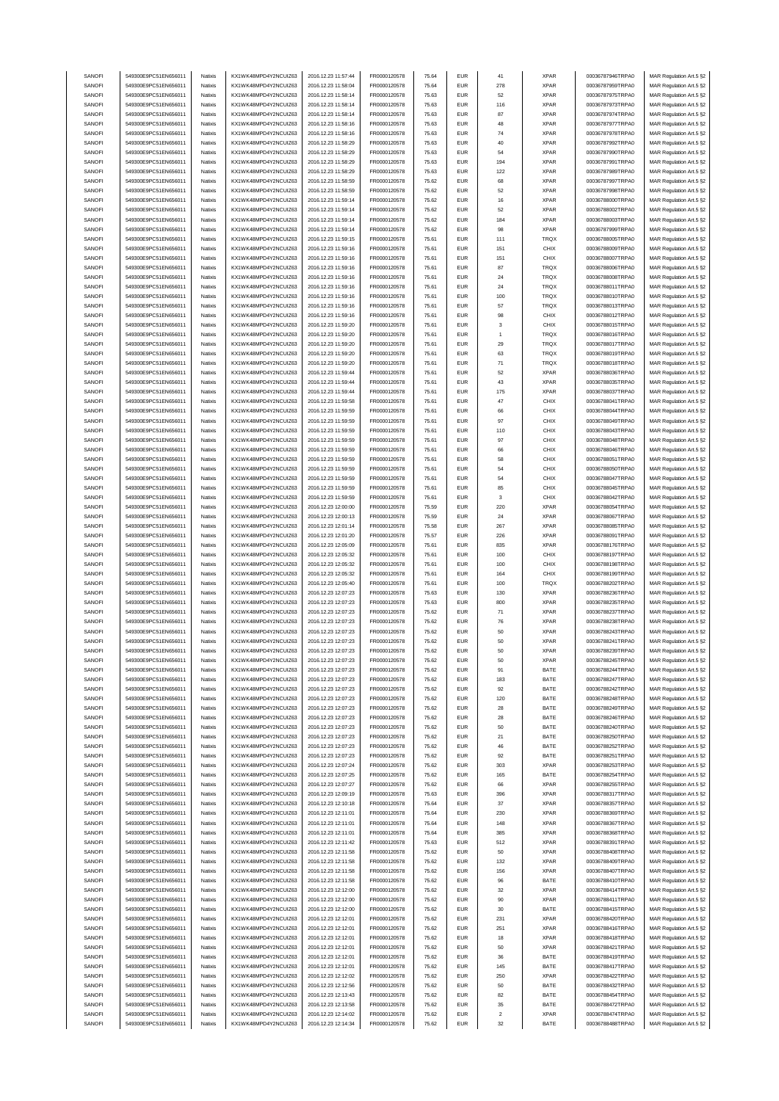| SANOFI | 549300E9PC51EN656011 | Natixis | KX1WK48MPD4Y2NCUIZ63 | 2016.12.23 11:57:44 | FR0000120578 | 75.64 | <b>EUR</b> | 41                      | <b>XPAR</b> | 00036787946TRPA0 | MAR Regulation Art.5 §2 |
|--------|----------------------|---------|----------------------|---------------------|--------------|-------|------------|-------------------------|-------------|------------------|-------------------------|
| SANOFI | 549300E9PC51EN656011 | Natixis | KX1WK48MPD4Y2NCUIZ63 | 2016.12.23 11:58:04 | FR0000120578 | 75.64 | <b>EUR</b> | 278                     | <b>XPAR</b> | 00036787959TRPA0 | MAR Regulation Art.5 §2 |
| SANOFI | 549300E9PC51EN656011 | Natixis | KX1WK48MPD4Y2NCUIZ63 | 2016.12.23 11:58:14 | FR0000120578 | 75.63 | <b>EUR</b> | 52                      | <b>XPAR</b> | 00036787975TRPA0 | MAR Regulation Art.5 §2 |
| SANOFI | 549300E9PC51EN656011 | Natixis | KX1WK48MPD4Y2NCUIZ63 | 2016.12.23 11:58:14 | FR0000120578 | 75.63 | <b>EUR</b> | 116                     | <b>XPAR</b> | 00036787973TRPA0 | MAR Regulation Art.5 §2 |
|        |                      |         |                      |                     |              |       |            |                         |             |                  |                         |
| SANOFI | 549300E9PC51EN656011 | Natixis | KX1WK48MPD4Y2NCUIZ63 | 2016.12.23 11:58:14 | FR0000120578 | 75.63 | <b>EUR</b> | 87                      | <b>XPAR</b> | 00036787974TRPA0 | MAR Regulation Art.5 §2 |
| SANOFI | 549300E9PC51EN656011 | Natixis | KX1WK48MPD4Y2NCUIZ63 | 2016.12.23 11:58:16 | FR0000120578 | 75.63 | <b>EUR</b> | 48                      | <b>XPAR</b> | 00036787977TRPA0 | MAR Regulation Art.5 §2 |
| SANOFI | 549300E9PC51EN656011 | Natixis | KX1WK48MPD4Y2NCUIZ63 | 2016.12.23 11:58:16 | FR0000120578 | 75.63 | <b>EUR</b> | 74                      | <b>XPAR</b> | 00036787978TRPA0 | MAR Regulation Art.5 §2 |
| SANOFI | 549300E9PC51EN656011 | Natixis | KX1WK48MPD4Y2NCUIZ63 | 2016.12.23 11:58:29 | FR0000120578 | 75.63 | <b>EUR</b> | 40                      | <b>XPAR</b> | 00036787992TRPA0 | MAR Regulation Art.5 §2 |
| SANOFI | 549300E9PC51EN656011 | Natixis | KX1WK48MPD4Y2NCUIZ63 | 2016.12.23 11:58:29 | FR0000120578 | 75.63 | <b>EUR</b> | 54                      | <b>XPAR</b> | 00036787990TRPA0 | MAR Regulation Art.5 §2 |
| SANOFI | 549300E9PC51EN656011 | Natixis | KX1WK48MPD4Y2NCUIZ63 | 2016.12.23 11:58:29 | FR0000120578 | 75.63 | <b>EUR</b> | 194                     | <b>XPAR</b> | 00036787991TRPA0 | MAR Regulation Art.5 §2 |
|        | 549300E9PC51EN656011 | Natixis |                      |                     |              | 75.63 | <b>EUR</b> |                         |             |                  |                         |
| SANOFI |                      |         | KX1WK48MPD4Y2NCUIZ63 | 2016.12.23 11:58:29 | FR0000120578 |       |            | 122                     | <b>XPAR</b> | 00036787989TRPA0 | MAR Regulation Art.5 §2 |
| SANOFI | 549300E9PC51EN656011 | Natixis | KX1WK48MPD4Y2NCUIZ63 | 2016.12.23 11:58:59 | FR0000120578 | 75.62 | <b>EUR</b> | 68                      | <b>XPAR</b> | 00036787997TRPA0 | MAR Regulation Art.5 §2 |
| SANOFI | 549300E9PC51EN656011 | Natixis | KX1WK48MPD4Y2NCUIZ63 | 2016.12.23 11:58:59 | FR0000120578 | 75.62 | <b>EUR</b> | 52                      | <b>XPAR</b> | 00036787998TRPA0 | MAR Regulation Art.5 §2 |
| SANOFI | 549300E9PC51EN656011 | Natixis | KX1WK48MPD4Y2NCUIZ63 | 2016.12.23 11:59:14 | FR0000120578 | 75.62 | <b>EUR</b> | 16                      | <b>XPAR</b> | 00036788000TRPA0 | MAR Regulation Art.5 §2 |
| SANOFI | 549300E9PC51EN656011 | Natixis | KX1WK48MPD4Y2NCUIZ63 | 2016.12.23 11:59:14 | FR0000120578 | 75.62 | <b>EUR</b> | 52                      | <b>XPAR</b> | 00036788002TRPA0 | MAR Regulation Art.5 §2 |
|        |                      |         |                      |                     |              |       |            |                         |             |                  |                         |
| SANOFI | 549300E9PC51EN656011 | Natixis | KX1WK48MPD4Y2NCUIZ63 | 2016.12.23 11:59:14 | FR0000120578 | 75.62 | <b>EUR</b> | 184                     | <b>XPAR</b> | 00036788003TRPA0 | MAR Regulation Art.5 §2 |
| SANOFI | 549300E9PC51EN656011 | Natixis | KX1WK48MPD4Y2NCUIZ63 | 2016.12.23 11:59:14 | FR0000120578 | 75.62 | <b>EUR</b> | 98                      | <b>XPAR</b> | 00036787999TRPA0 | MAR Regulation Art.5 §2 |
| SANOFI | 549300E9PC51EN656011 | Natixis | KX1WK48MPD4Y2NCUIZ63 | 2016.12.23 11:59:15 | FR0000120578 | 75.61 | <b>EUR</b> | 111                     | TRQX        | 00036788005TRPA0 | MAR Regulation Art.5 §2 |
| SANOFI | 549300E9PC51EN656011 | Natixis | KX1WK48MPD4Y2NCUIZ63 | 2016.12.23 11:59:16 | FR0000120578 | 75.61 | <b>EUR</b> | 151                     | CHIX        | 00036788009TRPA0 | MAR Regulation Art.5 §2 |
| SANOFI | 549300E9PC51EN656011 | Natixis | KX1WK48MPD4Y2NCUIZ63 | 2016.12.23 11:59:16 | FR0000120578 | 75.61 | <b>EUR</b> | 151                     | CHIX        | 00036788007TRPA0 | MAR Regulation Art.5 §2 |
|        |                      |         |                      |                     |              |       |            |                         |             |                  |                         |
| SANOFI | 549300E9PC51EN656011 | Natixis | KX1WK48MPD4Y2NCUIZ63 | 2016.12.23 11:59:16 | FR0000120578 | 75.61 | <b>EUR</b> | 87                      | TRQX        | 00036788006TRPA0 | MAR Regulation Art.5 §2 |
| SANOFI | 549300E9PC51EN656011 | Natixis | KX1WK48MPD4Y2NCUIZ63 | 2016.12.23 11:59:16 | FR0000120578 | 75.61 | <b>EUR</b> | 24                      | TRQX        | 00036788008TRPA0 | MAR Regulation Art.5 §2 |
| SANOFI | 549300E9PC51EN656011 | Natixis | KX1WK48MPD4Y2NCUIZ63 | 2016.12.23 11:59:16 | FR0000120578 | 75.61 | <b>EUR</b> | 24                      | TRQX        | 00036788011TRPA0 | MAR Regulation Art.5 §2 |
| SANOFI | 549300E9PC51EN656011 | Natixis | KX1WK48MPD4Y2NCUIZ63 | 2016.12.23 11:59:16 | FR0000120578 | 75.61 | <b>EUR</b> | 100                     | TRQX        | 00036788010TRPA0 | MAR Regulation Art.5 §2 |
| SANOFI | 549300E9PC51EN656011 | Natixis | KX1WK48MPD4Y2NCUIZ63 | 2016.12.23 11:59:16 | FR0000120578 | 75.61 | <b>EUR</b> | 57                      | TRQX        | 00036788013TRPA0 | MAR Regulation Art.5 §2 |
| SANOFI | 549300E9PC51EN656011 | Natixis |                      |                     |              | 75.61 | <b>EUR</b> | 98                      | CHIX        | 00036788012TRPA0 |                         |
|        |                      |         | KX1WK48MPD4Y2NCUIZ63 | 2016.12.23 11:59:16 | FR0000120578 |       |            |                         |             |                  | MAR Regulation Art.5 §2 |
| SANOFI | 549300E9PC51EN656011 | Natixis | KX1WK48MPD4Y2NCUIZ63 | 2016.12.23 11:59:20 | FR0000120578 | 75.61 | <b>EUR</b> | 3                       | CHIX        | 00036788015TRPA0 | MAR Regulation Art.5 §2 |
| SANOFI | 549300E9PC51EN656011 | Natixis | KX1WK48MPD4Y2NCUIZ63 | 2016.12.23 11:59:20 | FR0000120578 | 75.61 | <b>EUR</b> | 1                       | TRQX        | 00036788016TRPA0 | MAR Regulation Art.5 §2 |
| SANOFI | 549300E9PC51EN656011 | Natixis | KX1WK48MPD4Y2NCUIZ63 | 2016.12.23 11:59:20 | FR0000120578 | 75.61 | <b>EUR</b> | 29                      | TRQX        | 00036788017TRPA0 | MAR Regulation Art.5 §2 |
| SANOFI | 549300E9PC51EN656011 | Natixis | KX1WK48MPD4Y2NCUIZ63 | 2016.12.23 11:59:20 | FR0000120578 | 75.61 | <b>EUR</b> | 63                      | TRQX        | 00036788019TRPA0 | MAR Regulation Art.5 §2 |
|        |                      |         |                      |                     |              |       |            |                         |             |                  |                         |
| SANOFI | 549300E9PC51EN656011 | Natixis | KX1WK48MPD4Y2NCUIZ63 | 2016.12.23 11:59:20 | FR0000120578 | 75.61 | <b>EUR</b> | 71                      | TRQX        | 00036788018TRPA0 | MAR Regulation Art.5 §2 |
| SANOFI | 549300E9PC51EN656011 | Natixis | KX1WK48MPD4Y2NCUIZ63 | 2016.12.23 11:59:44 | FR0000120578 | 75.61 | EUR        | 52                      | <b>XPAR</b> | 00036788036TRPA0 | MAR Regulation Art.5 §2 |
| SANOFI | 549300E9PC51EN656011 | Natixis | KX1WK48MPD4Y2NCUIZ63 | 2016.12.23 11:59:44 | FR0000120578 | 75.61 | <b>EUR</b> | 43                      | <b>XPAR</b> | 00036788035TRPA0 | MAR Regulation Art.5 §2 |
| SANOFI | 549300E9PC51EN656011 | Natixis | KX1WK48MPD4Y2NCUIZ63 | 2016.12.23 11:59:44 | FR0000120578 | 75.61 | <b>EUR</b> | 175                     | <b>XPAR</b> | 00036788037TRPA0 | MAR Regulation Art.5 §2 |
|        | 549300E9PC51EN656011 |         |                      |                     |              |       |            |                         |             |                  |                         |
| SANOFI |                      | Natixis | KX1WK48MPD4Y2NCUIZ63 | 2016.12.23 11:59:58 | FR0000120578 | 75.61 | <b>EUR</b> | 47                      | CHIX        | 00036788041TRPA0 | MAR Regulation Art.5 §2 |
| SANOFI | 549300E9PC51EN656011 | Natixis | KX1WK48MPD4Y2NCUIZ63 | 2016.12.23 11:59:59 | FR0000120578 | 75.61 | <b>EUR</b> | 66                      | CHIX        | 00036788044TRPA0 | MAR Regulation Art.5 §2 |
| SANOFI | 549300E9PC51EN656011 | Natixis | KX1WK48MPD4Y2NCUIZ63 | 2016.12.23 11:59:59 | FR0000120578 | 75.61 | <b>EUR</b> | 97                      | CHIX        | 00036788049TRPA0 | MAR Regulation Art.5 §2 |
| SANOFI | 549300E9PC51EN656011 | Natixis | KX1WK48MPD4Y2NCUIZ63 | 2016.12.23 11:59:59 | FR0000120578 | 75.61 | <b>EUR</b> | 110                     | CHIX        | 00036788043TRPA0 | MAR Regulation Art.5 §2 |
| SANOFI | 549300E9PC51EN656011 | Natixis | KX1WK48MPD4Y2NCUIZ63 | 2016.12.23 11:59:59 | FR0000120578 | 75.61 | <b>EUR</b> | 97                      | CHIX        | 00036788048TRPA0 | MAR Regulation Art.5 §2 |
|        |                      |         |                      |                     |              |       |            |                         |             |                  |                         |
| SANOFI | 549300E9PC51EN656011 | Natixis | KX1WK48MPD4Y2NCUIZ63 | 2016.12.23 11:59:59 | FR0000120578 | 75.61 | <b>EUR</b> | 66                      | CHIX        | 00036788046TRPA0 | MAR Regulation Art.5 §2 |
| SANOFI | 549300E9PC51EN656011 | Natixis | KX1WK48MPD4Y2NCUIZ63 | 2016.12.23 11:59:59 | FR0000120578 | 75.61 | EUR        | 58                      | CHIX        | 00036788051TRPA0 | MAR Regulation Art.5 §2 |
| SANOFI | 549300E9PC51EN656011 | Natixis | KX1WK48MPD4Y2NCUIZ63 | 2016.12.23 11:59:59 | FR0000120578 | 75.61 | <b>EUR</b> | 54                      | CHIX        | 00036788050TRPA0 | MAR Regulation Art.5 §2 |
| SANOFI | 549300E9PC51EN656011 | Natixis | KX1WK48MPD4Y2NCUIZ63 | 2016.12.23 11:59:59 | FR0000120578 | 75.61 | <b>EUR</b> | 54                      | CHIX        | 00036788047TRPA0 | MAR Regulation Art.5 §2 |
| SANOFI | 549300E9PC51EN656011 | Natixis | KX1WK48MPD4Y2NCUIZ63 | 2016.12.23 11:59:59 | FR0000120578 | 75.61 | <b>EUR</b> | 85                      | CHIX        | 00036788045TRPA0 |                         |
|        |                      |         |                      |                     |              |       |            |                         |             |                  | MAR Regulation Art.5 §2 |
| SANOFI | 549300E9PC51EN656011 | Natixis | KX1WK48MPD4Y2NCUIZ63 | 2016.12.23 11:59:59 | FR0000120578 | 75.61 | <b>EUR</b> | 3                       | CHIX        | 00036788042TRPA0 | MAR Regulation Art.5 §2 |
| SANOFI | 549300E9PC51EN656011 | Natixis | KX1WK48MPD4Y2NCUIZ63 | 2016.12.23 12:00:00 | FR0000120578 | 75.59 | <b>EUR</b> | 220                     | <b>XPAR</b> | 00036788054TRPA0 | MAR Regulation Art.5 §2 |
| SANOFI | 549300E9PC51EN656011 | Natixis | KX1WK48MPD4Y2NCUIZ63 | 2016.12.23 12:00:13 | FR0000120578 | 75.59 | <b>EUR</b> | 24                      | <b>XPAR</b> | 00036788067TRPA0 | MAR Regulation Art.5 §2 |
| SANOFI | 549300E9PC51EN656011 | Natixis | KX1WK48MPD4Y2NCUIZ63 | 2016.12.23 12:01:14 | FR0000120578 | 75.58 | <b>EUR</b> | 267                     | <b>XPAR</b> | 00036788085TRPA0 | MAR Regulation Art.5 §2 |
| SANOFI | 549300E9PC51EN656011 | Natixis | KX1WK48MPD4Y2NCUIZ63 | 2016.12.23 12:01:20 | FR0000120578 | 75.57 | <b>EUR</b> | 226                     | <b>XPAR</b> | 00036788091TRPA0 | MAR Regulation Art.5 §2 |
|        |                      |         |                      |                     |              |       |            |                         |             |                  |                         |
| SANOFI | 549300E9PC51EN656011 | Natixis | KX1WK48MPD4Y2NCUIZ63 | 2016.12.23 12:05:09 | FR0000120578 | 75.61 | <b>EUR</b> | 835                     | <b>XPAR</b> | 00036788176TRPA0 | MAR Regulation Art.5 §2 |
| SANOFI | 549300E9PC51EN656011 | Natixis | KX1WK48MPD4Y2NCUIZ63 | 2016.12.23 12:05:32 | FR0000120578 | 75.61 | <b>EUR</b> | 100                     | CHIX        | 00036788197TRPA0 | MAR Regulation Art.5 §2 |
| SANOFI | 549300E9PC51EN656011 | Natixis | KX1WK48MPD4Y2NCUIZ63 | 2016.12.23 12:05:32 | FR0000120578 | 75.61 | <b>EUR</b> | 100                     | CHIX        | 00036788198TRPA0 | MAR Regulation Art.5 §2 |
| SANOFI | 549300E9PC51EN656011 | Natixis | KX1WK48MPD4Y2NCUIZ63 | 2016.12.23 12:05:32 | FR0000120578 | 75.61 | <b>EUR</b> | 164                     | CHIX        | 00036788199TRPA0 | MAR Regulation Art.5 §2 |
| SANOFI | 549300E9PC51EN656011 | Natixis | KX1WK48MPD4Y2NCUIZ63 | 2016.12.23 12:05:40 | FR0000120578 | 75.61 | <b>EUR</b> | 100                     | TRQX        | 00036788202TRPA0 | MAR Regulation Art.5 §2 |
|        |                      |         |                      |                     |              |       |            |                         |             |                  |                         |
| SANOFI | 549300E9PC51EN656011 | Natixis | KX1WK48MPD4Y2NCUIZ63 | 2016.12.23 12:07:23 | FR0000120578 | 75.63 | <b>EUR</b> | 130                     | <b>XPAR</b> | 00036788236TRPA0 | MAR Regulation Art.5 §2 |
| SANOFI | 549300E9PC51EN656011 | Natixis | KX1WK48MPD4Y2NCUIZ63 | 2016.12.23 12:07:23 | FR0000120578 | 75.63 | <b>EUR</b> | 800                     | <b>XPAR</b> | 00036788235TRPA0 | MAR Regulation Art.5 §2 |
| SANOFI | 549300E9PC51EN656011 | Natixis | KX1WK48MPD4Y2NCUIZ63 | 2016.12.23 12:07:23 | FR0000120578 | 75.62 | <b>EUR</b> | 71                      | <b>XPAR</b> | 00036788237TRPA0 | MAR Regulation Art.5 §2 |
| SANOFI | 549300E9PC51EN656011 | Natixis | KX1WK48MPD4Y2NCUIZ63 | 2016.12.23 12:07:23 | FR0000120578 | 75.62 | <b>EUR</b> | 76                      | <b>XPAR</b> | 00036788238TRPA0 | MAR Regulation Art.5 §2 |
|        | 549300E9PC51EN656011 | Natixis |                      |                     |              | 75.62 | <b>EUR</b> |                         | <b>XPAR</b> |                  |                         |
| SANOFI |                      |         | KX1WK48MPD4Y2NCUIZ63 | 2016.12.23 12:07:23 | FR0000120578 |       |            | 50                      |             | 00036788243TRPA0 | MAR Regulation Art.5 §2 |
| SANOFI | 549300E9PC51EN656011 | Natixis | KX1WK48MPD4Y2NCUIZ63 | 2016.12.23 12:07:23 | FR0000120578 | 75.62 | <b>EUR</b> | 50                      | <b>XPAR</b> | 00036788241TRPA0 | MAR Regulation Art.5 §2 |
| SANOF  | 549300E9PC51EN656011 | Natixis | KX1WK48MPD4Y2NCUIZ63 | 2016.12.23 12:07:23 | FR0000120578 | 75.62 | EUR        | 50                      | XPAR        | 00036788239TRPA0 | MAR Regulation Art.5 §2 |
| SANOFI | 549300E9PC51EN656011 | Natixis | KX1WK48MPD4Y2NCUIZ63 | 2016.12.23 12:07:23 | FR0000120578 | 75.62 | <b>EUR</b> | 50                      | <b>XPAR</b> | 00036788245TRPA0 | MAR Regulation Art.5 §2 |
| SANOFI | 549300E9PC51EN656011 | Natixis | KX1WK48MPD4Y2NCUIZ63 | 2016.12.23 12:07:23 | FR0000120578 | 75.62 | <b>EUR</b> | 91                      | BATE        | 00036788244TRPA0 | MAR Regulation Art.5 §2 |
| SANOFI | 549300E9PC51EN656011 | Natixis | KX1WK48MPD4Y2NCUIZ63 | 2016.12.23 12:07:23 | FR0000120578 | 75.62 | <b>EUR</b> | 183                     | BATE        | 00036788247TRPA0 | MAR Regulation Art.5 §2 |
|        |                      |         |                      |                     |              |       |            |                         |             |                  |                         |
| SANOFI | 549300E9PC51EN656011 | Natixis | KX1WK48MPD4Y2NCUIZ63 | 2016.12.23 12:07:23 | FR0000120578 | 75.62 | <b>EUR</b> | 92                      | BATE        | 00036788242TRPA0 | MAR Regulation Art.5 §2 |
| SANOFI | 549300E9PC51EN656011 | Natixis | KX1WK48MPD4Y2NCUIZ63 | 2016.12.23 12:07:23 | FR0000120578 | 75.62 | <b>EUR</b> | 120                     | BATE        | 00036788248TRPA0 | MAR Regulation Art.5 §2 |
| SANOFI | 549300E9PC51EN656011 | Natixis | KX1WK48MPD4Y2NCUIZ63 | 2016.12.23 12:07:23 | FR0000120578 | 75.62 | <b>EUR</b> | 28                      | BATE        | 00036788249TRPA0 | MAR Regulation Art.5 §2 |
| SANOFI | 549300E9PC51EN656011 | Natixis | KX1WK48MPD4Y2NCUIZ63 | 2016.12.23 12:07:23 | FR0000120578 | 75.62 | <b>EUR</b> | 28                      | BATE        | 00036788246TRPA0 | MAR Regulation Art.5 §2 |
| SANOFI | 549300E9PC51EN656011 | Natixis | KX1WK48MPD4Y2NCUIZ63 | 2016.12.23 12:07:23 | FR0000120578 | 75.62 | <b>EUR</b> | 50                      | BATE        | 00036788240TRPA0 | MAR Regulation Art.5 §2 |
|        |                      |         |                      |                     |              |       |            |                         |             |                  |                         |
| SANOFI | 549300E9PC51EN656011 | Natixis | KX1WK48MPD4Y2NCUIZ63 | 2016.12.23 12:07:23 | FR0000120578 | 75.62 | <b>EUR</b> | 21                      | BATE        | 00036788250TRPA0 | MAR Regulation Art.5 §2 |
| SANOFI | 549300E9PC51EN656011 | Natixis | KX1WK48MPD4Y2NCUIZ63 | 2016.12.23 12:07:23 | FR0000120578 | 75.62 | <b>EUR</b> | 46                      | BATE        | 00036788252TRPA0 | MAR Regulation Art.5 §2 |
| SANOFI | 549300E9PC51EN656011 | Natixis | KX1WK48MPD4Y2NCUIZ63 | 2016.12.23 12:07:23 | FR0000120578 | 75.62 | <b>EUR</b> | 92                      | BATE        | 00036788251TRPA0 | MAR Regulation Art.5 §2 |
| SANOFI | 549300E9PC51EN656011 | Natixis | KX1WK48MPD4Y2NCUIZ63 | 2016.12.23 12:07:24 | FR0000120578 | 75.62 | <b>EUR</b> | 303                     | <b>XPAR</b> | 00036788253TRPA0 | MAR Regulation Art.5 §2 |
| SANOFI | 549300E9PC51EN656011 | Natixis | KX1WK48MPD4Y2NCUIZ63 | 2016.12.23 12:07:25 | FR0000120578 | 75.62 | <b>EUR</b> | 165                     | BATE        | 00036788254TRPA0 | MAR Regulation Art.5 §2 |
|        |                      |         |                      |                     |              |       |            |                         |             |                  |                         |
| SANOFI | 549300E9PC51EN656011 | Natixis | KX1WK48MPD4Y2NCUIZ63 | 2016.12.23 12:07:27 | FR0000120578 | 75.62 | <b>EUR</b> | 66                      | <b>XPAR</b> | 00036788255TRPA0 | MAR Regulation Art.5 §2 |
| SANOFI | 549300E9PC51EN656011 | Natixis | KX1WK48MPD4Y2NCUIZ63 | 2016.12.23 12:09:19 | FR0000120578 | 75.63 | <b>EUR</b> | 396                     | <b>XPAR</b> | 00036788317TRPA0 | MAR Regulation Art.5 §2 |
| SANOFI | 549300E9PC51EN656011 | Natixis | KX1WK48MPD4Y2NCUIZ63 | 2016.12.23 12:10:18 | FR0000120578 | 75.64 | <b>EUR</b> | 37                      | <b>XPAR</b> | 00036788357TRPA0 | MAR Regulation Art.5 §2 |
| SANOFI | 549300E9PC51EN656011 | Natixis | KX1WK48MPD4Y2NCUIZ63 | 2016.12.23 12:11:01 | FR0000120578 | 75.64 | <b>EUR</b> | 230                     | <b>XPAR</b> | 00036788369TRPA0 | MAR Regulation Art.5 §2 |
|        |                      |         |                      |                     |              |       |            |                         |             |                  |                         |
| SANOFI | 549300E9PC51EN656011 | Natixis | KX1WK48MPD4Y2NCUIZ63 | 2016.12.23 12:11:01 | FR0000120578 | 75.64 | <b>EUR</b> | 148                     | <b>XPAR</b> | 00036788367TRPA0 | MAR Regulation Art.5 §2 |
| SANOFI | 549300E9PC51EN656011 | Natixis | KX1WK48MPD4Y2NCUIZ63 | 2016.12.23 12:11:01 | FR0000120578 | 75.64 | <b>EUR</b> | 385                     | <b>XPAR</b> | 00036788368TRPA0 | MAR Regulation Art.5 §2 |
| SANOFI | 549300E9PC51EN656011 | Natixis | KX1WK48MPD4Y2NCUIZ63 | 2016.12.23 12:11:42 | FR0000120578 | 75.63 | <b>EUR</b> | 512                     | <b>XPAR</b> | 00036788391TRPA0 | MAR Regulation Art.5 §2 |
| SANOFI | 549300E9PC51EN656011 | Natixis | KX1WK48MPD4Y2NCUIZ63 | 2016.12.23 12:11:58 | FR0000120578 | 75.62 | <b>EUR</b> | 50                      | <b>XPAR</b> | 00036788408TRPA0 | MAR Regulation Art.5 §2 |
| SANOFI | 549300E9PC51EN656011 | Natixis | KX1WK48MPD4Y2NCUIZ63 | 2016.12.23 12:11:58 | FR0000120578 | 75.62 | <b>EUR</b> | 132                     | <b>XPAR</b> | 00036788409TRPA0 | MAR Regulation Art.5 §2 |
|        |                      |         |                      |                     |              |       |            |                         |             |                  |                         |
| SANOFI | 549300E9PC51EN656011 | Natixis | KX1WK48MPD4Y2NCUIZ63 | 2016.12.23 12:11:58 | FR0000120578 | 75.62 | <b>EUR</b> | 156                     | <b>XPAR</b> | 00036788407TRPA0 | MAR Regulation Art.5 §2 |
| SANOFI | 549300E9PC51EN656011 | Natixis | KX1WK48MPD4Y2NCUIZ63 | 2016.12.23 12:11:58 | FR0000120578 | 75.62 | <b>EUR</b> | 96                      | BATE        | 00036788410TRPA0 | MAR Regulation Art.5 §2 |
| SANOFI | 549300E9PC51EN656011 | Natixis | KX1WK48MPD4Y2NCUIZ63 | 2016.12.23 12:12:00 | FR0000120578 | 75.62 | <b>EUR</b> | 32                      | <b>XPAR</b> | 00036788414TRPA0 | MAR Regulation Art.5 §2 |
| SANOFI | 549300E9PC51EN656011 | Natixis | KX1WK48MPD4Y2NCUIZ63 | 2016.12.23 12:12:00 | FR0000120578 | 75.62 | <b>EUR</b> | 90                      | <b>XPAR</b> | 00036788411TRPA0 | MAR Regulation Art.5 §2 |
| SANOFI |                      |         |                      | 2016.12.23 12:12:00 |              |       |            |                         |             |                  |                         |
|        | 549300E9PC51EN656011 | Natixis | KX1WK48MPD4Y2NCUIZ63 |                     | FR0000120578 | 75.62 | <b>EUR</b> | 30                      | BATE        | 00036788415TRPA0 | MAR Regulation Art.5 §2 |
| SANOFI | 549300E9PC51EN656011 | Natixis | KX1WK48MPD4Y2NCUIZ63 | 2016.12.23 12:12:01 | FR0000120578 | 75.62 | <b>EUR</b> | 231                     | <b>XPAR</b> | 00036788420TRPA0 | MAR Regulation Art.5 §2 |
| SANOFI | 549300E9PC51EN656011 | Natixis | KX1WK48MPD4Y2NCUIZ63 | 2016.12.23 12:12:01 | FR0000120578 | 75.62 | <b>EUR</b> | 251                     | <b>XPAR</b> | 00036788416TRPA0 | MAR Regulation Art.5 §2 |
| SANOFI | 549300E9PC51EN656011 | Natixis | KX1WK48MPD4Y2NCUIZ63 | 2016.12.23 12:12:01 | FR0000120578 | 75.62 | <b>EUR</b> | 18                      | <b>XPAR</b> | 00036788418TRPA0 | MAR Regulation Art.5 §2 |
| SANOFI | 549300E9PC51EN656011 | Natixis | KX1WK48MPD4Y2NCUIZ63 | 2016.12.23 12:12:01 | FR0000120578 | 75.62 | <b>EUR</b> | 50                      | <b>XPAR</b> | 00036788421TRPA0 | MAR Regulation Art.5 §2 |
|        |                      |         |                      |                     |              |       |            |                         |             |                  |                         |
| SANOFI | 549300E9PC51EN656011 | Natixis | KX1WK48MPD4Y2NCUIZ63 | 2016.12.23 12:12:01 | FR0000120578 | 75.62 | <b>EUR</b> | 36                      | BATE        | 00036788419TRPA0 | MAR Regulation Art.5 §2 |
| SANOFI | 549300E9PC51EN656011 | Natixis | KX1WK48MPD4Y2NCUIZ63 | 2016.12.23 12:12:01 | FR0000120578 | 75.62 | EUR        | 145                     | BATE        | 00036788417TRPA0 | MAR Regulation Art.5 §2 |
| SANOFI | 549300E9PC51EN656011 | Natixis | KX1WK48MPD4Y2NCUIZ63 | 2016.12.23 12:12:02 | FR0000120578 | 75.62 | <b>EUR</b> | 250                     | <b>XPAR</b> | 00036788422TRPA0 | MAR Regulation Art.5 §2 |
| SANOFI | 549300E9PC51EN656011 | Natixis | KX1WK48MPD4Y2NCUIZ63 | 2016.12.23 12:12:56 | FR0000120578 | 75.62 | <b>EUR</b> | 50                      | BATE        | 00036788432TRPA0 | MAR Regulation Art.5 §2 |
| SANOFI | 549300E9PC51EN656011 | Natixis | KX1WK48MPD4Y2NCUIZ63 | 2016.12.23 12:13:43 | FR0000120578 | 75.62 | <b>EUR</b> | 82                      | BATE        | 00036788454TRPA0 | MAR Regulation Art.5 §2 |
|        |                      |         |                      |                     |              |       |            |                         |             |                  |                         |
| SANOFI | 549300E9PC51EN656011 | Natixis | KX1WK48MPD4Y2NCUIZ63 | 2016.12.23 12:13:58 | FR0000120578 | 75.62 | <b>EUR</b> | 35                      | BATE        | 00036788472TRPA0 | MAR Regulation Art.5 §2 |
| SANOFI | 549300E9PC51EN656011 | Natixis | KX1WK48MPD4Y2NCUIZ63 | 2016.12.23 12:14:02 | FR0000120578 | 75.62 | <b>EUR</b> | $\overline{\mathbf{c}}$ | <b>XPAR</b> | 00036788474TRPA0 | MAR Regulation Art.5 §2 |
|        | 549300E9PC51EN656011 | Natixis | KX1WK48MPD4Y2NCUIZ63 | 2016.12.23 12:14:34 | FR0000120578 | 75.62 | <b>EUR</b> | 32                      | BATE        | 00036788488TRPA0 | MAR Regulation Art.5 §2 |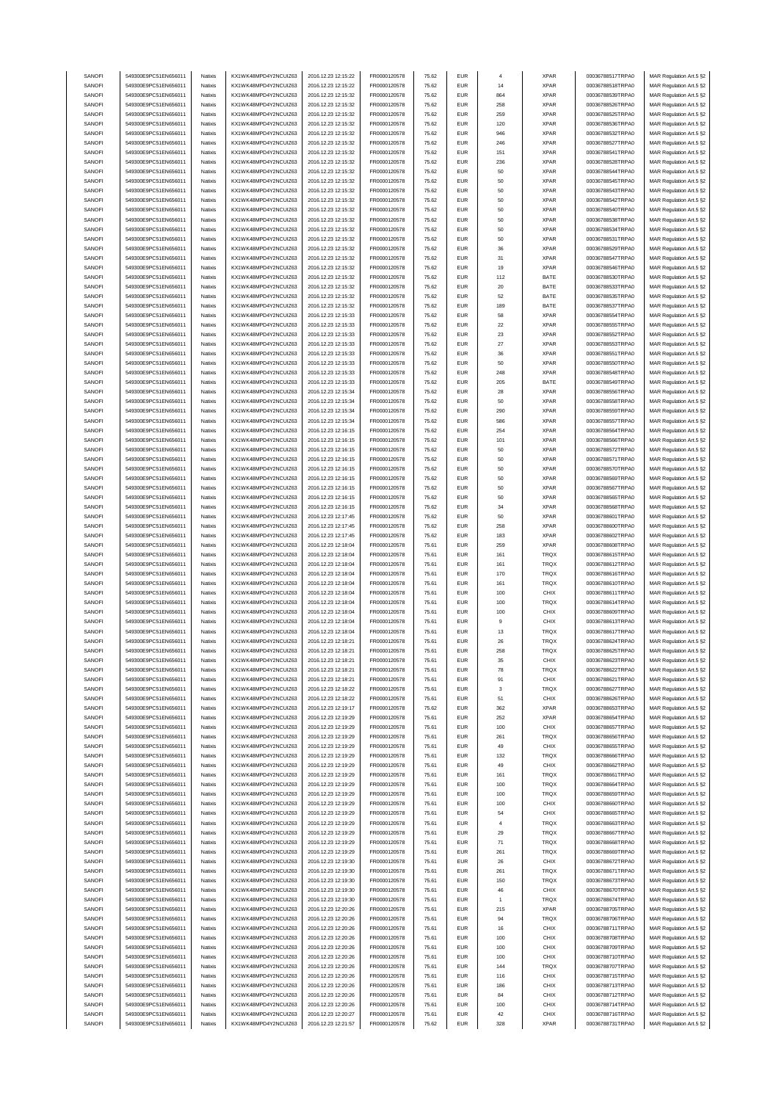| SANOFI | 549300E9PC51EN656011 | Natixis | KX1WK48MPD4Y2NCUIZ63  | 2016.12.23 12:15:22 | FR0000120578 | 75.62 | <b>EUR</b> | 4              | <b>XPAR</b> | 00036788517TRPA0 | MAR Regulation Art.5 §2 |
|--------|----------------------|---------|-----------------------|---------------------|--------------|-------|------------|----------------|-------------|------------------|-------------------------|
| SANOFI | 549300E9PC51EN656011 | Natixis | KX1WK48MPD4Y2NCUIZ63  | 2016.12.23 12:15:22 | FR0000120578 | 75.62 | <b>EUR</b> | 14             | <b>XPAR</b> | 00036788518TRPA0 | MAR Regulation Art.5 §2 |
| SANOFI | 549300E9PC51EN656011 | Natixis | KX1WK48MPD4Y2NCUIZ63  | 2016.12.23 12:15:32 | FR0000120578 | 75.62 | <b>EUR</b> | 864            | <b>XPAR</b> | 00036788539TRPA0 | MAR Regulation Art.5 §2 |
| SANOFI | 549300E9PC51EN656011 | Natixis | KX1WK48MPD4Y2NCUIZ63  | 2016.12.23 12:15:32 | FR0000120578 | 75.62 | <b>EUR</b> | 258            | <b>XPAR</b> | 00036788526TRPA0 | MAR Regulation Art.5 §2 |
| SANOFI | 549300E9PC51EN656011 | Natixis | KX1WK48MPD4Y2NCUIZ63  | 2016.12.23 12:15:32 | FR0000120578 | 75.62 | <b>EUR</b> | 259            | <b>XPAR</b> | 00036788525TRPA0 | MAR Regulation Art.5 §2 |
| SANOFI | 549300E9PC51EN656011 | Natixis | KX1WK48MPD4Y2NCUIZ63  | 2016.12.23 12:15:32 | FR0000120578 | 75.62 | <b>EUR</b> | 120            | <b>XPAR</b> | 00036788536TRPA0 | MAR Regulation Art.5 §2 |
| SANOFI | 549300E9PC51EN656011 | Natixis | KX1WK48MPD4Y2NCUIZ63  | 2016.12.23 12:15:32 | FR0000120578 | 75.62 | <b>EUR</b> | 946            | <b>XPAR</b> | 00036788532TRPA0 | MAR Regulation Art.5 §2 |
| SANOFI | 549300E9PC51EN656011 | Natixis | KX1WK48MPD4Y2NCUIZ63  | 2016.12.23 12:15:32 | FR0000120578 | 75.62 | <b>EUR</b> | 246            | <b>XPAR</b> | 00036788527TRPA0 |                         |
|        |                      |         | KX1WK48MPD4Y2NCLIIZ63 |                     |              |       |            |                |             | 00036788541TRPA0 | MAR Regulation Art.5 §2 |
| SANOFI | 549300E9PC51EN656011 | Natixis |                       | 2016.12.23 12:15:32 | FR0000120578 | 75.62 | <b>EUR</b> | 151            | <b>XPAR</b> |                  | MAR Regulation Art.5 §2 |
| SANOFI | 549300E9PC51EN656011 | Natixis | KX1WK48MPD4Y2NCUIZ63  | 2016.12.23 12:15:32 | FR0000120578 | 75.62 | <b>EUR</b> | 236            | <b>XPAR</b> | 00036788528TRPA0 | MAR Regulation Art.5 §2 |
| SANOFI | 549300E9PC51EN656011 | Natixis | KX1WK48MPD4Y2NCUIZ63  | 2016.12.23 12:15:32 | FR0000120578 | 75.62 | <b>EUR</b> | 50             | <b>XPAR</b> | 00036788544TRPA0 | MAR Regulation Art.5 §2 |
| SANOFI | 549300E9PC51EN656011 | Natixis | KX1WK48MPD4Y2NCUIZ63  | 2016.12.23 12:15:32 | FR0000120578 | 75.62 | <b>EUR</b> | 50             | <b>XPAR</b> | 00036788545TRPA0 | MAR Regulation Art.5 §2 |
| SANOFI | 549300E9PC51EN656011 | Natixis | KX1WK48MPD4Y2NCUIZ63  | 2016.12.23 12:15:32 | FR0000120578 | 75.62 | <b>EUR</b> | 50             | <b>XPAR</b> | 00036788543TRPA0 | MAR Regulation Art.5 §2 |
| SANOFI | 549300E9PC51EN656011 | Natixis | KX1WK48MPD4Y2NCUIZ63  | 2016.12.23 12:15:32 | FR0000120578 | 75.62 | <b>EUR</b> | 50             | <b>XPAR</b> | 00036788542TRPA0 | MAR Regulation Art.5 §2 |
| SANOFI | 549300E9PC51EN656011 | Natixis | KX1WK48MPD4Y2NCUIZ63  | 2016.12.23 12:15:32 | FR0000120578 | 75.62 | <b>EUR</b> | 50             | <b>XPAR</b> | 00036788540TRPA0 | MAR Regulation Art.5 §2 |
| SANOFI | 549300E9PC51EN656011 | Natixis | KX1WK48MPD4Y2NCUIZ63  | 2016.12.23 12:15:32 | FR0000120578 | 75.62 | <b>EUR</b> | 50             | <b>XPAR</b> | 00036788538TRPA0 | MAR Regulation Art.5 §2 |
| SANOFI | 549300E9PC51EN656011 | Natixis | KX1WK48MPD4Y2NCUIZ63  | 2016.12.23 12:15:32 | FR0000120578 | 75.62 | <b>EUR</b> | 50             | <b>XPAR</b> | 00036788534TRPA0 |                         |
|        | 549300E9PC51EN656011 | Natixis | KX1WK48MPD4Y2NCLIIZ63 |                     |              | 75.62 | <b>EUR</b> | 50             | <b>XPAR</b> | 00036788531TRPA0 | MAR Regulation Art.5 §2 |
| SANOFI |                      |         |                       | 2016.12.23 12:15:32 | FR0000120578 |       |            |                |             |                  | MAR Regulation Art.5 §2 |
| SANOFI | 549300E9PC51EN656011 | Natixis | KX1WK48MPD4Y2NCUIZ63  | 2016.12.23 12:15:32 | FR0000120578 | 75.62 | <b>EUR</b> | 36             | <b>XPAR</b> | 00036788529TRPA0 | MAR Regulation Art.5 §2 |
| SANOFI | 549300E9PC51EN656011 | Natixis | KX1WK48MPD4Y2NCUIZ63  | 2016.12.23 12:15:32 | FR0000120578 | 75.62 | EUR        | 31             | <b>XPAR</b> | 00036788547TRPA0 | MAR Regulation Art.5 §2 |
| SANOFI | 549300E9PC51EN656011 | Natixis | KX1WK48MPD4Y2NCUIZ63  | 2016.12.23 12:15:32 | FR0000120578 | 75.62 | <b>EUR</b> | 19             | <b>XPAR</b> | 00036788546TRPA0 | MAR Regulation Art.5 §2 |
| SANOFI | 549300E9PC51EN656011 | Natixis | KX1WK48MPD4Y2NCUIZ63  | 2016.12.23 12:15:32 | FR0000120578 | 75.62 | <b>EUR</b> | 112            | BATE        | 00036788530TRPA0 | MAR Regulation Art.5 §2 |
| SANOFI | 549300E9PC51EN656011 | Natixis | KX1WK48MPD4Y2NCUIZ63  | 2016.12.23 12:15:32 | FR0000120578 | 75.62 | <b>EUR</b> | 20             | BATE        | 00036788533TRPA0 | MAR Regulation Art.5 §2 |
| SANOFI | 549300E9PC51EN656011 | Natixis | KX1WK48MPD4Y2NCUIZ63  | 2016.12.23 12:15:32 | FR0000120578 | 75.62 | <b>EUR</b> | 52             | BATE        | 00036788535TRPA0 | MAR Regulation Art.5 §2 |
| SANOFI | 549300E9PC51EN656011 | Natixis | KX1WK48MPD4Y2NCUIZ63  | 2016.12.23 12:15:32 | FR0000120578 | 75.62 | <b>EUR</b> | 189            | BATE        | 00036788537TRPA0 | MAR Regulation Art.5 §2 |
| SANOFI | 549300E9PC51EN656011 | Natixis | KX1WK48MPD4Y2NCUIZ63  | 2016.12.23 12:15:33 | FR0000120578 | 75.62 | <b>EUR</b> | 58             | <b>XPAR</b> | 00036788554TRPA0 | MAR Regulation Art.5 §2 |
| SANOFI | 549300E9PC51EN656011 | Natixis | KX1WK48MPD4Y2NCLIIZ63 | 2016.12.23 12:15:33 | FR0000120578 | 75.62 | <b>EUR</b> | 22             | <b>XPAR</b> | 00036788555TRPA0 | MAR Regulation Art.5 §2 |
|        | 549300E9PC51EN656011 |         | KX1WK48MPD4Y2NCUIZ63  |                     | FR0000120578 |       | <b>EUR</b> |                |             |                  |                         |
| SANOFI |                      | Natixis |                       | 2016.12.23 12:15:33 |              | 75.62 |            | 23             | <b>XPAR</b> | 00036788552TRPA0 | MAR Regulation Art.5 §2 |
| SANOFI | 549300E9PC51EN656011 | Natixis | KX1WK48MPD4Y2NCUIZ63  | 2016.12.23 12:15:33 | FR0000120578 | 75.62 | EUR        | 27             | <b>XPAR</b> | 00036788553TRPA0 | MAR Regulation Art.5 §2 |
| SANOFI | 549300E9PC51EN656011 | Natixis | KX1WK48MPD4Y2NCUIZ63  | 2016.12.23 12:15:33 | FR0000120578 | 75.62 | <b>EUR</b> | 36             | <b>XPAR</b> | 00036788551TRPA0 | MAR Regulation Art.5 §2 |
| SANOFI | 549300E9PC51EN656011 | Natixis | KX1WK48MPD4Y2NCUIZ63  | 2016.12.23 12:15:33 | FR0000120578 | 75.62 | <b>EUR</b> | 50             | <b>XPAR</b> | 00036788550TRPA0 | MAR Regulation Art.5 §2 |
| SANOFI | 549300E9PC51EN656011 | Natixis | KX1WK48MPD4Y2NCUIZ63  | 2016.12.23 12:15:33 | FR0000120578 | 75.62 | <b>EUR</b> | 248            | <b>XPAR</b> | 00036788548TRPA0 | MAR Regulation Art.5 §2 |
| SANOFI | 549300E9PC51EN656011 | Natixis | KX1WK48MPD4Y2NCUIZ63  | 2016.12.23 12:15:33 | FR0000120578 | 75.62 | <b>EUR</b> | 205            | BATE        | 00036788549TRPA0 | MAR Regulation Art.5 §2 |
| SANOFI | 549300E9PC51EN656011 | Natixis | KX1WK48MPD4Y2NCUIZ63  | 2016.12.23 12:15:34 | FR0000120578 | 75.62 | <b>EUR</b> | 28             | <b>XPAR</b> | 00036788556TRPA0 | MAR Regulation Art.5 §2 |
| SANOFI | 549300E9PC51EN656011 | Natixis | KX1WK48MPD4Y2NCUIZ63  | 2016.12.23 12:15:34 | FR0000120578 | 75.62 | <b>EUR</b> | 50             | <b>XPAR</b> | 00036788558TRPA0 | MAR Regulation Art.5 §2 |
| SANOFI | 549300E9PC51EN656011 | Natixis | KX1WK48MPD4Y2NCLIIZ63 | 2016.12.23 12:15:34 | FR0000120578 | 75.62 | <b>EUR</b> | 290            | <b>XPAR</b> | 00036788559TRPA0 | MAR Regulation Art.5 §2 |
|        |                      |         |                       |                     |              |       |            |                |             |                  |                         |
| SANOFI | 549300E9PC51EN656011 | Natixis | KX1WK48MPD4Y2NCUIZ63  | 2016.12.23 12:15:34 | FR0000120578 | 75.62 | <b>EUR</b> | 586            | <b>XPAR</b> | 00036788557TRPA0 | MAR Regulation Art.5 §2 |
| SANOFI | 549300E9PC51EN656011 | Natixis | KX1WK48MPD4Y2NCUIZ63  | 2016.12.23 12:16:15 | FR0000120578 | 75.62 | <b>EUR</b> | 254            | <b>XPAR</b> | 00036788564TRPA0 | MAR Regulation Art.5 §2 |
| SANOFI | 549300E9PC51EN656011 | Natixis | KX1WK48MPD4Y2NCUIZ63  | 2016.12.23 12:16:15 | FR0000120578 | 75.62 | <b>EUR</b> | 101            | <b>XPAR</b> | 00036788566TRPA0 | MAR Regulation Art.5 §2 |
| SANOFI | 549300E9PC51EN656011 | Natixis | KX1WK48MPD4Y2NCUIZ63  | 2016.12.23 12:16:15 | FR0000120578 | 75.62 | <b>EUR</b> | 50             | <b>XPAR</b> | 00036788572TRPA0 | MAR Regulation Art.5 §2 |
| SANOFI | 549300E9PC51EN656011 | Natixis | KX1WK48MPD4Y2NCUIZ63  | 2016.12.23 12:16:15 | FR0000120578 | 75.62 | <b>EUR</b> | 50             | <b>XPAR</b> | 00036788571TRPA0 | MAR Regulation Art.5 §2 |
| SANOFI | 549300E9PC51EN656011 | Natixis | KX1WK48MPD4Y2NCUIZ63  | 2016.12.23 12:16:15 | FR0000120578 | 75.62 | <b>EUR</b> | 50             | <b>XPAR</b> | 00036788570TRPA0 | MAR Regulation Art.5 §2 |
| SANOFI | 549300E9PC51EN656011 | Natixis | KX1WK48MPD4Y2NCUIZ63  | 2016.12.23 12:16:15 | FR0000120578 | 75.62 | <b>EUR</b> | 50             | <b>XPAR</b> | 00036788569TRPA0 | MAR Regulation Art.5 §2 |
| SANOFI | 549300E9PC51EN656011 | Natixis | KX1WK48MPD4Y2NCUIZ63  | 2016.12.23 12:16:15 | FR0000120578 | 75.62 | <b>EUR</b> | 50             | <b>XPAR</b> | 00036788567TRPA0 | MAR Regulation Art.5 §2 |
| SANOFI | 549300E9PC51EN656011 | Natixis | KX1WK48MPD4Y2NCUIZ63  | 2016.12.23 12:16:15 | FR0000120578 | 75.62 | <b>EUR</b> | 50             | <b>XPAR</b> | 00036788565TRPA0 | MAR Regulation Art.5 §2 |
|        |                      |         |                       |                     |              |       |            |                |             |                  |                         |
| SANOFI | 549300E9PC51EN656011 | Natixis | KX1WK48MPD4Y2NCUIZ63  | 2016.12.23 12:16:15 | FR0000120578 | 75.62 | <b>EUR</b> | 34             | <b>XPAR</b> | 00036788568TRPA0 | MAR Regulation Art.5 §2 |
| SANOFI | 549300E9PC51EN656011 | Natixis | KX1WK48MPD4Y2NCUIZ63  | 2016.12.23 12:17:45 | FR0000120578 | 75.62 | <b>EUR</b> | 50             | <b>XPAR</b> | 00036788601TRPA0 | MAR Regulation Art.5 §2 |
| SANOFI | 549300E9PC51EN656011 | Natixis | KX1WK48MPD4Y2NCUIZ63  | 2016.12.23 12:17:45 | FR0000120578 | 75.62 | <b>EUR</b> | 258            | <b>XPAR</b> | 00036788600TRPA0 | MAR Regulation Art.5 §2 |
| SANOFI | 549300E9PC51EN656011 | Natixis | KX1WK48MPD4Y2NCUIZ63  | 2016.12.23 12:17:45 | FR0000120578 | 75.62 | <b>EUR</b> | 183            | <b>XPAR</b> | 00036788602TRPA0 | MAR Regulation Art.5 §2 |
| SANOFI | 549300E9PC51EN656011 | Natixis | KX1WK48MPD4Y2NCUIZ63  | 2016.12.23 12:18:04 | FR0000120578 | 75.61 | <b>EUR</b> | 259            | <b>XPAR</b> | 00036788608TRPA0 | MAR Regulation Art.5 §2 |
| SANOFI | 549300E9PC51EN656011 | Natixis | KX1WK48MPD4Y2NCUIZ63  | 2016.12.23 12:18:04 | FR0000120578 | 75.61 | <b>EUR</b> | 161            | TRQX        | 00036788615TRPA0 | MAR Regulation Art.5 §2 |
| SANOFI | 549300E9PC51EN656011 | Natixis | KX1WK48MPD4Y2NCUIZ63  | 2016.12.23 12:18:04 | FR0000120578 | 75.61 | <b>EUR</b> | 161            | TRQX        | 00036788612TRPA0 | MAR Regulation Art.5 §2 |
| SANOFI | 549300E9PC51EN656011 | Natixis | KX1WK48MPD4Y2NCUIZ63  | 2016.12.23 12:18:04 | FR0000120578 | 75.61 | <b>EUR</b> | 170            | TRQX        | 00036788616TRPA0 | MAR Regulation Art.5 §2 |
| SANOFI | 549300E9PC51EN656011 | Natixis | KX1WK48MPD4Y2NCUIZ63  | 2016.12.23 12:18:04 | FR0000120578 | 75.61 | <b>EUR</b> | 161            | TRQX        | 00036788610TRPA0 | MAR Regulation Art.5 §2 |
|        |                      |         |                       |                     |              |       |            |                |             |                  |                         |
| SANOFI | 549300E9PC51EN656011 | Natixis | KX1WK48MPD4Y2NCUIZ63  | 2016.12.23 12:18:04 | FR0000120578 | 75.61 | <b>EUR</b> | 100            | CHIX        | 00036788611TRPA0 | MAR Regulation Art.5 §2 |
| SANOFI | 549300E9PC51EN656011 | Natixis | KX1WK48MPD4Y2NCUIZ63  | 2016.12.23 12:18:04 | FR0000120578 | 75.61 | <b>EUR</b> | 100            | TRQX        | 00036788614TRPA0 | MAR Regulation Art.5 §2 |
| SANOFI | 549300E9PC51EN656011 | Natixis | KX1WK48MPD4Y2NCUIZ63  | 2016.12.23 12:18:04 | FR0000120578 | 75.61 | <b>EUR</b> | 100            | CHIX        | 00036788609TRPA0 | MAR Regulation Art.5 §2 |
| SANOFI | 549300E9PC51EN656011 | Natixis | KX1WK48MPD4Y2NCUIZ63  | 2016.12.23 12:18:04 | FR0000120578 | 75.61 | <b>EUR</b> | 9              | CHIX        | 00036788613TRPA0 | MAR Regulation Art.5 §2 |
| SANOFI | 549300E9PC51EN656011 | Natixis | KX1WK48MPD4Y2NCUIZ63  | 2016.12.23 12:18:04 | FR0000120578 | 75.61 | <b>EUR</b> | 13             | TRQX        | 00036788617TRPA0 | MAR Regulation Art.5 §2 |
| SANOFI | 549300E9PC51EN656011 | Natixis | KX1WK48MPD4Y2NCUIZ63  | 2016.12.23 12:18:21 | FR0000120578 | 75.61 | <b>EUR</b> | 26             | TRQX        | 00036788624TRPA0 | MAR Regulation Art.5 §2 |
| SANOF  | 549300E9PC51EN656011 | Natixis | KX1WK48MPD4Y2NCUIZ63  | 2016.12.23 12:18:21 | FR0000120578 | 75.61 | EUR        | 258            | TROX        | 00036788625TRPA0 | MAR Regulation Art.5 §2 |
| SANOFI | 549300E9PC51EN656011 | Natixis | KX1WK48MPD4Y2NCUIZ63  | 2016.12.23 12:18:21 | FR0000120578 | 75.61 | <b>EUR</b> | 35             | CHIX        | 00036788623TRPA0 | MAR Regulation Art.5 §2 |
| SANOFI | 549300E9PC51EN656011 | Natixis | KX1WK48MPD4Y2NCUIZ63  | 2016.12.23 12:18:21 | FR0000120578 | 75.61 | <b>EUR</b> | 78             | TRQX        | 00036788622TRPA0 | MAR Regulation Art.5 §2 |
|        |                      |         | KX1WK48MPD4Y2NCUIZ63  |                     |              |       |            |                |             |                  |                         |
| SANOFI | 549300E9PC51EN656011 | Natixis |                       | 2016.12.23 12:18:21 | FR0000120578 | 75.61 | <b>EUR</b> | 91             | CHIX        | 00036788621TRPA0 | MAR Regulation Art.5 §2 |
| SANOFI | 549300E9PC51EN656011 | Natixis | KX1WK48MPD4Y2NCUIZ63  | 2016.12.23 12:18:22 | FR0000120578 | 75.61 | <b>EUR</b> | 3              | TRQX        | 00036788627TRPA0 | MAR Regulation Art.5 §2 |
| SANOFI | 549300E9PC51EN656011 | Natixis | KX1WK48MPD4Y2NCUIZ63  | 2016.12.23 12:18:22 | FR0000120578 | 75.61 | <b>EUR</b> | 51             | CHIX        | 00036788626TRPA0 | MAR Regulation Art.5 §2 |
| SANOFI | 549300E9PC51EN656011 | Natixis | KX1WK48MPD4Y2NCUIZ63  | 2016.12.23 12:19:17 | FR0000120578 | 75.62 | <b>EUR</b> | 362            | <b>XPAR</b> | 00036788653TRPA0 | MAR Regulation Art.5 §2 |
| SANOFI | 549300E9PC51EN656011 | Natixis | KX1WK48MPD4Y2NCUIZ63  | 2016.12.23 12:19:29 | FR0000120578 | 75.61 | EUR        | 252            | <b>XPAR</b> | 00036788654TRPA0 | MAR Regulation Art.5 §2 |
| SANOFI | 549300E9PC51EN656011 | Natixis | KX1WK48MPD4Y2NCUIZ63  | 2016.12.23 12:19:29 | FR0000120578 | 75.61 | <b>EUR</b> | 100            | CHIX        | 00036788657TRPA0 | MAR Regulation Art.5 §2 |
| SANOFI | 549300E9PC51EN656011 | Natixis | KX1WK48MPD4Y2NCUIZ63  | 2016.12.23 12:19:29 | FR0000120578 | 75.61 | <b>EUR</b> | 261            | TRQX        | 00036788656TRPA0 | MAR Regulation Art.5 §2 |
| SANOFI | 549300E9PC51EN656011 | Natixis | KX1WK48MPD4Y2NCUIZ63  | 2016.12.23 12:19:29 | FR0000120578 | 75.61 | <b>EUR</b> | 49             | CHIX        | 00036788655TRPA0 | MAR Regulation Art.5 §2 |
| SANOFI | 549300E9PC51EN656011 | Natixis | KX1WK48MPD4Y2NCUIZ63  | 2016.12.23 12:19:29 | FR0000120578 | 75.61 | <b>EUR</b> | 132            | TRQX        | 00036788666TRPA0 | MAR Regulation Art.5 §2 |
| SANOFI | 549300E9PC51EN656011 | Natixis | KX1WK48MPD4Y2NCUIZ63  | 2016.12.23 12:19:29 | FR0000120578 | 75.61 | <b>EUR</b> | 49             | CHIX        | 00036788662TRPA0 | MAR Regulation Art.5 §2 |
|        |                      |         |                       |                     |              |       |            |                |             | 00036788661TRPA0 |                         |
| SANOFI | 549300E9PC51EN656011 | Natixis | KX1WK48MPD4Y2NCUIZ63  | 2016.12.23 12:19:29 | FR0000120578 | 75.61 | <b>EUR</b> | 161            | TRQX        |                  | MAR Regulation Art.5 §2 |
| SANOFI | 549300E9PC51EN656011 | Natixis | KX1WK48MPD4Y2NCUIZ63  | 2016.12.23 12:19:29 | FR0000120578 | 75.61 | <b>EUR</b> | 100            | TRQX        | 00036788664TRPA0 | MAR Regulation Art.5 §2 |
| SANOFI | 549300E9PC51EN656011 | Natixis | KX1WK48MPD4Y2NCUIZ63  | 2016.12.23 12:19:29 | FR0000120578 | 75.61 | <b>EUR</b> | 100            | TRQX        | 00036788659TRPA0 | MAR Regulation Art.5 §2 |
| SANOFI | 549300E9PC51EN656011 | Natixis | KX1WK48MPD4Y2NCUIZ63  | 2016.12.23 12:19:29 | FR0000120578 | 75.61 | <b>EUR</b> | 100            | CHIX        | 00036788660TRPA0 | MAR Regulation Art.5 §2 |
| SANOFI | 549300E9PC51EN656011 | Natixis | KX1WK48MPD4Y2NCUIZ63  | 2016.12.23 12:19:29 | FR0000120578 | 75.61 | <b>EUR</b> | 54             | CHIX        | 00036788665TRPA0 | MAR Regulation Art.5 §2 |
| SANOFI | 549300E9PC51EN656011 | Natixis | KX1WK48MPD4Y2NCUIZ63  | 2016.12.23 12:19:29 | FR0000120578 | 75.61 | <b>EUR</b> | $\overline{4}$ | TRQX        | 00036788663TRPA0 | MAR Regulation Art.5 §2 |
| SANOFI | 549300E9PC51EN656011 | Natixis | KX1WK48MPD4Y2NCUIZ63  | 2016.12.23 12:19:29 | FR0000120578 | 75.61 | <b>EUR</b> | 29             | TRQX        | 00036788667TRPA0 | MAR Regulation Art.5 §2 |
| SANOFI | 549300E9PC51EN656011 | Natixis | KX1WK48MPD4Y2NCUIZ63  | 2016.12.23 12:19:29 | FR0000120578 | 75.61 | <b>EUR</b> | 71             | TRQX        | 00036788668TRPA0 | MAR Regulation Art.5 §2 |
| SANOFI | 549300E9PC51EN656011 | Natixis | KX1WK48MPD4Y2NCUIZ63  | 2016.12.23 12:19:29 | FR0000120578 | 75.61 | <b>EUR</b> | 261            | TRQX        | 00036788669TRPA0 | MAR Regulation Art.5 §2 |
|        |                      |         |                       |                     |              |       |            |                |             |                  |                         |
| SANOFI | 549300E9PC51EN656011 | Natixis | KX1WK48MPD4Y2NCUIZ63  | 2016.12.23 12:19:30 | FR0000120578 | 75.61 | <b>EUR</b> | 26             | CHIX        | 00036788672TRPA0 | MAR Regulation Art.5 §2 |
| SANOFI | 549300E9PC51EN656011 | Natixis | KX1WK48MPD4Y2NCUIZ63  | 2016.12.23 12:19:30 | FR0000120578 | 75.61 | <b>EUR</b> | 261            | TRQX        | 00036788671TRPA0 | MAR Regulation Art.5 §2 |
| SANOFI | 549300E9PC51EN656011 | Natixis | KX1WK48MPD4Y2NCUIZ63  | 2016.12.23 12:19:30 | FR0000120578 | 75.61 | <b>EUR</b> | 150            | TRQX        | 00036788673TRPA0 | MAR Regulation Art.5 §2 |
| SANOFI | 549300E9PC51EN656011 | Natixis | KX1WK48MPD4Y2NCUIZ63  | 2016.12.23 12:19:30 | FR0000120578 | 75.61 | <b>EUR</b> | 46             | CHIX        | 00036788670TRPA0 | MAR Regulation Art.5 §2 |
| SANOFI | 549300E9PC51EN656011 | Natixis | KX1WK48MPD4Y2NCUIZ63  | 2016.12.23 12:19:30 | FR0000120578 | 75.61 | <b>EUR</b> | -1             | TRQX        | 00036788674TRPA0 | MAR Regulation Art.5 §2 |
| SANOFI | 549300E9PC51EN656011 | Natixis | KX1WK48MPD4Y2NCUIZ63  | 2016.12.23 12:20:26 | FR0000120578 | 75.61 | <b>EUR</b> | 215            | <b>XPAR</b> | 00036788705TRPA0 | MAR Regulation Art.5 §2 |
| SANOFI | 549300E9PC51EN656011 | Natixis | KX1WK48MPD4Y2NCUIZ63  | 2016.12.23 12:20:26 | FR0000120578 | 75.61 | <b>EUR</b> | 94             | TRQX        | 00036788706TRPA0 | MAR Regulation Art.5 §2 |
| SANOFI | 549300E9PC51EN656011 | Natixis | KX1WK48MPD4Y2NCUIZ63  | 2016.12.23 12:20:26 | FR0000120578 | 75.61 | <b>EUR</b> | 16             | CHIX        | 00036788711TRPA0 |                         |
|        |                      |         |                       |                     |              |       |            |                |             |                  | MAR Regulation Art.5 §2 |
| SANOFI | 549300E9PC51EN656011 | Natixis | KX1WK48MPD4Y2NCUIZ63  | 2016.12.23 12:20:26 | FR0000120578 | 75.61 | <b>EUR</b> | 100            | CHIX        | 00036788708TRPA0 | MAR Regulation Art.5 §2 |
| SANOFI | 549300E9PC51EN656011 | Natixis | KX1WK48MPD4Y2NCUIZ63  | 2016.12.23 12:20:26 | FR0000120578 | 75.61 | <b>EUR</b> | 100            | CHIX        | 00036788709TRPA0 | MAR Regulation Art.5 §2 |
| SANOFI | 549300E9PC51EN656011 | Natixis | KX1WK48MPD4Y2NCUIZ63  | 2016.12.23 12:20:26 | FR0000120578 | 75.61 | <b>EUR</b> | 100            | CHIX        | 00036788710TRPA0 | MAR Regulation Art.5 §2 |
| SANOFI | 549300E9PC51EN656011 | Natixis | KX1WK48MPD4Y2NCUIZ63  | 2016.12.23 12:20:26 | FR0000120578 | 75.61 | EUR        | 144            | TRQX        | 00036788707TRPA0 | MAR Regulation Art.5 §2 |
| SANOFI | 549300E9PC51EN656011 | Natixis | KX1WK48MPD4Y2NCUIZ63  | 2016.12.23 12:20:26 | FR0000120578 | 75.61 | <b>EUR</b> | 116            | CHIX        | 00036788715TRPA0 | MAR Regulation Art.5 §2 |
| SANOFI | 549300E9PC51EN656011 | Natixis | KX1WK48MPD4Y2NCUIZ63  | 2016.12.23 12:20:26 | FR0000120578 | 75.61 | <b>EUR</b> | 186            | CHIX        | 00036788713TRPA0 | MAR Regulation Art.5 §2 |
| SANOFI | 549300E9PC51EN656011 | Natixis | KX1WK48MPD4Y2NCUIZ63  | 2016.12.23 12:20:26 | FR0000120578 | 75.61 | <b>EUR</b> | 84             | CHIX        | 00036788712TRPA0 | MAR Regulation Art.5 §2 |
| SANOFI | 549300E9PC51EN656011 | Natixis | KX1WK48MPD4Y2NCUIZ63  | 2016.12.23 12:20:26 | FR0000120578 | 75.61 | <b>EUR</b> | 100            | CHIX        | 00036788714TRPA0 | MAR Regulation Art.5 §2 |
| SANOFI | 549300E9PC51EN656011 | Natixis | KX1WK48MPD4Y2NCUIZ63  | 2016.12.23 12:20:27 | FR0000120578 | 75.61 | <b>EUR</b> | 42             | CHIX        | 00036788716TRPA0 | MAR Regulation Art.5 §2 |
| SANOFI | 549300E9PC51EN656011 | Natixis | KX1WK48MPD4Y2NCUIZ63  | 2016.12.23 12:21:57 | FR0000120578 | 75.62 | EUR        | 328            | <b>XPAR</b> | 00036788731TRPA0 | MAR Regulation Art.5 §2 |
|        |                      |         |                       |                     |              |       |            |                |             |                  |                         |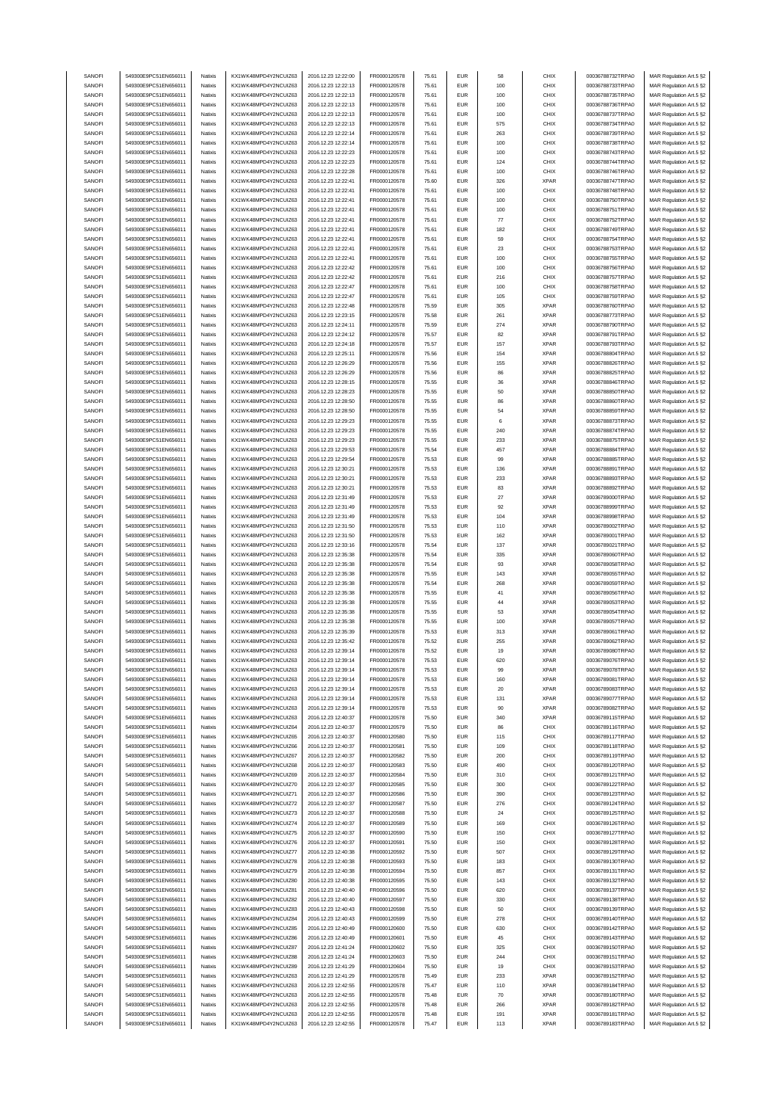| SANOFI           | 549300E9PC51EN656011                         | Natixis            | KX1WK48MPD4Y2NCUIZ63                         | 2016.12.23 12:22:00                        | FR0000120578                 | 75.61          | <b>EUR</b>        | 58         | CHIX                       | 00036788732TRPA0                     | MAR Regulation Art.5 §2                            |
|------------------|----------------------------------------------|--------------------|----------------------------------------------|--------------------------------------------|------------------------------|----------------|-------------------|------------|----------------------------|--------------------------------------|----------------------------------------------------|
| SANOFI           | 549300E9PC51EN656011                         | Natixis            | KX1WK48MPD4Y2NCUIZ63                         | 2016.12.23 12:22:13                        | FR0000120578                 | 75.61          | <b>EUR</b>        | 100        | CHIX                       | 00036788733TRPA0                     | MAR Regulation Art.5 §2                            |
| SANOFI           | 549300E9PC51EN656011                         | Natixis            | KX1WK48MPD4Y2NCUIZ63                         | 2016.12.23 12:22:13                        | FR0000120578                 | 75.61          | <b>EUR</b>        | 100        | CHIX                       | 00036788735TRPA0                     | MAR Regulation Art.5 §2                            |
| SANOFI           | 549300E9PC51EN656011                         | Natixis            | KX1WK48MPD4Y2NCUIZ63                         | 2016.12.23 12:22:13                        | FR0000120578                 | 75.61          | <b>EUR</b>        | 100        | CHIX                       | 00036788736TRPA0                     | MAR Regulation Art.5 §2                            |
|                  |                                              |                    |                                              |                                            |                              |                |                   |            |                            |                                      |                                                    |
| SANOFI           | 549300E9PC51EN656011                         | Natixis            | KX1WK48MPD4Y2NCUIZ63                         | 2016.12.23 12:22:13                        | FR0000120578                 | 75.61          | <b>EUR</b>        | 100        | CHIX                       | 00036788737TRPA0                     | MAR Regulation Art.5 §2                            |
| SANOFI           | 549300E9PC51EN656011                         | Natixis            | KX1WK48MPD4Y2NCUIZ63                         | 2016.12.23 12:22:13                        | FR0000120578                 | 75.61          | <b>EUR</b>        | 575        | CHIX                       | 00036788734TRPA0                     | MAR Regulation Art.5 §2                            |
| SANOFI           | 549300E9PC51EN656011                         | Natixis            | KX1WK48MPD4Y2NCUIZ63                         | 2016.12.23 12:22:14                        | FR0000120578                 | 75.61          | <b>EUR</b>        | 263        | CHIX                       | 00036788739TRPA0                     | MAR Regulation Art.5 §2                            |
| SANOFI           | 549300E9PC51EN656011                         | Natixis            | KX1WK48MPD4Y2NCUIZ63                         | 2016.12.23 12:22:14                        | FR0000120578                 | 75.61          | <b>EUR</b>        | 100        | CHIX                       | 00036788738TRPA0                     | MAR Regulation Art.5 §2                            |
| SANOFI           | 549300E9PC51EN656011                         | Natixis            | KX1WK48MPD4Y2NCLIIZ63                        | 2016.12.23 12:22:23                        | FR0000120578                 | 75.61          | <b>EUR</b>        | 100        | CHIX                       | 00036788743TRPA0                     | MAR Regulation Art.5 §2                            |
| SANOFI           | 549300E9PC51EN656011                         | Natixis            | KX1WK48MPD4Y2NCUIZ63                         | 2016.12.23 12:22:23                        | FR0000120578                 | 75.61          | <b>EUR</b>        | 124        | CHIX                       | 00036788744TRPA0                     | MAR Regulation Art.5 §2                            |
|                  |                                              | Natixis            |                                              |                                            |                              |                | <b>EUR</b>        |            |                            |                                      |                                                    |
| SANOFI           | 549300E9PC51EN656011                         |                    | KX1WK48MPD4Y2NCUIZ63                         | 2016.12.23 12:22:28                        | FR0000120578                 | 75.61          |                   | 100        | CHIX                       | 00036788746TRPA0                     | MAR Regulation Art.5 §2                            |
| SANOFI           | 549300E9PC51EN656011                         | Natixis            | KX1WK48MPD4Y2NCUIZ63                         | 2016.12.23 12:22:41                        | FR0000120578                 | 75.60          | <b>EUR</b>        | 326        | <b>XPAR</b>                | 00036788747TRPA0                     | MAR Regulation Art.5 §2                            |
| SANOFI           | 549300E9PC51EN656011                         | Natixis            | KX1WK48MPD4Y2NCUIZ63                         | 2016.12.23 12:22:41                        | FR0000120578                 | 75.61          | <b>EUR</b>        | 100        | CHIX                       | 00036788748TRPA0                     | MAR Regulation Art.5 §2                            |
| SANOFI           | 549300E9PC51EN656011                         | Natixis            | KX1WK48MPD4Y2NCUIZ63                         | 2016.12.23 12:22:41                        | FR0000120578                 | 75.61          | <b>EUR</b>        | 100        | CHIX                       | 00036788750TRPA0                     | MAR Regulation Art.5 §2                            |
| SANOFI           | 549300E9PC51EN656011                         | Natixis            | KX1WK48MPD4Y2NCUIZ63                         | 2016.12.23 12:22:41                        | FR0000120578                 | 75.61          | <b>EUR</b>        | 100        | CHIX                       | 00036788751TRPA0                     | MAR Regulation Art.5 §2                            |
|                  | 549300E9PC51EN656011                         |                    | KX1WK48MPD4Y2NCUIZ63                         |                                            |                              |                |                   |            |                            |                                      |                                                    |
| SANOFI           |                                              | Natixis            |                                              | 2016.12.23 12:22:41                        | FR0000120578                 | 75.61          | <b>EUR</b>        | 77         | CHIX                       | 00036788752TRPA0                     | MAR Regulation Art.5 §2                            |
| SANOFI           | 549300E9PC51EN656011                         | Natixis            | KX1WK48MPD4Y2NCUIZ63                         | 2016.12.23 12:22:41                        | FR0000120578                 | 75.61          | <b>EUR</b>        | 182        | CHIX                       | 00036788749TRPA0                     | MAR Regulation Art.5 §2                            |
| SANOFI           | 549300E9PC51EN656011                         | Natixis            | KX1WK48MPD4Y2NCLIIZ63                        | 2016.12.23 12:22:41                        | FR0000120578                 | 75.61          | <b>EUR</b>        | 59         | CHIX                       | 00036788754TRPA0                     | MAR Regulation Art.5 §2                            |
| SANOFI           | 549300E9PC51EN656011                         | Natixis            | KX1WK48MPD4Y2NCUIZ63                         | 2016.12.23 12:22:41                        | FR0000120578                 | 75.61          | <b>EUR</b>        | 23         | CHIX                       | 00036788753TRPA0                     | MAR Regulation Art.5 §2                            |
| SANOFI           | 549300E9PC51EN656011                         | Natixis            | KX1WK48MPD4Y2NCUIZ63                         | 2016.12.23 12:22:41                        | FR0000120578                 | 75.61          | <b>EUR</b>        | 100        | CHIX                       | 00036788755TRPA0                     | MAR Regulation Art.5 §2                            |
| SANOFI           | 549300E9PC51EN656011                         | Natixis            | KX1WK48MPD4Y2NCUIZ63                         | 2016.12.23 12:22:42                        | FR0000120578                 | 75.61          | <b>EUR</b>        | 100        | CHIX                       | 00036788756TRPA0                     | MAR Regulation Art.5 §2                            |
| SANOFI           | 549300E9PC51EN656011                         | Natixis            | KX1WK48MPD4Y2NCUIZ63                         | 2016.12.23 12:22:42                        | FR0000120578                 | 75.61          | <b>EUR</b>        | 216        | CHIX                       | 00036788757TRPA0                     | MAR Regulation Art.5 §2                            |
|                  |                                              |                    |                                              |                                            |                              |                |                   |            |                            |                                      |                                                    |
| SANOFI           | 549300E9PC51EN656011                         | Natixis            | KX1WK48MPD4Y2NCUIZ63                         | 2016.12.23 12:22:47                        | FR0000120578                 | 75.61          | <b>EUR</b>        | 100        | CHIX                       | 00036788758TRPA0                     | MAR Regulation Art.5 §2                            |
| SANOFI           | 549300E9PC51EN656011                         | Natixis            | KX1WK48MPD4Y2NCUIZ63                         | 2016.12.23 12:22:47                        | FR0000120578                 | 75.61          | <b>EUR</b>        | 105        | CHIX                       | 00036788759TRPA0                     | MAR Regulation Art.5 §2                            |
| SANOFI           | 549300E9PC51EN656011                         | Natixis            | KX1WK48MPD4Y2NCUIZ63                         | 2016.12.23 12:22:48                        | FR0000120578                 | 75.59          | <b>EUR</b>        | 305        | <b>XPAR</b>                | 00036788760TRPA0                     | MAR Regulation Art.5 §2                            |
| SANOFI           | 549300E9PC51EN656011                         | Natixis            | KX1WK48MPD4Y2NCUIZ63                         | 2016.12.23 12:23:15                        | FR0000120578                 | 75.58          | <b>EUR</b>        | 261        | <b>XPAR</b>                | 00036788773TRPA0                     | MAR Regulation Art.5 §2                            |
| SANOFI           | 549300E9PC51EN656011                         | Natixis            | KX1WK48MPD4Y2NCLIIZ63                        | 2016.12.23 12:24:11                        | FR0000120578                 | 75.59          | <b>EUR</b>        | 274        | <b>XPAR</b>                | 00036788790TRPA0                     | MAR Regulation Art.5 §2                            |
| SANOFI           | 549300E9PC51EN656011                         | Natixis            | KX1WK48MPD4Y2NCUIZ63                         | 2016.12.23 12:24:12                        | FR0000120578                 | 75.57          | <b>EUR</b>        | 82         | <b>XPAR</b>                | 00036788791TRPA0                     | MAR Regulation Art.5 §2                            |
|                  |                                              |                    |                                              |                                            |                              |                |                   |            |                            |                                      |                                                    |
| SANOFI           | 549300E9PC51EN656011                         | Natixis            | KX1WK48MPD4Y2NCUIZ63                         | 2016.12.23 12:24:18                        | FR0000120578                 | 75.57          | EUR               | 157        | <b>XPAR</b>                | 00036788793TRPA0                     | MAR Regulation Art.5 §2                            |
| SANOFI           | 549300E9PC51EN656011                         | Natixis            | KX1WK48MPD4Y2NCUIZ63                         | 2016.12.23 12:25:11                        | FR0000120578                 | 75.56          | <b>EUR</b>        | 154        | <b>XPAR</b>                | 00036788804TRPA0                     | MAR Regulation Art.5 §2                            |
| SANOFI           | 549300E9PC51EN656011                         | Natixis            | KX1WK48MPD4Y2NCUIZ63                         | 2016.12.23 12:26:29                        | FR0000120578                 | 75.56          | <b>EUR</b>        | 155        | <b>XPAR</b>                | 00036788826TRPA0                     | MAR Regulation Art.5 §2                            |
| SANOFI           | 549300E9PC51EN656011                         | Natixis            | KX1WK48MPD4Y2NCUIZ63                         | 2016.12.23 12:26:29                        | FR0000120578                 | 75.56          | <b>EUR</b>        | 86         | <b>XPAR</b>                | 00036788825TRPA0                     | MAR Regulation Art.5 §2                            |
| SANOFI           | 549300E9PC51EN656011                         | Natixis            | KX1WK48MPD4Y2NCUIZ63                         | 2016.12.23 12:28:15                        | FR0000120578                 | 75.55          | <b>EUR</b>        | 36         | <b>XPAR</b>                | 00036788846TRPA0                     | MAR Regulation Art.5 §2                            |
|                  |                                              |                    |                                              |                                            |                              |                |                   |            |                            |                                      |                                                    |
| SANOFI           | 549300E9PC51EN656011                         | Natixis            | KX1WK48MPD4Y2NCUIZ63                         | 2016.12.23 12:28:23                        | FR0000120578                 | 75.55          | <b>EUR</b>        | 50         | <b>XPAR</b>                | 00036788850TRPA0                     | MAR Regulation Art.5 §2                            |
| SANOFI           | 549300E9PC51EN656011                         | Natixis            | KX1WK48MPD4Y2NCUIZ63                         | 2016.12.23 12:28:50                        | FR0000120578                 | 75.55          | <b>EUR</b>        | 86         | <b>XPAR</b>                | 00036788860TRPA0                     | MAR Regulation Art.5 §2                            |
| SANOFI           | 549300E9PC51EN656011                         | Natixis            | KX1WK48MPD4Y2NCLIIZ63                        | 2016.12.23 12:28:50                        | FR0000120578                 | 75.55          | <b>EUR</b>        | 54         | <b>XPAR</b>                | 00036788859TRPA0                     | MAR Regulation Art.5 §2                            |
| SANOFI           | 549300E9PC51EN656011                         | Natixis            | KX1WK48MPD4Y2NCUIZ63                         | 2016.12.23 12:29:23                        | FR0000120578                 | 75.55          | <b>EUR</b>        | 6          | <b>XPAR</b>                | 00036788873TRPA0                     | MAR Regulation Art.5 §2                            |
| SANOFI           | 549300E9PC51EN656011                         | Natixis            | KX1WK48MPD4Y2NCUIZ63                         | 2016.12.23 12:29:23                        | FR0000120578                 | 75.55          | <b>EUR</b>        | 240        | <b>XPAR</b>                | 00036788874TRPA0                     | MAR Regulation Art.5 §2                            |
|                  | 549300E9PC51EN656011                         |                    | KX1WK48MPD4Y2NCUIZ63                         | 2016.12.23 12:29:23                        |                              |                |                   |            |                            |                                      |                                                    |
| SANOFI           |                                              | Natixis            |                                              |                                            | FR0000120578                 | 75.55          | <b>EUR</b>        | 233        | <b>XPAR</b>                | 00036788875TRPA0                     | MAR Regulation Art.5 §2                            |
| SANOFI           | 549300E9PC51EN656011                         | Natixis            | KX1WK48MPD4Y2NCUIZ63                         | 2016.12.23 12:29:53                        | FR0000120578                 | 75.54          | <b>EUR</b>        | 457        | <b>XPAR</b>                | 00036788884TRPA0                     | MAR Regulation Art.5 §2                            |
| SANOFI           | 549300E9PC51EN656011                         | Natixis            | KX1WK48MPD4Y2NCUIZ63                         | 2016.12.23 12:29:54                        | FR0000120578                 | 75.53          | <b>EUR</b>        | 99         | <b>XPAR</b>                | 00036788885TRPA0                     | MAR Regulation Art.5 §2                            |
| SANOFI           | 549300E9PC51EN656011                         | Natixis            | KX1WK48MPD4Y2NCUIZ63                         | 2016.12.23 12:30:21                        | FR0000120578                 | 75.53          | <b>EUR</b>        | 136        | <b>XPAR</b>                | 00036788891TRPA0                     | MAR Regulation Art.5 §2                            |
| SANOFI           | 549300E9PC51EN656011                         | Natixis            | KX1WK48MPD4Y2NCUIZ63                         | 2016.12.23 12:30:21                        | FR0000120578                 | 75.53          | <b>EUR</b>        | 233        | <b>XPAR</b>                | 00036788893TRPA0                     | MAR Regulation Art.5 §2                            |
| SANOFI           | 549300E9PC51EN656011                         | Natixis            | KX1WK48MPD4Y2NCUIZ63                         | 2016.12.23 12:30:21                        | FR0000120578                 | 75.53          | <b>EUR</b>        | 83         | <b>XPAR</b>                | 00036788892TRPA0                     | MAR Regulation Art.5 §2                            |
|                  |                                              |                    |                                              |                                            |                              |                |                   |            |                            |                                      |                                                    |
| SANOFI           | 549300E9PC51EN656011                         | Natixis            | KX1WK48MPD4Y2NCUIZ63                         | 2016.12.23 12:31:49                        | FR0000120578                 | 75.53          | <b>EUR</b>        | 27         | <b>XPAR</b>                | 00036789000TRPA0                     | MAR Regulation Art.5 §2                            |
| SANOFI           | 549300E9PC51EN656011                         | Natixis            | KX1WK48MPD4Y2NCUIZ63                         | 2016.12.23 12:31:49                        | FR0000120578                 | 75.53          | <b>EUR</b>        | 92         | <b>XPAR</b>                | 00036788999TRPA0                     | MAR Regulation Art.5 §2                            |
| SANOFI           | 549300E9PC51EN656011                         | Natixis            | KX1WK48MPD4Y2NCUIZ63                         | 2016.12.23 12:31:49                        | FR0000120578                 | 75.53          | <b>EUR</b>        | 104        | <b>XPAR</b>                | 00036788998TRPA0                     | MAR Regulation Art.5 §2                            |
| SANOFI           | 549300E9PC51EN656011                         | Natixis            | KX1WK48MPD4Y2NCUIZ63                         | 2016.12.23 12:31:50                        | FR0000120578                 | 75.53          | <b>EUR</b>        | 110        | <b>XPAR</b>                | 00036789002TRPA0                     | MAR Regulation Art.5 §2                            |
| SANOFI           | 549300E9PC51EN656011                         | Natixis            | KX1WK48MPD4Y2NCUIZ63                         | 2016.12.23 12:31:50                        | FR0000120578                 | 75.53          | <b>EUR</b>        | 162        | <b>XPAR</b>                | 00036789001TRPA0                     | MAR Regulation Art.5 §2                            |
| SANOFI           | 549300E9PC51EN656011                         | Natixis            | KX1WK48MPD4Y2NCUIZ63                         | 2016.12.23 12:33:16                        | FR0000120578                 | 75.54          | <b>EUR</b>        | 137        | <b>XPAR</b>                | 00036789021TRPA0                     | MAR Regulation Art.5 §2                            |
|                  |                                              |                    |                                              |                                            |                              |                |                   |            |                            |                                      |                                                    |
| SANOFI           | 549300E9PC51EN656011                         | Natixis            | KX1WK48MPD4Y2NCUIZ63                         | 2016.12.23 12:35:38                        | FR0000120578                 | 75.54          | <b>EUR</b>        | 335        | <b>XPAR</b>                | 00036789060TRPA0                     | MAR Regulation Art.5 §2                            |
| SANOFI           | 549300E9PC51EN656011                         | Natixis            | KX1WK48MPD4Y2NCUIZ63                         | 2016.12.23 12:35:38                        | FR0000120578                 | 75.54          | <b>EUR</b>        | 93         | <b>XPAR</b>                | 00036789058TRPA0                     | MAR Regulation Art.5 §2                            |
| SANOFI           | 549300E9PC51EN656011                         | Natixis            | KX1WK48MPD4Y2NCUIZ63                         | 2016.12.23 12:35:38                        | FR0000120578                 | 75.55          | <b>EUR</b>        | 143        | <b>XPAR</b>                | 00036789055TRPA0                     | MAR Regulation Art.5 §2                            |
| SANOFI           | 549300E9PC51EN656011                         | Natixis            | KX1WK48MPD4Y2NCUIZ63                         | 2016.12.23 12:35:38                        | FR0000120578                 | 75.54          | <b>EUR</b>        | 268        | <b>XPAR</b>                | 00036789059TRPA0                     | MAR Regulation Art.5 §2                            |
| SANOFI           | 549300E9PC51EN656011                         | Natixis            | KX1WK48MPD4Y2NCUIZ63                         | 2016.12.23 12:35:38                        | FR0000120578                 | 75.55          | <b>EUR</b>        | 41         | <b>XPAR</b>                | 00036789056TRPA0                     | MAR Regulation Art.5 §2                            |
|                  |                                              |                    | KX1WK48MPD4Y2NCUIZ63                         |                                            |                              |                |                   |            |                            |                                      |                                                    |
| SANOFI           | 549300E9PC51EN656011                         | Natixis            |                                              | 2016.12.23 12:35:38                        | FR0000120578                 | 75.55          | <b>EUR</b>        | 44         | <b>XPAR</b>                | 00036789053TRPA0                     | MAR Regulation Art.5 §2                            |
| SANOFI           | 549300E9PC51EN656011                         | Natixis            | KX1WK48MPD4Y2NCUIZ63                         | 2016.12.23 12:35:38                        | FR0000120578                 | 75.55          | <b>EUR</b>        | 53         | <b>XPAR</b>                | 00036789054TRPA0                     | MAR Regulation Art.5 §2                            |
| SANOFI           | 549300E9PC51EN656011                         | Natixis            | KX1WK48MPD4Y2NCUIZ63                         | 2016.12.23 12:35:38                        | FR0000120578                 | 75.55          | <b>EUR</b>        | 100        | <b>XPAR</b>                | 00036789057TRPA0                     | MAR Regulation Art.5 §2                            |
| SANOFI           | 549300E9PC51EN656011                         | Natixis            | KX1WK48MPD4Y2NCUIZ63                         | 2016.12.23 12:35:39                        | FR0000120578                 | 75.53          | <b>EUR</b>        | 313        | <b>XPAR</b>                | 00036789061TRPA0                     | MAR Regulation Art.5 §2                            |
| SANOFI           | 549300E9PC51EN656011                         | Natixis            | KX1WK48MPD4Y2NCUIZ63                         | 2016.12.23 12:35:42                        | FR0000120578                 | 75.52          | <b>EUR</b>        | 255        | <b>XPAR</b>                | 00036789062TRPA0                     | MAR Regulation Art.5 §2                            |
|                  |                                              |                    |                                              |                                            |                              |                |                   |            |                            |                                      |                                                    |
| SANOF            | 549300E9PC51EN656011                         | Natixis            | KX1WK48MPD4Y2NCUIZ63                         | 2016.12.23 12:39:14                        | FR0000120578                 | 75.52          | EUR               | 19         | <b>XPAR</b>                | 00036789080TRPA0                     | MAR Regulation Art.5 §2                            |
| SANOFI           | 549300E9PC51EN656011                         | Natixis            | KX1WK48MPD4Y2NCUIZ63                         | 2016.12.23 12:39:14                        | FR0000120578                 | 75.53          | <b>EUR</b>        | 620        | <b>XPAR</b>                | 00036789076TRPA0                     | MAR Regulation Art.5 §2                            |
| SANOFI           | 549300E9PC51EN656011                         | Natixis            | KX1WK48MPD4Y2NCUIZ63                         | 2016.12.23 12:39:14                        | FR0000120578                 | 75.53          | EUR               | 99         | <b>XPAR</b>                | 00036789078TRPA0                     | MAR Regulation Art.5 §2                            |
| SANOFI           | 549300E9PC51EN656011                         | Natixis            | KX1WK48MPD4Y2NCUIZ63                         | 2016.12.23 12:39:14                        | FR0000120578                 | 75.53          | <b>EUR</b>        | 160        | <b>XPAR</b>                | 00036789081TRPA0                     | MAR Regulation Art.5 §2                            |
| SANOFI           | 549300E9PC51EN656011                         | Natixis            | KX1WK48MPD4Y2NCUIZ63                         | 2016.12.23 12:39:14                        | FR0000120578                 | 75.53          | <b>EUR</b>        | 20         | <b>XPAR</b>                | 00036789083TRPA0                     | MAR Regulation Art.5 §2                            |
| SANOFI           | 549300E9PC51EN656011                         | Natixis            | KX1WK48MPD4Y2NCUIZ63                         | 2016.12.23 12:39:14                        | FR0000120578                 | 75.53          | <b>EUR</b>        | 131        | <b>XPAR</b>                | 00036789077TRPA0                     | MAR Regulation Art.5 §2                            |
| SANOFI           | 549300E9PC51EN656011                         | Natixis            | KX1WK48MPD4Y2NCUIZ63                         | 2016.12.23 12:39:14                        | FR0000120578                 | 75.53          | <b>EUR</b>        | 90         | <b>XPAR</b>                | 00036789082TRPA0                     | MAR Regulation Art.5 §2                            |
| SANOFI           | 549300E9PC51EN656011                         | Natixis            | KX1WK48MPD4Y2NCUIZ63                         | 2016.12.23 12:40:37                        |                              |                |                   | 340        |                            |                                      |                                                    |
|                  |                                              |                    |                                              |                                            | FR0000120578                 | 75.50          | EUR               |            | <b>XPAR</b>                | 00036789115TRPA0                     | MAR Regulation Art.5 §2                            |
| SANOFI           | 549300E9PC51EN656011                         | Natixis            | KX1WK48MPD4Y2NCUIZ64                         | 2016.12.23 12:40:37                        | FR0000120579                 | 75.50          | <b>EUR</b>        | 86         | CHIX                       | 00036789116TRPA0                     | MAR Regulation Art.5 §2                            |
| SANOFI           | 549300E9PC51EN656011                         | Natixis            | KX1WK48MPD4Y2NCUIZ65                         | 2016.12.23 12:40:37                        | FR0000120580                 | 75.50          | <b>EUR</b>        | 115        | CHIX                       | 00036789117TRPA0                     | MAR Regulation Art.5 §2                            |
| SANOFI           | 549300E9PC51EN656011                         | Natixis            | KX1WK48MPD4Y2NCUIZ66                         | 2016.12.23 12:40:37                        | FR0000120581                 | 75.50          | <b>EUR</b>        | 109        | CHIX                       | 00036789118TRPA0                     | MAR Regulation Art.5 §2                            |
| SANOFI           | 549300E9PC51EN656011                         | Natixis            | KX1WK48MPD4Y2NCUIZ67                         | 2016.12.23 12:40:37                        | FR0000120582                 | 75.50          | <b>EUR</b>        | 200        | CHIX                       | 00036789119TRPA0                     | MAR Regulation Art.5 §2                            |
| SANOFI           | 549300E9PC51EN656011                         | Natixis            | KX1WK48MPD4Y2NCUIZ68                         | 2016.12.23 12:40:37                        | FR0000120583                 | 75.50          | <b>EUR</b>        | 490        | CHIX                       | 00036789120TRPA0                     | MAR Regulation Art.5 §2                            |
|                  |                                              |                    |                                              |                                            |                              |                |                   |            |                            |                                      | MAR Regulation Art.5 §2                            |
| SANOFI           | 549300E9PC51EN656011                         | Natixis            | KX1WK48MPD4Y2NCUIZ69                         | 2016.12.23 12:40:37                        | FR0000120584                 | 75.50          | <b>EUR</b>        | 310        | CHIX                       | 00036789121TRPA0                     |                                                    |
| SANOFI           | 549300E9PC51EN656011                         | Natixis            | KX1WK48MPD4Y2NCUIZ70                         | 2016.12.23 12:40:37                        | FR0000120585                 | 75.50          | <b>EUR</b>        | 300        | CHIX                       | 00036789122TRPA0                     | MAR Regulation Art.5 §2                            |
| SANOFI           | 549300E9PC51EN656011                         | Natixis            | KX1WK48MPD4Y2NCUIZ71                         | 2016.12.23 12:40:37                        | FR0000120586                 | 75.50          | <b>EUR</b>        | 390        | CHIX                       | 00036789123TRPA0                     | MAR Regulation Art.5 §2                            |
| SANOFI           | 549300E9PC51EN656011                         | Natixis            | KX1WK48MPD4Y2NCUIZ72                         | 2016.12.23 12:40:37                        | FR0000120587                 | 75.50          | <b>EUR</b>        | 276        | CHIX                       | 00036789124TRPA0                     | MAR Regulation Art.5 §2                            |
| SANOFI           | 549300E9PC51EN656011                         | Natixis            | KX1WK48MPD4Y2NCUIZ73                         | 2016.12.23 12:40:37                        | FR0000120588                 | 75.50          | <b>EUR</b>        | 24         | CHIX                       | 00036789125TRPA0                     | MAR Regulation Art.5 §2                            |
| SANOFI           | 549300E9PC51EN656011                         | Natixis            | KX1WK48MPD4Y2NCUIZ74                         | 2016.12.23 12:40:37                        | FR0000120589                 | 75.50          | <b>EUR</b>        | 169        | CHIX                       | 00036789126TRPA0                     | MAR Regulation Art.5 §2                            |
| SANOFI           | 549300E9PC51EN656011                         | Natixis            | KX1WK48MPD4Y2NCUIZ75                         | 2016.12.23 12:40:37                        | FR0000120590                 | 75.50          | <b>EUR</b>        | 150        | CHIX                       | 00036789127TRPA0                     | MAR Regulation Art.5 §2                            |
|                  |                                              |                    |                                              |                                            |                              |                |                   |            |                            |                                      |                                                    |
| SANOFI           | 549300E9PC51EN656011                         | Natixis            | KX1WK48MPD4Y2NCUIZ76                         | 2016.12.23 12:40:37                        | FR0000120591                 | 75.50          | <b>EUR</b>        | 150        | CHIX                       | 00036789128TRPA0                     | MAR Regulation Art.5 §2                            |
| SANOFI           | 549300E9PC51EN656011                         | Natixis            | KX1WK48MPD4Y2NCUIZ77                         | 2016.12.23 12:40:38                        | FR0000120592                 | 75.50          | <b>EUR</b>        | 507        | CHIX                       | 00036789129TRPA0                     | MAR Regulation Art.5 §2                            |
| SANOFI           | 549300E9PC51EN656011                         | Natixis            | KX1WK48MPD4Y2NCUIZ78                         | 2016.12.23 12:40:38                        | FR0000120593                 | 75.50          | <b>EUR</b>        | 183        | CHIX                       | 00036789130TRPA0                     | MAR Regulation Art.5 §2                            |
| SANOFI           | 549300E9PC51EN656011                         | Natixis            | KX1WK48MPD4Y2NCUIZ79                         | 2016.12.23 12:40:38                        | FR0000120594                 | 75.50          | <b>EUR</b>        | 857        | CHIX                       | 00036789131TRPA0                     | MAR Regulation Art.5 §2                            |
| SANOFI           | 549300E9PC51EN656011                         | Natixis            | KX1WK48MPD4Y2NCUIZ80                         | 2016.12.23 12:40:38                        | FR0000120595                 | 75.50          | <b>EUR</b>        | 143        | CHIX                       | 00036789132TRPA0                     | MAR Regulation Art.5 §2                            |
|                  |                                              |                    |                                              |                                            |                              |                |                   |            |                            |                                      |                                                    |
| SANOFI           | 549300E9PC51EN656011                         | Natixis            | KX1WK48MPD4Y2NCUIZ81                         | 2016.12.23 12:40:40                        | FR0000120596                 | 75.50          | <b>EUR</b>        | 620        | CHIX                       | 00036789137TRPA0                     | MAR Regulation Art.5 §2                            |
| SANOFI           | 549300E9PC51EN656011                         | Natixis            | KX1WK48MPD4Y2NCUIZ82                         | 2016.12.23 12:40:40                        | FR0000120597                 | 75.50          | <b>EUR</b>        | 330        | CHIX                       | 00036789138TRPA0                     | MAR Regulation Art.5 §2                            |
| SANOFI           | 549300E9PC51EN656011                         | Natixis            | KX1WK48MPD4Y2NCUIZ83                         | 2016.12.23 12:40:43                        | FR0000120598                 | 75.50          | <b>EUR</b>        | 50         | CHIX                       | 00036789139TRPA0                     | MAR Regulation Art.5 §2                            |
| SANOFI           | 549300E9PC51EN656011                         | Natixis            | KX1WK48MPD4Y2NCUIZ84                         | 2016.12.23 12:40:43                        | FR0000120599                 | 75.50          | <b>EUR</b>        | 278        | CHIX                       | 00036789140TRPA0                     | MAR Regulation Art.5 §2                            |
| SANOFI           | 549300E9PC51EN656011                         | Natixis            | KX1WK48MPD4Y2NCUIZ85                         | 2016.12.23 12:40:49                        | FR0000120600                 | 75.50          | <b>EUR</b>        | 630        | CHIX                       | 00036789142TRPA0                     | MAR Regulation Art.5 §2                            |
|                  |                                              |                    |                                              |                                            |                              |                |                   |            |                            |                                      |                                                    |
| SANOFI           | 549300E9PC51EN656011                         | Natixis            | KX1WK48MPD4Y2NCUIZ86                         | 2016.12.23 12:40:49                        | FR0000120601                 | 75.50          | <b>EUR</b>        | 45         | CHIX                       | 00036789143TRPA0                     | MAR Regulation Art.5 §2                            |
| SANOFI           | 549300E9PC51EN656011                         | Natixis            | KX1WK48MPD4Y2NCUIZ87                         | 2016.12.23 12:41:24                        | FR0000120602                 | 75.50          | <b>EUR</b>        | 325        | CHIX                       | 00036789150TRPA0                     | MAR Regulation Art.5 §2                            |
| SANOFI           | 549300E9PC51EN656011                         | Natixis            | KX1WK48MPD4Y2NCUIZ88                         | 2016.12.23 12:41:24                        | FR0000120603                 | 75.50          | <b>EUR</b>        | 244        | CHIX                       | 00036789151TRPA0                     | MAR Regulation Art.5 §2                            |
| SANOFI           | 549300E9PC51EN656011                         | Natixis            | KX1WK48MPD4Y2NCUIZ89                         | 2016.12.23 12:41:29                        | FR0000120604                 | 75.50          | EUR               | 19         | CHIX                       | 00036789153TRPA0                     | MAR Regulation Art.5 §2                            |
| SANOFI           | 549300E9PC51EN656011                         | Natixis            | KX1WK48MPD4Y2NCUIZ63                         | 2016.12.23 12:41:29                        | FR0000120578                 | 75.49          | <b>EUR</b>        | 233        | <b>XPAR</b>                | 00036789152TRPA0                     | MAR Regulation Art.5 §2                            |
| SANOFI           | 549300E9PC51EN656011                         | Natixis            | KX1WK48MPD4Y2NCUIZ63                         | 2016.12.23 12:42:55                        | FR0000120578                 | 75.47          | <b>EUR</b>        | 110        | <b>XPAR</b>                | 00036789184TRPA0                     | MAR Regulation Art.5 §2                            |
|                  |                                              |                    |                                              |                                            |                              |                |                   |            |                            |                                      |                                                    |
|                  |                                              |                    |                                              |                                            |                              |                |                   |            |                            |                                      |                                                    |
| SANOFI           | 549300E9PC51EN656011                         | Natixis            | KX1WK48MPD4Y2NCUIZ63                         | 2016.12.23 12:42:55                        | FR0000120578                 | 75.48          | <b>EUR</b>        | 70         | <b>XPAR</b>                | 00036789180TRPA0                     | MAR Regulation Art.5 §2                            |
| SANOFI           | 549300E9PC51EN656011                         | Natixis            | KX1WK48MPD4Y2NCUIZ63                         | 2016.12.23 12:42:55                        | FR0000120578                 | 75.48          | <b>EUR</b>        | 266        | <b>XPAR</b>                | 00036789182TRPA0                     | MAR Regulation Art.5 §2                            |
| SANOFI<br>SANOFI | 549300E9PC51EN656011<br>549300E9PC51EN656011 | Natixis<br>Natixis | KX1WK48MPD4Y2NCUIZ63<br>KX1WK48MPD4Y2NCUIZ63 | 2016.12.23 12:42:55<br>2016.12.23 12:42:55 | FR0000120578<br>FR0000120578 | 75.48<br>75.47 | <b>EUR</b><br>EUR | 191<br>113 | <b>XPAR</b><br><b>XPAR</b> | 00036789181TRPA0<br>00036789183TRPA0 | MAR Regulation Art.5 §2<br>MAR Regulation Art.5 §2 |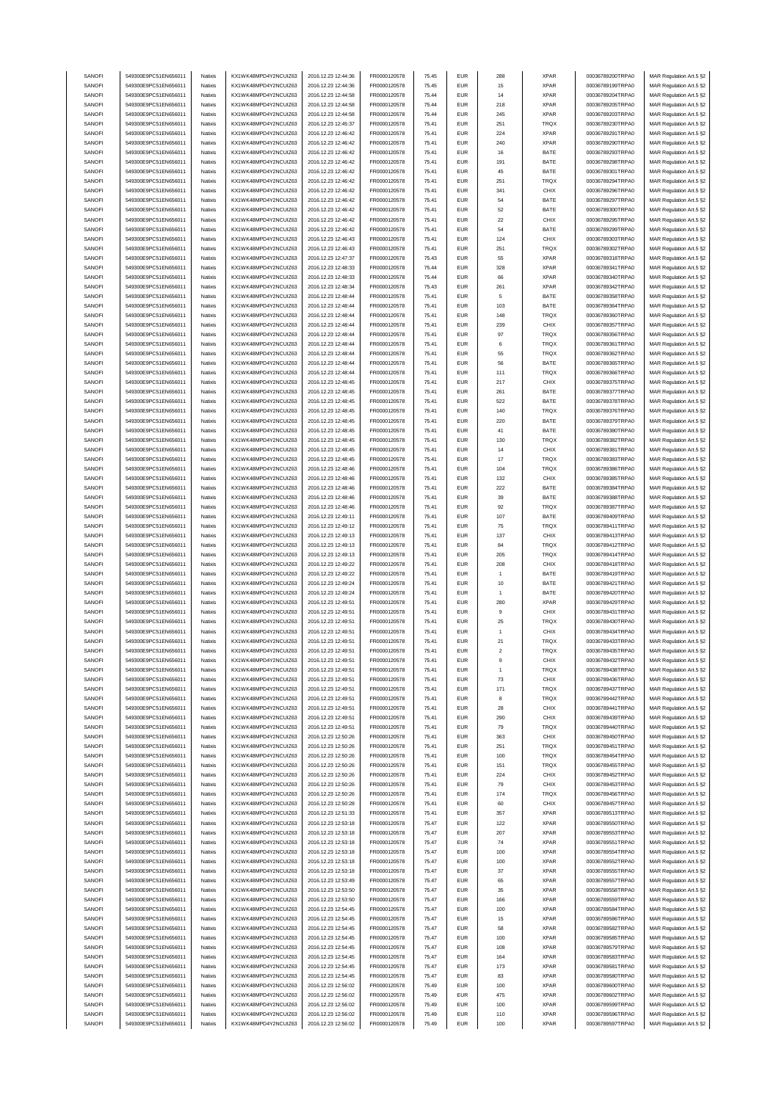| SANOFI | 549300E9PC51EN656011 | Natixis | KX1WK48MPD4Y2NCUIZ63                         | 2016.12.23 12:44:36 | FR0000120578 | 75.45 | <b>EUR</b> | 288           | <b>XPAR</b> | 00036789200TRPA0 | MAR Regulation Art.5 §2 |
|--------|----------------------|---------|----------------------------------------------|---------------------|--------------|-------|------------|---------------|-------------|------------------|-------------------------|
| SANOFI | 549300E9PC51EN656011 | Natixis | KX1WK48MPD4Y2NCUIZ63                         | 2016.12.23 12:44:36 | FR0000120578 | 75.45 | <b>EUR</b> | 15            | <b>XPAR</b> | 00036789199TRPA0 | MAR Regulation Art.5 §2 |
| SANOFI | 549300E9PC51EN656011 | Natixis | KX1WK48MPD4Y2NCUIZ63                         | 2016.12.23 12:44:58 | FR0000120578 | 75.44 | <b>EUR</b> | 14            | <b>XPAR</b> | 00036789204TRPA0 | MAR Regulation Art.5 §2 |
| SANOFI | 549300E9PC51EN656011 | Natixis | KX1WK48MPD4Y2NCUIZ63                         | 2016.12.23 12:44:58 | FR0000120578 | 75.44 | <b>EUR</b> | 218           | <b>XPAR</b> | 00036789205TRPA0 | MAR Regulation Art.5 §2 |
|        |                      |         |                                              |                     |              |       |            |               |             |                  |                         |
| SANOFI | 549300E9PC51EN656011 | Natixis | KX1WK48MPD4Y2NCUIZ63                         | 2016.12.23 12:44:58 | FR0000120578 | 75.44 | <b>EUR</b> | 245           | <b>XPAR</b> | 00036789203TRPA0 | MAR Regulation Art.5 §2 |
| SANOFI | 549300E9PC51EN656011 | Natixis | KX1WK48MPD4Y2NCUIZ63                         | 2016.12.23 12:45:37 | FR0000120578 | 75.41 | <b>EUR</b> | 251           | TRQX        | 00036789230TRPA0 | MAR Regulation Art.5 §2 |
| SANOFI | 549300E9PC51EN656011 | Natixis | KX1WK48MPD4Y2NCUIZ63                         | 2016.12.23 12:46:42 | FR0000120578 | 75.41 | <b>EUR</b> | 224           | <b>XPAR</b> | 00036789291TRPA0 | MAR Regulation Art.5 §2 |
| SANOFI | 549300E9PC51EN656011 | Natixis | KX1WK48MPD4Y2NCUIZ63                         | 2016.12.23 12:46:42 | FR0000120578 | 75.41 | EUR        | 240           | <b>XPAR</b> | 00036789290TRPA0 | MAR Regulation Art.5 §2 |
| SANOFI | 549300E9PC51EN656011 | Natixis | KX1WK48MPD4Y2NCUIZ63                         | 2016.12.23 12:46:42 | FR0000120578 | 75.41 | EUR        | 16            | BATE        | 00036789293TRPA0 | MAR Regulation Art.5 §2 |
| SANOFI | 549300E9PC51EN656011 | Natixis | KX1WK48MPD4Y2NCUIZ63                         | 2016.12.23 12:46:42 | FR0000120578 | 75.41 | EUR        | 191           | BATE        | 00036789298TRPA0 | MAR Regulation Art.5 §2 |
|        |                      | Natixis |                                              |                     |              | 75.41 | <b>EUR</b> |               | BATE        |                  |                         |
| SANOFI | 549300E9PC51EN656011 |         | KX1WK48MPD4Y2NCUIZ63                         | 2016.12.23 12:46:42 | FR0000120578 |       |            | 45            |             | 00036789301TRPA0 | MAR Regulation Art.5 §2 |
| SANOFI | 549300E9PC51EN656011 | Natixis | KX1WK48MPD4Y2NCUIZ63                         | 2016.12.23 12:46:42 | FR0000120578 | 75.41 | <b>EUR</b> | 251           | TRQX        | 00036789294TRPA0 | MAR Regulation Art.5 §2 |
| SANOFI | 549300E9PC51EN656011 | Natixis | KX1WK48MPD4Y2NCUIZ63                         | 2016.12.23 12:46:42 | FR0000120578 | 75.41 | <b>EUR</b> | 341           | CHIX        | 00036789296TRPA0 | MAR Regulation Art.5 §2 |
| SANOFI | 549300E9PC51EN656011 | Natixis | KX1WK48MPD4Y2NCUIZ63                         | 2016.12.23 12:46:42 | FR0000120578 | 75.41 | <b>EUR</b> | 54            | BATE        | 00036789297TRPA0 | MAR Regulation Art.5 §2 |
| SANOFI | 549300E9PC51EN656011 | Natixis | KX1WK48MPD4Y2NCUIZ63                         | 2016.12.23 12:46:42 | FR0000120578 | 75.41 | EUR        | 52            | BATE        | 00036789300TRPA0 | MAR Regulation Art.5 §2 |
|        | 549300E9PC51EN656011 |         | KX1WK48MPD4Y2NCUIZ63                         |                     |              |       |            |               |             | 00036789295TRPA0 |                         |
| SANOFI |                      | Natixis |                                              | 2016.12.23 12:46:42 | FR0000120578 | 75.41 | <b>EUR</b> | $22\,$        | CHIX        |                  | MAR Regulation Art.5 §2 |
| SANOFI | 549300E9PC51EN656011 | Natixis | KX1WK48MPD4Y2NCUIZ63                         | 2016.12.23 12:46:42 | FR0000120578 | 75.41 | EUR        | 54            | BATE        | 00036789299TRPA0 | MAR Regulation Art.5 §2 |
| SANOFI | 549300E9PC51EN656011 | Natixis | KX1WK48MPD4Y2NCUIZ63                         | 2016.12.23 12:46:43 | FR0000120578 | 75.41 | <b>EUR</b> | 124           | CHIX        | 00036789303TRPA0 | MAR Regulation Art.5 §2 |
| SANOFI | 549300E9PC51EN656011 | Natixis | KX1WK48MPD4Y2NCUIZ63                         | 2016.12.23 12:46:43 | FR0000120578 | 75.41 | EUR        | 251           | <b>TRQX</b> | 00036789302TRPA0 | MAR Regulation Art.5 §2 |
| SANOFI | 549300E9PC51EN656011 | Natixis | KX1WK48MPD4Y2NCUIZ63                         | 2016.12.23 12:47:37 | FR0000120578 | 75.43 | <b>EUR</b> | 55            | <b>XPAR</b> | 00036789318TRPA0 | MAR Regulation Art.5 §2 |
| SANOFI | 549300E9PC51EN656011 | Natixis | KX1WK48MPD4Y2NCUIZ63                         | 2016.12.23 12:48:33 | FR0000120578 | 75.44 | <b>EUR</b> | 328           | <b>XPAR</b> | 00036789341TRPA0 | MAR Regulation Art.5 §2 |
| SANOFI | 549300E9PC51EN656011 | Natixis | KX1WK48MPD4Y2NCUIZ63                         | 2016.12.23 12:48:33 | FR0000120578 | 75.44 | <b>EUR</b> | 66            | <b>XPAR</b> | 00036789340TRPA0 | MAR Regulation Art.5 §2 |
|        |                      |         |                                              |                     |              |       |            |               |             |                  |                         |
| SANOFI | 549300E9PC51EN656011 | Natixis | KX1WK48MPD4Y2NCUIZ63                         | 2016.12.23 12:48:34 | FR0000120578 | 75.43 | <b>EUR</b> | 261           | <b>XPAR</b> | 00036789342TRPA0 | MAR Regulation Art.5 §2 |
| SANOFI | 549300E9PC51EN656011 | Natixis | KX1WK48MPD4Y2NCUIZ63                         | 2016.12.23 12:48:44 | FR0000120578 | 75.41 | EUR        | 5             | BATE        | 00036789358TRPA0 | MAR Regulation Art.5 §2 |
| SANOFI | 549300E9PC51EN656011 | Natixis | KX1WK48MPD4Y2NCUIZ63                         | 2016.12.23 12:48:44 | FR0000120578 | 75.41 | <b>EUR</b> | 103           | BATE        | 00036789364TRPA0 | MAR Regulation Art.5 §2 |
| SANOFI | 549300E9PC51EN656011 | Natixis | KX1WK48MPD4Y2NCUIZ63                         | 2016.12.23 12:48:44 | FR0000120578 | 75.41 | EUR        | 148           | <b>TRQX</b> | 00036789360TRPA0 | MAR Regulation Art.5 §2 |
| SANOFI | 549300E9PC51EN656011 | Natixis | KX1WK48MPD4Y2NCUIZ63                         | 2016.12.23 12:48:44 | FR0000120578 | 75.41 | <b>EUR</b> | 239           | CHIX        | 00036789357TRPA0 | MAR Regulation Art.5 §2 |
| SANOFI | 549300E9PC51EN656011 | Natixis | KX1WK48MPD4Y2NCUIZ63                         | 2016.12.23 12:48:44 | FR0000120578 | 75.41 | <b>EUR</b> | 97            | TRQX        | 00036789356TRPA0 | MAR Regulation Art.5 §2 |
|        |                      |         |                                              |                     |              |       |            |               |             |                  |                         |
| SANOFI | 549300E9PC51EN656011 | Natixis | KX1WK48MPD4Y2NCUIZ63                         | 2016 12:23 12:48:44 | FR0000120578 | 75.41 | <b>EUR</b> | 6             | TRQX        | 00036789361TRPA0 | MAR Regulation Art.5 §2 |
| SANOFI | 549300E9PC51EN656011 | Natixis | KX1WK48MPD4Y2NCUIZ63                         | 2016.12.23 12:48:44 | FR0000120578 | 75.41 | <b>EUR</b> | 55            | TRQX        | 00036789362TRPA0 | MAR Regulation Art.5 §2 |
| SANOFI | 549300E9PC51EN656011 | Natixis | KX1WK48MPD4Y2NCUIZ63                         | 2016.12.23 12:48:44 | FR0000120578 | 75.41 | <b>EUR</b> | 56            | BATE        | 00036789365TRPA0 | MAR Regulation Art.5 §2 |
| SANOFI | 549300E9PC51EN656011 | Natixis | KX1WK48MPD4Y2NCUIZ63                         | 2016.12.23 12:48:44 | FR0000120578 | 75.41 | EUR        | 111           | TRQX        | 00036789366TRPA0 | MAR Regulation Art.5 §2 |
| SANOFI | 549300E9PC51EN656011 | Natixis | KX1WK48MPD4Y2NCUIZ63                         | 2016.12.23 12:48:45 | FR0000120578 | 75.41 | EUR        | 217           | CHIX        | 00036789375TRPA0 |                         |
|        |                      |         |                                              |                     |              |       |            |               |             |                  | MAR Regulation Art.5 §2 |
| SANOFI | 549300E9PC51EN656011 | Natixis | KX1WK48MPD4Y2NCUIZ63                         | 2016.12.23 12:48:45 | FR0000120578 | 75.41 | <b>EUR</b> | 261           | BATE        | 00036789377TRPA0 | MAR Regulation Art.5 §2 |
| SANOFI | 549300E9PC51EN656011 | Natixis | KX1WK48MPD4Y2NCUIZ63                         | 2016.12.23 12:48:45 | FR0000120578 | 75.41 | EUR        | 522           | BATE        | 00036789378TRPA0 | MAR Regulation Art.5 §2 |
| SANOFI | 549300E9PC51EN656011 | Natixis | KX1WK48MPD4Y2NCUIZ63                         | 2016.12.23 12:48:45 | FR0000120578 | 75.41 | <b>EUR</b> | 140           | TRQX        | 00036789376TRPA0 | MAR Regulation Art.5 §2 |
| SANOFI | 549300E9PC51EN656011 | Natixis | KX1WK48MPD4Y2NCUIZ63                         | 2016.12.23 12:48:45 | FR0000120578 | 75.41 | <b>EUR</b> | 220           | BATE        | 00036789379TRPA0 | MAR Regulation Art.5 §2 |
| SANOFI | 549300E9PC51EN656011 | Natixis | KX1WK48MPD4Y2NCUIZ63                         | 2016.12.23 12:48:45 | FR0000120578 | 75.41 | <b>EUR</b> | 41            | BATE        | 00036789380TRPA0 | MAR Regulation Art.5 §2 |
|        |                      |         |                                              |                     |              |       |            |               |             |                  |                         |
| SANOFI | 549300E9PC51EN656011 | Natixis | KX1WK48MPD4Y2NCUIZ63                         | 2016.12.23 12:48:45 | FR0000120578 | 75.41 | <b>EUR</b> | 130           | TRQX        | 00036789382TRPA0 | MAR Regulation Art.5 §2 |
| SANOFI | 549300E9PC51EN656011 | Natixis | KX1WK48MPD4Y2NCUIZ63                         | 2016.12.23 12:48:45 | FR0000120578 | 75.41 | <b>EUR</b> | 14            | CHIX        | 00036789381TRPA0 | MAR Regulation Art.5 §2 |
| SANOFI | 549300E9PC51EN656011 | Natixis | KX1WK48MPD4Y2NCUIZ63                         | 2016.12.23 12:48:45 | FR0000120578 | 75.41 | <b>EUR</b> | 17            | TRQX        | 00036789383TRPA0 | MAR Regulation Art.5 §2 |
| SANOFI | 549300E9PC51EN656011 | Natixis | KX1WK48MPD4Y2NCUIZ63                         | 2016.12.23 12:48:46 | FR0000120578 | 75.41 | EUR        | 104           | TRQX        | 00036789386TRPA0 | MAR Regulation Art.5 §2 |
| SANOFI | 549300E9PC51EN656011 | Natixis | KX1WK48MPD4Y2NCUIZ63                         | 2016.12.23 12:48:46 | FR0000120578 | 75.41 | <b>EUR</b> | 132           | CHIX        | 00036789385TRPA0 | MAR Regulation Art.5 §2 |
| SANOFI | 549300E9PC51EN656011 | Natixis | KX1WK48MPD4Y2NCUIZ63                         | 2016.12.23 12:48:46 | FR0000120578 | 75.41 | <b>EUR</b> | 222           | BATE        | 00036789384TRPA0 |                         |
|        |                      |         |                                              |                     |              |       |            |               |             |                  | MAR Regulation Art.5 §2 |
| SANOFI | 549300E9PC51EN656011 | Natixis | KX1WK48MPD4Y2NCUIZ63                         | 2016.12.23 12:48:46 | FR0000120578 | 75.41 | <b>EUR</b> | 39            | BATE        | 00036789388TRPA0 | MAR Regulation Art.5 §2 |
| SANOFI | 549300E9PC51EN656011 | Natixis | KX1WK48MPD4Y2NCUIZ63                         | 2016.12.23 12:48:46 | FR0000120578 | 75.41 | <b>EUR</b> | 92            | TRQX        | 00036789387TRPA0 | MAR Regulation Art.5 §2 |
| SANOFI | 549300E9PC51EN656011 | Natixis | KX1WK48MPD4Y2NCUIZ63                         | 2016.12.23 12:49:11 | FR0000120578 | 75.41 | <b>EUR</b> | 107           | BATE        | 00036789409TRPA0 | MAR Regulation Art.5 §2 |
| SANOFI | 549300E9PC51EN656011 | Natixis | KX1WK48MPD4Y2NCUIZ63                         | 2016.12.23 12:49:12 | FR0000120578 | 75.41 | <b>EUR</b> | 75            | TRQX        | 00036789411TRPA0 | MAR Regulation Art.5 §2 |
| SANOFI | 549300E9PC51EN656011 | Natixis | KX1WK48MPD4Y2NCUIZ63                         | 2016.12.23 12:49:13 | FR0000120578 | 75.41 | <b>EUR</b> | 137           | CHIX        | 00036789413TRPA0 | MAR Regulation Art.5 §2 |
|        |                      |         |                                              |                     |              |       |            |               |             |                  |                         |
| SANOFI | 549300E9PC51EN656011 | Natixis | KX1WK48MPD4Y2NCUIZ63                         | 2016.12.23 12:49:13 | FR0000120578 | 75.41 | EUR        | 84            | TRQX        | 00036789412TRPA0 | MAR Regulation Art.5 §2 |
| SANOFI | 549300E9PC51EN656011 | Natixis | KX1WK48MPD4Y2NCUIZ63                         | 2016.12.23 12:49:13 | FR0000120578 | 75.41 | <b>EUR</b> | 205           | TRQX        | 00036789414TRPA0 | MAR Regulation Art.5 §2 |
| SANOFI | 549300E9PC51EN656011 | Natixis | KX1WK48MPD4Y2NCUIZ63                         | 2016.12.23 12:49:22 | FR0000120578 | 75.41 | <b>EUR</b> | 208           | CHIX        | 00036789418TRPA0 | MAR Regulation Art.5 §2 |
| SANOFI | 549300E9PC51EN656011 | Natixis | KX1WK48MPD4Y2NCUIZ63                         | 2016.12.23 12:49:22 | FR0000120578 | 75.41 | <b>EUR</b> | $\mathbf{1}$  | BATE        | 00036789419TRPA0 | MAR Regulation Art.5 §2 |
| SANOFI | 549300E9PC51EN656011 | Natixis | KX1WK48MPD4Y2NCUIZ63                         | 2016.12.23 12:49:24 | FR0000120578 | 75.41 | <b>EUR</b> | 10            | BATE        | 00036789421TRPA0 | MAR Regulation Art.5 §2 |
| SANOFI | 549300E9PC51EN656011 | Natixis | KX1WK48MPD4Y2NCUIZ63                         | 2016.12.23 12:49:24 | FR0000120578 | 75.41 | <b>EUR</b> | 1             | BATE        | 00036789420TRPA0 | MAR Regulation Art.5 §2 |
|        |                      |         |                                              |                     |              |       |            |               |             |                  |                         |
| SANOFI | 549300E9PC51EN656011 | Natixis | KX1WK48MPD4Y2NCUIZ63                         | 2016.12.23 12:49:51 | FR0000120578 | 75.41 | <b>EUR</b> | 280           | <b>XPAR</b> | 00036789429TRPA0 | MAR Regulation Art.5 §2 |
| SANOFI | 549300E9PC51EN656011 | Natixis | KX1WK48MPD4Y2NCUIZ63                         | 2016.12.23 12:49:51 | FR0000120578 | 75.41 | <b>EUR</b> | 9             | CHIX        | 00036789431TRPA0 | MAR Regulation Art.5 §2 |
| SANOFI | 549300E9PC51EN656011 | Natixis | KX1WK48MPD4Y2NCUIZ63                         | 2016.12.23 12:49:51 | FR0000120578 | 75.41 | EUR        | 25            | TRQX        | 00036789430TRPA0 | MAR Regulation Art.5 §2 |
| SANOFI | 549300E9PC51EN656011 | Natixis | KX1WK48MPD4Y2NCUIZ63                         | 2016.12.23 12:49:51 | FR0000120578 | 75.41 | <b>EUR</b> | $\mathbf{1}$  | CHIX        | 00036789434TRPA0 | MAR Regulation Art.5 §2 |
| SANOFI | 549300E9PC51EN656011 | Natixis | KX1WK48MPD4Y2NCUIZ63                         | 2016.12.23 12:49:51 | FR0000120578 | 75.41 | <b>EUR</b> | 21            | TRQX        | 00036789433TRPA0 | MAR Regulation Art.5 §2 |
|        |                      |         |                                              |                     |              |       |            |               |             |                  |                         |
| SANOF  | 549300E9PC51EN65601  | Natixis | KX1WK48MPD4Y2NCUIZ63                         | 2016.12.23 12:49:51 | FR0000120578 | 75.41 | EUR        |               | TROX        | 00036789435TRPA0 | MAR Regulation Art.5 §2 |
| SANOFI | 549300E9PC51EN656011 | Natixis | KX1WK48MPD4Y2NCUIZ63                         | 2016.12.23 12:49:51 | FR0000120578 | 75.41 | <b>EUR</b> | 9             | CHIX        | 00036789432TRPA0 | MAR Regulation Art.5 §2 |
| SANOFI | 549300E9PC51EN656011 | Natixis | KX1WK48MPD4Y2NCUIZ63                         | 2016.12.23 12:49:51 | FR0000120578 | 75.41 | <b>EUR</b> | -1            | TRQX        | 00036789438TRPA0 | MAR Regulation Art.5 §2 |
| SANOFI | 549300E9PC51EN656011 | Natixis | KX1WK48MPD4Y2NCUIZ63                         | 2016.12.23 12:49:51 | FR0000120578 | 75.41 | <b>EUR</b> | $\mathbf{73}$ | CHIX        | 00036789436TRPA0 | MAR Regulation Art.5 §2 |
| SANOFI | 549300E9PC51EN656011 | Natixis | KX1WK48MPD4Y2NCUIZ63                         | 2016.12.23 12:49:51 | FR0000120578 | 75.41 | <b>EUR</b> | 171           | <b>TRQX</b> | 00036789437TRPA0 | MAR Regulation Art.5 §2 |
| SANOFI | 549300E9PC51EN656011 | Natixis | KX1WK48MPD4Y2NCUIZ63                         | 2016.12.23 12:49:51 | FR0000120578 | 75.41 | <b>EUR</b> | 8             | TRQX        | 00036789442TRPA0 | MAR Regulation Art.5 §2 |
| SANOFI | 549300E9PC51EN656011 | Natixis | KX1WK48MPD4Y2NCUIZ63                         | 2016.12.23 12:49:51 | FR0000120578 | 75.41 | <b>EUR</b> | 28            | CHIX        | 00036789441TRPA0 | MAR Regulation Art.5 §2 |
|        |                      |         |                                              |                     |              |       |            |               |             |                  |                         |
| SANOFI | 549300E9PC51EN656011 | Natixis | KX1WK48MPD4Y2NCUIZ63                         | 2016.12.23 12:49:51 | FR0000120578 | 75.41 | <b>EUR</b> | 290           | CHIX        | 00036789439TRPA0 | MAR Regulation Art.5 §2 |
| SANOFI | 549300E9PC51EN656011 | Natixis | KX1WK48MPD4Y2NCUIZ63                         | 2016.12.23 12:49:51 | FR0000120578 | 75.41 | <b>EUR</b> | 79            | TRQX        | 00036789440TRPA0 | MAR Regulation Art.5 §2 |
| SANOFI | 549300E9PC51EN656011 | Natixis | KX1WK48MPD4Y2NCUIZ63                         | 2016.12.23 12:50:26 | FR0000120578 | 75.41 | <b>EUR</b> | 363           | CHIX        | 00036789450TRPA0 | MAR Regulation Art.5 §2 |
| SANOFI | 549300E9PC51EN656011 | Natixis | KX1WK48MPD4Y2NCUIZ63                         | 2016.12.23 12:50:26 | FR0000120578 | 75.41 | <b>EUR</b> | 251           | TRQX        | 00036789451TRPA0 | MAR Regulation Art.5 §2 |
| SANOFI | 549300E9PC51EN656011 | Natixis | KX1WK48MPD4Y2NCUIZ63                         | 2016.12.23 12:50:26 | FR0000120578 | 75.41 | <b>EUR</b> | 100           | TRQX        | 00036789454TRPA0 | MAR Regulation Art.5 §2 |
| SANOFI | 549300E9PC51EN656011 | Natixis | KX1WK48MPD4Y2NCUIZ63                         | 2016.12.23 12:50:26 | FR0000120578 | 75.41 | <b>EUR</b> | 151           | <b>TRQX</b> | 00036789455TRPA0 | MAR Regulation Art.5 §2 |
|        |                      |         |                                              |                     |              |       |            |               |             |                  |                         |
| SANOFI | 549300E9PC51EN656011 | Natixis | KX1WK48MPD4Y2NCUIZ63                         | 2016.12.23 12:50:26 | FR0000120578 | 75.41 | <b>EUR</b> | 224           | CHIX        | 00036789452TRPA0 | MAR Regulation Art.5 §2 |
| SANOFI | 549300E9PC51EN656011 | Natixis | KX1WK48MPD4Y2NCUIZ63                         | 2016.12.23 12:50:26 |              |       |            |               |             | 00036789453TRPA0 | MAR Regulation Art.5 §2 |
| SANOFI |                      |         |                                              |                     | FR0000120578 | 75.41 | <b>EUR</b> | 79            | CHIX        |                  |                         |
|        | 549300E9PC51EN656011 | Natixis | KX1WK48MPD4Y2NCUIZ63                         | 2016.12.23 12:50:26 | FR0000120578 | 75.41 | <b>EUR</b> | 174           | <b>TRQX</b> | 00036789456TRPA0 | MAR Regulation Art.5 §2 |
|        | 549300E9PC51EN656011 | Natixis |                                              |                     |              |       |            | 60            |             |                  |                         |
| SANOFI |                      |         | KX1WK48MPD4Y2NCUIZ63                         | 2016.12.23 12:50:28 | FR0000120578 | 75.41 | <b>EUR</b> |               | CHIX        | 00036789457TRPA0 | MAR Regulation Art.5 §2 |
| SANOFI | 549300E9PC51EN656011 | Natixis | KX1WK48MPD4Y2NCUIZ63                         | 2016.12.23 12:51:33 | FR0000120578 | 75.41 | <b>EUR</b> | 357           | <b>XPAR</b> | 00036789513TRPA0 | MAR Regulation Art.5 §2 |
| SANOFI | 549300E9PC51EN656011 | Natixis | KX1WK48MPD4Y2NCUIZ63                         | 2016.12.23 12:53:18 | FR0000120578 | 75.47 | <b>EUR</b> | 122           | <b>XPAR</b> | 00036789550TRPA0 | MAR Regulation Art.5 §2 |
| SANOFI | 549300E9PC51EN656011 | Natixis | KX1WK48MPD4Y2NCUIZ63                         | 2016.12.23 12:53:18 | FR0000120578 | 75.47 | <b>EUR</b> | 207           | <b>XPAR</b> | 00036789553TRPA0 | MAR Regulation Art.5 §2 |
| SANOFI | 549300E9PC51EN656011 | Natixis | KX1WK48MPD4Y2NCUIZ63                         | 2016.12.23 12:53:18 | FR0000120578 | 75.47 | <b>EUR</b> | 74            | <b>XPAR</b> | 00036789551TRPA0 | MAR Regulation Art.5 §2 |
| SANOFI | 549300E9PC51EN656011 | Natixis | KX1WK48MPD4Y2NCUIZ63                         | 2016.12.23 12:53:18 | FR0000120578 | 75.47 | <b>EUR</b> | 100           | <b>XPAR</b> | 00036789554TRPA0 | MAR Regulation Art.5 §2 |
| SANOFI | 549300E9PC51EN656011 | Natixis | KX1WK48MPD4Y2NCUIZ63                         | 2016.12.23 12:53:18 | FR0000120578 | 75.47 | <b>EUR</b> | 100           | <b>XPAR</b> | 00036789552TRPA0 | MAR Regulation Art.5 §2 |
|        |                      |         |                                              |                     |              |       |            |               |             |                  |                         |
| SANOFI | 549300E9PC51EN656011 | Natixis | KX1WK48MPD4Y2NCUIZ63                         | 2016.12.23 12:53:18 | FR0000120578 | 75.47 | <b>EUR</b> | 37            | <b>XPAR</b> | 00036789555TRPA0 | MAR Regulation Art.5 §2 |
| SANOFI | 549300E9PC51EN656011 | Natixis | KX1WK48MPD4Y2NCUIZ63                         | 2016.12.23 12:53:49 | FR0000120578 | 75.47 | EUR        | 65            | <b>XPAR</b> | 00036789557TRPA0 | MAR Regulation Art.5 §2 |
| SANOFI | 549300E9PC51EN656011 | Natixis | KX1WK48MPD4Y2NCUIZ63                         | 2016.12.23 12:53:50 | FR0000120578 | 75.47 | <b>EUR</b> | 35            | <b>XPAR</b> | 00036789558TRPA0 | MAR Regulation Art.5 §2 |
| SANOFI | 549300E9PC51EN656011 | Natixis | KX1WK48MPD4Y2NCUIZ63                         | 2016.12.23 12:53:50 | FR0000120578 | 75.47 | <b>EUR</b> | 166           | <b>XPAR</b> | 00036789559TRPA0 | MAR Regulation Art.5 §2 |
| SANOFI | 549300E9PC51EN656011 | Natixis | KX1WK48MPD4Y2NCUIZ63                         | 2016.12.23 12:54:45 | FR0000120578 | 75.47 | <b>EUR</b> | 100           | <b>XPAR</b> | 00036789584TRPA0 | MAR Regulation Art.5 §2 |
|        |                      |         |                                              |                     |              |       |            |               |             |                  |                         |
| SANOFI | 549300E9PC51EN656011 | Natixis | KX1WK48MPD4Y2NCUIZ63                         | 2016.12.23 12:54:45 | FR0000120578 | 75.47 | <b>EUR</b> | 15            | <b>XPAR</b> | 00036789586TRPA0 | MAR Regulation Art.5 §2 |
| SANOFI | 549300E9PC51EN656011 | Natixis | KX1WK48MPD4Y2NCUIZ63                         | 2016.12.23 12:54:45 | FR0000120578 | 75.47 | <b>EUR</b> | 58            | <b>XPAR</b> | 00036789582TRPA0 | MAR Regulation Art.5 §2 |
| SANOFI | 549300E9PC51EN656011 | Natixis | KX1WK48MPD4Y2NCUIZ63                         | 2016.12.23 12:54:45 | FR0000120578 | 75.47 | <b>EUR</b> | 100           | <b>XPAR</b> | 00036789585TRPA0 | MAR Regulation Art.5 §2 |
| SANOFI | 549300E9PC51EN656011 | Natixis | KX1WK48MPD4Y2NCUIZ63                         | 2016.12.23 12:54:45 | FR0000120578 | 75.47 | <b>EUR</b> | 108           | <b>XPAR</b> | 00036789579TRPA0 | MAR Regulation Art.5 §2 |
| SANOFI | 549300E9PC51EN656011 | Natixis | KX1WK48MPD4Y2NCUIZ63                         | 2016.12.23 12:54:45 | FR0000120578 | 75.47 | <b>EUR</b> | 164           | <b>XPAR</b> | 00036789583TRPA0 | MAR Regulation Art.5 §2 |
|        |                      |         |                                              |                     |              | 75.47 |            | 173           |             |                  |                         |
| SANOFI | 549300E9PC51EN656011 | Natixis | KX1WK48MPD4Y2NCUIZ63                         | 2016.12.23 12:54:45 | FR0000120578 |       | <b>EUR</b> |               | <b>XPAR</b> | 00036789581TRPA0 | MAR Regulation Art.5 §2 |
| SANOFI | 549300E9PC51EN656011 | Natixis | KX1WK48MPD4Y2NCUIZ63                         | 2016.12.23 12:54:45 | FR0000120578 | 75.47 | <b>EUR</b> | 83            | <b>XPAR</b> | 00036789580TRPA0 | MAR Regulation Art.5 §2 |
| SANOFI | 549300E9PC51EN656011 | Natixis | KX1WK48MPD4Y2NCUIZ63                         | 2016.12.23 12:56:02 | FR0000120578 | 75.49 | <b>EUR</b> | 100           | <b>XPAR</b> | 00036789600TRPA0 | MAR Regulation Art.5 §2 |
| SANOFI | 549300E9PC51EN656011 | Natixis | KX1WK48MPD4Y2NCUIZ63                         | 2016.12.23 12:56:02 | FR0000120578 | 75.49 | <b>EUR</b> | 475           | <b>XPAR</b> | 00036789602TRPA0 | MAR Regulation Art.5 §2 |
| SANOFI | 549300E9PC51EN656011 | Natixis | KX1WK48MPD4Y2NCUIZ63                         | 2016.12.23 12:56:02 | FR0000120578 | 75.49 | <b>EUR</b> | 100           | <b>XPAR</b> | 00036789599TRPA0 | MAR Regulation Art.5 §2 |
| SANOFI | 549300E9PC51EN656011 | Natixis | KX1WK48MPD4Y2NCUIZ63<br>KX1WK48MPD4Y2NCUIZ63 | 2016.12.23 12:56:02 | FR0000120578 | 75.49 | <b>EUR</b> | 110           | <b>XPAR</b> | 00036789596TRPA0 | MAR Regulation Art.5 §2 |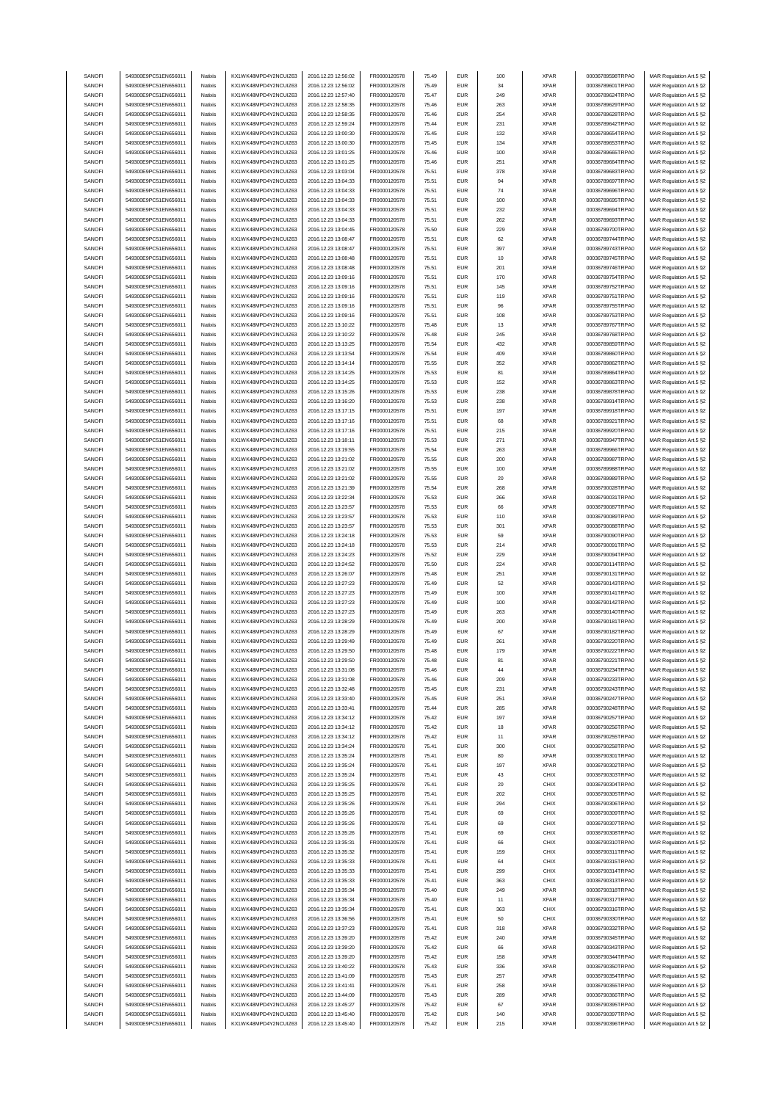| SANOFI<br>SANOFI |                      |         |                                              |                     |              |       |            |     |             |                  |                         |
|------------------|----------------------|---------|----------------------------------------------|---------------------|--------------|-------|------------|-----|-------------|------------------|-------------------------|
|                  | 549300E9PC51EN656011 | Natixis | KX1WK48MPD4Y2NCUIZ63                         | 2016.12.23 12:56:02 | FR0000120578 | 75.49 | <b>EUR</b> | 100 | <b>XPAR</b> | 00036789598TRPA0 | MAR Regulation Art.5 §2 |
|                  | 549300E9PC51EN656011 | Natixis | KX1WK48MPD4Y2NCUIZ63                         | 2016.12.23 12:56:02 | FR0000120578 | 75.49 | <b>EUR</b> | 34  | <b>XPAR</b> | 00036789601TRPA0 | MAR Regulation Art.5 §2 |
| SANOFI           | 549300E9PC51EN656011 | Natixis | KX1WK48MPD4Y2NCUIZ63                         | 2016.12.23 12:57:40 | FR0000120578 | 75.47 | <b>EUR</b> | 249 | <b>XPAR</b> | 00036789624TRPA0 | MAR Regulation Art.5 §2 |
| SANOFI           | 549300E9PC51EN656011 | Natixis | KX1WK48MPD4Y2NCUIZ63                         | 2016.12.23 12:58:35 | FR0000120578 | 75.46 | <b>EUR</b> | 263 | <b>XPAR</b> | 00036789629TRPA0 | MAR Regulation Art.5 §2 |
|                  |                      |         |                                              |                     |              |       |            |     |             |                  |                         |
| SANOFI           | 549300E9PC51EN656011 | Natixis | KX1WK48MPD4Y2NCUIZ63                         | 2016.12.23 12:58:35 | FR0000120578 | 75.46 | <b>EUR</b> | 254 | <b>XPAR</b> | 00036789628TRPA0 | MAR Regulation Art.5 §2 |
| SANOFI           | 549300E9PC51EN656011 | Natixis | KX1WK48MPD4Y2NCUIZ63                         | 2016.12.23 12:59:24 | FR0000120578 | 75.44 | <b>EUR</b> | 231 | <b>XPAR</b> | 00036789642TRPA0 | MAR Regulation Art.5 §2 |
| SANOFI           | 549300E9PC51EN656011 | Natixis | KX1WK48MPD4Y2NCUIZ63                         | 2016.12.23 13:00:30 | FR0000120578 | 75.45 | <b>EUR</b> | 132 | <b>XPAR</b> | 00036789654TRPA0 | MAR Regulation Art.5 §2 |
| SANOFI           | 549300E9PC51EN656011 | Natixis | KX1WK48MPD4Y2NCUIZ63                         | 2016.12.23 13:00:30 | FR0000120578 | 75.45 | EUR        | 134 | <b>XPAR</b> | 00036789653TRPA0 | MAR Regulation Art.5 §2 |
| SANOFI           | 549300E9PC51EN656011 | Natixis | KX1WK48MPD4Y2NCUIZ63                         | 2016.12.23 13:01:25 | FR0000120578 | 75.46 | <b>EUR</b> | 100 | <b>XPAR</b> | 00036789665TRPA0 | MAR Regulation Art.5 §2 |
| SANOFI           | 549300E9PC51EN656011 | Natixis | KX1WK48MPD4Y2NCUIZ63                         | 2016.12.23 13:01:25 | FR0000120578 | 75.46 | EUR        | 251 | <b>XPAR</b> | 00036789664TRPA0 | MAR Regulation Art.5 §2 |
|                  | 549300E9PC51EN656011 | Natixis |                                              |                     |              | 75.51 | <b>EUR</b> |     |             |                  |                         |
| SANOFI           |                      |         | KX1WK48MPD4Y2NCUIZ63                         | 2016.12.23 13:03:04 | FR0000120578 |       |            | 378 | <b>XPAR</b> | 00036789683TRPA0 | MAR Regulation Art.5 §2 |
| SANOFI           | 549300E9PC51EN656011 | Natixis | KX1WK48MPD4Y2NCUIZ63                         | 2016.12.23 13:04:33 | FR0000120578 | 75.51 | <b>EUR</b> | 94  | <b>XPAR</b> | 00036789697TRPA0 | MAR Regulation Art.5 §2 |
| SANOFI           | 549300E9PC51EN656011 | Natixis | KX1WK48MPD4Y2NCUIZ63                         | 2016.12.23 13:04:33 | FR0000120578 | 75.51 | <b>EUR</b> | 74  | <b>XPAR</b> | 00036789696TRPA0 | MAR Regulation Art.5 §2 |
| SANOFI           | 549300E9PC51EN656011 | Natixis | KX1WK48MPD4Y2NCUIZ63                         | 2016.12.23 13:04:33 | FR0000120578 | 75.51 | <b>EUR</b> | 100 | <b>XPAR</b> | 00036789695TRPA0 | MAR Regulation Art.5 §2 |
| SANOFI           | 549300E9PC51EN656011 | Natixis | KX1WK48MPD4Y2NCUIZ63                         | 2016.12.23 13:04:33 | FR0000120578 | 75.51 | EUR        | 232 | <b>XPAR</b> | 00036789694TRPA0 | MAR Regulation Art.5 §2 |
|                  | 549300E9PC51EN656011 |         | KX1WK48MPD4Y2NCUIZ63                         | 2016.12.23 13:04:33 | FR0000120578 |       | <b>EUR</b> | 262 |             | 00036789693TRPA0 |                         |
| SANOFI           |                      | Natixis |                                              |                     |              | 75.51 |            |     | <b>XPAR</b> |                  | MAR Regulation Art.5 §2 |
| SANOFI           | 549300E9PC51EN656011 | Natixis | KX1WK48MPD4Y2NCUIZ63                         | 2016.12.23 13:04:45 | FR0000120578 | 75.50 | EUR        | 229 | <b>XPAR</b> | 00036789700TRPA0 | MAR Regulation Art.5 §2 |
| SANOFI           | 549300E9PC51EN656011 | Natixis | KX1WK48MPD4Y2NCUIZ63                         | 2016.12.23 13:08:47 | FR0000120578 | 75.51 | EUR        | 62  | <b>XPAR</b> | 00036789744TRPA0 | MAR Regulation Art.5 §2 |
| SANOFI           | 549300E9PC51EN656011 | Natixis | KX1WK48MPD4Y2NCUIZ63                         | 2016.12.23 13:08:47 | FR0000120578 | 75.51 | EUR        | 397 | <b>XPAR</b> | 00036789743TRPA0 | MAR Regulation Art.5 §2 |
| SANOFI           | 549300E9PC51EN656011 | Natixis | KX1WK48MPD4Y2NCUIZ63                         | 2016.12.23 13:08:48 | FR0000120578 | 75.51 | <b>EUR</b> | 10  | <b>XPAR</b> | 00036789745TRPA0 | MAR Regulation Art.5 §2 |
| SANOFI           | 549300E9PC51EN656011 | Natixis | KX1WK48MPD4Y2NCUIZ63                         | 2016.12.23 13:08:48 | FR0000120578 | 75.51 | <b>EUR</b> | 201 | <b>XPAR</b> | 00036789746TRPA0 | MAR Regulation Art.5 §2 |
| SANOFI           | 549300E9PC51EN656011 | Natixis | KX1WK48MPD4Y2NCUIZ63                         | 2016.12.23 13:09:16 | FR0000120578 | 75.51 | <b>EUR</b> | 170 | <b>XPAR</b> | 00036789754TRPA0 | MAR Regulation Art.5 §2 |
|                  |                      |         |                                              |                     |              |       |            |     |             |                  |                         |
| SANOFI           | 549300E9PC51EN656011 | Natixis | KX1WK48MPD4Y2NCUIZ63                         | 2016.12.23 13:09:16 | FR0000120578 | 75.51 | <b>EUR</b> | 145 | <b>XPAR</b> | 00036789752TRPA0 | MAR Regulation Art.5 §2 |
| SANOFI           | 549300E9PC51EN656011 | Natixis | KX1WK48MPD4Y2NCUIZ63                         | 2016.12.23 13:09:16 | FR0000120578 | 75.51 | EUR        | 119 | <b>XPAR</b> | 00036789751TRPA0 | MAR Regulation Art.5 §2 |
| SANOFI           | 549300E9PC51EN656011 | Natixis | KX1WK48MPD4Y2NCUIZ63                         | 2016.12.23 13:09:16 | FR0000120578 | 75.51 | <b>EUR</b> | 96  | <b>XPAR</b> | 00036789755TRPA0 | MAR Regulation Art.5 §2 |
| SANOFI           | 549300E9PC51EN656011 | Natixis | KX1WK48MPD4Y2NCUIZ63                         | 2016.12.23 13:09:16 | FR0000120578 | 75.51 | <b>EUR</b> | 108 | <b>XPAR</b> | 00036789753TRPA0 | MAR Regulation Art.5 §2 |
| SANOFI           | 549300E9PC51EN656011 | Natixis | KX1WK48MPD4Y2NCUIZ63                         | 2016.12.23 13:10:22 | FR0000120578 | 75.48 | <b>EUR</b> | 13  | <b>XPAR</b> | 00036789767TRPA0 | MAR Regulation Art.5 §2 |
| SANOFI           | 549300E9PC51EN656011 | Natixis | KX1WK48MPD4Y2NCUIZ63                         | 2016.12.23 13:10:22 | FR0000120578 | 75.48 | <b>EUR</b> | 245 | <b>XPAR</b> | 00036789768TRPA0 | MAR Regulation Art.5 §2 |
|                  |                      |         |                                              |                     |              |       |            |     |             |                  |                         |
| SANOFI           | 549300E9PC51EN656011 | Natixis | KX1WK48MPD4Y2NCUIZ63                         | 2016.12.23 13:13:25 | FR0000120578 | 75.54 | <b>EUR</b> | 432 | <b>XPAR</b> | 00036789859TRPA0 | MAR Regulation Art.5 §2 |
| SANOFI           | 549300E9PC51EN656011 | Natixis | KX1WK48MPD4Y2NCUIZ63                         | 2016.12.23 13:13:54 | FR0000120578 | 75.54 | <b>EUR</b> | 409 | <b>XPAR</b> | 00036789860TRPA0 | MAR Regulation Art.5 §2 |
| SANOFI           | 549300E9PC51EN656011 | Natixis | KX1WK48MPD4Y2NCUIZ63                         | 2016.12.23 13:14:14 | FR0000120578 | 75.55 | <b>EUR</b> | 352 | <b>XPAR</b> | 00036789862TRPA0 | MAR Regulation Art.5 §2 |
| SANOFI           | 549300E9PC51EN656011 | Natixis | KX1WK48MPD4Y2NCUIZ63                         | 2016.12.23 13:14:25 | FR0000120578 | 75.53 | EUR        | 81  | <b>XPAR</b> | 00036789864TRPA0 | MAR Regulation Art.5 §2 |
| SANOFI           | 549300E9PC51EN656011 | Natixis | KX1WK48MPD4Y2NCUIZ63                         | 2016.12.23 13:14:25 | FR0000120578 | 75.53 | EUR        | 152 | <b>XPAR</b> | 00036789863TRPA0 | MAR Regulation Art.5 §2 |
|                  |                      |         |                                              |                     |              |       |            |     |             |                  |                         |
| SANOFI           | 549300E9PC51EN656011 | Natixis | KX1WK48MPD4Y2NCUIZ63                         | 2016.12.23 13:15:26 | FR0000120578 | 75.53 | <b>EUR</b> | 238 | <b>XPAR</b> | 00036789878TRPA0 | MAR Regulation Art.5 §2 |
| SANOFI           | 549300E9PC51EN656011 | Natixis | KX1WK48MPD4Y2NCUIZ63                         | 2016.12.23 13:16:20 | FR0000120578 | 75.53 | <b>EUR</b> | 238 | <b>XPAR</b> | 00036789914TRPA0 | MAR Regulation Art.5 §2 |
| SANOFI           | 549300E9PC51EN656011 | Natixis | KX1WK48MPD4Y2NCUIZ63                         | 2016.12.23 13:17:15 | FR0000120578 | 75.51 | <b>EUR</b> | 197 | <b>XPAR</b> | 00036789918TRPA0 | MAR Regulation Art.5 §2 |
| SANOFI           | 549300E9PC51EN656011 | Natixis | KX1WK48MPD4Y2NCUIZ63                         | 2016.12.23 13:17:16 | FR0000120578 | 75.51 | <b>EUR</b> | 68  | <b>XPAR</b> | 00036789921TRPA0 | MAR Regulation Art.5 §2 |
| SANOFI           | 549300E9PC51EN656011 | Natixis | KX1WK48MPD4Y2NCUIZ63                         | 2016.12.23 13:17:16 | FR0000120578 | 75.51 | <b>EUR</b> | 215 | <b>XPAR</b> | 00036789920TRPA0 | MAR Regulation Art.5 §2 |
|                  |                      |         |                                              |                     |              |       |            |     |             |                  |                         |
| SANOFI           | 549300E9PC51EN656011 | Natixis | KX1WK48MPD4Y2NCUIZ63                         | 2016.12.23 13:18:11 | FR0000120578 | 75.53 | <b>EUR</b> | 271 | <b>XPAR</b> | 00036789947TRPA0 | MAR Regulation Art.5 §2 |
| SANOFI           | 549300E9PC51EN656011 | Natixis | KX1WK48MPD4Y2NCUIZ63                         | 2016.12.23 13:19:55 | FR0000120578 | 75.54 | <b>EUR</b> | 263 | <b>XPAR</b> | 00036789966TRPA0 | MAR Regulation Art.5 §2 |
| SANOFI           | 549300E9PC51EN656011 | Natixis | KX1WK48MPD4Y2NCUIZ63                         | 2016.12.23 13:21:02 | FR0000120578 | 75.55 | EUR        | 200 | <b>XPAR</b> | 00036789987TRPA0 | MAR Regulation Art.5 §2 |
| SANOFI           | 549300E9PC51EN656011 | Natixis | KX1WK48MPD4Y2NCUIZ63                         | 2016.12.23 13:21:02 | FR0000120578 | 75.55 | EUR        | 100 | <b>XPAR</b> | 00036789988TRPA0 | MAR Regulation Art.5 §2 |
| SANOFI           | 549300E9PC51EN656011 | Natixis | KX1WK48MPD4Y2NCUIZ63                         | 2016.12.23 13:21:02 | FR0000120578 | 75.55 | <b>EUR</b> | 20  | <b>XPAR</b> | 00036789989TRPA0 | MAR Regulation Art.5 §2 |
| SANOFI           | 549300E9PC51EN656011 | Natixis | KX1WK48MPD4Y2NCUIZ63                         | 2016.12.23 13:21:39 | FR0000120578 | 75.54 | <b>EUR</b> | 268 | <b>XPAR</b> | 00036790028TRPA0 |                         |
|                  |                      |         |                                              |                     |              |       |            |     |             |                  | MAR Regulation Art.5 §2 |
| SANOFI           | 549300E9PC51EN656011 | Natixis | KX1WK48MPD4Y2NCUIZ63                         | 2016.12.23 13:22:34 | FR0000120578 | 75.53 | <b>EUR</b> | 266 | <b>XPAR</b> | 00036790031TRPA0 | MAR Regulation Art.5 §2 |
| SANOFI           | 549300E9PC51EN656011 | Natixis | KX1WK48MPD4Y2NCUIZ63                         | 2016.12.23 13:23:57 | FR0000120578 | 75.53 | <b>EUR</b> | 66  | <b>XPAR</b> | 00036790087TRPA0 | MAR Regulation Art.5 §2 |
| SANOFI           | 549300E9PC51EN656011 | Natixis | KX1WK48MPD4Y2NCUIZ63                         | 2016.12.23 13:23:57 | FR0000120578 | 75.53 | <b>EUR</b> | 110 | <b>XPAR</b> | 00036790089TRPA0 | MAR Regulation Art.5 §2 |
| SANOFI           | 549300E9PC51EN656011 | Natixis | KX1WK48MPD4Y2NCUIZ63                         | 2016.12.23 13:23:57 | FR0000120578 | 75.53 | <b>EUR</b> | 301 | <b>XPAR</b> | 00036790088TRPA0 | MAR Regulation Art.5 §2 |
| SANOFI           | 549300E9PC51EN656011 | Natixis | KX1WK48MPD4Y2NCUIZ63                         | 2016.12.23 13:24:18 | FR0000120578 | 75.53 | <b>EUR</b> | 59  | <b>XPAR</b> | 00036790090TRPA0 | MAR Regulation Art.5 §2 |
|                  |                      |         |                                              |                     |              |       |            |     |             |                  |                         |
| SANOFI           | 549300E9PC51EN656011 | Natixis | KX1WK48MPD4Y2NCUIZ63                         | 2016.12.23 13:24:18 | FR0000120578 | 75.53 | <b>EUR</b> | 214 | <b>XPAR</b> | 00036790091TRPA0 | MAR Regulation Art.5 §2 |
| SANOFI           | 549300E9PC51EN656011 | Natixis | KX1WK48MPD4Y2NCUIZ63                         | 2016.12.23 13:24:23 | FR0000120578 | 75.52 | <b>EUR</b> | 229 | <b>XPAR</b> | 00036790094TRPA0 | MAR Regulation Art.5 §2 |
| SANOFI           | 549300E9PC51EN656011 | Natixis | KX1WK48MPD4Y2NCUIZ63                         | 2016.12.23 13:24:52 | FR0000120578 | 75.50 | <b>EUR</b> | 224 | <b>XPAR</b> | 00036790114TRPA0 | MAR Regulation Art.5 §2 |
| SANOFI           | 549300E9PC51EN656011 | Natixis | KX1WK48MPD4Y2NCUIZ63                         | 2016.12.23 13:26:07 | FR0000120578 | 75.48 | <b>EUR</b> | 251 | <b>XPAR</b> | 00036790131TRPA0 | MAR Regulation Art.5 §2 |
| SANOFI           | 549300E9PC51EN656011 | Natixis | KX1WK48MPD4Y2NCUIZ63                         | 2016.12.23 13:27:23 | FR0000120578 | 75.49 | <b>EUR</b> | 52  | <b>XPAR</b> | 00036790143TRPA0 | MAR Regulation Art.5 §2 |
| SANOFI           | 549300E9PC51EN656011 | Natixis | KX1WK48MPD4Y2NCUIZ63                         | 2016.12.23 13:27:23 | FR0000120578 | 75.49 | <b>EUR</b> | 100 | <b>XPAR</b> | 00036790141TRPA0 | MAR Regulation Art.5 §2 |
|                  |                      |         |                                              |                     |              |       |            |     |             |                  |                         |
| SANOFI           | 549300E9PC51EN656011 | Natixis | KX1WK48MPD4Y2NCUIZ63                         | 2016.12.23 13:27:23 | FR0000120578 | 75.49 | <b>EUR</b> | 100 | <b>XPAR</b> | 00036790142TRPA0 | MAR Regulation Art.5 §2 |
| SANOFI           | 549300E9PC51EN656011 | Natixis | KX1WK48MPD4Y2NCUIZ63                         | 2016.12.23 13:27:23 | FR0000120578 | 75.49 | <b>EUR</b> | 263 | <b>XPAR</b> | 00036790140TRPA0 | MAR Regulation Art.5 §2 |
| SANOFI           | 549300E9PC51EN656011 | Natixis | KX1WK48MPD4Y2NCUIZ63                         | 2016.12.23 13:28:29 | FR0000120578 | 75.49 | <b>EUR</b> | 200 | <b>XPAR</b> | 00036790181TRPA0 | MAR Regulation Art.5 §2 |
| SANOFI           | 549300E9PC51EN656011 | Natixis | KX1WK48MPD4Y2NCUIZ63                         | 2016.12.23 13:28:29 | FR0000120578 | 75.49 | <b>EUR</b> | 67  | <b>XPAR</b> | 00036790182TRPA0 | MAR Regulation Art.5 §2 |
| SANOFI           | 549300E9PC51EN656011 | Natixis | KX1WK48MPD4Y2NCUIZ63                         | 2016.12.23 13:29:49 | FR0000120578 | 75.49 | <b>EUR</b> | 261 | <b>XPAR</b> | 00036790220TRPA0 | MAR Regulation Art.5 §2 |
|                  |                      |         |                                              |                     |              |       |            |     |             |                  |                         |
| SANOF            | 549300E9PC51EN65601  | Natixis | KX1WK48MPD4Y2NCUIZ63                         | 2016.12.23 13:29:50 | FR0000120578 | 75.48 | EUR        | 179 | XPAR        | 00036790222TRPA0 | MAR Regulation Art.5 §2 |
| SANOFI           | 549300E9PC51EN656011 | Natixis | KX1WK48MPD4Y2NCUIZ63                         | 2016.12.23 13:29:50 | FR0000120578 | 75.48 | <b>EUR</b> | 81  | <b>XPAR</b> | 00036790221TRPA0 | MAR Regulation Art.5 §2 |
| SANOFI           | 549300E9PC51EN656011 | Natixis | KX1WK48MPD4Y2NCUIZ63                         | 2016.12.23 13:31:08 | FR0000120578 | 75.46 | <b>EUR</b> |     |             |                  |                         |
| SANOFI           | 549300E9PC51EN656011 | Natixis | KX1WK48MPD4Y2NCUIZ63                         | 2016.12.23 13:31:08 | FR0000120578 |       |            | 44  | <b>XPAR</b> | 00036790234TRPA0 | MAR Regulation Art.5 §2 |
| SANOFI           | 549300E9PC51EN656011 | Natixis | KX1WK48MPD4Y2NCUIZ63                         | 2016.12.23 13:32:48 |              | 75.46 | <b>EUR</b> | 209 | <b>XPAR</b> | 00036790233TRPA0 | MAR Regulation Art.5 §2 |
| SANOFI           | 549300E9PC51EN656011 | Natixis | KX1WK48MPD4Y2NCUIZ63                         |                     | FR0000120578 | 75.45 | <b>EUR</b> | 231 | <b>XPAR</b> | 00036790243TRPA0 | MAR Regulation Art.5 §2 |
| SANOFI           | 549300E9PC51EN656011 |         |                                              |                     |              |       |            |     |             |                  |                         |
| SANOFI           |                      |         |                                              | 2016.12.23 13:33:40 | FR0000120578 | 75.45 | <b>EUR</b> | 251 | <b>XPAR</b> | 00036790247TRPA0 | MAR Regulation Art.5 §2 |
|                  |                      | Natixis | KX1WK48MPD4Y2NCUIZ63                         | 2016.12.23 13:33:41 | FR0000120578 | 75.44 | <b>EUR</b> | 285 | <b>XPAR</b> | 00036790248TRPA0 | MAR Regulation Art.5 §2 |
|                  | 549300E9PC51EN656011 | Natixis | KX1WK48MPD4Y2NCUIZ63                         | 2016.12.23 13:34:12 | FR0000120578 | 75.42 | <b>EUR</b> | 197 | <b>XPAR</b> | 00036790257TRPA0 | MAR Regulation Art.5 §2 |
| SANOFI           | 549300E9PC51EN656011 | Natixis | KX1WK48MPD4Y2NCUIZ63                         | 2016.12.23 13:34:12 | FR0000120578 | 75.42 | <b>EUR</b> | 18  | <b>XPAR</b> | 00036790256TRPA0 | MAR Regulation Art.5 §2 |
| SANOFI           | 549300E9PC51EN656011 | Natixis | KX1WK48MPD4Y2NCUIZ63                         | 2016.12.23 13:34:12 | FR0000120578 | 75.42 | <b>EUR</b> | 11  | <b>XPAR</b> | 00036790255TRPA0 | MAR Regulation Art.5 §2 |
| SANOFI           | 549300E9PC51EN656011 | Natixis | KX1WK48MPD4Y2NCUIZ63                         | 2016.12.23 13:34:24 | FR0000120578 | 75.41 | <b>EUR</b> | 300 | CHIX        | 00036790258TRPA0 | MAR Regulation Art.5 §2 |
| SANOFI           | 549300E9PC51EN656011 | Natixis | KX1WK48MPD4Y2NCUIZ63                         | 2016.12.23 13:35:24 | FR0000120578 | 75.41 | <b>EUR</b> | 80  | <b>XPAR</b> | 00036790301TRPA0 | MAR Regulation Art.5 §2 |
| SANOFI           | 549300E9PC51EN656011 | Natixis | KX1WK48MPD4Y2NCUIZ63                         | 2016.12.23 13:35:24 | FR0000120578 | 75.41 | <b>EUR</b> | 197 | <b>XPAR</b> | 00036790302TRPA0 | MAR Regulation Art.5 §2 |
|                  |                      |         |                                              |                     |              |       |            |     |             |                  |                         |
| SANOFI           | 549300E9PC51EN656011 | Natixis | KX1WK48MPD4Y2NCUIZ63                         | 2016.12.23 13:35:24 | FR0000120578 | 75.41 | <b>EUR</b> | 43  | CHIX        | 00036790303TRPA0 | MAR Regulation Art.5 §2 |
| SANOFI           | 549300E9PC51EN656011 | Natixis | KX1WK48MPD4Y2NCUIZ63                         | 2016.12.23 13:35:25 | FR0000120578 | 75.41 | <b>EUR</b> | 20  | CHIX        | 00036790304TRPA0 | MAR Regulation Art.5 §2 |
| SANOFI           | 549300E9PC51EN656011 | Natixis | KX1WK48MPD4Y2NCUIZ63                         | 2016.12.23 13:35:25 | FR0000120578 | 75.41 | <b>EUR</b> | 202 | CHIX        | 00036790305TRPA0 | MAR Regulation Art.5 §2 |
| SANOFI           | 549300E9PC51EN656011 | Natixis | KX1WK48MPD4Y2NCUIZ63                         | 2016.12.23 13:35:26 | FR0000120578 | 75.41 | <b>EUR</b> | 294 | CHIX        | 00036790306TRPA0 | MAR Regulation Art.5 §2 |
| SANOFI           | 549300E9PC51EN656011 | Natixis | KX1WK48MPD4Y2NCUIZ63                         | 2016.12.23 13:35:26 | FR0000120578 | 75.41 | <b>EUR</b> | 69  | CHIX        | 00036790309TRPA0 | MAR Regulation Art.5 §2 |
|                  |                      |         |                                              |                     |              |       |            |     |             |                  |                         |
| SANOFI           | 549300E9PC51EN656011 | Natixis | KX1WK48MPD4Y2NCUIZ63                         | 2016.12.23 13:35:26 | FR0000120578 | 75.41 | <b>EUR</b> | 69  | CHIX        | 00036790307TRPA0 | MAR Regulation Art.5 §2 |
| SANOFI           | 549300E9PC51EN656011 | Natixis | KX1WK48MPD4Y2NCUIZ63                         | 2016.12.23 13:35:26 | FR0000120578 | 75.41 | <b>EUR</b> | 69  | CHIX        | 00036790308TRPA0 | MAR Regulation Art.5 §2 |
| SANOFI           | 549300E9PC51EN656011 | Natixis | KX1WK48MPD4Y2NCUIZ63                         | 2016.12.23 13:35:31 | FR0000120578 | 75.41 | <b>EUR</b> | 66  | CHIX        | 00036790310TRPA0 | MAR Regulation Art.5 §2 |
| SANOFI           | 549300E9PC51EN656011 | Natixis | KX1WK48MPD4Y2NCUIZ63                         | 2016.12.23 13:35:32 | FR0000120578 | 75.41 | <b>EUR</b> | 159 | CHIX        | 00036790311TRPA0 | MAR Regulation Art.5 §2 |
| SANOFI           | 549300E9PC51EN656011 | Natixis | KX1WK48MPD4Y2NCUIZ63                         | 2016.12.23 13:35:33 | FR0000120578 | 75.41 | <b>EUR</b> | 64  | CHIX        | 00036790315TRPA0 | MAR Regulation Art.5 §2 |
|                  |                      | Natixis |                                              |                     |              | 75.41 | <b>EUR</b> | 299 |             |                  |                         |
| SANOFI           | 549300E9PC51EN656011 |         | KX1WK48MPD4Y2NCUIZ63                         | 2016.12.23 13:35:33 | FR0000120578 |       |            |     | CHIX        | 00036790314TRPA0 | MAR Regulation Art.5 §2 |
| SANOFI           | 549300E9PC51EN656011 | Natixis | KX1WK48MPD4Y2NCUIZ63                         | 2016.12.23 13:35:33 | FR0000120578 | 75.41 | <b>EUR</b> | 363 | CHIX        | 00036790313TRPA0 | MAR Regulation Art.5 §2 |
| SANOFI           | 549300E9PC51EN656011 | Natixis | KX1WK48MPD4Y2NCUIZ63                         | 2016.12.23 13:35:34 | FR0000120578 | 75.40 | <b>EUR</b> | 249 | <b>XPAR</b> | 00036790318TRPA0 | MAR Regulation Art.5 §2 |
| SANOFI           | 549300E9PC51EN656011 | Natixis | KX1WK48MPD4Y2NCUIZ63                         | 2016.12.23 13:35:34 | FR0000120578 | 75.40 | <b>EUR</b> | 11  | <b>XPAR</b> | 00036790317TRPA0 | MAR Regulation Art.5 §2 |
| SANOFI           | 549300E9PC51EN656011 | Natixis | KX1WK48MPD4Y2NCUIZ63                         | 2016.12.23 13:35:34 | FR0000120578 | 75.41 | <b>EUR</b> | 363 | CHIX        | 00036790316TRPA0 | MAR Regulation Art.5 §2 |
|                  |                      |         |                                              |                     |              | 75.41 | <b>EUR</b> |     |             |                  |                         |
| SANOFI           | 549300E9PC51EN656011 | Natixis | KX1WK48MPD4Y2NCUIZ63                         | 2016.12.23 13:36:56 | FR0000120578 |       |            | 50  | CHIX        | 00036790330TRPA0 | MAR Regulation Art.5 §2 |
| SANOFI           | 549300E9PC51EN656011 | Natixis | KX1WK48MPD4Y2NCUIZ63                         | 2016.12.23 13:37:23 | FR0000120578 | 75.41 | <b>EUR</b> | 318 | <b>XPAR</b> | 00036790332TRPA0 | MAR Regulation Art.5 §2 |
| SANOFI           | 549300E9PC51EN656011 | Natixis | KX1WK48MPD4Y2NCUIZ63                         | 2016.12.23 13:39:20 | FR0000120578 | 75.42 | <b>EUR</b> | 240 | <b>XPAR</b> | 00036790345TRPA0 | MAR Regulation Art.5 §2 |
| SANOFI           | 549300E9PC51EN656011 | Natixis | KX1WK48MPD4Y2NCUIZ63                         | 2016.12.23 13:39:20 | FR0000120578 | 75.42 | <b>EUR</b> | 66  | <b>XPAR</b> | 00036790343TRPA0 | MAR Regulation Art.5 §2 |
| SANOFI           | 549300E9PC51EN656011 | Natixis | KX1WK48MPD4Y2NCUIZ63                         | 2016.12.23 13:39:20 | FR0000120578 | 75.42 | <b>EUR</b> | 158 | <b>XPAR</b> | 00036790344TRPA0 | MAR Regulation Art.5 §2 |
| SANOFI           |                      | Natixis |                                              |                     |              | 75.43 | <b>EUR</b> | 336 |             |                  |                         |
|                  | 549300E9PC51EN656011 |         | KX1WK48MPD4Y2NCUIZ63                         | 2016.12.23 13:40:22 | FR0000120578 |       |            |     | <b>XPAR</b> | 00036790350TRPA0 | MAR Regulation Art.5 §2 |
| SANOFI           | 549300E9PC51EN656011 | Natixis | KX1WK48MPD4Y2NCUIZ63                         | 2016.12.23 13:41:09 | FR0000120578 | 75.43 | <b>EUR</b> | 257 | <b>XPAR</b> | 00036790354TRPA0 | MAR Regulation Art.5 §2 |
| SANOFI           | 549300E9PC51EN656011 | Natixis | KX1WK48MPD4Y2NCUIZ63                         | 2016.12.23 13:41:41 | FR0000120578 | 75.41 | <b>EUR</b> | 258 | <b>XPAR</b> | 00036790355TRPA0 | MAR Regulation Art.5 §2 |
| SANOFI           | 549300E9PC51EN656011 | Natixis | KX1WK48MPD4Y2NCUIZ63                         | 2016.12.23 13:44:09 | FR0000120578 | 75.43 | <b>EUR</b> | 289 | <b>XPAR</b> | 00036790366TRPA0 | MAR Regulation Art.5 §2 |
| SANOFI           | 549300E9PC51EN656011 | Natixis | KX1WK48MPD4Y2NCUIZ63                         | 2016.12.23 13:45:27 | FR0000120578 | 75.42 | <b>EUR</b> | 67  | <b>XPAR</b> | 00036790395TRPA0 | MAR Regulation Art.5 §2 |
| SANOFI           | 549300E9PC51EN656011 | Natixis | KX1WK48MPD4Y2NCUIZ63<br>KX1WK48MPD4Y2NCUIZ63 | 2016.12.23 13:45:40 | FR0000120578 | 75.42 | <b>EUR</b> | 140 | <b>XPAR</b> | 00036790397TRPA0 | MAR Regulation Art.5 §2 |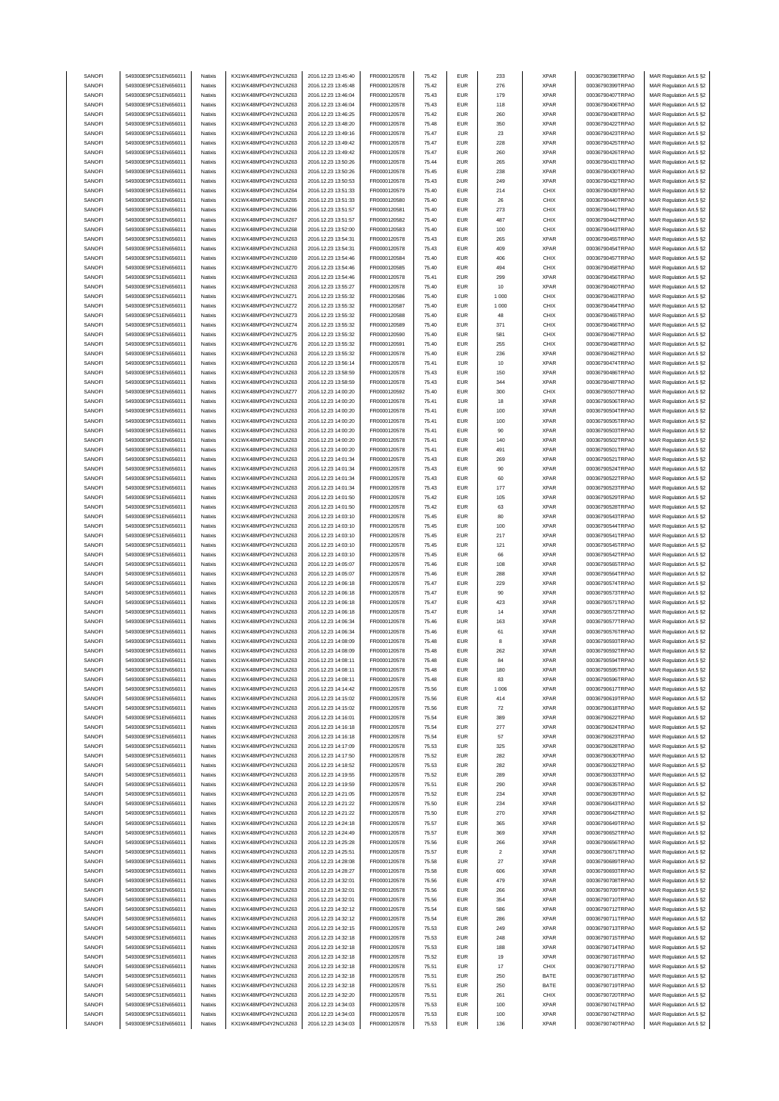| SANOFI           | 549300E9PC51EN656011                         | Natixis | KX1WK48MPD4Y2NCUIZ63                         | 2016.12.23 13:45:40                        | FR0000120578                 | 75.42          | <b>EUR</b>                  | 233            | <b>XPAR</b>                | 00036790398TRPA0                     | MAR Regulation Art.5 §2 |
|------------------|----------------------------------------------|---------|----------------------------------------------|--------------------------------------------|------------------------------|----------------|-----------------------------|----------------|----------------------------|--------------------------------------|-------------------------|
| SANOFI           | 549300E9PC51EN656011                         | Natixis | KX1WK48MPD4Y2NCUIZ63                         | 2016.12.23 13:45:48                        | FR0000120578                 | 75.42          | <b>EUR</b>                  | 276            | <b>XPAR</b>                | 00036790399TRPA0                     | MAR Regulation Art.5 §2 |
| SANOFI           | 549300E9PC51EN656011                         | Natixis | KX1WK48MPD4Y2NCUIZ63                         | 2016.12.23 13:46:04                        | FR0000120578                 | 75.43          | <b>EUR</b>                  | 179            | <b>XPAR</b>                | 00036790407TRPA0                     | MAR Regulation Art.5 §2 |
| SANOFI           | 549300E9PC51EN656011                         | Natixis | KX1WK48MPD4Y2NCUIZ63                         | 2016.12.23 13:46:04                        | FR0000120578                 | 75.43          | <b>EUR</b>                  | 118            | <b>XPAR</b>                | 00036790406TRPA0                     | MAR Regulation Art.5 §2 |
|                  |                                              |         |                                              |                                            |                              |                |                             |                |                            |                                      |                         |
| SANOFI           | 549300E9PC51EN656011                         | Natixis | KX1WK48MPD4Y2NCUIZ63                         | 2016.12.23 13:46:25                        | FR0000120578                 | 75.42          | <b>EUR</b>                  | 260            | <b>XPAR</b>                | 00036790408TRPA0                     | MAR Regulation Art.5 §2 |
| SANOFI           | 549300E9PC51EN656011                         | Natixis | KX1WK48MPD4Y2NCUIZ63                         | 2016.12.23 13:48:20                        | FR0000120578                 | 75.48          | <b>EUR</b>                  | 350            | <b>XPAR</b>                | 00036790422TRPA0                     | MAR Regulation Art.5 §2 |
| SANOFI           | 549300E9PC51EN656011                         | Natixis | KX1WK48MPD4Y2NCUIZ63                         | 2016.12.23 13:49:16                        | FR0000120578                 | 75.47          | <b>EUR</b>                  | 23             | <b>XPAR</b>                | 00036790423TRPA0                     | MAR Regulation Art.5 §2 |
| SANOFI           | 549300E9PC51EN656011                         | Natixis | KX1WK48MPD4Y2NCUIZ63                         | 2016.12.23 13:49:42                        | FR0000120578                 | 75.47          | <b>EUR</b>                  | 228            | <b>XPAR</b>                | 00036790425TRPA0                     | MAR Regulation Art.5 §2 |
| SANOFI           | 549300E9PC51EN656011                         | Natixis | KX1WK48MPD4Y2NCUIZ63                         | 2016.12.23 13:49:42                        | FR0000120578                 | 75.47          | <b>EUR</b>                  | 260            | <b>XPAR</b>                | 00036790426TRPA0                     | MAR Regulation Art.5 §2 |
| SANOFI           | 549300E9PC51EN656011                         | Natixis | KX1WK48MPD4Y2NCUIZ63                         | 2016.12.23 13:50:26                        | FR0000120578                 | 75.44          | <b>EUR</b>                  | 265            | <b>XPAR</b>                | 00036790431TRPA0                     | MAR Regulation Art.5 §2 |
|                  | 549300E9PC51EN656011                         | Natixis |                                              |                                            |                              | 75.45          | <b>EUR</b>                  |                |                            |                                      |                         |
| SANOFI           |                                              |         | KX1WK48MPD4Y2NCUIZ63                         | 2016.12.23 13:50:26                        | FR0000120578                 |                |                             | 238            | <b>XPAR</b>                | 00036790430TRPA0                     | MAR Regulation Art.5 §2 |
| SANOFI           | 549300E9PC51EN656011                         | Natixis | KX1WK48MPD4Y2NCUIZ63                         | 2016.12.23 13:50:53                        | FR0000120578                 | 75.43          | <b>EUR</b>                  | 249            | <b>XPAR</b>                | 00036790432TRPA0                     | MAR Regulation Art.5 §2 |
| SANOFI           | 549300E9PC51EN656011                         | Natixis | KX1WK48MPD4Y2NCUIZ64                         | 2016.12.23 13:51:33                        | FR0000120579                 | 75.40          | <b>EUR</b>                  | 214            | CHIX                       | 00036790439TRPA0                     | MAR Regulation Art.5 §2 |
| SANOFI           | 549300E9PC51EN656011                         | Natixis | KX1WK48MPD4Y2NCUIZ65                         | 2016.12.23 13:51:33                        | FR0000120580                 | 75.40          | <b>EUR</b>                  | 26             | CHIX                       | 00036790440TRPA0                     | MAR Regulation Art.5 §2 |
| SANOFI           | 549300E9PC51EN656011                         | Natixis | KX1WK48MPD4Y2NCUIZ66                         | 2016.12.23 13:51:57                        | FR0000120581                 | 75.40          | <b>EUR</b>                  | 273            | CHIX                       | 00036790441TRPA0                     | MAR Regulation Art.5 §2 |
|                  | 549300E9PC51EN656011                         |         |                                              | 2016.12.23 13:51:57                        | FR0000120582                 |                | <b>EUR</b>                  | 487            |                            | 00036790442TRPA0                     |                         |
| SANOFI           |                                              | Natixis | KX1WK48MPD4Y2NCUIZ67                         |                                            |                              | 75.40          |                             |                | CHIX                       |                                      | MAR Regulation Art.5 §2 |
| SANOFI           | 549300E9PC51EN656011                         | Natixis | KX1WK48MPD4Y2NCUIZ68                         | 2016.12.23 13:52:00                        | FR0000120583                 | 75.40          | <b>EUR</b>                  | 100            | CHIX                       | 00036790443TRPA0                     | MAR Regulation Art.5 §2 |
| SANOFI           | 549300E9PC51EN656011                         | Natixis | KX1WK48MPD4Y2NCUIZ63                         | 2016.12.23 13:54:31                        | FR0000120578                 | 75.43          | <b>EUR</b>                  | 265            | <b>XPAR</b>                | 00036790455TRPA0                     | MAR Regulation Art.5 §2 |
| SANOFI           | 549300E9PC51EN656011                         | Natixis | KX1WK48MPD4Y2NCUIZ63                         | 2016.12.23 13:54:31                        | FR0000120578                 | 75.43          | <b>EUR</b>                  | 409            | <b>XPAR</b>                | 00036790454TRPA0                     | MAR Regulation Art.5 §2 |
| SANOFI           | 549300E9PC51EN656011                         | Natixis | KX1WK48MPD4Y2NCUIZ69                         | 2016.12.23 13:54:46                        | FR0000120584                 | 75.40          | <b>EUR</b>                  | 406            | CHIX                       | 00036790457TRPA0                     | MAR Regulation Art.5 §2 |
| SANOFI           | 549300E9PC51EN656011                         | Natixis | KX1WK48MPD4Y2NCUIZ70                         | 2016.12.23 13:54:46                        | FR0000120585                 | 75.40          | <b>EUR</b>                  | 494            | CHIX                       | 00036790458TRPA0                     | MAR Regulation Art.5 §2 |
| SANOFI           | 549300E9PC51EN656011                         | Natixis | KX1WK48MPD4Y2NCUIZ63                         | 2016.12.23 13:54:46                        | FR0000120578                 | 75.41          | <b>EUR</b>                  | 299            | <b>XPAR</b>                | 00036790456TRPA0                     | MAR Regulation Art.5 §2 |
|                  |                                              |         |                                              |                                            |                              |                |                             |                |                            |                                      |                         |
| SANOFI           | 549300E9PC51EN656011                         | Natixis | KX1WK48MPD4Y2NCUIZ63                         | 2016.12.23 13:55:27                        | FR0000120578                 | 75.40          | <b>EUR</b>                  | 10             | <b>XPAR</b>                | 00036790460TRPA0                     | MAR Regulation Art.5 §2 |
| SANOFI           | 549300E9PC51EN656011                         | Natixis | KX1WK48MPD4Y2NCUIZ71                         | 2016.12.23 13:55:32                        | FR0000120586                 | 75.40          | EUR                         | 1 000          | CHIX                       | 00036790463TRPA0                     | MAR Regulation Art.5 §2 |
| SANOFI           | 549300E9PC51EN656011                         | Natixis | KX1WK48MPD4Y2NCUIZ72                         | 2016.12.23 13:55:32                        | FR0000120587                 | 75.40          | <b>EUR</b>                  | 1 0 0 0        | CHIX                       | 00036790464TRPA0                     | MAR Regulation Art.5 §2 |
| SANOFI           | 549300E9PC51EN656011                         | Natixis | KX1WK48MPD4Y2NCUIZ73                         | 2016.12.23 13:55:32                        | FR0000120588                 | 75.40          | EUR                         | 48             | CHIX                       | 00036790465TRPA0                     | MAR Regulation Art.5 §2 |
| SANOFI           | 549300E9PC51EN656011                         | Natixis | KX1WK48MPD4Y2NCUI774                         | 2016.12.23 13:55:32                        | FR0000120589                 | 75.40          | <b>EUR</b>                  | 371            | CHIX                       | 00036790466TRPA0                     | MAR Regulation Art.5 §2 |
| SANOFI           | 549300E9PC51EN656011                         | Natixis | KX1WK48MPD4Y2NCUIZ75                         | 2016.12.23 13:55:32                        | FR0000120590                 | 75.40          | <b>EUR</b>                  | 581            | CHIX                       | 00036790467TRPA0                     | MAR Regulation Art.5 §2 |
|                  |                                              |         |                                              |                                            |                              |                |                             |                |                            |                                      |                         |
| SANOFI           | 549300E9PC51EN656011                         | Natixis | KX1WK48MPD4Y2NCUIZ76                         | 2016.12.23 13:55:32                        | FR0000120591                 | 75.40          | <b>EUR</b>                  | 255            | CHIX                       | 00036790468TRPA0                     | MAR Regulation Art.5 §2 |
| SANOFI           | 549300E9PC51EN656011                         | Natixis | KX1WK48MPD4Y2NCUIZ63                         | 2016.12.23 13:55:32                        | FR0000120578                 | 75.40          | <b>EUR</b>                  | 236            | <b>XPAR</b>                | 00036790462TRPA0                     | MAR Regulation Art.5 §2 |
| SANOFI           | 549300E9PC51EN656011                         | Natixis | KX1WK48MPD4Y2NCUIZ63                         | 2016.12.23 13:56:14                        | FR0000120578                 | 75.41          | <b>EUR</b>                  | 10             | <b>XPAR</b>                | 00036790474TRPA0                     | MAR Regulation Art.5 §2 |
| SANOFI           | 549300E9PC51EN656011                         | Natixis | KX1WK48MPD4Y2NCUIZ63                         | 2016.12.23 13:58:59                        | FR0000120578                 | 75.43          | EUR                         | 150            | <b>XPAR</b>                | 00036790486TRPA0                     | MAR Regulation Art.5 §2 |
| SANOFI           | 549300E9PC51EN656011                         | Natixis | KX1WK48MPD4Y2NCUIZ63                         | 2016.12.23 13:58:59                        | FR0000120578                 | 75.43          | EUR                         | 344            | <b>XPAR</b>                | 00036790487TRPA0                     | MAR Regulation Art.5 §2 |
|                  |                                              |         |                                              |                                            |                              |                |                             |                |                            |                                      |                         |
| SANOFI           | 549300E9PC51EN656011                         | Natixis | KX1WK48MPD4Y2NCUIZ77                         | 2016.12.23 14:00:20                        | FR0000120592                 | 75.40          | <b>EUR</b>                  | 300            | CHIX                       | 00036790507TRPA0                     | MAR Regulation Art.5 §2 |
| SANOFI           | 549300E9PC51EN656011                         | Natixis | KX1WK48MPD4Y2NCUIZ63                         | 2016.12.23 14:00:20                        | FR0000120578                 | 75.41          | <b>EUR</b>                  | 18             | <b>XPAR</b>                | 00036790506TRPA0                     | MAR Regulation Art.5 §2 |
| SANOFI           | 549300E9PC51EN656011                         | Natixis | KX1WK48MPD4Y2NCUIZ63                         | 2016.12.23 14:00:20                        | FR0000120578                 | 75.41          | <b>EUR</b>                  | 100            | <b>XPAR</b>                | 00036790504TRPA0                     | MAR Regulation Art.5 §2 |
| SANOFI           | 549300E9PC51EN656011                         | Natixis | KX1WK48MPD4Y2NCUIZ63                         | 2016.12.23 14:00:20                        | FR0000120578                 | 75.41          | <b>EUR</b>                  | 100            | <b>XPAR</b>                | 00036790505TRPA0                     | MAR Regulation Art.5 §2 |
| SANOFI           | 549300E9PC51EN656011                         | Natixis | KX1WK48MPD4Y2NCUIZ63                         | 2016.12.23 14:00:20                        | FR0000120578                 | 75.41          | <b>EUR</b>                  | 90             | <b>XPAR</b>                | 00036790503TRPA0                     | MAR Regulation Art.5 §2 |
|                  | 549300E9PC51EN656011                         |         | KX1WK48MPD4Y2NCUIZ63                         | 2016.12.23 14:00:20                        |                              |                |                             |                |                            |                                      |                         |
| SANOFI           |                                              | Natixis |                                              |                                            | FR0000120578                 | 75.41          | <b>EUR</b>                  | 140            | <b>XPAR</b>                | 00036790502TRPA0                     | MAR Regulation Art.5 §2 |
| SANOFI           | 549300E9PC51EN656011                         | Natixis | KX1WK48MPD4Y2NCUIZ63                         | 2016.12.23 14:00:20                        | FR0000120578                 | 75.41          | <b>EUR</b>                  | 491            | <b>XPAR</b>                | 00036790501TRPA0                     | MAR Regulation Art.5 §2 |
| SANOFI           | 549300E9PC51EN656011                         | Natixis | KX1WK48MPD4Y2NCUIZ63                         | 2016.12.23 14:01:34                        | FR0000120578                 | 75.43          | EUR                         | 269            | <b>XPAR</b>                | 00036790521TRPA0                     | MAR Regulation Art.5 §2 |
| SANOFI           | 549300E9PC51EN656011                         | Natixis | KX1WK48MPD4Y2NCUIZ63                         | 2016.12.23 14:01:34                        | FR0000120578                 | 75.43          | EUR                         | 90             | <b>XPAR</b>                | 00036790524TRPA0                     | MAR Regulation Art.5 §2 |
| SANOFI           | 549300E9PC51EN656011                         | Natixis | KX1WK48MPD4Y2NCUIZ63                         | 2016.12.23 14:01:34                        | FR0000120578                 | 75.43          | <b>EUR</b>                  | 60             | <b>XPAR</b>                | 00036790522TRPA0                     | MAR Regulation Art.5 §2 |
| SANOFI           | 549300E9PC51EN656011                         | Natixis | KX1WK48MPD4Y2NCUIZ63                         | 2016.12.23 14:01:34                        | FR0000120578                 | 75.43          | <b>EUR</b>                  | 177            | <b>XPAR</b>                | 00036790523TRPA0                     | MAR Regulation Art.5 §2 |
|                  |                                              |         |                                              |                                            |                              |                |                             |                |                            |                                      |                         |
| SANOFI           | 549300E9PC51EN656011                         | Natixis | KX1WK48MPD4Y2NCUIZ63                         | 2016.12.23 14:01:50                        | FR0000120578                 | 75.42          | <b>EUR</b>                  | 105            | <b>XPAR</b>                | 00036790529TRPA0                     | MAR Regulation Art.5 §2 |
| SANOFI           | 549300E9PC51EN656011                         | Natixis | KX1WK48MPD4Y2NCUIZ63                         | 2016.12.23 14:01:50                        | FR0000120578                 | 75.42          | <b>EUR</b>                  | 63             | <b>XPAR</b>                | 00036790528TRPA0                     | MAR Regulation Art.5 §2 |
| SANOFI           | 549300E9PC51EN656011                         | Natixis | KX1WK48MPD4Y2NCUIZ63                         | 2016.12.23 14:03:10                        | FR0000120578                 | 75.45          | <b>EUR</b>                  | 80             | <b>XPAR</b>                | 00036790543TRPA0                     | MAR Regulation Art.5 §2 |
| SANOFI           | 549300E9PC51EN656011                         | Natixis | KX1WK48MPD4Y2NCUIZ63                         | 2016.12.23 14:03:10                        | FR0000120578                 | 75.45          | <b>EUR</b>                  | 100            | <b>XPAR</b>                | 00036790544TRPA0                     | MAR Regulation Art.5 §2 |
| SANOFI           | 549300E9PC51EN656011                         | Natixis | KX1WK48MPD4Y2NCUIZ63                         | 2016.12.23 14:03:10                        | FR0000120578                 | 75.45          | <b>EUR</b>                  | 217            | <b>XPAR</b>                | 00036790541TRPA0                     | MAR Regulation Art.5 §2 |
| SANOFI           | 549300E9PC51EN656011                         | Natixis | KX1WK48MPD4Y2NCUIZ63                         | 2016.12.23 14:03:10                        | FR0000120578                 | 75.45          | <b>EUR</b>                  |                | <b>XPAR</b>                | 00036790545TRPA0                     |                         |
|                  |                                              |         |                                              |                                            |                              |                |                             | 121            |                            |                                      | MAR Regulation Art.5 §2 |
| SANOFI           | 549300E9PC51EN656011                         | Natixis | KX1WK48MPD4Y2NCUIZ63                         | 2016.12.23 14:03:10                        | FR0000120578                 | 75.45          | <b>EUR</b>                  | 66             | <b>XPAR</b>                | 00036790542TRPA0                     | MAR Regulation Art.5 §2 |
| SANOFI           | 549300E9PC51EN656011                         | Natixis | KX1WK48MPD4Y2NCUIZ63                         | 2016.12.23 14:05:07                        | FR0000120578                 | 75.46          | <b>EUR</b>                  | 108            | <b>XPAR</b>                | 00036790565TRPA0                     | MAR Regulation Art.5 §2 |
| SANOFI           | 549300E9PC51EN656011                         | Natixis | KX1WK48MPD4Y2NCUIZ63                         | 2016.12.23 14:05:07                        | FR0000120578                 | 75.46          | <b>EUR</b>                  | 288            | <b>XPAR</b>                | 00036790564TRPA0                     | MAR Regulation Art.5 §2 |
| SANOFI           | 549300E9PC51EN656011                         | Natixis | KX1WK48MPD4Y2NCUIZ63                         | 2016.12.23 14:06:18                        | FR0000120578                 | 75.47          | <b>EUR</b>                  | 229            | <b>XPAR</b>                | 00036790574TRPA0                     | MAR Regulation Art.5 §2 |
| SANOFI           | 549300E9PC51EN656011                         | Natixis | KX1WK48MPD4Y2NCUIZ63                         | 2016.12.23 14:06:18                        | FR0000120578                 | 75.47          | <b>EUR</b>                  | 90             | <b>XPAR</b>                | 00036790573TRPA0                     | MAR Regulation Art.5 §2 |
|                  |                                              |         | KX1WK48MPD4Y2NCUIZ63                         |                                            |                              |                |                             |                |                            |                                      |                         |
| SANOFI           | 549300E9PC51EN656011                         | Natixis |                                              | 2016.12.23 14:06:18                        | FR0000120578                 | 75.47          | <b>EUR</b>                  | 423            | <b>XPAR</b>                | 00036790571TRPA0                     | MAR Regulation Art.5 §2 |
| SANOFI           | 549300E9PC51EN656011                         | Natixis | KX1WK48MPD4Y2NCUIZ63                         | 2016.12.23 14:06:18                        | FR0000120578                 | 75.47          | <b>EUR</b>                  | 14             | <b>XPAR</b>                | 00036790572TRPA0                     | MAR Regulation Art.5 §2 |
| SANOFI           | 549300E9PC51EN656011                         | Natixis | KX1WK48MPD4Y2NCUIZ63                         | 2016.12.23 14:06:34                        | FR0000120578                 | 75.46          | <b>EUR</b>                  | 163            | <b>XPAR</b>                | 00036790577TRPA0                     | MAR Regulation Art.5 §2 |
| SANOFI           | 549300E9PC51EN656011                         | Natixis | KX1WK48MPD4Y2NCUIZ63                         | 2016.12.23 14:06:34                        | FR0000120578                 | 75.46          | <b>EUR</b>                  | 61             | <b>XPAR</b>                | 00036790576TRPA0                     | MAR Regulation Art.5 §2 |
| SANOFI           | 549300E9PC51EN656011                         | Natixis | KX1WK48MPD4Y2NCUIZ63                         | 2016.12.23 14:08:09                        | FR0000120578                 | 75.48          | <b>EUR</b>                  | 8              | <b>XPAR</b>                | 00036790593TRPA0                     | MAR Regulation Art.5 §2 |
|                  |                                              |         |                                              |                                            |                              |                |                             |                |                            |                                      |                         |
| SANOF            | 549300E9PC51EN65601                          | Natixis | KX1WK48MPD4Y2NCUIZ63                         | 2016.12.23 14:08:09                        | FR0000120578                 | 75.48          | EUR                         | 262            | XPAR                       | 00036790592TRPA0                     | MAR Regulation Art.5 §2 |
| SANOFI           | 549300E9PC51EN656011                         | Natixis | KX1WK48MPD4Y2NCUIZ63                         | 2016.12.23 14:08:11                        | FR0000120578                 | 75.48          | <b>EUR</b>                  | 84             | <b>XPAR</b>                | 00036790594TRPA0                     | MAR Regulation Art.5 §2 |
| SANOFI           | 549300E9PC51EN656011                         | Natixis | KX1WK48MPD4Y2NCUIZ63                         | 2016.12.23 14:08:11                        | FR0000120578                 | 75.48          | <b>EUR</b>                  | 180            | <b>XPAR</b>                | 00036790595TRPA0                     | MAR Regulation Art.5 §2 |
| SANOFI           | 549300E9PC51EN656011                         | Natixis | KX1WK48MPD4Y2NCUIZ63                         | 2016.12.23 14:08:11                        | FR0000120578                 | 75.48          | <b>EUR</b>                  | 83             | <b>XPAR</b>                | 00036790596TRPA0                     | MAR Regulation Art.5 §2 |
| SANOFI           | 549300E9PC51EN656011                         | Natixis | KX1WK48MPD4Y2NCUIZ63                         | 2016.12.23 14:14:42                        | FR0000120578                 | 75.56          | <b>EUR</b>                  | 1 0 0 6        | <b>XPAR</b>                | 00036790617TRPA0                     | MAR Regulation Art.5 §2 |
| SANOFI           | 549300E9PC51EN656011                         | Natixis | KX1WK48MPD4Y2NCUIZ63                         | 2016.12.23 14:15:02                        | FR0000120578                 | 75.56          | <b>EUR</b>                  | 414            | <b>XPAR</b>                | 00036790619TRPA0                     | MAR Regulation Art.5 §2 |
| SANOFI           | 549300E9PC51EN656011                         | Natixis | KX1WK48MPD4Y2NCUIZ63                         | 2016.12.23 14:15:02                        | FR0000120578                 | 75.56          | <b>EUR</b>                  | 72             | <b>XPAR</b>                | 00036790618TRPA0                     | MAR Regulation Art.5 §2 |
| SANOFI           | 549300E9PC51EN656011                         |         | KX1WK48MPD4Y2NCUIZ63                         | 2016.12.23 14:16:01                        |                              |                |                             | 389            | <b>XPAR</b>                |                                      |                         |
|                  |                                              | Natixis |                                              |                                            | FR0000120578                 | 75.54          | <b>EUR</b>                  |                |                            | 00036790622TRPA0                     | MAR Regulation Art.5 §2 |
| SANOFI           | 549300E9PC51EN656011                         | Natixis | KX1WK48MPD4Y2NCUIZ63                         | 2016.12.23 14:16:18                        | FR0000120578                 | 75.54          | <b>EUR</b>                  | 277            | <b>XPAR</b>                | 00036790624TRPA0                     | MAR Regulation Art.5 §2 |
| SANOFI           | 549300E9PC51EN656011                         | Natixis | KX1WK48MPD4Y2NCUIZ63                         | 2016.12.23 14:16:18                        | FR0000120578                 | 75.54          | <b>EUR</b>                  | 57             | <b>XPAR</b>                | 00036790623TRPA0                     | MAR Regulation Art.5 §2 |
| SANOFI           | 549300E9PC51EN656011                         | Natixis | KX1WK48MPD4Y2NCUIZ63                         | 2016.12.23 14:17:09                        | FR0000120578                 | 75.53          | <b>EUR</b>                  | 325            | <b>XPAR</b>                | 00036790628TRPA0                     | MAR Regulation Art.5 §2 |
| SANOFI           | 549300E9PC51EN656011                         | Natixis | KX1WK48MPD4Y2NCUIZ63                         | 2016.12.23 14:17:50                        | FR0000120578                 | 75.52          | <b>EUR</b>                  | 282            | <b>XPAR</b>                | 00036790630TRPA0                     | MAR Regulation Art.5 §2 |
| SANOFI           | 549300E9PC51EN656011                         | Natixis | KX1WK48MPD4Y2NCUIZ63                         | 2016.12.23 14:18:52                        | FR0000120578                 | 75.53          | <b>EUR</b>                  | 282            | <b>XPAR</b>                | 00036790632TRPA0                     | MAR Regulation Art.5 §2 |
| SANOFI           | 549300E9PC51EN656011                         | Natixis | KX1WK48MPD4Y2NCUIZ63                         | 2016.12.23 14:19:55                        | FR0000120578                 | 75.52          | <b>EUR</b>                  | 289            | <b>XPAR</b>                | 00036790633TRPA0                     | MAR Regulation Art.5 §2 |
|                  |                                              |         |                                              |                                            |                              |                |                             |                |                            |                                      |                         |
| SANOFI           | 549300E9PC51EN656011                         | Natixis | KX1WK48MPD4Y2NCUIZ63                         | 2016.12.23 14:19:59                        | FR0000120578                 | 75.51          | <b>EUR</b>                  | 290            | <b>XPAR</b>                | 00036790635TRPA0                     | MAR Regulation Art.5 §2 |
| SANOFI           | 549300E9PC51EN656011                         | Natixis | KX1WK48MPD4Y2NCUIZ63                         | 2016.12.23 14:21:05                        | FR0000120578                 | 75.52          | $\ensuremath{\mathsf{EUR}}$ | 234            | <b>XPAR</b>                | 00036790639TRPA0                     | MAR Regulation Art.5 §2 |
| SANOFI           | 549300E9PC51EN656011                         | Natixis | KX1WK48MPD4Y2NCUIZ63                         | 2016.12.23 14:21:22                        | FR0000120578                 | 75.50          | <b>EUR</b>                  | 234            | <b>XPAR</b>                | 00036790643TRPA0                     | MAR Regulation Art.5 §2 |
| SANOFI           | 549300E9PC51EN656011                         | Natixis | KX1WK48MPD4Y2NCUIZ63                         | 2016.12.23 14:21:22                        | FR0000120578                 | 75.50          | <b>EUR</b>                  | 270            | <b>XPAR</b>                | 00036790642TRPA0                     | MAR Regulation Art.5 §2 |
| SANOFI           | 549300E9PC51EN656011                         | Natixis | KX1WK48MPD4Y2NCUIZ63                         | 2016.12.23 14:24:18                        | FR0000120578                 | 75.57          | <b>EUR</b>                  | 365            | <b>XPAR</b>                | 00036790649TRPA0                     | MAR Regulation Art.5 §2 |
| SANOFI           | 549300E9PC51EN656011                         |         | KX1WK48MPD4Y2NCUIZ63                         | 2016.12.23 14:24:49                        |                              |                | <b>EUR</b>                  |                |                            |                                      |                         |
|                  |                                              | Natixis |                                              |                                            | FR0000120578                 | 75.57          |                             | 369            | <b>XPAR</b>                | 00036790652TRPA0                     | MAR Regulation Art.5 §2 |
| SANOFI           | 549300E9PC51EN656011                         | Natixis | KX1WK48MPD4Y2NCUIZ63                         | 2016.12.23 14:25:28                        | FR0000120578                 | 75.56          | <b>EUR</b>                  | 266            | <b>XPAR</b>                | 00036790656TRPA0                     | MAR Regulation Art.5 §2 |
| SANOFI           | 549300E9PC51EN656011                         | Natixis | KX1WK48MPD4Y2NCUIZ63                         | 2016.12.23 14:25:51                        | FR0000120578                 | 75.57          | <b>EUR</b>                  | $\overline{a}$ | <b>XPAR</b>                | 00036790671TRPA0                     | MAR Regulation Art.5 §2 |
| SANOFI           | 549300E9PC51EN656011                         | Natixis | KX1WK48MPD4Y2NCUIZ63                         | 2016.12.23 14:28:08                        | FR0000120578                 | 75.58          | <b>EUR</b>                  | 27             | <b>XPAR</b>                | 00036790689TRPA0                     | MAR Regulation Art.5 §2 |
| SANOFI           | 549300E9PC51EN656011                         | Natixis | KX1WK48MPD4Y2NCUIZ63                         | 2016.12.23 14:28:27                        | FR0000120578                 | 75.58          | <b>EUR</b>                  | 606            | <b>XPAR</b>                | 00036790693TRPA0                     | MAR Regulation Art.5 §2 |
| SANOFI           | 549300E9PC51EN656011                         | Natixis | KX1WK48MPD4Y2NCUIZ63                         | 2016.12.23 14:32:01                        | FR0000120578                 | 75.56          | <b>EUR</b>                  | 479            | <b>XPAR</b>                | 00036790708TRPA0                     | MAR Regulation Art.5 §2 |
|                  |                                              |         | KX1WK48MPD4Y2NCUIZ63                         |                                            |                              |                |                             |                |                            |                                      |                         |
|                  |                                              |         |                                              | 2016.12.23 14:32:01                        | FR0000120578                 | 75.56          | <b>EUR</b>                  | 266            | <b>XPAR</b>                | 00036790709TRPA0                     | MAR Regulation Art.5 §2 |
| SANOFI           | 549300E9PC51EN656011                         | Natixis |                                              |                                            |                              |                |                             |                |                            |                                      |                         |
| SANOFI           | 549300E9PC51EN656011                         | Natixis | KX1WK48MPD4Y2NCUIZ63                         | 2016.12.23 14:32:01                        | FR0000120578                 | 75.56          | <b>EUR</b>                  | 354            | <b>XPAR</b>                | 00036790710TRPA0                     | MAR Regulation Art.5 §2 |
| SANOFI           | 549300E9PC51EN656011                         | Natixis | KX1WK48MPD4Y2NCUIZ63                         | 2016.12.23 14:32:12                        | FR0000120578                 | 75.54          | <b>EUR</b>                  | 586            | <b>XPAR</b>                | 00036790712TRPA0                     | MAR Regulation Art.5 §2 |
|                  | 549300E9PC51EN656011                         |         |                                              |                                            |                              |                | <b>EUR</b>                  |                |                            |                                      |                         |
| SANOFI           |                                              | Natixis | KX1WK48MPD4Y2NCUIZ63                         | 2016.12.23 14:32:12                        | FR0000120578                 | 75.54          |                             | 286            | <b>XPAR</b>                | 00036790711TRPA0                     | MAR Regulation Art.5 §2 |
| SANOFI           | 549300E9PC51EN656011                         | Natixis | KX1WK48MPD4Y2NCUIZ63                         | 2016.12.23 14:32:15                        | FR0000120578                 | 75.53          | <b>EUR</b>                  | 249            | <b>XPAR</b>                | 00036790713TRPA0                     | MAR Regulation Art.5 §2 |
| SANOFI           | 549300E9PC51EN656011                         | Natixis | KX1WK48MPD4Y2NCUIZ63                         | 2016.12.23 14:32:18                        | FR0000120578                 | 75.53          | <b>EUR</b>                  | 248            | <b>XPAR</b>                | 00036790715TRPA0                     | MAR Regulation Art.5 §2 |
| SANOFI           | 549300E9PC51EN656011                         | Natixis | KX1WK48MPD4Y2NCUIZ63                         | 2016.12.23 14:32:18                        | FR0000120578                 | 75.53          | <b>EUR</b>                  | 188            | <b>XPAR</b>                | 00036790714TRPA0                     | MAR Regulation Art.5 §2 |
| SANOFI           | 549300E9PC51EN656011                         | Natixis | KX1WK48MPD4Y2NCUIZ63                         | 2016.12.23 14:32:18                        | FR0000120578                 | 75.52          | <b>EUR</b>                  | 19             | <b>XPAR</b>                | 00036790716TRPA0                     | MAR Regulation Art.5 §2 |
| SANOFI           | 549300E9PC51EN656011                         | Natixis | KX1WK48MPD4Y2NCUIZ63                         | 2016.12.23 14:32:18                        | FR0000120578                 | 75.51          | <b>EUR</b>                  | 17             | CHIX                       | 00036790717TRPA0                     | MAR Regulation Art.5 §2 |
| SANOFI           | 549300E9PC51EN656011                         | Natixis | KX1WK48MPD4Y2NCUIZ63                         | 2016.12.23 14:32:18                        | FR0000120578                 | 75.51          | <b>EUR</b>                  | 250            | BATE                       | 00036790718TRPA0                     |                         |
|                  |                                              |         |                                              |                                            |                              |                |                             |                |                            |                                      | MAR Regulation Art.5 §2 |
| SANOFI           | 549300E9PC51EN656011                         | Natixis | KX1WK48MPD4Y2NCUIZ63                         | 2016.12.23 14:32:18                        | FR0000120578                 | 75.51          | <b>EUR</b>                  | 250            | BATE                       | 00036790719TRPA0                     | MAR Regulation Art.5 §2 |
| SANOFI           | 549300E9PC51EN656011                         | Natixis | KX1WK48MPD4Y2NCUIZ63                         | 2016.12.23 14:32:20                        | FR0000120578                 | 75.51          | <b>EUR</b>                  | 261            | CHIX                       | 00036790720TRPA0                     | MAR Regulation Art.5 §2 |
| SANOFI           | 549300E9PC51EN656011                         | Natixis | KX1WK48MPD4Y2NCUIZ63                         | 2016.12.23 14:34:03                        | FR0000120578                 | 75.53          | <b>EUR</b>                  | 100            | <b>XPAR</b>                | 00036790741TRPA0                     | MAR Regulation Art.5 §2 |
| SANOFI<br>SANOFI | 549300E9PC51EN656011<br>549300E9PC51EN656011 | Natixis | KX1WK48MPD4Y2NCUIZ63<br>KX1WK48MPD4Y2NCUIZ63 | 2016.12.23 14:34:03<br>2016.12.23 14:34:03 | FR0000120578<br>FR0000120578 | 75.53<br>75.53 | <b>EUR</b><br><b>EUR</b>    | 100<br>136     | <b>XPAR</b><br><b>XPAR</b> | 00036790742TRPA0<br>00036790740TRPA0 | MAR Regulation Art.5 §2 |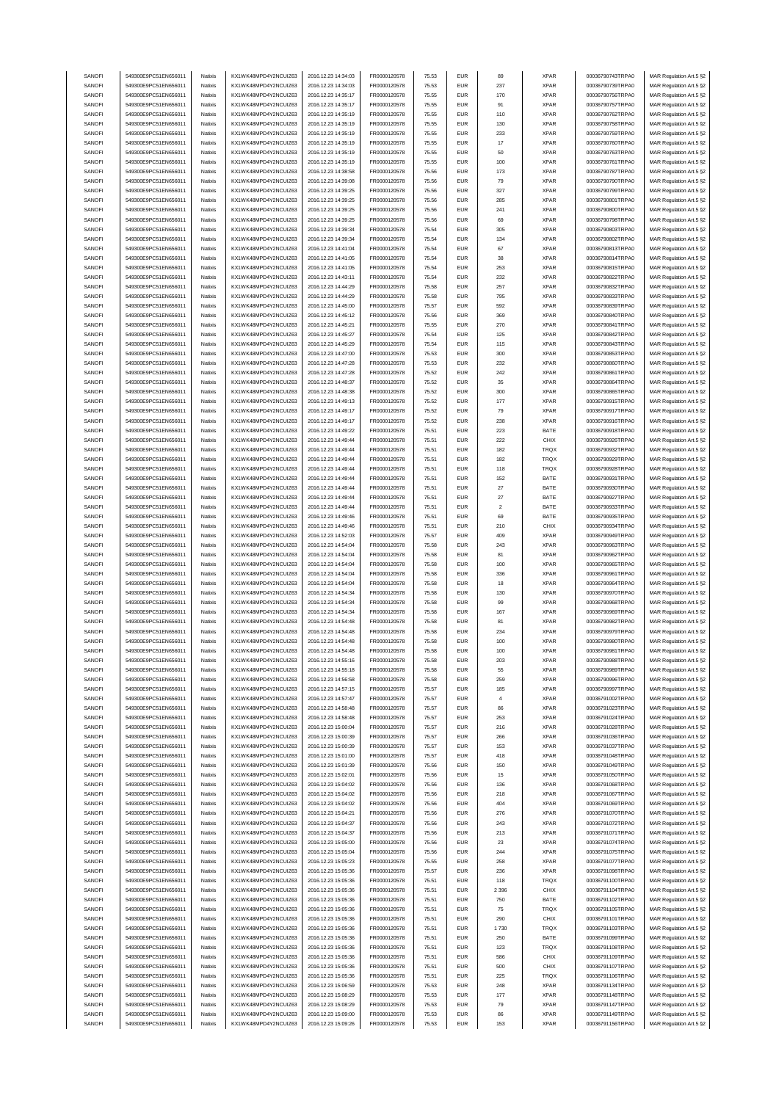| SANOFI           | 549300E9PC51EN656011                         | Natixis | KX1WK48MPD4Y2NCUIZ63                         | 2016.12.23 14:34:03                        | FR0000120578                 | 75.53          | <b>EUR</b>               | 89             | <b>XPAR</b>                | 00036790743TRPA0                     | MAR Regulation Art.5 §2                            |
|------------------|----------------------------------------------|---------|----------------------------------------------|--------------------------------------------|------------------------------|----------------|--------------------------|----------------|----------------------------|--------------------------------------|----------------------------------------------------|
| SANOFI           | 549300E9PC51EN656011                         | Natixis | KX1WK48MPD4Y2NCUIZ63                         | 2016.12.23 14:34:03                        | FR0000120578                 | 75.53          | <b>EUR</b>               | 237            | <b>XPAR</b>                | 00036790739TRPA0                     | MAR Regulation Art.5 §2                            |
| SANOFI           | 549300E9PC51EN656011                         | Natixis | KX1WK48MPD4Y2NCUIZ63                         | 2016.12.23 14:35:17                        | FR0000120578                 | 75.55          | <b>EUR</b>               | 170            | <b>XPAR</b>                | 00036790756TRPA0                     | MAR Regulation Art.5 §2                            |
| SANOFI           | 549300E9PC51EN656011                         | Natixis | KX1WK48MPD4Y2NCUIZ63                         | 2016.12.23 14:35:17                        | FR0000120578                 | 75.55          | <b>EUR</b>               | 91             | <b>XPAR</b>                | 00036790757TRPA0                     | MAR Regulation Art.5 §2                            |
|                  |                                              |         |                                              |                                            |                              |                |                          |                |                            |                                      |                                                    |
| SANOFI           | 549300E9PC51EN656011                         | Natixis | KX1WK48MPD4Y2NCUIZ63                         | 2016.12.23 14:35:19                        | FR0000120578                 | 75.55          | <b>EUR</b>               | 110            | <b>XPAR</b>                | 00036790762TRPA0                     | MAR Regulation Art.5 §2                            |
| SANOFI           | 549300E9PC51EN656011                         | Natixis | KX1WK48MPD4Y2NCUIZ63                         | 2016.12.23 14:35:19                        | FR0000120578                 | 75.55          | <b>EUR</b>               | 130            | <b>XPAR</b>                | 00036790758TRPA0                     | MAR Regulation Art.5 §2                            |
| SANOFI           | 549300E9PC51EN656011                         | Natixis | KX1WK48MPD4Y2NCUIZ63                         | 2016.12.23 14:35:19                        | FR0000120578                 | 75.55          | <b>EUR</b>               | 233            | <b>XPAR</b>                | 00036790759TRPA0                     | MAR Regulation Art.5 §2                            |
| SANOFI           | 549300E9PC51EN656011                         | Natixis | KX1WK48MPD4Y2NCUIZ63                         | 2016.12.23 14:35:19                        | FR0000120578                 | 75.55          | EUR                      | 17             | <b>XPAR</b>                | 00036790760TRPA0                     | MAR Regulation Art.5 §2                            |
| SANOFI           | 549300E9PC51EN656011                         | Natixis | KX1WK48MPD4Y2NCUIZ63                         | 2016.12.23 14:35:19                        | FR0000120578                 | 75.55          | <b>EUR</b>               | 50             | <b>XPAR</b>                | 00036790763TRPA0                     | MAR Regulation Art.5 §2                            |
| SANOFI           | 549300E9PC51EN656011                         | Natixis | KX1WK48MPD4Y2NCUIZ63                         | 2016.12.23 14:35:19                        | FR0000120578                 | 75.55          | <b>EUR</b>               | 100            | <b>XPAR</b>                | 00036790761TRPA0                     | MAR Regulation Art.5 §2                            |
|                  | 549300E9PC51EN656011                         | Natixis |                                              |                                            |                              | 75.56          | <b>EUR</b>               |                |                            |                                      |                                                    |
| SANOFI           |                                              |         | KX1WK48MPD4Y2NCUIZ63                         | 2016.12.23 14:38:58                        | FR0000120578                 |                |                          | 173            | <b>XPAR</b>                | 00036790787TRPA0                     | MAR Regulation Art.5 §2                            |
| SANOFI           | 549300E9PC51EN656011                         | Natixis | KX1WK48MPD4Y2NCUIZ63                         | 2016.12.23 14:39:08                        | FR0000120578                 | 75.56          | <b>EUR</b>               | 79             | <b>XPAR</b>                | 00036790790TRPA0                     | MAR Regulation Art.5 §2                            |
| SANOFI           | 549300E9PC51EN656011                         | Natixis | KX1WK48MPD4Y2NCUIZ63                         | 2016.12.23 14:39:25                        | FR0000120578                 | 75.56          | <b>EUR</b>               | 327            | <b>XPAR</b>                | 00036790799TRPA0                     | MAR Regulation Art.5 §2                            |
| SANOFI           | 549300E9PC51EN656011                         | Natixis | KX1WK48MPD4Y2NCUIZ63                         | 2016.12.23 14:39:25                        | FR0000120578                 | 75.56          | <b>EUR</b>               | 285            | <b>XPAR</b>                | 00036790801TRPA0                     | MAR Regulation Art.5 §2                            |
| SANOFI           | 549300E9PC51EN656011                         | Natixis | KX1WK48MPD4Y2NCUIZ63                         | 2016.12.23 14:39:25                        | FR0000120578                 | 75.56          | EUR                      | 241            | <b>XPAR</b>                | 00036790800TRPA0                     | MAR Regulation Art.5 §2                            |
|                  | 549300E9PC51EN656011                         |         | KX1WK48MPD4Y2NCUIZ63                         | 2016.12.23 14:39:25                        | FR0000120578                 |                | <b>EUR</b>               | 69             |                            | 00036790798TRPA0                     |                                                    |
| SANOFI           |                                              | Natixis |                                              |                                            |                              | 75.56          |                          |                | <b>XPAR</b>                |                                      | MAR Regulation Art.5 §2                            |
| SANOFI           | 549300E9PC51EN656011                         | Natixis | KX1WK48MPD4Y2NCUIZ63                         | 2016.12.23 14:39:34                        | FR0000120578                 | 75.54          | EUR                      | 305            | <b>XPAR</b>                | 00036790803TRPA0                     | MAR Regulation Art.5 §2                            |
| SANOFI           | 549300E9PC51EN656011                         | Natixis | KX1WK48MPD4Y2NCUIZ63                         | 2016.12.23 14:39:34                        | FR0000120578                 | 75.54          | <b>EUR</b>               | 134            | <b>XPAR</b>                | 00036790802TRPA0                     | MAR Regulation Art.5 §2                            |
| SANOFI           | 549300E9PC51EN656011                         | Natixis | KX1WK48MPD4Y2NCUIZ63                         | 2016.12.23 14:41:04                        | FR0000120578                 | 75.54          | <b>EUR</b>               | 67             | <b>XPAR</b>                | 00036790813TRPA0                     | MAR Regulation Art.5 §2                            |
| SANOFI           | 549300E9PC51EN656011                         | Natixis | KX1WK48MPD4Y2NCUIZ63                         | 2016.12.23 14:41:05                        | FR0000120578                 | 75.54          | <b>EUR</b>               | 38             | <b>XPAR</b>                | 00036790814TRPA0                     | MAR Regulation Art.5 §2                            |
| SANOFI           | 549300E9PC51EN656011                         | Natixis | KX1WK48MPD4Y2NCUIZ63                         | 2016.12.23 14:41:05                        | FR0000120578                 | 75.54          | <b>EUR</b>               | 253            | <b>XPAR</b>                | 00036790815TRPA0                     | MAR Regulation Art.5 §2                            |
| SANOFI           | 549300E9PC51EN656011                         | Natixis | KX1WK48MPD4Y2NCUIZ63                         | 2016.12.23 14:43:11                        | FR0000120578                 | 75.54          | <b>EUR</b>               | 232            | <b>XPAR</b>                | 00036790822TRPA0                     | MAR Regulation Art.5 §2                            |
|                  |                                              |         |                                              |                                            |                              |                |                          |                |                            |                                      |                                                    |
| SANOFI           | 549300E9PC51EN656011                         | Natixis | KX1WK48MPD4Y2NCUIZ63                         | 2016.12.23 14:44:29                        | FR0000120578                 | 75.58          | <b>EUR</b>               | 257            | <b>XPAR</b>                | 00036790832TRPA0                     | MAR Regulation Art.5 §2                            |
| SANOFI           | 549300E9PC51EN656011                         | Natixis | KX1WK48MPD4Y2NCUIZ63                         | 2016.12.23 14:44:29                        | FR0000120578                 | 75.58          | EUR                      | 795            | <b>XPAR</b>                | 00036790833TRPA0                     | MAR Regulation Art.5 §2                            |
| SANOFI           | 549300E9PC51EN656011                         | Natixis | KX1WK48MPD4Y2NCUIZ63                         | 2016.12.23 14:45:00                        | FR0000120578                 | 75.57          | <b>EUR</b>               | 592            | <b>XPAR</b>                | 00036790839TRPA0                     | MAR Regulation Art.5 §2                            |
| SANOFI           | 549300E9PC51EN656011                         | Natixis | KX1WK48MPD4Y2NCUIZ63                         | 2016.12.23 14:45:12                        | FR0000120578                 | 75.56          | <b>EUR</b>               | 369            | <b>XPAR</b>                | 00036790840TRPA0                     | MAR Regulation Art.5 §2                            |
| SANOFI           | 549300E9PC51EN656011                         | Natixis | KX1WK48MPD4Y2NCUIZ63                         | 2016.12.23 14:45:21                        | FR0000120578                 | 75.55          | <b>EUR</b>               | 270            | <b>XPAR</b>                | 00036790841TRPA0                     | MAR Regulation Art.5 §2                            |
| SANOFI           | 549300E9PC51EN656011                         | Natixis | KX1WK48MPD4Y2NCUIZ63                         | 2016.12.23 14:45:27                        | FR0000120578                 | 75.54          | <b>EUR</b>               | 125            | <b>XPAR</b>                | 00036790842TRPA0                     | MAR Regulation Art.5 §2                            |
|                  |                                              |         |                                              |                                            |                              |                |                          |                |                            |                                      |                                                    |
| SANOFI           | 549300E9PC51EN656011                         | Natixis | KX1WK48MPD4Y2NCUIZ63                         | 2016.12.23 14:45:29                        | FR0000120578                 | 75.54          | <b>EUR</b>               | 115            | <b>XPAR</b>                | 00036790843TRPA0                     | MAR Regulation Art.5 §2                            |
| SANOFI           | 549300E9PC51EN656011                         | Natixis | KX1WK48MPD4Y2NCUIZ63                         | 2016.12.23 14:47:00                        | FR0000120578                 | 75.53          | <b>EUR</b>               | 300            | <b>XPAR</b>                | 00036790853TRPA0                     | MAR Regulation Art.5 §2                            |
| SANOFI           | 549300E9PC51EN656011                         | Natixis | KX1WK48MPD4Y2NCUIZ63                         | 2016.12.23 14:47:28                        | FR0000120578                 | 75.53          | <b>EUR</b>               | 232            | <b>XPAR</b>                | 00036790860TRPA0                     | MAR Regulation Art.5 §2                            |
| SANOFI           | 549300E9PC51EN656011                         | Natixis | KX1WK48MPD4Y2NCUIZ63                         | 2016.12.23 14:47:28                        | FR0000120578                 | 75.52          | EUR                      | 242            | <b>XPAR</b>                | 00036790861TRPA0                     | MAR Regulation Art.5 §2                            |
| SANOFI           | 549300E9PC51EN656011                         | Natixis | KX1WK48MPD4Y2NCUIZ63                         | 2016.12.23 14:48:37                        | FR0000120578                 | 75.52          | EUR                      | 35             | <b>XPAR</b>                | 00036790864TRPA0                     | MAR Regulation Art.5 §2                            |
|                  |                                              |         |                                              |                                            |                              |                |                          |                |                            |                                      |                                                    |
| SANOFI           | 549300E9PC51EN656011                         | Natixis | KX1WK48MPD4Y2NCUIZ63                         | 2016.12.23 14:48:38                        | FR0000120578                 | 75.52          | <b>EUR</b>               | 300            | <b>XPAR</b>                | 00036790865TRPA0                     | MAR Regulation Art.5 §2                            |
| SANOFI           | 549300E9PC51EN656011                         | Natixis | KX1WK48MPD4Y2NCUIZ63                         | 2016.12.23 14:49:13                        | FR0000120578                 | 75.52          | <b>EUR</b>               | 177            | <b>XPAR</b>                | 00036790915TRPA0                     | MAR Regulation Art.5 §2                            |
| SANOFI           | 549300E9PC51EN656011                         | Natixis | KX1WK48MPD4Y2NCUIZ63                         | 2016.12.23 14:49:17                        | FR0000120578                 | 75.52          | <b>EUR</b>               | 79             | <b>XPAR</b>                | 00036790917TRPA0                     | MAR Regulation Art.5 §2                            |
| SANOFI           | 549300E9PC51EN656011                         | Natixis | KX1WK48MPD4Y2NCUIZ63                         | 2016.12.23 14:49:17                        | FR0000120578                 | 75.52          | <b>EUR</b>               | 238            | <b>XPAR</b>                | 00036790916TRPA0                     | MAR Regulation Art.5 §2                            |
| SANOFI           | 549300E9PC51EN656011                         | Natixis | KX1WK48MPD4Y2NCUIZ63                         | 2016.12.23 14:49:22                        | FR0000120578                 | 75.51          | <b>EUR</b>               | 223            | BATE                       | 00036790918TRPA0                     | MAR Regulation Art.5 §2                            |
|                  | 549300E9PC51EN656011                         |         | KX1WK48MPD4Y2NCUIZ63                         | 2016.12.23 14:49:44                        |                              |                |                          |                |                            |                                      |                                                    |
| SANOFI           |                                              | Natixis |                                              |                                            | FR0000120578                 | 75.51          | <b>EUR</b>               | 222            | CHIX                       | 00036790926TRPA0                     | MAR Regulation Art.5 §2                            |
| SANOFI           | 549300E9PC51EN656011                         | Natixis | KX1WK48MPD4Y2NCUIZ63                         | 2016.12.23 14:49:44                        | FR0000120578                 | 75.51          | <b>EUR</b>               | 182            | TRQX                       | 00036790932TRPA0                     | MAR Regulation Art.5 §2                            |
| SANOFI           | 549300E9PC51EN656011                         | Natixis | KX1WK48MPD4Y2NCUIZ63                         | 2016.12.23 14:49:44                        | FR0000120578                 | 75.51          | <b>EUR</b>               | 182            | TRQX                       | 00036790929TRPA0                     | MAR Regulation Art.5 §2                            |
| SANOFI           | 549300E9PC51EN656011                         | Natixis | KX1WK48MPD4Y2NCUIZ63                         | 2016.12.23 14:49:44                        | FR0000120578                 | 75.51          | EUR                      | 118            | <b>TRQX</b>                | 00036790928TRPA0                     | MAR Regulation Art.5 §2                            |
| SANOFI           | 549300E9PC51EN656011                         | Natixis | KX1WK48MPD4Y2NCUIZ63                         | 2016.12.23 14:49:44                        | FR0000120578                 | 75.51          | <b>EUR</b>               | 152            | BATE                       | 00036790931TRPA0                     | MAR Regulation Art.5 §2                            |
| SANOFI           | 549300E9PC51EN656011                         | Natixis | KX1WK48MPD4Y2NCUIZ63                         | 2016.12.23 14:49:44                        | FR0000120578                 | 75.51          | <b>EUR</b>               | 27             | BATE                       | 00036790930TRPA0                     | MAR Regulation Art.5 §2                            |
|                  |                                              |         |                                              |                                            |                              |                |                          |                |                            |                                      |                                                    |
| SANOFI           | 549300E9PC51EN656011                         | Natixis | KX1WK48MPD4Y2NCUIZ63                         | 2016.12.23 14:49:44                        | FR0000120578                 | 75.51          | <b>EUR</b>               | 27             | BATE                       | 00036790927TRPA0                     | MAR Regulation Art.5 §2                            |
| SANOFI           | 549300E9PC51EN656011                         | Natixis | KX1WK48MPD4Y2NCUIZ63                         | 2016.12.23 14:49:44                        | FR0000120578                 | 75.51          | <b>EUR</b>               | $\overline{2}$ | BATE                       | 00036790933TRPA0                     | MAR Regulation Art.5 §2                            |
| SANOFI           | 549300E9PC51EN656011                         | Natixis | KX1WK48MPD4Y2NCUIZ63                         | 2016.12.23 14:49:46                        | FR0000120578                 | 75.51          | <b>EUR</b>               | 69             | BATE                       | 00036790935TRPA0                     | MAR Regulation Art.5 §2                            |
| SANOFI           | 549300E9PC51EN656011                         | Natixis | KX1WK48MPD4Y2NCUIZ63                         | 2016.12.23 14:49:46                        | FR0000120578                 | 75.51          | <b>EUR</b>               | 210            | CHIX                       | 00036790934TRPA0                     | MAR Regulation Art.5 §2                            |
| SANOFI           | 549300E9PC51EN656011                         | Natixis | KX1WK48MPD4Y2NCUIZ63                         | 2016.12.23 14:52:03                        | FR0000120578                 | 75.57          | <b>EUR</b>               | 409            | <b>XPAR</b>                | 00036790949TRPA0                     | MAR Regulation Art.5 §2                            |
| SANOFI           | 549300E9PC51EN656011                         | Natixis | KX1WK48MPD4Y2NCUIZ63                         | 2016.12.23 14:54:04                        | FR0000120578                 | 75.58          | <b>EUR</b>               | 243            | <b>XPAR</b>                | 00036790963TRPA0                     |                                                    |
|                  |                                              |         |                                              |                                            |                              |                |                          |                |                            |                                      | MAR Regulation Art.5 §2                            |
| SANOFI           | 549300E9PC51EN656011                         | Natixis | KX1WK48MPD4Y2NCUIZ63                         | 2016.12.23 14:54:04                        | FR0000120578                 | 75.58          | <b>EUR</b>               | 81             | <b>XPAR</b>                | 00036790962TRPA0                     | MAR Regulation Art.5 §2                            |
| SANOFI           | 549300E9PC51EN656011                         | Natixis | KX1WK48MPD4Y2NCUIZ63                         | 2016.12.23 14:54:04                        | FR0000120578                 | 75.58          | <b>EUR</b>               | 100            | <b>XPAR</b>                | 00036790965TRPA0                     | MAR Regulation Art.5 §2                            |
| SANOFI           | 549300E9PC51EN656011                         | Natixis | KX1WK48MPD4Y2NCUIZ63                         | 2016.12.23 14:54:04                        | FR0000120578                 | 75.58          | <b>EUR</b>               | 336            | <b>XPAR</b>                | 00036790961TRPA0                     | MAR Regulation Art.5 §2                            |
| SANOFI           | 549300E9PC51EN656011                         | Natixis | KX1WK48MPD4Y2NCUIZ63                         | 2016.12.23 14:54:04                        | FR0000120578                 | 75.58          | <b>EUR</b>               | 18             | <b>XPAR</b>                | 00036790964TRPA0                     | MAR Regulation Art.5 §2                            |
| SANOFI           | 549300E9PC51EN656011                         | Natixis | KX1WK48MPD4Y2NCUIZ63                         | 2016.12.23 14:54:34                        | FR0000120578                 | 75.58          | <b>EUR</b>               | 130            | <b>XPAR</b>                | 00036790970TRPA0                     | MAR Regulation Art.5 §2                            |
|                  |                                              |         | KX1WK48MPD4Y2NCUIZ63                         |                                            |                              |                |                          |                |                            |                                      |                                                    |
| SANOFI           | 549300E9PC51EN656011                         | Natixis |                                              | 2016.12.23 14:54:34                        | FR0000120578                 | 75.58          | <b>EUR</b>               | 99             | <b>XPAR</b>                | 00036790968TRPA0                     | MAR Regulation Art.5 §2                            |
| SANOFI           | 549300E9PC51EN656011                         | Natixis | KX1WK48MPD4Y2NCUIZ63                         | 2016.12.23 14:54:34                        | FR0000120578                 | 75.58          | <b>EUR</b>               | 167            | <b>XPAR</b>                | 00036790969TRPA0                     | MAR Regulation Art.5 §2                            |
| SANOFI           | 549300E9PC51EN656011                         | Natixis | KX1WK48MPD4Y2NCUIZ63                         | 2016.12.23 14:54:48                        | FR0000120578                 | 75.58          | <b>EUR</b>               | 81             | <b>XPAR</b>                | 00036790982TRPA0                     | MAR Regulation Art.5 §2                            |
| SANOFI           | 549300E9PC51EN656011                         | Natixis | KX1WK48MPD4Y2NCUIZ63                         | 2016.12.23 14:54:48                        | FR0000120578                 | 75.58          | <b>EUR</b>               | 234            | <b>XPAR</b>                | 00036790979TRPA0                     | MAR Regulation Art.5 §2                            |
| SANOFI           | 549300E9PC51EN656011                         | Natixis | KX1WK48MPD4Y2NCUIZ63                         | 2016.12.23 14:54:48                        | FR0000120578                 | 75.58          | <b>EUR</b>               | 100            | <b>XPAR</b>                | 00036790980TRPA0                     | MAR Regulation Art.5 §2                            |
|                  |                                              |         |                                              |                                            |                              |                |                          |                |                            |                                      |                                                    |
| SANOF            | 549300E9PC51EN65601                          | Natixis | KX1WK48MPD4Y2NCUIZ63                         | 2016.12.23 14:54:48                        | FR0000120578                 | 75.58          | EUR                      | 100            | XPAR                       | 00036790981TRPA0                     | MAR Regulation Art.5 §2                            |
| SANOFI           | 549300E9PC51EN656011                         | Natixis | KX1WK48MPD4Y2NCUIZ63                         | 2016.12.23 14:55:16                        | FR0000120578                 | 75.58          | <b>EUR</b>               | 203            | <b>XPAR</b>                | 00036790988TRPA0                     | MAR Regulation Art.5 §2                            |
| SANOFI           | 549300E9PC51EN656011                         | Natixis | KX1WK48MPD4Y2NCUIZ63                         | 2016.12.23 14:55:18                        | FR0000120578                 | 75.58          | <b>EUR</b>               | 55             | <b>XPAR</b>                | 00036790989TRPA0                     | MAR Regulation Art.5 §2                            |
| SANOFI           | 549300E9PC51EN656011                         | Natixis | KX1WK48MPD4Y2NCUIZ63                         | 2016.12.23 14:56:58                        | FR0000120578                 | 75.58          | <b>EUR</b>               | 259            | <b>XPAR</b>                | 00036790996TRPA0                     | MAR Regulation Art.5 §2                            |
| SANOFI           | 549300E9PC51EN656011                         | Natixis | KX1WK48MPD4Y2NCUIZ63                         | 2016.12.23 14:57:15                        | FR0000120578                 | 75.57          | <b>EUR</b>               | 185            | <b>XPAR</b>                | 00036790997TRPA0                     | MAR Regulation Art.5 §2                            |
| SANOFI           | 549300E9PC51EN656011                         | Natixis | KX1WK48MPD4Y2NCUIZ63                         | 2016.12.23 14:57:47                        | FR0000120578                 | 75.57          | <b>EUR</b>               | $\overline{4}$ | <b>XPAR</b>                | 00036791002TRPA0                     | MAR Regulation Art.5 §2                            |
| SANOFI           | 549300E9PC51EN656011                         | Natixis | KX1WK48MPD4Y2NCUIZ63                         | 2016.12.23 14:58:48                        | FR0000120578                 | 75.57          | <b>EUR</b>               | 86             | <b>XPAR</b>                | 00036791023TRPA0                     | MAR Regulation Art.5 §2                            |
| SANOFI           | 549300E9PC51EN656011                         |         | KX1WK48MPD4Y2NCUIZ63                         | 2016.12.23 14:58:48                        |                              |                |                          | 253            |                            | 00036791024TRPA0                     |                                                    |
|                  |                                              | Natixis |                                              |                                            | FR0000120578                 | 75.57          | <b>EUR</b>               |                | <b>XPAR</b>                |                                      | MAR Regulation Art.5 §2                            |
| SANOFI           | 549300E9PC51EN656011                         | Natixis | KX1WK48MPD4Y2NCUIZ63                         | 2016.12.23 15:00:04                        | FR0000120578                 | 75.57          | <b>EUR</b>               | 216            | <b>XPAR</b>                | 00036791028TRPA0                     | MAR Regulation Art.5 §2                            |
| SANOFI           | 549300E9PC51EN656011                         | Natixis | KX1WK48MPD4Y2NCUIZ63                         | 2016.12.23 15:00:39                        | FR0000120578                 | 75.57          | <b>EUR</b>               | 266            | <b>XPAR</b>                | 00036791036TRPA0                     | MAR Regulation Art.5 §2                            |
| SANOFI           | 549300E9PC51EN656011                         | Natixis | KX1WK48MPD4Y2NCUIZ63                         | 2016.12.23 15:00:39                        | FR0000120578                 | 75.57          | <b>EUR</b>               | 153            | <b>XPAR</b>                | 00036791037TRPA0                     | MAR Regulation Art.5 §2                            |
| SANOFI           | 549300E9PC51EN656011                         | Natixis | KX1WK48MPD4Y2NCUIZ63                         | 2016.12.23 15:01:00                        | FR0000120578                 | 75.57          | <b>EUR</b>               | 418            | <b>XPAR</b>                | 00036791048TRPA0                     | MAR Regulation Art.5 §2                            |
| SANOFI           | 549300E9PC51EN656011                         | Natixis | KX1WK48MPD4Y2NCUIZ63                         | 2016.12.23 15:01:39                        | FR0000120578                 | 75.56          | <b>EUR</b>               | 150            | <b>XPAR</b>                | 00036791049TRPA0                     | MAR Regulation Art.5 §2                            |
|                  |                                              |         | KX1WK48MPD4Y2NCUIZ63                         | 2016.12.23 15:02:01                        |                              |                |                          |                |                            |                                      | MAR Regulation Art.5 §2                            |
| SANOFI           | 549300E9PC51EN656011                         | Natixis |                                              |                                            | FR0000120578                 | 75.56          | <b>EUR</b>               | 15             | <b>XPAR</b>                | 00036791050TRPA0                     |                                                    |
| SANOFI           | 549300E9PC51EN656011                         | Natixis | KX1WK48MPD4Y2NCUIZ63                         | 2016.12.23 15:04:02                        | FR0000120578                 | 75.56          | <b>EUR</b>               | 136            | <b>XPAR</b>                | 00036791068TRPA0                     | MAR Regulation Art.5 §2                            |
| SANOFI           | 549300E9PC51EN656011                         | Natixis | KX1WK48MPD4Y2NCUIZ63                         | 2016.12.23 15:04:02                        | FR0000120578                 | 75.56          | <b>EUR</b>               | 218            | <b>XPAR</b>                | 00036791067TRPA0                     | MAR Regulation Art.5 §2                            |
| SANOFI           | 549300E9PC51EN656011                         | Natixis | KX1WK48MPD4Y2NCUIZ63                         | 2016.12.23 15:04:02                        | FR0000120578                 | 75.56          | <b>EUR</b>               | 404            | <b>XPAR</b>                | 00036791069TRPA0                     | MAR Regulation Art.5 §2                            |
| SANOFI           | 549300E9PC51EN656011                         | Natixis | KX1WK48MPD4Y2NCUIZ63                         | 2016.12.23 15:04:21                        | FR0000120578                 | 75.56          | <b>EUR</b>               | 276            | <b>XPAR</b>                | 00036791070TRPA0                     | MAR Regulation Art.5 §2                            |
| SANOFI           | 549300E9PC51EN656011                         | Natixis | KX1WK48MPD4Y2NCUIZ63                         | 2016.12.23 15:04:37                        | FR0000120578                 | 75.56          | <b>EUR</b>               | 243            | <b>XPAR</b>                | 00036791072TRPA0                     | MAR Regulation Art.5 §2                            |
|                  |                                              |         |                                              |                                            |                              |                |                          |                |                            |                                      |                                                    |
| SANOFI           | 549300E9PC51EN656011                         | Natixis | KX1WK48MPD4Y2NCUIZ63                         | 2016.12.23 15:04:37                        | FR0000120578                 | 75.56          | <b>EUR</b>               | 213            | <b>XPAR</b>                | 00036791071TRPA0                     | MAR Regulation Art.5 §2                            |
| SANOFI           | 549300E9PC51EN656011                         | Natixis | KX1WK48MPD4Y2NCUIZ63                         | 2016.12.23 15:05:00                        | FR0000120578                 | 75.56          | <b>EUR</b>               | 23             | <b>XPAR</b>                | 00036791074TRPA0                     | MAR Regulation Art.5 §2                            |
| SANOFI           | 549300E9PC51EN656011                         | Natixis | KX1WK48MPD4Y2NCUIZ63                         | 2016.12.23 15:05:04                        | FR0000120578                 | 75.56          | <b>EUR</b>               | 244            | <b>XPAR</b>                | 00036791075TRPA0                     | MAR Regulation Art.5 §2                            |
| SANOFI           | 549300E9PC51EN656011                         | Natixis | KX1WK48MPD4Y2NCUIZ63                         | 2016.12.23 15:05:23                        | FR0000120578                 | 75.55          | <b>EUR</b>               | 258            | <b>XPAR</b>                | 00036791077TRPA0                     | MAR Regulation Art.5 §2                            |
| SANOFI           | 549300E9PC51EN656011                         | Natixis | KX1WK48MPD4Y2NCUIZ63                         | 2016.12.23 15:05:36                        | FR0000120578                 | 75.57          | <b>EUR</b>               | 236            | <b>XPAR</b>                | 00036791098TRPA0                     | MAR Regulation Art.5 §2                            |
| SANOFI           | 549300E9PC51EN656011                         | Natixis | KX1WK48MPD4Y2NCUIZ63                         | 2016.12.23 15:05:36                        |                              |                | <b>EUR</b>               |                | TRQX                       |                                      |                                                    |
|                  |                                              |         |                                              |                                            | FR0000120578                 | 75.51          |                          | 118            |                            | 00036791100TRPA0                     | MAR Regulation Art.5 §2                            |
| SANOFI           | 549300E9PC51EN656011                         | Natixis | KX1WK48MPD4Y2NCUIZ63                         | 2016.12.23 15:05:36                        | FR0000120578                 | 75.51          | <b>EUR</b>               | 2 3 9 6        | CHIX                       | 00036791104TRPA0                     | MAR Regulation Art.5 §2                            |
| SANOFI           | 549300E9PC51EN656011                         | Natixis | KX1WK48MPD4Y2NCUIZ63                         | 2016.12.23 15:05:36                        | FR0000120578                 | 75.51          | <b>EUR</b>               | 750            | BATE                       | 00036791102TRPA0                     | MAR Regulation Art.5 §2                            |
| SANOFI           | 549300E9PC51EN656011                         | Natixis | KX1WK48MPD4Y2NCUIZ63                         | 2016.12.23 15:05:36                        | FR0000120578                 | 75.51          | <b>EUR</b>               | 75             | TRQX                       | 00036791105TRPA0                     | MAR Regulation Art.5 §2                            |
| SANOFI           | 549300E9PC51EN656011                         | Natixis | KX1WK48MPD4Y2NCUIZ63                         | 2016.12.23 15:05:36                        | FR0000120578                 | 75.51          | <b>EUR</b>               | 290            | CHIX                       | 00036791101TRPA0                     | MAR Regulation Art.5 §2                            |
| SANOFI           | 549300E9PC51EN656011                         | Natixis | KX1WK48MPD4Y2NCUIZ63                         | 2016.12.23 15:05:36                        | FR0000120578                 | 75.51          | <b>EUR</b>               | 1730           | <b>TRQX</b>                | 00036791103TRPA0                     | MAR Regulation Art.5 §2                            |
|                  |                                              |         |                                              |                                            |                              |                |                          |                |                            |                                      |                                                    |
| SANOFI           | 549300E9PC51EN656011                         | Natixis | KX1WK48MPD4Y2NCUIZ63                         | 2016.12.23 15:05:36                        | FR0000120578                 | 75.51          | <b>EUR</b>               | 250            | BATE                       | 00036791099TRPA0                     | MAR Regulation Art.5 §2                            |
| SANOFI           | 549300E9PC51EN656011                         | Natixis | KX1WK48MPD4Y2NCUIZ63                         | 2016.12.23 15:05:36                        | FR0000120578                 | 75.51          | <b>EUR</b>               | 123            | <b>TRQX</b>                | 00036791108TRPA0                     | MAR Regulation Art.5 §2                            |
|                  |                                              | Natixis | KX1WK48MPD4Y2NCUIZ63                         | 2016.12.23 15:05:36                        | FR0000120578                 | 75.51          | <b>EUR</b>               | 586            | CHIX                       | 00036791109TRPA0                     | MAR Regulation Art.5 §2                            |
| SANOFI           | 549300E9PC51EN656011                         |         |                                              |                                            |                              |                | <b>EUR</b>               | 500            | CHIX                       | 00036791107TRPA0                     |                                                    |
| SANOFI           | 549300E9PC51EN656011                         | Natixis | KX1WK48MPD4Y2NCUIZ63                         | 2016.12.23 15:05:36                        | FR0000120578                 | 75.51          |                          |                |                            |                                      | MAR Regulation Art.5 §2                            |
| SANOFI           | 549300E9PC51EN656011                         | Natixis | KX1WK48MPD4Y2NCUIZ63                         | 2016.12.23 15:05:36                        | FR0000120578                 | 75.51          | <b>EUR</b>               | 225            | <b>TRQX</b>                | 00036791106TRPA0                     |                                                    |
|                  |                                              |         |                                              |                                            |                              |                |                          |                |                            |                                      | MAR Regulation Art.5 §2                            |
| SANOFI           | 549300E9PC51EN656011                         | Natixis | KX1WK48MPD4Y2NCUIZ63                         | 2016.12.23 15:06:59                        | FR0000120578                 | 75.53          | <b>EUR</b>               | 248            | <b>XPAR</b>                | 00036791134TRPA0                     | MAR Regulation Art.5 §2                            |
| SANOFI           | 549300E9PC51EN656011                         | Natixis | KX1WK48MPD4Y2NCUIZ63                         | 2016.12.23 15:08:29                        | FR0000120578                 | 75.53          | <b>EUR</b>               | 177            | <b>XPAR</b>                | 00036791148TRPA0                     | MAR Regulation Art.5 §2                            |
| SANOFI           | 549300E9PC51EN656011                         | Natixis | KX1WK48MPD4Y2NCUIZ63                         | 2016.12.23 15:08:29                        | FR0000120578                 | 75.53          | <b>EUR</b>               | 79             | <b>XPAR</b>                | 00036791147TRPA0                     | MAR Regulation Art.5 §2                            |
| SANOFI<br>SANOFI | 549300E9PC51EN656011<br>549300E9PC51EN656011 | Natixis | KX1WK48MPD4Y2NCUIZ63<br>KX1WK48MPD4Y2NCUIZ63 | 2016.12.23 15:09:00<br>2016.12.23 15:09:26 | FR0000120578<br>FR0000120578 | 75.53<br>75.53 | <b>EUR</b><br><b>EUR</b> | 86<br>153      | <b>XPAR</b><br><b>XPAR</b> | 00036791149TRPA0<br>00036791156TRPA0 | MAR Regulation Art.5 §2<br>MAR Regulation Art.5 §2 |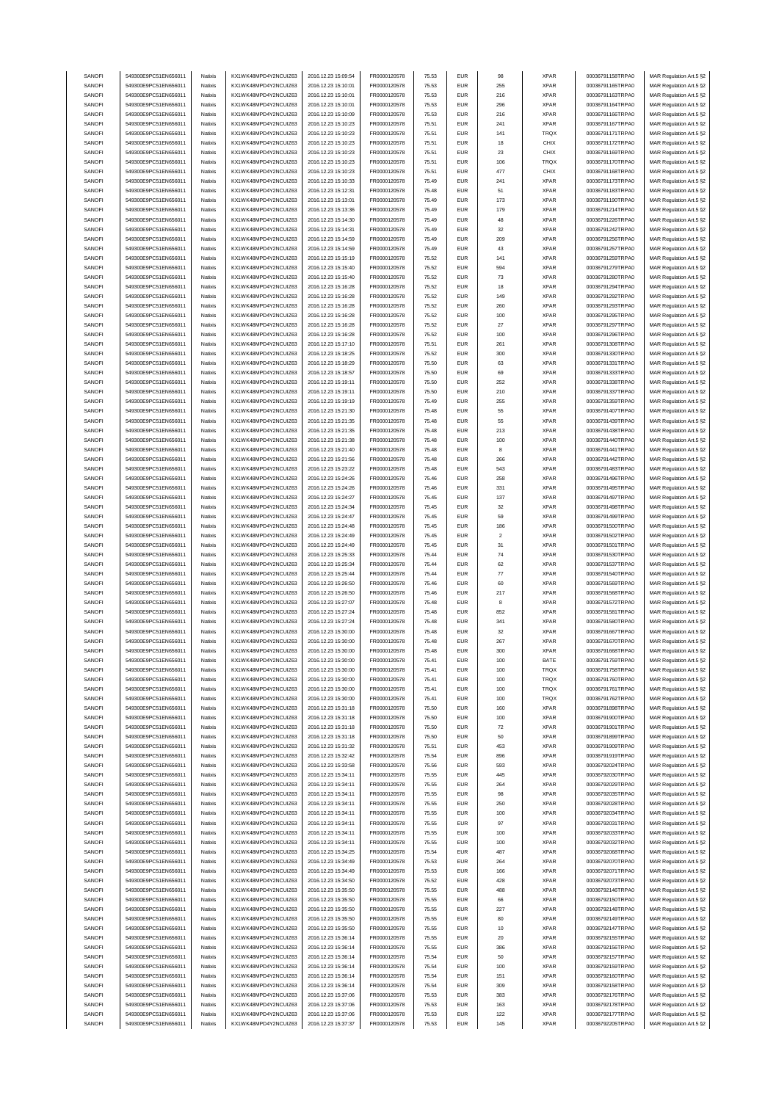| SANOFI | 549300E9PC51EN656011 | Natixis | KX1WK48MPD4Y2NCUIZ63  | 2016.12.23 15:09:54                        | FR0000120578 | 75.53 | <b>EUR</b>  | 98                      | <b>XPAR</b> | 00036791158TRPA0 | MAR Regulation Art.5 §2                            |
|--------|----------------------|---------|-----------------------|--------------------------------------------|--------------|-------|-------------|-------------------------|-------------|------------------|----------------------------------------------------|
| SANOFI | 549300E9PC51EN656011 | Natixis | KX1WK48MPD4Y2NCUIZ63  | 2016.12.23 15:10:01                        | FR0000120578 | 75.53 | <b>EUR</b>  | 255                     | <b>XPAR</b> | 00036791165TRPA0 | MAR Regulation Art.5 §2                            |
| SANOFI | 549300E9PC51EN656011 | Natixis | KX1WK48MPD4Y2NCUIZ63  | 2016.12.23 15:10:01                        | FR0000120578 | 75.53 | <b>EUR</b>  | 216                     | <b>XPAR</b> | 00036791163TRPA0 | MAR Regulation Art.5 §2                            |
| SANOFI | 549300E9PC51EN656011 | Natixis | KX1WK48MPD4Y2NCUIZ63  | 2016.12.23 15:10:01                        | FR0000120578 | 75.53 | <b>EUR</b>  | 296                     | <b>XPAR</b> | 00036791164TRPA0 | MAR Regulation Art.5 §2                            |
|        |                      |         |                       |                                            |              |       |             |                         |             |                  |                                                    |
| SANOFI | 549300E9PC51EN656011 | Natixis | KX1WK48MPD4Y2NCUIZ63  | 2016.12.23 15:10:09                        | FR0000120578 | 75.53 | <b>EUR</b>  | 216                     | <b>XPAR</b> | 00036791166TRPA0 | MAR Regulation Art.5 §2                            |
| SANOFI | 549300E9PC51EN656011 | Natixis | KX1WK48MPD4Y2NCUIZ63  | 2016.12.23 15:10:23                        | FR0000120578 | 75.51 | <b>EUR</b>  | 241                     | <b>XPAR</b> | 00036791167TRPA0 | MAR Regulation Art.5 §2                            |
| SANOFI | 549300E9PC51EN656011 | Natixis | KX1WK48MPD4Y2NCUIZ63  | 2016.12.23 15:10:23                        | FR0000120578 | 75.51 | <b>EUR</b>  | 141                     | TRQX        | 00036791171TRPA0 | MAR Regulation Art.5 §2                            |
| SANOFI | 549300E9PC51EN656011 | Natixis | KX1WK48MPD4Y2NCUIZ63  | 2016.12.23 15:10:23                        | FR0000120578 | 75.51 | <b>EUR</b>  | 18                      | CHIX        | 00036791172TRPA0 | MAR Regulation Art.5 §2                            |
| SANOFI | 549300E9PC51EN656011 | Natixis | KX1WK48MPD4Y2NCLIIZ63 | 2016.12.23 15:10:23                        | FR0000120578 | 75.51 | <b>EUR</b>  | 23                      | CHIX        | 00036791169TRPA0 | MAR Regulation Art.5 §2                            |
| SANOFI | 549300E9PC51EN656011 | Natixis | KX1WK48MPD4Y2NCUIZ63  | 2016.12.23 15:10:23                        | FR0000120578 | 75.51 | <b>EUR</b>  | 106                     | TRQX        | 00036791170TRPA0 | MAR Regulation Art.5 §2                            |
| SANOFI | 549300E9PC51EN656011 | Natixis | KX1WK48MPD4Y2NCUIZ63  | 2016.12.23 15:10:23                        | FR0000120578 | 75.51 | <b>EUR</b>  | 477                     | CHIX        | 00036791168TRPA0 | MAR Regulation Art.5 §2                            |
|        |                      |         |                       |                                            |              |       |             |                         |             |                  |                                                    |
| SANOFI | 549300E9PC51EN656011 | Natixis | KX1WK48MPD4Y2NCUIZ63  | 2016.12.23 15:10:33                        | FR0000120578 | 75.49 | <b>EUR</b>  | 241                     | <b>XPAR</b> | 00036791173TRPA0 | MAR Regulation Art.5 §2                            |
| SANOFI | 549300E9PC51EN656011 | Natixis | KX1WK48MPD4Y2NCUIZ63  | 2016.12.23 15:12:31                        | FR0000120578 | 75.48 | <b>EUR</b>  | 51                      | <b>XPAR</b> | 00036791183TRPA0 | MAR Regulation Art.5 §2                            |
| SANOFI | 549300E9PC51EN656011 | Natixis | KX1WK48MPD4Y2NCUIZ63  | 2016.12.23 15:13:01                        | FR0000120578 | 75.49 | <b>EUR</b>  | 173                     | <b>XPAR</b> | 00036791190TRPA0 | MAR Regulation Art.5 §2                            |
| SANOFI | 549300E9PC51EN656011 | Natixis | KX1WK48MPD4Y2NCUIZ63  | 2016.12.23 15:13:36                        | FR0000120578 | 75.49 | <b>EUR</b>  | 179                     | <b>XPAR</b> | 00036791214TRPA0 | MAR Regulation Art.5 §2                            |
| SANOFI | 549300E9PC51EN656011 | Natixis | KX1WK48MPD4Y2NCUIZ63  | 2016.12.23 15:14:30                        | FR0000120578 | 75.49 | <b>EUR</b>  | 48                      | <b>XPAR</b> | 00036791226TRPA0 | MAR Regulation Art.5 §2                            |
|        |                      |         |                       |                                            |              |       |             |                         |             |                  |                                                    |
| SANOFI | 549300E9PC51EN656011 | Natixis | KX1WK48MPD4Y2NCUIZ63  | 2016.12.23 15:14:31                        | FR0000120578 | 75.49 | <b>EUR</b>  | 32                      | <b>XPAR</b> | 00036791242TRPA0 | MAR Regulation Art.5 §2                            |
| SANOFI | 549300E9PC51EN656011 | Natixis | KX1WK48MPD4Y2NCLIIZ63 | 2016.12.23 15:14:59                        | FR0000120578 | 75.49 | <b>EUR</b>  | 209                     | <b>XPAR</b> | 00036791256TRPA0 | MAR Regulation Art.5 §2                            |
| SANOFI | 549300E9PC51EN656011 | Natixis | KX1WK48MPD4Y2NCUIZ63  | 2016.12.23 15:14:59                        | FR0000120578 | 75.49 | <b>EUR</b>  | 43                      | <b>XPAR</b> | 00036791257TRPA0 | MAR Regulation Art.5 §2                            |
| SANOFI | 549300E9PC51EN656011 | Natixis | KX1WK48MPD4Y2NCUIZ63  | 2016.12.23 15:15:19                        | FR0000120578 | 75.52 | <b>EUR</b>  | 141                     | <b>XPAR</b> | 00036791259TRPA0 | MAR Regulation Art.5 §2                            |
| SANOFI | 549300E9PC51EN656011 | Natixis | KX1WK48MPD4Y2NCUIZ63  | 2016.12.23 15:15:40                        | FR0000120578 | 75.52 | <b>EUR</b>  | 594                     | <b>XPAR</b> | 00036791279TRPA0 | MAR Regulation Art.5 §2                            |
| SANOFI | 549300E9PC51EN656011 | Natixis | KX1WK48MPD4Y2NCUIZ63  | 2016.12.23 15:15:40                        | FR0000120578 | 75.52 | <b>EUR</b>  | 73                      | <b>XPAR</b> | 00036791280TRPA0 | MAR Regulation Art.5 §2                            |
|        |                      |         |                       |                                            |              |       |             |                         |             |                  |                                                    |
| SANOFI | 549300E9PC51EN656011 | Natixis | KX1WK48MPD4Y2NCUIZ63  | 2016.12.23 15:16:28                        | FR0000120578 | 75.52 | <b>EUR</b>  | 18                      | <b>XPAR</b> | 00036791294TRPA0 | MAR Regulation Art.5 §2                            |
| SANOFI | 549300E9PC51EN656011 | Natixis | KX1WK48MPD4Y2NCUIZ63  | 2016.12.23 15:16:28                        | FR0000120578 | 75.52 | <b>EUR</b>  | 149                     | <b>XPAR</b> | 00036791292TRPA0 | MAR Regulation Art.5 §2                            |
| SANOFI | 549300E9PC51EN656011 | Natixis | KX1WK48MPD4Y2NCUIZ63  | 2016.12.23 15:16:28                        | FR0000120578 | 75.52 | <b>EUR</b>  | 260                     | <b>XPAR</b> | 00036791293TRPA0 | MAR Regulation Art.5 §2                            |
| SANOFI | 549300E9PC51EN656011 | Natixis | KX1WK48MPD4Y2NCUIZ63  | 2016.12.23 15:16:28                        | FR0000120578 | 75.52 | <b>EUR</b>  | 100                     | <b>XPAR</b> | 00036791295TRPA0 | MAR Regulation Art.5 §2                            |
| SANOFI | 549300E9PC51EN656011 | Natixis | KX1WK48MPD4Y2NCLIIZ63 | 2016.12.23.15:16:28                        | FR0000120578 | 75.52 | <b>EUR</b>  | 27                      | <b>XPAR</b> | 00036791297TRPA0 | MAR Regulation Art.5 §2                            |
| SANOFI | 549300E9PC51EN656011 | Natixis | KX1WK48MPD4Y2NCUIZ63  | 2016.12.23 15:16:28                        | FR0000120578 | 75.52 | <b>EUR</b>  | 100                     | <b>XPAR</b> | 00036791296TRPA0 | MAR Regulation Art.5 §2                            |
|        |                      |         |                       |                                            |              |       | <b>EUR</b>  |                         |             |                  |                                                    |
| SANOFI | 549300E9PC51EN656011 | Natixis | KX1WK48MPD4Y2NCUIZ63  | 2016.12.23 15:17:10                        | FR0000120578 | 75.51 |             | 261                     | <b>XPAR</b> | 00036791308TRPA0 | MAR Regulation Art.5 §2                            |
| SANOFI | 549300E9PC51EN656011 | Natixis | KX1WK48MPD4Y2NCUIZ63  | 2016.12.23 15:18:25                        | FR0000120578 | 75.52 | <b>EUR</b>  | 300                     | <b>XPAR</b> | 00036791330TRPA0 | MAR Regulation Art.5 §2                            |
| SANOFI | 549300E9PC51EN656011 | Natixis | KX1WK48MPD4Y2NCUIZ63  | 2016.12.23 15:18:29                        | FR0000120578 | 75.50 | <b>EUR</b>  | 63                      | <b>XPAR</b> | 00036791331TRPA0 | MAR Regulation Art.5 §2                            |
| SANOFI | 549300E9PC51EN656011 | Natixis | KX1WK48MPD4Y2NCUIZ63  | 2016.12.23 15:18:57                        | FR0000120578 | 75.50 | <b>EUR</b>  | 69                      | <b>XPAR</b> | 00036791333TRPA0 | MAR Regulation Art.5 §2                            |
| SANOFI | 549300E9PC51EN656011 | Natixis | KX1WK48MPD4Y2NCUIZ63  | 2016.12.23 15:19:11                        | FR0000120578 | 75.50 | <b>EUR</b>  | 252                     | <b>XPAR</b> | 00036791338TRPA0 | MAR Regulation Art.5 §2                            |
| SANOFI | 549300E9PC51EN656011 | Natixis | KX1WK48MPD4Y2NCUIZ63  | 2016.12.23 15:19:11                        | FR0000120578 | 75.50 | <b>EUR</b>  | 210                     | <b>XPAR</b> | 00036791337TRPA0 | MAR Regulation Art.5 §2                            |
|        |                      |         |                       |                                            |              |       |             |                         |             |                  |                                                    |
| SANOFI | 549300E9PC51EN656011 | Natixis | KX1WK48MPD4Y2NCUIZ63  | 2016.12.23 15:19:19                        | FR0000120578 | 75.49 | <b>EUR</b>  | 255                     | <b>XPAR</b> | 00036791359TRPA0 | MAR Regulation Art.5 §2                            |
| SANOFI | 549300E9PC51EN656011 | Natixis | KX1WK48MPD4Y2NCLIIZ63 | 2016.12.23 15:21:30                        | FR0000120578 | 75.48 | <b>EUR</b>  | 55                      | <b>XPAR</b> | 00036791407TRPA0 | MAR Regulation Art.5 §2                            |
| SANOFI | 549300E9PC51EN656011 | Natixis | KX1WK48MPD4Y2NCUIZ63  | 2016.12.23 15:21:35                        | FR0000120578 | 75.48 | <b>EUR</b>  | 55                      | <b>XPAR</b> | 00036791439TRPA0 | MAR Regulation Art.5 §2                            |
| SANOFI | 549300E9PC51EN656011 | Natixis | KX1WK48MPD4Y2NCUIZ63  | 2016.12.23 15:21:35                        | FR0000120578 | 75.48 | <b>EUR</b>  | 213                     | <b>XPAR</b> | 00036791438TRPA0 | MAR Regulation Art.5 §2                            |
| SANOFI | 549300E9PC51EN656011 | Natixis | KX1WK48MPD4Y2NCUIZ63  | 2016.12.23 15:21:38                        | FR0000120578 | 75.48 | <b>EUR</b>  | 100                     | <b>XPAR</b> | 00036791440TRPA0 | MAR Regulation Art.5 §2                            |
|        |                      |         |                       |                                            |              |       |             |                         |             |                  |                                                    |
| SANOFI | 549300E9PC51EN656011 | Natixis | KX1WK48MPD4Y2NCUIZ63  | 2016.12.23 15:21:40                        | FR0000120578 | 75.48 | <b>EUR</b>  | 8                       | <b>XPAR</b> | 00036791441TRPA0 | MAR Regulation Art.5 §2                            |
| SANOFI | 549300E9PC51EN656011 | Natixis | KX1WK48MPD4Y2NCUIZ63  | 2016.12.23 15:21:56                        | FR0000120578 | 75.48 | <b>EUR</b>  | 266                     | <b>XPAR</b> | 00036791442TRPA0 | MAR Regulation Art.5 §2                            |
| SANOFI | 549300E9PC51EN656011 | Natixis | KX1WK48MPD4Y2NCUIZ63  | 2016.12.23 15:23:22                        | FR0000120578 | 75.48 | <b>EUR</b>  | 543                     | <b>XPAR</b> | 00036791483TRPA0 | MAR Regulation Art.5 §2                            |
| SANOFI | 549300E9PC51EN656011 | Natixis | KX1WK48MPD4Y2NCUIZ63  | 2016.12.23 15:24:26                        | FR0000120578 | 75.46 | <b>EUR</b>  | 258                     | <b>XPAR</b> | 00036791496TRPA0 | MAR Regulation Art.5 §2                            |
| SANOFI | 549300E9PC51EN656011 | Natixis | KX1WK48MPD4Y2NCUIZ63  | 2016.12.23 15:24:26                        | FR0000120578 | 75.46 | <b>EUR</b>  | 331                     | <b>XPAR</b> | 00036791495TRPA0 | MAR Regulation Art.5 §2                            |
| SANOFI | 549300E9PC51EN656011 | Natixis | KX1WK48MPD4Y2NCUIZ63  | 2016.12.23 15:24:27                        | FR0000120578 | 75.45 | <b>EUR</b>  | 137                     | <b>XPAR</b> | 00036791497TRPA0 | MAR Regulation Art.5 §2                            |
|        |                      |         |                       |                                            |              |       |             |                         |             |                  |                                                    |
| SANOFI | 549300E9PC51EN656011 | Natixis | KX1WK48MPD4Y2NCUIZ63  | 2016.12.23 15:24:34                        | FR0000120578 | 75.45 | <b>EUR</b>  | 32                      | <b>XPAR</b> | 00036791498TRPA0 | MAR Regulation Art.5 §2                            |
| SANOFI | 549300E9PC51EN656011 | Natixis | KX1WK48MPD4Y2NCUIZ63  | 2016.12.23 15:24:47                        | FR0000120578 | 75.45 | <b>EUR</b>  | 59                      | <b>XPAR</b> | 00036791499TRPA0 | MAR Regulation Art.5 §2                            |
| SANOFI | 549300E9PC51EN656011 | Natixis | KX1WK48MPD4Y2NCUIZ63  | 2016.12.23 15:24:48                        | FR0000120578 | 75.45 | <b>EUR</b>  | 186                     | <b>XPAR</b> | 00036791500TRPA0 | MAR Regulation Art.5 §2                            |
| SANOFI | 549300E9PC51EN656011 | Natixis | KX1WK48MPD4Y2NCUIZ63  | 2016.12.23 15:24:49                        | FR0000120578 | 75.45 | <b>EUR</b>  | $\overline{\mathbf{2}}$ | <b>XPAR</b> | 00036791502TRPA0 | MAR Regulation Art.5 §2                            |
| SANOFI | 549300E9PC51EN656011 | Natixis | KX1WK48MPD4Y2NCUIZ63  | 2016.12.23 15:24:49                        | FR0000120578 | 75.45 | <b>EUR</b>  | 31                      | <b>XPAR</b> | 00036791501TRPA0 | MAR Regulation Art.5 §2                            |
| SANOFI | 549300E9PC51EN656011 | Natixis | KX1WK48MPD4Y2NCUIZ63  | 2016.12.23 15:25:33                        | FR0000120578 | 75.44 | <b>EUR</b>  | 74                      | <b>XPAR</b> | 00036791530TRPA0 | MAR Regulation Art.5 §2                            |
|        |                      |         |                       |                                            |              |       |             |                         |             |                  |                                                    |
| SANOFI | 549300E9PC51EN656011 | Natixis | KX1WK48MPD4Y2NCUIZ63  | 2016.12.23 15:25:34                        | FR0000120578 | 75.44 | <b>EUR</b>  | 62                      | <b>XPAR</b> | 00036791537TRPA0 | MAR Regulation Art.5 §2                            |
| SANOFI | 549300E9PC51EN656011 | Natixis | KX1WK48MPD4Y2NCUIZ63  | 2016.12.23 15:25:44                        | FR0000120578 | 75.44 | <b>EUR</b>  | 77                      | <b>XPAR</b> | 00036791540TRPA0 | MAR Regulation Art.5 §2                            |
| SANOFI | 549300E9PC51EN656011 | Natixis | KX1WK48MPD4Y2NCUIZ63  | 2016.12.23 15:26:50                        | FR0000120578 | 75.46 | <b>EUR</b>  | 60                      | <b>XPAR</b> | 00036791569TRPA0 | MAR Regulation Art.5 §2                            |
| SANOFI | 549300E9PC51EN656011 | Natixis | KX1WK48MPD4Y2NCUIZ63  | 2016.12.23 15:26:50                        | FR0000120578 | 75.46 | <b>EUR</b>  | 217                     | <b>XPAR</b> | 00036791568TRPA0 | MAR Regulation Art.5 §2                            |
| SANOFI | 549300E9PC51EN656011 | Natixis | KX1WK48MPD4Y2NCUIZ63  | 2016.12.23 15:27:07                        | FR0000120578 | 75.48 | <b>EUR</b>  | 8                       | <b>XPAR</b> | 00036791572TRPA0 | MAR Regulation Art.5 §2                            |
|        |                      |         | KX1WK48MPD4Y2NCUIZ63  |                                            |              |       |             |                         |             |                  |                                                    |
| SANOFI | 549300E9PC51EN656011 | Natixis |                       | 2016.12.23 15:27:24                        | FR0000120578 | 75.48 | <b>EUR</b>  | 852                     | <b>XPAR</b> | 00036791581TRPA0 | MAR Regulation Art.5 §2                            |
| SANOFI | 549300E9PC51EN656011 | Natixis | KX1WK48MPD4Y2NCUIZ63  | 2016.12.23 15:27:24                        | FR0000120578 | 75.48 | <b>EUR</b>  | 341                     | <b>XPAR</b> | 00036791580TRPA0 | MAR Regulation Art.5 §2                            |
| SANOFI | 549300E9PC51EN656011 | Natixis | KX1WK48MPD4Y2NCUIZ63  | 2016.12.23 15:30:00                        | FR0000120578 | 75.48 | <b>EUR</b>  | 32                      | <b>XPAR</b> | 00036791667TRPA0 | MAR Regulation Art.5 §2                            |
| SANOFI | 549300E9PC51EN656011 | Natixis | KX1WK48MPD4Y2NCUIZ63  | 2016.12.23 15:30:00                        | FR0000120578 | 75.48 | <b>EUR</b>  | 267                     | <b>XPAR</b> | 00036791670TRPA0 | MAR Regulation Art.5 §2                            |
| SANOF  | 549300E9PC51EN656011 | Natixis | KX1WK48MPD4Y2NCUIZ63  | 2016.12.23 15:30:00                        | FR0000120578 | 75.48 | EUR         | 300                     | <b>XPAR</b> | 00036791668TRPA0 | MAR Regulation Art.5 §2                            |
| SANOFI | 549300E9PC51EN656011 | Natixis | KX1WK48MPD4Y2NCUIZ63  | 2016.12.23 15:30:00                        | FR0000120578 | 75.41 | <b>EUR</b>  | 100                     | BATE        | 00036791759TRPA0 | MAR Regulation Art.5 §2                            |
| SANOFI | 549300E9PC51EN656011 | Natixis | KX1WK48MPD4Y2NCUIZ63  | 2016.12.23 15:30:00                        | FR0000120578 | 75.41 | EUR         | 100                     | TRQX        | 00036791758TRPA0 | MAR Regulation Art.5 §2                            |
|        |                      |         |                       |                                            |              |       |             |                         |             |                  |                                                    |
| SANOFI | 549300E9PC51EN656011 | Natixis | KX1WK48MPD4Y2NCUIZ63  | 2016.12.23 15:30:00                        | FR0000120578 | 75.41 | <b>EUR</b>  | 100                     | TRQX        | 00036791760TRPA0 | MAR Regulation Art.5 §2                            |
| SANOFI | 549300E9PC51EN656011 | Natixis | KX1WK48MPD4Y2NCUIZ63  | 2016.12.23 15:30:00                        | FR0000120578 | 75.41 | <b>EUR</b>  | 100                     | TRQX        | 00036791761TRPA0 | MAR Regulation Art.5 §2                            |
| SANOFI | 549300E9PC51EN656011 | Natixis | KX1WK48MPD4Y2NCUIZ63  | 2016.12.23 15:30:00                        | FR0000120578 | 75.41 | <b>EUR</b>  | 100                     | TRQX        | 00036791762TRPA0 | MAR Regulation Art.5 §2                            |
| SANOFI | 549300E9PC51EN656011 | Natixis | KX1WK48MPD4Y2NCUIZ63  | 2016.12.23 15:31:18                        | FR0000120578 | 75.50 | ${\sf EUR}$ | 160                     | <b>XPAR</b> | 00036791898TRPA0 | MAR Regulation Art.5 §2                            |
| SANOFI | 549300E9PC51EN656011 | Natixis | KX1WK48MPD4Y2NCUIZ63  | 2016.12.23 15:31:18                        | FR0000120578 | 75.50 | EUR         | 100                     | <b>XPAR</b> | 00036791900TRPA0 | MAR Regulation Art.5 §2                            |
| SANOFI | 549300E9PC51EN656011 | Natixis | KX1WK48MPD4Y2NCUIZ63  | 2016.12.23 15:31:18                        | FR0000120578 | 75.50 | <b>EUR</b>  | 72                      | <b>XPAR</b> | 00036791901TRPA0 | MAR Regulation Art.5 §2                            |
| SANOFI | 549300E9PC51EN656011 |         | KX1WK48MPD4Y2NCUIZ63  |                                            | FR0000120578 |       | <b>EUR</b>  | 50                      | <b>XPAR</b> | 00036791899TRPA0 |                                                    |
|        | 549300E9PC51EN656011 | Natixis |                       | 2016.12.23 15:31:18<br>2016.12.23 15:31:32 |              | 75.50 | <b>EUR</b>  |                         |             |                  | MAR Regulation Art.5 §2<br>MAR Regulation Art.5 §2 |
| SANOFI |                      | Natixis | KX1WK48MPD4Y2NCUIZ63  |                                            | FR0000120578 | 75.51 |             | 453                     | <b>XPAR</b> | 00036791909TRPA0 |                                                    |
| SANOFI | 549300E9PC51EN656011 | Natixis | KX1WK48MPD4Y2NCUIZ63  | 2016.12.23 15:32:42                        | FR0000120578 | 75.54 | <b>EUR</b>  | 896                     | <b>XPAR</b> | 00036791919TRPA0 | MAR Regulation Art.5 §2                            |
| SANOFI | 549300E9PC51EN656011 | Natixis | KX1WK48MPD4Y2NCUIZ63  | 2016.12.23 15:33:58                        | FR0000120578 | 75.56 | <b>EUR</b>  | 593                     | <b>XPAR</b> | 00036792024TRPA0 | MAR Regulation Art.5 §2                            |
| SANOFI | 549300E9PC51EN656011 | Natixis | KX1WK48MPD4Y2NCUIZ63  | 2016.12.23 15:34:11                        | FR0000120578 | 75.55 | <b>EUR</b>  | 445                     | <b>XPAR</b> | 00036792030TRPA0 | MAR Regulation Art.5 §2                            |
| SANOFI | 549300E9PC51EN656011 | Natixis | KX1WK48MPD4Y2NCUIZ63  | 2016.12.23 15:34:11                        | FR0000120578 | 75.55 | <b>EUR</b>  | 264                     | <b>XPAR</b> | 00036792029TRPA0 | MAR Regulation Art.5 §2                            |
| SANOFI | 549300E9PC51EN656011 |         | KX1WK48MPD4Y2NCUIZ63  | 2016.12.23 15:34:11                        | FR0000120578 | 75.55 | <b>EUR</b>  | 98                      | <b>XPAR</b> | 00036792035TRPA0 |                                                    |
|        |                      | Natixis | KX1WK48MPD4Y2NCUIZ63  |                                            |              |       |             |                         |             |                  | MAR Regulation Art.5 §2                            |
| SANOFI | 549300E9PC51EN656011 | Natixis |                       | 2016.12.23 15:34:11                        | FR0000120578 | 75.55 | <b>EUR</b>  | 250                     | <b>XPAR</b> | 00036792028TRPA0 | MAR Regulation Art.5 §2                            |
| SANOFI | 549300E9PC51EN656011 | Natixis | KX1WK48MPD4Y2NCUIZ63  | 2016.12.23 15:34:11                        | FR0000120578 | 75.55 | <b>EUR</b>  | 100                     | <b>XPAR</b> | 00036792034TRPA0 | MAR Regulation Art.5 §2                            |
| SANOFI | 549300E9PC51EN656011 | Natixis | KX1WK48MPD4Y2NCUIZ63  | 2016.12.23 15:34:11                        | FR0000120578 | 75.55 | <b>EUR</b>  | 97                      | <b>XPAR</b> | 00036792031TRPA0 | MAR Regulation Art.5 §2                            |
| SANOFI | 549300E9PC51EN656011 | Natixis | KX1WK48MPD4Y2NCUIZ63  | 2016.12.23 15:34:11                        | FR0000120578 | 75.55 | <b>EUR</b>  | 100                     | <b>XPAR</b> | 00036792033TRPA0 | MAR Regulation Art.5 §2                            |
| SANOFI | 549300E9PC51EN656011 | Natixis | KX1WK48MPD4Y2NCUIZ63  | 2016.12.23 15:34:11                        | FR0000120578 | 75.55 | <b>EUR</b>  | 100                     | <b>XPAR</b> | 00036792032TRPA0 | MAR Regulation Art.5 §2                            |
| SANOFI | 549300E9PC51EN656011 | Natixis | KX1WK48MPD4Y2NCUIZ63  | 2016.12.23 15:34:25                        | FR0000120578 | 75.54 | <b>EUR</b>  | 487                     | <b>XPAR</b> | 00036792068TRPA0 | MAR Regulation Art.5 §2                            |
|        |                      |         |                       |                                            |              |       |             |                         |             |                  |                                                    |
| SANOFI | 549300E9PC51EN656011 | Natixis | KX1WK48MPD4Y2NCUIZ63  | 2016.12.23 15:34:49                        | FR0000120578 | 75.53 | <b>EUR</b>  | 264                     | <b>XPAR</b> | 00036792070TRPA0 | MAR Regulation Art.5 §2                            |
| SANOFI | 549300E9PC51EN656011 | Natixis | KX1WK48MPD4Y2NCUIZ63  | 2016.12.23 15:34:49                        | FR0000120578 | 75.53 | <b>EUR</b>  | 166                     | <b>XPAR</b> | 00036792071TRPA0 | MAR Regulation Art.5 §2                            |
| SANOFI | 549300E9PC51EN656011 | Natixis | KX1WK48MPD4Y2NCUIZ63  | 2016.12.23 15:34:50                        | FR0000120578 | 75.52 | <b>EUR</b>  | 428                     | <b>XPAR</b> | 00036792073TRPA0 | MAR Regulation Art.5 §2                            |
| SANOFI | 549300E9PC51EN656011 | Natixis | KX1WK48MPD4Y2NCUIZ63  | 2016.12.23 15:35:50                        | FR0000120578 | 75.55 | <b>EUR</b>  | 488                     | <b>XPAR</b> | 00036792146TRPA0 | MAR Regulation Art.5 §2                            |
| SANOFI | 549300E9PC51EN656011 | Natixis | KX1WK48MPD4Y2NCUIZ63  | 2016.12.23 15:35:50                        | FR0000120578 | 75.55 | <b>EUR</b>  | 66                      | <b>XPAR</b> | 00036792150TRPA0 | MAR Regulation Art.5 §2                            |
|        |                      |         |                       | 2016.12.23 15:35:50                        |              |       |             |                         |             |                  |                                                    |
| SANOFI | 549300E9PC51EN656011 | Natixis | KX1WK48MPD4Y2NCUIZ63  |                                            | FR0000120578 | 75.55 | <b>EUR</b>  | 227                     | <b>XPAR</b> | 00036792148TRPA0 | MAR Regulation Art.5 §2                            |
| SANOFI | 549300E9PC51EN656011 | Natixis | KX1WK48MPD4Y2NCUIZ63  | 2016.12.23 15:35:50                        | FR0000120578 | 75.55 | <b>EUR</b>  | 80                      | <b>XPAR</b> | 00036792149TRPA0 | MAR Regulation Art.5 §2                            |
| SANOFI | 549300E9PC51EN656011 | Natixis | KX1WK48MPD4Y2NCUIZ63  | 2016.12.23 15:35:50                        | FR0000120578 | 75.55 | <b>EUR</b>  | 10                      | <b>XPAR</b> | 00036792147TRPA0 | MAR Regulation Art.5 §2                            |
| SANOFI | 549300E9PC51EN656011 | Natixis | KX1WK48MPD4Y2NCUIZ63  | 2016.12.23 15:36:14                        | FR0000120578 | 75.55 | <b>EUR</b>  | 20                      | <b>XPAR</b> | 00036792155TRPA0 | MAR Regulation Art.5 §2                            |
| SANOFI | 549300E9PC51EN656011 | Natixis | KX1WK48MPD4Y2NCUIZ63  | 2016.12.23 15:36:14                        | FR0000120578 | 75.55 | <b>EUR</b>  | 386                     | <b>XPAR</b> | 00036792156TRPA0 | MAR Regulation Art.5 §2                            |
| SANOFI | 549300E9PC51EN656011 | Natixis | KX1WK48MPD4Y2NCUIZ63  | 2016.12.23 15:36:14                        | FR0000120578 | 75.54 | <b>EUR</b>  | 50                      | <b>XPAR</b> | 00036792157TRPA0 | MAR Regulation Art.5 §2                            |
| SANOFI | 549300E9PC51EN656011 | Natixis | KX1WK48MPD4Y2NCUIZ63  | 2016.12.23 15:36:14                        | FR0000120578 | 75.54 | EUR         | 100                     | <b>XPAR</b> | 00036792159TRPA0 | MAR Regulation Art.5 §2                            |
|        |                      |         |                       |                                            |              |       |             |                         |             |                  |                                                    |
| SANOFI | 549300E9PC51EN656011 | Natixis | KX1WK48MPD4Y2NCUIZ63  | 2016.12.23 15:36:14                        | FR0000120578 | 75.54 | <b>EUR</b>  | 151                     | <b>XPAR</b> | 00036792160TRPA0 | MAR Regulation Art.5 §2                            |
| SANOFI | 549300E9PC51EN656011 | Natixis | KX1WK48MPD4Y2NCUIZ63  | 2016.12.23 15:36:14                        | FR0000120578 | 75.54 | <b>EUR</b>  | 309                     | <b>XPAR</b> | 00036792158TRPA0 | MAR Regulation Art.5 §2                            |
| SANOFI | 549300E9PC51EN656011 | Natixis | KX1WK48MPD4Y2NCUIZ63  | 2016.12.23 15:37:06                        | FR0000120578 | 75.53 | <b>EUR</b>  | 383                     | <b>XPAR</b> | 00036792176TRPA0 | MAR Regulation Art.5 §2                            |
| SANOFI | 549300E9PC51EN656011 | Natixis | KX1WK48MPD4Y2NCUIZ63  | 2016.12.23 15:37:06                        | FR0000120578 | 75.53 | <b>EUR</b>  | 163                     | <b>XPAR</b> | 00036792178TRPA0 | MAR Regulation Art.5 §2                            |
| SANOFI | 549300E9PC51EN656011 | Natixis | KX1WK48MPD4Y2NCUIZ63  | 2016.12.23 15:37:06                        | FR0000120578 | 75.53 | <b>EUR</b>  | 122                     | <b>XPAR</b> | 00036792177TRPA0 | MAR Regulation Art.5 §2                            |
| SANOFI | 549300E9PC51EN656011 | Natixis | KX1WK48MPD4Y2NCUIZ63  | 2016.12.23 15:37:37                        | FR0000120578 | 75.53 | EUR         | 145                     | <b>XPAR</b> | 00036792205TRPA0 | MAR Regulation Art.5 §2                            |
|        |                      |         |                       |                                            |              |       |             |                         |             |                  |                                                    |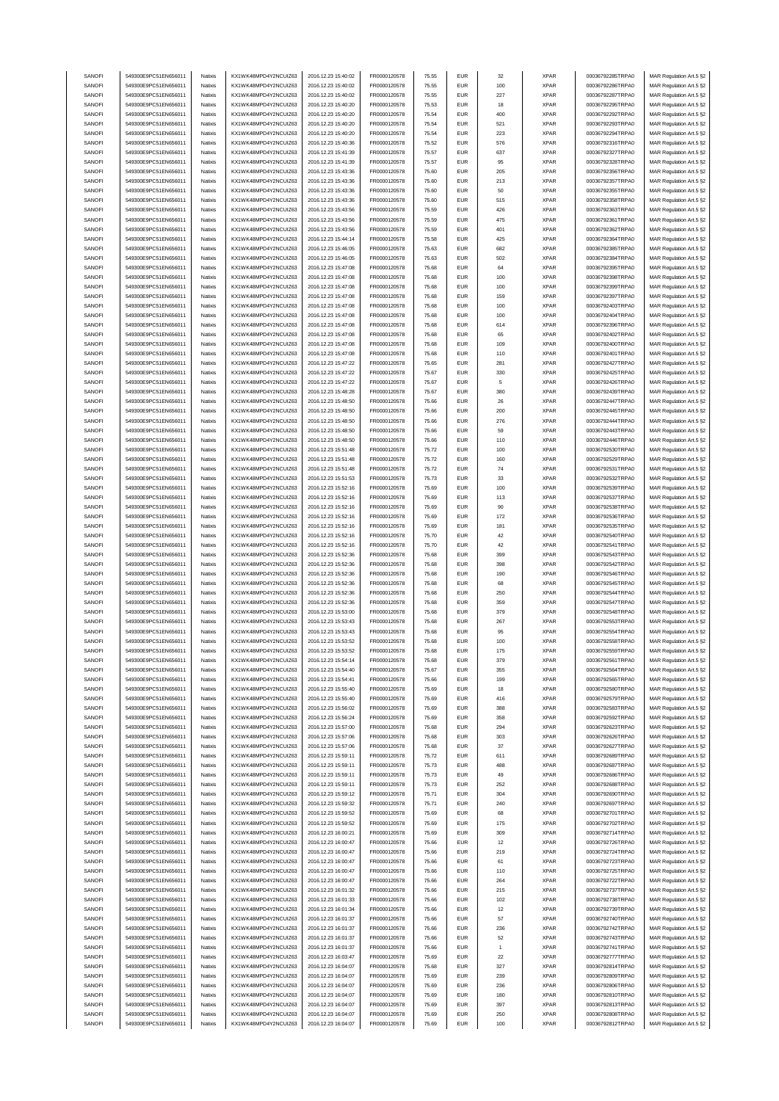| SANOFI | 549300E9PC51EN656011 | Natixis | KX1WK48MPD4Y2NCUIZ63                         | 2016.12.23 15:40:02                        | FR0000120578 | 75.55 | <b>EUR</b> | 32  | <b>XPAR</b> | 00036792285TRPA0 | MAR Regulation Art.5 §2 |
|--------|----------------------|---------|----------------------------------------------|--------------------------------------------|--------------|-------|------------|-----|-------------|------------------|-------------------------|
| SANOFI | 549300E9PC51EN656011 | Natixis | KX1WK48MPD4Y2NCUIZ63                         | 2016.12.23 15:40:02                        | FR0000120578 | 75.55 | <b>EUR</b> | 100 | <b>XPAR</b> | 00036792286TRPA0 | MAR Regulation Art.5 §2 |
| SANOFI | 549300E9PC51EN656011 | Natixis | KX1WK48MPD4Y2NCUIZ63                         | 2016.12.23 15:40:02                        | FR0000120578 | 75.55 | <b>EUR</b> | 227 | <b>XPAR</b> | 00036792287TRPA0 | MAR Regulation Art.5 §2 |
| SANOFI | 549300E9PC51EN656011 | Natixis | KX1WK48MPD4Y2NCUIZ63                         | 2016.12.23 15:40:20                        | FR0000120578 | 75.53 | <b>EUR</b> | 18  | <b>XPAR</b> | 00036792295TRPA0 | MAR Regulation Art.5 §2 |
|        |                      |         |                                              |                                            |              |       |            |     |             |                  |                         |
| SANOFI | 549300E9PC51EN656011 | Natixis | KX1WK48MPD4Y2NCUIZ63                         | 2016.12.23 15:40:20                        | FR0000120578 | 75.54 | <b>EUR</b> | 400 | <b>XPAR</b> | 00036792292TRPA0 | MAR Regulation Art.5 §2 |
| SANOFI | 549300E9PC51EN656011 | Natixis | KX1WK48MPD4Y2NCUIZ63                         | 2016.12.23 15:40:20                        | FR0000120578 | 75.54 | <b>EUR</b> | 521 | <b>XPAR</b> | 00036792293TRPA0 | MAR Regulation Art.5 §2 |
| SANOFI | 549300E9PC51EN656011 | Natixis | KX1WK48MPD4Y2NCUIZ63                         | 2016.12.23 15:40:20                        | FR0000120578 | 75.54 | <b>EUR</b> | 223 | <b>XPAR</b> | 00036792294TRPA0 | MAR Regulation Art.5 §2 |
| SANOFI | 549300E9PC51EN656011 | Natixis | KX1WK48MPD4Y2NCUIZ63                         | 2016.12.23 15:40:36                        | FR0000120578 | 75.52 | <b>EUR</b> | 576 | <b>XPAR</b> | 00036792316TRPA0 | MAR Regulation Art.5 §2 |
| SANOFI | 549300E9PC51EN656011 | Natixis | KX1WK48MPD4Y2NCUIZ63                         | 2016.12.23 15:41:39                        | FR0000120578 | 75.57 | <b>EUR</b> | 637 | <b>XPAR</b> | 00036792327TRPA0 | MAR Regulation Art.5 §2 |
| SANOFI | 549300E9PC51EN656011 | Natixis | KX1WK48MPD4Y2NCUIZ63                         | 2016.12.23 15:41:39                        | FR0000120578 | 75.57 | <b>EUR</b> | 95  | <b>XPAR</b> | 00036792328TRPA0 | MAR Regulation Art.5 §2 |
|        | 549300E9PC51EN656011 | Natixis |                                              |                                            |              | 75.60 | <b>EUR</b> |     |             |                  |                         |
| SANOFI |                      |         | KX1WK48MPD4Y2NCUIZ63                         | 2016.12.23 15:43:36                        | FR0000120578 |       |            | 205 | <b>XPAR</b> | 00036792356TRPA0 | MAR Regulation Art.5 §2 |
| SANOFI | 549300E9PC51EN656011 | Natixis | KX1WK48MPD4Y2NCUIZ63                         | 2016.12.23 15:43:36                        | FR0000120578 | 75.60 | <b>EUR</b> | 213 | <b>XPAR</b> | 00036792357TRPA0 | MAR Regulation Art.5 §2 |
| SANOFI | 549300E9PC51EN656011 | Natixis | KX1WK48MPD4Y2NCUIZ63                         | 2016.12.23 15:43:36                        | FR0000120578 | 75.60 | <b>EUR</b> | 50  | <b>XPAR</b> | 00036792355TRPA0 | MAR Regulation Art.5 §2 |
| SANOFI | 549300E9PC51EN656011 | Natixis | KX1WK48MPD4Y2NCUIZ63                         | 2016.12.23 15:43:36                        | FR0000120578 | 75.60 | <b>EUR</b> | 515 | <b>XPAR</b> | 00036792358TRPA0 | MAR Regulation Art.5 §2 |
| SANOFI | 549300E9PC51EN656011 | Natixis | KX1WK48MPD4Y2NCUIZ63                         | 2016.12.23 15:43:56                        | FR0000120578 | 75.59 | <b>EUR</b> | 426 | <b>XPAR</b> | 00036792363TRPA0 | MAR Regulation Art.5 §2 |
|        | 549300E9PC51EN656011 |         | KX1WK48MPD4Y2NCUIZ63                         | 2016.12.23 15:43:56                        | FR0000120578 |       | <b>EUR</b> | 475 |             | 00036792361TRPA0 |                         |
| SANOFI |                      | Natixis |                                              |                                            |              | 75.59 |            |     | <b>XPAR</b> |                  | MAR Regulation Art.5 §2 |
| SANOFI | 549300E9PC51EN656011 | Natixis | KX1WK48MPD4Y2NCUIZ63                         | 2016.12.23 15:43:56                        | FR0000120578 | 75.59 | <b>EUR</b> | 401 | <b>XPAR</b> | 00036792362TRPA0 | MAR Regulation Art.5 §2 |
| SANOFI | 549300E9PC51EN656011 | Natixis | KX1WK48MPD4Y2NCUIZ63                         | 2016.12.23 15:44:14                        | FR0000120578 | 75.58 | <b>EUR</b> | 425 | <b>XPAR</b> | 00036792364TRPA0 | MAR Regulation Art.5 §2 |
| SANOFI | 549300E9PC51EN656011 | Natixis | KX1WK48MPD4Y2NCUIZ63                         | 2016.12.23 15:46:05                        | FR0000120578 | 75.63 | <b>EUR</b> | 682 | <b>XPAR</b> | 00036792385TRPA0 | MAR Regulation Art.5 §2 |
| SANOFI | 549300E9PC51EN656011 | Natixis | KX1WK48MPD4Y2NCUIZ63                         | 2016.12.23 15:46:05                        | FR0000120578 | 75.63 | <b>EUR</b> | 502 | <b>XPAR</b> | 00036792384TRPA0 | MAR Regulation Art.5 §2 |
| SANOFI | 549300E9PC51EN656011 | Natixis | KX1WK48MPD4Y2NCUIZ63                         | 2016.12.23 15:47:08                        | FR0000120578 | 75.68 | <b>EUR</b> | 64  | <b>XPAR</b> | 00036792395TRPA0 | MAR Regulation Art.5 §2 |
| SANOFI | 549300E9PC51EN656011 | Natixis | KX1WK48MPD4Y2NCUIZ63                         | 2016.12.23 15:47:08                        | FR0000120578 | 75.68 | <b>EUR</b> | 100 | <b>XPAR</b> | 00036792398TRPA0 | MAR Regulation Art.5 §2 |
|        |                      |         |                                              |                                            |              |       |            |     |             |                  |                         |
| SANOFI | 549300E9PC51EN656011 | Natixis | KX1WK48MPD4Y2NCUIZ63                         | 2016.12.23 15:47:08                        | FR0000120578 | 75.68 | <b>EUR</b> | 100 | <b>XPAR</b> | 00036792399TRPA0 | MAR Regulation Art.5 §2 |
| SANOFI | 549300E9PC51EN656011 | Natixis | KX1WK48MPD4Y2NCUIZ63                         | 2016.12.23 15:47:08                        | FR0000120578 | 75.68 | <b>EUR</b> | 159 | <b>XPAR</b> | 00036792397TRPA0 | MAR Regulation Art.5 §2 |
| SANOFI | 549300E9PC51EN656011 | Natixis | KX1WK48MPD4Y2NCUIZ63                         | 2016.12.23 15:47:08                        | FR0000120578 | 75.68 | <b>EUR</b> | 100 | <b>XPAR</b> | 00036792403TRPA0 | MAR Regulation Art.5 §2 |
| SANOFI | 549300E9PC51EN656011 | Natixis | KX1WK48MPD4Y2NCUIZ63                         | 2016.12.23 15:47:08                        | FR0000120578 | 75.68 | <b>EUR</b> | 100 | <b>XPAR</b> | 00036792404TRPA0 | MAR Regulation Art.5 §2 |
| SANOFI | 549300E9PC51EN656011 | Natixis | KX1WK48MPD4Y2NCUIZ63                         | 2016.12.23 15:47:08                        | FR0000120578 | 75.68 | <b>EUR</b> | 614 | <b>XPAR</b> | 00036792396TRPA0 | MAR Regulation Art.5 §2 |
| SANOFI | 549300E9PC51EN656011 | Natixis | KX1WK48MPD4Y2NCUIZ63                         | 2016.12.23 15:47:08                        | FR0000120578 | 75.68 | <b>EUR</b> | 65  | <b>XPAR</b> | 00036792402TRPA0 | MAR Regulation Art.5 §2 |
|        |                      |         |                                              |                                            |              |       |            |     |             |                  |                         |
| SANOFI | 549300E9PC51EN656011 | Natixis | KX1WK48MPD4Y2NCUIZ63                         | 2016.12.23 15:47:08                        | FR0000120578 | 75.68 | <b>EUR</b> | 109 | <b>XPAR</b> | 00036792400TRPA0 | MAR Regulation Art.5 §2 |
| SANOFI | 549300E9PC51EN656011 | Natixis | KX1WK48MPD4Y2NCUIZ63                         | 2016.12.23 15:47:08                        | FR0000120578 | 75.68 | <b>EUR</b> | 110 | <b>XPAR</b> | 00036792401TRPA0 | MAR Regulation Art.5 §2 |
| SANOFI | 549300E9PC51EN656011 | Natixis | KX1WK48MPD4Y2NCUIZ63                         | 2016.12.23 15:47:22                        | FR0000120578 | 75.65 | <b>EUR</b> | 281 | <b>XPAR</b> | 00036792427TRPA0 | MAR Regulation Art.5 §2 |
| SANOFI | 549300E9PC51EN656011 | Natixis | KX1WK48MPD4Y2NCUIZ63                         | 2016.12.23 15:47:22                        | FR0000120578 | 75.67 | <b>EUR</b> | 330 | <b>XPAR</b> | 00036792425TRPA0 | MAR Regulation Art.5 §2 |
| SANOFI | 549300E9PC51EN656011 | Natixis | KX1WK48MPD4Y2NCUIZ63                         | 2016.12.23 15:47:22                        | FR0000120578 | 75.67 | <b>EUR</b> | 5   | <b>XPAR</b> | 00036792426TRPA0 | MAR Regulation Art.5 §2 |
|        |                      |         |                                              |                                            |              |       |            |     |             |                  |                         |
| SANOFI | 549300E9PC51EN656011 | Natixis | KX1WK48MPD4Y2NCUIZ63                         | 2016.12.23 15:48:28                        | FR0000120578 | 75.67 | <b>EUR</b> | 380 | <b>XPAR</b> | 00036792439TRPA0 | MAR Regulation Art.5 §2 |
| SANOFI | 549300E9PC51EN656011 | Natixis | KX1WK48MPD4Y2NCUIZ63                         | 2016.12.23 15:48:50                        | FR0000120578 | 75.66 | <b>EUR</b> | 26  | <b>XPAR</b> | 00036792447TRPA0 | MAR Regulation Art.5 §2 |
| SANOFI | 549300E9PC51EN656011 | Natixis | KX1WK48MPD4Y2NCUIZ63                         | 2016.12.23 15:48:50                        | FR0000120578 | 75.66 | <b>EUR</b> | 200 | <b>XPAR</b> | 00036792445TRPA0 | MAR Regulation Art.5 §2 |
| SANOFI | 549300E9PC51EN656011 | Natixis | KX1WK48MPD4Y2NCUIZ63                         | 2016.12.23 15:48:50                        | FR0000120578 | 75.66 | <b>EUR</b> | 276 | <b>XPAR</b> | 00036792444TRPA0 | MAR Regulation Art.5 §2 |
| SANOFI | 549300E9PC51EN656011 | Natixis | KX1WK48MPD4Y2NCUIZ63                         | 2016.12.23 15:48:50                        | FR0000120578 | 75.66 | <b>EUR</b> | 59  | <b>XPAR</b> | 00036792443TRPA0 | MAR Regulation Art.5 §2 |
|        | 549300E9PC51EN656011 |         | KX1WK48MPD4Y2NCUIZ63                         | 2016.12.23 15:48:50                        |              |       |            |     |             |                  |                         |
| SANOFI |                      | Natixis |                                              |                                            | FR0000120578 | 75.66 | <b>EUR</b> | 110 | <b>XPAR</b> | 00036792446TRPA0 | MAR Regulation Art.5 §2 |
| SANOFI | 549300E9PC51EN656011 | Natixis | KX1WK48MPD4Y2NCUIZ63                         | 2016.12.23 15:51:48                        | FR0000120578 | 75.72 | <b>EUR</b> | 100 | <b>XPAR</b> | 00036792530TRPA0 | MAR Regulation Art.5 §2 |
| SANOFI | 549300E9PC51EN656011 | Natixis | KX1WK48MPD4Y2NCUIZ63                         | 2016.12.23 15:51:48                        | FR0000120578 | 75.72 | <b>EUR</b> | 160 | <b>XPAR</b> | 00036792529TRPA0 | MAR Regulation Art.5 §2 |
| SANOFI | 549300E9PC51EN656011 | Natixis | KX1WK48MPD4Y2NCUIZ63                         | 2016.12.23 15:51:48                        | FR0000120578 | 75.72 | <b>EUR</b> | 74  | <b>XPAR</b> | 00036792531TRPA0 | MAR Regulation Art.5 §2 |
| SANOFI | 549300E9PC51EN656011 | Natixis | KX1WK48MPD4Y2NCUIZ63                         | 2016.12.23 15:51:53                        | FR0000120578 | 75.73 | <b>EUR</b> | 33  | <b>XPAR</b> | 00036792532TRPA0 | MAR Regulation Art.5 §2 |
| SANOFI | 549300E9PC51EN656011 | Natixis | KX1WK48MPD4Y2NCUIZ63                         | 2016.12.23 15:52:16                        | FR0000120578 | 75.69 | <b>EUR</b> | 100 | <b>XPAR</b> | 00036792539TRPA0 | MAR Regulation Art.5 §2 |
|        |                      |         |                                              |                                            |              |       |            |     |             |                  |                         |
| SANOFI | 549300E9PC51EN656011 | Natixis | KX1WK48MPD4Y2NCUIZ63                         | 2016.12.23 15:52:16                        | FR0000120578 | 75.69 | <b>EUR</b> | 113 | <b>XPAR</b> | 00036792537TRPA0 | MAR Regulation Art.5 §2 |
| SANOFI | 549300E9PC51EN656011 | Natixis | KX1WK48MPD4Y2NCUIZ63                         | 2016.12.23 15:52:16                        | FR0000120578 | 75.69 | <b>EUR</b> | 90  | <b>XPAR</b> | 00036792538TRPA0 | MAR Regulation Art.5 §2 |
| SANOFI | 549300E9PC51EN656011 | Natixis | KX1WK48MPD4Y2NCUIZ63                         | 2016.12.23 15:52:16                        | FR0000120578 | 75.69 | <b>EUR</b> | 172 | <b>XPAR</b> | 00036792536TRPA0 | MAR Regulation Art.5 §2 |
| SANOFI | 549300E9PC51EN656011 | Natixis | KX1WK48MPD4Y2NCUIZ63                         | 2016.12.23 15:52:16                        | FR0000120578 | 75.69 | <b>EUR</b> | 181 | <b>XPAR</b> | 00036792535TRPA0 | MAR Regulation Art.5 §2 |
| SANOFI | 549300E9PC51EN656011 | Natixis | KX1WK48MPD4Y2NCUIZ63                         | 2016.12.23 15:52:16                        | FR0000120578 | 75.70 | <b>EUR</b> | 42  | <b>XPAR</b> | 00036792540TRPA0 | MAR Regulation Art.5 §2 |
|        |                      |         |                                              |                                            |              |       | <b>EUR</b> |     |             |                  |                         |
| SANOFI | 549300E9PC51EN656011 | Natixis | KX1WK48MPD4Y2NCUIZ63                         | 2016.12.23 15:52:16                        | FR0000120578 | 75.70 |            | 42  | <b>XPAR</b> | 00036792541TRPA0 | MAR Regulation Art.5 §2 |
| SANOFI | 549300E9PC51EN656011 | Natixis | KX1WK48MPD4Y2NCUIZ63                         | 2016.12.23 15:52:36                        | FR0000120578 | 75.68 | <b>EUR</b> | 399 | <b>XPAR</b> | 00036792543TRPA0 | MAR Regulation Art.5 §2 |
| SANOFI | 549300E9PC51EN656011 | Natixis | KX1WK48MPD4Y2NCUIZ63                         | 2016.12.23 15:52:36                        | FR0000120578 | 75.68 | <b>EUR</b> | 398 | <b>XPAR</b> | 00036792542TRPA0 | MAR Regulation Art.5 §2 |
| SANOFI | 549300E9PC51EN656011 | Natixis | KX1WK48MPD4Y2NCUIZ63                         | 2016.12.23 15:52:36                        | FR0000120578 | 75.68 | <b>EUR</b> | 190 | <b>XPAR</b> | 00036792546TRPA0 | MAR Regulation Art.5 §2 |
| SANOFI | 549300E9PC51EN656011 | Natixis | KX1WK48MPD4Y2NCUIZ63                         | 2016.12.23 15:52:36                        | FR0000120578 | 75.68 | <b>EUR</b> | 68  | <b>XPAR</b> | 00036792545TRPA0 | MAR Regulation Art.5 §2 |
| SANOFI | 549300E9PC51EN656011 | Natixis | KX1WK48MPD4Y2NCUIZ63                         | 2016 12:23 15:52:36                        | FR0000120578 | 75.68 | <b>EUR</b> | 250 | <b>XPAR</b> | 00036792544TRPA0 | MAR Regulation Art.5 §2 |
|        |                      |         | KX1WK48MPD4Y2NCUIZ63                         |                                            |              |       |            |     |             |                  |                         |
| SANOFI | 549300E9PC51EN656011 | Natixis |                                              | 2016.12.23 15:52:36                        | FR0000120578 | 75.68 | <b>EUR</b> | 359 | <b>XPAR</b> | 00036792547TRPA0 | MAR Regulation Art.5 §2 |
| SANOFI | 549300E9PC51EN656011 | Natixis | KX1WK48MPD4Y2NCUIZ63                         | 2016.12.23 15:53:00                        | FR0000120578 | 75.68 | <b>EUR</b> | 379 | <b>XPAR</b> | 00036792548TRPA0 | MAR Regulation Art.5 §2 |
| SANOFI | 549300E9PC51EN656011 | Natixis | KX1WK48MPD4Y2NCUIZ63                         | 2016.12.23 15:53:43                        | FR0000120578 | 75.68 | <b>EUR</b> | 267 | <b>XPAR</b> | 00036792553TRPA0 | MAR Regulation Art.5 §2 |
| SANOFI | 549300E9PC51EN656011 | Natixis | KX1WK48MPD4Y2NCUIZ63                         | 2016.12.23 15:53:43                        | FR0000120578 | 75.68 | <b>EUR</b> | 95  | <b>XPAR</b> | 00036792554TRPA0 | MAR Regulation Art.5 §2 |
| SANOFI | 549300E9PC51EN656011 | Natixis | KX1WK48MPD4Y2NCUIZ63                         | 2016.12.23 15:53:52                        | FR0000120578 | 75.68 | <b>EUR</b> | 100 | <b>XPAR</b> | 00036792558TRPA0 | MAR Regulation Art.5 §2 |
|        |                      |         |                                              |                                            |              |       |            |     |             |                  |                         |
| SANOF  | 549300E9PC51EN65601  | Natixis | KX1WK48MPD4Y2NCUIZ63                         | 2016.12.23 15:53:52                        | FR0000120578 | 75.68 | EUR        | 175 | XPAR        | 00036792559TRPA0 | MAR Regulation Art.5 §2 |
| SANOFI | 549300E9PC51EN656011 | Natixis | KX1WK48MPD4Y2NCUIZ63                         | 2016.12.23 15:54:14                        | FR0000120578 | 75.68 | <b>EUR</b> | 379 | <b>XPAR</b> | 00036792561TRPA0 | MAR Regulation Art.5 §2 |
| SANOFI | 549300E9PC51EN656011 | Natixis | KX1WK48MPD4Y2NCUIZ63                         | 2016.12.23 15:54:40                        | FR0000120578 | 75.67 | <b>EUR</b> | 355 | <b>XPAR</b> | 00036792564TRPA0 | MAR Regulation Art.5 §2 |
| SANOFI | 549300E9PC51EN656011 | Natixis | KX1WK48MPD4Y2NCUIZ63                         | 2016.12.23 15:54:41                        | FR0000120578 | 75.66 | <b>EUR</b> | 199 | <b>XPAR</b> | 00036792565TRPA0 | MAR Regulation Art.5 §2 |
| SANOFI | 549300E9PC51EN656011 | Natixis | KX1WK48MPD4Y2NCUIZ63                         | 2016.12.23 15:55:40                        | FR0000120578 | 75.69 | <b>EUR</b> | 18  | <b>XPAR</b> | 00036792580TRPA0 | MAR Regulation Art.5 §2 |
| SANOFI | 549300E9PC51EN656011 | Natixis | KX1WK48MPD4Y2NCUIZ63                         | 2016.12.23 15:55:40                        | FR0000120578 | 75.69 | <b>EUR</b> | 416 | <b>XPAR</b> | 00036792579TRPA0 | MAR Regulation Art.5 §2 |
| SANOFI | 549300E9PC51EN656011 | Natixis | KX1WK48MPD4Y2NCUIZ63                         | 2016.12.23 15:56:02                        | FR0000120578 | 75.69 | <b>EUR</b> | 388 | <b>XPAR</b> | 00036792583TRPA0 | MAR Regulation Art.5 §2 |
| SANOFI | 549300E9PC51EN656011 |         | KX1WK48MPD4Y2NCUIZ63                         | 2016.12.23 15:56:24                        |              |       |            | 358 | <b>XPAR</b> |                  |                         |
|        |                      | Natixis |                                              |                                            | FR0000120578 | 75.69 | <b>EUR</b> |     |             | 00036792592TRPA0 | MAR Regulation Art.5 §2 |
| SANOFI | 549300E9PC51EN656011 | Natixis | KX1WK48MPD4Y2NCUIZ63                         | 2016.12.23 15:57:00                        | FR0000120578 | 75.68 | <b>EUR</b> | 294 | <b>XPAR</b> | 00036792623TRPA0 | MAR Regulation Art.5 §2 |
| SANOFI | 549300E9PC51EN656011 | Natixis | KX1WK48MPD4Y2NCUIZ63                         | 2016.12.23 15:57:06                        | FR0000120578 | 75.68 | <b>EUR</b> | 303 | <b>XPAR</b> | 00036792626TRPA0 | MAR Regulation Art.5 §2 |
| SANOFI | 549300E9PC51EN656011 | Natixis | KX1WK48MPD4Y2NCUIZ63                         | 2016.12.23 15:57:06                        | FR0000120578 | 75.68 | <b>EUR</b> | 37  | <b>XPAR</b> | 00036792627TRPA0 | MAR Regulation Art.5 §2 |
| SANOFI | 549300E9PC51EN656011 | Natixis | KX1WK48MPD4Y2NCUIZ63                         | 2016.12.23 15:59:11                        | FR0000120578 | 75.72 | <b>EUR</b> | 611 | <b>XPAR</b> | 00036792689TRPA0 | MAR Regulation Art.5 §2 |
| SANOFI | 549300E9PC51EN656011 | Natixis | KX1WK48MPD4Y2NCUIZ63                         | 2016.12.23 15:59:11                        | FR0000120578 | 75.73 | <b>EUR</b> | 488 | <b>XPAR</b> | 00036792687TRPA0 | MAR Regulation Art.5 §2 |
| SANOFI | 549300E9PC51EN656011 | Natixis | KX1WK48MPD4Y2NCUIZ63                         | 2016.12.23 15:59:11                        | FR0000120578 | 75.73 | <b>EUR</b> | 49  | <b>XPAR</b> | 00036792686TRPA0 | MAR Regulation Art.5 §2 |
|        |                      |         |                                              |                                            |              |       |            |     |             |                  |                         |
| SANOFI | 549300E9PC51EN656011 | Natixis | KX1WK48MPD4Y2NCUIZ63                         | 2016.12.23 15:59:11                        | FR0000120578 | 75.73 | <b>EUR</b> | 252 | <b>XPAR</b> | 00036792688TRPA0 | MAR Regulation Art.5 §2 |
| SANOFI | 549300E9PC51EN656011 | Natixis | KX1WK48MPD4Y2NCUIZ63                         | 2016.12.23 15:59:12                        | FR0000120578 | 75.71 | <b>EUR</b> | 304 | <b>XPAR</b> | 00036792690TRPA0 | MAR Regulation Art.5 §2 |
| SANOFI | 549300E9PC51EN656011 | Natixis | KX1WK48MPD4Y2NCUIZ63                         | 2016.12.23 15:59:32                        | FR0000120578 | 75.71 | <b>EUR</b> | 240 | <b>XPAR</b> | 00036792697TRPA0 | MAR Regulation Art.5 §2 |
| SANOFI | 549300E9PC51EN656011 | Natixis | KX1WK48MPD4Y2NCUIZ63                         | 2016.12.23 15:59:52                        | FR0000120578 | 75.69 | <b>EUR</b> | 68  | <b>XPAR</b> | 00036792701TRPA0 | MAR Regulation Art.5 §2 |
| SANOFI | 549300E9PC51EN656011 | Natixis | KX1WK48MPD4Y2NCUIZ63                         | 2016.12.23 15:59:52                        | FR0000120578 | 75.69 | <b>EUR</b> | 175 | <b>XPAR</b> | 00036792702TRPA0 | MAR Regulation Art.5 §2 |
|        | 549300E9PC51EN656011 |         |                                              |                                            |              |       | <b>EUR</b> |     |             |                  |                         |
| SANOFI |                      | Natixis | KX1WK48MPD4Y2NCUIZ63                         | 2016.12.23 16:00:21                        | FR0000120578 | 75.69 |            | 309 | <b>XPAR</b> | 00036792714TRPA0 | MAR Regulation Art.5 §2 |
| SANOFI | 549300E9PC51EN656011 | Natixis | KX1WK48MPD4Y2NCUIZ63                         | 2016.12.23 16:00:47                        | FR0000120578 | 75.66 | <b>EUR</b> | 12  | <b>XPAR</b> | 00036792726TRPA0 | MAR Regulation Art.5 §2 |
| SANOFI | 549300E9PC51EN656011 | Natixis | KX1WK48MPD4Y2NCUIZ63                         | 2016.12.23 16:00:47                        | FR0000120578 | 75.66 | <b>EUR</b> | 219 | <b>XPAR</b> | 00036792724TRPA0 | MAR Regulation Art.5 §2 |
| SANOFI | 549300E9PC51EN656011 | Natixis | KX1WK48MPD4Y2NCUIZ63                         | 2016.12.23 16:00:47                        | FR0000120578 | 75.66 | <b>EUR</b> | 61  | <b>XPAR</b> | 00036792723TRPA0 | MAR Regulation Art.5 §2 |
| SANOFI | 549300E9PC51EN656011 | Natixis | KX1WK48MPD4Y2NCUIZ63                         | 2016.12.23 16:00:47                        | FR0000120578 | 75.66 | <b>EUR</b> | 110 | <b>XPAR</b> | 00036792725TRPA0 | MAR Regulation Art.5 §2 |
| SANOFI | 549300E9PC51EN656011 | Natixis | KX1WK48MPD4Y2NCUIZ63                         | 2016.12.23 16:00:47                        |              | 75.66 | <b>EUR</b> | 264 |             |                  |                         |
|        |                      |         |                                              |                                            | FR0000120578 |       |            |     | <b>XPAR</b> | 00036792722TRPA0 | MAR Regulation Art.5 §2 |
| SANOFI |                      | Natixis | KX1WK48MPD4Y2NCUIZ63                         | 2016.12.23 16:01:32                        | FR0000120578 | 75.66 | <b>EUR</b> | 215 | <b>XPAR</b> | 00036792737TRPA0 | MAR Regulation Art.5 §2 |
|        | 549300E9PC51EN656011 |         |                                              | 2016.12.23 16:01:33                        | FR0000120578 | 75.66 | <b>EUR</b> | 102 | <b>XPAR</b> | 00036792738TRPA0 | MAR Regulation Art.5 §2 |
| SANOFI | 549300E9PC51EN656011 | Natixis | KX1WK48MPD4Y2NCUIZ63                         |                                            |              |       |            |     |             |                  |                         |
| SANOFI | 549300E9PC51EN656011 | Natixis | KX1WK48MPD4Y2NCUIZ63                         | 2016.12.23 16:01:34                        | FR0000120578 | 75.66 | <b>EUR</b> | 12  | <b>XPAR</b> | 00036792739TRPA0 | MAR Regulation Art.5 §2 |
|        |                      |         |                                              |                                            |              |       | <b>EUR</b> | 57  |             |                  |                         |
| SANOFI | 549300E9PC51EN656011 | Natixis | KX1WK48MPD4Y2NCUIZ63                         | 2016.12.23 16:01:37                        | FR0000120578 | 75.66 |            |     | <b>XPAR</b> | 00036792740TRPA0 | MAR Regulation Art.5 §2 |
| SANOFI | 549300E9PC51EN656011 | Natixis | KX1WK48MPD4Y2NCUIZ63                         | 2016.12.23 16:01:37                        | FR0000120578 | 75.66 | <b>EUR</b> | 236 | <b>XPAR</b> | 00036792742TRPA0 | MAR Regulation Art.5 §2 |
| SANOFI | 549300E9PC51EN656011 | Natixis | KX1WK48MPD4Y2NCUIZ63                         | 2016.12.23 16:01:37                        | FR0000120578 | 75.66 | <b>EUR</b> | 52  | <b>XPAR</b> | 00036792743TRPA0 | MAR Regulation Art.5 §2 |
| SANOFI | 549300E9PC51EN656011 | Natixis | KX1WK48MPD4Y2NCUIZ63                         | 2016.12.23 16:01:37                        | FR0000120578 | 75.66 | <b>EUR</b> | 1   | <b>XPAR</b> | 00036792741TRPA0 | MAR Regulation Art.5 §2 |
| SANOFI | 549300E9PC51EN656011 | Natixis | KX1WK48MPD4Y2NCUIZ63                         | 2016.12.23 16:03:47                        | FR0000120578 | 75.69 | <b>EUR</b> | 22  | <b>XPAR</b> | 00036792777TRPA0 | MAR Regulation Art.5 §2 |
| SANOFI | 549300E9PC51EN656011 | Natixis | KX1WK48MPD4Y2NCUIZ63                         | 2016.12.23 16:04:07                        | FR0000120578 | 75.68 | <b>EUR</b> | 327 | <b>XPAR</b> | 00036792814TRPA0 | MAR Regulation Art.5 §2 |
|        |                      | Natixis |                                              |                                            |              |       | <b>EUR</b> | 239 |             |                  |                         |
| SANOFI | 549300E9PC51EN656011 |         | KX1WK48MPD4Y2NCUIZ63                         | 2016.12.23 16:04:07                        | FR0000120578 | 75.69 |            |     | <b>XPAR</b> | 00036792809TRPA0 | MAR Regulation Art.5 §2 |
| SANOFI | 549300E9PC51EN656011 | Natixis | KX1WK48MPD4Y2NCUIZ63                         | 2016.12.23 16:04:07                        | FR0000120578 | 75.69 | <b>EUR</b> | 236 | <b>XPAR</b> | 00036792806TRPA0 | MAR Regulation Art.5 §2 |
| SANOFI | 549300E9PC51EN656011 | Natixis | KX1WK48MPD4Y2NCUIZ63                         | 2016.12.23 16:04:07                        | FR0000120578 | 75.69 | <b>EUR</b> | 180 | <b>XPAR</b> | 00036792810TRPA0 | MAR Regulation Art.5 §2 |
| SANOFI | 549300E9PC51EN656011 | Natixis | KX1WK48MPD4Y2NCUIZ63                         | 2016.12.23 16:04:07                        | FR0000120578 | 75.69 | <b>EUR</b> | 397 | <b>XPAR</b> | 00036792813TRPA0 | MAR Regulation Art.5 §2 |
| SANOFI | 549300E9PC51EN656011 | Natixis | KX1WK48MPD4Y2NCUIZ63<br>KX1WK48MPD4Y2NCUIZ63 | 2016.12.23 16:04:07<br>2016.12.23 16:04:07 | FR0000120578 | 75.69 | <b>EUR</b> | 250 | <b>XPAR</b> | 00036792808TRPA0 | MAR Regulation Art.5 §2 |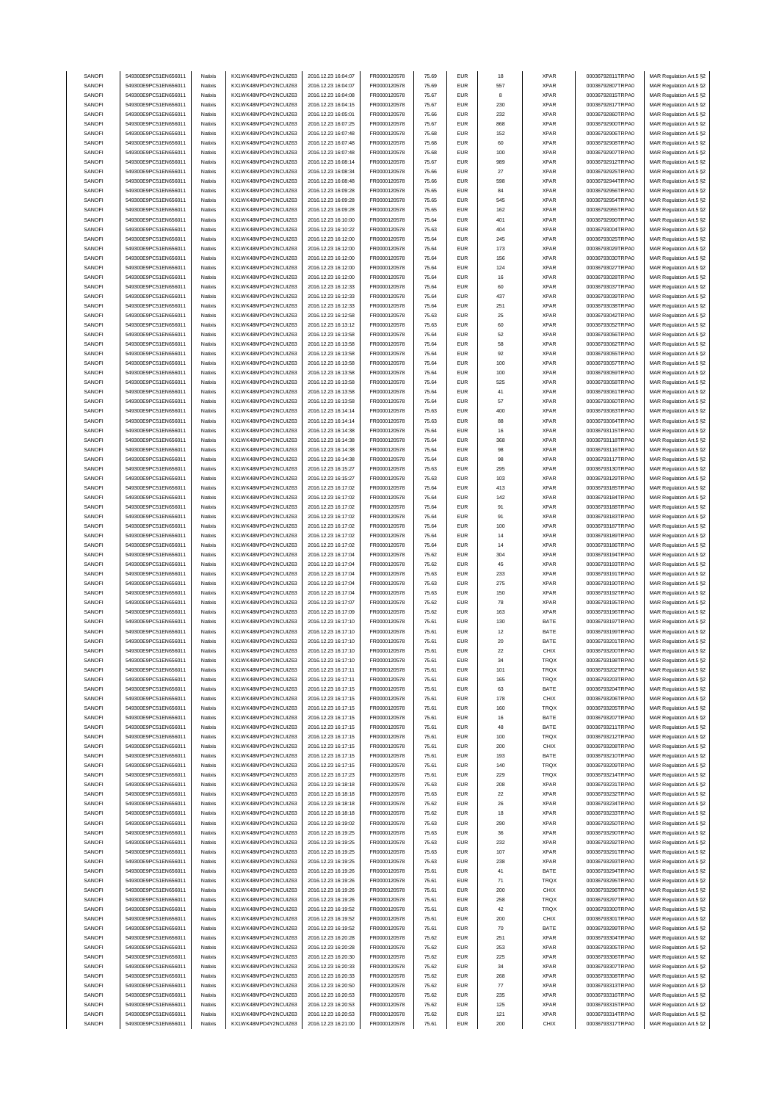| SANOFI | 549300E9PC51EN656011 | Natixis | KX1WK48MPD4Y2NCUIZ63 | 2016.12.23 16:04:07 | FR0000120578 | 75.69 | <b>EUR</b>                  | 18  | <b>XPAR</b> | 00036792811TRPA0 | MAR Regulation Art.5 §2 |
|--------|----------------------|---------|----------------------|---------------------|--------------|-------|-----------------------------|-----|-------------|------------------|-------------------------|
| SANOFI | 549300E9PC51EN656011 | Natixis | KX1WK48MPD4Y2NCUIZ63 | 2016.12.23 16:04:07 | FR0000120578 | 75.69 | <b>EUR</b>                  | 557 | <b>XPAR</b> | 00036792807TRPA0 | MAR Regulation Art.5 §2 |
| SANOFI | 549300E9PC51EN656011 | Natixis | KX1WK48MPD4Y2NCUIZ63 | 2016.12.23 16:04:08 | FR0000120578 | 75.67 | <b>EUR</b>                  | 8   | <b>XPAR</b> | 00036792815TRPA0 | MAR Regulation Art.5 §2 |
| SANOFI | 549300E9PC51EN656011 | Natixis | KX1WK48MPD4Y2NCUIZ63 | 2016.12.23 16:04:15 | FR0000120578 | 75.67 | <b>EUR</b>                  | 230 | <b>XPAR</b> | 00036792817TRPA0 | MAR Regulation Art.5 §2 |
|        |                      |         |                      |                     |              |       |                             |     |             |                  |                         |
| SANOFI | 549300E9PC51EN656011 | Natixis | KX1WK48MPD4Y2NCUIZ63 | 2016.12.23 16:05:01 | FR0000120578 | 75.66 | <b>EUR</b>                  | 232 | <b>XPAR</b> | 00036792860TRPA0 | MAR Regulation Art.5 §2 |
| SANOFI | 549300E9PC51EN656011 | Natixis | KX1WK48MPD4Y2NCUIZ63 | 2016.12.23 16:07:25 | FR0000120578 | 75.67 | <b>EUR</b>                  | 868 | <b>XPAR</b> | 00036792900TRPA0 | MAR Regulation Art.5 §2 |
| SANOFI | 549300E9PC51EN656011 | Natixis | KX1WK48MPD4Y2NCUIZ63 | 2016.12.23 16:07:48 | FR0000120578 | 75.68 | <b>EUR</b>                  | 152 | <b>XPAR</b> | 00036792906TRPA0 | MAR Regulation Art.5 §2 |
| SANOFI | 549300E9PC51EN656011 | Natixis | KX1WK48MPD4Y2NCUIZ63 | 2016.12.23 16:07:48 | FR0000120578 | 75.68 | <b>EUR</b>                  | 60  | <b>XPAR</b> | 00036792908TRPA0 | MAR Regulation Art.5 §2 |
| SANOFI | 549300E9PC51EN656011 | Natixis | KX1WK48MPD4Y2NCUIZ63 | 2016.12.23 16:07:48 | FR0000120578 | 75.68 | <b>EUR</b>                  | 100 | <b>XPAR</b> | 00036792907TRPA0 | MAR Regulation Art.5 §2 |
| SANOFI | 549300E9PC51EN656011 | Natixis | KX1WK48MPD4Y2NCUIZ63 | 2016.12.23 16:08:14 | FR0000120578 | 75.67 | <b>EUR</b>                  | 989 | <b>XPAR</b> | 00036792912TRPA0 | MAR Regulation Art.5 §2 |
|        | 549300E9PC51EN656011 | Natixis |                      |                     |              | 75.66 | <b>EUR</b>                  | 27  |             |                  |                         |
| SANOFI |                      |         | KX1WK48MPD4Y2NCUIZ63 | 2016.12.23 16:08:34 | FR0000120578 |       |                             |     | <b>XPAR</b> | 00036792925TRPA0 | MAR Regulation Art.5 §2 |
| SANOFI | 549300E9PC51EN656011 | Natixis | KX1WK48MPD4Y2NCUIZ63 | 2016.12.23 16:08:48 | FR0000120578 | 75.66 | <b>EUR</b>                  | 598 | <b>XPAR</b> | 00036792944TRPA0 | MAR Regulation Art.5 §2 |
| SANOFI | 549300E9PC51EN656011 | Natixis | KX1WK48MPD4Y2NCUIZ63 | 2016.12.23 16:09:28 | FR0000120578 | 75.65 | <b>EUR</b>                  | 84  | <b>XPAR</b> | 00036792956TRPA0 | MAR Regulation Art.5 §2 |
| SANOFI | 549300E9PC51EN656011 | Natixis | KX1WK48MPD4Y2NCUIZ63 | 2016.12.23 16:09:28 | FR0000120578 | 75.65 | <b>EUR</b>                  | 545 | <b>XPAR</b> | 00036792954TRPA0 | MAR Regulation Art.5 §2 |
| SANOFI | 549300E9PC51EN656011 | Natixis | KX1WK48MPD4Y2NCUIZ63 | 2016.12.23 16:09:28 | FR0000120578 | 75.65 | <b>EUR</b>                  | 162 | <b>XPAR</b> | 00036792955TRPA0 | MAR Regulation Art.5 §2 |
|        |                      |         |                      |                     |              |       |                             |     |             |                  |                         |
| SANOFI | 549300E9PC51EN656011 | Natixis | KX1WK48MPD4Y2NCUIZ63 | 2016.12.23 16:10:00 | FR0000120578 | 75.64 | <b>EUR</b>                  | 401 | <b>XPAR</b> | 00036792990TRPA0 | MAR Regulation Art.5 §2 |
| SANOFI | 549300E9PC51EN656011 | Natixis | KX1WK48MPD4Y2NCUIZ63 | 2016.12.23 16:10:22 | FR0000120578 | 75.63 | <b>EUR</b>                  | 404 | <b>XPAR</b> | 00036793004TRPA0 | MAR Regulation Art.5 §2 |
| SANOFI | 549300E9PC51EN656011 | Natixis | KX1WK48MPD4Y2NCUIZ63 | 2016.12.23 16:12:00 | FR0000120578 | 75.64 | <b>EUR</b>                  | 245 | <b>XPAR</b> | 00036793025TRPA0 | MAR Regulation Art.5 §2 |
| SANOFI | 549300E9PC51EN656011 | Natixis | KX1WK48MPD4Y2NCUIZ63 | 2016.12.23 16:12:00 | FR0000120578 | 75.64 | <b>EUR</b>                  | 173 | <b>XPAR</b> | 00036793029TRPA0 | MAR Regulation Art.5 §2 |
| SANOFI | 549300E9PC51EN656011 | Natixis | KX1WK48MPD4Y2NCUIZ63 | 2016.12.23 16:12:00 | FR0000120578 | 75.64 | <b>EUR</b>                  | 156 | <b>XPAR</b> | 00036793030TRPA0 | MAR Regulation Art.5 §2 |
|        | 549300E9PC51EN656011 |         |                      |                     |              |       | <b>EUR</b>                  |     |             |                  |                         |
| SANOFI |                      | Natixis | KX1WK48MPD4Y2NCUIZ63 | 2016.12.23 16:12:00 | FR0000120578 | 75.64 |                             | 124 | <b>XPAR</b> | 00036793027TRPA0 | MAR Regulation Art.5 §2 |
| SANOFI | 549300E9PC51EN656011 | Natixis | KX1WK48MPD4Y2NCUIZ63 | 2016.12.23 16:12:00 | FR0000120578 | 75.64 | <b>EUR</b>                  | 16  | <b>XPAR</b> | 00036793028TRPA0 | MAR Regulation Art.5 §2 |
| SANOFI | 549300E9PC51EN656011 | Natixis | KX1WK48MPD4Y2NCUIZ63 | 2016.12.23 16:12:33 | FR0000120578 | 75.64 | <b>EUR</b>                  | 60  | <b>XPAR</b> | 00036793037TRPA0 | MAR Regulation Art.5 §2 |
| SANOFI | 549300E9PC51EN656011 | Natixis | KX1WK48MPD4Y2NCUIZ63 | 2016.12.23 16:12:33 | FR0000120578 | 75.64 | <b>EUR</b>                  | 437 | <b>XPAR</b> | 00036793039TRPA0 | MAR Regulation Art.5 §2 |
| SANOFI | 549300E9PC51EN656011 | Natixis | KX1WK48MPD4Y2NCUIZ63 | 2016.12.23 16:12:33 | FR0000120578 | 75.64 | <b>EUR</b>                  | 251 | <b>XPAR</b> | 00036793038TRPA0 | MAR Regulation Art.5 §2 |
| SANOFI | 549300E9PC51EN656011 | Natixis | KX1WK48MPD4Y2NCUIZ63 | 2016.12.23 16:12:58 | FR0000120578 | 75.63 | <b>EUR</b>                  | 25  | <b>XPAR</b> | 00036793042TRPA0 | MAR Regulation Art.5 §2 |
|        |                      |         |                      |                     |              |       |                             |     |             |                  |                         |
| SANOFI | 549300E9PC51EN656011 | Natixis | KX1WK48MPD4Y2NCUIZ63 | 2016.12.23 16:13:12 | FR0000120578 | 75.63 | <b>EUR</b>                  | 60  | <b>XPAR</b> | 00036793052TRPA0 | MAR Regulation Art.5 §2 |
| SANOFI | 549300E9PC51EN656011 | Natixis | KX1WK48MPD4Y2NCUIZ63 | 2016.12.23 16:13:58 | FR0000120578 | 75.64 | <b>EUR</b>                  | 52  | <b>XPAR</b> | 00036793056TRPA0 | MAR Regulation Art.5 §2 |
| SANOFI | 549300E9PC51EN656011 | Natixis | KX1WK48MPD4Y2NCUIZ63 | 2016.12.23 16:13:58 | FR0000120578 | 75.64 | <b>EUR</b>                  | 58  | <b>XPAR</b> | 00036793062TRPA0 | MAR Regulation Art.5 §2 |
| SANOFI | 549300E9PC51EN656011 | Natixis | KX1WK48MPD4Y2NCUIZ63 | 2016.12.23 16:13:58 | FR0000120578 | 75.64 | <b>EUR</b>                  | 92  | <b>XPAR</b> | 00036793055TRPA0 | MAR Regulation Art.5 §2 |
| SANOFI | 549300E9PC51EN656011 | Natixis | KX1WK48MPD4Y2NCUIZ63 | 2016.12.23 16:13:58 | FR0000120578 | 75.64 | <b>EUR</b>                  | 100 | <b>XPAR</b> | 00036793057TRPA0 | MAR Regulation Art.5 §2 |
|        |                      |         |                      |                     |              |       |                             |     |             |                  |                         |
| SANOFI | 549300E9PC51EN656011 | Natixis | KX1WK48MPD4Y2NCUIZ63 | 2016.12.23 16:13:58 | FR0000120578 | 75.64 | <b>EUR</b>                  | 100 | <b>XPAR</b> | 00036793059TRPA0 | MAR Regulation Art.5 §2 |
| SANOFI | 549300E9PC51EN656011 | Natixis | KX1WK48MPD4Y2NCUIZ63 | 2016.12.23 16:13:58 | FR0000120578 | 75.64 | <b>EUR</b>                  | 525 | <b>XPAR</b> | 00036793058TRPA0 | MAR Regulation Art.5 §2 |
| SANOFI | 549300E9PC51EN656011 | Natixis | KX1WK48MPD4Y2NCUIZ63 | 2016.12.23 16:13:58 | FR0000120578 | 75.64 | <b>EUR</b>                  | 41  | <b>XPAR</b> | 00036793061TRPA0 | MAR Regulation Art.5 §2 |
| SANOFI | 549300E9PC51EN656011 | Natixis | KX1WK48MPD4Y2NCUIZ63 | 2016.12.23 16:13:58 | FR0000120578 | 75.64 | <b>EUR</b>                  | 57  | <b>XPAR</b> | 00036793060TRPA0 | MAR Regulation Art.5 §2 |
| SANOFI | 549300E9PC51EN656011 | Natixis | KX1WK48MPD4Y2NCUIZ63 | 2016.12.23 16:14:14 | FR0000120578 | 75.63 | <b>EUR</b>                  | 400 | <b>XPAR</b> | 00036793063TRPA0 |                         |
|        |                      |         |                      |                     |              |       |                             |     |             |                  | MAR Regulation Art.5 §2 |
| SANOFI | 549300E9PC51EN656011 | Natixis | KX1WK48MPD4Y2NCUIZ63 | 2016.12.23 16:14:14 | FR0000120578 | 75.63 | <b>EUR</b>                  | 88  | <b>XPAR</b> | 00036793064TRPA0 | MAR Regulation Art.5 §2 |
| SANOFI | 549300E9PC51EN656011 | Natixis | KX1WK48MPD4Y2NCUIZ63 | 2016.12.23 16:14:38 | FR0000120578 | 75.64 | <b>EUR</b>                  | 16  | <b>XPAR</b> | 00036793115TRPA0 | MAR Regulation Art.5 §2 |
| SANOFI | 549300E9PC51EN656011 | Natixis | KX1WK48MPD4Y2NCUIZ63 | 2016.12.23 16:14:38 | FR0000120578 | 75.64 | <b>EUR</b>                  | 368 | <b>XPAR</b> | 00036793118TRPA0 | MAR Regulation Art.5 §2 |
| SANOFI | 549300E9PC51EN656011 | Natixis | KX1WK48MPD4Y2NCUIZ63 | 2016.12.23 16:14:38 | FR0000120578 | 75.64 | <b>EUR</b>                  | 98  | <b>XPAR</b> | 00036793116TRPA0 | MAR Regulation Art.5 §2 |
| SANOFI | 549300E9PC51EN656011 | Natixis | KX1WK48MPD4Y2NCUIZ63 | 2016.12.23 16:14:38 | FR0000120578 | 75.64 | <b>EUR</b>                  | 98  | <b>XPAR</b> | 00036793117TRPA0 |                         |
|        |                      |         |                      |                     |              |       |                             |     |             |                  | MAR Regulation Art.5 §2 |
| SANOFI | 549300E9PC51EN656011 | Natixis | KX1WK48MPD4Y2NCUIZ63 | 2016.12.23 16:15:27 | FR0000120578 | 75.63 | <b>EUR</b>                  | 295 | <b>XPAR</b> | 00036793130TRPA0 | MAR Regulation Art.5 §2 |
| SANOFI | 549300E9PC51EN656011 | Natixis | KX1WK48MPD4Y2NCUIZ63 | 2016.12.23 16:15:27 | FR0000120578 | 75.63 | <b>EUR</b>                  | 103 | <b>XPAR</b> | 00036793129TRPA0 | MAR Regulation Art.5 §2 |
| SANOFI | 549300E9PC51EN656011 | Natixis | KX1WK48MPD4Y2NCUIZ63 | 2016.12.23 16:17:02 | FR0000120578 | 75.64 | <b>EUR</b>                  | 413 | <b>XPAR</b> | 00036793185TRPA0 | MAR Regulation Art.5 §2 |
| SANOFI | 549300E9PC51EN656011 | Natixis | KX1WK48MPD4Y2NCUIZ63 | 2016.12.23 16:17:02 | FR0000120578 | 75.64 | <b>EUR</b>                  | 142 | <b>XPAR</b> | 00036793184TRPA0 | MAR Regulation Art.5 §2 |
| SANOFI | 549300E9PC51EN656011 | Natixis | KX1WK48MPD4Y2NCUIZ63 | 2016.12.23 16:17:02 | FR0000120578 | 75.64 | <b>EUR</b>                  | 91  | <b>XPAR</b> | 00036793188TRPA0 | MAR Regulation Art.5 §2 |
|        |                      |         |                      |                     |              |       |                             |     |             |                  |                         |
| SANOFI | 549300E9PC51EN656011 | Natixis | KX1WK48MPD4Y2NCUIZ63 | 2016.12.23 16:17:02 | FR0000120578 | 75.64 | <b>EUR</b>                  | 91  | <b>XPAR</b> | 00036793183TRPA0 | MAR Regulation Art.5 §2 |
| SANOFI | 549300E9PC51EN656011 | Natixis | KX1WK48MPD4Y2NCUIZ63 | 2016.12.23 16:17:02 | FR0000120578 | 75.64 | <b>EUR</b>                  | 100 | <b>XPAR</b> | 00036793187TRPA0 | MAR Regulation Art.5 §2 |
| SANOFI | 549300E9PC51EN656011 | Natixis | KX1WK48MPD4Y2NCUIZ63 | 2016.12.23 16:17:02 | FR0000120578 | 75.64 | <b>EUR</b>                  | 14  | <b>XPAR</b> | 00036793189TRPA0 | MAR Regulation Art.5 §2 |
| SANOFI | 549300E9PC51EN656011 | Natixis | KX1WK48MPD4Y2NCUIZ63 | 2016.12.23 16:17:02 | FR0000120578 | 75.64 | <b>EUR</b>                  | 14  | <b>XPAR</b> | 00036793186TRPA0 | MAR Regulation Art.5 §2 |
| SANOFI | 549300E9PC51EN656011 | Natixis | KX1WK48MPD4Y2NCUIZ63 | 2016.12.23 16:17:04 | FR0000120578 | 75.62 | <b>EUR</b>                  | 304 | <b>XPAR</b> | 00036793194TRPA0 | MAR Regulation Art.5 §2 |
|        |                      |         |                      |                     |              |       |                             |     |             |                  |                         |
| SANOFI | 549300E9PC51EN656011 | Natixis | KX1WK48MPD4Y2NCUIZ63 | 2016.12.23 16:17:04 | FR0000120578 | 75.62 | <b>EUR</b>                  | 45  | <b>XPAR</b> | 00036793193TRPA0 | MAR Regulation Art.5 §2 |
| SANOFI | 549300E9PC51EN656011 | Natixis | KX1WK48MPD4Y2NCUIZ63 | 2016.12.23 16:17:04 | FR0000120578 | 75.63 | <b>EUR</b>                  | 233 | <b>XPAR</b> | 00036793191TRPA0 | MAR Regulation Art.5 §2 |
| SANOFI | 549300E9PC51EN656011 | Natixis | KX1WK48MPD4Y2NCUIZ63 | 2016.12.23 16:17:04 | FR0000120578 | 75.63 | <b>EUR</b>                  | 275 | <b>XPAR</b> | 00036793190TRPA0 | MAR Regulation Art.5 §2 |
| SANOFI | 549300E9PC51EN656011 | Natixis | KX1WK48MPD4Y2NCUIZ63 | 2016.12.23 16:17:04 | FR0000120578 | 75.63 | <b>EUR</b>                  | 150 | <b>XPAR</b> | 00036793192TRPA0 | MAR Regulation Art.5 §2 |
| SANOFI | 549300E9PC51EN656011 | Natixis | KX1WK48MPD4Y2NCUIZ63 | 2016.12.23 16:17:07 | FR0000120578 | 75.62 | <b>EUR</b>                  | 78  | <b>XPAR</b> | 00036793195TRPA0 | MAR Regulation Art.5 §2 |
|        |                      |         |                      |                     |              |       |                             |     |             |                  |                         |
| SANOFI | 549300E9PC51EN656011 | Natixis | KX1WK48MPD4Y2NCUIZ63 | 2016.12.23 16:17:09 | FR0000120578 | 75.62 | <b>EUR</b>                  | 163 | <b>XPAR</b> | 00036793196TRPA0 | MAR Regulation Art.5 §2 |
| SANOFI | 549300E9PC51EN656011 | Natixis | KX1WK48MPD4Y2NCUIZ63 | 2016.12.23 16:17:10 | FR0000120578 | 75.61 | <b>EUR</b>                  | 130 | BATE        | 00036793197TRPA0 | MAR Regulation Art.5 §2 |
| SANOFI | 549300E9PC51EN656011 | Natixis | KX1WK48MPD4Y2NCUIZ63 | 2016.12.23 16:17:10 | FR0000120578 | 75.61 | <b>EUR</b>                  | 12  | BATE        | 00036793199TRPA0 | MAR Regulation Art.5 §2 |
| SANOFI | 549300E9PC51EN656011 | Natixis | KX1WK48MPD4Y2NCUIZ63 | 2016.12.23 16:17:10 | FR0000120578 | 75.61 | <b>EUR</b>                  | 20  | BATE        | 00036793201TRPA0 | MAR Regulation Art.5 §2 |
| SANOF  | 549300E9PC51EN65601  | Natixis | KX1WK48MPD4Y2NCUIZ63 | 2016.12.23 16:17:10 | FR0000120578 | 75.61 | EUR                         | 22  | CHIX        | 00036793200TRPA0 | MAR Regulation Art.5 §2 |
|        |                      | Natixis | KX1WK48MPD4Y2NCUIZ63 |                     |              |       | <b>EUR</b>                  | 34  |             |                  |                         |
| SANOFI | 549300E9PC51EN656011 |         |                      | 2016.12.23 16:17:10 | FR0000120578 | 75.61 |                             |     | TRQX        | 00036793198TRPA0 | MAR Regulation Art.5 §2 |
| SANOFI | 549300E9PC51EN656011 | Natixis | KX1WK48MPD4Y2NCUIZ63 | 2016.12.23 16:17:11 | FR0000120578 | 75.61 | <b>EUR</b>                  | 101 | TRQX        | 00036793202TRPA0 | MAR Regulation Art.5 §2 |
| SANOFI | 549300E9PC51EN656011 | Natixis | KX1WK48MPD4Y2NCUIZ63 | 2016.12.23 16:17:11 | FR0000120578 | 75.61 | <b>EUR</b>                  | 165 | TRQX        | 00036793203TRPA0 | MAR Regulation Art.5 §2 |
| SANOFI | 549300E9PC51EN656011 | Natixis | KX1WK48MPD4Y2NCUIZ63 | 2016.12.23 16:17:15 | FR0000120578 | 75.61 | <b>EUR</b>                  | 63  | BATE        | 00036793204TRPA0 | MAR Regulation Art.5 §2 |
| SANOFI | 549300E9PC51EN656011 | Natixis | KX1WK48MPD4Y2NCUIZ63 | 2016.12.23 16:17:15 | FR0000120578 | 75.61 | <b>EUR</b>                  | 178 | CHIX        | 00036793206TRPA0 | MAR Regulation Art.5 §2 |
| SANOFI | 549300E9PC51EN656011 | Natixis | KX1WK48MPD4Y2NCUIZ63 | 2016.12.23 16:17:15 | FR0000120578 | 75.61 | <b>EUR</b>                  | 160 | TRQX        | 00036793205TRPA0 | MAR Regulation Art.5 §2 |
|        |                      |         |                      |                     |              |       |                             |     |             |                  |                         |
| SANOFI | 549300E9PC51EN656011 | Natixis | KX1WK48MPD4Y2NCUIZ63 | 2016.12.23 16:17:15 | FR0000120578 | 75.61 | <b>EUR</b>                  | 16  | BATE        | 00036793207TRPA0 | MAR Regulation Art.5 §2 |
| SANOFI | 549300E9PC51EN656011 | Natixis | KX1WK48MPD4Y2NCUIZ63 | 2016.12.23 16:17:15 | FR0000120578 | 75.61 | <b>EUR</b>                  | 48  | BATE        | 00036793211TRPA0 | MAR Regulation Art.5 §2 |
| SANOFI | 549300E9PC51EN656011 | Natixis | KX1WK48MPD4Y2NCUIZ63 | 2016.12.23 16:17:15 | FR0000120578 | 75.61 | <b>EUR</b>                  | 100 | <b>TRQX</b> | 00036793212TRPA0 | MAR Regulation Art.5 §2 |
| SANOFI | 549300E9PC51EN656011 | Natixis | KX1WK48MPD4Y2NCUIZ63 | 2016.12.23 16:17:15 | FR0000120578 | 75.61 | <b>EUR</b>                  | 200 | CHIX        | 00036793208TRPA0 | MAR Regulation Art.5 §2 |
| SANOFI | 549300E9PC51EN656011 | Natixis | KX1WK48MPD4Y2NCUIZ63 | 2016.12.23 16:17:15 | FR0000120578 | 75.61 | <b>EUR</b>                  | 193 | BATE        | 00036793210TRPA0 | MAR Regulation Art.5 §2 |
| SANOFI | 549300E9PC51EN656011 | Natixis | KX1WK48MPD4Y2NCUIZ63 | 2016.12.23 16:17:15 | FR0000120578 | 75.61 | <b>EUR</b>                  | 140 | TRQX        | 00036793209TRPA0 | MAR Regulation Art.5 §2 |
|        |                      |         |                      |                     |              |       |                             |     |             |                  |                         |
| SANOFI | 549300E9PC51EN656011 | Natixis | KX1WK48MPD4Y2NCUIZ63 | 2016.12.23 16:17:23 | FR0000120578 | 75.61 | <b>EUR</b>                  | 229 | TRQX        | 00036793214TRPA0 | MAR Regulation Art.5 §2 |
| SANOFI | 549300E9PC51EN656011 | Natixis | KX1WK48MPD4Y2NCUIZ63 | 2016.12.23 16:18:18 | FR0000120578 | 75.63 | <b>EUR</b>                  | 208 | <b>XPAR</b> | 00036793231TRPA0 | MAR Regulation Art.5 §2 |
| SANOFI | 549300E9PC51EN656011 | Natixis | KX1WK48MPD4Y2NCUIZ63 | 2016.12.23 16:18:18 | FR0000120578 | 75.63 | $\ensuremath{\mathsf{EUR}}$ | 22  | <b>XPAR</b> | 00036793232TRPA0 | MAR Regulation Art.5 §2 |
| SANOFI | 549300E9PC51EN656011 | Natixis | KX1WK48MPD4Y2NCUIZ63 | 2016.12.23 16:18:18 | FR0000120578 | 75.62 | <b>EUR</b>                  | 26  | <b>XPAR</b> | 00036793234TRPA0 | MAR Regulation Art.5 §2 |
| SANOFI | 549300E9PC51EN656011 | Natixis | KX1WK48MPD4Y2NCUIZ63 | 2016.12.23 16:18:18 | FR0000120578 | 75.62 | <b>EUR</b>                  | 18  | <b>XPAR</b> | 00036793233TRPA0 | MAR Regulation Art.5 §2 |
|        |                      |         |                      |                     |              |       |                             |     |             |                  |                         |
| SANOFI | 549300E9PC51EN656011 | Natixis | KX1WK48MPD4Y2NCUIZ63 | 2016.12.23 16:19:02 | FR0000120578 | 75.63 | <b>EUR</b>                  | 290 | <b>XPAR</b> | 00036793250TRPA0 | MAR Regulation Art.5 §2 |
| SANOFI | 549300E9PC51EN656011 | Natixis | KX1WK48MPD4Y2NCUIZ63 | 2016.12.23 16:19:25 | FR0000120578 | 75.63 | <b>EUR</b>                  | 36  | <b>XPAR</b> | 00036793290TRPA0 | MAR Regulation Art.5 §2 |
| SANOFI | 549300E9PC51EN656011 | Natixis | KX1WK48MPD4Y2NCUIZ63 | 2016.12.23 16:19:25 | FR0000120578 | 75.63 | <b>EUR</b>                  | 232 | <b>XPAR</b> | 00036793292TRPA0 | MAR Regulation Art.5 §2 |
| SANOFI | 549300E9PC51EN656011 | Natixis | KX1WK48MPD4Y2NCUIZ63 | 2016.12.23 16:19:25 | FR0000120578 | 75.63 | <b>EUR</b>                  | 107 | <b>XPAR</b> | 00036793291TRPA0 | MAR Regulation Art.5 §2 |
| SANOFI | 549300E9PC51EN656011 | Natixis | KX1WK48MPD4Y2NCUIZ63 | 2016.12.23 16:19:25 | FR0000120578 | 75.63 | <b>EUR</b>                  | 238 | <b>XPAR</b> | 00036793293TRPA0 | MAR Regulation Art.5 §2 |
|        |                      |         |                      |                     |              |       |                             |     |             |                  |                         |
| SANOFI | 549300E9PC51EN656011 | Natixis | KX1WK48MPD4Y2NCUIZ63 | 2016.12.23 16:19:26 | FR0000120578 | 75.61 | <b>EUR</b>                  | 41  | BATE        | 00036793294TRPA0 | MAR Regulation Art.5 §2 |
| SANOFI | 549300E9PC51EN656011 | Natixis | KX1WK48MPD4Y2NCUIZ63 | 2016.12.23 16:19:26 | FR0000120578 | 75.61 | <b>EUR</b>                  | 71  | TRQX        | 00036793295TRPA0 | MAR Regulation Art.5 §2 |
| SANOFI | 549300E9PC51EN656011 | Natixis | KX1WK48MPD4Y2NCUIZ63 | 2016.12.23 16:19:26 | FR0000120578 | 75.61 | <b>EUR</b>                  | 200 | CHIX        | 00036793296TRPA0 | MAR Regulation Art.5 §2 |
| SANOFI | 549300E9PC51EN656011 | Natixis | KX1WK48MPD4Y2NCUIZ63 | 2016.12.23 16:19:26 | FR0000120578 | 75.61 | <b>EUR</b>                  | 258 | <b>TRQX</b> | 00036793297TRPA0 | MAR Regulation Art.5 §2 |
| SANOFI | 549300E9PC51EN656011 | Natixis | KX1WK48MPD4Y2NCUIZ63 | 2016.12.23 16:19:52 | FR0000120578 | 75.61 | <b>EUR</b>                  | 42  | TRQX        | 00036793300TRPA0 | MAR Regulation Art.5 §2 |
|        |                      |         |                      |                     |              |       |                             |     |             |                  |                         |
| SANOFI | 549300E9PC51EN656011 | Natixis | KX1WK48MPD4Y2NCUIZ63 | 2016.12.23 16:19:52 | FR0000120578 | 75.61 | <b>EUR</b>                  | 200 | CHIX        | 00036793301TRPA0 | MAR Regulation Art.5 §2 |
| SANOFI | 549300E9PC51EN656011 | Natixis | KX1WK48MPD4Y2NCUIZ63 | 2016.12.23 16:19:52 | FR0000120578 | 75.61 | <b>EUR</b>                  | 70  | BATE        | 00036793299TRPA0 | MAR Regulation Art.5 §2 |
| SANOFI | 549300E9PC51EN656011 | Natixis | KX1WK48MPD4Y2NCUIZ63 | 2016.12.23 16:20:28 | FR0000120578 | 75.62 | <b>EUR</b>                  | 251 | <b>XPAR</b> | 00036793304TRPA0 | MAR Regulation Art.5 §2 |
| SANOFI | 549300E9PC51EN656011 | Natixis | KX1WK48MPD4Y2NCUIZ63 | 2016.12.23 16:20:28 | FR0000120578 | 75.62 | <b>EUR</b>                  | 253 | <b>XPAR</b> | 00036793305TRPA0 | MAR Regulation Art.5 §2 |
| SANOFI | 549300E9PC51EN656011 | Natixis | KX1WK48MPD4Y2NCUIZ63 | 2016.12.23 16:20:30 | FR0000120578 | 75.62 | <b>EUR</b>                  | 225 | <b>XPAR</b> | 00036793306TRPA0 |                         |
|        |                      |         |                      |                     |              |       |                             |     |             |                  | MAR Regulation Art.5 §2 |
| SANOFI | 549300E9PC51EN656011 | Natixis | KX1WK48MPD4Y2NCUIZ63 | 2016.12.23 16:20:33 | FR0000120578 | 75.62 | <b>EUR</b>                  | 34  | <b>XPAR</b> | 00036793307TRPA0 | MAR Regulation Art.5 §2 |
| SANOFI | 549300E9PC51EN656011 | Natixis | KX1WK48MPD4Y2NCUIZ63 | 2016.12.23 16:20:33 | FR0000120578 | 75.62 | <b>EUR</b>                  | 268 | <b>XPAR</b> | 00036793308TRPA0 | MAR Regulation Art.5 §2 |
| SANOFI | 549300E9PC51EN656011 | Natixis | KX1WK48MPD4Y2NCUIZ63 | 2016.12.23 16:20:50 | FR0000120578 | 75.62 | <b>EUR</b>                  | 77  | <b>XPAR</b> | 00036793313TRPA0 | MAR Regulation Art.5 §2 |
| SANOFI | 549300E9PC51EN656011 | Natixis | KX1WK48MPD4Y2NCUIZ63 | 2016.12.23 16:20:53 | FR0000120578 | 75.62 | <b>EUR</b>                  | 235 | <b>XPAR</b> | 00036793316TRPA0 | MAR Regulation Art.5 §2 |
| SANOFI | 549300E9PC51EN656011 | Natixis | KX1WK48MPD4Y2NCUIZ63 | 2016.12.23 16:20:53 | FR0000120578 | 75.62 | <b>EUR</b>                  | 125 | <b>XPAR</b> | 00036793315TRPA0 | MAR Regulation Art.5 §2 |
|        |                      |         |                      |                     |              |       |                             |     |             |                  |                         |
| SANOFI | 549300E9PC51EN656011 | Natixis | KX1WK48MPD4Y2NCUIZ63 | 2016.12.23 16:20:53 | FR0000120578 | 75.62 | <b>EUR</b>                  | 121 | <b>XPAR</b> | 00036793314TRPA0 | MAR Regulation Art.5 §2 |
| SANOFI | 549300E9PC51EN656011 | Natixis | KX1WK48MPD4Y2NCUIZ63 | 2016.12.23 16:21:00 | FR0000120578 | 75.61 | <b>EUR</b>                  | 200 | CHIX        | 00036793317TRPA0 | MAR Regulation Art.5 §2 |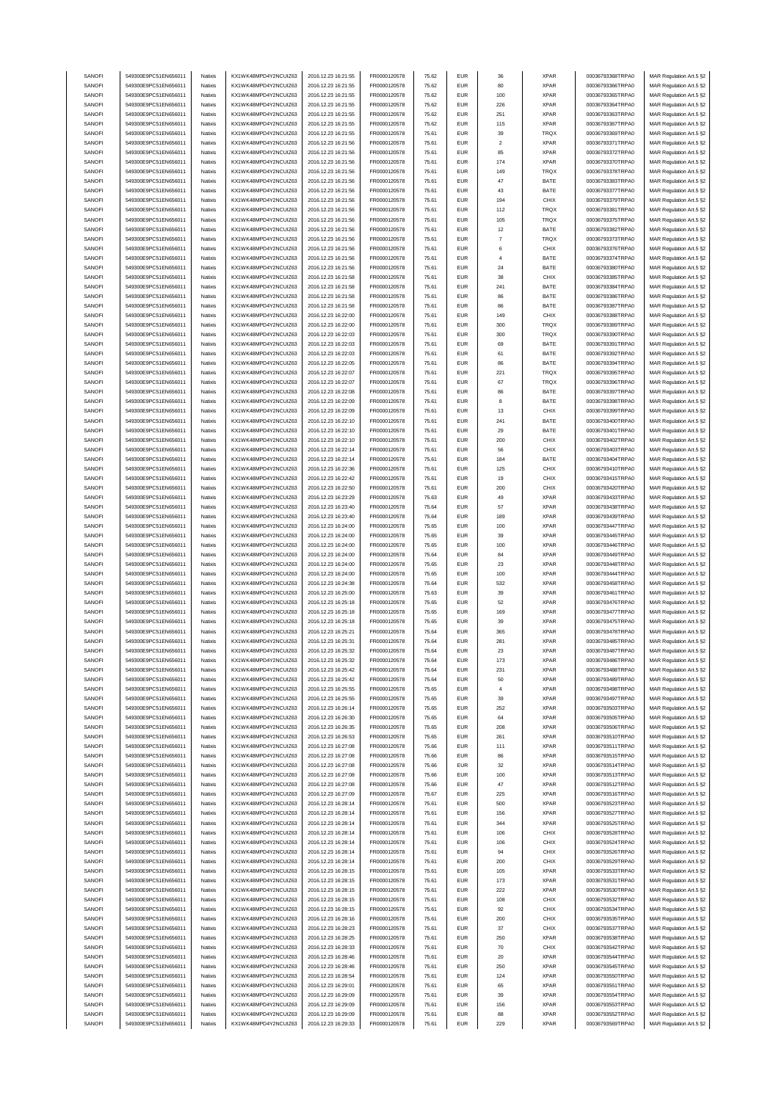| SANOFI | 549300E9PC51EN656011 | Natixis | KX1WK48MPD4Y2NCUIZ63 | 2016.12.23 16:21:55 | FR0000120578 | 75.62 | <b>EUR</b>  | 36                      | <b>XPAR</b> | 00036793368TRPA0 | MAR Regulation Art.5 §2 |
|--------|----------------------|---------|----------------------|---------------------|--------------|-------|-------------|-------------------------|-------------|------------------|-------------------------|
| SANOFI | 549300E9PC51EN656011 | Natixis | KX1WK48MPD4Y2NCUIZ63 | 2016.12.23 16:21:55 | FR0000120578 | 75.62 | <b>EUR</b>  | 80                      | <b>XPAR</b> | 00036793366TRPA0 | MAR Regulation Art.5 §2 |
| SANOFI | 549300E9PC51EN656011 | Natixis | KX1WK48MPD4Y2NCUIZ63 | 2016.12.23 16:21:55 | FR0000120578 | 75.62 | <b>EUR</b>  | 100                     | <b>XPAR</b> | 00036793365TRPA0 | MAR Regulation Art.5 §2 |
| SANOFI | 549300E9PC51EN656011 | Natixis | KX1WK48MPD4Y2NCUIZ63 | 2016.12.23 16:21:55 | FR0000120578 | 75.62 | <b>EUR</b>  | 226                     | <b>XPAR</b> | 00036793364TRPA0 | MAR Regulation Art.5 §2 |
|        |                      |         |                      |                     |              |       |             |                         |             |                  |                         |
| SANOFI | 549300E9PC51EN656011 | Natixis | KX1WK48MPD4Y2NCUIZ63 | 2016.12.23 16:21:55 | FR0000120578 | 75.62 | <b>EUR</b>  | 251                     | <b>XPAR</b> | 00036793363TRPA0 | MAR Regulation Art.5 §2 |
| SANOFI | 549300E9PC51EN656011 | Natixis | KX1WK48MPD4Y2NCUIZ63 | 2016.12.23 16:21:55 | FR0000120578 | 75.62 | <b>EUR</b>  | 115                     | <b>XPAR</b> | 00036793367TRPA0 | MAR Regulation Art.5 §2 |
| SANOFI | 549300E9PC51EN656011 | Natixis | KX1WK48MPD4Y2NCUIZ63 | 2016.12.23 16:21:55 | FR0000120578 | 75.61 | <b>EUR</b>  | 39                      | TRQX        | 00036793369TRPA0 | MAR Regulation Art.5 §2 |
| SANOFI | 549300E9PC51EN656011 | Natixis | KX1WK48MPD4Y2NCUIZ63 | 2016.12.23 16:21:56 | FR0000120578 | 75.61 | <b>EUR</b>  | $\overline{\mathbf{c}}$ | <b>XPAR</b> | 00036793371TRPA0 | MAR Regulation Art.5 §2 |
| SANOFI | 549300E9PC51EN656011 | Natixis | KX1WK48MPD4Y2NCUIZ63 | 2016.12.23 16:21:56 | FR0000120578 | 75.61 | <b>EUR</b>  | 85                      | <b>XPAR</b> | 00036793372TRPA0 | MAR Regulation Art.5 §2 |
| SANOFI | 549300E9PC51EN656011 | Natixis | KX1WK48MPD4Y2NCUIZ63 | 2016.12.23 16:21:56 | FR0000120578 | 75.61 | <b>EUR</b>  | 174                     | <b>XPAR</b> | 00036793370TRPA0 | MAR Regulation Art.5 §2 |
|        | 549300E9PC51EN656011 | Natixis |                      |                     |              | 75.61 | <b>EUR</b>  |                         |             |                  |                         |
| SANOFI |                      |         | KX1WK48MPD4Y2NCUIZ63 | 2016.12.23 16:21:56 | FR0000120578 |       |             | 149                     | TRQX        | 00036793378TRPA0 | MAR Regulation Art.5 §2 |
| SANOFI | 549300E9PC51EN656011 | Natixis | KX1WK48MPD4Y2NCUIZ63 | 2016.12.23 16:21:56 | FR0000120578 | 75.61 | <b>EUR</b>  | 47                      | BATE        | 00036793383TRPA0 | MAR Regulation Art.5 §2 |
| SANOFI | 549300E9PC51EN656011 | Natixis | KX1WK48MPD4Y2NCUIZ63 | 2016.12.23 16:21:56 | FR0000120578 | 75.61 | <b>EUR</b>  | 43                      | BATE        | 00036793377TRPA0 | MAR Regulation Art.5 §2 |
| SANOFI | 549300E9PC51EN656011 | Natixis | KX1WK48MPD4Y2NCUIZ63 | 2016.12.23 16:21:56 | FR0000120578 | 75.61 | <b>EUR</b>  | 194                     | CHIX        | 00036793379TRPA0 | MAR Regulation Art.5 §2 |
| SANOFI | 549300E9PC51EN656011 | Natixis | KX1WK48MPD4Y2NCUIZ63 | 2016.12.23 16:21:56 | FR0000120578 | 75.61 | <b>EUR</b>  | 112                     | TRQX        | 00036793381TRPA0 | MAR Regulation Art.5 §2 |
|        |                      |         |                      |                     |              |       |             |                         |             |                  |                         |
| SANOFI | 549300E9PC51EN656011 | Natixis | KX1WK48MPD4Y2NCUIZ63 | 2016.12.23 16:21:56 | FR0000120578 | 75.61 | <b>EUR</b>  | 105                     | TRQX        | 00036793375TRPA0 | MAR Regulation Art.5 §2 |
| SANOFI | 549300E9PC51EN656011 | Natixis | KX1WK48MPD4Y2NCUIZ63 | 2016.12.23 16:21:56 | FR0000120578 | 75.61 | <b>EUR</b>  | 12                      | BATE        | 00036793382TRPA0 | MAR Regulation Art.5 §2 |
| SANOFI | 549300E9PC51EN656011 | Natixis | KX1WK48MPD4Y2NCUIZ63 | 2016.12.23 16:21:56 | FR0000120578 | 75.61 | <b>EUR</b>  | $\overline{7}$          | TRQX        | 00036793373TRPA0 | MAR Regulation Art.5 §2 |
| SANOFI | 549300E9PC51EN656011 | Natixis | KX1WK48MPD4Y2NCUIZ63 | 2016.12.23 16:21:56 | FR0000120578 | 75.61 | <b>EUR</b>  | 6                       | CHIX        | 00036793376TRPA0 | MAR Regulation Art.5 §2 |
| SANOFI | 549300E9PC51EN656011 | Natixis | KX1WK48MPD4Y2NCUIZ63 | 2016.12.23 16:21:56 | FR0000120578 | 75.61 | <b>EUR</b>  | $\overline{4}$          | BATE        | 00036793374TRPA0 | MAR Regulation Art.5 §2 |
|        |                      |         |                      |                     |              |       |             |                         |             |                  |                         |
| SANOFI | 549300E9PC51EN656011 | Natixis | KX1WK48MPD4Y2NCUIZ63 | 2016.12.23 16:21:56 | FR0000120578 | 75.61 | <b>EUR</b>  | 24                      | BATE        | 00036793380TRPA0 | MAR Regulation Art.5 §2 |
| SANOFI | 549300E9PC51EN656011 | Natixis | KX1WK48MPD4Y2NCUIZ63 | 2016.12.23 16:21:58 | FR0000120578 | 75.61 | <b>EUR</b>  | 38                      | CHIX        | 00036793385TRPA0 | MAR Regulation Art.5 §2 |
| SANOFI | 549300E9PC51EN656011 | Natixis | KX1WK48MPD4Y2NCUIZ63 | 2016.12.23 16:21:58 | FR0000120578 | 75.61 | <b>EUR</b>  | 241                     | BATE        | 00036793384TRPA0 | MAR Regulation Art.5 §2 |
| SANOFI | 549300E9PC51EN656011 | Natixis | KX1WK48MPD4Y2NCUIZ63 | 2016.12.23 16:21:58 | FR0000120578 | 75.61 | <b>EUR</b>  | 86                      | BATE        | 00036793386TRPA0 | MAR Regulation Art.5 §2 |
| SANOFI | 549300E9PC51EN656011 | Natixis | KX1WK48MPD4Y2NCUIZ63 | 2016.12.23 16:21:58 | FR0000120578 | 75.61 | <b>EUR</b>  | 86                      | BATE        | 00036793387TRPA0 | MAR Regulation Art.5 §2 |
| SANOFI | 549300E9PC51EN656011 | Natixis | KX1WK48MPD4Y2NCUIZ63 | 2016.12.23 16:22:00 | FR0000120578 | 75.61 | <b>EUR</b>  | 149                     | CHIX        | 00036793388TRPA0 | MAR Regulation Art.5 §2 |
|        |                      |         |                      |                     |              |       |             |                         |             |                  |                         |
| SANOFI | 549300E9PC51EN656011 | Natixis | KX1WK48MPD4Y2NCUIZ63 | 2016.12.23 16:22:00 | FR0000120578 | 75.61 | <b>EUR</b>  | 300                     | <b>TRQX</b> | 00036793389TRPA0 | MAR Regulation Art.5 §2 |
| SANOFI | 549300E9PC51EN656011 | Natixis | KX1WK48MPD4Y2NCUIZ63 | 2016.12.23 16:22:03 | FR0000120578 | 75.61 | <b>EUR</b>  | 300                     | TRQX        | 00036793390TRPA0 | MAR Regulation Art.5 §2 |
| SANOFI | 549300E9PC51EN656011 | Natixis | KX1WK48MPD4Y2NCUIZ63 | 2016.12.23 16:22:03 | FR0000120578 | 75.61 | <b>EUR</b>  | 69                      | BATE        | 00036793391TRPA0 | MAR Regulation Art.5 §2 |
| SANOFI | 549300E9PC51EN656011 | Natixis | KX1WK48MPD4Y2NCUIZ63 | 2016.12.23 16:22:03 | FR0000120578 | 75.61 | <b>EUR</b>  | 61                      | BATE        | 00036793392TRPA0 | MAR Regulation Art.5 §2 |
|        |                      |         |                      |                     |              |       |             |                         |             |                  |                         |
| SANOFI | 549300E9PC51EN656011 | Natixis | KX1WK48MPD4Y2NCUIZ63 | 2016.12.23 16:22:05 | FR0000120578 | 75.61 | <b>EUR</b>  | 86                      | BATE        | 00036793394TRPA0 | MAR Regulation Art.5 §2 |
| SANOFI | 549300E9PC51EN656011 | Natixis | KX1WK48MPD4Y2NCUIZ63 | 2016.12.23 16:22:07 | FR0000120578 | 75.61 | EUR         | 221                     | <b>TRQX</b> | 00036793395TRPA0 | MAR Regulation Art.5 §2 |
| SANOFI | 549300E9PC51EN656011 | Natixis | KX1WK48MPD4Y2NCUIZ63 | 2016.12.23 16:22:07 | FR0000120578 | 75.61 | EUR         | 67                      | <b>TRQX</b> | 00036793396TRPA0 | MAR Regulation Art.5 §2 |
| SANOFI | 549300E9PC51EN656011 | Natixis | KX1WK48MPD4Y2NCUIZ63 | 2016.12.23 16:22:08 | FR0000120578 | 75.61 | <b>EUR</b>  | 86                      | BATE        | 00036793397TRPA0 | MAR Regulation Art.5 §2 |
| SANOFI | 549300E9PC51EN656011 | Natixis | KX1WK48MPD4Y2NCUIZ63 | 2016.12.23 16:22:09 | FR0000120578 | 75.61 | EUR         | 8                       | BATE        | 00036793398TRPA0 | MAR Regulation Art.5 §2 |
|        |                      |         |                      |                     |              |       |             |                         |             |                  |                         |
| SANOFI | 549300E9PC51EN656011 | Natixis | KX1WK48MPD4Y2NCUIZ63 | 2016.12.23 16:22:09 | FR0000120578 | 75.61 | EUR         | 13                      | CHIX        | 00036793399TRPA0 | MAR Regulation Art.5 §2 |
| SANOFI | 549300E9PC51EN656011 | Natixis | KX1WK48MPD4Y2NCUIZ63 | 2016.12.23 16:22:10 | FR0000120578 | 75.61 | <b>EUR</b>  | 241                     | BATE        | 00036793400TRPA0 | MAR Regulation Art.5 §2 |
| SANOFI | 549300E9PC51EN656011 | Natixis | KX1WK48MPD4Y2NCUIZ63 | 2016.12.23 16:22:10 | FR0000120578 | 75.61 | <b>EUR</b>  | 29                      | BATE        | 00036793401TRPA0 | MAR Regulation Art.5 §2 |
| SANOFI | 549300E9PC51EN656011 | Natixis | KX1WK48MPD4Y2NCUIZ63 | 2016.12.23 16:22:10 | FR0000120578 | 75.61 | <b>EUR</b>  | 200                     | CHIX        | 00036793402TRPA0 | MAR Regulation Art.5 §2 |
|        |                      |         |                      |                     |              |       |             |                         |             |                  |                         |
| SANOFI | 549300E9PC51EN656011 | Natixis | KX1WK48MPD4Y2NCUIZ63 | 2016.12.23 16:22:14 | FR0000120578 | 75.61 | <b>EUR</b>  | 56                      | CHIX        | 00036793403TRPA0 | MAR Regulation Art.5 §2 |
| SANOFI | 549300E9PC51EN656011 | Natixis | KX1WK48MPD4Y2NCUIZ63 | 2016.12.23 16:22:14 | FR0000120578 | 75.61 | EUR         | 184                     | BATE        | 00036793404TRPA0 | MAR Regulation Art.5 §2 |
| SANOFI | 549300E9PC51EN656011 | Natixis | KX1WK48MPD4Y2NCUIZ63 | 2016.12.23 16:22:36 | FR0000120578 | 75.61 | EUR         | 125                     | CHIX        | 00036793410TRPA0 | MAR Regulation Art.5 §2 |
| SANOFI | 549300E9PC51EN656011 | Natixis | KX1WK48MPD4Y2NCUIZ63 | 2016.12.23 16:22:42 | FR0000120578 | 75.61 | <b>EUR</b>  | 19                      | CHIX        | 00036793415TRPA0 | MAR Regulation Art.5 §2 |
| SANOFI | 549300E9PC51EN656011 | Natixis | KX1WK48MPD4Y2NCUIZ63 | 2016.12.23 16:22:50 | FR0000120578 | 75.61 | <b>EUR</b>  | 200                     | CHIX        | 00036793420TRPA0 | MAR Regulation Art.5 §2 |
|        |                      |         |                      |                     |              |       |             |                         |             |                  |                         |
| SANOFI | 549300E9PC51EN656011 | Natixis | KX1WK48MPD4Y2NCUIZ63 | 2016.12.23 16:23:29 | FR0000120578 | 75.63 | <b>EUR</b>  | 49                      | <b>XPAR</b> | 00036793433TRPA0 | MAR Regulation Art.5 §2 |
| SANOFI | 549300E9PC51EN656011 | Natixis | KX1WK48MPD4Y2NCUIZ63 | 2016.12.23 16:23:40 | FR0000120578 | 75.64 | <b>EUR</b>  | 57                      | <b>XPAR</b> | 00036793438TRPA0 | MAR Regulation Art.5 §2 |
| SANOFI | 549300E9PC51EN656011 | Natixis | KX1WK48MPD4Y2NCUIZ63 | 2016.12.23 16:23:40 | FR0000120578 | 75.64 | <b>EUR</b>  | 189                     | <b>XPAR</b> | 00036793439TRPA0 | MAR Regulation Art.5 §2 |
| SANOFI | 549300E9PC51EN656011 | Natixis | KX1WK48MPD4Y2NCUIZ63 | 2016.12.23 16:24:00 | FR0000120578 | 75.65 | <b>EUR</b>  | 100                     | <b>XPAR</b> | 00036793447TRPA0 | MAR Regulation Art.5 §2 |
| SANOFI | 549300E9PC51EN656011 | Natixis | KX1WK48MPD4Y2NCUIZ63 | 2016.12.23 16:24:00 | FR0000120578 | 75.65 | <b>EUR</b>  | 39                      | <b>XPAR</b> | 00036793445TRPA0 | MAR Regulation Art.5 §2 |
|        |                      |         |                      |                     |              |       | EUR         |                         |             |                  |                         |
| SANOFI | 549300E9PC51EN656011 | Natixis | KX1WK48MPD4Y2NCUIZ63 | 2016.12.23 16:24:00 | FR0000120578 | 75.65 |             | 100                     | <b>XPAR</b> | 00036793446TRPA0 | MAR Regulation Art.5 §2 |
| SANOFI | 549300E9PC51EN656011 | Natixis | KX1WK48MPD4Y2NCUIZ63 | 2016.12.23 16:24:00 | FR0000120578 | 75.64 | <b>EUR</b>  | 84                      | <b>XPAR</b> | 00036793449TRPA0 | MAR Regulation Art.5 §2 |
| SANOFI | 549300E9PC51EN656011 | Natixis | KX1WK48MPD4Y2NCUIZ63 | 2016.12.23 16:24:00 | FR0000120578 | 75.65 | <b>EUR</b>  | 23                      | <b>XPAR</b> | 00036793448TRPA0 | MAR Regulation Art.5 §2 |
| SANOFI | 549300E9PC51EN656011 | Natixis | KX1WK48MPD4Y2NCUIZ63 | 2016.12.23 16:24:00 | FR0000120578 | 75.65 | <b>EUR</b>  | 100                     | <b>XPAR</b> | 00036793444TRPA0 | MAR Regulation Art.5 §2 |
| SANOFI | 549300E9PC51EN656011 | Natixis | KX1WK48MPD4Y2NCUIZ63 | 2016.12.23 16:24:38 | FR0000120578 | 75.64 | <b>EUR</b>  | 532                     | <b>XPAR</b> | 00036793458TRPA0 | MAR Regulation Art.5 §2 |
|        | 549300E9PC51EN656011 |         |                      |                     |              |       |             |                         |             |                  |                         |
| SANOFI |                      | Natixis | KX1WK48MPD4Y2NCUIZ63 | 2016.12.23 16:25:00 | FR0000120578 | 75.63 | <b>EUR</b>  | 39                      | <b>XPAR</b> | 00036793461TRPA0 | MAR Regulation Art.5 §2 |
| SANOFI | 549300E9PC51EN656011 | Natixis | KX1WK48MPD4Y2NCUIZ63 | 2016.12.23 16:25:18 | FR0000120578 | 75.65 | <b>EUR</b>  | 52                      | <b>XPAR</b> | 00036793476TRPA0 | MAR Regulation Art.5 §2 |
| SANOFI | 549300E9PC51EN656011 | Natixis | KX1WK48MPD4Y2NCUIZ63 | 2016.12.23 16:25:18 | FR0000120578 | 75.65 | <b>EUR</b>  | 169                     | <b>XPAR</b> | 00036793477TRPA0 | MAR Regulation Art.5 §2 |
| SANOFI | 549300E9PC51EN656011 | Natixis | KX1WK48MPD4Y2NCUIZ63 | 2016.12.23 16:25:18 | FR0000120578 | 75.65 | <b>EUR</b>  | 39                      | <b>XPAR</b> | 00036793475TRPA0 | MAR Regulation Art.5 §2 |
| SANOFI | 549300E9PC51EN656011 | Natixis | KX1WK48MPD4Y2NCUIZ63 | 2016.12.23 16:25:21 | FR0000120578 | 75.64 | <b>EUR</b>  | 365                     | <b>XPAR</b> | 00036793478TRPA0 | MAR Regulation Art.5 §2 |
|        | 549300E9PC51EN656011 |         |                      |                     |              |       |             |                         |             |                  |                         |
| SANOFI |                      | Natixis | KX1WK48MPD4Y2NCUIZ63 | 2016.12.23 16:25:31 | FR0000120578 | 75.64 | <b>EUR</b>  | 281                     | <b>XPAR</b> | 00036793485TRPA0 | MAR Regulation Art.5 §2 |
| SANOF  | 549300E9PC51EN65601  | Natixis | KX1WK48MPD4Y2NCUIZ63 | 2016.12.23 16:25:32 | FR0000120578 | 75.64 | EUR         | 23                      | XPAR        | 00036793487TRPA0 | MAR Regulation Art.5 §2 |
| SANOFI | 549300E9PC51EN656011 | Natixis | KX1WK48MPD4Y2NCUIZ63 | 2016.12.23 16:25:32 | FR0000120578 | 75.64 | <b>EUR</b>  | 173                     | <b>XPAR</b> | 00036793486TRPA0 | MAR Regulation Art.5 §2 |
| SANOFI | 549300E9PC51EN656011 | Natixis | KX1WK48MPD4Y2NCUIZ63 | 2016.12.23 16:25:42 | FR0000120578 | 75.64 | <b>EUR</b>  | 231                     | <b>XPAR</b> | 00036793488TRPA0 | MAR Regulation Art.5 §2 |
| SANOFI | 549300E9PC51EN656011 | Natixis | KX1WK48MPD4Y2NCUIZ63 | 2016.12.23 16:25:42 | FR0000120578 | 75.64 | <b>EUR</b>  | 50                      | <b>XPAR</b> | 00036793489TRPA0 | MAR Regulation Art.5 §2 |
|        |                      |         |                      | 2016.12.23 16:25:55 |              |       |             | $\overline{4}$          |             |                  |                         |
| SANOFI | 549300E9PC51EN656011 | Natixis | KX1WK48MPD4Y2NCUIZ63 |                     | FR0000120578 | 75.65 | <b>EUR</b>  |                         | <b>XPAR</b> | 00036793498TRPA0 | MAR Regulation Art.5 §2 |
| SANOFI | 549300E9PC51EN656011 | Natixis | KX1WK48MPD4Y2NCUIZ63 | 2016.12.23 16:25:55 | FR0000120578 | 75.65 | <b>EUR</b>  | 39                      | <b>XPAR</b> | 00036793497TRPA0 | MAR Regulation Art.5 §2 |
| SANOFI | 549300E9PC51EN656011 | Natixis | KX1WK48MPD4Y2NCUIZ63 | 2016.12.23 16:26:14 | FR0000120578 | 75.65 | ${\sf EUR}$ | 252                     | <b>XPAR</b> | 00036793503TRPA0 | MAR Regulation Art.5 §2 |
| SANOFI | 549300E9PC51EN656011 | Natixis | KX1WK48MPD4Y2NCUIZ63 | 2016.12.23 16:26:30 | FR0000120578 | 75.65 | <b>EUR</b>  | 64                      | <b>XPAR</b> | 00036793505TRPA0 | MAR Regulation Art.5 §2 |
| SANOFI | 549300E9PC51EN656011 | Natixis | KX1WK48MPD4Y2NCUIZ63 | 2016.12.23 16:26:35 | FR0000120578 | 75.65 | <b>EUR</b>  | 208                     | <b>XPAR</b> | 00036793506TRPA0 | MAR Regulation Art.5 §2 |
| SANOFI | 549300E9PC51EN656011 | Natixis | KX1WK48MPD4Y2NCUIZ63 | 2016.12.23 16:26:53 | FR0000120578 | 75.65 | <b>EUR</b>  | 261                     | <b>XPAR</b> | 00036793510TRPA0 | MAR Regulation Art.5 §2 |
|        |                      |         |                      |                     |              |       |             |                         |             |                  |                         |
| SANOFI | 549300E9PC51EN656011 | Natixis | KX1WK48MPD4Y2NCUIZ63 | 2016.12.23 16:27:08 | FR0000120578 | 75.66 | <b>EUR</b>  | 111                     | <b>XPAR</b> | 00036793511TRPA0 | MAR Regulation Art.5 §2 |
| SANOFI | 549300E9PC51EN656011 | Natixis | KX1WK48MPD4Y2NCUIZ63 | 2016.12.23 16:27:08 | FR0000120578 | 75.66 | <b>EUR</b>  | 86                      | <b>XPAR</b> | 00036793515TRPA0 | MAR Regulation Art.5 §2 |
| SANOFI | 549300E9PC51EN656011 | Natixis | KX1WK48MPD4Y2NCUIZ63 | 2016.12.23 16:27:08 | FR0000120578 | 75.66 | <b>EUR</b>  | 32                      | <b>XPAR</b> | 00036793514TRPA0 | MAR Regulation Art.5 §2 |
| SANOFI | 549300E9PC51EN656011 | Natixis | KX1WK48MPD4Y2NCUIZ63 | 2016.12.23 16:27:08 | FR0000120578 | 75.66 | <b>EUR</b>  | 100                     | <b>XPAR</b> | 00036793513TRPA0 | MAR Regulation Art.5 §2 |
| SANOFI | 549300E9PC51EN656011 | Natixis | KX1WK48MPD4Y2NCUIZ63 | 2016.12.23 16:27:08 | FR0000120578 | 75.66 | <b>EUR</b>  | 47                      | <b>XPAR</b> | 00036793512TRPA0 | MAR Regulation Art.5 §2 |
|        |                      |         |                      |                     |              |       |             |                         |             |                  |                         |
| SANOFI | 549300E9PC51EN656011 | Natixis | KX1WK48MPD4Y2NCUIZ63 | 2016.12.23 16:27:09 | FR0000120578 | 75.67 | <b>EUR</b>  | 225                     | <b>XPAR</b> | 00036793516TRPA0 | MAR Regulation Art.5 §2 |
| SANOFI | 549300E9PC51EN656011 | Natixis | KX1WK48MPD4Y2NCUIZ63 | 2016.12.23 16:28:14 | FR0000120578 | 75.61 | <b>EUR</b>  | 500                     | <b>XPAR</b> | 00036793523TRPA0 | MAR Regulation Art.5 §2 |
| SANOFI | 549300E9PC51EN656011 | Natixis | KX1WK48MPD4Y2NCUIZ63 | 2016.12.23 16:28:14 | FR0000120578 | 75.61 | <b>EUR</b>  | 156                     | <b>XPAR</b> | 00036793527TRPA0 | MAR Regulation Art.5 §2 |
| SANOFI | 549300E9PC51EN656011 | Natixis | KX1WK48MPD4Y2NCUIZ63 | 2016.12.23 16:28:14 | FR0000120578 | 75.61 | <b>EUR</b>  | 344                     | <b>XPAR</b> | 00036793525TRPA0 | MAR Regulation Art.5 §2 |
| SANOFI | 549300E9PC51EN656011 |         | KX1WK48MPD4Y2NCUIZ63 | 2016.12.23 16:28:14 |              |       | <b>EUR</b>  |                         |             |                  |                         |
|        |                      | Natixis |                      |                     | FR0000120578 | 75.61 |             | 106                     | CHIX        | 00036793528TRPA0 | MAR Regulation Art.5 §2 |
| SANOFI | 549300E9PC51EN656011 | Natixis | KX1WK48MPD4Y2NCUIZ63 | 2016.12.23 16:28:14 | FR0000120578 | 75.61 | <b>EUR</b>  | 106                     | CHIX        | 00036793524TRPA0 | MAR Regulation Art.5 §2 |
| SANOFI | 549300E9PC51EN656011 | Natixis | KX1WK48MPD4Y2NCUIZ63 | 2016.12.23 16:28:14 | FR0000120578 | 75.61 | <b>EUR</b>  | 94                      | CHIX        | 00036793526TRPA0 | MAR Regulation Art.5 §2 |
| SANOFI | 549300E9PC51EN656011 | Natixis | KX1WK48MPD4Y2NCUIZ63 | 2016.12.23 16:28:14 | FR0000120578 | 75.61 | <b>EUR</b>  | 200                     | CHIX        | 00036793529TRPA0 | MAR Regulation Art.5 §2 |
| SANOFI | 549300E9PC51EN656011 | Natixis | KX1WK48MPD4Y2NCUIZ63 | 2016.12.23 16:28:15 | FR0000120578 | 75.61 | <b>EUR</b>  | 105                     | <b>XPAR</b> | 00036793533TRPA0 | MAR Regulation Art.5 §2 |
|        |                      |         |                      |                     |              |       |             |                         |             |                  |                         |
| SANOFI | 549300E9PC51EN656011 | Natixis | KX1WK48MPD4Y2NCUIZ63 | 2016.12.23 16:28:15 | FR0000120578 | 75.61 | <b>EUR</b>  | 173                     | <b>XPAR</b> | 00036793531TRPA0 | MAR Regulation Art.5 §2 |
| SANOFI | 549300E9PC51EN656011 | Natixis | KX1WK48MPD4Y2NCUIZ63 | 2016.12.23 16:28:15 | FR0000120578 | 75.61 | <b>EUR</b>  | 222                     | <b>XPAR</b> | 00036793530TRPA0 | MAR Regulation Art.5 §2 |
| SANOFI | 549300E9PC51EN656011 | Natixis | KX1WK48MPD4Y2NCUIZ63 | 2016.12.23 16:28:15 | FR0000120578 | 75.61 | <b>EUR</b>  | 108                     | CHIX        | 00036793532TRPA0 | MAR Regulation Art.5 §2 |
| SANOFI | 549300E9PC51EN656011 | Natixis | KX1WK48MPD4Y2NCUIZ63 | 2016.12.23 16:28:15 | FR0000120578 | 75.61 | <b>EUR</b>  | 92                      | CHIX        | 00036793534TRPA0 | MAR Regulation Art.5 §2 |
|        |                      |         |                      |                     |              |       |             |                         |             |                  |                         |
| SANOFI | 549300E9PC51EN656011 | Natixis | KX1WK48MPD4Y2NCUIZ63 | 2016.12.23 16:28:16 | FR0000120578 | 75.61 | <b>EUR</b>  | 200                     | CHIX        | 00036793535TRPA0 | MAR Regulation Art.5 §2 |
| SANOFI | 549300E9PC51EN656011 | Natixis | KX1WK48MPD4Y2NCUIZ63 | 2016.12.23 16:28:23 | FR0000120578 | 75.61 | <b>EUR</b>  | 37                      | CHIX        | 00036793537TRPA0 | MAR Regulation Art.5 §2 |
| SANOFI | 549300E9PC51EN656011 | Natixis | KX1WK48MPD4Y2NCUIZ63 | 2016.12.23 16:28:25 | FR0000120578 | 75.61 | <b>EUR</b>  | 250                     | <b>XPAR</b> | 00036793538TRPA0 | MAR Regulation Art.5 §2 |
| SANOFI | 549300E9PC51EN656011 | Natixis | KX1WK48MPD4Y2NCUIZ63 | 2016.12.23 16:28:33 | FR0000120578 | 75.61 | <b>EUR</b>  | 70                      | CHIX        | 00036793542TRPA0 | MAR Regulation Art.5 §2 |
| SANOFI | 549300E9PC51EN656011 | Natixis | KX1WK48MPD4Y2NCUIZ63 | 2016.12.23 16:28:46 | FR0000120578 | 75.61 | <b>EUR</b>  | 20                      | <b>XPAR</b> | 00036793544TRPA0 | MAR Regulation Art.5 §2 |
|        |                      |         |                      |                     |              |       |             |                         |             |                  |                         |
| SANOFI | 549300E9PC51EN656011 | Natixis | KX1WK48MPD4Y2NCUIZ63 | 2016.12.23 16:28:46 | FR0000120578 | 75.61 | <b>EUR</b>  | 250                     | <b>XPAR</b> | 00036793545TRPA0 | MAR Regulation Art.5 §2 |
| SANOFI | 549300E9PC51EN656011 | Natixis | KX1WK48MPD4Y2NCUIZ63 | 2016.12.23 16:28:54 | FR0000120578 | 75.61 | <b>EUR</b>  | 124                     | <b>XPAR</b> | 00036793550TRPA0 | MAR Regulation Art.5 §2 |
| SANOFI | 549300E9PC51EN656011 | Natixis | KX1WK48MPD4Y2NCUIZ63 | 2016.12.23 16:29:01 | FR0000120578 | 75.61 | <b>EUR</b>  | 65                      | <b>XPAR</b> | 00036793551TRPA0 | MAR Regulation Art.5 §2 |
| SANOFI | 549300E9PC51EN656011 | Natixis | KX1WK48MPD4Y2NCUIZ63 | 2016.12.23 16:29:09 | FR0000120578 | 75.61 | <b>EUR</b>  | 39                      | <b>XPAR</b> | 00036793554TRPA0 | MAR Regulation Art.5 §2 |
| SANOFI | 549300E9PC51EN656011 | Natixis | KX1WK48MPD4Y2NCUIZ63 | 2016.12.23 16:29:09 | FR0000120578 | 75.61 | <b>EUR</b>  | 156                     | <b>XPAR</b> | 00036793553TRPA0 | MAR Regulation Art.5 §2 |
|        |                      |         |                      |                     |              |       |             |                         |             |                  |                         |
| SANOFI | 549300E9PC51EN656011 | Natixis | KX1WK48MPD4Y2NCUIZ63 | 2016.12.23 16:29:09 | FR0000120578 | 75.61 | <b>EUR</b>  | 88                      | <b>XPAR</b> | 00036793552TRPA0 | MAR Regulation Art.5 §2 |
| SANOFI | 549300E9PC51EN656011 | Natixis | KX1WK48MPD4Y2NCUIZ63 | 2016.12.23 16:29:33 | FR0000120578 | 75.61 | <b>EUR</b>  | 229                     | <b>XPAR</b> | 00036793569TRPA0 | MAR Regulation Art.5 §2 |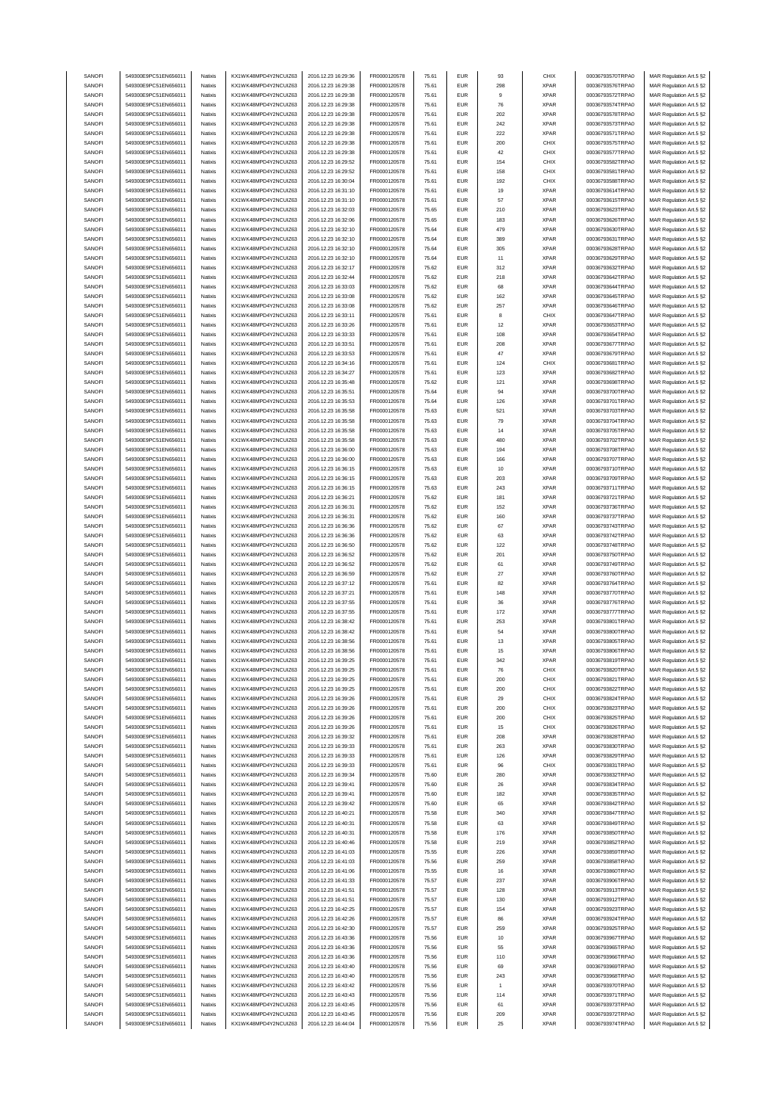| SANOFI           | 549300E9PC51EN656011                         | Natixis | KX1WK48MPD4Y2NCUIZ63                         | 2016.12.23 16:29:36                        | FR0000120578                 | 75.61          | <b>EUR</b>               | 93             | CHIX                       | 00036793570TRPA0                     | MAR Regulation Art.5 §2                            |
|------------------|----------------------------------------------|---------|----------------------------------------------|--------------------------------------------|------------------------------|----------------|--------------------------|----------------|----------------------------|--------------------------------------|----------------------------------------------------|
| SANOFI           | 549300E9PC51EN656011                         | Natixis | KX1WK48MPD4Y2NCUIZ63                         | 2016.12.23 16:29:38                        | FR0000120578                 | 75.61          | <b>EUR</b>               | 298            | <b>XPAR</b>                | 00036793576TRPA0                     | MAR Regulation Art.5 §2                            |
| SANOFI           | 549300E9PC51EN656011                         | Natixis | KX1WK48MPD4Y2NCUIZ63                         | 2016.12.23 16:29:38                        | FR0000120578                 | 75.61          | <b>EUR</b>               | 9              | <b>XPAR</b>                | 00036793572TRPA0                     | MAR Regulation Art.5 §2                            |
| SANOFI           | 549300E9PC51EN656011                         | Natixis | KX1WK48MPD4Y2NCUIZ63                         | 2016.12.23 16:29:38                        | FR0000120578                 | 75.61          | <b>EUR</b>               | 76             | <b>XPAR</b>                | 00036793574TRPA0                     | MAR Regulation Art.5 §2                            |
|                  |                                              |         |                                              |                                            |                              |                |                          |                |                            |                                      |                                                    |
| SANOFI           | 549300E9PC51EN656011                         | Natixis | KX1WK48MPD4Y2NCUIZ63                         | 2016.12.23 16:29:38                        | FR0000120578                 | 75.61          | <b>EUR</b>               | 202            | <b>XPAR</b>                | 00036793578TRPA0                     | MAR Regulation Art.5 §2                            |
| SANOFI           | 549300E9PC51EN656011                         | Natixis | KX1WK48MPD4Y2NCUIZ63                         | 2016.12.23 16:29:38                        | FR0000120578                 | 75.61          | <b>EUR</b>               | 242            | <b>XPAR</b>                | 00036793573TRPA0                     | MAR Regulation Art.5 §2                            |
| SANOFI           | 549300E9PC51EN656011                         | Natixis | KX1WK48MPD4Y2NCUIZ63                         | 2016.12.23 16:29:38                        | FR0000120578                 | 75.61          | <b>EUR</b>               | 222            | <b>XPAR</b>                | 00036793571TRPA0                     | MAR Regulation Art.5 §2                            |
| SANOFI           | 549300E9PC51EN656011                         | Natixis | KX1WK48MPD4Y2NCUIZ63                         | 2016.12.23 16:29:38                        | FR0000120578                 | 75.61          | <b>EUR</b>               | 200            | CHIX                       | 00036793575TRPA0                     | MAR Regulation Art.5 §2                            |
| SANOFI           | 549300E9PC51EN656011                         | Natixis | KX1WK48MPD4Y2NCUIZ63                         | 2016.12.23 16:29:38                        | FR0000120578                 | 75.61          | EUR                      | 42             | CHIX                       | 00036793577TRPA0                     | MAR Regulation Art.5 §2                            |
| SANOFI           | 549300E9PC51EN656011                         | Natixis | KX1WK48MPD4Y2NCUIZ63                         | 2016.12.23 16:29:52                        | FR0000120578                 | 75.61          | EUR                      | 154            | CHIX                       | 00036793582TRPA0                     | MAR Regulation Art.5 §2                            |
|                  | 549300E9PC51EN656011                         | Natixis |                                              |                                            |                              | 75.61          | <b>EUR</b>               |                |                            |                                      |                                                    |
| SANOFI           |                                              |         | KX1WK48MPD4Y2NCUIZ63                         | 2016.12.23 16:29:52                        | FR0000120578                 |                |                          | 158            | CHIX                       | 00036793581TRPA0                     | MAR Regulation Art.5 §2                            |
| SANOFI           | 549300E9PC51EN656011                         | Natixis | KX1WK48MPD4Y2NCUIZ63                         | 2016.12.23 16:30:04                        | FR0000120578                 | 75.61          | <b>EUR</b>               | 192            | CHIX                       | 00036793588TRPA0                     | MAR Regulation Art.5 §2                            |
| SANOFI           | 549300E9PC51EN656011                         | Natixis | KX1WK48MPD4Y2NCUIZ63                         | 2016.12.23 16:31:10                        | FR0000120578                 | 75.61          | <b>EUR</b>               | 19             | <b>XPAR</b>                | 00036793614TRPA0                     | MAR Regulation Art.5 §2                            |
| SANOFI           | 549300E9PC51EN656011                         | Natixis | KX1WK48MPD4Y2NCUIZ63                         | 2016.12.23 16:31:10                        | FR0000120578                 | 75.61          | <b>EUR</b>               | 57             | <b>XPAR</b>                | 00036793615TRPA0                     | MAR Regulation Art.5 §2                            |
| SANOFI           | 549300E9PC51EN656011                         | Natixis | KX1WK48MPD4Y2NCUIZ63                         | 2016.12.23 16:32:03                        | FR0000120578                 | 75.65          | EUR                      | 210            | <b>XPAR</b>                | 00036793623TRPA0                     | MAR Regulation Art.5 §2                            |
|                  | 549300E9PC51EN656011                         |         | KX1WK48MPD4Y2NCUIZ63                         | 2016.12.23 16:32:06                        | FR0000120578                 |                | <b>EUR</b>               |                |                            | 00036793626TRPA0                     |                                                    |
| SANOFI           |                                              | Natixis |                                              |                                            |                              | 75.65          |                          | 183            | <b>XPAR</b>                |                                      | MAR Regulation Art.5 §2                            |
| SANOFI           | 549300E9PC51EN656011                         | Natixis | KX1WK48MPD4Y2NCUIZ63                         | 2016.12.23 16:32:10                        | FR0000120578                 | 75.64          | EUR                      | 479            | <b>XPAR</b>                | 00036793630TRPA0                     | MAR Regulation Art.5 §2                            |
| SANOFI           | 549300E9PC51EN656011                         | Natixis | KX1WK48MPD4Y2NCUIZ63                         | 2016.12.23 16:32:10                        | FR0000120578                 | 75.64          | <b>EUR</b>               | 389            | <b>XPAR</b>                | 00036793631TRPA0                     | MAR Regulation Art.5 §2                            |
| SANOFI           | 549300E9PC51EN656011                         | Natixis | KX1WK48MPD4Y2NCUIZ63                         | 2016.12.23 16:32:10                        | FR0000120578                 | 75.64          | EUR                      | 305            | <b>XPAR</b>                | 00036793628TRPA0                     | MAR Regulation Art.5 §2                            |
| SANOFI           | 549300E9PC51EN656011                         | Natixis | KX1WK48MPD4Y2NCUIZ63                         | 2016.12.23 16:32:10                        | FR0000120578                 | 75.64          | <b>EUR</b>               | 11             | <b>XPAR</b>                | 00036793629TRPA0                     | MAR Regulation Art.5 §2                            |
| SANOFI           | 549300E9PC51EN656011                         | Natixis | KX1WK48MPD4Y2NCUIZ63                         | 2016.12.23 16:32:17                        | FR0000120578                 | 75.62          | <b>EUR</b>               | 312            | <b>XPAR</b>                | 00036793632TRPA0                     | MAR Regulation Art.5 §2                            |
| SANOFI           | 549300E9PC51EN656011                         | Natixis | KX1WK48MPD4Y2NCUIZ63                         | 2016.12.23 16:32:44                        | FR0000120578                 | 75.62          | <b>EUR</b>               | 218            | <b>XPAR</b>                | 00036793642TRPA0                     | MAR Regulation Art.5 §2                            |
|                  |                                              |         |                                              |                                            |                              |                |                          |                |                            |                                      |                                                    |
| SANOFI           | 549300E9PC51EN656011                         | Natixis | KX1WK48MPD4Y2NCUIZ63                         | 2016.12.23 16:33:03                        | FR0000120578                 | 75.62          | <b>EUR</b>               | 68             | <b>XPAR</b>                | 00036793644TRPA0                     | MAR Regulation Art.5 §2                            |
| SANOFI           | 549300E9PC51EN656011                         | Natixis | KX1WK48MPD4Y2NCUIZ63                         | 2016.12.23 16:33:08                        | FR0000120578                 | 75.62          | EUR                      | 162            | <b>XPAR</b>                | 00036793645TRPA0                     | MAR Regulation Art.5 §2                            |
| SANOFI           | 549300E9PC51EN656011                         | Natixis | KX1WK48MPD4Y2NCUIZ63                         | 2016.12.23 16:33:08                        | FR0000120578                 | 75.62          | <b>EUR</b>               | 257            | <b>XPAR</b>                | 00036793646TRPA0                     | MAR Regulation Art.5 §2                            |
| SANOFI           | 549300E9PC51EN656011                         | Natixis | KX1WK48MPD4Y2NCUIZ63                         | 2016.12.23 16:33:11                        | FR0000120578                 | 75.61          | EUR                      | 8              | CHIX                       | 00036793647TRPA0                     | MAR Regulation Art.5 §2                            |
| SANOFI           | 549300E9PC51EN656011                         | Natixis | KX1WK48MPD4Y2NCUIZ63                         | 2016.12.23 16:33:26                        | FR0000120578                 | 75.61          | <b>EUR</b>               | 12             | <b>XPAR</b>                | 00036793653TRPA0                     | MAR Regulation Art.5 §2                            |
| SANOFI           | 549300E9PC51EN656011                         | Natixis | KX1WK48MPD4Y2NCUIZ63                         | 2016.12.23 16:33:33                        | FR0000120578                 | 75.61          | <b>EUR</b>               | 108            | <b>XPAR</b>                | 00036793654TRPA0                     | MAR Regulation Art.5 §2                            |
|                  |                                              |         |                                              |                                            |                              |                |                          |                |                            |                                      |                                                    |
| SANOFI           | 549300E9PC51EN656011                         | Natixis | KX1WK48MPD4Y2NCUIZ63                         | 2016.12.23 16:33:51                        | FR0000120578                 | 75.61          | <b>EUR</b>               | 208            | <b>XPAR</b>                | 00036793677TRPA0                     | MAR Regulation Art.5 §2                            |
| SANOFI           | 549300E9PC51EN656011                         | Natixis | KX1WK48MPD4Y2NCUIZ63                         | 2016.12.23 16:33:53                        | FR0000120578                 | 75.61          | <b>EUR</b>               | 47             | <b>XPAR</b>                | 00036793679TRPA0                     | MAR Regulation Art.5 §2                            |
| SANOFI           | 549300E9PC51EN656011                         | Natixis | KX1WK48MPD4Y2NCUIZ63                         | 2016.12.23 16:34:16                        | FR0000120578                 | 75.61          | <b>EUR</b>               | 124            | CHIX                       | 00036793681TRPA0                     | MAR Regulation Art.5 §2                            |
| SANOFI           | 549300E9PC51EN656011                         | Natixis | KX1WK48MPD4Y2NCUIZ63                         | 2016.12.23 16:34:27                        | FR0000120578                 | 75.61          | <b>EUR</b>               | 123            | <b>XPAR</b>                | 00036793682TRPA0                     | MAR Regulation Art.5 §2                            |
| SANOFI           | 549300E9PC51EN656011                         | Natixis | KX1WK48MPD4Y2NCUIZ63                         | 2016.12.23 16:35:48                        | FR0000120578                 | 75.62          | EUR                      | 121            | <b>XPAR</b>                | 00036793698TRPA0                     | MAR Regulation Art.5 §2                            |
|                  |                                              |         |                                              |                                            |                              |                |                          |                |                            |                                      |                                                    |
| SANOFI           | 549300E9PC51EN656011                         | Natixis | KX1WK48MPD4Y2NCUIZ63                         | 2016.12.23 16:35:51                        | FR0000120578                 | 75.64          | <b>EUR</b>               | 94             | <b>XPAR</b>                | 00036793700TRPA0                     | MAR Regulation Art.5 §2                            |
| SANOFI           | 549300E9PC51EN656011                         | Natixis | KX1WK48MPD4Y2NCUIZ63                         | 2016.12.23 16:35:53                        | FR0000120578                 | 75.64          | <b>EUR</b>               | 126            | <b>XPAR</b>                | 00036793701TRPA0                     | MAR Regulation Art.5 §2                            |
| SANOFI           | 549300E9PC51EN656011                         | Natixis | KX1WK48MPD4Y2NCUIZ63                         | 2016.12.23 16:35:58                        | FR0000120578                 | 75.63          | <b>EUR</b>               | 521            | <b>XPAR</b>                | 00036793703TRPA0                     | MAR Regulation Art.5 §2                            |
| SANOFI           | 549300E9PC51EN656011                         | Natixis | KX1WK48MPD4Y2NCUIZ63                         | 2016.12.23 16:35:58                        | FR0000120578                 | 75.63          | <b>EUR</b>               | 79             | <b>XPAR</b>                | 00036793704TRPA0                     | MAR Regulation Art.5 §2                            |
| SANOFI           | 549300E9PC51EN656011                         | Natixis | KX1WK48MPD4Y2NCUIZ63                         | 2016.12.23 16:35:58                        | FR0000120578                 | 75.63          | <b>EUR</b>               | 14             | <b>XPAR</b>                | 00036793705TRPA0                     | MAR Regulation Art.5 §2                            |
|                  | 549300E9PC51EN656011                         |         | KX1WK48MPD4Y2NCUIZ63                         | 2016.12.23 16:35:58                        |                              |                |                          |                |                            |                                      |                                                    |
| SANOFI           |                                              | Natixis |                                              |                                            | FR0000120578                 | 75.63          | <b>EUR</b>               | 480            | <b>XPAR</b>                | 00036793702TRPA0                     | MAR Regulation Art.5 §2                            |
| SANOFI           | 549300E9PC51EN656011                         | Natixis | KX1WK48MPD4Y2NCUIZ63                         | 2016.12.23 16:36:00                        | FR0000120578                 | 75.63          | <b>EUR</b>               | 194            | <b>XPAR</b>                | 00036793708TRPA0                     | MAR Regulation Art.5 §2                            |
| SANOFI           | 549300E9PC51EN656011                         | Natixis | KX1WK48MPD4Y2NCUIZ63                         | 2016.12.23 16:36:00                        | FR0000120578                 | 75.63          | EUR                      | 166            | <b>XPAR</b>                | 00036793707TRPA0                     | MAR Regulation Art.5 §2                            |
| SANOFI           | 549300E9PC51EN656011                         | Natixis | KX1WK48MPD4Y2NCUIZ63                         | 2016.12.23 16:36:15                        | FR0000120578                 | 75.63          | EUR                      | 10             | <b>XPAR</b>                | 00036793710TRPA0                     | MAR Regulation Art.5 §2                            |
| SANOFI           | 549300E9PC51EN656011                         | Natixis | KX1WK48MPD4Y2NCUIZ63                         | 2016.12.23 16:36:15                        | FR0000120578                 | 75.63          | <b>EUR</b>               | 203            | <b>XPAR</b>                | 00036793709TRPA0                     | MAR Regulation Art.5 §2                            |
| SANOFI           | 549300E9PC51EN656011                         | Natixis | KX1WK48MPD4Y2NCUIZ63                         | 2016.12.23 16:36:15                        | FR0000120578                 | 75.63          | <b>EUR</b>               | 243            | <b>XPAR</b>                | 00036793711TRPA0                     | MAR Regulation Art.5 §2                            |
|                  |                                              |         |                                              |                                            |                              |                |                          |                |                            |                                      |                                                    |
| SANOFI           | 549300E9PC51EN656011                         | Natixis | KX1WK48MPD4Y2NCUIZ63                         | 2016.12.23 16:36:21                        | FR0000120578                 | 75.62          | <b>EUR</b>               | 181            | <b>XPAR</b>                | 00036793721TRPA0                     | MAR Regulation Art.5 §2                            |
| SANOFI           | 549300E9PC51EN656011                         | Natixis | KX1WK48MPD4Y2NCUIZ63                         | 2016.12.23 16:36:31                        | FR0000120578                 | 75.62          | <b>EUR</b>               | 152            | <b>XPAR</b>                | 00036793736TRPA0                     | MAR Regulation Art.5 §2                            |
| SANOFI           | 549300E9PC51EN656011                         | Natixis | KX1WK48MPD4Y2NCUIZ63                         | 2016.12.23 16:36:31                        | FR0000120578                 | 75.62          | <b>EUR</b>               | 160            | <b>XPAR</b>                | 00036793737TRPA0                     | MAR Regulation Art.5 §2                            |
| SANOFI           | 549300E9PC51EN656011                         | Natixis | KX1WK48MPD4Y2NCUIZ63                         | 2016.12.23 16:36:36                        | FR0000120578                 | 75.62          | <b>EUR</b>               | 67             | <b>XPAR</b>                | 00036793743TRPA0                     | MAR Regulation Art.5 §2                            |
| SANOFI           | 549300E9PC51EN656011                         | Natixis | KX1WK48MPD4Y2NCUIZ63                         | 2016.12.23 16:36:36                        | FR0000120578                 | 75.62          | <b>EUR</b>               | 63             | <b>XPAR</b>                | 00036793742TRPA0                     | MAR Regulation Art.5 §2                            |
| SANOFI           | 549300E9PC51EN656011                         | Natixis | KX1WK48MPD4Y2NCUIZ63                         | 2016.12.23 16:36:50                        | FR0000120578                 | 75.62          | EUR                      | 122            | <b>XPAR</b>                | 00036793748TRPA0                     |                                                    |
|                  |                                              |         |                                              |                                            |                              |                |                          |                |                            |                                      | MAR Regulation Art.5 §2                            |
| SANOFI           | 549300E9PC51EN656011                         | Natixis | KX1WK48MPD4Y2NCUIZ63                         | 2016.12.23 16:36:52                        | FR0000120578                 | 75.62          | <b>EUR</b>               | 201            | <b>XPAR</b>                | 00036793750TRPA0                     | MAR Regulation Art.5 §2                            |
| SANOFI           | 549300E9PC51EN656011                         | Natixis | KX1WK48MPD4Y2NCUIZ63                         | 2016.12.23 16:36:52                        | FR0000120578                 | 75.62          | <b>EUR</b>               | 61             | <b>XPAR</b>                | 00036793749TRPA0                     | MAR Regulation Art.5 §2                            |
| SANOFI           | 549300E9PC51EN656011                         | Natixis | KX1WK48MPD4Y2NCUIZ63                         | 2016.12.23 16:36:59                        | FR0000120578                 | 75.62          | <b>EUR</b>               | 27             | <b>XPAR</b>                | 00036793760TRPA0                     | MAR Regulation Art.5 §2                            |
| SANOFI           | 549300E9PC51EN656011                         | Natixis | KX1WK48MPD4Y2NCUIZ63                         | 2016.12.23 16:37:12                        | FR0000120578                 | 75.61          | <b>EUR</b>               | 82             | <b>XPAR</b>                | 00036793764TRPA0                     | MAR Regulation Art.5 §2                            |
| SANOFI           | 549300E9PC51EN656011                         | Natixis | KX1WK48MPD4Y2NCUIZ63                         | 2016.12.23 16:37:21                        | FR0000120578                 | 75.61          | <b>EUR</b>               | 148            | <b>XPAR</b>                | 00036793770TRPA0                     | MAR Regulation Art.5 §2                            |
|                  |                                              |         | KX1WK48MPD4Y2NCUIZ63                         |                                            |                              |                |                          |                |                            |                                      |                                                    |
| SANOFI           | 549300E9PC51EN656011                         | Natixis |                                              | 2016.12.23 16:37:55                        | FR0000120578                 | 75.61          | <b>EUR</b>               | 36             | <b>XPAR</b>                | 00036793776TRPA0                     | MAR Regulation Art.5 §2                            |
| SANOFI           | 549300E9PC51EN656011                         | Natixis | KX1WK48MPD4Y2NCUIZ63                         | 2016.12.23 16:37:55                        | FR0000120578                 | 75.61          | <b>EUR</b>               | 172            | <b>XPAR</b>                | 00036793777TRPA0                     | MAR Regulation Art.5 §2                            |
| SANOFI           | 549300E9PC51EN656011                         | Natixis | KX1WK48MPD4Y2NCUIZ63                         | 2016.12.23 16:38:42                        | FR0000120578                 | 75.61          | <b>EUR</b>               | 253            | <b>XPAR</b>                | 00036793801TRPA0                     | MAR Regulation Art.5 §2                            |
| SANOFI           | 549300E9PC51EN656011                         | Natixis | KX1WK48MPD4Y2NCUIZ63                         | 2016.12.23 16:38:42                        | FR0000120578                 | 75.61          | <b>EUR</b>               | 54             | <b>XPAR</b>                | 00036793800TRPA0                     | MAR Regulation Art.5 §2                            |
| SANOFI           | 549300E9PC51EN656011                         | Natixis | KX1WK48MPD4Y2NCUIZ63                         | 2016.12.23 16:38:56                        | FR0000120578                 | 75.61          | <b>EUR</b>               | 13             | <b>XPAR</b>                | 00036793805TRPA0                     | MAR Regulation Art.5 §2                            |
|                  |                                              |         |                                              |                                            |                              |                |                          |                |                            |                                      |                                                    |
| SANOF            | 549300E9PC51EN65601                          | Natixis | KX1WK48MPD4Y2NCUIZ63                         | 2016.12.23 16:38:56                        | FR0000120578                 | 75.61          | EUR                      | 15             | XPAR                       | 00036793806TRPA0                     | MAR Regulation Art.5 §2                            |
| SANOFI           | 549300E9PC51EN656011                         | Natixis | KX1WK48MPD4Y2NCUIZ63                         | 2016.12.23 16:39:25                        | FR0000120578                 | 75.61          | <b>EUR</b>               | 342            | <b>XPAR</b>                | 00036793819TRPA0                     | MAR Regulation Art.5 §2                            |
| SANOFI           | 549300E9PC51EN656011                         | Natixis | KX1WK48MPD4Y2NCUIZ63                         | 2016.12.23 16:39:25                        | FR0000120578                 | 75.61          | <b>EUR</b>               | 76             | CHIX                       | 00036793820TRPA0                     | MAR Regulation Art.5 §2                            |
| SANOFI           | 549300E9PC51EN656011                         | Natixis | KX1WK48MPD4Y2NCUIZ63                         | 2016.12.23 16:39:25                        | FR0000120578                 | 75.61          | <b>EUR</b>               |                |                            |                                      |                                                    |
| SANOFI           | 549300E9PC51EN656011                         | Natixis | KX1WK48MPD4Y2NCUIZ63                         | 2016.12.23 16:39:25                        | FR0000120578                 |                |                          | 200            | CHIX                       | 00036793821TRPA0                     | MAR Regulation Art.5 §2                            |
| SANOFI           | 549300E9PC51EN656011                         | Natixis | KX1WK48MPD4Y2NCUIZ63                         | 2016.12.23 16:39:26                        |                              | 75.61          | <b>EUR</b>               | 200            | CHIX                       | 00036793822TRPA0                     | MAR Regulation Art.5 §2                            |
| SANOFI           | 549300E9PC51EN656011                         | Natixis |                                              |                                            |                              |                |                          |                |                            |                                      |                                                    |
| SANOFI           | 549300E9PC51EN656011                         |         |                                              |                                            | FR0000120578                 | 75.61          | <b>EUR</b>               | 29             | CHIX                       | 00036793824TRPA0                     | MAR Regulation Art.5 §2                            |
|                  |                                              |         | KX1WK48MPD4Y2NCUIZ63                         | 2016.12.23 16:39:26                        | FR0000120578                 | 75.61          | <b>EUR</b>               | 200            | CHIX                       | 00036793823TRPA0                     | MAR Regulation Art.5 §2                            |
| SANOFI           |                                              | Natixis | KX1WK48MPD4Y2NCUIZ63                         | 2016.12.23 16:39:26                        | FR0000120578                 | 75.61          | <b>EUR</b>               | 200            | CHIX                       | 00036793825TRPA0                     | MAR Regulation Art.5 §2                            |
|                  | 549300E9PC51EN656011                         | Natixis | KX1WK48MPD4Y2NCUIZ63                         | 2016.12.23 16:39:26                        | FR0000120578                 | 75.61          | <b>EUR</b>               | 15             | CHIX                       | 00036793826TRPA0                     | MAR Regulation Art.5 §2                            |
| SANOFI           | 549300E9PC51EN656011                         | Natixis | KX1WK48MPD4Y2NCUIZ63                         | 2016.12.23 16:39:32                        | FR0000120578                 | 75.61          | <b>EUR</b>               | 208            | <b>XPAR</b>                | 00036793828TRPA0                     | MAR Regulation Art.5 §2                            |
| SANOFI           | 549300E9PC51EN656011                         | Natixis | KX1WK48MPD4Y2NCUIZ63                         | 2016.12.23 16:39:33                        | FR0000120578                 | 75.61          | <b>EUR</b>               | 263            | <b>XPAR</b>                | 00036793830TRPA0                     | MAR Regulation Art.5 §2                            |
| SANOFI           | 549300E9PC51EN656011                         | Natixis | KX1WK48MPD4Y2NCUIZ63                         | 2016.12.23 16:39:33                        | FR0000120578                 | 75.61          | <b>EUR</b>               | 126            | <b>XPAR</b>                | 00036793829TRPA0                     | MAR Regulation Art.5 §2                            |
| SANOFI           | 549300E9PC51EN656011                         | Natixis | KX1WK48MPD4Y2NCUIZ63                         | 2016.12.23 16:39:33                        | FR0000120578                 | 75.61          | <b>EUR</b>               | 96             | CHIX                       | 00036793831TRPA0                     |                                                    |
|                  |                                              |         |                                              |                                            |                              |                |                          |                |                            |                                      | MAR Regulation Art.5 §2                            |
| SANOFI           | 549300E9PC51EN656011                         | Natixis | KX1WK48MPD4Y2NCUIZ63                         | 2016.12.23 16:39:34                        | FR0000120578                 | 75.60          | <b>EUR</b>               | 280            | <b>XPAR</b>                | 00036793832TRPA0                     | MAR Regulation Art.5 §2                            |
| SANOFI           | 549300E9PC51EN656011                         | Natixis | KX1WK48MPD4Y2NCUIZ63                         | 2016.12.23 16:39:41                        | FR0000120578                 | 75.60          | <b>EUR</b>               | 26             | <b>XPAR</b>                | 00036793834TRPA0                     | MAR Regulation Art.5 §2                            |
| SANOFI           | 549300E9PC51EN656011                         | Natixis | KX1WK48MPD4Y2NCUIZ63                         | 2016.12.23 16:39:41                        | FR0000120578                 | 75.60          | <b>EUR</b>               | 182            | <b>XPAR</b>                | 00036793835TRPA0                     | MAR Regulation Art.5 §2                            |
| SANOFI           | 549300E9PC51EN656011                         | Natixis | KX1WK48MPD4Y2NCUIZ63                         | 2016.12.23 16:39:42                        | FR0000120578                 | 75.60          | <b>EUR</b>               | 65             | <b>XPAR</b>                | 00036793842TRPA0                     | MAR Regulation Art.5 §2                            |
| SANOFI           | 549300E9PC51EN656011                         | Natixis | KX1WK48MPD4Y2NCUIZ63                         |                                            | FR0000120578                 | 75.58          | <b>EUR</b>               | 340            | <b>XPAR</b>                | 00036793847TRPA0                     | MAR Regulation Art.5 §2                            |
|                  |                                              |         |                                              | 2016.12.23 16:40:21                        |                              |                |                          |                |                            |                                      |                                                    |
| SANOFI           | 549300E9PC51EN656011                         | Natixis | KX1WK48MPD4Y2NCUIZ63                         | 2016.12.23 16:40:31                        | FR0000120578                 | 75.58          | <b>EUR</b>               | 63             | <b>XPAR</b>                | 00036793849TRPA0                     | MAR Regulation Art.5 §2                            |
| SANOFI           | 549300E9PC51EN656011                         | Natixis | KX1WK48MPD4Y2NCUIZ63                         | 2016.12.23 16:40:31                        | FR0000120578                 | 75.58          | <b>EUR</b>               | 176            | <b>XPAR</b>                | 00036793850TRPA0                     | MAR Regulation Art.5 §2                            |
| SANOFI           | 549300E9PC51EN656011                         | Natixis | KX1WK48MPD4Y2NCUIZ63                         | 2016.12.23 16:40:46                        | FR0000120578                 | 75.58          | <b>EUR</b>               | 219            | <b>XPAR</b>                | 00036793852TRPA0                     | MAR Regulation Art.5 §2                            |
| SANOFI           | 549300E9PC51EN656011                         | Natixis | KX1WK48MPD4Y2NCUIZ63                         | 2016.12.23 16:41:03                        | FR0000120578                 | 75.55          | <b>EUR</b>               | 226            | <b>XPAR</b>                | 00036793859TRPA0                     | MAR Regulation Art.5 §2                            |
| SANOFI           | 549300E9PC51EN656011                         | Natixis | KX1WK48MPD4Y2NCUIZ63                         | 2016.12.23 16:41:03                        | FR0000120578                 | 75.56          | <b>EUR</b>               | 259            | <b>XPAR</b>                | 00036793858TRPA0                     | MAR Regulation Art.5 §2                            |
|                  |                                              | Natixis |                                              |                                            |                              | 75.55          | <b>EUR</b>               |                |                            |                                      |                                                    |
| SANOFI           | 549300E9PC51EN656011                         |         | KX1WK48MPD4Y2NCUIZ63                         | 2016.12.23 16:41:06                        | FR0000120578                 |                |                          | 16             | <b>XPAR</b>                | 00036793860TRPA0                     | MAR Regulation Art.5 §2                            |
| SANOFI           | 549300E9PC51EN656011                         | Natixis | KX1WK48MPD4Y2NCUIZ63                         | 2016.12.23 16:41:33                        | FR0000120578                 | 75.57          | <b>EUR</b>               | 237            | <b>XPAR</b>                | 00036793906TRPA0                     | MAR Regulation Art.5 §2                            |
| SANOFI           | 549300E9PC51EN656011                         | Natixis | KX1WK48MPD4Y2NCUIZ63                         | 2016.12.23 16:41:51                        | FR0000120578                 | 75.57          | <b>EUR</b>               | 128            | <b>XPAR</b>                | 00036793913TRPA0                     | MAR Regulation Art.5 §2                            |
| SANOFI           | 549300E9PC51EN656011                         | Natixis | KX1WK48MPD4Y2NCUIZ63                         | 2016.12.23 16:41:51                        | FR0000120578                 | 75.57          | <b>EUR</b>               | 130            | <b>XPAR</b>                | 00036793912TRPA0                     | MAR Regulation Art.5 §2                            |
| SANOFI           | 549300E9PC51EN656011                         | Natixis | KX1WK48MPD4Y2NCUIZ63                         | 2016.12.23 16:42:25                        | FR0000120578                 | 75.57          | <b>EUR</b>               | 154            | <b>XPAR</b>                | 00036793923TRPA0                     | MAR Regulation Art.5 §2                            |
|                  | 549300E9PC51EN656011                         |         |                                              |                                            |                              |                | <b>EUR</b>               | 86             |                            |                                      |                                                    |
| SANOFI           |                                              | Natixis | KX1WK48MPD4Y2NCUIZ63                         | 2016.12.23 16:42:26                        | FR0000120578                 | 75.57          |                          |                | <b>XPAR</b>                | 00036793924TRPA0                     | MAR Regulation Art.5 §2                            |
| SANOFI           | 549300E9PC51EN656011                         | Natixis | KX1WK48MPD4Y2NCUIZ63                         | 2016.12.23 16:42:30                        | FR0000120578                 | 75.57          | <b>EUR</b>               | 259            | <b>XPAR</b>                | 00036793925TRPA0                     | MAR Regulation Art.5 §2                            |
| SANOFI           | 549300E9PC51EN656011                         | Natixis | KX1WK48MPD4Y2NCUIZ63                         | 2016.12.23 16:43:36                        | FR0000120578                 | 75.56          | <b>EUR</b>               | 10             | <b>XPAR</b>                | 00036793967TRPA0                     | MAR Regulation Art.5 §2                            |
| SANOFI           | 549300E9PC51EN656011                         | Natixis | KX1WK48MPD4Y2NCUIZ63                         | 2016.12.23 16:43:36                        | FR0000120578                 | 75.56          | <b>EUR</b>               | 55             | <b>XPAR</b>                | 00036793965TRPA0                     | MAR Regulation Art.5 §2                            |
| SANOFI           | 549300E9PC51EN656011                         | Natixis | KX1WK48MPD4Y2NCUIZ63                         | 2016.12.23 16:43:36                        | FR0000120578                 | 75.56          | <b>EUR</b>               | 110            | <b>XPAR</b>                | 00036793966TRPA0                     | MAR Regulation Art.5 §2                            |
| SANOFI           | 549300E9PC51EN656011                         | Natixis | KX1WK48MPD4Y2NCUIZ63                         | 2016.12.23 16:43:40                        | FR0000120578                 | 75.56          | <b>EUR</b>               | 69             | <b>XPAR</b>                | 00036793969TRPA0                     | MAR Regulation Art.5 §2                            |
| SANOFI           | 549300E9PC51EN656011                         | Natixis | KX1WK48MPD4Y2NCUIZ63                         | 2016.12.23 16:43:40                        | FR0000120578                 | 75.56          | <b>EUR</b>               | 243            | <b>XPAR</b>                | 00036793968TRPA0                     |                                                    |
|                  |                                              |         |                                              |                                            |                              |                |                          |                |                            |                                      | MAR Regulation Art.5 §2                            |
| SANOFI           | 549300E9PC51EN656011                         | Natixis | KX1WK48MPD4Y2NCUIZ63                         | 2016.12.23 16:43:42                        | FR0000120578                 | 75.56          | <b>EUR</b>               | $\overline{1}$ | <b>XPAR</b>                | 00036793970TRPA0                     | MAR Regulation Art.5 §2                            |
| SANOFI           | 549300E9PC51EN656011                         | Natixis | KX1WK48MPD4Y2NCUIZ63                         | 2016.12.23 16:43:43                        | FR0000120578                 | 75.56          | <b>EUR</b>               | 114            | <b>XPAR</b>                | 00036793971TRPA0                     | MAR Regulation Art.5 §2                            |
| SANOFI           | 549300E9PC51EN656011                         | Natixis | KX1WK48MPD4Y2NCUIZ63                         | 2016.12.23 16:43:45                        | FR0000120578                 | 75.56          | <b>EUR</b>               | 61             | <b>XPAR</b>                | 00036793973TRPA0                     | MAR Regulation Art.5 §2                            |
| SANOFI<br>SANOFI | 549300E9PC51EN656011<br>549300E9PC51EN656011 | Natixis | KX1WK48MPD4Y2NCUIZ63<br>KX1WK48MPD4Y2NCUIZ63 | 2016.12.23 16:43:45<br>2016.12.23 16:44:04 | FR0000120578<br>FR0000120578 | 75.56<br>75.56 | <b>EUR</b><br><b>EUR</b> | 209<br>25      | <b>XPAR</b><br><b>XPAR</b> | 00036793972TRPA0<br>00036793974TRPA0 | MAR Regulation Art.5 §2<br>MAR Regulation Art.5 §2 |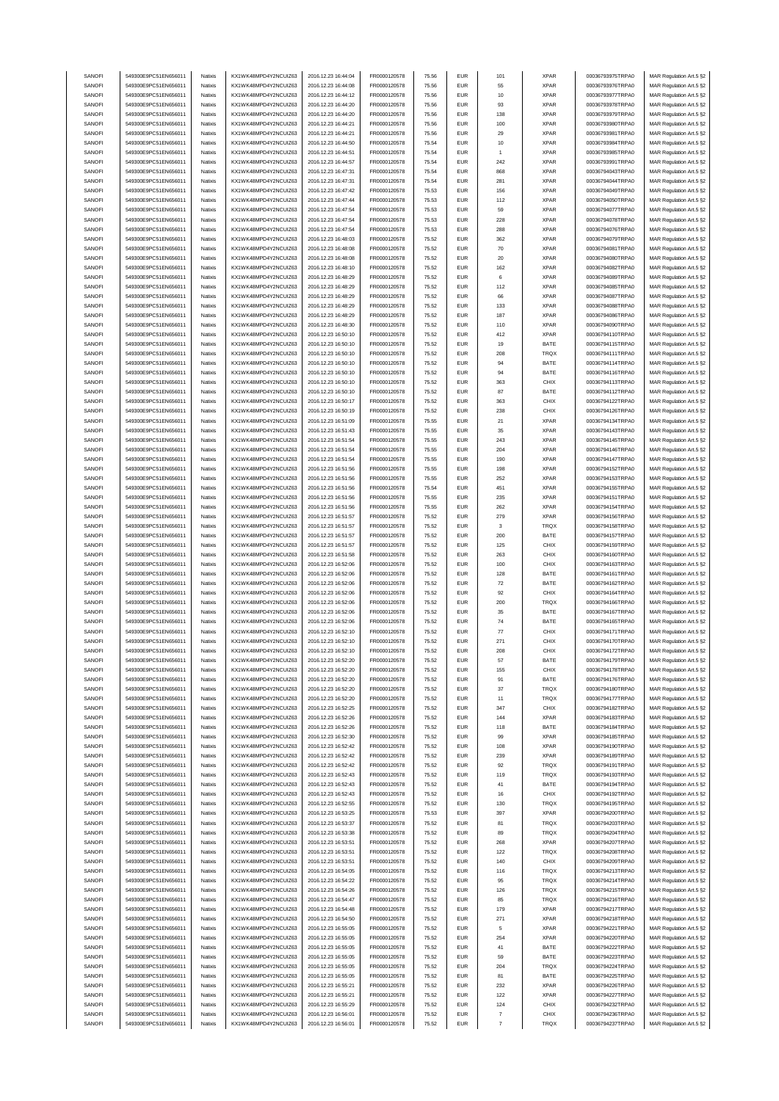| SANOFI | 549300E9PC51EN656011 | Natixis | KX1WK48MPD4Y2NCUIZ63                         | 2016.12.23 16:44:04                        | FR0000120578 | 75.56 | <b>EUR</b>                  | 101            | <b>XPAR</b> | 00036793975TRPA0 | MAR Regulation Art.5 §2 |
|--------|----------------------|---------|----------------------------------------------|--------------------------------------------|--------------|-------|-----------------------------|----------------|-------------|------------------|-------------------------|
| SANOFI | 549300E9PC51EN656011 | Natixis | KX1WK48MPD4Y2NCUIZ63                         | 2016.12.23 16:44:08                        | FR0000120578 | 75.56 | <b>EUR</b>                  | 55             | <b>XPAR</b> | 00036793976TRPA0 | MAR Regulation Art.5 §2 |
| SANOFI | 549300E9PC51EN656011 | Natixis | KX1WK48MPD4Y2NCUIZ63                         | 2016.12.23 16:44:12                        | FR0000120578 | 75.56 | <b>EUR</b>                  | 10             | <b>XPAR</b> | 00036793977TRPA0 | MAR Regulation Art.5 §2 |
| SANOFI | 549300E9PC51EN656011 | Natixis | KX1WK48MPD4Y2NCUIZ63                         | 2016.12.23 16:44:20                        | FR0000120578 | 75.56 | <b>EUR</b>                  | 93             | <b>XPAR</b> | 00036793978TRPA0 | MAR Regulation Art.5 §2 |
|        |                      |         |                                              |                                            |              |       |                             |                |             |                  |                         |
| SANOFI | 549300E9PC51EN656011 | Natixis | KX1WK48MPD4Y2NCUIZ63                         | 2016.12.23 16:44:20                        | FR0000120578 | 75.56 | <b>EUR</b>                  | 138            | <b>XPAR</b> | 00036793979TRPA0 | MAR Regulation Art.5 §2 |
| SANOFI | 549300E9PC51EN656011 | Natixis | KX1WK48MPD4Y2NCUIZ63                         | 2016.12.23 16:44:21                        | FR0000120578 | 75.56 | <b>EUR</b>                  | 100            | <b>XPAR</b> | 00036793980TRPA0 | MAR Regulation Art.5 §2 |
| SANOFI | 549300E9PC51EN656011 | Natixis | KX1WK48MPD4Y2NCUIZ63                         | 2016.12.23 16:44:21                        | FR0000120578 | 75.56 | <b>EUR</b>                  | 29             | <b>XPAR</b> | 00036793981TRPA0 | MAR Regulation Art.5 §2 |
| SANOFI | 549300E9PC51EN656011 | Natixis | KX1WK48MPD4Y2NCUIZ63                         | 2016.12.23 16:44:50                        | FR0000120578 | 75.54 | EUR                         | 10             | <b>XPAR</b> | 00036793984TRPA0 | MAR Regulation Art.5 §2 |
| SANOFI | 549300E9PC51EN656011 | Natixis | KX1WK48MPD4Y2NCUIZ63                         | 2016.12.23 16:44:51                        | FR0000120578 | 75.54 | EUR                         | $\mathbf{1}$   | <b>XPAR</b> | 00036793985TRPA0 | MAR Regulation Art.5 §2 |
| SANOFI | 549300E9PC51EN656011 | Natixis | KX1WK48MPD4Y2NCUIZ63                         | 2016.12.23 16:44:57                        | FR0000120578 | 75.54 | EUR                         | 242            | <b>XPAR</b> | 00036793991TRPA0 | MAR Regulation Art.5 §2 |
|        | 549300E9PC51EN656011 | Natixis |                                              |                                            |              | 75.54 | <b>EUR</b>                  |                |             |                  |                         |
| SANOFI |                      |         | KX1WK48MPD4Y2NCUIZ63                         | 2016.12.23 16:47:31                        | FR0000120578 |       |                             | 868            | <b>XPAR</b> | 00036794043TRPA0 | MAR Regulation Art.5 §2 |
| SANOFI | 549300E9PC51EN656011 | Natixis | KX1WK48MPD4Y2NCUIZ63                         | 2016.12.23 16:47:31                        | FR0000120578 | 75.54 | <b>EUR</b>                  | 281            | <b>XPAR</b> | 00036794044TRPA0 | MAR Regulation Art.5 §2 |
| SANOFI | 549300E9PC51EN656011 | Natixis | KX1WK48MPD4Y2NCUIZ63                         | 2016.12.23 16:47:42                        | FR0000120578 | 75.53 | <b>EUR</b>                  | 156            | <b>XPAR</b> | 00036794049TRPA0 | MAR Regulation Art.5 §2 |
| SANOFI | 549300E9PC51EN656011 | Natixis | KX1WK48MPD4Y2NCUIZ63                         | 2016.12.23 16:47:44                        | FR0000120578 | 75.53 | <b>EUR</b>                  | 112            | <b>XPAR</b> | 00036794050TRPA0 | MAR Regulation Art.5 §2 |
| SANOFI | 549300E9PC51EN656011 | Natixis | KX1WK48MPD4Y2NCUIZ63                         | 2016.12.23 16:47:54                        | FR0000120578 | 75.53 | EUR                         | 59             | <b>XPAR</b> | 00036794077TRPA0 | MAR Regulation Art.5 §2 |
|        | 549300E9PC51EN656011 |         | KX1WK48MPD4Y2NCUIZ63                         |                                            | FR0000120578 |       | <b>EUR</b>                  | 228            |             | 00036794078TRPA0 |                         |
| SANOFI |                      | Natixis |                                              | 2016.12.23 16:47:54                        |              | 75.53 |                             |                | <b>XPAR</b> |                  | MAR Regulation Art.5 §2 |
| SANOFI | 549300E9PC51EN656011 | Natixis | KX1WK48MPD4Y2NCUIZ63                         | 2016.12.23 16:47:54                        | FR0000120578 | 75.53 | EUR                         | 288            | <b>XPAR</b> | 00036794076TRPA0 | MAR Regulation Art.5 §2 |
| SANOFI | 549300E9PC51EN656011 | Natixis | KX1WK48MPD4Y2NCUIZ63                         | 2016.12.23 16:48:03                        | FR0000120578 | 75.52 | <b>EUR</b>                  | 362            | <b>XPAR</b> | 00036794079TRPA0 | MAR Regulation Art.5 §2 |
| SANOFI | 549300E9PC51EN656011 | Natixis | KX1WK48MPD4Y2NCUIZ63                         | 2016.12.23 16:48:08                        | FR0000120578 | 75.52 | <b>EUR</b>                  | 70             | <b>XPAR</b> | 00036794081TRPA0 | MAR Regulation Art.5 §2 |
| SANOFI | 549300E9PC51EN656011 | Natixis | KX1WK48MPD4Y2NCUIZ63                         | 2016.12.23 16:48:08                        | FR0000120578 | 75.52 | <b>EUR</b>                  | $20\,$         | <b>XPAR</b> | 00036794080TRPA0 | MAR Regulation Art.5 §2 |
| SANOFI | 549300E9PC51EN656011 | Natixis | KX1WK48MPD4Y2NCUIZ63                         | 2016.12.23 16:48:10                        | FR0000120578 | 75.52 | <b>EUR</b>                  | 162            | <b>XPAR</b> | 00036794082TRPA0 | MAR Regulation Art.5 §2 |
| SANOFI | 549300E9PC51EN656011 | Natixis | KX1WK48MPD4Y2NCUIZ63                         | 2016.12.23 16:48:29                        | FR0000120578 | 75.52 | <b>EUR</b>                  | 6              | <b>XPAR</b> | 00036794089TRPA0 | MAR Regulation Art.5 §2 |
|        |                      |         |                                              |                                            |              |       |                             |                |             |                  |                         |
| SANOFI | 549300E9PC51EN656011 | Natixis | KX1WK48MPD4Y2NCUIZ63                         | 2016.12.23 16:48:29                        | FR0000120578 | 75.52 | <b>EUR</b>                  | 112            | <b>XPAR</b> | 00036794085TRPA0 | MAR Regulation Art.5 §2 |
| SANOFI | 549300E9PC51EN656011 | Natixis | KX1WK48MPD4Y2NCUIZ63                         | 2016.12.23 16:48:29                        | FR0000120578 | 75.52 | EUR                         | 66             | <b>XPAR</b> | 00036794087TRPA0 | MAR Regulation Art.5 §2 |
| SANOFI | 549300E9PC51EN656011 | Natixis | KX1WK48MPD4Y2NCUIZ63                         | 2016.12.23 16:48:29                        | FR0000120578 | 75.52 | <b>EUR</b>                  | 133            | <b>XPAR</b> | 00036794088TRPA0 | MAR Regulation Art.5 §2 |
| SANOFI | 549300E9PC51EN656011 | Natixis | KX1WK48MPD4Y2NCUIZ63                         | 2016.12.23 16:48:29                        | FR0000120578 | 75.52 | <b>EUR</b>                  | 187            | <b>XPAR</b> | 00036794086TRPA0 | MAR Regulation Art.5 §2 |
| SANOFI | 549300E9PC51EN656011 | Natixis | KX1WK48MPD4Y2NCUIZ63                         | 2016.12.23 16:48:30                        | FR0000120578 | 75.52 | <b>EUR</b>                  | 110            | <b>XPAR</b> | 00036794090TRPA0 | MAR Regulation Art.5 §2 |
| SANOFI | 549300E9PC51EN656011 | Natixis | KX1WK48MPD4Y2NCUIZ63                         | 2016.12.23 16:50:10                        | FR0000120578 | 75.52 | EUR                         | 412            | <b>XPAR</b> | 00036794110TRPA0 | MAR Regulation Art.5 §2 |
|        |                      |         |                                              |                                            |              |       |                             |                |             |                  |                         |
| SANOFI | 549300E9PC51EN656011 | Natixis | KX1WK48MPD4Y2NCUIZ63                         | 2016.12.23 16:50:10                        | FR0000120578 | 75.52 | <b>EUR</b>                  | 19             | BATE        | 00036794115TRPA0 | MAR Regulation Art.5 §2 |
| SANOFI | 549300E9PC51EN656011 | Natixis | KX1WK48MPD4Y2NCUIZ63                         | 2016.12.23 16:50:10                        | FR0000120578 | 75.52 | <b>EUR</b>                  | 208            | TRQX        | 00036794111TRPA0 | MAR Regulation Art.5 §2 |
| SANOFI | 549300E9PC51EN656011 | Natixis | KX1WK48MPD4Y2NCUIZ63                         | 2016.12.23 16:50:10                        | FR0000120578 | 75.52 | <b>EUR</b>                  | 94             | BATE        | 00036794114TRPA0 | MAR Regulation Art.5 §2 |
| SANOFI | 549300E9PC51EN656011 | Natixis | KX1WK48MPD4Y2NCUIZ63                         | 2016.12.23 16:50:10                        | FR0000120578 | 75.52 | EUR                         | 94             | BATE        | 00036794116TRPA0 | MAR Regulation Art.5 §2 |
| SANOFI | 549300E9PC51EN656011 | Natixis | KX1WK48MPD4Y2NCUIZ63                         | 2016.12.23 16:50:10                        | FR0000120578 | 75.52 | EUR                         | 363            | CHIX        | 00036794113TRPA0 | MAR Regulation Art.5 §2 |
|        |                      |         |                                              |                                            |              |       |                             |                |             |                  |                         |
| SANOFI | 549300E9PC51EN656011 | Natixis | KX1WK48MPD4Y2NCUIZ63                         | 2016.12.23 16:50:10                        | FR0000120578 | 75.52 | <b>EUR</b>                  | 87             | BATE        | 00036794112TRPA0 | MAR Regulation Art.5 §2 |
| SANOFI | 549300E9PC51EN656011 | Natixis | KX1WK48MPD4Y2NCUIZ63                         | 2016.12.23 16:50:17                        | FR0000120578 | 75.52 | <b>EUR</b>                  | 363            | CHIX        | 00036794122TRPA0 | MAR Regulation Art.5 §2 |
| SANOFI | 549300E9PC51EN656011 | Natixis | KX1WK48MPD4Y2NCUIZ63                         | 2016.12.23 16:50:19                        | FR0000120578 | 75.52 | <b>EUR</b>                  | 238            | CHIX        | 00036794126TRPA0 | MAR Regulation Art.5 §2 |
| SANOFI | 549300E9PC51EN656011 | Natixis | KX1WK48MPD4Y2NCUIZ63                         | 2016.12.23 16:51:09                        | FR0000120578 | 75.55 | <b>EUR</b>                  | 21             | <b>XPAR</b> | 00036794134TRPA0 | MAR Regulation Art.5 §2 |
| SANOFI | 549300E9PC51EN656011 | Natixis | KX1WK48MPD4Y2NCUIZ63                         | 2016.12.23 16:51:43                        | FR0000120578 | 75.55 | <b>EUR</b>                  | 35             | <b>XPAR</b> | 00036794143TRPA0 | MAR Regulation Art.5 §2 |
|        |                      |         |                                              |                                            |              |       |                             |                |             |                  |                         |
| SANOFI | 549300E9PC51EN656011 | Natixis | KX1WK48MPD4Y2NCUIZ63                         | 2016.12.23 16:51:54                        | FR0000120578 | 75.55 | <b>EUR</b>                  | 243            | <b>XPAR</b> | 00036794145TRPA0 | MAR Regulation Art.5 §2 |
| SANOFI | 549300E9PC51EN656011 | Natixis | KX1WK48MPD4Y2NCUIZ63                         | 2016.12.23 16:51:54                        | FR0000120578 | 75.55 | <b>EUR</b>                  | 204            | <b>XPAR</b> | 00036794146TRPA0 | MAR Regulation Art.5 §2 |
| SANOFI | 549300E9PC51EN656011 | Natixis | KX1WK48MPD4Y2NCUIZ63                         | 2016.12.23 16:51:54                        | FR0000120578 | 75.55 | EUR                         | 190            | <b>XPAR</b> | 00036794147TRPA0 | MAR Regulation Art.5 §2 |
| SANOFI | 549300E9PC51EN656011 | Natixis | KX1WK48MPD4Y2NCUIZ63                         | 2016.12.23 16:51:56                        | FR0000120578 | 75.55 | EUR                         | 198            | <b>XPAR</b> | 00036794152TRPA0 | MAR Regulation Art.5 §2 |
| SANOFI | 549300E9PC51EN656011 | Natixis | KX1WK48MPD4Y2NCUIZ63                         | 2016.12.23 16:51:56                        | FR0000120578 | 75.55 | <b>EUR</b>                  | 252            | <b>XPAR</b> | 00036794153TRPA0 | MAR Regulation Art.5 §2 |
| SANOFI | 549300E9PC51EN656011 | Natixis | KX1WK48MPD4Y2NCUIZ63                         | 2016.12.23 16:51:56                        | FR0000120578 | 75.54 | <b>EUR</b>                  | 451            | <b>XPAR</b> | 00036794155TRPA0 |                         |
|        |                      |         |                                              |                                            |              |       |                             |                |             |                  | MAR Regulation Art.5 §2 |
| SANOFI | 549300E9PC51EN656011 | Natixis | KX1WK48MPD4Y2NCUIZ63                         | 2016.12.23 16:51:56                        | FR0000120578 | 75.55 | <b>EUR</b>                  | 235            | <b>XPAR</b> | 00036794151TRPA0 | MAR Regulation Art.5 §2 |
| SANOFI | 549300E9PC51EN656011 | Natixis | KX1WK48MPD4Y2NCUIZ63                         | 2016.12.23 16:51:56                        | FR0000120578 | 75.55 | <b>EUR</b>                  | 262            | <b>XPAR</b> | 00036794154TRPA0 | MAR Regulation Art.5 §2 |
| SANOFI | 549300E9PC51EN656011 | Natixis | KX1WK48MPD4Y2NCUIZ63                         | 2016.12.23 16:51:57                        | FR0000120578 | 75.52 | <b>EUR</b>                  | 279            | <b>XPAR</b> | 00036794156TRPA0 | MAR Regulation Art.5 §2 |
| SANOFI | 549300E9PC51EN656011 | Natixis | KX1WK48MPD4Y2NCUIZ63                         | 2016.12.23 16:51:57                        | FR0000120578 | 75.52 | <b>EUR</b>                  | 3              | TRQX        | 00036794158TRPA0 | MAR Regulation Art.5 §2 |
| SANOFI | 549300E9PC51EN656011 | Natixis | KX1WK48MPD4Y2NCUIZ63                         | 2016.12.23 16:51:57                        | FR0000120578 | 75.52 | <b>EUR</b>                  | 200            | BATE        | 00036794157TRPA0 | MAR Regulation Art.5 §2 |
|        |                      |         |                                              |                                            |              |       |                             |                |             |                  |                         |
| SANOFI | 549300E9PC51EN656011 | Natixis | KX1WK48MPD4Y2NCUIZ63                         | 2016.12.23 16:51:57                        | FR0000120578 | 75.52 | <b>EUR</b>                  | 125            | CHIX        | 00036794159TRPA0 | MAR Regulation Art.5 §2 |
| SANOFI | 549300E9PC51EN656011 | Natixis | KX1WK48MPD4Y2NCUIZ63                         | 2016.12.23 16:51:58                        | FR0000120578 | 75.52 | <b>EUR</b>                  | 263            | CHIX        | 00036794160TRPA0 | MAR Regulation Art.5 §2 |
| SANOFI | 549300E9PC51EN656011 | Natixis | KX1WK48MPD4Y2NCUIZ63                         | 2016.12.23 16:52:06                        | FR0000120578 | 75.52 | <b>EUR</b>                  | 100            | CHIX        | 00036794163TRPA0 | MAR Regulation Art.5 §2 |
| SANOFI | 549300E9PC51EN656011 | Natixis | KX1WK48MPD4Y2NCUIZ63                         | 2016.12.23 16:52:06                        | FR0000120578 | 75.52 | <b>EUR</b>                  | 128            | BATE        | 00036794161TRPA0 | MAR Regulation Art.5 §2 |
| SANOFI | 549300E9PC51EN656011 | Natixis | KX1WK48MPD4Y2NCUIZ63                         | 2016.12.23 16:52:06                        | FR0000120578 | 75.52 | <b>EUR</b>                  | 72             | BATE        | 00036794162TRPA0 | MAR Regulation Art.5 §2 |
| SANOFI | 549300E9PC51EN656011 | Natixis | KX1WK48MPD4Y2NCUIZ63                         | 2016.12.23 16:52:06                        | FR0000120578 | 75.52 | <b>EUR</b>                  | 92             | CHIX        | 00036794164TRPA0 | MAR Regulation Art.5 §2 |
|        |                      |         |                                              |                                            |              |       |                             |                |             |                  |                         |
| SANOFI | 549300E9PC51EN656011 | Natixis | KX1WK48MPD4Y2NCUIZ63                         | 2016.12.23 16:52:06                        | FR0000120578 | 75.52 | <b>EUR</b>                  | 200            | TRQX        | 00036794166TRPA0 | MAR Regulation Art.5 §2 |
| SANOFI | 549300E9PC51EN656011 | Natixis | KX1WK48MPD4Y2NCUIZ63                         | 2016.12.23 16:52:06                        | FR0000120578 | 75.52 | <b>EUR</b>                  | 35             | BATE        | 00036794167TRPA0 | MAR Regulation Art.5 §2 |
| SANOFI | 549300E9PC51EN656011 | Natixis | KX1WK48MPD4Y2NCUIZ63                         | 2016.12.23 16:52:06                        | FR0000120578 | 75.52 | <b>EUR</b>                  | 74             | BATE        | 00036794165TRPA0 | MAR Regulation Art.5 §2 |
| SANOFI | 549300E9PC51EN656011 | Natixis | KX1WK48MPD4Y2NCUIZ63                         | 2016.12.23 16:52:10                        | FR0000120578 | 75.52 | <b>EUR</b>                  | $77\,$         | CHIX        | 00036794171TRPA0 | MAR Regulation Art.5 §2 |
| SANOFI | 549300E9PC51EN656011 | Natixis | KX1WK48MPD4Y2NCUIZ63                         | 2016.12.23 16:52:10                        | FR0000120578 | 75.52 | <b>EUR</b>                  | 271            | CHIX        | 00036794170TRPA0 | MAR Regulation Art.5 §2 |
|        |                      |         |                                              |                                            |              |       |                             |                |             |                  |                         |
| SANOF  | 549300E9PC51EN65601  | Natixis | KX1WK48MPD4Y2NCUIZ63                         | 2016.12.23 16:52:10                        | FR0000120578 | 75.52 | EUR                         | 208            | CHIX        | 00036794172TRPA0 | MAR Regulation Art.5 §2 |
| SANOFI | 549300E9PC51EN656011 | Natixis | KX1WK48MPD4Y2NCUIZ63                         | 2016.12.23 16:52:20                        | FR0000120578 | 75.52 | <b>EUR</b>                  | 57             | BATE        | 00036794179TRPA0 | MAR Regulation Art.5 §2 |
| SANOFI | 549300E9PC51EN656011 | Natixis | KX1WK48MPD4Y2NCUIZ63                         | 2016.12.23 16:52:20                        | FR0000120578 | 75.52 | <b>EUR</b>                  | 155            | CHIX        | 00036794178TRPA0 | MAR Regulation Art.5 §2 |
| SANOFI | 549300E9PC51EN656011 | Natixis | KX1WK48MPD4Y2NCUIZ63                         | 2016.12.23 16:52:20                        | FR0000120578 | 75.52 | <b>EUR</b>                  | 91             | BATE        | 00036794176TRPA0 | MAR Regulation Art.5 §2 |
| SANOFI | 549300E9PC51EN656011 | Natixis | KX1WK48MPD4Y2NCUIZ63                         | 2016.12.23 16:52:20                        | FR0000120578 | 75.52 | <b>EUR</b>                  | 37             | <b>TRQX</b> | 00036794180TRPA0 | MAR Regulation Art.5 §2 |
| SANOFI | 549300E9PC51EN656011 | Natixis | KX1WK48MPD4Y2NCUIZ63                         | 2016.12.23 16:52:20                        | FR0000120578 | 75.52 | <b>EUR</b>                  | 11             | TRQX        | 00036794177TRPA0 | MAR Regulation Art.5 §2 |
| SANOFI | 549300E9PC51EN656011 | Natixis | KX1WK48MPD4Y2NCUIZ63                         | 2016.12.23 16:52:25                        | FR0000120578 | 75.52 | $\ensuremath{\mathsf{EUR}}$ | 347            | CHIX        | 00036794182TRPA0 | MAR Regulation Art.5 §2 |
| SANOFI | 549300E9PC51EN656011 |         | KX1WK48MPD4Y2NCUIZ63                         | 2016.12.23 16:52:26                        |              |       |                             | 144            | <b>XPAR</b> |                  |                         |
|        |                      | Natixis |                                              |                                            | FR0000120578 | 75.52 | <b>EUR</b>                  |                |             | 00036794183TRPA0 | MAR Regulation Art.5 §2 |
| SANOFI | 549300E9PC51EN656011 | Natixis | KX1WK48MPD4Y2NCUIZ63                         | 2016.12.23 16:52:26                        | FR0000120578 | 75.52 | <b>EUR</b>                  | 118            | BATE        | 00036794184TRPA0 | MAR Regulation Art.5 §2 |
| SANOFI | 549300E9PC51EN656011 | Natixis | KX1WK48MPD4Y2NCUIZ63                         | 2016.12.23 16:52:30                        | FR0000120578 | 75.52 | <b>EUR</b>                  | 99             | <b>XPAR</b> | 00036794185TRPA0 | MAR Regulation Art.5 §2 |
| SANOFI | 549300E9PC51EN656011 | Natixis | KX1WK48MPD4Y2NCUIZ63                         | 2016.12.23 16:52:42                        | FR0000120578 | 75.52 | <b>EUR</b>                  | 108            | <b>XPAR</b> | 00036794190TRPA0 | MAR Regulation Art.5 §2 |
| SANOFI | 549300E9PC51EN656011 | Natixis | KX1WK48MPD4Y2NCUIZ63                         | 2016.12.23 16:52:42                        | FR0000120578 | 75.52 | <b>EUR</b>                  | 239            | <b>XPAR</b> | 00036794189TRPA0 | MAR Regulation Art.5 §2 |
| SANOFI | 549300E9PC51EN656011 | Natixis | KX1WK48MPD4Y2NCUIZ63                         | 2016.12.23 16:52:42                        | FR0000120578 | 75.52 | <b>EUR</b>                  | 92             | <b>TRQX</b> | 00036794191TRPA0 | MAR Regulation Art.5 §2 |
| SANOFI | 549300E9PC51EN656011 | Natixis | KX1WK48MPD4Y2NCUIZ63                         | 2016.12.23 16:52:43                        | FR0000120578 | 75.52 | <b>EUR</b>                  | 119            | <b>TRQX</b> | 00036794193TRPA0 | MAR Regulation Art.5 §2 |
|        |                      |         |                                              |                                            |              |       |                             |                |             |                  |                         |
| SANOFI | 549300E9PC51EN656011 | Natixis | KX1WK48MPD4Y2NCUIZ63                         | 2016.12.23 16:52:43                        | FR0000120578 | 75.52 | <b>EUR</b>                  | 41             | BATE        | 00036794194TRPA0 | MAR Regulation Art.5 §2 |
| SANOFI | 549300E9PC51EN656011 | Natixis | KX1WK48MPD4Y2NCUIZ63                         | 2016.12.23 16:52:43                        | FR0000120578 | 75.52 | <b>EUR</b>                  | 16             | CHIX        | 00036794192TRPA0 | MAR Regulation Art.5 §2 |
| SANOFI | 549300E9PC51EN656011 | Natixis | KX1WK48MPD4Y2NCUIZ63                         | 2016.12.23 16:52:55                        | FR0000120578 | 75.52 | <b>EUR</b>                  | 130            | TRQX        | 00036794195TRPA0 | MAR Regulation Art.5 §2 |
| SANOFI | 549300E9PC51EN656011 | Natixis | KX1WK48MPD4Y2NCUIZ63                         | 2016.12.23 16:53:25                        | FR0000120578 | 75.53 | <b>EUR</b>                  | 397            | <b>XPAR</b> | 00036794200TRPA0 | MAR Regulation Art.5 §2 |
| SANOFI | 549300E9PC51EN656011 | Natixis | KX1WK48MPD4Y2NCUIZ63                         | 2016.12.23 16:53:37                        | FR0000120578 | 75.52 | <b>EUR</b>                  | 81             | TRQX        | 00036794203TRPA0 | MAR Regulation Art.5 §2 |
| SANOFI | 549300E9PC51EN656011 |         | KX1WK48MPD4Y2NCUIZ63                         | 2016.12.23 16:53:38                        |              |       | <b>EUR</b>                  | 89             |             |                  |                         |
|        |                      | Natixis |                                              |                                            | FR0000120578 | 75.52 |                             |                | <b>TRQX</b> | 00036794204TRPA0 | MAR Regulation Art.5 §2 |
| SANOFI | 549300E9PC51EN656011 | Natixis | KX1WK48MPD4Y2NCUIZ63                         | 2016.12.23 16:53:51                        | FR0000120578 | 75.52 | <b>EUR</b>                  | 268            | <b>XPAR</b> | 00036794207TRPA0 | MAR Regulation Art.5 §2 |
| SANOFI | 549300E9PC51EN656011 | Natixis | KX1WK48MPD4Y2NCUIZ63                         | 2016.12.23 16:53:51                        | FR0000120578 | 75.52 | <b>EUR</b>                  | 122            | <b>TRQX</b> | 00036794208TRPA0 | MAR Regulation Art.5 §2 |
| SANOFI | 549300E9PC51EN656011 | Natixis | KX1WK48MPD4Y2NCUIZ63                         | 2016.12.23 16:53:51                        | FR0000120578 | 75.52 | <b>EUR</b>                  | 140            | CHIX        | 00036794209TRPA0 | MAR Regulation Art.5 §2 |
| SANOFI | 549300E9PC51EN656011 | Natixis | KX1WK48MPD4Y2NCUIZ63                         | 2016.12.23 16:54:05                        | FR0000120578 | 75.52 | <b>EUR</b>                  | 116            | TRQX        | 00036794213TRPA0 | MAR Regulation Art.5 §2 |
| SANOFI | 549300E9PC51EN656011 | Natixis | KX1WK48MPD4Y2NCUIZ63                         | 2016.12.23 16:54:22                        | FR0000120578 | 75.52 | <b>EUR</b>                  | 95             | <b>TRQX</b> | 00036794214TRPA0 |                         |
|        |                      |         |                                              |                                            |              |       |                             |                |             |                  | MAR Regulation Art.5 §2 |
| SANOFI | 549300E9PC51EN656011 | Natixis | KX1WK48MPD4Y2NCUIZ63                         | 2016.12.23 16:54:26                        | FR0000120578 | 75.52 | <b>EUR</b>                  | 126            | TRQX        | 00036794215TRPA0 | MAR Regulation Art.5 §2 |
| SANOFI | 549300E9PC51EN656011 | Natixis | KX1WK48MPD4Y2NCUIZ63                         | 2016.12.23 16:54:47                        | FR0000120578 | 75.52 | <b>EUR</b>                  | 85             | <b>TRQX</b> | 00036794216TRPA0 | MAR Regulation Art.5 §2 |
| SANOFI | 549300E9PC51EN656011 | Natixis | KX1WK48MPD4Y2NCUIZ63                         | 2016.12.23 16:54:48                        | FR0000120578 | 75.52 | <b>EUR</b>                  | 179            | <b>XPAR</b> | 00036794217TRPA0 | MAR Regulation Art.5 §2 |
| SANOFI | 549300E9PC51EN656011 | Natixis | KX1WK48MPD4Y2NCUIZ63                         | 2016.12.23 16:54:50                        | FR0000120578 | 75.52 | <b>EUR</b>                  | 271            | <b>XPAR</b> | 00036794218TRPA0 | MAR Regulation Art.5 §2 |
| SANOFI | 549300E9PC51EN656011 | Natixis | KX1WK48MPD4Y2NCUIZ63                         | 2016.12.23 16:55:05                        | FR0000120578 | 75.52 | <b>EUR</b>                  | 5              | <b>XPAR</b> | 00036794221TRPA0 |                         |
|        |                      |         |                                              |                                            |              |       |                             |                |             |                  | MAR Regulation Art.5 §2 |
|        |                      | Natixis | KX1WK48MPD4Y2NCUIZ63                         | 2016.12.23 16:55:05                        | FR0000120578 | 75.52 | <b>EUR</b>                  | 254            | <b>XPAR</b> | 00036794220TRPA0 | MAR Regulation Art.5 §2 |
| SANOFI | 549300E9PC51EN656011 |         |                                              | 2016.12.23 16:55:05                        | FR0000120578 | 75.52 | <b>EUR</b>                  | 41             | BATE        | 00036794222TRPA0 | MAR Regulation Art.5 §2 |
| SANOFI | 549300E9PC51EN656011 | Natixis | KX1WK48MPD4Y2NCUIZ63                         |                                            |              |       |                             |                |             |                  |                         |
| SANOFI | 549300E9PC51EN656011 | Natixis | KX1WK48MPD4Y2NCUIZ63                         | 2016.12.23 16:55:05                        | FR0000120578 | 75.52 | <b>EUR</b>                  | 59             | BATE        | 00036794223TRPA0 | MAR Regulation Art.5 §2 |
| SANOFI | 549300E9PC51EN656011 | Natixis | KX1WK48MPD4Y2NCUIZ63                         | 2016.12.23 16:55:05                        | FR0000120578 | 75.52 | <b>EUR</b>                  | 204            | TRQX        | 00036794224TRPA0 | MAR Regulation Art.5 §2 |
|        |                      | Natixis |                                              |                                            |              |       | <b>EUR</b>                  | 81             |             |                  |                         |
| SANOFI | 549300E9PC51EN656011 |         | KX1WK48MPD4Y2NCUIZ63                         | 2016.12.23 16:55:05                        | FR0000120578 | 75.52 |                             |                | BATE        | 00036794225TRPA0 | MAR Regulation Art.5 §2 |
| SANOFI | 549300E9PC51EN656011 | Natixis | KX1WK48MPD4Y2NCUIZ63                         | 2016.12.23 16:55:21                        | FR0000120578 | 75.52 | <b>EUR</b>                  | 232            | <b>XPAR</b> | 00036794226TRPA0 | MAR Regulation Art.5 §2 |
| SANOFI | 549300E9PC51EN656011 | Natixis | KX1WK48MPD4Y2NCUIZ63                         | 2016.12.23 16:55:21                        | FR0000120578 | 75.52 | <b>EUR</b>                  | 122            | <b>XPAR</b> | 00036794227TRPA0 | MAR Regulation Art.5 §2 |
| SANOFI | 549300E9PC51EN656011 | Natixis | KX1WK48MPD4Y2NCUIZ63                         | 2016.12.23 16:55:29                        | FR0000120578 | 75.52 | <b>EUR</b>                  | 124            | CHIX        | 00036794232TRPA0 | MAR Regulation Art.5 §2 |
| SANOFI | 549300E9PC51EN656011 | Natixis | KX1WK48MPD4Y2NCUIZ63<br>KX1WK48MPD4Y2NCUIZ63 | 2016.12.23 16:56:01<br>2016.12.23 16:56:01 | FR0000120578 | 75.52 | <b>EUR</b>                  | $\overline{7}$ | CHIX        | 00036794236TRPA0 | MAR Regulation Art.5 §2 |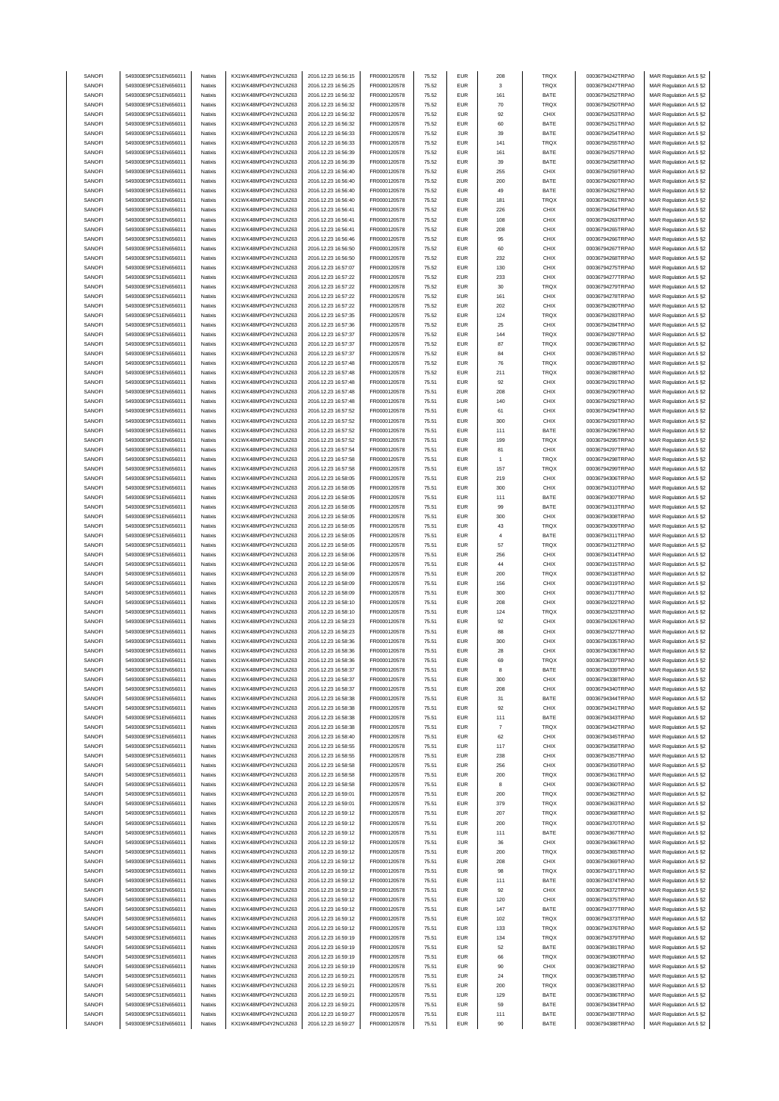| SANOFI | 549300E9PC51EN656011 | Natixis | KX1WK48MPD4Y2NCUIZ63                         | 2016.12.23 16:56:15                        | FR0000120578 | 75.52 | <b>EUR</b> | 208            | <b>TRQX</b> | 00036794242TRPA0 | MAR Regulation Art.5 §2 |
|--------|----------------------|---------|----------------------------------------------|--------------------------------------------|--------------|-------|------------|----------------|-------------|------------------|-------------------------|
| SANOFI | 549300E9PC51EN656011 | Natixis | KX1WK48MPD4Y2NCUIZ63                         | 2016.12.23 16:56:25                        | FR0000120578 | 75.52 | <b>EUR</b> | 3              | TRQX        | 00036794247TRPA0 | MAR Regulation Art.5 §2 |
| SANOFI | 549300E9PC51EN656011 | Natixis | KX1WK48MPD4Y2NCUIZ63                         | 2016.12.23 16:56:32                        | FR0000120578 | 75.52 | <b>EUR</b> | 161            | BATE        | 00036794252TRPA0 | MAR Regulation Art.5 §2 |
| SANOFI | 549300E9PC51EN656011 | Natixis | KX1WK48MPD4Y2NCUIZ63                         | 2016.12.23 16:56:32                        | FR0000120578 | 75.52 | <b>EUR</b> | 70             | TRQX        | 00036794250TRPA0 | MAR Regulation Art.5 §2 |
|        |                      |         |                                              |                                            |              |       |            |                |             |                  |                         |
| SANOFI | 549300E9PC51EN656011 | Natixis | KX1WK48MPD4Y2NCUIZ63                         | 2016.12.23 16:56:32                        | FR0000120578 | 75.52 | <b>EUR</b> | 92             | CHIX        | 00036794253TRPA0 | MAR Regulation Art.5 §2 |
| SANOFI | 549300E9PC51EN656011 | Natixis | KX1WK48MPD4Y2NCUIZ63                         | 2016.12.23 16:56:32                        | FR0000120578 | 75.52 | <b>EUR</b> | 60             | BATE        | 00036794251TRPA0 | MAR Regulation Art.5 §2 |
| SANOFI | 549300E9PC51EN656011 | Natixis | KX1WK48MPD4Y2NCUIZ63                         | 2016.12.23 16:56:33                        | FR0000120578 | 75.52 | <b>EUR</b> | 39             | BATE        | 00036794254TRPA0 | MAR Regulation Art.5 §2 |
| SANOFI | 549300E9PC51EN656011 | Natixis | KX1WK48MPD4Y2NCUIZ63                         | 2016.12.23 16:56:33                        | FR0000120578 | 75.52 | <b>EUR</b> | 141            | TRQX        | 00036794255TRPA0 | MAR Regulation Art.5 §2 |
| SANOFI | 549300E9PC51EN656011 | Natixis | KX1WK48MPD4Y2NCUIZ63                         | 2016.12.23 16:56:39                        | FR0000120578 | 75.52 | <b>EUR</b> | 161            | BATE        | 00036794257TRPA0 | MAR Regulation Art.5 §2 |
| SANOFI | 549300E9PC51EN656011 | Natixis | KX1WK48MPD4Y2NCUIZ63                         | 2016.12.23 16:56:39                        | FR0000120578 | 75.52 | <b>EUR</b> | 39             | BATE        | 00036794258TRPA0 | MAR Regulation Art.5 §2 |
|        | 549300E9PC51EN656011 | Natixis |                                              |                                            |              | 75.52 | <b>EUR</b> |                |             |                  |                         |
| SANOFI |                      |         | KX1WK48MPD4Y2NCUIZ63                         | 2016.12.23 16:56:40                        | FR0000120578 |       |            | 255            | CHIX        | 00036794259TRPA0 | MAR Regulation Art.5 §2 |
| SANOFI | 549300E9PC51EN656011 | Natixis | KX1WK48MPD4Y2NCUIZ63                         | 2016.12.23 16:56:40                        | FR0000120578 | 75.52 | <b>EUR</b> | 200            | BATE        | 00036794260TRPA0 | MAR Regulation Art.5 §2 |
| SANOFI | 549300E9PC51EN656011 | Natixis | KX1WK48MPD4Y2NCUIZ63                         | 2016.12.23 16:56:40                        | FR0000120578 | 75.52 | <b>EUR</b> | 49             | BATE        | 00036794262TRPA0 | MAR Regulation Art.5 §2 |
| SANOFI | 549300E9PC51EN656011 | Natixis | KX1WK48MPD4Y2NCUIZ63                         | 2016.12.23 16:56:40                        | FR0000120578 | 75.52 | <b>EUR</b> | 181            | TRQX        | 00036794261TRPA0 | MAR Regulation Art.5 §2 |
| SANOFI | 549300E9PC51EN656011 | Natixis | KX1WK48MPD4Y2NCUIZ63                         | 2016.12.23 16:56:41                        | FR0000120578 | 75.52 | <b>EUR</b> | 226            | CHIX        | 00036794264TRPA0 | MAR Regulation Art.5 §2 |
| SANOFI | 549300E9PC51EN656011 | Natixis | KX1WK48MPD4Y2NCUIZ63                         | 2016.12.23 16:56:41                        | FR0000120578 | 75.52 | <b>EUR</b> | 108            | CHIX        | 00036794263TRPA0 |                         |
|        |                      |         |                                              |                                            |              |       |            |                |             |                  | MAR Regulation Art.5 §2 |
| SANOFI | 549300E9PC51EN656011 | Natixis | KX1WK48MPD4Y2NCUIZ63                         | 2016.12.23 16:56:41                        | FR0000120578 | 75.52 | <b>EUR</b> | 208            | CHIX        | 00036794265TRPA0 | MAR Regulation Art.5 §2 |
| SANOFI | 549300E9PC51EN656011 | Natixis | KX1WK48MPD4Y2NCUIZ63                         | 2016.12.23 16:56:46                        | FR0000120578 | 75.52 | <b>EUR</b> | 95             | CHIX        | 00036794266TRPA0 | MAR Regulation Art.5 §2 |
| SANOFI | 549300E9PC51EN656011 | Natixis | KX1WK48MPD4Y2NCUIZ63                         | 2016.12.23 16:56:50                        | FR0000120578 | 75.52 | <b>EUR</b> | 60             | CHIX        | 00036794267TRPA0 | MAR Regulation Art.5 §2 |
| SANOFI | 549300E9PC51EN656011 | Natixis | KX1WK48MPD4Y2NCUIZ63                         | 2016.12.23 16:56:50                        | FR0000120578 | 75.52 | <b>EUR</b> | 232            | CHIX        | 00036794268TRPA0 | MAR Regulation Art.5 §2 |
| SANOFI | 549300E9PC51EN656011 | Natixis | KX1WK48MPD4Y2NCUIZ63                         | 2016.12.23 16:57:07                        | FR0000120578 | 75.52 | <b>EUR</b> | 130            | CHIX        | 00036794275TRPA0 | MAR Regulation Art.5 §2 |
| SANOFI | 549300E9PC51EN656011 | Natixis | KX1WK48MPD4Y2NCUIZ63                         | 2016.12.23 16:57:22                        | FR0000120578 | 75.52 | <b>EUR</b> | 233            | CHIX        | 00036794277TRPA0 | MAR Regulation Art.5 §2 |
|        |                      |         |                                              |                                            |              |       |            |                |             |                  |                         |
| SANOFI | 549300E9PC51EN656011 | Natixis | KX1WK48MPD4Y2NCUIZ63                         | 2016.12.23 16:57:22                        | FR0000120578 | 75.52 | <b>EUR</b> | 30             | TRQX        | 00036794279TRPA0 | MAR Regulation Art.5 §2 |
| SANOFI | 549300E9PC51EN656011 | Natixis | KX1WK48MPD4Y2NCUIZ63                         | 2016.12.23 16:57:22                        | FR0000120578 | 75.52 | <b>EUR</b> | 161            | CHIX        | 00036794278TRPA0 | MAR Regulation Art.5 §2 |
| SANOFI | 549300E9PC51EN656011 | Natixis | KX1WK48MPD4Y2NCUIZ63                         | 2016.12.23 16:57:22                        | FR0000120578 | 75.52 | <b>EUR</b> | 202            | CHIX        | 00036794280TRPA0 | MAR Regulation Art.5 §2 |
| SANOFI | 549300E9PC51EN656011 | Natixis | KX1WK48MPD4Y2NCUIZ63                         | 2016.12.23 16:57:35                        | FR0000120578 | 75.52 | <b>EUR</b> | 124            | <b>TRQX</b> | 00036794283TRPA0 | MAR Regulation Art.5 §2 |
| SANOFI | 549300E9PC51EN656011 | Natixis | KX1WK48MPD4Y2NCUIZ63                         | 2016.12.23 16:57:36                        | FR0000120578 | 75.52 | <b>EUR</b> | 25             | CHIX        | 00036794284TRPA0 | MAR Regulation Art.5 §2 |
| SANOFI | 549300E9PC51EN656011 | Natixis | KX1WK48MPD4Y2NCUIZ63                         | 2016.12.23 16:57:37                        | FR0000120578 | 75.52 | <b>EUR</b> | 144            | TRQX        | 00036794287TRPA0 | MAR Regulation Art.5 §2 |
|        |                      |         |                                              |                                            |              |       |            |                |             |                  |                         |
| SANOFI | 549300E9PC51EN656011 | Natixis | KX1WK48MPD4Y2NCUIZ63                         | 2016.12.23 16:57:37                        | FR0000120578 | 75.52 | <b>EUR</b> | 87             | TRQX        | 00036794286TRPA0 | MAR Regulation Art.5 §2 |
| SANOFI | 549300E9PC51EN656011 | Natixis | KX1WK48MPD4Y2NCUIZ63                         | 2016.12.23 16:57:37                        | FR0000120578 | 75.52 | <b>EUR</b> | 84             | CHIX        | 00036794285TRPA0 | MAR Regulation Art.5 §2 |
| SANOFI | 549300E9PC51EN656011 | Natixis | KX1WK48MPD4Y2NCUIZ63                         | 2016.12.23 16:57:48                        | FR0000120578 | 75.52 | <b>EUR</b> | 76             | TRQX        | 00036794289TRPA0 | MAR Regulation Art.5 §2 |
| SANOFI | 549300E9PC51EN656011 | Natixis | KX1WK48MPD4Y2NCUIZ63                         | 2016.12.23 16:57:48                        | FR0000120578 | 75.52 | <b>EUR</b> | 211            | TRQX        | 00036794288TRPA0 | MAR Regulation Art.5 §2 |
| SANOFI | 549300E9PC51EN656011 | Natixis | KX1WK48MPD4Y2NCUIZ63                         | 2016.12.23 16:57:48                        | FR0000120578 | 75.51 | <b>EUR</b> | 92             | CHIX        | 00036794291TRPA0 | MAR Regulation Art.5 §2 |
|        |                      |         |                                              |                                            |              |       |            |                |             |                  |                         |
| SANOFI | 549300E9PC51EN656011 | Natixis | KX1WK48MPD4Y2NCUIZ63                         | 2016.12.23 16:57:48                        | FR0000120578 | 75.51 | <b>EUR</b> | 208            | CHIX        | 00036794290TRPA0 | MAR Regulation Art.5 §2 |
| SANOFI | 549300E9PC51EN656011 | Natixis | KX1WK48MPD4Y2NCUIZ63                         | 2016.12.23 16:57:48                        | FR0000120578 | 75.51 | <b>EUR</b> | 140            | CHIX        | 00036794292TRPA0 | MAR Regulation Art.5 §2 |
| SANOFI | 549300E9PC51EN656011 | Natixis | KX1WK48MPD4Y2NCUIZ63                         | 2016.12.23 16:57:52                        | FR0000120578 | 75.51 | <b>EUR</b> | 61             | CHIX        | 00036794294TRPA0 | MAR Regulation Art.5 §2 |
| SANOFI | 549300E9PC51EN656011 | Natixis | KX1WK48MPD4Y2NCUIZ63                         | 2016.12.23 16:57:52                        | FR0000120578 | 75.51 | <b>EUR</b> | 300            | CHIX        | 00036794293TRPA0 | MAR Regulation Art.5 §2 |
| SANOFI | 549300E9PC51EN656011 | Natixis | KX1WK48MPD4Y2NCUIZ63                         | 2016.12.23 16:57:52                        | FR0000120578 | 75.51 | <b>EUR</b> | 111            | BATE        | 00036794296TRPA0 | MAR Regulation Art.5 §2 |
|        |                      |         |                                              |                                            |              |       |            |                |             |                  |                         |
| SANOFI | 549300E9PC51EN656011 | Natixis | KX1WK48MPD4Y2NCUIZ63                         | 2016.12.23 16:57:52                        | FR0000120578 | 75.51 | <b>EUR</b> | 199            | TRQX        | 00036794295TRPA0 | MAR Regulation Art.5 §2 |
| SANOFI | 549300E9PC51EN656011 | Natixis | KX1WK48MPD4Y2NCUIZ63                         | 2016.12.23 16:57:54                        | FR0000120578 | 75.51 | <b>EUR</b> | 81             | CHIX        | 00036794297TRPA0 | MAR Regulation Art.5 §2 |
| SANOFI | 549300E9PC51EN656011 | Natixis | KX1WK48MPD4Y2NCUIZ63                         | 2016.12.23 16:57:58                        | FR0000120578 | 75.51 | <b>EUR</b> | 1              | TRQX        | 00036794298TRPA0 | MAR Regulation Art.5 §2 |
| SANOFI | 549300E9PC51EN656011 | Natixis | KX1WK48MPD4Y2NCUIZ63                         | 2016.12.23 16:57:58                        | FR0000120578 | 75.51 | <b>EUR</b> | 157            | TRQX        | 00036794299TRPA0 | MAR Regulation Art.5 §2 |
| SANOFI | 549300E9PC51EN656011 | Natixis | KX1WK48MPD4Y2NCUIZ63                         | 2016.12.23 16:58:05                        | FR0000120578 | 75.51 | <b>EUR</b> | 219            | CHIX        | 00036794306TRPA0 | MAR Regulation Art.5 §2 |
| SANOFI | 549300E9PC51EN656011 | Natixis | KX1WK48MPD4Y2NCUIZ63                         | 2016.12.23 16:58:05                        | FR0000120578 | 75.51 | <b>EUR</b> | 300            | CHIX        | 00036794310TRPA0 |                         |
|        |                      |         |                                              |                                            |              |       |            |                |             |                  | MAR Regulation Art.5 §2 |
| SANOFI | 549300E9PC51EN656011 | Natixis | KX1WK48MPD4Y2NCUIZ63                         | 2016.12.23 16:58:05                        | FR0000120578 | 75.51 | <b>EUR</b> | 111            | BATE        | 00036794307TRPA0 | MAR Regulation Art.5 §2 |
| SANOFI | 549300E9PC51EN656011 | Natixis | KX1WK48MPD4Y2NCUIZ63                         | 2016.12.23 16:58:05                        | FR0000120578 | 75.51 | <b>EUR</b> | 99             | BATE        | 00036794313TRPA0 | MAR Regulation Art.5 §2 |
| SANOFI | 549300E9PC51EN656011 | Natixis | KX1WK48MPD4Y2NCUIZ63                         | 2016.12.23 16:58:05                        | FR0000120578 | 75.51 | <b>EUR</b> | 300            | CHIX        | 00036794308TRPA0 | MAR Regulation Art.5 §2 |
| SANOFI | 549300E9PC51EN656011 | Natixis | KX1WK48MPD4Y2NCUIZ63                         | 2016.12.23 16:58:05                        | FR0000120578 | 75.51 | <b>EUR</b> | 43             | TRQX        | 00036794309TRPA0 | MAR Regulation Art.5 §2 |
| SANOFI | 549300E9PC51EN656011 | Natixis | KX1WK48MPD4Y2NCUIZ63                         | 2016.12.23 16:58:05                        | FR0000120578 | 75.51 | <b>EUR</b> | $\overline{4}$ | BATE        | 00036794311TRPA0 | MAR Regulation Art.5 §2 |
|        |                      |         |                                              |                                            |              |       |            |                |             |                  |                         |
| SANOFI | 549300E9PC51EN656011 | Natixis | KX1WK48MPD4Y2NCUIZ63                         | 2016.12.23 16:58:05                        | FR0000120578 | 75.51 | <b>EUR</b> | 57             | TRQX        | 00036794312TRPA0 | MAR Regulation Art.5 §2 |
| SANOFI | 549300E9PC51EN656011 | Natixis | KX1WK48MPD4Y2NCUIZ63                         | 2016.12.23 16:58:06                        | FR0000120578 | 75.51 | <b>EUR</b> | 256            | CHIX        | 00036794314TRPA0 | MAR Regulation Art.5 §2 |
| SANOFI | 549300E9PC51EN656011 | Natixis | KX1WK48MPD4Y2NCUIZ63                         | 2016.12.23 16:58:06                        | FR0000120578 | 75.51 | <b>EUR</b> | 44             | CHIX        | 00036794315TRPA0 | MAR Regulation Art.5 §2 |
| SANOFI | 549300E9PC51EN656011 | Natixis | KX1WK48MPD4Y2NCUIZ63                         | 2016.12.23 16:58:09                        | FR0000120578 | 75.51 | <b>EUR</b> | 200            | TRQX        | 00036794318TRPA0 | MAR Regulation Art.5 §2 |
| SANOFI | 549300E9PC51EN656011 | Natixis | KX1WK48MPD4Y2NCUIZ63                         | 2016.12.23 16:58:09                        | FR0000120578 | 75.51 | <b>EUR</b> | 156            | CHIX        | 00036794319TRPA0 | MAR Regulation Art.5 §2 |
| SANOFI | 549300E9PC51EN656011 | Natixis | KX1WK48MPD4Y2NCUIZ63                         | 2016.12.23 16:58:09                        | FR0000120578 | 75.51 | <b>EUR</b> | 300            | CHIX        | 00036794317TRPA0 | MAR Regulation Art.5 §2 |
|        |                      |         |                                              |                                            |              |       |            |                |             |                  |                         |
| SANOFI | 549300E9PC51EN656011 | Natixis | KX1WK48MPD4Y2NCUIZ63                         | 2016.12.23 16:58:10                        | FR0000120578 | 75.51 | <b>EUR</b> | 208            | CHIX        | 00036794322TRPA0 | MAR Regulation Art.5 §2 |
| SANOFI | 549300E9PC51EN656011 | Natixis | KX1WK48MPD4Y2NCUIZ63                         | 2016.12.23 16:58:10                        | FR0000120578 | 75.51 | <b>EUR</b> | 124            | TRQX        | 00036794323TRPA0 | MAR Regulation Art.5 §2 |
| SANOFI | 549300E9PC51EN656011 | Natixis | KX1WK48MPD4Y2NCUIZ63                         | 2016.12.23 16:58:23                        | FR0000120578 | 75.51 | <b>EUR</b> | 92             | CHIX        | 00036794326TRPA0 | MAR Regulation Art.5 §2 |
| SANOFI | 549300E9PC51EN656011 | Natixis | KX1WK48MPD4Y2NCUIZ63                         | 2016.12.23 16:58:23                        | FR0000120578 | 75.51 | <b>EUR</b> | 88             | CHIX        | 00036794327TRPA0 | MAR Regulation Art.5 §2 |
| SANOFI | 549300E9PC51EN656011 | Natixis | KX1WK48MPD4Y2NCUIZ63                         | 2016.12.23 16:58:36                        | FR0000120578 | 75.51 | <b>EUR</b> | 300            | CHIX        | 00036794335TRPA0 | MAR Regulation Art.5 §2 |
|        |                      |         |                                              |                                            |              |       |            |                |             |                  |                         |
| SANOF  | 549300E9PC51EN65601  | Natixis | KX1WK48MPD4Y2NCUIZ63                         | 2016.12.23 16:58:36                        | FR0000120578 | 75.51 | EUR        | 28             | CHIX        | 00036794336TRPA0 | MAR Regulation Art.5 §2 |
| SANOFI | 549300E9PC51EN656011 | Natixis | KX1WK48MPD4Y2NCUIZ63                         | 2016.12.23 16:58:36                        | FR0000120578 | 75.51 | <b>EUR</b> | 69             | TRQX        | 00036794337TRPA0 | MAR Regulation Art.5 §2 |
| SANOFI | 549300E9PC51EN656011 | Natixis | KX1WK48MPD4Y2NCUIZ63                         | 2016.12.23 16:58:37                        | FR0000120578 | 75.51 | <b>EUR</b> | 8              | BATE        | 00036794339TRPA0 | MAR Regulation Art.5 §2 |
| SANOFI | 549300E9PC51EN656011 | Natixis | KX1WK48MPD4Y2NCUIZ63                         | 2016.12.23 16:58:37                        | FR0000120578 | 75.51 | <b>EUR</b> | 300            | CHIX        | 00036794338TRPA0 | MAR Regulation Art.5 §2 |
| SANOFI | 549300E9PC51EN656011 | Natixis | KX1WK48MPD4Y2NCUIZ63                         | 2016.12.23 16:58:37                        | FR0000120578 | 75.51 | <b>EUR</b> | 208            | CHIX        | 00036794340TRPA0 | MAR Regulation Art.5 §2 |
| SANOFI | 549300E9PC51EN656011 | Natixis | KX1WK48MPD4Y2NCUIZ63                         | 2016.12.23 16:58:38                        | FR0000120578 | 75.51 | <b>EUR</b> | 31             | BATE        | 00036794344TRPA0 | MAR Regulation Art.5 §2 |
| SANOFI | 549300E9PC51EN656011 | Natixis | KX1WK48MPD4Y2NCUIZ63                         | 2016.12.23 16:58:38                        | FR0000120578 | 75.51 | <b>EUR</b> | 92             | CHIX        | 00036794341TRPA0 | MAR Regulation Art.5 §2 |
| SANOFI | 549300E9PC51EN656011 |         | KX1WK48MPD4Y2NCUIZ63                         | 2016.12.23 16:58:38                        |              |       |            |                | BATE        | 00036794343TRPA0 |                         |
|        |                      | Natixis |                                              |                                            | FR0000120578 | 75.51 | <b>EUR</b> | 111            |             |                  | MAR Regulation Art.5 §2 |
| SANOFI | 549300E9PC51EN656011 | Natixis | KX1WK48MPD4Y2NCUIZ63                         | 2016.12.23 16:58:38                        | FR0000120578 | 75.51 | <b>EUR</b> | $\overline{7}$ | <b>TRQX</b> | 00036794342TRPA0 | MAR Regulation Art.5 §2 |
| SANOFI | 549300E9PC51EN656011 | Natixis | KX1WK48MPD4Y2NCUIZ63                         | 2016.12.23 16:58:40                        | FR0000120578 | 75.51 | <b>EUR</b> | 62             | CHIX        | 00036794345TRPA0 | MAR Regulation Art.5 §2 |
| SANOFI | 549300E9PC51EN656011 | Natixis | KX1WK48MPD4Y2NCUIZ63                         | 2016.12.23 16:58:55                        | FR0000120578 | 75.51 | <b>EUR</b> | 117            | CHIX        | 00036794358TRPA0 | MAR Regulation Art.5 §2 |
| SANOFI | 549300E9PC51EN656011 | Natixis | KX1WK48MPD4Y2NCUIZ63                         | 2016.12.23 16:58:55                        | FR0000120578 | 75.51 | <b>EUR</b> | 238            | CHIX        | 00036794357TRPA0 | MAR Regulation Art.5 §2 |
| SANOFI | 549300E9PC51EN656011 | Natixis | KX1WK48MPD4Y2NCUIZ63                         | 2016.12.23 16:58:58                        | FR0000120578 | 75.51 | <b>EUR</b> | 256            | CHIX        | 00036794359TRPA0 | MAR Regulation Art.5 §2 |
|        |                      |         | KX1WK48MPD4Y2NCUIZ63                         |                                            |              |       |            |                |             | 00036794361TRPA0 |                         |
| SANOFI | 549300E9PC51EN656011 | Natixis |                                              | 2016.12.23 16:58:58                        | FR0000120578 | 75.51 | <b>EUR</b> | 200            | TRQX        |                  | MAR Regulation Art.5 §2 |
| SANOFI | 549300E9PC51EN656011 | Natixis | KX1WK48MPD4Y2NCUIZ63                         | 2016.12.23 16:58:58                        | FR0000120578 | 75.51 | <b>EUR</b> | 8              | CHIX        | 00036794360TRPA0 | MAR Regulation Art.5 §2 |
| SANOFI | 549300E9PC51EN656011 | Natixis | KX1WK48MPD4Y2NCUIZ63                         | 2016.12.23 16:59:01                        | FR0000120578 | 75.51 | <b>EUR</b> | 200            | TRQX        | 00036794362TRPA0 | MAR Regulation Art.5 §2 |
| SANOFI | 549300E9PC51EN656011 | Natixis | KX1WK48MPD4Y2NCUIZ63                         | 2016.12.23 16:59:01                        | FR0000120578 | 75.51 | <b>EUR</b> | 379            | TRQX        | 00036794363TRPA0 | MAR Regulation Art.5 §2 |
| SANOFI | 549300E9PC51EN656011 | Natixis | KX1WK48MPD4Y2NCUIZ63                         | 2016.12.23 16:59:12                        | FR0000120578 | 75.51 | <b>EUR</b> | 207            | <b>TRQX</b> | 00036794368TRPA0 | MAR Regulation Art.5 §2 |
| SANOFI | 549300E9PC51EN656011 | Natixis | KX1WK48MPD4Y2NCUIZ63                         | 2016.12.23 16:59:12                        | FR0000120578 | 75.51 | <b>EUR</b> | 200            | TRQX        | 00036794370TRPA0 | MAR Regulation Art.5 §2 |
| SANOFI |                      |         |                                              |                                            |              |       |            |                |             |                  |                         |
|        |                      |         |                                              |                                            |              |       |            |                |             |                  |                         |
| SANOFI | 549300E9PC51EN656011 | Natixis | KX1WK48MPD4Y2NCUIZ63                         | 2016.12.23 16:59:12                        | FR0000120578 | 75.51 | <b>EUR</b> | 111            | BATE        | 00036794367TRPA0 | MAR Regulation Art.5 §2 |
|        | 549300E9PC51EN656011 | Natixis | KX1WK48MPD4Y2NCUIZ63                         | 2016.12.23 16:59:12                        | FR0000120578 | 75.51 | <b>EUR</b> | 36             | CHIX        | 00036794366TRPA0 | MAR Regulation Art.5 §2 |
| SANOFI | 549300E9PC51EN656011 | Natixis | KX1WK48MPD4Y2NCUIZ63                         | 2016.12.23 16:59:12                        | FR0000120578 | 75.51 | <b>EUR</b> | 200            | TRQX        | 00036794365TRPA0 | MAR Regulation Art.5 §2 |
| SANOFI | 549300E9PC51EN656011 | Natixis | KX1WK48MPD4Y2NCUIZ63                         | 2016.12.23 16:59:12                        | FR0000120578 | 75.51 | <b>EUR</b> | 208            | CHIX        | 00036794369TRPA0 | MAR Regulation Art.5 §2 |
|        |                      | Natixis |                                              |                                            |              | 75.51 | <b>EUR</b> | 98             |             |                  |                         |
| SANOFI | 549300E9PC51EN656011 |         | KX1WK48MPD4Y2NCUIZ63                         | 2016.12.23 16:59:12                        | FR0000120578 |       |            |                | TRQX        | 00036794371TRPA0 | MAR Regulation Art.5 §2 |
| SANOFI | 549300E9PC51EN656011 | Natixis | KX1WK48MPD4Y2NCUIZ63                         | 2016.12.23 16:59:12                        | FR0000120578 | 75.51 | <b>EUR</b> | 111            | BATE        | 00036794374TRPA0 | MAR Regulation Art.5 §2 |
| SANOFI | 549300E9PC51EN656011 | Natixis | KX1WK48MPD4Y2NCUIZ63                         | 2016.12.23 16:59:12                        | FR0000120578 | 75.51 | <b>EUR</b> | 92             | CHIX        | 00036794372TRPA0 | MAR Regulation Art.5 §2 |
| SANOFI | 549300E9PC51EN656011 | Natixis | KX1WK48MPD4Y2NCUIZ63                         | 2016.12.23 16:59:12                        | FR0000120578 | 75.51 | <b>EUR</b> | 120            | CHIX        | 00036794375TRPA0 | MAR Regulation Art.5 §2 |
| SANOFI | 549300E9PC51EN656011 | Natixis | KX1WK48MPD4Y2NCUIZ63                         | 2016.12.23 16:59:12                        | FR0000120578 | 75.51 | <b>EUR</b> | 147            | BATE        | 00036794377TRPA0 | MAR Regulation Art.5 §2 |
|        |                      |         |                                              |                                            |              |       | <b>EUR</b> |                |             |                  |                         |
| SANOFI | 549300E9PC51EN656011 | Natixis | KX1WK48MPD4Y2NCUIZ63                         | 2016.12.23 16:59:12                        | FR0000120578 | 75.51 |            | 102            | TRQX        | 00036794373TRPA0 | MAR Regulation Art.5 §2 |
| SANOFI | 549300E9PC51EN656011 | Natixis | KX1WK48MPD4Y2NCUIZ63                         | 2016.12.23 16:59:12                        | FR0000120578 | 75.51 | <b>EUR</b> | 133            | TRQX        | 00036794376TRPA0 | MAR Regulation Art.5 §2 |
| SANOFI | 549300E9PC51EN656011 | Natixis | KX1WK48MPD4Y2NCUIZ63                         | 2016.12.23 16:59:19                        | FR0000120578 | 75.51 | <b>EUR</b> | 134            | TRQX        | 00036794379TRPA0 | MAR Regulation Art.5 §2 |
| SANOFI | 549300E9PC51EN656011 | Natixis | KX1WK48MPD4Y2NCUIZ63                         | 2016.12.23 16:59:19                        | FR0000120578 | 75.51 | <b>EUR</b> | 52             | BATE        | 00036794381TRPA0 | MAR Regulation Art.5 §2 |
| SANOFI | 549300E9PC51EN656011 | Natixis | KX1WK48MPD4Y2NCUIZ63                         | 2016.12.23 16:59:19                        | FR0000120578 | 75.51 | <b>EUR</b> | 66             | TRQX        | 00036794380TRPA0 | MAR Regulation Art.5 §2 |
| SANOFI | 549300E9PC51EN656011 | Natixis | KX1WK48MPD4Y2NCUIZ63                         | 2016.12.23 16:59:19                        | FR0000120578 | 75.51 | <b>EUR</b> | 90             | CHIX        | 00036794382TRPA0 |                         |
|        |                      | Natixis |                                              |                                            |              |       | <b>EUR</b> | 24             |             |                  | MAR Regulation Art.5 §2 |
| SANOFI | 549300E9PC51EN656011 |         | KX1WK48MPD4Y2NCUIZ63                         | 2016.12.23 16:59:21                        | FR0000120578 | 75.51 |            |                | <b>TRQX</b> | 00036794385TRPA0 | MAR Regulation Art.5 §2 |
| SANOFI | 549300E9PC51EN656011 | Natixis | KX1WK48MPD4Y2NCUIZ63                         | 2016.12.23 16:59:21                        | FR0000120578 | 75.51 | <b>EUR</b> | 200            | TRQX        | 00036794383TRPA0 | MAR Regulation Art.5 §2 |
| SANOFI | 549300E9PC51EN656011 | Natixis | KX1WK48MPD4Y2NCUIZ63                         | 2016.12.23 16:59:21                        | FR0000120578 | 75.51 | <b>EUR</b> | 129            | BATE        | 00036794386TRPA0 | MAR Regulation Art.5 §2 |
| SANOFI | 549300E9PC51EN656011 | Natixis | KX1WK48MPD4Y2NCUIZ63                         | 2016.12.23 16:59:21                        | FR0000120578 | 75.51 | <b>EUR</b> | 59             | BATE        | 00036794384TRPA0 | MAR Regulation Art.5 §2 |
| SANOFI | 549300E9PC51EN656011 | Natixis | KX1WK48MPD4Y2NCUIZ63<br>KX1WK48MPD4Y2NCUIZ63 | 2016.12.23 16:59:27<br>2016.12.23 16:59:27 | FR0000120578 | 75.51 | <b>EUR</b> | 111            | BATE        | 00036794387TRPA0 | MAR Regulation Art.5 §2 |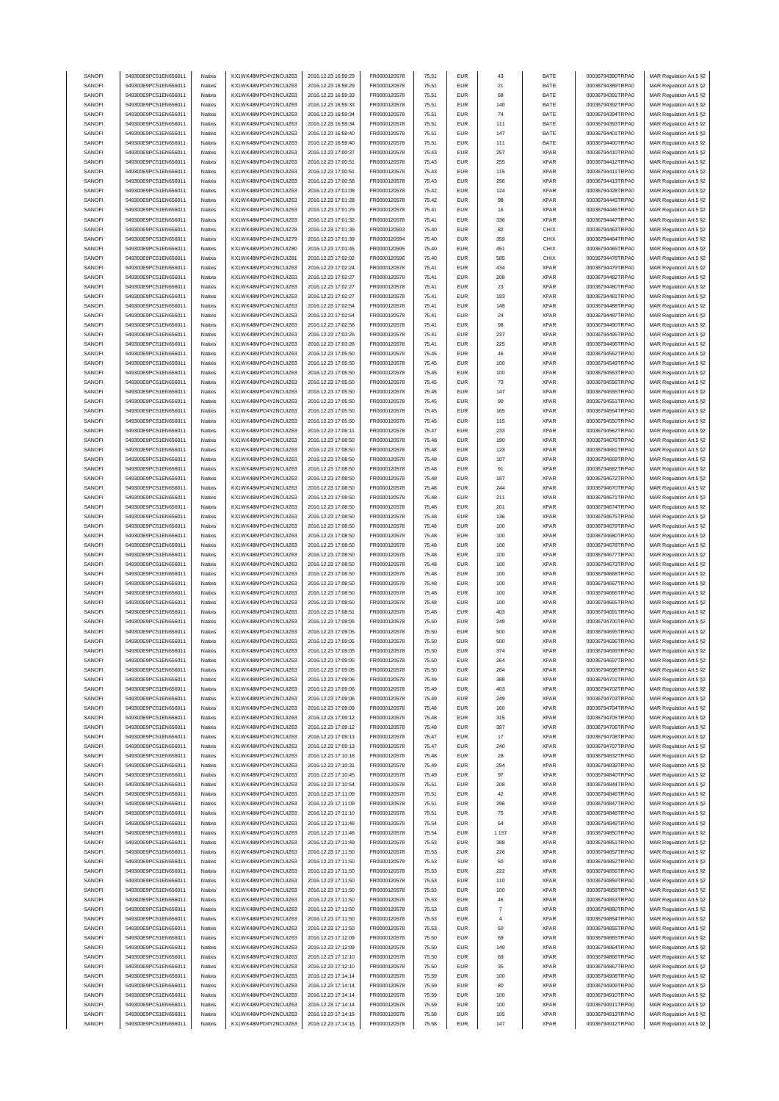| SANOFI | 549300E9PC51EN656011 | Natixis | KX1WK48MPD4Y2NCUIZ63  | 2016.12.23 16:59:29 | FR0000120578 | 75.51 | <b>EUR</b>  | 43             | BATE        | 00036794390TRPA0 | MAR Regulation Art.5 §2 |
|--------|----------------------|---------|-----------------------|---------------------|--------------|-------|-------------|----------------|-------------|------------------|-------------------------|
| SANOFI | 549300E9PC51EN656011 | Natixis | KX1WK48MPD4Y2NCUIZ63  | 2016.12.23 16:59:29 | FR0000120578 | 75.51 | <b>EUR</b>  | 21             | BATE        | 00036794389TRPA0 | MAR Regulation Art.5 §2 |
| SANOFI | 549300E9PC51EN656011 | Natixis | KX1WK48MPD4Y2NCUIZ63  | 2016.12.23 16:59:33 | FR0000120578 | 75.51 | <b>EUR</b>  | 68             | BATE        | 00036794391TRPA0 | MAR Regulation Art.5 §2 |
| SANOFI | 549300E9PC51EN656011 | Natixis | KX1WK48MPD4Y2NCUIZ63  | 2016.12.23 16:59:33 | FR0000120578 | 75.51 | <b>EUR</b>  | 140            | BATE        | 00036794392TRPA0 | MAR Regulation Art.5 §2 |
|        |                      |         |                       |                     |              |       |             |                |             |                  |                         |
| SANOFI | 549300E9PC51EN656011 | Natixis | KX1WK48MPD4Y2NCUIZ63  | 2016.12.23 16:59:34 | FR0000120578 | 75.51 | <b>EUR</b>  | 74             | BATE        | 00036794394TRPA0 | MAR Regulation Art.5 §2 |
| SANOFI | 549300E9PC51EN656011 | Natixis | KX1WK48MPD4Y2NCUIZ63  | 2016.12.23 16:59:34 | FR0000120578 | 75.51 | <b>EUR</b>  | 111            | BATE        | 00036794393TRPA0 | MAR Regulation Art.5 §2 |
| SANOFI | 549300E9PC51EN656011 | Natixis | KX1WK48MPD4Y2NCUIZ63  | 2016.12.23 16:59:40 | FR0000120578 | 75.51 | <b>EUR</b>  | 147            | BATE        | 00036794401TRPA0 | MAR Regulation Art.5 §2 |
| SANOFI | 549300E9PC51EN656011 | Natixis | KX1WK48MPD4Y2NCUIZ63  | 2016.12.23 16:59:40 | FR0000120578 | 75.51 | <b>EUR</b>  | 111            | BATE        | 00036794400TRPA0 | MAR Regulation Art.5 §2 |
| SANOFI | 549300E9PC51EN656011 | Natixis | KX1WK48MPD4Y2NCLIIZ63 | 2016.12.23 17:00:37 | FR0000120578 | 75.43 | <b>EUR</b>  | 257            | <b>XPAR</b> | 00036794410TRPA0 | MAR Regulation Art.5 §2 |
| SANOFI | 549300E9PC51EN656011 | Natixis | KX1WK48MPD4Y2NCUIZ63  | 2016.12.23 17:00:51 | FR0000120578 | 75.43 | <b>EUR</b>  | 255            | <b>XPAR</b> | 00036794412TRPA0 | MAR Regulation Art.5 §2 |
|        |                      | Natixis |                       |                     |              |       | <b>EUR</b>  |                |             |                  |                         |
| SANOFI | 549300E9PC51EN656011 |         | KX1WK48MPD4Y2NCUIZ63  | 2016.12.23 17:00:51 | FR0000120578 | 75.43 |             | 115            | <b>XPAR</b> | 00036794411TRPA0 | MAR Regulation Art.5 §2 |
| SANOFI | 549300E9PC51EN656011 | Natixis | KX1WK48MPD4Y2NCUIZ63  | 2016.12.23 17:00:58 | FR0000120578 | 75.43 | <b>EUR</b>  | 256            | <b>XPAR</b> | 00036794413TRPA0 | MAR Regulation Art.5 §2 |
| SANOFI | 549300E9PC51EN656011 | Natixis | KX1WK48MPD4Y2NCUIZ63  | 2016.12.23 17:01:08 | FR0000120578 | 75.42 | <b>EUR</b>  | 124            | <b>XPAR</b> | 00036794428TRPA0 | MAR Regulation Art.5 §2 |
| SANOFI | 549300E9PC51EN656011 | Natixis | KX1WK48MPD4Y2NCUIZ63  | 2016.12.23 17:01:28 | FR0000120578 | 75.42 | <b>EUR</b>  | 98             | <b>XPAR</b> | 00036794445TRPA0 | MAR Regulation Art.5 §2 |
| SANOFI | 549300E9PC51EN656011 | Natixis | KX1WK48MPD4Y2NCUIZ63  | 2016.12.23 17:01:29 | FR0000120578 | 75.41 | <b>EUR</b>  | 16             | <b>XPAR</b> | 00036794446TRPA0 | MAR Regulation Art.5 §2 |
| SANOFI | 549300E9PC51EN656011 | Natixis | KX1WK48MPD4Y2NCUIZ63  | 2016.12.23 17:01:32 | FR0000120578 | 75.41 | <b>EUR</b>  | 336            | <b>XPAR</b> | 00036794447TRPA0 | MAR Regulation Art.5 §2 |
|        |                      |         |                       |                     |              |       |             |                |             |                  |                         |
| SANOFI | 549300E9PC51EN656011 | Natixis | KX1WK48MPD4Y2NCUIZ78  | 2016.12.23 17:01:39 | FR0000120593 | 75.40 | <b>EUR</b>  | 82             | CHIX        | 00036794463TRPA0 | MAR Regulation Art.5 §2 |
| SANOFI | 549300E9PC51EN656011 | Natixis | KX1WK48MPD4Y2NCLIIZ79 | 2016.12.23 17:01:39 | FR0000120594 | 75.40 | <b>EUR</b>  | 359            | CHIX        | 00036794464TRPA0 | MAR Regulation Art.5 §2 |
| SANOFI | 549300E9PC51EN656011 | Natixis | KX1WK48MPD4Y2NCUIZ80  | 2016.12.23 17:01:45 | FR0000120595 | 75.40 | <b>EUR</b>  | 451            | CHIX        | 00036794465TRPA0 | MAR Regulation Art.5 §2 |
| SANOFI | 549300E9PC51EN656011 | Natixis | KX1WK48MPD4Y2NCUIZ81  | 2016.12.23 17:02:02 | FR0000120596 | 75.40 | <b>EUR</b>  | 585            | CHIX        | 00036794478TRPA0 | MAR Regulation Art.5 §2 |
| SANOFI | 549300E9PC51EN656011 | Natixis | KX1WK48MPD4Y2NCUIZ63  | 2016.12.23 17:02:24 | FR0000120578 | 75.41 | <b>EUR</b>  | 434            | <b>XPAR</b> | 00036794479TRPA0 | MAR Regulation Art.5 §2 |
| SANOFI | 549300E9PC51EN656011 | Natixis | KX1WK48MPD4Y2NCUIZ63  | 2016.12.23 17:02:27 | FR0000120578 | 75.41 | <b>EUR</b>  | 208            | <b>XPAR</b> | 00036794482TRPA0 | MAR Regulation Art.5 §2 |
|        |                      |         |                       |                     |              |       |             |                |             |                  |                         |
| SANOFI | 549300E9PC51EN656011 | Natixis | KX1WK48MPD4Y2NCUIZ63  | 2016.12.23 17:02:27 | FR0000120578 | 75.41 | <b>EUR</b>  | 23             | <b>XPAR</b> | 00036794480TRPA0 | MAR Regulation Art.5 §2 |
| SANOFI | 549300E9PC51EN656011 | Natixis | KX1WK48MPD4Y2NCUIZ63  | 2016.12.23 17:02:27 | FR0000120578 | 75.41 | <b>EUR</b>  | 193            | <b>XPAR</b> | 00036794481TRPA0 | MAR Regulation Art.5 §2 |
| SANOFI | 549300E9PC51EN656011 | Natixis | KX1WK48MPD4Y2NCUIZ63  | 2016.12.23 17:02:54 | FR0000120578 | 75.41 | <b>EUR</b>  | 148            | <b>XPAR</b> | 00036794488TRPA0 | MAR Regulation Art.5 §2 |
| SANOFI | 549300E9PC51EN656011 | Natixis | KX1WK48MPD4Y2NCUIZ63  | 2016.12.23 17:02:54 | FR0000120578 | 75.41 | <b>EUR</b>  | 24             | <b>XPAR</b> | 00036794487TRPA0 | MAR Regulation Art.5 §2 |
| SANOFI | 549300E9PC51EN656011 | Natixis | KX1WK48MPD4Y2NCLIIZ63 | 2016.12.23 17:02:58 | FR0000120578 | 75.41 | <b>EUR</b>  | 98             | <b>XPAR</b> | 00036794490TRPA0 | MAR Regulation Art.5 §2 |
| SANOFI | 549300E9PC51EN656011 | Natixis | KX1WK48MPD4Y2NCUIZ63  | 2016.12.23 17:03:26 | FR0000120578 | 75.41 | <b>EUR</b>  | 237            | <b>XPAR</b> | 00036794495TRPA0 | MAR Regulation Art.5 §2 |
|        |                      | Natixis |                       |                     |              |       | <b>EUR</b>  |                |             |                  |                         |
| SANOFI | 549300E9PC51EN656011 |         | KX1WK48MPD4Y2NCUIZ63  | 2016.12.23 17:03:26 | FR0000120578 | 75.41 |             | 225            | <b>XPAR</b> | 00036794496TRPA0 | MAR Regulation Art.5 §2 |
| SANOFI | 549300E9PC51EN656011 | Natixis | KX1WK48MPD4Y2NCUIZ63  | 2016.12.23 17:05:50 | FR0000120578 | 75.45 | <b>EUR</b>  | 46             | <b>XPAR</b> | 00036794552TRPA0 | MAR Regulation Art.5 §2 |
| SANOFI | 549300E9PC51EN656011 | Natixis | KX1WK48MPD4Y2NCUIZ63  | 2016.12.23 17:05:50 | FR0000120578 | 75.45 | <b>EUR</b>  | 100            | <b>XPAR</b> | 00036794549TRPA0 | MAR Regulation Art.5 §2 |
| SANOFI | 549300E9PC51EN656011 | Natixis | KX1WK48MPD4Y2NCUIZ63  | 2016.12.23 17:05:50 | FR0000120578 | 75.45 | <b>EUR</b>  | 100            | <b>XPAR</b> | 00036794553TRPA0 | MAR Regulation Art.5 §2 |
| SANOFI | 549300E9PC51EN656011 | Natixis | KX1WK48MPD4Y2NCUIZ63  | 2016.12.23 17:05:50 | FR0000120578 | 75.45 | <b>EUR</b>  | 73             | <b>XPAR</b> | 00036794556TRPA0 | MAR Regulation Art.5 §2 |
| SANOFI | 549300E9PC51EN656011 | Natixis | KX1WK48MPD4Y2NCUIZ63  | 2016.12.23 17:05:50 | FR0000120578 | 75.45 | <b>EUR</b>  | 147            | <b>XPAR</b> | 00036794555TRPA0 | MAR Regulation Art.5 §2 |
|        |                      |         |                       |                     |              |       |             |                |             |                  |                         |
| SANOFI | 549300E9PC51EN656011 | Natixis | KX1WK48MPD4Y2NCUIZ63  | 2016.12.23 17:05:50 | FR0000120578 | 75.45 | <b>EUR</b>  | 90             | <b>XPAR</b> | 00036794551TRPA0 | MAR Regulation Art.5 §2 |
| SANOFI | 549300E9PC51EN656011 | Natixis | KX1WK48MPD4Y2NCLIIZ63 | 2016.12.23 17:05:50 | FR0000120578 | 75.45 | <b>EUR</b>  | 165            | <b>XPAR</b> | 00036794554TRPA0 | MAR Regulation Art.5 §2 |
| SANOFI | 549300E9PC51EN656011 | Natixis | KX1WK48MPD4Y2NCUIZ63  | 2016.12.23 17:05:50 | FR0000120578 | 75.45 | <b>EUR</b>  | 115            | <b>XPAR</b> | 00036794550TRPA0 | MAR Regulation Art.5 §2 |
| SANOFI | 549300E9PC51EN656011 | Natixis | KX1WK48MPD4Y2NCUIZ63  | 2016.12.23 17:06:11 | FR0000120578 | 75.47 | <b>EUR</b>  | 233            | <b>XPAR</b> | 00036794562TRPA0 | MAR Regulation Art.5 §2 |
| SANOFI | 549300E9PC51EN656011 | Natixis | KX1WK48MPD4Y2NCUIZ63  | 2016.12.23 17:08:50 | FR0000120578 | 75.48 | <b>EUR</b>  | 190            | <b>XPAR</b> | 00036794676TRPA0 | MAR Regulation Art.5 §2 |
|        |                      |         |                       |                     |              |       |             |                |             |                  |                         |
| SANOFI | 549300E9PC51EN656011 | Natixis | KX1WK48MPD4Y2NCUIZ63  | 2016.12.23 17:08:50 | FR0000120578 | 75.48 | <b>EUR</b>  | 123            | <b>XPAR</b> | 00036794681TRPA0 | MAR Regulation Art.5 §2 |
| SANOFI | 549300E9PC51EN656011 | Natixis | KX1WK48MPD4Y2NCUIZ63  | 2016.12.23 17:08:50 | FR0000120578 | 75.48 | <b>EUR</b>  | 107            | <b>XPAR</b> | 00036794669TRPA0 | MAR Regulation Art.5 §2 |
| SANOFI | 549300E9PC51EN656011 | Natixis | KX1WK48MPD4Y2NCUIZ63  | 2016.12.23 17:08:50 | FR0000120578 | 75.48 | <b>EUR</b>  | 91             | <b>XPAR</b> | 00036794682TRPA0 | MAR Regulation Art.5 §2 |
| SANOFI | 549300E9PC51EN656011 | Natixis | KX1WK48MPD4Y2NCUIZ63  | 2016.12.23 17:08:50 | FR0000120578 | 75.48 | <b>EUR</b>  | 197            | <b>XPAR</b> | 00036794672TRPA0 | MAR Regulation Art.5 §2 |
| SANOFI | 549300E9PC51EN656011 | Natixis | KX1WK48MPD4Y2NCUIZ63  | 2016.12.23 17:08:50 | FR0000120578 | 75.48 | <b>EUR</b>  | 244            | <b>XPAR</b> | 00036794670TRPA0 | MAR Regulation Art.5 §2 |
| SANOFI | 549300E9PC51EN656011 | Natixis | KX1WK48MPD4Y2NCUIZ63  | 2016.12.23 17:08:50 | FR0000120578 | 75.48 | <b>EUR</b>  | 211            | <b>XPAR</b> | 00036794671TRPA0 | MAR Regulation Art.5 §2 |
|        |                      |         |                       |                     |              |       |             |                |             |                  |                         |
| SANOFI | 549300E9PC51EN656011 | Natixis | KX1WK48MPD4Y2NCUIZ63  | 2016.12.23 17:08:50 | FR0000120578 | 75.48 | <b>EUR</b>  | 201            | <b>XPAR</b> | 00036794674TRPA0 | MAR Regulation Art.5 §2 |
| SANOFI | 549300E9PC51EN656011 | Natixis | KX1WK48MPD4Y2NCUIZ63  | 2016.12.23 17:08:50 | FR0000120578 | 75.48 | <b>EUR</b>  | 136            | <b>XPAR</b> | 00036794675TRPA0 | MAR Regulation Art.5 §2 |
| SANOFI | 549300E9PC51EN656011 | Natixis | KX1WK48MPD4Y2NCUIZ63  | 2016.12.23 17:08:50 | FR0000120578 | 75.48 | <b>EUR</b>  | 100            | <b>XPAR</b> | 00036794679TRPA0 | MAR Regulation Art.5 §2 |
| SANOFI | 549300E9PC51EN656011 | Natixis | KX1WK48MPD4Y2NCUIZ63  | 2016.12.23 17:08:50 | FR0000120578 | 75.48 | <b>EUR</b>  | 100            | <b>XPAR</b> | 00036794680TRPA0 | MAR Regulation Art.5 §2 |
| SANOFI | 549300E9PC51EN656011 | Natixis | KX1WK48MPD4Y2NCUIZ63  | 2016.12.23 17:08:50 | FR0000120578 | 75.48 | <b>EUR</b>  | 100            | <b>XPAR</b> | 00036794678TRPA0 | MAR Regulation Art.5 §2 |
| SANOFI | 549300E9PC51EN656011 | Natixis | KX1WK48MPD4Y2NCUIZ63  | 2016.12.23 17:08:50 | FR0000120578 | 75.48 | <b>EUR</b>  | 100            | <b>XPAR</b> | 00036794677TRPA0 | MAR Regulation Art.5 §2 |
|        |                      |         |                       |                     |              |       |             |                |             |                  |                         |
| SANOFI | 549300E9PC51EN656011 | Natixis | KX1WK48MPD4Y2NCUIZ63  | 2016.12.23 17:08:50 | FR0000120578 | 75.48 | <b>EUR</b>  | 100            | <b>XPAR</b> | 00036794673TRPA0 | MAR Regulation Art.5 §2 |
| SANOFI | 549300E9PC51EN656011 | Natixis | KX1WK48MPD4Y2NCLIIZ63 | 2016.12.23 17:08:50 | FR0000120578 | 75.48 | <b>EUR</b>  | 100            | <b>XPAR</b> | 00036794668TRPA0 | MAR Regulation Art.5 §2 |
| SANOFI | 549300E9PC51EN656011 | Natixis | KX1WK48MPD4Y2NCUIZ63  | 2016.12.23 17:08:50 | FR0000120578 | 75.48 | <b>EUR</b>  | 100            | <b>XPAR</b> | 00036794667TRPA0 | MAR Regulation Art.5 §2 |
| SANOFI | 549300E9PC51EN656011 | Natixis | KX1WK48MPD4Y2NCUIZ63  | 2016.12.23 17:08:50 | FR0000120578 | 75.48 | <b>EUR</b>  | 100            | <b>XPAR</b> | 00036794666TRPA0 | MAR Regulation Art.5 §2 |
| SANOFI | 549300E9PC51EN656011 | Natixis | KX1WK48MPD4Y2NCUIZ63  | 2016.12.23 17:08:50 | FR0000120578 | 75.48 | <b>EUR</b>  | 100            | <b>XPAR</b> | 00036794665TRPA0 | MAR Regulation Art.5 §2 |
|        |                      |         | KX1WK48MPD4Y2NCUIZ63  |                     |              |       |             |                |             | 00036794691TRPA0 |                         |
| SANOFI | 549300E9PC51EN656011 | Natixis |                       | 2016.12.23 17:08:51 | FR0000120578 | 75.48 | <b>EUR</b>  | 403            | <b>XPAR</b> |                  | MAR Regulation Art.5 §2 |
| SANOFI | 549300E9PC51EN656011 | Natixis | KX1WK48MPD4Y2NCUIZ63  | 2016.12.23 17:09:05 | FR0000120578 | 75.50 | <b>EUR</b>  | 249            | <b>XPAR</b> | 00036794700TRPA0 | MAR Regulation Art.5 §2 |
| SANOFI | 549300E9PC51EN656011 | Natixis | KX1WK48MPD4Y2NCUIZ63  | 2016.12.23 17:09:05 | FR0000120578 | 75.50 | <b>EUR</b>  | 500            | <b>XPAR</b> | 00036794695TRPA0 | MAR Regulation Art.5 §2 |
| SANOFI | 549300E9PC51EN656011 | Natixis | KX1WK48MPD4Y2NCUIZ63  | 2016.12.23 17:09:05 | FR0000120578 | 75.50 | <b>EUR</b>  | 500            | <b>XPAR</b> | 00036794696TRPA0 | MAR Regulation Art.5 §2 |
| SANOF  | 549300E9PC51EN656011 | Natixis | KX1WK48MPD4Y2NCUIZ63  | 2016.12.23 17:09:05 | FR0000120578 | 75.50 | EUR         | 374            | <b>XPAR</b> | 00036794699TRPA0 | MAR Regulation Art.5 §2 |
| SANOFI | 549300E9PC51EN656011 | Natixis | KX1WK48MPD4Y2NCUIZ63  | 2016.12.23 17:09:05 | FR0000120578 | 75.50 | <b>EUR</b>  | 264            | <b>XPAR</b> | 00036794697TRPA0 | MAR Regulation Art.5 §2 |
| SANOFI | 549300E9PC51EN656011 | Natixis | KX1WK48MPD4Y2NCUIZ63  | 2016.12.23 17:09:05 | FR0000120578 | 75.50 | EUR         | 264            | <b>XPAR</b> | 00036794698TRPA0 | MAR Regulation Art.5 §2 |
|        |                      |         |                       |                     |              |       |             |                |             |                  |                         |
| SANOFI | 549300E9PC51EN656011 | Natixis | KX1WK48MPD4Y2NCUIZ63  | 2016.12.23 17:09:06 | FR0000120578 | 75.49 | <b>EUR</b>  | 388            | <b>XPAR</b> | 00036794701TRPA0 | MAR Regulation Art.5 §2 |
| SANOFI | 549300E9PC51EN656011 | Natixis | KX1WK48MPD4Y2NCUIZ63  | 2016.12.23 17:09:06 | FR0000120578 | 75.49 | <b>EUR</b>  | 403            | <b>XPAR</b> | 00036794702TRPA0 | MAR Regulation Art.5 §2 |
| SANOFI | 549300E9PC51EN656011 | Natixis | KX1WK48MPD4Y2NCUIZ63  | 2016.12.23 17:09:06 | FR0000120578 | 75.49 | <b>EUR</b>  | 249            | <b>XPAR</b> | 00036794703TRPA0 | MAR Regulation Art.5 §2 |
| SANOFI | 549300E9PC51EN656011 | Natixis | KX1WK48MPD4Y2NCUIZ63  | 2016.12.23 17:09:09 | FR0000120578 | 75.48 | ${\sf EUR}$ | 160            | <b>XPAR</b> | 00036794704TRPA0 | MAR Regulation Art.5 §2 |
| SANOFI | 549300E9PC51EN656011 | Natixis | KX1WK48MPD4Y2NCUIZ63  | 2016.12.23 17:09:12 | FR0000120578 | 75.48 | EUR         | 315            | <b>XPAR</b> | 00036794705TRPA0 | MAR Regulation Art.5 §2 |
| SANOFI | 549300E9PC51EN656011 | Natixis | KX1WK48MPD4Y2NCUIZ63  | 2016.12.23 17:09:12 | FR0000120578 | 75.48 | <b>EUR</b>  | 397            | <b>XPAR</b> | 00036794706TRPA0 | MAR Regulation Art.5 §2 |
| SANOFI | 549300E9PC51EN656011 |         | KX1WK48MPD4Y2NCUIZ63  | 2016.12.23 17:09:13 | FR0000120578 | 75.47 | <b>EUR</b>  |                | <b>XPAR</b> | 00036794708TRPA0 |                         |
|        |                      | Natixis |                       |                     |              |       |             | 17             |             |                  | MAR Regulation Art.5 §2 |
| SANOFI | 549300E9PC51EN656011 | Natixis | KX1WK48MPD4Y2NCUIZ63  | 2016.12.23 17:09:13 | FR0000120578 | 75.47 | <b>EUR</b>  | 240            | <b>XPAR</b> | 00036794707TRPA0 | MAR Regulation Art.5 §2 |
| SANOFI | 549300E9PC51EN656011 | Natixis | KX1WK48MPD4Y2NCUIZ63  | 2016.12.23 17:10:18 | FR0000120578 | 75.48 | <b>EUR</b>  | 28             | <b>XPAR</b> | 00036794832TRPA0 | MAR Regulation Art.5 §2 |
| SANOFI | 549300E9PC51EN656011 | Natixis | KX1WK48MPD4Y2NCUIZ63  | 2016.12.23 17:10:31 | FR0000120578 | 75.49 | <b>EUR</b>  | 254            | <b>XPAR</b> | 00036794839TRPA0 | MAR Regulation Art.5 §2 |
| SANOFI | 549300E9PC51EN656011 | Natixis | KX1WK48MPD4Y2NCUIZ63  | 2016.12.23 17:10:45 | FR0000120578 | 75.49 | <b>EUR</b>  | 97             | <b>XPAR</b> | 00036794840TRPA0 | MAR Regulation Art.5 §2 |
| SANOFI | 549300E9PC51EN656011 | Natixis | KX1WK48MPD4Y2NCUIZ63  | 2016.12.23 17:10:54 | FR0000120578 | 75.51 | <b>EUR</b>  | 208            | <b>XPAR</b> | 00036794844TRPA0 | MAR Regulation Art.5 §2 |
| SANOFI | 549300E9PC51EN656011 | Natixis | KX1WK48MPD4Y2NCUIZ63  | 2016.12.23 17:11:09 | FR0000120578 | 75.51 | <b>EUR</b>  | 42             | <b>XPAR</b> | 00036794846TRPA0 | MAR Regulation Art.5 §2 |
|        |                      |         | KX1WK48MPD4Y2NCUIZ63  |                     |              |       |             |                |             |                  |                         |
| SANOFI | 549300E9PC51EN656011 | Natixis |                       | 2016.12.23 17:11:09 | FR0000120578 | 75.51 | <b>EUR</b>  | 296            | <b>XPAR</b> | 00036794847TRPA0 | MAR Regulation Art.5 §2 |
| SANOFI | 549300E9PC51EN656011 | Natixis | KX1WK48MPD4Y2NCUIZ63  | 2016.12.23 17:11:10 | FR0000120578 | 75.51 | <b>EUR</b>  | 75             | <b>XPAR</b> | 00036794848TRPA0 | MAR Regulation Art.5 §2 |
| SANOFI | 549300E9PC51EN656011 | Natixis | KX1WK48MPD4Y2NCUIZ63  | 2016.12.23 17:11:48 | FR0000120578 | 75.54 | <b>EUR</b>  | 64             | <b>XPAR</b> | 00036794849TRPA0 | MAR Regulation Art.5 §2 |
| SANOFI | 549300E9PC51EN656011 | Natixis | KX1WK48MPD4Y2NCUIZ63  | 2016.12.23 17:11:48 | FR0000120578 | 75.54 | <b>EUR</b>  | 1 157          | <b>XPAR</b> | 00036794850TRPA0 | MAR Regulation Art.5 §2 |
| SANOFI | 549300E9PC51EN656011 | Natixis | KX1WK48MPD4Y2NCUIZ63  | 2016.12.23 17:11:49 | FR0000120578 | 75.53 | <b>EUR</b>  | 388            | <b>XPAR</b> | 00036794851TRPA0 | MAR Regulation Art.5 §2 |
| SANOFI | 549300E9PC51EN656011 | Natixis | KX1WK48MPD4Y2NCUIZ63  | 2016.12.23 17:11:50 | FR0000120578 | 75.53 | <b>EUR</b>  | 226            | <b>XPAR</b> | 00036794857TRPA0 |                         |
|        |                      |         |                       |                     |              |       |             |                |             |                  | MAR Regulation Art.5 §2 |
| SANOFI | 549300E9PC51EN656011 | Natixis | KX1WK48MPD4Y2NCUIZ63  | 2016.12.23 17:11:50 | FR0000120578 | 75.53 | <b>EUR</b>  | 50             | <b>XPAR</b> | 00036794852TRPA0 | MAR Regulation Art.5 §2 |
| SANOFI | 549300E9PC51EN656011 | Natixis | KX1WK48MPD4Y2NCUIZ63  | 2016.12.23 17:11:50 | FR0000120578 | 75.53 | <b>EUR</b>  | 222            | <b>XPAR</b> | 00036794856TRPA0 | MAR Regulation Art.5 §2 |
| SANOFI | 549300E9PC51EN656011 | Natixis | KX1WK48MPD4Y2NCUIZ63  | 2016.12.23 17:11:50 | FR0000120578 | 75.53 | <b>EUR</b>  | 110            | <b>XPAR</b> | 00036794859TRPA0 | MAR Regulation Art.5 §2 |
| SANOFI | 549300E9PC51EN656011 | Natixis | KX1WK48MPD4Y2NCUIZ63  | 2016.12.23 17:11:50 | FR0000120578 | 75.53 | <b>EUR</b>  | 100            | <b>XPAR</b> | 00036794858TRPA0 | MAR Regulation Art.5 §2 |
| SANOFI | 549300E9PC51EN656011 | Natixis | KX1WK48MPD4Y2NCUIZ63  | 2016.12.23 17:11:50 | FR0000120578 | 75.53 | <b>EUR</b>  | 46             | <b>XPAR</b> | 00036794853TRPA0 | MAR Regulation Art.5 §2 |
|        |                      |         |                       | 2016.12.23 17:11:50 |              |       |             | $\overline{7}$ |             |                  |                         |
| SANOFI | 549300E9PC51EN656011 | Natixis | KX1WK48MPD4Y2NCUIZ63  |                     | FR0000120578 | 75.53 | <b>EUR</b>  |                | <b>XPAR</b> | 00036794860TRPA0 | MAR Regulation Art.5 §2 |
| SANOFI | 549300E9PC51EN656011 | Natixis | KX1WK48MPD4Y2NCUIZ63  | 2016.12.23 17:11:50 | FR0000120578 | 75.53 | <b>EUR</b>  | $\overline{4}$ | <b>XPAR</b> | 00036794854TRPA0 | MAR Regulation Art.5 §2 |
| SANOFI | 549300E9PC51EN656011 | Natixis | KX1WK48MPD4Y2NCUIZ63  | 2016.12.23 17:11:50 | FR0000120578 | 75.53 | <b>EUR</b>  | 50             | <b>XPAR</b> | 00036794855TRPA0 | MAR Regulation Art.5 §2 |
| SANOFI | 549300E9PC51EN656011 | Natixis | KX1WK48MPD4Y2NCUIZ63  | 2016.12.23 17:12:09 | FR0000120578 | 75.50 | <b>EUR</b>  | 69             | <b>XPAR</b> | 00036794865TRPA0 | MAR Regulation Art.5 §2 |
| SANOFI | 549300E9PC51EN656011 | Natixis | KX1WK48MPD4Y2NCUIZ63  | 2016.12.23 17:12:09 | FR0000120578 | 75.50 | <b>EUR</b>  | 149            | <b>XPAR</b> | 00036794864TRPA0 | MAR Regulation Art.5 §2 |
| SANOFI | 549300E9PC51EN656011 | Natixis | KX1WK48MPD4Y2NCUIZ63  | 2016.12.23 17:12:10 | FR0000120578 | 75.50 | <b>EUR</b>  | 69             | <b>XPAR</b> | 00036794866TRPA0 | MAR Regulation Art.5 §2 |
| SANOFI | 549300E9PC51EN656011 | Natixis | KX1WK48MPD4Y2NCUIZ63  | 2016.12.23 17:12:10 | FR0000120578 | 75.50 | EUR         | 35             | <b>XPAR</b> | 00036794867TRPA0 | MAR Regulation Art.5 §2 |
|        |                      |         |                       |                     |              |       |             |                |             |                  |                         |
| SANOFI | 549300E9PC51EN656011 | Natixis | KX1WK48MPD4Y2NCUIZ63  | 2016.12.23 17:14:14 | FR0000120578 | 75.59 | <b>EUR</b>  | 100            | <b>XPAR</b> | 00036794908TRPA0 | MAR Regulation Art.5 §2 |
| SANOFI | 549300E9PC51EN656011 | Natixis | KX1WK48MPD4Y2NCUIZ63  | 2016.12.23 17:14:14 | FR0000120578 | 75.59 | <b>EUR</b>  | 80             | <b>XPAR</b> | 00036794909TRPA0 | MAR Regulation Art.5 §2 |
| SANOFI | 549300E9PC51EN656011 | Natixis | KX1WK48MPD4Y2NCUIZ63  | 2016.12.23 17:14:14 | FR0000120578 | 75.59 | <b>EUR</b>  | 100            | <b>XPAR</b> | 00036794910TRPA0 | MAR Regulation Art.5 §2 |
| SANOFI | 549300E9PC51EN656011 | Natixis | KX1WK48MPD4Y2NCUIZ63  | 2016.12.23 17:14:14 | FR0000120578 | 75.59 | <b>EUR</b>  | 100            | <b>XPAR</b> | 00036794911TRPA0 | MAR Regulation Art.5 §2 |
| SANOFI | 549300E9PC51EN656011 | Natixis | KX1WK48MPD4Y2NCUIZ63  | 2016.12.23 17:14:15 | FR0000120578 | 75.58 | <b>EUR</b>  | 105            | <b>XPAR</b> | 00036794913TRPA0 | MAR Regulation Art.5 §2 |
| SANOFI | 549300E9PC51EN656011 | Natixis | KX1WK48MPD4Y2NCUIZ63  | 2016.12.23 17:14:15 | FR0000120578 | 75.58 | EUR         | 147            | <b>XPAR</b> | 00036794912TRPA0 | MAR Regulation Art.5 §2 |
|        |                      |         |                       |                     |              |       |             |                |             |                  |                         |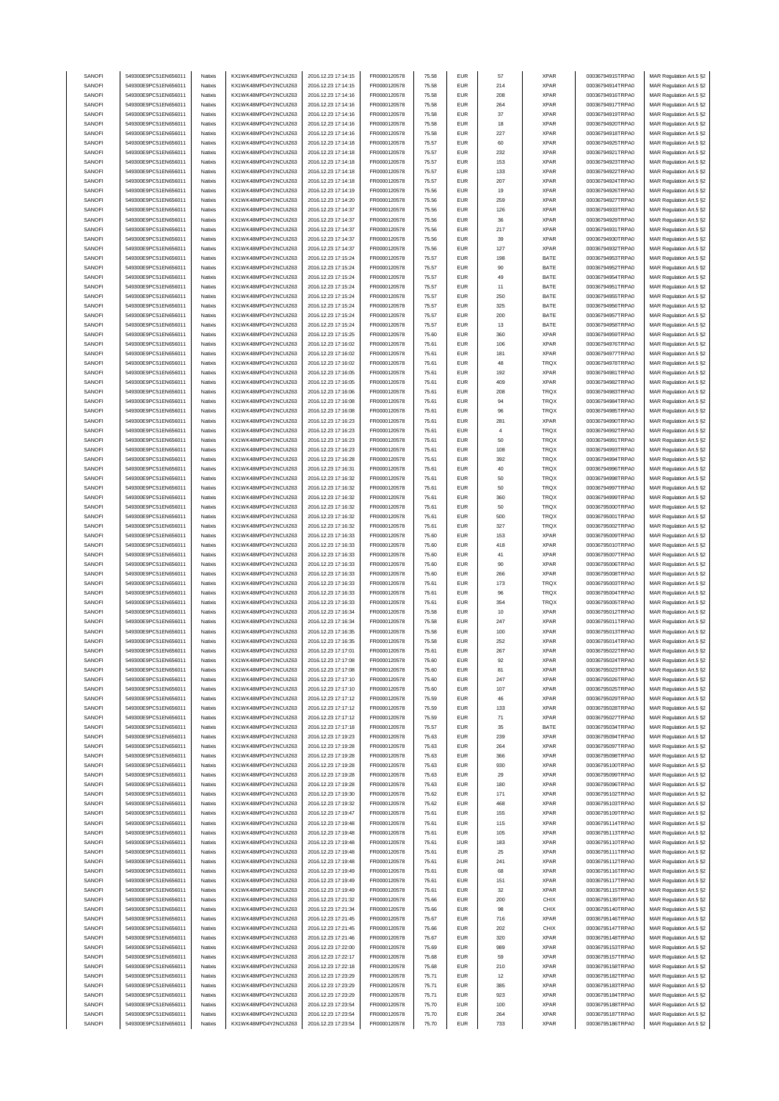| SANOFI | 549300E9PC51EN656011 | Natixis | KX1WK48MPD4Y2NCUIZ63  | 2016.12.23 17:14:15 | FR0000120578 | 75.58 | <b>EUR</b> | 57             | <b>XPAR</b> | 00036794915TRPA0 | MAR Regulation Art.5 §2 |
|--------|----------------------|---------|-----------------------|---------------------|--------------|-------|------------|----------------|-------------|------------------|-------------------------|
| SANOFI | 549300E9PC51EN656011 | Natixis | KX1WK48MPD4Y2NCUIZ63  | 2016.12.23 17:14:15 | FR0000120578 | 75.58 | <b>EUR</b> | 214            | <b>XPAR</b> | 00036794914TRPA0 | MAR Regulation Art.5 §2 |
| SANOFI | 549300E9PC51EN656011 | Natixis | KX1WK48MPD4Y2NCUIZ63  | 2016.12.23 17:14:16 | FR0000120578 | 75.58 | <b>EUR</b> | 208            | <b>XPAR</b> | 00036794916TRPA0 | MAR Regulation Art.5 §2 |
| SANOFI | 549300E9PC51EN656011 | Natixis | KX1WK48MPD4Y2NCUIZ63  | 2016.12.23 17:14:16 | FR0000120578 | 75.58 | <b>EUR</b> | 264            | <b>XPAR</b> | 00036794917TRPA0 | MAR Regulation Art.5 §2 |
|        |                      |         |                       |                     |              |       |            |                |             |                  |                         |
| SANOFI | 549300E9PC51EN656011 | Natixis | KX1WK48MPD4Y2NCUIZ63  | 2016.12.23 17:14:16 | FR0000120578 | 75.58 | <b>EUR</b> | 37             | <b>XPAR</b> | 00036794919TRPA0 | MAR Regulation Art.5 §2 |
| SANOFI | 549300E9PC51EN656011 | Natixis | KX1WK48MPD4Y2NCUIZ63  | 2016.12.23 17:14:16 | FR0000120578 | 75.58 | <b>EUR</b> | 18             | <b>XPAR</b> | 00036794920TRPA0 | MAR Regulation Art.5 §2 |
| SANOFI | 549300E9PC51EN656011 | Natixis | KX1WK48MPD4Y2NCUIZ63  | 2016.12.23 17:14:16 | FR0000120578 | 75.58 | <b>EUR</b> | 227            | <b>XPAR</b> | 00036794918TRPA0 | MAR Regulation Art.5 §2 |
| SANOFI | 549300E9PC51EN656011 | Natixis | KX1WK48MPD4Y2NCUIZ63  | 2016.12.23 17:14:18 | FR0000120578 | 75.57 | <b>EUR</b> | 60             | <b>XPAR</b> | 00036794925TRPA0 | MAR Regulation Art.5 §2 |
| SANOFI | 549300E9PC51EN656011 | Natixis | KX1WK48MPD4Y2NCLIIZ63 | 2016.12.23 17:14:18 | FR0000120578 | 75.57 | <b>EUR</b> | 232            | <b>XPAR</b> | 00036794921TRPA0 | MAR Regulation Art.5 §2 |
| SANOFI | 549300E9PC51EN656011 | Natixis | KX1WK48MPD4Y2NCUIZ63  | 2016.12.23 17:14:18 | FR0000120578 | 75.57 | <b>EUR</b> | 153            | <b>XPAR</b> | 00036794923TRPA0 | MAR Regulation Art.5 §2 |
|        |                      | Natixis |                       |                     |              |       | <b>EUR</b> |                |             |                  |                         |
| SANOFI | 549300E9PC51EN656011 |         | KX1WK48MPD4Y2NCUIZ63  | 2016.12.23 17:14:18 | FR0000120578 | 75.57 |            | 133            | <b>XPAR</b> | 00036794922TRPA0 | MAR Regulation Art.5 §2 |
| SANOFI | 549300E9PC51EN656011 | Natixis | KX1WK48MPD4Y2NCUIZ63  | 2016.12.23 17:14:18 | FR0000120578 | 75.57 | <b>EUR</b> | 207            | <b>XPAR</b> | 00036794924TRPA0 | MAR Regulation Art.5 §2 |
| SANOFI | 549300E9PC51EN656011 | Natixis | KX1WK48MPD4Y2NCUIZ63  | 2016.12.23 17:14:19 | FR0000120578 | 75.56 | <b>EUR</b> | 19             | <b>XPAR</b> | 00036794926TRPA0 | MAR Regulation Art.5 §2 |
| SANOFI | 549300E9PC51EN656011 | Natixis | KX1WK48MPD4Y2NCUIZ63  | 2016.12.23 17:14:20 | FR0000120578 | 75.56 | <b>EUR</b> | 259            | <b>XPAR</b> | 00036794927TRPA0 | MAR Regulation Art.5 §2 |
| SANOFI | 549300E9PC51EN656011 | Natixis | KX1WK48MPD4Y2NCUIZ63  | 2016.12.23 17:14:37 | FR0000120578 | 75.56 | <b>EUR</b> | 126            | <b>XPAR</b> | 00036794933TRPA0 | MAR Regulation Art.5 §2 |
|        | 549300E9PC51EN656011 |         | KX1WK48MPD4Y2NCUIZ63  | 2016.12.23 17:14:37 |              |       | <b>EUR</b> |                |             |                  |                         |
| SANOFI |                      | Natixis |                       |                     | FR0000120578 | 75.56 |            | 36             | <b>XPAR</b> | 00036794929TRPA0 | MAR Regulation Art.5 §2 |
| SANOFI | 549300E9PC51EN656011 | Natixis | KX1WK48MPD4Y2NCUIZ63  | 2016.12.23 17:14:37 | FR0000120578 | 75.56 | <b>EUR</b> | 217            | <b>XPAR</b> | 00036794931TRPA0 | MAR Regulation Art.5 §2 |
| SANOFI | 549300E9PC51EN656011 | Natixis | KX1WK48MPD4Y2NCLIIZ63 | 2016.12.23 17:14:37 | FR0000120578 | 75.56 | <b>EUR</b> | 39             | <b>XPAR</b> | 00036794930TRPA0 | MAR Regulation Art.5 §2 |
| SANOFI | 549300E9PC51EN656011 | Natixis | KX1WK48MPD4Y2NCUIZ63  | 2016.12.23 17:14:37 | FR0000120578 | 75.56 | <b>EUR</b> | 127            | <b>XPAR</b> | 00036794932TRPA0 | MAR Regulation Art.5 §2 |
| SANOFI | 549300E9PC51EN656011 | Natixis | KX1WK48MPD4Y2NCUIZ63  | 2016.12.23 17:15:24 | FR0000120578 | 75.57 | <b>EUR</b> | 198            | BATE        | 00036794953TRPA0 | MAR Regulation Art.5 §2 |
| SANOFI | 549300E9PC51EN656011 | Natixis | KX1WK48MPD4Y2NCUIZ63  | 2016.12.23 17:15:24 | FR0000120578 | 75.57 | <b>EUR</b> | 90             | BATE        | 00036794952TRPA0 | MAR Regulation Art.5 §2 |
| SANOFI | 549300E9PC51EN656011 | Natixis | KX1WK48MPD4Y2NCUIZ63  | 2016.12.23 17:15:24 | FR0000120578 | 75.57 | <b>EUR</b> | 49             | BATE        | 00036794954TRPA0 | MAR Regulation Art.5 §2 |
|        |                      |         |                       |                     |              |       |            |                |             |                  |                         |
| SANOFI | 549300E9PC51EN656011 | Natixis | KX1WK48MPD4Y2NCUIZ63  | 2016.12.23 17:15:24 | FR0000120578 | 75.57 | <b>EUR</b> | 11             | BATE        | 00036794951TRPA0 | MAR Regulation Art.5 §2 |
| SANOFI | 549300E9PC51EN656011 | Natixis | KX1WK48MPD4Y2NCUIZ63  | 2016.12.23 17:15:24 | FR0000120578 | 75.57 | <b>EUR</b> | 250            | BATE        | 00036794955TRPA0 | MAR Regulation Art.5 §2 |
| SANOFI | 549300E9PC51EN656011 | Natixis | KX1WK48MPD4Y2NCUIZ63  | 2016.12.23 17:15:24 | FR0000120578 | 75.57 | <b>EUR</b> | 325            | BATE        | 00036794956TRPA0 | MAR Regulation Art.5 §2 |
| SANOFI | 549300E9PC51EN656011 | Natixis | KX1WK48MPD4Y2NCUIZ63  | 2016.12.23 17:15:24 | FR0000120578 | 75.57 | <b>EUR</b> | 200            | BATE        | 00036794957TRPA0 | MAR Regulation Art.5 §2 |
| SANOFI | 549300E9PC51EN656011 | Natixis | KX1WK48MPD4Y2NCLIIZ63 | 2016.12.23 17:15:24 | FR0000120578 | 75.57 | <b>EUR</b> | 13             | BATE        | 00036794958TRPA0 | MAR Regulation Art.5 §2 |
| SANOFI | 549300E9PC51EN656011 | Natixis | KX1WK48MPD4Y2NCUIZ63  | 2016.12.23 17:15:25 | FR0000120578 | 75.60 | <b>EUR</b> | 360            | <b>XPAR</b> | 00036794959TRPA0 | MAR Regulation Art.5 §2 |
|        |                      |         |                       |                     |              |       |            |                |             |                  |                         |
| SANOFI | 549300E9PC51EN656011 | Natixis | KX1WK48MPD4Y2NCUIZ63  | 2016.12.23 17:16:02 | FR0000120578 | 75.61 | <b>EUR</b> | 106            | <b>XPAR</b> | 00036794976TRPA0 | MAR Regulation Art.5 §2 |
| SANOFI | 549300E9PC51EN656011 | Natixis | KX1WK48MPD4Y2NCUIZ63  | 2016.12.23 17:16:02 | FR0000120578 | 75.61 | <b>EUR</b> | 181            | <b>XPAR</b> | 00036794977TRPA0 | MAR Regulation Art.5 §2 |
| SANOFI | 549300E9PC51EN656011 | Natixis | KX1WK48MPD4Y2NCUIZ63  | 2016.12.23 17:16:02 | FR0000120578 | 75.61 | <b>EUR</b> | 48             | TRQX        | 00036794978TRPA0 | MAR Regulation Art.5 §2 |
| SANOFI | 549300E9PC51EN656011 | Natixis | KX1WK48MPD4Y2NCUIZ63  | 2016.12.23 17:16:05 | FR0000120578 | 75.61 | <b>EUR</b> | 192            | <b>XPAR</b> | 00036794981TRPA0 | MAR Regulation Art.5 §2 |
| SANOFI | 549300E9PC51EN656011 | Natixis | KX1WK48MPD4Y2NCUIZ63  | 2016.12.23 17:16:05 | FR0000120578 | 75.61 | <b>EUR</b> | 409            | <b>XPAR</b> | 00036794982TRPA0 | MAR Regulation Art.5 §2 |
|        |                      |         |                       |                     |              |       |            |                |             | 00036794983TRPA0 |                         |
| SANOFI | 549300E9PC51EN656011 | Natixis | KX1WK48MPD4Y2NCUIZ63  | 2016.12.23 17:16:06 | FR0000120578 | 75.61 | <b>EUR</b> | 208            | TRQX        |                  | MAR Regulation Art.5 §2 |
| SANOFI | 549300E9PC51EN656011 | Natixis | KX1WK48MPD4Y2NCUIZ63  | 2016.12.23 17:16:08 | FR0000120578 | 75.61 | <b>EUR</b> | 94             | TRQX        | 00036794984TRPA0 | MAR Regulation Art.5 §2 |
| SANOFI | 549300E9PC51EN656011 | Natixis | KX1WK48MPD4Y2NCLIIZ63 | 2016.12.23 17:16:08 | FR0000120578 | 75.61 | <b>EUR</b> | 96             | TRQX        | 00036794985TRPA0 | MAR Regulation Art.5 §2 |
| SANOFI | 549300E9PC51EN656011 | Natixis | KX1WK48MPD4Y2NCUIZ63  | 2016.12.23 17:16:23 | FR0000120578 | 75.61 | <b>EUR</b> | 281            | <b>XPAR</b> | 00036794990TRPA0 | MAR Regulation Art.5 §2 |
| SANOFI | 549300E9PC51EN656011 | Natixis | KX1WK48MPD4Y2NCUIZ63  | 2016.12.23 17:16:23 | FR0000120578 | 75.61 | <b>EUR</b> | $\overline{4}$ | TRQX        | 00036794992TRPA0 | MAR Regulation Art.5 §2 |
| SANOFI | 549300E9PC51EN656011 | Natixis | KX1WK48MPD4Y2NCUIZ63  | 2016.12.23 17:16:23 | FR0000120578 | 75.61 | <b>EUR</b> | 50             | TRQX        | 00036794991TRPA0 | MAR Regulation Art.5 §2 |
|        |                      |         |                       |                     |              |       |            |                |             |                  |                         |
| SANOFI | 549300E9PC51EN656011 | Natixis | KX1WK48MPD4Y2NCUIZ63  | 2016.12.23 17:16:23 | FR0000120578 | 75.61 | <b>EUR</b> | 108            | TRQX        | 00036794993TRPA0 | MAR Regulation Art.5 §2 |
| SANOFI | 549300E9PC51EN656011 | Natixis | KX1WK48MPD4Y2NCUIZ63  | 2016.12.23 17:16:28 | FR0000120578 | 75.61 | <b>EUR</b> | 392            | TRQX        | 00036794994TRPA0 | MAR Regulation Art.5 §2 |
| SANOFI | 549300E9PC51EN656011 | Natixis | KX1WK48MPD4Y2NCUIZ63  | 2016.12.23 17:16:31 | FR0000120578 | 75.61 | <b>EUR</b> | 40             | TRQX        | 00036794996TRPA0 | MAR Regulation Art.5 §2 |
| SANOFI | 549300E9PC51EN656011 | Natixis | KX1WK48MPD4Y2NCUIZ63  | 2016.12.23 17:16:32 | FR0000120578 | 75.61 | <b>EUR</b> | 50             | TRQX        | 00036794998TRPA0 | MAR Regulation Art.5 §2 |
| SANOFI | 549300E9PC51EN656011 | Natixis | KX1WK48MPD4Y2NCUIZ63  | 2016.12.23 17:16:32 | FR0000120578 | 75.61 | <b>EUR</b> | 50             | TRQX        | 00036794997TRPA0 | MAR Regulation Art.5 §2 |
| SANOFI | 549300E9PC51EN656011 | Natixis | KX1WK48MPD4Y2NCUIZ63  | 2016.12.23 17:16:32 | FR0000120578 | 75.61 | <b>EUR</b> | 360            | TRQX        | 00036794999TRPA0 | MAR Regulation Art.5 §2 |
|        |                      |         |                       |                     |              |       |            |                |             |                  |                         |
| SANOFI | 549300E9PC51EN656011 | Natixis | KX1WK48MPD4Y2NCUIZ63  | 2016.12.23 17:16:32 | FR0000120578 | 75.61 | <b>EUR</b> | 50             | TRQX        | 00036795000TRPA0 | MAR Regulation Art.5 §2 |
| SANOFI | 549300E9PC51EN656011 | Natixis | KX1WK48MPD4Y2NCUIZ63  | 2016.12.23 17:16:32 | FR0000120578 | 75.61 | <b>EUR</b> | 500            | TRQX        | 00036795001TRPA0 | MAR Regulation Art.5 §2 |
| SANOFI | 549300E9PC51EN656011 | Natixis | KX1WK48MPD4Y2NCUIZ63  | 2016.12.23 17:16:32 | FR0000120578 | 75.61 | <b>EUR</b> | 327            | TRQX        | 00036795002TRPA0 | MAR Regulation Art.5 §2 |
| SANOFI | 549300E9PC51EN656011 | Natixis | KX1WK48MPD4Y2NCUIZ63  | 2016.12.23 17:16:33 | FR0000120578 | 75.60 | <b>EUR</b> | 153            | <b>XPAR</b> | 00036795009TRPA0 | MAR Regulation Art.5 §2 |
| SANOFI | 549300E9PC51EN656011 | Natixis | KX1WK48MPD4Y2NCUIZ63  | 2016.12.23 17:16:33 | FR0000120578 | 75.60 | <b>EUR</b> | 418            | <b>XPAR</b> | 00036795010TRPA0 | MAR Regulation Art.5 §2 |
| SANOFI | 549300E9PC51EN656011 | Natixis | KX1WK48MPD4Y2NCUIZ63  |                     |              | 75.60 | <b>EUR</b> | 41             | <b>XPAR</b> |                  |                         |
|        |                      |         |                       | 2016.12.23 17:16:33 | FR0000120578 |       |            |                |             | 00036795007TRPA0 | MAR Regulation Art.5 §2 |
| SANOFI | 549300E9PC51EN656011 | Natixis | KX1WK48MPD4Y2NCUIZ63  | 2016.12.23 17:16:33 | FR0000120578 | 75.60 | <b>EUR</b> | 90             | <b>XPAR</b> | 00036795006TRPA0 | MAR Regulation Art.5 §2 |
| SANOFI | 549300E9PC51EN656011 | Natixis | KX1WK48MPD4Y2NCLIIZ63 | 2016.12.23 17:16:33 | FR0000120578 | 75.60 | <b>EUR</b> | 266            | <b>XPAR</b> | 00036795008TRPA0 | MAR Regulation Art.5 §2 |
| SANOFI | 549300E9PC51EN656011 | Natixis | KX1WK48MPD4Y2NCUIZ63  | 2016.12.23 17:16:33 | FR0000120578 | 75.61 | <b>EUR</b> | 173            | TRQX        | 00036795003TRPA0 | MAR Regulation Art.5 §2 |
| SANOFI | 549300E9PC51EN656011 | Natixis | KX1WK48MPD4Y2NCUIZ63  | 2016.12.23 17:16:33 | FR0000120578 | 75.61 | <b>EUR</b> | 96             | TRQX        | 00036795004TRPA0 | MAR Regulation Art.5 §2 |
| SANOFI | 549300E9PC51EN656011 | Natixis | KX1WK48MPD4Y2NCUIZ63  | 2016.12.23 17:16:33 | FR0000120578 | 75.61 | <b>EUR</b> | 354            | TRQX        | 00036795005TRPA0 | MAR Regulation Art.5 §2 |
|        |                      |         |                       |                     |              |       |            |                |             |                  |                         |
| SANOFI | 549300E9PC51EN656011 | Natixis | KX1WK48MPD4Y2NCUIZ63  | 2016.12.23 17:16:34 | FR0000120578 | 75.58 | <b>EUR</b> | 10             | <b>XPAR</b> | 00036795012TRPA0 | MAR Regulation Art.5 §2 |
| SANOFI | 549300E9PC51EN656011 | Natixis | KX1WK48MPD4Y2NCUIZ63  | 2016.12.23 17:16:34 | FR0000120578 | 75.58 | <b>EUR</b> | 247            | <b>XPAR</b> | 00036795011TRPA0 | MAR Regulation Art.5 §2 |
| SANOFI | 549300E9PC51EN656011 | Natixis | KX1WK48MPD4Y2NCUIZ63  | 2016.12.23 17:16:35 | FR0000120578 | 75.58 | <b>EUR</b> | 100            | <b>XPAR</b> | 00036795013TRPA0 | MAR Regulation Art.5 §2 |
| SANOFI | 549300E9PC51EN656011 | Natixis | KX1WK48MPD4Y2NCUIZ63  | 2016.12.23 17:16:35 | FR0000120578 | 75.58 | <b>EUR</b> | 252            | <b>XPAR</b> | 00036795014TRPA0 | MAR Regulation Art.5 §2 |
| SANOF  | 549300E9PC51EN656011 | Natixis | KX1WK48MPD4Y2NCUIZ63  | 2016.12.23 17:17:01 | FR0000120578 | 75.61 | EUR        | 261            | <b>XPAR</b> | 00036795022TRPA0 | MAR Regulation Art.5 §2 |
| SANOFI | 549300E9PC51EN656011 | Natixis | KX1WK48MPD4Y2NCUIZ63  | 2016.12.23 17:17:08 | FR0000120578 | 75.60 | <b>EUR</b> | 92             | <b>XPAR</b> | 00036795024TRPA0 | MAR Regulation Art.5 §2 |
|        |                      |         |                       | 2016.12.23 17:17:08 |              |       |            |                |             |                  |                         |
| SANOFI | 549300E9PC51EN656011 | Natixis | KX1WK48MPD4Y2NCUIZ63  |                     | FR0000120578 | 75.60 | EUR        | 81             | <b>XPAR</b> | 00036795023TRPA0 | MAR Regulation Art.5 §2 |
| SANOFI | 549300E9PC51EN656011 | Natixis | KX1WK48MPD4Y2NCUIZ63  | 2016.12.23 17:17:10 | FR0000120578 | 75.60 | <b>EUR</b> | 247            | <b>XPAR</b> | 00036795026TRPA0 | MAR Regulation Art.5 §2 |
| SANOFI | 549300E9PC51EN656011 | Natixis | KX1WK48MPD4Y2NCUIZ63  | 2016.12.23 17:17:10 | FR0000120578 | 75.60 | <b>EUR</b> | 107            | <b>XPAR</b> | 00036795025TRPA0 | MAR Regulation Art.5 §2 |
| SANOFI | 549300E9PC51EN656011 | Natixis | KX1WK48MPD4Y2NCUIZ63  | 2016.12.23 17:17:12 | FR0000120578 | 75.59 | <b>EUR</b> | 46             | <b>XPAR</b> | 00036795029TRPA0 | MAR Regulation Art.5 §2 |
| SANOFI | 549300E9PC51EN656011 | Natixis | KX1WK48MPD4Y2NCUIZ63  | 2016.12.23 17:17:12 | FR0000120578 | 75.59 | <b>EUR</b> | 133            | <b>XPAR</b> | 00036795028TRPA0 | MAR Regulation Art.5 §2 |
| SANOFI | 549300E9PC51EN656011 | Natixis | KX1WK48MPD4Y2NCUIZ63  | 2016.12.23 17:17:12 | FR0000120578 | 75.59 | EUR        | 71             | <b>XPAR</b> | 00036795027TRPA0 | MAR Regulation Art.5 §2 |
| SANOFI | 549300E9PC51EN656011 | Natixis | KX1WK48MPD4Y2NCUIZ63  | 2016.12.23 17:17:18 | FR0000120578 | 75.57 | <b>EUR</b> | 35             | BATE        | 00036795034TRPA0 | MAR Regulation Art.5 §2 |
| SANOFI | 549300E9PC51EN656011 |         | KX1WK48MPD4Y2NCUIZ63  | 2016.12.23 17:19:23 | FR0000120578 |       | <b>EUR</b> | 239            | <b>XPAR</b> | 00036795094TRPA0 |                         |
|        |                      | Natixis |                       |                     |              | 75.63 |            |                |             |                  | MAR Regulation Art.5 §2 |
| SANOFI | 549300E9PC51EN656011 | Natixis | KX1WK48MPD4Y2NCUIZ63  | 2016.12.23 17:19:28 | FR0000120578 | 75.63 | <b>EUR</b> | 264            | <b>XPAR</b> | 00036795097TRPA0 | MAR Regulation Art.5 §2 |
| SANOFI | 549300E9PC51EN656011 | Natixis | KX1WK48MPD4Y2NCUIZ63  | 2016.12.23 17:19:28 | FR0000120578 | 75.63 | <b>EUR</b> | 366            | <b>XPAR</b> | 00036795098TRPA0 | MAR Regulation Art.5 §2 |
| SANOFI | 549300E9PC51EN656011 | Natixis | KX1WK48MPD4Y2NCUIZ63  | 2016.12.23 17:19:28 | FR0000120578 | 75.63 | <b>EUR</b> | 930            | <b>XPAR</b> | 00036795100TRPA0 | MAR Regulation Art.5 §2 |
| SANOFI | 549300E9PC51EN656011 | Natixis | KX1WK48MPD4Y2NCUIZ63  | 2016.12.23 17:19:28 | FR0000120578 | 75.63 | <b>EUR</b> | 29             | <b>XPAR</b> | 00036795099TRPA0 | MAR Regulation Art.5 §2 |
| SANOFI | 549300E9PC51EN656011 | Natixis | KX1WK48MPD4Y2NCUIZ63  | 2016.12.23 17:19:28 | FR0000120578 | 75.63 | <b>EUR</b> | 180            | <b>XPAR</b> | 00036795096TRPA0 | MAR Regulation Art.5 §2 |
|        |                      |         |                       |                     |              |       |            |                |             |                  |                         |
| SANOFI | 549300E9PC51EN656011 | Natixis | KX1WK48MPD4Y2NCUIZ63  | 2016.12.23 17:19:30 | FR0000120578 | 75.62 | <b>EUR</b> | 171            | <b>XPAR</b> | 00036795102TRPA0 | MAR Regulation Art.5 §2 |
| SANOFI | 549300E9PC51EN656011 | Natixis | KX1WK48MPD4Y2NCUIZ63  | 2016.12.23 17:19:32 | FR0000120578 | 75.62 | <b>EUR</b> | 468            | <b>XPAR</b> | 00036795103TRPA0 | MAR Regulation Art.5 §2 |
| SANOFI | 549300E9PC51EN656011 | Natixis | KX1WK48MPD4Y2NCUIZ63  | 2016.12.23 17:19:47 | FR0000120578 | 75.61 | <b>EUR</b> | 155            | <b>XPAR</b> | 00036795109TRPA0 | MAR Regulation Art.5 §2 |
| SANOFI | 549300E9PC51EN656011 | Natixis | KX1WK48MPD4Y2NCUIZ63  | 2016.12.23 17:19:48 | FR0000120578 | 75.61 | <b>EUR</b> | 115            | <b>XPAR</b> | 00036795114TRPA0 | MAR Regulation Art.5 §2 |
| SANOFI | 549300E9PC51EN656011 | Natixis | KX1WK48MPD4Y2NCUIZ63  | 2016.12.23 17:19:48 | FR0000120578 | 75.61 | <b>EUR</b> | 105            | <b>XPAR</b> | 00036795113TRPA0 | MAR Regulation Art.5 §2 |
| SANOFI | 549300E9PC51EN656011 | Natixis | KX1WK48MPD4Y2NCUIZ63  | 2016.12.23 17:19:48 | FR0000120578 | 75.61 | <b>EUR</b> | 183            | <b>XPAR</b> | 00036795110TRPA0 | MAR Regulation Art.5 §2 |
|        |                      |         |                       |                     |              |       |            |                |             |                  |                         |
| SANOFI | 549300E9PC51EN656011 | Natixis | KX1WK48MPD4Y2NCUIZ63  | 2016.12.23 17:19:48 | FR0000120578 | 75.61 | <b>EUR</b> | 25             | <b>XPAR</b> | 00036795111TRPA0 | MAR Regulation Art.5 §2 |
| SANOFI | 549300E9PC51EN656011 | Natixis | KX1WK48MPD4Y2NCUIZ63  | 2016.12.23 17:19:48 | FR0000120578 | 75.61 | <b>EUR</b> | 241            | <b>XPAR</b> | 00036795112TRPA0 | MAR Regulation Art.5 §2 |
| SANOFI | 549300E9PC51EN656011 | Natixis | KX1WK48MPD4Y2NCUIZ63  | 2016.12.23 17:19:49 | FR0000120578 | 75.61 | <b>EUR</b> | 68             | <b>XPAR</b> | 00036795116TRPA0 | MAR Regulation Art.5 §2 |
| SANOFI | 549300E9PC51EN656011 | Natixis | KX1WK48MPD4Y2NCUIZ63  | 2016.12.23 17:19:49 | FR0000120578 | 75.61 | <b>EUR</b> | 151            | <b>XPAR</b> | 00036795117TRPA0 | MAR Regulation Art.5 §2 |
| SANOFI | 549300E9PC51EN656011 | Natixis | KX1WK48MPD4Y2NCUIZ63  | 2016.12.23 17:19:49 | FR0000120578 | 75.61 | <b>EUR</b> | 32             | <b>XPAR</b> | 00036795115TRPA0 | MAR Regulation Art.5 §2 |
|        |                      |         |                       |                     |              |       |            |                |             |                  |                         |
| SANOFI | 549300E9PC51EN656011 | Natixis | KX1WK48MPD4Y2NCUIZ63  | 2016.12.23 17:21:32 | FR0000120578 | 75.66 | <b>EUR</b> | 200            | CHIX        | 00036795139TRPA0 | MAR Regulation Art.5 §2 |
| SANOFI | 549300E9PC51EN656011 | Natixis | KX1WK48MPD4Y2NCUIZ63  | 2016.12.23 17:21:34 | FR0000120578 | 75.66 | <b>EUR</b> | 98             | CHIX        | 00036795140TRPA0 | MAR Regulation Art.5 §2 |
| SANOFI | 549300E9PC51EN656011 | Natixis | KX1WK48MPD4Y2NCUIZ63  | 2016.12.23 17:21:45 | FR0000120578 | 75.67 | <b>EUR</b> | 716            | <b>XPAR</b> | 00036795146TRPA0 | MAR Regulation Art.5 §2 |
| SANOFI | 549300E9PC51EN656011 | Natixis | KX1WK48MPD4Y2NCUIZ63  | 2016.12.23 17:21:45 | FR0000120578 | 75.66 | <b>EUR</b> | 202            | CHIX        | 00036795147TRPA0 | MAR Regulation Art.5 §2 |
| SANOFI | 549300E9PC51EN656011 | Natixis | KX1WK48MPD4Y2NCUIZ63  | 2016.12.23 17:21:46 | FR0000120578 | 75.67 | <b>EUR</b> | 320            | <b>XPAR</b> | 00036795148TRPA0 | MAR Regulation Art.5 §2 |
|        |                      |         |                       |                     |              |       |            |                |             |                  |                         |
| SANOFI | 549300E9PC51EN656011 | Natixis | KX1WK48MPD4Y2NCUIZ63  | 2016.12.23 17:22:00 | FR0000120578 | 75.69 | <b>EUR</b> | 989            | <b>XPAR</b> | 00036795153TRPA0 | MAR Regulation Art.5 §2 |
| SANOFI | 549300E9PC51EN656011 | Natixis | KX1WK48MPD4Y2NCUIZ63  | 2016.12.23 17:22:17 | FR0000120578 | 75.68 | <b>EUR</b> | 59             | <b>XPAR</b> | 00036795157TRPA0 | MAR Regulation Art.5 §2 |
| SANOFI | 549300E9PC51EN656011 | Natixis | KX1WK48MPD4Y2NCUIZ63  | 2016.12.23 17:22:18 | FR0000120578 | 75.68 | EUR        | 210            | <b>XPAR</b> | 00036795158TRPA0 | MAR Regulation Art.5 §2 |
| SANOFI | 549300E9PC51EN656011 | Natixis | KX1WK48MPD4Y2NCUIZ63  | 2016.12.23 17:23:29 | FR0000120578 | 75.71 | <b>EUR</b> | 12             | <b>XPAR</b> | 00036795182TRPA0 | MAR Regulation Art.5 §2 |
| SANOFI | 549300E9PC51EN656011 | Natixis | KX1WK48MPD4Y2NCUIZ63  | 2016.12.23 17:23:29 | FR0000120578 | 75.71 | <b>EUR</b> | 385            | <b>XPAR</b> | 00036795183TRPA0 | MAR Regulation Art.5 §2 |
| SANOFI | 549300E9PC51EN656011 | Natixis | KX1WK48MPD4Y2NCUIZ63  | 2016.12.23 17:23:29 | FR0000120578 | 75.71 | <b>EUR</b> | 923            | <b>XPAR</b> | 00036795184TRPA0 | MAR Regulation Art.5 §2 |
| SANOFI | 549300E9PC51EN656011 | Natixis | KX1WK48MPD4Y2NCUIZ63  | 2016.12.23 17:23:54 | FR0000120578 | 75.70 | <b>EUR</b> | 100            | <b>XPAR</b> | 00036795188TRPA0 | MAR Regulation Art.5 §2 |
|        |                      |         |                       |                     |              |       |            |                |             |                  |                         |
| SANOFI | 549300E9PC51EN656011 | Natixis | KX1WK48MPD4Y2NCUIZ63  | 2016.12.23 17:23:54 | FR0000120578 | 75.70 | <b>EUR</b> | 264            | <b>XPAR</b> | 00036795187TRPA0 | MAR Regulation Art.5 §2 |
| SANOFI | 549300E9PC51EN656011 | Natixis | KX1WK48MPD4Y2NCUIZ63  | 2016.12.23 17:23:54 | FR0000120578 | 75.70 | EUR        | 733            | <b>XPAR</b> | 00036795186TRPA0 | MAR Regulation Art.5 §2 |